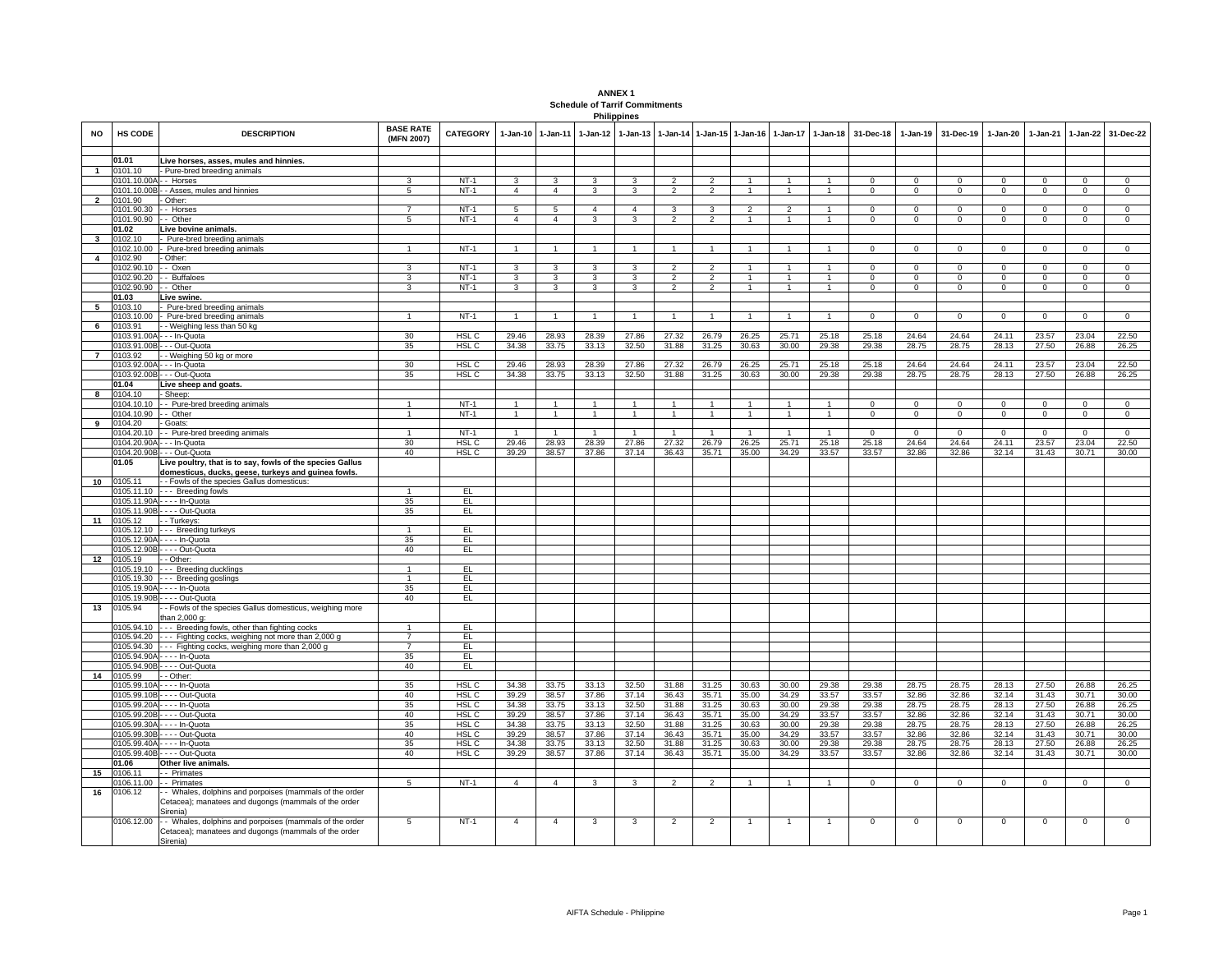| <b>ANNEX1</b>                         |
|---------------------------------------|
| <b>Schedule of Tarrif Commitments</b> |
| <b>Philippines</b>                    |

| NO                      | HS CODE               | <b>DESCRIPTION</b>                                                           | <b>BASE RATE</b><br>(MFN 2007) | <b>CATEGORY</b>  | $1-Jan-10$     | 1-Jan-11       | $1-Jan-12$     | 1-Jan-13       | $1 - Jan-14$             | 1-Jan-15 1-Jan-16 |                                | $1 - Jan-17$   |                | 1-Jan-18 31-Dec-18 | $1 - Jan-19$ | 31-Dec-19   | 1-Jan-20     | $1-Jan-21$   | 1-Jan-22       | 31-Dec-22                  |
|-------------------------|-----------------------|------------------------------------------------------------------------------|--------------------------------|------------------|----------------|----------------|----------------|----------------|--------------------------|-------------------|--------------------------------|----------------|----------------|--------------------|--------------|-------------|--------------|--------------|----------------|----------------------------|
|                         | 01.01                 | Live horses, asses, mules and hinnies.                                       |                                |                  |                |                |                |                |                          |                   |                                |                |                |                    |              |             |              |              |                |                            |
| $\mathbf{1}$            | 0101.10               | Pure-bred breeding animals                                                   |                                |                  |                |                |                |                |                          |                   |                                |                |                |                    |              |             |              |              |                |                            |
|                         | 0101.10.00A           | - Horses                                                                     | 3                              | $NT-1$           |                |                | $\mathbf{R}$   | $\mathbf{R}$   | $\mathfrak{p}$           | $\mathcal{P}$     |                                |                |                | $\Omega$           | $\Omega$     | $\Omega$    | $\Omega$     | $\Omega$     | $\Omega$       | $\Omega$                   |
|                         | 0101.10.00B           | - - Asses, mules and hinnies                                                 | $\overline{5}$                 | $NT-1$           | $\overline{4}$ | $\overline{4}$ | 3              | 3              | $\overline{2}$           | $\overline{2}$    | $\mathbf{1}$                   |                | $\overline{1}$ | $\Omega$           | $\Omega$     | $\Omega$    | $\Omega$     | $\Omega$     | $\Omega$       | $\overline{0}$             |
| $\overline{2}$          | 0101.90               | Other:                                                                       |                                |                  |                |                |                |                |                          |                   |                                |                |                |                    |              |             |              |              |                |                            |
|                         | 0101.90.30            | - Horses                                                                     |                                | $NT-1$<br>$NT-1$ | 5              |                | $\overline{4}$ | $\overline{4}$ | 3                        | 3                 | $\mathfrak{p}$<br>$\mathbf{1}$ |                |                |                    | $\Omega$     | $\Omega$    | $\Omega$     | $\Omega$     | $\Omega$       | $\Omega$<br>$\overline{0}$ |
|                         | 0101.90.90<br>01.02   | - Other<br>Live bovine animals.                                              | 5                              |                  | $\overline{4}$ | $\overline{4}$ | 3              | 3              | $\overline{\phantom{a}}$ | $\overline{2}$    |                                |                |                | $\Omega$           | $\Omega$     | $\Omega$    | $\Omega$     | $\Omega$     | $\Omega$       |                            |
| $\mathbf{3}$            | 0102.10               | Pure-bred breeding animals                                                   |                                |                  |                |                |                |                |                          |                   |                                |                |                |                    |              |             |              |              |                |                            |
|                         | 0102.10.00            | Pure-bred breeding animals                                                   |                                | $NT-1$           |                |                |                |                |                          |                   |                                |                |                | $\Omega$           | $\Omega$     | $\Omega$    | $\Omega$     | $\Omega$     | $\Omega$       | $\Omega$                   |
| $\overline{\mathbf{4}}$ | 0102.90               | Other:                                                                       |                                |                  |                |                |                |                |                          |                   |                                |                |                |                    |              |             |              |              |                |                            |
|                         | 0102.90.10            | -- Oxen                                                                      | 3                              | $NT-1$           |                |                | 3              | 3              |                          | $\overline{2}$    |                                |                |                | $\Omega$           | $\Omega$     | $\Omega$    | $\Omega$     | $\Omega$     | $\Omega$       | $\Omega$                   |
|                         | 0102.90.20            | - Buffaloes                                                                  | 3                              | $NT-1$           | $\mathcal{R}$  | $\mathbf{z}$   | 3              | 3              | $\mathcal{P}$            | $\overline{2}$    | $\mathbf{1}$                   |                |                | $\Omega$           | $\Omega$     | $\Omega$    | $\Omega$     | $\Omega$     | $\mathbf{0}$   | $\mathbf{0}$               |
|                         | 0102.90.90            | - Other                                                                      | 3                              | $NT-1$           | 3              | $\mathbf{3}$   | 3              | 3              | $\overline{2}$           | 2                 | $\mathbf{1}$                   | $\mathbf{1}$   | $\overline{1}$ | $\Omega$           | $\Omega$     | $\Omega$    | $\Omega$     | $\Omega$     | $\circ$        | $\mathbf{0}$               |
| -5                      | 01.03<br>0103.10      | Live swine.<br>Pure-bred breeding animals                                    |                                |                  |                |                |                |                |                          |                   |                                |                |                |                    |              |             |              |              |                |                            |
|                         | 0103.10.00            | Pure-bred breeding animals                                                   | $\overline{1}$                 | $NT-1$           |                |                | $\overline{1}$ | $\overline{1}$ |                          | $\overline{1}$    | $\overline{1}$                 |                | $\overline{1}$ | $\Omega$           | $\Omega$     | $\Omega$    | $\Omega$     | $\Omega$     | $\mathbf{0}$   | $\mathbf{0}$               |
| 6                       | 0103.91               | - Weighing less than 50 kg                                                   |                                |                  |                |                |                |                |                          |                   |                                |                |                |                    |              |             |              |              |                |                            |
|                         | 0103.91.00A           | - - - In-Quota                                                               | 30                             | HSL C            | 29.46          | 28.93          | 28.39          | 27.86          | 27.32                    | 26.79             | 26.25                          | 25.71          | 25.18          | 25.18              | 24.64        | 24.64       | 24.11        | 23.57        | 23.04          | 22.50                      |
|                         |                       | 0103.91.00B - - - Out-Quota                                                  | 35                             | HSL C            | 34.38          | 33.75          | 33.13          | 32.50          | 31.88                    | 31.25             | 30.63                          | 30.00          | 29.38          | 29.38              | 28.75        | 28.75       | 28.13        | 27.50        | 26.88          | 26.25                      |
| $\overline{7}$          | 0103.92               | - Weighing 50 kg or more                                                     |                                |                  |                |                |                |                |                          |                   |                                |                |                |                    |              |             |              |              |                |                            |
|                         |                       | 0103.92.00A - - - In-Quota                                                   | 30                             | HSL C            | 29.46<br>34.38 | 28.93          | 28.39          | 27.86          | 27.32                    | 26.79<br>31.25    | 26.25                          | 25.71<br>30.00 | 25.18          | 25.18              | 24.64        | 24.64       | 24.11        | 23.57        | 23.04          | 22.50                      |
|                         | 01.04                 | 0103.92.00B - - - Out-Quota<br>Live sheep and goats.                         | 35                             | HSL C            |                | 33.75          | 33.13          | 32.50          | 31.88                    |                   | 30.63                          |                | 29.38          | 29.38              | 28.75        | 28.75       | 28.13        | 27.50        | 26.88          | 26.25                      |
| 8                       | 0104.10               | Sheep:                                                                       |                                |                  |                |                |                |                |                          |                   |                                |                |                |                    |              |             |              |              |                |                            |
|                         | 0104.10.10            | - Pure-bred breeding animals                                                 | $\overline{1}$                 | NT-1             |                |                | $\mathbf{1}$   | $\mathbf{1}$   |                          |                   |                                |                |                | $\Omega$           | $\Omega$     | $\Omega$    | $\mathbf 0$  | $\Omega$     | $\mathbf 0$    | $\Omega$                   |
|                         | 0104.10.90            | - - Other                                                                    | $\overline{1}$                 | NT-1             |                | $\mathbf{1}$   | $\mathbf{1}$   | $\mathbf{1}$   | $\mathbf{1}$             | $\overline{1}$    | $\mathbf{1}$                   | 1              | $\overline{1}$ | 0                  | 0            | 0           | $\mathbf 0$  | $\mathbf{0}$ | $\mathbf{0}$   | $\mathbf 0$                |
| 9                       | 0104.20               | Goats:                                                                       |                                |                  |                |                |                |                |                          |                   |                                |                |                |                    |              |             |              |              |                |                            |
|                         | 0104.20.10            | - - Pure-bred breeding animals                                               | $\overline{1}$                 | NT-1             | $\overline{1}$ |                | $\mathbf{1}$   | $\overline{1}$ | $\mathbf{1}$             | $\overline{1}$    | $\overline{1}$                 | $\mathbf{1}$   | $\mathbf{1}$   | $\Omega$           | $\Omega$     | $\Omega$    | $\mathbf{0}$ | $\Omega$     | $\overline{0}$ | $\Omega$                   |
|                         | 0104.20.90A           | - - - In-Quota                                                               | 30                             | HSL C            | 29.46          | 28.93          | 28.39          | 27.86          | 27.32                    | 26.79             | 26.25                          | 25.71          | 25.18          | 25.18              | 24.64        | 24.64       | 24.11        | 23.57        | 23.04          | 22.50                      |
|                         | 0104.20.90B<br>01.05  | - - - Out-Quota<br>Live poultry, that is to say, fowls of the species Gallus | 40                             | HSL C            | 39.29          | 38.57          | 37.86          | 37.14          | 36.43                    | 35.71             | 35.00                          | 34.29          | 33.57          | 33.57              | 32.86        | 32.86       | 32.14        | 31.43        | 30.71          | 30.00                      |
|                         |                       | domesticus, ducks, geese, turkeys and guinea fowls.                          |                                |                  |                |                |                |                |                          |                   |                                |                |                |                    |              |             |              |              |                |                            |
|                         | 10 0105.11            | - Fowls of the species Gallus domesticus:                                    |                                |                  |                |                |                |                |                          |                   |                                |                |                |                    |              |             |              |              |                |                            |
|                         | 0105.11.10            | --- Breeding fowls                                                           | $\overline{1}$                 | EL.              |                |                |                |                |                          |                   |                                |                |                |                    |              |             |              |              |                |                            |
|                         |                       | 0105.11.90A - - - - In-Quota                                                 | 35                             | EL.              |                |                |                |                |                          |                   |                                |                |                |                    |              |             |              |              |                |                            |
|                         |                       | 0105.11.90B - - - - Out-Quota                                                | 35                             | EL.              |                |                |                |                |                          |                   |                                |                |                |                    |              |             |              |              |                |                            |
| 11                      | 0105.12               | - - Turkeys:                                                                 | $\overline{1}$                 |                  |                |                |                |                |                          |                   |                                |                |                |                    |              |             |              |              |                |                            |
|                         | 0105.12.10            | --- Breeding turkeys<br>0105.12.90A - - - - In-Quota                         | 35                             | EL.<br>EL        |                |                |                |                |                          |                   |                                |                |                |                    |              |             |              |              |                |                            |
|                         |                       | 0105.12.90B - - - - Out-Quota                                                | 40                             | EL               |                |                |                |                |                          |                   |                                |                |                |                    |              |             |              |              |                |                            |
| 12                      | 0105.19               | - Other:                                                                     |                                |                  |                |                |                |                |                          |                   |                                |                |                |                    |              |             |              |              |                |                            |
|                         | 0105.19.10            | --- Breeding ducklings                                                       | $\overline{1}$                 | EL.              |                |                |                |                |                          |                   |                                |                |                |                    |              |             |              |              |                |                            |
|                         | 0105.19.30            | --- Breeding goslings                                                        | $\overline{1}$                 | EL.              |                |                |                |                |                          |                   |                                |                |                |                    |              |             |              |              |                |                            |
|                         |                       | 0105.19.90A - - - - In-Quota                                                 | 35                             | EL               |                |                |                |                |                          |                   |                                |                |                |                    |              |             |              |              |                |                            |
|                         |                       | 0105.19.90B - - - - Out-Quota                                                | 40                             | EL               |                |                |                |                |                          |                   |                                |                |                |                    |              |             |              |              |                |                            |
| 13                      | 0105.94               | - Fowls of the species Gallus domesticus, weighing more<br>han 2.000 g:      |                                |                  |                |                |                |                |                          |                   |                                |                |                |                    |              |             |              |              |                |                            |
|                         | 0105.94.10            | --- Breeding fowls, other than fighting cocks                                | $\mathbf{1}$                   | EL               |                |                |                |                |                          |                   |                                |                |                |                    |              |             |              |              |                |                            |
|                         | 0105.94.20            | --- Fighting cocks, weighing not more than 2,000 g                           | $\overline{7}$                 | EL.              |                |                |                |                |                          |                   |                                |                |                |                    |              |             |              |              |                |                            |
|                         | 0105.94.30            | --- Fighting cocks, weighing more than 2,000 g                               | $\overline{7}$                 | EL               |                |                |                |                |                          |                   |                                |                |                |                    |              |             |              |              |                |                            |
|                         |                       | 0105.94.90A - - - - In-Quota                                                 | 35                             | EL               |                |                |                |                |                          |                   |                                |                |                |                    |              |             |              |              |                |                            |
|                         | 0105.94.90B           | - - - - Out-Quota                                                            | 40                             | EL.              |                |                |                |                |                          |                   |                                |                |                |                    |              |             |              |              |                |                            |
| 14                      | 0105.99<br>105.99.10A | - Other:<br>$- -$ In-Quota                                                   | 35                             | <b>HSL C</b>     | 34.38          | 33.75          | 33.13          | 32.50          | 31.88                    | 31.25             | 30.63                          | 30.00          | 29.38          | 29.38              | 28.75        | 28.75       | 28.13        | 27.50        | 26.88          | 26.25                      |
|                         | 105.99.10B            | - - - Out-Quota                                                              | 40                             | HSL C            | 39.29          | 38.57          | 37.86          | 37.14          | 36.43                    | 35.71             | 35.00                          | 34.29          | 33.57          | 33.57              | 32.86        | 32.86       | 32.14        | 31.43        | 30.71          | 30.00                      |
|                         | 0105.99.20A           | . - - - In-Quota                                                             | 35                             | HSL C            | 34.38          | 33.75          | 33.13          | 32.50          | 31.88                    | 31.25             | 30.63                          | 30.00          | 29.38          | 29.38              | 28.75        | 28.75       | 28.13        | 27.50        | 26.88          | 26.25                      |
|                         | 0105.99.20B           | - - - - Out-Quota                                                            | 40                             | HSL C            | 39.29          | 38.57          | 37.86          | 37.14          | 36.43                    | 35.71             | 35.00                          | 34.29          | 33.57          | 33.57              | 32.86        | 32.86       | 32.14        | 31.43        | 30.71          | 30.00                      |
|                         | 0105.99.30A           | - - - - In-Quota                                                             | 35                             | HSL C            | 34.38          | 33.75          | 33.13          | 32.50          | 31.88                    | 31.25             | 30.63                          | 30.00          | 29.38          | 29.38              | 28.75        | 28.75       | 28.13        | 27.50        | 26.88          | 26.25                      |
|                         | 0105.99.30B           | - - - - Out-Quota                                                            | 40                             | HSL C            | 39.29          | 38.57          | 37.86          | 37.14          | 36.43                    | 35.71             | 35.00                          | 34.29          | 33.57          | 33.57              | 32.86        | 32.86       | 32.14        | 31.43        | 30.71          | 30.00                      |
|                         | 0105.99.40A           | - - - - In-Quota                                                             | 35                             | HSL C            | 34.38          | 33.75          | 33.13          | 32.50          | 31.88                    | 31.25             | 30.63                          | 30.00          | 29.38          | 29.38              | 28.75        | 28.75       | 28.13        | 27.50        | 26.88          | 26.25                      |
|                         | 0105.99.40B<br>01.06  | . - - - Out-Quota<br>Other live animals                                      | 40                             | HSL C            | 39.29          | 38.57          | 37.86          | 37.14          | 36.43                    | 35.71             | 35.00                          | 34.29          | 33.57          | 33.57              | 32.86        | 32.86       | 32.14        | 31.43        | 30.71          | 30.00                      |
| 15                      | 0106.11               | - Primates                                                                   |                                |                  |                |                |                |                |                          |                   |                                |                |                |                    |              |             |              |              |                |                            |
|                         | 0106.11.00            | - Primates                                                                   | 5                              | $NT-1$           | $\overline{4}$ | $\overline{4}$ | 3              | 3              | $\overline{2}$           | $\overline{2}$    | 1                              |                | 1              | $\mathbf 0$        | $\mathbf 0$  | $\mathbf 0$ | $\mathsf 0$  | $\mathbf 0$  | $\mathbf 0$    | $\overline{0}$             |
| 16                      | 0106.12               | Whales, dolphins and porpoises (mammals of the order                         |                                |                  |                |                |                |                |                          |                   |                                |                |                |                    |              |             |              |              |                |                            |
|                         |                       | Cetacea); manatees and dugongs (mammals of the order<br>irenia)              |                                |                  |                |                |                |                |                          |                   |                                |                |                |                    |              |             |              |              |                |                            |
|                         | 0106.12.00            | - Whales, dolphins and porpoises (mammals of the order                       | 5                              | $NT-1$           | $\overline{4}$ | $\overline{4}$ | 3              | 3              | $\overline{2}$           | $\overline{2}$    | 1                              |                |                | $\mathbf 0$        | $\mathbf 0$  | $\mathbf 0$ | $\mathsf 0$  | $\mathbf 0$  | $\mathbf 0$    | $\mathsf 0$                |
|                         |                       | Cetacea); manatees and dugongs (mammals of the order                         |                                |                  |                |                |                |                |                          |                   |                                |                |                |                    |              |             |              |              |                |                            |
|                         |                       | Sirenia)                                                                     |                                |                  |                |                |                |                |                          |                   |                                |                |                |                    |              |             |              |              |                |                            |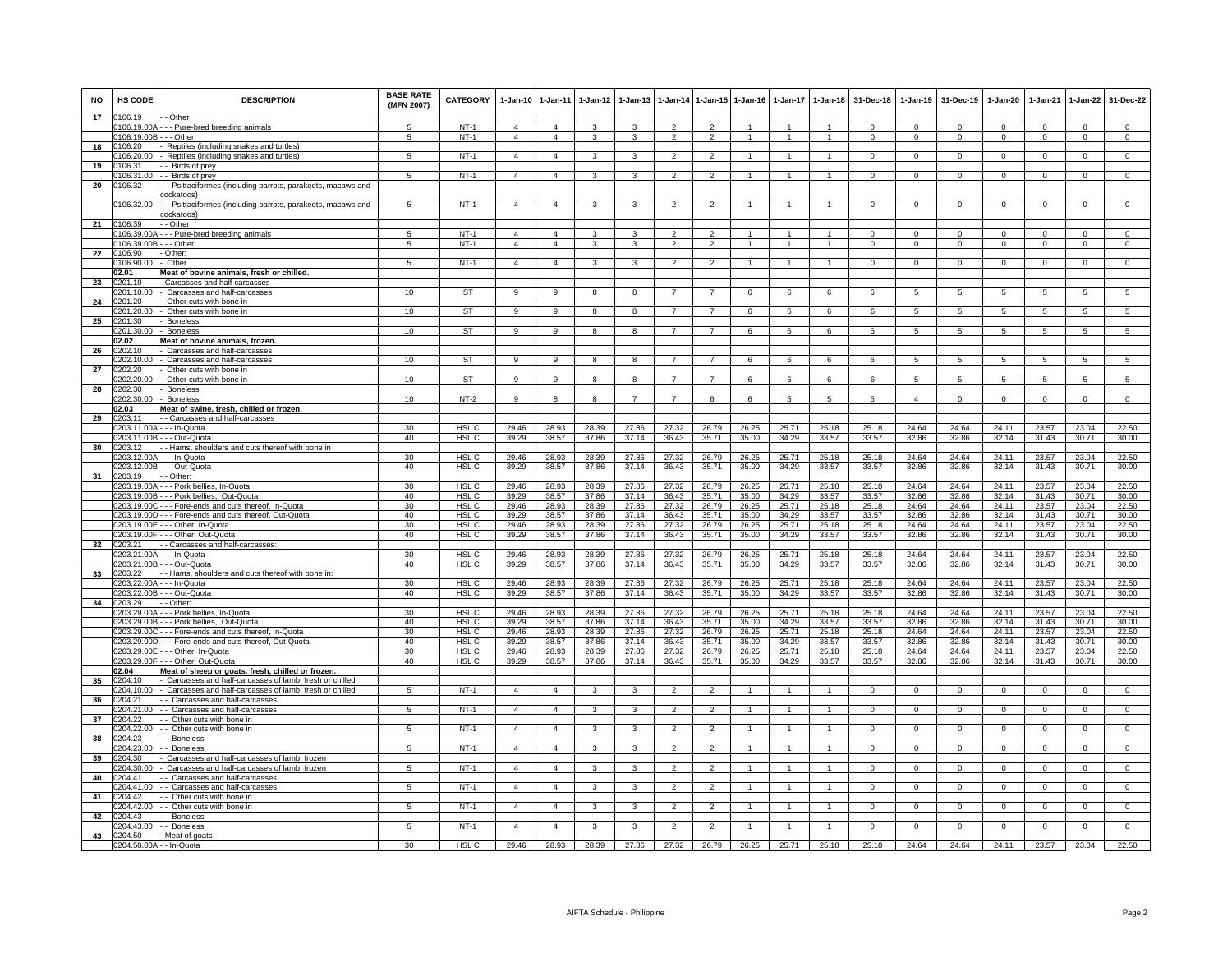| <b>NO</b> | <b>HS CODE</b>           | <b>DESCRIPTION</b>                                                                                         | <b>BASE RATE</b><br>(MFN 2007) | <b>CATEGORY</b>       | $1-Jan-10$                       | $1 - Jan-11$                     | $1 - Jan-12$   | $1 - Jan-13$            |                                 |                                 | 1-Jan-14 1-Jan-15 1-Jan-16             | $1-Jan-17$     | $1-Jan-18$                   | 31-Dec-18            | $1-Jan-19$              | 31-Dec-19              | $1-Jan-20$             | $1-Jan-21$           | $1 - Jan-22$            | 31-Dec-22                  |
|-----------|--------------------------|------------------------------------------------------------------------------------------------------------|--------------------------------|-----------------------|----------------------------------|----------------------------------|----------------|-------------------------|---------------------------------|---------------------------------|----------------------------------------|----------------|------------------------------|----------------------|-------------------------|------------------------|------------------------|----------------------|-------------------------|----------------------------|
| 17        | 0106.19                  | - Other                                                                                                    |                                |                       |                                  |                                  |                |                         |                                 |                                 |                                        |                |                              |                      |                         |                        |                        |                      |                         |                            |
|           | 106.19.00<br>0106.19.00E | - - Pure-bred breeding animals<br>- - Other                                                                | -5<br>5                        | $NT-1$<br>$NT-1$      | $\overline{4}$<br>$\overline{4}$ | $\overline{4}$<br>$\overline{4}$ | 3<br>3         | $\mathbf{3}$<br>3       | $\mathcal{P}$<br>$\overline{2}$ | $\mathcal{P}$<br>$\overline{2}$ | $\blacktriangleleft$<br>$\overline{1}$ | $\mathbf{1}$   | $\mathbf{1}$<br>$\mathbf{1}$ | $\Omega$<br>$\Omega$ | $\Omega$<br>$\mathbf 0$ | $\Omega$<br>$^{\circ}$ | $\Omega$<br>$^{\circ}$ | $\Omega$<br>$\Omega$ | $\Omega$<br>$\mathbf 0$ | $\Omega$<br>$\overline{0}$ |
| 18        | 0106.20                  | Reptiles (including snakes and turtles)                                                                    |                                |                       |                                  |                                  |                |                         |                                 |                                 |                                        |                |                              |                      |                         |                        |                        |                      |                         |                            |
|           | 106.20.00                | Reptiles (including snakes and turtles)                                                                    | 5                              | $NT-1$                | $\overline{4}$                   | $\overline{4}$                   | 3              | 3                       | $\overline{2}$                  | $\overline{2}$                  |                                        |                |                              | $^{\circ}$           | $\mathbf 0$             | $\mathbf 0$            | $^{\circ}$             | $^{\circ}$           | $\mathbf 0$             | $\mathbf 0$                |
| 19        | 0106.31                  | Birds of prev                                                                                              |                                |                       |                                  |                                  |                |                         |                                 |                                 |                                        |                |                              |                      |                         |                        |                        |                      |                         |                            |
|           | 0106.31.00               | - Birds of prey                                                                                            | 5                              | $NT-1$                | $\overline{4}$                   | $\overline{4}$                   | 3              | 3                       | $\overline{2}$                  | $\overline{2}$                  | $\overline{1}$                         | $\overline{1}$ | $\overline{1}$               | $\mathbf{0}$         | $\mathbf 0$             | $\mathbf 0$            | $\overline{0}$         | $\mathbf 0$          | $\mathsf 0$             | $\overline{0}$             |
| 20        | 0106.32                  | - Psittaciformes (including parrots, parakeets, macaws and                                                 |                                |                       |                                  |                                  |                |                         |                                 |                                 |                                        |                |                              |                      |                         |                        |                        |                      |                         |                            |
|           |                          | ockatoos <sup>®</sup>                                                                                      |                                |                       |                                  |                                  |                |                         |                                 |                                 |                                        |                |                              |                      |                         |                        |                        |                      |                         |                            |
|           | 106.32.00                | - Psittaciformes (including parrots, parakeets, macaws and                                                 | 5                              | $NT-1$                | $\overline{4}$                   | $\overline{4}$                   | 3              | 3                       | $\overline{2}$                  | $\overline{2}$                  |                                        |                | $\overline{1}$               | $\mathbf 0$          | $\mathbf 0$             | $\Omega$               | $\mathbf 0$            | $\mathbf 0$          | $\mathsf 0$             | $\mathbf 0$                |
| 21        | 0106.39                  | cockatoos)<br>- Other                                                                                      |                                |                       |                                  |                                  |                |                         |                                 |                                 |                                        |                |                              |                      |                         |                        |                        |                      |                         |                            |
|           | 0106.39.00               | - - Pure-bred breeding animals                                                                             | 5                              | $NT-1$                | $\mathbf{A}$                     | $\mathbf{4}$                     | 3              | 3                       | $\mathcal{P}$                   | $\mathcal{P}$                   | $\blacktriangleleft$                   | $\mathbf{1}$   | $\mathbf{1}$                 | $\Omega$             | $\Omega$                | $\Omega$               | $\Omega$               | $\Omega$             | $\Omega$                | $\mathbf 0$                |
|           | 106.39.00                | - - Other                                                                                                  | 5                              | $NT-1$                | $\overline{4}$                   | $\overline{4}$                   | 3              | 3                       | $\overline{2}$                  | $\overline{2}$                  |                                        | $\mathbf{1}$   | $\overline{1}$               | $\mathbf 0$          | $\mathbf 0$             | $\mathbf 0$            | $\mathbf 0$            | $\Omega$             | $\mathsf 0$             | $\mathbf 0$                |
| 22        | 0106.90                  | Other:                                                                                                     |                                |                       |                                  |                                  |                |                         |                                 |                                 |                                        |                |                              |                      |                         |                        |                        |                      |                         |                            |
|           | 106.90.00                | Other                                                                                                      | 5                              | $NT-1$                | $\overline{4}$                   | $\overline{4}$                   | 3              | 3                       | $\overline{2}$                  | $\mathcal{P}$                   | $\mathbf{1}$                           | $\mathbf{1}$   | $\mathbf{1}$                 | $^{\circ}$           | $\mathbf{0}$            | $\mathbf 0$            | 0                      | $\mathbf 0$          | $\mathbf 0$             | $\Omega$                   |
|           | 02.01                    | Meat of bovine animals, fresh or chilled.                                                                  |                                |                       |                                  |                                  |                |                         |                                 |                                 |                                        |                |                              |                      |                         |                        |                        |                      |                         |                            |
| 23        | 0201.10                  | Carcasses and half-carcasse                                                                                |                                |                       |                                  |                                  |                |                         |                                 |                                 |                                        |                |                              |                      |                         |                        |                        |                      |                         |                            |
|           | 0201.10.00<br>0201.20    | Carcasses and half-carcasses                                                                               | 10                             | <b>ST</b>             | $\mathsf{Q}$                     | $\mathsf{Q}$                     |                |                         |                                 |                                 |                                        |                | ĥ                            | 6                    | 5                       | 5                      | 5                      |                      | 5                       | 5                          |
| 24        | 0201.20.00               | Other cuts with bone in<br>Other cuts with bone in                                                         | 10                             | ST                    | 9                                | 9                                | 8              | 8                       | $\overline{7}$                  | $\overline{7}$                  | 6                                      | 6              | 6                            | 6                    | 5                       | 5                      | 5                      | 5                    | 5                       | $\sqrt{5}$                 |
| 25        | 0201.30                  | <b>Boneless</b>                                                                                            |                                |                       |                                  |                                  |                |                         |                                 |                                 |                                        |                |                              |                      |                         |                        |                        |                      |                         |                            |
|           | 0201.30.00               | <b>Boneless</b>                                                                                            | 10                             | <b>ST</b>             | 9                                | $_{9}$                           | 8              | 8                       | 7                               | 7                               | 6                                      | 6              | 6                            | 6                    | 5                       | -5                     | 5                      | 5                    | 5                       | 5                          |
|           | 02.02                    | leat of bovine animals, frozen.                                                                            |                                |                       |                                  |                                  |                |                         |                                 |                                 |                                        |                |                              |                      |                         |                        |                        |                      |                         |                            |
| 26        | 0202.10                  | Carcasses and half-carcasses                                                                               |                                |                       |                                  |                                  |                |                         |                                 |                                 |                                        |                |                              |                      |                         |                        |                        |                      |                         |                            |
|           | 0202.10.00               | Carcasses and half-carcasses                                                                               | 10                             | <b>ST</b>             | 9                                | 9                                | 8              | 8                       | $\overline{7}$                  | $\overline{7}$                  | 6                                      | 6              | 6                            | 6                    | 5                       | 5                      | 5                      | 5                    | 5                       | 5                          |
| 27        | 0202.20<br>0202.20.00    | Other cuts with bone in<br>Other cuts with bone in                                                         | 10                             | <b>ST</b>             | $\overline{9}$                   | $\overline{9}$                   | 8              | $\overline{\mathbf{R}}$ |                                 |                                 | $\overline{6}$                         | 6              | $6\overline{6}$              | 6                    | 5                       | $\overline{5}$         | 5                      | 5                    | $\overline{5}$          | $\overline{5}$             |
| 28        | 0202.30                  | <b>Boneless</b>                                                                                            |                                |                       |                                  |                                  |                |                         |                                 |                                 |                                        |                |                              |                      |                         |                        |                        |                      |                         |                            |
|           | 0202.30.00               | <b>Boneless</b>                                                                                            | 10                             | $NT-2$                | 9                                | 8                                | 8              |                         | $\overline{7}$                  | -6                              | 6                                      | 5              | -5                           | 5                    | $\overline{4}$          | $\Omega$               | $\Omega$               | $\Omega$             | $\Omega$                | $\Omega$                   |
|           | 02.03                    | Meat of swine, fresh, chilled or frozen.                                                                   |                                |                       |                                  |                                  |                |                         |                                 |                                 |                                        |                |                              |                      |                         |                        |                        |                      |                         |                            |
| 29        | 1203.11                  | - Carcasses and half-carcasses                                                                             |                                |                       |                                  |                                  |                |                         |                                 |                                 |                                        |                |                              |                      |                         |                        |                        |                      |                         |                            |
|           | 1203.11.00               | - - In-Quota                                                                                               | 30                             | HSL C                 | 29.46                            | 28.93                            | 28.39          | 27.86                   | 27.32                           | 26.79                           | 26.25                                  | 25.71          | 25.18                        | 25.18                | 24.64                   | 24.64                  | 24.11                  | 23.57                | 23.04                   | 22.50                      |
|           | 203.11.00                | - - Out-Quota                                                                                              | 40                             | HSL <sub>C</sub>      | 39.29                            | 38.57                            | 37.86          | 37.14                   | 36.43                           | 35.71                           | 35.00                                  | 34.29          | 33.57                        | 33.57                | 32.86                   | 32.86                  | 32.14                  | 31.43                | 30.71                   | 30.00                      |
| 30        | 203.12                   | Hams, shoulders and cuts thereof with bone in                                                              |                                |                       |                                  |                                  |                |                         |                                 |                                 |                                        |                |                              |                      |                         |                        |                        |                      |                         |                            |
|           | 0203.12.00<br>1203.12.00 | - - In-Quota<br>- - Out-Quota                                                                              | 30<br>40                       | HSL C<br><b>HSL C</b> | 29.46<br>39.29                   | 28.93<br>38.57                   | 28.39<br>37.86 | 27.86<br>37.14          | 27.32<br>36.43                  | 26.79<br>35.71                  | 26.25<br>35.00                         | 25.71<br>34.29 | 25.18<br>33.57               | 25.18<br>33.57       | 24.64<br>32.86          | 24.64<br>32.86         | 24.11<br>32.14         | 23.57<br>31.43       | 23.04<br>30.71          | 22.50<br>30.00             |
| 31        | 0203.19                  | - Other:                                                                                                   |                                |                       |                                  |                                  |                |                         |                                 |                                 |                                        |                |                              |                      |                         |                        |                        |                      |                         |                            |
|           | 0203.19.00               | - - Pork bellies, In-Quota                                                                                 | 30                             | HSL C                 | 29.46                            | 28.93                            | 28.39          | 27.86                   | 27.32                           | 26.79                           | 26.25                                  | 25.71          | 25.18                        | 25.18                | 24.64                   | 24.64                  | 24.11                  | 23.57                | 23.04                   | 22.50                      |
|           | 0203.19.00E              | -- Pork bellies, Out-Quota                                                                                 | 40                             | HSL C                 | 39.29                            | 38.57                            | 37.86          | 37.14                   | 36.43                           | 35.71                           | 35.00                                  | 34.29          | 33.57                        | 33.57                | 32.86                   | 32.86                  | 32.14                  | 31.43                | 30.71                   | 30.00                      |
|           | 0203.19.00               | - - Fore-ends and cuts thereof, In-Quota                                                                   | 30                             | HSL C                 | 29.46                            | 28.93                            | 28.39          | 27.86                   | 27.32                           | 26.79                           | 26.25                                  | 25.71          | 25.18                        | 25.18                | 24.64                   | 24.64                  | 24.11                  | 23.57                | 23.04                   | 22.50                      |
|           | 0203.19.00               | - - Fore-ends and cuts thereof, Out-Quota                                                                  | 40                             | HSL C                 | 39.29                            | 38.57                            | 37.86          | 37.14                   | 36.43                           | 35.71                           | 35.00                                  | 34.29          | 33.57                        | 33.57                | 32.86                   | 32.86                  | 32.14                  | 31.43                | 30.71                   | 30.00                      |
|           | 0203.19.00               | - - Other, In-Quota                                                                                        | 30                             | HSL C                 | 29.46                            | 28.93                            | 28.39          | 27.86                   | 27.32                           | 26.79                           | 26.25                                  | 25.71          | 25.18                        | 25.18                | 24.64                   | 24.64                  | 24.11                  | 23.57                | 23.04                   | 22.50                      |
| 32        | 203.19.00<br>0203.21     | - Other, Out-Quota<br>Carcasses and half-carcasses                                                         | 40                             | HSL C                 | 39.29                            | 38.57                            | 37.86          | 37.14                   | 36.43                           | 35.71                           | 35.00                                  | 34.29          | 33.57                        | 33.57                | 32.86                   | 32.86                  | 32.14                  | 31.43                | 30.71                   | 30.00                      |
|           | 0203.21.00               | - - In-Quota                                                                                               | 30                             | HSL <sub>C</sub>      | 29.46                            | 28.93                            | 28.39          | 27.86                   | 27.32                           | 26.79                           | 26.25                                  | 25.71          | 25.18                        | 25.18                | 24.64                   | 24.64                  | 24.11                  | 23.57                | 23.04                   | 22.50                      |
|           | 0203 21.00               | - Out-Quota                                                                                                | 40                             | HSL C                 | 39.29                            | 38.57                            | 37.86          | 37.14                   | 36.43                           | 35.71                           | 35.00                                  | 34.29          | 33.57                        | 33.57                | 32.86                   | 32.86                  | 32.14                  | 31.43                | 30.71                   | 30.00                      |
| 33        | 0203.22                  | - Hams, shoulders and cuts thereof with bone in:                                                           |                                |                       |                                  |                                  |                |                         |                                 |                                 |                                        |                |                              |                      |                         |                        |                        |                      |                         |                            |
|           | 0203.22.00               | - - In-Quota                                                                                               | 30                             | HSL <sub>C</sub>      | 29.46                            | 28.93                            | 28.39          | 27.86                   | 27.32                           | 26.79                           | 26.25                                  | 25.71          | 25.18                        | 25.18                | 24.64                   | 24.64                  | 24.11                  | 23.57                | 23.04                   | 22.50                      |
|           | 0203.22.00E              | - - Out-Quota                                                                                              | 40                             | HSL C                 | 39.29                            | 38.57                            | 37.86          | 37.14                   | 36.43                           | 35.71                           | 35.00                                  | 34.29          | 33.57                        | 33.57                | 32.86                   | 32.86                  | 32.14                  | 31.43                | 30.71                   | 30.00                      |
| 34        | 0203.29<br>1203.29.00    | - Other:<br>- - Pork bellies, In-Quota                                                                     | 30                             | HSL <sub>C</sub>      | 29.46                            | 28.93                            | 28.39          | 27.86                   | 27.32                           | 26.79                           | 26.25                                  | 25.71          | 25.18                        | 25.18                | 24.64                   | 24.64                  | 24.11                  | 23.57                | 23.04                   | 22.50                      |
|           | 1203.29.00               | - Pork bellies, Out-Quota                                                                                  | 40                             | HSL <sub>C</sub>      | 39.29                            | 38.57                            | 37.86          | 37.14                   | 36.43                           | 35.71                           | 35.00                                  | 34.29          | 33.57                        | 33.57                | 32.86                   | 32.86                  | 32.14                  | 31.43                | 30.71                   | 30.00                      |
|           | 0203.29.00               | - - Fore-ends and cuts thereof, In-Quota                                                                   | 30                             | HSL C                 | 29.46                            | 28.93                            | 28.39          | 27.86                   | 27.32                           | 26.79                           | 26.25                                  | 25.71          | 25.18                        | 25.18                | 24.64                   | 24.64                  | 24.11                  | 23.57                | 23.04                   | 22.50                      |
|           | 0203.29.00D              | - Fore-ends and cuts thereof, Out-Quota                                                                    | 40                             | HSL <sub>C</sub>      | 39.29                            | 38.57                            | 37.86          | 37.14                   | 36.43                           | 35.71                           | 35.00                                  | 34.29          | 33.57                        | 33.57                | 32.86                   | 32.86                  | 32.14                  | 31.43                | 30.71                   | 30.00                      |
|           | 0203.29.00               | - - Other, In-Quota                                                                                        | 30                             | HSL <sub>C</sub>      | 29.46                            | 28.93                            | 28.39          | 27.86                   | 27.32                           | 26.79                           | 26.25                                  | 25.71          | 25.18                        | 25.18                | 24.64                   | 24.64                  | 24.11                  | 23.57                | 23.04                   | 22.50                      |
|           | 0203.29.00               | - Other, Out-Quota                                                                                         | 40                             | HSL C                 | 39.29                            | 38.57                            | 37.86          | 37.14                   | 36.43                           | 35.71                           | 35.00                                  | 34.29          | 33.57                        | 33.57                | 32.86                   | 32.86                  | 32.14                  | 31.43                | 30.71                   | 30.00                      |
| 35        | 02.04<br>0204.10         | leat of sheep or goats, fresh, chilled or frozen<br>Carcasses and half-carcasses of lamb, fresh or chilled |                                |                       |                                  |                                  |                |                         |                                 |                                 |                                        |                |                              |                      |                         |                        |                        |                      |                         |                            |
|           | 0204.10.00               | Carcasses and half-carcasses of lamb, fresh or chilled                                                     | 5                              | NT-1                  | $\overline{4}$                   | $\overline{4}$                   | 3              | 3                       | $\overline{2}$                  | $\overline{2}$                  |                                        |                | $\mathbf{1}$                 | $\Omega$             | $\Omega$                | $\Omega$               | $\Omega$               | $\Omega$             | $\mathbf{0}$            | $\Omega$                   |
| 36        | 0204.21                  | - Carcasses and half-carcasses                                                                             |                                |                       |                                  |                                  |                |                         |                                 |                                 |                                        |                |                              |                      |                         |                        |                        |                      |                         |                            |
|           | 0204.21.00               | - Carcasses and half-carcasses                                                                             | $5^{\circ}$                    | $NT-1$                | $\overline{4}$                   | $\overline{4}$                   | 3              | 3                       | $\mathfrak{p}$                  | $\overline{2}$                  | 1                                      | -1             | 1                            | $\Omega$             | $\overline{0}$          | $\Omega$               | $\Omega$               | $\overline{0}$       | $\overline{0}$          | $\overline{0}$             |
| 37        | 0204.22                  | Other cuts with bone in                                                                                    |                                |                       |                                  |                                  |                |                         |                                 |                                 |                                        |                |                              |                      |                         |                        |                        |                      |                         |                            |
|           | 0204.22.00               | Other cuts with bone in                                                                                    | 5                              | $NT-1$                | $\overline{4}$                   | $\overline{4}$                   | 3              | 3                       | $\overline{2}$                  | $\mathfrak{p}$                  |                                        |                | 1                            | $\mathbf 0$          | $\mathbf 0$             | $\mathbf 0$            | $\mathsf 0$            | $\Omega$             | $\mathsf 0$             | $\mathbf 0$                |
| 38        | 0204.23                  | Boneless                                                                                                   |                                |                       |                                  |                                  |                |                         |                                 |                                 |                                        |                |                              |                      |                         |                        |                        |                      |                         |                            |
|           | 0204 23.00<br>0204.30    | - Boneless<br>Carcasses and half-carcasses of lamb, frozer                                                 | $\overline{5}$                 | $NT-1$                | $\overline{4}$                   | $\overline{4}$                   | 3              | $\overline{\mathbf{3}}$ | $\overline{2}$                  | $\overline{2}$                  | $\overline{1}$                         | $\mathbf{1}$   | $\overline{1}$               | $\Omega$             | $\overline{0}$          | $\overline{0}$         | $\overline{0}$         | $\overline{0}$       | $\overline{0}$          | $\overline{0}$             |
| 39        | 0204.30.00               | Carcasses and half-carcasses of lamb, frozen                                                               | $\overline{5}$                 | $NT-1$                | $\overline{a}$                   | $\overline{4}$                   | 3              | 3                       | $\overline{2}$                  | $\overline{2}$                  |                                        |                | 1                            | $\Omega$             | $\Omega$                | $\Omega$               | $\Omega$               | $\Omega$             | $\Omega$                | $\Omega$                   |
| 40        | 0204.41                  | - Carcasses and half-carcasses                                                                             |                                |                       |                                  |                                  |                |                         |                                 |                                 |                                        |                |                              |                      |                         |                        |                        |                      |                         |                            |
|           | 0204.41.00               | - Carcasses and half-carcasses                                                                             | 5                              | $NT-1$                | $\overline{4}$                   | $\overline{4}$                   | 3              | 3                       | $\overline{2}$                  | 2                               | -1                                     | $\mathbf{1}$   | $\mathbf{1}$                 | $^{\circ}$           | $\mathbf{0}$            | $\mathbf{0}$           | $\mathbf{0}$           | $^{\circ}$           | $\mathbf{0}$            | $\mathbf 0$                |
| 41        | 0204.42                  | - Other cuts with bone in                                                                                  |                                |                       |                                  |                                  |                |                         |                                 |                                 |                                        |                |                              |                      |                         |                        |                        |                      |                         |                            |
|           | 204.42.00                | Other cuts with bone in                                                                                    | $\overline{5}$                 | $NT-1$                | $\overline{a}$                   | $\overline{4}$                   | 3              | 3                       | $\overline{a}$                  | $\overline{2}$                  | $\mathbf{1}$                           | $\mathbf{1}$   | $\mathbf{1}$                 | $\Omega$             | $\Omega$                | $\Omega$               | $\Omega$               | $\Omega$             | $\mathbf 0$             | $\mathbf 0$                |
| 42        | 204.43                   | <b>Boneless</b>                                                                                            |                                |                       |                                  |                                  |                |                         |                                 |                                 |                                        |                |                              |                      |                         |                        |                        |                      |                         |                            |
| 43        | 1204.43.00<br>0204.50    | <b>Boneless</b>                                                                                            | 5                              | $NT-1$                | $\overline{4}$                   | $\overline{4}$                   | 3              | 3                       | $\overline{2}$                  | $\mathcal{P}$                   | $\mathbf{1}$                           | $\mathbf{1}$   | $\mathbf{1}$                 | $\mathbf 0$          | $\mathbf 0$             | $\mathbf 0$            | $\mathbf 0$            | $\mathbf 0$          | $\mathsf 0$             | $\Omega$                   |
|           | 0204.50.00A              | Meat of goats<br>- In-Quota                                                                                | 30                             | HSL C                 | 29.46                            | 28.93                            | 28.39          | 27.86                   | 27.32                           | 26.79                           | 26.25                                  | 25.71          | 25.18                        | 25.18                | 24.64                   | 24.64                  | 24.11                  | 23.57                | 23.04                   | 22.50                      |
|           |                          |                                                                                                            |                                |                       |                                  |                                  |                |                         |                                 |                                 |                                        |                |                              |                      |                         |                        |                        |                      |                         |                            |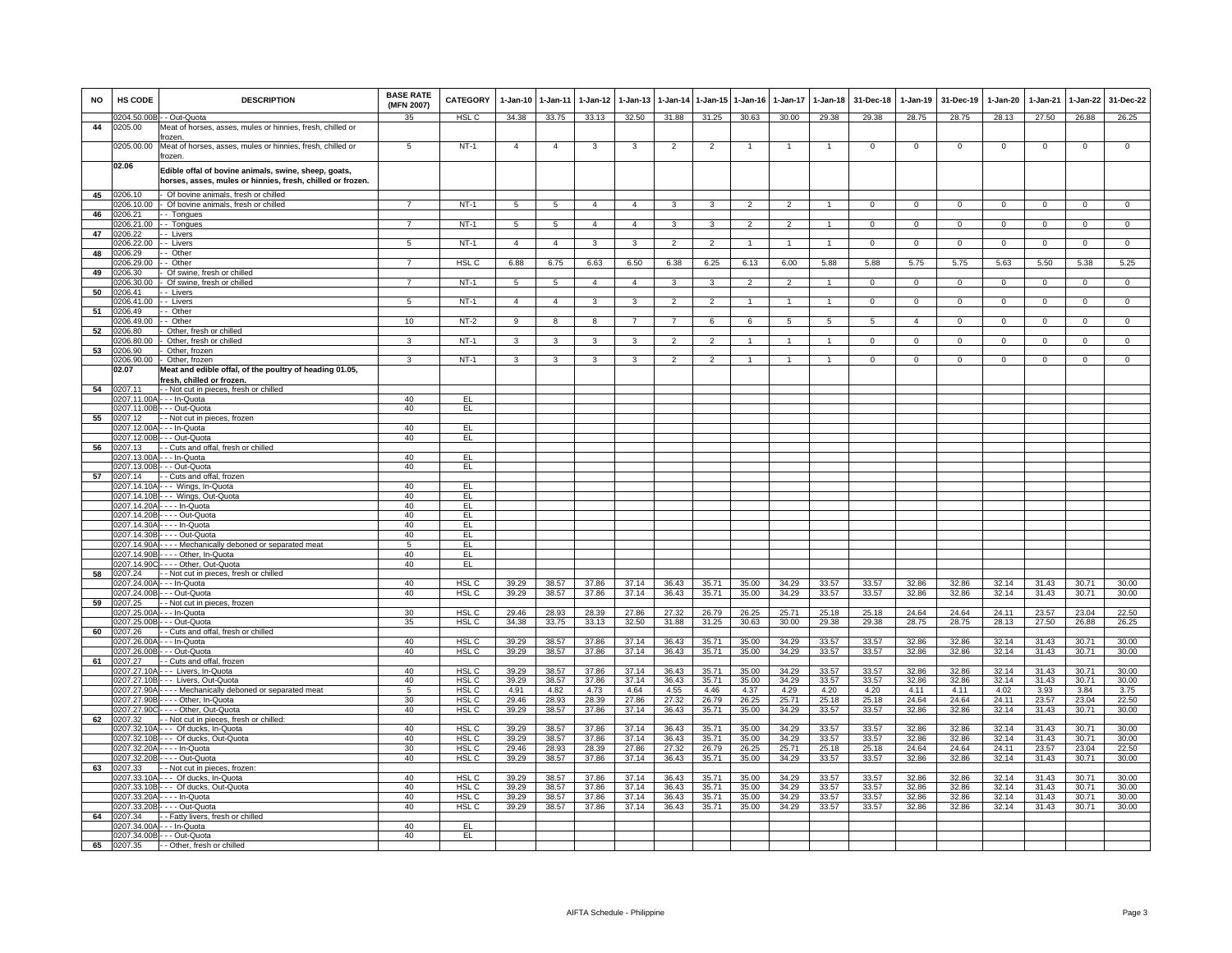| <b>NO</b> | HS CODE                | <b>DESCRIPTION</b>                                                                                                 | <b>BASE RATE</b><br>(MFN 2007) | <b>CATEGORY</b>                      | $1-Jan-10$      | $1 - Jan-11$    | $1 - Jan-12$   | $1-Jan-13$     |                |                | 1-Jan-14 1-Jan-15 1-Jan-16 | $1-Jan-17$               | $1 - Jan-18$    | 31-Dec-18      | $1-Jan-19$     | 31-Dec-19      | $1-Jan-20$     | $1-Jan-21$     | $1-Jan-22$     | 31-Dec-22      |
|-----------|------------------------|--------------------------------------------------------------------------------------------------------------------|--------------------------------|--------------------------------------|-----------------|-----------------|----------------|----------------|----------------|----------------|----------------------------|--------------------------|-----------------|----------------|----------------|----------------|----------------|----------------|----------------|----------------|
|           |                        | 0204.50.00B - - Out-Quota                                                                                          | 35                             | HSL C                                | 34.38           | 33.75           | 33.13          | 32.50          | 31.88          | 31.25          | 30.63                      | 30.00                    | 29.38           | 29.38          | 28.75          | 28.75          | 28.13          | 27.50          | 26.88          | 26.25          |
| 44        | 0205.00                | Meat of horses, asses, mules or hinnies, fresh, chilled or                                                         |                                |                                      |                 |                 |                |                |                |                |                            |                          |                 |                |                |                |                |                |                |                |
|           | 0205.00.00             | frozen.<br>Meat of horses, asses, mules or hinnies, fresh, chilled or<br>frozen.                                   | 5                              | $NT-1$                               | $\overline{4}$  | $\overline{4}$  | 3              | 3              | $\overline{2}$ | $\overline{2}$ |                            | $\mathbf{1}$             | $\mathbf{1}$    | $\Omega$       | $\mathsf 0$    | $\mathbf 0$    | $\mathbf 0$    | $\mathbf 0$    | $\mathsf 0$    | $\overline{0}$ |
|           | 02.06                  | Edible offal of bovine animals, swine, sheep, goats,<br>horses, asses, mules or hinnies, fresh, chilled or frozen. |                                |                                      |                 |                 |                |                |                |                |                            |                          |                 |                |                |                |                |                |                |                |
| 45        | 206.10                 | - Of bovine animals, fresh or chilled                                                                              |                                |                                      |                 |                 |                |                |                |                |                            |                          |                 |                |                |                |                |                |                |                |
|           | 206.10.00              | - Of bovine animals, fresh or chilled                                                                              | $\overline{7}$                 | $NT-1$                               | $\sqrt{5}$      | 5               | $\overline{4}$ | $\overline{4}$ | 3              | 3              | $\mathfrak{p}$             | $\overline{\phantom{0}}$ | $\overline{1}$  | $\Omega$       | $\Omega$       | $\Omega$       | $\Omega$       | $\Omega$       | $\mathsf 0$    | $\Omega$       |
| 46        | 0206.21                | - - Tongues                                                                                                        |                                |                                      |                 |                 |                |                |                |                |                            |                          |                 |                |                |                |                |                |                |                |
|           | 0206.21.00             | -- Tongues                                                                                                         | $\overline{7}$                 | <b>NT-1</b>                          | 5               | $5\overline{5}$ | $\overline{4}$ | $\overline{4}$ | $\mathbf{3}$   | 3              | $\overline{2}$             | $\overline{2}$           | $\mathbf{1}$    | $\mathbf{0}$   | $\mathbf{0}$   | $\overline{0}$ | $\overline{0}$ | $\mathbf{0}$   | $\overline{0}$ | $\overline{0}$ |
| 47        | 0206.22<br>206.22.00   | - Livers<br>- Livers                                                                                               | $\overline{5}$                 | $NT-1$                               | $\overline{4}$  | $\overline{4}$  | $\overline{3}$ | $\overline{3}$ | $\overline{2}$ | $\overline{2}$ | $\mathbf{1}$               | $\mathbf{1}$             | $\overline{1}$  | $\overline{0}$ | $\overline{0}$ | $\overline{0}$ | $\overline{0}$ | $\overline{0}$ | $\overline{0}$ | $\overline{0}$ |
| 48        | 206.29                 | - Other                                                                                                            |                                |                                      |                 |                 |                |                |                |                |                            |                          |                 |                |                |                |                |                |                |                |
|           | 206.29.00              | - Other                                                                                                            | $\overline{7}$                 | HSL <sub>C</sub>                     | 6.88            | 6.75            | 6.63           | 6.50           | 6.38           | 6.25           | 6.13                       | 6.00                     | 5.88            | 5.88           | 5.75           | 5.75           | 5.63           | 5.50           | 5.38           | 5.25           |
| 49        | 0206.30                | Of swine, fresh or chilled                                                                                         |                                |                                      |                 |                 |                |                |                |                |                            |                          |                 |                |                |                |                |                |                |                |
|           | 206.30.00              | Of swine, fresh or chilled                                                                                         | $\overline{7}$                 | $NT-1$                               | $5\overline{)}$ | $\overline{5}$  | $\overline{4}$ | $\mathbf{4}$   | 3              | $\overline{3}$ | $\overline{2}$             | $\overline{\phantom{a}}$ | $\overline{1}$  | $\Omega$       | $\mathbf 0$    | $\mathbf 0$    | $\overline{0}$ | $\overline{0}$ | $\overline{0}$ | $\overline{0}$ |
| 50        | 206.41                 | - Livers                                                                                                           |                                |                                      |                 |                 |                |                |                |                |                            |                          |                 |                |                |                |                |                |                |                |
|           | 206.41.00              | - - Livers                                                                                                         | $5^{\circ}$                    | $NT-1$                               | $\overline{4}$  | $\overline{4}$  | 3              | 3              | $\mathfrak{p}$ | $\mathfrak{p}$ |                            |                          | $\mathbf{1}$    | $\Omega$       | $\Omega$       | $\Omega$       | $\Omega$       | $\Omega$       | $\mathbf 0$    | $\Omega$       |
| 51        | 206.49<br>206.49.00    | - Other<br>- Other                                                                                                 | 10                             | $NT-2$                               | 9               | 8               | 8              | $\overline{7}$ | $\overline{7}$ | 6              | 6                          | 5                        | $5\overline{5}$ | 5              | $\overline{4}$ | $\mathbf 0$    | $\mathbf{0}$   | $\mathbf 0$    | $\mathbf 0$    | $\mathbf 0$    |
| 52        | 206.80                 | Other, fresh or chilled                                                                                            |                                |                                      |                 |                 |                |                |                |                |                            |                          |                 |                |                |                |                |                |                |                |
|           | 206.80.00              | Other, fresh or chilled                                                                                            | 3                              | $NT-1$                               | $\mathbf{3}$    | 3               | 3              | 3              | $\mathfrak{p}$ | $\overline{2}$ | $\mathbf{1}$               | $\mathbf{1}$             | $\mathbf{1}$    | $\Omega$       | $\overline{0}$ | $\Omega$       | $\Omega$       | $\overline{0}$ | $\overline{0}$ | $\overline{0}$ |
| 53        | 206.90                 | Other, frozen                                                                                                      |                                |                                      |                 |                 |                |                |                |                |                            |                          |                 |                |                |                |                |                |                |                |
|           |                        | 206.90.00 - Other, frozen                                                                                          | 3                              | $NT-1$                               | 3               | 3               | 3              | 3              | $\overline{2}$ | $\overline{2}$ |                            |                          | $\mathbf{1}$    | $\mathbf{0}$   | $\mathsf 0$    | $\mathbf 0$    | $\mathbf 0$    | $\mathbf 0$    | $\mathsf 0$    | $\mathbf 0$    |
|           | 02.07                  | Meat and edible offal, of the poultry of heading 01.05,                                                            |                                |                                      |                 |                 |                |                |                |                |                            |                          |                 |                |                |                |                |                |                |                |
| 54        | 0207.11                | fresh, chilled or frozen<br>- - Not cut in pieces, fresh or chilled                                                |                                |                                      |                 |                 |                |                |                |                |                            |                          |                 |                |                |                |                |                |                |                |
|           | 207.11.00A             | - - - In-Quota                                                                                                     | 40                             | EL                                   |                 |                 |                |                |                |                |                            |                          |                 |                |                |                |                |                |                |                |
|           |                        | 207.11.00B - - - Out-Quota                                                                                         | 40                             | EL.                                  |                 |                 |                |                |                |                |                            |                          |                 |                |                |                |                |                |                |                |
| 55        | 0207.12                | - - Not cut in pieces, frozen                                                                                      |                                |                                      |                 |                 |                |                |                |                |                            |                          |                 |                |                |                |                |                |                |                |
|           |                        | 207.12.00A - - - In-Quota                                                                                          | 40                             | EL.                                  |                 |                 |                |                |                |                |                            |                          |                 |                |                |                |                |                |                |                |
|           | 207.12.00B             | - - Out-Quota                                                                                                      | 40                             | EL                                   |                 |                 |                |                |                |                |                            |                          |                 |                |                |                |                |                |                |                |
| 56        | 207.13<br>207.13.00A   | - - Cuts and offal, fresh or chilled<br>- - - In-Quota                                                             | 40                             | EL.                                  |                 |                 |                |                |                |                |                            |                          |                 |                |                |                |                |                |                |                |
|           |                        | 207.13.00B - - - Out-Quota                                                                                         | 40                             | EL                                   |                 |                 |                |                |                |                |                            |                          |                 |                |                |                |                |                |                |                |
| 57        | 0207.14                | - - Cuts and offal, frozen                                                                                         |                                |                                      |                 |                 |                |                |                |                |                            |                          |                 |                |                |                |                |                |                |                |
|           |                        | 0207.14.10A - - - Wings, In-Quota                                                                                  | 40                             | EL                                   |                 |                 |                |                |                |                |                            |                          |                 |                |                |                |                |                |                |                |
|           |                        | 207.14.10B --- Wings, Out-Quota                                                                                    | 40                             | EL.                                  |                 |                 |                |                |                |                |                            |                          |                 |                |                |                |                |                |                |                |
|           |                        | 0207.14.20A - - - - In-Quota                                                                                       | 40<br>40                       | EL                                   |                 |                 |                |                |                |                |                            |                          |                 |                |                |                |                |                |                |                |
|           |                        | 0207.14.20B - - - - Out-Quota<br>0207.14.30A - - - - In-Quota                                                      | 40                             | EL.<br>EL                            |                 |                 |                |                |                |                |                            |                          |                 |                |                |                |                |                |                |                |
|           | 1207 14 30B            | - - - - Out-Quota                                                                                                  | 40                             | EL.                                  |                 |                 |                |                |                |                |                            |                          |                 |                |                |                |                |                |                |                |
|           |                        | 207.14.90A - - - - Mechanically deboned or separated meat                                                          | 5                              | EL                                   |                 |                 |                |                |                |                |                            |                          |                 |                |                |                |                |                |                |                |
|           | 207.14.90B             | --- Other, In-Quota                                                                                                | 40                             | EL                                   |                 |                 |                |                |                |                |                            |                          |                 |                |                |                |                |                |                |                |
|           | 0207.14.900            | --- Other, Out-Quota                                                                                               | 40                             | EL.                                  |                 |                 |                |                |                |                |                            |                          |                 |                |                |                |                |                |                |                |
| 58        | 0207.24<br>1207 24 00A | - - Not cut in pieces, fresh or chilled<br>- - In-Ountai                                                           | 40                             | HSL C                                | 39.29           | 38.57           | 37.86          | 37.14          | 36.43          | 35.71          | 35.00                      | 34.29                    | 33.57           | 33.57          | 32.86          | 32.86          | 32.14          | 31.43          | 30.71          | 30.00          |
|           |                        | 207.24.00B - - - Out-Quota                                                                                         | 40                             | HSL <sub>C</sub>                     | 39.29           | 38.57           | 37.86          | 37.14          | 36.43          | 35.71          | 35.00                      | 34.29                    | 33.57           | 33.57          | 32.86          | 32.86          | 32.14          | 31.43          | 30.71          | 30.00          |
| 59        | 207.25                 | - - Not cut in pieces, frozen                                                                                      |                                |                                      |                 |                 |                |                |                |                |                            |                          |                 |                |                |                |                |                |                |                |
|           | 207.25.00A             | - - - In-Quota                                                                                                     | 30                             | HSL <sub>C</sub>                     | 29.46           | 28.93           | 28.39          | 27.86          | 27.32          | 26.79          | 26.25                      | 25.71                    | 25.18           | 25.18          | 24.64          | 24.64          | 24.11          | 23.57          | 23.04          | 22.50          |
|           | 207.25.00B             | - - Out-Quota                                                                                                      | 35                             | HSL <sub>C</sub>                     | 34.38           | 33.75           | 33.13          | 32.50          | 31.88          | 31.25          | 30.63                      | 30.00                    | 29.38           | 29.38          | 28.75          | 28.75          | 28.13          | 27.50          | 26.88          | 26.25          |
| 60        | 207.26<br>207.26.00A   | - Cuts and offal, fresh or chilled<br>- - In-Quota                                                                 | 40                             | <b>HSLC</b>                          | 39.29           | 38.57           | 37.86          | 37.14          | 36.43          | 35.71          | 35.00                      | 34.29                    | 33.57           | 33.57          | 32.86          | 32.86          | 32.14          | 31.43          | 30.71          | 30.00          |
|           | 207.26.00B             | - - Out-Quota                                                                                                      | 40                             | HSL C                                | 39.29           | 38.57           | 37.86          | 37.14          | 36.43          | 35.71          | 35.00                      | 34.29                    | 33.57           | 33.57          | 32.86          | 32.86          | 32.14          | 31.43          | 30.71          | 30.00          |
| 61        | 207.27                 | - Cuts and offal, frozen                                                                                           |                                |                                      |                 |                 |                |                |                |                |                            |                          |                 |                |                |                |                |                |                |                |
|           | )207.27.10A            | -- Livers, In-Quota                                                                                                | 40                             | HSL <sub>C</sub>                     | 39.29           | 38.57           | 37.86          | 37.14          | 36.43          | 35.71          | 35.00                      | 34.29                    | 33.57           | 33.57          | 32.86          | 32.86          | 32.14          | 31.43          | 30.71          | 30.00          |
|           |                        | 0207.27.10B - - - Livers, Out-Quota                                                                                | 40                             | HSL <sub>C</sub>                     | 39.29           | 38.57           | 37.86          | 37.14          | 36.43          | 35.71          | 35.00                      | 34.29                    | 33.57           | 33.57          | 32.86          | 32.86          | 32.14          | 31.43          | 30.71          | 30.00          |
|           |                        | 207.27.90A - - - - Mechanically deboned or separated meat                                                          | $\overline{5}$                 | HSL C                                | 4.91            | 4.82            | 4.73           | 4.64           | 4.55           | 4.46           | 4.37                       | 4.29                     | 4.20            | 4.20           | 4.11           | 4.11           | 4.02           | 3.93           | 3.84           | 3.75           |
|           |                        | 0207.27.90B - - - - Other, In-Quota<br>0207.27.90C - - - - Other, Out-Quota                                        | 30<br>40                       | HSL C<br>HSL C                       | 29.46<br>39.29  | 28.93<br>38.57  | 28.39<br>37.86 | 27.86<br>37.14 | 27.32<br>36.43 | 26.79<br>35.71 | 26.25<br>35.00             | 25.71<br>34.29           | 25.18<br>33.57  | 25.18<br>33.57 | 24.64<br>32.86 | 24.64<br>32.86 | 24.11<br>32.14 | 23.57<br>31.43 | 23.04<br>30.71 | 22.50<br>30.00 |
| 62        | 207.32                 | - - Not cut in pieces, fresh or chilled:                                                                           |                                |                                      |                 |                 |                |                |                |                |                            |                          |                 |                |                |                |                |                |                |                |
|           |                        | 0207.32.10A - - - Of ducks, In-Quota                                                                               | 40                             | HSL C                                | 39.29           | 38.57           | 37.86          | 37.14          | 36.43          | 35.71          | 35.00                      | 34.29                    | 33.57           | 33.57          | 32.86          | 32.86          | 32.14          | 31.43          | 30.71          | 30.00          |
|           | 207.32.10B             | --- Of ducks, Out-Quota                                                                                            | 40                             | HSL C                                | 39.29           | 38.57           | 37.86          | 37.14          | 36.43          | 35.71          | 35.00                      | 34.29                    | 33.57           | 33.57          | 32.86          | 32.86          | 32.14          | 31.43          | 30.71          | 30.00          |
|           |                        | 207.32.20A - - - - In-Quota                                                                                        | 30                             | HSL <sub>C</sub>                     | 29.46           | 28.93           | 28.39          | 27.86          | 27.32          | 26.79          | 26.25                      | 25.71                    | 25.18           | 25.18          | 24.64          | 24.64          | 24.11          | 23.57          | 23.04          | 22.50          |
|           |                        | 0207.32.20B - - - - Out-Quota                                                                                      | 40                             | HSL C                                | 39.29           | 38.57           | 37.86          | 37.14          | 36.43          | 35.71          | 35.00                      | 34.29                    | 33.57           | 33.57          | 32.86          | 32.86          | 32.14          | 31.43          | 30.71          | 30.00          |
| 63        | 0207.33                | - - Not cut in pieces, frozen:                                                                                     |                                |                                      |                 |                 |                |                |                |                |                            |                          |                 |                |                |                |                |                |                |                |
|           | 207.33.10A             | --- Of ducks, In-Quota<br>0207.33.10B - - - Of ducks, Out-Quota                                                    | 40<br>40                       | HSL <sub>C</sub><br>HSL <sub>C</sub> | 39.29<br>39.29  | 38.57<br>38.57  | 37.86<br>37.86 | 37.14<br>37.14 | 36.43<br>36.43 | 35.71<br>35.71 | 35.00<br>35.00             | 34.29<br>34.29           | 33.57<br>33.57  | 33.57<br>33.57 | 32.86<br>32.86 | 32.86<br>32.86 | 32.14<br>32.14 | 31.43<br>31.43 | 30.71<br>30.71 | 30.00<br>30.00 |
|           |                        | 0207.33.20A - - - - In-Quota                                                                                       | 40                             | HSL <sub>C</sub>                     | 39.29           | 38.57           | 37.86          | 37.14          | 36.43          | 35.71          | 35.00                      | 34.29                    | 33.57           | 33.57          | 32.86          | 32.86          | 32.14          | 31.43          | 30.71          | 30.00          |
|           |                        | 0207.33.20B - - - - Out-Quota                                                                                      | 40                             | HSL C                                | 39.29           | 38.57           | 37.86          | 37.14          | 36.43          | 35.71          | 35.00                      | 34.29                    | 33.57           | 33.57          | 32.86          | 32.86          | 32.14          | 31.43          | 30.71          | 30.00          |
| 64        | 0207.34                | - - Fatty livers, fresh or chilled                                                                                 |                                |                                      |                 |                 |                |                |                |                |                            |                          |                 |                |                |                |                |                |                |                |
|           | 0207.34.00A            | - - - In-Quota                                                                                                     | 40                             | EL                                   |                 |                 |                |                |                |                |                            |                          |                 |                |                |                |                |                |                |                |
|           |                        | 0207.34.00B - - - Out-Quota                                                                                        | 40                             | EL                                   |                 |                 |                |                |                |                |                            |                          |                 |                |                |                |                |                |                |                |
| 65        | 0207.35                | - - Other, fresh or chilled                                                                                        |                                |                                      |                 |                 |                |                |                |                |                            |                          |                 |                |                |                |                |                |                |                |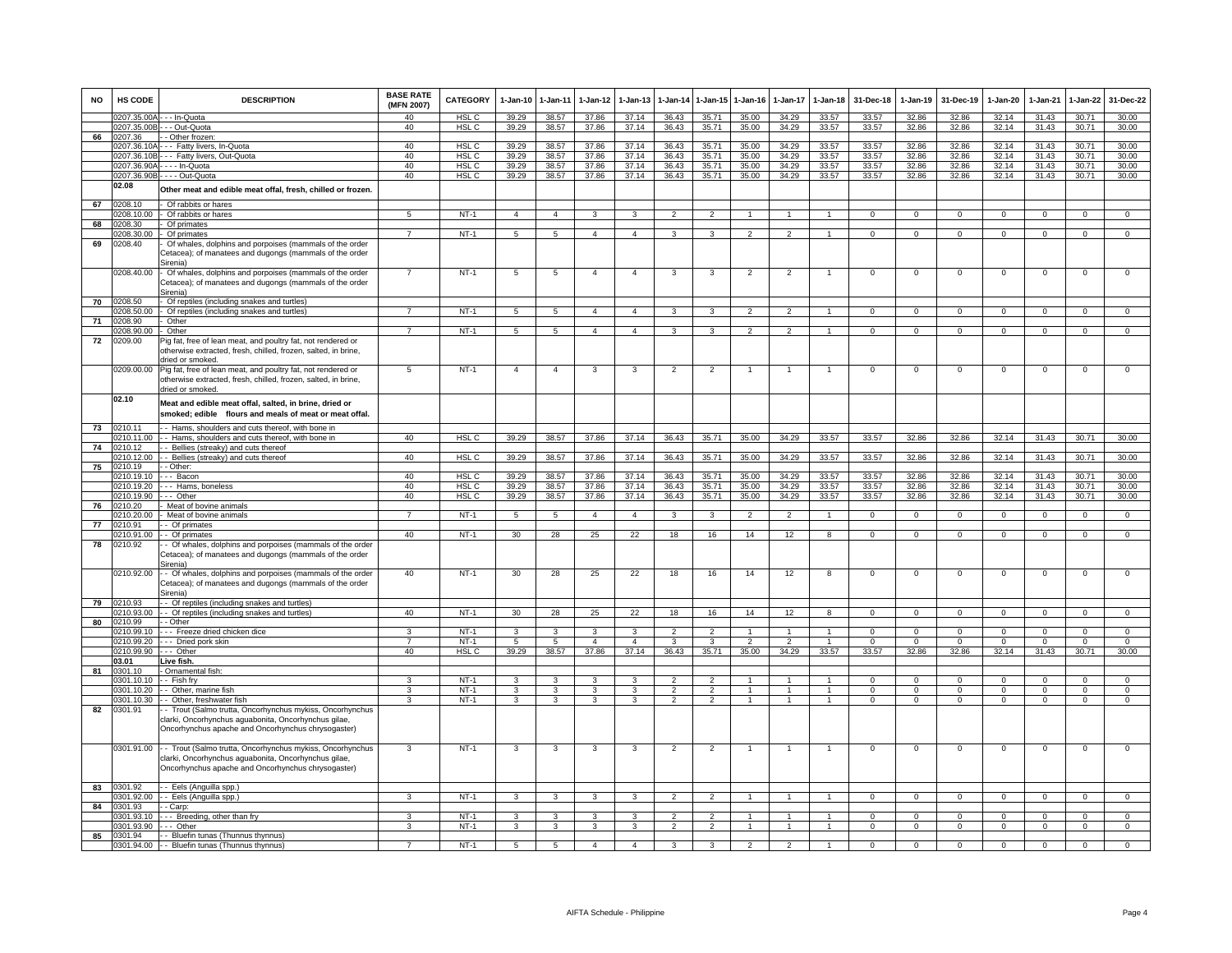| <b>NO</b> | HS CODE               | <b>DESCRIPTION</b>                                                                                                               | <b>BASE RATE</b><br>(MFN 2007) | <b>CATEGORY</b>       | $1 - Jan-10$    | $1 - Jan-11$            | $1-Jan-12$              | $1-Jan-13$              | $1-Jan-14$                       | 1-Jan-15                | $1 - Jan-16$   | $1-Jan-17$     | $1 - Jan-18$                     | 31-Dec-18      | $1-Jan-19$        | 31-Dec-19         | $1-Jan-20$        | 1-Jan-21          | $1-Jan-22$              | 31-Dec-22               |
|-----------|-----------------------|----------------------------------------------------------------------------------------------------------------------------------|--------------------------------|-----------------------|-----------------|-------------------------|-------------------------|-------------------------|----------------------------------|-------------------------|----------------|----------------|----------------------------------|----------------|-------------------|-------------------|-------------------|-------------------|-------------------------|-------------------------|
|           |                       | 0207.35.00A - - - In-Quota                                                                                                       | 40                             | HSL C                 | 39.29           | 38.57                   | 37.86                   | 37.14                   | 36.43                            | 35.71                   | 35.00          | 34.29          | 33.57                            | 33.57          | 32.86             | 32.86             | 32.14             | 31.43             | 30.71                   | 30.00                   |
| 66        | 0207.36               | 0207.35.00B - - - Out-Quota<br>- Other frozen:                                                                                   | 40                             | HSL <sub>C</sub>      | 39.29           | 38.57                   | 37.86                   | 37.14                   | 36.43                            | 35.71                   | 35.00          | 34.29          | 33.57                            | 33.57          | 32.86             | 32.86             | 32.14             | 31.43             | 30.71                   | 30.00                   |
|           |                       | 0207.36.10A - - - Fatty livers, In-Quota                                                                                         | 40                             | HSL C                 | 39.29           | 38.57                   | 37.86                   | 37.14                   | 36.43                            | 35.71                   | 35.00          | 34.29          | 33.57                            | 33.57          | 32.86             | 32.86             | 32.14             | 31.43             | 30.71                   | 30.00                   |
|           | 0207.36.10B           | --- Fatty livers, Out-Quota                                                                                                      | 40                             | HSL C                 | 39.29           | 38.57                   | 37.86                   | 37.14                   | 36.43                            | 35.71                   | 35.00          | 34.29          | 33.57                            | 33.57          | 32.86             | 32.86             | 32.14             | 31.43             | 30.71                   | 30.00                   |
|           | 0207.36.90A           | -In-Quota                                                                                                                        | 40                             | HSL C                 | 39.29           | 38.57                   | 37.86                   | 37.14                   | 36.43                            | 35.71                   | 35.00          | 34.29          | 33.57                            | 33.57          | 32.86             | 32.86             | 32.14             | 31.43             | 30.71                   | 30.00                   |
|           |                       | 0207.36.90B - - - - Out-Quota                                                                                                    | 40                             | HSL <sub>C</sub>      | 39.29           | 38.57                   | 37.86                   | 37.14                   | 36.43                            | 35.71                   | 35.00          | 34.29          | 33.57                            | 33.57          | 32.86             | 32.86             | 32.14             | 31.43             | 30.71                   | 30.00                   |
|           | 02.08                 | Other meat and edible meat offal, fresh, chilled or frozen.                                                                      |                                |                       |                 |                         |                         |                         |                                  |                         |                |                |                                  |                |                   |                   |                   |                   |                         |                         |
| 67        | 0208.10               | Of rabbits or hares                                                                                                              |                                |                       |                 |                         |                         |                         |                                  |                         | $\overline{1}$ | $\mathbf{1}$   | $\mathbf{1}$                     |                |                   |                   |                   |                   |                         |                         |
| 68        | 0208.10.00<br>0208.30 | Of rabbits or hares<br>Of primates                                                                                               | 5                              | <b>NT-1</b>           | $\overline{4}$  | $\overline{4}$          | $\mathbf{3}$            | 3                       | $\overline{2}$                   | $\overline{2}$          |                |                |                                  | $\mathbf{0}$   | $\overline{0}$    | $\overline{0}$    | $\mathbf{0}$      | $\mathbf{0}$      | $\overline{0}$          | $\overline{0}$          |
|           | 0208.30.00            | Of primates                                                                                                                      | $\overline{7}$                 | $NT-1$                | 5               | $\overline{5}$          | $\overline{4}$          | $\overline{4}$          | $\mathbf{R}$                     | $\overline{3}$          | $\mathcal{P}$  | $\mathcal{P}$  | $\blacktriangleleft$             | $\Omega$       | $\Omega$          | $\Omega$          | $\mathbf 0$       | $\Omega$          | $\overline{0}$          | $\overline{0}$          |
| 69        | 0208.40               | Of whales, dolphins and porpoises (mammals of the order                                                                          |                                |                       |                 |                         |                         |                         |                                  |                         |                |                |                                  |                |                   |                   |                   |                   |                         |                         |
|           |                       | Cetacea); of manatees and dugongs (mammals of the order                                                                          |                                |                       |                 |                         |                         |                         |                                  |                         |                |                |                                  |                |                   |                   |                   |                   |                         |                         |
|           | 0208.40.00            | Sirenia)                                                                                                                         | $\overline{7}$                 | $NT-1$                | 5               | $\overline{5}$          | $\overline{4}$          | $\overline{4}$          | 3                                | 3                       | $\overline{2}$ | $\overline{2}$ | $\overline{1}$                   | $\overline{0}$ | $\overline{0}$    | $\overline{0}$    | $\overline{0}$    | $\overline{0}$    | $\overline{0}$          | $\overline{0}$          |
|           |                       | Of whales, dolphins and porpoises (mammals of the order<br>Cetacea); of manatees and dugongs (mammals of the order               |                                |                       |                 |                         |                         |                         |                                  |                         |                |                |                                  |                |                   |                   |                   |                   |                         |                         |
|           |                       | Sirenia)                                                                                                                         |                                |                       |                 |                         |                         |                         |                                  |                         |                |                |                                  |                |                   |                   |                   |                   |                         |                         |
| 70        | 0208.50               | Of reptiles (including snakes and turtles)                                                                                       |                                |                       |                 |                         |                         |                         |                                  |                         |                |                |                                  |                |                   |                   |                   |                   |                         |                         |
|           | 0208.50.00            | Of reptiles (including snakes and turtles)                                                                                       | $\overline{7}$                 | $NT-1$                | 5               | 5                       | $\overline{4}$          | $\overline{4}$          | 3                                | $\mathbf{3}$            | $\overline{2}$ | 2              | $\overline{1}$                   | $\mathbf 0$    | $\overline{0}$    | $\mathbf 0$       | $\mathbf{0}$      | $\mathbf 0$       | $\mathbf{0}$            | $\overline{0}$          |
| 71        | 0208.90<br>0208.90.00 | Other<br>Other                                                                                                                   | $\overline{7}$                 | $NT-1$                |                 | 5                       | $\overline{4}$          | $\overline{4}$          | $\overline{3}$                   | $\overline{\mathbf{3}}$ | $\overline{2}$ | $\overline{2}$ | $\overline{1}$                   | $\overline{0}$ | $\overline{0}$    | $\overline{0}$    | $\overline{0}$    | $\overline{0}$    | $\overline{0}$          | $\overline{0}$          |
| 72        | 0209.00               | Pig fat, free of lean meat, and poultry fat, not rendered or                                                                     |                                |                       | $5\overline{)}$ |                         |                         |                         |                                  |                         |                |                |                                  |                |                   |                   |                   |                   |                         |                         |
|           |                       | otherwise extracted, fresh, chilled, frozen, salted, in brine,                                                                   |                                |                       |                 |                         |                         |                         |                                  |                         |                |                |                                  |                |                   |                   |                   |                   |                         |                         |
|           |                       | dried or smoked.                                                                                                                 |                                |                       |                 |                         |                         |                         |                                  |                         |                |                |                                  |                |                   |                   |                   |                   |                         |                         |
|           | 0209.00.00            | Pig fat, free of lean meat, and poultry fat, not rendered or                                                                     | 5                              | $NT-1$                | $\overline{4}$  | $\overline{4}$          | 3                       | 3                       | $\overline{2}$                   | $\overline{2}$          | $\mathbf{1}$   | $\overline{1}$ | $\overline{1}$                   | $\mathbf{0}$   | $\overline{0}$    | $\mathbf{0}$      | $\mathbf{0}$      | $\mathbf{0}$      | 0                       | $\mathsf 0$             |
|           |                       | otherwise extracted, fresh, chilled, frozen, salted, in brine,                                                                   |                                |                       |                 |                         |                         |                         |                                  |                         |                |                |                                  |                |                   |                   |                   |                   |                         |                         |
|           |                       | tried or smoked                                                                                                                  |                                |                       |                 |                         |                         |                         |                                  |                         |                |                |                                  |                |                   |                   |                   |                   |                         |                         |
|           | 02.10                 | Meat and edible meat offal, salted, in brine, dried or                                                                           |                                |                       |                 |                         |                         |                         |                                  |                         |                |                |                                  |                |                   |                   |                   |                   |                         |                         |
|           |                       | smoked; edible flours and meals of meat or meat offal.                                                                           |                                |                       |                 |                         |                         |                         |                                  |                         |                |                |                                  |                |                   |                   |                   |                   |                         |                         |
| 73        | 0210.11               | - Hams, shoulders and cuts thereof, with bone in                                                                                 |                                |                       |                 |                         |                         |                         |                                  |                         |                |                |                                  |                |                   |                   |                   |                   |                         |                         |
|           | 0210.11.00            | - - Hams, shoulders and cuts thereof, with bone in                                                                               | 40                             | HSL <sub>C</sub>      | 39.29           | 38.57                   | 37.86                   | 37.14                   | 36.43                            | 35.71                   | 35.00          | 34.29          | 33.57                            | 33.57          | 32.86             | 32.86             | 32.14             | 31.43             | 30.71                   | 30.00                   |
| 74        | 0210.12               | - Bellies (streaky) and cuts thereof                                                                                             |                                |                       |                 |                         |                         |                         |                                  |                         |                |                |                                  |                |                   |                   |                   |                   |                         |                         |
| 75        | 0210.12.00<br>0210.19 | - - Bellies (streaky) and cuts thereof<br>- Other:                                                                               | 40                             | HSL <sub>C</sub>      | 39.29           | 38.57                   | 37.86                   | 37.14                   | 36.43                            | 35.71                   | 35.00          | 34.29          | 33.57                            | 33.57          | 32.86             | 32.86             | 32.14             | 31.43             | 30.71                   | 30.00                   |
|           | 0210.19.10            | - Bacon                                                                                                                          | 40                             | HSL C                 | 39.29           | 38.57                   | 37.86                   | 37.14                   | 36.43                            | 35.71                   | 35.00          | 34.29          | 33.57                            | 33.57          | 32.86             | 32.86             | 32.14             | 31.43             | 30.71                   | 30.00                   |
|           | 0210.19.20            | -- Hams, boneless                                                                                                                | 40                             | HSL C                 | 39.29           | 38.57                   | 37.86                   | 37.14                   | 36.43                            | 35.71                   | 35.00          | 34.29          | 33.57                            | 33.57          | 32.86             | 32.86             | 32.14             | 31.43             | 30.71                   | 30.00                   |
|           | 0210.19.90            | .-- Other                                                                                                                        | 40                             | HSL C                 | 39.29           | 38.57                   | 37.86                   | 37.14                   | 36.43                            | 35.71                   | 35.00          | 34.29          | 33.57                            | 33.57          | 32.86             | 32.86             | 32.14             | 31.43             | 30.71                   | 30.00                   |
| 76        | 0210.20               | Meat of bovine animals                                                                                                           |                                |                       |                 |                         |                         |                         |                                  |                         |                |                |                                  |                |                   |                   |                   |                   |                         |                         |
| 77        | 1210.20.00<br>210.91  | Meat of bovine animals<br>- Of primates                                                                                          | $\overline{7}$                 | $NT-1$                | $5\overline{)}$ | $5\overline{)}$         | $\overline{4}$          | $\overline{4}$          | $\overline{\mathbf{3}}$          | $\overline{3}$          | $\overline{2}$ | $\overline{2}$ | $\mathbf{1}$                     | $\overline{0}$ | $\overline{0}$    | $\overline{0}$    | $\overline{0}$    | $\overline{0}$    | $\overline{0}$          | $\overline{0}$          |
|           | 210.91.00             | - Of primates                                                                                                                    | 40                             | $NT-1$                | 30              | 28                      | 25                      | 22                      | 18                               | 16                      | 14             | 12             | 8                                | $\mathbf 0$    | $\mathbf 0$       | $\mathbf 0$       | $\Omega$          | $\mathbf 0$       | $\mathsf 0$             | $\overline{0}$          |
| 78        | 0210.92               | - Of whales, dolphins and porpoises (mammals of the order<br>Cetacea); of manatees and dugongs (mammals of the order             |                                |                       |                 |                         |                         |                         |                                  |                         |                |                |                                  |                |                   |                   |                   |                   |                         |                         |
|           |                       | Sirenia)                                                                                                                         |                                |                       |                 |                         |                         |                         |                                  |                         |                |                |                                  |                |                   |                   |                   |                   |                         |                         |
|           | 0210.92.00            | - Of whales, dolphins and porpoises (mammals of the order<br>Cetacea); of manatees and dugongs (mammals of the order<br>Sirenia) | 40                             | $NT-1$                | 30              | 28                      | 25                      | 22                      | 18                               | 16                      | 14             | 12             | 8                                | $\mathsf 0$    | $\mathsf 0$       | $\mathbf 0$       | $\mathbf 0$       | $\mathbf 0$       | $\mathbf 0$             | $\mathbf 0$             |
| 79        | 0210.93               | - Of reptiles (including snakes and turtles)                                                                                     |                                |                       |                 |                         |                         |                         |                                  |                         |                |                |                                  |                |                   |                   |                   |                   |                         |                         |
|           | 1210.93.00            | - Of reptiles (including snakes and turtles)                                                                                     | 40                             | $NT-1$                | 30              | 28                      | 25                      | 22                      | 18                               | 16                      | 14             | 12             | 8                                | $\Omega$       | $\overline{0}$    | $\overline{0}$    | $\overline{0}$    | $\mathbf{0}$      | $\overline{0}$          | $\overline{0}$          |
| 80        | 0210.99               | - Other                                                                                                                          |                                |                       |                 |                         |                         |                         |                                  |                         |                |                |                                  |                |                   |                   |                   |                   |                         |                         |
|           | 0210.99.10            | --- Freeze dried chicken dice                                                                                                    | 3<br>$\overline{7}$            | $NT-1$                | 3               | 3                       | 3<br>$\overline{4}$     | 3<br>$\overline{4}$     | $\overline{2}$<br>$\overline{3}$ | $\overline{2}$          | $\mathcal{P}$  | $\mathcal{P}$  | $\overline{1}$<br>$\overline{1}$ | 0<br>$\Omega$  | $^{\circ}$        | $^{\circ}$        | 0                 | $^{\circ}$        | $\mathbf{0}$            | $\mathsf 0$             |
|           | 0210.99.90 --- Other  | 0210.99.20 --- Dried pork skin                                                                                                   | 40                             | $NT-1$<br><b>HSLC</b> | 5<br>39.29      | $\overline{5}$<br>38.57 | 37.86                   | 37.14                   | 36.43                            | 3<br>35.71              | 35.00          | 34.29          | 33.57                            | 33.57          | $\Omega$<br>32.86 | $\Omega$<br>32.86 | $\Omega$<br>32.14 | $\Omega$<br>31.43 | $\overline{0}$<br>30.71 | $\overline{0}$<br>30.00 |
|           | 03.01                 | Live fish.                                                                                                                       |                                |                       |                 |                         |                         |                         |                                  |                         |                |                |                                  |                |                   |                   |                   |                   |                         |                         |
| 81        | 0301.10               | Ornamental fish:                                                                                                                 |                                |                       |                 |                         |                         |                         |                                  |                         |                |                |                                  |                |                   |                   |                   |                   |                         |                         |
|           | 0301.10.10            | - - Fish fry                                                                                                                     | $\mathbf{R}$                   | $NT-1$                | 3               | 3                       | 3                       | 3                       | $\overline{2}$                   | $\overline{2}$          |                |                |                                  | $\Omega$       | $\Omega$          | $\Omega$          | $\Omega$          | $\Omega$          | $\Omega$                | $\Omega$                |
|           | 0301.10.20            | - - Other, marine fish                                                                                                           | 3                              | $NT-1$                | 3               | 3                       | 3                       | 3                       | $\overline{2}$                   | $\overline{2}$          | $\mathbf{1}$   | $\mathbf{1}$   | $\overline{1}$                   | $\Omega$       | $\Omega$          | $\Omega$          | $\Omega$          | $\Omega$          | $\mathbf{0}$            | $\overline{0}$          |
| 82        | 0301.10.30            | - Other, freshwater fish<br>- Trout (Salmo trutta, Oncorhynchus mykiss, Oncorhynchus                                             | 3                              | $NT-1$                | 3               | 3                       | $\overline{\mathbf{3}}$ | 3                       | $\overline{2}$                   | $\overline{2}$          | $\mathbf{1}$   | $\mathbf{1}$   | $\overline{1}$                   | $\mathbf 0$    | $\mathbf{0}$      | $\mathbf 0$       | 0                 | $\mathbf{0}$      | $\overline{0}$          | $\overline{0}$          |
|           | 0301.91               | clarki, Oncorhynchus aguabonita, Oncorhynchus gilae,                                                                             |                                |                       |                 |                         |                         |                         |                                  |                         |                |                |                                  |                |                   |                   |                   |                   |                         |                         |
|           |                       | Oncorhynchus apache and Oncorhynchus chrysogaster)                                                                               |                                |                       |                 |                         |                         |                         |                                  |                         |                |                |                                  |                |                   |                   |                   |                   |                         |                         |
|           |                       | 0301.91.00 - Trout (Salmo trutta, Oncorhynchus mykiss, Oncorhynchus                                                              | 3                              | $NT-1$                | 3               | 3                       | 3                       | 3                       | $\overline{2}$                   | $\overline{2}$          | $\overline{1}$ | $\overline{1}$ | $\overline{1}$                   | $\Omega$       | $\mathbf 0$       | $\overline{0}$    | $\mathsf 0$       | $\mathbf 0$       | $\overline{0}$          | $\overline{0}$          |
|           |                       | clarki, Oncorhynchus aguabonita, Oncorhynchus gilae,                                                                             |                                |                       |                 |                         |                         |                         |                                  |                         |                |                |                                  |                |                   |                   |                   |                   |                         |                         |
|           |                       | Oncorhynchus apache and Oncorhynchus chrysogaster)                                                                               |                                |                       |                 |                         |                         |                         |                                  |                         |                |                |                                  |                |                   |                   |                   |                   |                         |                         |
|           | 0301.92               |                                                                                                                                  |                                |                       |                 |                         |                         |                         |                                  |                         |                |                |                                  |                |                   |                   |                   |                   |                         |                         |
| 83        | 0301.92.00            | - - Eels (Anguilla spp.)<br>- Eels (Anguilla spp.)                                                                               | з                              | $NT-1$                | 3               | 3                       | 3                       | 3                       | $\overline{2}$                   | $\overline{2}$          | -1             | 1              |                                  | $\mathbf{0}$   | $\mathbf{0}$      | $\mathbf 0$       | $\mathbf{0}$      | $^{\circ}$        | $\overline{0}$          | $\overline{0}$          |
| 84        | 0301.93               | - Carp:                                                                                                                          |                                |                       |                 |                         |                         |                         |                                  |                         |                |                |                                  |                |                   |                   |                   |                   |                         |                         |
|           | 301.93.10             | --- Breeding, other than fry                                                                                                     | 3                              | $NT-1$                | 3               | 3                       | 3                       | 3                       | $\mathfrak{p}$                   | $\overline{c}$          |                |                |                                  | $\Omega$       | $\Omega$          | $\Omega$          | $\Omega$          | $\Omega$          | 0                       | $\mathbf 0$             |
|           | 0301.93.90 --- Other  |                                                                                                                                  | 3                              | $NT-1$                | $\overline{3}$  | $\overline{\mathbf{3}}$ | $\overline{\mathbf{3}}$ | $\overline{\mathbf{3}}$ | $\overline{2}$                   | $\overline{2}$          | $\overline{1}$ | $\overline{1}$ | $\overline{1}$                   | $\Omega$       | $\mathbf{0}$      | $\mathbf{0}$      | 0                 | $\mathbf 0$       | $\mathbf 0$             | $\overline{0}$          |
| 85        | 0301.94               | - - Bluefin tunas (Thunnus thynnus)                                                                                              | $\overline{7}$                 |                       |                 |                         |                         | $\overline{4}$          |                                  |                         |                |                |                                  | $\Omega$       |                   |                   |                   |                   |                         |                         |
|           |                       | 0301.94.00 - - Bluefin tunas (Thunnus thynnus)                                                                                   |                                | $NT-1$                | $\overline{5}$  | $\overline{5}$          | $\overline{4}$          |                         | $\overline{3}$                   | 3                       | $\mathfrak{p}$ | $\overline{2}$ |                                  |                | $\Omega$          | $\Omega$          | $\Omega$          | $\Omega$          | $\overline{0}$          | $\overline{0}$          |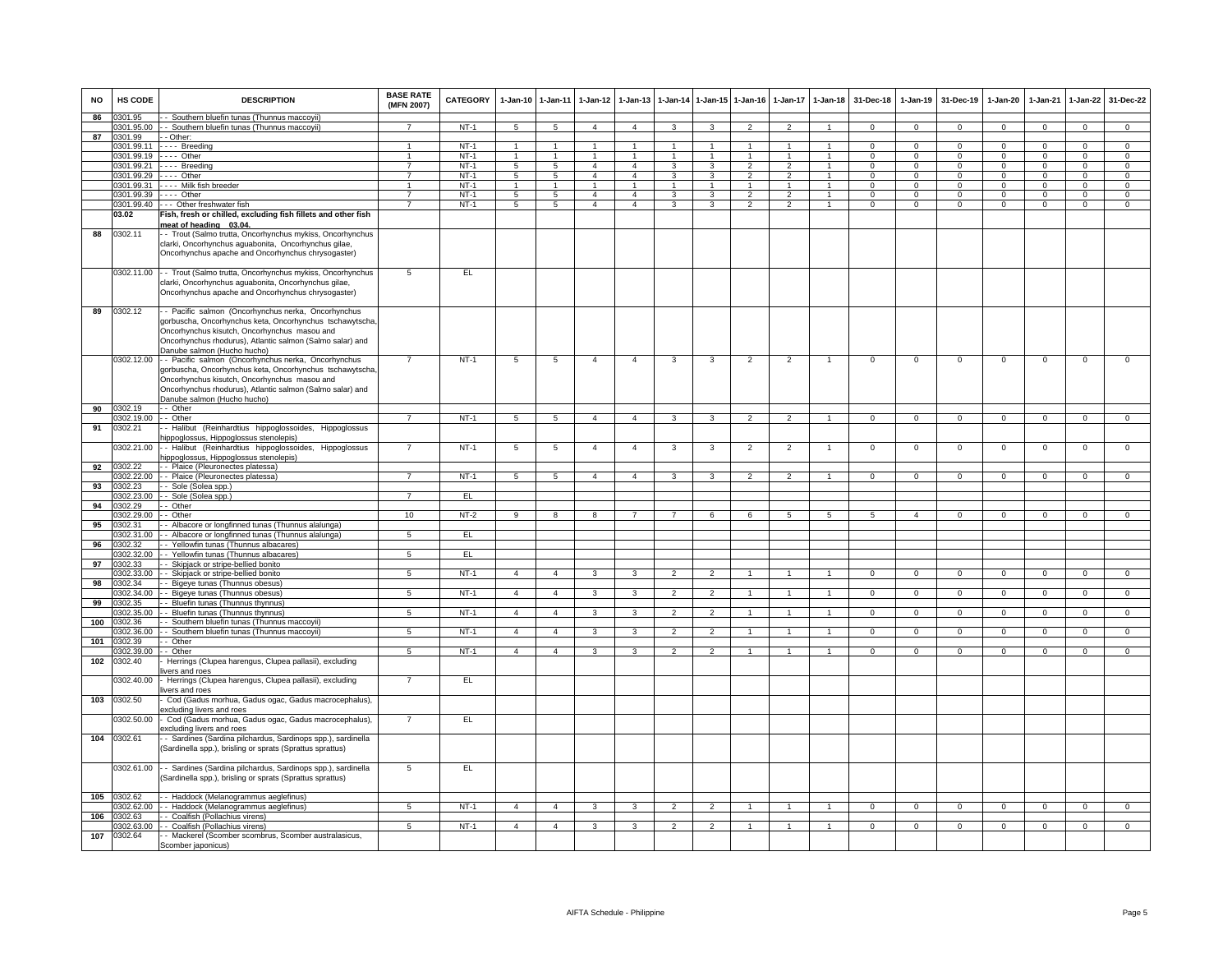| <b>NO</b> | <b>HS CODE</b>        | <b>DESCRIPTION</b>                                                                              | <b>BASE RATE</b><br>(MFN 2007) | CATEGORY | 1-Jan-10 1-Jan-11 |                 | $1-Jan-12$              | $1 - Jan-13$   |                |                         | 1-Jan-14 1-Jan-15 1-Jan-16 | $1 - Jan-17$   | $1-Jan-18$           | 31-Dec-18      |                | 1-Jan-19 31-Dec-19 | $1 - Jan-20$   | $1-Jan-21$     | $1-Jan-22$     | 31-Dec-22      |
|-----------|-----------------------|-------------------------------------------------------------------------------------------------|--------------------------------|----------|-------------------|-----------------|-------------------------|----------------|----------------|-------------------------|----------------------------|----------------|----------------------|----------------|----------------|--------------------|----------------|----------------|----------------|----------------|
| 86        | 0301.95               | - - Southern bluefin tunas (Thunnus maccoyii)                                                   |                                |          |                   |                 |                         |                |                |                         |                            |                |                      |                |                |                    |                |                |                |                |
|           |                       | 0301.95.00 - - Southern bluefin tunas (Thunnus maccoyii)                                        |                                | $NT-1$   | -5                | -5              | $\overline{4}$          | $\overline{4}$ | 3              | 3                       |                            |                |                      | $\Omega$       | $\Omega$       | $\Omega$           | $\Omega$       | $\Omega$       | $\overline{0}$ | $\Omega$       |
| 87        | 0301.99<br>0301.99.11 | - - Other:<br>---- Breeding                                                                     | $\overline{1}$                 | $NT-1$   | $\overline{1}$    | $\overline{1}$  | 1                       | $\mathbf{1}$   | $\overline{1}$ | $\mathbf{1}$            |                            |                |                      | $\Omega$       | $\Omega$       | $\overline{0}$     | $\Omega$       | $\Omega$       | $\overline{0}$ | $\overline{0}$ |
|           | 0301.99.19            | $- - -$ Other                                                                                   | $\mathbf{1}$                   | $NT-1$   | $\mathbf{1}$      | $\overline{1}$  | $\mathbf{1}$            | $\mathbf{1}$   | $\mathbf{1}$   | $\mathbf{1}$            |                            |                |                      | $\Omega$       | $\Omega$       | $\Omega$           | $\Omega$       | $\Omega$       | $\overline{0}$ | $\overline{0}$ |
|           | 0301.99.21            | ---- Breeding                                                                                   | $\overline{7}$                 | $NT-1$   | 5                 | $\overline{5}$  | $\overline{4}$          | 4              | 3              | 3                       | $\overline{2}$             |                |                      | $\Omega$       | $\mathbf 0$    | $\Omega$           | $\mathbf 0$    | $\Omega$       | $\Omega$       | $\Omega$       |
|           |                       | 0301.99.29 ---- Other                                                                           | $\overline{7}$                 | $NT-1$   | 5                 | $5^{\circ}$     | $\overline{4}$          | $\Lambda$      | $\mathbf{a}$   | 3                       | $\mathcal{L}$              |                |                      |                | $^{\circ}$     | $\Omega$           | 0              |                | $\mathbf 0$    | $\mathbf 0$    |
|           | 0301.99.31            | - - - - Milk fish breeder                                                                       | $\overline{1}$                 | $NT-1$   | $\overline{1}$    | $\overline{1}$  | $\overline{1}$          | $\mathbf{1}$   | $\overline{1}$ | $\overline{1}$          | $\overline{1}$             | $\mathbf{1}$   | $\overline{1}$       | $\Omega$       | $\Omega$       | $\Omega$           | $\mathbf 0$    | $\Omega$       | $\circ$        | $\mathsf 0$    |
|           |                       | 0301.99.39 ---- Other                                                                           | $\overline{7}$                 | $NT-1$   | $5\overline{)}$   | $5\overline{)}$ | $\overline{4}$          | $\overline{4}$ | 3              | $\overline{\mathbf{3}}$ | $\overline{2}$             | $\overline{2}$ | $\overline{1}$       | $\Omega$       | $\overline{0}$ | $\overline{0}$     | $\Omega$       | $\Omega$       | $\overline{0}$ | $\overline{0}$ |
|           |                       | 0301.99.40 --- Other freshwater fish                                                            | 7                              | $NT-1$   | $\overline{5}$    | $\overline{5}$  | $\overline{4}$          | $\overline{4}$ | 3              | 3                       | $\overline{2}$             | $\overline{2}$ |                      | $\Omega$       | $\overline{0}$ | $\overline{0}$     | $\overline{0}$ | $\Omega$       | $\overline{0}$ | $\overline{0}$ |
|           | 03.02                 | Fish, fresh or chilled, excluding fish fillets and other fish                                   |                                |          |                   |                 |                         |                |                |                         |                            |                |                      |                |                |                    |                |                |                |                |
|           |                       | meat of heading 03.04.                                                                          |                                |          |                   |                 |                         |                |                |                         |                            |                |                      |                |                |                    |                |                |                |                |
| 88        | 0302.11               | - Trout (Salmo trutta, Oncorhynchus mykiss, Oncorhynchus                                        |                                |          |                   |                 |                         |                |                |                         |                            |                |                      |                |                |                    |                |                |                |                |
|           |                       | clarki, Oncorhynchus aguabonita, Oncorhynchus gilae,                                            |                                |          |                   |                 |                         |                |                |                         |                            |                |                      |                |                |                    |                |                |                |                |
|           |                       | Oncorhynchus apache and Oncorhynchus chrysogaster)                                              |                                |          |                   |                 |                         |                |                |                         |                            |                |                      |                |                |                    |                |                |                |                |
|           |                       |                                                                                                 |                                |          |                   |                 |                         |                |                |                         |                            |                |                      |                |                |                    |                |                |                |                |
|           |                       | 0302.11.00 - Trout (Salmo trutta, Oncorhynchus mykiss, Oncorhynchus                             | 5                              | EL       |                   |                 |                         |                |                |                         |                            |                |                      |                |                |                    |                |                |                |                |
|           |                       | clarki, Oncorhynchus aguabonita, Oncorhynchus gilae,                                            |                                |          |                   |                 |                         |                |                |                         |                            |                |                      |                |                |                    |                |                |                |                |
|           |                       | Oncorhynchus apache and Oncorhynchus chrysogaster)                                              |                                |          |                   |                 |                         |                |                |                         |                            |                |                      |                |                |                    |                |                |                |                |
| 89        | 0302.12               | - Pacific salmon (Oncorhynchus nerka, Oncorhynchus                                              |                                |          |                   |                 |                         |                |                |                         |                            |                |                      |                |                |                    |                |                |                |                |
|           |                       | gorbuscha, Oncorhynchus keta, Oncorhynchus tschawytscha,                                        |                                |          |                   |                 |                         |                |                |                         |                            |                |                      |                |                |                    |                |                |                |                |
|           |                       | Oncorhynchus kisutch, Oncorhynchus masou and                                                    |                                |          |                   |                 |                         |                |                |                         |                            |                |                      |                |                |                    |                |                |                |                |
|           |                       | Oncorhynchus rhodurus), Atlantic salmon (Salmo salar) and                                       |                                |          |                   |                 |                         |                |                |                         |                            |                |                      |                |                |                    |                |                |                |                |
|           |                       | Danube salmon (Hucho hucho)                                                                     |                                |          |                   |                 |                         |                |                |                         |                            |                |                      |                |                |                    |                |                |                |                |
|           |                       | 0302.12.00 - Pacific salmon (Oncorhynchus nerka, Oncorhynchus                                   |                                | $NT-1$   | 5                 | 5               | $\overline{4}$          | $\overline{4}$ | 3              | 3                       | $\overline{2}$             | $\mathfrak{p}$ |                      | $\Omega$       | $\mathbf 0$    | $\Omega$           | $\Omega$       | $\Omega$       | $\Omega$       | $\Omega$       |
|           |                       | gorbuscha, Oncorhynchus keta, Oncorhynchus tschawytscha,                                        |                                |          |                   |                 |                         |                |                |                         |                            |                |                      |                |                |                    |                |                |                |                |
|           |                       | Oncorhynchus kisutch, Oncorhynchus masou and                                                    |                                |          |                   |                 |                         |                |                |                         |                            |                |                      |                |                |                    |                |                |                |                |
|           |                       | Oncorhynchus rhodurus), Atlantic salmon (Salmo salar) and                                       |                                |          |                   |                 |                         |                |                |                         |                            |                |                      |                |                |                    |                |                |                |                |
|           |                       | Danube salmon (Hucho hucho)                                                                     |                                |          |                   |                 |                         |                |                |                         |                            |                |                      |                |                |                    |                |                |                |                |
| 90        | 0302.19               | - - Other                                                                                       |                                |          |                   |                 |                         |                |                |                         |                            |                |                      |                |                |                    |                |                |                |                |
|           | 0302.19.00 -- Other   |                                                                                                 | $\overline{7}$                 | $NT-1$   | 5                 | 5 <sub>5</sub>  | $\overline{4}$          | $\overline{4}$ | $\mathbf{3}$   | $\mathbf{3}$            | $\overline{2}$             | $\overline{2}$ | $\overline{1}$       | $\Omega$       | $\mathbf{0}$   | $\overline{0}$     | $\mathbf{0}$   | $\mathbf 0$    | $\mathbf{0}$   | $\mathbf{0}$   |
| 91        | 0302.21               | - Halibut (Reinhardtius hippoglossoides, Hippoglossus                                           |                                |          |                   |                 |                         |                |                |                         |                            |                |                      |                |                |                    |                |                |                |                |
|           | 0302.21.00            | iippoglossus, Hippoglossus stenolepis)<br>- Halibut (Reinhardtius hippoglossoides, Hippoglossus | $\overline{7}$                 | $NT-1$   | $\overline{5}$    | $5\overline{)}$ | $\overline{4}$          | $\overline{4}$ | 3              | 3                       | $\overline{2}$             | $\overline{2}$ | $\overline{1}$       | $\overline{0}$ | $\overline{0}$ | $\overline{0}$     | $\overline{0}$ | $\overline{0}$ | $\overline{0}$ | $\overline{0}$ |
|           |                       | ippoglossus, Hippoglossus stenolepis)                                                           |                                |          |                   |                 |                         |                |                |                         |                            |                |                      |                |                |                    |                |                |                |                |
| 92        | 0302.22               | - - Plaice (Pleuronectes platessa)                                                              |                                |          |                   |                 |                         |                |                |                         |                            |                |                      |                |                |                    |                |                |                |                |
|           | 302.22.00             | - - Plaice (Pleuronectes platessa)                                                              | $\overline{7}$                 | $NT-1$   | $\overline{5}$    | $\overline{5}$  | $\overline{4}$          | $\mathbf{A}$   | 3              | $\mathbf{3}$            | $\mathcal{P}$              | $\mathcal{P}$  |                      | $\Omega$       | $\Omega$       | $\Omega$           | $\Omega$       | $\Omega$       | $\Omega$       | $\Omega$       |
| 93        | 0302.23               | - Sole (Solea spp.)                                                                             |                                |          |                   |                 |                         |                |                |                         |                            |                |                      |                |                |                    |                |                |                |                |
|           | 302.23.00             | - - Sole (Solea spp.)                                                                           | $\overline{7}$                 | EL       |                   |                 |                         |                |                |                         |                            |                |                      |                |                |                    |                |                |                |                |
| 94        | 0302.29               | - Other                                                                                         |                                |          |                   |                 |                         |                |                |                         |                            |                |                      |                |                |                    |                |                |                |                |
|           | 0302.29.00 -- Other   |                                                                                                 | 10                             | NT-2     | 9                 | 8               | 8                       | 7              | $\overline{7}$ | 6                       | 6                          | 5              | -5                   | 5              | $\overline{4}$ | $^{\circ}$         | $\mathbf{0}$   | $\mathbf{0}$   | $\overline{0}$ | $^{\circ}$     |
| 95        | 0302.31               | - - Albacore or longfinned tunas (Thunnus alalunga)                                             |                                |          |                   |                 |                         |                |                |                         |                            |                |                      |                |                |                    |                |                |                |                |
|           | 302.31.00             | - Albacore or longfinned tunas (Thunnus alalunga)                                               | 5                              | EL       |                   |                 |                         |                |                |                         |                            |                |                      |                |                |                    |                |                |                |                |
| 96        | 302.32                | - Yellowfin tunas (Thunnus albacares)                                                           |                                |          |                   |                 |                         |                |                |                         |                            |                |                      |                |                |                    |                |                |                |                |
|           | 1302.32.00            | - Yellowfin tunas (Thunnus albacares)                                                           | 5                              | EL       |                   |                 |                         |                |                |                         |                            |                |                      |                |                |                    |                |                |                |                |
| 97        | 0302.33<br>0302.33.00 | - Skipjack or stripe-bellied bonito                                                             | $5\overline{5}$                | $NT-1$   | $\overline{4}$    | $\overline{4}$  | 3                       | $\mathbf{R}$   | $\overline{2}$ | $\overline{2}$          |                            |                |                      | $\Omega$       | $\Omega$       | $\overline{0}$     | $\Omega$       | $\Omega$       | $\overline{0}$ | $\overline{0}$ |
| 98        | 0302.34               | - - Skipjack or stripe-bellied bonito<br>- Bigeye tunas (Thunnus obesus)                        |                                |          |                   |                 |                         |                |                |                         |                            |                |                      |                |                |                    |                |                |                |                |
|           | 0302.34.00            | - - Bigeye tunas (Thunnus obesus)                                                               | 5                              | $NT-1$   | $\overline{4}$    | $\overline{4}$  | $\overline{3}$          | 3              | $\mathfrak{p}$ | $\overline{2}$          |                            |                |                      | $\Omega$       | $\Omega$       | $\Omega$           | $\Omega$       | $\Omega$       | $\overline{0}$ | $\Omega$       |
| 99        | 302.35                | - - Bluefin tunas (Thunnus thynnus)                                                             |                                |          |                   |                 |                         |                |                |                         |                            |                |                      |                |                |                    |                |                |                |                |
|           | 0302.35.00            | - - Bluefin tunas (Thunnus thynnus)                                                             | $5^{\circ}$                    | $NT-1$   | $\overline{4}$    | $\overline{4}$  | $\mathbf{3}$            | 3              | $\mathfrak{p}$ | $\overline{2}$          |                            |                | $\blacktriangleleft$ | $\Omega$       | $\mathbf{0}$   | $\mathbf 0$        | $\mathbf{0}$   | $\mathbf 0$    | $\mathbf 0$    | $\Omega$       |
| 100       | 302.36                | - Southern bluefin tunas (Thunnus maccoyii)                                                     |                                |          |                   |                 |                         |                |                |                         |                            |                |                      |                |                |                    |                |                |                |                |
|           | 0302.36.00            | - Southern bluefin tunas (Thunnus maccoyii)                                                     | $5\overline{)}$                | $NT-1$   | $\overline{4}$    | $\overline{4}$  | $\overline{\mathbf{3}}$ | $\overline{3}$ | $\overline{2}$ | $\overline{2}$          | $\overline{1}$             | $\mathbf{1}$   | $\overline{1}$       | $\overline{0}$ | $\overline{0}$ | $\overline{0}$     | $\overline{0}$ | $\overline{0}$ | $\overline{0}$ | $\overline{0}$ |
| 101       | 302.39                | - Other                                                                                         |                                |          |                   |                 |                         |                |                |                         |                            |                |                      |                |                |                    |                |                |                |                |
|           | 1302.39.00            | - Other                                                                                         | 5                              | $NT-1$   | $\overline{4}$    | $\overline{a}$  | $\mathbf{3}$            | 3              | $\mathfrak{p}$ | $\overline{2}$          |                            |                |                      | $\Omega$       | $\mathbf 0$    | $\mathbf 0$        | 0              | $^{\circ}$     | $\mathbf 0$    | $\mathbf 0$    |
| 102       | 0302.40               | Herrings (Clupea harengus, Clupea pallasii), excluding                                          |                                |          |                   |                 |                         |                |                |                         |                            |                |                      |                |                |                    |                |                |                |                |
|           | 0302.40.00            | vers and roes                                                                                   |                                | EL       |                   |                 |                         |                |                |                         |                            |                |                      |                |                |                    |                |                |                |                |
|           |                       | - Herrings (Clupea harengus, Clupea pallasii), excluding<br>vers and roes                       |                                |          |                   |                 |                         |                |                |                         |                            |                |                      |                |                |                    |                |                |                |                |
| 103       | 0302.50               | Cod (Gadus morhua, Gadus ogac, Gadus macrocephalus),                                            |                                |          |                   |                 |                         |                |                |                         |                            |                |                      |                |                |                    |                |                |                |                |
|           |                       | excluding livers and roes                                                                       |                                |          |                   |                 |                         |                |                |                         |                            |                |                      |                |                |                    |                |                |                |                |
|           | 0302.50.00            | Cod (Gadus morhua, Gadus ogac, Gadus macrocephalus),                                            |                                | EL       |                   |                 |                         |                |                |                         |                            |                |                      |                |                |                    |                |                |                |                |
|           |                       | excluding livers and roes                                                                       |                                |          |                   |                 |                         |                |                |                         |                            |                |                      |                |                |                    |                |                |                |                |
| 104       | 0302.61               | - Sardines (Sardina pilchardus, Sardinops spp.), sardinella                                     |                                |          |                   |                 |                         |                |                |                         |                            |                |                      |                |                |                    |                |                |                |                |
|           |                       | Sardinella spp.), brisling or sprats (Sprattus sprattus)                                        |                                |          |                   |                 |                         |                |                |                         |                            |                |                      |                |                |                    |                |                |                |                |
|           |                       |                                                                                                 |                                |          |                   |                 |                         |                |                |                         |                            |                |                      |                |                |                    |                |                |                |                |
|           |                       | 0302.61.00 - Sardines (Sardina pilchardus, Sardinops spp.), sardinella                          | $5\overline{)}$                | EL       |                   |                 |                         |                |                |                         |                            |                |                      |                |                |                    |                |                |                |                |
|           |                       | Sardinella spp.), brisling or sprats (Sprattus sprattus)                                        |                                |          |                   |                 |                         |                |                |                         |                            |                |                      |                |                |                    |                |                |                |                |
|           |                       |                                                                                                 |                                |          |                   |                 |                         |                |                |                         |                            |                |                      |                |                |                    |                |                |                |                |
| 105       | 0302.62               | - - Haddock (Melanogrammus aeglefinus)                                                          |                                |          |                   |                 |                         |                |                |                         | $\overline{1}$             |                |                      |                |                |                    |                |                |                |                |
| 106       | 302.62.00<br>302.63   | - - Haddock (Melanogrammus aeglefinus)<br>- Coalfish (Pollachius virens)                        | $5\overline{5}$                | $NT-1$   | $\overline{4}$    | $\overline{4}$  | $\mathbf{3}$            | 3              | $\mathfrak{p}$ | $\overline{2}$          |                            | $\mathbf{1}$   | $\overline{1}$       | $\mathbf 0$    | $\overline{0}$ | $\overline{0}$     | $\mathbf{0}$   | $\mathbf 0$    | $\circ$        | $\mathbf{0}$   |
|           | 302.63.00             | - Coalfish (Pollachius virens)                                                                  | $5\overline{5}$                | $NT-1$   | $\overline{4}$    | $\overline{4}$  | $\overline{3}$          | 3              | $\overline{2}$ | $\overline{2}$          | $\mathbf{1}$               | $\mathbf{1}$   | $\mathbf{1}$         | $\overline{0}$ | $\overline{0}$ | $\overline{0}$     | $\overline{0}$ | $\overline{0}$ | $\overline{0}$ | $\overline{0}$ |
| 107       | 0302.64               | - Mackerel (Scomber scombrus, Scomber australasicus,                                            |                                |          |                   |                 |                         |                |                |                         |                            |                |                      |                |                |                    |                |                |                |                |
|           |                       | Scomber japonicus)                                                                              |                                |          |                   |                 |                         |                |                |                         |                            |                |                      |                |                |                    |                |                |                |                |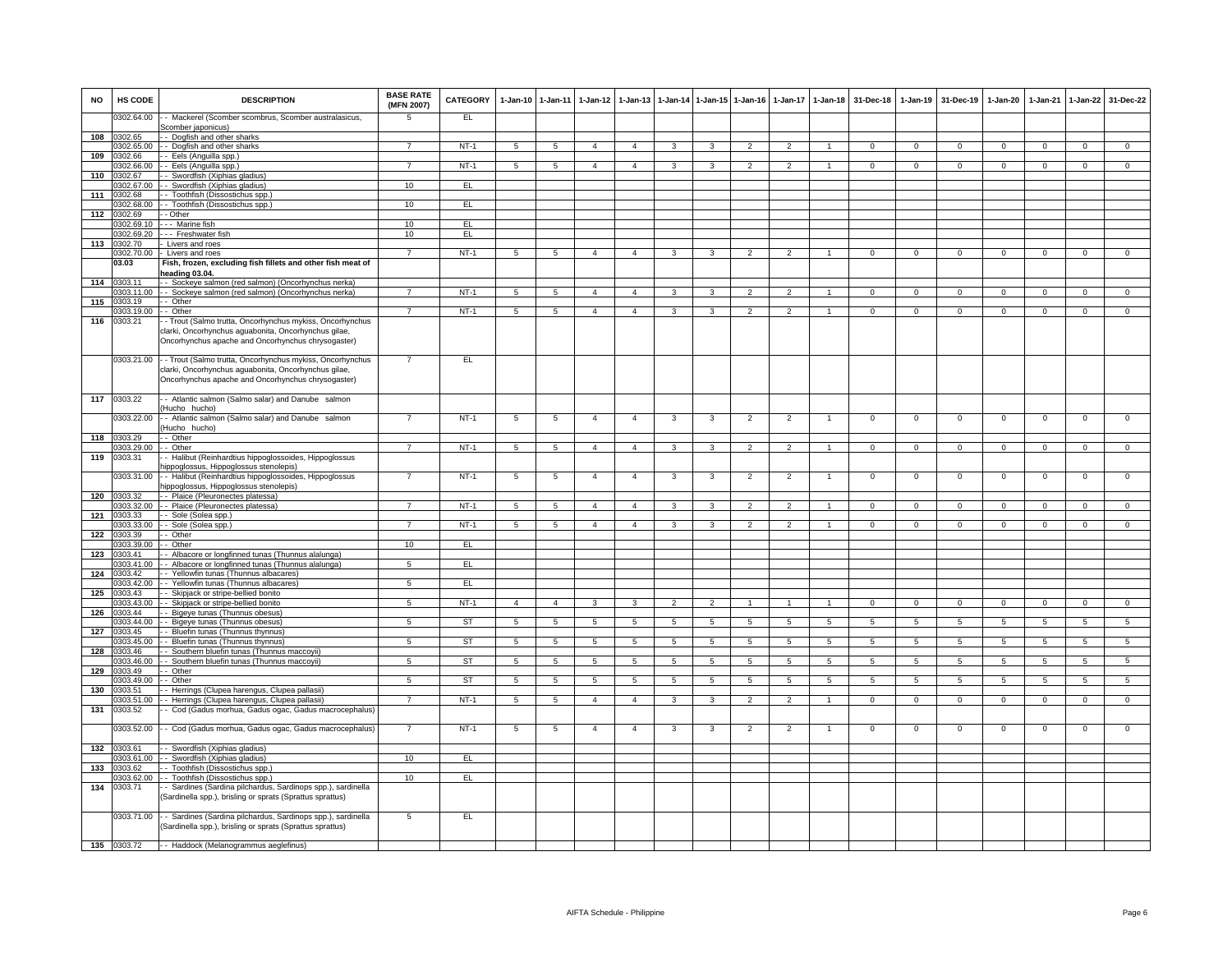| <b>NO</b> | HS CODE               | <b>DESCRIPTION</b>                                                                                                                                                                | <b>BASE RATE</b><br>(MFN 2007) | CATEGORY  | $1 - Jan-10$    | $1-Jan-11$     | $1 - Jan-12$    | $1-Jan-13$              |                |                 | 1-Jan-14 1-Jan-15 1-Jan-16 |                          | 1-Jan-17 1-Jan-18 | 31-Dec-18      | 1-Jan-19       | 31-Dec-19      | $1-Jan-20$      | $1 - Jan-21$   | 1-Jan-22        | 31-Dec-22      |
|-----------|-----------------------|-----------------------------------------------------------------------------------------------------------------------------------------------------------------------------------|--------------------------------|-----------|-----------------|----------------|-----------------|-------------------------|----------------|-----------------|----------------------------|--------------------------|-------------------|----------------|----------------|----------------|-----------------|----------------|-----------------|----------------|
|           | 0302.64.00            | - Mackerel (Scomber scombrus, Scomber australasicus,<br>Scomber japonicus)                                                                                                        | 5                              | EL        |                 |                |                 |                         |                |                 |                            |                          |                   |                |                |                |                 |                |                 |                |
|           | 108 0302.65           | - Dogfish and other sharks                                                                                                                                                        |                                |           |                 |                |                 |                         |                |                 |                            |                          |                   |                |                |                |                 |                |                 |                |
|           | 0302.65.00            | - Dogfish and other sharks                                                                                                                                                        | $\overline{7}$                 | $NT-1$    | 5               | 5              | $\overline{a}$  | $\overline{4}$          | 3              | 3               | 2                          | $\overline{2}$           | $\mathbf{1}$      | $\Omega$       | $\mathbf{0}$   | $\mathbf 0$    | $^{\circ}$      | $^{\circ}$     | $\mathbf{0}$    | $\overline{0}$ |
| 109       | 0302.66               | - Eels (Anguilla spp.)                                                                                                                                                            |                                |           |                 |                |                 |                         |                |                 |                            |                          |                   |                |                |                |                 |                |                 |                |
|           | 0302.66.00            | - Eels (Anguilla spp.)                                                                                                                                                            | $\overline{7}$                 | $NT-1$    | $5^{\circ}$     | 5              | $\overline{4}$  | $\overline{4}$          | 3              | 3               | $\overline{2}$             | $\overline{\phantom{0}}$ |                   | $\mathbf 0$    | $\mathbf 0$    | $\mathbf 0$    | $\mathbf 0$     | $\Omega$       | $\mathsf 0$     | $\overline{0}$ |
| 110       | 1302.67               | - Swordfish (Xiphias gladius)                                                                                                                                                     |                                |           |                 |                |                 |                         |                |                 |                            |                          |                   |                |                |                |                 |                |                 |                |
|           | 00.572.00             | - Swordfish (Xiphias gladius)                                                                                                                                                     | 10                             | EL.       |                 |                |                 |                         |                |                 |                            |                          |                   |                |                |                |                 |                |                 |                |
| 111       | 0302.68<br>0302.68.00 | - Toothfish (Dissostichus spp.                                                                                                                                                    | 10                             | EL        |                 |                |                 |                         |                |                 |                            |                          |                   |                |                |                |                 |                |                 |                |
| 112       | 0302.69               | - Toothfish (Dissostichus spp.)<br>- Other                                                                                                                                        |                                |           |                 |                |                 |                         |                |                 |                            |                          |                   |                |                |                |                 |                |                 |                |
|           | 0302.69.10            | Marine fish                                                                                                                                                                       | 10                             | EL.       |                 |                |                 |                         |                |                 |                            |                          |                   |                |                |                |                 |                |                 |                |
|           | 0302.69.20            | -- Freshwater fish                                                                                                                                                                | 10                             | EL        |                 |                |                 |                         |                |                 |                            |                          |                   |                |                |                |                 |                |                 |                |
|           | 113 0302.70           | Livers and roes                                                                                                                                                                   |                                |           |                 |                |                 |                         |                |                 |                            |                          |                   |                |                |                |                 |                |                 |                |
|           | 0302.70.00            | Livers and roes                                                                                                                                                                   | $\overline{7}$                 | $NT-1$    | 5               | $\overline{5}$ | $\overline{4}$  | $\overline{4}$          | 3              | 3               | $\overline{2}$             | $\mathfrak{p}$           | 1                 | $\Omega$       | $\mathbf 0$    | $\mathbf 0$    | $\mathbf{0}$    | $\Omega$       | $\overline{0}$  | $\overline{0}$ |
|           | 03.03                 | Fish, frozen, excluding fish fillets and other fish meat of<br>eading 03.04                                                                                                       |                                |           |                 |                |                 |                         |                |                 |                            |                          |                   |                |                |                |                 |                |                 |                |
|           | 114 0303.11           | - Sockeye salmon (red salmon) (Oncorhynchus nerka)                                                                                                                                |                                |           |                 |                |                 |                         |                |                 |                            |                          |                   |                |                |                |                 |                |                 |                |
|           | 0303.11.00            | - Sockeye salmon (red salmon) (Oncorhynchus nerka)                                                                                                                                | $\overline{7}$                 | $NT-1$    | $\overline{5}$  | $\overline{5}$ | $\overline{4}$  | $\overline{4}$          | 3              | $\mathbf{a}$    | $\overline{2}$             | $\mathcal{L}$            |                   | $\Omega$       | $\circ$        | $\Omega$       | $\mathbf 0$     | $\Omega$       | $\mathbf 0$     | $\Omega$       |
| 115       | 0303.19               | - Other                                                                                                                                                                           |                                |           |                 |                |                 |                         |                |                 |                            |                          |                   |                |                |                |                 |                |                 |                |
|           | 0303.19.00            | - Other                                                                                                                                                                           | $\overline{7}$                 | $NT-1$    | 5               | 5              | 4               | $\Delta$                | 3              | $\mathbf{R}$    |                            | 2                        |                   | $\Omega$       | $\Omega$       | $\Omega$       | $\Omega$        | $\Omega$       | $\Omega$        | $\Omega$       |
| 116       | 0303.21               | - Trout (Salmo trutta, Oncorhynchus mykiss, Oncorhynchus<br>clarki, Oncorhynchus aguabonita, Oncorhynchus gilae,<br>Oncorhynchus apache and Oncorhynchus chrysogaster)            |                                |           |                 |                |                 |                         |                |                 |                            |                          |                   |                |                |                |                 |                |                 |                |
|           |                       | 0303.21.00 - Trout (Salmo trutta, Oncorhynchus mykiss, Oncorhynchus<br>clarki, Oncorhynchus aguabonita, Oncorhynchus gilae,<br>Oncorhynchus apache and Oncorhynchus chrysogaster) |                                | EL.       |                 |                |                 |                         |                |                 |                            |                          |                   |                |                |                |                 |                |                 |                |
| 117       | 0303.22               | - Atlantic salmon (Salmo salar) and Danube salmon<br>Hucho hucho)                                                                                                                 |                                |           |                 |                |                 |                         |                |                 |                            |                          |                   |                |                |                |                 |                |                 |                |
|           | 0303.22.00            | - Atlantic salmon (Salmo salar) and Danube salmon<br>Hucho hucho)                                                                                                                 |                                | $NT-1$    | 5               | 5              | $\overline{4}$  | $\overline{4}$          | 3              | 3               | $\overline{2}$             | $\overline{2}$           | $\overline{1}$    | $\overline{0}$ | $\overline{0}$ | $\Omega$       | $\overline{0}$  | $\overline{0}$ | $\overline{0}$  | $\overline{0}$ |
|           | 118 0303.29           | - Other                                                                                                                                                                           |                                |           |                 |                |                 |                         |                |                 |                            |                          |                   |                |                |                |                 |                |                 |                |
|           | 0303.29.00            | - Other                                                                                                                                                                           |                                | $NT-1$    | 5               | $\overline{5}$ | $\mathbf{4}$    | $\Delta$                | 3              | 3               | $\mathcal{P}$              |                          | $\mathbf{1}$      | $\Omega$       | $\mathbf{0}$   | $\mathbf 0$    | $^{\circ}$      | $\Omega$       | $\mathbf 0$     | $\Omega$       |
| 119       | 0303.31               | - Halibut (Reinhardtius hippoglossoides, Hippoglossus                                                                                                                             |                                |           |                 |                |                 |                         |                |                 |                            |                          |                   |                |                |                |                 |                |                 |                |
|           |                       | ippoglossus, Hippoglossus stenolepis)                                                                                                                                             |                                |           |                 |                |                 |                         |                |                 |                            |                          |                   |                |                |                |                 |                |                 |                |
|           | 0303.31.00            | - Halibut (Reinhardtius hippoglossoides, Hippoglossus                                                                                                                             | $\overline{7}$                 | $NT-1$    | $5\phantom{.0}$ | 5              | $\overline{4}$  | $\overline{4}$          | 3              | 3               | $\overline{2}$             | $\overline{2}$           | 1                 | $\mathbf 0$    | $\mathbf 0$    | $\mathbf 0$    | $\mathbf 0$     | $\mathbf 0$    | $\mathsf 0$     | $\mathbf 0$    |
|           |                       | ippoglossus, Hippoglossus stenolepis)                                                                                                                                             |                                |           |                 |                |                 |                         |                |                 |                            |                          |                   |                |                |                |                 |                |                 |                |
| 120       | 0303.32               | - Plaice (Pleuronectes platessa)                                                                                                                                                  |                                |           |                 |                |                 |                         |                |                 |                            |                          |                   |                |                |                |                 |                |                 |                |
|           | 0303.32.00            | - Plaice (Pleuronectes platessa)                                                                                                                                                  | $\overline{7}$                 | $NT-1$    | 5               | $\overline{5}$ | $\mathbf{A}$    | $\Delta$                | $\mathbf{R}$   | $\mathbf{R}$    | $\mathcal{P}$              |                          |                   | $\Omega$       | $\Omega$       | $\Omega$       | $\Omega$        |                | $\Omega$        | $\Omega$       |
| 121       | 0303.33               | - Sole (Solea spp.)                                                                                                                                                               |                                |           |                 |                |                 |                         |                |                 |                            |                          |                   |                |                |                |                 |                |                 |                |
|           | 0303.33.00            | - Sole (Solea spp.)                                                                                                                                                               | $\overline{7}$                 | $NT-1$    | 5               | -5             | $\mathbf{A}$    | $\overline{4}$          | 3              | $\mathcal{R}$   | $\mathcal{P}$              |                          |                   | $\Omega$       | $\Omega$       | $\Omega$       | $\Omega$        | $\Omega$       | $\Omega$        | $\Omega$       |
| 122       | 0303.39               | - Other                                                                                                                                                                           |                                |           |                 |                |                 |                         |                |                 |                            |                          |                   |                |                |                |                 |                |                 |                |
|           | 0303.39.00            | - Other                                                                                                                                                                           | 10                             | E         |                 |                |                 |                         |                |                 |                            |                          |                   |                |                |                |                 |                |                 |                |
| 123       | 0303.41               | - Albacore or longfinned tunas (Thunnus alalunga)                                                                                                                                 |                                |           |                 |                |                 |                         |                |                 |                            |                          |                   |                |                |                |                 |                |                 |                |
|           | 00.141.00<br>0303.42  | - Albacore or longfinned tunas (Thunnus alalunga)                                                                                                                                 | 5                              | EL.       |                 |                |                 |                         |                |                 |                            |                          |                   |                |                |                |                 |                |                 |                |
| 124       | 1303.42.00            | - Yellowfin tunas (Thunnus albacares)<br>- Yellowfin tunas (Thunnus albacares)                                                                                                    | 5                              | E         |                 |                |                 |                         |                |                 |                            |                          |                   |                |                |                |                 |                |                 |                |
| 125       | 0303.43               | - Skipjack or stripe-bellied bonito                                                                                                                                               |                                |           |                 |                |                 |                         |                |                 |                            |                          |                   |                |                |                |                 |                |                 |                |
|           | 0303.43.00            | - Skipjack or stripe-bellied bonito                                                                                                                                               | 5                              | $NT-1$    | $\overline{4}$  | $\overline{4}$ | 3               | $\overline{\mathbf{3}}$ | $\overline{2}$ | $\overline{2}$  |                            |                          |                   | $\overline{0}$ | $\overline{0}$ | $\overline{0}$ | $\overline{0}$  | $\overline{0}$ | $\overline{0}$  | $\overline{0}$ |
| 126       | 0303.44               | - Bigeye tunas (Thunnus obesus)                                                                                                                                                   |                                |           |                 |                |                 |                         |                |                 |                            |                          |                   |                |                |                |                 |                |                 |                |
|           | 0303.44.00            | - Bigeye tunas (Thunnus obesus)                                                                                                                                                   | $5\overline{5}$                | ST        | 5               | 5              | $5\overline{5}$ | 5                       | 5              | $5\overline{5}$ | 5                          | 5                        | $5\overline{5}$   | 5              | 5              | 5              | $5\overline{5}$ | 5              | $5\overline{5}$ | $5^{\circ}$    |
| 127       | 0303.45               | - Bluefin tunas (Thunnus thynnus)                                                                                                                                                 |                                |           |                 |                |                 |                         |                |                 |                            |                          |                   |                |                |                |                 |                |                 |                |
|           | 0303.45.00            | - Bluefin tunas (Thunnus thynnus)                                                                                                                                                 | 5                              | ST        | 5               | 5              | 5               | 5                       | 5              | $5\overline{5}$ | 5                          | 5                        | 5                 | 5              | 5              | 5              | 5               | 5              | 5               | 5              |
| 128       | 0303.46               | - Southern bluefin tunas (Thunnus maccoyii)                                                                                                                                       |                                |           |                 |                |                 |                         |                |                 |                            |                          |                   |                |                |                |                 |                |                 |                |
|           | 303.46.00             | - Southern bluefin tunas (Thunnus maccoyii)                                                                                                                                       | 5                              | <b>ST</b> | 5               | $\overline{5}$ | $\sqrt{5}$      | 5                       | 5              | 5               | 5                          | 5                        | 5                 | 5              | $5^{\circ}$    | 5              | $\overline{5}$  | $\overline{5}$ | 5               | $5^{\circ}$    |
| 129       | 0303.49               | - Other                                                                                                                                                                           |                                |           |                 |                |                 |                         |                |                 |                            |                          |                   |                |                |                |                 |                |                 |                |
|           | 0303.49.00            | - Other                                                                                                                                                                           | 5                              | <b>ST</b> | $5\overline{)}$ | $\overline{5}$ | $\sqrt{5}$      | 5                       | 5              | $5\overline{)}$ | 5                          | 5                        | $\overline{5}$    | 5              | $\overline{5}$ | $\overline{5}$ | 5               | $\sqrt{5}$     | $\overline{5}$  | $\overline{5}$ |
| 130       | 0303.51               | - Herrings (Clupea harengus, Clupea pallasii)                                                                                                                                     | $\overline{7}$                 | $NT-1$    | 5               | $\overline{5}$ | $\overline{4}$  | $\overline{4}$          | 3              |                 | $\mathfrak{p}$             | $\overline{\phantom{0}}$ |                   |                |                | $\Omega$       |                 |                |                 | $\Omega$       |
| 131       | 0303.51.00<br>0303.52 | - Herrings (Clupea harengus, Clupea pallasii)<br>- Cod (Gadus morhua, Gadus ogac, Gadus macrocephalus)                                                                            |                                |           |                 |                |                 |                         |                | 3               |                            |                          |                   | $\mathbf 0$    | $\mathbf 0$    |                | $\mathsf 0$     | $\mathbf 0$    | $\mathsf 0$     |                |
|           | 0303.52.00            | - Cod (Gadus morhua, Gadus ogac, Gadus macrocephalus)                                                                                                                             | $\overline{7}$                 | $NT-1$    | 5               | -5             | $\mathbf{A}$    | $\mathbf{A}$            | 3              | 3               | $\overline{2}$             | $\overline{2}$           |                   | $\Omega$       | $\Omega$       | $\Omega$       | $\Omega$        | $\Omega$       | $\Omega$        | $\Omega$       |
|           | 132 0303.61           | - Swordfish (Xiphias gladius)                                                                                                                                                     |                                |           |                 |                |                 |                         |                |                 |                            |                          |                   |                |                |                |                 |                |                 |                |
|           | 303.61.00<br>303.62   | - Swordfish (Xiphias gladius)                                                                                                                                                     | 10                             | EL        |                 |                |                 |                         |                |                 |                            |                          |                   |                |                |                |                 |                |                 |                |
| 133       | 0303.62.00            | - Toothfish (Dissostichus spp.)<br>- Toothfish (Dissostichus spp.)                                                                                                                | 10                             | EL.       |                 |                |                 |                         |                |                 |                            |                          |                   |                |                |                |                 |                |                 |                |
| 134       | 0303.71               | - Sardines (Sardina pilchardus, Sardinops spp.), sardinella                                                                                                                       |                                |           |                 |                |                 |                         |                |                 |                            |                          |                   |                |                |                |                 |                |                 |                |
|           |                       | Sardinella spp.), brisling or sprats (Sprattus sprattus)                                                                                                                          |                                |           |                 |                |                 |                         |                |                 |                            |                          |                   |                |                |                |                 |                |                 |                |
|           | 0303.71.00            | - Sardines (Sardina pilchardus, Sardinops spp.), sardinella<br>(Sardinella spp.), brisling or sprats (Sprattus sprattus)                                                          | 5                              | EL        |                 |                |                 |                         |                |                 |                            |                          |                   |                |                |                |                 |                |                 |                |
|           | 135 0303.72           | - - Haddock (Melanogrammus aeglefinus)                                                                                                                                            |                                |           |                 |                |                 |                         |                |                 |                            |                          |                   |                |                |                |                 |                |                 |                |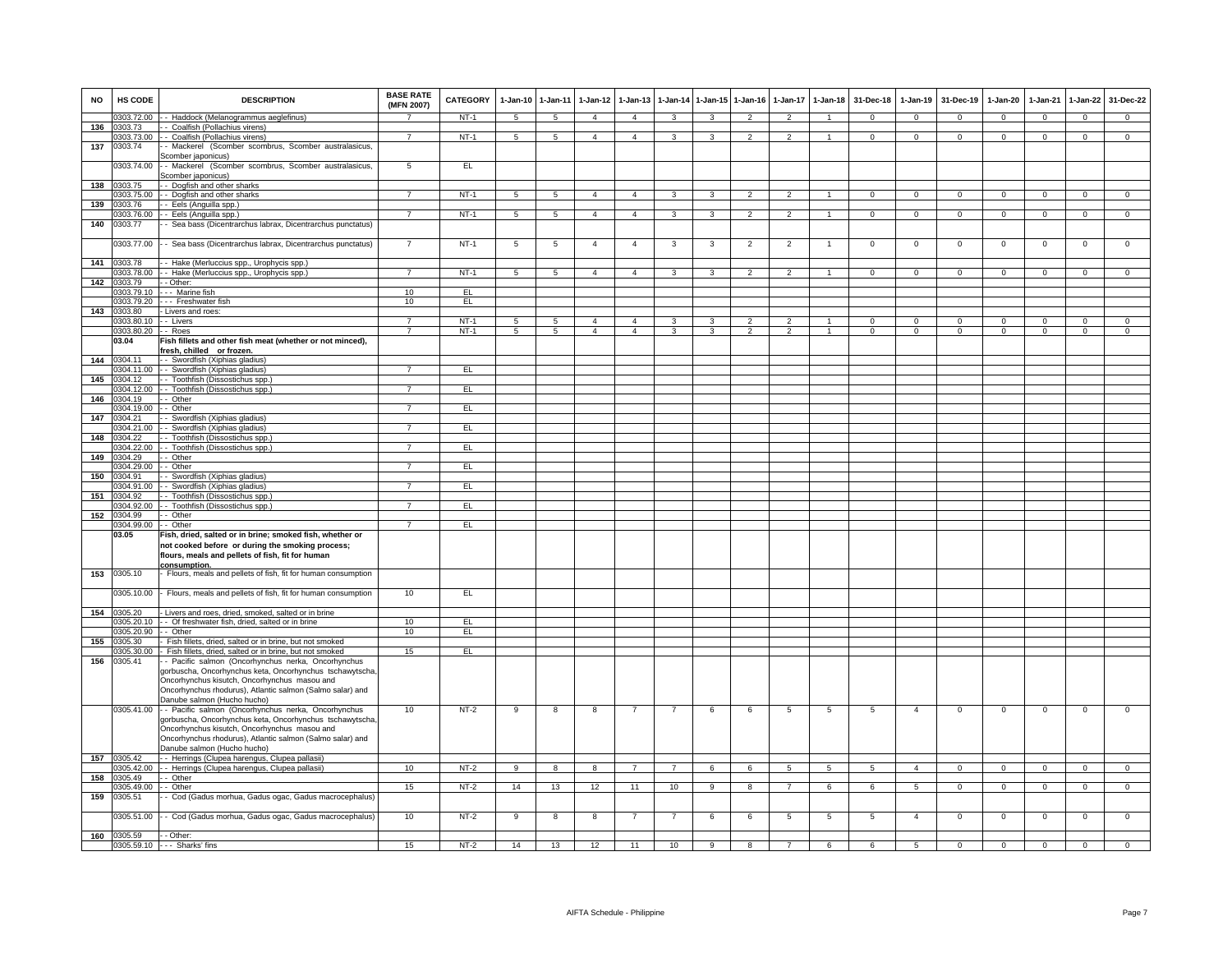| <b>NO</b> | HS CODE                            | <b>DESCRIPTION</b>                                                                                                 | <b>BASE RATE</b><br>(MFN 2007) | <b>CATEGORY</b>  | $1-Jan-10$      | $1 - Jan-11$        | $1-Jan-12$                       | $1-Jan-13$                       |                         |                | 1-Jan-14 1-Jan-15 1-Jan-16 |                | 1-Jan-17 1-Jan-18    | 31-Dec-18              | $1-Jan-19$             | 31-Dec-19              | $1-Jan-20$               | $1-Jan-21$             | $1-Jan-22$                  | 31-Dec-22               |
|-----------|------------------------------------|--------------------------------------------------------------------------------------------------------------------|--------------------------------|------------------|-----------------|---------------------|----------------------------------|----------------------------------|-------------------------|----------------|----------------------------|----------------|----------------------|------------------------|------------------------|------------------------|--------------------------|------------------------|-----------------------------|-------------------------|
|           | 0303.72.00                         | - Haddock (Melanogrammus aeglefinus)                                                                               | $\overline{ }$                 | $NT-1$           | 5               | 5                   | $\overline{4}$                   | $\overline{4}$                   | $\mathbf{3}$            | 3              | 2                          | $\overline{2}$ | $\blacktriangleleft$ | $\mathbf{0}$           | $\mathbf{0}$           | $\mathbf{0}$           | $\overline{0}$           | $\mathbf{0}$           | $\mathbf{0}$                | $^{\circ}$              |
| 136       | 0303.73                            | - Coalfish (Pollachius virens)                                                                                     |                                |                  |                 |                     |                                  |                                  |                         |                |                            |                |                      |                        |                        |                        |                          |                        |                             |                         |
| 137       | 0303.73.00<br>0303.74              | - Coalfish (Pollachius virens)<br>- Mackerel (Scomber scombrus, Scomber australasicus,                             | $\overline{7}$                 | $NT-1$           | 5               | $5\phantom{.0}$     | $\mathbf{A}$                     | $\overline{4}$                   | 3                       | 3              | $\overline{2}$             | $\overline{2}$ | $\mathbf{1}$         | $\Omega$               | $\mathbf 0$            | $\mathbf{0}$           | $\mathbf{0}$             | $\mathbf 0$            | $\mathbf{0}$                | $\overline{0}$          |
|           |                                    | Scomber japonicus)                                                                                                 |                                |                  |                 |                     |                                  |                                  |                         |                |                            |                |                      |                        |                        |                        |                          |                        |                             |                         |
|           | 0303.74.00                         | - Mackerel (Scomber scombrus, Scomber australasicus,<br>comber japonicus)                                          | 5                              | EL               |                 |                     |                                  |                                  |                         |                |                            |                |                      |                        |                        |                        |                          |                        |                             |                         |
| 138       | 0303.75                            | - Dogfish and other sharks                                                                                         |                                |                  |                 |                     |                                  |                                  |                         |                |                            |                |                      |                        |                        |                        |                          |                        |                             |                         |
|           | 0303.75.00                         | - Dogfish and other sharks                                                                                         | $\overline{7}$                 | $NT-1$           | 5               | 5                   | $\overline{4}$                   | $\overline{4}$                   | 3                       | $\overline{3}$ | $\overline{2}$             | $\overline{2}$ | $\overline{1}$       | $\overline{0}$         | $\overline{0}$         | $\overline{0}$         | $\overline{0}$           | $\overline{0}$         | $\overline{0}$              | $\overline{0}$          |
| 139       | 0303.76                            | - Eels (Anguilla spp.)                                                                                             |                                |                  |                 |                     |                                  |                                  |                         |                |                            |                |                      |                        |                        |                        |                          |                        |                             |                         |
|           | 0303.76.00                         | - Eels (Anguilla spp.)                                                                                             | $\overline{7}$                 | $NT-1$           | $5\overline{5}$ | 5 <sub>5</sub>      | 4                                | $\overline{4}$                   | $\mathbf{3}$            | $\mathbf{3}$   | 2                          | 2              | $\mathbf{1}$         | $\overline{0}$         | $\mathbf{0}$           | $\mathbf{0}$           | $\overline{0}$           | $\overline{0}$         | $\mathbf{0}$                | $\overline{0}$          |
| 140       | 0303.77                            | - Sea bass (Dicentrarchus labrax, Dicentrarchus punctatus)                                                         |                                |                  |                 |                     |                                  |                                  |                         |                |                            |                |                      |                        |                        |                        |                          |                        |                             |                         |
|           | 0303.77.00                         | - Sea bass (Dicentrarchus labrax, Dicentrarchus punctatus)                                                         | $\overline{7}$                 | $NT-1$           | $\overline{5}$  | 5                   | $\overline{4}$                   | $\overline{4}$                   | $\overline{\mathbf{3}}$ | 3              | $\overline{2}$             | $\overline{2}$ | $\mathbf{1}$         | $\overline{0}$         | $\overline{0}$         | $\mathbf{0}$           | $\overline{0}$           | $\overline{0}$         | $\overline{0}$              | $\overline{0}$          |
| 141       | 0303.78                            | - Hake (Merluccius spp., Urophycis spp.)                                                                           |                                |                  |                 |                     |                                  |                                  |                         |                |                            |                |                      |                        |                        |                        |                          |                        |                             |                         |
|           | 0303.78.00                         | - Hake (Merluccius spp., Urophycis spp.)                                                                           | $\overline{7}$                 | $NT-1$           | -5              | -5                  | $\mathbf{4}$                     | $\overline{4}$                   | 3                       | $\mathbf{R}$   | $\overline{2}$             | $\mathcal{P}$  |                      | $\Omega$               | $\Omega$               | $\Omega$               | 0                        | $\Omega$               | $\Omega$                    | $\Omega$                |
| 142       | 0303.79                            | - Other:                                                                                                           |                                |                  |                 |                     |                                  |                                  |                         |                |                            |                |                      |                        |                        |                        |                          |                        |                             |                         |
|           | 0303.79.10                         | -- Marine fish                                                                                                     | 10                             | FL               |                 |                     |                                  |                                  |                         |                |                            |                |                      |                        |                        |                        |                          |                        |                             |                         |
|           | 0303.79.20                         | - - Freshwater fish                                                                                                | 10                             | EL               |                 |                     |                                  |                                  |                         |                |                            |                |                      |                        |                        |                        |                          |                        |                             |                         |
| 143       | 0303.80                            | - Livers and roes:                                                                                                 | $\overline{7}$                 |                  |                 |                     |                                  |                                  |                         |                |                            |                |                      |                        |                        |                        |                          |                        |                             |                         |
|           | 0303.80.10 -- Livers<br>0303.80.20 | - Roes                                                                                                             | $\overline{7}$                 | $NT-1$<br>$NT-1$ | 5<br>5          | 5<br>$\overline{5}$ | $\overline{4}$<br>$\overline{4}$ | $\overline{4}$<br>$\overline{4}$ | 3<br>3                  | 3              | $\overline{2}$             | $\overline{2}$ | $\mathbf{1}$         | $\Omega$<br>$^{\circ}$ | $\Omega$<br>$^{\circ}$ | $\Omega$<br>$^{\circ}$ | $\Omega$<br>$\mathbf{0}$ | $\Omega$<br>$^{\circ}$ | $\mathbf 0$<br>$\mathbf{0}$ | $\Omega$<br>$\mathbf 0$ |
|           | 03.04                              | Fish fillets and other fish meat (whether or not minced),                                                          |                                |                  |                 |                     |                                  |                                  |                         |                |                            |                |                      |                        |                        |                        |                          |                        |                             |                         |
|           |                                    | resh, chilled or frozen.                                                                                           |                                |                  |                 |                     |                                  |                                  |                         |                |                            |                |                      |                        |                        |                        |                          |                        |                             |                         |
| 144       | 0304.11                            | - Swordfish (Xiphias gladius)                                                                                      |                                |                  |                 |                     |                                  |                                  |                         |                |                            |                |                      |                        |                        |                        |                          |                        |                             |                         |
|           | 304.11.00                          | - Swordfish (Xiphias gladius)                                                                                      | $\overline{7}$                 | EL.              |                 |                     |                                  |                                  |                         |                |                            |                |                      |                        |                        |                        |                          |                        |                             |                         |
| 145       | 0304.12                            | - Toothfish (Dissostichus spp.)                                                                                    |                                |                  |                 |                     |                                  |                                  |                         |                |                            |                |                      |                        |                        |                        |                          |                        |                             |                         |
|           | 0304.12.00                         | - Toothfish (Dissostichus spp.)                                                                                    | $\overline{7}$                 | EL               |                 |                     |                                  |                                  |                         |                |                            |                |                      |                        |                        |                        |                          |                        |                             |                         |
| 146       | 0304.19                            | - Other                                                                                                            | $\overline{7}$                 |                  |                 |                     |                                  |                                  |                         |                |                            |                |                      |                        |                        |                        |                          |                        |                             |                         |
| 147       | 0304.19.00<br>0304.21              | - Other<br>- Swordfish (Xiphias gladius)                                                                           |                                | EL               |                 |                     |                                  |                                  |                         |                |                            |                |                      |                        |                        |                        |                          |                        |                             |                         |
|           | 0304.21.00                         | - Swordfish (Xiphias gladius)                                                                                      | $\overline{7}$                 | EL.              |                 |                     |                                  |                                  |                         |                |                            |                |                      |                        |                        |                        |                          |                        |                             |                         |
| 148       | 0304.22                            | - Toothfish (Dissostichus spp.)                                                                                    |                                |                  |                 |                     |                                  |                                  |                         |                |                            |                |                      |                        |                        |                        |                          |                        |                             |                         |
|           | 0304.22.00                         | - Toothfish (Dissostichus spp.)                                                                                    | $\overline{7}$                 | EL               |                 |                     |                                  |                                  |                         |                |                            |                |                      |                        |                        |                        |                          |                        |                             |                         |
| 149       | 0304.29                            | - Other                                                                                                            |                                |                  |                 |                     |                                  |                                  |                         |                |                            |                |                      |                        |                        |                        |                          |                        |                             |                         |
|           | 1304.29.00                         | - Other                                                                                                            |                                | EL.              |                 |                     |                                  |                                  |                         |                |                            |                |                      |                        |                        |                        |                          |                        |                             |                         |
| 150       | 0304.91                            | - Swordfish (Xiphias gladius)                                                                                      |                                |                  |                 |                     |                                  |                                  |                         |                |                            |                |                      |                        |                        |                        |                          |                        |                             |                         |
| 151       | 0304.91.00<br>0304.92              | - - Swordfish (Xiphias gladius)<br>- Toothfish (Dissostichus spp.)                                                 | $\overline{7}$                 | EL               |                 |                     |                                  |                                  |                         |                |                            |                |                      |                        |                        |                        |                          |                        |                             |                         |
|           | 0304.92.00                         | -- Toothfish (Dissostichus spp.)                                                                                   |                                | EL               |                 |                     |                                  |                                  |                         |                |                            |                |                      |                        |                        |                        |                          |                        |                             |                         |
| 152       | 0304.99                            | - Other                                                                                                            |                                |                  |                 |                     |                                  |                                  |                         |                |                            |                |                      |                        |                        |                        |                          |                        |                             |                         |
|           | 0304.99.00                         | -- Other                                                                                                           | $\overline{7}$                 | EL.              |                 |                     |                                  |                                  |                         |                |                            |                |                      |                        |                        |                        |                          |                        |                             |                         |
|           | 03.05                              | Fish, dried, salted or in brine; smoked fish, whether or                                                           |                                |                  |                 |                     |                                  |                                  |                         |                |                            |                |                      |                        |                        |                        |                          |                        |                             |                         |
|           |                                    | not cooked before or during the smoking process;<br>flours, meals and pellets of fish, fit for human               |                                |                  |                 |                     |                                  |                                  |                         |                |                            |                |                      |                        |                        |                        |                          |                        |                             |                         |
| 153       | 0305.10                            | consumption.<br>Flours, meals and pellets of fish, fit for human consumption                                       |                                |                  |                 |                     |                                  |                                  |                         |                |                            |                |                      |                        |                        |                        |                          |                        |                             |                         |
|           | 0305.10.00                         | Flours, meals and pellets of fish, fit for human consumption                                                       | 10                             | EL               |                 |                     |                                  |                                  |                         |                |                            |                |                      |                        |                        |                        |                          |                        |                             |                         |
| 154       | 0305.20                            | Livers and roes, dried, smoked, salted or in brine                                                                 |                                |                  |                 |                     |                                  |                                  |                         |                |                            |                |                      |                        |                        |                        |                          |                        |                             |                         |
|           | 0305.20.10                         | - Of freshwater fish, dried, salted or in brine                                                                    | 10                             | EL               |                 |                     |                                  |                                  |                         |                |                            |                |                      |                        |                        |                        |                          |                        |                             |                         |
| 155       | 0305.20.90                         | $-$ Other                                                                                                          | 10                             | EL               |                 |                     |                                  |                                  |                         |                |                            |                |                      |                        |                        |                        |                          |                        |                             |                         |
|           | 0305.30<br>0305.30.00              | Fish fillets, dried, salted or in brine, but not smoked<br>Fish fillets, dried, salted or in brine, but not smoked | 15                             | EL               |                 |                     |                                  |                                  |                         |                |                            |                |                      |                        |                        |                        |                          |                        |                             |                         |
| 156       | 0305.41                            | - Pacific salmon (Oncorhynchus nerka, Oncorhynchus                                                                 |                                |                  |                 |                     |                                  |                                  |                         |                |                            |                |                      |                        |                        |                        |                          |                        |                             |                         |
|           |                                    | gorbuscha, Oncorhynchus keta, Oncorhynchus tschawytscha,                                                           |                                |                  |                 |                     |                                  |                                  |                         |                |                            |                |                      |                        |                        |                        |                          |                        |                             |                         |
|           |                                    | Oncorhynchus kisutch, Oncorhynchus masou and                                                                       |                                |                  |                 |                     |                                  |                                  |                         |                |                            |                |                      |                        |                        |                        |                          |                        |                             |                         |
|           |                                    | Oncorhynchus rhodurus), Atlantic salmon (Salmo salar) and                                                          |                                |                  |                 |                     |                                  |                                  |                         |                |                            |                |                      |                        |                        |                        |                          |                        |                             |                         |
|           |                                    | Danube salmon (Hucho hucho)                                                                                        |                                |                  |                 |                     |                                  |                                  |                         |                |                            |                |                      |                        |                        |                        |                          |                        |                             |                         |
|           |                                    | 0305.41.00 -- Pacific salmon (Oncorhynchus nerka, Oncorhynchus                                                     | 10                             | $NT-2$           | 9               | 8                   | 8                                | $\overline{7}$                   | $\overline{7}$          | 6              | 6                          | 5              | 5                    | 5                      | $\overline{4}$         | $\Omega$               | $\overline{0}$           | $\mathbf 0$            | 0                           | $\Omega$                |
|           |                                    | gorbuscha, Oncorhynchus keta, Oncorhynchus tschawytscha,                                                           |                                |                  |                 |                     |                                  |                                  |                         |                |                            |                |                      |                        |                        |                        |                          |                        |                             |                         |
|           |                                    | Oncorhynchus kisutch, Oncorhynchus masou and<br>Oncorhynchus rhodurus), Atlantic salmon (Salmo salar) and          |                                |                  |                 |                     |                                  |                                  |                         |                |                            |                |                      |                        |                        |                        |                          |                        |                             |                         |
|           |                                    | Danube salmon (Hucho hucho)                                                                                        |                                |                  |                 |                     |                                  |                                  |                         |                |                            |                |                      |                        |                        |                        |                          |                        |                             |                         |
| 157       | 0305.42                            | - Herrings (Clupea harengus, Clupea pallasii)                                                                      |                                |                  |                 |                     |                                  |                                  |                         |                |                            |                |                      |                        |                        |                        |                          |                        |                             |                         |
|           | 305.42.00                          | - Herrings (Clupea harengus, Clupea pallasii)                                                                      | 10                             | NT-2             | 9               | 8                   | 8                                | $\overline{7}$                   | $\overline{7}$          | 6              | 6                          | 5              | $\overline{5}$       | 5                      | $\overline{4}$         | $\mathbf 0$            | $\mathbf 0$              | $\mathbf 0$            | $\mathsf 0$                 | $\Omega$                |
| 158       | 0305.49                            | - Other                                                                                                            |                                |                  |                 |                     |                                  |                                  |                         |                |                            |                |                      |                        |                        |                        |                          |                        |                             |                         |
|           | 0305.49.00                         | - Other                                                                                                            | 15                             | $NT-2$           | 14              | 13                  | 12                               | 11                               | 10                      | $\overline{9}$ | $\overline{\mathbf{8}}$    | $\overline{7}$ | $6\overline{6}$      | 6                      | $5\overline{)}$        | $\mathbf 0$            | $\overline{0}$           | $\overline{0}$         | $\overline{0}$              | $\overline{0}$          |
| 159       | 0305.51                            | - Cod (Gadus morhua, Gadus ogac, Gadus macrocephalus)                                                              |                                |                  |                 |                     |                                  |                                  |                         |                |                            |                |                      |                        |                        |                        |                          |                        |                             |                         |
|           | 0305.51.00                         | - Cod (Gadus morhua, Gadus ogac, Gadus macrocephalus)                                                              | 10                             | $NT-2$           | 9               | 8                   | 8                                |                                  | $\overline{7}$          | 6              | 6                          | $\overline{5}$ | $5\phantom{.0}$      | $5\phantom{.0}$        | $\overline{4}$         | $\mathbf 0$            | $\mathbf 0$              | $\mathbf 0$            | $\mathsf 0$                 | $\mathbf 0$             |
|           | 160 0305.59                        | - Other:                                                                                                           |                                |                  |                 |                     |                                  |                                  |                         |                |                            |                |                      |                        |                        |                        |                          |                        |                             |                         |
|           |                                    | 0305.59.10 --- Sharks' fins                                                                                        | 15                             | $NT-2$           | 14              | 13                  | 12                               | 11                               | 10                      | $\overline{9}$ | $\overline{8}$             |                | 6                    | 6                      | 5                      | $\overline{0}$         | $\overline{0}$           | $\overline{0}$         | $\overline{0}$              | $\overline{0}$          |
|           |                                    |                                                                                                                    |                                |                  |                 |                     |                                  |                                  |                         |                |                            |                |                      |                        |                        |                        |                          |                        |                             |                         |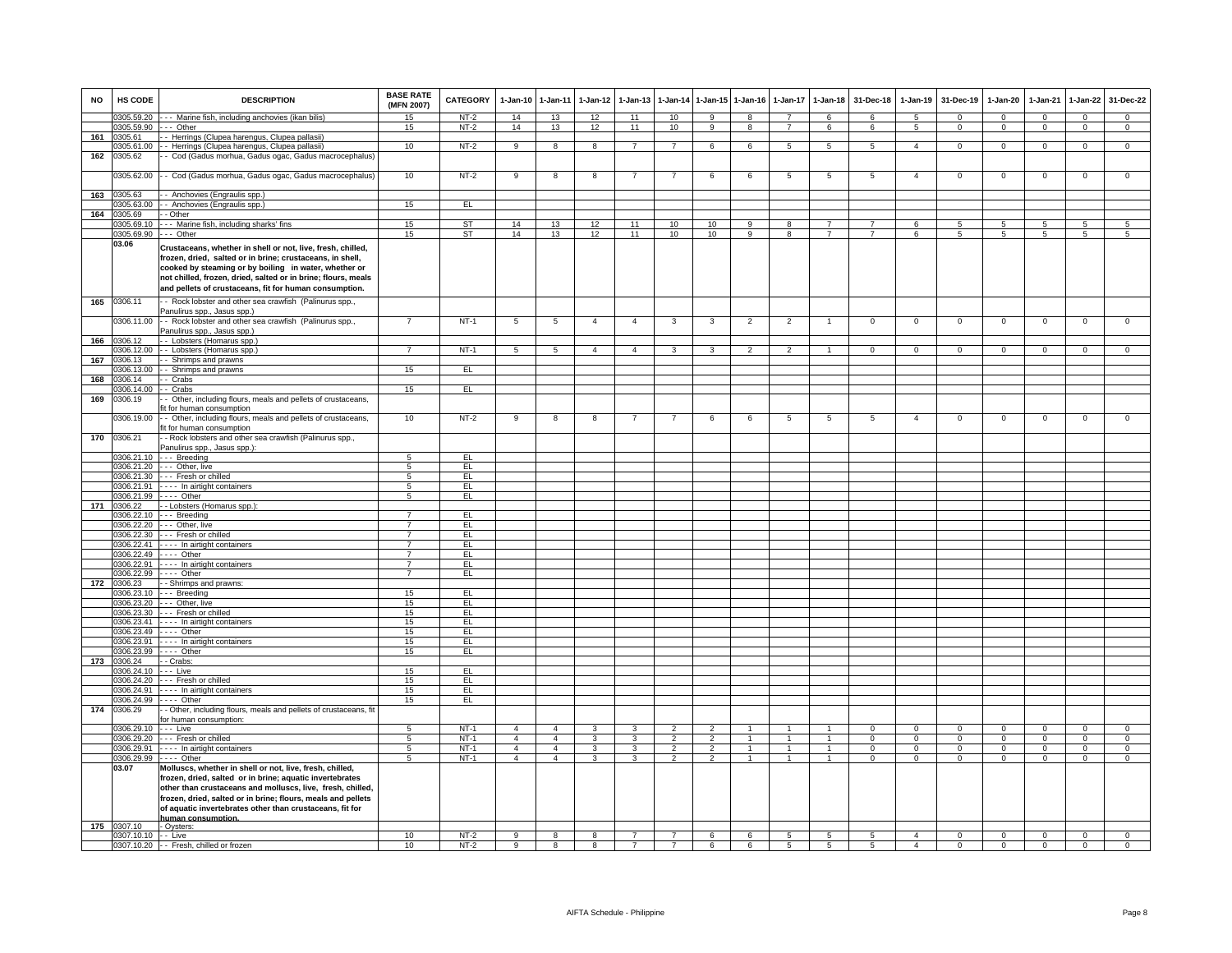| <b>NO</b> | HS CODE                  | <b>DESCRIPTION</b>                                                                                                                                                                                                                                                                                             | <b>BASE RATE</b><br>(MFN 2007)   | CATEGORY  | 1-Jan-10                         | $1 - Jan-11$                     | $1-Jan-12$        | $1-Jan-13$        | 1-Jan-14                         | 1-Jan-15 1-Jan-16   |                | $1-Jan-17$     | $1-Jan-18$      | 31-Dec-18               | $1-Jan-19$               | 31-Dec-19                | $1-Jan-20$               | 1-Jan-21       | $1-Jan-22$                  | 31-Dec-22                    |
|-----------|--------------------------|----------------------------------------------------------------------------------------------------------------------------------------------------------------------------------------------------------------------------------------------------------------------------------------------------------------|----------------------------------|-----------|----------------------------------|----------------------------------|-------------------|-------------------|----------------------------------|---------------------|----------------|----------------|-----------------|-------------------------|--------------------------|--------------------------|--------------------------|----------------|-----------------------------|------------------------------|
|           | 0305.59.20               | - - Marine fish, including anchovies (ikan bilis)                                                                                                                                                                                                                                                              | 15                               | $NT-2$    | 14                               | 13                               | 12                | 11                | 10                               | -9                  | 8              | $\overline{7}$ | 6               | 6                       | 5                        | $\mathbf{0}$             | $\Omega$                 | $\mathbf{0}$   | $\circ$                     | $\mathbf{0}$                 |
|           | 0305.59.90               | -- Other                                                                                                                                                                                                                                                                                                       | 15                               | $NT-2$    | 14                               | 13                               | 12                | 11                | 10                               | 9                   | 8              | $\overline{7}$ | 6               | 6                       | $5\overline{5}$          | $\mathbf{0}$             | $\mathbf{0}$             | $\mathbf{0}$   | $\mathbf{0}$                | $\overline{0}$               |
| 161       | 0305.61<br>0305.61.00    | - Herrings (Clupea harengus, Clupea pallasii)<br>- Herrings (Clupea harengus, Clupea pallasii)                                                                                                                                                                                                                 | 10                               | $NT-2$    | 9                                | $\overline{8}$                   | $\overline{8}$    | $\overline{7}$    | $\overline{7}$                   | 6                   | 6              | 5              | $5\overline{5}$ | 5                       | $\overline{4}$           | $\mathbf{0}$             | $\mathbf{0}$             | $\mathbf{0}$   | $\overline{0}$              | $\overline{0}$               |
| 162       | 0305.62                  | - Cod (Gadus morhua, Gadus ogac, Gadus macrocephalus)                                                                                                                                                                                                                                                          |                                  |           |                                  |                                  |                   |                   |                                  |                     |                |                |                 |                         |                          |                          |                          |                |                             |                              |
|           |                          |                                                                                                                                                                                                                                                                                                                |                                  |           |                                  |                                  |                   |                   |                                  |                     |                |                |                 |                         |                          |                          |                          |                |                             |                              |
|           | 0305.62.00               | - Cod (Gadus morhua, Gadus ogac, Gadus macrocephalus)                                                                                                                                                                                                                                                          | 10                               | $NT-2$    | 9                                | 8                                | 8                 | $\overline{7}$    | $\overline{7}$                   | 6                   | 6              | 5              | 5               | 5                       | $\overline{4}$           | $\mathbf 0$              | $\mathsf 0$              | $\mathbf 0$    | $\mathbf 0$                 | $\mathsf 0$                  |
| 163       | 0305.63                  | - Anchovies (Engraulis spp.)                                                                                                                                                                                                                                                                                   |                                  |           |                                  |                                  |                   |                   |                                  |                     |                |                |                 |                         |                          |                          |                          |                |                             |                              |
|           | 0305.63.00               | - Anchovies (Engraulis spp.)                                                                                                                                                                                                                                                                                   | 15                               | EL        |                                  |                                  |                   |                   |                                  |                     |                |                |                 |                         |                          |                          |                          |                |                             |                              |
| 164       | 0305.69                  | - Other                                                                                                                                                                                                                                                                                                        |                                  |           |                                  |                                  |                   |                   |                                  |                     |                |                |                 |                         |                          |                          |                          |                |                             |                              |
|           | 0305.69.10               | -- Marine fish, including sharks' fins                                                                                                                                                                                                                                                                         | 15                               | ST        | 14                               | 13                               | 12                | 11                | 10                               | 10                  | 9              | 8              | $\overline{7}$  | 7                       | 6                        | -5                       | $5\overline{5}$          | 5              | 5                           | 5                            |
|           | 0305.69.90               | $-$ Other                                                                                                                                                                                                                                                                                                      | 15                               | <b>ST</b> | 14                               | 13                               | 12                | 11                | 10                               | 10                  | 9              | 8              | $\overline{7}$  | $\overline{7}$          | 6                        | 5                        | 5                        | 5              | $\overline{5}$              | $\overline{5}$               |
|           | 03.06                    | Crustaceans, whether in shell or not, live, fresh, chilled,<br>frozen, dried, salted or in brine; crustaceans, in shell,<br>cooked by steaming or by boiling in water, whether or<br>not chilled, frozen, dried, salted or in brine; flours, meals<br>and pellets of crustaceans, fit for human consumption.   |                                  |           |                                  |                                  |                   |                   |                                  |                     |                |                |                 |                         |                          |                          |                          |                |                             |                              |
| 165       | 0306.11                  | - Rock lobster and other sea crawfish (Palinurus spp.,                                                                                                                                                                                                                                                         |                                  |           |                                  |                                  |                   |                   |                                  |                     |                |                |                 |                         |                          |                          |                          |                |                             |                              |
|           |                          | Panulirus spp., Jasus spp.)                                                                                                                                                                                                                                                                                    |                                  |           |                                  |                                  |                   |                   |                                  |                     |                |                |                 |                         |                          |                          |                          |                |                             |                              |
|           | 0306.11.00               | - Rock lobster and other sea crawfish (Palinurus spp.,<br>Panulirus spp., Jasus spp.)                                                                                                                                                                                                                          | $\overline{7}$                   | $NT-1$    | $5\phantom{.0}$                  | $\sqrt{5}$                       | $\overline{4}$    | $\overline{4}$    | 3                                | 3                   | $\overline{2}$ | $\overline{2}$ | $\overline{1}$  | $\mathsf 0$             | $\mathsf 0$              | $\mathbf 0$              | $\mathbf 0$              | $^{\circ}$     | $\mathbf 0$                 | $\mathsf 0$                  |
| 166       | 0306.12                  | - Lobsters (Homarus spp.)                                                                                                                                                                                                                                                                                      |                                  |           |                                  |                                  |                   |                   |                                  |                     |                |                |                 |                         |                          |                          |                          |                |                             |                              |
| 167       | 306.12.00<br>0306.13     | - Lobsters (Homarus spp.)<br>- Shrimps and prawns                                                                                                                                                                                                                                                              | $\overline{7}$                   | $NT-1$    | 5                                | 5                                | $\overline{4}$    | $\overline{4}$    | 3                                | 3                   | $\overline{2}$ | $\overline{2}$ | $\mathbf{1}$    | $\mathbf 0$             | $\mathbf 0$              | $\mathbf{0}$             | $\mathbf{O}$             | $\mathbf 0$    | $\mathbf 0$                 | $\mathbf 0$                  |
|           | 306.13.00                | - Shrimps and prawns                                                                                                                                                                                                                                                                                           | 15                               | EL.       |                                  |                                  |                   |                   |                                  |                     |                |                |                 |                         |                          |                          |                          |                |                             |                              |
| 168       | 0306.14                  | - Crabs                                                                                                                                                                                                                                                                                                        |                                  |           |                                  |                                  |                   |                   |                                  |                     |                |                |                 |                         |                          |                          |                          |                |                             |                              |
|           | 0306.14.00               | - Crabs                                                                                                                                                                                                                                                                                                        | 15                               | EL        |                                  |                                  |                   |                   |                                  |                     |                |                |                 |                         |                          |                          |                          |                |                             |                              |
| 169       | 0306.19                  | - Other, including flours, meals and pellets of crustaceans,                                                                                                                                                                                                                                                   |                                  |           |                                  |                                  |                   |                   |                                  |                     |                |                |                 |                         |                          |                          |                          |                |                             |                              |
|           | 0306.19.00               | t for human consumption<br>- Other, including flours, meals and pellets of crustaceans,                                                                                                                                                                                                                        | 10                               | $NT-2$    | 9                                | 8                                | 8                 |                   | $\overline{7}$                   | 6                   | 6              | $\overline{5}$ | $\overline{5}$  | 5                       | $\overline{4}$           | $\mathbf 0$              | $\mathbf 0$              | $\mathbf 0$    | $\mathbf 0$                 | $\mathsf 0$                  |
|           |                          | it for human consumption                                                                                                                                                                                                                                                                                       |                                  |           |                                  |                                  |                   |                   |                                  |                     |                |                |                 |                         |                          |                          |                          |                |                             |                              |
| 170       | 0306.21                  | - Rock lobsters and other sea crawfish (Palinurus spp.,                                                                                                                                                                                                                                                        |                                  |           |                                  |                                  |                   |                   |                                  |                     |                |                |                 |                         |                          |                          |                          |                |                             |                              |
|           | 0306.21.10               | Panulirus spp., Jasus spp.):<br>$- -$ Breeding                                                                                                                                                                                                                                                                 | $\overline{5}$                   | E         |                                  |                                  |                   |                   |                                  |                     |                |                |                 |                         |                          |                          |                          |                |                             |                              |
|           |                          | 0306.21.20 --- Other, live                                                                                                                                                                                                                                                                                     | 5                                | EL        |                                  |                                  |                   |                   |                                  |                     |                |                |                 |                         |                          |                          |                          |                |                             |                              |
|           |                          | 0306.21.30 --- Fresh or chilled                                                                                                                                                                                                                                                                                | $5\overline{)}$                  | EL        |                                  |                                  |                   |                   |                                  |                     |                |                |                 |                         |                          |                          |                          |                |                             |                              |
|           | 0306.21.91               | - - - - In airtight containers                                                                                                                                                                                                                                                                                 | $5\overline{)}$                  | EL        |                                  |                                  |                   |                   |                                  |                     |                |                |                 |                         |                          |                          |                          |                |                             |                              |
|           | 0306.21.99               | $- - -$ Other                                                                                                                                                                                                                                                                                                  | 5                                | EL        |                                  |                                  |                   |                   |                                  |                     |                |                |                 |                         |                          |                          |                          |                |                             |                              |
| 171       | 0306.22                  | - Lobsters (Homarus spp.):                                                                                                                                                                                                                                                                                     |                                  |           |                                  |                                  |                   |                   |                                  |                     |                |                |                 |                         |                          |                          |                          |                |                             |                              |
|           |                          | 0306.22.10 --- Breeding                                                                                                                                                                                                                                                                                        | $\overline{7}$                   | EL.       |                                  |                                  |                   |                   |                                  |                     |                |                |                 |                         |                          |                          |                          |                |                             |                              |
|           |                          | 0306.22.20 --- Other, live                                                                                                                                                                                                                                                                                     | $\overline{7}$                   | EL        |                                  |                                  |                   |                   |                                  |                     |                |                |                 |                         |                          |                          |                          |                |                             |                              |
|           | 0306.22.30<br>0306.22.41 | --- Fresh or chilled<br>- - - - In airtight containers                                                                                                                                                                                                                                                         | $\overline{7}$<br>$\overline{7}$ | EL<br>EL  |                                  |                                  |                   |                   |                                  |                     |                |                |                 |                         |                          |                          |                          |                |                             |                              |
|           | 0306.22.49               | - - - - Other                                                                                                                                                                                                                                                                                                  | $\overline{7}$                   | EL        |                                  |                                  |                   |                   |                                  |                     |                |                |                 |                         |                          |                          |                          |                |                             |                              |
|           | 0306.22.91               | --- In airtight containers                                                                                                                                                                                                                                                                                     | $\overline{7}$                   | EL.       |                                  |                                  |                   |                   |                                  |                     |                |                |                 |                         |                          |                          |                          |                |                             |                              |
|           | 0306.22.99               | $--$ Other                                                                                                                                                                                                                                                                                                     | $\overline{7}$                   | EL        |                                  |                                  |                   |                   |                                  |                     |                |                |                 |                         |                          |                          |                          |                |                             |                              |
| 172       | 0306.23                  | - Shrimps and prawns:                                                                                                                                                                                                                                                                                          |                                  |           |                                  |                                  |                   |                   |                                  |                     |                |                |                 |                         |                          |                          |                          |                |                             |                              |
|           | 0306.23.10               | -- Breeding                                                                                                                                                                                                                                                                                                    | 15                               | EL        |                                  |                                  |                   |                   |                                  |                     |                |                |                 |                         |                          |                          |                          |                |                             |                              |
|           | 0306.23.20               | -- Other, live                                                                                                                                                                                                                                                                                                 | 15                               | EL        |                                  |                                  |                   |                   |                                  |                     |                |                |                 |                         |                          |                          |                          |                |                             |                              |
|           | 0306.23.30               | --- Fresh or chilled                                                                                                                                                                                                                                                                                           | 15                               | EL        |                                  |                                  |                   |                   |                                  |                     |                |                |                 |                         |                          |                          |                          |                |                             |                              |
|           | 0306.23.41<br>0306.23.49 | ---- In airtight containers<br>$--$ Other                                                                                                                                                                                                                                                                      | 15<br>15                         | EL.<br>EL |                                  |                                  |                   |                   |                                  |                     |                |                |                 |                         |                          |                          |                          |                |                             |                              |
|           | 0306.23.91               | --- In airtight containers                                                                                                                                                                                                                                                                                     | 15                               | EL        |                                  |                                  |                   |                   |                                  |                     |                |                |                 |                         |                          |                          |                          |                |                             |                              |
|           | 0306.23.99               | --- Other                                                                                                                                                                                                                                                                                                      | 15                               | EL        |                                  |                                  |                   |                   |                                  |                     |                |                |                 |                         |                          |                          |                          |                |                             |                              |
| 173       | 0306.24                  | - Crabs:                                                                                                                                                                                                                                                                                                       |                                  |           |                                  |                                  |                   |                   |                                  |                     |                |                |                 |                         |                          |                          |                          |                |                             |                              |
|           | 0306.24.10               | -- Live                                                                                                                                                                                                                                                                                                        | 15                               | EL        |                                  |                                  |                   |                   |                                  |                     |                |                |                 |                         |                          |                          |                          |                |                             |                              |
|           | 0306.24.20               | -- Fresh or chilled                                                                                                                                                                                                                                                                                            | 15                               | EL        |                                  |                                  |                   |                   |                                  |                     |                |                |                 |                         |                          |                          |                          |                |                             |                              |
|           | 0306.24.91               | --- In airtight containers                                                                                                                                                                                                                                                                                     | 15                               | EL        |                                  |                                  |                   |                   |                                  |                     |                |                |                 |                         |                          |                          |                          |                |                             |                              |
|           | 0306.24.99               | --- Other                                                                                                                                                                                                                                                                                                      | 15                               | EL        |                                  |                                  |                   |                   |                                  |                     |                |                |                 |                         |                          |                          |                          |                |                             |                              |
| 174       | 0306.29                  | - Other, including flours, meals and pellets of crustaceans, fit<br>or human consumption:                                                                                                                                                                                                                      |                                  | $NT-1$    |                                  |                                  |                   |                   |                                  |                     | $\mathbf{1}$   | $\overline{1}$ | $\overline{1}$  | $\Omega$                |                          |                          | $\Omega$                 | $\Omega$       |                             |                              |
|           | 0306.29.10<br>0306.29.20 | --- Live<br>Fresh or chilled                                                                                                                                                                                                                                                                                   | 5                                | $NT-1$    | $\overline{4}$<br>$\overline{4}$ | $\overline{4}$<br>$\overline{4}$ | 3<br>$\mathbf{3}$ | 3<br>$\mathbf{3}$ | $\overline{2}$                   | 2<br>$\overline{2}$ | $\mathbf{1}$   | -1             | $\overline{1}$  |                         | $^{\circ}$               | $\mathbf{0}$             |                          | $\mathbf{0}$   | $\mathbf{0}$<br>$\mathbf 0$ | $^{\circ}$<br>$\overline{0}$ |
|           | 0306.29.91               | --- In airtight containers                                                                                                                                                                                                                                                                                     | 5<br>5                           | $NT-1$    | $\overline{4}$                   | $\overline{4}$                   | $\overline{3}$    | $\overline{3}$    | $\overline{2}$<br>$\overline{2}$ | $\overline{2}$      | $\mathbf{1}$   | $\mathbf{1}$   | $\overline{1}$  | $\mathbf 0$<br>$\Omega$ | $\mathbf{0}$<br>$\Omega$ | $\mathbf{0}$<br>$\Omega$ | $\mathbf{0}$<br>$\Omega$ | $\Omega$       | $\overline{0}$              | $\overline{0}$               |
|           | 0306.29.99               | Other                                                                                                                                                                                                                                                                                                          | $\overline{5}$                   | $NT-1$    | $\overline{4}$                   | $\overline{4}$                   | 3                 | 3                 | $\overline{2}$                   | $\overline{2}$      | $\mathbf{1}$   | 1              | $\mathbf{1}$    | $\Omega$                | $\mathbf 0$              | $\mathbf{0}$             | 0                        | $\mathbf 0$    | $\mathbf{0}$                | $\mathsf 0$                  |
|           | 03.07                    | Molluscs, whether in shell or not, live, fresh, chilled,<br>frozen, dried, salted or in brine; aquatic invertebrates<br>other than crustaceans and molluscs, live, fresh, chilled,<br>frozen, dried, salted or in brine; flours, meals and pellets<br>of aquatic invertebrates other than crustaceans, fit for |                                  |           |                                  |                                  |                   |                   |                                  |                     |                |                |                 |                         |                          |                          |                          |                |                             |                              |
|           | 175 0307.10              | human consumption.<br>- Oysters:                                                                                                                                                                                                                                                                               |                                  |           |                                  |                                  |                   |                   |                                  |                     |                |                |                 |                         |                          |                          |                          |                |                             |                              |
|           | 0307.10.10 -- Live       |                                                                                                                                                                                                                                                                                                                | 10 <sup>1</sup>                  | $NT-2$    | 9                                | 8                                | 8                 | $\overline{7}$    | $\overline{7}$                   | 6                   | 6              | $-5$           | 5               | 5                       | $\overline{4}$           | $\mathbf{0}$             | $\Omega$                 | $\Omega$       | $\mathbf{0}$                | $\overline{0}$               |
|           |                          | 0307.10.20 - Fresh, chilled or frozen                                                                                                                                                                                                                                                                          | 10                               | $NT-2$    | $\overline{9}$                   | $\boldsymbol{8}$                 | $\overline{8}$    | $\overline{7}$    | $\overline{7}$                   | 6                   | 6              | 5              | $5\overline{5}$ | 5                       | $\overline{4}$           | $\overline{0}$           | $\overline{0}$           | $\overline{0}$ | $\overline{0}$              | $\overline{0}$               |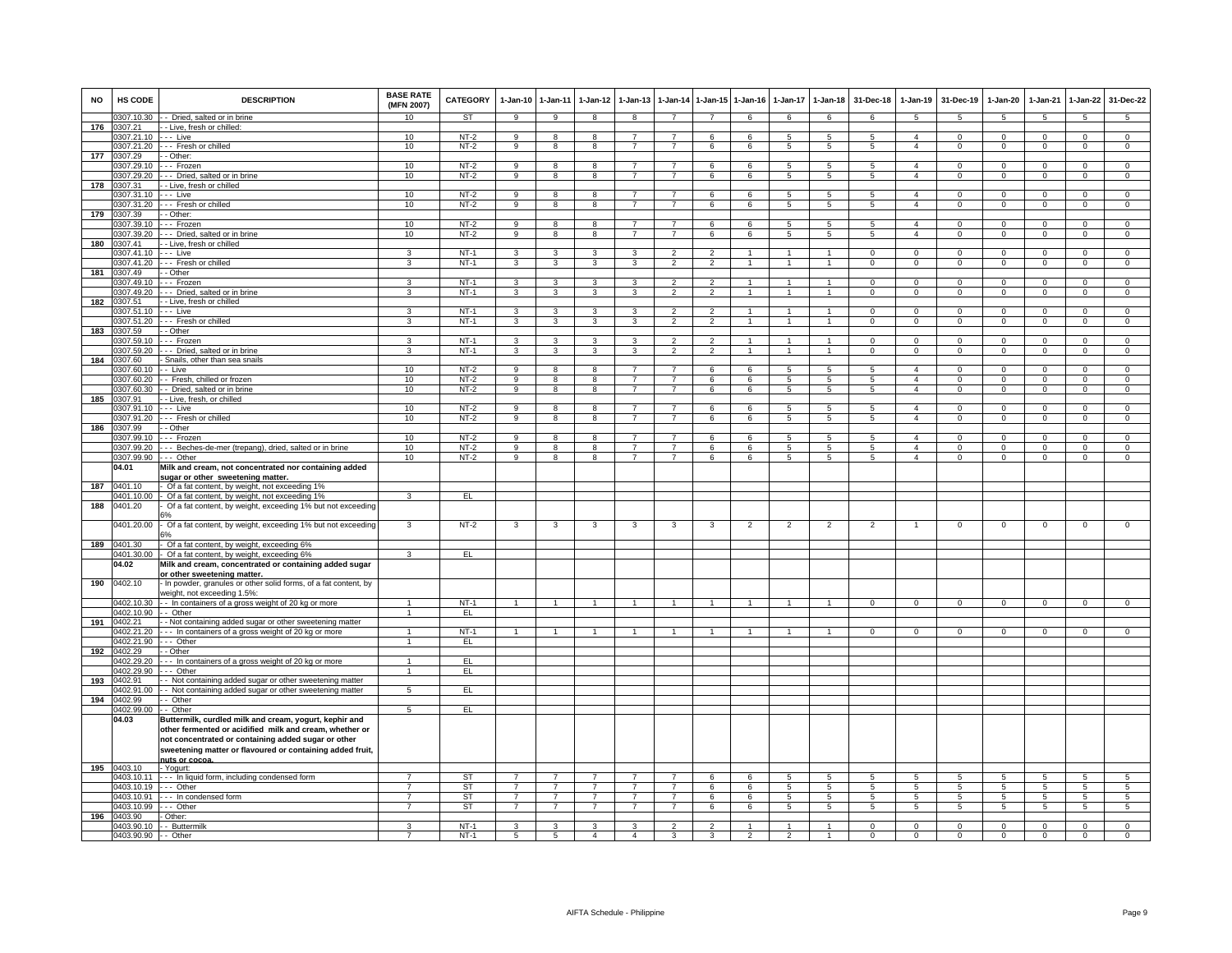| <b>NO</b> | HS CODE                        | <b>DESCRIPTION</b>                                                   | <b>BASE RATE</b><br>(MFN 2007)   | <b>CATEGORY</b> | 1-Jan-10 1-Jan-11                |                                  | $1-Jan-12$                       | $1-Jan-13$                       | $1-Jan-14$                       | 1-Jan-15       | $1 - Jan-16$         | 1-Jan-17            | $1-Jan-18$           | 31-Dec-18      | $1-Jan-19$                       | 31-Dec-19                  | 1-Jan-20                          | 1-Jan-21                   | 1-Jan-22                     | 31-Dec-22                        |
|-----------|--------------------------------|----------------------------------------------------------------------|----------------------------------|-----------------|----------------------------------|----------------------------------|----------------------------------|----------------------------------|----------------------------------|----------------|----------------------|---------------------|----------------------|----------------|----------------------------------|----------------------------|-----------------------------------|----------------------------|------------------------------|----------------------------------|
|           | 307.10.30                      | - - Dried, salted or in brine                                        | 10                               | <b>ST</b>       | $\overline{9}$                   | $\overline{9}$                   | $\overline{8}$                   | $\overline{8}$                   | $\overline{7}$                   | $\overline{7}$ | 6                    | 6                   | 6                    | 6              | 5                                | 5                          | $\overline{5}$                    | 5                          | 5                            | $\overline{5}$                   |
| 176       | 307.21                         | - - Live, fresh or chilled:                                          |                                  |                 |                                  |                                  |                                  | $\overline{7}$                   | $\overline{7}$                   |                |                      |                     |                      |                | $\overline{4}$                   |                            |                                   |                            |                              |                                  |
|           | 0307.21.10 --- Live            | 0307.21.20 --- Fresh or chilled                                      | 10<br>10                         | NT-2<br>$NT-2$  | 9<br>9                           | 8<br>8                           | 8<br>8                           | $\overline{7}$                   | $\overline{7}$                   | 6<br>6         | 6<br>6               | 5<br>5              | 5<br>5               | 5<br>5         | $\overline{4}$                   | $\mathbf 0$<br>$\mathbf 0$ | $\mathbf{0}$<br>$\mathbf 0$       | $\mathbf 0$<br>$\mathbf 0$ | $\mathbf{0}$<br>$\mathbf{0}$ | $\mathbf{0}$<br>$\overline{0}$   |
| 177       | 0307.29                        | - - Other:                                                           |                                  |                 |                                  |                                  |                                  |                                  |                                  |                |                      |                     |                      |                |                                  |                            |                                   |                            |                              |                                  |
|           |                                | 0307.29.10 --- Frozen                                                | 10                               | $NT-2$          | 9                                | 8                                | 8                                | $\overline{7}$                   | $\overline{7}$                   | 6              | 6                    | 5                   | 5                    | 5              | $\overline{a}$                   | $\mathbf 0$                | $\mathbf{O}$                      | $\Omega$                   | $\mathbf{0}$                 | $\overline{0}$                   |
|           | 307.29.20                      | --- Dried, salted or in brine                                        | 10                               | $NT-2$          | $\overline{9}$                   | $\overline{8}$                   | 8                                | $\overline{7}$                   | $\overline{7}$                   | 6              | 6                    | $\sqrt{5}$          | $\overline{5}$       | $5^{\circ}$    | $\overline{4}$                   | $\Omega$                   | $\mathbf{0}$                      | $\Omega$                   | $\overline{0}$               | $\overline{0}$                   |
| 178       | 307.31                         | - Live, fresh or chilled                                             |                                  |                 |                                  |                                  |                                  |                                  |                                  |                |                      |                     |                      |                |                                  |                            |                                   |                            |                              |                                  |
|           | 1307.31.10                     | - - - Live                                                           | 10                               | $NT-2$          | 9                                | 8                                | 8                                | $\overline{7}$                   | $\overline{7}$                   | 6              | 6                    | 5                   | 5                    | 5              | $\overline{a}$                   | $\mathbf 0$                | $\mathbf 0$                       | $\mathbf 0$                | $\mathbf 0$                  | $\mathsf 0$                      |
|           | 0307.31.20                     | --- Fresh or chilled                                                 | 10                               | $NT-2$          | $\overline{9}$                   | $\overline{8}$                   | $\overline{8}$                   | $\overline{7}$                   | $\overline{7}$                   | 6              | 6                    | 5                   | $\overline{5}$       | $5^{\circ}$    | $\overline{4}$                   | $\mathbf 0$                | 0                                 | $\mathbf 0$                | $\mathbf 0$                  | $\overline{0}$                   |
| 179       | 0307.39                        | - - Other:                                                           |                                  |                 |                                  |                                  |                                  |                                  |                                  |                |                      |                     |                      |                |                                  |                            |                                   |                            |                              |                                  |
|           | 0307.39.10                     | --- Frozen                                                           | 10                               | $NT-2$          | $\overline{9}$                   | 8                                | 8                                | $\overline{7}$                   | $\overline{7}$                   | 6              | 6                    | $5\overline{5}$     | 5                    | $5^{\circ}$    | $\overline{a}$                   | $\mathbf 0$                | $\Omega$                          | $\Omega$                   | $\mathbf 0$                  | $\overline{0}$                   |
| 180       | 0307.39.20<br>1307.41          | -- Dried, salted or in brine<br>- - Live, fresh or chilled           | 10                               | $NT-2$          | $\overline{9}$                   | $\overline{8}$                   | $\overline{8}$                   | $\overline{7}$                   | $\overline{7}$                   | 6              | 6                    | $\overline{5}$      | $\overline{5}$       | $\overline{5}$ | $\overline{4}$                   | $\overline{0}$             | $\overline{0}$                    | $\overline{0}$             | $\overline{0}$               | $\overline{0}$                   |
|           | 0307.41.10 --- Live            |                                                                      | 3                                | $NT-1$          | 3                                | 3                                | 3                                | 3                                | $\overline{2}$                   | $\overline{2}$ |                      |                     | $\overline{1}$       | $\mathbf{0}$   | $\mathsf 0$                      | $^{\circ}$                 | 0                                 | $^{\circ}$                 | $\mathbf 0$                  | $\mathsf 0$                      |
|           |                                | 0307.41.20 --- Fresh or chilled                                      | 3                                | $NT-1$          | $\mathbf{3}$                     | $\mathbf{3}$                     | $\mathbf{3}$                     | 3                                | $\overline{2}$                   | $\overline{2}$ | $\mathbf{1}$         | $\mathbf{1}$        | $\overline{1}$       | $\mathbf{0}$   | $\overline{0}$                   | $\overline{0}$             | $\mathbf{0}$                      | $\mathbf 0$                | $\mathbf{0}$                 | $\overline{0}$                   |
| 181       | 0307.49                        | - Other                                                              |                                  |                 |                                  |                                  |                                  |                                  |                                  |                |                      |                     |                      |                |                                  |                            |                                   |                            |                              |                                  |
|           | 1307 49 10                     | -- Frozen                                                            | 3                                | $NT-1$          | 3                                | $\overline{\mathbf{3}}$          | 3                                | $\mathbf{R}$                     | $\overline{2}$                   | $\mathcal{P}$  | $\mathbf{1}$         | $\overline{1}$      | $\blacktriangleleft$ | $\Omega$       | $\Omega$                         | $\Omega$                   | $\Omega$                          | $\Omega$                   | $\Omega$                     | $\Omega$                         |
|           | 307.49.20                      | --- Dried, salted or in brine                                        | 3                                | $NT-1$          | 3                                | $\mathbf{3}$                     | $\mathbf{3}$                     | 3                                | $\overline{2}$                   | $\overline{2}$ | $\mathbf{1}$         | $\mathbf{1}$        | $\mathbf{1}$         | $\Omega$       | $\Omega$                         | $\Omega$                   | $\mathbf{O}$                      | $\Omega$                   | $\Omega$                     | $\overline{0}$                   |
| 182       | 0307.51                        | - Live, fresh or chilled                                             |                                  |                 |                                  |                                  |                                  |                                  |                                  |                |                      |                     |                      |                |                                  |                            |                                   |                            |                              |                                  |
|           | 307.51.10                      | - - - Live                                                           | 3                                | $NT-1$          | 3                                | 3                                | 3                                | 3                                | $\mathfrak{p}$                   | $\mathfrak{p}$ |                      | $\mathbf{1}$        | $\mathbf{1}$         | $\Omega$       | $\Omega$                         | $\Omega$                   | $\Omega$                          | $\Omega$                   | 0                            | $\mathsf 0$                      |
|           | 0307.51.20                     | -- Fresh or chilled                                                  | 3                                | $NT-1$          | $\mathbf{3}$                     | $\overline{3}$                   | $\mathbf{3}$                     | 3                                | $\overline{2}$                   | $\overline{2}$ | $\overline{1}$       | $\mathbf{1}$        | $\overline{1}$       | $\mathbf 0$    | $\mathsf 0$                      | $\mathbf 0$                | $\mathbf 0$                       | $\mathbf 0$                | $\mathbf 0$                  | $\mathsf 0$                      |
| 183       | 0307.59<br>1307 59 10          | - Other                                                              | $\overline{3}$                   | $NT-1$          | 3                                | $\overline{\mathbf{3}}$          | $\mathcal{R}$                    | 3                                | $\overline{2}$                   | $\overline{2}$ | $\blacktriangleleft$ | $\mathbf{1}$        | $\overline{1}$       | $\Omega$       | $\Omega$                         | $\Omega$                   | $\Omega$                          | $\Omega$                   |                              | $\overline{0}$                   |
|           | 1307.59.20                     | Frozen<br>--- Dried, salted or in brine                              | 3                                | $NT-1$          | 3                                | 3                                | 3                                | 3                                | $\overline{2}$                   | $\overline{2}$ |                      |                     |                      | $\Omega$       | $\Omega$                         | $\Omega$                   | $\mathbf 0$                       | $\Omega$                   | $\mathbf{0}$<br>$\mathbf 0$  | $\mathsf 0$                      |
| 184       | 0307.60                        | - Snails, other than sea snails                                      |                                  |                 |                                  |                                  |                                  |                                  |                                  |                |                      |                     |                      |                |                                  |                            |                                   |                            |                              |                                  |
|           | 0307.60.10                     | -- Live                                                              | 10                               | $NT-2$          | $\overline{9}$                   | 8                                | 8                                |                                  | $\overline{7}$                   | 6              | 6                    | 5                   | $\overline{5}$       | 5              | $\overline{4}$                   | $\Omega$                   | $\Omega$                          | $\Omega$                   | $\Omega$                     | $\Omega$                         |
|           |                                | 0307.60.20 - Fresh, chilled or frozen                                | 10                               | NT-2            | 9                                | 8                                | 8                                | $\overline{7}$                   | $\overline{7}$                   | 6              | 6                    | 5                   | 5                    | 5              | $\overline{4}$                   | $\mathbf{0}$               | $\mathbf 0$                       | $^{\circ}$                 | $\mathbf{0}$                 | $\mathbf 0$                      |
|           | 0307.60.30                     | - - Dried, salted or in brine                                        | 10                               | $NT-2$          | 9                                | $\overline{\mathbf{8}}$          | 8                                | $\overline{7}$                   | $\overline{7}$                   | 6              | 6                    | $5\phantom{.0}$     | $5\phantom{.0}$      | 5              | $\overline{4}$                   | $\mathbf{0}$               | $\mathbf{0}$                      | $\mathbf 0$                | $\mathbf 0$                  | $\mathbf 0$                      |
| 185       | 0307.91                        | - - Live, fresh, or chilled                                          |                                  |                 |                                  |                                  |                                  |                                  |                                  |                |                      |                     |                      |                |                                  |                            |                                   |                            |                              |                                  |
|           | 0307.91.10                     | - - - Live                                                           | 10                               | $NT-2$          | 9                                | 8                                | 8                                | $\overline{7}$                   | $\overline{7}$                   | 6              | 6                    | 5                   | 5                    | -5             | $\overline{4}$                   | $\mathbf 0$                | 0                                 | $\mathbf 0$                | $\circ$                      | $\mathbf 0$                      |
|           | 1307.91.20                     | -- Fresh or chilled                                                  | 10                               | $NT-2$          | 9                                | 8                                | 8                                | $\overline{7}$                   | $\overline{7}$                   | 6              | 6                    | 5                   | 5                    | 5              | $\overline{4}$                   | $\mathbf{0}$               | 0                                 | $\mathbf 0$                | $\mathbf 0$                  | $\mathbf 0$                      |
| 186       | 0307.99                        | - Other                                                              |                                  |                 |                                  |                                  |                                  | $\overline{7}$                   | $\overline{7}$                   |                |                      |                     |                      |                |                                  |                            |                                   |                            |                              |                                  |
|           | 0307.99.10<br>0307.99.20       | --- Frozen<br>--- Beches-de-mer (trepang), dried, salted or in brine | 10<br>10                         | NT-2<br>$NT-2$  | 9<br>9                           | 8<br>8                           | 8<br>8                           | $\overline{7}$                   | $\overline{7}$                   | 6              | 6<br>6               | 5<br>5              | 5<br>5               | -5<br>5        | $\overline{a}$<br>$\overline{4}$ | $\Omega$<br>$^{\circ}$     | $\Omega$<br>0                     | $\Omega$<br>$^{\circ}$     | $\mathbf{0}$<br>$\mathsf 0$  | $\mathsf 0$<br>$\mathsf 0$       |
|           | 0307.99.90                     | $- -$ Other                                                          | 10                               | $NT-2$          | $\overline{9}$                   | $\overline{8}$                   | $\overline{8}$                   | $\overline{7}$                   | $\overline{7}$                   | 6<br>6         | 6                    | $\overline{5}$      | 5                    | $\overline{5}$ | $\overline{4}$                   | $\overline{0}$             | $\overline{0}$                    | $\overline{0}$             | $\overline{0}$               | $\overline{0}$                   |
|           | 04.01                          | Milk and cream, not concentrated nor containing added                |                                  |                 |                                  |                                  |                                  |                                  |                                  |                |                      |                     |                      |                |                                  |                            |                                   |                            |                              |                                  |
|           |                                | sugar or other sweetening matter.                                    |                                  |                 |                                  |                                  |                                  |                                  |                                  |                |                      |                     |                      |                |                                  |                            |                                   |                            |                              |                                  |
| 187       | 0401.10                        | - Of a fat content, by weight, not exceeding 1%                      |                                  |                 |                                  |                                  |                                  |                                  |                                  |                |                      |                     |                      |                |                                  |                            |                                   |                            |                              |                                  |
|           |                                | 0401.10.00 - Of a fat content, by weight, not exceeding 1%           | $\mathbf{3}$                     | E               |                                  |                                  |                                  |                                  |                                  |                |                      |                     |                      |                |                                  |                            |                                   |                            |                              |                                  |
| 188       | 0401.20                        | Of a fat content, by weight, exceeding 1% but not exceeding          |                                  |                 |                                  |                                  |                                  |                                  |                                  |                |                      |                     |                      |                |                                  |                            |                                   |                            |                              |                                  |
|           |                                |                                                                      |                                  |                 |                                  |                                  |                                  |                                  |                                  |                |                      |                     |                      |                |                                  |                            |                                   |                            |                              |                                  |
|           | 1401.20.00                     | - Of a fat content, by weight, exceeding 1% but not exceeding        | 3                                | $NT-2$          | 3                                | 3                                | 3                                | 3                                | 3                                | 3              | $\overline{2}$       | $\overline{2}$      | $\overline{2}$       | $\overline{2}$ | $\overline{1}$                   | $\overline{0}$             | $\overline{0}$                    | $\mathbf 0$                | $\overline{0}$               | $\overline{0}$                   |
| 189       | 0401.30                        | - Of a fat content, by weight, exceeding 6%                          |                                  |                 |                                  |                                  |                                  |                                  |                                  |                |                      |                     |                      |                |                                  |                            |                                   |                            |                              |                                  |
|           | 0401.30.00                     | - Of a fat content, by weight, exceeding 6%                          | $\mathbf{3}$                     | EL              |                                  |                                  |                                  |                                  |                                  |                |                      |                     |                      |                |                                  |                            |                                   |                            |                              |                                  |
|           | 04.02                          | Milk and cream, concentrated or containing added sugar               |                                  |                 |                                  |                                  |                                  |                                  |                                  |                |                      |                     |                      |                |                                  |                            |                                   |                            |                              |                                  |
|           |                                | or other sweetening matter.                                          |                                  |                 |                                  |                                  |                                  |                                  |                                  |                |                      |                     |                      |                |                                  |                            |                                   |                            |                              |                                  |
| 190       | 0402.10                        | - In powder, granules or other solid forms, of a fat content, by     |                                  |                 |                                  |                                  |                                  |                                  |                                  |                |                      |                     |                      |                |                                  |                            |                                   |                            |                              |                                  |
|           |                                | weight, not exceeding 1.5%:                                          |                                  |                 |                                  |                                  |                                  |                                  |                                  |                |                      |                     |                      |                |                                  |                            |                                   |                            |                              |                                  |
|           |                                | 0402.10.30 - In containers of a gross weight of 20 kg or more        | $\overline{1}$                   | $NT-1$          |                                  | $\overline{1}$                   |                                  |                                  | $\overline{1}$                   |                |                      |                     |                      | $\mathbf{0}$   | $\mathbf{0}$                     | $^{\circ}$                 | 0                                 | $^{\circ}$                 | $^{\circ}$                   | $\Omega$                         |
| 191       | 0402.10.90 -- Other<br>0402.21 | - Not containing added sugar or other sweetening matter              | $\overline{1}$                   | EL.             |                                  |                                  |                                  |                                  |                                  |                |                      |                     |                      |                |                                  |                            |                                   |                            |                              |                                  |
|           | )402.21.20                     | --- In containers of a gross weight of 20 kg or more                 | $\mathbf{1}$                     | $NT-1$          |                                  | $\mathbf{1}$                     | -1                               | 1                                | $\overline{1}$                   |                |                      | 1                   |                      | $\Omega$       | $\mathbf{0}$                     | 0                          | $\Omega$                          | $\mathbf 0$                | $\mathbf{0}$                 | $\Omega$                         |
|           | 0402.21.90                     | $-$ Other                                                            | $\mathbf{1}$                     | EL              |                                  |                                  |                                  |                                  |                                  |                |                      |                     |                      |                |                                  |                            |                                   |                            |                              |                                  |
| 192       | 402.29                         | - Other                                                              |                                  |                 |                                  |                                  |                                  |                                  |                                  |                |                      |                     |                      |                |                                  |                            |                                   |                            |                              |                                  |
|           | 1402.29.20                     | -- In containers of a gross weight of 20 kg or more                  | $\mathbf{1}$                     | EL.             |                                  |                                  |                                  |                                  |                                  |                |                      |                     |                      |                |                                  |                            |                                   |                            |                              |                                  |
|           | 1402.29.90                     | -- Other                                                             | $\overline{1}$                   | EL.             |                                  |                                  |                                  |                                  |                                  |                |                      |                     |                      |                |                                  |                            |                                   |                            |                              |                                  |
| 193       | 0402.91                        | - Not containing added sugar or other sweetening matter              |                                  |                 |                                  |                                  |                                  |                                  |                                  |                |                      |                     |                      |                |                                  |                            |                                   |                            |                              |                                  |
|           | 0402.91.00                     | - Not containing added sugar or other sweetening matter              | $\overline{5}$                   | EL              |                                  |                                  |                                  |                                  |                                  |                |                      |                     |                      |                |                                  |                            |                                   |                            |                              |                                  |
| 194       | 1402.99<br>0402.99.00          | - Other                                                              | $\overline{5}$                   | EL              |                                  |                                  |                                  |                                  |                                  |                |                      |                     |                      |                |                                  |                            |                                   |                            |                              |                                  |
|           | 04.03                          | - Other<br>Buttermilk, curdled milk and cream, yogurt, kephir and    |                                  |                 |                                  |                                  |                                  |                                  |                                  |                |                      |                     |                      |                |                                  |                            |                                   |                            |                              |                                  |
|           |                                | other fermented or acidified milk and cream, whether or              |                                  |                 |                                  |                                  |                                  |                                  |                                  |                |                      |                     |                      |                |                                  |                            |                                   |                            |                              |                                  |
|           |                                | not concentrated or containing added sugar or other                  |                                  |                 |                                  |                                  |                                  |                                  |                                  |                |                      |                     |                      |                |                                  |                            |                                   |                            |                              |                                  |
|           |                                | sweetening matter or flavoured or containing added fruit,            |                                  |                 |                                  |                                  |                                  |                                  |                                  |                |                      |                     |                      |                |                                  |                            |                                   |                            |                              |                                  |
|           |                                | nuts or cocoa                                                        |                                  |                 |                                  |                                  |                                  |                                  |                                  |                |                      |                     |                      |                |                                  |                            |                                   |                            |                              |                                  |
| 195       | 0403.10                        | - Yogurt:                                                            |                                  |                 |                                  |                                  |                                  |                                  |                                  |                |                      |                     |                      |                |                                  |                            |                                   |                            |                              |                                  |
|           |                                | 0403.10.11 --- In liquid form, including condensed form              |                                  | <b>ST</b>       | $\overline{7}$                   | $\overline{7}$                   | $\overline{7}$                   | $\overline{7}$                   | $\overline{7}$                   | 6              | 6                    | 5                   | 5                    | $\overline{5}$ | 5                                | -5                         | 5                                 | 5                          | 5                            | 5                                |
|           | 0403.10.19 --- Other           |                                                                      | $\overline{7}$                   | ST              | $\overline{7}$                   | $\overline{7}$                   | $\overline{7}$                   | $\overline{7}$                   | $\overline{7}$                   | 6              | 6                    | 5                   | $\overline{5}$       | 5              | 5                                | 5                          | 5                                 | 5                          | $\overline{5}$               | 5                                |
|           | 0403.10.91                     | --- In condensed form                                                | $\overline{7}$<br>$\overline{7}$ | ST              | $\overline{7}$<br>$\overline{7}$ | $\overline{7}$<br>$\overline{7}$ | $\overline{7}$<br>$\overline{7}$ | $\overline{7}$<br>$\overline{7}$ | $\overline{7}$<br>$\overline{7}$ | 6              | 6                    | 5<br>$\overline{5}$ | 5                    | $\sqrt{5}$     | $5\overline{)}$                  | $\overline{5}$             | $5\overline{)}$<br>$\overline{5}$ | 5                          | $\overline{5}$               | $\overline{5}$<br>$\overline{5}$ |
| 196       | 0403.10.99<br>0403.90          | --- Other<br>- Other:                                                |                                  | <b>ST</b>       |                                  |                                  |                                  |                                  |                                  | 6              | 6                    |                     | 5                    | 5              | $\overline{5}$                   | 5                          |                                   | 5                          | 5                            |                                  |
|           |                                | 0403.90.10 -- Buttermilk                                             | $\mathbf{a}$                     | NT-1            | 3                                | $\mathbf{R}$                     | $\mathbf{R}$                     | 3                                | $\mathcal{P}$                    | $\mathcal{P}$  |                      |                     |                      | $\Omega$       | $\Omega$                         | $\Omega$                   | $\Omega$                          | $\Omega$                   | $\Omega$                     | $\mathbf 0$                      |
|           | 0403.90.90 -- Other            |                                                                      | $\overline{7}$                   | $NT-1$          | $5\phantom{.0}$                  | 5                                | $\overline{4}$                   | $\overline{4}$                   | 3                                | 3              | $\overline{2}$       | $\overline{2}$      | $\overline{1}$       | $\mathbf 0$    | $\mathbf{0}$                     | $\mathbf 0$                | 0                                 | $\mathbf 0$                | $\mathbf{0}$                 | $\mathbf 0$                      |
|           |                                |                                                                      |                                  |                 |                                  |                                  |                                  |                                  |                                  |                |                      |                     |                      |                |                                  |                            |                                   |                            |                              |                                  |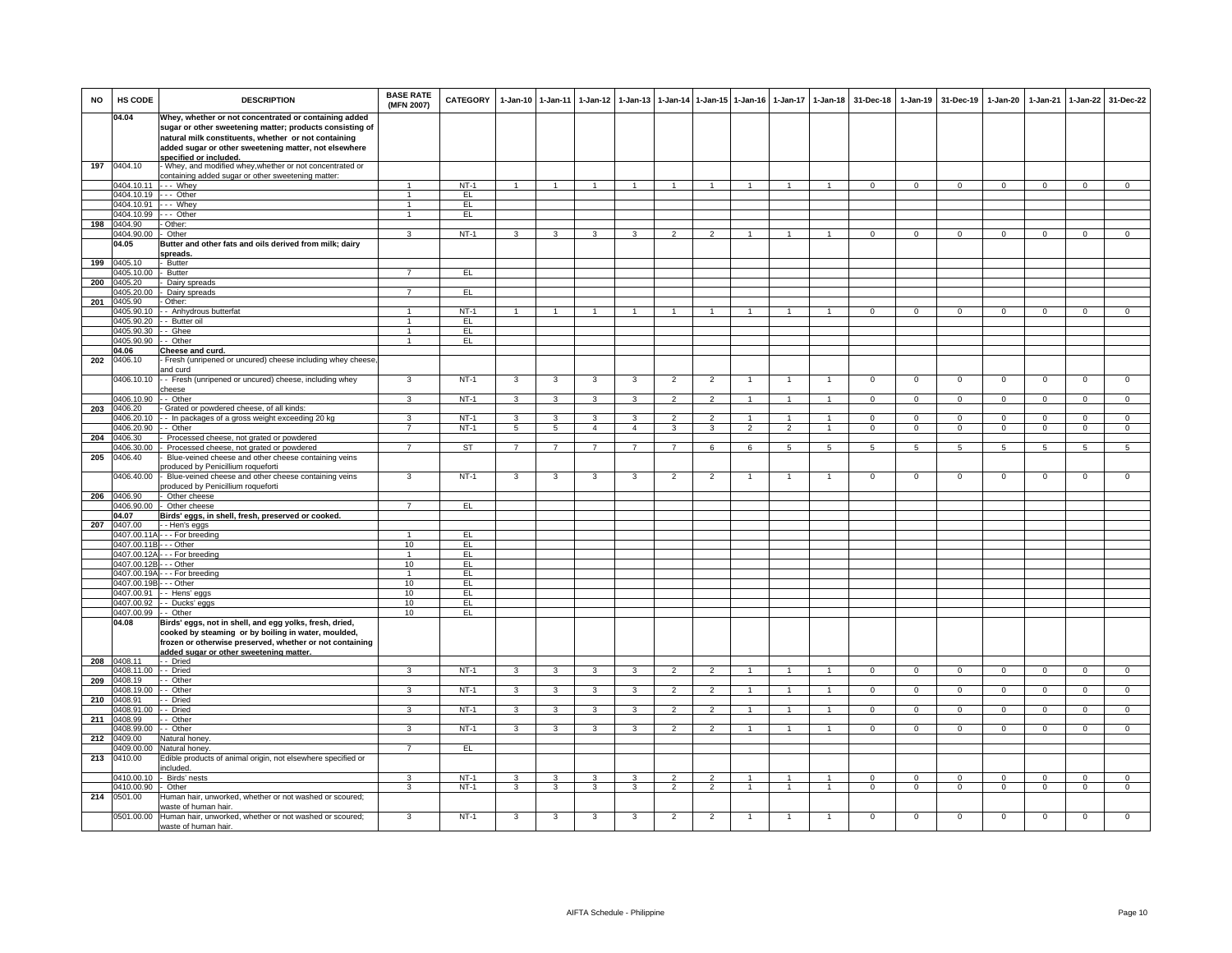| NO  | <b>HS CODE</b>             | <b>DESCRIPTION</b>                                                                                               | <b>BASE RATE</b><br>(MFN 2007) | <b>CATEGORY</b>  | $1-Jan-10$     | $1 - Jan-11$   | $1-Jan-12$     | $1 - Jan-13$   |                                  |                         | 1-Jan-14 1-Jan-15 1-Jan-16       | 1-Jan-17                       | 1-Jan-18                             | 31-Dec-18              | 1-Jan-19                  | 31-Dec-19                  | 1-Jan-20                   | $1-Jan-21$                 |                                | 1-Jan-22 31-Dec-22            |
|-----|----------------------------|------------------------------------------------------------------------------------------------------------------|--------------------------------|------------------|----------------|----------------|----------------|----------------|----------------------------------|-------------------------|----------------------------------|--------------------------------|--------------------------------------|------------------------|---------------------------|----------------------------|----------------------------|----------------------------|--------------------------------|-------------------------------|
|     | 04.04                      | Whey, whether or not concentrated or containing added                                                            |                                |                  |                |                |                |                |                                  |                         |                                  |                                |                                      |                        |                           |                            |                            |                            |                                |                               |
|     |                            | sugar or other sweetening matter; products consisting of<br>natural milk constituents, whether or not containing |                                |                  |                |                |                |                |                                  |                         |                                  |                                |                                      |                        |                           |                            |                            |                            |                                |                               |
|     |                            | added sugar or other sweetening matter, not elsewhere                                                            |                                |                  |                |                |                |                |                                  |                         |                                  |                                |                                      |                        |                           |                            |                            |                            |                                |                               |
|     |                            | specified or included.                                                                                           |                                |                  |                |                |                |                |                                  |                         |                                  |                                |                                      |                        |                           |                            |                            |                            |                                |                               |
| 197 | 0404.10                    | - Whey, and modified whey, whether or not concentrated or                                                        |                                |                  |                |                |                |                |                                  |                         |                                  |                                |                                      |                        |                           |                            |                            |                            |                                |                               |
|     | 0404.10.11                 | containing added sugar or other sweetening matter:<br>--- Whev                                                   | $\mathbf{1}$                   | $NT-1$           | $\mathbf{1}$   |                |                |                |                                  |                         | $\overline{1}$                   | $\overline{1}$                 |                                      | $\mathbf{0}$           | $\mathbf{0}$              | $\mathbf 0$                | $\mathbf 0$                | $\circ$                    | $\mathbf{0}$                   | $\mathbf 0$                   |
|     | 0404.10.19                 | --- Other                                                                                                        | $\overline{1}$                 | EL.              |                |                |                |                |                                  |                         |                                  |                                |                                      |                        |                           |                            |                            |                            |                                |                               |
|     | 0404.10.91                 | --- Whey                                                                                                         | $\mathbf{1}$                   | EL               |                |                |                |                |                                  |                         |                                  |                                |                                      |                        |                           |                            |                            |                            |                                |                               |
|     | 0404.10.99                 | --- Other                                                                                                        | $\mathbf{1}$                   | E                |                |                |                |                |                                  |                         |                                  |                                |                                      |                        |                           |                            |                            |                            |                                |                               |
| 198 | 0404.90<br>0404.90.00      | - Other:<br>Other                                                                                                | 3                              | $NT-1$           | $\mathcal{R}$  | $\mathbf{R}$   | $\mathbf{3}$   | 3              | $\mathcal{P}$                    | $\mathcal{P}$           | $\mathbf{1}$                     | $\mathbf{1}$                   | $\mathbf{1}$                         | $\Omega$               | $\Omega$                  | $\Omega$                   | $\Omega$                   | $\Omega$                   | $\Omega$                       | $\overline{0}$                |
|     | 04.05                      | Butter and other fats and oils derived from milk; dairy                                                          |                                |                  |                |                |                |                |                                  |                         |                                  |                                |                                      |                        |                           |                            |                            |                            |                                |                               |
|     |                            | spreads.                                                                                                         |                                |                  |                |                |                |                |                                  |                         |                                  |                                |                                      |                        |                           |                            |                            |                            |                                |                               |
| 199 | 0405.10                    | - Butter                                                                                                         |                                |                  |                |                |                |                |                                  |                         |                                  |                                |                                      |                        |                           |                            |                            |                            |                                |                               |
| 200 | 0405.10.00<br>0405.20      | - Butter<br>Dairy spreads                                                                                        | $\overline{7}$                 | EL               |                |                |                |                |                                  |                         |                                  |                                |                                      |                        |                           |                            |                            |                            |                                |                               |
|     | 0405.20.00                 | Dairy spreads                                                                                                    | $\overline{7}$                 | EL.              |                |                |                |                |                                  |                         |                                  |                                |                                      |                        |                           |                            |                            |                            |                                |                               |
| 201 | 0405.90                    | - Other:                                                                                                         |                                |                  |                |                |                |                |                                  |                         |                                  |                                |                                      |                        |                           |                            |                            |                            |                                |                               |
|     | 0405.90.10                 | - - Anhydrous butterfat                                                                                          | $\mathbf{1}$                   | $NT-1$           |                |                |                |                |                                  |                         |                                  |                                |                                      | $\Omega$               | $\mathbf 0$               | $\mathbf{0}$               | $\Omega$                   | $\mathbf 0$                | $\circ$                        | $\mathbf 0$                   |
|     | 0405.90.20                 | - Butter oil                                                                                                     | $\mathbf{1}$                   | EL               |                |                |                |                |                                  |                         |                                  |                                |                                      |                        |                           |                            |                            |                            |                                |                               |
|     | 0405.90.30<br>0405.90.90   | - Ghee<br>- Other                                                                                                | $\mathbf{1}$<br>$\overline{1}$ | EL.<br>EL        |                |                |                |                |                                  |                         |                                  |                                |                                      |                        |                           |                            |                            |                            |                                |                               |
|     | 04.06                      | Cheese and curd.                                                                                                 |                                |                  |                |                |                |                |                                  |                         |                                  |                                |                                      |                        |                           |                            |                            |                            |                                |                               |
| 202 | 0406.10                    | Fresh (unripened or uncured) cheese including whey cheese                                                        |                                |                  |                |                |                |                |                                  |                         |                                  |                                |                                      |                        |                           |                            |                            |                            |                                |                               |
|     |                            | and curd                                                                                                         |                                |                  |                |                |                |                |                                  |                         |                                  |                                |                                      |                        |                           |                            |                            |                            |                                |                               |
|     | 0406.10.10                 | - Fresh (unripened or uncured) cheese, including whey<br>cheese                                                  | 3                              | $NT-1$           | 3              | 3              | $\mathbf{3}$   | 3              | $\overline{2}$                   | $\overline{2}$          | $\mathbf{1}$                     | $\mathbf{1}$                   | $\mathbf{1}$                         | $\mathbf 0$            | $\mathbf 0$               | $\mathbf 0$                | $\mathbf 0$                | $\mathbf 0$                | $\mathbf 0$                    | $\overline{0}$                |
|     | 0406.10.90                 | - Other                                                                                                          | 3                              | $NT-1$           | 3              | 3              | 3              | 3              | $\overline{2}$                   | $\overline{2}$          |                                  | $\overline{1}$                 | $\blacktriangleleft$                 | $\overline{0}$         | $\overline{0}$            | $\overline{0}$             | $\overline{0}$             | $\overline{0}$             | $\overline{0}$                 | $\overline{0}$                |
| 203 | 0406.20                    | Grated or powdered cheese, of all kinds:                                                                         |                                |                  |                |                |                |                |                                  |                         |                                  |                                |                                      |                        |                           |                            |                            |                            |                                |                               |
|     | 0406.20.10                 | - In packages of a gross weight exceeding 20 kg                                                                  | 3                              | $NT-1$           | 3              | 3              | 3              | 3              | $\overline{2}$                   | $\overline{2}$          | $\overline{1}$                   | $\mathbf{1}$                   | $\overline{1}$                       | $\mathbf 0$            | $\mathbf 0$               | $\mathbf 0$                | $\mathbf 0$                | $\mathbf 0$                | $\mathbf 0$                    | $\mathbf 0$                   |
|     | 0406.20.90                 | - Other                                                                                                          | $\overline{7}$                 | $NT-1$           | $\overline{5}$ | $\overline{5}$ | $\overline{4}$ | $\overline{4}$ | 3                                | $\overline{\mathbf{3}}$ | $\overline{2}$                   | $\overline{2}$                 | $\overline{1}$                       | $\circ$                | $\mathsf 0$               | $\overline{0}$             | $\overline{0}$             | $\mathbf 0$                | $\mathsf 0$                    | $\mathsf 0$                   |
| 204 | 0406.30<br>0406.30.00      | Processed cheese, not grated or powdered<br>Processed cheese, not grated or powdered                             | $\overline{7}$                 | ST               | $\overline{7}$ | $\overline{7}$ | $\overline{7}$ | $\overline{7}$ | $\overline{7}$                   | 6                       | 6                                | $\overline{5}$                 | $\overline{5}$                       | $\overline{5}$         | $\overline{5}$            | $\overline{5}$             | $\overline{5}$             | $\overline{5}$             | 5                              | $\overline{5}$                |
| 205 | 0406.40                    | Blue-veined cheese and other cheese containing veins                                                             |                                |                  |                |                |                |                |                                  |                         |                                  |                                |                                      |                        |                           |                            |                            |                            |                                |                               |
|     |                            | produced by Penicillium roqueforti                                                                               |                                |                  |                |                |                |                |                                  |                         |                                  |                                |                                      |                        |                           |                            |                            |                            |                                |                               |
|     | 0406.40.00                 | Blue-veined cheese and other cheese containing veins                                                             | 3                              | $NT-1$           | $\mathbf{3}$   | 3              | $\mathbf{3}$   | 3              | $\overline{2}$                   | $\overline{2}$          |                                  | -1                             | -1                                   | $\Omega$               | $\Omega$                  | $\Omega$                   | $\Omega$                   | $\Omega$                   | $\mathbf{0}$                   | $\mathbf 0$                   |
| 206 | 0406.90                    | produced by Penicillium roqueforti<br>Other cheese                                                               |                                |                  |                |                |                |                |                                  |                         |                                  |                                |                                      |                        |                           |                            |                            |                            |                                |                               |
|     | 0406.90.00                 | - Other cheese                                                                                                   |                                | EL.              |                |                |                |                |                                  |                         |                                  |                                |                                      |                        |                           |                            |                            |                            |                                |                               |
|     | 04.07                      | Birds' eggs, in shell, fresh, preserved or cooked.                                                               |                                |                  |                |                |                |                |                                  |                         |                                  |                                |                                      |                        |                           |                            |                            |                            |                                |                               |
|     | 207 0407.00                | - - Hen's eggs                                                                                                   |                                |                  |                |                |                |                |                                  |                         |                                  |                                |                                      |                        |                           |                            |                            |                            |                                |                               |
|     | 0407.00.11A<br>0407.00.11B | - - - For breeding<br>--- Other                                                                                  | $\overline{1}$<br>10           | EL.<br>EL        |                |                |                |                |                                  |                         |                                  |                                |                                      |                        |                           |                            |                            |                            |                                |                               |
|     | 0407.00.12A                | --- For breeding                                                                                                 | $\mathbf{1}$                   | E                |                |                |                |                |                                  |                         |                                  |                                |                                      |                        |                           |                            |                            |                            |                                |                               |
|     | 0407.00.12E                | - - Other                                                                                                        | 10                             | EL               |                |                |                |                |                                  |                         |                                  |                                |                                      |                        |                           |                            |                            |                            |                                |                               |
|     | 0407.00.19A                | - - For breeding                                                                                                 | $\mathbf{1}$                   | EL               |                |                |                |                |                                  |                         |                                  |                                |                                      |                        |                           |                            |                            |                            |                                |                               |
|     | 0407.00.19E<br>0407.00.91  | - - Other<br>- Hens' eggs                                                                                        | 10<br>10                       | EL<br>EL         |                |                |                |                |                                  |                         |                                  |                                |                                      |                        |                           |                            |                            |                            |                                |                               |
|     | 0407.00.92                 | - Ducks' eggs                                                                                                    | 10                             | EL.              |                |                |                |                |                                  |                         |                                  |                                |                                      |                        |                           |                            |                            |                            |                                |                               |
|     | 0407.00.99                 | - Other                                                                                                          | 10                             | EL.              |                |                |                |                |                                  |                         |                                  |                                |                                      |                        |                           |                            |                            |                            |                                |                               |
|     | 04.08                      | Birds' eggs, not in shell, and egg yolks, fresh, dried,                                                          |                                |                  |                |                |                |                |                                  |                         |                                  |                                |                                      |                        |                           |                            |                            |                            |                                |                               |
|     |                            | cooked by steaming or by boiling in water, moulded,                                                              |                                |                  |                |                |                |                |                                  |                         |                                  |                                |                                      |                        |                           |                            |                            |                            |                                |                               |
|     |                            | frozen or otherwise preserved, whether or not containing<br>added sugar or other sweetening matter.              |                                |                  |                |                |                |                |                                  |                         |                                  |                                |                                      |                        |                           |                            |                            |                            |                                |                               |
| 208 | 0408.11                    | - - Dried                                                                                                        |                                |                  |                |                |                |                |                                  |                         |                                  |                                |                                      |                        |                           |                            |                            |                            |                                |                               |
|     | 0408.11.00                 | - Dried                                                                                                          | 3                              | $NT-1$           | $\mathcal{R}$  | 3              | 3              | $\mathbf{R}$   | $\overline{2}$                   | 2                       |                                  | $\overline{1}$                 |                                      | $\Omega$               | $\circ$                   | $\mathbf{0}$               | $\mathbf 0$                | $\mathbf 0$                | $\circ$                        | $\mathbf 0$                   |
| 209 | 0408.19<br>0408.19.00      | $\cdot$ - Other<br>$\cdot$ - Other                                                                               | 3                              | $NT-1$           | $\mathbf{3}$   | 3              | 3              | 3              | $\overline{\phantom{0}}$         | $\overline{2}$          |                                  |                                |                                      | $\Omega$               | $\Omega$                  | $\Omega$                   | $\Omega$                   | $\Omega$                   | $\Omega$                       | $\Omega$                      |
| 210 | 0408.91                    | - Dried                                                                                                          |                                |                  |                |                |                |                |                                  |                         |                                  |                                |                                      |                        |                           |                            |                            |                            |                                |                               |
|     | 0408.91.00                 | - Dried                                                                                                          | 3                              | $NT-1$           | $\mathbf{3}$   | 3              | $\mathbf{3}$   | 3              | $\overline{2}$                   | $\overline{2}$          |                                  | $\mathbf{1}$                   |                                      | $\mathbf{0}$           | $\mathbf{0}$              | $\mathbf 0$                | $\mathbf{0}$               | $\mathbf 0$                | $\mathbf{0}$                   | $\mathbf{0}$                  |
|     | 211 0408.99                | - Other                                                                                                          |                                |                  |                |                |                |                |                                  |                         |                                  |                                |                                      |                        |                           |                            |                            |                            |                                |                               |
| 212 | 0408.99.00<br>0409.00      | - Other<br>Natural honey                                                                                         | 3                              | $NT-1$           | $\mathbf{3}$   | 3              | $\mathbf{3}$   | 3              | $\overline{2}$                   | $\overline{2}$          | -1                               | $\mathbf{1}$                   | $\overline{1}$                       | $\mathbf{0}$           | $\mathbf{0}$              | $\overline{0}$             | $\mathbf{0}$               | $\mathbf{0}$               | $\mathbf{0}$                   | $\overline{0}$                |
|     | 0409.00.00                 | Natural honey                                                                                                    | $\overline{7}$                 | EL               |                |                |                |                |                                  |                         |                                  |                                |                                      |                        |                           |                            |                            |                            |                                |                               |
| 213 | 0410.00                    | Edible products of animal origin, not elsewhere specified or                                                     |                                |                  |                |                |                |                |                                  |                         |                                  |                                |                                      |                        |                           |                            |                            |                            |                                |                               |
|     |                            | ncluded.                                                                                                         |                                |                  |                |                |                |                |                                  |                         |                                  |                                |                                      |                        |                           |                            |                            |                            |                                |                               |
|     | 0410.00.10<br>0410.00.90   | Birds' nests<br>Other                                                                                            | 3<br>3                         | $NT-1$<br>$NT-1$ | 3<br>3         | 3<br>3         | 3<br>3         | 3<br>3         | $\overline{2}$<br>$\overline{2}$ | 2<br>$\overline{2}$     | $\overline{1}$<br>$\overline{1}$ | $\overline{1}$<br>$\mathbf{1}$ | $\blacktriangleleft$<br>$\mathbf{1}$ | $\circ$<br>$\mathbf 0$ | $\circ$<br>$\overline{0}$ | $\Omega$<br>$\overline{0}$ | $\mathbf 0$<br>$\mathbf 0$ | $\mathbf 0$<br>$\mathbf 0$ | $\mathbf{0}$<br>$\overline{0}$ | $\mathbf 0$<br>$\overline{0}$ |
| 214 | 0501.00                    | Human hair, unworked, whether or not washed or scoured;                                                          |                                |                  |                |                |                |                |                                  |                         |                                  |                                |                                      |                        |                           |                            |                            |                            |                                |                               |
|     |                            | waste of human hair.                                                                                             |                                |                  |                |                |                |                |                                  |                         |                                  |                                |                                      |                        |                           |                            |                            |                            |                                |                               |
|     |                            | 0501.00.00 Human hair, unworked, whether or not washed or scoured;                                               | 3                              | $NT-1$           | 3              | 3              | 3              | 3              | $\overline{2}$                   | $\overline{2}$          |                                  |                                |                                      | $^{\circ}$             | $\mathbf 0$               | $^{\circ}$                 | $\mathbf 0$                | 0                          | $\mathbf 0$                    | $\Omega$                      |
|     |                            | waste of human hair.                                                                                             |                                |                  |                |                |                |                |                                  |                         |                                  |                                |                                      |                        |                           |                            |                            |                            |                                |                               |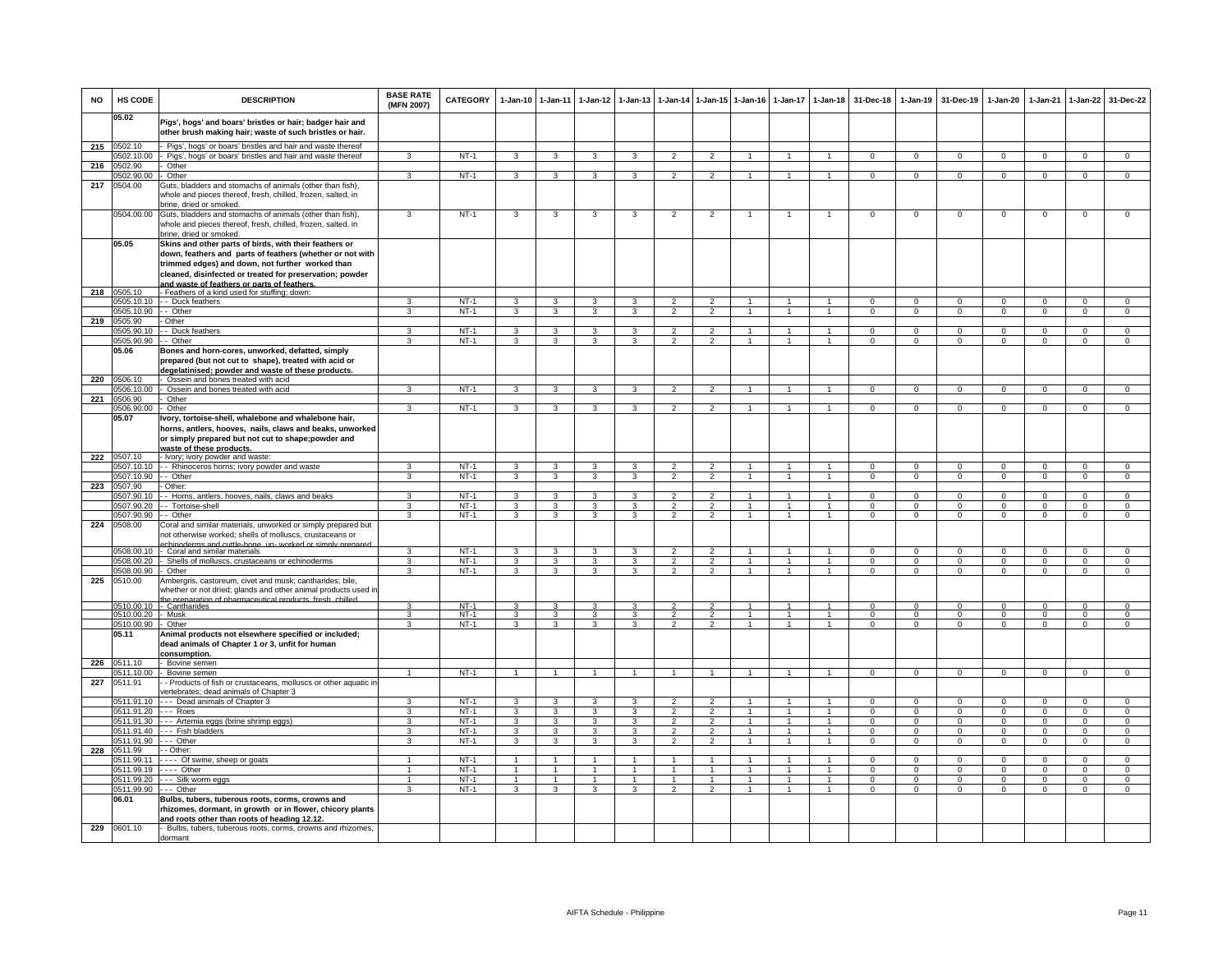| <b>NO</b> | HS CODE                         | <b>DESCRIPTION</b>                                                                                                                                                                    | <b>BASE RATE</b><br>(MFN 2007) | <b>CATEGORY</b>  | $1 - Jan-10$                   | $1-Jan-11$                              | $1-Jan-12$                     | $1 - Jan-13$                 | $1-Jan-14$                       |                                  | 1-Jan-15 1-Jan-16            | $1-Jan-17$                     | $1 - Jan-18$                     | 31-Dec-18                      | $1-Jan-19$                     | 31-Dec-19                     | $1-Jan-20$                     | $1-Jan-21$                    | 1-Jan-22                      | 31-Dec-22                        |
|-----------|---------------------------------|---------------------------------------------------------------------------------------------------------------------------------------------------------------------------------------|--------------------------------|------------------|--------------------------------|-----------------------------------------|--------------------------------|------------------------------|----------------------------------|----------------------------------|------------------------------|--------------------------------|----------------------------------|--------------------------------|--------------------------------|-------------------------------|--------------------------------|-------------------------------|-------------------------------|----------------------------------|
|           | 05.02                           | Pigs', hogs' and boars' bristles or hair; badger hair and<br>other brush making hair; waste of such bristles or hair.                                                                 |                                |                  |                                |                                         |                                |                              |                                  |                                  |                              |                                |                                  |                                |                                |                               |                                |                               |                               |                                  |
| 215       | 0502.10                         | Pigs', hogs' or boars' bristles and hair and waste thereof                                                                                                                            |                                |                  |                                |                                         |                                |                              |                                  |                                  |                              |                                |                                  |                                |                                |                               |                                |                               |                               |                                  |
|           | 0502.10.00                      | Pigs', hogs' or boars' bristles and hair and waste thereof                                                                                                                            | 3                              | $NT-1$           | 3                              | $\overline{3}$                          | 3                              | $\mathbf{R}$                 | $\overline{2}$                   | $\mathcal{P}$                    | $\mathbf{1}$                 | 1                              | $\overline{1}$                   | $\Omega$                       | $\Omega$                       | $\Omega$                      | $\Omega$                       | $\Omega$                      | $\Omega$                      | $\overline{0}$                   |
| 216       | 0502.90                         | Other                                                                                                                                                                                 |                                |                  |                                |                                         |                                |                              |                                  |                                  |                              |                                |                                  |                                |                                |                               |                                |                               |                               |                                  |
|           | 0502.90.00                      | Other                                                                                                                                                                                 | 3                              | $NT-1$           | 3                              | $\overline{3}$                          | 3                              | 3                            | $\overline{2}$                   | $\overline{2}$                   |                              |                                | $\overline{1}$                   | $\Omega$                       | $\mathbf{0}$                   | $\mathbf 0$                   | $\Omega$                       | $\Omega$                      | $\mathbf 0$                   | $\overline{0}$                   |
| 217       | 0504.00                         | Guts, bladders and stomachs of animals (other than fish),<br>whole and pieces thereof, fresh, chilled, frozen, salted, in<br>orine, dried or smoked.                                  |                                |                  |                                |                                         |                                |                              |                                  |                                  |                              |                                |                                  |                                |                                |                               |                                |                               |                               |                                  |
|           | 0504.00.00                      | Guts, bladders and stomachs of animals (other than fish),<br>whole and pieces thereof, fresh, chilled, frozen, salted, in<br>brine, dried or smoked.                                  | 3                              | $NT-1$           | 3                              | 3                                       | 3                              | 3                            | $\overline{2}$                   | $\overline{2}$                   | $\overline{1}$               | $\mathbf{1}$                   | $\overline{1}$                   | $\mathsf 0$                    | $\Omega$                       | $\Omega$                      | $\Omega$                       | $\mathbf 0$                   | $\overline{0}$                | $\overline{0}$                   |
|           | 05.05                           | Skins and other parts of birds, with their feathers or<br>down, feathers and parts of feathers (whether or not with<br>trimmed edges) and down, not further worked than               |                                |                  |                                |                                         |                                |                              |                                  |                                  |                              |                                |                                  |                                |                                |                               |                                |                               |                               |                                  |
|           |                                 | cleaned, disinfected or treated for preservation; powder                                                                                                                              |                                |                  |                                |                                         |                                |                              |                                  |                                  |                              |                                |                                  |                                |                                |                               |                                |                               |                               |                                  |
| 218       | 0505.10                         | and waste of feathers or parts of feathers<br>- Feathers of a kind used for stuffing; down:                                                                                           |                                |                  |                                |                                         |                                |                              |                                  |                                  |                              |                                |                                  |                                |                                |                               |                                |                               |                               |                                  |
|           | 0505.10.10                      | - - Duck feathers                                                                                                                                                                     | 3                              | $NT-1$           | 3                              | 3                                       | 3                              | 3                            | $\overline{2}$                   | $\overline{2}$                   | $\mathbf{1}$                 | $\mathbf{1}$                   | $\overline{1}$                   | $\overline{0}$                 | $\overline{0}$                 | $\overline{0}$                | $\overline{0}$                 | $\overline{0}$                | $\overline{0}$                | $\overline{0}$                   |
|           | 0505.10.90                      | - Other                                                                                                                                                                               | $\mathbf{R}$                   | $NT-1$           | 3                              | 3                                       | $\mathbf{3}$                   | $\mathbf{R}$                 | $\overline{2}$                   | $\mathcal{P}$                    | $\overline{1}$               | $\mathbf{1}$                   | $\overline{1}$                   | $\mathsf 0$                    | $\mathbf 0$                    | $\mathbf 0$                   | $\mathbf 0$                    | $\Omega$                      | $\mathsf 0$                   | $\mathbf 0$                      |
| 219       | 0505.90                         | Other                                                                                                                                                                                 |                                |                  |                                |                                         |                                |                              |                                  |                                  |                              |                                |                                  |                                |                                |                               |                                |                               |                               |                                  |
|           | 0505.90.10                      | - Duck feathers                                                                                                                                                                       | 3                              | $NT-1$           | $\overline{\mathbf{3}}$        | 3                                       | $\overline{\mathbf{3}}$        | 3                            | $\overline{2}$                   | $\overline{2}$                   | $\mathbf{1}$                 | $\mathbf{1}$                   | $\overline{1}$                   | $\Omega$                       | $\mathbf 0$                    | $\Omega$                      | $\overline{0}$                 | $\Omega$                      | $\overline{0}$                | $\overline{0}$                   |
|           | 0505.90.90                      | -- Other                                                                                                                                                                              | $\overline{\mathbf{3}}$        | $NT-1$           | $\overline{3}$                 | $\overline{\mathbf{3}}$                 | $\overline{\mathbf{3}}$        | 3                            | $\overline{2}$                   | $\overline{2}$                   | $\overline{1}$               | $\overline{1}$                 | $\overline{1}$                   | $\overline{0}$                 | $\overline{0}$                 | $\overline{0}$                | $\overline{0}$                 | $\overline{0}$                | $\overline{0}$                | $\overline{0}$                   |
|           | 05.06                           | Bones and horn-cores, unworked, defatted, simply<br>prepared (but not cut to shape), treated with acid or<br>degelatinised; powder and waste of these products                        |                                |                  |                                |                                         |                                |                              |                                  |                                  |                              |                                |                                  |                                |                                |                               |                                |                               |                               |                                  |
| 220       | 0506.10<br>0506.10.00           | Ossein and bones treated with acid<br>Ossein and bones treated with acid                                                                                                              | 3                              | $NT-1$           | 3                              | $\mathbf{3}$                            | $\mathbf{3}$                   | 3                            | $\overline{2}$                   | $\overline{2}$                   |                              |                                | $\mathbf{1}$                     | $\mathbf{0}$                   | $^{\circ}$                     | $^{\circ}$                    | $\mathbf{0}$                   | $^{\circ}$                    | $\mathbf{0}$                  | $\mathbf{0}$                     |
| 221       | 0506.90                         | Other                                                                                                                                                                                 |                                |                  |                                |                                         |                                |                              |                                  |                                  |                              |                                |                                  |                                |                                |                               |                                |                               |                               |                                  |
|           | 0506.90.00                      | Other                                                                                                                                                                                 | $\overline{3}$                 | $NT-1$           | 3                              | $\overline{\mathbf{3}}$                 | $\overline{3}$                 | $\overline{3}$               | $\overline{2}$                   | $\overline{2}$                   | $\mathbf{1}$                 | $\mathbf{1}$                   | $\mathbf{1}$                     | $\overline{0}$                 | $\overline{0}$                 | $\overline{0}$                | $\overline{0}$                 | $\overline{0}$                | $\overline{0}$                | $\overline{0}$                   |
|           | 05.07                           | vory, tortoise-shell, whalebone and whalebone hair,<br>horns, antlers, hooves, nails, claws and beaks, unworked<br>or simply prepared but not cut to shape;powder and                 |                                |                  |                                |                                         |                                |                              |                                  |                                  |                              |                                |                                  |                                |                                |                               |                                |                               |                               |                                  |
| 222       | 0507.10                         | waste of these products.<br>- Ivory; ivory powder and waste:                                                                                                                          |                                |                  |                                |                                         |                                |                              |                                  |                                  |                              |                                |                                  |                                |                                |                               |                                |                               |                               |                                  |
|           | 0507.10.10                      | - - Rhinoceros horns; ivory powder and waste                                                                                                                                          | $\overline{3}$                 | $NT-1$           | $\overline{\mathbf{3}}$        | 3                                       | 3                              | 3                            | $\overline{2}$                   | $\overline{2}$                   | $\mathbf{1}$                 | $\mathbf{1}$                   | $\overline{1}$                   | $\Omega$                       | $\Omega$                       | $\Omega$                      | $\overline{0}$                 | $\Omega$                      | $\overline{0}$                | $\overline{0}$                   |
|           | 0507.10.90                      | - Other                                                                                                                                                                               | $\overline{3}$                 | $NT-1$           | 3                              | $\overline{\mathbf{3}}$                 | $\overline{3}$                 | $\overline{\mathbf{3}}$      | $\overline{2}$                   | $\overline{2}$                   | $\overline{1}$               | $\overline{1}$                 | $\overline{1}$                   | $\overline{0}$                 | $\overline{0}$                 | $\overline{0}$                | $\overline{0}$                 | $\overline{0}$                | $\overline{0}$                | $\overline{0}$                   |
| 223       | 0507.90                         | - Other:                                                                                                                                                                              |                                |                  |                                |                                         |                                |                              |                                  |                                  |                              |                                |                                  |                                |                                |                               |                                |                               |                               |                                  |
|           | 0507.90.10                      | - Horns, antlers, hooves, nails, claws and beaks                                                                                                                                      | 3                              | $NT-1$           | 3                              | 3                                       | 3                              | 3                            | $\overline{2}$                   | $\overline{2}$                   |                              |                                | $\overline{1}$                   | $^{\circ}$                     | $^{\circ}$                     | $\mathbf 0$                   | 0                              | $\Omega$                      | $\mathbf 0$                   | $\mathbf 0$                      |
|           | 0507.90.20                      | - Tortoise-shell                                                                                                                                                                      | 3                              | $NT-1$           | 3                              | $\mathbf{3}$                            | $\mathbf{3}$                   | 3                            | $\overline{2}$                   | $\overline{2}$                   | $\mathbf{1}$                 | $\mathbf{1}$                   | $\overline{1}$                   | $\mathbf{O}$                   | $\mathsf 0$                    | $\mathbf 0$                   | $\mathbf 0$                    | $\mathbf 0$                   | $\mathbf 0$                   | $\mathbf{0}$                     |
|           | 0507.90.90                      | - Other                                                                                                                                                                               | 3                              | $NT-1$           | 3                              | $\overline{\mathbf{3}}$                 | $\overline{3}$                 | 3                            | $\overline{2}$                   | $\overline{2}$                   | $\overline{1}$               | $\mathbf{1}$                   | $\overline{1}$                   | $\overline{0}$                 | $\mathbf{0}$                   | $\mathbf{0}$                  | $\mathbf{0}$                   | $\overline{0}$                | $\overline{0}$                | $\overline{0}$                   |
| 224       | 0508.00                         | Coral and similar materials, unworked or simply prepared but<br>not otherwise worked; shells of molluscs, crustaceans or<br>chinoderms and cuttle-hone un- worked or simply           |                                |                  |                                |                                         |                                |                              |                                  |                                  |                              |                                |                                  |                                |                                |                               |                                |                               |                               |                                  |
|           | 0508.00.10                      | - Coral and similar materials                                                                                                                                                         | ٩                              | $NT-1$<br>$NT-1$ | 3                              | 3                                       | 3                              | з                            | $\mathcal{P}$                    | $\mathcal{P}$                    |                              | $\mathbf{1}$                   | $\overline{1}$                   | $\Omega$                       | $\Omega$                       | $\Omega$                      | $\Omega$                       | $\Omega$                      | $\mathsf 0$                   | $\Omega$                         |
|           | 0508.00.20<br>0508.00.90        | - Shells of molluscs, crustaceans or echinoderms<br>Other                                                                                                                             | 3<br>3                         | $NT-1$           | $\mathbf{3}$<br>3              | $\mathbf{3}$<br>$\overline{3}$          | $\mathbf{3}$<br>$\mathbf{3}$   | 3<br>3                       | $\overline{2}$<br>$\overline{2}$ | $\overline{2}$<br>$\overline{2}$ | $\mathbf{1}$<br>$\mathbf{1}$ | 1                              | $\overline{1}$<br>$\mathbf{1}$   | $\mathbf{0}$<br>$\mathbf{0}$   | $^{\circ}$<br>$\mathbf{0}$     | $^{\circ}$<br>$\mathbf{0}$    | $^{\circ}$<br>$\mathbf{0}$     | $\Omega$<br>$\mathbf 0$       | $\mathbf 0$<br>$\mathbf{0}$   | $\overline{0}$<br>$\overline{0}$ |
| 225       | 0510.00                         | Ambergris, castoreum, civet and musk; cantharides; bile,<br>whether or not dried; glands and other animal products used i<br>e preparation of pharmaceutical products, fresh, chiller |                                |                  |                                |                                         |                                |                              |                                  |                                  |                              |                                |                                  |                                |                                |                               |                                |                               |                               |                                  |
|           |                                 | 0510.00.10 - Cantharides                                                                                                                                                              |                                | $NT-1$           | $\mathcal{R}$                  | $\mathbf{R}$                            | 3                              |                              | $\mathcal{P}$                    |                                  | $\overline{1}$               | $\mathbf{1}$                   | $\blacktriangleleft$             | $\Omega$                       | $\Omega$                       | $\Omega$                      | $\Omega$                       | $\Omega$                      | $\Omega$                      | $\Omega$                         |
|           | 0510.00.20 - Musk<br>0510.00.90 | Other                                                                                                                                                                                 | 3<br>$\overline{3}$            | $NT-1$<br>$NT-1$ | $\mathbf{3}$<br>$\overline{3}$ | $\mathbf{3}$<br>$\overline{\mathbf{3}}$ | $\mathbf{3}$<br>$\overline{3}$ | 3<br>$\overline{3}$          | $\overline{2}$<br>$\overline{2}$ | $\overline{2}$<br>$\overline{2}$ | 1<br>$\overline{1}$          | $\mathbf{1}$<br>$\overline{1}$ | $\overline{1}$<br>$\overline{1}$ | $\mathbf{0}$<br>$\overline{0}$ | $\mathbf{0}$<br>$\overline{0}$ | $\mathbf 0$<br>$\overline{0}$ | $\mathbf{0}$<br>$\overline{0}$ | $\mathbf 0$<br>$\overline{0}$ | $\mathbf 0$<br>$\overline{0}$ | $\mathbf 0$<br>$\overline{0}$    |
|           | 05.11                           | Animal products not elsewhere specified or included;<br>dead animals of Chapter 1 or 3, unfit for human<br><u>consumption.</u>                                                        |                                |                  |                                |                                         |                                |                              |                                  |                                  |                              |                                |                                  |                                |                                |                               |                                |                               |                               |                                  |
| 226       | 0511.10                         | - Bovine semen                                                                                                                                                                        | $\overline{1}$                 |                  | $\overline{1}$                 | $\overline{1}$                          | $\overline{1}$                 | $\overline{1}$               | $\overline{1}$                   | $\overline{1}$                   |                              | $\overline{1}$                 | $\overline{1}$                   | $\Omega$                       |                                |                               |                                | $\Omega$                      |                               | $\Omega$                         |
| 227       | 0511.10.00<br>0511.91           | - Bovine semen<br>- Products of fish or crustaceans, molluscs or other aquatic in<br>vertebrates; dead animals of Chapter 3                                                           |                                | NT-1             |                                |                                         |                                |                              |                                  |                                  | $\overline{1}$               |                                |                                  |                                | $\mathbf{0}$                   | $\overline{0}$                | $\Omega$                       |                               | $\mathbf{0}$                  |                                  |
|           | 0511.91.10                      | --- Dead animals of Chapter 3                                                                                                                                                         | 3                              | $NT-1$           | 3                              | 3                                       | 3                              | 3                            | $\overline{2}$                   | $\overline{2}$                   | $\mathbf{1}$                 | 1                              | $\blacktriangleleft$             | $\Omega$                       | $\mathbf{0}$                   | $\mathbf 0$                   | $\mathbf 0$                    | $\Omega$                      | $\mathbf 0$                   | $\mathbf 0$                      |
|           | 0511.91.20                      | --- Roes                                                                                                                                                                              | 3                              | $NT-1$           | 3                              | 3                                       | 3                              | 3                            | $\overline{2}$                   | $\overline{2}$                   | $\mathbf{1}$                 | $\mathbf{1}$                   | $\mathbf{1}$                     | $\mathsf 0$                    | $\mathbf{0}$                   | $\mathbf 0$                   | $\mathbf 0$                    | $\mathbf 0$                   | $\mathbf 0$                   | $\overline{0}$                   |
|           | 0511.91.30                      | --- Artemia eggs (brine shrimp eggs)                                                                                                                                                  | 3                              | $NT-1$           | 3                              | 3                                       | 3                              | 3<br>$\overline{\mathbf{3}}$ | $\mathfrak{p}$<br>$\mathcal{L}$  | $\overline{2}$<br>$\mathcal{L}$  | $\mathbf{1}$                 |                                | $\mathbf{1}$                     | $\Omega$                       | $\mathsf 0$                    | $\Omega$                      | $\mathbf 0$                    | $\Omega$                      | $\mathsf 0$                   | $\overline{0}$                   |
|           | 0511.91.40                      | --- Fish bladders<br>--- Other                                                                                                                                                        | ء<br>3                         | $NT-1$<br>$NT-1$ | 3<br>$\overline{\mathbf{3}}$   | 3<br>$\overline{\mathbf{3}}$            | 3<br>$\mathbf{3}$              | 3                            | $\overline{2}$                   | $\overline{2}$                   | 1<br>$\mathbf{1}$            | $\mathbf{1}$                   | $\overline{1}$<br>$\overline{1}$ | $\Omega$<br>$\mathbf{0}$       | $\Omega$<br>$\mathbf 0$        | $\Omega$<br>$\mathbf 0$       | $\Omega$<br>$\overline{0}$     | $\Omega$<br>$^{\circ}$        | $\mathbf 0$<br>$\mathsf 0$    | $\Omega$<br>$\overline{0}$       |
| 228       | 0511.91.90<br>0511.99           | - - Other:                                                                                                                                                                            |                                |                  |                                |                                         |                                |                              |                                  |                                  |                              |                                |                                  |                                |                                |                               |                                |                               |                               |                                  |
|           | 0511.99.11                      | - - - - Of swine, sheep or goats                                                                                                                                                      | $\mathbf{1}$                   | $NT-1$           | $\overline{1}$                 | $\overline{1}$                          | $\overline{1}$                 | $\overline{1}$               | $\overline{1}$                   | $\overline{1}$                   | $\overline{1}$               | $\mathbf{1}$                   | $\blacktriangleleft$             | $\Omega$                       | $\Omega$                       | $\Omega$                      | $\overline{0}$                 | $\Omega$                      | $\mathbf 0$                   | $\overline{0}$                   |
|           | 0511.99.19                      | ---- Other                                                                                                                                                                            | $\mathbf{1}$                   | $NT-1$           | $\mathbf{1}$                   | $\overline{1}$                          | $\mathbf{1}$                   |                              | $\mathbf{1}$                     | $\blacktriangleleft$             |                              | $\mathbf{1}$                   | $\overline{1}$                   | $\circ$                        | $\mathbf{0}$                   | $\mathbf{0}$                  | $\mathbf{0}$                   | $\mathbf{0}$                  | $\mathbf 0$                   | $\mathbf{0}$                     |
|           | 0511.99.20                      | --- Silk worm eggs                                                                                                                                                                    | $\mathbf{1}$                   | $NT-1$           | $\mathbf{1}$                   | $\mathbf{1}$                            | $\mathbf{1}$                   | $\mathbf{1}$                 | $\mathbf{1}$                     | $\mathbf{1}$                     | $\mathbf{1}$                 | $\mathbf{1}$                   | $\mathbf{1}$                     | $\Omega$                       | $\Omega$                       | $\Omega$                      | $\Omega$                       | $\Omega$                      | $\Omega$                      | $\overline{0}$                   |
|           | 0511.99.90                      | - - - Other                                                                                                                                                                           | 3                              | $NT-1$           | 3                              | $\mathbf{3}$                            | $\mathbf{3}$                   | 3                            | $\overline{2}$                   | $\overline{2}$                   | $\mathbf{1}$                 | $\mathbf{1}$                   | $\overline{1}$                   | $\mathbf{O}$                   | $\mathbf 0$                    | $\mathbf{0}$                  | $\mathbf 0$                    | $\mathbf 0$                   | $\mathbf{0}$                  | $\mathbf{0}$                     |
|           | 06.01                           | Bulbs, tubers, tuberous roots, corms, crowns and<br>rhizomes, dormant, in growth or in flower, chicory plants<br>and roots other than roots of heading 12.12.                         |                                |                  |                                |                                         |                                |                              |                                  |                                  |                              |                                |                                  |                                |                                |                               |                                |                               |                               |                                  |
| 229       | 0601.10                         | Bulbs, tubers, tuberous roots, corms, crowns and rhizomes,<br>dormant                                                                                                                 |                                |                  |                                |                                         |                                |                              |                                  |                                  |                              |                                |                                  |                                |                                |                               |                                |                               |                               |                                  |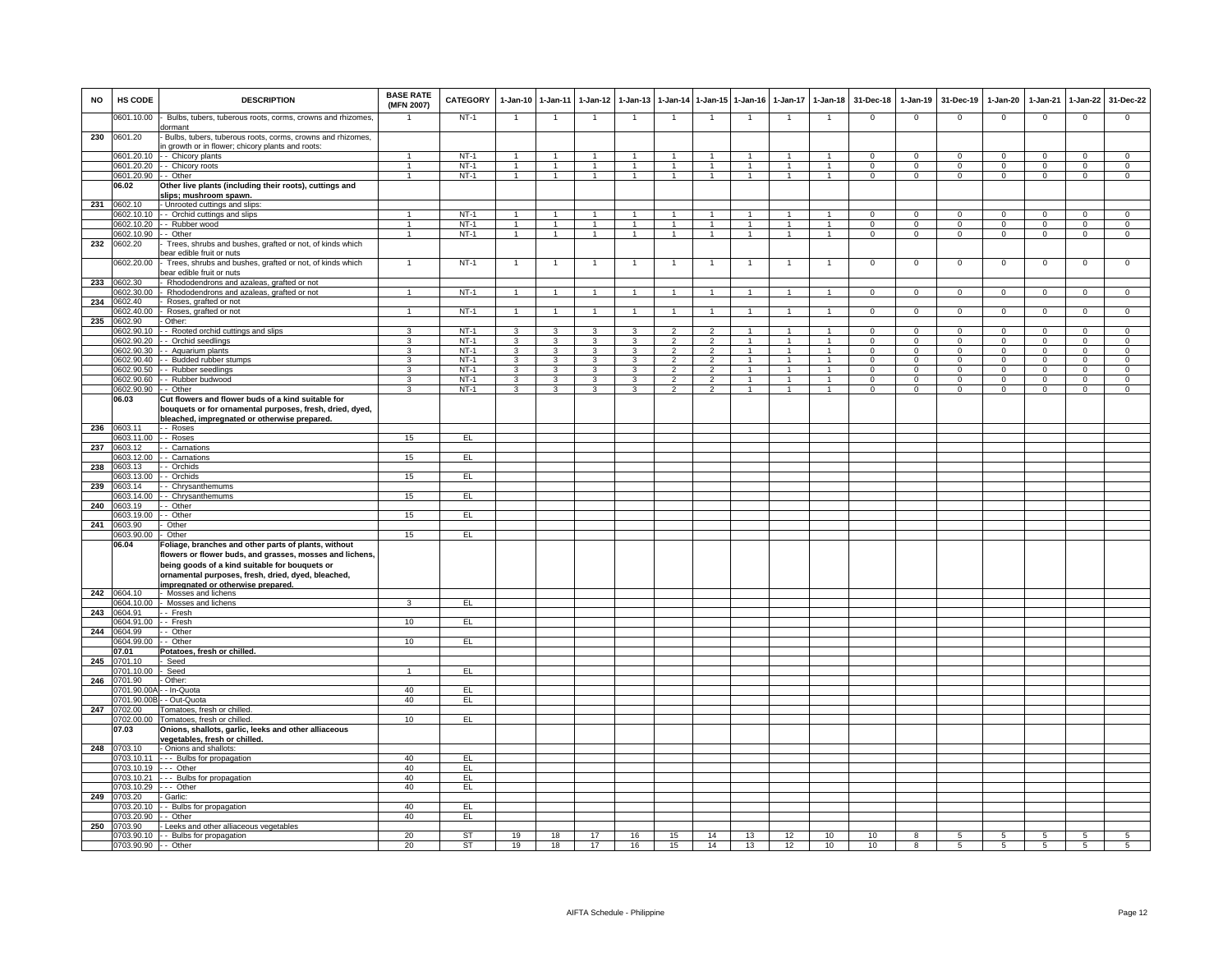| <b>NO</b> | HS CODE                   | <b>DESCRIPTION</b>                                                                                                                                                                                                                                             | <b>BASE RATE</b><br>(MFN 2007) | <b>CATEGORY</b> | $1-Jan-10$        | $1-Jan-11$              | $1-Jan-12$              | $1-Jan-13$           | $1-Jan-14$                       | $1 - Jan - 15$                   | $1-Jan-16$                     | $1-Jan-17$                   | $1 - Jan-18$   | 31-Dec-18                     | $1-Jan-19$               | 31-Dec-19                  | $1-Jan-20$                     | $1-Jan-21$                    | $1-Jan-22$                       | 31-Dec-22                        |
|-----------|---------------------------|----------------------------------------------------------------------------------------------------------------------------------------------------------------------------------------------------------------------------------------------------------------|--------------------------------|-----------------|-------------------|-------------------------|-------------------------|----------------------|----------------------------------|----------------------------------|--------------------------------|------------------------------|----------------|-------------------------------|--------------------------|----------------------------|--------------------------------|-------------------------------|----------------------------------|----------------------------------|
|           | 0601.10.00                | Bulbs, tubers, tuberous roots, corms, crowns and rhizomes,<br>dormant                                                                                                                                                                                          |                                | $NT-1$          | $\overline{1}$    | $\overline{1}$          | $\overline{1}$          | $\mathbf{1}$         | $\overline{1}$                   | $\overline{1}$                   | $\overline{1}$                 | $\overline{1}$               | $\overline{1}$ | $\mathbf 0$                   | $\mathsf 0$              | $\mathbf 0$                | $\mathbf 0$                    | $\mathbf 0$                   | $\mathsf 0$                      | $\mathbf 0$                      |
| 230       | 0601.20                   | Bulbs, tubers, tuberous roots, corms, crowns and rhizomes,<br>in growth or in flower; chicory plants and roots:                                                                                                                                                |                                |                 |                   |                         |                         |                      |                                  |                                  |                                |                              |                |                               |                          |                            |                                |                               |                                  |                                  |
|           | 0601.20.10                | - - Chicory plants                                                                                                                                                                                                                                             | 1                              | $NT-1$          | $\mathbf{1}$      | $\overline{1}$          | $\mathbf{1}$            | $\mathbf{1}$         | $\mathbf{1}$                     | $\overline{1}$                   | $\mathbf{1}$                   | $\mathbf{1}$                 | $\overline{1}$ | $\mathbf 0$                   | $\mathbf{O}$             | $\mathbf 0$                | $\mathbf{0}$                   | $\mathbf 0$                   | $\mathbf 0$                      | $\mathbf 0$                      |
|           | 0601.20.20                | - Chicory roots                                                                                                                                                                                                                                                | $\mathbf{1}$                   | $NT-1$          | $\overline{1}$    | $\mathbf{1}$            | $\mathbf{1}$            | $\mathbf{1}$         | $\mathbf{1}$                     | $\overline{1}$                   | $\overline{1}$                 | $\mathbf{1}$                 | $\overline{1}$ | $\mathbf 0$                   | $\mathsf 0$              | $\mathbf 0$                | $\mathbf 0$                    | $\mathbf 0$                   | $\mathbf 0$                      | $\mathbf 0$                      |
|           | 0601.20.90 - - Other      |                                                                                                                                                                                                                                                                | $\mathbf{1}$                   | $NT-1$          | $\overline{1}$    | $\overline{1}$          | $\overline{1}$          | $\mathbf{1}$         | $\mathbf{1}$                     | $\overline{1}$                   | $\overline{1}$                 | $\mathbf{1}$                 | $\overline{1}$ | $\mathbf 0$                   | $\mathbf 0$              | $\mathbf 0$                | $\overline{0}$                 | $\mathbf 0$                   | $\mathbf 0$                      | $\overline{0}$                   |
|           | 06.02                     | Other live plants (including their roots), cuttings and<br>slips; mushroom spawn.                                                                                                                                                                              |                                |                 |                   |                         |                         |                      |                                  |                                  |                                |                              |                |                               |                          |                            |                                |                               |                                  |                                  |
| 231       | 0602.10                   | - Unrooted cuttings and slips:                                                                                                                                                                                                                                 |                                |                 |                   |                         |                         |                      |                                  |                                  |                                |                              |                |                               |                          |                            |                                |                               |                                  |                                  |
|           |                           | 0602.10.10 - Orchid cuttings and slips                                                                                                                                                                                                                         | 1                              | $NT-1$          | $\overline{1}$    | $\overline{1}$          | $\overline{1}$          | $\blacktriangleleft$ | $\overline{1}$                   | $\sim$                           | $\mathbf{1}$                   | $\overline{1}$               | $\overline{1}$ | $\overline{0}$                | $\mathbf{0}$             | $\Omega$                   | $\Omega$                       | $\Omega$                      | $\mathbf{0}$                     | $\overline{0}$                   |
|           | 0602.10.20                | - - Rubber wood                                                                                                                                                                                                                                                | 1                              | $NT-1$          | $\mathbf{1}$      | $\mathbf{1}$            | $\mathbf{1}$            | $\mathbf{1}$         | $\mathbf{1}$                     | $\mathbf{1}$                     | $\mathbf{1}$                   | $\mathbf{1}$                 | $\overline{1}$ | $\mathbf{0}$                  | $\mathbf{0}$             | $\mathbf{0}$               | $\mathbf{0}$                   | $^{\circ}$                    | $\overline{0}$                   | $\overline{0}$                   |
|           | 0602.10.90                | - Other                                                                                                                                                                                                                                                        | $\overline{1}$                 | $NT-1$          | $\overline{1}$    | $\overline{1}$          | $\overline{1}$          | $\overline{1}$       | $\overline{1}$                   | $\mathbf{1}$                     | $\mathbf{1}$                   | $\mathbf{1}$                 | $\overline{1}$ | $\mathbf 0$                   | $\mathbf{0}$             | $\mathbf{0}$               | $\mathbf{0}$                   | $\mathbf 0$                   | $\overline{0}$                   | $\overline{0}$                   |
| 232       | 0602.20                   | Trees, shrubs and bushes, grafted or not, of kinds which                                                                                                                                                                                                       |                                |                 |                   |                         |                         |                      |                                  |                                  |                                |                              |                |                               |                          |                            |                                |                               |                                  |                                  |
|           |                           | bear edible fruit or nuts                                                                                                                                                                                                                                      |                                |                 |                   |                         |                         |                      |                                  |                                  |                                |                              |                |                               |                          |                            |                                |                               |                                  |                                  |
|           | 0602.20.00                | Trees, shrubs and bushes, grafted or not, of kinds which<br>bear edible fruit or nuts                                                                                                                                                                          | $\mathbf{1}$                   | $NT-1$          | $\overline{1}$    | $\mathbf{1}$            | $\overline{1}$          |                      | $\overline{1}$                   | $\mathbf{1}$                     |                                |                              | $\mathbf{1}$   | $\mathsf 0$                   | $\mathsf 0$              | $\,0\,$                    | $\mathbf 0$                    | $\,0\,$                       | $\mathsf 0$                      | $\mathbf 0$                      |
| 233       | 0602.30                   | - Rhododendrons and azaleas, grafted or not                                                                                                                                                                                                                    |                                |                 |                   |                         |                         |                      |                                  |                                  |                                |                              |                |                               |                          |                            |                                |                               |                                  |                                  |
|           | 0602.30.00                | Rhododendrons and azaleas, grafted or not                                                                                                                                                                                                                      | $\mathbf{1}$                   | $NT-1$          | $\overline{1}$    | $\overline{1}$          | $\mathbf{1}$            |                      | $\overline{1}$                   | $\overline{1}$                   | $\overline{1}$                 | $\overline{1}$               | $\overline{1}$ | $\mathbf 0$                   | $\mathbf 0$              | $\mathbf 0$                | $\mathbf 0$                    | $\mathbf 0$                   | $\mathbf 0$                      | $\circ$                          |
| 234       | 0602.40                   | - Roses, grafted or not                                                                                                                                                                                                                                        |                                |                 |                   |                         |                         |                      |                                  |                                  |                                |                              |                |                               |                          |                            |                                |                               |                                  |                                  |
|           | 0602.40.00                | - Roses, grafted or not                                                                                                                                                                                                                                        | $\mathbf{1}$                   | $NT-1$          | $\overline{1}$    | $\overline{1}$          | 1                       |                      | $\mathbf{1}$                     | $\blacktriangleleft$             |                                | $\mathbf{1}$                 | $\overline{1}$ | $\mathbf 0$                   | $\mathsf 0$              | $\mathbf 0$                | $\Omega$                       | $\Omega$                      | $\mathbf 0$                      | $\mathbf 0$                      |
| 235       | 0602.90                   | - Other:                                                                                                                                                                                                                                                       |                                | $NT-1$          |                   |                         |                         |                      |                                  |                                  |                                |                              | $\overline{1}$ |                               |                          |                            |                                |                               |                                  |                                  |
|           | 0602.90.10<br>0602.90.20  | - Rooted orchid cuttings and slips<br>- Orchid seedlings                                                                                                                                                                                                       | 3<br>3                         | $NT-1$          | $\mathbf{3}$<br>3 | $\mathbf{3}$<br>3       | $\mathbf{3}$<br>3       | 3<br>3               | $\overline{2}$<br>$\overline{2}$ | $\overline{2}$<br>$\overline{2}$ | $\mathbf{1}$<br>$\overline{1}$ | $\mathbf{1}$<br>$\mathbf{1}$ | $\overline{1}$ | $\mathbf 0$<br>$\overline{0}$ | $\mathbf{0}$<br>$\Omega$ | $\overline{0}$<br>$\Omega$ | $\mathbf{0}$<br>$\overline{0}$ | $\mathbf 0$<br>$\overline{0}$ | $\overline{0}$<br>$\overline{0}$ | $\overline{0}$<br>$\overline{0}$ |
|           | 0602.90.30                | - Aquarium plants                                                                                                                                                                                                                                              | 3                              | $NT-1$          | 3                 | 3                       | 3                       | 3                    | $\overline{2}$                   | $\overline{2}$                   | $\mathbf{1}$                   |                              | $\mathbf{1}$   | $\Omega$                      |                          | $^{\circ}$                 | $\overline{0}$                 | $\Omega$                      | $\overline{0}$                   | $\overline{0}$                   |
|           | 0602.90.40                | - Budded rubber stumps                                                                                                                                                                                                                                         | 3                              | $NT-1$          | 3                 | 3                       | 3                       | 3                    | $\overline{2}$                   | $\overline{2}$                   | $\overline{1}$                 | $\mathbf{1}$                 | $\overline{1}$ | $\mathsf 0$                   | 0<br>$\mathsf 0$         | $\mathbf 0$                | $\mathbf 0$                    | $^{\circ}$                    | $\mathsf 0$                      | $\mathbf 0$                      |
|           | 0602.90.50                | - Rubber seedlings                                                                                                                                                                                                                                             | 3                              | $NT-1$          | $\overline{3}$    | 3                       | $\overline{3}$          | 3                    | $\overline{2}$                   | $\overline{2}$                   | $\mathbf{1}$                   | $\mathbf{1}$                 | $\overline{1}$ | $\Omega$                      | $\mathsf 0$              | $\mathbf 0$                | $\overline{0}$                 | $\Omega$                      | $\mathsf 0$                      | $\overline{0}$                   |
|           | 0602.90.60                | - Rubber budwood                                                                                                                                                                                                                                               | $\overline{3}$                 | $NT-1$          | $\overline{3}$    | $\mathbf{3}$            | $\overline{\mathbf{3}}$ | 3                    | $\overline{2}$                   | $\overline{2}$                   | $\overline{1}$                 | $\overline{1}$               | $\overline{1}$ | $\Omega$                      | $\mathbf{0}$             | $\mathbf{0}$               | $\overline{0}$                 | $\Omega$                      | $\overline{0}$                   | $\overline{0}$                   |
|           | 0602.90.90                | - Other                                                                                                                                                                                                                                                        | 3                              | $NT-1$          | $\overline{3}$    | $\overline{\mathbf{3}}$ | $\overline{\mathbf{3}}$ | 3                    | $\overline{2}$                   | $\overline{2}$                   | $\overline{1}$                 | $\overline{1}$               | $\overline{1}$ | $\overline{0}$                | $\overline{0}$           | $\overline{0}$             | $\overline{0}$                 | $\overline{0}$                | $\overline{0}$                   | $\overline{0}$                   |
|           | 06.03                     | Cut flowers and flower buds of a kind suitable for                                                                                                                                                                                                             |                                |                 |                   |                         |                         |                      |                                  |                                  |                                |                              |                |                               |                          |                            |                                |                               |                                  |                                  |
|           |                           | bouquets or for ornamental purposes, fresh, dried, dyed,                                                                                                                                                                                                       |                                |                 |                   |                         |                         |                      |                                  |                                  |                                |                              |                |                               |                          |                            |                                |                               |                                  |                                  |
|           |                           | bleached. impregnated or otherwise prepared.                                                                                                                                                                                                                   |                                |                 |                   |                         |                         |                      |                                  |                                  |                                |                              |                |                               |                          |                            |                                |                               |                                  |                                  |
| 236       | 0603.11                   | -- Roses                                                                                                                                                                                                                                                       |                                |                 |                   |                         |                         |                      |                                  |                                  |                                |                              |                |                               |                          |                            |                                |                               |                                  |                                  |
|           | 0603.11.00                | - Roses                                                                                                                                                                                                                                                        | 15                             | EL              |                   |                         |                         |                      |                                  |                                  |                                |                              |                |                               |                          |                            |                                |                               |                                  |                                  |
| 237       | 0603.12                   | - Carnations                                                                                                                                                                                                                                                   |                                |                 |                   |                         |                         |                      |                                  |                                  |                                |                              |                |                               |                          |                            |                                |                               |                                  |                                  |
|           | 0603.12.00                | - Carnations                                                                                                                                                                                                                                                   | 15                             | EL              |                   |                         |                         |                      |                                  |                                  |                                |                              |                |                               |                          |                            |                                |                               |                                  |                                  |
| 238       | 0603.13                   | - Orchids                                                                                                                                                                                                                                                      |                                |                 |                   |                         |                         |                      |                                  |                                  |                                |                              |                |                               |                          |                            |                                |                               |                                  |                                  |
|           | 0603.13.00                | - Orchids                                                                                                                                                                                                                                                      | 15                             | EL              |                   |                         |                         |                      |                                  |                                  |                                |                              |                |                               |                          |                            |                                |                               |                                  |                                  |
| 239       | 0603.14                   | - Chrysanthemums                                                                                                                                                                                                                                               |                                |                 |                   |                         |                         |                      |                                  |                                  |                                |                              |                |                               |                          |                            |                                |                               |                                  |                                  |
|           | 0603.14.00                | - Chrysanthemums                                                                                                                                                                                                                                               | 15                             | EL              |                   |                         |                         |                      |                                  |                                  |                                |                              |                |                               |                          |                            |                                |                               |                                  |                                  |
| 240       | 0603.19                   | - Other                                                                                                                                                                                                                                                        |                                |                 |                   |                         |                         |                      |                                  |                                  |                                |                              |                |                               |                          |                            |                                |                               |                                  |                                  |
|           | 0603.19.00                | - - Other                                                                                                                                                                                                                                                      | 15                             | EL              |                   |                         |                         |                      |                                  |                                  |                                |                              |                |                               |                          |                            |                                |                               |                                  |                                  |
| 241       | 0603.90                   | Other                                                                                                                                                                                                                                                          |                                |                 |                   |                         |                         |                      |                                  |                                  |                                |                              |                |                               |                          |                            |                                |                               |                                  |                                  |
|           | 0603.90.00                | Other                                                                                                                                                                                                                                                          | 15                             | EL              |                   |                         |                         |                      |                                  |                                  |                                |                              |                |                               |                          |                            |                                |                               |                                  |                                  |
|           | 06.04                     | Foliage, branches and other parts of plants, without<br>flowers or flower buds, and grasses, mosses and lichens,<br>being goods of a kind suitable for bouquets or<br>ornamental purposes, fresh, dried, dyed, bleached,<br>impregnated or otherwise prepared. |                                |                 |                   |                         |                         |                      |                                  |                                  |                                |                              |                |                               |                          |                            |                                |                               |                                  |                                  |
| 242       | 0604.10                   | Mosses and lichens                                                                                                                                                                                                                                             |                                |                 |                   |                         |                         |                      |                                  |                                  |                                |                              |                |                               |                          |                            |                                |                               |                                  |                                  |
|           | 0604.10.00                | - Mosses and lichens                                                                                                                                                                                                                                           | 3                              | EL              |                   |                         |                         |                      |                                  |                                  |                                |                              |                |                               |                          |                            |                                |                               |                                  |                                  |
|           | 243 0604.91               | -- Fresh                                                                                                                                                                                                                                                       |                                |                 |                   |                         |                         |                      |                                  |                                  |                                |                              |                |                               |                          |                            |                                |                               |                                  |                                  |
|           | 0604.91.00                | - Fresh                                                                                                                                                                                                                                                        | 10                             | E               |                   |                         |                         |                      |                                  |                                  |                                |                              |                |                               |                          |                            |                                |                               |                                  |                                  |
| 244       | 0604.99                   | - Other                                                                                                                                                                                                                                                        |                                |                 |                   |                         |                         |                      |                                  |                                  |                                |                              |                |                               |                          |                            |                                |                               |                                  |                                  |
|           | 0604.99.00                | $\cdot$ - Other                                                                                                                                                                                                                                                | 10                             | EL              |                   |                         |                         |                      |                                  |                                  |                                |                              |                |                               |                          |                            |                                |                               |                                  |                                  |
|           | 07.01                     | Potatoes, fresh or chilled.                                                                                                                                                                                                                                    |                                |                 |                   |                         |                         |                      |                                  |                                  |                                |                              |                |                               |                          |                            |                                |                               |                                  |                                  |
| 245       | 0701.10                   | Seed                                                                                                                                                                                                                                                           |                                |                 |                   |                         |                         |                      |                                  |                                  |                                |                              |                |                               |                          |                            |                                |                               |                                  |                                  |
|           | 0701.10.00                | Seed                                                                                                                                                                                                                                                           | $\mathbf{1}$                   | EL              |                   |                         |                         |                      |                                  |                                  |                                |                              |                |                               |                          |                            |                                |                               |                                  |                                  |
| 246       | 0701.90                   | - Other:                                                                                                                                                                                                                                                       | 40                             |                 |                   |                         |                         |                      |                                  |                                  |                                |                              |                |                               |                          |                            |                                |                               |                                  |                                  |
|           | 0701.90.00<br>0701.90.00B | - - In-Quota<br>- - Out-Quota                                                                                                                                                                                                                                  | 40                             | EL<br>EL        |                   |                         |                         |                      |                                  |                                  |                                |                              |                |                               |                          |                            |                                |                               |                                  |                                  |
| 247       | 0702.00                   | Tomatoes, fresh or chilled.                                                                                                                                                                                                                                    |                                |                 |                   |                         |                         |                      |                                  |                                  |                                |                              |                |                               |                          |                            |                                |                               |                                  |                                  |
|           | 0702.00.00                | Tomatoes, fresh or chilled.                                                                                                                                                                                                                                    | 10                             | EL              |                   |                         |                         |                      |                                  |                                  |                                |                              |                |                               |                          |                            |                                |                               |                                  |                                  |
|           | 07.03                     | Onions, shallots, garlic, leeks and other alliaceous<br>vegetables, fresh or chilled.                                                                                                                                                                          |                                |                 |                   |                         |                         |                      |                                  |                                  |                                |                              |                |                               |                          |                            |                                |                               |                                  |                                  |
| 248       | 0703.10                   | Onions and shallots:                                                                                                                                                                                                                                           |                                |                 |                   |                         |                         |                      |                                  |                                  |                                |                              |                |                               |                          |                            |                                |                               |                                  |                                  |
|           | 0703.10.11                | --- Bulbs for propagation                                                                                                                                                                                                                                      | 40                             | EL              |                   |                         |                         |                      |                                  |                                  |                                |                              |                |                               |                          |                            |                                |                               |                                  |                                  |
|           | 0703 10 19                | $-$ Other                                                                                                                                                                                                                                                      | 40                             | EL              |                   |                         |                         |                      |                                  |                                  |                                |                              |                |                               |                          |                            |                                |                               |                                  |                                  |
|           | 0703.10.21                | -- Bulbs for propagation                                                                                                                                                                                                                                       | 40                             | EL              |                   |                         |                         |                      |                                  |                                  |                                |                              |                |                               |                          |                            |                                |                               |                                  |                                  |
|           | 0703.10.29                | $--$ Other                                                                                                                                                                                                                                                     | 40                             | EL              |                   |                         |                         |                      |                                  |                                  |                                |                              |                |                               |                          |                            |                                |                               |                                  |                                  |
|           | 249 0703.20               | - Garlic:                                                                                                                                                                                                                                                      |                                |                 |                   |                         |                         |                      |                                  |                                  |                                |                              |                |                               |                          |                            |                                |                               |                                  |                                  |
|           | 0703.20.10                | - Bulbs for propagation                                                                                                                                                                                                                                        | 40                             | E               |                   |                         |                         |                      |                                  |                                  |                                |                              |                |                               |                          |                            |                                |                               |                                  |                                  |
|           | 0703.20.90                | - - Other                                                                                                                                                                                                                                                      | 40                             | EL              |                   |                         |                         |                      |                                  |                                  |                                |                              |                |                               |                          |                            |                                |                               |                                  |                                  |
| 250       | 0703.90                   | - Leeks and other alliaceous vegetables                                                                                                                                                                                                                        |                                |                 |                   |                         |                         |                      |                                  |                                  |                                |                              |                |                               |                          |                            |                                |                               |                                  |                                  |
|           | 0703.90.10                | - Bulbs for propagation                                                                                                                                                                                                                                        | 20                             | ST              | 19                | 18                      | 17                      | 16                   | 15                               | 14                               | 13                             | 12                           | 10             | 10                            | 8                        | 5                          | 5                              | 5                             | $\overline{5}$                   | 5                                |
|           | 0703.90.90 - - Other      |                                                                                                                                                                                                                                                                | 20                             | ST              | 19                | 18                      | 17                      | 16                   | 15                               | 14                               | 13                             | 12                           | 10             | 10                            | 8                        | 5                          | 5                              | $5\overline{5}$               | 5                                | $\sqrt{5}$                       |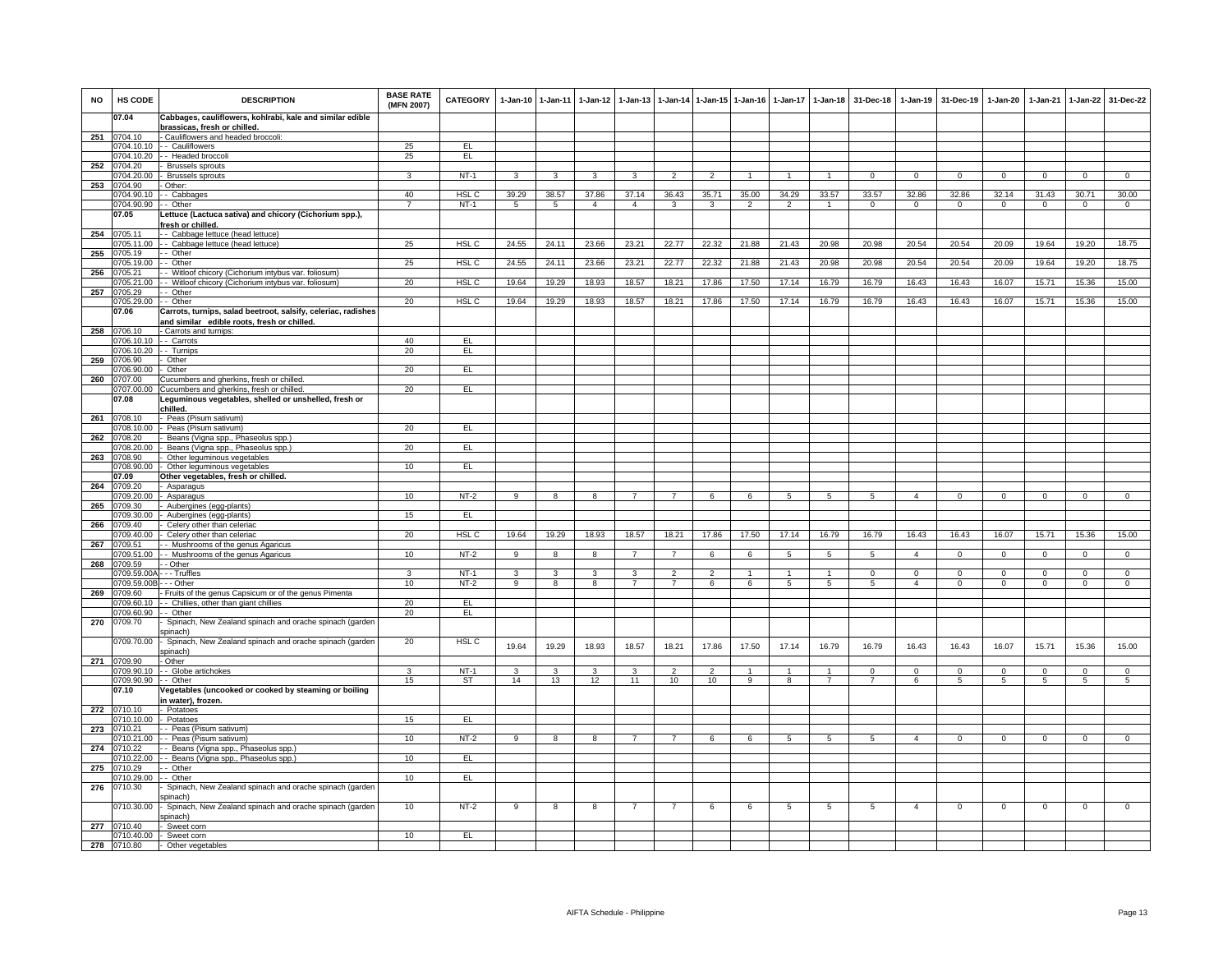| <b>NO</b> | HS CODE               | <b>DESCRIPTION</b>                                                          | <b>BASE RATE</b><br>(MFN 2007) | <b>CATEGORY</b>  |                                | 1-Jan-10 1-Jan-11       | $1-Jan-12$        | $1 - Jan-13$   |                |                | 1-Jan-14 1-Jan-15 1-Jan-16 | $1-Jan-17$     | $1-Jan-18$     | 31-Dec-18      | $1 - Jan-19$   | 31-Dec-19       | $1 - Jan-20$ | $1-Jan-21$ | $1-Jan-22$               | 31-Dec-22               |
|-----------|-----------------------|-----------------------------------------------------------------------------|--------------------------------|------------------|--------------------------------|-------------------------|-------------------|----------------|----------------|----------------|----------------------------|----------------|----------------|----------------|----------------|-----------------|--------------|------------|--------------------------|-------------------------|
|           | 07.04                 | Cabbages, cauliflowers, kohlrabi, kale and similar edible                   |                                |                  |                                |                         |                   |                |                |                |                            |                |                |                |                |                 |              |            |                          |                         |
| 251       | 0704.10               | brassicas, fresh or chilled.<br>- Cauliflowers and headed broccoli:         |                                |                  |                                |                         |                   |                |                |                |                            |                |                |                |                |                 |              |            |                          |                         |
|           |                       | 704.10.10 - Cauliflowers                                                    | 25                             | EL               |                                |                         |                   |                |                |                |                            |                |                |                |                |                 |              |            |                          |                         |
|           | 704.10.20<br>0704.20  | - - Headed broccoli<br><b>Brussels sprouts</b>                              | 25                             | EL               |                                |                         |                   |                |                |                |                            |                |                |                |                |                 |              |            |                          |                         |
| 252       | 1704.20.00            | - Brussels sprouts                                                          | 3                              | $NT-1$           | $\mathbf{3}$                   | $\mathbf{3}$            | $\mathbf{3}$      | $\mathbf{R}$   | $\mathcal{P}$  | $\mathcal{P}$  |                            |                |                | $\Omega$       | $\Omega$       | $\Omega$        | $\Omega$     | $\Omega$   | $\Omega$                 | $\Omega$                |
| 253       | 704.90                | Other:                                                                      |                                |                  |                                |                         |                   |                |                |                |                            |                |                |                |                |                 |              |            |                          |                         |
|           | 0704.90.10            | - Cabbages                                                                  | 40                             | HSL C            | 39.29                          | 38.57                   | 37.86             | 37.14          | 36.43          | 35.71          | 35.00                      | 34.29          | 33.57          | 33.57          | 32.86          | 32.86           | 32.14        | 31.43      | 30.71                    | 30.00                   |
|           | 704.90.90 -- Other    |                                                                             | $\overline{7}$                 | $NT-1$           | 5                              | 5                       | $\overline{4}$    | $\overline{4}$ | 3              | 3              | $\mathfrak{p}$             | $\overline{2}$ |                | $\Omega$       | $\Omega$       | $\Omega$        | $\Omega$     | $\Omega$   | $\Omega$                 | $\Omega$                |
|           | 07.05                 | Lettuce (Lactuca sativa) and chicory (Cichorium spp.),<br>fresh or chilled. |                                |                  |                                |                         |                   |                |                |                |                            |                |                |                |                |                 |              |            |                          |                         |
| 254       | 0705.11               | - - Cabbage lettuce (head lettuce)                                          |                                |                  |                                |                         |                   |                |                |                |                            |                |                |                |                |                 |              |            |                          |                         |
|           | 705.11.00             | - - Cabbage lettuce (head lettuce)                                          | 25                             | HSL <sub>C</sub> | 24.55                          | 24.11                   | 23.66             | 23.21          | 22.77          | 22.32          | 21.88                      | 21.43          | 20.98          | 20.98          | 20.54          | 20.54           | 20.09        | 19.64      | 19.20                    | 18.75                   |
| 255       | 705.19                | - Other                                                                     |                                |                  |                                |                         |                   |                |                |                |                            |                |                |                |                |                 |              |            |                          |                         |
| 256       | 705.19.00<br>0705.21  | - Other<br>- Witloof chicory (Cichorium intybus var. foliosum)              | 25                             | HSL C            | 24.55                          | 24.11                   | 23.66             | 23.21          | 22.77          | 22.32          | 21.88                      | 21.43          | 20.98          | 20.98          | 20.54          | 20.54           | 20.09        | 19.64      | 19.20                    | 18.75                   |
|           | 00.21.01              | - - Witloof chicory (Cichorium intybus var. foliosum)                       | 20                             | HSL C            | 19.64                          | 19.29                   | 18.93             | 18.57          | 18.21          | 17.86          | 17.50                      | 17.14          | 16.79          | 16.79          | 16.43          | 16.43           | 16.07        | 15.71      | 15.36                    | 15.00                   |
| 257       | 705.29                | - Other                                                                     |                                |                  |                                |                         |                   |                |                |                |                            |                |                |                |                |                 |              |            |                          |                         |
|           | )705.29.00            | - - Other                                                                   | 20                             | HSL <sub>C</sub> | 19.64                          | 19.29                   | 18.93             | 18.57          | 18.21          | 17.86          | 17.50                      | 17.14          | 16.79          | 16.79          | 16.43          | 16.43           | 16.07        | 15.71      | 15.36                    | 15.00                   |
|           | 07.06                 | Carrots, turnips, salad beetroot, salsify, celeriac, radishes               |                                |                  |                                |                         |                   |                |                |                |                            |                |                |                |                |                 |              |            |                          |                         |
| 258       | 0706.10               | and similar edible roots, fresh or chilled.<br>- Carrots and turnips:       |                                |                  |                                |                         |                   |                |                |                |                            |                |                |                |                |                 |              |            |                          |                         |
|           | 1706.10.10            | - Carrots                                                                   | 40                             | EL               |                                |                         |                   |                |                |                |                            |                |                |                |                |                 |              |            |                          |                         |
|           | 706.10.20             | - Turnips                                                                   | 20                             | EL               |                                |                         |                   |                |                |                |                            |                |                |                |                |                 |              |            |                          |                         |
| 259       | 706.90                | Other                                                                       |                                |                  |                                |                         |                   |                |                |                |                            |                |                |                |                |                 |              |            |                          |                         |
| 260       | 706.90.00<br>)707.00  | Other<br>Cucumbers and gherkins, fresh or chilled.                          | 20                             | EL               |                                |                         |                   |                |                |                |                            |                |                |                |                |                 |              |            |                          |                         |
|           | 1707.00.00            | Cucumbers and gherkins, fresh or chilled.                                   | 20                             | EL               |                                |                         |                   |                |                |                |                            |                |                |                |                |                 |              |            |                          |                         |
|           | 07.08                 | Leguminous vegetables, shelled or unshelled, fresh or                       |                                |                  |                                |                         |                   |                |                |                |                            |                |                |                |                |                 |              |            |                          |                         |
|           |                       | chilled.                                                                    |                                |                  |                                |                         |                   |                |                |                |                            |                |                |                |                |                 |              |            |                          |                         |
| 261       | 0708.10<br>708.10.00  | - Peas (Pisum sativum)                                                      |                                | EL.              |                                |                         |                   |                |                |                |                            |                |                |                |                |                 |              |            |                          |                         |
| 262       | 1708.20               | - Peas (Pisum sativum)<br>Beans (Vigna spp., Phaseolus spp.)                | 20                             |                  |                                |                         |                   |                |                |                |                            |                |                |                |                |                 |              |            |                          |                         |
|           | 708.20.00             | Beans (Vigna spp., Phaseolus spp.)                                          | 20                             | EL               |                                |                         |                   |                |                |                |                            |                |                |                |                |                 |              |            |                          |                         |
| 263       | 0708.90               | Other leguminous vegetables                                                 |                                |                  |                                |                         |                   |                |                |                |                            |                |                |                |                |                 |              |            |                          |                         |
|           | 1708.90.00            | Other leguminous vegetables                                                 | 10                             | EL               |                                |                         |                   |                |                |                |                            |                |                |                |                |                 |              |            |                          |                         |
| 264       | 07.09<br>1709.20      | Other vegetables, fresh or chilled.<br>Asparagus                            |                                |                  |                                |                         |                   |                |                |                |                            |                |                |                |                |                 |              |            |                          |                         |
|           | 709.20.00             | Asparagus                                                                   | 10                             | $NT-2$           | 9                              | 8                       |                   |                |                | 6              | 6                          | 5              | 5              | 5              |                | $\Omega$        | $\Omega$     | $\Omega$   | $\Omega$                 | $\Omega$                |
| 265       | 709.30                | Aubergines (egg-plants)                                                     |                                |                  |                                |                         |                   |                |                |                |                            |                |                |                |                |                 |              |            |                          |                         |
|           | 1709.30.00<br>)709.40 | - Aubergines (egg-plants)                                                   | 15                             | EL.              |                                |                         |                   |                |                |                |                            |                |                |                |                |                 |              |            |                          |                         |
| 266       | 709.40.00             | Celery other than celeriac<br>Celery other than celeriac                    | 20                             | HSL <sub>C</sub> | 19.64                          | 19.29                   | 18.93             | 18.57          | 18.21          | 17.86          | 17.50                      | 17.14          | 16.79          | 16.79          | 16.43          | 16.43           | 16.07        | 15.71      | 15.36                    | 15.00                   |
| 267       | 709.51                | - Mushrooms of the genus Agaricus                                           |                                |                  |                                |                         |                   |                |                |                |                            |                |                |                |                |                 |              |            |                          |                         |
|           | 709.51.00             | - Mushrooms of the genus Agaricus                                           | 10                             | $NT-2$           | 9                              | $\overline{\mathbf{8}}$ | 8                 |                | $\overline{7}$ | 6              | 6                          | 5              | $\overline{5}$ | $5^{\circ}$    | $\overline{4}$ | $\mathbf 0$     | $\mathbf 0$  | $\Omega$   | $\mathbf 0$              | $\overline{0}$          |
| 268       | 709.59                | - Other                                                                     |                                | $NT-1$           |                                |                         |                   | $\mathbf{3}$   | $\overline{2}$ | $\overline{2}$ | $\mathbf{1}$               | $\mathbf{1}$   | $\overline{1}$ | $\Omega$       | $\Omega$       | $\Omega$        | $\Omega$     | $\Omega$   |                          |                         |
|           | 1709 59 00B           | 0709.59.00A - - - Truffles<br>$-$ - Other                                   | 3<br>10                        | $NT-2$           | $\mathbf{3}$<br>$\overline{9}$ | 3<br>$\mathbf{R}$       | 3<br>$\mathbf{R}$ | $\overline{7}$ | $\overline{7}$ | $\epsilon$     | $\epsilon$                 | 5              | 5              | $\overline{a}$ | $\mathbf{A}$   | $\Omega$        | $\Omega$     | $\Omega$   | $\mathbf{0}$<br>$\Omega$ | $\mathbf 0$<br>$\Omega$ |
| 269       | 709.60                | - Fruits of the genus Capsicum or of the genus Pimenta                      |                                |                  |                                |                         |                   |                |                |                |                            |                |                |                |                |                 |              |            |                          |                         |
|           | 709.60.10             | - Chillies, other than giant chillies                                       | 20                             | EL               |                                |                         |                   |                |                |                |                            |                |                |                |                |                 |              |            |                          |                         |
|           | 709.60.90             | - - Other                                                                   | 20                             | EL               |                                |                         |                   |                |                |                |                            |                |                |                |                |                 |              |            |                          |                         |
| 270       | 0709.70               | Spinach, New Zealand spinach and orache spinach (garder<br>spinach)         |                                |                  |                                |                         |                   |                |                |                |                            |                |                |                |                |                 |              |            |                          |                         |
|           | 1709.70.00            | Spinach, New Zealand spinach and orache spinach (garden                     | 20                             | HSL C            | 19.64                          | 19.29                   | 18.93             | 18.57          | 18.21          | 17.86          | 17.50                      | 17.14          | 16.79          | 16.79          | 16.43          | 16.43           | 16.07        | 15.71      | 15.36                    | 15.00                   |
|           |                       | spinach)                                                                    |                                |                  |                                |                         |                   |                |                |                |                            |                |                |                |                |                 |              |            |                          |                         |
| 271       | 0709.90<br>0709.90.10 | Other                                                                       | 3                              | $NT-1$           |                                | $\mathbf{3}$            |                   | 3              | $\overline{2}$ | $\overline{2}$ | $\overline{1}$             | $\mathbf{1}$   | $\overline{1}$ | $\Omega$       |                | $\Omega$        | $\Omega$     | $\Omega$   |                          |                         |
|           | 0709.90.90            | - Globe artichokes<br>- - Other                                             | 15                             | <b>ST</b>        | 3<br>14                        | 13                      | 3<br>12           | 11             | 10             | 10             | 9                          | $\overline{8}$ | $\overline{7}$ | $\overline{7}$ | 0<br>6         | $5\phantom{.0}$ | 5            | 5          | 0<br>$\overline{5}$      | 0<br>5                  |
|           | 07.10                 | Vegetables (uncooked or cooked by steaming or boiling                       |                                |                  |                                |                         |                   |                |                |                |                            |                |                |                |                |                 |              |            |                          |                         |
|           |                       | in water), frozen.                                                          |                                |                  |                                |                         |                   |                |                |                |                            |                |                |                |                |                 |              |            |                          |                         |
|           | 272 0710.10           | - Potatoes                                                                  |                                |                  |                                |                         |                   |                |                |                |                            |                |                |                |                |                 |              |            |                          |                         |
| 273       | 0710.21               | 710.10.00 - Potatoes<br>- Peas (Pisum sativum)                              | 15                             | EL.              |                                |                         |                   |                |                |                |                            |                |                |                |                |                 |              |            |                          |                         |
|           | 710.21.00             | - - Peas (Pisum sativum)                                                    | 10                             | $NT-2$           | 9                              | $\overline{\mathbf{a}}$ | 8                 |                |                | 6              | 6                          | -5             | -5             | 5              | $\overline{a}$ | $\Omega$        | $\Omega$     | $\Omega$   | $\Omega$                 | $\overline{0}$          |
| 274       | 710.22                | - Beans (Vigna spp., Phaseolus spp.)                                        |                                |                  |                                |                         |                   |                |                |                |                            |                |                |                |                |                 |              |            |                          |                         |
|           | 710.22.00             | - - Beans (Vigna spp., Phaseolus spp.)                                      | 10                             | EL               |                                |                         |                   |                |                |                |                            |                |                |                |                |                 |              |            |                          |                         |
| 275       | 1710.29<br>710.29.00  | - Other<br>- Other                                                          | 10                             | EL               |                                |                         |                   |                |                |                |                            |                |                |                |                |                 |              |            |                          |                         |
| 276       | 0710.30               | Spinach, New Zealand spinach and orache spinach (garden                     |                                |                  |                                |                         |                   |                |                |                |                            |                |                |                |                |                 |              |            |                          |                         |
|           |                       | spinach)                                                                    |                                |                  |                                |                         |                   |                |                |                |                            |                |                |                |                |                 |              |            |                          |                         |
|           | 0710.30.00            | Spinach, New Zealand spinach and orache spinach (garden<br>spinach)         | 10                             | $NT-2$           | 9                              | 8                       | 8                 |                | $\overline{7}$ | 6              | 6                          | 5              | -5             | -5             | $\overline{4}$ | $\mathbf 0$     | $\Omega$     | $\Omega$   | $\mathbf 0$              | $\mathsf 0$             |
| 277       | 0710.40               | - Sweet corn<br>0710.40.00 - Sweet corn                                     | 10                             | EL               |                                |                         |                   |                |                |                |                            |                |                |                |                |                 |              |            |                          |                         |
| 278       | 0710.80               | - Other vegetables                                                          |                                |                  |                                |                         |                   |                |                |                |                            |                |                |                |                |                 |              |            |                          |                         |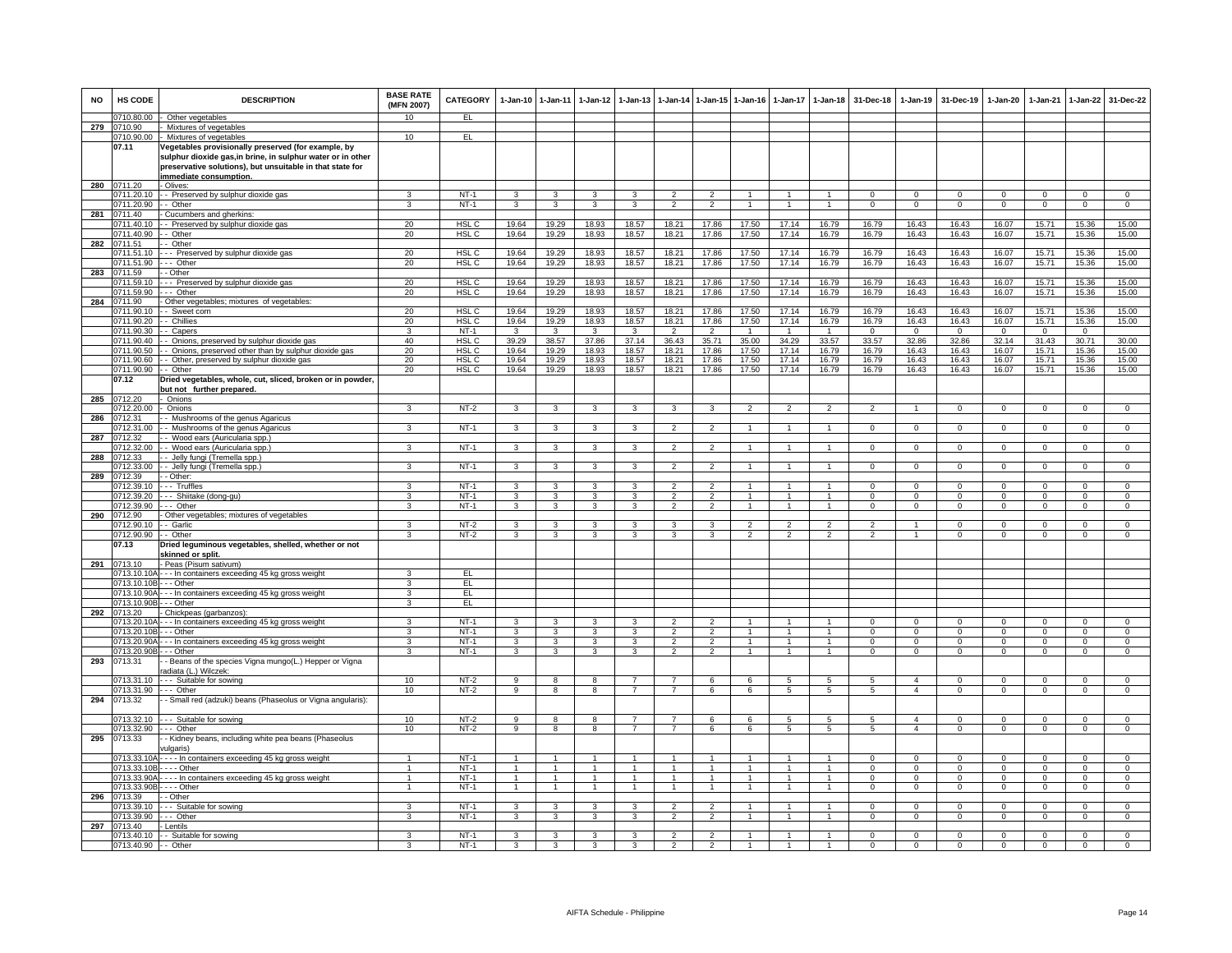| <b>NO</b> | <b>HS CODE</b>                   | <b>DESCRIPTION</b>                                                              | <b>BASE RATE</b><br>(MFN 2007) | <b>CATEGORY</b>                      |                              | 1-Jan-10 1-Jan-11            | $1-Jan-12$                   | $1-Jan-13$     | $1-Jan-14$                       | 1-Jan-15 1-Jan-16                |                | $1-Jan-17$     | $1 - Jan-18$                     | 31-Dec-18                    | $1-Jan-19$                   | 31-Dec-19                   | $1-Jan-20$                     | 1-Jan-21                | $1-Jan-22$                   | 31-Dec-22                     |
|-----------|----------------------------------|---------------------------------------------------------------------------------|--------------------------------|--------------------------------------|------------------------------|------------------------------|------------------------------|----------------|----------------------------------|----------------------------------|----------------|----------------|----------------------------------|------------------------------|------------------------------|-----------------------------|--------------------------------|-------------------------|------------------------------|-------------------------------|
|           | 0710.80.00                       | Other vegetables                                                                | 10                             | EL                                   |                              |                              |                              |                |                                  |                                  |                |                |                                  |                              |                              |                             |                                |                         |                              |                               |
| 279       | 0710.90<br>0710.90.00            | Mixtures of vegetables<br>- Mixtures of vegetables                              | 10                             | EL                                   |                              |                              |                              |                |                                  |                                  |                |                |                                  |                              |                              |                             |                                |                         |                              |                               |
|           | 07.11                            | Vegetables provisionally preserved (for example, by                             |                                |                                      |                              |                              |                              |                |                                  |                                  |                |                |                                  |                              |                              |                             |                                |                         |                              |                               |
|           |                                  | sulphur dioxide gas, in brine, in sulphur water or in other                     |                                |                                      |                              |                              |                              |                |                                  |                                  |                |                |                                  |                              |                              |                             |                                |                         |                              |                               |
|           |                                  | preservative solutions), but unsuitable in that state for                       |                                |                                      |                              |                              |                              |                |                                  |                                  |                |                |                                  |                              |                              |                             |                                |                         |                              |                               |
| 280       | 0711.20                          | immediate consumption.<br>- Olives:                                             |                                |                                      |                              |                              |                              |                |                                  |                                  |                |                |                                  |                              |                              |                             |                                |                         |                              |                               |
|           |                                  | 0711.20.10 - Preserved by sulphur dioxide gas                                   | 3                              | $NT-1$                               | 3                            | 3                            | 3                            | 3              | $\overline{2}$                   | $\overline{2}$                   |                |                | $\overline{1}$                   | $\Omega$                     | $\Omega$                     | $\Omega$                    | $\Omega$                       | $\Omega$                | $\Omega$                     | $\overline{0}$                |
|           | 0711.20.90 - - Other             |                                                                                 | $\mathbf{3}$                   | $NT-1$                               | $\mathbf{3}$                 | $\mathbf{3}$                 | 3 <sup>3</sup>               | $\mathbf{3}$   | $\overline{2}$                   | $\overline{2}$                   | $\overline{1}$ | $\overline{1}$ | $\overline{1}$                   | $\mathbf{0}$                 | $\mathbf{0}$                 | $\overline{0}$              | $\overline{0}$                 | $\overline{0}$          | $\circ$                      | $\overline{0}$                |
| 281       | 0711.40                          | - Cucumbers and gherkins:                                                       |                                |                                      |                              |                              |                              |                |                                  |                                  |                |                |                                  |                              |                              |                             |                                |                         |                              |                               |
|           | 0711.40.10<br>0711.40.90         | - - Preserved by sulphur dioxide gas<br>- Other                                 | 20<br>20                       | HSL <sub>C</sub><br>HSL <sub>C</sub> | 19.64<br>19.64               | 19.29<br>19.29               | 18.93<br>18.93               | 18.57<br>18.57 | 18.21<br>18.21                   | 17.86<br>17.86                   | 17.50<br>17.50 | 17.14<br>17.14 | 16.79<br>16.79                   | 16.79<br>16.79               | 16.43<br>16.43               | 16.43<br>16.43              | 16.07<br>16.07                 | 15.71<br>15.71          | 15.36<br>15.36               | 15.00<br>15.00                |
| 282       | 0711.51                          | - - Other                                                                       |                                |                                      |                              |                              |                              |                |                                  |                                  |                |                |                                  |                              |                              |                             |                                |                         |                              |                               |
|           | 0711.51.10                       | --- Preserved by sulphur dioxide gas                                            | 20                             | HSL C                                | 19.64                        | 19.29                        | 18.93                        | 18.57          | 18.21                            | 17.86                            | 17.50          | 17.14          | 16.79                            | 16.79                        | 16.43                        | 16.43                       | 16.07                          | 15.71                   | 15.36                        | 15.00                         |
|           | 0711.51.90 --- Other<br>0711.59  | - - Other                                                                       | 20                             | HSL C                                | 19.64                        | 19.29                        | 18.93                        | 18.57          | 18.21                            | 17.86                            | 17.50          | 17.14          | 16.79                            | 16.79                        | 16.43                        | 16.43                       | 16.07                          | 15.71                   | 15.36                        | 15.00                         |
| 283       | 0711.59.10                       | --- Preserved by sulphur dioxide gas                                            | 20                             | HSL C                                | 19.64                        | 19.29                        | 18.93                        | 18.57          | 18.21                            | 17.86                            | 17.50          | 17.14          | 16.79                            | 16.79                        | 16.43                        | 16.43                       | 16.07                          | 15.71                   | 15.36                        | 15.00                         |
|           | 0711.59.90                       | --- Other                                                                       | 20                             | HSL C                                | 19.64                        | 19.29                        | 18.93                        | 18.57          | 18.21                            | 17.86                            | 17.50          | 17.14          | 16.79                            | 16.79                        | 16.43                        | 16.43                       | 16.07                          | 15.71                   | 15.36                        | 15.00                         |
| 284       | 0711.90                          | - Other vegetables; mixtures of vegetables:                                     |                                |                                      |                              |                              |                              |                |                                  |                                  |                |                |                                  |                              |                              |                             |                                |                         |                              |                               |
|           | 0711.90.20                       | 0711.90.10 - - Sweet corn<br>- - Chillies                                       | 20<br>20                       | HSL C<br>HSL <sub>C</sub>            | 19.64<br>19.64               | 19.29<br>19.29               | 18.93<br>18.93               | 18.57<br>18.57 | 18.21<br>18.21                   | 17.86<br>17.86                   | 17.50<br>17.50 | 17.14<br>17.14 | 16.79<br>16.79                   | 16.79<br>16.79               | 16.43<br>16.43               | 16.43<br>16.43              | 16.07<br>16.07                 | 15.71<br>15.71          | 15.36<br>15.36               | 15.00<br>15.00                |
|           | 0711.90.30                       | - Capers                                                                        | 3                              | $NT-1$                               | $\mathbf{3}$                 | $\mathbf{3}$                 | $\mathbf{3}$                 | $\mathbf{3}$   | $\overline{2}$                   | $\overline{2}$                   | $\mathbf{1}$   | $\overline{1}$ | $\overline{1}$                   | $\Omega$                     | $\overline{0}$               | $\Omega$                    | $\mathbf{0}$                   | $\mathbf{0}$            | $\circ$                      |                               |
|           | 0711.90.40                       | - - Onions, preserved by sulphur dioxide gas                                    | 40                             | HSL <sub>C</sub>                     | 39.29                        | 38.57                        | 37.86                        | 37.14          | 36.43                            | 35.71                            | 35.00          | 34.29          | 33.57                            | 33.57                        | 32.86                        | 32.86                       | 32.14                          | 31.43                   | 30.71                        | 30.00                         |
|           | 0711.90.50                       | - Onions, preserved other than by sulphur dioxide gas                           | 20                             | HSL C                                | 19.64                        | 19.29                        | 18.93                        | 18.57          | 18.21                            | 17.86                            | 17.50          | 17.14          | 16.79                            | 16.79                        | 16.43                        | 16.43                       | 16.07                          | 15.71                   | 15.36                        | 15.00                         |
|           | 0711.90.60<br>0711.90.90 - Other | - - Other, preserved by sulphur dioxide gas                                     | 20<br>20                       | HSL C<br><b>HSLC</b>                 | 19.64<br>19.64               | 19.29<br>19.29               | 18.93<br>18.93               | 18.57<br>18.57 | 18.21<br>18.21                   | 17.86<br>17.86                   | 17.50<br>17.50 | 17.14<br>17.14 | 16.79<br>16.79                   | 16.79<br>16.79               | 16.43<br>16.43               | 16.43<br>16.43              | 16.07<br>16.07                 | 15.71<br>15.71          | 15.36<br>15.36               | 15.00<br>15.00                |
|           | 07.12                            | Dried vegetables, whole, cut, sliced, broken or in powder,                      |                                |                                      |                              |                              |                              |                |                                  |                                  |                |                |                                  |                              |                              |                             |                                |                         |                              |                               |
|           |                                  | but not further prepared.                                                       |                                |                                      |                              |                              |                              |                |                                  |                                  |                |                |                                  |                              |                              |                             |                                |                         |                              |                               |
| 285       | 0712.20<br>0712.20.00            | Onions<br>- Onions                                                              | 3                              | $NT-2$                               |                              | $\mathbf{3}$                 |                              | 3              |                                  |                                  | 2              | 2              |                                  | 2                            | $\overline{1}$               | $\mathbf{0}$                | $\mathbf{0}$                   | $^{\circ}$              | $\mathbf{0}$                 | $\overline{0}$                |
| 286       | 071231                           | - Mushrooms of the genus Agaricus                                               |                                |                                      | $\mathbf{3}$                 |                              | $\mathbf{3}$                 |                | $\mathbf{3}$                     | 3                                |                |                | $\overline{2}$                   |                              |                              |                             |                                |                         |                              |                               |
|           | 0712.31.00                       | - Mushrooms of the genus Agaricus                                               | 3                              | $NT-1$                               | $\mathbf{3}$                 | $\mathbf{3}$                 | $\mathbf{3}$                 | 3              | $\overline{2}$                   | 2                                | $\mathbf{1}$   | $\mathbf{1}$   | $\mathbf{1}$                     | $\circ$                      | $\mathbf{0}$                 | $\mathbf{0}$                | $\mathbf 0$                    | $\mathbf 0$             | $\circ$                      | $\mathbf{0}$                  |
| 287       | 0712.32                          | - - Wood ears (Auricularia spp.)                                                |                                |                                      |                              |                              |                              |                |                                  |                                  |                |                |                                  |                              |                              |                             |                                |                         |                              |                               |
| 288       | 0712.32.00<br>0712.33            | - - Wood ears (Auricularia spp.)<br>- - Jelly fungi (Tremella spp.)             | 3                              | $NT-1$                               | $\mathbf{3}$                 | $\mathbf{3}$                 | $\mathbf{3}$                 | 3              | $\overline{2}$                   | $\overline{2}$                   | $\mathbf{1}$   | $\mathbf{1}$   | $\mathbf{1}$                     | $\mathbf{O}$                 | $\mathbf 0$                  | $\mathbf 0$                 | $\mathbf 0$                    | $^{\circ}$              | $\mathbf 0$                  | $\mathbf 0$                   |
|           |                                  | 0712.33.00 - Jelly fungi (Tremella spp.)                                        | 3                              | $NT-1$                               | 3                            | 3                            | $\mathbf{3}$                 | 3              | $\overline{2}$                   | $\overline{2}$                   | $\mathbf{1}$   | $\mathbf{1}$   | $\mathbf{1}$                     | $\Omega$                     | $\mathbf 0$                  | $\mathbf 0$                 | $\mathbf 0$                    | $\Omega$                | $\overline{0}$               | $\overline{0}$                |
| 289       | 0712.39                          | - - Other:                                                                      |                                |                                      |                              |                              |                              |                |                                  |                                  |                |                |                                  |                              |                              |                             |                                |                         |                              |                               |
|           | 0712.39.10                       | --- Truffles                                                                    | 3<br>3                         | $NT-1$                               | 3                            | 3                            | 3                            | з              | $\overline{2}$                   | $\overline{2}$                   | $\mathbf{1}$   |                |                                  | 0                            | $\mathbf 0$                  | $\mathbf 0$                 | $\mathbf 0$                    | $\Omega$                | $^{\circ}$                   | $^{\circ}$                    |
|           | 0712.39.20<br>0712.39.90         | --- Shiitake (dong-gu)<br>--- Other                                             | 3                              | $NT-1$<br><b>NT-1</b>                | $\mathbf{3}$<br>$\mathbf{3}$ | $\mathbf{3}$<br>$\mathbf{3}$ | $\mathbf{3}$<br>$\mathbf{3}$ | 3<br>3         | $\overline{2}$<br>$\overline{2}$ | $\overline{2}$<br>$\overline{2}$ | $\mathbf{1}$   | $\mathbf{1}$   | $\overline{1}$<br>$\overline{1}$ | $\mathbf{O}$<br>$\mathbf{0}$ | $\mathbf{0}$<br>$\mathbf{0}$ | $\mathbf 0$<br>$\mathbf{0}$ | $\mathbf{0}$<br>$\overline{0}$ | $^{\circ}$<br>$\Omega$  | $\mathbf{0}$<br>$\mathbf{0}$ | $\mathbf{0}$<br>$\mathbf{0}$  |
| 290       | 0712.90                          | - Other vegetables; mixtures of vegetables                                      |                                |                                      |                              |                              |                              |                |                                  |                                  |                |                |                                  |                              |                              |                             |                                |                         |                              |                               |
|           | 0712.90.10                       | - - Garlic                                                                      | 3                              | $NT-2$                               | $\overline{3}$               | $\overline{\mathbf{3}}$      | 3                            | 3              | 3                                | $\overline{3}$                   | $\overline{2}$ | $\mathfrak{p}$ | $\overline{2}$                   | $\mathfrak{p}$               | $\overline{1}$               | $\Omega$                    | $\Omega$                       | $\Omega$                | $\overline{0}$               | $\overline{0}$                |
|           | 0712.90.90 -- Other<br>07.13     | Dried leguminous vegetables, shelled, whether or not                            | 3                              | $NT-2$                               | 3                            | $\mathbf{3}$                 | 3                            | 3              | 3                                | 3                                | $\overline{2}$ | $\mathfrak{p}$ | $\overline{2}$                   | $\mathfrak{p}$               |                              | $\mathbf 0$                 | $\mathbf 0$                    | $\Omega$                | $\mathsf 0$                  | $\Omega$                      |
|           |                                  | skinned or split.                                                               |                                |                                      |                              |                              |                              |                |                                  |                                  |                |                |                                  |                              |                              |                             |                                |                         |                              |                               |
| 291       | 0713.10                          | - Peas (Pisum sativum)                                                          |                                |                                      |                              |                              |                              |                |                                  |                                  |                |                |                                  |                              |                              |                             |                                |                         |                              |                               |
|           | 0713.10.10B - - - Other          | 0713.10.10A - - - In containers exceeding 45 kg gross weight                    | $\mathbf{R}$<br>3              | EL<br>EL                             |                              |                              |                              |                |                                  |                                  |                |                |                                  |                              |                              |                             |                                |                         |                              |                               |
|           |                                  | 0713.10.90A - - - In containers exceeding 45 kg gross weight                    | 3                              | EL.                                  |                              |                              |                              |                |                                  |                                  |                |                |                                  |                              |                              |                             |                                |                         |                              |                               |
|           | 0713.10.90B - - - Other          |                                                                                 | 3                              | EL                                   |                              |                              |                              |                |                                  |                                  |                |                |                                  |                              |                              |                             |                                |                         |                              |                               |
| 292       | 0713.20                          | - Chickpeas (garbanzos):                                                        |                                |                                      |                              |                              |                              |                |                                  |                                  |                |                |                                  |                              |                              |                             |                                |                         |                              |                               |
|           | 0713.20.10B - - - Other          | 0713.20.10A - - - In containers exceeding 45 kg gross weight                    | 3<br>3                         | $NT-1$<br>$NT-1$                     | 3<br>3                       | 3<br>3                       | 3<br>3                       | 3<br>3         | $\overline{2}$<br>$\overline{2}$ | $\overline{2}$<br>$\overline{2}$ |                |                | 1<br>$\mathbf{1}$                | $^{\circ}$<br>$\mathsf 0$    | $\mathbf{O}$<br>$\mathsf 0$  | $\mathbf 0$<br>$\mathbf 0$  | $\mathbf 0$<br>$\mathbf 0$     | $^{\circ}$<br>$\Omega$  | $\mathbf 0$<br>$\mathsf 0$   | $\mathbf 0$<br>$\overline{0}$ |
|           |                                  | 0713.20.90A - - - In containers exceeding 45 kg gross weight                    | 3                              | $NT-1$                               | 3                            | 3                            | $\mathbf{3}$                 | 3              | $\mathcal{P}$                    | $\overline{2}$                   | $\mathbf{1}$   | $\mathbf{1}$   | $\overline{1}$                   | $^{\circ}$                   | $^{\circ}$                   | $\mathbf 0$                 | $\mathbf 0$                    | $\mathbf 0$             | $\mathsf 0$                  | $\mathbf 0$                   |
|           | 0713.20.90B - - - Other          |                                                                                 | $\overline{3}$                 | $NT-1$                               | $\overline{\mathbf{3}}$      | $\overline{\mathbf{3}}$      | $\overline{\mathbf{3}}$      | $\overline{3}$ | $\overline{2}$                   | $\overline{2}$                   | $\overline{1}$ | $\mathbf{1}$   | $\overline{1}$                   | $\Omega$                     | $\overline{0}$               | $\mathbf 0$                 | $\overline{0}$                 | $\mathbf 0$             | $\overline{0}$               | $\overline{0}$                |
| 293       | 0713.31                          | - Beans of the species Vigna mungo(L.) Hepper or Vigna<br>radiata (L.) Wilczek: |                                |                                      |                              |                              |                              |                |                                  |                                  |                |                |                                  |                              |                              |                             |                                |                         |                              |                               |
|           |                                  | 0713.31.10 --- Suitable for sowing                                              | 10                             | $NT-2$                               | $\overline{9}$               | -8                           | 8                            |                | $\overline{7}$                   | 6                                | 6              | -5             | $\overline{5}$                   | -5                           | $\overline{4}$               | $\Omega$                    | $\Omega$                       | $\Omega$                | $\Omega$                     | $\overline{0}$                |
|           | 0713.31.90 --- Other             |                                                                                 | 10                             | NT-2                                 | 9                            | 8                            | 8                            | $\overline{7}$ | $\overline{7}$                   | 6                                | 6              | 5              | 5                                | 5                            | $\overline{4}$               | $\mathbf 0$                 | $\mathbf{0}$                   | $\mathbf 0$             | $\mathbf{0}$                 | $\mathbf{0}$                  |
| 294       | 0713.32                          | - - Small red (adzuki) beans (Phaseolus or Vigna angularis):                    |                                |                                      |                              |                              |                              |                |                                  |                                  |                |                |                                  |                              |                              |                             |                                |                         |                              |                               |
|           |                                  | 0713.32.10 --- Suitable for sowing                                              | 10                             | $NT-2$                               | $\overline{9}$               | 8                            | 8                            | $\overline{7}$ | $\overline{7}$                   | 6                                | 6              | 5              | $5^{\circ}$                      | -5                           | $\overline{a}$               | $\Omega$                    | $\Omega$                       | $\Omega$                | $\Omega$                     | $\overline{0}$                |
|           | 0713.32.90                       | --- Other                                                                       | 10                             | $NT-2$                               | 9                            | 8                            | 8                            | $\overline{7}$ | $\overline{7}$                   | 6                                | 6              | 5              | 5                                | 5                            | $\overline{4}$               | $^{\circ}$                  | $^{\circ}$                     | $^{\circ}$              | $^{\circ}$                   | $\mathbf 0$                   |
| 295       | 0713.33                          | - Kidney beans, including white pea beans (Phaseolus                            |                                |                                      |                              |                              |                              |                |                                  |                                  |                |                |                                  |                              |                              |                             |                                |                         |                              |                               |
|           |                                  | rulgaris)<br>0713.33.10A - - - - In containers exceeding 45 kg gross weight     | $\mathbf{1}$                   | $NT-1$                               | $\overline{1}$               | $\overline{1}$               | $\mathbf{1}$                 | $\overline{1}$ | $\overline{1}$                   | $\blacktriangleleft$             | $\overline{1}$ | $\mathbf{1}$   | $\mathbf{1}$                     | $\Omega$                     | $\Omega$                     | $\Omega$                    | $\Omega$                       | $\Omega$                | $\Omega$                     | $\Omega$                      |
|           | 0713.33.10B - - - - Other        |                                                                                 |                                | $NT-1$                               | $\overline{1}$               | $\overline{1}$               | $\overline{1}$               |                | $\overline{1}$                   | $\blacktriangleleft$             | 1              | $\mathbf{1}$   | $\blacktriangleleft$             | $\overline{0}$               | $\overline{0}$               | $\overline{0}$              | $\overline{0}$                 | $\overline{0}$          | $\overline{0}$               | $\overline{0}$                |
|           |                                  | 0713.33.90A - - - - In containers exceeding 45 kg gross weight                  | $\mathbf{1}$                   | $NT-1$                               | $\overline{1}$               | $\overline{1}$               | $\overline{1}$               | $\overline{1}$ | $\overline{1}$                   | $\overline{1}$                   | $\mathbf{1}$   | $\overline{1}$ | $\overline{1}$                   | $\Omega$                     | $\Omega$                     | $\Omega$                    | $\Omega$                       | $\Omega$                | $\Omega$                     | $\mathbf{0}$                  |
|           | 0713.33.90B - - - - Other        |                                                                                 | 1                              | $NT-1$                               | $\mathbf{1}$                 | $\mathbf{1}$                 | $\mathbf{1}$                 | $\overline{1}$ | $\overline{1}$                   | $\overline{1}$                   | $\mathbf{1}$   | $\overline{1}$ | $\mathbf{1}$                     | $\mathbf{0}$                 | $\mathbf{0}$                 | $\mathbf{0}$                | $\mathbf{0}$                   | $\mathbf{0}$            | $\overline{0}$               | $\mathbf{0}$                  |
|           | 296 0713.39<br>0713.39.10        | - - Other<br>--- Suitable for sowing                                            | 3                              | $NT-1$                               | $\mathbf{3}$                 | $\mathbf{3}$                 | 3                            | 3              | $\overline{2}$                   | $\overline{2}$                   | 1              | $\mathbf{1}$   | $\mathbf{1}$                     | $\Omega$                     | $\Omega$                     | $\Omega$                    | $\Omega$                       | $\Omega$                | $\Omega$                     | $\mathbf{0}$                  |
|           | 0713.39.90 --- Other             |                                                                                 | 3                              | $NT-1$                               | 3                            | $\mathbf{3}$                 | $\mathbf{3}$                 | 3              | $\overline{2}$                   | $\overline{2}$                   |                | $\mathbf{1}$   | $\mathbf{1}$                     | $\mathbf{O}$                 | $\mathbf 0$                  | $\mathbf 0$                 | $\mathbf 0$                    | $\mathbf 0$             | $\mathbf{0}$                 | $\mathbf 0$                   |
| 297       | 0713.40                          | - Lentils                                                                       |                                |                                      |                              |                              |                              |                |                                  |                                  |                |                |                                  |                              |                              |                             |                                |                         |                              |                               |
|           |                                  | 0713.40.10 - Suitable for sowing                                                | 3<br>3                         | $NT-1$                               | 3                            | 3<br>3                       | 3<br>$\overline{\mathbf{3}}$ | 3<br>3         | $\overline{2}$<br>$\overline{2}$ | $\overline{2}$<br>$\overline{2}$ |                |                |                                  | 0<br>$\Omega$                | $^{\circ}$<br>$\Omega$       | $\mathbf 0$<br>$\Omega$     | $\mathbf 0$<br>$\overline{0}$  | $\mathbf 0$<br>$\Omega$ | 0<br>$\Omega$                | 0<br>$\Omega$                 |
|           | 0713.40.90 - - Other             |                                                                                 |                                | $NT-1$                               | 3                            |                              |                              |                |                                  |                                  |                |                |                                  |                              |                              |                             |                                |                         |                              |                               |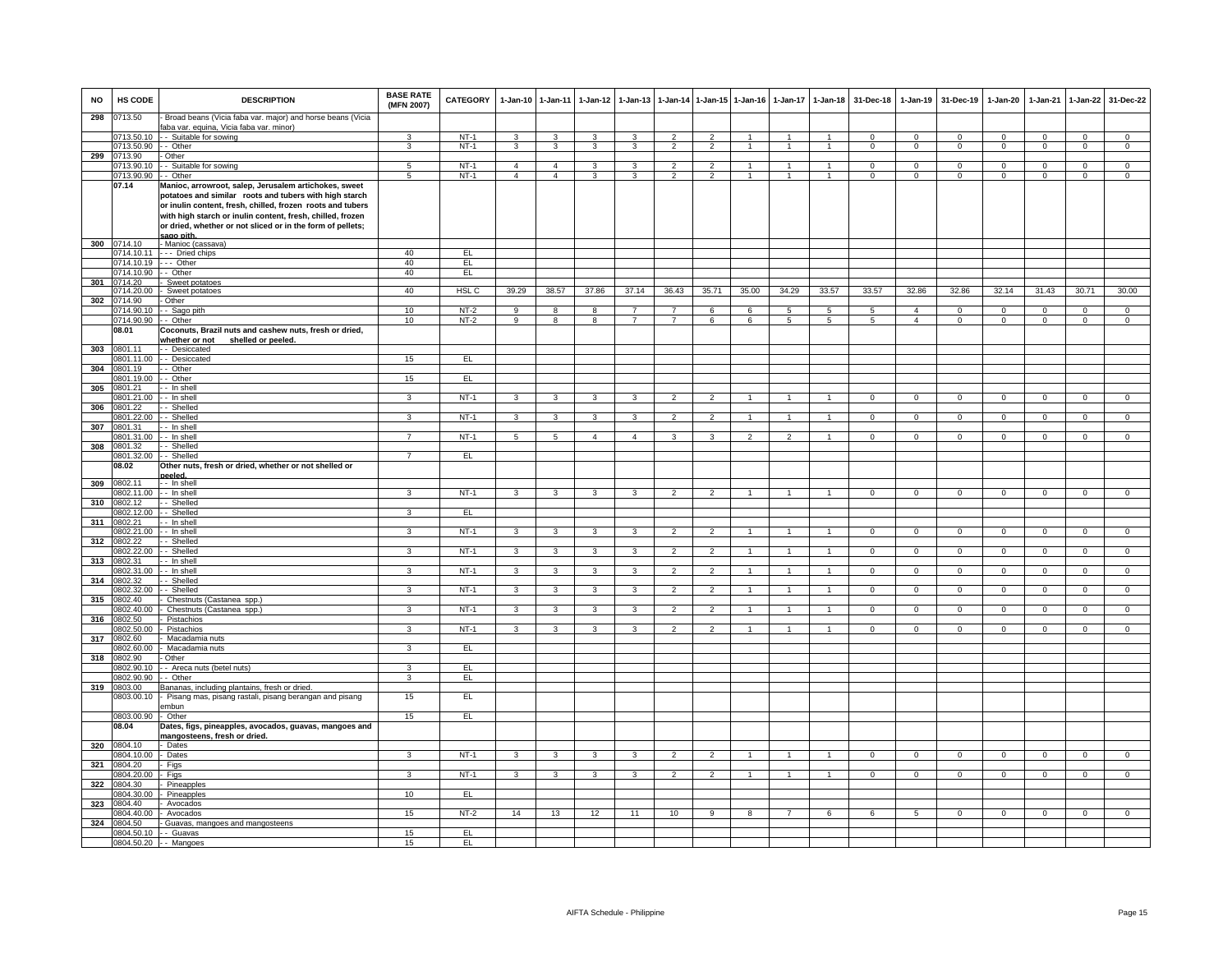| <b>NO</b> | HS CODE                   | <b>DESCRIPTION</b>                                                                                                                                                                                                                                                                                                      | <b>BASE RATE</b><br>(MFN 2007) | <b>CATEGORY</b>  | $1-Jan-10$              | $1 - Jan-11$   | $1-Jan-12$              | $1 - Jan-13$   |                          |                                  | 1-Jan-14 1-Jan-15 1-Jan-16 | $1-Jan-17$           | $1 - Jan-18$   | 31-Dec-18      |                         | 1-Jan-19 31-Dec-19 | $1-Jan-20$     | 1-Jan-21       | 1-Jan-22                   | 31-Dec-22                  |
|-----------|---------------------------|-------------------------------------------------------------------------------------------------------------------------------------------------------------------------------------------------------------------------------------------------------------------------------------------------------------------------|--------------------------------|------------------|-------------------------|----------------|-------------------------|----------------|--------------------------|----------------------------------|----------------------------|----------------------|----------------|----------------|-------------------------|--------------------|----------------|----------------|----------------------------|----------------------------|
| 298       | 0713.50                   | Broad beans (Vicia faba var. major) and horse beans (Vicia                                                                                                                                                                                                                                                              |                                |                  |                         |                |                         |                |                          |                                  |                            |                      |                |                |                         |                    |                |                |                            |                            |
|           | 0713.50.10                | faba var. equina, Vicia faba var. minor)<br>- - Suitable for sowing                                                                                                                                                                                                                                                     | 3                              | $NT-1$           | 3                       | 3              | 3                       | 3              | $\overline{2}$           | $\overline{2}$                   | $\overline{1}$             | $\mathbf{1}$         | $\mathbf{1}$   | $\Omega$       | $\Omega$                | $\Omega$           | $\Omega$       | $\Omega$       | $\overline{0}$             | $\Omega$                   |
|           | 0713.50.90                | - Other                                                                                                                                                                                                                                                                                                                 | 3                              | $NT-1$           | $\mathbf{3}$            | $\overline{3}$ | $\overline{3}$          | 3              | $\overline{2}$           | $\overline{2}$                   | $\mathbf{1}$               | $\mathbf{1}$         | $\overline{1}$ | $\mathbf 0$    | $\mathbf{0}$            | $\mathbf 0$        | $\mathbf{0}$   | $\mathbf 0$    | $\overline{0}$             | $\overline{0}$             |
| 299       | 713.90                    | - Other                                                                                                                                                                                                                                                                                                                 |                                |                  | $\overline{4}$          | $\overline{4}$ | 3                       | 3              | $\overline{2}$           |                                  | $\mathbf{1}$               | $\overline{1}$       | $\overline{1}$ | $^{\circ}$     |                         | $\mathbf 0$        | 0              | $\mathbf 0$    |                            |                            |
|           | 0713.90.10<br>0713.90.90  | - Suitable for sowing<br>- Other                                                                                                                                                                                                                                                                                        | 5<br>$5\overline{5}$           | $NT-1$<br>$NT-1$ | $\overline{4}$          | $\overline{4}$ | $\overline{\mathbf{3}}$ | $\mathbf{3}$   | $\overline{2}$           | $\overline{2}$<br>$\overline{2}$ | $\overline{1}$             | $\mathbf{1}$         | $\overline{1}$ | $\mathbf 0$    | $\,0\,$<br>$\mathbf{0}$ | $\mathbf 0$        | $\mathbf{0}$   | $\mathbf 0$    | $\mathbf 0$<br>$\mathbf 0$ | $\mathbf 0$<br>$\mathbf 0$ |
|           | 07.14                     | Manioc, arrowroot, salep, Jerusalem artichokes, sweet<br>potatoes and similar roots and tubers with high starch<br>or inulin content, fresh, chilled, frozen roots and tubers<br>with high starch or inulin content, fresh, chilled, frozen<br>or dried, whether or not sliced or in the form of pellets;<br>sago pith. |                                |                  |                         |                |                         |                |                          |                                  |                            |                      |                |                |                         |                    |                |                |                            |                            |
|           | 300 0714.10               | - Manioc (cassava)                                                                                                                                                                                                                                                                                                      |                                |                  |                         |                |                         |                |                          |                                  |                            |                      |                |                |                         |                    |                |                |                            |                            |
|           | 0714.10.11                | --- Dried chips                                                                                                                                                                                                                                                                                                         | 40                             | EL               |                         |                |                         |                |                          |                                  |                            |                      |                |                |                         |                    |                |                |                            |                            |
|           | 0714.10.19                | $\cdots$ Other                                                                                                                                                                                                                                                                                                          | 40                             | EL               |                         |                |                         |                |                          |                                  |                            |                      |                |                |                         |                    |                |                |                            |                            |
|           | 0714.10.90<br>0714.20     | - Other                                                                                                                                                                                                                                                                                                                 | 40                             | E                |                         |                |                         |                |                          |                                  |                            |                      |                |                |                         |                    |                |                |                            |                            |
| 301       | 0714.20.00                | Sweet potatoes<br>- Sweet potatoes                                                                                                                                                                                                                                                                                      | 40                             | HSL <sub>C</sub> | 39.29                   | 38.57          | 37.86                   | 37.14          | 36.43                    | 35.71                            | 35.00                      | 34.29                | 33.57          | 33.57          | 32.86                   | 32.86              | 32.14          | 31.43          | 30.71                      | 30.00                      |
| 302       | 0714.90                   | - Other                                                                                                                                                                                                                                                                                                                 |                                |                  |                         |                |                         |                |                          |                                  |                            |                      |                |                |                         |                    |                |                |                            |                            |
|           | 0714.90.10                | - - Sago pith                                                                                                                                                                                                                                                                                                           | 10                             | NT-2             | 9                       | 8              | 8                       | 7              | 7                        | 6                                | 6                          | 5                    | 5              | -5             | $\overline{4}$          | 0                  | 0              | 0              | $\mathbf{0}$               | $\mathbf 0$                |
|           | 0714.90.90                | - - Other                                                                                                                                                                                                                                                                                                               | 10                             | $NT-2$           | 9                       | 8              | 8                       | $\overline{7}$ | $\overline{7}$           | 6                                | 6                          | 5                    | 5              | 5              | $\overline{4}$          | $\overline{0}$     | $\mathbf 0$    | $\mathbf 0$    | $\overline{0}$             | $\circ$                    |
|           | 08.01                     | Coconuts, Brazil nuts and cashew nuts, fresh or dried,<br>whether or not shelled or peeled.                                                                                                                                                                                                                             |                                |                  |                         |                |                         |                |                          |                                  |                            |                      |                |                |                         |                    |                |                |                            |                            |
| 303       | 0801.11<br>0801.11.00     | - Desiccated<br>- - Desiccated                                                                                                                                                                                                                                                                                          | 15                             | E                |                         |                |                         |                |                          |                                  |                            |                      |                |                |                         |                    |                |                |                            |                            |
| 304       | 0801.19                   | - Other                                                                                                                                                                                                                                                                                                                 |                                |                  |                         |                |                         |                |                          |                                  |                            |                      |                |                |                         |                    |                |                |                            |                            |
|           | 0801.19.00                | - Other                                                                                                                                                                                                                                                                                                                 | 15                             | EL               |                         |                |                         |                |                          |                                  |                            |                      |                |                |                         |                    |                |                |                            |                            |
| 305       | 0801.21                   | - In shell                                                                                                                                                                                                                                                                                                              |                                |                  |                         |                |                         |                |                          |                                  |                            |                      |                |                |                         |                    |                |                |                            |                            |
|           | 0801.21.00                | - - In shell                                                                                                                                                                                                                                                                                                            | 3                              | $NT-1$           | 3                       | 3              | 3                       | 3              | $\overline{\phantom{a}}$ | $\overline{2}$                   |                            |                      |                | $\Omega$       | $\Omega$                | $\Omega$           | $\Omega$       | $\Omega$       | $\Omega$                   | $\Omega$                   |
| 306       | 0801.22<br>0801.22.00     | - Shelled<br>- Shelled                                                                                                                                                                                                                                                                                                  | 3                              | $NT-1$           | 3                       | 3              | 3                       | 3              | $\overline{2}$           | $\overline{2}$                   |                            |                      |                | $\mathbf{0}$   | $\mathbf{0}$            | $\mathbf{0}$       | $\mathbf 0$    | $\mathbf 0$    | $\overline{0}$             | $\mathbf{0}$               |
| 307       | 0801.31                   | - In shell                                                                                                                                                                                                                                                                                                              |                                |                  |                         |                |                         |                |                          |                                  |                            |                      |                |                |                         |                    |                |                |                            |                            |
|           | 0801.31.00                | - In shell                                                                                                                                                                                                                                                                                                              | $\overline{7}$                 | $NT-1$           | $5\overline{5}$         | 5              | $\overline{4}$          | $\overline{4}$ | 3                        | 3                                | $\overline{2}$             | $\overline{2}$       |                | $\mathbf 0$    | $\mathbf{0}$            | $\mathbf 0$        | $\mathbf 0$    | $\mathbf 0$    | $\mathbf{0}$               | $\mathbf 0$                |
| 308       | 0801.32                   | - Shelled                                                                                                                                                                                                                                                                                                               |                                |                  |                         |                |                         |                |                          |                                  |                            |                      |                |                |                         |                    |                |                |                            |                            |
|           | 0801.32.00                | - Shelled                                                                                                                                                                                                                                                                                                               | $\overline{7}$                 | EL               |                         |                |                         |                |                          |                                  |                            |                      |                |                |                         |                    |                |                |                            |                            |
|           | 08.02                     | Other nuts, fresh or dried, whether or not shelled or                                                                                                                                                                                                                                                                   |                                |                  |                         |                |                         |                |                          |                                  |                            |                      |                |                |                         |                    |                |                |                            |                            |
| 309       | 0802.11                   | neeled<br>- - In shell                                                                                                                                                                                                                                                                                                  |                                |                  |                         |                |                         |                |                          |                                  |                            |                      |                |                |                         |                    |                |                |                            |                            |
|           | 0802.11.00                | $-$ In shell                                                                                                                                                                                                                                                                                                            | 3                              | $NT-1$           | 3                       | 3              | 3                       | 3              | $\overline{2}$           | $\overline{2}$                   | $\overline{1}$             | $\mathbf{1}$         |                | $\Omega$       | $\Omega$                | $\Omega$           | $\Omega$       | $\Omega$       | $\overline{0}$             | $\overline{0}$             |
| 310       | 0802.12                   | - Shelled                                                                                                                                                                                                                                                                                                               |                                |                  |                         |                |                         |                |                          |                                  |                            |                      |                |                |                         |                    |                |                |                            |                            |
|           | 0802.12.00                | - Shelled                                                                                                                                                                                                                                                                                                               | 3                              | EL               |                         |                |                         |                |                          |                                  |                            |                      |                |                |                         |                    |                |                |                            |                            |
| 311       | 0802.21<br>0802.21.00     | - In shell<br>- In shell                                                                                                                                                                                                                                                                                                | $\overline{3}$                 | $NT-1$           | $\overline{3}$          | $\overline{3}$ | $\mathbf{3}$            | $\overline{3}$ | $\overline{2}$           | $\overline{2}$                   |                            | $\mathbf{1}$         |                | $\overline{0}$ | $\overline{0}$          | $\overline{0}$     | $\overline{0}$ | $\overline{0}$ | $\overline{0}$             | $\overline{0}$             |
| 312       | 0802.22                   | - Shelled                                                                                                                                                                                                                                                                                                               |                                |                  |                         |                |                         |                |                          |                                  |                            |                      |                |                |                         |                    |                |                |                            |                            |
|           | 0802.22.00                | - Shelled                                                                                                                                                                                                                                                                                                               | 3                              | $NT-1$           | $\overline{3}$          | 3              | 3                       | 3              | $\overline{2}$           | $\overline{2}$                   |                            | $\mathbf{1}$         |                | $\overline{0}$ | $\overline{0}$          | $\overline{0}$     | $\overline{0}$ | $\overline{0}$ | $\overline{0}$             | $\overline{0}$             |
| 313       | 0802.31                   | - - In shell                                                                                                                                                                                                                                                                                                            |                                |                  |                         |                |                         |                |                          |                                  |                            |                      |                |                |                         |                    |                |                |                            |                            |
|           | 0802.31.00                | - - In shell                                                                                                                                                                                                                                                                                                            | 3                              | $NT-1$           | $\mathbf{3}$            | $\mathbf{3}$   | $\mathbf{3}$            | 3              | $\overline{2}$           | $\overline{2}$                   |                            | $\overline{1}$       | $\overline{1}$ | $\mathbf 0$    | $\mathbf{0}$            | $\mathbf{0}$       | $\mathbf{0}$   | $\mathbf{0}$   | $\mathbf{0}$               | $\mathbf{0}$               |
|           | 314 0802.32<br>0802.32.00 | - Shelled<br>- Shelled                                                                                                                                                                                                                                                                                                  | 3                              | $NT-1$           | $\mathbf{3}$            | $\overline{3}$ | $\overline{\mathbf{3}}$ | 3              | $\overline{2}$           | $\overline{2}$                   | $\overline{1}$             | $\mathbf{1}$         | $\overline{1}$ | $\mathbf{0}$   | $\mathbf{0}$            | $\mathbf{0}$       | $\overline{0}$ | $\mathbf{0}$   | $\overline{0}$             | $\overline{0}$             |
| 315       | 0802.40                   | Chestnuts (Castanea spp.)                                                                                                                                                                                                                                                                                               |                                |                  |                         |                |                         |                |                          |                                  |                            |                      |                |                |                         |                    |                |                |                            |                            |
|           | 0802.40.00                | Chestnuts (Castanea spp.)                                                                                                                                                                                                                                                                                               | 3                              | $NT-1$           | $\overline{\mathbf{3}}$ | 3              | $\overline{\mathbf{3}}$ | 3              | $\mathfrak{p}$           | $\overline{2}$                   |                            | $\mathbf{1}$         |                | $\mathbf 0$    | $\mathbf 0$             | $\mathbf 0$        | $\mathbf 0$    | $\mathbf 0$    | $\circ$                    | $\mathsf 0$                |
| 316       | 0802.50                   | Pistachios                                                                                                                                                                                                                                                                                                              |                                |                  |                         |                |                         |                |                          |                                  |                            |                      |                |                |                         |                    |                |                |                            |                            |
|           | 0802.50.00                | Pistachios                                                                                                                                                                                                                                                                                                              | $\mathcal{R}$                  | $NT-1$           | $\overline{\mathbf{3}}$ | $\overline{3}$ | $\mathbf{3}$            | $\mathbf{3}$   | $\mathcal{P}$            | $\overline{2}$                   |                            | $\blacktriangleleft$ |                | $\Omega$       | $\mathbf 0$             | $\Omega$           | $\Omega$       | $\mathbf 0$    | $\circ$                    | $\Omega$                   |
| 317       | 0802.60<br>0802.60.00     | Macadamia nuts<br>Macadamia nuts                                                                                                                                                                                                                                                                                        | 3                              | EL               |                         |                |                         |                |                          |                                  |                            |                      |                |                |                         |                    |                |                |                            |                            |
| 318       | 0802.90                   | Other                                                                                                                                                                                                                                                                                                                   |                                |                  |                         |                |                         |                |                          |                                  |                            |                      |                |                |                         |                    |                |                |                            |                            |
|           | 0802.90.10                | - - Areca nuts (betel nuts)                                                                                                                                                                                                                                                                                             | $\mathbf{3}$                   | EL.              |                         |                |                         |                |                          |                                  |                            |                      |                |                |                         |                    |                |                |                            |                            |
|           | 0802.90.90                | - Other                                                                                                                                                                                                                                                                                                                 | $\mathbf{3}$                   | EL               |                         |                |                         |                |                          |                                  |                            |                      |                |                |                         |                    |                |                |                            |                            |
|           | 319 0803.00<br>0803.00.10 | Bananas, including plantains, fresh or dried.<br>Pisang mas, pisang rastali, pisang berangan and pisang                                                                                                                                                                                                                 | 15                             | EL               |                         |                |                         |                |                          |                                  |                            |                      |                |                |                         |                    |                |                |                            |                            |
|           | 0803.00.90                | mbun<br>- Other                                                                                                                                                                                                                                                                                                         | 15                             | EL               |                         |                |                         |                |                          |                                  |                            |                      |                |                |                         |                    |                |                |                            |                            |
|           | 08.04                     | Dates, figs, pineapples, avocados, guavas, mangoes and<br>mangosteens, fresh or dried.                                                                                                                                                                                                                                  |                                |                  |                         |                |                         |                |                          |                                  |                            |                      |                |                |                         |                    |                |                |                            |                            |
| 320       | 0804.10                   | - Dates                                                                                                                                                                                                                                                                                                                 |                                |                  |                         |                |                         |                |                          |                                  |                            |                      |                |                |                         |                    |                |                |                            |                            |
|           | 0804.10.00                | - Dates                                                                                                                                                                                                                                                                                                                 | 3                              | $NT-1$           | 3                       | 3              | 3                       | 3              | $\overline{2}$           | $\overline{2}$                   | $\overline{1}$             | $\mathbf{1}$         |                | $\overline{0}$ | $\overline{0}$          | $\overline{0}$     | $\overline{0}$ | $\overline{0}$ | $\overline{0}$             | $\overline{0}$             |
| 321       | 0804.20                   | - Figs                                                                                                                                                                                                                                                                                                                  |                                |                  |                         |                |                         |                |                          |                                  |                            |                      |                |                |                         |                    |                |                |                            |                            |
|           | 0804.20.00<br>322 0804.30 | - Figs<br>Pineapples                                                                                                                                                                                                                                                                                                    | $\mathbf{3}$                   | $NT-1$           | $\mathbf{3}$            | $\mathbf{3}$   | $\mathbf{3}$            | $\mathbf{3}$   | $\overline{2}$           | $\overline{2}$                   | $\overline{1}$             | $\overline{1}$       | $\overline{1}$ | $\mathbf{0}$   | $\overline{0}$          | $\mathbf{0}$       | $\mathbf{0}$   | $\mathbf 0$    | $\mathbf{0}$               | $\overline{0}$             |
|           | 0804.30.00                | Pineapples                                                                                                                                                                                                                                                                                                              | 10                             | EL               |                         |                |                         |                |                          |                                  |                            |                      |                |                |                         |                    |                |                |                            |                            |
| 323       | 0804.40                   | Avocados                                                                                                                                                                                                                                                                                                                |                                |                  |                         |                |                         |                |                          |                                  |                            |                      |                |                |                         |                    |                |                |                            |                            |
|           | 0804.40.00                | Avocados                                                                                                                                                                                                                                                                                                                | 15                             | $NT-2$           | 14                      | 13             | 12                      | 11             | 10                       | 9                                | 8                          | $\overline{7}$       | 6              | 6              | 5                       | $\mathbf 0$        | $\mathbf 0$    | $\mathbf{O}$   | $\mathbf{0}$               | $\mathbf 0$                |
| 324       | 0804.50                   | Guavas, mangoes and mangosteens                                                                                                                                                                                                                                                                                         |                                |                  |                         |                |                         |                |                          |                                  |                            |                      |                |                |                         |                    |                |                |                            |                            |
|           | 0804.50.10                | - - Guavas                                                                                                                                                                                                                                                                                                              | 15<br>15                       | EL.<br>EL        |                         |                |                         |                |                          |                                  |                            |                      |                |                |                         |                    |                |                |                            |                            |
|           |                           | 0804.50.20 - - Mangoes                                                                                                                                                                                                                                                                                                  |                                |                  |                         |                |                         |                |                          |                                  |                            |                      |                |                |                         |                    |                |                |                            |                            |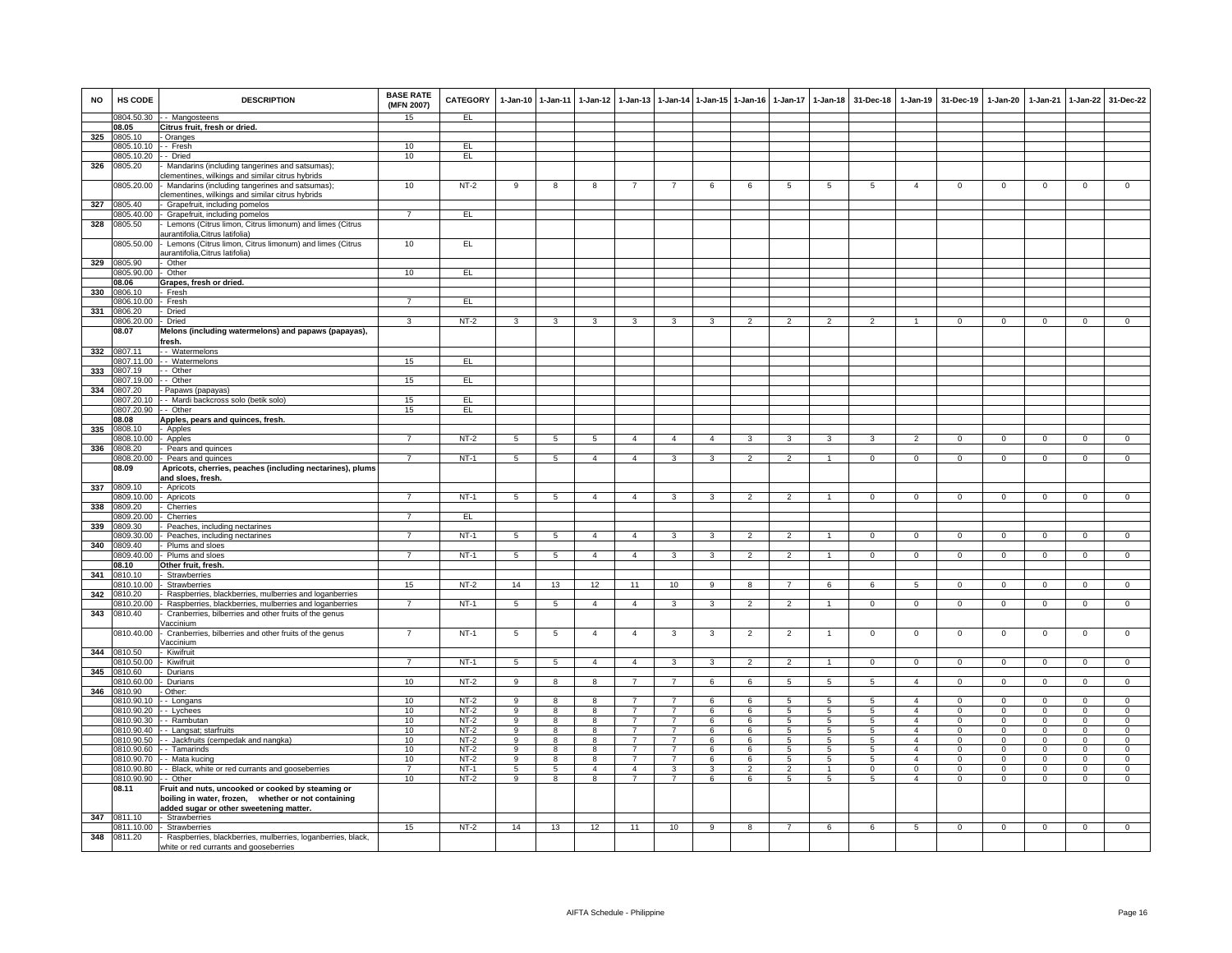| <b>NO</b> | HS CODE                        | <b>DESCRIPTION</b>                                                                                    | <b>BASE RATE</b><br>(MFN 2007) | <b>CATEGORY</b>  |                 | 1-Jan-10 1-Jan-11 | 1-Jan-12       | $1 - Jan-13$   |                         |                | 1-Jan-14 1-Jan-15 1-Jan-16 | 1-Jan-17                 | $1-Jan-18$           | 31-Dec-18      |                                  | 1-Jan-19 31-Dec-19      | $1-Jan-20$              | $1-Jan-21$              | $1-Jan-22$              | 31-Dec-22               |
|-----------|--------------------------------|-------------------------------------------------------------------------------------------------------|--------------------------------|------------------|-----------------|-------------------|----------------|----------------|-------------------------|----------------|----------------------------|--------------------------|----------------------|----------------|----------------------------------|-------------------------|-------------------------|-------------------------|-------------------------|-------------------------|
|           |                                | 0804.50.30 - Mangosteens                                                                              | 15                             | EL.              |                 |                   |                |                |                         |                |                            |                          |                      |                |                                  |                         |                         |                         |                         |                         |
|           | 08.05                          | Citrus fruit, fresh or dried.                                                                         |                                |                  |                 |                   |                |                |                         |                |                            |                          |                      |                |                                  |                         |                         |                         |                         |                         |
| 325       | 0805.10<br>0805.10.10 -- Fresh | - Oranges                                                                                             | 10                             | EL               |                 |                   |                |                |                         |                |                            |                          |                      |                |                                  |                         |                         |                         |                         |                         |
|           | 805.10.20                      | - - Dried                                                                                             | 10                             | EL               |                 |                   |                |                |                         |                |                            |                          |                      |                |                                  |                         |                         |                         |                         |                         |
| 326       | 0805.20                        | Mandarins (including tangerines and satsumas);<br>lementines, wilkings and similar citrus hybrids     |                                |                  |                 |                   |                |                |                         |                |                            |                          |                      |                |                                  |                         |                         |                         |                         |                         |
|           | 0805.20.00                     | Mandarins (including tangerines and satsumas);<br>clementines, wilkings and similar citrus hybrids    | 10                             | $NT-2$           | 9               | 8                 | 8              | $\overline{7}$ | $\overline{7}$          | 6              | 6                          | 5                        | 5                    | 5              | $\overline{4}$                   | $\mathbf 0$             | $\mathbf 0$             | $\mathbf 0$             | $\mathbf 0$             | $\mathsf 0$             |
| 327       | 0805.40                        | Grapefruit, including pomelos                                                                         |                                |                  |                 |                   |                |                |                         |                |                            |                          |                      |                |                                  |                         |                         |                         |                         |                         |
|           |                                | 0805.40.00 - Grapefruit, including pomelos                                                            | $\overline{7}$                 | E                |                 |                   |                |                |                         |                |                            |                          |                      |                |                                  |                         |                         |                         |                         |                         |
| 328       | 0805.50                        | Lemons (Citrus limon, Citrus limonum) and limes (Citrus<br>urantifolia, Citrus latifolia)             |                                |                  |                 |                   |                |                |                         |                |                            |                          |                      |                |                                  |                         |                         |                         |                         |                         |
|           | 0805.50.00                     | - Lemons (Citrus limon, Citrus limonum) and limes (Citrus<br>aurantifolia, Citrus latifolia)          | 10                             | EL.              |                 |                   |                |                |                         |                |                            |                          |                      |                |                                  |                         |                         |                         |                         |                         |
| 329       | 0805.90<br>0805.90.00          | Other<br>Other                                                                                        | 10                             | EL               |                 |                   |                |                |                         |                |                            |                          |                      |                |                                  |                         |                         |                         |                         |                         |
|           | 08.06                          | Grapes, fresh or dried.                                                                               |                                |                  |                 |                   |                |                |                         |                |                            |                          |                      |                |                                  |                         |                         |                         |                         |                         |
| 330       | 0806.10                        | Fresh                                                                                                 |                                |                  |                 |                   |                |                |                         |                |                            |                          |                      |                |                                  |                         |                         |                         |                         |                         |
|           | 0806.10.00                     | - Fresh                                                                                               | $\overline{7}$                 | EL               |                 |                   |                |                |                         |                |                            |                          |                      |                |                                  |                         |                         |                         |                         |                         |
| 331       | 0806.20                        | Dried                                                                                                 |                                |                  |                 |                   |                |                |                         |                |                            |                          |                      |                |                                  |                         |                         |                         |                         |                         |
|           | 0806.20.00 - Dried             |                                                                                                       | 3                              | $NT-2$           | 3               | 3                 | 3              | 3              | 3                       | 3              | $\overline{2}$             | $\overline{2}$           |                      | $\mathcal{P}$  |                                  | $\Omega$                | $\Omega$                | $\Omega$                | $\Omega$                | $\Omega$                |
|           | 08.07                          | Melons (including watermelons) and papaws (papayas),<br>fresh.                                        |                                |                  |                 |                   |                |                |                         |                |                            |                          |                      |                |                                  |                         |                         |                         |                         |                         |
| 332       | 0807.11                        | - - Watermelons                                                                                       |                                |                  |                 |                   |                |                |                         |                |                            |                          |                      |                |                                  |                         |                         |                         |                         |                         |
|           |                                | 0807.11.00 - - Watermelons                                                                            | 15                             | EL               |                 |                   |                |                |                         |                |                            |                          |                      |                |                                  |                         |                         |                         |                         |                         |
| 333       | 807.19                         | - Other<br>- - Other                                                                                  |                                | EL.              |                 |                   |                |                |                         |                |                            |                          |                      |                |                                  |                         |                         |                         |                         |                         |
| 334       | 0807.19.00<br>0807.20          | - Papaws (papayas)                                                                                    | 15                             |                  |                 |                   |                |                |                         |                |                            |                          |                      |                |                                  |                         |                         |                         |                         |                         |
|           | 06.027.20                      | - - Mardi backcross solo (betik solo)                                                                 | 15                             | EL               |                 |                   |                |                |                         |                |                            |                          |                      |                |                                  |                         |                         |                         |                         |                         |
|           | 0807.20.90 -- Other            |                                                                                                       | 15                             | EL               |                 |                   |                |                |                         |                |                            |                          |                      |                |                                  |                         |                         |                         |                         |                         |
|           | 08.08                          | Apples, pears and quinces, fresh.                                                                     |                                |                  |                 |                   |                |                |                         |                |                            |                          |                      |                |                                  |                         |                         |                         |                         |                         |
| 335       | 0808.10                        | - Apples                                                                                              |                                |                  |                 |                   |                |                |                         |                |                            |                          |                      |                |                                  |                         |                         |                         |                         |                         |
|           | 0808.10.00 - Apples            |                                                                                                       | $\overline{7}$                 | NT-2             | 5               | 5                 | 5              | $\overline{4}$ | $\overline{4}$          | $\overline{4}$ | 3                          | 3                        | 3                    | 3              | $\overline{2}$                   | $\overline{0}$          | $^{\circ}$              | $\mathbf{0}$            | $\overline{0}$          | $\mathbf{0}$            |
| 336       | 0808.20                        | Pears and quinces                                                                                     |                                |                  |                 |                   |                |                |                         |                |                            |                          |                      |                |                                  |                         |                         |                         |                         |                         |
|           | 00.02.808                      | Pears and quinces                                                                                     | $\overline{7}$                 | $NT-1$           | $5\phantom{.0}$ | $5\phantom{.0}$   | $\overline{4}$ | $\overline{4}$ | 3                       | 3              | $\overline{2}$             | $\overline{2}$           | -1.                  | $\mathbf{0}$   | $\mathbf{0}$                     | $\mathbf{0}$            | $\mathbf 0$             | $\mathbf{0}$            | $\overline{0}$          | $\mathbf{0}$            |
|           | 08.09                          | Apricots, cherries, peaches (including nectarines), plums                                             |                                |                  |                 |                   |                |                |                         |                |                            |                          |                      |                |                                  |                         |                         |                         |                         |                         |
| 337       | 0809.10                        | <u>and sloes, fresh.</u><br>- Apricots                                                                |                                |                  |                 |                   |                |                |                         |                |                            |                          |                      |                |                                  |                         |                         |                         |                         |                         |
|           | 06.01.090                      | - Apricots                                                                                            | $\overline{7}$                 | $NT-1$           | $\overline{5}$  | $\overline{5}$    | $\overline{4}$ | $\overline{4}$ | $\overline{\mathbf{3}}$ | 3              | $\mathcal{P}$              | $\overline{\phantom{a}}$ |                      | $\Omega$       | $\Omega$                         | $\overline{0}$          | $\Omega$                | $\Omega$                | $\overline{0}$          | $\overline{0}$          |
| 338       | 809.20                         | Cherries                                                                                              |                                |                  |                 |                   |                |                |                         |                |                            |                          |                      |                |                                  |                         |                         |                         |                         |                         |
|           | 0809.20.00                     | Cherries                                                                                              | $\overline{7}$                 | EL               |                 |                   |                |                |                         |                |                            |                          |                      |                |                                  |                         |                         |                         |                         |                         |
| 339       | 0809.30                        | Peaches, including nectarines                                                                         |                                |                  |                 |                   |                |                |                         |                |                            |                          |                      |                |                                  |                         |                         |                         |                         |                         |
|           | 00.05.2000                     | - Peaches, including nectarines                                                                       | $\overline{7}$                 | $NT-1$           | 5               | $5\overline{5}$   | $\overline{4}$ | $\overline{4}$ | 3                       | 3              | $\overline{2}$             | $\overline{2}$           |                      | $\mathbf 0$    | $\mathbf{0}$                     | $\mathbf 0$             | $\mathbf 0$             | $\mathbf 0$             | $\mathbf 0$             | $\mathbf{0}$            |
| 340       | 1809.40<br>809.40.00           | Plums and sloes                                                                                       | $\overline{7}$                 | $NT-1$           |                 | 5                 | $\overline{4}$ | $\overline{4}$ | 3                       | 3              | $\overline{2}$             | $\overline{2}$           |                      | $\Omega$       | $\Omega$                         | $\Omega$                |                         | $\Omega$                | $\overline{0}$          | $\overline{0}$          |
|           | 08.10                          | Plums and sloes<br>Other fruit, fresh.                                                                |                                |                  | $5\overline{5}$ |                   |                |                |                         |                |                            |                          | $\overline{1}$       |                |                                  |                         | $\mathbf{0}$            |                         |                         |                         |
| 341       | 0810.10                        | Strawberries                                                                                          |                                |                  |                 |                   |                |                |                         |                |                            |                          |                      |                |                                  |                         |                         |                         |                         |                         |
|           | 0810.10.00                     | Strawberries                                                                                          | 15                             | $NT-2$           | 14              | 13                | 12             | 11             | 10                      | 9              | 8                          | $\overline{7}$           | 6                    | 6              | 5                                | $\Omega$                | $\mathbf 0$             | $\mathbf 0$             | $\mathbf 0$             | $\mathbf 0$             |
| 342       | 180.20                         | Raspberries, blackberries, mulberries and loganberries                                                |                                |                  |                 |                   |                |                |                         |                |                            |                          |                      |                |                                  |                         |                         |                         |                         |                         |
|           | 810.20.00                      | - Raspberries, blackberries, mulberries and loganberries                                              | $\overline{7}$                 | $NT-1$           | 5               | $5\overline{)}$   | $\overline{4}$ | $\overline{4}$ | $\overline{\mathbf{3}}$ | 3              | $\overline{2}$             | $\overline{2}$           | $\overline{1}$       | $\overline{0}$ | $\overline{0}$                   | $\overline{0}$          | $\overline{0}$          | $\overline{0}$          | $\overline{0}$          | $\overline{0}$          |
| 343       | 0810.40                        | Cranberries, bilberries and other fruits of the genus<br>/accinium                                    |                                |                  |                 |                   |                |                |                         |                |                            |                          |                      |                |                                  |                         |                         |                         |                         |                         |
|           | 0.00.400.00                    | Cranberries, bilberries and other fruits of the genus<br>/accinium                                    | 7                              | <b>NT-1</b>      | $\overline{5}$  | 5                 | $\overline{4}$ | $\overline{4}$ | 3                       | 3              | $\overline{2}$             | 2                        | $\mathbf{1}$         | $\mathbf 0$    | 0                                | $\mathbf 0$             | 0                       | $\mathbf 0$             | $\overline{0}$          | $\mathbf 0$             |
| 344       | 0810.50                        | Kiwifruit                                                                                             |                                |                  |                 |                   |                |                |                         |                |                            |                          |                      |                |                                  |                         |                         |                         |                         |                         |
| 345       | 810.50.00<br>0810.60           | Kiwifruit<br>Durians                                                                                  | $\overline{7}$                 | $NT-1$           | 5               | 5                 | $\overline{4}$ | $\overline{4}$ | 3                       | 3              | $\overline{2}$             | $\overline{2}$           | $\mathbf{1}$         | $\mathbf 0$    | $\mathbf{0}$                     | $\mathbf 0$             | $\mathbf 0$             | $\mathbf 0$             | $\mathbf 0$             | $\mathbf{0}$            |
|           | 180.60.00                      | Durians                                                                                               | 10                             | $NT-2$           | 9               | 8                 | 8              |                | $\overline{7}$          | 6              | 6                          | 5                        | 5                    | 5              | $\overline{4}$                   | $\,0\,$                 | $^{\circ}$              | $^{\circ}$              | $\mathsf 0$             | $^{\circ}$              |
| 346       | 0810.90                        | Other:                                                                                                |                                |                  |                 |                   |                |                |                         |                |                            |                          |                      |                |                                  |                         |                         |                         |                         |                         |
|           | 1810.90.10                     | - Longans                                                                                             | 10                             | $NT-2$           | 9               | 8                 | 8              |                |                         | 6              | ĥ                          | 5                        | 5                    | 5              | $\Delta$                         | $\Omega$                | $\mathbf 0$             | $\Omega$                | $\mathbf 0$             | $\Omega$                |
|           | 0810.90.20                     | - Lychees                                                                                             | 10                             | $NT-2$           | $\overline{9}$  | $\overline{8}$    | 8              | $\overline{7}$ | $\overline{7}$          | 6              | 6                          | $\overline{5}$           | 5                    | $\overline{5}$ | $\overline{4}$                   | $\mathbf 0$             | $\mathbf 0$             | $\Omega$                | $\mathbf 0$             | $\Omega$                |
|           | 0810.90.30                     | - - Rambutan                                                                                          | 10                             | $NT-2$           | 9               | 8                 | 8              |                | $\overline{7}$          | 6              | 6                          | 5                        | 5                    | 5              | $\overline{4}$                   | $\mathbf 0$             | $\mathbf 0$             | $^{\circ}$              | $\mathsf 0$             | $\mathsf 0$             |
|           |                                | 0810.90.40 - Langsat; starfruits                                                                      | 10                             | <b>NT-2</b>      | 9               | 8                 | 8              | $\overline{7}$ | $\overline{7}$          | 6              | 6                          | 5                        | 5                    | 5              | $\overline{4}$                   | $\overline{0}$          | $\mathbf{0}$            | $^{\circ}$              | $\overline{0}$          | $\mathbf{0}$            |
|           | 0810.90.50                     | - Jackfruits (cempedak and nangka)                                                                    | 10                             | $NT-2$           | 9               | 8                 | 8              | 7              | 7                       | - 6            | $\epsilon$                 | -5                       | 5                    | -5             | $\overline{a}$                   | $\Omega$                | $\Omega$                | $\Omega$                | $\Omega$                | $\Omega$                |
|           | 0810.90.60<br>0810.90.70       | - Tamarinds<br>- Mata kucing                                                                          | 10<br>10                       | $NT-2$<br>$NT-2$ | 9<br>$_{9}$     | 8<br>8            | 8<br>8         | $\overline{7}$ | $\overline{7}$          | 6<br>6         | 6<br>6                     | 5<br>5                   | -5<br>$\overline{5}$ | -5<br>5        | $\overline{a}$<br>$\overline{4}$ | $\Omega$<br>$\mathbf 0$ | $\Omega$<br>$\mathbf 0$ | $\Omega$<br>$\mathbf 0$ | $\Omega$<br>$\mathsf 0$ | $\Omega$<br>$\mathbf 0$ |
|           | 0810.90.80                     | - Black, white or red currants and gooseberries                                                       | $\overline{7}$                 | $NT-1$           | 5               | 5                 | $\overline{4}$ | $\overline{4}$ | 3                       | 3              | $\mathfrak{p}$             | $\overline{2}$           |                      |                | $\mathbf 0$                      | $\mathbf 0$             | 0                       | $^{\circ}$              | $\mathbf 0$             | $\mathbf 0$             |
|           | 0810.90.90                     | Other                                                                                                 | 10                             | $NT-2$           | 9               | 8                 | 8              | $\overline{7}$ | $\overline{7}$          | 6              | 6                          | 5                        | $5\overline{5}$      | 5              | $\overline{4}$                   | $\mathbf 0$             | $\mathbf 0$             | $\mathbf 0$             | $\mathbb O$             | $\mathbf 0$             |
|           | 08.11                          | Fruit and nuts, uncooked or cooked by steaming or                                                     |                                |                  |                 |                   |                |                |                         |                |                            |                          |                      |                |                                  |                         |                         |                         |                         |                         |
|           |                                | boiling in water, frozen, whether or not containing<br>added sugar or other sweetening matter.        |                                |                  |                 |                   |                |                |                         |                |                            |                          |                      |                |                                  |                         |                         |                         |                         |                         |
| 347       | 0811.10                        | - Strawberries                                                                                        |                                |                  |                 |                   |                |                |                         |                |                            |                          |                      |                |                                  |                         |                         |                         |                         |                         |
|           |                                | 0811.10.00 - Strawberries                                                                             | 15                             | $NT-2$           | 14              | 13                | 12             | 11             | 10                      | 9              | 8                          | $7^{\circ}$              | 6                    | 6              | 5                                | $\overline{0}$          | $\overline{0}$          | $\overline{0}$          | $\overline{0}$          | $\overline{0}$          |
| 348       | 0811.20                        | Raspberries, blackberries, mulberries, loganberries, black,<br>white or red currants and gooseberries |                                |                  |                 |                   |                |                |                         |                |                            |                          |                      |                |                                  |                         |                         |                         |                         |                         |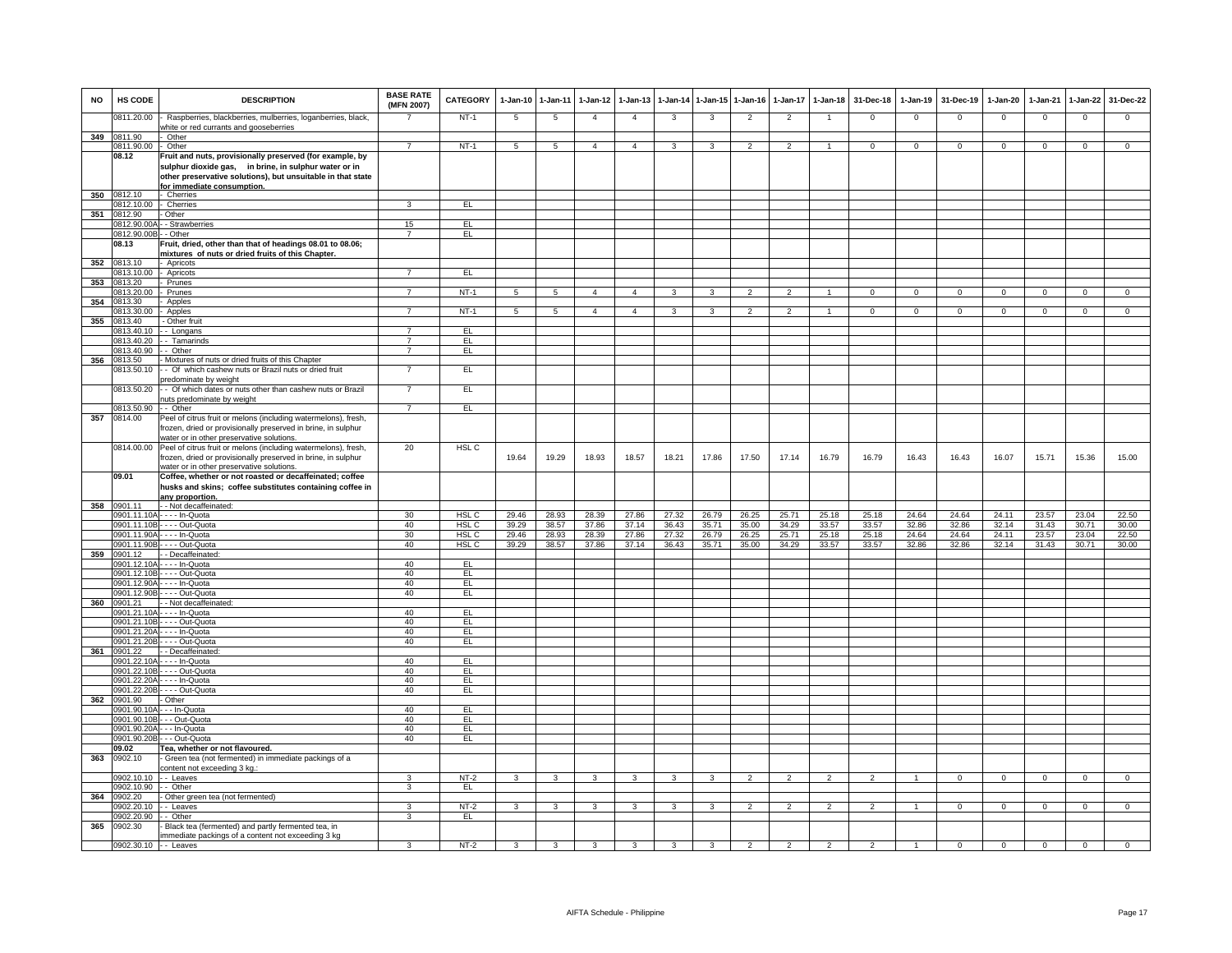| <b>NO</b> | HS CODE                        | <b>DESCRIPTION</b>                                                                                                                                                               | <b>BASE RATE</b><br>(MFN 2007) | <b>CATEGORY</b>                      | $1-Jan-10$     | $1 - Jan-11$   | $1-Jan-12$     | $1 - Jan-13$   | $1-Jan-14$     | $1 - Jan - 15$ | $1-Jan-16$     | $1-Jan-17$     | $1-Jan-18$     | 31-Dec-18      | $1-Jan-19$     | 31-Dec-19      | $1-Jan-20$     | $1-Jan-21$     | 1-Jan-22       | 31-Dec-22      |
|-----------|--------------------------------|----------------------------------------------------------------------------------------------------------------------------------------------------------------------------------|--------------------------------|--------------------------------------|----------------|----------------|----------------|----------------|----------------|----------------|----------------|----------------|----------------|----------------|----------------|----------------|----------------|----------------|----------------|----------------|
|           | 0811.20.00                     | Raspberries, blackberries, mulberries, loganberries, black<br>white or red currants and gooseberries                                                                             |                                | $NT-1$                               | 5              | 5              | $\overline{4}$ | $\overline{4}$ | 3              | 3              | $\overline{2}$ | $\overline{2}$ |                | $\mathsf 0$    | $\mathsf 0$    | $\mathbf 0$    | $\mathbf 0$    | $\mathbf 0$    | $\mathsf 0$    | $\mathbf 0$    |
|           | 349 0811.90                    | Other                                                                                                                                                                            |                                |                                      |                |                |                |                |                |                |                |                |                |                |                |                |                |                |                |                |
|           | 0811.90.00                     | Other                                                                                                                                                                            | $\overline{7}$                 | $NT-1$                               | 5              | $\overline{5}$ | $\overline{4}$ | $\overline{4}$ | 3              | 3              | $\overline{2}$ | $\overline{2}$ | $\mathbf{1}$   | $\Omega$       | $\overline{0}$ | $\mathbf{0}$   | $\mathbf{0}$   | $\Omega$       | $\overline{0}$ | $\overline{0}$ |
|           | 08.12                          | Fruit and nuts, provisionally preserved (for example, by<br>sulphur dioxide gas, in brine, in sulphur water or in<br>other preservative solutions), but unsuitable in that state |                                |                                      |                |                |                |                |                |                |                |                |                |                |                |                |                |                |                |                |
|           |                                | or immediate consumption.                                                                                                                                                        |                                |                                      |                |                |                |                |                |                |                |                |                |                |                |                |                |                |                |                |
| 350       | 0812.10<br>0812.10.00          | - Cherries<br>- Cherries                                                                                                                                                         | 3                              | EL                                   |                |                |                |                |                |                |                |                |                |                |                |                |                |                |                |                |
| 351       | 0812.90                        | - Other                                                                                                                                                                          |                                |                                      |                |                |                |                |                |                |                |                |                |                |                |                |                |                |                |                |
|           | 0812.90.00                     | - Strawberries                                                                                                                                                                   | 15                             | EL                                   |                |                |                |                |                |                |                |                |                |                |                |                |                |                |                |                |
|           | 0812.90.00B                    | - - Other                                                                                                                                                                        | $\overline{7}$                 | EL                                   |                |                |                |                |                |                |                |                |                |                |                |                |                |                |                |                |
|           | 08.13                          | Fruit, dried, other than that of headings 08.01 to 08.06;                                                                                                                        |                                |                                      |                |                |                |                |                |                |                |                |                |                |                |                |                |                |                |                |
| 352       | 0813.10                        | mixtures of nuts or dried fruits of this Chapter.<br>Apricots                                                                                                                    |                                |                                      |                |                |                |                |                |                |                |                |                |                |                |                |                |                |                |                |
|           | 0813.10.00                     | Apricots                                                                                                                                                                         | $\overline{7}$                 | EL                                   |                |                |                |                |                |                |                |                |                |                |                |                |                |                |                |                |
| 353       | 0813.20                        | Prunes                                                                                                                                                                           |                                |                                      |                |                |                |                |                |                |                |                |                |                |                |                |                |                |                |                |
|           | 813,20.00                      | Prunes                                                                                                                                                                           |                                | $NT-1$                               |                | $\overline{a}$ |                |                |                |                |                |                |                |                | $\Omega$       |                |                |                |                |                |
| 354       | 0813.30                        | Apples                                                                                                                                                                           |                                |                                      |                |                |                |                |                |                |                |                |                |                |                |                |                |                |                |                |
| 355       | 0813.30.00<br>0813.40          | Apples                                                                                                                                                                           |                                | $NT-1$                               |                |                | $\mathbf{4}$   | $\mathbf{A}$   |                |                |                |                |                | $\Omega$       |                | $\Omega$       |                |                |                |                |
|           | 0813.40.10                     | - Other fruit<br>-- Longans                                                                                                                                                      | $\overline{7}$                 | EL                                   |                |                |                |                |                |                |                |                |                |                |                |                |                |                |                |                |
|           | 813.40.20                      | - Tamarinds                                                                                                                                                                      | $\overline{7}$                 | EL                                   |                |                |                |                |                |                |                |                |                |                |                |                |                |                |                |                |
|           | 813.40.90                      | - Other                                                                                                                                                                          | $\overline{7}$                 | EL                                   |                |                |                |                |                |                |                |                |                |                |                |                |                |                |                |                |
| 356       | 813.50                         | Mixtures of nuts or dried fruits of this Chapter                                                                                                                                 |                                |                                      |                |                |                |                |                |                |                |                |                |                |                |                |                |                |                |                |
|           | 0813.50.10                     | - Of which cashew nuts or Brazil nuts or dried fruit<br>redominate by weight                                                                                                     | $\overline{7}$                 | EL                                   |                |                |                |                |                |                |                |                |                |                |                |                |                |                |                |                |
|           | 0813.50.20                     | - Of which dates or nuts other than cashew nuts or Brazil<br>outs predominate by weight                                                                                          | $\overline{7}$                 | EL                                   |                |                |                |                |                |                |                |                |                |                |                |                |                |                |                |                |
|           | 0813.50.90                     | - - Other                                                                                                                                                                        | $\overline{7}$                 | EL                                   |                |                |                |                |                |                |                |                |                |                |                |                |                |                |                |                |
| 357       | 0814.00                        | Peel of citrus fruit or melons (including watermelons), fresh,                                                                                                                   |                                |                                      |                |                |                |                |                |                |                |                |                |                |                |                |                |                |                |                |
|           |                                | frozen, dried or provisionally preserved in brine, in sulphur<br>water or in other preservative solutions.                                                                       |                                |                                      |                |                |                |                |                |                |                |                |                |                |                |                |                |                |                |                |
|           |                                | 0814.00.00 Peel of citrus fruit or melons (including watermelons), fresh,<br>frozen, dried or provisionally preserved in brine, in sulphur                                       | 20                             | HSL <sub>C</sub>                     | 19.64          | 19.29          | 18.93          | 18.57          | 18.21          | 17.86          | 17.50          | 17.14          | 16.79          | 16.79          | 16.43          | 16.43          | 16.07          | 15.71          | 15.36          | 15.00          |
|           | 09.01                          | water or in other preservative solutions.<br>Coffee, whether or not roasted or decaffeinated; coffee                                                                             |                                |                                      |                |                |                |                |                |                |                |                |                |                |                |                |                |                |                |                |
|           |                                | husks and skins; coffee substitutes containing coffee in<br>any proportion                                                                                                       |                                |                                      |                |                |                |                |                |                |                |                |                |                |                |                |                |                |                |                |
| 358       | 0901.11                        | - - Not decaffeinated:                                                                                                                                                           |                                |                                      |                |                |                |                |                |                |                |                |                |                |                |                |                |                |                |                |
|           |                                | 0901.11.10A - - - - In-Quota                                                                                                                                                     | 30                             | HSL <sub>C</sub>                     | 29.46          | 28.93          | 28.39          | 27.86          | 27.32          | 26.79          | 26.25          | 25.71          | 25.18          | 25.18          | 24.64          | 24.64          | 24.11          | 23.57          | 23.04          | 22.50          |
|           | 901.11.90A                     | 0901.11.10B - - - - Out-Quota<br>- - - - In-Quota                                                                                                                                | 40<br>30                       | HSL <sub>C</sub><br>HSL <sub>C</sub> | 39.29<br>29.46 | 38.57<br>28.93 | 37.86<br>28.39 | 37.14<br>27.86 | 36.43<br>27.32 | 35.71<br>26.79 | 35.00<br>26.25 | 34.29<br>25.71 | 33.57<br>25.18 | 33.57<br>25.18 | 32.86<br>24.64 | 32.86<br>24.64 | 32.14<br>24.11 | 31.43<br>23.57 | 30.71<br>23.04 | 30.00<br>22.50 |
|           | 901.11.90B                     | --- Out-Quota                                                                                                                                                                    | 40                             | HSL <sub>C</sub>                     | 39.29          | 38.57          | 37.86          | 37.14          | 36.43          | 35.71          | 35.00          | 34.29          | 33.57          | 33.57          | 32.86          | 32.86          | 32.14          | 31.43          | 30.71          | 30.00          |
| 359       | 901.12                         | Decaffeinated                                                                                                                                                                    |                                |                                      |                |                |                |                |                |                |                |                |                |                |                |                |                |                |                |                |
|           | 901.12.10/                     | - - - In-Quota                                                                                                                                                                   | 40                             | EL                                   |                |                |                |                |                |                |                |                |                |                |                |                |                |                |                |                |
|           | 0901.12.10B                    | --- Out-Quota                                                                                                                                                                    | 40                             | EL                                   |                |                |                |                |                |                |                |                |                |                |                |                |                |                |                |                |
|           | 901.12.90/<br>901.12.90B       | - - - In-Quota<br>. - - - Out-Quota                                                                                                                                              | 40<br>40                       | EL<br>EL                             |                |                |                |                |                |                |                |                |                |                |                |                |                |                |                |                |
| 360       | 901.21                         | - Not decaffeinated:                                                                                                                                                             |                                |                                      |                |                |                |                |                |                |                |                |                |                |                |                |                |                |                |                |
|           | 0901.21.10A                    | - - - - In-Quota                                                                                                                                                                 | 40                             | EL.                                  |                |                |                |                |                |                |                |                |                |                |                |                |                |                |                |                |
|           | 0901.21.10B                    | - - - - Out-Quota                                                                                                                                                                | 40                             | E                                    |                |                |                |                |                |                |                |                |                |                |                |                |                |                |                |                |
|           | 901.21.20A<br>901.21.20E       | - - - - In-Quota                                                                                                                                                                 | 40<br>40                       | E<br>EL                              |                |                |                |                |                |                |                |                |                |                |                |                |                |                |                |                |
| 361       | 901.22                         | $\cdots$ Out-Quota<br>- Decaffeinated                                                                                                                                            |                                |                                      |                |                |                |                |                |                |                |                |                |                |                |                |                |                |                |                |
|           | 0901.22.10                     | --- In-Quota                                                                                                                                                                     | 40                             | EL                                   |                |                |                |                |                |                |                |                |                |                |                |                |                |                |                |                |
|           | 901.22.10B                     | $\cdots$ Out-Quota                                                                                                                                                               | 40                             | EL                                   |                |                |                |                |                |                |                |                |                |                |                |                |                |                |                |                |
|           | 0901.22.20/                    | - In-Quota                                                                                                                                                                       | 40                             | EL                                   |                |                |                |                |                |                |                |                |                |                |                |                |                |                |                |                |
|           | 901.22.20                      | --- Out-Quota                                                                                                                                                                    | 40                             | EL                                   |                |                |                |                |                |                |                |                |                |                |                |                |                |                |                |                |
| 362       | 0901.90                        | - Other<br>0901.90.10A - - - In-Quota                                                                                                                                            | 40                             | EL.                                  |                |                |                |                |                |                |                |                |                |                |                |                |                |                |                |                |
|           | 0901.90.10B                    | - - - Out-Quota                                                                                                                                                                  | 40                             | EL                                   |                |                |                |                |                |                |                |                |                |                |                |                |                |                |                |                |
|           | 0901.90.20A                    | - - - In-Quota                                                                                                                                                                   | 40                             | EL                                   |                |                |                |                |                |                |                |                |                |                |                |                |                |                |                |                |
|           | 901.90.20B                     | - - - Out-Quota                                                                                                                                                                  | 40                             | EL                                   |                |                |                |                |                |                |                |                |                |                |                |                |                |                |                |                |
|           | 09.02                          | Tea, whether or not flavoured.                                                                                                                                                   |                                |                                      |                |                |                |                |                |                |                |                |                |                |                |                |                |                |                |                |
| 363       | 0902.10                        | - Green tea (not fermented) in immediate packings of a<br>content not exceeding 3 kg.:                                                                                           |                                |                                      |                |                |                |                |                |                |                |                |                |                |                |                |                |                |                |                |
|           | 0902.10.10                     | - - Leaves                                                                                                                                                                       | 3                              | $NT-2$                               | $\mathbf{a}$   | $\mathbf{3}$   | $\mathbf{R}$   | $\mathbf{a}$   | $\mathbf{3}$   | $\mathbf{R}$   | $\mathcal{P}$  | $\mathcal{P}$  | $\mathcal{L}$  |                |                | $\Omega$       | $\Omega$       | $\Omega$       | $\Omega$       | $\Omega$       |
|           | 0902.10.90                     | - - Other                                                                                                                                                                        | 3                              | EL                                   |                |                |                |                |                |                |                |                |                |                |                |                |                |                |                |                |
| 364       | 0902.20                        | - Other green tea (not fermented)                                                                                                                                                |                                |                                      |                |                |                |                |                |                |                |                |                |                |                |                |                |                |                |                |
|           | 0902.20.10                     | - - Leaves                                                                                                                                                                       | 3                              | NT-2                                 | 3              | 3              | $\mathbf{3}$   | 3              | $\mathbf{3}$   | 3              | $\overline{2}$ | $\overline{2}$ | $\overline{2}$ | $\mathcal{P}$  | $\overline{1}$ | $\mathbf{0}$   | $\Omega$       | $\Omega$       | $\mathbf 0$    | $\mathbf{0}$   |
| 365       | 0902.20.90 -- Other<br>0902.30 | Black tea (fermented) and partly fermented tea, in                                                                                                                               | 3                              | EL.                                  |                |                |                |                |                |                |                |                |                |                |                |                |                |                |                |                |
|           | 0902.30.10 - - Leaves          | immediate packings of a content not exceeding 3 kg                                                                                                                               | 3                              | $NT-2$                               | 3              | 3              | 3              | 3              | 3              | 3              | $\overline{2}$ | $\overline{2}$ | $\overline{2}$ |                |                | $\mathbf 0$    | $\overline{0}$ | $\overline{0}$ | $\overline{0}$ | $\mathbf 0$    |
|           |                                |                                                                                                                                                                                  |                                |                                      |                |                |                |                |                |                |                |                |                |                |                |                |                |                |                |                |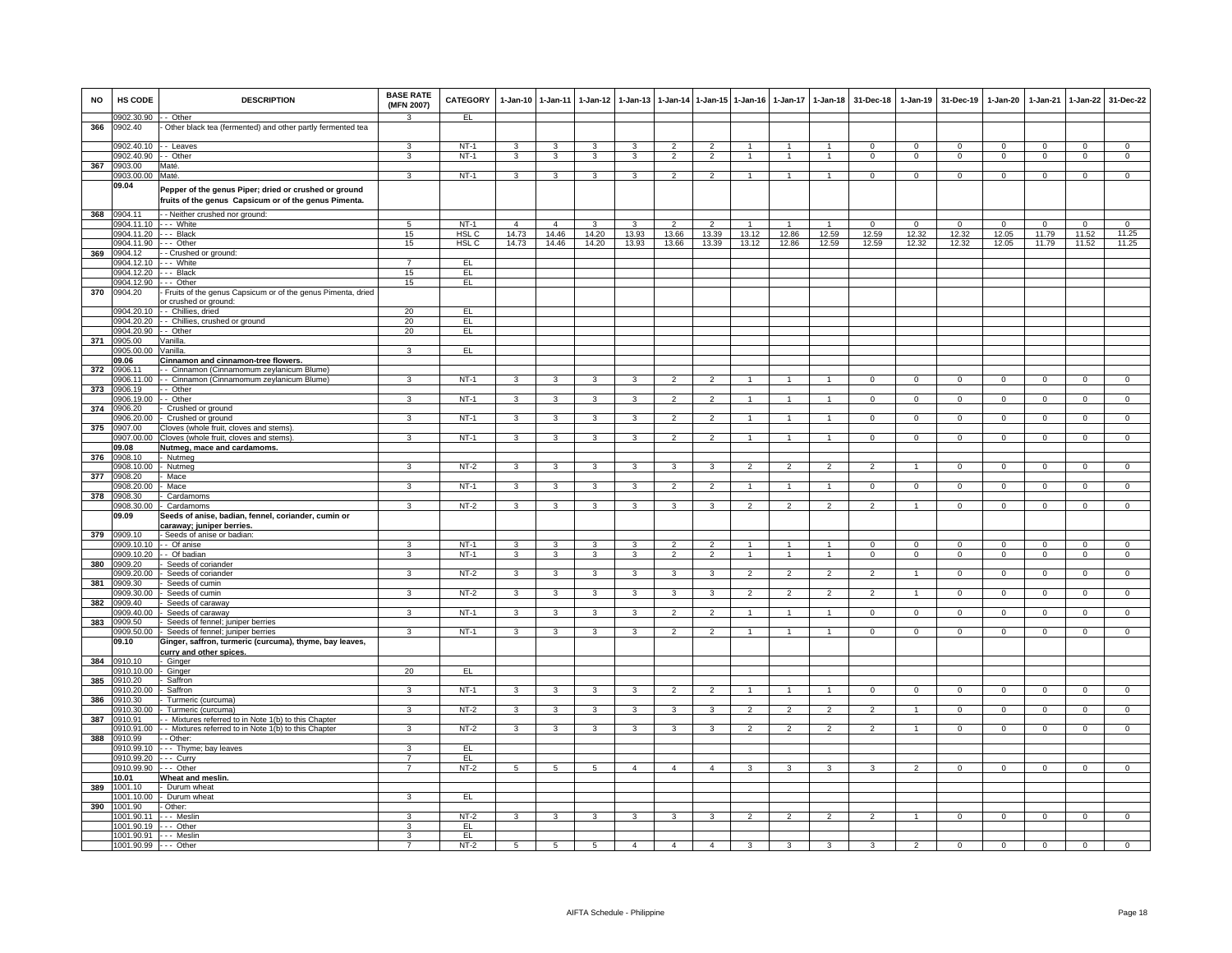| <b>NO</b> | HS CODE                                       | <b>DESCRIPTION</b>                                                                                             | <b>BASE RATE</b><br>(MFN 2007) | <b>CATEGORY</b>  |                         | 1-Jan-10 1-Jan-11 | $1-Jan-12$     | $1 - Jan-13$   | $1-Jan-14$               |                | 1-Jan-15 1-Jan-16 | $1-Jan-17$     | $1 - Jan-18$         | 31-Dec-18      | $1 - Jan-19$   | 31-Dec-19      | 1-Jan-20       | $1-Jan-21$     | $1-Jan-22$     | 31-Dec-22      |
|-----------|-----------------------------------------------|----------------------------------------------------------------------------------------------------------------|--------------------------------|------------------|-------------------------|-------------------|----------------|----------------|--------------------------|----------------|-------------------|----------------|----------------------|----------------|----------------|----------------|----------------|----------------|----------------|----------------|
|           | 0902.30.90 -- Other                           |                                                                                                                | $\mathbf{R}$                   | EL.              |                         |                   |                |                |                          |                |                   |                |                      |                |                |                |                |                |                |                |
| 366       | 0902.40<br>0902.40.10 -- Leaves               | Other black tea (fermented) and other partly fermented tea                                                     | 3                              | $NT-1$           | 3                       | 3                 | $\mathbf{3}$   | 3              | $\overline{2}$           | $\overline{2}$ | $\overline{1}$    | $\mathbf{1}$   | -1                   | $\Omega$       | $\Omega$       | $\Omega$       | $\Omega$       | $\Omega$       | $\Omega$       | $\overline{0}$ |
|           | 0902.40.90 -- Other                           |                                                                                                                | 3                              | $NT-1$           | 3                       | 3                 | 3              | 3              | $\overline{2}$           | $\overline{2}$ | $\mathbf{1}$      | $\mathbf{1}$   | 1                    | $\mathbf{0}$   | $\mathbf{0}$   | $\mathbf 0$    | $\mathbf 0$    | $\mathbf{0}$   | $\mathbf 0$    | $\mathbf{0}$   |
| 367       | 0903.00                                       | Maté.                                                                                                          |                                |                  |                         |                   |                |                |                          |                |                   |                |                      |                |                |                |                |                |                |                |
|           | 0903.00.00                                    | Maté                                                                                                           | 3                              | $NT-1$           | $\mathbf{3}$            | 3                 | $\mathbf{3}$   | 3              | $\overline{2}$           | $\overline{2}$ | $\overline{1}$    | $\mathbf{1}$   | $\blacktriangleleft$ | $^{\circ}$     | $\mathbf 0$    | $\mathbf 0$    | $^{\circ}$     | $\mathbf 0$    | $\overline{0}$ | $\mathsf 0$    |
|           | 09.04                                         | Pepper of the genus Piper; dried or crushed or ground<br>fruits of the genus Capsicum or of the genus Pimenta. |                                |                  |                         |                   |                |                |                          |                |                   |                |                      |                |                |                |                |                |                |                |
| 368       | 0904.11                                       | - - Neither crushed nor ground:                                                                                |                                |                  |                         |                   |                |                |                          |                |                   |                |                      |                |                |                |                |                |                |                |
|           | 0904.11.10 --- White                          |                                                                                                                | 5                              | $NT-1$           | $\overline{4}$          | $\overline{4}$    | 3              | 3              | $\overline{2}$           | $\overline{2}$ |                   | $\mathbf{1}$   | $\mathbf{1}$         | $\Omega$       | $^{\circ}$     | $\mathbf{0}$   | $\Omega$       | $^{\circ}$     | $\overline{0}$ | $^{\circ}$     |
|           | 0904.11.20 --- Black                          |                                                                                                                | 15                             | HSL <sub>C</sub> | 14.73                   | 14.46             | 14.20          | 13.93          | 13.66                    | 13.39          | 13.12             | 12.86          | 12.59                | 12.59          | 12.32          | 12.32          | 12.05          | 11.79          | 11.52          | 11.25          |
|           | 0904.11.90                                    | --- Other                                                                                                      | 15                             | HSL C            | 14.73                   | 14.46             | 14.20          | 13.93          | 13.66                    | 13.39          | 13.12             | 12.86          | 12.59                | 12.59          | 12.32          | 12.32          | 12.05          | 11.79          | 11.52          | 11.25          |
| 369       | 0904.12                                       | - Crushed or ground:                                                                                           | $\overline{7}$                 |                  |                         |                   |                |                |                          |                |                   |                |                      |                |                |                |                |                |                |                |
|           | 0904.12.10<br>0904.12.20 --- Black            | -- White                                                                                                       | 15                             | EL.<br>EL        |                         |                   |                |                |                          |                |                   |                |                      |                |                |                |                |                |                |                |
|           | 0904.12.90                                    | --- Other                                                                                                      | 15                             | EL               |                         |                   |                |                |                          |                |                   |                |                      |                |                |                |                |                |                |                |
| 370       | 0904.20                                       | Fruits of the genus Capsicum or of the genus Pimenta, dried                                                    |                                |                  |                         |                   |                |                |                          |                |                   |                |                      |                |                |                |                |                |                |                |
|           |                                               | or crushed or ground:                                                                                          |                                |                  |                         |                   |                |                |                          |                |                   |                |                      |                |                |                |                |                |                |                |
|           |                                               | 0904.20.10 - Chillies, dried                                                                                   | 20                             | EL.              |                         |                   |                |                |                          |                |                   |                |                      |                |                |                |                |                |                |                |
|           |                                               | 0904.20.20 - - Chillies, crushed or ground                                                                     | 20                             | EL.              |                         |                   |                |                |                          |                |                   |                |                      |                |                |                |                |                |                |                |
|           | 0904.20.90 - Other<br>0905.00                 | Vanilla.                                                                                                       | 20                             | EL               |                         |                   |                |                |                          |                |                   |                |                      |                |                |                |                |                |                |                |
| 371       | 00.00.00 00                                   | <b>Vanilla</b>                                                                                                 | 3                              | EL               |                         |                   |                |                |                          |                |                   |                |                      |                |                |                |                |                |                |                |
|           | 09.06                                         | Cinnamon and cinnamon-tree flowers.                                                                            |                                |                  |                         |                   |                |                |                          |                |                   |                |                      |                |                |                |                |                |                |                |
| 372       | 0906.11                                       | - - Cinnamon (Cinnamomum zeylanicum Blume)                                                                     |                                |                  |                         |                   |                |                |                          |                |                   |                |                      |                |                |                |                |                |                |                |
|           | 0906.11.00                                    | - - Cinnamon (Cinnamomum zeylanicum Blume)                                                                     | $\overline{3}$                 | $NT-1$           | 3                       | 3                 | 3              | 3              | $\overline{2}$           | $\overline{2}$ |                   |                |                      | $\Omega$       | $\Omega$       | $\Omega$       | $\Omega$       | $\Omega$       | $\overline{0}$ | $\overline{0}$ |
| 373       | 0906.19                                       | - Other                                                                                                        |                                |                  |                         |                   |                |                |                          |                |                   |                |                      |                |                |                |                |                |                |                |
|           | 0906.19.00                                    | - Other                                                                                                        | 3                              | $NT-1$           | 3                       | 3                 | 3              | 3              | $\overline{\phantom{0}}$ | $\overline{2}$ |                   |                |                      | $\Omega$       | $\Omega$       | $\Omega$       | $\Omega$       | $\Omega$       | $\Omega$       | $\Omega$       |
| 374       | 0906.20                                       | Crushed or ground                                                                                              |                                |                  |                         |                   |                |                |                          |                |                   |                |                      |                |                |                |                |                |                |                |
|           | )906.20.00                                    | - Crushed or ground                                                                                            | 3                              | $NT-1$           | 3                       | 3                 | 3              | 3              | $\overline{2}$           | $\overline{2}$ |                   | $\mathbf{1}$   | 1                    | $\mathbf{0}$   | $\mathbf{0}$   | $\mathbf{0}$   | $^{\circ}$     | $\mathbf 0$    | $\mathbf{0}$   | $^{\circ}$     |
| 375       | 00.709                                        | Cloves (whole fruit, cloves and stems)<br>1907.00.00 Cloves (whole fruit, cloves and stems).                   | 3                              | $NT-1$           | $\mathbf{3}$            | 3                 | $\mathbf{3}$   | 3              | $\overline{2}$           | $\overline{2}$ | $\mathbf{1}$      | $\mathbf{1}$   | $\mathbf{1}$         | $\mathbf 0$    | $\mathbf{0}$   | $\mathbf 0$    | $\mathbf 0$    | $\mathbf 0$    | $\mathbf 0$    | $\mathbf{0}$   |
|           | 09.08                                         | Nutmeg, mace and cardamoms.                                                                                    |                                |                  |                         |                   |                |                |                          |                |                   |                |                      |                |                |                |                |                |                |                |
| 376       | 0908.10                                       | - Nutmeg                                                                                                       |                                |                  |                         |                   |                |                |                          |                |                   |                |                      |                |                |                |                |                |                |                |
|           | 0908.10.00                                    | - Nutmeg                                                                                                       | 3                              | $NT-2$           | 3                       | 3                 | $\mathbf{3}$   | 3              | 3                        | 3              | $\overline{2}$    | $\mathfrak{p}$ | $\mathcal{P}$        | $\mathcal{P}$  | $\overline{1}$ | $\Omega$       | $\Omega$       | $\Omega$       | $\overline{0}$ | $\Omega$       |
| 377       | 1908.20                                       | Mace                                                                                                           |                                |                  |                         |                   |                |                |                          |                |                   |                |                      |                |                |                |                |                |                |                |
|           | 0908.20.00                                    | - Mace                                                                                                         | 3                              | $NT-1$           | 3                       | 3                 | 3              | 3              | $\mathfrak{p}$           | $\overline{2}$ |                   |                |                      | $\Omega$       | $\Omega$       | $\Omega$       | $\Omega$       | $\Omega$       | $\Omega$       | $\Omega$       |
| 378       | 0908.30                                       | Cardamoms                                                                                                      |                                |                  |                         |                   |                |                |                          |                |                   |                |                      |                |                |                |                |                |                |                |
|           |                                               | 0908.30.00 - Cardamoms                                                                                         | $\mathbf{R}$                   | NT-2             | 3                       | 3                 | 3              | 3              | 3                        | $\mathbf{3}$   | $\mathcal{P}$     | $\mathcal{P}$  |                      | $\mathcal{P}$  | $\overline{1}$ | $\Omega$       | $\Omega$       | $^{\circ}$     | $\Omega$       | $\overline{0}$ |
|           | 09.09                                         | Seeds of anise, badian, fennel, coriander, cumin or<br><u>caraway; juniper berries.</u>                        |                                |                  |                         |                   |                |                |                          |                |                   |                |                      |                |                |                |                |                |                |                |
| 379       | 0909.10                                       | - Seeds of anise or badian:                                                                                    |                                |                  |                         |                   |                |                |                          |                |                   |                |                      |                |                |                |                |                |                |                |
|           | 1909.10.10                                    | - Of anise                                                                                                     |                                | $NT-1$           | 3                       | 3                 | 3              | 3              | $\overline{\phantom{0}}$ | $\overline{2}$ |                   |                |                      |                | $^{\circ}$     | $\mathbf 0$    | 0              | 0              | $\mathsf 0$    | $\mathsf 0$    |
|           | 0909.10.20                                    | - Of badian                                                                                                    | $\mathbf{R}$                   | $NT-1$           | 3                       | 3                 | 3              | 3              | $\overline{2}$           | $\overline{2}$ | $\mathbf{1}$      | $\mathbf{1}$   | $\overline{1}$       | $\mathsf 0$    | $\mathbf 0$    | $\mathsf 0$    | $\mathsf 0$    | $\mathbf 0$    | $\overline{0}$ | $\mathsf 0$    |
| 380       | 0909.20                                       | Seeds of coriander                                                                                             |                                |                  |                         |                   |                |                |                          |                |                   |                |                      |                |                |                |                |                |                |                |
|           | 0909.20.00                                    | Seeds of coriander                                                                                             | 3                              | $NT-2$           | $\overline{\mathbf{3}}$ | $\overline{3}$    | $\overline{3}$ | 3              | 3                        | 3              | $\overline{2}$    | $\overline{2}$ | $\overline{2}$       | $\overline{2}$ | $\overline{1}$ | $\overline{0}$ | $\overline{0}$ | $\overline{0}$ | $\overline{0}$ | $\overline{0}$ |
| 381       | 909.30                                        | Seeds of cumin<br>0909.30.00 - Seeds of cumin                                                                  | $\mathbf{3}$                   | NT-2             | $\mathbf{3}$            | $\mathbf{3}$      | $\mathbf{3}$   | $\mathbf{3}$   | 3                        | $\mathbf{3}$   | $\overline{2}$    | $\overline{2}$ | $\overline{2}$       | $\overline{2}$ | $\overline{1}$ | $\mathbf 0$    | $\mathbf{0}$   | $\mathbf{0}$   | $\mathbf{0}$   | $\mathbf{0}$   |
| 382       | 0909.40                                       | Seeds of caraway                                                                                               |                                |                  |                         |                   |                |                |                          |                |                   |                |                      |                |                |                |                |                |                |                |
|           | 0909.40.00                                    | - Seeds of caraway                                                                                             | 3                              | $NT-1$           | $\mathbf{3}$            | $\mathbf{3}$      | $\mathbf{3}$   | 3              | 2                        | $\overline{2}$ | $\overline{1}$    | $\mathbf{1}$   | $\overline{1}$       | $^{\circ}$     | $\mathbf{0}$   | $\overline{0}$ | $\mathbf{0}$   | $\mathbf{0}$   | $\mathbf{0}$   | $\overline{0}$ |
| 383       | 1909.50                                       | Seeds of fennel; juniper berries                                                                               |                                |                  |                         |                   |                |                |                          |                |                   |                |                      |                |                |                |                |                |                |                |
|           | 909.50.00                                     | Seeds of fennel; juniper berries                                                                               | 3                              | $NT-1$           | 3                       | 3                 | 3              | 3              | $\overline{2}$           | $\overline{2}$ |                   | $\mathbf{1}$   |                      | $\mathsf 0$    | $\mathbf 0$    | $\mathbf 0$    | $\mathbf 0$    | $\mathbf 0$    | $\mathbf 0$    | $\mathsf 0$    |
|           | 09.10                                         | Ginger, saffron, turmeric (curcuma), thyme, bay leaves,                                                        |                                |                  |                         |                   |                |                |                          |                |                   |                |                      |                |                |                |                |                |                |                |
|           | 1910 10                                       | curry and other spices.                                                                                        |                                |                  |                         |                   |                |                |                          |                |                   |                |                      |                |                |                |                |                |                |                |
| 384       | 910.10.00                                     | - Ginger<br>Ginger                                                                                             | 20                             | EL.              |                         |                   |                |                |                          |                |                   |                |                      |                |                |                |                |                |                |                |
| 385       | 0910.20                                       | - Saffron                                                                                                      |                                |                  |                         |                   |                |                |                          |                |                   |                |                      |                |                |                |                |                |                |                |
|           | 910.20.00                                     | - Saffron                                                                                                      | 3                              | $NT-1$           | 3                       | 3                 |                |                |                          |                |                   |                |                      |                | $\mathbf 0$    | $\Omega$       | 0              |                | $\Omega$       |                |
| 386       | 0910.30                                       | Turmeric (curcuma)                                                                                             |                                |                  |                         |                   |                |                |                          |                |                   |                |                      |                |                |                |                |                |                |                |
|           | 910.30.00                                     | - Turmeric (curcuma)                                                                                           | 3                              | $NT-2$           | $\mathbf{3}$            | $\mathbf{3}$      | $\mathbf{3}$   | $\overline{3}$ | 3                        | $\mathbf{3}$   | $\overline{2}$    | 2              | $\overline{2}$       | $\overline{2}$ | $\overline{1}$ | $\mathbf 0$    | $^{\circ}$     | $^{\circ}$     | $\overline{0}$ | $\mathbf{0}$   |
| 387       | 910.91                                        | - Mixtures referred to in Note 1(b) to this Chapter                                                            |                                |                  |                         |                   |                |                |                          |                |                   |                |                      |                |                |                |                |                |                |                |
|           | 910.91.00                                     | - Mixtures referred to in Note 1(b) to this Chapter                                                            | 3                              | $NT-2$           | 3                       | 3                 | 3              |                | 3                        | 3              |                   |                |                      |                |                | $\Omega$       | 0              | $\Omega$       | $\Omega$       | $\Omega$       |
| 388       | 910.99                                        | - - Other:                                                                                                     | $\mathbf{z}$                   | EL               |                         |                   |                |                |                          |                |                   |                |                      |                |                |                |                |                |                |                |
|           | 1910.99.10<br>0910.99.20                      | - - - Thyme; bay leaves<br>- - - Curry                                                                         | 7                              | EL               |                         |                   |                |                |                          |                |                   |                |                      |                |                |                |                |                |                |                |
|           | 0910.99.90 --- Other                          |                                                                                                                | 7                              | $NT-2$           | 5                       | $\overline{5}$    | 5              |                | $\Delta$                 | $\mathbf{A}$   |                   |                |                      |                |                | $\Omega$       | $\Omega$       |                | $\Omega$       | $\Omega$       |
|           | 10.01                                         | Wheat and meslin.                                                                                              |                                |                  |                         |                   |                |                |                          |                |                   |                |                      |                |                |                |                |                |                |                |
| 389       | 1001.10                                       | - Durum wheat                                                                                                  |                                |                  |                         |                   |                |                |                          |                |                   |                |                      |                |                |                |                |                |                |                |
|           |                                               | 1001.10.00 - Durum wheat                                                                                       | 3                              | EL               |                         |                   |                |                |                          |                |                   |                |                      |                |                |                |                |                |                |                |
| 390       | 1001.90                                       | - Other:                                                                                                       |                                |                  |                         |                   |                |                |                          |                |                   |                |                      |                |                |                |                |                |                |                |
|           | 1001.90.11                                    | --- Meslin                                                                                                     | 3                              | NT-2             | 3                       | 3                 | $\mathbf{3}$   | 3              | 3                        | 3              | 2                 | 2              | $\overline{2}$       | $\overline{2}$ | 1              | $\mathbf 0$    | $\mathbf 0$    | $\mathbf{0}$   | $\mathbf{0}$   | $\mathbf{0}$   |
|           | 1001.90.19                                    | --- Other                                                                                                      | 3<br>3                         | EL<br>EL         |                         |                   |                |                |                          |                |                   |                |                      |                |                |                |                |                |                |                |
|           | 1001.90.91 --- Meslin<br>1001.90.99 --- Other |                                                                                                                | $\overline{7}$                 | $NT-2$           | $5\overline{)}$         | $\overline{5}$    | 5              | $\overline{a}$ | $\overline{4}$           | $\mathbf{A}$   | $\mathcal{R}$     | 3              | $\mathcal{R}$        | $\mathcal{R}$  | $\mathfrak{p}$ | $\Omega$       | $\Omega$       | $\Omega$       | $\overline{0}$ | $\Omega$       |
|           |                                               |                                                                                                                |                                |                  |                         |                   |                |                |                          |                |                   |                |                      |                |                |                |                |                |                |                |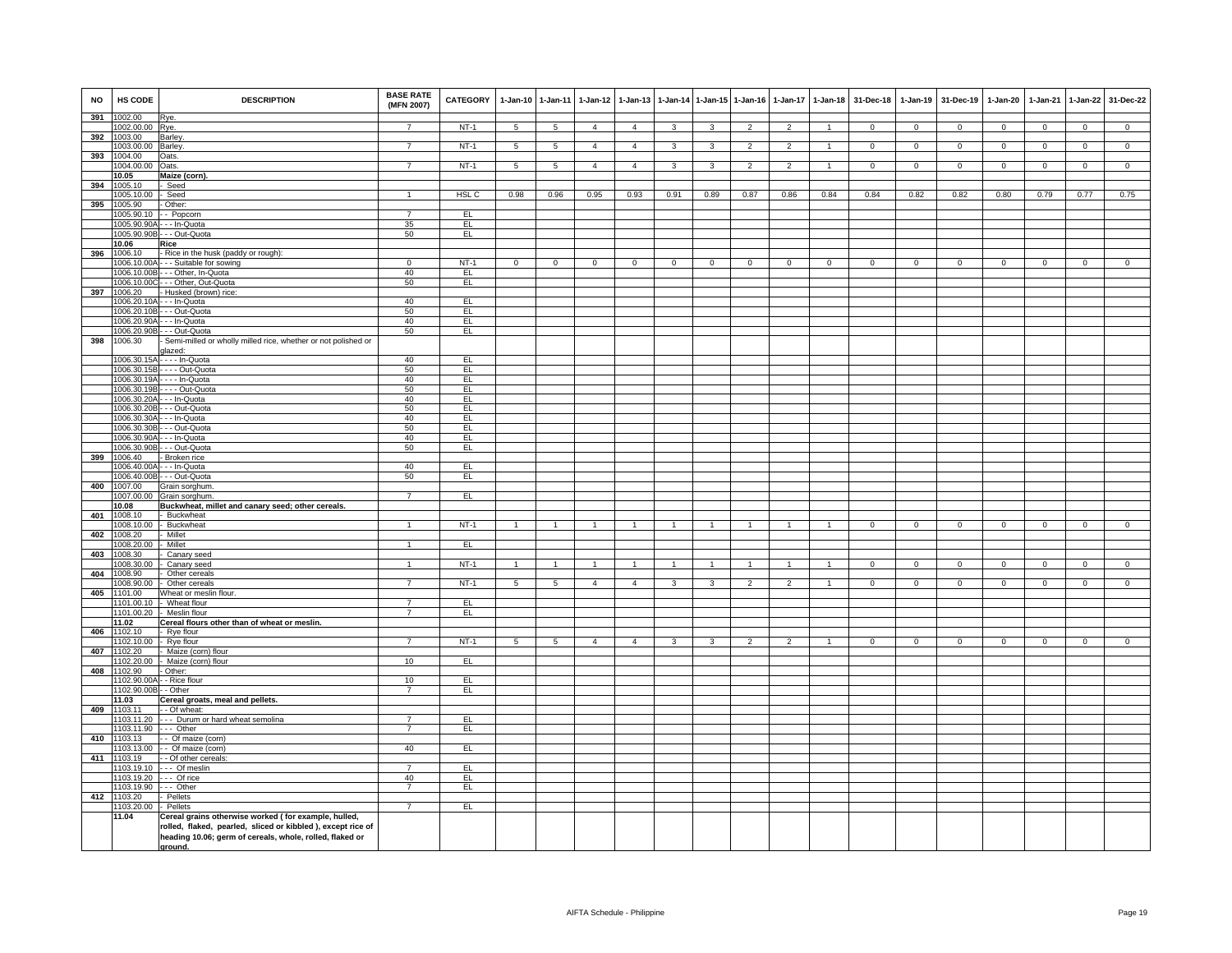| <b>NO</b> | HS CODE                        | <b>DESCRIPTION</b>                                                  | <b>BASE RATE</b><br>(MFN 2007) | CATEGORY        | 1-Jan-10 1-Jan-11 |                 | $1-Jan-12$     | $1 - Jan-13$   |                |                         | 1-Jan-14 1-Jan-15 1-Jan-16 | $1 - Jan-17$   | $1-Jan-18$   | 31-Dec-18    |                | 1-Jan-19 31-Dec-19 | $1 - Jan-20$   | 1-Jan-21     | $1 - Jan-22$   | 31-Dec-22      |
|-----------|--------------------------------|---------------------------------------------------------------------|--------------------------------|-----------------|-------------------|-----------------|----------------|----------------|----------------|-------------------------|----------------------------|----------------|--------------|--------------|----------------|--------------------|----------------|--------------|----------------|----------------|
| 391       | 1002.00<br>1002.00.00          | Rye.<br>Rye.                                                        |                                | $NT-1$          | $\overline{5}$    | 5               | $\overline{4}$ | $\overline{4}$ | 3              | 3                       |                            |                |              | $\Omega$     | $\Omega$       | $\Omega$           | $\Omega$       | $\Omega$     | $\overline{0}$ | $\Omega$       |
| 392       | 1003.00                        | Barley.                                                             |                                |                 |                   |                 |                |                |                |                         |                            |                |              |              |                |                    |                |              |                |                |
|           | 003.00.00 Barley.              |                                                                     | $\overline{7}$                 | $NT-1$          | $5\overline{)}$   | $5\overline{)}$ | $\overline{4}$ | $\overline{4}$ | 3              | $\overline{\mathbf{3}}$ | $\overline{2}$             | $\overline{2}$ | $\mathbf{1}$ | $\mathbf{0}$ | $\overline{0}$ | $\overline{0}$     | $\mathbf{0}$   | $\mathbf 0$  | $\overline{0}$ | $\overline{0}$ |
| 393       | 1004.00                        | Oats.                                                               |                                |                 |                   |                 |                |                |                |                         |                            |                |              |              |                |                    |                |              |                |                |
|           | 004.00.00                      | Oats.                                                               | $\overline{7}$                 | $NT-1$          | 5                 | $5\overline{)}$ | $\overline{4}$ | $\overline{4}$ | 3              | 3                       | $\overline{2}$             | $\overline{2}$ |              | $\mathbf 0$  | $\overline{0}$ | $\overline{0}$     | $\overline{0}$ | $\mathbf 0$  | $\overline{0}$ | $\overline{0}$ |
|           | 10.05                          | Maize (corn).                                                       |                                |                 |                   |                 |                |                |                |                         |                            |                |              |              |                |                    |                |              |                |                |
| 394       | 1005.10<br>1005.10.00          | Seed<br>Seed                                                        | $\blacktriangleleft$           | HSL C           | 0.98              | 0.96            | 0.95           | 0.93           | 0.91           | 0.89                    | 0.87                       | 0.86           | 0.84         | 0.84         | 0.82           | 0.82               | 0.80           | 0.79         | 0.77           | 0.75           |
| 395       | 1005.90                        | - Other:                                                            |                                |                 |                   |                 |                |                |                |                         |                            |                |              |              |                |                    |                |              |                |                |
|           | 1005.90.10                     | - - Popcorn                                                         | $\overline{7}$                 | E               |                   |                 |                |                |                |                         |                            |                |              |              |                |                    |                |              |                |                |
|           |                                | 1005.90.90A - - - In-Quota                                          | 35                             | EL.             |                   |                 |                |                |                |                         |                            |                |              |              |                |                    |                |              |                |                |
|           |                                | 1005.90.90B - - - Out-Quota                                         | 50                             | EL              |                   |                 |                |                |                |                         |                            |                |              |              |                |                    |                |              |                |                |
| 396       | 10.06<br>1006.10               | Rice<br>- Rice in the husk (paddy or rough):                        |                                |                 |                   |                 |                |                |                |                         |                            |                |              |              |                |                    |                |              |                |                |
|           | 1006.10.00A                    | -- Suitable for sowing                                              | $\mathbf 0$                    | $NT-1$          | $\overline{0}$    | $\mathbf 0$     | $\mathbf{0}$   | $\mathbf{0}$   | $\mathbf{0}$   | $\mathbf 0$             | $\mathbf{0}$               | $\mathbf 0$    | $\mathbf{0}$ | $\mathbf{0}$ | $\mathbf{0}$   | $\mathbf 0$        | $\mathbf 0$    | $\mathbf{0}$ | $\mathbf 0$    | $\mathbf 0$    |
|           |                                | 1006.10.00B - - - Other, In-Quota                                   | 40                             | EL.             |                   |                 |                |                |                |                         |                            |                |              |              |                |                    |                |              |                |                |
|           |                                | 1006.10.00C - - - Other, Out-Quota                                  | 50                             | EL              |                   |                 |                |                |                |                         |                            |                |              |              |                |                    |                |              |                |                |
| 397       | 1006.20                        | - Husked (brown) rice:                                              |                                |                 |                   |                 |                |                |                |                         |                            |                |              |              |                |                    |                |              |                |                |
|           |                                | 1006.20.10A - - - In-Quota                                          | 40                             | EL              |                   |                 |                |                |                |                         |                            |                |              |              |                |                    |                |              |                |                |
|           |                                | 1006.20.10B - - - Out-Quota                                         | 50                             | EL              |                   |                 |                |                |                |                         |                            |                |              |              |                |                    |                |              |                |                |
|           |                                | 1006.20.90A - - - In-Quota<br>1006.20.90B - - - Out-Quota           | 40<br>50                       | EL<br>EL        |                   |                 |                |                |                |                         |                            |                |              |              |                |                    |                |              |                |                |
| 398       | 1006.30                        | - Semi-milled or wholly milled rice, whether or not polished or     |                                |                 |                   |                 |                |                |                |                         |                            |                |              |              |                |                    |                |              |                |                |
|           |                                | alazed:                                                             |                                |                 |                   |                 |                |                |                |                         |                            |                |              |              |                |                    |                |              |                |                |
|           | 1006.30.15A                    | $- -$ In-Quota                                                      | 40                             | EL              |                   |                 |                |                |                |                         |                            |                |              |              |                |                    |                |              |                |                |
|           | 1006.30.15B                    | --- Out-Quota                                                       | 50                             | EL              |                   |                 |                |                |                |                         |                            |                |              |              |                |                    |                |              |                |                |
|           |                                | 1006.30.19A - - - - In-Quota<br>1006.30.19B - - - - Out-Quota       | 40<br>50                       | EL<br>EL        |                   |                 |                |                |                |                         |                            |                |              |              |                |                    |                |              |                |                |
|           |                                | 1006.30.20A - - - In-Quota                                          | 40                             | EL              |                   |                 |                |                |                |                         |                            |                |              |              |                |                    |                |              |                |                |
|           |                                | 1006.30.20B - - - Out-Quota                                         | 50                             | EL              |                   |                 |                |                |                |                         |                            |                |              |              |                |                    |                |              |                |                |
|           |                                | 1006.30.30A - - - In-Quota                                          | 40                             | EL              |                   |                 |                |                |                |                         |                            |                |              |              |                |                    |                |              |                |                |
|           |                                | 1006.30.30B - - - Out-Quota                                         | 50                             | EL              |                   |                 |                |                |                |                         |                            |                |              |              |                |                    |                |              |                |                |
|           | 1006.30.90A                    | - - - In-Quota                                                      | 40                             | EL              |                   |                 |                |                |                |                         |                            |                |              |              |                |                    |                |              |                |                |
| 399       | 1006.30.90B<br>1006.40         | - - Out-Quota<br>- Broken rice                                      | 50                             | EL              |                   |                 |                |                |                |                         |                            |                |              |              |                |                    |                |              |                |                |
|           |                                | 1006.40.00A - - - In-Quota                                          | 40                             | EL              |                   |                 |                |                |                |                         |                            |                |              |              |                |                    |                |              |                |                |
|           |                                | 1006.40.00B - - - Out-Quota                                         | 50                             | EL              |                   |                 |                |                |                |                         |                            |                |              |              |                |                    |                |              |                |                |
| 400       | 1007.00                        | Grain sorghum                                                       |                                |                 |                   |                 |                |                |                |                         |                            |                |              |              |                |                    |                |              |                |                |
|           | 1007.00.00                     | Grain sorghum.                                                      | $\overline{7}$                 | EL              |                   |                 |                |                |                |                         |                            |                |              |              |                |                    |                |              |                |                |
|           | 10.08                          | Buckwheat, millet and canary seed; other cereals.                   |                                |                 |                   |                 |                |                |                |                         |                            |                |              |              |                |                    |                |              |                |                |
| 401       | 1008.10<br>1008.10.00          | - Buckwheat<br>- Buckwheat                                          | $\blacktriangleleft$           | $NT-1$          | $\overline{1}$    | $\overline{1}$  | $\overline{1}$ | $\mathbf{1}$   | $\overline{1}$ | $\overline{1}$          | $\overline{1}$             | $\mathbf{1}$   | $\mathbf{1}$ | $\Omega$     | $^{\circ}$     | $\mathbf 0$        | $^{\circ}$     | $\mathbf{0}$ | $\mathbf{0}$   | $\mathbf{0}$   |
| 402       | 1008.20                        | Millet                                                              |                                |                 |                   |                 |                |                |                |                         |                            |                |              |              |                |                    |                |              |                |                |
|           | 1008.20.00                     | Millet                                                              | $\mathbf{1}$                   | EL              |                   |                 |                |                |                |                         |                            |                |              |              |                |                    |                |              |                |                |
| 403       | 1008.30                        | Canary seed                                                         |                                |                 |                   |                 |                |                |                |                         |                            |                |              |              |                |                    |                |              |                |                |
| 404       | 1008.30.00<br>1008.90          | Canary seed                                                         | $\mathbf{1}$                   | $NT-1$          | $\overline{1}$    | $\mathbf{1}$    | $\overline{1}$ | $\mathbf{1}$   |                | $\overline{1}$          |                            |                |              | $\Omega$     | $\mathbf 0$    | $\mathbf 0$        | $\mathbf 0$    | $\mathbf 0$  | $\mathbf 0$    | $\mathsf 0$    |
|           | 1008.90.00                     | Other cereals<br>Other cereals                                      | $\overline{7}$                 | $NT-1$          | $\overline{5}$    | 5               | $\overline{4}$ | $\overline{a}$ | 3              | $\mathbf{3}$            | $\overline{2}$             | $\mathcal{P}$  |              | $\Omega$     | $\Omega$       | $\Omega$           | $\Omega$       | $\Omega$     | $\overline{0}$ | $\overline{0}$ |
| 405       | 1101.00                        | Wheat or meslin flour.                                              |                                |                 |                   |                 |                |                |                |                         |                            |                |              |              |                |                    |                |              |                |                |
|           |                                | 1101.00.10 - Wheat flour                                            | 7                              | EL.             |                   |                 |                |                |                |                         |                            |                |              |              |                |                    |                |              |                |                |
|           |                                | 1101.00.20 - Meslin flour                                           | $\overline{7}$                 | EL              |                   |                 |                |                |                |                         |                            |                |              |              |                |                    |                |              |                |                |
| 406       | 11.02<br>1102.10               | Cereal flours other than of wheat or meslin.                        |                                |                 |                   |                 |                |                |                |                         |                            |                |              |              |                |                    |                |              |                |                |
|           | 102.10.00                      | Rye flour<br>- Rye flour                                            | $\overline{7}$                 | $NT-1$          | 5                 | $\overline{5}$  | $\overline{4}$ | $\overline{4}$ | 3              | 3                       | $\overline{2}$             | $\overline{2}$ |              | $\mathbf 0$  | $\mathbf{0}$   | $\mathbf 0$        | $\mathbf 0$    | $\mathbf{0}$ | $\mathbf 0$    | $\mathbf 0$    |
| 407       | 1102.20                        | Maize (corn) flour                                                  |                                |                 |                   |                 |                |                |                |                         |                            |                |              |              |                |                    |                |              |                |                |
|           | 102.20.00                      | Maize (corn) flour                                                  | 10                             | EL              |                   |                 |                |                |                |                         |                            |                |              |              |                |                    |                |              |                |                |
| 408       | 102.90                         | Other:                                                              |                                |                 |                   |                 |                |                |                |                         |                            |                |              |              |                |                    |                |              |                |                |
|           | 102.90.00A                     | - Rice flour                                                        | 10                             | EL              |                   |                 |                |                |                |                         |                            |                |              |              |                |                    |                |              |                |                |
|           | 1102.90.00B - - Other<br>11.03 | Cereal groats, meal and pellets.                                    | $\overline{7}$                 | EL              |                   |                 |                |                |                |                         |                            |                |              |              |                |                    |                |              |                |                |
|           | 409 1103.11                    | - - Of wheat:                                                       |                                |                 |                   |                 |                |                |                |                         |                            |                |              |              |                |                    |                |              |                |                |
|           |                                | 1103.11.20 - - - Durum or hard wheat semolina                       | $\overline{7}$                 | EL              |                   |                 |                |                |                |                         |                            |                |              |              |                |                    |                |              |                |                |
|           | 1103.11.90 --- Other           |                                                                     | $\overline{7}$                 | EL              |                   |                 |                |                |                |                         |                            |                |              |              |                |                    |                |              |                |                |
| 410       | 1103.13                        | - Of maize (corn)                                                   |                                |                 |                   |                 |                |                |                |                         |                            |                |              |              |                |                    |                |              |                |                |
|           | 103.13.00                      | - Of maize (corn)                                                   | 40                             | EL              |                   |                 |                |                |                |                         |                            |                |              |              |                |                    |                |              |                |                |
| 411       | 1103.19<br>1103 19 10          | - Of other cereals:<br>-- Of meslin                                 | $\overline{7}$                 | F1              |                   |                 |                |                |                |                         |                            |                |              |              |                |                    |                |              |                |                |
|           | 1103.19.20                     | - Of rice                                                           | 40                             | EL <sub>1</sub> |                   |                 |                |                |                |                         |                            |                |              |              |                |                    |                |              |                |                |
|           | 1103.19.90                     | $--$ Other                                                          | $\overline{7}$                 | EL              |                   |                 |                |                |                |                         |                            |                |              |              |                |                    |                |              |                |                |
|           | 412 1103.20                    | - Pellets                                                           |                                |                 |                   |                 |                |                |                |                         |                            |                |              |              |                |                    |                |              |                |                |
|           | 1103.20.00                     | Pellets                                                             | $\overline{7}$                 | EL              |                   |                 |                |                |                |                         |                            |                |              |              |                |                    |                |              |                |                |
|           | 11.04                          | Cereal grains otherwise worked (for example, hulled,                |                                |                 |                   |                 |                |                |                |                         |                            |                |              |              |                |                    |                |              |                |                |
|           |                                | rolled, flaked, pearled, sliced or kibbled ), except rice of        |                                |                 |                   |                 |                |                |                |                         |                            |                |              |              |                |                    |                |              |                |                |
|           |                                | heading 10.06; germ of cereals, whole, rolled, flaked or<br>ground. |                                |                 |                   |                 |                |                |                |                         |                            |                |              |              |                |                    |                |              |                |                |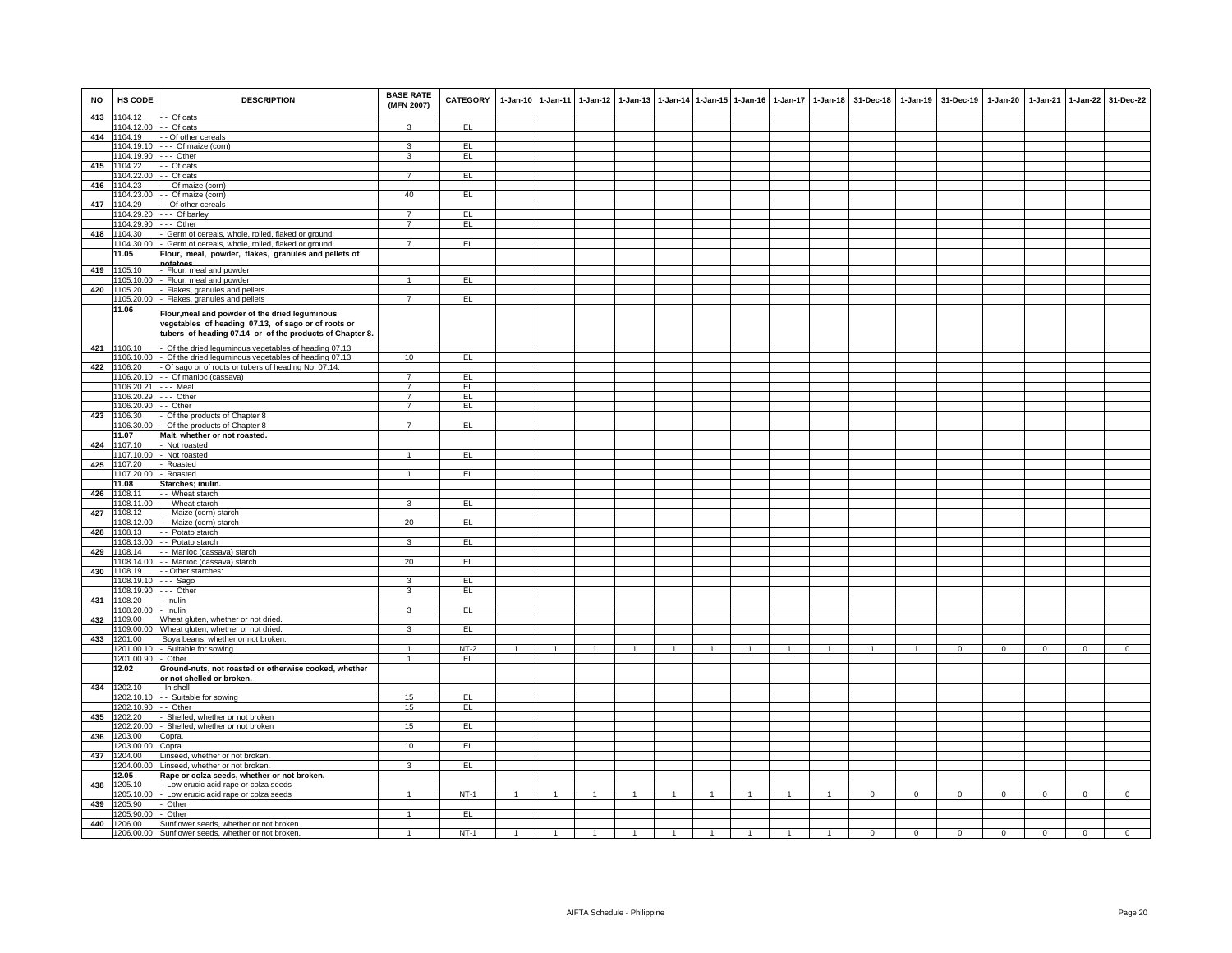| <b>NO</b> | HS CODE               | <b>DESCRIPTION</b>                                                                                                                                                | <b>BASE RATE</b><br>(MFN 2007) | CATEGORY |                | 1-Jan-10 1-Jan-11 | $1-Jan-12$   | $1 - Jan-13$   |              |                | 1-Jan-14 1-Jan-15 1-Jan-16 | $1-Jan-17$   | 1-Jan-18       | 31-Dec-18      | $1-Jan-19$     | 31-Dec-19      | 1-Jan-20       | 1-Jan-21       | $1-Jan-22$     | 31-Dec-22      |
|-----------|-----------------------|-------------------------------------------------------------------------------------------------------------------------------------------------------------------|--------------------------------|----------|----------------|-------------------|--------------|----------------|--------------|----------------|----------------------------|--------------|----------------|----------------|----------------|----------------|----------------|----------------|----------------|----------------|
| 413       | 1104.12               | - Of oats                                                                                                                                                         |                                |          |                |                   |              |                |              |                |                            |              |                |                |                |                |                |                |                |                |
|           | 1104.12.00            | - Of oats                                                                                                                                                         |                                | EL       |                |                   |              |                |              |                |                            |              |                |                |                |                |                |                |                |                |
|           | 414 1104.19           | - Of other cereals                                                                                                                                                |                                |          |                |                   |              |                |              |                |                            |              |                |                |                |                |                |                |                |                |
|           | 1104.19.10            | --- Of maize (corn)                                                                                                                                               | 3                              | EL.      |                |                   |              |                |              |                |                            |              |                |                |                |                |                |                |                |                |
|           | 1104.19.90            | -- Other                                                                                                                                                          | 3                              | E        |                |                   |              |                |              |                |                            |              |                |                |                |                |                |                |                |                |
| 415       | 1104.22               | - Of oats                                                                                                                                                         |                                |          |                |                   |              |                |              |                |                            |              |                |                |                |                |                |                |                |                |
|           | 104.22.00             | - Of oats                                                                                                                                                         | $\overline{7}$                 | EL       |                |                   |              |                |              |                |                            |              |                |                |                |                |                |                |                |                |
| 416       | 1104.23               | - Of maize (corn)                                                                                                                                                 |                                |          |                |                   |              |                |              |                |                            |              |                |                |                |                |                |                |                |                |
|           | 1104.23.00            | - Of maize (corn)                                                                                                                                                 | 40                             | E        |                |                   |              |                |              |                |                            |              |                |                |                |                |                |                |                |                |
| 417       | 1104.29               | Of other cereals                                                                                                                                                  | $\overline{7}$                 |          |                |                   |              |                |              |                |                            |              |                |                |                |                |                |                |                |                |
|           | 1104.29.20            | - Of barley                                                                                                                                                       | $\overline{7}$                 | EL       |                |                   |              |                |              |                |                            |              |                |                |                |                |                |                |                |                |
|           | 1104.29.90            | $-$ Other                                                                                                                                                         |                                | EL       |                |                   |              |                |              |                |                            |              |                |                |                |                |                |                |                |                |
| 418       | 1104.30               | Germ of cereals, whole, rolled, flaked or ground                                                                                                                  |                                |          |                |                   |              |                |              |                |                            |              |                |                |                |                |                |                |                |                |
|           | 1104.30.00            | Germ of cereals, whole, rolled, flaked or ground                                                                                                                  | $\overline{7}$                 | EL       |                |                   |              |                |              |                |                            |              |                |                |                |                |                |                |                |                |
|           | 11.05                 | Flour, meal, powder, flakes, granules and pellets of                                                                                                              |                                |          |                |                   |              |                |              |                |                            |              |                |                |                |                |                |                |                |                |
| 419       | 1105.10               | hatanas<br>Flour, meal and powder                                                                                                                                 |                                |          |                |                   |              |                |              |                |                            |              |                |                |                |                |                |                |                |                |
|           | 1105.10.00            | Flour, meal and powder                                                                                                                                            | $\mathbf{1}$                   | Έι       |                |                   |              |                |              |                |                            |              |                |                |                |                |                |                |                |                |
| 420       | 1105.20               | Flakes, granules and pellets                                                                                                                                      |                                |          |                |                   |              |                |              |                |                            |              |                |                |                |                |                |                |                |                |
|           | 1105.20.00            | Flakes, granules and pellets                                                                                                                                      | $\overline{7}$                 | E        |                |                   |              |                |              |                |                            |              |                |                |                |                |                |                |                |                |
|           | 11.06                 |                                                                                                                                                                   |                                |          |                |                   |              |                |              |                |                            |              |                |                |                |                |                |                |                |                |
|           |                       | Flour, meal and powder of the dried leguminous<br>vegetables of heading 07.13, of sago or of roots or<br>tubers of heading 07.14 or of the products of Chapter 8. |                                |          |                |                   |              |                |              |                |                            |              |                |                |                |                |                |                |                |                |
|           | 421 1106.10           | Of the dried leguminous vegetables of heading 07.13                                                                                                               |                                |          |                |                   |              |                |              |                |                            |              |                |                |                |                |                |                |                |                |
|           | 1106.10.00            | Of the dried leguminous vegetables of heading 07.13                                                                                                               | 10                             | EL       |                |                   |              |                |              |                |                            |              |                |                |                |                |                |                |                |                |
| 422       | 1106.20               | Of sago or of roots or tubers of heading No. 07.14:                                                                                                               |                                |          |                |                   |              |                |              |                |                            |              |                |                |                |                |                |                |                |                |
|           | 1106.20.10            | - - Of manioc (cassava)                                                                                                                                           | $\overline{7}$                 | EL       |                |                   |              |                |              |                |                            |              |                |                |                |                |                |                |                |                |
|           | 1106.20.21            | -- Meal                                                                                                                                                           | 7                              | EL       |                |                   |              |                |              |                |                            |              |                |                |                |                |                |                |                |                |
|           | 1106.20.29            | -- Other                                                                                                                                                          | $\overline{7}$                 | EL       |                |                   |              |                |              |                |                            |              |                |                |                |                |                |                |                |                |
|           | 1106.20.90            | - Other                                                                                                                                                           | $\overline{7}$                 | EL       |                |                   |              |                |              |                |                            |              |                |                |                |                |                |                |                |                |
| 423       | 1106.30               | Of the products of Chapter 8                                                                                                                                      |                                |          |                |                   |              |                |              |                |                            |              |                |                |                |                |                |                |                |                |
|           | 1106.30.00            | Of the products of Chapter 8                                                                                                                                      | $\overline{7}$                 | EL       |                |                   |              |                |              |                |                            |              |                |                |                |                |                |                |                |                |
|           | 11.07                 | Malt, whether or not roasted.                                                                                                                                     |                                |          |                |                   |              |                |              |                |                            |              |                |                |                |                |                |                |                |                |
| 424       | 1107.10               | Not roasted                                                                                                                                                       |                                |          |                |                   |              |                |              |                |                            |              |                |                |                |                |                |                |                |                |
|           | 1107.10.00            | Not roasted                                                                                                                                                       | $\mathbf{1}$                   | EL       |                |                   |              |                |              |                |                            |              |                |                |                |                |                |                |                |                |
| 425       | 1107.20               | Roasted                                                                                                                                                           |                                |          |                |                   |              |                |              |                |                            |              |                |                |                |                |                |                |                |                |
|           | 1107.20.00            | Roasted                                                                                                                                                           | $\mathbf{1}$                   | EL       |                |                   |              |                |              |                |                            |              |                |                |                |                |                |                |                |                |
|           | 11.08                 | Starches; inulin.                                                                                                                                                 |                                |          |                |                   |              |                |              |                |                            |              |                |                |                |                |                |                |                |                |
|           | 426 1108.11           | - Wheat starch                                                                                                                                                    |                                |          |                |                   |              |                |              |                |                            |              |                |                |                |                |                |                |                |                |
|           | 1108.11.00            | - Wheat starch                                                                                                                                                    | 3                              | EL       |                |                   |              |                |              |                |                            |              |                |                |                |                |                |                |                |                |
| 427       | 1108.12               | - Maize (corn) starch                                                                                                                                             |                                |          |                |                   |              |                |              |                |                            |              |                |                |                |                |                |                |                |                |
|           | 1108.12.00            | - Maize (corn) starch                                                                                                                                             | 20                             | EL       |                |                   |              |                |              |                |                            |              |                |                |                |                |                |                |                |                |
| 428       | 1108.13               | - Potato starch                                                                                                                                                   | 3                              | EL       |                |                   |              |                |              |                |                            |              |                |                |                |                |                |                |                |                |
|           | 1108.13.00            | - Potato starch                                                                                                                                                   |                                |          |                |                   |              |                |              |                |                            |              |                |                |                |                |                |                |                |                |
| 429       | 1108.14               | - Manioc (cassava) starch<br>- Manioc (cassava) starch                                                                                                            | 20                             | EL       |                |                   |              |                |              |                |                            |              |                |                |                |                |                |                |                |                |
|           | 1108.14.00            |                                                                                                                                                                   |                                |          |                |                   |              |                |              |                |                            |              |                |                |                |                |                |                |                |                |
| 430       | 1108.19<br>1108.19.10 | - Other starches:<br>-- Sago                                                                                                                                      | 3                              | EL       |                |                   |              |                |              |                |                            |              |                |                |                |                |                |                |                |                |
|           | 1108.19.90            | -- Other                                                                                                                                                          | 3                              | EL       |                |                   |              |                |              |                |                            |              |                |                |                |                |                |                |                |                |
| 431       | 1108.20               | Inulin                                                                                                                                                            |                                |          |                |                   |              |                |              |                |                            |              |                |                |                |                |                |                |                |                |
|           | 1108.20.00            | Inulin                                                                                                                                                            | 3                              | EL.      |                |                   |              |                |              |                |                            |              |                |                |                |                |                |                |                |                |
| 432       | 1109.00               | Wheat gluten, whether or not dried.                                                                                                                               |                                |          |                |                   |              |                |              |                |                            |              |                |                |                |                |                |                |                |                |
|           | 1109.00.00            | Wheat gluten, whether or not dried.                                                                                                                               | 3                              | EL       |                |                   |              |                |              |                |                            |              |                |                |                |                |                |                |                |                |
| 433       | 1201.00               | Soya beans, whether or not broken.                                                                                                                                |                                |          |                |                   |              |                |              |                |                            |              |                |                |                |                |                |                |                |                |
|           | 1201.00.10            | Suitable for sowing                                                                                                                                               | $\mathbf{1}$                   | $NT-2$   | $\overline{1}$ | $\overline{1}$    | $\mathbf{1}$ | $\overline{1}$ | $\mathbf{1}$ | 1              | 1                          | $\mathbf{1}$ | $\overline{1}$ | $\mathbf{1}$   | $\overline{1}$ | $\overline{0}$ | $\overline{0}$ | $\overline{0}$ | $\overline{0}$ | $\overline{0}$ |
|           | 1201.00.90            | Other                                                                                                                                                             | $\mathbf{1}$                   | EL       |                |                   |              |                |              |                |                            |              |                |                |                |                |                |                |                |                |
|           | 12.02                 | Ground-nuts, not roasted or otherwise cooked, whether                                                                                                             |                                |          |                |                   |              |                |              |                |                            |              |                |                |                |                |                |                |                |                |
|           |                       | or not shelled or broken.                                                                                                                                         |                                |          |                |                   |              |                |              |                |                            |              |                |                |                |                |                |                |                |                |
| 434       | 1202.10               | - In shell                                                                                                                                                        |                                |          |                |                   |              |                |              |                |                            |              |                |                |                |                |                |                |                |                |
|           | 1202.10.10            | - Suitable for sowing                                                                                                                                             | 15                             | EL       |                |                   |              |                |              |                |                            |              |                |                |                |                |                |                |                |                |
|           | 1202.10.90            | - Other                                                                                                                                                           | 15                             | EL       |                |                   |              |                |              |                |                            |              |                |                |                |                |                |                |                |                |
| 435       | 1202.20               | Shelled, whether or not broken                                                                                                                                    |                                |          |                |                   |              |                |              |                |                            |              |                |                |                |                |                |                |                |                |
|           | 1202.20.00            | Shelled, whether or not broken                                                                                                                                    | 15                             | EL       |                |                   |              |                |              |                |                            |              |                |                |                |                |                |                |                |                |
| 436       | 1203.00               | Copra.                                                                                                                                                            |                                |          |                |                   |              |                |              |                |                            |              |                |                |                |                |                |                |                |                |
|           | 1203.00.00            | Copra.                                                                                                                                                            | 10                             | EL.      |                |                   |              |                |              |                |                            |              |                |                |                |                |                |                |                |                |
|           | 437 1204.00           | Linseed, whether or not broken.                                                                                                                                   |                                |          |                |                   |              |                |              |                |                            |              |                |                |                |                |                |                |                |                |
|           | 1204.00.00            | inseed, whether or not broken.                                                                                                                                    | 3                              | E        |                |                   |              |                |              |                |                            |              |                |                |                |                |                |                |                |                |
|           | 12.05                 | Rape or colza seeds, whether or not broken.                                                                                                                       |                                |          |                |                   |              |                |              |                |                            |              |                |                |                |                |                |                |                |                |
| 438       | 1205.10               | Low erucic acid rape or colza seeds                                                                                                                               |                                |          |                |                   |              |                |              |                |                            |              |                |                |                |                |                |                |                |                |
|           | 205.10.00             | Low erucic acid rape or colza seeds                                                                                                                               | $\mathbf{1}$                   | $NT-1$   | $\mathbf{1}$   | $\overline{1}$    | $\mathbf{1}$ | $\mathbf{1}$   | $\mathbf{1}$ | $\overline{1}$ |                            |              |                | $\overline{0}$ | $\overline{0}$ | $\overline{0}$ | $\overline{0}$ | $\overline{0}$ | $\overline{0}$ | $\overline{0}$ |
| 439       | 1205.90               | Other                                                                                                                                                             |                                |          |                |                   |              |                |              |                |                            |              |                |                |                |                |                |                |                |                |
|           | 1205.90.00            | Other                                                                                                                                                             |                                | EL       |                |                   |              |                |              |                |                            |              |                |                |                |                |                |                |                |                |
| 440       | 1206.00               | Sunflower seeds, whether or not broken.                                                                                                                           |                                |          |                |                   |              |                |              |                |                            |              |                |                |                |                |                |                |                |                |
|           | 1206.00.00            | Sunflower seeds, whether or not broken.                                                                                                                           | $\mathbf{1}$                   | $NT-1$   | $\overline{1}$ |                   |              |                |              |                |                            |              |                | $\Omega$       | $\overline{0}$ | $\overline{0}$ | $\overline{0}$ | $\overline{0}$ | $\overline{0}$ | $\Omega$       |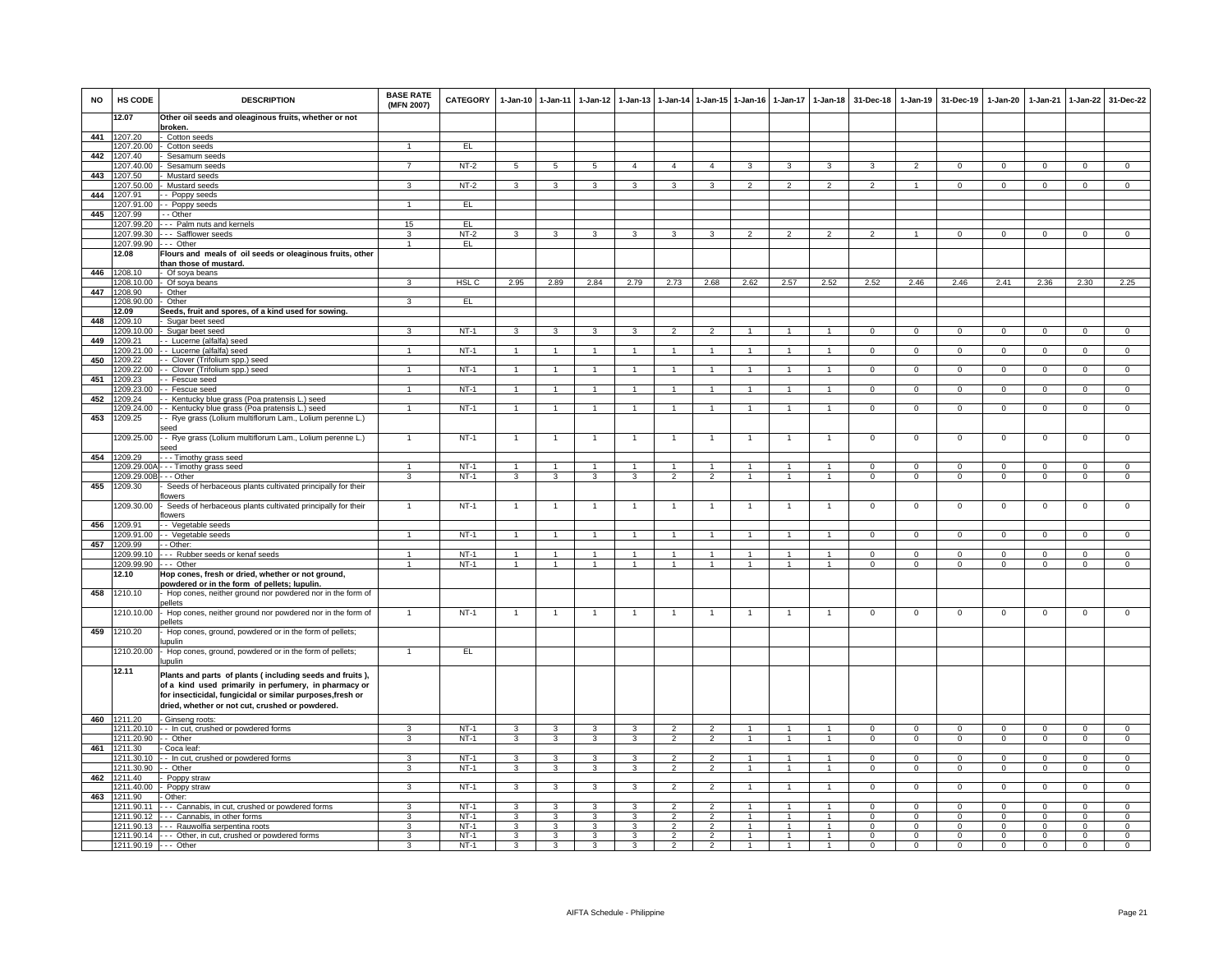| <b>NO</b> | HS CODE                       | <b>DESCRIPTION</b>                                                                                                | <b>BASE RATE</b><br>(MFN 2007) | <b>CATEGORY</b>  | 1-Jan-10 1-Jan-11              |                                         | $1-Jan-12$                     | $1 - Jan-13$                              |                                  |                                  | 1-Jan-14 1-Jan-15 1-Jan-16       | $1-Jan-17$                     | $1-Jan-18$                             | 31-Dec-18                      | $1 - Jan-19$               | 31-Dec-19                 | 1-Jan-20                 | $1-Jan-21$             | $1-Jan-22$                  | 31-Dec-22                     |
|-----------|-------------------------------|-------------------------------------------------------------------------------------------------------------------|--------------------------------|------------------|--------------------------------|-----------------------------------------|--------------------------------|-------------------------------------------|----------------------------------|----------------------------------|----------------------------------|--------------------------------|----------------------------------------|--------------------------------|----------------------------|---------------------------|--------------------------|------------------------|-----------------------------|-------------------------------|
|           | 12.07                         | Other oil seeds and oleaginous fruits, whether or not                                                             |                                |                  |                                |                                         |                                |                                           |                                  |                                  |                                  |                                |                                        |                                |                            |                           |                          |                        |                             |                               |
| 441       | 1207.20                       | broken.<br>Cotton seeds                                                                                           |                                |                  |                                |                                         |                                |                                           |                                  |                                  |                                  |                                |                                        |                                |                            |                           |                          |                        |                             |                               |
|           | 1207.20.00                    | - Cotton seeds                                                                                                    | 1                              | EL               |                                |                                         |                                |                                           |                                  |                                  |                                  |                                |                                        |                                |                            |                           |                          |                        |                             |                               |
| 442       | 1207.40<br>1207.40.00         | Sesamum seeds<br>Sesamum seeds                                                                                    | $\overline{7}$                 | $NT-2$           | 5                              | 5                                       | 5                              | $\overline{4}$                            | $\overline{4}$                   | $\overline{4}$                   | 3                                | 3                              | 3                                      | 3                              | $\overline{2}$             | $\overline{0}$            | 0                        | $^{\circ}$             | $\mathbf{0}$                | $\mathsf 0$                   |
| 443       | 1207.50                       | Mustard seeds                                                                                                     |                                |                  |                                |                                         |                                |                                           |                                  |                                  |                                  |                                |                                        |                                |                            |                           |                          |                        |                             |                               |
|           | 1207.50.00                    | Mustard seeds                                                                                                     | 3                              | $NT-2$           | 3                              | $\overline{\mathbf{3}}$                 | 3                              | 3                                         | 3                                | $\mathbf{R}$                     | $\mathcal{P}$                    | $\mathcal{P}$                  | $\mathcal{P}$                          | $\mathfrak{D}$                 |                            | $\Omega$                  | $\Omega$                 | $\Omega$               | $\mathbf{0}$                | $\mathbf 0$                   |
| 444       | 1207.91                       | - Poppy seeds                                                                                                     |                                |                  |                                |                                         |                                |                                           |                                  |                                  |                                  |                                |                                        |                                |                            |                           |                          |                        |                             |                               |
| 445       | 1207.91.00<br>1207.99         | - - Poppy seeds<br>- - Other                                                                                      |                                | EL               |                                |                                         |                                |                                           |                                  |                                  |                                  |                                |                                        |                                |                            |                           |                          |                        |                             |                               |
|           |                               | 1207.99.20 - - - Palm nuts and kernels                                                                            | 15                             | EL.              |                                |                                         |                                |                                           |                                  |                                  |                                  |                                |                                        |                                |                            |                           |                          |                        |                             |                               |
|           | 1207.99.30                    | --- Safflower seeds                                                                                               | 3                              | $NT-2$           | 3                              | $\mathbf{3}$                            | 3                              | 3                                         | 3                                | 3                                | $\mathfrak{p}$                   | $\mathfrak{p}$                 | $\overline{2}$                         | $\overline{2}$                 | $\mathbf{1}$               | $^{\circ}$                | $\Omega$                 | $^{\circ}$             | $^{\circ}$                  | $\overline{0}$                |
|           | 1207.99.90 --- Other<br>12.08 |                                                                                                                   | $\mathbf{1}$                   | EL               |                                |                                         |                                |                                           |                                  |                                  |                                  |                                |                                        |                                |                            |                           |                          |                        |                             |                               |
|           |                               | Flours and meals of oil seeds or oleaginous fruits, other<br>than those of mustard.                               |                                |                  |                                |                                         |                                |                                           |                                  |                                  |                                  |                                |                                        |                                |                            |                           |                          |                        |                             |                               |
| 446       | 1208.10                       | - Of soya beans                                                                                                   |                                |                  |                                |                                         |                                |                                           |                                  |                                  |                                  |                                |                                        |                                |                            |                           |                          |                        |                             |                               |
|           | 1208 10.00                    | Of soya beans                                                                                                     | 3                              | HSL C            | 2.95                           | 2.89                                    | 2.84                           | 2.79                                      | 2.73                             | 2.68                             | 2.62                             | 2.57                           | 2.52                                   | 2.52                           | 2.46                       | 2.46                      | 2.41                     | 2.36                   | 2.30                        | 2.25                          |
| 447       | 1208.90<br>1208.90.00         | Other<br>- Other                                                                                                  | 3                              | EL               |                                |                                         |                                |                                           |                                  |                                  |                                  |                                |                                        |                                |                            |                           |                          |                        |                             |                               |
|           | 12.09                         | Seeds, fruit and spores, of a kind used for sowing.                                                               |                                |                  |                                |                                         |                                |                                           |                                  |                                  |                                  |                                |                                        |                                |                            |                           |                          |                        |                             |                               |
| 448       | 1209.10                       | Sugar beet seed                                                                                                   |                                |                  |                                |                                         |                                |                                           |                                  |                                  |                                  |                                |                                        |                                |                            |                           |                          |                        |                             |                               |
|           |                               | 1209.10.00 - Sugar beet seed                                                                                      | 3                              | $NT-1$           | 3                              | $\mathbf{3}$                            | 3                              | 3                                         | $\overline{2}$                   | $\overline{2}$                   | $\overline{1}$                   | $\mathbf{1}$                   | $\mathbf{1}$                           | $\mathbf{0}$                   | $^{\circ}$                 | $\mathbf{0}$              | $\mathbf{0}$             | $^{\circ}$             | $\mathbf 0$                 | $\overline{0}$                |
| 449       | 209.21<br>209.21.00           | - Lucerne (alfalfa) seed<br>- - Lucerne (alfalfa) seed                                                            | $\mathbf{1}$                   | $NT-1$           |                                | $\mathbf{1}$                            |                                |                                           | $\overline{1}$                   |                                  |                                  |                                |                                        | $\Omega$                       | 0                          | $^{\circ}$                | 0                        | $\Omega$               | $\mathbf 0$                 | $\overline{0}$                |
| 450       | 1209.22                       | - Clover (Trifolium spp.) seed                                                                                    |                                |                  |                                |                                         |                                |                                           |                                  |                                  |                                  |                                |                                        |                                |                            |                           |                          |                        |                             |                               |
|           | 1209.22.00                    | - Clover (Trifolium spp.) seed                                                                                    | $\mathbf{1}$                   | $NT-1$           | $\overline{1}$                 | $\blacktriangleleft$                    | $\overline{1}$                 | -1                                        | $\overline{1}$                   | $\blacktriangleleft$             | $\mathbf{1}$                     | $\mathbf{1}$                   | $\blacktriangleleft$                   | $\Omega$                       | $\mathbf 0$                | $\Omega$                  | $\Omega$                 | $\Omega$               | $\mathbf 0$                 | $\overline{0}$                |
| 451       | 1209.23<br>1209.23.00         | - Fescue seed<br>- Fescue seed                                                                                    | 1                              | $NT-1$           |                                | $\overline{1}$                          |                                |                                           | $\overline{1}$                   |                                  |                                  |                                | $\overline{1}$                         | $\overline{0}$                 | $\overline{0}$             | $\overline{0}$            | $\overline{0}$           | $\overline{0}$         | $\overline{0}$              | $\overline{0}$                |
| 452       | 1209.24                       | - - Kentucky blue grass (Poa pratensis L.) seed                                                                   |                                |                  |                                |                                         |                                |                                           |                                  |                                  |                                  |                                |                                        |                                |                            |                           |                          |                        |                             |                               |
|           | 1209.24.00                    | - - Kentucky blue grass (Poa pratensis L.) seed                                                                   | $\overline{1}$                 | $NT-1$           | $\overline{1}$                 | $\overline{1}$                          | 1                              | $\mathbf{1}$                              | $\mathbf{1}$                     | $\overline{1}$                   | $\overline{1}$                   | $\overline{1}$                 | $\overline{1}$                         | $\overline{0}$                 | $\overline{0}$             | $\mathbf 0$               | $\mathbf{0}$             | $\mathbf 0$            | $\mathbf{0}$                | $\overline{0}$                |
| 453       | 1209.25                       | - Rye grass (Lolium multiflorum Lam., Lolium perenne L.)                                                          |                                |                  |                                |                                         |                                |                                           |                                  |                                  |                                  |                                |                                        |                                |                            |                           |                          |                        |                             |                               |
|           | 1209.25.00                    | eed.<br>- Rye grass (Lolium multiflorum Lam., Lolium perenne L.)<br>seed                                          | $\mathbf{1}$                   | $NT-1$           | $\overline{1}$                 | $\overline{1}$                          | 1                              | -1                                        | $\overline{1}$                   | $\overline{1}$                   | 1                                | $\mathbf{1}$                   | $\overline{1}$                         | $\overline{0}$                 | $\overline{0}$             | $\overline{0}$            | $\overline{0}$           | $\overline{0}$         | $\overline{0}$              | $\overline{0}$                |
| 454       | 1209.29                       | - - Timothy grass seed                                                                                            |                                |                  |                                |                                         |                                |                                           |                                  |                                  |                                  |                                |                                        |                                |                            |                           |                          |                        |                             |                               |
|           | 1209.29.00A                   | -- Timothy grass seed                                                                                             | $\overline{1}$<br>3            | <b>NT-1</b>      | $\overline{1}$                 | $\overline{1}$                          | $\overline{1}$                 | $\overline{1}$<br>$\overline{\mathbf{3}}$ | $\overline{1}$<br>$\overline{2}$ | $\overline{1}$<br>$\overline{2}$ | $\overline{1}$<br>$\overline{1}$ | $\mathbf{1}$<br>$\overline{1}$ | $\overline{1}$                         | $\mathbf{0}$<br>$\overline{0}$ | $\mathbf 0$                | $\overline{0}$            | $\mathbf 0$              | $\overline{0}$         | $\mathbf{0}$                | $\mathsf 0$                   |
| 455       | 1209.29.00B<br>1209.30        | - - Other<br>Seeds of herbaceous plants cultivated principally for their                                          |                                | $NT-1$           | $\overline{3}$                 | $\overline{\mathbf{3}}$                 | $\overline{3}$                 |                                           |                                  |                                  |                                  |                                | $\overline{1}$                         |                                | $\overline{0}$             | $\overline{0}$            | $\overline{0}$           | $\overline{0}$         | $\overline{0}$              | $\overline{0}$                |
|           |                               | flowers                                                                                                           |                                |                  |                                |                                         |                                |                                           |                                  |                                  |                                  |                                |                                        |                                |                            |                           |                          |                        |                             |                               |
|           | 1209.30.00                    | - Seeds of herbaceous plants cultivated principally for their                                                     |                                | $NT-1$           |                                | $\mathbf{1}$                            |                                |                                           | $\overline{1}$                   |                                  |                                  |                                |                                        | $^{\circ}$                     | $^{\circ}$                 | $\overline{0}$            | $\mathbf 0$              | $^{\circ}$             | $\mathbf{0}$                | $^{\circ}$                    |
| 456       | 1209 91                       | flowers<br>- Vegetable seeds                                                                                      |                                |                  |                                |                                         |                                |                                           |                                  |                                  |                                  |                                |                                        |                                |                            |                           |                          |                        |                             |                               |
|           | 209.91.00                     | - Vegetable seeds                                                                                                 | $\mathbf{1}$                   | $NT-1$           | $\mathbf{1}$                   | $\mathbf{1}$                            | $\mathbf{1}$                   | $\mathbf{1}$                              | $\mathbf{1}$                     |                                  | $\overline{1}$                   | $\mathbf{1}$                   | $\overline{1}$                         | $\Omega$                       | $\Omega$                   | $\Omega$                  | $\Omega$                 | $\Omega$               | $\Omega$                    | $\mathbf{0}$                  |
| 457       | 1209.99                       | - Other:                                                                                                          |                                |                  |                                |                                         |                                |                                           |                                  |                                  |                                  |                                |                                        |                                |                            |                           |                          |                        |                             |                               |
|           | 1209.99.10                    | -- Rubber seeds or kenaf seeds                                                                                    | $\mathbf{1}$<br>$\overline{1}$ | $NT-1$<br>$NT-1$ | $\mathbf{1}$<br>$\overline{1}$ | $\overline{1}$<br>$\overline{1}$        | $\mathbf{1}$<br>$\overline{1}$ | $\overline{1}$<br>$\overline{1}$          | $\overline{1}$<br>$\overline{1}$ | $\overline{1}$<br>$\overline{1}$ | $\overline{1}$<br>$\mathbf{1}$   | $\mathbf{1}$<br>$\mathbf{1}$   | $\overline{1}$<br>$\overline{1}$       | $^{\circ}$<br>$\Omega$         | $\mathsf 0$<br>$\mathsf 0$ | $^{\circ}$<br>$\mathsf 0$ | 0<br>$\mathbf 0$         | $^{\circ}$<br>$\Omega$ | $\mathbf 0$<br>$\mathsf 0$  | $\mathbf 0$<br>$\mathbf 0$    |
|           | 1209.99.90<br>12.10           | -- Other<br>Hop cones, fresh or dried, whether or not ground,                                                     |                                |                  |                                |                                         |                                |                                           |                                  |                                  |                                  |                                |                                        |                                |                            |                           |                          |                        |                             |                               |
|           |                               | bowdered or in the form of pellets; lupulin.                                                                      |                                |                  |                                |                                         |                                |                                           |                                  |                                  |                                  |                                |                                        |                                |                            |                           |                          |                        |                             |                               |
| 458       | 1210.10                       | Hop cones, neither ground nor powdered nor in the form of                                                         |                                |                  |                                |                                         |                                |                                           |                                  |                                  |                                  |                                |                                        |                                |                            |                           |                          |                        |                             |                               |
|           | 1210.10.00                    | vellets<br>Hop cones, neither ground nor powdered nor in the form of                                              | $\mathbf{1}$                   | $NT-1$           | $\overline{1}$                 | $\mathbf{1}$                            | $\overline{1}$                 | $\mathbf{1}$                              | $\overline{1}$                   | $\overline{1}$                   | $\mathbf{1}$                     | $\mathbf{1}$                   | $\overline{1}$                         | $\mathbf 0$                    | 0                          | $\mathbf 0$               | $\mathbf{0}$             | $\mathbf 0$            | $\mathbf{0}$                | $\mathbf 0$                   |
| 459       | 1210.20                       | ellets                                                                                                            |                                |                  |                                |                                         |                                |                                           |                                  |                                  |                                  |                                |                                        |                                |                            |                           |                          |                        |                             |                               |
|           |                               | Hop cones, ground, powdered or in the form of pellets;<br>upulin                                                  |                                |                  |                                |                                         |                                |                                           |                                  |                                  |                                  |                                |                                        |                                |                            |                           |                          |                        |                             |                               |
|           | 1210.20.00                    | - Hop cones, ground, powdered or in the form of pellets;<br>upulin                                                | $\mathbf{1}$                   | EL.              |                                |                                         |                                |                                           |                                  |                                  |                                  |                                |                                        |                                |                            |                           |                          |                        |                             |                               |
|           | 12.11                         | Plants and parts of plants (including seeds and fruits),<br>of a kind used primarily in perfumery, in pharmacy or |                                |                  |                                |                                         |                                |                                           |                                  |                                  |                                  |                                |                                        |                                |                            |                           |                          |                        |                             |                               |
|           |                               | for insecticidal, fungicidal or similar purposes, fresh or<br>dried, whether or not cut, crushed or powdered.     |                                |                  |                                |                                         |                                |                                           |                                  |                                  |                                  |                                |                                        |                                |                            |                           |                          |                        |                             |                               |
|           |                               |                                                                                                                   |                                |                  |                                |                                         |                                |                                           |                                  |                                  |                                  |                                |                                        |                                |                            |                           |                          |                        |                             |                               |
| 460       | 1211.20                       | - Ginseng roots:<br>1211.20.10 - - In cut, crushed or powdered forms                                              | 3                              | $NT-1$           | 3                              | 3                                       | 3                              | 3                                         | $\overline{2}$                   | $\overline{2}$                   | $\mathbf{1}$                     | 1                              | $\overline{1}$                         | $\mathbf{0}$                   | $\mathbf 0$                | $\mathbf 0$               | 0                        | $\mathbf 0$            | $\mathbf 0$                 | $\mathbf 0$                   |
|           | 1211.20.90                    | - Other                                                                                                           | 3                              | $NT-1$           | 3                              | 3                                       | 3                              | 3                                         | $\overline{2}$                   | $\overline{2}$                   | $\mathbf{1}$                     | $\mathbf{1}$                   | $\overline{1}$                         | $\mathbf 0$                    | $\mathbf 0$                | $\mathbf 0$               | 0                        | $\mathbf 0$            | $\mathbf 0$                 | $\overline{0}$                |
| 461       | 1211.30                       | Coca leaf                                                                                                         |                                |                  |                                |                                         |                                |                                           |                                  |                                  |                                  |                                |                                        |                                |                            |                           |                          |                        |                             |                               |
|           | 1211.30.10<br>1211 30 90      | - In cut, crushed or powdered forms<br>- - Other                                                                  | 3<br>$\overline{3}$            | $NT-1$<br>$NT-1$ | 3<br>$\overline{\mathbf{3}}$   | 3<br>$\overline{\mathbf{3}}$            | 3<br>$\overline{\mathbf{3}}$   | 3<br>$\overline{\mathbf{3}}$              | $\overline{2}$<br>$\overline{2}$ | $\overline{2}$<br>$\overline{2}$ | $\mathbf{1}$<br>$\overline{1}$   | $\mathbf{1}$<br>$\overline{1}$ | $\overline{1}$<br>$\blacktriangleleft$ | $\Omega$<br>$\Omega$           | $^{\circ}$<br>$\Omega$     | $\Omega$<br>$\Omega$      | $\Omega$<br>$\Omega$     | $\Omega$<br>$\Omega$   | $\mathbf 0$<br>$\Omega$     | $\mathbf 0$<br>$\overline{0}$ |
| 462       | 1211.40                       | Poppy straw                                                                                                       |                                |                  |                                |                                         |                                |                                           |                                  |                                  |                                  |                                |                                        |                                |                            |                           |                          |                        |                             |                               |
|           | 1211.40.00                    | - Poppy straw                                                                                                     | 3                              | $NT-1$           | 3                              | 3                                       | $\overline{3}$                 | 3                                         | $\overline{2}$                   | $\overline{2}$                   |                                  |                                |                                        | $\Omega$                       | 0                          | $\Omega$                  | $\Omega$                 | $\Omega$               | $\overline{0}$              | $\Omega$                      |
| 463       | 1211.90                       | - Other:                                                                                                          |                                |                  |                                |                                         |                                |                                           |                                  |                                  |                                  |                                |                                        |                                |                            |                           |                          |                        |                             |                               |
|           | 1211.90.11<br>1211.90.12      | --- Cannabis, in cut, crushed or powdered forms<br>--- Cannabis, in other forms                                   | $\mathbf{R}$<br>3              | $NT-1$<br>$NT-1$ | 3<br>$\mathbf{3}$              | $\mathbf{3}$<br>$\overline{\mathbf{3}}$ | $\mathbf{3}$<br>$\mathbf{3}$   | 3<br>3                                    | $\overline{2}$<br>$\overline{2}$ | $\overline{2}$<br>$\overline{2}$ | $\overline{1}$<br>$\mathbf{1}$   | $\overline{1}$<br>$\mathbf{1}$ | $\overline{1}$<br>$\overline{1}$       | $\Omega$<br>$\Omega$           | $\mathsf 0$<br>$^{\circ}$  | $\Omega$<br>$^{\circ}$    | $\Omega$<br>$\mathbf{0}$ | $\Omega$<br>$\Omega$   | $\mathbf 0$<br>$\mathbf{0}$ | $\mathbf 0$<br>$\overline{0}$ |
|           |                               | 1211.90.13 --- Rauwolfia serpentina roots                                                                         | 3                              | $NT-1$           | 3                              | $\overline{\mathbf{3}}$                 | $\overline{3}$                 | 3                                         | $\overline{2}$                   | $\overline{2}$                   | $\mathbf{1}$                     | $\mathbf{1}$                   | $\overline{1}$                         | $\overline{0}$                 | $\Omega$                   | $\Omega$                  | $\Omega$                 | $\Omega$               | $\overline{0}$              | $\overline{0}$                |
|           |                               | 1211.90.14 --- Other, in cut, crushed or powdered forms                                                           | 3                              | <b>NT-1</b>      | 3                              | 3                                       | 3                              | 3                                         | $\overline{2}$                   | $\overline{2}$                   | $\mathbf{1}$                     | 1                              | $\mathbf{1}$                           | 0                              | 0                          | 0                         | 0                        | 0                      | $\mathsf 0$                 | $\mathsf 0$                   |
|           | 1211.90.19 --- Other          |                                                                                                                   | 3                              | $NT-1$           | $\mathbf{3}$                   | $\mathbf{3}$                            | $\mathbf{3}$                   | 3                                         | $\overline{2}$                   | $\overline{2}$                   | $\overline{1}$                   | $\overline{1}$                 | $\overline{1}$                         | $\Omega$                       | $\mathbf 0$                | $\mathbf 0$               | $\Omega$                 | $\mathbf 0$            | $\mathbf 0$                 | $\Omega$                      |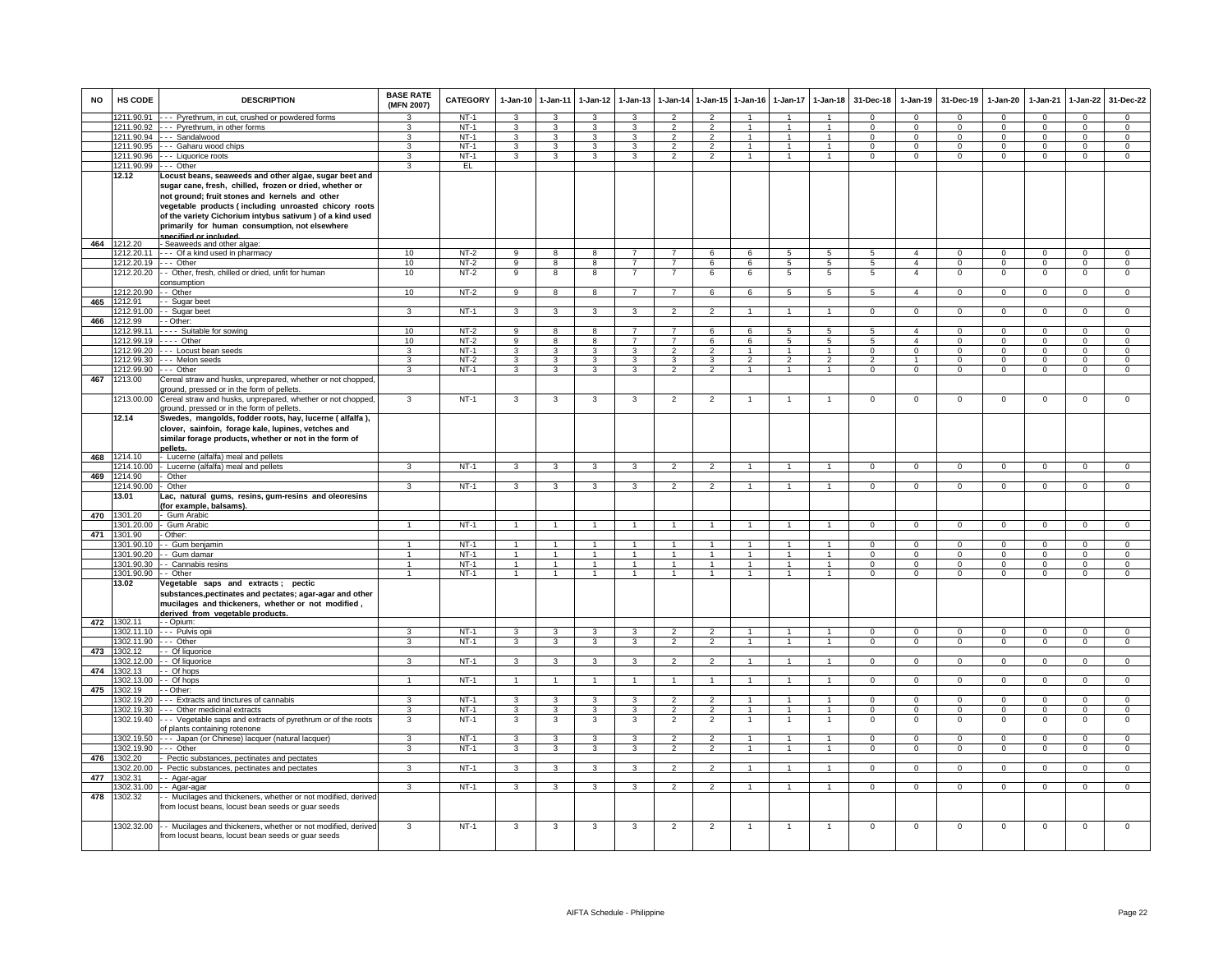| <b>NO</b> | <b>HS CODE</b>        | <b>DESCRIPTION</b>                                                                                                                                                                                                                                                                                                                                                  | <b>BASE RATE</b><br>(MFN 2007) | CATEGORY | $1 - Jan-10$            | 1-Jan-11                | $1 - Jan-12$            | $1 - Jan-13$            |                                  | 1-Jan-14 1-Jan-15                | $1-Jan-16$                     | $1-Jan-17$     | $1-Jan-18$                     | 31-Dec-18            | $1-Jan-19$                 | 31-Dec-19            | 1-Jan-20                 | 1-Jan-21             | 1-Jan-22                      | 31-Dec-22                      |
|-----------|-----------------------|---------------------------------------------------------------------------------------------------------------------------------------------------------------------------------------------------------------------------------------------------------------------------------------------------------------------------------------------------------------------|--------------------------------|----------|-------------------------|-------------------------|-------------------------|-------------------------|----------------------------------|----------------------------------|--------------------------------|----------------|--------------------------------|----------------------|----------------------------|----------------------|--------------------------|----------------------|-------------------------------|--------------------------------|
|           | 1211.90.91            | - Pyrethrum, in cut, crushed or powdered forms                                                                                                                                                                                                                                                                                                                      |                                | $NT-1$   | 3                       | 3                       | 3                       | 3                       | $\overline{\phantom{0}}$         | $\overline{2}$                   |                                |                |                                | $\Omega$             | $\Omega$                   | $\Omega$             | $\Omega$                 | $\Omega$             | $\Omega$                      | $\Omega$                       |
|           | 1211.90.92            | Pyrethrum, in other forms                                                                                                                                                                                                                                                                                                                                           | $\mathbf{R}$                   | $NT-1$   | 3                       | 3                       | 3                       | 3                       | $\overline{\phantom{0}}$         | $\overline{2}$                   |                                | $\overline{1}$ | $\overline{1}$                 | $\Omega$             | $\Omega$                   | $\Omega$             | $\Omega$                 | $\Omega$             | $\overline{0}$                | $\overline{0}$                 |
|           |                       | 1211.90.94 --- Sandalwood                                                                                                                                                                                                                                                                                                                                           | 3                              | $NT-1$   | 3                       | 3                       | 3                       | 3                       | $\overline{2}$                   | $\overline{2}$                   | 1                              | $\mathbf{1}$   | $\mathbf{1}$                   | $^{\circ}$           | $\mathbf{0}$               | $^{\circ}$           | $^{\circ}$               | $\Omega$             | $\mathbf{0}$                  | $\mathbf{0}$                   |
|           | 1211.90.95            | --- Gaharu wood chips                                                                                                                                                                                                                                                                                                                                               | 3                              | $NT-1$   | 3                       | 3                       | $\mathbf{3}$            | 3                       | $\overline{2}$                   | $\overline{2}$                   | $\mathbf{1}$                   | $\mathbf{1}$   | $\mathbf{1}$                   | $^{\circ}$           | $\mathbf{0}$               | $\mathbf{0}$         | $^{\circ}$               | $^{\circ}$           | $\mathbf 0$                   | $\overline{0}$                 |
|           | 211.90.96             | -- Liquorice roots                                                                                                                                                                                                                                                                                                                                                  | 3                              | $NT-1$   | 3                       | 3                       | 3                       | $\overline{3}$          | $\overline{2}$                   | $\overline{2}$                   | $\mathbf{1}$                   | $\mathbf{1}$   | $\mathbf{1}$                   | $\mathbf 0$          | $\mathbf{0}$               | $\overline{0}$       | $\mathbf{0}$             | $\mathbf{0}$         | $\overline{0}$                | $\overline{0}$                 |
|           | 1211.90.99            | - Other                                                                                                                                                                                                                                                                                                                                                             | 3                              | EL       |                         |                         |                         |                         |                                  |                                  |                                |                |                                |                      |                            |                      |                          |                      |                               |                                |
|           | 12.12                 | Locust beans, seaweeds and other algae, sugar beet and<br>sugar cane, fresh, chilled, frozen or dried, whether or<br>not ground; fruit stones and kernels and other<br>vegetable products (including unroasted chicory roots<br>of the variety Cichorium intybus sativum) of a kind used<br>primarily for human consumption, not elsewhere<br>snecified or included |                                |          |                         |                         |                         |                         |                                  |                                  |                                |                |                                |                      |                            |                      |                          |                      |                               |                                |
|           | 464 1212.20           | - Seaweeds and other algae:                                                                                                                                                                                                                                                                                                                                         |                                |          |                         |                         |                         |                         |                                  |                                  |                                |                |                                |                      |                            |                      |                          |                      |                               |                                |
|           | 1212.20.11            | Of a kind used in pharmacy                                                                                                                                                                                                                                                                                                                                          | 10                             | $NT-2$   | $\overline{9}$          | $\overline{8}$          | $\overline{8}$          | $\overline{7}$          | $\overline{7}$                   | 6                                | 6                              | $5^{\circ}$    | $5\overline{5}$                | $\overline{5}$       | $\overline{4}$             | $\Omega$             | $\overline{0}$           | $\Omega$             | $\overline{0}$                | $\overline{0}$                 |
|           | 1212.20.19            | $\cdots$ Other                                                                                                                                                                                                                                                                                                                                                      | 10                             | $NT-2$   | $\overline{9}$          | 8                       | $\overline{8}$          | $\overline{7}$          | 7                                | 6                                | 6                              | $\overline{5}$ | $\overline{5}$                 | $\overline{5}$       | $\overline{4}$             | $\overline{0}$       | $\overline{0}$           | $\overline{0}$       | $\overline{0}$                | $\overline{0}$                 |
|           | 212.20.20             | - - Other, fresh, chilled or dried, unfit for human<br>consumption                                                                                                                                                                                                                                                                                                  | 10                             | $NT-2$   | 9                       | 8                       | 8                       |                         |                                  | 6                                | 6                              | 5              | 5                              | 5                    | $\overline{4}$             | $\mathbf 0$          | $\mathbf 0$              | $^{\circ}$           | $\mathsf 0$                   | $\mathbf 0$                    |
|           | 1212.20.90            | - Other                                                                                                                                                                                                                                                                                                                                                             | 10                             | $NT-2$   | 9                       | 8                       | 8                       | $\overline{7}$          | $\overline{7}$                   | 6                                | 6                              | 5              | 5                              | $\mathbf{r}$         | $\Lambda$                  | $\mathbf 0$          | $\mathbf{0}$             | $\Omega$             | $\mathsf 0$                   | $\circ$                        |
| 465       | 1212.91               | - Sugar beet                                                                                                                                                                                                                                                                                                                                                        |                                |          |                         |                         |                         |                         |                                  |                                  |                                |                |                                |                      |                            |                      |                          |                      |                               |                                |
|           | 212.91.00             | - Sugar beet                                                                                                                                                                                                                                                                                                                                                        | 3                              | $NT-1$   | $\mathcal{R}$           | $\mathcal{R}$           | 3                       |                         | $\mathcal{P}$                    | $\mathcal{P}$                    |                                |                |                                | $\Omega$             | $\Omega$                   | $\Omega$             | $\Omega$                 | $\Omega$             | $\Omega$                      | $\Omega$                       |
| 466       | 1212.99               | - Other:                                                                                                                                                                                                                                                                                                                                                            |                                |          |                         |                         |                         |                         |                                  |                                  |                                |                |                                |                      |                            |                      |                          |                      |                               |                                |
|           | 1212.99.11            | ---- Suitable for sowing                                                                                                                                                                                                                                                                                                                                            | 10 <sup>1</sup>                | NT-2     | 9                       | 8                       | 8                       | 7                       | $\mathbf{7}$                     | 6                                | 6                              | -5             | $5\phantom{.0}$                | -5                   | $\overline{a}$             | $\Omega$             | $\Omega$                 | $\Omega$             | $\mathbf 0$                   | $\Omega$                       |
|           | 1212.99.19            | $---$ Other                                                                                                                                                                                                                                                                                                                                                         | 10                             | $NT-2$   | 9                       | 8                       | 8                       | $\overline{7}$          | 7                                | 6                                | 6                              | 5              | 5                              | 5                    | $\overline{4}$             | $\mathbf 0$          | $\mathbf{0}$             | $\Omega$             | $\mathbf 0$                   | $\mathbf 0$                    |
|           | 212.99.20             | -- Locust bean seeds                                                                                                                                                                                                                                                                                                                                                | $\overline{3}$                 | $NT-1$   | 3                       | 3                       | 3                       | 3                       | $\overline{2}$                   | $\overline{2}$                   | $\mathbf{1}$                   | $\overline{1}$ | $\overline{1}$                 | $\overline{0}$       | $\overline{0}$             | $\Omega$             | $\overline{0}$           | $\Omega$             | $\overline{0}$                | $\overline{0}$                 |
|           | 1212.99.30            | - - Melon seeds                                                                                                                                                                                                                                                                                                                                                     | 3                              | $NT-2$   | 3                       | 3                       | 3                       | 3                       | 3                                | 3                                | $\overline{2}$                 | $\overline{2}$ | $\overline{2}$                 | $\overline{2}$       | $\overline{1}$             | $\mathbf 0$          | $\mathbf 0$              | $\mathbf 0$          | $\mathbf 0$                   | $\overline{0}$                 |
|           | 1212.99.90            | - Other                                                                                                                                                                                                                                                                                                                                                             | 3                              | $NT-1$   | 3                       | 3                       | 3                       | 3                       | $\overline{\phantom{0}}$         | $\overline{2}$                   | $\mathbf{1}$                   | $\mathbf{1}$   |                                | $\Omega$             | $\mathbf 0$                | $\mathbf 0$          | $\mathbf 0$              | $\Omega$             | $\mathsf 0$                   | $\overline{0}$                 |
| 467       | 1213.00               | Cereal straw and husks, unprepared, whether or not chopped,<br>round, pressed or in the form of pellets.                                                                                                                                                                                                                                                            |                                |          |                         |                         |                         |                         |                                  |                                  |                                |                |                                |                      |                            |                      |                          |                      |                               |                                |
|           | 1213.00.00            | Cereal straw and husks, unprepared, whether or not chopped,<br>ground, pressed or in the form of pellets.                                                                                                                                                                                                                                                           | 3                              | $NT-1$   | $\overline{\mathbf{3}}$ | $\overline{\mathbf{3}}$ | $\overline{\mathbf{3}}$ | $\overline{\mathbf{3}}$ | $\overline{2}$                   | $\overline{2}$                   | -1                             | $\mathbf{1}$   | $\mathbf{1}$                   | $\Omega$             | $\Omega$                   | $\Omega$             | $\Omega$                 | $\Omega$             | 0                             | $\overline{0}$                 |
|           | 12.14                 | Swedes, mangolds, fodder roots, hay, lucerne (alfalfa),<br>clover, sainfoin, forage kale, lupines, vetches and<br>similar forage products, whether or not in the form of<br>pellets.                                                                                                                                                                                |                                |          |                         |                         |                         |                         |                                  |                                  |                                |                |                                |                      |                            |                      |                          |                      |                               |                                |
|           | 468 1214.10           | - Lucerne (alfalfa) meal and pellets                                                                                                                                                                                                                                                                                                                                |                                |          |                         |                         |                         |                         |                                  |                                  |                                |                |                                |                      |                            |                      |                          |                      |                               |                                |
|           | 214.10.00             | Lucerne (alfalfa) meal and pellets                                                                                                                                                                                                                                                                                                                                  | 3                              | $NT-1$   | 3                       | 3                       | 3                       | 3                       | $\overline{2}$                   | $\overline{2}$                   |                                | $\overline{1}$ | $\overline{1}$                 | $\overline{0}$       | $\overline{0}$             | $\overline{0}$       | $\overline{0}$           | $\Omega$             | $\overline{0}$                | $\overline{0}$                 |
|           | 469 1214.90           | Other                                                                                                                                                                                                                                                                                                                                                               | $\overline{\mathbf{3}}$        |          |                         | 3                       |                         | $\overline{3}$          |                                  |                                  |                                | $\overline{1}$ |                                | $\overline{0}$       |                            |                      |                          |                      |                               |                                |
|           | 1214.90.00<br>13.01   | Other<br>Lac, natural gums, resins, gum-resins and oleoresins                                                                                                                                                                                                                                                                                                       |                                | $NT-1$   | $\overline{3}$          |                         | $\overline{3}$          |                         | $\overline{2}$                   | $\overline{2}$                   | $\overline{1}$                 |                | $\blacktriangleleft$           |                      | $\overline{0}$             | $\overline{0}$       | $\overline{0}$           | $\Omega$             | $\overline{0}$                | $\overline{0}$                 |
| 470       | 1301.20               | for example, balsams)<br>Gum Arabic                                                                                                                                                                                                                                                                                                                                 |                                |          |                         |                         |                         |                         |                                  |                                  |                                |                |                                |                      |                            |                      |                          |                      |                               |                                |
|           | 301.20.00             | - Gum Arabic                                                                                                                                                                                                                                                                                                                                                        | $\overline{1}$                 | NT-1     | $\overline{1}$          | $\overline{1}$          | $\blacktriangleleft$    | $\blacktriangleleft$    | $\overline{1}$                   | $\overline{1}$                   | $\overline{1}$                 | $\mathbf{1}$   | $\overline{1}$                 | $\Omega$             | $\overline{0}$             | $\mathbf 0$          | $\mathbf{0}$             | $\Omega$             | $\mathbf{0}$                  | $\Omega$                       |
| 471       | 1301.90               | Other:                                                                                                                                                                                                                                                                                                                                                              |                                |          |                         |                         |                         |                         |                                  |                                  |                                |                |                                |                      |                            |                      |                          |                      |                               |                                |
|           | 301.90.10             | - - Gum beniamin                                                                                                                                                                                                                                                                                                                                                    | $\mathbf{1}$                   | $NT-1$   | 1                       | $\overline{1}$          | 1                       | 1                       | $\mathbf{1}$                     | 1                                | -1                             | $\mathbf{1}$   | $\mathbf{1}$                   | $\Omega$             | $\mathbf{0}$               | $^{\circ}$           | $^{\circ}$               | $\Omega$             | $\mathbf{0}$                  | $\mathbf 0$                    |
|           | 301.90.20             | - Gum damar                                                                                                                                                                                                                                                                                                                                                         | $\mathbf{1}$                   | $NT-1$   | $\mathbf{1}$            | $\mathbf{1}$            | $\overline{1}$          | $\mathbf{1}$            | $\mathbf{1}$                     | $\mathbf{1}$                     | $\overline{1}$                 | $\mathbf{1}$   | $\mathbf{1}$                   | $\Omega$             | $\Omega$                   | $\Omega$             | $\Omega$                 | $\Omega$             | $\overline{0}$                | $\overline{0}$                 |
|           | 1301.90.30            | - Cannabis resins                                                                                                                                                                                                                                                                                                                                                   | $\overline{1}$                 | $NT-1$   | $\mathbf{1}$            | $\mathbf{1}$            | $\mathbf{1}$            | $\mathbf{1}$            | $\mathbf{1}$                     | $\blacktriangleleft$             | $\overline{1}$                 | $\mathbf{1}$   | $\overline{1}$                 | $\Omega$             | $\mathsf 0$                | $\mathbf 0$          | $\mathbf 0$              | $\Omega$             | $\mathbf 0$                   | $\mathsf 0$                    |
|           | 1301.90.90 - - Other  |                                                                                                                                                                                                                                                                                                                                                                     | $\mathbf{1}$                   | NT-1     |                         | $\mathbf{1}$            | $\overline{1}$          | $\mathbf{1}$            |                                  | $\overline{1}$                   | $\overline{1}$                 | $\mathbf{1}$   | $\overline{1}$                 | $\mathbf 0$          | $\mathbf 0$                | $\mathbf{0}$         | $\mathbf 0$              | $\mathbf 0$          | $\mathbf 0$                   | $\mathbf 0$                    |
|           | 13.02                 | Vegetable saps and extracts; pectic<br>substances, pectinates and pectates; agar-agar and other<br>mucilages and thickeners, whether or not modified,<br>derived from vegetable products                                                                                                                                                                            |                                |          |                         |                         |                         |                         |                                  |                                  |                                |                |                                |                      |                            |                      |                          |                      |                               |                                |
|           | 472 1302.11           | - - Opium:                                                                                                                                                                                                                                                                                                                                                          |                                |          |                         |                         |                         |                         |                                  |                                  |                                |                |                                |                      |                            |                      |                          |                      |                               |                                |
|           |                       | 1302.11.10 --- Pulvis opii                                                                                                                                                                                                                                                                                                                                          | 3                              | $NT-1$   | 3                       | $\mathbf{3}$            | 3                       | 3                       | $\overline{2}$                   | $\overline{2}$                   | 1                              | $\mathbf{1}$   | $\mathbf{1}$                   | $^{\circ}$           | $^{\circ}$                 | $^{\circ}$           | $^{\circ}$               | $^{\circ}$           | $\overline{0}$                | $^{\circ}$                     |
|           | 1302.11.90            | $-$ Other                                                                                                                                                                                                                                                                                                                                                           | 3                              | $NT-1$   | 3                       | 3                       | 3                       | 3                       | $\overline{2}$                   | $\overline{2}$                   | $\overline{1}$                 | $\overline{1}$ | $\overline{1}$                 | $\Omega$             | $\mathbf{0}$               | $\mathbf{0}$         | $\mathbf{0}$             | $\Omega$             | $\mathbf{0}$                  | $\overline{0}$                 |
| 473       | 302.12                | - Of liquorice                                                                                                                                                                                                                                                                                                                                                      |                                |          |                         |                         |                         |                         |                                  |                                  |                                |                |                                |                      |                            |                      |                          |                      |                               |                                |
|           | 302.12.00             | - Of liquorice                                                                                                                                                                                                                                                                                                                                                      | 3                              | $NT-1$   | 3                       | 3                       | 3                       | 3                       | $\mathfrak{p}$                   | $\overline{2}$                   |                                |                |                                | $\mathbf 0$          | $\mathbf 0$                | $\mathbf 0$          | $\mathbf 0$              | $\Omega$             | $\mathbf 0$                   | $\overline{0}$                 |
| 474       | 1302.13               | - Of hops                                                                                                                                                                                                                                                                                                                                                           | $\blacktriangleleft$           |          |                         | $\overline{1}$          |                         |                         |                                  | $\overline{1}$                   | $\mathbf{1}$                   |                | $\blacktriangleleft$           |                      |                            |                      |                          |                      |                               |                                |
| 475       | 1302.13.00<br>1302 19 | - Of hops<br>Other:                                                                                                                                                                                                                                                                                                                                                 |                                | $NT-1$   | $\overline{1}$          |                         | $\overline{1}$          |                         | $\mathbf{1}$                     |                                  |                                | $\overline{1}$ |                                | $\mathbf 0$          | $\overline{0}$             | $\mathbf{0}$         | $\overline{0}$           | $\mathbf 0$          | $\mathbf 0$                   | $\overline{0}$                 |
|           | 1302.19.20            | - Extracts and tinctures of cannabis                                                                                                                                                                                                                                                                                                                                | 3                              | $NT-1$   | 3                       | 3                       | 3                       | 3                       | $\overline{2}$                   | $\overline{2}$                   |                                |                |                                | $\Omega$             | $\mathsf 0$                | $\Omega$             | $\Omega$                 | $\Omega$             | $\mathbf 0$                   | $\mathbf 0$                    |
|           | 1302.19.30            | -- Other medicinal extracts                                                                                                                                                                                                                                                                                                                                         | 3                              | $NT-1$   | 3                       | 3                       | 3                       | 3                       | $\overline{2}$                   | $\overline{2}$                   |                                | $\overline{1}$ | $\mathbf{1}$                   | $\Omega$             | $\mathsf 0$                | $\Omega$             | $\Omega$                 | $\Omega$             | $\overline{0}$                | $\overline{0}$                 |
|           | 1302.19.40            | -- Vegetable saps and extracts of pyrethrum or of the roots                                                                                                                                                                                                                                                                                                         | 3                              | $NT-1$   | 3                       | 3                       | 3                       | 3                       | $\overline{2}$                   | $\overline{2}$                   |                                | $\overline{1}$ |                                | $^{\circ}$           | 0                          | $\mathbf 0$          | $^{\circ}$               | $^{\circ}$           | $\mathsf 0$                   | $\mathsf 0$                    |
|           | 302 19 50             | of plants containing rotenone                                                                                                                                                                                                                                                                                                                                       | $\mathcal{R}$                  | $NT-1$   |                         |                         |                         |                         |                                  |                                  |                                |                |                                |                      |                            |                      |                          |                      |                               |                                |
|           | 302.19.90             | --- Japan (or Chinese) lacquer (natural lacquer)<br>-- Other                                                                                                                                                                                                                                                                                                        | 3                              | $NT-1$   | $\mathbf{3}$            | 3<br>3                  | $\mathbf{3}$<br>3       | 3<br>3                  | $\overline{2}$<br>$\overline{2}$ | $\overline{2}$<br>$\overline{2}$ | $\overline{1}$<br>$\mathbf{1}$ | $\mathbf{1}$   | $\overline{1}$<br>$\mathbf{1}$ | $\Omega$<br>$\Omega$ | $\Omega$<br>$\overline{0}$ | $\Omega$<br>$\Omega$ | $\mathbf{0}$<br>$\Omega$ | $\Omega$<br>$\Omega$ | $\mathbf 0$<br>$\overline{0}$ | $\mathbf{0}$<br>$\overline{0}$ |
|           |                       |                                                                                                                                                                                                                                                                                                                                                                     |                                |          | 3                       |                         |                         |                         |                                  |                                  |                                | $\mathbf{1}$   |                                |                      |                            |                      |                          |                      |                               |                                |
| 476       | 302.20<br>302.20.00   | Pectic substances, pectinates and pectates                                                                                                                                                                                                                                                                                                                          | 3                              | $NT-1$   | 3                       | 3                       | 3                       | 3                       | $\overline{2}$                   | $\overline{2}$                   | $\overline{1}$                 | $\overline{1}$ | $\overline{1}$                 | $\mathbf 0$          | $\mathsf 0$                | $\mathbf 0$          | $\mathbf 0$              | $^{\circ}$           | $\mathbf 0$                   | $\mathbf 0$                    |
| 477       | 302.31                | Pectic substances, pectinates and pectates<br>- Agar-agar                                                                                                                                                                                                                                                                                                           |                                |          |                         |                         |                         |                         |                                  |                                  |                                |                |                                |                      |                            |                      |                          |                      |                               |                                |
|           | 302.31.00             | - Agar-agar                                                                                                                                                                                                                                                                                                                                                         | 3                              | $NT-1$   | $\overline{\mathbf{3}}$ | 3                       | $\overline{\mathbf{3}}$ | $\overline{3}$          | $\overline{2}$                   | $\overline{2}$                   | $\overline{1}$                 | $\mathbf{1}$   | $\overline{1}$                 | $\overline{0}$       | $\overline{0}$             | $\mathbf 0$          | $\overline{0}$           | $\mathbf 0$          | $\overline{0}$                | $\overline{0}$                 |
| 478       | 302.32                | - Mucilages and thickeners, whether or not modified, derived<br>from locust beans, locust bean seeds or guar seeds                                                                                                                                                                                                                                                  |                                |          |                         |                         |                         |                         |                                  |                                  |                                |                |                                |                      |                            |                      |                          |                      |                               |                                |
|           | 1302.32.00            | - - Mucilages and thickeners, whether or not modified, derived<br>from locust beans, locust bean seeds or guar seeds                                                                                                                                                                                                                                                | 3                              | $NT-1$   | 3                       | 3                       | 3                       | 3                       | $\overline{2}$                   | $\overline{2}$                   | -1                             | $\mathbf{1}$   | $\overline{1}$                 | 0                    | 0                          | $\mathbf 0$          | $\circ$                  | $\mathbf 0$          | 0                             | $\Omega$                       |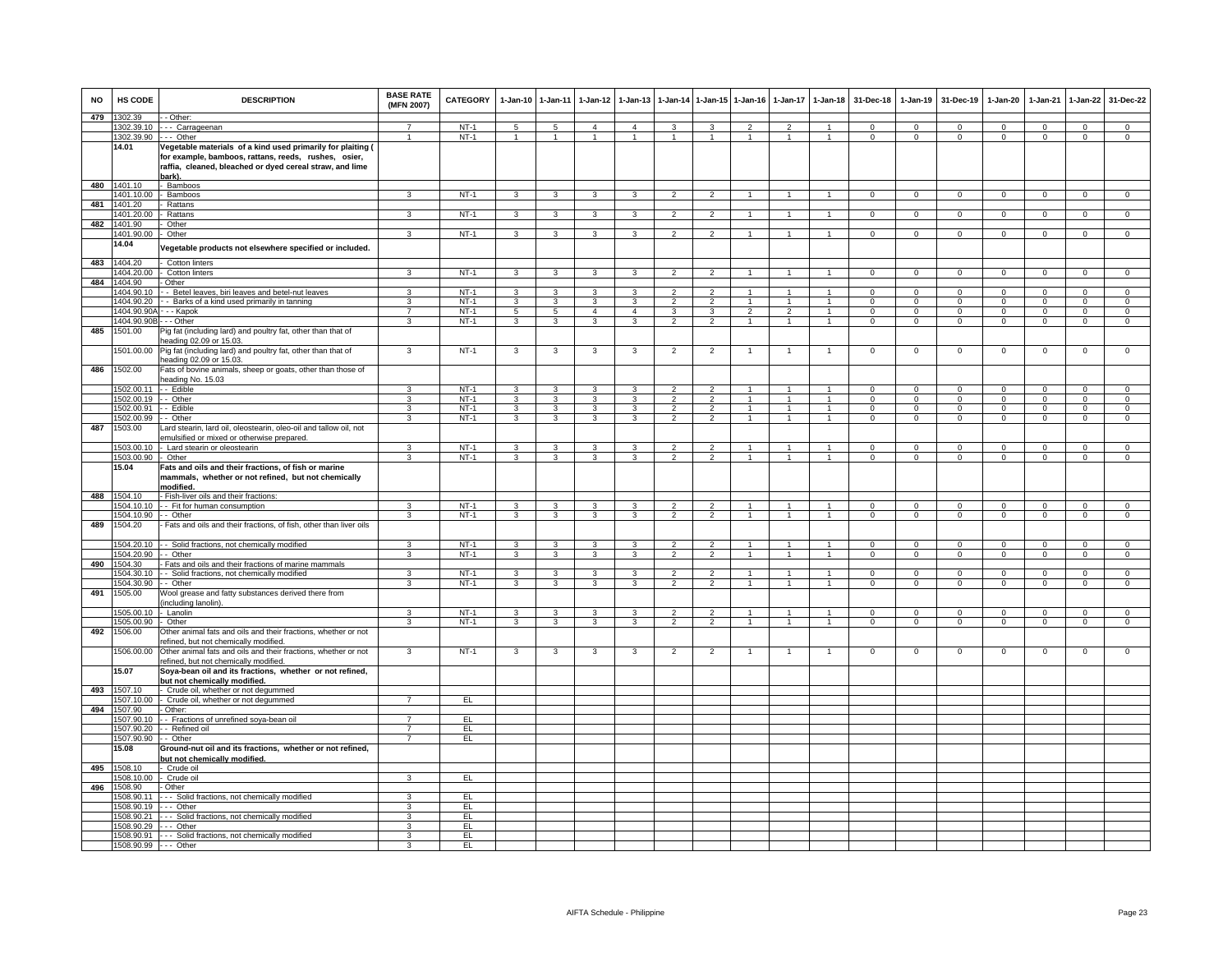| <b>NO</b> | HS CODE                                       | <b>DESCRIPTION</b>                                                                                                                                                                        | <b>BASE RATE</b><br>(MFN 2007)   | CATEGORY         | 1-Jan-10 1-Jan-11       |                              | $1-Jan-12$              | $1-Jan-13$              | $1-Jan-14$                       |                                  | 1-Jan-15 1-Jan-16                | $1-Jan-17$                   | $1-Jan-18$                       | 31-Dec-18                  | $1-Jan-19$                 | 31-Dec-19                  | $1-Jan-20$                 | 1-Jan-21                   | $1-Jan-22$                    | 31-Dec-22                        |
|-----------|-----------------------------------------------|-------------------------------------------------------------------------------------------------------------------------------------------------------------------------------------------|----------------------------------|------------------|-------------------------|------------------------------|-------------------------|-------------------------|----------------------------------|----------------------------------|----------------------------------|------------------------------|----------------------------------|----------------------------|----------------------------|----------------------------|----------------------------|----------------------------|-------------------------------|----------------------------------|
| 479       | 1302.39                                       | - - Other:                                                                                                                                                                                |                                  |                  |                         |                              |                         |                         |                                  |                                  |                                  |                              |                                  |                            |                            |                            |                            |                            |                               |                                  |
|           |                                               | 1302.39.10 --- Carrageenan                                                                                                                                                                | $\overline{7}$                   | $NT-1$           | 5                       | 5                            | $\overline{a}$          | $\overline{4}$          | $\mathbf{3}$                     | $\mathbf{3}$                     | $\overline{2}$                   | $\overline{2}$               | $\overline{1}$                   | $\Omega$                   | $\mathbf 0$                | $\Omega$                   | $\Omega$                   | $\Omega$                   | $\Omega$                      | $\overline{0}$                   |
|           | 1302.39.90 --- Other                          |                                                                                                                                                                                           | $\overline{1}$                   | $NT-1$           | $\overline{1}$          | $\overline{1}$               | $\overline{1}$          | $\mathbf{1}$            | $\overline{1}$                   | $\mathbf{1}$                     | $\overline{1}$                   | $\mathbf{1}$                 | $\overline{1}$                   | $\mathbf 0$                | $\mathbf{0}$               | $^{\circ}$                 | $\mathbf{0}$               | $^{\circ}$                 | $\mathbf 0$                   | $\overline{0}$                   |
|           | 14.01                                         | Vegetable materials of a kind used primarily for plaiting (<br>for example, bamboos, rattans, reeds, rushes, osier,<br>raffia, cleaned, bleached or dyed cereal straw, and lime<br>bark). |                                  |                  |                         |                              |                         |                         |                                  |                                  |                                  |                              |                                  |                            |                            |                            |                            |                            |                               |                                  |
| 480       | 1401.10                                       | - Bamboos                                                                                                                                                                                 |                                  |                  |                         |                              |                         |                         |                                  |                                  | $\overline{1}$                   | $\overline{1}$               |                                  |                            |                            |                            |                            |                            |                               |                                  |
| 481       | 1401.10.00<br>1401.20                         | - Bamboos<br>- Rattans                                                                                                                                                                    | 3                                | $NT-1$           | $\overline{\mathbf{3}}$ | $\overline{\mathbf{3}}$      | $\overline{3}$          | $\overline{\mathbf{3}}$ | $\overline{2}$                   | $\overline{2}$                   |                                  |                              | $\overline{1}$                   | $\overline{0}$             | $\overline{0}$             | $\overline{0}$             | $\overline{0}$             | $\overline{0}$             | $\overline{0}$                | $\overline{0}$                   |
|           | 1401.20.00 - Rattans                          |                                                                                                                                                                                           | $\mathbf{3}$                     | $NT-1$           | $\mathbf{3}$            | $\mathbf{3}$                 | 3 <sup>1</sup>          | $\mathbf{3}$            | $\overline{2}$                   | 2                                | $\overline{1}$                   | $\mathbf{1}$                 | $\overline{1}$                   | $\overline{0}$             | $\overline{0}$             | $\mathbf 0$                | $\overline{0}$             | $\mathbf 0$                | $\circ$                       | $\overline{0}$                   |
| 482       | 1401.90                                       | Other                                                                                                                                                                                     |                                  |                  |                         |                              |                         |                         |                                  |                                  |                                  |                              |                                  |                            |                            |                            |                            |                            |                               |                                  |
|           | 1401.90.00                                    | - Other                                                                                                                                                                                   | 3                                | $NT-1$           | 3                       | $\mathbf{3}$                 | 3                       | 3                       | $\overline{2}$                   | 2                                | $\mathbf{1}$                     | $\mathbf{1}$                 | $\overline{1}$                   | $\mathbf{0}$               | $\mathbf 0$                | $^{\circ}$                 | $\mathbf{0}$               | $^{\circ}$                 | $\overline{0}$                | $\overline{0}$                   |
|           | 14.04                                         | /egetable products not elsewhere specified or included.                                                                                                                                   |                                  |                  |                         |                              |                         |                         |                                  |                                  |                                  |                              |                                  |                            |                            |                            |                            |                            |                               |                                  |
| 483       | 1404.20                                       | Cotton linters                                                                                                                                                                            |                                  |                  |                         |                              |                         |                         |                                  |                                  |                                  |                              |                                  |                            |                            |                            |                            |                            |                               |                                  |
| 484       | 1404.20.00                                    | Cotton linters                                                                                                                                                                            | 3                                | $NT-1$           | $\mathbf{3}$            | 3                            | 3                       | 3                       | $\overline{2}$                   | $\overline{2}$                   | $\overline{1}$                   | $\mathbf{1}$                 | $\overline{1}$                   | $\mathbf{0}$               | $\mathbf{0}$               | $\mathbf 0$                | $\Omega$                   | $^{\circ}$                 | $\mathbf{0}$                  | $\mathsf 0$                      |
|           | 1404.90<br>1404.90.10                         | Other                                                                                                                                                                                     | 3                                | $NT-1$           | $\mathcal{R}$           | $\mathbf{3}$                 | ٩                       |                         |                                  |                                  |                                  |                              |                                  | $\Omega$                   | $\Omega$                   | $\Omega$                   | $\Omega$                   | $\Omega$                   | $\Omega$                      | $\Omega$                         |
|           | 1404.90.20                                    | - Betel leaves, biri leaves and betel-nut leaves<br>- - Barks of a kind used primarily in tanning                                                                                         | 3                                | $NT-1$           | $\overline{3}$          | 3                            | 3                       | 3                       | $\overline{2}$                   | $\overline{2}$                   | $\mathbf{1}$                     | $\mathbf{1}$                 | $\overline{1}$                   | $\mathbf 0$                | $\mathbf{0}$               | $\mathbf 0$                | $\mathbf 0$                | $\mathbf 0$                | $\mathbf 0$                   | $\overline{0}$                   |
|           | 1404.90.90A - - - Kapok                       |                                                                                                                                                                                           | $\overline{7}$                   | $NT-1$           | $\overline{5}$          | 5                            | $\overline{4}$          | $\overline{4}$          | 3                                | 3                                | $\mathcal{P}$                    | $\mathfrak{p}$               | $\overline{1}$                   | $\Omega$                   | $\overline{0}$             | $\Omega$                   | $\Omega$                   | $\Omega$                   | $\overline{0}$                | $\overline{0}$                   |
|           | 1404.90.90B-                                  | - - Other                                                                                                                                                                                 | 3                                | $NT-1$           | $\mathbf{3}$            | $\mathbf{3}$                 | $\mathbf{3}$            | 3                       | $\overline{2}$                   | $\overline{2}$                   | $\mathbf{1}$                     | $\mathbf{1}$                 | $\overline{1}$                   | $\mathbf 0$                | $\mathbf{0}$               | $\mathbf 0$                | $\mathbf{O}$               | $\mathbf 0$                | $\mathbf{0}$                  | $\mathbf 0$                      |
| 485       | 1501.00                                       | Pig fat (including lard) and poultry fat, other than that of                                                                                                                              |                                  |                  |                         |                              |                         |                         |                                  |                                  |                                  |                              |                                  |                            |                            |                            |                            |                            |                               |                                  |
|           |                                               | eading 02.09 or 15.03.                                                                                                                                                                    |                                  |                  |                         |                              |                         |                         |                                  |                                  |                                  |                              |                                  |                            |                            |                            |                            |                            |                               |                                  |
|           |                                               | 1501.00.00 Pig fat (including lard) and poultry fat, other than that of<br>eading 02.09 or 15.03.                                                                                         | 3                                | $NT-1$           | 3                       | 3                            | 3                       | 3                       | $\overline{2}$                   | $\overline{2}$                   |                                  | $\overline{1}$               | $\mathbf{1}$                     | $\mathsf 0$                | $\mathsf 0$                | $\mathbf 0$                | $\mathsf 0$                | $\mathbf 0$                | $\mathbf 0$                   | $\overline{0}$                   |
| 486       | 1502.00                                       | Fats of bovine animals, sheep or goats, other than those of<br>eading No. 15.03                                                                                                           |                                  |                  |                         |                              |                         |                         |                                  |                                  |                                  |                              |                                  |                            |                            |                            |                            |                            |                               |                                  |
|           | 1502.00.11 - - Edible<br>1502.00.19 - - Other |                                                                                                                                                                                           | 3<br>3                           | $NT-1$<br>$NT-1$ | $\overline{3}$<br>3     | 3<br>$\overline{\mathbf{3}}$ | 3<br>$\overline{3}$     | 3<br>3                  | $\overline{2}$<br>$\overline{2}$ | $\overline{2}$<br>$\overline{2}$ | $\overline{1}$<br>$\overline{1}$ | $\mathbf{1}$<br>$\mathbf{1}$ | $\overline{1}$<br>$\overline{1}$ | $\Omega$<br>$\overline{0}$ | $\Omega$<br>$\overline{0}$ | $\Omega$<br>$\overline{0}$ | $\Omega$<br>$\overline{0}$ | $\Omega$<br>$\overline{0}$ | $\mathbf 0$<br>$\overline{0}$ | $\overline{0}$<br>$\overline{0}$ |
|           | 1502.00.91                                    | - - Edible                                                                                                                                                                                | $\mathbf{3}$                     | $NT-1$           | $\mathbf{3}$            | $\mathbf{3}$                 | $\mathbf{3}$            | 3                       | $\overline{2}$                   | $\overline{2}$                   | $\mathbf{1}$                     | $\mathbf{1}$                 | $\overline{1}$                   | $\mathbf{0}$               | $\mathbf{0}$               | $\overline{0}$             | $\mathbf{0}$               | $\mathbf 0$                | $\mathbf{0}$                  | $\overline{0}$                   |
|           | 1502.00.99                                    | - - Other                                                                                                                                                                                 | $\mathbf{3}$                     | $NT-1$           | $\mathbf{3}$            | $\overline{\mathbf{3}}$      | $\overline{\mathbf{3}}$ | $\mathbf{3}$            | $\overline{2}$                   | $\overline{2}$                   | $\overline{1}$                   | $\overline{1}$               | $\overline{1}$                   | $\mathbf{0}$               | $\overline{0}$             | $\overline{0}$             | $\mathbf{0}$               | $\overline{0}$             | $\mathbf{0}$                  | $\overline{0}$                   |
| 487       | 1503.00                                       | Lard stearin, lard oil, oleostearin, oleo-oil and tallow oil, not<br>emulsified or mixed or otherwise prepared.                                                                           |                                  |                  |                         |                              |                         |                         |                                  |                                  |                                  |                              |                                  |                            |                            |                            |                            |                            |                               |                                  |
|           |                                               | 1503.00.10 - Lard stearin or oleostearin                                                                                                                                                  | 3                                | $NT-1$           | 3                       | 3                            | 3                       | 3                       | $\overline{2}$                   | $\overline{2}$                   | $\mathbf{1}$                     | $\mathbf{1}$                 | $\mathbf{1}$                     | $\Omega$                   | $\mathbf{0}$               | $\mathbf 0$                | $\Omega$                   | $\Omega$                   | $\mathbf{0}$                  | $\overline{0}$                   |
|           | 1503.00.90 - Other                            |                                                                                                                                                                                           | 3                                | $NT-1$           | 3                       | 3                            | 3                       | 3                       | $\overline{2}$                   | $\overline{2}$                   | $\mathbf{1}$                     | $\mathbf{1}$                 | $\overline{1}$                   | $\mathbf 0$                | $\mathsf 0$                | $\mathbf 0$                | $\mathbf 0$                | $\mathbf 0$                | $\mathbf 0$                   | $\mathsf 0$                      |
|           | 15.04                                         | Fats and oils and their fractions, of fish or marine<br>mammals, whether or not refined, but not chemically<br>modified.                                                                  |                                  |                  |                         |                              |                         |                         |                                  |                                  |                                  |                              |                                  |                            |                            |                            |                            |                            |                               |                                  |
| 488       | 1504.10                                       | - Fish-liver oils and their fractions:                                                                                                                                                    |                                  |                  |                         |                              |                         |                         |                                  |                                  |                                  |                              |                                  |                            |                            |                            |                            |                            |                               |                                  |
|           |                                               | 1504.10.10 -- Fit for human consumption                                                                                                                                                   | $\mathbf{R}$                     | $NT-1$           | 3                       | 3                            | 3                       | 3                       | $\overline{\phantom{0}}$         | $\mathcal{P}$                    |                                  |                              |                                  | $\Omega$                   | $\Omega$                   | $\Omega$                   | $\Omega$                   | $\Omega$                   | $\Omega$                      | $\Omega$                         |
|           | 1504.10.90 -- Other                           |                                                                                                                                                                                           | 3                                | NT-1             | 3                       | $\mathbf{3}$                 | 3                       | 3                       | $\overline{2}$                   | $\overline{2}$                   | $\overline{1}$                   | $\mathbf{1}$                 | $\overline{1}$                   | $\mathbf 0$                | $\overline{0}$             | $\mathbf{0}$               | $\mathbf{0}$               | $\overline{0}$             | $\overline{0}$                | $\overline{0}$                   |
| 489       | 1504.20                                       | - Fats and oils and their fractions, of fish, other than liver oils<br>1504.20.10 - Solid fractions, not chemically modified                                                              | 3                                | $NT-1$           | $\overline{3}$          | 3                            | $\mathbf{3}$            | 3                       | $\overline{2}$                   | $\overline{2}$                   | $\mathbf{1}$                     | $\mathbf{1}$                 | $\mathbf{1}$                     | $\mathbf 0$                | $\overline{0}$             | $\mathbf 0$                | $\mathbf{O}$               | $\mathbf 0$                | $\mathbf 0$                   | $\mathbf 0$                      |
|           | 1504.20.90                                    | - Other                                                                                                                                                                                   | 3                                | $NT-1$           | 3                       | 3                            | 3                       | 3                       | $\overline{2}$                   | $\overline{2}$                   | $\mathbf{1}$                     | $\mathbf{1}$                 | $\overline{1}$                   | $\Omega$                   | $\mathbf 0$                | $\mathbf 0$                | 0                          | $\mathbf 0$                | $\mathbf 0$                   | $\overline{0}$                   |
| 490       | 1504.30                                       | Fats and oils and their fractions of marine mammals                                                                                                                                       |                                  |                  |                         |                              |                         |                         |                                  |                                  |                                  |                              |                                  |                            |                            |                            |                            |                            |                               |                                  |
|           | 1504.30.10                                    | - Solid fractions, not chemically modified                                                                                                                                                | $\mathbf{3}$                     | $NT-1$           | $\mathbf{3}$            | $\mathbf{3}$                 | $\mathbf{3}$            | $\mathbf{3}$            | $\overline{2}$                   | $\overline{2}$                   | $\overline{1}$                   | $\overline{1}$               | $\overline{1}$                   | $\Omega$                   | $\Omega$                   | $\mathbf 0$                | $\Omega$                   | $\Omega$                   | $\mathbf 0$                   | $\overline{0}$                   |
|           | 1504 30 90                                    | - - Other                                                                                                                                                                                 | $\overline{3}$                   | $NT-1$           | 3                       | $\overline{3}$               | $\overline{\mathbf{3}}$ | $\overline{\mathbf{3}}$ | $\overline{2}$                   | $\overline{2}$                   | $\overline{1}$                   | $\mathbf{1}$                 | $\overline{1}$                   | $\Omega$                   | $\Omega$                   | $\Omega$                   | $\Omega$                   | $\Omega$                   | $\mathbf 0$                   | $\overline{0}$                   |
| 491       | 1505.00                                       | Wool grease and fatty substances derived there from<br>including lanolin).                                                                                                                |                                  |                  |                         |                              |                         |                         |                                  |                                  |                                  |                              |                                  |                            |                            |                            |                            |                            |                               |                                  |
|           | 1505.00.10 - Lanolin                          |                                                                                                                                                                                           | 3                                | $NT-1$<br>$NT-1$ | 3                       | 3                            | 3                       | 3                       | $\overline{2}$                   | $\overline{2}$<br>$\overline{2}$ | $\overline{1}$<br>$\mathbf{1}$   | $\mathbf{1}$<br>$\mathbf{1}$ | $\overline{1}$<br>$\overline{1}$ | $\mathbf 0$                | $\mathsf 0$                | $\mathbf{0}$               | 0                          | $\mathbf 0$                | $\mathbf 0$                   | $\mathbf 0$<br>$\overline{0}$    |
| 492       | 1505.00.90<br>1506.00                         | - Other<br>Other animal fats and oils and their fractions, whether or not                                                                                                                 | $\mathbf{3}$                     |                  | $\mathbf{3}$            | $\overline{\mathbf{3}}$      | $\mathbf{3}$            | 3                       | $\overline{2}$                   |                                  |                                  |                              |                                  | $\mathbf{0}$               | $\overline{0}$             | $\mathbf{0}$               | $\mathbf{0}$               | $\mathbf{0}$               | $\overline{0}$                |                                  |
|           | 506.00.00                                     | efined, but not chemically modified.<br>Other animal fats and oils and their fractions, whether or not                                                                                    | 3                                | <b>NT-1</b>      | 3                       | 3                            | 3                       | 3                       | $\overline{2}$                   | $\overline{2}$                   |                                  |                              |                                  | 0                          | 0                          | $\mathbf 0$                | 0                          | 0                          | 0                             | $\mathsf 0$                      |
|           | 15.07                                         | efined, but not chemically modified.<br>Soya-bean oil and its fractions, whether or not refined,                                                                                          |                                  |                  |                         |                              |                         |                         |                                  |                                  |                                  |                              |                                  |                            |                            |                            |                            |                            |                               |                                  |
| 493       | 1507.10                                       | but not chemically modified.<br>- Crude oil, whether or not degummed                                                                                                                      |                                  |                  |                         |                              |                         |                         |                                  |                                  |                                  |                              |                                  |                            |                            |                            |                            |                            |                               |                                  |
|           |                                               | 1507.10.00 - Crude oil, whether or not degummed                                                                                                                                           |                                  | EL.              |                         |                              |                         |                         |                                  |                                  |                                  |                              |                                  |                            |                            |                            |                            |                            |                               |                                  |
|           | 494 1507.90                                   | - Other:                                                                                                                                                                                  |                                  |                  |                         |                              |                         |                         |                                  |                                  |                                  |                              |                                  |                            |                            |                            |                            |                            |                               |                                  |
|           |                                               | 1507.90.10 - - Fractions of unrefined soya-bean oil                                                                                                                                       | $\overline{7}$                   | EL.              |                         |                              |                         |                         |                                  |                                  |                                  |                              |                                  |                            |                            |                            |                            |                            |                               |                                  |
|           | 1507.90.90                                    | 1507.90.20 - Refined oil<br>- Other                                                                                                                                                       | $\overline{7}$<br>$\overline{7}$ | EL<br>EL         |                         |                              |                         |                         |                                  |                                  |                                  |                              |                                  |                            |                            |                            |                            |                            |                               |                                  |
|           | 15.08                                         | Ground-nut oil and its fractions, whether or not refined,<br>but not chemically modified.                                                                                                 |                                  |                  |                         |                              |                         |                         |                                  |                                  |                                  |                              |                                  |                            |                            |                            |                            |                            |                               |                                  |
| 495       | 1508.10                                       | - Crude oil                                                                                                                                                                               |                                  |                  |                         |                              |                         |                         |                                  |                                  |                                  |                              |                                  |                            |                            |                            |                            |                            |                               |                                  |
|           | 1508.10.00                                    | Crude oil                                                                                                                                                                                 | $\mathbf{3}$                     | EL               |                         |                              |                         |                         |                                  |                                  |                                  |                              |                                  |                            |                            |                            |                            |                            |                               |                                  |
| 496       | 1508.90                                       | - Other                                                                                                                                                                                   |                                  |                  |                         |                              |                         |                         |                                  |                                  |                                  |                              |                                  |                            |                            |                            |                            |                            |                               |                                  |
|           | 1508.90.11                                    | --- Solid fractions, not chemically modified                                                                                                                                              | 3                                | EL               |                         |                              |                         |                         |                                  |                                  |                                  |                              |                                  |                            |                            |                            |                            |                            |                               |                                  |
|           | 1508.90.19 --- Other                          |                                                                                                                                                                                           | 3                                | EL               |                         |                              |                         |                         |                                  |                                  |                                  |                              |                                  |                            |                            |                            |                            |                            |                               |                                  |
|           | 1508.90.29 --- Other                          | 1508.90.21 --- Solid fractions, not chemically modified                                                                                                                                   | 3<br>3                           | EL.<br>EL        |                         |                              |                         |                         |                                  |                                  |                                  |                              |                                  |                            |                            |                            |                            |                            |                               |                                  |
|           |                                               | 1508.90.91 --- Solid fractions, not chemically modified                                                                                                                                   | 3                                | EL               |                         |                              |                         |                         |                                  |                                  |                                  |                              |                                  |                            |                            |                            |                            |                            |                               |                                  |
|           | 1508.90.99 --- Other                          |                                                                                                                                                                                           |                                  | EL               |                         |                              |                         |                         |                                  |                                  |                                  |                              |                                  |                            |                            |                            |                            |                            |                               |                                  |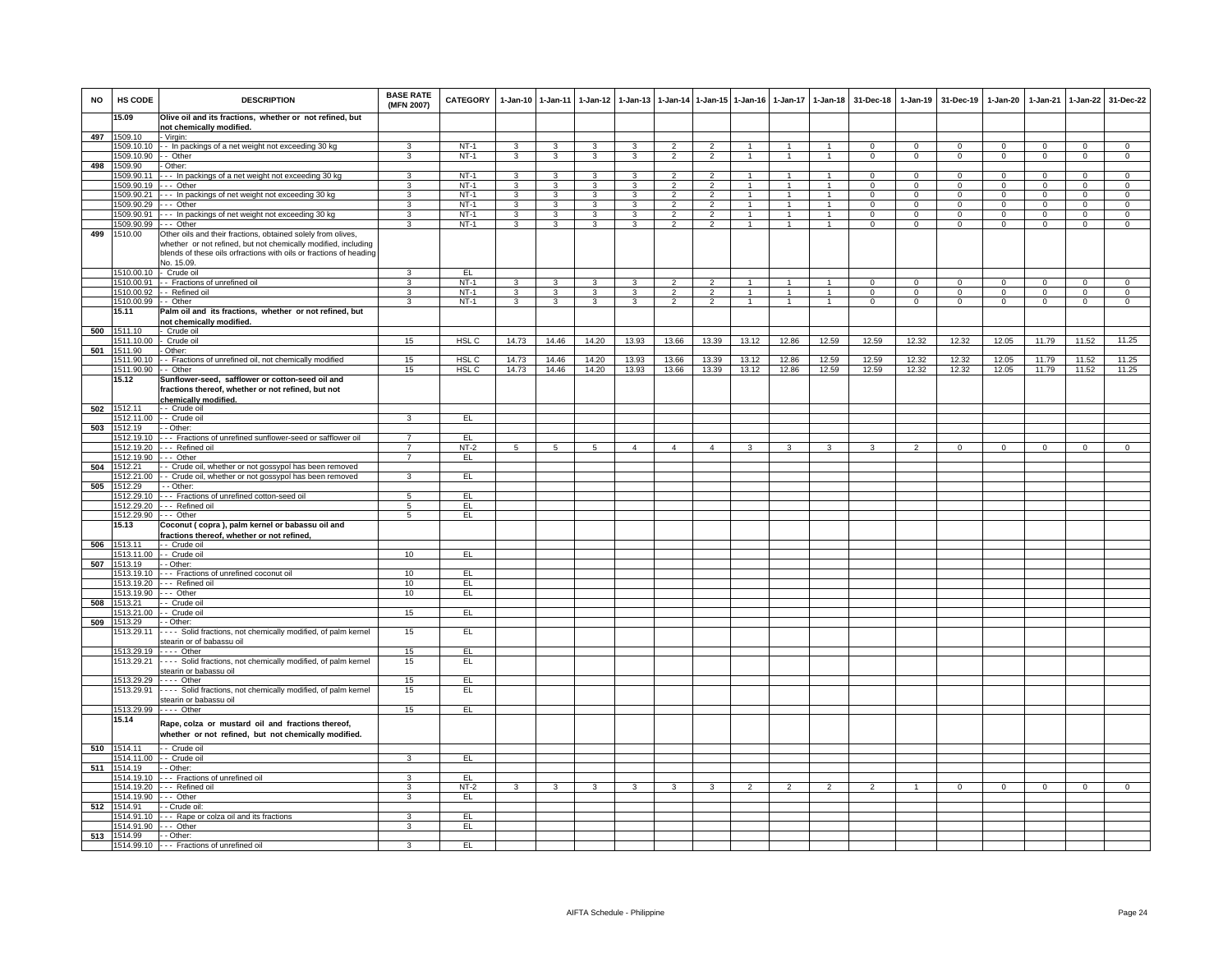| <b>NO</b> | HS CODE                       | <b>DESCRIPTION</b>                                                                                                                                                                                   | <b>BASE RATE</b><br>(MFN 2007) | <b>CATEGORY</b>  |                         | 1-Jan-10 1-Jan-11       | 1-Jan-12 1-Jan-13   |                   |                                  |                     |                                | 1-Jan-14 1-Jan-15 1-Jan-16 1-Jan-17 1-Jan-18 |                              | 31-Dec-18                     | $1-Jan-19$                  | 31-Dec-19            | 1-Jan-20                      | 1-Jan-21             | 1-Jan-22               | 31-Dec-22                   |
|-----------|-------------------------------|------------------------------------------------------------------------------------------------------------------------------------------------------------------------------------------------------|--------------------------------|------------------|-------------------------|-------------------------|---------------------|-------------------|----------------------------------|---------------------|--------------------------------|----------------------------------------------|------------------------------|-------------------------------|-----------------------------|----------------------|-------------------------------|----------------------|------------------------|-----------------------------|
|           | 15.09                         | Olive oil and its fractions, whether or not refined, but                                                                                                                                             |                                |                  |                         |                         |                     |                   |                                  |                     |                                |                                              |                              |                               |                             |                      |                               |                      |                        |                             |
|           | 497 1509.10                   | not chemically modified.<br>- Virgin:                                                                                                                                                                |                                |                  |                         |                         |                     |                   |                                  |                     |                                |                                              |                              |                               |                             |                      |                               |                      |                        |                             |
|           |                               | 1509.10.10 -- In packings of a net weight not exceeding 30 kg                                                                                                                                        | 3                              | $NT-1$           | 3                       | 3                       | 3                   | 3                 | $\overline{2}$                   | $\overline{2}$      | $\overline{1}$                 | $\mathbf{1}$                                 | 1                            | $\Omega$                      | $\Omega$                    | $^{\circ}$           | $\mathbf{0}$                  | $\Omega$             | $\Omega$               | $\overline{0}$              |
| 498       | 1509.10.90<br>1509.90         | - - Other<br>Other:                                                                                                                                                                                  | 3                              | $NT-1$           | 3                       | 3                       | $\mathbf{3}$        | 3                 | $\overline{2}$                   | $\overline{2}$      | $\mathbf{1}$                   | $\mathbf{1}$                                 | $\mathbf{1}$                 | $\mathbf{0}$                  | $\mathbf{O}$                | $^{\circ}$           | $\overline{0}$                | $\mathbf 0$          | $\mathbf{0}$           | $\overline{0}$              |
|           | 1509.90.11                    | --- In packings of a net weight not exceeding 30 kg                                                                                                                                                  | 3                              | $NT-1$           | $\overline{\mathbf{3}}$ | $\overline{\mathbf{3}}$ | $\mathbf{R}$        | 3                 | $\overline{2}$                   | $\overline{2}$      | $\overline{1}$                 | $\overline{1}$                               | $\mathbf{1}$                 | $\Omega$                      | $\Omega$                    | $\Omega$             | $\Omega$                      | $\Omega$             | $\Omega$               | $\overline{0}$              |
|           | 1509.90.19                    | $-$ - Other                                                                                                                                                                                          | 3                              | $NT-1$           | $\mathbf{3}$            | 3                       | 3                   | 3                 | 2                                | 2                   | $\overline{1}$                 | $\mathbf{1}$                                 | $\mathbf{1}$                 | $\Omega$                      | $\Omega$                    | $\Omega$             | $\mathbf 0$                   | $\Omega$             | $\Omega$               | $\circ$                     |
|           | 1509.90.21                    | --- In packings of net weight not exceeding 30 kg                                                                                                                                                    | 3                              | $NT-1$           | $\overline{3}$          | $\overline{\mathbf{3}}$ | $\overline{3}$      | 3                 | $\overline{2}$<br>$\overline{2}$ | $\overline{2}$      | $\overline{1}$<br>$\mathbf{1}$ | $\overline{1}$<br>$\mathbf{1}$               | $\mathbf{1}$<br>$\mathbf{1}$ | $\Omega$                      | $\overline{0}$              | $\Omega$<br>$\Omega$ | $\overline{0}$                | $\Omega$<br>$\Omega$ | $\overline{0}$         | $\overline{0}$              |
|           | 1509.90.29<br>1509.90.91      | --- Other<br>--- In packings of net weight not exceeding 30 kg                                                                                                                                       | 3<br>$\mathbf{3}$              | $NT-1$<br>$NT-1$ | 3<br>$\mathbf{3}$       | 3<br>$\mathbf{3}$       | 3<br>3 <sup>1</sup> | 3<br>$\mathbf{3}$ | $\overline{2}$                   | $\overline{2}$<br>2 | $\overline{1}$                 | $\overline{1}$                               | 1                            | $\mathbf 0$<br>$\overline{0}$ | $\mathbf 0$<br>$\mathbf{0}$ | $\mathbf{0}$         | $\mathbf 0$<br>$\overline{0}$ | $\mathbf{0}$         | $\mathbf 0$<br>$\circ$ | $\mathbf 0$<br>$\mathbf{0}$ |
|           | 1509.90.99                    | -- Other                                                                                                                                                                                             | 3                              | $NT-1$           | 3                       | 3                       | 3                   | 3                 | $\overline{2}$                   | $\overline{2}$      | $\overline{1}$                 | $\mathbf{1}$                                 | $\overline{1}$               | $\Omega$                      | $\overline{0}$              | $\overline{0}$       | $\overline{0}$                | $\mathbf 0$          | $\overline{0}$         | $\Omega$                    |
| 499       | 1510.00                       | Other oils and their fractions, obtained solely from olives,<br>whether or not refined, but not chemically modified, including<br>blends of these oils orfractions with oils or fractions of heading |                                |                  |                         |                         |                     |                   |                                  |                     |                                |                                              |                              |                               |                             |                      |                               |                      |                        |                             |
|           |                               | No. 15.09.                                                                                                                                                                                           |                                |                  |                         |                         |                     |                   |                                  |                     |                                |                                              |                              |                               |                             |                      |                               |                      |                        |                             |
|           | 1510.00.10 - Crude oil        | 1510.00.91 - - Fractions of unrefined oil                                                                                                                                                            | 3<br>3                         | EL<br>$NT-1$     | $\overline{3}$          | 3                       | 3                   | 3                 | $\overline{2}$                   | $\overline{2}$      | $\overline{1}$                 | $\overline{1}$                               | $\overline{1}$               | $\overline{0}$                | $\overline{0}$              | $\mathbf 0$          | $\overline{0}$                | $\overline{0}$       | $\overline{0}$         | $\overline{0}$              |
|           | 1510.00.92                    | - Refined oil                                                                                                                                                                                        | 3                              | $NT-1$           | 3                       | 3                       | 3                   | 3                 | $\mathcal{P}$                    | 2                   | $\overline{1}$                 | $\ddot{\phantom{0}}$                         | $\blacktriangleleft$         | $\Omega$                      | $\mathbf 0$                 | $\Omega$             | $\mathbf 0$                   | $\mathbf{0}$         | $\Omega$               | $\circ$                     |
|           | 1510.00.99 -- Other           |                                                                                                                                                                                                      | $\mathbf{3}$                   | $NT-1$           | $\overline{3}$          | $\overline{3}$          | $\overline{3}$      | 3                 | $\overline{2}$                   | $\overline{2}$      | $\mathbf{1}$                   | 1                                            | $\mathbf{1}$                 | $\mathbf{0}$                  | $\overline{0}$              | $\mathbf{0}$         | $\overline{0}$                | $\mathbf{0}$         | $\mathbf{0}$           | $\overline{0}$              |
|           | 15.11                         | Palm oil and its fractions, whether or not refined, but<br>not chemically modified.                                                                                                                  |                                |                  |                         |                         |                     |                   |                                  |                     |                                |                                              |                              |                               |                             |                      |                               |                      |                        |                             |
|           | 500 1511.10                   | - Crude oil                                                                                                                                                                                          |                                |                  |                         |                         |                     |                   |                                  |                     |                                |                                              |                              |                               |                             |                      |                               |                      |                        |                             |
|           | 1511.10.00 - Crude oil        |                                                                                                                                                                                                      | 15                             | HSL <sub>C</sub> | 14.73                   | 14.46                   | 14.20               | 13.93             | 13.66                            | 13.39               | 13.12                          | 12.86                                        | 12.59                        | 12.59                         | 12.32                       | 12.32                | 12.05                         | 11.79                | 11.52                  | 11.25                       |
| 501       | 1511.90                       | Other:                                                                                                                                                                                               |                                |                  |                         |                         |                     |                   |                                  |                     |                                |                                              |                              |                               |                             |                      |                               |                      |                        |                             |
|           | 1511.90.10<br>1511.90.90      | - Fractions of unrefined oil, not chemically modified<br>- Other                                                                                                                                     | 15<br>15                       | HSL C<br>HSL C   | 14.73<br>14.73          | 14.46<br>14.46          | 14.20<br>14.20      | 13.93<br>13.93    | 13.66<br>13.66                   | 13.39<br>13.39      | 13.12<br>13.12                 | 12.86<br>12.86                               | 12.59<br>12.59               | 12.59<br>12.59                | 12.32<br>12.32              | 12.32<br>12.32       | 12.05<br>12.05                | 11.79<br>11.79       | 11.52<br>11.52         | 11.25<br>11.25              |
|           | 15.12                         | Sunflower-seed, safflower or cotton-seed oil and<br>fractions thereof, whether or not refined, but not<br>chemically modified.                                                                       |                                |                  |                         |                         |                     |                   |                                  |                     |                                |                                              |                              |                               |                             |                      |                               |                      |                        |                             |
|           | 502 1512.11                   | - Crude oil                                                                                                                                                                                          |                                |                  |                         |                         |                     |                   |                                  |                     |                                |                                              |                              |                               |                             |                      |                               |                      |                        |                             |
|           |                               | 1512.11.00 -- Crude oil                                                                                                                                                                              | $\mathbf{3}$                   | EL.              |                         |                         |                     |                   |                                  |                     |                                |                                              |                              |                               |                             |                      |                               |                      |                        |                             |
|           | 503 1512.19                   | - - Other:<br>1512.19.10 --- Fractions of unrefined sunflower-seed or safflower oil                                                                                                                  | $\overline{7}$                 | EL               |                         |                         |                     |                   |                                  |                     |                                |                                              |                              |                               |                             |                      |                               |                      |                        |                             |
|           |                               | 1512.19.20 --- Refined oil                                                                                                                                                                           | $\overline{7}$                 | $NT-2$           | $5\overline{5}$         | $5\overline{5}$         | 5 <sub>5</sub>      | $\overline{4}$    | $\overline{4}$                   | $\overline{4}$      | $\mathbf{3}$                   | $\mathbf{3}$                                 | $\mathbf{3}$                 | $\mathbf{3}$                  | $\overline{2}$              | $\overline{0}$       | $\overline{0}$                | $\mathbf{0}$         | $\circ$                | $\mathbf{0}$                |
|           | 1512.19.90 --- Other          |                                                                                                                                                                                                      | $\overline{7}$                 | EL               |                         |                         |                     |                   |                                  |                     |                                |                                              |                              |                               |                             |                      |                               |                      |                        |                             |
|           | 504 1512.21<br>1512.21.00     | - Crude oil, whether or not gossypol has been removed<br>- Crude oil, whether or not gossypol has been removed                                                                                       | 3                              | EL               |                         |                         |                     |                   |                                  |                     |                                |                                              |                              |                               |                             |                      |                               |                      |                        |                             |
|           | 505 1512.29                   | - - Other:                                                                                                                                                                                           |                                |                  |                         |                         |                     |                   |                                  |                     |                                |                                              |                              |                               |                             |                      |                               |                      |                        |                             |
|           | 1512.29.10                    | - - - Fractions of unrefined cotton-seed oil                                                                                                                                                         | $\overline{5}$                 | EL               |                         |                         |                     |                   |                                  |                     |                                |                                              |                              |                               |                             |                      |                               |                      |                        |                             |
|           | 1512.29.20                    | --- Refined oil                                                                                                                                                                                      | $\overline{5}$                 | EL               |                         |                         |                     |                   |                                  |                     |                                |                                              |                              |                               |                             |                      |                               |                      |                        |                             |
|           | 1512.29.90 --- Other<br>15.13 | Coconut (copra), palm kernel or babassu oil and                                                                                                                                                      | 5                              | EL.              |                         |                         |                     |                   |                                  |                     |                                |                                              |                              |                               |                             |                      |                               |                      |                        |                             |
|           |                               | fractions thereof, whether or not refined.                                                                                                                                                           |                                |                  |                         |                         |                     |                   |                                  |                     |                                |                                              |                              |                               |                             |                      |                               |                      |                        |                             |
|           | 506 1513.11                   | · - Crude oil                                                                                                                                                                                        |                                |                  |                         |                         |                     |                   |                                  |                     |                                |                                              |                              |                               |                             |                      |                               |                      |                        |                             |
| 507       | 1513.19                       | 1513.11.00 -- Crude oil<br>- Other:                                                                                                                                                                  | 10                             | EL               |                         |                         |                     |                   |                                  |                     |                                |                                              |                              |                               |                             |                      |                               |                      |                        |                             |
|           |                               | 1513.19.10 --- Fractions of unrefined coconut oil                                                                                                                                                    | 10                             | EL               |                         |                         |                     |                   |                                  |                     |                                |                                              |                              |                               |                             |                      |                               |                      |                        |                             |
|           |                               | 1513.19.20 --- Refined oil                                                                                                                                                                           | 10 <sup>1</sup>                | EL               |                         |                         |                     |                   |                                  |                     |                                |                                              |                              |                               |                             |                      |                               |                      |                        |                             |
|           | 1513.19.90<br>1513.21         | --- Other                                                                                                                                                                                            | 10                             | EL               |                         |                         |                     |                   |                                  |                     |                                |                                              |                              |                               |                             |                      |                               |                      |                        |                             |
| 508       | 1513.21.00                    | - Crude oil<br>- - Crude oil                                                                                                                                                                         | 15                             | EL.              |                         |                         |                     |                   |                                  |                     |                                |                                              |                              |                               |                             |                      |                               |                      |                        |                             |
| 509       | 1513.29                       | - Other:                                                                                                                                                                                             |                                |                  |                         |                         |                     |                   |                                  |                     |                                |                                              |                              |                               |                             |                      |                               |                      |                        |                             |
|           | 1513.29.11                    | --- Solid fractions, not chemically modified, of palm kernel<br>stearin or of babassu oil                                                                                                            | 15                             | EL               |                         |                         |                     |                   |                                  |                     |                                |                                              |                              |                               |                             |                      |                               |                      |                        |                             |
|           | 1513.29.19<br>1513.29.21      | $---$ Other<br>---- Solid fractions, not chemically modified, of palm kernel                                                                                                                         | 15<br>15                       | EL<br>EL         |                         |                         |                     |                   |                                  |                     |                                |                                              |                              |                               |                             |                      |                               |                      |                        |                             |
|           |                               | stearin or babassu oil                                                                                                                                                                               |                                |                  |                         |                         |                     |                   |                                  |                     |                                |                                              |                              |                               |                             |                      |                               |                      |                        |                             |
|           | 1513.29.29 ---- Other         |                                                                                                                                                                                                      | 15                             | EL               |                         |                         |                     |                   |                                  |                     |                                |                                              |                              |                               |                             |                      |                               |                      |                        |                             |
|           | 1513.29.91                    | ---- Solid fractions, not chemically modified, of palm kernel                                                                                                                                        | 15                             | EL               |                         |                         |                     |                   |                                  |                     |                                |                                              |                              |                               |                             |                      |                               |                      |                        |                             |
|           |                               | stearin or babassu oil<br>1513.29.99 ---- Other                                                                                                                                                      | 15 <sub>1</sub>                | EL.              |                         |                         |                     |                   |                                  |                     |                                |                                              |                              |                               |                             |                      |                               |                      |                        |                             |
|           | 15.14                         | Rape, colza or mustard oil and fractions thereof,<br>whether or not refined, but not chemically modified.                                                                                            |                                |                  |                         |                         |                     |                   |                                  |                     |                                |                                              |                              |                               |                             |                      |                               |                      |                        |                             |
|           | 510 1514.11                   | - Crude oil                                                                                                                                                                                          |                                |                  |                         |                         |                     |                   |                                  |                     |                                |                                              |                              |                               |                             |                      |                               |                      |                        |                             |
|           | 511 1514.19                   | 1514.11.00 - - Crude oil<br>- - Other:                                                                                                                                                               | 3                              | EL               |                         |                         |                     |                   |                                  |                     |                                |                                              |                              |                               |                             |                      |                               |                      |                        |                             |
|           | 1514.19.10                    | - - - Fractions of unrefined oil                                                                                                                                                                     | $\mathbf{a}$                   | EL               |                         |                         |                     |                   |                                  |                     |                                |                                              |                              |                               |                             |                      |                               |                      |                        |                             |
|           |                               | 1514.19.20 --- Refined oil                                                                                                                                                                           | 3                              | $NT-2$           | $\mathcal{R}$           | $\mathbf{R}$            | $\mathbf{R}$        | $\mathbf{B}$      | $\mathbf{B}$                     | $\mathbf{R}$        | $\mathcal{P}$                  | $\mathcal{P}$                                | $\mathcal{P}$                | $\mathcal{P}$                 |                             | $\Omega$             | $\Omega$                      | $\Omega$             | $\Omega$               | $\Omega$                    |
|           | 1514.19.90 --- Other          |                                                                                                                                                                                                      | 3                              | EL               |                         |                         |                     |                   |                                  |                     |                                |                                              |                              |                               |                             |                      |                               |                      |                        |                             |
|           | 512 1514.91                   | - - Crude oil:<br>1514.91.10 --- Rape or colza oil and its fractions                                                                                                                                 | $\mathbf{3}$                   | EL.              |                         |                         |                     |                   |                                  |                     |                                |                                              |                              |                               |                             |                      |                               |                      |                        |                             |
|           | 1514.91.90 --- Other          |                                                                                                                                                                                                      | 3                              | EL               |                         |                         |                     |                   |                                  |                     |                                |                                              |                              |                               |                             |                      |                               |                      |                        |                             |
|           | 513 1514.99                   | - - Other:                                                                                                                                                                                           |                                |                  |                         |                         |                     |                   |                                  |                     |                                |                                              |                              |                               |                             |                      |                               |                      |                        |                             |
|           |                               | 1514.99.10 - - - Fractions of unrefined oil                                                                                                                                                          | 3                              | E                |                         |                         |                     |                   |                                  |                     |                                |                                              |                              |                               |                             |                      |                               |                      |                        |                             |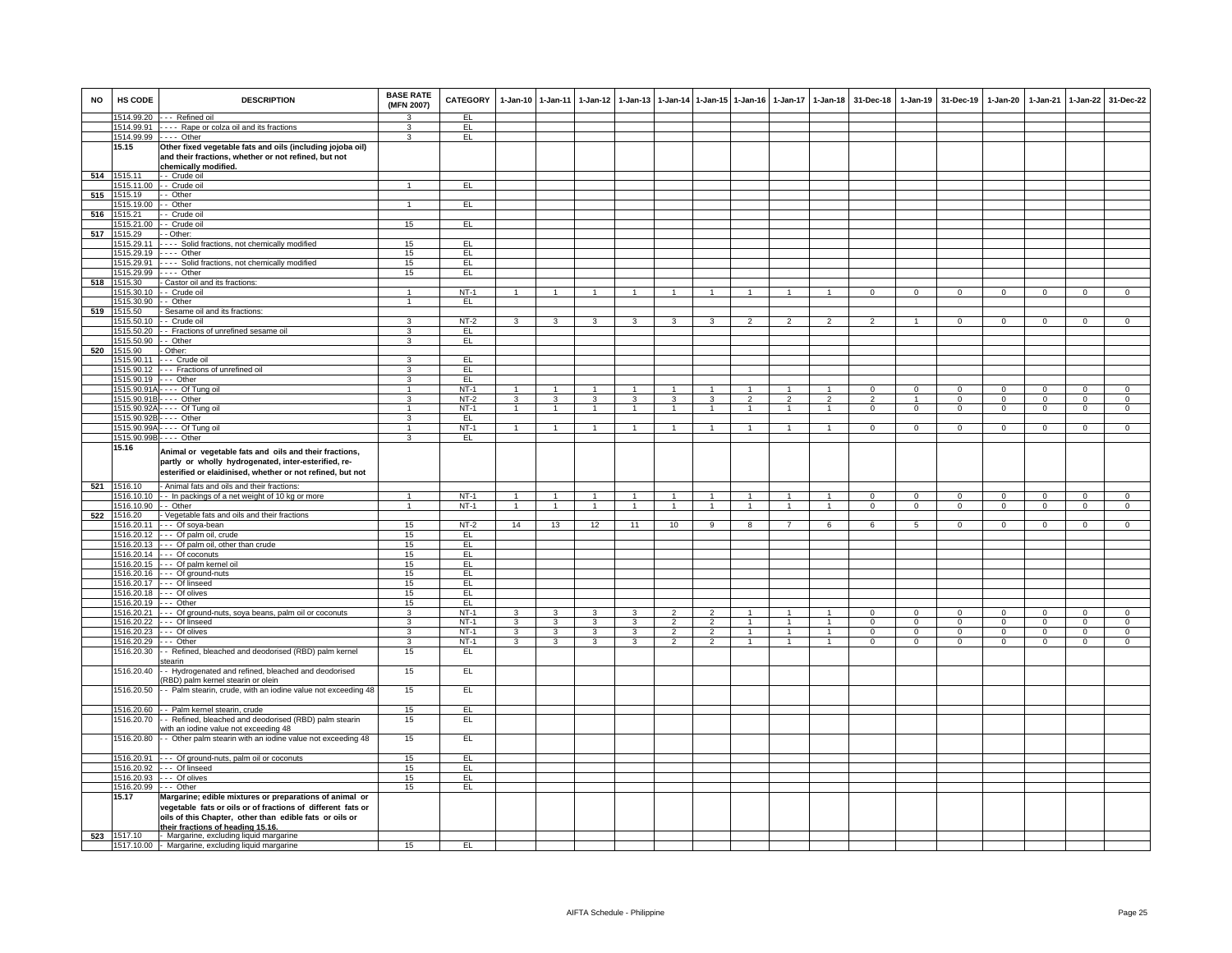| <b>NO</b> | HS CODE                       | <b>DESCRIPTION</b>                                                                                                                                                                                                     | <b>BASE RATE</b><br>(MFN 2007) | <b>CATEGORY</b> |                | 1-Jan-10 1-Jan-11 | 1-Jan-12                | $1-Jan-13$              |                |                | 1-Jan-14 1-Jan-15 1-Jan-16 | $1-Jan-17$     | $1 - Jan-18$         | 31-Dec-18      |                | 1-Jan-19 31-Dec-19 | 1-Jan-20       | $1-Jan-21$  | 1-Jan-22       | 31-Dec-22      |
|-----------|-------------------------------|------------------------------------------------------------------------------------------------------------------------------------------------------------------------------------------------------------------------|--------------------------------|-----------------|----------------|-------------------|-------------------------|-------------------------|----------------|----------------|----------------------------|----------------|----------------------|----------------|----------------|--------------------|----------------|-------------|----------------|----------------|
|           |                               | 1514.99.20 --- Refined oil                                                                                                                                                                                             | 3                              | EL.             |                |                   |                         |                         |                |                |                            |                |                      |                |                |                    |                |             |                |                |
|           |                               | 1514.99.91 ---- Rape or colza oil and its fractions                                                                                                                                                                    | $\mathcal{R}$                  | EL              |                |                   |                         |                         |                |                |                            |                |                      |                |                |                    |                |             |                |                |
|           |                               | 1514.99.99 ---- Other                                                                                                                                                                                                  | 3                              | E               |                |                   |                         |                         |                |                |                            |                |                      |                |                |                    |                |             |                |                |
|           | 15.15                         | Other fixed vegetable fats and oils (including jojoba oil)<br>and their fractions, whether or not refined, but not                                                                                                     |                                |                 |                |                   |                         |                         |                |                |                            |                |                      |                |                |                    |                |             |                |                |
|           | 514 1515.11                   | chemically modified.                                                                                                                                                                                                   |                                |                 |                |                   |                         |                         |                |                |                            |                |                      |                |                |                    |                |             |                |                |
|           |                               | - Crude oil<br>1515.11.00 - - Crude oil                                                                                                                                                                                | $\mathbf{1}$                   | EL              |                |                   |                         |                         |                |                |                            |                |                      |                |                |                    |                |             |                |                |
| 515       | 1515.19                       | $-$ Other                                                                                                                                                                                                              |                                |                 |                |                   |                         |                         |                |                |                            |                |                      |                |                |                    |                |             |                |                |
|           | 1515.19.00 - - Other          |                                                                                                                                                                                                                        | $\mathbf{1}$                   | E               |                |                   |                         |                         |                |                |                            |                |                      |                |                |                    |                |             |                |                |
| 516       | 1515.21                       | - - Crude oil                                                                                                                                                                                                          |                                |                 |                |                   |                         |                         |                |                |                            |                |                      |                |                |                    |                |             |                |                |
|           |                               | 1515.21.00 - - Crude oil                                                                                                                                                                                               | 15                             | EL.             |                |                   |                         |                         |                |                |                            |                |                      |                |                |                    |                |             |                |                |
| 517       | 1515.29                       | - - Other:                                                                                                                                                                                                             |                                |                 |                |                   |                         |                         |                |                |                            |                |                      |                |                |                    |                |             |                |                |
|           | 1515.29.11                    | ---- Solid fractions, not chemically modified                                                                                                                                                                          | 15                             | EL              |                |                   |                         |                         |                |                |                            |                |                      |                |                |                    |                |             |                |                |
|           |                               | 1515.29.19 ---- Other                                                                                                                                                                                                  | 15                             | EL              |                |                   |                         |                         |                |                |                            |                |                      |                |                |                    |                |             |                |                |
|           |                               | 1515.29.91 ---- Solid fractions, not chemically modified                                                                                                                                                               | 15                             | EL              |                |                   |                         |                         |                |                |                            |                |                      |                |                |                    |                |             |                |                |
|           |                               | 1515.29.99 ---- Other                                                                                                                                                                                                  | 15                             | EL              |                |                   |                         |                         |                |                |                            |                |                      |                |                |                    |                |             |                |                |
| 518       | 1515.30                       | - Castor oil and its fractions:                                                                                                                                                                                        | $\overline{1}$                 | $NT-1$          |                |                   |                         |                         |                |                |                            |                |                      |                | $\Omega$       | $\Omega$           | $\Omega$       | $\Omega$    |                |                |
|           | 1515.30.90 - - Other          | 1515.30.10 - - Crude oil                                                                                                                                                                                               | $\mathbf{1}$                   | EL              |                |                   |                         |                         |                |                |                            |                |                      |                |                |                    |                |             |                |                |
|           | 519 1515.50                   | - Sesame oil and its fractions:                                                                                                                                                                                        |                                |                 |                |                   |                         |                         |                |                |                            |                |                      |                |                |                    |                |             |                |                |
|           |                               | 1515.50.10 - Crude oil                                                                                                                                                                                                 | 3                              | $NT-2$          | $\mathbf{3}$   | 3                 | $\mathbf{3}$            | 3                       | 3              | 3              | $\overline{2}$             | $\overline{2}$ |                      | $\mathcal{P}$  | $\overline{1}$ | $\Omega$           | $\Omega$       | $\Omega$    | $\Omega$       | $\Omega$       |
|           |                               | 1515.50.20 - Fractions of unrefined sesame oil                                                                                                                                                                         | 3                              | EL              |                |                   |                         |                         |                |                |                            |                |                      |                |                |                    |                |             |                |                |
|           | 1515.50.90 - - Other          |                                                                                                                                                                                                                        | 3                              | EL              |                |                   |                         |                         |                |                |                            |                |                      |                |                |                    |                |             |                |                |
| 520       | 1515.90                       | - Other:                                                                                                                                                                                                               |                                |                 |                |                   |                         |                         |                |                |                            |                |                      |                |                |                    |                |             |                |                |
|           | 1515.90.11                    | - - - Crude oil                                                                                                                                                                                                        | 3                              | EL.             |                |                   |                         |                         |                |                |                            |                |                      |                |                |                    |                |             |                |                |
|           |                               | 1515.90.12 --- Fractions of unrefined oil                                                                                                                                                                              | $\overline{3}$                 | EL              |                |                   |                         |                         |                |                |                            |                |                      |                |                |                    |                |             |                |                |
|           |                               | 1515.90.19 --- Other                                                                                                                                                                                                   | 3                              | E               |                |                   |                         |                         |                |                |                            |                |                      |                |                |                    |                |             |                |                |
|           |                               | 1515.90.91A - - - - Of Tung oil                                                                                                                                                                                        | $\mathbf{1}$                   | $NT-1$          | $\mathbf{1}$   | $\overline{1}$    | $\blacktriangleleft$    | $\mathbf{1}$            | $\overline{1}$ | $\overline{1}$ | $\overline{1}$             | $\mathbf{1}$   | $\overline{1}$       | $\Omega$       | $\overline{0}$ | $\Omega$           | $\overline{0}$ | $\Omega$    | $\overline{0}$ | $\overline{0}$ |
|           |                               | 1515.90.91B - - - - Other                                                                                                                                                                                              | 3                              | $NT-2$          | $\mathbf{3}$   | 3                 | $\mathbf{3}$            | 3                       | 3              | $\mathbf{3}$   | $\overline{2}$             | $\overline{2}$ | $\overline{2}$       | $\overline{2}$ |                | $\Omega$           | $\mathbf 0$    | $\Omega$    | $\Omega$       | $\mathbf{0}$   |
|           |                               | 1515.90.92A - - - - Of Tung oil                                                                                                                                                                                        | $\mathbf{1}$                   | $NT-1$          | $\mathbf{1}$   | $\overline{1}$    | 1                       | $\mathbf{1}$            | $\overline{1}$ | $\mathbf{1}$   | $\overline{1}$             | $\mathbf{1}$   | $\overline{1}$       | $\mathbf{0}$   | $\mathbf{0}$   | $\mathbf 0$        | $\mathbf{0}$   | $\mathbf 0$ | $\mathbf{0}$   | $\mathbf{0}$   |
|           |                               | 1515.90.92B - - - - Other                                                                                                                                                                                              | 3                              | EL.             |                |                   |                         |                         |                |                |                            |                |                      |                |                |                    |                |             |                |                |
|           |                               | 1515.90.99A - - - - Of Tung oil<br>1515.90.99B - - - - Other                                                                                                                                                           | $\mathbf{1}$<br>3              | $NT-1$<br>EL    | $\overline{1}$ | 1                 | 1                       | 1                       | $\overline{1}$ | 1              | $\overline{1}$             | $\mathbf{1}$   | $\mathbf{1}$         | $\mathbf{0}$   | $\mathbf{0}$   | $\circ$            | $\mathbf{0}$   | $\mathbf 0$ | $\overline{0}$ | $\overline{0}$ |
|           | 15.16                         |                                                                                                                                                                                                                        |                                |                 |                |                   |                         |                         |                |                |                            |                |                      |                |                |                    |                |             |                |                |
|           |                               | Animal or vegetable fats and oils and their fractions,<br>partly or wholly hydrogenated, inter-esterified, re-<br>esterified or elaidinised, whether or not refined, but not                                           |                                |                 |                |                   |                         |                         |                |                |                            |                |                      |                |                |                    |                |             |                |                |
| 521       | 1516.10                       | - Animal fats and oils and their fractions:                                                                                                                                                                            |                                |                 |                |                   |                         |                         |                |                |                            |                |                      |                |                |                    |                |             |                |                |
|           |                               | 1516.10.10 - In packings of a net weight of 10 kg or more                                                                                                                                                              | $\overline{1}$                 | $NT-1$          | $\overline{1}$ | $\overline{1}$    | $\overline{1}$          |                         |                | $\mathbf{1}$   |                            |                |                      | $\Omega$       | $\Omega$       | $\Omega$           | $\Omega$       | $\Omega$    | $\Omega$       | $\Omega$       |
|           | 1516.10.90 -- Other           |                                                                                                                                                                                                                        | $\mathbf{1}$                   | $NT-1$          | $\mathbf{1}$   | $\overline{1}$    | $\blacktriangleleft$    | $\mathbf{1}$            | $\overline{1}$ | $\sim$         | $\overline{1}$             | $\mathbf{1}$   | $\blacktriangleleft$ | $^{\circ}$     | $\mathbf{0}$   | $\mathbf 0$        | $\mathbf 0$    | $^{\circ}$  | $\mathbf 0$    | $\mathbf{0}$   |
|           |                               | 522 1516.20 - Vegetable fats and oils and their fractions                                                                                                                                                              |                                |                 |                |                   |                         |                         |                |                |                            |                |                      |                |                |                    |                |             |                |                |
|           |                               | 1516.20.11 --- Of soya-bean                                                                                                                                                                                            | 15                             | $NT-2$          | 14             | 13                | 12                      | 11                      | 10             | -9             | 8                          |                |                      |                | -5             | $\Omega$           | $\Omega$       | $\Omega$    | $\Omega$       | $\Omega$       |
|           |                               | 1516.20.12 --- Of palm oil, crude                                                                                                                                                                                      | 15                             | EL.             |                |                   |                         |                         |                |                |                            |                |                      |                |                |                    |                |             |                |                |
|           |                               | 1516.20.13 --- Of palm oil, other than crude                                                                                                                                                                           | 15                             | EL              |                |                   |                         |                         |                |                |                            |                |                      |                |                |                    |                |             |                |                |
|           |                               | 1516.20.14 --- Of coconuts                                                                                                                                                                                             | 15                             | EL              |                |                   |                         |                         |                |                |                            |                |                      |                |                |                    |                |             |                |                |
|           |                               | 1516.20.15 --- Of palm kernel oil                                                                                                                                                                                      | 15                             | FL              |                |                   |                         |                         |                |                |                            |                |                      |                |                |                    |                |             |                |                |
|           |                               | 1516.20.16 --- Of ground-nuts<br>1516.20.17 --- Of linseed                                                                                                                                                             | 15<br>15                       | E<br>EL         |                |                   |                         |                         |                |                |                            |                |                      |                |                |                    |                |             |                |                |
|           |                               | 1516.20.18 --- Of olives                                                                                                                                                                                               | 15                             | EL.             |                |                   |                         |                         |                |                |                            |                |                      |                |                |                    |                |             |                |                |
|           | 1516.20.19 --- Other          |                                                                                                                                                                                                                        | 15                             | EL.             |                |                   |                         |                         |                |                |                            |                |                      |                |                |                    |                |             |                |                |
|           |                               | 1516.20.21 --- Of ground-nuts, soya beans, palm oil or coconuts                                                                                                                                                        | 3                              | $NT-1$          | 3              | $\mathbf{3}$      | 3                       | 3                       | $\overline{2}$ | $\overline{2}$ | $\overline{1}$             | $\mathbf{1}$   | $\overline{1}$       | $\Omega$       | $\mathbf{0}$   | $\mathbf{0}$       | $\Omega$       | $\Omega$    | $\overline{0}$ | $\mathbf{0}$   |
|           |                               | 1516.20.22 --- Of linseed                                                                                                                                                                                              | 3                              | $NT-1$          | $\overline{3}$ | $\overline{3}$    | $\overline{\mathbf{3}}$ | $\overline{\mathbf{3}}$ | $\overline{2}$ | $\overline{2}$ | $\overline{1}$             | $\mathbf{1}$   | $\overline{1}$       | $\Omega$       | $\Omega$       | $\mathbf 0$        | $\overline{0}$ | $\Omega$    | $\overline{0}$ | $\overline{0}$ |
|           |                               | 1516.20.23 --- Of olives                                                                                                                                                                                               | 3                              | $NT-1$          | 3              | $\overline{3}$    | $\overline{\mathbf{3}}$ | 3                       | $\overline{2}$ | $\overline{2}$ | $\mathbf{1}$               | $\mathbf{1}$   | $\overline{1}$       | $\overline{0}$ | $\Omega$       | $\overline{0}$     | $\overline{0}$ | $\Omega$    | $\overline{0}$ | $\overline{0}$ |
|           | 1516.20.29 --- Other          |                                                                                                                                                                                                                        | 3                              | $NT-1$          | 3              | 3                 | 3                       | 3                       | $\overline{2}$ | $\overline{2}$ | $\mathbf{1}$               | $\mathbf{1}$   | $\mathbf{1}$         | $\mathsf 0$    | $\mathbf 0$    | $\mathbf 0$        | $\mathbf 0$    | $\mathbf 0$ | $\mathbf 0$    | $\mathbf{0}$   |
|           |                               | 1516.20.30 - Refined, bleached and deodorised (RBD) palm kernel<br>stearin                                                                                                                                             | 15                             | EL.             |                |                   |                         |                         |                |                |                            |                |                      |                |                |                    |                |             |                |                |
|           | 1516.20.40                    | - Hydrogenated and refined, bleached and deodorised<br>RBD) palm kernel stearin or olein                                                                                                                               | 15                             | EL              |                |                   |                         |                         |                |                |                            |                |                      |                |                |                    |                |             |                |                |
|           |                               | 1516.20.50 - Palm stearin, crude, with an iodine value not exceeding 48                                                                                                                                                | 15                             | EL              |                |                   |                         |                         |                |                |                            |                |                      |                |                |                    |                |             |                |                |
|           |                               | 1516.20.60 - - Palm kernel stearin, crude                                                                                                                                                                              | 15                             | EL              |                |                   |                         |                         |                |                |                            |                |                      |                |                |                    |                |             |                |                |
|           | 1516.20.70                    | - - Refined, bleached and deodorised (RBD) palm stearin                                                                                                                                                                | 15                             | E               |                |                   |                         |                         |                |                |                            |                |                      |                |                |                    |                |             |                |                |
|           |                               | with an iodine value not exceeding 48                                                                                                                                                                                  |                                |                 |                |                   |                         |                         |                |                |                            |                |                      |                |                |                    |                |             |                |                |
|           |                               | 1516.20.80 - Other palm stearin with an iodine value not exceeding 48                                                                                                                                                  | 15                             | EL              |                |                   |                         |                         |                |                |                            |                |                      |                |                |                    |                |             |                |                |
|           |                               | 1516.20.91 - - - Of ground-nuts, palm oil or coconuts                                                                                                                                                                  | 15                             | EL              |                |                   |                         |                         |                |                |                            |                |                      |                |                |                    |                |             |                |                |
|           |                               | 1516.20.92 --- Of linseed                                                                                                                                                                                              | 15                             | EL              |                |                   |                         |                         |                |                |                            |                |                      |                |                |                    |                |             |                |                |
|           |                               | 1516.20.93 --- Of olives                                                                                                                                                                                               | 15                             | EL.             |                |                   |                         |                         |                |                |                            |                |                      |                |                |                    |                |             |                |                |
|           | 1516.20.99 --- Other<br>15.17 |                                                                                                                                                                                                                        | 15                             | E               |                |                   |                         |                         |                |                |                            |                |                      |                |                |                    |                |             |                |                |
|           |                               | Margarine; edible mixtures or preparations of animal or<br>vegetable fats or oils or of fractions of different fats or<br>oils of this Chapter, other than edible fats or oils or<br>their fractions of heading 15.16. |                                |                 |                |                   |                         |                         |                |                |                            |                |                      |                |                |                    |                |             |                |                |
| 523       | 1517.10                       | - Margarine, excluding liquid margarine                                                                                                                                                                                |                                |                 |                |                   |                         |                         |                |                |                            |                |                      |                |                |                    |                |             |                |                |
|           |                               | 1517.10.00 - Margarine, excluding liquid margarine                                                                                                                                                                     | 15                             | EL              |                |                   |                         |                         |                |                |                            |                |                      |                |                |                    |                |             |                |                |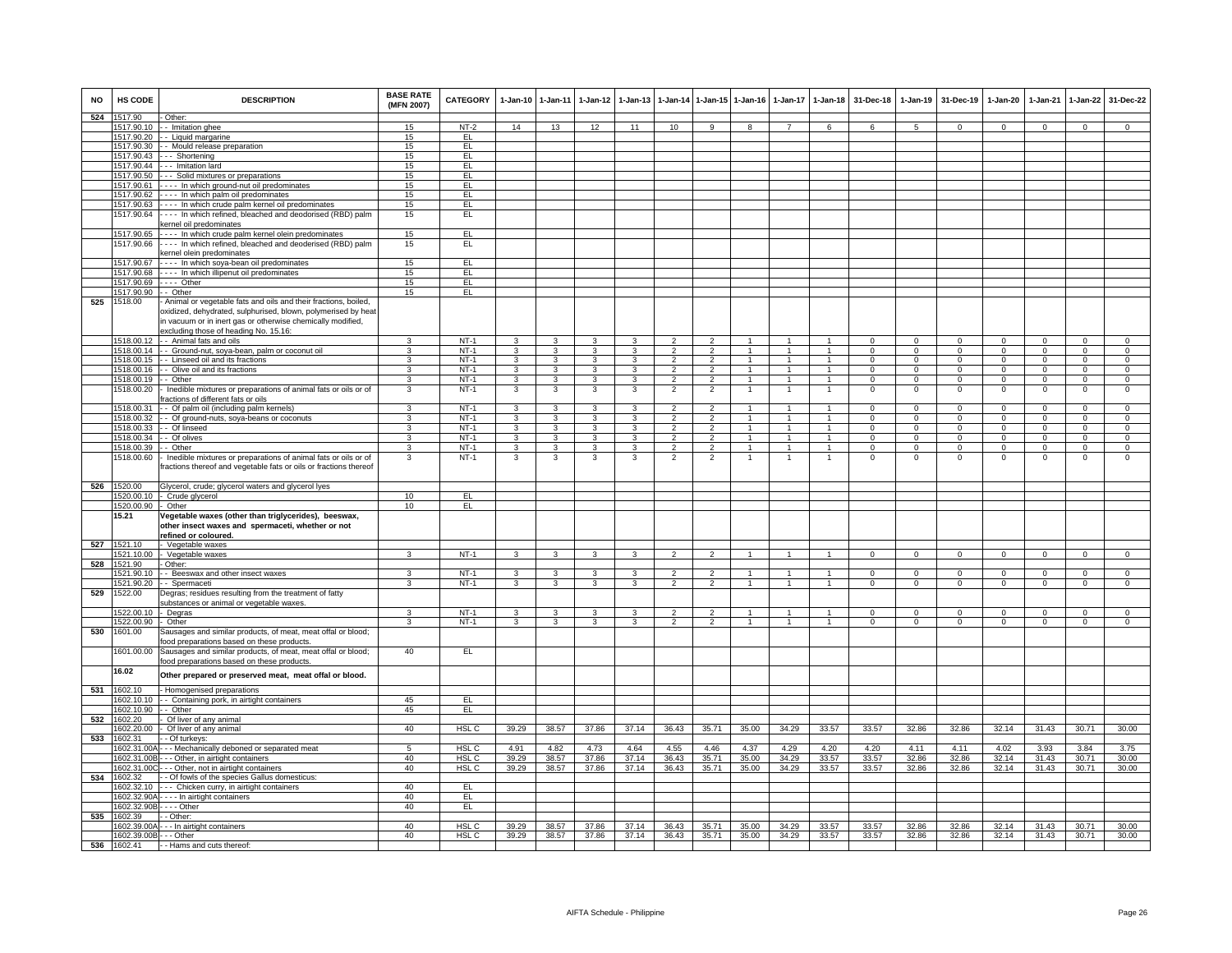| <b>NO</b> | HS CODE                   | <b>DESCRIPTION</b>                                               | <b>BASE RATE</b><br>(MFN 2007) | CATEGORY         | 1-Jan-10                | 1-Jan-11       |                         | 1-Jan-12 1-Jan-13 |                |                          | 1-Jan-14 1-Jan-15 1-Jan-16 | 1-Jan-17             | $1 - Jan-18$         | 31-Dec-18    |                 | 1-Jan-19 31-Dec-19 | 1-Jan-20     | 1-Jan-21       | 1-Jan-22       | 31-Dec-22      |
|-----------|---------------------------|------------------------------------------------------------------|--------------------------------|------------------|-------------------------|----------------|-------------------------|-------------------|----------------|--------------------------|----------------------------|----------------------|----------------------|--------------|-----------------|--------------------|--------------|----------------|----------------|----------------|
| 524       | 1517.90                   | Other:                                                           |                                |                  |                         |                |                         |                   |                |                          |                            |                      |                      |              |                 |                    |              |                |                |                |
|           | 1517.90.10                | - - Imitation ghee                                               | 15                             | $NT-2$           | 14                      | 13             | 12                      | 11                | 10             | $\mathbf{Q}$             |                            |                      |                      | 6            | $5\overline{5}$ | $\Omega$           | $\Omega$     | $\Omega$       | $\Omega$       | $\Omega$       |
|           | 1517.90.20<br>1517.90.30  | - Liquid margarine                                               | 15                             | EL               |                         |                |                         |                   |                |                          |                            |                      |                      |              |                 |                    |              |                |                |                |
|           |                           | - Mould release preparation                                      | 15                             | EL               |                         |                |                         |                   |                |                          |                            |                      |                      |              |                 |                    |              |                |                |                |
|           | 1517.90.43                | -- Shortening                                                    | 15                             | EL               |                         |                |                         |                   |                |                          |                            |                      |                      |              |                 |                    |              |                |                |                |
|           | 1517.90.44                | --- Imitation lard                                               | 15                             | EL               |                         |                |                         |                   |                |                          |                            |                      |                      |              |                 |                    |              |                |                |                |
|           | 1517.90.50                | --- Solid mixtures or preparations                               | 15                             | EL               |                         |                |                         |                   |                |                          |                            |                      |                      |              |                 |                    |              |                |                |                |
|           | 1517.90.61                | ---- In which ground-nut oil predominates                        | 15                             | EL.              |                         |                |                         |                   |                |                          |                            |                      |                      |              |                 |                    |              |                |                |                |
|           | 1517.90.62                | - - - - In which palm oil predominates                           | 15                             | EL               |                         |                |                         |                   |                |                          |                            |                      |                      |              |                 |                    |              |                |                |                |
|           |                           | 1517.90.63 ---- In which crude palm kernel oil predominates      | 15                             | EL               |                         |                |                         |                   |                |                          |                            |                      |                      |              |                 |                    |              |                |                |                |
|           | 1517.90.64                | ---- In which refined, bleached and deodorised (RBD) palm        | 15                             | EL               |                         |                |                         |                   |                |                          |                            |                      |                      |              |                 |                    |              |                |                |                |
|           |                           | kernel oil predominates                                          |                                |                  |                         |                |                         |                   |                |                          |                            |                      |                      |              |                 |                    |              |                |                |                |
|           | 1517.90.65                | ---- In which crude palm kernel olein predominates               | 15                             | EL               |                         |                |                         |                   |                |                          |                            |                      |                      |              |                 |                    |              |                |                |                |
|           | 1517.90.66                | ---- In which refined, bleached and deoderised (RBD) palm        | 15                             | EL               |                         |                |                         |                   |                |                          |                            |                      |                      |              |                 |                    |              |                |                |                |
|           |                           | sernel olein predominates                                        |                                |                  |                         |                |                         |                   |                |                          |                            |                      |                      |              |                 |                    |              |                |                |                |
|           | 1517.90.67                | ---- In which soya-bean oil predominates                         | 15                             | EL               |                         |                |                         |                   |                |                          |                            |                      |                      |              |                 |                    |              |                |                |                |
|           |                           | 1517.90.68 ---- In which illipenut oil predominates              | 15                             | EL               |                         |                |                         |                   |                |                          |                            |                      |                      |              |                 |                    |              |                |                |                |
|           |                           | 1517.90.69 ---- Other                                            | 15                             | EL               |                         |                |                         |                   |                |                          |                            |                      |                      |              |                 |                    |              |                |                |                |
|           | 1517.90.90                | $-$ Other                                                        | 15                             | EL               |                         |                |                         |                   |                |                          |                            |                      |                      |              |                 |                    |              |                |                |                |
| 525       | 1518.00                   | - Animal or vegetable fats and oils and their fractions, boiled, |                                |                  |                         |                |                         |                   |                |                          |                            |                      |                      |              |                 |                    |              |                |                |                |
|           |                           | oxidized, dehydrated, sulphurised, blown, polymerised by heat    |                                |                  |                         |                |                         |                   |                |                          |                            |                      |                      |              |                 |                    |              |                |                |                |
|           |                           | in vacuum or in inert gas or otherwise chemically modified,      |                                |                  |                         |                |                         |                   |                |                          |                            |                      |                      |              |                 |                    |              |                |                |                |
|           |                           | excluding those of heading No. 15.16:                            |                                |                  |                         |                |                         |                   |                |                          |                            |                      |                      |              |                 |                    |              |                |                |                |
|           | 1518 00 12                | - - Animal fats and oils                                         | 3                              | $NT-1$           | $\mathcal{R}$           | $\mathbf{B}$   | 3                       | 3                 | 2              | $\overline{2}$           | $\overline{1}$             |                      | $\blacktriangleleft$ | $\Omega$     | $\Omega$        | $\Omega$           | $\Omega$     | $\Omega$       | $\overline{0}$ | $\Omega$       |
|           | 1518.00.14                | - Ground-nut, soya-bean, palm or coconut oil                     | 3                              | $NT-1$           | 3                       | 3              | 3                       | 3                 | $\overline{2}$ | $\overline{2}$           | 1                          | -1                   | 1                    | $^{\circ}$   | $\mathbf{0}$    | $\mathbf 0$        | $^{\circ}$   | $^{\circ}$     | $\mathbf 0$    | $\mathbf 0$    |
|           | 1518.00.15                | -- Linseed oil and its fractions                                 | 3                              | $NT-1$           | 3                       | 3              | 3                       | 3                 | $\overline{2}$ | $\overline{2}$           |                            |                      |                      | $\Omega$     | $\mathsf 0$     | $\mathbf 0$        | $\mathbf 0$  | $\mathbf 0$    | $\overline{0}$ | $\overline{0}$ |
|           | 1518.00.16                | - Olive oil and its fractions                                    | 3                              | $NT-1$           | 3                       | 3              | 3                       | 3                 | $\overline{2}$ | $\overline{2}$           | $\overline{1}$             | $\blacktriangleleft$ | $\overline{1}$       | $^{\circ}$   | $\mathsf 0$     | $\mathbf 0$        | $^{\circ}$   | $^{\circ}$     | $\mathbf{0}$   | $\mathbf 0$    |
|           | 1518.00.19                | - - Other                                                        | $\overline{3}$                 | $NT-1$           | $\overline{3}$          | 3              | $\overline{\mathbf{3}}$ | 3                 | $\overline{2}$ | $\overline{2}$           | $\overline{1}$             | $\overline{1}$       | $\overline{1}$       | $\Omega$     | $\overline{0}$  | $\overline{0}$     | $\mathbf 0$  | $\mathbf 0$    | $\overline{0}$ | $\overline{0}$ |
|           | 1518.00.20                | - Inedible mixtures or preparations of animal fats or oils or of | 3                              | $NT-1$           | $\overline{\mathbf{3}}$ | 3              | $\overline{\mathbf{3}}$ | 3                 | $\overline{2}$ | $\overline{2}$           | $\overline{1}$             | $\overline{1}$       | $\overline{1}$       | $^{\circ}$   | $\,0\,$         | $\overline{0}$     | $\mathsf 0$  | $\,0\,$        | $\,0\,$        | $\,0\,$        |
|           |                           | ractions of different fats or oils                               |                                |                  |                         |                |                         |                   |                |                          |                            |                      |                      |              |                 |                    |              |                |                |                |
|           | 1518.00.31                |                                                                  | 3                              | $NT-1$           | 3                       | 3              | 3                       | 3                 | $\overline{2}$ | $\overline{2}$           |                            | $\overline{1}$       | $\blacktriangleleft$ | $^{\circ}$   | $\mathbf{0}$    | $\mathbf 0$        | $^{\circ}$   | $^{\circ}$     | $\mathbf 0$    | $\mathbf{0}$   |
|           |                           | -- Of palm oil (including palm kernels)                          |                                |                  |                         |                |                         |                   |                |                          |                            | $\overline{1}$       |                      |              |                 |                    |              |                |                |                |
|           | 1518.00.32                | - - Of ground-nuts, soya-beans or coconuts                       | 3                              | $NT-1$           | $\mathbf{3}$            | $\mathbf{3}$   | $\mathbf{3}$            | 3                 | $\overline{2}$ | $\overline{2}$           | $\overline{1}$             |                      | $\overline{1}$       | $\mathbf{0}$ | $\mathbf{0}$    | $\overline{0}$     | $\mathbf{0}$ | $\overline{0}$ | $\mathbf{0}$   | $\mathbf{0}$   |
|           | 1518.00.33                | - Of linseed                                                     | 3                              | $NT-1$           | 3                       | $\overline{3}$ | $\overline{3}$          | 3                 | $\overline{2}$ | $\overline{2}$           | $\overline{1}$             | $\overline{1}$       | $\overline{1}$       | $\mathbf{0}$ | $\mathbf{0}$    | $\overline{0}$     | $\mathbf{0}$ | $\mathbf{0}$   | $\overline{0}$ | $\overline{0}$ |
|           | 1518.00.34                | - Of olives                                                      | $\overline{\mathbf{3}}$        | $NT-1$           | 3                       | $\overline{3}$ | $\overline{3}$          | $\overline{3}$    | $\overline{2}$ | $\overline{2}$           | $\overline{1}$             | $\overline{1}$       | $\overline{1}$       | $\Omega$     | $\overline{0}$  | $\overline{0}$     | $\mathbf 0$  | $\Omega$       | $\overline{0}$ | $\overline{0}$ |
|           | 1518.00.39                | - Other                                                          | 3                              | $NT-1$           | 3                       | 3              | 3                       | 3                 | $\mathcal{P}$  | $\overline{2}$           | -1                         | $\mathbf{1}$         | $\mathbf{1}$         | $\Omega$     | $\Omega$        | $\Omega$           | $\Omega$     | $\Omega$       | $\overline{0}$ | $\overline{0}$ |
|           | 1518.00.60                | Inedible mixtures or preparations of animal fats or oils or of   | 3                              | $NT-1$           | 3                       | 3              | 3                       | 3                 | $\overline{2}$ | $\overline{2}$           |                            |                      |                      | $^{\circ}$   | $^{\circ}$      | $\mathbf 0$        | 0            | $\mathbf 0$    | $\mathbf{0}$   | $\mathbf 0$    |
|           |                           | ractions thereof and vegetable fats or oils or fractions thereof |                                |                  |                         |                |                         |                   |                |                          |                            |                      |                      |              |                 |                    |              |                |                |                |
|           |                           |                                                                  |                                |                  |                         |                |                         |                   |                |                          |                            |                      |                      |              |                 |                    |              |                |                |                |
| 526       | 1520.00                   | Glycerol, crude; glycerol waters and glycerol lyes               |                                |                  |                         |                |                         |                   |                |                          |                            |                      |                      |              |                 |                    |              |                |                |                |
|           | 1520.00.10                | - Crude glycerol                                                 | 10                             | EL               |                         |                |                         |                   |                |                          |                            |                      |                      |              |                 |                    |              |                |                |                |
|           | 1520.00.90                | - Other                                                          | 10                             | EL               |                         |                |                         |                   |                |                          |                            |                      |                      |              |                 |                    |              |                |                |                |
|           | 15.21                     | Vegetable waxes (other than triglycerides), beeswax,             |                                |                  |                         |                |                         |                   |                |                          |                            |                      |                      |              |                 |                    |              |                |                |                |
|           |                           | other insect waxes and spermaceti, whether or not                |                                |                  |                         |                |                         |                   |                |                          |                            |                      |                      |              |                 |                    |              |                |                |                |
|           |                           | refined or coloured                                              |                                |                  |                         |                |                         |                   |                |                          |                            |                      |                      |              |                 |                    |              |                |                |                |
| 527       | 1521.10                   | - Vegetable waxes                                                |                                |                  |                         |                |                         |                   |                |                          |                            |                      |                      |              |                 |                    |              |                |                |                |
|           | 1521.10.00                | - Vegetable waxes                                                | 3                              | $NT-1$           | 3                       | 3              | 3                       | 3                 |                | $\overline{\phantom{a}}$ |                            |                      |                      | $\mathbf 0$  | $\mathbf 0$     | $\overline{0}$     | 0            | $\mathbf 0$    | $\overline{0}$ | $\overline{0}$ |
| 528       | 1521.90                   | Other:                                                           |                                |                  |                         |                |                         |                   |                |                          |                            |                      |                      |              |                 |                    |              |                |                |                |
|           | 1521.90.10                | - Beeswax and other insect waxes                                 | 3                              | $NT-1$           | $\overline{3}$          | $\overline{3}$ | $\overline{\mathbf{3}}$ | 3                 | $\overline{2}$ | $\overline{2}$           | $\overline{1}$             | $\overline{1}$       | $\overline{1}$       | $\Omega$     | $\overline{0}$  | $\overline{0}$     | $\Omega$     | $\overline{0}$ | $\overline{0}$ | $\overline{0}$ |
|           | 1521.90.20                | - Spermaceti                                                     | 3                              | $NT-1$           | 3                       | 3              | $\overline{3}$          | 3                 | $\overline{2}$ | $\overline{2}$           | $\overline{1}$             | $\overline{1}$       | $\mathbf{1}$         | $\Omega$     | $\overline{0}$  | $\overline{0}$     | $\Omega$     | $\Omega$       | $\overline{0}$ | $\overline{0}$ |
| 529       | 1522.00                   | Degras; residues resulting from the treatment of fatty           |                                |                  |                         |                |                         |                   |                |                          |                            |                      |                      |              |                 |                    |              |                |                |                |
|           |                           | substances or animal or vegetable waxes.                         |                                |                  |                         |                |                         |                   |                |                          |                            |                      |                      |              |                 |                    |              |                |                |                |
|           | 1522.00.10                | - Degras                                                         | $\mathbf{3}$                   | $NT-1$           | $\mathbf{3}$            | $\mathbf{3}$   | $\mathbf{3}$            | 3                 | $\overline{2}$ | $\overline{2}$           | $\overline{1}$             | $\overline{1}$       | $\overline{1}$       | $\mathbf{0}$ | $\mathbf{0}$    | $\overline{0}$     | $\mathbf{0}$ | $\overline{0}$ | $\mathbf 0$    | $\mathbf{0}$   |
|           | 1522.00.90                | - Other                                                          | $\overline{3}$                 | $NT-1$           | $\mathbf{3}$            | 3              | $\overline{3}$          | $\overline{3}$    | $\overline{2}$ | $\overline{2}$           | $\overline{1}$             | $\overline{1}$       | $\overline{1}$       | $^{\circ}$   | $\mathbf{0}$    | $\overline{0}$     | $\mathbf{0}$ | $\mathbf{0}$   | $\overline{0}$ | $\overline{0}$ |
| 530       | 1601.00                   | Sausages and similar products, of meat, meat offal or blood;     |                                |                  |                         |                |                         |                   |                |                          |                            |                      |                      |              |                 |                    |              |                |                |                |
|           |                           | ood preparations based on these products.                        |                                |                  |                         |                |                         |                   |                |                          |                            |                      |                      |              |                 |                    |              |                |                |                |
|           | 1601.00.00                | Sausages and similar products, of meat, meat offal or blood;     | 40                             | EL.              |                         |                |                         |                   |                |                          |                            |                      |                      |              |                 |                    |              |                |                |                |
|           |                           | ood preparations based on these products                         |                                |                  |                         |                |                         |                   |                |                          |                            |                      |                      |              |                 |                    |              |                |                |                |
|           | 16.02                     |                                                                  |                                |                  |                         |                |                         |                   |                |                          |                            |                      |                      |              |                 |                    |              |                |                |                |
|           |                           | Other prepared or preserved meat, meat offal or blood.           |                                |                  |                         |                |                         |                   |                |                          |                            |                      |                      |              |                 |                    |              |                |                |                |
| 531       | 1602.10                   | - Homogenised preparations                                       |                                |                  |                         |                |                         |                   |                |                          |                            |                      |                      |              |                 |                    |              |                |                |                |
|           |                           | 1602.10.10 - Containing pork, in airtight containers             | 45                             | EL.              |                         |                |                         |                   |                |                          |                            |                      |                      |              |                 |                    |              |                |                |                |
|           | 1602.10.90                | - - Other                                                        | 45                             | EL               |                         |                |                         |                   |                |                          |                            |                      |                      |              |                 |                    |              |                |                |                |
| 532       | 1602.20                   | Of liver of any animal                                           |                                |                  |                         |                |                         |                   |                |                          |                            |                      |                      |              |                 |                    |              |                |                |                |
|           | 1602.20.00                | Of liver of any animal                                           | 40                             | HSL <sub>C</sub> | 39.29                   | 38.57          | 37.86                   | 37.14             | 36.43          | 35.71                    | 35.00                      | 34.29                | 33.57                | 33.57        | 32.86           | 32.86              | 32.14        | 31.43          | 30.71          | 30.00          |
| 533       | 1602.31                   | - Of turkeys:                                                    |                                |                  |                         |                |                         |                   |                |                          |                            |                      |                      |              |                 |                    |              |                |                |                |
|           | 1602.31.00                | -- Mechanically deboned or separated meat                        | 5                              | HSL C            | 4.91                    | 4.82           | 4.73                    | 4.64              | 4.55           | 4.46                     | 4.37                       | 4.29                 | 4.20                 | 4.20         | 4.11            | 4.11               | 4.02         | 3.93           | 3.84           | 3.75           |
|           | 1602.31.00B               | - - Other, in airtight containers                                | 40                             | HSL C            | 39.29                   | 38.57          | 37.86                   | 37.14             | 36.43          | 35.71                    | 35.00                      | 34.29                | 33.57                | 33.57        | 32.86           | 32.86              | 32.14        | 31.43          | 30.71          | 30.00          |
|           | 1602.31.00C               |                                                                  | 40                             | HSL <sub>C</sub> | 39.29                   | 38.57          | 37.86                   | 37.14             | 36.43          | 35.71                    | 35.00                      | 34.29                | 33.57                | 33.57        | 32.86           | 32.86              | 32.14        | 31.43          | 30.71          | 30.00          |
|           | 1602.32                   | -- Other, not in airtight containers                             |                                |                  |                         |                |                         |                   |                |                          |                            |                      |                      |              |                 |                    |              |                |                |                |
| 534       | 1602.32.10                | - Of fowls of the species Gallus domesticus:                     | 40                             |                  |                         |                |                         |                   |                |                          |                            |                      |                      |              |                 |                    |              |                |                |                |
|           |                           | --- Chicken curry, in airtight containers                        |                                | EL               |                         |                |                         |                   |                |                          |                            |                      |                      |              |                 |                    |              |                |                |                |
|           |                           | 1602.32.90A - - - - In airtight containers                       | 40                             | EL.              |                         |                |                         |                   |                |                          |                            |                      |                      |              |                 |                    |              |                |                |                |
|           | 1602.32.90B - - - - Other |                                                                  | 40                             | EL.              |                         |                |                         |                   |                |                          |                            |                      |                      |              |                 |                    |              |                |                |                |
| 535       | 1602.39                   | - - Other:                                                       |                                |                  |                         |                |                         |                   |                |                          |                            |                      |                      |              |                 |                    |              |                |                |                |
|           | 1602.39.00A               | - - - In airtight containers                                     | 40                             | HSL C            | 39.29                   | 38.57          | 37.86                   | 37.14             | 36.43          | 35.71                    | 35.00                      | 34.29                | 33.57                | 33.57        | 32.86           | 32.86              | 32.14        | 31.43          | 30.71          | 30.00          |
|           | 1602.39.00B - - - Other   |                                                                  | 40                             | HSL C            | 39.29                   | 38.57          | 37.86                   | 37.14             | 36.43          | 35.71                    | 35.00                      | 34.29                | 33.57                | 33.57        | 32.86           | 32.86              | 32.14        | 31.43          | 30.71          | 30.00          |
| 536       | 1602.41                   | - - Hams and cuts thereof:                                       |                                |                  |                         |                |                         |                   |                |                          |                            |                      |                      |              |                 |                    |              |                |                |                |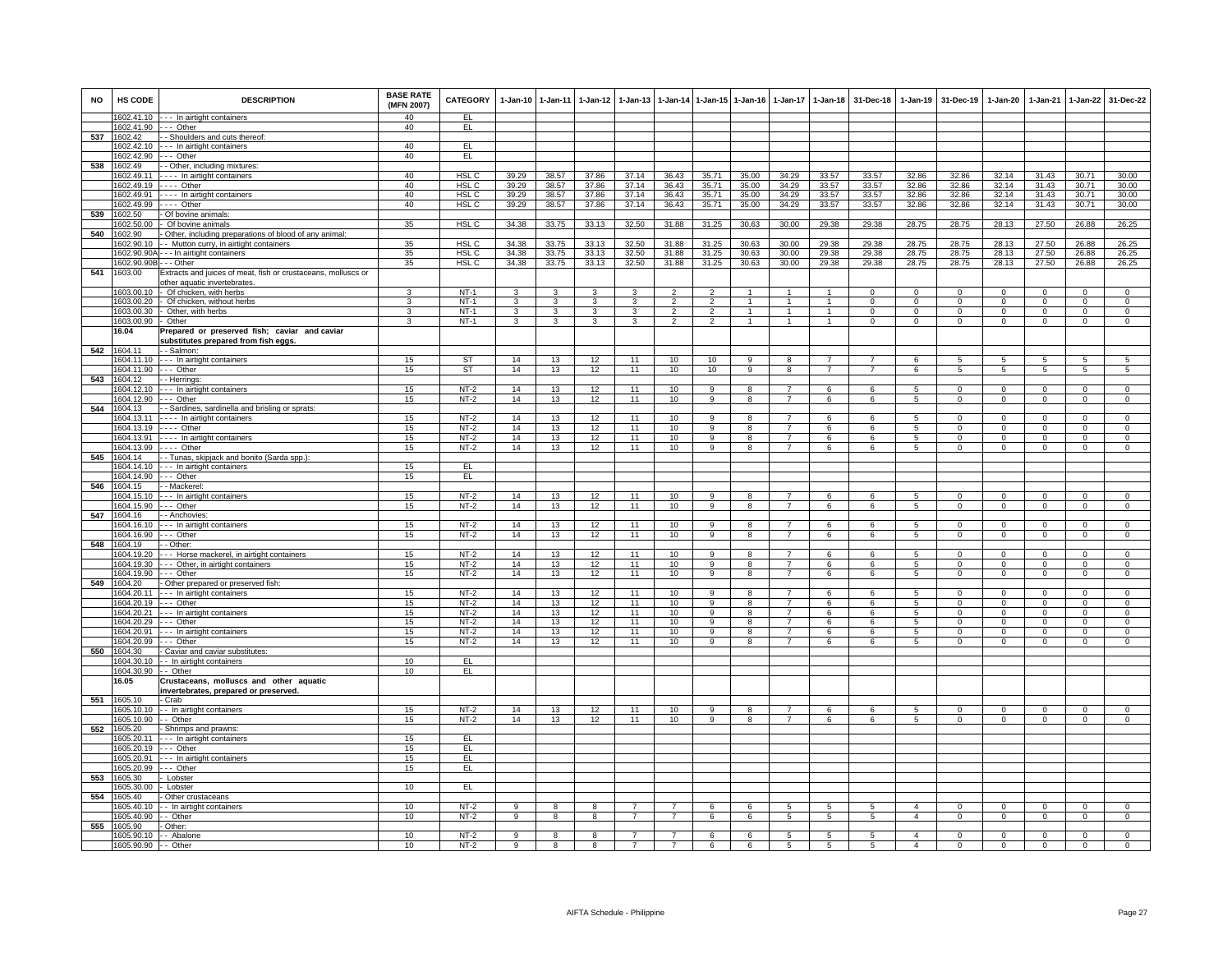| <b>NO</b> | <b>HS CODE</b>                   | <b>DESCRIPTION</b>                                            | <b>BASE RATE</b><br>(MFN 2007) | CATEGORY                  | $1-Jan-10$     | $1-Jan-11$     |                         | 1-Jan-12 1-Jan-13 |                       |                               | 1-Jan-14 1-Jan-15 1-Jan-16 | $1-Jan-17$                       | $1 - Jan-18$   | 31-Dec-18                        |                  | 1-Jan-19 31-Dec-19       | 1-Jan-20                 | $1-Jan-21$                   | $1 - Jan-22$                  | 31-Dec-22                     |
|-----------|----------------------------------|---------------------------------------------------------------|--------------------------------|---------------------------|----------------|----------------|-------------------------|-------------------|-----------------------|-------------------------------|----------------------------|----------------------------------|----------------|----------------------------------|------------------|--------------------------|--------------------------|------------------------------|-------------------------------|-------------------------------|
|           |                                  | 1602.41.10 --- In airtight containers                         | 40                             | EL.                       |                |                |                         |                   |                       |                               |                            |                                  |                |                                  |                  |                          |                          |                              |                               |                               |
|           | 1602.41.90 --- Other<br>1602.42  | - - Shoulders and cuts thereof:                               | 40                             | EL                        |                |                |                         |                   |                       |                               |                            |                                  |                |                                  |                  |                          |                          |                              |                               |                               |
| 537       |                                  | 1602.42.10 --- In airtight containers                         | 40                             | EL                        |                |                |                         |                   |                       |                               |                            |                                  |                |                                  |                  |                          |                          |                              |                               |                               |
|           | 1602.42.90                       | --- Other                                                     | 40                             | EL                        |                |                |                         |                   |                       |                               |                            |                                  |                |                                  |                  |                          |                          |                              |                               |                               |
| 538       | 1602.49                          | - - Other, including mixtures:                                |                                |                           |                |                |                         |                   |                       |                               |                            |                                  |                |                                  |                  |                          |                          |                              |                               |                               |
|           | 1602.49.11                       | - - - - In airtight containers                                | 40                             | HSL <sub>C</sub>          | 39.29          | 38.57          | 37.86                   | 37.14             | 36.43                 | 35.71                         | 35.00                      | 34.29                            | 33.57          | 33.57                            | 32.86            | 32.86                    | 32.14                    | 31.43                        | 30.71                         | 30.00                         |
|           | 1602.49.19                       | $---$ Other                                                   | 40                             | HSL <sub>C</sub>          | 39.29          | 38.57          | 37.86                   | 37.14             | 36.43                 | 35.71                         | 35.00                      | 34.29                            | 33.57          | 33.57                            | 32.86            | 32.86                    | 32.14                    | 31.43                        | 30.71                         | 30.00                         |
|           | 1602.49.91<br>1602.49.99         | ---- In airtight containers<br>$---$ Other                    | 40<br>40                       | HSL C<br>HSL <sub>C</sub> | 39.29<br>39.29 | 38.57<br>38.57 | 37.86<br>37.86          | 37.14<br>37.14    | 36.43<br>36.43        | 35.71<br>35.71                | 35.00<br>35.00             | 34.29<br>34.29                   | 33.57<br>33.57 | 33.57<br>33.57                   | 32.86<br>32.86   | 32.86<br>32.86           | 32.14<br>32.14           | 31.43<br>31.43               | 30.71<br>30.71                | 30.00<br>30.00                |
| 539       | 1602.50                          | - Of bovine animals:                                          |                                |                           |                |                |                         |                   |                       |                               |                            |                                  |                |                                  |                  |                          |                          |                              |                               |                               |
|           | 1602.50.00                       | - Of bovine animals                                           | 35                             | HSL <sub>C</sub>          | 34.38          | 33.75          | 33.13                   | 32.50             | 31.88                 | 31.25                         | 30.63                      | 30.00                            | 29.38          | 29.38                            | 28.75            | 28.75                    | 28.13                    | 27.50                        | 26.88                         | 26.25                         |
| 540       | 1602.90                          | - Other, including preparations of blood of any animal:       |                                |                           |                |                |                         |                   |                       |                               |                            |                                  |                |                                  |                  |                          |                          |                              |                               |                               |
|           | 1602.90.10                       | - Mutton curry, in airtight containers                        | 35                             | HSL <sub>C</sub>          | 34.38          | 33.75          | 33.13                   | 32.50             | 31.88                 | 31.25                         | 30.63                      | 30.00                            | 29.38          | 29.38                            | 28.75            | 28.75                    | 28.13                    | 27.50                        | 26.88                         | 26.25                         |
|           |                                  | 1602.90.90A - - - In airtight containers                      | 35                             | HSL <sub>C</sub>          | 34.38          | 33.75          | 33.13                   | 32.50             | 31.88                 | 31.25                         | 30.63                      | 30.00                            | 29.38          | 29.38                            | 28.75            | 28.75                    | 28.13                    | 27.50                        | 26.88                         | 26.25                         |
|           | 1602.90.90B - - - Other          |                                                               | 35                             | HSL C                     | 34.38          | 33.75          | 33.13                   | 32.50             | 31.88                 | 31.25                         | 30.63                      | 30.00                            | 29.38          | 29.38                            | 28.75            | 28.75                    | 28.13                    | 27.50                        | 26.88                         | 26.25                         |
| 541       | 1603.00                          | Extracts and juices of meat, fish or crustaceans, molluscs or |                                |                           |                |                |                         |                   |                       |                               |                            |                                  |                |                                  |                  |                          |                          |                              |                               |                               |
|           | 1603.00.10                       | other aquatic invertebrates.<br>- Of chicken, with herbs      | 3                              | $NT-1$                    | 3              | $\mathbf{R}$   | $\mathbf{R}$            | $\mathbf{a}$      | $\overline{2}$        | 2                             |                            | $\overline{1}$                   | $\mathbf{1}$   | $\Omega$                         | $\mathbf 0$      | $\overline{0}$           | $\mathbf 0$              | $\Omega$                     | $\mathbf{0}$                  | $\Omega$                      |
|           | 1603.00.20                       | - Of chicken, without herbs                                   | 3                              | $NT-1$                    | 3              | 3              | 3                       | 3                 | $\overline{2}$        | $\overline{2}$                |                            |                                  |                | $\Omega$                         | $\Omega$         | $\Omega$                 | $\Omega$                 | $\Omega$                     | $\mathbf 0$                   | $\Omega$                      |
|           |                                  | 1603.00.30 - Other, with herbs                                | $\mathbf{3}$                   | $NT-1$                    | $\mathbf{3}$   | $\mathbf{3}$   | $\mathbf{3}$            | 3                 | $\overline{2}$        | $\overline{2}$                | $\overline{1}$             | $\overline{1}$                   | $\overline{1}$ | $\mathbf{0}$                     | $\overline{0}$   | $\overline{0}$           | $\mathbf{0}$             | $\mathbf 0$                  | $\mathbf{0}$                  | $\mathbf{0}$                  |
|           | 1603.00.90 - Other               |                                                               | 3                              | $NT-1$                    | 3              | $\overline{3}$ | $\mathbf{3}$            | 3                 | $\overline{2}$        | $\overline{2}$                | $\overline{1}$             | $\overline{1}$                   | $\overline{1}$ | $\mathbf{0}$                     | $\mathbf{0}$     | $\mathbf{0}$             | $\mathbf 0$              | $\mathbf{0}$                 | $\mathbf{0}$                  | $\mathbf 0$                   |
|           | 16.04                            | Prepared or preserved fish; caviar and caviar                 |                                |                           |                |                |                         |                   |                       |                               |                            |                                  |                |                                  |                  |                          |                          |                              |                               |                               |
|           |                                  | substitutes prepared from fish eggs.                          |                                |                           |                |                |                         |                   |                       |                               |                            |                                  |                |                                  |                  |                          |                          |                              |                               |                               |
| 542       | 1604.11                          | - - Salmon:                                                   |                                |                           |                |                |                         |                   |                       |                               |                            |                                  | $\overline{7}$ |                                  |                  |                          |                          |                              |                               |                               |
|           | 1604.11.90 --- Other             | 1604.11.10 --- In airtight containers                         | 15<br>15                       | <b>ST</b><br>ST           | 14<br>14       | 13<br>13       | 12<br>12                | 11<br>11          | 10<br>10              | 10<br>10                      | 9<br>9                     | 8<br>$\boldsymbol{8}$            | $\overline{7}$ | $\overline{7}$<br>$\overline{7}$ | 6<br>6           | 5<br>$5\overline{)}$     | 5<br>5                   | 5<br>$5\overline{)}$         | 5<br>$5\overline{)}$          | 5<br>5                        |
| 543       | 1604.12                          | - - Herrings:                                                 |                                |                           |                |                |                         |                   |                       |                               |                            |                                  |                |                                  |                  |                          |                          |                              |                               |                               |
|           |                                  | 1604.12.10 --- In airtight containers                         | 15                             | NT-2                      | 14             | 13             | 12                      | 11                | 10                    | 9                             | 8                          | $\overline{7}$                   | 6              | 6                                | 5                | $\Omega$                 | $\mathbf 0$              | $\Omega$                     | $\mathbf 0$                   | $\mathsf 0$                   |
|           | 1604.12.90 --- Other             |                                                               | 15                             | $NT-2$                    | 14             | 13             | 12                      | 11                | 10                    | $\overline{9}$                | 8                          | $\overline{7}$                   | 6              | 6                                | 5                | $\Omega$                 | $\mathbf 0$              | $\Omega$                     | $\Omega$                      | $\Omega$                      |
| 544       | 1604.13                          | - - Sardines, sardinella and brisling or sprats:              |                                |                           |                |                |                         |                   |                       |                               |                            |                                  |                |                                  |                  |                          |                          |                              |                               |                               |
|           |                                  | 1604.13.11 - - - - In airtight containers                     | 15                             | $NT-2$                    | 14             | 13             | 12                      | 11                | 10                    | 9                             | 8                          | $\overline{7}$                   | 6              | 6                                | 5                | $\Omega$                 | $\Omega$                 | $^{\circ}$                   | $\overline{0}$                | $\mathbf{0}$                  |
|           |                                  | 1604.13.19 ---- Other                                         | 15                             | $NT-2$                    | 14             | 13             | 12                      | 11                | 10                    | 9                             | $\mathbf{R}$               | $\overline{7}$                   | 6              | -6                               | 5                | $\mathbf{0}$             | $\mathsf 0$              | $\Omega$                     | $\circ$                       | $\overline{0}$                |
|           |                                  | 1604.13.91 ---- In airtight containers                        | 15                             | $NT-2$                    | 14             | 13             | 12                      | 11                | 10                    | 9                             | 8                          | $\overline{7}$                   | 6              | 6                                | 5                | $\mathbf 0$              | $\mathbf 0$              | $\mathbf 0$                  | $\mathbf{0}$                  | $\mathbf 0$                   |
| 545       | 1604.13.99 ---- Other<br>1604.14 | - - Tunas, skipjack and bonito (Sarda spp.):                  | 15                             | $NT-2$                    | 14             | 13             | 12                      | 11                | 10                    | 9                             | 8                          |                                  | 6              | 6                                | 5                | $\mathbf 0$              | $\mathsf 0$              | $\mathbf 0$                  | $\Omega$                      | $\Omega$                      |
|           |                                  | 1604.14.10 --- In airtight containers                         | 15                             | EL                        |                |                |                         |                   |                       |                               |                            |                                  |                |                                  |                  |                          |                          |                              |                               |                               |
|           | 1604.14.90 --- Other             |                                                               | 15                             | EL                        |                |                |                         |                   |                       |                               |                            |                                  |                |                                  |                  |                          |                          |                              |                               |                               |
| 546       | 1604.15                          | - - Mackerel:                                                 |                                |                           |                |                |                         |                   |                       |                               |                            |                                  |                |                                  |                  |                          |                          |                              |                               |                               |
|           |                                  | 1604.15.10 --- In airtight containers                         | 15                             | $NT-2$                    | 14             | 13             | 12                      | 11                | 10                    | 9                             |                            |                                  |                | 6                                | 5                | $\mathbf 0$              | 0                        | $^{\circ}$                   | $\mathbf{0}$                  | $^{\circ}$                    |
|           | 1604.15.90 --- Other             |                                                               | 15                             | $NT-2$                    | 14             | 13             | 12                      | 11                | 10                    | 9                             | 8                          | $\overline{7}$                   | 6              | 6                                | 5                | $\overline{0}$           | $\mathbf{0}$             | $\mathbf{0}$                 | $\mathbf{0}$                  | $\mathbf{0}$                  |
| 547       | 1604.16                          | - - Anchovies:                                                |                                |                           |                |                |                         |                   |                       |                               |                            |                                  |                |                                  |                  |                          |                          |                              |                               |                               |
|           | 1604.16.90                       | 1604.16.10 --- In airtight containers<br>--- Other            | 15<br>15                       | $NT-2$<br>$NT-2$          | 14<br>14       | 13<br>13       | 12<br>12                | 11<br>11          | 10 <sup>1</sup><br>10 | $\overline{9}$<br>$\mathsf g$ | 8<br>8                     | $\overline{7}$<br>$\overline{7}$ | 6<br>6         | -6<br>6                          | $5^{\circ}$<br>5 | $\Omega$<br>$\mathsf 0$  | $\Omega$<br>$\mathsf 0$  | $\Omega$<br>$\mathsf 0$      | $\overline{0}$<br>$\mathbf 0$ | $\overline{0}$<br>$\mathsf 0$ |
| 548       | 1604.19                          | - - Other:                                                    |                                |                           |                |                |                         |                   |                       |                               |                            |                                  |                |                                  |                  |                          |                          |                              |                               |                               |
|           | 1604.19.20                       | --- Horse mackerel, in airtight containers                    | 15                             | $NT-2$                    | 14             | 13             | 12                      | 11                | 10                    | $\overline{9}$                | 8                          | $\overline{7}$                   | 6              | $\epsilon$                       | $\sqrt{5}$       | $\overline{0}$           | $\Omega$                 | $\Omega$                     | $\overline{0}$                | $\overline{0}$                |
|           | 1604.19.30                       | - - - Other, in airtight containers                           | 15                             | $NT-2$                    | 14             | 13             | 12                      | 11                | 10                    | 9                             | 8                          | $\overline{7}$                   | $\epsilon$     | $\kappa$                         | 5                | $\Omega$                 | $\Omega$                 | $\Omega$                     | $\circ$                       | $\mathbf 0$                   |
|           | 1604.19.90 --- Other             |                                                               | 15                             | $NT-2$                    | 14             | 13             | 12                      | 11                | 10                    | $\overline{9}$                | 8                          | $\overline{7}$                   | 6              | 6                                | $\overline{5}$   | $\overline{0}$           | $\overline{0}$           | $\overline{0}$               | $\overline{0}$                | $\overline{0}$                |
| 549       | 1604.20                          | - Other prepared or preserved fish:                           |                                |                           |                |                |                         |                   |                       |                               |                            |                                  |                |                                  |                  |                          |                          |                              |                               |                               |
|           | 1604.20.19 --- Other             | 1604.20.11 --- In airtight containers                         | 15<br>15                       | $NT-2$<br>$NT-2$          | 14<br>14       | 13<br>13       | 12<br>12                | 11<br>11          | 10<br>10              | 9<br>-9                       | 8<br>8                     | $\overline{7}$<br>$\overline{7}$ | 6              | 6<br>6                           | 5                | $\Omega$<br>$\mathbf{0}$ | $\Omega$<br>$\mathbf{0}$ | $\mathbf{0}$<br>$\mathbf{0}$ | $\mathbf 0$                   | $\mathbf{0}$<br>$\mathbf{0}$  |
|           | 1604.20.21                       | --- In airtight containers                                    | 15                             | $NT-2$                    | 14             | 13             | 12                      | 11                | 10                    | -9                            | 8                          | $\overline{7}$                   | 6<br>6         | 6                                | 5<br>5           | $\Omega$                 | $\Omega$                 | $^{\circ}$                   | $\overline{0}$<br>$\Omega$    | $\overline{0}$                |
|           | 1604.20.29 --- Other             |                                                               | 15                             | $NT-2$                    | 14             | 13             | 12                      | 11                | 10                    | 9                             | 8                          | $\overline{7}$                   | 6              | -6                               | $5\phantom{.0}$  | $\mathbf{0}$             | $\Omega$                 | $\Omega$                     | $\mathbf 0$                   | $\mathbf{0}$                  |
|           | 1604.20.91                       | --- In airtight containers                                    | 15                             | $NT-2$                    | 14             | 13             | 12                      | 11                | 10                    | 9                             | 8                          | $\overline{7}$                   | 6              | 6                                | 5                | $\mathbf 0$              | $\mathbf 0$              | $\mathbf 0$                  | $\mathbf 0$                   | $\mathsf 0$                   |
|           | 1604.20.99                       | --- Other                                                     | 15                             | $NT-2$                    | 14             | 13             | 12                      | 11                | 10                    | -9                            | 8                          |                                  |                | -6                               | 5                | $\Omega$                 | 0                        | $\Omega$                     | $\Omega$                      | $\Omega$                      |
| 550       | 1604.30                          | - Caviar and caviar substitutes:                              |                                |                           |                |                |                         |                   |                       |                               |                            |                                  |                |                                  |                  |                          |                          |                              |                               |                               |
|           |                                  | 1604.30.10 - - In airtight containers                         | 10                             | F1                        |                |                |                         |                   |                       |                               |                            |                                  |                |                                  |                  |                          |                          |                              |                               |                               |
|           | 1604.30.90 - - Other             | Crustaceans, molluscs and other aquatic                       | 10                             | EL.                       |                |                |                         |                   |                       |                               |                            |                                  |                |                                  |                  |                          |                          |                              |                               |                               |
|           | 16.05                            | invertebrates, prepared or preserved.                         |                                |                           |                |                |                         |                   |                       |                               |                            |                                  |                |                                  |                  |                          |                          |                              |                               |                               |
| 551       | 1605.10                          | - Crab                                                        |                                |                           |                |                |                         |                   |                       |                               |                            |                                  |                |                                  |                  |                          |                          |                              |                               |                               |
|           |                                  | 1605.10.10 - - In airtight containers                         | 15                             | $NT-2$                    | 14             | 13             | 12                      | 11                | 10                    | -9                            | 8                          | 7                                | -6             | -6                               | -5               | $\Omega$                 | $\Omega$                 | $\Omega$                     | $\Omega$                      | $\mathbf 0$                   |
|           | 1605.10.90                       | - Other                                                       | 15                             | $NT-2$                    | 14             | 13             | 12                      | 11                | 10                    | $\overline{9}$                | 8                          | $\overline{7}$                   | 6              | -6                               | -5               | $\Omega$                 | $\Omega$                 | $\Omega$                     | $\overline{0}$                | $\overline{0}$                |
| 552       | 1605.20                          | - Shrimps and prawns:                                         |                                |                           |                |                |                         |                   |                       |                               |                            |                                  |                |                                  |                  |                          |                          |                              |                               |                               |
|           | 1605.20.11                       | --- In airtight containers                                    | 15                             | EL.                       |                |                |                         |                   |                       |                               |                            |                                  |                |                                  |                  |                          |                          |                              |                               |                               |
|           | 1605.20.19<br>1605.20.91         | --- Other                                                     | 15                             | EL<br>EL                  |                |                |                         |                   |                       |                               |                            |                                  |                |                                  |                  |                          |                          |                              |                               |                               |
|           | 1605.20.99                       | --- In airtight containers<br>--- Other                       | 15<br>15                       | EL                        |                |                |                         |                   |                       |                               |                            |                                  |                |                                  |                  |                          |                          |                              |                               |                               |
| 553       | 1605.30                          | - Lobster                                                     |                                |                           |                |                |                         |                   |                       |                               |                            |                                  |                |                                  |                  |                          |                          |                              |                               |                               |
|           | 1605.30.00 - Lobster             |                                                               | 10                             | EL.                       |                |                |                         |                   |                       |                               |                            |                                  |                |                                  |                  |                          |                          |                              |                               |                               |
| 554       | 1605.40                          | - Other crustaceans                                           |                                |                           |                |                |                         |                   |                       |                               |                            |                                  |                |                                  |                  |                          |                          |                              |                               |                               |
|           | 1605.40.10                       | - - In airtight containers                                    | 10                             | $NT-2$                    | 9              | 8              | 8                       | $\overline{7}$    | $\overline{7}$        | 6                             | 6                          | 5                                | 5              | 5                                | $\mathbf{A}$     | $\Omega$                 | $\Omega$                 | $\Omega$                     | $\mathbf{0}$                  | $\mathsf 0$                   |
|           | 605.40.90                        | - - Other                                                     | 10                             | NT-2                      | 9              | 8              | 8                       | $\overline{7}$    | $\overline{7}$        | 6                             | 6                          | 5                                | 5              | 5                                | $\overline{4}$   | $\mathbf{0}$             | $\mathbf 0$              | $\mathbf{0}$                 | $\mathbf{0}$                  | $\mathbf{0}$                  |
| 555       | 1605.90                          | Other:                                                        |                                |                           |                |                |                         |                   |                       |                               |                            |                                  |                |                                  |                  |                          |                          |                              |                               |                               |
|           | 1605.90.10                       | - - Abalone                                                   | 10                             | $NT-2$                    | 9              | 8              | 8                       | $\overline{7}$    | $\overline{7}$        | 6                             | 6                          | 5                                | 5              | $5\overline{5}$                  | $\overline{4}$   | 0                        | $\mathbf 0$              | 0                            | $\mathbf 0$                   | $\Omega$                      |
|           | 1605.90.90 -- Other              |                                                               | 10                             | $NT-2$                    | $\overline{9}$ | $\overline{8}$ | $\overline{\mathbf{8}}$ | $\overline{7}$    | $\overline{7}$        | 6                             | 6                          | $\sqrt{5}$                       | $\sqrt{5}$     | $\overline{5}$                   | $\overline{4}$   | $\overline{0}$           | $\Omega$                 | $\mathbf 0$                  | $\overline{0}$                | $\Omega$                      |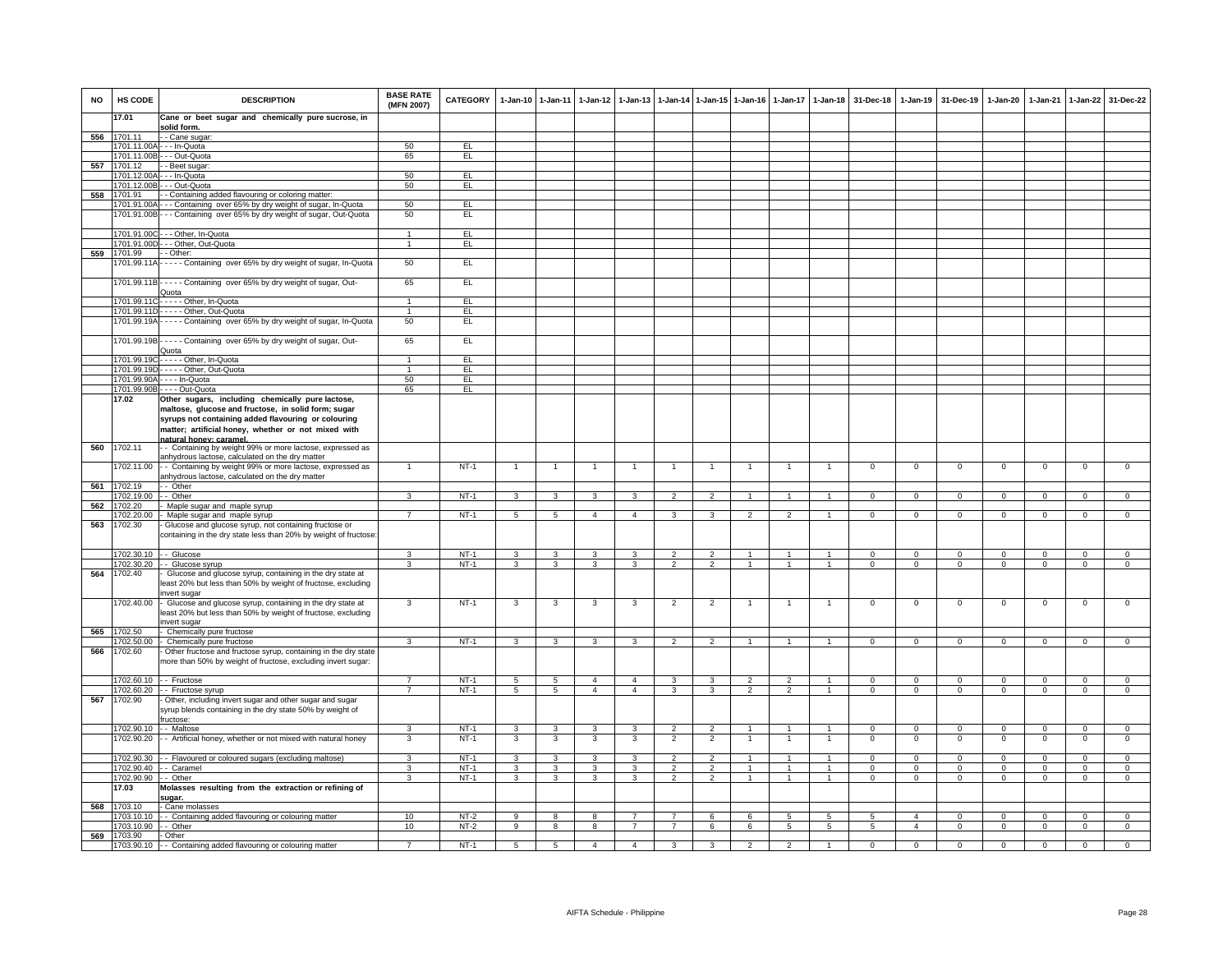| <b>NO</b> | HS CODE                    | <b>DESCRIPTION</b>                                                                                                             | <b>BASE RATE</b><br>(MFN 2007) | <b>CATEGORY</b> | $1-Jan-10$      | $1 - Jan-11$            | $1 - Jan-12$   | $1 - Jan-13$   |                |                | 1-Jan-14 1-Jan-15 1-Jan-16 |                | 1-Jan-17 1-Jan-18 | 31-Dec-18      | 1-Jan-19       | 31-Dec-19      | 1-Jan-20       | 1-Jan-21       | 1-Jan-22       | 31-Dec-22      |
|-----------|----------------------------|--------------------------------------------------------------------------------------------------------------------------------|--------------------------------|-----------------|-----------------|-------------------------|----------------|----------------|----------------|----------------|----------------------------|----------------|-------------------|----------------|----------------|----------------|----------------|----------------|----------------|----------------|
|           | 17.01                      | Cane or beet sugar and chemically pure sucrose, in                                                                             |                                |                 |                 |                         |                |                |                |                |                            |                |                   |                |                |                |                |                |                |                |
| 556       | 1701.11                    | solid form.<br>· - Cane sugar                                                                                                  |                                |                 |                 |                         |                |                |                |                |                            |                |                   |                |                |                |                |                |                |                |
|           |                            | 1701.11.00A - - - In-Quota                                                                                                     | 50                             | EL              |                 |                         |                |                |                |                |                            |                |                   |                |                |                |                |                |                |                |
|           | 1701.11.00B                | - - Out-Quota                                                                                                                  | 65                             | EL              |                 |                         |                |                |                |                |                            |                |                   |                |                |                |                |                |                |                |
| 557       | 1701.12<br>1701.12.00/     | - Beet sugar:<br>- - In-Quota                                                                                                  | 50                             | EL              |                 |                         |                |                |                |                |                            |                |                   |                |                |                |                |                |                |                |
|           | 1701.12.00E                | - - Out-Quota                                                                                                                  | 50                             | EL              |                 |                         |                |                |                |                |                            |                |                   |                |                |                |                |                |                |                |
| 558       | 1701.91                    | - Containing added flavouring or coloring matter:                                                                              |                                |                 |                 |                         |                |                |                |                |                            |                |                   |                |                |                |                |                |                |                |
|           |                            | 1701.91.00A --- Containing over 65% by dry weight of sugar, In-Quota                                                           | 50                             | EL.             |                 |                         |                |                |                |                |                            |                |                   |                |                |                |                |                |                |                |
|           |                            | 1701.91.00B - - - Containing over 65% by dry weight of sugar, Out-Quota                                                        | 50                             | EL              |                 |                         |                |                |                |                |                            |                |                   |                |                |                |                |                |                |                |
|           | 1701.91.00C                | --- Other, In-Quota                                                                                                            | $\overline{1}$                 | EL              |                 |                         |                |                |                |                |                            |                |                   |                |                |                |                |                |                |                |
|           | 1701.91.00D                | - - Other, Out-Quota                                                                                                           | $\mathbf{1}$                   | EL              |                 |                         |                |                |                |                |                            |                |                   |                |                |                |                |                |                |                |
| 559       | 1701.99                    | - Other:                                                                                                                       |                                |                 |                 |                         |                |                |                |                |                            |                |                   |                |                |                |                |                |                |                |
|           | 1701.99.11A                | ---- Containing over 65% by dry weight of sugar, In-Quota                                                                      | 50                             | EL              |                 |                         |                |                |                |                |                            |                |                   |                |                |                |                |                |                |                |
|           |                            | 1701.99.11B----- Containing over 65% by dry weight of sugar, Out-                                                              | 65                             | EL              |                 |                         |                |                |                |                |                            |                |                   |                |                |                |                |                |                |                |
|           |                            | Quota<br>1701.99.11C - - - - - Other, In-Quota                                                                                 | $\mathbf{1}$                   | EL              |                 |                         |                |                |                |                |                            |                |                   |                |                |                |                |                |                |                |
|           |                            | 1701.99.11D- - - - - Other, Out-Quota                                                                                          | $\blacktriangleleft$           | EL              |                 |                         |                |                |                |                |                            |                |                   |                |                |                |                |                |                |                |
|           |                            | 1701.99.19A - - - - - Containing over 65% by dry weight of sugar, In-Quota                                                     | 50                             | EL.             |                 |                         |                |                |                |                |                            |                |                   |                |                |                |                |                |                |                |
|           |                            | 1701.99.19B----- Containing over 65% by dry weight of sugar, Out-                                                              | 65                             | EL              |                 |                         |                |                |                |                |                            |                |                   |                |                |                |                |                |                |                |
|           |                            | Quota                                                                                                                          | $\mathbf{1}$                   |                 |                 |                         |                |                |                |                |                            |                |                   |                |                |                |                |                |                |                |
|           | 1701.99.19C<br>1701.99.19D | ---- Other, In-Quota<br>- - - - Other, Out-Quota                                                                               | $\overline{1}$                 | EL<br>EL        |                 |                         |                |                |                |                |                            |                |                   |                |                |                |                |                |                |                |
|           | 1701.99.90A                | . - - - In-Quota                                                                                                               | 50                             | EL              |                 |                         |                |                |                |                |                            |                |                   |                |                |                |                |                |                |                |
|           | 1701.99.90B                | -Out-Quota                                                                                                                     | 65                             | EL              |                 |                         |                |                |                |                |                            |                |                   |                |                |                |                |                |                |                |
|           | 17.02                      | Other sugars, including chemically pure lactose,<br>maltose, glucose and fructose, in solid form; sugar                        |                                |                 |                 |                         |                |                |                |                |                            |                |                   |                |                |                |                |                |                |                |
|           |                            | syrups not containing added flavouring or colouring                                                                            |                                |                 |                 |                         |                |                |                |                |                            |                |                   |                |                |                |                |                |                |                |
|           |                            | matter; artificial honey, whether or not mixed with                                                                            |                                |                 |                 |                         |                |                |                |                |                            |                |                   |                |                |                |                |                |                |                |
|           |                            | natural honey: caramel.                                                                                                        |                                |                 |                 |                         |                |                |                |                |                            |                |                   |                |                |                |                |                |                |                |
| 560       | 1702.11                    | - Containing by weight 99% or more lactose, expressed as<br>anhydrous lactose, calculated on the dry matter                    |                                |                 |                 |                         |                |                |                |                |                            |                |                   |                |                |                |                |                |                |                |
|           | 702.11.00                  | - - Containing by weight 99% or more lactose, expressed as                                                                     |                                | $NT-1$          | $\mathbf{1}$    | $\mathbf{1}$            |                |                | $\overline{1}$ | $\mathbf{1}$   |                            | $\mathbf{1}$   |                   | $\mathbf 0$    | $\mathbf 0$    | $\mathbf 0$    | $\mathbf 0$    | $\mathbf 0$    | $\mathsf 0$    | $\Omega$       |
| 561       | 1702.19                    | inhydrous lactose, calculated on the dry matter<br>- Other                                                                     |                                |                 |                 |                         |                |                |                |                |                            |                |                   |                |                |                |                |                |                |                |
|           | 1702.19.00                 | - Other                                                                                                                        | 3                              | $NT-1$          | 3               | 3                       | 3              | 3              | $\overline{2}$ | $\mathfrak{p}$ |                            |                |                   | $\Omega$       | $\Omega$       | $\Omega$       | $\Omega$       | $\Omega$       | $\Omega$       | $\Omega$       |
| 562       | 1702.20                    | Maple sugar and maple syrup                                                                                                    |                                |                 |                 |                         |                |                |                |                |                            |                |                   |                |                |                |                |                |                |                |
| 563       | 1702.20.00<br>1702.30      | Maple sugar and maple syrup                                                                                                    | $\overline{7}$                 | $NT-1$          | 5               | 5                       | $\overline{4}$ | $\overline{4}$ | $\mathbf{3}$   | $\mathbf{3}$   | $\overline{2}$             | $\overline{2}$ | $\mathbf{1}$      | $\Omega$       | $\mathbf{0}$   | $\mathbf 0$    | $\overline{0}$ | $\mathbf 0$    | $\mathbf{0}$   | $\Omega$       |
|           |                            | Glucose and glucose syrup, not containing fructose or<br>containing in the dry state less than 20% by weight of fructose       |                                |                 |                 |                         |                |                |                |                |                            |                |                   |                |                |                |                |                |                |                |
|           |                            |                                                                                                                                |                                |                 |                 |                         |                |                |                |                |                            |                |                   |                |                |                |                |                |                |                |
|           | 1702.30.10 - Glucose       |                                                                                                                                | 3                              | $NT-1$          | 3               | 3                       | 3              | 3              | $\overline{2}$ | $\overline{2}$ | $\overline{1}$             | $\overline{1}$ | $\overline{1}$    | $\mathbf 0$    | $\overline{0}$ | $\mathbf 0$    | $\overline{0}$ | $\Omega$       | $\mathsf 0$    | $\mathbf 0$    |
| 564       | 1702.30.20<br>1702.40      | - Glucose syrup<br>Glucose and glucose syrup, containing in the dry state at                                                   | $\mathbf{3}$                   | $NT-1$          | 3               | 3                       | 3              | $\mathbf{3}$   | $\overline{2}$ | 2              | $\mathbf{1}$               | $\mathbf{1}$   | $\overline{1}$    | $\mathbf 0$    | $\mathbf{0}$   | $\mathbf 0$    | $\overline{0}$ | $\mathbf 0$    | $\mathsf 0$    | $\mathsf 0$    |
|           |                            | least 20% but less than 50% by weight of fructose, excluding<br>nvert sugar                                                    |                                |                 |                 |                         |                |                |                |                |                            |                |                   |                |                |                |                |                |                |                |
|           | 1702.40.00                 | Glucose and glucose syrup, containing in the dry state at                                                                      | 3                              | $NT-1$          | 3               | 3                       | 3              | 3              | $\overline{2}$ | $\overline{2}$ | $\overline{1}$             | $\overline{1}$ | $\mathbf{1}$      | $\overline{0}$ | $\overline{0}$ | $\overline{0}$ | $\overline{0}$ | $\overline{0}$ | $\overline{0}$ | $\overline{0}$ |
|           |                            | least 20% but less than 50% by weight of fructose, excluding<br>nvert sugar                                                    |                                |                 |                 |                         |                |                |                |                |                            |                |                   |                |                |                |                |                |                |                |
| 565       | 1702.50                    | Chemically pure fructose                                                                                                       |                                |                 |                 |                         |                |                |                |                |                            |                |                   |                |                |                |                |                |                |                |
|           | 1702.50.00                 | Chemically pure fructose                                                                                                       | 3                              | $NT-1$          | $\overline{3}$  | $\overline{\mathbf{3}}$ | $\overline{3}$ | $\overline{3}$ | $\overline{2}$ | $\overline{2}$ | $\overline{1}$             | $\mathbf{1}$   | $\overline{1}$    | $\overline{0}$ | $\overline{0}$ | $\overline{0}$ | $\overline{0}$ | $\overline{0}$ | $\overline{0}$ | $\overline{0}$ |
| 566       | 1702.60                    | Other fructose and fructose syrup, containing in the dry state<br>nore than 50% by weight of fructose, excluding invert sugar: |                                |                 |                 |                         |                |                |                |                |                            |                |                   |                |                |                |                |                |                |                |
|           | 1702.60.10                 | - - Fructose                                                                                                                   | $\overline{7}$                 | $NT-1$          | $5\overline{5}$ | $\overline{5}$          | $\overline{4}$ | $\overline{4}$ | $\mathbf{3}$   | $\mathbf{3}$   | $\overline{2}$             | $\overline{2}$ | $\overline{1}$    | $\Omega$       | $\overline{0}$ | $\Omega$       | $\overline{0}$ | $\overline{0}$ | $\overline{0}$ | $\overline{0}$ |
|           | 1702.60.20                 | - Fructose svrup                                                                                                               | $\overline{7}$                 | $NT-1$          | $\overline{5}$  | $\overline{5}$          | $\overline{4}$ | $\overline{4}$ | 3              | $\overline{3}$ | $\overline{2}$             | $\overline{2}$ | $\overline{1}$    | $\overline{0}$ | $\overline{0}$ | $\overline{0}$ | $\overline{0}$ | $\overline{0}$ | $\overline{0}$ | $\overline{0}$ |
| 567       | 1702.90                    | Other, including invert sugar and other sugar and sugar                                                                        |                                |                 |                 |                         |                |                |                |                |                            |                |                   |                |                |                |                |                |                |                |
|           |                            | syrup blends containing in the dry state 50% by weight of<br>fructose:                                                         |                                |                 |                 |                         |                |                |                |                |                            |                |                   |                |                |                |                |                |                |                |
|           | 1702.90.10                 | - Maltose                                                                                                                      | $\mathbf{3}$                   | $NT-1$          | 3               | $\mathbf{3}$            | 3              | $\mathbf{3}$   | $\overline{2}$ | $\overline{2}$ | $\overline{1}$             | $\overline{1}$ | $\overline{1}$    | $\Omega$       | $\overline{0}$ | $\Omega$       | $\Omega$       | $\overline{0}$ | $\overline{0}$ | $\overline{0}$ |
|           | 1702.90.20                 | - Artificial honey, whether or not mixed with natural honey                                                                    | 3                              | $NT-1$          | 3               | 3                       | 3              | 3              | $\overline{2}$ | $\overline{2}$ | $\overline{1}$             | $\mathbf{1}$   | $\mathbf{1}$      | $\overline{0}$ | $\overline{0}$ | $\Omega$       | $\overline{0}$ | $\overline{0}$ | $\overline{0}$ | $\overline{0}$ |
|           |                            | 1702.90.30 - Flavoured or coloured sugars (excluding maltose)                                                                  | $\mathbf{3}$                   | $NT-1$          | $\mathbf{3}$    | $\mathbf{3}$            | 3              | 3              | $\overline{2}$ | $\overline{2}$ | $\mathbf{1}$               | $\overline{1}$ | $\mathbf{1}$      | $\mathbf{0}$   | $\mathbf 0$    | $\mathbf 0$    | $\mathbf 0$    | $\Omega$       | $\mathbf 0$    | $\mathbf 0$    |
|           | 1702.90.40                 | - Caramel                                                                                                                      | 3                              | $NT-1$          | 3               | 3                       | 3              | 3              | $\overline{2}$ | $\overline{2}$ | $\mathbf{1}$               | $\overline{1}$ | $\overline{1}$    | $\mathbf{0}$   | $\mathbf 0$    | $^{\circ}$     | $\mathbf 0$    | $\Omega$       | 0              | $\mathbf 0$    |
|           | 1702.90.90                 | - Other                                                                                                                        | 3                              | $NT-1$          | $\overline{3}$  | $\overline{3}$          | $\overline{3}$ | 3              | $\overline{2}$ | $\overline{2}$ | $\overline{1}$             | $\overline{1}$ | $\overline{1}$    | $\circ$        | $\circ$        | $\mathbf{0}$   | $\overline{0}$ | $\Omega$       | $\mathbf 0$    | $\overline{0}$ |
|           | 17.03                      | Molasses resulting from the extraction or refining of<br>sugar.                                                                |                                |                 |                 |                         |                |                |                |                |                            |                |                   |                |                |                |                |                |                |                |
|           | 568 1703.10                | Cane molasses                                                                                                                  |                                |                 |                 |                         |                |                |                |                |                            |                |                   |                |                |                |                |                |                |                |
|           | 1703.10.10                 | - - Containing added flavouring or colouring matter                                                                            | 10                             | NT-2            | 9               | 8                       | 8              | $\overline{7}$ | $\overline{7}$ | 6              | 6                          | 5              | 5                 | 5              | $\overline{4}$ | $\mathbf{0}$   | $\mathbf{0}$   | $\overline{0}$ | $^{\circ}$     | $^{\circ}$     |
| 569       | 1703.10.90<br>1703.90      | - Other<br>- Other                                                                                                             | 10                             | $NT-2$          | 9               | $\overline{\mathbf{8}}$ | 8              | $\overline{7}$ | $\overline{7}$ | 6              | 6                          | 5              | $\overline{5}$    | 5              | $\overline{4}$ | $\mathbf 0$    | $\overline{0}$ | $\overline{0}$ | $\overline{0}$ | $\overline{0}$ |
|           |                            | 1703.90.10 - Containing added flavouring or colouring matter                                                                   |                                | $NT-1$          | 5               | 5                       | $\overline{4}$ | $\overline{4}$ | 3              | 3              | $\overline{2}$             | $\overline{2}$ |                   | $\Omega$       | $\mathbf 0$    | $\Omega$       | $\mathbf 0$    | $\mathbf 0$    | $\mathbf 0$    |                |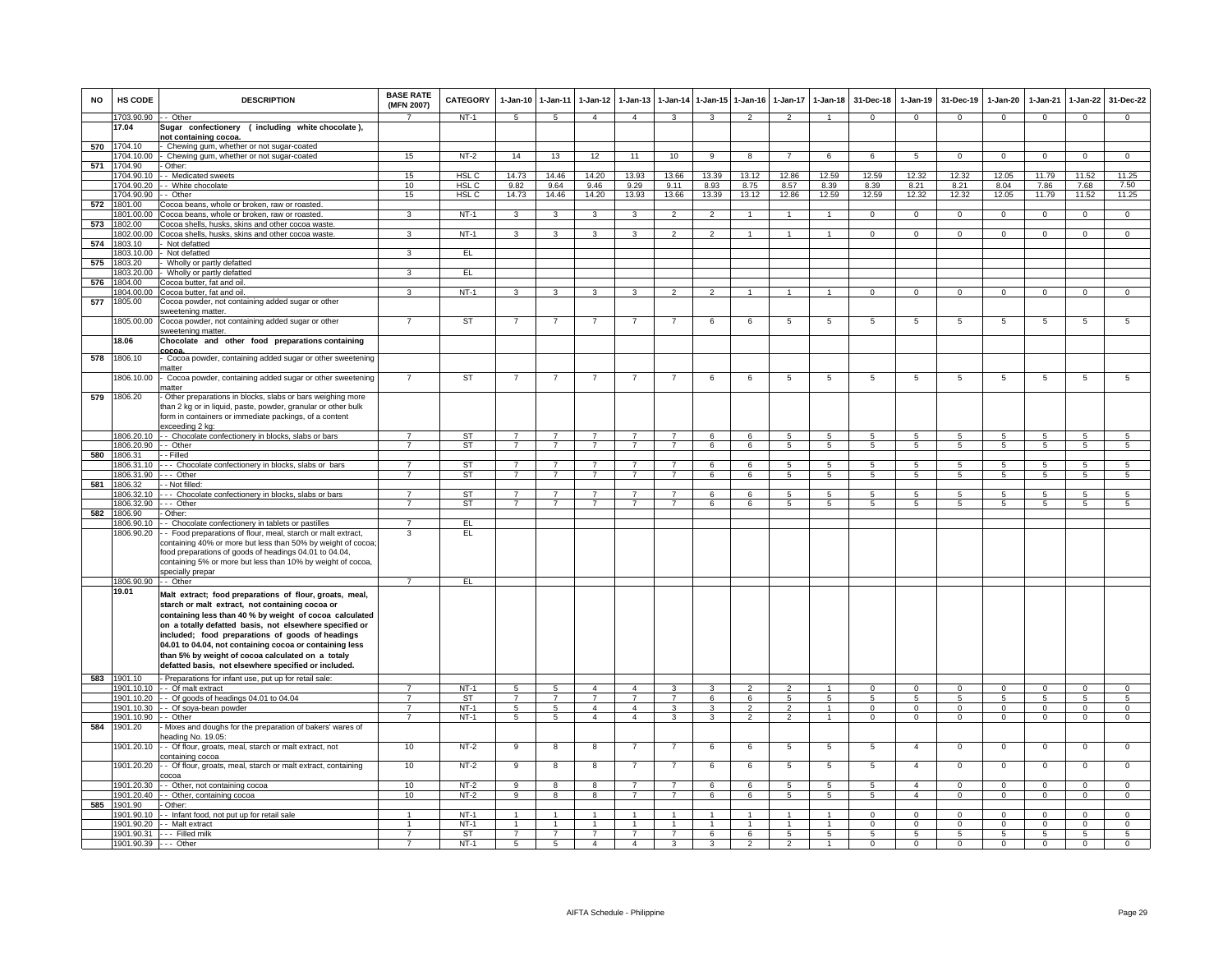| <b>NO</b> | HS CODE                  | <b>DESCRIPTION</b>                                                                                        | <b>BASE RATE</b><br>(MFN 2007)   | CATEGORY         | $1 - Jan-10$   | $1 - Jan-11$   | $1 - Jan-12$                     | $1-Jan-13$                       | 1-Jan-14                         | $1 - Jan-15$        | $1 - Jan-16$        | $1 - Jan-17$        | $1 - Jan-18$         | 31-Dec-18           | 1-Jan-19            | 31-Dec-19      | $1-Jan-20$              | 1-Jan-21            | $1 - Jan-22$                 | 31-Dec-22                        |
|-----------|--------------------------|-----------------------------------------------------------------------------------------------------------|----------------------------------|------------------|----------------|----------------|----------------------------------|----------------------------------|----------------------------------|---------------------|---------------------|---------------------|----------------------|---------------------|---------------------|----------------|-------------------------|---------------------|------------------------------|----------------------------------|
|           | 1703.90.90 - - Other     |                                                                                                           |                                  | $NT-1$           | $\sqrt{5}$     | 5              | $\overline{4}$                   | $\overline{4}$                   | 3                                | 3                   | $\mathfrak{p}$      | $\mathfrak{p}$      |                      | $\Omega$            | $\Omega$            | $\Omega$       | $\Omega$                | $\Omega$            | $\Omega$                     | $\Omega$                         |
|           | 17.04                    | Sugar confectionery (including white chocolate),<br>not containing cocoa.                                 |                                  |                  |                |                |                                  |                                  |                                  |                     |                     |                     |                      |                     |                     |                |                         |                     |                              |                                  |
| 570       | 1704.10                  | Chewing gum, whether or not sugar-coated                                                                  |                                  |                  |                |                |                                  |                                  |                                  |                     |                     |                     |                      |                     |                     |                |                         |                     |                              |                                  |
|           | 704.10.00                | Chewing gum, whether or not sugar-coated                                                                  | 15                               | $NT-2$           | 14             | 13             | 12                               | 11                               | 10                               | $\overline{9}$      | $\overline{8}$      | $\overline{7}$      | 6                    | 6                   | $5\overline{5}$     | $\Omega$       | $\Omega$                | $\overline{0}$      | $\overline{0}$               | $\overline{0}$                   |
| 571       | 704.90                   | Other:                                                                                                    |                                  |                  |                |                |                                  |                                  |                                  |                     |                     |                     |                      |                     |                     |                |                         |                     |                              |                                  |
|           | 704.90.10                | - Medicated sweets                                                                                        | 15                               | HSL <sub>C</sub> | 14.73          | 14.46          | 14.20                            | 13.93                            | 13.66                            | 13.39               | 13.12               | 12.86               | 12.59                | 12.59               | 12.32               | 12.32          | 12.05                   | 11.79               | 11.52                        | 11.25                            |
|           | 1704.90.20<br>1704.90.90 | - White chocolate<br>- Other                                                                              | 10<br>15                         | HSL C<br>HSL C   | 9.82<br>14.73  | 9.64<br>14.46  | 9.46<br>14.20                    | 9.29<br>13.93                    | 9.11<br>13.66                    | 8.93<br>13.39       | 8.75<br>13.12       | 8.57<br>12.86       | 8.39<br>12.59        | 8.39<br>12.59       | 8.21<br>12.32       | 8.21<br>12.32  | 8.04<br>12.05           | 7.86<br>11.79       | 7.68<br>11.52                | 7.50<br>11.25                    |
| 572       | 1801.00                  | Cocoa beans, whole or broken, raw or roasted.                                                             |                                  |                  |                |                |                                  |                                  |                                  |                     |                     |                     |                      |                     |                     |                |                         |                     |                              |                                  |
|           | 1801.00.00               | Cocoa beans, whole or broken, raw or roasted.                                                             | 3                                | $NT-1$           | $\mathbf{3}$   | $\mathbf{3}$   | $\mathbf{3}$                     | 3                                | $\overline{2}$                   | $\overline{2}$      |                     |                     | $\mathbf{1}$         | $\Omega$            | $\Omega$            | $\Omega$       | $\Omega$                | $\Omega$            | $\Omega$                     | $\Omega$                         |
| 573       | 1802.00                  | Cocoa shells, husks, skins and other cocoa waste                                                          |                                  |                  |                |                |                                  |                                  |                                  |                     |                     |                     |                      |                     |                     |                |                         |                     |                              |                                  |
|           | 1802.00.00               | Cocoa shells, husks, skins and other cocoa waste.                                                         | $\mathbf{3}$                     | $NT-1$           | $\mathbf{3}$   | $\mathbf{3}$   | 3 <sup>3</sup>                   | $\mathbf{3}$                     | $\overline{2}$                   | $\overline{2}$      | $\overline{1}$      | $\overline{1}$      | $\overline{1}$       | $\mathbf{0}$        | $\mathbf{0}$        | $\mathbf 0$    | $\overline{0}$          | $\mathbf 0$         | $\circ$                      | $\overline{0}$                   |
| 574       | 1803.10<br>1803.10.00    | Not defatted<br>Not defatted                                                                              | 3                                | EL               |                |                |                                  |                                  |                                  |                     |                     |                     |                      |                     |                     |                |                         |                     |                              |                                  |
| 575       | 1803.20                  | Wholly or partly defatted                                                                                 |                                  |                  |                |                |                                  |                                  |                                  |                     |                     |                     |                      |                     |                     |                |                         |                     |                              |                                  |
|           | 803.20.00                | Wholly or partly defatted                                                                                 | 3                                | EL               |                |                |                                  |                                  |                                  |                     |                     |                     |                      |                     |                     |                |                         |                     |                              |                                  |
| 576       | 1804.00                  | Cocoa butter, fat and oil.                                                                                |                                  |                  |                |                |                                  |                                  |                                  |                     |                     |                     |                      |                     |                     |                |                         |                     |                              |                                  |
|           | 804.00.00                | Cocoa butter, fat and oil                                                                                 | 3                                | $NT-1$           | $\mathbf{3}$   | 3              | $\mathbf{3}$                     | 3                                | 2                                | $\mathcal{L}$       | $\overline{1}$      |                     |                      | $\Omega$            | $\Omega$            | $\Omega$       | $\mathbf 0$             | $\Omega$            | $\mathsf 0$                  | $\Omega$                         |
| 577       | 1805.00                  | Cocoa powder, not containing added sugar or other                                                         |                                  |                  |                |                |                                  |                                  |                                  |                     |                     |                     |                      |                     |                     |                |                         |                     |                              |                                  |
|           |                          | sweetening matter.                                                                                        | $\overline{7}$                   |                  | $\overline{7}$ | $\overline{7}$ | $\overline{7}$                   |                                  | $\overline{7}$                   | 6                   | 6                   |                     | $\overline{5}$       |                     | 5                   | $\sqrt{5}$     | 5                       | 5                   | $5\overline{5}$              | $\overline{5}$                   |
|           | 1805.00.00               | Cocoa powder, not containing added sugar or other<br>sweetening matter.                                   |                                  | ST               |                |                |                                  |                                  |                                  |                     |                     | 5                   |                      | 5                   |                     |                |                         |                     |                              |                                  |
|           | 18.06                    | Chocolate and other food preparations containing<br>cocoa.                                                |                                  |                  |                |                |                                  |                                  |                                  |                     |                     |                     |                      |                     |                     |                |                         |                     |                              |                                  |
| 578       | 1806.10                  | Cocoa powder, containing added sugar or other sweetening                                                  |                                  |                  |                |                |                                  |                                  |                                  |                     |                     |                     |                      |                     |                     |                |                         |                     |                              |                                  |
|           | 1806.10.00               | natter<br>Cocoa powder, containing added sugar or other sweetening                                        | $\overline{7}$                   | ST               | $\overline{7}$ | $\overline{7}$ |                                  | $\overline{7}$                   | $\overline{7}$                   | 6                   | 6                   | 5                   | 5                    | 5                   | $\overline{5}$      | $\sqrt{5}$     | 5                       | 5                   | 5                            | 5                                |
| 579       | 1806.20                  | natter<br>Other preparations in blocks, slabs or bars weighing more                                       |                                  |                  |                |                |                                  |                                  |                                  |                     |                     |                     |                      |                     |                     |                |                         |                     |                              |                                  |
|           |                          | than 2 kg or in liquid, paste, powder, granular or other bulk                                             |                                  |                  |                |                |                                  |                                  |                                  |                     |                     |                     |                      |                     |                     |                |                         |                     |                              |                                  |
|           |                          | form in containers or immediate packings, of a content                                                    |                                  |                  |                |                |                                  |                                  |                                  |                     |                     |                     |                      |                     |                     |                |                         |                     |                              |                                  |
|           |                          | exceeding 2 kg:                                                                                           |                                  |                  |                |                |                                  |                                  |                                  |                     |                     |                     |                      |                     |                     |                |                         |                     |                              |                                  |
|           |                          | 1806.20.10 - Chocolate confectionery in blocks, slabs or bars                                             | $\overline{7}$                   | ST               | $\overline{7}$ | $\overline{7}$ | $\overline{7}$                   | $\overline{7}$                   | $\overline{7}$                   | 6                   | 6                   | 5                   | 5                    | 5                   | 5                   | 5              | 5                       | 5                   | 5                            | $5\phantom{.0}$                  |
|           | 1806.20.90 - - Other     |                                                                                                           | $\overline{7}$                   | <b>ST</b>        | $\overline{7}$ | $\overline{7}$ | $\overline{7}$                   | $\overline{\phantom{a}}$         | $\overline{7}$                   | 6                   | 6                   | $\overline{5}$      | $\overline{5}$       | $\overline{5}$      | $\overline{5}$      | $\overline{5}$ | $\overline{5}$          | $\overline{5}$      | $\overline{5}$               | $\overline{5}$                   |
| 580       | 1806.31<br>1806.31.10    | - Filled<br>- - Chocolate confectionery in blocks, slabs or bars                                          | $\overline{7}$                   | <b>ST</b>        | $\overline{7}$ | $\overline{7}$ | $\overline{7}$                   |                                  | $\overline{7}$                   | 6                   | 6                   | 5                   | $\overline{5}$       | $\overline{5}$      | $\overline{5}$      | $\sqrt{5}$     | 5                       | 5                   | $\overline{5}$               | $\overline{5}$                   |
|           | 1806.31.90               | --- Other                                                                                                 | $\overline{7}$                   | ST               | $\overline{7}$ | $\overline{7}$ | $\overline{7}$                   | $\overline{7}$                   | $\overline{7}$                   | 6                   | 6                   | 5                   | $5^{\circ}$          | $\overline{5}$      | $5^{\circ}$         | $\sqrt{5}$     | $5^{\circ}$             | 5                   | 5                            | $5^{\circ}$                      |
| 581       | 1806.32                  | - - Not filled:                                                                                           |                                  |                  |                |                |                                  |                                  |                                  |                     |                     |                     |                      |                     |                     |                |                         |                     |                              |                                  |
|           | 1806.32.10               | --- Chocolate confectionery in blocks, slabs or bars                                                      | $\overline{7}$                   | <b>ST</b>        | $\overline{7}$ | $\overline{7}$ | $\overline{7}$                   | 7                                | -7                               | 6                   | 6                   | 5                   | -5                   | -5                  | -5                  | -5             | 5                       | -5                  | 5                            | 5                                |
| 582       | 806.32.90<br>1806.90     | --- Other<br>Other:                                                                                       | $\overline{7}$                   | <b>ST</b>        | $\overline{7}$ | $\overline{7}$ | $\overline{7}$                   | $\overline{7}$                   | $\overline{7}$                   | 6                   | 6                   | 5                   | $\overline{5}$       | -5                  | 5                   | 5              | 5                       | 5                   | 5                            | 5                                |
|           | 806.90.10                | - Chocolate confectionery in tablets or pastilles                                                         |                                  | EL               |                |                |                                  |                                  |                                  |                     |                     |                     |                      |                     |                     |                |                         |                     |                              |                                  |
|           | 1806.90.20               | - Food preparations of flour, meal, starch or malt extract,                                               | 3                                | EL               |                |                |                                  |                                  |                                  |                     |                     |                     |                      |                     |                     |                |                         |                     |                              |                                  |
|           |                          | containing 40% or more but less than 50% by weight of cocoa                                               |                                  |                  |                |                |                                  |                                  |                                  |                     |                     |                     |                      |                     |                     |                |                         |                     |                              |                                  |
|           |                          | food preparations of goods of headings 04.01 to 04.04,                                                    |                                  |                  |                |                |                                  |                                  |                                  |                     |                     |                     |                      |                     |                     |                |                         |                     |                              |                                  |
|           |                          | containing 5% or more but less than 10% by weight of cocoa,<br>specially prepar                           |                                  |                  |                |                |                                  |                                  |                                  |                     |                     |                     |                      |                     |                     |                |                         |                     |                              |                                  |
|           | 1806.90.90 - - Other     |                                                                                                           | $\overline{7}$                   | EL.              |                |                |                                  |                                  |                                  |                     |                     |                     |                      |                     |                     |                |                         |                     |                              |                                  |
|           | 19.01                    | Malt extract; food preparations of flour, groats, meal,                                                   |                                  |                  |                |                |                                  |                                  |                                  |                     |                     |                     |                      |                     |                     |                |                         |                     |                              |                                  |
|           |                          | starch or malt extract, not containing cocoa or                                                           |                                  |                  |                |                |                                  |                                  |                                  |                     |                     |                     |                      |                     |                     |                |                         |                     |                              |                                  |
|           |                          | containing less than 40 % by weight of cocoa calculated                                                   |                                  |                  |                |                |                                  |                                  |                                  |                     |                     |                     |                      |                     |                     |                |                         |                     |                              |                                  |
|           |                          | on a totally defatted basis, not elsewhere specified or                                                   |                                  |                  |                |                |                                  |                                  |                                  |                     |                     |                     |                      |                     |                     |                |                         |                     |                              |                                  |
|           |                          | included; food preparations of goods of headings                                                          |                                  |                  |                |                |                                  |                                  |                                  |                     |                     |                     |                      |                     |                     |                |                         |                     |                              |                                  |
|           |                          | 04.01 to 04.04, not containing cocoa or containing less                                                   |                                  |                  |                |                |                                  |                                  |                                  |                     |                     |                     |                      |                     |                     |                |                         |                     |                              |                                  |
|           |                          | than 5% by weight of cocoa calculated on a totaly<br>defatted basis, not elsewhere specified or included. |                                  |                  |                |                |                                  |                                  |                                  |                     |                     |                     |                      |                     |                     |                |                         |                     |                              |                                  |
|           |                          |                                                                                                           |                                  |                  |                |                |                                  |                                  |                                  |                     |                     |                     |                      |                     |                     |                |                         |                     |                              |                                  |
| 583       | 1901.10                  | - Preparations for infant use, put up for retail sale:<br>1901.10.10 - - Of malt extract                  | $\overline{7}$                   | $NT-1$           | 5              | 5              | $\overline{4}$                   | $\overline{4}$                   | $\mathbf{3}$                     | $\mathbf{3}$        | $\overline{2}$      | $\mathcal{P}$       | $\overline{1}$       | $\Omega$            | $\Omega$            | $\Omega$       | $\Omega$                | $\Omega$            | $\mathbf{0}$                 | $\Omega$                         |
|           |                          | 1901.10.20 - - Of goods of headings 04.01 to 04.04                                                        | $\overline{7}$                   | ST               | $\overline{7}$ | $\overline{7}$ | $\overline{7}$                   | $\overline{7}$                   | $\overline{7}$                   | 6                   | 6                   | 5                   | $5\overline{5}$      | -5                  | 5                   | 5              | 5                       | -5                  | $\overline{5}$               | $5\phantom{.0}$                  |
|           | 1901.10.30               | - Of soya-bean powder                                                                                     | $\overline{7}$                   | $NT-1$           | $\overline{5}$ | 5              | $\overline{4}$                   | $\overline{4}$                   | 3                                | 3                   | $\overline{2}$      | $\mathfrak{p}$      | 1                    | $\Omega$            | $\overline{0}$      | $\Omega$       | $\Omega$                | $\Omega$            | $\overline{0}$               | $\overline{0}$                   |
|           | 901.10.90                | - Other                                                                                                   | $\overline{7}$                   | $NT-1$           | 5              | 5              | $\overline{4}$                   | $\Delta$                         | $\mathbf{a}$                     | 3                   | $\overline{2}$      | $\mathcal{P}$       | $\ddot{\phantom{1}}$ | $\mathbf 0$         | $\mathbf 0$         | $\mathbf{0}$   | $\mathbf 0$             | $\Omega$            | $\mathbf 0$                  | $\mathbf 0$                      |
| 584       | 1901.20                  | Mixes and doughs for the preparation of bakers' wares of<br>eading No. 19.05:                             |                                  |                  |                |                |                                  |                                  |                                  |                     |                     |                     |                      |                     |                     |                |                         |                     |                              |                                  |
|           | 1901.20.10               | - Of flour, groats, meal, starch or malt extract, not                                                     | 10                               | $NT-2$           | 9              | 8              | 8                                | $\overline{7}$                   | $\overline{7}$                   | 6                   | 6                   | $\overline{5}$      | $\overline{5}$       | 5                   | $\overline{4}$      | $\mathbf 0$    | $\mathbf 0$             | $\mathbf 0$         | $\overline{0}$               | $\mathbf 0$                      |
|           | 1901.20.20               | containing cocoa<br>- Of flour, groats, meal, starch or malt extract, containing                          | 10                               | $NT-2$           | 9              | 8              | 8                                |                                  | $\overline{7}$                   | 6                   | 6                   | 5                   | $5\phantom{.0}$      | 5                   | $\overline{4}$      | $\mathbf 0$    | $\mathbf 0$             | $\mathbf 0$         | $\mathsf 0$                  | $\mathbf 0$                      |
|           |                          | cocoa                                                                                                     | 10 <sup>1</sup>                  |                  |                |                |                                  |                                  |                                  |                     |                     |                     |                      |                     | $\overline{4}$      | $\Omega$       |                         | $\Omega$            |                              |                                  |
|           |                          | 1901.20.30 - - Other, not containing cocoa<br>1901.20.40 - Other, containing cocoa                        | 10                               | $NT-2$<br>$NT-2$ | 9<br>9         | 8<br>8         | 8<br>8                           | 7<br>$\overline{7}$              | $\overline{7}$<br>$\overline{7}$ | 6<br>6              | 6<br>6              | 5<br>5              | 5<br>$5\overline{5}$ | 5<br>5              | $\overline{4}$      | $\mathbf{0}$   | $\circ$<br>$\mathbf{0}$ | $^{\circ}$          | $\mathbf{0}$<br>$\mathbf{0}$ | $\mathbf{0}$<br>$\overline{0}$   |
| 585       | 1901.90                  | - Other:                                                                                                  |                                  |                  |                |                |                                  |                                  |                                  |                     |                     |                     |                      |                     |                     |                |                         |                     |                              |                                  |
|           | 1901.90.10               | - - Infant food, not put up for retail sale                                                               |                                  | $NT-1$           | 1              | $\mathbf{1}$   | 1                                |                                  |                                  | 1                   |                     |                     | $\mathbf{1}$         | $\mathbf{O}$        | $\mathbf 0$         | $\mathbf 0$    | $\mathbf 0$             | $\Omega$            | $\mathbf 0$                  | $\mathbf 0$                      |
|           |                          | 1901.90.20 - - Malt extract                                                                               |                                  | $NT-1$           | $\mathbf{1}$   | $\overline{1}$ | $\mathbf{1}$                     | 1                                | $\overline{1}$                   | $\mathbf{1}$        |                     |                     | $\overline{1}$       | $\Omega$            | $\Omega$            | $\Omega$       | $\Omega$                | $\Omega$            | $\Omega$                     | $\mathsf 0$                      |
|           |                          | 1901.90.31 --- Filled milk                                                                                | $\overline{7}$<br>$\overline{7}$ | ST               | $\overline{7}$ | $\overline{7}$ | $\overline{7}$<br>$\overline{4}$ | $\overline{7}$<br>$\overline{4}$ | $\overline{7}$                   | 6<br>$\overline{3}$ | 6<br>$\overline{2}$ | 5<br>$\overline{2}$ | 5<br>$\overline{1}$  | 5<br>$\overline{0}$ | 5<br>$\overline{0}$ | 5              | 5<br>$\overline{0}$     | 5<br>$\overline{0}$ | 5<br>$\overline{0}$          | $\overline{5}$<br>$\overline{0}$ |
|           | 1901.90.39 --- Other     |                                                                                                           |                                  | $NT-1$           | $\overline{5}$ | 5              |                                  |                                  | $\overline{\mathbf{3}}$          |                     |                     |                     |                      |                     |                     | $\overline{0}$ |                         |                     |                              |                                  |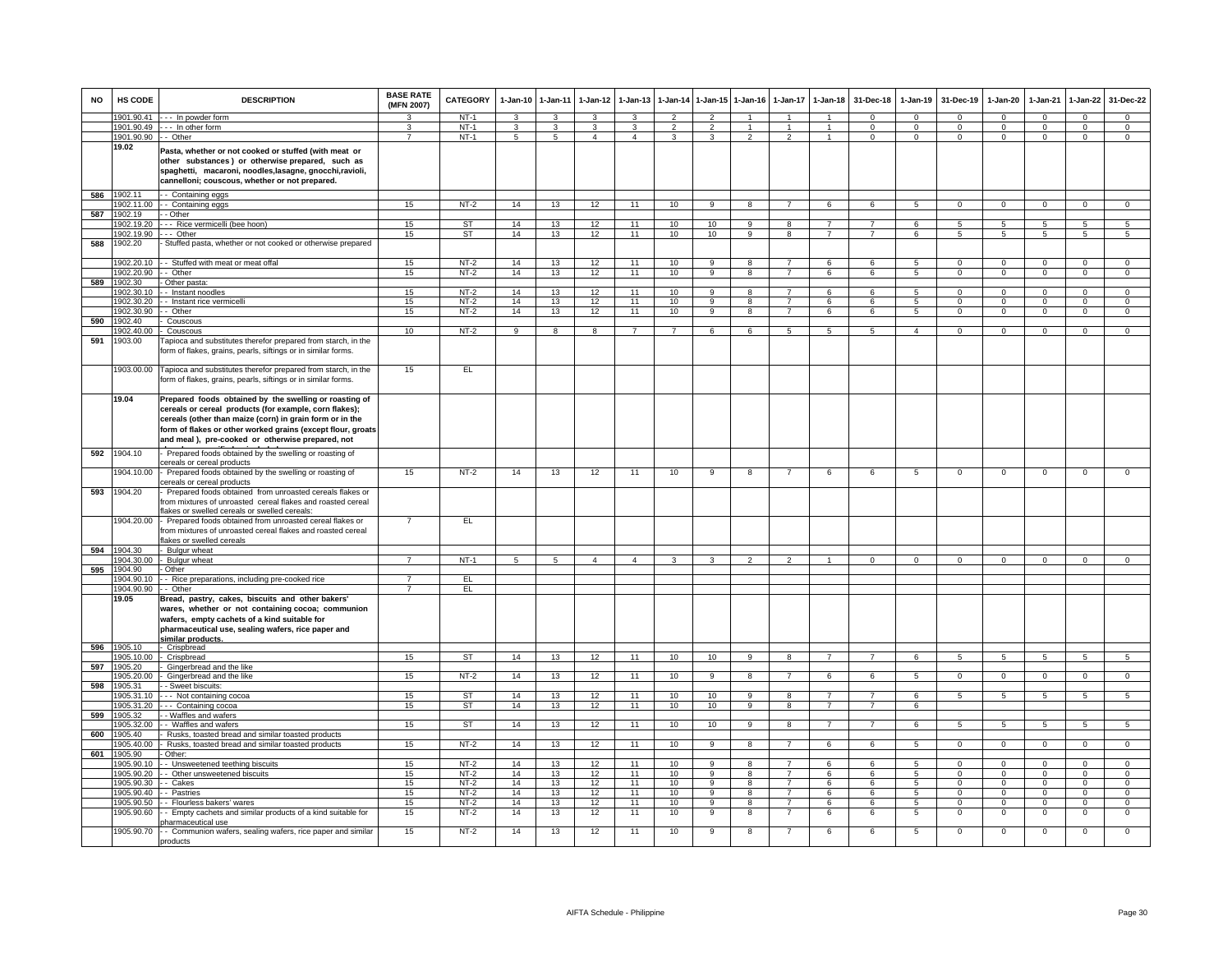| <b>NO</b> | HS CODE                 | <b>DESCRIPTION</b>                                                                                                                                                                                                                                                                              | <b>BASE RATE</b><br>(MFN 2007) | <b>CATEGORY</b> | $1-Jan-10$      | $1 - Jan-11$    | $1-Jan-12$     | $1-Jan-13$     | 1-Jan-14       |                                | 1-Jan-15 1-Jan-16       | $1-Jan-17$     | $1 - Jan-18$         | 31-Dec-18       | $1-Jan-19$     | 31-Dec-19                     | $1-Jan-20$                | $1-Jan-21$                 | $1-Jan-22$     | 31-Dec-22       |
|-----------|-------------------------|-------------------------------------------------------------------------------------------------------------------------------------------------------------------------------------------------------------------------------------------------------------------------------------------------|--------------------------------|-----------------|-----------------|-----------------|----------------|----------------|----------------|--------------------------------|-------------------------|----------------|----------------------|-----------------|----------------|-------------------------------|---------------------------|----------------------------|----------------|-----------------|
|           | 1901.90.41              | --- In powder form                                                                                                                                                                                                                                                                              | ર                              | $NT-1$          | 3               | 3               | 3              | 3              | $\mathcal{P}$  | $\mathcal{P}$                  |                         |                | $\blacktriangleleft$ | $\Omega$        | $\mathbf{0}$   | $\mathbf 0$                   | $\Omega$                  | $\Omega$                   | $\mathbf 0$    | $\Omega$        |
|           | 1901.90.49              | In other form                                                                                                                                                                                                                                                                                   | 3                              | NT-1            | $\mathbf{3}$    | $\mathbf{3}$    | $\mathbf{3}$   | $\mathbf{3}$   | $\overline{2}$ | $\overline{2}$                 | $\overline{1}$          | $\overline{1}$ | $\overline{1}$       | $\Omega$        | $\mathbf{0}$   | $\mathbf 0$                   | $\mathbf{0}$              | $\Omega$                   | $\mathbf{0}$   | $\overline{0}$  |
|           | 1901.90.90 -- Other     |                                                                                                                                                                                                                                                                                                 | $\overline{7}$                 | $NT-1$          | 5               | $\overline{5}$  | $\overline{4}$ | $\overline{4}$ | 3              | 3                              | $\overline{2}$          | $\overline{2}$ | $\overline{1}$       | $\Omega$        | $\mathbf{0}$   | $\mathbf 0$                   | $\mathbf{0}$              | $\overline{0}$             | $\overline{0}$ | $\overline{0}$  |
|           | 19.02<br>1902.11        | Pasta, whether or not cooked or stuffed (with meat or<br>other substances) or otherwise prepared, such as<br>spaghetti, macaroni, noodles, lasagne, gnocchi, ravioli,<br>cannelloni; couscous, whether or not prepared.<br>- Containing eggs                                                    |                                |                 |                 |                 |                |                |                |                                |                         |                |                      |                 |                |                               |                           |                            |                |                 |
| 586       |                         |                                                                                                                                                                                                                                                                                                 |                                |                 |                 |                 |                |                |                |                                |                         | $\overline{7}$ |                      |                 |                |                               |                           |                            |                |                 |
|           | 1902.11.00<br>1902.19   | - Containing eggs<br>- - Other                                                                                                                                                                                                                                                                  | 15                             | $NT-2$          | 14              | 13              | 12             | 11             | 10             | $\overline{9}$                 | $\overline{8}$          |                | 6                    | 6               | 5              | $\overline{0}$                | $\overline{0}$            | $\overline{0}$             | $\overline{0}$ | $\overline{0}$  |
| 587       |                         |                                                                                                                                                                                                                                                                                                 |                                |                 |                 |                 |                |                |                |                                |                         |                |                      |                 |                |                               |                           |                            |                |                 |
|           | 1902.19.20              | --- Rice vermicelli (bee hoon)                                                                                                                                                                                                                                                                  | 15                             | ST              | 14              | 13              | 12             | 11             | 10             | 10                             | 9                       | 8              | $\overline{7}$       | $\overline{7}$  | 6              | 5                             | 5                         | 5                          | 5              | 5               |
|           | 1902.19.90 --- Other    |                                                                                                                                                                                                                                                                                                 | 15                             | ST              | 14              | 13              | 12             | 11             | 10             | 10                             | 9                       | 8              | $\overline{7}$       | $\overline{7}$  | 6              | 5                             | 5                         | 5                          | 5              | $5\overline{5}$ |
| 588       | 1902.20<br>1902.20.10   | Stuffed pasta, whether or not cooked or otherwise prepared<br>- - Stuffed with meat or meat offal                                                                                                                                                                                               | 15                             | $NT-2$          | 14              | 13              | 12             | 11             | 10             | $\overline{9}$                 | $\overline{8}$          | $\overline{7}$ | 6                    | 6               | $\overline{5}$ | $\overline{0}$                | $\overline{0}$            | $\overline{0}$             | $\overline{0}$ | $\overline{0}$  |
|           | 1902.20.90              | - Other                                                                                                                                                                                                                                                                                         | 15                             | $NT-2$          | 14              |                 |                | 11             | 10             | 9                              | 8                       | $\overline{7}$ | 6                    | 6               | 5              | $\mathbf 0$                   | $\mathbf 0$               | $\mathbf 0$                | $\mathsf 0$    | $\mathbf 0$     |
| 589       |                         |                                                                                                                                                                                                                                                                                                 |                                |                 |                 | 13              | 12             |                |                |                                |                         |                |                      |                 |                |                               |                           |                            |                |                 |
|           | 1902.30                 | Other pasta:                                                                                                                                                                                                                                                                                    |                                |                 |                 |                 |                |                |                |                                |                         | $\overline{7}$ |                      |                 |                |                               |                           |                            |                |                 |
|           | 1902.30.10<br>902.30.20 | - Instant noodles                                                                                                                                                                                                                                                                               | 15                             | $NT-2$          | 14              | 13              | 12             | 11<br>11       | 10             | $\mathbf{Q}$<br>$\overline{9}$ | 8<br>$\overline{8}$     | $\overline{7}$ | 6                    | $\epsilon$<br>6 | $\overline{5}$ | $\mathbf 0$<br>$\overline{0}$ | $\circ$<br>$\overline{0}$ | $\Omega$<br>$\overline{0}$ | $\mathsf 0$    | $\mathsf 0$     |
|           |                         | - Instant rice vermicelli                                                                                                                                                                                                                                                                       | 15                             | $NT-2$          | 14              | 13              | 12             |                | 10             |                                | $\overline{R}$          | $\overline{7}$ | 6                    |                 | 5              |                               |                           | $\overline{0}$             | $\overline{0}$ | $\overline{0}$  |
|           | 1902.30.90              | - Other                                                                                                                                                                                                                                                                                         | 15                             | $NT-2$          | 14              | 13              | 12             | 11             | 10             | $\overline{9}$                 |                         |                | 6                    | 6               | $\overline{5}$ | $\overline{0}$                | $\overline{0}$            |                            | $\overline{0}$ | $\overline{0}$  |
| 590       | 1902.40                 | Couscous                                                                                                                                                                                                                                                                                        |                                |                 |                 |                 |                |                |                |                                |                         |                |                      |                 |                |                               |                           |                            |                |                 |
|           | 1902.40.00              | - Couscous                                                                                                                                                                                                                                                                                      | 10                             | NT-2            | 9               | 8               | 8              | $\overline{7}$ | $\overline{7}$ | 6                              | 6                       | 5              | 5                    | 5               | $\overline{4}$ | $\mathbf 0$                   | $\mathbf 0$               | $\mathbf 0$                | $\mathbf{0}$   | $\Omega$        |
| 591       | 1903.00                 | Tapioca and substitutes therefor prepared from starch, in the<br>form of flakes, grains, pearls, siftings or in similar forms.                                                                                                                                                                  |                                |                 |                 |                 |                |                |                |                                |                         |                |                      |                 |                |                               |                           |                            |                |                 |
|           |                         | 1903.00.00 Tapioca and substitutes therefor prepared from starch, in the<br>form of flakes, grains, pearls, siftings or in similar forms.                                                                                                                                                       | 15                             | EL              |                 |                 |                |                |                |                                |                         |                |                      |                 |                |                               |                           |                            |                |                 |
|           | 19.04                   | Prepared foods obtained by the swelling or roasting of<br>cereals or cereal products (for example, corn flakes);<br>cereals (other than maize (corn) in grain form or in the<br>form of flakes or other worked grains (except flour, groats<br>and meal), pre-cooked or otherwise prepared, not |                                |                 |                 |                 |                |                |                |                                |                         |                |                      |                 |                |                               |                           |                            |                |                 |
| 592       | 1904.10                 | Prepared foods obtained by the swelling or roasting of<br>cereals or cereal products                                                                                                                                                                                                            |                                |                 |                 |                 |                |                |                |                                |                         |                |                      |                 |                |                               |                           |                            |                |                 |
|           | 1904.10.00              | - Prepared foods obtained by the swelling or roasting of<br>cereals or cereal products                                                                                                                                                                                                          | 15                             | $NT-2$          | 14              | 13              | 12             | 11             | 10             | -9                             | -8                      |                | 6                    | -6              | -5             | $\Omega$                      | $\Omega$                  | $\Omega$                   | $\Omega$       | $\overline{0}$  |
| 593       | 1904.20                 | Prepared foods obtained from unroasted cereals flakes or<br>rom mixtures of unroasted cereal flakes and roasted cereal<br>flakes or swelled cereals or swelled cereals:                                                                                                                         |                                |                 |                 |                 |                |                |                |                                |                         |                |                      |                 |                |                               |                           |                            |                |                 |
|           | 1904.20.00              | - Prepared foods obtained from unroasted cereal flakes or<br>from mixtures of unroasted cereal flakes and roasted cereal<br>flakes or swelled cereals                                                                                                                                           | $\overline{7}$                 | EL              |                 |                 |                |                |                |                                |                         |                |                      |                 |                |                               |                           |                            |                |                 |
| 594       | 1904.30                 | - Bulgur wheat                                                                                                                                                                                                                                                                                  |                                |                 |                 |                 |                |                |                |                                |                         |                |                      |                 |                |                               |                           |                            |                |                 |
|           | 1904.30.00              | - Bulgur wheat                                                                                                                                                                                                                                                                                  | $\overline{7}$                 | $NT-1$          | $5\overline{5}$ | $5\overline{5}$ | $\overline{4}$ | $\overline{4}$ | $\mathbf{3}$   | 3                              | 2                       | 2              | $\overline{1}$       | $\overline{0}$  | $^{\circ}$     | $^{\circ}$                    | $\mathbf{0}$              | $^{\circ}$                 | $\mathbf{0}$   | $^{\circ}$      |
| 595       | 1904.90                 | Other                                                                                                                                                                                                                                                                                           |                                |                 |                 |                 |                |                |                |                                |                         |                |                      |                 |                |                               |                           |                            |                |                 |
|           | 1904.90.10              | - Rice preparations, including pre-cooked rice                                                                                                                                                                                                                                                  | 7                              | EL              |                 |                 |                |                |                |                                |                         |                |                      |                 |                |                               |                           |                            |                |                 |
|           | 1904.90.90              | - Other                                                                                                                                                                                                                                                                                         |                                | EL              |                 |                 |                |                |                |                                |                         |                |                      |                 |                |                               |                           |                            |                |                 |
|           | 19.05                   | Bread, pastry, cakes, biscuits and other bakers'<br>wares, whether or not containing cocoa; communion<br>wafers, empty cachets of a kind suitable for<br>pharmaceutical use, sealing wafers, rice paper and<br>similar products.                                                                |                                |                 |                 |                 |                |                |                |                                |                         |                |                      |                 |                |                               |                           |                            |                |                 |
| 596       | 1905.10                 | - Crispbread                                                                                                                                                                                                                                                                                    |                                |                 |                 |                 |                |                |                |                                |                         |                |                      |                 |                |                               |                           |                            |                |                 |
|           | 1905.10.00              | - Crispbread                                                                                                                                                                                                                                                                                    | 15                             | ST              | 14              | 13              | 12             | 11             | 10             | 10                             | 9                       |                |                      |                 |                | $5^{\circ}$                   | 5                         | $\overline{a}$             | 5              |                 |
| 597       | 1905.20                 | Gingerbread and the like                                                                                                                                                                                                                                                                        |                                |                 |                 |                 |                |                |                |                                |                         |                |                      |                 |                |                               |                           |                            |                |                 |
|           | 1905.20.00              | Gingerbread and the like                                                                                                                                                                                                                                                                        | 15                             | $NT-2$          | 14              | 13              | 12             | 11             | 10             | $\overline{9}$                 | 8                       | -7             | 6                    | 6               | 5              | $\mathbf{0}$                  | $\overline{0}$            | $\overline{0}$             | $\overline{0}$ | $\overline{0}$  |
| 598       | 1905.31                 | - Sweet biscuits:                                                                                                                                                                                                                                                                               |                                |                 |                 |                 |                |                |                |                                |                         |                |                      |                 |                |                               |                           |                            |                |                 |
|           | 1905.31.10              | --- Not containing cocoa                                                                                                                                                                                                                                                                        | 15                             | <b>ST</b>       | 14              | 13              | 12             | 11             | 10             | 10                             | 9                       | 8              | $\overline{7}$       | $\overline{7}$  | 6              | 5                             | 5                         | $\overline{5}$             | $\overline{5}$ | 5               |
|           | 1905.31.20              | - - Containing cocoa                                                                                                                                                                                                                                                                            | 15                             | ST              | 14              | 13              | 12             | 11             | 10             | 10                             | 9                       | 8              |                      |                 | 6              |                               |                           |                            |                |                 |
| 599       | 1905.32                 | - Waffles and wafers                                                                                                                                                                                                                                                                            |                                |                 |                 |                 |                |                |                |                                |                         |                |                      |                 |                |                               |                           |                            |                |                 |
|           | 1905.32.00              | - Waffles and wafers                                                                                                                                                                                                                                                                            | 15                             | ST              | 14              | 13              | 12             | 11             | 10             | 10                             | $\overline{9}$          | $\overline{8}$ | $\overline{7}$       | $\overline{7}$  | 6              | $\overline{5}$                | $\overline{5}$            | $\overline{5}$             | $\overline{5}$ | $\overline{5}$  |
| 600       | 1905.40                 | Rusks, toasted bread and similar toasted products                                                                                                                                                                                                                                               |                                |                 |                 |                 |                |                |                |                                |                         |                |                      |                 |                |                               |                           |                            |                |                 |
|           | 1905.40.00              | Rusks, toasted bread and similar toasted products                                                                                                                                                                                                                                               | 15                             | $NT-2$          | 14              | 13              | 12             | 11             | 10             | $\overline{9}$                 | $\overline{\mathbf{a}}$ | $\overline{7}$ | 6                    | 6               | 5              | $\overline{0}$                | $\overline{0}$            | $\overline{0}$             | $\overline{0}$ | $\overline{0}$  |
| 601       | 1905.90                 | Other:                                                                                                                                                                                                                                                                                          |                                |                 |                 |                 |                |                |                |                                |                         |                |                      |                 |                |                               |                           |                            |                |                 |
|           | 1905.90.10              | - Unsweetened teething biscuits                                                                                                                                                                                                                                                                 | 15                             | NT-2            | 14              | 13              | 12             | 11             | 10             | 9                              | 8                       | $\overline{7}$ | 6                    | 6               | 5              | $\Omega$                      | $\mathbf{0}$              | $\Omega$                   | $\mathbf{0}$   | $\Omega$        |
|           | 1905.90.20              | - Other unsweetened biscuits                                                                                                                                                                                                                                                                    | 15                             | $NT-2$          | 14              | 13              | 12             | 11             | 10             | 9                              | 8                       | $\overline{7}$ | 6                    | 6               | 5              | $\mathbf 0$                   | $\mathbf{0}$              | $\Omega$                   | $\mathbf 0$    | $\mathsf 0$     |
|           | 1905.90.30              | - Cakes                                                                                                                                                                                                                                                                                         | 15                             | $NT-2$          | 14              | 13              | 12             | 11             | 10             | $\overline{9}$                 | 8                       | 7              | 6                    | 6               | 5              | $^{\circ}$                    | $\mathbf 0$               | $^{\circ}$                 | $\mathbf{0}$   | $\overline{0}$  |
|           | 1905.90.40              | - Pastries                                                                                                                                                                                                                                                                                      | 15                             | $NT-2$          | 14              | 13              | 12             | 11             | 10             | $\overline{9}$                 | $\overline{8}$          | $\overline{7}$ | 6                    | 6               | $5^{\circ}$    | $\Omega$                      | $\Omega$                  | $\Omega$                   | $\overline{0}$ | $\overline{0}$  |
|           | 1905.90.50              | - Flourless bakers' wares                                                                                                                                                                                                                                                                       | 15                             | $NT-2$          | 14              | 13              | 12             | 11             | 10             | 9                              | 8                       |                | 6                    | 6               | 5              | $\mathbf 0$                   | 0                         | $\Omega$                   | 0              | 0               |
|           | 1905.90.60              | - Empty cachets and similar products of a kind suitable for<br>harmaceutical use                                                                                                                                                                                                                | 15                             | $NT-2$          | 14              | 13              | 12             | 11             | 10             | 9                              | 8                       | 7              | 6                    | 6               | 5              | $\mathbf 0$                   | $\,0\,$                   | $\mathbf 0$                | $\mathsf 0$    | $\mathbf 0$     |
|           | 1905.90.70              | - - Communion wafers, sealing wafers, rice paper and similar<br>products                                                                                                                                                                                                                        | 15                             | $NT-2$          | 14              | 13              | 12             | 11             | 10             | $\mathsf{Q}$                   | $\mathbf{R}$            |                | 6                    | ĥ               | 5              | $\Omega$                      | $\mathbf 0$               | $\Omega$                   | $\mathsf 0$    | $\Omega$        |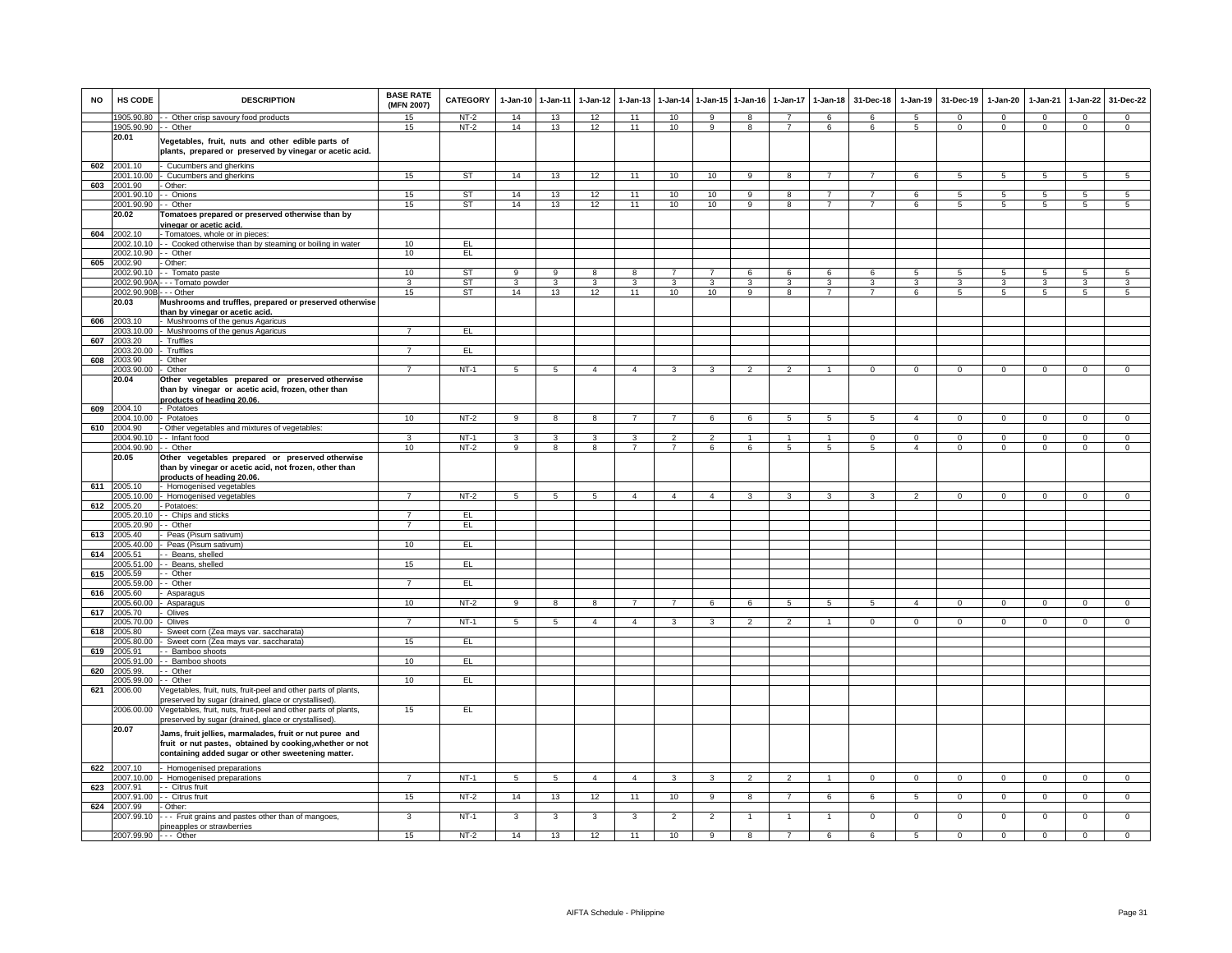| <b>NO</b> | <b>HS CODE</b>                | <b>DESCRIPTION</b>                                                                                                                                                        | <b>BASE RATE</b><br>(MFN 2007) | <b>CATEGORY</b> | $1-Jan-10$      | 1-Jan-11        | $1-Jan-12$      | $1-Jan-13$     | 1-Jan-14       | $1 - Jan-15$   | $1-Jan-16$     | 1-Jan-17       | $1-Jan-18$           | 31-Dec-18      | $1-Jan-19$     | 31-Dec-19      | $1-Jan-20$     | 1-Jan-21     | $1-Jan-22$      | 31-Dec-22      |
|-----------|-------------------------------|---------------------------------------------------------------------------------------------------------------------------------------------------------------------------|--------------------------------|-----------------|-----------------|-----------------|-----------------|----------------|----------------|----------------|----------------|----------------|----------------------|----------------|----------------|----------------|----------------|--------------|-----------------|----------------|
|           |                               | 1905.90.80 - - Other crisp savoury food products                                                                                                                          | 15                             | NT-2            | 14              | 13              | 12              | 11             | 10             | 9              | 8              | $\overline{7}$ | 6                    | 6              | 5              | $\Omega$       | $\Omega$       | $\Omega$     | $\mathbf{0}$    | $\mathbf{0}$   |
|           | 1905.90.90 - - Other<br>20.01 | Vegetables, fruit, nuts and other edible parts of<br>plants, prepared or preserved by vinegar or acetic acid.                                                             | 15                             | $NT-2$          | 14              | 13              | 12              | 11             | 10             | -9             | 8              | $\overline{7}$ | 6                    | 6              | 5              | $\mathbf{0}$   | $\mathbf{0}$   | $\Omega$     | $\mathbf{0}$    | $\mathbf 0$    |
| 602       | 2001.10                       | Cucumbers and gherkins                                                                                                                                                    |                                |                 |                 |                 |                 |                |                |                |                |                |                      |                |                |                |                |              |                 |                |
|           | 001.10.00                     | Cucumbers and gherkins                                                                                                                                                    | 15                             | ST              | 14              | 13              | 12              | 11             | 10             | 10             | 9              | 8              | $\overline{7}$       | $\overline{7}$ | 6              | 5              | 5              | $5^{\circ}$  | $5\overline{5}$ | $\sqrt{5}$     |
| 603       | 2001.90<br>2001.90.10         | Other:<br>- Onions                                                                                                                                                        | 15                             | <b>ST</b>       | 14              | 13              | 12              | 11             | 10             | 10             | 9              | 8              | $\overline{7}$       | $\overline{7}$ | 6              | 5              | $\overline{5}$ | -5           | $\overline{5}$  | $\overline{5}$ |
|           | 2001.90.90                    | - Other                                                                                                                                                                   | 15                             | <b>ST</b>       | 14              | 13              | 12              | 11             | 10             | 10             | $_{9}$         | $\overline{8}$ | $\overline{7}$       | $\overline{7}$ | 6              | $\sqrt{5}$     | $\overline{5}$ | $\sqrt{5}$   | $\overline{5}$  | $\overline{5}$ |
|           | 20.02                         | Tomatoes prepared or preserved otherwise than by                                                                                                                          |                                |                 |                 |                 |                 |                |                |                |                |                |                      |                |                |                |                |              |                 |                |
|           |                               | vinegar or acetic acid.                                                                                                                                                   |                                |                 |                 |                 |                 |                |                |                |                |                |                      |                |                |                |                |              |                 |                |
| 604       | 2002.10                       | - Tomatoes, whole or in pieces:                                                                                                                                           |                                |                 |                 |                 |                 |                |                |                |                |                |                      |                |                |                |                |              |                 |                |
|           | 2002.10.10                    | - - Cooked otherwise than by steaming or boiling in water                                                                                                                 | 10                             | EL.             |                 |                 |                 |                |                |                |                |                |                      |                |                |                |                |              |                 |                |
| 605       | 2002.10.90<br>2002.90         | - Other<br>Other:                                                                                                                                                         | 10                             | E               |                 |                 |                 |                |                |                |                |                |                      |                |                |                |                |              |                 |                |
|           | 2002.90.10                    | - Tomato paste                                                                                                                                                            | 10                             | <b>ST</b>       | 9               | 9               | 8               | 8              |                | $\overline{7}$ | 6              | 6              | 6                    | 6              | 5              | 5              | 5              | 5            | 5               | 5              |
|           | 2002.90.90A                   | - - Tomato powder                                                                                                                                                         | 3                              | <b>ST</b>       | 3               | 3               | 3               | 3              | 3              | 3              | 3              | 3              | 3                    | 3              | 3              | 3              | 3              | 3            | 3               | 3              |
|           | 2002.90.90B - - - Other       |                                                                                                                                                                           | 15                             | ST              | 14              | 13              | 12              | 11             | 10             | 10             | 9              | 8              | $\overline{7}$       | $\overline{7}$ | 6              | 5              | 5              | 5            | 5               | 5              |
|           | 20.03                         | Mushrooms and truffles, prepared or preserved otherwise                                                                                                                   |                                |                 |                 |                 |                 |                |                |                |                |                |                      |                |                |                |                |              |                 |                |
|           |                               | han by vinegar or acetic acid.                                                                                                                                            |                                |                 |                 |                 |                 |                |                |                |                |                |                      |                |                |                |                |              |                 |                |
| 606       | 2003.10<br>2003.10.00         | Mushrooms of the genus Agaricus<br>Mushrooms of the genus Agaricus                                                                                                        |                                | EL              |                 |                 |                 |                |                |                |                |                |                      |                |                |                |                |              |                 |                |
| 607       | 2003.20                       | Truffles                                                                                                                                                                  |                                |                 |                 |                 |                 |                |                |                |                |                |                      |                |                |                |                |              |                 |                |
|           | 2003.20.00                    | - Truffles                                                                                                                                                                | $\overline{7}$                 | EL.             |                 |                 |                 |                |                |                |                |                |                      |                |                |                |                |              |                 |                |
| 608       | 2003.90                       | Other                                                                                                                                                                     |                                |                 |                 |                 |                 |                |                |                |                |                |                      |                |                |                |                |              |                 |                |
|           | 2003.90.00                    | Other                                                                                                                                                                     | $\overline{7}$                 | NT-1            | 5               | 5               | $\overline{4}$  | $\overline{4}$ | $\mathbf{3}$   | 3              | $\overline{2}$ | $\overline{2}$ | $\overline{1}$       | $\Omega$       | $\mathbf 0$    | $\mathbf 0$    | $\circ$        | $\Omega$     | $\mathbf{0}$    | $\Omega$       |
|           | 20.04                         | Other vegetables prepared or preserved otherwise<br>than by vinegar or acetic acid, frozen, other than<br>products of heading 20.06.                                      |                                |                 |                 |                 |                 |                |                |                |                |                |                      |                |                |                |                |              |                 |                |
| 609       | 2004.10                       | - Potatoes                                                                                                                                                                |                                |                 |                 |                 |                 | $\overline{7}$ | $\overline{7}$ |                |                |                |                      |                | $\overline{4}$ |                |                |              |                 | $\Omega$       |
| 610       | 2004.10.00<br>2004.90         | - Potatoes<br>Other vegetables and mixtures of vegetables:                                                                                                                | 10                             | $NT-2$          | 9               | 8               | 8               |                |                | 6              | 6              | 5              | 5                    | 5              |                | $\mathbf 0$    | $\mathbf 0$    | $\Omega$     | $\mathsf 0$     |                |
|           | 2004.90.10                    | - Infant food                                                                                                                                                             | 3                              | $NT-1$          | 3               | 3               | 3               | 3              | $\overline{2}$ | $\overline{2}$ | $\mathbf{1}$   | $\mathbf{1}$   | $\blacktriangleleft$ | $\Omega$       | $\mathbf{0}$   | $\Omega$       | $\mathbf{0}$   | $\Omega$     | $\mathsf 0$     | $\mathbf{0}$   |
|           | 2004.90.90                    | - Other                                                                                                                                                                   | 10                             | $NT-2$          | $\overline{9}$  | 8               | $\overline{8}$  | $\overline{7}$ | $\overline{7}$ | 6              | 6              | $\overline{5}$ | $\overline{5}$       | $\sqrt{5}$     | $\overline{a}$ | $\Omega$       | $\Omega$       | $\Omega$     | $\Omega$        | $\overline{0}$ |
|           | 20.05                         | Other vegetables prepared or preserved otherwise<br>than by vinegar or acetic acid, not frozen, other than<br>products of heading 20.06                                   |                                |                 |                 |                 |                 |                |                |                |                |                |                      |                |                |                |                |              |                 |                |
|           | 611 2005.10                   | Homogenised vegetables                                                                                                                                                    |                                | $NT-2$          |                 |                 |                 |                |                |                |                |                |                      |                |                |                |                |              |                 |                |
| 612       | 2005.10.00<br>2005.20         | Homogenised vegetables<br>Potatoes:                                                                                                                                       | $\overline{7}$                 |                 | $5\overline{5}$ | $\overline{5}$  | $5\overline{5}$ | $\overline{4}$ | $\overline{4}$ | $\overline{4}$ | $\mathbf{3}$   | 3              | $\mathbf{3}$         | $\mathbf{3}$   | $\overline{2}$ | $\overline{0}$ | $\mathbf{0}$   | $\mathbf 0$  | $\overline{0}$  | $\overline{0}$ |
|           | 2005.20.10                    | - Chips and sticks                                                                                                                                                        | 7                              | EL              |                 |                 |                 |                |                |                |                |                |                      |                |                |                |                |              |                 |                |
|           | 2005.20.90                    | - Other                                                                                                                                                                   | $\overline{7}$                 | EL              |                 |                 |                 |                |                |                |                |                |                      |                |                |                |                |              |                 |                |
| 613       | 2005.40                       | Peas (Pisum sativum)                                                                                                                                                      |                                |                 |                 |                 |                 |                |                |                |                |                |                      |                |                |                |                |              |                 |                |
|           | 2005.40.00                    | Peas (Pisum sativum)                                                                                                                                                      | 10                             | EL              |                 |                 |                 |                |                |                |                |                |                      |                |                |                |                |              |                 |                |
| 614       | 2005.51<br>2005.51.00         | - Beans, shelled<br>Beans, shelled                                                                                                                                        | 15                             | EL              |                 |                 |                 |                |                |                |                |                |                      |                |                |                |                |              |                 |                |
| 615       | 2005.59                       | - Other                                                                                                                                                                   |                                |                 |                 |                 |                 |                |                |                |                |                |                      |                |                |                |                |              |                 |                |
|           | 2005.59.00                    | - Other                                                                                                                                                                   | $\overline{7}$                 | EL              |                 |                 |                 |                |                |                |                |                |                      |                |                |                |                |              |                 |                |
| 616       | 2005.60                       | Asparagus                                                                                                                                                                 |                                |                 |                 |                 |                 |                |                |                |                |                |                      |                |                |                |                |              |                 |                |
|           | 2005.60.00                    | Asparagus                                                                                                                                                                 | 10                             | $NT-2$          | 9               | 8               | 8               |                | $\overline{7}$ | 6              | 6              | 5              | 5                    | 5              | $\overline{4}$ | $\mathbf 0$    | $\mathbf 0$    | $\Omega$     | $\Omega$        | $\Omega$       |
| 617       | 2005.70<br>2005.70.00         | Olives<br>Olives                                                                                                                                                          | $\overline{7}$                 | $NT-1$          | 5               | $5\phantom{.0}$ | $\overline{4}$  | $\overline{4}$ | 3              | 3              | $\overline{2}$ | $\mathfrak{p}$ | 1                    | $\mathbf{O}$   | $\mathbf{0}$   | $^{\circ}$     | $\mathbf{0}$   | $\mathbf 0$  | $\mathbf 0$     | $\overline{0}$ |
| 618       | 2005.80                       | Sweet corn (Zea mays var. saccharata)                                                                                                                                     |                                |                 |                 |                 |                 |                |                |                |                |                |                      |                |                |                |                |              |                 |                |
|           | 005.80.00                     | Sweet corn (Zea mays var. saccharata)                                                                                                                                     | 15                             | EL              |                 |                 |                 |                |                |                |                |                |                      |                |                |                |                |              |                 |                |
| 619       | 005.91                        | Bamboo shoots                                                                                                                                                             |                                |                 |                 |                 |                 |                |                |                |                |                |                      |                |                |                |                |              |                 |                |
|           | 005.91.00                     | - Bamboo shoots                                                                                                                                                           | 10                             | EL              |                 |                 |                 |                |                |                |                |                |                      |                |                |                |                |              |                 |                |
| 620       | 2005.99.                      | Other<br>- Other                                                                                                                                                          | 10                             | EL              |                 |                 |                 |                |                |                |                |                |                      |                |                |                |                |              |                 |                |
| 621       | 2005.99.00<br>2006.00         | /egetables, fruit, nuts, fruit-peel and other parts of plants,                                                                                                            |                                |                 |                 |                 |                 |                |                |                |                |                |                      |                |                |                |                |              |                 |                |
|           |                               | preserved by sugar (drained, glace or crystallised).                                                                                                                      |                                |                 |                 |                 |                 |                |                |                |                |                |                      |                |                |                |                |              |                 |                |
|           | 2006.00.00                    | Vegetables, fruit, nuts, fruit-peel and other parts of plants,<br>preserved by sugar (drained, glace or crystallised).                                                    | 15                             | EL              |                 |                 |                 |                |                |                |                |                |                      |                |                |                |                |              |                 |                |
|           | 20.07                         | Jams, fruit jellies, marmalades, fruit or nut puree and<br>fruit or nut pastes, obtained by cooking, whether or not<br>containing added sugar or other sweetening matter. |                                |                 |                 |                 |                 |                |                |                |                |                |                      |                |                |                |                |              |                 |                |
| 622       | 2007.10                       | Homogenised preparations                                                                                                                                                  |                                |                 |                 |                 |                 |                |                |                |                |                |                      |                |                |                |                |              |                 |                |
|           | 2007.10.00                    | Homogenised preparations                                                                                                                                                  | $\overline{7}$                 | $NT-1$          | 5               | $\overline{5}$  | $\overline{4}$  | $\overline{4}$ | $\overline{3}$ | 3              | $\overline{2}$ | $\mathcal{P}$  | $\mathbf{1}$         | $\mathbf 0$    | $\mathsf 0$    | $\mathsf 0$    | $\mathsf 0$    | $\mathbf{0}$ | $\mathsf 0$     | $\circ$        |
| 623       | 2007.91                       | - Citrus fruit                                                                                                                                                            |                                |                 |                 |                 |                 |                |                |                |                |                |                      |                |                |                |                |              |                 |                |
| 624       | 2007.91.00<br>2007.99         | - Citrus fruit<br>Other:                                                                                                                                                  | 15                             | $NT-2$          | 14              | 13              | 12              | 11             | 10             | $\overline{9}$ | 8              | $\overline{7}$ | 6                    | 6              | 5              | $\mathsf 0$    | $\mathbf{0}$   | $\mathbf 0$  | $\mathbf 0$     | $\overline{0}$ |
|           | 2007.99.10                    | -- Fruit grains and pastes other than of mangoes,<br>pineapples or strawberries                                                                                           | 3                              | $NT-1$          | 3               | 3               | 3               | 3              | $\overline{2}$ | $\overline{2}$ | $\mathbf{1}$   | -1             | $\overline{1}$       | $\overline{0}$ | $\overline{0}$ | $\overline{0}$ | $\overline{0}$ | $\mathbf 0$  | $\overline{0}$  | $\overline{0}$ |
|           | 2007.99.90 --- Other          |                                                                                                                                                                           | 15                             | $NT-2$          | 14              | 13              | 12              | 11             | 10             | 9              | 8              | $\overline{7}$ | 6                    | 6              | 5              | $\mathbf 0$    | $\mathsf 0$    | $\mathbf 0$  | $\mathbf 0$     | $\Omega$       |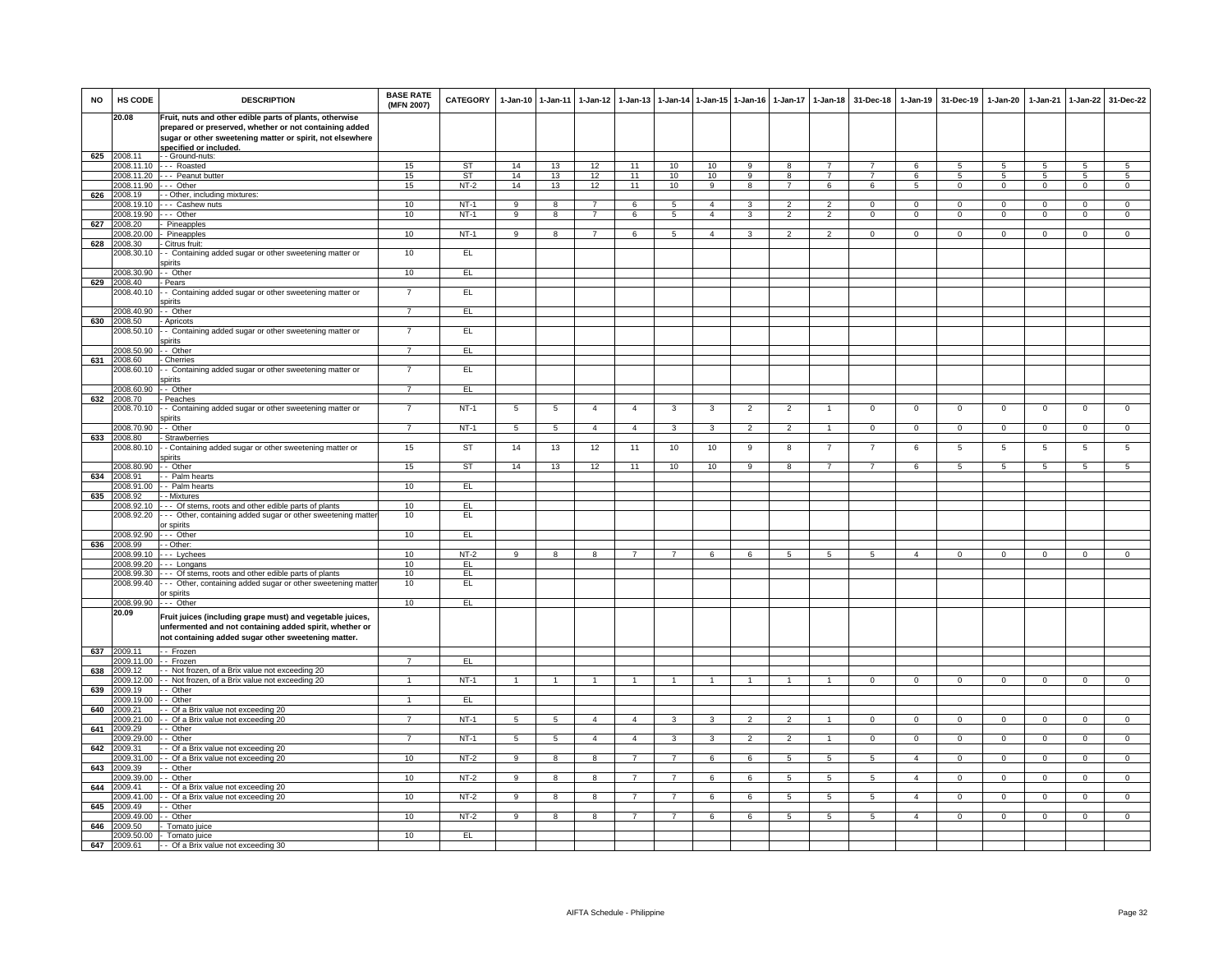| <b>NO</b> | HS CODE                  | <b>DESCRIPTION</b>                                                                                                                                                          | <b>BASE RATE</b><br>(MFN 2007) | <b>CATEGORY</b> | 1-Jan-10 1-Jan-11 |                 | 1-Jan-12       | $1-Jan-13$     |                |                | 1-Jan-14 1-Jan-15 1-Jan-16 | $1-Jan-17$     | $1 - Jan-18$    | 31-Dec-18      | $1-Jan-19$     | 31-Dec-19      | $1-Jan-20$     | 1-Jan-21     | $1-Jan-22$     | 31-Dec-22      |
|-----------|--------------------------|-----------------------------------------------------------------------------------------------------------------------------------------------------------------------------|--------------------------------|-----------------|-------------------|-----------------|----------------|----------------|----------------|----------------|----------------------------|----------------|-----------------|----------------|----------------|----------------|----------------|--------------|----------------|----------------|
|           | 20.08                    | Fruit, nuts and other edible parts of plants, otherwise                                                                                                                     |                                |                 |                   |                 |                |                |                |                |                            |                |                 |                |                |                |                |              |                |                |
|           |                          | prepared or preserved, whether or not containing added<br>sugar or other sweetening matter or spirit, not elsewhere                                                         |                                |                 |                   |                 |                |                |                |                |                            |                |                 |                |                |                |                |              |                |                |
| 625       | 2008.11                  | specified or included.<br>- - Ground-nuts:                                                                                                                                  |                                |                 |                   |                 |                |                |                |                |                            |                |                 |                |                |                |                |              |                |                |
|           | 2008.11.10               | --- Roasted                                                                                                                                                                 | 15                             | ST              | 14                | 13              | 12             | 11             | 10             | 10             | 9                          | 8              | $\overline{7}$  |                | 6              | 5              | 5              | -5           | 5              | 5              |
|           |                          | 2008.11.20 --- Peanut butter                                                                                                                                                | 15                             | ST              | 14                | 13              | 12             | 11             | 10             | 10             | 9                          | 8              | $\overline{7}$  | $\overline{7}$ | 6              | -5             | $5^{\circ}$    | -5           | 5              | $\overline{5}$ |
| 626       | 2008 11 90<br>2008.19    | -- Other<br>- Other, including mixtures:                                                                                                                                    | 15                             | $NT-2$          | 14                | 13              | 12             | 11             | 10             | $\mathbf{Q}$   | $\overline{R}$             | $\overline{7}$ | 6               | ĥ              | 5 <sup>1</sup> | $\mathbf 0$    | $\mathbf 0$    | $\Omega$     | $\mathbf{0}$   | $\overline{0}$ |
|           | 2008.19.1                | -- Cashew nuts                                                                                                                                                              | 10                             | $NT-1$          | 9                 | 8               | $\overline{7}$ | 6              | 5              | $\overline{4}$ |                            |                | $\overline{2}$  | $\Omega$       | $\Omega$       | $\Omega$       | $\Omega$       | $\Omega$     | $\Omega$       | $\Omega$       |
|           | 2008.19.90               | -- Other                                                                                                                                                                    | 10                             | <b>NT-1</b>     | 9                 | 8               | $\overline{7}$ | 6              | 5              | $\overline{4}$ | 3                          | $\overline{2}$ | $\overline{2}$  | $\mathbf{0}$   | $\mathbf{0}$   | $\mathbf{0}$   | $\overline{0}$ | $\mathbf 0$  | $\mathbf{0}$   | $\overline{0}$ |
| 627       | 2008.20<br>2008 20:00    | Pineapples<br>Pineapples                                                                                                                                                    | 10                             | $NT-1$          | 9                 | 8               | $\overline{7}$ | 6              | 5              | $\overline{4}$ | 3                          | $\mathcal{P}$  | 2               | $^{\circ}$     | $\mathbf{0}$   | $\mathbf{0}$   | $\mathbf{0}$   | $^{\circ}$   | $^{\circ}$     | $\mathbf{0}$   |
| 628       | 008.30                   | Citrus fruit:                                                                                                                                                               |                                |                 |                   |                 |                |                |                |                |                            |                |                 |                |                |                |                |              |                |                |
|           | 008.30.10                | - Containing added sugar or other sweetening matter or<br>spirits                                                                                                           | 10                             | E               |                   |                 |                |                |                |                |                            |                |                 |                |                |                |                |              |                |                |
|           | 2008.30.90               | - Other                                                                                                                                                                     | 10                             | EL              |                   |                 |                |                |                |                |                            |                |                 |                |                |                |                |              |                |                |
| 629       | 2008.40<br>2008.40.10    | Pears<br>- Containing added sugar or other sweetening matter or                                                                                                             | $\overline{7}$                 | EL              |                   |                 |                |                |                |                |                            |                |                 |                |                |                |                |              |                |                |
|           |                          | spirits                                                                                                                                                                     | $\overline{7}$                 |                 |                   |                 |                |                |                |                |                            |                |                 |                |                |                |                |              |                |                |
| 630       | 2008.40.90<br>2008.50    | - Other<br>Apricots                                                                                                                                                         |                                | EL.             |                   |                 |                |                |                |                |                            |                |                 |                |                |                |                |              |                |                |
|           | 2008.50.10               | - Containing added sugar or other sweetening matter or                                                                                                                      | $\overline{7}$                 | EL              |                   |                 |                |                |                |                |                            |                |                 |                |                |                |                |              |                |                |
|           | 2008.50.90               | pirits<br>- Other                                                                                                                                                           | $\overline{7}$                 | EL              |                   |                 |                |                |                |                |                            |                |                 |                |                |                |                |              |                |                |
| 631       | 2008.60                  | Cherries                                                                                                                                                                    |                                |                 |                   |                 |                |                |                |                |                            |                |                 |                |                |                |                |              |                |                |
|           | 2008.60.10               | - Containing added sugar or other sweetening matter or<br>spirits                                                                                                           | $\overline{7}$                 | EL              |                   |                 |                |                |                |                |                            |                |                 |                |                |                |                |              |                |                |
|           | 2008.60.90               | - Other                                                                                                                                                                     | $\overline{7}$                 | EL              |                   |                 |                |                |                |                |                            |                |                 |                |                |                |                |              |                |                |
| 632       | 2008.70<br>2008.70.10    | - Peaches<br>- Containing added sugar or other sweetening matter or                                                                                                         | $\overline{7}$                 | $NT-1$          | 5                 | 5               | $\overline{4}$ | $\overline{4}$ | 3              | 3              | $\overline{2}$             | $\overline{2}$ | $\mathbf{1}$    | $\mathbf{0}$   | $\mathbf{0}$   | $\mathbf{0}$   | $\overline{0}$ | $\mathbf 0$  | $\mathbf{0}$   | $\mathbf{0}$   |
|           | 2008.70.90               | spirits<br>- Other                                                                                                                                                          | $\overline{7}$                 | $NT-1$          | $5\overline{5}$   | $5\phantom{.0}$ | $\overline{4}$ | $\overline{4}$ | $\mathbf{3}$   | $\mathbf{3}$   | $\overline{2}$             | $\overline{2}$ | $\mathbf{1}$    | $\mathbf{0}$   | $\mathbf{0}$   | $\mathbf 0$    | $\mathbf{0}$   | $\mathbf{0}$ | $\circ$        | $\mathbf 0$    |
| 633       | 2008.80                  | Strawberries                                                                                                                                                                |                                |                 |                   |                 |                |                |                |                |                            |                |                 |                |                |                |                |              |                |                |
|           | 008.80.10                | - Containing added sugar or other sweetening matter or<br>spirits                                                                                                           | 15                             | ST              | 14                | 13              | 12             | 11             | 10             | 10             | 9                          | 8              | $\overline{7}$  | $\overline{7}$ | 6              | $\overline{5}$ | $\overline{5}$ | 5            | $\overline{5}$ | 5              |
|           | 2008.80.90               | - Other                                                                                                                                                                     | 15                             | ST              | 14                | 13              | 12             | 11             | 10             | 10             | 9                          | 8              | $\overline{7}$  | $\overline{7}$ | 6              | 5              | 5              | $\sqrt{5}$   | $\overline{5}$ | $\overline{5}$ |
| 634       | 2008.91<br>2008.91.00    | Palm hearts<br>- - Palm hearts                                                                                                                                              | 10                             | EL.             |                   |                 |                |                |                |                |                            |                |                 |                |                |                |                |              |                |                |
| 635       | 2008.92                  | - Mixtures                                                                                                                                                                  |                                |                 |                   |                 |                |                |                |                |                            |                |                 |                |                |                |                |              |                |                |
|           | 2008.92.10               | Of stems, roots and other edible parts of plants                                                                                                                            | 10                             | EL.             |                   |                 |                |                |                |                |                            |                |                 |                |                |                |                |              |                |                |
|           | 2008.92.20               | - Other, containing added sugar or other sweetening matter<br>or spirits                                                                                                    | 10                             | EL              |                   |                 |                |                |                |                |                            |                |                 |                |                |                |                |              |                |                |
|           | 2008.92.90<br>2008.99    | Other                                                                                                                                                                       | 10                             | EL.             |                   |                 |                |                |                |                |                            |                |                 |                |                |                |                |              |                |                |
| 636       | 2008.99.10               | - Other:<br>-- Lychees                                                                                                                                                      | 10                             | NT-2            | $\mathbf{Q}$      | 8               | 8              | $\overline{7}$ | $\overline{7}$ | -6             | 6                          | 5              | -5              | -5             | $\mathbf{A}$   | $^{\circ}$     | $\Omega$       | $\Omega$     | $^{\circ}$     | $\overline{0}$ |
|           | 2008.99.20               | -- Longans                                                                                                                                                                  | 10                             | FL              |                   |                 |                |                |                |                |                            |                |                 |                |                |                |                |              |                |                |
|           | 2008.99.30<br>2008.99.40 | --- Of stems, roots and other edible parts of plants<br>-- Other, containing added sugar or other sweetening matter                                                         | 10<br>10                       | EL<br>EL        |                   |                 |                |                |                |                |                            |                |                 |                |                |                |                |              |                |                |
|           |                          | or spirits                                                                                                                                                                  |                                |                 |                   |                 |                |                |                |                |                            |                |                 |                |                |                |                |              |                |                |
|           | 2008.99.90               | - - - Other                                                                                                                                                                 | 10                             | EL              |                   |                 |                |                |                |                |                            |                |                 |                |                |                |                |              |                |                |
|           | 20.09                    | Fruit juices (including grape must) and vegetable juices,<br>unfermented and not containing added spirit, whether or<br>not containing added sugar other sweetening matter. |                                |                 |                   |                 |                |                |                |                |                            |                |                 |                |                |                |                |              |                |                |
| 637       | 2009.11                  | -- Frozen                                                                                                                                                                   |                                |                 |                   |                 |                |                |                |                |                            |                |                 |                |                |                |                |              |                |                |
| 638       | 2009.11.00<br>2009.12    | - Frozen<br>- Not frozen, of a Brix value not exceeding 20                                                                                                                  | $\overline{7}$                 | EL              |                   |                 |                |                |                |                |                            |                |                 |                |                |                |                |              |                |                |
|           | 2009.12.00               | - Not frozen, of a Brix value not exceeding 20                                                                                                                              |                                | $NT-1$          |                   |                 |                |                |                |                |                            |                |                 | $\mathbf{O}$   | $^{\circ}$     | $\mathbf 0$    | $\mathbf{0}$   | $\Omega$     | $\mathbf 0$    | $\mathbf{0}$   |
| 639       | 2009.19                  | - Other                                                                                                                                                                     |                                |                 |                   |                 |                |                |                |                |                            |                |                 |                |                |                |                |              |                |                |
| 640       | 2009.19.00<br>2009.21    | - Other<br>Of a Brix value not exceeding 20                                                                                                                                 | 1                              | EL              |                   |                 |                |                |                |                |                            |                |                 |                |                |                |                |              |                |                |
|           | 009.21.00                | - Of a Brix value not exceeding 20                                                                                                                                          |                                | $NT-1$          | 5                 | 5               | $\overline{4}$ | $\overline{4}$ | 3              | 3              | $\overline{2}$             | $\mathfrak{p}$ | $\mathbf{1}$    | $\mathbf{O}$   | $\mathbf{0}$   | $\mathbf 0$    | $\mathbf{0}$   | $\mathbf 0$  | $\mathbf 0$    | $\overline{0}$ |
| 641       | 2009.29<br>2009.29.00    | - Other<br>Other                                                                                                                                                            | $\overline{7}$                 | <b>NT-1</b>     | 5                 | $5\phantom{.0}$ | $\overline{4}$ | 4              | 3              | 3              | 2                          | $\mathfrak{p}$ | $\overline{1}$  | $\mathbf{0}$   | $\mathbf 0$    | $^{\circ}$     | $\mathbf{0}$   | $^{\circ}$   | $\mathbf{0}$   | $\overline{0}$ |
| 642       | 2009.31                  | Of a Brix value not exceeding 20                                                                                                                                            |                                |                 |                   |                 |                |                |                |                |                            |                |                 |                |                |                |                |              |                |                |
|           | 2009.31.00               | Of a Brix value not exceeding 20                                                                                                                                            | 10                             | $NT-2$          | 9                 | 8               | 8              |                | $\overline{7}$ | 6              | 6                          | 5              | 5               | 5              | $\overline{a}$ | $\mathbf 0$    | $\mathsf 0$    | $\Omega$     | $\mathsf 0$    | $\overline{0}$ |
| 643       | 2009.39<br>2009.39.00    | - Other<br>- Other                                                                                                                                                          | 10                             | NT-2            | 9                 | 8               | 8              | $\overline{7}$ | $\overline{7}$ | 6              | 6                          | 5              | $5\phantom{.0}$ | 5              | $\overline{4}$ | $\mathbf 0$    | $\mathbf{0}$   | $\mathbf 0$  | $\mathbf{0}$   | $\mathbf{0}$   |
| 644       | 2009.41                  | Of a Brix value not exceeding 20                                                                                                                                            |                                |                 |                   |                 |                |                |                |                |                            |                |                 |                |                |                |                |              |                |                |
| 645       | 2009 41 00<br>009.49     | Of a Brix value not exceeding 20<br>- Other                                                                                                                                 | 10                             | $NT-2$          | 9                 | 8               | 8              |                | 7              | 6              | 6                          | 5              | 5               | 5              | $\overline{4}$ | $\mathbf 0$    | $\mathbf 0$    | $^{\circ}$   | $\mathbf{0}$   | $\mathbf 0$    |
|           | 009.49.00                | Other                                                                                                                                                                       | 10                             | $NT-2$          | 9                 | 8               | 8              |                | $\overline{7}$ | 6              | 6                          | 5              | -5              | -5             | $\overline{4}$ | $\mathbf 0$    | $\Omega$       | $\Omega$     | 0              | $\mathbf 0$    |
| 646       | 2009.50                  | Tomato juice                                                                                                                                                                |                                |                 |                   |                 |                |                |                |                |                            |                |                 |                |                |                |                |              |                |                |
| 647       | 2009.50.00<br>2009.61    | - Tomato juice<br>- - Of a Brix value not exceeding 30                                                                                                                      | 10                             | EL              |                   |                 |                |                |                |                |                            |                |                 |                |                |                |                |              |                |                |
|           |                          |                                                                                                                                                                             |                                |                 |                   |                 |                |                |                |                |                            |                |                 |                |                |                |                |              |                |                |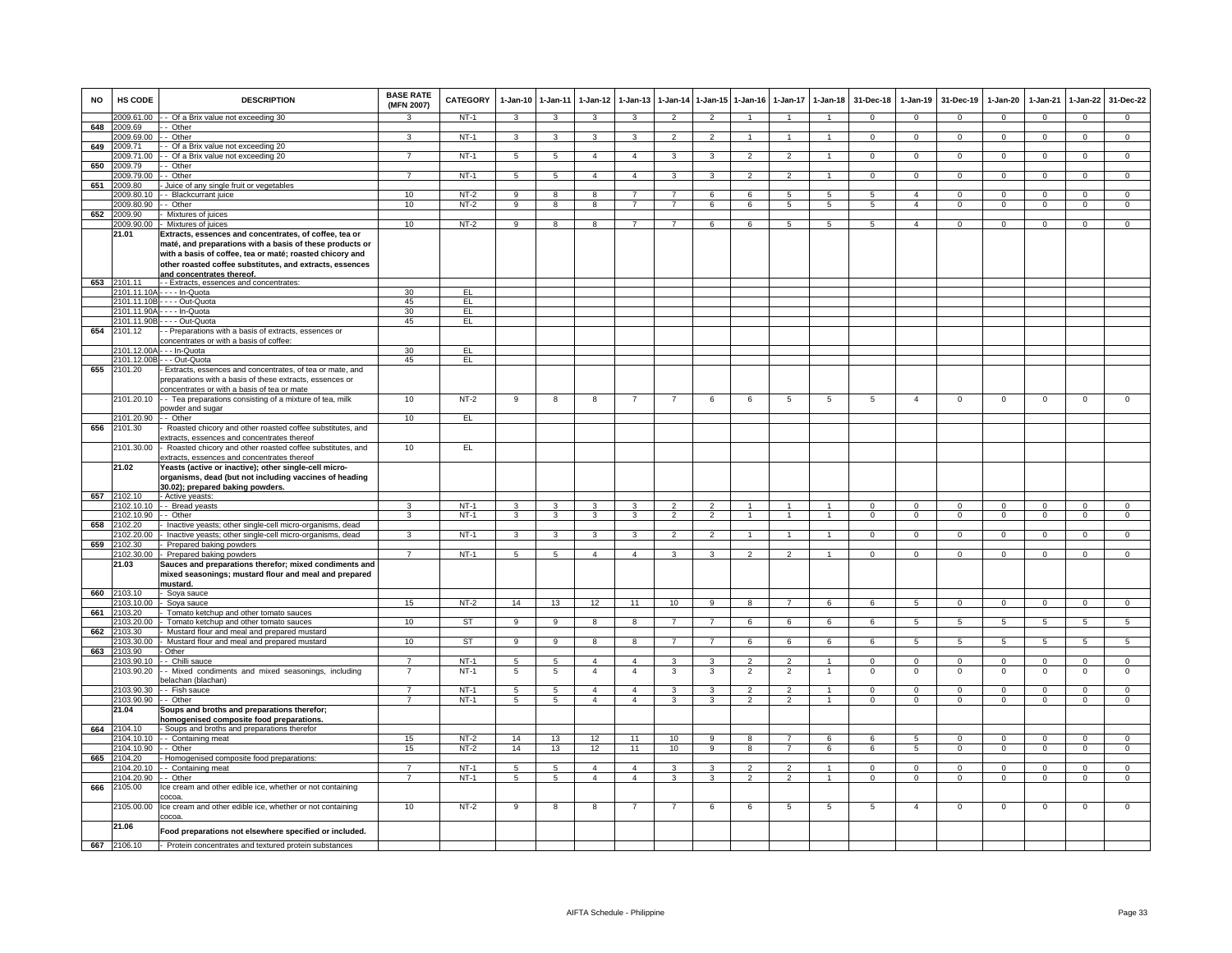| <b>NO</b> | <b>HS CODE</b>                | <b>DESCRIPTION</b>                                                                                                   | <b>BASE RATE</b><br>(MFN 2007)   | <b>CATEGORY</b>  | $1-Jan-10$           | 1-Jan-11                         | $1-Jan-12$                       | $1-Jan-13$                       | 1-Jan-14                       |                     | 1-Jan-15 1-Jan-16                | $1-Jan-17$                      | $1 - Jan-18$                   | 31-Dec-18               | $1-Jan-19$                  | 31-Dec-19                  | $1-Jan-20$                | 1-Jan-21                 | $1 - Jan-22$                  | 31-Dec-22                     |
|-----------|-------------------------------|----------------------------------------------------------------------------------------------------------------------|----------------------------------|------------------|----------------------|----------------------------------|----------------------------------|----------------------------------|--------------------------------|---------------------|----------------------------------|---------------------------------|--------------------------------|-------------------------|-----------------------------|----------------------------|---------------------------|--------------------------|-------------------------------|-------------------------------|
|           |                               | 2009.61.00 - - Of a Brix value not exceeding 30                                                                      | $\mathbf{R}$                     | NT-1             | $\mathbf{3}$         | $\mathbf{3}$                     | $\mathbf{3}$                     | 3                                | $\overline{2}$                 | $\overline{2}$      |                                  |                                 | $\overline{1}$                 | $\mathbf{0}$            | $\mathbf{0}$                | $\mathbf 0$                | $\mathbf{0}$              | $\mathbf 0$              | $\mathbf{0}$                  | $\mathbf{0}$                  |
| 648       | 2009.69<br>2009.69.00         | - Other<br>- Other                                                                                                   | 3                                | $NT-1$           | 3                    | $\mathbf{3}$                     | 3                                | 3                                | $\overline{2}$                 | $\overline{2}$      | $\mathbf{1}$                     | $\mathbf{1}$                    | $\mathbf{1}$                   | $\Omega$                | $\mathbf{0}$                | $\mathbf 0$                | $\mathbf 0$               | $\mathbf 0$              | $\overline{0}$                | $\overline{0}$                |
| 649       | 2009.71                       | - Of a Brix value not exceeding 20                                                                                   |                                  |                  |                      |                                  |                                  |                                  |                                |                     |                                  |                                 |                                |                         |                             |                            |                           |                          |                               |                               |
|           | 009.71.00                     | - Of a Brix value not exceeding 20                                                                                   | $\overline{7}$                   | NT-1             | 5                    | 5                                | $\overline{4}$                   | $\overline{4}$                   | 3                              | 3                   | $\overline{2}$                   | $\overline{2}$                  | 1                              | $\mathbf{O}$            | $\mathbf{0}$                | $\mathbf 0$                | $\mathbf{0}$              | $\mathbf 0$              | $\mathbf{0}$                  | $\overline{0}$                |
| 650       | 2009.79<br>2009.79.00         | - Other<br>- Other                                                                                                   | $\overline{7}$                   | $NT-1$           | 5                    | $5\phantom{.0}$                  | $\overline{4}$                   | $\mathbf{4}$                     | 3                              | $\mathbf{R}$        | $\mathcal{P}$                    | $\mathcal{P}$                   | $\sim$                         | $\Omega$                | $\mathbf 0$                 | $\Omega$                   | $\Omega$                  | $\Omega$                 | $\mathbf 0$                   | $\overline{0}$                |
| 651       | 2009.80                       | Juice of any single fruit or vegetables                                                                              |                                  |                  |                      |                                  |                                  |                                  |                                |                     |                                  |                                 |                                |                         |                             |                            |                           |                          |                               |                               |
|           | 2009.80.10                    | - Blackcurrant juice                                                                                                 | 10                               | $NT-2$           | $_{9}$               | $\overline{8}$                   | 8                                |                                  | $\overline{7}$                 | 6                   | 6                                | 5                               | $\overline{5}$                 | $\overline{5}$          | $\overline{4}$              | $\overline{0}$             | $\overline{0}$            | $\overline{0}$           | $\overline{0}$                | $\overline{0}$                |
| 652       | 2009.80.90<br>2009.90         | - Other<br>- Mixtures of juices                                                                                      | 10                               | $NT-2$           | 9                    | 8                                | 8                                |                                  | $\overline{7}$                 | 6                   | 6                                | 5                               | $\overline{5}$                 | $5^{\circ}$             | $\overline{a}$              | $\Omega$                   | $\Omega$                  | $\Omega$                 | $\mathsf 0$                   | $\overline{0}$                |
|           | 2009.90.00                    | - Mixtures of juices                                                                                                 | 10                               | NT-2             | 9                    | 8                                | 8                                | $\overline{7}$                   | $\overline{7}$                 | 6                   | 6                                | 5                               | 5                              | 5                       | $\overline{4}$              | $\overline{0}$             | $\mathbf{0}$              | $\mathbf{0}$             | $\overline{0}$                | $\overline{0}$                |
|           | 21.01                         | Extracts, essences and concentrates, of coffee, tea or                                                               |                                  |                  |                      |                                  |                                  |                                  |                                |                     |                                  |                                 |                                |                         |                             |                            |                           |                          |                               |                               |
|           |                               | maté, and preparations with a basis of these products or<br>with a basis of coffee, tea or maté; roasted chicory and |                                  |                  |                      |                                  |                                  |                                  |                                |                     |                                  |                                 |                                |                         |                             |                            |                           |                          |                               |                               |
|           |                               | other roasted coffee substitutes, and extracts, essences                                                             |                                  |                  |                      |                                  |                                  |                                  |                                |                     |                                  |                                 |                                |                         |                             |                            |                           |                          |                               |                               |
| 653       | 2101.11                       | and concentrates thereof.                                                                                            |                                  |                  |                      |                                  |                                  |                                  |                                |                     |                                  |                                 |                                |                         |                             |                            |                           |                          |                               |                               |
|           |                               | - - Extracts, essences and concentrates:<br>:101.11.10A - - - - In-Quota                                             | 30                               | EL.              |                      |                                  |                                  |                                  |                                |                     |                                  |                                 |                                |                         |                             |                            |                           |                          |                               |                               |
|           |                               | 2101.11.10B - - - - Out-Quota                                                                                        | 45                               | EL               |                      |                                  |                                  |                                  |                                |                     |                                  |                                 |                                |                         |                             |                            |                           |                          |                               |                               |
|           |                               | 2101.11.90A - - - - In-Quota                                                                                         | 30                               | EL               |                      |                                  |                                  |                                  |                                |                     |                                  |                                 |                                |                         |                             |                            |                           |                          |                               |                               |
| 654       | 2101.11.90B<br>2101.12        | --- Out-Quota<br>- Preparations with a basis of extracts, essences or                                                | 45                               | EL               |                      |                                  |                                  |                                  |                                |                     |                                  |                                 |                                |                         |                             |                            |                           |                          |                               |                               |
|           |                               | concentrates or with a basis of coffee:                                                                              |                                  |                  |                      |                                  |                                  |                                  |                                |                     |                                  |                                 |                                |                         |                             |                            |                           |                          |                               |                               |
|           | 101.12.00A<br>101.12.00B      | -- In-Quota<br>- - Out-Quota                                                                                         | 30<br>45                         | E<br>EL.         |                      |                                  |                                  |                                  |                                |                     |                                  |                                 |                                |                         |                             |                            |                           |                          |                               |                               |
| 655       | 2101.20                       | Extracts, essences and concentrates, of tea or mate, and                                                             |                                  |                  |                      |                                  |                                  |                                  |                                |                     |                                  |                                 |                                |                         |                             |                            |                           |                          |                               |                               |
|           |                               | preparations with a basis of these extracts, essences or<br>concentrates or with a basis of tea or mate              |                                  |                  |                      |                                  |                                  |                                  |                                |                     |                                  |                                 |                                |                         |                             |                            |                           |                          |                               |                               |
|           | 2101.20.10                    | - - Tea preparations consisting of a mixture of tea, milk                                                            | 10                               | $NT-2$           | 9                    | 8                                | 8                                |                                  |                                | 6                   | 6                                | 5                               | 5                              | 5                       | $\overline{4}$              | $\mathbf 0$                | $\mathbf 0$               | $\mathbf 0$              | $\mathsf 0$                   | $\mathsf 0$                   |
|           | :101.20.90                    | powder and sugar<br>- Other                                                                                          | 10                               | EL               |                      |                                  |                                  |                                  |                                |                     |                                  |                                 |                                |                         |                             |                            |                           |                          |                               |                               |
| 656       | 2101.30                       | Roasted chicory and other roasted coffee substitutes, and                                                            |                                  |                  |                      |                                  |                                  |                                  |                                |                     |                                  |                                 |                                |                         |                             |                            |                           |                          |                               |                               |
|           |                               | extracts, essences and concentrates thereof                                                                          |                                  |                  |                      |                                  |                                  |                                  |                                |                     |                                  |                                 |                                |                         |                             |                            |                           |                          |                               |                               |
|           | 2101.30.00                    | - Roasted chicory and other roasted coffee substitutes, and<br>extracts, essences and concentrates thereof           | 10                               | EL               |                      |                                  |                                  |                                  |                                |                     |                                  |                                 |                                |                         |                             |                            |                           |                          |                               |                               |
|           | 21.02                         | Yeasts (active or inactive); other single-cell micro-                                                                |                                  |                  |                      |                                  |                                  |                                  |                                |                     |                                  |                                 |                                |                         |                             |                            |                           |                          |                               |                               |
|           |                               | organisms, dead (but not including vaccines of heading                                                               |                                  |                  |                      |                                  |                                  |                                  |                                |                     |                                  |                                 |                                |                         |                             |                            |                           |                          |                               |                               |
| 657       | 2102.10                       | 30.02); prepared baking powders.<br>- Active yeasts:                                                                 |                                  |                  |                      |                                  |                                  |                                  |                                |                     |                                  |                                 |                                |                         |                             |                            |                           |                          |                               |                               |
|           | 2102.10.10                    | - Bread yeasts                                                                                                       |                                  | $NT-1$           | $\mathbf{B}$         | 3                                | 3                                |                                  |                                |                     |                                  |                                 |                                | $\Omega$                | $\Omega$                    | $\mathbf 0$                | $\Omega$                  |                          | $\mathbf 0$                   | $\Omega$                      |
| 658       | 2102.10.90<br>102.20          | - Other<br>Inactive yeasts; other single-cell micro-organisms, dead                                                  | $\mathbf{3}$                     | $NT-1$           | $\mathbf{3}$         | $\mathbf{3}$                     | $\mathbf{3}$                     | 3                                | $\overline{2}$                 | $\overline{2}$      | $\mathbf{1}$                     | $\mathbf{1}$                    | $\overline{1}$                 | $\overline{0}$          | $\overline{0}$              | $\overline{0}$             | $\overline{0}$            | $^{\circ}$               | $\mathbf{0}$                  | $\overline{0}$                |
|           | 102.20.00                     | Inactive yeasts; other single-cell micro-organisms, dead                                                             | 3                                | $NT-1$           | 3                    | $\mathbf{3}$                     | 3                                | 3                                | $\overline{2}$                 | $\overline{2}$      | $\overline{1}$                   | $\mathbf{1}$                    | $\mathbf{1}$                   | $\Omega$                | $\mathbf{0}$                | $\Omega$                   | $\Omega$                  | $\mathbf{0}$             | $\mathbf{0}$                  | $\mathbf{0}$                  |
| 659       | 102.30                        | Prepared baking powders                                                                                              |                                  |                  |                      |                                  |                                  |                                  |                                |                     |                                  |                                 |                                |                         |                             |                            |                           |                          |                               |                               |
|           | 102.30.00<br>21.03            | Prepared baking powders<br>Sauces and preparations therefor; mixed condiments and                                    | $\overline{7}$                   | NT-1             | 5                    | 5                                | $\overline{4}$                   | $\overline{4}$                   | 3                              | 3                   | $\overline{2}$                   | $\mathfrak{p}$                  | $\overline{1}$                 | $\mathbf{O}$            | $\mathbf 0$                 | $\mathbf 0$                | $\mathbf 0$               | $\mathbf 0$              | $\mathsf 0$                   | $\mathbf 0$                   |
|           |                               | mixed seasonings; mustard flour and meal and prepared                                                                |                                  |                  |                      |                                  |                                  |                                  |                                |                     |                                  |                                 |                                |                         |                             |                            |                           |                          |                               |                               |
|           |                               | mustard.                                                                                                             |                                  |                  |                      |                                  |                                  |                                  |                                |                     |                                  |                                 |                                |                         |                             |                            |                           |                          |                               |                               |
| 660       | 2103.10<br>2103.10.00         | - Soya sauce<br>- Soya sauce                                                                                         | 15                               | NT-2             | 14                   | 13                               | 12                               | 11                               | 10                             | 9                   | 8                                | $\overline{7}$                  | 6                              | 6                       | 5                           | $\mathbf 0$                | $\mathbf{0}$              | $\mathbf 0$              | $\circ$                       | $\overline{0}$                |
| 661       | 2103.20                       | Tomato ketchup and other tomato sauces                                                                               |                                  |                  |                      |                                  |                                  |                                  |                                |                     |                                  |                                 |                                |                         |                             |                            |                           |                          |                               |                               |
| 662       | 103.20.00<br>103.30           | Tomato ketchup and other tomato sauces<br>Mustard flour and meal and prepared mustard                                | 10                               | ST               | 9                    | $\overline{9}$                   | 8                                | 8                                | $\overline{7}$                 | $\overline{7}$      | 6                                | 6                               | 6                              | 6                       | 5                           | 5                          | 5                         | 5                        | $5\overline{5}$               | 5                             |
|           | 103.30.00                     | Mustard flour and meal and prepared mustard                                                                          | 10                               | <b>ST</b>        | 9                    | 9                                | 8                                | 8                                | $\overline{7}$                 | $\overline{7}$      | 6                                | 6                               | 6                              | 6                       | 5                           | 5                          | 5                         | 5                        | 5                             | 5                             |
| 663       | 2103.90                       | Other                                                                                                                |                                  |                  |                      |                                  |                                  |                                  |                                |                     |                                  |                                 |                                |                         |                             |                            |                           |                          |                               |                               |
|           | 103.90.10<br>2103.90.20       | - Chilli sauce<br>- Mixed condiments and mixed seasonings, including                                                 | $\overline{7}$<br>$\overline{7}$ | $NT-1$<br>$NT-1$ | 5<br>$5\phantom{.0}$ | $\overline{5}$<br>$\overline{5}$ | $\overline{4}$<br>$\overline{4}$ | $\overline{4}$<br>$\overline{4}$ | 3<br>3                         | 3<br>$\mathbf{3}$   | $\mathfrak{p}$<br>$\overline{2}$ | $\mathcal{P}$<br>$\overline{2}$ | $\mathbf{1}$<br>$\overline{1}$ | $\Omega$<br>$\mathsf 0$ | $\mathbf{0}$<br>$\mathsf 0$ | $\mathbf 0$<br>$\mathbf 0$ | $\Omega$<br>$\mathbf 0$   | $\Omega$<br>$\mathbf 0$  | 0<br>$\mathsf 0$              | $\overline{0}$<br>$\mathbf 0$ |
|           |                               | elachan (blachan)                                                                                                    |                                  |                  |                      |                                  |                                  |                                  |                                |                     |                                  |                                 |                                |                         |                             |                            |                           |                          |                               |                               |
|           | 2103.90.30                    | - - Fish sauce                                                                                                       | $\overline{7}$                   | $NT-1$           | $\overline{5}$       | $\overline{5}$                   | $\overline{4}$                   | $\overline{4}$                   | 3                              | 3                   | $\overline{2}$                   | $\overline{\phantom{0}}$        | $\mathbf{1}$                   | $\Omega$                | $\Omega$                    | $\Omega$                   | $\Omega$                  | $\Omega$                 | $\Omega$                      | $\Omega$                      |
|           | 2103.90.90 - - Other<br>21.04 | Soups and broths and preparations therefor;                                                                          | $\overline{7}$                   | <b>NT-1</b>      | 5                    | 5                                | $\overline{4}$                   | $\overline{4}$                   | 3                              | 3                   | $\overline{2}$                   | $\overline{2}$                  | 1                              | $\mathbf{0}$            | $\mathbf{0}$                | $\mathbf 0$                | $\circ$                   | $\mathbf 0$              | $\mathbf{0}$                  | $\mathbf{0}$                  |
|           |                               | homogenised composite food preparations.                                                                             |                                  |                  |                      |                                  |                                  |                                  |                                |                     |                                  |                                 |                                |                         |                             |                            |                           |                          |                               |                               |
| 664       | 2104.10                       | - Soups and broths and preparations therefor                                                                         |                                  |                  |                      |                                  |                                  |                                  |                                | 9                   |                                  |                                 |                                |                         | $5^{\circ}$                 |                            |                           | $\Omega$                 |                               |                               |
|           | 104.10.10<br>104.10.90        | -- Containing meat<br>- Other                                                                                        | 15<br>15                         | $NT-2$<br>$NT-2$ | 14<br>14             | 13<br>13                         | 12<br>12                         | 11<br>11                         | 10<br>10                       | 9                   | 8<br>8                           | 7                               | 6<br>6                         | 6<br>6                  | 5                           | $\mathbf 0$<br>$\mathbf 0$ | $\mathbf 0$<br>0          | $\mathbf 0$              | $\mathsf 0$<br>$^{\circ}$     | $\mathbf 0$<br>$\mathbf 0$    |
| 665       | 2104.20                       | Homogenised composite food preparations:                                                                             |                                  |                  |                      |                                  |                                  |                                  |                                |                     |                                  |                                 |                                |                         |                             |                            |                           |                          |                               |                               |
|           | 104 20 10<br>104.20.90        | - Containing meat<br>- Other                                                                                         | 7<br>$\overline{7}$              | $NT-1$<br>$NT-1$ | $\overline{5}$<br>5  | $\overline{5}$<br>5              | $\overline{4}$<br>$\overline{4}$ | $\mathbf{A}$<br>$\overline{a}$   | $\overline{3}$<br>$\mathbf{3}$ | $\overline{3}$<br>3 | $\overline{2}$<br>$\overline{2}$ | 2<br>$\mathfrak{p}$             | $\overline{1}$<br>$\mathbf{1}$ | $\Omega$<br>$\circ$     | $\Omega$<br>$\mathbf 0$     | $\Omega$<br>$\mathbf{0}$   | $\overline{0}$<br>$\circ$ | $\Omega$<br>$\mathbf{0}$ | $\overline{0}$<br>$\mathbf 0$ | $\overline{0}$<br>$\circ$     |
| 666       | 2105.00                       | Ice cream and other edible ice, whether or not containing                                                            |                                  |                  |                      |                                  |                                  |                                  |                                |                     |                                  |                                 |                                |                         |                             |                            |                           |                          |                               |                               |
|           |                               | cocoa.                                                                                                               |                                  |                  |                      |                                  |                                  |                                  |                                |                     |                                  |                                 |                                |                         |                             |                            |                           |                          |                               |                               |
|           | 2105.00.00                    | Ice cream and other edible ice, whether or not containing<br>cocoa.                                                  | 10                               | $NT-2$           | 9                    | 8                                | 8                                | $\overline{7}$                   | $\overline{7}$                 | 6                   | 6                                | $\overline{5}$                  | $5\phantom{.0}$                | $\overline{5}$          | $\overline{4}$              | $\,0\,$                    | $\mathbf 0$               | $\,0\,$                  | $\mathsf 0$                   | $\mathsf{O}\xspace$           |
|           | 21.06                         | Food preparations not elsewhere specified or included.                                                               |                                  |                  |                      |                                  |                                  |                                  |                                |                     |                                  |                                 |                                |                         |                             |                            |                           |                          |                               |                               |
|           | 667 2106.10                   | - Protein concentrates and textured protein substances                                                               |                                  |                  |                      |                                  |                                  |                                  |                                |                     |                                  |                                 |                                |                         |                             |                            |                           |                          |                               |                               |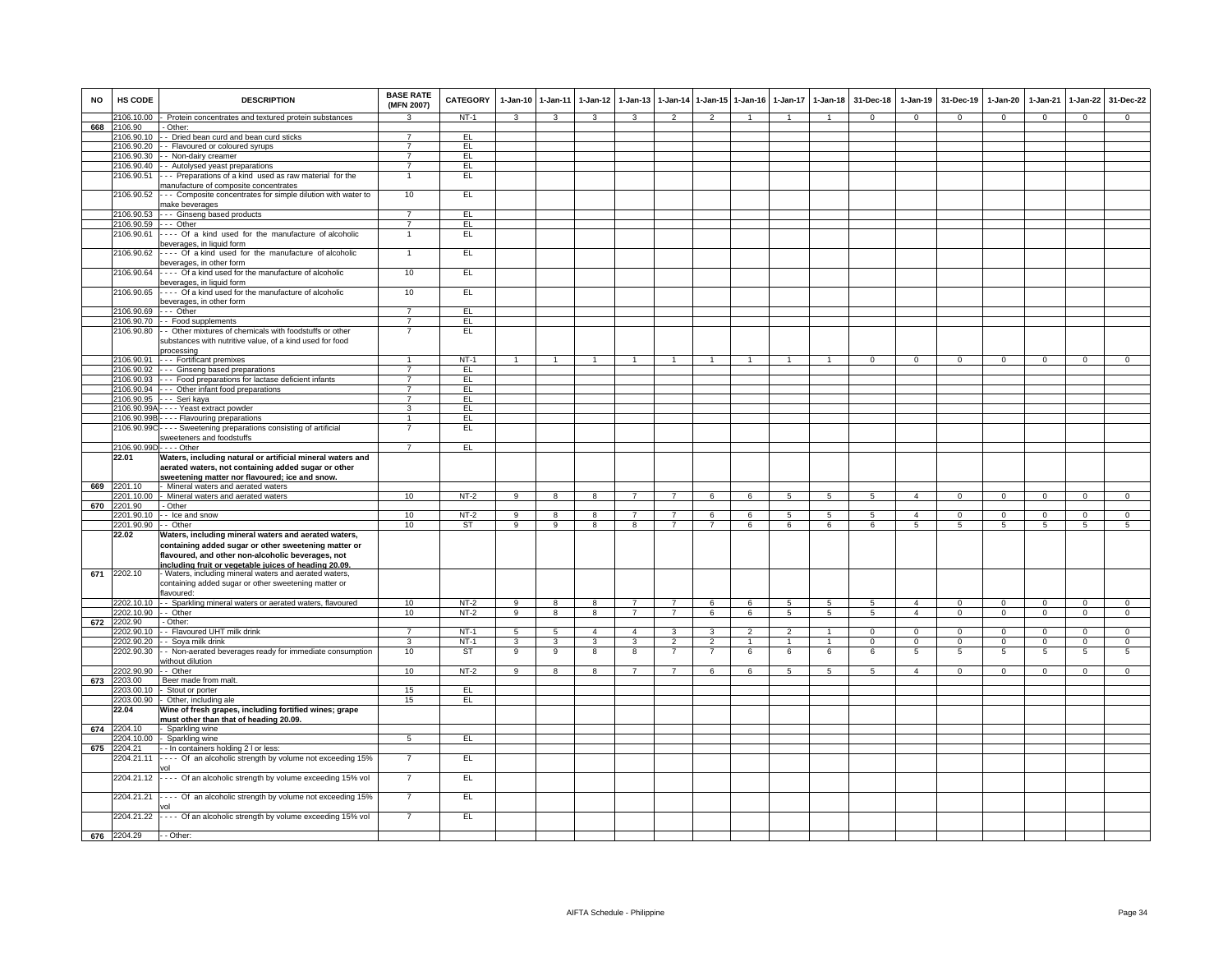| <b>NO</b> | HS CODE                        | <b>DESCRIPTION</b>                                                                                                                                                      | <b>BASE RATE</b><br>(MFN 2007)   | CATEGORY     |                         | 1-Jan-10 1-Jan-11 | 1-Jan-12                | $1 - Jan-13$            |                 |                | 1-Jan-14 1-Jan-15 1-Jan-16 | 1-Jan-17        | $1 - Jan-18$    | 31-Dec-18      |                | 1-Jan-19 31-Dec-19 | 1-Jan-20       | $1-Jan-21$     | 1-Jan-22       | 31-Dec-22      |
|-----------|--------------------------------|-------------------------------------------------------------------------------------------------------------------------------------------------------------------------|----------------------------------|--------------|-------------------------|-------------------|-------------------------|-------------------------|-----------------|----------------|----------------------------|-----------------|-----------------|----------------|----------------|--------------------|----------------|----------------|----------------|----------------|
|           | 106.10.00                      | - Protein concentrates and textured protein substances                                                                                                                  |                                  | $NT-1$       | $\overline{\mathbf{3}}$ | $\overline{3}$    | $\overline{\mathbf{3}}$ | $\overline{\mathbf{3}}$ | $\overline{2}$  | $\overline{2}$ |                            | $\mathbf{1}$    |                 | $\overline{0}$ | $\overline{0}$ | $\overline{0}$     | $\overline{0}$ | $\overline{0}$ | $\overline{0}$ | $\overline{0}$ |
| 668       | 106.90                         | - Other:                                                                                                                                                                |                                  |              |                         |                   |                         |                         |                 |                |                            |                 |                 |                |                |                    |                |                |                |                |
|           |                                | 2106.90.10 - Dried bean curd and bean curd sticks                                                                                                                       | $\overline{7}$<br>$\overline{7}$ | E            |                         |                   |                         |                         |                 |                |                            |                 |                 |                |                |                    |                |                |                |                |
|           |                                | 2106.90.20 - Flavoured or coloured syrups<br>2106.90.30 - - Non-dairy creamer                                                                                           | $\overline{7}$                   | EL<br>E      |                         |                   |                         |                         |                 |                |                            |                 |                 |                |                |                    |                |                |                |                |
|           |                                | 2106.90.40 - Autolysed yeast preparations                                                                                                                               | $\overline{7}$                   | EL           |                         |                   |                         |                         |                 |                |                            |                 |                 |                |                |                    |                |                |                |                |
|           | 2106.90.51                     | -- Preparations of a kind used as raw material for the                                                                                                                  | $\mathbf{1}$                     | EL           |                         |                   |                         |                         |                 |                |                            |                 |                 |                |                |                    |                |                |                |                |
|           |                                | nanufacture of composite concentrates                                                                                                                                   |                                  |              |                         |                   |                         |                         |                 |                |                            |                 |                 |                |                |                    |                |                |                |                |
|           | 2106.90.52                     | --- Composite concentrates for simple dilution with water to                                                                                                            | 10                               | EL           |                         |                   |                         |                         |                 |                |                            |                 |                 |                |                |                    |                |                |                |                |
|           |                                | nake beverages                                                                                                                                                          |                                  |              |                         |                   |                         |                         |                 |                |                            |                 |                 |                |                |                    |                |                |                |                |
|           | 2106.90.53                     | --- Ginseng based products                                                                                                                                              | $\overline{7}$                   | EL           |                         |                   |                         |                         |                 |                |                            |                 |                 |                |                |                    |                |                |                |                |
|           |                                | 2106.90.59 --- Other                                                                                                                                                    | $\overline{7}$                   | EL           |                         |                   |                         |                         |                 |                |                            |                 |                 |                |                |                    |                |                |                |                |
|           | 2106.90.61                     | --- Of a kind used for the manufacture of alcoholic                                                                                                                     | 1                                | EL           |                         |                   |                         |                         |                 |                |                            |                 |                 |                |                |                    |                |                |                |                |
|           |                                | beverages, in liquid form                                                                                                                                               |                                  |              |                         |                   |                         |                         |                 |                |                            |                 |                 |                |                |                    |                |                |                |                |
|           | 2106.90.62                     | ---- Of a kind used for the manufacture of alcoholic<br>beverages, in other form                                                                                        | 1                                | EL.          |                         |                   |                         |                         |                 |                |                            |                 |                 |                |                |                    |                |                |                |                |
|           | 2106.90.64                     | Of a kind used for the manufacture of alcoholic                                                                                                                         | 10                               | EL           |                         |                   |                         |                         |                 |                |                            |                 |                 |                |                |                    |                |                |                |                |
|           |                                | beverages, in liquid form                                                                                                                                               |                                  |              |                         |                   |                         |                         |                 |                |                            |                 |                 |                |                |                    |                |                |                |                |
|           | 2106.90.65                     | Of a kind used for the manufacture of alcoholic                                                                                                                         | 10                               | EL.          |                         |                   |                         |                         |                 |                |                            |                 |                 |                |                |                    |                |                |                |                |
|           |                                | beverages, in other form                                                                                                                                                |                                  |              |                         |                   |                         |                         |                 |                |                            |                 |                 |                |                |                    |                |                |                |                |
|           | 2106.90.69 --- Other           |                                                                                                                                                                         | $\overline{7}$                   | EL           |                         |                   |                         |                         |                 |                |                            |                 |                 |                |                |                    |                |                |                |                |
|           | 2106.90.70                     | - Food supplements                                                                                                                                                      | $\overline{7}$                   | EL.          |                         |                   |                         |                         |                 |                |                            |                 |                 |                |                |                    |                |                |                |                |
|           |                                | 2106.90.80 - Other mixtures of chemicals with foodstuffs or other                                                                                                       | $\overline{7}$                   | EL           |                         |                   |                         |                         |                 |                |                            |                 |                 |                |                |                    |                |                |                |                |
|           |                                | substances with nutritive value, of a kind used for food                                                                                                                |                                  |              |                         |                   |                         |                         |                 |                |                            |                 |                 |                |                |                    |                |                |                |                |
|           |                                | processing                                                                                                                                                              |                                  |              |                         |                   |                         |                         |                 |                |                            |                 |                 |                |                |                    |                |                |                |                |
|           | 2106.90.92                     | 2106.90.91 --- Fortificant premixes<br>--- Ginseng based preparations                                                                                                   | $\overline{7}$                   | $NT-1$<br>EL |                         |                   |                         |                         |                 |                |                            |                 |                 |                | $\Omega$       | $\Omega$           | $\Omega$       |                | $\Omega$       |                |
|           |                                | 2106.90.93 --- Food preparations for lactase deficient infants                                                                                                          | $\overline{7}$                   | EL.          |                         |                   |                         |                         |                 |                |                            |                 |                 |                |                |                    |                |                |                |                |
|           | 2106.90.94                     | --- Other infant food preparations                                                                                                                                      | $\overline{7}$                   | EL           |                         |                   |                         |                         |                 |                |                            |                 |                 |                |                |                    |                |                |                |                |
|           | 2106.90.95                     | --- Seri kaya                                                                                                                                                           | $\overline{7}$                   | EL           |                         |                   |                         |                         |                 |                |                            |                 |                 |                |                |                    |                |                |                |                |
|           | 2106.90.99A                    | --- Yeast extract powder                                                                                                                                                | 3                                | EL           |                         |                   |                         |                         |                 |                |                            |                 |                 |                |                |                    |                |                |                |                |
|           | 2106.90.99B                    | --- Flavouring preparations                                                                                                                                             | $\mathbf{1}$                     | EL           |                         |                   |                         |                         |                 |                |                            |                 |                 |                |                |                    |                |                |                |                |
|           |                                | 2106.90.99C ---- Sweetening preparations consisting of artificial                                                                                                       |                                  | EL.          |                         |                   |                         |                         |                 |                |                            |                 |                 |                |                |                    |                |                |                |                |
|           |                                | sweeteners and foodstuffs                                                                                                                                               |                                  |              |                         |                   |                         |                         |                 |                |                            |                 |                 |                |                |                    |                |                |                |                |
|           | 2106.90.99D - - - - Other      |                                                                                                                                                                         | $\overline{7}$                   | EL           |                         |                   |                         |                         |                 |                |                            |                 |                 |                |                |                    |                |                |                |                |
|           | 22.01                          | Waters, including natural or artificial mineral waters and<br>aerated waters, not containing added sugar or other<br>sweetening matter nor flavoured; ice and snow.     |                                  |              |                         |                   |                         |                         |                 |                |                            |                 |                 |                |                |                    |                |                |                |                |
| 669       | 2201.10                        | - Mineral waters and aerated waters                                                                                                                                     |                                  |              |                         |                   |                         |                         |                 |                |                            |                 |                 |                |                |                    |                |                |                |                |
|           |                                | 2201.10.00 - Mineral waters and aerated waters                                                                                                                          | 10                               | $NT-2$       | 9                       | 8                 | 8                       | $\overline{7}$          | $7\overline{ }$ | 6              | 6                          | $5\overline{5}$ | 5 <sub>5</sub>  | 5              | $\overline{4}$ | $\overline{0}$     | $\overline{0}$ | $\mathbf{0}$   | $\mathbf{0}$   | $\overline{0}$ |
| 670       | 2201.90                        | - Other                                                                                                                                                                 |                                  |              |                         |                   |                         |                         |                 |                |                            |                 |                 |                |                |                    |                |                |                |                |
|           |                                | 2201.90.10 - Ice and snow                                                                                                                                               | 10                               | $NT-2$       | $\overline{9}$          | $\overline{8}$    | $\overline{\mathbf{8}}$ | $\overline{7}$          | $\overline{7}$  | 6              | 6                          | $\overline{5}$  | $\sqrt{5}$      | -5             | $\overline{4}$ | $\overline{0}$     | $\overline{0}$ | $\Omega$       | $\overline{0}$ | $\overline{0}$ |
|           | 2201.90.90 -- Other            |                                                                                                                                                                         | 10                               | ST           | $\overline{9}$          | $\overline{9}$    | $\overline{8}$          | $\overline{8}$          | $\overline{7}$  | $\overline{7}$ | 6                          | 6               | 6               | 6              | $\overline{5}$ | $\overline{5}$     | $\overline{5}$ | $\overline{5}$ | 5              | $\overline{5}$ |
|           | 22.02                          | Waters, including mineral waters and aerated waters,<br>containing added sugar or other sweetening matter or<br>flavoured, and other non-alcoholic beverages, not       |                                  |              |                         |                   |                         |                         |                 |                |                            |                 |                 |                |                |                    |                |                |                |                |
| 671       | 2202.10                        | including fruit or vegetable juices of heading 20.09.<br>- Waters, including mineral waters and aerated waters,<br>containing added sugar or other sweetening matter or |                                  |              |                         |                   |                         |                         |                 |                |                            |                 |                 |                |                |                    |                |                |                |                |
|           |                                | flavoured:                                                                                                                                                              |                                  |              |                         |                   |                         |                         |                 |                |                            |                 |                 |                |                |                    |                |                |                |                |
|           |                                | 2202.10.10 - Sparkling mineral waters or aerated waters, flavoured                                                                                                      | 10                               | $NT-2$       | 9                       | 8                 | 8                       | $\overline{7}$          | $\overline{7}$  | 6              | 6                          | 5               | 5               | 5              | $\overline{4}$ | $\mathbf{0}$       | $\mathbf 0$    | $^{\circ}$     | $\mathbf 0$    | $\mathbf{0}$   |
| 672       | 2202.10.90 -- Other<br>2202.90 | - Other:                                                                                                                                                                | 10                               | NT-2         | 9                       | 8                 | 8                       | $\overline{7}$          | $\overline{7}$  | 6              | 6                          | 5               | $5\overline{5}$ | 5              | $\overline{4}$ | $\overline{0}$     | $\mathbf{0}$   | $\mathbf 0$    | $\mathbf{0}$   | $\mathbf{0}$   |
|           |                                | 2202.90.10 -- Flavoured UHT milk drink                                                                                                                                  | $\overline{7}$                   | $NT-1$       | $5\phantom{.0}$         | $\sqrt{5}$        | $\overline{4}$          | $\overline{4}$          | 3               | 3              | $\overline{2}$             | 2               | $\mathbf{1}$    | $\Omega$       | $\mathbf 0$    | $\mathbf{0}$       | $\Omega$       | $\mathbf 0$    | $\overline{0}$ | $\mathbf 0$    |
|           | 2202.90.20                     | - - Soya milk drink                                                                                                                                                     | $\overline{3}$                   | $NT-1$       | 3                       | $\overline{3}$    | $\overline{3}$          | 3                       | $\mathfrak{p}$  | $\overline{2}$ | $\mathbf{1}$               | $\mathbf{1}$    | $\overline{1}$  | $\Omega$       | $\Omega$       | $\Omega$           | $\Omega$       | $\Omega$       | $\overline{0}$ | $\overline{0}$ |
|           | 2202.90.30                     | - Non-aerated beverages ready for immediate consumption<br>without dilution                                                                                             | 10                               | ST           | 9                       | 9                 | 8                       | 8                       |                 |                | 6                          | 6               | 6               | 6              | 5              | 5                  | 5              | 5              | 5              | 5              |
|           | 2202.90.90 - - Other           |                                                                                                                                                                         | 10                               | $NT-2$       | 9                       | 8                 | 8                       | $\overline{7}$          | $\overline{7}$  | 6              | 6                          | 5               | $\sqrt{5}$      | $\sqrt{5}$     | $\overline{4}$ | $\mathbf 0$        | $\mathbf 0$    | $\mathbf 0$    | $\mathbf 0$    | $\mathbf{0}$   |
| 673       | 2203.00                        | Beer made from malt.                                                                                                                                                    |                                  |              |                         |                   |                         |                         |                 |                |                            |                 |                 |                |                |                    |                |                |                |                |
|           |                                | 2203.00.10 - Stout or porter                                                                                                                                            | 15                               | F            |                         |                   |                         |                         |                 |                |                            |                 |                 |                |                |                    |                |                |                |                |
|           |                                | 2203.00.90 - Other, including ale                                                                                                                                       | 15                               | EL           |                         |                   |                         |                         |                 |                |                            |                 |                 |                |                |                    |                |                |                |                |
|           | 22.04                          | Wine of fresh grapes, including fortified wines; grape<br>must other than that of heading 20.09.                                                                        |                                  |              |                         |                   |                         |                         |                 |                |                            |                 |                 |                |                |                    |                |                |                |                |
| 674       | 2204.10                        | - Sparkling wine                                                                                                                                                        |                                  |              |                         |                   |                         |                         |                 |                |                            |                 |                 |                |                |                    |                |                |                |                |
|           |                                | 2204.10.00 - Sparkling wine                                                                                                                                             | 5 <sub>5</sub>                   | E            |                         |                   |                         |                         |                 |                |                            |                 |                 |                |                |                    |                |                |                |                |
| 675       | 2204.21                        | -- In containers holding 2 I or less:                                                                                                                                   |                                  |              |                         |                   |                         |                         |                 |                |                            |                 |                 |                |                |                    |                |                |                |                |
|           | 2204.21.11                     | --- Of an alcoholic strength by volume not exceeding 15%                                                                                                                | $\overline{7}$                   | EL.          |                         |                   |                         |                         |                 |                |                            |                 |                 |                |                |                    |                |                |                |                |
|           |                                | 2204.21.12 ---- Of an alcoholic strength by volume exceeding 15% vol                                                                                                    | $\overline{7}$                   | EL.          |                         |                   |                         |                         |                 |                |                            |                 |                 |                |                |                    |                |                |                |                |
|           | 2204.21.21                     | ---- Of an alcoholic strength by volume not exceeding 15%                                                                                                               | $\overline{7}$                   | EL           |                         |                   |                         |                         |                 |                |                            |                 |                 |                |                |                    |                |                |                |                |
|           |                                | 2204.21.22 ---- Of an alcoholic strength by volume exceeding 15% vol                                                                                                    | $\overline{7}$                   | EL           |                         |                   |                         |                         |                 |                |                            |                 |                 |                |                |                    |                |                |                |                |
|           | 676 2204.29 - Other:           |                                                                                                                                                                         |                                  |              |                         |                   |                         |                         |                 |                |                            |                 |                 |                |                |                    |                |                |                |                |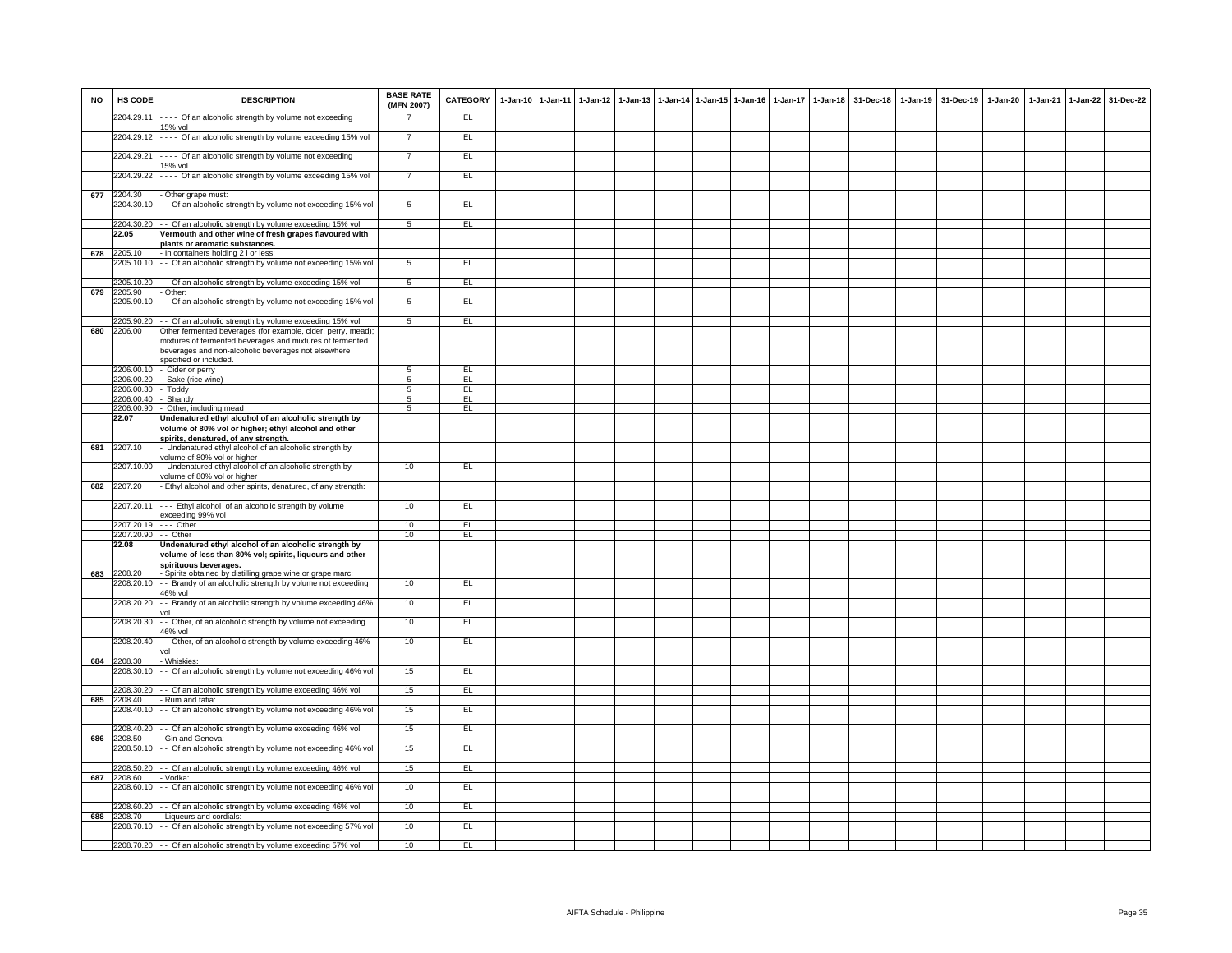| <b>NO</b> | HS CODE               | <b>DESCRIPTION</b>                                                                                                        | <b>BASE RATE</b><br>(MFN 2007) | CATEGORY | 1-Jan-10 1-Jan-11 | $1 - Jan-12$ | 1-Jan-13 |  | 1-Jan-14 1-Jan-15 1-Jan-16 | $1$ -Jan-17 | $1 - Jan-18$ | 31-Dec-18 | 1-Jan-19 31-Dec-19 | 1-Jan-20 | $1-Jan-21$ | $1 - Jan-22$ | 31-Dec-22 |
|-----------|-----------------------|---------------------------------------------------------------------------------------------------------------------------|--------------------------------|----------|-------------------|--------------|----------|--|----------------------------|-------------|--------------|-----------|--------------------|----------|------------|--------------|-----------|
|           | 2204.29.11            | ---- Of an alcoholic strength by volume not exceeding<br>15% vol                                                          |                                | EL.      |                   |              |          |  |                            |             |              |           |                    |          |            |              |           |
|           | 2204.29.12            | ---- Of an alcoholic strength by volume exceeding 15% vol                                                                 | 7                              | E        |                   |              |          |  |                            |             |              |           |                    |          |            |              |           |
|           | 2204.29.21            | ---- Of an alcoholic strength by volume not exceeding<br>5% vol                                                           | $\overline{7}$                 | EL       |                   |              |          |  |                            |             |              |           |                    |          |            |              |           |
|           | 2204.29.22            | ---- Of an alcoholic strength by volume exceeding 15% vol                                                                 | $\overline{7}$                 | EL       |                   |              |          |  |                            |             |              |           |                    |          |            |              |           |
| 677       | 2204.30               | - Other grape must:                                                                                                       |                                |          |                   |              |          |  |                            |             |              |           |                    |          |            |              |           |
|           |                       | 2204.30.10 -- Of an alcoholic strength by volume not exceeding 15% vol                                                    | $\overline{5}$                 | EL       |                   |              |          |  |                            |             |              |           |                    |          |            |              |           |
|           | 22.05                 | 2204.30.20 - - Of an alcoholic strength by volume exceeding 15% vol                                                       | 5 <sub>5</sub>                 | EL       |                   |              |          |  |                            |             |              |           |                    |          |            |              |           |
|           |                       | Vermouth and other wine of fresh grapes flavoured with<br>plants or aromatic substances.                                  |                                |          |                   |              |          |  |                            |             |              |           |                    |          |            |              |           |
| 678       | 2205.10               | - In containers holding 2 I or less:                                                                                      |                                |          |                   |              |          |  |                            |             |              |           |                    |          |            |              |           |
|           | 2205.10.10            | - Of an alcoholic strength by volume not exceeding 15% vol                                                                | $5\overline{)}$                | EL       |                   |              |          |  |                            |             |              |           |                    |          |            |              |           |
|           |                       | 2205.10.20 - Of an alcoholic strength by volume exceeding 15% vol                                                         | 5                              | EL       |                   |              |          |  |                            |             |              |           |                    |          |            |              |           |
| 679       | 2205.90               | - Other:<br>2205.90.10 - Of an alcoholic strength by volume not exceeding 15% vol                                         | $5\overline{5}$                | EL       |                   |              |          |  |                            |             |              |           |                    |          |            |              |           |
|           |                       |                                                                                                                           |                                |          |                   |              |          |  |                            |             |              |           |                    |          |            |              |           |
|           |                       | 2205.90.20 - - Of an alcoholic strength by volume exceeding 15% vol                                                       | $5\overline{5}$                | EL.      |                   |              |          |  |                            |             |              |           |                    |          |            |              |           |
| 680       | 2206.00               | Other fermented beverages (for example, cider, perry, mead);<br>mixtures of fermented beverages and mixtures of fermented |                                |          |                   |              |          |  |                            |             |              |           |                    |          |            |              |           |
|           |                       | beverages and non-alcoholic beverages not elsewhere                                                                       |                                |          |                   |              |          |  |                            |             |              |           |                    |          |            |              |           |
|           |                       | specified or included.                                                                                                    |                                |          |                   |              |          |  |                            |             |              |           |                    |          |            |              |           |
|           |                       | 2206.00.10 - Cider or perry                                                                                               | 5                              | EL.      |                   |              |          |  |                            |             |              |           |                    |          |            |              |           |
|           | 2206.00.30 - Toddy    | 2206.00.20 - Sake (rice wine)                                                                                             | 5<br>$\overline{5}$            | EL<br>EL |                   |              |          |  |                            |             |              |           |                    |          |            |              |           |
|           | 2206.00.40 - Shandy   |                                                                                                                           | 5                              | EL       |                   |              |          |  |                            |             |              |           |                    |          |            |              |           |
|           |                       | 2206.00.90 - Other, including mead                                                                                        | 5                              | EL       |                   |              |          |  |                            |             |              |           |                    |          |            |              |           |
|           | 22.07                 | Undenatured ethyl alcohol of an alcoholic strength by                                                                     |                                |          |                   |              |          |  |                            |             |              |           |                    |          |            |              |           |
|           |                       | volume of 80% vol or higher; ethyl alcohol and other<br>spirits, denatured, of any strength.                              |                                |          |                   |              |          |  |                            |             |              |           |                    |          |            |              |           |
| 681       | 2207.10               | Undenatured ethyl alcohol of an alcoholic strength by<br>volume of 80% vol or higher                                      |                                |          |                   |              |          |  |                            |             |              |           |                    |          |            |              |           |
|           |                       | 2207.10.00 - Undenatured ethyl alcohol of an alcoholic strength by<br>volume of 80% vol or higher                         | 10                             | EL       |                   |              |          |  |                            |             |              |           |                    |          |            |              |           |
| 682       | 2207.20               | - Ethyl alcohol and other spirits, denatured, of any strength:                                                            |                                |          |                   |              |          |  |                            |             |              |           |                    |          |            |              |           |
|           | 2207.20.11            | --- Ethyl alcohol of an alcoholic strength by volume<br>exceeding 99% vol                                                 | 10                             | EL       |                   |              |          |  |                            |             |              |           |                    |          |            |              |           |
|           | 2207.20.19 --- Other  |                                                                                                                           | 10                             | EL       |                   |              |          |  |                            |             |              |           |                    |          |            |              |           |
|           | 2207.20.90 - - Other  |                                                                                                                           | 10                             | EL       |                   |              |          |  |                            |             |              |           |                    |          |            |              |           |
|           | 22.08                 | Undenatured ethyl alcohol of an alcoholic strength by<br>volume of less than 80% vol; spirits, liqueurs and other         |                                |          |                   |              |          |  |                            |             |              |           |                    |          |            |              |           |
| 683       | 2208.20               | spirituous beverages.<br>- Spirits obtained by distilling grape wine or grape marc:                                       |                                |          |                   |              |          |  |                            |             |              |           |                    |          |            |              |           |
|           |                       | 2208.20.10 - Brandy of an alcoholic strength by volume not exceeding<br>46% vol                                           | 10                             | EL       |                   |              |          |  |                            |             |              |           |                    |          |            |              |           |
|           | 2208.20.20            | - Brandy of an alcoholic strength by volume exceeding 46%                                                                 | 10                             | EL       |                   |              |          |  |                            |             |              |           |                    |          |            |              |           |
|           | 2208.20.30            | - Other, of an alcoholic strength by volume not exceeding<br>46% vol                                                      | 10                             | EL.      |                   |              |          |  |                            |             |              |           |                    |          |            |              |           |
|           | 2208.20.40            | - Other, of an alcoholic strength by volume exceeding 46%                                                                 | 10                             | EL       |                   |              |          |  |                            |             |              |           |                    |          |            |              |           |
| 684       | 2208.30               | rol<br>- Whiskies:                                                                                                        |                                |          |                   |              |          |  |                            |             |              |           |                    |          |            |              |           |
|           | 2208.30.10            | - - Of an alcoholic strength by volume not exceeding 46% vol                                                              | 15                             | EL.      |                   |              |          |  |                            |             |              |           |                    |          |            |              |           |
|           |                       | 2208.30.20 - - Of an alcoholic strength by volume exceeding 46% vol                                                       | 15                             | EL       |                   |              |          |  |                            |             |              |           |                    |          |            |              |           |
| 685       | 2208.40               | - Rum and tafia:                                                                                                          |                                |          |                   |              |          |  |                            |             |              |           |                    |          |            |              |           |
|           |                       | 2208.40.10 - Of an alcoholic strength by volume not exceeding 46% vol                                                     | 15                             | EL       |                   |              |          |  |                            |             |              |           |                    |          |            |              |           |
|           |                       | 2208.40.20 - - Of an alcoholic strength by volume exceeding 46% vol                                                       | 15                             | EL       |                   |              |          |  |                            |             |              |           |                    |          |            |              |           |
| 686       | 2208.50               | - Gin and Geneva:<br>2208.50.10 - Of an alcoholic strength by volume not exceeding 46% vol                                | 15                             | EL       |                   |              |          |  |                            |             |              |           |                    |          |            |              |           |
|           |                       |                                                                                                                           |                                |          |                   |              |          |  |                            |             |              |           |                    |          |            |              |           |
|           |                       | 2208.50.20 - - Of an alcoholic strength by volume exceeding 46% vol                                                       | 15                             | EL       |                   |              |          |  |                            |             |              |           |                    |          |            |              |           |
| 687       | 2208.60<br>2208.60.10 | Vodka:<br>- - Of an alcoholic strength by volume not exceeding 46% vol                                                    | 10                             | EL       |                   |              |          |  |                            |             |              |           |                    |          |            |              |           |
|           |                       |                                                                                                                           |                                |          |                   |              |          |  |                            |             |              |           |                    |          |            |              |           |
| 688       | 2208.70               | 2208.60.20 - - Of an alcoholic strength by volume exceeding 46% vol<br>- Liqueurs and cordials:                           | 10                             | EL.      |                   |              |          |  |                            |             |              |           |                    |          |            |              |           |
|           |                       | 2208.70.10 -- Of an alcoholic strength by volume not exceeding 57% vol                                                    | 10                             | E        |                   |              |          |  |                            |             |              |           |                    |          |            |              |           |
|           |                       | 2208.70.20 - Of an alcoholic strength by volume exceeding 57% vol                                                         | 10                             | EL       |                   |              |          |  |                            |             |              |           |                    |          |            |              |           |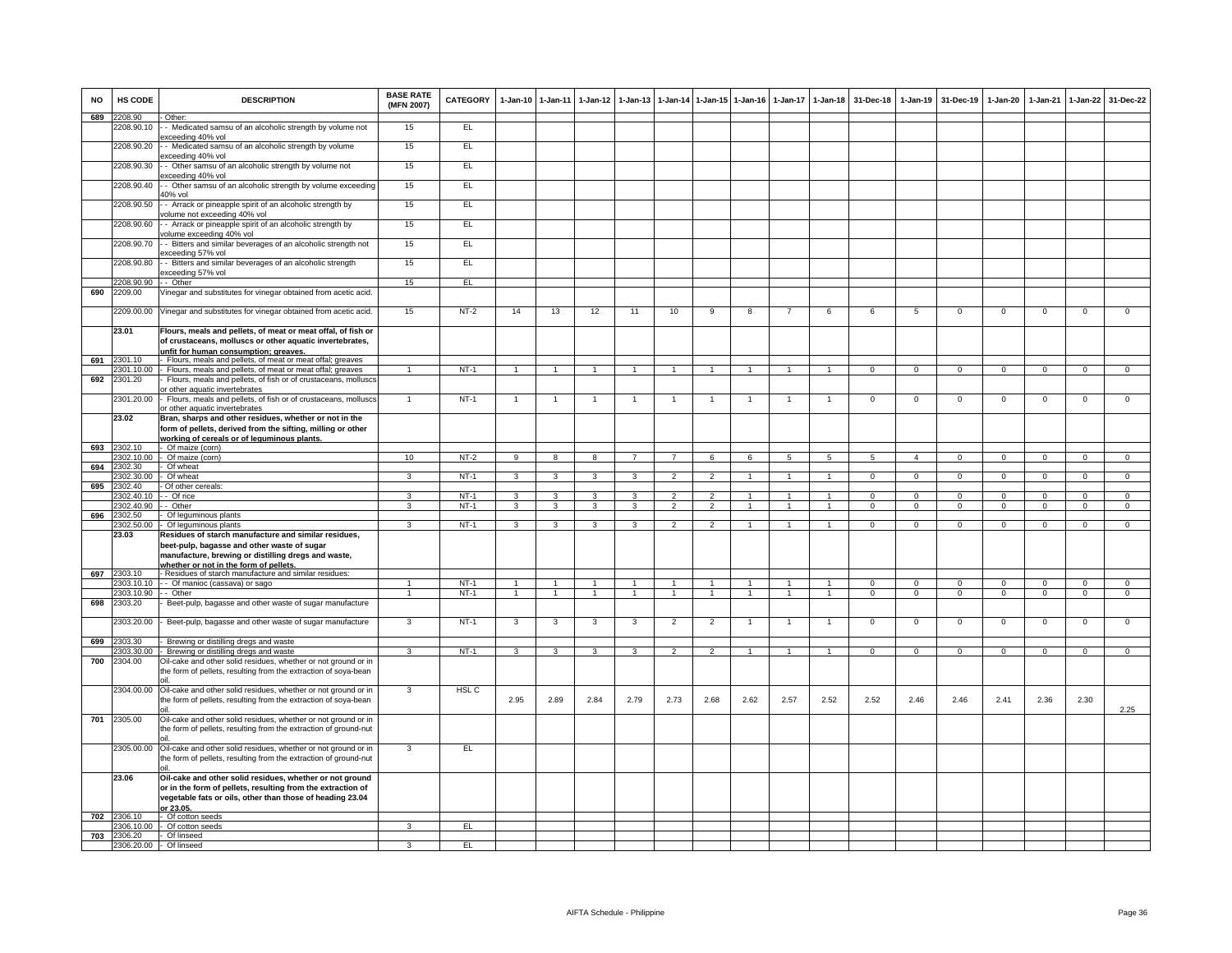| <b>NO</b> | HS CODE                  | <b>DESCRIPTION</b>                                                                                                                 | <b>BASE RATE</b><br>(MFN 2007) | <b>CATEGORY</b>  | 1-Jan-10 1-Jan-11 |                         | $1-Jan-12$        | $1 - Jan-13$   | $1-Jan-14$                       |                                  | 1-Jan-15 1-Jan-16 | $1-Jan-17$   | $1 - Jan-18$         | 31-Dec-18                | $1-Jan-19$                  | 31-Dec-19                   | $1-Jan-20$               | $1-Jan-21$   | 1-Jan-22                    | 31-Dec-22                  |
|-----------|--------------------------|------------------------------------------------------------------------------------------------------------------------------------|--------------------------------|------------------|-------------------|-------------------------|-------------------|----------------|----------------------------------|----------------------------------|-------------------|--------------|----------------------|--------------------------|-----------------------------|-----------------------------|--------------------------|--------------|-----------------------------|----------------------------|
| 689       | 2208.90<br>2208.90.10    | Other:<br>- Medicated samsu of an alcoholic strength by volume not                                                                 | 15                             | EL               |                   |                         |                   |                |                                  |                                  |                   |              |                      |                          |                             |                             |                          |              |                             |                            |
|           | 2208.90.20               | exceeding 40% vol<br>- Medicated samsu of an alcoholic strength by volume                                                          | 15                             | EL               |                   |                         |                   |                |                                  |                                  |                   |              |                      |                          |                             |                             |                          |              |                             |                            |
|           | 2208.90.30               | xceeding 40% vol<br>- Other samsu of an alcoholic strength by volume not                                                           | 15                             | EL               |                   |                         |                   |                |                                  |                                  |                   |              |                      |                          |                             |                             |                          |              |                             |                            |
|           | 2208.90.40               | xceeding 40% vol<br>- Other samsu of an alcoholic strength by volume exceeding<br>40% vol                                          | 15                             | EL               |                   |                         |                   |                |                                  |                                  |                   |              |                      |                          |                             |                             |                          |              |                             |                            |
|           | 2208.90.50               | - Arrack or pineapple spirit of an alcoholic strength by<br>volume not exceeding 40% vol                                           | 15                             | EL               |                   |                         |                   |                |                                  |                                  |                   |              |                      |                          |                             |                             |                          |              |                             |                            |
|           | 2208.90.60               | - Arrack or pineapple spirit of an alcoholic strength by<br>volume exceeding 40% vol                                               | 15                             | E                |                   |                         |                   |                |                                  |                                  |                   |              |                      |                          |                             |                             |                          |              |                             |                            |
|           | 2208.90.70               | - Bitters and similar beverages of an alcoholic strength not<br>exceeding 57% vol                                                  | 15                             | EL               |                   |                         |                   |                |                                  |                                  |                   |              |                      |                          |                             |                             |                          |              |                             |                            |
|           | 2208.90.80               | - Bitters and similar beverages of an alcoholic strength<br>exceeding 57% vol                                                      | 15                             | E                |                   |                         |                   |                |                                  |                                  |                   |              |                      |                          |                             |                             |                          |              |                             |                            |
|           | 2208.90.90               | - Other                                                                                                                            | 15                             | EL               |                   |                         |                   |                |                                  |                                  |                   |              |                      |                          |                             |                             |                          |              |                             |                            |
| 690       | 2209.00                  | Vinegar and substitutes for vinegar obtained from acetic acid.                                                                     |                                |                  |                   |                         |                   |                |                                  |                                  |                   |              |                      |                          |                             |                             |                          |              |                             |                            |
|           |                          | 2209.00.00 Vinegar and substitutes for vinegar obtained from acetic acid.                                                          | 15                             | NT-2             | 14                | 13                      | 12                | 11             | 10                               | 9                                | 8                 |              | 6                    | 6                        | 5                           | $\mathbf 0$                 | $\mathbf 0$              | $\mathbf 0$  | $^{\circ}$                  | $\mathbf 0$                |
|           | 23.01                    | Flours, meals and pellets, of meat or meat offal, of fish or<br>of crustaceans, molluscs or other aquatic invertebrates,           |                                |                  |                   |                         |                   |                |                                  |                                  |                   |              |                      |                          |                             |                             |                          |              |                             |                            |
| 691       | 2301.10                  | unfit for human consumption; greaves.<br>Flours, meals and pellets, of meat or meat offal; greaves                                 |                                |                  |                   |                         |                   |                |                                  |                                  |                   |              |                      |                          |                             |                             |                          |              |                             |                            |
|           | 301.10.00                | Flours, meals and pellets, of meat or meat offal; greaves                                                                          |                                | $NT-1$           | $\overline{1}$    | $\overline{1}$          | $\overline{1}$    | $\mathbf{1}$   | $\overline{1}$                   | $\overline{1}$                   | $\mathbf{1}$      |              | $\mathbf{1}$         | $\Omega$                 | $\mathbf{0}$                | $\mathbf{0}$                | $\mathbf{0}$             | $\mathbf 0$  | $\mathbf 0$                 | $\overline{0}$             |
| 692       | 2301.20                  | Flours, meals and pellets, of fish or of crustaceans, molluscs<br>or other aquatic invertebrates                                   |                                |                  |                   |                         |                   |                |                                  |                                  |                   |              |                      |                          |                             |                             |                          |              |                             |                            |
|           | 2301.20.00               | Flours, meals and pellets, of fish or of crustaceans, molluscs                                                                     | $\mathbf{1}$                   | $NT-1$           | 1                 | $\overline{1}$          |                   |                | $\overline{1}$                   |                                  |                   |              | $\overline{1}$       | $\mathsf 0$              | $\Omega$                    | $\Omega$                    | $\mathsf 0$              | $\mathbf 0$  | $\mathsf 0$                 | $\overline{0}$             |
|           |                          | or other aquatic invertebrates                                                                                                     |                                |                  |                   |                         |                   |                |                                  |                                  |                   |              |                      |                          |                             |                             |                          |              |                             |                            |
|           | 23.02                    | Bran, sharps and other residues, whether or not in the<br>form of pellets, derived from the sifting, milling or other              |                                |                  |                   |                         |                   |                |                                  |                                  |                   |              |                      |                          |                             |                             |                          |              |                             |                            |
|           |                          | working of cereals or of leguminous plants.                                                                                        |                                |                  |                   |                         |                   |                |                                  |                                  |                   |              |                      |                          |                             |                             |                          |              |                             |                            |
| 693       | 2302.10<br>2302.10.00    | Of maize (corn)<br>Of maize (corn)                                                                                                 | 10                             | $NT-2$           | $\overline{9}$    | $\overline{8}$          | 8                 | $\overline{7}$ | $\overline{7}$                   | 6                                | 6                 | 5            | $5\overline{)}$      | $5\overline{5}$          | $\overline{4}$              | $\mathbf 0$                 | $\mathbf 0$              | $\Omega$     | $\mathsf 0$                 | $\overline{0}$             |
| 694       | 2302.30                  | Of wheat                                                                                                                           |                                |                  |                   |                         |                   |                |                                  |                                  |                   |              |                      |                          |                             |                             |                          |              |                             |                            |
|           | 2302.30.00               | Of wheat                                                                                                                           | $\mathbf{R}$                   | $NT-1$           | 3                 | 3                       | 3                 | 3              | $\overline{\phantom{a}}$         | $\overline{2}$                   |                   |              | $\overline{1}$       | $\Omega$                 | $\overline{0}$              | $\Omega$                    | $\overline{0}$           | $\Omega$     | $\overline{0}$              | $\overline{0}$             |
| 695       | 2302.40                  | Of other cereals:                                                                                                                  |                                |                  |                   |                         |                   |                |                                  |                                  |                   |              |                      |                          |                             |                             |                          |              |                             |                            |
|           | 2302.40.10<br>2302.40.90 | - Of rice<br>- Other                                                                                                               | ء<br>3                         | $NT-1$<br>$NT-1$ | 3<br>$\mathbf{3}$ | 3<br>$\mathbf{3}$       | 3<br>$\mathbf{3}$ | 3<br>3         | $\mathfrak{p}$<br>$\overline{2}$ | $\overline{2}$<br>$\overline{2}$ | $\mathbf{1}$      |              | $\blacktriangleleft$ | $\Omega$<br>$\mathbf{O}$ | $\mathbf 0$<br>$\mathbf{0}$ | $\mathbf 0$<br>$\mathbf{0}$ | $\Omega$<br>$\mathbf{0}$ | $\Omega$     | $\mathsf 0$<br>$\mathbf{0}$ | $^{\circ}$<br>$\mathbf{0}$ |
| 696       | 2302.50                  | Of leguminous plants                                                                                                               |                                |                  |                   |                         |                   |                |                                  |                                  |                   |              |                      |                          |                             |                             |                          |              |                             |                            |
|           | 2302.50.00               | Of leguminous plants                                                                                                               | $\overline{3}$                 | $NT-1$           | 3                 | $\overline{\mathbf{3}}$ | $\overline{3}$    | $\overline{3}$ | $\mathfrak{p}$                   | $\overline{2}$                   | $\mathbf{1}$      | 1            | $\mathbf{1}$         | $\Omega$                 | $\overline{0}$              | $\Omega$                    | $\overline{0}$           | $\Omega$     | $\overline{0}$              | $\overline{0}$             |
|           | 23.03                    | Residues of starch manufacture and similar residues,                                                                               |                                |                  |                   |                         |                   |                |                                  |                                  |                   |              |                      |                          |                             |                             |                          |              |                             |                            |
|           |                          | beet-pulp, bagasse and other waste of sugar<br>manufacture, brewing or distilling dregs and waste,                                 |                                |                  |                   |                         |                   |                |                                  |                                  |                   |              |                      |                          |                             |                             |                          |              |                             |                            |
|           |                          | whether or not in the form of pellets.                                                                                             |                                |                  |                   |                         |                   |                |                                  |                                  |                   |              |                      |                          |                             |                             |                          |              |                             |                            |
| 697       | 2303.10                  | - Residues of starch manufacture and similar residues:                                                                             |                                |                  |                   |                         |                   |                |                                  |                                  |                   |              |                      |                          |                             |                             |                          |              |                             |                            |
|           | 2303.10.10               | - - Of manioc (cassava) or sago                                                                                                    |                                | $NT-1$           |                   | $\overline{1}$          |                   |                |                                  |                                  |                   |              | $\overline{1}$       | $\Omega$                 | $\Omega$                    | $\Omega$                    | $\Omega$                 | $\Omega$     | $\mathsf 0$                 | $\mathbf{0}$               |
|           | 2303.10.90               | - - Other                                                                                                                          | $\mathbf{1}$                   | $NT-1$           | $\overline{1}$    | $\overline{1}$          | $\overline{1}$    | $\overline{1}$ | $\overline{1}$                   | $\overline{1}$                   | $\mathbf{1}$      | $\mathbf{1}$ | $\overline{1}$       | $\mathbf{0}$             | $\mathbf{0}$                | $\mathbf{0}$                | $\mathbf{0}$             | $\mathbf{0}$ | $\mathbf{0}$                | $\mathbf{0}$               |
| 698       | 2303.20                  | Beet-pulp, bagasse and other waste of sugar manufacture                                                                            |                                |                  |                   |                         |                   |                |                                  |                                  |                   |              |                      |                          |                             |                             |                          |              |                             |                            |
|           | 2303.20.00               | Beet-pulp, bagasse and other waste of sugar manufacture                                                                            | 3                              | $NT-1$           | 3                 | 3                       | 3                 | 3              | $\overline{2}$                   | $\overline{2}$                   | 1                 | $\mathbf{1}$ | $\overline{1}$       | $\mathbf{O}$             | $\mathbf 0$                 | $\mathsf 0$                 | $\mathbf 0$              | $\mathbf 0$  | $\mathsf 0$                 | $\mathbf 0$                |
| 699       | 303.30<br>2303.30.00     | Brewing or distilling dregs and waste<br>Brewing or distilling dregs and waste                                                     | 3                              | $NT-1$           | $\mathbf{3}$      | 3                       | $\mathbf{3}$      | 3              | $\overline{2}$                   | $\overline{2}$                   | 1                 | $\mathbf{1}$ | $\overline{1}$       | $\Omega$                 | $\mathbf 0$                 | $\mathbf 0$                 | $\mathbf 0$              | $\Omega$     | $\overline{0}$              | $\overline{0}$             |
| 700       | 2304.00                  | Oil-cake and other solid residues, whether or not ground or in                                                                     |                                |                  |                   |                         |                   |                |                                  |                                  |                   |              |                      |                          |                             |                             |                          |              |                             |                            |
|           |                          | the form of pellets, resulting from the extraction of soya-bean                                                                    |                                |                  |                   |                         |                   |                |                                  |                                  |                   |              |                      |                          |                             |                             |                          |              |                             |                            |
|           |                          | 2304.00.00 Oil-cake and other solid residues, whether or not ground or in                                                          | 3                              | HSL C            |                   |                         |                   |                |                                  |                                  |                   |              |                      |                          |                             |                             |                          |              |                             |                            |
|           |                          | the form of pellets, resulting from the extraction of soya-bean                                                                    |                                |                  | 2.95              | 2.89                    | 2.84              | 2.79           | 2.73                             | 2.68                             | 2.62              | 2.57         | 2.52                 | 2.52                     | 2.46                        | 2.46                        | 2.41                     | 2.36         | 2.30                        | 2.25                       |
| 701       | 2305.00                  | Oil-cake and other solid residues, whether or not ground or in<br>the form of pellets, resulting from the extraction of ground-nut |                                |                  |                   |                         |                   |                |                                  |                                  |                   |              |                      |                          |                             |                             |                          |              |                             |                            |
|           | 2305.00.00               | Oil-cake and other solid residues, whether or not ground or in<br>the form of pellets, resulting from the extraction of ground-nut | 3                              | EL               |                   |                         |                   |                |                                  |                                  |                   |              |                      |                          |                             |                             |                          |              |                             |                            |
|           | 23.06                    | Oil-cake and other solid residues, whether or not ground                                                                           |                                |                  |                   |                         |                   |                |                                  |                                  |                   |              |                      |                          |                             |                             |                          |              |                             |                            |
|           |                          | or in the form of pellets, resulting from the extraction of<br>vegetable fats or oils, other than those of heading 23.04           |                                |                  |                   |                         |                   |                |                                  |                                  |                   |              |                      |                          |                             |                             |                          |              |                             |                            |
|           |                          | or 23.05.                                                                                                                          |                                |                  |                   |                         |                   |                |                                  |                                  |                   |              |                      |                          |                             |                             |                          |              |                             |                            |
| 702       | 2306.10                  | Of cotton seeds<br>Of cotton seeds                                                                                                 | 3                              | EL               |                   |                         |                   |                |                                  |                                  |                   |              |                      |                          |                             |                             |                          |              |                             |                            |
| 703       | 2306.10.00<br>2306.20    | Of linseed                                                                                                                         |                                |                  |                   |                         |                   |                |                                  |                                  |                   |              |                      |                          |                             |                             |                          |              |                             |                            |
|           | 2306.20.00               | - Of linseed                                                                                                                       | $\overline{3}$                 | EL               |                   |                         |                   |                |                                  |                                  |                   |              |                      |                          |                             |                             |                          |              |                             |                            |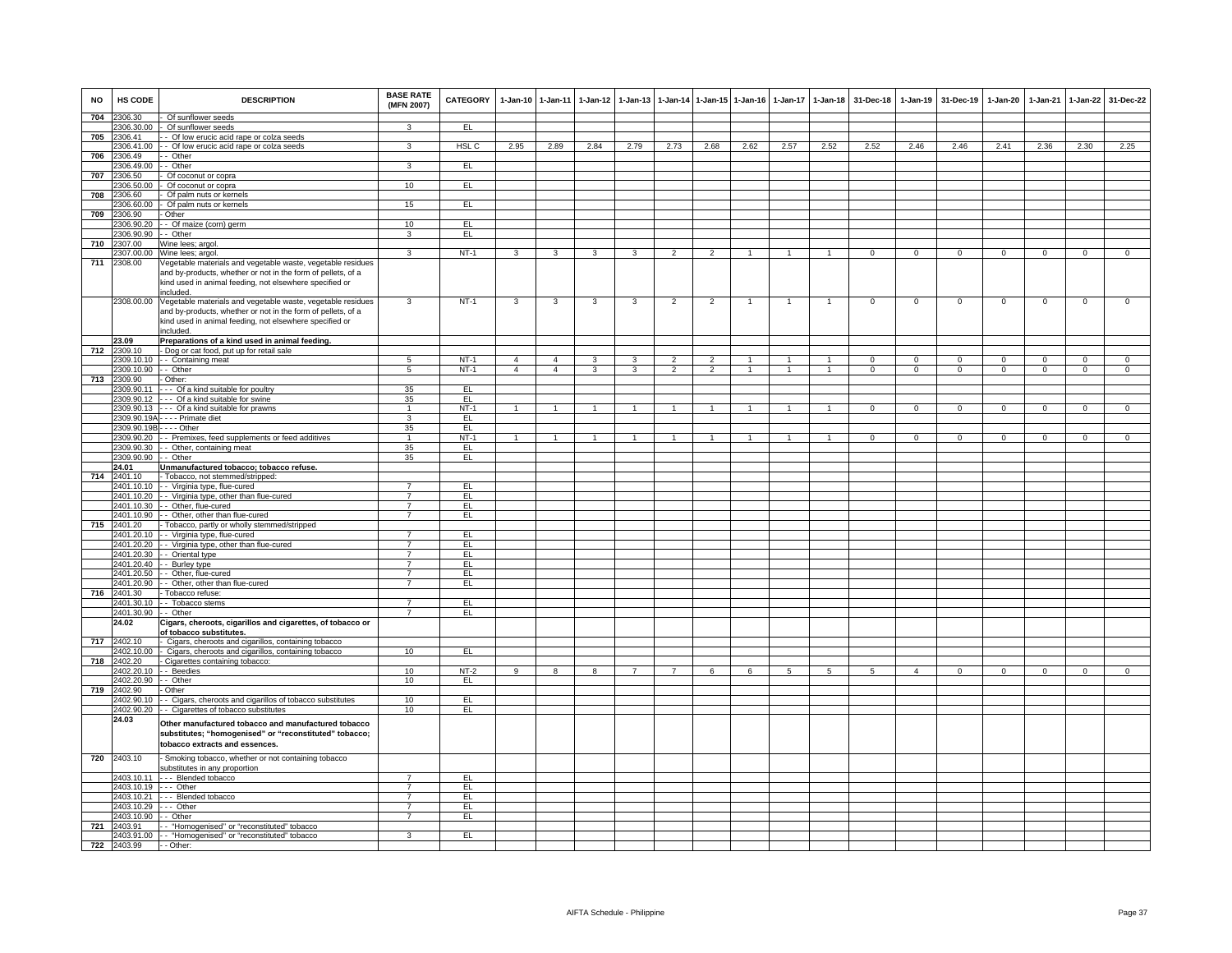| <b>NO</b> | HS CODE                   | <b>DESCRIPTION</b>                                                                                                                                                                                  | <b>BASE RATE</b><br>(MFN 2007)   | CATEGORY         |                | 1-Jan-10 1-Jan-11 | $1 - Jan-12$   | $1-Jan-13$              |                          |                | 1-Jan-14 1-Jan-15 1-Jan-16 | $1 - Jan-17$   | $1 - Jan-18$   | 31-Dec-18      |                | 1-Jan-19 31-Dec-19 | 1-Jan-20       | 1-Jan-21       | 1-Jan-22       | 31-Dec-22      |
|-----------|---------------------------|-----------------------------------------------------------------------------------------------------------------------------------------------------------------------------------------------------|----------------------------------|------------------|----------------|-------------------|----------------|-------------------------|--------------------------|----------------|----------------------------|----------------|----------------|----------------|----------------|--------------------|----------------|----------------|----------------|----------------|
| 704       | 2306.30<br>306.30.00      | Of sunflower seeds<br>Of sunflower seeds                                                                                                                                                            | 3                                | E                |                |                   |                |                         |                          |                |                            |                |                |                |                |                    |                |                |                |                |
| 705       | 2306.41                   | - Of low erucic acid rape or colza seeds                                                                                                                                                            |                                  |                  |                |                   |                |                         |                          |                |                            |                |                |                |                |                    |                |                |                |                |
|           | 2306.41.00                | - Of low erucic acid rape or colza seeds                                                                                                                                                            | 3                                | HSL <sub>C</sub> | 2.95           | 2.89              | 2.84           | 2.79                    | 2.73                     | 2.68           | 2.62                       | 2.57           | 2.52           | 2.52           | 2.46           | 2.46               | 2.41           | 2.36           | 2.30           | 2.25           |
| 706       | 2306.49                   | - Other                                                                                                                                                                                             |                                  |                  |                |                   |                |                         |                          |                |                            |                |                |                |                |                    |                |                |                |                |
|           | 306.49.00                 | - Other                                                                                                                                                                                             | 3                                | EL               |                |                   |                |                         |                          |                |                            |                |                |                |                |                    |                |                |                |                |
| 707       | 306.50                    | Of coconut or copra                                                                                                                                                                                 |                                  |                  |                |                   |                |                         |                          |                |                            |                |                |                |                |                    |                |                |                |                |
|           | 2306.50.00                | Of coconut or copra                                                                                                                                                                                 | 10                               | EL.              |                |                   |                |                         |                          |                |                            |                |                |                |                |                    |                |                |                |                |
| 708       | 2306.60<br>2306.60.00     | Of palm nuts or kernels<br>Of palm nuts or kernels                                                                                                                                                  | 15                               | EL               |                |                   |                |                         |                          |                |                            |                |                |                |                |                    |                |                |                |                |
| 709       | 2306.90                   | Other                                                                                                                                                                                               |                                  |                  |                |                   |                |                         |                          |                |                            |                |                |                |                |                    |                |                |                |                |
|           | 2306.90.20                | -- Of maize (corn) germ                                                                                                                                                                             | 10                               | EL               |                |                   |                |                         |                          |                |                            |                |                |                |                |                    |                |                |                |                |
|           | 2306.90.90                | - Other                                                                                                                                                                                             | $\mathbf{3}$                     | EL               |                |                   |                |                         |                          |                |                            |                |                |                |                |                    |                |                |                |                |
| 710       | 2307.00                   | Wine lees; argol.                                                                                                                                                                                   |                                  |                  |                |                   |                |                         |                          |                |                            |                |                |                |                |                    |                |                |                |                |
|           | 2307.00.00                | Wine lees; argol.                                                                                                                                                                                   | $\overline{3}$                   | $NT-1$           | $\mathbf{3}$   | $\overline{3}$    | $\overline{3}$ | $\overline{\mathbf{3}}$ | $\overline{2}$           | $\overline{2}$ | $\mathbf{1}$               | $\overline{1}$ | $\overline{1}$ | $\overline{0}$ | $\overline{0}$ | $\overline{0}$     | $\overline{0}$ | $\overline{0}$ | $\overline{0}$ | $\overline{0}$ |
| 711       | 2308.00                   | /egetable materials and vegetable waste, vegetable residues<br>and by-products, whether or not in the form of pellets, of a<br>kind used in animal feeding, not elsewhere specified or<br>included. |                                  |                  |                |                   |                |                         |                          |                |                            |                |                |                |                |                    |                |                |                |                |
|           | 2308.00.00                | Vegetable materials and vegetable waste, vegetable residues<br>and by-products, whether or not in the form of pellets, of a<br>kind used in animal feeding, not elsewhere specified or<br>included. | 3                                | $NT-1$           | 3              | 3                 | 3              | $\overline{\mathbf{3}}$ | $\overline{2}$           | $\overline{2}$ | $\mathbf{1}$               | $\mathbf{1}$   | $\overline{1}$ | $\overline{0}$ | $\overline{0}$ | $\overline{0}$     | $\overline{0}$ | $\overline{0}$ | $\overline{0}$ | $\overline{0}$ |
|           | 23.09                     | Preparations of a kind used in animal feeding.                                                                                                                                                      |                                  |                  |                |                   |                |                         |                          |                |                            |                |                |                |                |                    |                |                |                |                |
| 712       | 2309.10<br>2309.10.10     | - Dog or cat food, put up for retail sale<br>-- Containing meat                                                                                                                                     | 5                                | $NT-1$           | $\overline{4}$ | $\overline{4}$    | 3              | 3                       | $\overline{2}$           | $\overline{2}$ | 1                          | $\mathbf{1}$   | $\mathbf{1}$   | $\mathbf 0$    | $\mathbf 0$    | $\mathbf{0}$       | $\mathbf 0$    | $\mathbf 0$    | $\overline{0}$ | $\mathbf 0$    |
|           | 309.10.90                 | - Other                                                                                                                                                                                             | $\overline{5}$                   | $NT-1$           | $\overline{4}$ | $\overline{4}$    | 3              | 3                       | $\overline{\phantom{a}}$ | $\overline{2}$ | $\overline{1}$             | $\mathbf{1}$   | $\overline{1}$ | $\Omega$       | $\Omega$       | $\Omega$           | $\Omega$       | $\Omega$       | $\overline{0}$ | $\overline{0}$ |
| 713       | 2309.90                   | - Other:                                                                                                                                                                                            |                                  |                  |                |                   |                |                         |                          |                |                            |                |                |                |                |                    |                |                |                |                |
|           | 2309.90.11                | --- Of a kind suitable for poultry                                                                                                                                                                  | 35                               | EL               |                |                   |                |                         |                          |                |                            |                |                |                |                |                    |                |                |                |                |
|           | 2309.90.12                | Of a kind suitable for swine                                                                                                                                                                        | 35                               | EL               |                | $\mathbf{1}$      |                |                         |                          |                |                            |                |                |                |                |                    |                |                |                |                |
|           | 2309.90.13<br>2309.90.19A | --- Of a kind suitable for prawns<br>- - - - Primate diet                                                                                                                                           | $\mathbf{1}$<br>3                | $NT-1$<br>EL.    |                |                   |                |                         | $\overline{1}$           |                |                            |                |                | $\Omega$       | $\Omega$       | $\Omega$           | $\Omega$       | $\Omega$       | $\overline{0}$ | $\Omega$       |
|           |                           | 2309.90.19B - - - - Other                                                                                                                                                                           | 35                               | EL               |                |                   |                |                         |                          |                |                            |                |                |                |                |                    |                |                |                |                |
|           | 2309.90.20                | - Premixes, feed supplements or feed additives                                                                                                                                                      | $\overline{1}$                   | $NT-1$           | $\overline{1}$ | $\overline{1}$    | $\overline{1}$ | $\overline{1}$          | $\overline{1}$           | $\overline{1}$ | $\mathbf{1}$               | -1             | $\overline{1}$ | $\mathbf{0}$   | $\mathbf{0}$   | $\mathbf 0$        | $\mathbf{O}$   | $\mathbf{0}$   | $\mathbf{0}$   | $\mathbf{0}$   |
|           | 2309.90.30                | - Other, containing meat                                                                                                                                                                            | 35                               | EL               |                |                   |                |                         |                          |                |                            |                |                |                |                |                    |                |                |                |                |
|           | 2309.90.90 - - Other      |                                                                                                                                                                                                     | 35                               | E                |                |                   |                |                         |                          |                |                            |                |                |                |                |                    |                |                |                |                |
| 714       | 24.01<br>2401.10          | Unmanufactured tobacco; tobacco refuse.<br>- Tobacco, not stemmed/stripped:                                                                                                                         |                                  |                  |                |                   |                |                         |                          |                |                            |                |                |                |                |                    |                |                |                |                |
|           |                           | 2401.10.10 - Virginia type, flue-cured                                                                                                                                                              | $\overline{7}$                   | EL               |                |                   |                |                         |                          |                |                            |                |                |                |                |                    |                |                |                |                |
|           |                           | 2401.10.20 - Virginia type, other than flue-cured                                                                                                                                                   | 7                                | EL               |                |                   |                |                         |                          |                |                            |                |                |                |                |                    |                |                |                |                |
|           |                           | 2401.10.30 - Other, flue-cured                                                                                                                                                                      | $\overline{7}$                   | EL               |                |                   |                |                         |                          |                |                            |                |                |                |                |                    |                |                |                |                |
|           |                           | 2401.10.90 - Other, other than flue-cured                                                                                                                                                           | $\overline{7}$                   | EL.              |                |                   |                |                         |                          |                |                            |                |                |                |                |                    |                |                |                |                |
|           | 715 2401.20               | - Tobacco, partly or wholly stemmed/stripped                                                                                                                                                        |                                  |                  |                |                   |                |                         |                          |                |                            |                |                |                |                |                    |                |                |                |                |
|           | 2401.20.20                | 2401.20.10 - Virginia type, flue-cured                                                                                                                                                              | $\overline{7}$<br>$\overline{7}$ | EL<br>EL         |                |                   |                |                         |                          |                |                            |                |                |                |                |                    |                |                |                |                |
|           | 2401.20.30                | - Virginia type, other than flue-cured<br>- Oriental type                                                                                                                                           | $\overline{7}$                   | EL               |                |                   |                |                         |                          |                |                            |                |                |                |                |                    |                |                |                |                |
|           | 2401.20.40                | - Burley type                                                                                                                                                                                       | $\overline{7}$                   | EL               |                |                   |                |                         |                          |                |                            |                |                |                |                |                    |                |                |                |                |
|           | 2401.20.50                | - Other, flue-cured                                                                                                                                                                                 | $\overline{7}$                   | EL               |                |                   |                |                         |                          |                |                            |                |                |                |                |                    |                |                |                |                |
|           | 2401.20.90                | - Other, other than flue-cured                                                                                                                                                                      | $\overline{7}$                   | EL               |                |                   |                |                         |                          |                |                            |                |                |                |                |                    |                |                |                |                |
| 716       | 2401.30                   | - Tobacco refuse                                                                                                                                                                                    |                                  |                  |                |                   |                |                         |                          |                |                            |                |                |                |                |                    |                |                |                |                |
|           | 2401.30.10                | - Tobacco stems                                                                                                                                                                                     | $\overline{7}$<br>$\overline{7}$ | EL               |                |                   |                |                         |                          |                |                            |                |                |                |                |                    |                |                |                |                |
|           | 2401.30.90<br>24.02       | - - Other<br>Cigars, cheroots, cigarillos and cigarettes, of tobacco or                                                                                                                             |                                  | EL               |                |                   |                |                         |                          |                |                            |                |                |                |                |                    |                |                |                |                |
|           |                           | of tobacco substitutes.                                                                                                                                                                             |                                  |                  |                |                   |                |                         |                          |                |                            |                |                |                |                |                    |                |                |                |                |
| 717       | 2402.10                   | - Cigars, cheroots and cigarillos, containing tobacco                                                                                                                                               |                                  |                  |                |                   |                |                         |                          |                |                            |                |                |                |                |                    |                |                |                |                |
|           | 402.10.00                 | - Cigars, cheroots and cigarillos, containing tobacco                                                                                                                                               | 10                               | EL               |                |                   |                |                         |                          |                |                            |                |                |                |                |                    |                |                |                |                |
|           | 718 2402.20<br>2402.20.10 | Cigarettes containing tobacco:<br>- - Beedies                                                                                                                                                       | 10                               | $NT-2$           | 9              | 8                 | 8              | $\overline{7}$          | $\overline{7}$           | $\epsilon$     | 6                          | 5 <sup>1</sup> | 5              | 5              | $\overline{a}$ | $\Omega$           | $\Omega$       | $\Omega$       | $\Omega$       | $\Omega$       |
|           | 2402.20.90                | - - Other                                                                                                                                                                                           | 10                               | EL               |                |                   |                |                         |                          |                |                            |                |                |                |                |                    |                |                |                |                |
|           | 719 2402.90               | - Other                                                                                                                                                                                             |                                  |                  |                |                   |                |                         |                          |                |                            |                |                |                |                |                    |                |                |                |                |
|           | 2402.90.10                | - - Cigars, cheroots and cigarillos of tobacco substitutes                                                                                                                                          | 10                               | EL               |                |                   |                |                         |                          |                |                            |                |                |                |                |                    |                |                |                |                |
|           | 2402.90.20                | - - Cigarettes of tobacco substitutes                                                                                                                                                               | 10                               | EL               |                |                   |                |                         |                          |                |                            |                |                |                |                |                    |                |                |                |                |
|           | 24.03                     | Other manufactured tobacco and manufactured tobacco<br>substitutes; "homogenised" or "reconstituted" tobacco;<br>tobacco extracts and essences.                                                     |                                  |                  |                |                   |                |                         |                          |                |                            |                |                |                |                |                    |                |                |                |                |
|           |                           |                                                                                                                                                                                                     |                                  |                  |                |                   |                |                         |                          |                |                            |                |                |                |                |                    |                |                |                |                |
|           | 720 2403.10               | - Smoking tobacco, whether or not containing tobacco                                                                                                                                                |                                  |                  |                |                   |                |                         |                          |                |                            |                |                |                |                |                    |                |                |                |                |
|           | 2403.10.11                | substitutes in any proportion<br>--- Blended tobacco                                                                                                                                                | $\overline{7}$                   | EL               |                |                   |                |                         |                          |                |                            |                |                |                |                |                    |                |                |                |                |
|           | 2403.10.19                | --- Other                                                                                                                                                                                           | $\overline{7}$                   | EL               |                |                   |                |                         |                          |                |                            |                |                |                |                |                    |                |                |                |                |
|           |                           | 2403.10.21 --- Blended tobacco                                                                                                                                                                      | $\overline{7}$                   | EL               |                |                   |                |                         |                          |                |                            |                |                |                |                |                    |                |                |                |                |
|           | 2403.10.29 --- Other      |                                                                                                                                                                                                     | $\overline{7}$                   | EL.              |                |                   |                |                         |                          |                |                            |                |                |                |                |                    |                |                |                |                |
|           | 2403.10.90 - - Other      |                                                                                                                                                                                                     | $\overline{7}$                   | EL               |                |                   |                |                         |                          |                |                            |                |                |                |                |                    |                |                |                |                |
| 721       | 2403.91                   | - - "Homogenised" or "reconstituted" tobacco<br>2403.91.00 - - "Homogenised" or "reconstituted" tobacco                                                                                             | 3                                | EL               |                |                   |                |                         |                          |                |                            |                |                |                |                |                    |                |                |                |                |
| 722       | 2403.99                   | - - Other:                                                                                                                                                                                          |                                  |                  |                |                   |                |                         |                          |                |                            |                |                |                |                |                    |                |                |                |                |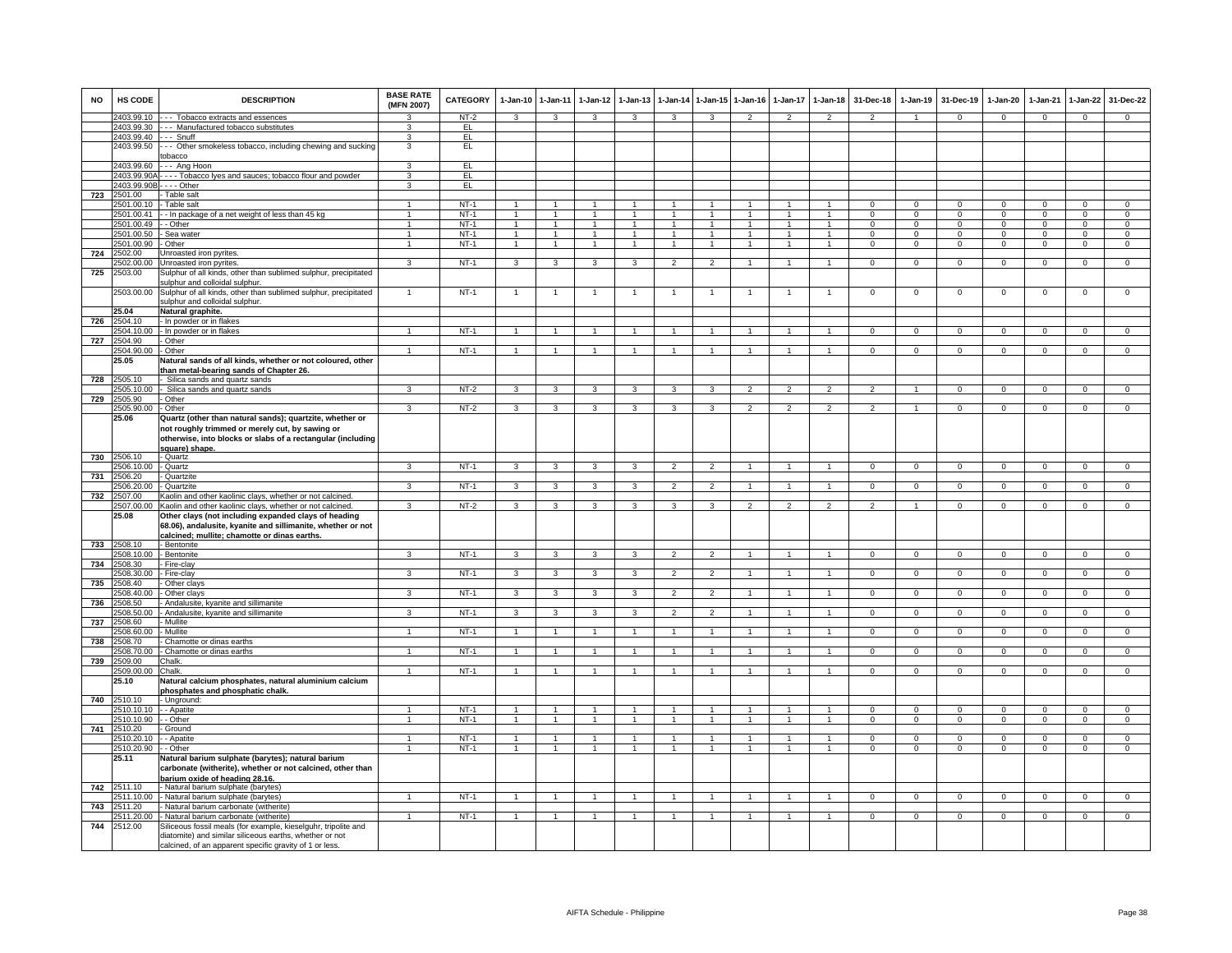| <b>NO</b> | <b>HS CODE</b>           | <b>DESCRIPTION</b>                                                                                                                                                         | <b>BASE RATE</b><br>(MFN 2007) | <b>CATEGORY</b>  | 1-Jan-10 1-Jan-11                |                                  | $1 - Jan-12$                   | $1 - Jan-13$                     | 1-Jan-14                       |                              | 1-Jan-15 1-Jan-16            | 1-Jan-17          | $1-Jan-18$                     | 31-Dec-18                    | $1-Jan-19$                  | 31-Dec-19                  | $1-Jan-20$                     | $1-Jan-21$           | $1-Jan-22$                     | 31-Dec-22                     |
|-----------|--------------------------|----------------------------------------------------------------------------------------------------------------------------------------------------------------------------|--------------------------------|------------------|----------------------------------|----------------------------------|--------------------------------|----------------------------------|--------------------------------|------------------------------|------------------------------|-------------------|--------------------------------|------------------------------|-----------------------------|----------------------------|--------------------------------|----------------------|--------------------------------|-------------------------------|
|           | 2403.99.10               | --- Tobacco extracts and essences                                                                                                                                          | 3                              | $NT-2$           | $\mathbf{3}$                     | $\mathbf{3}$                     | $\mathbf{3}$                   | 3                                | $\mathbf{3}$                   | 3                            | 2                            | 2                 | 2                              | $\overline{2}$               | $\overline{1}$              | $\mathbf 0$                | $\mathbf{0}$                   | $\mathbf 0$          | $\mathbf{0}$                   | $\mathbf{0}$                  |
|           |                          | 2403.99.30 --- Manufactured tobacco substitutes                                                                                                                            | 3                              | EL.              |                                  |                                  |                                |                                  |                                |                              |                              |                   |                                |                              |                             |                            |                                |                      |                                |                               |
|           | 2403.99.40 --- Snuff     |                                                                                                                                                                            | 3                              | EL               |                                  |                                  |                                |                                  |                                |                              |                              |                   |                                |                              |                             |                            |                                |                      |                                |                               |
|           | 2403.99.50               | -- Other smokeless tobacco, including chewing and sucking<br>obacco                                                                                                        | 3                              | EL               |                                  |                                  |                                |                                  |                                |                              |                              |                   |                                |                              |                             |                            |                                |                      |                                |                               |
|           | 2403.99.60               | -- Ang Hoon                                                                                                                                                                | 3                              | EL.              |                                  |                                  |                                |                                  |                                |                              |                              |                   |                                |                              |                             |                            |                                |                      |                                |                               |
|           |                          | 2403.99.90A - - - - Tobacco lyes and sauces; tobacco flour and powder                                                                                                      | $\overline{3}$                 | EL               |                                  |                                  |                                |                                  |                                |                              |                              |                   |                                |                              |                             |                            |                                |                      |                                |                               |
|           | 2403.99.90B              | . - - - Other                                                                                                                                                              | $\overline{\mathbf{3}}$        | EL               |                                  |                                  |                                |                                  |                                |                              |                              |                   |                                |                              |                             |                            |                                |                      |                                |                               |
| 723       | 2501.00                  | - Table salt                                                                                                                                                               |                                |                  |                                  |                                  |                                |                                  |                                |                              |                              |                   |                                |                              |                             |                            |                                |                      |                                |                               |
|           | 2501.00.10               | - Table salt                                                                                                                                                               |                                | $NT-1$           |                                  |                                  |                                |                                  |                                |                              |                              |                   |                                |                              |                             |                            |                                |                      | $\Omega$                       | $\Omega$                      |
|           | 2501.00.41               | -- In package of a net weight of less than 45 kg                                                                                                                           | $\mathbf{1}$                   | $NT-1$           | $\overline{1}$                   | $\overline{1}$                   | $\overline{1}$                 | $\overline{1}$                   | $\overline{1}$                 | $\overline{1}$               | $\overline{1}$               |                   | $\overline{1}$                 | $\mathbf{0}$                 | $\mathbf{0}$                | $\mathbf{0}$               | $\mathbf{0}$                   | $\mathbf 0$          | $\mathbf{0}$                   | $\mathbf{0}$                  |
|           | 2501.00.49               | - Other                                                                                                                                                                    | 1                              | $NT-1$           | $\overline{1}$                   | $\overline{1}$                   | 1                              | -1                               | $\mathbf{1}$                   | $\overline{1}$               | 1                            | -1                | $\overline{1}$                 | $\mathbf{0}$                 | $\mathbf{0}$                | $\mathbf{0}$               | $\mathbf{0}$                   | $\Omega$             | $\mathbf{0}$                   | $\mathbf{0}$                  |
|           | 2501.00.50<br>2501.00.90 | Sea water<br>Other                                                                                                                                                         | $\mathbf{1}$<br>$\mathbf{1}$   | $NT-1$<br>$NT-1$ | $\overline{1}$<br>$\overline{1}$ | $\overline{1}$<br>$\overline{1}$ | $\overline{1}$<br>$\mathbf{1}$ | $\overline{1}$<br>$\overline{1}$ | $\overline{1}$<br>$\mathbf{1}$ | $\mathbf{1}$<br>$\mathbf{1}$ | $\mathbf{1}$<br>$\mathbf{1}$ | $\mathbf{1}$<br>1 | $\overline{1}$<br>$\mathbf{1}$ | $^{\circ}$<br>$\overline{0}$ | $\mathbf{0}$<br>$\mathbf 0$ | $^{\circ}$<br>$\mathbf{0}$ | $\mathbf{0}$<br>$\overline{0}$ | $\Omega$<br>$\Omega$ | $\mathbf{0}$<br>$\overline{0}$ | $\mathbf 0$<br>$\overline{0}$ |
| 724       | 2502.00                  | <b>Jnroasted iron pyrites.</b>                                                                                                                                             |                                |                  |                                  |                                  |                                |                                  |                                |                              |                              |                   |                                |                              |                             |                            |                                |                      |                                |                               |
|           | 502.00.00                | Unroasted iron pyrites                                                                                                                                                     | 3                              | $NT-1$           | 3                                | 3                                | 3                              | 3                                | $\mathfrak{p}$                 | $\overline{2}$               | $\mathbf{1}$                 | $\mathbf{1}$      | $\overline{1}$                 | $\mathsf 0$                  | $\mathbf 0$                 | $\mathbf 0$                | $\mathbf 0$                    | $\mathbf 0$          | $\mathsf 0$                    | $\overline{0}$                |
| 725       | 2503.00                  | Sulphur of all kinds, other than sublimed sulphur, precipitated                                                                                                            |                                |                  |                                  |                                  |                                |                                  |                                |                              |                              |                   |                                |                              |                             |                            |                                |                      |                                |                               |
|           |                          | sulphur and colloidal sulphur.                                                                                                                                             |                                |                  |                                  |                                  |                                |                                  |                                |                              |                              |                   |                                |                              |                             |                            |                                |                      |                                |                               |
|           | 2503.00.00               | Sulphur of all kinds, other than sublimed sulphur, precipitated<br>sulphur and colloidal sulphur.                                                                          | $\overline{1}$                 | $NT-1$           | $\overline{1}$                   | $\overline{1}$                   |                                | $\overline{1}$                   | $\overline{1}$                 | $\overline{1}$               | $\overline{1}$               | -1                | $\overline{1}$                 | $\mathsf 0$                  | $\mathbf{0}$                | $\mathbf 0$                | $\mathbf 0$                    | $\mathbf 0$          | $\mathsf 0$                    | $\mathbf 0$                   |
|           | 25.04                    | Natural graphite.                                                                                                                                                          |                                |                  |                                  |                                  |                                |                                  |                                |                              |                              |                   |                                |                              |                             |                            |                                |                      |                                |                               |
| 726       | 2504.10<br>2504.10.00    | - In powder or in flakes<br>- In powder or in flakes                                                                                                                       | $\overline{1}$                 | $NT-1$           | $\overline{1}$                   | $\overline{1}$                   | $\overline{1}$                 | $\overline{1}$                   | $\overline{1}$                 |                              | -1                           |                   | $\mathbf{1}$                   | $\mathbf{0}$                 | $^{\circ}$                  | $\mathbf{0}$               | $\mathbf{0}$                   | $^{\circ}$           | $\circ$                        | $\overline{0}$                |
| 727       | 2504.90                  | - Other                                                                                                                                                                    |                                |                  |                                  |                                  |                                |                                  |                                |                              |                              |                   |                                |                              |                             |                            |                                |                      |                                |                               |
|           | 2504.90.00               | - Other                                                                                                                                                                    | $\overline{1}$                 | $NT-1$           | $\mathbf{1}$                     | $\overline{1}$                   | $\mathbf{1}$                   | $\mathbf{1}$                     | $\overline{1}$                 | $\overline{1}$               |                              | $\mathbf{1}$      | $\overline{1}$                 | $\mathbf{O}$                 | $\mathbf{0}$                | $\mathbf 0$                | $\mathbf{0}$                   | $\mathbf 0$          | $\mathsf 0$                    | $\overline{0}$                |
|           | 25.05                    | Natural sands of all kinds, whether or not coloured, other<br>than metal-bearing sands of Chapter 26.                                                                      |                                |                  |                                  |                                  |                                |                                  |                                |                              |                              |                   |                                |                              |                             |                            |                                |                      |                                |                               |
| 728       | 2505.10                  | - Silica sands and quartz sands                                                                                                                                            |                                |                  |                                  |                                  |                                |                                  |                                |                              |                              |                   |                                |                              |                             |                            |                                |                      |                                |                               |
|           | 2505.10.00<br>2505.90    | - Silica sands and quartz sands<br>- Other                                                                                                                                 | 3                              | $NT-2$           | $\overline{\mathbf{3}}$          | $\overline{\mathbf{3}}$          | 3                              | 3                                | 3                              | 3                            | $\overline{2}$               | $\overline{2}$    | $\overline{2}$                 | $\overline{2}$               | $\overline{1}$              | $\overline{0}$             | $\overline{0}$                 | $\overline{0}$       | $\overline{0}$                 | $\overline{0}$                |
| 729       | 2505.90.00               | - Other                                                                                                                                                                    | 3                              | NT-2             | 3                                | $\mathbf{3}$                     | $\mathbf{3}$                   | 3                                | 3                              | 3                            | 2                            | $\overline{2}$    | $\overline{2}$                 | $\overline{2}$               |                             | $\mathbf 0$                | $^{\circ}$                     | $^{\circ}$           | $\mathbf{0}$                   | $\mathbf{0}$                  |
|           | 25.06                    | Quartz (other than natural sands); quartzite, whether or                                                                                                                   |                                |                  |                                  |                                  |                                |                                  |                                |                              |                              |                   |                                |                              |                             |                            |                                |                      |                                |                               |
|           |                          | not roughly trimmed or merely cut, by sawing or<br>otherwise, into blocks or slabs of a rectangular (including<br>square) shape.                                           |                                |                  |                                  |                                  |                                |                                  |                                |                              |                              |                   |                                |                              |                             |                            |                                |                      |                                |                               |
| 730       | 2506.10                  | - Quartz                                                                                                                                                                   |                                |                  |                                  |                                  |                                |                                  |                                |                              |                              |                   |                                |                              |                             |                            |                                |                      |                                |                               |
|           | 2506.10.00               | - Quartz                                                                                                                                                                   | 3                              | $NT-1$           | $\mathbf{3}$                     | 3                                | $\mathbf{3}$                   | 3                                | $\overline{2}$                 | $\overline{2}$               |                              |                   | $\overline{1}$                 | $\mathbf{O}$                 | $\mathbf 0$                 | $\mathbf 0$                | $\mathbf 0$                    | $\mathbf 0$          | $\mathbf 0$                    | $\mathbf 0$                   |
| 731       | 2506.20                  | - Quartzite                                                                                                                                                                | 3                              |                  |                                  |                                  |                                | 3                                | $\overline{\phantom{a}}$       |                              |                              |                   | $\mathbf{1}$                   |                              |                             |                            | $\overline{0}$                 |                      |                                |                               |
| 732       | 2506.20.00<br>2507.00    | <b>Quartzite</b><br>Kaolin and other kaolinic clays, whether or not calcined                                                                                               |                                | $NT-1$           | 3                                | $\overline{3}$                   | 3                              |                                  |                                | $\overline{2}$               |                              |                   |                                | $\overline{0}$               | $\overline{0}$              | $\overline{0}$             |                                | $\Omega$             | $\overline{0}$                 | $\overline{0}$                |
|           | 2507.00.00               | Kaolin and other kaolinic clays, whether or not calcined                                                                                                                   | 3                              | $NT-2$           | 3                                | 3                                | 3                              | 3                                | 3                              | $\mathbf{R}$                 | $\mathfrak{p}$               | $\mathcal{P}$     | $\mathcal{P}$                  | $\mathcal{L}$                |                             | $\Omega$                   | $\Omega$                       | $\Omega$             | $\Omega$                       | $\Omega$                      |
|           | 25.08                    | Other clays (not including expanded clays of heading<br>68.06), andalusite, kyanite and sillimanite, whether or not<br><u>calcined; mullite; chamotte or dinas earths.</u> |                                |                  |                                  |                                  |                                |                                  |                                |                              |                              |                   |                                |                              |                             |                            |                                |                      |                                |                               |
| 733       | 2508.10                  | - Bentonite                                                                                                                                                                |                                |                  |                                  |                                  |                                |                                  |                                |                              |                              |                   |                                |                              |                             |                            |                                |                      |                                |                               |
|           | 2508.10.00               | - Bentonite                                                                                                                                                                | 3                              | $NT-1$           | 3                                | 3                                | 3                              | 3                                | $\mathfrak{p}$                 |                              | $\mathbf{1}$                 |                   | $\mathbf{1}$                   | $\mathsf 0$                  | $\mathbf 0$                 | $\mathbf 0$                | $\mathbf 0$                    | $\mathbf 0$          | $\mathsf 0$                    | $\overline{0}$                |
| 734       | 2508.30                  | Fire-clay                                                                                                                                                                  |                                |                  |                                  |                                  |                                |                                  |                                |                              |                              |                   |                                |                              |                             |                            |                                |                      |                                |                               |
|           | 2508.30.00               | - Fire-clay                                                                                                                                                                | 3                              | $NT-1$           | $\overline{\mathbf{3}}$          | $\overline{\mathbf{3}}$          | $\mathbf{3}$                   | 3                                | $\overline{2}$                 | $\overline{2}$               | $\overline{1}$               | $\mathbf{1}$      | $\overline{1}$                 | $\mathbf{0}$                 | $\mathbf 0$                 | $\mathbf{0}$               | $\overline{0}$                 | $\mathbf 0$          | $\circ$                        | $\overline{0}$                |
| 735       | 2508 40                  | - Other clays                                                                                                                                                              |                                |                  |                                  |                                  |                                |                                  |                                |                              |                              |                   |                                |                              |                             |                            |                                |                      |                                |                               |
| 736       | 2508.40.00<br>2508.50    | Other clays<br>Andalusite, kyanite and sillimanite                                                                                                                         | 3                              | $NT-1$           | 3                                | 3                                | 3                              | 3                                | $\overline{2}$                 | $\overline{2}$               |                              |                   | $\overline{1}$                 | $\mathbf{O}$                 | $\mathsf 0$                 | $\mathbf 0$                | $\mathbf 0$                    | $\Omega$             | $\mathbf 0$                    | $\mathbf 0$                   |
|           | 2508.50.00               | - Andalusite, kyanite and sillimanite                                                                                                                                      | $\mathbf{R}$                   | $NT-1$           | $\mathbf{3}$                     | $\mathbf{3}$                     | $\mathbf{3}$                   | 3                                | $\overline{2}$                 | $\overline{2}$               | $\mathbf{1}$                 | $\mathbf{1}$      | $\overline{1}$                 | $\mathbf{0}$                 | $\mathbf 0$                 | $\mathbf 0$                | $\mathbf{0}$                   | $^{\circ}$           | $\mathbf{0}$                   | $\mathbf{0}$                  |
| 737       | 2508.60                  | Mullite                                                                                                                                                                    |                                |                  |                                  |                                  |                                |                                  |                                |                              |                              |                   |                                |                              |                             |                            |                                |                      |                                |                               |
|           | 2508.60.00               | - Mullite                                                                                                                                                                  | 1                              | $NT-1$           | $\overline{1}$                   | $\overline{1}$                   | $\overline{1}$                 | $\mathbf{1}$                     | $\overline{1}$                 | $\overline{1}$               | 1                            | -1                | $\overline{1}$                 | $\mathbf{0}$                 | $^{\circ}$                  | $\mathbf{0}$               | $\mathbf{0}$                   | $^{\circ}$           | $\overline{0}$                 | $\overline{0}$                |
| 738       | 508.70                   | Chamotte or dinas earths                                                                                                                                                   |                                |                  |                                  |                                  |                                |                                  |                                |                              |                              |                   |                                |                              |                             |                            |                                |                      |                                |                               |
|           | !508.70.00               | Chamotte or dinas earths                                                                                                                                                   |                                | $NT-1$           |                                  | $\mathbf{1}$                     |                                |                                  | $\overline{1}$                 |                              |                              |                   | $\overline{1}$                 | 0                            | 0                           | $\,0\,$                    | 0                              | $\Omega$             | $\mathsf 0$                    | $\mathsf 0$                   |
| 739       | 2509.00<br>2509.00.00    | Chalk.<br>Chalk.                                                                                                                                                           | $\overline{1}$                 | $NT-1$           | $\overline{1}$                   | $\overline{1}$                   | $\overline{1}$                 | $\overline{1}$                   | $\overline{1}$                 | $\mathbf{1}$                 | $\overline{1}$               | $\mathbf{1}$      | $\overline{1}$                 | $\Omega$                     | $\mathsf 0$                 | $\mathbf 0$                | $\overline{0}$                 | $\mathsf 0$          | $\overline{0}$                 | $\overline{0}$                |
|           | 25.10                    | Natural calcium phosphates, natural aluminium calcium<br>phosphates and phosphatic chalk                                                                                   |                                |                  |                                  |                                  |                                |                                  |                                |                              |                              |                   |                                |                              |                             |                            |                                |                      |                                |                               |
| 740       | 2510.10                  | - Unground:                                                                                                                                                                |                                |                  |                                  |                                  |                                |                                  |                                |                              |                              |                   |                                |                              |                             |                            |                                |                      |                                |                               |
|           | 2510.10.10               | - - Apatite                                                                                                                                                                | $\overline{1}$                 | $NT-1$           | $\overline{1}$                   | $\overline{1}$                   | $\overline{1}$                 | $\mathbf{1}$                     | $\overline{1}$                 |                              |                              |                   | $\overline{1}$                 | $\Omega$                     | $\Omega$                    | $^{\circ}$                 | $\Omega$                       | $\Omega$             | $\mathbf 0$                    | $\Omega$                      |
|           | 2510.10.90<br>2510.20    | - Other                                                                                                                                                                    | $\mathbf{1}$                   | <b>NT-1</b>      | $\overline{1}$                   | $\overline{1}$                   | $\overline{1}$                 | $\overline{1}$                   | $\overline{1}$                 | $\overline{1}$               | $\mathbf{1}$                 | 1                 | $\overline{1}$                 | $\mathbf{0}$                 | $\mathbf{0}$                | $\mathbf{0}$               | $\overline{0}$                 | $^{\circ}$           | $\mathbf{0}$                   | $\mathbf 0$                   |
| 741       | 2510.20.10               | Ground<br>- Anatite                                                                                                                                                        | 1                              | $NT-1$           | 1.                               | $\mathbf{1}$                     |                                |                                  | $\mathbf{1}$                   |                              |                              |                   | 1                              | $\Omega$                     | $\Omega$                    | $\Omega$                   | $\Omega$                       | $\Omega$             | $\overline{0}$                 | $\overline{0}$                |
|           | 2510.20.90               | - Other                                                                                                                                                                    | $\mathbf{1}$                   | $NT-1$           | 1.                               | 1                                | 1                              | $\mathbf{1}$                     | 1                              |                              |                              | -1                |                                | $^{\circ}$                   | $^{\circ}$                  | $^{\circ}$                 | $^{\circ}$                     | $^{\circ}$           | $^{\circ}$                     | $\mathbf 0$                   |
|           | 25.11                    | Natural barium sulphate (barytes); natural barium<br>carbonate (witherite), whether or not calcined, other than<br>barium oxide of heading 28.16.                          |                                |                  |                                  |                                  |                                |                                  |                                |                              |                              |                   |                                |                              |                             |                            |                                |                      |                                |                               |
| 742       | 2511.10                  | - Natural barium sulphate (barytes)                                                                                                                                        |                                |                  |                                  |                                  |                                |                                  |                                |                              |                              |                   |                                |                              |                             |                            |                                |                      |                                |                               |
|           | 2511.10.00               | - Natural barium sulphate (barytes)                                                                                                                                        |                                | $NT-1$           | $\overline{1}$                   | $\overline{1}$                   |                                |                                  | $\overline{1}$                 |                              |                              |                   | $\overline{1}$                 | $\Omega$                     | $\Omega$                    | $\Omega$                   | $\Omega$                       | $\Omega$             | $\mathbf 0$                    | $\Omega$                      |
| 743       | 2511.20<br>2511.20.00    | - Natural barium carbonate (witherite)<br>- Natural barium carbonate (witherite)                                                                                           | $\overline{1}$                 | $NT-1$           | $\mathbf{1}$                     | $\overline{1}$                   | $\overline{1}$                 | $\mathbf{1}$                     | $\mathbf{1}$                   | $\overline{1}$               | $\mathbf{1}$                 | -1                | $\overline{1}$                 | $\overline{0}$               | $\mathbf{0}$                | $\overline{0}$             | $\mathbf{0}$                   | $\mathbf{0}$         | $\overline{0}$                 | $\overline{0}$                |
| 744       | 2512.00                  | Siliceous fossil meals (for example, kieselguhr, tripolite and                                                                                                             |                                |                  |                                  |                                  |                                |                                  |                                |                              |                              |                   |                                |                              |                             |                            |                                |                      |                                |                               |
|           |                          | diatomite) and similar siliceous earths, whether or not<br>calcined, of an apparent specific gravity of 1 or less.                                                         |                                |                  |                                  |                                  |                                |                                  |                                |                              |                              |                   |                                |                              |                             |                            |                                |                      |                                |                               |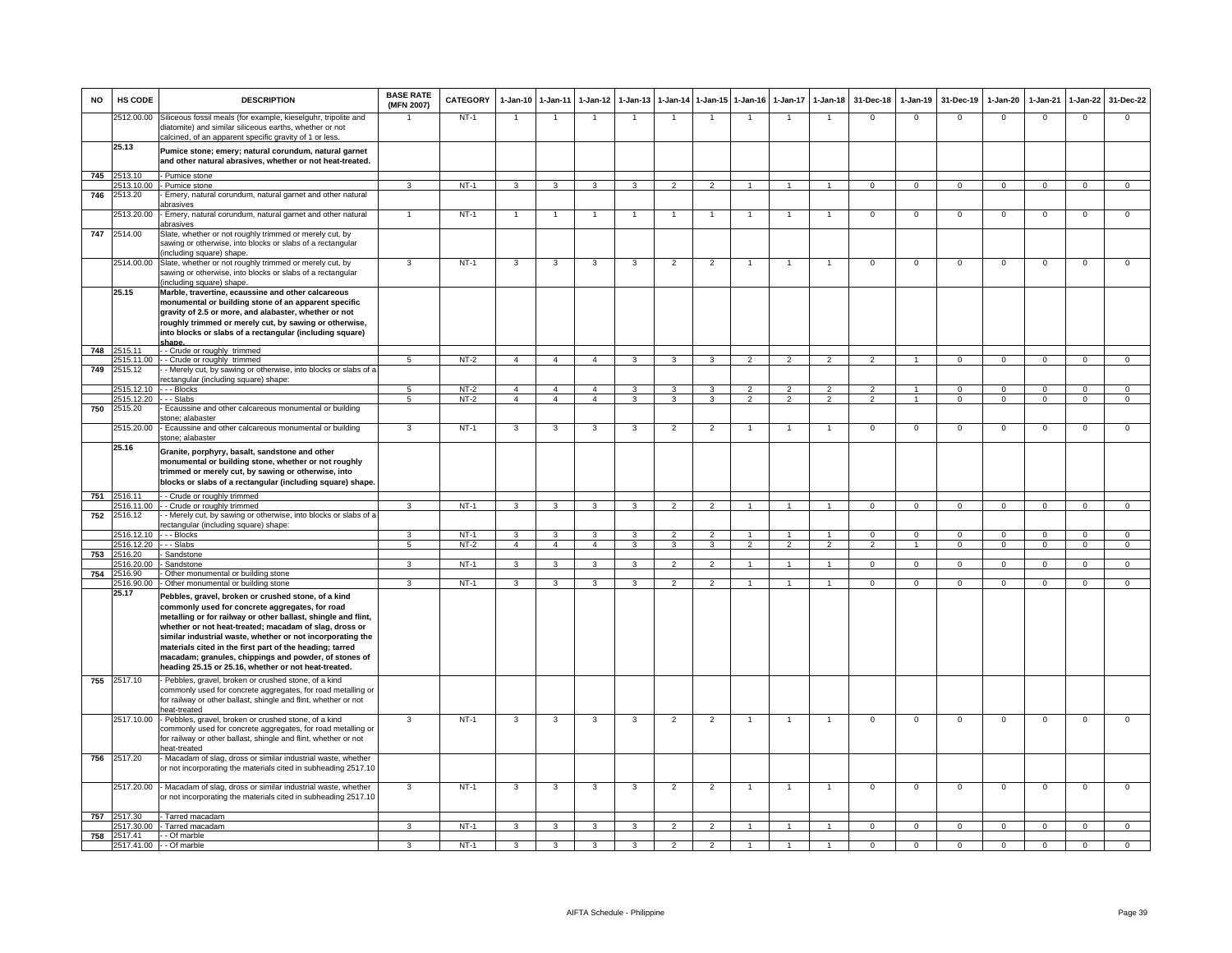| <b>NO</b> | HS CODE               | <b>DESCRIPTION</b>                                                                                                                                                                                                          | <b>BASE RATE</b><br>(MFN 2007) | <b>CATEGORY</b> | $1-Jan-10$                     | $1 - Jan-11$            | $1-Jan-12$              | $1-Jan-13$              | $1 - Jan-14$                            | $1 - Jan-15$   | $1-Jan-16$                                | $1-Jan-17$                      | $1 - Jan-18$             | 31-Dec-18                       | $1-Jan-19$                       | 31-Dec-19            | $1-Jan-20$                 | $1-Jan-21$                 | $1-Jan-22$                 | 31-Dec-22      |
|-----------|-----------------------|-----------------------------------------------------------------------------------------------------------------------------------------------------------------------------------------------------------------------------|--------------------------------|-----------------|--------------------------------|-------------------------|-------------------------|-------------------------|-----------------------------------------|----------------|-------------------------------------------|---------------------------------|--------------------------|---------------------------------|----------------------------------|----------------------|----------------------------|----------------------------|----------------------------|----------------|
|           | 2512.00.00            | Siliceous fossil meals (for example, kieselguhr, tripolite and<br>diatomite) and similar siliceous earths, whether or not<br>calcined, of an apparent specific gravity of 1 or less.                                        |                                | $NT-1$          |                                |                         |                         |                         |                                         |                |                                           |                                 |                          | $\mathbf 0$                     | $\Omega$                         | $\Omega$             | $\Omega$                   | $\mathbf 0$                | $\Omega$                   | $\Omega$       |
|           | 25.13                 | Pumice stone; emery; natural corundum, natural garnet<br>and other natural abrasives, whether or not heat-treated.                                                                                                          |                                |                 |                                |                         |                         |                         |                                         |                |                                           |                                 |                          |                                 |                                  |                      |                            |                            |                            |                |
| 745       | 2513.10               | - Pumice stone                                                                                                                                                                                                              |                                |                 |                                |                         |                         |                         |                                         |                |                                           |                                 |                          |                                 |                                  |                      |                            |                            |                            |                |
|           | 2513.10.00            | - Pumice stone                                                                                                                                                                                                              | $\mathbf{a}$                   | $NT-1$          | $\mathbf{3}$                   | $\mathbf{3}$            | 3                       | $\mathbf{3}$            | $\overline{2}$                          | $\mathcal{P}$  | $\overline{1}$                            | $\mathbf{1}$                    | $\blacktriangleleft$     | $\mathbf{0}$                    | $\mathbf{0}$                     | $\Omega$             | $\mathbf{0}$               | $\mathbf{0}$               | $\Omega$                   | $\overline{0}$ |
| 746       | 2513.20<br>2513.20.00 | Emery, natural corundum, natural garnet and other natural<br>abrasives<br>Emery, natural corundum, natural garnet and other natural                                                                                         |                                | $NT-1$          | $\overline{1}$                 | $\overline{1}$          |                         | $\overline{1}$          | $\overline{1}$                          |                |                                           |                                 |                          | $\mathbf 0$                     | $\mathsf 0$                      | $\mathbf 0$          | $\mathsf 0$                | $\mathbf 0$                | $\mathbf 0$                | $\mathsf 0$    |
| 747       | 2514.00               | abrasives<br>Slate, whether or not roughly trimmed or merely cut, by                                                                                                                                                        |                                |                 |                                |                         |                         |                         |                                         |                |                                           |                                 |                          |                                 |                                  |                      |                            |                            |                            |                |
|           |                       | sawing or otherwise, into blocks or slabs of a rectangular<br>including square) shape.                                                                                                                                      |                                |                 |                                |                         |                         |                         |                                         |                |                                           |                                 |                          |                                 |                                  |                      |                            |                            |                            |                |
|           | 2514.00.00            | Slate, whether or not roughly trimmed or merely cut, by<br>sawing or otherwise, into blocks or slabs of a rectangular                                                                                                       | 3                              | $NT-1$          | 3                              | 3                       | 3                       | 3                       | $\overline{2}$                          | $\overline{2}$ |                                           | $\overline{1}$                  | $\overline{1}$           | $\overline{0}$                  | $\mathbf 0$                      | $\Omega$             | $\mathbf 0$                | $\mathbf 0$                | $\mathbf 0$                | $\mathsf 0$    |
|           | 25.15                 | including square) shape.<br>Marble, travertine, ecaussine and other calcareous                                                                                                                                              |                                |                 |                                |                         |                         |                         |                                         |                |                                           |                                 |                          |                                 |                                  |                      |                            |                            |                            |                |
|           |                       | monumental or building stone of an apparent specific<br>gravity of 2.5 or more, and alabaster, whether or not<br>roughly trimmed or merely cut, by sawing or otherwise,                                                     |                                |                 |                                |                         |                         |                         |                                         |                |                                           |                                 |                          |                                 |                                  |                      |                            |                            |                            |                |
|           |                       | into blocks or slabs of a rectangular (including square)                                                                                                                                                                    |                                |                 |                                |                         |                         |                         |                                         |                |                                           |                                 |                          |                                 |                                  |                      |                            |                            |                            |                |
| 748       | 2515.11               | shane.<br>-- Crude or roughly trimmed                                                                                                                                                                                       |                                |                 |                                |                         |                         |                         |                                         |                |                                           |                                 |                          |                                 |                                  |                      |                            |                            |                            |                |
|           | 2515.11.00            | -- Crude or roughly trimmed                                                                                                                                                                                                 | 5                              | $NT-2$          | $\overline{4}$                 | $\overline{4}$          | $\overline{4}$          | 3                       | 3                                       | 3              | $\overline{2}$                            | $\overline{2}$                  | $\overline{2}$           | $\overline{2}$                  | $\overline{1}$                   | $\mathbf 0$          | $\mathbf{0}$               | $\mathbf 0$                | $\mathbf 0$                | $\mathbf{O}$   |
| 749       | 2515.12               | - Merely cut, by sawing or otherwise, into blocks or slabs of a<br>ectangular (including square) shape:                                                                                                                     |                                |                 |                                |                         |                         |                         |                                         |                |                                           |                                 |                          |                                 |                                  |                      |                            |                            |                            |                |
|           | 2515.12.10            | - - - Blocks                                                                                                                                                                                                                | 5<br>5.                        | $NT-2$          | $\overline{4}$<br>$\mathbf{A}$ | $\overline{4}$          | $\overline{4}$          | 3<br>$\mathcal{R}$      | $\overline{\mathbf{3}}$<br>$\mathbf{R}$ | $\overline{3}$ | $\overline{\phantom{a}}$<br>$\mathcal{P}$ | $\overline{2}$<br>$\mathcal{P}$ | $\overline{2}$           | $\overline{2}$<br>$\mathcal{P}$ | $\overline{1}$<br>$\overline{1}$ | $\Omega$<br>$\Omega$ | $\overline{0}$<br>$\Omega$ | $\overline{0}$<br>$\Omega$ | $\overline{0}$<br>$\Omega$ | $\overline{0}$ |
| 750       | 2515.12.20<br>2515.20 | - - - Slabs<br>Ecaussine and other calcareous monumental or building<br>stone; alabaster                                                                                                                                    |                                | $NT-2$          |                                | $\overline{4}$          | $\overline{4}$          |                         |                                         | 3              |                                           |                                 | $\overline{2}$           |                                 |                                  |                      |                            |                            |                            | $\overline{0}$ |
|           | 2515.20.00            | Ecaussine and other calcareous monumental or building<br>stone: alabaster                                                                                                                                                   | 3                              | $NT-1$          | $\mathbf{3}$                   | $\mathbf{3}$            | 3                       | 3                       | $\overline{2}$                          | $\overline{2}$ | $\mathbf{1}$                              | $\overline{1}$                  | $\mathbf{1}$             | $\mathbf 0$                     | $\mathsf 0$                      | $\mathbf 0$          | $\mathsf 0$                | $\mathsf 0$                | $\mathsf 0$                | $\overline{0}$ |
|           | 25.16                 | Granite, porphyry, basalt, sandstone and other<br>monumental or building stone, whether or not roughly<br>trimmed or merely cut, by sawing or otherwise, into<br>blocks or slabs of a rectangular (including square) shape. |                                |                 |                                |                         |                         |                         |                                         |                |                                           |                                 |                          |                                 |                                  |                      |                            |                            |                            |                |
| 751       | 2516.11               | - - Crude or roughly trimmed                                                                                                                                                                                                |                                |                 |                                |                         |                         |                         |                                         |                |                                           |                                 |                          |                                 |                                  |                      |                            |                            |                            |                |
|           | 2516.11.00<br>2516.12 | - - Crude or roughly trimmed<br>- Merely cut, by sawing or otherwise, into blocks or slabs of a                                                                                                                             |                                | NT-1            | 3                              | 3                       | 3                       | $\mathbf{\hat{z}}$      | $\mathcal{P}$                           | $\mathcal{P}$  |                                           |                                 |                          | $\mathbf 0$                     | $\Omega$                         | $\Omega$             | $\Omega$                   | $\Omega$                   | $\Omega$                   | $\Omega$       |
| 752       | 2516.12.10            | ectangular (including square) shape:<br>- - Blocks                                                                                                                                                                          | 3                              | $NT-1$          | $\mathbf{3}$                   | $\mathbf{3}$            | 3                       | 3                       | $\overline{2}$                          | $\overline{2}$ | $\overline{1}$                            | $\mathbf{1}$                    | $\mathbf{1}$             | $\circ$                         | $\mathbf 0$                      | $\Omega$             | $\mathbf{0}$               | $\mathbf{0}$               | $\circ$                    | $\circ$        |
|           | 2516.12.20            | - - - Slabs                                                                                                                                                                                                                 | 5                              | $NT-2$          | $\overline{4}$                 | $\overline{4}$          | $\overline{4}$          | 3                       | 3                                       | 3              | $\mathfrak{p}$                            | $\mathfrak{p}$                  | $\overline{\phantom{a}}$ | $\mathfrak{p}$                  |                                  | $\Omega$             | $\Omega$                   | $\Omega$                   | $\Omega$                   | $\mathbf 0$    |
| 753       | 2516.20               | Sandstone                                                                                                                                                                                                                   |                                |                 |                                |                         |                         |                         |                                         |                |                                           |                                 |                          |                                 |                                  |                      |                            |                            |                            |                |
|           | 2516.20.00            | Sandstone                                                                                                                                                                                                                   | ঽ                              | $NT-1$          | $\overline{3}$                 | $\overline{\mathbf{3}}$ | $\overline{3}$          | $\overline{\mathbf{3}}$ | $\overline{2}$                          | $\overline{2}$ | $\overline{1}$                            | $\overline{1}$                  | $\overline{1}$           | $\overline{0}$                  | $\overline{0}$                   | $\mathbf 0$          | $\overline{0}$             | $\overline{0}$             | $\overline{0}$             | $\overline{0}$ |
| 754       | 2516.90<br>2516.90.00 | - Other monumental or building stone<br>- Other monumental or building stone                                                                                                                                                | $\overline{3}$                 | $NT-1$          | $\overline{\mathbf{3}}$        | $\overline{\mathbf{3}}$ | $\overline{\mathbf{3}}$ | 3                       | $\overline{2}$                          | $\overline{2}$ |                                           |                                 |                          | $\overline{0}$                  | $\overline{0}$                   | $\overline{0}$       | $\overline{0}$             | $\overline{0}$             | $\overline{0}$             | $\overline{0}$ |
|           | 25.17                 | Pebbles, gravel, broken or crushed stone, of a kind                                                                                                                                                                         |                                |                 |                                |                         |                         |                         |                                         |                |                                           |                                 |                          |                                 |                                  |                      |                            |                            |                            |                |
|           |                       | commonly used for concrete aggregates, for road<br>metalling or for railway or other ballast, shingle and flint,                                                                                                            |                                |                 |                                |                         |                         |                         |                                         |                |                                           |                                 |                          |                                 |                                  |                      |                            |                            |                            |                |
|           |                       | whether or not heat-treated; macadam of slag, dross or                                                                                                                                                                      |                                |                 |                                |                         |                         |                         |                                         |                |                                           |                                 |                          |                                 |                                  |                      |                            |                            |                            |                |
|           |                       | similar industrial waste, whether or not incorporating the                                                                                                                                                                  |                                |                 |                                |                         |                         |                         |                                         |                |                                           |                                 |                          |                                 |                                  |                      |                            |                            |                            |                |
|           |                       | materials cited in the first part of the heading; tarred<br>macadam; granules, chippings and powder, of stones of                                                                                                           |                                |                 |                                |                         |                         |                         |                                         |                |                                           |                                 |                          |                                 |                                  |                      |                            |                            |                            |                |
|           |                       | heading 25.15 or 25.16, whether or not heat-treated.                                                                                                                                                                        |                                |                 |                                |                         |                         |                         |                                         |                |                                           |                                 |                          |                                 |                                  |                      |                            |                            |                            |                |
| 755       | 2517.10               | Pebbles, gravel, broken or crushed stone, of a kind                                                                                                                                                                         |                                |                 |                                |                         |                         |                         |                                         |                |                                           |                                 |                          |                                 |                                  |                      |                            |                            |                            |                |
|           |                       | commonly used for concrete aggregates, for road metalling or<br>for railway or other ballast, shingle and flint, whether or not                                                                                             |                                |                 |                                |                         |                         |                         |                                         |                |                                           |                                 |                          |                                 |                                  |                      |                            |                            |                            |                |
|           |                       | heat-treated                                                                                                                                                                                                                |                                |                 |                                |                         |                         |                         |                                         |                |                                           |                                 |                          |                                 |                                  |                      |                            |                            |                            |                |
|           | 2517.10.00            | - Pebbles, gravel, broken or crushed stone, of a kind<br>commonly used for concrete aggregates, for road metalling or<br>for railway or other ballast, shingle and flint, whether or not<br>heat-treated                    | 3                              | $NT-1$          | 3                              | $\mathbf{3}$            | 3                       | 3                       | $\overline{2}$                          | $\overline{2}$ |                                           | $\mathbf{1}$                    | $\mathbf{1}$             | $\Omega$                        | $\Omega$                         | $\Omega$             | $\mathbf{0}$               | $\Omega$                   | $\Omega$                   | $\overline{0}$ |
| 756       | 2517.20               | - Macadam of slag, dross or similar industrial waste, whether<br>or not incorporating the materials cited in subheading 2517.10                                                                                             |                                |                 |                                |                         |                         |                         |                                         |                |                                           |                                 |                          |                                 |                                  |                      |                            |                            |                            |                |
|           |                       |                                                                                                                                                                                                                             |                                |                 |                                |                         |                         |                         |                                         |                |                                           |                                 |                          |                                 |                                  |                      |                            |                            |                            |                |
|           | 2517.20.00            | - Macadam of slag, dross or similar industrial waste, whether<br>or not incorporating the materials cited in subheading 2517.10                                                                                             | $\mathbf{3}$                   | $NT-1$          | $\mathbf{3}$                   | 3                       | $\mathbf{3}$            | 3                       | $\overline{2}$                          | $\overline{2}$ | $\mathbf{1}$                              | $\overline{1}$                  | $\overline{1}$           | $\mathbf{0}$                    | $\mathbf 0$                      | $\Omega$             | $\Omega$                   | $\mathbf 0$                | $\Omega$                   | $\overline{0}$ |
| 757       | 2517.30               | - Tarred macadam                                                                                                                                                                                                            |                                |                 |                                |                         |                         |                         |                                         |                |                                           |                                 |                          |                                 |                                  |                      |                            |                            |                            |                |
|           | 2517.30.00            | - Tarred macadam                                                                                                                                                                                                            | 3                              | $NT-1$          | 3                              | 3                       | 3                       | 3                       | $\overline{2}$                          | $\mathfrak{p}$ |                                           |                                 | $\mathbf{1}$             | $\overline{0}$                  | $\Omega$                         | $\Omega$             | $\mathbf{O}$               | $\Omega$                   | $\Omega$                   | $\mathbf{O}$   |
| 758       | 2517.41               | - - Of marble                                                                                                                                                                                                               |                                |                 |                                |                         |                         |                         |                                         |                |                                           |                                 |                          |                                 |                                  |                      |                            |                            |                            |                |
|           |                       | 2517.41.00 - - Of marble                                                                                                                                                                                                    | $\overline{3}$                 | $NT-1$          | $\overline{3}$                 | $\mathbf{3}$            | 3                       | $\mathbf{3}$            | $\overline{\phantom{a}}$                | $\mathcal{P}$  |                                           |                                 |                          | $\Omega$                        | $\Omega$                         | $\Omega$             | $\Omega$                   | $\Omega$                   | $\overline{0}$             | $\overline{0}$ |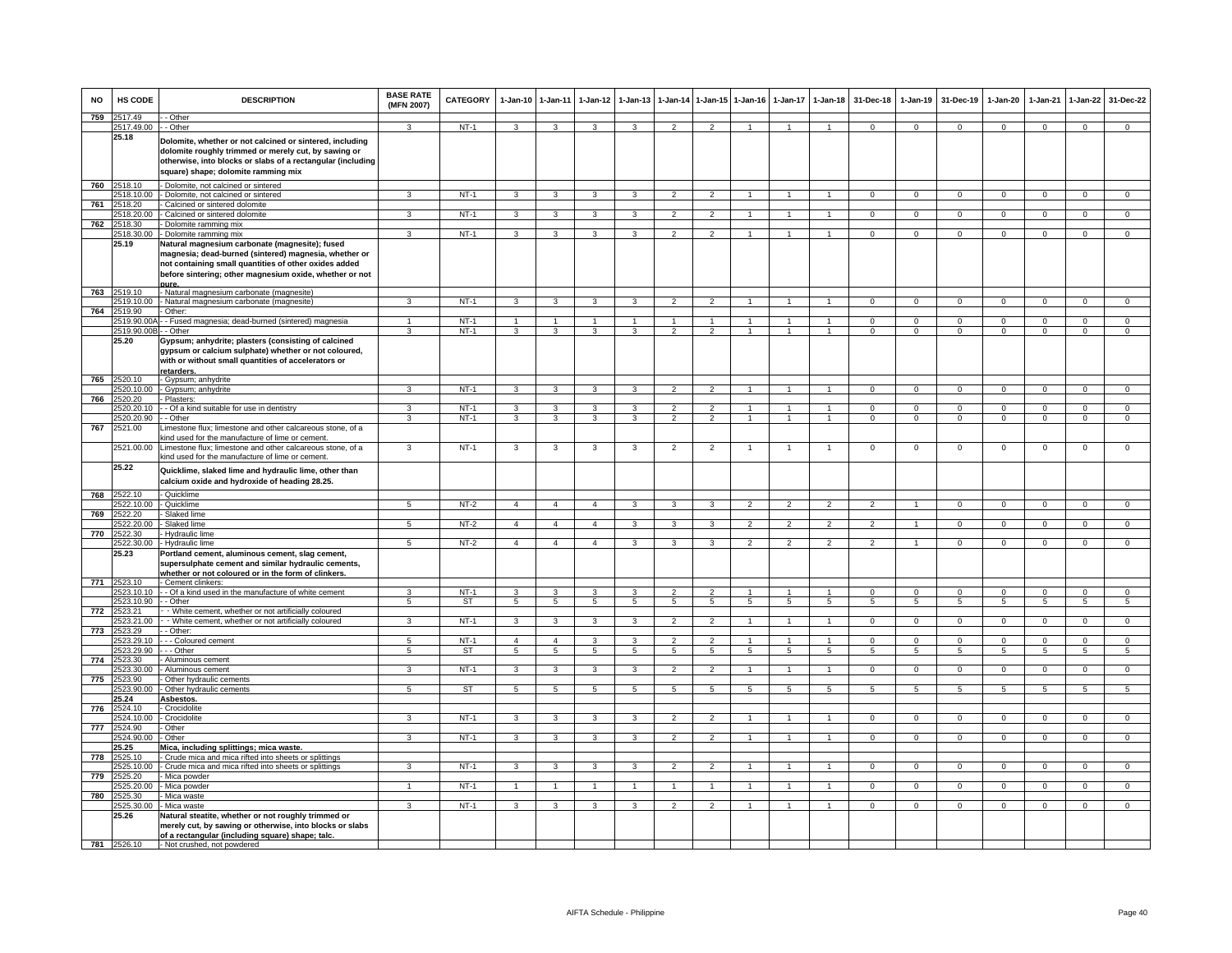| <b>NO</b> | HS CODE               | <b>DESCRIPTION</b>                                                                                                                                                                                                                   | <b>BASE RATE</b><br>(MFN 2007) | <b>CATEGORY</b> | $1-Jan-10$              | $1 - Jan-11$            | $1-Jan-12$           | $1-Jan-13$              | 1-Jan-14        | 1-Jan-15 1-Jan-16 |                | $1-Jan-17$      | $1-Jan-18$      | 31-Dec-18       | $1-Jan-19$     | 31-Dec-19      | 1-Jan-20        | 1-Jan-21       | $1-Jan-22$     | 31-Dec-22       |
|-----------|-----------------------|--------------------------------------------------------------------------------------------------------------------------------------------------------------------------------------------------------------------------------------|--------------------------------|-----------------|-------------------------|-------------------------|----------------------|-------------------------|-----------------|-------------------|----------------|-----------------|-----------------|-----------------|----------------|----------------|-----------------|----------------|----------------|-----------------|
| 759       | 2517.49<br>2517.49.00 | · Other<br>- Other                                                                                                                                                                                                                   | 3                              | $NT-1$          | 3                       | 3                       | 3                    | 3                       | $\overline{2}$  | $\mathcal{P}$     | $\mathbf{1}$   | $\mathbf{1}$    | $\overline{1}$  | $\Omega$        | $\mathbf{0}$   | $^{\circ}$     | $\Omega$        | $\Omega$       | $\mathbf{0}$   | $\mathbf 0$     |
|           | 25.18                 | Dolomite, whether or not calcined or sintered, including<br>dolomite roughly trimmed or merely cut, by sawing or<br>otherwise, into blocks or slabs of a rectangular (including<br>square) shape; dolomite ramming mix               |                                |                 |                         |                         |                      |                         |                 |                   |                |                 |                 |                 |                |                |                 |                |                |                 |
| 760       | 2518.10               | - Dolomite, not calcined or sintered                                                                                                                                                                                                 |                                |                 |                         |                         |                      |                         |                 |                   |                |                 |                 |                 |                |                |                 |                |                |                 |
|           | 2518.10.00            | - Dolomite, not calcined or sintered                                                                                                                                                                                                 | 3                              | $NT-1$          | $\mathbf{3}$            | 3                       | 3                    | $\mathbf{3}$            | $\overline{2}$  | $\overline{2}$    |                |                 | $\overline{1}$  | $\Omega$        | $\Omega$       | $\Omega$       | $\Omega$        | $\Omega$       | $\mathbf 0$    | $\overline{0}$  |
| 761       | 2518.20<br>2518.20.00 | - Calcined or sintered dolomite<br>- Calcined or sintered dolomite                                                                                                                                                                   | 3                              | <b>NT-1</b>     | $\mathbf{3}$            | $\mathbf{3}$            | $\mathbf{3}$         | 3                       | $\overline{2}$  | $\overline{2}$    |                |                 | $\overline{1}$  | $\mathbf{0}$    | $\mathbf{0}$   | $\mathbf{0}$   | $\overline{0}$  | $^{\circ}$     | $\mathbf{0}$   | $^{\circ}$      |
| 762       | 2518.30               | - Dolomite ramming mix                                                                                                                                                                                                               |                                |                 |                         |                         |                      |                         |                 |                   |                |                 |                 |                 |                |                |                 |                |                |                 |
|           | 2518.30.00            | - Dolomite ramming mix                                                                                                                                                                                                               | з                              | $NT-1$          | 3                       | 3                       | 3                    | 3                       | 2               | $\mathcal{P}$     | 1              | 1               | $\mathbf{1}$    | $\mathbf{0}$    | $^{\circ}$     | $\mathbf 0$    | $\mathbf 0$     | $^{\circ}$     | $\mathbf{0}$   | $\mathbf 0$     |
|           | 25.19                 | Natural magnesium carbonate (magnesite); fused<br>magnesia; dead-burned (sintered) magnesia, whether or<br>not containing small quantities of other oxides added<br>before sintering; other magnesium oxide, whether or not<br>oure. |                                |                 |                         |                         |                      |                         |                 |                   |                |                 |                 |                 |                |                |                 |                |                |                 |
| 763       | 2519.10               | - Natural magnesium carbonate (magnesite)                                                                                                                                                                                            |                                |                 |                         |                         |                      |                         |                 |                   |                |                 |                 |                 |                |                |                 |                |                |                 |
| 764       | 2519.10.00<br>2519.90 | - Natural magnesium carbonate (magnesite)<br>Other:                                                                                                                                                                                  | 3                              | $NT-1$          | 3                       | 3                       | 3                    |                         | $\overline{2}$  |                   |                |                 |                 | $\Omega$        | $\Omega$       | $\Omega$       | $\Omega$        | $\Omega$       | $\Omega$       | $\overline{0}$  |
|           | 2519.90.00A           | - Fused magnesia; dead-burned (sintered) magnesia                                                                                                                                                                                    |                                | $NT-1$          | $\mathbf{1}$            | $\overline{1}$          | $\blacktriangleleft$ | $\mathbf{1}$            | $\overline{1}$  |                   | 1              |                 | $\overline{1}$  | $\Omega$        | $\Omega$       | $\Omega$       | $\Omega$        | $\Omega$       | $\Omega$       | $\Omega$        |
|           | 2519.90.00B - - Other |                                                                                                                                                                                                                                      | 3                              | $NT-1$          | 3                       | $\mathbf{3}$            | 3                    | 3                       | $\overline{2}$  | $\overline{2}$    | $\overline{1}$ | $\overline{1}$  | $\overline{1}$  | $\mathbf{0}$    | $\mathbf 0$    | $\mathbf 0$    | $\mathbf 0$     | $^{\circ}$     | $\mathbf{0}$   | $\mathbf 0$     |
|           | 25.20<br>2520.10      | Gypsum; anhydrite; plasters (consisting of calcined<br>gypsum or calcium sulphate) whether or not coloured,<br>with or without small quantities of accelerators or<br>retarders.                                                     |                                |                 |                         |                         |                      |                         |                 |                   |                |                 |                 |                 |                |                |                 |                |                |                 |
| 765       | 2520.10.00            | - Gypsum; anhydrite<br>- Gypsum; anhydrite                                                                                                                                                                                           | $\overline{3}$                 | $NT-1$          | $\overline{\mathbf{3}}$ | $\overline{\mathbf{3}}$ | $\overline{3}$       | 3                       | $\overline{2}$  | $\overline{2}$    | $\overline{1}$ | $\mathbf{1}$    | $\overline{1}$  | $\overline{0}$  | $\overline{0}$ | $\overline{0}$ | $\overline{0}$  | $\overline{0}$ | $\overline{0}$ | $\overline{0}$  |
| 766       | 2520.20               | - Plasters                                                                                                                                                                                                                           |                                |                 |                         |                         |                      |                         |                 |                   |                |                 |                 |                 |                |                |                 |                |                |                 |
|           | 2520.20.10            | - - Of a kind suitable for use in dentistry                                                                                                                                                                                          | 3                              | $NT-1$          | $\mathbf{3}$            | $\mathbf{3}$            | $\mathbf{3}$         | 3                       | $\overline{2}$  | $\overline{2}$    |                |                 | $\overline{1}$  | $\mathbf{O}$    | $\mathsf 0$    | $\mathbf 0$    | $\mathbf 0$     | $^{\circ}$     | $\mathbf{0}$   | $\mathbf{0}$    |
|           | 2520.20.90            | - Other                                                                                                                                                                                                                              | 3                              | $NT-1$          | $\mathbf{3}$            | $\overline{3}$          | $\mathbf{3}$         | 3                       | $\overline{2}$  | $\overline{2}$    | $\mathbf{1}$   | $\overline{1}$  | $\overline{1}$  | $\mathbf{0}$    | $\mathbf{0}$   | $\mathbf{0}$   | $\mathbf{0}$    | $\mathbf 0$    | $\mathbf{0}$   | $\overline{0}$  |
| 767       | 2521.00<br>2521.00.00 | Limestone flux; limestone and other calcareous stone, of a<br>kind used for the manufacture of lime or cement.<br>Limestone flux; limestone and other calcareous stone, of a                                                         | 3                              | $NT-1$          | $\mathbf{3}$            | 3                       | $\mathbf{3}$         | 3                       | $\overline{2}$  | $\overline{2}$    | $\mathbf{1}$   | $\overline{1}$  | $\mathbf{1}$    | $\mathbf{O}$    | $\mathsf 0$    | $\mathsf 0$    | $\mathbf 0$     | $\mathbf 0$    | $\mathsf 0$    | $\mathbf 0$     |
|           |                       | kind used for the manufacture of lime or cement                                                                                                                                                                                      |                                |                 |                         |                         |                      |                         |                 |                   |                |                 |                 |                 |                |                |                 |                |                |                 |
|           | 25.22                 | Quicklime, slaked lime and hydraulic lime, other than<br>calcium oxide and hydroxide of heading 28.25.                                                                                                                               |                                |                 |                         |                         |                      |                         |                 |                   |                |                 |                 |                 |                |                |                 |                |                |                 |
|           | 768 2522.10           | - Quicklime                                                                                                                                                                                                                          |                                |                 |                         |                         |                      |                         |                 |                   |                |                 |                 |                 |                |                |                 |                |                |                 |
| 769       | 2522.10.00<br>2522.20 | - Quicklime<br>Slaked lime                                                                                                                                                                                                           | 5                              | NT-2            | $\overline{4}$          | $\overline{4}$          | $\overline{4}$       | 3                       | 3               | 3                 | 2              | $\overline{2}$  | $\overline{2}$  | 2               | $\overline{1}$ | $\mathbf{0}$   | $\mathbf{0}$    | $^{\circ}$     | $\mathbf{0}$   | $\mathbf{0}$    |
|           | 2522.20.00            | Slaked lime                                                                                                                                                                                                                          | 5                              | NT-2            | $\overline{4}$          | $\overline{4}$          | $\overline{4}$       | 3                       | 3               | 3                 | $\overline{2}$ | $\overline{2}$  | $\overline{2}$  | $\overline{2}$  | $\mathbf{1}$   | $\mathbf{0}$   | $\mathbf{0}$    | $\mathbf 0$    | $\circ$        | $\overline{0}$  |
| 770       | 2522.30               | - Hydraulic lime                                                                                                                                                                                                                     |                                |                 |                         |                         |                      |                         |                 |                   |                |                 |                 |                 |                |                |                 |                |                |                 |
|           | 2522.30.00<br>25.23   | - Hydraulic lime<br>Portland cement, aluminous cement, slag cement,<br>supersulphate cement and similar hydraulic cements,<br>whether or not coloured or in the form of clinkers                                                     | 5                              | $NT-2$          | $\overline{4}$          | $\overline{4}$          | $\overline{4}$       | 3                       | 3               | 3                 | $\overline{2}$ | $\overline{2}$  | $\overline{2}$  | $\overline{2}$  | $\overline{1}$ | $\mathbf 0$    | $\circ$         | $\mathbf 0$    | $\mathbf{0}$   | $\overline{0}$  |
| 771       | 2523.10<br>2523.10.10 | - Cement clinkers:<br>- - Of a kind used in the manufacture of white cement                                                                                                                                                          | 3                              | $NT-1$          | 3                       | 3                       | 3                    | 3                       | $\overline{2}$  | $\overline{2}$    | $\overline{1}$ | $\mathbf{1}$    | $\overline{1}$  | $^{\circ}$      | $\mathbf{0}$   | $\mathbf 0$    | $\mathbf{0}$    | $\mathbf 0$    | $\mathbf{0}$   | $\mathbf 0$     |
|           | 2523.10.90            | - Other                                                                                                                                                                                                                              | 5                              | ST              | 5                       | $5\overline{5}$         | $5^{\circ}$          | 5                       | 5               | $5^{\circ}$       | 5              | 5               | 5               | 5               | 5              | 5              | $5\overline{5}$ | 5              | 5              | $5\overline{5}$ |
| 772       | 2523.21               | - White cement, whether or not artificially coloured                                                                                                                                                                                 |                                |                 |                         |                         |                      |                         |                 |                   |                |                 |                 |                 |                |                |                 |                |                |                 |
| 773       | !523.21.00<br>2523.29 | - White cement, whether or not artificially coloured<br>- Other:                                                                                                                                                                     | 3                              | $NT-1$          | $\mathbf{3}$            | $\mathbf{3}$            | $\mathbf{3}$         | 3                       | $\overline{2}$  | $\overline{2}$    | 1              | -1              | $\mathbf{1}$    | $\mathbf{O}$    | $\mathbf{0}$   | $\mathbf{0}$   | $\mathbf{0}$    | $\mathbf 0$    | $\mathbf{0}$   | $\overline{0}$  |
|           | 523.29.10             | - - Coloured cement                                                                                                                                                                                                                  |                                | $NT-1$          | $\overline{4}$          | $\overline{4}$          | 3                    |                         |                 |                   |                |                 | $\overline{1}$  | $\mathbf 0$     | $^{\circ}$     | $\mathbf 0$    | $\mathbf 0$     |                | 0              | $\mathsf 0$     |
|           | 2523.29.90            | -- Other                                                                                                                                                                                                                             | 5                              | <b>ST</b>       | $\overline{5}$          | $\overline{5}$          | $5\overline{)}$      | 5                       | $5\overline{)}$ | $5\overline{)}$   | 5              | $5\overline{)}$ | $5\overline{)}$ | $5\overline{5}$ | 5              | 5              | 5               | $\sqrt{5}$     | 5              | $\overline{5}$  |
| 774       | 2523.30<br>2523.30.00 | · Aluminous cement                                                                                                                                                                                                                   | $\overline{\mathbf{3}}$        | $NT-1$          | 3                       | $\overline{\mathbf{3}}$ | $\overline{3}$       | $\overline{\mathbf{3}}$ | $\overline{2}$  | $\overline{2}$    | $\overline{1}$ | $\mathbf{1}$    | $\overline{1}$  | $\overline{0}$  | $\overline{0}$ | $\overline{0}$ | $\overline{0}$  | $\Omega$       | $\overline{0}$ | $\overline{0}$  |
| 775       | 2523.90               | · Aluminous cement<br>Other hydraulic cements                                                                                                                                                                                        |                                |                 |                         |                         |                      |                         |                 |                   |                |                 |                 |                 |                |                |                 |                |                |                 |
|           | 2523.90.00            | - Other hydraulic cements                                                                                                                                                                                                            | $\overline{a}$                 | ST              | 5                       | 5                       | 5                    | 5                       | 5               | 5                 | 5              |                 | 5               | 5               |                | 5              | 5               |                | 5              | 5               |
|           | 25.24                 | Asbestos.                                                                                                                                                                                                                            |                                |                 |                         |                         |                      |                         |                 |                   |                |                 |                 |                 |                |                |                 |                |                |                 |
| 776       | 2524.10<br>2524.10.00 | - Crocidolite<br>- Crocidolite                                                                                                                                                                                                       | 3                              | $NT-1$          | 3                       | $\overline{3}$          | 3                    | 3                       | $\mathfrak{p}$  | $\overline{2}$    | $\mathbf{1}$   | 1               | $\mathbf{1}$    | $\Omega$        | $\Omega$       | $\Omega$       | $\Omega$        | $\Omega$       | $\overline{0}$ | $\overline{0}$  |
| 777       | 2524.90               | Other                                                                                                                                                                                                                                |                                |                 |                         |                         |                      |                         |                 |                   |                |                 |                 |                 |                |                |                 |                |                |                 |
|           | 524.90.00             | - Other                                                                                                                                                                                                                              | 3                              | $NT-1$          | 3                       | 3                       | 3                    | 3                       | $\overline{2}$  |                   |                |                 |                 | 0               | $^{\circ}$     | $\,0\,$        | 0               | $\mathbf 0$    | $\mathsf 0$    | $\mathbf 0$     |
|           | 25.25                 | Mica, including splittings; mica waste.                                                                                                                                                                                              |                                |                 |                         |                         |                      |                         |                 |                   |                |                 |                 |                 |                |                |                 |                |                |                 |
| 778       | 2525.10<br>2525.10.00 | - Crude mica and mica rifted into sheets or splittings<br>- Crude mica and mica rifted into sheets or splittings                                                                                                                     | 3                              | $NT-1$          | $\overline{\mathbf{3}}$ | $\overline{\mathbf{3}}$ | 3                    | 3                       | $\overline{2}$  | $\overline{2}$    | $\mathbf{1}$   | $\mathbf{1}$    | $\overline{1}$  | $\Omega$        | $\overline{0}$ | $\Omega$       | $\overline{0}$  | $\Omega$       | $\overline{0}$ | $\overline{0}$  |
| 779       | 2525.20               | - Mica powder                                                                                                                                                                                                                        |                                |                 |                         |                         |                      |                         |                 |                   |                |                 |                 |                 |                |                |                 |                |                |                 |
|           | 2525.20.00            | - Mica powder                                                                                                                                                                                                                        |                                | $NT-1$          | $\overline{1}$          | $\mathbf{1}$            | 1                    |                         | $\overline{1}$  |                   |                |                 | $\overline{1}$  | $\mathbf{0}$    | $^{\circ}$     | $^{\circ}$     | $\mathbf{0}$    | $\mathbf 0$    | $\mathbf 0$    | $\mathbf 0$     |
| 780       | 2525.30               | - Mica waste                                                                                                                                                                                                                         |                                |                 |                         |                         |                      |                         |                 |                   |                |                 |                 |                 |                |                |                 |                |                | $\overline{0}$  |
|           | 2525.30.00<br>25.26   | - Mica waste<br>Natural steatite, whether or not roughly trimmed or                                                                                                                                                                  | 3                              | $NT-1$          | $\mathbf{3}$            | $\overline{3}$          | $\mathbf{3}$         | 3                       | $\overline{2}$  | $\overline{2}$    | $\mathbf{1}$   | $\mathbf{1}$    | $\overline{1}$  | $\Omega$        | $\mathbf{0}$   | $\mathbf{0}$   | $\mathbf{0}$    | $\Omega$       | $\overline{0}$ |                 |
|           |                       | merely cut, by sawing or otherwise, into blocks or slabs<br>of a rectangular (including square) shape; talc.                                                                                                                         |                                |                 |                         |                         |                      |                         |                 |                   |                |                 |                 |                 |                |                |                 |                |                |                 |
|           | 781 2526.10           | - Not crushed, not powdered                                                                                                                                                                                                          |                                |                 |                         |                         |                      |                         |                 |                   |                |                 |                 |                 |                |                |                 |                |                |                 |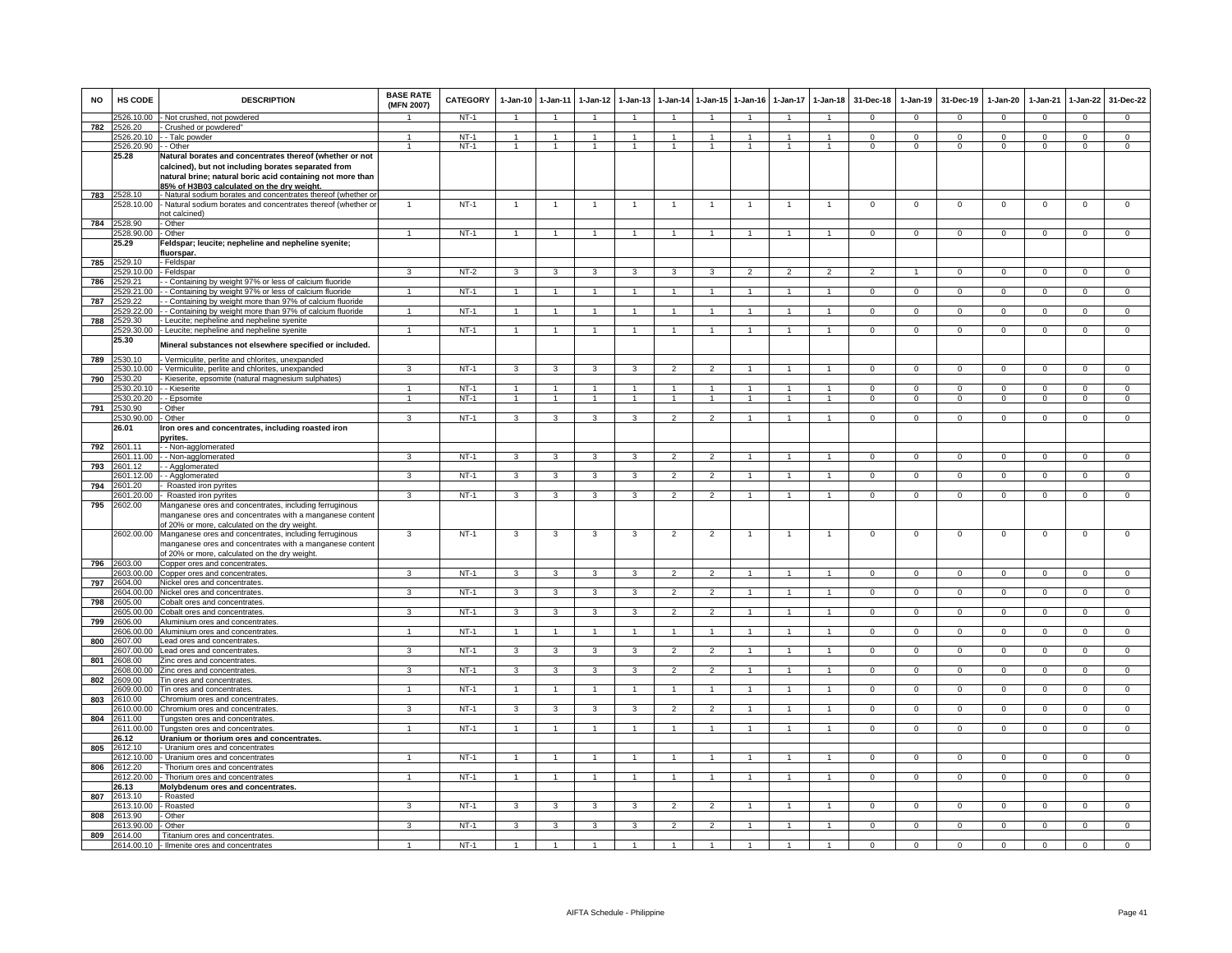| <b>NO</b> | HS CODE               | <b>DESCRIPTION</b>                                                                                                                                                                                                          | <b>BASE RATE</b><br>(MFN 2007) | <b>CATEGORY</b> | $1-Jan-10$              | $1 - Jan-11$            | 1-Jan-12                | $1 - Jan-13$            |                          | 1-Jan-14 1-Jan-15        | $1 - Jan-16$   | $1-Jan-17$               | $1 - Jan-18$   | 31-Dec-18      | $1 - Jan-19$   | 31-Dec-19      | $1-Jan-20$     | $1-Jan-21$     | $1-Jan-22$     | 31-Dec-22      |
|-----------|-----------------------|-----------------------------------------------------------------------------------------------------------------------------------------------------------------------------------------------------------------------------|--------------------------------|-----------------|-------------------------|-------------------------|-------------------------|-------------------------|--------------------------|--------------------------|----------------|--------------------------|----------------|----------------|----------------|----------------|----------------|----------------|----------------|----------------|
|           |                       | 2526.10.00 - Not crushed, not powdered                                                                                                                                                                                      |                                | $NT-1$          | $\overline{1}$          | $\overline{1}$          | $\overline{1}$          | $\overline{1}$          | $\overline{1}$           | $\overline{1}$           | $\overline{1}$ | $\overline{1}$           | $\overline{1}$ | $\mathbf{0}$   | $\mathbf{0}$   | $\mathbf 0$    | $\mathbf{0}$   | $\mathbf 0$    | $\mathbf{0}$   | $\mathbf{0}$   |
| 782       | 2526.20<br>526,20.10  | - Crushed or powdered"<br>- - Talc powder                                                                                                                                                                                   | $\overline{1}$                 | $NT-1$          | $\mathbf{1}$            | $\overline{1}$          | 1                       | $\mathbf{1}$            | 1                        | $\overline{1}$           | $\overline{1}$ | $\mathbf{1}$             | $\overline{1}$ | $\Omega$       | $\Omega$       | $\Omega$       | $\Omega$       | $\Omega$       | $\overline{0}$ | $\overline{0}$ |
|           | 526,20.90             | - Other                                                                                                                                                                                                                     | -1                             | $NT-1$          | $\overline{1}$          | $\mathbf{1}$            | $\mathbf{1}$            | $\mathbf{1}$            | $\mathbf{1}$             | $\overline{1}$           | $\overline{1}$ | -1                       | -1             | $\Omega$       | $\mathbf{0}$   | $\Omega$       | $\mathbf 0$    | $\Omega$       | $\overline{0}$ | $\overline{0}$ |
|           | 25.28                 | Natural borates and concentrates thereof (whether or not<br>calcined), but not including borates separated from<br>natural brine; natural boric acid containing not more than<br>85% of H3B03 calculated on the drv weight. |                                |                 |                         |                         |                         |                         |                          |                          |                |                          |                |                |                |                |                |                |                |                |
| 783       | 2528.10<br>2528.10.00 | - Natural sodium borates and concentrates thereof (whether o<br>- Natural sodium borates and concentrates thereof (whether or                                                                                               | $\overline{1}$                 | $NT-1$          | $\overline{1}$          | $\overline{1}$          | $\mathbf{1}$            | $\overline{1}$          | $\overline{1}$           | $\mathbf{1}$             | $\overline{1}$ | $\overline{1}$           | $\overline{1}$ | $\mathbf 0$    | $\mathbf 0$    | $\mathbf 0$    | $\mathbf 0$    | $\mathbf 0$    | $\mathbf 0$    | $\mathbf 0$    |
|           |                       | not calcined)                                                                                                                                                                                                               |                                |                 |                         |                         |                         |                         |                          |                          |                |                          |                |                |                |                |                |                |                |                |
| 784       | 2528.90<br>528.90.00  | - Other<br>Other                                                                                                                                                                                                            |                                | $NT-1$          | $\overline{1}$          | $\mathbf{1}$            | 1                       | 1                       | 1                        | -1                       |                |                          |                | $\overline{0}$ | $\overline{0}$ | $\overline{0}$ | $\overline{0}$ | $\overline{0}$ | $\overline{0}$ | $\overline{0}$ |
|           | 5.29                  | Feldspar; leucite; nepheline and nepheline syenite;                                                                                                                                                                         |                                |                 |                         |                         |                         |                         |                          |                          |                |                          |                |                |                |                |                |                |                |                |
|           |                       | fluorspar.                                                                                                                                                                                                                  |                                |                 |                         |                         |                         |                         |                          |                          |                |                          |                |                |                |                |                |                |                |                |
| 785       | 529.10                | - Feldspar                                                                                                                                                                                                                  |                                |                 |                         |                         |                         |                         |                          |                          |                |                          |                |                |                |                |                |                |                |                |
|           | 529,10.00             | Feldspar                                                                                                                                                                                                                    | $\mathbf{R}$                   | $NT-2$          | 3                       | 3                       | 3                       | 3                       | 3                        | 3                        | $\overline{2}$ | $\overline{\phantom{a}}$ | $\mathcal{P}$  | $\overline{2}$ |                | $\overline{0}$ | $\Omega$       | $\overline{0}$ | $\overline{0}$ | $\overline{0}$ |
| 786       | 529.21<br>529.21.00   | - Containing by weight 97% or less of calcium fluoride<br>- Containing by weight 97% or less of calcium fluoride                                                                                                            |                                | $NT-1$          |                         |                         |                         |                         |                          |                          |                |                          |                | $\Omega$       | $\Omega$       | $\Omega$       | $\Omega$       | $\Omega$       | $\Omega$       | $\Omega$       |
| 787       | 529.22                | - Containing by weight more than 97% of calcium fluoride                                                                                                                                                                    |                                |                 |                         |                         |                         |                         |                          |                          |                |                          |                |                |                |                |                |                |                |                |
|           | 529.22.00             | - - Containing by weight more than 97% of calcium fluoride                                                                                                                                                                  | $\overline{1}$                 | $NT-1$          | $\overline{1}$          | $\overline{1}$          | $\overline{1}$          | $\mathbf{1}$            | $\mathbf{1}$             | $\overline{1}$           | $\overline{1}$ | $\overline{1}$           | $\mathbf{1}$   | $\Omega$       | $^{\circ}$     | $\mathbf{0}$   | $\Omega$       | $\mathbf{0}$   | $\mathbf{0}$   | $\overline{0}$ |
| 788       | 529.30                | Leucite; nepheline and nepheline syenite                                                                                                                                                                                    |                                |                 |                         |                         |                         |                         |                          |                          |                |                          |                |                |                |                |                |                |                |                |
|           | 529.30.00<br>25.30    | - Leucite; nepheline and nepheline syenite                                                                                                                                                                                  |                                | $NT-1$          | $\overline{1}$          |                         | $\mathbf{1}$            |                         |                          |                          |                |                          |                | $\mathbf 0$    | $\mathbf 0$    | $\mathbf 0$    | $\mathbf 0$    | $\mathbf 0$    | $\mathbf 0$    | $\overline{0}$ |
|           |                       | Mineral substances not elsewhere specified or included.                                                                                                                                                                     |                                |                 |                         |                         |                         |                         |                          |                          |                |                          |                |                |                |                |                |                |                |                |
| 789       | 530.10                | Vermiculite, perlite and chlorites, unexpanded                                                                                                                                                                              |                                |                 |                         |                         |                         |                         |                          |                          |                |                          |                |                |                |                |                |                |                |                |
|           | 530,10.00<br>530.20   | Vermiculite, perlite and chlorites, unexpanded                                                                                                                                                                              | $\mathbf{R}$                   | $NT-1$          | 3                       | $\mathbf{3}$            | 3                       | 3                       | $\overline{2}$           | $\overline{2}$           | $\overline{1}$ | $\overline{1}$           | $\overline{1}$ | $\Omega$       | $\Omega$       | $\Omega$       | $\Omega$       | $\Omega$       | $\overline{0}$ | $\overline{0}$ |
| 790       | 2530.20.10            | - Kieserite, epsomite (natural magnesium sulphates)<br>- - Kieserite                                                                                                                                                        |                                | $NT-1$          |                         |                         |                         |                         |                          | $\overline{1}$           |                |                          |                | $\Omega$       | 0              | $\Omega$       | $\mathbf{0}$   | $\Omega$       | $\mathbf 0$    | $\mathbf 0$    |
|           |                       | :530.20.20 - - Epsomite                                                                                                                                                                                                     | $\mathbf{1}$                   | $NT-1$          | $\overline{1}$          | $\mathbf{1}$            | 1                       | $\mathbf{1}$            | $\mathbf{1}$             | $\overline{1}$           |                | $\overline{1}$           | $\mathbf{1}$   | $\,0\,$        | $\mathbf 0$    | $\overline{0}$ | $\mathsf 0$    | $\mathsf 0$    | $\overline{0}$ | $\mathbf 0$    |
| 791       | 530.90                | - Other                                                                                                                                                                                                                     |                                |                 |                         |                         |                         |                         |                          |                          |                |                          |                |                |                |                |                |                |                |                |
|           | 530.90.00             | Other                                                                                                                                                                                                                       | 3                              | $NT-1$          | 3                       | 3                       | $\overline{3}$          | 3                       | $\overline{2}$           | $\overline{2}$           | $\mathbf{1}$   | -1                       | $\mathbf{1}$   | $\Omega$       | $\overline{0}$ | $\overline{0}$ | $\Omega$       | $\Omega$       | $\overline{0}$ | $\overline{0}$ |
|           | 26.01                 | Iron ores and concentrates, including roasted iron                                                                                                                                                                          |                                |                 |                         |                         |                         |                         |                          |                          |                |                          |                |                |                |                |                |                |                |                |
| 792       | 1601.11               | <b>oyrites.</b><br>- - Non-agglomerated                                                                                                                                                                                     |                                |                 |                         |                         |                         |                         |                          |                          |                |                          |                |                |                |                |                |                |                |                |
|           | 601.11.00             | - Non-agglomerated                                                                                                                                                                                                          | $\mathbf{a}$                   | $NT-1$          | $\mathbf{a}$            | $\mathbf{a}$            | $\mathbf{a}$            | $\mathbf{\hat{z}}$      | $\mathcal{D}$            | $\overline{2}$           |                |                          |                | $\Omega$       | $\Omega$       | $\Omega$       | $\Omega$       | $\Omega$       | $\Omega$       | $\mathbf 0$    |
| 793       | 601.12                | - Agglomerated                                                                                                                                                                                                              |                                |                 |                         |                         |                         |                         |                          |                          |                |                          |                |                |                |                |                |                |                |                |
|           | 601.12.00             | - - Agglomerated                                                                                                                                                                                                            | 3                              | $NT-1$          | 3                       | 3                       | 3                       |                         | $\overline{\phantom{0}}$ | $\mathcal{P}$            |                |                          |                | $\Omega$       | $\Omega$       | $\Omega$       | $\Omega$       | $\Omega$       | $\Omega$       | $\Omega$       |
| 794       | 2601.20<br>2601.20.00 | Roasted iron pyrites<br>- Roasted iron pyrites                                                                                                                                                                              | 3                              | $NT-1$          | 3                       | 3                       | 3                       | 3                       | $\overline{2}$           | $\overline{2}$           |                |                          |                | $\mathbf{0}$   | $\mathbf{0}$   | $\mathbf{0}$   | $\mathbf{0}$   | $\mathbf 0$    | $\mathbf{0}$   | $\mathbf 0$    |
| 795       | :602.00               | Manganese ores and concentrates, including ferruginous<br>manganese ores and concentrates with a manganese content                                                                                                          |                                |                 |                         |                         |                         |                         |                          |                          |                |                          |                |                |                |                |                |                |                |                |
|           | 2602.00.00            | of 20% or more, calculated on the dry weight.<br>Manganese ores and concentrates, including ferruginous<br>manganese ores and concentrates with a manganese content                                                         | 3                              | $NT-1$          | $\mathbf{3}$            | 3                       | 3                       | 3                       | $\overline{2}$           | $\overline{2}$           | $\overline{1}$ | $\overline{1}$           | $\overline{1}$ | $\mathbf{0}$   | $\mathbf{0}$   | $\overline{0}$ | $\mathbf{0}$   | $\mathbf 0$    | $\,0\,$        | $\mathsf 0$    |
|           |                       | of 20% or more, calculated on the dry weight.                                                                                                                                                                               |                                |                 |                         |                         |                         |                         |                          |                          |                |                          |                |                |                |                |                |                |                |                |
| 796       | 2603.00<br>2603.00.00 | Copper ores and concentrates<br>Copper ores and concentrates.                                                                                                                                                               | 3                              | $NT-1$          | $\mathbf{3}$            | 3                       | 3                       | 3                       | $\overline{2}$           | $\overline{2}$           |                |                          | $\overline{1}$ | $\mathbf{0}$   | $\mathbf{0}$   | $\mathbf{0}$   | $\mathbf{0}$   | $^{\circ}$     | $\mathbf{0}$   | $\mathbf{0}$   |
| 797       | 2604.00               | Nickel ores and concentrates.                                                                                                                                                                                               |                                |                 |                         |                         |                         |                         |                          |                          |                |                          |                |                |                |                |                |                |                |                |
|           | 604.00.00             | Nickel ores and concentrates.                                                                                                                                                                                               | 3                              | $NT-1$          | $\mathbf{3}$            | 3                       | $\mathbf{3}$            | 3                       | $\overline{2}$           | $\overline{2}$           | $\mathbf{1}$   | $\mathbf{1}$             | $\overline{1}$ | $^{\circ}$     | $^{\circ}$     | $\mathbf{0}$   | $\mathbf{0}$   | $\mathbf{0}$   | $\overline{0}$ | $\overline{0}$ |
| 798       | 605.00                | Cobalt ores and concentrates.                                                                                                                                                                                               |                                |                 |                         |                         |                         |                         |                          |                          |                |                          |                |                |                |                |                |                |                |                |
| 799       | 605.00.00<br>00.000   | cobalt ores and concentrates.<br>Aluminium ores and concentrates.                                                                                                                                                           | 3                              | $NT-1$          | 3                       | 3                       | 3                       | 3                       | $\overline{2}$           | $\overline{2}$           |                |                          |                | $\mathbf 0$    | $\mathbf{0}$   | $\mathbf 0$    | $\mathbf{0}$   | $^{\circ}$     | $\mathbf{0}$   | $\mathbf{0}$   |
|           | 606.00.00             | Aluminium ores and concentrates.                                                                                                                                                                                            |                                | <b>NT-1</b>     | -1                      | $\mathbf{1}$            | 1                       |                         |                          | $\overline{1}$           |                |                          |                | $^{\circ}$     | 0              | $^{\circ}$     | $\mathbf 0$    | $\mathbf 0$    | $\mathbf 0$    | 0              |
| 800       | 0.607, 00             | Lead ores and concentrates                                                                                                                                                                                                  |                                |                 |                         |                         |                         |                         |                          |                          |                |                          |                |                |                |                |                |                |                |                |
|           | 607.00.00             | Lead ores and concentrates                                                                                                                                                                                                  | $\mathbf{B}$                   | $NT-1$          | $\overline{\mathbf{3}}$ | $\overline{\mathbf{3}}$ | $\overline{\mathbf{3}}$ | $\overline{\mathbf{3}}$ | $\overline{\phantom{a}}$ | $\overline{\phantom{a}}$ |                |                          |                | $\overline{0}$ | $\overline{0}$ | $\Omega$       | $\overline{0}$ | $\overline{0}$ | $\overline{0}$ | $\overline{0}$ |
| 801       | 608.00<br>2608.00.00  | Zinc ores and concentrates.<br>Zinc ores and concentrates.                                                                                                                                                                  | $\mathbf{R}$                   | $NT-1$          | 3                       | 3                       | 3                       | 3                       | $\mathcal{P}$            | $\mathcal{P}$            |                |                          |                | $\Omega$       | $\Omega$       | $\Omega$       | $\Omega$       | $\Omega$       | $\mathbf 0$    | $\mathsf 0$    |
| 802       | 2609.00               | Tin ores and concentrates.                                                                                                                                                                                                  |                                |                 |                         |                         |                         |                         |                          |                          |                |                          |                |                |                |                |                |                |                |                |
|           | 609.00.00             | Tin ores and concentrates.                                                                                                                                                                                                  |                                | $NT-1$          | $\overline{1}$          | $\mathbf{1}$            | 1                       | -1                      | $\mathbf{1}$             | $\overline{1}$           |                |                          |                | $\Omega$       | $^{\circ}$     | $\Omega$       | $\Omega$       | $\Omega$       | $\mathbf 0$    | $\overline{0}$ |
| 803       | 610.00<br>610.00.00   | Chromium ores and concentrates.<br>Chromium ores and concentrates.                                                                                                                                                          |                                | $NT-1$          | 3                       | 3                       | 3                       |                         | $\overline{\phantom{0}}$ | $\overline{\phantom{0}}$ |                |                          |                | $\Omega$       | $\mathsf 0$    | $\mathbf 0$    | $\mathbf 0$    | $\Omega$       | $\mathsf 0$    | $\overline{0}$ |
| 804       | 611.00                | Tungsten ores and concentrates.                                                                                                                                                                                             |                                |                 |                         |                         |                         |                         |                          |                          |                |                          |                |                |                |                |                |                |                |                |
|           | 2611.00.00<br>26.12   | Tungsten ores and concentrates.                                                                                                                                                                                             |                                | $NT-1$          | $\overline{1}$          | $\overline{1}$          | $\mathbf{1}$            | $\overline{1}$          | $\overline{1}$           | $\overline{1}$           |                |                          |                | $\Omega$       | $\Omega$       | $\overline{0}$ | $\Omega$       | $\Omega$       | $\overline{0}$ | $\overline{0}$ |
| 805       | .612.10               | Uranium or thorium ores and concentrates<br>- Uranium ores and concentrates                                                                                                                                                 |                                |                 |                         |                         |                         |                         |                          |                          |                |                          |                |                |                |                |                |                |                |                |
|           | 2612.10.00            | - Uranium ores and concentrates                                                                                                                                                                                             |                                | $NT-1$          |                         |                         |                         |                         |                          | $\mathbf{1}$             |                |                          |                | $^{\circ}$     | $\mathbf{0}$   | $^{\circ}$     | $\mathbf{0}$   | $\mathbf 0$    | $\mathbf{0}$   | $\mathbf{0}$   |
| 806       | 2612.20               | - Thorium ores and concentrates                                                                                                                                                                                             |                                |                 |                         |                         |                         |                         |                          |                          |                |                          |                |                |                |                |                |                |                |                |
|           | 2612.20.00            | - Thorium ores and concentrates                                                                                                                                                                                             |                                | $NT-1$          | $\overline{1}$          | $\mathbf{1}$            | -1                      | 1                       | $\mathbf{1}$             | $\mathbf{1}$             |                |                          |                | $^{\circ}$     | 0              | $\mathbf{0}$   | $\mathbf{0}$   | $\mathbf 0$    | $\mathbf{0}$   | $\mathbf{0}$   |
| 807       | 26.13<br>613.10       | Molybdenum ores and concentrates.<br>- Roasted                                                                                                                                                                              |                                |                 |                         |                         |                         |                         |                          |                          |                |                          |                |                |                |                |                |                |                |                |
|           | 613.10.00             | Roasted                                                                                                                                                                                                                     |                                | $NT-1$          | 3                       | 3                       | 3                       |                         |                          | $\mathcal{P}$            |                |                          |                | $\Omega$       | $\mathbf 0$    | $\Omega$       | $\Omega$       | $\Omega$       | $\mathbf 0$    | $\Omega$       |
| 808       | 2613.90               | Other                                                                                                                                                                                                                       |                                |                 |                         |                         |                         |                         |                          |                          |                |                          |                |                |                |                |                |                |                |                |
|           | 613.90.00             | Other                                                                                                                                                                                                                       |                                | $NT-1$          | 3                       | 3                       | $\mathbf{R}$            | 3                       | $\overline{2}$           | $\mathcal{P}$            |                |                          |                | $\Omega$       | $\mathbf 0$    | $\Omega$       | $\Omega$       | $\mathbf 0$    | $\mathsf 0$    | $\Omega$       |
| 809       | 2614.00               | Titanium ores and concentrates                                                                                                                                                                                              |                                |                 |                         |                         |                         |                         |                          |                          |                |                          |                | $\Omega$       | 0              | $\Omega$       | $\Omega$       | $\Omega$       | $\Omega$       | $\Omega$       |
|           |                       | 2614.00.10 - Ilmenite ores and concentrates                                                                                                                                                                                 |                                | $NT-1$          |                         |                         |                         |                         |                          |                          |                |                          |                |                |                |                |                |                |                |                |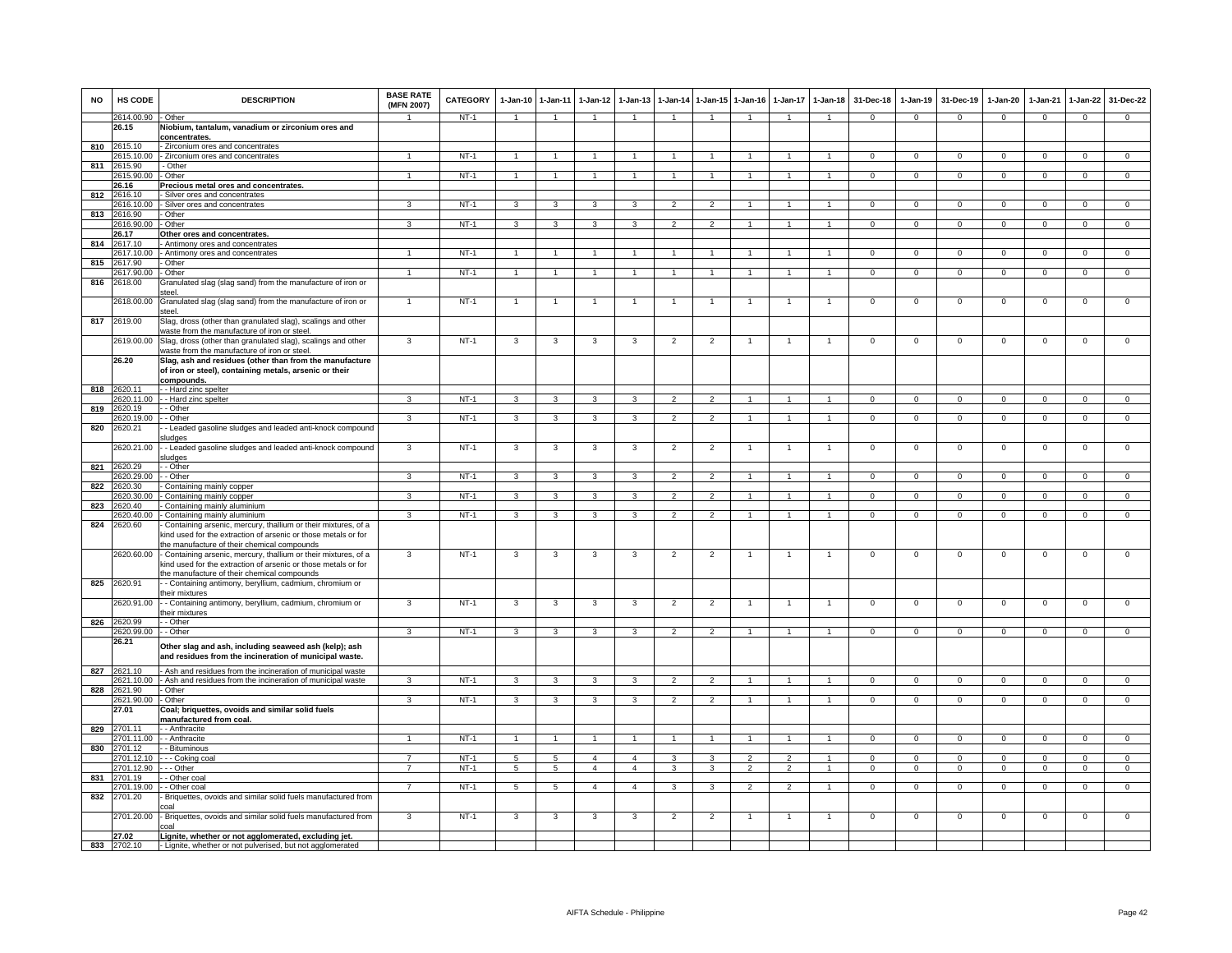| <b>NO</b> | HS CODE                   | <b>DESCRIPTION</b>                                                                                                                                                              | <b>BASE RATE</b><br>(MFN 2007) | <b>CATEGORY</b>  | $1-Jan-10$              | $1 - Jan-11$            | $1-Jan-12$     | $1-Jan-13$              |                          |                      | 1-Jan-14 1-Jan-15 1-Jan-16 |                | 1-Jan-17 1-Jan-18    | 31-Dec-18                   | $1-Jan-19$     | 31-Dec-19                 | $1-Jan-20$                 | $1-Jan-21$     | $1-Jan-22$                 | 31-Dec-22      |
|-----------|---------------------------|---------------------------------------------------------------------------------------------------------------------------------------------------------------------------------|--------------------------------|------------------|-------------------------|-------------------------|----------------|-------------------------|--------------------------|----------------------|----------------------------|----------------|----------------------|-----------------------------|----------------|---------------------------|----------------------------|----------------|----------------------------|----------------|
|           | 2614.00.90                | Other                                                                                                                                                                           | $\overline{1}$                 | NT-1             | $\overline{1}$          | $\overline{1}$          | $\overline{1}$ | $\overline{1}$          | $\overline{1}$           | $\overline{1}$       | $\overline{1}$             | $\overline{1}$ | $\blacktriangleleft$ | $\mathbf{0}$                | $\mathbf{0}$   | $\mathbf 0$               | $\mathbf{0}$               | $\mathbf 0$    | $\mathbf{0}$               | $\mathbf{0}$   |
|           | 26.15                     | Niobium, tantalum, vanadium or zirconium ores and<br>concentrates.                                                                                                              |                                |                  |                         |                         |                |                         |                          |                      |                            |                |                      |                             |                |                           |                            |                |                            |                |
|           | 810 2615.10               | - Zirconium ores and concentrates                                                                                                                                               |                                |                  |                         |                         |                |                         |                          |                      |                            |                |                      |                             |                |                           |                            |                |                            |                |
|           | 2615.10.00                | - Zirconium ores and concentrates                                                                                                                                               |                                | $NT-1$           | $\mathbf{1}$            |                         |                |                         |                          |                      |                            |                |                      | $^{\circ}$                  | $\mathbf 0$    | $^{\circ}$                | $\Omega$                   | $\Omega$       | $\mathbf{0}$               | $\mathbf 0$    |
| 811       | 2615.90                   | - Other                                                                                                                                                                         |                                |                  |                         |                         |                |                         |                          |                      |                            |                |                      |                             |                |                           |                            |                |                            |                |
|           | 2615.90.00                | Other                                                                                                                                                                           | $\mathbf{1}$                   | $NT-1$           | $\overline{1}$          | $\overline{1}$          |                | $\mathbf{1}$            | $\overline{1}$           | $\overline{1}$       | $\overline{1}$             | $\mathbf{1}$   | $\mathbf{1}$         | $\Omega$                    | $\Omega$       | $\Omega$                  | $\Omega$                   | $\Omega$       | $\overline{0}$             | $\overline{0}$ |
| 812       | 26.16<br>2616.10          | Precious metal ores and concentrates<br>Silver ores and concentrates                                                                                                            |                                |                  |                         |                         |                |                         |                          |                      |                            |                |                      |                             |                |                           |                            |                |                            |                |
|           | 2616.10.00                | Silver ores and concentrates                                                                                                                                                    | 3                              | $NT-1$           | 3                       | 3                       | 3              | 3                       | $\overline{2}$           | $\overline{2}$       |                            |                |                      | $\Omega$                    | $\mathbf 0$    | $\Omega$                  | $\Omega$                   | $\Omega$       | $\mathbf 0$                | $\Omega$       |
|           | 813 2616.90               | Other                                                                                                                                                                           |                                |                  |                         |                         |                |                         |                          |                      |                            |                |                      |                             |                |                           |                            |                |                            |                |
|           | 2616.90.00                | - Other                                                                                                                                                                         | $\mathbf{3}$                   | $NT-1$           | 3                       | 3                       | 3              | 3                       | $\overline{2}$           | $\overline{2}$       | -1                         | $\mathbf{1}$   | 1                    | $\Omega$                    | $\mathbf{0}$   | $\mathbf{0}$              | $\overline{0}$             | $\mathbf 0$    | $\overline{0}$             | $\overline{0}$ |
|           | 26.17                     | Other ores and concentrates.                                                                                                                                                    |                                |                  |                         |                         |                |                         |                          |                      |                            |                |                      |                             |                |                           |                            |                |                            |                |
|           | 814 2617.10               | Antimony ores and concentrates                                                                                                                                                  |                                |                  |                         |                         |                |                         |                          |                      |                            |                |                      |                             |                |                           |                            |                |                            |                |
| 815       | 2617.10.00<br>2617.90     | Antimony ores and concentrates<br>Other                                                                                                                                         | $\mathbf{1}$                   | $NT-1$           | $\mathbf{1}$            | $\mathbf{1}$            | $\mathbf{1}$   | $\mathbf{1}$            | $\overline{1}$           | $\mathbf{1}$         | $\overline{1}$             | $\mathbf{1}$   | $\mathbf{1}$         | $\mathbf{0}$                | $\mathbf{0}$   | $\mathbf 0$               | $\overline{0}$             | $\mathbf 0$    | $\mathbf{0}$               | $\overline{0}$ |
|           | 2617.90.00                | Other                                                                                                                                                                           | $\overline{1}$                 | $NT-1$           | $\mathbf{1}$            | $\overline{1}$          | $\mathbf{1}$   | $\blacktriangleleft$    | $\overline{1}$           | $\blacktriangleleft$ | $\mathbf{1}$               | $\mathbf{1}$   | $\overline{1}$       | $\mathbf{0}$                | $\mathbf 0$    | $\mathbf 0$               | $\mathbf 0$                | $\mathbf 0$    | $\mathsf 0$                | $\mathbf 0$    |
|           | 816 2618.00               | Granulated slag (slag sand) from the manufacture of iron or                                                                                                                     |                                |                  |                         |                         |                |                         |                          |                      |                            |                |                      |                             |                |                           |                            |                |                            |                |
|           |                           | اممt                                                                                                                                                                            |                                |                  |                         |                         |                |                         |                          |                      |                            |                |                      |                             |                |                           |                            |                |                            |                |
|           | 2618.00.00                | Granulated slag (slag sand) from the manufacture of iron or<br>steel.                                                                                                           | $\overline{1}$                 | $NT-1$           | $\overline{1}$          | $\overline{1}$          |                | $\overline{1}$          | $\overline{1}$           | $\mathbf{1}$         | $\overline{1}$             | $\overline{1}$ | $\overline{1}$       | $\mathbf 0$                 | $\mathbf 0$    | $\mathbf 0$               | $\mathbf 0$                | $\mathbf 0$    | $\mathsf 0$                | $\mathbf 0$    |
|           | 817 2619.00               | Slag, dross (other than granulated slag), scalings and other<br>waste from the manufacture of iron or steel.                                                                    | 3                              | $NT-1$           |                         |                         |                |                         |                          |                      |                            |                |                      |                             |                |                           |                            | $\mathbf 0$    |                            | $\mathbf 0$    |
|           | 2619.00.00<br>26.20       | Slag, dross (other than granulated slag), scalings and other<br>vaste from the manufacture of iron or steel.<br>Slag, ash and residues (other than from the manufacture         |                                |                  | 3                       | 3                       | 3              | -3                      | $\overline{2}$           | $\overline{2}$       |                            |                |                      | $^{\circ}$                  | $\mathbf{0}$   | $^{\circ}$                | $\overline{0}$             |                | $\mathbf 0$                |                |
|           |                           | of iron or steel), containing metals, arsenic or their<br>compounds.                                                                                                            |                                |                  |                         |                         |                |                         |                          |                      |                            |                |                      |                             |                |                           |                            |                |                            |                |
|           | 818 2620.11               | - Hard zinc spelter                                                                                                                                                             |                                |                  |                         |                         |                |                         |                          |                      |                            |                |                      |                             |                |                           |                            |                |                            |                |
|           | 2620.11.00                | - Hard zinc spelter                                                                                                                                                             | $\mathbf{R}$                   | $NT-1$           | $\overline{\mathbf{3}}$ | 3                       | $\mathbf{R}$   | $\overline{\mathbf{3}}$ | $\overline{\phantom{a}}$ | $\overline{2}$       |                            |                | $\blacktriangleleft$ | $\overline{0}$              | $\overline{0}$ | $\overline{0}$            | $\overline{0}$             | $\overline{0}$ | $\overline{0}$             | $\overline{0}$ |
| 819       | 2620.19                   | - Other                                                                                                                                                                         |                                |                  |                         |                         |                |                         |                          |                      |                            |                |                      |                             |                |                           |                            |                |                            |                |
|           | 2620.19.00                | - Other                                                                                                                                                                         | $\mathbf{3}$                   | NT-1             | $\mathbf{3}$            | $\mathbf{3}$            | $\mathbf{3}$   | $\mathbf{3}$            | $\overline{2}$           | $\overline{2}$       | $\overline{1}$             | $\overline{1}$ | $\overline{1}$       | $\Omega$                    | $\overline{0}$ | $\mathbf 0$               | $\overline{0}$             | $\mathbf 0$    | $\circ$                    | $\Omega$       |
| 820       | 2620.21                   | - Leaded gasoline sludges and leaded anti-knock compound<br>iludges                                                                                                             |                                | $NT-1$           |                         | 3                       |                | 3                       |                          |                      | $\mathbf{1}$               | $\overline{1}$ | $\mathbf{1}$         | $\mathbf{0}$                | $\mathbf 0$    | $\mathbf 0$               |                            | $\mathbf 0$    |                            |                |
|           | 2620.21.00<br>821 2620.29 | - Leaded gasoline sludges and leaded anti-knock compound<br>ludges<br>- Other                                                                                                   | $\mathbf{3}$                   |                  | 3                       |                         | $\mathbf{3}$   |                         | $\overline{2}$           | $\overline{2}$       |                            |                |                      |                             |                |                           | $\mathbf 0$                |                | $\mathsf 0$                | $\mathbf 0$    |
|           | 2620.29.00                | - Other                                                                                                                                                                         | 3                              | $NT-1$           | 3                       | 3                       | 3              | 3                       | $\overline{2}$           | $\overline{2}$       |                            |                |                      | $\Omega$                    | $\mathbf 0$    | $\mathbf 0$               | $\Omega$                   | $\Omega$       | $\mathbf 0$                | $\Omega$       |
| 822       | 2620.30                   | Containing mainly copper                                                                                                                                                        |                                |                  |                         |                         |                |                         |                          |                      |                            |                |                      |                             |                |                           |                            |                |                            |                |
|           | 2620.30.00                | Containing mainly copper                                                                                                                                                        | 3                              | $NT-1$           | 3                       | 3                       | 3              | 3                       | $\overline{2}$           | $\mathfrak{p}$       |                            |                |                      | $\Omega$                    | $\Omega$       | $\Omega$                  | $\Omega$                   | $\Omega$       | $\Omega$                   | $\Omega$       |
| 823       | 2620.40                   | Containing mainly aluminium                                                                                                                                                     |                                |                  |                         |                         |                |                         |                          |                      |                            |                |                      |                             |                |                           |                            |                |                            |                |
| 824       | 2620.40.00<br>2620.60     | - Containing mainly aluminium                                                                                                                                                   | $\mathbf{3}$                   | NT-1             | $\mathbf{3}$            | 3                       | 3              | $\mathbf{3}$            | $\overline{2}$           | $\overline{2}$       | 1                          | $\mathbf{1}$   | $\mathbf{1}$         | $\Omega$                    | $\mathbf{0}$   | $\mathbf 0$               | $\overline{0}$             | $\mathbf 0$    | $\mathbf{0}$               | $\Omega$       |
|           |                           | Containing arsenic, mercury, thallium or their mixtures, of a<br>kind used for the extraction of arsenic or those metals or for<br>he manufacture of their chemical compounds   |                                |                  |                         |                         |                |                         |                          |                      |                            |                |                      |                             |                |                           |                            |                |                            |                |
|           | 2620.60.00                | - Containing arsenic, mercury, thallium or their mixtures, of a<br>kind used for the extraction of arsenic or those metals or for<br>he manufacture of their chemical compounds | 3                              | $NT-1$           | 3                       | 3                       | 3              | 3                       | $\overline{2}$           | $\overline{2}$       |                            | $\overline{1}$ | 1                    | $\mathbf 0$                 | $\mathbf 0$    | $\mathbf 0$               | $\mathbf 0$                | $\mathbf 0$    | $\mathsf 0$                | $\mathsf 0$    |
| 825       | 2620.91                   | - Containing antimony, beryllium, cadmium, chromium or<br>their mixtures                                                                                                        |                                |                  |                         |                         |                |                         |                          |                      |                            |                |                      |                             |                |                           |                            |                |                            |                |
|           | 2620.91.00                | - Containing antimony, beryllium, cadmium, chromium or<br>their mixtures                                                                                                        | 3                              | $NT-1$           | 3                       | 3                       | 3              | 3                       | $\overline{2}$           | $\overline{2}$       |                            |                | $\overline{1}$       | $\mathsf 0$                 | $\Omega$       | $\Omega$                  | $\overline{0}$             | $\overline{0}$ | $\overline{0}$             | $\overline{0}$ |
|           | 826 2620.99               | - Other                                                                                                                                                                         |                                |                  |                         |                         |                |                         |                          |                      |                            |                |                      |                             |                |                           |                            |                |                            |                |
|           | 2620.99.00<br>26.21       | - Other                                                                                                                                                                         | 3                              | $NT-1$           | $\mathbf{3}$            | $\mathbf{3}$            | $\mathbf{3}$   | 3                       | $\overline{2}$           | $\overline{2}$       | $\overline{1}$             | $\overline{1}$ | $\mathbf{1}$         | $\mathbf{0}$                | $^{\circ}$     | $\mathbf 0$               | $\overline{0}$             | $\mathbf 0$    | $\circ$                    | $\overline{0}$ |
|           |                           | Other slag and ash, including seaweed ash (kelp); ash<br>and residues from the incineration of municipal waste.                                                                 |                                |                  |                         |                         |                |                         |                          |                      |                            |                |                      |                             |                |                           |                            |                |                            |                |
|           | 827 2621.10               | Ash and residues from the incineration of municipal waste                                                                                                                       |                                |                  |                         |                         |                |                         |                          |                      |                            |                |                      |                             |                |                           |                            |                |                            |                |
|           | 2621.10.00                | - Ash and residues from the incineration of municipal waste                                                                                                                     | 3                              | $NT-1$           | 3                       | $\overline{\mathbf{3}}$ | 3              | 3                       | $\overline{2}$           | $\overline{2}$       | $\overline{1}$             | $\overline{1}$ | $\mathbf{1}$         | $\Omega$                    | $\Omega$       | $\Omega$                  | $\overline{0}$             | $\Omega$       | $\overline{0}$             | $\overline{0}$ |
| 828       | 2621.90                   | - Other                                                                                                                                                                         |                                |                  |                         |                         |                | 3                       |                          | $\mathcal{P}$        |                            |                |                      |                             |                |                           |                            | $\Omega$       |                            | $\Omega$       |
|           | 2621.90.00<br>27.01       | - Other<br>Coal; briquettes, ovoids and similar solid fuels                                                                                                                     | 3                              | $NT-1$           | 3                       | 3                       | 3              |                         | $\overline{2}$           |                      |                            |                |                      | $^{\circ}$                  | $^{\circ}$     | 0                         | $\circ$                    |                | $\mathbf 0$                |                |
|           |                           | manufactured from coal.                                                                                                                                                         |                                |                  |                         |                         |                |                         |                          |                      |                            |                |                      |                             |                |                           |                            |                |                            |                |
| 829       | 2701.11                   | - Anthracite                                                                                                                                                                    |                                |                  |                         |                         |                |                         |                          |                      |                            |                |                      |                             |                |                           |                            |                |                            |                |
|           | 2701.11.00                | - Anthracite                                                                                                                                                                    |                                | $NT-1$           | $\overline{1}$          | 1                       |                |                         | 1                        | $\mathbf{1}$         |                            |                | 1                    | $\overline{0}$              | $\overline{0}$ | $\Omega$                  | $\overline{0}$             | $\overline{0}$ | $\overline{0}$             | $\overline{0}$ |
| 830       | 2701.12                   | - Bituminous                                                                                                                                                                    | $\overline{7}$                 |                  | -5                      |                         | $\overline{4}$ | $\overline{a}$          |                          | 3                    | $\overline{2}$             | $\mathcal{P}$  | $\mathbf{1}$         |                             | $\Omega$       |                           |                            | $\Omega$       |                            | $\overline{0}$ |
|           | 2701.12.10<br>2701.12.90  | - - Coking coal<br>- - Other                                                                                                                                                    | $\overline{7}$                 | $NT-1$<br>$NT-1$ | $5\overline{)}$         | 5<br>5                  | $\overline{4}$ | $\overline{4}$          | 3<br>3                   | $\overline{3}$       | $\overline{2}$             | $\overline{2}$ | $\mathbf{1}$         | $\mathbf 0$<br>$\mathbf{0}$ | $\mathbf 0$    | $\mathbf 0$<br>$^{\circ}$ | $\mathbf 0$<br>$\mathbf 0$ | $\Omega$       | $\mathsf 0$<br>$\mathsf 0$ | $\overline{0}$ |
| 831       | 2701.19                   | - Other coa                                                                                                                                                                     |                                |                  |                         |                         |                |                         |                          |                      |                            |                |                      |                             |                |                           |                            |                |                            |                |
|           | 2701.19.00                | - Other coal                                                                                                                                                                    | $\overline{7}$                 | $NT-1$           | $5\overline{)}$         | $5\overline{)}$         | $\overline{4}$ | $\mathbf{A}$            | 3                        | 3                    | $\mathcal{P}$              | $\mathcal{P}$  | $\blacktriangleleft$ | $\mathbf 0$                 | $\mathbf 0$    | $\mathbf 0$               | $\mathbf 0$                | $\mathbf 0$    | $\mathbf 0$                | $\Omega$       |
| 832       | 2701.20                   | Briquettes, ovoids and similar solid fuels manufactured from<br>:oal                                                                                                            |                                |                  |                         |                         |                |                         |                          |                      |                            |                |                      |                             |                |                           |                            |                |                            |                |
|           | 2701.20.00                | Briquettes, ovoids and similar solid fuels manufactured from<br>:oal                                                                                                            | $\mathbf{3}$                   | $NT-1$           | 3                       | 3                       | 3              | 3                       | $\overline{2}$           | $\overline{2}$       | -1                         | $\overline{1}$ | $\overline{1}$       | $\overline{0}$              | $\mathbf{0}$   | $\mathbf{0}$              | $\mathbf 0$                | $\mathbf{0}$   | $\mathbf 0$                | $\overline{0}$ |
|           | 27.02                     | Lignite, whether or not agglomerated, excluding jet.                                                                                                                            |                                |                  |                         |                         |                |                         |                          |                      |                            |                |                      |                             |                |                           |                            |                |                            |                |
|           | 833 2702.10               | - Lignite, whether or not pulverised, but not agglomerated                                                                                                                      |                                |                  |                         |                         |                |                         |                          |                      |                            |                |                      |                             |                |                           |                            |                |                            |                |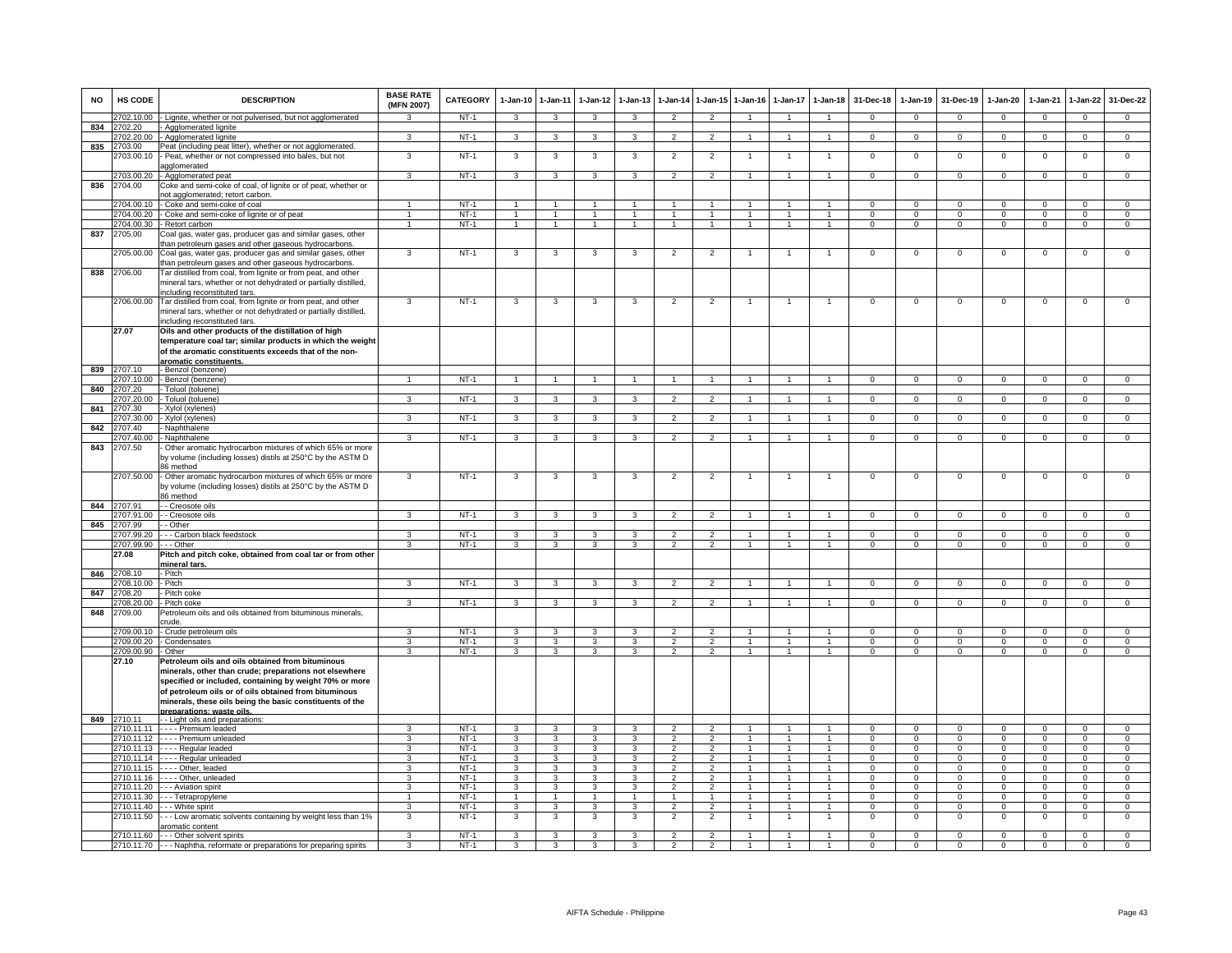| <b>NO</b> | HS CODE                  | <b>DESCRIPTION</b>                                                                                                               | <b>BASE RATE</b><br>(MFN 2007) | <b>CATEGORY</b>  | $1-Jan-10$                   | $1 - Jan-11$                            | $1-Jan-12$                   | $1-Jan-13$              | $1-Jan-14$                       | 1-Jan-15                         | $1-Jan-16$                     | $1-Jan-17$                   | $1-Jan-18$                     | 31-Dec-18            | $1-Jan-19$                 | 31-Dec-19                 | $1-Jan-20$             | 1-Jan-21                | $1-Jan-22$                   | 31-Dec-22                     |
|-----------|--------------------------|----------------------------------------------------------------------------------------------------------------------------------|--------------------------------|------------------|------------------------------|-----------------------------------------|------------------------------|-------------------------|----------------------------------|----------------------------------|--------------------------------|------------------------------|--------------------------------|----------------------|----------------------------|---------------------------|------------------------|-------------------------|------------------------------|-------------------------------|
|           | 702.10.00                | - Lignite, whether or not pulverised, but not agglomerated                                                                       | 3                              | NT-1             | $\mathbf{3}$                 | 3                                       | $\mathbf{3}$                 | $\mathbf{3}$            | $\overline{2}$                   | $\overline{2}$                   |                                |                              | $\blacktriangleleft$           | $\mathbf{0}$         | $\mathbf{0}$               | $\mathbf 0$               | $\mathbf{0}$           | $\mathbf 0$             | $\mathbf{0}$                 | $\mathbf{0}$                  |
| 834       | 702.20                   | - Agglomerated lignite                                                                                                           | 3                              | $NT-1$           |                              |                                         |                              |                         |                                  | $\overline{2}$                   | $\mathbf{1}$                   | $\mathbf{1}$                 | $\mathbf{1}$                   |                      |                            |                           |                        |                         |                              |                               |
| 835       | 2703.00                  | 702.20.00 - Agglomerated lignite<br>Peat (including peat litter), whether or not agglomerated.                                   |                                |                  | 3                            | 3                                       | 3                            | 3                       | $\overline{2}$                   |                                  |                                |                              |                                | $\mathbf{0}$         | $\mathbf 0$                | $\mathbf 0$               | $\mathbf 0$            | $\mathbf 0$             | $\overline{0}$               | $\overline{0}$                |
|           | 703.00.10                | - Peat, whether or not compressed into bales, but not<br>agglomerated                                                            | 3                              | $NT-1$           | 3                            | 3                                       | 3                            | 3                       | $\overline{2}$                   | $\overline{2}$                   |                                | -1                           | 1                              | $\overline{0}$       | $\overline{0}$             | $\overline{0}$            | $\overline{0}$         | $\overline{0}$          | $\overline{0}$               | $\overline{0}$                |
|           |                          | 2703.00.20 - Agglomerated peat                                                                                                   | $\mathbf{R}$                   | $NT-1$           | $\overline{\mathbf{3}}$      | $\overline{3}$                          | $\overline{3}$               | $\mathbf{3}$            | $\overline{2}$                   | $\overline{2}$                   | $\overline{1}$                 | $\overline{1}$               | $\overline{1}$                 | $\Omega$             | $\Omega$                   | $\mathbf 0$               | $\Omega$               | $\Omega$                | $\overline{0}$               | $\overline{0}$                |
| 836       | 2704.00                  | Coke and semi-coke of coal, of lignite or of peat, whether or<br>not agglomerated; retort carbon.                                |                                |                  |                              |                                         |                              |                         |                                  |                                  |                                |                              |                                |                      |                            |                           |                        |                         |                              |                               |
|           | 2704.00.10               | - Coke and semi-coke of coal                                                                                                     |                                | NT-1             | $\overline{1}$               | $\mathbf{1}$                            |                              |                         |                                  |                                  |                                |                              | $\mathbf{1}$                   | $\Omega$             | $\Omega$                   | $\Omega$                  | $\Omega$               | $\Omega$                | $\mathsf 0$                  | $\Omega$                      |
|           |                          | 2704.00.20 - Coke and semi-coke of lignite or of peat                                                                            | $\overline{1}$                 | $NT-1$           | $\overline{1}$               | $\overline{1}$                          | $\overline{1}$               | $\mathbf{1}$            | $\overline{1}$                   | $\overline{1}$                   | $\mathbf{1}$                   | $\mathbf{1}$                 | $\mathbf{1}$                   | $\mathbf{0}$         | $\mathbf{0}$               | $\mathbf{0}$              | $\mathbf{0}$           | $\mathbf{0}$            | $\mathbf{0}$                 | $\overline{0}$                |
|           |                          | 2704.00.30 - Retort carbon                                                                                                       | $\mathbf{1}$                   | $NT-1$           | $\overline{1}$               | $\overline{1}$                          | $\mathbf{1}$                 | $\mathbf{1}$            | $\overline{1}$                   | $\overline{1}$                   | -1                             | 1                            | $\mathbf{1}$                   | $\mathbf{0}$         | $\mathbf{0}$               | $\mathbf{0}$              | $\mathbf{0}$           | $\mathbf{0}$            | $\overline{0}$               | $\mathbf{0}$                  |
| 837       | 2705.00                  | Coal gas, water gas, producer gas and similar gases, other<br>than petroleum gases and other gaseous hydrocarbons.               |                                |                  |                              |                                         |                              |                         |                                  |                                  |                                |                              |                                |                      |                            |                           |                        |                         |                              |                               |
|           | 705.00.00                | Coal gas, water gas, producer gas and similar gases, other<br>than petroleum gases and other gaseous hydrocarbons.               | 3                              | $NT-1$           | 3                            | 3                                       | 3                            | 3                       | $\overline{2}$                   | $\overline{2}$                   | 1                              | $\mathbf{1}$                 | $\mathbf{1}$                   | $\mathsf 0$          | $\mathsf 0$                | $\,0\,$                   | $\mathbf 0$            | $\mathbf 0$             | $\mathsf 0$                  | $\mathbf 0$                   |
| 838       | 2706.00                  | Tar distilled from coal, from lignite or from peat, and other<br>mineral tars, whether or not dehydrated or partially distilled, |                                |                  |                              |                                         |                              |                         |                                  |                                  |                                |                              |                                |                      |                            |                           |                        |                         |                              |                               |
|           |                          | including reconstituted tars.                                                                                                    |                                |                  |                              |                                         |                              |                         |                                  |                                  |                                |                              |                                |                      |                            |                           |                        |                         |                              |                               |
|           | 2706.00.00               | Tar distilled from coal, from lignite or from peat, and other<br>mineral tars, whether or not dehydrated or partially distilled, | 3                              | $NT-1$           | 3                            | 3                                       | 3                            | 3                       | $\overline{2}$                   | $\overline{2}$                   |                                |                              | $\overline{1}$                 | $\mathsf 0$          | $\mathbf 0$                | $\mathbf 0$               | $\mathbf 0$            | $\mathbf 0$             | $\mathsf 0$                  | $\mathbf 0$                   |
|           | 27.07                    | including reconstituted tars.<br>Oils and other products of the distillation of high                                             |                                |                  |                              |                                         |                              |                         |                                  |                                  |                                |                              |                                |                      |                            |                           |                        |                         |                              |                               |
|           |                          | temperature coal tar; similar products in which the weight<br>of the aromatic constituents exceeds that of the non-              |                                |                  |                              |                                         |                              |                         |                                  |                                  |                                |                              |                                |                      |                            |                           |                        |                         |                              |                               |
|           |                          | aromatic constituents.                                                                                                           |                                |                  |                              |                                         |                              |                         |                                  |                                  |                                |                              |                                |                      |                            |                           |                        |                         |                              |                               |
| 839       | 707.10<br>2707.10.00     | Benzol (benzene)<br>- Benzol (benzene)                                                                                           | $\overline{1}$                 | $NT-1$           | $\overline{1}$               | $\overline{1}$                          | $\overline{1}$               | $\overline{1}$          | $\overline{1}$                   | $\overline{1}$                   | $\overline{1}$                 | $\mathbf{1}$                 | $\overline{1}$                 | $\overline{0}$       | $\overline{0}$             | $\overline{0}$            | $\overline{0}$         | $\overline{0}$          | $\overline{0}$               | $\overline{0}$                |
| 840       | 707.20                   | Toluol (toluene)                                                                                                                 |                                |                  |                              |                                         |                              |                         |                                  |                                  |                                |                              |                                |                      |                            |                           |                        |                         |                              |                               |
|           | 707.20.00                | Toluol (toluene)                                                                                                                 | $\overline{\mathbf{3}}$        | $NT-1$           | 3                            | $\overline{\mathbf{3}}$                 | 3                            | $\overline{\mathbf{3}}$ | $\overline{\phantom{a}}$         | $\overline{2}$                   |                                |                              | $\mathbf{1}$                   | $\overline{0}$       | $\Omega$                   | $\overline{0}$            | $\overline{0}$         | $\Omega$                | $\overline{0}$               | $\overline{0}$                |
| 841       | 707.30                   | Xylol (xylenes)                                                                                                                  |                                |                  |                              |                                         |                              |                         |                                  |                                  |                                |                              |                                |                      |                            |                           |                        |                         |                              |                               |
|           | 2707.30.00               | - Xylol (xylenes)                                                                                                                | $\mathcal{R}$                  | NT-1             | $\mathbf{3}$                 | 3                                       | $\mathbf{3}$                 | $\mathbf{3}$            | $\overline{2}$                   | $\overline{2}$                   | $\mathbf{1}$                   | $\mathbf{1}$                 | $\overline{1}$                 | $\mathbf{0}$         | $\mathbf{0}$               | $\mathbf 0$               | $\mathbf{0}$           | $\mathbf 0$             | $\mathbf{0}$                 | $\mathbf{0}$                  |
| 842       | 2707.40<br>707.40.00     | Naphthalene<br>- Naphthalene                                                                                                     | 3                              | $NT-1$           | 3                            | $\mathbf{3}$                            | 3                            | 3                       | $\overline{2}$                   | $\overline{2}$                   | -1                             | $\mathbf{1}$                 | $\mathbf{1}$                   | $\mathbf{O}$         | $\mathsf 0$                | $\mathbf 0$               | $\mathbf 0$            | $\mathbf 0$             | $\mathbf 0$                  | $\overline{0}$                |
| 843       | 2707.50                  | Other aromatic hydrocarbon mixtures of which 65% or more<br>by volume (including losses) distils at 250°C by the ASTM D          |                                |                  |                              |                                         |                              |                         |                                  |                                  |                                |                              |                                |                      |                            |                           |                        |                         |                              |                               |
|           |                          | 86 method<br>2707.50.00 - Other aromatic hydrocarbon mixtures of which 65% or more                                               | 3                              | $NT-1$           | 3                            | 3                                       | 3                            | 3                       | $\overline{2}$                   | $\overline{2}$                   |                                |                              | $\overline{1}$                 | $\mathsf 0$          | $\mathsf 0$                | $\mathbf 0$               | $\mathbf 0$            | $\mathbf 0$             | $\mathsf 0$                  | $\mathbf 0$                   |
|           |                          | by volume (including losses) distils at 250°C by the ASTM D<br>86 method                                                         |                                |                  |                              |                                         |                              |                         |                                  |                                  |                                |                              |                                |                      |                            |                           |                        |                         |                              |                               |
| 844       | 2707.91                  | - - Creosote oils                                                                                                                |                                |                  |                              |                                         |                              |                         |                                  |                                  |                                |                              |                                |                      |                            |                           |                        |                         |                              |                               |
| 845       | 2707.99                  | 2707.91.00 - - Creosote oils<br>- - Other                                                                                        | 3                              | $NT-1$           | $\mathbf{3}$                 | 3                                       | $\mathbf{3}$                 | 3                       | $\overline{2}$                   | $\overline{2}$                   |                                |                              |                                | $\mathbf{O}$         | $\mathbf 0$                | $\mathbf 0$               | $\mathbf 0$            | $^{\circ}$              | $\mathbf{0}$                 | $\mathbf{0}$                  |
|           | 707.99.20                | --- Carbon black feedstock                                                                                                       | 3                              | $NT-1$           | 3                            | $\mathbf{3}$                            | 3                            | 3                       | $\overline{2}$                   | $\overline{2}$                   | $\mathbf{1}$                   | $\mathbf{1}$                 | $\mathbf{1}$                   | $\Omega$             | $\mathbf 0$                | $\mathbf 0$               | $\mathbf 0$            | $\Omega$                | $\mathbf 0$                  | $\mathbf 0$                   |
|           | 2707.99.90               | $- -$ Other                                                                                                                      | $\overline{3}$                 | $NT-1$           | 3                            | $\overline{\mathbf{3}}$                 | 3                            | 3                       | $\overline{2}$                   | $\overline{2}$                   | $\mathbf{1}$                   | $\mathbf{1}$                 | $\mathbf{1}$                   | $\overline{0}$       | $\overline{0}$             | $\overline{0}$            | $\Omega$               | $\overline{0}$          | $\overline{0}$               | $\overline{0}$                |
|           | 27.08                    | Pitch and pitch coke, obtained from coal tar or from other<br>mineral tars.                                                      |                                |                  |                              |                                         |                              |                         |                                  |                                  |                                |                              |                                |                      |                            |                           |                        |                         |                              |                               |
| 846       | 2708.10                  | - Pitch                                                                                                                          |                                |                  |                              |                                         |                              |                         |                                  |                                  |                                |                              |                                |                      |                            |                           |                        |                         |                              |                               |
|           | 708.10.00<br>708.20      | - Pitch<br>Pitch coke                                                                                                            | 3                              | $NT-1$           | 3                            | 3                                       | 3                            | $\mathbf{3}$            | $\overline{2}$                   | $\overline{2}$                   | $\overline{1}$                 | $\mathbf{1}$                 | $\mathbf{1}$                   | $\Omega$             | $\Omega$                   | $\mathbf 0$               | $\overline{0}$         | $\Omega$                | $\mathbf 0$                  | $\overline{0}$                |
| 847       | 2708.20.00               | - Pitch coke                                                                                                                     | 3                              | $NT-1$           | 3                            | 3                                       | $\mathbf{3}$                 | $\mathbf{3}$            | $\overline{2}$                   | $\overline{2}$                   |                                |                              | $\mathbf{1}$                   | $\mathbf{O}$         | $\mathbf 0$                | $\mathbf 0$               | $\mathbf{0}$           | $\Omega$                | $\mathbf 0$                  | $\overline{0}$                |
| 848       | 2709.00                  | Petroleum oils and oils obtained from bituminous minerals,                                                                       |                                |                  |                              |                                         |                              |                         |                                  |                                  |                                |                              |                                |                      |                            |                           |                        |                         |                              |                               |
|           | 2709.00.10               | crude.<br>- Crude petroleum oils                                                                                                 | 3                              | $NT-1$           | 3                            | 3                                       | 3                            | 3                       | $\overline{2}$                   | 2                                | -1                             | $\mathbf{1}$                 | $\overline{1}$                 | $\Omega$             | $\Omega$                   | $^{\circ}$                | $\mathbf{0}$           | $\Omega$                | $\mathbf{0}$                 | $\mathbf{0}$                  |
|           | 2709.00.20               | - Condensates                                                                                                                    | 3                              | $NT-1$           | $\mathbf{3}$                 | $\mathbf{3}$                            | $\mathbf{3}$                 | 3                       | 2                                | $\overline{2}$                   | $\mathbf{1}$                   | $\mathbf{1}$                 | $\mathbf{1}$                   | $\Omega$             | $\Omega$                   | $\mathbf 0$               | $\circ$                | $\Omega$                | $\mathbf{0}$                 | $\overline{0}$                |
|           | 2709.00.90               | - Other                                                                                                                          | 3                              | $NT-1$           | 3                            | 3                                       | 3                            | 3                       | $\overline{2}$                   | $\overline{2}$                   | $\overline{1}$                 | $\mathbf{1}$                 | $\mathbf{1}$                   | $\mathbf{O}$         | $\mathbf 0$                | $\mathbf 0$               | $\mathbf 0$            | $\mathbf 0$             | $\mathbf 0$                  | $\overline{0}$                |
|           | 27.10                    | Petroleum oils and oils obtained from bituminous                                                                                 |                                |                  |                              |                                         |                              |                         |                                  |                                  |                                |                              |                                |                      |                            |                           |                        |                         |                              |                               |
|           |                          | minerals, other than crude; preparations not elsewhere                                                                           |                                |                  |                              |                                         |                              |                         |                                  |                                  |                                |                              |                                |                      |                            |                           |                        |                         |                              |                               |
|           |                          | specified or included, containing by weight 70% or more<br>of petroleum oils or of oils obtained from bituminous                 |                                |                  |                              |                                         |                              |                         |                                  |                                  |                                |                              |                                |                      |                            |                           |                        |                         |                              |                               |
|           |                          | minerals, these oils being the basic constituents of the                                                                         |                                |                  |                              |                                         |                              |                         |                                  |                                  |                                |                              |                                |                      |                            |                           |                        |                         |                              |                               |
|           |                          | preparations: waste oils.                                                                                                        |                                |                  |                              |                                         |                              |                         |                                  |                                  |                                |                              |                                |                      |                            |                           |                        |                         |                              |                               |
|           | 849 2710.11              | - - Light oils and preparations:                                                                                                 |                                | $NT-1$           |                              |                                         |                              |                         |                                  |                                  |                                |                              |                                |                      |                            |                           |                        |                         |                              |                               |
|           | 2710.11.11<br>2710.11.12 | - - - - Premium leaded<br>- - - - Premium unleaded                                                                               | 3<br>3                         | $NT-1$           | 3<br>3                       | 3<br>$\mathbf{3}$                       | 3<br>$\mathbf{3}$            | 3<br>3                  | $\overline{2}$<br>$\overline{2}$ | $\overline{2}$<br>$\overline{2}$ | -1<br>$\mathbf{1}$             | 1                            | $\mathbf{1}$<br>$\mathbf{1}$   | $\Omega$<br>$\Omega$ | $\mathbf{0}$<br>$^{\circ}$ | $\mathbf 0$<br>$^{\circ}$ | $\Omega$<br>$^{\circ}$ | $\Omega$<br>$\mathbf 0$ | $\mathbf{0}$<br>$\mathbf{0}$ | $\mathbf 0$<br>$\overline{0}$ |
|           | 710.11.13                | --- Regular leaded                                                                                                               | 3                              | $NT-1$           | $\overline{3}$               | $\overline{\mathbf{3}}$                 | 3                            | 3                       | $\overline{2}$                   | $\overline{2}$                   | $\mathbf{1}$                   | $\mathbf{1}$                 | $\mathbf{1}$                   | $\Omega$             | $\Omega$                   | $\Omega$                  | $\Omega$               | $\Omega$                | $\overline{0}$               | $\overline{0}$                |
|           | 710.11.14                | - - - - Regular unleaded                                                                                                         | 3                              | NT-1             | 3                            | 3                                       | 3                            | 3                       | $\mathfrak{p}$                   | $\overline{\phantom{a}}$         |                                |                              | $\mathbf{1}$                   | $\Omega$             | $\Omega$                   | $\Omega$                  | $\Omega$               | $\Omega$                | $\Omega$                     | $\mathsf 0$                   |
|           | 710.11.15                | Other, leaded                                                                                                                    | 3                              | $NT-1$           | 3                            | 3                                       | 3                            | 3                       | $\mathcal{P}$                    | $\mathcal{P}$                    | $\mathbf{1}$                   |                              | $\mathbf{1}$                   | $\Omega$             | $\mathsf 0$                | $\mathbf 0$               | 0                      | $\Omega$                | $\mathsf 0$                  | $\mathbf 0$                   |
|           | 2710.11.16<br>2710.11.20 | - - - Other, unleaded<br>- - Aviation spirit                                                                                     | 3<br>3                         | $NT-1$<br>$NT-1$ | $\mathbf{3}$<br>$\mathbf{3}$ | $\mathbf{3}$<br>$\overline{\mathbf{3}}$ | $\mathbf{3}$<br>$\mathbf{3}$ | 3<br>3                  | $\overline{2}$<br>$\overline{2}$ | $\overline{2}$<br>$\overline{2}$ | $\mathbf{1}$<br>$\overline{1}$ | $\mathbf{1}$<br>$\mathbf{1}$ | $\mathbf{1}$<br>$\overline{1}$ | $\Omega$<br>$\Omega$ | $\Omega$<br>$\Omega$       | $\Omega$<br>$\Omega$      | $\circ$<br>$\Omega$    | $\Omega$<br>$\Omega$    | $\mathsf 0$<br>$\mathbf 0$   | $\circ$<br>$\overline{0}$     |
|           | 2710.11.30               | - - - Tetrapropylene                                                                                                             | $\overline{1}$                 | $NT-1$           | $\overline{1}$               | $\overline{1}$                          | $\overline{1}$               | $\mathbf{1}$            | $\overline{1}$                   | $\overline{1}$                   | $\mathbf{1}$                   | $\mathbf{1}$                 | $\overline{1}$                 | $\overline{0}$       | $\overline{0}$             | $\overline{0}$            | $\overline{0}$         | $\overline{0}$          | $\overline{0}$               | $\overline{0}$                |
|           |                          | 2710.11.40 - - - White spirit                                                                                                    | 3                              | $NT-1$           | 3                            | 3                                       | 3                            | 3                       | $\mathfrak{p}$                   | $\overline{2}$                   |                                |                              | $\mathbf{1}$                   | $\Omega$             | $\Omega$                   | $\Omega$                  | $\Omega$               | $\Omega$                | $\mathsf 0$                  | $\mathbf 0$                   |
|           |                          | 2710.11.50 - - - Low aromatic solvents containing by weight less than 1%<br>aromatic content                                     | 3                              | $NT-1$           | 3                            | 3                                       | 3                            | 3                       | $\overline{2}$                   | $\overline{2}$                   |                                |                              | $\overline{1}$                 | $^{\circ}$           | $^{\circ}$                 | $\mathbf 0$               | $\mathbf 0$            | $\Omega$                | $\mathsf 0$                  | $\mathbf 0$                   |
|           |                          | 2710.11.60 - - - Other solvent spirits                                                                                           | 3                              | $NT-1$           | 3                            | 3                                       | 3                            | 3                       | $\overline{2}$                   | $\overline{2}$                   | $\mathbf{1}$                   | $\mathbf{1}$                 | $\mathbf{1}$                   | $\Omega$             | $\Omega$                   | $\Omega$                  | $\Omega$               | $\Omega$                | $\Omega$                     | $\overline{0}$                |
|           |                          | 2710.11.70 - - - Naphtha, reformate or preparations for preparing spirits                                                        | 3                              | $NT-1$           | 3                            | 3                                       | 3                            | 3                       | $\overline{\phantom{a}}$         | $\overline{2}$                   |                                |                              |                                | $\Omega$             | $\Omega$                   | $\Omega$                  | $\Omega$               | $\Omega$                | $\overline{0}$               | $\overline{0}$                |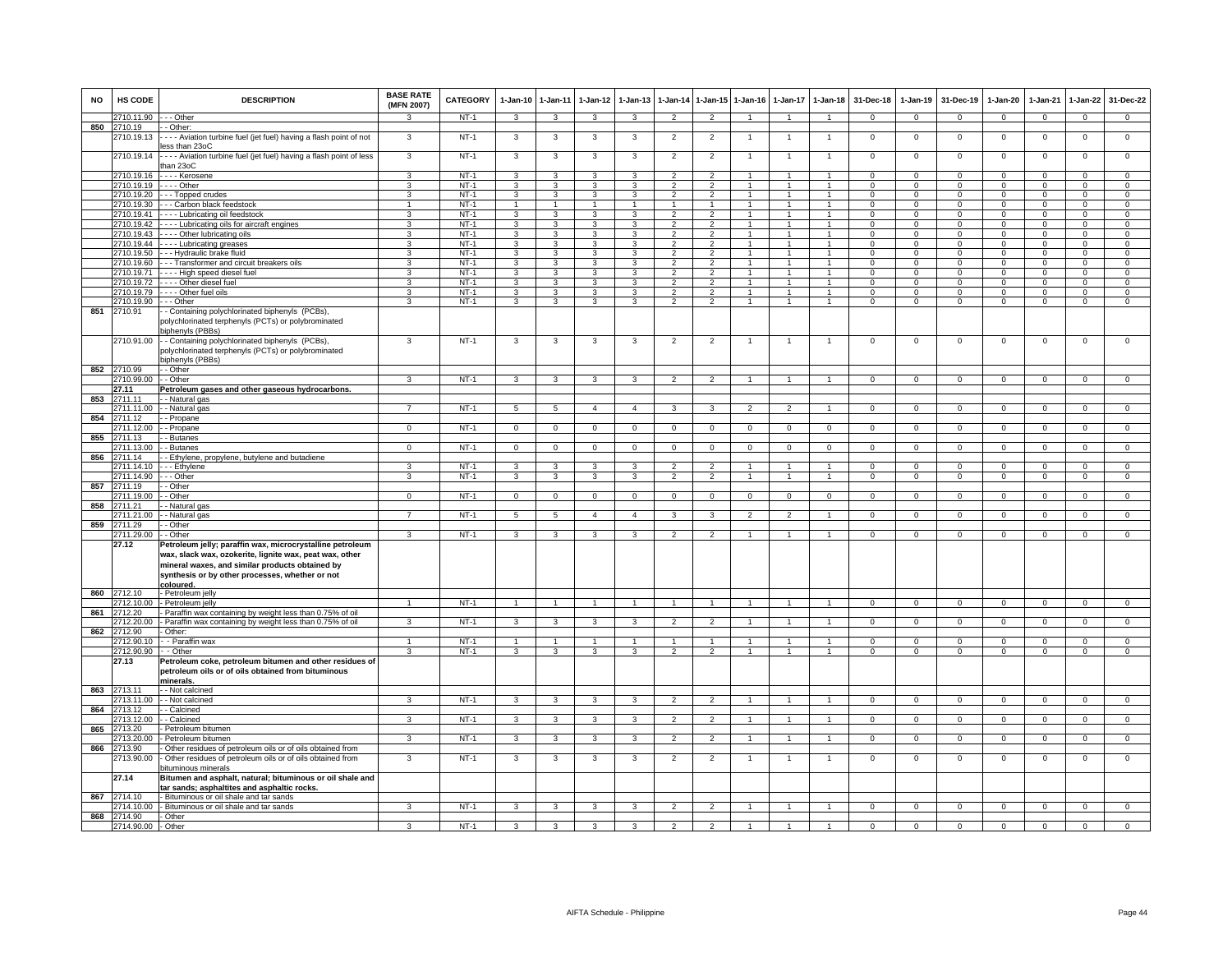| <b>NO</b> | <b>HS CODE</b>            | <b>DESCRIPTION</b>                                                                                                                                                                                                                                         | <b>BASE RATE</b><br>(MFN 2007) | CATEGORY         | $1-Jan-10$                   | 1-Jan-11                | $1-Jan-12$                   | $1-Jan-13$                   |                                  | 1-Jan-14 1-Jan-15 1-Jan-16       |                                  |                                | 1-Jan-17 1-Jan-18              | 31-Dec-18            | 1-Jan-19                   | 31-Dec-19                  | 1-Jan-20                      | $1-Jan-21$                 | 1-Jan-22                   | 31-Dec-22                     |
|-----------|---------------------------|------------------------------------------------------------------------------------------------------------------------------------------------------------------------------------------------------------------------------------------------------------|--------------------------------|------------------|------------------------------|-------------------------|------------------------------|------------------------------|----------------------------------|----------------------------------|----------------------------------|--------------------------------|--------------------------------|----------------------|----------------------------|----------------------------|-------------------------------|----------------------------|----------------------------|-------------------------------|
|           | 2710.11.90                | - Other                                                                                                                                                                                                                                                    |                                | $NT-1$           | $\mathbf{3}$                 | 3                       | 3                            | 3                            | 2                                | 2                                |                                  |                                |                                | $\mathbf 0$          | $\mathbf{0}$               | $\mathbf 0$                | $\overline{0}$                | $\mathbf{0}$               | $\mathbf 0$                | $\mathbf 0$                   |
| 850       | 2710.19<br>2710.19.13     | - Other:<br>--- Aviation turbine fuel (jet fuel) having a flash point of not<br>ess than 23oC                                                                                                                                                              | 3                              | $NT-1$           | 3                            | 3                       | 3                            | 3                            | $\overline{2}$                   | $\overline{2}$                   |                                  | $\overline{1}$                 | $\overline{1}$                 | $\mathbf 0$          | $\mathbf 0$                | $\,0\,$                    | $\mathbf 0$                   | $\mathbf 0$                | $\mathsf 0$                | $\mathbf 0$                   |
|           | 2710.19.14                | - Aviation turbine fuel (jet fuel) having a flash point of less<br>than 23oC                                                                                                                                                                               | 3                              | $NT-1$           | 3                            | 3                       | 3                            | 3                            | $\overline{2}$                   | $\overline{2}$                   |                                  |                                | 1                              | $\mathbf 0$          | $\mathbf 0$                | $\mathbf 0$                | $\overline{0}$                | $\mathbf 0$                | $\mathsf 0$                | $\mathbf 0$                   |
|           |                           | 2710.19.16 ---- Kerosene                                                                                                                                                                                                                                   | $\mathbf{3}$                   | $NT-1$           | 3                            | 3                       | 3                            | 3                            | $\overline{2}$                   | $\overline{2}$                   | $\overline{1}$                   | $\overline{1}$                 | $\overline{1}$                 | $\Omega$             | $\Omega$                   | $\Omega$                   | $\Omega$                      | $\Omega$                   | $^{\circ}$                 | $\Omega$                      |
|           | 2710.19.19<br>2710.19.20  | - Other                                                                                                                                                                                                                                                    | 3<br>3                         | $NT-1$<br>$NT-1$ | 3                            | 3<br>3                  | 3                            | 3<br>$\overline{\mathbf{3}}$ | $\overline{2}$<br>$\overline{2}$ | $\overline{2}$<br>$\overline{2}$ | $\overline{1}$<br>$\mathbf{1}$   | $\mathbf{1}$<br>$\overline{1}$ | $\overline{1}$<br>$\mathbf{1}$ | $\Omega$<br>$\Omega$ | $\Omega$<br>$\mathbf 0$    | $\mathbf 0$<br>$\mathbf 0$ | $\overline{0}$<br>$^{\circ}$  | $\Omega$<br>$\Omega$       | $\mathsf 0$<br>$\mathbf 0$ | $\mathsf 0$<br>$\overline{0}$ |
|           | 2710.19.30                | - - - Topped crudes<br>- - Carbon black feedstock                                                                                                                                                                                                          | $\overline{1}$                 | $NT-1$           | 3<br>$\overline{1}$          | $\overline{1}$          | 3<br>$\mathbf{1}$            | $\overline{1}$               | $\overline{1}$                   | $\overline{1}$                   | $\mathbf{1}$                     | $\mathbf{1}$                   | $\mathbf{1}$                   | $\Omega$             | $\Omega$                   | $\Omega$                   | $\Omega$                      | $\Omega$                   | $\overline{0}$             | $\overline{0}$                |
|           | 2710.19.41                | - - - Lubricating oil feedstock                                                                                                                                                                                                                            | 3                              | $NT-1$           | 3                            | 3                       | 3                            | 3                            | $\mathfrak{p}$                   | $\overline{2}$                   | $\mathbf{1}$                     | 1                              | $\mathbf{1}$                   | $\mathbf 0$          | $\mathbf 0$                | $\mathbf 0$                | $\mathsf 0$                   | $\Omega$                   | $\mathsf 0$                | $\overline{0}$                |
|           | 2710.19.42                | --- Lubricating oils for aircraft engines                                                                                                                                                                                                                  | 3                              | $NT-1$           | 3                            | 3                       | 3                            | 3                            | $\mathfrak{p}$                   | $\overline{2}$                   | $\mathbf{1}$                     |                                | 1                              | $\mathbf 0$          | $\mathbf 0$                | $\mathbf 0$                | $\mathbf 0$                   | $\Omega$                   | $\mathsf 0$                | $\overline{0}$                |
|           | 2710.19.43                | --- Other lubricating oils                                                                                                                                                                                                                                 | 3                              | $NT-1$           | 3                            | 3                       | 3                            | 3                            |                                  | $\overline{2}$                   |                                  |                                |                                | $\Omega$             | $\Omega$                   | $\Omega$                   | 0                             | $\Omega$                   | $\mathsf 0$                | $\overline{0}$                |
|           | 2710.19.44                | --- Lubricating greases                                                                                                                                                                                                                                    | 3                              | $NT-1$           | 3                            | 3                       | 3                            | 3                            | $\overline{2}$                   | $\overline{2}$                   | $\mathbf{1}$                     | $\mathbf{1}$                   | $\overline{1}$                 | $\mathbf 0$          | $\Omega$                   | $\mathbf 0$                | $\mathbf 0$                   | $\Omega$                   | $\mathsf 0$                | $\mathbf 0$                   |
|           | 2710.19.50                | - - Hydraulic brake fluid                                                                                                                                                                                                                                  | 3                              | $NT-1$           | 3                            | 3                       | 3                            | 3                            | $\overline{2}$                   | $\overline{2}$                   | $\mathbf{1}$                     | $\mathbf{1}$                   | $\mathbf{1}$                   | $\Omega$             | $\Omega$                   | $\Omega$                   | $\mathsf 0$                   | $\Omega$                   | $\mathsf 0$                | $\mathbf 0$                   |
|           | 2710.19.60                | - - Transformer and circuit breakers oils                                                                                                                                                                                                                  | 3<br>$\overline{\mathbf{3}}$   | $NT-1$<br>$NT-1$ | 3<br>$\overline{\mathbf{3}}$ | 3<br>3                  | 3<br>$\overline{\mathbf{3}}$ | 3<br>$\overline{3}$          | $\mathcal{P}$<br>$\overline{2}$  | $\mathcal{P}$<br>$\overline{2}$  | $\overline{1}$<br>$\overline{1}$ | $\mathbf{1}$<br>$\overline{1}$ | $\mathbf{1}$<br>$\overline{1}$ | $\Omega$<br>$\Omega$ | $\Omega$<br>$\overline{0}$ | $\Omega$<br>$\Omega$       | $\mathbf 0$<br>$\overline{0}$ | $\Omega$<br>$\overline{0}$ | 0<br>$\overline{0}$        | $\Omega$<br>$\overline{0}$    |
|           | 2710.19.71<br>2710.19.72  | - - - High speed diesel fuel<br>- - - Other diesel fuel                                                                                                                                                                                                    | 3                              | $NT-1$           | $\overline{3}$               | 3                       | $\overline{3}$               | 3                            | $\overline{2}$                   | $\overline{2}$                   | -1                               | $\overline{1}$                 | $\overline{1}$                 | $\Omega$             | $\Omega$                   | $\Omega$                   | $\overline{0}$                | $\Omega$                   | $\mathbf 0$                | $\overline{0}$                |
|           | 2710.19.79                | - - - Other fuel oils                                                                                                                                                                                                                                      | $\mathcal{R}$                  | $NT-1$           | 3                            | 3                       | 3                            | $\mathcal{R}$                | $\mathcal{P}$                    | $\overline{2}$                   | $\overline{1}$                   | $\overline{1}$                 | $\blacktriangleleft$           | $\Omega$             | $\Omega$                   | $\Omega$                   | $\Omega$                      | $\Omega$                   | $\mathbf 0$                | $\mathbf 0$                   |
|           | 2710.19.90                | - - Other                                                                                                                                                                                                                                                  | 3                              | $NT-1$           | 3                            | 3                       | 3                            | 3                            | 2                                | 2                                | $\overline{1}$                   | $\mathbf{1}$                   | $\overline{1}$                 | $\mathbf 0$          | $\mathbf{0}$               | $\mathbf 0$                | $\mathbf 0$                   | $\mathbf{0}$               | $\mathbf{0}$               | $\mathbf 0$                   |
| 851       | 2710.91                   | - Containing polychlorinated biphenyls (PCBs),<br>polychlorinated terphenyls (PCTs) or polybrominated<br>biphenyls (PBBs)                                                                                                                                  |                                |                  |                              |                         |                              |                              |                                  |                                  |                                  |                                |                                |                      |                            |                            |                               |                            |                            |                               |
|           | 2710.91.00<br>852 2710.99 | - Containing polychlorinated biphenyls (PCBs),<br>polychlorinated terphenyls (PCTs) or polybrominated<br>biphenyls (PBBs)<br>- Other                                                                                                                       | 3                              | $NT-1$           | 3                            | 3                       | 3                            | 3                            | $\overline{2}$                   | $\overline{2}$                   | $\overline{1}$                   | $\overline{1}$                 | $\mathbf{1}$                   | $\mathbf 0$          | $\mathbf 0$                | $\mathbf 0$                | $\mathbf 0$                   | $\mathbf 0$                | $\mathsf 0$                | $\mathbf 0$                   |
|           | 2710.99.00                | - Other                                                                                                                                                                                                                                                    | 3                              | $NT-1$           | 3                            | 3                       | 3                            | 3                            | $\overline{2}$                   | $\overline{2}$                   | $\overline{1}$                   | $\mathbf{1}$                   | $\mathbf{1}$                   | $\mathbf{0}$         | $\mathbf{0}$               | $\mathbf 0$                | $\mathbf{0}$                  | $\mathbf 0$                | $\overline{0}$             | $\overline{0}$                |
|           | 27.11                     | Petroleum gases and other gaseous hydrocarbons.                                                                                                                                                                                                            |                                |                  |                              |                         |                              |                              |                                  |                                  |                                  |                                |                                |                      |                            |                            |                               |                            |                            |                               |
| 853       | 2711.11                   | - Natural gas                                                                                                                                                                                                                                              |                                |                  |                              |                         |                              |                              |                                  |                                  |                                  |                                |                                |                      |                            |                            |                               |                            |                            |                               |
|           | 2711.11.00                | - Natural gas                                                                                                                                                                                                                                              | $\overline{7}$                 | $NT-1$           | 5                            | 5                       | $\overline{4}$               | $\overline{4}$               | 3                                | 3                                | $\overline{2}$                   | $\overline{2}$                 | $\overline{1}$                 | $\mathbf 0$          | $\mathbf 0$                | $\mathbf 0$                | $\mathbf 0$                   | $\mathbf 0$                | $\mathbf 0$                | $\overline{0}$                |
| 854       | 2711.12                   | - Propane                                                                                                                                                                                                                                                  |                                |                  |                              |                         |                              |                              |                                  |                                  |                                  |                                |                                |                      |                            |                            |                               |                            |                            |                               |
|           | 2711.12.00                | - Propane                                                                                                                                                                                                                                                  | $\Omega$                       | $NT-1$           | $\mathsf 0$                  | $\mathsf 0$             | $\mathbf{0}$                 | $\Omega$                     | $\mathbf 0$                      | $\mathbf{0}$                     | $\Omega$                         | $\Omega$                       | $\mathbf 0$                    | $\mathbf 0$          | $\circ$                    | $\mathbf{0}$               | $\Omega$                      | $\mathbf{0}$               | $\mathsf 0$                | $\circ$                       |
| 855       | 2711.13<br>2711.13.00     | - Butanes<br>- Butanes                                                                                                                                                                                                                                     | $\Omega$                       | $NT-1$           | $\mathbf{0}$                 | $\overline{0}$          | $\mathbf{0}$                 | $\circ$                      | $\mathbf 0$                      | $\mathbf 0$                      | 0                                | $\Omega$                       | $\mathbf 0$                    | $\mathbf 0$          | $\mathbf 0$                | $\mathbf 0$                | $\Omega$                      | $\Omega$                   | $\mathbf 0$                | $\overline{0}$                |
| 856       | 2711.14                   | - Ethylene, propylene, butylene and butadiene                                                                                                                                                                                                              |                                |                  |                              |                         |                              |                              |                                  |                                  |                                  |                                |                                |                      |                            |                            |                               |                            |                            |                               |
|           | 2711.14.10                | - - Ethylene                                                                                                                                                                                                                                               | 3                              | $NT-1$           | $\overline{3}$               | $\overline{3}$          | 3                            | $\overline{3}$               | $\overline{2}$                   | $\overline{2}$                   | $\overline{1}$                   | $\overline{1}$                 | $\mathbf{1}$                   | $\Omega$             | $\Omega$                   | $\mathbf 0$                | $\overline{0}$                | $\Omega$                   | $\overline{0}$             | $\overline{0}$                |
|           | 711 14 90                 | - - Other                                                                                                                                                                                                                                                  | 3                              | $NT-1$           | 3                            | 3                       | $\overline{\mathbf{3}}$      | 3                            | $\overline{2}$                   | $\overline{2}$                   | $\overline{1}$                   | $\overline{1}$                 | $\overline{1}$                 | $\Omega$             | $\overline{0}$             | $\overline{0}$             | $\overline{0}$                | $\overline{0}$             | $\overline{0}$             | $\overline{0}$                |
| 857       | 2711.19                   | - Other                                                                                                                                                                                                                                                    |                                |                  |                              |                         |                              |                              |                                  |                                  |                                  |                                |                                |                      |                            |                            |                               |                            |                            |                               |
|           | 2711.19.00                | Other                                                                                                                                                                                                                                                      | $\mathbf{0}$                   | $NT-1$           | $\mathbf{0}$                 | $\mathbf{0}$            | $\mathbf{0}$                 | $\Omega$                     | $\mathbf{0}$                     | $\mathbf{0}$                     | $\Omega$                         | $\Omega$                       | $\mathbf{0}$                   | $\mathbf 0$          | $\mathbf{0}$               | $\mathbf 0$                | $\mathbf 0$                   | $\mathbf 0$                | $\mathbf 0$                | $\mathbf 0$                   |
| 858       | 2711.21<br>2711.21.00     | Natural gas<br>- Natural gas                                                                                                                                                                                                                               | $\overline{ }$                 | $NT-1$           | 5                            | 5                       | $\overline{4}$               | $\overline{4}$               | 3                                | 3                                | $\mathfrak{p}$                   | $\mathfrak{p}$                 |                                | $\Omega$             | $\mathbf 0$                | $\Omega$                   | $\Omega$                      | $\Omega$                   | $\mathbf 0$                | $\mathbf 0$                   |
|           | 859 2711.29               | - Other                                                                                                                                                                                                                                                    |                                |                  |                              |                         |                              |                              |                                  |                                  |                                  |                                |                                |                      |                            |                            |                               |                            |                            |                               |
|           | 2711.29.00                | - Other                                                                                                                                                                                                                                                    | $\mathbf{3}$                   | $NT-1$           | $\mathbf{3}$                 | 3                       | 3                            | 3                            | $\overline{2}$                   | $\overline{2}$                   | $\overline{1}$                   | $\overline{1}$                 | $\overline{1}$                 | $\mathbf 0$          | $\mathbf 0$                | $\mathbf 0$                | $\mathbf 0$                   | $\mathbf 0$                | $\mathbf 0$                | $\mathbf 0$                   |
| 860       | 27.12<br>2712.10          | Petroleum jelly; paraffin wax, microcrystalline petroleum<br>wax, slack wax, ozokerite, lignite wax, peat wax, other<br>mineral waxes, and similar products obtained by<br>synthesis or by other processes, whether or not<br>coloured.<br>Petroleum jelly |                                |                  |                              |                         |                              |                              |                                  |                                  |                                  |                                |                                |                      |                            |                            |                               |                            |                            |                               |
|           | 2712.10.00                | Petroleum jelly                                                                                                                                                                                                                                            |                                | $NT-1$           | $\mathbf{1}$                 | $\mathbf{1}$            |                              |                              | $\overline{1}$                   | $\mathbf{1}$                     | $\overline{1}$                   | $\mathbf{1}$                   | $\overline{1}$                 | $\mathbf 0$          | $\mathbf 0$                | $\mathbf 0$                | $\mathbf 0$                   | $\overline{0}$             | $\mathsf 0$                | $\overline{0}$                |
| 861       | 2712.20                   | Paraffin wax containing by weight less than 0.75% of oil                                                                                                                                                                                                   |                                |                  |                              |                         |                              |                              |                                  |                                  |                                  |                                |                                |                      |                            |                            |                               |                            |                            |                               |
| 862       | 2712.20.00<br>2712.90     | Paraffin wax containing by weight less than 0.75% of oil<br>Other:                                                                                                                                                                                         | 3                              | $NT-1$           | $\mathbf{3}$                 | 3                       | 3                            | 3                            | $\overline{2}$                   | $\overline{2}$                   | $\mathbf{1}$                     | $\overline{1}$                 | $\mathbf{1}$                   | $\mathbf 0$          | $\mathbf 0$                | $\mathbf 0$                | $\mathbf 0$                   | $\mathbf 0$                | $\mathbf 0$                | $\overline{0}$                |
|           | 2712.90.10                | - Paraffin wax                                                                                                                                                                                                                                             | $\overline{1}$                 | <b>NT-1</b>      | $\overline{1}$               | $\overline{1}$          | $\blacktriangleleft$         | $\mathbf{1}$                 | $\overline{1}$                   | $\overline{1}$                   | $\overline{1}$                   | $\mathbf{1}$                   | $\blacktriangleleft$           | $\Omega$             | $\Omega$                   | $\Omega$                   | $\Omega$                      | $\Omega$                   | 0                          | $\mathbf 0$                   |
|           | 2712.90.90                | - Other                                                                                                                                                                                                                                                    | 3                              | $NT-1$           | $\overline{3}$               | $\overline{3}$          | $\overline{3}$               | 3                            | $\overline{2}$                   | $\overline{2}$                   | $\overline{1}$                   | $\overline{1}$                 | $\blacktriangleleft$           | $\mathbf{0}$         | $\mathbf{0}$               | $\mathbf{0}$               | $\overline{0}$                | $\Omega$                   | $\mathbf 0$                | $\overline{0}$                |
|           | 27.13                     | Petroleum coke, petroleum bitumen and other residues of<br>petroleum oils or of oils obtained from bituminous<br><u>minerals</u>                                                                                                                           |                                |                  |                              |                         |                              |                              |                                  |                                  |                                  |                                |                                |                      |                            |                            |                               |                            |                            |                               |
| 863       | 2713.11<br>2713.11.00     | - Not calcined<br>- Not calcined                                                                                                                                                                                                                           | 3                              | $NT-1$           | $\mathbf{3}$                 | 3                       | 3                            | 3                            | $\overline{2}$                   | $\overline{2}$                   |                                  | $\overline{1}$                 | $\blacktriangleleft$           | $\mathbf{0}$         | $\mathbf{0}$               | $\mathbf{0}$               | $\overline{0}$                | $\mathbf 0$                | $\mathbf{0}$               | $\mathbf{0}$                  |
| 864       | 2713.12                   | - Calcined                                                                                                                                                                                                                                                 |                                |                  |                              |                         |                              |                              |                                  |                                  |                                  |                                |                                |                      |                            |                            |                               |                            |                            |                               |
|           | 2713.12.00                | - Calcined                                                                                                                                                                                                                                                 | 3                              | $NT-1$           | $\mathbf{3}$                 | 3                       | 3                            | 3                            | $\overline{2}$                   | $\overline{2}$                   |                                  | $\overline{1}$                 | $\mathbf{1}$                   | $\mathbf{0}$         | $\mathbf 0$                | $\mathbf 0$                | $\mathbf 0$                   | $\mathbf 0$                | $\mathbf{0}$               | $\mathbf{0}$                  |
| 865       | 2713.20                   | Petroleum bitumen                                                                                                                                                                                                                                          |                                |                  |                              |                         |                              |                              |                                  |                                  |                                  |                                |                                |                      |                            |                            |                               |                            |                            |                               |
|           | 2713.20.00                | Petroleum bitumen                                                                                                                                                                                                                                          | $\mathbf{3}$                   | $NT-1$           | 3                            | $\mathbf{3}$            | 3                            | 3                            | $\overline{2}$                   | $\overline{2}$                   | $\overline{1}$                   | $\mathbf{1}$                   | $\mathbf{1}$                   | $\mathbf{0}$         | $\mathbf{0}$               | $\mathbf{0}$               | $\overline{0}$                | $\mathbf 0$                | $\overline{0}$             | $\overline{0}$                |
|           | 866 2713.90<br>2713.90.00 | Other residues of petroleum oils or of oils obtained from<br>Other residues of petroleum oils or of oils obtained from<br>pituminous minerals                                                                                                              | 3                              | $NT-1$           | 3                            | 3                       | 3                            | 3                            | $\overline{c}$                   | $\overline{2}$                   | -1                               | $\overline{1}$                 | $\mathbf{1}$                   | $\mathbf 0$          | $\mathbf{0}$               | $\mathbf 0$                | $\mathbf 0$                   | $\mathbf 0$                | $\mathbf 0$                | $\overline{0}$                |
|           | 27.14                     | Bitumen and asphalt, natural; bituminous or oil shale and<br>ar sands; asphaltites and asphaltic rocks.                                                                                                                                                    |                                |                  |                              |                         |                              |                              |                                  |                                  |                                  |                                |                                |                      |                            |                            |                               |                            |                            |                               |
| 867       | 2714.10<br>2714.10.00     | Bituminous or oil shale and tar sands<br>- Bituminous or oil shale and tar sands                                                                                                                                                                           | 3                              | $NT-1$           | $\mathbf{3}$                 | 3                       | 3                            | $\mathbf{3}$                 | $\overline{2}$                   | 2                                | $\mathbf{1}$                     | $\overline{1}$                 | $\mathbf{1}$                   | $\mathsf 0$          | $\mathbf{0}$               | $\mathsf 0$                | $\mathsf 0$                   | $\mathbf{0}$               | $\mathbf 0$                | $\circ$                       |
| 868       | 2714.90                   | - Other                                                                                                                                                                                                                                                    |                                |                  |                              |                         |                              |                              |                                  |                                  |                                  |                                |                                |                      |                            |                            |                               |                            |                            |                               |
|           | 2714.90.00 - Other        |                                                                                                                                                                                                                                                            | 3                              | $NT-1$           | $\overline{\mathbf{3}}$      | $\overline{\mathbf{3}}$ | $\overline{3}$               | $\overline{3}$               | $\overline{2}$                   | $\overline{2}$                   | $\overline{1}$                   | $\overline{1}$                 | $\overline{1}$                 | $\Omega$             | $\overline{0}$             | $\overline{0}$             | $\overline{0}$                | $\overline{0}$             | $\overline{0}$             | $\overline{0}$                |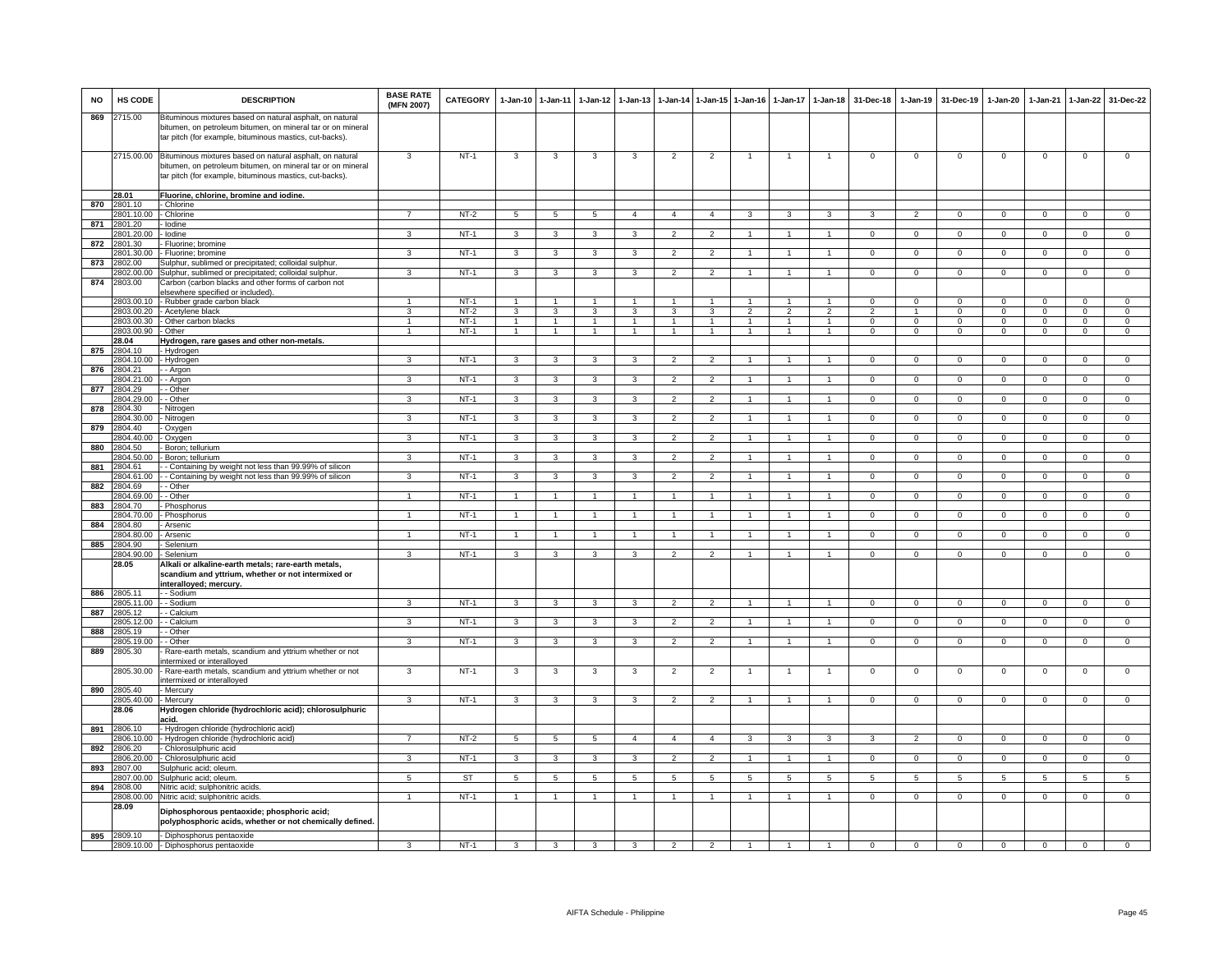| <b>NO</b> | HS CODE                          | <b>DESCRIPTION</b>                                                                                                                                                                            | <b>BASE RATE</b><br>(MFN 2007) | <b>CATEGORY</b>  | $1 - Jan-10$                     | 1-Jan-11                         | $1-Jan-12$                       | $1-Jan-13$                       | 1-Jan-14                         | 1-Jan-15 1-Jan-16                |                   | 1-Jan-17           | $1-Jan-18$                     | 31-Dec-18                    | 1-Jan-19                     | 31-Dec-19                  | 1-Jan-20                      | 1-Jan-21                  | $1-Jan-22$                   | 31-Dec-22                     |
|-----------|----------------------------------|-----------------------------------------------------------------------------------------------------------------------------------------------------------------------------------------------|--------------------------------|------------------|----------------------------------|----------------------------------|----------------------------------|----------------------------------|----------------------------------|----------------------------------|-------------------|--------------------|--------------------------------|------------------------------|------------------------------|----------------------------|-------------------------------|---------------------------|------------------------------|-------------------------------|
| 869       | 2715.00                          | Bituminous mixtures based on natural asphalt, on natural<br>bitumen, on petroleum bitumen, on mineral tar or on mineral<br>tar pitch (for example, bituminous mastics, cut-backs).            |                                |                  |                                  |                                  |                                  |                                  |                                  |                                  |                   |                    |                                |                              |                              |                            |                               |                           |                              |                               |
|           |                                  | 2715.00.00 Bituminous mixtures based on natural asphalt, on natural<br>bitumen, on petroleum bitumen, on mineral tar or on mineral<br>tar pitch (for example, bituminous mastics, cut-backs). | 3                              | $NT-1$           | 3                                | 3                                | 3                                | 3                                | $\overline{2}$                   | $\overline{2}$                   |                   |                    |                                | $\mathsf 0$                  | $\mathsf{O}\xspace$          | $\,0\,$                    | $\mathbf 0$                   | $\,0\,$                   | $\mathsf 0$                  | $\overline{0}$                |
|           | 28.01                            | Fluorine, chlorine, bromine and iodine.                                                                                                                                                       |                                |                  |                                  |                                  |                                  |                                  |                                  |                                  |                   |                    |                                |                              |                              |                            |                               |                           |                              |                               |
| 870       | 2801.10                          | - Chlorine                                                                                                                                                                                    |                                |                  |                                  |                                  |                                  |                                  |                                  |                                  |                   |                    |                                |                              |                              |                            |                               |                           |                              |                               |
| 871       | 2801.10.00 - Chlorine<br>2801.20 | - Iodine                                                                                                                                                                                      | $\overline{7}$                 | NT-2             | 5                                | 5                                | 5                                | $\overline{4}$                   | $\overline{4}$                   | $\overline{4}$                   | 3                 | 3                  | 3                              | 3                            | $\overline{2}$               | $\mathbf{0}$               | $\overline{0}$                | $\mathbf 0$               | $\mathbf{0}$                 | $\mathbf{0}$                  |
|           | 2801.20.00                       | - Iodine                                                                                                                                                                                      | 3                              | $NT-1$           | 3                                | 3                                | 3                                | 3                                | $\overline{2}$                   | $\overline{2}$                   | 1                 | 1                  | 1                              | $\Omega$                     | $^{\circ}$                   | $\mathbf{0}$               | $\overline{0}$                | $^{\circ}$                | $^{\circ}$                   | $\overline{0}$                |
| 872       | 801.30                           | Fluorine; bromine                                                                                                                                                                             |                                |                  |                                  |                                  |                                  |                                  |                                  |                                  |                   |                    |                                |                              |                              |                            |                               |                           |                              |                               |
|           | 801.30.00                        | Fluorine; bromine                                                                                                                                                                             | 3                              | $NT-1$           | 3                                | $\mathbf{3}$                     | 3                                | 3                                | $\overline{2}$                   | $\overline{2}$                   |                   |                    | $\overline{1}$                 | 0                            | $\,0\,$                      | $\,0\,$                    | $\circ$                       | $^{\circ}$                | $\mathsf 0$                  | $\mathsf 0$                   |
| 873       | 2802.00<br>2802.00.00            | Sulphur, sublimed or precipitated; colloidal sulphur.                                                                                                                                         | 3                              | $NT-1$           | $\overline{\mathbf{3}}$          | 3                                | $\mathbf{3}$                     | 3                                | $\overline{2}$                   | $\overline{2}$                   | $\mathbf{1}$      | $\mathbf{1}$       | $\overline{1}$                 | $\overline{0}$               | $\overline{0}$               | $\overline{0}$             | $\overline{0}$                | $\overline{0}$            | $\overline{0}$               | $\overline{0}$                |
| 874       | 2803.00                          | Sulphur, sublimed or precipitated; colloidal sulphur.<br>Carbon (carbon blacks and other forms of carbon not<br>elsewhere specified or included)                                              |                                |                  |                                  |                                  |                                  |                                  |                                  |                                  |                   |                    |                                |                              |                              |                            |                               |                           |                              |                               |
|           |                                  | 2803.00.10 - Rubber grade carbon black                                                                                                                                                        | $\overline{1}$                 | $NT-1$           | $\overline{1}$                   | $\blacktriangleleft$             | $\blacktriangleleft$             |                                  | $\overline{1}$                   |                                  |                   |                    |                                | $^{\circ}$                   | $^{\circ}$                   | $\mathbf 0$                | $\mathbf 0$                   | $\Omega$                  | $\mathbf 0$                  | $\Omega$                      |
|           |                                  | 2803.00.20 - Acetylene black                                                                                                                                                                  | 3                              | $NT-2$           | $\mathbf{3}$                     | 3                                | $\mathbf{3}$                     | $\mathbf{3}$                     | $\mathbf{3}$                     | $\mathbf{3}$                     | $\overline{2}$    | $\overline{2}$     | $\overline{2}$                 | $\mathcal{P}$                | $\overline{1}$               | $\mathbf 0$                | $\mathbf{0}$                  | $\Omega$                  | $\circ$                      | $\mathbf{0}$                  |
|           | 2803.00.90                       | 2803.00.30 - Other carbon blacks<br>- Other                                                                                                                                                   | $\mathbf{1}$<br>$\overline{1}$ | $NT-1$<br>$NT-1$ | $\overline{1}$<br>$\overline{1}$ | $\overline{1}$<br>$\overline{1}$ | $\overline{1}$<br>$\overline{1}$ | $\overline{1}$<br>$\overline{1}$ | $\overline{1}$<br>$\overline{1}$ | $\overline{1}$<br>$\overline{1}$ | $\mathbf{1}$<br>1 | $\mathbf{1}$<br>-1 | $\overline{1}$<br>$\mathbf{1}$ | $\mathbf{0}$<br>$\mathbf{0}$ | $\mathbf{0}$<br>$\mathbf{0}$ | $\mathbf 0$<br>$\mathbf 0$ | $\overline{0}$<br>$\mathbf 0$ | $^{\circ}$<br>$\mathbf 0$ | $\mathbf{0}$<br>$\mathbf{0}$ | $\mathbf 0$<br>$\overline{0}$ |
|           | 28.04                            | Hydrogen, rare gases and other non-metals.                                                                                                                                                    |                                |                  |                                  |                                  |                                  |                                  |                                  |                                  |                   |                    |                                |                              |                              |                            |                               |                           |                              |                               |
| 875       | 2804.10                          | - Hydrogen                                                                                                                                                                                    |                                |                  |                                  |                                  |                                  |                                  |                                  |                                  |                   |                    |                                |                              |                              |                            |                               |                           |                              |                               |
|           | 2804.10.00                       | - Hydrogen                                                                                                                                                                                    | 3                              | $NT-1$           | 3                                | 3                                | 3                                | 3                                | $\overline{2}$                   | $\overline{2}$                   |                   |                    | $\overline{1}$                 | $\mathsf 0$                  | $\mathbf 0$                  | $\mathbf 0$                | $\mathsf 0$                   | $\mathbf 0$               | $\mathsf 0$                  | $\mathbf 0$                   |
| 876       | 2804.21<br>2804.21.00            | - Argon<br>- Argon                                                                                                                                                                            | 3                              | $NT-1$           | $\mathbf{3}$                     | 3                                | $\mathbf{3}$                     | 3                                | $\overline{2}$                   | $\overline{2}$                   | $\overline{1}$    | $\overline{1}$     | $\overline{1}$                 | $\overline{0}$               | $\overline{0}$               | $\overline{0}$             | $\overline{0}$                | $\overline{0}$            | $\overline{0}$               | $\overline{0}$                |
| 877       | 2804.29                          | - Other                                                                                                                                                                                       |                                |                  |                                  |                                  |                                  |                                  |                                  |                                  |                   |                    |                                |                              |                              |                            |                               |                           |                              |                               |
|           | 2804.29.00                       | - Other                                                                                                                                                                                       | 3                              | $NT-1$           | 3                                | 3                                | 3                                | 3                                | $\overline{2}$                   | $\overline{2}$                   |                   |                    | $\mathbf{1}$                   | $\Omega$                     | $\mathbf 0$                  | $\mathbf 0$                | $\mathbf{0}$                  | $\Omega$                  | $\mathbf{0}$                 | $\Omega$                      |
| 878       | 2804.30                          | Nitrogen                                                                                                                                                                                      |                                |                  |                                  |                                  |                                  |                                  |                                  |                                  |                   |                    |                                |                              |                              |                            |                               |                           |                              |                               |
| 879       | 2804.30.00<br>2804.40            | - Nitrogen<br>Oxygen                                                                                                                                                                          | 3                              | NT-1             | 3                                | 3                                | 3                                | 3                                | $\overline{2}$                   | $\overline{2}$                   | 1                 | $\mathbf{1}$       | $\mathbf{1}$                   | $\mathbf{0}$                 | $\mathbf 0$                  | $\mathbf 0$                | $\overline{0}$                | $\mathbf 0$               | $\mathbf{0}$                 | $\mathbf{0}$                  |
|           | 2804.40.00                       | Oxygen                                                                                                                                                                                        | 3                              | $NT-1$           | $\mathbf{3}$                     | $\mathbf{3}$                     | $\mathbf{3}$                     | 3                                | $\overline{2}$                   | $\overline{2}$                   | $\mathbf{1}$      | 1                  | $\mathbf{1}$                   | $\mathbf{O}$                 | $\mathbf 0$                  | $\mathbf 0$                | $\mathbf 0$                   | $\mathbf 0$               | $\mathbf 0$                  | $\overline{0}$                |
| 880       | 804.50                           | Boron: tellurium                                                                                                                                                                              |                                |                  |                                  |                                  |                                  |                                  |                                  |                                  |                   |                    |                                |                              |                              |                            |                               |                           |                              |                               |
|           | 2804.50.00                       | Boron: tellurium                                                                                                                                                                              | 3                              | $NT-1$           | 3                                | 3                                | $\mathbf{3}$                     | 3                                | $\overline{2}$                   | $\overline{2}$                   |                   |                    | $\mathbf{1}$                   | $\mathsf 0$                  | $\mathbf 0$                  | $\mathbf 0$                | $\mathbf 0$                   | $\mathbf 0$               | $\mathbf 0$                  | $\overline{0}$                |
| 881       | 2804.61<br>2804.61.00            | - Containing by weight not less than 99.99% of silicon<br>- Containing by weight not less than 99.99% of silicon                                                                              | 3                              | $NT-1$           | 3                                | 3                                | 3                                | 3                                | $\overline{2}$                   | $\mathcal{P}$                    | $\mathbf{1}$      | $\mathbf{1}$       | $\mathbf{1}$                   | $\Omega$                     | $\Omega$                     | $\Omega$                   | $\Omega$                      | $\Omega$                  | $\mathbf 0$                  | $\overline{0}$                |
| 882       | 2804.69                          | - Other                                                                                                                                                                                       |                                |                  |                                  |                                  |                                  |                                  |                                  |                                  |                   |                    |                                |                              |                              |                            |                               |                           |                              |                               |
|           | 2804.69.00                       | - - Other                                                                                                                                                                                     | $\mathbf{1}$                   | $NT-1$           | $\overline{1}$                   | $\mathbf{1}$                     |                                  |                                  | $\overline{1}$                   |                                  |                   |                    | $\mathbf{1}$                   | $\Omega$                     | $\mathbf 0$                  | $\Omega$                   | $\Omega$                      | $\Omega$                  | $\mathbf 0$                  | $\overline{0}$                |
| 883       | 2804.70                          | Phosphorus                                                                                                                                                                                    | $\overline{1}$                 |                  |                                  | $\mathbf{1}$                     |                                  | $\mathbf{1}$                     |                                  |                                  |                   |                    | $\mathbf{1}$                   |                              |                              |                            |                               |                           |                              |                               |
| 884       | 2804.70.00<br>2804.80            | - Phosphorus<br>- Arsenic                                                                                                                                                                     |                                | NT-1             | $\overline{1}$                   |                                  | 1                                |                                  | $\mathbf{1}$                     | 1                                |                   |                    |                                | $^{\circ}$                   | $\mathbf{0}$                 | $\mathbf 0$                | $\overline{0}$                | $^{\circ}$                | $\mathbf{0}$                 | $\mathbf{0}$                  |
|           | 804.80.00                        | - Arsenic                                                                                                                                                                                     | $\mathbf{1}$                   | $NT-1$           | $\overline{1}$                   | $\overline{1}$                   | $\mathbf{1}$                     | $\mathbf{1}$                     | $\overline{1}$                   | $\mathbf{1}$                     | $\mathbf{1}$      | $\mathbf{1}$       | $\mathbf{1}$                   | $\Omega$                     | $\mathsf 0$                  | $\mathbf{0}$               | $\circ$                       | $\mathbf{0}$              | $\circ$                      | $\mathsf 0$                   |
| 885       | 804.90                           | Selenium                                                                                                                                                                                      |                                |                  |                                  |                                  |                                  |                                  |                                  |                                  |                   |                    |                                |                              |                              |                            |                               |                           |                              |                               |
|           | 804.90.00                        | - Selenium                                                                                                                                                                                    | 3                              | NT-1             | 3                                | 3                                | 3                                | 3                                | $\mathcal{P}$                    | $\mathcal{P}$                    | $\mathbf{1}$      |                    | $\blacktriangleleft$           | $\mathbf{0}$                 | $^{\circ}$                   | $\mathbf 0$                | 0                             | $\mathbf 0$               | $\mathsf 0$                  | $\mathbf 0$                   |
|           | 28.05                            | Alkali or alkaline-earth metals; rare-earth metals,<br>scandium and yttrium, whether or not intermixed or<br>interalloyed; mercury.                                                           |                                |                  |                                  |                                  |                                  |                                  |                                  |                                  |                   |                    |                                |                              |                              |                            |                               |                           |                              |                               |
| 886       | 2805.11                          | - - Sodium                                                                                                                                                                                    |                                |                  |                                  |                                  |                                  |                                  |                                  |                                  |                   |                    |                                |                              |                              |                            |                               |                           |                              |                               |
|           | 2805.11.00 - - Sodium            |                                                                                                                                                                                               | 3                              | $NT-1$           | 3                                | 3                                | 3                                | 3                                | $\overline{2}$                   | $\overline{2}$                   |                   |                    | $\overline{1}$                 | $\mathbf{0}$                 | $\mathbf 0$                  | $\mathbf 0$                | $\mathbf 0$                   | $\mathbf 0$               | $\mathbf 0$                  | $\mathbf{0}$                  |
| 887       | 2805.12<br>2805.12.00            | - - Calcium<br>- Calcium                                                                                                                                                                      | 3                              | $NT-1$           | $\mathbf{3}$                     | $\mathbf{3}$                     | 3                                | $\mathbf{3}$                     | $\overline{2}$                   | $\overline{2}$                   | 1                 | $\mathbf{1}$       | $\mathbf{1}$                   | $\mathbf{0}$                 | $\mathbf{0}$                 | $\mathbf{0}$               | $\overline{0}$                | $\mathbf 0$               | $\overline{0}$               | $\overline{0}$                |
| 888       | 2805.19                          | - Other                                                                                                                                                                                       |                                |                  |                                  |                                  |                                  |                                  |                                  |                                  |                   |                    |                                |                              |                              |                            |                               |                           |                              |                               |
|           | 805.19.00                        | - Other                                                                                                                                                                                       | 3                              | $NT-1$           | $\overline{3}$                   | $\overline{\mathbf{3}}$          | $\overline{3}$                   | 3                                | $\overline{2}$                   | $\overline{2}$                   | $\mathbf{1}$      | $\mathbf{1}$       | $\overline{1}$                 | $\overline{0}$               | $\overline{0}$               | $\overline{0}$             | $\overline{0}$                | $\overline{0}$            | $\overline{0}$               | $\overline{0}$                |
| 889       | 805.30                           | Rare-earth metals, scandium and yttrium whether or not<br>ntermixed or interalloved                                                                                                           |                                |                  |                                  |                                  |                                  |                                  |                                  |                                  | $\mathbf{1}$      | $\overline{1}$     | $\overline{1}$                 |                              |                              |                            |                               |                           |                              | $\mathbf 0$                   |
| 890       | 2805.30.00<br>2805.40            | - Rare-earth metals, scandium and yttrium whether or not<br>intermixed or interalloyed<br>- Mercury                                                                                           | 3                              | $NT-1$           | 3                                | 3                                | 3                                | 3                                | $\overline{2}$                   | $\overline{2}$                   |                   |                    |                                | $\mathbf 0$                  | $\,0\,$                      | $\mathbf 0$                | $\mathbf 0$                   | $\mathsf 0$               | $\mathsf 0$                  |                               |
|           | 2805.40.00                       | - Mercury                                                                                                                                                                                     | 3                              | $NT-1$           | 3                                | 3                                | 3                                | 3                                | $\overline{2}$                   | $\mathcal{P}$                    |                   |                    |                                | $\mathsf 0$                  | $^{\circ}$                   | $\mathbf 0$                | 0                             | $\mathbf 0$               | $\mathsf 0$                  | $\mathbf 0$                   |
|           | 28.06                            | Hydrogen chloride (hydrochloric acid); chlorosulphuric<br>acid.                                                                                                                               |                                |                  |                                  |                                  |                                  |                                  |                                  |                                  |                   |                    |                                |                              |                              |                            |                               |                           |                              |                               |
| 891       | 2806.10                          | - Hydrogen chloride (hydrochloric acid)                                                                                                                                                       |                                |                  |                                  |                                  |                                  |                                  |                                  |                                  |                   |                    |                                |                              |                              |                            |                               |                           |                              |                               |
|           | 2806.10.00                       | - Hydrogen chloride (hydrochloric acid)                                                                                                                                                       | $\overline{7}$                 | $NT-2$           | 5                                | 5                                | 5                                | $\overline{4}$                   | $\overline{4}$                   | $\overline{4}$                   | 3                 | 3                  | 3                              | 3                            | $\overline{2}$               | $\mathbf{0}$               | $\mathbf 0$                   | $\mathbf 0$               | $\mathbf 0$                  | $\overline{0}$                |
| 892       | 806.20<br>2806.20.00             | Chlorosulphuric acid<br>Chlorosulphuric acid                                                                                                                                                  | 3                              | NT-1             | 3                                | 3                                | 3                                | 3                                | $\overline{2}$                   | $\overline{2}$                   | $\overline{1}$    | $\mathbf{1}$       | $\mathbf{1}$                   | $\mathbf{0}$                 | $\mathbf 0$                  | $\mathbf 0$                | $\circ$                       | $\mathbf 0$               | $\mathbf{0}$                 | $\overline{0}$                |
| 893       | 2807.00                          | Sulphuric acid; oleum                                                                                                                                                                         |                                |                  |                                  |                                  |                                  |                                  |                                  |                                  |                   |                    |                                |                              |                              |                            |                               |                           |                              |                               |
|           | 2807.00.00                       | Sulphuric acid: oleum                                                                                                                                                                         | $\overline{5}$                 | <b>ST</b>        | $\overline{5}$                   | $\overline{5}$                   | $\overline{5}$                   | $\overline{5}$                   | $\overline{5}$                   | $\overline{5}$                   | $\overline{5}$    | $\overline{5}$     | $\overline{5}$                 | $\overline{5}$               | $\overline{5}$               | $\overline{5}$             | $\overline{5}$                | 5                         | $\overline{5}$               | $\overline{5}$                |
| 894       | 2808.00<br>2808.00.00            | Nitric acid; sulphonitric acids<br>Nitric acid; sulphonitric acids                                                                                                                            | $\mathbf{1}$                   | $NT-1$           | $\overline{1}$                   | $\mathbf{1}$                     | $\mathbf{1}$                     |                                  | $\overline{1}$                   | $\overline{1}$                   |                   |                    | $\blacktriangleleft$           | $\Omega$                     | $\Omega$                     | $\Omega$                   | $\Omega$                      | $\Omega$                  | $\overline{0}$               | $\overline{0}$                |
|           | 28.09                            | Diphosphorous pentaoxide; phosphoric acid;<br>polyphosphoric acids, whether or not chemically defined.                                                                                        |                                |                  |                                  |                                  |                                  |                                  |                                  |                                  |                   |                    |                                |                              |                              |                            |                               |                           |                              |                               |
|           | 895 2809.10                      | - Diphosphorus pentaoxide                                                                                                                                                                     |                                |                  |                                  |                                  |                                  |                                  |                                  |                                  |                   |                    |                                |                              |                              |                            |                               |                           |                              |                               |
|           |                                  | 2809.10.00 - Diphosphorus pentaoxide                                                                                                                                                          | 3                              | $NT-1$           | 3                                | 3                                | 3                                | 3                                | $\overline{2}$                   | $\overline{2}$                   | $\mathbf{1}$      |                    |                                | $\overline{0}$               | $\overline{0}$               | $\overline{0}$             | $\overline{0}$                | $\overline{0}$            | $\overline{0}$               | $\overline{0}$                |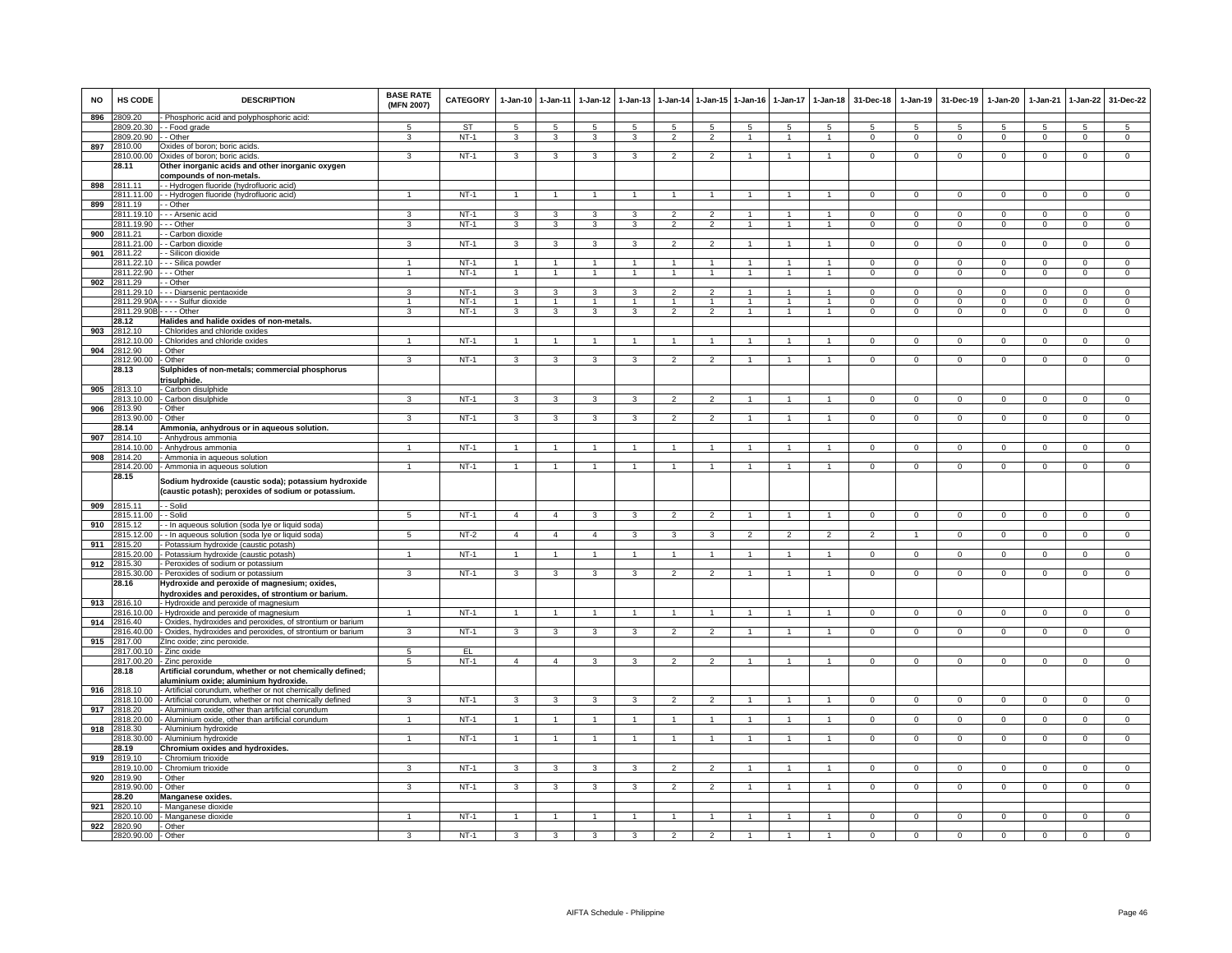| <b>NO</b> | HS CODE               | <b>DESCRIPTION</b>                                                                                          | <b>BASE RATE</b><br>(MFN 2007) | CATEGORY    | $1-Jan-10$           | $1-Jan-11$           | $1-Jan-12$     | $1-Jan-13$     | 1-Jan-14                 | $1 - Jan-15$             | $1 - Jan-16$   | $1-Jan-17$     | $1-Jan-18$           | 31-Dec-18      | $1-Jan-19$     | 31-Dec-19      | $1-Jan-20$     | 1-Jan-21       | $1-Jan-22$     | 31-Dec-22      |
|-----------|-----------------------|-------------------------------------------------------------------------------------------------------------|--------------------------------|-------------|----------------------|----------------------|----------------|----------------|--------------------------|--------------------------|----------------|----------------|----------------------|----------------|----------------|----------------|----------------|----------------|----------------|----------------|
| 896       | 2809.20               | - Phosphoric acid and polyphosphoric acid                                                                   |                                |             |                      |                      |                |                |                          |                          |                |                |                      |                |                |                |                |                |                |                |
|           |                       | 2809.20.30 - - Food grade                                                                                   | $\overline{a}$                 | ST          | -5                   | -5                   | 5              | 5              | 5                        | 5                        | -5             | 5              | 5                    | 5              | 5              | 5              | 5              | 5              | 5              | -5             |
|           | 2809.20.90 - - Other  |                                                                                                             | 3                              | $NT-1$      | 3                    | $\mathbf{3}$         | 3              | 3              | $\overline{2}$           | $\overline{2}$           | -1             | $\mathbf{1}$   | $\mathbf{1}$         | $\mathbf 0$    | $\mathbf 0$    | 0              | 0              | $\mathbf 0$    | $\mathbf{0}$   | $\mathbf 0$    |
| 897       | 2810.00               | Oxides of boron; boric acids.                                                                               |                                |             |                      |                      |                |                |                          |                          |                |                |                      |                |                |                |                |                |                |                |
|           | 2810.00.00            | Oxides of boron; boric acids                                                                                | 3                              | $NT-1$      | 3                    | 3                    | 3              | 3              | $\overline{\phantom{a}}$ | $\mathcal{P}$            | $\mathbf{1}$   | $\mathbf{1}$   | -1                   | $\Omega$       | $^{\circ}$     | $\mathbf 0$    | $\Omega$       | $\Omega$       | $\mathbf 0$    | $\overline{0}$ |
|           | 28.11                 | Other inorganic acids and other inorganic oxygen                                                            |                                |             |                      |                      |                |                |                          |                          |                |                |                      |                |                |                |                |                |                |                |
|           |                       | compounds of non-metals                                                                                     |                                |             |                      |                      |                |                |                          |                          |                |                |                      |                |                |                |                |                |                |                |
| 898       | 2811.11               | - - Hydrogen fluoride (hydrofluoric acid)                                                                   |                                |             |                      |                      |                |                |                          |                          |                |                |                      |                |                |                |                |                |                |                |
|           | 2811.11.00            | - - Hydrogen fluoride (hydrofluoric acid)                                                                   | -1                             | $NT-1$      | $\overline{1}$       | $\overline{1}$       | $\overline{1}$ | 1              | $\overline{1}$           |                          | $\overline{1}$ |                | $\mathbf{1}$         | $\Omega$       | $\mathbf 0$    | 0              | $\Omega$       | 0              | $\mathbf 0$    | 0              |
| 899       | 811.19                | - Other                                                                                                     |                                |             |                      |                      |                |                |                          |                          |                |                |                      |                |                |                |                |                |                |                |
|           | 2811.19.10            | - - Arsenic acid                                                                                            | 3                              | $NT-1$      | 3                    | 3                    | 3              | 3              | $\overline{2}$           | $\overline{2}$           | 1              | $\overline{1}$ | $\overline{1}$       | $\Omega$       | $\overline{0}$ | $\Omega$       | $\Omega$       | $\Omega$       | $\overline{0}$ | $\overline{0}$ |
|           | 2811.19.90            | - Other                                                                                                     | 3                              | $NT-1$      | 3                    | 3                    | 3              | 3              | $\overline{2}$           | $\overline{2}$           | 1              | $\overline{1}$ | $\overline{1}$       | $\overline{0}$ | $\overline{0}$ | $\overline{0}$ | $\overline{0}$ | $\overline{0}$ | $\overline{0}$ | $\overline{0}$ |
| 900       | 2811.21               | - Carbon dioxide                                                                                            |                                |             |                      |                      |                |                |                          |                          |                |                |                      |                |                |                |                |                |                |                |
|           | 2811.21.00            | - - Carbon dioxide                                                                                          | 3                              | $NT-1$      | 3                    | 3                    | $\mathbf{3}$   | 3              | $\overline{2}$           | $\overline{2}$           |                | $\overline{1}$ | $\overline{1}$       | $\mathbf 0$    | $\mathsf 0$    | $\mathbf{0}$   | $\mathbf 0$    | $^{\circ}$     | $\mathbf 0$    | $\mathbf 0$    |
| 901       | 2811.22               | - Silicon dioxide                                                                                           |                                |             |                      |                      |                |                |                          |                          |                |                |                      |                |                |                |                |                |                |                |
|           | 2811.22.10            | - - Silica powder                                                                                           | $\blacktriangleleft$           | $NT-1$      | $\mathbf{1}$         | $\overline{1}$       | $\sim$         | $\mathbf{1}$   | $\overline{1}$           | $\mathbf{1}$             | $\overline{1}$ | $\mathbf{1}$   | $\mathbf{1}$         | $\Omega$       | $\mathbf 0$    | $\mathbf{0}$   | 0              | $\mathbf 0$    | $\mathbf{0}$   | $\overline{0}$ |
|           | 2811.22.90            | - - Other                                                                                                   | $\overline{1}$                 | $NT-1$      | $\overline{1}$       | $\overline{1}$       | $\overline{1}$ | $\overline{1}$ | $\overline{1}$           | $\mathbf{1}$             | $\overline{1}$ | $\mathbf{1}$   | $\overline{1}$       | $\mathbf{0}$   | $\mathbf 0$    | $\mathbf{0}$   | $\mathbf{0}$   | $\mathbf{0}$   | $\overline{0}$ | $\overline{0}$ |
| 902       | 2811.29               | - Other                                                                                                     |                                |             |                      |                      |                |                |                          |                          |                |                |                      |                |                |                |                |                |                |                |
|           | 2811.29.10            | - Diarsenic pentaoxide                                                                                      | 3                              | $NT-1$      | 3                    | 3                    | 3              | 3              | $\overline{a}$           | $\overline{2}$           |                | $\mathbf{1}$   | $\mathbf{1}$         | $\Omega$       | $\Omega$       | $\Omega$       | $\Omega$       | $\Omega$       | $\mathbf{0}$   | $\mathbf{0}$   |
|           | 2811.29.90A           | - - - Sulfur dioxide                                                                                        | $\mathbf{1}$                   | $NT-1$      |                      |                      | $\mathbf{1}$   |                |                          |                          |                |                |                      | $\Omega$       | $\mathbf 0$    | $\mathbf 0$    | $\mathbf 0$    | $\mathbf 0$    | $\mathbf 0$    | $\mathsf 0$    |
|           | 2811.29.90B           | $--$ Other                                                                                                  | $\mathcal{R}$                  | $NT-1$      | 3                    | 3                    | $\mathbf{3}$   | $\mathbf{B}$   | $\mathcal{L}$            | $\overline{2}$           | $\overline{1}$ | $\overline{1}$ | $\overline{1}$       | $\mathbf 0$    | $\mathbf 0$    | $\mathbf 0$    | $\mathbf 0$    | $\mathbf 0$    | $\mathbf 0$    | $\mathsf 0$    |
|           | 28.12                 | Halides and halide oxides of non-metals.                                                                    |                                |             |                      |                      |                |                |                          |                          |                |                |                      |                |                |                |                |                |                |                |
| 903       | 2812.10               | - Chlorides and chloride oxides                                                                             |                                |             |                      |                      |                |                |                          |                          |                |                |                      |                |                |                |                |                |                |                |
|           | 2812.10.00            | - Chlorides and chloride oxides                                                                             | $\mathbf{1}$                   | $NT-1$      |                      | $\overline{1}$       |                |                | $\mathbf{1}$             |                          |                |                |                      | $\Omega$       | $\Omega$       | $\Omega$       | $\Omega$       | $\Omega$       | $\Omega$       | $\Omega$       |
| 904       | 2812.90               | Other                                                                                                       |                                |             |                      |                      |                |                |                          |                          |                |                |                      |                |                |                |                |                |                |                |
|           | 2812.90.00            | - Other                                                                                                     | 3                              | $NT-1$      | 3                    | 3                    | 3              | 3              | $\overline{2}$           | $\mathfrak{p}$           |                |                |                      | $\Omega$       | $\Omega$       | $\Omega$       | $\Omega$       | $\Omega$       | $\Omega$       | $\Omega$       |
|           | 28.13                 | Sulphides of non-metals; commercial phosphorus                                                              |                                |             |                      |                      |                |                |                          |                          |                |                |                      |                |                |                |                |                |                |                |
|           |                       | trisulphide.                                                                                                |                                |             |                      |                      |                |                |                          |                          |                |                |                      |                |                |                |                |                |                |                |
| 905       | 2813.10               | - Carbon disulphide                                                                                         |                                |             |                      |                      |                |                |                          |                          |                |                |                      |                |                |                |                |                |                |                |
|           | 2813.10.00            | - Carbon disulphide                                                                                         | 3                              | $NT-1$      | 3                    | 3                    | 3              | 3              | $\overline{2}$           | $\overline{2}$           | $\overline{1}$ | $\mathbf{1}$   | $\mathbf{1}$         | $\Omega$       | $\mathbf{0}$   | $\mathbf{0}$   | $\Omega$       | $^{\circ}$     | $\mathbf{0}$   | $\mathbf{0}$   |
| 906       | 2813.90               | Other                                                                                                       |                                |             |                      |                      |                |                |                          |                          |                |                |                      |                |                |                |                |                |                |                |
|           | 2813.90.00            | Other                                                                                                       | $\mathbf{R}$                   | $NT-1$      | 3                    | 3                    | 3              | 3              | $\mathfrak{p}$           | $\overline{2}$           |                |                | $\mathbf{1}$         | $\mathbf 0$    | $\mathsf 0$    | $\mathbf 0$    | 0              | $\mathbf 0$    | $\mathbf 0$    | $\mathsf 0$    |
|           | 28.14                 | Ammonia, anhydrous or in aqueous solution.                                                                  |                                |             |                      |                      |                |                |                          |                          |                |                |                      |                |                |                |                |                |                |                |
| 907       | 2814.10               | - Anhydrous ammonia                                                                                         |                                |             |                      |                      |                |                |                          |                          |                |                |                      |                |                |                |                |                |                |                |
|           | 2814.10.00            | - Anhydrous ammonia                                                                                         | $\mathbf{1}$                   | $NT-1$      | $\blacktriangleleft$ | $\blacktriangleleft$ | -1             | 1              | $\overline{1}$           | $\mathbf{1}$             | $\overline{1}$ | $\mathbf{1}$   | $\mathbf{1}$         | $\Omega$       | $\mathbf 0$    | 0              | $\Omega$       | 0              | $\mathbf 0$    | $\mathbf 0$    |
| 908       | 2814.20               | - Ammonia in aqueous solution                                                                               |                                |             |                      |                      |                |                |                          |                          |                |                |                      |                |                |                |                |                |                |                |
|           | 2814.20.00            | - Ammonia in aqueous solution                                                                               | $\mathbf{1}$                   | $NT-1$      |                      | $\overline{1}$       | $\overline{1}$ | $\overline{1}$ | $\overline{1}$           | $\overline{1}$           | $\mathbf{1}$   | $\mathbf{1}$   | $\overline{1}$       | $\Omega$       | $\overline{0}$ | $\overline{0}$ | $\Omega$       | $\mathbf 0$    | $\overline{0}$ | $\overline{0}$ |
|           | 28.15                 | Sodium hydroxide (caustic soda); potassium hydroxide<br>(caustic potash); peroxides of sodium or potassium. |                                |             |                      |                      |                |                |                          |                          |                |                |                      |                |                |                |                |                |                |                |
|           | 909 2815.11           | - - Solid                                                                                                   |                                |             |                      |                      |                |                |                          |                          |                |                |                      |                |                |                |                |                |                |                |
| 910       | 2815.11.00 - Solid    |                                                                                                             | 5                              | $NT-1$      | $\overline{4}$       | $\overline{4}$       | 3              | 3              | $\overline{2}$           | $\overline{2}$           | $\mathbf{1}$   | $\mathbf{1}$   | $\mathbf{1}$         | $\mathbf{0}$   | $\mathbf{0}$   | $^{\circ}$     | $\mathbf{0}$   | $^{\circ}$     | $\overline{0}$ | $\overline{0}$ |
|           | 2815.12<br>2815.12.00 | - - In aqueous solution (soda lye or liquid soda)                                                           | 5                              | $NT-2$      | $\overline{4}$       | $\overline{4}$       | $\overline{4}$ | 3              | 3                        | 3                        | $\overline{2}$ | $\overline{2}$ | $\overline{2}$       | $\overline{2}$ | $\overline{1}$ | $\mathbf 0$    |                |                |                | $\mathbf 0$    |
| 911       | 2815.20               | - In aqueous solution (soda lye or liquid soda)<br>Potassium hydroxide (caustic potash)                     |                                |             |                      |                      |                |                |                          |                          |                |                |                      |                |                |                | $\mathbf{O}$   | $\mathbf 0$    | $\mathbf{0}$   |                |
|           | 185.20.00             | - Potassium hydroxide (caustic potash)                                                                      |                                | $NT-1$      | $\mathbf{1}$         | 1                    | $\mathbf{1}$   |                | $\overline{1}$           | $\mathbf{1}$             |                | $\overline{1}$ | $\overline{1}$       | $\overline{0}$ | $\mathsf 0$    | $\mathbf 0$    | $\Omega$       | $\mathbf 0$    | $\mathbf 0$    | $\Omega$       |
| 912       | 2815.30               | Peroxides of sodium or potassium                                                                            |                                |             |                      |                      |                |                |                          |                          |                |                |                      |                |                |                |                |                |                |                |
|           | 2815.30.00            | - Peroxides of sodium or potassium                                                                          | $\overline{3}$                 | $NT-1$      | 3                    | $\mathbf{3}$         | 3              | 3              | $\overline{2}$           | $\overline{2}$           | 1              | $\mathbf{1}$   | $\mathbf{1}$         | $\mathbf{0}$   | 0              | 0              | 0              | 0              | $\mathbf{0}$   | $\mathsf 0$    |
|           | 28.16                 | Hydroxide and peroxide of magnesium; oxides,                                                                |                                |             |                      |                      |                |                |                          |                          |                |                |                      |                |                |                |                |                |                |                |
|           |                       | hydroxides and peroxides, of strontium or barium.                                                           |                                |             |                      |                      |                |                |                          |                          |                |                |                      |                |                |                |                |                |                |                |
| 913       | 2816.10               | - Hydroxide and peroxide of magnesium                                                                       |                                |             |                      |                      |                |                |                          |                          |                |                |                      |                |                |                |                |                |                |                |
|           | 2816.10.00            | - Hydroxide and peroxide of magnesium                                                                       |                                | $NT-1$      |                      |                      |                |                |                          |                          |                |                |                      |                | $\Omega$       | $\Omega$       |                | $\Omega$       |                | $\Omega$       |
| 914       | 2816.40               | - Oxides, hydroxides and peroxides, of strontium or barium                                                  |                                |             |                      |                      |                |                |                          |                          |                |                |                      |                |                |                |                |                |                |                |
|           |                       | 2816.40.00 - Oxides, hydroxides and peroxides, of strontium or barium                                       | 3                              | <b>NT-1</b> | $\mathbf{3}$         | $\mathbf{3}$         | 3              | 3              | $\overline{2}$           | $\overline{2}$           |                |                |                      | $\mathbf 0$    | $\mathbf 0$    | $\mathbf 0$    | 0              | 0              | $\mathbf{0}$   | $\mathbf 0$    |
| 915       | 2817.00               | ZInc oxide; zinc peroxide.                                                                                  |                                |             |                      |                      |                |                |                          |                          |                |                |                      |                |                |                |                |                |                |                |
|           |                       | 2817.00.10 - Zinc oxide                                                                                     | $5\overline{)}$                | EL          |                      |                      |                |                |                          |                          |                |                |                      |                |                |                |                |                |                |                |
|           | 2817.00.20            | - Zinc peroxide                                                                                             | $\overline{5}$                 | $NT-1$      | $\overline{4}$       | $\overline{4}$       | 3              | 3              | $\overline{2}$           | $\overline{2}$           | 1              | $\mathbf{1}$   | $\blacktriangleleft$ | $\Omega$       | $\Omega$       | $\overline{0}$ | $\Omega$       | $\Omega$       | $\overline{0}$ | $\overline{0}$ |
|           | 28.18                 | Artificial corundum, whether or not chemically defined;                                                     |                                |             |                      |                      |                |                |                          |                          |                |                |                      |                |                |                |                |                |                |                |
|           |                       | aluminium oxide; aluminium hydroxide.                                                                       |                                |             |                      |                      |                |                |                          |                          |                |                |                      |                |                |                |                |                |                |                |
| 916       | 2818.10<br>2818.10.00 | - Artificial corundum, whether or not chemically defined                                                    | $\overline{3}$                 | $NT-1$      |                      |                      |                | 3              | $\overline{2}$           | $\overline{\phantom{a}}$ |                |                | $\overline{1}$       | $\overline{0}$ | $\Omega$       | $\Omega$       | $\Omega$       | $\Omega$       |                |                |
|           |                       | - Artificial corundum, whether or not chemically defined                                                    |                                |             | 3                    | 3                    | 3              |                |                          |                          | $\overline{1}$ | $\mathbf{1}$   |                      |                |                |                |                |                | $\overline{0}$ | $\overline{0}$ |
| 917       | 2818.20<br>2818,20.00 | - Aluminium oxide, other than artificial corundum                                                           |                                | $NT-1$      |                      | $\overline{1}$       |                |                | $\mathbf{1}$             | $\overline{1}$           |                |                |                      | $\Omega$       | $\Omega$       | $\Omega$       | $\Omega$       | $\Omega$       | $\overline{0}$ | $\overline{0}$ |
|           | 2818.30               | - Aluminium oxide, other than artificial corundum<br>- Aluminium hydroxide                                  |                                |             |                      |                      |                |                |                          |                          |                |                |                      |                |                |                |                |                |                |                |
| 918       | 2818.30.00            | - Aluminium hydroxide                                                                                       |                                | $NT-1$      |                      | 1                    |                |                |                          |                          |                |                |                      | $\Omega$       | $\Omega$       | $\Omega$       | $\Omega$       | $\Omega$       | $\Omega$       | $\Omega$       |
|           | 28.19                 | Chromium oxides and hydroxides.                                                                             |                                |             |                      |                      |                |                |                          |                          |                |                |                      |                |                |                |                |                |                |                |
| 919       | 2819.10               | Chromium trioxide                                                                                           |                                |             |                      |                      |                |                |                          |                          |                |                |                      |                |                |                |                |                |                |                |
|           | 2819.10.00            | - Chromium trioxide                                                                                         | з                              | $NT-1$      | 3                    | $\mathbf{3}$         | 3              | 3              | $\overline{2}$           | $\overline{2}$           | -1             | $\mathbf{1}$   | $\overline{1}$       | $\Omega$       | $^{\circ}$     | $^{\circ}$     | $\Omega$       | $^{\circ}$     | $\mathbf 0$    | $\mathbf 0$    |
| 920       | 2819.90               | Other                                                                                                       |                                |             |                      |                      |                |                |                          |                          |                |                |                      |                |                |                |                |                |                |                |
|           | 2819.90.00            | - Other                                                                                                     | 3                              | $NT-1$      | 3                    | 3                    | 3              | 3              | $\overline{2}$           | $\overline{2}$           |                | $\mathbf{1}$   | 1                    | $\mathbf 0$    | $\mathbf{0}$   | $\mathbf 0$    | 0              | $\mathbf{0}$   | $\mathbf 0$    | $\mathbf 0$    |
|           | 28.20                 | Manganese oxides.                                                                                           |                                |             |                      |                      |                |                |                          |                          |                |                |                      |                |                |                |                |                |                |                |
| 921       | 2820.10               | Manganese dioxide                                                                                           |                                |             |                      |                      |                |                |                          |                          |                |                |                      |                |                |                |                |                |                |                |
|           | 2820.10.00            | - Manganese dioxide                                                                                         |                                | $NT-1$      |                      |                      |                |                |                          |                          |                |                |                      | $\Omega$       | 0              | $\Omega$       | $\Omega$       | 0              | 0              | $\Omega$       |
| 922       | 2820.90               | - Other                                                                                                     |                                |             |                      |                      |                |                |                          |                          |                |                |                      |                |                |                |                |                |                |                |
|           | 2820.90.00            | - Other                                                                                                     | 3                              | $NT-1$      | 3                    | 3                    | 3              | 3              | $\overline{2}$           | $\overline{2}$           | $\mathbf{1}$   | $\mathbf{1}$   |                      | $\Omega$       | $\Omega$       | $\Omega$       | $\Omega$       | $\Omega$       | $\overline{0}$ | $\overline{0}$ |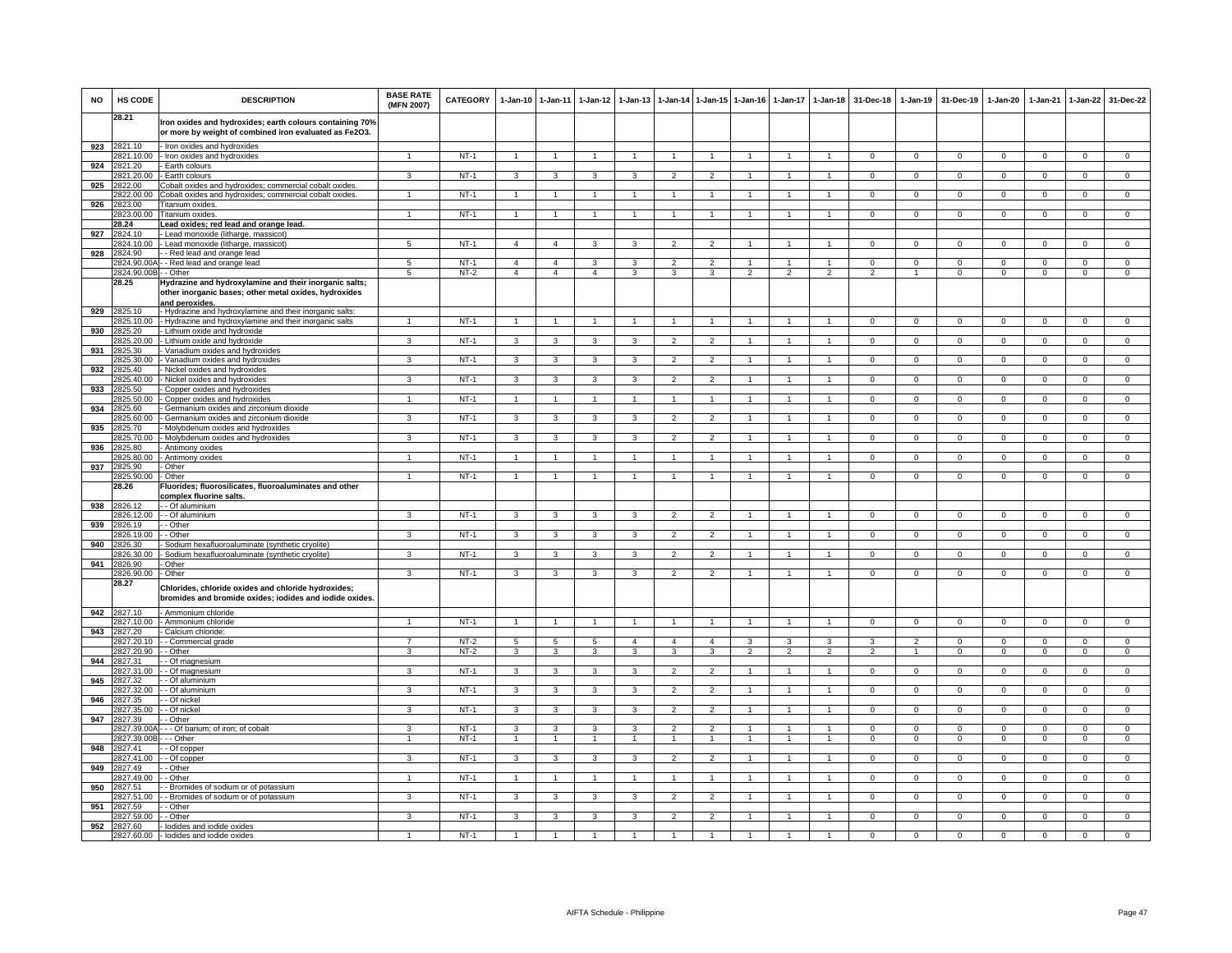| <b>NO</b> | HS CODE                    | <b>DESCRIPTION</b>                                                                                                                | <b>BASE RATE</b><br>(MFN 2007) | <b>CATEGORY</b>  | $1-Jan-10$              | $1 - Jan-11$                     | $1-Jan-12$              | $1-Jan-13$        |                                  | 1-Jan-14 1-Jan-15              | $1 - Jan-16$            | $1-Jan-17$               | $1 - Jan-18$         | 31-Dec-18      | $1-Jan-19$     | 31-Dec-19                  | 1-Jan-20            | $1-Jan-21$     | $1-Jan-22$                     | 31-Dec-22                      |
|-----------|----------------------------|-----------------------------------------------------------------------------------------------------------------------------------|--------------------------------|------------------|-------------------------|----------------------------------|-------------------------|-------------------|----------------------------------|--------------------------------|-------------------------|--------------------------|----------------------|----------------|----------------|----------------------------|---------------------|----------------|--------------------------------|--------------------------------|
|           | 28.21                      | Iron oxides and hydroxides; earth colours containing 70%<br>or more by weight of combined iron evaluated as Fe2O3.                |                                |                  |                         |                                  |                         |                   |                                  |                                |                         |                          |                      |                |                |                            |                     |                |                                |                                |
|           | 923 2821.10                | Iron oxides and hydroxides                                                                                                        |                                |                  |                         |                                  |                         |                   |                                  |                                |                         |                          |                      |                |                |                            |                     |                |                                |                                |
|           | 2821.10.00                 | Iron oxides and hydroxides                                                                                                        |                                | $NT-1$           | $\overline{1}$          | $\mathbf{1}$                     |                         |                   |                                  | -1.                            |                         |                          | 1                    | $\Omega$       | $\Omega$       | $\Omega$                   | $\Omega$            | $\Omega$       | 0                              | $\mathbf 0$                    |
| 924       | 2821.20                    | Earth colours                                                                                                                     |                                |                  |                         | 3                                |                         |                   |                                  |                                |                         |                          |                      |                |                |                            |                     |                |                                |                                |
| 925       | 2821.20.00<br>2822.00      | Earth colours<br>Cobalt oxides and hydroxides; commercial cobalt oxides                                                           | 3                              | $NT-1$           | 3                       |                                  | 3                       | 3                 | $\overline{2}$                   | $\mathfrak{p}$                 |                         |                          |                      | $\mathbf 0$    | $\overline{0}$ | $\mathbf 0$                | $\mathbf 0$         | $\overline{0}$ | $\overline{0}$                 | $\overline{0}$                 |
|           | 2822.00.00                 | Cobalt oxides and hydroxides; commercial cobalt oxides                                                                            | $\overline{1}$                 | $NT-1$           | $\mathbf{1}$            | $\mathbf{1}$                     | $\blacktriangleleft$    |                   | $\overline{1}$                   | $\overline{1}$                 |                         | $\overline{1}$           | $\mathbf{1}$         | $\mathbf{0}$   | $\mathbf 0$    | $\mathbf 0$                | $\mathbf 0$         | $\mathbf 0$    | $\mathsf 0$                    | $\overline{0}$                 |
| 926       | 2823.00                    | Titanium oxides                                                                                                                   |                                |                  |                         |                                  |                         |                   |                                  |                                |                         |                          |                      |                |                |                            |                     |                |                                |                                |
|           | 2823.00.00                 | Titanium oxides                                                                                                                   |                                | $NT-1$           | $\overline{1}$          | $\overline{1}$                   |                         |                   |                                  | $\blacktriangleleft$           |                         |                          | $\overline{1}$       | $\overline{0}$ | $\overline{0}$ | $\overline{0}$             | $\overline{0}$      | $\overline{0}$ | $\overline{0}$                 | $\overline{0}$                 |
|           | 28.24                      | Lead oxides; red lead and orange lead.                                                                                            |                                |                  |                         |                                  |                         |                   |                                  |                                |                         |                          |                      |                |                |                            |                     |                |                                |                                |
| 927       | 2824.10                    | Lead monoxide (litharge, massicot                                                                                                 |                                |                  |                         |                                  |                         |                   |                                  |                                |                         |                          |                      |                |                |                            |                     |                |                                |                                |
|           | 2824.10.00                 | - Lead monoxide (litharge, massicot)                                                                                              | 5                              | $NT-1$           | $\overline{4}$          | $\overline{4}$                   | 3                       | 3                 | $\overline{2}$                   | $\overline{2}$                 |                         | $\mathbf{1}$             | $\blacktriangleleft$ | $\mathbf{0}$   | $\mathbf 0$    | $\mathbf 0$                | $\mathbf 0$         | $\mathbf 0$    | $\mathbf{0}$                   | $\mathbf{0}$                   |
|           | 928 2824.90                | - Red lead and orange lead                                                                                                        |                                |                  | $\overline{4}$          |                                  |                         |                   | $\overline{2}$                   |                                | -1                      | $\mathbf{1}$             | $\mathbf{1}$         | $^{\circ}$     | $\mathbf{0}$   |                            | $^{\circ}$          | $^{\circ}$     |                                |                                |
|           | 2824.90.00<br>2824.90.00B  | - Red lead and orange lead<br>- Other                                                                                             | 5<br>5                         | $NT-1$<br>$NT-2$ | $\overline{a}$          | $\overline{4}$<br>$\overline{4}$ | 3<br>$\overline{4}$     | 3<br>3            | 3                                | $\overline{2}$<br>3            | $\overline{2}$          | $\overline{2}$           | $\overline{2}$       | $\overline{2}$ | $\overline{1}$ | $\mathbf 0$<br>$\mathbf 0$ | $\mathbf 0$         | $\overline{0}$ | $\mathbf{0}$<br>$\overline{0}$ | $\mathbf{0}$<br>$\overline{0}$ |
|           | 28.25                      | Hydrazine and hydroxylamine and their inorganic salts;<br>other inorganic bases; other metal oxides, hydroxides<br>and peroxides. |                                |                  |                         |                                  |                         |                   |                                  |                                |                         |                          |                      |                |                |                            |                     |                |                                |                                |
|           | 929 2825.10                | - Hydrazine and hydroxylamine and their inorganic salts:                                                                          |                                |                  | $\overline{1}$          |                                  |                         |                   |                                  | $\overline{1}$                 |                         |                          |                      |                |                |                            |                     |                |                                |                                |
| 930       | 2825.10.00<br>2825.20      | Hydrazine and hydroxylamine and their inorganic salts<br>- Lithium oxide and hydroxide                                            |                                | $NT-1$           |                         | $\overline{1}$                   |                         |                   | $\overline{1}$                   |                                | $\overline{1}$          | $\overline{1}$           | $\overline{1}$       | $\overline{0}$ | $\overline{0}$ | $\overline{0}$             | $\overline{0}$      | $\overline{0}$ | $\overline{0}$                 | $\overline{0}$                 |
|           | 2825.20.00                 | Lithium oxide and hydroxide                                                                                                       | 3                              | $NT-1$           | 3                       | 3                                | $\mathbf{3}$            | 3                 | $\overline{\phantom{a}}$         | $\overline{2}$                 |                         |                          |                      | $\Omega$       | $\Omega$       | $\Omega$                   | $\Omega$            | $\Omega$       | $\overline{0}$                 | $\overline{0}$                 |
| 931       | 2825.30                    | Vanadium oxides and hydroxides                                                                                                    |                                |                  |                         |                                  |                         |                   |                                  |                                |                         |                          |                      |                |                |                            |                     |                |                                |                                |
|           | 2825.30.00                 | Vanadium oxides and hydroxides                                                                                                    | 3                              | $NT-1$           | 3                       | 3                                | 3                       | 3                 | $\overline{2}$                   | $\overline{2}$                 |                         |                          |                      | $^{\circ}$     | $\mathbf{0}$   | 0                          | 0                   | $\Omega$       | 0                              | $\mathbf 0$                    |
| 932       | 2825.40                    | Nickel oxides and hydroxides                                                                                                      |                                |                  |                         |                                  |                         |                   |                                  |                                |                         |                          |                      |                |                |                            |                     |                |                                |                                |
|           | 2825.40.00                 | Nickel oxides and hydroxides                                                                                                      | 3                              | $NT-1$           | 3                       | 3                                | 3                       | 3                 | $\overline{2}$                   | $\overline{2}$                 |                         | $\mathbf{1}$             | $\mathbf{1}$         | $\Omega$       | $\mathbf 0$    | $\mathbf 0$                | $\mathbf 0$         | $\mathbf 0$    | $\mathbf 0$                    | $\overline{0}$                 |
| 933       | 2825.50<br>2825.50.00      | Copper oxides and hydroxides<br>Copper oxides and hydroxides                                                                      | $\mathbf{1}$                   | $NT-1$           | $\mathbf{1}$            | $\overline{1}$                   | $\mathbf{1}$            |                   | $\mathbf{1}$                     | $\overline{1}$                 | $\overline{1}$          | $\mathbf{1}$             | $\mathbf{1}$         | $\Omega$       | $\Omega$       | $\Omega$                   | $\mathbf 0$         | $\Omega$       | $\overline{0}$                 | $\overline{0}$                 |
| 934       | 2825.60                    | Germanium oxides and zirconium dioxide                                                                                            |                                |                  |                         |                                  |                         |                   |                                  |                                |                         |                          |                      |                |                |                            |                     |                |                                |                                |
|           | 2825.60.00                 | Germanium oxides and zirconium dioxide                                                                                            | 3                              | $NT-1$           | 3                       | 3                                | 3                       | 3                 | $\mathcal{P}$                    | $\overline{2}$                 |                         | $\mathbf{1}$             | $\overline{1}$       | $\Omega$       | $\overline{0}$ | $\Omega$                   | $\overline{0}$      | $\overline{0}$ | $\overline{0}$                 | $\overline{0}$                 |
| 935       | 2825.70                    | Molybdenum oxides and hydroxides                                                                                                  |                                |                  |                         |                                  |                         |                   |                                  |                                |                         |                          |                      |                |                |                            |                     |                |                                |                                |
|           | 2825.70.00                 | Molybdenum oxides and hydroxides                                                                                                  | 3                              | $NT-1$           | $\overline{\mathbf{3}}$ | 3                                | $\overline{3}$          | 3                 | $\overline{2}$                   | $\overline{2}$                 | $\overline{1}$          | $\overline{1}$           | $\overline{1}$       | $\mathbf{0}$   | $\overline{0}$ | $\mathbf 0$                | $\overline{0}$      | $\mathbf 0$    | $\mathbf 0$                    | $\overline{0}$                 |
| 936       | 2825.80<br>2825.80.00      | Antimony oxides<br>Antimony oxides                                                                                                |                                | $NT-1$           |                         |                                  |                         |                   |                                  |                                |                         |                          |                      | $\mathbf 0$    | $\mathbf{0}$   | $\mathbf 0$                | $\Omega$            | $\mathbf 0$    | $\mathbf 0$                    | $\mathbf 0$                    |
| 937       | 2825.90                    | Other                                                                                                                             |                                |                  |                         |                                  |                         |                   |                                  |                                |                         |                          |                      |                |                |                            |                     |                |                                |                                |
|           | 2825.90.00                 | Other                                                                                                                             |                                | $NT-1$           |                         |                                  |                         |                   |                                  |                                |                         |                          |                      | $\Omega$       | $\Omega$       | $\Omega$                   | $\Omega$            | $\Omega$       | $\Omega$                       | $\overline{0}$                 |
| 938       | 28.26<br>2826.12           | Fluorides; fluorosilicates, fluoroaluminates and other<br>complex fluorine salts.<br>- Of aluminium                               |                                |                  |                         |                                  |                         |                   |                                  |                                |                         |                          |                      |                |                |                            |                     |                |                                |                                |
|           | 2826.12.00                 | - Of aluminium                                                                                                                    | 3                              | $NT-1$           | 3                       | 3                                | 3                       | 3                 | $\overline{2}$                   | $\overline{2}$                 |                         | -1                       | $\overline{1}$       | $\overline{0}$ | $\overline{0}$ | $\overline{0}$             | $\overline{0}$      | $\overline{0}$ | $\overline{0}$                 | $\overline{0}$                 |
| 939       | 2826.19                    | - Other                                                                                                                           |                                |                  |                         |                                  |                         |                   |                                  |                                |                         |                          |                      |                |                |                            |                     |                |                                |                                |
|           | 826.19.00                  | - Other                                                                                                                           | 3                              | $NT-1$           | $\mathbf{3}$            | $\mathbf{3}$                     | 3                       | 3                 | $\overline{2}$                   | 2                              |                         | $\mathbf{1}$             | 1                    | $\mathbf 0$    | $\mathsf 0$    | $\mathbf 0$                | $\mathbf 0$         | $\Omega$       | $\mathbf 0$                    | $\mathsf 0$                    |
| 940       | 2826.30                    | Sodium hexafluoroaluminate (synthetic cryolite)                                                                                   |                                |                  |                         |                                  |                         |                   |                                  |                                |                         |                          |                      |                |                |                            |                     |                |                                |                                |
| 941       | 2826.30.00<br>2826.90      | Sodium hexafluoroaluminate (synthetic cryolite)                                                                                   | 3                              | $NT-1$           | 3                       | 3                                | 3                       | 3                 | 2                                | $\mathcal{P}$                  |                         | $\overline{1}$           | $\mathbf{1}$         | $\Omega$       | $\mathbf 0$    | $\mathbf 0$                | $\mathbf 0$         | $\Omega$       | $\mathsf 0$                    | $\overline{0}$                 |
|           | 2826.90.00                 | Other<br>Other                                                                                                                    | 3                              | $NT-1$           | 3                       | 3                                | 3                       | 3                 | $\overline{2}$                   | $\overline{2}$                 | $\mathbf{1}$            | $\mathbf{1}$             | $\mathbf{1}$         | $\overline{0}$ | $\overline{0}$ | $\overline{0}$             | $\overline{0}$      | $\overline{0}$ | $\overline{0}$                 | $\overline{0}$                 |
|           | 28.27                      | Chlorides, chloride oxides and chloride hydroxides;<br>bromides and bromide oxides; iodides and iodide oxides.                    |                                |                  |                         |                                  |                         |                   |                                  |                                |                         |                          |                      |                |                |                            |                     |                |                                |                                |
|           | 942 2827.10                | Ammonium chloride                                                                                                                 |                                | $NT-1$           | $\mathbf{1}$            | $\mathbf{1}$                     |                         |                   | $\overline{1}$                   | $\mathbf{1}$                   |                         | -1                       | $\mathbf{1}$         | $\Omega$       |                | $^{\circ}$                 |                     |                |                                | $\mathbf 0$                    |
| 943       | 2827.10.00<br>2827.20      | Ammonium chloride<br>Calcium chloride:                                                                                            |                                |                  |                         |                                  |                         |                   |                                  |                                |                         |                          |                      |                | $\circ$        |                            | $\mathbf 0$         | $\mathbf 0$    | $\mathbf{0}$                   |                                |
|           | 827.20.10                  | - Commercial grade                                                                                                                | $\overline{7}$                 | $NT-2$           | $5^{\circ}$             | 5                                | $5^{\circ}$             | $\overline{4}$    | $\overline{a}$                   | $\overline{4}$                 | 3                       | 3                        | 3                    | 3              | $\overline{2}$ | $\Omega$                   | $\overline{0}$      | $\overline{0}$ | $\overline{0}$                 | $\overline{0}$                 |
|           | 2827.20.90                 | - Other                                                                                                                           | 3                              | $NT-2$           | 3                       | 3                                | 3                       | 3                 | 3                                | 3                              | $\overline{\mathbf{z}}$ | $\overline{\phantom{0}}$ | $\mathfrak{p}$       | $\mathfrak{p}$ |                | $\mathbf 0$                | 0                   | $\Omega$       | $\mathsf 0$                    | $\overline{0}$                 |
| 944       | 2827.31                    | - Of magnesium                                                                                                                    |                                |                  |                         |                                  |                         |                   |                                  |                                |                         |                          |                      |                |                |                            |                     |                |                                |                                |
| 945       | 2827.31.00<br>2827.32      | - Of magnesium<br>- Of aluminium                                                                                                  | 3                              | $NT-1$           | $\mathbf{3}$            | $\mathbf{3}$                     | 3                       | 3                 | $\overline{2}$                   | 2                              | $\overline{1}$          | $\overline{1}$           | $\mathbf{1}$         | $\mathbf{0}$   | $\mathbf 0$    | $\mathbf 0$                | $\mathbf 0$         | $\Omega$       | $\mathsf 0$                    | $\mathsf 0$                    |
|           | 2827.32.00                 | - Of aluminium                                                                                                                    | $\mathbf{R}$                   | $NT-1$           | $\overline{\mathbf{3}}$ | $\mathbf{3}$                     | $\overline{\mathbf{3}}$ | $\mathcal{R}$     | $\overline{2}$                   | $\overline{2}$                 | $\overline{1}$          | $\overline{1}$           | $\mathbf{1}$         | $\Omega$       | $\overline{0}$ | $\Omega$                   | $\overline{0}$      | $\Omega$       | $\overline{0}$                 | $\overline{0}$                 |
| 946       | 2827.35                    | Of nickel                                                                                                                         |                                |                  |                         |                                  |                         |                   |                                  |                                |                         |                          |                      |                |                |                            |                     |                |                                |                                |
|           | 2827.35.00                 | Of nickel                                                                                                                         | 3                              | $NT-1$           | 3                       | 3                                | 3                       | 3                 | $\overline{2}$                   | $\overline{2}$                 |                         |                          |                      | $\Omega$       | $\Omega$       | $\Omega$                   | $\Omega$            | $\Omega$       | $\overline{0}$                 | $\overline{0}$                 |
| 947       | 2827.39                    | - Other                                                                                                                           | 3                              |                  |                         |                                  |                         |                   |                                  |                                |                         |                          | $\mathbf{1}$         | $^{\circ}$     | $^{\circ}$     | $^{\circ}$                 |                     | $^{\circ}$     |                                |                                |
|           | 2827.39.00.<br>2827.39.00E | - Of barium; of iron; of cobalt<br>- - Other                                                                                      | $\overline{1}$                 | $NT-1$<br>$NT-1$ | 3<br>$\mathbf{1}$       | 3<br>$\mathbf{1}$                | 3<br>$\mathbf{1}$       | 3<br>$\mathbf{1}$ | $\overline{2}$<br>$\overline{1}$ | $\overline{2}$<br>$\mathbf{1}$ | $\overline{1}$          | $\mathbf{1}$             | $\overline{1}$       | $\mathbf{0}$   | $\mathbf 0$    | $\mathbf{0}$               | 0<br>$\overline{0}$ | $\mathbf 0$    | $\mathbf{0}$<br>$\mathbf{0}$   | $\mathbf{0}$<br>$\overline{0}$ |
| 948       | 2827.41                    | - Of copper                                                                                                                       |                                |                  |                         |                                  |                         |                   |                                  |                                |                         |                          |                      |                |                |                            |                     |                |                                |                                |
|           | 827.41.00                  | - Of copper                                                                                                                       | 3                              | $NT-1$           | 3                       | 3                                | 3                       | 3                 | $\overline{2}$                   | $\overline{2}$                 | -1                      | $\mathbf{1}$             | 1                    | $\mathbf 0$    | $\mathbf 0$    | $\mathbf 0$                | $\mathbf 0$         | $\mathbf 0$    | $\mathbf{0}$                   | $\mathbf{0}$                   |
| 949       | 827.49                     | - Other                                                                                                                           |                                |                  |                         |                                  |                         |                   |                                  |                                |                         |                          |                      |                |                |                            |                     |                |                                |                                |
|           | 827.49.00                  | - Other                                                                                                                           |                                | $NT-1$           | $\overline{1}$          | $\mathbf{1}$                     |                         |                   | $\overline{1}$                   | $\blacktriangleleft$           |                         |                          |                      | $\Omega$       | $\circ$        | $\mathbf 0$                | $\Omega$            | $\mathbf 0$    | $\mathsf 0$                    | $\mathbf 0$                    |
| 950       | 2827.51<br>2827.51.00      | - Bromides of sodium or of potassium<br>- Bromides of sodium or of potassium                                                      | 3                              | $NT-1$           | 3                       | 3                                | 3                       | 3                 | $\overline{2}$                   | $\overline{2}$                 |                         | $\mathbf{1}$             | $\blacktriangleleft$ | $\mathbf{0}$   | $\mathbf 0$    | $\mathbf 0$                | $\mathbf 0$         | $\Omega$       | $\mathbf 0$                    | $\overline{0}$                 |
| 951       | 2827.59                    | - Other                                                                                                                           |                                |                  |                         |                                  |                         |                   |                                  |                                |                         |                          |                      |                |                |                            |                     |                |                                |                                |
|           | 2827.59.00                 | - Other                                                                                                                           | 3                              | $NT-1$           | 3                       | 3                                | 3                       | 3                 | $\overline{\phantom{a}}$         | $\overline{2}$                 |                         |                          |                      | $\overline{0}$ | $\overline{0}$ | $\overline{0}$             | $\overline{0}$      | $\overline{0}$ | $\overline{0}$                 | $\overline{0}$                 |
| 952       | 2827.60                    | lodides and iodide oxides                                                                                                         |                                |                  |                         |                                  |                         |                   |                                  |                                |                         |                          |                      |                |                |                            |                     |                |                                |                                |
|           | 2827.60.00                 | - lodides and iodide oxides                                                                                                       | $\blacktriangleleft$           | $NT-1$           |                         |                                  |                         |                   |                                  |                                |                         |                          |                      | $\Omega$       | $\Omega$       | $\Omega$                   | $\Omega$            | $\Omega$       | $\mathsf 0$                    | $\Omega$                       |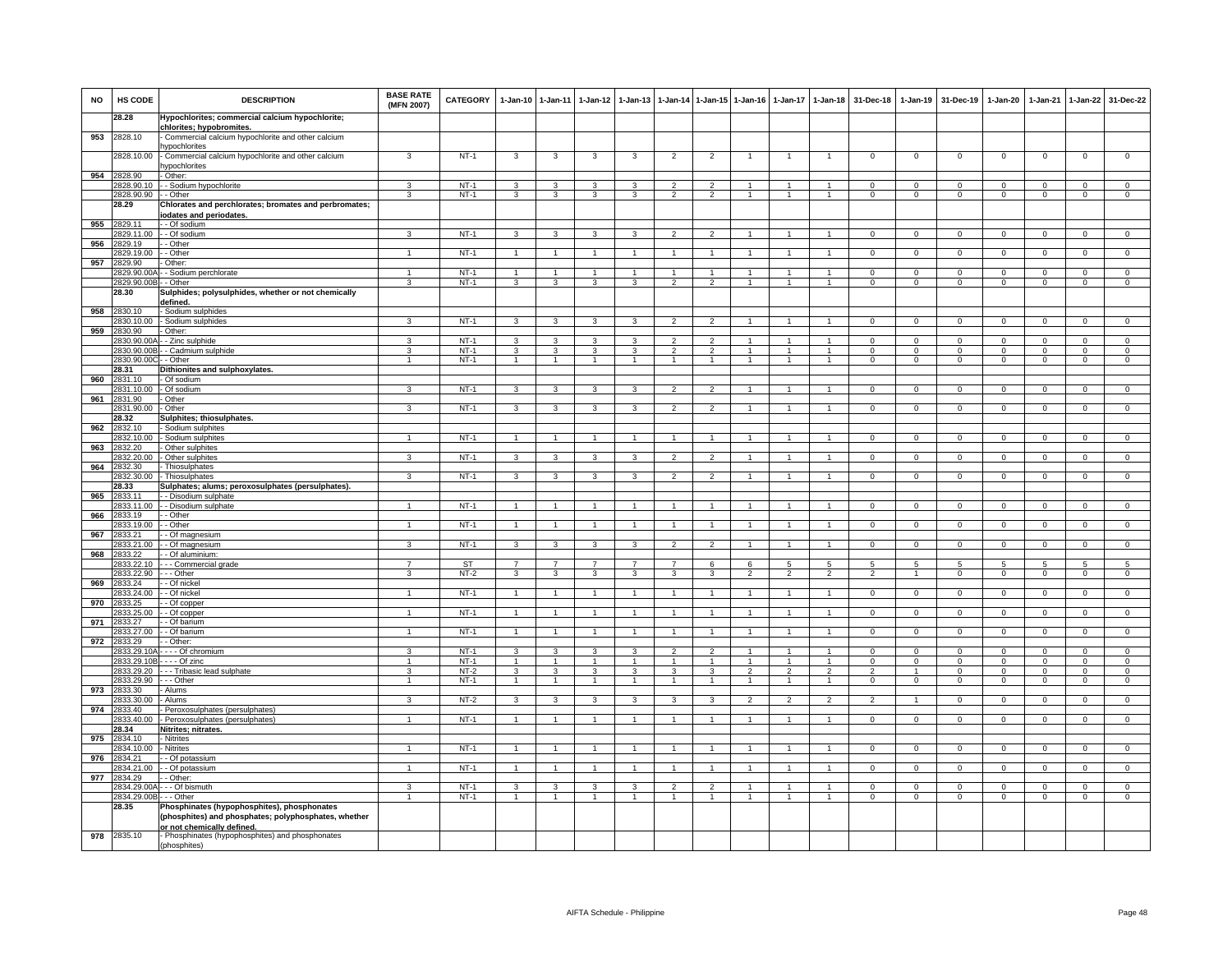| <b>NO</b> | HS CODE                     | <b>DESCRIPTION</b>                                                                                                                           | <b>BASE RATE</b><br>(MFN 2007) | <b>CATEGORY</b>  | $1 - Jan-10$            | 1-Jan-11            | $1-Jan-12$              | $1-Jan-13$              | 1-Jan-14                         | $1$ -Jan-15                      | $1-Jan-16$     | 1-Jan-17                 | $1 - Jan-18$                   | 31-Dec-18                | $1-Jan-19$               | 31-Dec-19                | 1-Jan-20                 | 1-Jan-21                | $1-Jan-22$                 | 31-Dec-22                        |
|-----------|-----------------------------|----------------------------------------------------------------------------------------------------------------------------------------------|--------------------------------|------------------|-------------------------|---------------------|-------------------------|-------------------------|----------------------------------|----------------------------------|----------------|--------------------------|--------------------------------|--------------------------|--------------------------|--------------------------|--------------------------|-------------------------|----------------------------|----------------------------------|
|           | 28.28                       | Hypochlorites; commercial calcium hypochlorite;<br>chlorites; hypobromites.                                                                  |                                |                  |                         |                     |                         |                         |                                  |                                  |                |                          |                                |                          |                          |                          |                          |                         |                            |                                  |
| 953       | 2828.10                     | Commercial calcium hypochlorite and other calcium<br><b>ypochlorites</b>                                                                     |                                |                  |                         |                     |                         |                         |                                  |                                  |                |                          |                                |                          |                          |                          |                          |                         |                            |                                  |
|           | 2828.10.00                  | Commercial calcium hypochlorite and other calcium<br>ypochlorites                                                                            | 3                              | $NT-1$           | 3                       | 3                   | 3                       | 3                       | $\overline{2}$                   | $\overline{2}$                   |                |                          |                                | $\mathsf 0$              | $\mathsf 0$              | $\mathbf 0$              | $\mathbf 0$              | $\mathbf 0$             | $\mathsf 0$                | $\overline{0}$                   |
| 954       | 2828.90                     | - Other                                                                                                                                      |                                |                  |                         |                     |                         |                         |                                  |                                  |                |                          |                                |                          |                          |                          |                          |                         |                            |                                  |
|           | 828.90.10<br>2828.90.90     | - Sodium hypochlorite<br>- - Other                                                                                                           | 3                              | $NT-1$<br>$NT-1$ | $\mathbf{B}$<br>3       | 3<br>3              | 3<br>3                  | 3                       | $\mathcal{D}$<br>$\overline{2}$  | $\overline{2}$                   | $\mathbf{1}$   | $\mathbf{1}$             | $\mathbf{1}$                   | $\Omega$<br>$\mathbf{O}$ | $\Omega$<br>$\mathbf{0}$ | $\Omega$<br>$\mathbf{0}$ | $\Omega$<br>$\mathbf{0}$ | $\Omega$<br>$\mathbf 0$ | $\Omega$<br>$\overline{0}$ | $\mathbf 0$<br>$\overline{0}$    |
|           | 28.29                       | Chlorates and perchlorates; bromates and perbromates;<br>iodates and periodates.                                                             |                                |                  |                         |                     |                         |                         |                                  |                                  |                |                          |                                |                          |                          |                          |                          |                         |                            |                                  |
| 955       | 2829.11                     | - Of sodium                                                                                                                                  |                                | $NT-1$           |                         |                     |                         |                         |                                  |                                  |                |                          |                                |                          |                          |                          |                          |                         |                            |                                  |
| 956       | 829.11.00<br>829.19         | - Of sodium<br>- Other                                                                                                                       | з                              |                  | 3                       | 3                   | 3                       | 3                       | $\overline{2}$                   | $\overline{2}$                   |                | $\mathbf{1}$             | $\mathbf{1}$                   | $\mathbf{0}$             | $\mathbf{0}$             | $\mathbf{0}$             | $\overline{0}$           | $^{\circ}$              | $\mathbf{0}$               | $\mathbf 0$                      |
|           | 829.19.00                   | - Other                                                                                                                                      | $\overline{1}$                 | $NT-1$           | $\mathbf{1}$            | $\mathbf{1}$        | $\mathbf{1}$            |                         | $\mathbf{1}$                     |                                  |                |                          | $\mathbf{1}$                   | $\mathsf 0$              | $\overline{0}$           | $\overline{0}$           | $\overline{0}$           | $\mathbf 0$             | $\overline{0}$             | $\overline{0}$                   |
| 957       | 2829.90<br>2829.90.00/      | Other:<br>- Sodium perchlorate                                                                                                               | $\mathbf{1}$                   | $NT-1$           | $\overline{1}$          | $\overline{1}$      | $\mathbf{1}$            | $\overline{1}$          | $\overline{1}$                   | $\mathbf{1}$                     | $\overline{1}$ | $\mathbf{1}$             | $\blacktriangleleft$           | $\Omega$                 | $\overline{0}$           | $\Omega$                 | $\overline{0}$           | $\Omega$                | $\overline{0}$             | $\overline{0}$                   |
|           | 2829.90.00E                 | - Other                                                                                                                                      | 3                              | $NT-1$           | 3                       | 3                   | $\overline{\mathbf{3}}$ | 3                       | $\overline{\phantom{a}}$         | $\overline{\phantom{a}}$         |                |                          | $\blacktriangleleft$           | $\Omega$                 | $\overline{0}$           | $\mathbf 0$              | $\overline{0}$           | $\Omega$                | $\overline{0}$             | $\overline{0}$                   |
|           | 28.30                       | Sulphides; polysulphides, whether or not chemically<br>defined.                                                                              |                                |                  |                         |                     |                         |                         |                                  |                                  |                |                          |                                |                          |                          |                          |                          |                         |                            |                                  |
| 958       | 2830.10<br>2830.10.00       | - Sodium sulphides<br>- Sodium sulphides                                                                                                     | 3                              | $NT-1$           | $\mathbf{3}$            | 3                   | 3                       | 3                       | $\overline{2}$                   | $\overline{2}$                   | $\overline{1}$ |                          | $\mathbf{1}$                   | $\mathbf{0}$             | $\mathbf 0$              | $\mathbf 0$              | $\mathbf 0$              | $\Omega$                | $\mathbf 0$                | $\mathbf 0$                      |
| 959       | 2830.90                     | Other:                                                                                                                                       |                                |                  |                         |                     |                         |                         |                                  |                                  |                |                          |                                |                          |                          |                          |                          |                         |                            |                                  |
|           | 830.90.004<br>2830.90.00B   | - Zinc_sulphide<br>- Cadmium sulphide                                                                                                        | 3<br>3                         | $NT-1$<br>$NT-1$ | $\mathbf{3}$<br>3       | $\mathbf{3}$<br>3   | $\mathbf{3}$<br>3       | $\mathbf{3}$<br>3       | $\overline{2}$<br>$\mathfrak{p}$ | $\overline{2}$<br>$\overline{c}$ | $\mathbf{1}$   | $\mathbf{1}$             | $\mathbf{1}$                   | $\Omega$<br>0            | $\Omega$<br>0            | $\Omega$<br>$\mathbf 0$  | $\Omega$<br>0            | $\Omega$<br>$\Omega$    | $\Omega$<br>0              | $\overline{0}$<br>$\overline{0}$ |
|           | 2830.90.00C                 | - Other                                                                                                                                      | $\mathbf{1}$                   | $NT-1$           | $\overline{1}$          | $\overline{1}$      | $\mathbf{1}$            | $\mathbf{1}$            | 1                                | $\mathbf{1}$                     |                |                          | $\overline{1}$                 | $\mathsf 0$              | $\mathbf 0$              | $\mathbf 0$              | $\mathbf 0$              | $\mathbf 0$             | $\mathsf 0$                | $\mathbf 0$                      |
|           | 28.31                       | Dithionites and sulphoxylates.                                                                                                               |                                |                  |                         |                     |                         |                         |                                  |                                  |                |                          |                                |                          |                          |                          |                          |                         |                            |                                  |
| 960       | 2831.10<br>2831.10.00       | - Of sodium<br>- Of sodium                                                                                                                   | 3                              | $NT-1$           | $\mathbf{3}$            | 3                   | $\mathbf{3}$            | 3                       | $\overline{2}$                   | $\overline{2}$                   | -1             | $\mathbf{1}$             | $\mathbf{1}$                   | $\Omega$                 | $\overline{0}$           | $\overline{0}$           | $\overline{0}$           | $\Omega$                | $\overline{0}$             | $\overline{0}$                   |
| 961       | 2831.90                     | - Other                                                                                                                                      |                                |                  |                         |                     |                         |                         |                                  |                                  |                |                          |                                |                          |                          |                          |                          |                         |                            |                                  |
|           | 2831.90.00 - Other<br>28.32 |                                                                                                                                              | 3                              | NT-1             | $\mathbf{3}$            | $\mathbf{3}$        | $\mathbf{3}$            | 3                       | $\overline{2}$                   | $\overline{2}$                   |                |                          | $\mathbf{1}$                   | $\mathbf{0}$             | $\mathbf 0$              | $\mathbf{0}$             | $\mathbf 0$              | $\mathbf 0$             | $\circ$                    | $\mathbf{0}$                     |
| 962       | 2832.10                     | Sulphites; thiosulphates.<br>Sodium sulphites                                                                                                |                                |                  |                         |                     |                         |                         |                                  |                                  |                |                          |                                |                          |                          |                          |                          |                         |                            |                                  |
|           | 2832.10.00                  | Sodium sulphites                                                                                                                             | $\mathbf{1}$                   | $NT-1$           | $\overline{1}$          | $\mathbf{1}$        | $\mathbf{1}$            | $\mathbf{1}$            | $\overline{1}$                   | $\overline{1}$                   | $\mathbf{1}$   | $\overline{1}$           | $\mathbf{1}$                   | $\mathbf{0}$             | $\overline{0}$           | $\mathbf 0$              | $\overline{0}$           | $\mathbf{0}$            | $\overline{0}$             | $\overline{0}$                   |
| 963       | 832.20<br>2832.20.00        | Other sulphites<br>Other sulphites                                                                                                           | 3                              | $NT-1$           | 3                       | $\mathbf{3}$        | 3                       | 3                       | $\overline{2}$                   | $\overline{2}$                   |                |                          |                                | $\mathsf 0$              | $\mathbf 0$              | $\mathbf 0$              | $\mathbf 0$              | $\mathbf 0$             | $\mathsf 0$                | $\mathbf 0$                      |
| 964       | 2832.30                     | Thiosulphates                                                                                                                                |                                |                  |                         |                     |                         |                         |                                  |                                  |                |                          |                                |                          |                          |                          |                          |                         |                            |                                  |
|           | 2832.30.00<br>28.33         | Thiosulphates                                                                                                                                | 3                              | $NT-1$           | 3                       | 3                   | 3                       | 3                       | $\overline{2}$                   | $\overline{2}$                   |                |                          |                                | $^{\circ}$               | $^{\circ}$               | $\mathbf 0$              | $\Omega$                 | $\mathbf 0$             | 0                          | $\Omega$                         |
| 965       | 2833.11                     | Sulphates; alums; peroxosulphates (persulphates)<br>- Disodium sulphate                                                                      |                                |                  |                         |                     |                         |                         |                                  |                                  |                |                          |                                |                          |                          |                          |                          |                         |                            |                                  |
|           | 2833.11.00                  | - - Disodium sulphate                                                                                                                        |                                | $NT-1$           |                         |                     |                         |                         |                                  |                                  |                |                          |                                | $\Omega$                 | $\Omega$                 | $\Omega$                 | $\Omega$                 | $\Omega$                | $\Omega$                   | $\Omega$                         |
| 966       | 2833.19<br>2833.19.00       | - - Other<br>- - Other                                                                                                                       | $\mathbf{1}$                   | $NT-1$           | $\overline{1}$          | $\overline{1}$      | $\mathbf{1}$            | 1                       | $\overline{1}$                   | 1                                |                |                          | $\mathbf{1}$                   | $\mathbf{0}$             | $\mathbf 0$              | $\mathbf 0$              | $\circ$                  | $\mathbf 0$             | $\mathbf{0}$               | $\mathbf 0$                      |
| 967       | 2833.21                     | - Of magnesium                                                                                                                               |                                |                  |                         |                     |                         |                         |                                  |                                  |                |                          |                                |                          |                          |                          |                          |                         |                            |                                  |
|           | 2833.21.00                  | - Of magnesium                                                                                                                               | 3                              | $NT-1$           | 3                       | $\mathbf{3}$        | 3                       | 3                       | $\overline{2}$                   | $\overline{2}$                   |                | $\mathbf{1}$             | $\mathbf{1}$                   | $\mathbf{O}$             | $\mathbf 0$              | $\mathbf{0}$             | $\mathbf 0$              | $\mathbf 0$             | $\circ$                    | $\overline{0}$                   |
| 968       | 833.22<br>2833.22.10        | - Of aluminium<br>- - Commercial grade                                                                                                       | $\overline{7}$                 | <b>ST</b>        | $\overline{7}$          | $\overline{7}$      | $\overline{7}$          | $\overline{7}$          | $\overline{7}$                   | 6                                | 6              | 5                        | 5                              | $5\overline{5}$          | 5                        | $5^{\circ}$              | 5                        | -5                      | 5                          | 5                                |
|           | 2833.22.90                  | - - - Other                                                                                                                                  | 3                              | $NT-2$           | 3                       | $\mathbf{3}$        | $\mathbf{3}$            | $\overline{\mathbf{3}}$ | $\mathbf{3}$                     | 3                                | $\overline{2}$ | $\overline{2}$           | $\overline{2}$                 | $\overline{2}$           | $\overline{1}$           | $\mathsf 0$              | $\mathbf 0$              | $\mathbf 0$             | $\,0\,$                    | $\overline{0}$                   |
| 969       | 2833.24<br>2833.24.00       | - - Of nickel<br>- Of nickel                                                                                                                 | 1                              | $NT-1$           | $\mathbf{1}$            | $\mathbf{1}$        | 1                       |                         |                                  | $\mathbf{1}$                     |                |                          | $\overline{1}$                 | $\mathsf 0$              | $\mathbf 0$              | $\mathbf 0$              | $\mathsf 0$              | $\mathbf 0$             | $\mathsf 0$                | $\overline{0}$                   |
| 970       | 833.25                      | - Of copper                                                                                                                                  |                                |                  |                         |                     |                         |                         |                                  |                                  |                |                          |                                |                          |                          |                          |                          |                         |                            |                                  |
|           | 2833.25.00                  | - Of copper<br>- Of barium                                                                                                                   | $\blacktriangleleft$           | $NT-1$           | $\overline{1}$          | $\overline{1}$      | $\overline{1}$          |                         | $\overline{1}$                   | $\overline{1}$                   |                |                          | $\mathbf{1}$                   | $\Omega$                 | $\mathbf 0$              | $\mathbf 0$              | $\mathbf 0$              | $\mathbf 0$             | $\mathbf 0$                | $\mathbf 0$                      |
| 971       | 2833.27<br>2833.27.00       | - Of barium                                                                                                                                  | $\overline{1}$                 | $NT-1$           | $\mathbf{1}$            | $\overline{1}$      | $\overline{1}$          | -1                      | $\overline{1}$                   | $\overline{1}$                   | -1             | -1                       | $\mathbf{1}$                   | $^{\circ}$               | $\mathbf 0$              | $\mathbf 0$              | $\overline{0}$           | $\overline{0}$          | $\overline{0}$             | $\mathbf 0$                      |
| 972       | 833.29                      | - Other:                                                                                                                                     |                                |                  |                         |                     |                         |                         |                                  |                                  |                |                          |                                |                          |                          |                          |                          |                         |                            |                                  |
|           | 833.29.10A<br>2833.29.10B   | - - - Of chromium<br>$--$ Of zinc                                                                                                            | 3<br>$\mathbf{1}$              | $NT-1$<br>$NT-1$ | 3<br>$\mathbf{1}$       | 3<br>$\overline{1}$ | 3<br>$\mathbf{1}$       | 3                       | $\overline{2}$                   | $\overline{2}$                   |                |                          | $\mathbf{1}$<br>$\overline{1}$ | $\mathsf 0$<br>$\Omega$  | $\mathbf 0$<br>$\Omega$  | $\mathbf 0$<br>$\Omega$  | $\mathbf 0$<br>0         | $\mathbf 0$<br>$\Omega$ | $\mathsf 0$<br>0           | $\overline{0}$<br>$\mathsf 0$    |
|           | 2833.29.20                  | -- Tribasic lead sulphate                                                                                                                    | $\mathbf{3}$                   | $NT-2$           | 3                       | 3                   | $\mathbf{3}$            | 3                       | 3                                | $\mathbf{3}$                     | $\mathfrak{p}$ | $\mathfrak{p}$           | $\overline{2}$                 | $\overline{2}$           | $\overline{1}$           | $\mathbf 0$              | $\mathbf 0$              | $\Omega$                | $\mathsf 0$                | $\mathsf 0$                      |
|           | 2833.29.90                  | . - - Other                                                                                                                                  | $\mathbf{1}$                   | $NT-1$           | $\overline{1}$          | $\overline{1}$      | $\mathbf{1}$            |                         |                                  | $\mathbf{1}$                     |                |                          | $\blacktriangleleft$           | $\Omega$                 | $\mathbf 0$              | $\mathbf 0$              | $\overline{0}$           | $\Omega$                | $\mathsf 0$                | $\overline{0}$                   |
| 973       | 2833.30<br>2833.30.00       | - Alums<br>- Alums                                                                                                                           | 3                              | $NT-2$           | 3                       | 3                   | 3                       | 3                       | 3                                | 3                                | $\mathfrak{p}$ | $\overline{\phantom{a}}$ | $\overline{2}$                 | $\overline{2}$           |                          | $\Omega$                 | $\Omega$                 | $\Omega$                | $\mathsf 0$                | $\overline{0}$                   |
| 974       | 2833.40                     | Peroxosulphates (persulphates)                                                                                                               |                                |                  |                         |                     |                         |                         |                                  |                                  |                |                          |                                |                          |                          |                          |                          |                         |                            |                                  |
|           | 2833.40.00                  | - Peroxosulphates (persulphates)                                                                                                             | $\mathbf{1}$                   | $NT-1$           | $\overline{1}$          | $\mathbf{1}$        | $\mathbf{1}$            |                         | $\overline{1}$                   |                                  |                |                          | $\mathbf{1}$                   | $\Omega$                 | $^{\circ}$               | $\mathbf 0$              | $\Omega$                 | $\Omega$                | $\mathsf 0$                | $\Omega$                         |
| 975       | 28.34<br>2834.10            | Nitrites; nitrates.<br>Nitrites                                                                                                              |                                |                  |                         |                     |                         |                         |                                  |                                  |                |                          |                                |                          |                          |                          |                          |                         |                            |                                  |
|           | 834.10.00                   | Nitrites                                                                                                                                     | $\mathbf{1}$                   | $NT-1$           | $\mathbf{1}$            | $\overline{1}$      | $\mathbf{1}$            | $\mathbf{1}$            | $\overline{1}$                   | $\mathbf{1}$                     | $\overline{1}$ | $\mathbf{1}$             | $\mathbf{1}$                   | $\overline{0}$           | $\overline{0}$           | $\overline{0}$           | $\overline{0}$           | $\overline{0}$          | $\overline{0}$             | $\overline{0}$                   |
| 976       | 834.21<br>2834.21.00        | - Of potassium<br>- Of potassium                                                                                                             | $\mathbf{1}$                   | NT-1             | $\overline{1}$          | $\overline{1}$      | $\mathbf{1}$            |                         | $\mathbf{1}$                     |                                  |                |                          | $\overline{1}$                 | $\mathsf 0$              | $\mathbf 0$              | $\mathbf 0$              | $\mathbf 0$              | $\mathbf 0$             | $\mathsf 0$                | $\mathbf 0$                      |
| 977       | 2834.29                     | - Other                                                                                                                                      |                                |                  |                         |                     |                         |                         |                                  |                                  |                |                          |                                |                          |                          |                          |                          |                         |                            |                                  |
|           | 2834.29.00/                 | -- Of bismuth                                                                                                                                | 3                              | $NT-1$           | $\overline{\mathbf{3}}$ | 3                   | $\mathbf{3}$            | 3                       | $\overline{2}$                   | $\overline{2}$                   | $\overline{1}$ | $\overline{1}$           | $\overline{1}$                 | $\Omega$                 | $\Omega$                 | $\mathbf 0$              | $\overline{0}$           | $\Omega$                | $\overline{0}$             | $\overline{0}$                   |
|           | 2834.29.00B<br>28.35        | - Other<br>Phosphinates (hypophosphites), phosphonates<br>(phosphites) and phosphates; polyphosphates, whether<br>or not chemically defined. | $\overline{1}$                 | $NT-1$           |                         | $\mathbf{1}$        | $\overline{1}$          | 1                       | $\mathbf{1}$                     | $\overline{1}$                   |                |                          | $\mathbf{1}$                   | $\overline{0}$           | $\overline{0}$           | $\overline{0}$           | $\overline{0}$           | $\overline{0}$          | $\overline{0}$             | $\overline{0}$                   |
| 978       | 2835.10                     | Phosphinates (hypophosphites) and phosphonates<br>(phosphites)                                                                               |                                |                  |                         |                     |                         |                         |                                  |                                  |                |                          |                                |                          |                          |                          |                          |                         |                            |                                  |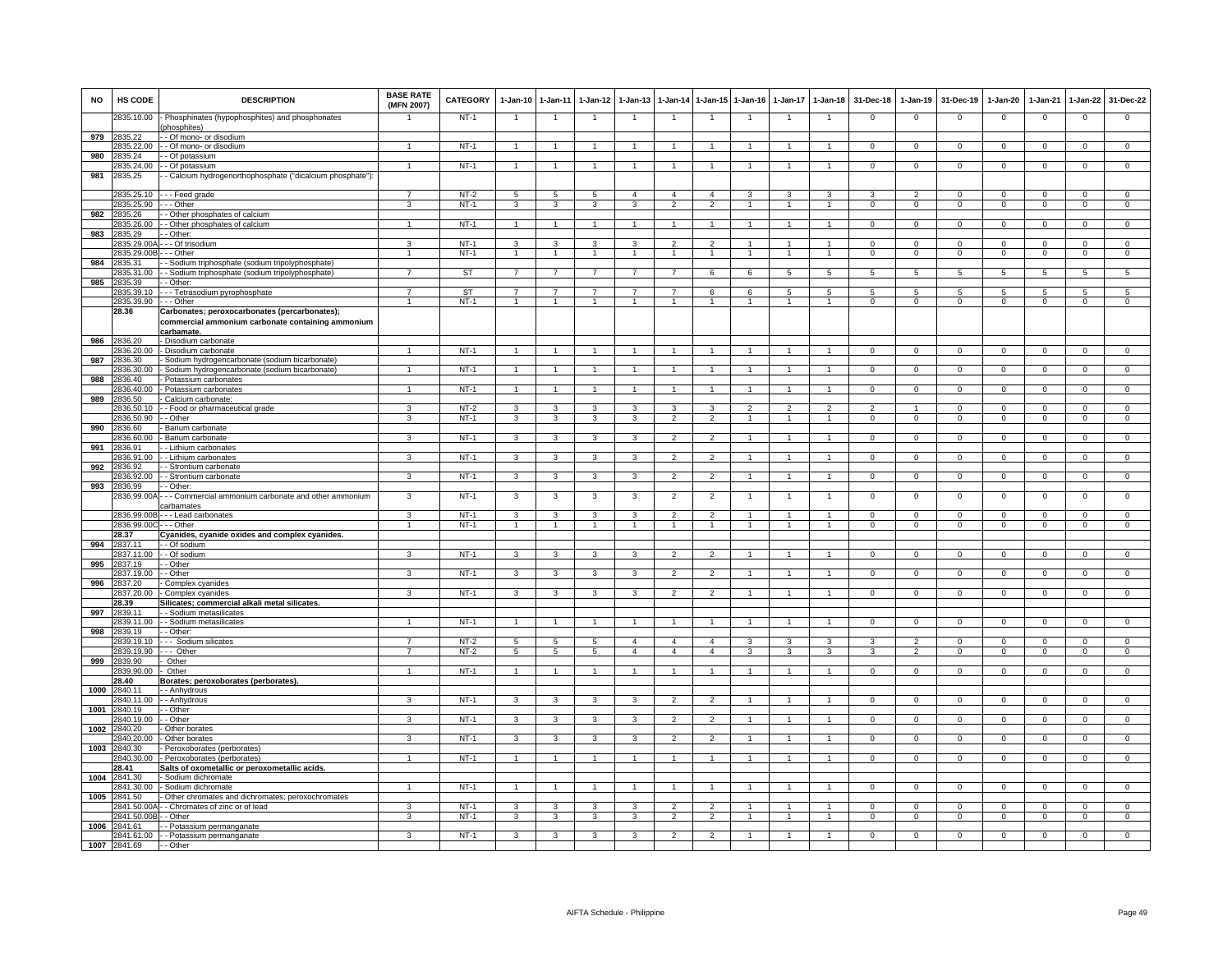| <b>NO</b> | HS CODE                | <b>DESCRIPTION</b>                                                                                                      | <b>BASE RATE</b><br>(MFN 2007) | CATEGORY  | $1 - Jan-10$    | 1-Jan-11                | $1-Jan-12$           | 1-Jan-13                | 1-Jan-14                 | 1-Jan-15       | 1-Jan-16       | 1-Jan-17       | 1-Jan-18             | 31-Dec-18      | 1-Jan-19       | 31-Dec-19      | 1-Jan-20       | 1-Jan-21       | 1-Jan-22       | 31-Dec-22      |
|-----------|------------------------|-------------------------------------------------------------------------------------------------------------------------|--------------------------------|-----------|-----------------|-------------------------|----------------------|-------------------------|--------------------------|----------------|----------------|----------------|----------------------|----------------|----------------|----------------|----------------|----------------|----------------|----------------|
|           | 2835.10.00             | - Phosphinates (hypophosphites) and phosphonates<br>phosphites)                                                         |                                | $NT-1$    | $\mathbf{1}$    | $\mathbf{1}$            |                      | 1                       | $\overline{1}$           |                |                |                | $\overline{1}$       | $\mathbf 0$    | $\mathbf 0$    | $\Omega$       | $\mathbf 0$    | $\mathbf 0$    | $\mathsf 0$    | $\mathbf 0$    |
| 979       | 2835.22                | - Of mono- or disodium                                                                                                  |                                |           |                 |                         |                      |                         |                          |                |                |                |                      |                |                |                |                |                |                |                |
| 980       | 835.22.00<br>2835.24   | - Of mono- or disodium<br>- Of potassium                                                                                | $\overline{1}$                 | $NT-1$    | $\overline{1}$  | $\overline{1}$          | -1                   |                         | $\mathbf{1}$             | -1             |                |                | $\mathbf{1}$         | $\Omega$       | $^{\circ}$     | $^{\circ}$     | $^{\circ}$     | $^{\circ}$     | $\mathsf{O}$   | $\overline{0}$ |
|           | 835.24.00              | - Of potassium                                                                                                          | $\overline{1}$                 | $NT-1$    | $\overline{1}$  | $\mathbf{1}$            | 1                    |                         | 1                        |                |                |                | $\mathbf{1}$         | $\mathsf 0$    | $\overline{0}$ | $\mathbf 0$    | $\mathbf 0$    | $\mathbf 0$    | $\overline{0}$ | $\overline{0}$ |
| 981       | 2835.25                | - Calcium hydrogenorthophosphate ("dicalcium phosphate"):                                                               |                                |           |                 |                         |                      |                         |                          |                |                |                |                      |                |                |                |                |                |                |                |
|           | 2835.25.10             | --- Feed grade                                                                                                          | $\overline{7}$                 | $NT-2$    | 5               | $\overline{5}$          | 5                    | $\overline{4}$          | $\overline{4}$           | $\overline{4}$ | 3              | 3              | 3                    | 3              | $\overline{2}$ | $\mathbf 0$    | $\Omega$       | $\Omega$       | $\mathbf 0$    | $\mathbf 0$    |
|           | 2835.25.90             | - - Other                                                                                                               | $\overline{3}$                 | $NT-1$    | 3               | $\overline{\mathbf{3}}$ | 3                    | $\overline{\mathbf{3}}$ | $\overline{2}$           | $\overline{2}$ | 1              | $\mathbf{1}$   | $\overline{1}$       | $\overline{0}$ | $\overline{0}$ | $\overline{0}$ | $\overline{0}$ | $\overline{0}$ | $\overline{0}$ | $\overline{0}$ |
| 982       | 2835.26                | - Other phosphates of calcium                                                                                           |                                |           |                 |                         |                      |                         |                          |                |                |                |                      |                |                |                |                |                |                |                |
| 983       | 2835.26.00<br>2835.29  | - Other phosphates of calcium<br>- Other:                                                                               | $\mathbf{1}$                   | NT-1      | $\overline{1}$  | $\overline{1}$          | $\overline{1}$       | $\overline{1}$          | $\overline{1}$           | $\overline{1}$ |                | $\mathbf{1}$   | $\overline{1}$       | $\mathbf{0}$   | $\mathbf 0$    | $\mathbf 0$    | $\mathbf{0}$   | $\mathbf 0$    | $\mathbf{0}$   | $\mathbf{0}$   |
|           | 2835.29.00A            | - - Of trisodium                                                                                                        | 3                              | $NT-1$    | $\mathbf{3}$    | 3                       | $\mathbf{3}$         | $\mathbf{3}$            | $\overline{2}$           | $\overline{2}$ | 1              | $\mathbf{1}$   | $\mathbf{1}$         | $\Omega$       | $\Omega$       | $\Omega$       | $\Omega$       | $\Omega$       | $\Omega$       | $\overline{0}$ |
|           | 2835.29.00B            | - - Other                                                                                                               | $\mathbf{1}$                   | $NT-1$    | -1              | $\overline{1}$          | $\mathbf{1}$         | 1                       | $\mathbf{1}$             | $\mathbf{1}$   | $\overline{1}$ | 1              | $\mathbf{1}$         | $\mathbf{O}$   | $\mathbf 0$    | $\mathbf 0$    | $\mathbf 0$    | $\mathbf 0$    | $\mathbf 0$    | $\mathbf 0$    |
| 984       | 2835.31                | - Sodium triphosphate (sodium tripolyphosphate)                                                                         |                                |           |                 |                         |                      |                         |                          |                |                |                |                      |                |                |                |                |                |                |                |
|           | 2835.31.00             | - Sodium triphosphate (sodium tripolyphosphate)                                                                         | $\overline{7}$                 | <b>ST</b> | $\overline{7}$  | $\overline{7}$          | $\overline{7}$       | 7                       | $\overline{7}$           | 6              | 6              | 5              | 5                    | 5              | 5              | 5              | 5              | 5              | 5              | 5              |
| 985       | 2835.39<br>2835.39.10  | - - Other:                                                                                                              | $\overline{7}$                 | ST        | $\overline{7}$  | 7                       |                      |                         | $\overline{7}$           | $\mathbf{f}$   | $\mathbf{6}$   | $\overline{a}$ | $\overline{5}$       | 5              | 5              | 5              | $\overline{5}$ | $\overline{a}$ | $\overline{5}$ | $\overline{5}$ |
|           | 2835.39.90 --- Other   | - - Tetrasodium pyrophosphate                                                                                           | $\mathbf{1}$                   | $NT-1$    | $\overline{1}$  | $\mathbf{1}$            | $\mathbf{1}$         | $\mathbf{1}$            | $\overline{1}$           | $\overline{1}$ | 1              | $\mathbf{1}$   | $\mathbf{1}$         | $\mathbf{O}$   | $\mathbf 0$    | $\mathbf 0$    | $\mathbf 0$    | $\mathbf 0$    | $\overline{0}$ | $\overline{0}$ |
|           | 28.36                  | Carbonates; peroxocarbonates (percarbonates);<br>commercial ammonium carbonate containing ammonium<br><u>carbamate.</u> |                                |           |                 |                         |                      |                         |                          |                |                |                |                      |                |                |                |                |                |                |                |
| 986       | 2836.20                | - Disodium carbonate                                                                                                    |                                |           |                 |                         |                      |                         |                          |                |                |                |                      |                |                |                |                |                |                |                |
|           | 836.20.00              | - Disodium carbonate                                                                                                    |                                | $NT-1$    | $\mathbf{1}$    |                         |                      |                         |                          |                |                |                |                      | $\mathsf 0$    | $\mathbf 0$    | $\mathbf 0$    | $\mathbf 0$    | $\mathbf 0$    | $\mathsf 0$    | $\overline{0}$ |
| 987       | 836.30<br>836.30.00    | Sodium hydrogencarbonate (sodium bicarbonate)<br>Sodium hydrogencarbonate (sodium bicarbonate)                          | $\mathbf{1}$                   | $NT-1$    | $\overline{1}$  | $\overline{1}$          | $\blacktriangleleft$ |                         | $\blacktriangleleft$     |                |                |                | $\blacktriangleleft$ | $\mathsf 0$    | $\mathbf 0$    | $\mathbf 0$    | $\Omega$       | $\Omega$       | $\mathsf 0$    | $\Omega$       |
| 988       | 2836.40                | Potassium carbonates                                                                                                    |                                |           |                 |                         |                      |                         |                          |                |                |                |                      |                |                |                |                |                |                |                |
|           | 2836.40.00             | Potassium carbonates                                                                                                    | $\mathbf{1}$                   | $NT-1$    | $\overline{1}$  | $\overline{1}$          | $\overline{1}$       | $\overline{1}$          | $\overline{1}$           | $\overline{1}$ | $\mathbf{1}$   | $\overline{1}$ | $\overline{1}$       | $\Omega$       | $\overline{0}$ | $\overline{0}$ | $\overline{0}$ | $\overline{0}$ | $\overline{0}$ | $\overline{0}$ |
| 989       | 836.50                 | Calcium carbonate:                                                                                                      |                                |           |                 |                         |                      |                         |                          |                |                |                |                      |                |                |                |                |                |                |                |
|           | 2836.50.10             | - - Food or pharmaceutical grade                                                                                        | 3                              | $NT-2$    | 3               | 3                       | 3                    | 3                       | 3                        | 3              | 2              | $\mathfrak{p}$ | $\overline{2}$       | $\overline{2}$ |                | $\mathbf 0$    | $\mathbf 0$    | $\mathbf 0$    | $\mathbf 0$    | $\mathbf 0$    |
| 990       | 2836.50.90<br>2836.60  | - - Other<br>Barium carbonate                                                                                           | 3                              | $NT-1$    | $\mathbf{3}$    | 3                       | 3                    | 3                       | $\overline{2}$           | $\overline{2}$ | $\overline{1}$ | 1              | $\overline{1}$       | $\mathbf{0}$   | $\mathbf 0$    | $\mathbf 0$    | $\mathbf{0}$   | $\mathbf 0$    | $\mathbf{0}$   | $\mathbf{0}$   |
|           | 2836.60.00             | Barium carbonate                                                                                                        | 3                              | $NT-1$    | $\overline{3}$  | $\mathbf{3}$            | $\overline{3}$       | 3                       | $\overline{2}$           | $\overline{2}$ |                | -1             | 1                    | $\overline{0}$ | $\overline{0}$ | $\overline{0}$ | $\overline{0}$ | $\overline{0}$ | $\overline{0}$ | $\overline{0}$ |
| 991       | 836.91                 | - Lithium carbonates                                                                                                    |                                |           |                 |                         |                      |                         |                          |                |                |                |                      |                |                |                |                |                |                |                |
|           | 2836.91.00             | - Lithium carbonates                                                                                                    | 3                              | $NT-1$    | $\mathbf{3}$    | 3                       | $\mathbf{3}$         | 3                       | $\overline{2}$           | $\mathfrak{p}$ |                |                | $\blacktriangleleft$ | $\mathsf 0$    | $\mathbf 0$    | $\mathbf 0$    | $\mathsf 0$    | $\mathbf 0$    | $\mathsf 0$    | $\mathbf 0$    |
| 992       | 2836.92                | - Strontium carbonate                                                                                                   | 3                              | $NT-1$    |                 |                         |                      | 3                       | $\overline{2}$           | $\overline{2}$ | $\overline{1}$ | $\mathbf{1}$   | $\mathbf{1}$         | $\Omega$       | $\Omega$       |                | $\Omega$       | $\Omega$       |                | $\overline{0}$ |
| 993       | 2836.92.00<br>2836.99  | - Strontium carbonate<br>- Other:                                                                                       |                                |           | $\mathbf{3}$    | 3                       | 3                    |                         |                          |                |                |                |                      |                |                | $\mathbf 0$    |                |                | $\mathbf 0$    |                |
|           | 2836.99.00A            | - - Commercial ammonium carbonate and other ammonium<br>carbamates                                                      | 3                              | $NT-1$    | 3               | 3                       | 3                    | 3                       | $\overline{2}$           | $\overline{2}$ |                |                | $\overline{1}$       | $\mathsf 0$    | $\mathsf 0$    | $\mathbf 0$    | $\mathbf 0$    | $\mathbf 0$    | $\overline{0}$ | $\overline{0}$ |
|           | 2836.99.00B            | -- Lead carbonates                                                                                                      | $\mathbf{3}$                   | $NT-1$    | 3               | 3                       | 3                    | 3                       | $\overline{2}$           | 2              | $\mathbf{1}$   | $\mathbf{1}$   | $\overline{1}$       | $\Omega$       | $\Omega$       | $\Omega$       | $\Omega$       | $\Omega$       | $^{\circ}$     | $\Omega$       |
|           | 2836.99.000            | - - Other                                                                                                               | $\mathbf{1}$                   | $NT-1$    | $\overline{1}$  | -1                      | $\mathbf{1}$         | 1                       | 1                        | $\mathbf{1}$   | -1             | 1              | $\mathbf{1}$         | $\Omega$       | $^{\circ}$     | $^{\circ}$     | 0              | $^{\circ}$     | $\mathbf{0}$   | $\circ$        |
|           | 28.37                  | Cyanides, cyanide oxides and complex cyanides                                                                           |                                |           |                 |                         |                      |                         |                          |                |                |                |                      |                |                |                |                |                |                |                |
| 994       | 2837.11<br>2837.11.00  | - Of sodium<br>- Of sodium                                                                                              | 3                              | $NT-1$    | $\mathbf{3}$    | 3                       | 3                    | $\mathbf{3}$            | $\overline{2}$           | $\mathcal{P}$  | 1              |                | $\mathbf{1}$         | $\mathsf 0$    | $\mathbf 0$    | $\mathbf 0$    | $\mathbf 0$    | $\mathbf 0$    | $\mathsf 0$    | $\mathbf 0$    |
| 995       | 2837.19                | - Other                                                                                                                 |                                |           |                 |                         |                      |                         |                          |                |                |                |                      |                |                |                |                |                |                |                |
|           | 2837.19.00             | - Other                                                                                                                 | 3                              | $NT-1$    | 3               | $\mathbf{3}$            | $\mathbf{3}$         | 3                       | $\overline{2}$           | $\overline{2}$ | $\mathbf{1}$   | $\mathbf{1}$   | $\mathbf{1}$         | $\Omega$       | $\Omega$       | $\mathbf 0$    | $\overline{0}$ | $\Omega$       | $\overline{0}$ | $\overline{0}$ |
| 996       | 2837.20                | Complex cvanides                                                                                                        |                                |           |                 |                         |                      |                         |                          |                |                |                |                      |                |                |                |                |                |                |                |
|           | 2837.20.00<br>28.39    | - Complex cyanides                                                                                                      | 3                              | $NT-1$    | $\mathbf{3}$    | 3                       | $\mathbf{3}$         | 3                       | $\overline{2}$           | $\overline{2}$ |                |                | $\overline{1}$       | $\mathbf{O}$   | $\mathbf 0$    | $\mathbf 0$    | $\mathbf 0$    | $\mathbf 0$    | $\mathbf{0}$   | $\mathbf{0}$   |
| 997       | 2839.11                | Silicates; commercial alkali metal silicates.<br>- - Sodium metasilicates                                               |                                |           |                 |                         |                      |                         |                          |                |                |                |                      |                |                |                |                |                |                |                |
|           | 2839.11.00             | - Sodium metasilicates                                                                                                  | $\overline{1}$                 | $NT-1$    | $\mathbf{1}$    | $\mathbf{1}$            | $\mathbf{1}$         | -1                      | $\overline{1}$           | $\overline{1}$ | -1             | -1             | $\mathbf{1}$         | $\Omega$       | $\overline{0}$ | $\mathbf 0$    | $\overline{0}$ | $\mathbf 0$    | $\overline{0}$ | $\overline{0}$ |
| 998       | 2839.19                | - Other:                                                                                                                |                                |           |                 |                         |                      |                         |                          |                |                |                |                      |                |                |                |                |                |                |                |
|           | 839.19.10              | - Sodium silicates                                                                                                      |                                | $NT-2$    | 5               | 5                       | 5                    | $\overline{4}$          | $\overline{4}$           | $\overline{4}$ | 3              |                | 3                    |                |                | $\Omega$       | $\Omega$       | $\Omega$       | $\mathsf 0$    | $\mathbf 0$    |
| 999       | 2839.19.90<br>2839.90  | -- Other<br>Other                                                                                                       | $\overline{7}$                 | $NT-2$    | $5\phantom{.0}$ | 5                       | 5                    | $\overline{4}$          | $\overline{4}$           | $\overline{4}$ | 3              | 3              | 3                    | 3              | $\mathfrak{p}$ | $\mathbf 0$    | $^{\circ}$     | $\mathbf 0$    | $\mathbf 0$    | $\mathbf 0$    |
|           | 839.90.00              | Other                                                                                                                   |                                | $NT-1$    |                 |                         |                      |                         |                          |                |                |                |                      | $\Omega$       |                | $\Omega$       | $\Omega$       | $\Omega$       | $\Omega$       |                |
|           | 28.40                  | Borates; peroxoborates (perborates)                                                                                     |                                |           |                 |                         |                      |                         |                          |                |                |                |                      |                |                |                |                |                |                |                |
| 1000      | 2840.11                | - Anhydrous                                                                                                             |                                |           |                 |                         |                      |                         |                          |                |                |                |                      |                |                |                |                |                |                |                |
| 1001      | 2840.11.00<br>2840.19  | - - Anhydrous<br>- Other                                                                                                | $\overline{3}$                 | $NT-1$    | 3               | 3                       | 3                    | 3                       | $\overline{2}$           | $\overline{2}$ |                |                | 1                    | $^{\circ}$     | $\mathbf{0}$   | $\mathbf 0$    | $\mathbf{0}$   | $^{\circ}$     | $\mathbf{0}$   | $\mathbf 0$    |
|           | 840.19.00              | - Other                                                                                                                 | 3                              | $NT-1$    | 3               | 3                       | 3                    | 3                       | $\mathfrak{p}$           | $\mathfrak{p}$ |                | -1             | 1                    | $\Omega$       | $\Omega$       | $\mathbf{0}$   | $\mathbf 0$    | $\Omega$       | $\mathbf{0}$   | $\overline{0}$ |
| 1002      | 840.20                 | Other borates                                                                                                           |                                |           |                 |                         |                      |                         |                          |                |                |                |                      |                |                |                |                |                |                |                |
|           | 2840.20.00             | Other borates                                                                                                           | 3                              | $NT-1$    | 3               | $\mathbf{3}$            | 3                    | 3                       | $\overline{2}$           | $\overline{2}$ |                |                | $\mathbf{1}$         | $\mathsf 0$    | $\mathbf 0$    | $\mathbf 0$    | $\mathsf 0$    | $\mathbf 0$    | $\mathsf 0$    | $\mathbf 0$    |
| 1003      | 2840.30                | Peroxoborates (perborates)                                                                                              |                                |           |                 |                         |                      |                         |                          |                |                |                |                      |                |                |                |                |                |                |                |
|           | 2840.30.00<br>28.41    | Peroxoborates (perborates)                                                                                              | $\mathbf{1}$                   | $NT-1$    | $\overline{1}$  | $\overline{1}$          | $\overline{1}$       | $\mathbf{1}$            | $\overline{1}$           | $\overline{1}$ | $\mathbf{1}$   | $\overline{1}$ | $\mathbf{1}$         | $\Omega$       | $\overline{0}$ | $\mathbf 0$    | $\overline{0}$ | $\Omega$       | $\overline{0}$ | $\overline{0}$ |
| 1004      | 2841.30                | Salts of oxometallic or peroxometallic acids.<br>Sodium dichromate                                                      |                                |           |                 |                         |                      |                         |                          |                |                |                |                      |                |                |                |                |                |                |                |
|           | 2841.30.00             | - Sodium dichromate                                                                                                     | $\overline{1}$                 | $NT-1$    | $\overline{1}$  | $\overline{1}$          | $\mathbf{1}$         | $\mathbf{1}$            | $\overline{1}$           | $\mathbf{1}$   |                |                | $\mathbf{1}$         | $\mathbf{0}$   | $\mathbf 0$    | $\mathbf 0$    | $\mathbf{0}$   | $\mathbf 0$    | $\mathbf{0}$   | $\mathbf{0}$   |
|           | 1005 2841.50           | Other chromates and dichromates; peroxochromates                                                                        |                                |           |                 |                         |                      |                         |                          |                |                |                |                      |                |                |                |                |                |                |                |
|           | 2841.50.00A            | - Chromates of zinc or of lead                                                                                          | 3                              | $NT-1$    | 3               | $\mathbf{3}$            | 3                    | 3                       | $\overline{2}$           | $\overline{2}$ |                |                | $\overline{1}$       | $\Omega$       | $\Omega$       | $\mathbf 0$    | $\Omega$       | $\Omega$       | $\circ$        | $\mathsf 0$    |
| 1006      | 2841.50.00B<br>2841.61 | - Other<br>- Potassium permanganate                                                                                     | 3                              | $NT-1$    | 3               | 3                       | 3                    | 3                       | $\overline{2}$           | $\overline{c}$ |                | 1              | $\mathbf{1}$         | $\mathbf{O}$   | $\mathbf 0$    | $\mathbf 0$    | $\circ$        | $^{\circ}$     | $\mathbf{0}$   | $\mathbf 0$    |
|           | 2841.61.00             | - - Potassium permanganate                                                                                              | 3                              | $NT-1$    | 3               | 3                       | 3                    | 3                       | $\overline{\phantom{a}}$ | $\mathcal{P}$  |                |                |                      | $\Omega$       | $\Omega$       | $\Omega$       | $\Omega$       | $\Omega$       | 0              | $\Omega$       |
|           | 1007 2841.69           | - - Other                                                                                                               |                                |           |                 |                         |                      |                         |                          |                |                |                |                      |                |                |                |                |                |                |                |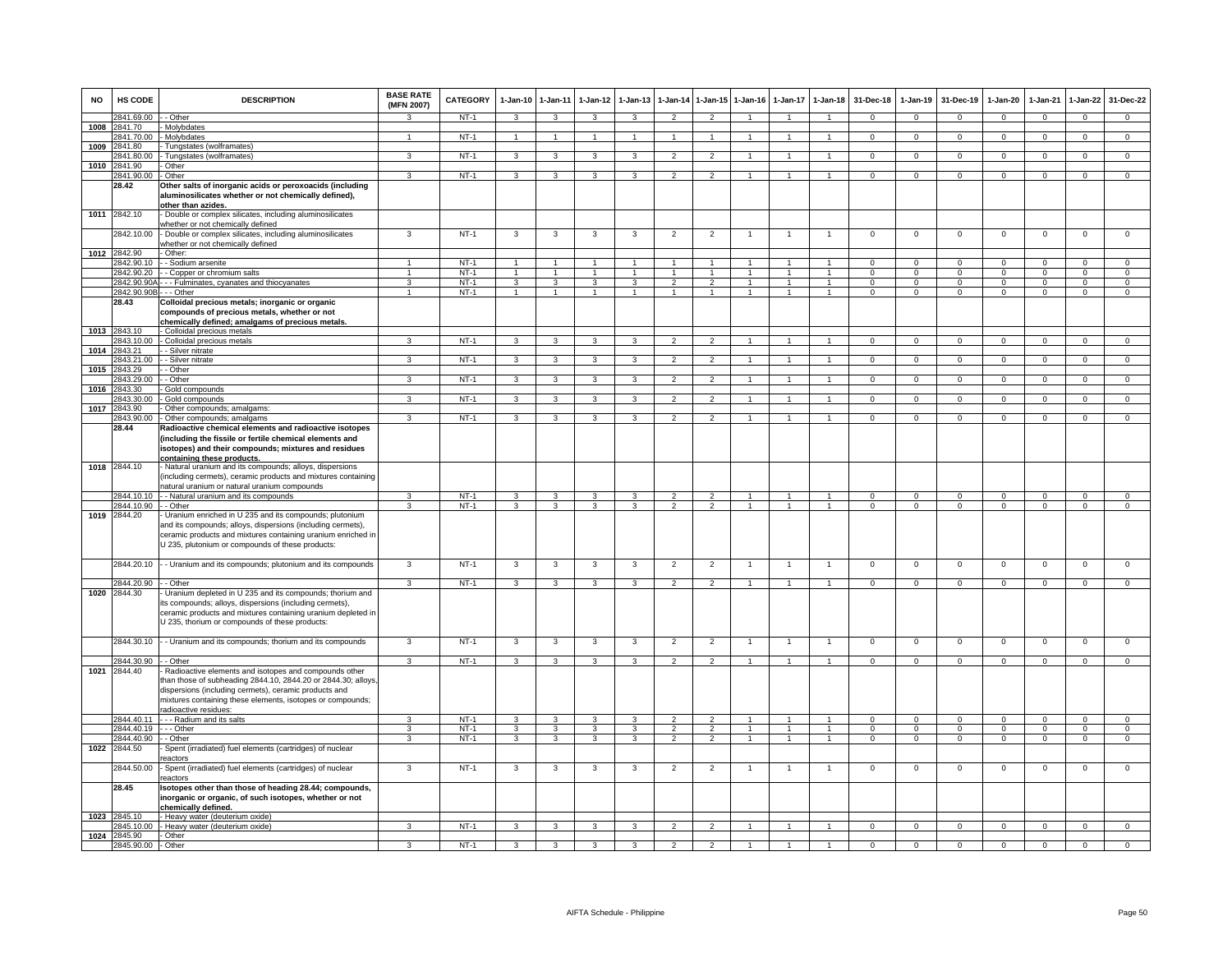| <b>NO</b> | HS CODE                    | <b>DESCRIPTION</b>                                                                                                                                                                                                                                                     | <b>BASE RATE</b><br>(MFN 2007) | <b>CATEGORY</b> | $1-Jan-10$              | $1 - Jan-11$            | $1-Jan-12$              | $1-Jan-13$              | $1-Jan-14$     | $1$ -Jan-15          | $1-Jan-16$     | $1-Jan-17$           | $1-Jan-18$           | 31-Dec-18      | $1-Jan-19$     | 31-Dec-19      | $1-Jan-20$     | 1-Jan-21       | $1-Jan-22$     | 31-Dec-22      |
|-----------|----------------------------|------------------------------------------------------------------------------------------------------------------------------------------------------------------------------------------------------------------------------------------------------------------------|--------------------------------|-----------------|-------------------------|-------------------------|-------------------------|-------------------------|----------------|----------------------|----------------|----------------------|----------------------|----------------|----------------|----------------|----------------|----------------|----------------|----------------|
|           | 2841.69.00                 | - Other                                                                                                                                                                                                                                                                | 3                              | $NT-1$          | $\mathbf{3}$            | $\mathbf{3}$            | $\mathbf{3}$            | $\mathbf{3}$            | $\overline{2}$ | $\overline{2}$       |                |                      | $\overline{1}$       | $\mathbf{0}$   | $\mathbf{0}$   | $\overline{0}$ | $\mathbf{0}$   | $\overline{0}$ | $\circ$        | $\mathbf{0}$   |
| 1008      | 2841.70                    | Molybdates                                                                                                                                                                                                                                                             |                                |                 |                         |                         |                         |                         |                |                      |                |                      |                      |                |                |                |                |                |                |                |
| 1009      | 2841.70.00<br>2841.80      | - Molybdates<br>Tungstates (wolframates)                                                                                                                                                                                                                               | 1                              | $NT-1$          | $\overline{1}$          | $\overline{1}$          | $\mathbf{1}$            | $\overline{1}$          | $\overline{1}$ | $\mathbf{1}$         | $\mathbf{1}$   | $\overline{1}$       | $\overline{1}$       | $\Omega$       | $\mathbf{0}$   | $\mathbf{0}$   | $\mathbf{0}$   | $\overline{0}$ | $\overline{0}$ | $\overline{0}$ |
|           | 841.80.00                  | - Tungstates (wolframates)                                                                                                                                                                                                                                             | 3                              | $NT-1$          | 3                       | 3                       | 3                       | 3                       | $\overline{2}$ | $\overline{2}$       |                |                      | $\mathbf{1}$         | $\mathbf{O}$   | $\mathbf{0}$   | $\mathbf 0$    | $\mathbf{0}$   | $\mathbf 0$    | $\overline{0}$ | $\overline{0}$ |
| 1010      | 2841.90                    | Other                                                                                                                                                                                                                                                                  |                                |                 |                         |                         |                         |                         |                |                      |                |                      |                      |                |                |                |                |                |                |                |
|           | 2841.90.00                 | - Other                                                                                                                                                                                                                                                                | 3                              | $NT-1$          | $\mathbf{3}$            | $\overline{\mathbf{3}}$ | $\mathbf{3}$            | $\mathbf{R}$            | $\overline{2}$ | $\overline{2}$       | $\mathbf{1}$   | $\mathbf{1}$         | $\overline{1}$       | $\Omega$       | $\mathbf 0$    | $\mathbf 0$    | $\Omega$       | $\Omega$       | $\mathsf 0$    | $\overline{0}$ |
|           | 28.42                      | Other salts of inorganic acids or peroxoacids (including<br>aluminosilicates whether or not chemically defined),<br>other than azides.                                                                                                                                 |                                |                 |                         |                         |                         |                         |                |                      |                |                      |                      |                |                |                |                |                |                |                |
|           | 1011 2842.10               | - Double or complex silicates, including aluminosilicates                                                                                                                                                                                                              |                                |                 |                         |                         |                         |                         |                |                      |                |                      |                      |                |                |                |                |                |                |                |
|           | 2842.10.00                 | whether or not chemically defined<br>Double or complex silicates, including aluminosilicates                                                                                                                                                                           | 3                              | $NT-1$          | 3                       | 3                       | 3                       | 3                       | $\overline{2}$ | $\overline{2}$       | $\overline{1}$ | $\mathbf{1}$         | $\overline{1}$       | $\mathbf{O}$   | $\mathsf 0$    | $\mathbf 0$    | $\overline{0}$ | $\Omega$       | $\overline{0}$ | $\overline{0}$ |
|           | 1012 2842.90               | whether or not chemically defined                                                                                                                                                                                                                                      |                                |                 |                         |                         |                         |                         |                |                      |                |                      |                      |                |                |                |                |                |                |                |
|           | 842.90.10                  | Other:<br>- Sodium arsenite                                                                                                                                                                                                                                            |                                | $NT-1$          | $\overline{1}$          | $\overline{1}$          |                         |                         | $\overline{1}$ |                      |                |                      | $\mathbf{1}$         | $\Omega$       | $\Omega$       | $\Omega$       | $\Omega$       | $\Omega$       | $\mathsf 0$    | $\mathsf 0$    |
|           | 2842.90.20                 | - Copper or chromium salts                                                                                                                                                                                                                                             | $\mathbf{1}$                   | $NT-1$          | $\overline{1}$          | $\overline{1}$          | $\overline{1}$          | $\overline{1}$          | $\overline{1}$ | $\overline{1}$       | $\mathbf{1}$   | $\mathbf{1}$         | $\overline{1}$       | $\mathbf{0}$   | $\overline{0}$ | $\overline{0}$ | $\overline{0}$ | $\mathbf 0$    | $\overline{0}$ | $\overline{0}$ |
|           |                            | 2842.90.90A - - - Fulminates, cyanates and thiocyanates                                                                                                                                                                                                                | $\overline{3}$                 | $NT-1$          | $\overline{\mathbf{3}}$ | $\overline{\mathbf{3}}$ | $\overline{\mathbf{3}}$ | $\overline{\mathbf{3}}$ | $\overline{2}$ | $\overline{2}$       | $\overline{1}$ | $\overline{1}$       | $\overline{1}$       | $\overline{0}$ | $\Omega$       | $\overline{0}$ | $\overline{0}$ | $\overline{0}$ | $\overline{0}$ | $\overline{0}$ |
|           | 2842.90.90B                | - - Other                                                                                                                                                                                                                                                              | $\overline{1}$                 | $NT-1$          | $\overline{1}$          | $\mathbf{1}$            | $\mathbf{1}$            | $\mathbf{1}$            | $\mathbf{1}$   | $\blacktriangleleft$ | $\overline{1}$ | $\mathbf{1}$         | $\ddot{\phantom{1}}$ | $\circ$        | $\mathbf 0$    | $\mathbf{0}$   | $\Omega$       | $\Omega$       | $\mathbf 0$    | $\mathbf 0$    |
|           | 28.43                      | Colloidal precious metals; inorganic or organic<br>compounds of precious metals, whether or not<br>chemically defined; amalgams of precious metals.                                                                                                                    |                                |                 |                         |                         |                         |                         |                |                      |                |                      |                      |                |                |                |                |                |                |                |
| 1013      | 2843.10                    | - Colloidal precious metals                                                                                                                                                                                                                                            |                                |                 |                         |                         |                         |                         |                |                      |                |                      |                      |                |                |                |                |                |                |                |
| 1014      | 2843.10.00<br>2843.21      | - Colloidal precious metals<br>- Silver nitrate                                                                                                                                                                                                                        | 3                              | $NT-1$          | 3                       | $\overline{3}$          | $\overline{3}$          | 3                       | $\overline{2}$ | $\overline{2}$       | $\mathbf{1}$   | 1                    | $\mathbf{1}$         | $\overline{0}$ | $\overline{0}$ | $\overline{0}$ | $\overline{0}$ | $\overline{0}$ | $\overline{0}$ | $\overline{0}$ |
|           | 2843.21.00                 | - Silver nitrate                                                                                                                                                                                                                                                       | 3                              | $NT-1$          | $\mathbf{3}$            | $\mathbf{3}$            | $\mathbf{3}$            | 3                       | $\overline{2}$ | $\overline{2}$       | 1              |                      | $\blacktriangleleft$ | $\mathbf{O}$   | $\mathbf 0$    | $\mathbf 0$    | $\mathbf 0$    | $\mathbf 0$    | $\mathbf 0$    | $\mathbf{0}$   |
| 1015      | 2843.29                    | - Other                                                                                                                                                                                                                                                                |                                |                 |                         |                         |                         |                         |                |                      |                |                      |                      |                |                |                |                |                |                |                |
|           | 2843.29.00                 | - Other                                                                                                                                                                                                                                                                | $\overline{3}$                 | $NT-1$          | $\overline{\mathbf{3}}$ | $\overline{\mathbf{3}}$ | $\overline{3}$          | 3                       | $\overline{2}$ | $\overline{2}$       | $\mathbf{1}$   | $\overline{1}$       | $\overline{1}$       | $\overline{0}$ | $\overline{0}$ | $\overline{0}$ | $\overline{0}$ | $\overline{0}$ | $\overline{0}$ | $\overline{0}$ |
| 1016      | 2843.30                    | Gold compounds                                                                                                                                                                                                                                                         |                                |                 |                         |                         |                         |                         |                |                      |                |                      |                      |                |                |                |                |                |                |                |
| 1017      | 2843.30.00<br>2843.90      | Gold compounds<br>Other compounds; amalgams:                                                                                                                                                                                                                           | 3                              | $NT-1$          | 3                       | 3                       | 3                       | 3                       | $\overline{2}$ | $\overline{2}$       |                |                      | $\overline{1}$       | $\Omega$       | $\Omega$       | $\Omega$       | $\Omega$       | $\Omega$       | $\mathsf 0$    | $\Omega$       |
|           | 2843.90.00                 | - Other compounds; amalgams                                                                                                                                                                                                                                            | 3                              | <b>NT-1</b>     | $\mathbf{3}$            | $\mathbf{3}$            | $\mathbf{3}$            | 3                       | 2              | $\overline{2}$       | $\overline{1}$ | 1                    | $\overline{1}$       | $\mathbf{0}$   | $\mathbf{0}$   | $\overline{0}$ | $^{\circ}$     | $^{\circ}$     | $\mathbf{0}$   | $\mathbf{0}$   |
|           | 28.44                      | Radioactive chemical elements and radioactive isotopes<br>(including the fissile or fertile chemical elements and<br>isotopes) and their compounds; mixtures and residues                                                                                              |                                |                 |                         |                         |                         |                         |                |                      |                |                      |                      |                |                |                |                |                |                |                |
|           | 1018 2844.10               | containing these products.<br>- Natural uranium and its compounds; alloys, dispersions<br>(including cermets), ceramic products and mixtures containing<br>natural uranium or natural uranium compounds                                                                |                                |                 |                         |                         |                         |                         |                |                      |                |                      |                      |                |                |                |                |                |                |                |
|           | 2844.10.10                 | - - Natural uranium and its compounds                                                                                                                                                                                                                                  | 3                              | $NT-1$          | 3                       | 3                       | 3                       | 3                       | $\overline{2}$ | $\overline{2}$       |                |                      | $\overline{1}$       | $\Omega$       | $\Omega$       | $\Omega$       | $\Omega$       | $\Omega$       | $\Omega$       | $\Omega$       |
|           | 2844.10.90<br>1019 2844.20 | - Other<br>Uranium enriched in U 235 and its compounds; plutonium                                                                                                                                                                                                      | ء                              | $NT-1$          | 3                       | 3                       | 3                       | з                       | $\mathcal{P}$  | $\mathcal{P}$        | $\overline{1}$ | $\blacktriangleleft$ | $\overline{1}$       | $\mathbf{0}$   | $^{\circ}$     | $^{\circ}$     | $^{\circ}$     | $^{\circ}$     | $\mathbf 0$    | $\mathbf 0$    |
|           |                            | and its compounds; alloys, dispersions (including cermets),<br>ceramic products and mixtures containing uranium enriched in<br>U 235, plutonium or compounds of these products:                                                                                        |                                |                 |                         |                         |                         |                         |                |                      |                |                      |                      |                |                |                |                |                |                |                |
|           | 2844.20.10                 | - - Uranium and its compounds; plutonium and its compounds                                                                                                                                                                                                             | 3                              | $NT-1$          | $\mathbf{3}$            | $\overline{\mathbf{3}}$ | $\mathbf{3}$            | $\overline{\mathbf{3}}$ | $\overline{2}$ | $\overline{2}$       | $\overline{1}$ | $\mathbf{1}$         | $\overline{1}$       | $\mathsf 0$    | $\mathsf 0$    | $\mathsf 0$    | $\overline{0}$ | $\mathsf 0$    | $\mathsf 0$    | $\overline{0}$ |
|           | 2844.20.90                 | - - Other                                                                                                                                                                                                                                                              | $\overline{\mathbf{3}}$        | $NT-1$          | $\overline{\mathbf{3}}$ | $\overline{\mathbf{3}}$ | $\overline{\mathbf{3}}$ | $\overline{\mathbf{3}}$ | $\overline{2}$ | $\overline{2}$       |                |                      | $\overline{1}$       | $\overline{0}$ | $\overline{0}$ | $\overline{0}$ | $\overline{0}$ | $\overline{0}$ | $\overline{0}$ | $\overline{0}$ |
| 1020      | 2844.30                    | Uranium depleted in U 235 and its compounds; thorium and<br>its compounds; alloys, dispersions (including cermets),<br>ceramic products and mixtures containing uranium depleted in<br>U 235, thorium or compounds of these products:                                  |                                |                 |                         |                         |                         |                         |                |                      |                |                      |                      |                |                |                |                |                |                |                |
|           | 2844.30.10                 | - Uranium and its compounds; thorium and its compounds                                                                                                                                                                                                                 | 3                              | $NT-1$          | 3                       | 3                       | 3                       | 3                       | $\overline{2}$ | $\overline{2}$       |                | $\mathbf{1}$         | $\overline{1}$       | $\mathsf 0$    | $\mathsf 0$    | $\mathbf 0$    | $\mathbf 0$    | $\mathbf 0$    | $\mathsf 0$    | $\mathbf 0$    |
|           | 2844.30.90                 | - Other                                                                                                                                                                                                                                                                | ঽ                              | $NT-1$          | $\mathbf{3}$            | $\overline{\mathbf{3}}$ | $\mathbf{3}$            | 3                       | $\overline{2}$ | $\overline{2}$       | $\mathbf{1}$   | $\overline{1}$       | $\overline{1}$       | $\Omega$       | $\mathbf{0}$   | $\mathbf 0$    | $\overline{0}$ | $\mathbf 0$    | $\overline{0}$ | $\overline{0}$ |
| 1021      | 2844.40                    | Radioactive elements and isotopes and compounds other<br>than those of subheading 2844.10, 2844.20 or 2844.30; alloys,<br>dispersions (including cermets), ceramic products and<br>mixtures containing these elements, isotopes or compounds;<br>radioactive residues: |                                |                 |                         |                         |                         |                         |                |                      |                |                      |                      |                |                |                |                |                |                |                |
|           | 2844.40.11                 | Radium and its salts                                                                                                                                                                                                                                                   | з                              | $NT-1$          | 3                       | $\mathbf{3}$            | 3                       | 3                       | $\mathfrak{p}$ | $\mathcal{P}$        | $\overline{1}$ | $\mathbf{1}$         | $\overline{1}$       | $\Omega$       | $\Omega$       | $\Omega$       | $\Omega$       | $\Omega$       | $\Omega$       | $\Omega$       |
|           | 2844.40.19                 | -- Other                                                                                                                                                                                                                                                               | 3                              | $NT-1$          | 3                       | 3                       | 3                       | 3                       | $\overline{2}$ | $\overline{2}$       | $\mathbf{1}$   | 1                    | $\mathbf{1}$         | $\mathbf{0}$   | $\mathbf{O}$   | $\mathbf 0$    | $\mathbf 0$    | $\mathbf 0$    | $\mathbf 0$    | $\mathbf 0$    |
| 1022      | 2844.40.90<br>2844.50      | - Other<br>Spent (irradiated) fuel elements (cartridges) of nuclear                                                                                                                                                                                                    | 3                              | $NT-1$          | 3                       | 3                       | 3                       | 3                       | $\overline{2}$ | $\overline{2}$       | $\mathbf{1}$   | $\mathbf{1}$         | $\overline{1}$       | $\Omega$       | $\mathsf 0$    | $\mathbf 0$    | $\mathbf 0$    | $\Omega$       | $\overline{0}$ | $\overline{0}$ |
|           | 2844.50.00                 | eactors<br>Spent (irradiated) fuel elements (cartridges) of nuclear                                                                                                                                                                                                    | $\overline{3}$                 | $NT-1$          | 3                       | 3                       | 3                       | 3                       | $\overline{2}$ | $\overline{2}$       | $\overline{1}$ | $\mathbf{1}$         | $\overline{1}$       | $\mathsf 0$    | $\mathsf 0$    | $\mathbf 0$    | $\mathbf 0$    | $\mathbf 0$    | $\mathsf 0$    | $\overline{0}$ |
|           | 28.45                      | eactors<br>Isotopes other than those of heading 28.44; compounds,                                                                                                                                                                                                      |                                |                 |                         |                         |                         |                         |                |                      |                |                      |                      |                |                |                |                |                |                |                |
|           | 1023 2845.10               | inorganic or organic, of such isotopes, whether or not<br>chemically defined.                                                                                                                                                                                          |                                |                 |                         |                         |                         |                         |                |                      |                |                      |                      |                |                |                |                |                |                |                |
|           | 2845.10.00                 | - Heavy water (deuterium oxide)<br>- Heavy water (deuterium oxide)                                                                                                                                                                                                     | 3                              | $NT-1$          | 3                       | $\overline{3}$          | 3                       | 3                       | $\overline{2}$ | $\overline{2}$       |                | $\mathbf{1}$         | $\overline{1}$       | $\overline{0}$ | $\overline{0}$ | $\overline{0}$ | $\overline{0}$ | $\overline{0}$ | $\overline{0}$ | $\overline{0}$ |
| 1024      | 2845.90                    | - Other                                                                                                                                                                                                                                                                |                                |                 |                         |                         |                         |                         |                |                      |                |                      |                      |                |                |                |                |                |                |                |
|           | 2845.90.00 - Other         |                                                                                                                                                                                                                                                                        | $\mathbf{R}$                   | $NT-1$          | $\mathbf{3}$            | $\mathbf{3}$            | $\mathbf{3}$            | 3                       | $\overline{2}$ | $\mathcal{P}$        | $\overline{1}$ |                      | $\overline{1}$       | $\Omega$       | $\mathbf 0$    | $\mathbf 0$    | $\Omega$       | $\Omega$       | $\mathbf 0$    | $\Omega$       |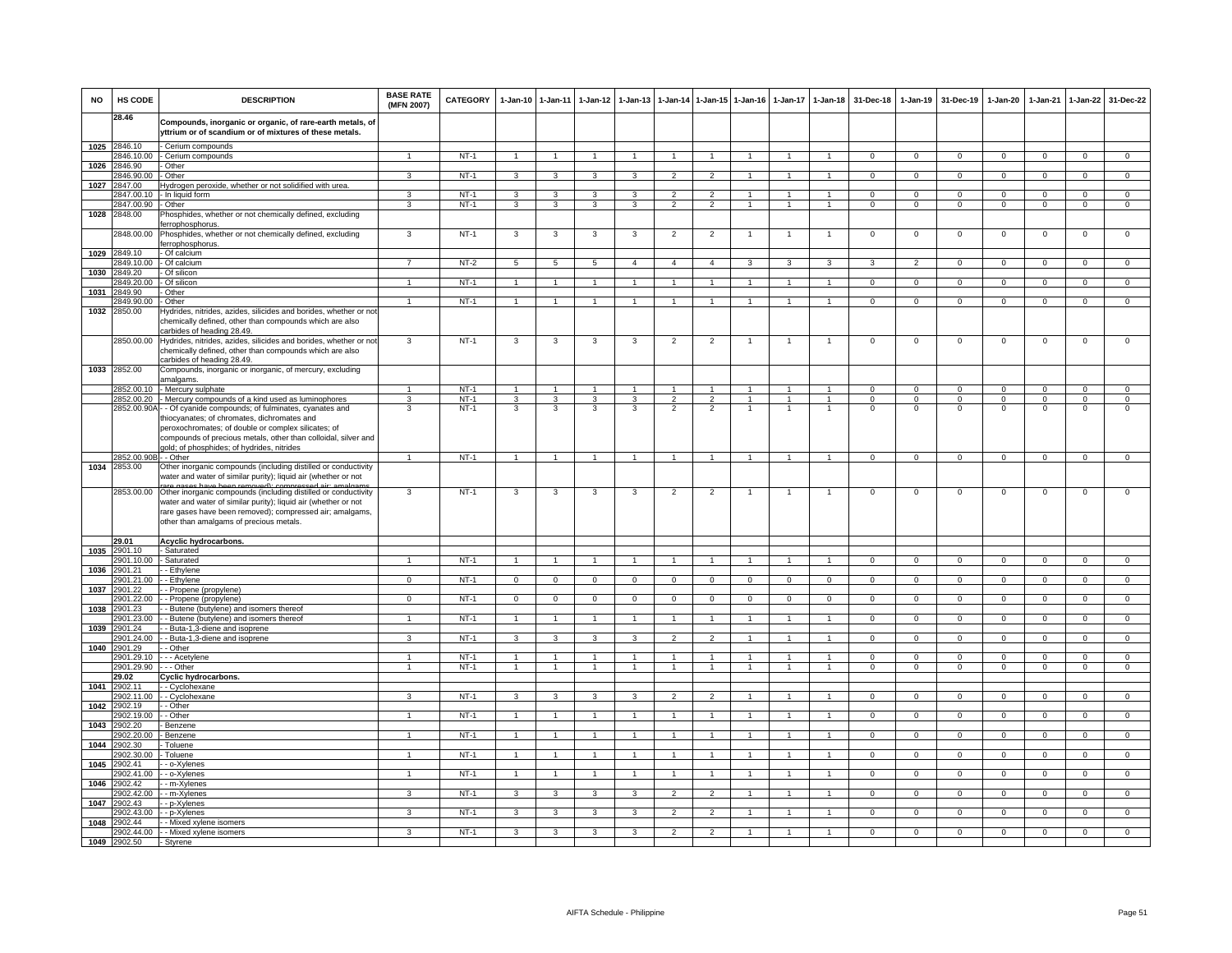| <b>NO</b> | HS CODE                | <b>DESCRIPTION</b>                                                                                                                                                                                                                                                                                 | <b>BASE RATE</b><br>(MFN 2007) | <b>CATEGORY</b> | $1-Jan-10$              | $1-Jan-11$              | $1-Jan-12$           | $1-Jan-13$           |                      |                      | 1-Jan-14 1-Jan-15 1-Jan-16 | $1 - Jan-17$   | $1 - Jan-18$         | 31-Dec-18      | $1-Jan-19$     | 31-Dec-19      | $1-Jan-20$     | $1-Jan-21$     | $1-Jan-22$     | 31-Dec-22      |
|-----------|------------------------|----------------------------------------------------------------------------------------------------------------------------------------------------------------------------------------------------------------------------------------------------------------------------------------------------|--------------------------------|-----------------|-------------------------|-------------------------|----------------------|----------------------|----------------------|----------------------|----------------------------|----------------|----------------------|----------------|----------------|----------------|----------------|----------------|----------------|----------------|
|           | 28.46                  | Compounds, inorganic or organic, of rare-earth metals, of<br>yttrium or of scandium or of mixtures of these metals.                                                                                                                                                                                |                                |                 |                         |                         |                      |                      |                      |                      |                            |                |                      |                |                |                |                |                |                |                |
| 1025      | 2846.10                | Cerium compounds                                                                                                                                                                                                                                                                                   |                                |                 |                         |                         |                      |                      |                      |                      |                            |                |                      |                |                |                |                |                |                |                |
|           | 846.10.00              | - Cerium compounds                                                                                                                                                                                                                                                                                 | $\mathbf{1}$                   | $NT-1$          | $\mathbf{1}$            | $\overline{1}$          | $\mathbf{1}$         | $\mathbf{1}$         | $\overline{1}$       | $\mathbf{1}$         |                            |                | $\mathbf{1}$         | $\overline{0}$ | $\overline{0}$ | $\overline{0}$ | $\overline{0}$ | $\overline{0}$ | $\overline{0}$ | $\overline{0}$ |
| 1026      | 2846.90                | Other                                                                                                                                                                                                                                                                                              |                                |                 |                         |                         |                      |                      |                      |                      |                            |                |                      |                |                |                |                |                |                |                |
|           | 2846.90.00             | Other                                                                                                                                                                                                                                                                                              | $\mathbf{3}$                   | NT-1            | $\mathbf{3}$            | 3                       | $\mathbf{3}$         | $\mathbf{3}$         | $\overline{2}$       | $\mathcal{L}$        | $\mathbf{1}$               | $\mathbf{1}$   | $\sim$               | $\mathbf{0}$   | $\mathbf 0$    | $\mathbf 0$    | $\Omega$       | $\Omega$       | $\mathbf 0$    | $\overline{0}$ |
| 1027      | 2847.00                | Hydrogen peroxide, whether or not solidified with urea.                                                                                                                                                                                                                                            |                                |                 |                         |                         |                      |                      |                      |                      |                            |                |                      |                |                |                |                |                |                |                |
|           | 2847.00.10             | - In liquid form                                                                                                                                                                                                                                                                                   | 3                              | $NT-1$          | $\overline{\mathbf{3}}$ | 3                       | 3                    | 3                    | $\overline{2}$       | $\overline{2}$       | $\mathbf{1}$               | $\mathbf{1}$   | $\overline{1}$       | $\Omega$       | $\overline{0}$ | $\Omega$       | $\overline{0}$ | $\Omega$       | $\overline{0}$ | $\overline{0}$ |
|           | 2847.00.90             | - Other                                                                                                                                                                                                                                                                                            | 3                              | $NT-1$          | 3                       | 3                       | 3                    | 3                    | $\overline{2}$       | $\overline{2}$       |                            |                | $\blacktriangleleft$ | $\overline{0}$ | $\overline{0}$ | $\overline{0}$ | $\overline{0}$ | $\overline{0}$ | $\overline{0}$ | $\overline{0}$ |
| 1028      | 2848.00                | Phosphides, whether or not chemically defined, excluding                                                                                                                                                                                                                                           |                                |                 |                         |                         |                      |                      |                      |                      |                            |                |                      |                |                |                |                |                |                |                |
|           |                        | ferrophosphorus.                                                                                                                                                                                                                                                                                   |                                |                 |                         |                         |                      |                      |                      |                      |                            |                |                      |                |                |                |                |                |                |                |
|           | 2848.00.00             | Phosphides, whether or not chemically defined, excluding                                                                                                                                                                                                                                           | $\mathbf{3}$                   | $NT-1$          | 3                       | 3                       | 3                    | 3                    | $\overline{2}$       | $\overline{2}$       |                            | -1             | $\overline{1}$       | $\mathbf{0}$   | $\mathbf 0$    | $\mathbf 0$    | $\mathbf 0$    | $\mathbf 0$    | 0              | $\circ$        |
| 1029      | 2849.10                | ferrophosphorus.<br>- Of calcium                                                                                                                                                                                                                                                                   |                                |                 |                         |                         |                      |                      |                      |                      |                            |                |                      |                |                |                |                |                |                |                |
|           | 849.10.00              | Of calcium                                                                                                                                                                                                                                                                                         |                                | $NT-2$          | 5                       | 5                       | 5                    | $\overline{4}$       | $\overline{4}$       | $\overline{4}$       | 3                          | 3              | 3                    | 3              | $\overline{2}$ | $\mathbf 0$    | $\mathbf 0$    | $\mathbf 0$    | $\mathbf{0}$   | $\mathbf{0}$   |
| 1030      | 2849.20                | Of silicon                                                                                                                                                                                                                                                                                         |                                |                 |                         |                         |                      |                      |                      |                      |                            |                |                      |                |                |                |                |                |                |                |
|           | 2849.20.00             | Of silicon                                                                                                                                                                                                                                                                                         | $\mathbf{1}$                   | $NT-1$          | $\overline{1}$          | $\overline{1}$          | $\overline{1}$       | $\blacktriangleleft$ | $\overline{1}$       | $\blacktriangleleft$ | -1                         | $\mathbf{1}$   | $\mathbf{1}$         | $\Omega$       | $\Omega$       | $\mathbf 0$    | $\overline{0}$ | $\Omega$       | $\overline{0}$ | $\overline{0}$ |
| 1031      | 2849.90                | Other                                                                                                                                                                                                                                                                                              |                                |                 |                         |                         |                      |                      |                      |                      |                            |                |                      |                |                |                |                |                |                |                |
|           | 2849.90.00             | Other                                                                                                                                                                                                                                                                                              | $\mathbf{1}$                   | $NT-1$          | $\overline{1}$          | $\overline{1}$          | $\mathbf{1}$         |                      | $\overline{1}$       | $\mathbf{1}$         |                            |                | $\mathbf{1}$         | $\overline{0}$ | $\overline{0}$ | $\overline{0}$ | $\overline{0}$ | $\overline{0}$ | $\overline{0}$ | $\overline{0}$ |
| 1032      | 2850.00                | Hydrides, nitrides, azides, silicides and borides, whether or not<br>chemically defined, other than compounds which are also<br>carbides of heading 28.49.                                                                                                                                         |                                |                 |                         |                         |                      |                      |                      |                      |                            |                |                      |                |                |                |                |                |                |                |
|           |                        | 2850.00.00 Hydrides, nitrides, azides, silicides and borides, whether or not<br>chemically defined, other than compounds which are also<br>carbides of heading 28.49.                                                                                                                              | 3                              | $NT-1$          | 3                       | 3                       | 3                    | 3                    | $\overline{c}$       | $\overline{2}$       |                            |                | -1                   | $^{\circ}$     | $^{\circ}$     | $\mathbf 0$    | $\mathbf 0$    | $\mathbf 0$    | $\mathbf 0$    | $\mathbf 0$    |
| 1033      | 2852.00                | Compounds, inorganic or inorganic, of mercury, excluding<br>amalgams.                                                                                                                                                                                                                              |                                |                 |                         |                         |                      |                      |                      |                      |                            |                |                      |                |                |                |                |                |                |                |
|           |                        | 2852.00.10 - Mercury sulphate                                                                                                                                                                                                                                                                      | $\mathbf{1}$                   | $NT-1$          | $\overline{1}$          | $\overline{1}$          | $\overline{1}$       | $\overline{1}$       | $\overline{1}$       | $\mathbf{1}$         | 1                          | 1              | $\blacktriangleleft$ | $\mathbf{0}$   | $\mathbf{0}$   | $\mathbf 0$    | $\Omega$       | $\Omega$       | $\mathbf 0$    | $\mathbf 0$    |
|           |                        | 2852.00.20 - Mercury compounds of a kind used as luminophores                                                                                                                                                                                                                                      | $\overline{\mathbf{3}}$        | $NT-1$          | 3                       | $\overline{\mathbf{3}}$ | 3                    | 3                    | $\overline{2}$       | $\overline{2}$       | $\overline{1}$             | $\overline{1}$ | $\overline{1}$       | $\overline{0}$ | $\Omega$       | $\Omega$       | $\overline{0}$ | $\overline{0}$ | $\overline{0}$ | $\overline{0}$ |
|           |                        | 2852.00.90A - - Of cyanide compounds; of fulminates, cyanates and                                                                                                                                                                                                                                  | 3                              | $NT-1$          | 3                       | 3                       | 3                    | 3                    | $\overline{2}$       | $\overline{2}$       | $\mathbf{1}$               | -1             | $\overline{1}$       | $\mathsf 0$    | $\mathbf 0$    | $\mathbf 0$    | $\mathbf 0$    | $\mathbf 0$    | $\mathsf 0$    | $\mathbf 0$    |
|           |                        | thiocyanates; of chromates, dichromates and<br>peroxochromates; of double or complex silicates; of<br>compounds of precious metals, other than colloidal, silver and<br>jold; of phosphides; of hydrides, nitrides                                                                                 |                                |                 |                         |                         |                      |                      |                      |                      |                            |                |                      |                |                |                |                |                |                |                |
|           | 2852.00.90B - - Other  |                                                                                                                                                                                                                                                                                                    | $\mathbf{1}$                   | $NT-1$          | $\overline{1}$          | $\mathbf{1}$            | $\mathbf{1}$         | $\mathbf{1}$         | $\mathbf{1}$         | $\overline{1}$       | $\mathbf{1}$               | $\overline{1}$ | $\mathbf{1}$         | $\mathbf{0}$   | $\mathbf 0$    | $\mathbf 0$    | $\mathbf 0$    | $\mathbf{0}$   | $\mathbf{0}$   | $\mathbf 0$    |
| 1034      | 2853.00                | Other inorganic compounds (including distilled or conductivity                                                                                                                                                                                                                                     |                                |                 |                         |                         |                      |                      |                      |                      |                            |                |                      |                |                |                |                |                |                |                |
|           |                        | water and water of similar purity); liquid air (whether or not                                                                                                                                                                                                                                     |                                |                 |                         |                         |                      |                      |                      |                      |                            |                |                      |                |                |                |                |                |                |                |
|           |                        | are nases have heen removed); compressed air<br>2853.00.00 Other inorganic compounds (including distilled or conductivity<br>water and water of similar purity); liquid air (whether or not<br>rare gases have been removed); compressed air; amalgams,<br>other than amalgams of precious metals. | 3                              | $NT-1$          | 3                       | 3                       | 3                    | 3                    | $\overline{c}$       | $\overline{2}$       | 1                          | -1             | -1                   | $\mathsf 0$    | $^{\circ}$     | $\mathbf 0$    | $\mathbf 0$    | $\mathbf 0$    | $\mathbf 0$    | $\mathbf 0$    |
|           | 29.01                  | Acyclic hydrocarbons.                                                                                                                                                                                                                                                                              |                                |                 |                         |                         |                      |                      |                      |                      |                            |                |                      |                |                |                |                |                |                |                |
| 1035      | 2901.10                | - Saturated                                                                                                                                                                                                                                                                                        |                                |                 |                         |                         |                      |                      |                      |                      |                            |                |                      |                |                |                |                |                |                |                |
|           | 2901.10.00 - Saturated |                                                                                                                                                                                                                                                                                                    | $\mathbf{1}$                   | $NT-1$          | $\overline{1}$          | $\mathbf{1}$            | 1                    | $\mathbf{1}$         | $\mathbf{1}$         | 1                    |                            |                | $\overline{1}$       | $\mathbf{0}$   | $\mathbf{0}$   | $\mathbf{0}$   | $\overline{0}$ | $\mathbf 0$    | $\overline{0}$ | $\overline{0}$ |
|           | 1036 2901.21           | - Ethylene                                                                                                                                                                                                                                                                                         |                                |                 |                         |                         |                      |                      |                      |                      |                            |                |                      |                |                |                |                |                |                |                |
|           | 2901.21.00             | - Ethylene                                                                                                                                                                                                                                                                                         | $\overline{0}$                 | $NT-1$          | $\mathbf{0}$            | $\overline{0}$          | $\mathbf 0$          | $\overline{0}$       | $\mathbf{0}$         | $\overline{0}$       | $\Omega$                   | $\Omega$       | $\Omega$             | $\Omega$       | $\Omega$       | $\mathbf 0$    | $\Omega$       | $\Omega$       | $\mathbf{0}$   | $\overline{0}$ |
| 1037      | 2901.22                | - Propene (propylene)                                                                                                                                                                                                                                                                              |                                |                 |                         |                         |                      |                      |                      |                      |                            |                |                      |                |                |                |                |                |                |                |
|           | 901.22.00              | - Propene (propylene)                                                                                                                                                                                                                                                                              | $\mathbf 0$                    | $NT-1$          | $\mathbf{0}$            | $\overline{0}$          | $\mathbf 0$          | $\mathsf 0$          | $\mathbf 0$          | $\overline{0}$       | 0                          | $\mathbf 0$    | $\mathbf{0}$         | $\mathbf{O}$   | $\mathbf{0}$   | $\mathbf 0$    | $\mathbf 0$    | $\mathbf 0$    | $\mathbf 0$    | $\overline{0}$ |
| 1038      | 901.23<br>2901.23.00   | - Butene (butylene) and isomers thereof                                                                                                                                                                                                                                                            | $\mathbf{1}$                   | $NT-1$          | $\overline{1}$          | $\overline{1}$          | $\mathbf{1}$         |                      | $\overline{1}$       | $\mathbf{1}$         |                            |                | $\blacktriangleleft$ | $\mathbf{0}$   | $\mathbf 0$    | $\mathbf 0$    | $\mathbf 0$    | $\mathbf 0$    | $\mathbf 0$    | $\overline{0}$ |
| 1039      | 2901.24                | - Butene (butylene) and isomers thereof<br>- Buta-1,3-diene and isoprene                                                                                                                                                                                                                           |                                |                 |                         |                         |                      |                      |                      |                      |                            |                |                      |                |                |                |                |                |                |                |
|           | 901.24.00              | - Buta-1,3-diene and isoprene                                                                                                                                                                                                                                                                      | ć                              | $NT-1$          | $\mathbf{r}$            | 3                       |                      |                      | $\mathcal{P}$        |                      |                            |                |                      | $\Omega$       | $\Omega$       | $\Omega$       | $\Omega$       | $\Omega$       | $\Omega$       | $\Omega$       |
| 1040      | 2901.29                | - Other                                                                                                                                                                                                                                                                                            |                                |                 |                         |                         |                      |                      |                      |                      |                            |                |                      |                |                |                |                |                |                |                |
|           | 2901.29.10             | - - - Acetylene                                                                                                                                                                                                                                                                                    | $\blacktriangleleft$           | $NT-1$          |                         | $\overline{1}$          |                      |                      |                      |                      |                            |                | $\overline{1}$       | $\Omega$       | $\Omega$       | $\Omega$       | $\Omega$       | $\Omega$       | $\Omega$       | $\Omega$       |
|           | 2901.29.90             | $--$ Other                                                                                                                                                                                                                                                                                         | $\overline{1}$                 | $NT-1$          | $\overline{1}$          | $\overline{1}$          | $\mathbf{1}$         | $\mathbf{1}$         | $\overline{1}$       | $\mathbf{1}$         | -1                         | $\mathbf{1}$   | $\mathbf{1}$         | $^{\circ}$     | $^{\circ}$     | $^{\circ}$     | $\mathbf{0}$   | $^{\circ}$     | $^{\circ}$     | $\mathbf 0$    |
|           | 29.02                  | Cyclic hydrocarbons.                                                                                                                                                                                                                                                                               |                                |                 |                         |                         |                      |                      |                      |                      |                            |                |                      |                |                |                |                |                |                |                |
| 1041      | 2902.11                | - Cyclohexane                                                                                                                                                                                                                                                                                      |                                |                 |                         |                         |                      |                      |                      |                      |                            |                |                      |                |                |                |                |                |                |                |
|           | 902.11.00              | - Cyclohexane                                                                                                                                                                                                                                                                                      | 3                              | $NT-1$          | 3                       | 3                       | 3                    | 3                    | $\overline{2}$       | $\overline{2}$       |                            |                | $\overline{1}$       | $\mathbf{O}$   | $\mathbf 0$    | $\mathbf 0$    | $\mathbf 0$    | $\mathbf 0$    | $\mathsf 0$    | $\overline{0}$ |
| 1042      | 902.19                 | - Other                                                                                                                                                                                                                                                                                            |                                |                 |                         |                         |                      |                      |                      |                      |                            |                |                      |                |                |                |                |                |                |                |
|           | 902.19.00              | - Other                                                                                                                                                                                                                                                                                            | $\mathbf{1}$                   | NT-1            | $\overline{1}$          | $\overline{1}$          | $\overline{1}$       |                      | $\blacktriangleleft$ | $\blacktriangleleft$ |                            |                | $\mathbf{1}$         | $\mathbf{O}$   | $\mathbf 0$    | $\mathbf 0$    | $\mathbf 0$    | $\Omega$       | $\mathbf 0$    | $\mathbf 0$    |
| 1043      | 2902.20                | Benzene                                                                                                                                                                                                                                                                                            | $\blacktriangleleft$           | $NT-1$          |                         | $\overline{1}$          | $\blacktriangleleft$ |                      |                      | $\mathbf{1}$         |                            |                | $\blacktriangleleft$ | $\Omega$       | $\overline{0}$ | $\Omega$       | $\overline{0}$ | $\Omega$       | $\overline{0}$ | $\overline{0}$ |
| 1044      | 902.20.00<br>2902.30   | Benzene<br>Toluene                                                                                                                                                                                                                                                                                 |                                |                 |                         |                         |                      |                      |                      |                      |                            |                |                      |                |                |                |                |                |                |                |
|           | 2902.30.00             | Toluene                                                                                                                                                                                                                                                                                            | $\mathbf{1}$                   | $NT-1$          | $\overline{1}$          | $\mathbf{1}$            | $\mathbf{1}$         |                      |                      | $\mathbf{1}$         |                            |                | $\mathbf{1}$         | $\Omega$       | $\overline{0}$ | $\Omega$       | $\overline{0}$ | $\Omega$       | $\overline{0}$ | $\overline{0}$ |
| 1045      | 2902.41                | - o-Xylenes                                                                                                                                                                                                                                                                                        |                                |                 |                         |                         |                      |                      |                      |                      |                            |                |                      |                |                |                |                |                |                |                |
|           | 2902.41.00             | - o-Xylenes                                                                                                                                                                                                                                                                                        | $\mathbf{1}$                   | $NT-1$          | $\overline{1}$          | $\overline{1}$          | $\mathbf{1}$         | $\mathbf{1}$         | $\overline{1}$       | $\mathbf{1}$         | $\overline{1}$             | $\mathbf{1}$   | $\mathbf{1}$         | $\mathbf{0}$   | $\mathbf 0$    | $\mathbf 0$    | $\mathbf{0}$   | $\mathbf 0$    | $\mathbf{0}$   | $\mathbf{0}$   |
| 1046      | 2902.42                | - m-Xylenes                                                                                                                                                                                                                                                                                        |                                |                 |                         |                         |                      |                      |                      |                      |                            |                |                      |                |                |                |                |                |                |                |
|           | 2902.42.00             | - m-Xylenes                                                                                                                                                                                                                                                                                        | 3                              | $NT-1$          | $\mathbf{3}$            | $\overline{3}$          | $\mathbf{3}$         | 3                    | $\overline{2}$       | $\overline{2}$       |                            | 1              | 1                    | $\Omega$       | $\Omega$       | $\Omega$       | $\mathbf{0}$   | $\Omega$       | $\Omega$       | $\overline{0}$ |
| 1047      | 902.43                 | - p-Xylenes                                                                                                                                                                                                                                                                                        |                                |                 |                         |                         |                      |                      |                      |                      |                            |                |                      |                |                |                |                |                |                |                |
|           | 902.43.00              | - p-Xylenes                                                                                                                                                                                                                                                                                        | 3                              | $NT-1$          | 3                       | 3                       | 3                    | 3                    | $\overline{2}$       | $\overline{2}$       |                            |                |                      | $\mathsf 0$    | $\mathbf{0}$   | $\mathbf 0$    | 0              | $^{\circ}$     | $\mathsf 0$    | $\mathbf 0$    |
| 1048      | 2902.44                | - Mixed xylene isomers                                                                                                                                                                                                                                                                             |                                |                 |                         |                         |                      |                      |                      |                      |                            |                |                      |                |                |                |                |                |                |                |
|           | 2902.44.00             | - - Mixed xylene isomers                                                                                                                                                                                                                                                                           | 3                              | $NT-1$          | 3                       | $\mathbf{R}$            | 3                    | 3                    | っ                    | $\mathcal{L}$        |                            |                |                      | $\Omega$       | $\Omega$       | $\Omega$       | $\Omega$       | $\Omega$       | $\overline{0}$ | $\Omega$       |
| 1049      | 2902.50                | - Styrene                                                                                                                                                                                                                                                                                          |                                |                 |                         |                         |                      |                      |                      |                      |                            |                |                      |                |                |                |                |                |                |                |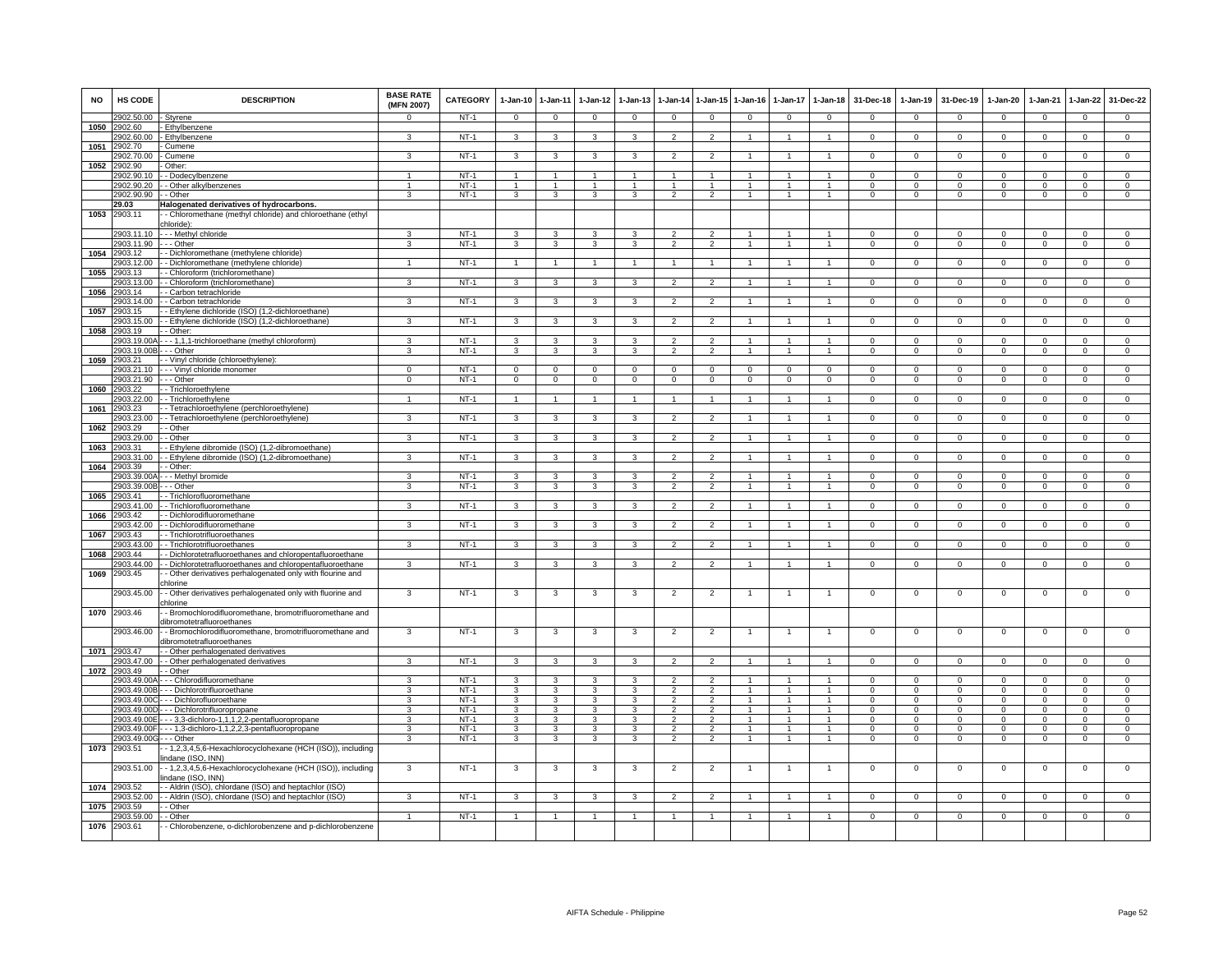| <b>NO</b> | <b>HS CODE</b>             | <b>DESCRIPTION</b>                                                                                   | <b>BASE RATE</b><br>(MFN 2007) | <b>CATEGORY</b>  | $1-Jan-10$              | 1-Jan-11                | $1 - Jan-12$            | $1-Jan-13$              | 1-Jan-14                        | 1-Jan-15                        | $1-Jan-16$     | $1-Jan-17$   | $1-Jan-18$           | 31-Dec-18            | $1-Jan-19$           | 31-Dec-19               | 1-Jan-20             | $1-Jan-21$           | $1 - Jan-22$               | 31-Dec-22                  |
|-----------|----------------------------|------------------------------------------------------------------------------------------------------|--------------------------------|------------------|-------------------------|-------------------------|-------------------------|-------------------------|---------------------------------|---------------------------------|----------------|--------------|----------------------|----------------------|----------------------|-------------------------|----------------------|----------------------|----------------------------|----------------------------|
|           | 2902.50.00                 | - Styrene                                                                                            |                                | $NT-1$           | $\Omega$                | $\Omega$                | $\Omega$                | $\Omega$                | $\Omega$                        | $\Omega$                        | $\Omega$       | $\Omega$     | $\Omega$             | $\Omega$             | $\Omega$             | $\Omega$                | $\Omega$             | $\Omega$             | $\Omega$                   | $\Omega$                   |
| 1050      | 2902.60<br>2902.60.00      | Ethylbenzene<br>- Ethylbenzene                                                                       | 3                              | <b>NT-1</b>      | 3                       | $\mathbf{3}$            | 3                       | 3                       | $\overline{2}$                  | 2                               |                |              | $\mathbf{1}$         | $\mathbf{0}$         | $\mathbf 0$          | $\mathbf 0$             | $\circ$              | $^{\circ}$           | $\mathbf{0}$               | $\mathbf{0}$               |
| 1051      | 2902.70                    | Cumene                                                                                               |                                |                  |                         |                         |                         |                         |                                 |                                 |                |              |                      |                      |                      |                         |                      |                      |                            |                            |
|           | 2902.70.00                 | - Cumene                                                                                             | 3                              | $NT-1$           | -3                      | 3                       | 3                       | 3                       | $\overline{2}$                  | $\mathcal{P}$                   | $\overline{1}$ | -1           | $\overline{1}$       | $\Omega$             | $\Omega$             | $^{\circ}$              | $\Omega$             | $\Omega$             | $^{\circ}$                 | $\overline{0}$             |
| 1052      | 2902.90                    | Other:                                                                                               |                                |                  |                         |                         |                         |                         |                                 |                                 |                |              |                      |                      |                      |                         |                      |                      |                            |                            |
|           | 2902.90.10                 | - Dodecylbenzene                                                                                     |                                | $NT-1$           | $\mathbf{1}$            | $\mathbf{1}$            |                         |                         |                                 |                                 |                |              |                      | $\Omega$             | $\mathsf 0$          | $\mathbf 0$             | $\Omega$             | $\Omega$             | $\mathsf 0$                | $\Omega$                   |
|           | 2902.90.20                 | - Other alkylbenzenes                                                                                |                                | $NT-1$           |                         |                         |                         |                         |                                 |                                 |                |              |                      |                      | $\Omega$             | $\Omega$                | $\Omega$             |                      | $\Omega$                   | $\Omega$                   |
|           | 2902.90.90                 | - Other                                                                                              | 3                              | $NT-1$           | 3                       | 3                       | 3                       | 3                       | $\overline{2}$                  | $\overline{2}$                  | $\overline{1}$ | 1            | $\overline{1}$       | $\Omega$             | 0                    | $\mathbf 0$             | 0                    | $\mathbf 0$          | 0                          | $\mathbf 0$                |
| 1053      | 29.03<br>2903.11           | Halogenated derivatives of hydrocarbons<br>- Chloromethane (methyl chloride) and chloroethane (ethyl |                                |                  |                         |                         |                         |                         |                                 |                                 |                |              |                      |                      |                      |                         |                      |                      |                            |                            |
|           |                            | chloride):                                                                                           |                                |                  |                         |                         |                         |                         |                                 |                                 |                |              |                      |                      |                      |                         |                      |                      |                            |                            |
|           | 2903.11.10                 | - - - Methyl chloride                                                                                | 3                              | $NT-1$           | 3                       | $\mathbf{3}$            | 3                       |                         | $\mathcal{P}$                   | $\mathcal{P}$                   |                |              |                      | $\Omega$             | $\Omega$             | $\Omega$                | $\Omega$             | $\Omega$             | $\Omega$                   | $\Omega$                   |
|           | 2903.11.90 --- Other       |                                                                                                      | 3                              | $NT-1$           | 3                       | 3                       | 3                       | 3                       | $\overline{2}$                  | $\overline{2}$                  |                |              | $\overline{1}$       | $\mathbf{0}$         | $\mathsf 0$          | $\mathbf 0$             | $\mathbf 0$          | $^{\circ}$           | $\mathbf 0$                | $\mathbf{0}$               |
| 1054      | 2903.12                    | - Dichloromethane (methylene chloride)                                                               |                                |                  |                         |                         |                         |                         |                                 |                                 |                |              |                      |                      |                      |                         |                      |                      |                            |                            |
|           | 2903.12.00                 | - Dichloromethane (methylene chloride)                                                               | 1                              | NT-1             | $\overline{1}$          | $\mathbf{1}$            | 1                       | $\mathbf{1}$            | $\overline{1}$                  | 1                               | 1              | $\mathbf{1}$ | $\overline{1}$       | $\mathbf{0}$         | $\mathbf 0$          | $\mathbf 0$             | $\mathbf{0}$         | $\mathbf 0$          | $\circ$                    | $\mathbf{0}$               |
| 1055      | 2903.13<br>2903.13.00      | - Chloroform (trichloromethane)<br>- Chloroform (trichloromethane)                                   | 3                              | $NT-1$           | $\mathbf{3}$            | $\overline{\mathbf{3}}$ | $\mathbf{3}$            | 3                       | $\overline{2}$                  | $\overline{2}$                  | 1              | 1            | $\mathbf{1}$         | $\Omega$             | $\Omega$             | $\Omega$                | $\mathbf{0}$         | $\Omega$             | $\Omega$                   | $\overline{0}$             |
| 1056      | 2903.14                    | - Carbon tetrachloride                                                                               |                                |                  |                         |                         |                         |                         |                                 |                                 |                |              |                      |                      |                      |                         |                      |                      |                            |                            |
|           | 2903.14.00                 | - Carbon tetrachloride                                                                               | 3                              | $NT-1$           | 3                       | 3                       | 3                       | 3                       | $\overline{2}$                  | $\overline{2}$                  |                |              | $\mathbf{1}$         | $\mathsf 0$          | $\mathsf 0$          | $\mathbf 0$             | $\mathbf 0$          | $\mathbf 0$          | $\mathsf 0$                | $\overline{0}$             |
| 1057      | 2903.15                    | - Ethylene dichloride (ISO) (1,2-dichloroethane)                                                     |                                |                  |                         |                         |                         |                         |                                 |                                 |                |              |                      |                      |                      |                         |                      |                      |                            |                            |
|           | 2903.15.00                 | Ethylene dichloride (ISO) (1,2-dichloroethane)                                                       | 3                              | $NT-1$           | 3                       | 3                       | 3                       | 3                       | $\mathfrak{p}$                  | $\overline{2}$                  |                |              | $\overline{1}$       | $\mathsf 0$          | $\mathsf 0$          | $\mathbf 0$             | $\mathbf 0$          | $\mathbf 0$          | $\mathsf 0$                | $\mathbf 0$                |
| 1058      | 2903.19                    | - Other:                                                                                             |                                |                  |                         |                         |                         |                         |                                 |                                 |                |              |                      |                      |                      |                         |                      |                      |                            |                            |
|           | 2903 19 004                | --- 1,1,1-trichloroethane (methyl chloroform)                                                        | $\mathbf{\hat{z}}$             | $NT-1$           | $\mathcal{R}$           | 3                       | $\mathbf{R}$            | ٩<br>3                  | 2<br>$\mathcal{P}$              | $\overline{2}$<br>$\mathcal{P}$ |                |              | $\blacktriangleleft$ | $\Omega$             | $\Omega$<br>$\Omega$ | $\Omega$                | $\Omega$<br>$\Omega$ | $\Omega$             | $\Omega$                   | $\Omega$<br>$\Omega$       |
| 1059      | 2903.19.00B<br>2903.21     | - - Other<br>- Vinyl chloride (chloroethylene):                                                      | 3                              | $NT-1$           | 3                       | 3                       | 3                       |                         |                                 |                                 |                |              |                      | $\Omega$             |                      | $\mathbf 0$             |                      | $\Omega$             | $\mathsf 0$                |                            |
|           | 2903.21.10                 | - - - Vinyl chloride monomer                                                                         | $\Omega$                       | $NT-1$           | $\Omega$                | $\Omega$                | $\Omega$                | $\Omega$                | $\Omega$                        | $\Omega$                        | $\Omega$       |              | $\Omega$             | $\Omega$             | $\Omega$             | $\Omega$                | $\Omega$             | $\Omega$             | $\Omega$                   | $\Omega$                   |
|           | 2903.21.90                 | - - Other                                                                                            | $\Omega$                       | <b>NT-1</b>      | $\overline{0}$          | $\mathbf{0}$            | $\overline{0}$          | 0                       | $\mathbf{0}$                    | $\Omega$                        | $\mathbf{0}$   | $\Omega$     | $\Omega$             | $\mathbf{0}$         | 0                    | $\mathbf 0$             | $\circ$              | $\mathbf 0$          | $\mathbf{0}$               | $\circ$                    |
| 1060      | 2903.22                    | - Trichloroethylene                                                                                  |                                |                  |                         |                         |                         |                         |                                 |                                 |                |              |                      |                      |                      |                         |                      |                      |                            |                            |
|           | 2903.22.00                 | - Trichloroethylene                                                                                  |                                | $NT-1$           | $\mathbf{1}$            | $\overline{1}$          | -1                      |                         | $\overline{1}$                  |                                 |                |              | $\overline{1}$       | $\Omega$             | $^{\circ}$           | $\mathbf 0$             | 0                    | $^{\circ}$           | $\mathbf{0}$               | $\mathbf 0$                |
| 1061      | 2903.23                    | - Tetrachloroethylene (perchloroethylene)                                                            |                                |                  |                         |                         |                         |                         |                                 |                                 |                |              |                      |                      |                      |                         |                      |                      |                            |                            |
|           | 2903.23.00                 | - Tetrachloroethylene (perchloroethylene)                                                            | 3                              | $NT-1$           | 3                       | 3                       | 3                       | 3                       | $\overline{2}$                  | $\overline{2}$                  |                |              | $\mathbf{1}$         | $\mathbf{O}$         | $\mathbf{0}$         | $\mathbf 0$             | $\mathbf 0$          | $\mathbf 0$          | $\mathbf 0$                | $\overline{0}$             |
| 1062      | 2903.29<br>2903.29.00      | - Other<br>- Other                                                                                   | 3                              | $NT-1$           | 3                       | 3                       | 3                       | 3                       | $\overline{2}$                  | $\overline{2}$                  |                |              | $\overline{1}$       | $\mathsf 0$          | $\mathsf 0$          | $\mathbf 0$             | $\mathbf 0$          | $\mathbf 0$          | $\mathsf 0$                | $\mathbf 0$                |
| 1063      | 2903.31                    | - Ethylene dibromide (ISO) (1,2-dibromoethane)                                                       |                                |                  |                         |                         |                         |                         |                                 |                                 |                |              |                      |                      |                      |                         |                      |                      |                            |                            |
|           | 2903.31.00                 | - Ethylene dibromide (ISO) (1,2-dibromoethane)                                                       | 3                              | $NT-1$           | $\mathbf{3}$            | $\mathbf{3}$            | $\mathbf{3}$            | 3                       | $\overline{2}$                  | $\overline{2}$                  | $\overline{1}$ |              | $\overline{1}$       | $\Omega$             | $\mathbf 0$          | $\mathbf 0$             | $\mathbf{0}$         | $\mathbf 0$          | $\mathsf 0$                | $\overline{0}$             |
| 1064      | 2903.39                    | - Other:                                                                                             |                                |                  |                         |                         |                         |                         |                                 |                                 |                |              |                      |                      |                      |                         |                      |                      |                            |                            |
|           | 2903.39.00/                | - - Methyl bromide                                                                                   | 3                              | $NT-1$           | $\overline{\mathbf{3}}$ | 3                       | 3                       | $\overline{\mathbf{3}}$ | 2                               | $\overline{2}$                  |                |              | $\mathbf{1}$         | $\overline{0}$       | $\overline{0}$       | $\Omega$                | $\overline{0}$       | $\Omega$             | $\overline{0}$             | $\overline{0}$             |
|           | 2903.39.00E                | $\cdot$ - Other                                                                                      | 3                              | $NT-1$           | 3                       | 3                       | $\overline{\mathbf{3}}$ | 3                       | $\overline{2}$                  | $\overline{2}$                  |                |              | $\overline{1}$       | $\Omega$             | $\Omega$             | $\Omega$                | $\Omega$             | $\Omega$             | $\overline{0}$             | $\overline{0}$             |
| 1065      | 2903.41                    | - Trichlorofluoromethane                                                                             | 3                              |                  |                         |                         |                         | 3                       |                                 |                                 | 1              | $\mathbf{1}$ | $\mathbf{1}$         |                      |                      |                         |                      |                      |                            |                            |
| 1066      | 2903.41.00<br>2903.42      | - Trichlorofluoromethane<br>- Dichlorodifluoromethane                                                |                                | $NT-1$           | $\mathbf{3}$            | $\mathbf{3}$            | $\mathbf{3}$            |                         | $\overline{2}$                  | $\overline{2}$                  |                |              |                      | $\mathbf{O}$         | $^{\circ}$           | $\mathbf 0$             | $\mathbf{0}$         | $^{\circ}$           | $\mathbf{0}$               | $\mathbf 0$                |
|           | 2903 42 00                 | - Dichlorodifluoromethane                                                                            | 3                              | $NT-1$           | $\mathbf{3}$            | $\mathbf{3}$            | $\mathbf{3}$            | 3                       | $\overline{2}$                  | $\overline{2}$                  | $\overline{1}$ | 1            | $\blacktriangleleft$ | $\Omega$             | $\Omega$             | $\Omega$                | $\Omega$             | $\Omega$             | $\Omega$                   | $\mathbf{0}$               |
| 1067      | 2903.43                    | - Trichlorotrifluoroethanes                                                                          |                                |                  |                         |                         |                         |                         |                                 |                                 |                |              |                      |                      |                      |                         |                      |                      |                            |                            |
|           | 2903.43.00                 | - Trichlorotrifluoroethanes                                                                          | 3                              | $NT-1$           | 3                       | 3                       | 3                       | 3                       | $\overline{2}$                  | $\overline{2}$                  |                | $\mathbf{1}$ | $\mathbf{1}$         | $\mathbf{O}$         | $\mathsf 0$          | $\mathbf 0$             | $\mathbf 0$          | $\mathbf 0$          | $\mathbf 0$                | $\overline{0}$             |
| 1068      | 903.44                     | - Dichlorotetrafluoroethanes and chloropentafluoroethane                                             |                                |                  |                         |                         |                         |                         |                                 |                                 |                |              |                      |                      |                      |                         |                      |                      |                            |                            |
| 1069      | 903.44.00                  | - Dichlorotetrafluoroethanes and chloropentafluoroethane                                             | 3                              | $NT-1$           | 3                       | 3                       | 3                       | 3                       | 2                               | $\mathcal{P}$                   |                |              | $\overline{1}$       | $^{\circ}$           | $^{\circ}$           | $\mathbf 0$             | $\mathbf 0$          | $\mathbf 0$          | $\mathsf 0$                | $\Omega$                   |
|           | 2903.45                    | - Other derivatives perhalogenated only with flourine and<br>chlorine                                |                                |                  |                         |                         |                         |                         |                                 |                                 |                |              |                      |                      |                      |                         |                      |                      |                            |                            |
|           | 2903.45.00                 | - Other derivatives perhalogenated only with fluorine and                                            | 3                              | $NT-1$           | 3                       | 3                       | -3                      | 3                       | $\overline{2}$                  | $\overline{2}$                  |                |              | -1                   | $\Omega$             | 0                    | $\mathbf 0$             | $\overline{0}$       | $\mathbf 0$          | 0                          | $\overline{0}$             |
|           |                            | chlorine                                                                                             |                                |                  |                         |                         |                         |                         |                                 |                                 |                |              |                      |                      |                      |                         |                      |                      |                            |                            |
| 1070      | 2903.46                    | - Bromochlorodifluoromethane, bromotrifluoromethane and                                              |                                |                  |                         |                         |                         |                         |                                 |                                 |                |              |                      |                      |                      |                         |                      |                      |                            |                            |
|           |                            | dibromotetrafluoroethanes                                                                            | 3                              |                  |                         |                         |                         |                         |                                 |                                 |                |              |                      |                      |                      |                         |                      |                      |                            |                            |
|           | 2903.46.00                 | - Bromochlorodifluoromethane, bromotrifluoromethane and<br>dibromotetrafluoroethanes                 |                                | $NT-1$           | 3                       | 3                       | -3                      | 3                       | $\overline{2}$                  | $\overline{2}$                  |                |              |                      | 0                    | 0                    | $\mathbf 0$             | 0                    | $\mathbf 0$          | 0                          | 0                          |
| 1071      | 2903.47                    | - Other perhalogenated derivatives                                                                   |                                |                  |                         |                         |                         |                         |                                 |                                 |                |              |                      |                      |                      |                         |                      |                      |                            |                            |
|           | 2903.47.00                 | - Other perhalogenated derivatives                                                                   | 3                              | $NT-1$           | $\overline{3}$          | $\overline{\mathbf{3}}$ | 3                       | 3                       | $\mathfrak{p}$                  | $\overline{2}$                  |                |              | $\mathbf{1}$         | $\Omega$             | $\Omega$             | $\Omega$                | $\Omega$             | $\Omega$             | $\overline{0}$             | $\overline{0}$             |
| 1072      | 2903.49                    | - Other                                                                                              |                                |                  |                         |                         |                         |                         |                                 |                                 |                |              |                      |                      |                      |                         |                      |                      |                            |                            |
|           | 2903.49.00A                | --- Chlorodifluoromethane                                                                            |                                | $NT-1$           | 3                       | 3                       | 3                       | 3                       | $\mathcal{P}$                   | $\overline{2}$                  |                |              |                      | $\Omega$             | $^{\circ}$           | $\mathbf 0$             | $\mathbf 0$          | $\Omega$             | $^{\circ}$                 | 0                          |
|           | 2903.49.00B                | -- Dichlorotrifluoroethane                                                                           | $\mathbf{a}$<br>3              | $NT-1$<br>$NT-1$ | 3<br>3                  | $\mathbf{3}$<br>3       | 3<br>3                  | 3<br>3                  | $\mathcal{D}$<br>$\overline{2}$ | $\mathcal{L}$<br>$\overline{2}$ |                |              | $\overline{1}$<br>-1 | $\Omega$<br>$\Omega$ | $\Omega$<br>$\Omega$ | $\mathbf 0$<br>$\Omega$ | $\Omega$<br>$\Omega$ | $\Omega$<br>$\Omega$ | $\mathsf 0$<br>$\mathsf 0$ | $\Omega$<br>$\overline{0}$ |
|           | 2903.49.00C<br>2903.49.00D | -- Dichlorofluoroethane<br>- - Dichlorotrifluoropropane                                              | $\mathbf{R}$                   | $NT-1$           | 3                       | 3                       | $\mathbf{3}$            | 3                       | $\mathcal{P}$                   | $\overline{2}$                  | 1              |              | $\overline{1}$       | $\Omega$             | $^{\circ}$           | $\mathbf 0$             | $\Omega$             | $\Omega$             | $^{\circ}$                 | $\mathbf 0$                |
|           | 2903.49.00E                | - - 3,3-dichloro-1,1,1,2,2-pentafluoropropane                                                        | 3                              | $NT-1$           | 3                       | $\overline{\mathbf{3}}$ | $\overline{\mathbf{3}}$ | 3                       | $\overline{2}$                  | $\overline{2}$                  | 1              |              | $\overline{1}$       | $\Omega$             | $\Omega$             | $\Omega$                | $\Omega$             | $\Omega$             | $\Omega$                   | $\overline{0}$             |
|           | 2903.49.00F                | - - - 1,3-dichloro-1,1,2,2,3-pentafluoropropane                                                      | 3                              | $NT-1$           | 3                       | 3                       | 3                       | 3                       | $\overline{2}$                  | $\overline{2}$                  |                |              |                      | $\Omega$             | $\Omega$             | $\Omega$                | $\Omega$             | $\Omega$             | $\Omega$                   | $\Omega$                   |
|           | 2903.49.00G - - - Other    |                                                                                                      | 3                              | $NT-1$           | 3                       | 3                       | 3                       | 3                       | $\mathcal{P}$                   | $\overline{2}$                  |                |              | $\overline{1}$       | $\Omega$             | $\Omega$             | $\Omega$                | $\Omega$             | $\Omega$             | $\overline{0}$             | $\overline{0}$             |
| 1073      | 2903.51                    | - 1,2,3,4,5,6-Hexachlorocyclohexane (HCH (ISO)), including                                           |                                |                  |                         |                         |                         |                         |                                 |                                 |                |              |                      |                      |                      |                         |                      |                      |                            |                            |
|           |                            | indane (ISO, INN)                                                                                    |                                |                  |                         |                         |                         |                         |                                 |                                 |                |              |                      |                      |                      |                         |                      |                      |                            |                            |
|           | 2903.51.00                 | - 1,2,3,4,5,6-Hexachlorocyclohexane (HCH (ISO)), including                                           | 3                              | $NT-1$           | $\mathbf{3}$            | 3                       | 3                       | 3                       | $\overline{2}$                  | $\overline{2}$                  |                | -1           | $\overline{1}$       | $^{\circ}$           | $\mathbf 0$          | $\mathbf 0$             | $\mathbf 0$          | $\mathbf 0$          | $\mathsf 0$                | $\overline{0}$             |
| 1074      | 2903.52                    | indane (ISO, INN)<br>- Aldrin (ISO), chlordane (ISO) and heptachlor (ISO)                            |                                |                  |                         |                         |                         |                         |                                 |                                 |                |              |                      |                      |                      |                         |                      |                      |                            |                            |
|           | 2903.52.00                 | - Aldrin (ISO), chlordane (ISO) and heptachlor (ISO)                                                 | 3                              | $NT-1$           | 3                       | 3                       | 3                       | 3                       | $\overline{2}$                  | $\mathfrak{p}$                  |                |              | $\mathbf{1}$         | $\mathsf 0$          | $\mathsf 0$          | $\mathbf 0$             | $\mathbf 0$          | $\mathbf 0$          | $\mathsf 0$                | $\mathbf 0$                |
| 1075      | 2903.59                    | Other                                                                                                |                                |                  |                         |                         |                         |                         |                                 |                                 |                |              |                      |                      |                      |                         |                      |                      |                            |                            |
|           | 2903.59.00                 | · Other                                                                                              | 1                              | $NT-1$           | 1                       | $\mathbf{1}$            | 1                       |                         | $\mathbf{1}$                    |                                 |                |              | $\mathbf{1}$         | $\mathbf{0}$         | 0                    | $\mathbf 0$             | 0                    | $\mathbf 0$          | 0                          | $\mathbf 0$                |
| 1076      | 2903.61                    | Chlorobenzene, o-dichlorobenzene and p-dichlorobenzene                                               |                                |                  |                         |                         |                         |                         |                                 |                                 |                |              |                      |                      |                      |                         |                      |                      |                            |                            |
|           |                            |                                                                                                      |                                |                  |                         |                         |                         |                         |                                 |                                 |                |              |                      |                      |                      |                         |                      |                      |                            |                            |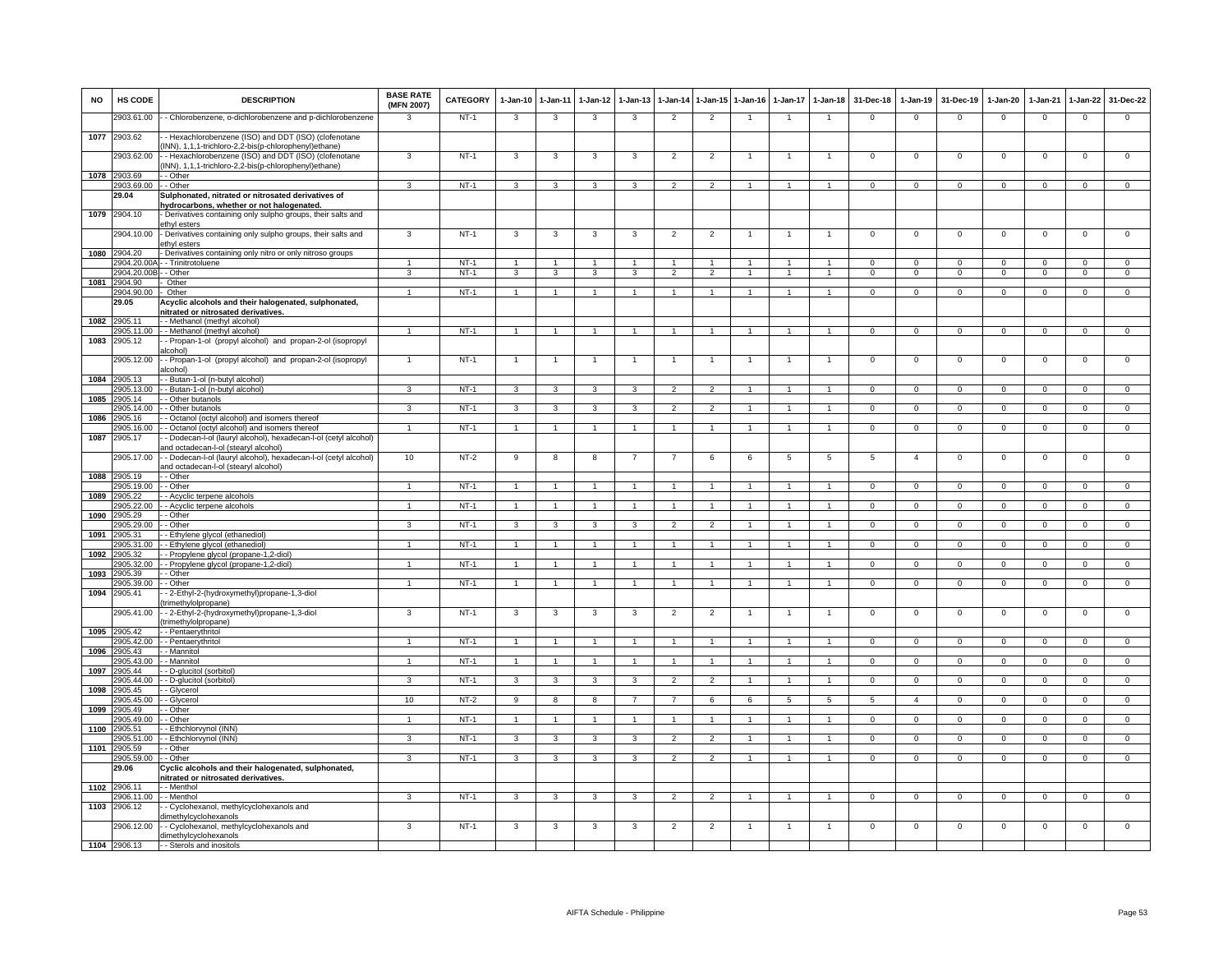| <b>NO</b> | HS CODE                   | <b>DESCRIPTION</b>                                                                                           | <b>BASE RATE</b><br>(MFN 2007) | CATEGORY         | $1-Jan-10$          | $1 - Jan-11$            | $1-Jan-12$           | $1-Jan-13$     | 1-Jan-14                         |                | 1-Jan-15 1-Jan-16 | $1-Jan-17$     | $1 - Jan-18$                                 | 31-Dec-18              | $1-Jan-19$             | 31-Dec-19                     | $1-Jan-20$          | $1-Jan-21$              | $1-Jan-22$          | 31-Dec-22           |
|-----------|---------------------------|--------------------------------------------------------------------------------------------------------------|--------------------------------|------------------|---------------------|-------------------------|----------------------|----------------|----------------------------------|----------------|-------------------|----------------|----------------------------------------------|------------------------|------------------------|-------------------------------|---------------------|-------------------------|---------------------|---------------------|
|           | 2903.61.00                | - Chlorobenzene, o-dichlorobenzene and p-dichlorobenzene                                                     | $\mathbf{3}$                   | $NT-1$           | 3                   | $\mathbf{3}$            | 3                    | 3              | $\overline{2}$                   | $\overline{2}$ | $\overline{1}$    | $\overline{1}$ | $\overline{1}$                               | $\overline{0}$         | $\mathbf 0$            | $\mathbf 0$                   | $\overline{0}$      | $\mathbf 0$             | $\mathbf 0$         | $\mathbf 0$         |
| 1077      | 2903.62                   | - Hexachlorobenzene (ISO) and DDT (ISO) (clofenotane<br>INN), 1,1,1-trichloro-2,2-bis(p-chlorophenyl)ethane) |                                |                  |                     |                         |                      |                |                                  |                |                   |                |                                              |                        |                        |                               |                     |                         |                     |                     |
|           | 2903.62.00                | - Hexachlorobenzene (ISO) and DDT (ISO) (clofenotane<br>INN), 1,1,1-trichloro-2,2-bis(p-chlorophenyl)ethane) | 3                              | $NT-1$           | 3                   | 3                       | 3                    | 3              | $\overline{c}$                   | $\overline{2}$ |                   |                |                                              | $\mathsf 0$            | $^{\circ}$             | $\mathbf 0$                   | $\mathbf 0$         | $\mathbf 0$             | $\mathbf 0$         | $\mathbf 0$         |
| 1078      | 2903.69                   | - - Other                                                                                                    |                                |                  |                     |                         |                      |                |                                  |                |                   |                |                                              |                        |                        |                               |                     |                         |                     |                     |
|           | 2903.69.00                | - Other                                                                                                      | 3                              | $NT-1$           | 3                   | 3                       | 3                    | 3              | $\overline{2}$                   | $\mathcal{P}$  | $\overline{1}$    | $\mathbf{1}$   | $\mathbf{1}$                                 | $\Omega$               | $\Omega$               | $\Omega$                      | $\Omega$            | $\Omega$                | $\mathbf 0$         | $\circ$             |
|           | 29.04                     | Sulphonated, nitrated or nitrosated derivatives of<br>hydrocarbons, whether or not halogenated.              |                                |                  |                     |                         |                      |                |                                  |                |                   |                |                                              |                        |                        |                               |                     |                         |                     |                     |
| 1079      | 2904.10                   | Derivatives containing only sulpho groups, their salts and                                                   |                                |                  |                     |                         |                      |                |                                  |                |                   |                |                                              |                        |                        |                               |                     |                         |                     |                     |
|           |                           | ethyl esters                                                                                                 |                                |                  |                     |                         |                      |                |                                  |                |                   |                |                                              |                        |                        |                               |                     |                         |                     |                     |
|           | 2904.10.00                | - Derivatives containing only sulpho groups, their salts and<br>ethyl esters                                 | $\overline{3}$                 | $NT-1$           | 3                   | 3                       | 3                    | $\mathbf{3}$   | $\overline{2}$                   | $\overline{2}$ | -1                | -1             | $\mathbf{1}$                                 | $\Omega$               | $\Omega$               | $\mathsf 0$                   | $\overline{0}$      | $\overline{0}$          | $\overline{0}$      | $\overline{0}$      |
| 1080      | 2904.20                   | - Derivatives containing only nitro or only nitroso groups                                                   |                                |                  |                     |                         |                      |                |                                  |                |                   |                |                                              |                        |                        |                               |                     |                         |                     |                     |
|           | 904.20.00/<br>2904.20.00B | - Trinitrotoluene<br>- Other                                                                                 | $\mathbf{1}$<br>$\overline{3}$ | $NT-1$<br>$NT-1$ | $\overline{1}$<br>3 | $\overline{1}$<br>3     | $\mathbf{1}$<br>3    | 3              | $\overline{1}$<br>$\overline{2}$ | $\overline{2}$ | $\overline{1}$    | $\mathbf{1}$   | $\blacktriangleleft$<br>$\blacktriangleleft$ | $^{\circ}$<br>$\Omega$ | $^{\circ}$<br>$\Omega$ | $\mathbf 0$<br>$\overline{0}$ | 0<br>$\overline{0}$ | $\mathbf 0$<br>$\Omega$ | 0<br>$\overline{0}$ | 0<br>$\overline{0}$ |
| 1081      | 2904.90                   | Other                                                                                                        |                                |                  |                     |                         |                      |                |                                  |                |                   |                |                                              |                        |                        |                               |                     |                         |                     |                     |
|           | 2904.90.00                | Other                                                                                                        | $\ddot{\phantom{1}}$           | $NT-1$           | $\overline{1}$      | $\overline{1}$          |                      |                |                                  |                |                   |                |                                              | $\mathbf 0$            | $\mathbf{0}$           | $\Omega$                      | $\Omega$            | $\Omega$                | $\mathbf 0$         | $\Omega$            |
|           | 29.05                     | Acyclic alcohols and their halogenated, sulphonated,                                                         |                                |                  |                     |                         |                      |                |                                  |                |                   |                |                                              |                        |                        |                               |                     |                         |                     |                     |
|           |                           | nitrated or nitrosated derivatives.                                                                          |                                |                  |                     |                         |                      |                |                                  |                |                   |                |                                              |                        |                        |                               |                     |                         |                     |                     |
| 1082      | 2905.11<br>2905.11.00     | - Methanol (methyl alcohol)<br>- Methanol (methyl alcohol)                                                   | $\overline{1}$                 | $NT-1$           | $\mathbf{1}$        | $\overline{1}$          | $\overline{1}$       | 1              | $\mathbf{1}$                     | $\overline{1}$ | 1                 | 1              | 1                                            | $\Omega$               | $\Omega$               | $^{\circ}$                    | $\mathbf{0}$        | $\mathbf 0$             | $\mathbf{0}$        | $\overline{0}$      |
| 1083      | 2905.12                   | - Propan-1-ol (propyl alcohol) and propan-2-ol (isopropyl                                                    |                                |                  |                     |                         |                      |                |                                  |                |                   |                |                                              |                        |                        |                               |                     |                         |                     |                     |
|           | 2905.12.00                | alcohol)<br>-- Propan-1-ol (propyl alcohol) and propan-2-ol (isopropyl                                       | $\mathbf{1}$                   | $NT-1$           |                     | $\overline{1}$          |                      |                |                                  | $\overline{1}$ |                   |                |                                              | $\mathsf 0$            | $\mathbf 0$            | $\mathbf 0$                   | $\mathbf 0$         | $\mathbf 0$             | $\mathsf 0$         | $\mathbf 0$         |
|           |                           | (lcohol                                                                                                      |                                |                  |                     |                         |                      |                |                                  |                |                   |                |                                              |                        |                        |                               |                     |                         |                     |                     |
| 1084      | 2905.13                   | - Butan-1-ol (n-butyl alcohol)                                                                               |                                |                  |                     |                         |                      |                |                                  |                |                   |                |                                              |                        |                        |                               |                     |                         |                     |                     |
|           | 2905.13.00                | - Butan-1-ol (n-butyl alcohol)                                                                               | 3                              | $NT-1$           | 3                   | 3                       | 3                    | 3              | $\overline{2}$                   | $\overline{2}$ |                   |                |                                              | $\mathbf{O}$           | $\mathbf 0$            | $\mathbf 0$                   | $\mathsf 0$         | $\Omega$                | $\mathsf 0$         | $\mathbf 0$         |
| 1085      | 2905.14                   | - Other butanols                                                                                             |                                |                  |                     |                         |                      |                |                                  |                |                   |                |                                              |                        |                        |                               |                     |                         |                     |                     |
| 1086      | 2905.14.00<br>2905.16     | - Other butanols<br>- Octanol (octyl alcohol) and isomers thereof                                            | 3                              | NT-1             | 3                   | $\mathbf{3}$            | 3                    | 3              | $\overline{2}$                   | $\overline{2}$ |                   |                | $\mathbf{1}$                                 | $\mathbf{0}$           | $\mathbf 0$            | $\mathbf{0}$                  | $\overline{0}$      | $\mathbf 0$             | $\mathbf{0}$        | $\mathbf{0}$        |
|           | 2905 16.00                | - Octanol (octyl alcohol) and isomers thereof                                                                | $\blacktriangleleft$           | $NT-1$           | $\overline{1}$      | $\overline{1}$          | $\overline{1}$       | $\mathbf{1}$   | $\overline{1}$                   | $\overline{1}$ | $\mathbf{1}$      | $\mathbf{1}$   | $\mathbf{1}$                                 | $\mathsf 0$            | $\mathsf 0$            | $\circ$                       | $\circ$             | $\mathsf 0$             | $\overline{0}$      | $\overline{0}$      |
| 1087      | 2905.17                   | - Dodecan-l-ol (lauryl alcohol), hexadecan-l-ol (cetyl alcohol)                                              |                                |                  |                     |                         |                      |                |                                  |                |                   |                |                                              |                        |                        |                               |                     |                         |                     |                     |
|           | 2905.17.00                | and octadecan-l-ol (stearyl alcohol)<br>- - Dodecan-l-ol (lauryl alcohol), hexadecan-l-ol (cetyl alcohol)    | 10                             | $NT-2$           | 9                   | 8                       | 8                    | $\overline{7}$ | $\overline{7}$                   | 6              | 6                 | 5              | 5                                            | 5                      | $\overline{4}$         | $\mathbf 0$                   | $\mathbf 0$         | $\mathbf 0$             | $\mathbf 0$         | $\mathbf 0$         |
|           |                           | and octadecan-l-ol (stearyl alcohol)                                                                         |                                |                  |                     |                         |                      |                |                                  |                |                   |                |                                              |                        |                        |                               |                     |                         |                     |                     |
| 1088      | 2905.19                   | - - Other                                                                                                    | $\mathbf{1}$                   |                  |                     |                         |                      |                |                                  |                |                   |                |                                              |                        |                        |                               |                     |                         |                     |                     |
| 1089      | 2905.19.00<br>2905.22     | - - Other<br>- Acyclic terpene alcohols                                                                      |                                | $NT-1$           |                     |                         |                      |                |                                  |                |                   |                |                                              | $\Omega$               | $\Omega$               | $\Omega$                      | $\Omega$            | $\Omega$                | $\Omega$            | $\Omega$            |
|           | 2905.22.00                | - - Acyclic terpene alcohols                                                                                 | $\overline{1}$                 | NT-1             | $\overline{1}$      | $\overline{1}$          | $\overline{1}$       | $\overline{1}$ | $\overline{1}$                   | $\overline{1}$ | $\mathbf{1}$      |                | $\overline{1}$                               | $\mathbf{0}$           | $\overline{0}$         | $\mathbf 0$                   | $\mathbf{0}$        | $\mathbf 0$             | $\circ$             | $\mathbf{0}$        |
| 1090      | 2905.29                   | - Other                                                                                                      |                                |                  |                     |                         |                      |                |                                  |                |                   |                |                                              |                        |                        |                               |                     |                         |                     |                     |
|           | 2905.29.00                | - Other                                                                                                      | 3                              | $NT-1$           | $\mathbf{3}$        | $\overline{\mathbf{3}}$ | 3                    | 3              | $\overline{2}$                   | $\mathfrak{p}$ |                   |                | $\mathbf{1}$                                 | $\Omega$               | $\overline{0}$         | $\Omega$                      | $\Omega$            | $\Omega$                | $\overline{0}$      | $\overline{0}$      |
| 1091      | 2905.31<br>2905.31.00     | - Ethylene glycol (ethanediol)<br>- Ethylene glycol (ethanediol)                                             | $\overline{1}$                 | NT-1             | $\overline{1}$      | $\overline{1}$          | $\overline{1}$       |                | $\overline{1}$                   | $\mathbf{1}$   |                   |                | $\blacktriangleleft$                         | $\mathbf 0$            | $\mathbf 0$            | $\mathbf 0$                   | $\mathbf 0$         | $\mathbf 0$             | $\mathbf 0$         | $\mathbf 0$         |
| 1092      | 2905.32                   | - Propylene glycol (propane-1,2-diol)                                                                        |                                |                  |                     |                         |                      |                |                                  |                |                   |                |                                              |                        |                        |                               |                     |                         |                     |                     |
|           | 2905.32.00                | - Propylene glycol (propane-1,2-diol)                                                                        | $\overline{1}$                 | $NT-1$           | $\overline{1}$      | $\overline{1}$          | $\overline{1}$       | $\overline{1}$ | $\overline{1}$                   | $\overline{1}$ | $\overline{1}$    | $\overline{1}$ | $\mathbf{1}$                                 | $\mathbf{0}$           | $\mathbf{0}$           | $\mathsf 0$                   | $\circ$             | $\Omega$                | $\mathsf 0$         | $\overline{0}$      |
| 1093      | 2905.39                   | - Other                                                                                                      |                                |                  |                     |                         |                      |                |                                  |                |                   |                |                                              |                        |                        |                               |                     |                         |                     |                     |
|           | 2905.39.00                | - Other                                                                                                      | $\mathbf{1}$                   | $NT-1$           | $\overline{1}$      | $\overline{1}$          |                      |                |                                  | $\mathbf{1}$   |                   |                | $\mathbf{1}$                                 | $\mathbf{O}$           | $\Omega$               | $\mathbf 0$                   | $\Omega$            | $\Omega$                | $\mathsf 0$         | $\Omega$            |
| 1094      | 2905.41                   | - 2-Ethyl-2-(hydroxymethyl)propane-1,3-diol<br>trimethylolpropane)                                           |                                |                  |                     |                         |                      |                |                                  |                |                   |                |                                              |                        |                        |                               |                     |                         |                     |                     |
|           | 2905.41.00                | - 2-Ethyl-2-(hydroxymethyl)propane-1,3-diol<br>trimethylolpropane)                                           | 3                              | $NT-1$           | 3                   | 3                       | 3                    | 3              | $\overline{2}$                   | $\overline{2}$ | -1                | -1             | $\overline{1}$                               | $\mathbf 0$            | $\mathbf{0}$           | $\mathbf 0$                   | $\mathbf 0$         | $\mathbf 0$             | $\mathsf 0$         | $\overline{0}$      |
| 1095      | 2905.42                   | - Pentaerythritol                                                                                            |                                |                  |                     |                         |                      |                |                                  |                |                   |                |                                              |                        |                        |                               |                     |                         |                     |                     |
|           | 905.42.00                 | - Pentaerythritol                                                                                            |                                | $NT-1$           | $\mathbf{1}$        | $\overline{1}$          |                      |                |                                  |                |                   |                |                                              | $\Omega$               | $\Omega$               | $\Omega$                      | $\Omega$            | $\Omega$                | 0                   | $\Omega$            |
| 1096      | 2905.43                   | - Mannitol                                                                                                   |                                |                  |                     |                         |                      |                |                                  |                |                   |                |                                              |                        |                        |                               |                     |                         |                     |                     |
|           | 2905.43.00<br>2905.44     | - Mannitol<br>- D-glucitol (sorbitol                                                                         | $\overline{1}$                 | $NT-1$           | $\overline{1}$      | $\overline{1}$          | $\blacktriangleleft$ |                | $\overline{1}$                   | $\overline{1}$ |                   |                |                                              | $\overline{0}$         | $\overline{0}$         | $\overline{0}$                | $\overline{0}$      | $\overline{0}$          | $\overline{0}$      | $\overline{0}$      |
| 1097      | 2905.44.00                | - - D-glucitol (sorbitol)                                                                                    | 3                              | $NT-1$           | 3                   | 3                       | 3                    |                | $\mathcal{P}$                    | $\mathfrak{p}$ |                   |                |                                              | $\Omega$               | $\Omega$               | $\Omega$                      | $\Omega$            | $\Omega$                | $\Omega$            | $\Omega$            |
| 1098      | 2905.45                   | - Glycerol                                                                                                   |                                |                  |                     |                         |                      |                |                                  |                |                   |                |                                              |                        |                        |                               |                     |                         |                     |                     |
|           | 2905.45.00                | - Glycerol                                                                                                   | 10                             | $NT-2$           | 9                   | 8                       | 8                    | $\overline{7}$ | $\overline{7}$                   | 6              | 6                 | 5              | 5                                            | 5                      | $\overline{4}$         | $\mathbf{0}$                  | $\mathbf 0$         | $\mathbf 0$             | $\mathbf{0}$        | $\overline{0}$      |
| 1099      | 2905.49                   | - Other                                                                                                      |                                |                  |                     |                         |                      |                |                                  |                |                   |                |                                              |                        |                        |                               |                     |                         |                     |                     |
| 1100      | 905.49.00<br>905.51       | - Other<br>- Ethchlorvynol (INN)                                                                             | $\mathbf{1}$                   | $NT-1$           | $\mathbf{1}$        | $\overline{1}$          | $\mathbf{1}$         |                | $\overline{1}$                   | $\mathbf{1}$   |                   |                | $\mathbf{1}$                                 | $\Omega$               | $\overline{0}$         | $\Omega$                      | $\Omega$            | $\Omega$                | $\overline{0}$      | $\overline{0}$      |
|           | 2905.51.00                | - Ethchlorvynol (INN)                                                                                        | 3                              | $NT-1$           | 3                   | 3                       | 3                    | 3              | $\overline{2}$                   | $\overline{2}$ |                   |                | $\blacktriangleleft$                         | $\mathbf{0}$           | $\mathbf 0$            | $\mathbf 0$                   | $\mathsf 0$         | $\mathbf 0$             | $\mathsf 0$         | $\mathbf 0$         |
| 1101      | 2905.59                   | - Other                                                                                                      |                                |                  |                     |                         |                      |                |                                  |                |                   |                |                                              |                        |                        |                               |                     |                         |                     |                     |
|           | 2905.59.00                | - Other                                                                                                      | 3                              | $NT-1$           | 3                   | 3                       | 3                    | 3              | $\overline{2}$                   | $\overline{2}$ | $\mathbf{1}$      | $\overline{1}$ | $\mathbf{1}$                                 | $\overline{0}$         | $\overline{0}$         | $\overline{0}$                | $\overline{0}$      | $\overline{0}$          | $\overline{0}$      | $\overline{0}$      |
|           | 29.06                     | Cyclic alcohols and their halogenated, sulphonated,<br>nitrated or nitrosated derivatives.                   |                                |                  |                     |                         |                      |                |                                  |                |                   |                |                                              |                        |                        |                               |                     |                         |                     |                     |
|           | 1102 2906.11              | - - Menthol                                                                                                  |                                |                  |                     |                         |                      |                |                                  |                |                   |                |                                              |                        |                        |                               |                     |                         |                     |                     |
|           | 2906.11.00                | - Menthol                                                                                                    | 3                              | $NT-1$           | $\mathbf{3}$        | 3                       | 3                    | 3              | $\overline{2}$                   | 2              | $\overline{1}$    | $\mathbf{1}$   | $\overline{1}$                               | $\overline{0}$         | $\mathbf{0}$           | $\overline{0}$                | $\mathbf{0}$        | $\mathbf{0}$            | $\mathbf{0}$        | $^{\circ}$          |
| 1103      | 2906.12                   | - Cyclohexanol, methylcyclohexanols and<br>timethylcyclohexanols                                             |                                |                  |                     |                         |                      |                |                                  |                |                   |                |                                              |                        |                        |                               |                     |                         |                     |                     |
|           | 2906.12.00                | - - Cyclohexanol, methylcyclohexanols and<br>dimethylcyclohexanols                                           | 3                              | $NT-1$           | 3                   | 3                       | 3                    | 3              | $\overline{2}$                   | $\overline{2}$ |                   | $\mathbf{1}$   | $\mathbf{1}$                                 | $\mathsf 0$            | $\mathsf 0$            | $\mathbf 0$                   | $\mathbf 0$         | $\mathbf 0$             | $\mathsf 0$         | $\mathbf 0$         |
|           | 1104 2906.13              | - - Sterols and inositols                                                                                    |                                |                  |                     |                         |                      |                |                                  |                |                   |                |                                              |                        |                        |                               |                     |                         |                     |                     |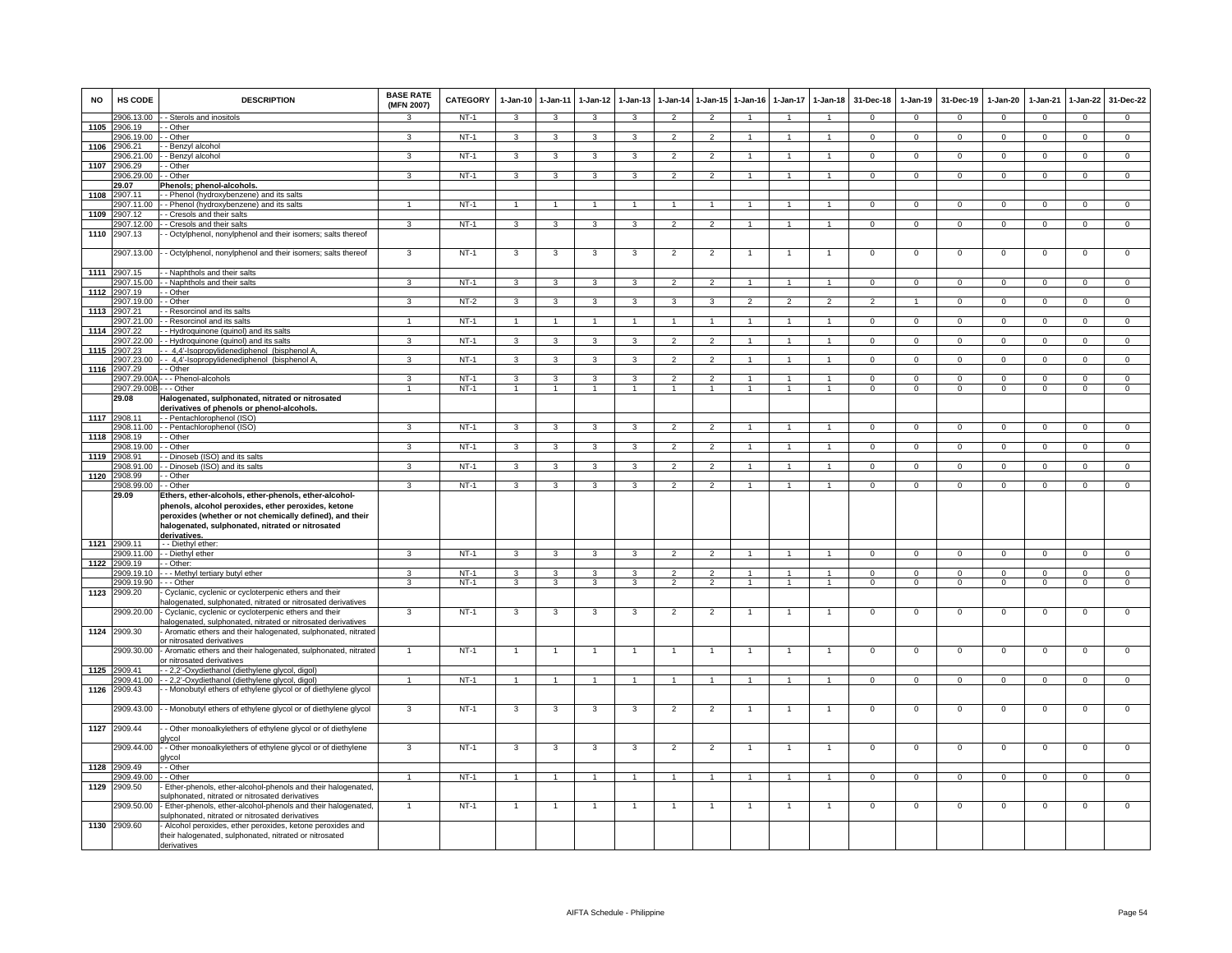| <b>NO</b> | HS CODE                  | <b>DESCRIPTION</b>                                                                                                                                                                                                           | <b>BASE RATE</b><br>(MFN 2007) | <b>CATEGORY</b>  | $1 - Jan-10$            | $1 - Jan-11$   | $1-Jan-12$     | $1-Jan-13$     | 1-Jan-14                                   | 1-Jan-15                         | $1-Jan-16$                     | $1-Jan-17$                   | $1 - Jan-18$                   | 31-Dec-18            | $1-Jan-19$                 | 31-Dec-19            | $1-Jan-20$                       | 1-Jan-21             | $1 - Jan-22$         | 31-Dec-22                        |
|-----------|--------------------------|------------------------------------------------------------------------------------------------------------------------------------------------------------------------------------------------------------------------------|--------------------------------|------------------|-------------------------|----------------|----------------|----------------|--------------------------------------------|----------------------------------|--------------------------------|------------------------------|--------------------------------|----------------------|----------------------------|----------------------|----------------------------------|----------------------|----------------------|----------------------------------|
|           | 2906.13.00               | - Sterols and inositols                                                                                                                                                                                                      | $\mathbf{R}$                   | $NT-1$           | $\mathbf{3}$            | 3              | 3              | 3              | $\overline{2}$                             | $\overline{2}$                   |                                | $\overline{1}$               | $\blacktriangleleft$           | $\mathbf{0}$         | $\mathbf{0}$               | $\mathbf 0$          | $\mathbf 0$                      | $\mathbf 0$          | $\mathbf{0}$         | $\mathbf{0}$                     |
| 1105      | 2906.19<br>2906.19.00    | - Other<br>- Other                                                                                                                                                                                                           | 3                              | $NT-1$           | 3                       | 3              | 3              | 3              | $\overline{2}$                             | $\overline{2}$                   | $\overline{1}$                 | $\mathbf{1}$                 | $\mathbf{1}$                   | $\Omega$             | $\mathbf 0$                | $\mathbf 0$          | $\mathbf 0$                      | $\mathbf 0$          | $\mathbf{0}$         | $\overline{0}$                   |
| 1106      | 2906.21                  | - Benzyl alcohol                                                                                                                                                                                                             |                                |                  |                         |                |                |                |                                            |                                  |                                |                              |                                |                      |                            |                      |                                  |                      |                      |                                  |
|           | 906.21.00                | - Benzyl alcohol                                                                                                                                                                                                             | $\mathbf{B}$                   | $NT-1$           | 3                       | 3              | 3              | 3              | $\overline{\mathbf{c}}$                    | $\overline{2}$                   |                                |                              | $\mathbf{1}$                   | $\Omega$             | $\overline{0}$             | $\overline{0}$       | $\overline{0}$                   | $\overline{0}$       | $\overline{0}$       | $\overline{0}$                   |
| 1107      | 2906.29                  | - Other                                                                                                                                                                                                                      |                                |                  |                         |                |                |                |                                            |                                  |                                |                              |                                |                      |                            |                      |                                  |                      |                      |                                  |
|           | 2906.29.00               | - Other                                                                                                                                                                                                                      | $\mathbf{3}$                   | $NT-1$           | 3                       | 3              | $\mathbf{R}$   | $\mathbf{3}$   | $\mathcal{L}$                              | $\overline{2}$                   | $\blacktriangleleft$           | $\overline{1}$               | $\mathbf{1}$                   | $\Omega$             | $\Omega$                   | $\Omega$             | $\Omega$                         | $\Omega$             | $\Omega$             | $\overline{0}$                   |
| 1108      | 29.07<br>2907.11         | Phenols; phenol-alcohols.<br>- Phenol (hydroxybenzene) and its salts                                                                                                                                                         |                                |                  |                         |                |                |                |                                            |                                  |                                |                              |                                |                      |                            |                      |                                  |                      |                      |                                  |
|           | 2907.11.00               | - Phenol (hydroxybenzene) and its salts                                                                                                                                                                                      |                                | $NT-1$           |                         |                |                |                |                                            | $\blacktriangleleft$             |                                |                              |                                | $\mathbf 0$          | $\mathbf 0$                | $\mathbf 0$          | $\Omega$                         | $\Omega$             | $\mathsf 0$          | $\mathbf 0$                      |
| 1109      | 2907.12                  | - Cresols and their salts                                                                                                                                                                                                    |                                |                  |                         |                |                |                |                                            |                                  |                                |                              |                                |                      |                            |                      |                                  |                      |                      |                                  |
|           | 2907.12.00               | - Cresols and their salts                                                                                                                                                                                                    | $\mathbf{3}$                   | $NT-1$           | $\mathbf{3}$            | $\mathbf{3}$   | 3              | 3              | $\overline{2}$                             | $\overline{2}$                   |                                | $\mathbf{1}$                 | 1                              | $\mathbf{0}$         | $\mathbf{0}$               | $\mathbf{0}$         | $\overline{0}$                   | $\mathbf{0}$         | $\mathbf{0}$         | $\mathbf{0}$                     |
| 1110      | 2907.13                  | - Octylphenol, nonylphenol and their isomers; salts thereof                                                                                                                                                                  |                                |                  |                         |                |                |                |                                            |                                  |                                |                              |                                |                      |                            |                      |                                  |                      |                      |                                  |
|           | 2907.13.00               | - Octylphenol, nonylphenol and their isomers; salts thereof                                                                                                                                                                  | 3                              | $NT-1$           | 3                       | 3              | 3              | 3              | $\overline{2}$                             | $\overline{2}$                   | -1                             | $\mathbf{1}$                 | $\mathbf{1}$                   | $\mathbf 0$          | $\mathbf 0$                | $\mathbf 0$          | $\mathbf 0$                      | $\mathbf 0$          | $\mathsf 0$          | $\mathbf 0$                      |
|           | 1111 2907.15             | - Naphthols and their salts                                                                                                                                                                                                  |                                |                  |                         |                |                |                |                                            |                                  |                                |                              |                                |                      |                            |                      |                                  |                      |                      |                                  |
| 1112      | 2907.15.00<br>2907 19    | - Naphthols and their salts<br>- Other                                                                                                                                                                                       | 3                              | $NT-1$           | 3                       | 3              | 3              | $\mathbf{3}$   | $\overline{2}$                             | $\overline{2}$                   | $\overline{1}$                 | $\overline{1}$               | $\blacktriangleleft$           | $\Omega$             | $\overline{0}$             | $\Omega$             | $\overline{0}$                   | $\overline{0}$       | $\overline{0}$       | $\overline{0}$                   |
|           | 2907.19.00               | - Other                                                                                                                                                                                                                      | 3                              | $NT-2$           | 3                       | 3              | 3              | 3              | 3                                          | 3                                | $\overline{a}$                 | $\overline{\phantom{0}}$     | $\overline{2}$                 | $\overline{2}$       |                            | $\Omega$             | $\Omega$                         | $\Omega$             | $\mathsf 0$          | $\mathbf 0$                      |
| 1113      | 2907.21                  | Resorcinol and its salts                                                                                                                                                                                                     |                                |                  |                         |                |                |                |                                            |                                  |                                |                              |                                |                      |                            |                      |                                  |                      |                      |                                  |
|           | 2907.21.00               | - Resorcinol and its salts                                                                                                                                                                                                   |                                | $NT-1$           | $\overline{1}$          | $\overline{1}$ |                |                | $\overline{1}$                             | $\blacktriangleleft$             |                                |                              | $\overline{1}$                 | $\mathbf 0$          | $\mathbf 0$                | $\mathbf 0$          | $^{\circ}$                       | $\mathbf 0$          | $\mathbf 0$          | $\mathbf 0$                      |
|           | 1114 2907.22             | - Hydroquinone (quinol) and its salts                                                                                                                                                                                        |                                |                  |                         |                |                |                |                                            |                                  |                                |                              |                                |                      |                            |                      |                                  |                      |                      |                                  |
| 1115      | 2907.22.00<br>2907.23    | - Hydroquinone (quinol) and its salts<br>- 4,4'-Isopropylidenediphenol (bisphenol A                                                                                                                                          | 3                              | $NT-1$           | 3                       | 3              | 3              | 3              | $\mathcal{P}$                              | $\mathcal{P}$                    |                                |                              | $\mathbf{1}$                   | $\Omega$             | $\Omega$                   | $\Omega$             | $\Omega$                         | $\Omega$             | $\mathbf{0}$         | $\overline{0}$                   |
|           | 2907.23.00               | - 4,4'-Isopropylidenediphenol (bisphenol A,                                                                                                                                                                                  | 3                              | $NT-1$           | 3                       | 3              | 3              | 3              | $\overline{2}$                             | $\overline{2}$                   |                                |                              |                                | $\mathbf 0$          | $\mathbf 0$                | $\mathbf 0$          | $\mathsf 0$                      | $\Omega$             | $\mathsf 0$          | $\overline{0}$                   |
| 1116      | 907.29                   | - Other                                                                                                                                                                                                                      |                                |                  |                         |                |                |                |                                            |                                  |                                |                              |                                |                      |                            |                      |                                  |                      |                      |                                  |
|           | 2907.29.00/              | - - Phenol-alcohols                                                                                                                                                                                                          | 3                              | $NT-1$           | $\overline{\mathbf{3}}$ | 3              | 3              | 3              | $\overline{2}$                             | $\overline{2}$                   | $\overline{1}$                 | $\overline{1}$               | $\mathbf{1}$                   | $\overline{0}$       | $\overline{0}$             | $\overline{0}$       | $\overline{0}$                   | $\overline{0}$       | $\overline{0}$       | $\overline{0}$                   |
|           | 2907.29.00<br>29.08      | - - Other<br>Halogenated, sulphonated, nitrated or nitrosated                                                                                                                                                                |                                | $NT-1$           |                         |                |                |                |                                            | $\overline{1}$                   |                                |                              |                                | $\overline{0}$       | $\overline{0}$             | $\overline{0}$       | $\overline{0}$                   | $\overline{0}$       | $\overline{0}$       | $\overline{0}$                   |
|           |                          | derivatives of phenols or phenol-alcohols.                                                                                                                                                                                   |                                |                  |                         |                |                |                |                                            |                                  |                                |                              |                                |                      |                            |                      |                                  |                      |                      |                                  |
|           | 1117 2908.11             | - Pentachlorophenol (ISO)                                                                                                                                                                                                    |                                |                  |                         |                |                |                |                                            |                                  |                                |                              |                                |                      |                            |                      |                                  |                      |                      |                                  |
|           | 908.11.00                | - Pentachlorophenol (ISO)                                                                                                                                                                                                    | 3                              | $NT-1$           | $\mathbf{3}$            | $\mathbf{3}$   | 3              | $\mathbf{3}$   | $\overline{2}$                             | $\overline{2}$                   | $\overline{1}$                 | $\overline{1}$               | $\mathbf{1}$                   | $\mathbf{0}$         | $\mathsf 0$                | $\mathbf 0$          | $\mathbf 0$                      | $\mathbf{0}$         | $\circ$              | $\overline{0}$                   |
| 1118      | 2908.19                  | - Other                                                                                                                                                                                                                      | 3                              |                  |                         |                | 3              | 3              | $\mathfrak{p}$                             | $\overline{2}$                   |                                |                              | $\mathbf{1}$                   |                      |                            |                      |                                  | $\Omega$             |                      |                                  |
| 1119      | 908.19.00<br>2908.91     | Other<br>- Dinoseb (ISO) and its salts                                                                                                                                                                                       |                                | $NT-1$           | 3                       | 3              |                |                |                                            |                                  |                                |                              |                                | $\mathbf 0$          | $\mathbf 0$                | $\mathbf 0$          | $\mathbf 0$                      |                      | $\mathsf 0$          | $\overline{0}$                   |
|           | 908.91.00                | - Dinoseb (ISO) and its salts                                                                                                                                                                                                | 3                              | $NT-1$           | 3                       | 3              | 3              | 3              | $\overline{2}$                             | $\overline{2}$                   |                                | $\mathbf{1}$                 | $\mathbf{1}$                   | $\mathbf 0$          | $\mathbf 0$                | $\mathbf 0$          | $\mathbf 0$                      | $\mathbf 0$          | 0                    | $\overline{0}$                   |
| 1120      | 2908.99                  | - Other                                                                                                                                                                                                                      |                                |                  |                         |                |                |                |                                            |                                  |                                |                              |                                |                      |                            |                      |                                  |                      |                      |                                  |
|           | 2908.99.00<br>29.09      | - Other                                                                                                                                                                                                                      | $\mathcal{R}$                  | $NT-1$           | 3                       | $\mathcal{R}$  | $\mathbf{R}$   | $\mathbf{3}$   | $\mathcal{P}$                              | $\mathcal{P}$                    |                                |                              |                                | $\Omega$             | $\Omega$                   | $\Omega$             | $\Omega$                         | $\Omega$             | $\mathsf 0$          | $\Omega$                         |
|           |                          | Ethers, ether-alcohols, ether-phenols, ether-alcohol-<br>phenols, alcohol peroxides, ether peroxides, ketone<br>peroxides (whether or not chemically defined), and their<br>halogenated, sulphonated, nitrated or nitrosated |                                |                  |                         |                |                |                |                                            |                                  |                                |                              |                                |                      |                            |                      |                                  |                      |                      |                                  |
|           | 1121 2909.11             | derivatives.<br>- - Diethyl ether:                                                                                                                                                                                           |                                |                  |                         |                |                |                |                                            |                                  |                                |                              |                                |                      |                            |                      |                                  |                      |                      |                                  |
|           | 909.11.00                | - Diethyl ether                                                                                                                                                                                                              | 3                              | $NT-1$           | 3                       | 3              | 3              | 3              | $\overline{2}$                             | $\mathcal{P}$                    | $\overline{1}$                 | $\overline{1}$               | $\mathbf{1}$                   | $^{\circ}$           | $\mathbf 0$                | $\mathbf 0$          | 0                                | $\mathbf 0$          | $\mathsf 0$          | $\mathbf 0$                      |
| 1122      | 2909.19                  | - Other:                                                                                                                                                                                                                     |                                |                  |                         |                |                |                |                                            |                                  |                                |                              |                                |                      |                            |                      |                                  |                      |                      |                                  |
|           | 2909.19.10<br>2909.19.90 | - - Methyl tertiary butyl ether<br>- - Other                                                                                                                                                                                 | 3<br>3                         | $NT-1$<br>$NT-1$ | 3<br>3                  | 3<br>3         | 3<br>3         | 3<br>3         | $\overline{2}$<br>$\overline{\phantom{a}}$ | $\overline{2}$<br>$\overline{2}$ | $\mathbf{1}$<br>$\overline{1}$ | $\mathbf{1}$<br>$\mathbf{1}$ | $\overline{1}$<br>$\mathbf{1}$ | $\Omega$<br>$\Omega$ | $\overline{0}$<br>$\Omega$ | $\Omega$<br>$\Omega$ | $\overline{0}$<br>$\overline{0}$ | $\Omega$<br>$\Omega$ | $\Omega$<br>$\Omega$ | $\overline{0}$<br>$\overline{0}$ |
| 1123      | 2909.20                  | Cyclanic, cyclenic or cycloterpenic ethers and their                                                                                                                                                                         |                                |                  |                         |                |                |                |                                            |                                  |                                |                              |                                |                      |                            |                      |                                  |                      |                      |                                  |
|           |                          | nalogenated, sulphonated, nitrated or nitrosated derivatives                                                                                                                                                                 |                                |                  |                         |                |                |                |                                            |                                  |                                |                              |                                |                      |                            |                      |                                  |                      |                      |                                  |
|           | 2909.20.00               | Cyclanic, cyclenic or cycloterpenic ethers and their<br>alogenated, sulphonated, nitrated or nitrosated derivatives                                                                                                          | $\mathbf{3}$                   | $NT-1$           | 3                       | 3              | 3              | 3              | $\overline{2}$                             | $\overline{2}$                   |                                | $\overline{1}$               | $\overline{1}$                 | $\mathbf 0$          | $\mathbf 0$                | $\mathbf 0$          | $\mathbf 0$                      | $\mathbf 0$          | $\mathsf 0$          | $\mathbf 0$                      |
|           | 1124 2909.30             | Aromatic ethers and their halogenated, sulphonated, nitrated<br>r nitrosated derivatives                                                                                                                                     |                                |                  |                         |                |                |                |                                            |                                  |                                |                              |                                |                      |                            |                      |                                  |                      |                      |                                  |
|           | 909.30.00                | Aromatic ethers and their halogenated, sulphonated, nitrated<br>r nitrosated derivatives                                                                                                                                     |                                | $NT-1$           | $\overline{1}$          | $\overline{1}$ |                |                |                                            |                                  |                                |                              |                                | $\mathsf 0$          | $\mathbf 0$                | $\mathbf 0$          | $\mathbf 0$                      | $\mathbf 0$          | $\mathsf 0$          | $\mathbf 0$                      |
| 1125      | 2909.41                  | - 2,2'-Oxydiethanol (diethylene glycol, digol)                                                                                                                                                                               |                                |                  |                         |                |                |                |                                            |                                  |                                |                              |                                |                      |                            |                      |                                  |                      |                      |                                  |
| 1126      | 2909.41.00               | - 2,2'-Oxydiethanol (diethylene glycol, digol)                                                                                                                                                                               |                                | $NT-1$           | $\overline{1}$          | $\overline{1}$ |                |                | $\overline{1}$                             | $\blacktriangleleft$             | $\overline{1}$                 | $\overline{1}$               | $\overline{1}$                 | $\overline{0}$       | $\overline{0}$             | $\Omega$             | $\overline{0}$                   | $\overline{0}$       | $\overline{0}$       | $\overline{0}$                   |
|           | 2909.43                  | - Monobutyl ethers of ethylene glycol or of diethylene glycol                                                                                                                                                                |                                |                  |                         |                |                |                |                                            |                                  |                                |                              |                                |                      |                            |                      |                                  |                      |                      |                                  |
|           | 2909.43.00               | - Monobutyl ethers of ethylene glycol or of diethylene glycol                                                                                                                                                                | 3                              | $NT-1$           | $\mathbf{3}$            | 3              | 3              | 3              | $\overline{2}$                             | $\overline{2}$                   |                                |                              |                                | $\mathbf 0$          | $\mathsf 0$                | $\mathbf 0$          | $\mathbf 0$                      | $\mathbf 0$          | $\mathsf 0$          | $\mathbf 0$                      |
| 1127      | 2909.44                  | - Other monoalkylethers of ethylene glycol or of diethylene<br><b>Ilvcol</b>                                                                                                                                                 |                                |                  |                         |                |                |                |                                            |                                  |                                |                              |                                |                      |                            |                      |                                  |                      |                      |                                  |
|           | 2909.44.00               | - Other monoalkylethers of ethylene glycol or of diethylene<br>ılycol                                                                                                                                                        | 3                              | $NT-1$           | 3                       | 3              | 3              | 3              | $\overline{2}$                             | $\overline{2}$                   |                                |                              |                                | $\mathbf 0$          | $\mathbf 0$                | $\mathbf 0$          | $\mathbf 0$                      | $\mathbf 0$          | $\mathbf 0$          | $\mathbf 0$                      |
|           | 1128 2909.49             | - Other                                                                                                                                                                                                                      |                                |                  |                         |                |                |                |                                            |                                  |                                |                              |                                |                      |                            |                      |                                  |                      |                      |                                  |
|           | 2909 49.00<br>2909.50    | - Other<br>Ether-phenols, ether-alcohol-phenols and their halogenated,                                                                                                                                                       |                                | $NT-1$           | $\overline{1}$          | $\overline{1}$ | $\overline{1}$ | $\overline{1}$ | $\overline{1}$                             | $\overline{1}$                   | $\overline{1}$                 | $\mathbf{1}$                 | $\blacktriangleleft$           | $\Omega$             | $\overline{0}$             | $\Omega$             | $\overline{0}$                   | $\overline{0}$       | $\overline{0}$       | $\overline{0}$                   |
| 1129      |                          | sulphonated, nitrated or nitrosated derivatives                                                                                                                                                                              |                                |                  |                         |                |                |                |                                            |                                  |                                |                              |                                |                      |                            |                      |                                  |                      |                      |                                  |
|           | 2909.50.00               | Ether-phenols, ether-alcohol-phenols and their halogenated,<br>sulphonated, nitrated or nitrosated derivatives                                                                                                               | $\overline{1}$                 | $NT-1$           | $\overline{1}$          | $\overline{1}$ |                | $\overline{1}$ | $\overline{1}$                             | $\overline{1}$                   | $\overline{1}$                 | $\overline{1}$               | $\overline{1}$                 | $\mathbf 0$          | $\mathbf{0}$               | $\mathbf 0$          | $\mathbf 0$                      | $\mathbf 0$          | $\mathsf 0$          | $\mathbf 0$                      |
|           | 1130 2909.60             | Alcohol peroxides, ether peroxides, ketone peroxides and<br>their halogenated, sulphonated, nitrated or nitrosated<br>derivatives                                                                                            |                                |                  |                         |                |                |                |                                            |                                  |                                |                              |                                |                      |                            |                      |                                  |                      |                      |                                  |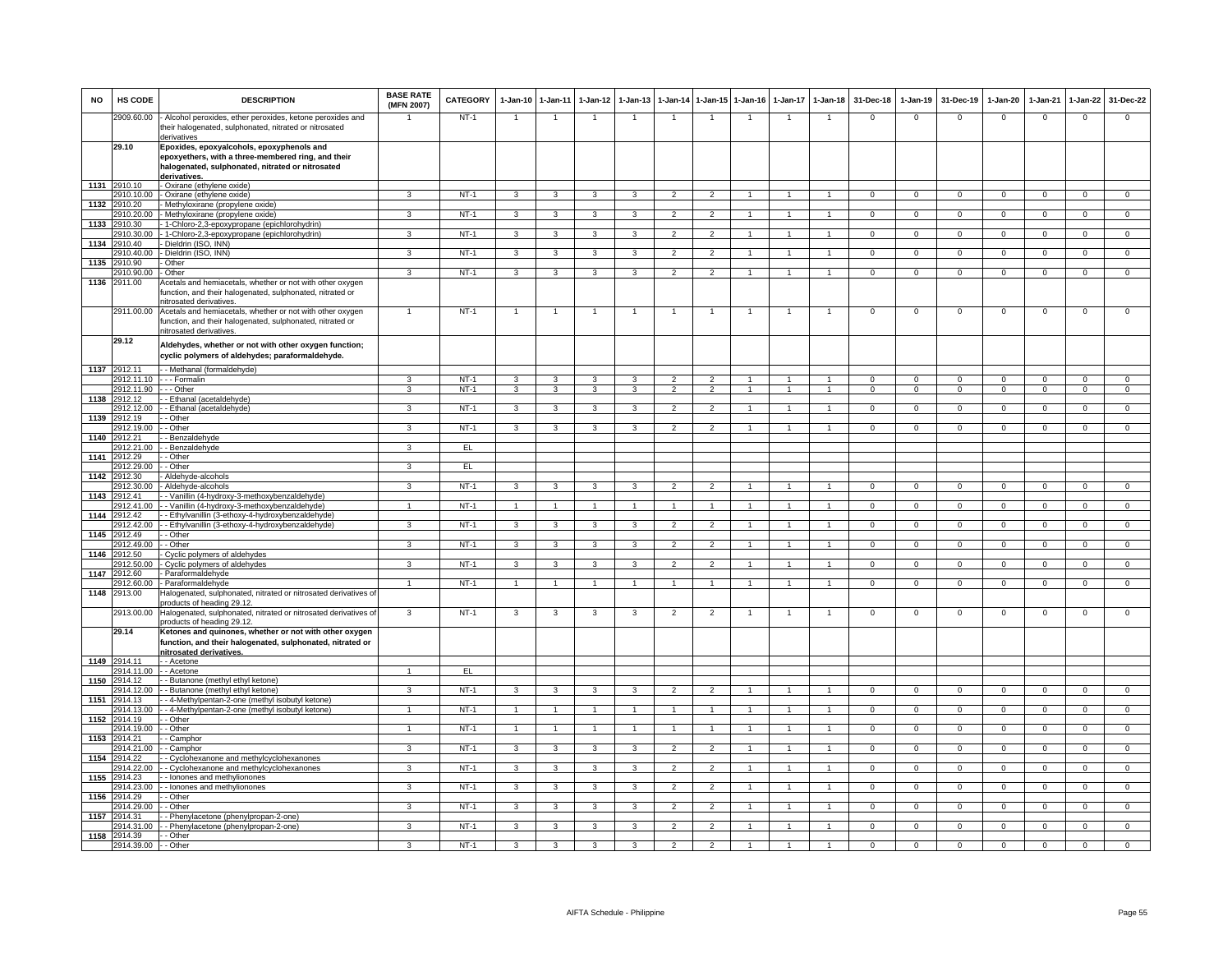| <b>NO</b> | HS CODE                    | <b>DESCRIPTION</b>                                                                                                                                                  | <b>BASE RATE</b><br>(MFN 2007) | CATEGORY | $1 - Jan-10$            | $1 - Jan-11$   | $1-Jan-12$              | $1-Jan-13$              |                          |                | 1-Jan-14 1-Jan-15 1-Jan-16 | $1-Jan-17$     | $1 - Jan-18$         | 31-Dec-18      | $1-Jan-19$     | 31-Dec-19      | $1-Jan-20$     | $1-Jan-21$     | $1-Jan-22$     | 31-Dec-22      |
|-----------|----------------------------|---------------------------------------------------------------------------------------------------------------------------------------------------------------------|--------------------------------|----------|-------------------------|----------------|-------------------------|-------------------------|--------------------------|----------------|----------------------------|----------------|----------------------|----------------|----------------|----------------|----------------|----------------|----------------|----------------|
|           | 2909.60.00                 | Alcohol peroxides, ether peroxides, ketone peroxides and<br>their halogenated, sulphonated, nitrated or nitrosated<br>derivatives                                   |                                | $NT-1$   | $\overline{1}$          | $\overline{1}$ | $\overline{1}$          | $\overline{1}$          | $\overline{1}$           | $\overline{1}$ | $\overline{1}$             | $\overline{1}$ | $\overline{1}$       | $\mathbf 0$    | $\mathbf{0}$   | $\mathbf 0$    | $\overline{0}$ | $\mathbf 0$    | $\mathsf 0$    | $\Omega$       |
|           | 29.10                      | Epoxides, epoxyalcohols, epoxyphenols and<br>epoxyethers, with a three-membered ring, and their<br>halogenated, sulphonated, nitrated or nitrosated<br>derivatives. |                                |          |                         |                |                         |                         |                          |                |                            |                |                      |                |                |                |                |                |                |                |
|           | 1131 2910.10               | - Oxirane (ethylene oxide)                                                                                                                                          |                                |          |                         |                |                         |                         |                          |                |                            |                |                      |                |                |                |                |                |                |                |
| 1132      | 2910.10.00<br>2910.20      | - Oxirane (ethylene oxide)<br>Methyloxirane (propylene oxide)                                                                                                       | $\mathcal{R}$                  | $NT-1$   | 3                       | 3              | 3                       | 3                       | $\overline{2}$           | $\overline{2}$ |                            |                |                      | $\mathbf 0$    | $\mathbf 0$    | $\mathbf 0$    | $\Omega$       | $\mathbf 0$    | $\mathsf 0$    | $\mathbf 0$    |
|           | 2910.20.00                 | Methyloxirane (propylene oxide)                                                                                                                                     | $\mathbf{3}$                   | $NT-1$   | $\mathbf{3}$            | $\mathbf{3}$   | $\mathbf{3}$            | $\mathbf{3}$            | $\overline{2}$           | $\overline{2}$ |                            | $\mathbf{1}$   | 1                    | $\mathbf 0$    | $\mathbf 0$    | $\mathsf 0$    | $\overline{0}$ | $\mathsf 0$    | $\overline{0}$ | $\overline{0}$ |
|           | 1133 2910.30               | 1-Chloro-2,3-epoxypropane (epichlorohydrin)                                                                                                                         |                                |          |                         |                |                         |                         |                          |                |                            |                |                      |                |                |                |                |                |                |                |
| 1134      | 2910.30.00<br>910.40       | 1-Chloro-2,3-epoxypropane (epichlorohydrin)<br>Dieldrin (ISO, INN)                                                                                                  | 3                              | $NT-1$   | 3                       | 3              | 3                       | $\mathbf{3}$            | $\overline{2}$           | $\overline{2}$ | -1                         | $\mathbf{1}$   | $\overline{1}$       | $\Omega$       | $\overline{0}$ | $\Omega$       | $\overline{0}$ | $\overline{0}$ | $\overline{0}$ | $\overline{0}$ |
|           | 910.40.00                  | Dieldrin (ISO, INN)                                                                                                                                                 | 3                              | $NT-1$   | 3                       | 3              | 3                       | 3                       | $\overline{2}$           | $\overline{2}$ |                            |                | $\mathbf{1}$         | $\mathbf 0$    | $\overline{0}$ | $\mathbf 0$    | $\mathbf 0$    | $\mathbf 0$    | $\mathbf 0$    | $\overline{0}$ |
| 1135      | 910.90                     | Other                                                                                                                                                               |                                |          |                         |                |                         |                         |                          |                |                            |                |                      |                |                |                |                |                |                |                |
|           | 2910.90.00                 | Other                                                                                                                                                               | 3                              | $NT-1$   | 3                       | 3              | 3                       | 3                       | $\overline{2}$           | $\overline{2}$ | $\overline{1}$             | $\overline{1}$ | $\blacktriangleleft$ | $\mathbf 0$    | $\overline{0}$ | $\mathbf 0$    | $\overline{0}$ | $\Omega$       | $\overline{0}$ | $\overline{0}$ |
| 1136      | 2911.00                    | Acetals and hemiacetals, whether or not with other oxygen<br>unction, and their halogenated, sulphonated, nitrated or<br>itrosated derivatives.                     |                                |          |                         |                |                         |                         |                          |                |                            |                |                      |                |                |                |                |                |                |                |
|           | 2911.00.00                 | Acetals and hemiacetals, whether or not with other oxygen<br>unction, and their halogenated, sulphonated, nitrated or<br>nitrosated derivatives.                    | $\overline{1}$                 | $NT-1$   | $\overline{1}$          | $\overline{1}$ |                         | $\overline{1}$          | $\overline{1}$           | $\overline{1}$ | $\overline{1}$             | $\overline{1}$ | $\overline{1}$       | $\mathbf 0$    | $\mathbf{0}$   | $\mathbf 0$    | $\mathbf 0$    | $\mathbf 0$    | $\mathsf 0$    | $\mathbf 0$    |
|           | 29.12                      | Aldehydes, whether or not with other oxygen function;<br>cyclic polymers of aldehydes; paraformaldehyde.                                                            |                                |          |                         |                |                         |                         |                          |                |                            |                |                      |                |                |                |                |                |                |                |
|           | 1137 2912.11<br>2912.11.10 | - - Methanal (formaldehyde)<br>- - - Formalin                                                                                                                       | 3                              | $NT-1$   | 3                       | 3              | 3                       | 3                       | $\overline{2}$           | $\overline{2}$ |                            |                | $\overline{1}$       | $\Omega$       | $\overline{0}$ | $\overline{0}$ | $\overline{0}$ | $\overline{0}$ | $\overline{0}$ | $\overline{0}$ |
|           | 2912.11.90                 | - - Other                                                                                                                                                           | 3                              | $NT-1$   | 3                       | 3              | 3                       | 3                       | $\overline{2}$           | $\overline{2}$ |                            |                |                      | $\mathbf 0$    | $\mathbf 0$    | $\mathbf 0$    | $\mathbf 0$    | $\Omega$       | $\mathsf 0$    | $\overline{0}$ |
| 1138      | 2912.12                    | - Ethanal (acetaldehyde)                                                                                                                                            |                                |          |                         |                |                         |                         |                          |                |                            |                |                      |                |                |                |                |                |                |                |
|           | 2912.12.00                 | - Ethanal (acetaldehyde)<br>- Other                                                                                                                                 | $\mathbf{3}$                   | $NT-1$   | 3                       | 3              | 3                       | 3                       | $\overline{2}$           | $\overline{2}$ |                            |                | $\mathbf{1}$         | $\Omega$       | $\mathbf{0}$   | $\mathbf 0$    | $\overline{0}$ | $\mathbf 0$    | $\mathbf{0}$   | $\Omega$       |
|           | 1139 2912.19<br>2912.19.00 | - Other                                                                                                                                                             | 3                              | $NT-1$   | 3                       | $\mathbf{3}$   | 3                       | $\mathbf{3}$            | $\overline{2}$           | $\overline{2}$ | $\overline{1}$             | $\mathbf{1}$   | $\mathbf{1}$         | $\Omega$       | $\mathsf 0$    | $\Omega$       | $\circ$        | $\Omega$       | $\circ$        | $\overline{0}$ |
| 1140      | 2912.21                    | - Benzaldehyde                                                                                                                                                      |                                |          |                         |                |                         |                         |                          |                |                            |                |                      |                |                |                |                |                |                |                |
|           | 912.21.00<br>1141 2912.29  | - Benzaldehyde                                                                                                                                                      | 3                              | EL       |                         |                |                         |                         |                          |                |                            |                |                      |                |                |                |                |                |                |                |
|           | 2912.29.00                 | - Other<br>- Other                                                                                                                                                  | $\overline{\mathbf{3}}$        | EL       |                         |                |                         |                         |                          |                |                            |                |                      |                |                |                |                |                |                |                |
| 1142      | 2912.30                    | Aldehyde-alcohols                                                                                                                                                   |                                |          |                         |                |                         |                         |                          |                |                            |                |                      |                |                |                |                |                |                |                |
| 1143      | 2912.30.00<br>2912.41      | Aldehyde-alcohols<br>- Vanillin (4-hydroxy-3-methoxybenzaldehyde)                                                                                                   | 3                              | $NT-1$   | 3                       | 3              |                         | 3                       | $\mathfrak{p}$           | $\overline{2}$ |                            |                |                      | $\Omega$       | $\Omega$       | $\Omega$       | $\Omega$       | $\Omega$       | $\Omega$       | $\Omega$       |
|           | 2912.41.00                 | - Vanillin (4-hydroxy-3-methoxybenzaldehyde)                                                                                                                        | $\overline{1}$                 | NT-1     | $\overline{1}$          | $\overline{1}$ | $\overline{1}$          | $\overline{1}$          | $\overline{1}$           | $\sim$         | $\overline{1}$             | $\overline{1}$ | $\mathbf{1}$         | $\mathbf{0}$   | $\mathbf{0}$   | $\mathbf 0$    | $\overline{0}$ | $\mathbf 0$    | $\circ$        | $\mathbf{0}$   |
| 1144      | 2912.42                    | - Ethylvanillin (3-ethoxy-4-hydroxybenzaldehyde)                                                                                                                    |                                |          |                         |                |                         |                         |                          |                |                            |                |                      |                |                |                |                |                |                |                |
| 1145      | 912.42.00<br>912.49        | - Ethylvanillin (3-ethoxy-4-hydroxybenzaldehyde)<br>- Other                                                                                                         | 3                              | $NT-1$   | 3                       | 3              | 3                       | 3                       | $\overline{2}$           | $\overline{2}$ |                            |                | $\mathbf{1}$         | $\Omega$       | $\overline{0}$ | $\Omega$       | $\Omega$       | $\overline{0}$ | $\overline{0}$ | $\overline{0}$ |
|           | 2912.49.00                 | - Other                                                                                                                                                             | 3                              | $NT-1$   | 3                       | 3              | 3                       | 3                       | $\overline{2}$           | $\overline{2}$ |                            | $\overline{1}$ | $\ddot{1}$           | $\mathbf 0$    | $\mathbf 0$    | $\mathbf 0$    | $\mathbf 0$    | $\mathbf 0$    | $\mathsf 0$    | $\mathbf 0$    |
| 1146      | 2912.50                    | Cyclic polymers of aldehydes                                                                                                                                        |                                |          |                         |                |                         |                         |                          |                | $\overline{1}$             | $\overline{1}$ | $\mathbf{1}$         |                |                |                |                | $\Omega$       |                |                |
| 1147      | 912.50.00<br>2912.60       | Cyclic polymers of aldehydes<br>- Paraformaldehyde                                                                                                                  | $\mathbf{3}$                   | $NT-1$   | $\overline{\mathbf{3}}$ | $\overline{3}$ | $\overline{3}$          | 3                       | $\overline{2}$           | $\overline{2}$ |                            |                |                      | $\circ$        | $\overline{0}$ | $\mathbf 0$    | $\mathbf{0}$   |                | $\overline{0}$ | $\overline{0}$ |
|           | 912.60.00                  | - Paraformaldehyde                                                                                                                                                  |                                | $NT-1$   |                         | $\mathbf{1}$   |                         |                         |                          | $\mathbf{1}$   |                            |                |                      | $\mathbf 0$    | $\mathbf 0$    | $\Omega$       | $\Omega$       | $\Omega$       | $\mathsf 0$    | $\Omega$       |
| 1148      | 2913.00                    | Halogenated, sulphonated, nitrated or nitrosated derivatives of                                                                                                     |                                |          |                         |                |                         |                         |                          |                |                            |                |                      |                |                |                |                |                |                |                |
|           | 2913.00.00                 | products of heading 29.12.<br>Halogenated, sulphonated, nitrated or nitrosated derivatives of<br>products of heading 29.12.                                         | 3                              | $NT-1$   | $\mathbf{3}$            | 3              | 3                       | 3                       | $\overline{2}$           | $\overline{2}$ | -1                         | $\overline{1}$ | $\overline{1}$       | $\mathbf{0}$   | $\mathbf{0}$   | $\mathbf 0$    | $\mathbf 0$    | $\mathbf 0$    | $\mathsf 0$    | $\overline{0}$ |
|           | 29.14                      | Ketones and quinones, whether or not with other oxygen<br>function, and their halogenated, sulphonated, nitrated or<br>nitrosated derivatives.                      |                                |          |                         |                |                         |                         |                          |                |                            |                |                      |                |                |                |                |                |                |                |
|           | 1149 2914.11<br>914.11.00  | - - Acetone<br>- Acetone                                                                                                                                            |                                | EL.      |                         |                |                         |                         |                          |                |                            |                |                      |                |                |                |                |                |                |                |
| 1150      | 2914.12                    | - Butanone (methyl ethyl ketone)                                                                                                                                    |                                |          |                         |                |                         |                         |                          |                |                            |                |                      |                |                |                |                |                |                |                |
|           | 2914.12.00                 | - Butanone (methyl ethyl ketone)                                                                                                                                    | 3                              | $NT-1$   | $\mathbf{3}$            | 3              | 3                       | 3                       | $\overline{2}$           | $\mathcal{P}$  |                            |                | $\blacktriangleleft$ | $^{\circ}$     | $\mathbf 0$    | $\mathbf 0$    | $^{\circ}$     | $\Omega$       | $\mathbf 0$    | $\Omega$       |
|           | 1151 2914.13<br>2914.13.00 | - 4-Methylpentan-2-one (methyl isobutyl ketone)<br>- 4-Methylpentan-2-one (methyl isobutyl ketone)                                                                  | $\mathbf{1}$                   | $NT-1$   | -1                      | $\overline{1}$ | $\mathbf{1}$            | $\mathbf{1}$            | $\overline{1}$           | 1              | -1                         | $\mathbf{1}$   | 1                    | $\Omega$       | $\mathbf{0}$   | $\mathbf 0$    | $^{\circ}$     | $^{\circ}$     | $\mathbf{0}$   | $\overline{0}$ |
| 1152      | 914.19                     | - Other                                                                                                                                                             |                                |          |                         |                |                         |                         |                          |                |                            |                |                      |                |                |                |                |                |                |                |
|           | 914.19.00                  | - Other                                                                                                                                                             |                                | $NT-1$   | $\overline{1}$          | $\mathbf{1}$   |                         |                         |                          |                |                            |                |                      | $\Omega$       | $\mathbf 0$    | $\Omega$       | $\Omega$       | $\Omega$       | $\mathsf 0$    | $\mathbf 0$    |
| 1153      | 2914.21<br>914.21.00       | Camphor<br>- Camphor                                                                                                                                                | 3                              | $NT-1$   | $\overline{\mathbf{3}}$ | 3              | 3                       | $\mathbf{3}$            | $\overline{2}$           | $\overline{2}$ | -1                         | $\overline{1}$ | $\mathbf{1}$         | $\Omega$       | $\overline{0}$ | $\Omega$       | $\overline{0}$ | $\Omega$       | $\overline{0}$ | $\overline{0}$ |
| 1154      | 2914.22                    | - Cyclohexanone and methylcyclohexanones                                                                                                                            |                                |          |                         |                |                         |                         |                          |                |                            |                |                      |                |                |                |                |                |                |                |
|           | 2914.22.00                 | - Cyclohexanone and methylcyclohexanones                                                                                                                            | 3                              | $NT-1$   | 3                       | 3              | $\overline{\mathbf{3}}$ | $\overline{\mathbf{3}}$ | $\overline{\phantom{a}}$ | $\overline{2}$ |                            |                |                      | $\overline{0}$ | $\overline{0}$ | $\overline{0}$ | $\overline{0}$ | $\overline{0}$ | $\overline{0}$ | $\overline{0}$ |
| 1155      | 2914.23<br>2914.23.00      | - Ionones and methylionones<br>- Ionones and methylionones                                                                                                          | $\mathbf{3}$                   | $NT-1$   | $\mathbf{3}$            | $\mathbf{3}$   | 3                       | $\mathbf{3}$            | $\overline{2}$           | $\overline{2}$ |                            | $\mathbf{1}$   | $\mathbf{1}$         | $\mathbf{0}$   | $\mathbf{0}$   | $\mathbf 0$    | $\overline{0}$ | $\mathbf 0$    | $\mathbf{0}$   | $\mathbf{0}$   |
|           | 1156 2914.29               | - Other                                                                                                                                                             |                                |          |                         |                |                         |                         |                          |                |                            |                |                      |                |                |                |                |                |                |                |
| 1157      | 2914.29.00<br>914.31       | - Other<br>- Phenylacetone (phenylpropan-2-one)                                                                                                                     | 3                              | $NT-1$   | 3                       | $\mathbf{3}$   | 3                       | 3                       | $\overline{2}$           | $\overline{2}$ | $\overline{1}$             | $\mathbf{1}$   | $\mathbf{1}$         | $\Omega$       | $\mathsf 0$    | $\mathbf 0$    | $\circ$        | $\mathbf{0}$   | $\circ$        | $\overline{0}$ |
|           | 2914.31.00                 | - Phenylacetone (phenylpropan-2-one)                                                                                                                                | 3                              | $NT-1$   | 3                       | 3              | 3                       | 3                       | $\overline{2}$           | $\mathfrak{p}$ | $\mathbf{1}$               | $\mathbf{1}$   | $\mathbf{1}$         | $\mathbf 0$    | $\mathbf 0$    | $\mathbf 0$    | $\mathbf 0$    | $\Omega$       | $\mathsf 0$    | $\overline{0}$ |
| 1158      | 2914.39                    | - Other                                                                                                                                                             |                                |          |                         |                |                         |                         |                          |                |                            |                |                      |                |                |                |                |                |                |                |
|           | 2914.39.00 - - Other       |                                                                                                                                                                     | $\mathbf{3}$                   | $NT-1$   | 3                       | 3              | 3                       | 3                       | $\overline{2}$           | $\overline{2}$ | $\overline{1}$             | $\overline{1}$ | $\blacktriangleleft$ | $\Omega$       | $\Omega$       | $\Omega$       | $\overline{0}$ | $\Omega$       | $\overline{0}$ | $\overline{0}$ |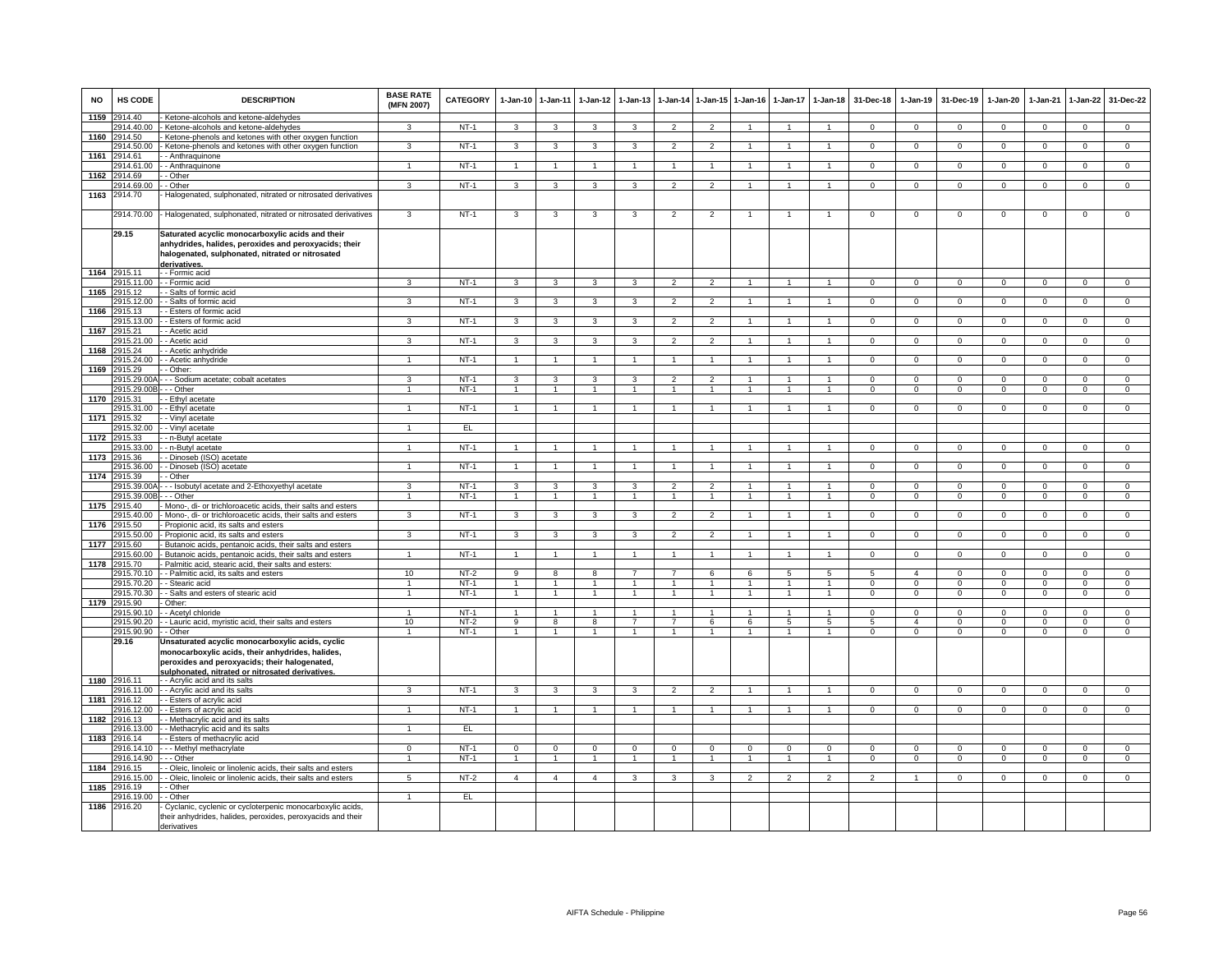| NO   | HS CODE                    | <b>DESCRIPTION</b>                                                                                                                                                                                       | <b>BASE RATE</b><br>(MFN 2007) | CATEGORY              | 1-Jan-10                | $1 - Jan-11$   | $1 - Jan-12$      | 1-Jan-13            | $1 - Jan-14$                     | $1 - Jan-15$                     | $1 - Jan-16$   | $1 - Jan-17$   | $1 - Jan-18$         | 31-Dec-18      | $1-Jan-19$     | 31-Dec-19      | 1-Jan-20       | 1-Jan-21       | $1-Jan-22$     | 31-Dec-22                   |
|------|----------------------------|----------------------------------------------------------------------------------------------------------------------------------------------------------------------------------------------------------|--------------------------------|-----------------------|-------------------------|----------------|-------------------|---------------------|----------------------------------|----------------------------------|----------------|----------------|----------------------|----------------|----------------|----------------|----------------|----------------|----------------|-----------------------------|
| 1159 | 2914.40<br>914.40.00       | Ketone-alcohols and ketone-aldehydes<br>Ketone-alcohols and ketone-aldehydes                                                                                                                             | 3                              | $NT-1$                | 3                       | 3              | 3                 | 3                   | $\overline{2}$                   | $\overline{2}$                   | $\overline{1}$ | $\overline{1}$ | $\overline{1}$       | $\mathbf 0$    | $\mathbf 0$    | $\mathbf 0$    | $\overline{0}$ | $\mathbf 0$    | $\mathsf 0$    | $\overline{0}$              |
| 1160 | 914.50                     | Ketone-phenols and ketones with other oxygen function                                                                                                                                                    |                                |                       |                         |                |                   |                     |                                  |                                  |                |                |                      |                |                |                |                |                |                |                             |
|      | 914.50.00                  | Ketone-phenols and ketones with other oxygen function                                                                                                                                                    | 3                              | $NT-1$                | 3                       | 3              | 3                 | 3                   | $\overline{2}$                   | $\overline{2}$                   | $\overline{1}$ | $\overline{1}$ | $\mathbf{1}$         | $\Omega$       | $\overline{0}$ | $\mathbf 0$    | $\overline{0}$ | $\Omega$       | $\overline{0}$ | $\overline{0}$              |
| 1161 | 914.61                     | - Anthraquinone                                                                                                                                                                                          |                                |                       |                         |                |                   |                     |                                  |                                  |                |                |                      |                |                |                |                |                |                |                             |
|      | 914.61.00                  | - Anthraquinone                                                                                                                                                                                          |                                | $NT-1$                | $\overline{1}$          | $\mathbf{1}$   |                   |                     |                                  |                                  |                |                |                      | $\Omega$       | $\Omega$       | $\Omega$       | $\Omega$       | $\Omega$       | $\Omega$       | $\overline{0}$              |
| 1162 | 914.69                     | Other                                                                                                                                                                                                    |                                |                       |                         |                |                   |                     |                                  |                                  |                |                |                      |                |                |                |                |                |                |                             |
|      | 2914.69.00                 | - Other                                                                                                                                                                                                  | $\mathbf{3}$                   | $NT-1$                | 3                       | 3              | 3                 | 3                   | $\overline{2}$                   | $\mathcal{P}$                    |                |                |                      | $\Omega$       | $\Omega$       | $\Omega$       | $\Omega$       | $\Omega$       | $\Omega$       | $\Omega$                    |
| 1163 | 2914.70                    | Halogenated, sulphonated, nitrated or nitrosated derivatives                                                                                                                                             |                                |                       |                         |                |                   |                     |                                  |                                  |                |                |                      |                |                |                |                |                |                |                             |
|      | 2914.70.00                 | Halogenated, sulphonated, nitrated or nitrosated derivatives                                                                                                                                             | 3                              | $NT-1$                | 3                       | 3              | 3                 | -3                  | $\overline{2}$                   | 2                                |                |                |                      | $^{\circ}$     | $^{\circ}$     | $^{\circ}$     | $\overline{0}$ | $^{\circ}$     | 0              | $\overline{0}$              |
|      | 29.15                      | Saturated acyclic monocarboxylic acids and their<br>anhydrides, halides, peroxides and peroxyacids; their<br>halogenated, sulphonated, nitrated or nitrosated<br>derivatives.                            |                                |                       |                         |                |                   |                     |                                  |                                  |                |                |                      |                |                |                |                |                |                |                             |
| 1164 | 2915.11                    | - - Formic acid                                                                                                                                                                                          |                                |                       |                         |                |                   |                     |                                  |                                  |                |                |                      |                |                |                |                |                |                |                             |
|      | 915.11.00                  | - Formic acid                                                                                                                                                                                            | 3                              | $NT-1$                | $\mathbf{3}$            | 3              | 3                 | 3                   | $\overline{2}$                   | $\mathcal{P}$                    | $\overline{1}$ | $\overline{1}$ | $\mathbf{1}$         | $\mathbf{0}$   | $\mathbf 0$    | $\mathbf 0$    | $\mathbf 0$    | $\mathbf 0$    | $\mathsf 0$    | $\mathbf 0$                 |
| 1165 | 2915.12<br>2915.12.00      | Salts of formic acid<br>Salts of formic acid                                                                                                                                                             | 3                              | $NT-1$                | 3                       | 3              | 3                 | 3                   | $\overline{2}$                   | $\overline{2}$                   | $\mathbf{1}$   | $\overline{1}$ | $\overline{1}$       | $\mathbf 0$    | $\mathbf 0$    | $\mathbf 0$    | $\overline{0}$ | $\Omega$       | $\mathbf 0$    | $\overline{0}$              |
| 1166 | 915.13                     | - Esters of formic acid                                                                                                                                                                                  |                                |                       |                         |                |                   |                     |                                  |                                  |                |                |                      |                |                |                |                |                |                |                             |
|      | 2915.13.00                 | Esters of formic acid                                                                                                                                                                                    | 3                              | $NT-1$                | $\overline{3}$          | $\mathbf{3}$   | 3                 | $\mathbf{3}$        | $\overline{2}$                   | $\overline{2}$                   | $\overline{1}$ | $\overline{1}$ | $\mathbf{1}$         | $\circ$        | $\circ$        | $\mathbf 0$    | $\overline{0}$ | $\mathbf{0}$   | $\mathsf 0$    | $\overline{0}$              |
| 1167 | 915.21                     | - Acetic acid                                                                                                                                                                                            |                                |                       |                         |                |                   |                     |                                  |                                  |                |                |                      |                |                |                |                |                |                |                             |
|      | 915.21.00                  | Acetic acid                                                                                                                                                                                              | $\overline{\mathbf{3}}$        | $NT-1$                | $\overline{\mathbf{3}}$ | 3              | 3                 | 3                   | $\overline{\phantom{a}}$         | $\overline{2}$                   |                |                | $\blacktriangleleft$ | $\overline{0}$ | $\overline{0}$ | $\overline{0}$ | $\overline{0}$ | $\overline{0}$ | $\overline{0}$ | $\overline{0}$              |
| 1168 | 915.24                     | - Acetic anhydride                                                                                                                                                                                       |                                |                       |                         |                |                   |                     |                                  |                                  |                |                |                      |                |                |                |                |                |                |                             |
|      | 2915.24.00                 | - Acetic anhydride                                                                                                                                                                                       |                                | $NT-1$                | $\overline{1}$          | $\mathbf{1}$   |                   |                     |                                  | $\blacktriangleleft$             |                |                |                      | $\Omega$       | $\Omega$       | $\Omega$       | $\Omega$       | $\Omega$       | $\overline{0}$ | $\Omega$                    |
| 1169 | 915.29                     | - Other:                                                                                                                                                                                                 |                                |                       |                         |                |                   |                     |                                  |                                  |                |                |                      |                |                |                |                |                |                |                             |
|      | 2915.29.00<br>2915.29.00E  | - - Sodium acetate; cobalt acetates                                                                                                                                                                      | 3<br>$\overline{1}$            | <b>NT-1</b><br>$NT-1$ | 3<br>$\overline{1}$     | 3              | 3<br>$\mathbf{1}$ | 3<br>$\overline{1}$ | $\overline{2}$<br>$\overline{1}$ | $\overline{2}$<br>$\overline{1}$ | -1             | $\overline{1}$ | 1<br>$\mathbf{1}$    | $\Omega$       | $\mathbf 0$    | $\mathbf 0$    | $\mathbf 0$    | $\mathbf 0$    | $\mathbf{0}$   | $\mathbf 0$<br>$\mathbf{0}$ |
|      | 1170 2915.31               | - - Other<br>- Ethyl acetate                                                                                                                                                                             |                                |                       |                         | $\mathbf{1}$   |                   |                     |                                  |                                  |                |                |                      | $\mathbf{0}$   | $\mathbf 0$    | $\mathbf 0$    | $\mathbf 0$    | $\mathbf 0$    | $\mathbf{0}$   |                             |
|      | 915.31.00                  | - Ethyl acetate                                                                                                                                                                                          | $\mathbf{1}$                   | $NT-1$                | $\overline{1}$          | $\overline{1}$ | $\mathbf{1}$      | $\mathbf{1}$        | $\overline{1}$                   | $\overline{1}$                   | $\overline{1}$ | $\overline{1}$ | 1                    | $\Omega$       | $\mathbf 0$    | $\mathbf 0$    | $\mathbf 0$    | $\mathbf 0$    | $\overline{0}$ | $\overline{0}$              |
| 1171 | 915.32                     | - Vinyl acetate                                                                                                                                                                                          |                                |                       |                         |                |                   |                     |                                  |                                  |                |                |                      |                |                |                |                |                |                |                             |
|      | 915.32.00                  | Vinyl acetate                                                                                                                                                                                            |                                | EL.                   |                         |                |                   |                     |                                  |                                  |                |                |                      |                |                |                |                |                |                |                             |
| 1172 | 2915.33                    | - n-Butyl acetate                                                                                                                                                                                        |                                |                       |                         |                |                   |                     |                                  |                                  |                |                |                      |                |                |                |                |                |                |                             |
|      | 915.33.00                  | - n-Butyl acetate                                                                                                                                                                                        |                                | $NT-1$                | $\mathbf{1}$            |                |                   |                     |                                  |                                  |                |                |                      | $\mathbf 0$    | $\mathbf 0$    | $\mathbf 0$    | $\mathbf 0$    | $\Omega$       | $\mathsf 0$    | $\overline{0}$              |
| 1173 | 2915.36                    | - Dinoseb (ISO) acetate                                                                                                                                                                                  |                                |                       |                         |                |                   |                     |                                  |                                  |                |                |                      |                |                |                |                |                |                |                             |
|      | 2915.36.00                 | - Dinoseb (ISO) acetate                                                                                                                                                                                  | 1                              | $NT-1$                | $\mathbf{1}$            | $\overline{1}$ |                   |                     | $\overline{1}$                   | $\mathbf{1}$                     |                |                |                      | $\mathbf 0$    | $\mathbf 0$    | $\mathbf 0$    | $\mathbf 0$    | $\mathbf 0$    | $\mathbf 0$    | $\mathbf{0}$                |
|      | 1174 2915.39<br>2915.39.00 | Other<br>- - Isobutyl acetate and 2-Ethoxyethyl acetate                                                                                                                                                  | 3                              | $NT-1$                | $\overline{3}$          | 3              | 3                 | 3                   | $\overline{2}$                   | $\overline{2}$                   | $\overline{1}$ | $\overline{1}$ | $\overline{1}$       | $\Omega$       | $\overline{0}$ | $\Omega$       | $\overline{0}$ | $\overline{0}$ | $\overline{0}$ | $\overline{0}$              |
|      | 2915.39.00                 | - - Other                                                                                                                                                                                                | $\overline{1}$                 | $NT-1$                | $\overline{1}$          | $\overline{1}$ | $\overline{1}$    | $\overline{1}$      | $\overline{1}$                   | $\overline{1}$                   | $\overline{1}$ | $\overline{1}$ | $\overline{1}$       | $\overline{0}$ | $\overline{0}$ | $\overline{0}$ | $\overline{0}$ | $\overline{0}$ | $\overline{0}$ | $\overline{0}$              |
| 1175 | 915 40                     | Mono-, di- or trichloroacetic acids, their salts and esters                                                                                                                                              |                                |                       |                         |                |                   |                     |                                  |                                  |                |                |                      |                |                |                |                |                |                |                             |
|      | 915.40.00                  | Mono-, di- or trichloroacetic acids, their salts and esters                                                                                                                                              | 3                              | $NT-1$                | 3                       | 3              | 3                 | 3                   | $\overline{2}$                   | $\overline{2}$                   |                |                |                      | $\overline{0}$ | $\overline{0}$ | $\overline{0}$ | $\overline{0}$ | $\overline{0}$ | $\overline{0}$ | $\overline{0}$              |
| 1176 | 915.50                     | Propionic acid, its salts and esters                                                                                                                                                                     |                                |                       |                         |                |                   |                     |                                  |                                  |                |                |                      |                |                |                |                |                |                |                             |
|      | 915.50.00                  | Propionic acid, its salts and esters                                                                                                                                                                     | $\mathbf{R}$                   | $NT-1$                | 3                       | $\mathbf{3}$   | $\mathbf{R}$      | $\mathbf{a}$        | $\overline{2}$                   | $\mathcal{P}$                    |                |                |                      | $\Omega$       | $\Omega$       | $\Omega$       | $\Omega$       | $\Omega$       | $\mathbf 0$    | $\Omega$                    |
| 1177 | 915.60                     | Butanoic acids, pentanoic acids, their salts and esters                                                                                                                                                  |                                |                       |                         |                |                   |                     |                                  |                                  |                |                |                      |                |                |                |                |                |                |                             |
|      | 915.60.00                  | Butanoic acids, pentanoic acids, their salts and esters                                                                                                                                                  |                                | $NT-1$                | $\mathbf{1}$            | $\mathbf{1}$   |                   |                     | $\overline{1}$                   | $\blacktriangleleft$             |                |                |                      | $\Omega$       | $\Omega$       | $\Omega$       | $\Omega$       | $\Omega$       | $\mathsf 0$    | $\Omega$                    |
| 1178 | 2915.70<br>2915.70.10      | Palmitic acid, stearic acid, their salts and esters:<br>- Palmitic acid, its salts and esters                                                                                                            | 10                             | $NT-2$                | 9                       | 8              | 8                 | $\overline{7}$      | $\overline{7}$                   | 6                                | 6              | 5              | 5                    | 5              | $\mathbf{A}$   | $\mathbf 0$    | $^{\circ}$     | $^{\circ}$     | $\mathbf{0}$   | $\mathbf{0}$                |
|      | 2915.70.20                 | - Stearic acid                                                                                                                                                                                           | $\mathbf{1}$                   | $NT-1$                | $\overline{1}$          | $\overline{1}$ | $\mathbf{1}$      | $\mathbf{1}$        | $\overline{1}$                   | $\overline{1}$                   | $\overline{1}$ | $\mathbf{1}$   | $\overline{1}$       | $\Omega$       | $\mathbf{0}$   | $\mathbf 0$    | $\mathbf{0}$   | $\Omega$       | $\mathbf{0}$   | $\mathbf 0$                 |
|      | 2915.70.30                 | - Salts and esters of stearic acid                                                                                                                                                                       | $\mathbf{1}$                   | $NT-1$                | $\mathbf{1}$            | $\overline{1}$ | $\mathbf{1}$      | $\mathbf{1}$        | $\overline{1}$                   | $\mathbf{1}$                     | $\mathbf{1}$   | $\mathbf{1}$   | $\mathbf{1}$         | $\mathbf 0$    | $\mathbf 0$    | $\mathbf 0$    | $\mathbf 0$    | $\mathbf 0$    | $\mathbf{0}$   | $\overline{0}$              |
| 1179 | 2915.90                    | Other:                                                                                                                                                                                                   |                                |                       |                         |                |                   |                     |                                  |                                  |                |                |                      |                |                |                |                |                |                |                             |
|      | 2915.90.10                 | - Acetyl chloride                                                                                                                                                                                        | $\mathbf{1}$                   | $NT-1$                | $\mathbf{1}$            | $\overline{1}$ | $\sim$            | $\overline{1}$      | $\overline{1}$                   | $\overline{1}$                   | $\overline{1}$ | $\mathbf{1}$   | $\overline{1}$       | $\Omega$       | $\overline{0}$ | $\Omega$       | $\Omega$       | $\Omega$       | $\overline{0}$ | $\overline{0}$              |
|      | 2915.90.20                 | - Lauric acid, myristic acid, their salts and esters                                                                                                                                                     | 10                             | $NT-2$                | 9                       | 8              | 8                 | $\overline{7}$      | $\overline{7}$                   | 6                                | 6              | 5              | 5                    | 5              | $\overline{4}$ | $\mathbf 0$    | $\mathbf 0$    | $\mathbf 0$    | $\mathsf 0$    | $\overline{0}$              |
|      | 2915.90.90                 | - Other                                                                                                                                                                                                  |                                | $NT-1$                | 1                       |                |                   |                     | 1                                | $\overline{1}$                   | $\mathbf{1}$   | $\mathbf{1}$   | 1                    | $\mathbf 0$    | $\mathbf 0$    | $\mathbf 0$    | $\mathbf 0$    | $\mathbf 0$    | $\mathsf 0$    | $\overline{0}$              |
|      | 29.16                      | Unsaturated acyclic monocarboxylic acids, cyclic<br>monocarboxylic acids, their anhydrides, halides,<br>peroxides and peroxyacids; their halogenated,<br>sulphonated, nitrated or nitrosated derivatives |                                |                       |                         |                |                   |                     |                                  |                                  |                |                |                      |                |                |                |                |                |                |                             |
| 1180 | 2916.11                    | - - Acrylic acid and its salts                                                                                                                                                                           |                                |                       |                         |                |                   |                     |                                  |                                  |                |                |                      |                |                |                |                |                |                |                             |
|      | 916.11.00                  | - Acrylic acid and its salts                                                                                                                                                                             | $\mathbf{B}$                   | $NT-1$                | $\overline{\mathbf{3}}$ | 3              | 3                 | 3                   | $\overline{2}$                   | $\mathcal{P}$                    | $\overline{1}$ | $\overline{1}$ | $\blacktriangleleft$ | $\Omega$       | $\Omega$       | $\mathbf{0}$   | $\Omega$       | $\Omega$       | $\overline{0}$ | $\overline{0}$              |
| 1181 | 916.12                     | <b>Esters of acrylic acid</b>                                                                                                                                                                            |                                |                       |                         |                |                   |                     |                                  |                                  |                |                |                      |                |                |                |                |                |                |                             |
| 1182 | 2916.12.00<br>916.13       | Esters of acrylic acid<br>Methacrylic acid and its salts                                                                                                                                                 |                                | $NT-1$                |                         |                |                   |                     |                                  |                                  |                |                |                      | $\mathbf 0$    | $\mathbf 0$    | $\mathbf 0$    | $\mathsf 0$    | $\mathbf 0$    | $\mathsf 0$    | $\mathbf 0$                 |
|      | 2916.13.00                 | - Methacrylic acid and its salts                                                                                                                                                                         |                                | EL.                   |                         |                |                   |                     |                                  |                                  |                |                |                      |                |                |                |                |                |                |                             |
| 1183 | 2916.14                    | - Esters of methacrylic acid                                                                                                                                                                             |                                |                       |                         |                |                   |                     |                                  |                                  |                |                |                      |                |                |                |                |                |                |                             |
|      | 2916.14.10                 | - Methyl methacrylate                                                                                                                                                                                    | $\Omega$                       | $NT-1$                | $\mathbf{0}$            | $\mathbf{0}$   | $\mathbf 0$       | $\mathbf 0$         | $\mathbf 0$                      | $\mathbf{0}$                     | $\Omega$       | $\Omega$       | $\mathbf{0}$         | $\Omega$       | $\mathbf 0$    | $\mathbf 0$    | $\mathbf 0$    | $\Omega$       | $\mathbf 0$    | $\mathbf{0}$                |
|      | 2916.14.90                 | - Other                                                                                                                                                                                                  | $\overline{1}$                 | $NT-1$                | $\mathbf{1}$            | $\overline{1}$ | $\mathbf{1}$      | $\overline{1}$      | $\overline{1}$                   | $\overline{1}$                   | $\overline{1}$ | $\mathbf{1}$   | $\overline{1}$       | $\mathbf{0}$   | $^{\circ}$     | $\mathbf{0}$   | $\overline{0}$ | $\mathbf 0$    | $\mathbf{0}$   | $\overline{0}$              |
| 1184 | 2916.15                    | - Oleic, linoleic or linolenic acids, their salts and esters                                                                                                                                             |                                |                       |                         |                |                   |                     |                                  |                                  |                |                |                      |                |                |                |                |                |                |                             |
|      | 916.15.00                  | - Oleic, linoleic or linolenic acids, their salts and esters                                                                                                                                             | $5\phantom{.0}$                | $NT-2$                | $\overline{4}$          | $\overline{4}$ | $\overline{4}$    | 3                   | 3                                | $\mathbf{3}$                     | $\overline{2}$ | $\overline{2}$ | $\overline{2}$       | $\overline{2}$ | $\mathbf{1}$   | $\mathbf 0$    | $\mathbf 0$    | $\mathsf 0$    | $\overline{0}$ | $\overline{0}$              |
| 1185 | 2916.19                    | - Other                                                                                                                                                                                                  |                                |                       |                         |                |                   |                     |                                  |                                  |                |                |                      |                |                |                |                |                |                |                             |
| 1186 | 2916.19.00                 | - Other                                                                                                                                                                                                  | $\overline{1}$                 | EL                    |                         |                |                   |                     |                                  |                                  |                |                |                      |                |                |                |                |                |                |                             |
|      | 2916.20                    | Cyclanic, cyclenic or cycloterpenic monocarboxylic acids,<br>heir anhydrides, halides, peroxides, peroxyacids and their<br>derivatives                                                                   |                                |                       |                         |                |                   |                     |                                  |                                  |                |                |                      |                |                |                |                |                |                |                             |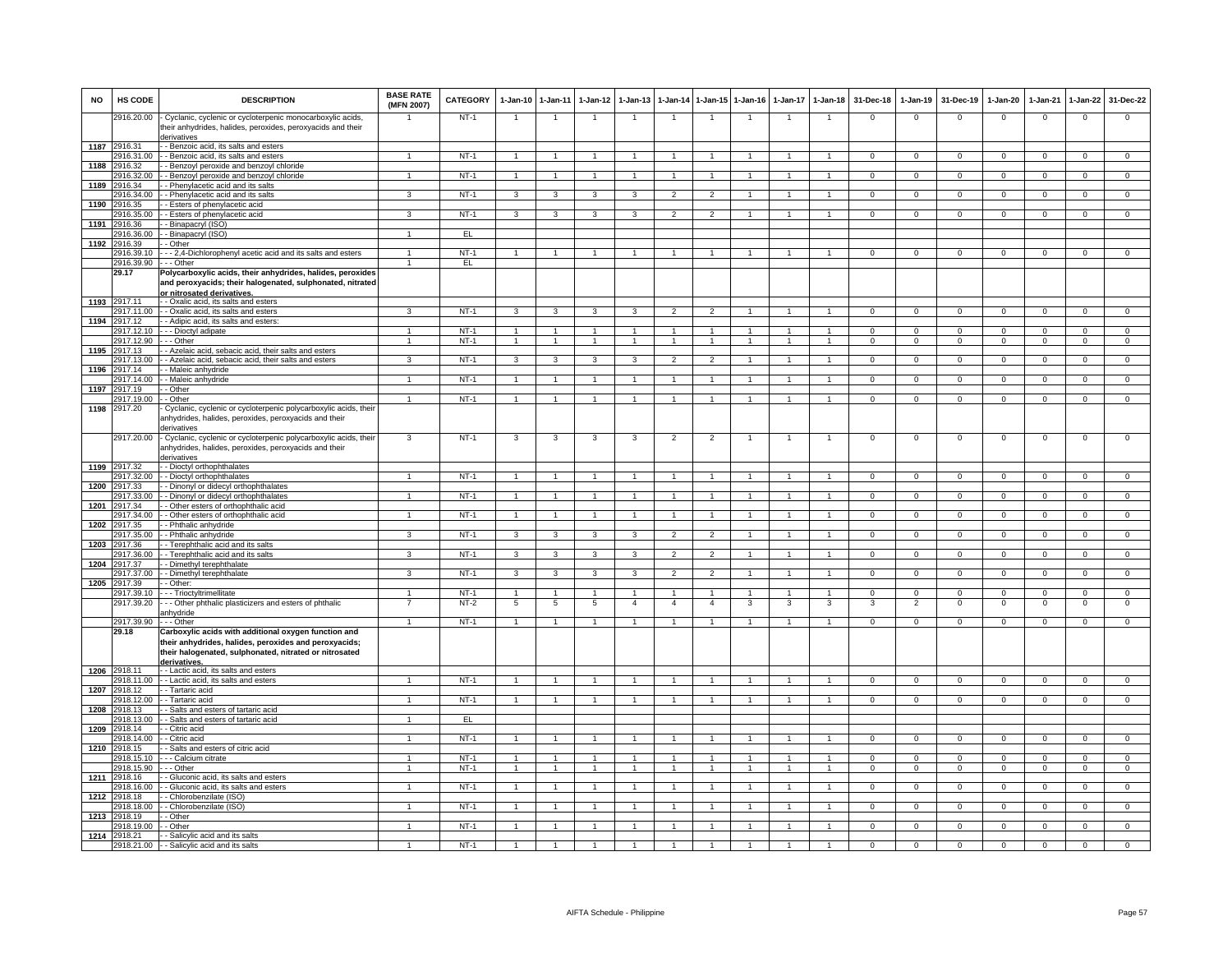| <b>NO</b> | HS CODE                    | <b>DESCRIPTION</b>                                                                                                                                    | <b>BASE RATE</b><br>(MFN 2007) | <b>CATEGORY</b> | $1-Jan-10$              | $1 - Jan-11$         | $1-Jan-12$     | $1-Jan-13$     | 1-Jan-14 1-Jan-15 |                      | $1-Jan-16$     | $1-Jan-17$     | $1-Jan-18$           | 31-Dec-18      | $1-Jan-19$     | 31-Dec-19      | $1-Jan-20$     | 1-Jan-21       | 1-Jan-22       | 31-Dec-22      |
|-----------|----------------------------|-------------------------------------------------------------------------------------------------------------------------------------------------------|--------------------------------|-----------------|-------------------------|----------------------|----------------|----------------|-------------------|----------------------|----------------|----------------|----------------------|----------------|----------------|----------------|----------------|----------------|----------------|----------------|
|           | 2916.20.00                 | Cyclanic, cyclenic or cycloterpenic monocarboxylic acids,<br>their anhydrides, halides, peroxides, peroxyacids and their<br>derivatives               |                                | $NT-1$          | $\overline{1}$          | $\overline{1}$       |                | $\overline{1}$ | $\overline{1}$    | $\overline{1}$       | $\overline{1}$ | $\mathbf{1}$   | $\overline{1}$       | $\mathbf 0$    | $\mathsf 0$    | $^{\circ}$     | $\mathbf{0}$   | $\mathbf 0$    | $\mathbf{0}$   | $\mathbf{O}$   |
|           | 1187 2916.31               | - Benzoic acid, its salts and esters                                                                                                                  |                                |                 |                         |                      |                |                |                   |                      |                |                |                      |                |                |                |                |                |                |                |
|           | 916.31.00                  | - Benzoic acid, its salts and esters                                                                                                                  |                                | $NT-1$          |                         |                      |                | $\mathbf{1}$   | -1                | $\mathbf{1}$         |                |                | $\mathbf{1}$         | $\mathbf 0$    | $\mathbf 0$    | $\mathbf 0$    | $\mathbf{0}$   | $\mathbf{O}$   | $\mathbf 0$    | $\mathbf{O}$   |
| 1188      | 2916.32                    | - Benzoyl peroxide and benzoyl chloride                                                                                                               |                                |                 |                         |                      |                |                |                   |                      |                |                |                      |                |                |                |                |                |                |                |
|           | 916.32.00                  | - Benzoyl peroxide and benzoyl chloride                                                                                                               | $\overline{1}$                 | $NT-1$          | $\overline{1}$          | $\overline{1}$       |                | $\overline{1}$ | $\overline{1}$    | $\mathbf{1}$         | 1              |                | $\blacktriangleleft$ | $\Omega$       | $\overline{0}$ | $\Omega$       | $\mathbf 0$    | $\Omega$       | $\Omega$       | $\overline{0}$ |
| 1189      | 916.34                     | - Phenylacetic acid and its salts                                                                                                                     |                                |                 |                         |                      | $\mathbf{R}$   |                |                   |                      |                |                | $\overline{1}$       |                |                |                | $\overline{0}$ |                |                |                |
| 1190      | 2916.34.00<br>2916.35      | - Phenylacetic acid and its salts<br>- Esters of phenylacetic acid                                                                                    | 3                              | $NT-1$          | $\overline{\mathbf{3}}$ | 3                    |                | 3              | $\overline{2}$    | $\overline{2}$       |                |                |                      | $\overline{0}$ | $\overline{0}$ | $\overline{0}$ |                | $\overline{0}$ | $\overline{0}$ | $\overline{0}$ |
|           | 2916.35.00                 | - Esters of phenylacetic acid                                                                                                                         | $\mathbf{3}$                   | $NT-1$          | $\mathbf{3}$            | $\mathbf{3}$         | $\mathbf{3}$   | 3              | $\overline{2}$    | $\overline{2}$       | $\overline{1}$ | $\mathbf{1}$   | $\mathbf{1}$         | $\overline{0}$ | $\mathbf{0}$   | $\mathbf{0}$   | $\mathbf{0}$   | $\mathbf 0$    | $\circ$        | $\mathbf{0}$   |
|           | 1191 2916.36               | - Binapacryl (ISO)                                                                                                                                    |                                |                 |                         |                      |                |                |                   |                      |                |                |                      |                |                |                |                |                |                |                |
|           | 2916.36.00                 | - Binapacryl (ISO)                                                                                                                                    | $\overline{1}$                 | EL              |                         |                      |                |                |                   |                      |                |                |                      |                |                |                |                |                |                |                |
| 1192      | 2916.39                    | - Other                                                                                                                                               |                                |                 |                         |                      |                |                |                   |                      |                |                |                      |                |                |                |                |                |                |                |
|           | 2916.39.10                 | - - 2,4-Dichlorophenyl acetic acid and its salts and esters                                                                                           | 1                              | $NT-1$          | $\mathbf{1}$            | $\overline{1}$       |                | 1              | 1                 | $\mathbf{1}$         | 1              | 1              | $\mathbf{1}$         | $\mathbf 0$    | $\mathbf 0$    | $\mathbf 0$    | $\mathbf{0}$   | $\mathbf{O}$   | $\mathbf 0$    | $\mathbf{O}$   |
|           | 2916.39.90                 | - - Other                                                                                                                                             | $\overline{1}$                 | EL              |                         |                      |                |                |                   |                      |                |                |                      |                |                |                |                |                |                |                |
|           | 29.17                      | Polycarboxylic acids, their anhydrides, halides, peroxides<br>and peroxyacids; their halogenated, sulphonated, nitrated<br>or nitrosated derivatives. |                                |                 |                         |                      |                |                |                   |                      |                |                |                      |                |                |                |                |                |                |                |
|           | 1193 2917.11               | - - Oxalic acid, its salts and esters                                                                                                                 |                                |                 |                         |                      |                |                |                   |                      |                |                |                      |                |                |                |                |                |                |                |
|           | 2917.11.00                 | - - Oxalic acid, its salts and esters                                                                                                                 | $\mathbf{B}$                   | $NT-1$          |                         |                      |                |                |                   |                      |                |                |                      | $\Omega$       | $\Omega$       | $\Omega$       | $\Omega$       | $\Omega$       |                | $\Omega$       |
|           | 1194 2917.12               | - Adipic acid, its salts and esters:                                                                                                                  | $\overline{1}$                 | $NT-1$          | -1                      | -1.                  |                |                |                   | $\mathbf{1}$         |                |                | $\overline{1}$       | $\Omega$       | $\mathbf 0$    | $\Omega$       | $\Omega$       | $\Omega$       | $\Omega$       | $\overline{0}$ |
|           | 2917.12.10<br>2917.12.90   | - - Dioctyl adipate<br>- - Other                                                                                                                      | $\overline{1}$                 | $NT-1$          | $\mathbf{1}$            | $\overline{1}$       |                | $\mathbf{1}$   | $\mathbf{1}$      | $\mathbf{1}$         | $\mathbf{1}$   | 1              | $\mathbf{1}$         | $\Omega$       | $\Omega$       | $\Omega$       | $\Omega$       | $\Omega$       | $\Omega$       | $\overline{0}$ |
| 1195      | 2917.13                    | - Azelaic acid, sebacic acid, their salts and esters                                                                                                  |                                |                 |                         |                      |                |                |                   |                      |                |                |                      |                |                |                |                |                |                |                |
|           | 917.13.00                  | - Azelaic acid, sebacic acid, their salts and esters                                                                                                  | 3                              | $NT-1$          | 3                       | 3                    |                | 3              | $\overline{2}$    | $\overline{2}$       |                |                |                      | 0              | $\mathsf 0$    | $\mathbf 0$    | 0              | 0              | $\mathbf 0$    | $\mathbf 0$    |
| 1196      | 2917.14                    | - Maleic anhydride                                                                                                                                    |                                |                 |                         |                      |                |                |                   |                      |                |                |                      |                |                |                |                |                |                |                |
|           | 2917.14.00                 | - Maleic anhydride                                                                                                                                    | $\overline{1}$                 | $NT-1$          | $\overline{1}$          | $\overline{1}$       |                | $\overline{1}$ | $\overline{1}$    | $\overline{1}$       | $\overline{1}$ | $\mathbf{1}$   | $\overline{1}$       | $\overline{0}$ | $\overline{0}$ | $\overline{0}$ | $\overline{0}$ | $\overline{0}$ | $\overline{0}$ | $\overline{0}$ |
| 1197      | 2917.19<br>917.19.00       | - Other<br>- Other                                                                                                                                    |                                | $NT-1$          |                         |                      |                |                |                   | $\mathbf{1}$         |                |                |                      | $\overline{0}$ | $\overline{0}$ | $\overline{0}$ | $\overline{0}$ | $\overline{0}$ | $\overline{0}$ | $\overline{0}$ |
| 1198      | 2917.20                    | Cyclanic, cyclenic or cycloterpenic polycarboxylic acids, their<br>anhydrides, halides, peroxides, peroxyacids and their<br>lerivatives               |                                |                 |                         |                      |                |                |                   |                      |                |                |                      |                |                |                |                |                |                |                |
|           | 2917.20.00                 | Cyclanic, cyclenic or cycloterpenic polycarboxylic acids, their<br>anhydrides, halides, peroxides, peroxyacids and their<br>lerivatives               | 3                              | $NT-1$          | 3                       | 3                    | 3              | 3              | $\overline{2}$    | $\overline{2}$       | 1              | 1              | $\overline{1}$       | $\mathbf 0$    | $\overline{0}$ | $\mathbf 0$    | $\overline{0}$ | $\overline{0}$ | $\overline{0}$ | $\overline{0}$ |
|           | 1199 2917.32               | - Dioctyl orthophthalates                                                                                                                             |                                |                 |                         |                      |                |                |                   |                      |                |                |                      |                |                |                |                |                |                |                |
|           | 2917.32.00                 | - Dioctyl orthophthalates                                                                                                                             |                                | $NT-1$          | $\overline{1}$          | $\overline{1}$       |                | $\overline{1}$ | $\overline{1}$    | $\overline{1}$       | $\overline{1}$ | $\mathbf{1}$   | $\overline{1}$       | $\Omega$       | $\Omega$       | $\Omega$       | $\mathbf{0}$   | $\Omega$       | $\Omega$       | $\Omega$       |
| 1200      | 2917.33<br>2917.33.00      | - Dinonyl or didecyl orthophthalates                                                                                                                  |                                | $NT-1$          |                         |                      |                |                |                   |                      |                |                |                      | $\Omega$       | $\Omega$       | $\Omega$       | $\Omega$       | $\Omega$       | $\Omega$       | $\Omega$       |
| 1201      | 2917.34                    | - Dinonyl or didecyl orthophthalates<br>- Other esters of orthophthalic acid                                                                          |                                |                 |                         |                      |                |                |                   |                      |                |                |                      |                |                |                |                |                |                |                |
|           | 2917.34.00                 | - Other esters of orthophthalic acid                                                                                                                  | -1                             | NT-1            |                         | $\overline{1}$       |                |                |                   | 1                    |                |                | -1                   | $\mathbf{0}$   | $\mathbf 0$    | $\mathbf 0$    | $\mathbf{0}$   | $\mathbf{0}$   | 0              | $\mathbf{0}$   |
|           | 1202 2917.35               | - Phthalic anhydride                                                                                                                                  |                                |                 |                         |                      |                |                |                   |                      |                |                |                      |                |                |                |                |                |                |                |
|           | 917.35.00                  | - Phthalic anhydride                                                                                                                                  | 3                              | $NT-1$          | 3                       | 3                    | 3              | $\mathbf{3}$   | 2                 | $\overline{2}$       |                |                | $\overline{1}$       | $\mathbf{0}$   | $\mathbf{0}$   | $\Omega$       | $\Omega$       | $\mathbf{0}$   | $\mathbf 0$    | $\overline{0}$ |
| 1203      | 2917.36                    | - Terephthalic acid and its salts                                                                                                                     | 3                              |                 |                         | $\mathbf{3}$         |                | 3              |                   | $\mathfrak{p}$       |                |                | $\mathbf{1}$         |                |                |                |                |                |                |                |
| 1204      | 917.36.00<br>2917.37       | - Terephthalic acid and its salts<br>- Dimethyl terephthalate                                                                                         |                                | $NT-1$          | 3                       |                      |                |                |                   |                      |                |                |                      | $\mathbf 0$    | $\overline{0}$ | $\mathbf 0$    | $\mathbf 0$    | $\mathbf 0$    | $\mathbf 0$    | $\overline{0}$ |
|           | 2917.37.00                 | - Dimethyl terephthalate                                                                                                                              | 3                              | $NT-1$          | 3                       | 3                    | 3              | 3              | $\overline{2}$    | $\overline{2}$       | $\overline{1}$ | $\overline{1}$ | $\overline{1}$       | $\overline{0}$ | $\overline{0}$ | $\mathbf{0}$   | $\mathbf{0}$   | $\overline{0}$ | $\overline{0}$ | $\overline{0}$ |
| 1205      | 2917.39                    | - Other:                                                                                                                                              |                                |                 |                         |                      |                |                |                   |                      |                |                |                      |                |                |                |                |                |                |                |
|           | 2917.39.10                 | - - Trioctyltrimellitate                                                                                                                              |                                | $NT-1$          | $\overline{1}$          | 1                    |                |                |                   | $\mathbf{1}$         |                |                | $\mathbf{1}$         | $\mathbf 0$    | $\mathbf 0$    | $\Omega$       | $\mathbf 0$    | $\mathbf 0$    | $\mathbf 0$    | $\mathbf{O}$   |
|           | 2917.39.20                 | - - Other phthalic plasticizers and esters of phthalic                                                                                                | $\overline{7}$                 | $NT-2$          | $\overline{5}$          | $\overline{5}$       | $\overline{5}$ | $\overline{4}$ | $\overline{4}$    | $\overline{4}$       | 3              | 3              | 3                    | 3              | $\overline{2}$ | $\Omega$       | $\mathbf 0$    | $\mathbf 0$    | $\overline{0}$ | $\overline{0}$ |
|           | 2917.39.90                 | anhydride<br>$-$ Other                                                                                                                                | $\overline{1}$                 | $NT-1$          | $\mathbf{1}$            | $\overline{1}$       | -1             | $\mathbf{1}$   | $\overline{1}$    | $\mathbf{1}$         | $\overline{1}$ | $\overline{1}$ | $\overline{1}$       | $\overline{0}$ | $\mathbf 0$    | $\mathbf 0$    | $\mathbf{0}$   | $\overline{0}$ | $\mathbf{0}$   | $\overline{0}$ |
|           | 29.18                      | Carboxylic acids with additional oxygen function and                                                                                                  |                                |                 |                         |                      |                |                |                   |                      |                |                |                      |                |                |                |                |                |                |                |
|           |                            | their anhydrides, halides, peroxides and peroxyacids;<br>their halogenated, sulphonated, nitrated or nitrosated<br>derivatives.                       |                                |                 |                         |                      |                |                |                   |                      |                |                |                      |                |                |                |                |                |                |                |
| 1206      | 2918.11                    | - Lactic acid, its salts and esters                                                                                                                   |                                |                 |                         |                      |                |                |                   |                      |                |                |                      |                |                |                |                |                |                |                |
| 1207      | 2918.11.00<br>918.12       | - Lactic acid, its salts and esters<br>- Tartaric acid                                                                                                |                                | $NT-1$          |                         | $\overline{1}$       |                |                |                   | $\mathbf{1}$         | $\overline{1}$ |                | $\overline{1}$       | $\overline{0}$ | $\overline{0}$ | $\Omega$       | $\Omega$       | $\overline{0}$ | $\Omega$       | $\overline{0}$ |
|           | 2918.12.00                 | - - Tartaric acid                                                                                                                                     |                                | $NT-1$          |                         |                      |                |                |                   |                      |                |                |                      | $\mathbf{0}$   | $\mathbf{0}$   | $\Omega$       | $\mathbf 0$    | $^{\circ}$     |                | $\Omega$       |
|           | 1208 2918.13               | - Salts and esters of tartaric acid                                                                                                                   |                                |                 |                         |                      |                |                |                   |                      |                |                |                      |                |                |                |                |                |                |                |
|           | 918.13.00                  | - Salts and esters of tartaric acid                                                                                                                   | $\overline{1}$                 | EL.             |                         |                      |                |                |                   |                      |                |                |                      |                |                |                |                |                |                |                |
| 1209      | 2918.14                    | - Citric acid                                                                                                                                         |                                |                 |                         |                      |                |                |                   |                      |                |                |                      |                |                |                |                |                |                |                |
|           | 2918.14.00                 | - Citric acid                                                                                                                                         |                                | $NT-1$          |                         |                      |                |                |                   | -1                   |                |                | $\overline{1}$       | $\overline{0}$ | $\overline{0}$ | $\overline{0}$ | $\overline{0}$ | $\overline{0}$ | $\overline{0}$ | $\overline{0}$ |
| 1210      | 918.15<br>2918.15.10       | - Salts and esters of citric acid<br>- - Calcium citrate                                                                                              | $\overline{1}$                 | $NT-1$          | $\overline{1}$          | $\overline{1}$       |                | $\mathbf{1}$   | $\overline{1}$    | $\mathbf{1}$         | 1              | $\mathbf{1}$   | $\mathbf{1}$         | $\mathbf 0$    | $\mathsf 0$    | $\Omega$       | $\mathbf 0$    | $\mathbf 0$    | $\mathbf 0$    | $\mathbf{O}$   |
|           | 2918.15.90                 | - - Other                                                                                                                                             | $\overline{1}$                 | $NT-1$          | $\overline{1}$          | $\overline{1}$       | $\overline{1}$ | $\overline{1}$ | $\overline{1}$    | $\overline{1}$       | $\overline{1}$ | $\overline{1}$ | $\overline{1}$       | $\Omega$       | $\Omega$       | $\Omega$       | $\mathbf{0}$   | $\Omega$       | $\Omega$       | $\overline{0}$ |
| 1211      | 918 16                     | - Gluconic acid, its salts and esters                                                                                                                 |                                |                 |                         |                      |                |                |                   |                      |                |                |                      |                |                |                |                |                |                |                |
|           | 2918.16.00                 | - Gluconic acid, its salts and esters                                                                                                                 |                                | $NT-1$          |                         | $\blacktriangleleft$ |                | $\overline{1}$ |                   | $\blacktriangleleft$ | $\mathbf{1}$   |                | $\overline{1}$       | $\mathbf 0$    | $\mathbf 0$    | $\mathbf 0$    | $\Omega$       | $\mathbf 0$    | $\Omega$       | $\Omega$       |
| 1212      | 2918.18                    | - Chlorobenzilate (ISO)                                                                                                                               |                                |                 |                         |                      |                |                |                   |                      |                |                |                      |                |                |                |                |                |                |                |
|           | 2918.18.00<br>1213 2918.19 | - Chlorobenzilate (ISO)<br>- Other                                                                                                                    | $\overline{1}$                 | $NT-1$          | $\overline{1}$          | $\overline{1}$       |                | $\overline{1}$ | $\overline{1}$    | $\mathbf{1}$         | $\overline{1}$ | $\overline{1}$ | $\overline{1}$       | $\Omega$       | $\mathbf 0$    | $\Omega$       | $\Omega$       | $\Omega$       | $\Omega$       | $\Omega$       |
|           | 2918.19.00                 | - Other                                                                                                                                               | $\overline{1}$                 | $NT-1$          | $\overline{1}$          | $\overline{1}$       |                | $\mathbf{1}$   | $\overline{1}$    | $\overline{1}$       | $\mathbf{1}$   | $\mathbf{1}$   | $\mathbf{1}$         | $\Omega$       | $\overline{0}$ | $\Omega$       | $\mathbf{0}$   | $\overline{0}$ | $\overline{0}$ | $\overline{0}$ |
|           | 1214 2918.21               | - Salicylic acid and its salts                                                                                                                        |                                |                 |                         |                      |                |                |                   |                      |                |                |                      |                |                |                |                |                |                |                |
|           |                            | 2918.21.00 - Salicylic acid and its salts                                                                                                             |                                | $NT-1$          |                         |                      |                |                |                   |                      |                |                |                      | $\overline{0}$ | $\mathbf 0$    | $\mathbf 0$    | $\mathbf 0$    | $\overline{0}$ | $\mathbf 0$    | $\Omega$       |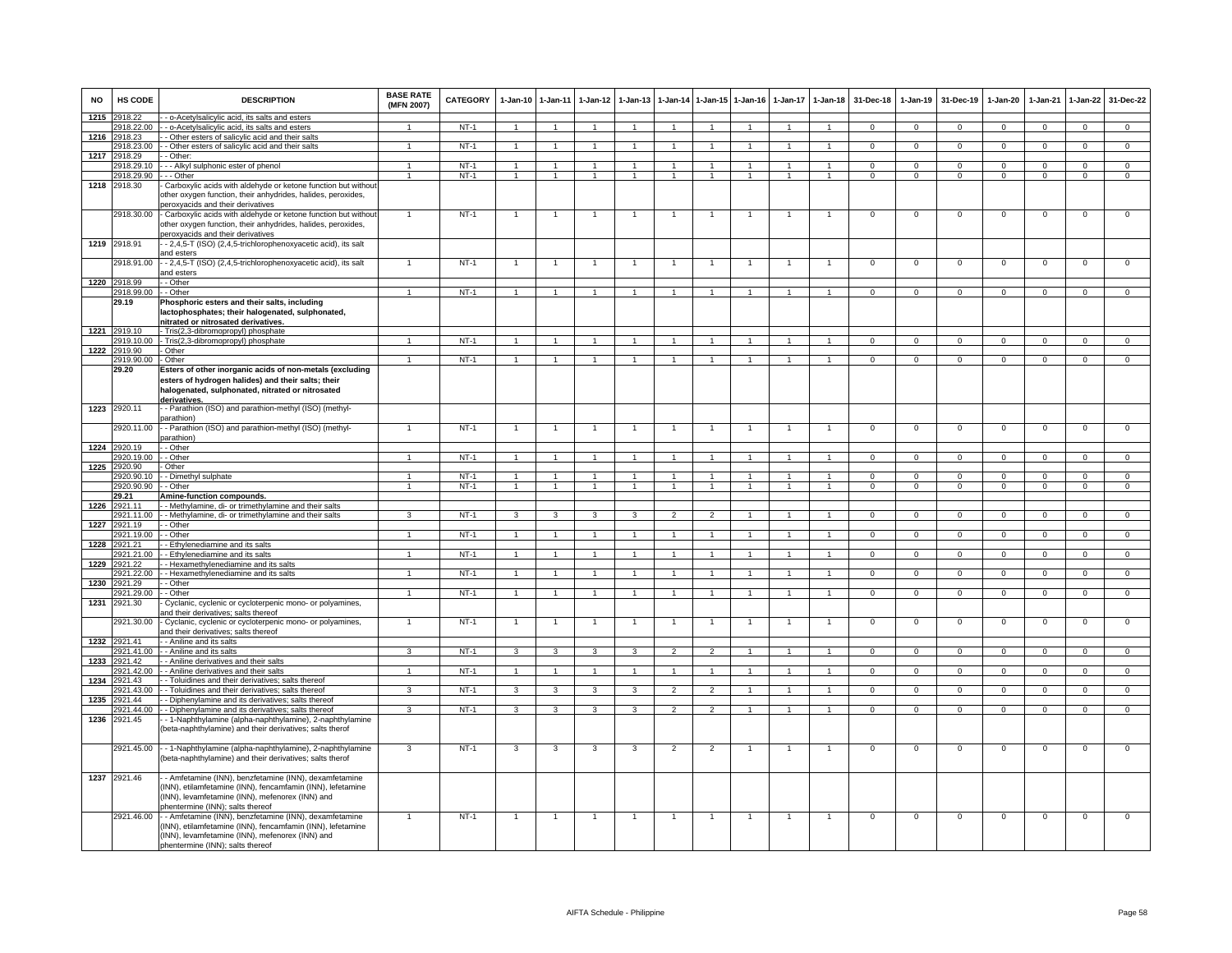| <b>NO</b> | HS CODE               | <b>DESCRIPTION</b>                                                                                                                                                                                                     | <b>BASE RATE</b><br>(MFN 2007) | <b>CATEGORY</b> | 1-Jan-10 1-Jan-11 |                      | $1-Jan-12$           | $1 - Jan-13$            |                          | 1-Jan-14 1-Jan-15 1-Jan-16 |                      | $1 - Jan-17$   | $1 - Jan-18$         | 31-Dec-18      | $1 - Jan-19$   | 31-Dec-19      | $1 - Jan-20$   | 1-Jan-21       | 1-Jan-22       | 31-Dec-22      |
|-----------|-----------------------|------------------------------------------------------------------------------------------------------------------------------------------------------------------------------------------------------------------------|--------------------------------|-----------------|-------------------|----------------------|----------------------|-------------------------|--------------------------|----------------------------|----------------------|----------------|----------------------|----------------|----------------|----------------|----------------|----------------|----------------|----------------|
| 1215      | 2918.22               | - o-Acetylsalicylic acid, its salts and esters                                                                                                                                                                         |                                |                 |                   |                      |                      |                         |                          |                            |                      |                |                      |                |                |                |                |                |                |                |
|           | 2918.22.00            | - - o-Acetylsalicylic acid, its salts and esters                                                                                                                                                                       |                                | $NT-1$          |                   |                      |                      |                         | $\overline{1}$           |                            |                      |                |                      | $\Omega$       | $\Omega$       | $\Omega$       | $\Omega$       | $\Omega$       | $\Omega$       | $\Omega$       |
| 1216      | 2918.23               | - Other esters of salicylic acid and their salts                                                                                                                                                                       |                                |                 |                   |                      |                      |                         |                          |                            |                      |                |                      |                |                |                |                |                |                |                |
|           | 2918.23.00            | - Other esters of salicylic acid and their salts                                                                                                                                                                       | $\overline{1}$                 | $NT-1$          | -1                | $\overline{1}$       | -1.                  | $\overline{1}$          | $\overline{1}$           |                            | -1                   | -1             | $\overline{1}$       | $\mathbf 0$    | $\mathbf{0}$   | $\mathbf 0$    | $\mathbf{0}$   | $^{\circ}$     | $\overline{0}$ | $\overline{0}$ |
| 1217      | 2918.29<br>2918.29.10 | - Other:<br>- - Alkyl sulphonic ester of phenol                                                                                                                                                                        | $\mathbf{1}$                   | $NT-1$          |                   | 1                    |                      |                         |                          |                            |                      |                |                      | $\Omega$       | $\mathsf 0$    | $\mathbf 0$    | $\mathbf 0$    | $\Omega$       | $\mathbf 0$    | $\overline{0}$ |
|           |                       | - - Other                                                                                                                                                                                                              | $\mathbf{1}$                   | $NT-1$          |                   | $\mathbf{1}$         | 1                    |                         |                          |                            | $\mathbf{1}$         |                |                      | 0              | $\mathbf 0$    | 0              |                | $^{\circ}$     | $\mathbf 0$    | $^{\circ}$     |
| 1218      | 2918.29.90<br>2918.30 | Carboxylic acids with aldehyde or ketone function but without<br>other oxygen function, their anhydrides, halides, peroxides,                                                                                          |                                |                 |                   |                      |                      |                         |                          |                            |                      |                |                      |                |                |                |                |                |                |                |
|           | 2918.30.00            | peroxyacids and their derivatives<br>- Carboxylic acids with aldehyde or ketone function but without                                                                                                                   | $\mathbf{1}$                   | $NT-1$          |                   | $\overline{1}$       |                      |                         | $\overline{1}$           | $\overline{1}$             |                      | $\overline{1}$ | $\overline{1}$       | $\overline{0}$ | $\Omega$       | $\mathbf 0$    | $\overline{0}$ | $\Omega$       | $\mathbf 0$    | $\overline{0}$ |
| 1219      | 2918.91               | other oxygen function, their anhydrides, halides, peroxides,<br>peroxyacids and their derivatives<br>- 2,4,5-T (ISO) (2,4,5-trichlorophenoxyacetic acid), its salt                                                     |                                |                 |                   |                      |                      |                         |                          |                            |                      |                |                      |                |                |                |                |                |                |                |
|           | 2918.91.00            | and esters<br>- - 2,4,5-T (ISO) (2,4,5-trichlorophenoxyacetic acid), its salt                                                                                                                                          | $\mathbf{1}$                   | $NT-1$          | $\mathbf{1}$      | $\mathbf{1}$         | -1                   | -1                      | $\overline{1}$           |                            | $\mathbf{1}$         | $\mathbf{1}$   | $\mathbf{1}$         | $\mathsf 0$    | $\mathbf 0$    | $\mathbf 0$    | $\mathbf{O}$   | $\mathbf 0$    | $\mathbf 0$    | $\mathsf 0$    |
|           | 1220 2918.99          | and esters<br>- Other                                                                                                                                                                                                  |                                |                 |                   |                      |                      |                         |                          |                            |                      |                |                      |                |                |                |                |                |                |                |
|           | 2918.99.00            | - Other                                                                                                                                                                                                                | $\ddot{\phantom{1}}$           | $NT-1$          |                   | $\overline{1}$       | $\overline{1}$       | $\overline{1}$          | $\overline{1}$           | $\overline{1}$             | $\overline{1}$       | $\overline{1}$ | $\overline{1}$       | $\Omega$       | $\mathbf 0$    | $\Omega$       | $\Omega$       | $\Omega$       | $\mathbf 0$    | $\mathsf 0$    |
|           | 29.19                 | Phosphoric esters and their salts, including<br>lactophosphates; their halogenated, sulphonated,<br>nitrated or nitrosated derivatives.                                                                                |                                |                 |                   |                      |                      |                         |                          |                            |                      |                |                      |                |                |                |                |                |                |                |
|           | 1221 2919.10          | - Tris(2,3-dibromopropyl) phosphate                                                                                                                                                                                    |                                |                 |                   |                      |                      |                         |                          |                            |                      |                |                      |                |                |                |                |                |                |                |
|           |                       | 2919.10.00 - Tris(2,3-dibromopropyl) phosphate                                                                                                                                                                         | $\overline{1}$                 | $NT-1$          | $\overline{1}$    | $\overline{1}$       | $\mathbf{1}$         | $\overline{1}$          | $\overline{1}$           | $\mathbf{1}$               | $\mathbf{1}$         | $\mathbf{1}$   | $\overline{1}$       | $\Omega$       | $^{\circ}$     | $^{\circ}$     | $\Omega$       | $^{\circ}$     | $^{\circ}$     | $\overline{0}$ |
| 1222      | 2919.90               | - Other                                                                                                                                                                                                                |                                |                 |                   |                      |                      |                         |                          |                            |                      |                |                      |                |                |                |                |                |                |                |
|           | 2919.90.00            | - Other                                                                                                                                                                                                                | $\mathbf{1}$                   | $NT-1$          | 1                 |                      |                      |                         | $\mathbf{1}$             |                            |                      |                |                      | $\Omega$       | $\mathsf 0$    | $\mathbf 0$    | $\mathbf 0$    | $\mathbf 0$    | $\mathbf 0$    | $\overline{0}$ |
|           | 29.20                 | Esters of other inorganic acids of non-metals (excluding<br>esters of hydrogen halides) and their salts; their<br>halogenated, sulphonated, nitrated or nitrosated                                                     |                                |                 |                   |                      |                      |                         |                          |                            |                      |                |                      |                |                |                |                |                |                |                |
| 1223      | 2920.11               | derivatives.<br>- Parathion (ISO) and parathion-methyl (ISO) (methyl-<br>parathion)                                                                                                                                    |                                |                 |                   |                      |                      |                         |                          |                            |                      |                |                      |                |                |                |                |                |                |                |
|           | 2920.11.00            | - Parathion (ISO) and parathion-methyl (ISO) (methyl-<br>parathion)                                                                                                                                                    | $\mathbf{1}$                   | $NT-1$          | $\overline{1}$    | $\overline{1}$       | $\overline{1}$       | $\overline{1}$          | $\overline{1}$           | $\overline{1}$             | $\overline{1}$       | $\overline{1}$ | $\overline{1}$       | $\mathbf 0$    | $\mathbf 0$    | $\mathbf 0$    | $\mathbf{O}$   | $\mathbf 0$    | $\mathbf 0$    | $\mathsf 0$    |
| 1224      | 2920.19               | - Other                                                                                                                                                                                                                |                                |                 |                   |                      |                      |                         |                          |                            |                      |                |                      |                |                |                |                |                |                |                |
|           | 920.19.00             | - Other                                                                                                                                                                                                                | $\mathbf{1}$                   | $NT-1$          |                   | 1                    |                      |                         | $\mathbf{1}$             |                            |                      |                |                      | $\Omega$       | $\overline{0}$ | $\overline{0}$ | 0              | $\Omega$       | 0              | $\overline{0}$ |
| 1225      | 2920.90               | Other                                                                                                                                                                                                                  |                                |                 |                   |                      |                      |                         |                          |                            |                      |                |                      |                |                |                |                |                |                |                |
|           | 2920.90.10            | - Dimethyl sulphate                                                                                                                                                                                                    | $\mathbf{1}$                   | $NT-1$          | $\mathbf{1}$      | $\blacktriangleleft$ | $\mathbf{1}$         | 1                       | $\mathbf{1}$             | $\blacktriangleleft$       | $\mathbf{1}$         | $\mathbf{1}$   | $\blacktriangleleft$ | $\Omega$       | $\mathsf 0$    | $\Omega$       | $\Omega$       | $\mathbf 0$    | $\mathbf 0$    | $\mathbf 0$    |
|           | 2920.90.90            | - Other                                                                                                                                                                                                                | $\overline{1}$                 | $NT-1$          | $\overline{1}$    | $\overline{1}$       | $\overline{1}$       | $\overline{1}$          | $\overline{1}$           | $\overline{1}$             | $\overline{1}$       | $\overline{1}$ | $\overline{1}$       | $\overline{0}$ | $\overline{0}$ | $\overline{0}$ | $\overline{0}$ | $\overline{0}$ | $\overline{0}$ | $\overline{0}$ |
|           | 29.21                 | Amine-function compounds.                                                                                                                                                                                              |                                |                 |                   |                      |                      |                         |                          |                            |                      |                |                      |                |                |                |                |                |                |                |
| 1226      | 2921.11               | - - Methylamine, di- or trimethylamine and their salts                                                                                                                                                                 |                                |                 |                   |                      |                      |                         |                          |                            |                      |                |                      |                |                |                |                |                |                |                |
|           |                       | 2921.11.00 - Methylamine, di- or trimethylamine and their salts                                                                                                                                                        | 3                              | $NT-1$          | $\mathbf{3}$      | $\mathbf{3}$         | $\mathbf{3}$         | 3                       | $\overline{2}$           | $\overline{2}$             |                      |                | $\overline{1}$       | $\mathbf 0$    | $\mathbf{0}$   | $\mathbf 0$    | $\Omega$       | $\mathbf 0$    | $\mathbf{0}$   | $\overline{0}$ |
| 1227      | 2921.19               | - - Other                                                                                                                                                                                                              |                                |                 |                   |                      |                      |                         |                          |                            |                      |                |                      |                |                |                |                |                |                |                |
|           | 2921.19.00            | - Other                                                                                                                                                                                                                | $\overline{1}$                 | $NT-1$          | $\overline{1}$    | $\blacktriangleleft$ | $\overline{1}$       | $\overline{1}$          | $\overline{1}$           | $\overline{1}$             | $\mathbf{1}$         | $\mathbf{1}$   | $\overline{1}$       | $\mathbf{0}$   | $\Omega$       | $\mathbf 0$    | $\Omega$       | $\mathbf 0$    | $\mathsf 0$    | $\overline{0}$ |
| 1228      | 921.21                | - Ethylenediamine and its salts                                                                                                                                                                                        |                                |                 |                   |                      |                      |                         |                          |                            |                      |                |                      |                |                |                |                |                |                |                |
|           | 921.21.00             | - Ethylenediamine and its salts                                                                                                                                                                                        |                                | $NT-1$          |                   |                      |                      |                         | $\mathbf{1}$             |                            |                      |                |                      | $\Omega$       | $\mathsf 0$    | $\mathbf 0$    | $\mathbf 0$    | $\mathbf 0$    | $\mathbf 0$    | $\overline{0}$ |
| 1229      | 921.22                | - Hexamethylenediamine and its salts                                                                                                                                                                                   |                                |                 |                   |                      |                      |                         |                          |                            |                      |                |                      |                |                |                |                |                |                |                |
|           | 2921.22.00            | - Hexamethylenediamine and its salts                                                                                                                                                                                   | $\overline{1}$                 | $NT-1$          | $\overline{1}$    | $\overline{1}$       | $\overline{1}$       | -1                      | $\overline{1}$           | $\overline{1}$             | $\overline{1}$       | $\overline{1}$ | $\overline{1}$       | $\mathbf 0$    | $\mathbf 0$    | $\mathbf 0$    | $\mathbf{0}$   | $\mathbf 0$    | $\mathbf 0$    | $\overline{0}$ |
| 1230      | 2921.29<br>921.29.00  | - Other<br>- Other                                                                                                                                                                                                     | $\mathbf{1}$                   | $NT-1$          |                   | $\overline{1}$       |                      |                         | $\overline{1}$           | $\overline{1}$             |                      |                | $\mathbf{1}$         | $\mathbf 0$    | $\mathbf 0$    | $\mathbf 0$    | 0              | $\mathbf 0$    | $\mathbf 0$    | $\mathbf 0$    |
| 1231      | 2921.30               | Cyclanic, cyclenic or cycloterpenic mono- or polyamines,                                                                                                                                                               |                                |                 |                   |                      |                      |                         |                          |                            |                      |                |                      |                |                |                |                |                |                |                |
|           | 2921.30.00            | and their derivatives; salts thereof<br>Cyclanic, cyclenic or cycloterpenic mono- or polyamines,                                                                                                                       | $\mathbf{1}$                   | $NT-1$          | $\overline{1}$    | $\overline{1}$       | $\overline{1}$       | $\overline{1}$          | $\overline{1}$           | $\overline{1}$             | $\overline{1}$       | $\overline{1}$ | $\overline{1}$       | $\mathbf 0$    | $\mathbf 0$    | $\mathbf 0$    | $^{\circ}$     | $\overline{0}$ | $\mathbf 0$    | $\mathbf 0$    |
|           |                       | and their derivatives; salts thereof                                                                                                                                                                                   |                                |                 |                   |                      |                      |                         |                          |                            |                      |                |                      |                |                |                |                |                |                |                |
| 1232      | 2921.41               | - Aniline and its salts                                                                                                                                                                                                |                                |                 |                   |                      |                      |                         |                          |                            |                      |                |                      |                |                |                |                |                |                |                |
|           | 921.41.00             | - Aniline and its salts                                                                                                                                                                                                | 3                              | $NT-1$          | 3                 | 3                    | 3                    | 3                       | $\overline{2}$           | $\mathfrak{p}$             |                      |                | $\mathbf{1}$         | $\overline{0}$ | $\overline{0}$ | $\overline{0}$ | 0              | $\mathbf 0$    | $\mathbf 0$    | $\overline{0}$ |
| 1233      | 921.42                | - Aniline derivatives and their salts                                                                                                                                                                                  |                                |                 |                   |                      |                      |                         |                          |                            |                      |                |                      |                |                |                |                |                |                |                |
|           | 2921.42.00            | - Aniline derivatives and their salts                                                                                                                                                                                  | $\blacktriangleleft$           | $NT-1$          | $\overline{1}$    | $\overline{1}$       | $\blacktriangleleft$ | $\overline{1}$          | $\overline{1}$           | $\blacktriangleleft$       | $\blacktriangleleft$ | $\overline{1}$ | $\blacktriangleleft$ | $\mathbf{0}$   | $\mathbf 0$    | $\mathbf{0}$   | $\Omega$       | $\Omega$       | $\circ$        | $\mathbf 0$    |
| 1234      | 2921.43               | - Toluidines and their derivatives; salts thereof                                                                                                                                                                      |                                |                 |                   |                      |                      |                         |                          |                            |                      |                |                      |                |                |                |                |                |                |                |
|           | 2921.43.00            | - Toluidines and their derivatives: salts thereof                                                                                                                                                                      | $\overline{3}$                 | $NT-1$          | 3                 | 3                    | 3                    | $\overline{\mathbf{3}}$ | $\overline{\phantom{a}}$ | $\overline{2}$             |                      |                |                      | $\overline{0}$ | $\overline{0}$ | $\overline{0}$ | $\overline{0}$ | $\overline{0}$ | $\overline{0}$ | $\overline{0}$ |
| 1235      | 2921.44               | - Diphenylamine and its derivatives; salts thereof                                                                                                                                                                     |                                |                 |                   |                      |                      |                         |                          |                            |                      |                |                      |                |                |                |                |                |                |                |
|           | 2921.44.00            | - - Diphenylamine and its derivatives; salts thereof                                                                                                                                                                   | $\mathcal{R}$                  | NT-1            | $\mathbf{3}$      | $\mathbf{3}$         | $\mathbf{3}$         | 3                       | $\overline{2}$           | $\overline{2}$             |                      |                | $\overline{1}$       | $\mathbf 0$    | $\mathbf 0$    | $\overline{0}$ | $\Omega$       | $\mathbf 0$    | $\mathbf 0$    | $\mathbf{0}$   |
|           | 1236 2921.45          | - 1-Naphthylamine (alpha-naphthylamine), 2-naphthylamine<br>(beta-naphthylamine) and their derivatives; salts therof                                                                                                   |                                |                 |                   |                      |                      |                         |                          |                            |                      |                |                      |                |                |                |                |                |                |                |
|           |                       | 2921.45.00 - 1-Naphthylamine (alpha-naphthylamine), 2-naphthylamine<br>beta-naphthylamine) and their derivatives; salts therof                                                                                         | 3                              | $NT-1$          | 3                 | 3                    | 3                    | 3                       | $\overline{2}$           | $\overline{2}$             |                      |                |                      | $\mathsf 0$    | $\mathsf 0$    | $\mathbf 0$    | $\mathbf 0$    | $\mathbf 0$    | $\mathbf 0$    | $\mathsf 0$    |
|           | 1237 2921.46          | - Amfetamine (INN), benzfetamine (INN), dexamfetamine<br>(INN), etilamfetamine (INN), fencamfamin (INN), lefetamine<br>(INN), levamfetamine (INN), mefenorex (INN) and<br>phentermine (INN); salts thereof             |                                |                 |                   |                      |                      |                         |                          |                            |                      |                |                      |                |                |                |                |                |                |                |
|           |                       | 2921.46.00 - - Amfetamine (INN), benzfetamine (INN), dexamfetamine<br>INN), etilamfetamine (INN), fencamfamin (INN), lefetamine<br>(INN), levamfetamine (INN), mefenorex (INN) and<br>phentermine (INN); salts thereof | $\mathbf{1}$                   | $NT-1$          | $\overline{1}$    | $\overline{1}$       | $\overline{1}$       | $\overline{1}$          | $\overline{1}$           | $\overline{1}$             | $\overline{1}$       | $\mathbf{1}$   | $\overline{1}$       | $\Omega$       | $\overline{0}$ | $\mathbf 0$    | $\mathbf{0}$   | $\overline{0}$ | $\mathbf 0$    | $\overline{0}$ |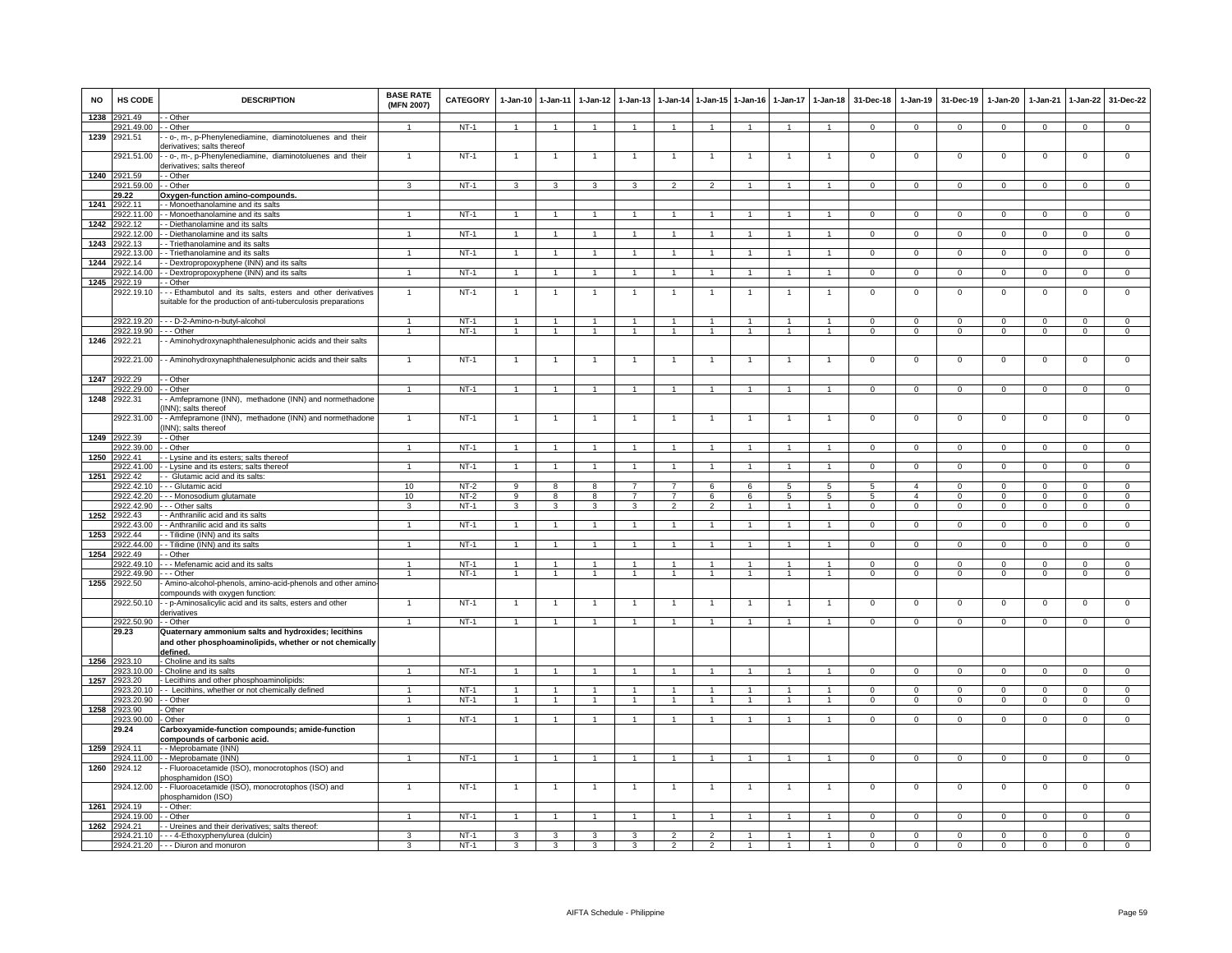| <b>NO</b> | HS CODE                    | <b>DESCRIPTION</b>                                                                                                                    | <b>BASE RATE</b><br>(MFN 2007) | <b>CATEGORY</b>  | $1-Jan-10$                       | $1 - Jan-11$                     | $1-Jan-12$                      | $1 - Jan-13$                     | $1-Jan-14$                       | 1-Jan-15 1-Jan-16                |                | $1-Jan-17$                        | $1-Jan-18$                       | 31-Dec-18                  | $1-Jan-19$                       | 31-Dec-19                  | $1-Jan-20$                 | $1-Jan-21$                 | $1-Jan-22$                    | 31-Dec-22                     |
|-----------|----------------------------|---------------------------------------------------------------------------------------------------------------------------------------|--------------------------------|------------------|----------------------------------|----------------------------------|---------------------------------|----------------------------------|----------------------------------|----------------------------------|----------------|-----------------------------------|----------------------------------|----------------------------|----------------------------------|----------------------------|----------------------------|----------------------------|-------------------------------|-------------------------------|
| 1238      | 2921.49                    | - Other                                                                                                                               |                                |                  |                                  |                                  |                                 |                                  |                                  |                                  |                |                                   |                                  |                            |                                  |                            |                            |                            |                               |                               |
| 1239      | 2921.49.00<br>2921.51      | - Other<br>- o-, m-, p-Phenylenediamine, diaminotoluenes and their<br>lerivatives; salts thereof                                      | $\overline{1}$                 | $NT-1$           | $\overline{1}$                   | $\overline{1}$                   | $\overline{1}$                  | $\overline{1}$                   | $\overline{1}$                   | $\overline{1}$                   | $\overline{1}$ | $\overline{1}$                    | $\overline{1}$                   | $\Omega$                   | $\mathbf{0}$                     | $\mathbf 0$                | $\Omega$                   | $\mathbf 0$                | $\mathbf{0}$                  | $\Omega$                      |
|           | 2921.51.00                 | - o-, m-, p-Phenylenediamine, diaminotoluenes and their<br>lerivatives; salts thereof                                                 |                                | $NT-1$           | $\mathbf{1}$                     | $\overline{1}$                   |                                 |                                  | -1                               |                                  |                |                                   | -1                               | $\overline{0}$             | 0                                | $\mathbf 0$                | $\Omega$                   | $\Omega$                   | $\mathbf{0}$                  | $\overline{0}$                |
|           | 1240 2921.59               | - Other                                                                                                                               |                                |                  |                                  |                                  |                                 |                                  |                                  |                                  |                |                                   |                                  |                            |                                  |                            |                            |                            |                               |                               |
|           | 2921.59.00                 | - Other                                                                                                                               | 3                              | $NT-1$           | 3                                | 3                                | 3                               | 3                                | $\overline{2}$                   | $\mathcal{P}$                    |                |                                   | $\overline{1}$                   | $\Omega$                   | $\mathsf 0$                      | $\mathbf 0$                | $\Omega$                   | $\mathbf 0$                | $\mathbf 0$                   | $\mathsf 0$                   |
| 1241      | 29.22<br>2922.11           | Oxygen-function amino-compounds<br>- Monoethanolamine and its salts                                                                   |                                |                  |                                  |                                  |                                 |                                  |                                  |                                  |                |                                   |                                  |                            |                                  |                            |                            |                            |                               |                               |
|           | 2922.11.00                 | - Monoethanolamine and its salts                                                                                                      | $\blacktriangleleft$           | $NT-1$           | $\overline{1}$                   | $\overline{1}$                   | $\mathbf{1}$                    | $\mathbf{1}$                     | $\overline{1}$                   | $\blacktriangleleft$             |                |                                   | $\overline{1}$                   | $\mathbf{0}$               | $\mathbf 0$                      | $\mathbf 0$                | $\mathbf{O}$               | $\mathbf{0}$               | $\mathbf{0}$                  | $\mathbf{0}$                  |
|           | 1242 2922.12               | - Diethanolamine and its salts                                                                                                        |                                |                  |                                  |                                  |                                 |                                  |                                  |                                  |                |                                   |                                  |                            |                                  |                            |                            |                            |                               |                               |
|           | 2922.12.00                 | - Diethanolamine and its salts                                                                                                        |                                | $NT-1$           | $\mathbf{1}$                     | $\overline{1}$                   |                                 |                                  | $\mathbf{1}$                     |                                  |                |                                   | $\mathbf{1}$                     | $\mathbf{0}$               | $\mathbf 0$                      | $\mathbf 0$                | $\mathbf 0$                | 0                          | $\mathbf{0}$                  | $^{\circ}$                    |
| 1243      | 2922.13                    | - Triethanolamine and its salts                                                                                                       |                                |                  |                                  |                                  |                                 |                                  |                                  |                                  |                |                                   |                                  |                            |                                  |                            |                            |                            |                               |                               |
|           | 2922.13.00                 | - Triethanolamine and its salts                                                                                                       | 1                              | $NT-1$           | $\mathbf{1}$                     | $\mathbf{1}$                     | $\mathbf{1}$                    | $\mathbf{1}$                     | $\mathbf{1}$                     | $\mathbf{1}$                     | $\overline{1}$ | $\mathbf{1}$                      | $\mathbf{1}$                     | $\mathbf 0$                | $\mathbf{0}$                     | $\mathbf{0}$               | $\mathbf{O}$               | $\mathbf{0}$               | $\mathbf{0}$                  | $\overline{0}$                |
| 1244      | 922.14                     | - Dextropropoxyphene (INN) and its salts                                                                                              | $\overline{1}$                 | $NT-1$           | $\overline{1}$                   | $\overline{1}$                   | $\mathbf{1}$                    | $\mathbf{1}$                     | $\overline{1}$                   | $\blacktriangleleft$             | $\mathbf{1}$   | $\mathbf{1}$                      | $\blacktriangleleft$             |                            |                                  |                            |                            |                            |                               | $\overline{0}$                |
| 1245      | 2922.14.00<br>2922.19      | - Dextropropoxyphene (INN) and its salts<br>- Other                                                                                   |                                |                  |                                  |                                  |                                 |                                  |                                  |                                  |                |                                   |                                  | $\mathbf 0$                | 0                                | $\mathbf 0$                | 0                          | $\mathbf 0$                | $\mathbf{0}$                  |                               |
|           | 2922.19.10                 | -- Ethambutol and its salts, esters and other derivatives<br>suitable for the production of anti-tuberculosis preparations            | $\overline{1}$                 | $NT-1$           | $\overline{1}$                   | $\overline{1}$                   | $\overline{1}$                  | 1                                | $\overline{1}$                   | $\overline{1}$                   | $\overline{1}$ | $\mathbf{1}$                      | $\overline{1}$                   | $\mathsf 0$                | $\mathsf 0$                      | $\mathsf 0$                | $\mathbf 0$                | $\mathbf 0$                | $\mathsf{o}$                  | $\overline{0}$                |
|           | 2922.19.20                 | - - D-2-Amino-n-butyl-alcohol                                                                                                         | $\overline{1}$                 | $NT-1$           | $\overline{1}$                   | $\overline{1}$                   | $\mathbf{1}$                    | $\mathbf{1}$                     | $\overline{1}$                   | $\overline{1}$                   | $\overline{1}$ | $\mathbf{1}$                      | $\overline{1}$                   | $\mathbf 0$                | $\mathsf 0$                      | $^{\circ}$                 | 0                          | $^{\circ}$                 | $\mathbf 0$                   | $\mathbf 0$                   |
|           | 2922.19.90                 | - - Other                                                                                                                             | $\overline{1}$                 | $NT-1$           | $\overline{1}$                   | $\overline{1}$                   | $\overline{1}$                  | $\mathbf{1}$                     | $\overline{1}$                   | $\overline{1}$                   | $\overline{1}$ | $\overline{1}$                    | $\overline{1}$                   | $\mathbf{0}$               | $\mathbf{0}$                     | $^{\circ}$                 | $\mathbf{0}$               | $\mathbf{0}$               | $\mathbf{0}$                  | $\overline{0}$                |
|           | 1246 2922.21<br>2922.21.00 | - Aminohydroxynaphthalenesulphonic acids and their salts<br>- Aminohydroxynaphthalenesulphonic acids and their salts                  |                                | $NT-1$           |                                  |                                  |                                 |                                  |                                  |                                  |                |                                   |                                  | $\Omega$                   | $\mathbf 0$                      | $\mathbf 0$                | $\mathbf 0$                | $\mathbf 0$                | $\circ$                       |                               |
|           |                            |                                                                                                                                       |                                |                  |                                  |                                  |                                 |                                  |                                  |                                  |                |                                   |                                  |                            |                                  |                            |                            |                            |                               |                               |
|           | 1247 2922.29               | - Other                                                                                                                               |                                |                  |                                  |                                  |                                 |                                  |                                  |                                  |                |                                   |                                  |                            |                                  |                            |                            |                            |                               |                               |
|           | 2922.29.00<br>2922.31      | - Other                                                                                                                               | $\mathbf{1}$                   | $NT-1$           | $\overline{1}$                   | $\overline{1}$                   | $\overline{1}$                  | $\overline{1}$                   | $\overline{1}$                   | $\overline{1}$                   | $\overline{1}$ | $\mathbf{1}$                      | $\overline{1}$                   | $\mathbf 0$                | $\mathbf 0$                      | $\mathsf 0$                | $\mathbf{O}$               | $\mathbf 0$                | $\mathbf 0$                   | $\mathsf 0$                   |
| 1248      | 2922.31.00                 | - Amfepramone (INN), methadone (INN) and normethadone<br>INN); salts thereof<br>- Amfepramone (INN), methadone (INN) and normethadone | $\overline{1}$                 | $NT-1$           | $\overline{1}$                   | $\overline{1}$                   |                                 |                                  | $\overline{1}$                   | $\overline{1}$                   |                |                                   | $\overline{1}$                   | $\mathsf 0$                | $\mathsf 0$                      | $\mathbf 0$                | $\mathbf 0$                | $\mathbf 0$                | $\mathbf 0$                   | $\mathsf 0$                   |
|           | 1249 2922.39               | INN); salts thereof<br>- Other                                                                                                        |                                |                  |                                  |                                  |                                 |                                  |                                  |                                  |                |                                   |                                  |                            |                                  |                            |                            |                            |                               |                               |
|           | 2922.39.00                 | - Other                                                                                                                               | $\mathbf{1}$                   | $NT-1$           | $\overline{1}$                   | $\mathbf{1}$                     | $\mathbf{1}$                    | $\mathbf{1}$                     | $\mathbf{1}$                     | $\blacktriangleleft$             | $\overline{1}$ | $\mathbf{1}$                      | $\mathbf{1}$                     | $\overline{0}$             | $\overline{0}$                   | $\overline{0}$             | $\overline{0}$             | $\overline{0}$             | $\overline{0}$                | $\overline{0}$                |
| 1250      | 2922.41                    | - Lysine and its esters; salts thereof                                                                                                |                                |                  |                                  |                                  |                                 |                                  |                                  |                                  |                |                                   |                                  |                            |                                  |                            |                            |                            |                               |                               |
|           | 2922.41.00                 | - Lysine and its esters; salts thereof                                                                                                |                                | $NT-1$           | $\overline{1}$                   | $\overline{1}$                   | $\mathbf{1}$                    |                                  | $\overline{1}$                   |                                  |                |                                   | $\overline{1}$                   | $\mathbf 0$                | $\mathsf 0$                      | $\mathbf 0$                | 0                          | $\mathbf 0$                | $\mathbf 0$                   | $\mathsf 0$                   |
|           | 1251 2922.42               | - Glutamic acid and its salts:                                                                                                        |                                |                  |                                  |                                  |                                 |                                  |                                  |                                  |                |                                   |                                  |                            |                                  |                            |                            |                            |                               |                               |
|           | 2922.42.10                 | - - Glutamic acid                                                                                                                     | 10                             | $NT-2$           | $\overline{9}$                   | 8                                | $\mathbf{g}$                    | $\overline{7}$<br>$\overline{7}$ | $\overline{7}$<br>$\overline{7}$ | 6                                | 6              | $5\overline{5}$<br>$\overline{5}$ | $\sqrt{5}$                       | $5^{\circ}$                | $\overline{4}$<br>$\overline{4}$ | $\Omega$<br>$\overline{0}$ | $\Omega$<br>$\overline{0}$ | $\Omega$                   | $\mathbf 0$                   | $\overline{0}$                |
|           | 2922.42.20<br>2922.42.90   | - - Monosodium glutamate<br>- - Other salts                                                                                           | 10<br>3                        | $NT-2$<br>$NT-1$ | $\overline{9}$<br>3              | $\overline{8}$<br>$\mathbf{R}$   | $\overline{8}$<br>$\mathcal{R}$ | 3                                | $\mathcal{P}$                    | 6<br>$\mathcal{P}$               | 6              |                                   | $\overline{5}$<br>$\overline{1}$ | $\overline{5}$<br>$\Omega$ | $\mathbf 0$                      | $\Omega$                   | $\mathbf 0$                | $\overline{0}$<br>$\Omega$ | $\overline{0}$<br>$\mathbf 0$ | $\overline{0}$<br>$\mathbf 0$ |
| 1252      | 2922.43                    | - Anthranilic acid and its salts                                                                                                      |                                |                  |                                  |                                  |                                 |                                  |                                  |                                  |                |                                   |                                  |                            |                                  |                            |                            |                            |                               |                               |
|           | 2922.43.00                 | - Anthranilic acid and its salts                                                                                                      | $\mathbf{1}$                   | $NT-1$           | $\mathbf{1}$                     | $\overline{1}$                   | $\overline{1}$                  | $\overline{1}$                   | $\overline{1}$                   | $\overline{1}$                   | $\overline{1}$ |                                   | $\overline{1}$                   | $\Omega$                   | $\mathbf{0}$                     | $\mathbf{0}$               | $\mathbf{0}$               | $\mathbf{0}$               | $\overline{0}$                | $\mathbf{0}$                  |
| 1253      | 2922.44                    | - Tilidine (INN) and its salts                                                                                                        |                                |                  |                                  |                                  |                                 |                                  |                                  |                                  |                |                                   |                                  |                            |                                  |                            |                            |                            |                               |                               |
|           | 2922.44.00                 | - Tilidine (INN) and its salts                                                                                                        | 1                              | $NT-1$           | $\mathbf{1}$                     | $\mathbf{1}$                     | 1                               |                                  | $\overline{1}$                   |                                  |                |                                   | $\mathbf{1}$                     | $\overline{0}$             | $\overline{0}$                   | $\overline{0}$             | $\overline{0}$             | $\overline{0}$             | $\overline{0}$                | $\overline{0}$                |
| 1254      | 2922.49                    | - Other                                                                                                                               |                                |                  |                                  |                                  |                                 |                                  |                                  |                                  |                |                                   |                                  |                            |                                  |                            |                            |                            |                               |                               |
|           | 922.49.10<br>2922.49.90    | - Mefenamic acid and its salts<br>- - Other                                                                                           | 1                              | $NT-1$<br>$NT-1$ | $\overline{1}$<br>$\overline{1}$ | $\overline{1}$<br>$\overline{1}$ | $\overline{1}$<br>$\mathbf{1}$  | 1<br>$\overline{1}$              | $\overline{1}$<br>$\overline{1}$ | $\overline{1}$<br>$\overline{1}$ | $\mathbf{1}$   |                                   | $\overline{1}$<br>$\overline{1}$ | $\Omega$<br>$\Omega$       | $\mathsf 0$<br>0                 | $\mathbf 0$<br>$\mathbf 0$ | $\Omega$<br>0              | $\Omega$<br>$\mathbf 0$    | $\mathbf 0$<br>$\mathsf 0$    | $\mathsf 0$<br>$\mathsf 0$    |
| 1255      | 2922.50                    | Amino-alcohol-phenols, amino-acid-phenols and other amino<br>compounds with oxygen function:                                          |                                |                  |                                  |                                  |                                 |                                  |                                  |                                  |                |                                   |                                  |                            |                                  |                            |                            |                            |                               |                               |
|           | 2922.50.10                 | - p-Aminosalicylic acid and its salts, esters and other<br>derivatives                                                                |                                | $NT-1$           | $\overline{1}$                   | $\overline{1}$                   |                                 | $\mathbf{1}$                     | $\overline{1}$                   |                                  |                |                                   | $\overline{1}$                   | $\mathsf 0$                | $\mathsf 0$                      | $\mathbf 0$                | $\mathsf 0$                | $\mathbf 0$                | $\mathbf 0$                   | $\mathsf 0$                   |
|           | 2922.50.90                 | - Other                                                                                                                               | $\overline{1}$                 | NT-1             | $\mathbf{1}$                     | $\overline{1}$                   | $\overline{1}$                  | $\overline{1}$                   | $\overline{1}$                   | $\overline{1}$                   | $\overline{1}$ | 1                                 | $\overline{1}$                   | $\overline{0}$             | $\mathbf{0}$                     | $\overline{0}$             | $\mathbf{0}$               | $\overline{0}$             | $\mathbf{0}$                  | $\mathbf{0}$                  |
|           | 29.23                      | Quaternary ammonium salts and hydroxides; lecithins<br>and other phosphoaminolipids, whether or not chemically<br>defined.            |                                |                  |                                  |                                  |                                 |                                  |                                  |                                  |                |                                   |                                  |                            |                                  |                            |                            |                            |                               |                               |
|           | 1256 2923.10<br>2923.10.00 | Choline and its salts<br>Choline and its salts                                                                                        |                                | $NT-1$           | $\overline{1}$                   | $\overline{1}$                   |                                 |                                  |                                  |                                  |                |                                   |                                  | $\mathbf 0$                | $\mathsf 0$                      | $\mathbf 0$                | $\Omega$                   | $\mathbf 0$                | $\mathbf 0$                   | $\Omega$                      |
|           | 1257 2923.20               | - Lecithins and other phosphoaminolipids:                                                                                             |                                |                  |                                  |                                  |                                 |                                  |                                  |                                  |                |                                   |                                  |                            |                                  |                            |                            |                            |                               |                               |
|           | 2923.20.10                 | - Lecithins, whether or not chemically defined                                                                                        |                                | $NT-1$           |                                  |                                  |                                 |                                  |                                  |                                  |                |                                   |                                  | $\Omega$                   | $\Omega$                         | $\Omega$                   | $\Omega$                   | $\Omega$                   | $\Omega$                      | $\Omega$                      |
|           | 2923.20.90                 | - Other                                                                                                                               | $\mathbf{1}$                   | $NT-1$           | $\overline{1}$                   | $\mathbf{1}$                     | $\mathbf{1}$                    |                                  | $\overline{1}$                   |                                  |                |                                   | $\overline{1}$                   | $\mathbf 0$                | $\mathbf 0$                      | $\mathbf 0$                | 0                          | $\mathbf 0$                | $\Omega$                      | $\mathbf 0$                   |
| 1258      | 2923.90                    | Other                                                                                                                                 |                                |                  |                                  |                                  |                                 |                                  |                                  |                                  |                |                                   |                                  |                            |                                  |                            |                            |                            |                               |                               |
|           | 2923.90.00                 | Other                                                                                                                                 | $\overline{1}$                 | $NT-1$           | $\overline{1}$                   | $\overline{1}$                   | $\blacktriangleleft$            |                                  | $\overline{1}$                   |                                  |                |                                   |                                  | $\Omega$                   | $^{\circ}$                       | $^{\circ}$                 | $\Omega$                   | $^{\circ}$                 | $^{\circ}$                    | $\Omega$                      |
|           | 29.24<br>1259 2924.11      | Carboxyamide-function compounds; amide-function<br>ompounds of carbonic acid.<br>- Meprobamate (INN)                                  |                                |                  |                                  |                                  |                                 |                                  |                                  |                                  |                |                                   |                                  |                            |                                  |                            |                            |                            |                               |                               |
|           | 924.11.00                  | - Meprobamate (INN)                                                                                                                   |                                | $NT-1$           | $\overline{1}$                   | $\overline{1}$                   |                                 |                                  | 1                                |                                  |                |                                   |                                  | $\Omega$                   | 0                                | $\mathbf 0$                | 0                          | 0                          | 0                             | $\mathsf 0$                   |
| 1260      | 2924.12                    | - Fluoroacetamide (ISO), monocrotophos (ISO) and<br>hosphamidon (ISO)                                                                 |                                |                  |                                  |                                  |                                 |                                  |                                  |                                  |                |                                   |                                  |                            |                                  |                            |                            |                            |                               |                               |
|           | 2924.12.00                 | - Fluoroacetamide (ISO), monocrotophos (ISO) and<br>hosphamidon (ISO)                                                                 |                                | $NT-1$           | $\overline{1}$                   | $\overline{1}$                   | $\overline{1}$                  | $\overline{1}$                   | $\mathbf{1}$                     | $\overline{1}$                   | $\overline{1}$ | $\mathbf{1}$                      | $\overline{1}$                   | $\mathbf 0$                | $\mathbf 0$                      | $\mathbf 0$                | $\mathbf{O}$               | $\mathbf{0}$               | $\mathbf 0$                   | $\mathsf 0$                   |
|           | 1261 2924.19<br>2924.19.00 | - Other:<br>- Other                                                                                                                   |                                | $NT-1$           | $\overline{1}$                   | $\overline{1}$                   |                                 |                                  | $\overline{1}$                   |                                  |                |                                   |                                  | $\mathbf 0$                | $\mathsf 0$                      | $\mathbf{0}$               | $\Omega$                   | $^{\circ}$                 | $\mathbf 0$                   | $\mathbf 0$                   |
|           | 1262 2924.21               | - Ureines and their derivatives; salts thereof:                                                                                       |                                |                  |                                  |                                  |                                 |                                  |                                  |                                  |                |                                   |                                  |                            |                                  |                            |                            |                            |                               |                               |
|           | 2924.21.10                 | - - - 4-Ethoxyphenylurea (dulcin)                                                                                                     | 3                              | $NT-1$           | 3                                | 3                                | 3                               | 3                                | $\overline{2}$                   | $\overline{2}$                   | $\mathbf{1}$   | $\mathbf{1}$                      | $\mathbf{1}$                     | $\Omega$                   | $\mathbf 0$                      | $\mathbf 0$                | $\Omega$                   | $\mathbf{0}$               | $\overline{0}$                | $\overline{0}$                |
|           |                            | 2924.21.20 - - - Diuron and monuron                                                                                                   | 3                              | $NT-1$           | 3                                | 3                                | 3                               | 3                                | $\overline{2}$                   | $\overline{2}$                   |                |                                   |                                  | $\Omega$                   | $\mathbf 0$                      | $\mathbf 0$                | $\Omega$                   | $\overline{0}$             | $\overline{0}$                | $\overline{0}$                |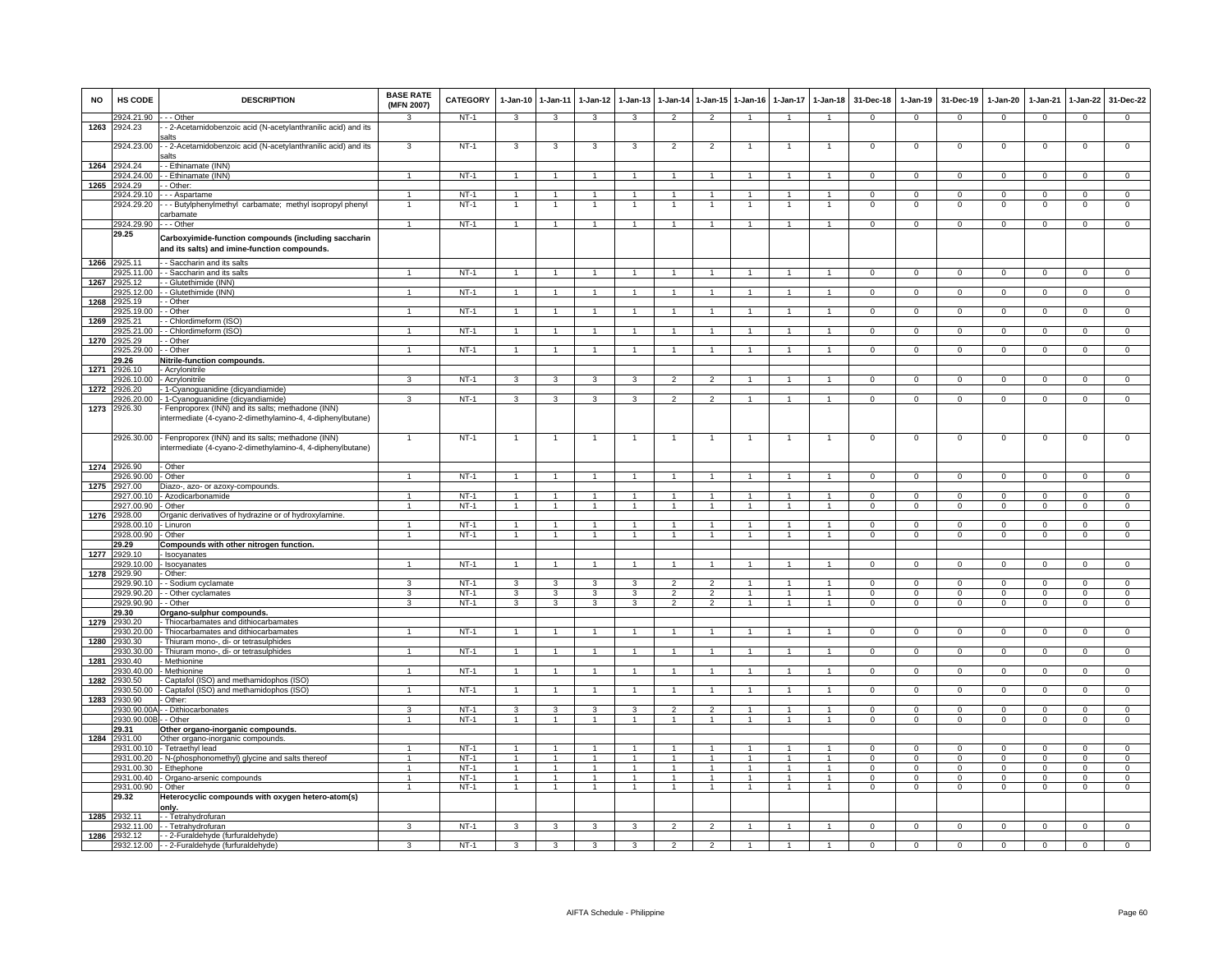| <b>NO</b> | HS CODE                  | <b>DESCRIPTION</b>                                                                                               | <b>BASE RATE</b><br>(MFN 2007) | CATEGORY         | 1-Jan-10       | $1-Jan-11$                       | $1-Jan-12$           | $1-Jan-13$     |                          |                                | 1-Jan-14 1-Jan-15 1-Jan-16 | $1-Jan-17$           | $1 - Jan-18$                   | 31-Dec-18      | $1-Jan-19$     | 31-Dec-19      | 1-Jan-20                | $1-Jan-21$     | $1 - Jan-22$            | 31-Dec-22      |
|-----------|--------------------------|------------------------------------------------------------------------------------------------------------------|--------------------------------|------------------|----------------|----------------------------------|----------------------|----------------|--------------------------|--------------------------------|----------------------------|----------------------|--------------------------------|----------------|----------------|----------------|-------------------------|----------------|-------------------------|----------------|
|           | 2924.21.90               | - - - Other                                                                                                      | $\mathbf{R}$                   | NT-1             | $\mathbf{3}$   | $\mathbf{3}$                     | 3                    | 3              | $\overline{2}$           | $\mathcal{P}$                  | $\overline{1}$             | $\overline{1}$       | $\overline{1}$                 | $\mathbf{0}$   | $\overline{0}$ | $\mathbf 0$    | $\overline{0}$          | $\overline{0}$ | $\mathbf{0}$            | $\mathbf{0}$   |
| 1263      | 2924.23                  | - 2-Acetamidobenzoic acid (N-acetylanthranilic acid) and its<br>alts                                             |                                |                  |                |                                  |                      |                |                          |                                |                            |                      |                                |                |                |                |                         |                |                         |                |
|           | 2924.23.00               | - 2-Acetamidobenzoic acid (N-acetylanthranilic acid) and its<br>alts                                             | 3                              | $NT-1$           | 3              | 3                                | 3                    | 3              | $\overline{2}$           | $\overline{2}$                 |                            |                      |                                | $\mathbf 0$    | $\mathsf 0$    | $\Omega$       | $\mathsf 0$             | $\mathbf 0$    | $\overline{0}$          | $\overline{0}$ |
| 1264      | 2924.24<br>2924.24.00    | - Ethinamate (INN)<br>- Ethinamate (INN)                                                                         | $\mathbf{1}$                   | $NT-1$           | $\overline{1}$ | $\overline{1}$                   |                      |                | $\overline{1}$           | $\blacktriangleleft$           |                            |                      | $\overline{1}$                 | $\mathbf 0$    | $^{\circ}$     | $\Omega$       | $\mathbf 0$             | $^{\circ}$     | $\Omega$                | $\Omega$       |
| 1265      | 2924.29                  | - Other:                                                                                                         |                                |                  |                |                                  |                      |                |                          |                                |                            |                      |                                |                |                |                |                         |                |                         |                |
|           | 2924.29.10               | - - Aspartame                                                                                                    | $\mathbf{1}$                   | $NT-1$           | $\overline{1}$ | $\overline{1}$                   |                      |                |                          | $\mathbf{1}$                   |                            |                      | $\mathbf{1}$                   | 0              | $\mathbf{O}$   | $\mathbf 0$    | $\mathsf 0$             | $\mathbf 0$    | $\mathbf 0$             | $\mathbf{0}$   |
|           | 2924.29.20               | - - Butylphenylmethyl carbamate; methyl isopropyl phenyl<br>carbamate                                            |                                | $NT-1$           |                | $\overline{1}$                   |                      |                |                          | $\overline{1}$                 |                            |                      |                                | $\mathbf 0$    | $\mathsf 0$    | $\mathbf 0$    | $\mathsf 0$             | $\mathbf 0$    | $\mathsf 0$             | $\overline{0}$ |
|           | 2924.29.90               | - - - Other                                                                                                      | $\overline{1}$                 | NT-1             | $\mathbf{1}$   | $\overline{1}$                   | $\overline{1}$       | $\mathbf{1}$   | $\overline{1}$           | $\mathbf{1}$                   | $\overline{1}$             | $\mathbf{1}$         | $\overline{1}$                 | $^{\circ}$     | $\overline{0}$ | $^{\circ}$     | $\overline{0}$          | $^{\circ}$     | $\overline{0}$          | $\mathbf{0}$   |
|           | 29.25                    | Carboxyimide-function compounds (including saccharin<br>and its salts) and imine-function compounds.             |                                |                  |                |                                  |                      |                |                          |                                |                            |                      |                                |                |                |                |                         |                |                         |                |
| 1266      | 2925.11                  | - Saccharin and its salts                                                                                        |                                |                  |                | $\overline{1}$                   |                      |                |                          |                                |                            |                      | $\overline{1}$                 |                |                |                |                         |                |                         |                |
| 1267      | 2925.11.00<br>2925.12    | - - Saccharin and its salts<br>- Glutethimide (INN)                                                              |                                | $NT-1$           |                |                                  |                      |                |                          | $\overline{1}$                 |                            |                      |                                | $\Omega$       | $\overline{0}$ | $\overline{0}$ | $\mathbf 0$             | $\overline{0}$ | $\overline{0}$          | $\overline{0}$ |
|           | 2925.12.00               | - Glutethimide (INN)                                                                                             |                                | $NT-1$           |                |                                  |                      |                |                          |                                |                            |                      |                                | $\Omega$       | $\mathbf 0$    | $\Omega$       | $\Omega$                | $\Omega$       | $\Omega$                | $\Omega$       |
| 1268      | 2925.19                  | - Other                                                                                                          |                                |                  |                |                                  |                      |                |                          |                                |                            |                      |                                |                |                |                |                         |                |                         |                |
|           | 2925.19.00               | - Other                                                                                                          | $\overline{1}$                 | $NT-1$           | $\overline{1}$ | $\overline{1}$                   |                      |                |                          |                                |                            |                      |                                | 0              | $\mathbf{O}$   | $\Omega$       | $\mathsf 0$             | $\Omega$       | $\Omega$                | $\Omega$       |
| 1269      | 2925.21                  | - Chlordimeform (ISO)                                                                                            |                                |                  |                |                                  |                      |                |                          |                                |                            |                      |                                |                |                |                |                         |                |                         |                |
|           | 2925.21.00               | - Chlordimeform (ISO)                                                                                            | $\mathbf{1}$                   | $NT-1$           | $\overline{1}$ | $\mathbf{1}$                     | 1                    | $\mathbf{1}$   | $\overline{1}$           | $\mathbf{1}$                   | $\mathbf{1}$               | 1                    | $\mathbf{1}$                   | $\overline{0}$ | $\overline{0}$ | $\overline{0}$ | $\overline{0}$          | $\overline{0}$ | $\overline{0}$          | $\overline{0}$ |
| 1270      | 2925.29<br>2925.29.00    | - Other<br>- Other                                                                                               | $\mathbf{1}$                   | $NT-1$           | $\overline{1}$ | $\overline{1}$                   |                      |                | $\overline{1}$           |                                |                            |                      | $\mathbf{1}$                   | $\mathbf 0$    | $\mathsf 0$    | $\mathbf 0$    | $\mathsf 0$             | $\mathbf 0$    | $\mathsf 0$             | $\mathbf{0}$   |
|           | 29.26                    | Nitrile-function compounds.                                                                                      |                                |                  |                |                                  |                      |                |                          |                                |                            |                      |                                |                |                |                |                         |                |                         |                |
| 1271      | 2926.10                  | - Acrylonitrile                                                                                                  |                                |                  |                |                                  |                      |                |                          |                                |                            |                      |                                |                |                |                |                         |                |                         |                |
|           | 2926.10.00               | - Acrylonitrile                                                                                                  | 3                              | $NT-1$           | 3              | 3                                | $\mathbf{R}$         | 3              | $\overline{\phantom{a}}$ | $\overline{2}$                 |                            |                      |                                | $\overline{0}$ | $\overline{0}$ | $\overline{0}$ | $\overline{0}$          | $\overline{0}$ | $\overline{0}$          | $\overline{0}$ |
| 1272      | 2926.20                  | - 1-Cyanoguanidine (dicyandiamide)                                                                               |                                |                  |                |                                  |                      |                |                          |                                |                            |                      |                                |                |                |                |                         |                |                         |                |
|           | 2926.20.00               | - 1-Cyanoguanidine (dicyandiamide)                                                                               | $\overline{\mathbf{3}}$        | $NT-1$           | 3              | 3                                | 3                    | 3              | $\mathcal{P}$            | $\mathcal{P}$                  | $\overline{1}$             | $\blacktriangleleft$ | $\overline{1}$                 | $\overline{0}$ | $\overline{0}$ | $\overline{0}$ | $\overline{0}$          | $\overline{0}$ | $\overline{0}$          | $\overline{0}$ |
| 1273      | 2926.30                  | - Fenproporex (INN) and its salts; methadone (INN)<br>intermediate (4-cyano-2-dimethylamino-4, 4-diphenylbutane) |                                |                  |                |                                  |                      |                |                          |                                |                            |                      |                                |                |                |                |                         |                |                         |                |
|           | 2926.30.00               | - Fenproporex (INN) and its salts; methadone (INN)<br>ntermediate (4-cyano-2-dimethylamino-4, 4-diphenylbutane)  | $\mathbf{1}$                   | $NT-1$           | $\overline{1}$ | $\overline{1}$                   |                      |                | $\overline{1}$           | $\mathbf{1}$                   |                            | 1                    | $\mathbf{1}$                   | $\overline{0}$ | $\overline{0}$ | $\mathbf 0$    | $\mathsf 0$             | $\overline{0}$ | $\mathsf 0$             | $\overline{0}$ |
|           | 1274 2926.90             | - Other                                                                                                          |                                |                  |                |                                  |                      |                |                          |                                |                            |                      |                                |                |                |                |                         |                |                         |                |
|           | 2926.90.00               | - Other                                                                                                          |                                | $NT-1$           |                |                                  |                      |                |                          |                                |                            |                      |                                | $\Omega$       | $\overline{0}$ | $\Omega$       | $\Omega$                | $\Omega$       | $\Omega$                | $\Omega$       |
| 1275      | 2927.00<br>2927.00.10    | Diazo-, azo- or azoxy-compounds.<br>- Azodicarbonamide                                                           | $\blacktriangleleft$           | $NT-1$           | $\overline{1}$ | $\overline{1}$                   |                      |                | $\overline{1}$           | $\blacktriangleleft$           |                            |                      | $\mathbf{1}$                   | $\Omega$       | $\mathbf{0}$   | $\Omega$       | $\mathbf 0$             | $\Omega$       | $\mathbf{0}$            | $\mathbf{0}$   |
|           | 2927.00.90               | - Other                                                                                                          | $\blacktriangleleft$           | $NT-1$           | $\mathbf{1}$   | $\overline{1}$                   | $\mathbf{1}$         | $\mathbf{1}$   | $\overline{1}$           | $\overline{1}$                 | $\overline{1}$             | $\mathbf{1}$         | $\overline{1}$                 | $^{\circ}$     | $^{\circ}$     | $^{\circ}$     | $\mathbf{0}$            | $\mathbf{0}$   | $\mathbf{0}$            | $\mathbf 0$    |
| 1276      | 2928.00                  | Organic derivatives of hydrazine or of hydroxylamine.                                                            |                                |                  |                |                                  |                      |                |                          |                                |                            |                      |                                |                |                |                |                         |                |                         |                |
|           | 928.00.10                | - Linuron                                                                                                        | $\mathbf{1}$                   | $NT-1$           | $\mathbf{1}$   | $\mathbf{1}$                     |                      |                | 1                        | $\mathbf{1}$                   |                            |                      | $\mathbf{1}$                   | $\Omega$       | $\mathbf{O}$   | $\mathbf 0$    | $\Omega$                | $\mathbf 0$    | $\mathbf 0$             | $\mathbf{0}$   |
|           | 2928.00.90               | Other                                                                                                            | $\overline{1}$                 | $NT-1$           | $\overline{1}$ | $\overline{1}$                   | $\blacktriangleleft$ | $\mathbf{1}$   | $\overline{1}$           | $\overline{1}$                 | $\mathbf{1}$               | $\mathbf{1}$         | $\overline{1}$                 | $\mathbf 0$    | $\mathsf 0$    | $\Omega$       | $\mathbf 0$             | $\mathbf 0$    | $\mathbf 0$             | $\mathbf 0$    |
|           | 29.29                    | Compounds with other nitrogen function.                                                                          |                                |                  |                |                                  |                      |                |                          |                                |                            |                      |                                |                |                |                |                         |                |                         |                |
| 1277      | 2929.10<br>2929.10.00    | - Isocyanates<br>Isocyanates                                                                                     |                                | $NT-1$           | $\overline{1}$ | $\overline{1}$                   |                      |                |                          | $\ddot{\phantom{1}}$           |                            |                      | $\ddot{\phantom{1}}$           | $\Omega$       | $\overline{0}$ | $\Omega$       | $\Omega$                | $\overline{0}$ | $\overline{0}$          | $\overline{0}$ |
| 1278      | 2929.90                  | - Other:                                                                                                         |                                |                  |                |                                  |                      |                |                          |                                |                            |                      |                                |                |                |                |                         |                |                         |                |
|           | 2929.90.10               | - - Sodium cyclamate                                                                                             | 3                              | $NT-1$           | $\mathbf{3}$   | 3                                |                      |                |                          | $\mathcal{P}$                  |                            |                      | $\mathbf{1}$                   | $\Omega$       | $\Omega$       | $\Omega$       | $\Omega$                | $\Omega$       | $\Omega$                | $\Omega$       |
|           | 2929.90.20               | - Other cyclamates                                                                                               | 3                              | NT-1             | 3              | 3                                | 3                    | 3              | $\overline{2}$           | $\overline{2}$                 | $\overline{1}$             | 1                    | $\overline{1}$                 | $^{\circ}$     | $^{\circ}$     | $^{\circ}$     | $\mathbf{0}$            | $\mathbf{0}$   | $\mathbf{0}$            | $\mathbf{0}$   |
|           | 2929.90.90               | - Other                                                                                                          | 3                              | $NT-1$           | 3              | $\mathbf{3}$                     | 3                    | $\mathbf{3}$   | $\overline{2}$           | $\overline{2}$                 | $\overline{1}$             | $\mathbf{1}$         | $\overline{1}$                 | $^{\circ}$     | $\mathbf{0}$   | $^{\circ}$     | $\mathbf{0}$            | $\mathbf 0$    | $\mathbf 0$             | $\mathbf{0}$   |
| 1279      | 29.30<br>2930.20         | Organo-sulphur compounds.<br>Thiocarbamates and dithiocarbamates                                                 |                                |                  |                |                                  |                      |                |                          |                                |                            |                      |                                |                |                |                |                         |                |                         |                |
|           | 930.20.00                | - Thiocarbamates and dithiocarbamates                                                                            |                                | $NT-1$           | $\mathbf{1}$   | $\mathbf{1}$                     |                      |                |                          |                                |                            |                      |                                | 0              | $\mathsf 0$    | 0              | 0                       | $\mathsf 0$    | 0                       | 0              |
| 1280      | 2930.30                  | Thiuram mono-, di- or tetrasulphides                                                                             |                                |                  |                |                                  |                      |                |                          |                                |                            |                      |                                |                |                |                |                         |                |                         |                |
|           | 2930.30.00               | - Thiuram mono-, di- or tetrasulphides                                                                           | $\overline{1}$                 | $NT-1$           | $\overline{1}$ | $\overline{1}$                   |                      |                | $\overline{1}$           | $\blacktriangleleft$           |                            |                      | $\overline{1}$                 | $\mathbf 0$    | $\mathbf{0}$   | $\mathbf 0$    | $\mathsf 0$             | $\mathbf 0$    | $\mathbf 0$             | $\mathbf{0}$   |
| 1281      | 2930.40                  | - Methionine                                                                                                     |                                |                  |                |                                  |                      |                |                          |                                |                            |                      |                                |                |                |                |                         |                |                         |                |
|           | 2930.40.00               | - Methionine                                                                                                     |                                | $NT-1$           |                |                                  |                      |                |                          |                                |                            |                      |                                | $\Omega$       | $\mathsf 0$    | $\Omega$       | $\Omega$                | $\mathbf 0$    | $\Omega$                | $\Omega$       |
| 1282      | 2930.50<br>!930.50.00    | - Captafol (ISO) and methamidophos (ISO)<br>- Captafol (ISO) and methamidophos (ISO)                             | 1                              | NT-1             | $\overline{1}$ | $\overline{1}$                   |                      | $\mathbf{1}$   | $\overline{1}$           | $\mathbf{1}$                   |                            |                      | $\overline{1}$                 | $\mathbf 0$    | $\mathbf{0}$   | $\Omega$       | $\mathbf 0$             | $\mathbf{0}$   | $\mathbf{0}$            | $\Omega$       |
| 1283      | 2930.90                  | Other:                                                                                                           |                                |                  |                |                                  |                      |                |                          |                                |                            |                      |                                |                |                |                |                         |                |                         |                |
|           | 930.90.00A               | - Dithiocarbonates                                                                                               | 3                              | $NT-1$           | $\overline{3}$ | 3                                | 3                    | 3              | $\overline{2}$           | $\overline{2}$                 |                            |                      | $\mathbf{1}$                   | $\overline{0}$ | $\overline{0}$ | $\overline{0}$ | $\overline{0}$          | $\overline{0}$ | $\overline{0}$          | $\overline{0}$ |
|           | 2930.90.00               | - Other                                                                                                          | $\mathbf{1}$                   | $NT-1$           | 1              | $\mathbf{1}$                     | $\mathbf{1}$         |                |                          | $\mathbf{1}$                   |                            |                      | $\mathbf{1}$                   | 0              | $\mathsf 0$    | $\mathbf 0$    | $\mathsf 0$             | $\mathbf 0$    | $\mathbf 0$             | $\mathbf 0$    |
|           | 29.31                    | Other organo-inorganic compounds.                                                                                |                                |                  |                |                                  |                      |                |                          |                                |                            |                      |                                |                |                |                |                         |                |                         |                |
| 1284      | 2931.00                  | Other organo-inorganic compounds.                                                                                |                                |                  | $\overline{1}$ |                                  |                      | $\mathbf{1}$   |                          |                                |                            |                      |                                |                | $\Omega$       | $\Omega$       |                         | $\Omega$       |                         | $\Omega$       |
|           | 2931.00.10<br>2931.00.20 | - Tetraethyl lead<br>- N-(phosphonomethyl) glycine and salts thereof                                             | $\mathbf{1}$<br>1              | $NT-1$<br>$NT-1$ | $\mathbf{1}$   | $\overline{1}$<br>$\overline{1}$ | -1<br>$\blacksquare$ |                | $\overline{1}$           | $\overline{1}$<br>$\mathbf{1}$ | $\overline{1}$             |                      | $\overline{1}$<br>$\mathbf{1}$ | $\Omega$<br>0  | $\mathbf{O}$   | $\mathbf 0$    | $\Omega$<br>$\mathsf 0$ | $\mathbf 0$    | $\Omega$<br>$\mathbf 0$ | $\overline{0}$ |
|           | 2931.00.30               | - Ethephone                                                                                                      | $\mathbf{1}$                   | $NT-1$           | $\overline{1}$ | $\overline{1}$                   | $\blacktriangleleft$ |                | $\ddot{1}$               | $\blacktriangleleft$           | $\overline{1}$             |                      | $\mathbf{1}$                   | $\Omega$       | $\Omega$       | $\Omega$       | $\Omega$                | $\Omega$       | $\Omega$                | $\overline{0}$ |
|           | 2931.00.40               | - Organo-arsenic compounds                                                                                       | $\mathbf{1}$                   | $NT-1$           | $\overline{1}$ | $\overline{1}$                   | $\blacktriangleleft$ | $\mathbf{1}$   | $\overline{1}$           | $\mathbf{1}$                   | $\overline{1}$             | $\mathbf{1}$         | $\overline{1}$                 | $\mathbf 0$    | $\mathbf{O}$   | $\mathbf 0$    | $\mathsf 0$             | $\mathbf 0$    | $\mathbf 0$             | $\mathbf{0}$   |
|           | 2931.00.90               | - Other                                                                                                          | $\overline{1}$                 | $NT-1$           | $\overline{1}$ | $\overline{1}$                   | $\overline{1}$       | $\overline{1}$ | $\overline{1}$           | $\mathbf{1}$                   | $\overline{1}$             | $\overline{1}$       | $\overline{1}$                 | $^{\circ}$     | $\mathbf{0}$   | $^{\circ}$     | $\mathbf{0}$            | $\mathbf 0$    | $\mathbf{0}$            | $\mathbf{0}$   |
| 1285      | 29.32<br>2932.11         | Heterocyclic compounds with oxygen hetero-atom(s)<br>onlv.<br>-- Tetrahydrofuran                                 |                                |                  |                |                                  |                      |                |                          |                                |                            |                      |                                |                |                |                |                         |                |                         |                |
|           |                          | 2932.11.00 - Tetrahydrofuran                                                                                     | 3                              | $NT-1$           | $\mathbf{3}$   | 3                                | 3                    | 3              | $\overline{2}$           | $\mathcal{P}$                  | $\overline{1}$             | $\mathbf{1}$         | $\mathbf{1}$                   | $\mathbf 0$    | $\mathbf{0}$   | $\mathbf 0$    | $\mathbf 0$             | $\mathbf{0}$   | $\mathbf 0$             | $\mathbf{0}$   |
| 1286      | 2932.12                  | - - 2-Furaldehyde (furfuraldehyde)                                                                               |                                |                  |                |                                  |                      |                |                          |                                |                            |                      |                                |                |                |                |                         |                |                         |                |
|           |                          | 2932.12.00 - - 2-Furaldehyde (furfuraldehyde)                                                                    | 3                              | $NT-1$           | $\mathbf{3}$   | 3                                | $\overline{3}$       | 3              | $\overline{2}$           | $\overline{2}$                 | $\overline{1}$             | $\mathbf{1}$         | $\overline{1}$                 | $\overline{0}$ | $\overline{0}$ | $\overline{0}$ | $\overline{0}$          | $\overline{0}$ | $\overline{0}$          | $\overline{0}$ |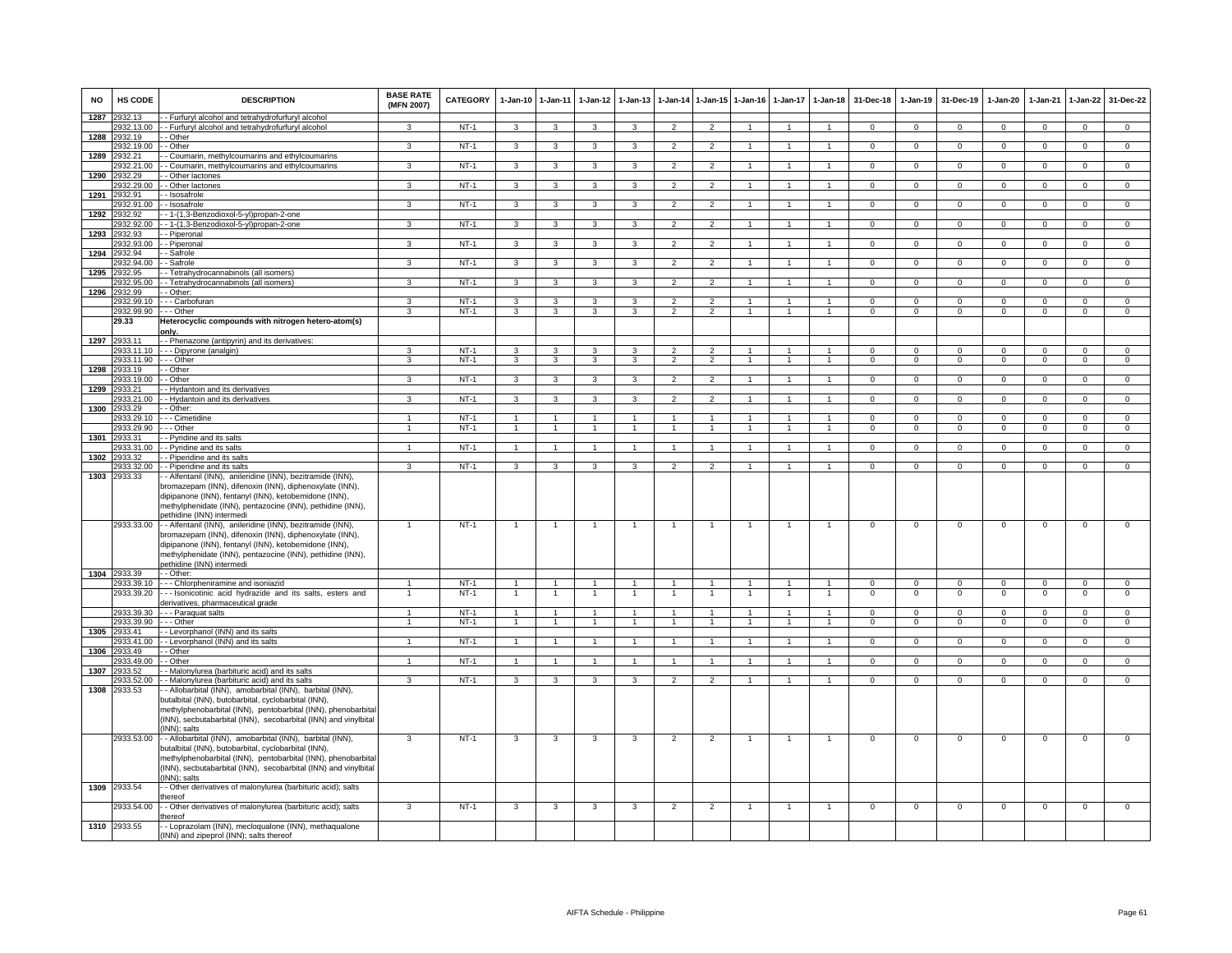| <b>NO</b> | HS CODE                    | <b>DESCRIPTION</b>                                                                                                                                                                                                                                                       | <b>BASE RATE</b><br>(MFN 2007) | <b>CATEGORY</b> | 1-Jan-10                | $1 - Jan-11$            | $1-Jan-12$              | $1 - Jan-13$            | $1-Jan-14$     | 1-Jan-15 1-Jan-16   |                      | $1-Jan-17$           | $1 - Jan-18$   | 31-Dec-18      | $1-Jan-19$     | 31-Dec-19      | $1-Jan-20$     | $1-Jan-21$     | $1-Jan-22$     | 31-Dec-22      |
|-----------|----------------------------|--------------------------------------------------------------------------------------------------------------------------------------------------------------------------------------------------------------------------------------------------------------------------|--------------------------------|-----------------|-------------------------|-------------------------|-------------------------|-------------------------|----------------|---------------------|----------------------|----------------------|----------------|----------------|----------------|----------------|----------------|----------------|----------------|----------------|
| 1287      | 2932.13                    | - Furfuryl alcohol and tetrahydrofurfuryl alcohol                                                                                                                                                                                                                        |                                |                 |                         |                         |                         |                         |                |                     |                      |                      |                |                |                |                |                |                |                |                |
|           | 2932.13.00                 | - Furfuryl alcohol and tetrahydrofurfuryl alcohol                                                                                                                                                                                                                        | $\mathbf{R}$                   | NT-1            | $\mathbf{3}$            | $\mathbf{3}$            | 3                       | $\mathbf{R}$            | $\overline{2}$ | $\Omega$            |                      |                      | $\overline{1}$ | $\Omega$       | $^{\circ}$     | $\overline{0}$ | $\Omega$       | $^{\circ}$     | $\mathbf{0}$   | $\mathbf{0}$   |
|           | 1288 2932.19<br>2932.19.00 | - Other<br>- Other                                                                                                                                                                                                                                                       | $\mathbf{3}$                   | $NT-1$          |                         | $\mathbf{3}$            |                         | 3                       | $\overline{2}$ | $\overline{2}$      |                      | $\mathbf{1}$         | $\mathbf{1}$   | $\mathbf 0$    | $^{\circ}$     | $\mathbf{0}$   | $\mathbf{0}$   | $\mathbf{0}$   | $\overline{0}$ | $\overline{0}$ |
| 1289      | 2932.21                    | - Coumarin, methylcoumarins and ethylcoumarins                                                                                                                                                                                                                           |                                |                 | 3                       |                         | $\mathbf{3}$            |                         |                |                     |                      |                      |                |                |                |                |                |                |                |                |
|           | 932.21.00                  | - Coumarin, methylcoumarins and ethylcoumarins                                                                                                                                                                                                                           | 3                              | $NT-1$          | 3                       | 3                       | 3                       | 3                       | $\overline{2}$ | $\overline{2}$      |                      |                      | $\overline{1}$ | $\mathbf 0$    | $\mathbf 0$    | $\mathbf 0$    | $\mathbf{O}$   | $\mathbf 0$    | $\circ$        | $\overline{0}$ |
| 1290      | 2932.29                    | Other lactones                                                                                                                                                                                                                                                           |                                |                 |                         |                         |                         |                         |                |                     |                      |                      |                |                |                |                |                |                |                |                |
|           | 2932.29.00                 | - Other lactones                                                                                                                                                                                                                                                         | 3                              | $NT-1$          | $\mathbf{3}$            | $\mathbf{3}$            | $\mathbf{3}$            | $\mathbf{3}$            | $\overline{2}$ | $\overline{2}$      | $\mathbf{1}$         |                      | $\overline{1}$ | $\mathbf{0}$   | $\mathbf{0}$   | $\mathbf 0$    | $\Omega$       | $\mathbf 0$    | $\circ$        | $\mathbf{0}$   |
| 1291      | 2932.91                    | - Isosafrole                                                                                                                                                                                                                                                             |                                |                 |                         |                         |                         |                         |                |                     |                      |                      |                |                |                |                |                |                |                |                |
|           | 2932.91.00                 | - Isosafrole                                                                                                                                                                                                                                                             | $\mathbf{3}$                   | $NT-1$          | $\mathbf{3}$            | 3                       | $\overline{\mathbf{3}}$ | 3                       | $\overline{2}$ | $\overline{2}$      | $\mathbf{1}$         | $\overline{1}$       | $\overline{1}$ | $\Omega$       | $\mathbf 0$    | $\mathbf{0}$   | $\Omega$       | $\mathbf{0}$   | $\overline{0}$ | $\overline{0}$ |
| 1292      | 2932.92                    | - 1-(1,3-Benzodioxol-5-yl)propan-2-one                                                                                                                                                                                                                                   | $\overline{3}$                 |                 |                         |                         |                         | $\overline{\mathbf{3}}$ |                |                     |                      |                      |                |                |                |                |                |                |                |                |
|           | 2932.92.00<br>2932.93      | - 1-(1,3-Benzodioxol-5-yl)propan-2-one                                                                                                                                                                                                                                   |                                | $NT-1$          | $\overline{\mathbf{3}}$ | 3                       | 3                       |                         | $\overline{2}$ | $\overline{2}$      |                      |                      | $\mathbf{1}$   | $\overline{0}$ | $\overline{0}$ | $\overline{0}$ | $\overline{0}$ | $\overline{0}$ | $\overline{0}$ | $\overline{0}$ |
| 1293      | 2932.93.00                 | - Piperonal<br>- Piperonal                                                                                                                                                                                                                                               | 3                              | NT-1            | $\mathbf{3}$            | $\mathbf{3}$            | $\mathbf{3}$            | 3                       | $\overline{2}$ | $\overline{2}$      | $\overline{1}$       |                      | $\overline{1}$ | $\overline{0}$ | $\mathbf{0}$   | $\mathbf 0$    | $\mathbf{0}$   | $\mathbf{0}$   | $\mathbf{0}$   | $\overline{0}$ |
|           | 1294 2932.94               | - Safrole                                                                                                                                                                                                                                                                |                                |                 |                         |                         |                         |                         |                |                     |                      |                      |                |                |                |                |                |                |                |                |
|           | 2932.94.00                 | - Safrole                                                                                                                                                                                                                                                                | $\mathbf{3}$                   | $NT-1$          | $\mathbf{3}$            | $\mathbf{3}$            | 3                       | $\mathbf{3}$            | $\overline{2}$ | $\overline{2}$      | $\mathbf{1}$         | $\overline{1}$       | $\overline{1}$ | $\overline{0}$ | $\overline{0}$ | $\overline{0}$ | $\mathbf{0}$   | $\overline{0}$ | $\overline{0}$ | $\overline{0}$ |
| 1295      | 2932.95                    | - Tetrahydrocannabinols (all isomers)                                                                                                                                                                                                                                    |                                |                 |                         |                         |                         |                         |                |                     |                      |                      |                |                |                |                |                |                |                |                |
|           | 2932.95.00                 | - Tetrahydrocannabinols (all isomers)                                                                                                                                                                                                                                    | 3                              | $NT-1$          | $\overline{3}$          | $\overline{3}$          | $\overline{3}$          | 3                       | $\overline{2}$ | $\overline{2}$      | $\mathbf{1}$         | $\overline{1}$       | $\overline{1}$ | $\overline{0}$ | $\overline{0}$ | $\overline{0}$ | $\overline{0}$ | $\overline{0}$ | $\overline{0}$ | $\overline{0}$ |
| 1296      | 2932.99                    | - Other:                                                                                                                                                                                                                                                                 |                                |                 |                         |                         |                         |                         |                |                     |                      |                      |                |                |                |                |                |                |                |                |
|           | 2932.99.10                 | - - Carbofuran                                                                                                                                                                                                                                                           | 3                              | $NT-1$          | 3                       | 3                       | 3                       | 3                       | $\overline{2}$ | 2<br>$\overline{2}$ |                      |                      | $\overline{1}$ | $^{\circ}$     | $^{\circ}$     | $\mathbf 0$    | $\mathbf 0$    | $^{\circ}$     | $\mathbf{0}$   | $\mathbf 0$    |
|           | 2932.99.90<br>29.33        | - - Other                                                                                                                                                                                                                                                                | $\mathbf{3}$                   | $NT-1$          | $\mathbf{3}$            | $\overline{3}$          | $\mathbf{3}$            | $\mathbf{3}$            | $\overline{2}$ |                     | $\mathbf{1}$         | $\mathbf{1}$         | $\overline{1}$ | $\Omega$       | $\mathbf 0$    | $\mathbf{0}$   | 0              | $\mathbf{0}$   | $\mathbf 0$    | $\mathbf 0$    |
|           |                            | Heterocyclic compounds with nitrogen hetero-atom(s)<br>only.                                                                                                                                                                                                             |                                |                 |                         |                         |                         |                         |                |                     |                      |                      |                |                |                |                |                |                |                |                |
|           | 1297 2933.11               | - Phenazone (antipyrin) and its derivatives:                                                                                                                                                                                                                             |                                |                 |                         |                         |                         |                         |                |                     |                      |                      |                |                |                |                |                |                |                |                |
|           | 2933.11.10                 | - - Dipyrone (analgin)                                                                                                                                                                                                                                                   | 3                              | $NT-1$          | 3                       | $\mathbf{3}$            | 3                       | 3                       | $\overline{2}$ | $\overline{2}$      |                      |                      |                | $\Omega$       | $\Omega$       | $\Omega$       | $\Omega$       | $\Omega$       | $\Omega$       | $\Omega$       |
|           | 2933.11.90                 | $-$ Other                                                                                                                                                                                                                                                                | 3                              | $NT-1$          | $\overline{3}$          | 3                       | 3                       | 3                       | $\overline{2}$ | $\overline{2}$      |                      |                      |                | $\Omega$       | $\Omega$       | $\Omega$       | $\Omega$       | $\Omega$       | $\overline{0}$ | $\overline{0}$ |
|           | 1298 2933.19               | - Other                                                                                                                                                                                                                                                                  |                                |                 |                         |                         |                         |                         |                |                     |                      |                      |                |                |                |                |                |                |                |                |
|           | 2933.19.00                 | - Other                                                                                                                                                                                                                                                                  | 3                              | $NT-1$          | 3                       | $\mathbf{3}$            | 3                       | 3                       | $\overline{2}$ | 2                   |                      |                      | $\overline{1}$ | $\mathbf{0}$   | $^{\circ}$     | $\mathbf{0}$   | $\mathbf{0}$   | $^{\circ}$     | $\mathbf{0}$   | $\mathbf{0}$   |
|           | 1299 2933.21               | - Hydantoin and its derivatives<br>- Hydantoin and its derivatives                                                                                                                                                                                                       | з                              | $NT-1$          | 3                       |                         | $\mathbf{3}$            | 3                       | $\mathcal{P}$  | $\mathcal{P}$       | $\overline{1}$       |                      | $\overline{1}$ | $\mathbf{0}$   | $\Omega$       | $\mathbf{0}$   | $\Omega$       | $\Omega$       | $\mathbf{0}$   | $\overline{0}$ |
| 1300      | 933.21.00<br>2933.29       | - Other:                                                                                                                                                                                                                                                                 |                                |                 |                         | 3                       |                         |                         |                |                     |                      |                      |                |                |                |                |                |                |                |                |
|           | 2933.29.10                 | - - Cimetidine                                                                                                                                                                                                                                                           |                                | $NT-1$          | $\mathbf{1}$            | $\mathbf{1}$            |                         |                         |                |                     |                      |                      |                | $\Omega$       | $\mathsf 0$    | $\mathbf 0$    | $\mathbf 0$    | $\Omega$       | $\mathbf 0$    | $\overline{0}$ |
|           | 2933.29.90                 | - - Other                                                                                                                                                                                                                                                                | $\overline{1}$                 | $NT-1$          | $\overline{1}$          | $\overline{1}$          | $\overline{1}$          | $\mathbf{1}$            | $\overline{1}$ | $\overline{1}$      | $\overline{1}$       |                      | $\overline{1}$ | $\mathbf 0$    | $\mathbf 0$    | $\mathbf 0$    | $\Omega$       | $\mathbf 0$    | $\mathbf{0}$   | $\mathbf 0$    |
| 1301      | 2933.31                    | - Pyridine and its salts                                                                                                                                                                                                                                                 |                                |                 |                         |                         |                         |                         |                |                     |                      |                      |                |                |                |                |                |                |                |                |
|           | 2933.31.00                 | - Pyridine and its salts                                                                                                                                                                                                                                                 | $\overline{1}$                 | $NT-1$          | $\overline{1}$          | $\overline{1}$          | $\overline{1}$          | $\overline{1}$          | $\overline{1}$ | $\overline{1}$      | $\mathbf{1}$         | $\overline{1}$       | $\overline{1}$ | $\overline{0}$ | $\overline{0}$ | $\mathbf 0$    | $\Omega$       | $\Omega$       | $\overline{0}$ | $\overline{0}$ |
| 1302      | 2933.32<br>2933.32.00      | - Piperidine and its salts<br>- Piperidine and its salts                                                                                                                                                                                                                 | 3                              | $NT-1$          | $\overline{3}$          | $\overline{\mathbf{3}}$ | $\overline{\mathbf{3}}$ | 3                       | $\overline{2}$ | $\overline{2}$      |                      |                      | $\overline{1}$ | $\overline{0}$ | $\overline{0}$ | $\overline{0}$ | $\overline{0}$ | $\overline{0}$ | $\overline{0}$ | $\overline{0}$ |
| 1303      | 2933.33                    | - Alfentanil (INN), anileridine (INN), bezitramide (INN),                                                                                                                                                                                                                |                                |                 |                         |                         |                         |                         |                |                     |                      |                      |                |                |                |                |                |                |                |                |
|           |                            | bromazepam (INN), difenoxin (INN), diphenoxylate (INN),<br>dipipanone (INN), fentanyl (INN), ketobemidone (INN),<br>methylphenidate (INN), pentazocine (INN), pethidine (INN),<br>ethidine (INN) intermedi                                                               |                                |                 |                         |                         |                         |                         |                |                     |                      |                      |                |                |                |                |                |                |                |                |
|           | 2933.33.00<br>1304 2933.39 | - Alfentanil (INN), anileridine (INN), bezitramide (INN),<br>bromazepam (INN), difenoxin (INN), diphenoxylate (INN),<br>dipipanone (INN), fentanyl (INN), ketobemidone (INN),<br>methylphenidate (INN), pentazocine (INN), pethidine (INN),<br>bethidine (INN) intermedi |                                | $NT-1$          | $\overline{1}$          | $\overline{1}$          | $\overline{1}$          | $\mathbf{1}$            | $\overline{1}$ | $\overline{1}$      | $\mathbf{1}$         | $\overline{1}$       | $\mathbf{1}$   | $\overline{0}$ | $\overline{0}$ | $\overline{0}$ | $\overline{0}$ | $\overline{0}$ | $\overline{0}$ | $\overline{0}$ |
|           | 2933.39.10                 | - Other:<br>- - Chlorpheniramine and isoniazid                                                                                                                                                                                                                           | $\mathbf{1}$                   | $NT-1$          | $\overline{1}$          | $\overline{1}$          | $\overline{1}$          | $\mathbf{1}$            | $\overline{1}$ | $\overline{1}$      | $\blacktriangleleft$ | $\blacktriangleleft$ | $\overline{1}$ | $\overline{0}$ | $\overline{0}$ | $\Omega$       | $\overline{0}$ | $\Omega$       | $\overline{0}$ | $\overline{0}$ |
|           | 2933.39.20                 | -- Isonicotinic acid hydrazide and its salts, esters and                                                                                                                                                                                                                 |                                | $NT-1$          |                         | $\mathbf{1}$            |                         |                         |                |                     |                      |                      |                | $\mathbf 0$    | $\mathbf 0$    | $\mathbf 0$    | $\mathbf 0$    | $\Omega$       | $\mathbf 0$    | $\mathsf 0$    |
|           |                            | derivatives, pharmaceutical grade                                                                                                                                                                                                                                        |                                |                 |                         |                         |                         |                         |                |                     |                      |                      |                |                |                |                |                |                |                |                |
|           | 2933.39.30                 | - - Paraquat salts                                                                                                                                                                                                                                                       |                                | $NT-1$          | $\overline{1}$          | $\overline{1}$          | $\blacktriangleleft$    |                         | $\overline{1}$ | $\overline{1}$      |                      |                      | $\overline{1}$ | $\Omega$       | $\mathsf 0$    | $\Omega$       | $\Omega$       | $\Omega$       | $\mathbf 0$    | $\mathbf 0$    |
|           | 2933.39.90                 | - - Other                                                                                                                                                                                                                                                                | $\mathbf{1}$                   | $NT-1$          | $\mathbf{1}$            | $\overline{1}$          | $\mathbf{1}$            | $\overline{1}$          | $\overline{1}$ | $\mathbf{1}$        | $\mathbf{1}$         | 1                    | $\overline{1}$ | $\mathbf{0}$   | $^{\circ}$     | $\mathbf{0}$   | $\mathbf{0}$   | $\mathbf{0}$   | $\mathbf{0}$   | $\overline{0}$ |
|           | 1305 2933.41               | - Levorphanol (INN) and its salts                                                                                                                                                                                                                                        |                                |                 |                         |                         |                         |                         |                |                     |                      |                      | $\overline{1}$ | $\overline{0}$ |                |                |                |                |                |                |
| 1306      | 2933.41.00<br>2933.49      | - Levorphanol (INN) and its salts<br>- Other                                                                                                                                                                                                                             |                                | $NT-1$          | $\overline{1}$          | $\overline{1}$          | $\mathbf{1}$            | $\mathbf{1}$            | $\overline{1}$ | $\overline{1}$      | $\mathbf{1}$         | $\mathbf{1}$         |                |                | $\overline{0}$ | $\overline{0}$ | $\overline{0}$ | $\overline{0}$ | $\overline{0}$ | $\overline{0}$ |
|           | 2933.49.00                 | - Other                                                                                                                                                                                                                                                                  |                                | $NT-1$          | $\mathbf{1}$            | $\mathbf{1}$            | $\mathbf{1}$            |                         | 1              |                     |                      |                      | $\overline{1}$ | $\mathbf 0$    | $\mathbf 0$    | $\mathbf 0$    | $\mathbf 0$    | $\mathbf 0$    | $\mathbf 0$    | $\overline{0}$ |
| 1307      | 2933.52                    | - Malonylurea (barbituric acid) and its salts                                                                                                                                                                                                                            |                                |                 |                         |                         |                         |                         |                |                     |                      |                      |                |                |                |                |                |                |                |                |
|           | 2933.52.00                 | - Malonylurea (barbituric acid) and its salts                                                                                                                                                                                                                            | $\mathbf{3}$                   | $NT-1$          | 3                       | $\overline{3}$          | $\mathbf{3}$            | 3                       | $\overline{2}$ | $\overline{2}$      | $\mathbf{1}$         | 1                    | $\overline{1}$ | $\mathbf 0$    | $\Omega$       | $\Omega$       | $\Omega$       | $\Omega$       | $\mathbf 0$    | $\overline{0}$ |
|           | 1308 2933.53               | - Allobarbital (INN), amobarbital (INN), barbital (INN),<br>outalbital (INN), butobarbital, cyclobarbital (INN),<br>methylphenobarbital (INN), pentobarbital (INN), phenobarbital<br>(INN), secbutabarbital (INN), secobarbital (INN) and vinylbital<br>INN); salts      |                                |                 |                         |                         |                         |                         |                |                     |                      |                      |                |                |                |                |                |                |                |                |
|           | 2933.53.00                 | - Allobarbital (INN), amobarbital (INN), barbital (INN),<br>butalbital (INN), butobarbital, cyclobarbital (INN),<br>methylphenobarbital (INN), pentobarbital (INN), phenobarbital<br>(INN), secbutabarbital (INN), secobarbital (INN) and vinylbital<br>INN): salts      | $\mathbf{3}$                   | $NT-1$          | $\mathbf{3}$            | $\mathbf{3}$            | $\mathbf{3}$            | 3                       | $\overline{2}$ | $\overline{2}$      | $\overline{1}$       | $\mathbf{1}$         | $\overline{1}$ | $\mathbf 0$    | $\mathbf 0$    | $\mathbf{0}$   | $\Omega$       | $\mathbf 0$    | $\mathbf 0$    | $\Omega$       |
|           | 1309 2933.54               | - Other derivatives of malonylurea (barbituric acid); salts                                                                                                                                                                                                              |                                |                 |                         |                         |                         |                         |                |                     |                      |                      |                |                |                |                |                |                |                |                |
|           | 2933.54.00                 | hereof<br>- Other derivatives of malonylurea (barbituric acid); salts                                                                                                                                                                                                    | $\mathbf{3}$                   | $NT-1$          | $\mathbf{3}$            | $\mathbf{3}$            | $\mathbf{3}$            | 3                       | $\overline{2}$ | $\overline{2}$      | $\overline{1}$       | $\mathbf{1}$         | $\overline{1}$ | $\mathsf 0$    | $\mathsf 0$    | $\mathsf 0$    | $\mathsf 0$    | $\mathbf 0$    | $\mathbf 0$    | $\mathsf 0$    |
|           |                            | hereof                                                                                                                                                                                                                                                                   |                                |                 |                         |                         |                         |                         |                |                     |                      |                      |                |                |                |                |                |                |                |                |
|           | 1310 2933.55               | - Loprazolam (INN), mecloqualone (INN), methaqualone<br>INN) and zipeprol (INN); salts thereof                                                                                                                                                                           |                                |                 |                         |                         |                         |                         |                |                     |                      |                      |                |                |                |                |                |                |                |                |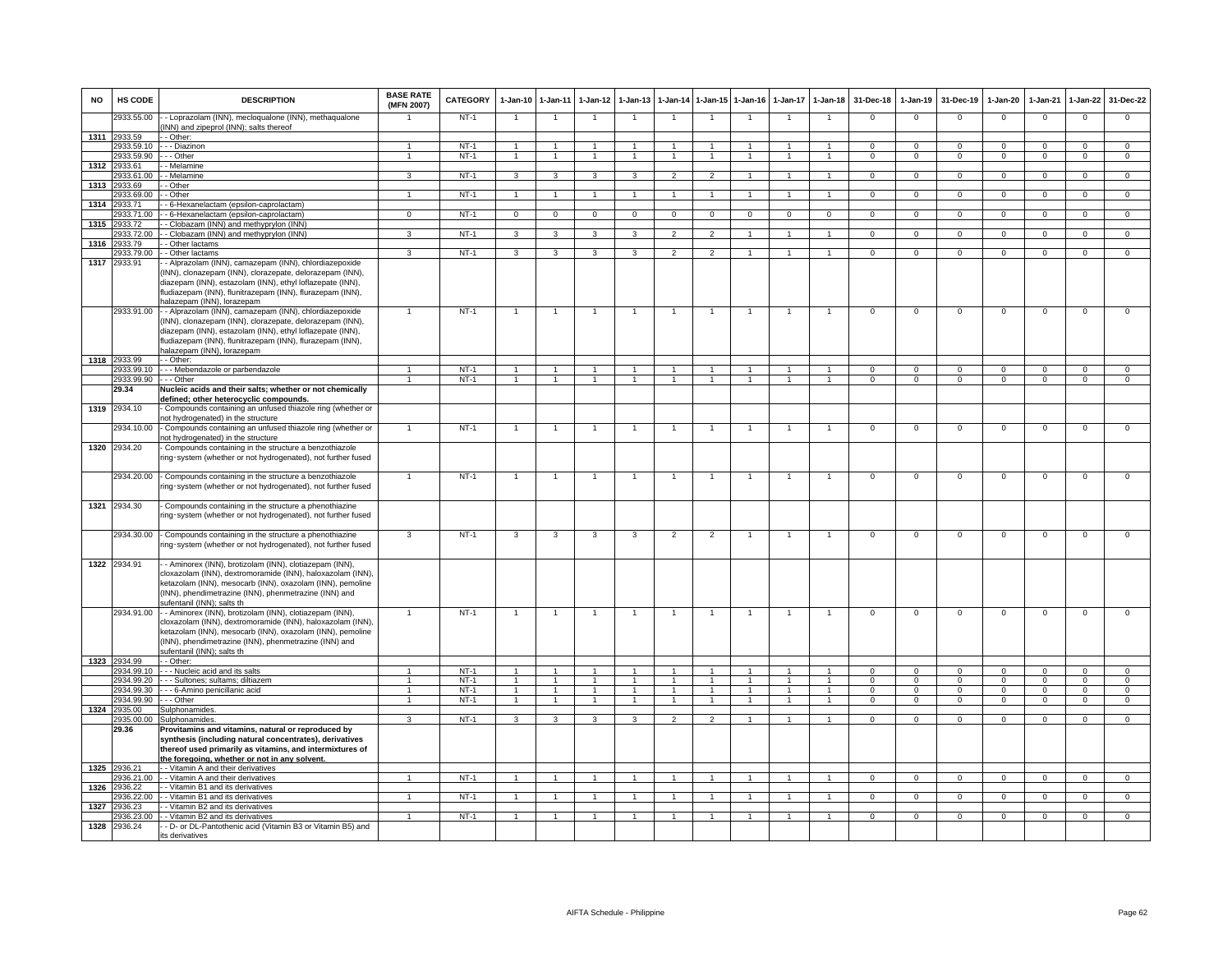| <b>NO</b> | HS CODE                    | <b>DESCRIPTION</b>                                                                                                                                                                                                                                                                     | <b>BASE RATE</b><br>(MFN 2007) | <b>CATEGORY</b>  |                | 1-Jan-10 1-Jan-11       | 1-Jan-12             | $1 - Jan-13$            | 1-Jan-14                 |                      | 1-Jan-15 1-Jan-16 |                | 1-Jan-17 1-Jan-18    | 31-Dec-18                | $1-Jan-19$               | 31-Dec-19                | 1-Jan-20                 | 1-Jan-21                | 1-Jan-22                | 31-Dec-22                |
|-----------|----------------------------|----------------------------------------------------------------------------------------------------------------------------------------------------------------------------------------------------------------------------------------------------------------------------------------|--------------------------------|------------------|----------------|-------------------------|----------------------|-------------------------|--------------------------|----------------------|-------------------|----------------|----------------------|--------------------------|--------------------------|--------------------------|--------------------------|-------------------------|-------------------------|--------------------------|
|           | 2933.55.00                 | - Loprazolam (INN), mecloqualone (INN), methaqualone<br>INN) and zipeprol (INN); salts thereof                                                                                                                                                                                         |                                | $NT-1$           | $\mathbf{1}$   | $\overline{1}$          |                      | $\overline{1}$          | $\mathbf{1}$             | $\overline{1}$       | $\mathbf{1}$      | $\overline{1}$ | $\overline{1}$       | $\mathbf 0$              | $\Omega$                 | $\Omega$                 | $\Omega$                 | $\overline{0}$          | $\overline{0}$          | $\overline{0}$           |
| 1311      | 2933.59<br>2933.59.10      | - Other:<br>-- Diazinon                                                                                                                                                                                                                                                                | $\overline{1}$                 | $NT-1$           | $\overline{1}$ | $\overline{1}$          |                      |                         |                          | $\mathbf{1}$         |                   |                |                      | $\Omega$                 | $\mathbf 0$              | $\Omega$                 | $\mathbf{0}$             | $\Omega$                | $^{\circ}$              | $\Omega$                 |
|           | 2933.59.90                 | - - Other                                                                                                                                                                                                                                                                              | $\overline{1}$                 | $NT-1$           | $\overline{1}$ | $\overline{1}$          | $\overline{1}$       | $\overline{1}$          | $\overline{1}$           | $\overline{1}$       | $\overline{1}$    | $\overline{1}$ | $\mathbf{1}$         | $\Omega$                 | $\mathbf 0$              | $\Omega$                 | $\mathbf{0}$             | $\Omega$                | $\mathbf{0}$            | $\overline{0}$           |
| 1312      | 2933.61                    | - Melamine                                                                                                                                                                                                                                                                             |                                |                  |                |                         |                      |                         |                          |                      |                   |                |                      |                          |                          |                          |                          |                         |                         |                          |
|           | 933.61.00                  | - Melamine                                                                                                                                                                                                                                                                             | 3                              | $NT-1$           | $\mathbf{3}$   | $\overline{\mathbf{3}}$ | $\mathbf{3}$         | $\mathbf{3}$            | $\mathfrak{p}$           | $\overline{2}$       | $\overline{1}$    |                | $\mathbf{1}$         | $\Omega$                 | $\overline{0}$           | $\Omega$                 | $\overline{0}$           | $\overline{0}$          | $\overline{0}$          | $\overline{0}$           |
| 1313      | 933.69                     | - Other                                                                                                                                                                                                                                                                                |                                |                  |                |                         |                      |                         |                          |                      |                   |                |                      |                          |                          |                          |                          |                         |                         |                          |
| 1314      | 933.69.00<br>2933.71       | - Other                                                                                                                                                                                                                                                                                | $\mathbf{1}$                   | $NT-1$           |                | $\overline{1}$          | $\blacktriangleleft$ |                         |                          | $\blacktriangleleft$ |                   |                |                      | 0                        | $\mathbf 0$              | $^{\circ}$               | $\mathbf{0}$             | $\mathbf 0$             | $\mathbf 0$             | $\mathbf{O}$             |
|           | 2933.71.00                 | - 6-Hexanelactam (epsilon-caprolactam)<br>- 6-Hexanelactam (epsilon-caprolactam)                                                                                                                                                                                                       | $\overline{0}$                 | $NT-1$           | $\overline{0}$ | $\overline{0}$          | $\overline{0}$       | $\overline{0}$          | $\overline{0}$           | $\overline{0}$       | $\overline{0}$    | $\overline{0}$ | $\overline{0}$       | $\overline{0}$           | $\overline{0}$           | $\overline{0}$           | $\overline{0}$           | $\overline{0}$          | $\overline{0}$          | $\overline{0}$           |
| 1315      | 2933.72                    | - Clobazam (INN) and methyprylon (INN)                                                                                                                                                                                                                                                 |                                |                  |                |                         |                      |                         |                          |                      |                   |                |                      |                          |                          |                          |                          |                         |                         |                          |
|           | 2933.72.00                 | - Clobazam (INN) and methyprylon (INN)                                                                                                                                                                                                                                                 | 3                              | $NT-1$           | 3              | $\overline{\mathbf{3}}$ | 3                    | 3                       | $\mathcal{P}$            | $\overline{2}$       |                   |                | $\overline{1}$       | $\Omega$                 | $\overline{0}$           | $\Omega$                 | $\overline{0}$           | $\overline{0}$          | $\overline{0}$          | $\overline{0}$           |
| 1316      | 2933.79                    | - Other lactams<br>- Other lactams                                                                                                                                                                                                                                                     | 3                              | $NT-1$           | $\mathbf{3}$   | 3                       | $\mathbf{3}$         | 3                       | $\overline{2}$           | $\mathfrak{p}$       |                   |                |                      | $\Omega$                 | $\Omega$                 | $\Omega$                 | $\Omega$                 | $\Omega$                | $\Omega$                | $\overline{0}$           |
| 1317      | 2933.79.00<br>2933.91      | - Alprazolam (INN), camazepam (INN), chlordiazepoxide<br>(INN), clonazepam (INN), clorazepate, delorazepam (INN),<br>diazepam (INN), estazolam (INN), ethyl loflazepate (INN),<br>fludiazepam (INN), flunitrazepam (INN), flurazepam (INN),<br>nalazepam (INN), lorazepam              |                                |                  |                |                         |                      |                         |                          |                      |                   |                |                      |                          |                          |                          |                          |                         |                         |                          |
|           | 2933.91.00                 | - - Alprazolam (INN), camazepam (INN), chlordiazepoxide<br>(INN), clonazepam (INN), clorazepate, delorazepam (INN),<br>diazepam (INN), estazolam (INN), ethyl loflazepate (INN),<br>fludiazepam (INN), flunitrazepam (INN), flurazepam (INN),<br>halazepam (INN), lorazepam            |                                | $NT-1$           | $\mathbf{1}$   | $\overline{1}$          | $\overline{1}$       |                         |                          | $\overline{1}$       |                   | $\overline{1}$ | $\mathbf{1}$         | $\mathbf 0$              | $\mathsf 0$              | $\mathbf 0$              | $\mathsf 0$              | $\mathbf 0$             | $\mathbf 0$             | $\mathsf 0$              |
|           | 1318 2933.99               | - Other:                                                                                                                                                                                                                                                                               |                                |                  |                |                         |                      |                         |                          |                      |                   |                |                      |                          |                          |                          |                          |                         |                         |                          |
|           | 2933.99.90 --- Other       | 2933.99.10 - - - Mebendazole or parbendazole                                                                                                                                                                                                                                           | $\overline{1}$                 | $NT-1$<br>$NT-1$ | $\overline{1}$ | $\overline{1}$          | $\overline{1}$       | $\blacktriangleleft$    | $\overline{1}$           | $\overline{1}$       |                   | $\overline{1}$ |                      | $\Omega$<br>$\mathbf{0}$ | $\Omega$<br>$\mathbf{0}$ | $\Omega$<br>$\mathbf{0}$ | $\Omega$<br>$\mathbf{0}$ | $\Omega$<br>$\mathbf 0$ | $\Omega$<br>$\mathbf 0$ | $\Omega$<br>$\mathbf{0}$ |
|           | 29.34                      | Nucleic acids and their salts; whether or not chemically                                                                                                                                                                                                                               |                                |                  |                |                         |                      |                         |                          |                      |                   |                |                      |                          |                          |                          |                          |                         |                         |                          |
| 1319      | 2934.10                    | defined; other heterocyclic compounds.<br>Compounds containing an unfused thiazole ring (whether or<br>not hydrogenated) in the structure                                                                                                                                              |                                |                  |                |                         |                      |                         |                          |                      |                   |                |                      |                          |                          |                          |                          |                         |                         |                          |
|           | 2934.10.00                 | Compounds containing an unfused thiazole ring (whether or<br>not hydrogenated) in the structure                                                                                                                                                                                        |                                | $NT-1$           |                |                         |                      |                         |                          | $\overline{1}$       |                   | $\mathbf{1}$   | 1                    | $\mathbf 0$              | $\mathbf 0$              | $\Omega$                 | $\mathbf 0$              | $\mathbf 0$             | $\mathbf{0}$            | $\mathsf 0$              |
| 1320      | 2934.20                    | Compounds containing in the structure a benzothiazole<br>ing-system (whether or not hydrogenated), not further fused                                                                                                                                                                   |                                |                  |                |                         |                      |                         |                          |                      |                   |                |                      |                          |                          |                          |                          |                         |                         |                          |
|           | 2934.20.00                 | - Compounds containing in the structure a benzothiazole<br>ing-system (whether or not hydrogenated), not further fused                                                                                                                                                                 |                                | $NT-1$           |                | $\overline{1}$          |                      | $\mathbf{1}$            |                          | $\overline{1}$       | -1                | $\overline{1}$ | $\overline{1}$       | $\mathbf 0$              | $\mathsf 0$              | $\mathbf 0$              | $\mathsf 0$              | $\mathbf 0$             | $\mathbf 0$             | $\overline{0}$           |
|           | 1321 2934.30               | Compounds containing in the structure a phenothiazine<br>ing-system (whether or not hydrogenated), not further fused                                                                                                                                                                   |                                |                  |                |                         |                      |                         |                          |                      |                   |                |                      |                          |                          |                          |                          |                         |                         |                          |
|           | 2934.30.00                 | - Compounds containing in the structure a phenothiazine<br>ing-system (whether or not hydrogenated), not further fused                                                                                                                                                                 | $\mathbf{3}$                   | $NT-1$           | 3              | $\mathbf{3}$            | 3                    | 3                       | $\overline{2}$           | $\overline{2}$       | $\mathbf{1}$      | $\overline{1}$ | $\mathbf{1}$         | $\mathbf{0}$             | $\mathbf{0}$             | $\mathbf{0}$             | $\mathbf 0$              | $\overline{0}$          | $\overline{0}$          | $\overline{0}$           |
|           | 1322 2934.91               | - Aminorex (INN), brotizolam (INN), clotiazepam (INN),<br>cloxazolam (INN), dextromoramide (INN), haloxazolam (INN).<br>ketazolam (INN), mesocarb (INN), oxazolam (INN), pemoline<br>(INN), phendimetrazine (INN), phenmetrazine (INN) and<br>sufentanil (INN): salts th               |                                |                  |                |                         |                      |                         |                          |                      |                   |                |                      |                          |                          |                          |                          |                         |                         |                          |
|           | 2934.91.00<br>1323 2934.99 | - - Aminorex (INN), brotizolam (INN), clotiazepam (INN),<br>cloxazolam (INN), dextromoramide (INN), haloxazolam (INN).<br>ketazolam (INN), mesocarb (INN), oxazolam (INN), pemoline<br>(INN), phendimetrazine (INN), phenmetrazine (INN) and<br>sufentanil (INN); salts th<br>- Other: | $\mathbf{1}$                   | $NT-1$           | $\overline{1}$ | $\overline{1}$          | $\overline{1}$       | $\overline{1}$          | $\overline{1}$           | $\overline{1}$       | $\overline{1}$    | $\overline{1}$ | $\overline{1}$       | $\mathbf 0$              | $\mathsf 0$              | $\mathbf 0$              | $\mathsf 0$              | $\mathbf 0$             | $\mathbf 0$             | $\mathbf{O}$             |
|           | 934.99.10                  | - - Nucleic acid and its salts                                                                                                                                                                                                                                                         |                                | $NT-1$           |                |                         |                      |                         |                          |                      |                   |                |                      | $\Omega$                 | $\Omega$                 | $\Omega$                 | $\Omega$                 | $\Omega$                | $\Omega$                | $\Omega$                 |
|           | 934.99.20                  | - - - Sultones; sultams; diltiazem                                                                                                                                                                                                                                                     |                                | $NT-1$           |                |                         |                      |                         |                          |                      |                   |                |                      | $\circ$                  | $\mathbf 0$              |                          | 0                        | $\mathbf 0$             | $\mathbf 0$             | $\mathbf 0$              |
|           | 934.99.30                  | -- 6-Amino penicillanic acid                                                                                                                                                                                                                                                           | $\mathbf{1}$                   | $NT-1$           | $\overline{1}$ | $\overline{1}$          | $\overline{1}$       | $\mathbf{1}$            |                          | $\blacktriangleleft$ | $\mathbf{1}$      |                | $\overline{1}$       | $\Omega$                 | $\Omega$                 |                          | $\mathbf 0$              | $\Omega$                | $\Omega$                | $\Omega$                 |
| 1324      | 2934.99.90<br>2935.00      | · - - Other                                                                                                                                                                                                                                                                            | $\overline{1}$                 | $NT-1$           | $\overline{1}$ | $\overline{1}$          | $\overline{1}$       | $\overline{1}$          | $\overline{1}$           | $\overline{1}$       | $\overline{1}$    | $\overline{1}$ | $\blacktriangleleft$ | $\Omega$                 | $\Omega$                 | $\Omega$                 | $\Omega$                 | $\overline{0}$          | $\overline{0}$          | $\overline{0}$           |
|           | 2935.00.00                 | Sulphonamides<br>Sulphonamides                                                                                                                                                                                                                                                         | $\overline{3}$                 | $NT-1$           | $\overline{3}$ | $\overline{\mathbf{3}}$ | 3                    | $\overline{\mathbf{3}}$ | $\overline{\phantom{a}}$ | $\overline{2}$       | $\overline{1}$    | $\mathbf{1}$   | $\mathbf{1}$         | $\Omega$                 | $\Omega$                 | $\Omega$                 | $\Omega$                 | $\Omega$                | $\overline{0}$          | $\overline{0}$           |
|           | 29.36                      | Provitamins and vitamins, natural or reproduced by<br>synthesis (including natural concentrates), derivatives<br>thereof used primarily as vitamins, and intermixtures of<br>the foregoing, whether or not in any solvent.                                                             |                                |                  |                |                         |                      |                         |                          |                      |                   |                |                      |                          |                          |                          |                          |                         |                         |                          |
|           | 1325 2936.21               | - - Vitamin A and their derivatives                                                                                                                                                                                                                                                    |                                |                  |                |                         |                      |                         |                          |                      |                   |                |                      |                          |                          |                          |                          |                         |                         |                          |
| 1326      | 2936.21.00<br>2936.22      | - Vitamin A and their derivatives<br>- Vitamin B1 and its derivatives                                                                                                                                                                                                                  | $\mathbf{1}$                   | $NT-1$           | $\overline{1}$ | $\overline{1}$          | $\overline{1}$       | $\overline{1}$          | $\overline{1}$           | $\overline{1}$       | $\overline{1}$    | $\mathbf{1}$   | $\blacktriangleleft$ | $\mathbf{0}$             | $\mathbf{0}$             | $\Omega$                 | $\mathbf{0}$             | $\overline{0}$          | $\overline{0}$          | $\mathbf{0}$             |
|           | 2936.22.00                 | - Vitamin B1 and its derivatives                                                                                                                                                                                                                                                       |                                | $NT-1$           |                |                         |                      |                         |                          |                      |                   |                |                      | $\mathbf 0$              | $\mathbf 0$              | $\mathbf 0$              | $\mathbf{0}$             | $\mathbf 0$             | $\mathbf 0$             | $\mathbf{O}$             |
| 1327      | 2936.23                    | - Vitamin B2 and its derivatives                                                                                                                                                                                                                                                       |                                |                  |                |                         |                      |                         |                          |                      |                   |                |                      |                          |                          |                          |                          |                         |                         |                          |
|           | 2936.23.00                 | - Vitamin B2 and its derivatives                                                                                                                                                                                                                                                       | $\mathbf{1}$                   | $NT-1$           |                | $\blacktriangleleft$    | $\overline{1}$       |                         | $\mathbf{1}$             |                      |                   |                |                      | $\circ$                  | $\Omega$                 | $\Omega$                 | 0                        | $\mathbf 0$             | 0                       | $\overline{0}$           |
| 1328      | 2936.24                    | - D- or DL-Pantothenic acid (Vitamin B3 or Vitamin B5) and<br>its derivatives                                                                                                                                                                                                          |                                |                  |                |                         |                      |                         |                          |                      |                   |                |                      |                          |                          |                          |                          |                         |                         |                          |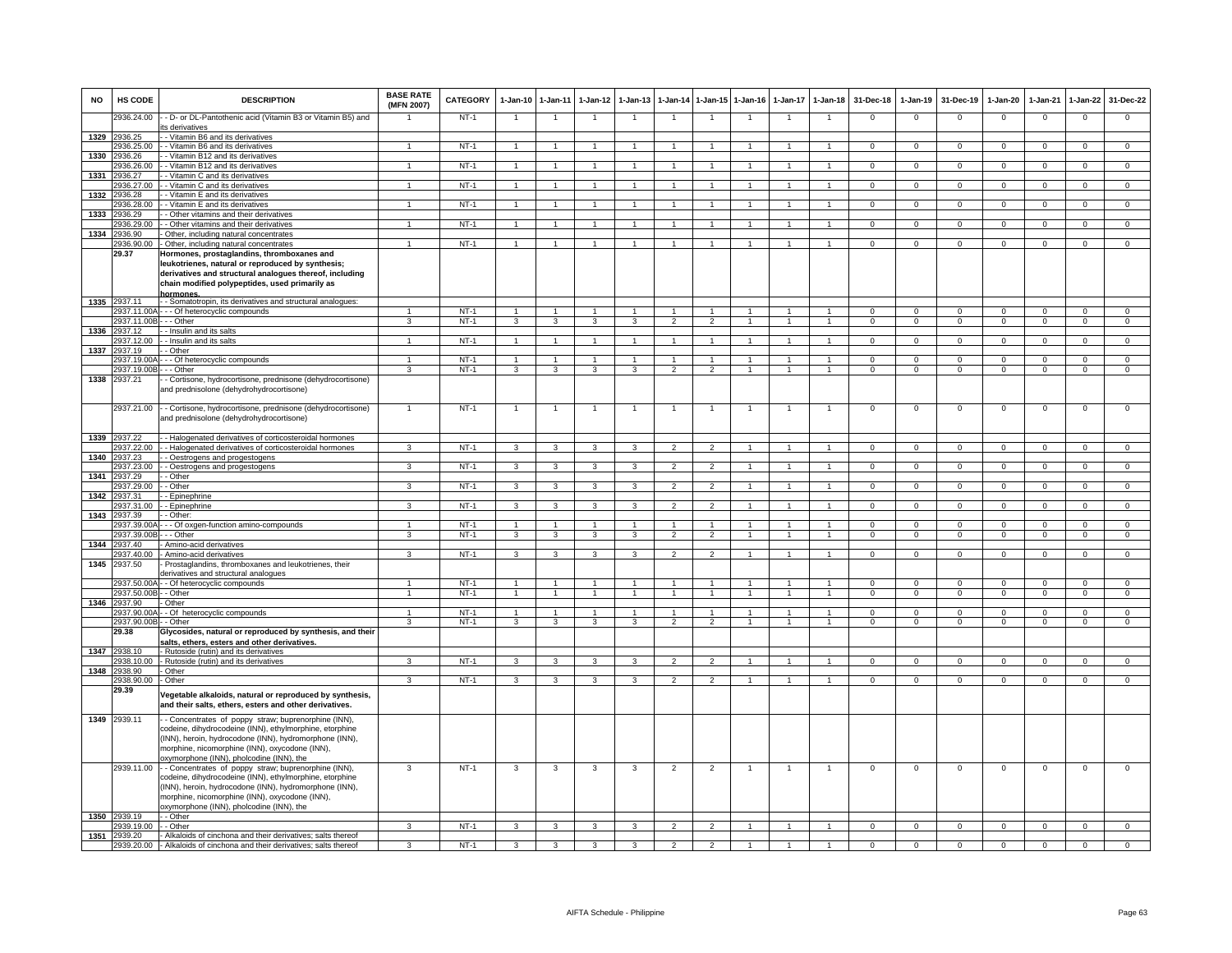| <b>NO</b> | HS CODE                                 | <b>DESCRIPTION</b>                                                                                                                                                                                                                                                                                                                                                                                  | <b>BASE RATE</b><br>(MFN 2007) | CATEGORY         | $1 - Jan-10$   | 1-Jan-11                | $1-Jan-12$              | $1-Jan-13$              | 1-Jan-14                 | $1 - Jan-15$             | $1 - Jan-16$   | $1 - Jan-17$ | $1 - Jan-18$         | 31-Dec-18            | 1-Jan-19                 | 31-Dec-19            | $1-Jan-20$           | 1-Jan-21             | $1 - Jan-22$             | 31-Dec-22                |
|-----------|-----------------------------------------|-----------------------------------------------------------------------------------------------------------------------------------------------------------------------------------------------------------------------------------------------------------------------------------------------------------------------------------------------------------------------------------------------------|--------------------------------|------------------|----------------|-------------------------|-------------------------|-------------------------|--------------------------|--------------------------|----------------|--------------|----------------------|----------------------|--------------------------|----------------------|----------------------|----------------------|--------------------------|--------------------------|
|           | 2936.24.00                              | - - D- or DL-Pantothenic acid (Vitamin B3 or Vitamin B5) and<br>its derivatives                                                                                                                                                                                                                                                                                                                     |                                | $NT-1$           |                | $\overline{1}$          |                         |                         | $\overline{1}$           |                          |                |              | $\mathbf{1}$         | $\mathsf 0$          | $\mathbf 0$              | $\mathbf 0$          | $\mathbf 0$          | $\mathbf 0$          | $\mathsf 0$              | $\mathbf 0$              |
|           | 1329 2936.25                            | - Vitamin B6 and its derivatives                                                                                                                                                                                                                                                                                                                                                                    |                                |                  |                |                         |                         |                         |                          |                          |                |              |                      |                      |                          |                      |                      |                      |                          |                          |
|           | 2936.25.00                              | - Vitamin B6 and its derivatives                                                                                                                                                                                                                                                                                                                                                                    | $\mathbf{1}$                   | $NT-1$           | $\overline{1}$ | $\overline{1}$          | 1                       |                         | $\overline{1}$           | $\mathbf{1}$             |                |              | $\mathbf{1}$         | $^{\circ}$           | $^{\circ}$               | $\mathbf{0}$         | $^{\circ}$           | $^{\circ}$           | $\mathbf{0}$             | $\overline{0}$           |
| 1330      | 2936.26                                 | - Vitamin B12 and its derivatives                                                                                                                                                                                                                                                                                                                                                                   |                                |                  |                |                         |                         |                         |                          |                          |                |              |                      |                      |                          |                      |                      |                      |                          |                          |
|           | 936.26.00                               | - Vitamin B12 and its derivatives                                                                                                                                                                                                                                                                                                                                                                   |                                | $NT-1$           | 1              |                         |                         |                         |                          |                          |                |              | $\mathbf{1}$         | $\mathsf 0$          | $\overline{0}$           | $\mathbf 0$          | $\mathbf 0$          | $\mathbf 0$          | $\overline{0}$           | $\overline{0}$           |
| 1331      | 936.27<br>2936.27.00                    | - Vitamin C and its derivatives<br>- Vitamin C and its derivatives                                                                                                                                                                                                                                                                                                                                  | $\blacktriangleleft$           | $NT-1$           | $\overline{1}$ | $\overline{1}$          | $\overline{1}$          |                         | $\overline{1}$           | $\overline{1}$           |                |              | $\overline{1}$       | $\mathbf{0}$         | $\mathbf 0$              | $\mathbf 0$          | $\Omega$             | $\Omega$             | $\mathsf 0$              | $\mathsf 0$              |
| 1332      | 2936.28                                 | - Vitamin E and its derivatives                                                                                                                                                                                                                                                                                                                                                                     |                                |                  |                |                         |                         |                         |                          |                          |                |              |                      |                      |                          |                      |                      |                      |                          |                          |
|           | 2936.28.00                              | Vitamin E and its derivatives                                                                                                                                                                                                                                                                                                                                                                       | $\mathbf{1}$                   | $NT-1$           | $\overline{1}$ | $\overline{1}$          | $\overline{1}$          |                         | $\overline{1}$           | $\overline{1}$           |                |              | $\overline{1}$       | $\overline{0}$       | $\overline{0}$           | $\overline{0}$       | $\overline{0}$       | $\overline{0}$       | $\overline{0}$           | $\overline{0}$           |
| 1333      | 936.29                                  | - Other vitamins and their derivatives                                                                                                                                                                                                                                                                                                                                                              |                                |                  |                |                         |                         |                         |                          |                          |                |              |                      |                      |                          |                      |                      |                      |                          |                          |
|           | 2936.29.00                              | - Other vitamins and their derivatives                                                                                                                                                                                                                                                                                                                                                              | $\overline{1}$                 | $NT-1$           | $\overline{1}$ | $\mathbf{1}$            | $\blacktriangleleft$    |                         |                          |                          |                |              | $\overline{1}$       | $\mathbf{0}$         | $\mathbf{0}$             | $^{\circ}$           | $\mathbf{0}$         | $^{\circ}$           | $\mathbf 0$              | $\mathbf 0$              |
| 1334      | 2936.90<br>2936.90.00                   | Other, including natural concentrates                                                                                                                                                                                                                                                                                                                                                               | $\mathbf{1}$                   | $NT-1$           | $\overline{1}$ | $\overline{1}$          |                         | $\mathbf{1}$            | $\overline{1}$           | $\overline{1}$           | $\mathbf{1}$   | $\mathbf{1}$ | $\overline{1}$       | $\overline{0}$       | $\overline{0}$           | $\overline{0}$       | $\overline{0}$       | $\overline{0}$       |                          | $\overline{0}$           |
|           | 29.37                                   | Other, including natural concentrates<br>Hormones, prostaglandins, thromboxanes and                                                                                                                                                                                                                                                                                                                 |                                |                  |                |                         | $\overline{1}$          |                         |                          |                          |                |              |                      |                      |                          |                      |                      |                      | $\overline{0}$           |                          |
|           |                                         | leukotrienes, natural or reproduced by synthesis;<br>derivatives and structural analogues thereof, including<br>chain modified polypeptides, used primarily as<br>hormones                                                                                                                                                                                                                          |                                |                  |                |                         |                         |                         |                          |                          |                |              |                      |                      |                          |                      |                      |                      |                          |                          |
|           | 1335 2937.11                            | - Somatotropin, its derivatives and structural analogues:                                                                                                                                                                                                                                                                                                                                           |                                |                  |                |                         |                         |                         |                          |                          |                |              |                      |                      |                          |                      |                      |                      |                          |                          |
|           | 2937.11.00A-<br>2937.11.00B - - - Other | -- Of heterocyclic compounds                                                                                                                                                                                                                                                                                                                                                                        | 3                              | $NT-1$<br>$NT-1$ | $\mathbf{3}$   | $\mathbf{3}$            | $\mathbf{3}$            | $\mathbf{3}$            | $\overline{2}$           | $\mathcal{P}$            |                |              | $\overline{1}$       | $\Omega$<br>$\Omega$ | $\Omega$<br>$\mathbf{0}$ | $\Omega$<br>$\Omega$ | $\Omega$<br>$\Omega$ | $\Omega$<br>$\Omega$ | $\Omega$<br>$\mathbf{0}$ | $\Omega$<br>$\mathbf{0}$ |
| 1336      | 2937.12                                 | - - Insulin and its salts                                                                                                                                                                                                                                                                                                                                                                           |                                |                  |                |                         |                         |                         |                          |                          |                |              |                      |                      |                          |                      |                      |                      |                          |                          |
|           | 2937.12.00                              | - - Insulin and its salts                                                                                                                                                                                                                                                                                                                                                                           | $\overline{1}$                 | NT-1             | $\overline{1}$ | $\overline{1}$          | $\overline{1}$          | $\overline{1}$          | $\overline{1}$           | $\overline{1}$           | $\overline{1}$ | $\mathbf{1}$ | $\overline{1}$       | $\Omega$             | $\mathbf{0}$             | $\mathbf{0}$         | $\mathbf{0}$         | $^{\circ}$           | $^{\circ}$               | $\mathbf{0}$             |
| 1337      | 2937.19                                 | - Other                                                                                                                                                                                                                                                                                                                                                                                             |                                |                  |                |                         |                         |                         |                          |                          |                |              |                      |                      |                          |                      |                      |                      |                          |                          |
|           | 937.19.00/                              | - - Of heterocyclic compounds                                                                                                                                                                                                                                                                                                                                                                       | 1                              | $NT-1$           | $\mathbf{1}$   | $\mathbf{1}$            | 1                       |                         | 1                        | $\mathbf{1}$             |                |              | $\mathbf{1}$         | $\mathsf 0$          | $\mathbf 0$              | $\mathbf 0$          | $\mathbf 0$          | $\mathbf 0$          | $\mathbf 0$              | $\mathbf 0$              |
|           | 937.19.00E                              | - - Other                                                                                                                                                                                                                                                                                                                                                                                           | 3                              | $NT-1$           | 3              | 3                       | 3                       | 3                       |                          | $\overline{\phantom{0}}$ |                |              |                      | $\Omega$             | $\Omega$                 | $\mathbf 0$          | $\mathbf 0$          | $\Omega$             | $\mathsf 0$              | $\Omega$                 |
| 1338      | 2937.21                                 | - Cortisone, hydrocortisone, prednisone (dehydrocortisone)<br>and prednisolone (dehydrohydrocortisone)                                                                                                                                                                                                                                                                                              |                                |                  |                |                         |                         |                         |                          |                          |                |              |                      |                      |                          |                      |                      |                      |                          |                          |
|           | 2937.21.00                              | - - Cortisone, hydrocortisone, prednisone (dehydrocortisone)<br>and prednisolone (dehydrohydrocortisone)                                                                                                                                                                                                                                                                                            | $\mathbf{1}$                   | $NT-1$           | $\overline{1}$ | $\overline{1}$          |                         | $\mathbf{1}$            | $\overline{1}$           | $\mathbf{1}$             | $\mathbf{1}$   | $\mathbf{1}$ | $\mathbf{1}$         | $\mathsf 0$          | $\mathsf 0$              | $\mathbf 0$          | $\mathbf 0$          | $\mathbf 0$          | $\mathsf 0$              | $\mathbf 0$              |
| 1339      | 2937.22<br>937 22 00                    | - Halogenated derivatives of corticosteroidal hormones<br>- Halogenated derivatives of corticosteroidal hormones                                                                                                                                                                                                                                                                                    | $\mathbf{R}$                   | $NT-1$           | 3              | 3                       | 3                       | $\mathbf{B}$            | $\mathcal{P}$            | $\mathcal{P}$            | $\mathbf{1}$   | $\mathbf{1}$ | $\sim$               | $\Omega$             | $\overline{0}$           | $\Omega$             | $\Omega$             | $\Omega$             | $\circ$                  | $\overline{0}$           |
| 1340      | 937.23                                  | - Oestrogens and progestogens                                                                                                                                                                                                                                                                                                                                                                       |                                |                  |                |                         |                         |                         |                          |                          |                |              |                      |                      |                          |                      |                      |                      |                          |                          |
|           | 937.23.00                               | - Oestrogens and progestogens                                                                                                                                                                                                                                                                                                                                                                       | 3                              | $NT-1$           | 3              | 3                       | 3                       | 3                       | $\overline{\phantom{a}}$ | $\overline{2}$           |                |              | $\mathbf{1}$         | $\overline{0}$       | $\overline{0}$           | $\overline{0}$       | $\overline{0}$       | $\overline{0}$       | $\overline{0}$           | $\overline{0}$           |
| 1341      | 937.29                                  | - Other                                                                                                                                                                                                                                                                                                                                                                                             |                                |                  |                |                         |                         |                         |                          |                          |                |              |                      |                      |                          |                      |                      |                      |                          |                          |
|           | 2937.29.00                              | - Other                                                                                                                                                                                                                                                                                                                                                                                             | $\overline{3}$                 | $NT-1$           | $\overline{3}$ | $\overline{\mathbf{3}}$ | 3                       | 3                       | $\overline{2}$           | $\overline{2}$           |                |              | $\overline{1}$       | $\overline{0}$       | $\overline{0}$           | $\overline{0}$       | $\overline{0}$       | $\overline{0}$       | $\overline{0}$           | $\overline{0}$           |
| 1342      | 2937.31                                 | - Epinephrine                                                                                                                                                                                                                                                                                                                                                                                       |                                |                  |                |                         |                         |                         |                          |                          |                |              |                      |                      |                          |                      |                      |                      |                          |                          |
|           | 937.31.00                               | - Epinephrine<br>- Other:                                                                                                                                                                                                                                                                                                                                                                           | $\overline{3}$                 | $NT-1$           | 3              | $\overline{\mathbf{3}}$ | $\overline{\mathbf{3}}$ | $\overline{\mathbf{3}}$ | $\overline{2}$           | $\overline{2}$           |                |              | $\overline{1}$       | $\overline{0}$       | $\overline{0}$           | $\overline{0}$       | $\overline{0}$       | $\overline{0}$       | $\overline{0}$           | $\overline{0}$           |
| 1343      | 2937.39<br>2937.39.00A                  | - - Of oxgen-function amino-compounds                                                                                                                                                                                                                                                                                                                                                               | $\blacktriangleleft$           | NT-1             | $\overline{1}$ | $\overline{1}$          | $\overline{1}$          | $\mathbf{1}$            | $\overline{1}$           | $\overline{1}$           |                |              | $\overline{1}$       | $\Omega$             | $\mathbf 0$              | $\mathbf 0$          | $\Omega$             | $\Omega$             | $\mathbf 0$              | $\Omega$                 |
|           | 2937.39.00B                             | - - Other                                                                                                                                                                                                                                                                                                                                                                                           | 3                              | $NT-1$           | 3              | $\mathbf{3}$            | $\mathbf{3}$            | 3                       | $\overline{2}$           | $\overline{2}$           | $\mathbf{1}$   | $\mathbf{1}$ | $\mathbf{1}$         | $\Omega$             | $\mathbf 0$              | $\mathbf{0}$         | $\mathbf{0}$         | $\Omega$             | $\mathbf{0}$             | $\overline{0}$           |
| 1344      | 2937.40                                 | Amino-acid derivatives                                                                                                                                                                                                                                                                                                                                                                              |                                |                  |                |                         |                         |                         |                          |                          |                |              |                      |                      |                          |                      |                      |                      |                          |                          |
|           | 937.40.00                               | Amino-acid derivatives                                                                                                                                                                                                                                                                                                                                                                              | $\overline{\mathbf{3}}$        | $NT-1$           | $\overline{3}$ | 3                       | 3                       | $\overline{\mathbf{3}}$ | $\overline{2}$           | $\overline{2}$           |                | $\mathbf{1}$ | $\mathbf{1}$         | $\overline{0}$       | $\overline{0}$           | $\overline{0}$       | $\overline{0}$       | $\overline{0}$       | $\overline{0}$           | $\overline{0}$           |
| 1345      | 2937.50                                 | Prostaglandins, thromboxanes and leukotrienes, their                                                                                                                                                                                                                                                                                                                                                |                                |                  |                |                         |                         |                         |                          |                          |                |              |                      |                      |                          |                      |                      |                      |                          |                          |
|           |                                         | lerivatives and structural analogues                                                                                                                                                                                                                                                                                                                                                                | $\blacktriangleleft$           |                  | $\overline{1}$ | $\overline{1}$          | $\overline{1}$          | $\mathbf{1}$            | $\mathbf{1}$             | $\overline{1}$           | 1              | 1            | $\blacktriangleleft$ | $\Omega$             | $\mathbf{0}$             | $^{\circ}$           | $\Omega$             | $\Omega$             |                          | $\mathbf{0}$             |
|           | 2937.50.00/<br>2937.50.00B              | - Of heterocyclic compounds<br>- Other                                                                                                                                                                                                                                                                                                                                                              | $\mathbf{1}$                   | NT-1<br>$NT-1$   | $\overline{1}$ | $\overline{1}$          | $\overline{1}$          | $\overline{1}$          | $\overline{1}$           | $\overline{1}$           | $\mathbf{1}$   | $\mathbf{1}$ | $\mathbf{1}$         | $\overline{0}$       | $\overline{0}$           | $\overline{0}$       | $\overline{0}$       | $\overline{0}$       | 0<br>$\overline{0}$      | $\overline{0}$           |
| 1346      | 2937.90                                 | Other                                                                                                                                                                                                                                                                                                                                                                                               |                                |                  |                |                         |                         |                         |                          |                          |                |              |                      |                      |                          |                      |                      |                      |                          |                          |
|           | 2937.90.00/                             | - Of heterocyclic compounds                                                                                                                                                                                                                                                                                                                                                                         |                                | $NT-1$           |                |                         |                         |                         |                          |                          |                |              |                      | $\Omega$             | $\Omega$                 | $\Omega$             | $\Omega$             | $\Omega$             | $\Omega$                 | $\Omega$                 |
|           | 2937.90.00B - - Other<br>29.38          | Glycosides, natural or reproduced by synthesis, and their<br>salts, ethers, esters and other derivatives.                                                                                                                                                                                                                                                                                           | 3                              | $NT-1$           | $\mathbf{3}$   | $\mathbf{3}$            | $\mathbf{3}$            | $\mathbf{3}$            | $\overline{2}$           | $\overline{2}$           | $\mathbf{1}$   | $\mathbf{1}$ | $\overline{1}$       | $\mathbf{0}$         | $\mathbf{0}$             | $\mathbf{0}$         | $\mathbf{0}$         | $\mathbf{0}$         | $\mathbf{0}$             | $\mathbf{0}$             |
| 1347      | 2938.10                                 | - Rutoside (rutin) and its derivatives                                                                                                                                                                                                                                                                                                                                                              |                                |                  |                |                         |                         |                         |                          |                          |                |              |                      |                      |                          |                      |                      |                      |                          |                          |
| 1348      | 938.10.00<br>2938.90                    | - Rutoside (rutin) and its derivatives                                                                                                                                                                                                                                                                                                                                                              | 3                              | $NT-1$           | 3              | 3                       | 3                       | 3                       | $\mathcal{P}$            |                          |                |              |                      | $\Omega$             | $\overline{0}$           | $\overline{0}$       | $\Omega$             | $\Omega$             | $\mathsf 0$              | $\overline{0}$           |
|           | 2938.90.00                              | Other<br>Other                                                                                                                                                                                                                                                                                                                                                                                      | 3                              | $NT-1$           | 3              | $\mathbf{3}$            | $\mathbf{3}$            | $\mathbf{3}$            | $\overline{2}$           | $\overline{2}$           | $\mathbf{1}$   | $\mathbf{1}$ | $\overline{1}$       | $\mathbf{0}$         | $\mathbf 0$              | $\mathbf 0$          | $\mathbf{0}$         | $\mathbf 0$          | $\mathbf 0$              | $\overline{0}$           |
|           | 29.39                                   | Vegetable alkaloids, natural or reproduced by synthesis,<br>and their salts, ethers, esters and other derivatives.                                                                                                                                                                                                                                                                                  |                                |                  |                |                         |                         |                         |                          |                          |                |              |                      |                      |                          |                      |                      |                      |                          |                          |
|           | 1349 2939.11                            | - Concentrates of poppy straw; buprenorphine (INN),<br>codeine, dihydrocodeine (INN), ethylmorphine, etorphine<br>(INN), heroin, hydrocodone (INN), hydromorphone (INN),<br>morphine, nicomorphine (INN), oxycodone (INN),<br>oxymorphone (INN), pholcodine (INN), the<br>2939.11.00 - Concentrates of poppy straw; buprenorphine (INN),<br>codeine, dihydrocodeine (INN), ethylmorphine, etorphine | 3                              | $NT-1$           | 3              | 3                       | 3                       | 3                       | $\overline{2}$           | $\overline{2}$           |                |              |                      | $^{\circ}$           | $^{\circ}$               | $\mathbf 0$          | $^{\circ}$           | $\mathbf 0$          | $\mathbf 0$              | $\mathsf 0$              |
|           | 1350 2939.19                            | (INN), heroin, hydrocodone (INN), hydromorphone (INN),<br>morphine, nicomorphine (INN), oxycodone (INN),<br>oxymorphone (INN), pholcodine (INN), the<br>- - Other                                                                                                                                                                                                                                   |                                |                  |                |                         |                         |                         |                          |                          |                |              |                      |                      |                          |                      |                      |                      |                          |                          |
|           | 2939.19.00 - - Other                    |                                                                                                                                                                                                                                                                                                                                                                                                     | 3                              | $NT-1$           | 3              | $\mathbf{3}$            | 3                       | $\mathbf{3}$            | $\overline{2}$           | $\overline{2}$           | $\overline{1}$ | $\mathbf{1}$ | $\overline{1}$       | $\Omega$             | $\mathbf{0}$             | $\overline{0}$       | $\overline{0}$       | $\mathbf 0$          | $\mathbf{0}$             | $\overline{0}$           |
| 1351      | 2939.20                                 | - Alkaloids of cinchona and their derivatives: salts thereof                                                                                                                                                                                                                                                                                                                                        |                                |                  |                |                         |                         |                         |                          |                          |                |              |                      |                      |                          |                      |                      |                      |                          |                          |
|           | 2939.20.00                              | - Alkaloids of cinchona and their derivatives: salts thereof                                                                                                                                                                                                                                                                                                                                        | 3                              | $NT-1$           | 3              | 3                       | 3                       | 3                       | $\overline{2}$           | $\overline{2}$           |                |              |                      | $\Omega$             | $\Omega$                 | $\Omega$             | $\Omega$             | $\Omega$             | $\overline{0}$           | $\overline{0}$           |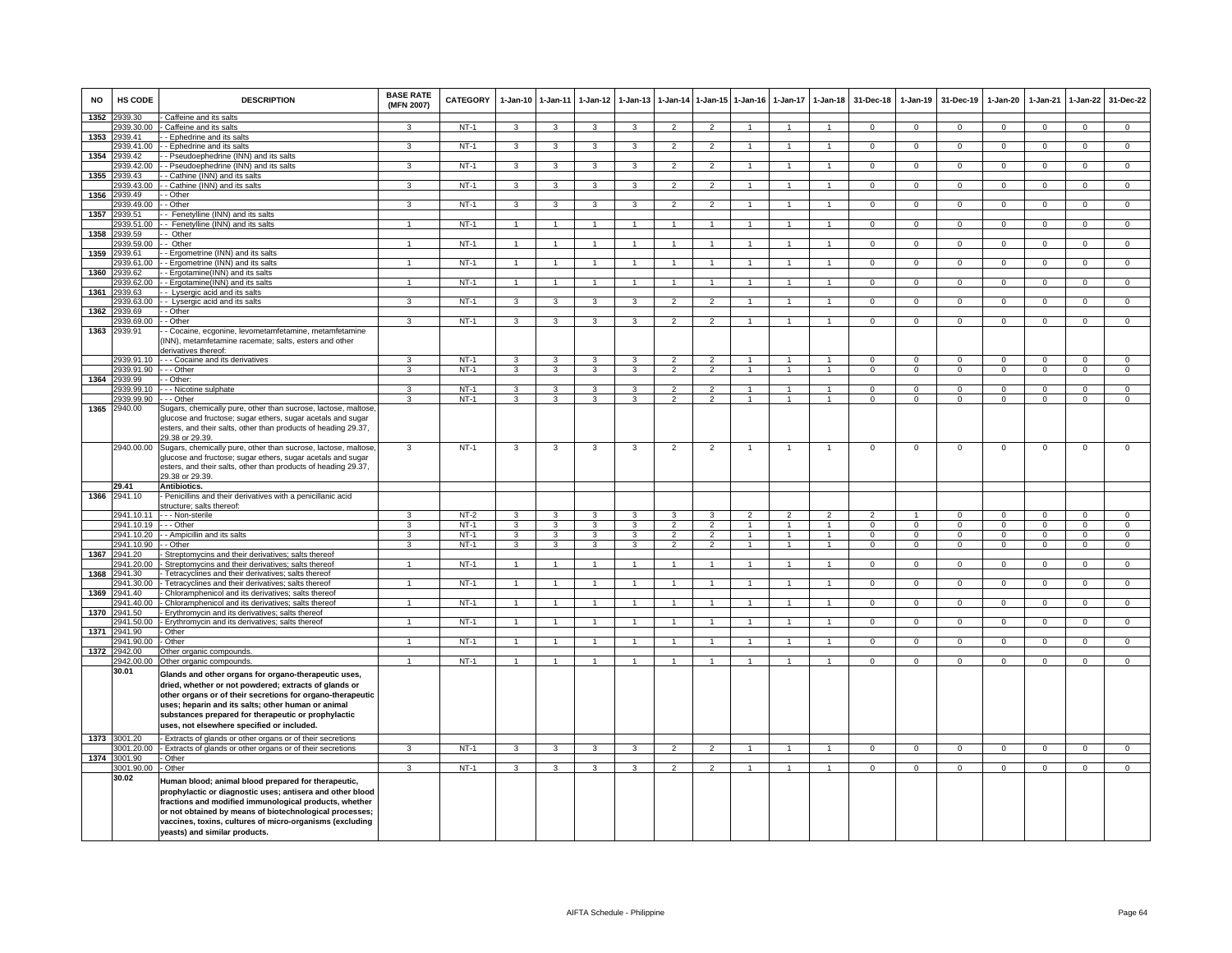| <b>NO</b> | HS CODE               | <b>DESCRIPTION</b>                                                                                                                                                                                                                                                                                                                     | <b>BASE RATE</b><br>(MFN 2007) | <b>CATEGORY</b> | $1-Jan-10$                   | 1-Jan-11                     | $1-Jan-12$                   | $1-Jan-13$                   | 1-Jan-14                         | $1 - Jan-15$        | $1-Jan-16$     | $1-Jan-17$     | $1 - Jan-18$                 | 31-Dec-18                | $1-Jan-19$               | 31-Dec-19                | $1-Jan-20$               | $1-Jan-21$               | $1-Jan-22$                   | 31-Dec-22                      |
|-----------|-----------------------|----------------------------------------------------------------------------------------------------------------------------------------------------------------------------------------------------------------------------------------------------------------------------------------------------------------------------------------|--------------------------------|-----------------|------------------------------|------------------------------|------------------------------|------------------------------|----------------------------------|---------------------|----------------|----------------|------------------------------|--------------------------|--------------------------|--------------------------|--------------------------|--------------------------|------------------------------|--------------------------------|
| 1352      | 939.30                | Caffeine and its salts                                                                                                                                                                                                                                                                                                                 |                                |                 |                              |                              |                              |                              |                                  |                     |                |                |                              |                          |                          |                          |                          |                          |                              |                                |
|           | 939.30.00             | Caffeine and its salts                                                                                                                                                                                                                                                                                                                 |                                | $NT-1$          | $\mathbf{3}$                 | 3                            | $\mathcal{R}$                |                              | $\mathcal{P}$                    |                     |                |                |                              | $\Omega$                 | $\Omega$                 | $\Omega$                 | $\Omega$                 | $\Omega$                 | $\Omega$                     | $\Omega$                       |
| 1353      | 2939.41               | - Ephedrine and its salts                                                                                                                                                                                                                                                                                                              |                                |                 |                              |                              |                              |                              |                                  |                     |                | $\mathbf{1}$   |                              |                          |                          |                          |                          |                          |                              |                                |
| 1354      | 2939.41.00<br>2939.42 | - Ephedrine and its salts<br>- Pseudoephedrine (INN) and its salts                                                                                                                                                                                                                                                                     | 3                              | NT-1            | 3                            | $\mathbf{3}$                 | 3                            | 3                            | $\overline{2}$                   | $\overline{2}$      |                |                | $\mathbf{1}$                 | $^{\circ}$               | $\mathbf{0}$             | $\mathbf{0}$             | $\mathbf{0}$             | $^{\circ}$               | $\mathbf 0$                  | $\mathbf 0$                    |
|           | 939.42.00             | - Pseudoephedrine (INN) and its salts                                                                                                                                                                                                                                                                                                  | $\overline{\mathbf{3}}$        | $NT-1$          | 3                            | $\overline{3}$               | $\overline{3}$               | 3                            | $\overline{2}$                   | $\overline{2}$      | $\mathbf{1}$   | $\mathbf{1}$   | 1                            | $\overline{0}$           | $\overline{0}$           | $\overline{0}$           | $\overline{0}$           | $\overline{0}$           | $\overline{0}$               | $\overline{0}$                 |
| 1355      | 939.43                | - Cathine (INN) and its salts                                                                                                                                                                                                                                                                                                          |                                |                 |                              |                              |                              |                              |                                  |                     |                |                |                              |                          |                          |                          |                          |                          |                              |                                |
|           | 939.43.00             | - Cathine (INN) and its salts                                                                                                                                                                                                                                                                                                          | $\mathbf{R}$                   | $NT-1$          | 3                            | 3                            | 3                            | $\mathbf{3}$                 | $\mathcal{P}$                    | $\overline{2}$      |                |                | $\mathbf{1}$                 | $\mathsf 0$              | $\mathsf 0$              | $\mathbf 0$              | $\mathbf 0$              | $\Omega$                 | $\mathsf 0$                  | $\mathsf 0$                    |
| 1356      | 939.49                | - Other                                                                                                                                                                                                                                                                                                                                |                                |                 |                              |                              |                              |                              |                                  |                     |                |                |                              |                          |                          |                          |                          |                          |                              |                                |
|           | 939.49.00             | - Other                                                                                                                                                                                                                                                                                                                                | 3                              | $NT-1$          | 3                            | 3                            | 3                            | $\mathbf{3}$                 | $\mathcal{P}$                    | $\mathcal{P}$       |                |                | $\mathbf{1}$                 | $\mathsf 0$              | $\mathbf 0$              | $\mathbf 0$              | $\Omega$                 | $\Omega$                 | $\mathsf 0$                  | $\overline{0}$                 |
| 1357      | 2939.51               | - Fenetylline (INN) and its salts                                                                                                                                                                                                                                                                                                      |                                |                 |                              |                              |                              |                              |                                  |                     |                |                |                              |                          |                          |                          |                          |                          |                              |                                |
|           | 2939.51.00            | - Fenetylline (INN) and its salts                                                                                                                                                                                                                                                                                                      | $\overline{1}$                 | $NT-1$          | $\overline{1}$               | $\overline{1}$               | $\overline{1}$               | $\overline{1}$               | $\overline{1}$                   | $\overline{1}$      | $\overline{1}$ | $\overline{1}$ | $\overline{1}$               | $\overline{0}$           | $\overline{0}$           | $\overline{0}$           | $\overline{0}$           | $\overline{0}$           | $\overline{0}$               | $\overline{0}$                 |
| 1358      | 2939.59               | - Other                                                                                                                                                                                                                                                                                                                                |                                |                 |                              |                              |                              |                              |                                  |                     |                |                |                              |                          |                          |                          |                          |                          |                              |                                |
|           | 2939.59.00            | - Other                                                                                                                                                                                                                                                                                                                                | $\mathbf{1}$                   | $NT-1$          | $\overline{1}$               | $\overline{1}$               | $\mathbf{1}$                 |                              | $\overline{1}$                   | $\overline{1}$      |                |                | $\mathbf{1}$                 | $\mathbf{O}$             | $\mathsf 0$              | $\mathbf 0$              | $\mathbf 0$              | $\Omega$                 | $\mathbf 0$                  | $\mathbf 0$                    |
| 1359      | 939.61                | - Ergometrine (INN) and its salts                                                                                                                                                                                                                                                                                                      |                                |                 |                              |                              |                              |                              |                                  |                     |                |                |                              |                          |                          |                          |                          |                          |                              |                                |
|           | 2939.61.00            | - Ergometrine (INN) and its salts                                                                                                                                                                                                                                                                                                      | $\blacktriangleleft$           | $NT-1$          | $\overline{1}$               | $\overline{1}$               | $\mathbf{1}$                 |                              | $\overline{1}$                   | $\overline{1}$      |                |                | $\mathbf{1}$                 | $\Omega$                 | $\Omega$                 | $\Omega$                 | $\overline{0}$           | $\Omega$                 | $\overline{0}$               | $\overline{0}$                 |
| 1360      | 2939.62               | - Ergotamine(INN) and its salts                                                                                                                                                                                                                                                                                                        |                                |                 |                              |                              |                              |                              |                                  |                     |                |                |                              |                          |                          |                          |                          |                          |                              |                                |
| 1361      | 2939.62.00            | - Ergotamine(INN) and its salts                                                                                                                                                                                                                                                                                                        | $\mathbf{1}$                   | <b>NT-1</b>     | $\overline{1}$               | $\overline{1}$               | $\overline{1}$               | $\overline{1}$               | $\overline{1}$                   | $\overline{1}$      | -1             | $\mathbf{1}$   | $\overline{1}$               | $\Omega$                 | $\mathbf{0}$             | $\overline{0}$           | $\overline{0}$           | $\Omega$                 | $\overline{0}$               | $\Omega$                       |
|           | 2939.63<br>939.63.00  | - Lysergic acid and its salts<br>- Lysergic acid and its salts                                                                                                                                                                                                                                                                         | 3                              | $NT-1$          | $\overline{\mathbf{3}}$      | $\overline{3}$               | $\overline{3}$               | $\overline{3}$               | $\overline{2}$                   | $\overline{2}$      | $\mathbf{1}$   | $\overline{1}$ | $\mathbf{1}$                 | $\overline{0}$           | $\overline{0}$           | $\overline{0}$           | $\overline{0}$           | $\overline{0}$           | $\overline{0}$               | $\overline{0}$                 |
| 1362      | 939.69                | - Other                                                                                                                                                                                                                                                                                                                                |                                |                 |                              |                              |                              |                              |                                  |                     |                |                |                              |                          |                          |                          |                          |                          |                              |                                |
|           | 939.69.00             | - Other                                                                                                                                                                                                                                                                                                                                | $\mathbf{3}$                   | $NT-1$          | $\overline{3}$               | $\overline{3}$               | $\overline{3}$               | $\mathbf{3}$                 | $\mathcal{P}$                    | $\overline{2}$      |                | $\mathbf{1}$   | $\mathbf{1}$                 | $\mathbf 0$              | $\overline{0}$           | $\overline{0}$           | $\Omega$                 | $\Omega$                 | $\overline{0}$               | $\overline{0}$                 |
| 1363      | 2939.91               | - Cocaine, ecgonine, levometamfetamine, metamfetamine                                                                                                                                                                                                                                                                                  |                                |                 |                              |                              |                              |                              |                                  |                     |                |                |                              |                          |                          |                          |                          |                          |                              |                                |
|           |                       | INN), metamfetamine racemate; salts, esters and other<br>derivatives thereof:                                                                                                                                                                                                                                                          |                                |                 |                              |                              |                              |                              |                                  |                     |                |                |                              |                          |                          |                          |                          |                          |                              |                                |
|           | 2939.91.10            | - - - Cocaine and its derivatives                                                                                                                                                                                                                                                                                                      | 3                              | $NT-1$          | 3                            | 3                            | 3                            | 3                            | $\overline{2}$                   | $\overline{2}$      | $\overline{1}$ | $\mathbf{1}$   | $\blacktriangleleft$         | $\overline{0}$           | $\overline{0}$           | $\overline{0}$           | $\overline{0}$           | $\overline{0}$           | $\overline{0}$               | $\overline{0}$                 |
|           | 2939.91.90            | $-$ Other                                                                                                                                                                                                                                                                                                                              | $\overline{3}$                 | $NT-1$          | $\overline{3}$               | $\overline{\mathbf{3}}$      | $\overline{3}$               | 3                            | $\overline{2}$                   | $\overline{2}$      | $\overline{1}$ | $\overline{1}$ | $\overline{1}$               | $\overline{0}$           | $\overline{0}$           | $\overline{0}$           | $\overline{0}$           | $\overline{0}$           | $\overline{0}$               | $\overline{0}$                 |
| 1364      | 2939.99               | - Other:                                                                                                                                                                                                                                                                                                                               |                                |                 |                              |                              |                              |                              |                                  |                     |                |                |                              |                          |                          |                          |                          |                          |                              |                                |
|           | 2939.99.10            | -- Nicotine sulphate                                                                                                                                                                                                                                                                                                                   | 3                              | $NT-1$          | 3                            | 3                            | 3                            | 3                            | $\overline{\phantom{0}}$         | $\overline{2}$      |                |                | $\mathbf{1}$                 | $\Omega$                 | $\Omega$                 | $\Omega$                 | $\Omega$                 | $\Omega$                 | $\mathsf 0$                  | $\overline{0}$                 |
|           | 2939.99.90            | --- Other                                                                                                                                                                                                                                                                                                                              | 3                              | $NT-1$          | 3                            | 3                            | 3                            | $\mathbf{a}$                 | $\mathcal{P}$                    | $\overline{2}$      |                |                | $\blacktriangleleft$         | $\Omega$                 | $\Omega$                 | $\Omega$                 | $\Omega$                 | $\Omega$                 | $\Omega$                     | $\overline{0}$                 |
| 1365      | 2940.00               | Sugars, chemically pure, other than sucrose, lactose, maltose,<br>glucose and fructose; sugar ethers, sugar acetals and sugar<br>esters, and their salts, other than products of heading 29.37,<br>29.38 or 29.39.                                                                                                                     |                                |                 |                              |                              |                              |                              |                                  |                     |                |                |                              |                          |                          |                          |                          |                          |                              |                                |
|           |                       | 2940.00.00 Sugars, chemically pure, other than sucrose, lactose, maltose,<br>glucose and fructose; sugar ethers, sugar acetals and sugar<br>esters, and their salts, other than products of heading 29.37,<br>29.38 or 29.39.                                                                                                          | $\overline{3}$                 | $NT-1$          | 3                            | 3                            | 3                            | 3                            | $\overline{2}$                   | $\overline{2}$      | 1              | $\mathbf{1}$   | $\overline{1}$               | $\Omega$                 | $\mathbf 0$              | $\mathbf 0$              | $\mathbf 0$              | $\Omega$                 | $\mathsf 0$                  | $\overline{0}$                 |
|           | 29.41                 | Antibiotics.                                                                                                                                                                                                                                                                                                                           |                                |                 |                              |                              |                              |                              |                                  |                     |                |                |                              |                          |                          |                          |                          |                          |                              |                                |
| 1366      | 2941.10               | - Penicillins and their derivatives with a penicillanic acid                                                                                                                                                                                                                                                                           |                                |                 |                              |                              |                              |                              |                                  |                     |                |                |                              |                          |                          |                          |                          |                          |                              |                                |
|           |                       | structure; salts thereof:                                                                                                                                                                                                                                                                                                              |                                |                 |                              |                              |                              |                              |                                  |                     |                |                |                              |                          |                          |                          |                          |                          |                              |                                |
|           | 2941.10.11            | - - - Non-sterile                                                                                                                                                                                                                                                                                                                      | $\mathbf{R}$                   | $NT-2$          | 3                            | 3                            | 3                            | 3                            | $\mathcal{R}$                    | $\mathcal{R}$       | $\mathcal{P}$  | $\mathcal{P}$  | $\overline{2}$               | $\mathcal{P}$            |                          | $\Omega$                 | $\Omega$                 | $\Omega$                 | $\mathsf 0$                  | $\mathbf 0$                    |
|           | 2941.10.19 --- Other  |                                                                                                                                                                                                                                                                                                                                        | 3                              | $NT-1$          | 3                            | 3                            | 3                            | 3                            | $\mathcal{P}$                    | $\overline{2}$      | $\mathbf{1}$   | $\mathbf{1}$   | $\mathbf{1}$                 | $\Omega$                 | $\Omega$                 | $\Omega$                 | $\Omega$                 | $\Omega$                 | $\Omega$                     | $\overline{0}$                 |
|           | 2941.10.90 - - Other  | 2941.10.20 - - Ampicillin and its salts                                                                                                                                                                                                                                                                                                | $\mathbf{3}$<br>$\mathbf{3}$   | $NT-1$<br>NT-1  | $\mathbf{3}$<br>$\mathbf{3}$ | $\mathbf{3}$<br>$\mathbf{3}$ | $\mathbf{3}$<br>$\mathbf{3}$ | $\mathbf{3}$<br>$\mathbf{3}$ | $\overline{2}$<br>$\overline{2}$ | 2<br>$\overline{2}$ | $\mathbf{1}$   | $\mathbf{1}$   | $\mathbf{1}$<br>$\mathbf{1}$ | $\Omega$<br>$\mathbf{0}$ | $\Omega$<br>$\mathbf{0}$ | $\Omega$<br>$\mathbf{0}$ | $\Omega$<br>$\mathbf{0}$ | $\Omega$<br>$\mathbf{0}$ | $\mathbf{0}$<br>$\mathbf{0}$ | $\mathbf{0}$<br>$\overline{0}$ |
|           | 1367 2941.20          | Streptomycins and their derivatives; salts thereof                                                                                                                                                                                                                                                                                     |                                |                 |                              |                              |                              |                              |                                  |                     |                |                |                              |                          |                          |                          |                          |                          |                              |                                |
|           | 2941.20.00            | Streptomycins and their derivatives; salts thereof                                                                                                                                                                                                                                                                                     | $\overline{1}$                 | $NT-1$          | $\mathbf{1}$                 | $\overline{1}$               | $\mathbf{1}$                 | $\mathbf{1}$                 | $\overline{1}$                   | $\mathbf{1}$        | $\mathbf{1}$   | $\overline{1}$ | $\mathbf{1}$                 | $\mathbf{0}$             | $\mathbf{0}$             | $\mathbf{0}$             | $\mathbf{0}$             | $\mathbf 0$              | $\overline{0}$               | $\mathbf{0}$                   |
| 1368      | 2941.30               | Tetracyclines and their derivatives; salts thereof                                                                                                                                                                                                                                                                                     |                                |                 |                              |                              |                              |                              |                                  |                     |                |                |                              |                          |                          |                          |                          |                          |                              |                                |
|           | 2941.30.00            | Tetracyclines and their derivatives; salts thereof                                                                                                                                                                                                                                                                                     | $\mathbf{1}$                   | $NT-1$          | $\overline{1}$               | $\overline{1}$               | 1                            |                              | $\mathbf{1}$                     | $\mathbf{1}$        |                | $\mathbf{1}$   | $\overline{1}$               | $\overline{0}$           | $\overline{0}$           | $\overline{0}$           | $\overline{0}$           | $\overline{0}$           | $\overline{0}$               | $\overline{0}$                 |
| 1369      | 941.40                | Chloramphenicol and its derivatives; salts thereof                                                                                                                                                                                                                                                                                     |                                |                 |                              |                              |                              |                              |                                  |                     |                |                |                              |                          |                          |                          |                          |                          |                              |                                |
|           | 941.40.00             | Chloramphenicol and its derivatives; salts thereof                                                                                                                                                                                                                                                                                     |                                | NT-1            | $\overline{1}$               | $\overline{1}$               | $\mathbf{1}$                 |                              | $\overline{1}$                   | $\mathbf{1}$        |                |                | $\mathbf{1}$                 | 0                        | $\mathsf{O}\xspace$      | $\,0\,$                  | $\mathbf 0$              | $\mathbf{0}$             | $\mathsf 0$                  | $\mathbf 0$                    |
| 1370      | 941.50                | Erythromycin and its derivatives; salts thereof                                                                                                                                                                                                                                                                                        |                                |                 |                              |                              |                              |                              |                                  |                     |                |                |                              |                          |                          |                          |                          |                          |                              |                                |
|           | 2941.50.00            | Erythromycin and its derivatives; salts thereof                                                                                                                                                                                                                                                                                        | $\mathbf{1}$                   | $NT-1$          | $\overline{1}$               | $\overline{1}$               | $\mathbf{1}$                 | $\mathbf{1}$                 | $\overline{1}$                   | $\overline{1}$      |                | $\mathbf{1}$   | $\overline{1}$               | $\overline{0}$           | $\overline{0}$           | $\overline{0}$           | $\overline{0}$           | $\overline{0}$           | $\overline{0}$               | $\overline{0}$                 |
| 1371      | 2941.90               | Other                                                                                                                                                                                                                                                                                                                                  |                                |                 |                              |                              |                              |                              |                                  |                     |                |                |                              |                          |                          |                          |                          |                          |                              |                                |
|           | 2941.90.00            | Other                                                                                                                                                                                                                                                                                                                                  | $\mathbf{1}$                   | $NT-1$          | $\overline{1}$               | $\overline{1}$               | $\overline{1}$               | $\overline{1}$               | $\overline{1}$                   | $\overline{1}$      | $\overline{1}$ | $\mathbf{1}$   | $\overline{1}$               | $\overline{0}$           | $\overline{0}$           | $\overline{0}$           | $\overline{0}$           | $\overline{0}$           | $\overline{0}$               | $\overline{0}$                 |
| 1372      | 2942.00<br>2942.00.00 | Other organic compounds<br>Other organic compounds.                                                                                                                                                                                                                                                                                    | $\mathbf{1}$                   | $NT-1$          | $\overline{1}$               | $\mathbf{1}$                 | $\mathbf{1}$                 |                              | $\overline{1}$                   | $\mathbf{1}$        |                |                | $\mathbf{1}$                 | $\Omega$                 | $\Omega$                 | $\Omega$                 | $\Omega$                 | $\Omega$                 | $\Omega$                     | $\Omega$                       |
|           | 30.01                 | Glands and other organs for organo-therapeutic uses,<br>dried, whether or not powdered; extracts of glands or<br>other organs or of their secretions for organo-therapeutic<br>uses; heparin and its salts; other human or animal<br>substances prepared for therapeutic or prophylactic<br>uses, not elsewhere specified or included. |                                |                 |                              |                              |                              |                              |                                  |                     |                |                |                              |                          |                          |                          |                          |                          |                              |                                |
| 1373      | 3001.20               | Extracts of glands or other organs or of their secretions                                                                                                                                                                                                                                                                              |                                |                 |                              |                              |                              |                              |                                  |                     |                |                |                              |                          |                          |                          |                          |                          |                              |                                |
|           | 001.20.00             | Extracts of glands or other organs or of their secretions                                                                                                                                                                                                                                                                              | 3                              | NT-1            | 3                            | 3                            | 3                            | 3                            | $\mathcal{P}$                    | $\mathcal{L}$       | $\mathbf{1}$   |                | $\mathbf{1}$                 | $\mathsf 0$              | $\mathbf 0$              | $\mathbf 0$              | $\mathbf 0$              | $\mathbf 0$              | $\mathsf 0$                  | $\mathbf 0$                    |
| 1374      | 3001.90<br>3001.90.00 | Other<br>Other                                                                                                                                                                                                                                                                                                                         | $\overline{3}$                 |                 |                              | $\overline{3}$               |                              |                              | $\overline{2}$                   | $\overline{2}$      |                | $\mathbf{1}$   | $\overline{1}$               | $\overline{0}$           |                          |                          | $\overline{0}$           |                          | $\overline{0}$               | $\overline{0}$                 |
|           | 30.02                 |                                                                                                                                                                                                                                                                                                                                        |                                | $NT-1$          | $\overline{\mathbf{3}}$      |                              | $\overline{3}$               | 3                            |                                  |                     | $\overline{1}$ |                |                              |                          | $\overline{0}$           | $\overline{0}$           |                          | $\overline{0}$           |                              |                                |
|           |                       | Human blood; animal blood prepared for therapeutic,<br>prophylactic or diagnostic uses; antisera and other blood<br>fractions and modified immunological products, whether<br>or not obtained by means of biotechnological processes;<br>vaccines, toxins, cultures of micro-organisms (excluding<br>yeasts) and similar products.     |                                |                 |                              |                              |                              |                              |                                  |                     |                |                |                              |                          |                          |                          |                          |                          |                              |                                |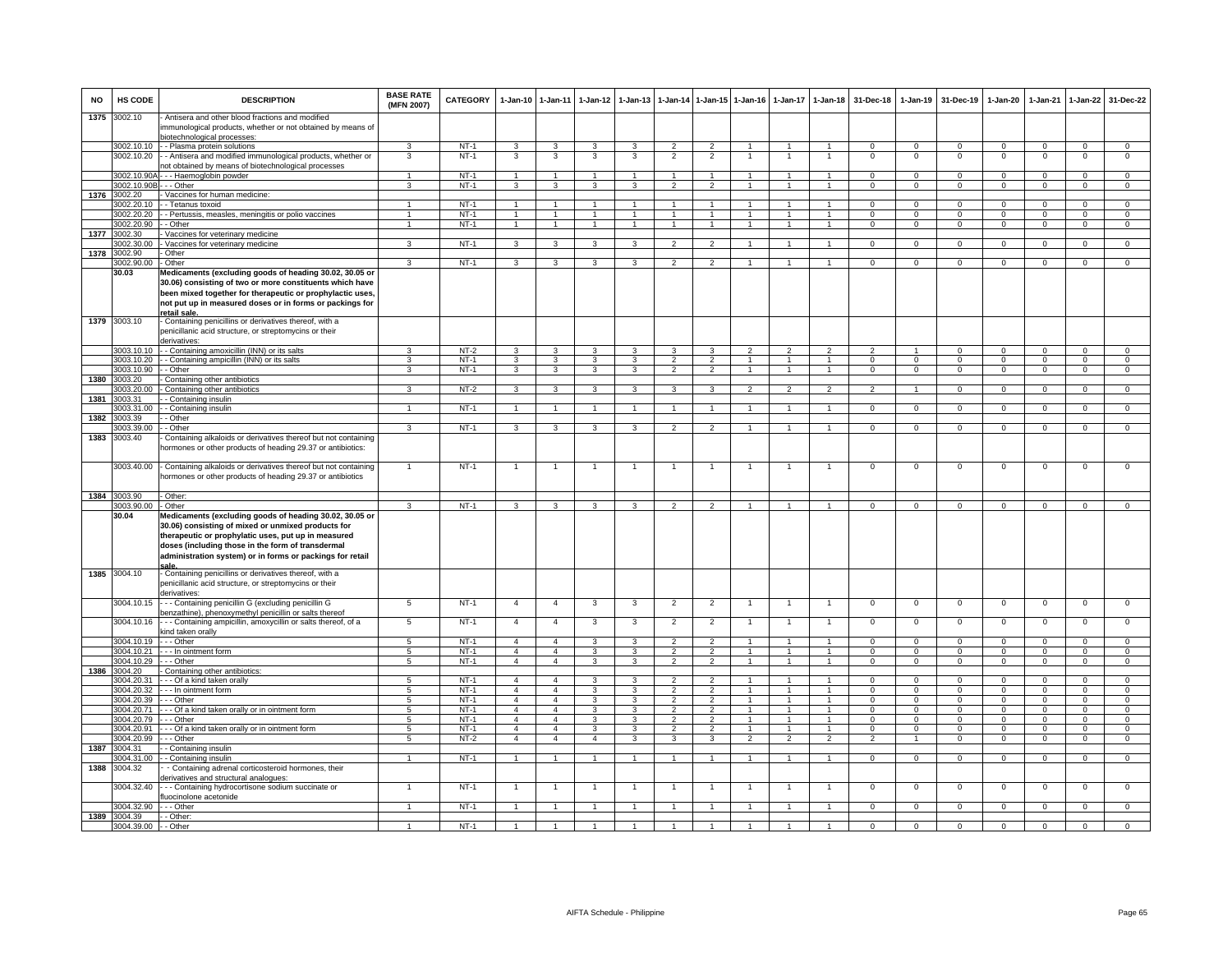| <b>NO</b> | <b>HS CODE</b>                     | <b>DESCRIPTION</b>                                                                                                                                                                                                          | <b>BASE RATE</b><br>(MFN 2007)     | <b>CATEGORY</b>  | $1 - Jan-10$                     | $1 - Jan-11$                     | 1-Jan-12          | 1-Jan-13       |                                  | 1-Jan-14 1-Jan-15 1-Jan-16       |                                  |                                | 1-Jan-17 1-Jan-18            | 31-Dec-18               | $1-Jan-19$                 | 31-Dec-19              | 1-Jan-20                      | 1-Jan-21                | $1-Jan-22$                       | 31-Dec-22                        |
|-----------|------------------------------------|-----------------------------------------------------------------------------------------------------------------------------------------------------------------------------------------------------------------------------|------------------------------------|------------------|----------------------------------|----------------------------------|-------------------|----------------|----------------------------------|----------------------------------|----------------------------------|--------------------------------|------------------------------|-------------------------|----------------------------|------------------------|-------------------------------|-------------------------|----------------------------------|----------------------------------|
| 1375      | 3002.10                            | Antisera and other blood fractions and modified<br>immunological products, whether or not obtained by means of<br>biotechnological processes:                                                                               |                                    |                  |                                  |                                  |                   |                |                                  |                                  |                                  |                                |                              |                         |                            |                        |                               |                         |                                  |                                  |
|           | 3002.10.10                         | - - Plasma protein solutions                                                                                                                                                                                                | 3                                  | $NT-1$           | $\mathbf{3}$                     | 3                                | 3                 | 3              | $\overline{2}$                   | $\overline{2}$                   |                                  |                                |                              | $^{\circ}$              | $\mathbf 0$                | $^{\circ}$             | $\mathsf 0$                   | $^{\circ}$              | $\mathbf 0$                      | $\mathbf{O}$                     |
|           | 3002.10.20                         | - Antisera and modified immunological products, whether or                                                                                                                                                                  | 3                                  | $NT-1$           | 3                                | 3                                | 3                 | 3              | $\overline{2}$                   | $\overline{2}$                   |                                  |                                | 1                            | $\mathbf 0$             | $\mathsf 0$                | $^{\circ}$             | $^{\circ}$                    | $\mathbf 0$             | $\mathbf 0$                      | $\mathbf{O}$                     |
|           |                                    | not obtained by means of biotechnological processes                                                                                                                                                                         |                                    |                  |                                  |                                  |                   |                |                                  |                                  |                                  |                                |                              |                         |                            |                        |                               |                         |                                  |                                  |
|           | 3002.10.90A-                       | --- Haemoglobin powder                                                                                                                                                                                                      | $\mathbf{1}$                       | $NT-1$           | $\overline{1}$                   | $\overline{1}$                   | $\overline{1}$    | -1             | $\overline{1}$                   | $\overline{1}$                   | $\overline{1}$                   | $\overline{1}$                 | $\overline{1}$               | $\Omega$                | $\Omega$                   | $\Omega$               | $\Omega$                      | $\Omega$                | $\Omega$                         | $\Omega$                         |
| 1376      | 3002.10.90B - - - Other<br>3002.20 | - Vaccines for human medicine:                                                                                                                                                                                              | 3                                  | $NT-1$           | $\mathbf{3}$                     | 3                                | 3                 | 3              | $\overline{2}$                   | $\overline{2}$                   | $\overline{1}$                   | $\overline{1}$                 | $\mathbf{1}$                 | $\Omega$                | $\mathbf 0$                | $\Omega$               | $\mathbf{0}$                  | $\Omega$                | $\mathsf 0$                      | $\mathsf 0$                      |
|           | 3002.20.10                         | - Tetanus toxoid                                                                                                                                                                                                            | $\mathbf{1}$                       | $NT-1$           | $\mathbf{1}$                     | 1                                | 1.                |                |                                  | $\mathbf{1}$                     |                                  |                                | $\mathbf{1}$                 | $\Omega$                | $\overline{0}$             | $\Omega$               | $\overline{0}$                | $\Omega$                | $\overline{0}$                   | $\overline{0}$                   |
|           | 3002.20.20                         | - Pertussis, measles, meningitis or polio vaccines                                                                                                                                                                          |                                    | $NT-1$           |                                  |                                  | 1                 |                |                                  |                                  |                                  |                                |                              | 0                       | $\Omega$                   | 0                      | 0                             | $\Omega$                | 0                                | $\overline{0}$                   |
|           | 3002.20.90                         | - Other                                                                                                                                                                                                                     | $\mathbf{1}$                       | $NT-1$           | $\mathbf{1}$                     | $\overline{1}$                   | $\overline{1}$    | $\overline{1}$ | $\mathbf{1}$                     | $\overline{1}$                   |                                  |                                | $\overline{1}$               | 0                       | $\mathbf 0$                | 0                      | $\mathsf 0$                   | $\Omega$                | $\mathbf 0$                      | $\mathbf{O}$                     |
| 1377      | 3002.30                            | Vaccines for veterinary medicine                                                                                                                                                                                            |                                    |                  |                                  |                                  |                   |                |                                  |                                  |                                  |                                |                              |                         |                            |                        |                               |                         |                                  |                                  |
|           | 3002.30.00                         | Vaccines for veterinary medicine                                                                                                                                                                                            | 3                                  | $NT-1$           | 3                                | $\mathbf{3}$                     | 3                 | 3              | 2                                | $\overline{2}$                   | $\overline{1}$                   | $\overline{1}$                 | $\mathbf{1}$                 | $\Omega$                | $\mathbf{0}$               | $\Omega$               | $\mathbf 0$                   | $\mathbf{0}$            | $\mathbf{0}$                     | $\overline{0}$                   |
| 1378      | 3002.90<br>3002.90.00              | Other<br>Other                                                                                                                                                                                                              | 3                                  | $NT-1$           | 3                                | 3                                | 3                 | 3              | $\overline{2}$                   | $\overline{2}$                   | $\mathbf{1}$                     | $\overline{1}$                 | $\mathbf{1}$                 | $\mathbf{0}$            | $\Omega$                   | $^{\circ}$             | $\mathbf 0$                   | $\Omega$                | $\overline{0}$                   | $\overline{0}$                   |
|           | 30.03                              | Medicaments (excluding goods of heading 30.02, 30.05 or                                                                                                                                                                     |                                    |                  |                                  |                                  |                   |                |                                  |                                  |                                  |                                |                              |                         |                            |                        |                               |                         |                                  |                                  |
|           |                                    | 30.06) consisting of two or more constituents which have<br>been mixed together for therapeutic or prophylactic uses,<br>not put up in measured doses or in forms or packings for<br>retail sale                            |                                    |                  |                                  |                                  |                   |                |                                  |                                  |                                  |                                |                              |                         |                            |                        |                               |                         |                                  |                                  |
| 1379      | 3003.10                            | - Containing penicillins or derivatives thereof, with a<br>penicillanic acid structure, or streptomycins or their<br>derivatives:                                                                                           |                                    |                  |                                  |                                  |                   |                |                                  |                                  |                                  |                                |                              |                         |                            |                        |                               |                         |                                  |                                  |
|           | 3003 10 10                         | - - Containing amoxicillin (INN) or its salts                                                                                                                                                                               | 3                                  | $NT-2$           | 3                                | 3                                | 3                 | 3              | $\mathbf{3}$                     | 3                                | $\overline{2}$                   | $\mathfrak{p}$                 | $\overline{2}$               | 2                       | $\mathbf{1}$               | $\Omega$               | $\Omega$                      | $\Omega$                | $\Omega$                         | $\Omega$                         |
|           | 3003.10.20                         | - - Containing ampicillin (INN) or its salts                                                                                                                                                                                | 3                                  | $NT-1$           | 3                                | $\mathbf{3}$                     | 3                 | 3              | $\overline{2}$                   | $\overline{2}$                   | $\mathbf{1}$                     | $\mathbf{1}$                   | $\mathbf{1}$                 | $\Omega$                | $\mathbf 0$                | $\Omega$               | $\mathbf 0$                   | $\mathbf{0}$            | $\mathbf 0$                      | $\overline{0}$                   |
| 1380      | 3003.10.90<br>3003.20              | - Other<br>Containing other antibiotics                                                                                                                                                                                     | 3                                  | $NT-1$           | $\mathbf{3}$                     | $\mathbf{3}$                     | $\mathbf{3}$      | 3              | $\overline{2}$                   | $\overline{2}$                   | $\mathbf{1}$                     | $\mathbf{1}$                   | 1                            | $\mathbf 0$             | $\mathbf 0$                | $\mathbf{0}$           | $\overline{0}$                | $\mathbf 0$             | $\mathbf 0$                      | $\overline{0}$                   |
|           | 3003.20.00                         | Containing other antibiotics                                                                                                                                                                                                | 3                                  | $NT-2$           | 3                                | 3                                | $\mathbf{3}$      | 3              | 3                                | 3                                | $\overline{2}$                   | $\overline{2}$                 | $\overline{2}$               | $\overline{2}$          | $\mathbf{1}$               | $\mathbf 0$            | $\mathbf{0}$                  | $\mathbf 0$             | $\circ$                          | $\mathbf{O}$                     |
| 1381      | 3003.31                            | - Containing insulin                                                                                                                                                                                                        |                                    |                  |                                  |                                  |                   |                |                                  |                                  |                                  |                                |                              |                         |                            |                        |                               |                         |                                  |                                  |
|           | 8003.31.00                         | - Containing insulin                                                                                                                                                                                                        |                                    | $NT-1$           | $\mathbf{1}$                     | $\overline{1}$                   | $\mathbf{1}$      |                | $\overline{1}$                   | $\overline{1}$                   |                                  |                                |                              | $\mathbf 0$             | $\mathbf 0$                | $\mathbf 0$            | $\mathsf 0$                   | $\mathbf 0$             | $\mathbf 0$                      | 0                                |
| 1382      | 3003.39                            | - Other                                                                                                                                                                                                                     | 3                                  | $NT-1$           | $\mathbf{3}$                     | $\mathbf{3}$                     | $\mathbf{3}$      | $\mathbf{3}$   | $\overline{2}$                   | 2                                | $\mathbf{1}$                     | $\overline{1}$                 | $\mathbf{1}$                 |                         | $\mathsf 0$                |                        | $\mathsf 0$                   | $\mathbf 0$             | $\mathsf 0$                      | $\mathsf 0$                      |
| 1383      | 3003.39.00<br>3003.40              | Other<br>Containing alkaloids or derivatives thereof but not containing                                                                                                                                                     |                                    |                  |                                  |                                  |                   |                |                                  |                                  |                                  |                                |                              | $\mathbf 0$             |                            | $\mathbf 0$            |                               |                         |                                  |                                  |
|           |                                    | normones or other products of heading 29.37 or antibiotics:                                                                                                                                                                 |                                    |                  |                                  |                                  |                   |                |                                  |                                  |                                  |                                |                              |                         |                            |                        |                               |                         |                                  |                                  |
|           | 3003.40.00                         | - Containing alkaloids or derivatives thereof but not containing<br>hormones or other products of heading 29.37 or antibiotics                                                                                              | 1                                  | $NT-1$           | $\mathbf{1}$                     | $\overline{1}$                   |                   | -1             |                                  | -1                               | -1                               | $\overline{1}$                 | $\overline{1}$               | $\overline{0}$          | $\overline{0}$             | $\Omega$               | $\overline{0}$                | $\overline{0}$          | $\overline{0}$                   | $\overline{0}$                   |
|           | 1384 3003.90                       | - Other:                                                                                                                                                                                                                    | $\mathbf{a}$                       |                  |                                  |                                  |                   | $\mathbf{R}$   | $\mathcal{P}$                    | $\mathcal{P}$                    | $\blacktriangleleft$             | $\mathbf{1}$                   | $\mathbf{1}$                 |                         |                            |                        |                               |                         |                                  |                                  |
|           | 3003.90.00<br>30.04                | - Other<br>Medicaments (excluding goods of heading 30.02, 30.05 or                                                                                                                                                          |                                    | NT-1             | 3                                | 3                                | 3                 |                |                                  |                                  |                                  |                                |                              | $\mathbf{0}$            | $\mathbf 0$                | $^{\circ}$             | $^{\circ}$                    | $\mathbf 0$             | $\mathbf{0}$                     | $\mathbf{O}$                     |
|           |                                    | 30.06) consisting of mixed or unmixed products for<br>therapeutic or prophylatic uses, put up in measured<br>doses (including those in the form of transdermal<br>administration system) or in forms or packings for retail |                                    |                  |                                  |                                  |                   |                |                                  |                                  |                                  |                                |                              |                         |                            |                        |                               |                         |                                  |                                  |
|           | 1385 3004.10                       | - Containing penicillins or derivatives thereof, with a<br>penicillanic acid structure, or streptomycins or their<br>derivatives:                                                                                           |                                    |                  |                                  |                                  |                   |                |                                  |                                  |                                  |                                |                              |                         |                            |                        |                               |                         |                                  |                                  |
|           | 3004.10.15                         | --- Containing penicillin G (excluding penicillin G<br>penzathine), phenoxymethyl penicillin or salts thereof                                                                                                               | 5                                  | $NT-1$           | $\overline{4}$                   | $\overline{4}$                   | 3                 | 3              | $\overline{2}$                   | $\overline{2}$                   |                                  | $\mathbf{1}$                   | $\overline{1}$               | $\mathbf 0$             | $\circ$                    | 0                      | $\mathbf 0$                   | 0                       | $\mathbf 0$                      | $\mathbf 0$                      |
|           | 3004.10.16                         | - - - Containing ampicillin, amoxycillin or salts thereof, of a<br>kind taken orally                                                                                                                                        | $\overline{5}$                     | $NT-1$           | $\overline{4}$                   | $\overline{4}$                   | 3                 | 3              | $\overline{2}$                   | $\overline{2}$                   | -1                               | $\overline{1}$                 | $\overline{1}$               | $\circ$                 | 0                          | $\Omega$               | $\,0\,$                       | $\mathbf 0$             | $\mathsf 0$                      | $\mathsf 0$                      |
|           | 3004.10.19<br>3004.10.21           | --- Other<br>- - - In ointment form                                                                                                                                                                                         | 5<br>5                             | $NT-1$<br>$NT-1$ | $\overline{4}$<br>$\overline{a}$ | $\overline{4}$<br>$\overline{4}$ | $\mathbf{3}$<br>3 | 3<br>3         | $\overline{2}$<br>$\overline{2}$ | $\overline{2}$<br>$\overline{2}$ | $\overline{1}$                   | $\overline{1}$                 | $\blacktriangleleft$<br>1    | $\Omega$<br>$\mathbf 0$ | $\Omega$<br>$\mathbf 0$    | $\Omega$<br>$\Omega$   | $\overline{0}$<br>$\mathsf 0$ | $\Omega$<br>$\mathbf 0$ | $\overline{0}$<br>$\mathbf 0$    | $\overline{0}$<br>$\mathbf{O}$   |
|           | 3004.10.29                         | $- -$ Other                                                                                                                                                                                                                 | 5                                  | $NT-1$           | $\overline{4}$                   | $\overline{4}$                   | 3                 | 3              | $\mathfrak{p}$                   | $\overline{2}$                   |                                  |                                |                              | $\Omega$                | $\Omega$                   | $\Omega$               | $\Omega$                      | $\Omega$                | $\Omega$                         | $\Omega$                         |
| 1386      | 3004.20                            | - Containing other antibiotics:                                                                                                                                                                                             |                                    |                  |                                  |                                  |                   |                |                                  |                                  |                                  |                                |                              |                         |                            |                        |                               |                         |                                  |                                  |
|           | 3004.20.31                         | - - - Of a kind taken orally                                                                                                                                                                                                | $5\overline{5}$                    | NT-1             | $\overline{4}$                   | $\overline{4}$                   | $\mathbf{3}$      | 3              | $\overline{2}$                   | $\overline{2}$                   |                                  | $\mathbf{1}$                   | $\mathbf{1}$                 | $\mathbf{0}$            | $\mathbf 0$                | $\mathbf 0$            | $\mathbf{0}$                  | $\mathbf 0$             | $\mathbf 0$                      | $\mathbf{0}$                     |
|           | 3004.20.32                         | --- In ointment form                                                                                                                                                                                                        | $5\overline{5}$                    | $NT-1$           | $\overline{4}$                   | $\overline{4}$                   | $\mathbf{3}$      | $\mathbf{3}$   | $\overline{2}$                   | $\overline{2}$                   | $\overline{1}$                   | $\overline{1}$                 | $\overline{1}$               | $\mathbf{0}$            | $\mathbf{0}$               | $\mathbf{0}$           | $\mathbf{0}$                  | $\mathbf{0}$            | $\mathbf 0$                      | $\overline{0}$                   |
|           | 3004.20.39<br>3004.20.71           | - - Other<br>--- Of a kind taken orally or in ointment form                                                                                                                                                                 | $5\overline{5}$<br>$5\phantom{.0}$ | $NT-1$<br>$NT-1$ | $\overline{4}$<br>$\overline{4}$ | $\overline{4}$<br>$\overline{4}$ | 3<br>3            | 3<br>3         | $\overline{2}$<br>$\overline{2}$ | $\overline{2}$<br>$\overline{2}$ | $\overline{1}$<br>$\overline{1}$ | $\overline{1}$<br>$\mathbf{1}$ | $\mathbf{1}$<br>$\mathbf{1}$ | $\Omega$<br>$\Omega$    | $\mathbf 0$<br>$\mathbf 0$ | $\Omega$<br>$^{\circ}$ | $\mathbf{0}$<br>$\mathsf 0$   | $\Omega$<br>$\Omega$    | $\overline{0}$<br>$\overline{0}$ | $\overline{0}$<br>$\overline{0}$ |
|           | 3004.20.79                         | $\cdot$ - Other                                                                                                                                                                                                             | 5                                  | $NT-1$           | $\overline{4}$                   | $\overline{4}$                   | 3                 | 3              | -2                               | $\overline{2}$                   | $\overline{1}$                   | $\mathbf{1}$                   | $\mathbf{1}$                 | $\Omega$                | $\mathbf 0$                | $\mathbf{0}$           | $\mathbf 0$                   | $\Omega$                | $\mathbf 0$                      | $\overline{0}$                   |
|           | 3004.20.91                         | - - Of a kind taken orally or in ointment form                                                                                                                                                                              | $5\overline{5}$                    | $NT-1$           | $\overline{4}$                   | $\overline{4}$                   | 3                 | 3              | $\overline{2}$                   | $\overline{2}$                   | $\mathbf{1}$                     | $\mathbf{1}$                   | $\mathbf{1}$                 | $\mathbf{0}$            | $\mathbf 0$                | $\Omega$               | $\mathbf{0}$                  | $\mathbf{0}$            | $\mathbf 0$                      | $\overline{0}$                   |
|           | 3004.20.99                         | - - Other                                                                                                                                                                                                                   | $5\overline{5}$                    | $NT-2$           | $\overline{4}$                   | $\overline{4}$                   | $\overline{4}$    | 3              | 3                                | $\mathbf{3}$                     | $\overline{2}$                   | $\overline{2}$                 | $\overline{2}$               | $\overline{2}$          | $\overline{1}$             | $\mathbf 0$            | $\mathbf{0}$                  | $\circ$                 | $\mathbf 0$                      | $\overline{0}$                   |
| 1387      | 3004.31                            | - Containing insulin                                                                                                                                                                                                        |                                    | $NT-1$           | $\mathbf{1}$                     | $\overline{1}$                   | $\overline{1}$    |                | $\overline{1}$                   | $\overline{1}$                   |                                  |                                | $\overline{1}$               |                         |                            |                        |                               |                         |                                  |                                  |
| 1388      | 004.31.00<br>3004.32               | - Containing insulin<br>Containing adrenal corticosteroid hormones, their                                                                                                                                                   |                                    |                  |                                  |                                  |                   |                |                                  |                                  |                                  |                                |                              | $\mathsf 0$             | $\mathbf 0$                | $\mathbf 0$            | $\mathsf 0$                   | $\mathbf 0$             | $\mathbf 0$                      | $\mathbf{O}$                     |
|           | 3004.32.40                         | derivatives and structural analogues:<br>- - - Containing hydrocortisone sodium succinate or                                                                                                                                |                                    | $NT-1$           | $\overline{1}$                   | $\overline{1}$                   | $\overline{1}$    | $\mathbf{1}$   | $\overline{1}$                   | $\overline{1}$                   | -1                               | $\overline{1}$                 | $\overline{1}$               | $\overline{0}$          | $\mathsf 0$                | $\mathbf{0}$           | $\mathbf 0$                   | $\mathbf 0$             | $\mathbf 0$                      | $\mathbf{O}$                     |
| 1389      | 3004.32.90<br>3004.39              | fluocinolone acetonide<br>--- Other<br>- - Other:                                                                                                                                                                           |                                    | $NT-1$           |                                  |                                  |                   |                |                                  |                                  |                                  | $\overline{1}$                 |                              | $\Omega$                | $\Omega$                   | $\Omega$               | $\Omega$                      | $\Omega$                | $\Omega$                         | $\Omega$                         |
|           | 3004.39.00 - - Other               |                                                                                                                                                                                                                             |                                    | $NT-1$           |                                  |                                  |                   |                |                                  |                                  |                                  |                                |                              | $\Omega$                |                            |                        | $\Omega$                      |                         |                                  |                                  |
|           |                                    |                                                                                                                                                                                                                             |                                    |                  |                                  |                                  |                   |                |                                  |                                  |                                  |                                |                              |                         |                            |                        |                               |                         |                                  |                                  |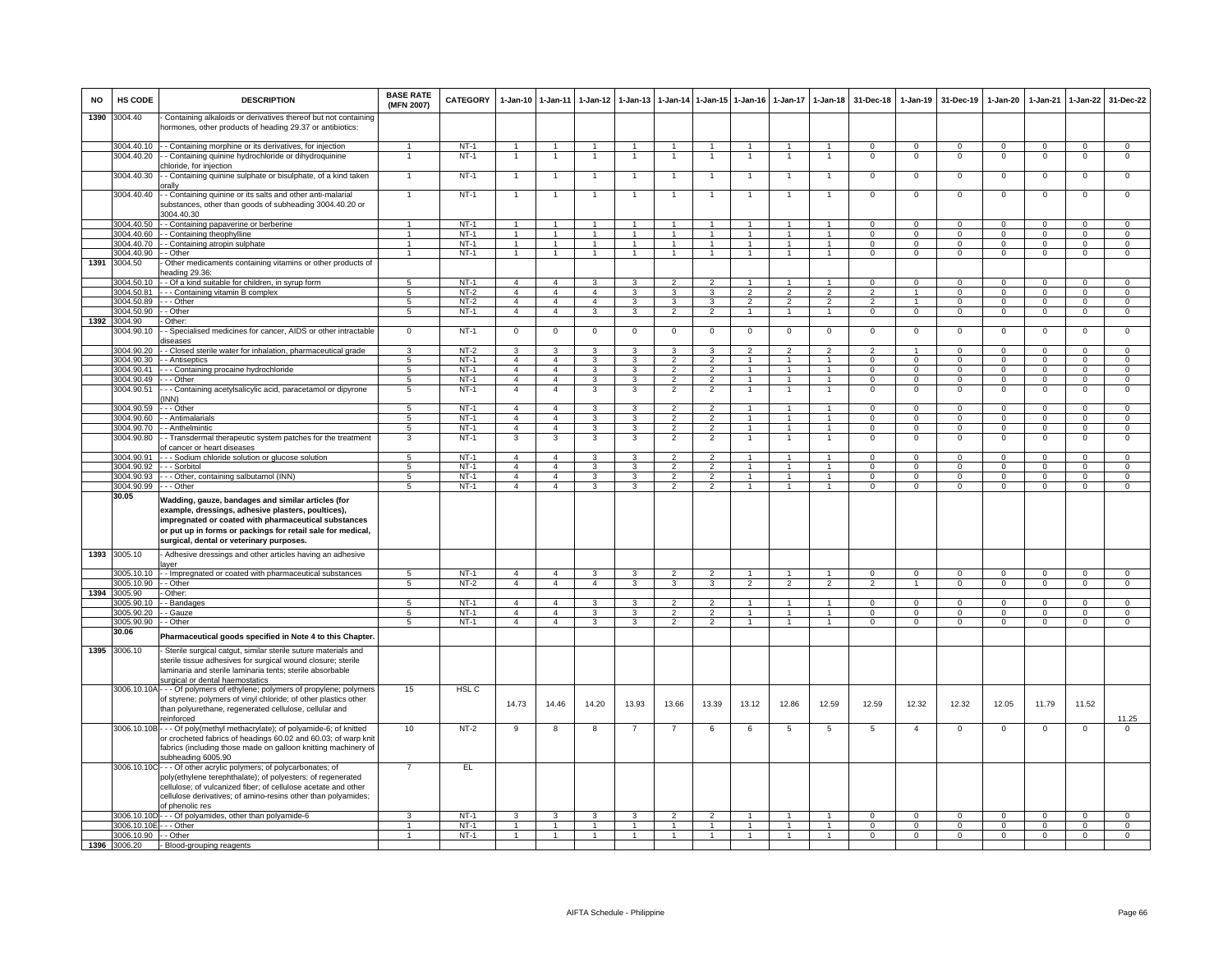| NO   | HS CODE                             | <b>DESCRIPTION</b>                                                                                                                                                                                                                                                                      | <b>BASE RATE</b><br>(MFN 2007) | CATEGORY         |                                  | 1-Jan-10 1-Jan-11                | 1-Jan-12                         | $1-Jan-13$                       |                                  | 1-Jan-14 1-Jan-15 1-Jan-16       |                                  | $1 - Jan-17$                   | 1-Jan-18                         | 31-Dec-18                  | 1-Jan-19                         | 31-Dec-19                      | 1-Jan-20                         | 1-Jan-21                         | 1-Jan-22                         | 31-Dec-22                        |
|------|-------------------------------------|-----------------------------------------------------------------------------------------------------------------------------------------------------------------------------------------------------------------------------------------------------------------------------------------|--------------------------------|------------------|----------------------------------|----------------------------------|----------------------------------|----------------------------------|----------------------------------|----------------------------------|----------------------------------|--------------------------------|----------------------------------|----------------------------|----------------------------------|--------------------------------|----------------------------------|----------------------------------|----------------------------------|----------------------------------|
| 1390 | 3004.40                             | Containing alkaloids or derivatives thereof but not containing<br>hormones, other products of heading 29.37 or antibiotics:                                                                                                                                                             |                                |                  |                                  |                                  |                                  |                                  |                                  |                                  |                                  |                                |                                  |                            |                                  |                                |                                  |                                  |                                  |                                  |
|      | 3004.40.10                          | - - Containing morphine or its derivatives, for injection                                                                                                                                                                                                                               |                                | $NT-1$           | $\overline{1}$                   | $\overline{1}$                   | $\overline{1}$                   | $\overline{1}$                   | $\overline{1}$                   | $\overline{1}$                   |                                  |                                | $\mathbf{1}$                     | $\mathbf{0}$               | $\mathbf 0$                      | $^{\circ}$                     | $\mathbf{0}$                     | $\mathbf 0$                      | $^{\circ}$                       | $\mathbf 0$                      |
|      | 3004.40.20                          | - Containing quinine hydrochloride or dihydroquinine<br>chloride, for injection                                                                                                                                                                                                         |                                | $NT-1$           |                                  | $\overline{1}$                   |                                  | -1                               | $\overline{1}$                   |                                  | 1                                |                                | $\overline{1}$                   | $\,0\,$                    | $\Omega$                         | $\Omega$                       | $\mathbf 0$                      | $\Omega$                         | $\mathbf 0$                      | $\mathsf 0$                      |
|      | 3004.40.30                          | - Containing quinine sulphate or bisulphate, of a kind taken                                                                                                                                                                                                                            | 1                              | $NT-1$           | $\overline{1}$                   | $\overline{1}$                   |                                  | $\overline{1}$                   | $\overline{1}$                   | $\overline{1}$                   | $\overline{1}$                   | $\overline{1}$                 | $\mathbf{1}$                     | $\overline{0}$             | $\overline{0}$                   | $\Omega$                       | $\overline{0}$                   | $\overline{0}$                   | $\overline{0}$                   | $\overline{0}$                   |
|      | 3004.40.40                          | orally<br>- Containing quinine or its salts and other anti-malarial                                                                                                                                                                                                                     | $\mathbf{1}$                   | $NT-1$           | $\overline{1}$                   | $\mathbf{1}$                     | $\overline{1}$                   | $\overline{1}$                   | $\overline{1}$                   | $\overline{1}$                   | $\overline{1}$                   | $\overline{1}$                 | $\mathbf{1}$                     | $\mathbf 0$                | $\mathbf 0$                      | $\mathbf 0$                    | $\mathbf 0$                      | $\mathbf{0}$                     | $\mathbf 0$                      | $\mathbf{O}$                     |
|      |                                     | substances, other than goods of subheading 3004.40.20 or<br>3004.40.30                                                                                                                                                                                                                  |                                |                  |                                  |                                  |                                  |                                  |                                  |                                  |                                  |                                |                                  |                            |                                  |                                |                                  |                                  |                                  |                                  |
|      | 3004.40.50                          | - Containing papaverine or berberine                                                                                                                                                                                                                                                    | $\mathbf{1}$                   | $NT-1$           | $\overline{1}$                   | 1                                | $\mathbf{1}$                     | $\mathbf{1}$                     | $\overline{1}$                   | $\mathbf{1}$                     | $\overline{1}$                   | $\mathbf{1}$                   | $\mathbf{1}$                     | $\overline{0}$             | $\overline{0}$                   | $\Omega$                       | $\overline{0}$                   | $\overline{0}$                   | $\overline{0}$                   | $\overline{0}$                   |
|      | 3004.40.60                          | - Containing theophylline                                                                                                                                                                                                                                                               | $\mathbf{1}$                   | $NT-1$           | $\mathbf{1}$                     | $\mathbf{1}$                     | $\mathbf{1}$                     | 1                                | $\mathbf{1}$                     | $\mathbf{1}$                     |                                  |                                | $\mathbf{1}$                     | $\mathsf 0$                | $\mathbf 0$                      | $\mathbf 0$                    | $\mathbf{O}$                     | $\mathbf 0$                      | $\mathbf 0$                      | $\overline{0}$                   |
|      | 3004.40.70                          | - Containing atropin sulphate                                                                                                                                                                                                                                                           | $\blacktriangleleft$           | $NT-1$           | $\mathbf{1}$                     | $\overline{1}$                   | $\overline{1}$                   | $\overline{1}$                   | $\overline{1}$                   | $\mathbf{1}$                     | $\overline{1}$                   |                                | $\mathbf{1}$                     | $\mathbf 0$                | $\mathbf 0$                      | $\mathbf 0$                    | $\mathbf{0}$                     | $\mathbf{0}$                     | $\mathbf 0$                      | $\overline{0}$                   |
| 1391 | 3004.40.90                          | - Other                                                                                                                                                                                                                                                                                 | 1                              | $NT-1$           | $\overline{1}$                   | $\overline{1}$                   | $\overline{1}$                   | $\overline{1}$                   | $\overline{1}$                   | $\overline{1}$                   | $\overline{1}$                   | $\mathbf{1}$                   | $\mathbf{1}$                     | $\mathbf 0$                | $\mathbf 0$                      | $\mathbf 0$                    | $\overline{0}$                   | $\mathbf 0$                      | $\mathbf 0$                      | $\overline{0}$                   |
|      | 3004.50                             | Other medicaments containing vitamins or other products of<br>heading 29.36:                                                                                                                                                                                                            |                                |                  |                                  |                                  |                                  |                                  |                                  |                                  |                                  |                                |                                  |                            |                                  |                                |                                  |                                  |                                  |                                  |
|      | 3004.50.10<br>3004.50.81            | - - Of a kind suitable for children, in syrup form                                                                                                                                                                                                                                      | $\overline{5}$                 | $NT-1$<br>$NT-2$ | $\overline{4}$<br>$\overline{4}$ | $\overline{a}$<br>$\overline{4}$ | 3<br>$\overline{4}$              |                                  | $\mathfrak{p}$                   |                                  |                                  | $\mathcal{P}$                  |                                  | $\Omega$                   | $\Omega$                         | $\Omega$                       | $\Omega$                         | $\Omega$                         | $\Omega$                         | $\Omega$<br>$\circ$              |
|      | 3004.50.89                          | --- Containing vitamin B complex<br>- - - Other                                                                                                                                                                                                                                         | $5^{\circ}$<br>5               | NT-2             | $\overline{4}$                   | $\overline{4}$                   | $\overline{4}$                   | 3<br>3                           | 3<br>$\mathbf{3}$                | 3<br>3                           | $\mathfrak{p}$<br>2              | 2                              | $\mathcal{P}$<br>$\overline{2}$  | $\overline{2}$<br>2        | $\overline{1}$<br>$\mathbf{1}$   | $\Omega$<br>$^{\circ}$         | $\Omega$<br>$\mathbf{0}$         | $\Omega$<br>$^{\circ}$           | $\Omega$<br>$\mathbf{0}$         | $\mathbf{0}$                     |
|      | 3004 50 90                          | $-$ Other                                                                                                                                                                                                                                                                               | 5                              | $NT-1$           | $\overline{4}$                   | $\overline{4}$                   | $\mathbf{3}$                     | 3                                | $\overline{2}$                   | $\overline{2}$                   | $\mathbf{1}$                     | $\mathbf{1}$                   | $\mathbf{1}$                     | $\Omega$                   | $\overline{0}$                   | $\mathbf{0}$                   | $\mathbf{0}$                     | $\Omega$                         | $\overline{0}$                   | $\overline{0}$                   |
| 1392 | 3004.90                             | - Other:                                                                                                                                                                                                                                                                                |                                |                  |                                  |                                  |                                  |                                  |                                  |                                  |                                  |                                |                                  |                            |                                  |                                |                                  |                                  |                                  |                                  |
|      | 3004.90.10                          | - Specialised medicines for cancer, AIDS or other intractable<br>diseases                                                                                                                                                                                                               | $\overline{0}$                 | $NT-1$           | $\mathbf 0$                      | $\overline{0}$                   | $\mathbf 0$                      | $\Omega$                         | $\mathbf 0$                      | $\mathbf 0$                      | $\mathbf 0$                      | $\mathbf 0$                    | $\mathbf 0$                      | $\mathbf 0$                | $\mathbf 0$                      | $\mathbf 0$                    | $\mathbf 0$                      | $\mathbf 0$                      | $\mathbf 0$                      | $\overline{0}$                   |
|      | 3004.90.20                          | - Closed sterile water for inhalation, pharmaceutical grade                                                                                                                                                                                                                             | 3                              | $NT-2$           | $\mathbf{3}$                     | 3                                | 3                                | $\mathbf{3}$                     | 3                                | 3                                | $\overline{2}$                   | $\overline{2}$                 | $\overline{2}$                   | $\overline{2}$             | $\overline{1}$                   | $\Omega$                       | $\mathbf{0}$                     | $\Omega$                         | $\mathbf 0$                      | $\overline{0}$                   |
|      | 3004.90.30                          | - Antiseptics                                                                                                                                                                                                                                                                           | $\overline{5}$                 | $NT-1$           | $\overline{4}$                   | $\overline{4}$                   | 3                                | 3<br>3                           | $\overline{2}$                   | $\overline{2}$                   | $\overline{1}$<br>$\overline{1}$ | $\mathbf{1}$<br>$\mathbf{1}$   | $\overline{1}$                   | $\Omega$                   | $\overline{0}$                   | $\Omega$                       | $\overline{0}$                   | $\overline{0}$                   | $\overline{0}$                   | $\overline{0}$                   |
|      | 3004.90.41<br>3004.90.49            | - - Containing procaine hydrochloride<br>- - - Other                                                                                                                                                                                                                                    | $\overline{5}$<br>5            | $NT-1$<br>$NT-1$ | $\overline{4}$<br>$\overline{4}$ | $\overline{4}$<br>$\overline{4}$ | $\overline{3}$<br>3              | 3                                | $\overline{2}$<br>$\overline{2}$ | $\overline{2}$<br>$\overline{2}$ |                                  |                                | $\overline{1}$<br>$\mathbf{1}$   | $\overline{0}$<br>$\Omega$ | $\overline{0}$<br>$\Omega$       | $\Omega$<br>$\Omega$           | $\overline{0}$<br>$\Omega$       | $\overline{0}$<br>$\Omega$       | $\overline{0}$<br>$\Omega$       | $\overline{0}$<br>$\overline{0}$ |
|      | 3004.90.51                          | - - Containing acetylsalicylic acid, paracetamol or dipyrone<br>INN)                                                                                                                                                                                                                    | 5                              | $NT-1$           | $\overline{4}$                   | $\overline{4}$                   | 3                                | 3                                | $\overline{2}$                   | $\overline{2}$                   |                                  |                                | $\overline{1}$                   | $^{\circ}$                 | $\mathbf 0$                      | $^{\circ}$                     | $^{\circ}$                       | $^{\circ}$                       | $\mathbf 0$                      | $\mathbf 0$                      |
|      | 3004.90.59                          | - - Other                                                                                                                                                                                                                                                                               | $5\phantom{.0}$                | $NT-1$           | $\overline{4}$                   | $\overline{4}$                   | $\mathbf{3}$                     | 3                                | $\overline{2}$                   | $\overline{2}$                   | $\overline{1}$                   | $\mathbf{1}$                   | $\mathbf{1}$                     | $\Omega$                   | $\mathbf{0}$                     | $^{\circ}$                     | $\mathbf{0}$                     | $\Omega$                         | $\mathbf{0}$                     | $\mathbf{O}$                     |
|      | 3004.90.60                          | - Antimalarials                                                                                                                                                                                                                                                                         | $\overline{5}$                 | $NT-1$           | $\overline{4}$                   | $\overline{4}$                   | 3                                | 3                                | $\overline{2}$                   | $\overline{2}$                   |                                  | $\mathbf{1}$                   | $\mathbf{1}$                     | $\overline{0}$             | $\overline{0}$                   | $\Omega$                       | $\overline{0}$                   | $\overline{0}$                   | $\overline{0}$                   | $\overline{0}$                   |
|      | 3004.90.70                          | - Anthelmintic                                                                                                                                                                                                                                                                          | 5                              | $NT-1$           | 4                                | $\overline{4}$                   | 3                                | 3                                | $\mathcal{P}$                    | $\overline{2}$                   |                                  |                                | $\mathbf{1}$                     | $\mathsf 0$                | $\mathbf 0$                      | $\Omega$                       | $\Omega$                         | $\mathbf 0$                      | $\mathbf 0$                      | $\mathbf{O}$                     |
|      | 3004.90.80                          | - Transdermal therapeutic system patches for the treatment<br>of cancer or heart diseases                                                                                                                                                                                               | 3                              | $NT-1$           | 3                                | 3                                | 3                                | 3                                | $\overline{2}$                   | $\overline{2}$                   |                                  |                                |                                  | $\mathsf 0$                | $\mathbf 0$                      | $^{\circ}$                     | $\mathbf 0$                      | $\mathbf 0$                      | $\mathbf 0$                      | $\mathbf 0$                      |
|      | 3004.90.91<br>3004.90.92            | - - Sodium chloride solution or glucose solution<br>- - Sorbitol                                                                                                                                                                                                                        | 5<br>$\overline{5}$            | $NT-1$<br>$NT-1$ | $\overline{4}$<br>$\overline{4}$ | $\overline{4}$<br>$\overline{4}$ | $\mathbf{3}$<br>$\overline{3}$   | 3<br>3                           | $\overline{2}$<br>$\overline{2}$ | $\overline{2}$<br>$\overline{2}$ | $\overline{1}$<br>$\overline{1}$ | $\overline{1}$<br>$\mathbf{1}$ | $\overline{1}$<br>$\overline{1}$ | $\Omega$<br>$\overline{0}$ | $\overline{0}$<br>$\overline{0}$ | $\Omega$<br>$\overline{0}$     | $\overline{0}$<br>$\overline{0}$ | $\overline{0}$<br>$\overline{0}$ | $\overline{0}$<br>$\overline{0}$ | $\overline{0}$<br>$\overline{0}$ |
|      | 3004.90.93                          | - - Other, containing salbutamol (INN)                                                                                                                                                                                                                                                  | 5                              | $NT-1$           | $\overline{4}$                   | $\overline{4}$                   | $\mathbf{3}$                     | 3                                | $\overline{2}$                   | $\overline{2}$                   |                                  | $\mathbf{1}$                   | $\mathbf{1}$                     | $\Omega$                   | $\mathbf 0$                      | $\mathbf 0$                    | 0                                | $\Omega$                         | $\Omega$                         | $\overline{0}$                   |
|      | 3004.90.99                          | - - - Other                                                                                                                                                                                                                                                                             | $5^{\circ}$                    | $NT-1$           | $\overline{4}$                   | $\overline{4}$                   | $\mathbf{3}$                     | 3                                | $\overline{2}$                   | $\overline{2}$                   | $\mathbf{1}$                     | $\mathbf{1}$                   | $\overline{1}$                   | $\mathbf{0}$               | $\mathbf{0}$                     | $\mathbf 0$                    | $\mathbf{0}$                     | $\mathbf 0$                      | $\circ$                          | $\mathbf{0}$                     |
|      | 30.05                               | Wadding, gauze, bandages and similar articles (for<br>example, dressings, adhesive plasters, poultices),<br>impregnated or coated with pharmaceutical substances<br>or put up in forms or packings for retail sale for medical,<br>surgical, dental or veterinary purposes.             |                                |                  |                                  |                                  |                                  |                                  |                                  |                                  |                                  |                                |                                  |                            |                                  |                                |                                  |                                  |                                  |                                  |
| 1393 | 3005.10                             | - Adhesive dressings and other articles having an adhesive<br>aver                                                                                                                                                                                                                      |                                |                  |                                  |                                  |                                  |                                  |                                  |                                  |                                  |                                |                                  |                            |                                  |                                |                                  |                                  |                                  |                                  |
|      | 3005.10.10                          | - Impregnated or coated with pharmaceutical substances                                                                                                                                                                                                                                  | 5 <sub>5</sub>                 | $NT-1$           | $\overline{4}$                   | $\overline{4}$                   | 3                                | 3                                | $\overline{2}$                   | $\overline{2}$                   |                                  |                                | $\mathbf{1}$                     | $\Omega$                   | $\mathbf{0}$                     | $\Omega$                       | $\mathbf{0}$                     | $\mathbf 0$                      | $\mathbf 0$                      | $\mathbf{O}$                     |
|      | 3005.10.90                          | - - Other                                                                                                                                                                                                                                                                               | $5^{\circ}$                    | $NT-2$           | $\overline{4}$                   | $\overline{4}$                   | $\overline{4}$                   | $\mathbf{a}$                     | 3                                | 3                                | $\mathcal{P}$                    | $\mathcal{P}$                  | $\overline{2}$                   | $\mathcal{P}$              | $\overline{1}$                   | $\Omega$                       | $\overline{0}$                   | $\overline{0}$                   | $\overline{0}$                   | $\overline{0}$                   |
|      | 1394 3005.90<br>3005.90.10          | - Other:<br>- - Bandages                                                                                                                                                                                                                                                                | 5                              | $NT-1$           | $\overline{4}$                   | $\overline{4}$                   | $\mathbf{3}$                     | 3                                | $\overline{2}$                   | $\overline{2}$                   | $\overline{1}$                   | $\mathbf{1}$                   | $\overline{1}$                   | $\Omega$                   | $\Omega$                         | $\Omega$                       | $^{\circ}$                       | $\Omega$                         | $\Omega$                         | $\Omega$                         |
|      | 3005.90.20                          | - Gauze                                                                                                                                                                                                                                                                                 | $\overline{5}$                 | $NT-1$           | $\overline{a}$                   | $\overline{a}$                   | 3                                | 3                                | 2                                | $\overline{2}$                   | $\overline{1}$                   | 1                              | 1                                | $\Omega$                   | $\mathbf{0}$                     | $^{\circ}$                     | $^{\circ}$                       | $\Omega$                         | $\mathbf 0$                      | $\overline{0}$                   |
|      | 005.90.90                           | - Other                                                                                                                                                                                                                                                                                 | 5                              | $NT-1$           | 4                                | $\overline{4}$                   | 3                                | 3                                | $\overline{2}$                   | $\overline{2}$                   | $\overline{1}$                   | $\mathbf{1}$                   | $\mathbf{1}$                     | $\mathbf{0}$               | $\mathbf 0$                      | $\mathbf 0$                    | $\mathbf{O}$                     | $\mathbf 0$                      | $\overline{0}$                   | $\overline{0}$                   |
|      | 30.06                               | Pharmaceutical goods specified in Note 4 to this Chapter.                                                                                                                                                                                                                               |                                |                  |                                  |                                  |                                  |                                  |                                  |                                  |                                  |                                |                                  |                            |                                  |                                |                                  |                                  |                                  |                                  |
| 1395 | 3006.10                             | Sterile surgical catgut, similar sterile suture materials and<br>sterile tissue adhesives for surgical wound closure; sterile<br>laminaria and sterile laminaria tents; sterile absorbable<br>surgical or dental haemostatics                                                           |                                |                  |                                  |                                  |                                  |                                  |                                  |                                  |                                  |                                |                                  |                            |                                  |                                |                                  |                                  |                                  |                                  |
|      |                                     | 3006.10.10A - - - Of polymers of ethylene; polymers of propylene; polymers<br>of styrene; polymers of vinyl chloride; of other plastics other<br>than polyurethane, regenerated cellulose, cellular and<br>einforced                                                                    | 15                             | HSL <sub>C</sub> | 14.73                            | 14.46                            | 14.20                            | 13.93                            | 13.66                            | 13.39                            | 13.12                            | 12.86                          | 12.59                            | 12.59                      | 12.32                            | 12.32                          | 12.05                            | 11.79                            | 11.52                            | 11.25                            |
|      |                                     | 3006.10.10B - - - Of poly(methyl methacrylate); of polyamide-6; of knitted<br>or crocheted fabrics of headings 60.02 and 60.03; of warp knit<br>fabrics (including those made on galloon knitting machinery of<br>subheading 6005.90                                                    | 10                             | $NT-2$           | 9                                | 8                                | 8                                |                                  | -7                               | 6                                | 6                                | 5                              | 5                                | 5                          | $\overline{4}$                   | $^{\circ}$                     | $\mathbf 0$                      | $^{\circ}$                       | $\mathbf 0$                      | 0                                |
|      |                                     | 3006.10.10C - - - Of other acrylic polymers; of polycarbonates; of<br>poly(ethylene terephthalate); of polyesters; of regenerated<br>cellulose; of vulcanized fiber; of cellulose acetate and other<br>cellulose derivatives; of amino-resins other than polyamides;<br>of phenolic res | $\overline{7}$                 | EL               |                                  |                                  |                                  |                                  |                                  |                                  |                                  |                                |                                  |                            |                                  |                                |                                  |                                  |                                  |                                  |
|      | 3006.10.10D                         | --- Of polyamides, other than polyamide-6                                                                                                                                                                                                                                               | 3                              | <b>NT-1</b>      | 3                                | 3                                | 3                                | 3                                | $\overline{2}$                   | $\overline{2}$                   |                                  |                                | $\mathbf{1}$                     | $\mathbf 0$                | $\mathbf{0}$                     | $^{\circ}$                     | $^{\circ}$                       | $^{\circ}$                       | 0                                | 0                                |
|      | 3006.10.10E - - - Other             |                                                                                                                                                                                                                                                                                         | $\mathbf{1}$<br>$\overline{1}$ | $NT-1$           | $\overline{1}$<br>$\overline{1}$ | $\overline{1}$<br>$\overline{1}$ | $\overline{1}$<br>$\overline{1}$ | $\overline{1}$<br>$\overline{1}$ | $\overline{1}$<br>$\overline{1}$ | $\overline{1}$<br>$\overline{1}$ | $\overline{1}$<br>$\overline{1}$ | $\mathbf{1}$<br>$\overline{1}$ | $\overline{1}$<br>$\overline{1}$ | $\Omega$<br>$\overline{0}$ | $\Omega$<br>$\overline{0}$       | $\mathbf{0}$<br>$\overline{0}$ | $\mathbf{0}$                     | $\Omega$<br>$\overline{0}$       | $\mathbf 0$                      | $\overline{0}$<br>$\overline{0}$ |
|      | 3006.10.90 -- Other<br>1396 3006.20 | - Blood-grouping reagents                                                                                                                                                                                                                                                               |                                | $NT-1$           |                                  |                                  |                                  |                                  |                                  |                                  |                                  |                                |                                  |                            |                                  |                                | $\overline{0}$                   |                                  | $\overline{0}$                   |                                  |
|      |                                     |                                                                                                                                                                                                                                                                                         |                                |                  |                                  |                                  |                                  |                                  |                                  |                                  |                                  |                                |                                  |                            |                                  |                                |                                  |                                  |                                  |                                  |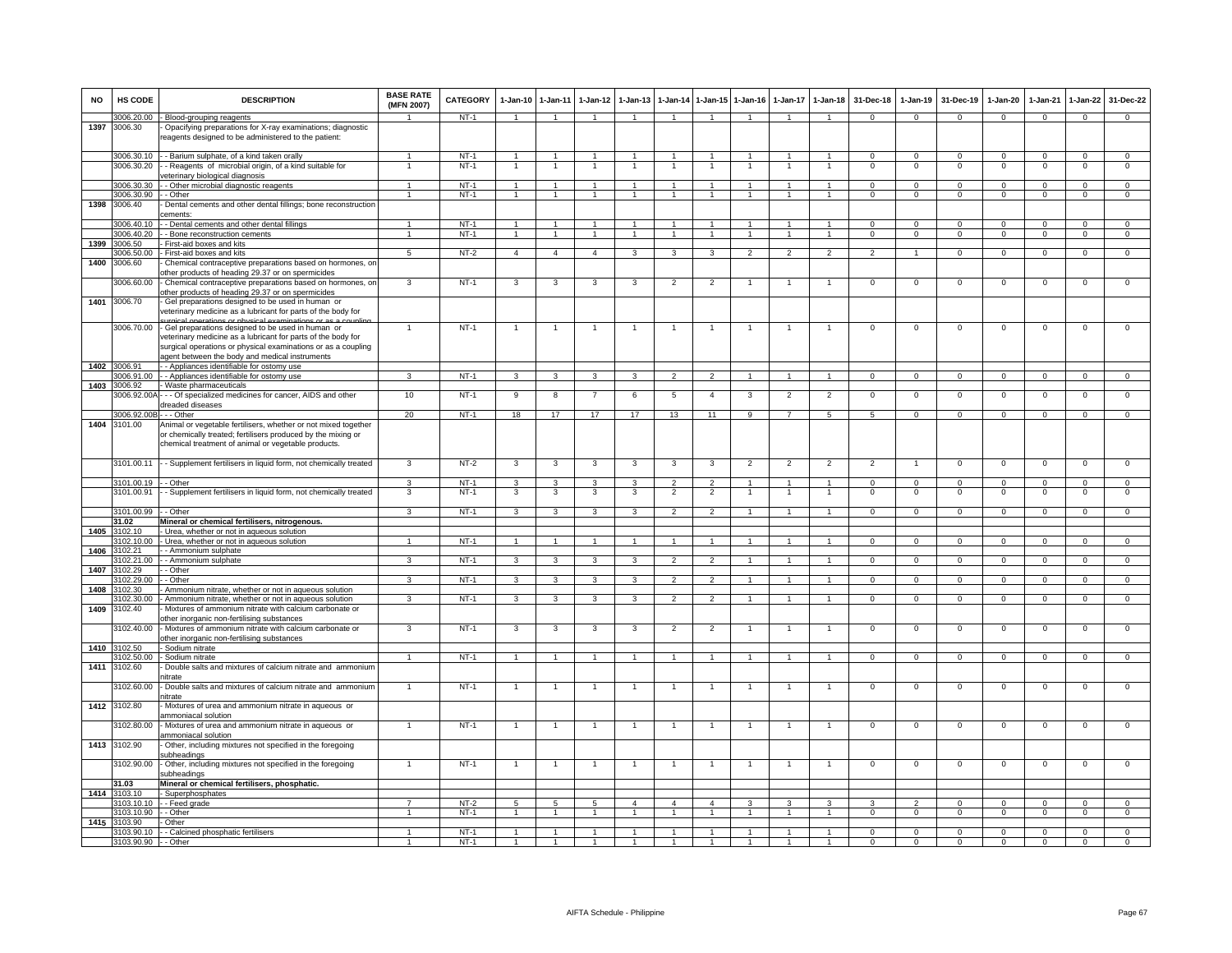| <b>NO</b> | <b>HS CODE</b>             | <b>DESCRIPTION</b>                                                                                                                                                                                                                    | <b>BASE RATE</b><br>(MFN 2007) | CATEGORY | $1-Jan-10$              | 1-Jan-11                | $1-Jan-12$     | $1-Jan-13$     | 1-Jan-14       | $1 - Jan-15$   | $1-Jan-16$           | $1-Jan-17$     | $1-Jan-18$      | 31-Dec-18       | $1-Jan-19$     | 31-Dec-19      | $1-Jan-20$     | 1-Jan-21       | $1-Jan-22$     | 31-Dec-22      |
|-----------|----------------------------|---------------------------------------------------------------------------------------------------------------------------------------------------------------------------------------------------------------------------------------|--------------------------------|----------|-------------------------|-------------------------|----------------|----------------|----------------|----------------|----------------------|----------------|-----------------|-----------------|----------------|----------------|----------------|----------------|----------------|----------------|
|           | 3006.20.00                 | - Blood-grouping reagents                                                                                                                                                                                                             | $\blacktriangleleft$           | NT-1     | $\overline{1}$          | $\overline{1}$          | $\mathbf{1}$   | $\overline{1}$ | $\mathbf{1}$   | $\mathbf{1}$   | $\blacktriangleleft$ |                | $\overline{1}$  | $\Omega$        | $\Omega$       | $\Omega$       | $\Omega$       | $\Omega$       | $\Omega$       | $\Omega$       |
| 1397      | 3006.30                    | Opacifying preparations for X-ray examinations; diagnostic<br>reagents designed to be administered to the patient:                                                                                                                    |                                |          |                         |                         |                |                |                |                |                      |                |                 |                 |                |                |                |                |                |                |
|           |                            | 3006.30.10 - Barium sulphate, of a kind taken orally                                                                                                                                                                                  |                                | $NT-1$   | 1                       | $\mathbf{1}$            |                |                |                |                |                      |                | $\mathbf{1}$    | $\mathsf 0$     | $\mathsf 0$    | $\mathbf 0$    | $\mathbf 0$    | $\mathbf 0$    | $\mathsf 0$    | $\mathbf 0$    |
|           | 3006.30.20                 | - Reagents of microbial origin, of a kind suitable for<br>reterinary biological diagnosis                                                                                                                                             |                                | $NT-1$   |                         |                         |                |                |                |                |                      |                |                 | $\Omega$        | $\Omega$       | $\Omega$       | $\mathbf 0$    | $\Omega$       | $\mathbf 0$    | $\mathbf 0$    |
|           | 3006.30.30                 | - Other microbial diagnostic reagents                                                                                                                                                                                                 | $\overline{1}$                 | $NT-1$   | $\overline{1}$          | $\overline{1}$          | $\overline{1}$ | $\overline{1}$ | $\overline{1}$ | $\overline{1}$ | $\overline{1}$       | $\overline{1}$ | $\mathbf{1}$    | $\Omega$        | $\Omega$       | $\Omega$       | $\Omega$       | $\Omega$       | $\mathbf 0$    | $\circ$        |
|           | 3006.30.90                 | - - Other                                                                                                                                                                                                                             |                                | NT-1     |                         | $\overline{1}$          |                |                |                | $\mathbf{1}$   |                      |                | $\mathbf{1}$    | $\mathbf{O}$    | $\mathsf 0$    | $\mathbf 0$    | $\Omega$       | $\mathbf 0$    | $\mathsf 0$    | $\mathbf 0$    |
| 1398      | 3006.40                    | Dental cements and other dental fillings; bone reconstruction<br>cements:                                                                                                                                                             |                                |          |                         |                         |                |                |                |                |                      |                |                 |                 |                |                |                |                |                |                |
|           | 3006.40.10                 | - - Dental cements and other dental fillings                                                                                                                                                                                          | $\mathbf{1}$                   | $NT-1$   | $\overline{1}$          | $\overline{1}$          | $\mathbf{1}$   | -1             | $\overline{1}$ | $\mathbf{1}$   |                      |                | $\mathbf{1}$    | $\Omega$        | $\mathbf{0}$   | $\mathbf 0$    | $\mathbf{0}$   | $\Omega$       | $\mathbf{0}$   | $^{\circ}$     |
| 1399      | 3006.40.20<br>3006.50      | - - Bone reconstruction cements<br>First-aid boxes and kits                                                                                                                                                                           | $\blacktriangleleft$           | $NT-1$   | $\overline{1}$          | $\overline{1}$          | $\mathbf{1}$   | $\mathbf{1}$   | $\overline{1}$ | $\mathbf{1}$   | $\mathbf{1}$         | $\mathbf{1}$   | $\overline{1}$  | $\Omega$        | $\mathbf 0$    | $\mathbf{0}$   | $\mathbf{0}$   | $\Omega$       | $\mathbf 0$    | $\overline{0}$ |
|           | 3006.50.00                 | First-aid boxes and kits                                                                                                                                                                                                              | $\overline{5}$                 | $NT-2$   | $\overline{4}$          | $\overline{4}$          | $\overline{4}$ | 3              | 3              | 3              | $\overline{2}$       | $\overline{2}$ | $\overline{2}$  | $\overline{2}$  | $\overline{1}$ | $\mathbf 0$    | $\mathbf 0$    | $\mathbf 0$    | $\overline{0}$ | $\overline{0}$ |
| 1400      | 3006.60                    | Chemical contraceptive preparations based on hormones, or<br>other products of heading 29.37 or on spermicides                                                                                                                        |                                |          |                         |                         |                |                |                |                |                      |                |                 |                 |                |                |                |                |                |                |
|           | 3006.60.00                 | - Chemical contraceptive preparations based on hormones, on<br>other products of heading 29.37 or on spermicides                                                                                                                      | 3                              | $NT-1$   | 3                       | 3                       | 3              | 3              | $\overline{2}$ | $\overline{2}$ |                      | $\mathbf{1}$   | $\overline{1}$  | 0               | $\mathbf{0}$   | $\mathbf 0$    | $\mathbf 0$    | $\mathbf 0$    | 0              | $\mathbf 0$    |
| 1401      | 3006.70                    | - Gel preparations designed to be used in human or                                                                                                                                                                                    |                                |          |                         |                         |                |                |                |                |                      |                |                 |                 |                |                |                |                |                |                |
|           |                            | veterinary medicine as a lubricant for parts of the body for<br>raical operations or physical examinations or as a                                                                                                                    |                                |          |                         |                         |                |                |                |                |                      |                |                 |                 |                |                |                |                |                |                |
|           | 3006.70.00                 | - Gel preparations designed to be used in human or<br>veterinary medicine as a lubricant for parts of the body for<br>surgical operations or physical examinations or as a coupling<br>agent between the body and medical instruments | $\mathbf{1}$                   | $NT-1$   |                         | $\overline{1}$          | -1             | -1             | -1             | -1             | -1                   | -1             | $\overline{1}$  | $\Omega$        | $\Omega$       | $\mathbf 0$    | $\mathbf 0$    | $\Omega$       | $\mathsf 0$    | $\overline{0}$ |
|           | 1402 3006.91<br>3006.91.00 | - - Appliances identifiable for ostomy use<br>- - Appliances identifiable for ostomy use                                                                                                                                              | 3                              | $NT-1$   | $\overline{\mathbf{3}}$ | $\mathbf{3}$            | $\overline{3}$ | $\overline{3}$ | $\overline{2}$ | $\overline{2}$ | $\mathbf{1}$         | $\overline{1}$ | $\overline{1}$  | $\overline{0}$  | $\overline{0}$ | $\overline{0}$ | $\overline{0}$ | $\overline{0}$ | $\overline{0}$ | $\overline{0}$ |
| 1403      | 3006.92                    | Waste pharmaceuticals                                                                                                                                                                                                                 |                                |          |                         |                         |                |                |                |                |                      |                |                 |                 |                |                |                |                |                |                |
|           | 3006.92.00A                | - - Of specialized medicines for cancer, AIDS and other<br>dreaded diseases                                                                                                                                                           | 10                             | $NT-1$   | $\mathsf g$             | 8                       | $\overline{7}$ | 6              | $\,$ 5 $\,$    | $\overline{4}$ | 3                    | $\overline{2}$ | $\overline{2}$  | $\mathsf 0$     | $\mathsf 0$    | $\mathsf 0$    | $\mathsf 0$    | $\mathbf 0$    | $\mathsf 0$    | $\mathsf 0$    |
|           | 3006.92.00B - - - Other    |                                                                                                                                                                                                                                       | 20                             | $NT-1$   | 18                      | 17                      | 17             | 17             | 13             | 11             | $\mathbf{Q}$         | $\overline{7}$ | $5\overline{5}$ | $5\overline{5}$ | $\mathbf{0}$   | $\mathbf 0$    | $\mathbf 0$    | $^{\circ}$     | $^{\circ}$     | $\Omega$       |
| 1404      | 3101.00                    | Animal or vegetable fertilisers, whether or not mixed together<br>or chemically treated; fertilisers produced by the mixing or<br>chemical treatment of animal or vegetable products.                                                 |                                |          |                         |                         |                |                |                |                |                      |                |                 |                 |                |                |                |                |                |                |
|           |                            | 3101.00.11 - - Supplement fertilisers in liquid form, not chemically treated                                                                                                                                                          | 3                              | $NT-2$   | 3                       | 3                       | 3              | 3              | 3              | 3              | $\overline{2}$       | $\overline{2}$ | $\overline{2}$  | $\overline{2}$  | $\mathbf{1}$   | $\mathbf 0$    | $\overline{0}$ | $\mathbf 0$    | 0              | 0              |
|           | 3101.00.19                 | - Other                                                                                                                                                                                                                               | $\overline{3}$                 | $NT-1$   | $\overline{3}$          | $\overline{\mathbf{3}}$ | 3              | 3              | $\overline{2}$ | $\overline{2}$ | $\mathbf{1}$         | $\overline{1}$ | $\overline{1}$  | $\overline{0}$  | $\overline{0}$ | $\Omega$       | $\overline{0}$ | $\overline{0}$ | $\overline{0}$ | $\overline{0}$ |
|           | 3101.00.91                 | - Supplement fertilisers in liquid form, not chemically treated                                                                                                                                                                       | 3                              | $NT-1$   | 3                       | 3                       | 3              | 3              | $\overline{2}$ | $\overline{2}$ | $\mathbf{1}$         | 1              | $\mathbf{1}$    | $\mathsf 0$     | $\mathbf 0$    | $\mathbf 0$    | $\mathbf 0$    | $\mathbf 0$    | $\mathsf 0$    | $\mathbf 0$    |
|           | 3101.00.99                 | $-$ Other                                                                                                                                                                                                                             | 3                              | $NT-1$   | 3                       | 3                       | $\mathbf{3}$   | $\mathbf{3}$   | $\overline{2}$ | $\overline{2}$ | -1                   | $\mathbf{1}$   | $\mathbf{1}$    | $\Omega$        | $\Omega$       | $\mathbf 0$    | $\Omega$       | $\Omega$       | $\mathbf 0$    | $\Omega$       |
|           | 31.02                      | Mineral or chemical fertilisers, nitrogenous.                                                                                                                                                                                         |                                |          |                         |                         |                |                |                |                |                      |                |                 |                 |                |                |                |                |                |                |
| 1405      | 3102.10<br>102.10.00       | Urea, whether or not in aqueous solution<br>- Urea, whether or not in aqueous solution                                                                                                                                                |                                | $NT-1$   |                         | $\overline{1}$          |                |                |                |                |                      |                |                 | $\overline{0}$  | $\overline{0}$ | $\overline{0}$ | $\Omega$       | $\overline{0}$ | $\overline{0}$ | $\overline{0}$ |
| 1406      | 102.21                     | - Ammonium sulphate                                                                                                                                                                                                                   |                                |          |                         |                         |                |                |                |                |                      |                |                 |                 |                |                |                |                |                |                |
|           | 3102.21.00                 | - - Ammonium sulphate                                                                                                                                                                                                                 | 3                              | NT-1     | $\mathbf{3}$            | $\mathbf{3}$            | $\mathbf{3}$   | 3              | $\overline{2}$ | $\overline{2}$ |                      |                | $\mathbf{1}$    | $\mathbf{0}$    | $\mathbf 0$    | $\mathbf{0}$   | $\mathbf{0}$   | $\mathbf 0$    | $\overline{0}$ | $\Omega$       |
| 1407      | 3102.29<br>3102.29.00      | - - Other<br>- Other                                                                                                                                                                                                                  | 3                              | $NT-1$   | $\mathbf{3}$            | $\mathbf{3}$            | 3              | 3              | $\overline{2}$ | $\overline{2}$ | -1                   | $\mathbf{1}$   | $\overline{1}$  | $\Omega$        | $^{\circ}$     | $\mathbf{0}$   | $\mathbf{0}$   | $^{\circ}$     | $\mathbf{0}$   | $\mathbf{0}$   |
| 1408      | 102.30                     | Ammonium nitrate, whether or not in agueous solution                                                                                                                                                                                  |                                |          |                         |                         |                |                |                |                |                      |                |                 |                 |                |                |                |                |                |                |
|           | 102.30.00                  | - Ammonium nitrate, whether or not in aqueous solution                                                                                                                                                                                | 3                              | $NT-1$   | $\mathbf{3}$            | 3                       | $\mathbf{3}$   | 3              | $\overline{2}$ | $\overline{2}$ | $\mathbf{1}$         | $\mathbf{1}$   | $\mathbf{1}$    | $\mathbf{O}$    | $\mathbf{0}$   | $\mathbf 0$    | $\mathbf 0$    | $\mathbf 0$    | $\mathbf{0}$   | $\overline{0}$ |
| 1409      | 3102.40                    | Mixtures of ammonium nitrate with calcium carbonate or<br>other inorganic non-fertilising substances                                                                                                                                  |                                |          |                         |                         |                |                |                |                |                      |                |                 |                 |                |                |                |                |                |                |
|           |                            | 3102.40.00 - Mixtures of ammonium nitrate with calcium carbonate or<br>other inorganic non-fertilising substances                                                                                                                     | 3                              | $NT-1$   | 3                       | 3                       | 3              | 3              | $\overline{2}$ | $\overline{2}$ |                      | $\mathbf{1}$   | -1              | $\mathbf{0}$    | $\mathbf{0}$   | $\mathbf{0}$   | $\overline{0}$ | $\mathbf 0$    | 0              | $\mathbf{0}$   |
| 1410      | 102.50<br>102.50.00        | - Sodium nitrate<br>- Sodium nitrate                                                                                                                                                                                                  |                                | $NT-1$   |                         |                         |                |                |                |                |                      |                |                 |                 |                |                |                |                |                |                |
| 1411      | 3102.60                    | Double salts and mixtures of calcium nitrate and ammonium<br>itrate                                                                                                                                                                   |                                |          |                         |                         |                |                |                |                |                      |                |                 |                 |                |                |                |                |                |                |
|           | 3102.60.00                 | - Double salts and mixtures of calcium nitrate and ammonium<br>itrate                                                                                                                                                                 |                                | $NT-1$   |                         |                         |                |                |                |                |                      |                |                 | $\Omega$        | $\Omega$       | $\Omega$       | $\overline{0}$ | $\Omega$       | $\Omega$       | $\Omega$       |
| 1412      | 3102.80                    | Mixtures of urea and ammonium nitrate in aqueous or<br>ammoniacal solution                                                                                                                                                            |                                |          |                         |                         |                |                |                |                |                      |                |                 |                 |                |                |                |                |                |                |
|           | 3102.80.00                 | - Mixtures of urea and ammonium nitrate in aqueous or<br><b>immoniacal</b> solution                                                                                                                                                   |                                | $NT-1$   |                         |                         |                |                |                |                |                      |                |                 | $\Omega$        | $\Omega$       | $\Omega$       | $\mathbf 0$    | $\Omega$       | $\Omega$       | $\Omega$       |
| 1413      | 3102.90                    | Other, including mixtures not specified in the foregoing<br>subheadings                                                                                                                                                               |                                |          |                         |                         |                |                |                |                |                      |                |                 |                 |                |                |                |                |                |                |
|           | 3102.90.00                 | - Other, including mixtures not specified in the foregoing<br>subheadings                                                                                                                                                             |                                | $NT-1$   |                         |                         |                |                |                |                |                      |                |                 | $\mathsf 0$     | $\Omega$       | $\Omega$       | $\mathbf 0$    | $\Omega$       | $\mathbf 0$    | $\overline{0}$ |
| 1414      | 31.03<br>310310            | Mineral or chemical fertilisers, phosphatic.<br>- Superphosphates                                                                                                                                                                     |                                |          |                         |                         |                |                |                |                |                      |                |                 |                 |                |                |                |                |                |                |
|           |                            | 3103.10.10 - Feed grade                                                                                                                                                                                                               | 7                              | $NT-2$   | -5                      | 5                       | 5              | 4              | $\overline{4}$ | $\overline{4}$ | 3                    | 3              | 3               | 3               | $\overline{2}$ | $\Omega$       | $\mathbf 0$    | $\Omega$       | $\mathbf 0$    | $\mathbf 0$    |
|           | 103.10.90                  | - - Other                                                                                                                                                                                                                             | $\mathbf{1}$                   | $NT-1$   | 1                       |                         |                |                |                |                |                      |                |                 | $\mathsf 0$     | $\mathsf 0$    | $\mathbf 0$    | $\mathbf 0$    | $\mathbf 0$    | $\mathsf 0$    | $\overline{0}$ |
| 1415      | 3103.90<br>3103.90.10      | Other<br>- - Calcined phosphatic fertilisers                                                                                                                                                                                          |                                | $NT-1$   |                         |                         |                |                |                |                |                      |                |                 | $\Omega$        | $\Omega$       | $\Omega$       | $\Omega$       | $\Omega$       | $\mathbf 0$    | $\Omega$       |
|           | 3103.90.90 - - Other       |                                                                                                                                                                                                                                       | $\blacktriangleleft$           | $NT-1$   |                         |                         |                |                |                |                |                      |                |                 | $\Omega$        | $\Omega$       | $\Omega$       | $\Omega$       | $\Omega$       | $\Omega$       | $\Omega$       |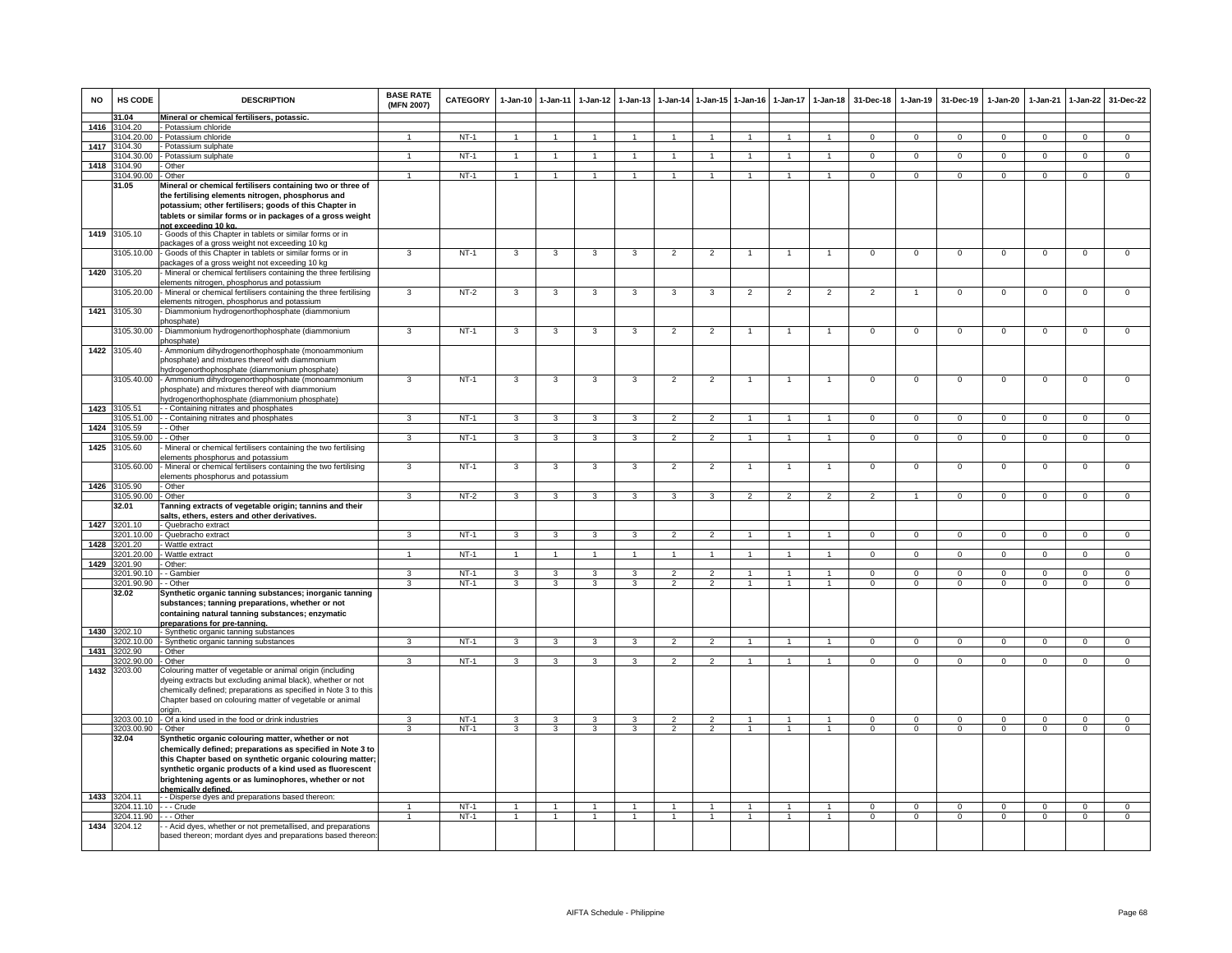| <b>NO</b> | HS CODE                     | <b>DESCRIPTION</b>                                                                                                         | <b>BASE RATE</b><br>(MFN 2007) | <b>CATEGORY</b> | $1-Jan-10$     | $1 - Jan-11$            | $1-Jan-12$     | $1 - Jan-13$            |                      |                | 1-Jan-14 1-Jan-15 1-Jan-16 | $1-Jan-17$     | $1 - Jan-18$   | 31-Dec-18      | $1-Jan-19$     | 31-Dec-19      | $1-Jan-20$     | $1-Jan-21$     | $1 - Jan-22$   | 31-Dec-22      |
|-----------|-----------------------------|----------------------------------------------------------------------------------------------------------------------------|--------------------------------|-----------------|----------------|-------------------------|----------------|-------------------------|----------------------|----------------|----------------------------|----------------|----------------|----------------|----------------|----------------|----------------|----------------|----------------|----------------|
|           | 31.04                       | Mineral or chemical fertilisers, potassic.                                                                                 |                                |                 |                |                         |                |                         |                      |                |                            |                |                |                |                |                |                |                |                |                |
| 1416      | 3104.20<br>104.20.00        | - Potassium chloride<br>- Potassium chloride                                                                               |                                | $NT-1$          | $\overline{1}$ | -1                      |                |                         | $\overline{1}$       |                |                            |                | $\mathbf{1}$   | $\overline{0}$ | $\overline{0}$ | $\Omega$       | $\Omega$       | $\overline{0}$ | $\overline{0}$ | $\overline{0}$ |
| 1417      | 104.30                      | Potassium sulphate                                                                                                         |                                |                 |                |                         |                |                         |                      |                |                            |                |                |                |                |                |                |                |                |                |
|           | 104.30.00                   | Potassium sulphate                                                                                                         | $\mathbf{1}$                   | $NT-1$          |                | $\mathbf{1}$            |                |                         |                      |                |                            |                |                | $\Omega$       | $\overline{0}$ | $\overline{0}$ | $\Omega$       | $\Omega$       | $\overline{0}$ | $\overline{0}$ |
| 1418      | 104.90                      | Other                                                                                                                      |                                |                 |                |                         |                |                         |                      |                |                            |                |                |                |                |                |                |                |                |                |
|           | 104.90.00                   | - Other                                                                                                                    | $\mathbf{1}$                   | $NT-1$          | $\overline{1}$ | $\overline{1}$          | $\overline{1}$ | $\blacktriangleleft$    | $\blacktriangleleft$ | $\overline{1}$ | $\mathbf{1}$               | $\mathbf{1}$   | $\sim$         | $\Omega$       | $\Omega$       | $\mathbf 0$    | $\Omega$       | $\Omega$       | $\mathbf 0$    | $\overline{0}$ |
|           | 31.05                       | Mineral or chemical fertilisers containing two or three of                                                                 |                                |                 |                |                         |                |                         |                      |                |                            |                |                |                |                |                |                |                |                |                |
|           |                             | the fertilising elements nitrogen, phosphorus and<br>potassium; other fertilisers; goods of this Chapter in                |                                |                 |                |                         |                |                         |                      |                |                            |                |                |                |                |                |                |                |                |                |
|           |                             | tablets or similar forms or in packages of a gross weight                                                                  |                                |                 |                |                         |                |                         |                      |                |                            |                |                |                |                |                |                |                |                |                |
|           |                             | not exceeding 10 kg.                                                                                                       |                                |                 |                |                         |                |                         |                      |                |                            |                |                |                |                |                |                |                |                |                |
|           | 1419 3105.10                | - Goods of this Chapter in tablets or similar forms or in                                                                  |                                |                 |                |                         |                |                         |                      |                |                            |                |                |                |                |                |                |                |                |                |
|           |                             | backages of a gross weight not exceeding 10 kg                                                                             | 3                              | $NT-1$          | $\overline{3}$ | $\overline{\mathbf{3}}$ |                | 3                       |                      |                | $\mathbf{1}$               | $\mathbf{1}$   | $\mathbf{1}$   | $\overline{0}$ | $\overline{0}$ |                | $\overline{0}$ | $\overline{0}$ |                |                |
|           | 3105.10.00                  | Goods of this Chapter in tablets or similar forms or in<br>ackages of a gross weight not exceeding 10 kg                   |                                |                 |                |                         | 3              |                         | $\overline{2}$       | $\overline{2}$ |                            |                |                |                |                | $\overline{0}$ |                |                | $\overline{0}$ | $\overline{0}$ |
|           | 1420 3105.20                | Mineral or chemical fertilisers containing the three fertilising                                                           |                                |                 |                |                         |                |                         |                      |                |                            |                |                |                |                |                |                |                |                |                |
|           |                             | elements nitrogen, phosphorus and potassium                                                                                |                                |                 |                |                         |                |                         |                      |                |                            |                |                |                |                |                |                |                |                |                |
|           | 3105.20.00                  | - Mineral or chemical fertilisers containing the three fertilising<br>elements nitrogen, phosphorus and potassium          | $\mathbf{3}$                   | $NT-2$          | $\mathbf{3}$   | 3                       | 3              | 3                       | 3                    | 3              | $\overline{2}$             | $\overline{2}$ | $\overline{2}$ | $\overline{2}$ | $\overline{1}$ | $\mathbf 0$    | $\mathbf 0$    | $\mathbf 0$    | $\mathsf 0$    | $\mathbf 0$    |
| 1421      | 3105.30                     | - Diammonium hydrogenorthophosphate (diammonium<br>bhosphate)                                                              |                                |                 |                |                         |                |                         |                      |                |                            |                |                |                |                |                |                |                |                |                |
|           | 3105.30.00                  | - Diammonium hydrogenorthophosphate (diammonium                                                                            | 3                              | $NT-1$          | 3              | -3                      | 3              | -3                      | $\overline{2}$       | $\overline{2}$ |                            |                |                | $\Omega$       | $\Omega$       | $\Omega$       | $\Omega$       | $\Omega$       | $\Omega$       | $\Omega$       |
|           | 1422 3105.40                | phosphate)<br>Ammonium dihydrogenorthophosphate (monoammonium                                                              |                                |                 |                |                         |                |                         |                      |                |                            |                |                |                |                |                |                |                |                |                |
|           |                             | phosphate) and mixtures thereof with diammonium<br>ydrogenorthophosphate (diammonium phosphate)                            |                                |                 |                |                         |                |                         |                      |                |                            |                |                |                |                |                |                |                |                |                |
|           |                             | 3105.40.00 - Ammonium dihydrogenorthophosphate (monoammonium                                                               | 3                              | $NT-1$          | 3              | 3                       | 3              | 3                       | $\overline{2}$       | $\overline{2}$ |                            |                |                | $\mathsf 0$    | $\mathsf 0$    | $\mathbf 0$    | $\mathbf 0$    | $\mathbf 0$    | $\mathsf 0$    | $\Omega$       |
|           |                             | phosphate) and mixtures thereof with diammonium                                                                            |                                |                 |                |                         |                |                         |                      |                |                            |                |                |                |                |                |                |                |                |                |
|           | 105.51                      | ydrogenorthophosphate (diammonium phosphate)<br>- Containing nitrates and phosphates                                       |                                |                 |                |                         |                |                         |                      |                |                            |                |                |                |                |                |                |                |                |                |
| 1423      | 105.51.00                   | - - Containing nitrates and phosphates                                                                                     | 3                              | $NT-1$          | $\mathbf{3}$   | 3                       | 3              | 3                       | $\overline{2}$       | $\overline{2}$ |                            |                | $\mathbf{1}$   | $\Omega$       | $\Omega$       | $\Omega$       | $\Omega$       | $\Omega$       | $\Omega$       | $\overline{0}$ |
| 1424      | 3105.59                     | - - Other                                                                                                                  |                                |                 |                |                         |                |                         |                      |                |                            |                |                |                |                |                |                |                |                |                |
|           | 105.59.00                   | - - Other                                                                                                                  | 3                              | $NT-1$          | $\mathbf{3}$   | $\mathbf{3}$            | 3              | $\mathbf{3}$            | $\overline{2}$       | $\overline{2}$ | 1                          | $\mathbf{1}$   | $\mathbf{1}$   | $^{\circ}$     | $\mathbf{0}$   | $^{\circ}$     | $\overline{0}$ | $^{\circ}$     | $\overline{0}$ | $\overline{0}$ |
| 1425      | 3105.60                     | Mineral or chemical fertilisers containing the two fertilising                                                             |                                |                 |                |                         |                |                         |                      |                |                            |                |                |                |                |                |                |                |                |                |
|           | 105.60.00                   | elements phosphorus and potassium<br>- Mineral or chemical fertilisers containing the two fertilising                      | 3                              | $NT-1$          | 3              | 3                       | 3              | 3                       | $\overline{2}$       | $\overline{2}$ |                            | $\overline{1}$ | $\mathbf{1}$   | $\mathbf{O}$   | $\mathsf 0$    | $\mathbf 0$    | $\mathbf 0$    | $\mathbf 0$    | $\mathbf 0$    | $\overline{0}$ |
|           |                             | elements phosphorus and potassium                                                                                          |                                |                 |                |                         |                |                         |                      |                |                            |                |                |                |                |                |                |                |                |                |
|           | 1426 3105.90                | Other                                                                                                                      |                                |                 |                |                         |                |                         |                      |                |                            |                |                |                |                |                |                |                |                |                |
|           | 3105.90.00                  | - Other                                                                                                                    | $\overline{\mathbf{3}}$        | $NT-2$          | $\overline{3}$ | $\overline{3}$          | 3              | $\overline{3}$          | $\overline{3}$       | $\overline{3}$ | $\overline{2}$             | $\overline{2}$ | $\overline{2}$ | $\overline{2}$ | $\overline{1}$ | $\overline{0}$ | $\overline{0}$ | $\overline{0}$ | $\overline{0}$ | $\overline{0}$ |
|           | 32.01                       | Tanning extracts of vegetable origin; tannins and their                                                                    |                                |                 |                |                         |                |                         |                      |                |                            |                |                |                |                |                |                |                |                |                |
| 1427      | 3201.10                     | salts, ethers, esters and other derivatives.<br>Quebracho extract                                                          |                                |                 |                |                         |                |                         |                      |                |                            |                |                |                |                |                |                |                |                |                |
|           | 201.10.00                   | - Quebracho extract                                                                                                        | 3                              | NT-1            | 3              | 3                       | $\mathbf{3}$   | 3                       | $\overline{2}$       | $\overline{2}$ |                            |                | $\mathbf{1}$   | $\mathbf{0}$   | $\mathbf 0$    | $\mathbf 0$    | $\mathbf{0}$   | $\mathbf 0$    | $\mathbf 0$    | $\mathbf{0}$   |
| 1428      | 3201.20                     | Wattle extract                                                                                                             |                                |                 |                |                         |                |                         |                      |                |                            |                |                |                |                |                |                |                |                |                |
|           | 201.20.00                   | Wattle extract                                                                                                             | $\mathbf{1}$                   | $NT-1$          | -1             | -1                      |                |                         |                      |                |                            |                | 1              | $\Omega$       | $\mathbf{0}$   | $\mathbf 0$    | $\Omega$       | $\Omega$       | $\Omega$       | $\overline{0}$ |
| 1429      | 201.90<br>201.90.10         | Other:<br>- Gambier                                                                                                        | 3                              | $NT-1$          | 3              | 3                       | 3              | 3                       | $\mathfrak{p}$       | $\mathfrak{p}$ |                            |                | $\mathbf{1}$   | $\mathsf 0$    | $\overline{0}$ | $\mathbf 0$    | $\mathbf 0$    | $\Omega$       | $\mathsf 0$    | $\overline{0}$ |
|           | 201.90.90                   | - Other                                                                                                                    | 3                              | NT-1            | $\mathbf{3}$   | 3                       | $\mathbf{3}$   | $\mathbf{3}$            | $\mathcal{P}$        | $\mathcal{P}$  | $\mathbf{1}$               | $\mathbf{1}$   | $\overline{1}$ | $\mathbf{0}$   | $\mathbf 0$    | $\mathbf 0$    | $\mathbf{0}$   | $\mathbf 0$    | $\mathsf 0$    | $\Omega$       |
|           | 32.02                       | Synthetic organic tanning substances; inorganic tanning                                                                    |                                |                 |                |                         |                |                         |                      |                |                            |                |                |                |                |                |                |                |                |                |
|           |                             | substances; tanning preparations, whether or not                                                                           |                                |                 |                |                         |                |                         |                      |                |                            |                |                |                |                |                |                |                |                |                |
|           |                             | containing natural tanning substances; enzymatic                                                                           |                                |                 |                |                         |                |                         |                      |                |                            |                |                |                |                |                |                |                |                |                |
|           | 1430 3202.10                | preparations for pre-tanning.<br>- Synthetic organic tanning substances                                                    |                                |                 |                |                         |                |                         |                      |                |                            |                |                |                |                |                |                |                |                |                |
|           |                             | 3202.10.00 - Synthetic organic tanning substances                                                                          | 3                              | $NT-1$          | $\mathbf{3}$   | $\mathbf{3}$            | $\mathbf{3}$   | $\mathbf{3}$            | $\overline{2}$       | $\overline{2}$ | $\mathbf{1}$               | $\mathbf{1}$   | $\overline{1}$ | $\Omega$       | $\overline{0}$ | $\overline{0}$ | $\mathbf{0}$   | $\Omega$       | $\circ$        | $\overline{0}$ |
| 1431      | 202.90                      | - Other                                                                                                                    |                                |                 |                |                         |                |                         |                      |                |                            |                |                |                |                |                |                |                |                |                |
|           | 202.90.00                   | Other                                                                                                                      | 3                              | $NT-1$          | $\mathbf{3}$   | $\overline{3}$          | $\mathbf{3}$   | $\overline{3}$          | $\overline{2}$       | $\overline{2}$ | $\mathbf{1}$               | $\mathbf{1}$   | $\mathbf{1}$   | $\Omega$       | $\Omega$       | $\Omega$       | $\Omega$       | $\Omega$       | $\overline{0}$ | $\overline{0}$ |
| 1432      | 3203.00                     | Colouring matter of vegetable or animal origin (including<br>dyeing extracts but excluding animal black), whether or not   |                                |                 |                |                         |                |                         |                      |                |                            |                |                |                |                |                |                |                |                |                |
|           |                             | chemically defined; preparations as specified in Note 3 to this                                                            |                                |                 |                |                         |                |                         |                      |                |                            |                |                |                |                |                |                |                |                |                |
|           |                             | Chapter based on colouring matter of vegetable or animal                                                                   |                                |                 |                |                         |                |                         |                      |                |                            |                |                |                |                |                |                |                |                |                |
|           |                             | origin.                                                                                                                    |                                |                 |                |                         |                |                         |                      |                |                            |                |                |                |                |                |                |                |                |                |
|           |                             | 3203.00.10 - Of a kind used in the food or drink industries                                                                | $\overline{\mathbf{3}}$        | $NT-1$          | 3              | $\overline{\mathbf{3}}$ | $\overline{3}$ | $\overline{\mathbf{3}}$ | $\overline{2}$       | $\overline{2}$ |                            |                | $\mathbf{1}$   | $\overline{0}$ | $\overline{0}$ | $\overline{0}$ | $\overline{0}$ | $\overline{0}$ | $\overline{0}$ | $\overline{0}$ |
|           | 3203.00.90 - Other<br>32.04 | Synthetic organic colouring matter, whether or not                                                                         | 3                              | $NT-1$          | 3              | 3                       | $\mathbf{3}$   | 3                       | $\overline{2}$       | $\overline{2}$ |                            | $\mathbf{1}$   | $\mathbf{1}$   | $\mathbf{0}$   | $\mathbf{0}$   | $\mathbf{0}$   | $\mathbf{0}$   | $\mathbf{0}$   | $\mathbf{0}$   | $\mathbf{0}$   |
|           |                             | chemically defined; preparations as specified in Note 3 to                                                                 |                                |                 |                |                         |                |                         |                      |                |                            |                |                |                |                |                |                |                |                |                |
|           |                             | this Chapter based on synthetic organic colouring matter;                                                                  |                                |                 |                |                         |                |                         |                      |                |                            |                |                |                |                |                |                |                |                |                |
|           |                             | synthetic organic products of a kind used as fluorescent                                                                   |                                |                 |                |                         |                |                         |                      |                |                            |                |                |                |                |                |                |                |                |                |
|           |                             | brightening agents or as luminophores, whether or not                                                                      |                                |                 |                |                         |                |                         |                      |                |                            |                |                |                |                |                |                |                |                |                |
| 1433      | 3204.11                     | chemically defined.<br>- - Disperse dyes and preparations based thereon:                                                   |                                |                 |                |                         |                |                         |                      |                |                            |                |                |                |                |                |                |                |                |                |
|           | 204.11.10                   | - - - Crude                                                                                                                |                                | $NT-1$          | $\overline{1}$ | $\overline{1}$          | $\overline{1}$ | $\overline{1}$          | $\overline{1}$       | $\overline{1}$ | $\mathbf{1}$               | $\overline{1}$ | $\overline{1}$ | $\Omega$       | $\mathbf 0$    | $\mathbf 0$    | $\Omega$       | $\mathbf{0}$   | $\mathbf 0$    | $\overline{0}$ |
|           | 3204.11.90                  | - - Other                                                                                                                  |                                | $NT-1$          | $\overline{1}$ | $\overline{1}$          | $\overline{1}$ | $\overline{1}$          | $\overline{1}$       | $\overline{1}$ | $\mathbf{1}$               | $\mathbf{1}$   | $\mathbf{1}$   | $\overline{0}$ | $\overline{0}$ | $\overline{0}$ | $\overline{0}$ | $\overline{0}$ | $\overline{0}$ | $\overline{0}$ |
| 1434      | 3204.12                     | - Acid dyes, whether or not premetallised, and preparations<br>based thereon; mordant dyes and preparations based thereon: |                                |                 |                |                         |                |                         |                      |                |                            |                |                |                |                |                |                |                |                |                |
|           |                             |                                                                                                                            |                                |                 |                |                         |                |                         |                      |                |                            |                |                |                |                |                |                |                |                |                |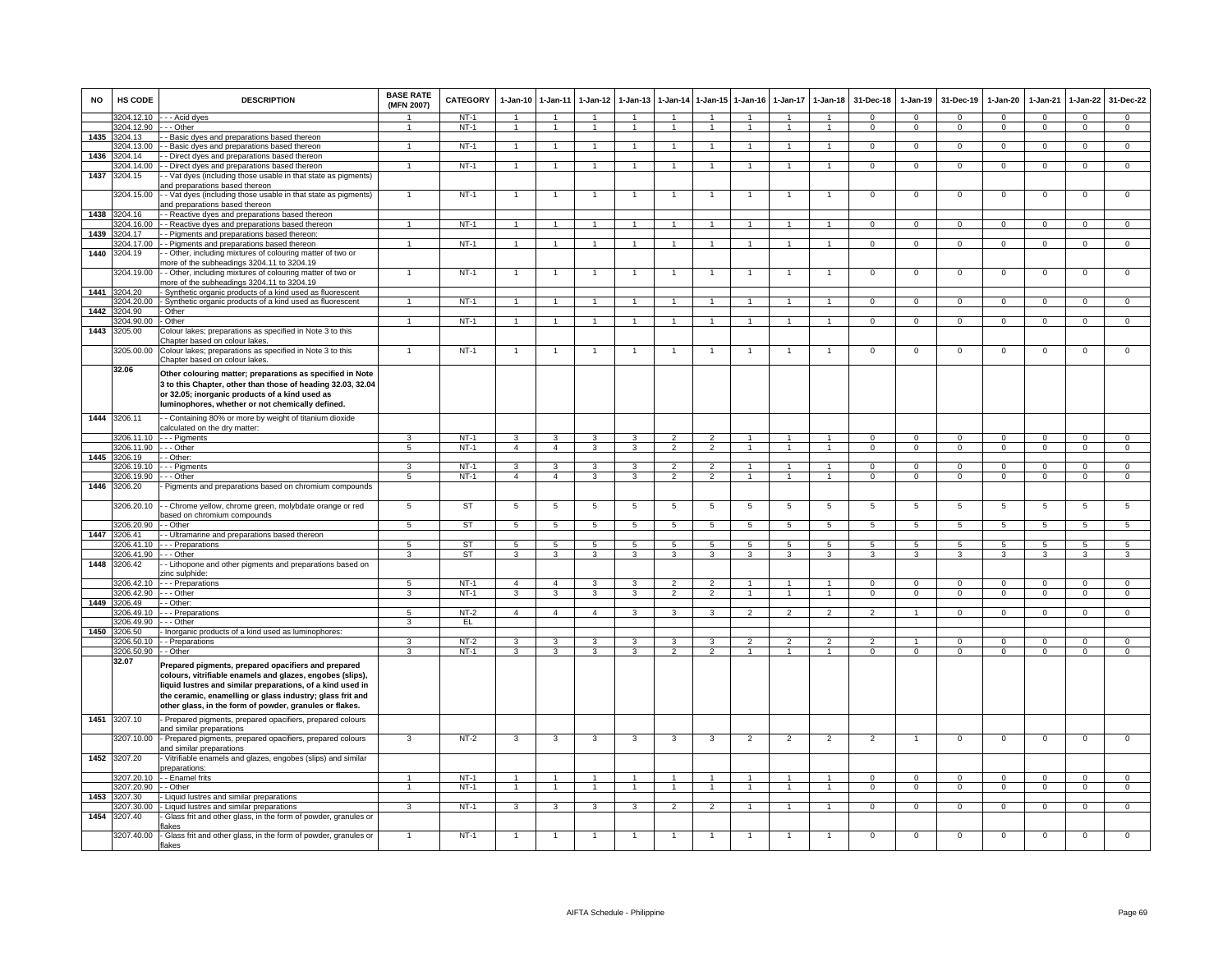| <b>NO</b> | HS CODE               | <b>DESCRIPTION</b>                                                                           | <b>BASE RATE</b><br>(MFN 2007) | CATEGORY         | $1-Jan-10$      | $1 - Jan-11$            | $1-Jan-12$           | $1 - Jan-13$   | 1-Jan-14                 |                      | 1-Jan-15 1-Jan-16 | 1-Jan-17       | $1-Jan-18$           | 31-Dec-18      | $1-Jan-19$     | 31-Dec-19      | 1-Jan-20       | $1-Jan-21$     | $1-Jan-22$      | 31-Dec-22      |
|-----------|-----------------------|----------------------------------------------------------------------------------------------|--------------------------------|------------------|-----------------|-------------------------|----------------------|----------------|--------------------------|----------------------|-------------------|----------------|----------------------|----------------|----------------|----------------|----------------|----------------|-----------------|----------------|
|           | 3204.12.10            | - - - Acid dyes                                                                              |                                | $NT-1$           | $\overline{1}$  | $\overline{1}$          | $\blacktriangleleft$ | $\overline{ }$ | $\overline{1}$           |                      |                   |                | $\blacktriangleleft$ | $\Omega$       | $\Omega$       | $\Omega$       | $\Omega$       | $\Omega$       | $\mathbf{0}$    | $\Omega$       |
|           | 204.12.90<br>3204 13  | - - Other                                                                                    | $\overline{1}$                 | NT-1             | $\overline{1}$  | $\overline{1}$          | $\overline{1}$       | $\overline{1}$ | $\overline{1}$           | $\overline{1}$       | $\overline{1}$    | $\overline{1}$ | $\overline{1}$       | $\mathbf{0}$   | $\mathbf{0}$   | $\mathbf 0$    | $\mathbf{0}$   | $\mathbf 0$    | $\circ$         | $\overline{0}$ |
| 1435      | 204.13.00             | - Basic dyes and preparations based thereon<br>- Basic dyes and preparations based thereon   | 1                              | $NT-1$           | $\overline{1}$  | $\overline{1}$          | 1                    | 1              | $\mathbf{1}$             | 1                    | 1                 | $\mathbf{1}$   | 1                    | $\mathbf{O}$   | $\mathbf 0$    | $\mathbf{0}$   | $\mathbf 0$    | $\mathbf 0$    | $\overline{0}$  | $\overline{0}$ |
| 1436      | 204.14                | - Direct dyes and preparations based thereon                                                 |                                |                  |                 |                         |                      |                |                          |                      |                   |                |                      |                |                |                |                |                |                 |                |
|           | 204.14.00             | - Direct dyes and preparations based thereon                                                 | $\overline{1}$                 | NT-1             | $\overline{1}$  | $\overline{1}$          | $\overline{1}$       | $\mathbf{1}$   | $\overline{1}$           | $\mathbf{1}$         |                   |                | $\overline{1}$       | $\mathbf{O}$   | $\mathbf 0$    | $\mathbf 0$    | $\mathbf 0$    | $\mathbf 0$    | $\mathbf 0$     | $\mathbf 0$    |
| 1437      | 3204.15               | - Vat dyes (including those usable in that state as pigments)                                |                                |                  |                 |                         |                      |                |                          |                      |                   |                |                      |                |                |                |                |                |                 |                |
|           |                       | and preparations based thereon                                                               |                                |                  |                 |                         |                      |                |                          |                      |                   |                |                      |                |                |                |                |                |                 |                |
|           | 3204.15.00            | - Vat dyes (including those usable in that state as pigments)                                |                                | $NT-1$           |                 | $\overline{1}$          |                      |                |                          |                      |                   |                | $\overline{1}$       | $\mathsf 0$    | $\mathbf 0$    | $\mathbf 0$    | $\mathbf 0$    | $\mathbf 0$    | $\overline{0}$  | $\overline{0}$ |
|           |                       | and preparations based thereon                                                               |                                |                  |                 |                         |                      |                |                          |                      |                   |                |                      |                |                |                |                |                |                 |                |
| 1438      | 3204.16<br>3204.16.00 | - Reactive dyes and preparations based thereon                                               | $\mathbf{1}$                   | NT-1             | $\overline{1}$  | $\mathbf{1}$            | -1                   | $\mathbf{1}$   | $\mathbf{1}$             | $\mathbf{1}$         |                   |                | 1                    | $\mathbf{0}$   | $\mathbf 0$    | $\mathbf{0}$   | $\mathbf{0}$   | $\mathbf 0$    | $\mathbf{0}$    | $\mathbf{0}$   |
| 1439      | 204.17                | - Reactive dyes and preparations based thereon<br>- Pigments and preparations based thereon: |                                |                  |                 |                         |                      |                |                          |                      |                   |                |                      |                |                |                |                |                |                 |                |
|           | 204.17.00             | - Pigments and preparations based thereon                                                    | $\mathbf{1}$                   | $NT-1$           | $\overline{1}$  | $\mathbf{1}$            | $\overline{1}$       | $\overline{1}$ | $\overline{1}$           | $\overline{1}$       | $\mathbf{1}$      | $\mathbf{1}$   | 1                    | $\overline{0}$ | $\overline{0}$ | $\overline{0}$ | $\overline{0}$ | $\overline{0}$ | $\overline{0}$  | $\overline{0}$ |
| 1440      | 3204.19               | - Other, including mixtures of colouring matter of two or                                    |                                |                  |                 |                         |                      |                |                          |                      |                   |                |                      |                |                |                |                |                |                 |                |
|           |                       | nore of the subheadings 3204.11 to 3204.19                                                   |                                |                  |                 |                         |                      |                |                          |                      |                   |                |                      |                |                |                |                |                |                 |                |
|           | 204.19.00             | - - Other, including mixtures of colouring matter of two or                                  |                                | $NT-1$           | $\overline{1}$  | $\mathbf{1}$            |                      |                |                          | $\mathbf{1}$         |                   |                | -1                   | 0              | $\mathbf 0$    | $\mathbf 0$    | $\overline{0}$ | $\mathbf 0$    | 0               | 0              |
|           |                       | nore of the subheadings 3204.11 to 3204.19                                                   |                                |                  |                 |                         |                      |                |                          |                      |                   |                |                      |                |                |                |                |                |                 |                |
| 1441      | 204 20                | Synthetic organic products of a kind used as fluorescent                                     |                                |                  |                 |                         |                      |                |                          |                      |                   |                |                      |                |                |                |                |                |                 |                |
| 1442      | 204.20.00<br>204.90   | - Synthetic organic products of a kind used as fluorescent<br>- Other                        |                                | NT-1             |                 |                         |                      |                |                          |                      |                   |                |                      | $\Omega$       | $\Omega$       | $\Omega$       | $\Omega$       | $\Omega$       | $\Omega$        | $\Omega$       |
|           | 204.90.00             | - Other                                                                                      |                                | $NT-1$           | $\overline{1}$  | $\overline{1}$          |                      |                | $\overline{1}$           |                      |                   |                | $\overline{1}$       | $^{\circ}$     | $\mathbf{0}$   | $\mathbf 0$    | $\mathbf{0}$   | $\Omega$       | $\mathsf 0$     | $\Omega$       |
| 1443      | 3205.00               | Colour lakes; preparations as specified in Note 3 to this                                    |                                |                  |                 |                         |                      |                |                          |                      |                   |                |                      |                |                |                |                |                |                 |                |
|           |                       | <u>Chapter based on colour lakes.</u>                                                        |                                |                  |                 |                         |                      |                |                          |                      |                   |                |                      |                |                |                |                |                |                 |                |
|           | 3205.00.00            | Colour lakes; preparations as specified in Note 3 to this                                    |                                | $NT-1$           |                 |                         |                      |                |                          |                      |                   |                | $\overline{1}$       | $\mathsf 0$    | $\mathsf 0$    | $\mathbf 0$    | $\mathbf 0$    | $\mathbf 0$    | $\mathsf 0$     | $\mathbf 0$    |
|           |                       | Chapter based on colour lakes.                                                               |                                |                  |                 |                         |                      |                |                          |                      |                   |                |                      |                |                |                |                |                |                 |                |
|           | 32.06                 | Other colouring matter; preparations as specified in Note                                    |                                |                  |                 |                         |                      |                |                          |                      |                   |                |                      |                |                |                |                |                |                 |                |
|           |                       | 3 to this Chapter, other than those of heading 32.03, 32.04                                  |                                |                  |                 |                         |                      |                |                          |                      |                   |                |                      |                |                |                |                |                |                 |                |
|           |                       | or 32.05; inorganic products of a kind used as                                               |                                |                  |                 |                         |                      |                |                          |                      |                   |                |                      |                |                |                |                |                |                 |                |
|           |                       | luminophores, whether or not chemically defined.                                             |                                |                  |                 |                         |                      |                |                          |                      |                   |                |                      |                |                |                |                |                |                 |                |
|           | 1444 3206.11          | - Containing 80% or more by weight of titanium dioxide                                       |                                |                  |                 |                         |                      |                |                          |                      |                   |                |                      |                |                |                |                |                |                 |                |
|           |                       | calculated on the dry matter:                                                                |                                |                  |                 |                         |                      |                |                          |                      |                   |                |                      |                |                |                |                |                |                 |                |
|           | 206.11.10             | - - - Pigments                                                                               | 3                              | $NT-1$           | 3               | 3                       | 3                    | 3              | $\overline{2}$           | 2                    | 1                 | $\mathbf{1}$   | 1                    | $\Omega$       | $\mathbf{0}$   | $\mathbf 0$    | $\mathbf{0}$   | $\mathbf 0$    | $\mathbf{0}$    | $\mathbf 0$    |
|           | 206.11.90             | - - Other                                                                                    | $\overline{5}$                 | $NT-1$           | $\overline{4}$  | $\overline{4}$          | $\mathbf{3}$         | 3              | $\overline{2}$           | $\overline{2}$       | $\mathbf{1}$      | $\mathbf{1}$   | $\mathbf{1}$         | $\Omega$       | $\mathbf{0}$   | $\overline{0}$ | $\overline{0}$ | $\overline{0}$ | $\overline{0}$  | $\overline{0}$ |
| 1445      | 206.19<br>206.19.10   | - Other:                                                                                     | 3                              |                  | 3               | 3                       | 3                    | 3              | $\overline{\phantom{a}}$ | $\overline{2}$       |                   |                |                      | $^{\circ}$     | $\mathbf 0$    | $\mathbf 0$    | $\circ$        | $\mathbf 0$    | $\mathbf 0$     | $\mathbf 0$    |
|           | 206.19.90             | - - Pigments<br>- Other                                                                      | $\overline{5}$                 | $NT-1$<br>$NT-1$ | $\overline{4}$  | $\overline{4}$          | 3                    | 3              | $\overline{2}$           | $\overline{2}$       | $\mathbf{1}$      | $\mathbf{1}$   | $\blacktriangleleft$ | $\Omega$       | $\mathbf 0$    | $\overline{0}$ | $\overline{0}$ | $\Omega$       | $\mathsf 0$     | $\overline{0}$ |
| 1446      | 3206.20               | Pigments and preparations based on chromium compounds                                        |                                |                  |                 |                         |                      |                |                          |                      |                   |                |                      |                |                |                |                |                |                 |                |
|           |                       |                                                                                              |                                |                  |                 |                         |                      |                |                          |                      |                   |                |                      |                |                |                |                |                |                 |                |
|           | 3206.20.10            | - - Chrome yellow, chrome green, molybdate orange or red                                     | 5                              | <b>ST</b>        | $5\phantom{.0}$ | $\overline{5}$          | $\overline{5}$       | 5              | 5                        | $\overline{5}$       | $\overline{5}$    | 5              | $5\phantom{.0}$      | 5              | $\overline{5}$ | 5              | 5              | 5              | $\overline{5}$  | 5              |
|           |                       | based on chromium compounds                                                                  |                                |                  |                 |                         |                      |                |                          |                      |                   |                |                      |                |                |                |                |                |                 |                |
| 1447      | 206.20.90<br>206.41   | - - Other                                                                                    | 5                              | ST               | 5               | 5                       | 5                    | 5              | 5                        | 5                    | 5                 | 5              | 5                    | 5              | 5              | 5              | 5              | 5              | 5               | 5              |
|           | 206.41.10             | - Ultramarine and preparations based thereon<br>- - Preparations                             | $5\overline{)}$                | ST               | 5               | $\overline{5}$          | 5                    | 5              | $\overline{5}$           | 5                    | 5                 | 5              | $\overline{5}$       | 5              | 5              | $\overline{5}$ | 5              | $\sqrt{5}$     | $5\overline{)}$ | 5              |
|           | 206.41.90             | - - Other                                                                                    | 3                              | ST               | 3               | 3                       | 3                    | 3              | 3                        | 3                    | 3                 | 3              | 3                    | 3              | 3              | 3              | 3              | 3              | 3               | 3              |
| 1448      | 3206.42               | - Lithopone and other pigments and preparations based on                                     |                                |                  |                 |                         |                      |                |                          |                      |                   |                |                      |                |                |                |                |                |                 |                |
|           |                       | inc sulphide:                                                                                |                                |                  |                 |                         |                      |                |                          |                      |                   |                |                      |                |                |                |                |                |                 |                |
|           | 206.42.10             | - - - Preparations                                                                           | 5                              | $NT-1$           | $\overline{4}$  | $\overline{4}$          | 3                    | 3              | $\overline{2}$           | $\overline{2}$       | $\mathbf{1}$      | $\mathbf{1}$   | $\blacktriangleleft$ | $\Omega$       | $\Omega$       | $\mathbf 0$    | $\Omega$       | $\Omega$       | $\mathbf 0$     | $\mathbf 0$    |
|           | 3206.42.90            | - Other                                                                                      | 3                              | $NT-1$           | 3               | $\overline{\mathbf{3}}$ | 3                    | 3              | $\overline{2}$           | $\overline{2}$       | 1                 |                | $\mathbf{1}$         | $\overline{0}$ | $\overline{0}$ | $\overline{0}$ | $\overline{0}$ | $\overline{0}$ | $\overline{0}$  | $\overline{0}$ |
| 1449      | 3206.49<br>3206.49.10 | - Other:<br>- - Preparations                                                                 | 5                              | $NT-2$           | $\overline{4}$  | $\overline{4}$          | $\overline{4}$       | $\mathbf{3}$   | 3                        | $\mathbf{R}$         | $\mathcal{P}$     | $\mathcal{D}$  | $\mathcal{P}$        | $\mathcal{P}$  |                | $\Omega$       | $\Omega$       | $\Omega$       | $\Omega$        | $\overline{0}$ |
|           | 3206.49.90            | - - - Other                                                                                  | 3                              | EL.              |                 |                         |                      |                |                          |                      |                   |                |                      |                |                |                |                |                |                 |                |
|           | 1450 3206.50          | Inorganic products of a kind used as luminophores:                                           |                                |                  |                 |                         |                      |                |                          |                      |                   |                |                      |                |                |                |                |                |                 |                |
|           | 3206.50.10            | - Preparations                                                                               | 3                              | $NT-2$           | $\mathbf{3}$    | $\mathbf{3}$            | 3                    | 3              | 3                        | 3                    | 2                 | 2              | 2                    | 2              |                | $\mathbf 0$    | $\mathbf 0$    | $\Omega$       | $\mathbf 0$     | $\circ$        |
|           | 206.50.90             | - Other                                                                                      | 3                              | $NT-1$           | 3               | 3                       | 3                    | 3              | $\overline{2}$           | $\overline{2}$       | $\overline{1}$    | 1              | $\overline{1}$       | $\Omega$       | $\mathbf{0}$   | $\mathbf 0$    | $\mathbf{0}$   | $\mathbf 0$    | $\mathbf 0$     | $\mathbf 0$    |
|           | 32.07                 | Prepared pigments, prepared opacifiers and prepared                                          |                                |                  |                 |                         |                      |                |                          |                      |                   |                |                      |                |                |                |                |                |                 |                |
|           |                       | colours, vitrifiable enamels and glazes, engobes (slips),                                    |                                |                  |                 |                         |                      |                |                          |                      |                   |                |                      |                |                |                |                |                |                 |                |
|           |                       | liquid lustres and similar preparations, of a kind used in                                   |                                |                  |                 |                         |                      |                |                          |                      |                   |                |                      |                |                |                |                |                |                 |                |
|           |                       | the ceramic, enamelling or glass industry; glass frit and                                    |                                |                  |                 |                         |                      |                |                          |                      |                   |                |                      |                |                |                |                |                |                 |                |
|           |                       | other glass, in the form of powder, granules or flakes.                                      |                                |                  |                 |                         |                      |                |                          |                      |                   |                |                      |                |                |                |                |                |                 |                |
| 1451      | 3207.10               | - Prepared pigments, prepared opacifiers, prepared colours                                   |                                |                  |                 |                         |                      |                |                          |                      |                   |                |                      |                |                |                |                |                |                 |                |
|           |                       | and similar preparations                                                                     |                                |                  |                 |                         |                      |                |                          |                      |                   |                |                      |                |                |                |                |                |                 |                |
|           | 3207.10.00            | Prepared pigments, prepared opacifiers, prepared colours<br>and similar preparations         | $\mathbf{3}$                   | $NT-2$           | 3               | 3                       | 3                    | 3              | 3                        | 3                    | $\overline{2}$    | $\overline{2}$ | $\overline{2}$       | $\overline{2}$ | -1             | $\mathbf 0$    | $\overline{0}$ | $^{\circ}$     | $\mathbf 0$     | $\overline{0}$ |
| 1452      | 3207.20               | Vitrifiable enamels and glazes, engobes (slips) and similar                                  |                                |                  |                 |                         |                      |                |                          |                      |                   |                |                      |                |                |                |                |                |                 |                |
|           |                       | oreparations:                                                                                |                                |                  |                 |                         |                      |                |                          |                      |                   |                |                      |                |                |                |                |                |                 |                |
|           | 3207.20.10            | - Enamel frits                                                                               |                                | $NT-1$           | $\mathbf{1}$    | $\overline{1}$          | $\mathbf{1}$         |                |                          | $\blacktriangleleft$ | $\mathbf{1}$      |                | $\overline{1}$       | $\Omega$       | $\Omega$       | $\Omega$       | $\Omega$       | $\Omega$       | $\mathsf 0$     | $\circ$        |
|           | 3207.20.90            | - Other                                                                                      | $\mathbf{1}$                   | NT-1             | $\overline{1}$  | $\overline{1}$          | $\overline{1}$       | $\overline{1}$ | $\overline{1}$           | $\overline{1}$       | $\overline{1}$    | $\mathbf{1}$   | $\overline{1}$       | $\Omega$       | $\mathbf{0}$   | $\mathbf{0}$   | $\mathbf{0}$   | $\Omega$       | $\circ$         | $\overline{0}$ |
| 1453      | 207.30                | Liquid lustres and similar preparations                                                      |                                |                  |                 |                         |                      |                |                          |                      |                   |                |                      |                |                |                |                |                |                 |                |
|           | 3207.30.00            | Liquid lustres and similar preparations                                                      | 3                              | $NT-1$           | $\mathbf{3}$    | $\mathbf{3}$            | 3                    | 3              | $\overline{2}$           | $\mathfrak{p}$       |                   |                | $\mathbf{1}$         | $\Omega$       | $\Omega$       | $\Omega$       | $\Omega$       | $\Omega$       | $\Omega$        | $\Omega$       |
| 1454      | 3207.40               | Glass frit and other glass, in the form of powder, granules or<br>lakes                      |                                |                  |                 |                         |                      |                |                          |                      |                   |                |                      |                |                |                |                |                |                 |                |
|           | 3207.40.00            | Glass frit and other glass, in the form of powder, granules or                               | $\mathbf{1}$                   | $NT-1$           | $\mathbf{1}$    | $\mathbf{1}$            | $\overline{1}$       | 1              | $\overline{1}$           | $\overline{1}$       | 1                 | $\mathbf{1}$   | 1                    | $\Omega$       | $\mathsf 0$    | $\mathbf 0$    | $\mathbf 0$    | $\Omega$       | $\overline{0}$  | $\overline{0}$ |
|           |                       | flakes                                                                                       |                                |                  |                 |                         |                      |                |                          |                      |                   |                |                      |                |                |                |                |                |                 |                |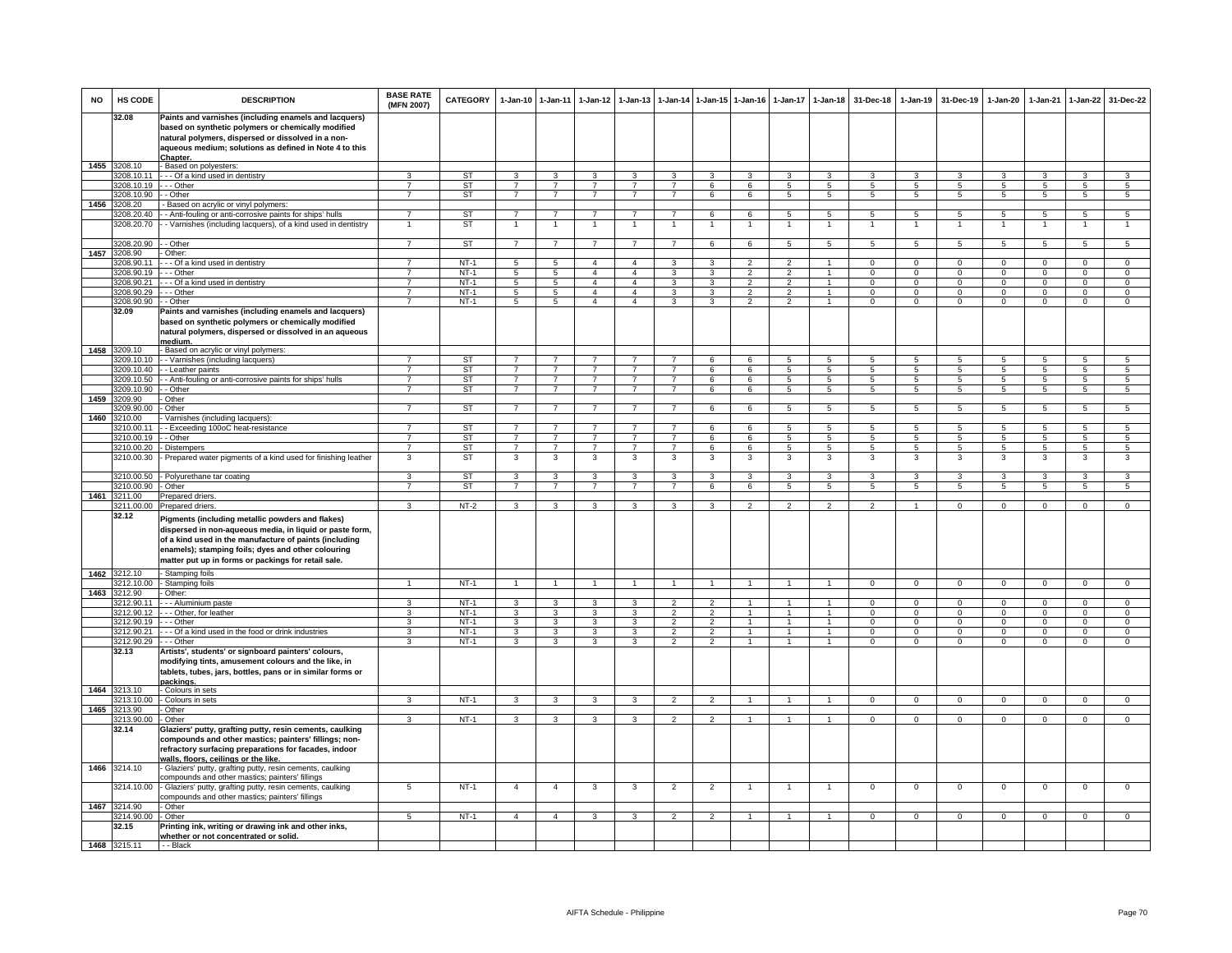| <b>NO</b> | HS CODE                    | <b>DESCRIPTION</b>                                                                                                                                                                                                                                                                  | <b>BASE RATE</b><br>(MFN 2007) | <b>CATEGORY</b>        |                                | 1-Jan-10 1-Jan-11                         | $1 - Jan-12$                   | $1 - Jan-13$                   |                                |                | 1-Jan-14 1-Jan-15 1-Jan-16     | $1-Jan-17$          | $1 - Jan-18$         | 31-Dec-18           | $1-Jan-19$          | 31-Dec-19       | 1-Jan-20            | 1-Jan-21            | 1-Jan-22        | 31-Dec-22                        |
|-----------|----------------------------|-------------------------------------------------------------------------------------------------------------------------------------------------------------------------------------------------------------------------------------------------------------------------------------|--------------------------------|------------------------|--------------------------------|-------------------------------------------|--------------------------------|--------------------------------|--------------------------------|----------------|--------------------------------|---------------------|----------------------|---------------------|---------------------|-----------------|---------------------|---------------------|-----------------|----------------------------------|
|           | 32.08                      | Paints and varnishes (including enamels and lacquers)<br>based on synthetic polymers or chemically modified<br>natural polymers, dispersed or dissolved in a non-<br>aqueous medium; solutions as defined in Note 4 to this                                                         |                                |                        |                                |                                           |                                |                                |                                |                |                                |                     |                      |                     |                     |                 |                     |                     |                 |                                  |
|           |                            | Chapter.                                                                                                                                                                                                                                                                            |                                |                        |                                |                                           |                                |                                |                                |                |                                |                     |                      |                     |                     |                 |                     |                     |                 |                                  |
| 1455      | 3208.10                    | - Based on polyesters:                                                                                                                                                                                                                                                              |                                |                        | $\mathbf{3}$                   |                                           |                                |                                |                                | $\mathcal{R}$  |                                | $\mathbf{R}$        |                      |                     | $\mathbf{a}$        | $\mathbf{R}$    |                     |                     | $\mathbf{a}$    |                                  |
|           | 3208.10.11<br>3208.10.19   | --- Of a kind used in dentistry<br>- - Other                                                                                                                                                                                                                                        | $\overline{7}$                 | <b>ST</b><br><b>ST</b> | $\overline{7}$                 | $\overline{\mathbf{3}}$<br>$\overline{7}$ | $\mathbf{3}$<br>$\overline{7}$ | $\mathbf{3}$<br>$\overline{7}$ | $\mathbf{3}$<br>$\overline{7}$ | 6              | 3<br>6                         | $\overline{5}$      | 3<br>$\overline{5}$  | 3<br>5              | 5                   | $\overline{5}$  | 3<br>$\overline{5}$ | 3<br>$\overline{5}$ | $\overline{5}$  | 3<br>$\overline{5}$              |
|           | 3208.10.90                 | - Other                                                                                                                                                                                                                                                                             | $\overline{7}$                 | ST                     | $\overline{7}$                 | $\overline{7}$                            | $\overline{7}$                 | $\overline{\phantom{a}}$       | $\overline{7}$                 | 6              | 6                              | $\overline{5}$      | $\overline{5}$       | $\overline{5}$      | 5                   | $\overline{5}$  | 5                   | $\overline{5}$      | 5               | 5                                |
| 1456      | 3208.20                    | - Based on acrylic or vinyl polymers:                                                                                                                                                                                                                                               |                                |                        |                                |                                           |                                |                                |                                |                |                                |                     |                      |                     |                     |                 |                     |                     |                 |                                  |
|           | 3208.20.40                 | - - Anti-fouling or anti-corrosive paints for ships' hulls                                                                                                                                                                                                                          | $\overline{7}$                 | ST                     | $\overline{7}$                 | $\overline{7}$                            | $\overline{7}$                 | $\overline{7}$                 | $\overline{7}$                 | 6              | 6                              | 5                   | $5\overline{5}$      | 5                   | 5                   | 5               | 5                   | 5                   | $5\overline{5}$ | 5                                |
|           | 3208.20.70                 | - Varnishes (including lacquers), of a kind used in dentistry                                                                                                                                                                                                                       |                                | ST                     | $\mathbf{1}$                   | $\overline{1}$                            | $\mathbf{1}$                   | $\overline{1}$                 | $\mathbf{1}$                   | $\overline{1}$ | 1                              | $\mathbf{1}$        | 1                    | 1                   | $\mathbf{1}$        |                 | $\overline{1}$      | $\overline{1}$      | $\overline{1}$  | $\overline{1}$                   |
|           |                            |                                                                                                                                                                                                                                                                                     | $\overline{7}$                 |                        |                                | $\overline{7}$                            |                                | $\overline{7}$                 |                                |                |                                |                     |                      |                     |                     |                 |                     |                     |                 |                                  |
| 1457      | 3208.20.90<br>208.90       | - Other<br>Other:                                                                                                                                                                                                                                                                   |                                | <b>ST</b>              | $\overline{7}$                 |                                           | $\overline{7}$                 |                                | $\overline{7}$                 | 6              | 6                              | $\overline{5}$      | $\overline{5}$       | $\overline{5}$      | $5\overline{)}$     | 5               | $5\overline{)}$     | $\overline{5}$      | $5\overline{)}$ | $5\overline{)}$                  |
|           | 208.90.11                  | - - Of a kind used in dentistry                                                                                                                                                                                                                                                     |                                | $NT-1$                 | 5                              | 5                                         | $\overline{4}$                 | $\overline{4}$                 | 3                              |                |                                |                     | $\mathbf{1}$         | $\Omega$            | $\overline{0}$      | $\Omega$        | $\overline{0}$      | $\Omega$            | $\overline{0}$  | $\overline{0}$                   |
|           | 3208.90.19                 | - - Other                                                                                                                                                                                                                                                                           | $\overline{7}$                 | $NT-1$                 | $\overline{5}$                 | $\overline{5}$                            | $\overline{4}$                 | $\overline{4}$                 | 3                              | 3              | $\overline{2}$                 | $\overline{2}$      | $\overline{1}$       | $\mathbf{0}$        | $\mathbf{0}$        | $^{\circ}$      | $\mathsf 0$         | $\Omega$            | $^{\circ}$      | $\overline{0}$                   |
|           | 3208.90.21                 | - - Of a kind used in dentistry                                                                                                                                                                                                                                                     | $\overline{7}$                 | $NT-1$                 | $5\overline{)}$                | $\overline{5}$                            | $\overline{4}$                 | $\overline{4}$                 | $\overline{\mathbf{3}}$        | 3              | $\overline{2}$                 | $\overline{2}$      | $\overline{1}$       | $\overline{0}$      | $\overline{0}$      | $\overline{0}$  | $\overline{0}$      | $\overline{0}$      | $\overline{0}$  | $\overline{0}$                   |
|           | 3208.90.29                 | - - Other                                                                                                                                                                                                                                                                           | $\overline{7}$                 | $NT-1$                 | 5                              | $5\overline{5}$                           | $\overline{4}$                 | $\overline{a}$                 | $\mathbf{3}$                   | 3              | $\mathcal{L}$                  | $\mathcal{L}$       | $\ddot{\phantom{1}}$ | $\Omega$            | $\circ$             | $\Omega$        | $\Omega$            | $\mathbf 0$         | $\mathbf 0$     | $\circ$                          |
|           | 3208.90.90                 | - - Other                                                                                                                                                                                                                                                                           | $\overline{7}$                 | $NT-1$                 | $5\overline{)}$                | 5                                         | $\overline{4}$                 | $\overline{4}$                 | 3                              | 3              | $\overline{2}$                 | $\overline{2}$      | $\mathbf{1}$         | $\Omega$            | $\mathbf 0$         | $\Omega$        | $\mathbf{O}$        | $\Omega$            | $\mathbf 0$     | $\overline{0}$                   |
|           | 32.09                      | Paints and varnishes (including enamels and lacquers)<br>based on synthetic polymers or chemically modified<br>natural polymers, dispersed or dissolved in an aqueous                                                                                                               |                                |                        |                                |                                           |                                |                                |                                |                |                                |                     |                      |                     |                     |                 |                     |                     |                 |                                  |
|           | 1458 3209.10               | medium.<br>- Based on acrylic or vinyl polymers:                                                                                                                                                                                                                                    |                                |                        |                                |                                           |                                |                                |                                |                |                                |                     |                      |                     |                     |                 |                     |                     |                 |                                  |
|           | 209.10.10                  | - Varnishes (including lacquers)                                                                                                                                                                                                                                                    |                                | ST                     | $\overline{7}$                 | $\overline{7}$                            |                                |                                | $\overline{7}$                 | 6              | 6                              | 5                   | 5                    | 5                   | 5                   |                 | 5                   | 5                   | 5               | 5                                |
|           | 3209.10.40                 | - Leather paints                                                                                                                                                                                                                                                                    |                                | ST                     | $\overline{7}$                 | $\overline{7}$                            | $\overline{7}$                 | $\overline{7}$                 | $\overline{7}$                 | 6              | 6                              | 5                   | 5                    | 5                   | $5^{\circ}$         | 5               | 5                   | $\overline{5}$      | $\overline{5}$  | $\overline{5}$                   |
|           | 3209.10.50                 | - Anti-fouling or anti-corrosive paints for ships' hulls                                                                                                                                                                                                                            | $\overline{7}$                 | ST                     | $\overline{7}$                 | $\overline{7}$                            | $\overline{7}$                 | $\overline{\phantom{a}}$       | $\overline{7}$                 | 6              | 6                              | $\overline{5}$      | $\overline{5}$       | 5                   | $\overline{5}$      | 5               | $\overline{5}$      | 5                   | $\overline{5}$  | $\overline{5}$                   |
|           | 3209.10.90                 | - Other                                                                                                                                                                                                                                                                             | $\overline{7}$                 | <b>ST</b>              | $\overline{7}$                 | $\overline{7}$                            | $\overline{7}$                 | $\overline{7}$                 | $\overline{7}$                 | 6              | 6                              | $\overline{5}$      | $5\overline{)}$      | $5\overline{5}$     | $5\overline{5}$     | $5\overline{5}$ | $5\overline{5}$     | $5^{\circ}$         | $\overline{5}$  | 5                                |
| 1459      | 3209.90<br>3209.90.00      | Other<br>- Other                                                                                                                                                                                                                                                                    | $\overline{7}$                 | ST                     | $\overline{7}$                 | $\overline{7}$                            | $\overline{7}$                 | $\overline{7}$                 | $\overline{7}$                 | 6              | 6                              | 5                   | $5\overline{5}$      | 5                   | 5                   | 5               | 5                   | 5                   | $5\overline{5}$ | 5                                |
|           | 1460 3210.00               | Varnishes (including lacquers):                                                                                                                                                                                                                                                     |                                |                        |                                |                                           |                                |                                |                                |                |                                |                     |                      |                     |                     |                 |                     |                     |                 |                                  |
|           | 3210.00.11                 | - Exceeding 100oC heat-resistance                                                                                                                                                                                                                                                   | $\overline{7}$                 | ST                     | $\overline{7}$                 | $\overline{7}$                            | $\overline{7}$                 | $\overline{7}$                 | $\overline{7}$                 | 6              | 6                              | 5                   | 5                    | 5                   | 5                   | 5               | 5                   | 5                   | 5               | $5\phantom{.0}$                  |
|           | 3210.00.19                 | - Other                                                                                                                                                                                                                                                                             | $\overline{7}$                 | ST                     | $7\overline{ }$                | $\overline{7}$                            | $\overline{7}$                 | $\overline{7}$                 | $\overline{7}$                 | 6              | 6                              | 5                   | 5                    | 5                   | 5                   | 5               | $5\phantom{.0}$     | $\overline{5}$      | $5\overline{)}$ | $5\overline{)}$                  |
|           | 3210.00.20                 | Distempers                                                                                                                                                                                                                                                                          | $\overline{7}$                 | ST                     | $\overline{7}$                 | $\overline{7}$                            | $\overline{7}$                 | $\overline{7}$                 | $\overline{7}$                 | 6              | 6                              | 5                   | 5                    | 5                   | 5                   | -5              | $5\overline{5}$     | 5                   | 5               | $\overline{5}$                   |
|           | 3210.00.30                 | Prepared water pigments of a kind used for finishing leather                                                                                                                                                                                                                        | 3                              | ST                     | 3                              | 3                                         | 3                              | 3                              | 3                              | 3              | 3                              | 3                   | 3                    | 3                   | 3                   | 3               | 3                   | 3                   | 3               | 3                                |
|           | 3210.00.50<br>3210.00.90   | - Polyurethane tar coating<br>- Other                                                                                                                                                                                                                                               | 3.<br>$\overline{7}$           | <b>ST</b><br><b>ST</b> | $\mathbf{3}$<br>$\overline{7}$ | 3<br>$\overline{7}$                       | 3<br>$\overline{7}$            | 3<br>$\overline{7}$            | 3<br>$\overline{7}$            | 3<br>6         | 3<br>6                         | 3<br>$\overline{5}$ | 3<br>$\overline{5}$  | 3<br>$\overline{5}$ | 3<br>$\overline{5}$ | 3<br>5          | 3<br>5              | 3<br>$\overline{5}$ | 3<br>5          | $\overline{3}$<br>5              |
| 1461      | 3211.00                    | Prepared driers                                                                                                                                                                                                                                                                     |                                |                        |                                |                                           |                                |                                |                                |                |                                |                     |                      |                     |                     |                 |                     |                     |                 |                                  |
|           | 3211.00.00                 | <b>Prepared driers</b>                                                                                                                                                                                                                                                              | $\mathbf{R}$                   | $NT-2$                 | 3                              | 3                                         | 3                              | $\mathbf{a}$                   | $\mathbf{3}$                   | 3              | $\overline{2}$                 | $\mathfrak{p}$      | $\mathfrak{p}$       | $\mathcal{P}$       | $\overline{1}$      | $\Omega$        | $\Omega$            | $\Omega$            | $\Omega$        | $\Omega$                         |
|           | 32.12                      | Pigments (including metallic powders and flakes)<br>dispersed in non-aqueous media, in liquid or paste form,<br>of a kind used in the manufacture of paints (including<br>enamels); stamping foils; dyes and other colouring<br>matter put up in forms or packings for retail sale. |                                |                        |                                |                                           |                                |                                |                                |                |                                |                     |                      |                     |                     |                 |                     |                     |                 |                                  |
| 1462      | 3212.10                    | - Stamping foils                                                                                                                                                                                                                                                                    |                                |                        |                                |                                           |                                |                                |                                |                |                                |                     |                      |                     |                     |                 |                     |                     |                 |                                  |
| 1463      | 212.10.00<br>3212.90       | - Stamping foils<br>- Other:                                                                                                                                                                                                                                                        |                                | $NT-1$                 | $\overline{1}$                 | $\overline{1}$                            | $\overline{1}$                 | $\overline{1}$                 | $\overline{1}$                 | $\overline{1}$ | $\overline{1}$                 |                     | $\blacktriangleleft$ | $\Omega$            | $\Omega$            | $\Omega$        | $\overline{0}$      | $\overline{0}$      | $\Omega$        | $\overline{0}$                   |
|           | 3212.90.11                 | - - - Aluminium paste                                                                                                                                                                                                                                                               | 3                              | $NT-1$                 | 3                              | $\overline{3}$                            | 3                              | 3                              | $\overline{2}$                 | $\overline{2}$ |                                |                     | $\mathbf{1}$         | $\Omega$            | $\Omega$            | $\Omega$        | $\Omega$            | $\Omega$            | $\overline{0}$  | $\overline{0}$                   |
|           | 3212.90.12                 | -- Other, for leather                                                                                                                                                                                                                                                               | 3                              | $NT-1$                 | $\mathbf{3}$                   | $\mathbf{3}$                              | $\mathbf{3}$                   | 3                              | $\overline{2}$                 | $\overline{2}$ | $\overline{1}$                 | $\mathbf{1}$        | $\overline{1}$       | $\Omega$            | $\mathbf{0}$        | $\mathbf 0$     | $\mathbf{0}$        | $\mathbf 0$         | $\mathbf 0$     | $\overline{0}$                   |
|           | 3212.90.19                 | $- -$ Other                                                                                                                                                                                                                                                                         | 3                              | $NT-1$                 | $\mathbf{3}$                   | $\overline{\mathbf{3}}$                   | $\mathbf{3}$                   | 3                              | $\overline{2}$                 | $\overline{2}$ | $\overline{1}$                 | $\mathbf{1}$        | $\mathbf{1}$         | $\Omega$            | $\mathbf 0$         | $\mathbf{0}$    | $\mathbf{0}$        | $\mathbf 0$         | $\overline{0}$  | $\overline{0}$                   |
|           | 3212.90.21                 | --- Of a kind used in the food or drink industries                                                                                                                                                                                                                                  | 3<br>3                         | $NT-1$                 | 3                              | $\mathbf{3}$                              | $\mathbf{3}$                   | 3<br>3                         | $\overline{2}$                 | $\overline{2}$ | $\mathbf{1}$<br>$\overline{1}$ | 1                   | $\mathbf{1}$         | $\Omega$            | $\mathbf{0}$        | $\mathbf{0}$    | $\mathbf{0}$        | $\mathbf 0$         | $\mathbf 0$     | $\overline{0}$<br>$\overline{0}$ |
|           | 3212.90.29<br>32.13        | $-$ Other<br>Artists', students' or signboard painters' colours,<br>modifying tints, amusement colours and the like, in<br>tablets, tubes, jars, bottles, pans or in similar forms or<br>packings.                                                                                  |                                | $NT-1$                 | 3                              | $\overline{3}$                            | 3                              |                                | $\overline{2}$                 | $\overline{2}$ |                                | $\mathbf{1}$        | $\mathbf{1}$         | $\overline{0}$      | $\Omega$            | $\Omega$        | $\Omega$            | $\overline{0}$      | $\overline{0}$  |                                  |
|           | 1464 3213.10               | - Colours in sets                                                                                                                                                                                                                                                                   |                                |                        |                                |                                           |                                |                                |                                |                |                                |                     |                      |                     |                     |                 |                     |                     |                 |                                  |
|           | 3213.10.00                 | - Colours in sets                                                                                                                                                                                                                                                                   | 3                              | $NT-1$                 | 3                              | 3                                         | $\mathbf{3}$                   | 3                              | $\overline{2}$                 | $\overline{2}$ |                                |                     |                      | $^{\circ}$          | $^{\circ}$          | $^{\circ}$      | $^{\circ}$          | $\mathbf 0$         | $^{\circ}$      | $\mathbf{0}$                     |
|           | 1465 3213.90<br>3213.90.00 | - Other<br>- Other                                                                                                                                                                                                                                                                  | 3                              | $NT-1$                 | $\mathbf{3}$                   | $\mathbf{3}$                              | $\mathbf{3}$                   | 3                              | $\overline{2}$                 | $\mathcal{P}$  | $\mathbf{1}$                   | $\mathbf{1}$        | $\mathbf{1}$         | $\Omega$            | $\mathbf{0}$        | $\mathbf{0}$    | $\mathbf{0}$        | $^{\circ}$          | $^{\circ}$      | $\mathbf{0}$                     |
|           | 32.14                      | Glaziers' putty, grafting putty, resin cements, caulking<br>compounds and other mastics; painters' fillings; non-<br>refractory surfacing preparations for facades, indoor                                                                                                          |                                |                        |                                |                                           |                                |                                |                                |                |                                |                     |                      |                     |                     |                 |                     |                     |                 |                                  |
|           | 1466 3214.10               | walls, floors, ceilings or the like.<br>- Glaziers' putty, grafting putty, resin cements, caulking<br>compounds and other mastics; painters' fillings                                                                                                                               |                                |                        |                                |                                           |                                |                                |                                |                |                                |                     |                      |                     |                     |                 |                     |                     |                 |                                  |
|           | 3214.10.00<br>1467 3214.90 | - Glaziers' putty, grafting putty, resin cements, caulking<br>compounds and other mastics; painters' fillings<br>- Other                                                                                                                                                            | 5                              | $NT-1$                 | $\overline{4}$                 | $\overline{4}$                            | 3                              | 3                              | $\overline{2}$                 | $\overline{2}$ | $\overline{1}$                 | -1                  | $\mathbf{1}$         | $\mathsf 0$         | $\mathbf 0$         | $^{\circ}$      | $\mathbf 0$         | $\mathbf 0$         | $\mathbf 0$     | $\mathbf{O}$                     |
|           | 3214.90.00                 | - Other                                                                                                                                                                                                                                                                             | 5                              | $NT-1$                 | $\overline{4}$                 | $\overline{4}$                            | $\mathbf{3}$                   | $\mathbf{3}$                   | $\overline{2}$                 | $\overline{2}$ | $\mathbf{1}$                   | -1                  | $\overline{1}$       | $\mathbf{0}$        | $^{\circ}$          | $\mathbf{0}$    | $\mathbf{0}$        | $\overline{0}$      | $\mathbf{0}$    | $\overline{0}$                   |
|           | 32.15                      | Printing ink, writing or drawing ink and other inks,                                                                                                                                                                                                                                |                                |                        |                                |                                           |                                |                                |                                |                |                                |                     |                      |                     |                     |                 |                     |                     |                 |                                  |
|           |                            | whether or not concentrated or solid.                                                                                                                                                                                                                                               |                                |                        |                                |                                           |                                |                                |                                |                |                                |                     |                      |                     |                     |                 |                     |                     |                 |                                  |
|           | 1468 3215.11               | $-$ - Black                                                                                                                                                                                                                                                                         |                                |                        |                                |                                           |                                |                                |                                |                |                                |                     |                      |                     |                     |                 |                     |                     |                 |                                  |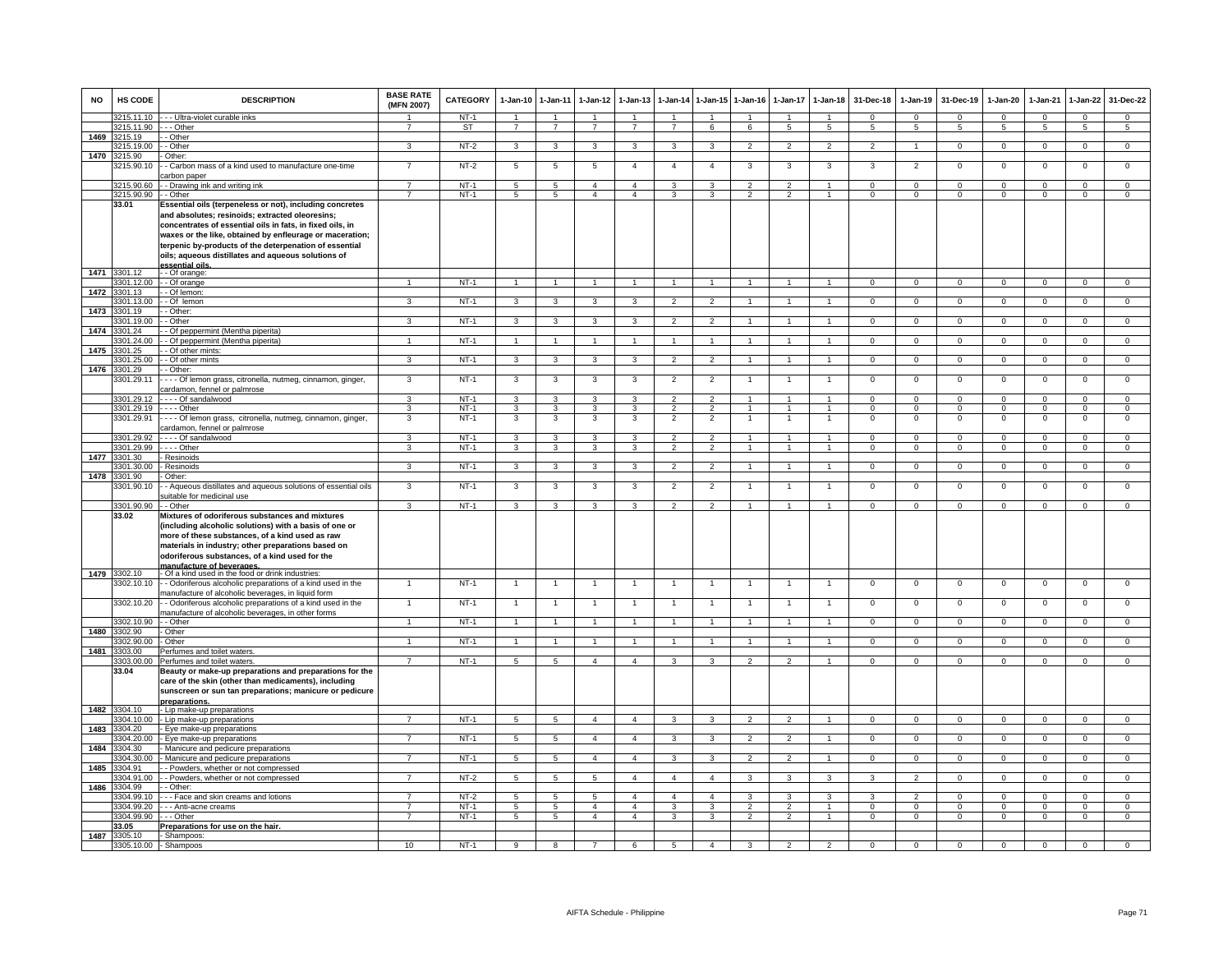| <b>NO</b> | HS CODE                  | <b>DESCRIPTION</b>                                                                                                                                                                                                                                                                                                                                                    | <b>BASE RATE</b><br>(MFN 2007) | <b>CATEGORY</b> | $1-Jan-10$              | $1-Jan-11$                       | $1-Jan-12$           | $1-Jan-13$              | $1-Jan-14$                       | $1$ -Jan-15    | $1-Jan-16$              | $1-Jan-17$              | $1-Jan-18$                       | 31-Dec-18                   | $1-Jan-19$               | 31-Dec-19                     | $1-Jan-20$     | 1-Jan-21                | $1-Jan-22$      | 31-Dec-22      |
|-----------|--------------------------|-----------------------------------------------------------------------------------------------------------------------------------------------------------------------------------------------------------------------------------------------------------------------------------------------------------------------------------------------------------------------|--------------------------------|-----------------|-------------------------|----------------------------------|----------------------|-------------------------|----------------------------------|----------------|-------------------------|-------------------------|----------------------------------|-----------------------------|--------------------------|-------------------------------|----------------|-------------------------|-----------------|----------------|
|           | 3215.11.10               | - - - Ultra-violet curable inks                                                                                                                                                                                                                                                                                                                                       |                                | $NT-1$          | $\overline{1}$          | $\overline{1}$                   | $\overline{1}$       | $\overline{ }$          | $\overline{1}$                   |                |                         |                         | $\overline{1}$                   | $\Omega$                    | $\mathbf 0$              | $\mathbf{0}$                  | $\Omega$       | $\Omega$                | $\mathbf{0}$    | $\mathbf{0}$   |
| 1469      | 3215.11.90<br>3215.19    | - - Other<br>- Other                                                                                                                                                                                                                                                                                                                                                  | $\overline{7}$                 | ST              | $7\overline{ }$         | $\overline{7}$                   | $\overline{7}$       | $\overline{7}$          | $\overline{7}$                   | 6              | 6                       | 5                       | $5\overline{5}$                  | $5\overline{5}$             | $5\overline{5}$          | $5\overline{5}$               | 5              | 5                       | $5\overline{5}$ | 5              |
|           | 3215.19.00               | - Other                                                                                                                                                                                                                                                                                                                                                               | 3                              | $NT-2$          | $\overline{3}$          | $\overline{\mathbf{3}}$          | $\overline{3}$       | 3                       | 3                                | 3              | $\overline{2}$          | $\overline{2}$          | $\overline{2}$                   | $\overline{2}$              | $\overline{1}$           | $\overline{0}$                | $\overline{0}$ | $\overline{0}$          | $\overline{0}$  | $\overline{0}$ |
| 1470      | 3215.90                  | Other:                                                                                                                                                                                                                                                                                                                                                                |                                |                 |                         |                                  |                      |                         |                                  |                |                         |                         |                                  |                             |                          |                               |                |                         |                 |                |
|           | 3215.90.10               | - Carbon mass of a kind used to manufacture one-time<br>arbon paper                                                                                                                                                                                                                                                                                                   | $\overline{7}$                 | NT-2            | $5\phantom{.0}$         | 5                                | 5                    | $\overline{4}$          | $\overline{4}$                   | $\overline{a}$ | 3                       | 3                       | 3                                | 3                           | $\overline{2}$           | $\mathbf 0$                   | $\mathsf 0$    | $\mathbf 0$             | $\mathsf 0$     | $\mathbf 0$    |
|           | 3215.90.60               | - Drawing ink and writing ink                                                                                                                                                                                                                                                                                                                                         | $\overline{7}$                 | $NT-1$          | 5                       | $\overline{5}$                   | $\overline{4}$       | $\overline{a}$          | 3                                | $\mathbf{R}$   | $\mathfrak{p}$          | $\mathcal{P}$           | $\overline{1}$                   | $\Omega$                    | $\Omega$                 | $\Omega$                      | $\Omega$       | $\Omega$                | $\mathbf 0$     | $\circ$        |
|           | 3215.90.90               | - - Other                                                                                                                                                                                                                                                                                                                                                             | 7                              | $NT-1$          | $\overline{5}$          | $\overline{5}$                   | $\overline{4}$       | $\overline{4}$          | 3                                | 3              | $\overline{2}$          | $\overline{2}$          | $\overline{1}$                   | $\overline{0}$              | $\overline{0}$           | $\overline{0}$                | $\overline{0}$ | $\overline{0}$          | $\overline{0}$  | $\overline{0}$ |
|           | 33.01                    | Essential oils (terpeneless or not), including concretes<br>and absolutes; resinoids; extracted oleoresins;<br>concentrates of essential oils in fats, in fixed oils, in<br>waxes or the like, obtained by enfleurage or maceration;<br>terpenic by-products of the deterpenation of essential<br>oils; aqueous distillates and aqueous solutions of<br>alio Isitness |                                |                 |                         |                                  |                      |                         |                                  |                |                         |                         |                                  |                             |                          |                               |                |                         |                 |                |
| 1471      | 3301.12                  | - Of orange:                                                                                                                                                                                                                                                                                                                                                          |                                |                 |                         |                                  |                      |                         |                                  |                |                         |                         |                                  |                             |                          |                               |                |                         |                 |                |
|           | 3301.12.00               | - - Of orange                                                                                                                                                                                                                                                                                                                                                         | $\overline{1}$                 | $NT-1$          | $\overline{1}$          | $\overline{1}$                   | $\blacktriangleleft$ | $\overline{1}$          | $\overline{1}$                   | $\overline{1}$ | $\overline{1}$          | $\mathbf{1}$            | $\overline{1}$                   | $\overline{0}$              | $\overline{0}$           | $\overline{0}$                | $\overline{0}$ | $\overline{0}$          | $\overline{0}$  | $\overline{0}$ |
| 1472      | 3301.13                  | - Of lemon:                                                                                                                                                                                                                                                                                                                                                           |                                |                 |                         |                                  |                      |                         |                                  |                |                         |                         |                                  |                             |                          |                               |                |                         |                 |                |
| 1473      | 3301.13.00               | - Of lemon                                                                                                                                                                                                                                                                                                                                                            | 3                              | $NT-1$          | 3                       | $\overline{3}$                   | 3                    | 3                       | $\overline{2}$                   | $\overline{2}$ |                         |                         |                                  | $\Omega$                    | $\Omega$                 | $\Omega$                      | $\Omega$       | $\Omega$                | $\mathbf 0$     | $\overline{0}$ |
|           | 3301.19<br>3301.19.00    | - Other:<br>- Other                                                                                                                                                                                                                                                                                                                                                   | 3                              | $NT-1$          | $\mathbf{3}$            | $\mathbf{3}$                     | $\mathbf{3}$         | 3                       | $\overline{2}$                   | $\overline{2}$ | $\mathbf{1}$            | $\mathbf{1}$            | $\overline{1}$                   | $\mathbf{0}$                | $\mathbf 0$              | $\mathbf 0$                   | $\mathbf{0}$   | $\mathbf 0$             | $\mathbf{0}$    | $\mathbf{0}$   |
| 1474      | 3301.24                  | - Of peppermint (Mentha piperita)                                                                                                                                                                                                                                                                                                                                     |                                |                 |                         |                                  |                      |                         |                                  |                |                         |                         |                                  |                             |                          |                               |                |                         |                 |                |
|           | 3301.24.00               | - Of peppermint (Mentha piperita)                                                                                                                                                                                                                                                                                                                                     | $\mathbf{1}$                   | $NT-1$          | $\mathbf{1}$            | $\mathbf{1}$                     | $\mathbf{1}$         | $\mathbf{1}$            | $\mathbf{1}$                     | $\overline{1}$ | $\overline{1}$          | $\mathbf{1}$            | $\mathbf{1}$                     | $\Omega$                    | $\overline{0}$           | $\Omega$                      | $\overline{0}$ | $\overline{0}$          | $\overline{0}$  | $\overline{0}$ |
| 1475      | 3301.25                  | - Of other mints:                                                                                                                                                                                                                                                                                                                                                     |                                |                 |                         |                                  |                      |                         |                                  |                |                         |                         |                                  |                             |                          |                               |                |                         |                 |                |
|           | 301.25.00                | - - Of other mints                                                                                                                                                                                                                                                                                                                                                    | 3                              | <b>NT-1</b>     | $\mathbf{3}$            | 3                                | $\mathbf{3}$         | 3                       | $\overline{2}$                   | $\overline{2}$ | 1                       |                         | $\overline{1}$                   | $\mathsf{O}$                | $\mathsf 0$              | $\,0\,$                       | $\mathbf 0$    | $\mathbf 0$             | $\mathsf 0$     | $\mathbf 0$    |
| 1476      | 3301.29                  | - Other:                                                                                                                                                                                                                                                                                                                                                              |                                |                 |                         |                                  |                      |                         |                                  |                |                         |                         |                                  |                             |                          |                               |                |                         |                 |                |
|           | 3301.29.11               | --- Of lemon grass, citronella, nutmeg, cinnamon, ginger,<br>cardamon, fennel or palmrose                                                                                                                                                                                                                                                                             | $\overline{3}$                 | $NT-1$          | $\overline{\mathbf{3}}$ | 3                                | $\mathbf{3}$         | $\overline{\mathbf{3}}$ | $\overline{2}$                   | $\overline{2}$ | $\overline{1}$          | $\mathbf{1}$            | $\overline{1}$                   | $\overline{0}$              | $\overline{0}$           | $\overline{0}$                | $\overline{0}$ | $\overline{0}$          | $\overline{0}$  | $\overline{0}$ |
|           | 3301.29.12               | - - - - Of sandalwood                                                                                                                                                                                                                                                                                                                                                 | $\overline{\mathbf{3}}$        | $NT-1$          | 3                       | 3                                | 3                    | 3                       | $\overline{\phantom{a}}$         | $\overline{2}$ |                         |                         | $\overline{1}$                   | $\overline{0}$              | $\overline{0}$           | $\overline{0}$                | $\overline{0}$ | $\overline{0}$          | $\overline{0}$  | $\overline{0}$ |
|           | 3301.29.19 ---- Other    |                                                                                                                                                                                                                                                                                                                                                                       | 3                              | $NT-1$          | 3                       | 3                                | $\mathbf{3}$         | 3                       | $\overline{2}$                   | $\overline{2}$ | 1                       |                         | $\overline{1}$                   | $\mathbf{0}$                | $\mathbf 0$              | $\mathbf 0$                   | $\mathbf 0$    | $^{\circ}$              | $\mathbf 0$     | $\mathbf{0}$   |
|           | 3301.29.91               | - - - - Of lemon grass, citronella, nutmeg, cinnamon, ginger,<br>cardamon, fennel or palmrose                                                                                                                                                                                                                                                                         | 3                              | $NT-1$          | $\mathbf{3}$            | 3                                | $\mathbf{3}$         | 3                       | $\overline{2}$                   | $\overline{2}$ | $\overline{1}$          | $\mathbf{1}$            | $\overline{1}$                   | $\mathbf{O}$                | $\mathsf 0$              | $\mathbf{0}$                  | $\mathbf 0$    | $\mathbf 0$             | $\mathbf 0$     | $\mathbf 0$    |
|           | 3301.29.92               | - - - - Of sandalwood                                                                                                                                                                                                                                                                                                                                                 | 3                              | $NT-1$          | $\overline{3}$          | $\overline{\mathbf{3}}$          | $\mathbf{3}$         | 3                       | $\overline{2}$                   | $\overline{2}$ | $\mathbf{1}$            | $\mathbf{1}$            | $\mathbf{1}$                     | $\Omega$                    | $\Omega$                 | $\Omega$                      | $\overline{0}$ | $\Omega$                | $\overline{0}$  | $\overline{0}$ |
|           | 3301.29.99               | - - - - Other                                                                                                                                                                                                                                                                                                                                                         | 3                              | $NT-1$          | 3                       | 3                                | $\mathbf{3}$         | 3                       | $\overline{2}$                   | $\overline{2}$ |                         | $\mathbf{1}$            | $\mathbf{1}$                     | $\mathbf{O}$                | $\circ$                  | $\mathbf 0$                   | $\mathbf 0$    | $\mathbf 0$             | $\mathbf{0}$    | $\overline{0}$ |
| 1477      | 3301.30                  | - Resinoids                                                                                                                                                                                                                                                                                                                                                           |                                |                 |                         |                                  |                      |                         |                                  |                |                         |                         |                                  |                             |                          |                               |                |                         |                 |                |
| 1478      | 3301.30.00<br>3301.90    | - Resinoids                                                                                                                                                                                                                                                                                                                                                           | 3                              | $NT-1$          | $\mathbf{3}$            | $\overline{3}$                   | $\mathbf{3}$         | 3                       | $\overline{2}$                   | $\overline{2}$ | 1                       |                         | $\mathbf{1}$                     | $\mathbf{O}$                | $\mathbf 0$              | $\mathbf 0$                   | $\mathbf 0$    | $\mathbf 0$             | $\mathbf 0$     | $\overline{0}$ |
|           | 3301.90.10               | - Other:<br>- Aqueous distillates and aqueous solutions of essential oils<br>suitable for medicinal use                                                                                                                                                                                                                                                               | 3                              | $NT-1$          | 3                       | 3                                | 3                    | 3                       | $\overline{2}$                   | $\overline{2}$ | $\mathbf{1}$            |                         | $\overline{1}$                   | $\overline{0}$              | $\overline{0}$           | $\overline{0}$                | $\overline{0}$ | $\overline{0}$          | $\overline{0}$  | $\overline{0}$ |
|           | 3301.90.90               | - - Other                                                                                                                                                                                                                                                                                                                                                             | $\overline{\mathbf{3}}$        | $NT-1$          | $\overline{\mathbf{3}}$ | $\overline{3}$                   | 3                    | 3                       | $\overline{2}$                   | $\mathcal{P}$  |                         |                         | $\overline{1}$                   | $\Omega$                    | $\Omega$                 | $\Omega$                      | $\overline{0}$ | $\Omega$                | $\Omega$        | $\overline{0}$ |
|           | 33.02                    | Mixtures of odoriferous substances and mixtures<br>(including alcoholic solutions) with a basis of one or<br>more of these substances, of a kind used as raw<br>materials in industry; other preparations based on<br>odoriferous substances, of a kind used for the<br>manufacture of beverages.                                                                     |                                |                 |                         |                                  |                      |                         |                                  |                |                         |                         |                                  |                             |                          |                               |                |                         |                 |                |
|           | 1479 3302.10             | - Of a kind used in the food or drink industries:                                                                                                                                                                                                                                                                                                                     | -1                             | $NT-1$          | $\overline{1}$          |                                  | $\overline{1}$       | $\overline{1}$          |                                  | $\overline{1}$ | $\overline{1}$          | $\mathbf{1}$            |                                  |                             |                          |                               | $\overline{0}$ |                         | $\overline{0}$  | $\overline{0}$ |
|           | 3302.10.10<br>3302.10.20 | - Odoriferous alcoholic preparations of a kind used in the<br>manufacture of alcoholic beverages, in liquid form<br>- Odoriferous alcoholic preparations of a kind used in the                                                                                                                                                                                        |                                | $NT-1$          | $\overline{1}$          | $\overline{1}$<br>$\overline{1}$ |                      |                         | $\overline{1}$<br>$\overline{1}$ | $\overline{1}$ |                         |                         | $\overline{1}$<br>$\overline{1}$ | $\mathbf{O}$<br>$\mathsf 0$ | $\circ$<br>$\mathsf 0$   | $\mathbf 0$<br>$\overline{0}$ | $\overline{0}$ | $\mathbf 0$<br>$\Omega$ | $\overline{0}$  | $\overline{0}$ |
|           |                          | manufacture of alcoholic beverages, in other forms                                                                                                                                                                                                                                                                                                                    |                                |                 |                         |                                  |                      |                         |                                  |                |                         |                         |                                  |                             |                          |                               |                |                         |                 |                |
|           | 3302.10.90               | - Other                                                                                                                                                                                                                                                                                                                                                               | $\mathbf{1}$                   | $NT-1$          | $\overline{1}$          | $\overline{1}$                   | $\mathbf{1}$         | $\overline{1}$          | $\overline{1}$                   | $\overline{1}$ | $\overline{1}$          | $\overline{1}$          | $\mathbf{1}$                     | $\mathbf{0}$                | $\mathbf{0}$             | $\mathbf 0$                   | $\overline{0}$ | $\mathbf 0$             | $\overline{0}$  | $\overline{0}$ |
| 1480      | 3302.90                  | Other                                                                                                                                                                                                                                                                                                                                                                 |                                |                 |                         |                                  |                      |                         |                                  |                |                         |                         |                                  |                             |                          |                               |                |                         |                 |                |
|           | 302.90.00                | - Other                                                                                                                                                                                                                                                                                                                                                               | $\mathbf{1}$                   | $NT-1$          | $\mathbf{1}$            | $\overline{1}$                   | $\overline{1}$       | $\overline{1}$          | $\overline{1}$                   | $\overline{1}$ | $\mathbf{1}$            | $\mathbf{1}$            | $\overline{1}$                   | $\overline{0}$              | $\overline{0}$           | $\overline{0}$                | $\overline{0}$ | $\overline{0}$          | $\overline{0}$  | $\overline{0}$ |
| 1481      | 3303.00                  | Perfumes and toilet waters.                                                                                                                                                                                                                                                                                                                                           | $\overline{7}$                 |                 |                         |                                  |                      |                         |                                  |                |                         | $\overline{2}$          | $\overline{1}$                   |                             |                          |                               |                |                         |                 |                |
|           | 3303.00.00<br>33.04      | Perfumes and toilet waters.<br>Beauty or make-up preparations and preparations for the<br>care of the skin (other than medicaments), including<br>sunscreen or sun tan preparations; manicure or pedicure<br>preparations.                                                                                                                                            |                                | $NT-1$          | 5                       | $5\overline{5}$                  | $\overline{4}$       | $\overline{4}$          | 3                                | 3              | $\overline{2}$          |                         |                                  | $\mathbf{O}$                | $\mathbf 0$              | $\mathbf{0}$                  | $\mathbf 0$    | $\mathbf 0$             | $\mathbf 0$     | $\mathbf 0$    |
|           | 1482 3304.10             | - Lip make-up preparations                                                                                                                                                                                                                                                                                                                                            |                                |                 |                         |                                  |                      |                         |                                  |                |                         |                         |                                  |                             |                          |                               |                |                         |                 |                |
|           | 3304.10.00<br>3304.20    | - Lip make-up preparations                                                                                                                                                                                                                                                                                                                                            | $\overline{7}$                 | <b>NT-1</b>     | 5                       | 5                                | $\overline{4}$       | $\overline{4}$          | $\mathbf{3}$                     | 3              | $\overline{2}$          | $\overline{2}$          | $\overline{1}$                   | $^{\circ}$                  | $\mathbf{0}$             | $\overline{0}$                | $\overline{0}$ | $\mathbf{0}$            | $\overline{0}$  | $\overline{0}$ |
| 1483      | 3304.20.00               | - Eye make-up preparations<br>- Eye make-up preparations                                                                                                                                                                                                                                                                                                              |                                | $NT-1$          | $\overline{5}$          | $\overline{5}$                   | $\overline{4}$       | $\overline{4}$          | 3                                | 3              | $\overline{2}$          | $\overline{2}$          | $\overline{1}$                   | $\overline{0}$              | $\overline{0}$           | $\overline{0}$                | $\overline{0}$ | $\overline{0}$          | $\overline{0}$  | $\overline{0}$ |
| 1484      | 3304.30                  | - Manicure and pedicure preparations                                                                                                                                                                                                                                                                                                                                  |                                |                 |                         |                                  |                      |                         |                                  |                |                         |                         |                                  |                             |                          |                               |                |                         |                 |                |
| 1485      | 3304.30.00<br>3304.91    | - Manicure and pedicure preparations                                                                                                                                                                                                                                                                                                                                  | $\overline{7}$                 | $NT-1$          | 5                       | $\overline{5}$                   | $\overline{4}$       | $\overline{4}$          | 3                                | 3              | $\overline{2}$          | $\overline{2}$          | $\overline{1}$                   | $\mathbf{O}$                | $\mathbf 0$              | $\mathbf{0}$                  | $\mathbf 0$    | $\mathbf 0$             | $\mathbf 0$     | $\overline{0}$ |
|           | 304.91.00                | - Powders, whether or not compressed<br>- Powders, whether or not compressed                                                                                                                                                                                                                                                                                          | $\overline{7}$                 | $NT-2$          | $\overline{5}$          | 5                                | $\overline{5}$       | $\overline{4}$          | $\overline{4}$                   | $\overline{4}$ | $\overline{\mathbf{3}}$ | $\overline{\mathbf{3}}$ | $\overline{3}$                   | $\mathbf{R}$                | $\overline{2}$           | $\mathbf{0}$                  | $\overline{0}$ | $\overline{0}$          | $\overline{0}$  | $\overline{0}$ |
| 1486      | 3304.99                  | - Other:                                                                                                                                                                                                                                                                                                                                                              |                                |                 |                         |                                  |                      |                         |                                  |                |                         |                         |                                  |                             |                          |                               |                |                         |                 |                |
|           | 3304.99.10               | --- Face and skin creams and lotions                                                                                                                                                                                                                                                                                                                                  |                                | $NT-2$          | -5                      | 5                                | $\overline{5}$       | $\overline{4}$          | $\overline{4}$                   | $\overline{4}$ | 3                       | 3                       | 3                                | 3                           | $\overline{\phantom{0}}$ | $\Omega$                      | $\Omega$       | $\Omega$                | $\Omega$        | $\overline{0}$ |
|           | 3304.99.20               | - - - Anti-acne creams                                                                                                                                                                                                                                                                                                                                                | $\overline{7}$                 | $NT-1$          | 5                       | $5\phantom{.0}$                  | $\overline{4}$       | $\overline{4}$          | 3                                | 3              | $\mathfrak{p}$          | $\overline{2}$          | $\overline{1}$                   | $\Omega$                    | $\Omega$                 | $\Omega$                      | $\Omega$       | $\Omega$                | $\mathbf 0$     | $\mathbf{0}$   |
|           | 3304.99.90               | - - - Other                                                                                                                                                                                                                                                                                                                                                           | $\overline{7}$                 | $NT-1$          | 5                       | $5\overline{5}$                  | $\overline{4}$       | $\overline{4}$          | $\mathbf{3}$                     | 3              | $\overline{2}$          | 2                       | $\overline{1}$                   | $\overline{0}$              | $^{\circ}$               | $^{\circ}$                    | $\mathbf{0}$   | $^{\circ}$              | $^{\circ}$      | $\overline{0}$ |
|           | 33.05                    | Preparations for use on the hair.                                                                                                                                                                                                                                                                                                                                     |                                |                 |                         |                                  |                      |                         |                                  |                |                         |                         |                                  |                             |                          |                               |                |                         |                 |                |
| 1487      | 3305.10                  | - Shampoos:                                                                                                                                                                                                                                                                                                                                                           |                                |                 |                         |                                  |                      |                         |                                  |                |                         |                         |                                  |                             |                          |                               |                |                         |                 |                |
|           |                          | 3305.10.00 - Shampoos                                                                                                                                                                                                                                                                                                                                                 | 10                             | $NT-1$          | 9                       | $\overline{8}$                   |                      | 6                       | 5                                | $\overline{4}$ | 3                       | $\overline{\mathbf{c}}$ | $\mathfrak{p}$                   |                             | $\mathsf 0$              | $\mathbf 0$                   | $\overline{0}$ | $\Omega$                | $\mathsf 0$     | $\Omega$       |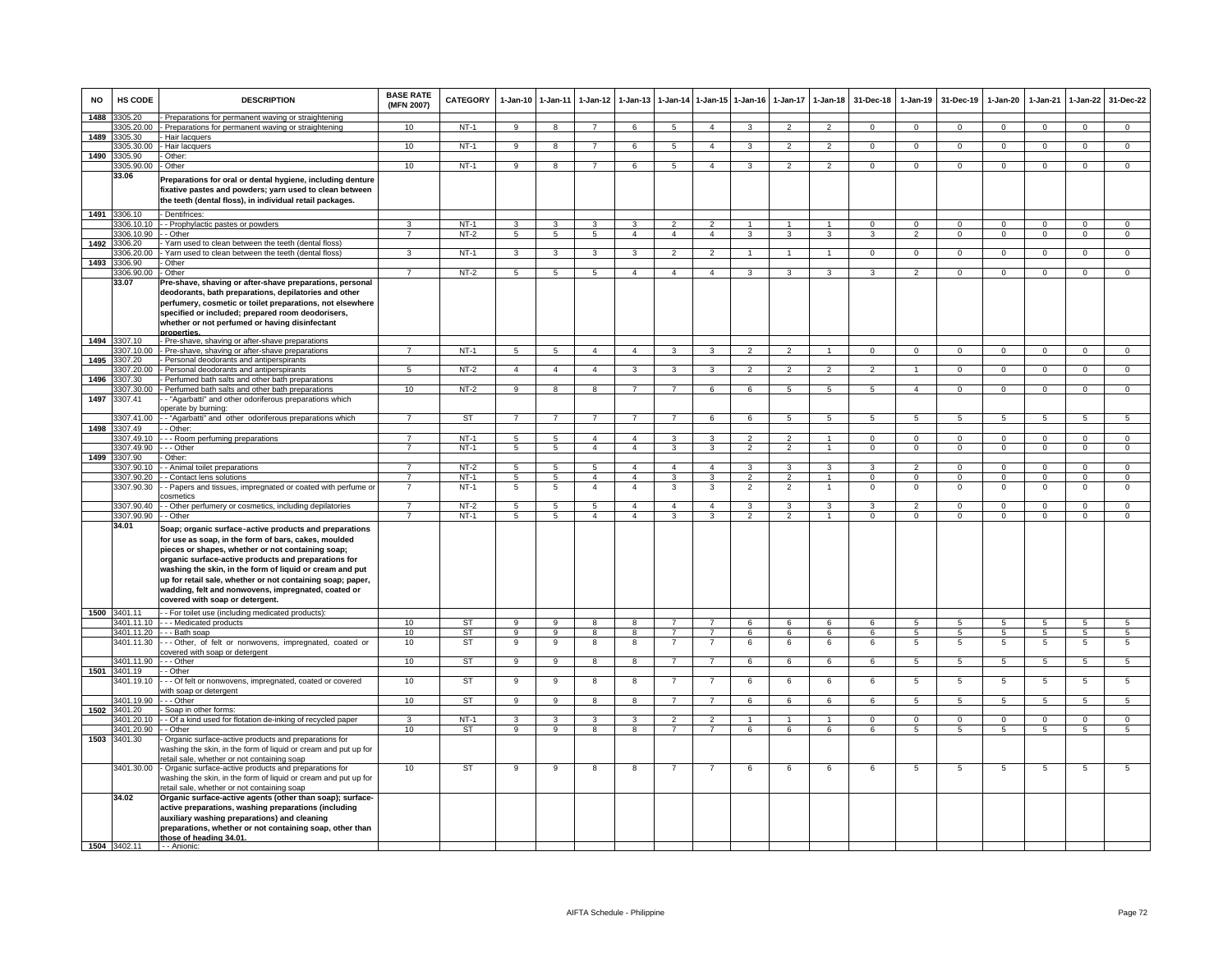| <b>NO</b>    | <b>HS CODE</b>          | <b>DESCRIPTION</b>                                                                                                                                                                                                                                                                                                                                                                                                                              | <b>BASE RATE</b><br>(MFN 2007) | CATEGORY         | 1-Jan-10 1-Jan-11   |                         | $1 - Jan-12$                     | $1 - Jan-13$                     |                     |                | 1-Jan-14 1-Jan-15 1-Jan-16 | $1 - Jan-17$   | $1 - Jan-18$         | 31-Dec-18              |                        | 1-Jan-19 31-Dec-19         | 1-Jan-20                | 1-Jan-21                | $1-Jan-22$                    | 31-Dec-22                     |
|--------------|-------------------------|-------------------------------------------------------------------------------------------------------------------------------------------------------------------------------------------------------------------------------------------------------------------------------------------------------------------------------------------------------------------------------------------------------------------------------------------------|--------------------------------|------------------|---------------------|-------------------------|----------------------------------|----------------------------------|---------------------|----------------|----------------------------|----------------|----------------------|------------------------|------------------------|----------------------------|-------------------------|-------------------------|-------------------------------|-------------------------------|
| 1488         | 305.20                  | - Preparations for permanent waving or straightening                                                                                                                                                                                                                                                                                                                                                                                            |                                |                  |                     |                         |                                  |                                  |                     |                |                            |                |                      |                        |                        |                            |                         |                         |                               |                               |
| 1489         | 305.20.00<br>3305.30    | - Preparations for permanent waving or straightening<br>- Hair lacquers                                                                                                                                                                                                                                                                                                                                                                         | 10 <sup>1</sup>                | $NT-1$           | q                   | $\mathbf{g}$            |                                  |                                  | 5                   | $\overline{a}$ |                            |                |                      |                        | $\Omega$               | $\Omega$                   | $\Omega$                | $\Omega$                | $\Omega$                      | $\Omega$                      |
|              | 3305.30.00              | - Hair lacquers                                                                                                                                                                                                                                                                                                                                                                                                                                 | 10                             | $NT-1$           | 9                   | $\overline{\mathbf{8}}$ | $\overline{7}$                   | 6                                | 5                   | $\overline{4}$ | 3                          | $\overline{2}$ | $\overline{2}$       | $\mathbf{0}$           | $\mathbf{0}$           | $\mathbf 0$                | $^{\circ}$              | $^{\circ}$              | $\overline{0}$                | $\overline{0}$                |
| 1490         | 305.90                  | Other:                                                                                                                                                                                                                                                                                                                                                                                                                                          |                                |                  |                     |                         |                                  |                                  |                     |                |                            |                |                      |                        |                        |                            |                         |                         |                               |                               |
|              | 305.90.00               | Other                                                                                                                                                                                                                                                                                                                                                                                                                                           | 10                             | $NT-1$           | 9                   | $\overline{8}$          | $\overline{7}$                   | 6                                | 5                   | $\overline{4}$ | 3                          | $\overline{2}$ | $\mathfrak{p}$       | $\mathbf 0$            | $\mathbf{0}$           | $\mathbf 0$                | $\mathbf 0$             | $\mathbf 0$             | $\overline{0}$                | $\overline{0}$                |
|              | 33.06                   | Preparations for oral or dental hygiene, including denture                                                                                                                                                                                                                                                                                                                                                                                      |                                |                  |                     |                         |                                  |                                  |                     |                |                            |                |                      |                        |                        |                            |                         |                         |                               |                               |
|              |                         | fixative pastes and powders; yarn used to clean between                                                                                                                                                                                                                                                                                                                                                                                         |                                |                  |                     |                         |                                  |                                  |                     |                |                            |                |                      |                        |                        |                            |                         |                         |                               |                               |
|              |                         | the teeth (dental floss), in individual retail packages.                                                                                                                                                                                                                                                                                                                                                                                        |                                |                  |                     |                         |                                  |                                  |                     |                |                            |                |                      |                        |                        |                            |                         |                         |                               |                               |
| 1491         | 3306.10                 | - Dentifrices:                                                                                                                                                                                                                                                                                                                                                                                                                                  |                                |                  |                     |                         |                                  |                                  |                     |                |                            |                |                      |                        |                        |                            |                         |                         |                               |                               |
|              | 3306.10.10              | - - Prophylactic pastes or powders                                                                                                                                                                                                                                                                                                                                                                                                              | 3                              | $NT-1$           | 3                   | $\mathbf{3}$            | 3                                | 3                                | $\overline{2}$      | 2              |                            |                | $\blacktriangleleft$ | $\Omega$               | $^{\circ}$             | $\mathbf{0}$               | $\mathbf{0}$            | $\Omega$                | $\mathbf 0$                   | $\mathbf{0}$                  |
|              | 3306.10.90 -- Other     |                                                                                                                                                                                                                                                                                                                                                                                                                                                 | $\overline{7}$                 | $NT-2$           | 5 <sup>5</sup>      | 5 <sup>5</sup>          | 5 <sub>5</sub>                   | $\overline{4}$                   | $\overline{4}$      | $\overline{4}$ | $\mathbf{3}$               | $\mathbf{3}$   | $\mathbf{3}$         | $\mathbf{3}$           | $\overline{2}$         | $\overline{0}$             | $\mathbf{0}$            | $\mathbf 0$             | $\overline{0}$                | $\overline{0}$                |
| 1492         | 3306.20<br>3306.20.00   | Yarn used to clean between the teeth (dental floss)                                                                                                                                                                                                                                                                                                                                                                                             |                                |                  |                     |                         |                                  |                                  |                     |                |                            |                |                      |                        |                        |                            |                         |                         |                               |                               |
| 1493         | 306.90                  | Yarn used to clean between the teeth (dental floss)<br>Other                                                                                                                                                                                                                                                                                                                                                                                    | 3                              | $NT-1$           | 3                   | 3                       | $\overline{3}$                   | 3                                | $\overline{2}$      | $\overline{2}$ | 1                          | $\mathbf{1}$   | 1                    | $\mathbf{0}$           | $\mathbf{0}$           | $\overline{0}$             | $\mathbf{0}$            | $\mathbf 0$             | $\overline{0}$                | $\overline{0}$                |
|              | 3306.90.00              | - Other                                                                                                                                                                                                                                                                                                                                                                                                                                         | $\overline{7}$                 | $NT-2$           | 5                   | $5\overline{5}$         | $5\overline{5}$                  | $\overline{4}$                   | $\overline{4}$      | $\overline{4}$ | 3                          | 3              | 3                    | 3                      | $\overline{2}$         | $\mathbf{0}$               | $^{\circ}$              | $^{\circ}$              | $\mathbf 0$                   | $\mathbf{0}$                  |
|              | 33.07                   | Pre-shave, shaving or after-shave preparations, personal<br>deodorants, bath preparations, depilatories and other<br>perfumery, cosmetic or toilet preparations, not elsewhere<br>specified or included; prepared room deodorisers,<br>whether or not perfumed or having disinfectant<br>properties                                                                                                                                             |                                |                  |                     |                         |                                  |                                  |                     |                |                            |                |                      |                        |                        |                            |                         |                         |                               |                               |
| 1494         | 3307.10                 | - Pre-shave, shaving or after-shave preparations                                                                                                                                                                                                                                                                                                                                                                                                |                                |                  |                     |                         |                                  |                                  |                     |                |                            |                |                      |                        |                        |                            |                         |                         |                               |                               |
|              | 307.10.00               | - Pre-shave, shaving or after-shave preparations                                                                                                                                                                                                                                                                                                                                                                                                | 7                              | $NT-1$           | 5                   | $5\overline{5}$         | $\overline{4}$                   | $\overline{4}$                   | 3                   | 3              | $\overline{2}$             | $\overline{2}$ |                      | $\Omega$               | $\mathbf{0}$           | $\mathbf 0$                | $\mathbf 0$             | $\Omega$                | $\mathbf 0$                   | $\mathbf{0}$                  |
| 1495         | 307.20                  | Personal deodorants and antiperspirants                                                                                                                                                                                                                                                                                                                                                                                                         |                                |                  |                     |                         |                                  | $\overline{\mathbf{3}}$          |                     |                | $\mathcal{P}$              |                | $\mathcal{P}$        | $\mathcal{P}$          |                        |                            |                         |                         |                               |                               |
| 1496         | 307.20.00<br>3307.30    | - Personal deodorants and antiperspirants<br>- Perfumed bath salts and other bath preparations                                                                                                                                                                                                                                                                                                                                                  | 5                              | $NT-2$           | $\overline{4}$      | $\overline{4}$          | $\overline{4}$                   |                                  | 3                   | 3              |                            |                |                      |                        | $\overline{1}$         | $\overline{0}$             | $\Omega$                | $\Omega$                | $\overline{0}$                | $\overline{0}$                |
|              | 3307.30.00              | - Perfumed bath salts and other bath preparations                                                                                                                                                                                                                                                                                                                                                                                               | 10                             | $NT-2$           | $\overline{9}$      | $^{\circ}$              | $^{\circ}$                       | $\overline{7}$                   | $\overline{7}$      | 6              | 6                          | $\overline{5}$ | $\overline{5}$       | $\overline{5}$         | $\overline{4}$         | $\overline{0}$             | $\overline{0}$          | $\overline{0}$          | $\overline{0}$                | $\overline{0}$                |
| 1497         | 3307.41                 | - "Agarbatti" and other odoriferous preparations which                                                                                                                                                                                                                                                                                                                                                                                          |                                |                  |                     |                         |                                  |                                  |                     |                |                            |                |                      |                        |                        |                            |                         |                         |                               |                               |
|              | 3307.41.00              | operate by burning:<br>-- "Agarbatti" and other odoriferous preparations which                                                                                                                                                                                                                                                                                                                                                                  | $\overline{7}$                 | ST               | $\overline{7}$      | $\overline{7}$          | $\overline{7}$                   | $\overline{7}$                   | $\overline{7}$      | 6              | 6                          | 5              | 5                    | 5                      | 5                      | 5                          | 5                       | 5                       | 5                             | 5                             |
| 1498         | 3307.49                 | - - Other:                                                                                                                                                                                                                                                                                                                                                                                                                                      |                                |                  |                     |                         |                                  |                                  |                     |                |                            |                |                      |                        |                        |                            |                         |                         |                               |                               |
|              | 3307.49.10              | - - - Room perfuming preparations                                                                                                                                                                                                                                                                                                                                                                                                               | $\overline{7}$                 | $NT-1$           | 5                   | 5                       | $\overline{4}$                   | $\overline{4}$                   | 3                   | $\mathbf{3}$   | 2                          | $\overline{2}$ | $\overline{1}$       | $\Omega$               | $^{\circ}$             | $\mathbf{0}$               | $\mathbf{0}$            | $^{\circ}$              | $\overline{0}$                | $^{\circ}$                    |
|              | 3307.49.90              | $-$ Other                                                                                                                                                                                                                                                                                                                                                                                                                                       | $\overline{7}$                 | $NT-1$           | $5\overline{5}$     | $5\overline{)}$         | $\overline{4}$                   | $\overline{4}$                   | 3                   | 3              | $\overline{2}$             | $\overline{2}$ | $\mathbf{1}$         | $^{\circ}$             | $^{\circ}$             | $\mathbf 0$                | $\mathbf{0}$            | $\mathbf{0}$            | $\mathbf 0$                   | $\overline{0}$                |
| 1499         | 307.90                  | Other:                                                                                                                                                                                                                                                                                                                                                                                                                                          |                                |                  |                     |                         |                                  |                                  |                     |                |                            |                |                      |                        |                        |                            |                         |                         |                               |                               |
|              | 307.90.10               | - Animal toilet preparations                                                                                                                                                                                                                                                                                                                                                                                                                    | $\overline{7}$                 | $NT-2$<br>$NT-1$ | 5                   | 5<br>$\overline{5}$     | 5 <sub>5</sub><br>$\overline{4}$ | $\overline{4}$<br>$\overline{4}$ | $\overline{4}$<br>3 | $\overline{4}$ | 3<br>$\mathcal{P}$         | 3              | 3                    | 3                      | $\overline{2}$         | $\mathbf{0}$               | $\mathbf 0$             | $\mathbf 0$             | $\mathbf 0$<br>$\overline{0}$ | $\mathbf{0}$                  |
|              | 307.90.20<br>3307.90.30 | - Contact lens solutions<br>- Papers and tissues, impregnated or coated with perfume or                                                                                                                                                                                                                                                                                                                                                         |                                | $NT-1$           | 5<br>$\overline{5}$ | $\overline{5}$          | $\overline{4}$                   | $\overline{4}$                   | 3                   | 3<br>3         | $\overline{2}$             | $\overline{2}$ |                      | $\Omega$<br>$^{\circ}$ | $\Omega$<br>$^{\circ}$ | $\Omega$<br>$\overline{0}$ | $\Omega$<br>$\mathbf 0$ | $\Omega$<br>$\mathbf 0$ | $\overline{0}$                | $\overline{0}$<br>$\mathsf 0$ |
|              |                         | cosmetics                                                                                                                                                                                                                                                                                                                                                                                                                                       |                                |                  |                     |                         |                                  |                                  |                     |                |                            |                |                      |                        |                        |                            |                         |                         |                               |                               |
|              | 3307.90.40              | - - Other perfumery or cosmetics, including depilatories                                                                                                                                                                                                                                                                                                                                                                                        | $\overline{7}$                 | $NT-2$           | $\overline{5}$      | $\overline{5}$          | $\overline{5}$                   | $\overline{4}$                   | $\overline{4}$      | $\overline{4}$ | $\mathcal{R}$              | $\mathcal{R}$  | $\mathbf{R}$         | 3                      | $\mathcal{P}$          | $\Omega$                   | $\Omega$                | $\Omega$                | $\overline{0}$                | $\overline{0}$                |
|              | 3307.90.90<br>34.01     | - - Other                                                                                                                                                                                                                                                                                                                                                                                                                                       | $\overline{7}$                 | $NT-1$           | 5                   | $5\overline{)}$         | $\overline{4}$                   | 4                                | 3                   | 3              | 2                          | $\mathcal{P}$  | $\mathbf{1}$         | $\Omega$               | $\mathbf 0$            | $\mathbf 0$                | $\mathbf 0$             | $\Omega$                | $\Omega$                      | $\overline{0}$                |
|              |                         | Soap; organic surface-active products and preparations<br>for use as soap, in the form of bars, cakes, moulded<br>pieces or shapes, whether or not containing soap;<br>organic surface-active products and preparations for<br>washing the skin, in the form of liquid or cream and put<br>up for retail sale, whether or not containing soap; paper,<br>wadding, felt and nonwovens, impregnated, coated or<br>covered with soap or detergent. |                                |                  |                     |                         |                                  |                                  |                     |                |                            |                |                      |                        |                        |                            |                         |                         |                               |                               |
|              | 1500 3401.11            | - - For toilet use (including medicated products):<br>3401.11.10 --- Medicated products                                                                                                                                                                                                                                                                                                                                                         | 10                             | ST               | 9                   | 9                       | 8                                | 8                                | $\overline{7}$      | $\overline{7}$ | 6                          | 6              | 6                    | 6                      | 5                      | 5                          | 5                       | 5                       | 5                             | 5                             |
|              |                         | 3401.11.20 --- Bath soap                                                                                                                                                                                                                                                                                                                                                                                                                        | 10                             | ST               | 9                   | 9                       | 8                                | 8                                | 7                   | $\overline{7}$ | 6                          | 6              | 6                    | 6                      | 5                      | 5                          | 5                       | -5                      | 5                             | $5\phantom{.0}$               |
|              | 3401.11.30              | -- Other, of felt or nonwovens, impregnated, coated or<br>overed with soap or detergent                                                                                                                                                                                                                                                                                                                                                         | 10                             | <b>ST</b>        | 9                   | 9                       | 8                                | 8                                | $\overline{7}$      | $\overline{7}$ | 6                          | 6              | 6                    | 6                      | 5                      | $\overline{5}$             | 5                       | 5                       | 5                             | $\overline{5}$                |
| 1501         | 3401.11.90<br>3401.19   | - - Other<br>- - Other                                                                                                                                                                                                                                                                                                                                                                                                                          | 10                             | <b>ST</b>        | $\overline{9}$      | $\overline{9}$          | 8                                | 8                                | $\overline{7}$      | $\overline{7}$ | 6                          | 6              | 6                    | 6                      | 5                      | $\overline{5}$             | 5                       | 5                       | 5                             | 5                             |
|              | 3401.19.10              | - - - Of felt or nonwovens, impregnated, coated or covered                                                                                                                                                                                                                                                                                                                                                                                      | 10                             | ST               | 9                   | 9                       | 8                                | 8                                | 7                   | $\overline{7}$ | 6                          | 6              | 6                    | 6                      | 5                      | $\overline{5}$             | 5                       | 5                       | $5\phantom{.0}$               | 5                             |
|              |                         | vith soap or detergent                                                                                                                                                                                                                                                                                                                                                                                                                          |                                |                  |                     |                         |                                  |                                  |                     |                |                            |                |                      |                        |                        |                            |                         |                         |                               |                               |
| 1502         | 3401.19.90<br>3401.20   | - - Other<br>Soap in other forms:                                                                                                                                                                                                                                                                                                                                                                                                               | 10                             | <b>ST</b>        | $\mathbf{Q}$        | $\mathsf{Q}$            | R                                | $\mathbf{R}$                     | $\overline{7}$      | $\overline{7}$ | $\epsilon$                 | $\epsilon$     | $\epsilon$           | $\epsilon$             | 5                      | 5                          | 5                       | 5                       | 5.                            | 5                             |
|              | 3401.20.10              | - - Of a kind used for flotation de-inking of recycled paper                                                                                                                                                                                                                                                                                                                                                                                    |                                | $NT-1$           | з                   | 3                       | 3                                |                                  | っ                   | $\mathcal{P}$  |                            |                |                      | $\Omega$               | $^{\circ}$             | $\Omega$                   | $^{\circ}$              | $\Omega$                | $\mathbf 0$                   | $\mathbf{O}$                  |
|              | 3401.20.90 - - Other    |                                                                                                                                                                                                                                                                                                                                                                                                                                                 | 10                             | ST               | 9                   | 9                       | 8                                | 8                                | $\overline{7}$      | $\overline{7}$ | 6                          | 6              | 6                    | 6                      | 5                      | 5                          | 5                       | 5                       | 5                             | $5\overline{5}$               |
| 1503         | 3401.30                 | Organic surface-active products and preparations for<br>washing the skin, in the form of liquid or cream and put up for<br>etail sale, whether or not containing soap                                                                                                                                                                                                                                                                           |                                |                  |                     |                         |                                  |                                  |                     |                |                            |                |                      |                        |                        |                            |                         |                         |                               |                               |
|              | 3401.30.00              | - Organic surface-active products and preparations for<br>washing the skin, in the form of liquid or cream and put up for<br>etail sale, whether or not containing soap                                                                                                                                                                                                                                                                         | 10                             | ST               | 9                   | 9                       | 8                                | 8                                |                     |                | 6                          | 6              | 6                    | 6                      | 5                      | 5                          | 5                       | 5                       | 5                             | 5                             |
|              | 34.02                   | Organic surface-active agents (other than soap); surface-<br>active preparations, washing preparations (including<br>auxiliary washing preparations) and cleaning<br>preparations, whether or not containing soap, other than<br>those of heading 34.01.                                                                                                                                                                                        |                                |                  |                     |                         |                                  |                                  |                     |                |                            |                |                      |                        |                        |                            |                         |                         |                               |                               |
| 1504 3402.11 |                         | - - Anionic:                                                                                                                                                                                                                                                                                                                                                                                                                                    |                                |                  |                     |                         |                                  |                                  |                     |                |                            |                |                      |                        |                        |                            |                         |                         |                               |                               |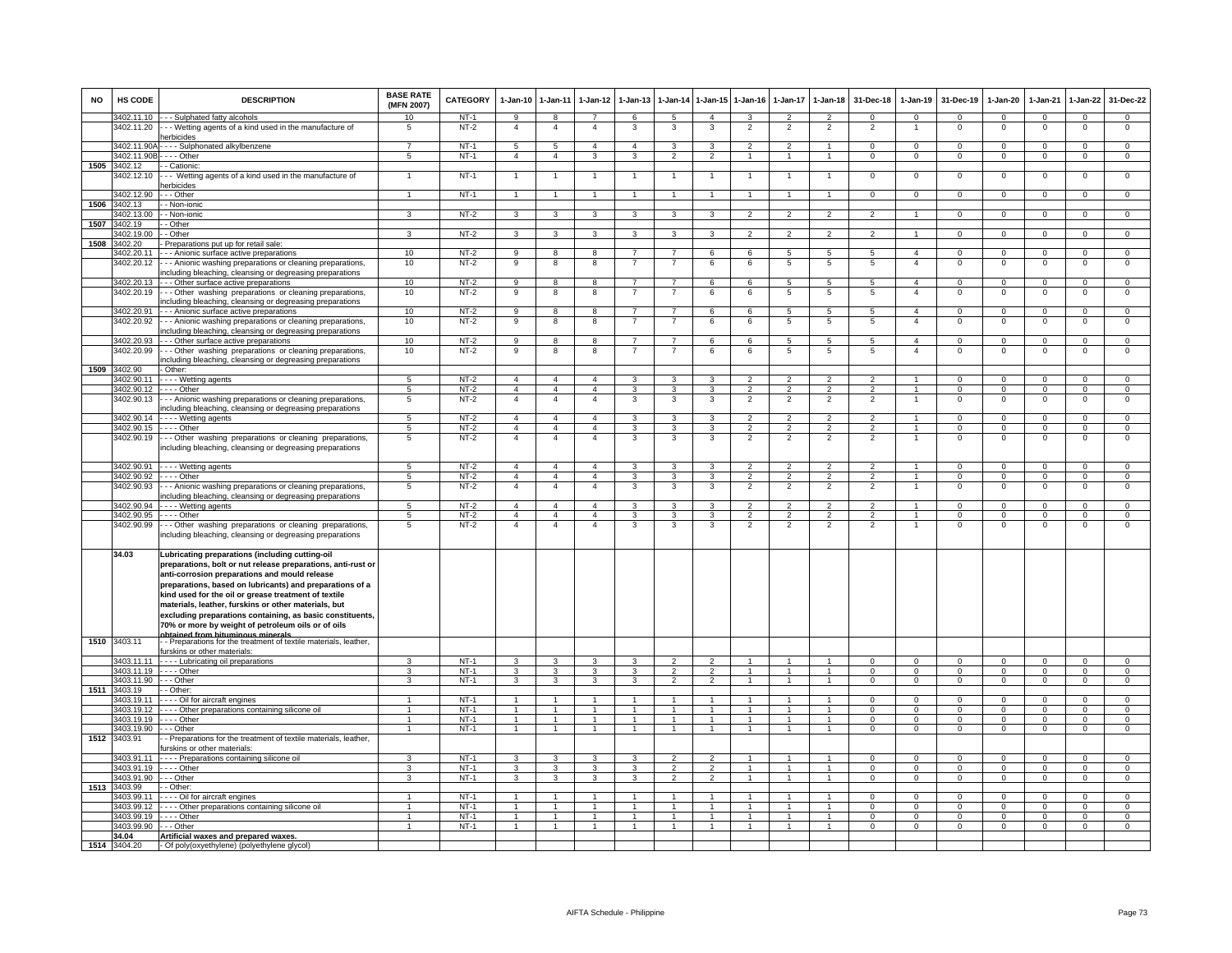| <b>NO</b> | HS CODE                  | <b>DESCRIPTION</b>                                                                                                   | <b>BASE RATE</b><br>(MFN 2007) | <b>CATEGORY</b>  | 1-Jan-10                         | $1-Jan-11$                       | $1-Jan-12$                       | $1 - Jan-13$                     |                                  | 1-Jan-14 1-Jan-15    | $1 - Jan-16$                     | $1-Jan-17$                       | $1 - Jan-18$                     | 31-Dec-18                        | 1-Jan-19                         | 31-Dec-19                     | $1-Jan-20$                    | $1-Jan-21$                    | 1-Jan-22                      | 31-Dec-22                      |
|-----------|--------------------------|----------------------------------------------------------------------------------------------------------------------|--------------------------------|------------------|----------------------------------|----------------------------------|----------------------------------|----------------------------------|----------------------------------|----------------------|----------------------------------|----------------------------------|----------------------------------|----------------------------------|----------------------------------|-------------------------------|-------------------------------|-------------------------------|-------------------------------|--------------------------------|
|           |                          | 3402.11.10 - - - Sulphated fatty alcohols                                                                            | 10                             | NT-1             | 9                                | 8                                | $\overline{7}$<br>$\overline{4}$ | 6                                | -5                               | $\mathbf{A}$         | $\mathbf{3}$                     | $\overline{2}$                   | $\overline{2}$                   | $\Omega$                         | $\Omega$<br>$\mathbf{1}$         | $\Omega$                      | $^{\circ}$                    | $\mathbf 0$                   | $\mathbf{0}$<br>$\Omega$      | $\mathbf{0}$                   |
|           | 3402.11.20               | Wetting agents of a kind used in the manufacture of<br><b>nerbicides</b>                                             | 5                              | $NT-2$           | $\overline{a}$                   | $\overline{4}$                   |                                  | 3                                | 3                                | 3                    | $\overline{2}$                   | $\overline{2}$                   | $\overline{2}$                   | $\overline{2}$                   |                                  | $\mathbf 0$                   | 0                             | $\mathbf 0$                   |                               | 0                              |
|           | 3402.11.90A              | ---- Sulphonated alkylbenzene                                                                                        | 7                              | $NT-1$           | -5                               | -5                               | $\overline{4}$                   | $\overline{4}$                   | 3                                | 3                    | $\overline{2}$                   | $\overline{2}$                   | $\mathbf{1}$                     | $\Omega$                         | $\overline{0}$                   | $\Omega$                      | $\overline{0}$                | $\overline{0}$                | $\overline{0}$                | $\overline{0}$                 |
|           | 3402.11.90B              | . - - - Other                                                                                                        | 5                              | $NT-1$           | $\overline{4}$                   | $\overline{4}$                   | 3                                | 3                                |                                  | $\overline{2}$       |                                  |                                  | $\mathbf{1}$                     | $\mathbf 0$                      | $\mathsf 0$                      | $\mathbf 0$                   | $^{\circ}$                    | $\mathbf 0$                   | $\mathbf 0$                   | $\mathbf 0$                    |
| 1505      | 3402.12                  | - Cationic:                                                                                                          |                                |                  |                                  |                                  |                                  |                                  |                                  |                      |                                  |                                  |                                  |                                  |                                  |                               |                               |                               |                               |                                |
|           | 3402.12.10               | -- Wetting agents of a kind used in the manufacture of<br>erbicides                                                  | $\overline{1}$                 | $NT-1$           | $\overline{1}$                   | $\overline{1}$                   | $\overline{1}$                   | $\overline{1}$                   | $\overline{1}$                   | $\overline{1}$       | $\overline{1}$                   | $\overline{1}$                   | $\overline{1}$                   | $^{\circ}$                       | $\mathbf{0}$                     | $^{\circ}$                    | $^{\circ}$                    | $\mathbf{0}$                  | $\mathbf{0}$                  | $\mathbf 0$                    |
|           | 3402.12.90               | - - Other                                                                                                            | $\mathbf{1}$                   | $NT-1$           | $\overline{1}$                   | $\overline{1}$                   |                                  | $\overline{1}$                   | $\overline{1}$                   | $\mathbf{1}$         | $\overline{1}$                   | $\mathbf{1}$                     | $\overline{1}$                   | $\Omega$                         | $\mathbf{O}$                     | $\Omega$                      | $\mathbf 0$                   | $\mathbf{0}$                  | $\mathbf 0$                   | $\mathbf{0}$                   |
| 1506      | 3402.13                  | - Non-ionic                                                                                                          |                                |                  |                                  |                                  |                                  |                                  |                                  |                      |                                  |                                  |                                  |                                  |                                  |                               |                               |                               |                               |                                |
|           | 3402.13.00               | - Non-ionic                                                                                                          | 3                              | NT-2             | 3                                | 3                                | $\mathbf{3}$                     | 3                                | 3                                | 3                    | $\overline{2}$                   | $\overline{2}$                   | $\overline{2}$                   | 2                                | $\mathbf{1}$                     | $\mathbf{0}$                  | $\mathbf{0}$                  | $^{\circ}$                    | $\overline{0}$                | $\mathbf{0}$                   |
| 1507      | 3402.19<br>3402.19.00    | - Other<br>- Other                                                                                                   | 3                              | $NT-2$           |                                  | $\overline{3}$                   | $\mathbf{3}$                     | $\overline{\mathbf{3}}$          | $\mathbf{3}$                     | $\overline{3}$       | $\overline{2}$                   | $\overline{2}$                   | $\overline{2}$                   | $\overline{2}$                   | $\overline{1}$                   | $\Omega$                      | $\Omega$                      | $\overline{0}$                | $\overline{0}$                | $\overline{0}$                 |
| 1508      | 3402.20                  | Preparations put up for retail sale                                                                                  |                                |                  | $\mathbf{3}$                     |                                  |                                  |                                  |                                  |                      |                                  |                                  |                                  |                                  |                                  |                               |                               |                               |                               |                                |
|           | 3402.20.11               | - - Anionic surface active preparations                                                                              | 10                             | $NT-2$           | 9                                | 8                                | 8                                |                                  |                                  | 6                    | 6                                | 5                                | 5                                | 5                                | $\overline{4}$                   | 0                             | $^{\circ}$                    | 0                             | 0                             | $\mathbf 0$                    |
|           | 3402.20.12               | - - Anionic washing preparations or cleaning preparations,                                                           | 10                             | $NT-2$           | 9                                | 8                                | 8                                |                                  |                                  | 6                    | 6                                | 5                                | $\overline{5}$                   | 5                                | $\overline{4}$                   | $\,0\,$                       | $\mathbf 0$                   | $\mathbf 0$                   | $\mathbf 0$                   | $\mathsf 0$                    |
|           |                          | ncluding bleaching, cleansing or degreasing preparations                                                             |                                |                  |                                  |                                  |                                  |                                  |                                  |                      |                                  | 5                                |                                  |                                  |                                  |                               |                               |                               |                               |                                |
|           | 3402.20.13<br>3402.20.19 | - - Other surface active preparations                                                                                | 10<br>10                       | $NT-2$<br>$NT-2$ | $_{9}$<br>9                      | 8<br>8                           | 8<br>8                           | $\overline{7}$<br>$\overline{7}$ | $\overline{7}$<br>$\overline{7}$ | 6<br>6               | 6<br>6                           | 5                                | 5<br>5                           | $\overline{5}$<br>5              | $\overline{4}$<br>$\overline{4}$ | $\overline{0}$<br>$\mathbf 0$ | $\overline{0}$<br>$\mathsf 0$ | $\overline{0}$<br>$\mathbf 0$ | $\overline{0}$<br>$\mathsf 0$ | $\overline{0}$<br>$\mathsf 0$  |
|           |                          | -- Other washing preparations or cleaning preparations,<br>including bleaching, cleansing or degreasing preparations |                                |                  |                                  |                                  |                                  |                                  |                                  |                      |                                  |                                  |                                  |                                  |                                  |                               |                               |                               |                               |                                |
|           | 3402.20.91               | - - - Anionic surface active preparations                                                                            | 10                             | $NT-2$           | 9                                | 8                                | 8                                | $\overline{7}$                   | $\overline{7}$                   | 6                    | 6                                | 5                                | 5                                | 5                                | $\overline{4}$                   | $\Omega$                      | 0                             | $\Omega$                      | $^{\circ}$                    | $\mathbf{0}$                   |
|           | 3402.20.92               | - - Anionic washing preparations or cleaning preparations,                                                           | 10                             | $NT-2$           | 9                                | 8                                | 8                                | $\overline{7}$                   | $\overline{7}$                   | 6                    | 6                                | 5                                | 5                                | 5                                | $\overline{4}$                   | $\Omega$                      | $^{\circ}$                    | $\Omega$                      | $\mathsf 0$                   | $\mathsf 0$                    |
|           |                          | ncluding bleaching, cleansing or degreasing preparations                                                             |                                |                  |                                  |                                  | 8                                | $\overline{7}$                   | $\overline{7}$                   |                      |                                  |                                  |                                  |                                  |                                  | $\Omega$                      |                               |                               |                               |                                |
|           | 3402.20.93<br>3402.20.99 | - - Other surface active preparations<br>-- Other washing preparations or cleaning preparations,                     | 10<br>10                       | $NT-2$<br>$NT-2$ | 9<br>9                           | 8<br>8                           | 8                                | 7                                | -7                               | 6<br>6               | 6<br>6                           | 5<br>5                           | 5<br>5                           | 5<br>5                           | $\overline{4}$<br>$\overline{4}$ | $\mathbf 0$                   | $\mathsf 0$<br>$^{\circ}$     | $\mathbf 0$<br>$\mathbf 0$    | $\mathbf 0$<br>0              | $\overline{0}$<br>$\mathbf{0}$ |
|           |                          | ncluding bleaching, cleansing or degreasing preparations                                                             |                                |                  |                                  |                                  |                                  |                                  |                                  |                      |                                  |                                  |                                  |                                  |                                  |                               |                               |                               |                               |                                |
| 1509      | 3402.90                  | - Other:                                                                                                             |                                |                  |                                  |                                  |                                  |                                  |                                  |                      |                                  |                                  |                                  |                                  |                                  |                               |                               |                               |                               |                                |
|           | 3402.90.11               | - - - - Wetting agents                                                                                               | $\overline{5}$                 | $NT-2$           | $\overline{4}$                   | $\overline{4}$                   | $\overline{4}$                   | 3                                | 3                                | 3                    | $\mathfrak{p}$                   | $\mathfrak{p}$                   | $\overline{2}$                   | $\mathfrak{p}$                   | $\mathbf{1}$                     | $\Omega$                      | $\Omega$                      | $\Omega$                      | $\Omega$                      | $\mathbf{0}$                   |
|           | 3402.90.12<br>3402.90.13 | - - - - Other<br>- - Anionic washing preparations or cleaning preparations,                                          | 5<br>5                         | $NT-2$<br>$NT-2$ | $\overline{4}$<br>$\overline{4}$ | $\overline{4}$<br>$\overline{4}$ | $\overline{4}$<br>$\overline{4}$ | 3<br>3                           | 3<br>3                           | 3<br>3               | $\overline{2}$<br>$\overline{2}$ | $\overline{2}$<br>$\overline{2}$ | $\overline{2}$<br>$\overline{2}$ | $\overline{2}$<br>$\overline{2}$ | $\overline{1}$<br>$\overline{1}$ | $^{\circ}$<br>$\mathbf 0$     | $^{\circ}$<br>$\mathbf 0$     | $^{\circ}$<br>$\mathbf 0$     | $\mathbf 0$<br>$\mathbf 0$    | $\mathbf{0}$<br>$\mathbf{0}$   |
|           |                          | ncluding bleaching, cleansing or degreasing preparations                                                             |                                |                  |                                  |                                  |                                  |                                  |                                  |                      |                                  |                                  |                                  |                                  |                                  |                               |                               |                               |                               |                                |
|           | 3402.90.14               | - - - - Wetting agents                                                                                               | $\overline{5}$                 | $NT-2$           | $\overline{4}$                   | $\overline{4}$                   | $\overline{4}$                   | 3                                | 3                                | 3                    | $\overline{2}$                   | $\overline{2}$                   | $\overline{2}$                   | $\overline{2}$                   | $\mathbf{1}$                     | $\overline{0}$                | $\overline{0}$                | $\overline{0}$                | $\overline{0}$                | $\overline{0}$                 |
|           | 3402.90.15               | - - - - Other                                                                                                        | 5                              | $NT-2$           | $\overline{4}$                   | $\overline{4}$                   | $\overline{4}$                   | 3                                | 3                                | 3                    | $\overline{\mathbf{z}}$          | $\mathfrak{p}$                   | $\overline{2}$                   | $\overline{2}$                   | $\mathbf{1}$                     | $\Omega$                      | $\mathsf 0$                   | $\mathbf 0$                   | $\mathbf 0$                   | $\mathbf 0$                    |
|           | 3402.90.19               | --- Other washing preparations or cleaning preparations,                                                             | 5                              | $NT-2$           | $\overline{4}$                   | $\overline{4}$                   | $\overline{4}$                   | 3                                | 3                                | 3                    | $\overline{2}$                   | $\overline{2}$                   | $\overline{2}$                   | $\overline{2}$                   | $\overline{1}$                   | $\mathbf 0$                   | $\mathsf 0$                   | $\mathbf 0$                   | $\mathbf 0$                   | $\mathbf 0$                    |
|           |                          | ncluding bleaching, cleansing or degreasing preparations                                                             |                                |                  |                                  |                                  |                                  |                                  |                                  |                      |                                  |                                  |                                  |                                  |                                  |                               |                               |                               |                               |                                |
|           | 3402.90.91               | - - - - Wetting agents                                                                                               | $\overline{5}$                 | $NT-2$           | $\overline{4}$                   | $\overline{4}$                   | $\overline{4}$                   | 3                                | $\mathbf{3}$                     | 3                    | $\mathcal{P}$                    | $\mathfrak{p}$                   | $\mathfrak{p}$                   | $\mathfrak{p}$                   | $\mathbf{1}$                     | $\Omega$                      | $\mathsf 0$                   | $\mathbf 0$                   | $\Omega$                      | $\mathbf 0$                    |
|           | 3402.90.92               | - - - - Other                                                                                                        | $\overline{5}$                 | $NT-2$           | $\overline{4}$                   | $\overline{4}$                   | $\overline{4}$                   | 3                                | 3                                | 3                    | $\overline{\mathbf{z}}$          | $\mathcal{P}$                    | $\mathfrak{p}$                   | $\mathcal{P}$                    | $\mathbf{1}$                     | $\Omega$                      | $\Omega$                      | $\Omega$                      | $\Omega$                      | $\mathbf{0}$                   |
|           | 3402.90.93               | -- Anionic washing preparations or cleaning preparations,                                                            | 5                              | $NT-2$           | $\overline{a}$                   | $\overline{4}$                   | $\overline{4}$                   | 3                                | 3                                | 3                    | $\overline{2}$                   | $\overline{2}$                   | $\overline{2}$                   | $\overline{2}$                   | $\overline{1}$                   | $\mathbf 0$                   | 0                             | $^{\circ}$                    | $\mathbf 0$                   | $\mathbf{0}$                   |
|           | 3402.90.94               | ncluding bleaching, cleansing or degreasing preparations<br>--- Wetting agents                                       | 5                              | $NT-2$           | $\mathbf{A}$                     | $\mathbf{4}$                     | $\mathbf{4}$                     | $\mathbf{B}$                     | 3                                | 3                    | $\mathcal{P}$                    | 2                                | $\mathcal{P}$                    | $\mathcal{P}$                    | $\overline{1}$                   | $\Omega$                      | $\Omega$                      | $\Omega$                      | $\Omega$                      | $\Omega$                       |
|           | 3402.90.95               | .-- Other                                                                                                            | 5                              | $NT-2$           | $\overline{4}$                   | $\overline{4}$                   | $\overline{4}$                   | 3                                | 3                                | 3                    | $\overline{2}$                   | $\mathfrak{p}$                   | $\overline{2}$                   | $\overline{2}$                   | 1                                | $\Omega$                      | $^{\circ}$                    | $\mathbf 0$                   | $\mathbf 0$                   | $\mathbf 0$                    |
|           | 3402.90.99               | -- Other washing preparations or cleaning preparations,                                                              | 5                              | $NT-2$           | $\overline{4}$                   | $\overline{4}$                   | $\overline{4}$                   | 3                                | 3                                | 3                    | $\overline{2}$                   | $\overline{2}$                   | $\overline{2}$                   | $\overline{2}$                   |                                  | 0                             | $^{\circ}$                    | 0                             | 0                             | 0                              |
|           |                          | ncluding bleaching, cleansing or degreasing preparations                                                             |                                |                  |                                  |                                  |                                  |                                  |                                  |                      |                                  |                                  |                                  |                                  |                                  |                               |                               |                               |                               |                                |
|           | 34.03                    | Lubricating preparations (including cutting-oil                                                                      |                                |                  |                                  |                                  |                                  |                                  |                                  |                      |                                  |                                  |                                  |                                  |                                  |                               |                               |                               |                               |                                |
|           |                          | preparations, bolt or nut release preparations, anti-rust or                                                         |                                |                  |                                  |                                  |                                  |                                  |                                  |                      |                                  |                                  |                                  |                                  |                                  |                               |                               |                               |                               |                                |
|           |                          | anti-corrosion preparations and mould release                                                                        |                                |                  |                                  |                                  |                                  |                                  |                                  |                      |                                  |                                  |                                  |                                  |                                  |                               |                               |                               |                               |                                |
|           |                          | preparations, based on lubricants) and preparations of a                                                             |                                |                  |                                  |                                  |                                  |                                  |                                  |                      |                                  |                                  |                                  |                                  |                                  |                               |                               |                               |                               |                                |
|           |                          | kind used for the oil or grease treatment of textile                                                                 |                                |                  |                                  |                                  |                                  |                                  |                                  |                      |                                  |                                  |                                  |                                  |                                  |                               |                               |                               |                               |                                |
|           |                          | materials, leather, furskins or other materials, but                                                                 |                                |                  |                                  |                                  |                                  |                                  |                                  |                      |                                  |                                  |                                  |                                  |                                  |                               |                               |                               |                               |                                |
|           |                          | excluding preparations containing, as basic constituents,<br>70% or more by weight of petroleum oils or of oils      |                                |                  |                                  |                                  |                                  |                                  |                                  |                      |                                  |                                  |                                  |                                  |                                  |                               |                               |                               |                               |                                |
|           |                          | obtained from bituminous minerals                                                                                    |                                |                  |                                  |                                  |                                  |                                  |                                  |                      |                                  |                                  |                                  |                                  |                                  |                               |                               |                               |                               |                                |
| 1510      | 3403.11                  | - Preparations for the treatment of textile materials, leather,<br>furskins or other materials:                      |                                |                  |                                  |                                  |                                  |                                  |                                  |                      |                                  |                                  |                                  |                                  |                                  |                               |                               |                               |                               |                                |
|           |                          | 3403.11.11 - - - - Lubricating oil preparations                                                                      | 3                              | $NT-1$           | -3                               | $\mathbf{3}$                     | 3                                | $\mathbf{B}$                     | $\mathcal{P}$                    | $\mathcal{P}$        |                                  |                                  | $\mathbf{1}$                     | $\Omega$                         | $\Omega$                         | $\Omega$                      | $\Omega$                      | $\Omega$                      | $\Omega$                      | $\Omega$                       |
|           | 3403.11.19               | - - - - Other                                                                                                        | 3                              | $NT-1$           | 3                                | 3                                | 3                                | 3                                | $\overline{2}$                   | $\overline{2}$       | $\overline{1}$                   | $\mathbf{1}$                     | $\mathbf{1}$                     | $\mathbf 0$                      | $\mathbf 0$                      | $\mathbf 0$                   | $\mathbf 0$                   | $\mathbf 0$                   | $\mathbf 0$                   | $\mathbf{0}$                   |
|           | 3403.11.90               | $- -$ Other                                                                                                          | 3                              | $NT-1$           | $\mathbf{3}$                     | 3                                | 3                                | $\mathbf{3}$                     | $\overline{2}$                   | $\overline{2}$       | $\overline{1}$                   | 1                                | $\overline{1}$                   | $\Omega$                         | $\mathbf 0$                      | $\mathsf 0$                   | $^{\circ}$                    | $\overline{0}$                | $\overline{0}$                | $\overline{0}$                 |
| 1511      | 3403.19<br>403.19.11     | - Other:<br>- - - - Oil for aircraft engines                                                                         |                                | $NT-1$           | 1                                |                                  |                                  |                                  |                                  |                      |                                  |                                  |                                  | $\Omega$                         | $\Omega$                         | $\Omega$                      | $\Omega$                      | $\Omega$                      | $\Omega$                      | $\overline{0}$                 |
|           | 3403.19.12               | - - - - Other preparations containing silicone oil                                                                   | $\mathbf{1}$                   | $NT-1$           | $\overline{1}$                   | $\overline{1}$                   | $\overline{1}$                   | $\mathbf{1}$                     | $\overline{1}$                   | $\blacktriangleleft$ | $\mathbf{1}$                     | $\mathbf{1}$                     | $\mathbf{1}$                     | $\mathbf 0$                      | $\mathbf{0}$                     | $\Omega$                      | $^{\circ}$                    | 0                             | $\mathbf 0$                   | $\mathsf 0$                    |
|           | 3403.19.19               | - - - - Other                                                                                                        | $\mathbf{1}$                   | $NT-1$           | $\overline{1}$                   | $\overline{1}$                   | $\overline{1}$                   | $\mathbf{1}$                     | $\overline{1}$                   | $\blacktriangleleft$ | $\overline{1}$                   | $\mathbf{1}$                     | $\overline{1}$                   | $\Omega$                         | $\Omega$                         | $\Omega$                      | $\mathbf 0$                   | $\Omega$                      | $\Omega$                      | $\overline{0}$                 |
|           | 3403.19.90               | $- -$ Other                                                                                                          | $\mathbf{1}$                   | $NT-1$           | $\overline{1}$                   | $\overline{1}$                   | $\overline{1}$                   | $\overline{1}$                   | $\overline{1}$                   | $\overline{1}$       | $\overline{1}$                   | $\overline{1}$                   | $\overline{1}$                   | $\Omega$                         | $\overline{0}$                   | $\Omega$                      | $\mathbf 0$                   | $\overline{0}$                | $\overline{0}$                | $\overline{0}$                 |
| 1512      | 3403.91                  | - Preparations for the treatment of textile materials, leather,                                                      |                                |                  |                                  |                                  |                                  |                                  |                                  |                      |                                  |                                  |                                  |                                  |                                  |                               |                               |                               |                               |                                |
|           | 3403.91.11               | furskins or other materials:<br>- - - - Preparations containing silicone oil                                         | 3                              | NT-1             | $\mathbf{3}$                     | $\mathbf{3}$                     | 3                                | 3                                | $\overline{2}$                   | $\overline{2}$       | $\overline{1}$                   | $\mathbf{1}$                     | $\overline{1}$                   | $\mathbf{0}$                     | $\overline{0}$                   | $\mathbf 0$                   | $\mathbf{0}$                  | $\mathbf 0$                   | $\mathbf{0}$                  | $\overline{0}$                 |
|           | 3403.91.19               | - - - - Other                                                                                                        | 3                              | $NT-1$           | 3                                | 3                                | 3                                | 3                                | $\overline{2}$                   | $\overline{2}$       | $\overline{1}$                   | $\mathbf{1}$                     | $\overline{1}$                   | $^{\circ}$                       | $\mathbf{0}$                     | $^{\circ}$                    | $\mathbf{0}$                  | $\mathbf{0}$                  | $\mathbf{0}$                  | $\mathbf{0}$                   |
|           | 3403.91.90               | - - Other                                                                                                            | 3                              | $NT-1$           | $\mathbf{3}$                     | $\mathbf{3}$                     | 3                                | 3                                | $\overline{2}$                   | $\overline{2}$       | $\overline{1}$                   | 1                                | $\mathbf{1}$                     | $\mathbf 0$                      | $\circ$                          | $\mathsf 0$                   | $\mathbf 0$                   | $\mathbf{0}$                  | $\overline{0}$                | $\overline{0}$                 |
| 1513      | 3403.99                  | - Other:                                                                                                             |                                |                  |                                  |                                  |                                  |                                  |                                  |                      |                                  |                                  |                                  |                                  |                                  |                               |                               |                               |                               |                                |
|           | 3403.99.11<br>3403.99.12 | - - - - Oil for aircraft engines<br>- Other preparations containing silicone oil                                     | $\mathbf{1}$                   | $NT-1$<br>$NT-1$ | $\overline{1}$<br>$\overline{1}$ | $\mathbf{1}$<br>$\overline{1}$   |                                  |                                  | $\overline{1}$                   |                      |                                  |                                  | 1<br>$\mathbf{1}$                | $\Omega$<br>$\mathbf 0$          | $\mathsf 0$<br>$\mathsf 0$       | $\Omega$<br>$\Omega$          | $\Omega$<br>$\mathsf 0$       | $\Omega$<br>$\mathbf 0$       | $\Omega$<br>$\mathbf 0$       | $\Omega$<br>$\mathbf{0}$       |
|           | 3403.99.19               | - - - - Other                                                                                                        | $\blacktriangleleft$           | $NT-1$           | $\overline{1}$                   | $\overline{1}$                   | $\blacktriangleleft$             | $\mathbf{1}$                     | $\overline{1}$                   | $\blacktriangleleft$ | $\overline{1}$                   | $\mathbf{1}$                     | $\overline{1}$                   | $\Omega$                         | $\Omega$                         | $\Omega$                      | $\mathbf 0$                   | $\Omega$                      | $\overline{0}$                | $\overline{0}$                 |
|           | 3403.99.90               | $- -$ Other                                                                                                          | $\mathbf{1}$                   | $NT-1$           | $\overline{1}$                   | $\overline{1}$                   | $\mathbf{1}$                     | $\mathbf{1}$                     | $\overline{1}$                   | $\mathbf{1}$         | $\overline{1}$                   | $\mathbf{1}$                     | $\overline{1}$                   | $\Omega$                         | $\Omega$                         | $\Omega$                      | $\Omega$                      | $\overline{0}$                | $\overline{0}$                | $\overline{0}$                 |
|           | 34.04                    | Artificial waxes and prepared waxes.                                                                                 |                                |                  |                                  |                                  |                                  |                                  |                                  |                      |                                  |                                  |                                  |                                  |                                  |                               |                               |                               |                               |                                |
|           | 1514 3404.20             | - Of poly(oxyethylene) (polyethylene glycol)                                                                         |                                |                  |                                  |                                  |                                  |                                  |                                  |                      |                                  |                                  |                                  |                                  |                                  |                               |                               |                               |                               |                                |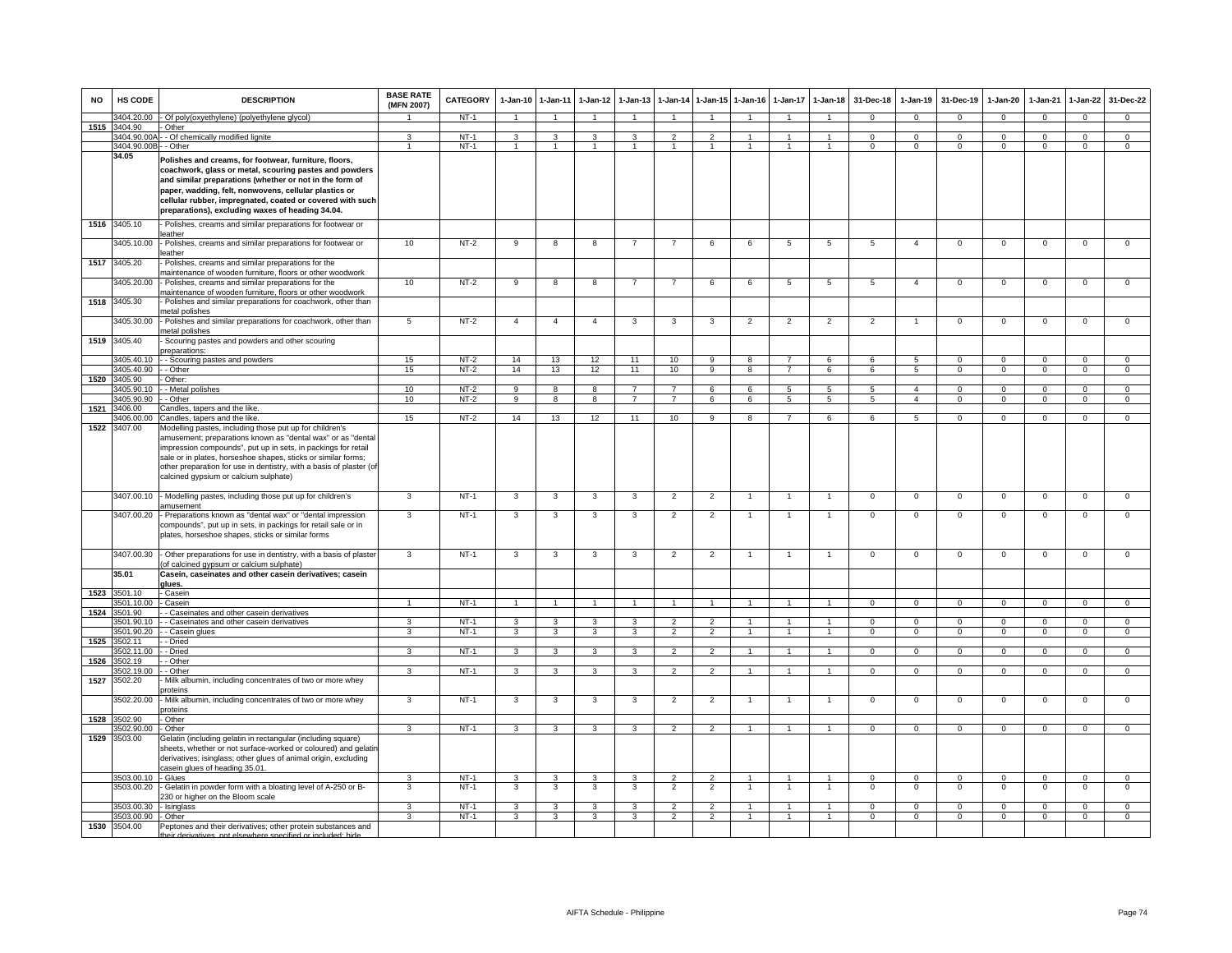| <b>NO</b> | HS CODE                                      | <b>DESCRIPTION</b>                                                                                                                                                                                                                                                                                                                                   | <b>BASE RATE</b><br>(MFN 2007) | <b>CATEGORY</b>  | $1-Jan-10$     | $1 - Jan-11$            | $1-Jan-12$              | $1-Jan-13$              | $1-Jan-14$                       | $1 - Jan-15$                     | $1-Jan-16$                     | $1-Jan-17$                       | $1-Jan-18$                       | 31-Dec-18                   | $1-Jan-19$                       | 31-Dec-19                     | $1-Jan-20$                       | $1-Jan-21$                 | $1-Jan-22$                       | 31-Dec-22                        |
|-----------|----------------------------------------------|------------------------------------------------------------------------------------------------------------------------------------------------------------------------------------------------------------------------------------------------------------------------------------------------------------------------------------------------------|--------------------------------|------------------|----------------|-------------------------|-------------------------|-------------------------|----------------------------------|----------------------------------|--------------------------------|----------------------------------|----------------------------------|-----------------------------|----------------------------------|-------------------------------|----------------------------------|----------------------------|----------------------------------|----------------------------------|
|           | 3404.20.00                                   | Of poly(oxyethylene) (polyethylene glycol)                                                                                                                                                                                                                                                                                                           |                                | $NT-1$           |                | $\mathbf{1}$            |                         |                         | $\mathbf{1}$                     | $\blacktriangleleft$             |                                | $\mathbf{1}$                     | $\overline{1}$                   | $\Omega$                    | $\Omega$                         | $\Omega$                      | $\Omega$                         | $\Omega$                   | $\Omega$                         | $\Omega$                         |
| 1515      | 3404.90                                      | Other                                                                                                                                                                                                                                                                                                                                                |                                |                  |                |                         |                         |                         |                                  |                                  |                                |                                  |                                  |                             |                                  |                               |                                  |                            |                                  |                                  |
|           | 3404.90.00<br>3404.90.00B                    | - - Of chemically modified lignite<br>- Other                                                                                                                                                                                                                                                                                                        | 3<br>-1                        | $NT-1$<br>$NT-1$ | 3<br>1         | 3<br>$\overline{1}$     | 3<br>1                  | 3<br>$\mathbf{1}$       | $\overline{2}$<br>$\mathbf{1}$   | $\overline{2}$<br>$\overline{1}$ | 1                              | $\mathbf{1}$                     | $\overline{1}$                   | $\Omega$<br>$^{\circ}$      | $\Omega$<br>$\mathbf{0}$         | $\Omega$<br>$\mathbf{0}$      | $\Omega$<br>$\mathbf{0}$         | $\Omega$<br>$^{\circ}$     | $\Omega$<br>$\mathbf{0}$         | $\Omega$<br>$\mathbf 0$          |
|           | 34.05                                        | Polishes and creams, for footwear, furniture, floors,<br>coachwork, glass or metal, scouring pastes and powders<br>and similar preparations (whether or not in the form of<br>paper, wadding, felt, nonwovens, cellular plastics or<br>cellular rubber, impregnated, coated or covered with such<br>preparations), excluding waxes of heading 34.04. |                                |                  |                |                         |                         |                         |                                  |                                  |                                |                                  |                                  |                             |                                  |                               |                                  |                            |                                  |                                  |
|           | 1516 3405.10<br>3405.10.00                   | - Polishes, creams and similar preparations for footwear or<br>eather<br>Polishes, creams and similar preparations for footwear or                                                                                                                                                                                                                   | 10                             | $NT-2$           | 9              | 8                       | 8                       | $\overline{7}$          | $\overline{7}$                   | 6                                | 6                              | 5                                | 5                                | 5                           | $\overline{4}$                   | $\mathbf 0$                   | $\mathbf 0$                      | $\mathbf 0$                | $\mathsf 0$                      | $\overline{0}$                   |
| 1517      | 3405.20                                      | eather<br>Polishes, creams and similar preparations for the                                                                                                                                                                                                                                                                                          |                                |                  |                |                         |                         |                         |                                  |                                  |                                |                                  |                                  |                             |                                  |                               |                                  |                            |                                  |                                  |
|           | 3405.20.00                                   | maintenance of wooden furniture, floors or other woodwork<br>Polishes, creams and similar preparations for the                                                                                                                                                                                                                                       | 10                             | $NT-2$           | 9              | 8                       | 8                       | $\overline{7}$          | $\overline{7}$                   | 6                                | 6                              | 5                                | 5                                | 5                           | $\overline{4}$                   | $\mathbf{0}$                  | $\mathbf{0}$                     | $^{\circ}$                 | $\mathbf 0$                      | $\overline{0}$                   |
| 1518      | 3405.30                                      | naintenance of wooden furniture, floors or other woodwork<br>Polishes and similar preparations for coachwork, other than                                                                                                                                                                                                                             |                                |                  |                |                         |                         |                         |                                  |                                  |                                |                                  |                                  |                             |                                  |                               |                                  |                            |                                  |                                  |
|           |                                              | netal polishes                                                                                                                                                                                                                                                                                                                                       |                                |                  |                |                         |                         |                         |                                  |                                  |                                |                                  |                                  |                             | $\mathbf{1}$                     |                               |                                  |                            |                                  |                                  |
|           | 405.30.00                                    | Polishes and similar preparations for coachwork, other than<br>netal polishes                                                                                                                                                                                                                                                                        | $5\phantom{.0}$                | $NT-2$           | $\overline{4}$ | $\overline{4}$          | $\overline{4}$          | 3                       | 3                                | $\mathbf{3}$                     | $\overline{2}$                 | $\overline{2}$                   | $\overline{2}$                   | $\overline{2}$              |                                  | $\mathbf 0$                   | $\mathbf 0$                      | $\mathbf 0$                | $\mathsf 0$                      | $\mathsf 0$                      |
|           | 1519 3405.40                                 | Scouring pastes and powders and other scouring<br>reparations                                                                                                                                                                                                                                                                                        |                                |                  |                |                         |                         |                         |                                  |                                  |                                |                                  |                                  |                             |                                  |                               |                                  |                            |                                  |                                  |
|           | 405.40.10<br>3405.40.90                      | - Scouring pastes and powders<br>- Other                                                                                                                                                                                                                                                                                                             | 15<br>15                       | $NT-2$<br>$NT-2$ | 14<br>14       | 13<br>13                | 12<br>12                | 11<br>11                | 10<br>10                         | $\overline{9}$<br>$\overline{9}$ | $\mathbf{R}$<br>$\overline{R}$ | $\overline{7}$<br>$\overline{7}$ | $\epsilon$<br>$\overline{6}$     | $\epsilon$<br>6             | $\overline{5}$<br>$\overline{5}$ | $\mathbf 0$<br>$\overline{0}$ | $\overline{0}$<br>$\overline{0}$ | $\Omega$<br>$\overline{0}$ | $\overline{0}$<br>$\overline{0}$ | $\overline{0}$<br>$\overline{0}$ |
| 1520      | 3405.90                                      | Other:                                                                                                                                                                                                                                                                                                                                               |                                |                  |                |                         |                         |                         |                                  |                                  |                                |                                  |                                  |                             |                                  |                               |                                  |                            |                                  |                                  |
|           | 3405.90.10                                   | - Metal polishes                                                                                                                                                                                                                                                                                                                                     | 10                             | $NT-2$           | 9              | 8                       | 8                       |                         |                                  | 6                                | 6                              | $5^{\circ}$                      | $\overline{5}$                   | $\overline{5}$              | $\overline{4}$                   | $\Omega$                      | $\Omega$                         | $\Omega$                   | $\Omega$                         | $\overline{0}$                   |
|           | 3405.90.90                                   | - - Other                                                                                                                                                                                                                                                                                                                                            | 10                             | $NT-2$           | 9              | 8                       | 8                       | $\overline{7}$          | $\overline{7}$                   | 6                                | 6                              | 5                                | $5^{\circ}$                      | 5                           | $\overline{4}$                   | $\Omega$                      | $\Omega$                         | $\Omega$                   | $\mathbf{0}$                     | $\mathbf{0}$                     |
|           | 1521 3406.00                                 | Candles, tapers and the like.                                                                                                                                                                                                                                                                                                                        |                                |                  |                |                         |                         |                         |                                  |                                  |                                |                                  |                                  |                             |                                  |                               |                                  |                            |                                  |                                  |
|           | 3406.00.00<br>1522 3407.00                   | Candles, tapers and the like.<br>Modelling pastes, including those put up for children's                                                                                                                                                                                                                                                             | 15                             | $NT-2$           | 14             | 13                      | 12                      | 11                      | 10                               | 9                                | 8                              | $\overline{7}$                   | 6                                | 6                           | 5                                | $\mathbf{0}$                  | $\mathbf{0}$                     | $\Omega$                   | $\mathbf 0$                      | $\overline{0}$                   |
|           |                                              | amusement; preparations known as "dental wax" or as "dental<br>impression compounds", put up in sets, in packings for retail<br>sale or in plates, horseshoe shapes, sticks or similar forms;<br>other preparation for use in dentistry, with a basis of plaster (of<br>calcined gypsium or calcium sulphate)                                        |                                |                  |                |                         |                         |                         |                                  |                                  |                                |                                  |                                  |                             |                                  |                               |                                  |                            |                                  |                                  |
|           | 3407.00.10                                   | - Modelling pastes, including those put up for children's<br>amusement                                                                                                                                                                                                                                                                               | 3                              | $NT-1$           | $\mathbf{3}$   | 3                       | $\overline{\mathbf{3}}$ | $\overline{\mathbf{3}}$ | $\overline{2}$                   | $\overline{2}$                   | $\overline{1}$                 | $\overline{1}$                   | $\overline{1}$                   | $\mathbf 0$                 | $\mathbf 0$                      | $\mathbf 0$                   | $\overline{0}$                   | $\mathbf 0$                | $\overline{0}$                   | $\overline{0}$                   |
|           | 3407.00.20                                   | - Preparations known as "dental wax" or "dental impression<br>compounds", put up in sets, in packings for retail sale or in<br>plates, horseshoe shapes, sticks or similar forms                                                                                                                                                                     | 3                              | $NT-1$           | 3              | 3                       | 3                       | 3                       | $\overline{2}$                   | $\overline{2}$                   | $\overline{1}$                 | $\overline{1}$                   | $\overline{1}$                   | $\overline{0}$              | $\overline{0}$                   | $\mathbf 0$                   | $\mathsf 0$                      | $\Omega$                   | $\Omega$                         | $\mathbf 0$                      |
|           | 3407.00.30                                   | - Other preparations for use in dentistry, with a basis of plaster<br>of calcined gypsum or calcium sulphate)                                                                                                                                                                                                                                        | 3                              | $NT-1$           | 3              | 3                       | $\mathbf{3}$            | 3                       | $\overline{2}$                   | $\overline{2}$                   | $\mathbf{1}$                   | $\overline{1}$                   | $\overline{1}$                   | $\mathbf 0$                 | $\mathbf 0$                      | $\mathbf{0}$                  | $\mathbf{0}$                     | $^{\circ}$                 | $\mathbf 0$                      | $\overline{0}$                   |
|           | 35.01                                        | Casein, caseinates and other casein derivatives; casein<br>alues.                                                                                                                                                                                                                                                                                    |                                |                  |                |                         |                         |                         |                                  |                                  |                                |                                  |                                  |                             |                                  |                               |                                  |                            |                                  |                                  |
| 1523      | 3501.10                                      | Casein                                                                                                                                                                                                                                                                                                                                               | $\overline{1}$                 | $NT-1$           |                | $\mathbf{1}$            | $\overline{1}$          |                         |                                  | $\mathbf{1}$                     | $\overline{1}$                 | $\mathbf{1}$                     | $\overline{1}$                   |                             |                                  |                               |                                  | $\Omega$                   |                                  |                                  |
| 1524      | 501.10.00<br>3501.90                         | Casein<br>- Caseinates and other casein derivatives                                                                                                                                                                                                                                                                                                  |                                |                  |                |                         |                         |                         |                                  |                                  |                                |                                  |                                  | $\mathbf 0$                 | $\mathbf{0}$                     | $\mathbf{0}$                  | $\mathbf 0$                      |                            | $\mathbf{0}$                     | $\mathbf 0$                      |
|           | 501.90.10                                    | - Caseinates and other casein derivatives                                                                                                                                                                                                                                                                                                            | $\mathcal{R}$                  | $NT-1$           | 3              | $\overline{\mathbf{3}}$ | 3                       | 3                       | $\overline{2}$                   | $\overline{2}$                   | $\overline{1}$                 | $\overline{1}$                   | $\overline{1}$                   | $\Omega$                    | $\mathbf 0$                      | $\mathbf 0$                   | $\overline{0}$                   | $\Omega$                   | $\overline{0}$                   | $\overline{0}$                   |
|           | 501.90.20                                    | - Casein glues                                                                                                                                                                                                                                                                                                                                       | $\overline{3}$                 | $NT-1$           | $\overline{3}$ | $\overline{\mathbf{3}}$ | 3                       | $\overline{3}$          | $\overline{2}$                   | $\overline{2}$                   | $\overline{1}$                 | $\mathbf{1}$                     | $\overline{1}$                   | $\overline{0}$              | $\overline{0}$                   | $\overline{0}$                | $\overline{0}$                   | $\overline{0}$             | $\overline{0}$                   | $\overline{0}$                   |
| 1525      | 502.11                                       | - Dried                                                                                                                                                                                                                                                                                                                                              |                                |                  |                |                         |                         |                         |                                  |                                  |                                |                                  |                                  |                             |                                  |                               |                                  |                            |                                  |                                  |
| 1526      | 3502.11.00<br>502.19                         | - Dried<br>- Other                                                                                                                                                                                                                                                                                                                                   | 3                              | $NT-1$           | 3              | 3                       | 3                       | 3                       | $\mathfrak{p}$                   | $\overline{2}$                   |                                |                                  |                                  | $\Omega$                    | $\Omega$                         | $\Omega$                      | $\Omega$                         | $\Omega$                   | $\Omega$                         | $\Omega$                         |
|           | 3502.19.00                                   | - Other                                                                                                                                                                                                                                                                                                                                              | 3                              | $NT-1$           | 3              | 3                       | 3                       | 3                       | $\overline{2}$                   | $\overline{2}$                   |                                | $\mathbf{1}$                     |                                  | $\mathbf 0$                 | $\mathbf 0$                      | $\mathbf{0}$                  | $\Omega$                         | $^{\circ}$                 | $\mathbf 0$                      | $\mathbf 0$                      |
| 1527      | 3502.20                                      | Milk albumin, including concentrates of two or more whey<br>roteins                                                                                                                                                                                                                                                                                  |                                |                  |                |                         |                         |                         |                                  |                                  |                                |                                  |                                  |                             |                                  |                               |                                  |                            |                                  |                                  |
|           | 3502.20.00                                   | Milk albumin, including concentrates of two or more whey<br>oroteins                                                                                                                                                                                                                                                                                 | 3                              | $NT-1$           | $\overline{3}$ | 3                       | 3                       | $\overline{3}$          | $\overline{2}$                   | $\overline{2}$                   |                                | $\overline{1}$                   |                                  | $\overline{0}$              | $\overline{0}$                   | $\overline{0}$                | $\overline{0}$                   | $\Omega$                   | $\overline{0}$                   | $\overline{0}$                   |
| 1528      | 502.90                                       | Other                                                                                                                                                                                                                                                                                                                                                |                                |                  |                |                         |                         |                         |                                  |                                  |                                |                                  |                                  |                             |                                  |                               |                                  |                            |                                  |                                  |
| 1529      | 502.90.00<br>3503.00                         | Other<br>Gelatin (including gelatin in rectangular (including square)<br>sheets, whether or not surface-worked or coloured) and gelatin<br>derivatives; isinglass; other glues of animal origin, excluding                                                                                                                                           | 3                              | $NT-1$           | 3              | 3                       | 3                       | 3                       | $\overline{2}$                   | $\overline{2}$                   | $\overline{1}$                 | $\overline{1}$                   | $\overline{1}$                   | $\mathbf 0$                 | $\mathsf 0$                      | $\mathbf 0$                   | $\mathbf 0$                      | $\mathbf 0$                | $\mathsf 0$                      | $\mathbf 0$                      |
|           |                                              | casein glues of heading 35.01                                                                                                                                                                                                                                                                                                                        |                                |                  |                |                         |                         |                         |                                  |                                  |                                |                                  |                                  |                             |                                  |                               |                                  |                            |                                  |                                  |
|           | 3503.00.10                                   | - Glues                                                                                                                                                                                                                                                                                                                                              | 3                              | $NT-1$           | 3              | 3                       | 3                       | 3                       | $\overline{2}$                   | 2                                | $\overline{1}$                 | $\overline{1}$                   | $\overline{1}$                   | $\mathbf{0}$                | $\mathbf 0$                      | $\mathbf{0}$                  | $\circ$                          | $\mathbf{0}$               | $\mathbf 0$                      | $\circ$                          |
|           | 3503.00.20                                   | Gelatin in powder form with a bloating level of A-250 or B-<br>230 or higher on the Bloom scale                                                                                                                                                                                                                                                      | 3                              | $NT-1$           | 3              | 3                       | $\mathbf{3}$            | $\mathbf{3}$            | $\overline{2}$                   | $\overline{2}$                   | $\overline{1}$                 | $\overline{1}$                   | $\overline{1}$                   | $\Omega$                    | $\Omega$                         | $\Omega$                      | $\mathbf 0$                      | $\Omega$                   | $\Omega$                         | $\overline{0}$                   |
|           | 3503.00.30 - Isinglass<br>3503.00.90 - Other |                                                                                                                                                                                                                                                                                                                                                      | 3<br>$\mathbf{3}$              | $NT-1$<br>$NT-1$ | 3<br>3         | 3<br>$\mathbf{3}$       | 3<br>3                  | 3<br>3                  | $\overline{2}$<br>$\overline{2}$ | $\overline{2}$<br>$\overline{2}$ | $\overline{1}$                 | $\overline{1}$<br>$\mathbf{1}$   | $\overline{1}$<br>$\overline{1}$ | $\mathbf 0$<br>$\mathbf{0}$ | $\mathsf 0$<br>$\mathbf{0}$      | $\mathbf 0$<br>$^{\circ}$     | 0<br>$^{\circ}$                  | $^{\circ}$<br>$^{\circ}$   | $\mathbf 0$<br>$\mathbf{0}$      | $\mathbf 0$<br>$\overline{0}$    |
|           | 1530 3504.00                                 | Peptones and their derivatives; other protein substances and                                                                                                                                                                                                                                                                                         |                                |                  |                |                         |                         |                         |                                  |                                  |                                |                                  |                                  |                             |                                  |                               |                                  |                            |                                  |                                  |
|           |                                              | their derivatives, not elsewhere specified or included; hide                                                                                                                                                                                                                                                                                         |                                |                  |                |                         |                         |                         |                                  |                                  |                                |                                  |                                  |                             |                                  |                               |                                  |                            |                                  |                                  |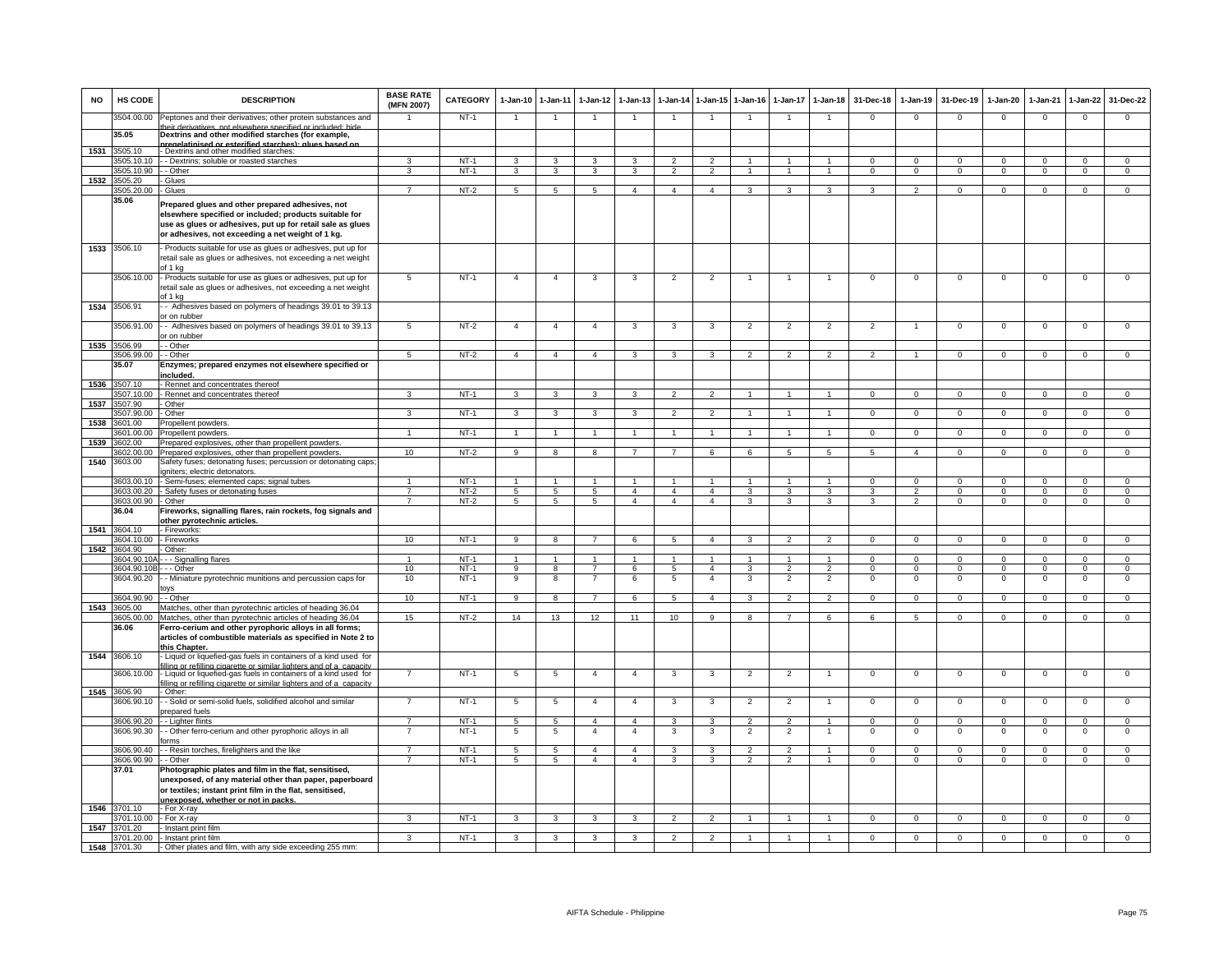| <b>NO</b> | <b>HS CODE</b>                   | <b>DESCRIPTION</b>                                                                                                                                                                                                               | <b>BASE RATE</b><br>(MFN 2007)   | <b>CATEGORY</b>  | 1-Jan-10 1-Jan-11                  |                         | $1 - Jan-12$                     | $1 - Jan-13$                     | $1 - Jan-14$                     |                                  | 1-Jan-15 1-Jan-16 | 1-Jan-17                         | $1-Jan-18$                       | 31-Dec-18                    | $1-Jan-19$                       | 31-Dec-19                  | $1-Jan-20$                  | $1-Jan-21$                 | $1-Jan-22$                  | 31-Dec-22                      |
|-----------|----------------------------------|----------------------------------------------------------------------------------------------------------------------------------------------------------------------------------------------------------------------------------|----------------------------------|------------------|------------------------------------|-------------------------|----------------------------------|----------------------------------|----------------------------------|----------------------------------|-------------------|----------------------------------|----------------------------------|------------------------------|----------------------------------|----------------------------|-----------------------------|----------------------------|-----------------------------|--------------------------------|
|           | 3504.00.00                       | Peptones and their derivatives; other protein substances and<br>heir derivatives, not elsewhere specified or included; hide                                                                                                      |                                  | $NT-1$           | $\overline{1}$                     | $\overline{1}$          | $\overline{1}$                   | $\overline{1}$                   | $\overline{1}$                   | $\overline{1}$                   | $\overline{1}$    | $\overline{1}$                   | $\overline{1}$                   | $\mathbf 0$                  | $\mathbf{0}$                     | $\mathbf{0}$               | $\overline{0}$              | $\mathbf 0$                | $\mathbf 0$                 | $\mathbf 0$                    |
|           | 35.05                            | Dextrins and other modified starches (for example,                                                                                                                                                                               |                                  |                  |                                    |                         |                                  |                                  |                                  |                                  |                   |                                  |                                  |                              |                                  |                            |                             |                            |                             |                                |
| 1531      | 3505.10                          | regel agular (actorition of the perintelegation<br>- Dextrins and other modified starches:                                                                                                                                       |                                  |                  |                                    |                         |                                  |                                  |                                  |                                  |                   |                                  |                                  |                              |                                  |                            |                             |                            |                             |                                |
|           | 505.10.10                        | - Dextrins; soluble or roasted starches                                                                                                                                                                                          |                                  | $NT-1$           | 3                                  | 3                       | 3                                | 3                                | $\mathfrak{p}$                   | $\mathfrak{p}$                   |                   |                                  |                                  | $\Omega$                     | $\Omega$                         | $\Omega$                   | $\Omega$                    | $\Omega$                   | 0                           | $\overline{0}$                 |
| 1532      | 3505.10.90<br>3505.20            | - Other<br>- Glues                                                                                                                                                                                                               | 3                                | $NT-1$           | $\mathbf{3}$                       | $\overline{3}$          | $\mathbf{3}$                     | 3                                | $\overline{2}$                   | $\overline{2}$                   | $\mathbf{1}$      | $\mathbf{1}$                     | $\overline{1}$                   | $\mathbf{0}$                 | $\mathbf 0$                      | $\mathbf{0}$               | $\mathsf 0$                 | $\mathbf 0$                | $\mathsf 0$                 | $\mathsf 0$                    |
|           | 3505.20.00                       | Glues                                                                                                                                                                                                                            | 7                                | $NT-2$           | $\overline{5}$                     | 5                       | 5                                | $\overline{4}$                   | $\overline{4}$                   | $\overline{4}$                   | 3                 | 3                                | 3                                | $\mathcal{R}$                | $\overline{2}$                   | $\Omega$                   | $\overline{0}$              | $\Omega$                   | $\overline{0}$              | $\overline{0}$                 |
|           | 35.06                            | Prepared glues and other prepared adhesives, not<br>elsewhere specified or included; products suitable for<br>use as glues or adhesives, put up for retail sale as glues<br>or adhesives, not exceeding a net weight of 1 kg.    |                                  |                  |                                    |                         |                                  |                                  |                                  |                                  |                   |                                  |                                  |                              |                                  |                            |                             |                            |                             |                                |
|           | 1533 3506.10                     | Products suitable for use as glues or adhesives, put up for<br>retail sale as glues or adhesives, not exceeding a net weight<br>of 1 kg                                                                                          |                                  |                  |                                    |                         |                                  |                                  |                                  |                                  |                   |                                  |                                  |                              |                                  |                            |                             |                            |                             |                                |
|           | 3506.10.00                       | - Products suitable for use as glues or adhesives, put up for<br>retail sale as glues or adhesives, not exceeding a net weight<br>of 1 kg                                                                                        | 5                                | $NT-1$           | $\overline{4}$                     | $\overline{4}$          | 3                                | 3                                | $\overline{2}$                   | $\overline{2}$                   | -1                | 1                                | $\overline{1}$                   | $\overline{0}$               | $\mathbf{0}$                     | $\mathbf{0}$               | $\mathbf{0}$                | $\overline{0}$             | 0                           | $\mathbf 0$                    |
| 1534      | 3506.91                          | - Adhesives based on polymers of headings 39.01 to 39.13<br>or on rubber                                                                                                                                                         |                                  |                  |                                    |                         |                                  |                                  |                                  |                                  |                   |                                  |                                  |                              |                                  |                            |                             |                            |                             |                                |
|           | 3506.91.00                       | - Adhesives based on polymers of headings 39.01 to 39.13<br>or on rubber                                                                                                                                                         | $5\overline{5}$                  | $NT-2$           | $\overline{4}$                     | $\overline{4}$          | $\overline{4}$                   | 3                                | 3                                | 3                                | 2                 | 2                                | 2                                | 2                            |                                  | $\mathbf{0}$               | $\mathbf 0$                 | $\Omega$                   | $\mathsf 0$                 | $\overline{0}$                 |
| 1535      | 3506.99                          | - Other                                                                                                                                                                                                                          | 5                                | $NT-2$           | $\overline{4}$                     | $\overline{4}$          | $\overline{4}$                   | з                                | 3                                |                                  | 2                 |                                  | $\mathcal{P}$                    | $\mathcal{P}$                |                                  | $\mathbf 0$                | 0                           | $\mathbf 0$                | $^{\circ}$                  | 0                              |
|           | 3506.99.00<br>35.07              | - - Other<br>Enzymes; prepared enzymes not elsewhere specified or<br>ncluded.                                                                                                                                                    |                                  |                  |                                    |                         |                                  |                                  |                                  |                                  |                   |                                  |                                  |                              |                                  |                            |                             |                            |                             |                                |
|           | 1536 3507.10                     | - Rennet and concentrates thereof                                                                                                                                                                                                |                                  |                  |                                    |                         |                                  |                                  |                                  |                                  |                   |                                  |                                  |                              |                                  |                            |                             |                            |                             |                                |
|           | 3507.10.00                       | - Rennet and concentrates thereof                                                                                                                                                                                                | 3                                | $NT-1$           | 3                                  | $\mathbf{3}$            | 3                                |                                  | $\mathfrak{p}$                   |                                  |                   |                                  |                                  | $\Omega$                     | $\Omega$                         | $\Omega$                   | $\Omega$                    | $\Omega$                   | $\Omega$                    | $\Omega$                       |
| 1537      | 3507.90<br>3507.90.00            | - Other<br>- Other                                                                                                                                                                                                               | 3                                | $NT-1$           | $\mathbf{3}$                       | $\mathbf{3}$            | $\mathbf{3}$                     | 3                                | $\overline{2}$                   | $\overline{2}$                   | $\overline{1}$    |                                  | $\mathbf{1}$                     | $\mathbf{0}$                 | $\mathbf 0$                      | $\mathbf{0}$               | $\mathbf 0$                 | $\mathbf 0$                | $\mathbf 0$                 | $\mathbf 0$                    |
| 1538      | 3601.00                          | Propellent powders.                                                                                                                                                                                                              |                                  |                  |                                    |                         |                                  |                                  |                                  |                                  |                   |                                  |                                  |                              |                                  |                            |                             |                            |                             |                                |
|           | 3601.00.00                       | Propellent powders.                                                                                                                                                                                                              | 1                                | $NT-1$           | $\mathbf{1}$                       | $\overline{1}$          | $\mathbf{1}$                     | $\mathbf{1}$                     | $\overline{1}$                   | $\mathbf{1}$                     | $\mathbf{1}$      | $\mathbf{1}$                     | $\overline{1}$                   | $\overline{0}$               | $\overline{0}$                   | $\overline{0}$             | $\overline{0}$              | $\overline{0}$             | $\overline{0}$              | $\overline{0}$                 |
| 1539      | 3602.00                          | Prepared explosives, other than propellent powders<br>3602.00.00 Prepared explosives, other than propellent powders                                                                                                              | 10                               | $NT-2$           | 9                                  | 8                       | 8                                | $\overline{7}$                   | $\overline{7}$                   | 6                                | 6                 | 5                                | 5                                | 5                            | $\overline{4}$                   | $\mathbf 0$                | $\mathbf 0$                 | $\mathbf 0$                | $\mathsf 0$                 | $\overline{0}$                 |
| 1540      | 3603.00                          | Safety fuses; detonating fuses; percussion or detonating caps<br>gniters; electric detonators.                                                                                                                                   |                                  |                  |                                    |                         |                                  |                                  |                                  |                                  |                   |                                  |                                  |                              |                                  |                            |                             |                            |                             |                                |
|           | 3603.00.10                       | Semi-fuses; elemented caps; signal tubes                                                                                                                                                                                         |                                  | $NT-1$           |                                    |                         |                                  |                                  |                                  |                                  |                   |                                  |                                  | $\overline{0}$               | $\overline{0}$                   | $\overline{0}$             | $\Omega$                    | $\overline{0}$             | $\overline{0}$              | $\overline{0}$                 |
|           | 3603.00.20<br>3603.00.90 - Other | - Safety fuses or detonating fuses                                                                                                                                                                                               | $\overline{7}$<br>$\overline{7}$ | $NT-2$<br>NT-2   | $5\overline{5}$<br>$5\overline{5}$ | 5<br>$5\overline{5}$    | $5^{\circ}$<br>5 <sub>5</sub>    | $\overline{4}$<br>$\overline{4}$ | $\overline{4}$<br>$\overline{4}$ | $\overline{4}$<br>$\overline{4}$ | 3<br>$\mathbf{3}$ | 3<br>3                           | 3<br>$\mathbf{3}$                | 3<br>$\mathbf{3}$            | $\overline{2}$<br>$\overline{2}$ | $\Omega$<br>$\overline{0}$ | $\Omega$<br>$\mathbf{0}$    | $\Omega$<br>$\mathbf{0}$   | $\Omega$<br>$\circ$         | $\overline{0}$<br>$\mathbf{0}$ |
|           | 36.04                            | Fireworks, signalling flares, rain rockets, fog signals and<br>other pyrotechnic articles.                                                                                                                                       |                                  |                  |                                    |                         |                                  |                                  |                                  |                                  |                   |                                  |                                  |                              |                                  |                            |                             |                            |                             |                                |
| 1541      | 3604.10                          | - Fireworks                                                                                                                                                                                                                      |                                  |                  |                                    |                         |                                  |                                  |                                  |                                  |                   |                                  |                                  |                              |                                  |                            |                             |                            |                             |                                |
| 1542      | 604.10.00<br>3604.90             | - Fireworks<br>Other:                                                                                                                                                                                                            | 10                               | $NT-1$           | $\overline{9}$                     | $\overline{8}$          | $\overline{7}$                   | 6                                | 5                                | $\overline{4}$                   | 3                 | $\mathcal{P}$                    | $\overline{2}$                   | $\Omega$                     | $\overline{0}$                   | $\overline{0}$             | $\overline{0}$              | $\Omega$                   | $\overline{0}$              | $\overline{0}$                 |
|           |                                  | 3604.90.10A - - - Signalling flares                                                                                                                                                                                              | $\mathbf{1}$                     | $NT-1$           | $\overline{1}$                     | $\overline{1}$          | $\overline{1}$                   | $\overline{1}$                   | $\overline{1}$                   | $\mathbf{1}$                     | $\mathbf{1}$      | $\mathbf{1}$                     | $\overline{1}$                   | $\Omega$                     | $\Omega$                         | $\mathbf{0}$               | $\overline{0}$              | $\Omega$                   | $\overline{0}$              | $\overline{0}$                 |
|           | 3604.90.10E                      | .-- Other                                                                                                                                                                                                                        | 10                               | $NT-1$           | $\overline{9}$                     | $\overline{\mathbf{8}}$ | $\overline{7}$                   | 6                                | $\overline{5}$                   | $\overline{4}$                   | $\mathcal{R}$     | $\mathcal{P}$                    | $\mathcal{P}$                    | $\Omega$                     | $\mathsf 0$                      | $\Omega$                   | $\mathsf 0$                 | $\Omega$                   | $\mathsf 0$                 | $\overline{0}$                 |
|           | 3604.90.20<br>3604.90.90         | - Miniature pyrotechnic munitions and percussion caps for<br>tovs<br>- - Other                                                                                                                                                   | 10<br>10                         | $NT-1$<br>$NT-1$ | 9<br>9                             | 8<br>8                  | $\overline{7}$<br>$\overline{7}$ | 6<br>6                           | 5<br>5                           | $\overline{4}$<br>$\overline{a}$ | 3<br>3            | $\overline{2}$<br>$\overline{2}$ | $\overline{2}$<br>$\overline{2}$ | $\mathbf{O}$<br>$\mathbf{0}$ | $\mathsf 0$<br>$\mathbf{0}$      | $\mathbf 0$<br>$\mathbf 0$ | $\mathbf 0$<br>$\mathbf{0}$ | $\mathbf 0$<br>$\mathbf 0$ | $\mathsf 0$<br>$\mathbf{0}$ | $\mathbf 0$<br>$\Omega$        |
| 1543      | 3605.00                          | Matches, other than pyrotechnic articles of heading 36.04                                                                                                                                                                        |                                  |                  |                                    |                         |                                  |                                  |                                  |                                  |                   |                                  |                                  |                              |                                  |                            |                             |                            |                             |                                |
|           | 3605.00.00<br>36.06              | Matches, other than pyrotechnic articles of heading 36.04<br>Ferro-cerium and other pyrophoric alloys in all forms;<br>articles of combustible materials as specified in Note 2 to                                               | 15                               | $NT-2$           | 14                                 | 13                      | 12                               | 11                               | 10                               | 9                                | 8                 | 7                                | 6                                | 6                            | 5                                | $\mathbf{0}$               | $^{\circ}$                  | $\mathbf 0$                | $\mathbf{0}$                | $\overline{0}$                 |
| 1544      | 3606.10                          | this Chapter.<br>- Liquid or liquefied-gas fuels in containers of a kind used for                                                                                                                                                |                                  |                  |                                    |                         |                                  |                                  |                                  |                                  |                   |                                  |                                  |                              |                                  |                            |                             |                            |                             |                                |
|           | 3606.10.00                       | illing or refilling cigarette or similar lighters and of a capacity<br>- Liquid or liquefied-gas fuels in containers of a kind used for<br>illing or refilling cigarette or similar lighters and of a capacity                   | $\overline{7}$                   | $NT-1$           | $5\phantom{.0}$                    | $\sqrt{5}$              | $\overline{4}$                   | $\overline{4}$                   | 3                                | 3                                | $\overline{2}$    | 2                                | $\overline{1}$                   | $\mathbf{0}$                 | $\mathbf 0$                      | $\mathbf{0}$               | $\mathbf 0$                 | $\mathbf 0$                | $\mathsf 0$                 | $\overline{0}$                 |
|           | 1545 3606.90<br>3606.90.10       | - Other:<br>- Solid or semi-solid fuels, solidified alcohol and similar                                                                                                                                                          | 7                                | $NT-1$           | $\overline{5}$                     | $\sqrt{5}$              | $\overline{4}$                   | $\Delta$                         | 3                                | 3                                | $\overline{2}$    | $\overline{2}$                   | $\overline{1}$                   | 0                            | $\,0\,$                          | $\mathbf 0$                | $\mathbf 0$                 | $\,0\,$                    | $\mathsf 0$                 | $\overline{0}$                 |
|           | 3606.90.20                       | prepared fuels<br>- - Lighter flints                                                                                                                                                                                             |                                  | $NT-1$           | -5                                 | 5                       | $\overline{4}$                   | $\overline{4}$                   | $\mathbf{3}$                     | $\mathbf{R}$                     |                   | $\mathcal{P}$                    | $\overline{1}$                   | $\Omega$                     | $\Omega$                         | $\Omega$                   | $\Omega$                    | $\Omega$                   | $\Omega$                    | $\Omega$                       |
|           | 3606.90.30                       | - Other ferro-cerium and other pyrophoric alloys in all<br>orms                                                                                                                                                                  | $\overline{7}$                   | $NT-1$           | $5\phantom{.0}$                    | $5\phantom{.0}$         | $\overline{4}$                   | $\overline{4}$                   | 3                                | 3                                | $\overline{2}$    | $\overline{2}$                   | $\overline{1}$                   | $\mathsf 0$                  | $\mathsf 0$                      | $\mathbf 0$                | $\mathbf 0$                 | $\mathbf 0$                | $\mathsf 0$                 | $\mathbf 0$                    |
|           | 3606.90.40                       | - Resin torches, firelighters and the like                                                                                                                                                                                       | $\overline{7}$                   | $NT-1$           | $5\overline{5}$                    | $5\overline{5}$         | $\overline{4}$                   | $\overline{4}$                   | 3                                | 3                                | $\overline{2}$    | $\mathfrak{p}$                   | $\mathbf{1}$                     | $\Omega$                     | $\Omega$                         | $\Omega$                   | $\Omega$                    | $\Omega$                   | $\Omega$                    | $\Omega$                       |
|           | 3606.90.90<br>37.01              | - - Other<br>Photographic plates and film in the flat, sensitised,<br>unexposed, of any material other than paper, paperboard<br>or textiles; instant print film in the flat, sensitised,<br>unexposed, whether or not in packs. | $\overline{7}$                   | $NT-1$           | 5                                  | $5\overline{5}$         | $\overline{a}$                   | $\overline{4}$                   | 3                                | 3                                | $\overline{2}$    | $\mathfrak{p}$                   | $\mathbf{1}$                     | $\Omega$                     | $\Omega$                         | $\Omega$                   | $\Omega$                    | $\mathbf 0$                | $\Omega$                    | $\circ$                        |
| 1546      | 3701.10                          | - For X-ray                                                                                                                                                                                                                      |                                  |                  |                                    |                         |                                  |                                  |                                  |                                  |                   |                                  |                                  |                              |                                  |                            |                             |                            |                             |                                |
|           | 3701.10.00 - For X-ray           |                                                                                                                                                                                                                                  | 3                                | $NT-1$           | $\mathbf{3}$                       | 3                       | $\mathbf{3}$                     | 3                                | $\overline{2}$                   | $\overline{2}$                   |                   |                                  | $\overline{1}$                   | $\mathbf{O}$                 | $\mathbf{0}$                     | $\mathbf{0}$               | $^{\circ}$                  | $^{\circ}$                 | $\mathbf{0}$                | $\mathbf{0}$                   |
| 1547      | 3701.20                          | - Instant print film<br>3701.20.00 - Instant print film                                                                                                                                                                          | 3                                | $NT-1$           | $\mathbf{3}$                       | $\mathbf{3}$            | $\mathbf{3}$                     | 3                                | $\overline{2}$                   | $\overline{2}$                   | $\overline{1}$    | 1                                | $\mathbf{1}$                     | $\mathbf{0}$                 | $^{\circ}$                       | $^{\circ}$                 | $^{\circ}$                  | $^{\circ}$                 | $\mathbf{0}$                | $\mathbf{0}$                   |
| 1548      | 3701.30                          | - Other plates and film, with any side exceeding 255 mm;                                                                                                                                                                         |                                  |                  |                                    |                         |                                  |                                  |                                  |                                  |                   |                                  |                                  |                              |                                  |                            |                             |                            |                             |                                |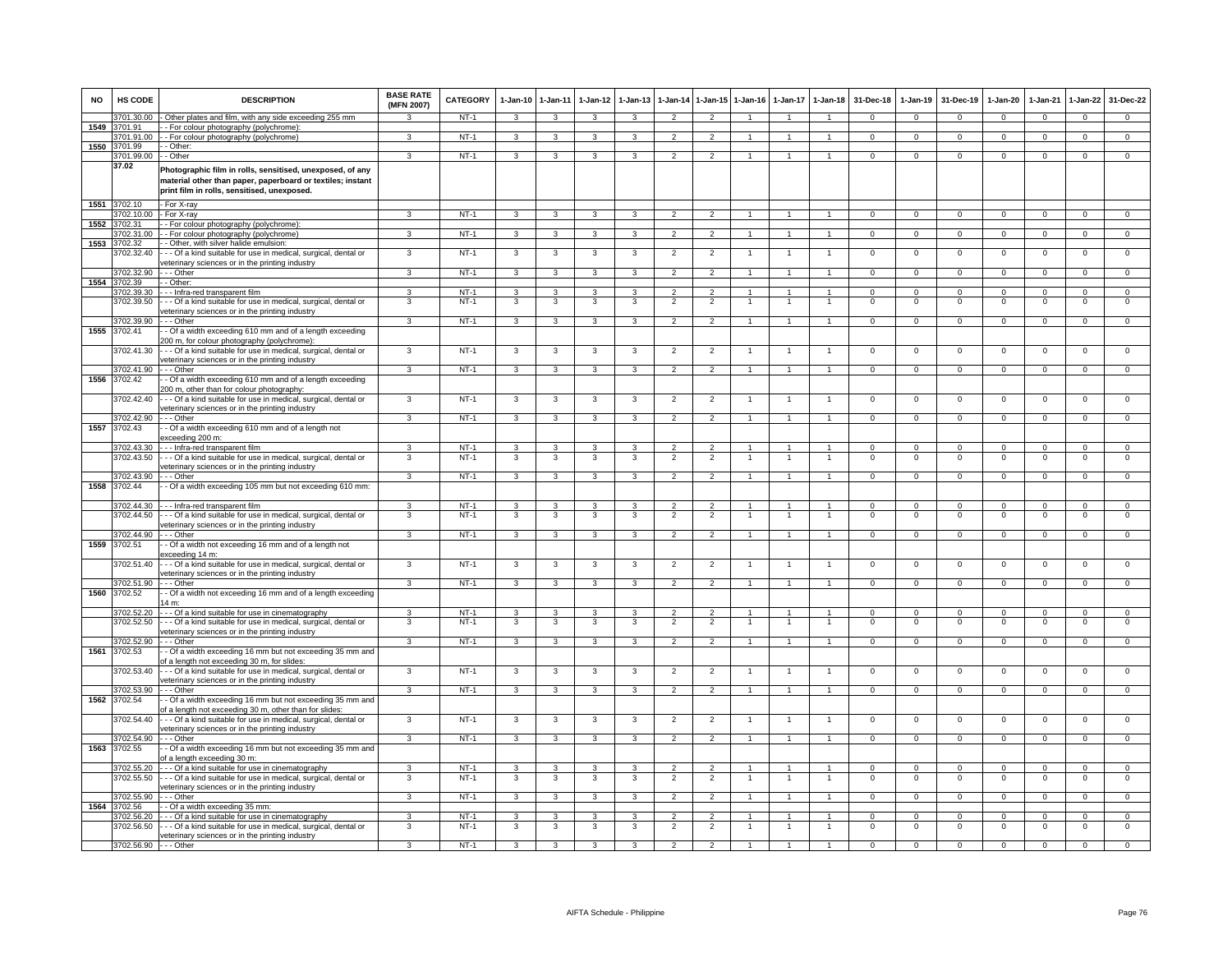| <b>NO</b> | HS CODE                  | <b>DESCRIPTION</b>                                                                                                                                                     | <b>BASE RATE</b><br>(MFN 2007) | CATEGORY         | $1 - Jan-10$            | $1 - Jan - 11$          | $1 - Jan-12$            | $1 - Jan-13$            | 1-Jan-14                         | $1 - Jan-15$                     | $1 - Jan-16$   | 1-Jan-17             | $1-Jan-18$                       | 31-Dec-18               | 1-Jan-19                | 31-Dec-19               | 1-Jan-20                 | 1-Jan-21                | 1-Jan-22                   | 31-Dec-22                     |
|-----------|--------------------------|------------------------------------------------------------------------------------------------------------------------------------------------------------------------|--------------------------------|------------------|-------------------------|-------------------------|-------------------------|-------------------------|----------------------------------|----------------------------------|----------------|----------------------|----------------------------------|-------------------------|-------------------------|-------------------------|--------------------------|-------------------------|----------------------------|-------------------------------|
|           | 3701.30.00               | Other plates and film, with any side exceeding 255 mm                                                                                                                  |                                | $NT-1$           | 3                       | 3                       | 3                       | 3                       | $\overline{2}$                   |                                  |                |                      | $\mathbf{1}$                     | $\Omega$                | $\Omega$                | $\Omega$                | $\Omega$                 | $\Omega$                | $\Omega$                   | $\Omega$                      |
| 1549      | 3701.91                  | - For colour photography (polychrome)                                                                                                                                  | 3                              |                  |                         |                         |                         |                         |                                  |                                  |                |                      |                                  |                         |                         |                         |                          |                         |                            | $\overline{0}$                |
| 1550      | 3701.91.00<br>3701.99    | - For colour photography (polychrome)<br>- Other:                                                                                                                      |                                | $NT-1$           | $\mathbf{3}$            | $\mathbf{3}$            | $\mathbf{3}$            | 3                       | $\overline{2}$                   | 2                                | $\mathbf{1}$   |                      | $\mathbf{1}$                     | $^{\circ}$              | $\mathbf{0}$            | $\overline{0}$          | $\mathbf{0}$             | $^{\circ}$              | $\mathbf{0}$               |                               |
|           | 3701.99.00               | - Other                                                                                                                                                                | 3                              | $NT-1$           | 3                       | $\overline{3}$          | 3                       | 3                       | $\overline{2}$                   | $\mathcal{P}$                    | $\overline{1}$ |                      | $\mathbf{1}$                     | $\Omega$                | $\Omega$                | $\Omega$                | $\Omega$                 | $\Omega$                | $\overline{0}$             | $\overline{0}$                |
|           | 37.02                    | Photographic film in rolls, sensitised, unexposed, of any<br>material other than paper, paperboard or textiles; instant<br>print film in rolls, sensitised, unexposed. |                                |                  |                         |                         |                         |                         |                                  |                                  |                |                      |                                  |                         |                         |                         |                          |                         |                            |                               |
| 1551      | 3702.10                  | - For X-rav                                                                                                                                                            |                                |                  |                         |                         |                         |                         |                                  |                                  |                |                      |                                  |                         |                         |                         |                          |                         |                            |                               |
|           | 3702.10.00 - For X-ray   |                                                                                                                                                                        | 3                              | $NT-1$           | 3                       | 3                       | 3                       | 3                       | $\overline{2}$                   | $\overline{2}$                   |                |                      |                                  | $\Omega$                | $\Omega$                | $\overline{0}$          | $\Omega$                 | $\Omega$                | $\overline{0}$             | $\overline{0}$                |
| 1552      | 3702.31                  | - - For colour photography (polychrome):                                                                                                                               | 3                              | $NT-1$           |                         |                         |                         | 3                       |                                  |                                  | $\mathbf{1}$   | $\mathbf{1}$         | $\overline{1}$                   |                         |                         |                         |                          |                         |                            | $\Omega$                      |
| 1553      | 3702.31.00<br>3702.32    | - - For colour photography (polychrome)<br>- Other, with silver halide emulsion:                                                                                       |                                |                  | $\mathbf{3}$            | $\mathbf{3}$            | $\mathbf{3}$            |                         | $\overline{2}$                   | $\overline{2}$                   |                |                      |                                  | $\mathbf{0}$            | $\mathbf{0}$            | $\mathbf{0}$            | $\mathbf{0}$             | $\mathbf 0$             | $\mathbf{0}$               |                               |
|           | 3702.32.40               | - Of a kind suitable for use in medical, surgical, dental or<br>veterinary sciences or in the printing industry                                                        | 3                              | $NT-1$           | $\overline{\mathbf{3}}$ | $\overline{\mathbf{3}}$ | $\overline{\mathbf{3}}$ | 3                       | $\overline{2}$                   | $\overline{2}$                   | 1              | $\mathbf{1}$         | $\mathbf{1}$                     | $\overline{0}$          | $\overline{0}$          | $\overline{0}$          | $\overline{0}$           | $\overline{0}$          | $\overline{0}$             | $\overline{0}$                |
|           | 3702.32.90               | - - Other                                                                                                                                                              | 3                              | $NT-1$           | $\mathbf{3}$            | $\overline{\mathbf{3}}$ | $\mathbf{3}$            | 3                       | $\overline{2}$                   | $\overline{2}$                   | $\overline{1}$ | $\mathbf{1}$         | $\blacktriangleleft$             | $\Omega$                | $\mathbf 0$             | $\mathbf{0}$            | $\mathbf 0$              | $\Omega$                | $\mathbf 0$                | $\Omega$                      |
| 1554      | 3702.39                  | - Other:                                                                                                                                                               |                                |                  |                         |                         |                         |                         |                                  |                                  |                |                      |                                  |                         |                         |                         |                          |                         |                            |                               |
|           | 3702.39.30<br>3702.39.50 | - - Infra-red transparent film<br>- - Of a kind suitable for use in medical, surgical, dental or                                                                       | $\mathbf{a}$<br>3              | $NT-1$<br>$NT-1$ | 3<br>3                  | $\overline{3}$<br>3     | 3<br>3                  | 3<br>3                  | $\overline{2}$<br>$\overline{2}$ | $\mathcal{P}$<br>$\overline{2}$  | $\overline{1}$ |                      | $\overline{1}$<br>$\overline{1}$ | $\Omega$<br>$\mathsf 0$ | $\Omega$<br>$\mathsf 0$ | $\Omega$<br>$\mathbf 0$ | $\Omega$<br>$\mathbf 0$  | $\Omega$<br>$\mathbf 0$ | $\mathsf 0$<br>$\mathsf 0$ | $\overline{0}$<br>$\mathbf 0$ |
|           |                          | veterinary sciences or in the printing industry                                                                                                                        |                                |                  |                         |                         |                         |                         |                                  |                                  |                |                      |                                  |                         |                         |                         |                          |                         |                            |                               |
|           | 3702.39.90               | - - - Other                                                                                                                                                            | $\mathcal{R}$                  | $NT-1$           | $\mathbf{3}$            | 3                       | 3                       | $\mathbf{R}$            | $\overline{2}$                   | $\mathcal{P}$                    | $\overline{1}$ | $\overline{1}$       | $\overline{1}$                   | $\mathbf{O}$            | $\mathbf 0$             | $\mathbf{0}$            | $\mathbf 0$              | $\mathbf 0$             | $\mathbf 0$                | $\mathbf 0$                   |
| 1555      | 3702.41                  | - Of a width exceeding 610 mm and of a length exceeding                                                                                                                |                                |                  |                         |                         |                         |                         |                                  |                                  |                |                      |                                  |                         |                         |                         |                          |                         |                            |                               |
|           |                          | 200 m, for colour photography (polychrome):                                                                                                                            |                                |                  |                         |                         |                         |                         |                                  |                                  |                |                      |                                  |                         |                         |                         |                          |                         |                            |                               |
|           | 3702.41.30               | - - Of a kind suitable for use in medical, surgical, dental or                                                                                                         | 3                              | $NT-1$           | 3                       | 3                       | 3                       | 3                       | $\overline{2}$                   | $\overline{2}$                   |                |                      | $\mathbf{1}$                     | $\mathsf 0$             | $\mathsf 0$             | $\mathbf 0$             | $\mathbf 0$              | $\mathbf 0$             | $\mathsf 0$                | $\mathbf 0$                   |
|           | 3702.41.90               | veterinary sciences or in the printing industry<br>- - Other                                                                                                           | $\mathbf{R}$                   | $NT-1$           | $\mathbf{3}$            | 3                       | 3                       | $\mathbf{3}$            | $\overline{2}$                   | $\overline{2}$                   | $\mathbf{1}$   | $\mathbf{1}$         | $\blacktriangleleft$             | $\mathsf 0$             | $^{\circ}$              | $\mathbf 0$             | $\mathbf{0}$             | $^{\circ}$              | $\mathsf 0$                | $\Omega$                      |
| 1556      | 3702.42                  | - Of a width exceeding 610 mm and of a length exceeding<br>200 m, other than for colour photography:                                                                   |                                |                  |                         |                         |                         |                         |                                  |                                  |                |                      |                                  |                         |                         |                         |                          |                         |                            |                               |
|           | 3702.42.40               | - - Of a kind suitable for use in medical, surgical, dental or                                                                                                         | 3                              | $NT-1$           | 3                       | 3                       | 3                       | 3                       | $\overline{2}$                   | $\overline{2}$                   | $\overline{1}$ |                      | $\overline{1}$                   | $\Omega$                | $\Omega$                | $\Omega$                | $\overline{0}$           | $\Omega$                | $\overline{0}$             | $\overline{0}$                |
|           |                          | veterinary sciences or in the printing industry                                                                                                                        |                                |                  |                         |                         |                         |                         |                                  |                                  |                |                      |                                  |                         |                         |                         |                          |                         |                            |                               |
|           | 3702.42.90               | $\cdot$ - Other                                                                                                                                                        | 3                              | $NT-1$           | $\mathbf{3}$            | $\mathbf{3}$            | $\mathbf{3}$            | 3                       | $\overline{2}$                   | $\overline{2}$                   | $\mathbf{1}$   | $\mathbf{1}$         | $\overline{1}$                   | $\mathbf{O}$            | $\mathbf 0$             | $\mathbf 0$             | $\mathbf{0}$             | $\Omega$                | $\mathbf{0}$               | $\Omega$                      |
| 1557      | 3702.43                  | - Of a width exceeding 610 mm and of a length not<br>exceeding 200 m:                                                                                                  |                                |                  |                         |                         |                         |                         |                                  |                                  |                |                      |                                  |                         |                         |                         |                          |                         |                            |                               |
|           | 3702.43.30               | - - Infra-red transparent film                                                                                                                                         | 3                              | $NT-1$           | 3                       | 3                       | 3                       | 3                       | $\overline{2}$                   | $\overline{2}$                   |                | 1                    | $\blacktriangleleft$             | $\overline{0}$          | $\overline{0}$          | $\overline{0}$          | $\overline{0}$           | $\overline{0}$          | $\overline{0}$             | $\overline{0}$                |
|           | 3702.43.50               | - - Of a kind suitable for use in medical, surgical, dental or                                                                                                         | 3                              | $NT-1$           | 3                       | 3                       | 3                       | 3                       | $\overline{2}$                   | $\overline{2}$                   |                |                      | $\overline{1}$                   | $\mathsf 0$             | $\mathsf 0$             | $\mathbf 0$             | $\mathbf 0$              | $\mathbf 0$             | $\mathsf 0$                | $\mathbf 0$                   |
|           |                          | veterinary sciences or in the printing industry                                                                                                                        |                                |                  |                         |                         |                         |                         |                                  |                                  |                |                      |                                  |                         |                         |                         |                          |                         |                            |                               |
| 1558      | 3702.43.90<br>3702.44    | - - - Other<br>- Of a width exceeding 105 mm but not exceeding 610 mm:                                                                                                 | 3                              | $NT-1$           | $\mathbf{3}$            | 3                       | 3                       | 3                       | $\overline{2}$                   | $\overline{2}$                   |                | $\mathbf{1}$         | $\blacktriangleleft$             | $\Omega$                | $^{\circ}$              | $^{\circ}$              | $\Omega$                 | $^{\circ}$              | $\mathbf 0$                | $\overline{0}$                |
|           |                          |                                                                                                                                                                        |                                |                  |                         |                         |                         |                         |                                  |                                  |                |                      |                                  |                         |                         |                         |                          |                         |                            |                               |
|           | 3702.44.30               | - - - Infra-red transparent film                                                                                                                                       | $\mathbf{R}$                   | $NT-1$           | 3                       | $\mathbf{3}$            | 3                       | 3                       | $\mathcal{P}$                    | $\mathcal{P}$                    |                |                      |                                  | $\Omega$                | $\Omega$                | $\Omega$                | $\Omega$                 | $\Omega$                | $\Omega$                   | $\Omega$                      |
|           | 3702.44.50               | -- Of a kind suitable for use in medical, surgical, dental or                                                                                                          | 3                              | $NT-1$           | 3                       | 3                       | 3                       | 3                       | $\overline{2}$                   | $\overline{2}$                   |                |                      | -1                               | $^{\circ}$              | 0                       | $\mathbf 0$             | $\mathbf 0$              | $\mathbf 0$             | 0                          | 0                             |
|           | 3702.44.90               | veterinary sciences or in the printing industry<br>$-$ - Other                                                                                                         | $\mathbf{R}$                   | $NT-1$           | 3                       | 3                       | 3                       | 3                       | $\mathcal{P}$                    | $\mathcal{P}$                    | $\overline{1}$ | $\mathbf{1}$         | $\overline{1}$                   | $\Omega$                | $\Omega$                | $\mathbf 0$             | $\mathbf 0$              | $\Omega$                | $\mathsf 0$                | $\overline{0}$                |
| 1559      | 3702.51                  | - Of a width not exceeding 16 mm and of a length not                                                                                                                   |                                |                  |                         |                         |                         |                         |                                  |                                  |                |                      |                                  |                         |                         |                         |                          |                         |                            |                               |
|           | 3702.51.40               | exceeding 14 m:<br>-- Of a kind suitable for use in medical, surgical, dental or                                                                                       | 3                              | $NT-1$           | 3                       | 3                       | 3                       | 3                       | $\overline{2}$                   | $\overline{2}$                   |                |                      |                                  | $\mathsf 0$             | $\mathbf 0$             | $\mathbf 0$             | $\mathbf 0$              | $\mathbf 0$             | $\mathsf 0$                | 0                             |
|           | 3702.51.90               | veterinary sciences or in the printing industry<br>$\cdot$ - Other                                                                                                     | 3                              | $NT-1$           | 3                       | 3                       | $\mathbf{3}$            | $\mathbf{B}$            | $\overline{2}$                   | $\overline{2}$                   | $\overline{1}$ | $\mathbf{1}$         | $\overline{1}$                   | $\Omega$                | $\Omega$                | $\Omega$                | $\Omega$                 | $\Omega$                | $\overline{0}$             | $\overline{0}$                |
| 1560      | 3702.52                  | - Of a width not exceeding 16 mm and of a length exceeding                                                                                                             |                                |                  |                         |                         |                         |                         |                                  |                                  |                |                      |                                  |                         |                         |                         |                          |                         |                            |                               |
|           |                          | 14 m:                                                                                                                                                                  |                                |                  |                         |                         |                         |                         |                                  |                                  | $\overline{1}$ | $\blacktriangleleft$ |                                  |                         |                         |                         |                          |                         |                            |                               |
|           | 3702.52.20<br>3702.52.50 | --- Of a kind suitable for use in cinematography<br>-- Of a kind suitable for use in medical, surgical, dental or                                                      | 3<br>3                         | $NT-1$<br>$NT-1$ | $\mathbf{3}$<br>3       | $\mathbf{3}$<br>3       | 3<br>3                  | 3<br>3                  | $\overline{2}$<br>$\overline{2}$ | $\overline{2}$<br>$\overline{2}$ |                |                      | $\overline{1}$<br>$\overline{1}$ | $\Omega$<br>$^{\circ}$  | $\Omega$<br>$^{\circ}$  | $\Omega$<br>$\mathbf 0$ | $\Omega$<br>$\mathbf{0}$ | $\Omega$<br>$\Omega$    | $\mathbf 0$<br>$^{\circ}$  | $\mathbf 0$<br>$\mathbf 0$    |
|           |                          | veterinary sciences or in the printing industry                                                                                                                        |                                |                  |                         |                         |                         |                         |                                  |                                  |                |                      |                                  |                         |                         |                         |                          |                         |                            |                               |
|           | 3702.52.90               | - - Other                                                                                                                                                              | $\overline{3}$                 | $NT-1$           | 3                       | 3                       | $\mathbf{3}$            | 3                       | $\overline{2}$                   | $\overline{2}$                   |                | $\mathbf{1}$         | $\blacktriangleleft$             | $\mathbf{O}$            | $\mathbf{0}$            | $\mathbf{0}$            | $\mathbf{0}$             | $\mathbf 0$             | $\mathbf{0}$               | $\Omega$                      |
| 1561      | 3702.53                  | - Of a width exceeding 16 mm but not exceeding 35 mm and<br>of a length not exceeding 30 m, for slides:                                                                |                                |                  |                         |                         |                         |                         |                                  |                                  |                |                      |                                  |                         |                         |                         |                          |                         |                            |                               |
|           | 3702.53.40               | --- Of a kind suitable for use in medical, surgical, dental or<br>veterinary sciences or in the printing industry                                                      | 3                              | $NT-1$           | $\mathbf{3}$            | $\mathbf{3}$            | $\mathbf{3}$            | 3                       | $\overline{2}$                   | $\overline{2}$                   | $\mathbf{1}$   |                      | $\overline{1}$                   | $\mathsf 0$             | $\mathbf 0$             | $\mathbf 0$             | $\mathbf 0$              | $\mathbf 0$             | $\mathsf 0$                | $\mathbf 0$                   |
|           | 3702.53.90               | - - - Other                                                                                                                                                            | 3                              | $NT-1$           | 3                       | 3                       | 3                       | 3                       | $\mathfrak{p}$                   |                                  |                |                      |                                  | $\Omega$                | $\Omega$                | $\Omega$                | $\Omega$                 | $\Omega$                | $\Omega$                   | $\Omega$                      |
| 1562      | 3702.54                  | - Of a width exceeding 16 mm but not exceeding 35 mm and<br>of a length not exceeding 30 m, other than for slides:                                                     |                                |                  |                         |                         |                         |                         |                                  |                                  |                |                      |                                  |                         |                         |                         |                          |                         |                            |                               |
|           | 3702.54.40               | -- Of a kind suitable for use in medical, surgical, dental or<br>veterinary sciences or in the printing industry                                                       | 3                              | $NT-1$           | 3                       | 3                       | 3                       | 3                       | $\overline{2}$                   | $\overline{2}$                   |                |                      |                                  | $\Omega$                | $\Omega$                | $\mathbf 0$             | $\Omega$                 | $\Omega$                | $^{\circ}$                 | $\overline{0}$                |
|           | 3702.54.90               | -- Other                                                                                                                                                               | 3                              | $NT-1$           | 3                       | 3                       | 3                       | 3                       | $\overline{2}$                   | $\overline{2}$                   |                | $\mathbf{1}$         | $\overline{1}$                   | $\mathbf{O}$            | $\mathbf 0$             | $\mathbf 0$             | $\mathbf 0$              | $\mathbf 0$             | $\mathsf 0$                | $\mathbf 0$                   |
| 1563      | 3702.55                  | - Of a width exceeding 16 mm but not exceeding 35 mm and<br>of a length exceeding 30 m:                                                                                |                                |                  |                         |                         |                         |                         |                                  |                                  |                |                      |                                  |                         |                         |                         |                          |                         |                            |                               |
|           | 3702 55 20               | - - - Of a kind suitable for use in cinematography                                                                                                                     | $\overline{\mathbf{3}}$        | $NT-1$           | $\mathbf{R}$            | 3                       | 3                       | $\overline{\mathbf{3}}$ | $\overline{2}$                   | $\overline{2}$                   | $\overline{1}$ | $\mathbf{1}$         | $\overline{1}$                   | $\overline{0}$          | $\overline{0}$          | $\overline{0}$          | $\overline{0}$           | $\Omega$                | $\overline{0}$             | $\overline{0}$                |
|           | 3702.55.50               | -- Of a kind suitable for use in medical, surgical, dental or                                                                                                          | 3                              | $NT-1$           | $\mathbf{3}$            | 3                       | 3                       | 3                       | $\overline{2}$                   | $\overline{2}$                   | $\overline{1}$ | $\mathbf{1}$         | $\overline{1}$                   | $\mathsf 0$             | $\mathsf 0$             | $\mathbf 0$             | $\mathbf 0$              | $\Omega$                | $\mathsf 0$                | $\mathbf 0$                   |
|           |                          | veterinary sciences or in the printing industry                                                                                                                        |                                |                  |                         |                         |                         |                         |                                  |                                  |                |                      |                                  |                         |                         |                         |                          |                         |                            |                               |
| 1564      | 3702.55.90<br>3702.56    | - - Other<br>- Of a width exceeding 35 mm:                                                                                                                             | $\mathbf{3}$                   | $NT-1$           | $\mathbf{3}$            | $\mathbf{3}$            | $\mathbf{3}$            | 3                       | $\overline{2}$                   | $\overline{2}$                   | $\mathbf{1}$   | $\overline{1}$       | $\overline{1}$                   | $\mathbf{0}$            | $^{\circ}$              | $\mathbf 0$             | $\mathbf{0}$             | $^{\circ}$              | $\mathbf{0}$               | $^{\circ}$                    |
|           | 3702.56.20               | --- Of a kind suitable for use in cinematography                                                                                                                       | 3                              | $NT-1$           | 3                       | 3                       | 3                       | 3                       | $\overline{2}$                   | $\overline{2}$                   | 1              | 1                    | $\mathbf{1}$                     | $\Omega$                | $\Omega$                | $\Omega$                | $\Omega$                 | $\Omega$                | $\circ$                    | $\overline{0}$                |
|           | 3702.56.50               | --- Of a kind suitable for use in medical, surgical, dental or                                                                                                         | 3                              | $NT-1$           | 3                       | 3                       | 3                       | 3                       | $\overline{2}$                   | $\overline{2}$                   | 1              | $\mathbf{1}$         | $\overline{1}$                   | $\Omega$                | $\Omega$                | $\mathbf 0$             | $\mathsf 0$              | $\Omega$                | $\overline{0}$             | $\overline{0}$                |
|           | 3702.56.90 - - - Other   | veterinary sciences or in the printing industry                                                                                                                        | 3                              | $NT-1$           | $\mathbf{3}$            | $\overline{\mathbf{3}}$ | $\mathbf{3}$            | $\overline{3}$          | $\overline{2}$                   | $\overline{2}$                   | $\sim$         | $\overline{1}$       | $\overline{1}$                   | $\Omega$                | $\mathbf 0$             | $\mathbf 0$             | $\Omega$                 | $\mathbf 0$             | $\mathbf 0$                | $\Omega$                      |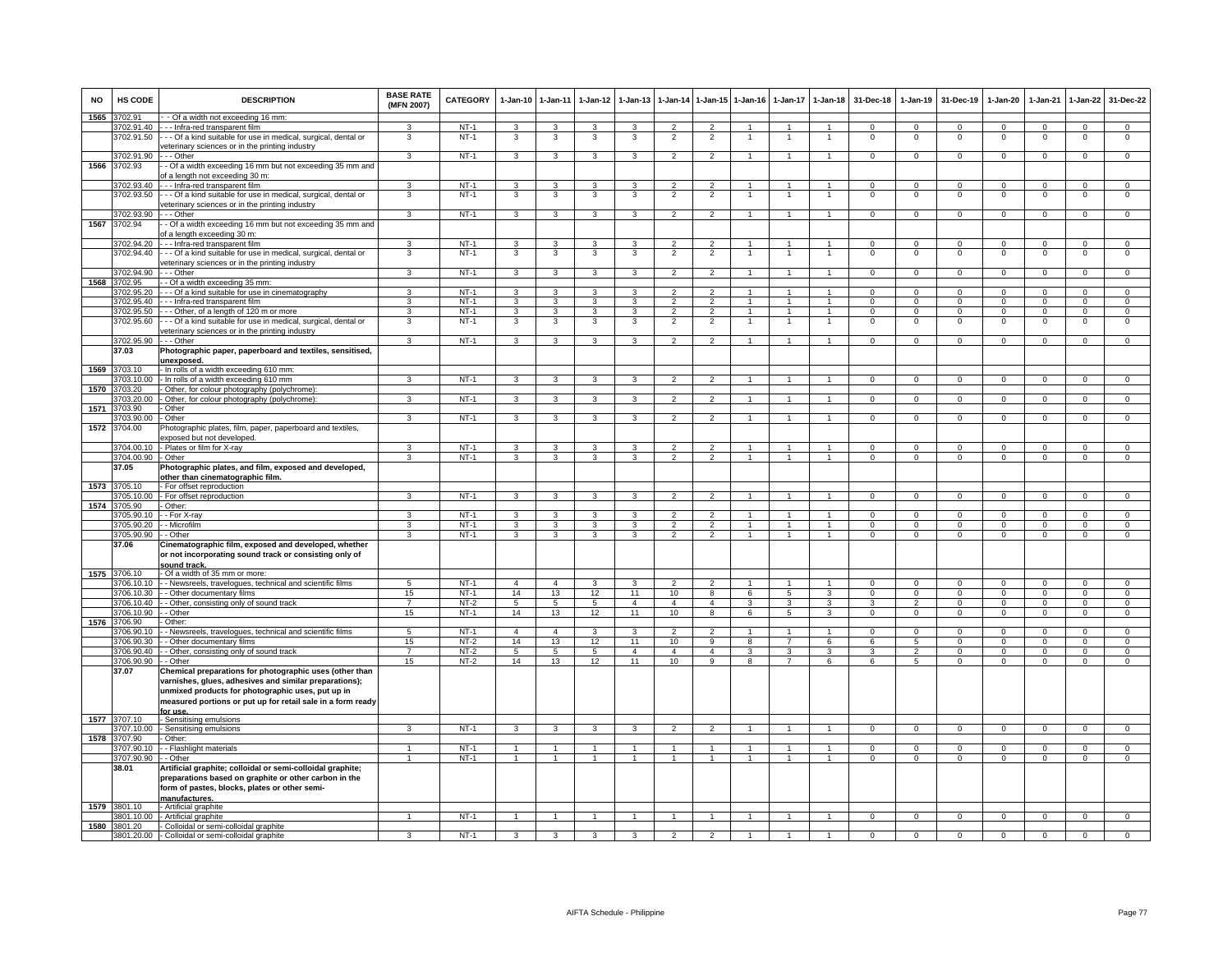| <b>NO</b> | HS CODE                    | <b>DESCRIPTION</b>                                                                                                     | <b>BASE RATE</b><br>(MFN 2007) | <b>CATEGORY</b>  | $1-Jan-10$              | $1-Jan-11$                     | $1-Jan-12$                   | $1 - Jan-13$            | $1-Jan-14$                       | 1-Jan-15 1-Jan-16                |                                  | $1-Jan-17$          | $1-Jan-18$                           | 31-Dec-18                | $1-Jan-19$                        | 31-Dec-19                 | $1-Jan-20$               | $1-Jan-21$                 | $1-Jan-22$                       | 31-Dec-22                        |
|-----------|----------------------------|------------------------------------------------------------------------------------------------------------------------|--------------------------------|------------------|-------------------------|--------------------------------|------------------------------|-------------------------|----------------------------------|----------------------------------|----------------------------------|---------------------|--------------------------------------|--------------------------|-----------------------------------|---------------------------|--------------------------|----------------------------|----------------------------------|----------------------------------|
| 1565      | 3702.91                    | - Of a width not exceeding 16 mm:                                                                                      |                                |                  |                         |                                |                              |                         |                                  |                                  |                                  |                     |                                      |                          |                                   |                           |                          |                            |                                  |                                  |
|           | 3702.91.40                 | --- Infra-red transparent film                                                                                         |                                | $NT-1$           | $\mathbf{B}$            | 3                              | 3                            |                         | $\mathcal{P}$                    |                                  |                                  |                     | $\overline{1}$                       | $\Omega$                 | $\Omega$                          | $\Omega$                  | $\Omega$                 | $\Omega$                   | $\Omega$                         | $\Omega$                         |
|           | 3702.91.50                 | -- Of a kind suitable for use in medical, surgical, dental or<br>veterinary sciences or in the printing industry       | 3                              | $NT-1$           | 3                       | 3                              | 3                            | 3                       | $\overline{2}$                   | 2                                |                                  |                     | -1                                   | $^{\circ}$               | $\mathbf 0$                       | $\mathbf 0$               | $\mathbf 0$              | $\mathbf 0$                | $^{\circ}$                       | 0                                |
|           | 3702.91.90                 | $\cdot$ - Other                                                                                                        | $\overline{\mathbf{3}}$        | $NT-1$           | $\mathbf{3}$            | $\overline{\mathbf{3}}$        | $\mathbf{3}$                 | $\mathbf{B}$            | $\overline{2}$                   | $\mathcal{P}$                    | $\mathbf{1}$                     | $\mathbf{1}$        | $\blacktriangleleft$                 | $\overline{0}$           | $\Omega$                          | $\mathbf 0$               | $\overline{0}$           | $\Omega$                   | $\mathbf 0$                      | $\overline{0}$                   |
| 1566      | 3702.93                    | - Of a width exceeding 16 mm but not exceeding 35 mm and                                                               |                                |                  |                         |                                |                              |                         |                                  |                                  |                                  |                     |                                      |                          |                                   |                           |                          |                            |                                  |                                  |
|           |                            | f a length not exceeding 30 m:                                                                                         |                                |                  |                         |                                |                              |                         |                                  |                                  |                                  |                     |                                      |                          |                                   |                           |                          |                            |                                  |                                  |
|           | 3702.93.40                 | Infra-red transparent film                                                                                             |                                | $NT-1$           | 3                       | $\mathbf{3}$                   | 3                            | 3                       | $\overline{\phantom{a}}$         |                                  |                                  |                     |                                      | $\Omega$                 | $\Omega$                          | $\Omega$                  | $\Omega$                 | $\Omega$                   | $\mathsf 0$                      | $\Omega$                         |
|           | 3702.93.50                 | - - Of a kind suitable for use in medical, surgical, dental or                                                         | 3                              | $NT-1$           | 3                       | 3                              | 3                            | 3                       | $\overline{2}$                   | $\overline{2}$                   |                                  |                     | -1                                   | $\Omega$                 | 0                                 | $\mathbf 0$               | $\circ$                  | $\Omega$                   | 0                                | $\mathbf 0$                      |
|           |                            | veterinary sciences or in the printing industry                                                                        |                                |                  |                         |                                |                              |                         |                                  |                                  |                                  |                     |                                      |                          |                                   |                           |                          |                            |                                  |                                  |
|           | 3702.93.90                 | $\cdot$ - Other                                                                                                        | $\overline{3}$                 | $NT-1$           | 3                       | 3                              | $\mathbf{3}$                 | 3                       | $\overline{2}$                   | $\overline{2}$                   | $\mathbf{1}$                     | $\overline{1}$      | $\overline{1}$                       | $\overline{0}$           | $\mathbf 0$                       | $\mathbf 0$               | $\overline{0}$           | $\overline{0}$             | $\overline{0}$                   | $\overline{0}$                   |
| 1567      | 3702.94                    | - Of a width exceeding 16 mm but not exceeding 35 mm and                                                               |                                |                  |                         |                                |                              |                         |                                  |                                  |                                  |                     |                                      |                          |                                   |                           |                          |                            |                                  |                                  |
|           | 3702.94.20                 | of a length exceeding 30 m:<br>--- Infra-red transparent film                                                          | 3                              | $NT-1$           | 3                       | 3                              | 3                            | 3                       | $\overline{2}$                   | 2                                |                                  |                     | $\overline{1}$                       | $^{\circ}$               | $^{\circ}$                        | $\mathbf 0$               | 0                        | $\mathbf 0$                | $\mathbf 0$                      | $\mathbf 0$                      |
|           | 3702.94.40                 | - - Of a kind suitable for use in medical, surgical, dental or                                                         | 3                              | $NT-1$           | 3                       | 3                              | 3                            | 3                       | $\overline{2}$                   | $\overline{2}$                   |                                  |                     | $\overline{1}$                       | $\mathsf 0$              | $\mathsf 0$                       | $\mathbf 0$               | $\mathsf 0$              | $\mathbf 0$                | $\mathsf 0$                      | $\mathbf 0$                      |
|           |                            | veterinary sciences or in the printing industry                                                                        |                                |                  |                         |                                |                              |                         |                                  |                                  |                                  |                     |                                      |                          |                                   |                           |                          |                            |                                  |                                  |
|           | 3702.94.90                 | - - Other                                                                                                              | 3                              | $NT-1$           | $\mathbf{3}$            | $\mathbf{3}$                   | $\mathbf{3}$                 | $\mathbf{3}$            | $\overline{2}$                   | $\overline{2}$                   | $\mathbf{1}$                     | $\overline{1}$      | $\overline{1}$                       | $\Omega$                 | $\mathbf{0}$                      | $\overline{0}$            | $\overline{0}$           | $\mathbf 0$                | $\overline{0}$                   | $\overline{0}$                   |
| 1568      | 3702.95                    | - Of a width exceeding 35 mm:                                                                                          |                                |                  |                         |                                |                              |                         |                                  |                                  |                                  |                     |                                      |                          |                                   |                           |                          |                            |                                  |                                  |
|           | 3702.95.20                 | - Of a kind suitable for use in cinematography                                                                         | 3                              | $NT-1$           | 3                       | $\mathbf{3}$                   | 3                            | 3                       | $\mathfrak{p}$                   | $\overline{2}$                   |                                  | $\mathbf{1}$        | $\mathbf{1}$                         | $\Omega$                 | $\mathbf 0$                       | $\mathbf{0}$              | $\circ$                  | $\Omega$                   | $\mathbf{0}$                     | $\overline{0}$                   |
|           | 3702.95.40                 | -- Infra-red transparent film                                                                                          | 3                              | $NT-1$           | 3                       | 3                              | 3                            | 3                       | $\overline{2}$                   | $\overline{2}$                   |                                  |                     | $\mathbf{1}$                         | $\mathsf 0$              | $\mathsf 0$                       | $\mathbf 0$               | $\mathbf 0$              | $\Omega$                   | $\mathsf 0$                      | $\overline{0}$                   |
|           | 3702.95.50                 | -- Other, of a length of 120 m or more                                                                                 | 3                              | $NT-1$           | 3                       | 3                              | 3                            | 3                       | 2                                | $\overline{2}$                   | 1                                |                     | $\mathbf{1}$                         | $\mathbf 0$              | $^{\circ}$                        | $\mathbf 0$               | $\mathbf 0$              | $\mathbf 0$                | $^{\circ}$                       | $\mathbf 0$                      |
|           | 3702.95.60                 | - - Of a kind suitable for use in medical, surgical, dental or                                                         | 3                              | $NT-1$           | $\mathbf{3}$            | $\mathbf{3}$                   | $\mathbf{3}$                 | 3                       | $\overline{2}$                   | $\overline{2}$                   | $\overline{1}$                   |                     | $\overline{1}$                       | $\mathsf 0$              | $\mathsf 0$                       | $\mathbf 0$               | $\mathbf 0$              | $\mathbf 0$                | $\mathsf 0$                      | $\mathbf 0$                      |
|           | 3702.95.90                 | veterinary sciences or in the printing industry<br>- - - Other                                                         | $\overline{3}$                 | $NT-1$           | $\overline{\mathbf{3}}$ | $\overline{\mathbf{3}}$        | $\mathbf{3}$                 | $\overline{\mathbf{3}}$ | $\overline{2}$                   | $\overline{2}$                   | $\overline{1}$                   | $\overline{1}$      | $\overline{1}$                       | $\overline{0}$           | $\mathbf{0}$                      | $\overline{0}$            | $\overline{0}$           | $\Omega$                   | $\overline{0}$                   | $\overline{0}$                   |
|           | 37.03                      | Photographic paper, paperboard and textiles, sensitised,                                                               |                                |                  |                         |                                |                              |                         |                                  |                                  |                                  |                     |                                      |                          |                                   |                           |                          |                            |                                  |                                  |
|           |                            | unexposed.                                                                                                             |                                |                  |                         |                                |                              |                         |                                  |                                  |                                  |                     |                                      |                          |                                   |                           |                          |                            |                                  |                                  |
| 1569      | 3703.10                    | - In rolls of a width exceeding 610 mm:                                                                                |                                |                  |                         |                                |                              |                         |                                  |                                  |                                  |                     |                                      |                          |                                   |                           |                          |                            |                                  |                                  |
|           | 3703.10.00                 | - In rolls of a width exceeding 610 mm                                                                                 | 3                              | <b>NT-1</b>      | $\mathbf{3}$            | $\mathbf{3}$                   | $\mathbf{3}$                 | 3                       | $\overline{2}$                   | $\overline{2}$                   |                                  |                     |                                      | $\Omega$                 | $\Omega$                          | $\Omega$                  | $\Omega$                 | $\Omega$                   | $\Omega$                         | $\Omega$                         |
| 1570      | 3703.20                    | Other, for colour photography (polychrome):                                                                            |                                |                  |                         |                                |                              |                         |                                  |                                  |                                  |                     |                                      |                          |                                   |                           |                          |                            |                                  |                                  |
|           | 3703.20.00                 | - Other, for colour photography (polychrome):                                                                          | 3                              | $NT-1$           | 3                       | 3                              | 3                            | 3                       | $\overline{2}$                   | $\overline{2}$                   |                                  |                     | $\blacktriangleleft$                 | $\Omega$                 | $\mathbf{0}$                      | $\mathbf 0$               | $\mathbf 0$              | $\Omega$                   | $\mathbf 0$                      | $\overline{0}$                   |
| 1571      | 3703.90                    | Other                                                                                                                  |                                |                  |                         |                                |                              |                         |                                  |                                  |                                  |                     |                                      |                          |                                   |                           |                          |                            |                                  |                                  |
|           | 3703.90.00                 | - Other                                                                                                                | $\mathbf{R}$                   | $NT-1$           | 3                       | 3                              | 3                            | 3                       | $\mathfrak{p}$                   | $\mathcal{P}$                    |                                  | $\mathbf{1}$        | $\blacktriangleleft$                 | $\mathbf{O}$             | $\mathbf{0}$                      | $\mathbf 0$               | $\mathbf 0$              | $\mathbf 0$                | $\overline{0}$                   | $\overline{0}$                   |
| 1572      | 3704.00                    | Photographic plates, film, paper, paperboard and textiles,                                                             |                                |                  |                         |                                |                              |                         |                                  |                                  |                                  |                     |                                      |                          |                                   |                           |                          |                            |                                  |                                  |
|           | 3704.00.10                 | exposed but not developed.<br>- Plates or film for X-ray                                                               | 3                              | $NT-1$           | $\mathbf{3}$            | 3                              | 3                            | 3                       | $\overline{2}$                   | $\overline{2}$                   | $\mathbf{1}$                     | $\mathbf{1}$        | $\overline{1}$                       | $\Omega$                 | $\mathbf 0$                       | $\mathbf 0$               | $\Omega$                 | $\Omega$                   | 0                                | $\mathbf 0$                      |
|           | 3704.00.90                 | - Other                                                                                                                | 3                              | $NT-1$           | $\overline{\mathbf{3}}$ | 3                              | $\mathbf{3}$                 | 3                       | $\overline{2}$                   | $\overline{2}$                   | $\mathbf{1}$                     | $\mathbf{1}$        | $\overline{1}$                       | $\Omega$                 | $\mathbf{0}$                      | $\mathbf 0$               | $\overline{0}$           | $\mathbf 0$                | $\mathsf 0$                      | $\overline{0}$                   |
|           | 37.05                      | Photographic plates, and film, exposed and developed,                                                                  |                                |                  |                         |                                |                              |                         |                                  |                                  |                                  |                     |                                      |                          |                                   |                           |                          |                            |                                  |                                  |
|           |                            | other than cinematographic film.                                                                                       |                                |                  |                         |                                |                              |                         |                                  |                                  |                                  |                     |                                      |                          |                                   |                           |                          |                            |                                  |                                  |
| 1573      | 3705.10                    | - For offset reproduction                                                                                              |                                |                  |                         |                                |                              |                         |                                  |                                  |                                  |                     |                                      |                          |                                   |                           |                          |                            |                                  |                                  |
|           | 3705.10.00                 | - For offset reproduction                                                                                              | 3                              | $NT-1$           | $\mathbf{3}$            | 3                              | $\mathbf{3}$                 | 3                       | $\overline{2}$                   | $\overline{2}$                   |                                  |                     | $\overline{1}$                       | $\mathbf{0}$             | $^{\circ}$                        | $\mathbf 0$               | $\mathbf{0}$             | $^{\circ}$                 | $\mathbf 0$                      | $\mathbf{0}$                     |
|           | 1574 3705.90               | - Other:                                                                                                               |                                |                  |                         |                                |                              |                         |                                  |                                  |                                  |                     |                                      |                          |                                   |                           |                          |                            |                                  |                                  |
|           | 3705.90.10<br>3705.90.20   | - For X-ray<br>- Microfilm                                                                                             | 3<br>3                         | $NT-1$<br>$NT-1$ | $\mathbf{3}$            | $\overline{\mathbf{3}}$        | $\mathbf{3}$<br>$\mathbf{3}$ | 3<br>3                  | $\overline{2}$<br>$\overline{2}$ | $\overline{2}$                   | 1.<br>$\mathbf{1}$               | $\mathbf{1}$        | $\mathbf{1}$<br>$\blacktriangleleft$ | $\mathbf{O}$<br>$\Omega$ | $\mathbf{0}$<br>$\Omega$          | $\mathbf 0$<br>$\Omega$   | $\Omega$<br>$\Omega$     | $\Omega$<br>$\Omega$       | $\mathbf{0}$<br>$\mathbf{0}$     | $\overline{0}$<br>$\overline{0}$ |
|           | 3705.90.90                 | - Other                                                                                                                | 3                              | $NT-1$           | 3<br>3                  | $\mathbf{3}$<br>$\mathbf{3}$   | 3                            | 3                       | $\mathcal{P}$                    | $\overline{2}$<br>$\overline{2}$ | $\mathbf{1}$                     | 1                   | $\mathbf{1}$                         | $\Omega$                 | $\Omega$                          | $\Omega$                  | $^{\circ}$               | $\Omega$                   | $\Omega$                         | $\mathsf 0$                      |
|           | 37.06                      | Cinematographic film, exposed and developed, whether<br>or not incorporating sound track or consisting only of         |                                |                  |                         |                                |                              |                         |                                  |                                  |                                  |                     |                                      |                          |                                   |                           |                          |                            |                                  |                                  |
|           |                            | sound track                                                                                                            |                                |                  |                         |                                |                              |                         |                                  |                                  |                                  |                     |                                      |                          |                                   |                           |                          |                            |                                  |                                  |
|           | 1575 3706.10<br>3706.10.10 | - Of a width of 35 mm or more:<br>- Newsreels, travelogues, technical and scientific films                             | $\overline{5}$                 | $NT-1$           | $\overline{4}$          | $\overline{4}$                 | $\overline{3}$               | 3                       | $\overline{\phantom{a}}$         | $\overline{2}$                   | $\overline{1}$                   |                     | $\overline{1}$                       | $\overline{0}$           | $\overline{0}$                    | $\overline{0}$            | $\overline{0}$           | $\Omega$                   | $\overline{0}$                   | $\overline{0}$                   |
|           | 3706.10.30                 | - Other documentary films                                                                                              | 15                             | $NT-1$           | 14                      | 13                             | 12                           | 11                      | 10                               | $\overline{8}$                   | 6                                | $\overline{5}$      | 3                                    | $\overline{0}$           | $\overline{0}$                    | $\overline{0}$            | $\overline{0}$           | $\overline{0}$             | $\overline{0}$                   | $\overline{0}$                   |
|           | 3706.10.40                 | - Other, consisting only of sound track                                                                                | $\overline{7}$                 | $NT-2$           | 5                       | 5                              | 5 <sub>5</sub>               | $\Delta$                | $\mathbf{A}$                     | $\overline{4}$                   | 3                                | 3                   | 3                                    | $\mathbf{3}$             | $\overline{2}$                    | $\mathbf 0$               | $\mathbf 0$              | $\Omega$                   | $\mathsf 0$                      | $\mathbf 0$                      |
|           | 3706.10.90                 | - Other                                                                                                                | 15                             | $NT-1$           | 14                      | 13                             | 12                           | 11                      | 10                               | 8                                | 6                                | $\sqrt{5}$          | 3                                    | $\Omega$                 | $\mathbf{O}$                      | $\Omega$                  | $\Omega$                 | $\Omega$                   | $\Omega$                         | $\overline{0}$                   |
| 1576      | 3706.90                    | Other:                                                                                                                 |                                |                  |                         |                                |                              |                         |                                  |                                  |                                  |                     |                                      |                          |                                   |                           |                          |                            |                                  |                                  |
|           | 3706.90.10                 | - Newsreels, travelogues, technical and scientific films                                                               | 5                              | $NT-1$           | $\overline{a}$          | $\overline{4}$                 | 3                            | 3                       | $\mathcal{P}$                    | $\overline{2}$                   |                                  |                     | $\overline{1}$                       | $\Omega$                 | $\Omega$                          | $\Omega$                  | $\Omega$                 | $\Omega$                   | $\Omega$                         | $\Omega$                         |
|           | 3706.90.30                 | - Other documentary films                                                                                              | 15                             | $NT-2$           | 14                      | 13                             | 12                           | 11                      | 10                               | 9                                | 8                                | 7                   | 6                                    | 6                        | 5                                 | $\mathbf 0$               | $^{\circ}$               | $\Omega$                   | 0                                | $\mathsf 0$                      |
|           | 3706.90.40<br>3706.90.90   | - Other, consisting only of sound track<br>- Other                                                                     | $\overline{7}$<br>15           | $NT-2$<br>$NT-2$ | $5\overline{)}$<br>14   | $5\overline{)}$<br>13          | $5\overline{5}$<br>12        | $\overline{4}$<br>11    | $\overline{4}$<br>10             | $\overline{4}$<br>$\overline{9}$ | $\overline{3}$<br>$\overline{8}$ | 3<br>$\overline{7}$ | 3<br>6                               | 3<br>6                   | $\overline{2}$<br>$5\overline{5}$ | $\mathbf 0$<br>$\Omega$   | $\mathbf{0}$<br>$\Omega$ | $\Omega$<br>$\overline{0}$ | $\overline{0}$<br>$\overline{0}$ | $\overline{0}$<br>$\overline{0}$ |
|           | 37.07                      | Chemical preparations for photographic uses (other than                                                                |                                |                  |                         |                                |                              |                         |                                  |                                  |                                  |                     |                                      |                          |                                   |                           |                          |                            |                                  |                                  |
|           |                            | varnishes, glues, adhesives and similar preparations);                                                                 |                                |                  |                         |                                |                              |                         |                                  |                                  |                                  |                     |                                      |                          |                                   |                           |                          |                            |                                  |                                  |
|           |                            | unmixed products for photographic uses, put up in                                                                      |                                |                  |                         |                                |                              |                         |                                  |                                  |                                  |                     |                                      |                          |                                   |                           |                          |                            |                                  |                                  |
|           |                            | measured portions or put up for retail sale in a form ready                                                            |                                |                  |                         |                                |                              |                         |                                  |                                  |                                  |                     |                                      |                          |                                   |                           |                          |                            |                                  |                                  |
|           |                            | for use.                                                                                                               |                                |                  |                         |                                |                              |                         |                                  |                                  |                                  |                     |                                      |                          |                                   |                           |                          |                            |                                  |                                  |
| 1577      | 3707.10                    | - Sensitising emulsions                                                                                                |                                |                  |                         |                                |                              |                         |                                  |                                  |                                  |                     |                                      |                          |                                   |                           |                          |                            |                                  |                                  |
|           | 3707.10.00                 | - Sensitising emulsions                                                                                                | 3                              | $NT-1$           | 3                       | $\overline{3}$                 | 3                            | 3                       | $\overline{2}$                   | $\overline{2}$                   |                                  |                     |                                      | $\Omega$                 | $\Omega$                          | $\Omega$                  | $\overline{0}$           | $\Omega$                   | $\overline{0}$                   | $\overline{0}$                   |
| 1578      | 3707.90                    | - Other:                                                                                                               |                                |                  |                         |                                |                              |                         |                                  |                                  |                                  |                     |                                      |                          |                                   |                           |                          |                            |                                  |                                  |
|           | 3707.90.10<br>3707.90.90   | - - Flashlight materials<br>- - Other                                                                                  | $\overline{1}$                 | $NT-1$<br>$NT-1$ | $\overline{1}$          | $\mathbf{1}$<br>$\overline{1}$ | $\overline{1}$               | $\overline{1}$          | $\overline{1}$                   | $\overline{1}$                   | $\overline{1}$                   | $\overline{1}$      | $\overline{1}$<br>$\overline{1}$     | 0<br>$^{\circ}$          | $\Omega$<br>$^{\circ}$            | $\mathbf 0$<br>$^{\circ}$ | $\Omega$<br>$\mathbf{0}$ | $\mathbf{0}$               | $^{\circ}$<br>$^{\circ}$         | $^{\circ}$<br>$\overline{0}$     |
|           | 38.01                      | Artificial graphite; colloidal or semi-colloidal graphite;                                                             |                                |                  |                         |                                |                              |                         |                                  |                                  |                                  |                     |                                      |                          |                                   |                           |                          |                            |                                  |                                  |
|           |                            | preparations based on graphite or other carbon in the<br>form of pastes, blocks, plates or other semi-<br>manufactures |                                |                  |                         |                                |                              |                         |                                  |                                  |                                  |                     |                                      |                          |                                   |                           |                          |                            |                                  |                                  |
| 1579      | 3801.10                    | - Artificial graphite                                                                                                  |                                |                  |                         |                                |                              |                         |                                  |                                  |                                  |                     |                                      |                          |                                   |                           |                          |                            |                                  |                                  |
|           | 3801.10.00                 | - Artificial graphite                                                                                                  |                                | $NT-1$           |                         | $\overline{1}$                 |                              | $\overline{1}$          | $\overline{1}$                   |                                  |                                  |                     |                                      | $\mathsf 0$              | $\mathbf 0$                       | $\mathbf 0$               | $\mathbf 0$              | $\Omega$                   | $\mathsf 0$                      | $\mathbf 0$                      |
|           | 1580 3801.20               | - Colloidal or semi-colloidal graphite                                                                                 |                                |                  |                         |                                |                              |                         |                                  |                                  |                                  |                     |                                      |                          |                                   |                           |                          |                            |                                  |                                  |
|           |                            | 3801.20.00 - Colloidal or semi-colloidal graphite                                                                      | 3                              | $NT-1$           | $\overline{3}$          | $\overline{3}$                 | 3                            | 3                       | $\overline{2}$                   | $\overline{2}$                   |                                  |                     |                                      | $\Omega$                 | $\Omega$                          | $\overline{0}$            | $\overline{0}$           | $\overline{0}$             | $\overline{0}$                   | $\overline{0}$                   |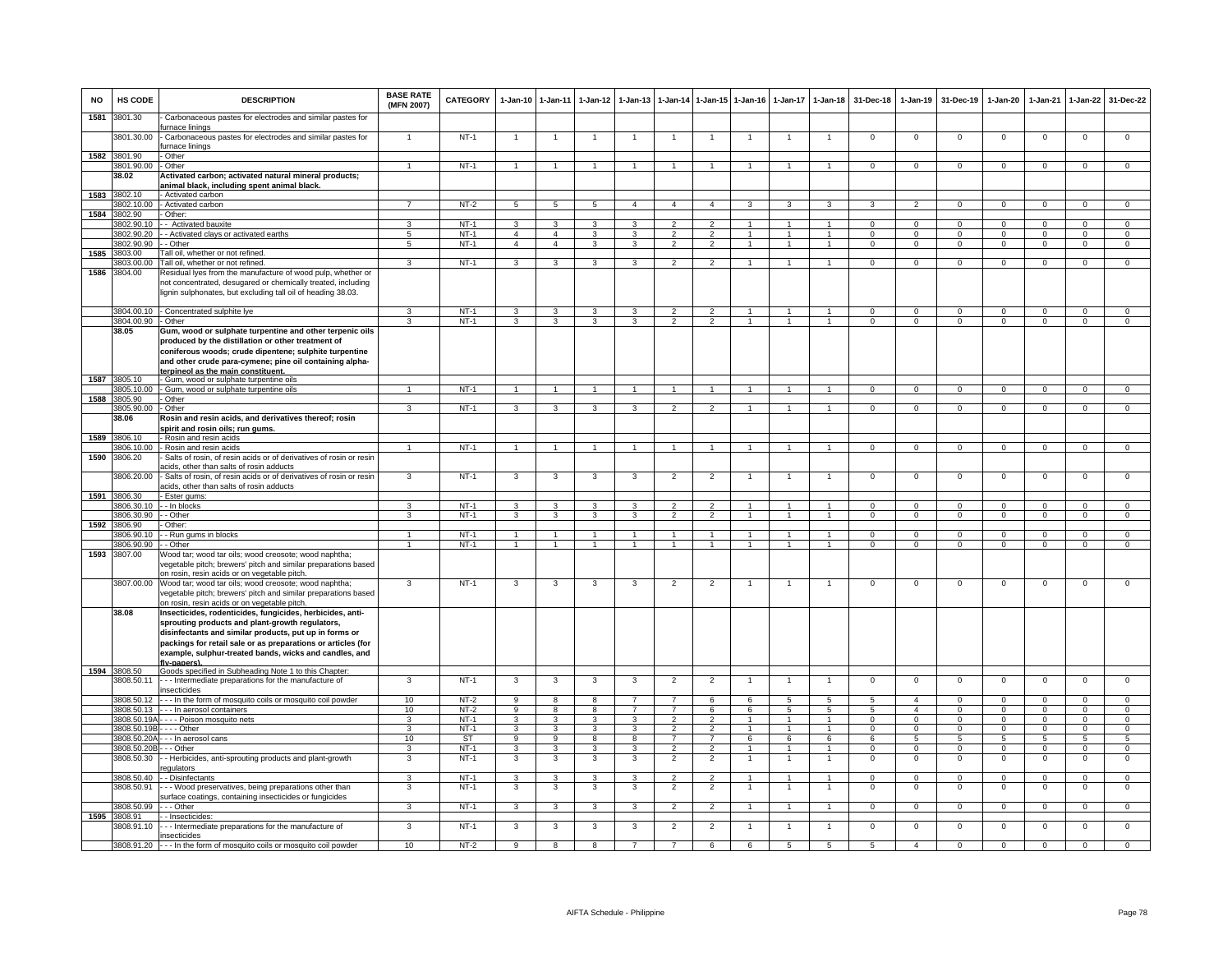| <b>NO</b> | HS CODE                     | <b>DESCRIPTION</b>                                                                                                                                                      | <b>BASE RATE</b><br>(MFN 2007)     | <b>CATEGORY</b>       | 1-Jan-10 1-Jan-11                       |                                         | $1 - Jan-12$                   | $1 - Jan-13$                 | $1-Jan-14$                       |                                  | 1-Jan-15 1-Jan-16              | $1-Jan-17$                     | $1 - Jan-18$                     | 31-Dec-18                  | $1-Jan-19$                   | 31-Dec-19                      | $1-Jan-20$                     | 1-Jan-21                   | 1-Jan-22                       | 31-Dec-22                        |
|-----------|-----------------------------|-------------------------------------------------------------------------------------------------------------------------------------------------------------------------|------------------------------------|-----------------------|-----------------------------------------|-----------------------------------------|--------------------------------|------------------------------|----------------------------------|----------------------------------|--------------------------------|--------------------------------|----------------------------------|----------------------------|------------------------------|--------------------------------|--------------------------------|----------------------------|--------------------------------|----------------------------------|
| 1581      | 3801.30                     | Carbonaceous pastes for electrodes and similar pastes for<br>furnace linings                                                                                            |                                    |                       |                                         |                                         |                                |                              |                                  |                                  |                                |                                |                                  |                            |                              |                                |                                |                            |                                |                                  |
|           | 3801.30.00                  | - Carbonaceous pastes for electrodes and similar pastes for<br>furnace linings                                                                                          |                                    | $NT-1$                |                                         | -1                                      |                                |                              | -1                               |                                  |                                |                                |                                  | $^{\circ}$                 | $\mathbf 0$                  | $\mathbf 0$                    | $\mathbf{0}$                   | $\mathbf 0$                | $\mathsf 0$                    | $\mathbf 0$                      |
| 1582      | 3801.90<br>3801.90.00       | - Other<br>- Other                                                                                                                                                      |                                    | $NT-1$                | $\overline{1}$                          | $\overline{1}$                          | $\overline{1}$                 | $\mathbf{1}$                 | $\overline{1}$                   |                                  | $\overline{1}$                 |                                | $\overline{1}$                   | $\mathbf{O}$               | $^{\circ}$                   | $\mathbf 0$                    | $^{\circ}$                     | $^{\circ}$                 | $\mathsf 0$                    | $\mathbf 0$                      |
|           | 38.02                       | Activated carbon; activated natural mineral products;                                                                                                                   |                                    |                       |                                         |                                         |                                |                              |                                  |                                  |                                |                                |                                  |                            |                              |                                |                                |                            |                                |                                  |
|           |                             | animal black, including spent animal black                                                                                                                              |                                    |                       |                                         |                                         |                                |                              |                                  |                                  |                                |                                |                                  |                            |                              |                                |                                |                            |                                |                                  |
| 1583      | 3802.10<br>3802.10.00       | - Activated carbon<br>- Activated carbon                                                                                                                                |                                    | $NT-2$                | 5                                       | 5                                       | $5^{\circ}$                    | 4                            | $\overline{4}$                   | $\overline{a}$                   | 3                              | 3                              | 3                                | 3                          | $\overline{2}$               | $\Omega$                       | $\Omega$                       | $\Omega$                   | $\mathsf 0$                    | $\Omega$                         |
| 1584      | 3802.90                     | - Other:                                                                                                                                                                |                                    |                       |                                         |                                         |                                |                              |                                  |                                  |                                |                                |                                  |                            |                              |                                |                                |                            |                                |                                  |
|           | 3802.90.10                  | - - Activated bauxite                                                                                                                                                   | 3                                  | <b>NT-1</b>           | $\mathbf{3}$                            | $\mathbf{3}$                            | $\mathbf{3}$                   | 3                            | $\overline{2}$                   | $\overline{2}$                   |                                | 1                              | $\mathbf{1}$                     | $\Omega$                   | $\mathbf{0}$                 | $\Omega$                       | $\mathbf{0}$                   | $\Omega$                   | $\mathbf{0}$                   | $\mathbf{0}$                     |
|           | 3802.90.20<br>3802.90.90    | - Activated clays or activated earths<br>- Other                                                                                                                        | $5\phantom{.0}$<br>$5\overline{5}$ | $NT-1$<br>$NT-1$      | $\overline{4}$<br>$\overline{4}$        | $\overline{4}$<br>$\overline{4}$        | $\mathbf{3}$<br>$\overline{3}$ | 3<br>3                       | $\overline{2}$<br>$\mathfrak{p}$ | $\overline{2}$<br>$\overline{2}$ | $\mathbf{1}$<br>$\mathbf{1}$   | $\overline{1}$<br>$\mathbf{1}$ | $\overline{1}$<br>$\overline{1}$ | $\Omega$<br>$\overline{0}$ | $^{\circ}$<br>$\overline{0}$ | $\mathbf{0}$<br>$\overline{0}$ | $\mathbf{0}$<br>$\overline{0}$ | $\Omega$<br>$\overline{0}$ | $\mathbf{0}$<br>$\overline{0}$ | $\overline{0}$<br>$\overline{0}$ |
| 1585      | 3803.00                     | Tall oil, whether or not refined.                                                                                                                                       |                                    |                       |                                         |                                         |                                |                              |                                  |                                  |                                |                                |                                  |                            |                              |                                |                                |                            |                                |                                  |
|           | 803.00.00                   | Tall oil, whether or not refined.                                                                                                                                       | 3                                  | $NT-1$                | 3                                       | $\overline{3}$                          | 3                              | 3                            | $\mathfrak{p}$                   | $\overline{2}$                   | $\mathbf{1}$                   | $\mathbf{1}$                   | $\overline{1}$                   | $\Omega$                   | $\mathbf 0$                  | $\overline{0}$                 | $\Omega$                       | $\Omega$                   | $\mathsf 0$                    | $\overline{0}$                   |
| 1586      | 3804.00                     | Residual lyes from the manufacture of wood pulp, whether or<br>not concentrated, desugared or chemically treated, including                                             |                                    |                       |                                         |                                         |                                |                              |                                  |                                  |                                |                                |                                  |                            |                              |                                |                                |                            |                                |                                  |
|           |                             | lignin sulphonates, but excluding tall oil of heading 38.03.                                                                                                            |                                    |                       |                                         |                                         |                                |                              |                                  |                                  |                                |                                |                                  |                            |                              |                                |                                |                            |                                |                                  |
|           |                             | 3804.00.10 - Concentrated sulphite lye                                                                                                                                  |                                    | $NT-1$                | 3                                       | 3                                       | 3                              | 3                            | $\overline{2}$                   |                                  | $\overline{1}$                 |                                | $\overline{1}$                   | $\Omega$                   | $\Omega$                     | $\Omega$                       | $\Omega$                       | $\Omega$                   | $\Omega$                       | $\Omega$                         |
|           | 3804.00.90 - Other<br>38.05 | Gum, wood or sulphate turpentine and other terpenic oils                                                                                                                | 3                                  | $NT-1$                | $\mathbf{3}$                            | $\mathbf{3}$                            | $\mathbf{3}$                   | 3                            | $\overline{2}$                   | $\overline{2}$                   | $\overline{1}$                 | $\overline{1}$                 | $\overline{1}$                   | $\mathbf{0}$               | $\mathbf{0}$                 | $\mathbf 0$                    | $\mathbf{0}$                   | $\mathbf 0$                | $\mathbf{0}$                   | $\mathbf 0$                      |
|           |                             | produced by the distillation or other treatment of                                                                                                                      |                                    |                       |                                         |                                         |                                |                              |                                  |                                  |                                |                                |                                  |                            |                              |                                |                                |                            |                                |                                  |
|           |                             | coniferous woods; crude dipentene; sulphite turpentine                                                                                                                  |                                    |                       |                                         |                                         |                                |                              |                                  |                                  |                                |                                |                                  |                            |                              |                                |                                |                            |                                |                                  |
|           |                             | and other crude para-cymene; pine oil containing alpha-                                                                                                                 |                                    |                       |                                         |                                         |                                |                              |                                  |                                  |                                |                                |                                  |                            |                              |                                |                                |                            |                                |                                  |
| 1587      | 3805.10                     | ternineol as the main constituent.<br>- Gum, wood or sulphate turpentine oils                                                                                           |                                    |                       |                                         |                                         |                                |                              |                                  |                                  |                                |                                |                                  |                            |                              |                                |                                |                            |                                |                                  |
|           | 3805.10.00                  | - Gum, wood or sulphate turpentine oils                                                                                                                                 | $\mathbf{1}$                       | $NT-1$                | $\overline{1}$                          | $\overline{1}$                          | $\overline{1}$                 | $\overline{1}$               | $\overline{1}$                   | $\overline{1}$                   | $\mathbf{1}$                   | $\overline{1}$                 | $\overline{1}$                   | $\overline{0}$             | $\overline{0}$               | $\overline{0}$                 | $\overline{0}$                 | $\overline{0}$             | $\overline{0}$                 | $\overline{0}$                   |
| 1588      | 3805.90<br>3805.90.00       | - Other<br>- Other                                                                                                                                                      | 3                                  | $NT-1$                | 3                                       | 3                                       | $\mathbf{3}$                   | 3                            | $\overline{2}$                   | $\overline{2}$                   |                                |                                | $\overline{1}$                   | $\mathbf{O}$               | $^{\circ}$                   | $\mathbf{0}$                   | $\mathbf{0}$                   | $\Omega$                   | $\mathbf{0}$                   | $\mathbf{0}$                     |
|           | 38.06                       | Rosin and resin acids, and derivatives thereof; rosin                                                                                                                   |                                    |                       |                                         |                                         |                                |                              |                                  |                                  |                                |                                |                                  |                            |                              |                                |                                |                            |                                |                                  |
|           |                             | spirit and rosin oils; run gums.                                                                                                                                        |                                    |                       |                                         |                                         |                                |                              |                                  |                                  |                                |                                |                                  |                            |                              |                                |                                |                            |                                |                                  |
| 1589      | 3806.10<br>806.10.00        | - Rosin and resin acids<br>- Rosin and resin acids                                                                                                                      |                                    | $NT-1$                | 1                                       | $\mathbf{1}$                            |                                |                              | $\mathbf{1}$                     |                                  |                                |                                | $\mathbf{1}$                     | $\mathbf{O}$               | $\mathsf 0$                  | $\mathbf 0$                    | $\mathbf 0$                    | $\mathbf 0$                | $\mathbf 0$                    | $\overline{0}$                   |
| 1590      | 3806.20                     | Salts of rosin, of resin acids or of derivatives of rosin or resin                                                                                                      |                                    |                       |                                         |                                         |                                |                              |                                  |                                  |                                |                                |                                  |                            |                              |                                |                                |                            |                                |                                  |
|           |                             | acids, other than salts of rosin adducts                                                                                                                                |                                    |                       |                                         |                                         |                                |                              |                                  |                                  |                                |                                |                                  |                            |                              |                                |                                |                            |                                |                                  |
|           | 3806.20.00                  | Salts of rosin, of resin acids or of derivatives of rosin or resin<br>acids, other than salts of rosin adducts                                                          | 3                                  | $NT-1$                | 3                                       | 3                                       | 3                              | 3                            | $\overline{2}$                   | $\overline{2}$                   | -1                             | $\mathbf{1}$                   | $\overline{1}$                   | $\mathbf 0$                | $\mathbf{0}$                 | $\mathbf{0}$                   | $\mathbf 0$                    | $\mathbf 0$                | $\mathsf 0$                    | $\mathbf 0$                      |
|           | 1591 3806.30<br>3806.30.10  | - Ester gums:<br>- - In blocks                                                                                                                                          | 3                                  | $NT-1$                | 3                                       | $\mathbf{3}$                            | 3                              |                              | $\mathfrak{p}$                   |                                  |                                |                                |                                  | $\Omega$                   | $\Omega$                     | $\Omega$                       | $\Omega$                       | $\Omega$                   | $\Omega$                       | $\Omega$                         |
|           | 3806.30.90                  | - Other                                                                                                                                                                 | 3                                  | <b>NT-1</b>           | $\mathbf{3}$                            | $\mathbf{3}$                            | $\mathbf{3}$                   | 3                            | $\overline{2}$                   | $\overline{2}$                   | $\overline{1}$                 | $\mathbf{1}$                   | $\overline{1}$                   | $\mathbf{0}$               | $\mathbf{0}$                 | $\mathbf{0}$                   | $\overline{0}$                 | $\mathbf 0$                | $\mathbf{0}$                   | $\mathbf{0}$                     |
|           | 1592 3806.90                | - Other:                                                                                                                                                                |                                    |                       |                                         |                                         |                                |                              |                                  |                                  |                                |                                |                                  |                            |                              |                                |                                |                            |                                |                                  |
|           | 3806.90.10<br>3806.90.90    | - Run gums in blocks<br>- Other                                                                                                                                         | -1<br>$\mathbf{1}$                 | $NT-1$<br>$NT-1$      | 1<br>1                                  | $\overline{1}$<br>$\mathbf{1}$          | -1<br>$\mathbf{1}$             | $\mathbf{1}$<br>$\mathbf{1}$ | $\mathbf{1}$<br>$\mathbf{1}$     | $\overline{1}$<br>$\mathbf{1}$   | 1<br>$\mathbf{1}$              | 1<br>1                         | $\overline{1}$<br>$\mathbf{1}$   | $\Omega$<br>$\mathbf{0}$   | $\Omega$<br>$\mathbf{0}$     | $\Omega$<br>$^{\circ}$         | $\Omega$<br>$\mathbf 0$        | $\Omega$<br>$\mathbf 0$    | $\Omega$<br>$\mathbf 0$        | $\overline{0}$<br>$\mathbf 0$    |
| 1593      | 3807.00                     | Wood tar; wood tar oils; wood creosote; wood naphtha;<br>vegetable pitch; brewers' pitch and similar preparations based                                                 |                                    |                       |                                         |                                         |                                |                              |                                  |                                  |                                |                                |                                  |                            |                              |                                |                                |                            |                                |                                  |
|           | 3807.00.00                  | on rosin, resin acids or on vegetable pitch.<br>Wood tar; wood tar oils; wood creosote; wood naphtha;<br>vegetable pitch; brewers' pitch and similar preparations based | 3                                  | $NT-1$                | 3                                       | 3                                       | 3                              | 3                            | $\overline{2}$                   | $\overline{2}$                   | $\overline{1}$                 | $\mathbf{1}$                   | $\mathbf{1}$                     | $\mathsf 0$                | $\mathsf 0$                  | $\mathbf 0$                    | $\mathbf 0$                    | $\mathbf 0$                | $\mathsf 0$                    | $\overline{0}$                   |
|           | 38.08                       | on rosin, resin acids or on vegetable pitch.<br>Insecticides, rodenticides, fungicides, herbicides, anti-                                                               |                                    |                       |                                         |                                         |                                |                              |                                  |                                  |                                |                                |                                  |                            |                              |                                |                                |                            |                                |                                  |
|           |                             | sprouting products and plant-growth regulators,                                                                                                                         |                                    |                       |                                         |                                         |                                |                              |                                  |                                  |                                |                                |                                  |                            |                              |                                |                                |                            |                                |                                  |
|           |                             | disinfectants and similar products, put up in forms or<br>packings for retail sale or as preparations or articles (for                                                  |                                    |                       |                                         |                                         |                                |                              |                                  |                                  |                                |                                |                                  |                            |                              |                                |                                |                            |                                |                                  |
|           |                             | example, sulphur-treated bands, wicks and candles, and                                                                                                                  |                                    |                       |                                         |                                         |                                |                              |                                  |                                  |                                |                                |                                  |                            |                              |                                |                                |                            |                                |                                  |
|           | 1594 3808.50                | flv-papers)<br>Goods specified in Subheading Note 1 to this Chapter                                                                                                     |                                    |                       |                                         |                                         |                                |                              |                                  |                                  |                                |                                |                                  |                            |                              |                                |                                |                            |                                |                                  |
|           | 3808.50.11                  | - - - Intermediate preparations for the manufacture of<br>insecticides                                                                                                  | 3                                  | $NT-1$                | 3                                       | 3                                       | 3                              | 3                            | $\overline{2}$                   | $\overline{2}$                   | $\overline{1}$                 |                                | $\overline{1}$                   | $\mathsf 0$                | $\mathsf 0$                  | $\mathbf 0$                    | $\overline{0}$                 | $\mathbf 0$                | $\overline{0}$                 | $\overline{0}$                   |
|           |                             | 3808.50.12 --- In the form of mosquito coils or mosquito coil powder                                                                                                    | 10                                 | $NT-2$                | 9                                       | 8                                       | 8                              |                              | $\overline{7}$                   | 6                                | 6                              | 5                              | 5                                | 5                          | $\overline{4}$               | $\mathbf 0$                    | $\mathbf 0$                    | $\Omega$                   | $\mathbf 0$                    | $\Omega$                         |
|           |                             | $3808.50.13$ - - - In aerosol containers                                                                                                                                | 10                                 | $NT-2$                | 9                                       | 8                                       | 8                              | $\overline{7}$               | $\overline{7}$                   | 6                                | 6<br>$\mathbf{1}$              | 5<br>$\mathbf{1}$              | 5                                | 5                          | $\overline{a}$               | $\mathbf{0}$                   | $\mathbf{0}$                   | $\Omega$<br>$\Omega$       | $\mathbf{0}$                   | $\mathbf{0}$                     |
|           | 3808.50.19B - - - - Other   | 3808.50.19A - - - - Poison mosquito nets                                                                                                                                | 3<br>$\overline{3}$                | <b>NT-1</b><br>$NT-1$ | $\mathbf{3}$<br>$\overline{\mathbf{3}}$ | $\mathbf{3}$<br>$\overline{\mathbf{3}}$ | $\mathbf{3}$<br>$\mathbf{3}$   | 3<br>3                       | $\overline{2}$<br>$\overline{2}$ | 2<br>$\overline{2}$              | $\mathbf{1}$                   | $\mathbf{1}$                   | $\overline{1}$<br>$\mathbf{1}$   | $\mathbf{0}$<br>$\Omega$   | $^{\circ}$<br>$\Omega$       | $\mathbf 0$<br>$\Omega$        | $^{\circ}$<br>$\Omega$         | $\Omega$                   | $\mathbf{0}$<br>$\overline{0}$ | $\mathbf 0$<br>$\overline{0}$    |
|           |                             | 3808.50.20A - - - In aerosol cans                                                                                                                                       | 10                                 | <b>ST</b>             | $_{9}$                                  | 9                                       | 8                              | $\overline{8}$               | $\overline{7}$                   | $\overline{7}$                   | 6                              | 6                              | 6                                | 6                          | $\overline{5}$               | -5                             | $\overline{5}$                 | 5                          | $\overline{5}$                 | $\overline{5}$                   |
|           | 3808.50.20B - - - Other     |                                                                                                                                                                         | 3                                  | $NT-1$                | 3                                       | 3                                       | 3                              | 3                            | $\overline{2}$                   | $\overline{2}$                   | 1                              | 1                              | $\mathbf{1}$                     | $^{\circ}$                 | $^{\circ}$                   | $\mathbf 0$                    | $\mathbf 0$                    | $\Omega$                   | $\mathsf 0$                    | $\mathbf 0$                      |
|           | 3808.50.30                  | - Herbicides, anti-sprouting products and plant-growth<br>egulators                                                                                                     | 3                                  | $NT-1$                | $\mathbf{3}$                            | 3                                       | 3                              | 3                            | $\overline{2}$                   | $\overline{2}$                   | 1                              |                                | $\overline{1}$                   | $\mathsf 0$                | $\mathsf 0$                  | $\mathbf 0$                    | $\mathsf 0$                    | $\mathbf 0$                | $\mathsf 0$                    | $\mathbf 0$                      |
|           | 3808.50.40<br>3808.50.91    | - - Disinfectants                                                                                                                                                       | 3<br>3                             | $NT-1$<br>$NT-1$      | 3<br>3                                  | 3<br>3                                  | 3<br>3                         | 3<br>3                       | $\mathcal{P}$<br>$\overline{2}$  | $\mathcal{P}$<br>$\overline{2}$  | $\overline{1}$<br>$\mathbf{1}$ | $\mathbf{1}$                   | $\overline{1}$<br>$\overline{1}$ | $\Omega$<br>$\mathsf 0$    | $\Omega$<br>$\mathsf 0$      | $\Omega$<br>$\mathbf 0$        | $\Omega$<br>$\mathbf 0$        | $\Omega$<br>$\mathbf 0$    | $\mathbf 0$<br>$\mathsf 0$     | $\circ$<br>$\mathbf 0$           |
|           |                             | - - Wood preservatives, being preparations other than<br>surface coatings, containing insecticides or fungicides                                                        |                                    |                       |                                         |                                         |                                |                              |                                  |                                  |                                |                                |                                  |                            |                              |                                |                                |                            |                                |                                  |
|           | 3808.50.99                  | - - - Other                                                                                                                                                             | $\mathbf{3}$                       | $NT-1$                | 3                                       | 3                                       | 3                              | 3                            | $\overline{2}$                   | $\overline{2}$                   | $\mathbf{1}$                   | $\overline{1}$                 | $\overline{1}$                   | $\mathbf{0}$               | $\mathbf 0$                  | $\mathbf{0}$                   | $\mathbf 0$                    | $\mathbf 0$                | $\mathbf 0$                    | $\mathbf{0}$                     |
|           | 1595 3808.91<br>3808.91.10  | - - Insecticides:<br>--- Intermediate preparations for the manufacture of                                                                                               | 3                                  | $NT-1$                | 3                                       | 3                                       | 3                              | 3                            | $\overline{2}$                   | $\overline{2}$                   | 1                              | $\mathbf{1}$                   | $\overline{1}$                   | $\Omega$                   | $\Omega$                     | $\overline{0}$                 | $\overline{0}$                 | $\Omega$                   | $\overline{0}$                 | $\overline{0}$                   |
|           |                             | insecticides                                                                                                                                                            |                                    |                       |                                         |                                         |                                |                              |                                  |                                  |                                |                                |                                  |                            |                              |                                |                                |                            |                                |                                  |
|           |                             | 3808.91.20 --- In the form of mosquito coils or mosquito coil powder                                                                                                    | 10                                 | $NT-2$                | 9                                       | $\overline{8}$                          | $\overline{\mathbf{a}}$        | $\overline{7}$               | $\overline{7}$                   | 6                                | 6                              | $\overline{5}$                 | $\overline{5}$                   | 5                          | $\overline{4}$               | $\overline{0}$                 | $\overline{0}$                 | $\overline{0}$             | $\overline{0}$                 | $\Omega$                         |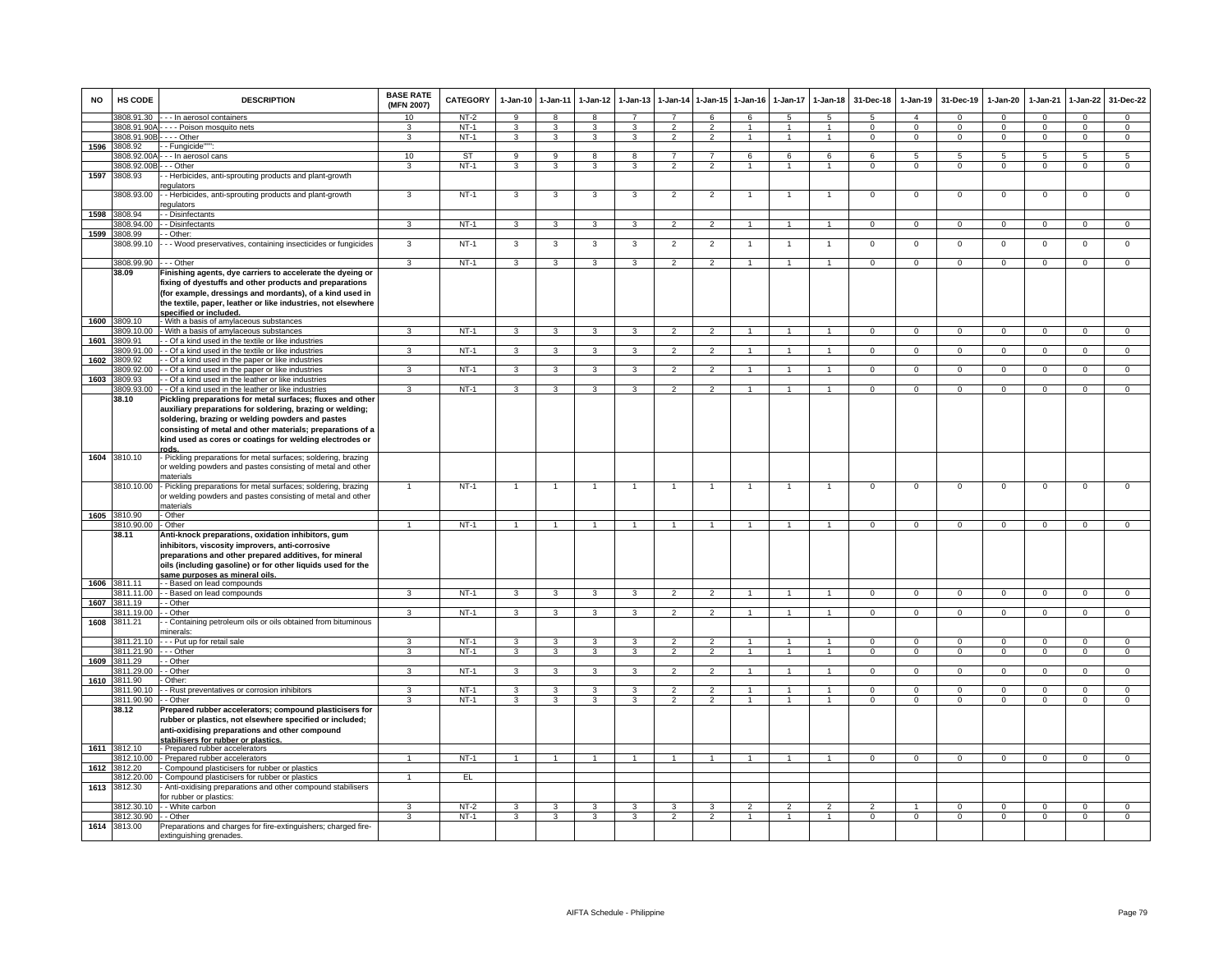| <b>NO</b> | HS CODE                   | <b>DESCRIPTION</b>                                                                                                  | <b>BASE RATE</b><br>(MFN 2007) | CATEGORY | $1-Jan-10$              | 1-Jan-11                | $1-Jan-12$              | $1-Jan-13$              | 1-Jan-14                 | $1 - Jan - 15$ | $1 - Jan-16$             | $1-Jan-17$     | $1-Jan-18$           | 31-Dec-18      | $1-Jan-19$     | 31-Dec-19      | $1-Jan-20$     | 1-Jan-21       | $1-Jan-22$     | 31-Dec-22       |
|-----------|---------------------------|---------------------------------------------------------------------------------------------------------------------|--------------------------------|----------|-------------------------|-------------------------|-------------------------|-------------------------|--------------------------|----------------|--------------------------|----------------|----------------------|----------------|----------------|----------------|----------------|----------------|----------------|-----------------|
|           | 3808.91.30                | - - - In aerosol containers                                                                                         | 10                             | $NT-2$   | 9                       | 8                       | 8                       |                         | $\overline{7}$           | 6              | 6                        | 5              | $\sqrt{5}$           | $\overline{5}$ | $\overline{4}$ | $\Omega$       | $\Omega$       | $\Omega$       | $\Omega$       | $\Omega$        |
|           | 3808.91.90A-              | - - - - Poison mosquito nets                                                                                        | $\mathcal{R}$                  | $NT-1$   | 3                       | 3                       | 3                       | $\mathbf{3}$            | $\mathcal{P}$            | $\mathcal{P}$  | $\blacktriangleleft$     | $\overline{1}$ | $\overline{1}$       | $\Omega$       | $\mathbf 0$    | $\Omega$       | $\mathbf 0$    | $\Omega$       | $\mathbf 0$    | $\mathbf{0}$    |
|           | 3808.91.90B - - - - Other |                                                                                                                     | 3                              | $NT-1$   | 3                       | $\mathbf{3}$            | 3                       | 3                       | $\overline{2}$           | 2              | $\mathbf{1}$             | $\mathbf{1}$   | $\mathbf{1}$         | $^{\circ}$     | $^{\circ}$     | $^{\circ}$     | $\mathbf{0}$   | $^{\circ}$     | $\mathbf 0$    | $\mathbf 0$     |
| 1596      | 3808.92                   | - Fungicide"                                                                                                        |                                |          |                         |                         |                         |                         |                          |                |                          |                |                      |                |                |                |                |                |                |                 |
|           | 808.92.00A                | - - In aerosol cans                                                                                                 | 10                             | ST       | 9                       | $\overline{9}$          | 8                       | 8                       | -7                       | $\overline{7}$ | 6                        | 6              | 6                    | -6             | 5              | -5             | 5              | 5              | $\overline{5}$ | $5\overline{)}$ |
|           | 808.92.00B                | - - Other                                                                                                           | 3                              | $NT-1$   | 3                       | 3                       | 3                       | 3                       | $\mathfrak{p}$           | $\overline{2}$ |                          |                |                      | $\mathsf 0$    | $\mathsf 0$    | $\mathbf 0$    | $\Omega$       | $\mathbf 0$    | $\mathsf 0$    | $\mathbf 0$     |
| 1597      | 3808.93                   | - Herbicides, anti-sprouting products and plant-growth<br>equlators                                                 |                                |          |                         |                         |                         |                         |                          |                |                          |                |                      |                |                |                |                |                |                |                 |
|           | 3808.93.00                | - - Herbicides, anti-sprouting products and plant-growth<br>egulators                                               | 3                              | $NT-1$   | 3                       | 3                       | 3                       | 3                       | $\overline{2}$           | $\overline{2}$ |                          |                | -1                   | 0              | 0              | $\mathbf 0$    | $\mathbf 0$    | $\mathbf 0$    | 0              | $\mathbf 0$     |
| 1598      | 3808.94<br>3808.94.00     | - Disinfectants<br>- Disinfectants                                                                                  | $\overline{3}$                 | $NT-1$   | $\overline{\mathbf{3}}$ | $\overline{\mathbf{3}}$ | $\overline{\mathbf{3}}$ | 3                       | $\overline{2}$           | $\overline{2}$ | $\overline{1}$           | $\overline{1}$ | $\overline{1}$       | $\overline{0}$ | $\overline{0}$ | $\overline{0}$ | $\overline{0}$ | $\overline{0}$ | $\overline{0}$ | $\overline{0}$  |
| 1599      | 808.99                    | - Other:                                                                                                            |                                |          |                         |                         |                         |                         |                          |                |                          |                |                      |                |                |                |                |                |                |                 |
|           | 3808.99.10                | - - - Wood preservatives, containing insecticides or fungicides                                                     | 3                              | $NT-1$   | 3                       | 3                       | 3                       | 3                       | $\overline{2}$           | $\overline{2}$ |                          |                | $\mathbf{1}$         | $\mathsf 0$    | $\mathbf 0$    | $\mathbf 0$    | $\mathbf 0$    | $\mathbf 0$    | $\mathsf 0$    | $\mathbf 0$     |
|           | 3808.99.90                | --- Other                                                                                                           | $\mathbf{3}$                   | $NT-1$   | $\mathbf{3}$            | $\mathbf{3}$            | 3 <sup>3</sup>          | $\mathbf{3}$            | $\overline{2}$           | $\overline{2}$ | $\mathbf{1}$             | $\overline{1}$ | $\overline{1}$       | $\mathbf{0}$   | $\overline{0}$ | $\overline{0}$ | $\overline{0}$ | $\mathbf 0$    | $\circ$        | $\overline{0}$  |
|           | 38.09                     | Finishing agents, dye carriers to accelerate the dyeing or                                                          |                                |          |                         |                         |                         |                         |                          |                |                          |                |                      |                |                |                |                |                |                |                 |
|           |                           | fixing of dyestuffs and other products and preparations<br>(for example, dressings and mordants), of a kind used in |                                |          |                         |                         |                         |                         |                          |                |                          |                |                      |                |                |                |                |                |                |                 |
|           |                           | the textile, paper, leather or like industries, not elsewhere<br>specified or included.                             |                                |          |                         |                         |                         |                         |                          |                |                          |                |                      |                |                |                |                |                |                |                 |
|           | 1600 3809.10              | With a basis of amylaceous substances                                                                               |                                |          |                         |                         |                         |                         |                          |                |                          |                |                      |                |                |                |                |                |                |                 |
|           | 3809.10.00                | With a basis of amylaceous substances                                                                               | $\overline{3}$                 | $NT-1$   | $\overline{3}$          | $\overline{\mathbf{3}}$ | 3                       | $\overline{3}$          | $\overline{2}$           | $\overline{2}$ | $\overline{1}$           |                | $\blacktriangleleft$ | $\overline{0}$ | $\overline{0}$ | $\overline{0}$ | $\overline{0}$ | $\overline{0}$ | $\overline{0}$ | $\overline{0}$  |
| 1601      | 809.91                    | - Of a kind used in the textile or like industries                                                                  |                                |          |                         |                         |                         |                         |                          |                |                          |                |                      |                |                |                |                |                |                |                 |
|           | 809.91.00                 | - Of a kind used in the textile or like industries                                                                  | 3                              | NT-1     | 3                       | $\mathbf{R}$            | $\mathbf{R}$            |                         | $\mathcal{P}$            | $\mathcal{P}$  |                          |                |                      | $\Omega$       | $\Omega$       | $\Omega$       | $\Omega$       | $\Omega$       | $\Omega$       | $\Omega$        |
| 1602      | 3809.92                   | - Of a kind used in the paper or like industries                                                                    |                                |          |                         |                         |                         |                         |                          |                |                          |                |                      |                |                |                |                |                |                |                 |
|           | 809.92.00                 | - Of a kind used in the paper or like industries                                                                    | $\mathbf{R}$                   | $NT-1$   | $\mathbf{3}$            | 3                       | 3                       |                         | $\mathcal{P}$            |                |                          |                |                      | $\Omega$       | $\Omega$       | $\Omega$       | $\Omega$       | $\Omega$       | $\Omega$       | $\Omega$        |
| 1603      | 3809.93                   | - Of a kind used in the leather or like industries                                                                  |                                |          |                         |                         |                         |                         |                          |                |                          |                | $\mathbf{1}$         |                |                |                |                |                |                |                 |
|           | 3809.93.00                | - Of a kind used in the leather or like industries                                                                  | 3                              | $NT-1$   | 3                       | 3                       | 3                       | 3                       | $\overline{2}$           | $\overline{2}$ |                          |                |                      | $^{\circ}$     | $\mathbf{0}$   | $^{\circ}$     | $\mathbf{0}$   | $^{\circ}$     | $\mathbf{0}$   | $\mathbf 0$     |
|           | 38.10                     | Pickling preparations for metal surfaces; fluxes and other                                                          |                                |          |                         |                         |                         |                         |                          |                |                          |                |                      |                |                |                |                |                |                |                 |
|           |                           | auxiliary preparations for soldering, brazing or welding;                                                           |                                |          |                         |                         |                         |                         |                          |                |                          |                |                      |                |                |                |                |                |                |                 |
|           |                           | soldering, brazing or welding powders and pastes                                                                    |                                |          |                         |                         |                         |                         |                          |                |                          |                |                      |                |                |                |                |                |                |                 |
|           |                           | consisting of metal and other materials; preparations of a                                                          |                                |          |                         |                         |                         |                         |                          |                |                          |                |                      |                |                |                |                |                |                |                 |
|           |                           | kind used as cores or coatings for welding electrodes or                                                            |                                |          |                         |                         |                         |                         |                          |                |                          |                |                      |                |                |                |                |                |                |                 |
| 1604      | 3810.10                   | rods<br>- Pickling preparations for metal surfaces; soldering, brazing                                              |                                |          |                         |                         |                         |                         |                          |                |                          |                |                      |                |                |                |                |                |                |                 |
|           |                           | or welding powders and pastes consisting of metal and other                                                         |                                |          |                         |                         |                         |                         |                          |                |                          |                |                      |                |                |                |                |                |                |                 |
|           |                           | materials                                                                                                           |                                |          |                         |                         |                         |                         |                          |                |                          |                |                      |                |                |                |                |                |                |                 |
|           |                           | 3810.10.00 - Pickling preparations for metal surfaces; soldering, brazing                                           | $\mathbf{1}$                   | $NT-1$   |                         | $\overline{1}$          |                         | $\overline{1}$          | $\overline{1}$           |                |                          |                | $\overline{1}$       | $\overline{0}$ | $\overline{0}$ | $\overline{0}$ | $\overline{0}$ | $\overline{0}$ | $\overline{0}$ | $\overline{0}$  |
|           |                           | or welding powders and pastes consisting of metal and other                                                         |                                |          |                         |                         |                         |                         |                          |                |                          |                |                      |                |                |                |                |                |                |                 |
|           |                           | materials                                                                                                           |                                |          |                         |                         |                         |                         |                          |                |                          |                |                      |                |                |                |                |                |                |                 |
|           | 1605 3810.90              | Other                                                                                                               |                                |          |                         |                         |                         |                         |                          |                |                          |                |                      |                |                |                |                |                |                |                 |
|           | 810.90.00                 | Other                                                                                                               | $\blacktriangleleft$           | $NT-1$   | $\overline{1}$          | $\overline{1}$          | $\overline{1}$          | $\mathbf{1}$            | $\mathbf{1}$             | $\overline{1}$ | $\overline{1}$           | $\mathbf{1}$   | $\overline{1}$       | $\Omega$       | $\mathbf{0}$   | $\Omega$       | $\Omega$       | $\Omega$       | $\overline{0}$ | $\overline{0}$  |
|           | 38.11                     | Anti-knock preparations, oxidation inhibitors, gum                                                                  |                                |          |                         |                         |                         |                         |                          |                |                          |                |                      |                |                |                |                |                |                |                 |
|           |                           | inhibitors, viscosity improvers, anti-corrosive                                                                     |                                |          |                         |                         |                         |                         |                          |                |                          |                |                      |                |                |                |                |                |                |                 |
|           |                           | preparations and other prepared additives, for mineral                                                              |                                |          |                         |                         |                         |                         |                          |                |                          |                |                      |                |                |                |                |                |                |                 |
|           |                           | oils (including gasoline) or for other liquids used for the                                                         |                                |          |                         |                         |                         |                         |                          |                |                          |                |                      |                |                |                |                |                |                |                 |
|           |                           | same purposes as mineral oils                                                                                       |                                |          |                         |                         |                         |                         |                          |                |                          |                |                      |                |                |                |                |                |                |                 |
| 1606      | 3811 11                   | - - Based on lead compounds                                                                                         | $\overline{\mathbf{3}}$        |          |                         |                         |                         | $\overline{\mathbf{3}}$ |                          |                |                          |                |                      |                |                |                |                | $\overline{0}$ |                |                 |
|           | 811.11.00                 | - - Based on lead compounds                                                                                         |                                | $NT-1$   | 3                       | $\overline{\mathbf{3}}$ | 3                       |                         | $\overline{\phantom{a}}$ | $\overline{2}$ |                          |                |                      | $\overline{0}$ | $\overline{0}$ | $\overline{0}$ | $\overline{0}$ |                | $\overline{0}$ | $\overline{0}$  |
| 1607      | 811.19<br>811.19.00       | - Other<br>$-$ Other                                                                                                | 3                              | $NT-1$   | 3                       | 3                       | 3                       | 3                       | $\overline{2}$           | $\overline{2}$ |                          |                |                      | $\Omega$       | $\Omega$       | $\Omega$       | $\Omega$       | $\Omega$       | $\Omega$       | $\Omega$        |
| 1608      | 3811.21                   | - Containing petroleum oils or oils obtained from bituminous                                                        |                                |          |                         |                         |                         |                         |                          |                |                          |                |                      |                |                |                |                |                |                |                 |
|           |                           | ninerals:                                                                                                           |                                |          |                         |                         |                         |                         |                          |                |                          |                |                      |                |                |                |                |                |                |                 |
|           | 3811.21.10                | --- Put up for retail sale                                                                                          | 3                              | $NT-1$   | 3                       | 3                       | 3                       | 3                       | $\overline{2}$           | $\overline{2}$ |                          |                | $\mathbf{1}$         | $^{\circ}$     | $\mathbf{0}$   | $\mathbf 0$    | $\mathbf{0}$   | $^{\circ}$     | $\mathbf{0}$   | $^{\circ}$      |
| 1609      | 8811.21.90<br>811.29      | $-$ - Other<br>- Other                                                                                              | 3                              | $NT-1$   | $\mathbf{3}$            | $\overline{3}$          | $\mathbf{3}$            | 3                       | $\overline{2}$           | $\overline{2}$ | $\mathbf{1}$             | $\mathbf{1}$   | $\mathbf{1}$         | $\overline{0}$ | $\overline{0}$ | $\mathbf 0$    | $\mathbf{0}$   | $\overline{0}$ | $\overline{0}$ | $\overline{0}$  |
|           |                           |                                                                                                                     | $\mathbf{R}$                   |          |                         | 3                       | 3                       | $\mathbf{3}$            | $\mathcal{P}$            | $\overline{2}$ |                          |                | $\mathbf{1}$         |                |                |                | $\Omega$       | $\Omega$       |                |                 |
|           | 811.29.00<br>3811.90      | - Other<br>Other:                                                                                                   |                                | $NT-1$   | 3                       |                         |                         |                         |                          |                |                          |                |                      | $\mathsf 0$    | $\mathsf 0$    | $\mathbf 0$    |                |                | $\mathsf 0$    | $\mathsf 0$     |
| 1610      | 3811.90.10                | - Rust preventatives or corrosion inhibitors                                                                        | 3                              | $NT-1$   | 3                       | 3                       | 3                       | 3                       | $\mathcal{P}$            | $\mathcal{P}$  | 1                        |                | $\mathbf{1}$         | $\mathsf 0$    | $\Omega$       | $\mathbf 0$    | $\Omega$       | $\Omega$       | $\mathsf 0$    | $\mathbf 0$     |
|           | 3811.90.90                | - - Other                                                                                                           | $\overline{3}$                 | $NT-1$   | 3                       | 3                       | 3                       | 3                       | $\overline{2}$           | $\overline{2}$ | $\overline{1}$           | $\mathbf{1}$   | $\blacktriangleleft$ | $\overline{0}$ | $\overline{0}$ | $\Omega$       | $\overline{0}$ | $\Omega$       | $\overline{0}$ | $\overline{0}$  |
|           | 38.12                     | Prepared rubber accelerators; compound plasticisers for                                                             |                                |          |                         |                         |                         |                         |                          |                |                          |                |                      |                |                |                |                |                |                |                 |
|           |                           | rubber or plastics, not elsewhere specified or included;                                                            |                                |          |                         |                         |                         |                         |                          |                |                          |                |                      |                |                |                |                |                |                |                 |
|           |                           | anti-oxidising preparations and other compound                                                                      |                                |          |                         |                         |                         |                         |                          |                |                          |                |                      |                |                |                |                |                |                |                 |
|           |                           | stabilisers for rubber or plastics.                                                                                 |                                |          |                         |                         |                         |                         |                          |                |                          |                |                      |                |                |                |                |                |                |                 |
|           | 1611 3812.10              | - Prepared rubber accelerators                                                                                      |                                |          |                         |                         |                         |                         |                          |                |                          |                |                      |                |                |                |                |                |                |                 |
|           |                           | 3812.10.00 - Prepared rubber accelerators                                                                           | $\overline{1}$                 | $NT-1$   | $\overline{1}$          | $\overline{1}$          | $\overline{1}$          | $\mathbf{1}$            | $\overline{1}$           | $\overline{1}$ | $\overline{1}$           | $\mathbf{1}$   | $\overline{1}$       | $\overline{0}$ | $\mathbf{0}$   | $^{\circ}$     | $\overline{0}$ | $\mathbf{0}$   | $^{\circ}$     | $\overline{0}$  |
| 1612      | 3812.20                   | Compound plasticisers for rubber or plastics                                                                        |                                |          |                         |                         |                         |                         |                          |                |                          |                |                      |                |                |                |                |                |                |                 |
|           | 3812.20.00                | Compound plasticisers for rubber or plastics                                                                        | $\mathbf{1}$                   | EL.      |                         |                         |                         |                         |                          |                |                          |                |                      |                |                |                |                |                |                |                 |
| 1613      | 3812.30                   | Anti-oxidising preparations and other compound stabilisers                                                          |                                |          |                         |                         |                         |                         |                          |                |                          |                |                      |                |                |                |                |                |                |                 |
|           | 3812.30.10                | or rubber or plastics:<br>- White carbon                                                                            | 3                              | $NT-2$   | 3                       | 3                       | 3                       | 3                       | 3                        |                | $\overline{\phantom{a}}$ | $\mathcal{P}$  |                      | $\mathcal{P}$  |                | $\Omega$       | $\Omega$       | $\Omega$       | $\Omega$       | $\mathbf 0$     |
|           | 3812.30.90                | - - Other                                                                                                           | 3                              | $NT-1$   | 3                       | $\mathbf{3}$            | 3                       | 3                       | $\overline{2}$           | $\overline{2}$ | $\mathbf{1}$             | $\mathbf{1}$   | $\overline{1}$       | $\mathbf{0}$   | $\mathsf 0$    | $\mathsf 0$    | $\mathsf 0$    | $\mathsf 0$    | $\mathsf 0$    | $\overline{0}$  |
|           | 1614 3813.00              | Preparations and charges for fire-extinguishers; charged fire-                                                      |                                |          |                         |                         |                         |                         |                          |                |                          |                |                      |                |                |                |                |                |                |                 |
|           |                           | extinguishing grenades.                                                                                             |                                |          |                         |                         |                         |                         |                          |                |                          |                |                      |                |                |                |                |                |                |                 |
|           |                           |                                                                                                                     |                                |          |                         |                         |                         |                         |                          |                |                          |                |                      |                |                |                |                |                |                |                 |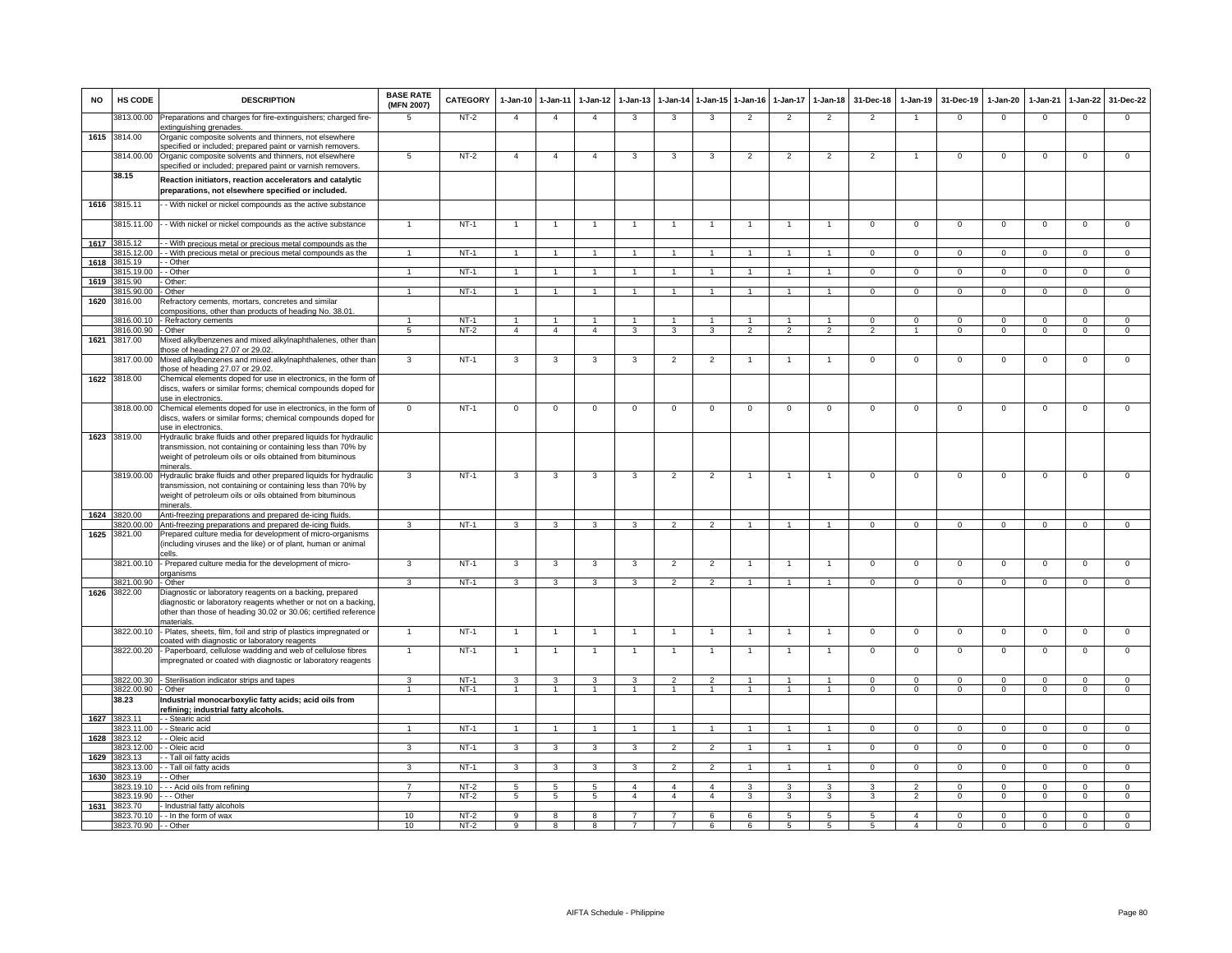| <b>NO</b> | HS CODE                          | <b>DESCRIPTION</b>                                                                                                                                                                                          | <b>BASE RATE</b><br>(MFN 2007) | CATEGORY         | $1-Jan-10$                       | 1-Jan-11                         | $1-Jan-12$           | $1-Jan-13$     | 1-Jan-14            | $1 - Jan - 15$ | $1 - Jan-16$   | $1 - Jan-17$   | $1-Jan-18$                       | 31-Dec-18                  | 1-Jan-19                   | 31-Dec-19                | 1-Jan-20                 | $1-Jan-21$               | 1-Jan-22                   | 31-Dec-22                |
|-----------|----------------------------------|-------------------------------------------------------------------------------------------------------------------------------------------------------------------------------------------------------------|--------------------------------|------------------|----------------------------------|----------------------------------|----------------------|----------------|---------------------|----------------|----------------|----------------|----------------------------------|----------------------------|----------------------------|--------------------------|--------------------------|--------------------------|----------------------------|--------------------------|
|           | 3813.00.00                       | Preparations and charges for fire-extinguishers; charged fire-<br>extinguishing grenades.                                                                                                                   | 5                              | $NT-2$           | $\overline{4}$                   | $\overline{4}$                   | $\overline{4}$       | 3              | 3                   | 3              | $\overline{2}$ | 2              | $\overline{2}$                   | $\overline{2}$             |                            | $\mathbf 0$              | $\overline{0}$           | $\mathbf 0$              | $\mathsf 0$                | $\Omega$                 |
|           | 1615 3814.00                     | Organic composite solvents and thinners, not elsewhere<br>specified or included; prepared paint or varnish removers.                                                                                        |                                |                  |                                  |                                  |                      |                |                     |                |                |                |                                  |                            |                            |                          |                          |                          |                            |                          |
|           | 3814.00.00                       | Organic composite solvents and thinners, not elsewhere<br>specified or included; prepared paint or varnish removers.                                                                                        | 5                              | $NT-2$           | $\overline{4}$                   | $\overline{4}$                   | $\overline{4}$       | -3             | $\mathbf{3}$        | 3              | $\mathfrak{p}$ | $\overline{2}$ | $\overline{2}$                   | $\overline{2}$             |                            | $\Omega$                 | $\Omega$                 | $\Omega$                 | $\Omega$                   | $\mathbf 0$              |
|           | 38.15                            | Reaction initiators, reaction accelerators and catalytic<br>preparations, not elsewhere specified or included.                                                                                              |                                |                  |                                  |                                  |                      |                |                     |                |                |                |                                  |                            |                            |                          |                          |                          |                            |                          |
|           | 1616 3815.11                     | - With nickel or nickel compounds as the active substance                                                                                                                                                   |                                |                  |                                  |                                  |                      |                |                     |                |                |                |                                  |                            |                            |                          |                          |                          |                            |                          |
|           |                                  | 3815.11.00 - - With nickel or nickel compounds as the active substance                                                                                                                                      | $\mathbf{1}$                   | $NT-1$           |                                  | $\overline{1}$                   |                      |                | $\overline{1}$      | $\mathbf{1}$   |                | $\mathbf{1}$   | $\overline{1}$                   | $\mathbf 0$                | $\mathbf{0}$               | $\mathbf 0$              | $\overline{0}$           | $\mathbf 0$              | $\mathbf 0$                | $\overline{0}$           |
| 1617      | 3815.12<br>3815.12.00            | - With precious metal or precious metal compounds as the<br>- With precious metal or precious metal compounds as the                                                                                        | $\blacktriangleleft$           | $NT-1$           | $\overline{1}$                   | $\overline{1}$                   | $\blacktriangleleft$ |                | $\overline{1}$      |                |                |                | $\blacktriangleleft$             | $\Omega$                   | $\mathbf{0}$               | $\Omega$                 | $\mathbf{0}$             | $\mathbf{0}$             | $\mathbf 0$                | $\overline{0}$           |
| 1618      | 3815.19                          | - Other                                                                                                                                                                                                     |                                |                  |                                  |                                  |                      |                |                     |                |                |                |                                  |                            |                            |                          |                          |                          |                            |                          |
|           | 815.19.00                        | - Other                                                                                                                                                                                                     | $\blacktriangleleft$           | $NT-1$           | $\overline{1}$                   | $\overline{1}$                   | $\overline{1}$       | $\overline{1}$ | $\overline{1}$      | $\overline{1}$ |                | $\overline{1}$ | $\mathbf{1}$                     | $\overline{0}$             | $\overline{0}$             | $\overline{0}$           | $\overline{0}$           | $\overline{0}$           | $\overline{0}$             | $\overline{0}$           |
| 1619      | 815.90<br>815.90.00              | Other:<br>Other                                                                                                                                                                                             | $\mathbf{1}$                   | $NT-1$           | $\overline{1}$                   | $\overline{1}$                   | $\overline{1}$       | $\overline{1}$ | $\overline{1}$      | $\overline{1}$ | $\overline{1}$ | $\mathbf{1}$   | $\mathbf{1}$                     | $\overline{0}$             | $\Omega$                   | $\overline{0}$           | $\overline{0}$           | $\overline{0}$           | $\overline{0}$             | $\overline{0}$           |
| 1620      | 3816.00                          | Refractory cements, mortars, concretes and similar                                                                                                                                                          |                                |                  |                                  |                                  |                      |                |                     |                |                |                |                                  |                            |                            |                          |                          |                          |                            |                          |
|           |                                  | compositions, other than products of heading No. 38.01.                                                                                                                                                     |                                |                  |                                  |                                  |                      |                |                     |                |                |                |                                  |                            |                            |                          |                          |                          |                            |                          |
|           | 3816.00.10<br>3816.00.90 - Other | - Refractory cements                                                                                                                                                                                        | $5\overline{5}$                | $NT-1$<br>$NT-2$ | $\overline{1}$<br>$\overline{4}$ | $\overline{1}$<br>$\overline{4}$ | $\overline{4}$       | 3              | $\overline{1}$<br>3 | 3              | $\overline{2}$ | 2              | $\overline{1}$<br>$\overline{2}$ | $\Omega$<br>$\overline{2}$ | $\Omega$<br>$\overline{1}$ | $\Omega$<br>$\mathbf{0}$ | $\Omega$<br>$\mathbf{0}$ | $\Omega$<br>$\mathbf{0}$ | $\mathsf 0$<br>$\mathbf 0$ | $\Omega$<br>$\mathbf{0}$ |
| 1621      | 3817.00                          | Mixed alkylbenzenes and mixed alkylnaphthalenes, other than                                                                                                                                                 |                                |                  |                                  |                                  |                      |                |                     |                |                |                |                                  |                            |                            |                          |                          |                          |                            |                          |
|           |                                  | those of heading 27.07 or 29.02.                                                                                                                                                                            |                                |                  |                                  |                                  |                      |                |                     |                |                |                |                                  |                            |                            |                          |                          |                          |                            |                          |
|           | 3817.00.00                       | Mixed alkylbenzenes and mixed alkylnaphthalenes, other than                                                                                                                                                 | 3                              | $NT-1$           | 3                                | 3                                | 3                    | 3              | $\overline{c}$      | $\overline{2}$ |                |                | $\mathbf{1}$                     | $^{\circ}$                 | $^{\circ}$                 | $\mathbf 0$              | $\mathbf 0$              | $\mathbf 0$              | 0                          | $\mathsf 0$              |
| 1622      | 3818.00                          | those of heading 27.07 or 29.02.<br>Chemical elements doped for use in electronics, in the form of                                                                                                          |                                |                  |                                  |                                  |                      |                |                     |                |                |                |                                  |                            |                            |                          |                          |                          |                            |                          |
|           |                                  | discs, wafers or similar forms; chemical compounds doped for<br>use in electronics.                                                                                                                         |                                |                  |                                  |                                  |                      |                |                     |                |                |                |                                  |                            |                            |                          |                          |                          |                            |                          |
|           |                                  | 3818.00.00 Chemical elements doped for use in electronics, in the form of                                                                                                                                   | $\mathbf 0$                    | $NT-1$           | $\mathsf 0$                      | $\mathbf 0$                      | $\mathbf 0$          | $\mathbf 0$    | $\mathbf 0$         | $\mathbf 0$    | $\mathbf 0$    | $\mathbf 0$    | $\mathbf 0$                      | $\mathsf 0$                | $\mathsf 0$                | $\mathbf 0$              | $\mathbf 0$              | $\mathbf 0$              | $\mathsf 0$                | $\mathbf 0$              |
|           |                                  | discs, wafers or similar forms; chemical compounds doped for<br>use in electronics.                                                                                                                         |                                |                  |                                  |                                  |                      |                |                     |                |                |                |                                  |                            |                            |                          |                          |                          |                            |                          |
|           | 1623 3819.00                     | Hydraulic brake fluids and other prepared liquids for hydraulic                                                                                                                                             |                                |                  |                                  |                                  |                      |                |                     |                |                |                |                                  |                            |                            |                          |                          |                          |                            |                          |
|           |                                  | transmission, not containing or containing less than 70% by<br>weight of petroleum oils or oils obtained from bituminous                                                                                    |                                |                  |                                  |                                  |                      |                |                     |                |                |                |                                  |                            |                            |                          |                          |                          |                            |                          |
|           |                                  | minerals.<br>3819.00.00 Hydraulic brake fluids and other prepared liquids for hydraulic                                                                                                                     | 3                              | $NT-1$           | 3                                | $\mathbf{3}$                     | 3                    | 3              | $\overline{2}$      | $\overline{2}$ | 1              | $\mathbf{1}$   | $\overline{1}$                   | $\mathbf{0}$               | $\mathbf{0}$               | $\mathbf 0$              | $\overline{0}$           | $\mathbf 0$              | 0                          | $\mathbf 0$              |
|           |                                  | transmission, not containing or containing less than 70% by<br>weight of petroleum oils or oils obtained from bituminous                                                                                    |                                |                  |                                  |                                  |                      |                |                     |                |                |                |                                  |                            |                            |                          |                          |                          |                            |                          |
|           | 3820.00                          | minerals.<br>Anti-freezing preparations and prepared de-icing fluids.                                                                                                                                       |                                |                  |                                  |                                  |                      |                |                     |                |                |                |                                  |                            |                            |                          |                          |                          |                            |                          |
| 1624      | 3820.00.00                       | Anti-freezing preparations and prepared de-icing fluids                                                                                                                                                     | 3                              | $NT-1$           | 3                                | 3                                | 3                    | 3              | $\overline{2}$      | $\mathfrak{p}$ |                |                |                                  | $\Omega$                   | $\Omega$                   | $\Omega$                 | $\Omega$                 | $\Omega$                 | $\Omega$                   | $\Omega$                 |
| 1625      | 3821.00                          | Prepared culture media for development of micro-organisms<br>(including viruses and the like) or of plant, human or animal                                                                                  |                                |                  |                                  |                                  |                      |                |                     |                |                |                |                                  |                            |                            |                          |                          |                          |                            |                          |
|           | 3821.00.10                       | cells.<br>- Prepared culture media for the development of micro-<br>organisms                                                                                                                               | 3                              | $NT-1$           | 3                                | 3                                | 3                    | 3              | $\overline{2}$      | $\overline{2}$ |                |                | $\overline{1}$                   | $\mathbf 0$                | $\mathsf 0$                | $\mathbf 0$              | $\mathbf 0$              | $\mathbf 0$              | $\mathsf 0$                | $\mathbf 0$              |
|           | 3821.00.90 - Other               |                                                                                                                                                                                                             | $\mathbf{3}$                   | $NT-1$           | 3                                | $\mathbf{3}$                     | 3                    | $\mathbf{3}$   | $\overline{2}$      | $\overline{2}$ | $\overline{1}$ | $\mathbf{1}$   | $\overline{1}$                   | $\Omega$                   | $\Omega$                   | $\Omega$                 | $\Omega$                 | $\Omega$                 | $\Omega$                   | $\overline{0}$           |
| 1626      | 3822.00                          | Diagnostic or laboratory reagents on a backing, prepared<br>diagnostic or laboratory reagents whether or not on a backing,<br>other than those of heading 30.02 or 30.06; certified reference<br>naterials. |                                |                  |                                  |                                  |                      |                |                     |                |                |                |                                  |                            |                            |                          |                          |                          |                            |                          |
|           |                                  | 3822.00.10 - Plates, sheets, film, foil and strip of plastics impregnated or<br>coated with diagnostic or laboratory reagents                                                                               |                                | $NT-1$           |                                  |                                  |                      |                |                     |                |                |                | $\overline{1}$                   | $\mathsf 0$                | $\mathsf 0$                | $\mathbf 0$              | $\mathbf 0$              | $\mathbf 0$              | $\mathsf 0$                | $\overline{0}$           |
|           |                                  | 3822.00.20 - Paperboard, cellulose wadding and web of cellulose fibres<br>impregnated or coated with diagnostic or laboratory reagents                                                                      | $\mathbf{1}$                   | $NT-1$           | $\overline{1}$                   | $\overline{1}$                   | $\overline{1}$       | 1              | $\overline{1}$      | $\mathbf{1}$   |                |                | $\overline{1}$                   | $\mathsf 0$                | $\mathsf 0$                | $\mathbf 0$              | $\mathbf 0$              | $\mathbf 0$              | $\mathsf 0$                | $\mathbf 0$              |
|           |                                  | 3822.00.30 - Sterilisation indicator strips and tapes                                                                                                                                                       | $\overline{\mathbf{3}}$        | $NT-1$           | $\overline{\mathbf{3}}$          | 3                                | 3                    | 3              | $\overline{2}$      | $\overline{2}$ | $\overline{1}$ | $\mathbf{1}$   | $\overline{1}$                   | $\Omega$                   | $\overline{0}$             | $\Omega$                 | $\overline{0}$           | $\overline{0}$           | $\overline{0}$             | $\overline{0}$           |
|           | 3822.00.90                       | - Other                                                                                                                                                                                                     | $\overline{1}$                 | $NT-1$           | $\overline{1}$                   | $\overline{1}$                   | $\overline{1}$       | $\overline{1}$ | $\overline{1}$      | $\overline{1}$ | $\overline{1}$ | $\overline{1}$ | $\overline{1}$                   | $\overline{0}$             | $\overline{0}$             | $\overline{0}$           | $\overline{0}$           | $\overline{0}$           | $\overline{0}$             | $\overline{0}$           |
|           | 38.23                            | Industrial monocarboxylic fatty acids; acid oils from<br>refining; industrial fatty alcohols.                                                                                                               |                                |                  |                                  |                                  |                      |                |                     |                |                |                |                                  |                            |                            |                          |                          |                          |                            |                          |
| 1627      | 3823.11<br>3823.11.00            | - Stearic acid<br>- - Stearic acid                                                                                                                                                                          |                                | $NT-1$           |                                  | $\overline{1}$                   |                      |                |                     |                |                |                |                                  | $\Omega$                   | $\overline{0}$             | $\overline{0}$           | $\overline{0}$           | $\Omega$                 | $\overline{0}$             | $\overline{0}$           |
| 1628      | 3823.12                          | - Oleic acid                                                                                                                                                                                                |                                |                  |                                  |                                  |                      |                |                     |                |                |                |                                  |                            |                            |                          |                          |                          |                            |                          |
|           | 3823.12.00                       | - - Oleic acid                                                                                                                                                                                              | 3                              | $NT-1$           | 3                                | $\mathbf{3}$                     | 3                    | 3              | $\overline{2}$      | $\mathcal{P}$  |                |                | $\blacktriangleleft$             | $\Omega$                   | $\Omega$                   | $\Omega$                 | $\Omega$                 | $\Omega$                 | $\mathbf{0}$               | $\mathbf{0}$             |
| 1629      | 3823.13                          | - - Tall oil fatty acids                                                                                                                                                                                    |                                |                  |                                  |                                  |                      |                |                     |                |                |                |                                  |                            |                            |                          |                          |                          |                            |                          |
|           | 3823.13.00<br>1630 3823.19       | - - Tall oil fatty acids<br>- Other                                                                                                                                                                         | 3                              | NT-1             | $\mathbf{3}$                     | $\mathbf{3}$                     | $\mathbf{3}$         | $\mathbf{3}$   | $\overline{2}$      | $\overline{2}$ |                |                | $\mathbf{1}$                     | $\mathbf{0}$               | $\mathbf 0$                | $\mathbf 0$              | $\mathbf{0}$             | $\mathbf 0$              | $\mathbf{0}$               | $\mathbf{0}$             |
|           | 3823.19.10                       | - - Acid oils from refining                                                                                                                                                                                 | 7                              | $NT-2$           | 5                                | 5                                | -5                   | $\overline{4}$ | $\overline{a}$      | $\overline{4}$ | 3              | 3              | 3                                | 3                          | $\overline{2}$             | $\Omega$                 | $\Omega$                 | $\Omega$                 | $\mathbf 0$                | $\mathbf 0$              |
|           | 823 19 90                        | - - - Other                                                                                                                                                                                                 | $\overline{7}$                 | $NT-2$           | 5                                | $5\phantom{.0}$                  | 5                    | $\overline{4}$ | $\overline{4}$      | $\overline{4}$ | 3              | 3              | 3                                | 3                          | 2                          | $\mathbf 0$              | $\mathbf{0}$             | $\Omega$                 | $\circ$                    | $\mathbf 0$              |
| 1631      | 3823.70                          | Industrial fatty alcohols<br>3823.70.10 - - In the form of wax                                                                                                                                              | 10                             | $NT-2$           | 9                                | 8                                | 8                    | $\overline{7}$ | $\overline{7}$      | 6              | 6              | 5              | 5                                | 5                          | $\overline{4}$             | $\mathbf 0$              | $\Omega$                 | $\mathbf{0}$             | $\mathbf{0}$               | $\overline{0}$           |
|           | 3823.70.90 - - Other             |                                                                                                                                                                                                             | 10                             | $NT-2$           | 9                                | 8                                | $\mathbf{R}$         |                |                     | 6              | 6              | 5              | 5                                | 5                          |                            | $\Omega$                 | $\Omega$                 |                          | $\Omega$                   | $\Omega$                 |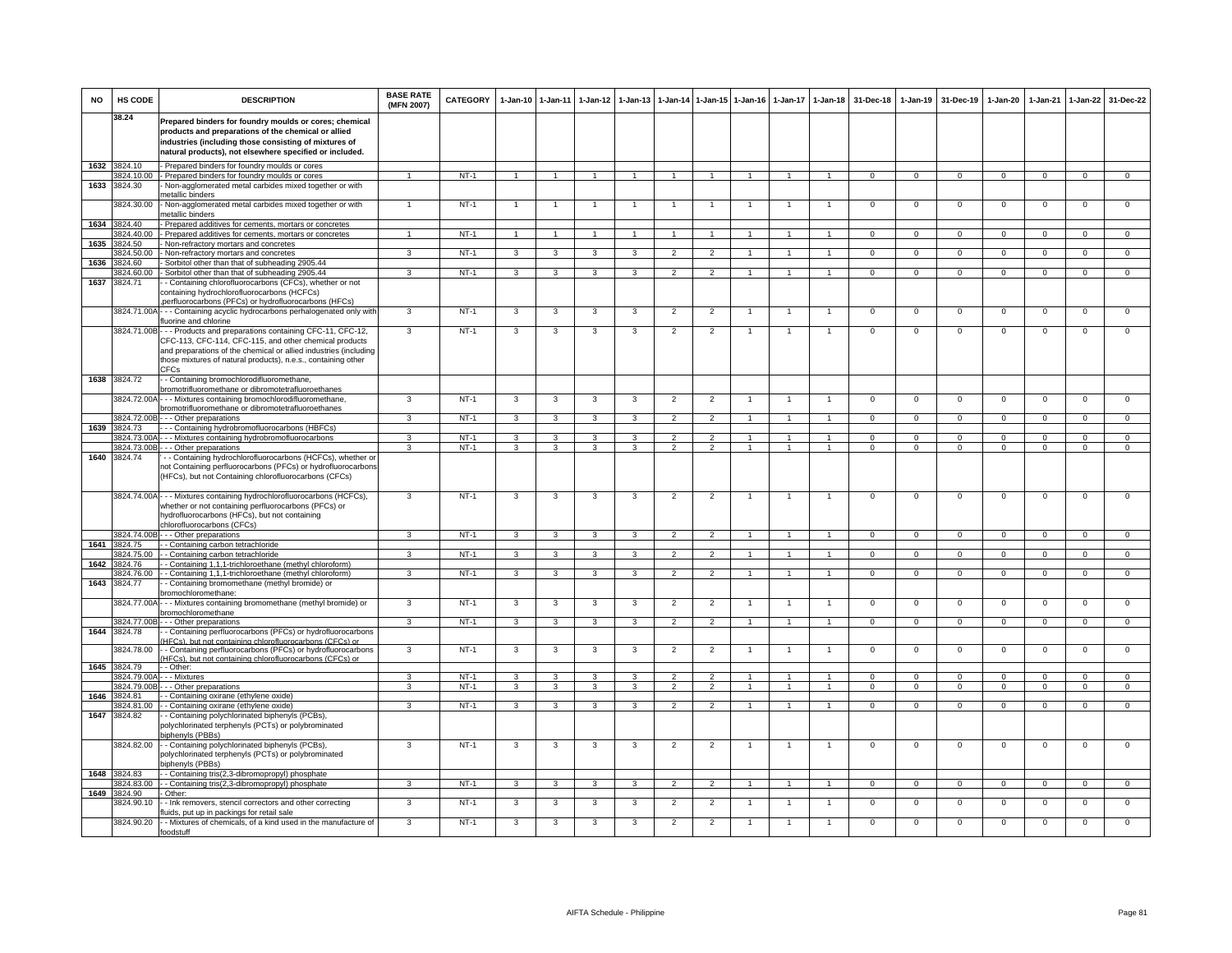| <b>NO</b> | HS CODE                    | <b>DESCRIPTION</b>                                                                                                                                                                                                                                                            | <b>BASE RATE</b><br>(MFN 2007) | CATEGORY | $1 - Jan-10$   | 1-Jan-11                | $1 - Jan-12$   | 1-Jan-13       | $1-Jan-14$           | 1-Jan-15       | $1 - Jan-16$   | 1-Jan-17       | 1-Jan-18       | 31-Dec-18      | $1-Jan-19$     | 31-Dec-19      | 1-Jan-20       | 1-Jan-21       | 1-Jan-22       | 31-Dec-22      |
|-----------|----------------------------|-------------------------------------------------------------------------------------------------------------------------------------------------------------------------------------------------------------------------------------------------------------------------------|--------------------------------|----------|----------------|-------------------------|----------------|----------------|----------------------|----------------|----------------|----------------|----------------|----------------|----------------|----------------|----------------|----------------|----------------|----------------|
|           | 38.24                      | Prepared binders for foundry moulds or cores; chemical<br>products and preparations of the chemical or allied<br>industries (including those consisting of mixtures of<br>natural products), not elsewhere specified or included.                                             |                                |          |                |                         |                |                |                      |                |                |                |                |                |                |                |                |                |                |                |
| 1632      | 3824.10                    | - Prepared binders for foundry moulds or cores                                                                                                                                                                                                                                |                                |          |                |                         |                |                |                      |                |                |                |                |                |                |                |                |                |                |                |
| 1633      | 824.10.00<br>3824.30       | - Prepared binders for foundry moulds or cores<br>Non-agglomerated metal carbides mixed together or with                                                                                                                                                                      |                                | $NT-1$   | $\overline{1}$ | $\overline{1}$          |                |                | $\blacktriangleleft$ | $\overline{1}$ |                |                | $\overline{1}$ | $\overline{0}$ | $\overline{0}$ | $\overline{0}$ | $\overline{0}$ | $\overline{0}$ | $\mathsf 0$    | $\overline{0}$ |
|           |                            | netallic binders                                                                                                                                                                                                                                                              |                                |          |                |                         |                |                |                      |                |                |                |                |                |                |                |                |                |                |                |
|           | 3824.30.00                 | - Non-agglomerated metal carbides mixed together or with                                                                                                                                                                                                                      |                                | $NT-1$   | $\overline{1}$ |                         |                | $\overline{1}$ |                      | $\overline{1}$ | $\overline{1}$ |                | $\mathbf{1}$   | 0              | $\mathbf{0}$   | $\mathbf 0$    | 0              | $\mathbf 0$    | 0              | $\mathbf{0}$   |
|           |                            | netallic binders                                                                                                                                                                                                                                                              |                                |          |                |                         |                |                |                      |                |                |                |                |                |                |                |                |                |                |                |
| 1634      | 3824.40<br>824.40.00       | Prepared additives for cements, mortars or concretes<br>Prepared additives for cements, mortars or concretes                                                                                                                                                                  |                                | $NT-1$   |                |                         |                |                |                      | $\overline{1}$ |                |                |                | $\overline{0}$ | $\overline{0}$ | $\overline{0}$ | $\overline{0}$ | $\overline{0}$ | $\overline{0}$ | $\overline{0}$ |
| 1635      | 824.50                     | Non-refractory mortars and concretes                                                                                                                                                                                                                                          |                                |          |                |                         |                |                |                      |                |                |                |                |                |                |                |                |                |                |                |
|           | 824.50.00                  | - Non-refractory mortars and concretes                                                                                                                                                                                                                                        | 3                              | $NT-1$   | 3              | 3                       |                | 3              | $\overline{2}$       | $\overline{2}$ |                |                |                | 0              | $\mathbf 0$    | $^{\circ}$     | $\mathbf{0}$   | $\mathbf 0$    | $\mathbf{0}$   | $\mathbf{0}$   |
| 1636      | 824.60                     | Sorbitol other than that of subheading 2905.44                                                                                                                                                                                                                                |                                |          |                |                         |                |                |                      |                |                |                |                |                |                |                |                |                |                |                |
| 1637      | 3824.60.00<br>3824.71      | Sorbitol other than that of subheading 2905.44                                                                                                                                                                                                                                | 3                              | $NT-1$   | 3              | 3                       | 3              | 3              | $\overline{2}$       | $\overline{2}$ | $\overline{1}$ | 1              | $\overline{1}$ | $\mathbf{0}$   | $\mathbf{0}$   | $\mathbf 0$    | $\overline{0}$ | $\mathbf 0$    | $\mathbf 0$    | $\overline{0}$ |
|           |                            | - Containing chlorofluorocarbons (CFCs), whether or not<br>containing hydrochlorofluorocarbons (HCFCs)<br>perfluorocarbons (PFCs) or hydrofluorocarbons (HFCs)                                                                                                                |                                |          |                |                         |                |                |                      |                |                |                |                |                |                |                |                |                |                |                |
|           |                            | 3824.71.00A - - - Containing acyclic hydrocarbons perhalogenated only with<br>luorine and chlorine                                                                                                                                                                            | 3                              | $NT-1$   | 3              | 3                       | 3              | 3              | $\overline{2}$       | $\overline{2}$ | $\overline{1}$ | $\mathbf{1}$   | $\overline{1}$ | $\mathbf{0}$   | $\overline{0}$ | $\mathbf 0$    | $\mathsf 0$    | $\mathbf 0$    | $\mathsf 0$    | $\mathbf{0}$   |
|           |                            | 3824.71.00B - - - Products and preparations containing CFC-11, CFC-12,<br>CFC-113, CFC-114, CFC-115, and other chemical products<br>and preparations of the chemical or allied industries (including<br>those mixtures of natural products), n.e.s., containing other<br>CFCs | 3                              | $NT-1$   | 3              | 3                       | 3              | 3              | $\overline{2}$       | $\overline{2}$ |                | $\mathbf{1}$   | $\mathbf{1}$   | $\mathbf 0$    | $\mathbf 0$    | $\mathbf 0$    | $\mathsf 0$    | $\mathbf 0$    | $\mathsf 0$    | $\mathbf 0$    |
| 1638      | 3824.72                    | - Containing bromochlorodifluoromethane,<br>promotrifluoromethane or dibromotetrafluoroethanes                                                                                                                                                                                |                                |          |                |                         |                |                |                      |                |                |                |                |                |                |                |                |                |                |                |
|           |                            | 3824.72.00A - - - Mixtures containing bromochlorodifluoromethane,                                                                                                                                                                                                             | $\mathbf{B}$                   | $NT-1$   | 3              | 3                       |                | 3              | $\overline{2}$       | 2              |                |                |                | $^{\circ}$     | $^{\circ}$     | $\mathbf 0$    | $^{\circ}$     | $\mathbf 0$    | $\mathbf 0$    | $\mathbf 0$    |
|           |                            | bromotrifluoromethane or dibromotetrafluoroethanes<br>3824.72.00B - - - Other preparations                                                                                                                                                                                    | 3                              | $NT-1$   |                |                         | 3              |                | $\overline{2}$       | $\overline{2}$ | $\overline{1}$ | $\overline{1}$ | $\overline{1}$ | $\Omega$       | $\overline{0}$ | $\Omega$       |                | $\Omega$       | $^{\circ}$     | $\Omega$       |
| 1639      | 824.73                     | - - Containing hydrobromofluorocarbons (HBFCs)                                                                                                                                                                                                                                |                                |          | 3              | 3                       |                | 3              |                      |                |                |                |                |                |                |                | $\overline{0}$ |                |                |                |
|           | 824.73.00A                 | - - Mixtures containing hydrobromofluorocarbons                                                                                                                                                                                                                               | 3                              | $NT-1$   | 3              | 3                       | 3              | 3              | $\overline{2}$       | 2              |                |                | $\mathbf{1}$   | $\mathbf 0$    | $\mathbf 0$    | $\mathbf 0$    | $\mathbf 0$    | $\mathbf{0}$   | $\mathbf{0}$   | $\mathbf 0$    |
|           | 824.73.00B                 | - - Other preparations                                                                                                                                                                                                                                                        | $\mathcal{R}$                  | $NT-1$   | 3              | 3                       | 3              | 3              | $\mathcal{P}$        | $\overline{2}$ |                | 1              | $\mathbf{1}$   | $\mathsf 0$    | $\mathbf 0$    | $\mathbf 0$    | $\mathsf 0$    | $\mathbf 0$    | $\mathbf 0$    | $\mathbf 0$    |
| 1640      | 3824.74                    | - - Containing hydrochlorofluorocarbons (HCFCs), whether or<br>not Containing perfluorocarbons (PFCs) or hydrofluorocarbons<br>(HFCs), but not Containing chlorofluorocarbons (CFCs)                                                                                          |                                |          |                |                         |                |                |                      |                |                |                |                |                |                |                |                |                |                |                |
|           |                            | 3824.74.00A - - - Mixtures containing hydrochlorofluorocarbons (HCFCs),<br>whether or not containing perfluorocarbons (PFCs) or<br>hydrofluorocarbons (HFCs), but not containing<br>chlorofluorocarbons (CFCs)                                                                | 3                              | $NT-1$   | $\mathbf{3}$   | $\mathbf{3}$            | 3              | 3              | $\overline{2}$       | $\overline{2}$ | $\overline{1}$ | $\overline{1}$ | $\overline{1}$ | $\mathbf 0$    | $\mathbf 0$    | $\mathbf 0$    | $\mathsf 0$    | $\mathbf{0}$   | $\mathsf 0$    | $\overline{0}$ |
|           |                            | 3824.74.00B - - - Other preparations                                                                                                                                                                                                                                          | $\mathbf{R}$                   | $NT-1$   | $\mathbf{3}$   | 3                       | $\mathbf{B}$   | 3              | $\overline{2}$       | $\overline{2}$ | $\overline{1}$ | $\overline{1}$ | $\overline{1}$ | $\mathbf{0}$   | $\mathbf{0}$   | $\mathbf{0}$   | $\mathbf{0}$   | $\mathbf{0}$   | $\Omega$       | $\mathbf{0}$   |
|           | 1641 3824.75<br>3824.75.00 | - Containing carbon tetrachloride<br>- Containing carbon tetrachloride                                                                                                                                                                                                        | 3                              | $NT-1$   |                |                         | 3              | 3              |                      |                |                |                | $\mathbf{1}$   | $\mathbf{0}$   |                | $^{\circ}$     |                | $^{\circ}$     |                | $\mathbf{0}$   |
| 1642      | 3824.76                    | - Containing 1,1,1-trichloroethane (methyl chloroform)                                                                                                                                                                                                                        |                                |          | 3              | 3                       |                |                | $\overline{2}$       | $\overline{2}$ |                |                |                |                | $\mathbf{0}$   |                | $\mathbf 0$    |                | $\mathbf{0}$   |                |
|           | 824.76.00                  | - Containing 1,1,1-trichloroethane (methyl chloroform)                                                                                                                                                                                                                        | 3                              | $NT-1$   | 3              | $\overline{\mathbf{3}}$ | $\overline{3}$ | 3              | $\overline{2}$       | $\overline{2}$ | $\mathbf{1}$   | $\mathbf{1}$   | $\overline{1}$ | $\overline{0}$ | $\overline{0}$ | $\overline{0}$ | $\overline{0}$ | $\overline{0}$ | $\overline{0}$ | $\overline{0}$ |
| 1643      | 3824.77                    | - Containing bromomethane (methyl bromide) or                                                                                                                                                                                                                                 |                                |          |                |                         |                |                |                      |                |                |                |                |                |                |                |                |                |                |                |
|           |                            | romochloromethane:<br>8824.77.00A - - - Mixtures containing bromomethane (methyl bromide) or                                                                                                                                                                                  | 3                              | $NT-1$   | 3              | 3                       | 3              | 3              | $\overline{2}$       | $\overline{2}$ |                |                | $\overline{1}$ | $\mathsf 0$    | $\mathbf 0$    | $\mathbf 0$    | $\mathsf 0$    | $\mathbf 0$    | $\mathsf 0$    | $\mathbf 0$    |
|           |                            | oromochloromethane                                                                                                                                                                                                                                                            |                                |          |                |                         |                |                |                      |                |                |                |                |                |                |                |                |                |                |                |
|           |                            | 3824.77.00B - - - Other preparations                                                                                                                                                                                                                                          | $\overline{\mathbf{3}}$        | $NT-1$   | 3              | 3                       | 3              | 3              | $\overline{2}$       | $\overline{2}$ | $\overline{1}$ | $\overline{1}$ | $\overline{1}$ | $\Omega$       | $\overline{0}$ | $\overline{0}$ | $\overline{0}$ | $\overline{0}$ | $\overline{0}$ | $\overline{0}$ |
| 1644      | 3824.78                    | - Containing perfluorocarbons (PFCs) or hydrofluorocarbons<br>HFCs), but not containing chlorofluorocarbons (CFCs) or                                                                                                                                                         |                                |          |                |                         |                |                |                      |                |                |                |                |                |                |                |                |                |                |                |
|           | 3824.78.00                 | - Containing perfluorocarbons (PFCs) or hydrofluorocarbons                                                                                                                                                                                                                    | 3                              | $NT-1$   | 3              | 3                       | 3              | -3             | $\overline{2}$       | $\overline{2}$ |                |                |                | $\Omega$       | $\Omega$       | $\Omega$       | $\Omega$       | $\Omega$       | $\Omega$       | $\mathbf 0$    |
| 1645      | 3824.79                    | HFCs), but not containing chlorofluorocarbons (CFCs) or<br>- Other:                                                                                                                                                                                                           |                                |          |                |                         |                |                |                      |                |                |                |                |                |                |                |                |                |                |                |
|           | 824.79.00/                 | - - Mixtures                                                                                                                                                                                                                                                                  | 3                              | $NT-1$   | $\overline{3}$ | 3                       | $\mathbf{R}$   | 3              | $\overline{2}$       | $\overline{2}$ |                |                | $\overline{1}$ | $\Omega$       | $\overline{0}$ | $\Omega$       | $\overline{0}$ | $\Omega$       | $\overline{0}$ | $\overline{0}$ |
|           | 824.79.00E                 | - - Other preparations                                                                                                                                                                                                                                                        | 3                              | $NT-1$   | 3              | $\mathbf{3}$            | 3              | $\mathbf{3}$   | $\overline{2}$       | $\overline{2}$ | $\overline{1}$ |                | $\overline{1}$ | $\Omega$       | $\mathbf{0}$   | $\Omega$       | $\mathbf 0$    | $\Omega$       | $\mathbf 0$    | $\overline{0}$ |
| 1646      | 824.81                     | - Containing oxirane (ethylene oxide)                                                                                                                                                                                                                                         |                                |          |                |                         |                |                |                      |                |                |                |                |                |                |                |                |                |                |                |
| 1647      | 824.81.00<br>3824.82       | - Containing oxirane (ethylene oxide)<br>- Containing polychlorinated biphenyls (PCBs).                                                                                                                                                                                       | $\mathbf{R}$                   | $NT-1$   | 3              | 3                       | $\mathbf{R}$   | $\mathbf{3}$   | $\mathcal{P}$        | $\mathcal{P}$  |                |                | $\overline{1}$ | $\Omega$       | $\mathbf 0$    | $\Omega$       | $\Omega$       | $\mathbf{0}$   | $\Omega$       | $\mathbf{0}$   |
|           |                            | polychlorinated terphenyls (PCTs) or polybrominated<br>biphenyls (PBBs)                                                                                                                                                                                                       |                                |          |                |                         |                |                |                      |                |                |                |                |                |                |                |                |                |                |                |
|           |                            | 3824.82.00 - - Containing polychlorinated biphenyls (PCBs).<br>polychlorinated terphenyls (PCTs) or polybrominated<br>biphenyls (PBBs)                                                                                                                                        | 3                              | $NT-1$   | 3              | 3                       | 3              | 3              | $\overline{2}$       | $\overline{2}$ | 1              |                | $\mathbf{1}$   | $\overline{0}$ | $\overline{0}$ | $\overline{0}$ | $\overline{0}$ | $\overline{0}$ | $\overline{0}$ | $\overline{0}$ |
| 1648      | 3824.83                    | - Containing tris(2,3-dibromopropyl) phosphate                                                                                                                                                                                                                                |                                |          |                |                         |                |                |                      |                | $\overline{1}$ |                |                |                |                |                |                |                |                |                |
| 1649      | 824.83.00<br>3824.90       | - Containing tris(2,3-dibromopropyl) phosphate<br>Other:                                                                                                                                                                                                                      | 3                              | $NT-1$   | 3              | 3                       | 3              | 3              | $\overline{2}$       | $\mathfrak{p}$ |                | $\mathbf{1}$   | $\overline{1}$ | $\mathbf{O}$   | $\mathbf{0}$   | $\mathbf 0$    | $\mathbf 0$    | $\mathbf{0}$   | $\mathbf 0$    | $\Omega$       |
|           | 824.90.10                  | - Ink removers, stencil correctors and other correcting                                                                                                                                                                                                                       | 3                              | $NT-1$   | 3              | 3                       | 3              | 3              | $\overline{2}$       | $\overline{2}$ |                |                | $\overline{1}$ | $\mathbf 0$    | $\mathbf 0$    | $\mathbf 0$    | $\mathbf 0$    | $\mathbf 0$    | $\mathsf 0$    | $\mathbf 0$    |
|           | 3824.90.20                 | luids, put up in packings for retail sale<br>- Mixtures of chemicals, of a kind used in the manufacture of                                                                                                                                                                    | 3                              | $NT-1$   | 3              | 3                       | 3              | 3              | $\overline{2}$       | $\overline{2}$ |                |                |                | $\mathbf 0$    | $\mathbf 0$    | $\mathbf 0$    | $\mathsf 0$    | $\mathbf 0$    | $\mathbf 0$    | $\Omega$       |
|           |                            | foodstuff                                                                                                                                                                                                                                                                     |                                |          |                |                         |                |                |                      |                |                |                |                |                |                |                |                |                |                |                |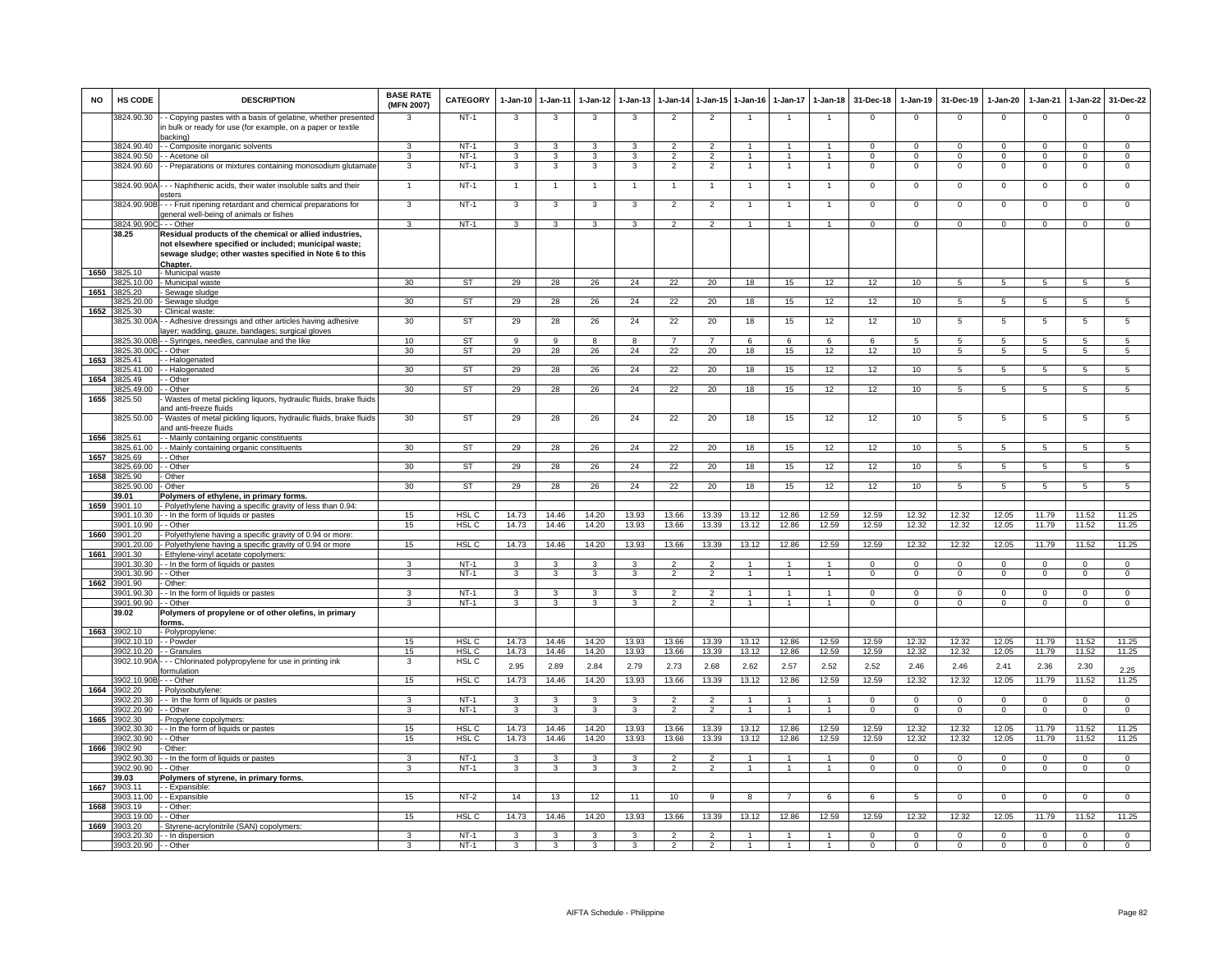| <b>NO</b> | HS CODE                  | <b>DESCRIPTION</b>                                                                                                                                                                      | <b>BASE RATE</b><br>(MFN 2007) | CATEGORY                  | 1-Jan-10                | 1-Jan-11                | 1-Jan-12       | $1 - Jan-13$            | 1-Jan-14                 | 1-Jan-15                 | 1-Jan-16       | $1 - Jan-17$   | $1 - Jan-18$         | 31-Dec-18      | 1-Jan-19       | 31-Dec-19      | 1-Jan-20       | 1-Jan-21       | 1-Jan-22       | 31-Dec-22      |
|-----------|--------------------------|-----------------------------------------------------------------------------------------------------------------------------------------------------------------------------------------|--------------------------------|---------------------------|-------------------------|-------------------------|----------------|-------------------------|--------------------------|--------------------------|----------------|----------------|----------------------|----------------|----------------|----------------|----------------|----------------|----------------|----------------|
|           | 3824.90.30               | - Copying pastes with a basis of gelatine, whether presented<br>n bulk or ready for use (for example, on a paper or textile<br>acking)                                                  |                                | $NT-1$                    | 3                       | 3                       | 3              | 3                       | $\overline{2}$           | $\overline{2}$           |                |                | $\overline{1}$       | $\mathbf 0$    | $\Omega$       | $\Omega$       | $\mathbf 0$    | $\Omega$       | $\mathbf 0$    | $\Omega$       |
|           | 3824 90 40               | - Composite inorganic solvents                                                                                                                                                          | 3                              | $NT-1$                    | 3                       | $\mathbf{3}$            | 3              | 3                       | $\overline{2}$           | $\overline{2}$           |                |                | $\overline{1}$       | $\Omega$       | $\Omega$       | $\Omega$       | $\Omega$       | $\Omega$       | $\Omega$       | $\Omega$       |
|           | 3824.90.50               | - Acetone oil                                                                                                                                                                           | 3                              | $NT-1$                    | 3                       | 3                       | 3              | 3                       | $\overline{2}$           | $\overline{2}$           | $\overline{1}$ | 1              | $\overline{1}$       | $\Omega$       | $\Omega$       | $\Omega$       | $\Omega$       | $\Omega$       | $\Omega$       | $\overline{0}$ |
|           | 3824.90.60               | - Preparations or mixtures containing monosodium glutamate                                                                                                                              | 3                              | $NT-1$                    | 3                       | $\mathbf{3}$            | 3              | 3                       | $\overline{2}$           | $\overline{2}$           |                |                |                      | $\Omega$       | $\mathbf 0$    | $\mathbf 0$    | $\mathbf 0$    | $\Omega$       | $\mathbf 0$    | $\mathbf 0$    |
|           | 3824.90.90A-             | -- Naphthenic acids, their water insoluble salts and their<br>esters                                                                                                                    |                                | $NT-1$                    |                         | $\overline{1}$          |                | $\overline{1}$          | $\overline{1}$           | $\overline{1}$           |                |                | $\overline{1}$       | $\mathsf 0$    | $\mathsf 0$    | $\mathbf 0$    | $\mathbf 0$    | $\mathbf 0$    | $\mathsf 0$    | $\mathbf 0$    |
|           | 3824.90.90B              | - - Fruit ripening retardant and chemical preparations for<br>general well-being of animals or fishes                                                                                   | 3                              | $NT-1$                    | 3                       | 3                       | 3              | 3                       | $\overline{2}$           | $\overline{2}$           | $\overline{1}$ |                | $\overline{1}$       | $\Omega$       | $\Omega$       | $\overline{0}$ | $\overline{0}$ | $\Omega$       | $\overline{0}$ | $\overline{0}$ |
|           | 3824.90.90C - - - Other  |                                                                                                                                                                                         | $\mathbf{3}$                   | $NT-1$                    | $\mathbf{3}$            | $\mathbf{3}$            | $\mathbf{3}$   | 3                       | $\overline{2}$           | $\overline{2}$           | $\overline{1}$ | $\mathbf{1}$   | $\overline{1}$       | $\mathbf{0}$   | $\mathbf 0$    | $\mathbf{0}$   | $^{\circ}$     | $\mathbf 0$    | $\mathbf{0}$   | $\Omega$       |
|           | 38.25                    | Residual products of the chemical or allied industries,<br>not elsewhere specified or included; municipal waste;<br>sewage sludge; other wastes specified in Note 6 to this<br>Chapter. |                                |                           |                         |                         |                |                         |                          |                          |                |                |                      |                |                |                |                |                |                |                |
| 1650      | 3825.10                  | - Municipal waste                                                                                                                                                                       |                                |                           |                         |                         |                |                         |                          |                          |                |                |                      |                |                |                |                |                |                |                |
|           | 3825.10.00               | - Municipal waste                                                                                                                                                                       | 30                             | ST                        | 29                      | 28                      | 26             | 24                      | 22                       | 20                       | 18             | 15             | 12                   | 12             | 10             | 5              | $\overline{5}$ | $\sqrt{5}$     | $\overline{5}$ | $\overline{5}$ |
| 1651      | 3825.20                  | Sewage sludge                                                                                                                                                                           |                                |                           |                         |                         |                |                         |                          |                          |                |                |                      |                |                |                |                |                |                |                |
|           | 3825.20.00               | Sewage sludge                                                                                                                                                                           | 30                             | <b>ST</b>                 | 29                      | 28                      | 26             | 24                      | 22                       | 20                       | 18             | 15             | 12                   | 12             | 10             | $5^{\circ}$    | $5^{\circ}$    | $5^{\circ}$    | 5              | $5^{\circ}$    |
| 1652      | 3825.30<br>3825.30.00A   | Clinical waste<br>- Adhesive dressings and other articles having adhesive<br>ayer; wadding, gauze, bandages; surgical gloves                                                            | 30                             | ST                        | 29                      | 28                      | 26             | 24                      | 22                       | 20                       | 18             | 15             | 12                   | 12             | 10             | 5              | 5              | 5              | $\overline{5}$ | 5              |
|           | 3825.30.00E              | - Syringes, needles, cannulae and the like                                                                                                                                              | 10                             | <b>ST</b>                 | 9                       | -9                      | 8              | 8                       | $\overline{7}$           | $\overline{7}$           | 6              | 6              | 6                    | -6             | -5             | -5             | $\sqrt{5}$     | -5             | -5             | $\sqrt{5}$     |
|           | 3825.30.000              | - Other                                                                                                                                                                                 | 30                             | ST                        | 29                      | 28                      | 26             | 24                      | 22                       | 20                       | 18             | 15             | 12                   | 12             | 10             | 5              | 5              | $\overline{5}$ | 5              | 5              |
| 1653      | 3825.41                  | - Halogenated                                                                                                                                                                           |                                |                           |                         |                         |                |                         |                          |                          |                |                |                      |                |                |                |                |                |                |                |
|           | 3825.41.00               | - Halogenated                                                                                                                                                                           | 30                             | <b>ST</b>                 | 29                      | 28                      | 26             | 24                      | 22                       | 20                       | 18             | 15             | 12                   | 12             | 10             | $5^{\circ}$    | $\overline{5}$ | 5              | $\overline{5}$ | $\overline{5}$ |
| 1654      | 3825.49                  | - Other                                                                                                                                                                                 |                                |                           |                         |                         |                |                         |                          |                          |                |                |                      |                |                |                |                |                |                |                |
|           | 3825.49.00               | - Other                                                                                                                                                                                 | 30                             | ST                        | 29                      | 28                      | 26             | 24                      | 22                       | 20                       | 18             | 15             | 12                   | 12             | 10             | 5              | $\overline{5}$ | $\overline{5}$ | 5              | $\overline{5}$ |
| 1655      | 3825.50                  | Wastes of metal pickling liquors, hydraulic fluids, brake fluids<br>and anti-freeze fluids                                                                                              |                                |                           |                         |                         |                |                         |                          |                          |                |                |                      |                |                |                |                |                |                |                |
| 1656      | 3825.50.00<br>3825.61    | Wastes of metal pickling liquors, hydraulic fluids, brake fluids<br>and anti-freeze fluids<br>- Mainly containing organic constituents                                                  | 30                             | ST                        | 29                      | 28                      | 26             | 24                      | 22                       | 20                       | 18             | 15             | 12                   | 12             | 10             | 5              | 5              | 5              | 5              | 5              |
|           | 3825.61.00               | - Mainly containing organic constituents                                                                                                                                                | 30                             | <b>ST</b>                 | 29                      | 28                      | 26             | 24                      | 22                       | 20                       | 18             | 15             | 12                   | 12             | 10             | 5              | 5              | $\overline{5}$ | 5              | $5^{\circ}$    |
| 1657      | 3825.69                  | - Other                                                                                                                                                                                 |                                |                           |                         |                         |                |                         |                          |                          |                |                |                      |                |                |                |                |                |                |                |
|           | 3825.69.00               | - Other                                                                                                                                                                                 | 30                             | ST                        | 29                      | 28                      | 26             | 24                      | 22                       | 20                       | 18             | 15             | 12                   | 12             | 10             | 5              | 5              | 5              | 5              | 5              |
| 1658      | 3825.90                  | - Other                                                                                                                                                                                 |                                |                           |                         |                         |                |                         |                          |                          |                |                |                      |                |                |                |                |                |                |                |
|           | 3825.90.00               | Other                                                                                                                                                                                   | 30                             | <b>ST</b>                 | 29                      | 28                      | 26             | 24                      | 22                       | 20                       | 18             | 15             | 12                   | 12             | 10             | $5^{\circ}$    | $\overline{5}$ | 5              | 5              | $5^{\circ}$    |
|           | 39.01                    | Polymers of ethylene, in primary forms.                                                                                                                                                 |                                |                           |                         |                         |                |                         |                          |                          |                |                |                      |                |                |                |                |                |                |                |
| 1659      | 3901.10                  | - Polyethylene having a specific gravity of less than 0.94:                                                                                                                             |                                |                           |                         |                         |                |                         |                          |                          |                |                |                      |                |                |                |                |                |                |                |
|           | 3901.10.30<br>3901.10.90 | - - In the form of liquids or pastes<br>- Other                                                                                                                                         | 15<br>15                       | HSL C<br>HSL C            | 14.73                   | 14.46<br>14.46          | 14.20<br>14.20 | 13.93                   | 13.66                    | 13.39                    | 13.12<br>13.12 | 12.86          | 12.59                | 12.59          | 12.32          | 12.32          | 12.05          | 11.79<br>11.79 | 11.52          | 11.25<br>11.25 |
| 1660      | 3901.20                  | Polyethylene having a specific gravity of 0.94 or more                                                                                                                                  |                                |                           | 14.73                   |                         |                | 13.93                   | 13.66                    | 13.39                    |                | 12.86          | 12.59                | 12.59          | 12.32          | 12.32          | 12.05          |                | 11.52          |                |
|           | 8901.20.00               | Polyethylene having a specific gravity of 0.94 or more                                                                                                                                  | 15                             | HSL <sub>C</sub>          | 14.73                   | 14.46                   | 14.20          | 13.93                   | 13.66                    | 13.39                    | 13.12          | 12.86          | 12.59                | 12.59          | 12.32          | 12.32          | 12.05          | 11.79          | 11.52          | 11.25          |
| 1661      | 3901.30                  | Ethylene-vinyl acetate copolymers:                                                                                                                                                      |                                |                           |                         |                         |                |                         |                          |                          |                |                |                      |                |                |                |                |                |                |                |
|           | 3901.30.30               | - In the form of liquids or pastes                                                                                                                                                      | 3                              | $NT-1$                    | $\mathbf{3}$            | 3                       | 3              | 3                       | $\overline{2}$           | $\mathcal{P}$            | $\overline{1}$ | $\mathbf{1}$   | $\blacktriangleleft$ | $\Omega$       | $\Omega$       | $\Omega$       | $\Omega$       | $\Omega$       | $\mathsf 0$    | $\mathbf 0$    |
|           | 3901.30.90               | - Other                                                                                                                                                                                 | 3                              | $NT-1$                    | 3                       | $\overline{\mathbf{3}}$ | $\mathbf{3}$   | 3                       | $\overline{2}$           | $\overline{2}$           | $\mathbf{1}$   | $\mathbf{1}$   | $\mathbf{1}$         | $\Omega$       | $\mathbf 0$    | $\mathbf 0$    | $\overline{0}$ | $\Omega$       | $\overline{0}$ | $\overline{0}$ |
| 1662      | 3901.90                  | Other:                                                                                                                                                                                  |                                |                           |                         |                         |                |                         |                          |                          |                |                |                      |                |                |                |                |                |                |                |
|           | 3901.90.30               | - In the form of liquids or pastes                                                                                                                                                      | 3                              | $NT-1$                    | 3                       | 3                       | 3              | 3                       | $\overline{2}$           | $\overline{2}$           |                |                | $\overline{1}$       | $\Omega$       | $^{\circ}$     | $\mathbf 0$    | $\mathbf{0}$   | $\Omega$       | $\mathbf{0}$   | $\mathbf{0}$   |
|           | 3901.90.90               | - Other                                                                                                                                                                                 | 3                              | $NT-1$                    | $\mathbf{3}$            | $\mathbf{3}$            | $\mathbf{3}$   | 3                       | $\overline{2}$           | $\overline{2}$           | 1              | 1              | $\overline{1}$       | $\mathbf{O}$   | $\mathbf{0}$   | $\mathbf{0}$   | $\mathbf{0}$   | $\mathbf 0$    | $\mathbf{0}$   | $\Omega$       |
| 1663      | 39.02<br>3902.10         | Polymers of propylene or of other olefins, in primary<br>orms.<br>- Polypropylene:                                                                                                      |                                |                           |                         |                         |                |                         |                          |                          |                |                |                      |                |                |                |                |                |                |                |
|           | 3902.10.10               | - - Powder                                                                                                                                                                              | 15                             | HSL <sub>C</sub>          | 14.73                   | 14.46                   | 14.20          | 13.93                   | 13.66                    | 13.39                    | 13.12          | 12.86          | 12.59                | 12.59          | 12.32          | 12.32          | 12.05          | 11.79          | 11.52          | 11.25          |
|           | 3902.10.20               | - Granules                                                                                                                                                                              | 15                             | HSL <sub>C</sub>          | 14.73                   | 14.46                   | 14.20          | 13.93                   | 13.66                    | 13.39                    | 13.12          | 12.86          | 12.59                | 12.59          | 12.32          | 12.32          | 12.05          | 11.79          | 11.52          | 11.25          |
|           | 3902.10.90A              | -- Chlorinated polypropylene for use in printing ink<br>ormulation                                                                                                                      | 3                              | HSL <sub>C</sub>          | 2.95                    | 2.89                    | 2.84           | 2.79                    | 2.73                     | 2.68                     | 2.62           | 2.57           | 2.52                 | 2.52           | 2.46           | 2.46           | 2.41           | 2.36           | 2.30           | 2.25           |
|           | 3902.10.90B              | - - Other                                                                                                                                                                               | 15                             | HSL C                     | 14.73                   | 14.46                   | 14.20          | 13.93                   | 13.66                    | 13.39                    | 13.12          | 12.86          | 12.59                | 12.59          | 12.32          | 12.32          | 12.05          | 11.79          | 11.52          | 11.25          |
| 1664      | 3902.20                  | Polyisobutylene:                                                                                                                                                                        |                                |                           |                         |                         |                |                         |                          |                          |                |                |                      |                |                |                |                |                |                |                |
|           | 3902.20.30               | - In the form of liquids or pastes                                                                                                                                                      | 3                              | $NT-1$                    | 3                       | 3                       | 3              | 3                       | $\overline{2}$           | $\overline{2}$           |                |                | $\overline{1}$       | $\Omega$       | $\Omega$       | $\Omega$       | $\Omega$       | $\Omega$       | $\mathbf{0}$   | $\Omega$       |
|           | 3902.20.90               | . - Other                                                                                                                                                                               | 3                              | $NT-1$                    | 3                       | $\overline{\mathbf{3}}$ | $\mathbf{3}$   | 3                       | $\overline{2}$           | $\overline{2}$           | 1              | 1              | $\overline{1}$       | $\mathbf{0}$   | $\mathbf 0$    | $\mathbf 0$    | $\overline{0}$ | $\Omega$       | $\overline{0}$ | $\overline{0}$ |
| 1665      | 3902.30                  | Propylene copolymers:                                                                                                                                                                   |                                |                           |                         |                         |                |                         |                          |                          |                |                |                      |                |                |                |                | 11.79          |                |                |
|           | 902.30.30<br>3902.30.90  | - In the form of liquids or pastes<br>- Other                                                                                                                                           | 15<br>15                       | HSL <sub>C</sub><br>HSL C | 14.73<br>14.73          | 14.46<br>14.46          | 14.20<br>14.20 | 13.93<br>13.93          | 13.66<br>13.66           | 13.39<br>13.39           | 13.12<br>13.12 | 12.86<br>12.86 | 12.59<br>12.59       | 12.59<br>12.59 | 12.32<br>12.32 | 12.32<br>12.32 | 12.05<br>12.05 | 11.79          | 11.52<br>11.52 | 11.25<br>11.25 |
| 1666      | 3902.90                  | Other:                                                                                                                                                                                  |                                |                           |                         |                         |                |                         |                          |                          |                |                |                      |                |                |                |                |                |                |                |
|           | 3902.90.30               | - In the form of liquids or pastes                                                                                                                                                      | 3                              | $NT-1$                    | $\overline{\mathbf{3}}$ | 3                       | 3              | 3                       | $\overline{\phantom{a}}$ | $\overline{2}$           | $\overline{1}$ | 1              | $\overline{1}$       | $\Omega$       | $\Omega$       | $\Omega$       | $\Omega$       | $\Omega$       | $\overline{0}$ | $\overline{0}$ |
|           | 3902.90.90               | - Other                                                                                                                                                                                 | 3                              | $NT-1$                    | 3                       | $\overline{3}$          | 3              | $\overline{\mathbf{3}}$ | $\overline{2}$           | $\overline{2}$           |                | $\mathbf{1}$   | $\overline{1}$       | $\Omega$       | $\overline{0}$ | $\overline{0}$ | $\overline{0}$ | $\overline{0}$ | $\overline{0}$ | $\overline{0}$ |
|           | 39.03                    | Polymers of styrene, in primary forms.                                                                                                                                                  |                                |                           |                         |                         |                |                         |                          |                          |                |                |                      |                |                |                |                |                |                |                |
| 1667      | 3903.11                  | - Expansible:                                                                                                                                                                           |                                |                           |                         |                         |                |                         |                          |                          |                |                |                      |                |                |                |                |                |                |                |
|           | 3903.11.00               | - Expansible                                                                                                                                                                            | 15                             | NT-2                      | 14                      | 13                      | 12             | 11                      | 10                       | 9                        | 8              | 7              | 6                    | 6              | 5              | $\overline{0}$ | $^{\circ}$     | $^{\circ}$     | $\mathbf{0}$   | $\mathbf{0}$   |
| 1668      | 3903.19                  | - Other:                                                                                                                                                                                |                                |                           |                         |                         |                |                         |                          |                          |                |                |                      |                |                |                |                |                |                |                |
|           | 3903.19.00               | - Other                                                                                                                                                                                 | 15                             | HSL C                     | 14.73                   | 14.46                   | 14.20          | 13.93                   | 13.66                    | 13.39                    | 13.12          | 12.86          | 12.59                | 12.59          | 12.32          | 12.32          | 12.05          | 11.79          | 11.52          | 11.25          |
| 1669      | 3903.20<br>3903.20.30    | Styrene-acrylonitrile (SAN) copolymers:<br>- In dispersion                                                                                                                              | 3                              | $NT-1$                    | 3                       | $\mathbf{3}$            | 3              | 3                       | $\mathcal{P}$            | $\mathcal{P}$            |                |                |                      | $\Omega$       | $\Omega$       | $\Omega$       | $\Omega$       | $\Omega$       | 0              | $\Omega$       |
|           | 3903.20.90 - - Other     |                                                                                                                                                                                         | $\overline{\mathbf{3}}$        | $NT-1$                    | 3                       | 3                       | $\mathbf{3}$   | $\mathbf{B}$            | $\overline{2}$           | $\overline{\phantom{a}}$ |                |                |                      | $\Omega$       | $\Omega$       | $\Omega$       | $\Omega$       | $\Omega$       | $\Omega$       | $\Omega$       |
|           |                          |                                                                                                                                                                                         |                                |                           |                         |                         |                |                         |                          |                          |                |                |                      |                |                |                |                |                |                |                |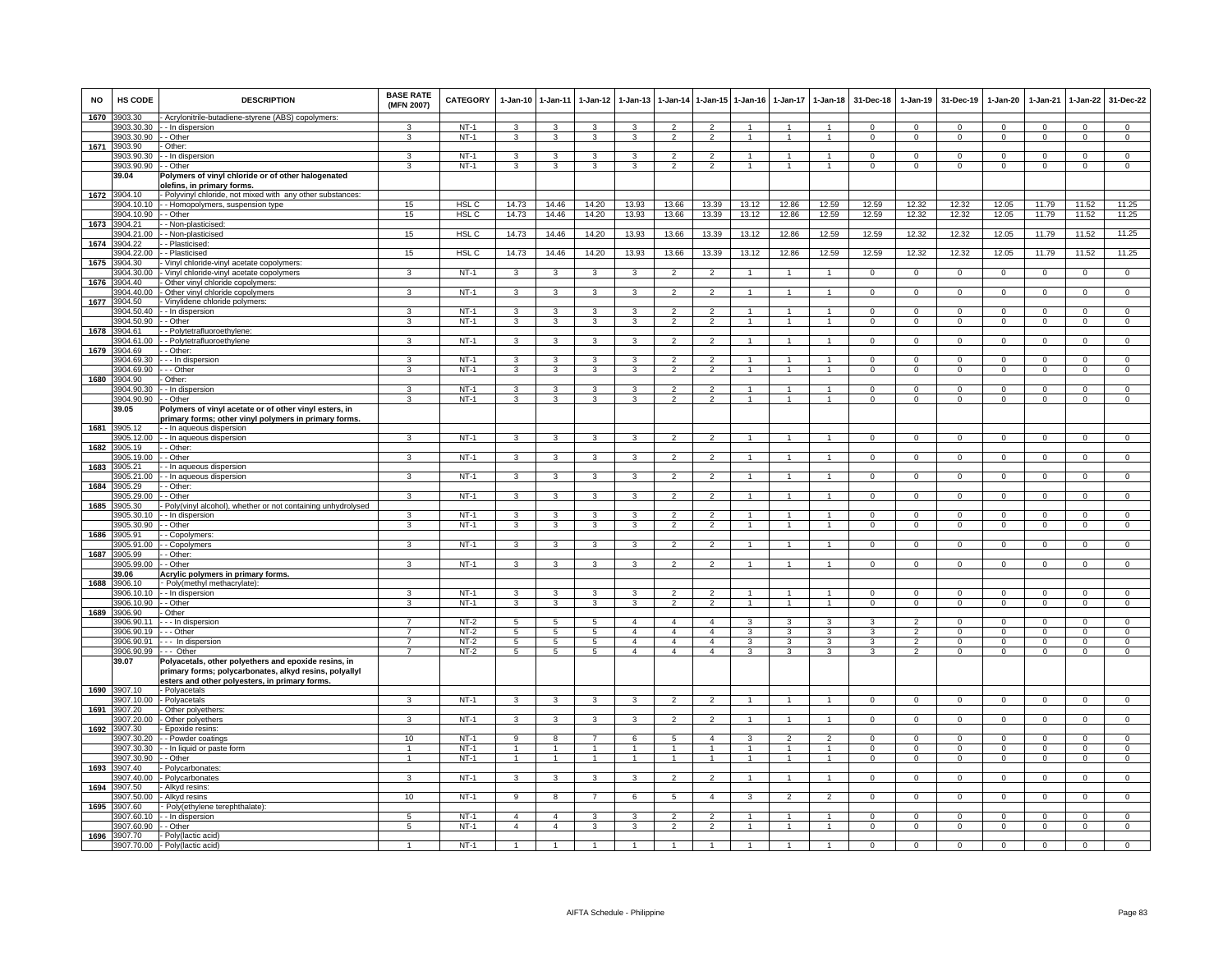| <b>NO</b> | HS CODE                  | <b>DESCRIPTION</b>                                                                       | <b>BASE RATE</b><br>(MFN 2007)   | CATEGORY         | 1-Jan-10 1-Jan-11       |                         | 1-Jan-12                           | $1 - Jan-13$                     | 1-Jan-14                                   | 1-Jan-15                         | $1 - Jan-16$   | 1-Jan-17             | $1-Jan-18$     | 31-Dec-18                | 1-Jan-19                         | 31-Dec-19                  | 1-Jan-20                   | 1-Jan-21                   | $1 - Jan-22$               | 31-Dec-22                     |
|-----------|--------------------------|------------------------------------------------------------------------------------------|----------------------------------|------------------|-------------------------|-------------------------|------------------------------------|----------------------------------|--------------------------------------------|----------------------------------|----------------|----------------------|----------------|--------------------------|----------------------------------|----------------------------|----------------------------|----------------------------|----------------------------|-------------------------------|
| 1670      | 3903.30                  | - Acrylonitrile-butadiene-styrene (ABS) copolymers:                                      |                                  |                  |                         |                         |                                    |                                  |                                            |                                  |                |                      |                |                          |                                  |                            |                            |                            |                            |                               |
|           | 3903.30.30<br>3903.30.90 | - - In dispersion<br>- - Other                                                           | 3                                | $NT-1$<br>$NT-1$ | 3<br>$\mathbf{3}$       | 3<br>$\mathbf{3}$       | 3<br>$\mathbf{3}$                  | 3                                | $\overline{2}$                             | $\overline{2}$                   | $\overline{1}$ | $\mathbf{1}$         | $\overline{1}$ | $\Omega$<br>$\mathbf{0}$ | $\Omega$<br>$\overline{0}$       | $\Omega$<br>$\overline{0}$ | $\Omega$<br>$\overline{0}$ | $\Omega$<br>$\overline{0}$ | $\Omega$<br>$\overline{0}$ | $\Omega$<br>$\overline{0}$    |
| 1671      | 3903.90                  | Other:                                                                                   |                                  |                  |                         |                         |                                    |                                  |                                            |                                  |                |                      |                |                          |                                  |                            |                            |                            |                            |                               |
|           | 3903.90.30               | - In dispersion                                                                          | 3                                | $NT-1$           | 3                       | 3                       | 3                                  | 3                                | $\mathfrak{p}$                             | $\overline{2}$                   | $\mathbf{1}$   | $\mathbf{1}$         | $\overline{1}$ | $\Omega$                 | $\Omega$                         | $\Omega$                   | $\Omega$                   | $\Omega$                   | $\Omega$                   | $\overline{0}$                |
|           | 3903.90.90               | - Other                                                                                  | 3                                | $NT-1$           | 3                       | 3                       | 3                                  | 3                                | $\overline{2}$                             | $\overline{2}$                   | $\mathbf{1}$   | $\mathbf{1}$         | $\mathbf{1}$   | $\mathbf 0$              | $\mathsf 0$                      | $\mathbf 0$                | 0                          | $\mathbf 0$                | $\mathbf 0$                | $\mathsf 0$                   |
|           | 39.04                    | Polymers of vinyl chloride or of other halogenated                                       |                                  |                  |                         |                         |                                    |                                  |                                            |                                  |                |                      |                |                          |                                  |                            |                            |                            |                            |                               |
| 1672      | 3904.10                  | olefins, in primary forms.<br>- Polyvinyl chloride, not mixed with any other substances: |                                  |                  |                         |                         |                                    |                                  |                                            |                                  |                |                      |                |                          |                                  |                            |                            |                            |                            |                               |
|           | 3904.10.10               | - Homopolymers, suspension type                                                          | 15                               | <b>HSL C</b>     | 14.73                   | 14.46                   | 14.20                              | 13.93                            | 13.66                                      | 13.39                            | 13.12          | 12.86                | 12.59          | 12.59                    | 12.32                            | 12.32                      | 12.05                      | 11.79                      | 11.52                      | 11.25                         |
|           | 3904.10.90               | - - Other                                                                                | 15                               | HSL <sub>C</sub> | 14.73                   | 14.46                   | 14.20                              | 13.93                            | 13.66                                      | 13.39                            | 13.12          | 12.86                | 12.59          | 12.59                    | 12.32                            | 12.32                      | 12.05                      | 11.79                      | 11.52                      | 11.25                         |
|           | 1673 3904.21             | - Non-plasticised:                                                                       |                                  |                  |                         |                         |                                    |                                  |                                            |                                  |                |                      |                |                          |                                  |                            |                            |                            |                            |                               |
|           | 3904.21.00<br>3904.22    | - Non-plasticised<br>- Plasticised:                                                      | 15                               | HSL <sub>C</sub> | 14.73                   | 14.46                   | 14.20                              | 13.93                            | 13.66                                      | 13.39                            | 13.12          | 12.86                | 12.59          | 12.59                    | 12.32                            | 12.32                      | 12.05                      | 11.79                      | 11.52                      | 11.25                         |
| 1674      | 3904.22.00               | - Plasticised                                                                            | 15                               | HSL <sub>C</sub> | 14.73                   | 14.46                   | 14.20                              | 13.93                            | 13.66                                      | 13.39                            | 13.12          | 12.86                | 12.59          | 12.59                    | 12.32                            | 12.32                      | 12.05                      | 11.79                      | 11.52                      | 11.25                         |
| 1675      | 3904.30                  | Vinyl chloride-vinyl acetate copolymers:                                                 |                                  |                  |                         |                         |                                    |                                  |                                            |                                  |                |                      |                |                          |                                  |                            |                            |                            |                            |                               |
|           | 3904.30.00               | - Vinyl chloride-vinyl acetate copolymers                                                | 3                                | $NT-1$           | $\mathbf{3}$            | 3                       | $\mathbf{3}$                       | 3                                | $\overline{2}$                             | $\overline{2}$                   | $\overline{1}$ | $\overline{1}$       | $\mathbf{1}$   | $\mathbf 0$              | $\mathsf 0$                      | $\mathbf 0$                | $\mathbf 0$                | $\mathbf 0$                | $\mathbf 0$                | $\mathbf 0$                   |
| 1676      | 3904.40                  | - Other vinyl chloride copolymers                                                        |                                  |                  |                         |                         |                                    |                                  |                                            |                                  |                |                      |                |                          |                                  |                            |                            |                            |                            |                               |
|           | 3904.40.00               | Other vinyl chloride copolymers                                                          | $\mathbf{a}$                     | $NT-1$           | $\mathbf{a}$            | $\overline{\mathbf{3}}$ | 3                                  | $\mathbf{3}$                     | $\overline{\phantom{a}}$                   | $\overline{2}$                   |                | $\ddot{\phantom{0}}$ |                | $\Omega$                 | $\mathbf 0$                      | $\Omega$                   | $\Omega$                   | $\Omega$                   | $\mathsf 0$                | $\overline{0}$                |
| 1677      | 3904.50<br>3904.50.40    | Vinylidene chloride polymers:<br>- - In dispersion                                       | 3                                | $NT-1$           | 3                       | 3                       | 3                                  | 3                                | $\overline{\phantom{a}}$                   | $\mathfrak{p}$                   |                |                      |                | $\Omega$                 | $\Omega$                         | $\Omega$                   | $\Omega$                   | $\Omega$                   | $\Omega$                   | $\Omega$                      |
|           | 3904.50.90               | - Other                                                                                  | 3                                | $NT-1$           | 3                       | 3                       | 3                                  | 3                                | $\overline{2}$                             | $\overline{2}$                   | $\overline{1}$ | $\overline{1}$       | $\overline{1}$ | $\mathbf{0}$             | $\mathsf 0$                      | $\overline{0}$             | 0                          | $^{\circ}$                 | $\mathbf 0$                | $\mathbf 0$                   |
| 1678      | 3904.61                  | - Polytetrafluoroethylene:                                                               |                                  |                  |                         |                         |                                    |                                  |                                            |                                  |                |                      |                |                          |                                  |                            |                            |                            |                            |                               |
|           | 3904 61 00               | - Polytetrafluoroethylene                                                                | $\mathbf{B}$                     | $NT-1$           | 3                       | 3                       | 3                                  | 3                                | $\mathcal{P}$                              | $\overline{2}$                   | $\overline{1}$ | $\mathbf{1}$         | $\mathbf{1}$   | $\Omega$                 | $\Omega$                         | $\Omega$                   | $\Omega$                   | $\Omega$                   | $\overline{0}$             | $\overline{0}$                |
| 1679      | 3904.69                  | - Other:                                                                                 |                                  |                  |                         |                         |                                    |                                  |                                            |                                  |                |                      |                |                          |                                  |                            |                            |                            |                            |                               |
|           | 904.69.30<br>3904.69.90  | In dispersion<br>- - Other                                                               | 3<br>3                           | $NT-1$<br>$NT-1$ | 3<br>3                  | 3<br>3                  | 3<br>3                             | 3<br>3                           | $\overline{\phantom{a}}$<br>$\mathfrak{p}$ | $\overline{2}$<br>$\overline{2}$ | $\overline{1}$ | $\mathbf{1}$         | $\overline{1}$ | $\Omega$<br>$\mathbf 0$  | $\mathsf 0$<br>$\mathsf 0$       | $\mathbf 0$<br>$^{\circ}$  | $\mathbf 0$<br>0           | $\Omega$<br>$^{\circ}$     | $\mathbf 0$<br>$\mathsf 0$ | $\overline{0}$<br>$\mathsf 0$ |
| 1680      | 3904.90                  | - Other:                                                                                 |                                  |                  |                         |                         |                                    |                                  |                                            |                                  |                |                      |                |                          |                                  |                            |                            |                            |                            |                               |
|           | 3904.90.30               | - In dispersion                                                                          | 3                                | $NT-1$           | $\overline{\mathbf{3}}$ | 3                       | 3                                  | 3                                | $\overline{2}$                             | $\overline{2}$                   | $\overline{1}$ | $\mathbf{1}$         | $\overline{1}$ | $\Omega$                 | $\Omega$                         | $\Omega$                   | $\Omega$                   | $\Omega$                   | $\overline{0}$             | $\overline{0}$                |
|           | 3904.90.90               | - Other                                                                                  | 3                                | $NT-1$           | 3                       | $\overline{\mathbf{3}}$ | 3                                  | 3                                | $\overline{2}$                             | $\overline{2}$                   | $\overline{1}$ | $\mathbf{1}$         |                | $\Omega$                 | $\overline{0}$                   | $\overline{0}$             | $\overline{0}$             | $\overline{0}$             | $\overline{0}$             | $\overline{0}$                |
|           | 39.05                    | Polymers of vinyl acetate or of other vinyl esters, in                                   |                                  |                  |                         |                         |                                    |                                  |                                            |                                  |                |                      |                |                          |                                  |                            |                            |                            |                            |                               |
| 1681      |                          | primary forms; other vinyl polymers in primary forms.                                    |                                  |                  |                         |                         |                                    |                                  |                                            |                                  |                |                      |                |                          |                                  |                            |                            |                            |                            |                               |
|           | 3905.12<br>3905.12.00    | - In aqueous dispersion<br>- In aqueous dispersion                                       | 3                                | $NT-1$           | 3                       | 3                       | $\mathbf{3}$                       | $\overline{\mathbf{3}}$          | $\overline{2}$                             | $\overline{2}$                   | $\mathbf{1}$   | $\mathbf{1}$         | $\mathbf{1}$   | $\Omega$                 | $\overline{0}$                   | $\mathbf 0$                | $\mathbf 0$                | $\mathbf{0}$               | $\overline{0}$             | $\overline{0}$                |
| 1682      | 3905.19                  | - Other:                                                                                 |                                  |                  |                         |                         |                                    |                                  |                                            |                                  |                |                      |                |                          |                                  |                            |                            |                            |                            |                               |
|           | 3905.19.00               | - Other                                                                                  | 3                                | $NT-1$           | 3                       | 3                       | 3                                  | 3                                | $\overline{2}$                             | $\overline{2}$                   | $\mathbf{1}$   | $\overline{1}$       |                | $\mathbf{0}$             | $^{\circ}$                       | $^{\circ}$                 | 0                          | $^{\circ}$                 | $\mathbf 0$                | $\mathbf 0$                   |
| 1683      | 3905.21                  | - In aqueous dispersion                                                                  |                                  |                  |                         |                         |                                    |                                  |                                            |                                  |                |                      |                |                          |                                  |                            |                            |                            |                            |                               |
|           | 3905.21.00<br>3905.29    | - In aqueous dispersion<br>- Other:                                                      | 3                                | $NT-1$           | $\mathbf{3}$            | 3                       | $\mathbf{3}$                       | 3                                | $\overline{2}$                             | $\overline{2}$                   | $\overline{1}$ | $\mathbf{1}$         | $\overline{1}$ | $\Omega$                 | $^{\circ}$                       | $\Omega$                   | $\Omega$                   | $\mathbf{0}$               | $\mathbf 0$                | $\overline{0}$                |
| 1684      | 3905.29.00               | - Other                                                                                  | 3                                | $NT-1$           | 3                       | 3                       | 3                                  | 3                                | $\overline{\phantom{0}}$                   | $\mathfrak{p}$                   |                |                      |                | $\Omega$                 | $\Omega$                         | $\Omega$                   | $\Omega$                   | $\Omega$                   | $\mathbf 0$                | $\mathsf 0$                   |
| 1685      | 3905.30                  | Poly(vinyl alcohol), whether or not containing unhydrolysed                              |                                  |                  |                         |                         |                                    |                                  |                                            |                                  |                |                      |                |                          |                                  |                            |                            |                            |                            |                               |
|           | 3905.30.10               | - - In dispersion                                                                        | 3                                | $NT-1$           | 3                       | 3                       | 3                                  | 3                                | $\overline{2}$                             | $\overline{2}$                   |                |                      |                | $\Omega$                 | $^{\circ}$                       | $^{\circ}$                 | $\mathbf 0$                | $^{\circ}$                 | $\mathbf{0}$               | $\mathbf{0}$                  |
|           | 3905.30.90               | - Other                                                                                  | 3                                | $NT-1$           | 3                       | $\mathbf{3}$            | $\mathbf{3}$                       | 3                                | $\overline{2}$                             | $\overline{2}$                   | $\mathbf{1}$   | $\mathbf{1}$         | $\overline{1}$ | $\mathbf{0}$             | $^{\circ}$                       | $\mathbf{0}$               | $\mathbf{0}$               | $^{\circ}$                 | $\mathbf 0$                | $\overline{0}$                |
| 1686      | 3905.91<br>3905.91.00    | - Copolymers:<br>- Copolymers                                                            | 3                                | $NT-1$           | 3                       | 3                       | 3                                  | 3                                | $\overline{2}$                             | $\overline{2}$                   | $\mathbf{1}$   | $\mathbf{1}$         | $\overline{1}$ | $\mathbf 0$              | $\mathbf 0$                      | $\mathbf 0$                | 0                          | $\mathbf 0$                | $\mathbf 0$                | $\overline{0}$                |
| 1687      | 3905.99                  | - Other:                                                                                 |                                  |                  |                         |                         |                                    |                                  |                                            |                                  |                |                      |                |                          |                                  |                            |                            |                            |                            |                               |
|           | 3905.99.00               | - Other                                                                                  | 3                                | $NT-1$           | $\mathbf{3}$            | $\mathbf{3}$            | $\mathbf{3}$                       | 3                                | $\overline{2}$                             | $\overline{2}$                   | $\overline{1}$ | $\mathbf{1}$         | $\overline{1}$ | $\mathbf 0$              | $\mathbf 0$                      | $\mathbf 0$                | 0                          | $\mathbf 0$                | $\mathbf 0$                | $\mathsf 0$                   |
|           | 39.06                    | Acrylic polymers in primary forms.                                                       |                                  |                  |                         |                         |                                    |                                  |                                            |                                  |                |                      |                |                          |                                  |                            |                            |                            |                            |                               |
| 1688      | 3906.10                  | - Poly(methyl methacrylate):                                                             | 3                                | $NT-1$           | 3                       | 3                       | 3                                  | 3                                | $\mathfrak{p}$                             | $\mathfrak{p}$                   |                |                      |                | $\Omega$                 | $\Omega$                         | $\Omega$                   | $\Omega$                   | $\Omega$                   |                            |                               |
|           | 3906.10.10<br>3906.10.90 | - - In dispersion<br>- - Other                                                           | 3                                | $NT-1$           | 3                       | 3                       | 3                                  | 3                                | $\overline{2}$                             | $\overline{2}$                   | $\overline{1}$ | $\overline{1}$       | $\overline{1}$ | $\mathbf{0}$             | $\mathbf 0$                      | $\mathbf{0}$               | 0                          | $\mathbf 0$                | $\mathbf 0$<br>$\mathbf 0$ | $\mathsf 0$<br>$\mathbf 0$    |
|           | 1689 3906.90             | - Other                                                                                  |                                  |                  |                         |                         |                                    |                                  |                                            |                                  |                |                      |                |                          |                                  |                            |                            |                            |                            |                               |
|           | 3906.90.11               | - - - In dispersion                                                                      | $\overline{7}$                   | $NT-2$           | 5                       | $5\overline{5}$         | 5                                  | $\Delta$                         | $\mathbf{A}$                               | $\mathbf{A}$                     | $\mathcal{R}$  | $\mathbf{R}$         | $\mathbf{R}$   | 3                        | $\overline{2}$                   | $^{\circ}$                 | $\Omega$                   | $\Omega$                   | $\mathbf 0$                | $\mathbf 0$                   |
|           | 3906.90.19               | $- -$ Other                                                                              | $\overline{7}$                   | $NT-2$           | 5                       | $5\overline{)}$         | $5\overline{)}$                    | $\overline{4}$                   | $\overline{4}$                             | $\overline{4}$                   | 3              | 3                    | 3              | 3                        | $\overline{2}$                   | $\Omega$                   | $\Omega$                   | $\Omega$                   | $\overline{0}$             | $\overline{0}$                |
|           | 3906.90.91<br>3906.90.99 | --- In dispersion<br>--- Other                                                           | $\overline{7}$<br>$\overline{7}$ | $NT-2$<br>$NT-2$ | 5<br>5                  | 5<br>$5\overline{5}$    | $5\overline{5}$<br>$5\overline{5}$ | $\overline{4}$<br>$\overline{4}$ | $\overline{4}$<br>$\overline{4}$           | $\overline{4}$<br>$\overline{4}$ | 3<br>3         | 3<br>3               | 3<br>3         | 3<br>3                   | $\overline{2}$<br>$\overline{2}$ | $^{\circ}$<br>$\mathbf 0$  | $\mathbf 0$<br>0           | $^{\circ}$<br>$\mathbf 0$  | $\mathbf 0$                | $\mathbf{0}$<br>$\mathbf 0$   |
|           | 39.07                    | Polyacetals, other polyethers and epoxide resins, in                                     |                                  |                  |                         |                         |                                    |                                  |                                            |                                  |                |                      |                |                          |                                  |                            |                            |                            | $\mathbf 0$                |                               |
|           |                          | primary forms; polycarbonates, alkyd resins, polyallyl                                   |                                  |                  |                         |                         |                                    |                                  |                                            |                                  |                |                      |                |                          |                                  |                            |                            |                            |                            |                               |
|           |                          | esters and other polyesters, in primary forms.                                           |                                  |                  |                         |                         |                                    |                                  |                                            |                                  |                |                      |                |                          |                                  |                            |                            |                            |                            |                               |
|           | 1690 3907.10             | - Polyacetals                                                                            |                                  |                  |                         |                         |                                    |                                  |                                            |                                  |                |                      |                |                          |                                  |                            |                            |                            |                            |                               |
|           |                          | 3907.10.00 - Polyacetals                                                                 | 3                                | $NT-1$           | $\mathbf{3}$            | $\mathbf{3}$            | $\mathbf{3}$                       | 3                                | $\overline{2}$                             | $\overline{2}$                   | $\overline{1}$ | $\overline{1}$       | $\overline{1}$ | $\mathbf 0$              | $\mathbf{0}$                     | $\mathbf 0$                | $\mathbf{0}$               | $\mathbf 0$                | $\mathbf{0}$               | $\overline{0}$                |
| 1691      | 3907.20<br>3907.20.00    | - Other polyethers:<br>- Other polyethers                                                | 3                                | $NT-1$           | 3                       | 3                       | 3                                  | 3                                | $\mathfrak{p}$                             | $\overline{2}$                   |                | 1                    |                | $\Omega$                 | $^{\circ}$                       | $\Omega$                   | $\Omega$                   | $^{\circ}$                 | $\mathbf 0$                | $\mathbf 0$                   |
| 1692      | 3907.30                  | Epoxide resins:                                                                          |                                  |                  |                         |                         |                                    |                                  |                                            |                                  |                |                      |                |                          |                                  |                            |                            |                            |                            |                               |
|           | 3907.30.20               | - Powder coatings                                                                        | 10                               | $NT-1$           | 9                       | 8                       | $\overline{7}$                     | 6                                | 5                                          | $\overline{4}$                   | 3              | $\mathfrak{p}$       | $\overline{2}$ | $\Omega$                 | $\mathbf 0$                      | $\mathbf 0$                | $\mathbf 0$                | $\Omega$                   | $\mathbf 0$                | $\mathsf 0$                   |
|           | 8907.30.30               | - In liquid or paste form                                                                |                                  | $NT-1$           |                         |                         |                                    |                                  |                                            |                                  |                |                      |                |                          | 0                                | 0                          |                            | 0                          | 0                          | $^{\circ}$                    |
|           | 3907.30.90<br>3907 40    | - Other                                                                                  | $\mathbf{1}$                     | $NT-1$           | $\overline{1}$          | $\overline{1}$          | $\overline{1}$                     | $\mathbf{1}$                     | $\overline{1}$                             | $\overline{1}$                   | $\overline{1}$ | $\mathbf{1}$         | $\overline{1}$ | $\mathbf 0$              | $\mathbf 0$                      | $\mathbf{0}$               | $\mathbf 0$                | $\mathbf{0}$               | $\overline{0}$             | $\overline{0}$                |
| 1693      | 3907.40.00               | Polycarbonates:<br>Polycarbonates                                                        | 3                                | $NT-1$           | 3                       | 3                       | 3                                  | $\mathbf{3}$                     | $\overline{2}$                             | $\overline{2}$                   |                | $\mathbf{1}$         |                | $\Omega$                 | $\mathbf 0$                      | $\mathbf 0$                | $\Omega$                   | $\Omega$                   | $\circ$                    | $\mathbf 0$                   |
| 1694      | 3907.50                  | - Alkyd resins:                                                                          |                                  |                  |                         |                         |                                    |                                  |                                            |                                  |                |                      |                |                          |                                  |                            |                            |                            |                            |                               |
|           | 3907.50.00               | - Alkyd resins                                                                           | 10                               | $NT-1$           | 9                       | 8                       | $\overline{7}$                     | 6                                | 5                                          | $\overline{4}$                   | 3              | 2                    | $\overline{2}$ | $\mathbf 0$              | $\mathbf 0$                      | $\overline{0}$             | $\mathbf 0$                | $\mathbf{0}$               | $\mathbf{0}$               | $\mathbf{0}$                  |
| 1695      | 3907.60                  | Poly(ethylene terephthalate):                                                            |                                  |                  |                         |                         |                                    |                                  |                                            |                                  |                |                      |                |                          |                                  |                            |                            |                            |                            |                               |
|           | 3907.60.10               | - In dispersion                                                                          | $5^{\circ}$                      | $NT-1$           | $\overline{a}$          | $\overline{4}$          | 3                                  | 3                                | $\overline{2}$                             | 2                                | -1             | $\mathbf{1}$         | $\mathbf{1}$   | $\Omega$                 | $\Omega$                         | $\Omega$                   | $\Omega$                   | $\Omega$                   | $^{\circ}$                 | $\mathbf 0$                   |
| 1696      | 3907.60.90<br>3907.70    | - Other<br>- Poly(lactic acid)                                                           | 5                                | $NT-1$           | $\overline{4}$          | $\overline{4}$          | 3                                  | 3                                | $\overline{2}$                             | $\overline{2}$                   | $\mathbf{1}$   | $\mathbf{1}$         | $\mathbf{1}$   | $\overline{0}$           | $\Omega$                         | $\overline{0}$             | 0                          | $\Omega$                   | $\overline{0}$             | $\overline{0}$                |
|           |                          | 3907.70.00 - Poly(lactic acid)                                                           |                                  | $NT-1$           | $\mathbf{1}$            | $\mathbf{1}$            | $\blacktriangleleft$               | $\mathbf{1}$                     | $\overline{1}$                             | $\blacktriangleleft$             | $\overline{1}$ | $\mathbf{1}$         | $\overline{1}$ | $\mathbf 0$              | $\mathbf 0$                      | $\mathbf 0$                | $\Omega$                   | $\mathbf 0$                | $\circ$                    | $\mathsf 0$                   |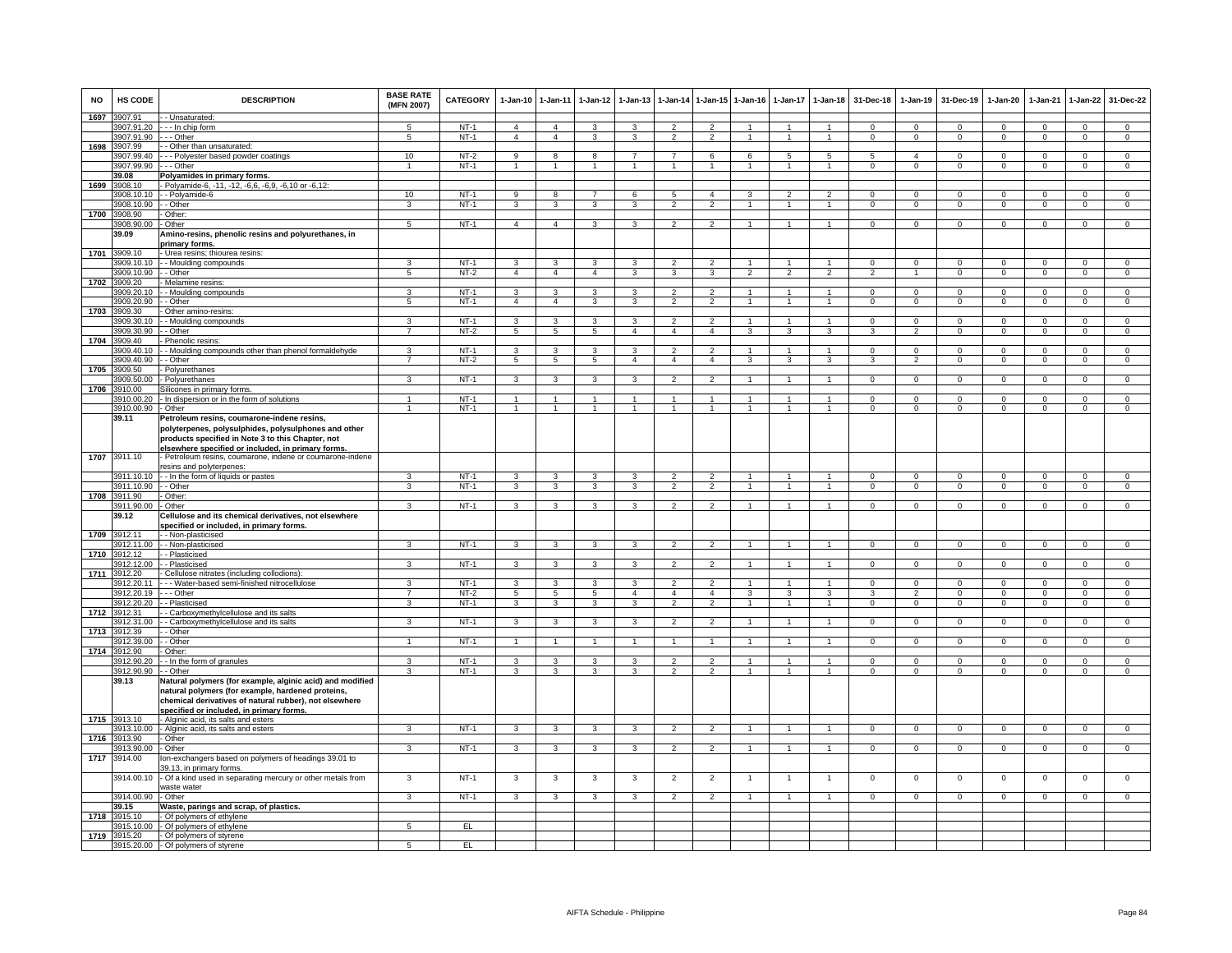| <b>NO</b> | HS CODE                           | <b>DESCRIPTION</b>                                                                                                                                                                                                  | <b>BASE RATE</b><br>(MFN 2007) | CATEGORY    | $1 - Jan-10$            | 1-Jan-11                | 1-Jan-12                | $1 - Jan-13$            | $1 - Jan-14$             | $1 - Jan-15$   | $1 - Jan-16$   | 1-Jan-17             | $1-Jan-18$           | 31-Dec-18      | $1 - Jan-19$   | 31-Dec-19      | 1-Jan-20       | 1-Jan-21                   | $1-Jan-22$                  | 31-Dec-22        |
|-----------|-----------------------------------|---------------------------------------------------------------------------------------------------------------------------------------------------------------------------------------------------------------------|--------------------------------|-------------|-------------------------|-------------------------|-------------------------|-------------------------|--------------------------|----------------|----------------|----------------------|----------------------|----------------|----------------|----------------|----------------|----------------------------|-----------------------------|------------------|
| 1697      | 3907.91                           | - - Unsaturated:                                                                                                                                                                                                    |                                |             |                         |                         |                         |                         |                          |                |                |                      |                      |                |                |                |                |                            |                             |                  |
|           |                                   | 3907.91.20 --- In chip form                                                                                                                                                                                         |                                | $NT-1$      | $\overline{4}$          | $\overline{4}$          | 3                       |                         |                          |                |                |                      |                      | $\Omega$       | $\Omega$       | $\Omega$       | $\Omega$       | $\Omega$                   | $\Omega$                    | $\Omega$         |
|           | 3907.91.90 - - - Other<br>3907.99 |                                                                                                                                                                                                                     | 5                              | <b>NT-1</b> | $\overline{4}$          | $\overline{4}$          | 3                       | 3                       | $\overline{2}$           | $\overline{2}$ | $\mathbf{1}$   | $\mathbf{1}$         | $\overline{1}$       | $\overline{0}$ | $\overline{0}$ | $\overline{0}$ | $\mathbf{0}$   | $\overline{0}$             | $\overline{0}$              | $\overline{0}$   |
| 1698      | 3907.99.40                        | - Other than unsaturated:<br>- - Polyester based powder coatings                                                                                                                                                    | 10                             | $NT-2$      | $\overline{9}$          | 8                       | 8                       | $\overline{7}$          | $\overline{7}$           | 6              | 6              | 5                    | $\overline{5}$       | 5              | $\overline{a}$ | $\Omega$       | $\Omega$       | $\Omega$                   | $\Omega$                    | $\overline{0}$   |
|           | 3907.99.90                        | - - Other                                                                                                                                                                                                           | $\mathbf{1}$                   | $NT-1$      |                         | 1                       | $\mathbf{1}$            | 1                       | $\mathbf{1}$             |                | 1              | $\mathbf{1}$         | $\mathbf{1}$         | $\mathbf 0$    | $\mathsf 0$    | $\mathbf 0$    | 0              | $\mathbf 0$                | $\mathbf 0$                 | $\mathsf 0$      |
|           | 39.08                             | Polyamides in primary forms.                                                                                                                                                                                        |                                |             |                         |                         |                         |                         |                          |                |                |                      |                      |                |                |                |                |                            |                             |                  |
| 1699      | 3908.10                           | - Polyamide-6, -11, -12, -6,6, -6,9, -6,10 or -6,12:                                                                                                                                                                |                                |             |                         |                         |                         |                         |                          |                |                |                      |                      |                |                |                |                |                            |                             |                  |
|           | 3908.10.10                        | - - Polvamide-6                                                                                                                                                                                                     | 10                             | $NT-1$      | $\overline{9}$          | $\overline{\mathbf{8}}$ | $\overline{7}$          | 6                       | $\overline{5}$           | $\overline{4}$ | $\mathbf{3}$   | $\overline{2}$       | $\overline{2}$       | $\Omega$       | $\Omega$       | $\Omega$       | $\Omega$       | $\Omega$                   | $\overline{0}$              | $\overline{0}$   |
|           | 3908.10.90                        | - Other                                                                                                                                                                                                             | 3                              | $NT-1$      | 3                       | 3                       | 3                       | $\overline{\mathbf{3}}$ | $\overline{2}$           | $\overline{2}$ | $\overline{1}$ | $\mathbf{1}$         | $\overline{1}$       | $\overline{0}$ | $\overline{0}$ | $\overline{0}$ | $\overline{0}$ | $\overline{0}$             | $\overline{0}$              | $\overline{0}$   |
| 1700      | 3908.90                           | - Other:                                                                                                                                                                                                            |                                |             |                         |                         |                         |                         |                          |                |                |                      |                      |                |                |                |                |                            |                             |                  |
|           | 3908.90.00                        | - Other                                                                                                                                                                                                             | $5\overline{5}$                | $NT-1$      | $\overline{4}$          | $\overline{4}$          | $\mathbf{3}$            | $\mathbf{3}$            | $\overline{2}$           | $\overline{2}$ | $\overline{1}$ | $\mathbf{1}$         | $\overline{1}$       | $\overline{0}$ | $\overline{0}$ | $\mathbf 0$    | $\mathbf{0}$   | $\mathbf 0$                | $\mathbf{0}$                | $\overline{0}$   |
|           | 39.09                             | Amino-resins, phenolic resins and polyurethanes, in                                                                                                                                                                 |                                |             |                         |                         |                         |                         |                          |                |                |                      |                      |                |                |                |                |                            |                             |                  |
|           |                                   | primary forms.                                                                                                                                                                                                      |                                |             |                         |                         |                         |                         |                          |                |                |                      |                      |                |                |                |                |                            |                             |                  |
| 1701      | 3909.10                           | - Urea resins; thiourea resins:                                                                                                                                                                                     | 3                              | $NT-1$      |                         | 3                       | 3                       | 3                       | $\mathfrak{p}$           | $\overline{2}$ |                |                      |                      | $\Omega$       |                | $\mathbf 0$    | $\Omega$       |                            |                             |                  |
|           | 909.10.10<br>3909.10.90 - - Other | - - Moulding compounds                                                                                                                                                                                              | 5                              | $NT-2$      | 3<br>$\overline{4}$     | $\overline{4}$          | $\overline{4}$          | 3                       | 3                        | 3              | $\overline{2}$ | $\overline{2}$       | $\overline{2}$       | $\overline{2}$ | $\mathsf 0$    | $\mathbf 0$    | $\Omega$       | $\mathbf 0$<br>$\mathbf 0$ | $\mathbf 0$<br>$\mathbf{0}$ | $\mathsf 0$<br>0 |
| 1702      | 3909.20                           | - Melamine resins                                                                                                                                                                                                   |                                |             |                         |                         |                         |                         |                          |                |                |                      |                      |                |                |                |                |                            |                             |                  |
|           | 3909.20.10                        | Moulding compounds                                                                                                                                                                                                  | $\overline{\mathbf{a}}$        | $NT-1$      | $\mathcal{R}$           | $\overline{\mathbf{3}}$ | $\mathbf{a}$            | ٩                       | $\mathcal{L}$            | $\mathcal{L}$  |                |                      |                      | $\Omega$       | $\Omega$       | $\Omega$       | $\Omega$       | $\Omega$                   | $\Omega$                    | $\Omega$         |
|           | 3909.20.90                        | - - Other                                                                                                                                                                                                           | 5                              | $NT-1$      | $\overline{4}$          | $\overline{4}$          | 3                       | 3                       | $\overline{2}$           | $\mathcal{P}$  |                |                      |                      | $\Omega$       | $\mathbf 0$    | $\Omega$       | $\mathbf 0$    | $\Omega$                   | $\mathbf 0$                 | $\mathsf 0$      |
| 1703      | 3909.30                           | Other amino-resins                                                                                                                                                                                                  |                                |             |                         |                         |                         |                         |                          |                |                |                      |                      |                |                |                |                |                            |                             |                  |
|           | 3909.30.10                        | - - Moulding compounds                                                                                                                                                                                              | 3                              | $NT-1$      | 3                       | 3                       | 3                       | 3                       | $\overline{2}$           | $\overline{2}$ | $\mathbf{1}$   | $\mathbf{1}$         | $\overline{1}$       | $\mathsf 0$    | $\mathsf 0$    | $^{\circ}$     | $\Omega$       | $^{\circ}$                 | $\mathbf 0$                 | $\mathsf 0$      |
|           | 3909.30.90                        | - Other                                                                                                                                                                                                             | $\overline{7}$                 | $NT-2$      | $5\overline{5}$         | $5\overline{5}$         | $5\phantom{.0}$         | $\overline{4}$          | $\overline{4}$           | $\overline{4}$ | 3              | 3                    | 3                    | 3              | 2              | $^{\circ}$     | $\mathbf{0}$   | $^{\circ}$                 | $\overline{0}$              | $\overline{0}$   |
| 1704      | 3909.40                           | Phenolic resins:                                                                                                                                                                                                    |                                |             |                         |                         |                         |                         |                          |                |                |                      |                      |                |                |                |                |                            |                             |                  |
|           | 909.40.10                         | - Moulding compounds other than phenol formaldehyde                                                                                                                                                                 | 3                              | $NT-1$      | 3                       | 3                       | 3                       | 3                       | $\overline{2}$           | $\overline{2}$ |                |                      | $\mathbf{1}$         | $\mathsf 0$    | $\mathsf 0$    | $\mathbf 0$    | $\mathbf 0$    | $\mathbf 0$                | $\mathbf 0$                 | $\overline{0}$   |
|           | 3909.40.90                        | - Other                                                                                                                                                                                                             | 7                              | $NT-2$      | 5                       | $\overline{5}$          | $\overline{5}$          | 4                       | $\overline{4}$           | $\overline{4}$ | 3              | 3                    | 3                    |                |                | 0              | 0              | 0                          | 0                           | $\mathsf 0$      |
| 1705      | 3909.50                           | Polyurethanes                                                                                                                                                                                                       | $\overline{3}$                 | $NT-1$      | $\overline{\mathbf{3}}$ | $\overline{3}$          | $\overline{\mathbf{3}}$ | 3                       | $\overline{2}$           | $\overline{2}$ | $\overline{1}$ | $\overline{1}$       | $\overline{1}$       | $\Omega$       | $\overline{0}$ |                | $\Omega$       |                            |                             | $\overline{0}$   |
| 1706      | 3909.50.00<br>3910.00             | - Polyurethanes<br>Silicones in primary forms.                                                                                                                                                                      |                                |             |                         |                         |                         |                         |                          |                |                |                      |                      |                |                | $\mathbf 0$    |                | $\mathbf 0$                | $\overline{0}$              |                  |
|           | 3910.00.20                        | - In dispersion or in the form of solutions                                                                                                                                                                         |                                | NT-1        |                         | $\mathbf{1}$            |                         |                         |                          |                |                |                      | $\overline{1}$       | $\Omega$       | $\Omega$       | $\Omega$       | $\Omega$       | $\Omega$                   | $\mathbf 0$                 | $\mathsf 0$      |
|           | 3910.00.90 - Other                |                                                                                                                                                                                                                     | $\overline{1}$                 | $NT-1$      | $\overline{1}$          | $\overline{1}$          | 1                       | $\overline{1}$          | $\mathbf{1}$             | $\overline{1}$ | $\mathbf{1}$   | $\overline{1}$       | $\overline{1}$       | $\mathbf{0}$   | $\mathbf{0}$   | $\mathbf{0}$   | $\mathbf{0}$   | $\mathbf{0}$               | $\mathbf{0}$                | $\overline{0}$   |
|           | 39.11                             | Petroleum resins, coumarone-indene resins,                                                                                                                                                                          |                                |             |                         |                         |                         |                         |                          |                |                |                      |                      |                |                |                |                |                            |                             |                  |
|           |                                   | polyterpenes, polysulphides, polysulphones and other<br>products specified in Note 3 to this Chapter, not<br>elsewhere specified or included, in primary forms,                                                     |                                |             |                         |                         |                         |                         |                          |                |                |                      |                      |                |                |                |                |                            |                             |                  |
|           | 1707 3911.10                      | - Petroleum resins, coumarone, indene or coumarone-indene                                                                                                                                                           |                                |             |                         |                         |                         |                         |                          |                |                |                      |                      |                |                |                |                |                            |                             |                  |
|           |                                   | resins and polyterpenes:                                                                                                                                                                                            |                                |             |                         |                         |                         |                         |                          |                |                |                      |                      |                |                |                |                |                            |                             |                  |
|           |                                   | 911.10.10 - In the form of liquids or pastes                                                                                                                                                                        | 3                              | $NT-1$      | $\mathcal{R}$           | $\overline{\mathbf{3}}$ | $\mathbf{B}$            | $\mathbf{B}$            | $\overline{\phantom{a}}$ | $\mathcal{L}$  |                |                      |                      | $\Omega$       | $\Omega$       | $\Omega$       | $\Omega$       | $\Omega$                   | $\Omega$                    | $\overline{0}$   |
| 1708      | 911.10.90<br>3911.90              | - - Other<br>- Other:                                                                                                                                                                                               | 3                              | $NT-1$      | 3                       | 3                       | 3                       | 3                       | $\overline{2}$           | $\overline{2}$ |                |                      |                      | $\Omega$       | $\Omega$       | $\Omega$       | $\Omega$       | $\Omega$                   | $\mathbf 0$                 | $\mathbf 0$      |
|           | 3911.90.00                        | - Other                                                                                                                                                                                                             | $\mathbf{r}$                   | $NT-1$      | 3                       | 3                       | 3                       | $\mathbf{\hat{z}}$      | $\mathcal{P}$            | $\mathcal{L}$  |                |                      |                      | $\Omega$       | $^{\circ}$     | $\Omega$       | $\Omega$       | $^{\circ}$                 | $^{\circ}$                  | $\Omega$         |
|           | 39.12                             | Cellulose and its chemical derivatives, not elsewhere                                                                                                                                                               |                                |             |                         |                         |                         |                         |                          |                |                |                      |                      |                |                |                |                |                            |                             |                  |
|           |                                   | <u>specified or included, in primary forms</u>                                                                                                                                                                      |                                |             |                         |                         |                         |                         |                          |                |                |                      |                      |                |                |                |                |                            |                             |                  |
| 1709      | 3912.11                           | - Non-plasticised                                                                                                                                                                                                   |                                |             |                         |                         |                         |                         |                          |                |                |                      |                      |                |                |                |                |                            |                             |                  |
|           | 912.11.00                         | - - Non-plasticised                                                                                                                                                                                                 | 3                              | $NT-1$      | 3                       | 3                       | 3                       | 3                       | $\mathfrak{p}$           | $\overline{2}$ |                |                      |                      | $\Omega$       | $\Omega$       | $\Omega$       | $\Omega$       | 0                          | 0                           | $\mathsf 0$      |
| 1710      | 3912.12                           | - Plasticised                                                                                                                                                                                                       | $\overline{3}$                 |             |                         |                         |                         | $\overline{\mathbf{3}}$ | $\overline{2}$           | $\overline{2}$ |                |                      | $\overline{1}$       |                |                |                |                |                            |                             |                  |
| 1711      | 3912.12.00<br>3912.20             | - Plasticised                                                                                                                                                                                                       |                                | $NT-1$      | $\overline{3}$          | $\overline{3}$          | $\overline{3}$          |                         |                          |                | $\overline{1}$ | $\overline{1}$       |                      | $\Omega$       | $\overline{0}$ | $\mathbf 0$    | $\Omega$       | $\overline{0}$             | $\overline{0}$              | $\overline{0}$   |
|           | 3912.20.11                        | Cellulose nitrates (including collodions):<br>--- Water-based semi-finished nitrocellulose                                                                                                                          | $\overline{\mathbf{3}}$        | $NT-1$      | $\overline{\mathbf{3}}$ | 3                       | 3                       | 3                       | 2                        | $\overline{2}$ |                |                      |                      | $\Omega$       | $\Omega$       | $\Omega$       | $\Omega$       | $\Omega$                   | $\overline{0}$              | $\overline{0}$   |
|           | 3912.20.19 --- Other              |                                                                                                                                                                                                                     | $\overline{7}$                 | $NT-2$      | 5                       | 5                       | $5\overline{5}$         | $\overline{4}$          | $\overline{4}$           | $\overline{4}$ | $\mathbf{3}$   | 3                    | 3                    | 3              | $\overline{2}$ | $^{\circ}$     | 0              | $\mathbf 0$                | $\mathbf{0}$                | $\mathbf{0}$     |
|           |                                   | 3912.20.20 - - Plasticised                                                                                                                                                                                          | 3                              | $NT-1$      | $\mathbf{3}$            | $\mathbf{3}$            | $\mathbf{3}$            | 3                       | $\overline{2}$           | $\overline{2}$ | $\mathbf{1}$   | 1                    | $\overline{1}$       | $\mathbf{0}$   | $\overline{0}$ | $\mathbf{0}$   | $\mathbf{0}$   | $\mathbf{0}$               | $\circ$                     | $\overline{0}$   |
|           | 1712 3912.31                      | - Carboxymethylcellulose and its salts                                                                                                                                                                              |                                |             |                         |                         |                         |                         |                          |                |                |                      |                      |                |                |                |                |                            |                             |                  |
|           | 3912.31.00                        | - Carboxymethylcellulose and its salts                                                                                                                                                                              | 3                              | $NT-1$      | $\overline{3}$          | $\overline{\mathbf{3}}$ | 3                       | 3                       | $\overline{2}$           | $\overline{2}$ | $\mathbf{1}$   | $\mathbf{1}$         | $\overline{1}$       | $\overline{0}$ | $\mathbf{0}$   | $\overline{0}$ | $\mathbf{O}$   | $\mathbf 0$                | $\overline{0}$              | $\overline{0}$   |
| 1713      | 912.39                            | - Other                                                                                                                                                                                                             |                                |             |                         |                         |                         |                         |                          |                |                |                      |                      |                |                |                |                |                            |                             |                  |
|           | 912.39.00                         | - Other                                                                                                                                                                                                             | $\mathbf{1}$                   | $NT-1$      | $\mathbf{1}$            | 1                       | $\mathbf{1}$            | $\mathbf{1}$            | $\mathbf{1}$             | $\mathbf{1}$   |                | $\mathbf{1}$         | $\mathbf{1}$         | $\mathbf 0$    | $\mathsf 0$    | $\mathbf 0$    | $\mathbf 0$    | $\mathbf 0$                | $\mathbf 0$                 | $\mathsf 0$      |
| 1714      | 3912.90<br>3912.90.20             | Other:<br>- In the form of granules                                                                                                                                                                                 | $\overline{3}$                 | $NT-1$      | $\overline{\mathbf{3}}$ | $\overline{\mathbf{3}}$ | 3                       | $\mathbf{R}$            | $\overline{\phantom{a}}$ | $\overline{2}$ | $\mathbf{1}$   | $\overline{1}$       | $\blacktriangleleft$ | $\Omega$       | $\Omega$       | $\Omega$       | $\Omega$       | $\Omega$                   | $\mathbf 0$                 | $\overline{0}$   |
|           | 3912.90.90                        | - Other                                                                                                                                                                                                             | 3                              | $NT-1$      | 3                       | 3                       | 3                       | $\mathbf{\hat{z}}$      | $\overline{a}$           | $\mathcal{L}$  |                | $\ddot{\phantom{0}}$ |                      | $\Omega$       | $\mathbf 0$    | $\Omega$       | $\Omega$       | $\Omega$                   | $\mathbf{0}$                | $\mathbf 0$      |
|           | 39.13                             | Natural polymers (for example, alginic acid) and modified<br>natural polymers (for example, hardened proteins,<br>chemical derivatives of natural rubber), not elsewhere<br>specified or included, in primary forms |                                |             |                         |                         |                         |                         |                          |                |                |                      |                      |                |                |                |                |                            |                             |                  |
| 1715      | 3913.10                           | - Alginic acid, its salts and esters                                                                                                                                                                                |                                |             |                         |                         |                         |                         |                          |                |                |                      |                      |                |                |                |                |                            |                             |                  |
|           | 913.10.00                         | - Alginic acid, its salts and esters                                                                                                                                                                                | 3                              | $NT-1$      | 3                       | 3                       | 3                       | 3                       | $\overline{2}$           | $\mathfrak{p}$ |                |                      |                      | $\mathbf 0$    | $\mathsf 0$    | $\mathbf 0$    | $\mathbf 0$    | $\mathbf 0$                | $\mathsf 0$                 | $\overline{0}$   |
| 1716      | 3913.90                           | Other                                                                                                                                                                                                               |                                |             |                         |                         |                         |                         |                          |                |                |                      |                      |                |                |                |                |                            |                             |                  |
|           | 913.90.00                         | - Other                                                                                                                                                                                                             | $\overline{3}$                 | $NT-1$      | $\mathbf{3}$            | $\overline{\mathbf{3}}$ | $\overline{3}$          | $\overline{3}$          | $\overline{2}$           | $\overline{2}$ | $\mathbf{1}$   | $\mathbf{1}$         | $\blacktriangleleft$ | $\Omega$       | $\mathbf 0$    | $\mathbf 0$    | $\Omega$       | $\mathbf 0$                | $\overline{0}$              | $\overline{0}$   |
| 1717      | 3914.00                           | lon-exchangers based on polymers of headings 39.01 to                                                                                                                                                               |                                |             |                         |                         |                         |                         |                          |                |                |                      |                      |                |                |                |                |                            |                             |                  |
|           | 3914.00.10                        | 39.13, in primary forms.<br>Of a kind used in separating mercury or other metals from<br>waste water                                                                                                                | 3                              | $NT-1$      | 3                       | $\mathbf{3}$            | 3                       | 3                       | $\overline{2}$           | $\overline{2}$ | 1              | $\overline{1}$       | $\overline{1}$       | $\mathsf 0$    | $\mathsf 0$    | $\mathbf 0$    | $\mathbf 0$    | $\mathbf 0$                | $\mathbf 0$                 | $\mathsf 0$      |
|           | 3914.00.90 - Other                |                                                                                                                                                                                                                     | 3                              | <b>NT-1</b> | $\mathbf{3}$            | $\mathbf{3}$            | 3                       | 3                       | 2                        | 2              | $\overline{1}$ | $\mathbf{1}$         | $\overline{1}$       | $\mathbf{0}$   | $\mathbf 0$    | $\mathbf{0}$   | $\mathbf{0}$   | $^{\circ}$                 | $\mathbf{0}$                | $\mathbf{0}$     |
|           | 39.15                             | Waste, parings and scrap, of plastics.                                                                                                                                                                              |                                |             |                         |                         |                         |                         |                          |                |                |                      |                      |                |                |                |                |                            |                             |                  |
| 1718      | 3915.10                           | - Of polymers of ethylene                                                                                                                                                                                           |                                |             |                         |                         |                         |                         |                          |                |                |                      |                      |                |                |                |                |                            |                             |                  |
|           |                                   | 3915.10.00 - Of polymers of ethylene                                                                                                                                                                                | 5                              | EL          |                         |                         |                         |                         |                          |                |                |                      |                      |                |                |                |                |                            |                             |                  |
| 1719      | 3915.20                           | - Of polymers of styrene<br>3915.20.00 - Of polymers of styrene                                                                                                                                                     | $5\overline{5}$                | EL          |                         |                         |                         |                         |                          |                |                |                      |                      |                |                |                |                |                            |                             |                  |
|           |                                   |                                                                                                                                                                                                                     |                                |             |                         |                         |                         |                         |                          |                |                |                      |                      |                |                |                |                |                            |                             |                  |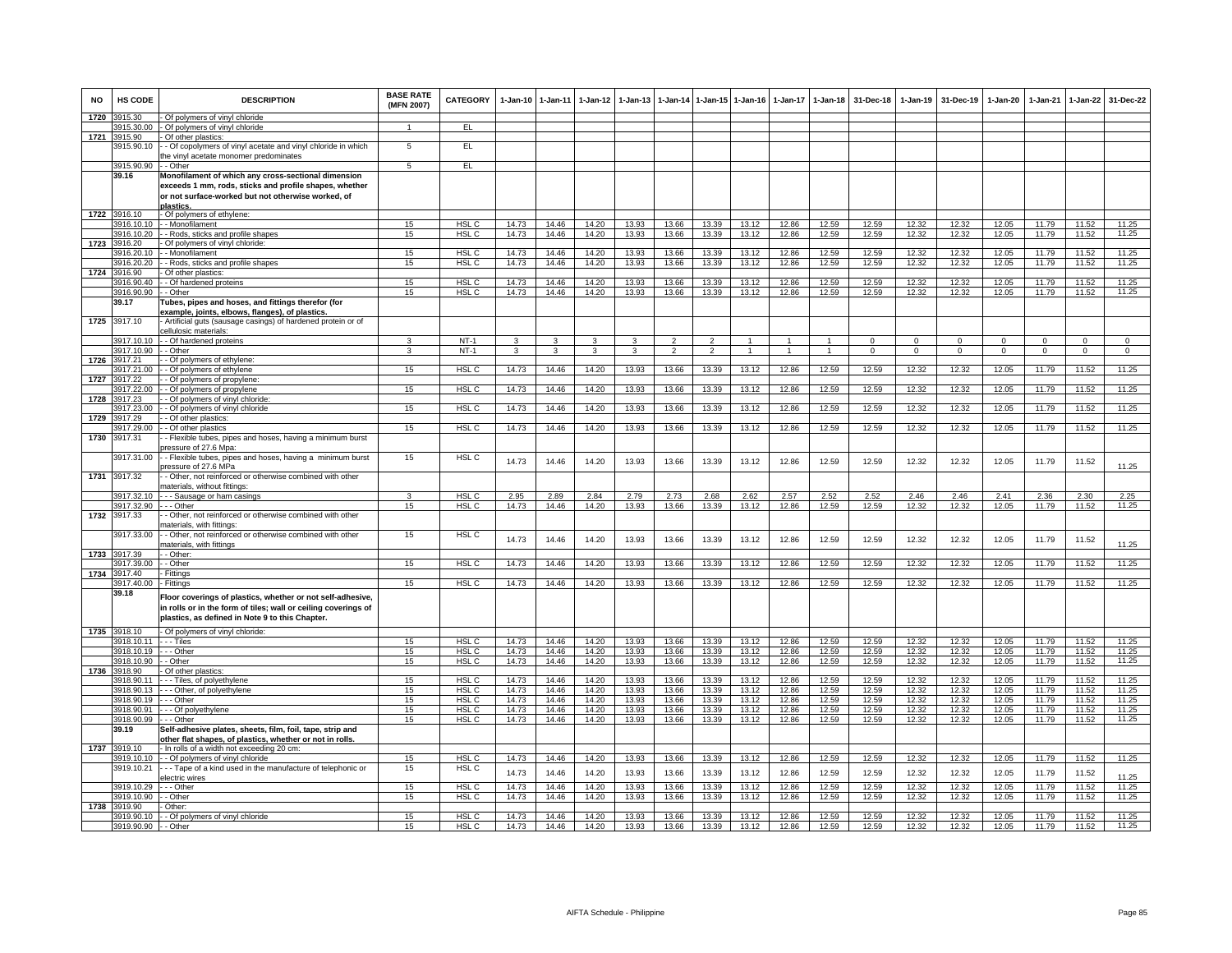| <b>NO</b> | <b>HS CODE</b>        | <b>DESCRIPTION</b>                                                 | <b>BASE RATE</b><br>(MFN 2007) | <b>CATEGORY</b>  | 1-Jan-10     | $1 - Jan-11$            | $1-Jan-12$   | $1 - Jan-13$ | 1-Jan-14       | 1-Jan-15       | 1-Jan-16           | $1-Jan-17$     | $1 - Jan-18$   | 31-Dec-18   | $1 - Jan-19$   | 31-Dec-19    | 1-Jan-20     | $1-Jan-21$   | 1-Jan-22       | 31-Dec-22      |
|-----------|-----------------------|--------------------------------------------------------------------|--------------------------------|------------------|--------------|-------------------------|--------------|--------------|----------------|----------------|--------------------|----------------|----------------|-------------|----------------|--------------|--------------|--------------|----------------|----------------|
| 1720      | 3915.30               | Of polymers of vinyl chloride                                      |                                |                  |              |                         |              |              |                |                |                    |                |                |             |                |              |              |              |                |                |
|           | 3915.30.00            | - Of polymers of vinyl chloride                                    |                                | EL.              |              |                         |              |              |                |                |                    |                |                |             |                |              |              |              |                |                |
| 1721      | 3915.90               | - Of other plastics:                                               |                                |                  |              |                         |              |              |                |                |                    |                |                |             |                |              |              |              |                |                |
|           | 3915.90.10            | - Of copolymers of vinyl acetate and vinyl chloride in which       | 5                              | EL.              |              |                         |              |              |                |                |                    |                |                |             |                |              |              |              |                |                |
|           |                       | he vinyl acetate monomer predominates                              |                                | EL               |              |                         |              |              |                |                |                    |                |                |             |                |              |              |              |                |                |
|           | 3915.90.90            | - - Other                                                          | $5\overline{5}$                |                  |              |                         |              |              |                |                |                    |                |                |             |                |              |              |              |                |                |
|           | 39.16                 | Monofilament of which any cross-sectional dimension                |                                |                  |              |                         |              |              |                |                |                    |                |                |             |                |              |              |              |                |                |
|           |                       | exceeds 1 mm, rods, sticks and profile shapes, whether             |                                |                  |              |                         |              |              |                |                |                    |                |                |             |                |              |              |              |                |                |
|           |                       | or not surface-worked but not otherwise worked, of                 |                                |                  |              |                         |              |              |                |                |                    |                |                |             |                |              |              |              |                |                |
| 1722      | 3916.10               | plastics<br>- Of polymers of ethylene:                             |                                |                  |              |                         |              |              |                |                |                    |                |                |             |                |              |              |              |                |                |
|           | 916.10.10             | - - Monofilament                                                   | 15                             | HSL <sub>C</sub> | 14.73        | 14.46                   | 14.20        | 13.93        | 13.66          | 13.39          | 13.12              | 12.86          | 12.59          | 12.59       | 12.32          | 12.32        | 12.05        | 11.79        | 11.52          | 11.25          |
|           | 916.10.20             | - Rods, sticks and profile shapes                                  | 15                             | HSL C            | 14.73        | 14.46                   | 14.20        | 13.93        | 13.66          | 13.39          | 13.12              | 12.86          | 12.59          | 12.59       | 12.32          | 12.32        | 12.05        | 11.79        | 11.52          | 11.25          |
| 1723      | 3916.20               | Of polymers of vinyl chloride:                                     |                                |                  |              |                         |              |              |                |                |                    |                |                |             |                |              |              |              |                |                |
|           | 3916.20.10            | - Monofilament                                                     | 15                             | HSL <sub>C</sub> | 14.73        | 14.46                   | 14.20        | 13.93        | 13.66          | 13.39          | 13.12              | 12.86          | 12.59          | 12.59       | 12.32          | 12.32        | 12.05        | 11.79        | 11.52          | 11.25          |
|           | 3916.20.20            | - Rods, sticks and profile shapes                                  | 15                             | HSL <sub>C</sub> | 14.73        | 14.46                   | 14.20        | 13.93        | 13.66          | 13.39          | 13.12              | 12.86          | 12.59          | 12.59       | 12.32          | 12.32        | 12.05        | 11.79        | 11.52          | 11.25          |
| 1724      | 916.90                | Of other plastics                                                  |                                |                  |              |                         |              |              |                |                |                    |                |                |             |                |              |              |              |                |                |
|           | 916.90.40             | - Of hardened proteins                                             | 15                             | HSL C            | 14.73        | 14.46                   | 14.20        | 13.93        | 13.66          | 13.39          | 13.12              | 12.86          | 12.59          | 12.59       | 12.32          | 12.32        | 12.05        | 11.79        | 11.52          | 11.25          |
|           | 916.90.90             | - Other                                                            | 15                             | HSL C            | 14.73        | 14.46                   | 14.20        | 13.93        | 13.66          | 13.39          | 13.12              | 12.86          | 12.59          | 12.59       | 12.32          | 12.32        | 12.05        | 11.79        | 11.52          | 11.25          |
|           | 39.17                 | Tubes, pipes and hoses, and fittings therefor (for                 |                                |                  |              |                         |              |              |                |                |                    |                |                |             |                |              |              |              |                |                |
|           |                       | example, joints, elbows, flanges), of plastics.                    |                                |                  |              |                         |              |              |                |                |                    |                |                |             |                |              |              |              |                |                |
| 1725      | 3917.10               | Artificial guts (sausage casings) of hardened protein or of        |                                |                  |              |                         |              |              |                |                |                    |                |                |             |                |              |              |              |                |                |
|           |                       | cellulosic materials:                                              |                                |                  |              |                         |              |              |                |                |                    |                |                |             |                |              |              |              |                |                |
|           | 3917.10.10            | - - Of hardened proteins                                           | 3                              | $NT-1$           | $\mathbf{3}$ | $\mathbf{3}$            | $\mathbf{3}$ | 3            | $\overline{2}$ | $\overline{2}$ | $\overline{1}$     | $\overline{1}$ | $\overline{1}$ | $\Omega$    | $\overline{0}$ | $\Omega$     | $\Omega$     | $\mathbf{0}$ | $\Omega$       | $\overline{0}$ |
|           | 3917.10.90            | - - Other                                                          | 3                              | $NT-1$           | 3            | $\overline{\mathbf{3}}$ | $\mathbf{3}$ | 3            | $\overline{2}$ | $\overline{2}$ | $\mathbf{1}$       | $\mathbf{1}$   | $\overline{1}$ | $\mathbf 0$ | $\mathbf{0}$   | $\mathbf{0}$ | $\mathbf{0}$ | $\mathbf{0}$ | $\overline{0}$ | $\overline{0}$ |
| 1726      | 3917.21               | - Of polymers of ethylene:                                         |                                |                  |              |                         |              |              |                |                |                    |                |                |             |                |              |              |              |                |                |
|           | 3917.21.00            | - Of polymers of ethylene                                          | 15                             | HSL C            | 14.73        | 14.46                   | 14.20        | 13.93        | 13.66          | 13.39          | $13.\overline{12}$ | 12.86          | 12.59          | 12.59       | 12.32          | 12.32        | 12.05        | 11.79        | 11.52          | 11.25          |
| 1727      | 3917.22               | - Of polymers of propylene:                                        |                                |                  |              |                         |              |              |                |                |                    |                |                |             |                |              |              |              |                |                |
|           | 3917.22.00            | - Of polymers of propylene                                         | 15                             | HSL <sub>C</sub> | 14.73        | 14.46                   | 14.20        | 13.93        | 13.66          | 13.39          | 13.12              | 12.86          | 12.59          | 12.59       | 12.32          | 12.32        | 12.05        | 11.79        | 11.52          | 11.25          |
| 1728      | 917.23<br>917.23.00   | - Of polymers of vinyl chloride<br>- Of polymers of vinyl chloride | 15                             | HSL <sub>C</sub> | 14.73        | 14.46                   | 14.20        | 13.93        | 13.66          | 13.39          | 13.12              | 12.86          | 12.59          | 12.59       | 12.32          | 12.32        | 12.05        | 11.79        | 11.52          | 11.25          |
| 1729      | 917.29                | - Of other plastics                                                |                                |                  |              |                         |              |              |                |                |                    |                |                |             |                |              |              |              |                |                |
|           | 917.29.00             | - Of other plastics                                                | 15                             | HSL <sub>C</sub> | 14.73        | 14.46                   | 14.20        | 13.93        | 13.66          | 13.39          | 13.12              | 12.86          | 12.59          | 12.59       | 12.32          | 12.32        | 12.05        | 11.79        | 11.52          | 11.25          |
| 1730      | 3917.31               | - Flexible tubes, pipes and hoses, having a minimum burst          |                                |                  |              |                         |              |              |                |                |                    |                |                |             |                |              |              |              |                |                |
|           |                       | ressure of 27.6 Mpa:                                               |                                |                  |              |                         |              |              |                |                |                    |                |                |             |                |              |              |              |                |                |
|           | 3917.31.00            | -- Flexible tubes, pipes and hoses, having a minimum burst         | 15                             | <b>HSL C</b>     |              |                         |              |              |                |                |                    |                |                |             |                |              |              |              |                |                |
|           |                       | ressure of 27.6 MPa                                                |                                |                  | 14.73        | 14.46                   | 14.20        | 13.93        | 13.66          | 13.39          | 13.12              | 12.86          | 12.59          | 12.59       | 12.32          | 12.32        | 12.05        | 11.79        | 11.52          | 11.25          |
| 1731      | 3917.32               | - Other, not reinforced or otherwise combined with other           |                                |                  |              |                         |              |              |                |                |                    |                |                |             |                |              |              |              |                |                |
|           |                       | naterials, without fittings:                                       |                                |                  |              |                         |              |              |                |                |                    |                |                |             |                |              |              |              |                |                |
|           | 3917.32.10            | - - - Sausage or ham casings                                       | 3                              | <b>HSLC</b>      | 2.95         | 2.89                    | 2.84         | 2.79         | 2.73           | 2.68           | 2.62               | 2.57           | 2.52           | 2.52        | 2.46           | 2.46         | 2.41         | 2.36         | 2.30           | 2.25           |
|           | 3917.32.90            | - - Other                                                          | 15                             | <b>HSLC</b>      | 14.73        | 14.46                   | 14.20        | 13.93        | 13.66          | 13.39          | 13.12              | 12.86          | 12.59          | 12.59       | 12.32          | 12.32        | 12.05        | 11.79        | 11.52          | 11.25          |
| 1732      | 3917.33               | - Other, not reinforced or otherwise combined with other           |                                |                  |              |                         |              |              |                |                |                    |                |                |             |                |              |              |              |                |                |
|           |                       | naterials, with fittings:                                          |                                |                  |              |                         |              |              |                |                |                    |                |                |             |                |              |              |              |                |                |
|           | 3917.33.00            | - Other, not reinforced or otherwise combined with other           | 15                             | <b>HSLC</b>      | 14.73        | 14.46                   | 14.20        | 13.93        | 13.66          | 13.39          | 13.12              | 12.86          | 12.59          | 12.59       | 12.32          | 12.32        | 12.05        | 11.79        | 11.52          |                |
|           |                       | naterials, with fittings                                           |                                |                  |              |                         |              |              |                |                |                    |                |                |             |                |              |              |              |                | 11.25          |
| 1733      | 3917.39               | - Other:                                                           |                                |                  |              |                         |              |              |                |                |                    |                |                |             |                |              |              |              |                |                |
|           | 917.39.00             | - Other                                                            | 15                             | HSL C            | 14.73        | 14.46                   | 14.20        | 13.93        | 13.66          | 13.39          | 13.12              | 12.86          | 12.59          | 12.59       | 12.32          | 12.32        | 12.05        | 11.79        | 11.52          | 11.25          |
| 1734      | 3917.40<br>3917.40.00 | Fittings                                                           | 15                             |                  | 14.73        | 14.46                   | 14.20        |              | 13.66          | 13.39          | 13.12              | 12.86          | 12.59          | 12.59       | 12.32          | 12.32        | 12.05        | 11.79        | 11.52          | 11.25          |
|           | 39.18                 | Fittings                                                           |                                | HSL <sub>C</sub> |              |                         |              | 13.93        |                |                |                    |                |                |             |                |              |              |              |                |                |
|           |                       | Floor coverings of plastics, whether or not self-adhesive,         |                                |                  |              |                         |              |              |                |                |                    |                |                |             |                |              |              |              |                |                |
|           |                       | in rolls or in the form of tiles; wall or ceiling coverings of     |                                |                  |              |                         |              |              |                |                |                    |                |                |             |                |              |              |              |                |                |
|           |                       | plastics, as defined in Note 9 to this Chapter.                    |                                |                  |              |                         |              |              |                |                |                    |                |                |             |                |              |              |              |                |                |
|           | 1735 3918.10          | - Of polymers of vinyl chloride:                                   |                                |                  |              |                         |              |              |                |                |                    |                |                |             |                |              |              |              |                |                |
|           | 918.10.11             | - - - Tiles                                                        | 15                             | HSL C            | 14.73        | 14.46                   | 14.20        | 13.93        | 13.66          | 13.39          | 13.12              | 12.86          | 12.59          | 12.59       | 12.32          | 12.32        | 12.05        | 11.79        | 11.52          | 11.25          |
|           | 3918.10.19            | - - Other                                                          | 15                             | HSL C            | 14.73        | 14.46                   | 14.20        | 13.93        | 13.66          | 13.39          | 13.12              | 12.86          | 12.59          | 12.59       | 12.32          | 12.32        | 12.05        | 11.79        | 11.52          | 11.25          |
|           | 3918.10.90            | - Other                                                            | 15                             | HSL <sub>C</sub> | 14.73        | 14.46                   | 14.20        | 13.93        | 13.66          | 13.39          | 13.12              | 12.86          | 12.59          | 12.59       | 12.32          | 12.32        | 12.05        | 11.79        | 11.52          | 11.25          |
| 1736      | 3918.90               | Of other plastics                                                  |                                |                  |              |                         |              |              |                |                |                    |                |                |             |                |              |              |              |                |                |
|           | 3918.90.11            | -- Tiles, of polyethylene                                          | 15                             | HSL C            | 14.73        | 14.46                   | 14.20        | 13.93        | 13.66          | 13.39          | 13.12              | 12.86          | 12.59          | 12.59       | 12.32          | 12.32        | 12.05        | 11.79        | 11.52          | 11.25          |
|           | 3918.90.13            | - - Other, of polyethylene                                         | 15                             | HSL C            | 14.73        | 14.46                   | 14.20        | 13.93        | 13.66          | 13.39          | 13.12              | 12.86          | 12.59          | 12.59       | 12.32          | 12.32        | 12.05        | 11.79        | 11.52          | 11.25          |
|           | 3918.90.19            | - - Other                                                          | 15                             | HSL <sub>C</sub> | 14.73        | 14.46                   | 14.20        | 13.93        | 13.66          | 13.39          | 13.12              | 12.86          | 12.59          | 12.59       | 12.32          | 12.32        | 12.05        | 11.79        | 11.52          | 11.25          |
|           | 3918.90.91            | - - Of polyethylene                                                | 15                             | HSL <sub>C</sub> | 14.73        | 14.46                   | 14.20        | 13.93        | 13.66          | 13.39          | 13.12              | 12.86          | 12.59          | 12.59       | 12.32          | 12.32        | 12.05        | 11.79        | 11.52          | 11.25          |
|           | 3918.90.99            | $-$ Other                                                          | 15                             | HSL C            | 14.73        | 14.46                   | 14.20        | 13.93        | 13.66          | 13.39          | 13.12              | 12.86          | 12.59          | 12.59       | 12.32          | 12.32        | 12.05        | 11.79        | 11.52          | 11.25          |
|           | 39.19                 | Self-adhesive plates, sheets, film, foil, tape, strip and          |                                |                  |              |                         |              |              |                |                |                    |                |                |             |                |              |              |              |                |                |
|           |                       | other flat shapes, of plastics, whether or not in rolls.           |                                |                  |              |                         |              |              |                |                |                    |                |                |             |                |              |              |              |                |                |
|           | 1737 3919.10          | - In rolls of a width not exceeding 20 cm:                         |                                |                  |              |                         |              |              |                |                |                    |                |                |             |                |              |              |              |                |                |
|           | 3919.10.10            | - - Of polymers of vinyl chloride                                  | 15                             | HSL <sub>C</sub> | 14.73        | 14.46                   | 14.20        | 13.93        | 13.66          | 13.39          | 13.12              | 12.86          | 12.59          | 12.59       | 12.32          | 12.32        | 12.05        | 11.79        | 11.52          | 11.25          |
|           | 3919.10.21            | - - Tape of a kind used in the manufacture of telephonic or        | 15                             | HSL <sub>C</sub> | 14.73        | 14.46                   | 14.20        | 13.93        | 13.66          | 13.39          | 13.12              | 12.86          | 12.59          | 12.59       | 12.32          | 12.32        | 12.05        | 11.79        | 11.52          | 11.25          |
|           | 3919.10.29            | electric wires<br>- - Other                                        | 15                             | <b>HSL C</b>     | 14.73        | 14.46                   | 14.20        | 13.93        | 13.66          | 13.39          | 13.12              | 12.86          | 12.59          | 12.59       | 12.32          | 12.32        | 12.05        | 11.79        | 11.52          | 11.25          |
|           | 8919.10.90            | - Other                                                            | 15                             | HSL C            | 14.73        | 14.46                   | 14.20        | 13.93        | 13.66          | 13.39          | 13.12              | 12.86          | 12.59          | 12.59       | 12.32          | 12.32        | 12.05        | 11.79        | 11.52          | 11.25          |
| 1738      | 3919.90               | Other:                                                             |                                |                  |              |                         |              |              |                |                |                    |                |                |             |                |              |              |              |                |                |
|           | 3919.90.10            | - - Of polymers of vinyl chloride                                  | 15                             | HSL C            | 14.73        | 14.46                   | 14.20        | 13.93        | 13.66          | 13.39          | 13.12              | 12.86          | 12.59          | 12.59       | 12.32          | 12.32        | 12.05        | 11.79        | 11.52          | 11.25          |
|           | 3919.90.90 - - Other  |                                                                    | 15                             | HSL C            | 14.73        | 14.46                   | 14.20        | 13.93        | 13.66          | 13.39          | 13.12              | 12.86          | 12.59          | 12.59       | 12.32          | 12.32        | 12.05        | 11.79        | 11.52          | 11.25          |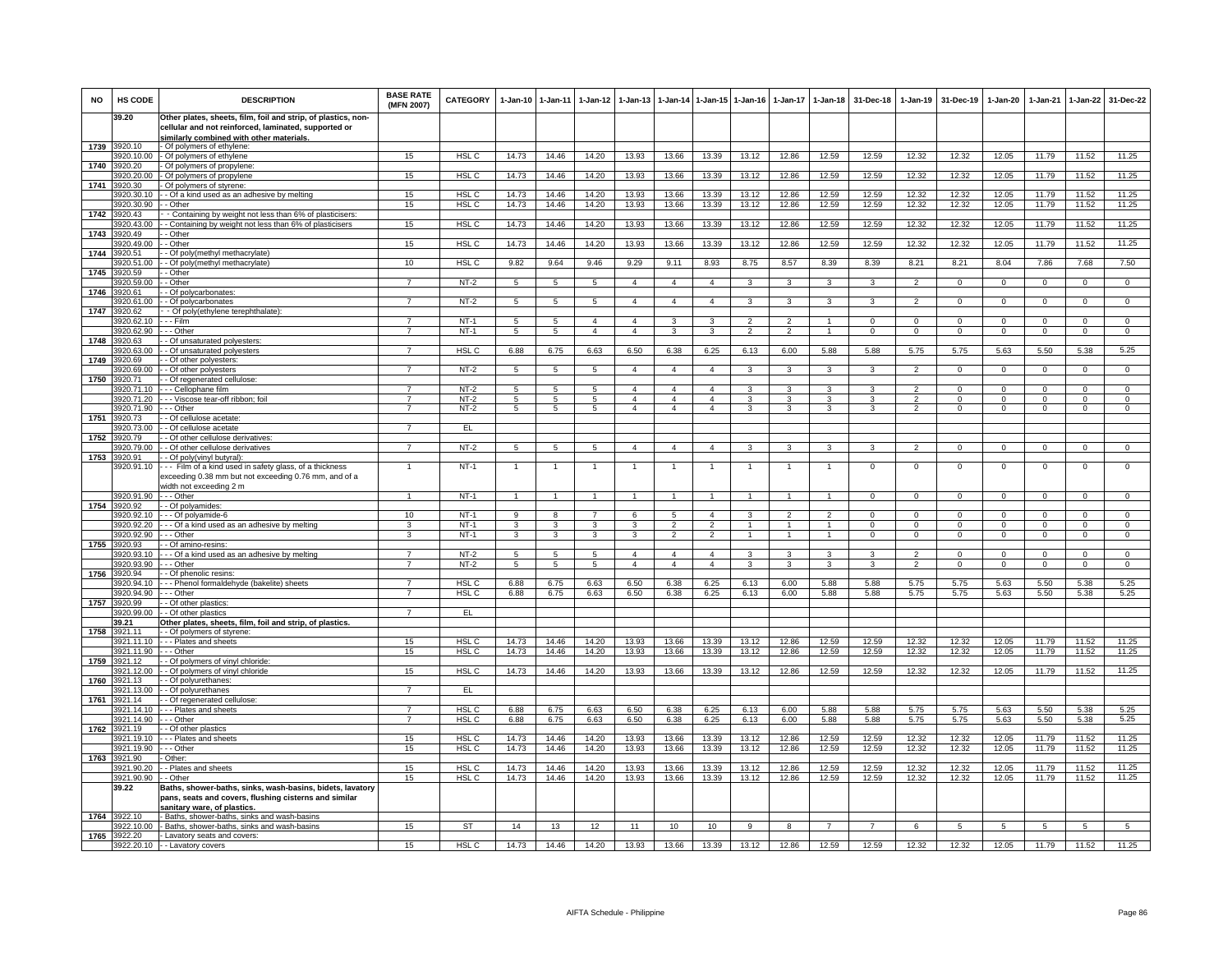| <b>NO</b> | HS CODE                 | <b>DESCRIPTION</b>                                                                                                    | <b>BASE RATE</b><br>(MFN 2007)   | <b>CATEGORY</b>           | 1-Jan-10          | 1-Jan-11                         | $1-Jan-12$                       | $1-Jan-13$                       | 1-Jan-14                         | $1 - Jan-15$                     | $1-Jan-16$                       | 1-Jan-17                | $1-Jan-18$                   | 31-Dec-18               | $1-Jan-19$                 | 31-Dec-19                  | $1-Jan-20$              | 1-Jan-21                   | $1-Jan-22$                    | 31-Dec-22                     |
|-----------|-------------------------|-----------------------------------------------------------------------------------------------------------------------|----------------------------------|---------------------------|-------------------|----------------------------------|----------------------------------|----------------------------------|----------------------------------|----------------------------------|----------------------------------|-------------------------|------------------------------|-------------------------|----------------------------|----------------------------|-------------------------|----------------------------|-------------------------------|-------------------------------|
|           | 39.20                   | Other plates, sheets, film, foil and strip, of plastics, non-<br>cellular and not reinforced, laminated, supported or |                                  |                           |                   |                                  |                                  |                                  |                                  |                                  |                                  |                         |                              |                         |                            |                            |                         |                            |                               |                               |
|           |                         | similarly combined with other materials.                                                                              |                                  |                           |                   |                                  |                                  |                                  |                                  |                                  |                                  |                         |                              |                         |                            |                            |                         |                            |                               |                               |
| 1739      | 3920.10<br>320.10.00    | - Of polymers of ethylene:<br>- Of polymers of ethylene                                                               | 15                               | HSL <sub>C</sub>          | 14.73             | 14.46                            | 14.20                            | 13.93                            | 13.66                            | 13.39                            | 13.12                            | 12.86                   | 12.59                        | 12.59                   | 12.32                      | 12.32                      | 12.05                   | 11.79                      | 11.52                         | 11.25                         |
| 1740      | 3920.20                 | Of polymers of propylene                                                                                              |                                  |                           |                   |                                  |                                  |                                  |                                  |                                  |                                  |                         |                              |                         |                            |                            |                         |                            |                               |                               |
|           | 920.20.00               | - Of polymers of propylene                                                                                            | 15                               | HSL C                     | 14.73             | 14.46                            | 14.20                            | 13.93                            | 13.66                            | 13.39                            | 13.12                            | 12.86                   | 12.59                        | 12.59                   | 12.32                      | 12.32                      | 12.05                   | 11.79                      | 11.52                         | 11.25                         |
| 1741      | 920.30                  | Of polymers of styrene                                                                                                |                                  |                           |                   |                                  |                                  |                                  |                                  |                                  |                                  |                         |                              |                         |                            |                            |                         |                            |                               |                               |
|           | 3920.30.10<br>920.30.90 | - Of a kind used as an adhesive by melting<br>- Other                                                                 | 15<br>15                         | HSL <sub>C</sub><br>HSL C | 14.73<br>14.73    | 14.46<br>14.46                   | 14.20<br>14.20                   | 13.93<br>13.93                   | 13.66<br>13.66                   | 13.39<br>13.39                   | 13.12<br>13.12                   | 12.86<br>12.86          | 12.59<br>12.59               | 12.59<br>12.59          | 12.32<br>12.32             | 12.32<br>12.32             | 12.05<br>12.05          | 11.79<br>11.79             | 11.52<br>11.52                | 11.25<br>11.25                |
| 1742      | 3920.43                 | - Containing by weight not less than 6% of plasticisers:                                                              |                                  |                           |                   |                                  |                                  |                                  |                                  |                                  |                                  |                         |                              |                         |                            |                            |                         |                            |                               |                               |
|           | 920.43.00               | - Containing by weight not less than 6% of plasticisers                                                               | 15                               | HSL <sub>C</sub>          | 14.73             | 14.46                            | 14.20                            | 13.93                            | 13.66                            | 13.39                            | 13.12                            | 12.86                   | 12.59                        | 12.59                   | 12.32                      | 12.32                      | 12.05                   | 11.79                      | 11.52                         | 11.25                         |
| 1743      | 920.49<br>920.49.00     | - Other<br>- Other                                                                                                    | 15                               | HSL <sub>C</sub>          | 14.73             | 14.46                            | 14.20                            | 13.93                            | 13.66                            | 13.39                            | 13.12                            | 12.86                   | 12.59                        | 12.59                   | 12.32                      | 12.32                      | 12.05                   | 11.79                      | 11.52                         | 11.25                         |
| 1744      | 920.51                  | - Of poly(methyl methacrylate)                                                                                        |                                  |                           |                   |                                  |                                  |                                  |                                  |                                  |                                  |                         |                              |                         |                            |                            |                         |                            |                               |                               |
|           | 920.51.00               | - Of poly(methyl methacrylate)                                                                                        | 10                               | HSL <sub>C</sub>          | 9.82              | 9.64                             | 9.46                             | 9.29                             | 9.11                             | 8.93                             | 8.75                             | 8.57                    | 8.39                         | 8.39                    | 8.21                       | 8.21                       | 8.04                    | 7.86                       | 7.68                          | 7.50                          |
| 1745      | 920.59<br>920.59.00     | - Other<br>- Other                                                                                                    | $\overline{7}$                   | $NT-2$                    | 5                 | 5                                | $\overline{5}$                   | $\Delta$                         | $\overline{4}$                   | $\overline{4}$                   | $\overline{\mathbf{3}}$          | $\overline{\mathbf{3}}$ | 3                            | 3                       | $\overline{2}$             | $\overline{0}$             | $\overline{0}$          | $\overline{0}$             | $\overline{0}$                | $\overline{0}$                |
| 1746      | 920.61                  | - Of polycarbonates:                                                                                                  |                                  |                           |                   |                                  |                                  |                                  |                                  |                                  |                                  |                         |                              |                         |                            |                            |                         |                            |                               |                               |
|           | 3920.61.00              | - - Of polycarbonates                                                                                                 | $\overline{7}$                   | $NT-2$                    | 5                 | 5                                | $5\overline{5}$                  | $\overline{4}$                   | $\overline{4}$                   | $\overline{4}$                   | 3                                | 3                       | $\mathbf{3}$                 | 3                       | $\overline{2}$             | $\mathbf 0$                | $\mathbf{0}$            | $\mathbf 0$                | $\mathbf{0}$                  | $\mathbf{0}$                  |
| 1747      | 3920.62                 | - Of poly(ethylene terephthalate):                                                                                    |                                  |                           |                   |                                  |                                  |                                  |                                  |                                  |                                  |                         |                              |                         |                            |                            |                         |                            |                               |                               |
|           | 920.62.10<br>920.62.90  | - - Film<br>- - Other                                                                                                 | $\overline{7}$<br>$\overline{7}$ | $NT-1$<br>$NT-1$          | 5<br>5            | $\overline{5}$<br>$\overline{5}$ | $\overline{4}$<br>$\overline{4}$ | $\overline{4}$<br>$\overline{4}$ | -3<br>$\overline{3}$             | 3<br>$\overline{\mathbf{3}}$     | $\overline{2}$<br>$\overline{2}$ | $\mathfrak{p}$<br>2     | $\mathbf{1}$<br>$\mathbf{1}$ | $\Omega$<br>$\Omega$    | $\Omega$<br>$\overline{0}$ | $\mathbf 0$<br>$\mathbf 0$ | $\Omega$<br>$\mathbf 0$ | $\Omega$<br>$\overline{0}$ | $\mathbf 0$<br>$\overline{0}$ | $\mathbf 0$<br>$\overline{0}$ |
| 1748      | 920.63                  | - Of unsaturated polyesters:                                                                                          |                                  |                           |                   |                                  |                                  |                                  |                                  |                                  |                                  |                         |                              |                         |                            |                            |                         |                            |                               |                               |
|           | 920.63.00               | - Of unsaturated polyesters                                                                                           | $\overline{7}$                   | HSL <sub>C</sub>          | 6.88              | 6.75                             | 6.63                             | 6.50                             | 6.38                             | 6.25                             | 6.13                             | 6.00                    | 5.88                         | 5.88                    | 5.75                       | 5.75                       | 5.63                    | 5.50                       | 5.38                          | 5.25                          |
| 1749      | 920.69                  | - Of other polyesters:                                                                                                |                                  |                           |                   |                                  |                                  |                                  |                                  |                                  |                                  |                         |                              |                         |                            |                            |                         |                            |                               |                               |
| 1750      | 3920.69.00<br>920.71    | - Of other polyesters<br>- Of regenerated cellulose:                                                                  | $\overline{7}$                   | $NT-2$                    | $5\overline{5}$   | $\overline{5}$                   | $5\overline{)}$                  | $\overline{4}$                   | $\overline{4}$                   | $\overline{4}$                   | 3                                | $\overline{\mathbf{3}}$ | $\overline{\mathbf{3}}$      | $\mathbf{3}$            | $\overline{2}$             | $\mathbf 0$                | $\mathbf{0}$            | $\Omega$                   | $\mathbf{0}$                  | $\overline{0}$                |
|           | 3920.71.10              | - - Cellophane film                                                                                                   | 7                                | NT-2                      | 5                 | 5                                | $\overline{5}$                   | $\overline{4}$                   | $\overline{4}$                   | $\overline{4}$                   | 3                                | 3                       | 3                            | 3                       | $\mathfrak{p}$             | $\Omega$                   | $\Omega$                | $\Omega$                   | $\mathsf 0$                   | $\mathbf 0$                   |
|           | 3920.71.20              | - - - Viscose tear-off ribbon; foil                                                                                   | $\overline{7}$                   | $NT-2$                    | 5                 | -5                               | $\sqrt{5}$                       | $\overline{4}$                   | $\overline{4}$                   | $\overline{4}$                   | 3                                | 3                       | 3                            |                         | $\mathcal{P}$              | $\Omega$                   | $\Omega$                | $\Omega$                   | $\Omega$                      | $\Omega$                      |
|           | 3920.71.90              | --- Other                                                                                                             | $\overline{7}$                   | $NT-2$                    | 5                 | 5                                | 5                                | $\overline{4}$                   | $\overline{4}$                   | $\overline{4}$                   | 3                                | 3                       | 3                            | 3                       | $\overline{2}$             | $^{\circ}$                 | $^{\circ}$              | $^{\circ}$                 | $\mathbf{0}$                  | $^{\circ}$                    |
| 1751      | 3920.73                 | - Of cellulose acetate:                                                                                               |                                  |                           |                   |                                  |                                  |                                  |                                  |                                  |                                  |                         |                              |                         |                            |                            |                         |                            |                               |                               |
| 1752      | 920 73.00<br>920.79     | - Of cellulose acetate<br>- Of other cellulose derivatives:                                                           | $\overline{7}$                   | EL.                       |                   |                                  |                                  |                                  |                                  |                                  |                                  |                         |                              |                         |                            |                            |                         |                            |                               |                               |
|           | 920.79.00               | - Of other cellulose derivatives                                                                                      | $\overline{7}$                   | $NT-2$                    | 5                 | 5                                | 5                                | 4                                | $\overline{4}$                   | $\overline{4}$                   | 3                                | 3                       | 3                            | 3                       | $\mathcal{P}$              | $\mathbf 0$                | $\Omega$                | $\Omega$                   | 0                             | $\Omega$                      |
| 1753      | 3920.91                 | - Of poly(vinyl butyral):                                                                                             |                                  |                           |                   |                                  |                                  |                                  |                                  |                                  |                                  |                         |                              |                         |                            |                            |                         |                            |                               |                               |
|           | 3920.91.10              | --- Film of a kind used in safety glass, of a thickness                                                               | $\mathbf{1}$                     | $NT-1$                    | $\overline{1}$    | $\overline{1}$                   | $\overline{1}$                   | $\mathbf{1}$                     | $\overline{1}$                   | $\mathbf{1}$                     | $\overline{1}$                   | $\mathbf{1}$            | $\mathbf{1}$                 | $\Omega$                | $\mathbf 0$                | $\mathbf 0$                | $\overline{\mathbf{0}}$ | $\Omega$                   | $\overline{0}$                | $\overline{0}$                |
|           |                         | exceeding 0.38 mm but not exceeding 0.76 mm, and of a<br>width not exceeding 2 m                                      |                                  |                           |                   |                                  |                                  |                                  |                                  |                                  |                                  |                         |                              |                         |                            |                            |                         |                            |                               |                               |
|           | 3920.91.90              | --- Other                                                                                                             | $\overline{1}$                   | $NT-1$                    | $\overline{1}$    |                                  |                                  |                                  | $\overline{1}$                   |                                  |                                  |                         |                              | $^{\circ}$              | $\mathbf{0}$               | $\mathbf 0$                | $\mathbf{0}$            | $^{\circ}$                 | $^{\circ}$                    | $^{\circ}$                    |
| 1754      | 3920.92                 | - Of polyamides:                                                                                                      |                                  |                           |                   |                                  |                                  |                                  |                                  |                                  |                                  |                         |                              |                         |                            |                            |                         |                            |                               |                               |
|           | 3920.92.10              | - - - Of polyamide-6                                                                                                  | 10                               | $NT-1$                    | 9                 | $\overline{8}$                   | $\overline{7}$                   | 6                                | -5                               | $\mathbf{A}$                     | 3                                | $\mathcal{P}$           | $\mathfrak{p}$               | $\Omega$                | $\Omega$                   | $\Omega$                   | $\Omega$                | $\Omega$                   | $\Omega$                      | $\overline{0}$                |
|           | 920.92.20<br>920.92.90  | - - Of a kind used as an adhesive by melting<br>- - Other                                                             | 3<br>3                           | $NT-1$<br>$NT-1$          | 3<br>$\mathbf{3}$ | 3<br>$\mathbf{3}$                | $\mathbf{3}$<br>3                | 3<br>3                           | $\overline{2}$<br>$\mathfrak{p}$ | $\overline{2}$<br>$\overline{2}$ | $\mathbf{1}$<br>$\mathbf{1}$     | 1<br>$\mathbf{1}$       | $\mathbf{1}$<br>$\mathbf{1}$ | $\Omega$<br>$\mathbf 0$ | $\Omega$<br>$\mathbf{0}$   | $\Omega$<br>$\mathbf 0$    | $\Omega$<br>$\circ$     | $\Omega$<br>$\mathbf{0}$   | $\overline{0}$<br>$\mathbf 0$ | $\overline{0}$<br>$\mathbf 0$ |
| 1755      | 920.93                  | - Of amino-resins:                                                                                                    |                                  |                           |                   |                                  |                                  |                                  |                                  |                                  |                                  |                         |                              |                         |                            |                            |                         |                            |                               |                               |
|           | 920.93.10               | - - Of a kind used as an adhesive by melting                                                                          | $\overline{7}$                   | $NT-2$                    | 5                 | 5                                | $\sqrt{5}$                       | $\overline{4}$                   | $\mathbf{A}$                     | $\mathbf{A}$                     | $\mathbf{3}$                     | $\mathbf{\hat{z}}$      | 3                            | 3                       | $\mathcal{P}$              | $\Omega$                   | $\Omega$                | $\Omega$                   | $\mathsf 0$                   | $\Omega$                      |
|           | 3920.93.90              | - - Other                                                                                                             | $\overline{7}$                   | $NT-2$                    | $\overline{5}$    | $5\phantom{.0}$                  | $\overline{5}$                   | $\overline{4}$                   | $\overline{4}$                   | $\overline{4}$                   | $\overline{3}$                   | $\overline{3}$          | $\overline{3}$               | 3                       | $\overline{2}$             | $\mathbf 0$                | $\mathsf 0$             | $\Omega$                   | $\mathsf 0$                   | $\overline{0}$                |
| 1756      | 3920.94<br>920.94.10    | - Of phenolic resins:<br>- - Phenol formaldehyde (bakelite) sheets                                                    | 7                                | HSL <sub>C</sub>          | 6.88              | 6.75                             | 6.63                             | 6.50                             | 6.38                             | 6.25                             | 6.13                             | 6.00                    | 5.88                         | 5.88                    | 5.75                       | 5.75                       | 5.63                    | 5.50                       | 5.38                          | 5.25                          |
|           | 3920.94.90              | - - - Other                                                                                                           | $\overline{7}$                   | HSL C                     | 6.88              | 6.75                             | 6.63                             | 6.50                             | 6.38                             | 6.25                             | 6.13                             | 6.00                    | 5.88                         | 5.88                    | 5.75                       | 5.75                       | 5.63                    | 5.50                       | 5.38                          | 5.25                          |
|           | 1757 3920.99            | - Of other plastics:                                                                                                  |                                  |                           |                   |                                  |                                  |                                  |                                  |                                  |                                  |                         |                              |                         |                            |                            |                         |                            |                               |                               |
|           | 3920.99.00              | - - Of other plastics                                                                                                 | $\overline{7}$                   | EL.                       |                   |                                  |                                  |                                  |                                  |                                  |                                  |                         |                              |                         |                            |                            |                         |                            |                               |                               |
| 1758      | 39.21<br>3921.11        | Other plates, sheets, film, foil and strip, of plastics.<br>- Of polymers of styrene:                                 |                                  |                           |                   |                                  |                                  |                                  |                                  |                                  |                                  |                         |                              |                         |                            |                            |                         |                            |                               |                               |
|           | 921.11.10               | - - Plates and sheets                                                                                                 | 15                               | HSL <sub>C</sub>          | 14.73             | 14.46                            | 14.20                            | 13.93                            | 13.66                            | 13.39                            | 13.12                            | 12.86                   | 12.59                        | 12.59                   | 12.32                      | 12.32                      | 12.05                   | 11.79                      | 11.52                         | 11.25                         |
|           | 3921.11.90              | - - Other                                                                                                             | 15                               | HSL <sub>C</sub>          | 14.73             | 14.46                            | 14.20                            | 13.93                            | 13.66                            | 13.39                            | 13.12                            | 12.86                   | 12.59                        | 12.59                   | 12.32                      | 12.32                      | 12.05                   | 11.79                      | 11.52                         | 11.25                         |
| 1759      | 3921.12                 | - Of polymers of vinyl chloride                                                                                       |                                  |                           |                   |                                  |                                  |                                  |                                  |                                  |                                  |                         |                              |                         |                            |                            |                         |                            |                               |                               |
| 1760      | 921 12 00<br>921.13     | - Of polymers of vinyl chloride<br>- Of polyurethanes                                                                 | 15                               | HSL C                     | 14.73             | 14.46                            | 14.20                            | 13.93                            | 13.66                            | 13.39                            | 13.12                            | 12.86                   | 12.59                        | 12.59                   | 12.32                      | 12.32                      | 12.05                   | 11.79                      | 11.52                         | 11.25                         |
|           | 921.13.00               | - - Of polyurethanes                                                                                                  | $\overline{7}$                   | EL                        |                   |                                  |                                  |                                  |                                  |                                  |                                  |                         |                              |                         |                            |                            |                         |                            |                               |                               |
| 1761      | 3921.14                 | - Of regenerated cellulose:                                                                                           |                                  |                           |                   |                                  |                                  |                                  |                                  |                                  |                                  |                         |                              |                         |                            |                            |                         |                            |                               |                               |
|           | 3921.14.10              | - - Plates and sheets                                                                                                 | $\overline{7}$                   | HSL C                     | 6.88              | 6.75                             | 6.63                             | 6.50                             | 6.38                             | 6.25                             | 6.13                             | 6.00                    | 5.88                         | 5.88                    | 5.75                       | 5.75                       | 5.63                    | 5.50                       | 5.38                          | 5.25                          |
|           | 921 14 90               | - - Other                                                                                                             | $\overline{7}$                   | HSL <sub>C</sub>          | 6.88              | 6.75                             | 6.63                             | 6.50                             | 6.38                             | 6.25                             | 6.13                             | 6.00                    | 5.88                         | 5.88                    | 5.75                       | 5.75                       | 5.63                    | 5.50                       | 5.38                          | 5.25                          |
| 1762      | 921.19<br>921.19.10     | - Of other plastics<br>- - Plates and sheets                                                                          | 15                               | HSL <sub>C</sub>          | 14.73             | 14.46                            | 14.20                            | 13.93                            | 13.66                            | 13.39                            | 13.12                            | 12.86                   | 12.59                        | 12.59                   | 12.32                      | 12.32                      | 12.05                   | 11.79                      | 11.52                         | 11.25                         |
|           | 921.19.90               | - - Other                                                                                                             | 15                               | HSL C                     | 14.73             | 14.46                            | 14.20                            | 13.93                            | 13.66                            | 13.39                            | 13.12                            | 12.86                   | 12.59                        | 12.59                   | 12.32                      | 12.32                      | 12.05                   | 11.79                      | 11.52                         | 11.25                         |
| 1763      | 3921.90                 | Other:                                                                                                                |                                  |                           |                   |                                  |                                  |                                  |                                  |                                  |                                  |                         |                              |                         |                            |                            |                         |                            |                               |                               |
|           | 921.90.20               | - Plates and sheets                                                                                                   | 15                               | HSL C                     | 14.73             | 14.46                            | 14.20                            | 13.93                            | 13.66                            | 13.39                            | 13.12                            | 12.86                   | 12.59                        | 12.59                   | 12.32                      | 12.32                      | 12.05                   | 11.79                      | 11.52                         | 11.25                         |
|           | 3921.90.90<br>39.22     | - Other<br>Baths, shower-baths, sinks, wash-basins, bidets, lavatory                                                  | 15                               | HSL C                     | 14.73             | 14.46                            | 14.20                            | 13.93                            | 13.66                            | 13.39                            | 13.12                            | 12.86                   | 12.59                        | 12.59                   | 12.32                      | 12.32                      | 12.05                   | 11.79                      | 11.52                         | 11.25                         |
|           |                         | pans, seats and covers, flushing cisterns and similar                                                                 |                                  |                           |                   |                                  |                                  |                                  |                                  |                                  |                                  |                         |                              |                         |                            |                            |                         |                            |                               |                               |
| 1764      | 3922.10                 | <u>sanitary ware, of plastics.</u><br>- Baths, shower-baths, sinks and wash-basins                                    |                                  |                           |                   |                                  |                                  |                                  |                                  |                                  |                                  |                         |                              |                         |                            |                            |                         |                            |                               |                               |
|           | 922.10.00               | - Baths, shower-baths, sinks and wash-basins                                                                          | 15                               | <b>ST</b>                 | 14                | 13                               | 12                               | 11                               | 10                               | 10                               | $_{9}$                           | $\overline{8}$          | $\overline{7}$               | $\overline{7}$          | 6                          | 5                          | $\overline{5}$          | $\overline{5}$             | $\overline{5}$                | 5                             |
| 1765      | 3922.20                 | - Lavatory seats and covers:                                                                                          |                                  |                           |                   |                                  |                                  |                                  |                                  |                                  |                                  |                         |                              |                         |                            |                            |                         |                            |                               |                               |
|           |                         | 3922.20.10 - - Lavatory covers                                                                                        | 15                               | HSL C                     | 14.73             | 14.46                            | 14.20                            | 13.93                            | 13.66                            | 13.39                            | 13.12                            | 12.86                   | 12.59                        | 12.59                   | 12.32                      | 12.32                      | 12.05                   | 11.79                      | 11.52                         | 11.25                         |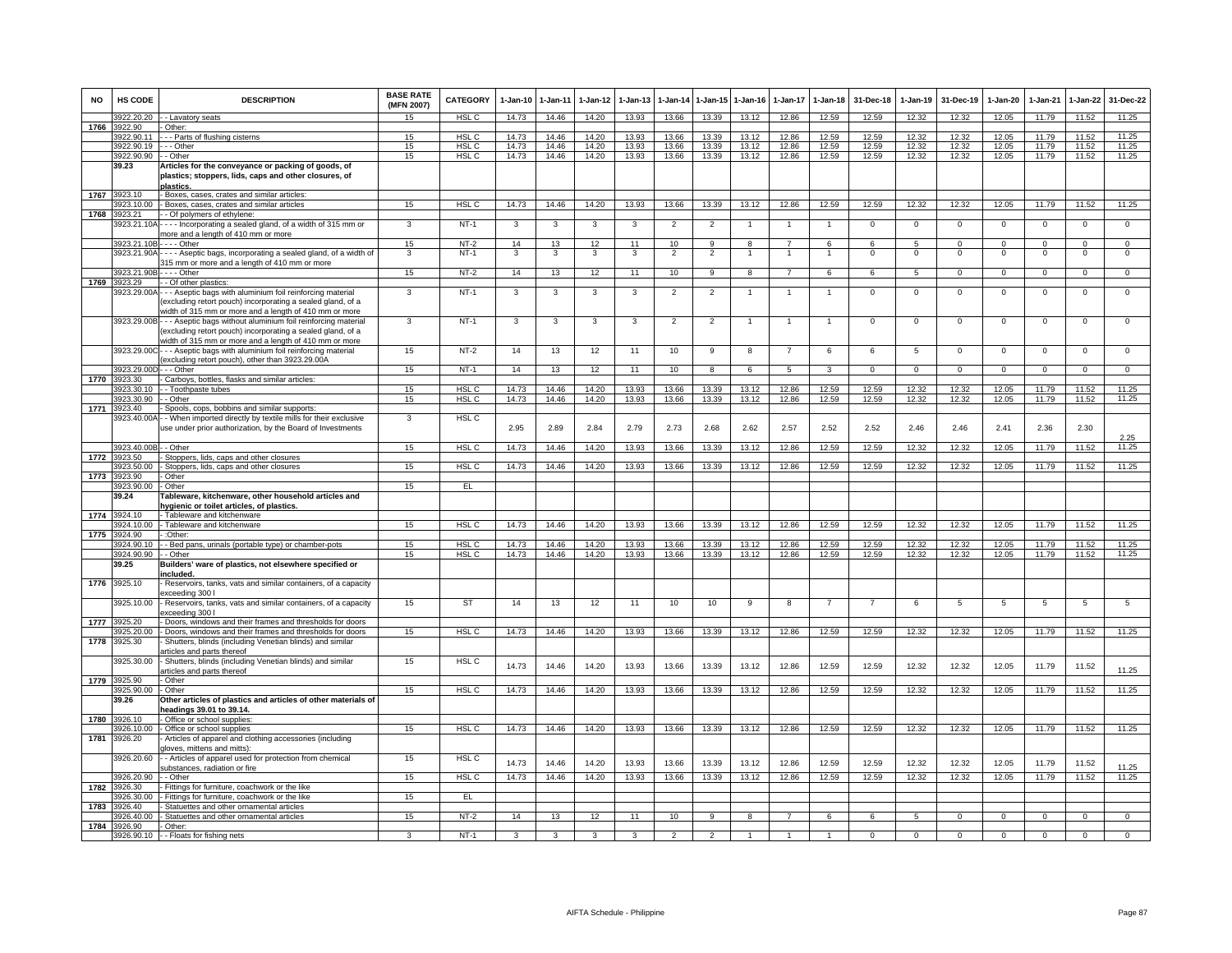| <b>NO</b> | <b>HS CODE</b>            | <b>DESCRIPTION</b>                                                                                                                                                                | <b>BASE RATE</b><br>(MFN 2007) | CATEGORY         | 1-Jan-10 | $1 - Jan-11$ | $1 - Jan-12$ | $1 - Jan-13$            | I-Jan-14                 | $1-Jan-15$     | $1-Jan-16$     | $1-Jan-17$     | 1-Jan-18       | 31-Dec-18      | $1-Jan-19$     | 31-Dec-19      | $1 - Jan-20$   | $1 - Jan-21$ | $1-Jan-22$     | 31-Dec-22      |
|-----------|---------------------------|-----------------------------------------------------------------------------------------------------------------------------------------------------------------------------------|--------------------------------|------------------|----------|--------------|--------------|-------------------------|--------------------------|----------------|----------------|----------------|----------------|----------------|----------------|----------------|----------------|--------------|----------------|----------------|
|           | 3922.20.20                | - - Lavatory seats                                                                                                                                                                | 15                             | HSL C            | 14.73    | 14.46        | 14.20        | 13.93                   | 13.66                    | 13.39          | 13.12          | 12.86          | 12.59          | 12.59          | 12.32          | 12.32          | 12.05          | 11.79        | 11.52          | 11.25          |
| 1766      | 3922.90                   | Other:                                                                                                                                                                            |                                |                  |          |              |              |                         |                          |                |                |                |                |                |                |                |                |              |                |                |
|           | 3922.90.11                | -- Parts of flushing cisterns                                                                                                                                                     | 15                             | HSL C            | 14.73    | 14.46        | 14.20        | 13.93                   | 13.66                    | 13.39          | 13.12          | 12.86          | 12.59          | 12.59          | 12.32          | 12.32          | 12.05          | 11.79        | 11.52          | 11.25          |
|           | 3922.90.19                | $-$ Other                                                                                                                                                                         | 15                             | HSL <sub>C</sub> | 14.73    | 14.46        | 14.20        | 13.93                   | 13.66                    | 13.39          | 13.12          | 12.86          | 12.59          | 12.59          | 12.32          | 12.32          | 12.05          | 11.79        | 11.52          | 11.25          |
|           | 3922.90.90                | - - Other                                                                                                                                                                         | 15                             | HSL <sub>C</sub> | 14.73    | 14.46        | 14.20        | 13.93                   | 13.66                    | 13.39          | 13.12          | 12.86          | 12.59          | 12.59          | 12.32          | 12.32          | 12.05          | 11.79        | 11.52          | 11.25          |
|           | 39.23                     | Articles for the conveyance or packing of goods, of<br>plastics; stoppers, lids, caps and other closures, of<br>plastics.                                                         |                                |                  |          |              |              |                         |                          |                |                |                |                |                |                |                |                |              |                |                |
| 1767      | 3923.10                   | - Boxes, cases, crates and similar articles:                                                                                                                                      |                                |                  |          |              |              |                         |                          |                |                |                |                |                |                |                |                |              |                |                |
|           | 923.10.00                 | Boxes, cases, crates and similar articles                                                                                                                                         | 15                             | HSL <sub>C</sub> | 14.73    | 14.46        | 14.20        | 13.93                   | 13.66                    | 13.39          | 13.12          | 12.86          | 12.59          | 12.59          | 12.32          | 12.32          | 12.05          | 11.79        | 11.52          | 11.25          |
| 1768      | 3923.21                   | - Of polymers of ethylene:                                                                                                                                                        |                                |                  |          |              |              |                         |                          |                |                |                |                |                |                |                |                |              |                |                |
|           | 3923.21.10A               | --- Incorporating a sealed gland, of a width of 315 mm or<br>more and a length of 410 mm or more                                                                                  | 3                              | $NT-1$           | 3        | 3            | 3            | 3                       | $\overline{2}$           | $\overline{2}$ | $\overline{1}$ | $\overline{1}$ | $\overline{1}$ | $\overline{0}$ | $\overline{0}$ | $\overline{0}$ | $\overline{0}$ | $\Omega$     | $\overline{0}$ | $\overline{0}$ |
|           | 3923.21.10B - - - - Other |                                                                                                                                                                                   | 15                             | NT-2             | 14       | 13           | 12           | 11                      | 10                       | 9              | 8              |                | 6              | 6              | 5              | $^{\circ}$     | 0              | $^{\circ}$   | $^{\circ}$     | $\mathbf 0$    |
|           |                           | 3923.21.90A - - - - Aseptic bags, incorporating a sealed gland, of a width of                                                                                                     | 3                              | $NT-1$           | 3        | 3            | 3            | 3                       | $\overline{2}$           | $\overline{2}$ | $\overline{1}$ | $\overline{1}$ | $\overline{1}$ | $\mathbf 0$    | $\mathbf 0$    | $\mathbf 0$    | $\mathbf 0$    | $^{\circ}$   | $\mathbf 0$    | $\mathsf 0$    |
|           |                           | 315 mm or more and a length of 410 mm or more                                                                                                                                     |                                |                  |          |              |              |                         |                          |                |                |                |                |                |                |                |                |              |                |                |
|           | 923.21.90B                | $- -$ Other                                                                                                                                                                       | 15                             | $NT-2$           | 14       | 13           | 12           | 11                      | 10                       | 9              | 8              | $\overline{7}$ | 6              | 6              | 5              | $\mathbf 0$    | $\circ$        | $\Omega$     | $\overline{0}$ | $\overline{0}$ |
| 1769      | 3923.29                   | - Of other plastics:                                                                                                                                                              |                                |                  |          |              |              |                         |                          |                |                |                |                |                |                |                |                |              |                |                |
|           | 3923.29.00A               | - - Aseptic bags with aluminium foil reinforcing material<br>excluding retort pouch) incorporating a sealed gland, of a<br>vidth of 315 mm or more and a length of 410 mm or more | 3                              | $NT-1$           | 3        | $\mathbf{3}$ | $\mathbf{3}$ | 3                       | $\overline{2}$           | $\overline{2}$ | 1              | $\mathbf{1}$   | $\mathbf{1}$   | $\mathsf 0$    | $\mathsf 0$    | $\mathsf 0$    | $\mathbf 0$    | $\mathsf 0$  | $\mathsf 0$    | $\mathsf 0$    |
|           |                           | 3923.29.00B - - - Aseptic bags without aluminium foil reinforcing material<br>(excluding retort pouch) incorporating a sealed gland, of a                                         | 3                              | $NT-1$           | 3        | 3            | 3            | 3                       | $\overline{2}$           | $\overline{2}$ | 1              |                | $\overline{1}$ | $\mathsf 0$    | $\mathsf 0$    | $\mathbf 0$    | $\mathbf 0$    | $\mathbf 0$  | $\mathbf 0$    | $\mathsf 0$    |
|           |                           | width of 315 mm or more and a length of 410 mm or more<br>3923.29.00C - - - Aseptic bags with aluminium foil reinforcing material                                                 | 15                             | $NT-2$           | 14       | 13           | 12           | 11                      | 10                       | 9              | 8              | $\overline{7}$ | 6              | 6              | 5              | $\mathbf 0$    | $\mathsf 0$    | $\mathbf 0$  | $\mathbf 0$    | $\mathsf 0$    |
|           |                           | excluding retort pouch), other than 3923.29.00A                                                                                                                                   |                                |                  |          |              |              |                         |                          |                |                |                |                |                |                |                |                |              |                |                |
|           | 3923.29.00                | $-$ Other                                                                                                                                                                         | 15                             | $NT-1$           | 14       | 13           | 12           | 11                      | 10                       | R.             | $\epsilon$     | 5              | $\mathbf{a}$   | $\Omega$       | $\Omega$       | $\Omega$       | $\Omega$       | $\Omega$     | $\Omega$       | $\Omega$       |
| 1770      | 3923.30                   | Carboys, bottles, flasks and similar articles:                                                                                                                                    |                                |                  |          |              |              |                         |                          |                |                |                |                |                |                |                |                |              |                |                |
|           | 3923.30.10                | - - Toothpaste tubes                                                                                                                                                              | 15                             | HSL C            | 14.73    | 14.46        | 14.20        | 13.93                   | 13.66                    | 13.39          | 13.12          | 12.86          | 12.59          | 12.59          | 12.32          | 12.32          | 12.05          | 11.79        | 11.52          | 11.25          |
|           | 3923.30.90                | - Other                                                                                                                                                                           | 15                             | HSL <sub>C</sub> | 14.73    | 14.46        | 14.20        | 13.93                   | 13.66                    | 13.39          | 13.12          | 12.86          | 12.59          | 12.59          | 12.32          | 12.32          | 12.05          | 11.79        | 11.52          | 11.25          |
| 1771      | 3923.40                   | Spools, cops, bobbins and similar supports:                                                                                                                                       |                                |                  |          |              |              |                         |                          |                |                |                |                |                |                |                |                |              |                |                |
|           | 3923.40.00A               | - When imported directly by textile mills for their exclusive<br>use under prior authorization, by the Board of Investments                                                       | 3                              | HSL C            | 2.95     | 2.89         | 2.84         | 2.79                    | 2.73                     | 2.68           | 2.62           | 2.57           | 2.52           | 2.52           | 2.46           | 2.46           | 2.41           | 2.36         | 2.30           | 2.25           |
|           | 3923.40.00B - - Other     |                                                                                                                                                                                   | 15                             | <b>HSL C</b>     | 14.73    | 14.46        | 14.20        | 13.93                   | 13.66                    | 13.39          | 13.12          | 12.86          | 12.59          | 12.59          | 12.32          | 12.32          | 12.05          | 11.79        | 11.52          | 11.25          |
| 1772      | 3923.50                   | Stoppers, lids, caps and other closures                                                                                                                                           |                                |                  |          |              |              |                         |                          |                |                |                |                |                |                |                |                |              |                |                |
|           | 3923.50.00                | - Stoppers, lids, caps and other closures                                                                                                                                         | 15                             | HSL <sub>C</sub> | 14.73    | 14.46        | 14.20        | 13.93                   | 13.66                    | 13.39          | 13.12          | 12.86          | 12.59          | 12.59          | 12.32          | 12.32          | 12.05          | 11.79        | 11.52          | 11.25          |
| 1773      | 3923.90                   | Other                                                                                                                                                                             |                                |                  |          |              |              |                         |                          |                |                |                |                |                |                |                |                |              |                |                |
|           | 3923.90.00                | - Other                                                                                                                                                                           | 15                             | EL               |          |              |              |                         |                          |                |                |                |                |                |                |                |                |              |                |                |
|           | 39.24                     | Tableware, kitchenware, other household articles and                                                                                                                              |                                |                  |          |              |              |                         |                          |                |                |                |                |                |                |                |                |              |                |                |
|           |                           | hygienic or toilet articles, of plastics.                                                                                                                                         |                                |                  |          |              |              |                         |                          |                |                |                |                |                |                |                |                |              |                |                |
| 1774      | 3924.10                   | Tableware and kitchenware                                                                                                                                                         |                                |                  |          |              |              |                         |                          |                |                |                |                |                |                |                |                |              |                |                |
|           | 3924.10.00                | - Tableware and kitchenware                                                                                                                                                       | 15                             | HSL <sub>C</sub> | 14.73    | 14.46        | 14.20        | 13.93                   | 13.66                    | 13.39          | 13.12          | 12.86          | 12.59          | 12.59          | 12.32          | 12.32          | 12.05          | 11.79        | 11.52          | 11.25          |
| 1775      | 3924.90                   | :Other:                                                                                                                                                                           |                                |                  |          |              |              |                         |                          |                |                |                |                |                |                |                |                |              |                |                |
|           | 924.90.10                 | - Bed pans, urinals (portable type) or chamber-pots                                                                                                                               | 15                             | HSL <sub>C</sub> | 14.73    | 14.46        | 14.20        | 13.93                   | 13.66                    | 13.39          | 13.12          | 12.86          | 12.59          | 12.59          | 12.32          | 12.32          | 12.05          | 11.79        | 11.52          | 11.25          |
|           | 3924.90.90                | - Other                                                                                                                                                                           | 15                             | HSL <sub>C</sub> | 14.73    | 14.46        | 14.20        | 13.93                   | 13.66                    | 13.39          | 13.12          | 12.86          | 12.59          | 12.59          | 12.32          | 12.32          | 12.05          | 11.79        | 11.52          | 11.25          |
|           | 39.25                     | Builders' ware of plastics, not elsewhere specified or<br>included                                                                                                                |                                |                  |          |              |              |                         |                          |                |                |                |                |                |                |                |                |              |                |                |
| 1776      | 3925.10                   | - Reservoirs, tanks, vats and similar containers, of a capacity<br>exceeding 300 l                                                                                                |                                |                  |          |              |              |                         |                          |                |                |                |                |                |                |                |                |              |                |                |
|           | 3925.10.00                | - Reservoirs, tanks, vats and similar containers, of a capacity<br>exceeding 300 l                                                                                                | 15                             | <b>ST</b>        | 14       | 13           | 12           | 11                      | 10                       | 10             | 9              | 8              | $\overline{7}$ | $\overline{7}$ | 6              | 5              | 5              | 5            | 5              | $\overline{5}$ |
|           | 1777 3925.20              | - Doors, windows and their frames and thresholds for doors                                                                                                                        |                                |                  |          |              |              |                         |                          |                |                |                |                |                |                |                |                |              |                |                |
|           | 3925.20.00                | - Doors, windows and their frames and thresholds for doors                                                                                                                        | 15                             | HSL C            | 14.73    | 14.46        | 14.20        | 13.93                   | 13.66                    | 13.39          | 13.12          | 12.86          | 12.59          | 12.59          | 12.32          | 12.32          | 12.05          | 11.79        | 11.52          | 11.25          |
| 1778      | 3925.30                   | Shutters, blinds (including Venetian blinds) and similar<br>articles and parts thereof                                                                                            |                                |                  |          |              |              |                         |                          |                |                |                |                |                |                |                |                |              |                |                |
|           | 3925.30.00                | Shutters, blinds (including Venetian blinds) and similar<br>articles and parts thereof                                                                                            | 15                             | HSL <sub>C</sub> | 14.73    | 14.46        | 14.20        | 13.93                   | 13.66                    | 13.39          | 13.12          | 12.86          | 12.59          | 12.59          | 12.32          | 12.32          | 12.05          | 11.79        | 11.52          | 11.25          |
| 1779      | 3925.90                   | Other                                                                                                                                                                             |                                |                  |          |              |              |                         |                          |                |                |                |                |                |                |                |                |              |                |                |
|           | 3925.90.00                | Other                                                                                                                                                                             | 15                             | HSL C            | 14.73    | 14.46        | 14.20        | 13.93                   | 13.66                    | 13.39          | 13.12          | 12.86          | 12.59          | 12.59          | 12.32          | 12.32          | 12.05          | 11.79        | 11.52          | 11.25          |
|           | 39.26                     | Other articles of plastics and articles of other materials of<br>eadings 39.01 to 39.14.                                                                                          |                                |                  |          |              |              |                         |                          |                |                |                |                |                |                |                |                |              |                |                |
| 1780      | 3926.10                   | Office or school supplies                                                                                                                                                         |                                |                  |          |              |              |                         |                          |                |                |                |                |                |                |                |                |              |                |                |
| 1781      | 3926.10.00<br>3926.20     | - Office or school supplies<br>Articles of apparel and clothing accessories (including                                                                                            | 15                             | HSL C            | 14.73    | 14.46        | 14.20        | 13.93                   | 13.66                    | 13.39          | 13.12          | 12.86          | 12.59          | 12.59          | 12.32          | 12.32          | 12.05          | 11.79        | 11.52          | 11.25          |
|           | 3926.20.60                | gloves, mittens and mitts):<br>- Articles of apparel used for protection from chemical<br>ubstances, radiation or fire                                                            | 15                             | HSL <sub>C</sub> | 14.73    | 14.46        | 14.20        | 13.93                   | 13.66                    | 13.39          | 13.12          | 12.86          | 12.59          | 12.59          | 12.32          | 12.32          | 12.05          | 11.79        | 11.52          | 11.25          |
|           | 3926.20.90                | - Other                                                                                                                                                                           | 15                             | HSL C            | 14.73    | 14.46        | 14.20        | 13.93                   | 13.66                    | 13.39          | 13.12          | 12.86          | 12.59          | 12.59          | 12.32          | 12.32          | 12.05          | 11.79        | 11.52          | 11.25          |
| 1782      | 3926.30                   | Fittings for furniture, coachwork or the like                                                                                                                                     |                                |                  |          |              |              |                         |                          |                |                |                |                |                |                |                |                |              |                |                |
|           | 926.30.00                 | Fittings for furniture, coachwork or the like                                                                                                                                     | 15                             | EL               |          |              |              |                         |                          |                |                |                |                |                |                |                |                |              |                |                |
| 1783      | 3926.40                   | Statuettes and other ornamental articles                                                                                                                                          |                                |                  |          |              |              |                         |                          |                |                |                |                |                |                |                |                |              |                |                |
|           | 3926.40.00                | - Statuettes and other ornamental articles                                                                                                                                        | 15                             | $NT-2$           | 14       | 13           | 12           | 11                      | 10                       | 9              | 8              |                | 6              | 6              | -5             | $\Omega$       | $\Omega$       | $\Omega$     | $\Omega$       | $\mathsf 0$    |
| 1784      | 3926.90                   | - Other:                                                                                                                                                                          |                                |                  |          |              |              |                         |                          |                |                |                |                |                |                |                |                |              |                |                |
|           |                           | 3926.90.10 - - Floats for fishing nets                                                                                                                                            | 3                              | $NT-1$           | 3        | 3            | 3            | $\overline{\mathbf{3}}$ | $\overline{\phantom{a}}$ | $\mathcal{P}$  |                |                |                |                | $\Omega$       |                | $\Omega$       | $\Omega$     | $\Omega$       | $\Omega$       |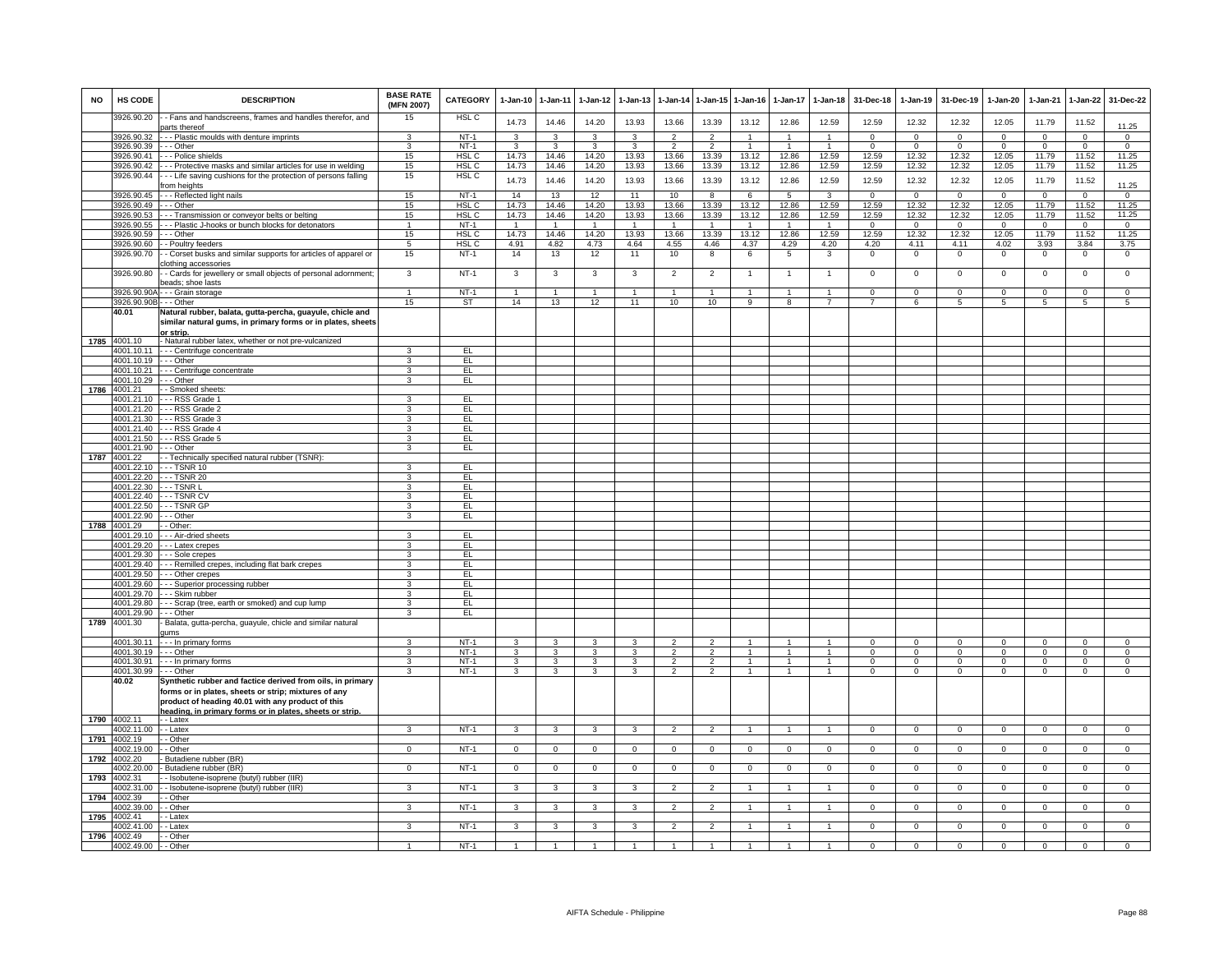| NO   | HS CODE                  | <b>DESCRIPTION</b>                                                                                                                                                      | <b>BASE RATE</b><br>(MFN 2007)            | <b>CATEGORY</b>           | 1-Jan-10                         | 1-Jan-11            | $1 - Jan-12$                     | $1 - Jan-13$        | 1-Jan-14                         | 1-Jan-15                         | 1-Jan-16               | 1-Jan-17                         | 1-Jan-18                       | 31-Dec-18               | 1-Jan-19                         | 31-Dec-19                        | $1 - Jan-20$               | 1-Jan-21                | 1-Jan-22                         | 31-Dec-22                        |
|------|--------------------------|-------------------------------------------------------------------------------------------------------------------------------------------------------------------------|-------------------------------------------|---------------------------|----------------------------------|---------------------|----------------------------------|---------------------|----------------------------------|----------------------------------|------------------------|----------------------------------|--------------------------------|-------------------------|----------------------------------|----------------------------------|----------------------------|-------------------------|----------------------------------|----------------------------------|
|      | 3926.90.20               | - Fans and handscreens, frames and handles therefor, and<br>parts thereof                                                                                               | 15                                        | HSL <sub>C</sub>          | 14.73                            | 14.46               | 14.20                            | 13.93               | 13.66                            | 13.39                            | 13.12                  | 12.86                            | 12.59                          | 12.59                   | 12.32                            | 12.32                            | 12.05                      | 11.79                   | 11.52                            | 11.25                            |
|      | 3926.90.32               | --- Plastic moulds with denture imprints                                                                                                                                | 3                                         | $NT-1$                    | 3                                | 3                   | 3                                | 3                   | $\mathcal{P}$                    | $\mathfrak{p}$                   |                        |                                  |                                | $\Omega$                | $\Omega$                         | $\Omega$                         | $\Omega$                   | $\Omega$                | $\overline{0}$                   | $\overline{0}$                   |
|      | 3926.90.39               | - - - Other                                                                                                                                                             | 3                                         | $NT-1$                    | 3                                | 3                   | 3                                | 3                   | $\overline{2}$                   | $\overline{2}$                   |                        | $\overline{1}$                   | $\overline{1}$                 | $\mathsf 0$             | $\mathbf{0}$                     | $\overline{0}$                   | $\mathbf 0$                | $\mathbf{0}$            | $\mathbf 0$                      | $\mathbf{0}$                     |
|      | 3926.90.41<br>3926.90.42 | -- Police shields<br>-- Protective masks and similar articles for use in welding                                                                                        | 15<br>15                                  | HSL C<br>HSL <sub>C</sub> | 14.73<br>14.73                   | 14.46<br>14.46      | 14.20<br>14.20                   | 13.93<br>13.93      | 13.66<br>13.66                   | 13.39<br>13.39                   | 13.12<br>13.12         | 12.86<br>12.86                   | 12.59<br>12.59                 | 12.59<br>12.59          | 12.32<br>12.32                   | 12.32<br>12.32                   | 12.05<br>12.05             | 11.79<br>11.79          | 11.52<br>11.52                   | 11.25<br>11.25                   |
|      | 3926.90.44               | -- Life saving cushions for the protection of persons falling                                                                                                           | 15                                        | HSL C                     |                                  |                     |                                  |                     |                                  |                                  |                        |                                  |                                |                         |                                  |                                  |                            |                         |                                  |                                  |
|      |                          | rom heights                                                                                                                                                             |                                           |                           | 14.73                            | 14.46               | 14.20                            | 13.93               | 13.66                            | 13.39                            | 13.12                  | 12.86                            | 12.59                          | 12.59                   | 12.32                            | 12.32                            | 12.05                      | 11.79                   | 11.52                            | 11.25                            |
|      | 3926.90.45               | -- Reflected light nails                                                                                                                                                | 15                                        | $NT-1$                    | 14                               | 13                  | 12                               | 11                  | 10                               | 8                                | 6                      | 5                                | $\mathbf{3}$                   | $^{\circ}$              | $\mathbf 0$                      | $\mathbf 0$                      | $\mathbf 0$                | $\mathbf 0$             | $\mathbf 0$                      | $\overline{0}$                   |
|      | 3926.90.49               | - - Other                                                                                                                                                               | 15                                        | HSL <sub>C</sub>          | 14.73                            | 14.46               | 14.20                            | 13.93               | 13.66                            | 13.39                            | 13.12                  | 12.86                            | 12.59                          | 12.59                   | 12.32                            | 12.32                            | 12.05                      | 11.79                   | 11.52                            | 11.25                            |
|      | 3926.90.53               | - - Transmission or conveyor belts or belting                                                                                                                           | 15                                        | HSL <sub>C</sub>          | 14.73                            | 14.46               | 14.20                            | 13.93               | 13.66                            | 13.39                            | 13.12                  | 12.86                            | 12.59                          | 12.59                   | 12.32                            | 12.32                            | 12.05                      | 11.79                   | 11.52                            | 11.25                            |
|      | 3926.90.55               | - - Plastic J-hooks or bunch blocks for detonators                                                                                                                      | $\mathbf{1}$                              | $NT-1$                    | $\overline{1}$                   | $\overline{1}$      | $\overline{1}$                   | $\overline{1}$      | $\overline{1}$                   | $\overline{1}$                   | $\overline{1}$         | $\overline{1}$                   | $\overline{1}$                 | $\Omega$                | $\overline{0}$                   | $\overline{0}$                   | $\overline{0}$             | $\Omega$                | $\overline{0}$                   | $\overline{0}$                   |
|      | 3926.90.59<br>3926.90.60 | - - - Other<br>- Poultry feeders                                                                                                                                        | 15<br>$5\overline{5}$                     | HSL <sub>C</sub><br>HSL C | 14.73<br>4.91                    | 14.46<br>4.82       | 14.20<br>4.73                    | 13.93<br>4.64       | 13.66<br>4.55                    | 13.39<br>4.46                    | 13.12<br>4.37          | 12.86<br>4.29                    | 12.59<br>4.20                  | 12.59<br>4.20           | 12.32<br>4.11                    | 12.32<br>4.11                    | 12.05<br>4.02              | 11.79<br>3.93           | 11.52<br>3.84                    | 11.25<br>3.75                    |
|      | 3926.90.70               | - Corset busks and similar supports for articles of apparel or                                                                                                          | 15                                        | $NT-1$                    | 14                               | 13                  | 12                               | 11                  | 10                               | 8                                | 6                      | 5                                | 3                              | $\mathbf 0$             | $\mathbf 0$                      | $\overline{0}$                   | $\circ$                    | $\mathbf 0$             | $\mathbf{0}$                     | $\mathbf 0$                      |
|      |                          | clothing accessories                                                                                                                                                    |                                           |                           |                                  |                     |                                  |                     |                                  |                                  |                        |                                  |                                |                         |                                  |                                  |                            |                         |                                  |                                  |
|      | 3926.90.80               | - Cards for jewellery or small objects of personal adornment;<br>beads; shoe lasts                                                                                      | 3                                         | $NT-1$                    | 3                                | 3                   | $\mathbf{3}$                     | 3                   | $\overline{2}$                   | $\overline{2}$                   | $\overline{1}$         | $\overline{1}$                   | $\overline{1}$                 | $\mathbf 0$             | $\,0\,$                          | $\mathbf 0$                      | $\mathbf 0$                | $\mathbf 0$             | $\overline{0}$                   | $\mathbf{0}$                     |
|      | 3926.90.90A              | -- Grain storage                                                                                                                                                        | $\mathbf{1}$                              | $NT-1$                    | $\overline{1}$                   | $\mathbf{1}$        | $\mathbf{1}$                     | $\mathbf{1}$        | $\overline{1}$                   | $\overline{1}$                   |                        | $\mathbf{1}$                     |                                | $\Omega$                | $\mathsf 0$                      | $\Omega$                         | $\mathbf 0$                | $\mathbf 0$             | $\mathbf 0$                      | $\mathbf 0$                      |
|      | 3926.90.90B - - - Other  |                                                                                                                                                                         | 15                                        | <b>ST</b>                 | 14                               | 13                  | 12                               | $\overline{11}$     | 10                               | 10                               | $\overline{a}$         | $\overline{8}$                   | $\overline{7}$                 | $\overline{7}$          | 6                                | $\overline{5}$                   | $\overline{5}$             | $\overline{5}$          | $\overline{5}$                   | 5                                |
|      | 40.01                    | Natural rubber, balata, gutta-percha, guayule, chicle and<br>similar natural gums, in primary forms or in plates, sheets<br>or strip.                                   |                                           |                           |                                  |                     |                                  |                     |                                  |                                  |                        |                                  |                                |                         |                                  |                                  |                            |                         |                                  |                                  |
|      | 1785 4001.10             | - Natural rubber latex, whether or not pre-vulcanized                                                                                                                   |                                           |                           |                                  |                     |                                  |                     |                                  |                                  |                        |                                  |                                |                         |                                  |                                  |                            |                         |                                  |                                  |
|      | 4001.10.11               | - - - Centrifuge concentrate                                                                                                                                            | 3                                         | EL                        |                                  |                     |                                  |                     |                                  |                                  |                        |                                  |                                |                         |                                  |                                  |                            |                         |                                  |                                  |
|      | 4001.10.19<br>4001.10.21 | - - - Other<br>- - - Centrifuge concentrate                                                                                                                             | 3<br>3                                    | EL<br>EL                  |                                  |                     |                                  |                     |                                  |                                  |                        |                                  |                                |                         |                                  |                                  |                            |                         |                                  |                                  |
|      | 4001.10.29               | - - Other                                                                                                                                                               | 3                                         | EL                        |                                  |                     |                                  |                     |                                  |                                  |                        |                                  |                                |                         |                                  |                                  |                            |                         |                                  |                                  |
| 1786 | 4001.21                  | - Smoked sheets                                                                                                                                                         |                                           |                           |                                  |                     |                                  |                     |                                  |                                  |                        |                                  |                                |                         |                                  |                                  |                            |                         |                                  |                                  |
|      | 4001.21.10               | - - RSS Grade 1                                                                                                                                                         | 3                                         | EL.                       |                                  |                     |                                  |                     |                                  |                                  |                        |                                  |                                |                         |                                  |                                  |                            |                         |                                  |                                  |
|      | 4001.21.20               | --- RSS Grade 2                                                                                                                                                         | 3                                         | EL                        |                                  |                     |                                  |                     |                                  |                                  |                        |                                  |                                |                         |                                  |                                  |                            |                         |                                  |                                  |
|      | 4001.21.30               | --- RSS Grade 3                                                                                                                                                         | 3                                         | EL.                       |                                  |                     |                                  |                     |                                  |                                  |                        |                                  |                                |                         |                                  |                                  |                            |                         |                                  |                                  |
|      | 4001.21.40               | -- RSS Grade 4                                                                                                                                                          | 3                                         | EL.                       |                                  |                     |                                  |                     |                                  |                                  |                        |                                  |                                |                         |                                  |                                  |                            |                         |                                  |                                  |
|      | 4001.21.50<br>4001.21.90 | -- RSS Grade 5<br>-- Other                                                                                                                                              | 3<br>3                                    | EL<br>EL                  |                                  |                     |                                  |                     |                                  |                                  |                        |                                  |                                |                         |                                  |                                  |                            |                         |                                  |                                  |
| 1787 | 4001.22                  | - Technically specified natural rubber (TSNR)                                                                                                                           |                                           |                           |                                  |                     |                                  |                     |                                  |                                  |                        |                                  |                                |                         |                                  |                                  |                            |                         |                                  |                                  |
|      | 4001.22.10               | TSNR 10                                                                                                                                                                 | 3                                         | E                         |                                  |                     |                                  |                     |                                  |                                  |                        |                                  |                                |                         |                                  |                                  |                            |                         |                                  |                                  |
|      |                          | 4001.22.20 --- TSNR 20                                                                                                                                                  | 3                                         | EL                        |                                  |                     |                                  |                     |                                  |                                  |                        |                                  |                                |                         |                                  |                                  |                            |                         |                                  |                                  |
|      | 4001.22.30               | $-$ TSNR L                                                                                                                                                              | 3                                         | EL                        |                                  |                     |                                  |                     |                                  |                                  |                        |                                  |                                |                         |                                  |                                  |                            |                         |                                  |                                  |
|      | 4001.22.40               | --- TSNR CV                                                                                                                                                             | 3                                         | EL                        |                                  |                     |                                  |                     |                                  |                                  |                        |                                  |                                |                         |                                  |                                  |                            |                         |                                  |                                  |
|      | 4001.22.50               | --- TSNR GF                                                                                                                                                             | 3                                         | EL                        |                                  |                     |                                  |                     |                                  |                                  |                        |                                  |                                |                         |                                  |                                  |                            |                         |                                  |                                  |
| 1788 | 4001.22.90<br>4001.29    | - - Other<br>- Other:                                                                                                                                                   | 3                                         | EL                        |                                  |                     |                                  |                     |                                  |                                  |                        |                                  |                                |                         |                                  |                                  |                            |                         |                                  |                                  |
|      | 4001.29.10               | - - Air-dried sheets                                                                                                                                                    | 3                                         | EL.                       |                                  |                     |                                  |                     |                                  |                                  |                        |                                  |                                |                         |                                  |                                  |                            |                         |                                  |                                  |
|      | 4001.29.20               | --- Latex crepes                                                                                                                                                        | 3                                         | EL                        |                                  |                     |                                  |                     |                                  |                                  |                        |                                  |                                |                         |                                  |                                  |                            |                         |                                  |                                  |
|      | 4001.29.30               | - - Sole crepes                                                                                                                                                         | $\mathbf{R}$                              | EL                        |                                  |                     |                                  |                     |                                  |                                  |                        |                                  |                                |                         |                                  |                                  |                            |                         |                                  |                                  |
|      | 4001.29.40               | - - - Remilled crepes, including flat bark crepes                                                                                                                       | $\overline{3}$                            | EL                        |                                  |                     |                                  |                     |                                  |                                  |                        |                                  |                                |                         |                                  |                                  |                            |                         |                                  |                                  |
|      | 4001.29.50               | -- Other crepes                                                                                                                                                         | 3                                         | EL                        |                                  |                     |                                  |                     |                                  |                                  |                        |                                  |                                |                         |                                  |                                  |                            |                         |                                  |                                  |
|      | 4001.29.60               | --- Superior processing rubber                                                                                                                                          | 3                                         | EL                        |                                  |                     |                                  |                     |                                  |                                  |                        |                                  |                                |                         |                                  |                                  |                            |                         |                                  |                                  |
|      | 4001.29.70               | - - - Skim rubber                                                                                                                                                       | 3                                         | EL.                       |                                  |                     |                                  |                     |                                  |                                  |                        |                                  |                                |                         |                                  |                                  |                            |                         |                                  |                                  |
|      | 4001.29.80<br>4001.29.90 | -- Scrap (tree, earth or smoked) and cup lump<br>-- Other                                                                                                               | 3<br>3                                    | EL.<br>EL                 |                                  |                     |                                  |                     |                                  |                                  |                        |                                  |                                |                         |                                  |                                  |                            |                         |                                  |                                  |
| 1789 | 4001.30                  | Balata, gutta-percha, guayule, chicle and similar natural                                                                                                               |                                           |                           |                                  |                     |                                  |                     |                                  |                                  |                        |                                  |                                |                         |                                  |                                  |                            |                         |                                  |                                  |
|      |                          | <b>ums</b>                                                                                                                                                              |                                           |                           |                                  |                     |                                  |                     |                                  |                                  |                        |                                  |                                |                         |                                  |                                  |                            |                         |                                  |                                  |
|      | 4001.30.11               | --- In primary forms                                                                                                                                                    | 3                                         | $NT-1$                    | 3                                | 3                   | 3                                | 3                   | $\overline{2}$                   | $\overline{2}$                   |                        |                                  |                                | $\Omega$                | $\mathbf 0$                      | $\mathbf 0$                      | $\mathbf 0$                | $^{\circ}$              | $\mathbf 0$                      | $\mathbf 0$                      |
|      | 4001.30.19<br>4001.30.91 | - - - Other<br>- - In primary forms                                                                                                                                     | $\overline{3}$<br>$\overline{\mathbf{3}}$ | $NT-1$<br>$NT-1$          | $\overline{3}$<br>$\overline{3}$ | 3<br>$\overline{3}$ | $\overline{3}$<br>$\overline{3}$ | 3<br>$\overline{3}$ | $\overline{2}$<br>$\overline{2}$ | $\overline{2}$<br>$\overline{2}$ | $\mathbf{1}$<br>$\sim$ | $\overline{1}$<br>$\overline{1}$ | $\mathbf{1}$<br>$\overline{1}$ | $\mathsf 0$<br>$\Omega$ | $\overline{0}$<br>$\overline{0}$ | $\overline{0}$<br>$\overline{0}$ | $\overline{0}$<br>$\Omega$ | $\mathbf 0$<br>$\Omega$ | $\overline{0}$<br>$\overline{0}$ | $\overline{0}$<br>$\overline{0}$ |
|      | 4001.30.99               | - - Other                                                                                                                                                               | $\mathbf{3}$                              | $NT-1$                    | $\mathbf{R}$                     | $\mathbf{3}$        | $\mathbf{R}$                     | $\mathbf{a}$        | $\mathfrak{D}$                   | $\mathcal{P}$                    |                        |                                  |                                | $\Omega$                | $\Omega$                         | $\Omega$                         | $\Omega$                   | $\Omega$                | $\Omega$                         | $\Omega$                         |
|      | 40.02                    | Synthetic rubber and factice derived from oils, in primary<br>forms or in plates, sheets or strip; mixtures of any<br>product of heading 40.01 with any product of this |                                           |                           |                                  |                     |                                  |                     |                                  |                                  |                        |                                  |                                |                         |                                  |                                  |                            |                         |                                  |                                  |
| 1790 | 4002.11                  | heading, in primary forms or in plates, sheets or strip.<br>- - Latex                                                                                                   |                                           |                           |                                  |                     |                                  |                     |                                  |                                  |                        |                                  |                                |                         |                                  |                                  |                            |                         |                                  |                                  |
|      | 4002.11.00               | - - Latex                                                                                                                                                               | 3                                         | $NT-1$                    | 3                                | 3                   | $\mathbf{3}$                     | 3                   | $\overline{2}$                   | $\overline{2}$                   | $\overline{1}$         | $\overline{1}$                   | $\overline{1}$                 | $\mathbf 0$             | $\mathbf{0}$                     | $\overline{0}$                   | $\Omega$                   | $\mathbf 0$             | $\overline{0}$                   | $\overline{0}$                   |
| 1791 | 4002.19                  | - Other                                                                                                                                                                 |                                           |                           |                                  |                     |                                  |                     |                                  |                                  |                        |                                  |                                |                         |                                  |                                  |                            |                         |                                  |                                  |
|      | 4002 19.00               | - Other                                                                                                                                                                 | $\Omega$                                  | $NT-1$                    | $\Omega$                         | $\Omega$            | $\Omega$                         | $\Omega$            | $\Omega$                         | $\Omega$                         | $\Omega$               | $\Omega$                         | $\Omega$                       | $\Omega$                | $\Omega$                         | $\Omega$                         | $\Omega$                   | $\Omega$                | $\overline{0}$                   | $\overline{0}$                   |
| 1792 | 4002.20                  | Butadiene rubber (BR)                                                                                                                                                   |                                           |                           |                                  |                     |                                  |                     |                                  |                                  |                        |                                  |                                |                         |                                  |                                  |                            |                         |                                  |                                  |
|      | 4002.20.00               | - Butadiene rubber (BR)                                                                                                                                                 | $\mathbf 0$                               | $NT-1$                    | $^{\circ}$                       | $\mathbf 0$         | $\overline{0}$                   | $\mathbf 0$         | $\mathbf 0$                      | $\mathbf 0$                      | $\mathbf{0}$           | $\mathbf 0$                      | $^{\circ}$                     | $^{\circ}$              | $\mathbf{0}$                     | $\overline{0}$                   | $^{\circ}$                 | $^{\circ}$              | $\mathbf 0$                      | $\mathbf{0}$                     |
| 1793 | 4002.31<br>4002.31.00    | - Isobutene-isoprene (butyl) rubber (IIR)<br>- Isobutene-isoprene (butyl) rubber (IIR)                                                                                  | 3                                         | $NT-1$                    | 3                                | 3                   | 3                                | 3                   | 2                                | $\overline{2}$                   |                        | -1                               | 1                              | $\mathbf{0}$            | $\mathbf{0}$                     | $\overline{0}$                   | $^{\circ}$                 | $\mathbf 0$             | $\overline{0}$                   | $\mathbf{0}$                     |
| 1794 | 4002.39                  | - Other                                                                                                                                                                 |                                           |                           |                                  |                     |                                  |                     |                                  |                                  |                        |                                  |                                |                         |                                  |                                  |                            |                         |                                  |                                  |
|      | 4002.39.00               | - Other                                                                                                                                                                 | 3                                         | $NT-1$                    | 3                                | 3                   | 3                                | 3                   | $\overline{2}$                   | $\overline{2}$                   |                        |                                  |                                | $^{\circ}$              | $^{\circ}$                       | $\mathbf 0$                      | 0                          | $^{\circ}$              | $\mathsf 0$                      | $\mathsf 0$                      |
| 1795 | 4002.41                  | - Latex                                                                                                                                                                 |                                           |                           |                                  |                     |                                  |                     |                                  |                                  |                        |                                  |                                |                         |                                  |                                  |                            |                         |                                  |                                  |
|      | 4002.41.0                | - Latex                                                                                                                                                                 | 3                                         | $NT-1$                    | 3                                | 3                   | 3                                | 3                   | $\overline{2}$                   | $\overline{2}$                   |                        |                                  |                                | $^{\circ}$              | $\mathbf 0$                      | $\mathbf 0$                      | $\Omega$                   | 0                       | $\mathbf 0$                      | $\mathsf 0$                      |
| 1796 | 4002.49                  | - Other                                                                                                                                                                 |                                           |                           |                                  |                     |                                  |                     |                                  |                                  |                        |                                  |                                |                         |                                  |                                  |                            |                         |                                  |                                  |
|      | 4002.49.00               | - Other                                                                                                                                                                 |                                           | $NT-1$                    |                                  |                     |                                  |                     |                                  |                                  |                        |                                  |                                | $\Omega$                | $\Omega$                         | $\Omega$                         | $\Omega$                   | $\Omega$                | $\Omega$                         | $\Omega$                         |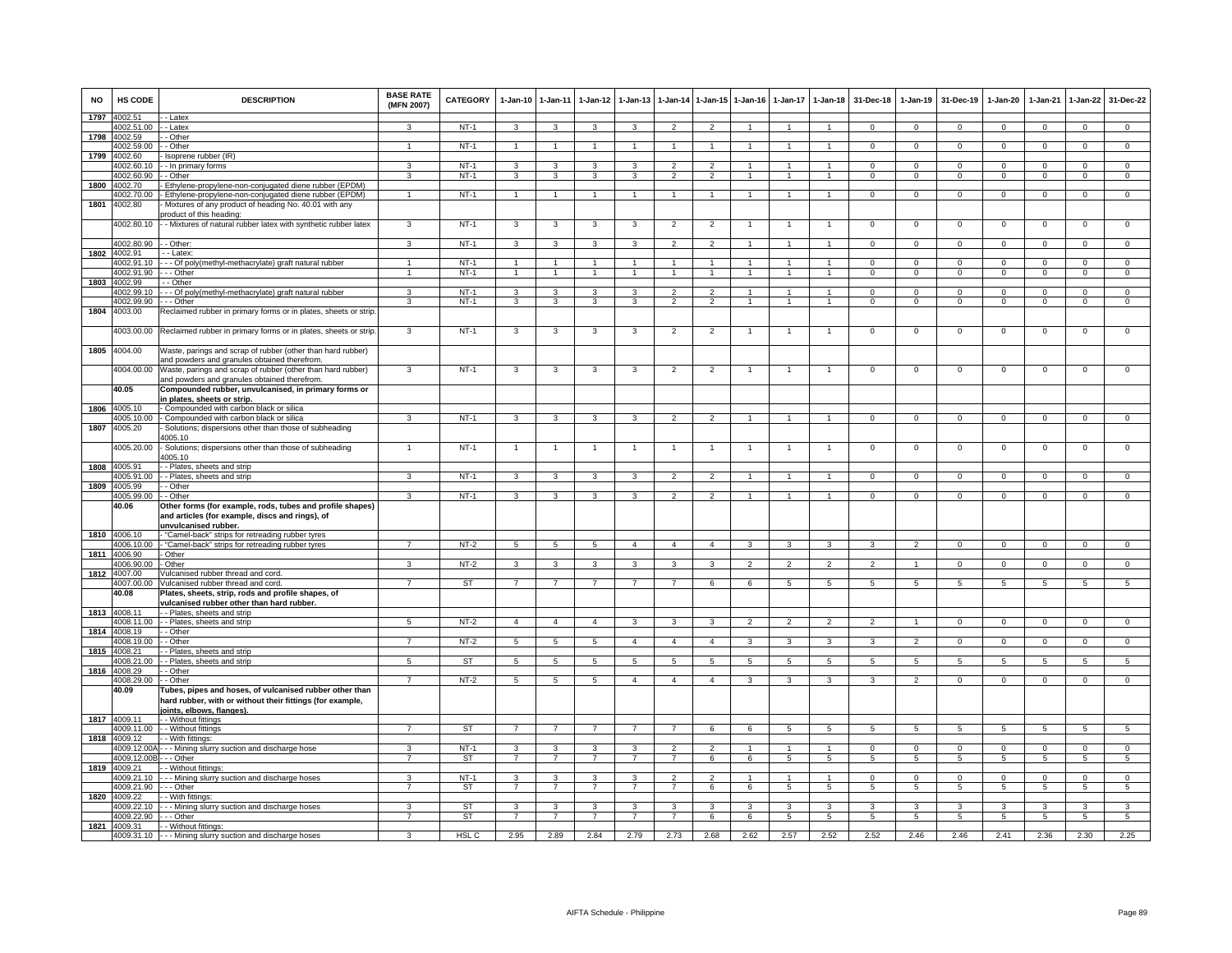| <b>NO</b> | <b>HS CODE</b>                     | <b>DESCRIPTION</b>                                                                                                                   | <b>BASE RATE</b><br>(MFN 2007) | CATEGORY               | $1 - Jan-10$        | $1 - Jan-11$        | $1 - Jan-12$        | $1-Jan-13$          | $1 - Jan-14$                   | 1-Jan-15                         | $1 - Jan-16$   | 1-Jan-17                        | $1-Jan-18$                     | 31-Dec-18                      | $1-Jan-19$                      | 31-Dec-19                  | 1-Jan-20           | $1-Jan-21$                     | 1-Jan-22                   | 31-Dec-22                  |
|-----------|------------------------------------|--------------------------------------------------------------------------------------------------------------------------------------|--------------------------------|------------------------|---------------------|---------------------|---------------------|---------------------|--------------------------------|----------------------------------|----------------|---------------------------------|--------------------------------|--------------------------------|---------------------------------|----------------------------|--------------------|--------------------------------|----------------------------|----------------------------|
| 1797      | 4002.51<br>4002.51.00              | - Latex<br>- - Latex                                                                                                                 | $\mathbf{a}$                   | $NT-1$                 | 3                   | 3                   | 3                   | $\mathbf{a}$        | $\mathcal{P}$                  | $\gamma$                         | $\overline{ }$ | $\overline{1}$                  | $\overline{1}$                 | $\Omega$                       | $^{\circ}$                      | $\mathbf{0}$               | $\Omega$           | $\mathbf{0}$                   | $^{\circ}$                 | $\mathbf{0}$               |
| 1798      | 4002.59                            | - Other                                                                                                                              |                                |                        |                     |                     |                     |                     |                                |                                  |                |                                 |                                |                                |                                 |                            |                    |                                |                            |                            |
|           | 4002.59.00                         | - - Other                                                                                                                            | $\overline{1}$                 | $NT-1$                 | $\overline{1}$      | $\overline{1}$      | $\mathbf{1}$        | $\mathbf{1}$        | $\overline{1}$                 |                                  | 1              | $\mathbf{1}$                    | -1                             | $\Omega$                       | $\mathbf{0}$                    | $\mathbf{0}$               | $\mathbf{0}$       | $\mathbf{0}$                   | $\circ$                    | $\overline{0}$             |
| 1799      | 4002.60                            | - Isoprene rubber (IR)                                                                                                               |                                |                        |                     |                     |                     |                     |                                |                                  |                |                                 |                                |                                |                                 |                            |                    |                                |                            |                            |
|           | 4002.60.10                         | - - In primary forms                                                                                                                 | 3                              | $NT-1$                 | 3                   | 3                   | 3                   | 3                   | $\overline{2}$                 | $\overline{2}$                   |                |                                 | $\mathbf{1}$                   | $\mathbf 0$                    | $\mathbf 0$                     | $\mathbf 0$                | 0                  | $\mathbf 0$                    | $\mathbf 0$                | $\mathbf 0$                |
|           | 4002.60.90                         | - Other                                                                                                                              | 3                              | $NT-1$                 | 3                   | 3                   | 3                   | 3                   | $\overline{2}$                 | $\overline{2}$                   | 1              | $\mathbf{1}$                    |                                | $\Omega$                       | $\mathsf 0$                     | $^{\circ}$                 | $\mathbf 0$        | $\mathbf 0$                    | $\mathbf 0$                | $\mathsf 0$                |
| 1800      | 4002.70                            | Ethylene-propylene-non-conjugated diene rubber (EPDM)                                                                                |                                |                        |                     |                     |                     |                     |                                |                                  |                |                                 |                                |                                |                                 |                            |                    |                                |                            |                            |
|           | 4002.70.00                         | - Ethylene-propylene-non-conjugated diene rubber (EPDM)                                                                              | $\overline{1}$                 | <b>NT-1</b>            | $\overline{1}$      | $\overline{1}$      | $\mathbf{1}$        | $\mathbf{1}$        | $\overline{1}$                 | $\mathbf{1}$                     | $\mathbf{1}$   | $\mathbf{1}$                    | $\overline{1}$                 | $\mathbf 0$                    | $\mathbf 0$                     | $\mathbf 0$                | 0                  | 0                              | $\mathbf 0$                | $\mathbf 0$                |
| 1801      | 4002.80                            | Mixtures of any product of heading No. 40.01 with any<br>product of this heading:                                                    |                                |                        |                     |                     |                     |                     |                                |                                  |                |                                 |                                |                                |                                 |                            |                    |                                |                            |                            |
|           | 4002.80.10                         | - - Mixtures of natural rubber latex with synthetic rubber latex                                                                     | 3                              | $NT-1$                 | 3                   | 3                   | 3                   | 3                   | $\overline{2}$                 | $\overline{2}$                   | $\overline{1}$ | $\overline{1}$                  | $\overline{1}$                 | $\mathsf 0$                    | $\mathsf 0$                     | $\mathbf 0$                | $\mathsf 0$        | $\mathbf 0$                    | $\mathsf 0$                | $\mathsf 0$                |
|           |                                    |                                                                                                                                      |                                |                        |                     |                     |                     |                     |                                |                                  |                |                                 |                                |                                |                                 |                            |                    |                                |                            |                            |
|           | 4002.80.90 - - Other:              |                                                                                                                                      | $\mathbf{3}$                   | $NT-1$                 | $\mathbf{3}$        | $\mathbf{3}$        | $\mathbf{3}$        | 3                   | $\overline{2}$                 | $\overline{2}$                   | $\overline{1}$ | $\overline{1}$                  | $\overline{1}$                 | $\mathbf 0$                    | $\mathbf 0$                     | $\mathbf{0}$               | $\mathbf{O}$       | $\mathbf 0$                    | $\mathbf{0}$               | $\overline{0}$             |
|           | 1802 4002.91                       | - - Latex:                                                                                                                           |                                |                        |                     |                     |                     |                     |                                |                                  |                |                                 |                                |                                |                                 |                            |                    |                                |                            |                            |
|           | 4002.91.10                         | - - - Of poly(methyl-methacrylate) graft natural rubber                                                                              | $\overline{1}$                 | <b>NT-1</b>            | $\overline{1}$      | $\mathbf{1}$        | 1                   | 1                   | $\overline{1}$                 | $\mathbf{1}$                     |                | $\mathbf{1}$                    | $\mathbf{1}$                   | $\mathbf{0}$                   | $\mathbf 0$                     | $\mathbf{0}$               | $\mathbf 0$        | $^{\circ}$                     | $\overline{0}$             | $\mathbf{0}$               |
|           | 4002.91.90                         | $-$ - Other                                                                                                                          | $\mathbf{1}$                   | $NT-1$                 | $\overline{1}$      | $\overline{1}$      | $\overline{1}$      | $\overline{1}$      | $\overline{1}$                 | $\overline{1}$                   | $\mathbf{1}$   | $\mathbf{1}$                    | $\mathbf{1}$                   | $\mathbf 0$                    | $\overline{0}$                  | $\mathbf{0}$               | $\mathbf{0}$       | $\mathbf{0}$                   | $\overline{0}$             | $\overline{0}$             |
| 1803      | 4002.99                            | - - Other                                                                                                                            |                                |                        |                     |                     |                     |                     | $\mathcal{P}$                  |                                  |                |                                 | $\overline{1}$                 | $\Omega$                       |                                 |                            |                    |                                |                            |                            |
|           | 4002.99.10<br>4002.99.90           | - Of poly(methyl-methacrylate) graft natural rubber<br>- - Other                                                                     | 3<br>3                         | $NT-1$<br>$NT-1$       | 3<br>3              | 3<br>3              | 3<br>$\mathbf{3}$   | 3<br>3              | $\overline{2}$                 | $\overline{2}$<br>$\overline{2}$ | $\overline{1}$ | $\mathbf{1}$                    | $\overline{1}$                 | $\mathbf 0$                    | $\mathbf 0$<br>$\mathbf 0$      | $\mathbf 0$<br>$\mathbf 0$ | 0<br>0             | $^{\circ}$<br>$\mathbf 0$      | $\mathbf 0$<br>$\mathbf 0$ | $\mathsf 0$<br>$\mathbf 0$ |
| 1804      | 4003.00                            | Reclaimed rubber in primary forms or in plates, sheets or strip.                                                                     |                                |                        |                     |                     |                     |                     |                                |                                  |                |                                 |                                |                                |                                 |                            |                    |                                |                            |                            |
|           |                                    |                                                                                                                                      |                                |                        |                     |                     |                     |                     |                                |                                  |                |                                 |                                |                                |                                 |                            |                    |                                |                            |                            |
|           |                                    | 4003.00.00 Reclaimed rubber in primary forms or in plates, sheets or strip                                                           | 3                              | $NT-1$                 | 3                   | 3                   | 3                   | 3                   | $\overline{2}$                 | $\overline{2}$                   |                | $\overline{1}$                  | -1                             | $^{\circ}$                     | $^{\circ}$                      | 0                          | $^{\circ}$         | $\overline{0}$                 | $\mathsf 0$                | $\mathsf 0$                |
| 1805      | 4004.00                            | Waste, parings and scrap of rubber (other than hard rubber)                                                                          |                                |                        |                     |                     |                     |                     |                                |                                  |                |                                 |                                |                                |                                 |                            |                    |                                |                            |                            |
|           |                                    | and powders and granules obtained therefrom.                                                                                         |                                |                        |                     |                     |                     |                     |                                |                                  |                |                                 |                                |                                |                                 |                            |                    |                                |                            |                            |
|           | 4004.00.00                         | Waste, parings and scrap of rubber (other than hard rubber)<br>and powders and granules obtained therefrom.                          | 3                              | $NT-1$                 | 3                   | 3                   | 3                   | 3                   | $\overline{2}$                 | $\overline{2}$                   |                |                                 |                                | $\mathsf 0$                    | $^{\circ}$                      | $\overline{0}$             | 0                  | $^{\circ}$                     | $\mathbf 0$                | $\mathsf 0$                |
|           | 40.05                              | Compounded rubber, unvulcanised, in primary forms or                                                                                 |                                |                        |                     |                     |                     |                     |                                |                                  |                |                                 |                                |                                |                                 |                            |                    |                                |                            |                            |
|           |                                    | in plates, sheets or strip.                                                                                                          |                                |                        |                     |                     |                     |                     |                                |                                  |                |                                 |                                |                                |                                 |                            |                    |                                |                            |                            |
| 1806      | 4005.10                            | - Compounded with carbon black or silica                                                                                             |                                |                        |                     |                     |                     |                     |                                |                                  |                |                                 |                                |                                |                                 |                            |                    |                                |                            |                            |
|           | 4005.10.00                         | - Compounded with carbon black or silica                                                                                             | 3                              | $NT-1$                 | 3                   | 3                   | 3                   | 3                   | $\mathcal{P}$                  | $\mathcal{P}$                    |                |                                 |                                | $\Omega$                       | $\Omega$                        | $\Omega$                   | $\Omega$           | $\Omega$                       | $\mathbf 0$                | $\overline{0}$             |
| 1807      | 4005.20                            | Solutions; dispersions other than those of subheading                                                                                |                                |                        |                     |                     |                     |                     |                                |                                  |                |                                 |                                |                                |                                 |                            |                    |                                |                            |                            |
|           |                                    | 4005.10                                                                                                                              |                                |                        |                     |                     |                     |                     |                                |                                  |                |                                 |                                |                                |                                 |                            |                    |                                |                            |                            |
|           | 4005.20.00                         | - Solutions; dispersions other than those of subheading<br>4005.10                                                                   |                                | $NT-1$                 |                     | $\overline{1}$      |                     |                     | -1                             |                                  | -1             |                                 |                                | $^{\circ}$                     | $\overline{0}$                  | $\overline{0}$             | $^{\circ}$         | $\overline{0}$                 | $\mathbf 0$                | $\mathsf 0$                |
| 1808      | 4005.91                            | - Plates, sheets and strip                                                                                                           |                                |                        |                     |                     |                     |                     |                                |                                  |                |                                 |                                |                                |                                 |                            |                    |                                |                            |                            |
|           | 4005.91.00                         | - Plates, sheets and strip                                                                                                           | 3                              | $NT-1$                 | 3                   | 3                   | 3                   |                     | 2                              |                                  |                |                                 |                                | $\Omega$                       | $\Omega$                        | $\Omega$                   | $\Omega$           | $\Omega$                       | $\Omega$                   | $\Omega$                   |
|           | 1809 4005.99                       | - - Other                                                                                                                            |                                |                        |                     |                     |                     |                     |                                |                                  |                |                                 |                                |                                |                                 |                            |                    |                                |                            |                            |
|           | 4005.99.00                         | - - Other                                                                                                                            | 3                              | <b>NT-1</b>            | $\mathbf{3}$        | $\mathbf{3}$        | 3                   | 3                   | $\overline{2}$                 | $\overline{2}$                   | -1             | $\mathbf{1}$                    | $\mathbf{1}$                   | $\mathbf{0}$                   | $\mathbf{0}$                    | $\overline{0}$             | $\mathbf{0}$       | $\mathbf 0$                    | $\overline{0}$             | $\mathbf{0}$               |
|           | 40.06                              | Other forms (for example, rods, tubes and profile shapes)<br>and articles (for example, discs and rings), of<br>unvulcanised rubber. |                                |                        |                     |                     |                     |                     |                                |                                  |                |                                 |                                |                                |                                 |                            |                    |                                |                            |                            |
| 1810      | 4006.10                            | - "Camel-back" strips for retreading rubber tyres                                                                                    |                                |                        |                     |                     |                     |                     |                                |                                  |                |                                 |                                |                                |                                 |                            |                    |                                |                            |                            |
|           | 4006.10.00                         | - "Camel-back" strips for retreading rubber tyres                                                                                    |                                | $NT-2$                 | 5                   | 5                   | 5                   | 4                   | $\overline{4}$                 | $\overline{4}$                   | 3              | 3                               | 3                              | 3                              | $\overline{2}$                  | $\mathbf 0$                | $\Omega$           | $\mathbf 0$                    | $\mathbf 0$                | $\mathsf 0$                |
| 1811      | 4006.90                            | Other                                                                                                                                | $\mathbf{R}$                   | $NT-2$                 | $\mathbf{3}$        | $\mathbf{3}$        | $\mathbf{3}$        | 3                   | 3                              | $\mathbf{R}$                     | $\overline{2}$ | $\overline{2}$                  | $\mathcal{P}$                  | $\mathcal{P}$                  |                                 | $\mathbf 0$                | $\Omega$           | $\mathbf 0$                    | $\mathbf 0$                | $\mathbf 0$                |
| 1812      | 4006.90.00<br>4007.00              | Other<br>Vulcanised rubber thread and cord.                                                                                          |                                |                        |                     |                     |                     |                     |                                |                                  |                |                                 |                                |                                |                                 |                            |                    |                                |                            |                            |
|           | 4007.00.00                         | Vulcanised rubber thread and cord                                                                                                    |                                | <b>ST</b>              | $\overline{7}$      | 7                   | $\overline{7}$      |                     | $\overline{7}$                 | 6                                | 6              | $\overline{5}$                  | 5                              | 5                              | 5                               | $\overline{5}$             | 5                  | 5                              | $5\overline{5}$            | $\overline{5}$             |
|           | 40.08                              | Plates, sheets, strip, rods and profile shapes, of                                                                                   |                                |                        |                     |                     |                     |                     |                                |                                  |                |                                 |                                |                                |                                 |                            |                    |                                |                            |                            |
|           | 1813 4008.11                       | vulcanised rubber other than hard rubber.<br>- - Plates, sheets and strip                                                            |                                |                        |                     |                     |                     |                     |                                |                                  |                |                                 |                                |                                |                                 |                            |                    |                                |                            |                            |
|           | 4008.11.00                         | - - Plates, sheets and strip                                                                                                         | 5                              | $NT-2$                 | $\overline{4}$      | $\overline{4}$      | $\overline{4}$      | 3                   | 3                              | 3                                | 2              | $\overline{2}$                  | 2                              | $\overline{2}$                 |                                 | $^{\circ}$                 | $\circ$            | $^{\circ}$                     | $\mathbf{0}$               | $\mathbf 0$                |
| 1814      | 4008.19                            | - Other                                                                                                                              |                                |                        |                     |                     |                     |                     |                                |                                  |                |                                 |                                |                                |                                 |                            |                    |                                |                            |                            |
|           | 4008.19.00                         | - - Other                                                                                                                            | $\overline{7}$                 | $NT-2$                 | $5\overline{)}$     | 5                   | 5                   | $\overline{4}$      | $\overline{4}$                 | $\overline{4}$                   | 3              | 3                               | $\overline{3}$                 | 3                              | $\overline{2}$                  | $\overline{0}$             | $\mathbf{0}$       | $\Omega$                       | $\overline{0}$             | $\overline{0}$             |
| 1815      | 4008.21                            | - Plates, sheets and strip                                                                                                           |                                |                        |                     |                     |                     |                     |                                |                                  |                |                                 |                                |                                |                                 |                            |                    |                                |                            |                            |
|           | 4008.21.00                         | - - Plates, sheets and strip                                                                                                         | 5                              | ST                     | 5                   | 5                   | 5                   | 5                   | 5                              | 5                                | 5              | 5                               | 5                              | 5                              | $5\overline{5}$                 | 5                          | 5                  | 5                              | 5                          | $5\overline{5}$            |
| 1816      | 4008.29<br>4008.29.00              | - Other<br>- - Other                                                                                                                 | $\overline{7}$                 | $NT-2$                 | $\overline{5}$      | $\overline{5}$      | $5\overline{)}$     | $\overline{4}$      | $\overline{4}$                 | $\overline{4}$                   | 3              | $\overline{3}$                  | 3                              | 3                              | $\overline{2}$                  | $\overline{0}$             | $\Omega$           | $\mathbf 0$                    | $\overline{0}$             | $\overline{0}$             |
|           | 40.09                              | Tubes, pipes and hoses, of vulcanised rubber other than                                                                              |                                |                        |                     |                     |                     |                     |                                |                                  |                |                                 |                                |                                |                                 |                            |                    |                                |                            |                            |
|           |                                    | hard rubber, with or without their fittings (for example,<br>joints, elbows, flanges)                                                |                                |                        |                     |                     |                     |                     |                                |                                  |                |                                 |                                |                                |                                 |                            |                    |                                |                            |                            |
|           | 1817 4009.11                       | - - Without fittings<br>4009.11.00 - Without fittings                                                                                | $\overline{7}$                 | ST                     | $\overline{7}$      | $\overline{7}$      | $\overline{7}$      | $\overline{7}$      | $\overline{7}$                 | 6                                | 6              | 5                               | 5                              | 5                              | 5                               | 5                          | 5                  | 5                              | $5\overline{5}$            | 5                          |
|           | 1818 4009.12                       | - With fittings:                                                                                                                     |                                |                        |                     |                     |                     |                     |                                |                                  |                |                                 |                                |                                |                                 |                            |                    |                                |                            |                            |
|           | 4009 12 00A                        | - - Mining slurry suction and discharge hose                                                                                         | з                              | $NT-1$                 | -3                  | 3                   | 3                   | 3                   | $\overline{\phantom{a}}$       | $\mathfrak{p}$                   |                | $\mathbf{1}$                    | $\overline{1}$                 | $\Omega$                       | $\Omega$                        | $\Omega$                   | $\Omega$           | $\Omega$                       | $\mathbf 0$                | $\Omega$                   |
|           | 4009.12.00B                        | - - Other                                                                                                                            | $\overline{7}$                 | ST                     | $\overline{7}$      | $\overline{7}$      | $\overline{7}$      | $\overline{7}$      | $\overline{7}$                 | 6                                | 6              | 5                               | $5^{\circ}$                    | -5                             | 5                               | -5                         | 5                  | -5                             | 5                          | 5                          |
|           | 1819 4009.21                       | - Without fittings:                                                                                                                  |                                |                        |                     |                     |                     |                     |                                |                                  |                |                                 |                                |                                |                                 |                            |                    |                                |                            |                            |
|           | 4009.21.10                         | - - Mining slurry suction and discharge hoses                                                                                        | 3                              | $NT-1$                 | 3                   | 3                   | 3                   | 3                   | $\mathcal{P}$                  | $\overline{2}$                   |                |                                 |                                | $\Omega$                       | $\Omega$                        | $\Omega$                   | $\Omega$           | $\Omega$                       | $\mathbf 0$                | $\mathbf 0$                |
|           | 4009.21.90                         | --- Other                                                                                                                            |                                | ST                     | $\overline{7}$      | $\overline{7}$      | $\overline{7}$      | $\overline{7}$      | $\overline{7}$                 | 6                                | 6              | 5                               | 5                              | 5                              | 5                               | 5                          | 5                  | 5                              | 5                          | $\overline{5}$             |
|           | 1820 4009.22                       | - With fittings                                                                                                                      |                                |                        |                     |                     |                     |                     |                                |                                  |                |                                 |                                |                                |                                 |                            |                    |                                |                            |                            |
|           | 4009.22.10<br>4009.22.90 --- Other | -- Mining slurry suction and discharge hoses                                                                                         | $\mathbf{R}$<br>$\overline{7}$ | <b>ST</b><br><b>ST</b> | 3<br>$\overline{7}$ | 3<br>$\overline{7}$ | 3<br>$\overline{7}$ | 3<br>$\overline{7}$ | $\mathbf{a}$<br>$\overline{7}$ | 3<br>6                           | 3<br>6         | $\mathcal{R}$<br>$\overline{5}$ | $\mathbf{R}$<br>$\overline{5}$ | $\mathbf{a}$<br>$\overline{5}$ | $\mathcal{R}$<br>$\overline{5}$ | 3<br>$\overline{5}$        | $\mathcal{R}$<br>5 | $\mathbf{R}$<br>$\overline{5}$ | $\mathbf{3}$<br>5          | 3<br>$\overline{5}$        |
| 1821      | 4009.31                            | - - Without fittings:                                                                                                                |                                |                        |                     |                     |                     |                     |                                |                                  |                |                                 |                                |                                |                                 |                            |                    |                                |                            |                            |
|           |                                    | 4009.31.10 - - - Mining slurry suction and discharge hoses                                                                           | 3                              | HSL C                  | 2.95                | 2.89                | 2.84                | 2.79                | 2.73                           | 2.68                             | 2.62           | 2.57                            | 2.52                           | 2.52                           | 2.46                            | 2.46                       | 2.41               | 2.36                           | 2.30                       | 2.25                       |
|           |                                    |                                                                                                                                      |                                |                        |                     |                     |                     |                     |                                |                                  |                |                                 |                                |                                |                                 |                            |                    |                                |                            |                            |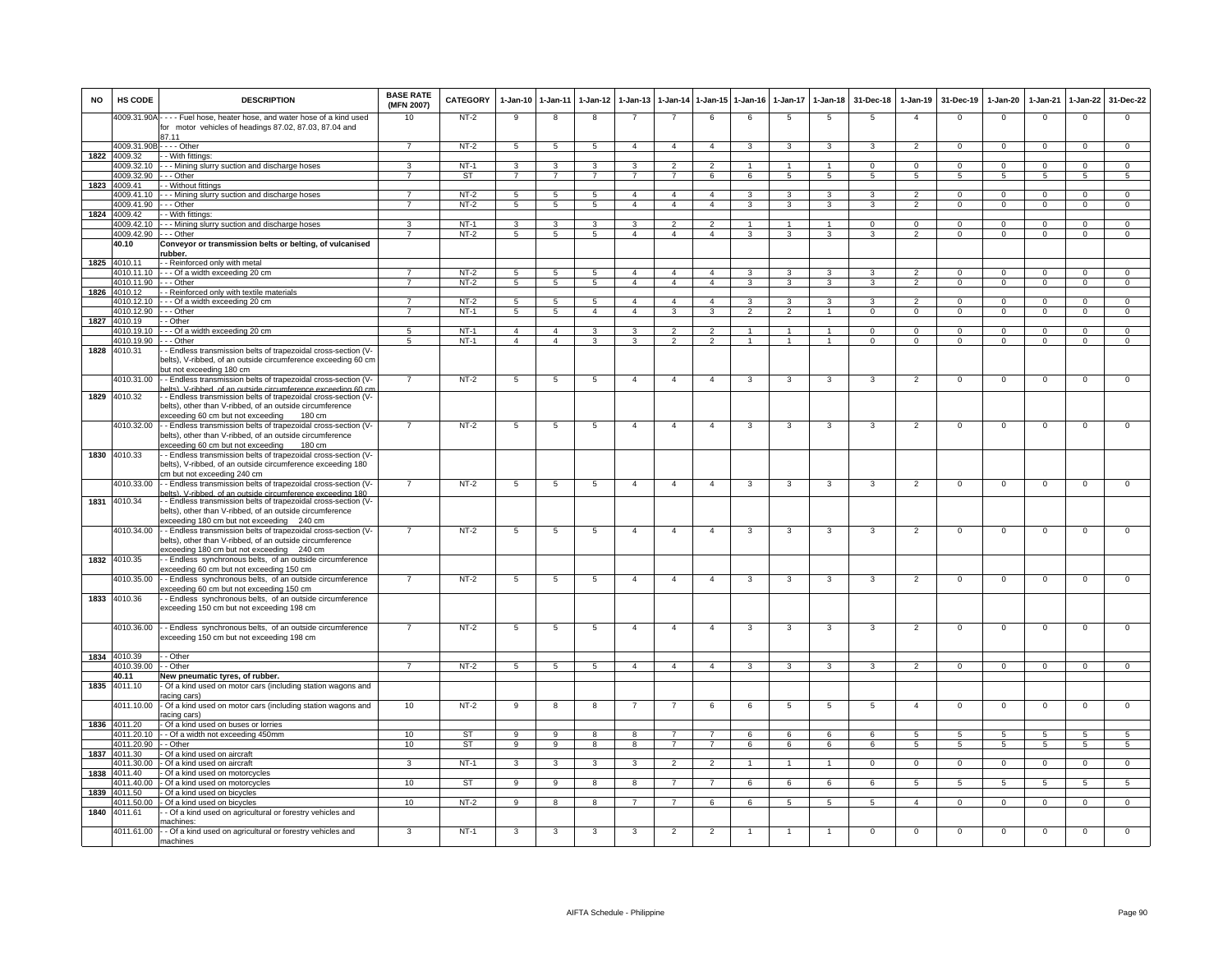| <b>NO</b> | HS CODE                       | <b>DESCRIPTION</b>                                                                                                                           | <b>BASE RATE</b><br>(MFN 2007) | CATEGORY   | 1-Jan-10            | $1-Jan-11$              | $1-Jan-12$          | $1-Jan-13$          |                         | 1-Jan-14 1-Jan-15 | $1 - Jan-16$             | $1-Jan-17$               | $1 - Jan-18$                | 31-Dec-18               | $1-Jan-19$     | 31-Dec-19              | $1-Jan-20$     | $1-Jan-21$                     | 1-Jan-22       | 31-Dec-22      |
|-----------|-------------------------------|----------------------------------------------------------------------------------------------------------------------------------------------|--------------------------------|------------|---------------------|-------------------------|---------------------|---------------------|-------------------------|-------------------|--------------------------|--------------------------|-----------------------------|-------------------------|----------------|------------------------|----------------|--------------------------------|----------------|----------------|
|           |                               | 4009.31.90A - - - - Fuel hose, heater hose, and water hose of a kind used<br>for motor vehicles of headings 87.02, 87.03, 87.04 and<br>87.11 | 10                             | $NT-2$     | 9                   | 8                       | 8                   |                     | $\overline{7}$          | 6                 | 6                        | 5                        | 5                           | 5                       | $\mathbf{A}$   | $\mathbf 0$            | $^{\circ}$     | $\mathbf 0$                    | $\mathbf 0$    | $\mathbf 0$    |
|           | 4009.31.90B - - - - Other     |                                                                                                                                              | $\overline{7}$                 | $NT-2$     | 5                   | 5                       | 5                   | $\overline{4}$      | $\overline{4}$          | $\overline{a}$    | $\mathbf{3}$             | 3                        | 3                           | $\mathbf{3}$            | $\overline{2}$ | $\Omega$               | $\mathbf{0}$   | $\Omega$                       | $\mathbf 0$    | $\overline{0}$ |
| 1822      | 4009.32                       | - - With fittinas:                                                                                                                           |                                |            |                     |                         |                     |                     |                         |                   |                          |                          |                             |                         |                |                        |                |                                |                |                |
|           | 4009.32.10                    | - - - Mining slurry suction and discharge hoses                                                                                              | 3<br>$\overline{7}$            | NT-1<br>ST | 3<br>$\overline{7}$ | 3<br>$\overline{7}$     | 3<br>$\overline{7}$ | 3<br>$\overline{7}$ | $\overline{7}$          | $\mathcal{P}$     |                          |                          | $\mathbf{1}$<br>$5^{\circ}$ | $\Omega$<br>5           | $\mathsf 0$    | $\Omega$<br>$\sqrt{5}$ | $\Omega$       | $\mathbf 0$<br>$5\overline{5}$ | $\Omega$       | $\mathbf 0$    |
| 1823      | 4009.32.90<br>4009.41         | --- Other<br>- Without fittings                                                                                                              |                                |            |                     |                         |                     |                     |                         | 6                 | 6                        | 5                        |                             |                         | 5              |                        | 5              |                                | 5              | 5              |
|           | 4009.41.10                    | - - - Mining slurry suction and discharge hoses                                                                                              | $\overline{7}$                 | $NT-2$     | 5                   | 5                       | 5                   | $\overline{4}$      | $\overline{4}$          | $\overline{4}$    | 3                        | 3                        | 3                           | 3                       | $\overline{2}$ | $\Omega$               | $\Omega$       | $\overline{0}$                 | $\overline{0}$ | $\overline{0}$ |
|           | 4009.41.90                    | $- -$ Other                                                                                                                                  | $\overline{7}$                 | $NT-2$     | $\overline{5}$      | $\overline{5}$          | $\overline{5}$      | $\overline{4}$      | $\overline{4}$          | $\overline{4}$    | $\overline{\mathbf{3}}$  | $\overline{\mathbf{3}}$  | 3                           | $\overline{\mathbf{3}}$ | $\overline{2}$ | $\overline{0}$         | $\overline{0}$ | $\overline{0}$                 | $\overline{0}$ | $\overline{0}$ |
| 1824      | 4009.42                       | - - With fittings:                                                                                                                           |                                |            |                     |                         |                     |                     |                         |                   |                          |                          |                             |                         |                |                        |                |                                |                |                |
|           | 4009.42.10                    | - - - Mining slurry suction and discharge hoses                                                                                              | 3                              | NT-1       | 3                   | 3                       | 3                   | 3                   | $\overline{2}$          | $\overline{2}$    | $\overline{1}$           | $\mathbf{1}$             | $\mathbf{1}$                | $\mathbf 0$             | $\mathsf 0$    | $\Omega$               | $^{\circ}$     | $\mathbf 0$                    | $\mathbf{0}$   | $\mathbf{0}$   |
|           | 4009.42.90 --- Other<br>40.10 | Conveyor or transmission belts or belting, of vulcanised                                                                                     | $\overline{7}$                 | $NT-2$     | 5                   | 5                       | 5                   | $\overline{4}$      | $\overline{4}$          | $\overline{4}$    | $\mathbf{3}$             | $\mathbf{3}$             | $\mathbf{3}$                | $\mathbf{3}$            | 2              | $\mathbf{0}$           | $\mathbf{0}$   | $\overline{0}$                 | $\mathbf{0}$   | $\mathbf{0}$   |
|           |                               | ubber.                                                                                                                                       |                                |            |                     |                         |                     |                     |                         |                   |                          |                          |                             |                         |                |                        |                |                                |                |                |
| 1825      | 4010.11                       | - Reinforced only with metal                                                                                                                 |                                |            |                     |                         |                     |                     |                         |                   |                          |                          |                             |                         |                |                        |                |                                |                |                |
|           |                               | 4010.11.10 - - - Of a width exceeding 20 cm                                                                                                  |                                | $NT-2$     | 5                   | 5                       | 5                   | $\overline{4}$      | $\overline{4}$          | $\overline{4}$    | 3                        | 3                        | 3                           | 3                       | $\mathfrak{p}$ | $\Omega$               | $^{\circ}$     | $\mathbf 0$                    | 0              | $\mathbf 0$    |
|           | 4010.11.90 - - - Other        |                                                                                                                                              | $\overline{7}$                 | $NT-2$     | 5                   | 5                       | 5                   | $\overline{4}$      | $\overline{4}$          | $\overline{a}$    | $\mathcal{R}$            | 3                        | $\overline{\mathbf{3}}$     | $\mathbf{3}$            | $\overline{2}$ | $\Omega$               | $\mathbf 0$    | $\mathbf 0$                    | $\mathbf 0$    | $\mathbf{0}$   |
| 1826      | 4010.12<br>4010.12.10         | - Reinforced only with textile materials<br>--- Of a width exceeding 20 cm                                                                   | $\overline{7}$                 | $NT-2$     | 5                   | 5                       | 5                   | $\overline{4}$      | $\overline{4}$          | $\overline{4}$    | 3                        | 3                        | 3                           | 3                       | $\overline{2}$ | $\overline{0}$         | $\Omega$       | $\overline{0}$                 | $\overline{0}$ | $\overline{0}$ |
|           | 4010.12.90                    | --- Other                                                                                                                                    | $\overline{7}$                 | $NT-1$     | $\overline{5}$      | $\overline{5}$          | $\overline{4}$      | $\overline{4}$      | $\overline{\mathbf{3}}$ | $\overline{3}$    | $\overline{\phantom{a}}$ | $\overline{\phantom{a}}$ | $\overline{1}$              | $\overline{0}$          | $\overline{0}$ | $\overline{0}$         | $\overline{0}$ | $\overline{0}$                 | $\overline{0}$ | $\overline{0}$ |
| 1827      | 4010.19                       | - - Other                                                                                                                                    |                                |            |                     |                         |                     |                     |                         |                   |                          |                          |                             |                         |                |                        |                |                                |                |                |
|           |                               | 4010.19.10 - - - Of a width exceeding 20 cm                                                                                                  | $5\overline{5}$                | $NT-1$     | $\overline{4}$      | $\overline{4}$          | 3                   | 3                   | $\overline{2}$          | $\overline{2}$    | $\overline{1}$           | $\blacktriangleleft$     | $\overline{1}$              | $\Omega$                | $\Omega$       | $\Omega$               | $^{\circ}$     | $\Omega$                       | $\Omega$       | $\Omega$       |
| 1828      | 4010.19.90<br>4010.31         | - - - Other<br>- Endless transmission belts of trapezoidal cross-section (V-                                                                 | $-5$                           | $NT-1$     | $\overline{4}$      | $\overline{4}$          | 3                   | 3                   | $\overline{2}$          | $\overline{2}$    | $\overline{1}$           | $\mathbf{1}$             | $\overline{1}$              | $\Omega$                | $\Omega$       | $\Omega$               | $\mathbf{0}$   | $\Omega$                       | $\Omega$       | $\Omega$       |
|           |                               | belts), V-ribbed, of an outside circumference exceeding 60 cm<br>out not exceeding 180 cm                                                    |                                |            |                     |                         |                     |                     |                         |                   |                          |                          |                             |                         |                |                        |                |                                |                |                |
|           | 4010.31.00                    | - Endless transmission belts of trapezoidal cross-section (V-                                                                                | $\overline{7}$                 | $NT-2$     | 5                   | $5\phantom{.0}$         | 5                   | $\overline{4}$      | $\overline{4}$          | $\overline{4}$    | 3                        | 3                        | 3                           | 3                       | $\overline{2}$ | $\mathbf 0$            | $^{\circ}$     | $\mathbf 0$                    | $\mathbf 0$    | $\mathbf 0$    |
| 1829      | 4010.32                       | elts). V-ribbed, of an outside circumference exceeding 60 cu<br>- Endless transmission belts of trapezoidal cross-section (V-                |                                |            |                     |                         |                     |                     |                         |                   |                          |                          |                             |                         |                |                        |                |                                |                |                |
|           |                               | belts), other than V-ribbed, of an outside circumference                                                                                     |                                |            |                     |                         |                     |                     |                         |                   |                          |                          |                             |                         |                |                        |                |                                |                |                |
|           |                               | exceeding 60 cm but not exceeding<br>180 cm                                                                                                  |                                |            |                     |                         |                     |                     |                         |                   |                          |                          |                             |                         |                |                        |                |                                |                |                |
|           | 4010.32.00                    | - Endless transmission belts of trapezoidal cross-section (V-                                                                                |                                | $NT-2$     | 5                   | $\overline{5}$          | 5                   | $\overline{4}$      | $\overline{4}$          | $\overline{4}$    | 3                        | 3                        | 3                           | 3                       | $\overline{2}$ | $\mathbf 0$            | $^{\circ}$     | $\mathbf 0$                    | 0              | $\mathbf{0}$   |
|           |                               | belts), other than V-ribbed, of an outside circumference<br>exceeding 60 cm but not exceeding<br>180 cm                                      |                                |            |                     |                         |                     |                     |                         |                   |                          |                          |                             |                         |                |                        |                |                                |                |                |
| 1830      | 4010.33                       | - - Endless transmission belts of trapezoidal cross-section (V-                                                                              |                                |            |                     |                         |                     |                     |                         |                   |                          |                          |                             |                         |                |                        |                |                                |                |                |
|           |                               | belts), V-ribbed, of an outside circumference exceeding 180                                                                                  |                                |            |                     |                         |                     |                     |                         |                   |                          |                          |                             |                         |                |                        |                |                                |                |                |
|           |                               | cm but not exceeding 240 cm                                                                                                                  |                                |            |                     |                         |                     |                     |                         |                   |                          |                          |                             |                         |                |                        |                |                                |                |                |
|           | 4010.33.00                    | - Endless transmission belts of trapezoidal cross-section (V-                                                                                | $\overline{7}$                 | $NT-2$     | 5                   | 5                       | 5                   | $\overline{4}$      | $\overline{4}$          | $\overline{4}$    | $\mathbf{3}$             | 3                        | $\mathbf{3}$                | 3                       | $\overline{2}$ | $\mathbf 0$            | $\mathsf 0$    | $\mathbf{0}$                   | $\mathbf 0$    | $\mathbf 0$    |
| 1831      | 4010.34                       | elts). V-ribbed, of an outside circumference exceeding 180<br>- Endless transmission belts of trapezoidal cross-section (V-                  |                                |            |                     |                         |                     |                     |                         |                   |                          |                          |                             |                         |                |                        |                |                                |                |                |
|           |                               | elts), other than V-ribbed, of an outside circumference                                                                                      |                                |            |                     |                         |                     |                     |                         |                   |                          |                          |                             |                         |                |                        |                |                                |                |                |
|           |                               | xceeding 180 cm but not exceeding<br>240 cm                                                                                                  |                                |            |                     |                         |                     |                     |                         |                   |                          |                          |                             |                         |                |                        |                |                                |                |                |
|           | 4010.34.00                    | - Endless transmission belts of trapezoidal cross-section (V-<br>belts), other than V-ribbed, of an outside circumference                    | $\overline{7}$                 | $NT-2$     | 5                   | 5                       | 5                   | $\overline{4}$      | $\overline{4}$          | $\overline{4}$    | 3                        | 3                        | 3                           | 3                       | $\overline{2}$ | $\mathbf 0$            | $\mathsf 0$    | $\mathbf 0$                    | $\mathsf 0$    | $\mathbf 0$    |
|           |                               | exceeding 180 cm but not exceeding 240 cm                                                                                                    |                                |            |                     |                         |                     |                     |                         |                   |                          |                          |                             |                         |                |                        |                |                                |                |                |
|           | 1832 4010.35                  | - Endless synchronous belts, of an outside circumference                                                                                     |                                |            |                     |                         |                     |                     |                         |                   |                          |                          |                             |                         |                |                        |                |                                |                |                |
|           |                               | xceeding 60 cm but not exceeding 150 cm                                                                                                      |                                |            |                     |                         |                     |                     |                         |                   |                          |                          |                             |                         |                |                        |                |                                |                |                |
|           | 4010.35.00                    | - Endless synchronous belts, of an outside circumference                                                                                     | $\overline{7}$                 | $NT-2$     | 5                   | 5                       | 5                   | $\overline{4}$      | $\overline{4}$          | $\overline{4}$    | 3                        | 3                        | 3                           | 3                       | $\overline{2}$ | $\mathbf 0$            | $\mathsf 0$    | $\mathbf 0$                    | $\mathsf 0$    | $\mathbf 0$    |
| 1833      | 4010.36                       | exceeding 60 cm but not exceeding 150 cm<br>- Endless synchronous belts, of an outside circumference                                         |                                |            |                     |                         |                     |                     |                         |                   |                          |                          |                             |                         |                |                        |                |                                |                |                |
|           |                               | exceeding 150 cm but not exceeding 198 cm                                                                                                    |                                |            |                     |                         |                     |                     |                         |                   |                          |                          |                             |                         |                |                        |                |                                |                |                |
|           |                               |                                                                                                                                              |                                |            |                     |                         |                     |                     |                         |                   |                          |                          |                             |                         |                |                        |                |                                |                |                |
|           |                               | 4010.36.00 - Endless synchronous belts, of an outside circumference                                                                          |                                | $NT-2$     | 5                   | $\overline{5}$          | -5                  | $\mathbf{A}$        | $\mathbf{4}$            | $\overline{a}$    | $\mathbf{3}$             | 3                        | 3                           | 3                       | $\overline{2}$ | $\mathbf 0$            | $\Omega$       | $\mathbf 0$                    | $\Omega$       | $\Omega$       |
|           |                               | exceeding 150 cm but not exceeding 198 cm                                                                                                    |                                |            |                     |                         |                     |                     |                         |                   |                          |                          |                             |                         |                |                        |                |                                |                |                |
|           | 1834 4010.39                  | - Other                                                                                                                                      |                                |            |                     |                         |                     |                     |                         |                   |                          |                          |                             |                         |                |                        |                |                                |                |                |
|           | 4010.39.00                    | - - Other                                                                                                                                    | $\overline{7}$                 | $NT-2$     | 5                   | $\overline{5}$          | 5                   | $\overline{4}$      | $\overline{4}$          | $\overline{4}$    | 3                        | 3                        | 3                           | 3                       | 2              | $^{\circ}$             | $^{\circ}$     | $\Omega$                       | $^{\circ}$     | $\Omega$       |
|           | 40.11                         | New pneumatic tyres, of rubber.                                                                                                              |                                |            |                     |                         |                     |                     |                         |                   |                          |                          |                             |                         |                |                        |                |                                |                |                |
| 1835      | 4011.10                       | Of a kind used on motor cars (including station wagons and<br>acing cars)                                                                    |                                |            |                     |                         |                     |                     |                         |                   |                          |                          |                             |                         |                |                        |                |                                |                |                |
|           | 4011.10.00                    | - Of a kind used on motor cars (including station wagons and                                                                                 | 10                             | $NT-2$     | 9                   | 8                       | 8                   |                     |                         | 6                 | 6                        | 5                        | 5                           | 5                       | $\overline{4}$ | $\mathbf 0$            | $^{\circ}$     | $\mathbf 0$                    | 0              | $\mathbf 0$    |
|           |                               | acing cars)                                                                                                                                  |                                |            |                     |                         |                     |                     |                         |                   |                          |                          |                             |                         |                |                        |                |                                |                |                |
|           | 1836 4011.20<br>4011.20.10    | - Of a kind used on buses or lorries<br>- Of a width not exceeding 450mm                                                                     | 10                             | <b>ST</b>  | $\mathbf{q}$        | 9                       | 8                   | 8                   | $\overline{7}$          | $\overline{7}$    | 6                        | 6                        | 6                           | 6                       | $\overline{5}$ | $\sqrt{5}$             | 5              | $\sqrt{5}$                     | 5              | $5^{\circ}$    |
|           | 4011.20.90                    | - - Other                                                                                                                                    | 10                             | <b>ST</b>  | 9                   | $\overline{9}$          | 8                   | 8                   | $\overline{7}$          | $\overline{7}$    | 6                        | 6                        | 6                           | 6                       | 5              | $\sqrt{5}$             | 5              | 5                              | 5              | 5              |
| 1837      | 4011.30                       | Of a kind used on aircraft                                                                                                                   |                                |            |                     |                         |                     |                     |                         |                   |                          |                          |                             |                         |                |                        |                |                                |                |                |
|           | 4011.30.00                    | Of a kind used on aircraft                                                                                                                   | 3                              | $NT-1$     | 3                   | 3                       | 3                   | 3                   | $\overline{2}$          | $\overline{2}$    | $\mathbf{1}$             | $\mathbf{1}$             | $\overline{1}$              | $\mathbf 0$             | $\mathbf{O}$   | $\mathbf 0$            | $^{\circ}$     | $\mathbf{0}$                   | $\mathbf{0}$   | $\mathbf{0}$   |
| 1838      | 4011.40<br>4011.40.00         | - Of a kind used on motorcycles                                                                                                              |                                | <b>ST</b>  |                     |                         |                     |                     |                         |                   |                          |                          |                             |                         |                |                        |                |                                |                |                |
| 1839      | 4011.50                       | Of a kind used on motorcycles<br>Of a kind used on bicycles                                                                                  | 10                             |            | 9                   | 9                       | 8                   | 8                   | 7                       | $\overline{7}$    | 6                        | 6                        | 6                           | 6                       | 5              | 5                      | 5              | 5                              | 5              | 5              |
|           | 4011.50.00                    | Of a kind used on bicycles                                                                                                                   | 10                             | $NT-2$     | -9                  | $\overline{\mathbf{8}}$ | 8                   |                     | $\overline{7}$          | 6                 | 6                        | 5                        | $\overline{5}$              | $\overline{5}$          | $\overline{4}$ | $\Omega$               | 0              | 0                              | 0              | $\overline{0}$ |
| 1840      | 4011.61                       | - Of a kind used on agricultural or forestry vehicles and                                                                                    |                                |            |                     |                         |                     |                     |                         |                   |                          |                          |                             |                         |                |                        |                |                                |                |                |
|           |                               | nachines:                                                                                                                                    |                                | $NT-1$     |                     |                         |                     |                     |                         |                   |                          |                          |                             |                         |                |                        |                |                                |                | $\Omega$       |
|           | 4011.61.00                    | - - Of a kind used on agricultural or forestry vehicles and<br>machines                                                                      | 3                              |            | 3                   | 3                       | -3                  | -3                  | $\overline{2}$          | $\overline{2}$    |                          |                          |                             | 0                       | $\mathbf 0$    | $\mathbf 0$            | $^{\circ}$     | 0                              | $\mathbf 0$    |                |
|           |                               |                                                                                                                                              |                                |            |                     |                         |                     |                     |                         |                   |                          |                          |                             |                         |                |                        |                |                                |                |                |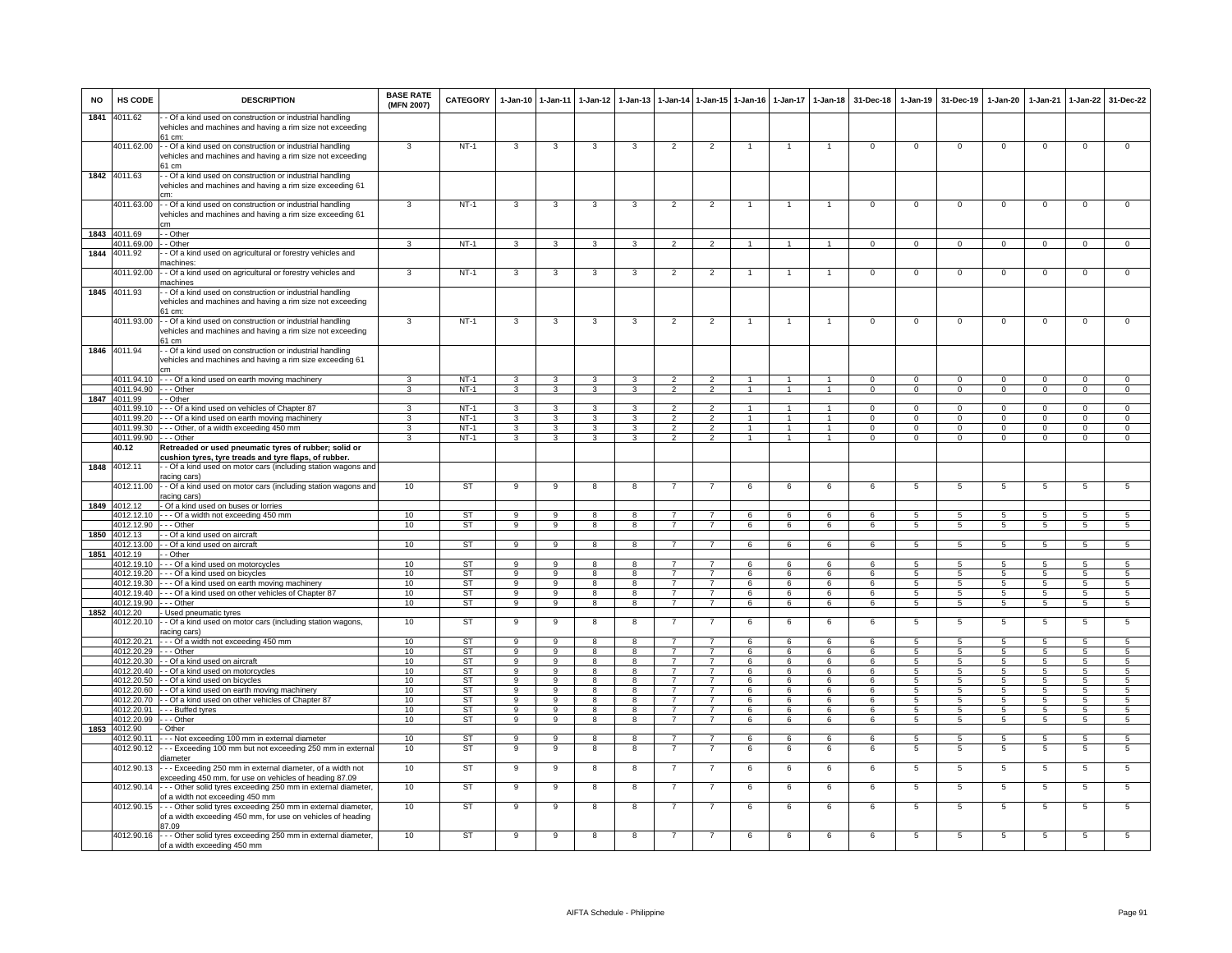| <b>NO</b> | HS CODE                              | <b>DESCRIPTION</b>                                                                                                                              | <b>BASE RATE</b><br>(MFN 2007) | <b>CATEGORY</b>        | $1-Jan-10$              | $1 - Jan-11$            | $1-Jan-12$   | $1-Jan-13$              |                                  |                                   | 1-Jan-14 1-Jan-15 1-Jan-16   | $1-Jan-17$        | $1 - Jan-18$                 | 31-Dec-18                  | $1-Jan-19$           | 31-Dec-19               | $1-Jan-20$               | $1-Jan-21$                 | 1-Jan-22                      | 31-Dec-22                     |
|-----------|--------------------------------------|-------------------------------------------------------------------------------------------------------------------------------------------------|--------------------------------|------------------------|-------------------------|-------------------------|--------------|-------------------------|----------------------------------|-----------------------------------|------------------------------|-------------------|------------------------------|----------------------------|----------------------|-------------------------|--------------------------|----------------------------|-------------------------------|-------------------------------|
| 1841      | 4011.62                              | - Of a kind used on construction or industrial handling<br>vehicles and machines and having a rim size not exceeding<br>61 cm:                  |                                |                        |                         |                         |              |                         |                                  |                                   |                              |                   |                              |                            |                      |                         |                          |                            |                               |                               |
|           | 4011.62.00                           | - - Of a kind used on construction or industrial handling<br>vehicles and machines and having a rim size not exceeding<br>61 cm                 | 3                              | $NT-1$                 | 3                       | 3                       | 3            | 3                       | $\overline{2}$                   | $\overline{2}$                    |                              | $\mathbf{1}$      | $\mathbf{1}$                 | $\mathsf 0$                | $\mathsf 0$          | $\mathbf 0$             | $\mathbf 0$              | $\Omega$                   | $\mathsf 0$                   | $\overline{0}$                |
|           | 1842 4011.63                         | - Of a kind used on construction or industrial handling<br>vehicles and machines and having a rim size exceeding 61                             |                                |                        |                         |                         |              |                         |                                  |                                   |                              |                   |                              |                            |                      |                         |                          |                            |                               |                               |
|           | 4011.63.00                           | - - Of a kind used on construction or industrial handling<br>vehicles and machines and having a rim size exceeding 61<br>сm                     | 3                              | $NT-1$                 | 3                       | 3                       | 3            | 3                       | $\overline{c}$                   | $\overline{c}$                    |                              | -1                | $\mathbf{1}$                 | $\mathsf 0$                | $^{\circ}$           | $\mathbf 0$             | $\mathbf 0$              | $\mathbf 0$                | $\mathsf 0$                   | $\mathbf 0$                   |
|           | 1843 4011.69                         | - - Other                                                                                                                                       |                                |                        |                         |                         |              |                         |                                  |                                   |                              |                   |                              |                            |                      |                         |                          |                            |                               |                               |
| 1844      | 1011.69.00<br>4011.92                | - Other<br>- Of a kind used on agricultural or forestry vehicles and                                                                            | 3                              | $NT-1$                 | $\mathbf{3}$            | 3                       | 3            | 3                       | $\overline{2}$                   | $\overline{2}$                    | -1                           | 1                 | $\mathbf{1}$                 | $\mathbf{O}$               | $\mathbf{0}$         | $\mathbf{0}$            | $\mathbf 0$              | $\mathbf{0}$               | $\mathbf{0}$                  | $\mathbf{0}$                  |
|           |                                      | nachines:                                                                                                                                       |                                |                        |                         |                         |              |                         |                                  |                                   |                              |                   |                              |                            |                      |                         |                          |                            |                               |                               |
|           | 4011.92.00<br>1845 4011.93           | - - Of a kind used on agricultural or forestry vehicles and<br>nachines                                                                         | 3                              | $NT-1$                 | 3                       | $\mathbf{3}$            | 3            | 3                       | $\overline{2}$                   | $\overline{2}$                    | $\mathbf{1}$                 | $\mathbf{1}$      | $\overline{1}$               | $\overline{0}$             | $\mathbf{0}$         | $\mathbf{0}$            | $\overline{0}$           | $\mathbf 0$                | 0                             | $\mathbf 0$                   |
|           |                                      | - Of a kind used on construction or industrial handling<br>vehicles and machines and having a rim size not exceeding<br>61 cm                   |                                |                        |                         |                         |              |                         |                                  |                                   |                              |                   |                              |                            |                      |                         |                          |                            |                               |                               |
|           | 4011.93.00                           | - Of a kind used on construction or industrial handling<br>vehicles and machines and having a rim size not exceeding<br>61 cm                   | 3                              | $NT-1$                 | 3                       | 3                       | 3            | 3                       | $\overline{2}$                   | $\overline{2}$                    |                              |                   | $\overline{1}$               | $\mathbf 0$                | $\mathbf 0$          | $\mathbf 0$             | $\Omega$                 | $\mathbf 0$                | $\mathsf 0$                   | $\Omega$                      |
|           | 1846 4011.94                         | - Of a kind used on construction or industrial handling<br>vehicles and machines and having a rim size exceeding 61                             |                                |                        |                         |                         |              |                         |                                  |                                   |                              |                   |                              |                            |                      |                         |                          |                            |                               |                               |
|           |                                      | 4011.94.10 - - - Of a kind used on earth moving machinery                                                                                       | 3                              | $NT-1$                 | $\overline{\mathbf{3}}$ | $\mathbf{3}$            | $\mathbf{3}$ | $\mathbf{3}$            | $\overline{2}$                   | $\overline{2}$                    | $\overline{1}$               | $\overline{1}$    | $\ddot{1}$                   | $\Omega$                   | $\Omega$             | $\Omega$                | $\Omega$                 | $\Omega$                   | $\overline{0}$                | $\overline{0}$                |
|           | 4011.94.90 --- Other<br>1847 4011.99 | - - Other                                                                                                                                       | 3                              | $NT-1$                 | 3                       | $\overline{\mathbf{3}}$ | 3            | 3                       | $\overline{2}$                   | $\overline{2}$                    |                              |                   | $\overline{1}$               | $\overline{0}$             | $\overline{0}$       | $\overline{0}$          | $\overline{0}$           | $\overline{0}$             | $\overline{0}$                | $\overline{0}$                |
|           |                                      | 4011.99.10 --- Of a kind used on vehicles of Chapter 87                                                                                         | 3                              | NT-1                   | $\mathbf{3}$            | $\mathbf{3}$            | $\mathbf{3}$ | 3                       | $\overline{2}$                   | $\overline{2}$                    | $\mathbf{1}$                 |                   | $\mathbf{1}$                 | $\Omega$                   | $\mathbf 0$          | $\Omega$                | $\mathbf{0}$             | $\Omega$                   | $\mathbf{0}$                  | $\mathbf{0}$                  |
|           |                                      | 4011.99.20 - - - Of a kind used on earth moving machinery                                                                                       | 3                              | NT-1                   | 3                       | 3                       | 3            | 3                       | $\overline{2}$                   | $\overline{2}$                    | $\blacktriangleleft$         | $\mathbf{1}$      | $\overline{1}$               | $\Omega$                   | $\mathbf{0}$         | $^{\circ}$              | $\mathbf{0}$             | $\Omega$                   | $\mathbf{0}$                  | $^{\circ}$                    |
|           | 4011.99.90 --- Other                 | 4011.99.30 --- Other, of a width exceeding 450 mm                                                                                               | 3<br>3                         | $NT-1$<br>$NT-1$       | 3<br>3                  | $\mathbf{3}$<br>3       | 3<br>3       | 3<br>3                  | $\overline{2}$<br>$\mathcal{P}$  | $\overline{2}$<br>$\overline{2}$  | $\mathbf{1}$<br>$\mathbf{1}$ | $\mathbf{1}$<br>1 | $\mathbf{1}$<br>$\mathbf{1}$ | $\Omega$<br>$\overline{0}$ | $\Omega$<br>$\Omega$ | $\mathbf 0$<br>$\Omega$ | $\mathbf{0}$<br>$\Omega$ | $\Omega$<br>$\overline{0}$ | $\mathbf 0$<br>$\overline{0}$ | $\mathbf 0$<br>$\overline{0}$ |
|           | 40.12                                | Retreaded or used pneumatic tyres of rubber; solid or                                                                                           |                                |                        |                         |                         |              |                         |                                  |                                   |                              |                   |                              |                            |                      |                         |                          |                            |                               |                               |
|           |                                      | cushion tyres, tyre treads and tyre flaps, of rubber.                                                                                           |                                |                        |                         |                         |              |                         |                                  |                                   |                              |                   |                              |                            |                      |                         |                          |                            |                               |                               |
|           | 1848 4012.11                         | - - Of a kind used on motor cars (including station wagons and<br>racing cars'                                                                  |                                |                        |                         |                         |              |                         |                                  |                                   |                              |                   |                              |                            |                      |                         |                          |                            |                               |                               |
|           | 4012.11.00                           | - - Of a kind used on motor cars (including station wagons and<br>racing cars)                                                                  | 10                             | <b>ST</b>              | 9                       | 9                       | 8            | 8                       |                                  | 7                                 | 6                            | 6                 | 6                            | 6                          | 5                    | 5                       | 5                        | 5                          | $\overline{5}$                | 5                             |
|           | 1849 4012.12                         | - Of a kind used on buses or lorries                                                                                                            |                                |                        |                         |                         |              |                         |                                  |                                   |                              |                   |                              |                            |                      |                         |                          |                            |                               |                               |
|           | 4012.12.10<br>4012.12.90             | --- Of a width not exceeding 450 mm<br>$-$ Other                                                                                                | 10<br>10                       | ST<br>ST               | 9<br>9                  | 9<br>$\overline{9}$     | 8<br>8       | 8<br>$\overline{R}$     | $\overline{7}$<br>$\overline{7}$ | $\overline{7}$<br>$\overline{7}$  | 6<br>$\overline{6}$          | 6<br>6            | 6<br>6                       | 6<br>-6                    | 5<br>5               | 5<br>-5                 | 5<br>5                   | 5<br>-5                    | 5<br>5                        | 5<br>$5\overline{)}$          |
| 1850      | 4012.13                              | - Of a kind used on aircraft                                                                                                                    |                                |                        |                         |                         |              |                         |                                  |                                   |                              |                   |                              |                            |                      |                         |                          |                            |                               |                               |
|           | 4012.13.00                           | - Of a kind used on aircraft                                                                                                                    | 10                             | <b>ST</b>              | 9                       | 9                       | 8            | 8                       |                                  | $\overline{7}$                    | 6                            | 6                 | 6                            | 6                          | 5                    | $\sqrt{5}$              | 5                        | 5                          | 5                             | $\overline{5}$                |
| 1851      | 4012.19<br>4012.19.10                | · Other<br>- Of a kind used on motorcycles                                                                                                      | 10                             | <b>ST</b>              | $\overline{9}$          | $\overline{9}$          | $\mathbf{g}$ | 8                       | $\overline{z}$                   | $\overline{7}$                    | 6                            | 6                 | 6                            | 6                          | 5 <sup>5</sup>       | $\overline{5}$          | $5\overline{5}$          | 5                          | $\overline{5}$                | $\overline{5}$                |
|           | 4012.19.20                           | - - Of a kind used on bicycles                                                                                                                  | 10                             | <b>ST</b>              | $_{9}$                  | $\overline{9}$          | $\mathbf{g}$ | -8                      | $\overline{7}$                   | $\overline{7}$                    | 6                            | 6                 | 6                            | 6                          | $\sqrt{5}$           | $\sqrt{5}$              | $\sqrt{5}$               | $\sqrt{5}$                 | $\overline{5}$                | $\overline{5}$                |
|           | 4012.19.30                           | - - Of a kind used on earth moving machinery                                                                                                    | 10                             | <b>ST</b>              | $\overline{9}$          | $\overline{9}$          | 8            | $\overline{\mathbf{R}}$ | $\overline{7}$                   | $\overline{7}$                    | 6                            | $\mathbf{6}$      | 6                            | $\epsilon$                 | $\overline{5}$       | $\overline{5}$          | 5                        | 5                          | $\overline{5}$                | $\overline{5}$                |
|           | 4012.19.40<br>4012.19.90             | --- Of a kind used on other vehicles of Chapter 87<br>--- Other                                                                                 | 10<br>10                       | ST<br>ST               | 9<br>9                  | 9<br>9                  | 8<br>8       | 8<br>8                  | $\overline{7}$<br>$\overline{7}$ | $\overline{7}$<br>$7\overline{ }$ | 6<br>6                       | 6<br>6            | 6<br>6                       | 6<br>6                     | 5<br>$5\overline{5}$ | 5<br>5                  | 5<br>5                   | 5<br>5                     | 5<br>5 <sup>5</sup>           | 5<br>$5\overline{5}$          |
|           | 1852 4012.20                         | Used pneumatic tyres                                                                                                                            |                                |                        |                         |                         |              |                         |                                  |                                   |                              |                   |                              |                            |                      |                         |                          |                            |                               |                               |
|           | 4012.20.10                           | - Of a kind used on motor cars (including station wagons,<br>acing cars)                                                                        | 10                             | <b>ST</b>              | 9                       | 9                       | 8            | 8                       | $\overline{7}$                   | $\overline{7}$                    | 6                            | 6                 | 6                            | 6                          | 5                    | $\overline{5}$          | $5\phantom{.0}$          | 5                          | $\overline{5}$                | $\overline{5}$                |
|           | 4012.20.21<br>4012.20.29             | --- Of a width not exceeding 450 mm<br>- - - Other                                                                                              | 10<br>10                       | <b>ST</b><br><b>ST</b> | 9<br>9                  | 9<br>9                  | 8<br>8       | 8<br>8                  | $\overline{7}$<br>$\overline{7}$ | $\overline{7}$                    | 6<br>6                       | 6<br>6            | 6<br>6                       | 6<br>6                     | 5<br>5               | 5<br>5                  | 5<br>5                   | 5<br>$\sqrt{5}$            | 5<br>5                        | 5<br>5                        |
|           |                                      | 4012.20.30 - - Of a kind used on aircraft                                                                                                       | 10                             | <b>ST</b>              | $\overline{9}$          | $\overline{9}$          | 8            | 8                       | $\overline{7}$                   | $\overline{7}$                    | 6                            | 6                 | 6                            | 6                          | $\sqrt{5}$           | $\sqrt{5}$              | 5                        | -5                         | $5\overline{)}$               | $\overline{5}$                |
|           | 4012.20.40                           | - Of a kind used on motorcycles                                                                                                                 | 10                             | <b>ST</b>              | $\mathsf{Q}$            | $\mathbf{q}$            | $\mathbf{R}$ | $\mathbf{R}$            | $\overline{7}$                   | $\overline{7}$                    | $\epsilon$                   | 6                 | $\epsilon$                   | $\epsilon$                 | 5                    | 5                       | 5                        |                            | $\overline{5}$                | $\overline{5}$                |
|           | 4012.20.50                           | - - Of a kind used on bicycles                                                                                                                  | 10                             | ST                     | 9                       | 9                       | 8            | $\mathbf{R}$            | $\overline{7}$                   | $\overline{7}$                    | 6                            | $\mathbf{6}$      | 6                            | $\kappa$                   | 5                    | 5                       | 5                        | 5                          | 5                             | 5                             |
|           | 4012.20.60                           | - - Of a kind used on earth moving machinery<br>4012.20.70 - Of a kind used on other vehicles of Chapter 87                                     | 10<br>10 <sup>1</sup>          | ST<br>ST               | 9<br>9                  | 9<br>-9                 | 8<br>8       | 8<br>8                  | $\overline{7}$<br>7              | $\overline{7}$<br>$\overline{7}$  | 6<br>6                       | 6<br>6            | 6<br>6                       | 6<br>6                     | $\overline{5}$<br>5  | $\sqrt{5}$<br>5         | $\sqrt{5}$<br>5          | -5                         | $\sqrt{5}$<br>5               | $\overline{5}$<br>5           |
|           | 4012.20.91                           | - - Buffed tyres                                                                                                                                | 10                             | ST                     | 9                       | 9                       | 8            | 8                       | $\overline{7}$                   | $\overline{7}$                    | 6                            | 6                 | 6                            | 6                          | 5                    | 5                       | 5                        | 5                          | 5                             | $5\phantom{.0}$               |
|           | 4012.20.99                           | - - Other                                                                                                                                       | 10                             | <b>ST</b>              | 9                       | $\overline{9}$          | 8            | $\overline{8}$          | $\overline{7}$                   | $\overline{7}$                    | 6                            | 6                 | 6                            | 6                          | 5                    | -5                      | $5\phantom{.0}$          | $\sqrt{5}$                 | $\overline{5}$                | $5\overline{)}$               |
| 1853      | 4012.90                              | Other                                                                                                                                           |                                |                        |                         |                         |              |                         |                                  |                                   |                              |                   |                              |                            |                      |                         |                          |                            |                               |                               |
|           | 4012.90.11<br>4012.90.12             | - - Not exceeding 100 mm in external diameter<br>- - Exceeding 100 mm but not exceeding 250 mm in external                                      | 10<br>10                       | <b>ST</b><br>ST        | 9<br>9                  | 9<br>9                  | 8<br>8       | 8<br>8                  | $\overline{7}$                   | $\overline{7}$                    | 6<br>6                       | 6<br>6            | 6<br>6                       | 6<br>6                     | $5^{\circ}$<br>5     | 5<br>5                  | 5<br>5                   | 5<br>5                     | 5<br>5                        | 5<br>5                        |
|           | 4012.90.13                           | diameter<br>-- Exceeding 250 mm in external diameter, of a width not                                                                            | 10                             | ST                     | 9                       | 9                       | 8            | 8                       | $\overline{7}$                   | $\overline{7}$                    | 6                            | 6                 | 6                            | 6                          | 5                    | 5                       | $5\phantom{.0}$          | 5                          | $\overline{5}$                | $5\phantom{.0}$               |
|           | 4012.90.14                           | exceeding 450 mm, for use on vehicles of heading 87.09<br>- - Other solid tyres exceeding 250 mm in external diameter,                          | 10                             | <b>ST</b>              | 9                       | 9                       | 8            | 8                       | $\overline{7}$                   | $\overline{7}$                    | 6                            | 6                 | 6                            | 6                          | 5                    | 5                       | 5                        | 5                          | 5                             | 5                             |
|           | 4012.90.15                           | of a width not exceeding 450 mm<br>- - Other solid tyres exceeding 250 mm in external diameter,                                                 | 10                             | <b>ST</b>              | 9                       | 9                       | 8            | 8                       | $\overline{7}$                   | $\overline{7}$                    | 6                            | 6                 | 6                            | 6                          | $\overline{5}$       | $5\phantom{.0}$         | 5                        | $\overline{5}$             | $\overline{5}$                | $\,$ 5 $\,$                   |
|           |                                      | of a width exceeding 450 mm, for use on vehicles of heading<br>87.09<br>4012.90.16 --- Other solid tyres exceeding 250 mm in external diameter, | 10                             | <b>ST</b>              | 9                       | 9                       | 8            | 8                       |                                  |                                   | 6                            | 6                 | 6                            | 6                          | 5                    | 5                       | 5                        | 5                          | 5                             | 5                             |
|           |                                      | of a width exceeding 450 mm                                                                                                                     |                                |                        |                         |                         |              |                         |                                  |                                   |                              |                   |                              |                            |                      |                         |                          |                            |                               |                               |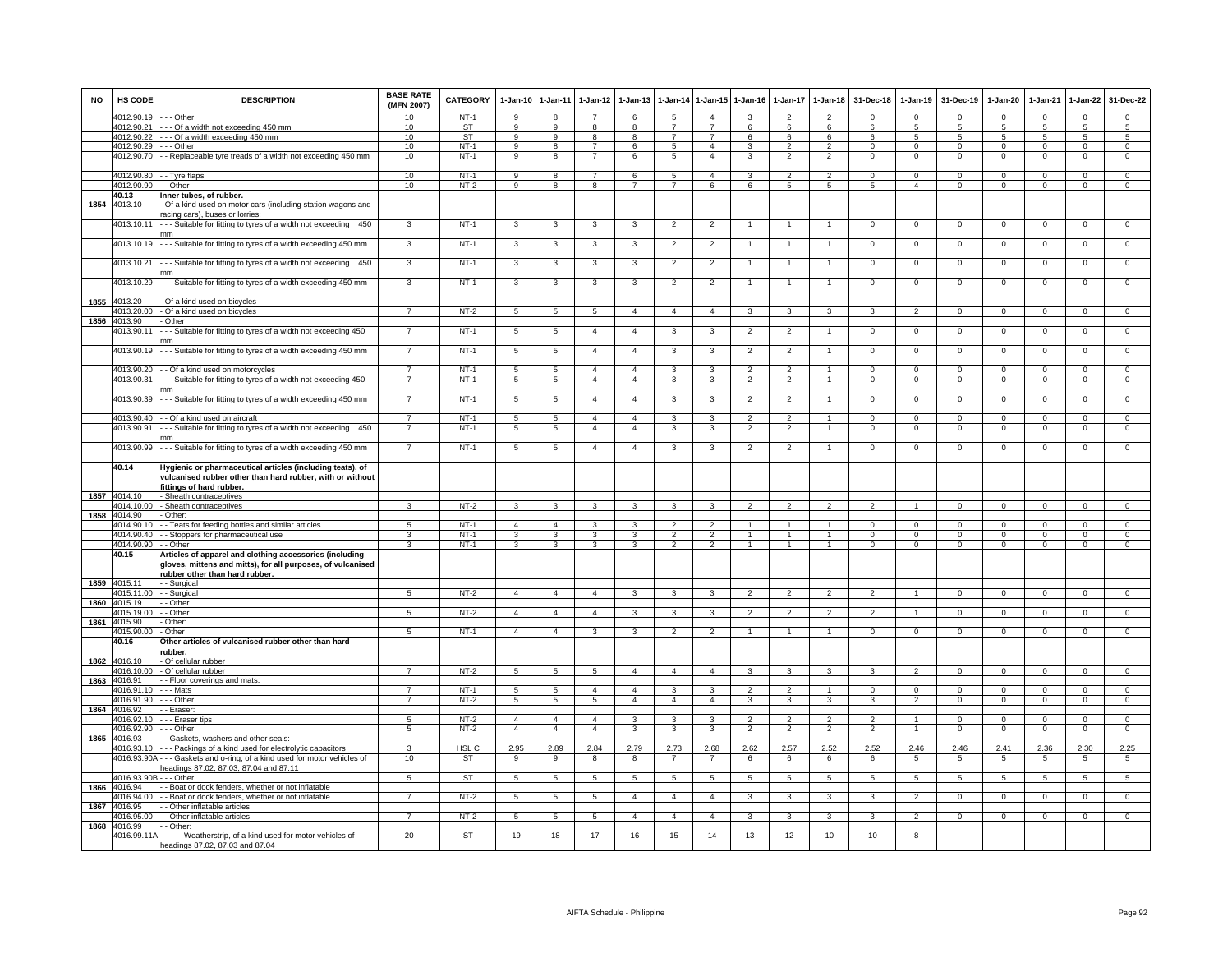| <b>NO</b> | HS CODE                  | <b>DESCRIPTION</b>                                                                                                                                       | <b>BASE RATE</b><br>(MFN 2007) | CATEGORY         | $1 - Jan-10$    | $1 - Jan-11$    | 1-Jan-12                         | $1-Jan-13$     | 1-Jan-14        | 1-Jan-15                         | $1-Jan-16$     | 1-Jan-17                 | $1-Jan-18$                      | 31-Dec-18                | $1-Jan-19$               | 31-Dec-19                | 1-Jan-20                  | 1-Jan-21               | 1-Jan-22               | 31-Dec-22                        |
|-----------|--------------------------|----------------------------------------------------------------------------------------------------------------------------------------------------------|--------------------------------|------------------|-----------------|-----------------|----------------------------------|----------------|-----------------|----------------------------------|----------------|--------------------------|---------------------------------|--------------------------|--------------------------|--------------------------|---------------------------|------------------------|------------------------|----------------------------------|
|           | 4012.90.19               | -- Other                                                                                                                                                 | 10                             | $NT-1$           | 9               | 8               |                                  | 6              | 5               | $\overline{4}$                   |                | $\overline{\phantom{a}}$ | $\overline{2}$                  | $\Omega$                 | $\Omega$                 | $\Omega$                 | $\Omega$                  | $\Omega$               | $\Omega$               | $\Omega$                         |
|           | 4012.90.21               | --- Of a width not exceeding 450 mm                                                                                                                      | 10                             | <b>ST</b>        | 9               | 9               | 8                                | 8              | $\overline{7}$  | $\overline{7}$                   | 6              | 6                        | 6                               | 6                        | -5                       | 5                        | 5                         | 5                      | 5                      | -5                               |
|           | 4012.90.22               | --- Of a width exceeding 450 mm                                                                                                                          | 10                             | ST               | 9               | 9               | 8                                | 8              | $\overline{7}$  | $\overline{7}$                   | 6              | 6                        | 6                               | 6                        | 5                        | 5                        | 5                         | 5                      | $5\phantom{.0}$        | $5\phantom{.0}$                  |
|           | 4012.90.29<br>4012.90.70 | - - Other<br>- Replaceable tyre treads of a width not exceeding 450 mm                                                                                   | 10<br>10                       | $NT-1$<br>$NT-1$ | 9<br>9          | 8<br>8          | $\overline{7}$<br>$\overline{7}$ | 6<br>6         | -5<br>5         | $\overline{a}$<br>$\overline{4}$ | 3<br>3         | 2<br>$\overline{2}$      | $\mathcal{L}$<br>$\overline{2}$ | $\Omega$<br>$\mathbf{0}$ | $^{\circ}$<br>$^{\circ}$ | $^{\circ}$<br>$^{\circ}$ | $^{\circ}$<br>$\mathbf 0$ | $\Omega$<br>$^{\circ}$ | $\circ$<br>$\mathbf 0$ | $\overline{0}$<br>$\overline{0}$ |
|           | 4012.90.80               | - - Tyre flaps                                                                                                                                           | 10                             | $NT-1$           | 9               | 8               | $\overline{7}$                   | 6              | 5               | $\overline{4}$                   | 3              | $\mathfrak{p}$           | $\overline{2}$                  | $\Omega$                 | $\mathsf 0$              | $^{\circ}$               | 0                         | $^{\circ}$             | $\mathbf 0$            | $\mathsf 0$                      |
|           | 4012.90.90               | - Other                                                                                                                                                  | 10                             | $NT-2$           | 9               | 8               | 8                                | $\overline{7}$ | $\overline{7}$  | 6                                | 6              | 5                        | 5                               | 5                        | $\overline{4}$           | $\mathbf 0$              | 0                         | $\mathbf 0$            | $\mathbf 0$            | $\mathsf 0$                      |
|           | 40.13                    | Inner tubes, of rubber.                                                                                                                                  |                                |                  |                 |                 |                                  |                |                 |                                  |                |                          |                                 |                          |                          |                          |                           |                        |                        |                                  |
| 1854      | 4013.10                  | Of a kind used on motor cars (including station wagons and<br>racing cars), buses or lorries:                                                            |                                |                  |                 |                 |                                  |                |                 |                                  |                |                          |                                 |                          |                          |                          |                           |                        |                        |                                  |
|           | 4013.10.11               | -- Suitable for fitting to tyres of a width not exceeding 450<br>mm                                                                                      | $\mathbf{3}$                   | $NT-1$           | $\mathbf{3}$    | $\mathbf{3}$    | 3                                | 3              | $\overline{2}$  | $\overline{2}$                   | $\overline{1}$ | $\overline{1}$           | $\overline{1}$                  | $\mathbf 0$              | $\mathbf 0$              | $\mathbf 0$              | 0                         | $\mathbf 0$            | $\circ$                | $\mathbf 0$                      |
|           | 4013.10.19               | -- Suitable for fitting to tyres of a width exceeding 450 mm                                                                                             | 3                              | $NT-1$           | 3               | 3               | $\mathbf{3}$                     | 3              | $\overline{2}$  | $\overline{2}$                   | -1             | $\overline{1}$           | $\mathbf{1}$                    | $\mathbf 0$              | $\mathbf 0$              | $\mathbf 0$              | 0                         | $\mathbf 0$            | $\mathbf 0$            | $\overline{0}$                   |
|           | 4013.10.21               | -- Suitable for fitting to tyres of a width not exceeding 450<br>mm                                                                                      | 3                              | $NT-1$           | 3               | 3               | 3                                | 3              | $\overline{2}$  | $\overline{2}$                   | -1             | $\mathbf{1}$             | $\overline{1}$                  | $\mathbf 0$              | $\mathsf 0$              | $\mathbf 0$              | 0                         | $\mathbf 0$            | $\mathbf 0$            | $\mathsf 0$                      |
|           | 4013.10.29               | -- Suitable for fitting to tyres of a width exceeding 450 mm                                                                                             | $\overline{3}$                 | $NT-1$           | 3               | $\mathbf{3}$    | $\mathbf{3}$                     | 3              | $\overline{2}$  | $\overline{2}$                   | -1             | $\overline{1}$           | $\overline{1}$                  | $\circ$                  | $\mathbf 0$              | $\mathbf 0$              | $\mathbf 0$               | $\mathbf 0$            | $\mathbf{0}$           | 0                                |
| 1855      | 4013.20                  | Of a kind used on bicycles                                                                                                                               |                                |                  |                 |                 |                                  |                |                 |                                  |                |                          |                                 |                          |                          |                          |                           |                        |                        |                                  |
|           | 4013.20.00               | - Of a kind used on bicycles                                                                                                                             |                                | $NT-2$           | 5               | $\sqrt{5}$      | $\sqrt{5}$                       | $\overline{a}$ | $\overline{4}$  | $\overline{4}$                   |                | 3                        |                                 |                          | $\overline{\phantom{0}}$ | $\Omega$                 | $\Omega$                  | $\Omega$               | $\Omega$               | $\Omega$                         |
| 1856      | 4013.90                  | Other                                                                                                                                                    |                                |                  |                 |                 |                                  |                |                 |                                  |                |                          |                                 |                          |                          |                          |                           |                        |                        |                                  |
|           | 4013.90.11               | -- Suitable for fitting to tyres of a width not exceeding 450<br>mm                                                                                      | $\overline{7}$                 | $NT-1$           | 5               | 5               | $\overline{4}$                   | $\overline{4}$ | $\mathbf{3}$    | 3                                | $\overline{2}$ | $\overline{2}$           | $\overline{1}$                  | $\mathbf{0}$             | $\overline{0}$           | $\mathbf{0}$             | $\mathbf{0}$              | $\mathbf{0}$           | $\mathbf{0}$           | $\mathbf 0$                      |
|           | 4013.90.19               | - - Suitable for fitting to tyres of a width exceeding 450 mm                                                                                            |                                | $NT-1$           | $5\phantom{.0}$ | 5               | $\overline{4}$                   | $\overline{4}$ | 3               | 3                                | $\overline{2}$ | $\overline{2}$           | -1                              | $\mathsf 0$              | $\mathbf 0$              | $\mathbf 0$              | $\mathbf 0$               | $\mathbf 0$            | $\mathbf 0$            | $\mathsf 0$                      |
|           | 4013.90.20               | - - Of a kind used on motorcycles                                                                                                                        | $\overline{7}$                 | $NT-1$           | 5               | 5               | $\overline{4}$                   | $\overline{4}$ | 3               | 3                                | $\overline{2}$ | $\mathfrak{p}$           | $\overline{1}$                  | $\mathbf{0}$             | $\mathbf 0$              | $\mathbf 0$              | 0                         | $\mathbf{0}$           | $\mathbf 0$            | $\mathbf 0$                      |
|           | 4013.90.31               | -- Suitable for fitting to tyres of a width not exceeding 450<br>mm                                                                                      | $\overline{7}$                 | $NT-1$           | $5\phantom{.0}$ | $5\phantom{.0}$ | $\overline{4}$                   | $\overline{4}$ | 3               | 3                                | $\overline{2}$ | $\overline{2}$           | $\overline{1}$                  | $\mathbf{0}$             | $\overline{0}$           | $\mathbf 0$              | $\mathbf 0$               | $\mathbf{0}$           | $\mathbf 0$            | $^{\circ}$                       |
|           | 4013.90.39               | - - Suitable for fitting to tyres of a width exceeding 450 mm                                                                                            | $\overline{7}$                 | $NT-1$           | 5               | $\overline{5}$  | $\overline{4}$                   | $\overline{4}$ | 3               | 3                                | $\overline{2}$ | $\overline{2}$           | $\overline{1}$                  | $\mathsf 0$              | $\mathsf 0$              | $\overline{0}$           | $\mathsf 0$               | $\mathbf 0$            | $\overline{0}$         | $\overline{0}$                   |
|           | 4013.90.40               | - Of a kind used on aircraft                                                                                                                             | $\overline{7}$                 | $NT-1$           | 5               | 5               | $\overline{4}$                   | $\overline{4}$ | 3               | $\mathbf{3}$                     | $\overline{2}$ | $\overline{2}$           | $\overline{1}$                  | $\mathbf 0$              | $\mathbf 0$              | $\overline{0}$           | $\mathbf 0$               | $\mathbf{0}$           | $\circ$                | $\overline{0}$                   |
|           | 4013.90.91               | - - Suitable for fitting to tyres of a width not exceeding 450<br>mm                                                                                     | $\overline{7}$                 | $NT-1$           | $5\phantom{.0}$ | $\overline{5}$  | $\overline{4}$                   | $\overline{4}$ | 3               | 3                                | $\overline{2}$ | 2                        | $\overline{1}$                  | $\circ$                  | $\mathbf 0$              | $\mathbf 0$              | 0                         | 0                      | $\mathbf 0$            | $\mathsf 0$                      |
|           | 4013.90.99               | -- Suitable for fitting to tyres of a width exceeding 450 mm                                                                                             | $\overline{7}$                 | $NT-1$           | $\overline{5}$  | $\overline{5}$  | $\overline{4}$                   | $\overline{4}$ | 3               | $\mathbf{3}$                     | $\overline{2}$ | $\overline{2}$           | $\overline{1}$                  | $\overline{0}$           | $\overline{0}$           | $\overline{0}$           | $\overline{0}$            | 0                      | $\overline{0}$         | $\overline{0}$                   |
|           | 40.14                    | Hygienic or pharmaceutical articles (including teats), of<br>vulcanised rubber other than hard rubber, with or without<br>fittings of hard rubber.       |                                |                  |                 |                 |                                  |                |                 |                                  |                |                          |                                 |                          |                          |                          |                           |                        |                        |                                  |
| 1857      | 4014.10                  | - Sheath contraceptives                                                                                                                                  |                                |                  |                 |                 |                                  |                |                 |                                  |                |                          |                                 |                          |                          |                          |                           |                        |                        |                                  |
|           | 4014.10.00               | - Sheath contraceptives                                                                                                                                  |                                | $NT-2$           | $\mathbf{3}$    | 3               | 3                                |                | 3               | 3                                |                |                          |                                 |                          |                          | $\Omega$                 | $\Omega$                  | $\Omega$               | $\Omega$               | $\Omega$                         |
|           | 1858 4014.90             | - Other:                                                                                                                                                 |                                |                  |                 |                 |                                  |                |                 |                                  |                |                          |                                 |                          |                          |                          |                           |                        |                        |                                  |
|           | 4014.90.10               | - - Teats for feeding bottles and similar articles                                                                                                       | -5                             | $NT-1$           | $\overline{4}$  | $\overline{4}$  | 3                                | 3              | $\mathfrak{p}$  | $\overline{2}$                   | -1             | $\mathbf{1}$             | $\mathbf{1}$                    | $\Omega$                 | $\Omega$                 | $\Omega$                 | $\Omega$                  | $\Omega$               | $\Omega$               | $\Omega$                         |
|           | 4014.90.40               | - - Stoppers for pharmaceutical use                                                                                                                      | 3                              | $NT-1$           | 3               | 3               | 3                                | 3              | $\mathcal{P}$   | $\mathcal{P}$                    | $\overline{1}$ | $\mathbf{1}$             | $\overline{1}$                  | $\Omega$                 | $\Omega$                 | $^{\circ}$               | $\circ$                   | $\Omega$               | $\mathbf{0}$           | $\mathbf 0$                      |
|           | 4014.90.90               | - - Other                                                                                                                                                | 3                              | $NT-1$           | 3               | 3               | 3                                | 3              | $\overline{2}$  | $\mathfrak{p}$                   | $\mathbf{1}$   | $\mathbf{1}$             | $\overline{1}$                  | $\mathbf 0$              | $\mathbf 0$              | $\mathbf 0$              | 0                         | $\mathbf 0$            | $\mathbf 0$            | $\mathsf 0$                      |
|           | 40.15                    | Articles of apparel and clothing accessories (including<br>gloves, mittens and mitts), for all purposes, of vulcanised<br>rubber other than hard rubber. |                                |                  |                 |                 |                                  |                |                 |                                  |                |                          |                                 |                          |                          |                          |                           |                        |                        |                                  |
| 1859      | 4015.11                  | - Surgical                                                                                                                                               | $5^{\circ}$                    |                  | $\overline{4}$  | $\overline{4}$  | $\overline{4}$                   | 3              | 3               |                                  | $\mathfrak{p}$ | $\overline{2}$           | $\overline{2}$                  | $\mathfrak{p}$           | $\overline{1}$           | $\Omega$                 | $\Omega$                  | $\Omega$               |                        | $\Omega$                         |
| 1860      | 4015.11.00<br>4015.19    | - - Surgical<br>- - Other                                                                                                                                |                                | $NT-2$           |                 |                 |                                  |                |                 | 3                                |                |                          |                                 |                          |                          |                          |                           |                        | $\mathbf 0$            |                                  |
|           | 4015.19.00               | - - Other                                                                                                                                                | $5\overline{5}$                | NT-2             | $\overline{4}$  | $\overline{4}$  | $\overline{4}$                   | 3              | $\mathbf{3}$    | $\mathbf{3}$                     | $\overline{2}$ | $\overline{2}$           | $\overline{2}$                  | $\overline{2}$           | $\mathbf{1}$             | $\mathbf 0$              | $\overline{0}$            | $\mathbf{0}$           | $\mathbf{0}$           | $\overline{0}$                   |
| 1861      | 4015.90                  | - Other:                                                                                                                                                 |                                |                  |                 |                 |                                  |                |                 |                                  |                |                          |                                 |                          |                          |                          |                           |                        |                        |                                  |
|           | 4015.90.00               | - Other                                                                                                                                                  | $5^{\circ}$                    | $NT-1$           | $\overline{a}$  | $\overline{4}$  | $\overline{\mathbf{3}}$          | 3              | $\overline{2}$  | $\overline{2}$                   | -1             | $\mathbf{1}$             | $\mathbf{1}$                    | $\overline{0}$           | $\Omega$                 | $\overline{0}$           | $\mathbf 0$               | $\mathbf{0}$           | $\overline{0}$         | $\overline{0}$                   |
|           | 40.16                    | Other articles of vulcanised rubber other than hard<br>ubber.                                                                                            |                                |                  |                 |                 |                                  |                |                 |                                  |                |                          |                                 |                          |                          |                          |                           |                        |                        |                                  |
|           | 1862 4016.10             | - Of cellular rubber                                                                                                                                     |                                |                  |                 |                 |                                  |                |                 |                                  |                |                          |                                 |                          |                          |                          |                           |                        |                        |                                  |
|           | 4016.10.00               | - Of cellular rubber                                                                                                                                     |                                | $NT-2$           | $\overline{5}$  | $\overline{5}$  | 5                                | $\mathbf{A}$   | $\overline{4}$  | $\overline{4}$                   | $\mathcal{R}$  | $\mathbf{3}$             | $\mathbf{R}$                    |                          | $\mathcal{P}$            | $\Omega$                 | $\Omega$                  | $\mathbf 0$            | $\Omega$               | $\mathbf 0$                      |
| 1863      | 4016.91                  | - - Floor coverings and mats:                                                                                                                            |                                |                  |                 |                 |                                  |                |                 |                                  |                |                          |                                 |                          |                          |                          |                           |                        |                        |                                  |
|           | 4016.91.10               | - - - Mats                                                                                                                                               |                                | <b>NT-1</b>      | $\overline{5}$  | 5               | $\overline{\mathbf{4}}$          | $\overline{4}$ | 3               | 3                                |                |                          |                                 | $\Omega$                 | $\Omega$                 | $\Omega$                 | $\Omega$                  | $\Omega$               | $\Omega$               | $\Omega$                         |
| 1864      | 4016.91.90<br>4016.92    | - - - Other<br>- Eraser:                                                                                                                                 | $\overline{7}$                 | NT-2             | 5               | $5\overline{5}$ | $5\overline{5}$                  | $\overline{4}$ | $\overline{4}$  | $\overline{4}$                   | $\mathbf{3}$   | 3                        | 3                               | 3                        | 2                        | $\mathbf{0}$             | $\mathbf{0}$              | $\mathbf 0$            | $\mathbf{0}$           | $\overline{0}$                   |
|           | 4016.92.10               | -- Eraser tips                                                                                                                                           | 5                              | $NT-2$           | $\overline{4}$  | $\overline{4}$  | $\overline{a}$                   | 3              | 3               | 3                                | $\overline{2}$ | 2                        | $\overline{2}$                  | 2                        | $\overline{1}$           | $\Omega$                 | $\Omega$                  | $\Omega$               | $\mathbf{0}$           | $\Omega$                         |
|           | 4016.92.90               | - - Other                                                                                                                                                | 5                              | $NT-2$           | $\overline{4}$  | $\overline{4}$  | $\overline{4}$                   | 3              | 3               | 3                                | $\overline{2}$ | $\overline{2}$           | $\overline{2}$                  | $\overline{2}$           | $\mathbf{1}$             | $\mathbf 0$              | $\mathbf 0$               | $\mathbf 0$            | $\mathbf 0$            | $\overline{0}$                   |
| 1865      | 4016.93                  | - Gaskets, washers and other seals:                                                                                                                      |                                |                  |                 |                 |                                  |                |                 |                                  |                |                          |                                 |                          |                          |                          |                           |                        |                        |                                  |
|           | 4016.93.10               | --- Packings of a kind used for electrolytic capacitors                                                                                                  | 3                              | HSL C            | 2.95            | 2.89            | 2.84                             | 2.79           | 2.73            | 2.68                             | 2.62           | 2.57                     | 2.52                            | 2.52                     | 2.46                     | 2.46                     | 2.41                      | 2.36                   | 2.30                   | 2.25                             |
|           |                          | 4016.93.90A - - - Gaskets and o-ring, of a kind used for motor vehicles of<br>eadings 87.02, 87.03, 87.04 and 87.11                                      | 10                             | ST               | -9              | 9               | 8                                | 8              | $\overline{7}$  | $\overline{7}$                   | 6              | 6                        | 6                               | 6                        | 5                        | 5                        | 5                         | -5                     | 5                      | 5                                |
|           | 4016.93.90               | - - Other                                                                                                                                                | 5                              | <b>ST</b>        | 5               | $5\overline{5}$ | $5\overline{5}$                  | 5              | $5\overline{5}$ | 5                                | 5              | 5                        | 5                               | 5                        | 5                        | 5                        | 5                         | 5                      | 5                      | 5                                |
| 1866      | 4016.94                  | - Boat or dock fenders, whether or not inflatable                                                                                                        |                                |                  |                 |                 |                                  |                |                 |                                  |                |                          |                                 |                          |                          |                          |                           |                        |                        |                                  |
|           | 4016.94.00               | - Boat or dock fenders, whether or not inflatable                                                                                                        | $\overline{7}$                 | NT-2             | 5               | 5               | $5\overline{5}$                  | $\overline{4}$ | $\overline{4}$  | $\overline{4}$                   | 3              | 3                        | 3                               | 3                        | $\overline{2}$           | $\overline{0}$           | $\mathbf{0}$              | $\overline{0}$         | $\mathbf{0}$           | $\overline{0}$                   |
| 1867      | 4016.95<br>4016.95.00    | - Other inflatable articles<br>- Other inflatable articles                                                                                               | $\overline{7}$                 | $NT-2$           | 5               | 5               | 5                                | $\overline{a}$ | $\overline{a}$  | $\overline{4}$                   | 3              | 3                        | 3                               | 3                        | $\overline{2}$           | $\mathbf 0$              | $\mathbf{0}$              | $^{\circ}$             | $\mathbf{0}$           | $\overline{0}$                   |
| 1868      | 4016.99                  | - Other:                                                                                                                                                 |                                |                  |                 |                 |                                  |                |                 |                                  |                |                          |                                 |                          |                          |                          |                           |                        |                        |                                  |
|           | 4016.99.11A              | - - - - - Weatherstrip, of a kind used for motor vehicles of<br>headings 87.02, 87.03 and 87.04                                                          | 20                             | ST               | 19              | 18              | 17                               | 16             | 15              | 14                               | 13             | 12                       | 10                              | 10                       | 8                        |                          |                           |                        |                        |                                  |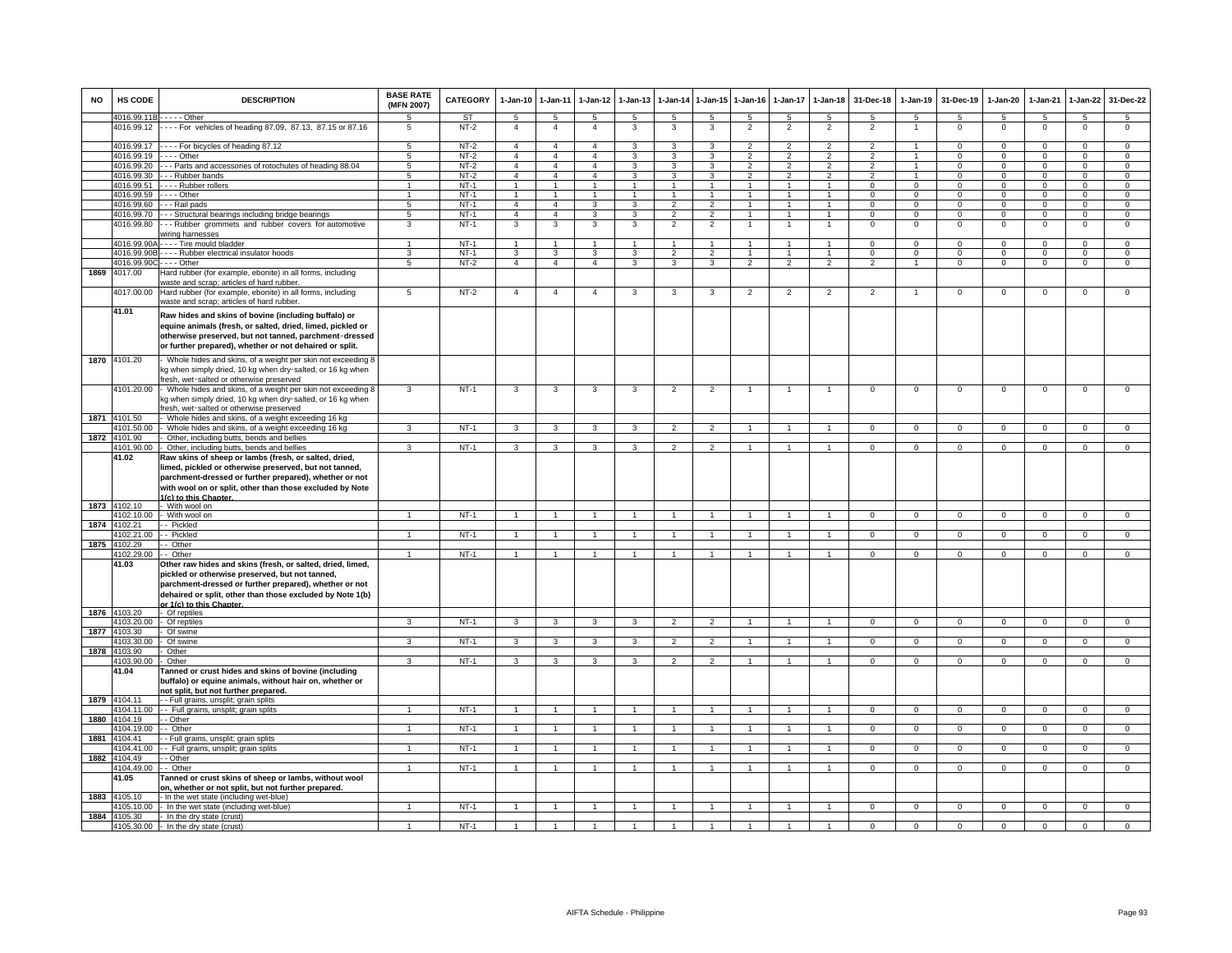| <b>NO</b> | HS CODE                    | <b>DESCRIPTION</b>                                                                                                                                                                                                                                               | <b>BASE RATE</b><br>(MFN 2007) | <b>CATEGORY</b>     | $1-Jan-10$                       | $1-Jan-11$                       | $1-Jan-12$                       | $1-Jan-13$                   | 1-Jan-14                         | 1-Jan-15                                  | $1-Jan-16$                       | $1-Jan-17$                        | $1 - Jan-18$                     | 31-Dec-18                        | $1-Jan-19$                    | 31-Dec-19               | $1-Jan-20$                 | 1-Jan-21                   | $1-Jan-22$                    | 31-Dec-22                     |
|-----------|----------------------------|------------------------------------------------------------------------------------------------------------------------------------------------------------------------------------------------------------------------------------------------------------------|--------------------------------|---------------------|----------------------------------|----------------------------------|----------------------------------|------------------------------|----------------------------------|-------------------------------------------|----------------------------------|-----------------------------------|----------------------------------|----------------------------------|-------------------------------|-------------------------|----------------------------|----------------------------|-------------------------------|-------------------------------|
|           | 4016.99.11B                | $- - -$ Other<br>4016.99.12 ---- For vehicles of heading 87.09, 87.13, 87.15 or 87.16                                                                                                                                                                            | 5<br>5                         | <b>ST</b><br>$NT-2$ | 5<br>$\overline{4}$              | 5<br>$\overline{4}$              | 5<br>$\overline{4}$              | 5<br>3                       | 5<br>3                           | 5<br>3                                    | 5<br>$\overline{\phantom{0}}$    | $5\overline{5}$<br>$\overline{2}$ | 5<br>$\overline{2}$              | 5<br>$\overline{2}$              | 5                             | 5<br>$\mathbf 0$        | 5<br>$\mathsf 0$           | 5<br>$\mathbf 0$           | $\overline{5}$<br>$\mathsf 0$ | 5<br>$\mathsf 0$              |
|           |                            |                                                                                                                                                                                                                                                                  |                                |                     |                                  |                                  |                                  | 3                            |                                  |                                           |                                  |                                   |                                  |                                  | $\overline{1}$                |                         |                            |                            |                               |                               |
|           | 4016.99.17<br>4016.99.19   | ---- For bicycles of heading 87.12<br>$- -$ Other                                                                                                                                                                                                                | 5<br>5                         | $NT-2$<br>$NT-2$    | $\overline{4}$<br>$\overline{4}$ | $\overline{4}$<br>$\overline{4}$ | $\overline{4}$<br>$\overline{4}$ | 3                            | 3<br>3                           | 3<br>3                                    | $\overline{2}$<br>$\mathfrak{p}$ | $\overline{2}$<br>$\mathfrak{p}$  | $\overline{2}$<br>$\overline{2}$ | $\overline{2}$<br>$\mathfrak{p}$ | $\blacktriangleleft$          | $\mathbf 0$<br>0        | $\mathsf 0$<br>$\mathbf 0$ | 0<br>$\Omega$              | $\mathbf 0$<br>$\mathbf 0$    | $\mathbf 0$<br>$\mathbf 0$    |
|           | 4016.99.20                 | - - Parts and accessories of rotochutes of heading 88.04                                                                                                                                                                                                         | 5                              | $NT-2$              | $\overline{4}$                   | $\overline{4}$                   | $\overline{4}$                   | 3                            | 3                                | $\mathbf{3}$                              | $\overline{2}$                   | 2                                 | $\overline{2}$                   | $\overline{2}$                   | $\overline{1}$                | $\mathbf 0$             | $^{\circ}$                 | $\Omega$                   | $\mathbf{0}$                  | $\mathbf 0$                   |
|           | 4016.99.30                 | - - Rubber bands                                                                                                                                                                                                                                                 | 5                              | $NT-2$              | $\overline{4}$                   | $\overline{4}$                   | $\overline{4}$                   | 3                            | 3                                | 3                                         | $\overline{2}$                   | $\overline{2}$                    | $\overline{2}$                   | $\overline{2}$                   | $\mathbf{1}$                  | $\mathbf 0$             | $\mathbf{0}$               | $\Omega$                   | $\mathbf 0$                   | $\overline{0}$                |
|           | 4016.99.51                 | --- Rubber rollers                                                                                                                                                                                                                                               | $\mathbf{1}$                   | $NT-1$              | $\mathbf{1}$                     | $\overline{1}$                   | 1                                | $\mathbf{1}$                 | $\overline{1}$                   | $\overline{1}$                            | $\mathbf{1}$                     | $\mathbf{1}$                      | $\mathbf{1}$                     | $\Omega$                         | $\mathbf 0$                   | $\mathbf 0$             | $\mathbf 0$                | $\Omega$                   | $\mathbf 0$                   | $\overline{0}$                |
|           | 4016.99.59                 | $--$ Other                                                                                                                                                                                                                                                       | $\mathbf{1}$                   | $NT-1$              | $\mathbf{1}$                     | $\overline{1}$                   | 1                                | $\overline{1}$               | $\overline{1}$                   | $\mathbf{1}$                              | $\mathbf{1}$                     | $\mathbf{1}$                      | $\mathbf{1}$                     | $\Omega$                         | $\overline{0}$                | $\mathbf 0$             | $\mathbf{0}$               | $\Omega$                   | $\overline{0}$                | $\overline{0}$                |
|           | 4016.99.60<br>4016.99.70   | - - Rail pads<br>- - Structural bearings including bridge bearings                                                                                                                                                                                               | 5<br>5                         | $NT-1$<br>$NT-1$    | $\overline{4}$<br>$\overline{4}$ | $\overline{4}$<br>$\overline{4}$ | $\overline{3}$<br>3              | 3<br>3                       | $\overline{2}$<br>$\overline{2}$ | $\overline{2}$<br>$\overline{2}$          | $\overline{1}$<br>$\mathbf{1}$   | $\mathbf{1}$<br>$\mathbf{1}$      | $\overline{1}$<br>$\mathbf{1}$   | $\Omega$<br>$\mathbf 0$          | $\overline{0}$<br>$\mathbf 0$ | $\Omega$<br>$\mathbf 0$ | $\Omega$<br>$\mathbf 0$    | $\Omega$<br>$\Omega$       | $\overline{0}$<br>$\mathsf 0$ | $\overline{0}$<br>$\mathbf 0$ |
|           | 4016.99.80                 | -- Rubber grommets and rubber covers for automotive                                                                                                                                                                                                              | 3                              | $NT-1$              | 3                                | 3                                | 3                                | 3                            | $\overline{2}$                   | $\overline{2}$                            |                                  |                                   |                                  | $\Omega$                         | $\mathbf 0$                   | $\Omega$                | $\mathbf 0$                | $\Omega$                   | $\mathsf 0$                   | $\overline{0}$                |
|           |                            | viring harnesses                                                                                                                                                                                                                                                 |                                |                     |                                  |                                  |                                  |                              |                                  |                                           |                                  |                                   |                                  |                                  |                               |                         |                            |                            |                               |                               |
|           | 4016.99.90A                | --- Tire mould bladder                                                                                                                                                                                                                                           | $\mathbf{1}$                   | $NT-1$              | $\overline{1}$                   | $\overline{1}$                   | $\blacktriangleleft$             | $\mathbf{1}$                 | $\overline{1}$                   | $\blacktriangleleft$                      | -1                               | $\overline{1}$                    | $\blacktriangleleft$             | $\Omega$                         | $\Omega$                      | $\Omega$                | $\mathbf 0$                | $\Omega$                   | 0                             | $\mathbf 0$                   |
|           | 4016.99.90E                | --- Rubber electrical insulator hoods                                                                                                                                                                                                                            | 3<br>5                         | $NT-1$<br>$NT-2$    | 3<br>$\overline{4}$              | 3<br>$\overline{4}$              | 3<br>$\overline{4}$              | 3<br>$\overline{\mathbf{3}}$ | $\overline{2}$<br>$\overline{3}$ | $\overline{2}$<br>$\overline{\mathbf{3}}$ | -1<br>$\overline{2}$             | $\overline{2}$                    | 1<br>$\overline{2}$              | $\Omega$<br>$\overline{2}$       | $\Omega$<br>$\overline{1}$    | $\Omega$                | 0<br>$\overline{0}$        | $\Omega$<br>$\overline{0}$ | 0<br>$\overline{0}$           | $\mathbf 0$<br>$\overline{0}$ |
| 1869      | 4016.99.900<br>4017.00     | $--$ Other<br>Hard rubber (for example, ebonite) in all forms, including                                                                                                                                                                                         |                                |                     |                                  |                                  |                                  |                              |                                  |                                           |                                  |                                   |                                  |                                  |                               | $\mathbf{0}$            |                            |                            |                               |                               |
|           | 4017.00.00                 | vaste and scrap; articles of hard rubber.<br>Hard rubber (for example, ebonite) in all forms, including                                                                                                                                                          | $\overline{5}$                 | $NT-2$              | $\overline{4}$                   | $\overline{4}$                   | $\overline{4}$                   | 3                            | 3                                | $\mathbf{3}$                              | $\overline{2}$                   | $\overline{2}$                    | $\overline{2}$                   | $\overline{2}$                   | $\overline{1}$                | $\mathsf 0$             | $\mathbf 0$                | $\mathsf 0$                | $\mathsf 0$                   | $\mathsf 0$                   |
|           |                            | waste and scrap; articles of hard rubber.                                                                                                                                                                                                                        |                                |                     |                                  |                                  |                                  |                              |                                  |                                           |                                  |                                   |                                  |                                  |                               |                         |                            |                            |                               |                               |
|           | 41.01                      | Raw hides and skins of bovine (including buffalo) or<br>equine animals (fresh, or salted, dried, limed, pickled or<br>otherwise preserved, but not tanned, parchment-dressed<br>or further prepared), whether or not dehaired or split.                          |                                |                     |                                  |                                  |                                  |                              |                                  |                                           |                                  |                                   |                                  |                                  |                               |                         |                            |                            |                               |                               |
|           | 1870 4101.20               | Whole hides and skins, of a weight per skin not exceeding 8<br>kg when simply dried, 10 kg when dry-salted, or 16 kg when<br>fresh, wet-salted or otherwise preserved                                                                                            |                                |                     |                                  |                                  |                                  |                              |                                  |                                           |                                  |                                   |                                  |                                  |                               |                         |                            |                            |                               |                               |
|           | 4101.20.00                 | Whole hides and skins, of a weight per skin not exceeding 8<br>kg when simply dried, 10 kg when dry-salted, or 16 kg when<br>resh, wet-salted or otherwise preserved                                                                                             | 3                              | $NT-1$              | 3                                | 3                                | 3                                | 3                            | $\overline{2}$                   | $\overline{2}$                            | -1                               | $\mathbf{1}$                      | $\overline{1}$                   | $\mathbf 0$                      | $\mathbf{0}$                  | $\mathbf 0$             | $\overline{0}$             | $\mathbf{0}$               | $\mathbf 0$                   | $\mathbf 0$                   |
|           | 1871 4101.50<br>4101.50.00 | Whole hides and skins, of a weight exceeding 16 kg                                                                                                                                                                                                               | $\mathbf{a}$                   | $NT-1$              | $\mathbf{3}$                     | $\mathbf{3}$                     | $\mathbf{R}$                     | 3                            | $\overline{2}$                   | $\mathcal{P}$                             | $\mathbf{1}$                     | $\overline{1}$                    | $\mathbf{1}$                     | $\mathbf 0$                      | $\mathbf 0$                   | $\mathbf 0$             | $\mathbf 0$                | $\Omega$                   | $\mathsf 0$                   | $\mathbf 0$                   |
|           | 1872 4101.90               | Whole hides and skins, of a weight exceeding 16 kg<br>Other, including butts, bends and bellies                                                                                                                                                                  |                                |                     |                                  |                                  |                                  |                              |                                  |                                           |                                  |                                   |                                  |                                  |                               |                         |                            |                            |                               |                               |
|           | 4101.90.00                 | Other, including butts, bends and bellies                                                                                                                                                                                                                        | 3                              | $NT-1$              | $\overline{3}$                   | 3                                | 3                                | 3                            | $\overline{2}$                   | $\overline{2}$                            | $\overline{1}$                   | $\overline{1}$                    | $\mathbf{1}$                     | $\mathbf{0}$                     | $\Omega$                      | $\mathbf 0$             | $\overline{0}$             | $\mathbf{0}$               | $\overline{0}$                | $\overline{0}$                |
|           | 41.02                      | Raw skins of sheep or lambs (fresh, or salted, dried,<br>limed, pickled or otherwise preserved, but not tanned,<br>parchment-dressed or further prepared), whether or not<br>with wool on or split, other than those excluded by Note<br>1(c) to this Chapter.   |                                |                     |                                  |                                  |                                  |                              |                                  |                                           |                                  |                                   |                                  |                                  |                               |                         |                            |                            |                               |                               |
|           | 1873 4102.10               | With wool on                                                                                                                                                                                                                                                     |                                |                     |                                  |                                  |                                  |                              |                                  |                                           |                                  |                                   |                                  |                                  |                               |                         |                            |                            |                               |                               |
|           | 4102.10.00                 | With wool on                                                                                                                                                                                                                                                     | $\blacktriangleleft$           | $NT-1$              | $\overline{1}$                   | $\overline{1}$                   |                                  |                              | $\overline{1}$                   | $\overline{1}$                            |                                  |                                   |                                  | $\mathbf{0}$                     | $\mathbf 0$                   | $\mathbf 0$             | $\mathbf{0}$               | $\mathbf 0$                | $\mathbf{0}$                  | $\mathbf{0}$                  |
|           | 1874 4102.21<br>4102.21.00 | - Pickled<br>- Pickled                                                                                                                                                                                                                                           | $\overline{1}$                 | $NT-1$              | $\overline{1}$                   | $\overline{1}$                   | $\mathbf{1}$                     | $\mathbf{1}$                 | $\overline{1}$                   | $\overline{1}$                            | $\overline{1}$                   | $\overline{1}$                    | $\overline{1}$                   | $\Omega$                         | $\mathbf 0$                   | $\mathbf 0$             | $\mathbf 0$                | $\mathbf 0$                | $\mathsf 0$                   | $\overline{0}$                |
|           | 1875 4102.29               | - Other                                                                                                                                                                                                                                                          |                                |                     |                                  |                                  |                                  |                              |                                  |                                           |                                  |                                   |                                  |                                  |                               |                         |                            |                            |                               |                               |
|           | 4102.29.00                 | - Other                                                                                                                                                                                                                                                          | $\overline{1}$                 | $NT-1$              | $\overline{1}$                   | $\mathbf{1}$                     | $\mathbf{1}$                     |                              | $\overline{1}$                   | $\mathbf{1}$                              | $\overline{1}$                   | $\mathbf{1}$                      | $\mathbf{1}$                     | $\Omega$                         | $\mathbf{0}$                  | $\Omega$                | $\Omega$                   | $\Omega$                   | $\mathbf{0}$                  | $\overline{0}$                |
|           | 41.03                      | Other raw hides and skins (fresh, or salted, dried, limed,<br>pickled or otherwise preserved, but not tanned,<br>parchment-dressed or further prepared), whether or not<br>dehaired or split, other than those excluded by Note 1(b)<br>or 1(c) to this Chapter. |                                |                     |                                  |                                  |                                  |                              |                                  |                                           |                                  |                                   |                                  |                                  |                               |                         |                            |                            |                               |                               |
|           | 1876 4103.20<br>4103.20.00 | Of reptiles<br>Of reptiles                                                                                                                                                                                                                                       | 3                              | $NT-1$              | 3                                | 3                                | 3                                | 3                            | $\overline{2}$                   | $\overline{2}$                            | $\overline{1}$                   | $\mathbf{1}$                      | $\overline{1}$                   | $\mathbf{0}$                     | $\Omega$                      | $^{\circ}$              | $\mathbf{0}$               | $\Omega$                   | $\mathbf 0$                   | $\overline{0}$                |
| 1877      | 4103.30                    | Of swine                                                                                                                                                                                                                                                         |                                |                     |                                  |                                  |                                  |                              |                                  |                                           |                                  |                                   |                                  |                                  |                               |                         |                            |                            |                               |                               |
|           | 4103.30.00                 | Of swine                                                                                                                                                                                                                                                         | 3                              | $NT-1$              | $\overline{3}$                   | 3                                | 3                                | 3                            | $\overline{2}$                   | $\overline{2}$                            | $\overline{1}$                   | $\overline{1}$                    | $\overline{1}$                   | $\Omega$                         | $\overline{0}$                | $\Omega$                | $\overline{0}$             | $\overline{0}$             | $\overline{0}$                | $\overline{0}$                |
| 1878      | 4103.90                    | Other                                                                                                                                                                                                                                                            |                                |                     |                                  |                                  |                                  |                              |                                  |                                           |                                  |                                   |                                  |                                  |                               |                         |                            |                            |                               |                               |
|           | 4103.90.00<br>41.04        | Other<br>Tanned or crust hides and skins of bovine (including<br>buffalo) or equine animals, without hair on, whether or<br>not split, but not further prepared.                                                                                                 | 3                              | $NT-1$              | 3                                | 3                                | 3                                | 3                            | $\overline{2}$                   | $\overline{2}$                            |                                  |                                   | $\overline{1}$                   | $\Omega$                         | $\Omega$                      | $\Omega$                | $\overline{0}$             | $\Omega$                   | $\overline{0}$                | $\overline{0}$                |
|           | 1879 4104.11               | - Full grains, unsplit; grain splits                                                                                                                                                                                                                             |                                |                     |                                  |                                  |                                  |                              |                                  |                                           |                                  |                                   |                                  |                                  |                               |                         |                            |                            |                               |                               |
|           | 4104.11.00<br>1880 4104.19 | - Full grains, unsplit; grain splits<br>- Other                                                                                                                                                                                                                  | $\mathbf{1}$                   | $NT-1$              | $\mathbf{1}$                     | $\mathbf{1}$                     | $\mathbf{1}$                     | $\mathbf{1}$                 | $\overline{1}$                   | $\overline{1}$                            | $\overline{1}$                   | $\mathbf{1}$                      | $\overline{1}$                   | $\mathbf{0}$                     | $\mathbf 0$                   | $\mathbf 0$             | $\mathbf 0$                | $\mathbf{0}$               | $\mathbf{0}$                  | $\mathbf{0}$                  |
|           | 4104.19.00                 | - Other                                                                                                                                                                                                                                                          | $\mathbf{1}$                   | $NT-1$              | $\mathbf{1}$                     | $\mathbf{1}$                     | $\overline{1}$                   | $\mathbf{1}$                 | $\overline{1}$                   | $\overline{1}$                            | $\overline{1}$                   | $\mathbf{1}$                      | $\overline{1}$                   | $\mathbf{0}$                     | $\overline{0}$                | $\mathbf{0}$            | $\overline{0}$             | $\mathbf{0}$               | $\overline{0}$                | $\overline{0}$                |
| 1881      | 4104.41                    | - Full grains, unsplit; grain splits                                                                                                                                                                                                                             |                                |                     |                                  |                                  |                                  |                              |                                  |                                           |                                  |                                   |                                  |                                  |                               |                         |                            |                            |                               |                               |
|           | 4104.41.00                 | - Full grains, unsplit; grain splits                                                                                                                                                                                                                             |                                | $NT-1$              | $\mathbf{1}$                     | $\mathbf{1}$                     |                                  |                              | $\overline{1}$                   | 1                                         |                                  | $\mathbf{1}$                      | $\mathbf{1}$                     | $\mathbf 0$                      | $\overline{0}$                | $\mathbf 0$             | $\mathbf 0$                | $\mathbf 0$                | $\mathbf{0}$                  | $\overline{0}$                |
| 1882      | 4104.49<br>1104.49.00      | - Other<br>Other                                                                                                                                                                                                                                                 | $\mathbf{1}$                   | $NT-1$              | $\mathbf{1}$                     | $\mathbf{1}$                     |                                  |                              | $\mathbf{1}$                     | $\mathbf{1}$                              | $\mathbf{1}$                     | $\mathbf{1}$                      | $\mathbf{1}$                     | $\mathbf{0}$                     | $\mathbf 0$                   | $\mathbf 0$             | $\mathbf 0$                | $\mathbf 0$                | $\mathbf 0$                   | $\overline{0}$                |
|           | 41.05                      | Tanned or crust skins of sheep or lambs, without wool<br>on, whether or not split, but not further prepared.                                                                                                                                                     |                                |                     |                                  |                                  |                                  |                              |                                  |                                           |                                  |                                   |                                  |                                  |                               |                         |                            |                            |                               |                               |
|           | 1883 4105.10               | - In the wet state (including wet-blue)                                                                                                                                                                                                                          |                                |                     |                                  |                                  |                                  |                              |                                  |                                           |                                  |                                   |                                  |                                  |                               |                         |                            |                            |                               |                               |
|           | 4105.10.00                 | In the wet state (including wet-blue)                                                                                                                                                                                                                            |                                | $NT-1$              | $\overline{1}$                   | $\overline{1}$                   |                                  |                              | $\overline{1}$                   |                                           | $\overline{1}$                   | $\overline{1}$                    |                                  | $\circ$                          | $\circ$                       | $\mathbf{0}$            | $\mathbf 0$                | $\mathbf{0}$               | $\mathbf 0$                   | $\overline{0}$                |
| 1884      | 4105.30                    | In the dry state (crust)<br>4105.30.00 - In the dry state (crust)                                                                                                                                                                                                |                                | $NT-1$              | $\overline{1}$                   | $\overline{1}$                   |                                  |                              | $\overline{1}$                   | $\overline{1}$                            | $\overline{1}$                   | $\overline{1}$                    | $\overline{1}$                   | $\overline{0}$                   | $\overline{0}$                | $\overline{0}$          | $\overline{0}$             | $\overline{0}$             | $\overline{0}$                | $\overline{0}$                |
|           |                            |                                                                                                                                                                                                                                                                  |                                |                     |                                  |                                  |                                  |                              |                                  |                                           |                                  |                                   |                                  |                                  |                               |                         |                            |                            |                               |                               |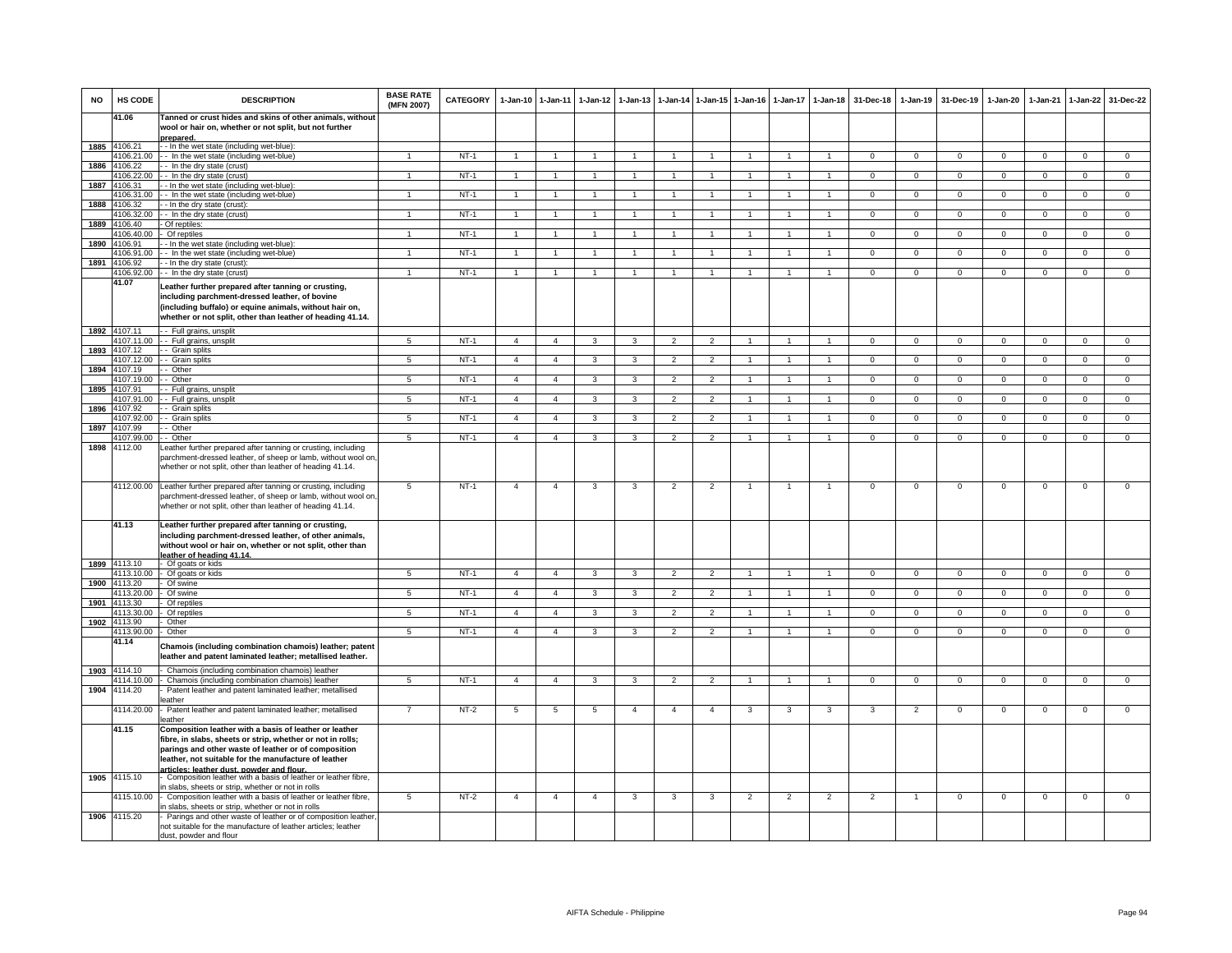| <b>NO</b> | HS CODE                    | <b>DESCRIPTION</b>                                                                                                                                                                                                                                                                | <b>BASE RATE</b><br>(MFN 2007) | <b>CATEGORY</b> | $1-Jan-10$     | $1 - Jan-11$         | $1 - Jan-12$   | $1 - Jan-13$   |                          |                | 1-Jan-14 1-Jan-15 1-Jan-16 | $1 - Jan-17$   | $1-Jan-18$           | 31-Dec-18      | $1-Jan-19$     | 31-Dec-19      | $1 - Jan-20$   | $1-Jan-21$     | $1-Jan-22$     | 31-Dec-22      |
|-----------|----------------------------|-----------------------------------------------------------------------------------------------------------------------------------------------------------------------------------------------------------------------------------------------------------------------------------|--------------------------------|-----------------|----------------|----------------------|----------------|----------------|--------------------------|----------------|----------------------------|----------------|----------------------|----------------|----------------|----------------|----------------|----------------|----------------|----------------|
|           | 41.06                      | Tanned or crust hides and skins of other animals, without<br>wool or hair on, whether or not split, but not further<br>prepared.                                                                                                                                                  |                                |                 |                |                      |                |                |                          |                |                            |                |                      |                |                |                |                |                |                |                |
|           | 1885 4106.21               | - - In the wet state (including wet-blue):                                                                                                                                                                                                                                        |                                |                 |                |                      |                |                |                          |                |                            |                |                      |                |                |                |                |                |                |                |
|           | 4106.21.00                 | - - In the wet state (including wet-blue)                                                                                                                                                                                                                                         | $\overline{1}$                 | $NT-1$          | $\mathbf{1}$   | $\overline{1}$       |                | $\overline{1}$ | $\overline{1}$           | $\overline{1}$ | $\overline{1}$             | $\overline{1}$ | $\overline{1}$       | $\Omega$       | $\Omega$       | $\Omega$       | $\Omega$       | $\Omega$       | $\mathbf{0}$   | $\overline{0}$ |
| 1886      | 4106.22                    | - In the dry state (crust)                                                                                                                                                                                                                                                        |                                |                 |                |                      |                |                |                          |                |                            |                |                      |                |                |                |                |                |                |                |
|           | 1106.22.00                 | - In the dry state (crust)                                                                                                                                                                                                                                                        | $\mathbf{1}$                   | $NT-1$          |                |                      |                | $\mathbf{1}$   | $\mathbf{1}$             | $\mathbf{1}$   | $\overline{1}$             | $\mathbf{1}$   | $\blacktriangleleft$ | $\mathbf{0}$   | $\overline{0}$ | $\mathbf 0$    | $\mathbf 0$    | $\mathbf 0$    | $\overline{0}$ | $\overline{0}$ |
| 1887      | 4106.31<br>4106.31.00      | - In the wet state (including wet-blue):<br>- In the wet state (including wet-blue)                                                                                                                                                                                               | $\overline{1}$                 | $NT-1$          |                | $\overline{1}$       |                | $\overline{1}$ | $\overline{1}$           | $\mathbf{1}$   | $\overline{1}$             | $\overline{1}$ | $\blacktriangleleft$ | $\mathbf 0$    | $\mathbf 0$    | $\mathbf 0$    | $\mathbf 0$    | $\Omega$       | $\mathbf 0$    | $\overline{0}$ |
| 1888      | 4106.32                    | - In the dry state (crust):                                                                                                                                                                                                                                                       |                                |                 |                |                      |                |                |                          |                |                            |                |                      |                |                |                |                |                |                |                |
|           | 4106.32.00                 | - In the dry state (crust)                                                                                                                                                                                                                                                        | $\mathbf{1}$                   | $NT-1$          | $\overline{1}$ | $\blacktriangleleft$ |                | $\overline{1}$ | $\overline{1}$           | $\overline{1}$ | $\overline{1}$             | $\overline{1}$ | $\overline{1}$       | $\overline{0}$ | $\overline{0}$ | $\Omega$       | $\overline{0}$ | $\overline{0}$ | $\overline{0}$ | $\overline{0}$ |
| 1889      | 4106.40                    | Of reptiles:                                                                                                                                                                                                                                                                      |                                |                 |                |                      |                |                |                          |                |                            |                |                      |                |                |                |                |                |                |                |
|           | 4106.40.00                 | Of reptiles                                                                                                                                                                                                                                                                       |                                | $NT-1$          |                |                      |                |                |                          | $\overline{1}$ |                            |                | $\overline{1}$       | $\overline{0}$ | $\overline{0}$ | $\overline{0}$ | $\overline{0}$ | $\overline{0}$ | $\overline{0}$ | $\overline{0}$ |
| 1890      | 4106.91                    | - In the wet state (including wet-blue)                                                                                                                                                                                                                                           | $\blacktriangleleft$           |                 |                |                      |                |                | $\overline{1}$           | $\overline{1}$ |                            |                |                      |                |                |                |                |                |                |                |
|           | 4106.91.00<br>1891 4106.92 | - In the wet state (including wet-blue)<br>- In the dry state (crust):                                                                                                                                                                                                            |                                | $NT-1$          |                |                      |                |                |                          |                |                            |                |                      | $\mathbf 0$    | $\mathbf{O}$   | $\Omega$       | $\overline{0}$ | $\mathbf 0$    | $\mathbf{0}$   | $\mathbf{0}$   |
|           | 4106.92.00                 | - In the dry state (crust)                                                                                                                                                                                                                                                        | $\mathbf{1}$                   | $NT-1$          | $\mathbf{1}$   | $\blacktriangleleft$ |                | $\mathbf{1}$   | $\mathbf{1}$             | $\mathbf{1}$   | $\overline{1}$             | 1              | $\mathbf{1}$         | $\Omega$       | $\mathbf 0$    | $\mathbf{0}$   | $\mathbf{0}$   | $\mathbf 0$    | $\mathbf{0}$   | $\overline{0}$ |
|           | 41.07                      | Leather further prepared after tanning or crusting,<br>including parchment-dressed leather, of bovine<br>(including buffalo) or equine animals, without hair on,<br>whether or not split, other than leather of heading 41.14.                                                    |                                |                 |                |                      |                |                |                          |                |                            |                |                      |                |                |                |                |                |                |                |
|           | 1892 4107.11               | - - Full grains, unsplit                                                                                                                                                                                                                                                          |                                | $NT-1$          |                |                      |                |                |                          |                | $\overline{1}$             |                |                      |                |                |                |                |                |                |                |
| 1893      | 4107.11.00<br>4107.12      | - - Full grains, unsplit<br>- Grain splits                                                                                                                                                                                                                                        | $\sqrt{5}$                     |                 | $\overline{4}$ | $\overline{4}$       | 3              | 3              | $\overline{2}$           | $\overline{2}$ |                            | $\overline{1}$ | $\overline{1}$       | $\mathbf 0$    | $\overline{0}$ | $\mathbf 0$    | $\overline{0}$ | $\overline{0}$ | $\mathbf 0$    | $\overline{0}$ |
|           | 4107.12.00                 | - Grain splits                                                                                                                                                                                                                                                                    | $\overline{5}$                 | $NT-1$          | $\overline{4}$ | $\overline{4}$       | 3              | 3              | $\overline{2}$           | $\overline{2}$ |                            |                |                      | $\overline{0}$ | $\overline{0}$ | $\overline{0}$ | $\overline{0}$ | $\overline{0}$ | $\overline{0}$ | $\overline{0}$ |
| 1894      | 4107.19                    | - Other                                                                                                                                                                                                                                                                           |                                |                 |                |                      |                |                |                          |                |                            |                |                      |                |                |                |                |                |                |                |
|           | 4107.19.00                 | - - Other                                                                                                                                                                                                                                                                         | 5                              | $NT-1$          | $\overline{4}$ | $\overline{4}$       | 3              | 3              | $\overline{2}$           | $\overline{2}$ |                            |                |                      | $\mathbf 0$    | $\mathbf 0$    | $^{\circ}$     | $\mathbf{0}$   | $\Omega$       | $\mathbf{0}$   | $\mathbf{0}$   |
|           | 1895 4107.91               | - Full grains, unsplit<br>- Full grains, unsplit                                                                                                                                                                                                                                  |                                | $NT-1$          |                | $\overline{4}$       | 3              |                |                          |                | $\overline{1}$             | $\mathbf{1}$   | $\mathbf{1}$         | $\Omega$       |                |                |                | $\Omega$       |                | $\overline{0}$ |
| 1896      | 4107.91.00<br>4107.92      | - Grain splits                                                                                                                                                                                                                                                                    | $5\overline{5}$                |                 | $\overline{4}$ |                      |                | 3              | $\overline{2}$           | $\overline{2}$ |                            |                |                      |                | $\mathbf{0}$   | $\mathbf{0}$   | $\overline{0}$ |                | $\circ$        |                |
|           | 1107.92.00                 | - Grain splits                                                                                                                                                                                                                                                                    | -5                             | $NT-1$          | $\overline{a}$ | $\overline{4}$       | 3              | 3              | $\overline{\phantom{a}}$ | $\overline{2}$ |                            |                | $\overline{1}$       | $\Omega$       | $\overline{0}$ | $\Omega$       | $\Omega$       | $\Omega$       | $\overline{0}$ | $\overline{0}$ |
| 1897      | 4107.99                    | - Other                                                                                                                                                                                                                                                                           |                                |                 |                |                      |                |                |                          |                |                            |                |                      |                |                |                |                |                |                |                |
|           | 4107.99.00                 | - Other                                                                                                                                                                                                                                                                           | $\overline{5}$                 | $NT-1$          | $\overline{4}$ | $\overline{4}$       | 3              | 3              | $\overline{2}$           | $\overline{2}$ | $\overline{1}$             | 1              | $\overline{1}$       | $\overline{0}$ | $\overline{0}$ | $\mathbf 0$    | $\overline{0}$ | $\overline{0}$ | $\overline{0}$ | $\overline{0}$ |
| 1898      | 4112.00                    | eather further prepared after tanning or crusting, including<br>parchment-dressed leather, of sheep or lamb, without wool on,<br>whether or not split, other than leather of heading 41.14.                                                                                       |                                |                 |                |                      |                |                |                          |                |                            |                |                      |                |                |                |                |                |                |                |
|           | 4112.00.00                 | Leather further prepared after tanning or crusting, including<br>parchment-dressed leather, of sheep or lamb, without wool on,<br>whether or not split, other than leather of heading 41.14.                                                                                      | 5                              | $NT-1$          | $\overline{4}$ | $\overline{4}$       | 3              | 3              | $\overline{2}$           | 2              | $\overline{1}$             | 1              | $\overline{1}$       | $\mathbf{0}$   | $\mathbf 0$    | $\mathbf 0$    | $\mathbf 0$    | $\mathbf 0$    | $\mathbf 0$    | $\mathbf 0$    |
|           | 41.13<br>1899 4113.10      | Leather further prepared after tanning or crusting,<br>including parchment-dressed leather, of other animals,<br>without wool or hair on, whether or not split, other than<br>leather of heading 41.14.<br>Of goats or kids                                                       |                                |                 |                |                      |                |                |                          |                |                            |                |                      |                |                |                |                |                |                |                |
|           | 4113.10.00                 | Of goats or kids                                                                                                                                                                                                                                                                  | 5                              | $NT-1$          | $\overline{4}$ | $\overline{4}$       | 3              | 3              | $\overline{2}$           | $\overline{2}$ | $\overline{1}$             | $\mathbf{1}$   | $\mathbf{1}$         | $\mathbf 0$    | $\mathbf{O}$   | $\mathbf 0$    | $\mathbf 0$    | $\mathbf 0$    | $\mathsf 0$    | $\mathbf 0$    |
|           | 1900 4113.20               | Of swine                                                                                                                                                                                                                                                                          |                                |                 |                |                      |                |                |                          |                |                            |                |                      |                |                |                |                |                |                |                |
|           | 4113.20.00<br>1901 4113.30 | Of swine                                                                                                                                                                                                                                                                          | $\overline{5}$                 | $NT-1$          | $\overline{4}$ | $\overline{4}$       | $\overline{3}$ | $\overline{3}$ | $\overline{2}$           | $\overline{2}$ | $\overline{1}$             | $\overline{1}$ | $\overline{1}$       | $\overline{0}$ | $\overline{0}$ | $\overline{0}$ | $\overline{0}$ | $\overline{0}$ | $\overline{0}$ | $\overline{0}$ |
|           | 4113.30.00                 | Of reptiles<br>Of reptiles                                                                                                                                                                                                                                                        | 5                              | $NT-1$          | $\overline{4}$ | $\overline{4}$       |                | $\mathbf{R}$   | $\mathcal{L}$            | $\overline{2}$ |                            |                |                      | $\Omega$       | $\overline{0}$ | $\Omega$       | $\Omega$       | $\Omega$       | $\Omega$       | $\overline{0}$ |
| 1902      | 4113.90                    | Other                                                                                                                                                                                                                                                                             |                                |                 |                |                      |                |                |                          |                |                            |                |                      |                |                |                |                |                |                |                |
|           | 4113.90.00                 | Other                                                                                                                                                                                                                                                                             | $\overline{5}$                 | $NT-1$          | $\overline{4}$ | $\overline{4}$       | 3              | 3              | $\overline{2}$           | $\overline{2}$ |                            |                |                      | $\Omega$       | $\Omega$       | $\Omega$       | $\Omega$       | $\Omega$       | $\Omega$       | $\overline{0}$ |
|           | 41.14                      | Chamois (including combination chamois) leather; patent<br>leather and patent laminated leather; metallised leather.                                                                                                                                                              |                                |                 |                |                      |                |                |                          |                |                            |                |                      |                |                |                |                |                |                |                |
|           | 1903 4114.10               | Chamois (including combination chamois) leather                                                                                                                                                                                                                                   |                                |                 |                |                      |                |                |                          |                |                            |                |                      |                |                |                |                |                |                |                |
|           | 4114.10.00<br>4114.20      | Chamois (including combination chamois) leather                                                                                                                                                                                                                                   | 5                              | $NT-1$          | $\overline{4}$ | $\overline{4}$       | 3              | 3              | $\overline{2}$           | $\overline{2}$ |                            |                |                      | $\overline{0}$ | $\overline{0}$ | $\overline{0}$ | $\overline{0}$ | $\overline{0}$ | $\overline{0}$ | $\overline{0}$ |
| 1904      |                            | Patent leather and patent laminated leather; metallised<br>eather                                                                                                                                                                                                                 |                                |                 |                |                      |                |                |                          |                |                            |                |                      |                |                |                |                |                |                |                |
|           | 4114.20.00                 | Patent leather and patent laminated leather; metallised<br>eather                                                                                                                                                                                                                 | $\overline{7}$                 | $NT-2$          | 5              | 5                    | 5              | $\overline{4}$ | $\overline{4}$           | $\overline{4}$ | 3                          | $\mathbf{3}$   | 3                    | 3              | $\overline{2}$ | $\mathbf 0$    | $\mathbf 0$    | $\mathbf 0$    | $\mathsf 0$    | $\mathsf 0$    |
|           | 41.15                      | Composition leather with a basis of leather or leather<br>fibre, in slabs, sheets or strip, whether or not in rolls;<br>parings and other waste of leather or of composition<br>leather, not suitable for the manufacture of leather<br>articles: leather dust, nowder and flour. |                                |                 |                |                      |                |                |                          |                |                            |                |                      |                |                |                |                |                |                |                |
|           | 1905 4115.10               | Composition leather with a basis of leather or leather fibre,                                                                                                                                                                                                                     |                                |                 |                |                      |                |                |                          |                |                            |                |                      |                |                |                |                |                |                |                |
|           | 4115.10.00                 | a slabs, sheets or strip, whether or not in rolls<br>Composition leather with a basis of leather or leather fibre,<br>h slabs, sheets or strip, whether or not in rolls                                                                                                           | $5^{\circ}$                    | $NT-2$          | $\overline{4}$ | $\overline{4}$       | $\overline{4}$ | 3              | 3                        | 3              | $\overline{2}$             | $\overline{2}$ | $\overline{2}$       | $\overline{2}$ | -1             | $\Omega$       | $\Omega$       | $\Omega$       | $\overline{0}$ | $\overline{0}$ |
|           | 1906 4115.20               | Parings and other waste of leather or of composition leather,<br>not suitable for the manufacture of leather articles; leather<br>dust, powder and flour                                                                                                                          |                                |                 |                |                      |                |                |                          |                |                            |                |                      |                |                |                |                |                |                |                |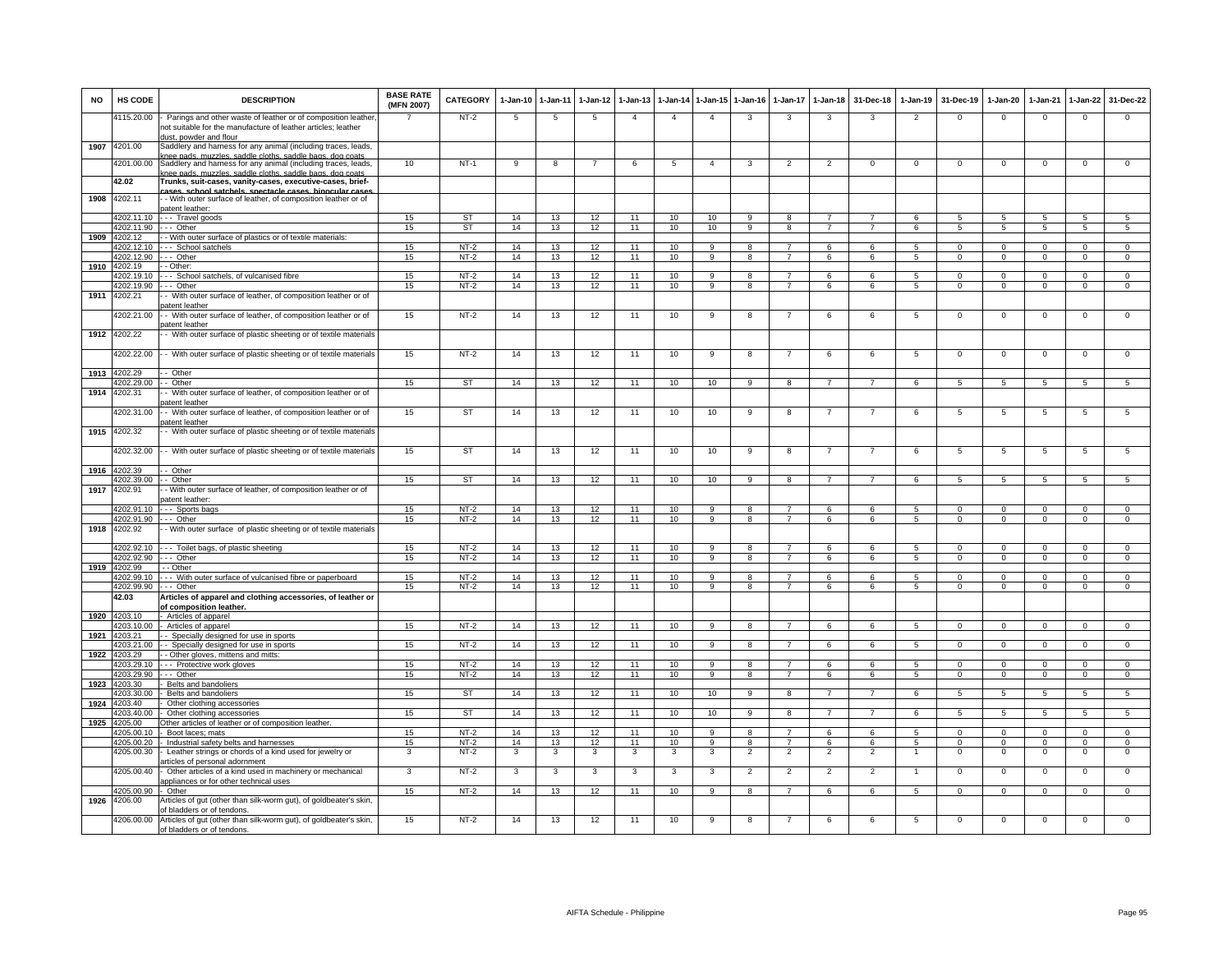| <b>NO</b> | <b>HS CODE</b>           | <b>DESCRIPTION</b>                                                                                                                                                                      | <b>BASE RATE</b><br>(MFN 2007) | <b>CATEGORY</b>  | $1 - Jan-10$ | 1-Jan-11 | $1-Jan-12$ | $1-Jan-13$     | 1-Jan-14       | 1-Jan-15             | $1-Jan-16$              | 1-Jan-17                         | 1-Jan-18       | 31-Dec-18      | $1-Jan-19$     | 31-Dec-19              | 1-Jan-20                 | 1-Jan-21                | 1-Jan-22                 | 31-Dec-22                      |
|-----------|--------------------------|-----------------------------------------------------------------------------------------------------------------------------------------------------------------------------------------|--------------------------------|------------------|--------------|----------|------------|----------------|----------------|----------------------|-------------------------|----------------------------------|----------------|----------------|----------------|------------------------|--------------------------|-------------------------|--------------------------|--------------------------------|
|           | 4115.20.00               | Parings and other waste of leather or of composition leather<br>not suitable for the manufacture of leather articles; leather<br>dust, powder and flour                                 |                                | $NT-2$           | 5            | 5        | 5          | $\overline{4}$ | $\overline{4}$ | $\overline{4}$       | 3                       | 3                                | 3              | 3              | $\overline{2}$ | $\mathbf 0$            | $\mathsf 0$              | $\mathbf 0$             | $\mathbf 0$              | $\mathsf 0$                    |
| 1907      | 4201.00                  | Saddlery and harness for any animal (including traces, leads,                                                                                                                           |                                |                  |              |          |            |                |                |                      |                         |                                  |                |                |                |                        |                          |                         |                          |                                |
|           | 4201.00.00               | nee pads, muzzles, saddle cloths, saddle bags, dog coats.<br>Saddlery and harness for any animal (including traces, leads,<br>chee nads, muzzles, saddle cloths, saddle hans, don coats | 10                             | $NT-1$           | 9            | 8        |            | 6              | $\sqrt{5}$     | $\overline{4}$       | 3                       | $\overline{2}$                   | $\overline{2}$ | $\mathbf 0$    | $^{\circ}$     | $^{\circ}$             | $\mathsf 0$              | $\mathbf 0$             | $\mathbf{0}$             | $\overline{0}$                 |
|           | 42.02                    | Trunks, suit-cases, vanity-cases, executive-cases, brief-                                                                                                                               |                                |                  |              |          |            |                |                |                      |                         |                                  |                |                |                |                        |                          |                         |                          |                                |
| 1908      | 4202.11                  | cases school satchels spectacle cases binocular cases<br>- With outer surface of leather, of composition leather or of<br>patent leather                                                |                                |                  |              |          |            |                |                |                      |                         |                                  |                |                |                |                        |                          |                         |                          |                                |
|           | 4202.11.10               | - - - Travel goods                                                                                                                                                                      | 15                             | <b>ST</b>        | 14           | 13       | 12         | 11             | 10             | 10                   |                         |                                  |                |                |                |                        | $\overline{a}$           | 5                       |                          | 5.                             |
| 1909      | 4202.11.90<br>4202.12    | --- Other<br>- - With outer surface of plastics or of textile materials:                                                                                                                | 15                             | <b>ST</b>        | 14           | 13       | 12         | 11             | 10             | 10                   | 9                       | 8                                | $\overline{7}$ |                | 6              | 5                      | 5                        | 5                       | $\overline{5}$           | $5\overline{5}$                |
|           | 4202.12.10               | --- School satchels                                                                                                                                                                     | 15                             | $NT-2$           | 14           | 13       | 12         | 11             | 10             | 9                    | 8                       |                                  | 6              | 6              | -5             | $\Omega$               | $\Omega$                 | $\Omega$                | $\Omega$                 | $\Omega$                       |
|           | 4202.12.90               | .-- Other                                                                                                                                                                               | 15                             | $NT-2$           | 14           | 13       | 12         | 11             | 10             | 9                    | 8                       | $\overline{7}$                   | 6              | 6              | 5              | $^{\circ}$             | $^{\circ}$               | $\mathbf 0$             | $\mathbf 0$              | $\mathbf{0}$                   |
|           | 1910 4202.19             | - Other:                                                                                                                                                                                |                                |                  |              |          |            |                |                |                      |                         |                                  |                |                |                |                        |                          |                         |                          |                                |
|           | 4202.19.10<br>4202.19.90 | --- School satchels, of vulcanised fibre<br>-- Other                                                                                                                                    | 15<br>15                       | $NT-2$<br>$NT-2$ | 14<br>14     | 13<br>13 | 12<br>12   | 11<br>11       | 10<br>10       | 9<br>9               | 8<br>8                  | 7                                | 6<br>6         | 6<br>6         | 5<br>5         | $\Omega$<br>$^{\circ}$ | $\Omega$                 | $\Omega$<br>$\mathbf 0$ | $\Omega$<br>$\mathbf{0}$ | $\Omega$<br>$\mathbf 0$        |
| 1911      | 4202.21                  | - With outer surface of leather, of composition leather or of                                                                                                                           |                                |                  |              |          |            |                |                |                      |                         |                                  |                |                |                |                        | $\mathbf 0$              |                         |                          |                                |
|           | 4202.21.00               | atent leather<br>With outer surface of leather, of composition leather or of                                                                                                            | 15                             | $NT-2$           | 14           | 13       | 12         | 11             | 10             | 9                    | 8                       |                                  | 6              | 6              | 5              | $^{\circ}$             | $\mathbf 0$              | $\mathbf 0$             | $\mathbf 0$              | $\mathbf 0$                    |
| 1912      | 4202.22                  | atent leather<br>- With outer surface of plastic sheeting or of textile materials                                                                                                       |                                |                  |              |          |            |                |                |                      |                         |                                  |                |                |                |                        |                          |                         |                          |                                |
|           | 4202.22.00               |                                                                                                                                                                                         | 15                             | $NT-2$           | 14           | 13       | 12         | 11             | 10             | 9                    | 8                       | $\overline{7}$                   | 6              | 6              | $\overline{5}$ | $\Omega$               | $\mathsf 0$              | 0                       | $\mathbf 0$              | $\mathbf 0$                    |
| 1913      | 4202.29                  | - With outer surface of plastic sheeting or of textile materials<br>- Other                                                                                                             |                                |                  |              |          |            |                |                |                      |                         |                                  |                |                |                |                        |                          |                         |                          |                                |
|           | 4202.29.00               | - Other                                                                                                                                                                                 | 15                             | ST               | 14           | 13       | 12         | 11             | 10             | 10                   | 9                       | 8                                | $\overline{7}$ | $\overline{7}$ | 6              | $\overline{5}$         | $\overline{5}$           | $\overline{5}$          | $\overline{5}$           | $\sqrt{5}$                     |
| 1914      | 4202.31                  | - With outer surface of leather, of composition leather or of<br>atent leather                                                                                                          |                                |                  |              |          |            |                |                |                      |                         |                                  |                |                |                |                        |                          |                         |                          |                                |
|           | 4202.31.00               | - With outer surface of leather, of composition leather or of<br>batent leather                                                                                                         | 15                             | ST               | 14           | 13       | 12         | 11             | 10             | 10                   | -9                      | 8                                | 7              | 7              | 6              | 5                      | 5                        | 5                       | 5                        | $5\overline{5}$                |
| 1915      | 4202.32                  | With outer surface of plastic sheeting or of textile materials                                                                                                                          |                                |                  |              |          |            |                |                |                      |                         |                                  |                |                |                |                        |                          |                         |                          |                                |
|           | 4202.32.00               | - With outer surface of plastic sheeting or of textile materials                                                                                                                        | 15                             | <b>ST</b>        | 14           | 13       | 12         | 11             | 10             | 10                   | 9                       | 8                                | $\overline{7}$ | $\overline{7}$ | 6              | 5                      | $\overline{5}$           | 5                       | 5                        | 5                              |
| 1916      | 4202.39                  | Other                                                                                                                                                                                   |                                |                  |              |          |            |                |                |                      |                         |                                  |                |                |                |                        |                          |                         |                          |                                |
|           | 4202.39.00               | - Other                                                                                                                                                                                 | 15                             | <b>ST</b>        | 14           | 13       | 12         | 11             | 10             | 10                   | 9                       | 8                                |                |                |                |                        | 5                        | 5                       |                          |                                |
| 1917      | 4202.91                  | - With outer surface of leather, of composition leather or of<br>oatent leather                                                                                                         |                                |                  |              |          |            |                |                |                      |                         |                                  |                |                |                |                        |                          |                         |                          |                                |
|           |                          | 4202.91.10 --- Sports bags                                                                                                                                                              | 15                             | $NT-2$           | 14           | 13       | 12         | 11             | 10             | -9                   | 8                       | $\overline{7}$                   | 6              | -6             | -5             | $\Omega$               | $\Omega$                 | $\Omega$                | $\Omega$                 | $\Omega$                       |
|           | 4202.91.90               | $- -$ Other                                                                                                                                                                             | 15                             | $NT-2$           | 14           | 13       | 12         | 11             | 10             | $\overline{9}$       | $\overline{\mathbf{a}}$ | $\overline{7}$                   | 6              | 6              | $\overline{5}$ | $\Omega$               | $\overline{0}$           | $\overline{0}$          | $\overline{0}$           | $\overline{0}$                 |
|           | 1918 4202.92             | - With outer surface of plastic sheeting or of textile materials                                                                                                                        |                                |                  |              | 13       |            | 11             | 10             | 9                    | 8                       |                                  | 6              | 6              | $\overline{5}$ | $\Omega$               | $\Omega$                 | $\Omega$                | $\Omega$                 | $\Omega$                       |
|           | 4202.92.90 --- Other     | 4202.92.10 --- Toilet bags, of plastic sheeting                                                                                                                                         | 15<br>15                       | $NT-2$<br>$NT-2$ | 14<br>14     | 13       | 12<br>12   | 11             | 10             | $\overline{a}$       | R                       |                                  | 6              | 6              | -5             | $\Omega$               | $\Omega$                 | $\Omega$                | $\Omega$                 | $\Omega$                       |
|           | 1919 4202.99             | - - Other                                                                                                                                                                               |                                |                  |              |          |            |                |                |                      |                         |                                  |                |                |                |                        |                          |                         |                          |                                |
|           |                          | 4202.99.10 --- With outer surface of vulcanised fibre or paperboard                                                                                                                     | 15                             | NT-2             | 14           | 13       | 12         | 11             | 10             | 9                    | 8                       |                                  | 6              | 6              | 5              | $\Omega$               | 0                        | $^{\circ}$              | $^{\circ}$               | $\mathbf{0}$                   |
|           | 4202.99.90 --- Other     |                                                                                                                                                                                         | 15                             | $NT-2$           | 14           | 13       | 12         | 11             | 10             | 9                    | 8                       | 7                                | 6              | 6              | 5              | 0                      | 0                        | $^{\circ}$              | $^{\circ}$               | $\mathbf 0$                    |
|           | 42.03                    | Articles of apparel and clothing accessories, of leather or<br>of composition leather.                                                                                                  |                                |                  |              |          |            |                |                |                      |                         |                                  |                |                |                |                        |                          |                         |                          |                                |
| 1920      | 4203.10<br>4203.10.00    | - Articles of apparel<br>- Articles of apparel                                                                                                                                          | 15                             | $NT-2$           | 14           | 13       | 12         | 11             | 10             | 9                    | 8                       |                                  | 6              | 6              | $\overline{5}$ | $\mathbf 0$            | $\mathsf 0$              | $\mathbf 0$             | $\mathbf 0$              | $\overline{0}$                 |
| 1921      | 4203.21                  | - Specially designed for use in sports                                                                                                                                                  |                                |                  |              |          |            |                |                |                      |                         |                                  |                |                |                |                        |                          |                         |                          |                                |
|           | 4203.21.00               | - - Specially designed for use in sports                                                                                                                                                | 15                             | $NT-2$           | 14           | 13       | 12         | 11             | 10             |                      |                         |                                  | 6              |                |                |                        | $\Omega$                 | $\Omega$                |                          | $\Omega$                       |
| 1922      | 4203.29                  | - Other gloves, mittens and mitts:                                                                                                                                                      |                                |                  |              |          |            |                |                |                      |                         |                                  |                |                |                |                        |                          |                         |                          |                                |
|           | 4203.29.10<br>4203.29.90 | - - Protective work gloves<br>-- Other                                                                                                                                                  | 15<br>15                       | $NT-2$<br>$NT-2$ | 14<br>14     | 13<br>13 | 12<br>12   | 11<br>11       | 10<br>10       | -9<br>$\overline{a}$ | 8<br>8                  | $\overline{7}$<br>$\overline{7}$ | 6<br>6         | 6<br>6         | -5<br>5        | $\Omega$<br>$\Omega$   | $\mathbf{0}$<br>$\Omega$ | $\Omega$<br>$\Omega$    | $\Omega$<br>$\Omega$     | $\mathbf{O}$<br>$\overline{0}$ |
| 1923      | 4203.30                  | Belts and bandoliers                                                                                                                                                                    |                                |                  |              |          |            |                |                |                      |                         |                                  |                |                |                |                        |                          |                         |                          |                                |
|           | 4203.30.00               | Belts and bandoliers                                                                                                                                                                    | 15                             | ST               | 14           | 13       | 12         | 11             | 10             | 10                   | 9                       | 8                                | $\overline{7}$ | $\overline{7}$ | 6              | 5                      | 5                        | $\overline{5}$          | $\overline{5}$           | 5.                             |
| 1924      | 4203.40                  | Other clothing accessories                                                                                                                                                              |                                |                  |              |          |            |                |                |                      |                         |                                  |                |                |                |                        |                          |                         |                          |                                |
|           | 4203.40.00               | Other clothing accessories                                                                                                                                                              | 15                             | ST               | 14           | 13       | 12         | 11             | 10             | 10                   | 9                       | 8                                | $\overline{7}$ | $\overline{7}$ | 6              | -5                     | -5                       | -5                      | 5                        | -5                             |
| 1925      | 4205.00<br>4205.00.10    | Other articles of leather or of composition leather.<br>Boot laces; mats                                                                                                                | 15                             | $NT-2$           | 14           | 13       | 12         | 11             | 10             | 9                    | 8                       |                                  | 6              | 6              | 5              | $\Omega$               | 0                        | $\mathbf{0}$            | $^{\circ}$               | $\mathbf{0}$                   |
|           | 4205.00.20               | Industrial safety belts and harnesses                                                                                                                                                   | 15                             | $NT-2$           | 14           | 13       | 12         | 11             | 10             | 9                    | 8                       | 7                                | 6              | 6              | 5              | $\mathbf{0}$           | $\mathbf{0}$             | $^{\circ}$              | $\mathbf{0}$             | $\mathbf 0$                    |
|           | 4205.00.30               | Leather strings or chords of a kind used for jewelry or<br>articles of personal adornment                                                                                               | 3                              | $NT-2$           | 3            | 3        | 3          | 3              | 3              | 3                    | $\overline{2}$          | $\overline{2}$                   | $\overline{2}$ | $\overline{2}$ | $\mathbf{1}$   | $^{\circ}$             | $\mathbf 0$              | $\overline{0}$          | $\mathbf{0}$             | $\mathbf{O}$                   |
|           | 4205.00.40               | Other articles of a kind used in machinery or mechanical<br>appliances or for other technical uses                                                                                      | 3                              | $NT-2$           | 3            | 3        | 3          | 3              | 3              | 3                    | $\overline{2}$          | $\overline{2}$                   | $\overline{2}$ | $\overline{2}$ | $\mathbf{1}$   | $\Omega$               | $\mathbf 0$              | $\mathbf{0}$            | $\mathbf 0$              | $\mathbf{0}$                   |
|           | 4205.00.90               | Other                                                                                                                                                                                   | 15                             | $NT-2$           | 14           | 13       | 12         | 11             | 10             | 9                    | 8                       | $\overline{7}$                   | 6              | 6              | 5              | $^{\circ}$             | $\mathsf 0$              | $\mathbf 0$             | 0                        | $\mathbf{O}$                   |
| 1926      | 4206.00                  | Articles of gut (other than silk-worm gut), of goldbeater's skin,<br>of bladders or of tendons                                                                                          |                                |                  |              |          |            |                |                |                      |                         |                                  |                |                |                |                        |                          |                         |                          |                                |
|           | 4206.00.00               | Articles of gut (other than silk-worm gut), of goldbeater's skin,<br>of bladders or of tendons.                                                                                         | 15                             | $NT-2$           | 14           | 13       | 12         | 11             | 10             | 9                    | 8                       | $\overline{7}$                   | 6              | 6              | 5              | $\Omega$               | $\mathsf 0$              | $\Omega$                | $\Omega$                 | $\Omega$                       |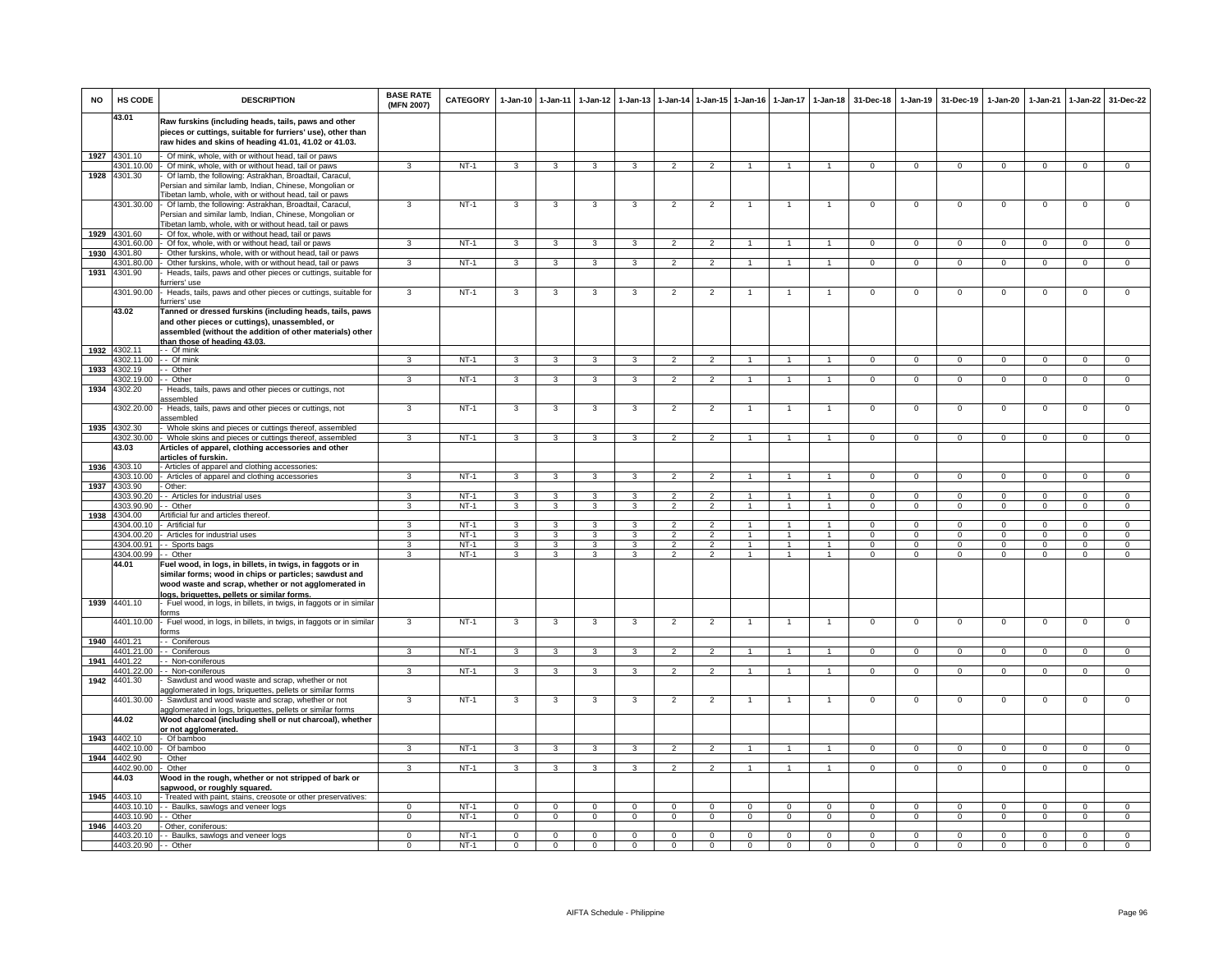| <b>NO</b> | HS CODE                  | <b>DESCRIPTION</b>                                                                                                                                                           | <b>BASE RATE</b><br>(MFN 2007) | <b>CATEGORY</b>  | 1-Jan-10 1-Jan-11            |                              | $1-Jan-12$                   | $1-Jan-13$              | 1-Jan-14                         | 1-Jan-15 1-Jan-16                |                                  | $1-Jan-17$         | $1-Jan-18$                       | 31-Dec-18                | $1-Jan-19$                 | 31-Dec-19                  | $1-Jan-20$              | 1-Jan-21               | $1-Jan-22$                   | 31-Dec-22                      |
|-----------|--------------------------|------------------------------------------------------------------------------------------------------------------------------------------------------------------------------|--------------------------------|------------------|------------------------------|------------------------------|------------------------------|-------------------------|----------------------------------|----------------------------------|----------------------------------|--------------------|----------------------------------|--------------------------|----------------------------|----------------------------|-------------------------|------------------------|------------------------------|--------------------------------|
|           | 43.01                    | Raw furskins (including heads, tails, paws and other<br>pieces or cuttings, suitable for furriers' use), other than<br>raw hides and skins of heading 41.01, 41.02 or 41.03. |                                |                  |                              |                              |                              |                         |                                  |                                  |                                  |                    |                                  |                          |                            |                            |                         |                        |                              |                                |
| 1927      | 4301.10                  | Of mink, whole, with or without head, tail or paws                                                                                                                           |                                |                  |                              |                              |                              |                         |                                  |                                  |                                  |                    |                                  |                          |                            |                            |                         |                        |                              |                                |
|           | 4301.10.00               | - Of mink, whole, with or without head, tail or paws                                                                                                                         | 3                              | $NT-1$           | $\overline{3}$               | $\overline{\mathbf{3}}$      | $\overline{\mathbf{3}}$      | $\overline{\mathbf{3}}$ | $\overline{2}$                   | $\overline{2}$                   | 1                                | $\mathbf{1}$       | $\overline{1}$                   | $\mathbf{0}$             | $\overline{0}$             | $\mathbf 0$                | $\overline{0}$          | $\mathbf 0$            | $\overline{0}$               | $\overline{0}$                 |
| 1928      | 4301.30                  | Of lamb, the following: Astrakhan, Broadtail, Caracul                                                                                                                        |                                |                  |                              |                              |                              |                         |                                  |                                  |                                  |                    |                                  |                          |                            |                            |                         |                        |                              |                                |
|           |                          | Persian and similar lamb, Indian, Chinese, Mongolian or                                                                                                                      |                                |                  |                              |                              |                              |                         |                                  |                                  |                                  |                    |                                  |                          |                            |                            |                         |                        |                              |                                |
|           | 4301.30.00               | Tibetan lamb, whole, with or without head, tail or paws<br>Of lamb, the following: Astrakhan, Broadtail, Caracul,                                                            | 3                              | $NT-1$           | 3                            | 3                            | 3                            | 3                       | $\overline{2}$                   | $\overline{2}$                   | $\overline{1}$                   | $\mathbf{1}$       | $\overline{1}$                   | $\mathbf{O}$             | $\mathsf 0$                | $\mathbf 0$                | $\mathsf 0$             | $\mathbf 0$            | $\mathsf 0$                  | $\mathbf 0$                    |
|           |                          | Persian and similar lamb, Indian, Chinese, Mongolian or                                                                                                                      |                                |                  |                              |                              |                              |                         |                                  |                                  |                                  |                    |                                  |                          |                            |                            |                         |                        |                              |                                |
|           | 1929 4301.60             | Tibetan lamb, whole, with or without head, tail or paws<br>Of fox, whole, with or without head, tail or paws                                                                 |                                |                  |                              |                              |                              |                         |                                  |                                  |                                  |                    |                                  |                          |                            |                            |                         |                        |                              |                                |
|           | 4301.60.00               | Of fox, whole, with or without head, tail or paws                                                                                                                            | 3                              | $NT-1$           | 3                            | 3                            | 3                            | 3                       | $\overline{2}$                   | 2                                |                                  |                    | $\mathbf{1}$                     | $\mathsf 0$              | $^{\circ}$                 | $\mathbf 0$                | 0                       | $^{\circ}$             | $^{\circ}$                   | $^{\circ}$                     |
| 1930      | 4301.80                  | Other furskins, whole, with or without head, tail or paws                                                                                                                    |                                |                  |                              |                              |                              |                         |                                  |                                  |                                  |                    |                                  |                          |                            |                            |                         |                        |                              |                                |
|           | 4301.80.00               | Other furskins, whole, with or without head, tail or paws                                                                                                                    | $\mathbf{a}$                   | $NT-1$           | $\mathbf{3}$                 | $\mathbf{3}$                 | $\mathbf{3}$                 | 3                       | $\overline{2}$                   | $\overline{2}$                   | $\mathbf{1}$                     | $\mathbf{1}$       | $\mathbf{1}$                     | $\Omega$                 | $\mathbf 0$                | $\mathbf 0$                | $\mathbf 0$             | $^{\circ}$             | $\mathsf 0$                  | $\Omega$                       |
| 1931      | 4301.90                  | Heads, tails, paws and other pieces or cuttings, suitable for<br>urriers' use                                                                                                |                                |                  |                              |                              |                              |                         |                                  |                                  |                                  |                    |                                  |                          |                            |                            |                         |                        |                              |                                |
|           | 4301.90.00               | Heads, tails, paws and other pieces or cuttings, suitable for                                                                                                                | 3                              | $NT-1$           | 3                            | 3                            | 3                            | 3                       | $\overline{2}$                   | $\overline{2}$                   |                                  |                    | $\overline{1}$                   | $\mathsf 0$              | $\mathbf 0$                | $\mathbf 0$                | $\mathbf 0$             | $\mathbf 0$            | $\mathsf 0$                  | $\mathbf 0$                    |
|           | 43.02                    | furriers' use<br>Tanned or dressed furskins (including heads, tails, paws                                                                                                    |                                |                  |                              |                              |                              |                         |                                  |                                  |                                  |                    |                                  |                          |                            |                            |                         |                        |                              |                                |
|           |                          | and other pieces or cuttings), unassembled, or                                                                                                                               |                                |                  |                              |                              |                              |                         |                                  |                                  |                                  |                    |                                  |                          |                            |                            |                         |                        |                              |                                |
|           |                          | assembled (without the addition of other materials) other<br><u>than those of heading 43.03.</u>                                                                             |                                |                  |                              |                              |                              |                         |                                  |                                  |                                  |                    |                                  |                          |                            |                            |                         |                        |                              |                                |
| 1932      | 4302.11                  | - - Of mink                                                                                                                                                                  |                                |                  |                              |                              |                              |                         |                                  |                                  |                                  |                    |                                  |                          |                            |                            |                         |                        |                              |                                |
|           | 4302.11.00               | - - Of mink                                                                                                                                                                  | 3                              | $NT-1$           | $\overline{3}$               | $\overline{\mathbf{3}}$      | $\overline{3}$               | $\overline{\mathbf{3}}$ | $\overline{2}$                   | $\overline{2}$                   | $\overline{1}$                   |                    | $\overline{1}$                   | $\Omega$                 | $\overline{0}$             | $\Omega$                   | $\overline{0}$          | $\Omega$               | $\overline{0}$               | $\overline{0}$                 |
| 1933      | 4302.19<br>4302.19.00    | - Other<br>- Other                                                                                                                                                           | 3                              | $NT-1$           | 3                            | 3                            | 3                            | 3                       | $\overline{2}$                   | $\overline{2}$                   |                                  |                    | $\overline{1}$                   | $\Omega$                 | $\Omega$                   | $\Omega$                   | $\Omega$                | $\Omega$               | $\mathbf 0$                  | $\Omega$                       |
| 1934      | 4302.20                  | Heads, tails, paws and other pieces or cuttings, not                                                                                                                         |                                |                  |                              |                              |                              |                         |                                  |                                  |                                  |                    |                                  |                          |                            |                            |                         |                        |                              |                                |
|           | 4302.20.00               | assembled<br>Heads, tails, paws and other pieces or cuttings, not<br>assembled                                                                                               | $\overline{3}$                 | $NT-1$           | $\overline{\mathbf{3}}$      | $\overline{\mathbf{3}}$      | 3                            | 3                       | $\overline{2}$                   | $\overline{2}$                   | 1                                | $\mathbf{1}$       | $\overline{1}$                   | $\overline{0}$           | $\overline{0}$             | $\overline{0}$             | $\overline{0}$          | $\overline{0}$         | $\overline{0}$               | $\overline{0}$                 |
| 1935      | 4302.30                  | Whole skins and pieces or cuttings thereof, assembled                                                                                                                        |                                |                  |                              |                              |                              |                         |                                  |                                  |                                  |                    |                                  |                          |                            |                            |                         |                        |                              |                                |
|           | 4302.30.00               | - Whole skins and pieces or cuttings thereof, assembled                                                                                                                      | 3                              | $NT-1$           | 3                            | 3                            | 3                            | 3                       | $\mathfrak{p}$                   | $\overline{2}$                   |                                  |                    |                                  | $\mathbf 0$              | $^{\circ}$                 | $\mathbf 0$                | $\mathbf 0$             | $\mathbf 0$            | $\mathsf 0$                  | $\mathbf 0$                    |
|           | 43.03                    | Articles of apparel, clothing accessories and other<br>articles of furskin.                                                                                                  |                                |                  |                              |                              |                              |                         |                                  |                                  |                                  |                    |                                  |                          |                            |                            |                         |                        |                              |                                |
| 1936      | 4303.10                  | - Articles of apparel and clothing accessories:                                                                                                                              |                                |                  |                              |                              |                              |                         |                                  |                                  |                                  |                    |                                  |                          |                            |                            |                         |                        |                              |                                |
|           | 4303.10.00               | - Articles of apparel and clothing accessories                                                                                                                               | 3                              | $NT-1$           | 3                            | $\mathbf{3}$                 | 3                            |                         | $\overline{2}$                   | $\overline{2}$                   |                                  |                    |                                  | $\Omega$                 | $\Omega$                   | $\Omega$                   | $\Omega$                | $\Omega$               | $\Omega$                     | $\Omega$                       |
| 1937      | 4303.90                  | - Other:                                                                                                                                                                     |                                |                  |                              |                              |                              |                         |                                  |                                  |                                  |                    |                                  |                          |                            |                            |                         |                        |                              |                                |
|           | 4303.90.20<br>4303.90.90 | - - Articles for industrial uses<br>- Other                                                                                                                                  | 3<br>3                         | $NT-1$<br>$NT-1$ | $\mathbf{3}$<br>$\mathbf{3}$ | $\mathbf{3}$<br>$\mathbf{3}$ | $\mathbf{3}$<br>$\mathbf{3}$ | 3<br>3                  | $\overline{c}$<br>$\overline{2}$ | 2<br>$\overline{2}$              | 1<br>$\overline{1}$              | -1<br>$\mathbf{1}$ | $\overline{1}$<br>$\overline{1}$ | $\mathbf{0}$<br>$\Omega$ | $\mathbf{0}$<br>$^{\circ}$ | $^{\circ}$<br>$\mathbf{0}$ | $\circ$<br>$\mathbf{0}$ | $^{\circ}$<br>$\Omega$ | $\mathbf{0}$<br>$\mathbf{0}$ | $\mathbf{0}$<br>$\overline{0}$ |
| 1938      | 4304.00                  | Artificial fur and articles thereof.                                                                                                                                         |                                |                  |                              |                              |                              |                         |                                  |                                  |                                  |                    |                                  |                          |                            |                            |                         |                        |                              |                                |
|           | 4304.00.10               | Artificial fur                                                                                                                                                               | 3                              | $NT-1$           | 3                            | 3                            | 3                            | 3                       | $\mathfrak{p}$                   | $\overline{2}$                   |                                  |                    |                                  | $\Omega$                 | $\mathsf 0$                | $\mathbf 0$                | $\mathbf 0$             | $\Omega$               | $\mathsf 0$                  | $\Omega$                       |
|           | 4304.00.20               | Articles for industrial uses                                                                                                                                                 | $\mathbf{R}$                   | $NT-1$           | 3                            | $\mathbf{3}$                 | 3                            | $\mathbf{a}$            | $\mathcal{L}$                    | $\mathcal{L}$                    | $\mathbf{1}$                     | $\mathbf{1}$       | $\overline{1}$                   | $\Omega$                 | $\Omega$                   | $\Omega$                   | $\Omega$                | $\Omega$               | $\mathbf 0$                  | $\mathbf 0$                    |
|           | 4304.00.91<br>4304.00.99 | - Sports bags<br>- - Other                                                                                                                                                   | 3<br>3                         | $NT-1$<br>$NT-1$ | $\mathbf{3}$<br>3            | 3<br>3                       | $\mathbf{3}$<br>3            | 3<br>3                  | $\overline{2}$<br>$\overline{2}$ | $\overline{2}$<br>$\overline{2}$ | $\overline{1}$<br>$\overline{1}$ | 1<br>$\mathbf{1}$  | $\overline{1}$<br>$\overline{1}$ | $\Omega$<br>$\Omega$     | $\mathbf{0}$<br>$\Omega$   | $^{\circ}$<br>$\Omega$     | $\mathbf 0$<br>$\Omega$ | $\Omega$<br>$\Omega$   | $^{\circ}$<br>$\Omega$       | $\mathbf 0$<br>$\overline{0}$  |
|           | 44.01                    | Fuel wood, in logs, in billets, in twigs, in faggots or in                                                                                                                   |                                |                  |                              |                              |                              |                         |                                  |                                  |                                  |                    |                                  |                          |                            |                            |                         |                        |                              |                                |
|           |                          | similar forms; wood in chips or particles; sawdust and                                                                                                                       |                                |                  |                              |                              |                              |                         |                                  |                                  |                                  |                    |                                  |                          |                            |                            |                         |                        |                              |                                |
|           |                          | wood waste and scrap, whether or not agglomerated in                                                                                                                         |                                |                  |                              |                              |                              |                         |                                  |                                  |                                  |                    |                                  |                          |                            |                            |                         |                        |                              |                                |
|           |                          | logs, briquettes, pellets or similar forms,                                                                                                                                  |                                |                  |                              |                              |                              |                         |                                  |                                  |                                  |                    |                                  |                          |                            |                            |                         |                        |                              |                                |
| 1939      | 4401.10                  | Fuel wood, in logs, in billets, in twigs, in faggots or in similar<br>orms                                                                                                   |                                |                  |                              |                              |                              |                         |                                  |                                  |                                  |                    |                                  |                          |                            |                            |                         |                        |                              |                                |
|           | 4401.10.00               | Fuel wood, in logs, in billets, in twigs, in faggots or in similar<br>orms                                                                                                   | 3                              | $NT-1$           | $\overline{3}$               | $\overline{\mathbf{3}}$      | 3                            | 3                       | $\overline{2}$                   | $\overline{2}$                   |                                  |                    | $\mathbf{1}$                     | $\Omega$                 | 0                          | $\mathbf 0$                | $\mathbf 0$             | $\Omega$               | $\overline{0}$               | $\overline{0}$                 |
|           | 1940 4401.21             | - Coniferous                                                                                                                                                                 |                                |                  |                              |                              |                              |                         |                                  |                                  |                                  |                    |                                  |                          |                            |                            |                         |                        |                              |                                |
|           | 4401.21.00               | - - Coniferous                                                                                                                                                               | 3                              | $NT-1$           | 3                            | 3                            | $\mathbf{3}$                 | $\mathbf{3}$            | $\overline{2}$                   | $\overline{2}$                   | $\overline{1}$                   | 1                  | $\overline{1}$                   | $\Omega$                 | $\Omega$                   | $\mathbf 0$                | $\overline{0}$          | $\Omega$               | $\overline{0}$               | $\Omega$                       |
| 1941      | 4401.22<br>4401.22.00    | - - Non-coniferous<br>- - Non-coniferous                                                                                                                                     | $\mathbf{R}$                   | $NT-1$           | 3                            | 3                            | 3                            | 3                       | $\mathfrak{p}$                   | $\mathcal{P}$                    |                                  |                    |                                  | $\Omega$                 | $\Omega$                   | $\Omega$                   | $\Omega$                | $\Omega$               | $\Omega$                     | $\Omega$                       |
| 1942      | 4401.30                  | Sawdust and wood waste and scrap, whether or not                                                                                                                             |                                |                  |                              |                              |                              |                         |                                  |                                  |                                  |                    |                                  |                          |                            |                            |                         |                        |                              |                                |
|           |                          | agglomerated in logs, briquettes, pellets or similar forms                                                                                                                   |                                |                  |                              |                              |                              |                         |                                  |                                  |                                  |                    |                                  |                          |                            |                            |                         |                        |                              |                                |
|           | 4401.30.00               | Sawdust and wood waste and scrap, whether or not<br>agglomerated in logs, briquettes, pellets or similar forms                                                               | $\overline{3}$                 | $NT-1$           | 3                            | $\mathbf{3}$                 | 3                            | 3                       | $\overline{2}$                   | $\overline{2}$                   |                                  | $\mathbf{1}$       | $\mathbf{1}$                     | $\Omega$                 | $\mathsf 0$                | $\mathbf 0$                | $\mathbf 0$             | $\Omega$               | $\mathsf 0$                  | $\overline{0}$                 |
|           | 44.02                    | Wood charcoal (including shell or nut charcoal), whether                                                                                                                     |                                |                  |                              |                              |                              |                         |                                  |                                  |                                  |                    |                                  |                          |                            |                            |                         |                        |                              |                                |
|           |                          | or not agglomerated.                                                                                                                                                         |                                |                  |                              |                              |                              |                         |                                  |                                  |                                  |                    |                                  |                          |                            |                            |                         |                        |                              |                                |
| 1943      | 4402.10<br>4402.10.00    | - Of bamboo                                                                                                                                                                  | $\mathbf{R}$                   | $NT-1$           | $\overline{\mathbf{3}}$      | 3                            | $\mathbf{3}$                 | $\mathbf{B}$            | $\overline{2}$                   | $\mathcal{P}$                    |                                  |                    | $\mathbf{1}$                     | $\overline{0}$           | $\overline{0}$             | $\Omega$                   | $\overline{0}$          | $\Omega$               | $\overline{0}$               | $\overline{0}$                 |
| 1944      | 4402.90                  | Of bamboo<br>Other                                                                                                                                                           |                                |                  |                              |                              |                              |                         |                                  |                                  |                                  |                    |                                  |                          |                            |                            |                         |                        |                              |                                |
|           | 4402.90.00               | - Other                                                                                                                                                                      | 3                              | $NT-1$           | $\mathbf{3}$                 | $\overline{\mathbf{3}}$      | 3                            | $\mathbf{R}$            | $\mathcal{P}$                    | $\mathcal{P}$                    |                                  |                    | $\blacktriangleleft$             | $\Omega$                 | $\Omega$                   | $\Omega$                   | $\Omega$                | $\Omega$               | $\Omega$                     | $\overline{0}$                 |
|           | 44.03                    | Wood in the rough, whether or not stripped of bark or<br>sapwood, or roughly squared.                                                                                        |                                |                  |                              |                              |                              |                         |                                  |                                  |                                  |                    |                                  |                          |                            |                            |                         |                        |                              |                                |
| 1945      | 4403.10                  | Treated with paint, stains, creosote or other preservatives:                                                                                                                 |                                |                  |                              |                              |                              |                         |                                  |                                  |                                  |                    |                                  |                          |                            |                            |                         |                        |                              |                                |
|           | 4403.10.10               | - Baulks, sawlogs and veneer logs                                                                                                                                            | $\Omega$                       | $NT-1$           | $\mathbf 0$                  | $\mathbf{0}$                 | $\mathbf{0}$                 | $\mathbf 0$             | $\mathbf{0}$                     | $\mathbf 0$                      | $\Omega$                         | $\Omega$           | $\mathbf 0$                      | $\Omega$                 | $\mathbf 0$                | $\Omega$                   | $\circ$                 | $\Omega$               | $\mathbf 0$                  | $\circ$                        |
| 1946      | 4403.10.90<br>4403.20    | - Other<br>- Other, coniferous:                                                                                                                                              | 0                              | $NT-1$           | $\mathbf 0$                  | $\mathbf 0$                  | $\overline{0}$               | $\mathsf 0$             | $\mathsf 0$                      | $\mathbf 0$                      | $\mathbf{0}$                     | 0                  | $\mathbf 0$                      | $^{\circ}$               | 0                          | $\,0\,$                    | $\mathsf 0$             | $^{\circ}$             | $\mathsf 0$                  | $\mathbf 0$                    |
|           |                          | 4403.20.10 - - Baulks, sawlogs and veneer logs                                                                                                                               | $\overline{0}$                 | $NT-1$           | $\overline{0}$               | $\overline{0}$               | $\overline{0}$               | $\overline{0}$          | $\overline{0}$                   | $\overline{0}$                   | $\overline{0}$                   | $\Omega$           | $\overline{0}$                   | $\overline{0}$           | $\Omega$                   | $\overline{0}$             | $\overline{0}$          | $\Omega$               | $\overline{0}$               | $\overline{0}$                 |
|           | 4403.20.90 - - Other     |                                                                                                                                                                              | $\overline{0}$                 | $NT-1$           | $\overline{0}$               | $\overline{0}$               | $\overline{0}$               | $\overline{0}$          | $\overline{0}$                   | $\Omega$                         | $\Omega$                         | $\Omega$           | $\Omega$                         | $\Omega$                 | $\Omega$                   | $\Omega$                   | $\overline{0}$          | $\Omega$               | $\overline{0}$               | $\overline{0}$                 |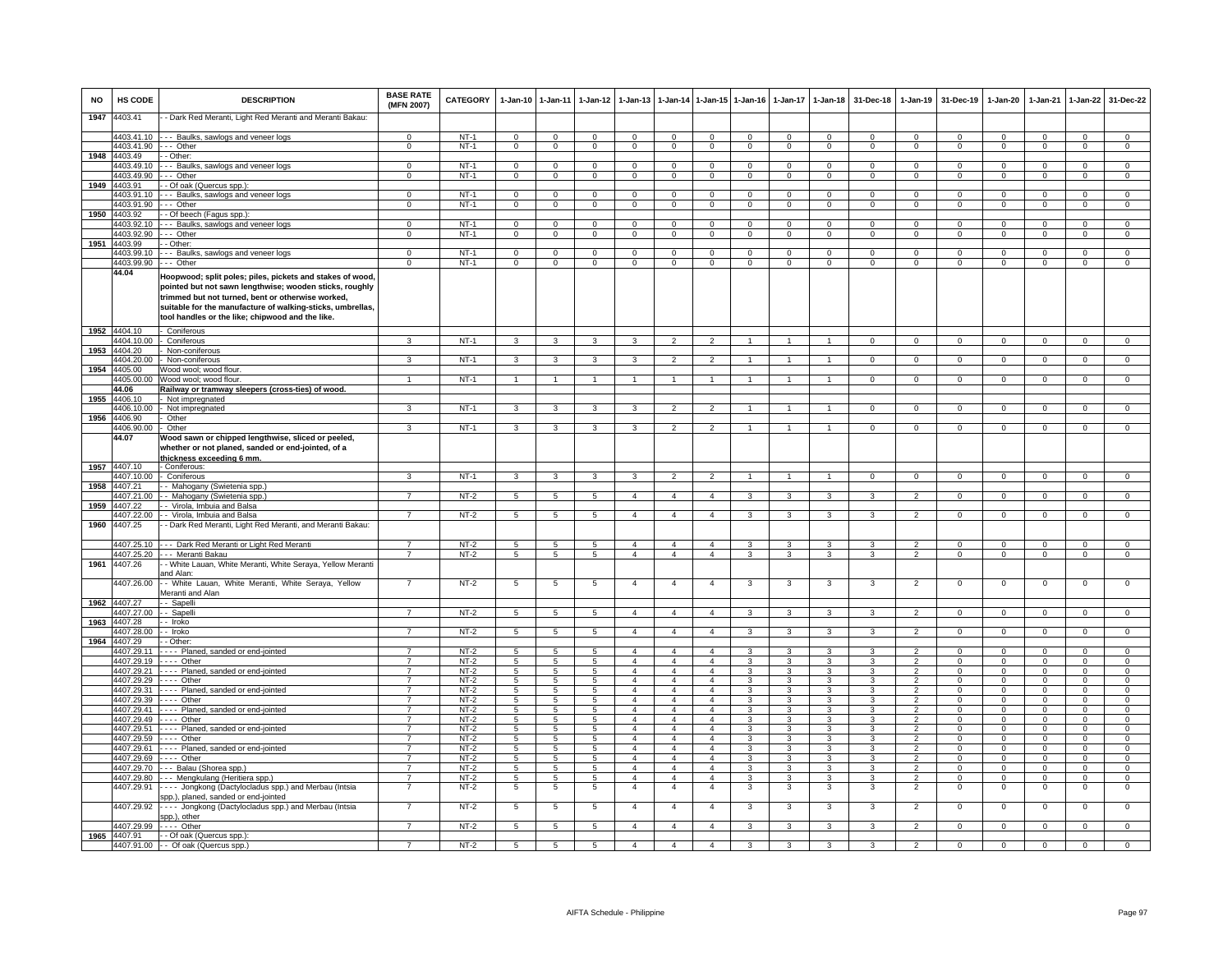| <b>NO</b> | HS CODE                    | <b>DESCRIPTION</b>                                                                                                                                                                                                                                                                          | <b>BASE RATE</b><br>(MFN 2007)   | <b>CATEGORY</b>  | $1-Jan-10$                       | $1 - Jan-11$                     | $1 - Jan-12$                   | $1-Jan-13$                       |                                  |                                  | 1-Jan-14 1-Jan-15 1-Jan-16       | $1 - Jan-17$                     | $1 - Jan-18$                     | 31-Dec-18                     | $1-Jan-19$                       | 31-Dec-19                  | $1-Jan-20$                 | $1-Jan-21$                       | $1-Jan-22$                       | 31-Dec-22                        |
|-----------|----------------------------|---------------------------------------------------------------------------------------------------------------------------------------------------------------------------------------------------------------------------------------------------------------------------------------------|----------------------------------|------------------|----------------------------------|----------------------------------|--------------------------------|----------------------------------|----------------------------------|----------------------------------|----------------------------------|----------------------------------|----------------------------------|-------------------------------|----------------------------------|----------------------------|----------------------------|----------------------------------|----------------------------------|----------------------------------|
| 1947      | 4403.41                    | - Dark Red Meranti, Light Red Meranti and Meranti Bakau:                                                                                                                                                                                                                                    |                                  |                  |                                  |                                  |                                |                                  |                                  |                                  |                                  |                                  |                                  |                               |                                  |                            |                            |                                  |                                  |                                  |
|           | 4403.41.90                 | 4403.41.10 --- Baulks, sawlogs and veneer logs<br>-- Other                                                                                                                                                                                                                                  | $^{\circ}$                       | $NT-1$<br>$NT-1$ | $^{\circ}$                       | $\mathbf 0$<br>$\overline{0}$    | $\mathbf{0}$<br>$\overline{0}$ | $\mathbf 0$<br>$\overline{0}$    | $^{\circ}$                       | $\mathbf 0$<br>$\overline{0}$    | $\mathbf{0}$<br>$\overline{0}$   | $\mathbf{0}$                     | $\Omega$<br>$\overline{0}$       | $\Omega$<br>$\overline{0}$    | $^{\circ}$<br>$\overline{0}$     | $\Omega$                   | $^{\circ}$                 | $\Omega$<br>$\overline{0}$       | $\mathbf{0}$<br>$\overline{0}$   | $\mathbf{O}$<br>$\overline{0}$   |
| 1948      | 4403.49                    | - Other:                                                                                                                                                                                                                                                                                    | $\mathbf{0}$                     |                  | $\mathbf{0}$                     |                                  |                                |                                  | $\mathbf 0$                      |                                  |                                  | $\mathbf{0}$                     |                                  |                               |                                  | $\mathbf 0$                | $\mathbf{0}$               |                                  |                                  |                                  |
|           | 1403.49.10                 | - - Baulks, sawlogs and veneer logs                                                                                                                                                                                                                                                         | $\Omega$                         | $NT-1$           | $\Omega$                         | $\overline{0}$                   | $\Omega$                       | $\mathbf 0$                      | $\Omega$                         | $\mathbf 0$                      | $\mathbf 0$                      | $\mathbf 0$                      | $\overline{0}$                   | $\mathbf 0$                   | $\mathbf 0$                      | $\Omega$                   | $\mathbf 0$                | $\Omega$                         | $\Omega$                         | $\overline{0}$                   |
|           | 4403.49.90                 | -- Other                                                                                                                                                                                                                                                                                    | $\mathbf 0$                      | $NT-1$           | $\mathsf 0$                      | $\mathbf 0$                      | $\mathbf 0$                    | $\mathsf 0$                      | $\mathbf 0$                      | $\mathbf 0$                      | $\mathbf 0$                      | $\mathbf 0$                      | $\mathbf 0$                      | 0                             | $\mathbf 0$                      | $^{\circ}$                 | $^{\circ}$                 | $\mathbf 0$                      | $\mathbf 0$                      | $\mathbf 0$                      |
| 1949      | 4403.91                    | Of oak (Quercus spp.):                                                                                                                                                                                                                                                                      |                                  |                  |                                  |                                  |                                |                                  |                                  |                                  |                                  |                                  |                                  |                               |                                  |                            |                            |                                  |                                  |                                  |
|           | 4403.91.10<br>4403.91.90   | -- Baulks, sawlogs and veneer logs<br>-- Other                                                                                                                                                                                                                                              | $\Omega$<br>$\overline{0}$       | $NT-1$<br>$NT-1$ | $\overline{0}$<br>$\overline{0}$ | $\overline{0}$<br>$\overline{0}$ | $\Omega$<br>$\overline{0}$     | $\overline{0}$<br>$\overline{0}$ | $\Omega$<br>$\overline{0}$       | $\overline{0}$<br>$\overline{0}$ | $\overline{0}$<br>$\overline{0}$ | $\overline{0}$<br>$\overline{0}$ | $\overline{0}$<br>$\overline{0}$ | $\Omega$<br>$\overline{0}$    | $\overline{0}$<br>$\overline{0}$ | $\Omega$<br>$\overline{0}$ | $\Omega$<br>$\overline{0}$ | $\overline{0}$<br>$\overline{0}$ | $\overline{0}$<br>$\overline{0}$ | $\overline{0}$<br>$\overline{0}$ |
| 1950      | 4403.92                    | - Of beech (Fagus spp.):                                                                                                                                                                                                                                                                    |                                  |                  |                                  |                                  |                                |                                  |                                  |                                  |                                  |                                  |                                  |                               |                                  |                            |                            |                                  |                                  |                                  |
|           | 4403.92.10                 | - - Baulks, sawlogs and veneer logs                                                                                                                                                                                                                                                         | $\Omega$                         | NT-1             | $\overline{0}$                   | $\mathbf 0$                      | $\Omega$                       | $\mathbf 0$                      | $\Omega$                         | $\overline{0}$                   | $\mathbf{0}$                     | $\mathbf 0$                      | $\mathbf 0$                      | $\mathbf{0}$                  | $\mathbf 0$                      | $\Omega$                   | $\mathbf{0}$               | $\Omega$                         | $\mathbf{0}$                     | $\mathbf{0}$                     |
|           | 4403.92.90                 | -- Other                                                                                                                                                                                                                                                                                    | $\mathbf{0}$                     | $NT-1$           | $\overline{0}$                   | $\overline{0}$                   | $^{\circ}$                     | $\mathsf 0$                      | $\mathbf{0}$                     | $\mathbf{0}$                     | $\mathbf{0}$                     | $\mathbf{0}$                     | $\overline{0}$                   | $\mathbf{0}$                  | $\mathbf 0$                      | $\mathbf{0}$               | $\mathbf{0}$               | $\mathbf{0}$                     | $\mathbf{0}$                     | $\mathbf{0}$                     |
|           | 1951 4403.99               | - Other:                                                                                                                                                                                                                                                                                    |                                  |                  |                                  |                                  |                                |                                  |                                  |                                  |                                  |                                  |                                  |                               |                                  |                            |                            |                                  |                                  |                                  |
|           | 4403.99.10<br>4403.99.90   | - - Baulks, sawlogs and veneer logs<br>-- Other                                                                                                                                                                                                                                             | $\mathbf 0$<br>$\overline{0}$    | $NT-1$<br>$NT-1$ | $\mathbf 0$<br>$\mathsf 0$       | $\mathbf 0$<br>$\overline{0}$    | $\mathbf{0}$<br>$\overline{0}$ | $\mathsf 0$<br>$\overline{0}$    | $\mathbf 0$<br>$\Omega$          | $\mathbf 0$<br>$\overline{0}$    | $\mathbf 0$<br>$\overline{0}$    | $\mathbf 0$<br>$\overline{0}$    | $\mathbf{0}$<br>$\overline{0}$   | $\mathbf 0$<br>$\overline{0}$ | $\mathbf 0$<br>$\overline{0}$    | $\mathbf 0$<br>$\Omega$    | $\mathbf 0$<br>$\Omega$    | $\mathbf{O}$<br>$\overline{0}$   | $\overline{0}$<br>$\overline{0}$ | $\overline{0}$<br>$\overline{0}$ |
|           | 44.04                      |                                                                                                                                                                                                                                                                                             |                                  |                  |                                  |                                  |                                |                                  |                                  |                                  |                                  |                                  |                                  |                               |                                  |                            |                            |                                  |                                  |                                  |
|           |                            | Hoopwood; split poles; piles, pickets and stakes of wood,<br>pointed but not sawn lengthwise; wooden sticks, roughly<br>trimmed but not turned, bent or otherwise worked,<br>suitable for the manufacture of walking-sticks, umbrellas,<br>tool handles or the like; chipwood and the like. |                                  |                  |                                  |                                  |                                |                                  |                                  |                                  |                                  |                                  |                                  |                               |                                  |                            |                            |                                  |                                  |                                  |
| 1952      | 4404.10                    | Coniferous                                                                                                                                                                                                                                                                                  |                                  |                  |                                  |                                  |                                |                                  |                                  |                                  |                                  |                                  |                                  |                               |                                  |                            |                            |                                  |                                  |                                  |
|           | 4404.10.00                 | Coniferous                                                                                                                                                                                                                                                                                  | 3                                | $NT-1$           | 3                                | $\overline{\mathbf{3}}$          | $\overline{3}$                 | 3                                | $\overline{2}$                   | $\overline{2}$                   | $\overline{1}$                   | $\mathbf{1}$                     | $\overline{1}$                   | $\overline{0}$                | $\overline{0}$                   | $\overline{0}$             | $\overline{0}$             | $\overline{0}$                   | $\overline{0}$                   | $\overline{0}$                   |
| 1953      | 4404.20<br>4404.20.00      | Non-coniferous<br>Non-coniferous                                                                                                                                                                                                                                                            | 3                                | $NT-1$           | 3                                | 3                                | 3                              | 3                                | $\overline{2}$                   | $\overline{2}$                   |                                  |                                  | $\mathbf{1}$                     | $\mathbf 0$                   | $\mathbf 0$                      | $\mathbf 0$                | $\mathbf 0$                | $\mathbf 0$                      | $\mathbf 0$                      | $\Omega$                         |
| 1954      | 4405.00                    | Vood wool; wood flour                                                                                                                                                                                                                                                                       |                                  |                  |                                  |                                  |                                |                                  |                                  |                                  |                                  |                                  |                                  |                               |                                  |                            |                            |                                  |                                  |                                  |
|           | 4405.00.00                 | Wood wool: wood flour                                                                                                                                                                                                                                                                       | $\overline{1}$                   | $NT-1$           | $\overline{1}$                   | $\overline{1}$                   | $\mathbf{1}$                   | $\overline{1}$                   | $\overline{1}$                   | $\mathbf{1}$                     | $\overline{1}$                   | $\overline{1}$                   | $\overline{1}$                   | $\overline{0}$                | $\overline{0}$                   | $\overline{0}$             | $\overline{0}$             | $\overline{0}$                   | $\overline{0}$                   | $\overline{0}$                   |
|           | 44.06                      | Railway or tramway sleepers (cross-ties) of wood.                                                                                                                                                                                                                                           |                                  |                  |                                  |                                  |                                |                                  |                                  |                                  |                                  |                                  |                                  |                               |                                  |                            |                            |                                  |                                  |                                  |
| 1955      | 4406.10<br>4406.10.00      | Not impregnated<br>Not impregnated                                                                                                                                                                                                                                                          | $\mathbf{3}$                     | $NT-1$           | $\mathbf{3}$                     | $\mathbf{3}$                     | 3                              | 3                                | $\overline{2}$                   | $\overline{2}$                   | $\mathbf{1}$                     | $\mathbf{1}$                     | $\overline{1}$                   | $\overline{0}$                | $\mathbf{0}$                     | $\mathbf{0}$               | $\mathbf{0}$               | $\overline{0}$                   | $\mathbf 0$                      | $\mathbf 0$                      |
|           | 1956 4406.90               | Other                                                                                                                                                                                                                                                                                       |                                  |                  |                                  |                                  |                                |                                  |                                  |                                  |                                  |                                  |                                  |                               |                                  |                            |                            |                                  |                                  |                                  |
|           | 4406.90.00                 | Other                                                                                                                                                                                                                                                                                       | 3                                | $NT-1$           | 3                                | $\overline{3}$                   | $\mathbf{R}$                   | 3                                | $\overline{2}$                   | $\overline{2}$                   | $\overline{1}$                   | $\mathbf{1}$                     | $\overline{1}$                   | $\overline{0}$                | $\overline{0}$                   | $\overline{0}$             | $\mathbf 0$                | $\overline{0}$                   | $\overline{0}$                   | $\overline{0}$                   |
|           | 44.07                      | Wood sawn or chipped lengthwise, sliced or peeled,<br>whether or not planed, sanded or end-jointed, of a<br>thickness exceeding 6 mm.                                                                                                                                                       |                                  |                  |                                  |                                  |                                |                                  |                                  |                                  |                                  |                                  |                                  |                               |                                  |                            |                            |                                  |                                  |                                  |
|           | 1957 4407.10               | - Coniferous:                                                                                                                                                                                                                                                                               |                                  |                  |                                  |                                  |                                |                                  |                                  |                                  |                                  |                                  |                                  |                               |                                  |                            |                            |                                  |                                  |                                  |
|           | 4407.10.00<br>4407.21      | Coniferous                                                                                                                                                                                                                                                                                  | $\mathbf{R}$                     | $NT-1$           | 3                                | 3                                | $\mathbf{R}$                   | $\mathbf{3}$                     | $\overline{2}$                   | $\overline{2}$                   | $\overline{1}$                   |                                  | $\overline{1}$                   | $\Omega$                      | $\Omega$                         | $\Omega$                   | $\Omega$                   | $\Omega$                         | $\Omega$                         | $\Omega$                         |
| 1958      | 4407.21.00                 | - Mahogany (Swietenia spp.<br>- Mahogany (Swietenia spp.)                                                                                                                                                                                                                                   |                                  | $NT-2$           | 5                                | 5                                | 5                              | $\overline{4}$                   | $\overline{4}$                   | $\overline{4}$                   | 3                                | 3                                | 3                                | 3                             | $\overline{2}$                   | $\Omega$                   | $\mathbf 0$                | $^{\circ}$                       | $\Omega$                         | $\Omega$                         |
|           | 1959 4407.22               | - Virola, Imbuia and Balsa                                                                                                                                                                                                                                                                  |                                  |                  |                                  |                                  |                                |                                  |                                  |                                  |                                  |                                  |                                  |                               |                                  |                            |                            |                                  |                                  |                                  |
|           | 4407.22.00                 | - Virola, Imbuia and Balsa                                                                                                                                                                                                                                                                  | $\overline{7}$                   | $NT-2$           | 5                                | $5\phantom{.0}$                  | $\overline{5}$                 | $\overline{4}$                   | $\overline{4}$                   | $\overline{4}$                   | 3                                | 3                                | 3                                | 3                             | $\overline{2}$                   | $\mathbf 0$                | $^{\circ}$                 | $\Omega$                         | $\mathbf 0$                      | $\overline{0}$                   |
| 1960      | 4407.25                    | - Dark Red Meranti, Light Red Meranti, and Meranti Bakau:                                                                                                                                                                                                                                   |                                  |                  |                                  |                                  |                                |                                  |                                  |                                  |                                  |                                  |                                  |                               |                                  |                            |                            |                                  |                                  |                                  |
|           | 4407.25.10                 | -- Dark Red Meranti or Light Red Meranti                                                                                                                                                                                                                                                    | $\overline{7}$<br>$\overline{7}$ | $NT-2$           | 5                                | 5                                | 5                              | $\overline{4}$                   | $\overline{4}$                   | $\overline{4}$<br>$\Delta$       | 3                                | 3                                | 3                                | 3                             | $\overline{2}$                   | $\mathbf 0$                | $\mathbf 0$                | $\mathbf 0$                      | $\mathbf 0$                      | $\mathbf{O}$                     |
| 1961      | 4407.25.20<br>4407.26      | -- Meranti Bakau<br>- White Lauan, White Meranti, White Seraya, Yellow Meranti                                                                                                                                                                                                              |                                  | $NT-2$           | 5                                | 5                                | 5                              | $\overline{4}$                   | $\overline{4}$                   |                                  | 3                                | 3                                | 3                                | 3                             | $\overline{2}$                   | $\mathbf 0$                | 0                          | $\mathbf 0$                      | $\mathbf 0$                      | $\overline{0}$                   |
|           | 4407.26.00                 | and Alan:<br>- White Lauan, White Meranti, White Seraya, Yellow                                                                                                                                                                                                                             | $\overline{7}$                   | $NT-2$           | 5                                | 5                                | 5                              | $\overline{4}$                   | $\overline{4}$                   | $\overline{4}$                   | 3                                | 3                                | 3                                | 3                             | $\overline{2}$                   | $\mathbf 0$                | $\mathsf 0$                | $\mathbf 0$                      | $\mathbf 0$                      | $\overline{0}$                   |
|           | 1962 4407.27               | Meranti and Alan<br>- Sapelli                                                                                                                                                                                                                                                               |                                  |                  |                                  |                                  |                                |                                  |                                  |                                  |                                  |                                  |                                  |                               |                                  |                            |                            |                                  |                                  |                                  |
|           | 4407.27.00                 | - Sapelli                                                                                                                                                                                                                                                                                   | 7                                | $NT-2$           | - 5                              | 5                                | 5                              | $\mathbf{A}$                     | $\overline{4}$                   | $\overline{4}$                   | 3                                | 3                                | 3                                | 3                             | $\overline{2}$                   | $\Omega$                   | $\mathbf{0}$               | $\Omega$                         | $\Omega$                         | $\Omega$                         |
| 1963      | 4407.28                    | - Iroko                                                                                                                                                                                                                                                                                     |                                  |                  |                                  |                                  |                                |                                  |                                  |                                  |                                  |                                  |                                  |                               |                                  |                            |                            |                                  |                                  |                                  |
|           | 4407.28.00                 | - Iroko                                                                                                                                                                                                                                                                                     |                                  | $NT-2$           | $\overline{5}$                   | $\overline{5}$                   | 5                              | $\overline{4}$                   | $\overline{4}$                   | $\overline{4}$                   | 3                                | 3                                | 3                                | 3                             | $\overline{2}$                   | $\overline{0}$             | $\mathsf 0$                | $\overline{0}$                   | $\overline{0}$                   | $\overline{0}$                   |
|           | 1964 4407.29<br>4407.29.11 | - Other:<br>--- Planed, sanded or end-jointed                                                                                                                                                                                                                                               | $\overline{7}$                   | $NT-2$           | $\overline{5}$                   | $\overline{5}$                   | $\overline{5}$                 | $\overline{4}$                   | $\overline{4}$                   | $\overline{4}$                   | 3                                | $\overline{3}$                   | $\overline{3}$                   | $\overline{\mathbf{3}}$       | $\overline{2}$                   | $\overline{0}$             | $\Omega$                   | $\overline{0}$                   | $\overline{0}$                   | $\overline{0}$                   |
|           | 4407.29.19                 | $--$ Other                                                                                                                                                                                                                                                                                  | $\overline{7}$                   | $NT-2$           | 5                                | 5                                | $\overline{5}$                 | $\overline{4}$                   | $\overline{4}$                   | $\overline{4}$                   | 3                                | $\overline{\mathbf{3}}$          | 3                                | 3                             | $\overline{2}$                   | $\Omega$                   | $\Omega$                   | $\overline{0}$                   | $\overline{0}$                   | $\overline{0}$                   |
|           | 4407.29.21                 | --- Planed, sanded or end-jointed                                                                                                                                                                                                                                                           | $\overline{7}$                   | $NT-2$           | 5                                | 5                                | 5 <sup>5</sup>                 | $\overline{a}$                   | $\Delta$                         | $\overline{4}$                   | $\mathbf{a}$                     | $\mathbf{a}$                     | $\mathbf{R}$                     | $\mathbf{3}$                  | $\mathcal{P}$                    | $\Omega$                   | $\Omega$                   | $\Omega$                         | $\Omega$                         | $\circ$                          |
|           | 4407.29.29                 | $\cdots$ Other                                                                                                                                                                                                                                                                              | $\overline{7}$                   | $NT-2$           | $5\overline{5}$                  | 5                                | 5 <sub>5</sub>                 | $\overline{4}$                   | $\overline{4}$                   | $\overline{4}$                   | 3                                | 3                                | 3                                | 3                             | $\overline{2}$                   | $\mathbf 0$                | $\mathbf{0}$               | $^{\circ}$                       | $\mathbf{0}$                     | $\mathbf{O}$                     |
|           | 4407.29.31<br>4407.29.39   | Planed, sanded or end-jointed<br>$--$ Other                                                                                                                                                                                                                                                 | $\overline{7}$<br>$\overline{7}$ | $NT-2$<br>$NT-2$ | 5                                | 5<br>$5\phantom{.0}$             | 5                              | $\overline{4}$<br>$\overline{4}$ | $\overline{4}$<br>$\overline{4}$ | $\overline{4}$<br>$\overline{4}$ | 3<br>3                           | 3<br>3                           | $\mathbf{3}$<br>3                | 3<br>3                        | $\overline{2}$                   | $\Omega$<br>$\mathbf 0$    | $\Omega$<br>$^{\circ}$     | $\Omega$<br>$\Omega$             | $\Omega$<br>$\mathbf{0}$         | $\Omega$<br>$\mathbf{O}$         |
|           | 4407.29.41                 | --- Planed, sanded or end-jointed                                                                                                                                                                                                                                                           | $\overline{7}$                   | $NT-2$           | 5<br>5                           | $\overline{5}$                   | 5<br>5                         | $\overline{4}$                   | $\overline{4}$                   | $\overline{4}$                   | 3                                | 3                                | $\overline{3}$                   | 3                             | $\overline{2}$<br>$\overline{2}$ | $\Omega$                   | $\Omega$                   | $\overline{0}$                   | $\overline{0}$                   | $\overline{0}$                   |
|           | 4407.29.49                 | $--$ Other                                                                                                                                                                                                                                                                                  |                                  | $NT-2$           | 5                                | 5                                | 5                              | $\overline{4}$                   | $\overline{4}$                   | $\overline{4}$                   | 3                                | 3                                | 3                                | 3                             | $\mathfrak{p}$                   | $\mathbf 0$                | $^{\circ}$                 | $\mathbf 0$                      | $\mathbf 0$                      | 0                                |
|           | 4407.29.51                 | --- Planed, sanded or end-jointed                                                                                                                                                                                                                                                           | $\overline{7}$                   | $NT-2$           | $5^{\circ}$                      | 5                                | $\overline{5}$                 | $\overline{4}$                   | $\overline{4}$                   | $\overline{a}$                   | 3                                | 3                                | 3                                | 3                             | $\overline{2}$                   | $\Omega$                   | $\mathbf 0$                | $\mathbf 0$                      | $\mathbf 0$                      | $\mathbf 0$                      |
|           | 4407.29.59                 | $--$ Other                                                                                                                                                                                                                                                                                  | $\overline{7}$<br>$\overline{7}$ | $NT-2$           | $5^{\circ}$<br>$\overline{5}$    | 5                                | $\overline{5}$                 | $\overline{4}$<br>$\overline{4}$ | $\overline{a}$<br>$\overline{4}$ | $\overline{a}$<br>$\overline{4}$ | 3                                | 3<br>$\overline{\mathbf{3}}$     | 3<br>3                           | 3<br>$\overline{\mathbf{3}}$  | $\overline{2}$<br>$\overline{2}$ | $\Omega$                   | $^{\circ}$                 | $\Omega$<br>$\overline{0}$       | $\Omega$<br>$\overline{0}$       | $\mathbf 0$                      |
|           | 4407.29.61<br>4407.29.69   | --- Planed, sanded or end-jointed<br>--- Other                                                                                                                                                                                                                                              |                                  | $NT-2$<br>$NT-2$ | 5                                | $\overline{5}$<br>5              | $\overline{5}$<br>5            | $\overline{4}$                   | $\Delta$                         | $\overline{4}$                   | $\overline{3}$<br>3              | 3                                | 3                                | 3                             | $\overline{2}$                   | $\Omega$<br>$\mathbf 0$    | $\Omega$<br>$\mathbf 0$    | $\mathbf 0$                      | $\mathbf 0$                      | $\overline{0}$<br>$\mathsf 0$    |
|           | 4407.29.70                 | -- Balau (Shorea spp.)                                                                                                                                                                                                                                                                      | $\overline{7}$                   | $NT-2$           | $\overline{5}$                   | $\overline{5}$                   | $5^{\circ}$                    | $\overline{4}$                   | $\overline{4}$                   | $\overline{4}$                   | 3                                | 3                                | $\overline{3}$                   | 3                             | $\mathfrak{p}$                   | $\Omega$                   | $\Omega$                   | $\Omega$                         | $\Omega$                         | $\Omega$                         |
|           | 4407.29.80                 | - - Mengkulang (Heritiera spp.)                                                                                                                                                                                                                                                             | $\overline{7}$                   | $NT-2$           | 5                                | $5\phantom{.0}$                  | 5                              | $\overline{4}$                   | $\overline{4}$                   | $\overline{4}$                   | 3                                | 3                                | 3                                | 3                             | $\overline{2}$                   | $^{\circ}$                 | $^{\circ}$                 | $\mathbf{0}$                     | $\mathbf 0$                      | $\mathbf{O}$                     |
|           | 4407.29.91                 | --- Jongkong (Dactylocladus spp.) and Merbau (Intsia                                                                                                                                                                                                                                        | $\overline{7}$                   | $NT-2$           | 5                                | 5                                | 5                              | $\overline{4}$                   | $\overline{4}$                   | $\overline{4}$                   | 3                                | 3                                | 3                                | 3                             | $\overline{2}$                   | $\mathbf 0$                | $^{\circ}$                 | $^{\circ}$                       | $\mathbf 0$                      | $\mathbf 0$                      |
|           | 4407.29.92                 | spp.), planed, sanded or end-jointed<br>--- Jongkong (Dactylocladus spp.) and Merbau (Intsia<br>spp.), other                                                                                                                                                                                | $\overline{7}$                   | $NT-2$           | 5                                | $\sqrt{5}$                       | 5                              | $\overline{4}$                   | $\overline{4}$                   | $\overline{4}$                   | 3                                | $\mathbf{3}$                     | $\mathbf{3}$                     | 3                             | $\overline{2}$                   | $\mathsf 0$                | $\mathsf 0$                | $\mathbf 0$                      | $\mathsf 0$                      | $\mathsf 0$                      |
|           | 1965 4407.91               | 4407.29.99 ---- Other<br>- - Of oak (Quercus spp.):                                                                                                                                                                                                                                         | $\overline{7}$                   | $NT-2$           | 5                                | 5                                | 5 <sub>5</sub>                 | $\overline{4}$                   | $\overline{4}$                   | $\overline{4}$                   | 3                                | $\mathbf{3}$                     | $\overline{3}$                   | 3                             | $\overline{2}$                   | $\mathbf{0}$               | $\mathbf{0}$               | $\mathbf{0}$                     | $\Omega$                         | $\Omega$                         |
|           |                            | 4407.91.00 - - Of oak (Quercus spp.)                                                                                                                                                                                                                                                        | $\overline{7}$                   | $NT-2$           | 5                                | 5                                | 5                              | $\overline{4}$                   | $\overline{4}$                   | $\overline{4}$                   | 3                                | 3                                | 3                                | 3                             | $\overline{2}$                   | $\Omega$                   | $\Omega$                   | $\Omega$                         | $\overline{0}$                   | $\Omega$                         |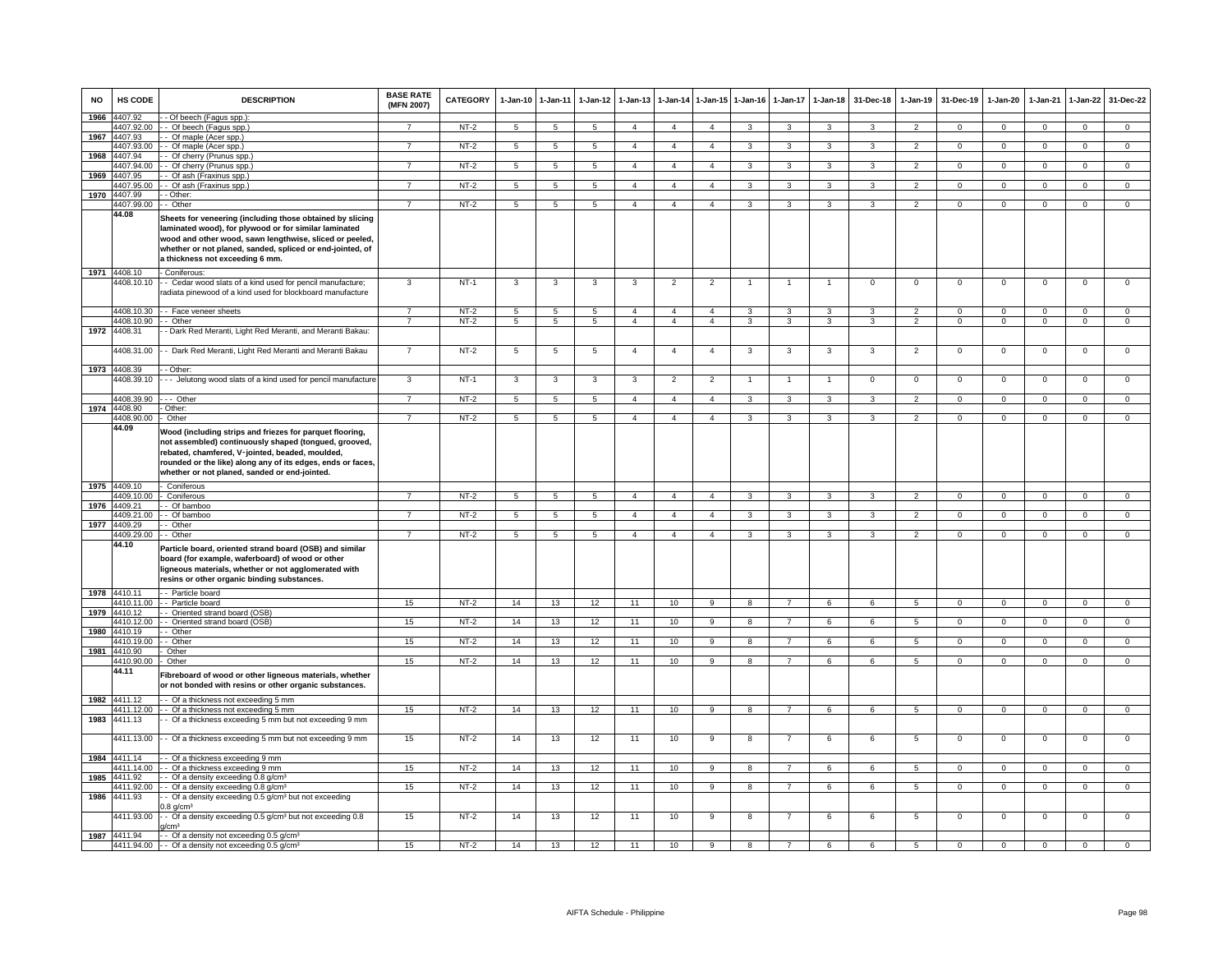| <b>NO</b> | HS CODE                  | <b>DESCRIPTION</b>                                                                                                                                                                                                                                                                   | <b>BASE RATE</b><br>(MFN 2007) | CATEGORY         | 1-Jan-10 1-Jan-11   |                   | $1-Jan-12$      | $1 - Jan-13$                   | $1 - Jan-14$                     | $1 - Jan-15$                     | $1 - Jan-16$        | $1 - Jan-17$        | $1-Jan-18$                                | 31-Dec-18                     | $1 - Jan-19$                     | 31-Dec-19                     | $1 - Jan-20$           | 1-Jan-21                         | $1 - Jan-22$                  | 31-Dec-22                    |
|-----------|--------------------------|--------------------------------------------------------------------------------------------------------------------------------------------------------------------------------------------------------------------------------------------------------------------------------------|--------------------------------|------------------|---------------------|-------------------|-----------------|--------------------------------|----------------------------------|----------------------------------|---------------------|---------------------|-------------------------------------------|-------------------------------|----------------------------------|-------------------------------|------------------------|----------------------------------|-------------------------------|------------------------------|
| 1966      | 4407.92<br>4407.92.00    | - Of beech (Fagus spp.):<br>- - Of beech (Fagus spp.)                                                                                                                                                                                                                                |                                | $NT-2$           | 5                   | 5                 | $\overline{5}$  | $\overline{4}$                 | $\overline{4}$                   | $\overline{4}$                   |                     | 3                   |                                           |                               |                                  | $\Omega$                      | $\Omega$               | $\Omega$                         | $\Omega$                      | $\Omega$                     |
|           | 1967 4407.93             | - - Of maple (Acer spp.)                                                                                                                                                                                                                                                             |                                |                  |                     |                   |                 |                                |                                  |                                  |                     |                     |                                           |                               |                                  |                               |                        |                                  |                               |                              |
|           | 4407.93.00               | - Of maple (Acer spp.)                                                                                                                                                                                                                                                               | $\overline{7}$                 | $NT-2$           | $5\overline{5}$     | $5\overline{)}$   | 5 <sub>5</sub>  | $\overline{4}$                 | $\overline{4}$                   | $\overline{4}$                   | 3                   | 3                   | 3                                         | 3                             | $\overline{2}$                   | $\mathbf{0}$                  | $\mathbf{O}$           | $\mathbf{0}$                     | $\overline{0}$                | $\overline{0}$               |
| 1968      | 4407.94                  | - Of cherry (Prunus spp.)                                                                                                                                                                                                                                                            |                                |                  |                     |                   |                 |                                |                                  |                                  |                     |                     |                                           |                               |                                  |                               |                        |                                  |                               |                              |
|           | 1407.94.00               | -- Of cherry (Prunus spp.)                                                                                                                                                                                                                                                           | $\overline{7}$                 | $NT-2$           | 5                   | $5\overline{)}$   | $\overline{5}$  | 4                              | $\overline{4}$                   | $\overline{4}$                   | 3                   | 3                   | 3                                         | 3                             | $\overline{2}$                   | $\mathbf 0$                   | 0                      | $\mathbf 0$                      | $\circ$                       | $\overline{0}$               |
| 1969      | 4407.95                  | - Of ash (Fraxinus spp.)                                                                                                                                                                                                                                                             |                                |                  |                     |                   |                 |                                |                                  |                                  |                     |                     |                                           |                               |                                  |                               |                        |                                  |                               |                              |
|           | 4407.95.00               | - Of ash (Fraxinus spp.)                                                                                                                                                                                                                                                             | $\overline{7}$                 | $NT-2$           | 5                   | $5\overline{5}$   | $5\overline{5}$ | $\overline{4}$                 | $\overline{4}$                   | $\overline{4}$                   | $\mathbf{3}$        | 3                   | $\mathbf{3}$                              | 3                             | 2                                | $\mathbf{0}$                  | $\Omega$               | $\mathbf 0$                      | $\mathbf 0$                   | $\mathsf 0$                  |
| 1970      | 4407.99                  | - Other:                                                                                                                                                                                                                                                                             |                                |                  |                     |                   |                 |                                |                                  |                                  |                     |                     |                                           |                               |                                  |                               |                        |                                  |                               |                              |
|           | 4407.99.00               | - Other                                                                                                                                                                                                                                                                              | $\overline{7}$                 | $NT-2$           | $\overline{5}$      | 5                 | 5               | $\overline{4}$                 | $\overline{4}$                   | $\overline{4}$                   | 3                   | 3                   | 3                                         | $\overline{\mathbf{3}}$       | $\overline{2}$                   | $\overline{0}$                | $\overline{0}$         | $\overline{0}$                   | $\overline{0}$                | $\overline{0}$               |
|           | 44.08                    | Sheets for veneering (including those obtained by slicing<br>laminated wood), for plywood or for similar laminated<br>wood and other wood, sawn lengthwise, sliced or peeled,<br>whether or not planed, sanded, spliced or end-jointed, of<br>a thickness not exceeding 6 mm.        |                                |                  |                     |                   |                 |                                |                                  |                                  |                     |                     |                                           |                               |                                  |                               |                        |                                  |                               |                              |
|           | 1971 4408.10             | - Coniferous:                                                                                                                                                                                                                                                                        |                                |                  |                     |                   |                 |                                |                                  |                                  |                     |                     |                                           |                               |                                  |                               |                        |                                  |                               |                              |
|           |                          | 4408.10.10 - Cedar wood slats of a kind used for pencil manufacture;<br>radiata pinewood of a kind used for blockboard manufacture                                                                                                                                                   | 3                              | $NT-1$           | 3                   | 3                 | 3               | 3                              | $\overline{2}$                   | $\overline{2}$                   | 1                   |                     | $\overline{1}$                            | 0                             | $\mathbf 0$                      | $\mathbf 0$                   | 0                      | 0                                | 0                             | 0                            |
|           |                          | 4408.10.30 - Face veneer sheets                                                                                                                                                                                                                                                      |                                | $NT-2$           | $5^{\circ}$         | 5                 | $\overline{5}$  | 4                              | $\overline{4}$                   | $\overline{a}$                   | 3                   | 3                   | 3                                         | 3                             | $\overline{2}$                   | $\Omega$                      | $\Omega$               | $\Omega$                         | $\Omega$                      | $\Omega$                     |
|           | 4408.10.90 - - Other     |                                                                                                                                                                                                                                                                                      | $\overline{7}$                 | $NT-2$           | 5                   | $5\overline{5}$   | 5 <sup>5</sup>  | $\overline{4}$                 | $\overline{4}$                   | $\overline{4}$                   | $\mathbf{3}$        | 3                   | $\mathbf{3}$                              | $\mathcal{R}$                 | 2                                | $\mathbf{0}$                  | $\mathbf{0}$           | $\mathbf{0}$                     | $\circ$                       | $\mathbf{0}$                 |
|           | 1972 4408.31             | - Dark Red Meranti, Light Red Meranti, and Meranti Bakau:                                                                                                                                                                                                                            |                                |                  |                     |                   |                 |                                |                                  |                                  |                     |                     |                                           |                               |                                  |                               |                        |                                  |                               |                              |
|           |                          | 4408.31.00 - - Dark Red Meranti, Light Red Meranti and Meranti Bakau                                                                                                                                                                                                                 | $\overline{7}$                 | NT-2             | $\overline{5}$      | 5                 | 5               | $\overline{4}$                 | $\overline{4}$                   | $\overline{4}$                   | 3                   | 3                   | 3                                         | 3                             | $\overline{2}$                   | $\mathbf 0$                   | $\Omega$               | $\Omega$                         | $\mathbf 0$                   | $\mathsf 0$                  |
|           | 1973 4408.39             | - - Other:                                                                                                                                                                                                                                                                           |                                |                  |                     |                   |                 |                                |                                  |                                  |                     |                     |                                           |                               |                                  |                               |                        |                                  |                               |                              |
|           | 4408.39.10<br>4408.39.90 | --- Jelutong wood slats of a kind used for pencil manufacture<br>$--$ Other                                                                                                                                                                                                          | 3<br>$\overline{7}$            | $NT-1$<br>$NT-2$ | 3<br>$\overline{5}$ | $\mathbf{3}$<br>5 | 3<br>5          | $\mathbf{3}$<br>$\overline{4}$ | $\overline{2}$<br>$\overline{4}$ | $\overline{2}$<br>$\overline{4}$ | $\overline{1}$<br>3 | $\overline{1}$<br>3 | $\overline{1}$<br>$\overline{\mathbf{3}}$ | $\mathbf{0}$<br>$\mathcal{R}$ | $\overline{0}$<br>$\overline{2}$ | $\mathbf 0$<br>$\overline{0}$ | $^{\circ}$<br>$\Omega$ | $\overline{0}$<br>$\overline{0}$ | $\mathbf 0$<br>$\overline{0}$ | $^{\circ}$<br>$\overline{0}$ |
|           | 1974 4408.90             | - Other:                                                                                                                                                                                                                                                                             |                                |                  |                     |                   |                 |                                |                                  |                                  |                     |                     |                                           |                               |                                  |                               |                        |                                  |                               |                              |
|           | 4408.90.00               | - Other                                                                                                                                                                                                                                                                              | $\overline{7}$                 | $NT-2$           | 5                   | 5                 | $5\overline{5}$ | $\overline{4}$                 | $\overline{4}$                   | $\overline{4}$                   | 3                   | 3                   | 3                                         | $\mathbf{a}$                  | $\overline{2}$                   | $\mathbf{0}$                  | $\mathbf 0$            | $^{\circ}$                       | $\circ$                       | $\Omega$                     |
|           | 44.09                    | Wood (including strips and friezes for parquet flooring,<br>not assembled) continuously shaped (tongued, grooved,<br>rebated, chamfered, V-jointed, beaded, moulded,<br>rounded or the like) along any of its edges, ends or faces,<br>whether or not planed, sanded or end-jointed. |                                |                  |                     |                   |                 |                                |                                  |                                  |                     |                     |                                           |                               |                                  |                               |                        |                                  |                               |                              |
|           | 1975 4409.10             | - Coniferous                                                                                                                                                                                                                                                                         |                                |                  |                     |                   |                 |                                |                                  |                                  |                     |                     |                                           |                               |                                  |                               |                        |                                  |                               |                              |
|           | 4409.10.00               | - Coniferous                                                                                                                                                                                                                                                                         |                                | $NT-2$           | $\overline{5}$      | 5                 | 5               | $\overline{4}$                 | $\overline{4}$                   | $\overline{4}$                   | 3                   | 3                   | 3                                         | $\mathcal{R}$                 | $\overline{2}$                   | $\overline{0}$                | $\overline{0}$         | $\overline{0}$                   | $\overline{0}$                | $\overline{0}$               |
| 1976      | 4409.21                  | - Of bamboo                                                                                                                                                                                                                                                                          |                                |                  |                     |                   |                 |                                |                                  |                                  |                     |                     |                                           |                               |                                  |                               |                        |                                  |                               |                              |
|           |                          | 4409.21.00 - - Of bamboo                                                                                                                                                                                                                                                             | $\overline{7}$                 | NT-2             | 5                   | 5 <sub>5</sub>    | 5 <sup>5</sup>  | $\overline{4}$                 | $\overline{4}$                   | $\overline{4}$                   | 3                   | $\mathbf{3}$        | $\mathbf{3}$                              | 3                             | 2                                | $\mathbf 0$                   | $\mathbf{0}$           | $\mathbf{0}$                     | $\circ$                       | $\overline{0}$               |
|           | 1977 4409.29             | - - Other                                                                                                                                                                                                                                                                            |                                |                  |                     |                   |                 |                                |                                  |                                  |                     |                     |                                           |                               |                                  |                               |                        |                                  |                               |                              |
|           | 4409.29.00<br>44.10      | - - Other<br>Particle board, oriented strand board (OSB) and similar<br>board (for example, waferboard) of wood or other<br>ligneous materials, whether or not agglomerated with<br>resins or other organic binding substances.                                                      | $\overline{7}$                 | $NT-2$           | 5                   | $\overline{5}$    | 5               | $\overline{4}$                 | $\overline{4}$                   | $\overline{4}$                   | 3                   | 3                   | $\mathbf{R}$                              | $\mathcal{R}$                 | $\overline{2}$                   | $\mathbf 0$                   | $\Omega$               | $\Omega$                         | $\circ$                       | $\overline{0}$               |
|           | 1978 4410.11             | - - Particle board                                                                                                                                                                                                                                                                   |                                |                  |                     |                   |                 |                                |                                  |                                  |                     |                     |                                           |                               |                                  |                               |                        |                                  |                               |                              |
|           | 4410.11.00               | - - Particle board                                                                                                                                                                                                                                                                   | 15                             | $NT-2$           | 14                  | 13                | 12              | 11                             | 10                               | $\overline{9}$                   | $\boldsymbol{8}$    | $\overline{7}$      | 6                                         | 6                             | $\overline{5}$                   | $\Omega$                      | $\overline{0}$         | $\Omega$                         | $\circ$                       | $\overline{0}$               |
| 1979      | 4410.12<br>4410.12.00    | - Oriented strand board (OSB)<br>- - Oriented strand board (OSB)                                                                                                                                                                                                                     | 15                             | $NT-2$           | 14                  | 13                | 12              | 11                             | 10                               | 9                                | 8                   | $\overline{7}$      | 6                                         | 6                             | 5                                | $\overline{0}$                | $\mathbf{0}$           | $\mathbf{0}$                     | $\mathbf{0}$                  | $\overline{0}$               |
| 1980      | 4410.19                  | - Other                                                                                                                                                                                                                                                                              |                                |                  |                     |                   |                 |                                |                                  |                                  |                     |                     |                                           |                               |                                  |                               |                        |                                  |                               |                              |
|           | 4410.19.00               | - Other                                                                                                                                                                                                                                                                              | 15                             | $NT-2$           | 14                  | 13                | 12              | 11                             | 10                               | $\overline{9}$                   | $\overline{8}$      | $\overline{7}$      | 6                                         | 6                             | 5                                | $\overline{0}$                | $\overline{0}$         | $\overline{0}$                   | $\overline{0}$                | $\overline{0}$               |
| 1981      | 4410.90                  | Other                                                                                                                                                                                                                                                                                |                                |                  |                     |                   |                 |                                |                                  |                                  |                     |                     |                                           |                               |                                  |                               |                        |                                  |                               |                              |
|           | 4410.90.00<br>44.11      | Other<br>Fibreboard of wood or other ligneous materials, whether<br>or not bonded with resins or other organic substances.                                                                                                                                                           | 15                             | $NT-2$           | 14                  | 13                | 12              | 11                             | 10                               | 9                                | 8                   | $\overline{7}$      | 6                                         | 6                             | $5\overline{5}$                  | $\mathbf 0$                   | $\Omega$               | $^{\circ}$                       | $\mathbf{0}$                  | $\mathsf 0$                  |
|           | 1982 4411.12             | -- Of a thickness not exceeding 5 mm                                                                                                                                                                                                                                                 |                                |                  |                     |                   |                 |                                |                                  |                                  |                     |                     |                                           |                               |                                  |                               |                        |                                  |                               |                              |
|           |                          | 4411.12.00 - - Of a thickness not exceeding 5 mm                                                                                                                                                                                                                                     | 15                             | NT-2             | 14                  | 13                | 12              | 11                             | 10                               | 9                                | 8                   | $\overline{7}$      | 6                                         | 6                             | 5                                | $^{\circ}$                    | $\mathbf 0$            | $^{\circ}$                       | $\mathbf 0$                   | $\mathbf 0$                  |
|           | 1983 4411.13             | - - Of a thickness exceeding 5 mm but not exceeding 9 mm                                                                                                                                                                                                                             |                                |                  |                     |                   |                 |                                |                                  |                                  |                     |                     |                                           |                               |                                  |                               |                        |                                  |                               |                              |
|           |                          | 4411.13.00 - - Of a thickness exceeding 5 mm but not exceeding 9 mm                                                                                                                                                                                                                  | 15                             | $NT-2$           | 14                  | 13                | 12              | 11                             | 10                               | 9                                | 8                   | $\overline{7}$      | 6                                         | 6                             | 5                                | $\overline{0}$                | $\mathbf 0$            | $\Omega$                         | $\Omega$                      | $\overline{0}$               |
|           | 1984 4411.14             | -- Of a thickness exceeding 9 mm                                                                                                                                                                                                                                                     |                                |                  |                     |                   |                 |                                |                                  |                                  |                     |                     |                                           |                               |                                  |                               |                        |                                  |                               |                              |
|           | 4411.14.00               | - - Of a thickness exceeding 9 mm                                                                                                                                                                                                                                                    | 15                             | $NT-2$           | 14                  | 13                | 12              | 11                             | 10                               | 9                                | 8                   | $\overline{7}$      | 6                                         | 6                             | 5                                | $^{\circ}$                    | $\mathbf 0$            | $^{\circ}$                       | $^{\circ}$                    | $\mathbf{0}$                 |
| 1985      | 4411.92                  | - Of a density exceeding 0.8 g/cm <sup>3</sup>                                                                                                                                                                                                                                       |                                |                  |                     |                   |                 |                                |                                  |                                  |                     |                     |                                           |                               |                                  |                               |                        |                                  |                               |                              |
|           | 4411.92.00               | - Of a density exceeding 0.8 g/cm <sup>3</sup>                                                                                                                                                                                                                                       | 15                             | NT-2             | 14                  | 13                | 12              | 11                             | 10                               | 9                                | 8                   | $\overline{7}$      | 6                                         | 6                             | $5\overline{5}$                  | $\mathbf 0$                   | 0                      | $\mathbf 0$                      | $\mathbf 0$                   | $\mathbf{0}$                 |
| 1986      | 4411.93<br>4411.93.00    | - Of a density exceeding 0.5 g/cm <sup>3</sup> but not exceeding<br>$0.8$ g/cm <sup>3</sup><br>- Of a density exceeding 0.5 g/cm <sup>3</sup> but not exceeding 0.8                                                                                                                  | 15                             | $NT-2$           | 14                  | 13                | 12              | 11                             | 10                               | 9                                | 8                   | $\overline{7}$      | 6                                         | 6                             | 5                                | $\overline{0}$                | $\mathbf{0}$           | $\overline{0}$                   | $\mathbf 0$                   | $\mathbf 0$                  |
|           |                          | 1/cm <sup>3</sup>                                                                                                                                                                                                                                                                    |                                |                  |                     |                   |                 |                                |                                  |                                  |                     |                     |                                           |                               |                                  |                               |                        |                                  |                               |                              |
|           | 1987 4411.94             | -- Of a density not exceeding 0.5 g/cm <sup>3</sup>                                                                                                                                                                                                                                  |                                |                  |                     |                   |                 |                                |                                  |                                  |                     |                     |                                           |                               |                                  |                               |                        |                                  |                               |                              |
|           |                          | 4411.94.00 $\left  \cdot \right $ Of a density not exceeding 0.5 g/cm <sup>3</sup>                                                                                                                                                                                                   | 15                             | $NT-2$           | 14                  | 13                | 12              | 11                             | 10                               | 9                                | 8                   |                     | 6                                         |                               | 5                                | $\mathbf 0$                   | $\mathbf 0$            | $\mathbf 0$                      | $\mathbf 0$                   |                              |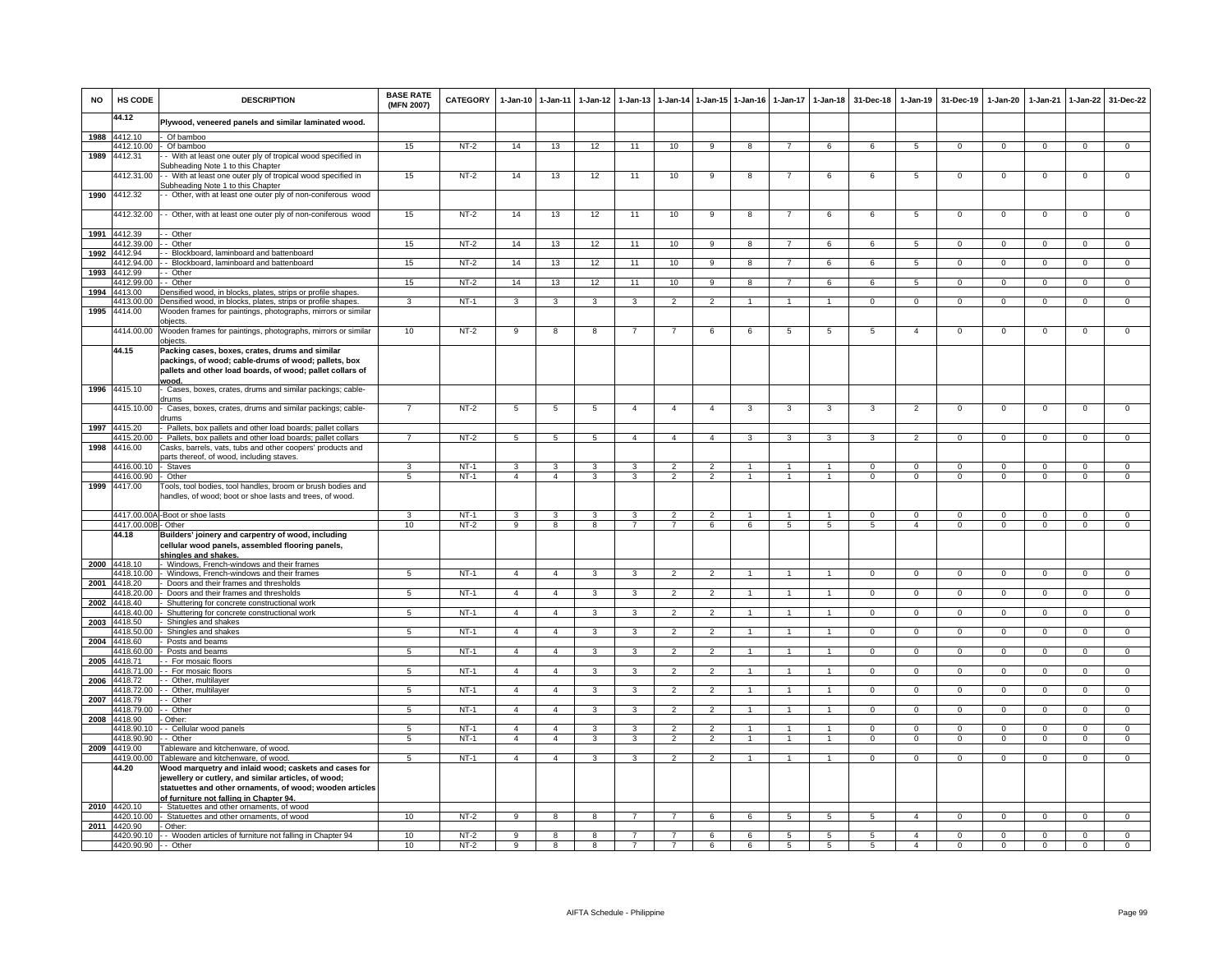| <b>NO</b> | HS CODE                    | <b>DESCRIPTION</b>                                                                                                                                                                                                   | <b>BASE RATE</b><br>(MFN 2007) | <b>CATEGORY</b> | $1-Jan-10$              | $1 - Jan-11$   | $1 - Jan-12$ | $1-Jan-13$     |                          |                | 1-Jan-14 1-Jan-15 1-Jan-16 |                | 1-Jan-17 1-Jan-18    | 31-Dec-18      | $1-Jan-19$      | 31-Dec-19      | $1-Jan-20$     | $1-Jan-21$     | 1-Jan-22       | 31-Dec-22      |
|-----------|----------------------------|----------------------------------------------------------------------------------------------------------------------------------------------------------------------------------------------------------------------|--------------------------------|-----------------|-------------------------|----------------|--------------|----------------|--------------------------|----------------|----------------------------|----------------|----------------------|----------------|-----------------|----------------|----------------|----------------|----------------|----------------|
|           | 44.12                      | Plywood, veneered panels and similar laminated wood.                                                                                                                                                                 |                                |                 |                         |                |              |                |                          |                |                            |                |                      |                |                 |                |                |                |                |                |
| 1988      | 4412.10                    | Of bamboo                                                                                                                                                                                                            |                                |                 |                         |                |              |                |                          |                |                            |                |                      |                |                 |                |                |                |                |                |
|           | 4412.10.00                 | Of bamboo                                                                                                                                                                                                            | 15                             | $NT-2$          | 14                      | 13             | 12           | 11             | 10                       | $\overline{9}$ | $\overline{8}$             | $\overline{7}$ | 6                    | 6              | $\overline{5}$  | $\Omega$       | $\Omega$       | $\overline{0}$ | $\overline{0}$ | $\overline{0}$ |
| 1989      | 4412.31                    | - With at least one outer ply of tropical wood specified in<br>Subheading Note 1 to this Chapter                                                                                                                     |                                |                 |                         |                |              |                |                          |                |                            |                |                      |                |                 |                |                |                |                |                |
|           | 4412.31.00                 | - With at least one outer ply of tropical wood specified in                                                                                                                                                          | 15                             | $NT-2$          | 14                      | 13             | 12           | 11             | 10                       | 9              | 8                          | -7             | 6                    | 6              | 5               | $\mathbf 0$    | $\overline{0}$ | $\mathbf 0$    | 0              | 0              |
| 1990      | 4412.32                    | Subheading Note 1 to this Chapter<br>- Other, with at least one outer ply of non-coniferous wood                                                                                                                     |                                |                 |                         |                |              |                |                          |                |                            |                |                      |                |                 |                |                |                |                |                |
|           | 4412.32.00                 | - Other, with at least one outer ply of non-coniferous wood                                                                                                                                                          | 15                             | $NT-2$          | 14                      | 13             | 12           | 11             | 10                       | 9              | 8                          | -7             | 6                    | 6              | $5\phantom{.0}$ | $\,0\,$        | $\mathbf 0$    | $\mathsf 0$    | $\mathsf 0$    | $\overline{0}$ |
| 1991      | 4412.39                    | - Other                                                                                                                                                                                                              |                                |                 |                         |                |              |                |                          |                |                            |                |                      |                |                 |                |                |                |                |                |
|           | 4412.39.00                 | - Other                                                                                                                                                                                                              | 15                             | $NT-2$          | 14                      | 13             | 12           | 11             | 10                       | 9              | 8                          | $\overline{7}$ | 6                    | 6              | 5               | $\mathbf 0$    | $\mathbf 0$    | $\mathbf 0$    | $\mathbf 0$    | $\mathbf 0$    |
| 1992      | 4412.94                    | - Blockboard, laminboard and battenboard                                                                                                                                                                             |                                |                 |                         |                |              |                |                          |                |                            |                |                      |                |                 |                |                |                |                |                |
|           | 4412.94.00                 | Blockboard, laminboard and battenboard                                                                                                                                                                               | 15                             | $NT-2$          | 14                      | 13             | 12           | 11             | 10                       | 9              | 8                          |                | 6                    | 6              | 5               | $\mathbf 0$    | $\Omega$       | $\Omega$       | 0              | $\Omega$       |
| 1993      | 4412.99                    | - Other                                                                                                                                                                                                              |                                |                 |                         |                |              |                |                          |                | R                          | $\overline{7}$ | $\epsilon$           | 6              | 5               | $\Omega$       | $\Omega$       | $\Omega$       | $\Omega$       | $\Omega$       |
| 1994      | 4412.99.00<br>4413.00      | - Other<br>Densified wood, in blocks, plates, strips or profile shapes                                                                                                                                               | 15                             | $NT-2$          | 14                      | 13             | 12           | 11             | 10                       | $\overline{9}$ |                            |                |                      |                |                 |                |                |                |                |                |
|           | 4413.00.00                 | Densified wood, in blocks, plates, strips or profile shapes.                                                                                                                                                         | 3                              | $NT-1$          | 3                       | 3              | 3            | 3              | $\overline{2}$           | $\mathcal{P}$  |                            |                |                      | $\Omega$       | $\Omega$        | $\Omega$       | $\Omega$       | $\Omega$       | $\Omega$       | $\Omega$       |
| 1995      | 4414.00                    | Wooden frames for paintings, photographs, mirrors or similar                                                                                                                                                         |                                |                 |                         |                |              |                |                          |                |                            |                |                      |                |                 |                |                |                |                |                |
|           |                            | bjects.                                                                                                                                                                                                              |                                |                 |                         |                |              |                |                          |                |                            |                |                      |                |                 |                |                |                |                |                |
|           | 4414.00.00                 | Wooden frames for paintings, photographs, mirrors or similar<br>obiects.                                                                                                                                             | 10                             | $NT-2$          | 9                       | 8              | 8            |                |                          | 6              | 6                          | 5              | 5                    | 5              | $\overline{a}$  | $\mathbf 0$    | $\overline{0}$ | $\mathbf 0$    | $\mathbf 0$    | $\overline{0}$ |
|           | 44.15                      | Packing cases, boxes, crates, drums and similar<br>packings, of wood; cable-drums of wood; pallets, box<br>pallets and other load boards, of wood; pallet collars of<br>wood.                                        |                                |                 |                         |                |              |                |                          |                |                            |                |                      |                |                 |                |                |                |                |                |
| 1996      | 4415.10                    | Cases, boxes, crates, drums and similar packings; cable-<br>drums                                                                                                                                                    |                                |                 |                         |                |              |                |                          |                |                            |                |                      |                |                 |                |                |                |                |                |
|           | 4415.10.00                 | Cases, boxes, crates, drums and similar packings; cable-<br><b>rums</b>                                                                                                                                              | $\overline{7}$                 | $NT-2$          | 5                       | 5              | 5            | $\overline{4}$ | $\overline{4}$           | $\overline{4}$ | 3                          | 3              | 3                    | 3              | $\overline{2}$  | $\Omega$       | $\Omega$       | $\mathbf 0$    | 0              | $\mathbf 0$    |
|           | 1997 4415.20               | Pallets, box pallets and other load boards; pallet collars                                                                                                                                                           |                                |                 |                         |                |              |                |                          |                |                            |                |                      |                |                 |                |                |                |                |                |
|           | 4415.20.00                 | Pallets, box pallets and other load boards; pallet collars                                                                                                                                                           | $\overline{7}$                 | $NT-2$          | 5                       | 5              | 5            | $\overline{4}$ | $\overline{4}$           | $\overline{4}$ | 3                          | 3              | 3                    | 3              | $\overline{2}$  | $\mathbf 0$    | $\mathbf 0$    | $\mathbf 0$    | $\mathbf 0$    | $\overline{0}$ |
| 1998      | 4416.00                    | Casks, barrels, vats, tubs and other coopers' products and                                                                                                                                                           |                                |                 |                         |                |              |                |                          |                |                            |                |                      |                |                 |                |                |                |                |                |
|           | 4416.00.10                 | arts thereof, of wood, including staves.<br>Staves                                                                                                                                                                   | $\overline{\mathbf{3}}$        | $NT-1$          | $\overline{\mathbf{3}}$ | 3              | 3            | 3              | $\overline{2}$           | $\overline{2}$ | $\overline{1}$             | $\overline{1}$ | $\blacktriangleleft$ | $\Omega$       | $\overline{0}$  | $\Omega$       | $\overline{0}$ | $\Omega$       | $\overline{0}$ | $\overline{0}$ |
|           | 4416.00.90                 | Other                                                                                                                                                                                                                | $\overline{5}$                 | $NT-1$          | $\overline{4}$          | $\overline{4}$ | 3            | 3              | $\overline{2}$           | $\overline{2}$ | $\overline{1}$             | $\overline{1}$ | $\blacktriangleleft$ | $\overline{0}$ | $\overline{0}$  | $\overline{0}$ | $\overline{0}$ | $\overline{0}$ | $\overline{0}$ | $\overline{0}$ |
| 1999      | 4417.00                    | Tools, tool bodies, tool handles, broom or brush bodies and<br>handles, of wood; boot or shoe lasts and trees, of wood.                                                                                              |                                |                 |                         |                |              |                |                          |                |                            |                |                      |                |                 |                |                |                |                |                |
|           |                            | 4417.00.00A - Boot or shoe lasts                                                                                                                                                                                     | $\mathbf{R}$                   | $NT-1$          | $\mathbf{3}$            | 3              | 3            | 3              | $\overline{2}$           | $\overline{2}$ | $\overline{1}$             | $\mathbf{1}$   | $\overline{1}$       | $\Omega$       | $\mathbf 0$     | $\Omega$       | $\Omega$       | $\Omega$       | $\Omega$       | $\mathbf 0$    |
|           | 4417.00.00B                | Other                                                                                                                                                                                                                | 10                             | $NT-2$          | $_{9}$                  | $\overline{8}$ | 8            | $\overline{7}$ | $\overline{7}$           | 6              | 6                          | $\overline{5}$ | $\overline{5}$       | $5^{\circ}$    | $\overline{4}$  | $\Omega$       | $\Omega$       | $\overline{0}$ | $\overline{0}$ | $\overline{0}$ |
|           | 44.18                      | Builders' joinery and carpentry of wood, including<br>cellular wood panels, assembled flooring panels,<br>shingles and shakes.                                                                                       |                                |                 |                         |                |              |                |                          |                |                            |                |                      |                |                 |                |                |                |                |                |
| 2000      | 4418.10<br>4418.10.00      | Windows, French-windows and their frames<br>Windows, French-windows and their frames                                                                                                                                 | $\overline{5}$                 | $NT-1$          | $\overline{4}$          | $\overline{4}$ | 3            | 3              | $\overline{2}$           | $\overline{2}$ |                            |                | $\blacktriangleleft$ | $\overline{0}$ | $\overline{0}$  | $\overline{0}$ | $\overline{0}$ | $\overline{0}$ | $\overline{0}$ | $\overline{0}$ |
| 2001      | 4418.20                    | Doors and their frames and thresholds                                                                                                                                                                                |                                |                 |                         |                |              |                |                          |                |                            |                |                      |                |                 |                |                |                |                |                |
|           | 4418.20.00                 | Doors and their frames and thresholds                                                                                                                                                                                | $5\overline{5}$                | $NT-1$          | $\overline{4}$          | $\overline{4}$ | $\mathbf{3}$ | $\mathbf{3}$   | $\overline{2}$           | $\overline{2}$ | $\overline{1}$             | $\overline{1}$ | $\overline{1}$       | $\overline{0}$ | $\mathbf{0}$    | $\mathbf 0$    | $\overline{0}$ | $\mathbf{0}$   | $\circ$        | $\overline{0}$ |
|           | 2002 4418.40               | Shuttering for concrete constructional work                                                                                                                                                                          |                                |                 |                         |                |              |                |                          |                |                            |                |                      |                |                 |                |                |                |                |                |
| 2003      | 4418.40.00<br>4418.50      | Shuttering for concrete constructional work<br>Shingles and shakes                                                                                                                                                   | 5                              | $NT-1$          | $\overline{4}$          | $\overline{4}$ | 3            | 3              | $\overline{2}$           | 2              | -1                         | $\mathbf{1}$   | $\overline{1}$       | $\Omega$       | $\mathbf 0$     | $\mathbf{0}$   | $\overline{0}$ | $\Omega$       | $\mathbf{0}$   | $\mathbf{0}$   |
|           | 418.50.00                  | Shingles and shakes                                                                                                                                                                                                  | 5                              | $NT-1$          | $\overline{4}$          | $\overline{4}$ | 3            | 3              | $\overline{2}$           | $\overline{2}$ |                            | $\mathbf{1}$   | $\mathbf{1}$         | $\mathbf{0}$   | $\mathbf 0$     | $\mathbf 0$    | $\mathbf 0$    | $\mathbf 0$    | $\mathbf 0$    | $\overline{0}$ |
| 2004      | 4418.60                    | Posts and beams                                                                                                                                                                                                      |                                |                 |                         |                |              |                |                          |                |                            |                |                      |                |                 |                |                |                |                |                |
|           | 4418.60.00                 | Posts and beams                                                                                                                                                                                                      | 5                              | $NT-1$          | $\overline{4}$          | $\overline{4}$ | 3            | 3              | $\overline{2}$           | $\overline{2}$ |                            | $\mathbf{1}$   | $\overline{1}$       | $\mathbf 0$    | $\mathbf 0$     | $\mathbf 0$    | $\mathbf 0$    | $\mathbf 0$    | $\mathbf 0$    | $\overline{0}$ |
| 2005      | 441871<br>4418.71.00       | - For mosaic floors<br><b>For mosaic floors</b>                                                                                                                                                                      | 5                              | $NT-1$          | $\overline{4}$          | $\overline{4}$ | $\mathbf{3}$ | 3              | $\mathcal{D}$            | $\mathfrak{D}$ |                            |                |                      | $\Omega$       | $\Omega$        | $\Omega$       | $\Omega$       | $\Omega$       | $\Omega$       | $\Omega$       |
| 2006      | 4418.72                    | - Other, multilayer                                                                                                                                                                                                  |                                |                 |                         |                |              |                |                          |                |                            |                |                      |                |                 |                |                |                |                |                |
|           | 4418.72.00                 | - Other, multilayer                                                                                                                                                                                                  | 5                              | NT-1            | $\overline{4}$          | $\overline{4}$ | 3            | 3              | $\overline{2}$           | $\overline{2}$ |                            |                | $\mathbf{1}$         | $\Omega$       | $\mathbf 0$     | $\mathbf 0$    | $^{\circ}$     | $\Omega$       | $\mathbf 0$    | $\Omega$       |
| 2007      | 4418.79                    | - Other                                                                                                                                                                                                              |                                |                 |                         |                |              |                |                          |                |                            |                |                      |                |                 |                |                |                |                |                |
|           | 4418.79.00                 | - Other                                                                                                                                                                                                              | 5                              | $NT-1$          | $\overline{4}$          | $\overline{4}$ | 3            | 3              | $\overline{2}$           | $\overline{2}$ | $\mathbf{1}$               | $\mathbf{1}$   | $\mathbf{1}$         | $\Omega$       | $\mathbf 0$     | $\mathbf 0$    | $\mathbf 0$    | $\mathbf 0$    | $\mathbf 0$    | $\overline{0}$ |
| 2008      | 4418.90<br>4418.90.10      | Other:<br>- Cellular wood panels                                                                                                                                                                                     | 5                              | $NT-1$          | $\overline{4}$          | $\overline{4}$ | 3            | 3              | $\overline{\phantom{a}}$ | $\mathcal{P}$  |                            |                |                      | $\Omega$       | $\mathbf 0$     | $\Omega$       | $\Omega$       | $\Omega$       | 0              | $\mathbf 0$    |
|           | 4418.90.90                 | - Other                                                                                                                                                                                                              | 5                              | $NT-1$          | $\overline{4}$          | $\overline{4}$ | 3            | 3              | $\overline{2}$           | $\overline{2}$ | $\mathbf{1}$               | $\overline{1}$ | $\overline{1}$       | $\mathbf 0$    | $\mathbf 0$     | $\mathbf 0$    | $\mathbf 0$    | $\mathbf 0$    | $\mathsf 0$    | $\mathbf 0$    |
|           | 2009 4419.00               | Tableware and kitchenware, of wood.                                                                                                                                                                                  |                                |                 |                         |                |              |                |                          |                |                            |                |                      |                |                 |                |                |                |                |                |
|           | 4419.00.00                 | Tableware and kitchenware, of wood.                                                                                                                                                                                  | $\overline{5}$                 | $NT-1$          | $\overline{4}$          | $\overline{4}$ | 3            | 3              | $\overline{2}$           | $\overline{2}$ | $\overline{1}$             | $\overline{1}$ | $\mathbf{1}$         | $\Omega$       | $\overline{0}$  | $\Omega$       | $\overline{0}$ | $\overline{0}$ | $\overline{0}$ | $\overline{0}$ |
|           | 44.20                      | Wood marquetry and inlaid wood; caskets and cases for<br>jewellery or cutlery, and similar articles, of wood;<br>statuettes and other ornaments, of wood; wooden articles<br>of furniture not falling in Chapter 94. |                                |                 |                         |                |              |                |                          |                |                            |                |                      |                |                 |                |                |                |                |                |
|           | 2010 4420.10               | Statuettes and other ornaments, of wood                                                                                                                                                                              |                                |                 |                         |                |              |                |                          |                |                            |                |                      |                |                 |                |                |                |                |                |
|           | 4420.10.00<br>2011 4420.90 | Statuettes and other ornaments, of wood<br>Other:                                                                                                                                                                    | 10                             | $NT-2$          | 9                       | 8              | 8            | $\overline{7}$ | $\overline{7}$           | 6              | 6                          | 5              | 5                    | 5              | $\overline{4}$  | $\mathbf 0$    | $\mathbf 0$    | $\mathbf 0$    | $\mathbf{0}$   | $\mathbf{0}$   |
|           | 4420.90.10                 | - Wooden articles of furniture not falling in Chapter 94                                                                                                                                                             | 10                             | $NT-2$          | 9                       | 8              | 8            | 7              | $\overline{7}$           | 6              | 6                          | 5              | 5                    | 5              | $\Lambda$       | $\Omega$       | $\Omega$       | $\Omega$       | 0              | $\Omega$       |
|           | 4420.90.90 - - Other       |                                                                                                                                                                                                                      | 10                             | $NT-2$          | $_{9}$                  | 8              | 8            | $\overline{7}$ | $\overline{7}$           | $\epsilon$     | 6                          | $\overline{5}$ | $\overline{5}$       | 5              | $\Lambda$       | $\Omega$       | $\Omega$       | $\Omega$       | $\Omega$       | $\overline{0}$ |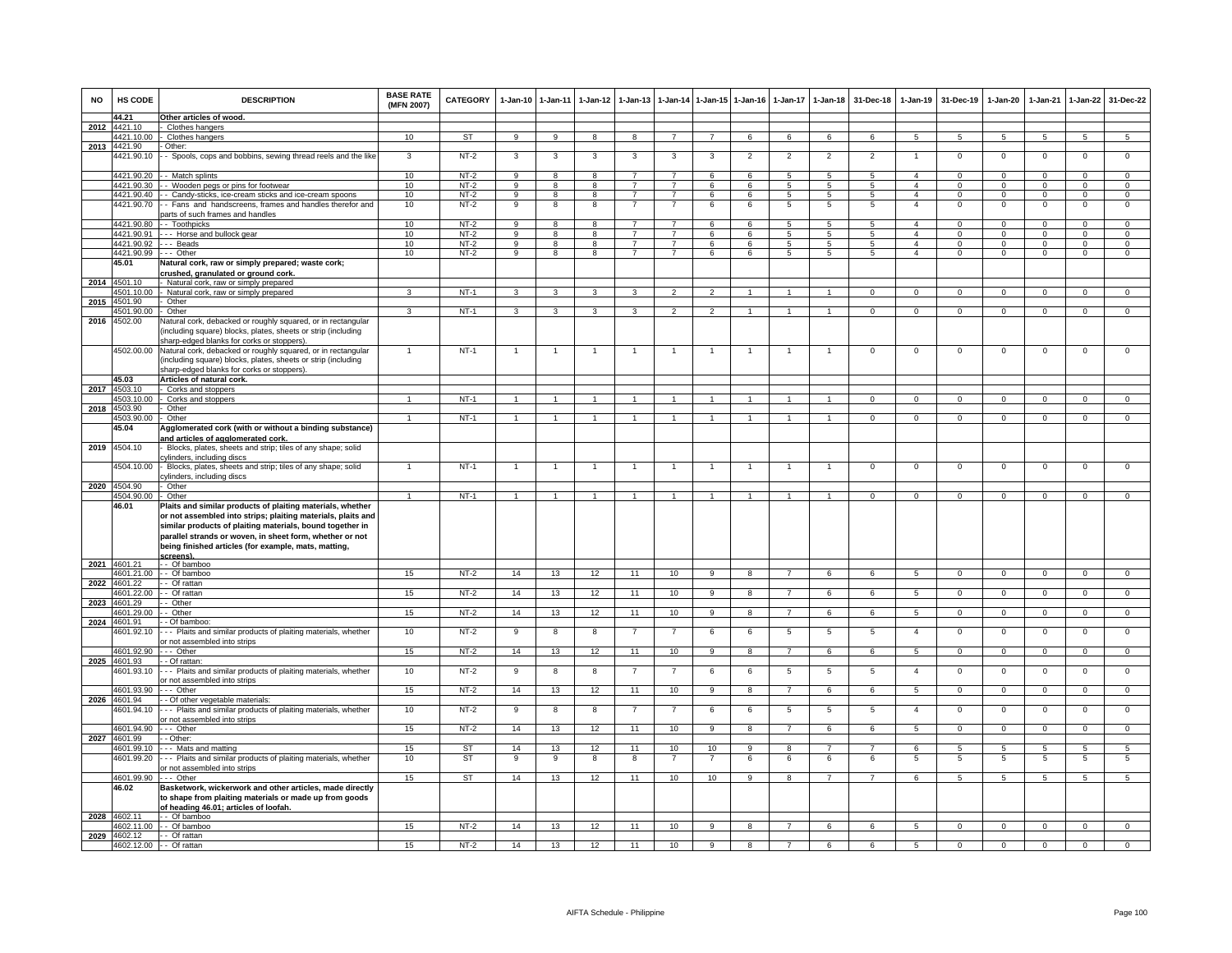| <b>NO</b> | HS CODE                                  | <b>DESCRIPTION</b>                                                                                                                                                                                                                                                                                                       | <b>BASE RATE</b><br>(MFN 2007) | <b>CATEGORY</b> | $1-Jan-10$       | $1 - Jan-11$        | $1 - Jan-12$ | $1 - Jan-13$                     |                                  |                | 1-Jan-14 1-Jan-15 1-Jan-16 |                          | 1-Jan-17 1-Jan-18   | 31-Dec-18        | $1-Jan-19$                     | 31-Dec-19                | $1-Jan-20$               | $1-Jan-21$           | 1-Jan-22                     | 31-Dec-22                      |
|-----------|------------------------------------------|--------------------------------------------------------------------------------------------------------------------------------------------------------------------------------------------------------------------------------------------------------------------------------------------------------------------------|--------------------------------|-----------------|------------------|---------------------|--------------|----------------------------------|----------------------------------|----------------|----------------------------|--------------------------|---------------------|------------------|--------------------------------|--------------------------|--------------------------|----------------------|------------------------------|--------------------------------|
|           | 44.21                                    | Other articles of wood.                                                                                                                                                                                                                                                                                                  |                                |                 |                  |                     |              |                                  |                                  |                |                            |                          |                     |                  |                                |                          |                          |                      |                              |                                |
|           | 2012 4421.10                             | Clothes hangers                                                                                                                                                                                                                                                                                                          |                                |                 |                  |                     |              |                                  |                                  |                |                            |                          |                     |                  |                                |                          |                          |                      |                              |                                |
| 2013      | 4421.10.00<br>4421.90                    | Clothes hangers<br>Other:                                                                                                                                                                                                                                                                                                | 10                             | <b>ST</b>       | 9                | $\overline{9}$      | 8            | 8                                | $\overline{7}$                   | $\overline{7}$ | 6                          | 6                        | 6                   | 6                | 5                              | 5                        | 5                        | 5                    | $\overline{5}$               | $5\overline{)}$                |
|           | 421.90.10                                | - Spools, cops and bobbins, sewing thread reels and the like                                                                                                                                                                                                                                                             | 3                              | $NT-2$          | 3                | 3                   | 3            | 3                                | 3                                | 3              | $\overline{2}$             | $\overline{2}$           | $\overline{2}$      | $\overline{2}$   | -1.                            | $\mathbf 0$              | $\mathsf 0$              | $\mathbf 0$          | $\mathsf 0$                  | $\overline{0}$                 |
|           |                                          | 4421.90.20 - Match splints                                                                                                                                                                                                                                                                                               | 10                             | $NT-2$          | 9                | 8                   | 8            | $\overline{7}$                   | $\overline{7}$                   | 6              | 6                          | 5                        | 5                   | 5                | $\boldsymbol{\Lambda}$         | $\Omega$                 | $\Omega$                 | $\Omega$             | $\mathsf 0$                  | $\Omega$                       |
|           | 4421.90.30                               | - Wooden pegs or pins for footwear                                                                                                                                                                                                                                                                                       | 10                             | $NT-2$          | $\mathbf{q}$     | 8                   | 8            | $\overline{7}$                   | $\overline{7}$                   | 6              | 6                          | 5                        | $\overline{5}$      | 5                | $\overline{a}$                 | $\Omega$                 | $\Omega$                 | $\Omega$             | $\mathbf 0$                  | $\overline{0}$                 |
|           | 4421.90.40                               | - Candy-sticks, ice-cream sticks and ice-cream spoons                                                                                                                                                                                                                                                                    | 10                             | $NT-2$          | $\overline{9}$   | 8                   | 8            | $\overline{7}$                   | $\overline{7}$                   | 6              | 6                          | 5                        | $5\overline{5}$     | 5                | $\overline{4}$                 | $\mathbf 0$              | $\mathbf 0$              | $\mathbf 0$          | $\mathbf 0$                  | $\mathbf 0$                    |
|           | 4421.90.70                               | - Fans and handscreens, frames and handles therefor and<br>parts of such frames and handles                                                                                                                                                                                                                              | 10                             | $NT-2$          | 9                | 8                   | 8            | $\overline{7}$                   |                                  | 6              | 6                          | 5                        | 5                   | 5                | $\overline{4}$                 | $\mathbf 0$              | $\mathbf 0$              | $\mathbf 0$          | $\mathsf 0$                  | $\mathbf 0$                    |
|           | 4421.90.80<br>4421.90.91                 | - Toothpicks                                                                                                                                                                                                                                                                                                             | 10<br>10                       | NT-2<br>$NT-2$  | 9<br>9           | 8<br>$\overline{8}$ | 8<br>8       | $\overline{7}$<br>$\overline{7}$ | $\overline{7}$<br>$\overline{7}$ | 6<br>6         | 6<br>6                     | 5<br>$5\overline{5}$     | 5<br>$\overline{5}$ | 5<br>$5^{\circ}$ | $\overline{4}$<br>$\mathbf{A}$ | $\mathbf{0}$<br>$\Omega$ | $\mathbf{0}$<br>$\Omega$ | $\Omega$<br>$\Omega$ | $^{\circ}$<br>$\overline{0}$ | $\mathbf{0}$<br>$\overline{0}$ |
|           | 4421.90.92                               | -- Horse and bullock gear<br>-- Beads                                                                                                                                                                                                                                                                                    | 10                             | $NT-2$          | 9                | 8                   | 8            | $\overline{7}$                   | $\overline{7}$                   | 6              | 6                          | 5                        | 5                   | 5                | $\overline{4}$                 | $\mathbf 0$              | $\mathbf 0$              | $\mathbf 0$          | $\mathbf 0$                  | $\overline{0}$                 |
|           | 4421.90.99                               | -- Other                                                                                                                                                                                                                                                                                                                 | 10                             | $NT-2$          | 9                | $\overline{8}$      | 8            | $\overline{7}$                   | $\overline{7}$                   | 6              | 6                          | 5                        | 5                   | 5                | $\overline{4}$                 | $\mathbf 0$              | $\mathbf 0$              | $\Omega$             | $\mathsf 0$                  | $\overline{0}$                 |
| 2014      | 45.01<br>4501 10                         | Natural cork, raw or simply prepared; waste cork;<br>rushed, granulated or ground cork.                                                                                                                                                                                                                                  |                                |                 |                  |                     |              |                                  |                                  |                |                            |                          |                     |                  |                                |                          |                          |                      |                              |                                |
|           | 4501.10.00                               | Natural cork, raw or simply prepared<br>Natural cork, raw or simply prepared                                                                                                                                                                                                                                             | $\mathbf{3}$                   | $NT-1$          | $\mathbf{R}$     | $\mathbf{a}$        | $\mathbf{3}$ | $\mathbf{a}$                     | $\mathcal{P}$                    | $\mathfrak{D}$ |                            |                          |                     | $\Omega$         | $\Omega$                       | $\Omega$                 | $\Omega$                 | $\Omega$             | $\Omega$                     | $\Omega$                       |
| 2015      | 4501.90                                  | Other                                                                                                                                                                                                                                                                                                                    |                                |                 |                  |                     |              |                                  |                                  |                |                            |                          |                     |                  |                                |                          |                          |                      |                              |                                |
|           | 4501.90.00                               | Other                                                                                                                                                                                                                                                                                                                    | $\mathbf{3}$                   | NT-1            | $\mathbf{3}$     | $\mathbf{3}$        | $\mathbf{3}$ | $\mathbf{3}$                     | $\overline{2}$                   | $\overline{2}$ | $\overline{1}$             | $\overline{1}$           | $\overline{1}$      | $\overline{0}$   | $\overline{0}$                 | $\mathbf 0$              | $\mathbf{0}$             | $\mathbf 0$          | $\mathbf{0}$                 | $\mathbf{0}$                   |
|           | 2016 4502.00                             | Vatural cork, debacked or roughly squared, or in rectangular<br>(including square) blocks, plates, sheets or strip (including<br>sharp-edged blanks for corks or stoppers).                                                                                                                                              |                                |                 |                  |                     |              |                                  |                                  |                |                            |                          |                     |                  |                                |                          |                          |                      |                              |                                |
|           | 4502.00.00<br>45.03                      | Natural cork, debacked or roughly squared, or in rectangular<br>including square) blocks, plates, sheets or strip (including<br>sharp-edged blanks for corks or stoppers)                                                                                                                                                |                                | $NT-1$          | $\overline{1}$   | $\overline{1}$      |              |                                  | $\overline{1}$                   | $\overline{1}$ |                            | $\mathbf{1}$             | 1                   | $\mathbf 0$      | $\mathbf{0}$                   | $\mathbf 0$              | $\mathbf 0$              | $\mathbf 0$          | 0                            | $\mathbf 0$                    |
| 2017      | 4503.10                                  | Articles of natural cork.<br>Corks and stoppers                                                                                                                                                                                                                                                                          |                                |                 |                  |                     |              |                                  |                                  |                |                            |                          |                     |                  |                                |                          |                          |                      |                              |                                |
|           | 4503.10.00                               | Corks and stoppers                                                                                                                                                                                                                                                                                                       | $\mathbf{1}$                   | $NT-1$          | $\mathbf{1}$     | $\mathbf{1}$        |              |                                  |                                  |                |                            |                          | $\mathbf{1}$        | $\Omega$         | $\Omega$                       | $\Omega$                 | $\Omega$                 | $\Omega$             | $\Omega$                     | $\overline{0}$                 |
|           | 2018 4503.90                             | Other                                                                                                                                                                                                                                                                                                                    |                                |                 |                  |                     |              |                                  |                                  |                |                            |                          |                     |                  |                                |                          |                          |                      |                              |                                |
|           | 4503.90.00                               | Other                                                                                                                                                                                                                                                                                                                    | $\overline{1}$                 | $NT-1$          | $\overline{1}$   | $\overline{1}$      | $\mathbf{1}$ |                                  | $\overline{1}$                   | $\mathbf{1}$   | $\overline{1}$             | $\overline{1}$           | $\overline{1}$      | $\Omega$         | $\mathbf{0}$                   | $^{\circ}$               | $\mathbf{0}$             | $^{\circ}$           | $\mathbf{0}$                 | $\mathbf{0}$                   |
|           | 45.04                                    | Agglomerated cork (with or without a binding substance)<br>and articles of agglomerated cork.                                                                                                                                                                                                                            |                                |                 |                  |                     |              |                                  |                                  |                |                            |                          |                     |                  |                                |                          |                          |                      |                              |                                |
|           | 2019 4504.10                             | Blocks, plates, sheets and strip; tiles of any shape; solid<br>ylinders, including discs;                                                                                                                                                                                                                                |                                |                 |                  |                     |              |                                  |                                  |                |                            |                          |                     |                  |                                |                          |                          |                      |                              |                                |
|           | 4504.10.00<br>2020 4504.90               | Blocks, plates, sheets and strip; tiles of any shape; solid<br>vlinders, including discs<br>Other                                                                                                                                                                                                                        |                                | $NT-1$          | $\overline{1}$   | $\overline{1}$      |              | $\overline{1}$                   | $\overline{1}$                   | $\overline{1}$ | $\overline{1}$             | $\overline{1}$           | $\overline{1}$      | $\mathbf 0$      | $\mathbf 0$                    | $\mathbf 0$              | $\overline{0}$           | $\overline{0}$       | $\overline{0}$               | $\overline{0}$                 |
|           | 4504.90.00                               | Other                                                                                                                                                                                                                                                                                                                    |                                | $NT-1$          |                  |                     |              |                                  |                                  |                |                            |                          |                     | $\Omega$         | $^{\circ}$                     | 0                        | $\mathbf 0$              | $\Omega$             | 0                            | $\Omega$                       |
|           | 46.01                                    | Plaits and similar products of plaiting materials, whether<br>or not assembled into strips; plaiting materials, plaits and<br>similar products of plaiting materials, bound together in<br>parallel strands or woven, in sheet form, whether or not<br>being finished articles (for example, mats, matting,<br>screens). |                                |                 |                  |                     |              |                                  |                                  |                |                            |                          |                     |                  |                                |                          |                          |                      |                              |                                |
|           | 2021 4601.21                             | - Of bamboo                                                                                                                                                                                                                                                                                                              |                                |                 |                  |                     |              |                                  |                                  |                |                            | $\overline{\phantom{a}}$ |                     |                  |                                |                          |                          |                      |                              |                                |
| 2022      | 4601.21.00<br>4601.22                    | - Of bamboo<br>- Of rattan                                                                                                                                                                                                                                                                                               | 15                             | $NT-2$          | 14               | 13                  | 12           | 11                               | 10                               | $\overline{9}$ | $\overline{8}$             |                          | 6                   | 6                | $\overline{5}$                 | $\overline{0}$           | $\overline{0}$           | $\overline{0}$       | $\overline{0}$               | $\overline{0}$                 |
|           | 4601.22.00                               | - Of rattan                                                                                                                                                                                                                                                                                                              | 15                             | $NT-2$          | 14               | 13                  | 12           | 11                               | 10                               | 9              | 8                          | $\overline{7}$           | 6                   | 6                | $5\overline{5}$                | $\overline{0}$           | $\overline{0}$           | $\mathbf{0}$         | $\mathbf{0}$                 | $\overline{0}$                 |
|           | 2023 4601.29                             | - Other                                                                                                                                                                                                                                                                                                                  |                                |                 |                  |                     |              |                                  |                                  |                |                            |                          |                     |                  |                                |                          |                          |                      |                              |                                |
|           | 4601.29.00                               | - Other                                                                                                                                                                                                                                                                                                                  | 15                             | $NT-2$          | 14               | 13                  | 12           | 11                               | 10                               | 9              | 8                          | $\overline{7}$           | 6                   | 6                | 5                              | $\mathbf{0}$             | $\overline{0}$           | $\mathbf 0$          | $\overline{0}$               | $\mathbf{0}$                   |
| 2024      | 4601.91<br>4601.92.10                    | - Of bamboo:<br>- - Plaits and similar products of plaiting materials, whether<br>r not assembled into strips                                                                                                                                                                                                            | 10                             | $NT-2$          | 9                | 8                   | 8            |                                  | $\overline{7}$                   | 6              | 6                          | 5                        | $\overline{5}$      | 5                | $\overline{4}$                 | $\mathbf 0$              | $\mathbf 0$              | $\mathbf 0$          | $\mathsf 0$                  | $\overline{0}$                 |
|           | 4601.92.90                               | -- Other                                                                                                                                                                                                                                                                                                                 | 15                             | $NT-2$          | 14               | 13                  | 12           | 11                               | 10                               | 9              | 8                          | $\overline{7}$           | 6                   | 6                | $5\phantom{.0}$                | $\mathbf{0}$             | $\overline{0}$           | $\mathbf 0$          | $\mathbf{0}$                 | $\overline{0}$                 |
|           | 2025 4601.93<br>4601.93.10               | - Of rattan<br>- - Plaits and similar products of plaiting materials, whether                                                                                                                                                                                                                                            | 10                             | $NT-2$          | $\boldsymbol{9}$ | 8                   | 8            | $\overline{7}$                   | $\overline{7}$                   | 6              | 6                          | $\overline{5}$           | $5\phantom{.0}$     | $5\phantom{.0}$  | $\overline{4}$                 | $\mathbf 0$              | $\mathbf 0$              | $\mathbf 0$          | $\mathsf 0$                  | $\mathbf 0$                    |
|           | 4601.93.90                               | or not assembled into strips<br>-- Other                                                                                                                                                                                                                                                                                 | 15                             | NT-2            | 14               | 13                  | 12           | 11                               | 10                               | 9              | 8                          | $\overline{7}$           | 6                   | 6                | 5                              | $\mathbf{0}$             | $\mathbf{0}$             | $\mathbf{0}$         | $\circ$                      | $\mathbf{0}$                   |
|           | 2026 4601.94                             | - Of other vegetable materials:                                                                                                                                                                                                                                                                                          |                                |                 |                  |                     |              |                                  |                                  |                |                            |                          |                     |                  |                                |                          |                          |                      |                              |                                |
|           | 4601.94.10                               | - - Plaits and similar products of plaiting materials, whether<br>r not assembled into strips                                                                                                                                                                                                                            | 10                             | $NT-2$          | 9                | 8                   | 8            | 7                                | 7                                | 6              | 6                          | 5                        | $5\phantom{.0}$     | 5                | $\overline{4}$                 | $\mathbf 0$              | $\overline{0}$           | $\mathbf 0$          | $\mathsf 0$                  | $\overline{0}$                 |
|           | 4601.94.90                               | $-$ Other                                                                                                                                                                                                                                                                                                                | 15                             | $NT-2$          | 14               | 13                  | 12           | 11                               | 10                               | 9              | 8                          | $\overline{7}$           | 6                   | 6                | 5                              | $\,0\,$                  | $\mathbf 0$              | $\mathbf 0$          | $\mathsf 0$                  | $\mathbf 0$                    |
| 2027      | 4601.99<br>4601.99.10                    | - Other:<br>- Mats and matting                                                                                                                                                                                                                                                                                           | 15                             | <b>ST</b>       | 14               | 13                  | 12           | 11                               | 10                               | 10             | 9                          | 8                        | $\overline{7}$      | $\overline{7}$   | 6                              | -5                       | 5                        | -5                   | $\overline{5}$               | $\overline{5}$                 |
|           | 4601.99.20                               | - - Plaits and similar products of plaiting materials, whether<br>or not assembled into strips                                                                                                                                                                                                                           | 10                             | <b>ST</b>       | 9                | 9                   | 8            | 8                                | $\overline{7}$                   | $\overline{7}$ | 6                          | 6                        | 6                   | 6                | 5                              | 5                        | $\overline{5}$           | 5                    | $\overline{5}$               | 5                              |
|           | 4601.99.90                               | -- Other                                                                                                                                                                                                                                                                                                                 | 15                             | ST              | 14               | 13                  | 12           | 11                               | 10                               | 10             | 9                          | 8                        | $\overline{7}$      | $\overline{7}$   | 6                              | $5\overline{5}$          | $\overline{5}$           | $5\overline{5}$      | $5^{\circ}$                  | 5                              |
|           | 46.02                                    | Basketwork, wickerwork and other articles, made directly<br>to shape from plaiting materials or made up from goods<br>of heading 46.01; articles of loofah.                                                                                                                                                              |                                |                 |                  |                     |              |                                  |                                  |                |                            |                          |                     |                  |                                |                          |                          |                      |                              |                                |
|           | 2028 4602.11                             | - Of bamboo                                                                                                                                                                                                                                                                                                              |                                |                 |                  |                     |              |                                  |                                  |                |                            |                          |                     |                  |                                |                          |                          |                      |                              |                                |
|           | 4602.11.00                               | - Of bamboo                                                                                                                                                                                                                                                                                                              | 15                             | $NT-2$          | 14               | 13                  | 12           | 11                               | 10                               | 9              | 8                          | $\overline{7}$           | $6\overline{6}$     | 6                | $5^{\circ}$                    | $\mathbf 0$              | $\mathbf 0$              | $\Omega$             | $\mathsf 0$                  | $\overline{0}$                 |
|           | 2029 4602.12<br>4602.12.00 - - Of rattan | - Of rattan                                                                                                                                                                                                                                                                                                              | 15                             | $NT-2$          | 14               | 13                  | 12           | 11                               | 10                               | $\overline{a}$ | $\overline{8}$             | $\overline{7}$           | 6                   | 6                | $\sqrt{5}$                     | $\Omega$                 | $\overline{0}$           | $\Omega$             | $\Omega$                     | $\overline{0}$                 |
|           |                                          |                                                                                                                                                                                                                                                                                                                          |                                |                 |                  |                     |              |                                  |                                  |                |                            |                          |                     |                  |                                |                          |                          |                      |                              |                                |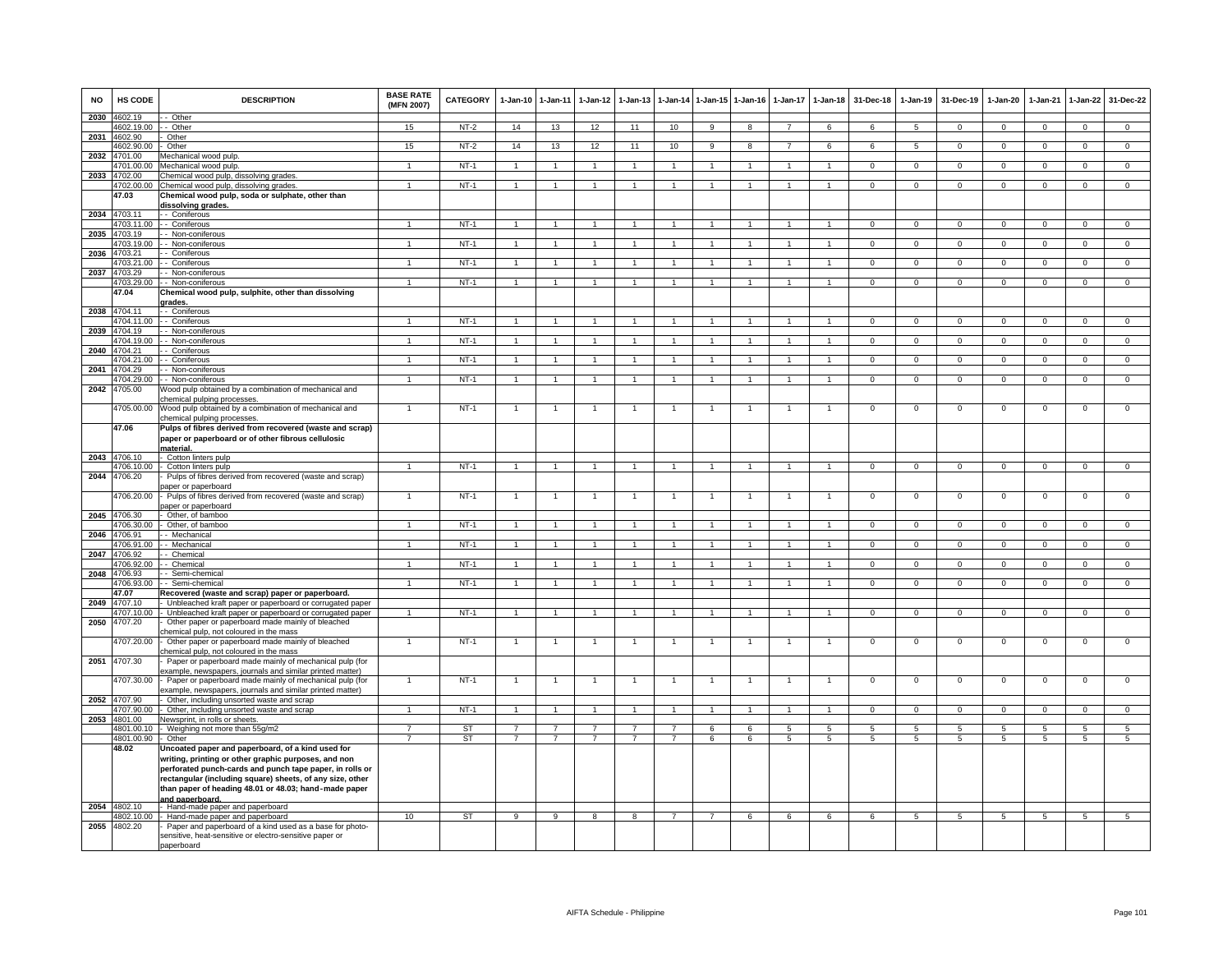| <b>NO</b> | HS CODE                    | <b>DESCRIPTION</b>                                                                                                                                                                                                                                                                                             | <b>BASE RATE</b><br>(MFN 2007) | <b>CATEGORY</b> | 1-Jan-10       | $1 - Jan-11$         | $1-Jan-12$           | $1-Jan-13$     |                | 1-Jan-14 1-Jan-15    | $1-Jan-16$     | $1-Jan-17$     | $1 - Jan-18$         | 31-Dec-18      | $1-Jan-19$     | 31-Dec-19       | $1-Jan-20$      | 1-Jan-21        | $1-Jan-22$           | 31-Dec-22       |
|-----------|----------------------------|----------------------------------------------------------------------------------------------------------------------------------------------------------------------------------------------------------------------------------------------------------------------------------------------------------------|--------------------------------|-----------------|----------------|----------------------|----------------------|----------------|----------------|----------------------|----------------|----------------|----------------------|----------------|----------------|-----------------|-----------------|-----------------|----------------------|-----------------|
|           | 2030 4602.19               | - Other                                                                                                                                                                                                                                                                                                        |                                |                 |                |                      |                      |                |                |                      |                |                |                      |                |                |                 |                 |                 |                      |                 |
| 2031      | 4602.19.00<br>4602.90      | - Other<br>Other                                                                                                                                                                                                                                                                                               | 15                             | $NT-2$          | 14             | 13                   | 12                   | 11             | 10             | 9                    | 8              | $\overline{7}$ | 6                    | 6              | 5              | $^{\circ}$      | $\Omega$        | $\mathbf 0$     | $^{\circ}$           | $\mathbf{0}$    |
|           | 4602.90.00                 | Other                                                                                                                                                                                                                                                                                                          | 15                             | $NT-2$          | 14             | 13                   | 12                   | 11             | 10             | $\overline{9}$       | 8              | $\overline{7}$ | 6                    | 6              | $\overline{5}$ | $\mathbf 0$     | $\mathbf 0$     | $\mathbf 0$     | $\overline{0}$       | $\overline{0}$  |
| 2032      | 4701.00                    | Aechanical wood pulp                                                                                                                                                                                                                                                                                           |                                |                 |                |                      |                      |                |                |                      |                |                |                      |                |                |                 |                 |                 |                      |                 |
|           | 4701.00.00                 | Mechanical wood pulp.                                                                                                                                                                                                                                                                                          | $\blacktriangleleft$           | $NT-1$          | $\overline{1}$ | $\overline{1}$       | $\overline{1}$       | $\mathbf{1}$   | $\overline{1}$ | $\blacktriangleleft$ | -1             | $\mathbf{1}$   | $\mathbf{1}$         | $^{\circ}$     | $\mathbf 0$    | $\mathbf 0$     | $^{\circ}$      | $^{\circ}$      | $^{\circ}$           | $\overline{0}$  |
| 2033      | 4702.00<br>4702.00.00      | Chemical wood pulp, dissolving grades                                                                                                                                                                                                                                                                          |                                |                 |                | $\overline{1}$       |                      |                |                | $\overline{1}$       |                |                | $\ddot{\phantom{0}}$ | $\overline{0}$ | $\overline{0}$ | $\Omega$        | $\overline{0}$  | $\Omega$        | $\overline{0}$       | $\overline{0}$  |
|           | 47.03                      | Chemical wood pulp, dissolving grades<br>Chemical wood pulp, soda or sulphate, other than                                                                                                                                                                                                                      |                                | $NT-1$          |                |                      |                      |                |                |                      |                |                |                      |                |                |                 |                 |                 |                      |                 |
|           |                            | <u>dissolving grades.</u>                                                                                                                                                                                                                                                                                      |                                |                 |                |                      |                      |                |                |                      |                |                |                      |                |                |                 |                 |                 |                      |                 |
|           | 2034 4703.11               | - Coniferous                                                                                                                                                                                                                                                                                                   |                                |                 |                |                      |                      |                |                |                      |                |                |                      |                |                |                 |                 |                 |                      |                 |
|           | 4703.11.00                 | - Coniferous                                                                                                                                                                                                                                                                                                   | $\overline{1}$                 | $NT-1$          | $\overline{1}$ | $\overline{1}$       | $\overline{1}$       | $\mathbf{1}$   | $\overline{1}$ | $\overline{1}$       | $\overline{1}$ | $\mathbf{1}$   | $\overline{1}$       | $\mathbf{0}$   | $^{\circ}$     | $\mathbf{0}$    | $\mathbf{0}$    | $\mathbf{0}$    | $\mathbf{0}$         | $\overline{0}$  |
| 2035      | 4703.19<br>4703.19.00      | - Non-coniferous<br>- Non-coniferous                                                                                                                                                                                                                                                                           | $\mathbf{1}$                   | $NT-1$          | $\mathbf{1}$   | $\mathbf{1}$         | $\mathbf{1}$         | $\mathbf{1}$   | $\mathbf{1}$   | $\mathbf{1}$         | $\overline{1}$ | $\mathbf{1}$   | $\mathbf{1}$         | $\mathbf{0}$   | $\mathbf 0$    | $\mathbf 0$     | $\mathbf 0$     | $\mathbf 0$     | $\mathbf{0}$         | $\overline{0}$  |
| 2036      | 4703.21                    | - Coniferous                                                                                                                                                                                                                                                                                                   |                                |                 |                |                      |                      |                |                |                      |                |                |                      |                |                |                 |                 |                 |                      |                 |
|           | 4703.21.00                 | Coniferous                                                                                                                                                                                                                                                                                                     | $\mathbf{1}$                   | $NT-1$          | $\mathbf{1}$   | $\mathbf{1}$         | $\blacktriangleleft$ |                | $\overline{1}$ |                      | $\mathbf{1}$   | $\mathbf{1}$   | $\mathbf{1}$         | $\mathbf 0$    | $\mathbf 0$    | $\mathbf 0$     | $\mathsf 0$     | $\mathbf 0$     | $\mathsf 0$          | $\mathbf 0$     |
|           | 2037 4703.29               | - Non-coniferous                                                                                                                                                                                                                                                                                               |                                |                 |                |                      |                      |                |                |                      |                |                |                      |                |                |                 |                 |                 |                      |                 |
|           | 4703 29 00                 | - Non-coniferous                                                                                                                                                                                                                                                                                               |                                | $NT-1$          | $\overline{1}$ | $\blacktriangleleft$ |                      |                |                | $\blacktriangleleft$ | $\overline{1}$ | $\mathbf{1}$   |                      | $\Omega$       | $\overline{0}$ | $\Omega$        | $\Omega$        | $\Omega$        | $\overline{0}$       | $\overline{0}$  |
|           | 47.04                      | Chemical wood pulp, sulphite, other than dissolving<br>grades.                                                                                                                                                                                                                                                 |                                |                 |                |                      |                      |                |                |                      |                |                |                      |                |                |                 |                 |                 |                      |                 |
|           | 2038 4704.11<br>4704.11.00 | - Coniferous<br>- Coniferous                                                                                                                                                                                                                                                                                   | $\overline{1}$                 | $NT-1$          | $\mathbf{1}$   | $\overline{1}$       | $\blacktriangleleft$ | $\mathbf{1}$   | $\overline{1}$ | $\mathbf{1}$         | $\overline{1}$ |                | $\mathbf{1}$         | $\mathbf{0}$   | $\mathbf 0$    | $\mathbf 0$     | $\mathbf 0$     | $\mathbf 0$     | $\mathbf 0$          | $\mathbf 0$     |
| 2039      | 4704.19                    | - Non-coniferous                                                                                                                                                                                                                                                                                               |                                |                 |                |                      |                      |                |                |                      |                |                |                      |                |                |                 |                 |                 |                      |                 |
|           | 4704.19.00                 | - Non-coniferous                                                                                                                                                                                                                                                                                               | $\overline{1}$                 | $NT-1$          | $\mathbf{1}$   | $\overline{1}$       | $\overline{1}$       | $\overline{1}$ | $\overline{1}$ | $\overline{1}$       | $\overline{1}$ | $\overline{1}$ | $\mathbf{1}$         | $\overline{0}$ | $\overline{0}$ | $\overline{0}$  | $\overline{0}$  | $\overline{0}$  | $\overline{0}$       | $\overline{0}$  |
| 2040      | 4704.21                    | Coniferous                                                                                                                                                                                                                                                                                                     |                                |                 |                |                      |                      |                |                |                      |                |                |                      |                |                |                 |                 |                 |                      |                 |
| 2041      | 4704.21.00<br>4704.29      | - Coniferous<br>- Non-coniferous                                                                                                                                                                                                                                                                               | $\mathbf{1}$                   | $NT-1$          | $\overline{1}$ | $\mathbf{1}$         |                      |                | $\overline{1}$ | $\blacktriangleleft$ |                |                | 1                    | $\mathbf 0$    | $\mathbf 0$    | $\mathbf 0$     | $\mathsf 0$     | $\mathbf 0$     | $\mathsf 0$          | $\mathbf 0$     |
|           | 4704.29.00                 | - Non-coniferous                                                                                                                                                                                                                                                                                               | $\overline{1}$                 | $NT-1$          | $\overline{1}$ | $\overline{1}$       | $\overline{1}$       | $\overline{1}$ | $\overline{1}$ | $\overline{1}$       | $\overline{1}$ | $\overline{1}$ | $\overline{1}$       | $\overline{0}$ | $\overline{0}$ | $\overline{0}$  | $\overline{0}$  | $\overline{0}$  | $\overline{0}$       | $\overline{0}$  |
| 2042      | 4705.00                    | Wood pulp obtained by a combination of mechanical and<br>hemical pulping processes.                                                                                                                                                                                                                            |                                |                 |                |                      |                      |                |                |                      |                |                |                      |                |                |                 |                 |                 |                      |                 |
|           | 4705.00.00                 | Wood pulp obtained by a combination of mechanical and<br>chemical pulping processes.                                                                                                                                                                                                                           | $\overline{1}$                 | $NT-1$          | $\overline{1}$ | $\overline{1}$       |                      | $\overline{1}$ | $\overline{1}$ | $\overline{1}$       |                | $\overline{1}$ | $\mathbf{1}$         | $\mathbf 0$    | $\mathbf 0$    | $\mathbf 0$     | $\mathbf 0$     | $\mathbf 0$     | $\mathsf 0$          | $\mathbf 0$     |
|           | 47.06                      | Pulps of fibres derived from recovered (waste and scrap)<br>paper or paperboard or of other fibrous cellulosic<br>material.                                                                                                                                                                                    |                                |                 |                |                      |                      |                |                |                      |                |                |                      |                |                |                 |                 |                 |                      |                 |
| 2043      | 4706.10                    | Cotton linters pulp                                                                                                                                                                                                                                                                                            |                                |                 |                |                      |                      |                |                |                      |                |                |                      |                |                |                 |                 |                 |                      |                 |
|           | 4706.10.00                 | Cotton linters pulp                                                                                                                                                                                                                                                                                            | $\mathbf{1}$                   | $NT-1$          | $\mathbf{1}$   | $\overline{1}$       |                      | $\mathbf{1}$   | $\overline{1}$ | $\mathbf{1}$         | -1             | $\overline{1}$ | $\mathbf{1}$         | $\mathbf 0$    | $\mathbf 0$    | $\mathbf 0$     | $\mathbf 0$     | $\mathbf 0$     | $\mathsf 0$          | $\mathbf 0$     |
|           | 2044 4706.20               | Pulps of fibres derived from recovered (waste and scrap)<br>aper or paperboard                                                                                                                                                                                                                                 |                                |                 |                |                      |                      |                |                |                      |                |                |                      |                |                |                 |                 |                 |                      |                 |
|           | 4706.20.00                 | Pulps of fibres derived from recovered (waste and scrap)<br>aper or paperboard                                                                                                                                                                                                                                 |                                | $NT-1$          | $\overline{1}$ | $\overline{1}$       |                      |                |                | -1                   |                |                | 1                    | $\mathbf 0$    | $\mathbf 0$    | $\mathbf 0$     | $\mathbf 0$     | $\mathbf 0$     | $\mathsf 0$          | $\mathbf 0$     |
|           | 2045 4706.30<br>4706.30.00 | Other, of bamboo<br>Other, of bamboo                                                                                                                                                                                                                                                                           | $\overline{1}$                 | $NT-1$          | $\overline{1}$ | $\overline{1}$       |                      | $\mathbf{1}$   | $\overline{1}$ | $\mathbf{1}$         | $\overline{1}$ | $\mathbf{1}$   | $\overline{1}$       | $\Omega$       | $\mathbf{0}$   | $\mathbf{0}$    | $\mathbf{0}$    | $^{\circ}$      | $\mathbf{0}$         | $\mathbf{0}$    |
| 2046      | 4706.91                    | - Mechanical                                                                                                                                                                                                                                                                                                   |                                |                 |                |                      |                      |                |                |                      |                |                |                      |                |                |                 |                 |                 |                      |                 |
|           | 4706.91.00                 | - Mechanical                                                                                                                                                                                                                                                                                                   |                                | $NT-1$          | $\mathbf{1}$   | $\mathbf{1}$         |                      |                | -1             | $\mathbf{1}$         |                |                | $\mathbf{1}$         | $\mathbf 0$    | $\mathbf{0}$   | $\mathbf 0$     | $\mathbf 0$     | $\mathbf 0$     | $\mathbf{0}$         | $\overline{0}$  |
| 2047      | 4706.92                    | Chemical                                                                                                                                                                                                                                                                                                       |                                |                 |                |                      |                      |                |                |                      |                |                |                      |                |                |                 |                 |                 |                      |                 |
| 2048      | 4706.92.00<br>4706.93      | Chemical<br>- Semi-chemica                                                                                                                                                                                                                                                                                     |                                | $NT-1$          | $\overline{1}$ | $\blacktriangleleft$ |                      |                |                |                      |                |                | 1                    | $\Omega$       | $\mathbf 0$    | $\mathbf 0$     | $\Omega$        | $\mathbf 0$     | $\mathsf 0$          | $\Omega$        |
|           | 4706 93 00                 | - Semi-chemical                                                                                                                                                                                                                                                                                                | $\blacktriangleleft$           | $NT-1$          | $\overline{1}$ | $\overline{1}$       |                      |                | $\overline{1}$ | $\overline{1}$       | $\overline{1}$ | $\overline{1}$ | $\overline{1}$       | $\overline{0}$ | $\overline{0}$ | $\overline{0}$  | $\overline{0}$  | $\overline{0}$  | $\overline{0}$       | $\overline{0}$  |
|           | 47.07                      | Recovered (waste and scrap) paper or paperboard                                                                                                                                                                                                                                                                |                                |                 |                |                      |                      |                |                |                      |                |                |                      |                |                |                 |                 |                 |                      |                 |
| 2049      | 4707.10                    | Unbleached kraft paper or paperboard or corrugated paper                                                                                                                                                                                                                                                       |                                |                 |                |                      |                      |                |                |                      |                |                |                      |                |                |                 |                 |                 |                      |                 |
| 2050      | 4707.10.00<br>4707.20      | Unbleached kraft paper or paperboard or corrugated paper<br>Other paper or paperboard made mainly of bleached                                                                                                                                                                                                  |                                | $NT-1$          |                |                      |                      |                |                |                      |                |                |                      | $\Omega$       | $\Omega$       | $\Omega$        | $\Omega$        | $\Omega$        | $\Omega$             | $\Omega$        |
|           |                            | hemical pulp, not coloured in the mass                                                                                                                                                                                                                                                                         |                                |                 |                |                      |                      |                |                |                      |                |                |                      |                |                |                 |                 |                 |                      |                 |
|           | 4707.20.00                 | Other paper or paperboard made mainly of bleached<br>hemical pulp, not coloured in the mass                                                                                                                                                                                                                    | $\mathbf{1}$                   | $NT-1$          | $\mathbf{1}$   | $\overline{1}$       |                      | -1             | $\overline{1}$ | $\overline{1}$       | -1             | $\overline{1}$ | $\mathbf{1}$         | $\mathbf 0$    | $\mathbf 0$    | $\,0\,$         | $\mathbf 0$     | $\mathbf 0$     | $\mathsf 0$          | $\overline{0}$  |
|           | 2051 4707.30               | Paper or paperboard made mainly of mechanical pulp (for<br>xample, newspapers, journals and similar printed matter)                                                                                                                                                                                            |                                |                 |                |                      |                      |                |                |                      |                |                |                      |                |                |                 |                 |                 |                      |                 |
|           | 4707.30.00                 | Paper or paperboard made mainly of mechanical pulp (for<br>xample, newspapers, journals and similar printed matter)                                                                                                                                                                                            |                                | $NT-1$          | $\overline{1}$ | $\overline{1}$       |                      | -1             | -1             | $\mathbf{1}$         | -1             | $\overline{1}$ | $\overline{1}$       | $\mathbf 0$    | $\mathbf 0$    | $\mathbf 0$     | $\mathbf 0$     | $\mathbf 0$     | $\mathsf 0$          | $\overline{0}$  |
|           | 2052 4707.90               | Other, including unsorted waste and scrap                                                                                                                                                                                                                                                                      |                                |                 |                |                      |                      |                |                |                      |                |                |                      |                |                |                 |                 |                 |                      |                 |
|           | 4707.90.00                 | Other, including unsorted waste and scrap                                                                                                                                                                                                                                                                      |                                | $NT-1$          |                |                      |                      |                |                |                      |                |                |                      | $^{\circ}$     | $^{\circ}$     | 0               | 0               | $\Omega$        | 0                    | $\Omega$        |
|           | 2053 4801.00<br>4801.00.10 | Newsprint, in rolls or sheets.<br>Weighing not more than 55g/m2                                                                                                                                                                                                                                                | 7                              | <b>ST</b>       | $\overline{7}$ | $\overline{7}$       |                      | 7              | 7              | 6                    | 6.             | 5              | -5                   | 5              | -5             | -5              | 5               | -5              |                      | 5               |
|           | 4801.00.90                 | Other                                                                                                                                                                                                                                                                                                          | $\overline{7}$                 | <b>ST</b>       | $\overline{7}$ | $\overline{7}$       | $\overline{7}$       | $\overline{7}$ | $\overline{7}$ | 6                    | 6              | 5              | 5                    | 5              | 5              | 5               | 5               | 5               | 5<br>$5\phantom{.0}$ | $5\overline{)}$ |
|           | 48.02                      | Uncoated paper and paperboard, of a kind used for<br>writing, printing or other graphic purposes, and non<br>perforated punch-cards and punch tape paper, in rolls or<br>rectangular (including square) sheets, of any size, other<br>than paper of heading 48.01 or 48.03; hand-made paper<br>and paperboard. |                                |                 |                |                      |                      |                |                |                      |                |                |                      |                |                |                 |                 |                 |                      |                 |
|           | 2054 4802.10               | Hand-made paper and paperboard                                                                                                                                                                                                                                                                                 |                                |                 |                |                      |                      |                |                |                      |                |                |                      |                |                |                 |                 |                 |                      |                 |
|           | 4802.10.00<br>2055 4802.20 | Hand-made paper and paperboard                                                                                                                                                                                                                                                                                 | 10                             | ST              | 9              | 9                    | 8                    | 8              | $\overline{7}$ | $\overline{7}$       | 6              | 6              | 6                    | 6              | 5              | $5\overline{5}$ | $5\overline{5}$ | $5\overline{5}$ | $5\overline{5}$      | $5\overline{5}$ |
|           |                            | Paper and paperboard of a kind used as a base for photo-<br>sensitive, heat-sensitive or electro-sensitive paper or<br>paperboard                                                                                                                                                                              |                                |                 |                |                      |                      |                |                |                      |                |                |                      |                |                |                 |                 |                 |                      |                 |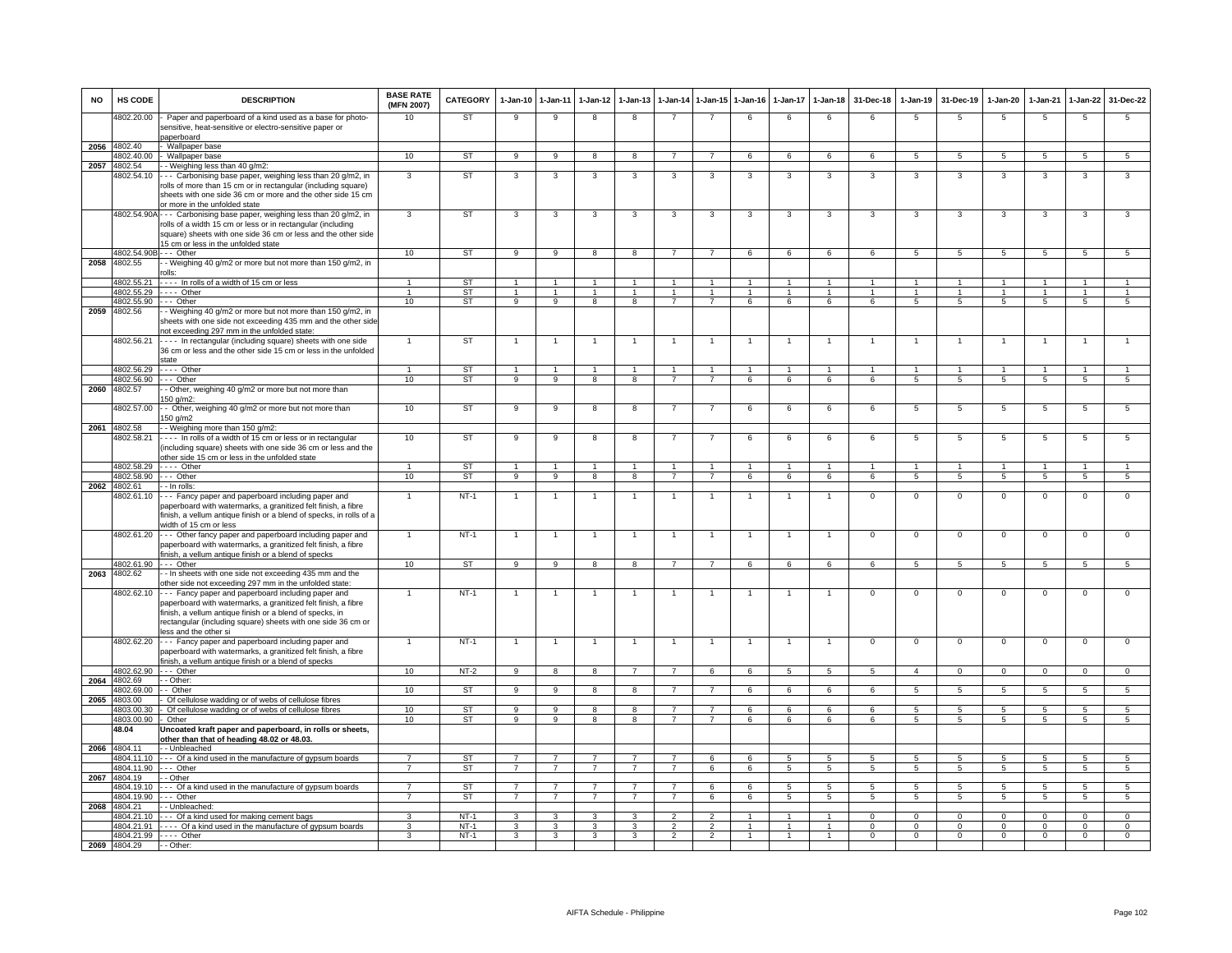| <b>NO</b> | HS CODE                    | <b>DESCRIPTION</b>                                                                                                                                                                                                                                                      | <b>BASE RATE</b><br>(MFN 2007) | <b>CATEGORY</b>        | 1-Jan-10                               | 1-Jan-11                         | $1$ -Jan-12                      | $1-Jan-13$                           | 1-Jan-14                               | $1 - Jan-15$                     | $1 - Jan-16$                           | 1-Jan-17                             | $1-Jan-18$                     | 31-Dec-18                      | $1-Jan-19$                       | 31-Dec-19                              | $1-Jan-20$                       | 1-Jan-21                       | 1-Jan-22                       | 31-Dec-22                      |
|-----------|----------------------------|-------------------------------------------------------------------------------------------------------------------------------------------------------------------------------------------------------------------------------------------------------------------------|--------------------------------|------------------------|----------------------------------------|----------------------------------|----------------------------------|--------------------------------------|----------------------------------------|----------------------------------|----------------------------------------|--------------------------------------|--------------------------------|--------------------------------|----------------------------------|----------------------------------------|----------------------------------|--------------------------------|--------------------------------|--------------------------------|
|           | 4802.20.00                 | Paper and paperboard of a kind used as a base for photo-<br>sensitive, heat-sensitive or electro-sensitive paper or                                                                                                                                                     | 10                             | ST                     | 9                                      | 9                                | 8                                | 8                                    |                                        |                                  | 6                                      | 6                                    | 6                              | 6                              | 5                                | 5                                      | 5                                | 5                              | 5                              | 5                              |
|           | 2056 4802.40               | paperboard<br>- Wallpaper base                                                                                                                                                                                                                                          |                                |                        |                                        |                                  |                                  |                                      |                                        |                                  |                                        |                                      |                                |                                |                                  |                                        |                                  |                                |                                |                                |
|           | 4802.40.00                 | Wallpaper base                                                                                                                                                                                                                                                          | 10                             | <b>ST</b>              | $\overline{9}$                         | $\overline{9}$                   | $\overline{8}$                   | $\overline{8}$                       | $\overline{7}$                         | $\overline{7}$                   | 6                                      | 6                                    | 6                              | 6                              | $\overline{5}$                   | $\overline{5}$                         | -5                               | 5                              | $\overline{5}$                 | 5                              |
| 2057      | 4802.54                    | - Weighing less than 40 g/m2:                                                                                                                                                                                                                                           |                                |                        |                                        |                                  |                                  |                                      |                                        |                                  |                                        |                                      |                                |                                |                                  |                                        |                                  |                                |                                |                                |
|           | 4802.54.10                 | -- Carbonising base paper, weighing less than 20 g/m2, in<br>rolls of more than 15 cm or in rectangular (including square)<br>sheets with one side 36 cm or more and the other side 15 cm<br>or more in the unfolded state                                              | 3                              | ST                     | 3                                      | 3                                | 3                                | 3                                    | 3                                      | 3                                | 3                                      | 3                                    | 3                              | 3                              | 3                                | 3                                      | 3                                | 3                              | 3                              | 3                              |
|           |                            | 4802.54.90A - - - Carbonising base paper, weighing less than 20 g/m2, in<br>rolls of a width 15 cm or less or in rectangular (including<br>square) sheets with one side 36 cm or less and the other side<br>15 cm or less in the unfolded state                         | 3                              | ST                     | 3                                      | 3                                | 3                                | 3                                    | 3                                      | 3                                | 3                                      | 3                                    | 3                              | 3                              | 3                                | 3                                      | 3                                | 3                              | 3                              | 3                              |
|           | 4802.54.90B                | -- Other                                                                                                                                                                                                                                                                | 10                             | ST                     | 9                                      | 9                                | 8                                | 8                                    | $\overline{7}$                         | $\overline{7}$                   | 6                                      | 6                                    | 6                              | 6                              | 5                                | 5                                      | 5                                | 5                              | 5                              | 5                              |
| 2058      | 4802.55                    | - Weighing 40 g/m2 or more but not more than 150 g/m2, in<br>olls <sup>.</sup>                                                                                                                                                                                          |                                |                        |                                        |                                  |                                  |                                      |                                        |                                  |                                        |                                      |                                |                                |                                  |                                        |                                  |                                |                                |                                |
|           | 4802.55.21<br>4802.55.29   | ---- In rolls of a width of 15 cm or less<br>$---$ Other                                                                                                                                                                                                                | $\mathbf{1}$<br>$\overline{1}$ | <b>ST</b><br><b>ST</b> | $\overline{1}$<br>$\ddot{\phantom{0}}$ | $\overline{1}$<br>$\overline{1}$ | $\overline{1}$<br>$\overline{1}$ | $\mathbf{1}$<br>$\blacktriangleleft$ | $\overline{1}$<br>$\ddot{\phantom{1}}$ | $\overline{1}$<br>$\overline{1}$ | $\overline{1}$<br>$\ddot{\phantom{0}}$ | $\mathbf{1}$<br>$\ddot{\phantom{0}}$ | $\mathbf{1}$<br>$\overline{1}$ | $\mathbf{1}$<br>$\overline{1}$ | $\overline{1}$<br>$\overline{1}$ | $\overline{1}$<br>$\ddot{\phantom{1}}$ | $\overline{1}$<br>$\overline{1}$ | $\mathbf{1}$<br>$\overline{1}$ | $\mathbf{1}$<br>$\overline{1}$ | $\mathbf{1}$<br>$\overline{1}$ |
|           | 4802.55.90 --- Other       |                                                                                                                                                                                                                                                                         | 10                             | ST                     | 9                                      | 9                                | 8                                | 8                                    | $\overline{7}$                         | $\overline{7}$                   | 6                                      | 6                                    | 6                              | 6                              | 5                                | $\sqrt{5}$                             | $\sqrt{5}$                       | $\sqrt{5}$                     | 5                              | $5\overline{)}$                |
| 2059      | 4802.56                    | - Weighing 40 g/m2 or more but not more than 150 g/m2, in<br>sheets with one side not exceeding 435 mm and the other side<br>not exceeding 297 mm in the unfolded state:                                                                                                |                                |                        |                                        |                                  |                                  |                                      |                                        |                                  |                                        |                                      |                                |                                |                                  |                                        |                                  |                                |                                |                                |
|           | 4802.56.21                 | ---- In rectangular (including square) sheets with one side<br>36 cm or less and the other side 15 cm or less in the unfolded<br>state                                                                                                                                  |                                | ST                     |                                        |                                  |                                  |                                      |                                        |                                  |                                        |                                      |                                | 1                              | 1                                | $\mathbf{1}$                           |                                  | $\overline{1}$                 |                                |                                |
|           | 4802.56.29                 | $- - -$ Other                                                                                                                                                                                                                                                           | $\mathbf{1}$                   | ST                     | $\overline{1}$                         | $\overline{1}$                   | $\overline{1}$                   | $\overline{1}$                       | $\overline{1}$                         | $\overline{1}$                   | $\overline{1}$                         | $\overline{1}$                       | $\overline{1}$                 | $\mathbf{1}$                   | $\overline{1}$                   | $\overline{1}$                         | $\overline{1}$                   | $\overline{1}$                 | $\overline{1}$                 | $\mathbf{1}$                   |
| 2060      | 4802.56.90<br>4802.57      | $--$ Other<br>- Other, weighing 40 g/m2 or more but not more than<br>150 g/m2:                                                                                                                                                                                          | 10                             | ST                     | $\overline{9}$                         | $\overline{9}$                   | $\overline{\mathbf{8}}$          | $\overline{8}$                       | $\overline{7}$                         | $\overline{7}$                   | 6                                      | 6                                    | 6                              | 6                              | $\overline{5}$                   | 5                                      | $\overline{5}$                   | $\overline{5}$                 | $\overline{5}$                 | 5                              |
|           | 4802.57.00                 | - Other, weighing 40 g/m2 or more but not more than<br>150 g/m2                                                                                                                                                                                                         | 10                             | ST                     | 9                                      | 9                                | 8                                | 8                                    | $\overline{7}$                         | $\overline{7}$                   | 6                                      | 6                                    | 6                              | 6                              | $\overline{5}$                   | 5                                      | 5                                | 5                              | $\overline{5}$                 | 5                              |
|           | 2061 4802.58               | - Weighing more than 150 g/m2:                                                                                                                                                                                                                                          |                                |                        |                                        |                                  |                                  |                                      |                                        |                                  |                                        |                                      |                                |                                |                                  |                                        |                                  |                                |                                |                                |
|           | 4802.58.21                 | --- In rolls of a width of 15 cm or less or in rectangular<br>(including square) sheets with one side 36 cm or less and the<br>other side 15 cm or less in the unfolded state                                                                                           | 10                             | ST                     | $\overline{9}$                         | 9                                | $\overline{\mathbf{8}}$          | $\overline{\mathbf{g}}$              | $\overline{7}$                         | $\overline{7}$                   | $\overline{6}$                         | 6                                    | 6                              | 6                              | $\overline{5}$                   | $\overline{5}$                         | 5                                | $\overline{5}$                 | $\overline{5}$                 | 5                              |
|           |                            | 4802.58.29 ---- Other                                                                                                                                                                                                                                                   | 1                              | <b>ST</b>              | $\overline{1}$                         | $\overline{1}$                   | $\blacktriangleleft$             |                                      | $\overline{1}$                         | $\mathbf{1}$                     | $\mathbf{1}$                           | $\mathbf{1}$                         | $\mathbf{1}$                   | $\mathbf{1}$                   | $\overline{1}$                   | $\overline{1}$                         | $\overline{1}$                   | $\blacktriangleleft$           |                                | $\mathbf{1}$                   |
|           | 4802.58.90                 | --- Other                                                                                                                                                                                                                                                               | 10                             | ST                     | $\overline{9}$                         | $\overline{9}$                   | $_{8}$                           | $\overline{8}$                       | $\overline{7}$                         | $\overline{7}$                   | $6\overline{6}$                        | 6                                    | 6                              | 6                              | $\overline{5}$                   | $\overline{5}$                         | $\overline{5}$                   | $\overline{5}$                 | $\overline{5}$                 | $\overline{5}$                 |
|           | 2062 4802.61<br>4802.61.10 | - In rolls<br>--- Fancy paper and paperboard including paper and<br>paperboard with watermarks, a granitized felt finish, a fibre<br>finish, a vellum antique finish or a blend of specks, in rolls of a<br>width of 15 cm or less                                      | $\overline{1}$                 | $NT-1$                 |                                        | $\overline{1}$                   | $\mathbf{1}$                     |                                      |                                        | $\overline{1}$                   |                                        |                                      | $\overline{1}$                 | $\overline{0}$                 | $\overline{0}$                   | $\Omega$                               | $\Omega$                         | $\overline{0}$                 | $\mathsf 0$                    | $\overline{0}$                 |
|           | 4802.61.20                 | --- Other fancy paper and paperboard including paper and<br>paperboard with watermarks, a granitized felt finish, a fibre<br>finish, a vellum antique finish or a blend of specks                                                                                       | $\mathbf{1}$                   | $NT-1$                 |                                        | $\overline{1}$                   |                                  |                                      | $\overline{1}$                         | $\overline{1}$                   |                                        | $\mathbf{1}$                         | $\overline{1}$                 | $\mathbf 0$                    | $\mathsf 0$                      | $\mathbf 0$                            | $\mathbf 0$                      | $\mathsf 0$                    | $\mathsf 0$                    | $\mathsf 0$                    |
|           | 4802.61.90                 | --- Other                                                                                                                                                                                                                                                               | 10                             | ST                     | $\overline{9}$                         | $\overline{9}$                   | $\overline{\mathbf{8}}$          | $\overline{8}$                       | $\overline{7}$                         | $\overline{7}$                   | 6                                      | 6                                    | 6                              | 6                              | $\overline{5}$                   | $5\overline{5}$                        | $\overline{5}$                   | $\overline{5}$                 | $\overline{5}$                 | $\overline{5}$                 |
| 2063      | 4802.62                    | - In sheets with one side not exceeding 435 mm and the<br>other side not exceeding 297 mm in the unfolded state:                                                                                                                                                        |                                |                        |                                        |                                  |                                  |                                      |                                        |                                  |                                        |                                      |                                |                                |                                  |                                        |                                  |                                |                                |                                |
|           | 4802.62.10                 | -- Fancy paper and paperboard including paper and<br>paperboard with watermarks, a granitized felt finish, a fibre<br>finish, a vellum antique finish or a blend of specks, in<br>rectangular (including square) sheets with one side 36 cm or<br>less and the other si |                                | $NT-1$                 | $\overline{1}$                         | $\overline{1}$                   | $\overline{1}$                   | $\mathbf{1}$                         | $\overline{1}$                         | $\overline{1}$                   | $\overline{1}$                         | $\mathbf{1}$                         | $\overline{1}$                 | $\mathbf 0$                    | $\mathbf 0$                      | $\mathbf 0$                            | $\mathbf{0}$                     | $\mathbf{0}$                   | $\mathbf 0$                    | $\mathbf{0}$                   |
|           | 4802.62.20                 | --- Fancy paper and paperboard including paper and<br>paperboard with watermarks, a granitized felt finish, a fibre<br>finish, a vellum antique finish or a blend of specks                                                                                             |                                | $NT-1$                 |                                        |                                  |                                  |                                      | $\overline{1}$                         |                                  |                                        |                                      |                                | $\overline{0}$                 | $\overline{0}$                   | $\overline{0}$                         | $\mathsf 0$                      | $\overline{0}$                 | $\mathbf 0$                    | $\overline{0}$                 |
|           | 4802.62.90                 | $-$ Other                                                                                                                                                                                                                                                               | 10                             | $NT-2$                 | $\alpha$                               | $\mathbf{R}$                     |                                  |                                      |                                        | $\epsilon$                       |                                        | $\overline{a}$                       | $\overline{a}$                 | $\overline{a}$                 | $\boldsymbol{\Lambda}$           | $\Omega$                               | $\Omega$                         | $\Omega$                       |                                | $\Omega$                       |
| 2064      | 4802.69                    | - - Other:                                                                                                                                                                                                                                                              |                                |                        |                                        |                                  |                                  |                                      |                                        |                                  |                                        |                                      |                                |                                |                                  |                                        |                                  |                                |                                |                                |
|           | 4802.69.00<br>2065 4803.00 | - - Other<br>Of cellulose wadding or of webs of cellulose fibres                                                                                                                                                                                                        | 10                             | ST                     | $\mathbf{q}$                           | $\mathbf{Q}$                     |                                  |                                      |                                        |                                  |                                        |                                      | $\epsilon$                     | $\epsilon$                     | 5                                | 5                                      | 5                                | 5                              |                                |                                |
|           | 4803.00.30                 | - Of cellulose wadding or of webs of cellulose fibres                                                                                                                                                                                                                   | 10                             | ST                     | 9                                      | $\overline{9}$                   | 8                                | 8                                    | 7                                      | $\overline{7}$                   | 6                                      | 6                                    | 6                              | 6                              | 5                                | 5                                      | 5                                | -5                             | 5                              | $5\overline{)}$                |
|           | 4803.00.90                 | Other                                                                                                                                                                                                                                                                   | 10                             | <b>ST</b>              | 9                                      | $\overline{9}$                   | $\overline{8}$                   | $\overline{8}$                       | $\overline{7}$                         | $\overline{7}$                   | 6                                      | 6                                    | 6                              | 6                              | 5                                | $5\overline{5}$                        | $\sqrt{5}$                       | $\overline{5}$                 | $\overline{5}$                 | 5                              |
|           | 48.04                      | Uncoated kraft paper and paperboard, in rolls or sheets,<br>other than that of heading 48.02 or 48.03.                                                                                                                                                                  |                                |                        |                                        |                                  |                                  |                                      |                                        |                                  |                                        |                                      |                                |                                |                                  |                                        |                                  |                                |                                |                                |
|           | 2066 4804.11<br>4804.11.10 | - Unbleached                                                                                                                                                                                                                                                            | $\overline{7}$                 | <b>ST</b>              | $\overline{7}$                         | $\overline{7}$                   | $\overline{7}$                   | $\overline{7}$                       | $\overline{7}$                         |                                  |                                        | $5^{\circ}$                          |                                | $5\overline{5}$                |                                  | $\sqrt{5}$                             |                                  | $5\overline{5}$                | $\sqrt{5}$                     | $5\overline{)}$                |
|           | 4804.11.90                 | - - - Of a kind used in the manufacture of gypsum boards<br>$--$ Other                                                                                                                                                                                                  | $\overline{7}$                 | <b>ST</b>              | $\overline{7}$                         | $\overline{7}$                   | $\overline{7}$                   | $\overline{7}$                       | $\overline{7}$                         | 6<br>6                           | 6<br>6                                 | $\overline{5}$                       | 5<br>5                         | $\overline{5}$                 | 5<br>$\overline{5}$              | $\overline{5}$                         | 5<br>$\overline{5}$              | $\overline{5}$                 | $\overline{5}$                 | 5                              |
| 2067      | 4804.19                    | - - Other                                                                                                                                                                                                                                                               |                                |                        |                                        |                                  |                                  |                                      |                                        |                                  |                                        |                                      |                                |                                |                                  |                                        |                                  |                                |                                |                                |
|           | 4804.19.10                 | --- Of a kind used in the manufacture of gypsum boards                                                                                                                                                                                                                  | $\overline{7}$                 | ST                     | $\overline{7}$                         | $\overline{7}$                   | $\overline{7}$                   | $\overline{7}$                       | $\overline{7}$                         | 6                                | 6                                      | 5                                    | $5\overline{5}$                | 5                              | 5                                | 5                                      | 5                                | 5                              | $5\overline{5}$                | 5                              |
|           | 4804.19.90                 | $--$ Other                                                                                                                                                                                                                                                              | $\overline{7}$                 | <b>ST</b>              | $\overline{7}$                         | $\overline{7}$                   | $\overline{7}$                   | $\overline{7}$                       | $\overline{7}$                         | 6                                | 6                                      | 5                                    | 5                              | 5                              | 5                                | 5                                      | 5                                | 5                              | 5                              | $5\phantom{.0}$                |
|           | 2068 4804.21<br>4804.21.10 | - - Unbleached:<br>--- Of a kind used for making cement bags                                                                                                                                                                                                            | 3                              | $NT-1$                 | 3                                      | 3                                | 3                                | 3                                    | $\overline{2}$                         | $\overline{2}$                   |                                        | 1                                    | $\mathbf{1}$                   | $\mathbf{0}$                   | $\mathbf{O}$                     | $\mathbf 0$                            | $\mathbf 0$                      | $\mathbf 0$                    | $\mathbf 0$                    | $\mathbf{0}$                   |
|           | 4804.21.91                 | - - - - Of a kind used in the manufacture of gypsum boards                                                                                                                                                                                                              | 3                              | $NT-1$                 | 3                                      | 3                                | 3                                | 3                                    |                                        | $\overline{2}$                   |                                        | $\mathbf{1}$                         | $\mathbf{1}$                   | $\mathbf 0$                    | $\mathbf 0$                      | $\Omega$                               | $\mathbf 0$                      | $\mathbf 0$                    | 0                              | $\mathbf{0}$                   |
|           |                            | 4804.21.99 - - - - Other                                                                                                                                                                                                                                                | $\mathbf{R}$                   | $NT-1$                 | 3                                      | $\mathbf{3}$                     | 3                                | $\mathbf{3}$                         | $\mathcal{P}$                          | $\mathcal{L}$                    |                                        |                                      |                                | $\Omega$                       | $\Omega$                         | $\Omega$                               | $\Omega$                         | $\Omega$                       | $\Omega$                       | $\overline{0}$                 |
|           | 2069 4804.29               | $-$ - Other:                                                                                                                                                                                                                                                            |                                |                        |                                        |                                  |                                  |                                      |                                        |                                  |                                        |                                      |                                |                                |                                  |                                        |                                  |                                |                                |                                |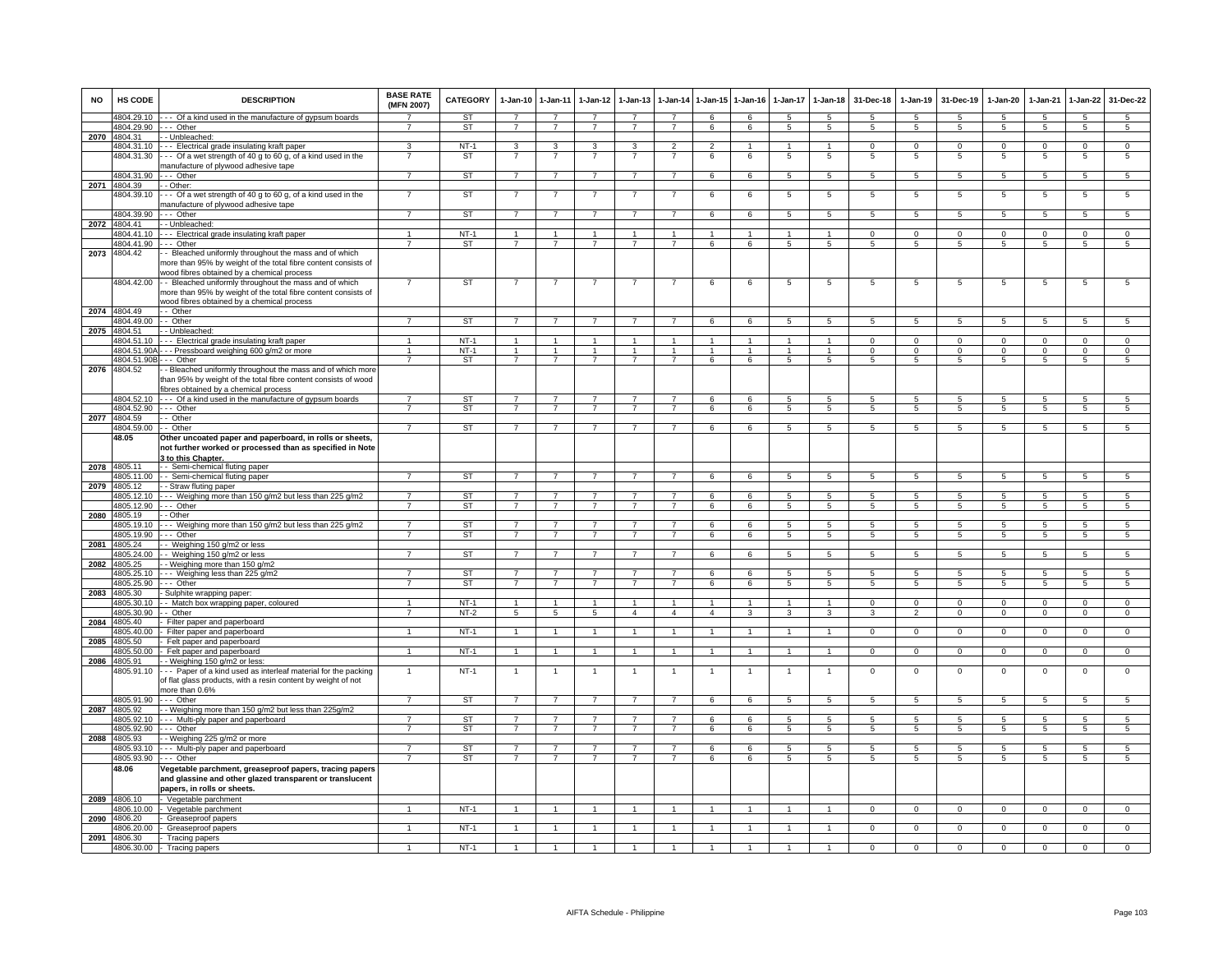| <b>NO</b> | HS CODE                    | <b>DESCRIPTION</b>                                                                                                                                                    | <b>BASE RATE</b><br>(MFN 2007) | <b>CATEGORY</b>  | $1-Jan-10$     | $1 - Jan-11$   | $1-Jan-12$     | $1-Jan-13$     |                      | 1-Jan-14 1-Jan-15              | $1-Jan-16$     | $1-Jan-17$     | $1 - Jan-18$         | 31-Dec-18      | $1-Jan-19$      | 31-Dec-19       | $1-Jan-20$      | $1-Jan-21$             | $1-Jan-22$      | 31-Dec-22       |
|-----------|----------------------------|-----------------------------------------------------------------------------------------------------------------------------------------------------------------------|--------------------------------|------------------|----------------|----------------|----------------|----------------|----------------------|--------------------------------|----------------|----------------|----------------------|----------------|-----------------|-----------------|-----------------|------------------------|-----------------|-----------------|
|           | 4804.29.10                 | -- Of a kind used in the manufacture of gypsum boards                                                                                                                 |                                | ST               | $\overline{7}$ | $\overline{7}$ | $\overline{7}$ | $\overline{7}$ | $\overline{7}$       | 6                              | 6              | -5             | 5                    | 5              | -5              | -5              | 5               | $5\overline{5}$        | 5               | $5\overline{5}$ |
|           | 4804.29.90                 | -- Other<br>- Unbleached:                                                                                                                                             | $\overline{7}$                 | ST               | $\overline{7}$ | $\overline{7}$ | $\overline{7}$ | $\overline{7}$ | $\overline{7}$       | 6                              | 6              | 5              | $5\phantom{.0}$      | 5              | $5\phantom{.0}$ | $5\phantom{.0}$ | $5\overline{5}$ | $5\phantom{.0}$        | $5\phantom{.0}$ | $5\overline{5}$ |
|           | 2070 4804.31<br>4804.31.10 | -- Electrical grade insulating kraft paper                                                                                                                            | 3                              | $NT-1$           | 3              | 3              | 3              | 3              | $\overline{2}$       | $\overline{2}$                 | $\mathbf{1}$   | -1             | $\mathbf{1}$         | $\Omega$       | $\Omega$        | $\Omega$        | $\Omega$        | $\overline{0}$         | $\Omega$        | $\overline{0}$  |
|           | 4804.31.30                 | -- Of a wet strength of 40 g to 60 g, of a kind used in the                                                                                                           |                                | <b>ST</b>        |                |                |                |                |                      | 6                              | 6              | 5              | 5                    | 5              | 5               | -5              | 5               | 5                      | 5               | 5               |
|           | 4804.31.90                 | nanufacture of plywood adhesive tape<br>--- Other                                                                                                                     | $\overline{7}$                 | ST               | $\overline{7}$ | $\overline{7}$ | $\overline{7}$ | $\overline{7}$ | $\overline{7}$       | 6                              | 6              | 5              | 5                    | 5              | 5               | 5               | $5\overline{5}$ | $\sqrt{5}$             | $\overline{5}$  | 5               |
| 2071      | 4804.39                    | - Other:                                                                                                                                                              |                                |                  |                |                |                |                |                      |                                |                |                |                      |                |                 |                 |                 |                        |                 |                 |
|           | 4804.39.10                 | -- Of a wet strength of 40 g to 60 g, of a kind used in the                                                                                                           |                                | ST               | $\overline{7}$ | $\overline{7}$ | -7             |                |                      | 6                              | 6              | 5              | $5\phantom{.0}$      | 5              | 5               | 5               | 5               | 5                      | $\overline{5}$  | $5\phantom{.0}$ |
|           | 4804.39.90                 | nanufacture of plywood adhesive tape<br>-- Other                                                                                                                      | $\overline{7}$                 | ST               | $\overline{7}$ | $\overline{7}$ | $\overline{7}$ | 7              | $\overline{7}$       | 6                              | 6              | 5              | 5                    | 5              | 5               | 5               | 5               | 5                      | 5               | 5               |
|           | 2072 4804.41               | - Unbleached:                                                                                                                                                         |                                |                  |                |                |                |                |                      |                                |                |                |                      |                |                 |                 |                 |                        |                 |                 |
|           | 4804 41 10                 | -- Electrical grade insulating kraft paper                                                                                                                            |                                | $NT-1$           | $\overline{1}$ | $\mathbf{1}$   | $\mathbf{1}$   |                | $\overline{1}$       | $\mathbf{1}$                   | $\overline{1}$ | $\mathbf{1}$   | $\mathbf{1}$         | $\Omega$       | $\mathbf{0}$    | $\mathbf{0}$    | $^{\circ}$      | $\Omega$               | $\mathbf{0}$    | $\mathbf{0}$    |
|           | 4804.41.90                 | -- Other                                                                                                                                                              | $\overline{7}$                 | <b>ST</b>        | $\overline{7}$ | $\overline{7}$ | $\overline{7}$ | $\overline{7}$ | $\overline{7}$       | 6                              | 6              | 5              | 5                    | 5              | 5               | 5               | 5               | 5                      | 5               | 5               |
| 2073      | 4804.42                    | - Bleached uniformly throughout the mass and of which<br>nore than 95% by weight of the total fibre content consists of<br>vood fibres obtained by a chemical process |                                |                  |                |                |                |                |                      |                                |                |                |                      |                |                 |                 |                 |                        |                 |                 |
|           | 4804.42.00                 | - Bleached uniformly throughout the mass and of which<br>more than 95% by weight of the total fibre content consists of<br>wood fibres obtained by a chemical process |                                | <b>ST</b>        | $\overline{7}$ | $\overline{7}$ |                |                | 7                    | 6                              | 6              | 5              | $5\phantom{.0}$      | 5              | 5               | 5               | 5               | 5                      | $5\phantom{.0}$ | $5\phantom{.0}$ |
|           | 2074 4804.49               | - Other                                                                                                                                                               |                                |                  |                |                |                |                |                      |                                |                |                |                      |                |                 |                 |                 |                        |                 |                 |
|           | 4804.49.00                 | - Other                                                                                                                                                               | $\overline{7}$                 | <b>ST</b>        | $\overline{7}$ | $\overline{7}$ | $\overline{7}$ | $\overline{7}$ | $\overline{7}$       | 6                              | 6              | 5              | 5                    | 5              | 5               | 5               | 5               | 5                      | 5               | 5               |
| 2075      | 4804.51<br>4804.51.10      | - Unbleached:<br>- - Electrical grade insulating kraft paper                                                                                                          |                                | $NT-1$           | $\mathbf{1}$   | $\mathbf{1}$   |                |                |                      |                                |                |                | $\mathbf{1}$         | $^{\circ}$     | $\mathbf 0$     | $\mathbf 0$     | $^{\circ}$      | $\Omega$               | $\mathbf 0$     | $\mathbf 0$     |
|           | 4804.51.90A                | - - Pressboard weighing 600 g/m2 or more                                                                                                                              | $\overline{1}$                 | $NT-1$           | $\overline{1}$ | $\overline{1}$ | $\overline{1}$ | $\mathbf{1}$   | $\overline{1}$       | $\blacktriangleleft$           | $\mathbf{1}$   |                | $\overline{1}$       | $\mathbf 0$    | $\mathbf 0$     | $\mathbf 0$     | $\mathbf 0$     | $\Omega$               | $\mathsf 0$     | $\mathbf 0$     |
|           | 4804.51.90E                | -- Other                                                                                                                                                              | $\overline{7}$                 | ST               | $\overline{7}$ | $\overline{7}$ | $\overline{7}$ | $\overline{7}$ | $\overline{7}$       | 6                              | 6              | 5              | $5\phantom{.0}$      | 5              | $\overline{5}$  | 5               | $5\phantom{.0}$ | 5                      | $\overline{5}$  | $\overline{5}$  |
|           | 2076 4804.52               | - Bleached uniformly throughout the mass and of which more<br>han 95% by weight of the total fibre content consists of wood<br>ibres obtained by a chemical process   |                                |                  |                |                |                |                |                      |                                |                |                |                      |                |                 |                 |                 |                        |                 |                 |
|           | 4804.52.10                 | -- Of a kind used in the manufacture of gypsum boards                                                                                                                 |                                | <b>ST</b>        | $\overline{7}$ |                |                |                |                      | 6                              | 6              | 5              | $5^{\circ}$          | 5              | 5               |                 | 5               |                        | $5\overline{5}$ | 5               |
|           | 4804.52.90                 | -- Other                                                                                                                                                              | $\overline{7}$                 | ST               | $\overline{7}$ | $\overline{7}$ | $\overline{7}$ | $\overline{7}$ | $\overline{7}$       | 6                              | 6              | 5              | 5                    | 5              | 5               | 5               | 5               | 5                      | 5               | $5\overline{5}$ |
|           | 2077 4804.59               | - Other                                                                                                                                                               |                                |                  |                |                |                |                |                      |                                |                |                |                      |                |                 |                 |                 |                        |                 |                 |
|           | 4804.59.00<br>48.05        | - Other<br>Other uncoated paper and paperboard, in rolls or sheets,                                                                                                   | $\overline{7}$                 | <b>ST</b>        | $\overline{7}$ | $\overline{7}$ | $\overline{7}$ | $\overline{7}$ | $\overline{7}$       | 6                              | 6              | 5              | 5                    | $\overline{5}$ | 5               | $\sqrt{5}$      | $\overline{5}$  | $\sqrt{5}$             | 5               | 5               |
|           |                            | not further worked or processed than as specified in Note<br>3 to this Chapter.                                                                                       |                                |                  |                |                |                |                |                      |                                |                |                |                      |                |                 |                 |                 |                        |                 |                 |
|           | 2078 4805.11<br>4805.11.00 | - - Semi-chemical fluting paper<br>- Semi-chemical fluting paper                                                                                                      |                                | <b>ST</b>        |                |                |                |                |                      | $\epsilon$                     | 6              | 5              | $\overline{5}$       | 5              | 5               | 5               | 5               | 5                      | $\overline{5}$  | 5               |
| 2079      | 4805.12                    | - Straw fluting paper                                                                                                                                                 |                                |                  |                |                |                |                |                      |                                |                |                |                      |                |                 |                 |                 |                        |                 |                 |
|           | 4805.12.10                 | - Weighing more than 150 g/m2 but less than 225 g/m2                                                                                                                  | $\overline{7}$                 | ST               | $\overline{7}$ | $\overline{7}$ | $\overline{7}$ |                | $\overline{7}$       | 6                              | 6              | 5              | 5                    | 5              | 5               | -5              | 5               | $\sqrt{5}$             | 5               | 5               |
|           | 4805.12.90                 | -- Other                                                                                                                                                              | $\overline{7}$                 | ST               | $\overline{7}$ | $\overline{7}$ | $\overline{7}$ | $\overline{7}$ | $\overline{7}$       | 6                              | 6              | 5              | 5                    | 5              | 5               | 5               | 5               | 5                      | 5               | $5\phantom{.0}$ |
| 2080      | 4805.19                    | - Other                                                                                                                                                               |                                |                  |                |                |                |                |                      |                                |                |                |                      |                |                 |                 |                 |                        |                 |                 |
|           | 4805.19.10                 | - Weighing more than 150 g/m2 but less than 225 g/m2                                                                                                                  | $\overline{7}$                 | ST               | $\overline{7}$ | $\overline{7}$ | $\overline{7}$ |                | 7                    | 6                              | 6              | 5              | 5                    | 5              | 5               | -5              | 5               | 5                      | 5               | 5               |
|           | 4805.19.90                 | -- Other                                                                                                                                                              | $\overline{7}$                 | <b>ST</b>        | $\overline{7}$ | $\overline{7}$ | $\overline{7}$ | $\overline{7}$ | $\overline{7}$       | 6                              | 6              | 5              | $\overline{5}$       | 5              | $\overline{5}$  | $\sqrt{5}$      | 5               | $\overline{5}$         | 5               | 5               |
| 2081      | 4805.24<br>4805.24.00      | Weighing 150 g/m2 or less<br>- Weighing 150 g/m2 or less                                                                                                              | $\overline{7}$                 | ST               | $\overline{7}$ | $\overline{7}$ | $\overline{7}$ | $\overline{7}$ | $\overline{7}$       | 6                              | 6              | 5              | $\overline{5}$       | 5              | 5               | 5               | 5               | $\sqrt{5}$             | $\overline{5}$  | $\overline{5}$  |
| 2082      | 4805.25                    | Weighing more than 150 g/m2                                                                                                                                           |                                |                  |                |                |                |                |                      |                                |                |                |                      |                |                 |                 |                 |                        |                 |                 |
|           | 4805.25.10                 | -- Weighing less than 225 g/m2                                                                                                                                        |                                | <b>ST</b>        | $\overline{7}$ | $\overline{7}$ |                |                |                      | 6                              | 6              | 5              | 5                    | 5              | $5^{\circ}$     | $\sqrt{5}$      | 5               | $\overline{5}$         | 5               | 5               |
|           | 4805.25.90                 | -- Other                                                                                                                                                              | $\overline{7}$                 | <b>ST</b>        | $\overline{7}$ | $\overline{7}$ | $\overline{7}$ |                | $\overline{7}$       | 6                              | 6              | 5              | $\overline{5}$       | $5^{\circ}$    | $\overline{5}$  | $\sqrt{5}$      | $\overline{5}$  | $\sqrt{5}$             | $\overline{5}$  | $\overline{5}$  |
|           | 2083 4805.30               | Sulphite wrapping paper:                                                                                                                                              |                                |                  |                |                |                |                |                      |                                |                |                |                      |                |                 |                 |                 |                        |                 |                 |
|           | 4805.30.10<br>4805.30.90   | - Match box wrapping paper, coloured<br>- Other                                                                                                                       |                                | $NT-1$<br>$NT-2$ | $\overline{1}$ | $\mathbf{1}$   |                | $\overline{4}$ | -1<br>$\overline{4}$ | $\mathbf{1}$<br>$\overline{4}$ | 3              |                | $\overline{1}$       | $\Omega$       | $\Omega$        | $\Omega$        | $\Omega$        | $^{\circ}$<br>$\Omega$ | $\mathbf 0$     | $\overline{0}$  |
| 2084      | 4805.40                    | Filter paper and paperboard                                                                                                                                           | $\overline{7}$                 |                  | 5              | $\overline{5}$ | 5              |                |                      |                                |                | 3              | 3                    | 3              | $\overline{2}$  | $\mathbf 0$     | $\mathbf 0$     |                        | $\mathbf 0$     | $\overline{0}$  |
|           | 1805.40.00                 | Filter paper and paperboard                                                                                                                                           |                                | $NT-1$           | $\overline{1}$ | $\mathbf{1}$   |                |                | $\overline{1}$       | $\overline{1}$                 |                |                |                      | 0              | $\mathbf 0$     | $\mathbf 0$     | 0               | $^{\circ}$             | 0               | $\mathbf 0$     |
| 2085      | 4805.50                    | Felt paper and paperboard                                                                                                                                             |                                |                  |                |                |                |                |                      |                                |                |                |                      |                |                 |                 |                 |                        |                 |                 |
|           | 4805.50.00                 | Felt paper and paperboard                                                                                                                                             | $\overline{1}$                 | $NT-1$           | $\overline{1}$ | $\overline{1}$ |                | $\overline{1}$ | $\overline{1}$       | $\overline{1}$                 | $\overline{1}$ | $\overline{1}$ | $\blacktriangleleft$ | $\mathbf{0}$   | $\mathbf 0$     | $\mathbf 0$     | $\overline{0}$  | $\Omega$               | $\overline{0}$  | $\overline{0}$  |
| 2086      | 4805.91                    | - Weighing 150 g/m2 or less                                                                                                                                           |                                |                  |                |                |                |                |                      |                                |                |                |                      |                |                 |                 |                 |                        |                 |                 |
|           | 4805.91.10                 | - - Paper of a kind used as interleaf material for the packing<br>of flat glass products, with a resin content by weight of not<br>nore than 0.6%                     |                                | $NT-1$           | $\overline{1}$ | $\overline{1}$ |                |                |                      | $\overline{1}$                 |                | $\overline{1}$ | $\overline{1}$       | $\mathbf 0$    | $\mathbf 0$     | $\mathbf 0$     | $\mathbf 0$     | $\mathbf 0$            | $\mathsf 0$     | $\mathbf 0$     |
|           | 4805.91.90                 | -- Other                                                                                                                                                              | $\overline{7}$                 | <b>ST</b>        | $\overline{7}$ | $\overline{7}$ | $\overline{7}$ | $\overline{7}$ | $\overline{7}$       | 6                              | 6              | 5              | 5                    | 5              | 5               | 5               | $5\phantom{.0}$ | 5                      | $\overline{5}$  | $5\phantom{.0}$ |
| 2087      | 4805.92<br>4805.92.10      | - Weighing more than 150 g/m2 but less than 225g/m2                                                                                                                   |                                | <b>ST</b>        | $\overline{7}$ | $\overline{7}$ |                |                |                      | 6                              | 6              | 5              | 5                    | 5              | 5               | -5              | 5               | 5                      | 5               | 5               |
|           | 4805.92.90                 | - Multi-ply paper and paperboard<br>-- Other                                                                                                                          | $\overline{7}$                 | ST               | $\overline{7}$ | $\overline{7}$ | $\overline{7}$ | $\overline{7}$ | $\overline{7}$       | 6                              | 6              | 5              | 5                    | 5              | 5               | 5               | 5               | 5                      | 5               | 5               |
| 2088      | 4805.93                    | - Weighing 225 g/m2 or more                                                                                                                                           |                                |                  |                |                |                |                |                      |                                |                |                |                      |                |                 |                 |                 |                        |                 |                 |
|           | 4805.93.10                 | - Multi-ply paper and paperboard                                                                                                                                      | $\overline{7}$                 | ST               | $\overline{7}$ | $\overline{7}$ | $\overline{7}$ | $\overline{7}$ | $\overline{7}$       | $\overline{6}$                 | $\overline{6}$ | $\overline{5}$ | $\overline{5}$       | $\overline{5}$ | $\overline{5}$  | $\overline{5}$  | $\overline{5}$  | $\overline{5}$         | $\overline{5}$  | $\overline{5}$  |
|           | 4805.93.90                 | -- Other                                                                                                                                                              |                                | <b>ST</b>        | $\overline{7}$ | $\overline{7}$ | $\overline{7}$ |                |                      | 6                              | 6              | 5              | 5                    | 5              | 5               | 5               | 5               | 5                      | 5               | 5               |
|           | 48.06                      | Vegetable parchment, greaseproof papers, tracing papers<br>and glassine and other glazed transparent or translucent<br>papers, in rolls or sheets.                    |                                |                  |                |                |                |                |                      |                                |                |                |                      |                |                 |                 |                 |                        |                 |                 |
|           | 2089 4806.10               | Vegetable parchment                                                                                                                                                   |                                |                  |                |                |                |                |                      |                                |                |                |                      |                |                 |                 |                 |                        |                 |                 |
| 2090      | 4806.10.00<br>4806.20      | Vegetable parchment                                                                                                                                                   |                                | $NT-1$           |                | $\mathbf{1}$   |                |                |                      |                                |                |                |                      | $\Omega$       | $\Omega$        | $\Omega$        | $\Omega$        | $\Omega$               | $\Omega$        | $\overline{0}$  |
|           | 4806.20.00                 | Greaseproof papers<br>Greaseproof papers                                                                                                                              | $\mathbf{1}$                   | $NT-1$           | $\mathbf{1}$   | $\overline{1}$ | $\mathbf{1}$   | $\mathbf{1}$   | $\overline{1}$       | $\overline{1}$                 | $\overline{1}$ | $\overline{1}$ | 1                    | $\Omega$       | $\mathbf 0$     | $\mathsf 0$     | $\mathbf 0$     | $\mathsf 0$            | $\mathsf 0$     | $\Omega$        |
|           | 2091 4806.30               | Tracing papers                                                                                                                                                        |                                |                  |                |                |                |                |                      |                                |                |                |                      |                |                 |                 |                 |                        |                 |                 |
|           | 4806.30.00                 | Tracing papers                                                                                                                                                        |                                | $NT-1$           |                |                |                |                |                      |                                |                |                |                      | $\Omega$       | $\Omega$        | $\Omega$        | $\overline{0}$  | $\overline{0}$         | $\overline{0}$  |                 |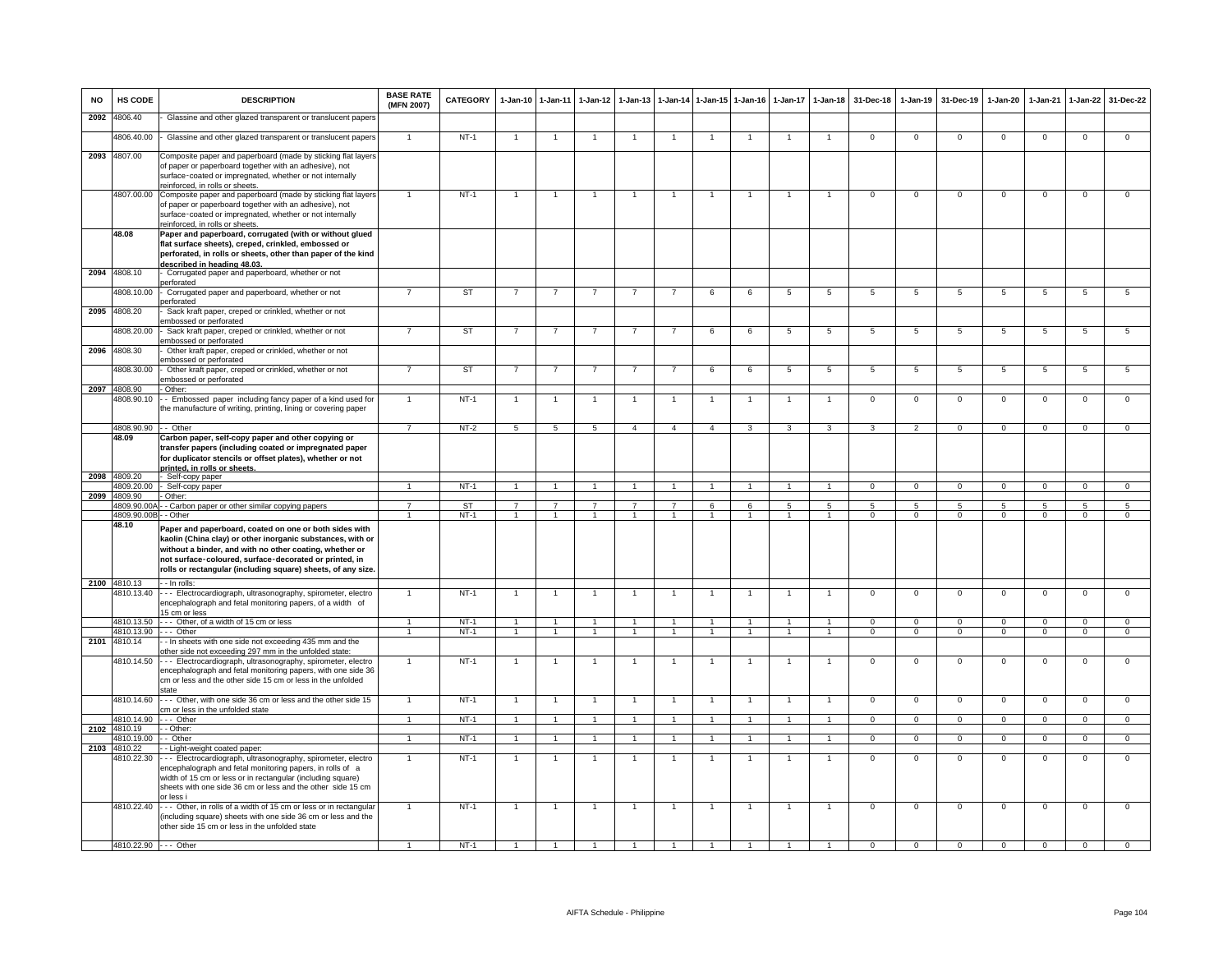| <b>NO</b> | HS CODE                    | <b>DESCRIPTION</b>                                                                                                                                                                                                                                                                                                                      | <b>BASE RATE</b><br>(MFN 2007) | <b>CATEGORY</b> | $1-Jan-10$     | $1-Jan-11$           | $1-Jan-12$     | $1-Jan-13$     | 1-Jan-14       | $1-Jan-15$     | $1-Jan-16$     | $1-Jan-17$     | $1 - Jan-18$   | 31-Dec-18      | $1-Jan-19$      | 31-Dec-19      | 1-Jan-20       | $1-Jan-21$     | $1-Jan-22$     | 31-Dec-22      |
|-----------|----------------------------|-----------------------------------------------------------------------------------------------------------------------------------------------------------------------------------------------------------------------------------------------------------------------------------------------------------------------------------------|--------------------------------|-----------------|----------------|----------------------|----------------|----------------|----------------|----------------|----------------|----------------|----------------|----------------|-----------------|----------------|----------------|----------------|----------------|----------------|
| 2092      | 4806.40                    | Glassine and other glazed transparent or translucent papers                                                                                                                                                                                                                                                                             |                                |                 |                |                      |                |                |                |                |                |                |                |                |                 |                |                |                |                |                |
|           | 4806.40.00                 | - Glassine and other glazed transparent or translucent papers                                                                                                                                                                                                                                                                           | $\mathbf{1}$                   | $NT-1$          | $\overline{1}$ | $\mathbf{1}$         |                |                |                |                |                |                |                | $\overline{0}$ | $\overline{0}$  | $\overline{0}$ | $\overline{0}$ | $\overline{0}$ | $\overline{0}$ | $\overline{0}$ |
|           | 2093 4807.00<br>4807.00.00 | Composite paper and paperboard (made by sticking flat layers<br>of paper or paperboard together with an adhesive), not<br>surface-coated or impregnated, whether or not internally<br>reinforced, in rolls or sheets.<br>Composite paper and paperboard (made by sticking flat layers                                                   |                                | $NT-1$          | $\mathbf{1}$   | $\overline{1}$       |                |                |                |                |                |                |                | $\mathsf 0$    | $\Omega$        | $\mathbf 0$    | $\mathbf 0$    | $\mathbf 0$    | $\mathsf 0$    | $\mathbf 0$    |
|           | 48.08                      | of paper or paperboard together with an adhesive), not<br>surface-coated or impregnated, whether or not internally<br>reinforced, in rolls or sheets.<br>Paper and paperboard, corrugated (with or without glued<br>flat surface sheets), creped, crinkled, embossed or<br>perforated, in rolls or sheets, other than paper of the kind |                                |                 |                |                      |                |                |                |                |                |                |                |                |                 |                |                |                |                |                |
|           | 2094 4808.10               | described in heading 48.03<br>Corrugated paper and paperboard, whether or not                                                                                                                                                                                                                                                           |                                |                 |                |                      |                |                |                |                |                |                |                |                |                 |                |                |                |                |                |
|           | 4808.10.00                 | perforated<br>Corrugated paper and paperboard, whether or not<br>perforated                                                                                                                                                                                                                                                             | $\overline{7}$                 | ST              | $\overline{7}$ | $\overline{7}$       | $\overline{7}$ |                | $\overline{7}$ | 6              | 6              | $\overline{5}$ | $\overline{5}$ | 5              | 5               | $\sqrt{5}$     | 5              | 5              | 5              | 5              |
| 2095      | 4808.20                    | Sack kraft paper, creped or crinkled, whether or not<br>embossed or perforated                                                                                                                                                                                                                                                          |                                |                 |                |                      |                |                |                |                |                |                |                |                |                 |                |                |                |                |                |
| 2096      | 4808.20.00<br>4808.30      | Sack kraft paper, creped or crinkled, whether or not<br>embossed or perforated<br>Other kraft paper, creped or crinkled, whether or not                                                                                                                                                                                                 |                                | <b>ST</b>       | - 7            |                      |                |                |                | 6              | 6              | $\overline{5}$ | 5              | $5^{\circ}$    | $5\overline{5}$ | $5^{\circ}$    | 5              | -5             | 5              | 5              |
|           | 4808.30.00                 | embossed or perforated<br>Other kraft paper, creped or crinkled, whether or not                                                                                                                                                                                                                                                         |                                | ST              | $\overline{7}$ | $\overline{7}$       | $\overline{7}$ |                |                | 6              | 6              | 5              | 5              | 5              | 5               | 5              | 5              | 5              | 5              | 5              |
| 2097      | 4808.90                    | embossed or perforated<br>- Other:                                                                                                                                                                                                                                                                                                      |                                |                 |                |                      |                |                |                |                |                |                |                |                |                 |                |                |                |                |                |
|           | 4808.90.10                 | - Embossed paper including fancy paper of a kind used for<br>the manufacture of writing, printing, lining or covering paper                                                                                                                                                                                                             | $\mathbf{1}$                   | $NT-1$          | $\overline{1}$ | $\overline{1}$       | $\overline{1}$ | $\overline{1}$ | $\overline{1}$ |                | $\overline{1}$ | $\overline{1}$ | $\overline{1}$ | $\overline{0}$ | $\overline{0}$  | $\overline{0}$ | $\overline{0}$ | $\overline{0}$ | $\overline{0}$ | $\overline{0}$ |
|           | 4808.90.90                 | - Other                                                                                                                                                                                                                                                                                                                                 | $\overline{7}$                 | $NT-2$          | 5              | $\overline{5}$       | $\overline{5}$ | $\overline{4}$ | $\overline{4}$ | $\overline{4}$ | 3              | 3              | $\mathbf{3}$   | 3              | 2               | $\overline{0}$ | $\mathbf{0}$   | $\mathbf 0$    | $\mathbf{0}$   | $\overline{0}$ |
|           | 48.09                      | Carbon paper, self-copy paper and other copying or<br>transfer papers (including coated or impregnated paper<br>for duplicator stencils or offset plates), whether or not<br>printed, in rolls or sheets.                                                                                                                               |                                |                 |                |                      |                |                |                |                |                |                |                |                |                 |                |                |                |                |                |
|           | 2098 4809.20               | Self-copy paper                                                                                                                                                                                                                                                                                                                         |                                |                 |                |                      |                |                |                |                |                |                |                |                |                 |                |                |                |                |                |
|           | 4809.20.00<br>2099 4809.90 | - Self-copy paper<br>- Other:                                                                                                                                                                                                                                                                                                           | $\blacktriangleleft$           | $NT-1$          | $\overline{1}$ | $\overline{1}$       | $\overline{1}$ | $\overline{1}$ | $\overline{1}$ | $\overline{1}$ | $\mathbf{1}$   | $\mathbf{1}$   | $\overline{1}$ | $\overline{0}$ | $\overline{0}$  | $\overline{0}$ | $\overline{0}$ | $\overline{0}$ | $\overline{0}$ | $\overline{0}$ |
|           | 4809.90.00                 | - Carbon paper or other similar copying papers                                                                                                                                                                                                                                                                                          |                                | ST              | $\overline{7}$ | $\overline{7}$       | $\overline{7}$ |                | $\overline{7}$ | 6              | $\epsilon$     | 5              | 5              | 5              | $5\overline{5}$ | 5              | 5              |                | 5              | 5              |
|           | 4809.90.00B                | - - Other                                                                                                                                                                                                                                                                                                                               |                                | $NT-1$          | $\overline{1}$ | $\overline{1}$       | $\overline{1}$ |                | $\overline{1}$ | $\overline{1}$ | $\overline{1}$ | $\mathbf{1}$   | $\overline{1}$ | $\mathbf 0$    | $\mathbf{O}$    | $\mathbf{0}$   | $\mathbf 0$    | $\Omega$       | $\mathbf 0$    | $\Omega$       |
|           | 48.10                      | Paper and paperboard, coated on one or both sides with<br>kaolin (China clay) or other inorganic substances, with or<br>without a binder, and with no other coating, whether or<br>not surface-coloured, surface-decorated or printed, in<br>rolls or rectangular (including square) sheets, of any size.                               |                                |                 |                |                      |                |                |                |                |                |                |                |                |                 |                |                |                |                |                |
|           | 2100 4810.13               | - - In rolls:                                                                                                                                                                                                                                                                                                                           |                                |                 |                |                      |                |                |                |                |                |                |                |                |                 |                |                |                |                |                |
|           | 4810.13.40                 | --- Electrocardiograph, ultrasonography, spirometer, electro<br>encephalograph and fetal monitoring papers, of a width of<br>15 cm or less                                                                                                                                                                                              |                                | $NT-1$          | $\overline{1}$ | $\overline{1}$       | $\overline{1}$ | $\mathbf{1}$   | $\overline{1}$ |                | $\overline{1}$ | $\overline{1}$ | $\overline{1}$ | $\overline{0}$ | $\overline{0}$  | $\overline{0}$ | $\overline{0}$ | $\overline{0}$ | $\overline{0}$ | $\overline{0}$ |
|           | 4810.13.50                 | --- Other, of a width of 15 cm or less                                                                                                                                                                                                                                                                                                  | 1                              | $NT-1$          | $\overline{1}$ | $\overline{1}$       | $\overline{1}$ | $\mathbf{1}$   | $\overline{1}$ | $\overline{1}$ | $\overline{1}$ | $\overline{1}$ | $\overline{1}$ | $\Omega$       | $\mathbf{0}$    | $\Omega$       | $\Omega$       | $\Omega$       | $\mathbf{0}$   | $\mathbf{0}$   |
| 2101      | 4810.13.90<br>4810.14      | $\cdots$ Other<br>- In sheets with one side not exceeding 435 mm and the<br>other side not exceeding 297 mm in the unfolded state:                                                                                                                                                                                                      | $\blacktriangleleft$           | $NT-1$          | $\mathbf{1}$   | $\overline{1}$       | $\overline{1}$ | $\mathbf{1}$   | $\overline{1}$ | $\mathbf{1}$   | $\mathbf{1}$   | $\mathbf{1}$   | $\overline{1}$ | $\mathbf{0}$   | $\overline{0}$  | $^{\circ}$     | $^{\circ}$     | $\mathbf{0}$   | $\mathbf{0}$   | $\mathbf{0}$   |
|           | 4810.14.50                 | --- Electrocardiograph, ultrasonography, spirometer, electro<br>encephalograph and fetal monitoring papers, with one side 36<br>cm or less and the other side 15 cm or less in the unfolded<br>state                                                                                                                                    |                                | $NT-1$          | $\mathbf{1}$   | 1                    | 1              |                |                |                |                |                |                | $\mathbf 0$    | $\mathsf 0$     | $\mathbf 0$    | $\mathbf 0$    | $\mathbf 0$    | $\mathsf 0$    | $\mathbf 0$    |
|           | 4810.14.60                 | -- Other, with one side 36 cm or less and the other side 15<br>cm or less in the unfolded state                                                                                                                                                                                                                                         |                                | $NT-1$          |                | $\overline{1}$       |                |                | $\overline{1}$ |                |                |                |                | $\overline{0}$ | $\overline{0}$  | $\overline{0}$ | $\overline{0}$ | $\overline{0}$ | $\overline{0}$ | $\overline{0}$ |
|           | 4810.14.90                 | $--$ Other                                                                                                                                                                                                                                                                                                                              |                                | $NT-1$          | $\overline{1}$ | $\blacktriangleleft$ |                |                | $\overline{1}$ |                |                |                |                | $\overline{0}$ | $\overline{0}$  | $\overline{0}$ | $\overline{0}$ | $\Omega$       | $\overline{0}$ | $\Omega$       |
|           | 2102 4810.19<br>4810.19.00 | - - Other:<br>- Other                                                                                                                                                                                                                                                                                                                   | $\overline{1}$                 | $NT-1$          | $\overline{1}$ | $\overline{1}$       | $\overline{1}$ | $\mathbf{1}$   | $\overline{1}$ | $\mathbf{1}$   | $\overline{1}$ | $\mathbf{1}$   | $\overline{1}$ | $\overline{0}$ | $\overline{0}$  | $\mathbf 0$    | $\overline{0}$ | $\mathbf{0}$   | $\overline{0}$ | $\overline{0}$ |
|           | 2103 4810.22               | - Light-weight coated paper:                                                                                                                                                                                                                                                                                                            |                                |                 |                |                      |                |                |                |                |                |                |                |                |                 |                |                |                |                |                |
|           | 4810.22.30                 | --- Electrocardiograph, ultrasonography, spirometer, electro<br>encephalograph and fetal monitoring papers, in rolls of a<br>width of 15 cm or less or in rectangular (including square)<br>sheets with one side 36 cm or less and the other side 15 cm<br>or less i                                                                    |                                | $NT-1$          |                |                      |                |                |                |                |                |                |                | $\mathbf 0$    | $\mathbf 0$     | $\mathbf 0$    | $\mathbf 0$    | $\Omega$       | $\mathbf 0$    | $\mathbf 0$    |
|           | 4810.22.40                 | --- Other, in rolls of a width of 15 cm or less or in rectangular<br>(including square) sheets with one side 36 cm or less and the<br>other side 15 cm or less in the unfolded state                                                                                                                                                    | $\mathbf{1}$                   | $NT-1$          | $\overline{1}$ | $\overline{1}$       | $\overline{1}$ | $\overline{1}$ | $\overline{1}$ |                | $\overline{1}$ | $\mathbf{1}$   | $\overline{1}$ | $\mathbf 0$    | $\mathbf 0$     | $\mathbf 0$    | $\mathbf 0$    | $\mathbf 0$    | $\mathbf 0$    | $\Omega$       |
|           | 4810.22.90 --- Other       |                                                                                                                                                                                                                                                                                                                                         |                                | $NT-1$          |                |                      |                |                |                |                |                |                |                |                |                 |                |                |                |                |                |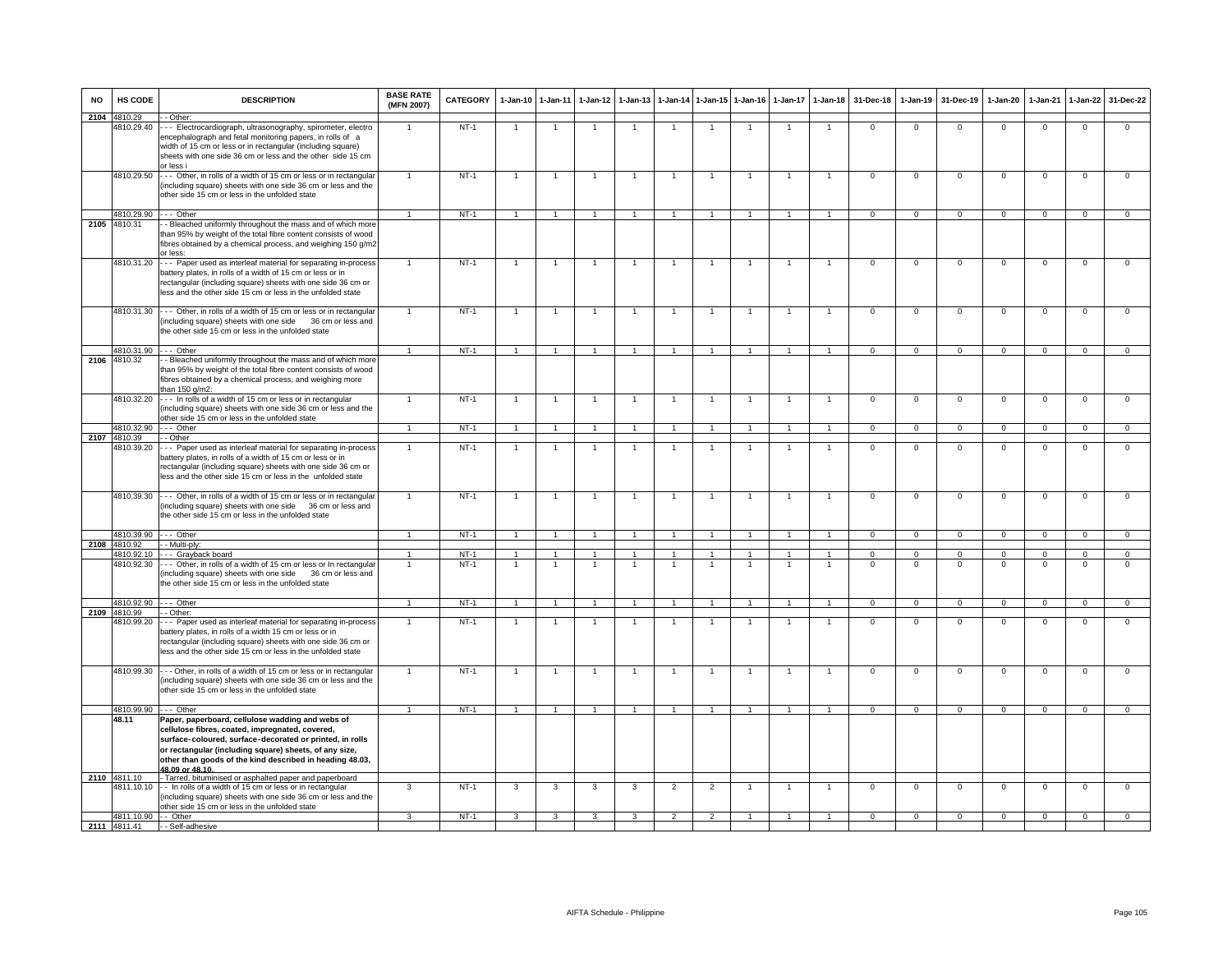| <b>NO</b> | HS CODE                              | <b>DESCRIPTION</b>                                                                                                                                                                                                                                                                                       | <b>BASE RATE</b><br>(MFN 2007)   | <b>CATEGORY</b>  | $1-Jan-10$           | $1-Jan-11$                       | $1-Jan-12$           | $1-Jan-13$     |                      |                                  | 1-Jan-14 1-Jan-15 1-Jan-16 | $1-Jan-17$           | $1 - Jan-18$                   | 31-Dec-18            | $1-Jan-19$               | 31-Dec-19                   | $1-Jan-20$           | $1-Jan-21$           | $1-Jan-22$                  | 31-Dec-22                        |
|-----------|--------------------------------------|----------------------------------------------------------------------------------------------------------------------------------------------------------------------------------------------------------------------------------------------------------------------------------------------------------|----------------------------------|------------------|----------------------|----------------------------------|----------------------|----------------|----------------------|----------------------------------|----------------------------|----------------------|--------------------------------|----------------------|--------------------------|-----------------------------|----------------------|----------------------|-----------------------------|----------------------------------|
| 2104      | 4810.29                              | - Other:                                                                                                                                                                                                                                                                                                 |                                  |                  |                      |                                  |                      |                |                      |                                  |                            |                      |                                |                      |                          |                             |                      |                      |                             |                                  |
|           | 4810.29.40                           | --- Electrocardiograph, ultrasonography, spirometer, electro<br>encephalograph and fetal monitoring papers, in rolls of a<br>width of 15 cm or less or in rectangular (including square)<br>sheets with one side 36 cm or less and the other side 15 cm<br>or less i                                     |                                  | $NT-1$           | $\overline{1}$       | $\overline{1}$                   |                      | $\overline{1}$ | $\overline{1}$       | $\overline{1}$                   |                            |                      | $\overline{1}$                 | $\mathbf{0}$         | $\mathbf{0}$             | $\mathbf 0$                 | $\mathbf{0}$         | $\Omega$             | $\mathbf 0$                 | $\mathbf 0$                      |
|           | 4810.29.50                           | --- Other, in rolls of a width of 15 cm or less or in rectangular<br>(including square) sheets with one side 36 cm or less and the<br>other side 15 cm or less in the unfolded state                                                                                                                     | $\overline{1}$                   | $NT-1$           |                      | -1                               |                      |                | -1                   | $\overline{1}$                   |                            |                      |                                | $\mathbf 0$          | $\Omega$                 | $\mathbf 0$                 | $\Omega$             | $\Omega$             | $\mathsf 0$                 | $\mathbf 0$                      |
|           |                                      |                                                                                                                                                                                                                                                                                                          |                                  |                  |                      |                                  |                      |                |                      |                                  |                            |                      |                                |                      |                          |                             |                      |                      |                             |                                  |
|           | 4810.29.90 --- Other<br>2105 4810.31 | - Bleached uniformly throughout the mass and of which more                                                                                                                                                                                                                                               |                                  | $NT-1$           | $\overline{1}$       | $\overline{1}$                   |                      |                | $\overline{1}$       |                                  | $\overline{1}$             | $\overline{1}$       |                                | $\Omega$             | $\Omega$                 | $\mathbf 0$                 | $\Omega$             | $\Omega$             | $\Omega$                    | $\Omega$                         |
|           |                                      | than 95% by weight of the total fibre content consists of wood<br>fibres obtained by a chemical process, and weighing 150 g/m2<br>or less:                                                                                                                                                               |                                  |                  |                      |                                  |                      |                |                      |                                  |                            |                      |                                |                      |                          |                             |                      |                      |                             |                                  |
|           | 4810.31.20                           | --- Paper used as interleaf material for separating in-process<br>battery plates, in rolls of a width of 15 cm or less or in<br>rectangular (including square) sheets with one side 36 cm or<br>less and the other side 15 cm or less in the unfolded state                                              |                                  | $NT-1$           |                      |                                  |                      |                |                      |                                  |                            |                      |                                | $\Omega$             | $\mathbf 0$              | $\Omega$                    | $\Omega$             | $\Omega$             | $\mathsf 0$                 | $\Omega$                         |
|           | 4810.31.30                           | --- Other, in rolls of a width of 15 cm or less or in rectangular<br>(including square) sheets with one side 36 cm or less and<br>the other side 15 cm or less in the unfolded state                                                                                                                     |                                  | $NT-1$           | $\overline{1}$       | $\overline{1}$                   | $\overline{1}$       | $\overline{1}$ | $\overline{1}$       | $\overline{1}$                   | $\mathbf{1}$               |                      | $\overline{1}$                 | $\overline{0}$       | $\overline{0}$           | $\overline{0}$              | $\overline{0}$       | $\overline{0}$       | $\overline{0}$              | $\overline{0}$                   |
|           | 4810.31.90                           | $--$ Other                                                                                                                                                                                                                                                                                               | $\overline{1}$                   | $NT-1$           | $\overline{1}$       | $\overline{1}$                   |                      | $\overline{1}$ | $\overline{1}$       | $\overline{1}$                   | $\overline{1}$             | $\overline{1}$       | $\overline{1}$                 | $\Omega$             | $\mathbf{0}$             | $\mathbf{0}$                | $\mathbf{0}$         | $\Omega$             | $\mathbf{0}$                | $\overline{0}$                   |
|           | 2106 4810.32                         | - Bleached uniformly throughout the mass and of which more<br>than 95% by weight of the total fibre content consists of wood<br>fibres obtained by a chemical process, and weighing more<br>than 150 g/m2:                                                                                               |                                  |                  |                      |                                  |                      |                |                      |                                  |                            |                      |                                |                      |                          |                             |                      |                      |                             |                                  |
|           | 4810.32.20                           | --- In rolls of a width of 15 cm or less or in rectangular<br>(including square) sheets with one side 36 cm or less and the<br>other side 15 cm or less in the unfolded state                                                                                                                            |                                  | $NT-1$           | $\overline{1}$       | $\overline{1}$                   | $\blacktriangleleft$ | $\overline{1}$ | $\overline{1}$       | $\overline{1}$                   | $\overline{1}$             | $\overline{1}$       | $\overline{1}$                 | $\overline{0}$       | $\overline{0}$           | $\overline{0}$              | $\overline{0}$       | $\overline{0}$       | $\overline{0}$              | $\overline{0}$                   |
|           | 4810.32.90                           | --- Other                                                                                                                                                                                                                                                                                                |                                  | $NT-1$           | $\overline{1}$       | $\overline{1}$                   | $\mathbf{1}$         | $\mathbf{1}$   | $\overline{1}$       | $\overline{1}$                   | $\overline{1}$             | $\overline{1}$       | $\overline{1}$                 | $\circ$              | $\mathbf{0}$             | $\mathbf{0}$                | $\mathbf{0}$         | $\mathbf 0$          | $\mathbf{0}$                | $\mathbf{0}$                     |
|           | 2107 4810.39                         | - - Other                                                                                                                                                                                                                                                                                                |                                  |                  |                      |                                  |                      |                |                      |                                  |                            |                      |                                |                      |                          |                             |                      |                      |                             |                                  |
|           | 4810.39.20                           | --- Paper used as interleaf material for separating in-process<br>battery plates, in rolls of a width of 15 cm or less or in<br>rectangular (including square) sheets with one side 36 cm or<br>less and the other side 15 cm or less in the unfolded state                                              |                                  | $NT-1$           | $\overline{1}$       | $\overline{1}$                   | 1                    | $\overline{1}$ | $\overline{1}$       | $\overline{1}$                   | $\overline{1}$             |                      | $\overline{1}$                 | $\mathbf 0$          | $\mathbf 0$              | $\mathbf 0$                 | $\mathsf 0$          | $\mathbf 0$          | $\mathbf 0$                 | $\mathbf 0$                      |
|           | 4810.39.30                           | --- Other, in rolls of a width of 15 cm or less or in rectangular<br>(including square) sheets with one side 36 cm or less and<br>the other side 15 cm or less in the unfolded state                                                                                                                     |                                  | $NT-1$           | $\overline{1}$       | $\overline{1}$                   | $\overline{1}$       | $\overline{1}$ | $\overline{1}$       | $\overline{1}$                   | $\overline{1}$             | $\overline{1}$       | $\overline{1}$                 | $\overline{0}$       | $\overline{0}$           | $\overline{0}$              | $\overline{0}$       | $\Omega$             | $\overline{0}$              | $\overline{0}$                   |
|           | 4810.39.90 --- Other                 |                                                                                                                                                                                                                                                                                                          |                                  | $NT-1$           | $\overline{1}$       | $\overline{1}$                   |                      | $\overline{1}$ | $\overline{1}$       | $\overline{1}$                   | $\overline{1}$             | $\overline{1}$       | $\overline{1}$                 | $\Omega$             | $\mathbf{0}$             | $\Omega$                    | $\Omega$             | $\Omega$             | $\mathbf{0}$                | $\mathbf{0}$                     |
|           | 2108 4810.92                         | - - Multi-ply:                                                                                                                                                                                                                                                                                           |                                  |                  |                      |                                  |                      |                |                      |                                  |                            |                      |                                |                      |                          |                             |                      |                      |                             |                                  |
|           | 4810.92.10<br>4810.92.30             | --- Grayback board<br>-- Other, in rolls of a width of 15 cm or less or In rectangular<br>(including square) sheets with one side 36 cm or less and<br>the other side 15 cm or less in the unfolded state                                                                                                | $\overline{1}$<br>$\overline{1}$ | $NT-1$<br>$NT-1$ | $\overline{1}$<br>-1 | $\overline{1}$<br>$\overline{1}$ | 1<br>1               | $\overline{1}$ | $\overline{1}$<br>-1 | $\overline{1}$<br>$\overline{1}$ | $\overline{1}$             | $\overline{1}$<br>-1 | $\overline{1}$<br>$\mathbf{1}$ | $\Omega$<br>$\Omega$ | $\mathbf{0}$<br>$\Omega$ | $\mathbf{0}$<br>$\mathbf 0$ | $\Omega$<br>$\Omega$ | $\Omega$<br>$\Omega$ | $\mathbf{0}$<br>$\mathbf 0$ | $\overline{0}$<br>$\overline{0}$ |
|           | 4810.92.90                           | $--$ Other                                                                                                                                                                                                                                                                                               | $\blacktriangleleft$             | $NT-1$           | $\overline{1}$       | $\mathbf{1}$                     | $\mathbf{1}$         | $\mathbf{1}$   | $\overline{1}$       | 1                                | $\mathbf{1}$               | $\overline{1}$       | $\mathbf{1}$                   | $\mathbf{0}$         | $\mathbf{0}$             | $\mathbf{0}$                | $\mathbf{0}$         | $\mathbf{0}$         | $\mathbf{0}$                | $\mathbf{0}$                     |
| 2109      | 4810.99<br>4810.99.20                | - Other:<br>-- Paper used as interleaf material for separating in-process<br>battery plates, in rolls of a width 15 cm or less or in<br>rectangular (including square) sheets with one side 36 cm or<br>less and the other side 15 cm or less in the unfolded state                                      |                                  | $NT-1$           |                      | $\overline{1}$                   |                      |                |                      |                                  |                            |                      |                                | $\Omega$             | $\mathbf{0}$             | $\Omega$                    | $\Omega$             | $\Omega$             | $\mathbf 0$                 | $\Omega$                         |
|           | 4810.99.30                           | --- Other, in rolls of a width of 15 cm or less or in rectangular<br>(including square) sheets with one side 36 cm or less and the<br>other side 15 cm or less in the unfolded state                                                                                                                     | $\overline{1}$                   | $NT-1$           | $\overline{1}$       | $\overline{1}$                   | $\overline{1}$       | $\overline{1}$ | $\overline{1}$       | $\overline{1}$                   | $\mathbf{1}$               | $\overline{1}$       | $\overline{1}$                 | $\mathbf 0$          | $\circ$                  | $\mathbf 0$                 | $\overline{0}$       | $\mathbf 0$          | $\overline{0}$              | $\Omega$                         |
|           | 4810.99.90                           | $--$ Other                                                                                                                                                                                                                                                                                               | $\mathbf{1}$                     | $NT-1$           | $\overline{1}$       | $\overline{1}$                   |                      |                | $\overline{1}$       |                                  | $\overline{1}$             |                      | $\overline{1}$                 | $\overline{0}$       | $\overline{0}$           | $\overline{0}$              | $\overline{0}$       | $\Omega$             | $\Omega$                    | $\overline{0}$                   |
|           | 48.11                                | Paper, paperboard, cellulose wadding and webs of<br>cellulose fibres, coated, impregnated, covered,<br>surface-coloured, surface-decorated or printed, in rolls<br>or rectangular (including square) sheets, of any size,<br>other than goods of the kind described in heading 48.03,<br>48.09 or 48.10. |                                  |                  |                      |                                  |                      |                |                      |                                  |                            |                      |                                |                      |                          |                             |                      |                      |                             |                                  |
|           | 2110 4811.10<br>4811.10.10           | - Tarred, bituminised or asphalted paper and paperboard<br>- In rolls of a width of 15 cm or less or in rectangular<br>(including square) sheets with one side 36 cm or less and the<br>other side 15 cm or less in the unfolded state                                                                   | 3                                | $NT-1$           | 3                    | 3                                | $\overline{3}$       | 3              | $\overline{2}$       | $\overline{2}$                   |                            |                      | $\mathbf{1}$                   | $\overline{0}$       | $\overline{0}$           | $\overline{0}$              | $\overline{0}$       | $\overline{0}$       | $\overline{0}$              | $\overline{0}$                   |
|           | 4811.10.90 - - Other                 |                                                                                                                                                                                                                                                                                                          |                                  | $NT-1$           | 3                    | $\mathcal{R}$                    | $\mathbf{R}$         |                | $\overline{2}$       | $\mathcal{P}$                    |                            |                      |                                | $\Omega$             | $\mathbf{0}$             | $\mathbf{0}$                | $\mathbf 0$          | $\mathbf 0$          | $\mathbf 0$                 | $\Omega$                         |
|           |                                      | 2111 4811.41 -- Self-adhesive                                                                                                                                                                                                                                                                            |                                  |                  |                      |                                  |                      |                |                      |                                  |                            |                      |                                |                      |                          |                             |                      |                      |                             |                                  |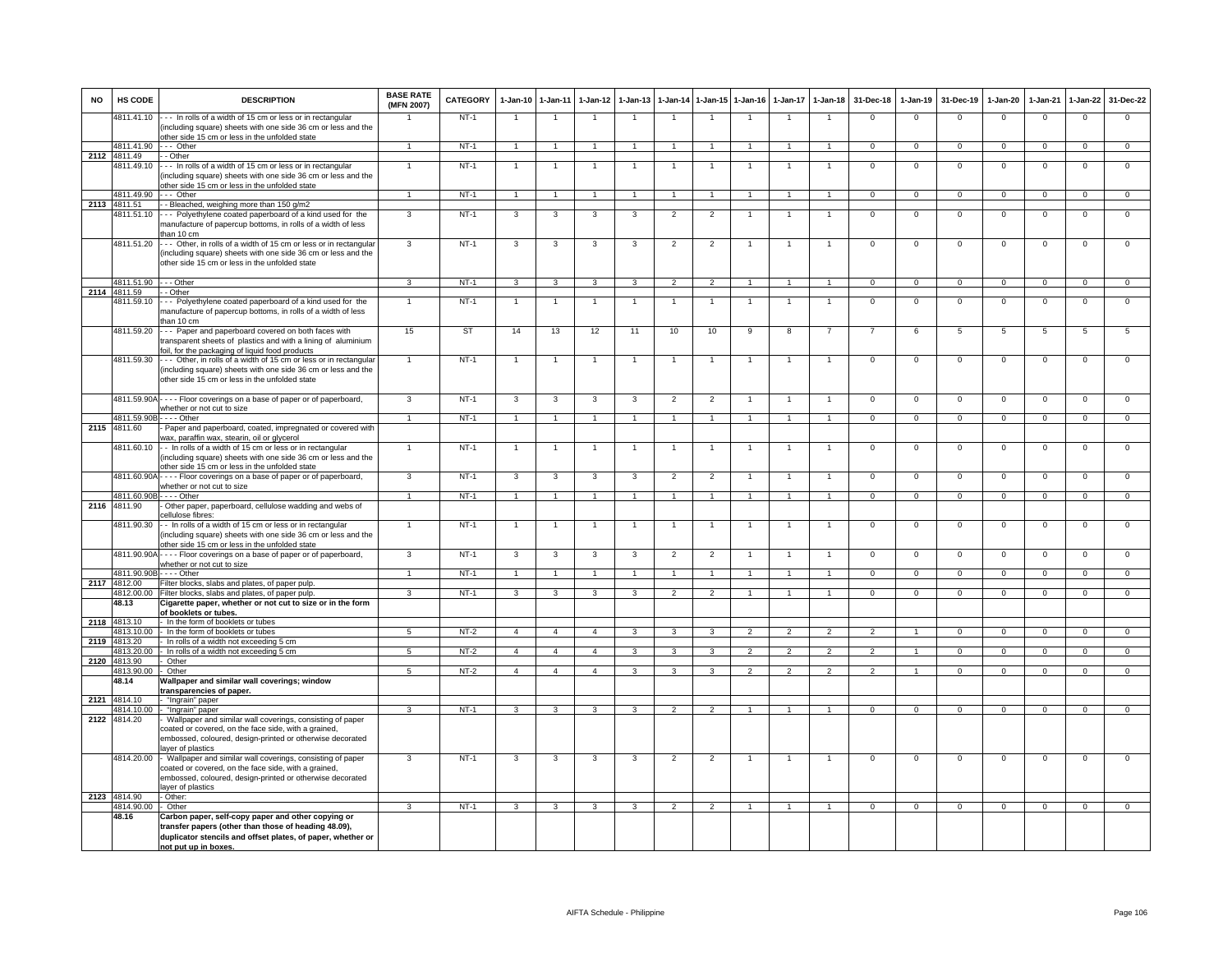| <b>NO</b> | <b>HS CODE</b>             | <b>DESCRIPTION</b>                                                                                                                                                                                                                     | <b>BASE RATE</b><br>(MFN 2007) | <b>CATEGORY</b> | $1-Jan-10$              | $1 - Jan-11$            | $1-Jan-12$              | $1-Jan-13$              | $-$ Jan-14              | $1 - Jan - 15$       | $1 - Jan-16$   | $1-Jan-17$               | $1-Jan-18$               | 31-Dec-18      | $1-Jan-19$           | 31-Dec-19      | $1-Jan-20$     | $1-Jan-21$     | 1-Jan-22       | 31-Dec-22      |
|-----------|----------------------------|----------------------------------------------------------------------------------------------------------------------------------------------------------------------------------------------------------------------------------------|--------------------------------|-----------------|-------------------------|-------------------------|-------------------------|-------------------------|-------------------------|----------------------|----------------|--------------------------|--------------------------|----------------|----------------------|----------------|----------------|----------------|----------------|----------------|
|           | 4811.41.10                 | --- In rolls of a width of 15 cm or less or in rectangular<br>including square) sheets with one side 36 cm or less and the                                                                                                             |                                | $NT-1$          | $\overline{1}$          | $\overline{1}$          |                         |                         | $\overline{1}$          |                      |                |                          |                          | $\Omega$       | $\Omega$             | $\Omega$       | $\Omega$       | $\Omega$       | $\Omega$       | $\Omega$       |
|           | 4811.41.90                 | other side 15 cm or less in the unfolded state<br>$\cdots$ Other                                                                                                                                                                       | $\mathbf{1}$                   | $NT-1$          | $\overline{1}$          | $\overline{1}$          | $\overline{1}$          | 1                       | $\overline{1}$          | $\overline{1}$       |                | $\overline{1}$           | $\blacktriangleleft$     | $\overline{0}$ | $\overline{0}$       | $\overline{0}$ | $\overline{0}$ | $\overline{0}$ | $\overline{0}$ | $\overline{0}$ |
|           | 2112 4811.49               | - Other                                                                                                                                                                                                                                |                                |                 |                         |                         |                         |                         |                         |                      |                |                          |                          |                |                      |                |                |                |                |                |
|           | 4811.49.10                 | In rolls of a width of 15 cm or less or in rectangular<br>including square) sheets with one side 36 cm or less and the                                                                                                                 | $\mathbf{1}$                   | $NT-1$          | 1                       | $\mathbf{1}$            |                         |                         | $\overline{1}$          |                      |                |                          |                          | $\Omega$       | $\mathsf 0$          | $\Omega$       | $\Omega$       | $\Omega$       | $\mathsf 0$    | $\Omega$       |
|           | 4811.49.90                 | other side 15 cm or less in the unfolded state<br>-- Other                                                                                                                                                                             |                                | $NT-1$          | $\overline{1}$          | $\overline{1}$          |                         |                         | $\overline{1}$          |                      |                |                          |                          | $\overline{0}$ | $\overline{0}$       | $\overline{0}$ | $\overline{0}$ | $\overline{0}$ | $\overline{0}$ | $\overline{0}$ |
|           | 2113 4811.51               | - Bleached, weighing more than 150 g/m2                                                                                                                                                                                                |                                |                 |                         |                         |                         |                         |                         |                      |                |                          |                          |                |                      |                |                |                |                |                |
|           | 4811.51.10                 | --- Polyethylene coated paperboard of a kind used for the<br>manufacture of papercup bottoms, in rolls of a width of less                                                                                                              | 3                              | $NT-1$          | $\mathbf{3}$            | 3                       | $\mathbf{3}$            | $\mathbf{3}$            | $\overline{2}$          | $\overline{2}$       | $\mathbf{1}$   | $\overline{1}$           | $\overline{1}$           | $\Omega$       | $\mathbf 0$          | $\Omega$       | $\Omega$       | $\overline{0}$ | $\overline{0}$ | $\overline{0}$ |
|           | 4811.51.20                 | than 10 cm<br>--- Other, in rolls of a width of 15 cm or less or in rectangular<br>including square) sheets with one side 36 cm or less and the<br>other side 15 cm or less in the unfolded state                                      | $\overline{3}$                 | $NT-1$          | $\overline{3}$          | 3                       | 3                       | 3                       | $\overline{2}$          | $\overline{2}$       | $\mathbf{1}$   | $\mathbf{1}$             | $\mathbf{1}$             | $\overline{0}$ | $\overline{0}$       | $\overline{0}$ | $\mathbf 0$    | $\overline{0}$ | $\overline{0}$ | $\overline{0}$ |
|           | 4811.51.90                 | $- -$ Other                                                                                                                                                                                                                            | 3                              | $NT-1$          | $\overline{\mathbf{3}}$ | $\overline{\mathbf{3}}$ | $\mathbf{R}$            | $\overline{\mathbf{3}}$ | $\overline{2}$          | $\overline{2}$       | $\overline{1}$ | $\overline{1}$           | $\overline{1}$           | $\overline{0}$ | $\overline{0}$       | $\overline{0}$ | $\overline{0}$ | $\overline{0}$ | $\overline{0}$ | $\overline{0}$ |
|           | 2114 4811.59               | - Other                                                                                                                                                                                                                                |                                |                 |                         |                         |                         |                         |                         |                      |                |                          |                          |                |                      |                |                |                |                |                |
|           | 1811.59.10                 | --- Polyethylene coated paperboard of a kind used for the<br>manufacture of papercup bottoms, in rolls of a width of less<br>than 10 cm                                                                                                | $\blacktriangleleft$           | $NT-1$          | $\overline{1}$          | $\overline{1}$          |                         | 1                       | $\overline{1}$          | $\mathbf{1}$         |                | $\overline{1}$           | $\overline{1}$           | $\overline{0}$ | $\overline{0}$       | $\overline{0}$ | $\overline{0}$ | $\overline{0}$ | $\overline{0}$ | $\overline{0}$ |
|           | 4811.59.20                 | -- Paper and paperboard covered on both faces with<br>ransparent sheets of plastics and with a lining of aluminium                                                                                                                     | 15                             | <b>ST</b>       | 14                      | 13                      | 12                      | 11                      | 10                      | 10                   | q              | $\mathbf{R}$             |                          |                | $\epsilon$           | 5              | 5              | 5              | 5              | 5              |
|           | 4811.59.30                 | oil, for the packaging of liquid food products<br>--- Other, in rolls of a width of 15 cm or less or in rectangular<br>(including square) sheets with one side 36 cm or less and the<br>other side 15 cm or less in the unfolded state | $\mathbf{1}$                   | $NT-1$          | $\overline{1}$          | $\overline{1}$          |                         | $\mathbf{1}$            | $\overline{1}$          | $\overline{1}$       |                | $\overline{1}$           |                          | $\mathbf 0$    | $\mathsf 0$          | $\mathbf 0$    | $\mathbf 0$    | $\mathbf{0}$   | $\mathsf 0$    | $\mathbf 0$    |
|           |                            | 4811.59.90A - - - - Floor coverings on a base of paper or of paperboard,<br>whether or not cut to size                                                                                                                                 | 3                              | $NT-1$          | $\mathbf{3}$            | 3                       | 3                       | 3                       | $\overline{2}$          | $\overline{2}$       |                | $\overline{1}$           |                          | $\mathbf 0$    | $\mathsf 0$          | $\mathbf 0$    | $\Omega$       | $\mathbf 0$    | $\Omega$       | $\overline{0}$ |
|           | 4811.59.90E                | - - - - Other                                                                                                                                                                                                                          | $\blacktriangleleft$           | $NT-1$          | $\overline{1}$          | $\overline{1}$          | $\overline{1}$          | $\overline{1}$          | $\overline{1}$          | $\blacktriangleleft$ | $\overline{1}$ | $\overline{1}$           | $\overline{1}$           | $\overline{0}$ | $\mathbf 0$          | $\mathbf{0}$   | $^{\circ}$     | $\mathbf{0}$   | $\mathbf{0}$   | $\overline{0}$ |
|           | 2115 4811.60               | Paper and paperboard, coated, impregnated or covered with<br>wax, paraffin wax, stearin, oil or glycerol                                                                                                                               |                                |                 |                         |                         |                         |                         |                         |                      |                |                          |                          |                |                      |                |                |                |                |                |
|           | 4811.60.10                 | -- In rolls of a width of 15 cm or less or in rectangular<br>(including square) sheets with one side 36 cm or less and the<br>other side 15 cm or less in the unfolded state                                                           | $\mathbf{1}$                   | $NT-1$          | 1                       | $\mathbf{1}$            |                         |                         | $\overline{1}$          |                      |                | $\overline{1}$           |                          | $\overline{0}$ | $\overline{0}$       | $\overline{0}$ | $\overline{0}$ | $\overline{0}$ | $\overline{0}$ | $\overline{0}$ |
|           | 4811.60.90A                | - - - - Floor coverings on a base of paper or of paperboard,<br>whether or not cut to size                                                                                                                                             | $\overline{3}$                 | $NT-1$          | $\overline{3}$          | $\overline{3}$          | $\overline{\mathbf{3}}$ | $\overline{\mathbf{3}}$ | $\overline{2}$          | $\overline{2}$       |                | $\overline{1}$           |                          | $\overline{0}$ | $\overline{0}$       | $\overline{0}$ | $\overline{0}$ | $\overline{0}$ | $\overline{0}$ | $\overline{0}$ |
|           | 4811.60.90                 | - - - - Other                                                                                                                                                                                                                          | $\mathbf{1}$                   | $NT-1$          | $\overline{1}$          | $\blacktriangleleft$    |                         |                         | $\overline{1}$          | $\blacktriangleleft$ |                | $\mathbf{1}$             |                          | $\overline{0}$ | $\overline{0}$       | $\overline{0}$ | $\overline{0}$ | $\overline{0}$ | $\overline{0}$ | $\overline{0}$ |
|           | 2116 4811.90               | Other paper, paperboard, cellulose wadding and webs of<br>cellulose fibres:                                                                                                                                                            |                                |                 |                         |                         |                         |                         |                         |                      |                |                          |                          |                |                      |                |                |                |                |                |
|           | 4811.90.30                 | - In rolls of a width of 15 cm or less or in rectangular<br>including square) sheets with one side 36 cm or less and the<br>other side 15 cm or less in the unfolded state                                                             | $\overline{1}$                 | $NT-1$          |                         | -1                      |                         |                         |                         |                      |                |                          |                          | $\overline{0}$ | $\overline{0}$       | $\overline{0}$ | $\overline{0}$ | $\overline{0}$ | $\overline{0}$ | $\overline{0}$ |
|           | 4811.90.90/                | - - - - Floor coverings on a base of paper or of paperboard,<br>whether or not cut to size                                                                                                                                             | 3                              | $NT-1$          | 3                       | 3                       | 3                       | 3                       | $\overline{2}$          | $\overline{2}$       |                |                          |                          | $\mathbf 0$    | $\mathsf 0$          | $\Omega$       | $\Omega$       | $\mathbf 0$    | $\Omega$       | $\mathbf 0$    |
|           | 4811.90.90E                | $---$ Other                                                                                                                                                                                                                            | 1                              | $NT-1$          | $\overline{1}$          | $\overline{1}$          | $\overline{1}$          | $\overline{1}$          | $\overline{1}$          | $\overline{1}$       | $\overline{1}$ | $\overline{1}$           | $\overline{1}$           | $\overline{0}$ | $\overline{0}$       | $\overline{0}$ | $\overline{0}$ | $\overline{0}$ | $\overline{0}$ | $\overline{0}$ |
| 2117      | 4812.00                    | Filter blocks, slabs and plates, of paper pulp.                                                                                                                                                                                        | $\mathcal{R}$                  | $NT-1$          |                         |                         |                         | 3                       |                         |                      |                |                          |                          |                |                      |                |                |                |                |                |
|           | 4812.00.00<br>48.13        | Filter blocks, slabs and plates, of paper pulp.<br>Cigarette paper, whether or not cut to size or in the form                                                                                                                          |                                |                 | 3                       | 3                       | $\mathbf{3}$            |                         | $\overline{2}$          | $\overline{2}$       |                |                          |                          | $\mathbf{0}$   | $\mathbf 0$          | $\mathbf{0}$   | $\mathbf 0$    | $\mathbf{0}$   | $\mathbf 0$    | $\mathbf{0}$   |
|           |                            | of booklets or tubes.                                                                                                                                                                                                                  |                                |                 |                         |                         |                         |                         |                         |                      |                |                          |                          |                |                      |                |                |                |                |                |
| 2118      | 4813.10                    | In the form of booklets or tubes                                                                                                                                                                                                       |                                |                 |                         |                         |                         |                         |                         |                      |                |                          |                          |                |                      |                |                |                |                |                |
|           | 813.10.00<br>2119 4813.20  | In the form of booklets or tubes<br>In rolls of a width not exceeding 5 cm                                                                                                                                                             | $\overline{5}$                 | $NT-2$          | $\overline{4}$          | $\overline{4}$          | $\overline{4}$          | 3                       | 3                       | $\overline{3}$       | $\overline{2}$ | $\overline{2}$           | $\overline{2}$           | $\overline{2}$ | $\overline{1}$       | $\overline{0}$ | $\overline{0}$ | $\overline{0}$ | $\overline{0}$ | $\overline{0}$ |
|           | 4813.20.00                 | In rolls of a width not exceeding 5 cm                                                                                                                                                                                                 | $\overline{5}$                 | $NT-2$          | $\overline{4}$          | $\overline{4}$          | $\overline{4}$          | $\overline{\mathbf{3}}$ | $\overline{3}$          | ঽ                    | $\overline{2}$ | $\overline{\phantom{a}}$ | $\overline{2}$           | $\overline{2}$ | $\blacktriangleleft$ | $\overline{0}$ | $\overline{0}$ | $\overline{0}$ | $\overline{0}$ | $\overline{0}$ |
|           | 2120 4813.90               | Other                                                                                                                                                                                                                                  |                                |                 |                         |                         |                         |                         |                         |                      |                |                          |                          |                |                      |                |                |                |                |                |
|           | 4813.90.00<br>48.14        | Other<br>Wallpaper and similar wall coverings; window<br>transparencies of paper.                                                                                                                                                      | $\overline{a}$                 | $NT-2$          | $\overline{4}$          | $\overline{4}$          | $\overline{4}$          | $\overline{\mathbf{3}}$ | $\overline{\mathbf{3}}$ | $\overline{3}$       | $\overline{2}$ | $\overline{\phantom{a}}$ | $\overline{\phantom{a}}$ | $\overline{2}$ | $\overline{1}$       | $\overline{0}$ | $\overline{0}$ | $\overline{0}$ | $\overline{0}$ | $\overline{0}$ |
|           | 2121 4814.10               | - "Ingrain" paper                                                                                                                                                                                                                      |                                |                 |                         |                         |                         |                         |                         |                      |                |                          |                          |                |                      |                |                |                |                |                |
|           | 4814.10.00                 | "Ingrain" paper                                                                                                                                                                                                                        | 3                              | $NT-1$          | 3                       | 3                       | $\mathbf{3}$            | 3                       | $\overline{2}$          | $\overline{2}$       |                |                          |                          | $\Omega$       | $\Omega$             | $\Omega$       | $\mathbf{0}$   | $\Omega$       | $\mathbf{0}$   | $\overline{0}$ |
| 2122      | 4814.20                    | Wallpaper and similar wall coverings, consisting of paper<br>coated or covered, on the face side, with a grained,<br>embossed, coloured, design-printed or otherwise decorated                                                         |                                |                 |                         |                         |                         |                         |                         |                      |                |                          |                          |                |                      |                |                |                |                |                |
|           | 4814.20.00                 | layer of plastics<br>- Wallpaper and similar wall coverings, consisting of paper<br>coated or covered, on the face side, with a grained,<br>embossed, coloured, design-printed or otherwise decorated<br>layer of plastics             | 3                              | $NT-1$          | 3                       | 3                       | 3                       | 3                       | $\overline{2}$          | $\overline{2}$       | $\overline{1}$ | $\overline{1}$           |                          | $\mathsf 0$    | $\mathsf 0$          | $\mathbf 0$    | $\mathsf 0$    | $\overline{0}$ | $\overline{0}$ | $\overline{0}$ |
|           | 2123 4814.90<br>4814.90.00 | - Other:<br>- Other                                                                                                                                                                                                                    | $\mathbf{R}$                   | $NT-1$          | $\mathbf{3}$            | $\overline{3}$          | $\mathbf{3}$            | $\overline{3}$          | 2                       | $\overline{2}$       | $\overline{1}$ | $\mathbf{1}$             | $\mathbf{1}$             | $\overline{0}$ | $\mathbf{0}$         | $\mathbf{0}$   | $\mathbf{0}$   | $\overline{0}$ | $\mathbf{0}$   | $\overline{0}$ |
|           | 48.16                      | Carbon paper, self-copy paper and other copying or<br>transfer papers (other than those of heading 48.09),<br>duplicator stencils and offset plates, of paper, whether or                                                              |                                |                 |                         |                         |                         |                         |                         |                      |                |                          |                          |                |                      |                |                |                |                |                |
|           |                            | not put up in boxes.                                                                                                                                                                                                                   |                                |                 |                         |                         |                         |                         |                         |                      |                |                          |                          |                |                      |                |                |                |                |                |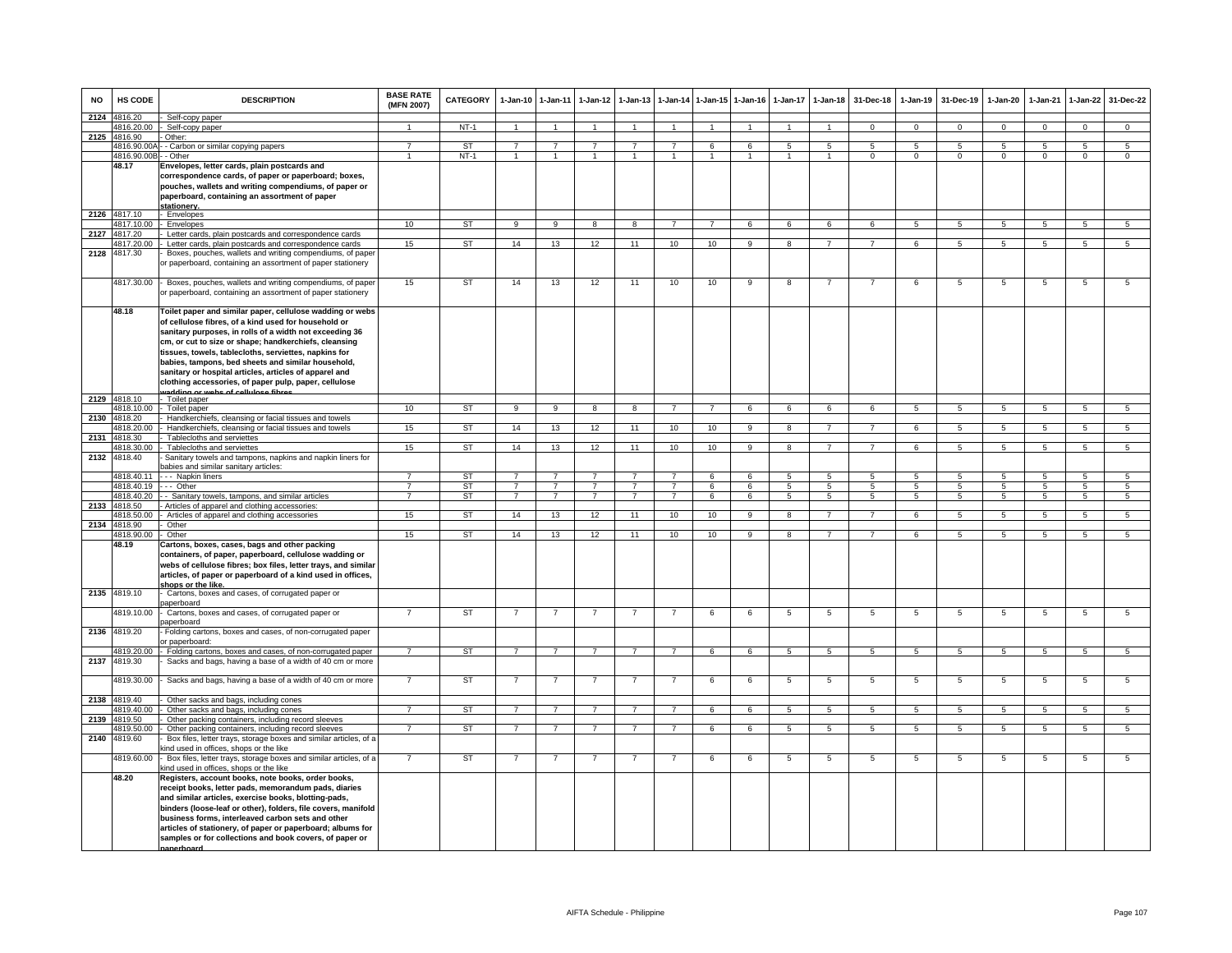| <b>NO</b> | HS CODE                            | <b>DESCRIPTION</b>                                                                                                                                                                                                                                                                                                                                                                                | <b>BASE RATE</b><br>(MFN 2007)   | <b>CATEGORY</b> |                                  | 1-Jan-10 1-Jan-11                | $1-Jan-12$                       | $1-Jan-13$              | $1-Jan-14$                       | $1 - Jan-15$    | $1 - Jan-16$   | $1 - Jan-17$         | $1-Jan-18$          | 31-Dec-18           | $1-Jan-19$       | 31-Dec-19           | $1-Jan-20$      | $1-Jan-21$          | $1 - Jan-22$                      | 31-Dec-22                      |
|-----------|------------------------------------|---------------------------------------------------------------------------------------------------------------------------------------------------------------------------------------------------------------------------------------------------------------------------------------------------------------------------------------------------------------------------------------------------|----------------------------------|-----------------|----------------------------------|----------------------------------|----------------------------------|-------------------------|----------------------------------|-----------------|----------------|----------------------|---------------------|---------------------|------------------|---------------------|-----------------|---------------------|-----------------------------------|--------------------------------|
| 2124      | 4816.20                            | Self-copy paper                                                                                                                                                                                                                                                                                                                                                                                   | $\overline{1}$                   | $NT-1$          | $\overline{1}$                   | $\overline{1}$                   | $\overline{1}$                   | $\overline{1}$          |                                  | $\mathbf{1}$    | $\overline{1}$ | $\overline{1}$       | $\mathbf{1}$        | $\Omega$            |                  | $\Omega$            | $\Omega$        |                     |                                   |                                |
| 2125      | 4816.20.00<br>4816.90              | - Self-copy paper<br>- Other:                                                                                                                                                                                                                                                                                                                                                                     |                                  |                 |                                  |                                  |                                  |                         | $\overline{1}$                   |                 |                |                      |                     |                     | $\overline{0}$   |                     |                 | $\overline{0}$      | $\overline{0}$                    | $\overline{0}$                 |
|           |                                    | 4816.90.00A - - Carbon or similar copying papers                                                                                                                                                                                                                                                                                                                                                  | $\overline{7}$                   | <b>ST</b>       | $\overline{7}$                   | $\overline{7}$                   | $\overline{7}$                   | $\overline{7}$          | $\overline{7}$                   | 6               | 6              | $5^{\circ}$          | $\overline{5}$      | $\overline{5}$      | $5^{\circ}$      | $\overline{5}$      | 5               | $\overline{5}$      | 5                                 | $\overline{5}$                 |
|           | 4816.90.00B - - Other              |                                                                                                                                                                                                                                                                                                                                                                                                   | 1                                | $NT-1$          | 1                                | $\mathbf{1}$                     | 1                                | $\mathbf{1}$            | 1                                |                 | $\mathbf{1}$   | 1                    |                     | $\Omega$            | $^{\circ}$       | $\mathbf 0$         | $\mathbf 0$     | $^{\circ}$          | $\mathbf 0$                       | $\Omega$                       |
|           | 48.17                              | Envelopes, letter cards, plain postcards and                                                                                                                                                                                                                                                                                                                                                      |                                  |                 |                                  |                                  |                                  |                         |                                  |                 |                |                      |                     |                     |                  |                     |                 |                     |                                   |                                |
|           |                                    | correspondence cards, of paper or paperboard; boxes,<br>pouches, wallets and writing compendiums, of paper or<br>paperboard, containing an assortment of paper                                                                                                                                                                                                                                    |                                  |                 |                                  |                                  |                                  |                         |                                  |                 |                |                      |                     |                     |                  |                     |                 |                     |                                   |                                |
|           | 2126 4817.10                       | stationerv.<br>Envelopes                                                                                                                                                                                                                                                                                                                                                                          |                                  |                 |                                  |                                  |                                  |                         |                                  |                 |                |                      |                     |                     |                  |                     |                 |                     |                                   |                                |
|           | 4817.10.00                         | Envelopes                                                                                                                                                                                                                                                                                                                                                                                         | 10                               | <b>ST</b>       | 9                                | $\overline{9}$                   | 8                                | $\overline{\mathbf{8}}$ | $\overline{7}$                   | $7\overline{ }$ | 6              | 6                    | 6                   | 6                   | 5                | $5\overline{5}$     | 5               | 5                   | $5\overline{5}$                   | $5\overline{5}$                |
| 2127      | 4817.20                            | Letter cards, plain postcards and correspondence cards                                                                                                                                                                                                                                                                                                                                            |                                  |                 |                                  |                                  |                                  |                         |                                  |                 |                |                      |                     |                     |                  |                     |                 |                     |                                   |                                |
|           | 1817.20.00                         | Letter cards, plain postcards and correspondence cards                                                                                                                                                                                                                                                                                                                                            | 15                               | ST              | 14                               | 13                               | 12                               | 11                      | 10                               | 10              | 9              | 8                    | $\overline{7}$      | $\overline{7}$      | 6                | 5                   | 5               | $\overline{5}$      | $\overline{5}$                    | 5                              |
| 2128      | 4817.30                            | Boxes, pouches, wallets and writing compendiums, of pape<br>r paperboard, containing an assortment of paper stationery                                                                                                                                                                                                                                                                            |                                  |                 |                                  |                                  |                                  |                         |                                  |                 |                |                      |                     |                     |                  |                     |                 |                     |                                   |                                |
|           | 4817.30.00                         | - Boxes, pouches, wallets and writing compendiums, of paper<br>or paperboard, containing an assortment of paper stationery                                                                                                                                                                                                                                                                        | 15                               | ST              | 14                               | 13                               | 12                               | 11                      | 10                               | 10              | 9              | $\overline{8}$       | $\overline{7}$      | $\overline{7}$      | 6                | 5                   | 5               | 5                   | 5                                 | 5                              |
|           | 48.18                              | Toilet paper and similar paper, cellulose wadding or webs<br>of cellulose fibres, of a kind used for household or<br>sanitary purposes, in rolls of a width not exceeding 36                                                                                                                                                                                                                      |                                  |                 |                                  |                                  |                                  |                         |                                  |                 |                |                      |                     |                     |                  |                     |                 |                     |                                   |                                |
|           |                                    | cm, or cut to size or shape; handkerchiefs, cleansing<br>tissues, towels, tablecloths, serviettes, napkins for                                                                                                                                                                                                                                                                                    |                                  |                 |                                  |                                  |                                  |                         |                                  |                 |                |                      |                     |                     |                  |                     |                 |                     |                                   |                                |
|           |                                    | babies, tampons, bed sheets and similar household,<br>sanitary or hospital articles, articles of apparel and                                                                                                                                                                                                                                                                                      |                                  |                 |                                  |                                  |                                  |                         |                                  |                 |                |                      |                     |                     |                  |                     |                 |                     |                                   |                                |
|           |                                    | clothing accessories, of paper pulp, paper, cellulose<br>vadding or webs of cellulose fibres                                                                                                                                                                                                                                                                                                      |                                  |                 |                                  |                                  |                                  |                         |                                  |                 |                |                      |                     |                     |                  |                     |                 |                     |                                   |                                |
|           | 2129 4818.10                       | - Toilet paper                                                                                                                                                                                                                                                                                                                                                                                    |                                  |                 |                                  |                                  |                                  |                         |                                  |                 |                |                      |                     |                     |                  |                     |                 |                     |                                   |                                |
|           | 4818.10.00                         | Toilet paper                                                                                                                                                                                                                                                                                                                                                                                      | 10                               | ST              | 9                                | $\overline{9}$                   | 8                                | 8                       | $\overline{7}$                   | $7^{\circ}$     | 6              | 6                    | 6                   | 6                   | $5\phantom{.0}$  | $\overline{5}$      | $5\phantom{.0}$ | $5\phantom{.0}$     | $5\overline{5}$                   | $5\phantom{.0}$                |
|           | 2130 4818.20<br>4818.20.00         | Handkerchiefs, cleansing or facial tissues and towels<br>Handkerchiefs, cleansing or facial tissues and towels                                                                                                                                                                                                                                                                                    | 15                               | ST              | 14                               | 13                               | 12                               | 11                      | 10                               | 10              | 9              | 8                    | $\overline{7}$      | $\overline{7}$      | 6                | 5                   | 5               | 5                   | 5                                 | $\overline{5}$                 |
| 2131      | 4818.30                            | Tablecloths and serviettes                                                                                                                                                                                                                                                                                                                                                                        |                                  |                 |                                  |                                  |                                  |                         |                                  |                 |                |                      |                     |                     |                  |                     |                 |                     |                                   |                                |
|           | 4818.30.00                         | Tablecloths and serviettes                                                                                                                                                                                                                                                                                                                                                                        | 15                               | ST              | 14                               | 13                               | 12                               | 11                      | 10                               | 10              | 9              | 8                    | $\overline{7}$      | $\overline{7}$      | 6                | -5                  | $5^{\circ}$     | $\sqrt{5}$          | 5                                 | 5                              |
| 2132      | 4818.40                            | Sanitary towels and tampons, napkins and napkin liners for<br>babies and similar sanitary articles:                                                                                                                                                                                                                                                                                               |                                  |                 |                                  |                                  |                                  |                         |                                  |                 |                |                      |                     |                     |                  |                     |                 |                     |                                   |                                |
|           | 4818.40.11<br>4818.40.19 --- Other | - - - Napkin liners                                                                                                                                                                                                                                                                                                                                                                               | $\overline{7}$<br>$\overline{7}$ | <b>ST</b><br>ST | $\overline{7}$<br>$\overline{7}$ | $\overline{7}$<br>$\overline{7}$ | $\overline{7}$<br>$\overline{7}$ | $\overline{7}$          | $\overline{7}$<br>$\overline{7}$ | 6<br>6          | 6<br>6         | $5\overline{5}$<br>5 | $\overline{5}$<br>5 | $\overline{5}$<br>5 | $5^{\circ}$<br>5 | $\overline{5}$<br>5 | -5<br>5         | $\overline{5}$<br>5 | $\overline{5}$<br>$5\overline{5}$ | $5^{\circ}$<br>$5\overline{5}$ |
|           | 4818.40.20                         | - - Sanitary towels, tampons, and similar articles                                                                                                                                                                                                                                                                                                                                                | $\overline{7}$                   | ST              | $\overline{7}$                   | $\overline{7}$                   | $7^{\circ}$                      | $\overline{7}$          | $\overline{7}$                   | 6               | 6              | 5                    | 5                   | 5                   | 5                | 5                   | 5               | 5                   | $5\overline{5}$                   | $5\overline{5}$                |
| 2133      | 4818.50                            | - Articles of apparel and clothing accessories:                                                                                                                                                                                                                                                                                                                                                   |                                  |                 |                                  |                                  |                                  |                         |                                  |                 |                |                      |                     |                     |                  |                     |                 |                     |                                   |                                |
|           | 1818.50.00                         | Articles of apparel and clothing accessories                                                                                                                                                                                                                                                                                                                                                      | 15                               | ST              | 14                               | 13                               | 12                               | 11                      | 10                               | 10              | 9              | 8                    | $\overline{7}$      | $\overline{7}$      | 6                | 5                   | $5\phantom{.0}$ | 5                   | 5                                 | 5                              |
| 2134      | 4818.90                            | Other                                                                                                                                                                                                                                                                                                                                                                                             |                                  |                 |                                  |                                  |                                  |                         |                                  |                 |                |                      |                     |                     |                  |                     |                 |                     |                                   |                                |
|           | 4818.90.00                         | Other                                                                                                                                                                                                                                                                                                                                                                                             | 15                               | ST              | 14                               | 13                               | 12                               | 11                      | 10                               | 10              | 9              | 8                    | $\overline{7}$      | $\overline{7}$      | 6                | 5                   | 5               | 5                   | 5                                 | $\overline{5}$                 |
|           | 48.19                              | Cartons, boxes, cases, bags and other packing<br>containers, of paper, paperboard, cellulose wadding or<br>webs of cellulose fibres; box files, letter trays, and similar<br>articles, of paper or paperboard of a kind used in offices,<br>shops or the like.                                                                                                                                    |                                  |                 |                                  |                                  |                                  |                         |                                  |                 |                |                      |                     |                     |                  |                     |                 |                     |                                   |                                |
| 2135      | 4819.10                            | Cartons, boxes and cases, of corrugated paper or<br>baperboard                                                                                                                                                                                                                                                                                                                                    |                                  |                 |                                  |                                  |                                  |                         |                                  |                 |                |                      |                     |                     |                  |                     |                 |                     |                                   |                                |
| 2136      | 4819.10.00<br>4819.20              | Cartons, boxes and cases, of corrugated paper or<br>baperboard<br>Folding cartons, boxes and cases, of non-corrugated paper                                                                                                                                                                                                                                                                       | $\overline{7}$                   | ST              | $\overline{7}$                   | $\overline{7}$                   | $\overline{7}$                   | $\overline{7}$          | $\overline{7}$                   | 6               | 6              | $\overline{5}$       | $\overline{5}$      | $\overline{5}$      | $\overline{5}$   | $\overline{5}$      | $\overline{5}$  | 5                   | $5\overline{)}$                   | $\overline{5}$                 |
|           |                                    | or paperboard:                                                                                                                                                                                                                                                                                                                                                                                    |                                  |                 |                                  |                                  |                                  |                         |                                  |                 |                |                      |                     |                     |                  |                     |                 |                     |                                   |                                |
|           | 4819,20.00                         | Folding cartons, boxes and cases, of non-corrugated paper                                                                                                                                                                                                                                                                                                                                         | $\overline{7}$                   | ST              | $\overline{\phantom{a}}$         | $\overline{7}$                   | $\overline{7}$                   | $\overline{7}$          | $\overline{7}$                   | 6               | 6              | $\overline{5}$       | $\overline{5}$      | $\overline{5}$      | 5                | 5                   | $\overline{5}$  | 5                   | 5                                 | 5                              |
| 2137      | 4819.30<br>4819.30.00              | Sacks and bags, having a base of a width of 40 cm or more<br>Sacks and bags, having a base of a width of 40 cm or more                                                                                                                                                                                                                                                                            |                                  | ST              | 7                                | 7                                |                                  |                         | 7                                | 6               | 6              | 5                    | 5                   | 5                   | 5                | 5                   | 5               | 5                   | 5                                 | 5                              |
| 2138      | 4819.40                            | Other sacks and bags, including cones                                                                                                                                                                                                                                                                                                                                                             |                                  |                 |                                  |                                  |                                  |                         |                                  |                 |                |                      |                     |                     |                  |                     |                 |                     |                                   |                                |
|           | 4819.40.00                         | Other sacks and bags, including cones                                                                                                                                                                                                                                                                                                                                                             | $\overline{7}$                   | ST              | $\overline{7}$                   | $\overline{7}$                   | $\overline{7}$                   | $\overline{7}$          | $\overline{7}$                   | 6               | 6              | 5                    | 5                   | 5                   | 5                | 5                   | 5               | 5                   | 5                                 | 5                              |
| 2139      | 4819.50                            | Other packing containers, including record sleeves                                                                                                                                                                                                                                                                                                                                                |                                  |                 |                                  |                                  |                                  |                         |                                  |                 |                |                      |                     |                     |                  |                     |                 |                     |                                   |                                |
| 2140      | 4819.50.00<br>4819.60              | Other packing containers, including record sleeves<br>Box files, letter trays, storage boxes and similar articles, of a                                                                                                                                                                                                                                                                           | $\overline{7}$                   | ST              | $\overline{7}$                   | $\overline{7}$                   | $\overline{7}$                   | $\overline{7}$          | $\overline{7}$                   | 6               | 6              | $\overline{5}$       | 5                   | $\overline{5}$      | $\overline{5}$   | 5                   | 5               | $\overline{5}$      | 5                                 | 5                              |
|           | 4819.60.00                         | kind used in offices, shops or the like<br>Box files, letter trays, storage boxes and similar articles, of a                                                                                                                                                                                                                                                                                      | $\overline{7}$                   | ST              | $\overline{7}$                   | $\overline{7}$                   | $\overline{7}$                   | $\overline{7}$          | $\overline{7}$                   | 6               | 6              | $\overline{5}$       | $\overline{5}$      | $\overline{5}$      | 5                | $\overline{5}$      | $\overline{5}$  | -5                  | $\overline{5}$                    | 5                              |
|           | 48.20                              | kind used in offices, shops or the like<br>Registers, account books, note books, order books,<br>receipt books, letter pads, memorandum pads, diaries<br>and similar articles, exercise books, blotting-pads,<br>binders (loose-leaf or other), folders, file covers, manifold<br>business forms, interleaved carbon sets and other<br>articles of stationery, of paper or paperboard; albums for |                                  |                 |                                  |                                  |                                  |                         |                                  |                 |                |                      |                     |                     |                  |                     |                 |                     |                                   |                                |
|           |                                    | samples or for collections and book covers, of paper or<br>nanerhoard                                                                                                                                                                                                                                                                                                                             |                                  |                 |                                  |                                  |                                  |                         |                                  |                 |                |                      |                     |                     |                  |                     |                 |                     |                                   |                                |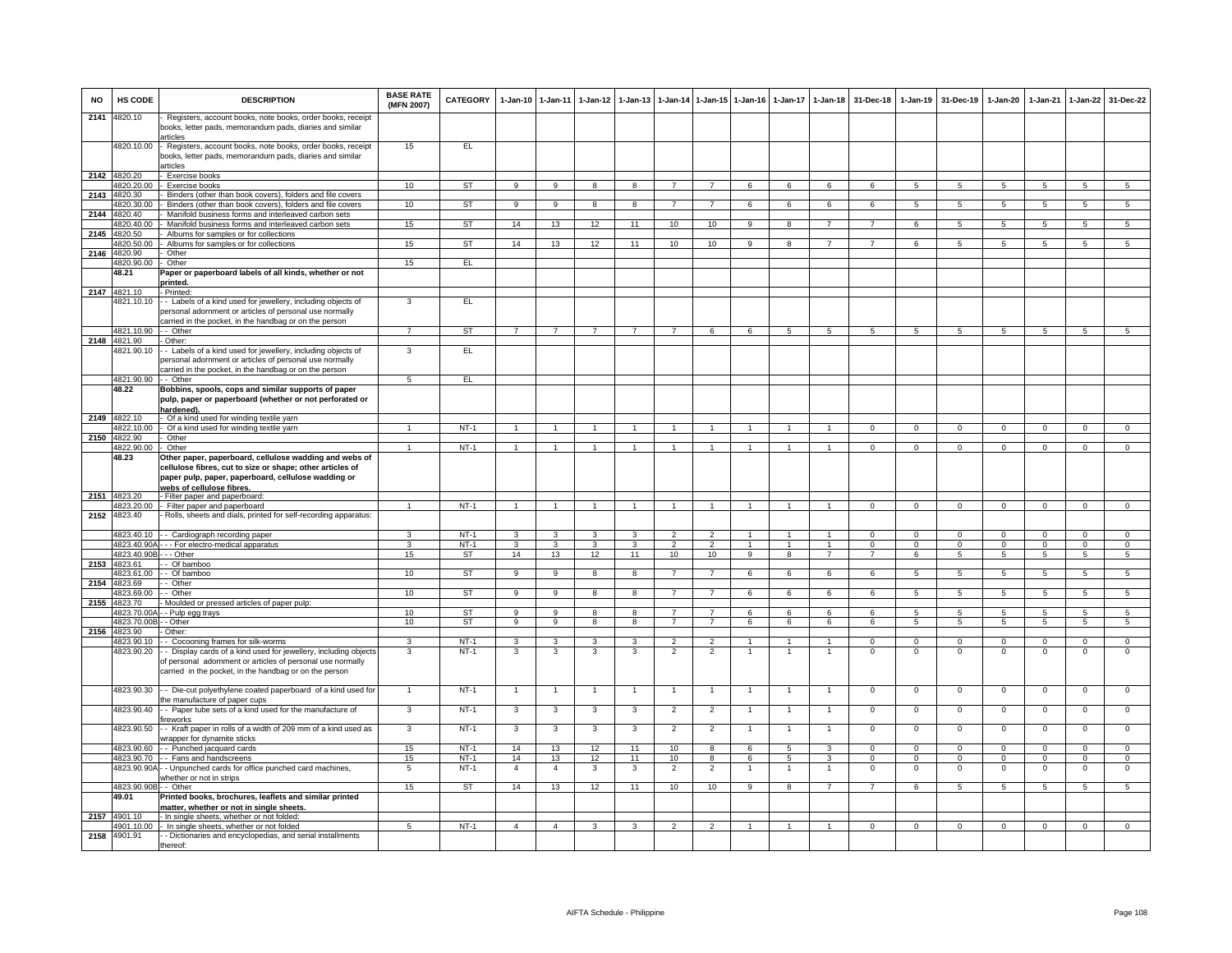| <b>NO</b> | <b>HS CODE</b>             | <b>DESCRIPTION</b>                                                                                                                                                                                      | <b>BASE RATE</b><br>(MFN 2007) | <b>CATEGORY</b>  | $1 - Jan-10$   | $1 - Jan-11$   | $1 - Jan-12$            | $1-Jan-13$     |                |                 | 1-Jan-14 1-Jan-15 1-Jan-16 |                | 1-Jan-17 1-Jan-18    | 31-Dec-18                  | $1 - Jan-19$               | 31-Dec-19            | $1-Jan-20$                 | 1-Jan-21                | $1 - Jan-22$            | 31-Dec-22                    |
|-----------|----------------------------|---------------------------------------------------------------------------------------------------------------------------------------------------------------------------------------------------------|--------------------------------|------------------|----------------|----------------|-------------------------|----------------|----------------|-----------------|----------------------------|----------------|----------------------|----------------------------|----------------------------|----------------------|----------------------------|-------------------------|-------------------------|------------------------------|
| 2141      | 4820.10                    | Registers, account books, note books, order books, receipt<br>books, letter pads, memorandum pads, diaries and similar<br>articles                                                                      |                                |                  |                |                |                         |                |                |                 |                            |                |                      |                            |                            |                      |                            |                         |                         |                              |
|           | 4820.10.00                 | - Registers, account books, note books, order books, receipt<br>books, letter pads, memorandum pads, diaries and similar<br>articles                                                                    | 15                             | EL               |                |                |                         |                |                |                 |                            |                |                      |                            |                            |                      |                            |                         |                         |                              |
|           | 2142 4820.20               | Exercise books                                                                                                                                                                                          |                                |                  |                |                |                         |                |                |                 |                            |                |                      |                            |                            |                      |                            |                         |                         |                              |
|           | 4820.20.00                 | Exercise books                                                                                                                                                                                          | 10                             | ST               | $\mathbf{q}$   | $\overline{9}$ | 8                       | 8              | $\overline{7}$ | $\overline{7}$  | 6                          | 6              | 6                    | 6                          | 5 <sup>1</sup>             | $\overline{5}$       | 5                          | $\overline{5}$          | $5\overline{5}$         | $\overline{5}$               |
| 2143      | 4820.30                    | Binders (other than book covers), folders and file covers                                                                                                                                               |                                | <b>ST</b>        |                |                | 8                       | 8              |                | $\overline{7}$  | 6                          | 6              |                      |                            | $5^{\circ}$                | $\overline{5}$       | 5                          | $\overline{5}$          | $5\overline{5}$         | $\overline{5}$               |
| 2144      | 4820.30.00<br>4820.40      | Binders (other than book covers), folders and file covers<br>Manifold business forms and interleaved carbon sets                                                                                        | 10                             |                  | 9              | 9              |                         |                |                |                 |                            |                | 6                    | 6                          |                            |                      |                            |                         |                         |                              |
|           | 4820.40.00                 | Manifold business forms and interleaved carbon sets                                                                                                                                                     | 15                             | ST               | 14             | 13             | 12                      | 11             | 10             | 10 <sup>1</sup> | 9                          | 8              | $\overline{7}$       | 7                          | 6                          | 5                    | 5                          | 5                       | 5                       | 5                            |
|           | 2145 4820.50               | Albums for samples or for collections                                                                                                                                                                   |                                |                  |                |                |                         |                |                |                 |                            |                |                      |                            |                            |                      |                            |                         |                         |                              |
|           | 1820.50.00                 | Albums for samples or for collections                                                                                                                                                                   | 15                             | ST               | 14             | 13             | 12                      | 11             | 10             | 10              | $\overline{9}$             | $\overline{8}$ | $\overline{7}$       | $\overline{7}$             | 6                          | $5^{\circ}$          | $5\overline{5}$            | $\overline{5}$          | 5                       | 5                            |
| 2146      | 1820.90                    | Other                                                                                                                                                                                                   | 15                             | EL               |                |                |                         |                |                |                 |                            |                |                      |                            |                            |                      |                            |                         |                         |                              |
|           | 1820.90.00<br>48.21        | Other<br>Paper or paperboard labels of all kinds, whether or not                                                                                                                                        |                                |                  |                |                |                         |                |                |                 |                            |                |                      |                            |                            |                      |                            |                         |                         |                              |
|           |                            | orinted.                                                                                                                                                                                                |                                |                  |                |                |                         |                |                |                 |                            |                |                      |                            |                            |                      |                            |                         |                         |                              |
|           | 2147 4821.10               | - Printed:                                                                                                                                                                                              |                                |                  |                |                |                         |                |                |                 |                            |                |                      |                            |                            |                      |                            |                         |                         |                              |
|           | 4821.10.10                 | - - Labels of a kind used for jewellery, including objects of<br>personal adornment or articles of personal use normally<br>carried in the pocket, in the handbag or on the person                      | 3                              | EL               |                |                |                         |                |                |                 |                            |                |                      |                            |                            |                      |                            |                         |                         |                              |
|           | 4821.10.90                 | - Other                                                                                                                                                                                                 | $\overline{7}$                 | ST               | $\overline{7}$ | $\overline{7}$ | $\overline{7}$          | $\overline{7}$ | $\overline{7}$ | 6               | 6                          | 5              | 5                    | 5                          | 5                          | 5                    | 5                          | 5                       | 5                       | $\overline{5}$               |
| 2148      | 4821.90                    | Other:                                                                                                                                                                                                  | 3                              |                  |                |                |                         |                |                |                 |                            |                |                      |                            |                            |                      |                            |                         |                         |                              |
|           | 1821.90.10                 | - Labels of a kind used for jewellery, including objects of<br>bersonal adornment or articles of personal use normally<br>carried in the pocket, in the handbag or on the person                        |                                | EL               |                |                |                         |                |                |                 |                            |                |                      |                            |                            |                      |                            |                         |                         |                              |
|           | 4821.90.90                 | - Other                                                                                                                                                                                                 | $\overline{5}$                 | EL               |                |                |                         |                |                |                 |                            |                |                      |                            |                            |                      |                            |                         |                         |                              |
|           | 48.22                      | Bobbins, spools, cops and similar supports of paper<br>pulp, paper or paperboard (whether or not perforated or<br>hardened).                                                                            |                                |                  |                |                |                         |                |                |                 |                            |                |                      |                            |                            |                      |                            |                         |                         |                              |
|           | 2149 4822.10               | Of a kind used for winding textile yarn                                                                                                                                                                 |                                |                  |                |                |                         |                |                |                 |                            |                |                      |                            |                            |                      |                            |                         |                         |                              |
|           | 4822.10.00<br>2150 4822.90 | Of a kind used for winding textile yarn<br>Other                                                                                                                                                        | $\overline{1}$                 | $NT-1$           | $\overline{1}$ | $\overline{1}$ |                         | $\overline{1}$ | $\overline{1}$ | $\mathbf{1}$    | $\overline{1}$             | $\overline{1}$ | $\mathbf{1}$         | $\overline{0}$             | $\mathbf 0$                | $\mathbf 0$          | $\mathbf{0}$               | $\mathbf{0}$            | $\mathbf{0}$            | $\mathbf{0}$                 |
|           | 4822.90.00                 | Other                                                                                                                                                                                                   | 1                              | $NT-1$           | $\mathbf{1}$   | $\mathbf{1}$   |                         |                | $\mathbf{1}$   | $\mathbf{1}$    | $\mathbf{1}$               | $\mathbf{1}$   | $\blacktriangleleft$ | $\mathbf 0$                | $\mathbf 0$                | $\mathbf 0$          | $\mathbf{0}$               | $\mathbf 0$             | $\mathbf 0$             | $\overline{0}$               |
|           | 48.23                      | Other paper, paperboard, cellulose wadding and webs of<br>cellulose fibres, cut to size or shape; other articles of<br>paper pulp, paper, paperboard, cellulose wadding or<br>webs of cellulose fibres. |                                |                  |                |                |                         |                |                |                 |                            |                |                      |                            |                            |                      |                            |                         |                         |                              |
|           | 2151 4823.20               | - Filter paper and paperboard:                                                                                                                                                                          |                                |                  |                |                |                         |                |                |                 |                            |                |                      |                            |                            |                      |                            |                         |                         |                              |
| 2152      | 4823.20.00<br>4823.40      | - Filter paper and paperboard<br>Rolls, sheets and dials, printed for self-recording apparatus:                                                                                                         |                                | $NT-1$           | $\overline{1}$ |                |                         |                |                |                 |                            |                |                      | $\Omega$                   | $\Omega$                   | $\Omega$             | $\Omega$                   | $\Omega$                | $\Omega$                | $\overline{0}$               |
|           | 4823.40.10                 |                                                                                                                                                                                                         | з                              | $NT-1$           | $\mathbf{3}$   | -3             | з                       | 3              | -2             | $\mathcal{P}$   |                            | 1              | $\overline{1}$       | $\Omega$                   | $\Omega$                   | $\Omega$             | $\Omega$                   | $\Omega$                | $\Omega$                | $\Omega$                     |
|           | 4823.40.90A                | - Cardiograph recording paper<br>- - For electro-medical apparatus                                                                                                                                      | 3                              | $NT-1$           | 3              | 3              | 3                       | 3              | $\overline{2}$ | $\overline{2}$  | $\mathbf{1}$               | 1              | $\mathbf{1}$         | $\mathbf 0$                | $\mathbf{0}$               | $^{\circ}$           | $^{\circ}$                 | $^{\circ}$              | $\mathbf 0$             | $\mathbf{O}$                 |
|           | 4823.40.90E                | $-$ Other                                                                                                                                                                                               | 15                             | <b>ST</b>        | 14             | 13             | 12                      | 11             | 10             | 10              | $\overline{9}$             | 8              | $\overline{7}$       | $\overline{7}$             | 6                          | $\overline{5}$       | 5                          | $\overline{5}$          | $5\overline{5}$         | $\overline{5}$               |
| 2153      | 4823.61                    | Of bamboo                                                                                                                                                                                               |                                |                  |                |                |                         |                |                |                 |                            |                |                      |                            |                            |                      |                            |                         |                         |                              |
|           | 4823.61.00<br>4823.69      | - Of bamboo<br>- Other                                                                                                                                                                                  | 10                             | <b>ST</b>        | $\overline{9}$ | 9              | $\overline{\mathbf{8}}$ | 8              | $\overline{7}$ | $\overline{7}$  | 6                          | 6              | 6                    | 6                          | $\overline{5}$             | $5\overline{5}$      | 5                          | $\overline{5}$          | 5                       | $\overline{5}$               |
| 2154      | 4823.69.00                 | - Other                                                                                                                                                                                                 | 10                             | <b>ST</b>        | 9              | $\overline{9}$ | 8                       | 8              | $\overline{7}$ | $\overline{7}$  | 6                          | 6              | 6                    | 6                          | 5                          | $5^{\circ}$          | 5                          | $\overline{5}$          | 5                       | $5\overline{5}$              |
| 2155      | 4823.70                    | Moulded or pressed articles of paper pulp:                                                                                                                                                              |                                |                  |                |                |                         |                |                |                 |                            |                |                      |                            |                            |                      |                            |                         |                         |                              |
|           | 4823.70.00                 | - Pulp egg trays                                                                                                                                                                                        | 10                             | ST               | 9              | 9              | 8                       | 8              | $\overline{7}$ | $\overline{7}$  | 6                          | 6              | 6                    | 6                          | 5                          | 5                    | 5                          | 5                       | 5                       | -5                           |
|           | 4823.70.00E<br>4823.90     | - Other<br>Other:                                                                                                                                                                                       | 10                             | <b>ST</b>        | 9              | $\overline{9}$ | 8                       | 8              | $\overline{7}$ | $7^{\circ}$     | 6                          | 6              | 6                    | 6                          | $5\phantom{.0}$            | 5                    | $5\phantom{.0}$            | $5\phantom{.0}$         | $5\phantom{.0}$         | 5                            |
| 2156      | 4823.90.10                 | - Cocooning frames for silk-worms                                                                                                                                                                       | 3                              | $NT-1$           | $\mathbf{3}$   | 3              | 3                       | 3              | $\mathfrak{p}$ | $\overline{2}$  | $\mathbf{1}$               | $\mathbf{1}$   | $\mathbf{1}$         | $\Omega$                   | $\Omega$                   | $\Omega$             | $\Omega$                   | $\Omega$                | $\overline{0}$          | $\overline{0}$               |
|           | 4823.90.20                 | - Display cards of a kind used for jewellery, including objects<br>of personal adornment or articles of personal use normally<br>carried in the pocket, in the handbag or on the person                 | 3                              | $NT-1$           | 3              | 3              | 3                       | 3              | $\overline{2}$ | $\overline{2}$  |                            |                |                      | $\Omega$                   | $\Omega$                   | $\Omega$             | 0                          | $\Omega$                | $\Omega$                | $\Omega$                     |
|           | 4823.90.30                 | - - Die-cut polyethylene coated paperboard of a kind used fo<br>the manufacture of paper cups                                                                                                           |                                | $NT-1$           | $\overline{1}$ | $\overline{1}$ |                         | -1             | $\overline{1}$ | $\overline{1}$  | -1                         | -1             | $\overline{1}$       | $\overline{0}$             | $\overline{0}$             | $\Omega$             | $\overline{0}$             | $\overline{0}$          | $\overline{0}$          | $\overline{0}$               |
|           | 4823.90.40                 | - - Paper tube sets of a kind used for the manufacture of<br>ireworks                                                                                                                                   | 3                              | $NT-1$           | 3              | $\mathbf{3}$   | 3                       | 3              | $\overline{2}$ | $\overline{2}$  | $\overline{1}$             | $\mathbf{1}$   | $\overline{1}$       | $\mathbf 0$                | $\mathbf 0$                | $\mathbf 0$          | $\mathbf 0$                | $\mathbf{0}$            | $\mathbf 0$             | $\mathbf{O}$                 |
|           | 4823.90.50                 | - Kraft paper in rolls of a width of 209 mm of a kind used as<br>vrapper for dynamite sticks                                                                                                            | 3                              | $NT-1$           | 3              | 3              | 3                       | 3              | $\overline{2}$ | $\overline{2}$  | -1                         | 1              | $\mathbf{1}$         | $\mathbf 0$                | $\mathbf 0$                | $\Omega$             | $\overline{0}$             | $\Omega$                | $\overline{0}$          | $\overline{0}$               |
|           | 4823.90.60<br>4823.90.70   | - - Punched jacquard cards<br>- Fans and handscreens                                                                                                                                                    | 15<br>15                       | $NT-1$<br>$NT-1$ | 14<br>14       | 13<br>13       | 12<br>12                | 11<br>11       | 10<br>10       | 8<br>8          | 6<br>6                     | 5<br>5         | 3<br>3               | $\mathbf 0$<br>$\mathbf 0$ | $\mathbf 0$<br>$\mathbf 0$ | $\Omega$<br>$\Omega$ | $\mathbf 0$<br>$\mathbf 0$ | $\Omega$<br>$\mathbf 0$ | $\Omega$<br>$\mathbf 0$ | $\mathbf{O}$<br>$\mathbf{O}$ |
|           | 4823.90.90A                | - Unpunched cards for office punched card machines,<br>whether or not in strips                                                                                                                         | 5                              | $NT-1$           | $\overline{4}$ | $\overline{4}$ | 3                       | 3              | $\overline{2}$ | $\overline{2}$  | -1                         | 1              | $\mathbf{1}$         | $^{\circ}$                 | $^{\circ}$                 | $\mathbf 0$          | $\mathbf 0$                | $\overline{0}$          | $\mathbf 0$             | $^{\circ}$                   |
|           | 4823.90.90B - - Other      |                                                                                                                                                                                                         | 15                             | ST               | 14             | 13             | 12                      | 11             | 10             | 10              | 9                          | 8              | $\overline{7}$       | $\overline{7}$             | 6                          | 5                    | 5                          | 5                       | 5                       | 5 <sub>1</sub>               |
|           | 49.01                      | Printed books, brochures, leaflets and similar printed                                                                                                                                                  |                                |                  |                |                |                         |                |                |                 |                            |                |                      |                            |                            |                      |                            |                         |                         |                              |
|           | 2157 4901.10               | matter, whether or not in single sheets.<br>- In single sheets, whether or not folded:                                                                                                                  |                                |                  |                |                |                         |                |                |                 |                            |                |                      |                            |                            |                      |                            |                         |                         |                              |
|           | 4901 10.00                 | In single sheets, whether or not folded                                                                                                                                                                 | $\overline{5}$                 | $NT-1$           | $\overline{a}$ | $\overline{4}$ | 3                       | $\mathbf{3}$   | $\overline{2}$ | $\overline{2}$  | $\overline{1}$             | 1              | $\blacktriangleleft$ | $\overline{0}$             | $\overline{0}$             | $\overline{0}$       | $\overline{0}$             | $\overline{0}$          | $\overline{0}$          | $\overline{0}$               |
| 2158      | 4901.91                    | - Dictionaries and encyclopedias, and serial installments<br>thereof:                                                                                                                                   |                                |                  |                |                |                         |                |                |                 |                            |                |                      |                            |                            |                      |                            |                         |                         |                              |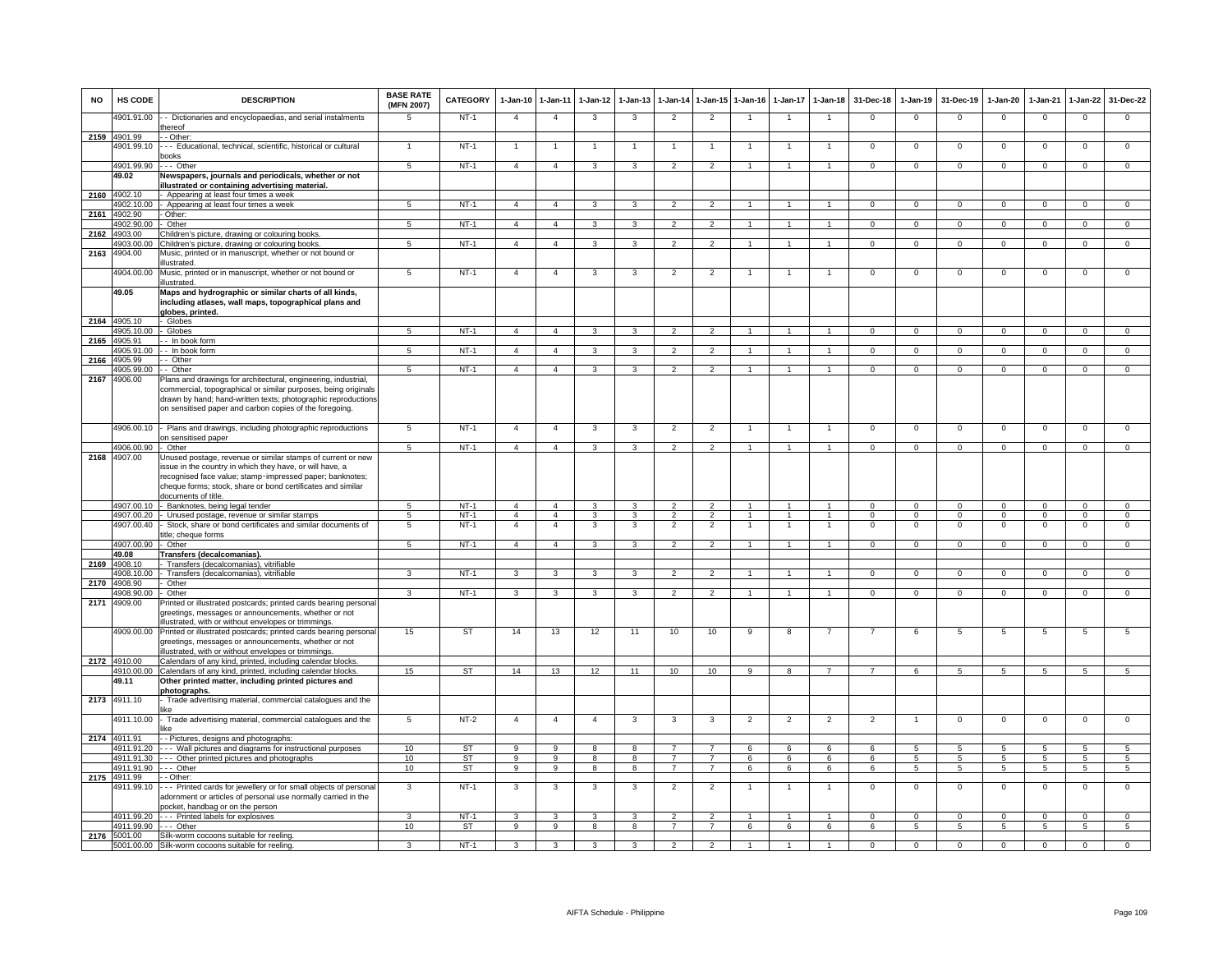| <b>NO</b> | HS CODE               | <b>DESCRIPTION</b>                                                                                                                                                                                                                                                       | <b>BASE RATE</b><br>(MFN 2007) | <b>CATEGORY</b> | 1-Jan-10 1-Jan-11       |                         | $1-Jan-12$              | $1 - Jan-13$            | $1 - Jan-14$   | 1-Jan-15 1-Jan-16 |                | $1-Jan-17$     | $1-Jan-18$           | 31-Dec-18      | $1-Jan-19$     | 31-Dec-19       | $1-Jan-20$      | $1-Jan-21$     | $1-Jan-22$     | 31-Dec-22       |
|-----------|-----------------------|--------------------------------------------------------------------------------------------------------------------------------------------------------------------------------------------------------------------------------------------------------------------------|--------------------------------|-----------------|-------------------------|-------------------------|-------------------------|-------------------------|----------------|-------------------|----------------|----------------|----------------------|----------------|----------------|-----------------|-----------------|----------------|----------------|-----------------|
|           | 4901.91.00            | - Dictionaries and encyclopaedias, and serial instalments<br>hereof                                                                                                                                                                                                      | 5                              | $NT-1$          | $\overline{4}$          | $\overline{4}$          | 3                       | 3                       | $\overline{2}$ | $\overline{2}$    | $\overline{1}$ |                | $\overline{1}$       | $^{\circ}$     | $\mathbf{0}$   | $\mathbf{0}$    | $\overline{0}$  | $\mathbf 0$    | $\mathsf 0$    | $\mathbf 0$     |
|           | 2159 4901.99          | - Other                                                                                                                                                                                                                                                                  |                                |                 |                         |                         |                         |                         |                |                   |                |                |                      |                |                |                 |                 |                |                |                 |
|           | 4901.99.10            | - Educational, technical, scientific, historical or cultural<br>ooks                                                                                                                                                                                                     |                                | $NT-1$          | 1                       | 1                       |                         |                         | -1             |                   |                |                | 1                    | $\Omega$       | $\mathbf 0$    | $\mathbf 0$     | $\mathbf{0}$    | $\mathbf 0$    | $\mathsf 0$    | $\overline{0}$  |
|           | 4901.99.90            | .-- Other                                                                                                                                                                                                                                                                | $5\overline{5}$                | $NT-1$          | $\overline{4}$          | $\overline{4}$          | $\mathbf{3}$            | 3                       | $\overline{2}$ | $\overline{2}$    |                |                | $\overline{1}$       | $\mathbf{0}$   | $\mathsf 0$    | $\mathbf 0$     | $\mathbf 0$     | $^{\circ}$     | $\mathbf 0$    | $\mathbf 0$     |
|           | 49.02                 | Newspapers, journals and periodicals, whether or not                                                                                                                                                                                                                     |                                |                 |                         |                         |                         |                         |                |                   |                |                |                      |                |                |                 |                 |                |                |                 |
|           |                       | <b>Ilustrated or containing advertising material.</b>                                                                                                                                                                                                                    |                                |                 |                         |                         |                         |                         |                |                   |                |                |                      |                |                |                 |                 |                |                |                 |
| 2160      | 4902.10               | - Appearing at least four times a week                                                                                                                                                                                                                                   |                                |                 |                         |                         |                         |                         |                |                   |                |                |                      |                |                |                 |                 |                |                |                 |
|           | 4902.10.00            | - Appearing at least four times a week                                                                                                                                                                                                                                   | 5                              | $NT-1$          | $\overline{4}$          | $\overline{4}$          | 3                       |                         | $\mathfrak{p}$ | $\overline{2}$    |                |                | $\overline{1}$       | $\Omega$       | $\Omega$       | $\Omega$        | $\Omega$        | $\Omega$       | $\Omega$       | $\Omega$        |
| 2161      | 4902.90<br>4902.90.00 | - Other:                                                                                                                                                                                                                                                                 |                                | <b>NT-1</b>     |                         |                         |                         |                         |                |                   |                | $\mathbf{1}$   |                      |                |                |                 |                 |                |                |                 |
|           | 2162 4903.00          | - Other<br>Children's picture, drawing or colouring books                                                                                                                                                                                                                | 5                              |                 | $\overline{4}$          | $\overline{4}$          | $\mathbf{3}$            | 3                       | $\overline{2}$ | $\overline{2}$    |                |                | $\mathbf{1}$         | $\mathbf{0}$   | $\mathbf{0}$   | $\overline{0}$  | $\overline{0}$  | $\mathbf 0$    | $\overline{0}$ | $\overline{0}$  |
|           | 4903.00.00            | Children's picture, drawing or colouring books                                                                                                                                                                                                                           | 5                              | $NT-1$          | $\overline{4}$          | $\overline{4}$          | $\overline{\mathbf{3}}$ | $\overline{3}$          | $\overline{2}$ | $\overline{2}$    | $\mathbf{1}$   | 1              | $\overline{1}$       | $\overline{0}$ | $\overline{0}$ | $\overline{0}$  | $\overline{0}$  | $\overline{0}$ | $\overline{0}$ | $\overline{0}$  |
| 2163      | 4904.00               | Music, printed or in manuscript, whether or not bound or                                                                                                                                                                                                                 |                                |                 |                         |                         |                         |                         |                |                   |                |                |                      |                |                |                 |                 |                |                |                 |
|           |                       | llustrated.                                                                                                                                                                                                                                                              |                                |                 |                         |                         |                         |                         |                |                   |                |                |                      |                |                |                 |                 |                |                |                 |
|           | 4904.00.00            | Music, printed or in manuscript, whether or not bound or<br>llustrated.                                                                                                                                                                                                  | 5                              | $NT-1$          | $\overline{4}$          | $\overline{4}$          | 3                       | 3                       | $\overline{2}$ | $\overline{2}$    | -1             |                | $\overline{1}$       | $\mathbf{0}$   | $\mathbf 0$    | $\mathbf 0$     | $\mathbf 0$     | $\mathbf 0$    | 0              | $\mathbf 0$     |
|           | 49.05                 | Maps and hydrographic or similar charts of all kinds,<br>including atlases, wall maps, topographical plans and                                                                                                                                                           |                                |                 |                         |                         |                         |                         |                |                   |                |                |                      |                |                |                 |                 |                |                |                 |
|           | 2164 4905.10          | globes, printed.<br>Globes                                                                                                                                                                                                                                               |                                |                 |                         |                         |                         |                         |                |                   |                |                |                      |                |                |                 |                 |                |                |                 |
|           | 4905.10.00            | Globes                                                                                                                                                                                                                                                                   | $5\overline{5}$                | $NT-1$          | $\overline{4}$          | $\overline{4}$          | $\mathbf{3}$            | 3                       | $\overline{2}$ | $\overline{2}$    |                |                | $\mathbf{1}$         | $\mathbf{0}$   | $^{\circ}$     | $\mathbf{0}$    | $\mathbf{0}$    | $\mathbf 0$    | $\mathbf{0}$   | $\overline{0}$  |
| 2165      | 4905.91               | - In book form                                                                                                                                                                                                                                                           |                                |                 |                         |                         |                         |                         |                |                   |                |                |                      |                |                |                 |                 |                |                |                 |
|           | 4905.91.00            | - In book form                                                                                                                                                                                                                                                           | 5                              | $NT-1$          | $\overline{4}$          | $\overline{4}$          | 3                       | 3                       | $\overline{2}$ | $\overline{2}$    |                |                | $\mathbf{1}$         | $\mathbf{O}$   | $\mathbf{0}$   | $\mathbf 0$     | $\mathbf 0$     | $\mathbf 0$    | $\overline{0}$ | $\overline{0}$  |
| 2166      | 4905.99               | - Other                                                                                                                                                                                                                                                                  |                                |                 |                         |                         |                         |                         |                |                   |                |                |                      |                |                |                 |                 |                |                |                 |
|           | 4905.99.00            | - Other                                                                                                                                                                                                                                                                  | $5\overline{5}$                | $NT-1$          | $\overline{4}$          | $\overline{4}$          | $\mathbf{3}$            | $\mathbf{3}$            | $\overline{2}$ | $\mathcal{P}$     | $\mathbf{1}$   |                | $\overline{1}$       | $\mathbf{O}$   | $\mathbf 0$    | $\mathbf{0}$    | $\mathbf 0$     | $^{\circ}$     | $\mathbf 0$    | $\Omega$        |
| 2167      | 4906.00               | Plans and drawings for architectural, engineering, industrial,<br>commercial, topographical or similar purposes, being originals<br>drawn by hand; hand-written texts; photographic reproductions<br>on sensitised paper and carbon copies of the foregoing.             |                                |                 |                         |                         |                         |                         |                |                   |                |                |                      |                |                |                 |                 |                |                |                 |
|           | 4906.00.10            | Plans and drawings, including photographic reproductions<br>on sensitised paper                                                                                                                                                                                          | $5\overline{5}$                | $NT-1$          | $\overline{4}$          | $\overline{4}$          | $\mathbf{3}$            | 3                       | $\overline{2}$ | $\overline{2}$    | $\mathbf{1}$   | $\mathbf{1}$   | $\mathbf{1}$         | $\mathbf{O}$   | $\mathsf 0$    | $\mathbf 0$     | $\mathbf 0$     | $\mathbf 0$    | $\mathsf 0$    | $\mathbf 0$     |
|           | 4906.00.90            | Other                                                                                                                                                                                                                                                                    | 5                              | $NT-1$          | $\overline{4}$          | $\overline{4}$          | 3                       | 3                       | $\overline{2}$ | $\mathcal{P}$     |                |                | $\blacktriangleleft$ | $\mathbf{O}$   | $\mathbf{0}$   | $\mathbf 0$     | $\mathbf{0}$    | $\mathbf 0$    | $\mathbf 0$    | $\mathbf{0}$    |
| 2168      | 4907.00               | Unused postage, revenue or similar stamps of current or new<br>ssue in the country in which they have, or will have, a<br>recognised face value; stamp-impressed paper; banknotes;<br>cheque forms; stock, share or bond certificates and similar<br>documents of title. |                                |                 |                         |                         |                         |                         |                |                   |                |                |                      |                |                |                 |                 |                |                |                 |
|           | 4907.00.10            | - Banknotes, being legal tender                                                                                                                                                                                                                                          | 5                              | $NT-1$          | $\overline{4}$          | $\overline{4}$          | 3                       |                         | $\mathfrak{p}$ |                   |                |                |                      | $\Omega$       | $\Omega$       | $\Omega$        | $\Omega$        | $\Omega$       | $\Omega$       | $\Omega$        |
|           |                       | 4907.00.20 - Unused postage, revenue or similar stamps                                                                                                                                                                                                                   | 5                              | <b>NT-1</b>     | $\overline{4}$          | $\overline{4}$          | $\mathbf{3}$            | 3                       | $\overline{2}$ | $\overline{2}$    | $\mathbf{1}$   | 1              | $\overline{1}$       | $\mathbf{0}$   | $\mathbf{0}$   | $\mathbf{0}$    | $\overline{0}$  | $\mathbf 0$    | $\overline{0}$ | $\mathbf{0}$    |
|           | 4907.00.40            | Stock, share or bond certificates and similar documents of                                                                                                                                                                                                               | 5                              | $NT-1$          | $\overline{4}$          | $\overline{4}$          | 3                       | 3                       | $\overline{2}$ | $\overline{2}$    | 1              | $\mathbf{1}$   | $\overline{1}$       | $\mathbf{0}$   | $\mathbf 0$    | $^{\circ}$      | $\mathbf{0}$    | $^{\circ}$     | $^{\circ}$     | $\mathbf 0$     |
|           | 4907.00.90            | itle; cheque forms<br>- Other                                                                                                                                                                                                                                            | 5                              | $NT-1$          | $\overline{4}$          | $\overline{4}$          | 3                       | 3                       | $\overline{2}$ | $\overline{2}$    |                | 1              | $\mathbf{1}$         | $\mathbf{O}$   | $\mathbf{0}$   | $\mathbf 0$     | $\mathbf{0}$    | $\mathbf 0$    | $\mathbf 0$    | $\mathbf 0$     |
|           | 49.08                 | Transfers (decalcomanias).                                                                                                                                                                                                                                               |                                |                 |                         |                         |                         |                         |                |                   |                |                |                      |                |                |                 |                 |                |                |                 |
| 2169      | 4908.10               | Transfers (decalcomanias), vitrifiable                                                                                                                                                                                                                                   |                                |                 |                         |                         |                         |                         |                |                   |                |                |                      |                |                |                 |                 |                |                |                 |
|           | 4908.10.00            | Transfers (decalcomanias), vitrifiable                                                                                                                                                                                                                                   | $\overline{3}$                 | $NT-1$          | $\overline{\mathbf{3}}$ | $\overline{\mathbf{3}}$ | $\mathbf{3}$            | 3                       | $\overline{2}$ | $\overline{2}$    | $\overline{1}$ | $\mathbf{1}$   | $\overline{1}$       | $\Omega$       | $\overline{0}$ | $\mathbf 0$     | $\overline{0}$  | $\Omega$       | $\overline{0}$ | $\overline{0}$  |
| 2170      | 4908.90               | Other                                                                                                                                                                                                                                                                    |                                |                 |                         |                         |                         |                         |                |                   |                |                |                      |                |                |                 |                 |                |                |                 |
|           | 4908.90.00            | Other                                                                                                                                                                                                                                                                    | 3                              | $NT-1$          | 3                       | 3                       | 3                       | 3                       | $\overline{2}$ | $\overline{2}$    |                |                |                      | $\Omega$       | $\Omega$       | $\Omega$        | $\Omega$        | $\Omega$       | $\mathbf 0$    | $\Omega$        |
| 2171      | 4909.00               | Printed or illustrated postcards; printed cards bearing persona<br>greetings, messages or announcements, whether or not<br>llustrated, with or without envelopes or trimmings                                                                                            |                                |                 |                         |                         |                         |                         |                |                   |                |                |                      |                |                |                 |                 |                |                |                 |
|           | 4909.00.00            | Printed or illustrated postcards; printed cards bearing personal                                                                                                                                                                                                         | 15                             | ST              | 14                      | 13                      | 12                      | 11                      | 10             | 10                | 9              | 8              | $\overline{7}$       | $\overline{7}$ | 6              | $5\phantom{.0}$ | $5\phantom{.0}$ | 5              | $\overline{5}$ | $\overline{5}$  |
|           |                       | greetings, messages or announcements, whether or not<br>llustrated, with or without envelopes or trimmings.                                                                                                                                                              |                                |                 |                         |                         |                         |                         |                |                   |                |                |                      |                |                |                 |                 |                |                |                 |
|           | 2172 4910.00          | Calendars of any kind, printed, including calendar blocks.                                                                                                                                                                                                               |                                |                 |                         |                         |                         |                         |                |                   |                |                |                      |                |                |                 |                 |                |                |                 |
|           | 4910.00.00<br>49.11   | Calendars of any kind, printed, including calendar blocks.<br>Other printed matter, including printed pictures and                                                                                                                                                       | 15                             | ST              | 14                      | 13                      | 12                      | 11                      | 10             | 10                | $\overline{9}$ | $\overline{8}$ | $\overline{7}$       | $\overline{7}$ | 6              | $\overline{5}$  | $\overline{5}$  | 5              | $\overline{5}$ | $5\overline{5}$ |
|           | 2173 4911.10          | <u>ohotographs.</u><br>Trade advertising material, commercial catalogues and the<br>ike                                                                                                                                                                                  |                                |                 |                         |                         |                         |                         |                |                   |                |                |                      |                |                |                 |                 |                |                |                 |
|           | 4911.10.00            | Trade advertising material, commercial catalogues and the<br>ike                                                                                                                                                                                                         | 5                              | NT-2            | 4                       | $\overline{4}$          | $\overline{4}$          | 3                       | 3              | 3                 | $\overline{2}$ | $\overline{2}$ | $\overline{2}$       | $\overline{2}$ |                | $\mathbf 0$     | $\mathbf 0$     | $\mathbf 0$    | 0              | $\circ$         |
|           | 2174 4911.91          | - - Pictures, designs and photographs:                                                                                                                                                                                                                                   |                                |                 |                         |                         |                         |                         |                |                   |                |                |                      |                |                |                 |                 |                |                |                 |
|           |                       | 4911.91.20 - - Wall pictures and diagrams for instructional purposes                                                                                                                                                                                                     | 10                             | ST              | 9                       | 9                       | 8                       | 8                       |                |                   | 6              | 6              | 6                    | 6              | -5             | 5               | 5               |                | 5              | 5               |
|           |                       | 4911.91.30 - - Other printed pictures and photographs                                                                                                                                                                                                                    | 10                             | ST              | 9                       | 9                       | 8                       | 8                       | $\overline{7}$ | $\overline{7}$    | 6              | 6              | 6                    | 6              | 5              | 5               | 5               | 5              | 5              | 5               |
|           | 4911.91.90 --- Other  |                                                                                                                                                                                                                                                                          | 10                             | <b>ST</b>       | $\overline{9}$          | $\overline{9}$          | $\overline{\mathbf{8}}$ | $\overline{\mathbf{8}}$ | $\overline{7}$ | $\overline{7}$    | 6              | 6              | 6                    | 6              | $\overline{5}$ | $\overline{5}$  | 5               | $\sqrt{5}$     | $\overline{5}$ | $\overline{5}$  |
| 2175      | 4911.99               | - - Other:                                                                                                                                                                                                                                                               |                                |                 |                         |                         |                         |                         |                |                   |                |                |                      |                |                |                 |                 |                |                |                 |
|           | 4911.99.10            | --- Printed cards for jewellery or for small objects of personal<br>adornment or articles of personal use normally carried in the<br>pocket, handbag or on the person                                                                                                    | 3                              | $NT-1$          | 3                       | 3                       | $\mathbf{3}$            | 3                       | $\overline{2}$ | $\overline{2}$    | $\overline{1}$ | $\mathbf{1}$   | $\overline{1}$       | $\mathsf 0$    | $\mathsf 0$    | $\mathbf 0$     | $\mathbf 0$     | $\mathbf 0$    | $\mathsf 0$    | $\mathbf 0$     |
|           |                       | 4911.99.20 - - - Printed labels for explosives                                                                                                                                                                                                                           | 3                              | $NT-1$          | $\mathbf{3}$            | $\mathbf{3}$            | $\mathbf{3}$            | $\mathbf{3}$            | $\overline{2}$ | $\overline{2}$    | $\mathbf{1}$   | $\overline{1}$ | $\overline{1}$       | $^{\circ}$     | $^{\circ}$     | $\mathbf{0}$    | $\mathbf{0}$    | $^{\circ}$     | $^{\circ}$     | $\mathbf{0}$    |
|           | 4911.99.90 --- Other  |                                                                                                                                                                                                                                                                          | 10                             | <b>ST</b>       | $\overline{9}$          | $\overline{9}$          | $\overline{8}$          | $\overline{8}$          | $\overline{7}$ | $\overline{7}$    | 6              | 6              | 6                    | 6              | 5              | 5               | 5               | $\sqrt{5}$     | $\overline{5}$ | $\overline{5}$  |
|           | 2176 5001.00          | Silk-worm cocoons suitable for reeling.                                                                                                                                                                                                                                  |                                |                 |                         |                         |                         |                         |                |                   |                |                |                      |                |                |                 |                 |                |                |                 |
|           |                       | 5001.00.00 Silk-worm cocoons suitable for reeling.                                                                                                                                                                                                                       | 3                              | $NT-1$          | 3                       | 3                       | 3                       | 3                       | $\overline{2}$ |                   |                |                |                      | $\Omega$       | $\Omega$       | $\Omega$        | $\Omega$        | $\Omega$       | $\mathbf 0$    | $\Omega$        |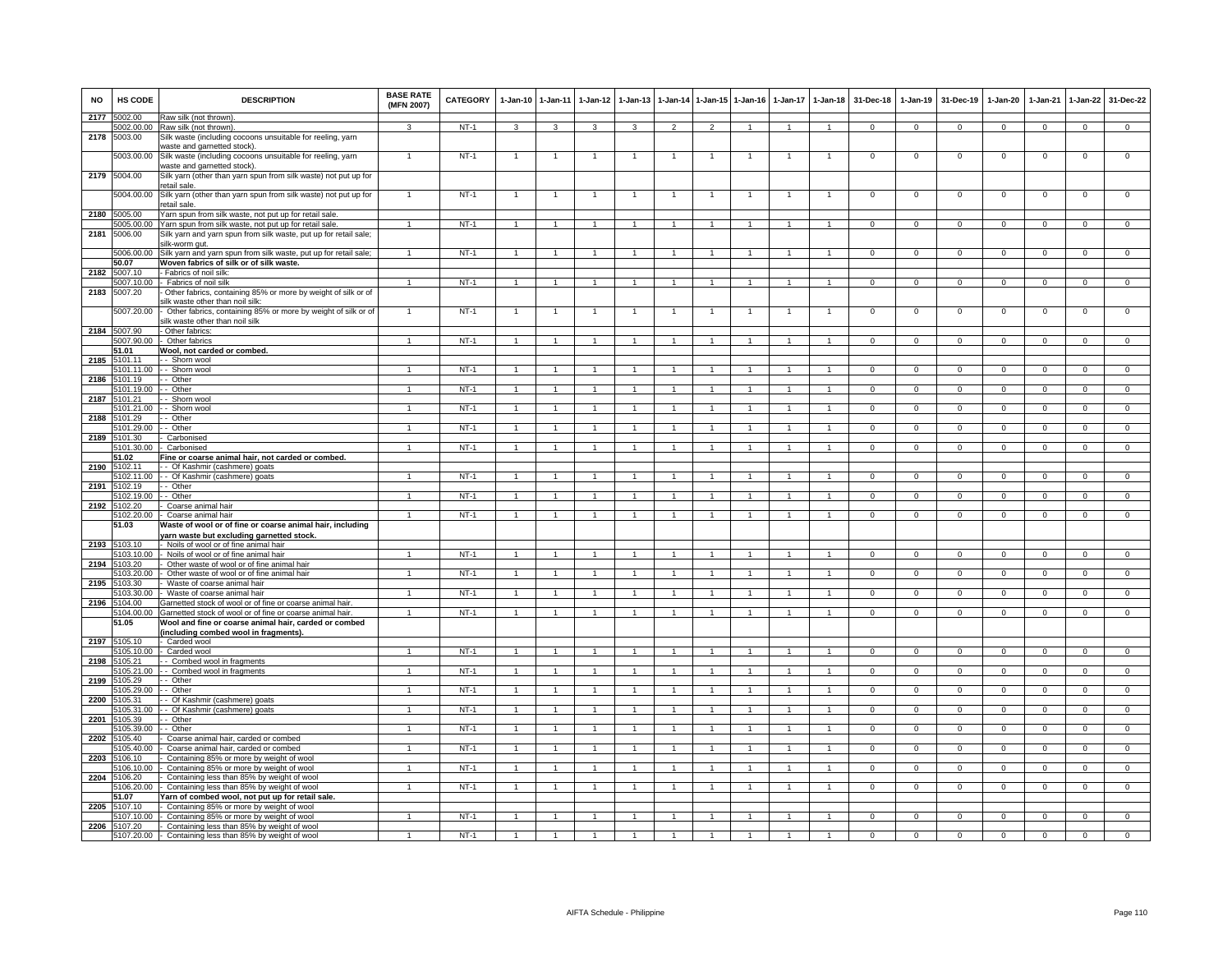| <b>NO</b> | HS CODE               | <b>DESCRIPTION</b>                                                                                              | <b>BASE RATE</b><br>(MFN 2007) | CATEGORY | $1 - Jan-10$   | $1 - Jan-11$         | $1 - Jan-12$         | $1-Jan-13$     | $1 - Jan-14$   | $1 - Jan-15$   | $1-Jan-16$     | $1-Jan-17$     | $1 - Jan-18$   | 31-Dec-18      | $1 - Jan-19$   | 31-Dec-19      | $1 - Jan-20$   | $1-Jan-21$  | $1-Jan-22$     | 31-Dec-22      |
|-----------|-----------------------|-----------------------------------------------------------------------------------------------------------------|--------------------------------|----------|----------------|----------------------|----------------------|----------------|----------------|----------------|----------------|----------------|----------------|----------------|----------------|----------------|----------------|-------------|----------------|----------------|
| 2177      | 5002.00               | Raw silk (not thrown)<br>5002.00.00 Raw silk (not thrown)                                                       | $\mathbf{3}$                   | $NT-1$   | 3              | 3                    | $\mathbf{B}$         | $\mathbf{a}$   | $\mathcal{P}$  | $\mathcal{L}$  | $\overline{ }$ | $\overline{1}$ | $\overline{1}$ | $\Omega$       | $\mathbf{0}$   | $\mathbf{0}$   | $^{\circ}$     | $^{\circ}$  | $\mathbf{0}$   | $\Omega$       |
| 2178      | 5003.00               | Silk waste (including cocoons unsuitable for reeling, yarn<br>waste and garnetted stock).                       |                                |          |                |                      |                      |                |                |                |                |                |                |                |                |                |                |             |                |                |
|           | 5003.00.00            | Silk waste (including cocoons unsuitable for reeling, yarn<br>waste and garnetted stock).                       | -1                             | $NT-1$   |                |                      |                      |                |                |                |                |                |                | $\Omega$       | 0              | $\mathbf 0$    | 0              | 0           | $\mathbf 0$    | $\,0\,$        |
| 2179      | 5004.00               | Silk yarn (other than yarn spun from silk waste) not put up for<br>etail sale.                                  |                                |          |                |                      |                      |                |                |                |                |                |                |                |                |                |                |             |                |                |
|           | 5004.00.00<br>5005.00 | Silk yarn (other than yarn spun from silk waste) not put up for<br>etail sale                                   |                                | $NT-1$   |                |                      |                      |                |                |                |                |                |                | 0              | 0              | $\mathbf 0$    | 0              | 0           | 0              | $^{\circ}$     |
| 2180      | 5005.00.00            | Yarn spun from silk waste, not put up for retail sale.<br>Yarn spun from silk waste, not put up for retail sale |                                | $NT-1$   |                |                      |                      |                |                |                |                |                |                | $\Omega$       | $\Omega$       | $\mathbf 0$    | $\mathbf 0$    | $\Omega$    | $\mathsf 0$    | $\Omega$       |
| 2181      | 5006.00               | Silk yarn and yarn spun from silk waste, put up for retail sale;                                                |                                |          |                |                      |                      |                |                |                |                |                |                |                |                |                |                |             |                |                |
|           | 5006.00.00            | silk-worm gut.<br>Silk yarn and yarn spun from silk waste, put up for retail sale;                              | $\mathbf{1}$                   | NT-1     | $\overline{1}$ | $\overline{1}$       | -1                   |                | $\mathbf{1}$   |                |                |                |                | $\mathbf 0$    | $\mathbf 0$    | $\mathbf 0$    | $\mathbf{0}$   | $\mathbf 0$ | $\mathbf{0}$   | $\mathbf{0}$   |
|           | 50.07                 | Woven fabrics of silk or of silk waste.                                                                         |                                |          |                |                      |                      |                |                |                |                |                |                |                |                |                |                |             |                |                |
| 2182      | 5007.10               | <b>Fabrics of noil silk:</b>                                                                                    |                                |          |                |                      |                      |                |                |                |                |                |                |                |                |                |                |             |                |                |
|           | 5007.10.00            | Fabrics of noil silk                                                                                            | $\mathbf{1}$                   | $NT-1$   | $\mathbf{1}$   | $\overline{1}$       | 1                    | 1              | $\overline{1}$ | $\mathbf{1}$   | $\overline{1}$ | $\mathbf{1}$   | $\mathbf{1}$   | $\overline{0}$ | $\overline{0}$ | $\overline{0}$ | $\Omega$       | $\Omega$    | $\overline{0}$ | $\overline{0}$ |
| 2183      | 5007.20               | Other fabrics, containing 85% or more by weight of silk or of<br>ilk waste other than noil silk                 |                                |          |                |                      |                      |                |                |                |                |                |                |                |                |                |                |             |                |                |
|           | 5007.20.00            | Other fabrics, containing 85% or more by weight of silk or of<br>ilk waste other than noil silk                 |                                | $NT-1$   | $\mathbf{1}$   | $\mathbf{1}$         |                      |                | $\overline{1}$ |                |                |                |                | $\mathsf 0$    | $\mathbf 0$    | $\mathbf 0$    | $\mathbf 0$    | $\mathbf 0$ | $\mathbf{0}$   | $\mathsf 0$    |
| 2184      | 5007.90               | Other fabrics                                                                                                   |                                |          |                |                      |                      |                |                |                |                |                |                |                |                |                |                |             |                |                |
|           | 5007.90.00            | Other fabrics                                                                                                   |                                | $NT-1$   |                |                      |                      |                |                |                |                | $\mathbf{1}$   |                | $\Omega$       | $\Omega$       | $\Omega$       | $\Omega$       | $\Omega$    | $\Omega$       | $\overline{0}$ |
|           | 51.01                 | Wool, not carded or combed.                                                                                     |                                |          |                |                      |                      |                |                |                |                |                |                |                |                |                |                |             |                |                |
| 2185      | 5101.11               | - Shorn wool                                                                                                    |                                |          |                |                      |                      |                |                |                |                |                |                |                |                |                |                |             |                |                |
| 2186      | 5101.11.00<br>5101.19 | - Shorn wool<br>- Other                                                                                         |                                | $NT-1$   |                |                      |                      |                |                |                |                |                |                |                | $\Omega$       |                |                |             | $\Omega$       | $\Omega$       |
|           | 5101.19.00            | - Other                                                                                                         | $\overline{1}$                 | $NT-1$   | $\overline{1}$ | $\mathbf{1}$         |                      |                | $\mathbf{1}$   |                |                |                |                | $\circ$        | $\mathbf{0}$   | $\mathbf{0}$   | $^{\circ}$     | $^{\circ}$  | $\overline{0}$ | $\overline{0}$ |
| 2187      | 101.21                | Shorn wool                                                                                                      |                                |          |                |                      |                      |                |                |                |                |                |                |                |                |                |                |             |                |                |
|           | 101.21.00             | - Shorn wool                                                                                                    | $\mathbf{1}$                   | $NT-1$   | 1              |                      |                      |                |                |                |                |                |                | $\mathbf 0$    | $\mathbf 0$    | $\mathbf 0$    | $\mathbf 0$    | $\mathbf 0$ | $\overline{0}$ | $\overline{0}$ |
| 2188      | 101.29                | Other                                                                                                           |                                |          |                |                      |                      |                |                |                |                |                |                |                |                |                |                |             |                |                |
| 2189      | 5101.29.00<br>5101.30 | - Other<br>Carbonised                                                                                           |                                | $NT-1$   |                |                      |                      |                |                |                |                |                |                | $^{\circ}$     | $\mathsf 0$    | $\mathbf 0$    | $^{\circ}$     | $^{\circ}$  | $\mathsf 0$    | $\mathbf 0$    |
|           | 5101.30.00            | Carbonised                                                                                                      | $\overline{1}$                 | $NT-1$   |                | $\overline{1}$       |                      |                |                |                |                |                |                | $\Omega$       | $\overline{0}$ | $\overline{0}$ | $\Omega$       | $\Omega$    | $\overline{0}$ | $\overline{0}$ |
|           | 51.02                 | Fine or coarse animal hair, not carded or combed.                                                               |                                |          |                |                      |                      |                |                |                |                |                |                |                |                |                |                |             |                |                |
| 2190      | 102.11                | - Of Kashmir (cashmere) goats                                                                                   |                                |          |                |                      |                      |                |                |                |                |                |                |                |                |                |                |             |                |                |
| 2191      | 5102.11.00<br>5102.19 | - Of Kashmir (cashmere) goats<br>- Other                                                                        |                                | $NT-1$   |                |                      |                      |                |                |                |                |                |                | $\Omega$       | $\Omega$       | $\Omega$       | $\Omega$       | $\Omega$    | $\Omega$       | $\Omega$       |
|           | 5102.19.00            | - Other                                                                                                         | $\mathbf{1}$                   | NT-1     | $\overline{1}$ | $\mathbf{1}$         | 1                    |                | 1              |                |                |                |                | $\circ$        | $\circ$        | $\mathbf{0}$   | $^{\circ}$     | $\mathbf 0$ | $\overline{0}$ | $\mathbf{0}$   |
| 2192      | 5102.20               | Coarse animal hair                                                                                              |                                |          |                |                      |                      |                |                |                |                |                |                |                |                |                |                |             |                |                |
|           | 5102.20.00            | Coarse animal hair                                                                                              | $\mathbf{1}$                   | $NT-1$   | $\overline{1}$ | $\mathbf{1}$         | $\mathbf{1}$         | $\overline{1}$ | $\overline{1}$ | $\overline{1}$ | $\mathbf{1}$   | -1             | $\overline{1}$ | $\overline{0}$ | $\overline{0}$ | $\overline{0}$ | $\overline{0}$ | $\mathbf 0$ | $\overline{0}$ | $\overline{0}$ |
|           | 51.03                 | Waste of wool or of fine or coarse animal hair, including<br>varn waste but excluding garnetted stock.          |                                |          |                |                      |                      |                |                |                |                |                |                |                |                |                |                |             |                |                |
| 2193      | 5103.10               | Noils of wool or of fine animal hair                                                                            |                                |          |                |                      |                      |                |                |                |                |                |                |                |                |                |                |             |                |                |
|           | 103.10.00             | Noils of wool or of fine animal hair                                                                            |                                | $NT-1$   |                |                      |                      |                |                |                |                |                |                | $\Omega$       | $\mathbf 0$    | $\Omega$       | $\Omega$       | $\Omega$    | $\Omega$       | $\,0\,$        |
| 2194      | 103.20                | Other waste of wool or of fine animal hair                                                                      |                                |          |                |                      |                      |                |                |                |                |                |                |                |                | $\overline{0}$ |                |             |                | $\overline{0}$ |
| 2195      | 103.20.00<br>103.30   | Other waste of wool or of fine animal hair<br>Waste of coarse animal hair                                       |                                | $NT-1$   |                |                      |                      |                |                |                |                |                |                | $\Omega$       | $\Omega$       |                | $\Omega$       | $\Omega$    | $\overline{0}$ |                |
|           | 5103.30.00            | Waste of coarse animal hair                                                                                     |                                | NT-1     |                |                      |                      |                |                |                |                |                |                |                | 0              | $\mathbf 0$    | 0              | $\mathbf 0$ | 0              | 0              |
| 2196      | 5104.00               | Garnetted stock of wool or of fine or coarse animal hair.                                                       |                                |          |                |                      |                      |                |                |                |                |                |                |                |                |                |                |             |                |                |
|           | 5104.00.00            | Garnetted stock of wool or of fine or coarse animal hair.                                                       | $\overline{1}$                 | NT-1     | $\overline{1}$ | $\overline{1}$       | $\overline{1}$       | $\mathbf{1}$   | $\overline{1}$ | $\overline{1}$ | $\mathbf{1}$   | $\mathbf{1}$   |                | $\mathbf 0$    | $\mathbf{0}$   | $\mathbf 0$    | $\mathbf 0$    | $\mathbf 0$ | $\mathbf 0$    | $\mathbf{0}$   |
|           | 51.05                 | Wool and fine or coarse animal hair, carded or combed<br>including combed wool in fragments).                   |                                |          |                |                      |                      |                |                |                |                |                |                |                |                |                |                |             |                |                |
| 2197      | 5105.10               | Carded wool                                                                                                     |                                |          |                |                      |                      |                |                |                |                |                |                |                |                |                |                |             |                |                |
|           | 105.10.00             | Carded wool                                                                                                     |                                | $NT-1$   |                |                      |                      |                |                |                |                |                |                | $\mathbf 0$    | $\mathsf 0$    | $\mathbf 0$    | $\mathbf 0$    | $\mathbf 0$ | $\mathbf 0$    | $\overline{0}$ |
| 2198      | 105.21<br>5105.21.00  | Combed wool in fragments<br>Combed wool in fragments                                                            | $\mathbf{1}$                   | $NT-1$   | $\overline{1}$ | $\overline{1}$       | $\blacktriangleleft$ |                |                |                |                |                |                | $\mathbf 0$    | $\mathbf 0$    | $\mathbf 0$    | $\mathbf 0$    | $\mathbf 0$ | $\mathbf 0$    | $\mathbf 0$    |
| 2199      | 5105.29               | - Other                                                                                                         |                                |          |                |                      |                      |                |                |                |                |                |                |                |                |                |                |             |                |                |
|           | 105 29 00             | - Other                                                                                                         |                                | $NT-1$   |                | $\blacktriangleleft$ |                      |                |                |                |                |                |                | $\Omega$       | $\Omega$       | $\Omega$       | $\Omega$       | $\Omega$    | $\overline{0}$ | $\overline{0}$ |
| 2200      | 105.31                | Of Kashmir (cashmere) goats                                                                                     |                                |          |                |                      |                      |                |                |                |                |                |                | $\Omega$       | $\Omega$       | $\Omega$       | $\Omega$       | $\Omega$    |                | $\Omega$       |
| 2201      | 5105.31.00<br>5105.39 | Of Kashmir (cashmere) goats<br>- Other                                                                          |                                | $NT-1$   |                |                      |                      |                |                |                |                |                |                |                |                |                |                |             | $\mathbf 0$    |                |
|           | 5105.39.00            | - Other                                                                                                         | $\mathbf{1}$                   | NT-1     | $\overline{1}$ | $\mathbf{1}$         | 1                    |                | $\mathbf{1}$   |                |                |                |                | $\circ$        | $\circ$        | $\mathbf{0}$   | 0              | $\mathbf 0$ | $\overline{0}$ | $\mathbf{0}$   |
|           | 2202 5105.40          | Coarse animal hair, carded or combed                                                                            |                                |          |                |                      |                      |                |                |                |                |                |                |                |                |                |                |             |                |                |
|           | 5105.40.00            | Coarse animal hair, carded or combed                                                                            |                                | $NT-1$   | $\overline{1}$ | $\mathbf{1}$         | -1.                  |                | $\mathbf{1}$   |                |                |                |                | $^{\circ}$     | $^{\circ}$     | $\mathbf{0}$   | $\Omega$       | $^{\circ}$  | $\mathbf 0$    | $\overline{0}$ |
| 2203      | 5106.10<br>106.10.00  | Containing 85% or more by weight of wool<br>Containing 85% or more by weight of wool                            |                                | $NT-1$   |                |                      |                      |                |                |                |                |                |                | $\mathbf 0$    | $\mathbf 0$    | $\mathbf 0$    | 0              | $^{\circ}$  | $\mathbf 0$    | $\mathsf 0$    |
| 2204      | 5106.20               | Containing less than 85% by weight of wool                                                                      |                                |          |                |                      |                      |                |                |                |                |                |                |                |                |                |                |             |                |                |
|           | 5106.20.00            | Containing less than 85% by weight of wool                                                                      |                                | $NT-1$   |                |                      |                      |                |                |                |                |                |                | $\Omega$       | 0              | $^{\circ}$     | 0              | $\mathbf 0$ | 0              | $\Omega$       |
|           | 51.07                 | Yarn of combed wool, not put up for retail sale                                                                 |                                |          |                |                      |                      |                |                |                |                |                |                |                |                |                |                |             |                |                |
| 2205      | 5107.10<br>107.10.00  | Containing 85% or more by weight of wool                                                                        |                                | $NT-1$   |                |                      |                      |                |                |                |                |                |                |                | ŋ              | $\Omega$       | O              |             | $\Omega$       | $\overline{0}$ |
| 2206      | 5107.20               | Containing 85% or more by weight of wool<br>Containing less than 85% by weight of wool                          |                                |          |                |                      |                      |                |                |                |                |                |                |                |                |                |                |             |                |                |
|           |                       | 5107.20.00 - Containing less than 85% by weight of wool                                                         |                                | $NT-1$   |                |                      |                      |                |                |                |                |                |                |                | $\Omega$       | $\Omega$       |                |             | $\Omega$       |                |
|           |                       |                                                                                                                 |                                |          |                |                      |                      |                |                |                |                |                |                |                |                |                |                |             |                |                |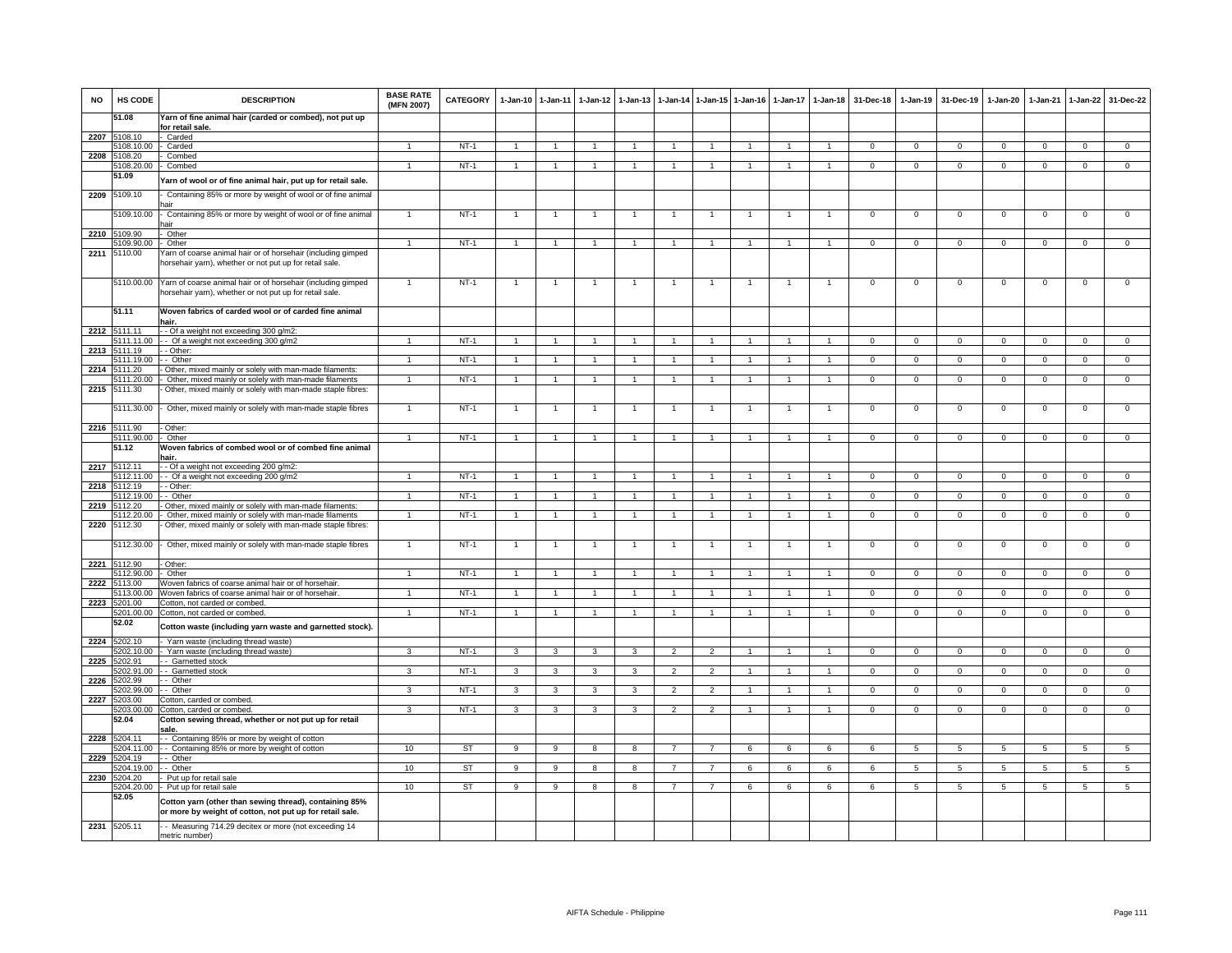| <b>NO</b> | HS CODE                    | <b>DESCRIPTION</b>                                                                                                      | <b>BASE RATE</b><br>(MFN 2007) | <b>CATEGORY</b> | $1-Jan-10$     | $1 - Jan-11$         | $1 - Jan-12$   | $1 - Jan-13$   | $1 - Jan-14$   | $1 - Jan-15$   | $1-Jan-16$     | 1-Jan-17       | $1 - Jan-18$         | 31-Dec-18      | $1-Jan-19$     | 31-Dec-19       | $1-Jan-20$     | $1-Jan-21$     | $1-Jan-22$      | 31-Dec-22       |
|-----------|----------------------------|-------------------------------------------------------------------------------------------------------------------------|--------------------------------|-----------------|----------------|----------------------|----------------|----------------|----------------|----------------|----------------|----------------|----------------------|----------------|----------------|-----------------|----------------|----------------|-----------------|-----------------|
|           | 51.08                      | Yarn of fine animal hair (carded or combed), not put up<br>for retail sale                                              |                                |                 |                |                      |                |                |                |                |                |                |                      |                |                |                 |                |                |                 |                 |
| 2207      | 5108.10                    | - Carded                                                                                                                |                                |                 |                |                      |                |                |                |                |                |                |                      |                |                |                 |                |                |                 |                 |
|           | 5108.10.00                 | Carded                                                                                                                  | $\overline{1}$                 | $NT-1$          | $\overline{1}$ | -1                   |                |                | $\overline{1}$ |                |                |                | $\mathbf{1}$         | $\mathbf{0}$   | $\mathbf{0}$   | $\mathbf 0$     | $\mathbf{0}$   | $^{\circ}$     | $\mathbf 0$     | $\overline{0}$  |
| 2208      | 5108.20                    | Combed                                                                                                                  |                                |                 |                |                      |                |                |                |                |                |                |                      |                |                |                 |                |                |                 |                 |
|           | 108.20.00                  | Combed                                                                                                                  | $\mathbf{1}$                   | $NT-1$          |                |                      |                |                |                |                |                |                |                      | $\mathsf 0$    | $\mathbf 0$    | $\mathbf 0$     | $\Omega$       | $\mathbf 0$    | $\mathbf 0$     | $\overline{0}$  |
|           | 51.09                      | Yarn of wool or of fine animal hair, put up for retail sale.                                                            |                                |                 |                |                      |                |                |                |                |                |                |                      |                |                |                 |                |                |                 |                 |
| 2209      | 5109.10                    | Containing 85% or more by weight of wool or of fine animal                                                              |                                |                 |                |                      |                |                |                |                |                |                |                      |                |                |                 |                |                |                 |                 |
|           | 5109.10.00                 | - Containing 85% or more by weight of wool or of fine animal<br>hair                                                    |                                | $NT-1$          |                | $\overline{1}$       |                |                |                | $\overline{1}$ | $\mathbf{1}$   | $\mathbf{1}$   | $\mathbf{1}$         | $\mathbf{0}$   | $\mathbf 0$    | $\mathbf 0$     | $\mathbf 0$    | $\mathbf 0$    | $\mathsf 0$     | $\overline{0}$  |
| 2210      | 109.90                     | Other                                                                                                                   |                                |                 |                |                      |                |                |                |                |                |                |                      |                |                |                 |                |                |                 |                 |
|           | 5109.90.00                 | - Other                                                                                                                 | $\mathbf{1}$                   | NT-1            | $\overline{1}$ | $\overline{1}$       | $\mathbf{1}$   | $\mathbf{1}$   | $\overline{1}$ | $\overline{1}$ |                |                | $\overline{1}$       | $\mathbf{O}$   | $\mathbf 0$    | $\mathbf 0$     | $\mathbf{0}$   | $\mathbf 0$    | $\mathbf 0$     | $\mathbf 0$     |
| 2211      | 5110.00                    | Yarn of coarse animal hair or of horsehair (including gimped<br>horsehair yarn), whether or not put up for retail sale. |                                |                 |                |                      |                |                |                |                |                |                |                      |                |                |                 |                |                |                 |                 |
|           | 5110.00.00                 | Yarn of coarse animal hair or of horsehair (including gimped<br>horsehair yarn), whether or not put up for retail sale. | $\mathbf{1}$                   | $NT-1$          | $\overline{1}$ | $\overline{1}$       | $\mathbf{1}$   | 1              | $\mathbf{1}$   | $\overline{1}$ | 1              | $\overline{1}$ | $\mathbf{1}$         | $\mathbf{O}$   | $\mathbf 0$    | $\mathbf 0$     | $\mathbf 0$    | $\mathbf 0$    | $\overline{0}$  | $\overline{0}$  |
|           | 51.11                      | Woven fabrics of carded wool or of carded fine animal<br>hair.                                                          |                                |                 |                |                      |                |                |                |                |                |                |                      |                |                |                 |                |                |                 |                 |
| 2212      | 5111.11                    | - - Of a weight not exceeding 300 g/m2:                                                                                 |                                |                 |                |                      |                |                |                |                |                |                |                      |                |                |                 |                |                |                 |                 |
|           | 111 11 00                  | - Of a weight not exceeding 300 g/m2                                                                                    |                                | $NT-1$          |                |                      |                |                |                |                |                |                |                      | $\Omega$       | $\Omega$       | $\Omega$        | $\Omega$       | $\Omega$       | $\Omega$        | $\overline{0}$  |
| 2213      | 111.19                     | - Other:                                                                                                                |                                |                 |                |                      |                |                |                |                |                |                |                      |                |                |                 |                |                |                 |                 |
|           | 5111.19.00                 | - Other                                                                                                                 | $\mathbf{1}$                   | $NT-1$          |                |                      |                |                |                |                |                |                |                      | $\Omega$       | $\Omega$       | $\Omega$        | $\Omega$       |                | $\Omega$        | $\Omega$        |
| 2214      | 5111.20                    | Other, mixed mainly or solely with man-made filaments:                                                                  |                                |                 |                |                      |                |                |                |                |                |                |                      |                |                |                 |                |                |                 |                 |
|           | 5111.20.00<br>2215 5111.30 | - Other, mixed mainly or solely with man-made filaments<br>Other, mixed mainly or solely with man-made staple fibres:   |                                | NT-1            | $\overline{1}$ |                      |                |                |                |                |                |                |                      | $\Omega$       | $\Omega$       | $\Omega$        | $\Omega$       | $\Omega$       | $\mathbf{0}$    | $\Omega$        |
|           | 5111.30.00                 | - Other, mixed mainly or solely with man-made staple fibres                                                             | $\mathbf{1}$                   | $NT-1$          |                |                      |                |                |                |                |                |                | -1                   | $\overline{0}$ | $\overline{0}$ | $\overline{0}$  | $\overline{0}$ | $\overline{0}$ | $\overline{0}$  | $\overline{0}$  |
|           | 2216 5111.90               | - Other:                                                                                                                |                                |                 |                |                      |                |                |                |                |                |                |                      |                |                |                 |                |                |                 |                 |
|           | 5111.90.00                 | - Other                                                                                                                 | $\mathbf{1}$                   | $NT-1$          | $\overline{1}$ | $\blacktriangleleft$ |                |                |                |                |                |                |                      | $\mathsf 0$    | $\mathsf 0$    | $\mathbf 0$     | $\mathbf 0$    | $\mathbf 0$    | $\mathsf 0$     | $\Omega$        |
|           | 51.12                      | Woven fabrics of combed wool or of combed fine animal<br>1air.                                                          |                                |                 |                |                      |                |                |                |                |                |                |                      |                |                |                 |                |                |                 |                 |
| 2217      | 5112.11                    | - Of a weight not exceeding 200 g/m2:                                                                                   |                                |                 |                |                      |                |                |                |                |                |                |                      |                |                |                 |                |                |                 |                 |
|           | 112.11.00                  | - Of a weight not exceeding 200 g/m2                                                                                    |                                | $NT-1$          | $\overline{1}$ | $\overline{1}$       |                |                |                | $\mathbf{1}$   |                |                | $\overline{1}$       | $\overline{0}$ | $\overline{0}$ | $\overline{0}$  | $\overline{0}$ | $\overline{0}$ | $\overline{0}$  | $\overline{0}$  |
| 2218      | 5112.19                    | - Other                                                                                                                 |                                |                 |                |                      |                |                |                |                |                |                |                      |                |                |                 |                |                |                 |                 |
|           | 5112.19.00                 | - Other                                                                                                                 | $\mathbf{1}$                   | $NT-1$          | $\overline{1}$ | $\mathbf{1}$         |                |                | $\overline{1}$ |                |                |                | $\mathbf{1}$         | $^{\circ}$     | $\mathbf 0$    | $\mathbf 0$     | $\mathbf 0$    | $\mathbf 0$    | $\mathbf 0$     | $\mathbf 0$     |
| 2219      | 5112.20<br>5112.20.00      | Other, mixed mainly or solely with man-made filaments:<br>Other, mixed mainly or solely with man-made filaments         | $\overline{1}$                 | $NT-1$          | $\overline{1}$ | $\overline{1}$       | $\overline{1}$ | $\overline{1}$ | $\overline{1}$ | $\overline{1}$ | $\mathbf{1}$   | $\mathbf{1}$   | $\mathbf{1}$         | $\overline{0}$ | $\overline{0}$ | $\mathbf{0}$    | $\overline{0}$ | $\overline{0}$ | $\overline{0}$  | $\overline{0}$  |
| 2220      | 5112.30                    | Other, mixed mainly or solely with man-made staple fibres:                                                              |                                |                 |                |                      |                |                |                |                |                |                |                      |                |                |                 |                |                |                 |                 |
| 2221      | 5112.30.00<br>5112.90      | Other, mixed mainly or solely with man-made staple fibres<br>Other:                                                     | $\mathbf{1}$                   | $NT-1$          | $\overline{1}$ | $\mathbf{1}$         | $\mathbf{1}$   |                | $\overline{1}$ | $\mathbf{1}$   |                | $\overline{1}$ | $\mathbf{1}$         | $\mathsf 0$    | $\mathbf 0$    | $\mathbf 0$     | $\mathbf 0$    | $\mathbf 0$    | $\mathsf 0$     | $\overline{0}$  |
|           | 5112.90.00                 | Other                                                                                                                   | $\blacktriangleleft$           | $NT-1$          | $\overline{1}$ | $\overline{1}$       | $\mathbf{1}$   |                | $\overline{1}$ |                |                |                |                      | $\Omega$       | $\mathbf 0$    | $\mathbf 0$     | $\mathbf 0$    | $\Omega$       | $\mathbf 0$     | $\overline{0}$  |
| 2222      | 5113.00                    | Woven fabrics of coarse animal hair or of horsehair                                                                     |                                |                 |                |                      |                |                |                |                |                |                |                      |                |                |                 |                |                |                 |                 |
|           | 5113.00.00                 | Woven fabrics of coarse animal hair or of horsehair                                                                     |                                | $NT-1$          |                |                      |                |                |                |                |                |                |                      | $\overline{0}$ | $\overline{0}$ | $\overline{0}$  | $\overline{0}$ | $\Omega$       | $\overline{0}$  | $\overline{0}$  |
| 2223      | 5201.00                    | Cotton, not carded or combed                                                                                            |                                |                 |                |                      |                |                |                |                |                |                |                      |                |                |                 |                |                |                 |                 |
|           | 5201.00.00                 | Cotton, not carded or combed.                                                                                           | $\mathbf{1}$                   | $NT-1$          | $\mathbf{1}$   | $\mathbf{1}$         |                |                |                |                |                |                |                      | $\Omega$       | $\Omega$       | $\Omega$        | $\Omega$       | $\Omega$       | $\Omega$        | $\Omega$        |
|           | 52.02                      | Cotton waste (including yarn waste and garnetted stock).                                                                |                                |                 |                |                      |                |                |                |                |                |                |                      |                |                |                 |                |                |                 |                 |
| 2224      | 5202.10                    | Yarn waste (including thread waste)                                                                                     |                                |                 |                |                      |                |                |                |                |                |                |                      |                |                |                 |                |                |                 |                 |
| 2225      | 202.10.00<br>202.91        | Yarn waste (including thread waste)<br>- Garnetted stock                                                                | 3                              | $NT-1$          | $\mathbf{3}$   | 3                    | $\mathbf{3}$   | $\overline{3}$ | $\overline{2}$ | $\overline{2}$ | $\mathbf{1}$   | $\mathbf{1}$   | $\mathbf{1}$         | $\mathbf{0}$   | $\overline{0}$ | $\mathbf 0$     | $\mathbf{0}$   | $\overline{0}$ | $\overline{0}$  | $\overline{0}$  |
|           | 202.91.00                  | - Garnetted stock                                                                                                       | 3                              | $NT-1$          | 3              | 3                    | 3              | 3              | $\mathcal{P}$  | $\overline{2}$ |                |                | $\mathbf{1}$         | $\mathsf 0$    | $\mathsf 0$    | $\mathbf 0$     | $\mathbf 0$    | $\mathbf 0$    | $\mathsf 0$     | $\mathsf 0$     |
| 2226      | 202.99                     | - Other                                                                                                                 |                                |                 |                |                      |                |                |                |                |                |                |                      |                |                |                 |                |                |                 |                 |
|           | 202.99.00                  | - Other                                                                                                                 | 3                              | NT-1            | 3              | 3                    | 3              | 3              | $\mathcal{P}$  | $\mathcal{P}$  |                |                | $\blacktriangleleft$ | $\mathsf 0$    | $\mathbf 0$    | $\mathbf 0$     | $\mathbf 0$    | $\Omega$       | $\mathsf 0$     | $\overline{0}$  |
| 2227      | 5203.00                    | Cotton, carded or combed.                                                                                               |                                |                 |                |                      |                |                |                |                |                |                |                      |                |                |                 |                |                |                 |                 |
|           | 5203.00.00                 | Cotton, carded or combed.                                                                                               | $\mathbf{3}$                   | $NT-1$          | $\mathbf{3}$   | 3                    | $\mathbf{3}$   | 3              | $\overline{2}$ | $\overline{2}$ | $\overline{1}$ | $\mathbf{1}$   | $\mathbf{1}$         | $\mathbf{0}$   | $\mathsf 0$    | $\mathsf 0$     | $\overline{0}$ | $\mathbf 0$    | $\overline{0}$  | $\overline{0}$  |
|           | 52.04                      | Cotton sewing thread, whether or not put up for retail<br>sale.                                                         |                                |                 |                |                      |                |                |                |                |                |                |                      |                |                |                 |                |                |                 |                 |
| 2228      | 5204.11                    | - Containing 85% or more by weight of cotton                                                                            |                                |                 |                |                      |                |                |                |                |                |                |                      |                |                |                 |                |                |                 |                 |
|           | 5204.11.00                 | - - Containing 85% or more by weight of cotton                                                                          | 10                             | ST              | 9              | 9                    | 8              | 8              | $\overline{7}$ | $\overline{7}$ | 6              | 6              | 6                    | 6              | 5              | 5               | 5              | 5              | 5               | 5               |
| 2229      | 5204.19                    | - Other                                                                                                                 |                                |                 |                |                      |                |                |                |                |                |                |                      |                |                |                 |                |                |                 |                 |
|           | 5204.19.00                 | - Other                                                                                                                 | 10                             | ST              | 9              | $\overline{9}$       | 8              | 8              | $\overline{7}$ | $\overline{7}$ | 6              | 6              | 6                    | 6              | 5              | $5\phantom{.0}$ | 5              | 5              | $5\phantom{.0}$ | $5\overline{)}$ |
| 2230      | 5204.20                    | Put up for retail sale                                                                                                  |                                |                 |                |                      |                |                |                |                |                |                |                      |                |                |                 |                |                |                 |                 |
|           | 5204.20.00<br>52.05        | Put up for retail sale                                                                                                  | 10                             | <b>ST</b>       | 9              | 9                    | 8              | 8              | $\overline{7}$ | $\overline{7}$ | 6              | 6              | 6                    | 6              | 5              | 5               | 5              | 5              | 5               | 5               |
|           |                            | Cotton yarn (other than sewing thread), containing 85%<br>or more by weight of cotton, not put up for retail sale.      |                                |                 |                |                      |                |                |                |                |                |                |                      |                |                |                 |                |                |                 |                 |
| 2231      | 5205.11                    | - Measuring 714.29 decitex or more (not exceeding 14<br>metric number)                                                  |                                |                 |                |                      |                |                |                |                |                |                |                      |                |                |                 |                |                |                 |                 |
|           |                            |                                                                                                                         |                                |                 |                |                      |                |                |                |                |                |                |                      |                |                |                 |                |                |                 |                 |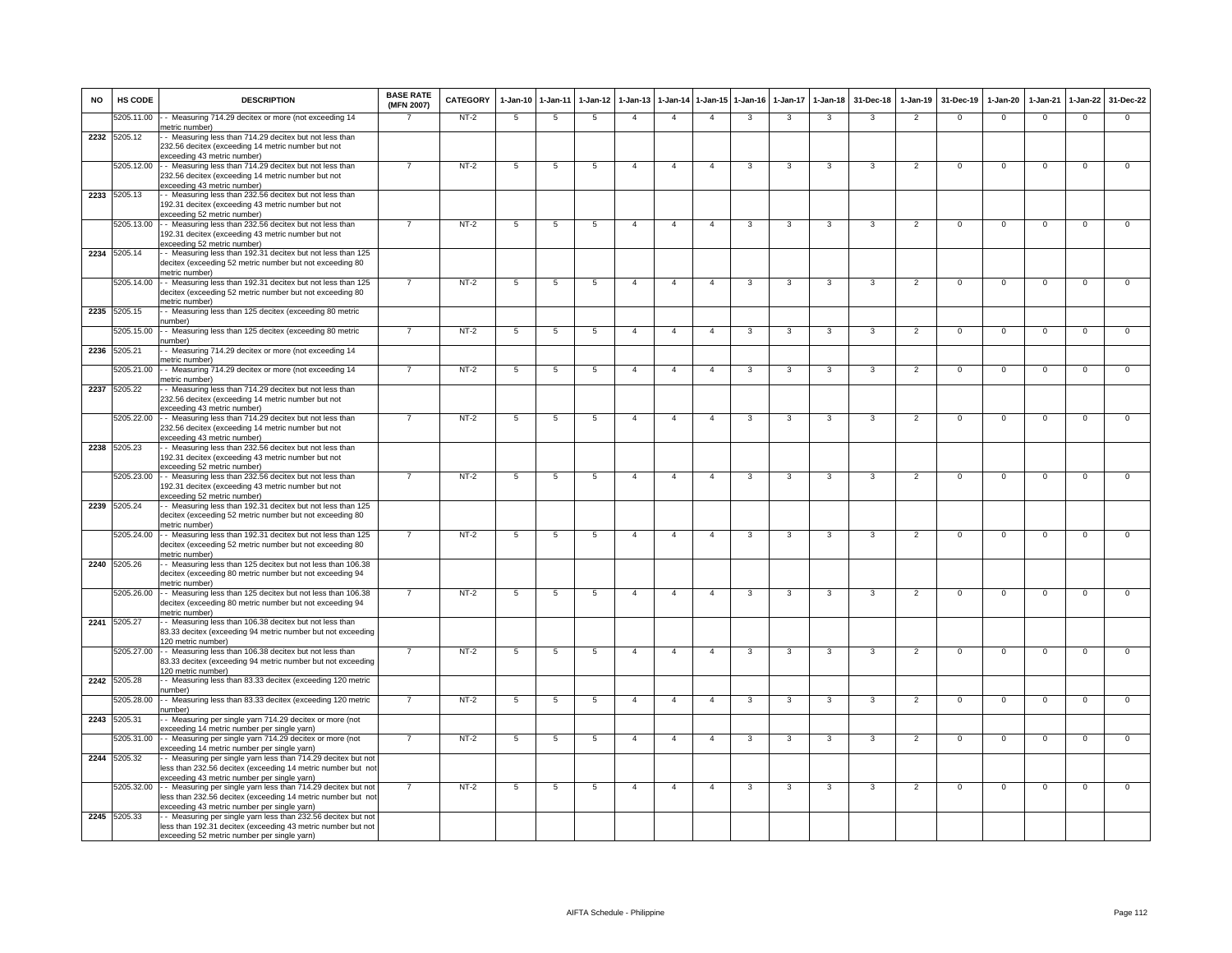| <b>NO</b> | HS CODE      | <b>DESCRIPTION</b>                                                                                                                                                          | <b>BASE RATE</b><br>(MFN 2007) | CATEGORY | $1-Jan-10$      | $1-Jan-11$      | $1-Jan-12$      | $1 - Jan-13$   | $1-Jan-14$     | $1 - Jan-15$   | $1 - Jan-16$   | $1-Jan-17$     | $1 - Jan-18$            | 31-Dec-18      | $1-Jan-19$     | 31-Dec-19      | $1-Jan-20$     | $1-Jan-21$     | 1-Jan-22       | 31-Dec-22      |
|-----------|--------------|-----------------------------------------------------------------------------------------------------------------------------------------------------------------------------|--------------------------------|----------|-----------------|-----------------|-----------------|----------------|----------------|----------------|----------------|----------------|-------------------------|----------------|----------------|----------------|----------------|----------------|----------------|----------------|
|           | 5205.11.00   | - Measuring 714.29 decitex or more (not exceeding 14<br>netric number)                                                                                                      |                                | $NT-2$   | -5              | 5               | $\overline{5}$  | $\overline{4}$ | $\overline{4}$ | $\overline{4}$ | 3              | $\mathbf{3}$   | $\mathbf{3}$            | 3              | $\overline{2}$ | $\Omega$       | $\Omega$       | $\overline{0}$ | $\Omega$       | $\overline{0}$ |
|           | 2232 5205.12 | - Measuring less than 714.29 decitex but not less than<br>232.56 decitex (exceeding 14 metric number but not<br>exceeding 43 metric number)                                 |                                |          |                 |                 |                 |                |                |                |                |                |                         |                |                |                |                |                |                |                |
|           | 5205.12.00   | - Measuring less than 714.29 decitex but not less than<br>232.56 decitex (exceeding 14 metric number but not                                                                |                                | $NT-2$   | $5\overline{)}$ | 5               | $\overline{5}$  | $\overline{4}$ | $\overline{4}$ | $\overline{4}$ | 3              | 3              | $\overline{\mathbf{3}}$ | 3              | $\overline{2}$ | $\overline{0}$ | $\overline{0}$ | $\overline{0}$ | $\overline{0}$ | $\overline{0}$ |
|           | 2233 5205.13 | exceeding 43 metric number)<br>- Measuring less than 232.56 decitex but not less than<br>192.31 decitex (exceeding 43 metric number but not                                 |                                |          |                 |                 |                 |                |                |                |                |                |                         |                |                |                |                |                |                |                |
|           | 5205.13.00   | exceeding 52 metric number)<br>- Measuring less than 232.56 decitex but not less than                                                                                       | $\overline{7}$                 | $NT-2$   | $5\phantom{.0}$ | $5\phantom{.0}$ | $\overline{5}$  | $\overline{4}$ | $\overline{4}$ | $\overline{4}$ | 3              | $\mathbf{3}$   | 3                       | 3              | $\overline{2}$ | $\mathbf 0$    | $\mathsf 0$    | $\overline{0}$ | $\overline{0}$ | $\overline{0}$ |
|           |              | 192.31 decitex (exceeding 43 metric number but not<br>exceeding 52 metric number)                                                                                           |                                |          |                 |                 |                 |                |                |                |                |                |                         |                |                |                |                |                |                |                |
|           | 2234 5205.14 | - Measuring less than 192.31 decitex but not less than 125<br>decitex (exceeding 52 metric number but not exceeding 80<br>netric number)                                    |                                |          |                 |                 |                 |                |                |                |                |                |                         |                |                |                |                |                |                |                |
|           | 5205.14.00   | - Measuring less than 192.31 decitex but not less than 125<br>decitex (exceeding 52 metric number but not exceeding 80<br>netric number)                                    |                                | $NT-2$   | $5\overline{)}$ | 5               | 5               | $\overline{4}$ | $\overline{4}$ | $\overline{4}$ | 3              | $\mathbf{3}$   | 3                       | 3              | $\overline{2}$ | $\overline{0}$ | $\overline{0}$ | $\overline{0}$ | $\overline{0}$ | $\overline{0}$ |
|           | 2235 5205.15 | - Measuring less than 125 decitex (exceeding 80 metric<br>umber)                                                                                                            |                                |          |                 |                 |                 |                |                |                |                |                |                         |                |                |                |                |                |                |                |
|           | 5205.15.00   | - - Measuring less than 125 decitex (exceeding 80 metric<br>umber)                                                                                                          |                                | $NT-2$   | $5\phantom{.0}$ | $5\phantom{.0}$ | 5               | $\overline{4}$ | $\overline{4}$ | $\overline{4}$ | 3              | $\mathbf{3}$   | $\mathbf{3}$            | 3              | $\overline{2}$ | $\mathbf 0$    | $\overline{0}$ | $\overline{0}$ | $\mathbf{0}$   | $\mathbf{0}$   |
| 2236      | 5205.21      | - Measuring 714.29 decitex or more (not exceeding 14<br>metric number)                                                                                                      |                                |          |                 |                 |                 |                |                |                |                |                |                         |                |                |                |                |                |                |                |
|           | 205.21.00    | - Measuring 714.29 decitex or more (not exceeding 14<br>netric number)                                                                                                      |                                | $NT-2$   | 5               | 5               | 5               | $\overline{a}$ | $\overline{a}$ | $\Delta$       | 3              | $\mathbf{3}$   | 3                       | 3              | $\overline{2}$ | $\mathbf 0$    | $\mathsf 0$    | $\mathbf 0$    | $\mathsf 0$    | $\mathbf 0$    |
|           | 2237 5205.22 | - Measuring less than 714.29 decitex but not less than<br>232.56 decitex (exceeding 14 metric number but not                                                                |                                |          |                 |                 |                 |                |                |                |                |                |                         |                |                |                |                |                |                |                |
|           | 5205.22.00   | exceeding 43 metric number)<br>- Measuring less than 714.29 decitex but not less than<br>232.56 decitex (exceeding 14 metric number but not                                 | $\overline{7}$                 | $NT-2$   | 5               | 5               | 5               | $\overline{4}$ | $\overline{4}$ | $\overline{4}$ | 3              | 3              | 3                       | 3              | $\overline{2}$ | $\overline{0}$ | $\overline{0}$ | $\overline{0}$ | $\overline{0}$ | $\overline{0}$ |
|           | 2238 5205.23 | exceeding 43 metric number)<br>- Measuring less than 232.56 decitex but not less than<br>192.31 decitex (exceeding 43 metric number but not                                 |                                |          |                 |                 |                 |                |                |                |                |                |                         |                |                |                |                |                |                |                |
|           | 5205.23.00   | exceeding 52 metric number)<br>- Measuring less than 232.56 decitex but not less than<br>192.31 decitex (exceeding 43 metric number but not                                 | $\overline{7}$                 | $NT-2$   | $\overline{5}$  | $\overline{5}$  | 5               | $\overline{4}$ | $\overline{4}$ | $\overline{4}$ | $\overline{3}$ | 3              | $\overline{\mathbf{3}}$ | $\overline{3}$ | $\overline{2}$ | $\overline{0}$ | $\overline{0}$ | $\overline{0}$ | $\overline{0}$ | $\overline{0}$ |
|           | 2239 5205.24 | exceeding 52 metric number)<br>- Measuring less than 192.31 decitex but not less than 125                                                                                   |                                |          |                 |                 |                 |                |                |                |                |                |                         |                |                |                |                |                |                |                |
|           |              | decitex (exceeding 52 metric number but not exceeding 80<br>netric number)                                                                                                  |                                |          |                 |                 |                 |                |                |                |                |                |                         |                |                |                |                |                |                |                |
|           | 5205.24.00   | - Measuring less than 192.31 decitex but not less than 125<br>decitex (exceeding 52 metric number but not exceeding 80<br>netric number)                                    | $\overline{7}$                 | $NT-2$   | $5\phantom{.0}$ | $5\phantom{.0}$ | $\overline{5}$  | $\overline{4}$ | $\overline{4}$ | $\overline{4}$ | 3              | $\mathbf{3}$   | 3                       | $\mathbf{3}$   | $\overline{2}$ | $\mathbf 0$    | $\mathbf 0$    | $\mathsf 0$    | $\mathsf 0$    | $\mathbf 0$    |
|           | 2240 5205.26 | - Measuring less than 125 decitex but not less than 106.38<br>decitex (exceeding 80 metric number but not exceeding 94<br>netric number)                                    |                                |          |                 |                 |                 |                |                |                |                |                |                         |                |                |                |                |                |                |                |
|           | 5205.26.00   | - Measuring less than 125 decitex but not less than 106.38<br>decitex (exceeding 80 metric number but not exceeding 94<br>netric number)                                    |                                | $NT-2$   | 5               | 5               | 5               | $\overline{4}$ | $\overline{4}$ | $\overline{4}$ | 3              | 3              | $\overline{\mathbf{3}}$ | 3              | $\overline{2}$ | $\overline{0}$ | $\overline{0}$ | $\overline{0}$ | $\mathsf 0$    | $\overline{0}$ |
|           | 2241 5205.27 | - Measuring less than 106.38 decitex but not less than<br>83.33 decitex (exceeding 94 metric number but not exceeding<br>120 metric number)                                 |                                |          |                 |                 |                 |                |                |                |                |                |                         |                |                |                |                |                |                |                |
|           | 5205.27.00   | - - Measuring less than 106.38 decitex but not less than<br>83.33 decitex (exceeding 94 metric number but not exceeding<br>120 metric number)                               | $\overline{7}$                 | $NT-2$   | 5               | 5               | 5               | $\overline{4}$ | $\overline{4}$ | $\overline{4}$ | 3              | 3              | 3                       | 3              | $\overline{2}$ | $\Omega$       | $\Omega$       | $\Omega$       | $\Omega$       | $\Omega$       |
|           | 2242 5205.28 | - Measuring less than 83.33 decitex (exceeding 120 metric<br>umber)                                                                                                         |                                |          |                 |                 |                 |                |                |                |                |                |                         |                |                |                |                |                |                |                |
|           | 205.28.00    | - Measuring less than 83.33 decitex (exceeding 120 metric<br>number)                                                                                                        |                                | $NT-2$   | 5               | 5               | 5               | $\overline{4}$ | $\overline{4}$ | $\overline{4}$ | 3              | 3              | 3                       | 3              | $\overline{2}$ | $^{\circ}$     | $\mathsf 0$    | $\mathbf 0$    | $\mathsf 0$    | $\mathbf 0$    |
|           | 2243 5205.31 | - Measuring per single yarn 714.29 decitex or more (not<br>exceeding 14 metric number per single yarn)                                                                      |                                |          |                 |                 |                 |                |                |                |                |                |                         |                |                |                |                |                |                |                |
|           | 5205.31.00   | - Measuring per single yarn 714.29 decitex or more (not<br>exceeding 14 metric number per single yarn)                                                                      | $\overline{7}$                 | $NT-2$   | $5\overline{)}$ | 5               | $5\phantom{.0}$ | $\overline{4}$ | $\overline{4}$ | $\overline{4}$ | 3              | $\overline{3}$ | 3                       | 3              | $\overline{2}$ | $\overline{0}$ | $\overline{0}$ | $\overline{0}$ | $\overline{0}$ | $\overline{0}$ |
| 2244      | 205.32       | - Measuring per single yarn less than 714.29 decitex but not<br>less than 232.56 decitex (exceeding 14 metric number but not<br>exceeding 43 metric number per single yarn) |                                |          |                 |                 |                 |                |                |                |                |                |                         |                |                |                |                |                |                |                |
|           | 5205.32.00   | - Measuring per single yarn less than 714.29 decitex but not<br>less than 232.56 decitex (exceeding 14 metric number but not<br>exceeding 43 metric number per single yarn) | $\overline{7}$                 | $NT-2$   | $5\overline{)}$ | 5               | 5               | $\overline{4}$ | $\overline{4}$ | $\overline{4}$ | 3              | 3              | 3                       | 3              | $\overline{2}$ | $\Omega$       | $\Omega$       | $\Omega$       | $\Omega$       | $\overline{0}$ |
|           | 2245 5205.33 | - Measuring per single yarn less than 232.56 decitex but not<br>less than 192.31 decitex (exceeding 43 metric number but not<br>exceeding 52 metric number per single yarn) |                                |          |                 |                 |                 |                |                |                |                |                |                         |                |                |                |                |                |                |                |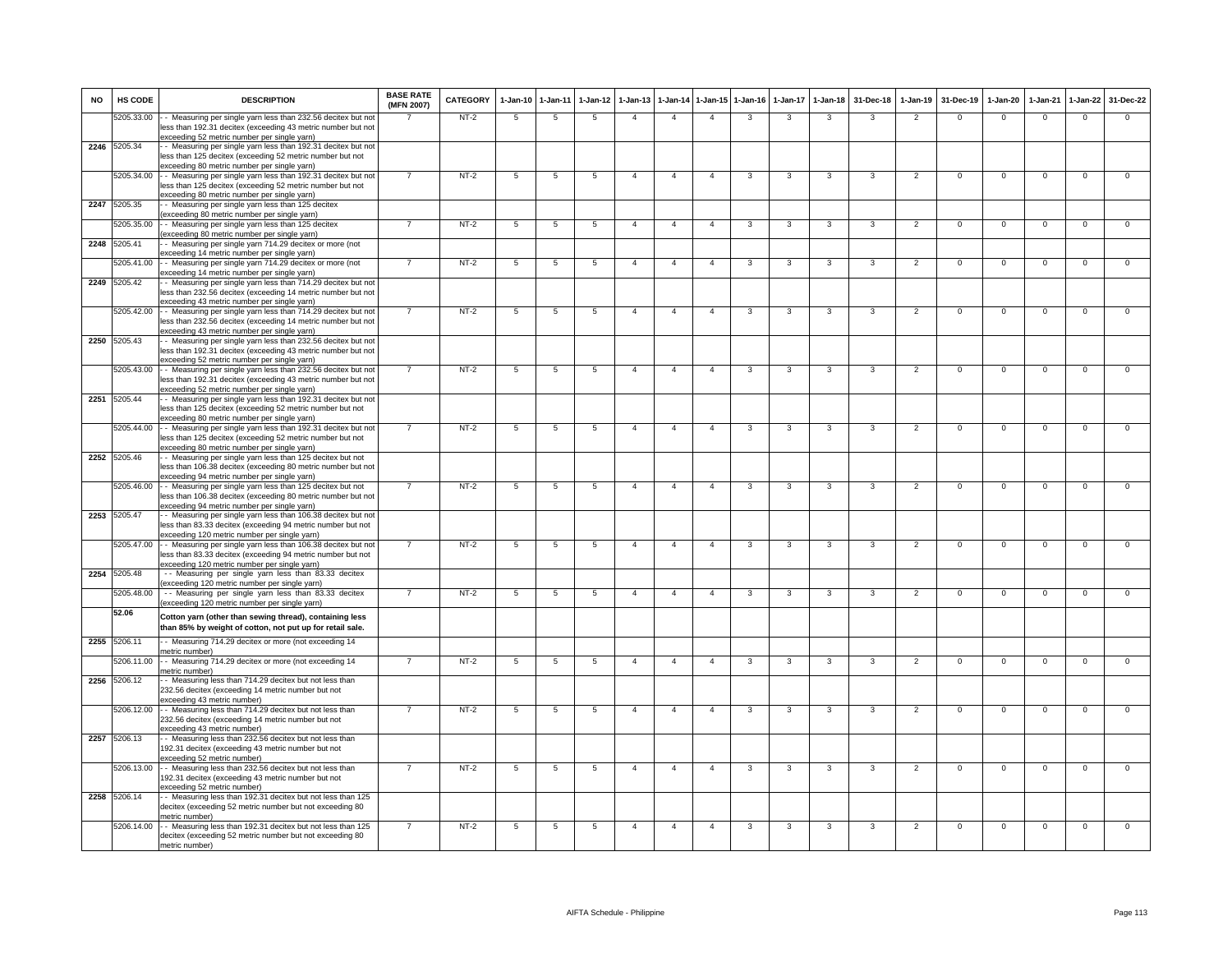| <b>NO</b> | HS CODE      | <b>DESCRIPTION</b>                                                                                                                                                          | <b>BASE RATE</b><br>(MFN 2007) | <b>CATEGORY</b> | $1 - Jan-10$   | 1-Jan-11       | $1-Jan-12$      | $1-Jan-13$     | 1-Jan-14       |                | 1-Jan-15 1-Jan-16 | $1 - Jan-17$ | $1 - Jan-18$            | 31-Dec-18               | 1-Jan-19       | 31-Dec-19      | $1-Jan-20$     | $1-Jan-21$     | 1-Jan-22       | 31-Dec-22      |
|-----------|--------------|-----------------------------------------------------------------------------------------------------------------------------------------------------------------------------|--------------------------------|-----------------|----------------|----------------|-----------------|----------------|----------------|----------------|-------------------|--------------|-------------------------|-------------------------|----------------|----------------|----------------|----------------|----------------|----------------|
|           | 5205.33.00   | - Measuring per single yarn less than 232.56 decitex but not<br>less than 192.31 decitex (exceeding 43 metric number but not<br>exceeding 52 metric number per single yarn) |                                | NT-2            | 5              | 5              | -5              | $\overline{4}$ | $\overline{4}$ | $\overline{4}$ | 3                 | 3            | $\mathbf{3}$            | 3                       | 2              | $\Omega$       | $\Omega$       | $\mathbf{0}$   | $\mathsf 0$    | $\Omega$       |
|           | 2246 5205.34 | - Measuring per single yarn less than 192.31 decitex but not                                                                                                                |                                |                 |                |                |                 |                |                |                |                   |              |                         |                         |                |                |                |                |                |                |
|           |              | less than 125 decitex (exceeding 52 metric number but not<br>exceeding 80 metric number per single yarn)                                                                    |                                |                 |                |                |                 |                |                |                |                   |              |                         |                         |                |                |                |                |                |                |
|           | 5205.34.00   | - Measuring per single yarn less than 192.31 decitex but not                                                                                                                |                                | $NT-2$          | 5              | 5              | 5               | $\overline{4}$ | $\overline{4}$ | $\overline{4}$ | 3                 | $\mathbf{3}$ | $\overline{\mathbf{3}}$ | $\overline{\mathbf{3}}$ | $\overline{2}$ | $\mathbf 0$    | $\Omega$       | $\mathbf 0$    | $\mathsf 0$    | $\Omega$       |
|           |              | less than 125 decitex (exceeding 52 metric number but not<br>exceeding 80 metric number per single yarn)                                                                    |                                |                 |                |                |                 |                |                |                |                   |              |                         |                         |                |                |                |                |                |                |
| 2247      | 5205.35      | - Measuring per single yarn less than 125 decitex<br>exceeding 80 metric number per single yarn)                                                                            |                                |                 |                |                |                 |                |                |                |                   |              |                         |                         |                |                |                |                |                |                |
|           | 5205.35.00   | - Measuring per single yarn less than 125 decitex<br>exceeding 80 metric number per single yarn)                                                                            | $\overline{7}$                 | $NT-2$          | 5              | $\overline{5}$ | $5\overline{5}$ | $\overline{4}$ | $\overline{4}$ | $\overline{4}$ | $\mathbf{3}$      | $\mathbf{3}$ | $\overline{\mathbf{3}}$ | $\mathbf{3}$            | $\overline{2}$ | $\mathbf 0$    | $\Omega$       | $\Omega$       | $\overline{0}$ | $\overline{0}$ |
| 2248      | 5205.41      | - Measuring per single yarn 714.29 decitex or more (not                                                                                                                     |                                |                 |                |                |                 |                |                |                |                   |              |                         |                         |                |                |                |                |                |                |
|           | 5205.41.00   | exceeding 14 metric number per single yarn)<br>- Measuring per single yarn 714.29 decitex or more (not                                                                      |                                | $NT-2$          | 5              | 5              | 5               | $\overline{4}$ | $\overline{4}$ | $\overline{4}$ | 3                 | 3            | $\overline{\mathbf{3}}$ | 3                       | $\overline{2}$ | $\overline{0}$ | $\mathsf 0$    | $\overline{0}$ | $\mathbf 0$    | $\overline{0}$ |
|           | 2249 5205.42 | exceeding 14 metric number per single yarn)                                                                                                                                 |                                |                 |                |                |                 |                |                |                |                   |              |                         |                         |                |                |                |                |                |                |
|           |              | - Measuring per single yarn less than 714.29 decitex but not<br>less than 232.56 decitex (exceeding 14 metric number but not<br>exceeding 43 metric number per single yarn) |                                |                 |                |                |                 |                |                |                |                   |              |                         |                         |                |                |                |                |                |                |
|           | 5205.42.00   | - - Measuring per single yarn less than 714.29 decitex but not                                                                                                              |                                | $NT-2$          | 5              | 5              | 5               | $\overline{4}$ | $\overline{4}$ | $\overline{4}$ | 3                 | 3            | 3                       | 3                       | $\overline{2}$ | $\Omega$       | $\Omega$       | $\overline{0}$ | $\Omega$       | $\overline{0}$ |
|           |              | less than 232.56 decitex (exceeding 14 metric number but not<br>exceeding 43 metric number per single yarn)                                                                 |                                |                 |                |                |                 |                |                |                |                   |              |                         |                         |                |                |                |                |                |                |
|           | 2250 5205.43 | - Measuring per single yarn less than 232.56 decitex but not<br>less than 192.31 decitex (exceeding 43 metric number but not                                                |                                |                 |                |                |                 |                |                |                |                   |              |                         |                         |                |                |                |                |                |                |
|           |              | exceeding 52 metric number per single yarn)                                                                                                                                 |                                |                 |                |                |                 |                |                |                |                   |              |                         |                         |                |                |                |                |                |                |
|           | 5205.43.00   | - - Measuring per single yarn less than 232.56 decitex but not<br>less than 192.31 decitex (exceeding 43 metric number but not                                              |                                | $NT-2$          | 5              | 5              | 5               | $\overline{4}$ | $\overline{4}$ | $\overline{4}$ | 3                 | 3            | 3                       | 3                       | $\overline{2}$ | $\mathbf 0$    | $\mathbf{0}$   | $\mathbf 0$    | $\mathbf 0$    | $\mathbf 0$    |
|           |              | exceeding 52 metric number per single yarn)                                                                                                                                 |                                |                 |                |                |                 |                |                |                |                   |              |                         |                         |                |                |                |                |                |                |
|           | 2251 5205.44 | - Measuring per single yarn less than 192.31 decitex but not<br>less than 125 decitex (exceeding 52 metric number but not                                                   |                                |                 |                |                |                 |                |                |                |                   |              |                         |                         |                |                |                |                |                |                |
|           | 5205.44.00   | exceeding 80 metric number per single yarn)                                                                                                                                 | $\overline{7}$                 | $NT-2$          |                | $\overline{5}$ |                 | $\overline{4}$ | $\overline{4}$ | $\overline{4}$ | $\mathbf{3}$      | 3            | $\mathbf{3}$            | $\mathbf{3}$            | 2              | $\Omega$       | $\Omega$       | $\mathbf{0}$   | $\mathbf{0}$   | $\mathbf{0}$   |
|           |              | - Measuring per single yarn less than 192.31 decitex but not<br>less than 125 decitex (exceeding 52 metric number but not                                                   |                                |                 | 5              |                | 5               |                |                |                |                   |              |                         |                         |                |                |                |                |                |                |
|           | 2252 5205.46 | exceeding 80 metric number per single yarn)<br>- Measuring per single yarn less than 125 decitex but not                                                                    |                                |                 |                |                |                 |                |                |                |                   |              |                         |                         |                |                |                |                |                |                |
|           |              | less than 106.38 decitex (exceeding 80 metric number but not                                                                                                                |                                |                 |                |                |                 |                |                |                |                   |              |                         |                         |                |                |                |                |                |                |
|           |              | exceeding 94 metric number per single yarn)<br>5205.46.00 - - Measuring per single yarn less than 125 decitex but not                                                       |                                | $NT-2$          | 5              | 5              | $\overline{5}$  | $\overline{4}$ | $\overline{4}$ | $\overline{4}$ | 3                 | 3            | 3                       | 3                       | $\overline{2}$ | $\Omega$       | $\mathsf 0$    | $\Omega$       | $\mathsf 0$    | $\mathbf 0$    |
|           |              | less than 106.38 decitex (exceeding 80 metric number but not<br>exceeding 94 metric number per single yarn)                                                                 |                                |                 |                |                |                 |                |                |                |                   |              |                         |                         |                |                |                |                |                |                |
|           | 2253 5205.47 | - Measuring per single yarn less than 106.38 decitex but not                                                                                                                |                                |                 |                |                |                 |                |                |                |                   |              |                         |                         |                |                |                |                |                |                |
|           |              | less than 83.33 decitex (exceeding 94 metric number but not<br>exceeding 120 metric number per single yarn)                                                                 |                                |                 |                |                |                 |                |                |                |                   |              |                         |                         |                |                |                |                |                |                |
|           | 5205.47.00   | - Measuring per single yarn less than 106.38 decitex but not                                                                                                                | $\overline{7}$                 | $NT-2$          | $\overline{5}$ | 5              | $\overline{5}$  | $\Delta$       | $\overline{4}$ | $\overline{4}$ | 3                 | 3            | $\overline{\mathbf{3}}$ | $\overline{\mathbf{3}}$ | $\overline{2}$ | $\overline{0}$ | $\overline{0}$ | $\overline{0}$ | $\overline{0}$ | $\overline{0}$ |
|           |              | less than 83.33 decitex (exceeding 94 metric number but not<br>exceeding 120 metric number per single yarn)                                                                 |                                |                 |                |                |                 |                |                |                |                   |              |                         |                         |                |                |                |                |                |                |
| 2254      | 5205.48      | -- Measuring per single yarn less than 83.33 decitex<br>exceeding 120 metric number per single yarn)                                                                        |                                |                 |                |                |                 |                |                |                |                   |              |                         |                         |                |                |                |                |                |                |
|           | 5205.48.00   | -- Measuring per single yarn less than 83.33 decitex                                                                                                                        |                                | $NT-2$          | 5              | 5              | 5               | $\overline{a}$ | $\overline{4}$ | $\overline{4}$ | 3                 | 3            | 3                       | 3                       | $\overline{2}$ | $\overline{0}$ | $\overline{0}$ | $\overline{0}$ | $\overline{0}$ | $\overline{0}$ |
|           | 52.06        | (exceeding 120 metric number per single yarn)                                                                                                                               |                                |                 |                |                |                 |                |                |                |                   |              |                         |                         |                |                |                |                |                |                |
|           |              | Cotton yarn (other than sewing thread), containing less<br>than 85% by weight of cotton, not put up for retail sale.                                                        |                                |                 |                |                |                 |                |                |                |                   |              |                         |                         |                |                |                |                |                |                |
| 2255      | 5206.11      | - Measuring 714.29 decitex or more (not exceeding 14<br>metric number)                                                                                                      |                                |                 |                |                |                 |                |                |                |                   |              |                         |                         |                |                |                |                |                |                |
|           | 5206.11.00   | -- Measuring 714.29 decitex or more (not exceeding 14<br>metric number)                                                                                                     |                                | $NT-2$          | 5              | $\overline{5}$ | $\overline{5}$  | $\overline{4}$ | $\overline{4}$ | $\overline{4}$ | 3                 | 3            | $\overline{\mathbf{3}}$ | 3                       | $\overline{2}$ | $\overline{0}$ | $\overline{0}$ | $\overline{0}$ | $\overline{0}$ | $\overline{0}$ |
| 2256      | 5206.12      | - Measuring less than 714.29 decitex but not less than<br>232.56 decitex (exceeding 14 metric number but not                                                                |                                |                 |                |                |                 |                |                |                |                   |              |                         |                         |                |                |                |                |                |                |
|           | 5206.12.00   | exceeding 43 metric number)<br>- - Measuring less than 714.29 decitex but not less than                                                                                     |                                | $NT-2$          | -5             | -5             | $5\overline{5}$ | $\overline{4}$ | $\overline{4}$ | $\overline{4}$ | 3                 | 3            | $\overline{\mathbf{3}}$ | 3                       | $\overline{2}$ | $\Omega$       | $\Omega$       | $\Omega$       | $\Omega$       | $\overline{0}$ |
|           |              | 232.56 decitex (exceeding 14 metric number but not<br>exceeding 43 metric number)                                                                                           |                                |                 |                |                |                 |                |                |                |                   |              |                         |                         |                |                |                |                |                |                |
| 2257      | 5206.13      | - Measuring less than 232.56 decitex but not less than<br>192.31 decitex (exceeding 43 metric number but not<br>exceeding 52 metric number)                                 |                                |                 |                |                |                 |                |                |                |                   |              |                         |                         |                |                |                |                |                |                |
|           | 5206.13.00   | - Measuring less than 232.56 decitex but not less than                                                                                                                      |                                | $NT-2$          | 5              | 5              | 5               | $\overline{4}$ | $\overline{4}$ | $\overline{4}$ | 3                 | 3            | 3                       | $\mathbf{3}$            | $\overline{2}$ | $\mathbf 0$    | $\mathbf 0$    | $\mathbf 0$    | $\mathsf 0$    | $\mathbf 0$    |
|           |              | 192.31 decitex (exceeding 43 metric number but not<br>exceeding 52 metric number)                                                                                           |                                |                 |                |                |                 |                |                |                |                   |              |                         |                         |                |                |                |                |                |                |
|           | 2258 5206.14 | - Measuring less than 192.31 decitex but not less than 125<br>decitex (exceeding 52 metric number but not exceeding 80<br>metric number)                                    |                                |                 |                |                |                 |                |                |                |                   |              |                         |                         |                |                |                |                |                |                |
|           | 5206.14.00   | - Measuring less than 192.31 decitex but not less than 125<br>decitex (exceeding 52 metric number but not exceeding 80<br>metric number)                                    | $\overline{7}$                 | $NT-2$          | 5              | 5              | 5               | $\overline{4}$ | $\overline{4}$ | $\overline{4}$ | 3                 | 3            | $\mathbf{3}$            | 3                       | $\overline{2}$ | $\Omega$       | $\Omega$       | $\Omega$       | $\Omega$       | $\overline{0}$ |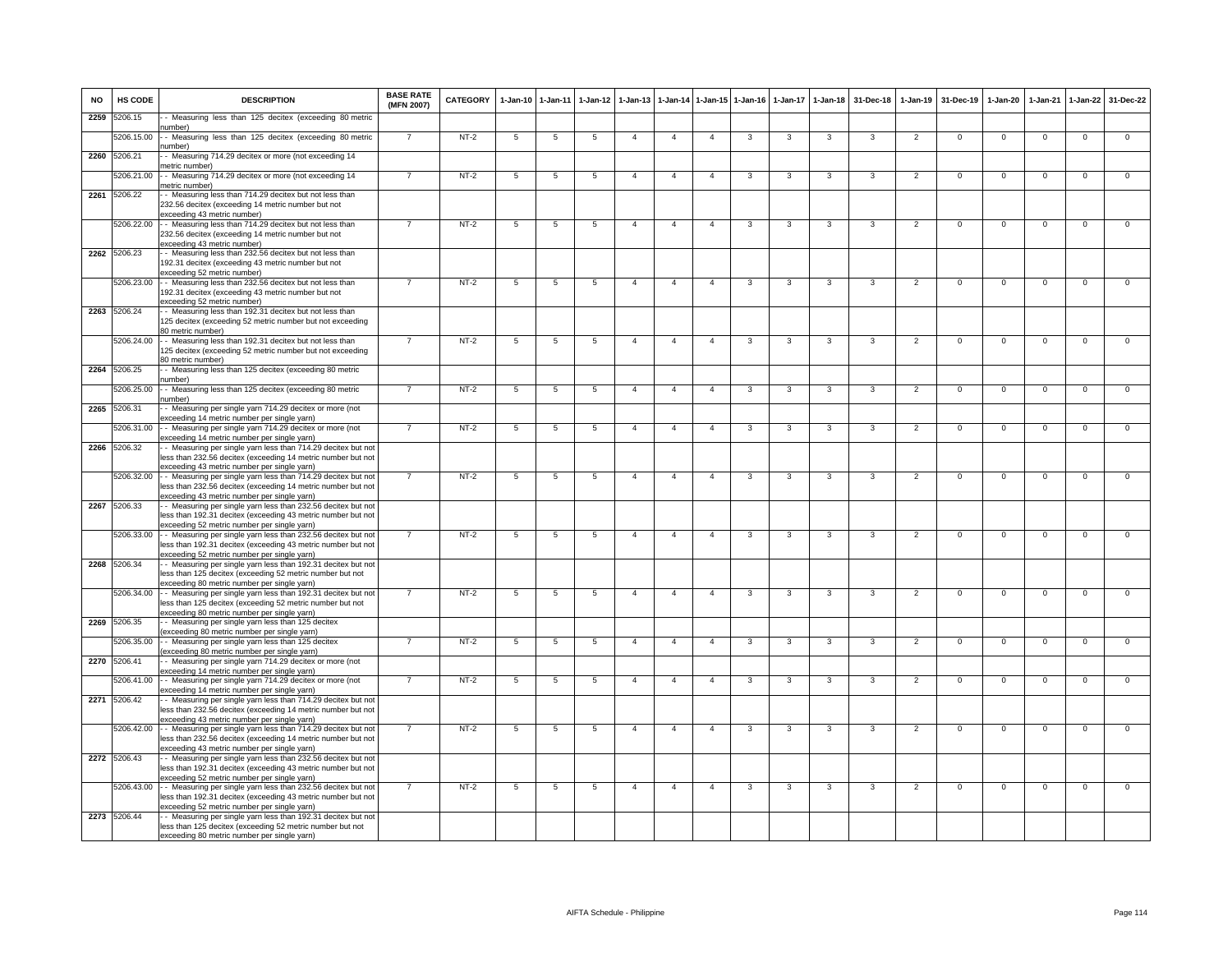| <b>NO</b> | HS CODE      | <b>DESCRIPTION</b>                                                                                                                                                          | <b>BASE RATE</b><br>(MFN 2007) | CATEGORY | $1-Jan-10$     | 1-Jan-11       | $1-Jan-12$      | $1 - Jan-13$          |                | 1-Jan-14 1-Jan-15 1-Jan-16 |                | $1-Jan-17$     | $1-Jan-18$     | 31-Dec-18      | $1-Jan-19$     | 31-Dec-19      | 1-Jan-20       | $1-Jan-21$     | $1-Jan-22$     | 31-Dec-22      |
|-----------|--------------|-----------------------------------------------------------------------------------------------------------------------------------------------------------------------------|--------------------------------|----------|----------------|----------------|-----------------|-----------------------|----------------|----------------------------|----------------|----------------|----------------|----------------|----------------|----------------|----------------|----------------|----------------|----------------|
| 2259      | 5206.15      | - Measuring less than 125 decitex (exceeding 80 metric<br>umber)                                                                                                            |                                |          |                |                |                 |                       |                |                            |                |                |                |                |                |                |                |                |                |                |
|           | 5206.15.00   | -- Measuring less than 125 decitex (exceeding 80 metric<br>number)                                                                                                          |                                | $NT-2$   | -5             | -5             | -5              |                       | $\overline{a}$ | $\overline{a}$             | 3              | -3             | 3              | 3              | $\overline{2}$ | $\Omega$       | $\Omega$       | $\Omega$       | $\Omega$       | $\mathbf 0$    |
| 2260      | 5206.21      | - Measuring 714.29 decitex or more (not exceeding 14<br>netric number)                                                                                                      |                                |          |                |                |                 |                       |                |                            |                |                |                |                |                |                |                |                |                |                |
|           | 5206.21.00   | - Measuring 714.29 decitex or more (not exceeding 14<br>metric number)                                                                                                      |                                | $NT-2$   | -5             | 5              |                 |                       | $\overline{4}$ | $\overline{4}$             |                | 3              | 3              | 3              | $\overline{2}$ | $\Omega$       | $\Omega$       | $\Omega$       | $\Omega$       | $\Omega$       |
|           | 2261 5206.22 | - Measuring less than 714.29 decitex but not less than<br>232.56 decitex (exceeding 14 metric number but not                                                                |                                |          |                |                |                 |                       |                |                            |                |                |                |                |                |                |                |                |                |                |
|           |              | exceeding 43 metric number)                                                                                                                                                 |                                |          |                |                |                 |                       |                |                            |                |                |                |                |                |                |                |                |                |                |
|           | 5206.22.00   | - - Measuring less than 714.29 decitex but not less than<br>232.56 decitex (exceeding 14 metric number but not                                                              |                                | $NT-2$   | 5              | 5              | 5               | $\overline{4}$        | $\overline{4}$ | $\overline{4}$             | 3              | 3              | 3              | 3              | $\overline{2}$ | $\mathbf 0$    | $\mathbf 0$    | $\mathbf 0$    | $\mathsf 0$    | $\mathbf 0$    |
|           | 2262 5206.23 | exceeding 43 metric number)<br>- Measuring less than 232.56 decitex but not less than                                                                                       |                                |          |                |                |                 |                       |                |                            |                |                |                |                |                |                |                |                |                |                |
|           |              | 192.31 decitex (exceeding 43 metric number but not<br>exceeding 52 metric number)                                                                                           |                                |          |                |                |                 |                       |                |                            |                |                |                |                |                |                |                |                |                |                |
|           |              | 5206.23.00 - - Measuring less than 232.56 decitex but not less than<br>192.31 decitex (exceeding 43 metric number but not                                                   |                                | $NT-2$   | 5              | $\overline{5}$ | 5               | $\overline{4}$        | $\overline{4}$ | $\overline{4}$             | 3              | 3              | 3              | 3              | $\overline{2}$ | $\Omega$       | $\overline{0}$ | $\overline{0}$ | $\overline{0}$ | $\overline{0}$ |
|           | 2263 5206.24 | exceeding 52 metric number)<br>- Measuring less than 192.31 decitex but not less than                                                                                       |                                |          |                |                |                 |                       |                |                            |                |                |                |                |                |                |                |                |                |                |
|           |              | 125 decitex (exceeding 52 metric number but not exceeding<br>80 metric number)                                                                                              |                                |          |                |                |                 |                       |                |                            |                |                |                |                |                |                |                |                |                |                |
|           |              | 5206.24.00 - Measuring less than 192.31 decitex but not less than<br>125 decitex (exceeding 52 metric number but not exceeding<br>80 metric number)                         |                                | $NT-2$   | 5              | 5              | 5               | $\overline{4}$        | $\overline{4}$ | $\overline{4}$             | 3              | 3              | 3              | 3              | $\overline{2}$ | $\Omega$       | $\overline{0}$ | $\mathbf 0$    | $\Omega$       | $\Omega$       |
|           | 2264 5206.25 | - Measuring less than 125 decitex (exceeding 80 metric                                                                                                                      |                                |          |                |                |                 |                       |                |                            |                |                |                |                |                |                |                |                |                |                |
|           | 5206.25.00   | number)<br>- - Measuring less than 125 decitex (exceeding 80 metric<br>umber)                                                                                               |                                | $NT-2$   | 5              | 5              | 5               | $\overline{4}$        | $\overline{4}$ | $\overline{4}$             | 3              | 3              | 3              | 3              | $\overline{2}$ | $\Omega$       | $\Omega$       | $\Omega$       | 0              | 0              |
| 2265      | 5206.31      | - Measuring per single yarn 714.29 decitex or more (not<br>exceeding 14 metric number per single yarn)                                                                      |                                |          |                |                |                 |                       |                |                            |                |                |                |                |                |                |                |                |                |                |
|           | 5206.31.00   | - - Measuring per single yarn 714.29 decitex or more (not                                                                                                                   |                                | $NT-2$   | 5              | 5              | 5               | $\boldsymbol{\Delta}$ | $\overline{4}$ | $\overline{4}$             | 3              | 3              | 3              | 3              | $\overline{2}$ | $\mathbf 0$    | $\Omega$       | $\Omega$       | $\Omega$       | $\Omega$       |
|           | 2266 5206.32 | exceeding 14 metric number per single yarn)<br>- Measuring per single yarn less than 714.29 decitex but not                                                                 |                                |          |                |                |                 |                       |                |                            |                |                |                |                |                |                |                |                |                |                |
|           |              | less than 232.56 decitex (exceeding 14 metric number but not<br>exceeding 43 metric number per single yarn)                                                                 |                                |          |                |                |                 |                       |                |                            |                |                |                |                |                |                |                |                |                |                |
|           |              | 5206.32.00 - Measuring per single yarn less than 714.29 decitex but not<br>less than 232.56 decitex (exceeding 14 metric number but not                                     | $\overline{7}$                 | $NT-2$   | 5              | 5              | $5\phantom{.0}$ | $\overline{4}$        | $\overline{4}$ | $\overline{4}$             | 3              | 3              | 3              | 3              | $\overline{2}$ | $\Omega$       | $\overline{0}$ | $\Omega$       | $\overline{0}$ | $\overline{0}$ |
|           |              | exceeding 43 metric number per single yarn)                                                                                                                                 |                                |          |                |                |                 |                       |                |                            |                |                |                |                |                |                |                |                |                |                |
|           | 2267 5206.33 | - Measuring per single yarn less than 232.56 decitex but not<br>less than 192.31 decitex (exceeding 43 metric number but not<br>exceeding 52 metric number per single yarn) |                                |          |                |                |                 |                       |                |                            |                |                |                |                |                |                |                |                |                |                |
|           |              | 5206.33.00 - - Measuring per single yarn less than 232.56 decitex but not<br>less than 192.31 decitex (exceeding 43 metric number but not                                   | $\overline{7}$                 | $NT-2$   | $\overline{5}$ | $\overline{5}$ | $\overline{5}$  | $\overline{4}$        | $\overline{4}$ | $\overline{4}$             | $\overline{3}$ | $\overline{3}$ | $\overline{3}$ | $\overline{3}$ | $\overline{2}$ | $\overline{0}$ | $\overline{0}$ | $\overline{0}$ | $\overline{0}$ | $\overline{0}$ |
|           | 2268 5206.34 | exceeding 52 metric number per single yarn)<br>- Measuring per single yarn less than 192.31 decitex but not                                                                 |                                |          |                |                |                 |                       |                |                            |                |                |                |                |                |                |                |                |                |                |
|           |              | less than 125 decitex (exceeding 52 metric number but not<br>exceeding 80 metric number per single yarn)                                                                    |                                |          |                |                |                 |                       |                |                            |                |                |                |                |                |                |                |                |                |                |
|           |              | 5206.34.00 - - Measuring per single yarn less than 192.31 decitex but not                                                                                                   |                                | $NT-2$   | 5              | 5              | 5               | $\overline{a}$        | $\overline{4}$ | $\mathbf{A}$               | 3              | $\overline{3}$ | $\overline{3}$ | 3              | $\overline{2}$ | $\mathbf 0$    | $\mathbf 0$    | $\mathbf 0$    | $\mathbf 0$    | $\Omega$       |
|           |              | less than 125 decitex (exceeding 52 metric number but not<br>exceeding 80 metric number per single yarn)                                                                    |                                |          |                |                |                 |                       |                |                            |                |                |                |                |                |                |                |                |                |                |
| 2269      | 5206.35      | - Measuring per single yarn less than 125 decitex<br>(exceeding 80 metric number per single yarn)                                                                           |                                |          |                |                |                 |                       |                |                            |                |                |                |                |                |                |                |                |                |                |
|           | 5206.35.00   | - - Measuring per single yarn less than 125 decitex<br>exceeding 80 metric number per single yarn)                                                                          |                                | $NT-2$   | 5              | 5              | 5               | $\Delta$              | $\overline{4}$ | $\overline{4}$             | 3              | 3              | 3              | 3              | $\overline{2}$ | $\Omega$       | $\Omega$       | $\Omega$       | $\Omega$       | 0              |
|           | 2270 5206.41 | - Measuring per single yarn 714.29 decitex or more (not                                                                                                                     |                                |          |                |                |                 |                       |                |                            |                |                |                |                |                |                |                |                |                |                |
|           | 5206.41.00   | exceeding 14 metric number per single yarn)<br>- Measuring per single yarn 714.29 decitex or more (not                                                                      |                                | $NT-2$   | 5              | 5              | 5               |                       | $\overline{4}$ | $\overline{4}$             | 3              | 3              | 3              | 3              | $\overline{2}$ | $\mathbf 0$    | $\mathsf 0$    | $\Omega$       | $\mathsf 0$    | $\mathbf 0$    |
|           | 2271 5206.42 | exceeding 14 metric number per single yarn)<br>- Measuring per single yarn less than 714.29 decitex but not                                                                 |                                |          |                |                |                 |                       |                |                            |                |                |                |                |                |                |                |                |                |                |
|           |              | less than 232.56 decitex (exceeding 14 metric number but not                                                                                                                |                                |          |                |                |                 |                       |                |                            |                |                |                |                |                |                |                |                |                |                |
|           |              | exceeding 43 metric number per single yarn)<br>5206.42.00 - - Measuring per single yarn less than 714.29 decitex but not                                                    | $\overline{7}$                 | $NT-2$   | $\overline{5}$ | $\overline{5}$ | 5               | $\overline{4}$        | $\overline{4}$ | $\overline{4}$             | 3              | 3              | 3              | 3              | $\overline{2}$ | $\mathbf 0$    | $\mathbf 0$    | $\mathbf 0$    | $\mathsf 0$    | $\overline{0}$ |
|           |              | less than 232.56 decitex (exceeding 14 metric number but not<br>exceeding 43 metric number per single yarn)                                                                 |                                |          |                |                |                 |                       |                |                            |                |                |                |                |                |                |                |                |                |                |
|           | 2272 5206.43 | - Measuring per single yarn less than 232.56 decitex but not                                                                                                                |                                |          |                |                |                 |                       |                |                            |                |                |                |                |                |                |                |                |                |                |
|           |              | less than 192.31 decitex (exceeding 43 metric number but not<br>exceeding 52 metric number per single yarn)                                                                 |                                |          |                |                |                 |                       |                |                            |                |                |                |                |                |                |                |                |                |                |
|           |              | 5206.43.00 - Measuring per single yarn less than 232.56 decitex but not<br>less than 192.31 decitex (exceeding 43 metric number but not                                     |                                | $NT-2$   | 5              | -5             | -5              | $\overline{4}$        | $\overline{4}$ | $\mathbf{4}$               | 3              | $\mathbf{3}$   | 3              | 3              | $\overline{2}$ | $\Omega$       | $\mathbf 0$    | $\Omega$       | $\Omega$       | $\overline{0}$ |
|           |              | exceeding 52 metric number per single yarn)                                                                                                                                 |                                |          |                |                |                 |                       |                |                            |                |                |                |                |                |                |                |                |                |                |
|           | 2273 5206.44 | - Measuring per single yarn less than 192.31 decitex but not<br>less than 125 decitex (exceeding 52 metric number but not                                                   |                                |          |                |                |                 |                       |                |                            |                |                |                |                |                |                |                |                |                |                |
|           |              | exceeding 80 metric number per single yarn)                                                                                                                                 |                                |          |                |                |                 |                       |                |                            |                |                |                |                |                |                |                |                |                |                |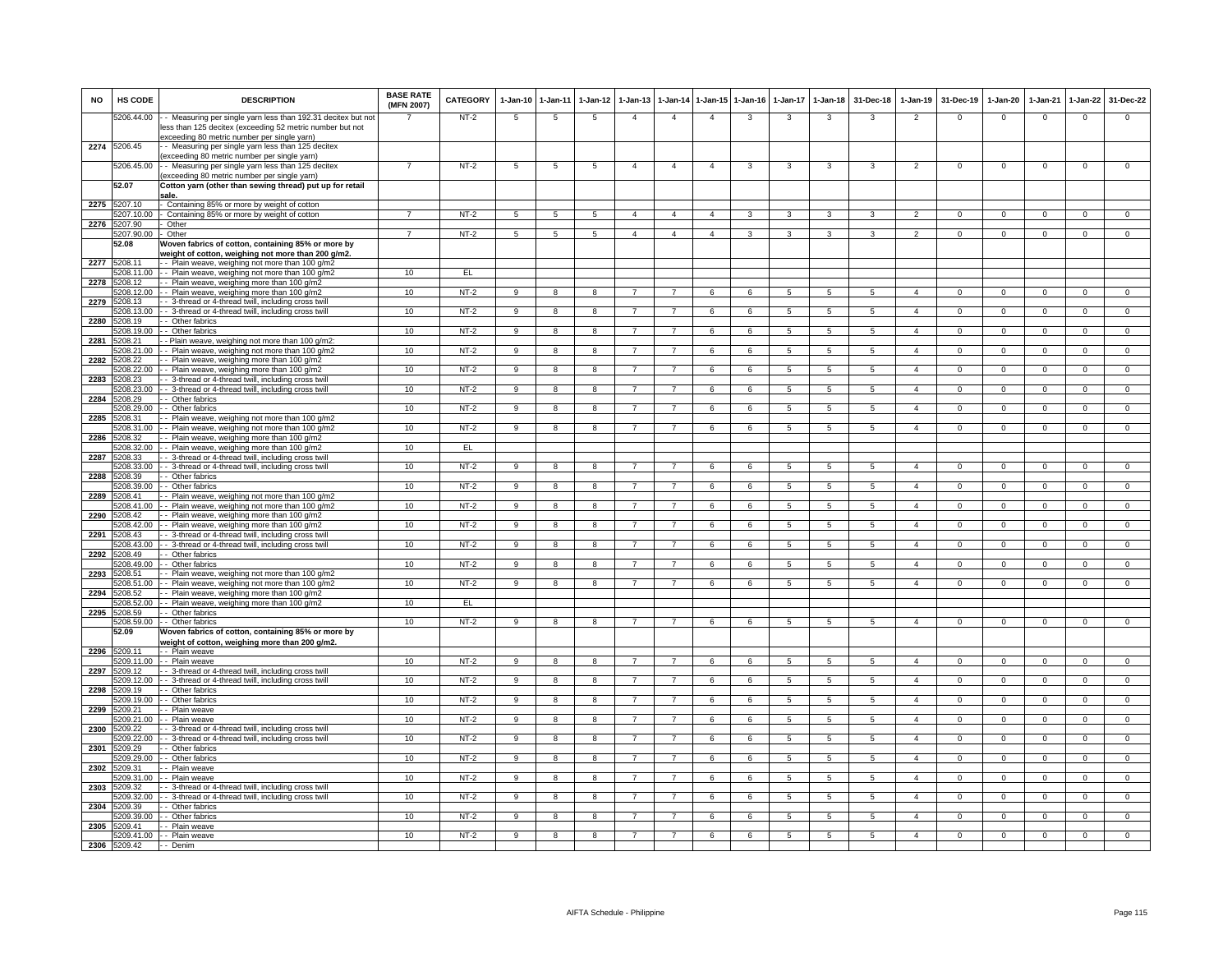| <b>NO</b> | HS CODE                    | <b>DESCRIPTION</b>                                                                                                                                                       | <b>BASE RATE</b><br>(MFN 2007) | <b>CATEGORY</b> | $1-Jan-10$      | 1-Jan-11        | $1-Jan-12$       | $1-Jan-13$     | 1-Jan-14       | 1-Jan-15       | $1-Jan-16$ | $1-Jan-17$      | $1 - Jan-18$    | 31-Dec-18       | $1-Jan-19$     | 31-Dec-19      | $1-Jan-20$     | 1-Jan-21       | $1 - Jan-22$   | 31-Dec-22      |
|-----------|----------------------------|--------------------------------------------------------------------------------------------------------------------------------------------------------------------------|--------------------------------|-----------------|-----------------|-----------------|------------------|----------------|----------------|----------------|------------|-----------------|-----------------|-----------------|----------------|----------------|----------------|----------------|----------------|----------------|
|           | 5206.44.00                 | - Measuring per single yarn less than 192.31 decitex but not<br>less than 125 decitex (exceeding 52 metric number but not<br>exceeding 80 metric number per single yarn) |                                | NT-2            | 5               | 5               | 5                | $\overline{4}$ | $\overline{4}$ | $\overline{4}$ | 3          | 3               | 3               | 3               | 2              | $\mathbf{0}$   | $\mathbf{0}$   | $\mathbf 0$    | $\mathbf{0}$   | $\mathbf{O}$   |
| 2274      | 5206.45                    | - Measuring per single yarn less than 125 decitex                                                                                                                        |                                |                 |                 |                 |                  |                |                |                |            |                 |                 |                 |                |                |                |                |                |                |
|           | 5206.45.00                 | exceeding 80 metric number per single yarn)<br>- Measuring per single yarn less than 125 decitex                                                                         |                                | $NT-2$          | 5               | 5               | 5                | $\overline{4}$ | $\overline{4}$ | $\overline{4}$ | 3          | $\mathbf{3}$    | 3               | 3               | 2              | $^{\circ}$     | $^{\circ}$     | $\mathbf 0$    | $\mathbf 0$    | $\mathsf 0$    |
|           | 52.07                      | exceeding 80 metric number per single yarn)<br>Cotton yarn (other than sewing thread) put up for retail                                                                  |                                |                 |                 |                 |                  |                |                |                |            |                 |                 |                 |                |                |                |                |                |                |
| 2275      | 5207.10                    | sale<br>Containing 85% or more by weight of cotton                                                                                                                       |                                |                 |                 |                 |                  |                |                |                |            |                 |                 |                 |                |                |                |                |                |                |
|           | 5207.10.00                 | - Containing 85% or more by weight of cotton                                                                                                                             | $\overline{7}$                 | NT-2            | $5\overline{5}$ | $5\phantom{.0}$ | $5\phantom{.0}$  | $\overline{4}$ | $\overline{4}$ | $\overline{a}$ | 3          | 3               | 3               | 3               | $\overline{2}$ | $\mathbf 0$    | $\mathbf{0}$   | $\overline{0}$ | $\mathbf 0$    | $\overline{0}$ |
|           | 2276 5207.90<br>5207.90.00 | Other<br>Other                                                                                                                                                           | 7                              | $NT-2$          | 5               | $\overline{5}$  | -5               | $\overline{4}$ | $\overline{a}$ | $\overline{a}$ | 3          | 3               | 3               | 3               | $\overline{2}$ | $\Omega$       | $\Omega$       | $\Omega$       | $\Omega$       | $\overline{0}$ |
|           | 52.08                      | Noven fabrics of cotton, containing 85% or more by                                                                                                                       |                                |                 |                 |                 |                  |                |                |                |            |                 |                 |                 |                |                |                |                |                |                |
|           |                            | weight of cotton, weighing not more than 200 g/m2.                                                                                                                       |                                |                 |                 |                 |                  |                |                |                |            |                 |                 |                 |                |                |                |                |                |                |
| 2277      | 5208.11<br>5208.11.00      | - Plain weave, weighing not more than 100 g/m2<br>- Plain weave, weighing not more than 100 g/m2                                                                         | 10                             | EL              |                 |                 |                  |                |                |                |            |                 |                 |                 |                |                |                |                |                |                |
| 2278      | 5208 12                    | - Plain weave, weighing more than 100 g/m2                                                                                                                               |                                |                 |                 |                 |                  |                |                |                |            |                 |                 |                 |                |                |                |                |                |                |
| 2279      | 5208.12.00<br>5208.13      | Plain weave, weighing more than 100 g/m2<br>- 3-thread or 4-thread twill, including cross twill                                                                          | 10                             | $NT-2$          | $\mathbf{Q}$    | $\mathbf{R}$    | $\mathbf{R}$     |                |                | $\epsilon$     | $\epsilon$ | 5               | $5\overline{5}$ | $5\overline{5}$ |                | $\Omega$       | $\Omega$       | $\Omega$       |                | $\circ$        |
|           | 5208.13.00                 | -- 3-thread or 4-thread twill, including cross twill                                                                                                                     | 10                             | NT-2            | 9               | 8               | 8                |                | $\overline{7}$ | 6              | 6          | 5               | 5               | 5               | $\overline{a}$ | $^{\circ}$     | $^{\circ}$     | $\Omega$       | $\Omega$       | $\Omega$       |
| 2280      | 5208.19<br>5208.19.00      | - Other fabrics<br>- Other fabrics                                                                                                                                       | 10                             | $NT-2$          | 9               | $\overline{8}$  | 8                | $\overline{7}$ | $\overline{7}$ | 6              | 6          | 5               | $\overline{5}$  | $5^{\circ}$     | $\overline{a}$ | $\mathbf 0$    | $\mathbf{0}$   | $\overline{0}$ | $\overline{0}$ | $\overline{0}$ |
| 2281      | 5208.21                    | - Plain weave, weighing not more than 100 g/m2:                                                                                                                          |                                |                 |                 |                 |                  |                |                |                |            |                 |                 |                 |                |                |                |                |                |                |
|           | 208.21.00                  | - Plain weave, weighing not more than 100 g/m2                                                                                                                           | 10                             | $NT-2$          | 9               | 8               | 8                |                |                | 6              | 6          | 5               | 5               | 5               | $\overline{4}$ | $^{\circ}$     | $\mathbf 0$    | $\mathbf 0$    | $\mathbf 0$    | $\overline{0}$ |
| 2282      | 5208.22<br>5208.22.00      | - Plain weave, weighing more than 100 g/m2<br>- Plain weave, weighing more than 100 g/m2                                                                                 | 10                             | $NT-2$          | 9               | 8               | 8                |                | $\overline{7}$ | 6              | 6          | 5               | $\overline{5}$  | 5               | $\overline{a}$ | $^{\circ}$     | $\mathbf 0$    | $^{\circ}$     | $^{\circ}$     | $\overline{0}$ |
| 2283      | 5208.23                    | 3-thread or 4-thread twill, including cross twill                                                                                                                        |                                |                 |                 |                 |                  |                |                |                |            |                 |                 |                 |                |                |                |                |                |                |
| 2284      | 5208.23.00<br>5208.29      | - 3-thread or 4-thread twill, including cross twill<br>- Other fabrics                                                                                                   | 10                             | $NT-2$          | 9               | 8               | 8                |                | $\overline{7}$ | 6              | 6          | $5\overline{5}$ | 5               | 5               | $\overline{4}$ | $\Omega$       | $\Omega$       | $\Omega$       | $\Omega$       | $\mathbf{O}$   |
|           | 5208.29.00                 | - Other fabrics                                                                                                                                                          | 10                             | NT-2            | 9               | 8               | 8                | 7              | $\overline{7}$ | 6              | 6          | 5               | 5               | 5               | $\overline{4}$ | $\mathbf{0}$   | $\mathbf{0}$   | $\mathbf 0$    | 0              | $\mathbf{0}$   |
| 2285      | 5208.31                    | - Plain weave, weighing not more than 100 g/m2                                                                                                                           |                                |                 |                 |                 |                  |                |                |                |            |                 |                 |                 |                |                |                |                |                |                |
| 2286      | 208.31.00<br>5208.32       | - Plain weave, weighing not more than 100 g/m2<br>- Plain weave, weighing more than 100 g/m2                                                                             | 10                             | $NT-2$          | 9               | 8               | 8                | 7              | $\overline{7}$ | 6              | 6          | 5               | $\,$ 5 $\,$     | 5               | $\overline{a}$ | $\Omega$       | $\Omega$       | $\mathsf 0$    | $\mathsf 0$    | $\overline{0}$ |
|           | 5208.32.00                 | - Plain weave, weighing more than 100 g/m2                                                                                                                               | 10                             | E               |                 |                 |                  |                |                |                |            |                 |                 |                 |                |                |                |                |                |                |
| 2287      | 5208.33<br>5208.33.00      | - 3-thread or 4-thread twill, including cross twil<br>-- 3-thread or 4-thread twill, including cross twill                                                               | 10                             | $NT-2$          | 9               | 8               | 8                | $\overline{7}$ | $\overline{7}$ | 6              | 6          | 5               | $\overline{5}$  | $5^{\circ}$     | $\mathbf{A}$   | $\Omega$       | $\Omega$       | $\Omega$       | $\Omega$       | $\overline{0}$ |
| 2288      | 5208.39                    | - Other fabrics                                                                                                                                                          |                                |                 |                 |                 |                  |                |                |                |            |                 |                 |                 |                |                |                |                |                |                |
|           | 5208.39.00<br>5208.41      | - Other fabrics                                                                                                                                                          | 10                             | $NT-2$          | 9               | 8               | 8                |                | $\overline{7}$ | 6              | 6          | 5               | $\sqrt{5}$      | $5^{\circ}$     | $\overline{a}$ | $\Omega$       | $\Omega$       | $\Omega$       | $\Omega$       | $\overline{0}$ |
| 2289      | 5208.41.00                 | - Plain weave, weighing not more than 100 g/m2<br>-- Plain weave, weighing not more than 100 g/m2                                                                        | 10                             | $NT-2$          | 9               | 8               | 8                | $\overline{7}$ | $\overline{7}$ | 6              | 6          | 5               | 5               | 5               | $\overline{a}$ | $\Omega$       | $^{\circ}$     | $\Omega$       | $\Omega$       | $\Omega$       |
| 2290      | 5208.42                    | - Plain weave, weighing more than 100 g/m2                                                                                                                               |                                |                 |                 |                 |                  |                |                |                |            |                 |                 |                 |                |                |                |                |                |                |
| 2291      | 5208.42.00<br>5208.43      | - Plain weave, weighing more than 100 g/m2<br>3-thread or 4-thread twill, including cross twill                                                                          | 10                             | $NT-2$          | 9               | $\overline{8}$  | 8                | $\overline{7}$ | $\overline{7}$ | 6              | 6          | $5\overline{5}$ | 5               | $5^{\circ}$     | $\overline{a}$ | $\Omega$       | $\Omega$       | $\overline{0}$ | $\overline{0}$ | $\overline{0}$ |
|           | 5208.43.00                 | - 3-thread or 4-thread twill, including cross twill                                                                                                                      | 10                             | $NT-2$          | 9               | 8               | 8                |                | $\overline{7}$ | 6              | 6          | 5               | 5               | 5               | $\overline{a}$ | $^{\circ}$     | $^{\circ}$     | $\mathbf 0$    | $\mathbf 0$    | $\mathbf{O}$   |
| 2292      | 5208.49<br>5208.49.00      | Other fabrics<br>- Other fabrics                                                                                                                                         | 10                             | $NT-2$          | 9               | 8               | 8                | $\overline{7}$ | $\overline{7}$ | 6              | 6          | $\overline{5}$  | $\overline{5}$  | 5               | $\overline{a}$ | $\mathbf 0$    | $\Omega$       | $\Omega$       | $\circ$        | $\overline{0}$ |
| 2293      | 5208.51                    | - Plain weave, weighing not more than 100 g/m2                                                                                                                           |                                |                 |                 |                 |                  |                |                |                |            |                 |                 |                 |                |                |                |                |                |                |
| 2294      | 5208.51.00<br>5208.52      | - Plain weave, weighing not more than 100 g/m2<br>- Plain weave, weighing more than 100 g/m2                                                                             | 10                             | $NT-2$          | 9               | 8               | $\mathbf{g}$     |                |                | 6              | 6          | $\overline{5}$  | $\sqrt{5}$      | $5^{\circ}$     | $\overline{a}$ | $\Omega$       | $\Omega$       | $\Omega$       | $\Omega$       | $\Omega$       |
|           | 5208.52.00                 | - Plain weave, weighing more than 100 g/m2                                                                                                                               | 10                             | EL.             |                 |                 |                  |                |                |                |            |                 |                 |                 |                |                |                |                |                |                |
| 2295      | 5208.59                    | - Other fabrics                                                                                                                                                          |                                | $NT-2$          |                 |                 | 8                | $\overline{7}$ | $\overline{7}$ |                |            |                 |                 |                 | $\overline{a}$ |                |                |                |                |                |
|           | 5208.59.00<br>52.09        | - Other fabrics<br>Woven fabrics of cotton, containing 85% or more by                                                                                                    | 10                             |                 | 9               | 8               |                  |                |                | 6              | 6          | 5               | 5               | 5               |                | $\mathbf 0$    | $\mathbf{O}$   | $\mathbf 0$    | $\mathbf 0$    | $\mathbf 0$    |
|           |                            | weight of cotton, weighing more than 200 g/m2.                                                                                                                           |                                |                 |                 |                 |                  |                |                |                |            |                 |                 |                 |                |                |                |                |                |                |
| 2296      | 5209.11<br>5209.11.00      | - - Plain weave<br>- - Plain weave                                                                                                                                       | 10                             | $NT-2$          | $\mathbf{Q}$    | $\overline{R}$  | $\mathbf{R}$     | $\overline{7}$ | $\overline{7}$ | $\epsilon$     | 6          | 5               | $\overline{5}$  | 5               | $\mathbf{A}$   | $\Omega$       | $\Omega$       | $\overline{0}$ | $\Omega$       | $\overline{0}$ |
| 2297      | 5209.12                    | - 3-thread or 4-thread twill, including cross twil                                                                                                                       |                                |                 |                 |                 |                  |                |                |                |            |                 |                 |                 |                |                |                |                |                |                |
| 2298      | 5209.12.00<br>5209.19      | -- 3-thread or 4-thread twill, including cross twill<br>- Other fabrics                                                                                                  | 10                             | $NT-2$          | 9               | 8               | 8                |                | $\overline{7}$ | 6              | 6          | 5               | $\overline{5}$  | $5^{\circ}$     | $\overline{a}$ | $\Omega$       | $\Omega$       | $\Omega$       | $\Omega$       | $\overline{0}$ |
|           | 5209.19.00                 | - - Other fabrics                                                                                                                                                        | 10                             | $NT-2$          | 9               | 8               | 8                | $\overline{7}$ | $\overline{7}$ | 6              | 6          | 5               | 5               | 5               | $\overline{a}$ | $\overline{0}$ | $^{\circ}$     | $\mathbf 0$    | $\mathbf 0$    | $\overline{0}$ |
| 2299      | 5209.21<br>5209.21.00      | - Plain weave<br>- Plain weave                                                                                                                                           | 10                             | $NT-2$          | 9               | $\overline{8}$  | 8                | $\overline{7}$ | $\overline{7}$ | 6              | 6          | $5^{\circ}$     | $\overline{5}$  | $\sqrt{5}$      | $\overline{a}$ | $\Omega$       | $\Omega$       | $\Omega$       | $\overline{0}$ | $\overline{0}$ |
| 2300      | 5209.22                    | 3-thread or 4-thread twill, including cross twill                                                                                                                        |                                |                 |                 |                 |                  |                |                |                |            |                 |                 |                 |                |                |                |                |                |                |
|           | 5209.22.00                 | - 3-thread or 4-thread twill, including cross twill                                                                                                                      | 10                             | $NT-2$          | 9               | 8               | 8                | 7              | $\overline{7}$ | 6              | 6          | 5               | 5               | 5               | $\overline{a}$ | $\mathbf 0$    | $\mathbf 0$    | $\mathbf 0$    | $\mathbf 0$    | $\mathbf{O}$   |
| 2301      | 5209.29<br>5209.29.00      | - Other fabrics<br>- - Other fabrics                                                                                                                                     | 10                             | $NT-2$          | $_{9}$          | $\overline{8}$  | $\boldsymbol{8}$ | $\overline{7}$ | $\overline{7}$ | 6              | 6          | $\overline{5}$  | $\overline{5}$  | 5               | $\overline{4}$ | $\Omega$       | $\overline{0}$ | $\overline{0}$ | $\overline{0}$ | $\overline{0}$ |
| 2302      | 5209.31                    | - Plain weave                                                                                                                                                            |                                |                 |                 |                 |                  |                |                |                |            |                 |                 |                 |                |                |                |                |                |                |
| 2303      | 5209.31.00<br>5209.32      | - Plain weave<br>- 3-thread or 4-thread twill, including cross twill                                                                                                     | 10                             | $NT-2$          | 9               | 8               | 8                | $\overline{7}$ | $\overline{7}$ | 6              | 6          | $\overline{5}$  | 5               | 5               | $\overline{4}$ | $\Omega$       | $\Omega$       | $\Omega$       | $\Omega$       | $\Omega$       |
|           | 5209.32.00                 | - 3-thread or 4-thread twill, including cross twill                                                                                                                      | 10                             | $NT-2$          | 9               | 8               | 8                | 7              | $\overline{7}$ | 6              | 6          | 5               | 5               | 5               | $\overline{4}$ | $\mathbf{0}$   | $\mathbf{0}$   | $^{\circ}$     | $^{\circ}$     | $\mathbf{0}$   |
| 2304      | 5209.39                    | - Other fabrics                                                                                                                                                          |                                |                 |                 |                 |                  |                |                |                |            |                 |                 |                 |                |                |                |                |                |                |
| 2305      | 5209.39.00<br>5209.41      | - Other fabrics<br>- Plain weave                                                                                                                                         | 10                             | $NT-2$          | 9               | 8               | 8                |                | $\overline{7}$ | 6              | 6          | 5               | 5               | 5               | $\overline{4}$ | $\mathbf 0$    | $\mathbf{O}$   | $\mathbf 0$    | $\mathbf 0$    | $\mathbf{O}$   |
|           | 5209.41.00                 | - Plain weave                                                                                                                                                            | 10                             | $NT-2$          | 9               | 8               | 8                |                | $\overline{7}$ | 6              | 6          | 5               | 5               | 5               | $\Lambda$      | $\Omega$       | $\Omega$       | $\Omega$       | $\Omega$       | $\Omega$       |
| 2306      | 5209.42                    | - - Denim                                                                                                                                                                |                                |                 |                 |                 |                  |                |                |                |            |                 |                 |                 |                |                |                |                |                |                |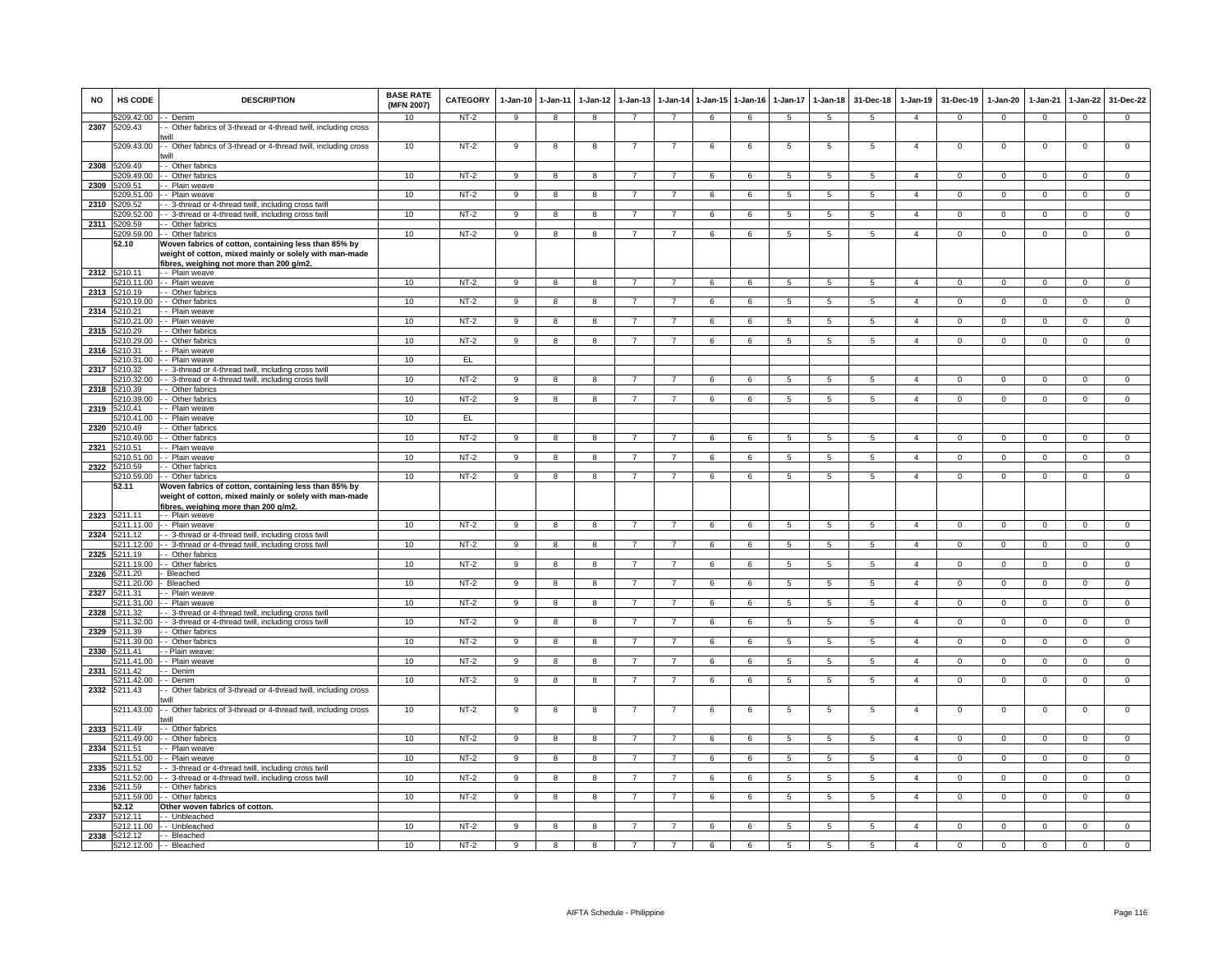| <b>NO</b> | <b>HS CODE</b>             | <b>DESCRIPTION</b>                                                                                                                                        | <b>BASE RATE</b><br>(MFN 2007) | <b>CATEGORY</b> | $1-Jan-10$     | $1 - Jan-11$   | $1-Jan-12$   | $1-Jan-13$     |                |   | 1-Jan-14 1-Jan-15 1-Jan-16 | $1-Jan-17$      | $1-Jan-18$      | 31-Dec-18       | $1-Jan-19$     | 31-Dec-19      | $1-Jan-20$     | $1-Jan-21$     | $1-Jan-22$     | 31-Dec-22      |
|-----------|----------------------------|-----------------------------------------------------------------------------------------------------------------------------------------------------------|--------------------------------|-----------------|----------------|----------------|--------------|----------------|----------------|---|----------------------------|-----------------|-----------------|-----------------|----------------|----------------|----------------|----------------|----------------|----------------|
| 2307      | 5209.42.00<br>5209.43      | - Denim<br>- Other fabrics of 3-thread or 4-thread twill, including cross                                                                                 | 10                             | NT-2            | 9              | 8              | 8            | $\overline{7}$ | $\overline{7}$ | 6 | 6                          | 5               | 5               | 5               | $\overline{4}$ | $\mathbf{0}$   | $\mathbf{0}$   | $\mathbf 0$    | $\mathbf{0}$   | $\mathbf{0}$   |
|           | 5209.43.00                 | will<br>- Other fabrics of 3-thread or 4-thread twill, including cross                                                                                    | 10                             | $NT-2$          | 9              | 8              | 8            |                | -7             | 6 | 6                          | 5               | 5               | 5               | $\overline{a}$ | $\mathbf 0$    | $\,0\,$        | $\mathbf 0$    | $\mathsf 0$    | $\overline{0}$ |
| 2308      | 5209.49                    | will<br>- Other fabrics                                                                                                                                   |                                |                 |                |                |              |                |                |   |                            |                 |                 |                 |                |                |                |                |                |                |
|           | 5209.49.00<br>209.51       | - Other fabrics                                                                                                                                           | 10                             | $NT-2$          | 9              | 8              | 8            | $\overline{7}$ | $\overline{7}$ | 6 | 6                          | 5               | 5               | $\sqrt{5}$      | $\mathbf{A}$   | $^{\circ}$     | $^{\circ}$     | $\Omega$       | $\mathbf 0$    | $\overline{0}$ |
| 2309      | 5209.51.00                 | - Plain weave<br>- Plain weave                                                                                                                            | 10                             | $NT-2$          | 9              | 8              | 8            |                |                | 6 | 6                          | 5               | 5               | 5               | $\overline{4}$ | $\mathbf 0$    | $\mathsf 0$    | $\mathbf 0$    | $\mathbf 0$    | $\mathbf 0$    |
| 2310      | 5209.52                    | - 3-thread or 4-thread twill, including cross twil                                                                                                        |                                |                 |                |                |              |                |                |   |                            |                 |                 |                 |                |                |                |                |                |                |
|           | 5209.52.00<br>2311 5209.59 | - 3-thread or 4-thread twill, including cross twill<br>- Other fabrics                                                                                    | 10                             | $NT-2$          | 9              | 8              | 8            | 7              | $\overline{7}$ | 6 | 6                          | 5               | $5\overline{5}$ | 5               | $\overline{4}$ | $\mathbf{0}$   | $\overline{0}$ | $\mathbf 0$    | $\overline{0}$ | $\overline{0}$ |
|           | 5209.59.00                 | - Other fabrics                                                                                                                                           | 10                             | $NT-2$          | $\mathbf{Q}$   | 8              | $\mathbf{R}$ | $\overline{7}$ | $\overline{7}$ | 6 | 6                          | 5               | $\overline{5}$  | 5               | $\mathbf{A}$   | $^{\circ}$     | $\mathbf 0$    | $\Omega$       | $\mathbf{0}$   | $\overline{0}$ |
|           | 52.10                      | Woven fabrics of cotton, containing less than 85% by<br>weight of cotton, mixed mainly or solely with man-made<br>ibres, weighing not more than 200 g/m2. |                                |                 |                |                |              |                |                |   |                            |                 |                 |                 |                |                |                |                |                |                |
|           | 2312 5210.11               | - - Plain weave                                                                                                                                           |                                |                 |                |                |              |                |                |   |                            |                 |                 |                 |                |                |                |                |                |                |
| 2313      | 5210.11.00<br>5210.19      | - - Plain weave<br>- Other fabrics                                                                                                                        | 10                             | $NT-2$          | $\mathbf{Q}$   | 8              |              |                |                | 6 | $\overline{6}$             | 5               | $\overline{5}$  | 5               | $\Delta$       | $\Omega$       | $\Omega$       | $\Omega$       | $\overline{0}$ | $\overline{0}$ |
|           | 5210.19.00                 | - Other fabrics                                                                                                                                           | 10                             | $NT-2$          | 9              | 8              | 8            |                |                | 6 | 6                          | 5               | 5               | 5               | $\overline{4}$ | $^{\circ}$     | $^{\circ}$     | $^{\circ}$     | $\mathbf 0$    | $\mathbf 0$    |
|           | 2314 5210.21<br>5210.21.00 | - Plain weave<br>- Plain weave                                                                                                                            | 10                             | $NT-2$          | 9              | 8              | 8            | $\overline{7}$ | $\overline{7}$ | 6 | 6                          | 5               | $\overline{5}$  | 5               | $\overline{4}$ | $^{\circ}$     | $^{\circ}$     | $\Omega$       | $\mathbf{0}$   | $\mathbf 0$    |
| 2315      | 5210.29                    | - Other fabrics                                                                                                                                           |                                |                 |                |                |              |                |                |   |                            |                 |                 |                 |                |                |                |                |                |                |
|           | 210.29.00<br>5210.31       | - - Other fabrics<br>- Plain weave                                                                                                                        | 10                             | $NT-2$          | 9              | 8              | 8            |                | 7              | 6 | 6                          | 5               | 5               | 5               | $\overline{a}$ | $^{\circ}$     | $\mathbf 0$    | $\mathbf 0$    | $\mathbf 0$    | $\overline{0}$ |
| 2316      | 5210.31.00                 | - Plain weave                                                                                                                                             | 10                             | EL              |                |                |              |                |                |   |                            |                 |                 |                 |                |                |                |                |                |                |
| 2317      | 5210.32                    | - 3-thread or 4-thread twill, including cross twil                                                                                                        |                                |                 |                |                |              |                |                |   |                            |                 |                 |                 | $\overline{4}$ |                | $\overline{0}$ |                |                |                |
| 2318      | 5210.32.00<br>210.39       | - 3-thread or 4-thread twill, including cross twill<br>- Other fabrics                                                                                    | 10                             | $NT-2$          | 9              | 8              | <b>R</b>     |                |                | 6 | $\overline{6}$             | 5               | 5               | $\overline{5}$  |                | $\Omega$       |                | $\Omega$       | $\overline{0}$ | $\overline{0}$ |
|           | 5210.39.00                 | - Other fabrics                                                                                                                                           | 10                             | $NT-2$          | 9              | 8              |              |                | $\overline{7}$ | 6 | 6                          | 5               | $\overline{5}$  | -5              | $\overline{4}$ | $\Omega$       | $\Omega$       | $\Omega$       | $\overline{0}$ | $\overline{0}$ |
| 2319      | 5210.41<br>210 41 00       | - Plain weave<br>- Plain weave                                                                                                                            | 10                             | EL              |                |                |              |                |                |   |                            |                 |                 |                 |                |                |                |                |                |                |
| 2320      | 210.49                     | - Other fabrics                                                                                                                                           |                                |                 |                |                |              |                |                |   |                            |                 |                 |                 |                |                |                |                |                |                |
| 2321      | 210.49.00<br>5210.51       | - Other fabrics                                                                                                                                           | 10                             | $NT-2$          | 9              | 8              | 8            | $\overline{7}$ | $\overline{7}$ | 6 | 6                          | 5               | 5               | 5               | $\overline{4}$ | $\mathbf 0$    | $\mathbf 0$    | $\mathbf 0$    | $\mathsf 0$    | $\overline{0}$ |
|           | 5210.51.00                 | - Plain weave<br>- Plain weave                                                                                                                            | 10                             | $NT-2$          | $\overline{9}$ | $\overline{8}$ | 8            | $\overline{7}$ | $\overline{7}$ | 6 | 6                          | 5               | $\overline{5}$  | $\overline{5}$  | $\overline{4}$ | $\overline{0}$ | $\overline{0}$ | $\overline{0}$ | $\overline{0}$ | $\overline{0}$ |
| 2322      | 5210.59                    | - Other fabrics                                                                                                                                           |                                |                 |                |                |              |                |                |   |                            |                 |                 |                 |                |                |                |                |                |                |
|           | 5210.59.00<br>52.11        | - Other fabrics<br>Woven fabrics of cotton, containing less than 85% by                                                                                   | 10                             | $NT-2$          | 9              | 8              | $\mathbf{R}$ |                | $\overline{7}$ | 6 | $\overline{6}$             | 5               | 5               | $\overline{5}$  | $\Delta$       | $\Omega$       | $\overline{0}$ | $\Omega$       | $\overline{0}$ | $\overline{0}$ |
|           |                            | weight of cotton, mixed mainly or solely with man-made<br>fibres, weighing more than 200 g/m2.                                                            |                                |                 |                |                |              |                |                |   |                            |                 |                 |                 |                |                |                |                |                |                |
|           | 2323 5211.11               | - - Plain weave                                                                                                                                           |                                |                 |                |                |              |                |                |   |                            |                 |                 |                 |                |                |                |                |                |                |
| 2324      | 5211.11.00<br>5211.12      | - - Plain weave<br>- 3-thread or 4-thread twill, including cross twill                                                                                    | 10                             | $NT-2$          | 9              | 8              | 8            | $\overline{7}$ | $\overline{7}$ | 6 | 6                          | $5\overline{5}$ | 5 <sub>5</sub>  | -5              | $\overline{a}$ | $\Omega$       | $\overline{0}$ | $\mathbf 0$    | $\mathbf{0}$   | $\overline{0}$ |
|           | 5211.12.00                 | - - 3-thread or 4-thread twill, including cross twill                                                                                                     | 10                             | $NT-2$          | 9              | 8              | 8            | $\overline{7}$ | $\overline{7}$ | 6 | 6                          | 5               | $\overline{5}$  | 5               | $\overline{4}$ | 0              | 0              | $\mathbf 0$    | 0              | $\overline{0}$ |
| 2325      | 5211.19<br>5211 19 00      | - Other fabrics<br>- Other fabrics                                                                                                                        | 10                             | $NT-2$          | $\mathbf{q}$   | $\overline{8}$ | $\mathbf{R}$ |                | $\overline{7}$ | 6 | $\epsilon$                 | $\overline{5}$  | $\overline{5}$  | $\overline{5}$  | $\overline{4}$ | $\Omega$       | $\overline{0}$ | $\Omega$       | $\overline{0}$ | $\overline{0}$ |
| 2326      | 5211.20                    | Bleached                                                                                                                                                  |                                |                 |                |                |              |                |                |   |                            |                 |                 |                 |                |                |                |                |                |                |
| 2327      | 5211.20.00<br>5211.31      | Bleached<br>- Plain weave                                                                                                                                 | 10                             | $NT-2$          | 9              | 8              | 8            |                | $\overline{7}$ | 6 | 6                          | $\overline{5}$  | $\overline{5}$  | $\sqrt{5}$      | $\overline{4}$ | $\Omega$       | $\Omega$       | $\Omega$       | $\overline{0}$ | $\overline{0}$ |
|           | 5211.31.00                 | - Plain weave                                                                                                                                             | 10                             | $NT-2$          | 9              | 8              | 8            | $\overline{7}$ | $\overline{7}$ | 6 | 6                          | 5               | $5\overline{5}$ | 5               | $\overline{4}$ | $^{\circ}$     | $\overline{0}$ | $\mathbf 0$    | $\mathbf{0}$   | $\overline{0}$ |
| 2328      | 5211.32<br>211.32.00       | - 3-thread or 4-thread twill, including cross twill<br>- 3-thread or 4-thread twill, including cross twill                                                | 10                             | $NT-2$          | 9              | 8              | 8            | $\overline{7}$ | $\overline{7}$ | 6 | 6                          | 5               | 5               | 5               | $\overline{4}$ | $\mathbf 0$    | $\mathbf 0$    | $\mathbf 0$    | $\mathbf 0$    | $\overline{0}$ |
| 2329      | 211.39                     | - Other fabrics                                                                                                                                           |                                |                 |                |                |              |                |                |   |                            |                 |                 |                 |                |                |                |                |                |                |
|           | 5211.39.00                 | - Other fabrics                                                                                                                                           | 10                             | $NT-2$          | 9              | 8              | 8            | $\overline{7}$ | $\overline{7}$ | 6 | 6                          | $\overline{5}$  | 5               | $\sqrt{5}$      | $\mathbf{A}$   | $\mathbf 0$    | $\mathbf 0$    | $\Omega$       | $\mathbf 0$    | $\overline{0}$ |
| 2330      | 5211.41<br>5211.41.00      | - Plain weave<br>- Plain weave                                                                                                                            | 10                             | $NT-2$          | 9              | 8              | $\mathbf{R}$ |                | $\overline{7}$ | 6 | 6                          | 5               | $\overline{5}$  | $\overline{5}$  | $\mathbf{A}$   | $\Omega$       | $\Omega$       | $\Omega$       | $\overline{0}$ | $\overline{0}$ |
| 2331      | 5211.42                    | - Denim                                                                                                                                                   |                                |                 |                |                |              |                |                |   |                            |                 |                 |                 |                |                |                |                |                |                |
| 2332      | 5211.42.00<br>5211.43      | - Denim<br>- Other fabrics of 3-thread or 4-thread twill, including cross<br>will                                                                         | 10                             | $NT-2$          | 9              | 8              | 8            | $\overline{7}$ | $\overline{7}$ | 6 | 6                          | 5               | 5               | 5               | $\overline{4}$ | $\mathbf 0$    | $\mathbf 0$    | $\mathbf 0$    | $\mathbf{0}$   | $\mathbf{0}$   |
|           | 5211.43.00                 | - Other fabrics of 3-thread or 4-thread twill, including cross<br>will                                                                                    | 10                             | $NT-2$          | 9              | 8              | 8            |                | -7             | 6 | 6                          | $\overline{5}$  | $\overline{5}$  | $5\phantom{.0}$ | $\overline{4}$ | $\mathbf 0$    | $\mathsf 0$    | $\overline{0}$ | $\overline{0}$ | $\overline{0}$ |
| 2333      | 5211.49<br>5211.49.00      | - Other fabrics<br>- Other fabrics                                                                                                                        | 10                             | $NT-2$          | 9              | 8              | 8            | $\overline{7}$ | $\overline{7}$ | 6 | 6                          | 5               | $5\phantom{.0}$ | 5               | $\overline{a}$ | $^{\circ}$     | $\overline{0}$ | $^{\circ}$     | $\mathbf 0$    | $\overline{0}$ |
| 2334      | 5211.51                    | - Plain weave                                                                                                                                             |                                |                 |                |                |              |                |                |   |                            |                 |                 |                 |                |                |                |                |                |                |
| 2335      | 5211.51.00<br>5211.52      | - Plain weave<br>- 3-thread or 4-thread twill, including cross twil                                                                                       | 10                             | $NT-2$          | 9              | 8              | 8            |                |                | 6 | 6                          | 5               | 5               | 5               | $\overline{4}$ | $\Omega$       | $\Omega$       | $\Omega$       | $\mathsf 0$    | $\mathbf 0$    |
|           | 5211.52.00                 | - 3-thread or 4-thread twill, including cross twill                                                                                                       | 10                             | $NT-2$          | 9              | 8              | 8            | $\overline{7}$ | $\overline{7}$ | 6 | 6                          | 5               | 5               | 5               | $\overline{4}$ | $\mathbf{0}$   | $\mathbf 0$    | $\mathbf 0$    | $\mathbf 0$    | $\mathbf{0}$   |
| 2336      | 5211.59                    | - Other fabrics                                                                                                                                           |                                |                 |                |                |              |                |                |   |                            |                 |                 |                 |                |                |                |                |                |                |
|           | 5211.59.00<br>52.12        | - Other fabrics<br>Other woven fabrics of cotton.                                                                                                         | 10                             | $NT-2$          | 9              | 8              | 8            |                | 7              | 6 | 6                          | 5               | 5               | 5               | $\overline{4}$ | $\overline{0}$ | $^{\circ}$     | $^{\circ}$     | $\mathbf{0}$   | $\mathbf 0$    |
| 2337      | 5212.11                    | - Unbleached                                                                                                                                              |                                |                 |                |                |              |                |                |   |                            |                 |                 |                 |                |                |                |                |                |                |
| 2338      | 5212.12                    | 5212.11.00 -- Unbleached<br>- - Bleached                                                                                                                  | 10                             | $NT-2$          | 9              | 8              | 8            | $\overline{7}$ | $\overline{7}$ | 6 | 6                          | 5               | 5               | 5               | $\overline{a}$ | $\mathbf 0$    | $\mathbf 0$    | $\mathbf 0$    | $\mathbf 0$    | $\mathbf 0$    |
|           |                            | 5212.12.00 - - Bleached                                                                                                                                   | 10                             | $NT-2$          | $_{9}$         | 8              | 8            | $\overline{7}$ | $\overline{7}$ | 6 | 6                          | $5\overline{)}$ | $\overline{5}$  | $\overline{5}$  | $\overline{a}$ | $\Omega$       | $\overline{0}$ | $\overline{0}$ | $\overline{0}$ | $\overline{0}$ |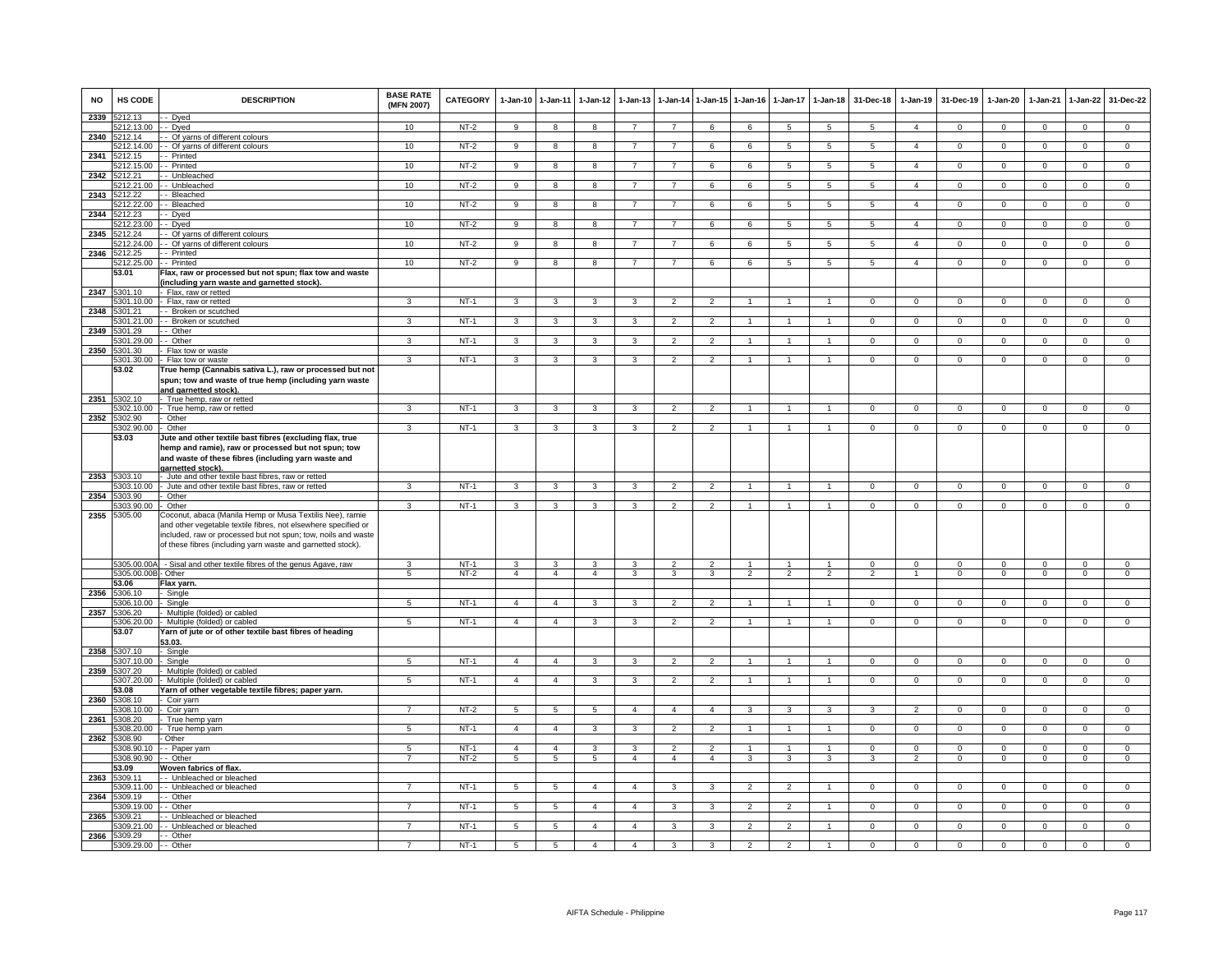| <b>NO</b> | HS CODE                    | <b>DESCRIPTION</b>                                                                                                                                                                                                                                         | <b>BASE RATE</b><br>(MFN 2007) | CATEGORY         | $1-Jan-10$      | $1 - Jan-11$        | $1-Jan-12$      | $1 - Jan-13$            | 1-Jan-14       |                | 1-Jan-15 1-Jan-16                | $1-Jan-17$                     | $1-Jan-18$           | 31-Dec-18       | $1-Jan-19$     | 31-Dec-19            | $1-Jan-20$     | 1-Jan-21                | 1-Jan-22       | 31-Dec-22                     |
|-----------|----------------------------|------------------------------------------------------------------------------------------------------------------------------------------------------------------------------------------------------------------------------------------------------------|--------------------------------|------------------|-----------------|---------------------|-----------------|-------------------------|----------------|----------------|----------------------------------|--------------------------------|----------------------|-----------------|----------------|----------------------|----------------|-------------------------|----------------|-------------------------------|
| 2339      | 5212.13                    | - Dyed                                                                                                                                                                                                                                                     |                                |                  |                 |                     |                 |                         |                |                |                                  |                                |                      |                 |                |                      |                |                         |                |                               |
| 2340      | 212.13.00<br>5212.14       | - Dyed<br>- Of yarns of different colours                                                                                                                                                                                                                  | 10                             | NT-2             | 9               | 8                   | 8               | $\overline{7}$          | $\overline{7}$ | 6              | 6                                | $5\phantom{.0}$                | $5\phantom{.0}$      | $5\phantom{.0}$ | $\overline{4}$ | $\overline{0}$       | $\mathbf 0$    | $\mathbf 0$             | $\overline{0}$ | $\overline{0}$                |
|           | 212.14.00                  | - Of yarns of different colours                                                                                                                                                                                                                            | 10                             | $NT-2$           | $\overline{9}$  | $\overline{8}$      | $\overline{8}$  | $\overline{7}$          | $\overline{7}$ | 6              | 6                                | 5                              | 5                    | $\overline{5}$  | $\overline{4}$ | $\overline{0}$       | $\overline{0}$ | $\overline{0}$          | $\overline{0}$ | $\overline{0}$                |
| 2341      | 212.15                     | - Printed                                                                                                                                                                                                                                                  |                                |                  |                 |                     |                 |                         |                |                |                                  |                                |                      |                 |                |                      |                |                         |                |                               |
|           | 5212.15.00                 | - Printed                                                                                                                                                                                                                                                  | 10                             | $NT-2$           | 9               | 8                   | 8               | $\overline{7}$          | $\overline{7}$ | 6              | 6                                | 5                              | $5\overline{5}$      | 5               | $\overline{4}$ | $\mathbf 0$          | $\mathbf 0$    | $\mathbf 0$             | $\mathbf 0$    | $\mathbf 0$                   |
| 2342      | 5212.21                    | Unbleached                                                                                                                                                                                                                                                 |                                |                  |                 |                     |                 |                         |                |                |                                  |                                |                      |                 |                |                      |                |                         |                |                               |
|           | 5212.21.00                 | Unbleached                                                                                                                                                                                                                                                 | 10                             | $NT-2$           | $\overline{9}$  | $\overline{8}$      | $\overline{8}$  | $\overline{7}$          | $\overline{7}$ | 6              | 6                                | $\overline{5}$                 | $\overline{5}$       | $\overline{5}$  | $\overline{4}$ | $\mathbf 0$          | $\Omega$       | $\mathbf{0}$            | $\overline{0}$ | $\overline{0}$                |
| 2343      | 212.22                     | - Bleached                                                                                                                                                                                                                                                 |                                |                  |                 |                     |                 |                         |                |                |                                  |                                |                      |                 |                |                      |                |                         |                |                               |
|           | 5212.22.00                 | - Bleached                                                                                                                                                                                                                                                 | 10                             | $NT-2$           | $\overline{9}$  | $\overline{8}$      | 8               |                         | $\overline{7}$ | 6              | 6                                | $\sqrt{5}$                     | $5\overline{)}$      | $5^{\circ}$     | $\overline{4}$ | $\Omega$             | $\Omega$       | $\Omega$                | $\mathbf 0$    | $\Omega$                      |
| 2344      | 5212.23<br>5212.23.00      | - Dyed                                                                                                                                                                                                                                                     | 10                             | $NT-2$           |                 | 8                   |                 | $\overline{7}$          |                |                |                                  |                                |                      |                 |                | $\overline{0}$       | $^{\circ}$     |                         |                | $\overline{0}$                |
| 2345      | 212.24                     | - Dyed<br>- Of yarns of different colours                                                                                                                                                                                                                  |                                |                  | 9               |                     | 8               |                         | $\overline{7}$ | 6              | 6                                | 5                              | 5                    | 5               | $\overline{4}$ |                      |                | $\mathbf{0}$            | $\overline{0}$ |                               |
|           | 212.24.00                  | - Of yarns of different colours                                                                                                                                                                                                                            | 10                             | $NT-2$           | $\overline{9}$  | 8                   | 8               | $\overline{7}$          | $\overline{7}$ | 6              | 6                                | 5                              | $5\overline{5}$      | 5               | $\overline{4}$ | $\mathbf{0}$         | $\mathbf{O}$   | $\mathbf 0$             | $\mathbf 0$    | $\mathbf{0}$                  |
| 2346      | 5212.25                    | - Printed                                                                                                                                                                                                                                                  |                                |                  |                 |                     |                 |                         |                |                |                                  |                                |                      |                 |                |                      |                |                         |                |                               |
|           | 5212.25.00                 | - Printed                                                                                                                                                                                                                                                  | 10                             | $NT-2$           | 9               | 8                   | 8               | $\overline{7}$          | $\overline{7}$ | 6              | 6                                | 5                              | 5                    | 5               | $\overline{4}$ | $\mathbf{0}$         | 0              | $\mathbf 0$             | $\mathbf 0$    | $\mathbf 0$                   |
|           | 53.01                      | Flax, raw or processed but not spun; flax tow and waste                                                                                                                                                                                                    |                                |                  |                 |                     |                 |                         |                |                |                                  |                                |                      |                 |                |                      |                |                         |                |                               |
|           |                            | including yarn waste and garnetted stock)                                                                                                                                                                                                                  |                                |                  |                 |                     |                 |                         |                |                |                                  |                                |                      |                 |                |                      |                |                         |                |                               |
| 2347      | 5301.10                    | Flax, raw or retted                                                                                                                                                                                                                                        | 3                              |                  |                 |                     |                 | 3                       |                | $\overline{2}$ |                                  |                                |                      |                 |                |                      |                |                         |                |                               |
|           | 5301.10.00<br>2348 5301.21 | Flax, raw or retted<br>- Broken or scutched                                                                                                                                                                                                                |                                | $NT-1$           | $\mathbf{3}$    | 3                   | 3               |                         | $\overline{2}$ |                |                                  |                                |                      | $\mathbf{0}$    | $\mathbf{0}$   | $\mathbf 0$          | 0              | $^{\circ}$              | $\mathbf{0}$   | $\mathbf{0}$                  |
|           | 5301.21.00                 | - Broken or scutched                                                                                                                                                                                                                                       | 3                              | $NT-1$           | 3               | 3                   | 3               | 3                       | $\overline{2}$ | $\overline{2}$ |                                  |                                | $\mathbf{1}$         | $\mathbf{0}$    | $\circ$        | $\mathbf 0$          | $\mathbf{0}$   | $\mathbf{0}$            | $\mathbf 0$    | $\mathbf 0$                   |
| 2349      | 5301.29                    | - Other                                                                                                                                                                                                                                                    |                                |                  |                 |                     |                 |                         |                |                |                                  |                                |                      |                 |                |                      |                |                         |                |                               |
|           | 301.29.00                  | - Other                                                                                                                                                                                                                                                    | 3                              | NT-1             | $\mathbf{3}$    | $\mathbf{3}$        | 3               | 3                       | $\overline{2}$ | $\overline{2}$ |                                  |                                | $\mathbf{1}$         | $\mathbf 0$     | $\mathbf{0}$   | $\mathbf{0}$         | $\mathbf{O}$   | $\mathbf 0$             | $\mathbf 0$    | $\mathbf{0}$                  |
| 2350      | 5301.30                    | Flax tow or waste                                                                                                                                                                                                                                          |                                |                  |                 |                     |                 |                         |                |                |                                  |                                |                      |                 |                |                      |                |                         |                |                               |
|           | 5301.30.00                 | Flax tow or waste                                                                                                                                                                                                                                          | 3                              | $NT-1$           | 3               | 3                   | 3               | $\overline{\mathbf{3}}$ | $\overline{2}$ | $\overline{2}$ |                                  |                                | $\overline{1}$       | $\mathbf{0}$    | $\mathbf 0$    | $\mathbf 0$          | $\mathbf 0$    | 0                       | $\mathbf{0}$   | $\mathsf 0$                   |
|           | 53.02                      | True hemp (Cannabis sativa L.), raw or processed but not                                                                                                                                                                                                   |                                |                  |                 |                     |                 |                         |                |                |                                  |                                |                      |                 |                |                      |                |                         |                |                               |
|           |                            | spun; tow and waste of true hemp (including yarn waste                                                                                                                                                                                                     |                                |                  |                 |                     |                 |                         |                |                |                                  |                                |                      |                 |                |                      |                |                         |                |                               |
|           | 2351 5302.10               | and garnetted stock)<br>True hemp, raw or retted                                                                                                                                                                                                           |                                |                  |                 |                     |                 |                         |                |                |                                  |                                |                      |                 |                |                      |                |                         |                |                               |
|           | 5302.10.00                 | True hemp, raw or retted                                                                                                                                                                                                                                   | $\mathbf{3}$                   | $NT-1$           | $\mathbf{3}$    | $\mathbf{3}$        | $\mathbf{3}$    | $\mathbf{3}$            | $\overline{2}$ | $\overline{2}$ | 1                                | 1                              | $\mathbf{1}$         | $\overline{0}$  | $\mathbf{0}$   | $\overline{0}$       | $\mathbf{0}$   | $\mathbf{0}$            | $\overline{0}$ | $\overline{0}$                |
| 2352      | 5302.90                    | Other                                                                                                                                                                                                                                                      |                                |                  |                 |                     |                 |                         |                |                |                                  |                                |                      |                 |                |                      |                |                         |                |                               |
|           | 5302.90.00                 | Other                                                                                                                                                                                                                                                      | 3                              | $NT-1$           | 3               | $\mathbf{3}$        | 3               | 3                       | $\overline{2}$ | $\overline{2}$ | $\mathbf{1}$                     | $\mathbf{1}$                   | $\mathbf{1}$         | $\mathbf 0$     | $\Omega$       | $\mathbf{0}$         | $\Omega$       | $\Omega$                | $\mathbf{0}$   | $\mathbf 0$                   |
|           | 53.03                      | lute and other textile bast fibres (excluding flax, true                                                                                                                                                                                                   |                                |                  |                 |                     |                 |                         |                |                |                                  |                                |                      |                 |                |                      |                |                         |                |                               |
|           |                            | hemp and ramie), raw or processed but not spun; tow<br>and waste of these fibres (including yarn waste and<br>garnetted stock).                                                                                                                            |                                |                  |                 |                     |                 |                         |                |                |                                  |                                |                      |                 |                |                      |                |                         |                |                               |
| 2353      | 5303.10                    | Jute and other textile bast fibres, raw or retted                                                                                                                                                                                                          |                                |                  |                 |                     |                 |                         |                |                |                                  |                                |                      |                 |                |                      |                |                         |                |                               |
|           | 5303.10.00                 | Jute and other textile bast fibres, raw or retted                                                                                                                                                                                                          | 3                              | $NT-1$           | 3               | 3                   | 3               | 3                       | $\overline{2}$ | $\mathcal{P}$  |                                  |                                |                      | $\mathbf 0$     | $\mathbf{0}$   | $\mathbf{0}$         | $\mathbf 0$    | $^{\circ}$              | $^{\circ}$     | $\mathbf{0}$                  |
|           | 2354 5303.90<br>5303.90.00 | Other<br>Other                                                                                                                                                                                                                                             | $\mathbf{3}$                   | <b>NT-1</b>      | 3               | 3                   | 3               | 3                       | $\overline{2}$ | $\mathcal{P}$  | $\overline{1}$                   |                                | $\overline{1}$       | $\mathbf{0}$    | $\mathbf 0$    | $\mathbf{0}$         | $\mathbf{0}$   | $\mathbf{0}$            | $\mathbf{0}$   | $\mathbf{0}$                  |
| 2355      | 5305.00                    | Coconut, abaca (Manila Hemp or Musa Textilis Nee), ramie<br>and other vegetable textile fibres, not elsewhere specified or<br>included, raw or processed but not spun; tow, noils and waste<br>of these fibres (including yarn waste and garnetted stock). |                                |                  |                 |                     |                 |                         |                |                |                                  |                                |                      |                 |                |                      |                |                         |                |                               |
|           |                            |                                                                                                                                                                                                                                                            |                                |                  | $\mathbf{3}$    |                     | $\mathbf{a}$    | $\mathbf{B}$            | $\overline{2}$ | $\overline{2}$ |                                  |                                | $\overline{1}$       | $\Omega$        | $\Omega$       |                      | $\Omega$       |                         | $\Omega$       |                               |
|           | 5305.00.00A<br>5305.00.00  | - Sisal and other textile fibres of the genus Agave, raw<br>Other                                                                                                                                                                                          | 3<br>5                         | $NT-1$<br>$NT-2$ | $\overline{4}$  | 3<br>$\overline{4}$ | $\overline{4}$  | $\mathbf{3}$            | 3              | 3              | $\overline{1}$<br>$\overline{2}$ | $\mathbf{1}$<br>$\overline{2}$ | $\overline{2}$       | $\overline{2}$  |                | $\Omega$<br>$\Omega$ | $\Omega$       | $\Omega$<br>$\mathbf 0$ | $\mathbf 0$    | $\mathbf 0$<br>$\overline{0}$ |
|           | 53.06                      | Flax yarn.                                                                                                                                                                                                                                                 |                                |                  |                 |                     |                 |                         |                |                |                                  |                                |                      |                 |                |                      |                |                         |                |                               |
| 2356      | 5306.10                    | Single                                                                                                                                                                                                                                                     |                                |                  |                 |                     |                 |                         |                |                |                                  |                                |                      |                 |                |                      |                |                         |                |                               |
|           | 5306.10.00                 | Single                                                                                                                                                                                                                                                     | 5                              | $NT-1$           | $\overline{4}$  | $\overline{4}$      | 3               | 3                       | $\overline{2}$ | $\overline{2}$ |                                  |                                | $\mathbf{1}$         | $\mathbf 0$     | $^{\circ}$     | $\mathbf{0}$         | $\mathbf{O}$   | $^{\circ}$              | $\mathbf{0}$   | $\overline{0}$                |
| 2357      | 5306.20                    | Multiple (folded) or cabled                                                                                                                                                                                                                                |                                |                  |                 |                     |                 |                         |                |                |                                  |                                |                      |                 |                |                      |                |                         |                |                               |
|           | 306.20.00                  | Multiple (folded) or cabled                                                                                                                                                                                                                                | 5                              | $NT-1$           | $\overline{4}$  | $\overline{4}$      | 3               | 3                       | $\overline{2}$ | $\overline{2}$ |                                  |                                | $\mathbf{1}$         | $\mathbf 0$     | $\mathbf 0$    | $\mathbf 0$          | 0              | $\mathbf 0$             | $\circ$        | $\overline{0}$                |
|           | 53.07                      | arn of jute or of other textile bast fibres of heading<br>3.03.                                                                                                                                                                                            |                                |                  |                 |                     |                 |                         |                |                |                                  |                                |                      |                 |                |                      |                |                         |                |                               |
| 2358      | 5307.10                    | · Single                                                                                                                                                                                                                                                   |                                |                  |                 |                     |                 |                         |                |                |                                  |                                |                      |                 |                |                      |                |                         |                |                               |
|           | 5307.10.00                 | Single                                                                                                                                                                                                                                                     | $\overline{5}$                 | $NT-1$           | $\overline{4}$  | $\overline{4}$      | $\mathcal{R}$   |                         | $\mathcal{P}$  |                |                                  |                                |                      | $\Omega$        | $\Omega$       | $\Omega$             | $\Omega$       | $\Omega$                | $\Omega$       | $\overline{0}$                |
| 2359      | 5307.20                    | Multiple (folded) or cabled                                                                                                                                                                                                                                |                                |                  |                 |                     |                 |                         |                |                |                                  |                                |                      |                 |                |                      |                |                         |                |                               |
|           | 5307.20.00                 | Multiple (folded) or cabled                                                                                                                                                                                                                                | 5                              | $NT-1$           | $\overline{4}$  | $\overline{4}$      | $\mathbf{3}$    | 3                       | $\overline{2}$ | $\overline{2}$ |                                  |                                | $\overline{1}$       | $\mathbf 0$     | $\mathbf 0$    | $\mathbf{0}$         | $\mathbf{O}$   | $\mathbf{0}$            | $\mathbf{0}$   | $\overline{0}$                |
|           | 53.08                      | Yarn of other vegetable textile fibres; paper yarn.                                                                                                                                                                                                        |                                |                  |                 |                     |                 |                         |                |                |                                  |                                |                      |                 |                |                      |                |                         |                |                               |
| 2360      | 5308.10                    | Coir yarn                                                                                                                                                                                                                                                  |                                |                  |                 |                     |                 |                         |                |                |                                  |                                |                      |                 |                |                      |                |                         |                |                               |
| 2361      | 308.10.00<br>308.20        | Coir yarn                                                                                                                                                                                                                                                  | $\overline{7}$                 | $NT-2$           | $5\overline{)}$ | $5\overline{)}$     | $5\phantom{.0}$ | $\overline{4}$          | $\overline{a}$ | $\overline{4}$ | 3                                | 3                              | $\overline{3}$       | 3               | $\overline{2}$ | $\Omega$             | $\overline{0}$ | $\Omega$                | $\overline{0}$ | $\overline{0}$                |
|           | 5308.20.00                 | True hemp yarn<br>True hemp yarn                                                                                                                                                                                                                           | 5                              | $NT-1$           | $\overline{4}$  | $\overline{4}$      | 3               | 3                       | $\overline{2}$ | $\overline{2}$ |                                  |                                | $\overline{1}$       | $\mathbf 0$     | $\mathsf 0$    | $\mathbf 0$          | $\mathbf 0$    | $\mathbf 0$             | $\mathbf 0$    | $\overline{0}$                |
| 2362      | 5308.90                    | Other                                                                                                                                                                                                                                                      |                                |                  |                 |                     |                 |                         |                |                |                                  |                                |                      |                 |                |                      |                |                         |                |                               |
|           | 5308.90.10                 | - Paper yarn                                                                                                                                                                                                                                               | $\overline{5}$                 | $NT-1$           | $\overline{4}$  | $\overline{4}$      | 3               | $\overline{\mathbf{3}}$ | $\overline{2}$ | $\overline{2}$ | $\overline{1}$                   | $\mathbf{1}$                   | $\overline{1}$       | $\overline{0}$  | $\overline{0}$ | $\overline{0}$       | $\overline{0}$ | $\Omega$                | $\overline{0}$ | $\overline{0}$                |
|           | 5308.90.90                 | - Other                                                                                                                                                                                                                                                    | $\overline{7}$                 | $NT-2$           | $\sqrt{5}$      | 5                   | $5\overline{)}$ | $\overline{4}$          | $\overline{a}$ | $\overline{4}$ | 3                                | 3                              | 3                    | 3               | $\overline{2}$ | $\Omega$             | $\Omega$       | $\Omega$                | $\mathbf 0$    | $\mathbf 0$                   |
|           | 53.09                      | Woven fabrics of flax.                                                                                                                                                                                                                                     |                                |                  |                 |                     |                 |                         |                |                |                                  |                                |                      |                 |                |                      |                |                         |                |                               |
| 2363      | 5309.11                    | - Unbleached or bleached                                                                                                                                                                                                                                   |                                |                  |                 |                     |                 |                         |                |                |                                  |                                |                      |                 |                |                      |                |                         |                |                               |
|           | 5309.11.00                 | - Unbleached or bleached                                                                                                                                                                                                                                   | $\overline{7}$                 | $NT-1$           | 5               | $5\phantom{.0}$     | $\overline{4}$  | $\overline{4}$          | 3              | 3              | 2                                | $\overline{2}$                 | $\mathbf{1}$         | $\mathbf{0}$    | $^{\circ}$     | $\mathbf{0}$         | $^{\circ}$     | $^{\circ}$              | $\mathbf{0}$   | $\overline{0}$                |
| 2364      | 309 19<br>309.19.00        | - Other<br>- Other                                                                                                                                                                                                                                         | $\overline{7}$                 | $NT-1$           | 5               |                     | $\overline{4}$  | $\overline{4}$          | 3              |                | $\overline{2}$                   | $\mathfrak{p}$                 | $\mathbf{1}$         |                 |                | $\mathbf{0}$         |                | $\Omega$                |                | $\mathbf{0}$                  |
| 2365      | 309.21                     | - Unbleached or bleached                                                                                                                                                                                                                                   |                                |                  |                 | $5\phantom{.0}$     |                 |                         |                | 3              |                                  |                                |                      | $\mathsf 0$     | $\mathbf{0}$   |                      | $\mathsf 0$    |                         | $\mathbf{0}$   |                               |
|           | 5309.21.00                 | - Unbleached or bleached                                                                                                                                                                                                                                   | $\overline{7}$                 | $NT-1$           | 5               | $5\overline{5}$     | $\overline{4}$  | $\overline{4}$          | 3              | $\mathbf{R}$   | $\mathcal{P}$                    | $\mathcal{P}$                  | $\blacktriangleleft$ | $\mathbf 0$     | $\mathbf 0$    | $\mathbf{0}$         | 0              | $\mathbf 0$             | $\mathbf 0$    | $\Omega$                      |
| 2366      | 5309.29                    | - Other                                                                                                                                                                                                                                                    |                                |                  |                 |                     |                 |                         |                |                |                                  |                                |                      |                 |                |                      |                |                         |                |                               |
|           | 5309.29.00 - - Other       |                                                                                                                                                                                                                                                            | $\overline{7}$                 | $NT-1$           | 5               | $5\overline{)}$     | $\overline{4}$  | $\overline{4}$          | 3              | 3              | $\overline{2}$                   | $\overline{2}$                 | $\overline{1}$       | $\Omega$        | $\Omega$       | $\Omega$             | $\Omega$       | $\Omega$                | $\overline{0}$ | $\overline{0}$                |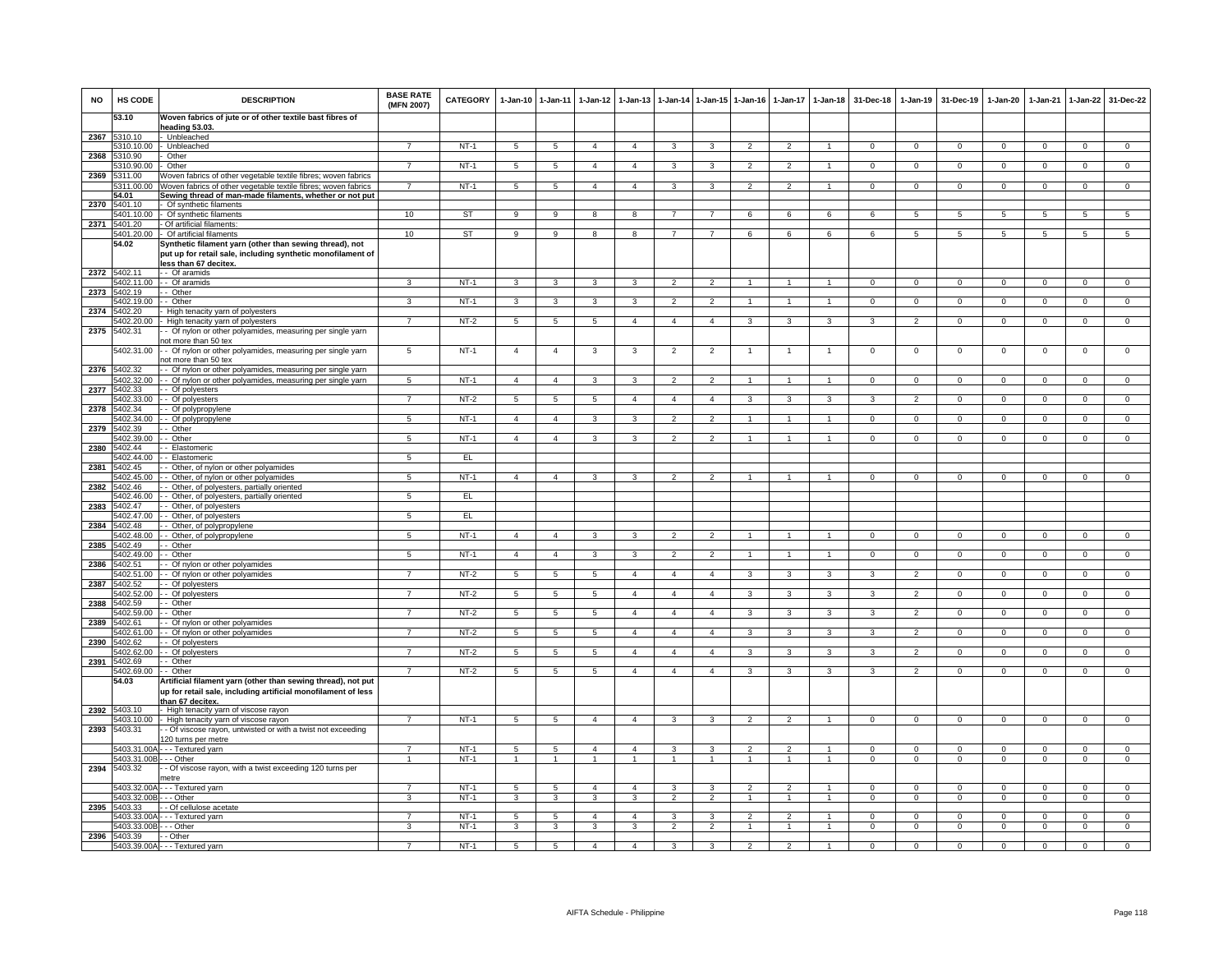| <b>NO</b> | HS CODE                    | <b>DESCRIPTION</b>                                                                                                        | <b>BASE RATE</b><br>(MFN 2007) | <b>CATEGORY</b> | $1-Jan-10$      | $1 - Jan-11$    | $1-Jan-12$      | $1-Jan-13$             |                     |                | 1-Jan-14 1-Jan-15 1-Jan-16     |                                | 1-Jan-17 1-Jan-18       | 31-Dec-18      | 1-Jan-19       | 31-Dec-19    | $1-Jan-20$     | 1-Jan-21               | $1 - Jan-22$   | 31-Dec-22      |
|-----------|----------------------------|---------------------------------------------------------------------------------------------------------------------------|--------------------------------|-----------------|-----------------|-----------------|-----------------|------------------------|---------------------|----------------|--------------------------------|--------------------------------|-------------------------|----------------|----------------|--------------|----------------|------------------------|----------------|----------------|
|           | 53.10                      | Woven fabrics of jute or of other textile bast fibres of<br>heading 53.03                                                 |                                |                 |                 |                 |                 |                        |                     |                |                                |                                |                         |                |                |              |                |                        |                |                |
| 2367      | 5310.10                    | Unbleached                                                                                                                |                                |                 |                 |                 |                 |                        |                     |                |                                |                                |                         |                |                |              |                |                        |                |                |
| 2368      | 310.10.00<br>310.90        | Unbleached<br>Other                                                                                                       | $\overline{7}$                 | $NT-1$          | 5               | 5               | $\overline{4}$  | $\overline{4}$         | 3                   | 3              | $\overline{2}$                 | $\mathfrak{p}$                 | -1                      | $\Omega$       | $\overline{0}$ | $\mathbf 0$  | $\mathbf{0}$   | $\overline{0}$         | $\overline{0}$ | $\overline{0}$ |
|           | 5310.90.00                 | Other                                                                                                                     | $\overline{7}$                 | $NT-1$          | 5               | 5               | $\overline{4}$  | $\overline{4}$         | 3                   | 3              | $\overline{2}$                 | $\overline{\phantom{0}}$       | $\overline{1}$          | $\mathbf 0$    | $\mathbf 0$    | $\mathbf 0$  | $\mathsf 0$    | $\mathbf 0$            | $\mathsf 0$    | $\overline{0}$ |
| 2369      | 5311.00                    | Voven fabrics of other vegetable textile fibres; woven fabrics                                                            |                                |                 |                 |                 |                 |                        |                     |                |                                |                                |                         |                |                |              |                |                        |                |                |
|           | 311.00.00<br>54.01         | Voven fabrics of other vegetable textile fibres; woven fabrics<br>Sewing thread of man-made filaments, whether or not put | $\overline{7}$                 | $NT-1$          | -5              | 5               | $\overline{4}$  | $\overline{4}$         | 3                   | 3              | $\mathcal{P}$                  | $\mathcal{P}$                  | $\mathbf{1}$            | $\mathbf 0$    | $\Omega$       | $\mathbf 0$  | $\Omega$       | $\Omega$               | $\mathsf 0$    | $\overline{0}$ |
| 2370      | 5401.10                    | Of synthetic filaments                                                                                                    |                                |                 |                 |                 |                 |                        |                     |                |                                |                                |                         |                |                |              |                |                        |                |                |
|           | 5401.10.00                 | Of synthetic filaments                                                                                                    | 10                             | ST              | 9               | 9               | 8               | 8                      | 7                   | 7              | 6                              | 6                              | 6                       | 6              | 5              | 5            | 5              | 5                      | 5              | 5              |
|           | 2371 5401.20<br>5401.20.00 | Of artificial filaments:<br>Of artificial filaments                                                                       | 10                             | ST              | $\mathbf{Q}$    | 9               | 8               | 8                      | $\overline{7}$      | $\overline{7}$ | 6                              | 6                              | 6                       | 6              | 5              | -5           | 5              | 5                      | 5              | 5              |
|           | 54.02                      | Synthetic filament yarn (other than sewing thread), not                                                                   |                                |                 |                 |                 |                 |                        |                     |                |                                |                                |                         |                |                |              |                |                        |                |                |
|           |                            | put up for retail sale, including synthetic monofilament of                                                               |                                |                 |                 |                 |                 |                        |                     |                |                                |                                |                         |                |                |              |                |                        |                |                |
| 2372      | 5402.11                    | less than 67 decitex.<br>-- Of aramids                                                                                    |                                |                 |                 |                 |                 |                        |                     |                |                                |                                |                         |                |                |              |                |                        |                |                |
|           | 402.11.00                  | - Of aramids                                                                                                              |                                | $NT-1$          | $\mathcal{R}$   | 3               |                 | 3                      |                     |                |                                |                                |                         | $\Omega$       | $\Omega$       | $\Omega$     | $\Omega$       |                        | $\Omega$       | $\Omega$       |
| 2373      | 5402.19                    | - Other                                                                                                                   |                                |                 |                 |                 |                 |                        |                     |                |                                |                                |                         |                |                |              |                |                        |                |                |
|           | 5402.19.00<br>2374 5402.20 | - Other<br>High tenacity yarn of polyesters                                                                               | 3                              | $NT-1$          | $\mathbf{3}$    | 3               | 3               | 3                      | $\overline{2}$      | $\overline{2}$ |                                |                                |                         | $^{\circ}$     | $\mathbf{0}$   | $\mathbf 0$  | $\mathbf 0$    | 0                      | $\mathbf{0}$   | $^{\circ}$     |
|           | 5402.20.00                 | High tenacity yarn of polyesters                                                                                          | $\overline{7}$                 | $NT-2$          | 5               | 5               | 5               | $\overline{4}$         | $\overline{4}$      | $\overline{4}$ | 3                              | 3                              | 3                       | 3              | $\overline{2}$ | $\mathbf 0$  | $^{\circ}$     | $\Omega$               | $\mathbf{0}$   | $\mathbf 0$    |
| 2375      | 5402.31                    | - Of nylon or other polyamides, measuring per single yarn                                                                 |                                |                 |                 |                 |                 |                        |                     |                |                                |                                |                         |                |                |              |                |                        |                |                |
|           | 5402.31.00                 | ot more than 50 tex<br>- Of nylon or other polyamides, measuring per single yarn                                          | 5                              | $NT-1$          | $\overline{4}$  | $\overline{4}$  | 3               | 3                      | $\overline{2}$      | $\overline{2}$ |                                |                                | 1                       | $\mathbf 0$    | $\mathbf 0$    | $\mathbf 0$  | $\mathbf 0$    | $\mathbf 0$            | $\mathsf 0$    | $\mathbf 0$    |
|           |                            | ot more than 50 tex                                                                                                       |                                |                 |                 |                 |                 |                        |                     |                |                                |                                |                         |                |                |              |                |                        |                |                |
|           | 2376 5402.32               | - Of nylon or other polyamides, measuring per single yarn                                                                 |                                |                 |                 |                 |                 |                        |                     |                |                                |                                |                         |                |                |              |                |                        |                |                |
|           | 5402.32.00                 | - Of nylon or other polyamides, measuring per single yarn                                                                 | $5\phantom{.0}$                | $NT-1$          | $\overline{4}$  | $\overline{4}$  | 3               | 3                      | $\overline{2}$      | $\overline{2}$ | $\overline{1}$                 | $\overline{1}$                 | $\overline{1}$          | $\Omega$       | $\Omega$       | $\mathbf 0$  | $\Omega$       | $\Omega$               | $\mathbf 0$    | $\overline{0}$ |
| 2377      | 6402.33<br>5402.33.00      | Of polyesters<br>Of polyesters                                                                                            | $\overline{7}$                 | $NT-2$          | $\overline{5}$  | 5               | $\overline{5}$  | $\Delta$               | $\mathbf{A}$        | $\mathbf{A}$   |                                | 3                              | $\mathbf{3}$            | $\mathcal{R}$  | $\mathcal{P}$  | $\Omega$     | $\Omega$       | $\Omega$               | $\mathsf 0$    | $\Omega$       |
| 2378      | 5402.34                    | - Of polypropylene                                                                                                        |                                |                 |                 |                 |                 |                        |                     |                |                                |                                |                         |                |                |              |                |                        |                |                |
|           | 5402.34.00                 | - Of polypropylene                                                                                                        | 5                              | $NT-1$          | $\overline{4}$  | $\overline{4}$  | 3               | 3                      | $\overline{2}$      | $\overline{2}$ | -1                             | $\mathbf{1}$                   | 1                       | $\Omega$       | $\mathbf{0}$   | $\mathbf{0}$ | $\overline{0}$ | $\mathbf 0$            | $\overline{0}$ | $\Omega$       |
| 2379      | 5402.39<br>402.39.00       | - Other<br>- Other                                                                                                        | 5                              | $NT-1$          | $\overline{a}$  | $\overline{4}$  | 3               | 3                      | $\overline{2}$      | $\overline{2}$ | -1                             | -1                             | 1                       | $\Omega$       | $\overline{0}$ | $\Omega$     | $\overline{0}$ | $\Omega$               | $\overline{0}$ | $\overline{0}$ |
| 2380      | 402.44                     | - Elastomeric                                                                                                             |                                |                 |                 |                 |                 |                        |                     |                |                                |                                |                         |                |                |              |                |                        |                |                |
|           | 5402.44.00                 | Elastomeric                                                                                                               | 5                              | EL.             |                 |                 |                 |                        |                     |                |                                |                                |                         |                |                |              |                |                        |                |                |
| 2381      | 5402.45<br>5402.45.00      | Other, of nylon or other polyamides<br>Other, of nylon or other polyamides                                                | $\overline{5}$                 | $NT-1$          | $\overline{4}$  | $\overline{4}$  |                 | 3                      | $\mathcal{D}$       | $\mathcal{L}$  |                                |                                |                         | $\Omega$       | $\Omega$       | $\Omega$     | $\Omega$       | $\Omega$               | $\overline{0}$ | $\overline{0}$ |
| 2382      | 402.46                     | Other, of polyesters, partially oriented                                                                                  |                                |                 |                 |                 |                 |                        |                     |                |                                |                                |                         |                |                |              |                |                        |                |                |
|           | 5402.46.00                 | Other, of polyesters, partially oriented                                                                                  | 5                              | EL              |                 |                 |                 |                        |                     |                |                                |                                |                         |                |                |              |                |                        |                |                |
| 2383      | 5402.47<br>5402.47.00      | - Other, of polyesters<br>- Other, of polyesters                                                                          | 5                              | EL              |                 |                 |                 |                        |                     |                |                                |                                |                         |                |                |              |                |                        |                |                |
| 2384      | 540248                     | - Other, of polypropylene                                                                                                 |                                |                 |                 |                 |                 |                        |                     |                |                                |                                |                         |                |                |              |                |                        |                |                |
|           | 402.48.00                  | Other, of polypropylene                                                                                                   | 5                              | $NT-1$          | $\overline{4}$  | $\overline{4}$  | 3               | 3                      | $\mathfrak{p}$      | 2              | $\overline{1}$                 | $\mathbf{1}$                   | $\mathbf{1}$            | $\Omega$       | $\circ$        | $\Omega$     | $\Omega$       | $\mathbf{0}$           | $\mathbf{0}$   | $\mathsf 0$    |
| 2385      | 5402.49<br>5402.49.00      | - Other<br>Other                                                                                                          | 5                              | $NT-1$          | $\overline{4}$  | $\overline{4}$  | 3               | 3                      | $\overline{2}$      | $\mathcal{P}$  | $\mathbf{1}$                   | $\mathbf{1}$                   | $\mathbf{1}$            | $\mathbf 0$    | $\mathbf 0$    | $\mathbf 0$  | $\mathbf 0$    | $\mathbf 0$            | $\mathbf 0$    | $\mathbf 0$    |
| 2386      | 5402.51                    | Of nylon or other polyamides                                                                                              |                                |                 |                 |                 |                 |                        |                     |                |                                |                                |                         |                |                |              |                |                        |                |                |
|           | 5402.51.00                 | - Of nylon or other polyamides                                                                                            | $\overline{7}$                 | $NT-2$          | 5               | 5               | $\overline{5}$  | $\overline{4}$         | $\overline{4}$      | $\overline{4}$ | 3                              | 3                              | $\overline{\mathbf{3}}$ | $\overline{3}$ | $\overline{2}$ | $\Omega$     | $\overline{0}$ | $\overline{0}$         | $\overline{0}$ | $\overline{0}$ |
| 2387      | 402.52<br>5402.52.00       | - Of polvesters<br>- Of polyesters                                                                                        | $\overline{7}$                 | $NT-2$          | 5               | 5               | $5\overline{5}$ | $\overline{4}$         | $\overline{4}$      | $\overline{4}$ | 3                              | 3                              | $\mathbf{3}$            | 3              | $\overline{2}$ | $\mathbf 0$  | $\overline{0}$ | $\mathbf 0$            | $\mathbf{0}$   | $\mathbf{0}$   |
|           | 2388 5402.59               | - Other                                                                                                                   |                                |                 |                 |                 |                 |                        |                     |                |                                |                                |                         |                |                |              |                |                        |                |                |
|           | 5402.59.00                 | - Other                                                                                                                   | $\overline{7}$                 | $NT-2$          | 5               | 5               | 5               | $\overline{4}$         | $\overline{4}$      | $\overline{4}$ | 3                              | 3                              | 3                       | 3              | $\overline{2}$ | $\mathbf{0}$ | $\mathbf{0}$   | $\mathbf{0}$           | $\overline{0}$ | $^{\circ}$     |
| 2389      | 402.61<br>402.61.00        | - Of nylon or other polyamides<br>- Of nylon or other polyamides                                                          |                                | $NT-2$          | 5               | 5               | 5               | $\overline{4}$         | $\overline{4}$      | $\overline{4}$ | 3                              | 3                              | 3                       | 3              | $\overline{2}$ | $\mathbf 0$  | $\mathbf 0$    | $^{\circ}$             | $\mathbf{0}$   | $\mathbf 0$    |
| 2390      | 5402.62                    | - Of polyesters                                                                                                           |                                |                 |                 |                 |                 |                        |                     |                |                                |                                |                         |                |                |              |                |                        |                |                |
|           | 5402.62.00                 | Of polyesters                                                                                                             | $\overline{7}$                 | $NT-2$          | $5\phantom{.0}$ | $\overline{5}$  | 5               | $\overline{4}$         | $\overline{4}$      | $\overline{4}$ | 3                              | 3                              | 3                       | 3              | $\overline{2}$ | $\mathbf 0$  | 0              | $^{\circ}$             | 0              | $\mathbf 0$    |
| 2391      | 5402.69<br>5402.69.00      | - Other<br>- Other                                                                                                        | $\overline{7}$                 | $NT-2$          | 5               | 5               | $\overline{5}$  | $\boldsymbol{\Lambda}$ | $\overline{4}$      | $\overline{4}$ | R                              | $\mathbf{\hat{z}}$             | $\mathbf{a}$            | $\mathbf{z}$   | $\mathcal{L}$  | $\Omega$     | $\Omega$       | $\Omega$               | $\Omega$       | $\Omega$       |
|           | 54.03                      | Artificial filament yarn (other than sewing thread), not put                                                              |                                |                 |                 |                 |                 |                        |                     |                |                                |                                |                         |                |                |              |                |                        |                |                |
|           |                            | up for retail sale, including artificial monofilament of less                                                             |                                |                 |                 |                 |                 |                        |                     |                |                                |                                |                         |                |                |              |                |                        |                |                |
| 2392      | 5403.10                    | than 67 decitex.<br>High tenacity yarn of viscose rayon                                                                   |                                |                 |                 |                 |                 |                        |                     |                |                                |                                |                         |                |                |              |                |                        |                |                |
|           | 403.10.00                  | High tenacity yarn of viscose rayon                                                                                       |                                | $NT-1$          | $\overline{5}$  | $\overline{5}$  | $\overline{4}$  | $\overline{4}$         | 3                   | 3              | $\overline{2}$                 | $\overline{2}$                 | $\mathbf{1}$            | $\Omega$       | $\overline{0}$ | $\Omega$     | $\Omega$       | $\overline{0}$         | $\Omega$       | $\overline{0}$ |
| 2393      | 5403.31                    | - Of viscose rayon, untwisted or with a twist not exceeding                                                               |                                |                 |                 |                 |                 |                        |                     |                |                                |                                |                         |                |                |              |                |                        |                |                |
|           | 5403.31.00/                | 20 turns per metre<br>- - Textured yarn                                                                                   | $\overline{7}$                 | $NT-1$          | -5              | $5\phantom{.0}$ | $\overline{a}$  | $\overline{4}$         | 3                   | $\mathbf{3}$   | $\mathcal{P}$                  | $\mathcal{D}$                  | $\mathbf{1}$            | $\Omega$       | $\Omega$       | $\Omega$     | $\Omega$       | $\Omega$               | $\mathsf 0$    | $\Omega$       |
|           | 5403.31.00                 | - - Other                                                                                                                 |                                | $NT-1$          | $\mathbf{1}$    | $\overline{1}$  | $\overline{1}$  | $\mathbf{1}$           | $\overline{1}$      | $\overline{1}$ | $\overline{1}$                 | $\overline{1}$                 | $\mathbf{1}$            | $\mathbf{0}$   | $\overline{0}$ | $\mathbf 0$  | $\overline{0}$ | $\overline{0}$         | $\overline{0}$ | $\overline{0}$ |
| 2394      | 5403.32                    | - Of viscose rayon, with a twist exceeding 120 turns per                                                                  |                                |                 |                 |                 |                 |                        |                     |                |                                |                                |                         |                |                |              |                |                        |                |                |
|           | 5403.32.00A                | netre                                                                                                                     | $\overline{7}$                 | $NT-1$          | 5               | 5               | $\overline{4}$  | $\overline{4}$         | $\mathbf{3}$        | $\mathbf{3}$   | $\overline{2}$                 | $\overline{2}$                 | $\mathbf{1}$            | $\Omega$       | $\mathbf 0$    | $\mathbf 0$  | $\mathbf 0$    | $\mathbf 0$            | $\mathbf{0}$   | $\mathbf 0$    |
|           | 5403.32.00B                | --- Textured yarn<br>- - Other                                                                                            | 3                              | $NT-1$          | 3               | $\mathbf{3}$    | 3               | 3                      | $\overline{2}$      | $\overline{2}$ | $\overline{1}$                 | $\overline{1}$                 | $\overline{1}$          | $\mathbf{0}$   | $\overline{0}$ | $\mathbf{0}$ | $\overline{0}$ | $\mathbf{0}$           | $\mathbf{0}$   | $\mathbf 0$    |
| 2395      | 5403.33                    | - Of cellulose acetate                                                                                                    |                                |                 |                 |                 |                 |                        |                     |                |                                |                                |                         |                |                |              |                |                        |                |                |
|           | 403.33.00/                 | - - Textured yarn                                                                                                         | 7<br>3                         | $NT-1$          | 5               | 5               | $\overline{4}$  | $\overline{4}$         | 3<br>$\mathfrak{p}$ | $\mathbf{3}$   | $\overline{2}$<br>$\mathbf{1}$ | $\overline{2}$<br>$\mathbf{1}$ | 1<br>$\mathbf{1}$       | $\mathbf{0}$   | $^{\circ}$     | $^{\circ}$   | $^{\circ}$     | $^{\circ}$<br>$\Omega$ | $\mathbf{0}$   | $\mathbf{0}$   |
| 2396      | 5403.33.00E<br>5403.39     | - - Other<br>- Other                                                                                                      |                                | $NT-1$          | 3               | 3               | 3               | 3                      |                     | $\overline{2}$ |                                |                                |                         | $\mathbf 0$    | $\mathbf 0$    | $\mathbf 0$  | $\mathbf 0$    |                        | $\mathsf 0$    | $\overline{0}$ |
|           |                            | 5403.39.00A - - - Textured yarn                                                                                           | $\overline{7}$                 | $NT-1$          | $5\overline{)}$ | $\overline{5}$  | $\mathbf{A}$    | $\overline{4}$         | 3                   | $\overline{3}$ | $\overline{2}$                 | $\overline{2}$                 | $\blacktriangleleft$    | $\Omega$       | $\Omega$       | $\Omega$     | $\Omega$       | $\Omega$               | $\Omega$       | $\overline{0}$ |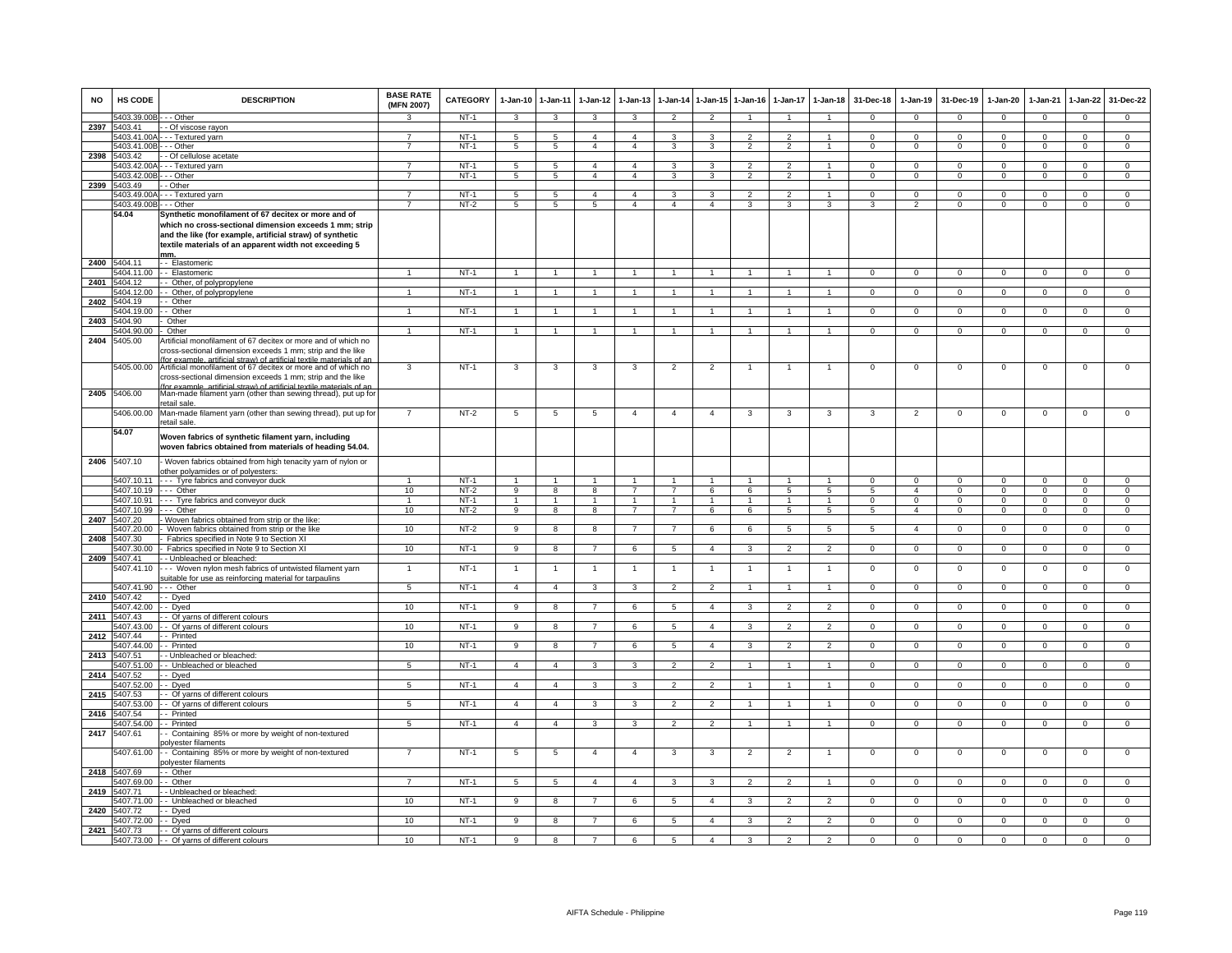| <b>NO</b> | <b>HS CODE</b>                      | <b>DESCRIPTION</b>                                                                                                                                                                                                                                                  | <b>BASE RATE</b><br>(MFN 2007) | <b>CATEGORY</b> | $1-Jan-10$           | $1-Jan-11$              | $1-Jan-12$                     | $1 - Jan-13$                   | $1 - Jan-14$   | $1 - Jan-15$         | $1-Jan-16$                       | 1-Jan-17           | $1-Jan-18$                     | 31-Dec-18                | $1-Jan-19$             | 31-Dec-19                | $1-Jan-20$                 | $1-Jan-21$              | $1-Jan-22$                 | 31-Dec-22                        |
|-----------|-------------------------------------|---------------------------------------------------------------------------------------------------------------------------------------------------------------------------------------------------------------------------------------------------------------------|--------------------------------|-----------------|----------------------|-------------------------|--------------------------------|--------------------------------|----------------|----------------------|----------------------------------|--------------------|--------------------------------|--------------------------|------------------------|--------------------------|----------------------------|-------------------------|----------------------------|----------------------------------|
|           | 5403.39.00B - - - Other             |                                                                                                                                                                                                                                                                     | $\mathbf{\Omega}$              | $NT-1$          | 3                    | 3                       | 3                              | 3                              | $\overline{2}$ | $\overline{2}$       |                                  |                    | $\overline{1}$                 | $\mathbf{0}$             | $\mathbf{0}$           | $\mathbf{0}$             | $\overline{0}$             | $\mathbf 0$             | $\mathbf 0$                | $\mathbf{0}$                     |
|           | 2397 5403.41                        | - Of viscose rayon                                                                                                                                                                                                                                                  |                                | $NT-1$          |                      |                         |                                |                                |                |                      |                                  |                    |                                |                          |                        |                          |                            |                         |                            |                                  |
|           | 5403.41.00B - - - Other             | 5403.41.00A --- Textured yarn                                                                                                                                                                                                                                       | $\overline{7}$                 | $NT-1$          | 5<br>$5\overline{5}$ | 5<br>$\overline{5}$     | $\mathbf{4}$<br>$\overline{4}$ | $\mathbf{A}$<br>$\overline{4}$ | 3<br>3         | 3<br>3               | $\mathfrak{p}$<br>$\overline{2}$ | $\mathcal{P}$<br>2 | $\overline{1}$<br>$\mathbf{1}$ | $\Omega$<br>$\mathbf{0}$ | $\Omega$<br>$^{\circ}$ | $\Omega$<br>$\mathbf{0}$ | $\Omega$<br>$\overline{0}$ | $\Omega$<br>$\mathbf 0$ | $\Omega$<br>$\overline{0}$ | $\overline{0}$<br>$\overline{0}$ |
| 2398      | 5403.42                             | - Of cellulose acetate                                                                                                                                                                                                                                              |                                |                 |                      |                         |                                |                                |                |                      |                                  |                    |                                |                          |                        |                          |                            |                         |                            |                                  |
|           | 5403.42.00A                         | - - Textured yarn                                                                                                                                                                                                                                                   |                                | $NT-1$          | 5                    | 5                       | $\overline{4}$                 | 4                              | 3              | 3                    | $\overline{2}$                   |                    | $\overline{1}$                 | 0                        | $\mathbf{0}$           | $\mathbf 0$              | 0                          | $\mathbf 0$             | $^{\circ}$                 | $\mathbf 0$                      |
|           | 5403.42.00B                         | - - Other                                                                                                                                                                                                                                                           | $\overline{7}$                 | $NT-1$          | $5\overline{5}$      | 5                       | $\overline{4}$                 | $\overline{4}$                 | $\mathbf{3}$   | 3                    | $\overline{2}$                   | $\mathfrak{p}$     | $\overline{1}$                 | $\mathbf{O}$             | $\mathbf 0$            | $\mathbf 0$              | $\mathbf{0}$               | $\mathbf 0$             | $\mathsf 0$                | $\mathbf 0$                      |
| 2399      | 5403.49                             | - Other                                                                                                                                                                                                                                                             |                                |                 |                      |                         |                                |                                |                |                      |                                  |                    |                                |                          |                        |                          |                            |                         |                            |                                  |
|           |                                     | 5403.49.00A - - - Textured yarn                                                                                                                                                                                                                                     | $\overline{7}$                 | $NT-1$          | $5\overline{)}$      | $\overline{5}$          | $\overline{4}$                 | 4                              | 3              | 3                    | $\overline{2}$                   | $\overline{2}$     | $\mathbf{1}$                   | $\Omega$                 | $\Omega$               | $\Omega$                 | $\overline{0}$             | $\Omega$                | $\overline{0}$             | $\overline{0}$                   |
|           | 5403.49.00B                         | -- Other                                                                                                                                                                                                                                                            | 7                              | $NT-2$          | $\overline{5}$       | $\overline{5}$          | $\overline{5}$                 | $\overline{4}$                 | $\overline{4}$ | $\overline{4}$       | 3                                | 3                  | 3                              | $\mathbf{3}$             | $\overline{2}$         | $\overline{0}$           | $\overline{0}$             | $\Omega$                | $\overline{0}$             | $\overline{0}$                   |
|           | 54.04                               | Synthetic monofilament of 67 decitex or more and of<br>which no cross-sectional dimension exceeds 1 mm; strip<br>and the like (for example, artificial straw) of synthetic<br>textile materials of an apparent width not exceeding 5                                |                                |                 |                      |                         |                                |                                |                |                      |                                  |                    |                                |                          |                        |                          |                            |                         |                            |                                  |
| 2400      | 5404.11                             | mm.<br>- - Elastomeric                                                                                                                                                                                                                                              |                                |                 |                      |                         |                                |                                |                |                      |                                  |                    |                                |                          |                        |                          |                            |                         |                            |                                  |
|           | 5404.11.00                          | - - Elastomeric                                                                                                                                                                                                                                                     |                                | $NT-1$          | $\overline{1}$       | $\overline{1}$          | $\overline{1}$                 | $\mathbf{1}$                   | $\overline{1}$ | $\overline{1}$       |                                  |                    | $\overline{1}$                 | $\mathbf{O}$             | $\mathbf 0$            | $\mathbf 0$              | $\mathbf 0$                | $\mathbf 0$             | $\mathsf 0$                | $\mathbf 0$                      |
| 2401      | 5404.12                             | - Other, of polypropylene                                                                                                                                                                                                                                           |                                |                 |                      |                         |                                |                                |                |                      |                                  |                    |                                |                          |                        |                          |                            |                         |                            |                                  |
|           | 5404.12.00                          | - Other, of polypropylene                                                                                                                                                                                                                                           |                                | $NT-1$          | $\overline{1}$       | $\overline{1}$          | $\mathbf{1}$                   |                                | $\overline{1}$ | $\blacktriangleleft$ |                                  |                    | $\overline{1}$                 | $\Omega$                 | $\Omega$               | $\mathbf 0$              | $\mathbf 0$                | $\Omega$                | $\mathsf 0$                | $\Omega$                         |
| 2402      | 5404.19                             | - Other                                                                                                                                                                                                                                                             |                                |                 |                      |                         |                                |                                |                |                      |                                  |                    |                                |                          |                        |                          |                            |                         |                            |                                  |
|           | 5404.19.00                          | - Other                                                                                                                                                                                                                                                             |                                | $NT-1$          |                      |                         |                                |                                |                |                      |                                  |                    |                                | $\Omega$                 | $\Omega$               | $\Omega$                 | $\Omega$                   |                         | $\Omega$                   | $\Omega$                         |
| 2403      | 5404.90                             | Other                                                                                                                                                                                                                                                               |                                |                 |                      |                         |                                |                                |                |                      |                                  |                    |                                |                          |                        |                          |                            |                         |                            |                                  |
|           | 5404.90.00                          | Other                                                                                                                                                                                                                                                               | 1                              | <b>NT-1</b>     | 1                    | $\mathbf{1}$            | 1                              |                                | $\overline{1}$ |                      |                                  |                    | $\overline{1}$                 | $\mathbf{0}$             | 0                      | $\mathbf 0$              | 0                          | $\mathbf 0$             | $\mathbf{0}$               | $\Omega$                         |
| 2404      | 5405.00<br>5405.00.00               | Artificial monofilament of 67 decitex or more and of which no<br>cross-sectional dimension exceeds 1 mm; strip and the like<br>for example, artificial straw) of artificial textile materials of a<br>Artificial monofilament of 67 decitex or more and of which no | 3                              | $NT-1$          | 3                    | 3                       | 3                              | 3                              | $\overline{2}$ | $\overline{2}$       | 1                                | $\mathbf{1}$       | $\overline{1}$                 | $\mathsf 0$              | $\mathbf 0$            | $\mathbf 0$              | $\mathbf 0$                | $\mathbf 0$             | $\mathsf 0$                | $\mathbf 0$                      |
| 2405      | 5406.00                             | cross-sectional dimension exceeds 1 mm; strip and the like<br>for example, artificial straw) of artificial textile materials of an<br>Man-made filament yarn (other than sewing thread), put up for                                                                 |                                |                 |                      |                         |                                |                                |                |                      |                                  |                    |                                |                          |                        |                          |                            |                         |                            |                                  |
|           | 5406.00.00                          | retail sale.<br>Man-made filament yarn (other than sewing thread), put up for                                                                                                                                                                                       | $\overline{7}$                 | $NT-2$          | 5                    | 5                       | 5                              | $\overline{4}$                 | $\overline{4}$ | $\overline{4}$       | 3                                | 3                  | 3                              | 3                        | $\overline{2}$         | $\Omega$                 | $\mathbf 0$                | $\mathbf 0$             | $\mathsf 0$                | $\overline{0}$                   |
|           | 54.07                               | retail sale.<br>Woven fabrics of synthetic filament yarn, including<br>woven fabrics obtained from materials of heading 54.04.                                                                                                                                      |                                |                 |                      |                         |                                |                                |                |                      |                                  |                    |                                |                          |                        |                          |                            |                         |                            |                                  |
| 2406      | 5407.10                             | - Woven fabrics obtained from high tenacity yarn of nylon or<br>other polyamides or of polyesters:                                                                                                                                                                  |                                |                 |                      |                         |                                |                                |                |                      |                                  |                    |                                |                          |                        |                          |                            |                         |                            |                                  |
|           | 5407.10.11                          | --- Tyre fabrics and conveyor duck                                                                                                                                                                                                                                  |                                | $NT-1$          | $\overline{1}$       | $\overline{1}$          |                                |                                | $\overline{1}$ |                      |                                  |                    | -1                             | $\Omega$                 | $\Omega$               | $\Omega$                 | $\Omega$                   | $\Omega$                | $\Omega$                   | $\Omega$                         |
|           | 5407.10.19                          | --- Other                                                                                                                                                                                                                                                           | 10                             | $NT-2$          | $\overline{q}$       | $\overline{8}$          | $\overline{\mathbf{a}}$        | $\overline{7}$                 | $\overline{7}$ | 6                    | $\overline{6}$                   | $\overline{5}$     | $\overline{5}$                 | 5                        | $\mathbf{A}$           | $\Omega$                 | $\overline{0}$             | $\Omega$                | $\Omega$                   | $\overline{0}$                   |
|           | 5407.10.91                          | --- Tyre fabrics and conveyor duck                                                                                                                                                                                                                                  | $\mathbf{1}$                   | $NT-1$          | $\mathbf{1}$         | $\overline{1}$          | $\mathbf{1}$                   |                                | $\mathbf{1}$   | $\mathbf{1}$         | $\overline{1}$                   | $\mathbf{1}$       | $\overline{1}$                 | $\mathbf{O}$             | $\mathsf 0$            | $\mathbf 0$              | $\mathbf 0$                | $\Omega$                | $\mathsf 0$                | $\mathbf{0}$                     |
|           | 5407.10.99                          | --- Other                                                                                                                                                                                                                                                           | 10                             | $NT-2$          | $\overline{9}$       | $\overline{\mathbf{8}}$ | $\overline{\mathbf{8}}$        | $\overline{7}$                 | $\overline{7}$ | 6                    | 6                                | $5\overline{)}$    | $5\overline{)}$                | 5                        | $\overline{4}$         | $\Omega$                 | $\mathbf{0}$               | $\Omega$                | $\overline{0}$             | $\overline{0}$                   |
| 2407      | 5407.20<br>5407.20.00               | Woven fabrics obtained from strip or the like:<br>Woven fabrics obtained from strip or the like                                                                                                                                                                     | 10                             | $NT-2$          | 9                    | 8                       | 8                              | $\overline{7}$                 | $\overline{7}$ | 6                    | 6                                | 5                  | 5                              | 5                        | $\overline{4}$         | $\mathbf 0$              | $\mathbf{0}$               | $^{\circ}$              | $\mathbf{0}$               | $^{\circ}$                       |
| 2408      | 5407.30                             | Fabrics specified in Note 9 to Section XI                                                                                                                                                                                                                           |                                |                 |                      |                         |                                |                                |                |                      |                                  |                    |                                |                          |                        |                          |                            |                         |                            |                                  |
|           | 407.30.00                           | Fabrics specified in Note 9 to Section XI                                                                                                                                                                                                                           | 10                             | $NT-1$          | 9                    | 8                       | $\overline{7}$                 | 6                              | 5              | $\overline{4}$       | 3                                | $\overline{2}$     | $\overline{2}$                 | $\mathbf{O}$             | $\mathbf{0}$           | $\mathbf 0$              | $\circ$                    | $\Omega$                | $\circ$                    | $\mathbf 0$                      |
| 2409      | 5407.41                             | Unbleached or bleached:                                                                                                                                                                                                                                             |                                |                 |                      |                         |                                |                                |                |                      |                                  |                    |                                |                          |                        |                          |                            |                         |                            |                                  |
|           | 407.41.10                           | - - Woven nylon mesh fabrics of untwisted filament yarn<br>suitable for use as reinforcing material for tarpaulins                                                                                                                                                  |                                | $NT-1$          | $\overline{1}$       | $\overline{1}$          | $\mathbf{1}$                   |                                | $\overline{1}$ | $\overline{1}$       |                                  |                    | $\overline{1}$                 | 0                        | 0                      | $\,0\,$                  | $\,0\,$                    | $\mathbf 0$             | $\mathsf 0$                | $\mathsf 0$                      |
|           | 5407.41.90<br>5407.42               | --- Other                                                                                                                                                                                                                                                           | 5                              | $NT-1$          | $\overline{4}$       | $\overline{4}$          | 3                              | 3                              | $\overline{2}$ | $\overline{2}$       | $\overline{1}$                   | 1                  | $\blacktriangleleft$           | $\Omega$                 | $\mathbf 0$            | $\Omega$                 | $\overline{0}$             | $\Omega$                | $\mathbf 0$                | $\overline{0}$                   |
| 2410      | 5407.42.00                          | - Dyed<br>-- Dyed                                                                                                                                                                                                                                                   | 10                             | $NT-1$          | $\overline{9}$       | $\overline{8}$          | $\overline{7}$                 | 6                              | $\overline{5}$ | $\overline{4}$       | 3                                | $\mathfrak{p}$     | $\overline{2}$                 | $\Omega$                 | $\Omega$               | $\Omega$                 | $\Omega$                   | $\Omega$                | $\overline{0}$             | $\overline{0}$                   |
| 2411      | 5407.43                             | - Of yarns of different colours                                                                                                                                                                                                                                     |                                |                 |                      |                         |                                |                                |                |                      |                                  |                    |                                |                          |                        |                          |                            |                         |                            |                                  |
|           | 5407.43.00                          | - Of yarns of different colours                                                                                                                                                                                                                                     | 10                             | $NT-1$          | 9                    | 8                       | $\overline{7}$                 | -6                             | 5              | $\overline{4}$       | $\mathcal{R}$                    | $\mathcal{P}$      | $\overline{2}$                 | $\Omega$                 | $\mathbf 0$            | $\mathbf 0$              | $\mathbf{0}$               | $\Omega$                | $\mathbf 0$                | $\Omega$                         |
| 2412      | 5407.44                             | -- Printed                                                                                                                                                                                                                                                          |                                |                 |                      |                         |                                |                                |                |                      |                                  |                    |                                |                          |                        |                          |                            |                         |                            |                                  |
|           | 5407.44.00                          | - Printed                                                                                                                                                                                                                                                           | 10                             | $NT-1$          | 9                    | 8                       | $\overline{7}$                 | 6                              | 5              | $\overline{4}$       | 3                                | 2                  | $\overline{2}$                 | $\mathbf{0}$             | $\mathbf{0}$           | $\mathbf{0}$             | $\mathbf{0}$               | $^{\circ}$              | $\mathbf{0}$               | $\overline{0}$                   |
| 2413      | 5407.51                             | - Unbleached or bleached:                                                                                                                                                                                                                                           |                                |                 |                      |                         |                                |                                |                |                      |                                  |                    |                                |                          |                        |                          |                            |                         |                            |                                  |
|           | 407.51.00                           | - Unbleached or bleached                                                                                                                                                                                                                                            | 5                              | $NT-1$          | $\overline{4}$       | $\overline{4}$          | 3                              | 3                              | $\mathfrak{p}$ | $\overline{2}$       |                                  |                    | $\overline{1}$                 | $\Omega$                 | 0                      | $\mathbf 0$              | $\mathsf 0$                | $\Omega$                | $\mathsf 0$                | $\mathbf 0$                      |
| 2414      | 5407.52<br>5407.52.00               | - Dyed<br>- Dyed                                                                                                                                                                                                                                                    | $5^{\circ}$                    | $NT-1$          | $\overline{4}$       | $\overline{4}$          | $\mathbf{3}$                   | 3                              | $\overline{2}$ | $\overline{2}$       | $\overline{1}$                   | $\mathbf{1}$       | $\overline{1}$                 | $\mathbf{0}$             | $\mathbf 0$            | $\mathbf 0$              | $\circ$                    | $\Omega$                | $\mathsf 0$                | $\overline{0}$                   |
| 2415      | 5407.53                             | - Of yarns of different colours                                                                                                                                                                                                                                     |                                |                 |                      |                         |                                |                                |                |                      |                                  |                    |                                |                          |                        |                          |                            |                         |                            |                                  |
|           | 5407.53.00                          | - Of varns of different colours                                                                                                                                                                                                                                     | 5                              | $NT-1$          | $\overline{4}$       | $\overline{4}$          | $\overline{3}$                 | $\overline{\mathbf{3}}$        | $\overline{2}$ | $\overline{2}$       | $\overline{1}$                   | $\mathbf{1}$       | $\overline{1}$                 | $\overline{0}$           | $\overline{0}$         | $\overline{0}$           | $\overline{0}$             | $\overline{0}$          | $\overline{0}$             | $\overline{0}$                   |
| 2416      | 5407.54                             | - Printed                                                                                                                                                                                                                                                           |                                |                 |                      |                         |                                |                                |                |                      |                                  |                    |                                |                          |                        |                          |                            |                         |                            |                                  |
|           | 5407.54.00                          | - Printed                                                                                                                                                                                                                                                           | $5\overline{5}$                | $NT-1$          | $\overline{4}$       | $\overline{4}$          | $\mathbf{3}$                   | 3                              | $\overline{2}$ | $\overline{2}$       |                                  |                    | $\overline{1}$                 | $\mathbf{O}$             | $\mathbf 0$            | $\mathbf{0}$             | $\mathbf 0$                | $\mathbf 0$             | $\mathbf{0}$               | $\mathbf{0}$                     |
| 2417      | 5407.61<br>5407.61.00               | Containing 85% or more by weight of non-textured<br>oolyester filaments<br>- Containing 85% or more by weight of non-textured                                                                                                                                       | $\overline{7}$                 | $NT-1$          | $5\overline{)}$      | $\overline{5}$          | $\overline{4}$                 | $\overline{4}$                 | 3              | 3                    | $\overline{2}$                   | $\overline{2}$     | $\overline{1}$                 | $\overline{0}$           | $\mathbf 0$            | $\mathbf 0$              | $\mathbf 0$                | $\overline{0}$          | $\overline{0}$             | $\overline{0}$                   |
|           | 2418 5407.69                        | oolyester filaments<br>- Other                                                                                                                                                                                                                                      |                                |                 |                      |                         |                                |                                |                |                      |                                  |                    |                                |                          |                        |                          |                            |                         |                            |                                  |
|           | 5407.69.00                          | - Other                                                                                                                                                                                                                                                             |                                | $NT-1$          | $5^{\circ}$          | $\sqrt{5}$              | $\overline{4}$                 | $\Delta$                       | $\mathcal{R}$  | ર                    | $\mathcal{D}$                    | $\mathcal{D}$      | -1                             | $\Omega$                 | $\Omega$               | $\mathbf 0$              | $\Omega$                   | $\Omega$                | $\Omega$                   | $\Omega$                         |
| 2419      | 5407.71                             | - Unbleached or bleached:                                                                                                                                                                                                                                           |                                |                 |                      |                         |                                |                                |                |                      |                                  |                    |                                |                          |                        |                          |                            |                         |                            |                                  |
|           | 5407.71.00                          | -- Unbleached or bleached                                                                                                                                                                                                                                           | 10                             | $NT-1$          | $\overline{9}$       | 8                       | $\overline{7}$                 | 6                              | $\overline{5}$ | $\overline{4}$       | 3                                | $\mathfrak{p}$     | $\overline{2}$                 | $\overline{0}$           | $\Omega$               | $\Omega$                 | $\overline{0}$             | $\Omega$                | $\overline{0}$             | $\overline{0}$                   |
| 2420      | 5407.72                             | -- Dyed                                                                                                                                                                                                                                                             |                                |                 |                      |                         |                                |                                |                |                      |                                  |                    |                                |                          |                        |                          |                            |                         |                            |                                  |
|           | 5407.72.00 - - Dyed<br>2421 5407.73 | - Of yarns of different colours                                                                                                                                                                                                                                     | 10                             | $NT-1$          | 9                    | 8                       |                                | 6                              | $\overline{5}$ | $\overline{4}$       |                                  |                    | $\mathcal{P}$                  | $\Omega$                 | $\Omega$               | $\Omega$                 | $\Omega$                   |                         | $\Omega$                   | $\Omega$                         |
|           |                                     | 5407.73.00 - - Of yarns of different colours                                                                                                                                                                                                                        | 10                             | $NT-1$          | 9                    | 8                       |                                | 6                              | 5              | $\Lambda$            |                                  | 2                  |                                | $\Omega$                 | $^{\circ}$             | $\mathbf 0$              | $\Omega$                   | $\mathbf 0$             | $^{\circ}$                 | $\Omega$                         |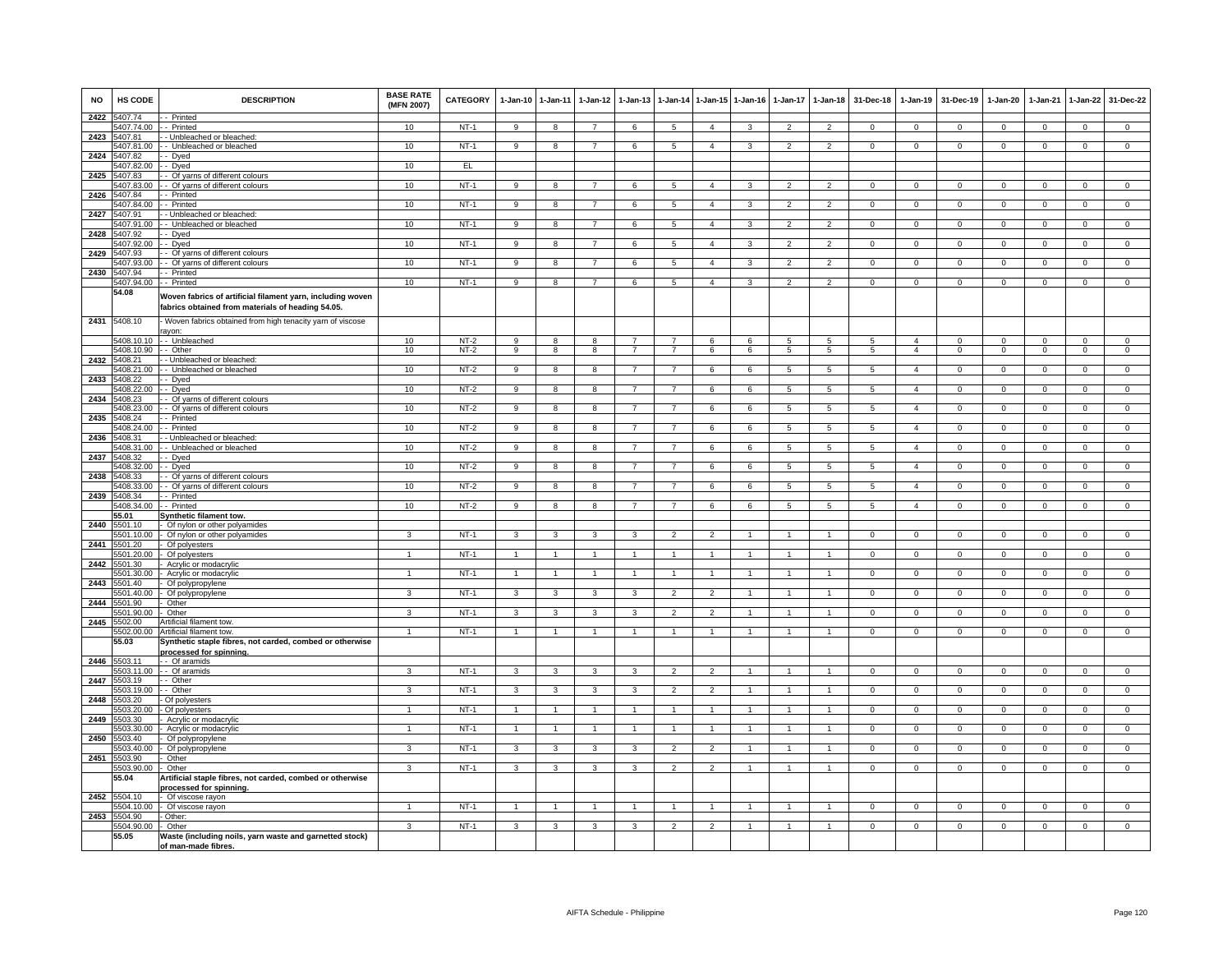| <b>NO</b> | HS CODE                  | <b>DESCRIPTION</b>                                                                                              | <b>BASE RATE</b><br>(MFN 2007) | <b>CATEGORY</b>  | $1-Jan-10$              | $1 - Jan-11$         | $1-Jan-12$              | $1-Jan-13$                       | $1-Jan-14$                       |                | 1-Jan-15 1-Jan-16 | $1-Jan-17$      | $1-Jan-18$                         | 31-Dec-18      | $1-Jan-19$                       | 31-Dec-19               | $1-Jan-20$     | 1-Jan-21                     | $1-Jan-22$              | 31-Dec-22                     |
|-----------|--------------------------|-----------------------------------------------------------------------------------------------------------------|--------------------------------|------------------|-------------------------|----------------------|-------------------------|----------------------------------|----------------------------------|----------------|-------------------|-----------------|------------------------------------|----------------|----------------------------------|-------------------------|----------------|------------------------------|-------------------------|-------------------------------|
| 2422      | 5407.74<br>5407.74.00    | - Printed<br>- Printed                                                                                          | 10                             | $NT-1$           | 9                       | 8                    | $\overline{7}$          | 6                                | $5\overline{5}$                  | $\overline{4}$ | 3                 | $\overline{2}$  | $\overline{2}$                     | $\overline{0}$ | $\mathbf{0}$                     | $\mathbf 0$             | $\mathbf{0}$   | $\overline{0}$               | $\mathbf{0}$            | $\mathbf{0}$                  |
| 2423      | 5407.81                  | - Unbleached or bleached:                                                                                       |                                |                  |                         |                      |                         |                                  |                                  |                |                   |                 |                                    |                |                                  |                         |                |                              |                         |                               |
|           | 5407.81.00               | - Unbleached or bleached                                                                                        | 10                             | $NT-1$           | 9                       | $\boldsymbol{8}$     | $\overline{7}$          | 6                                | 5                                | $\overline{4}$ | 3                 | $\overline{2}$  | $\overline{2}$                     | $\Omega$       | $\mathbf{0}$                     | $\mathbf{0}$            | $\mathbf{O}$   | $\mathbf 0$                  | $\overline{0}$          | $\overline{0}$                |
| 2424      | 407.82                   | - Dyed                                                                                                          |                                |                  |                         |                      |                         |                                  |                                  |                |                   |                 |                                    |                |                                  |                         |                |                              |                         |                               |
| 2425      | 5407.82.00<br>5407.83    | - Dyed<br>- Of yarns of different colours                                                                       | 10                             | EL.              |                         |                      |                         |                                  |                                  |                |                   |                 |                                    |                |                                  |                         |                |                              |                         |                               |
|           | 5407.83.00               | - Of yarns of different colours                                                                                 | 10                             | $NT-1$           | 9                       | 8                    | $\overline{7}$          | 6                                | $\overline{5}$                   | $\overline{4}$ | 3                 | $\mathfrak{p}$  | $\overline{2}$                     | $\mathbf 0$    | $\mathsf 0$                      | $\mathbf 0$             | $\Omega$       | $\mathbf 0$                  | $\mathbf 0$             | $\mathsf 0$                   |
| 2426      | 5407.84                  | - Printed                                                                                                       |                                |                  |                         |                      |                         |                                  |                                  |                |                   |                 |                                    |                |                                  |                         |                |                              |                         |                               |
|           | 5407.84.00               | - Printed                                                                                                       | 10                             | $NT-1$           | 9                       | 8                    | $\overline{7}$          | 6                                | 5                                | $\overline{4}$ | 3                 | $\mathfrak{p}$  | $\overline{2}$                     | $\Omega$       | $\mathsf 0$                      | $\mathbf 0$             | $\Omega$       | $\mathbf 0$                  | $\mathbf 0$             | $\mathbf 0$                   |
| 2427      | 5407.91                  | - Unbleached or bleached:<br>- Unbleached or bleached                                                           | 10                             | NT-1             |                         |                      |                         |                                  |                                  |                |                   |                 |                                    |                |                                  |                         |                |                              |                         | $\Omega$                      |
| 2428      | 5407.91.00<br>5407.92    | - Dyed                                                                                                          |                                |                  | 9                       | 8                    | $7^{\circ}$             | 6                                | 5                                | $\overline{4}$ | 3                 | $\overline{2}$  | $\overline{2}$                     | $\mathbf{0}$   | $\mathbf{0}$                     | $\overline{0}$          | $\mathbf{0}$   | $\mathbf{0}$                 | $\overline{0}$          |                               |
|           | 5407.92.00               | - Dyed                                                                                                          | 10                             | $NT-1$           | $\overline{9}$          | $\overline{8}$       | $\overline{7}$          | 6                                | $5\overline{)}$                  | $\overline{4}$ | $\overline{3}$    | $\overline{2}$  | $\overline{2}$                     | $\overline{0}$ | $\overline{0}$                   | $\overline{0}$          | $\overline{0}$ | $\overline{0}$               | $\overline{0}$          | $\overline{0}$                |
| 2429      | 5407.93                  | - Of yarns of different colours                                                                                 |                                |                  |                         |                      |                         |                                  |                                  |                |                   |                 |                                    |                |                                  |                         |                |                              |                         |                               |
| 2430      | 5407.93.00<br>5407.94    | - Of yarns of different colours<br>- Printed                                                                    | 10                             | $NT-1$           | $\overline{9}$          | $\overline{8}$       | $\overline{7}$          | 6                                | 5                                | $\overline{4}$ | 3                 | $\overline{2}$  | $\overline{2}$                     | $\overline{0}$ | $\overline{0}$                   | $\overline{0}$          | $\mathbf 0$    | $\mathbf 0$                  | $\mathbf 0$             | $\overline{0}$                |
|           | 5407.94.00               | - Printed                                                                                                       | 10                             | $NT-1$           | $\overline{9}$          | $\overline{8}$       | $\overline{7}$          | 6                                | $\overline{5}$                   | $\overline{4}$ | $\overline{3}$    | $\overline{2}$  | $\overline{2}$                     | $\overline{0}$ | $\overline{0}$                   | $\overline{0}$          | $\overline{0}$ | $\overline{0}$               | $\overline{0}$          | $\overline{0}$                |
|           | 54.08                    | Woven fabrics of artificial filament yarn, including woven<br>fabrics obtained from materials of heading 54.05. |                                |                  |                         |                      |                         |                                  |                                  |                |                   |                 |                                    |                |                                  |                         |                |                              |                         |                               |
| 2431      | 5408.10                  | Woven fabrics obtained from high tenacity yarn of viscose<br>ayon:                                              |                                |                  |                         |                      |                         |                                  |                                  |                |                   |                 |                                    |                |                                  |                         |                |                              |                         |                               |
|           | 5408.10.10<br>5408.10.90 | - Unbleached<br>- Other                                                                                         | 10<br>10                       | $NT-2$<br>$NT-2$ | 9<br>9                  | 8<br>8               | 8<br>8                  | $\overline{7}$<br>$\overline{7}$ | $\overline{7}$<br>$\overline{7}$ | 6<br>6         | 6<br>6            | 5<br>5          | $5\overline{5}$<br>$5\overline{5}$ | 5<br>5         | $\overline{a}$<br>$\overline{4}$ | $\Omega$<br>$\mathbf 0$ | $\Omega$<br>0  | $\mathbf{0}$<br>$\mathbf{0}$ | $\Omega$<br>$\mathbf 0$ | $\mathbf 0$<br>$\overline{0}$ |
| 2432      | 5408.21                  | - Unbleached or bleached:                                                                                       |                                |                  |                         |                      |                         |                                  |                                  |                |                   |                 |                                    |                |                                  |                         |                |                              |                         |                               |
|           | 5408.21.00               | - Unbleached or bleached                                                                                        | 10                             | $NT-2$           | 9                       | 8                    | 8                       | $\overline{7}$                   | $\overline{7}$                   | 6              | 6                 | 5               | 5                                  | 5              | $\overline{4}$                   | $\mathbf{0}$            | 0              | $\mathbf 0$                  | $\mathbf{0}$            | $\overline{0}$                |
| 2433      | 5408.22<br>5408.22.00    | - Dyed<br>- Dyed                                                                                                | 10                             | $NT-2$           | $\overline{9}$          | $\overline{8}$       | $\overline{\mathbf{8}}$ | $\overline{7}$                   | $\overline{7}$                   | 6              | 6                 | $5\overline{)}$ | $5\overline{)}$                    | 5              | $\overline{4}$                   | $\overline{0}$          | $\overline{0}$ | $\overline{0}$               | $\overline{0}$          | $\overline{0}$                |
| 2434      | 5408.23                  | Of varns of different colours                                                                                   |                                |                  |                         |                      |                         |                                  |                                  |                |                   |                 |                                    |                |                                  |                         |                |                              |                         |                               |
|           | 5408.23.00               | - Of yarns of different colours                                                                                 | 10                             | $NT-2$           | 9                       | 8                    | 8                       | $\overline{7}$                   | $\overline{7}$                   | 6              | 6                 | 5               | $5\phantom{.0}$                    | 5              | $\overline{4}$                   | $\mathbf 0$             | $\mathbf{0}$   | $\mathbf 0$                  | $\mathbf{0}$            | $\mathbf{0}$                  |
|           | 2435 5408.24             | - Printed                                                                                                       |                                |                  |                         |                      |                         |                                  |                                  |                |                   |                 |                                    |                |                                  |                         |                |                              |                         |                               |
| 2436      | 5408.24.00<br>5408.31    | - Printed<br>- Unbleached or bleached:                                                                          | 10                             | $NT-2$           | 9                       | 8                    | 8                       | $\overline{7}$                   | $\overline{7}$                   | 6              | 6                 | 5               | $5\phantom{.0}$                    | 5              | $\overline{4}$                   | $\mathbf{0}$            | $\mathbf{0}$   | $\mathbf{0}$                 | $\overline{0}$          | $\mathbf 0$                   |
|           | 408.31.00                | Unbleached or bleached                                                                                          | 10                             | $NT-2$           | 9                       | 8                    | 8                       | $\overline{7}$                   | $\overline{7}$                   | 6              | 6                 | 5               | $5\overline{5}$                    | 5              | $\overline{4}$                   | $\mathbf 0$             | $\mathbf{0}$   | $\mathbf{0}$                 | $\mathbf{0}$            | $\overline{0}$                |
| 2437      | 5408.32                  | - Dyed                                                                                                          |                                |                  |                         |                      |                         |                                  |                                  |                |                   |                 |                                    |                |                                  |                         |                |                              |                         |                               |
| 2438      | 5408.32.00<br>5408.33    | - Dyed                                                                                                          | 10                             | $NT-2$           | $\overline{9}$          | 8                    | 8                       | $\overline{7}$                   | $\overline{7}$                   | 6              | 6                 | 5               | 5                                  | 5              | $\overline{4}$                   | $\mathbf 0$             | $\mathbf 0$    | $\mathbf 0$                  | $\mathbf 0$             | $\Omega$                      |
|           | 5408.33.00               | - Of yarns of different colours<br>- Of yarns of different colours                                              | 10                             | $NT-2$           | $\overline{9}$          | 8                    | 8                       | $\overline{7}$                   | $\overline{7}$                   | 6              | 6                 | $\overline{5}$  | $\overline{5}$                     | $\overline{5}$ | $\overline{4}$                   | $\overline{0}$          | $\overline{0}$ | $\overline{0}$               | $\overline{0}$          | $\overline{0}$                |
| 2439      | 5408.34                  | - Printed                                                                                                       |                                |                  |                         |                      |                         |                                  |                                  |                |                   |                 |                                    |                |                                  |                         |                |                              |                         |                               |
|           | 5408.34.00               | - Printed                                                                                                       | 10                             | $NT-2$           | $\overline{9}$          | 8                    | 8                       |                                  | $\overline{7}$                   | 6              | 6                 | 5               | $\sqrt{5}$                         | $5^{\circ}$    | $\overline{a}$                   | $\Omega$                | $\Omega$       | $\Omega$                     | $\Omega$                | $\Omega$                      |
|           | 55.01<br>2440 5501.10    | Synthetic filament tow.<br>Of nylon or other polyamides                                                         |                                |                  |                         |                      |                         |                                  |                                  |                |                   |                 |                                    |                |                                  |                         |                |                              |                         |                               |
|           | 501.10.00                | Of nylon or other polyamides                                                                                    | 3                              | $NT-1$           | 3                       | $\mathbf{3}$         | 3                       | 3                                | $\overline{\phantom{a}}$         | $\mathcal{P}$  | $\overline{1}$    | 1               | $\overline{1}$                     | $\mathbf{0}$   | $\mathsf 0$                      | $\mathbf 0$             | $\Omega$       | $\Omega$                     | $\mathbf 0$             | $\mathsf 0$                   |
| 2441      | 5501.20                  | Of polyesters                                                                                                   |                                |                  |                         |                      |                         |                                  |                                  |                |                   |                 |                                    |                |                                  |                         |                |                              |                         |                               |
|           | 501.20.00                | Of polyesters                                                                                                   | $\mathbf{1}$                   | $NT-1$           | $\overline{1}$          | $\overline{1}$       | $\mathbf{1}$            |                                  | $\overline{1}$                   | $\overline{1}$ | $\mathbf{1}$      |                 | $\overline{1}$                     | $\overline{0}$ | $\overline{0}$                   | $\mathbf 0$             | $\mathbf 0$    | $\overline{0}$               | $\overline{0}$          | $\overline{0}$                |
| 2442      | 5501.30<br>5501.30.00    | Acrylic or modacrylic<br>Acrylic or modacrylic                                                                  | $\overline{1}$                 | $NT-1$           | $\overline{1}$          | $\overline{1}$       | $\overline{1}$          | $\overline{1}$                   | $\overline{1}$                   | $\overline{1}$ | $\mathbf{1}$      | $\mathbf{1}$    | $\overline{1}$                     | $\overline{0}$ | $\mathbf{0}$                     | $\overline{0}$          | $\mathbf{0}$   | $\Omega$                     | $\overline{0}$          | $\overline{0}$                |
| 2443      | 5501 40                  | Of polypropylene                                                                                                |                                |                  |                         |                      |                         |                                  |                                  |                |                   |                 |                                    |                |                                  |                         |                |                              |                         |                               |
|           | 5501.40.00               | Of polypropylene                                                                                                | 3                              | $NT-1$           | 3                       | 3                    | 3                       | 3                                | $\overline{2}$                   | $\overline{2}$ |                   |                 | $\overline{1}$                     | $\mathbf 0$    | $\mathsf 0$                      | $\Omega$                | 0              | $\mathbf 0$                  | $\mathbf 0$             | $\Omega$                      |
| 2444      | 5501.90<br>5501.90.00    | Other<br>Other                                                                                                  | $\mathbf{3}$                   | NT-1             | $\mathbf{3}$            | 3                    | 3                       | $\mathbf{3}$                     | $\overline{2}$                   | $\overline{2}$ |                   | $\mathbf{1}$    | $\mathbf{1}$                       | $\mathbf 0$    | $\mathbf 0$                      | $\mathbf{0}$            | $\mathbf{O}$   | $\mathbf 0$                  | $\mathbf{0}$            | $\mathbf{0}$                  |
|           | 2445 5502.00             | Artificial filament tow.                                                                                        |                                |                  |                         |                      |                         |                                  |                                  |                |                   |                 |                                    |                |                                  |                         |                |                              |                         |                               |
|           | 5502.00.00               | Artificial filament tow.                                                                                        | $\overline{1}$                 | $NT-1$           | $\overline{1}$          | 1                    | $\mathbf{1}$            | $\overline{1}$                   | $\overline{1}$                   | $\overline{1}$ | $\mathbf{1}$      | $\mathbf{1}$    | $\mathbf{1}$                       | $\overline{0}$ | $\overline{0}$                   | $\mathbf 0$             | $\mathbf{0}$   | $\overline{0}$               | $\overline{0}$          | $\overline{0}$                |
|           | 55.03<br>2446 5503.11    | Synthetic staple fibres, not carded, combed or otherwise<br>processed for spinning.<br>- Of aramids             |                                |                  |                         |                      |                         |                                  |                                  |                |                   |                 |                                    |                |                                  |                         |                |                              |                         |                               |
|           | 5503.11.00               | - Of aramids                                                                                                    | $\overline{3}$                 | $NT-1$           | $\overline{3}$          | $\overline{3}$       | 3                       | $\mathbf{B}$                     | $\overline{2}$                   | $\mathcal{L}$  |                   |                 | $\overline{1}$                     | $\Omega$       | $\mathbf 0$                      | $\Omega$                | $\Omega$       | $\Omega$                     | $\,0\,$                 | $\Omega$                      |
| 2447      | 5503.19                  | - Other                                                                                                         |                                |                  |                         |                      |                         |                                  |                                  |                |                   |                 |                                    |                |                                  |                         |                |                              |                         |                               |
|           | 5503.19.00               | Other                                                                                                           | $\overline{\mathbf{3}}$        | $NT-1$           | $\overline{\mathbf{3}}$ | 3                    | $\overline{\mathbf{3}}$ | 3                                | $\overline{2}$                   | $\overline{2}$ |                   |                 | $\mathbf{1}$                       | $\overline{0}$ | $\overline{0}$                   | $\overline{0}$          | $\overline{0}$ | $\overline{0}$               | $\overline{0}$          | $\overline{0}$                |
| 2448      | 5503.20<br>5503.20.00    | Of polyesters<br>Of polyesters                                                                                  | $\blacktriangleleft$           | $NT-1$           | $\overline{1}$          | $\blacktriangleleft$ | $\mathbf{1}$            |                                  | $\overline{1}$                   |                |                   |                 | $\overline{1}$                     | $\mathbf 0$    | $\mathbf 0$                      | $\mathbf 0$             | $\mathbf 0$    | $\mathbf 0$                  | $\circ$                 | $\mathbf 0$                   |
| 2449      | 5503.30                  | Acrylic or modacrylic                                                                                           |                                |                  |                         |                      |                         |                                  |                                  |                |                   |                 |                                    |                |                                  |                         |                |                              |                         |                               |
|           | 5503.30.00               | Acrylic or modacrylic                                                                                           | $\overline{1}$                 | $NT-1$           | $\mathbf{1}$            | $\overline{1}$       | $\overline{1}$          | $\overline{1}$                   | $\overline{1}$                   | $\mathbf{1}$   | $\mathbf{1}$      | 1               | $\mathbf{1}$                       | $\overline{0}$ | $\overline{0}$                   | $\overline{0}$          | $\overline{0}$ | $\overline{0}$               | $\overline{0}$          | $\overline{0}$                |
| 2450      | 503.40<br>503.40.00      | Of polypropylene<br>Of polypropylene                                                                            | 3                              | $NT-1$           | 3                       | 3                    | 3                       | 3                                | $\overline{2}$                   | $\overline{2}$ |                   |                 | $\mathbf{1}$                       | $\mathbf 0$    | $\mathbf 0$                      | $\mathbf 0$             | $\mathbf 0$    | $\mathbf 0$                  | $\mathbf 0$             | $\mathsf 0$                   |
| 2451      | 5503.90                  | Other                                                                                                           |                                |                  |                         |                      |                         |                                  |                                  |                |                   |                 |                                    |                |                                  |                         |                |                              |                         |                               |
|           | 5503.90.00               | Other                                                                                                           | $\mathbf{3}$                   | $NT-1$           | $\mathbf{3}$            | $\mathbf{3}$         | $\overline{3}$          | 3                                | $\overline{2}$                   | $\overline{2}$ | $\mathbf{1}$      | $\mathbf{1}$    | $\overline{1}$                     | $\Omega$       | $\mathbf 0$                      | $\mathbf{0}$            | $\mathbf{O}$   | $\mathbf 0$                  | $\mathbf 0$             | $\overline{0}$                |
|           | 55.04                    | Artificial staple fibres, not carded, combed or otherwise<br>processed for spinning.                            |                                |                  |                         |                      |                         |                                  |                                  |                |                   |                 |                                    |                |                                  |                         |                |                              |                         |                               |
| 2452      | 5504.10<br>5504.10.00    | Of viscose rayon<br>- Of viscose rayon                                                                          | $\overline{1}$                 | NT-1             | $\overline{1}$          | $\overline{1}$       | $\overline{1}$          | $\overline{1}$                   | $\overline{1}$                   | $\overline{1}$ | $\overline{1}$    | $\overline{1}$  | $\overline{1}$                     | $\mathbf 0$    | $\mathbf 0$                      | $\overline{0}$          | $\Omega$       | $\Omega$                     | $\overline{0}$          | $\Omega$                      |
|           | 2453 5504.90             | Other:                                                                                                          |                                |                  |                         |                      |                         |                                  |                                  |                |                   |                 |                                    |                |                                  |                         |                |                              |                         |                               |
|           | 5504.90.00               | Other                                                                                                           | 3                              | $NT-1$           | 3                       | 3                    | 3                       | 3                                | $\overline{2}$                   | $\overline{2}$ | $\mathbf{1}$      | 1               | $\overline{1}$                     | $\overline{0}$ | $\overline{0}$                   | $\overline{0}$          | $\overline{0}$ | $\overline{0}$               | $\overline{0}$          | $\overline{0}$                |
|           | 55.05                    | Waste (including noils, yarn waste and garnetted stock)<br>of man-made fibres.                                  |                                |                  |                         |                      |                         |                                  |                                  |                |                   |                 |                                    |                |                                  |                         |                |                              |                         |                               |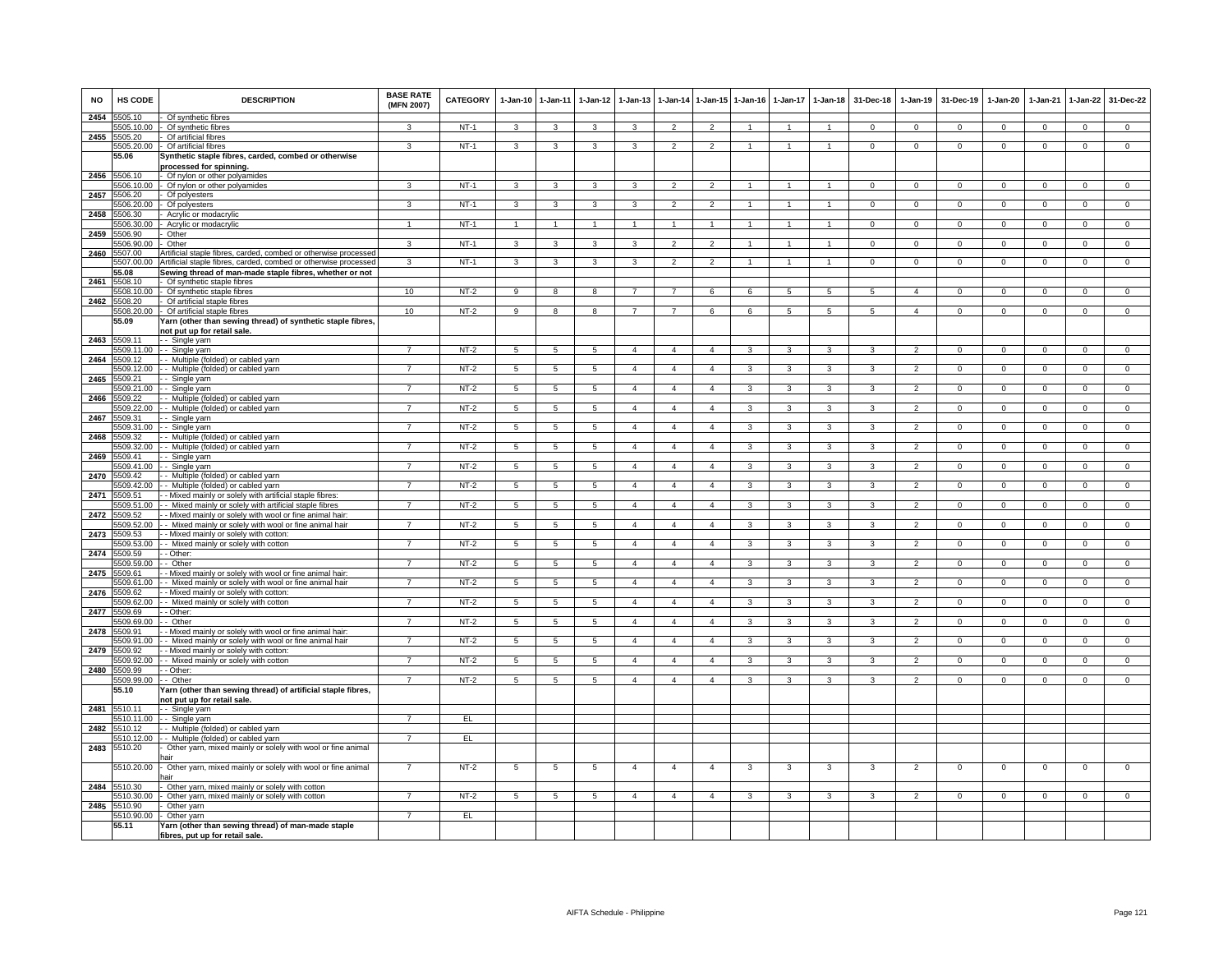| <b>NO</b> | HS CODE                    | <b>DESCRIPTION</b>                                                                                                                 | <b>BASE RATE</b><br>(MFN 2007) | <b>CATEGORY</b> | $1-Jan-10$      | $1 - Jan-11$    | $1-Jan-12$      | $1-Jan-13$         |                | 1-Jan-14 1-Jan-15 1-Jan-16 |                    | 1-Jan-17           | $1 - Jan-18$ | 31-Dec-18    | $1-Jan-19$     | 31-Dec-19    | 1-Jan-20       | $1-Jan-21$     | $1 - Jan-22$   | 31-Dec-22      |
|-----------|----------------------------|------------------------------------------------------------------------------------------------------------------------------------|--------------------------------|-----------------|-----------------|-----------------|-----------------|--------------------|----------------|----------------------------|--------------------|--------------------|--------------|--------------|----------------|--------------|----------------|----------------|----------------|----------------|
| 2454      | 5505.10<br>5505.10.00      | Of synthetic fibres<br>Of synthetic fibres                                                                                         |                                | $NT-1$          | 3               | $\mathbf{B}$    |                 | $\mathbf{\hat{z}}$ | $\mathcal{P}$  |                            |                    |                    |              | $\Omega$     | $\Omega$       | $\Omega$     | $\Omega$       | $\Omega$       | $\Omega$       | $\Omega$       |
| 2455      | 5505.20                    | Of artificial fibres                                                                                                               |                                |                 |                 |                 |                 |                    |                |                            |                    |                    |              |              |                |              |                |                |                |                |
|           | 5505.20.00                 | Of artificial fibres                                                                                                               | 3                              | $NT-1$          | 3               | 3               | 3               | 3                  | $\overline{2}$ | $\overline{2}$             |                    |                    |              | $^{\circ}$   | $\mathbf{0}$   | $\mathbf 0$  | $\mathbf 0$    | $^{\circ}$     | $\mathbf 0$    | $\overline{0}$ |
|           | 55.06                      | Synthetic staple fibres, carded, combed or otherwise<br>processed for spinning.                                                    |                                |                 |                 |                 |                 |                    |                |                            |                    |                    |              |              |                |              |                |                |                |                |
| 2456      | 5506.10                    | Of nylon or other polyamides                                                                                                       |                                |                 |                 |                 |                 |                    |                |                            |                    |                    |              |              |                |              |                |                |                |                |
|           | 506.10.00                  | Of nylon or other polyamides                                                                                                       |                                | $NT-1$          | 3               | 3               | 3               | 3                  | $\overline{2}$ | $\overline{2}$             |                    |                    |              | $\mathbf 0$  | $\Omega$       | $\mathbf 0$  | $\mathbf 0$    | $\Omega$       | $\mathsf 0$    | $\mathsf 0$    |
| 2457      | 5506.20<br>506.20.00       | Of polyesters<br>Of polyesters                                                                                                     | 3                              | NT-1            | 3               | 3               | 3               | 3                  | $\overline{2}$ | $\overline{2}$             |                    |                    | $\mathbf{1}$ | $\Omega$     | $\circ$        | $\mathbf 0$  | $\Omega$       | $\Omega$       | 0              | $\overline{0}$ |
| 2458      | 506.30                     | Acrylic or modacrylic                                                                                                              |                                |                 |                 |                 |                 |                    |                |                            |                    |                    |              |              |                |              |                |                |                |                |
|           | 5506.30.00                 | Acrylic or modacrylic                                                                                                              | $\mathbf{1}$                   | $NT-1$          | $\overline{1}$  | $\overline{1}$  |                 |                    | $\overline{1}$ | $\overline{1}$             | $\overline{1}$     | $\overline{1}$     | $\mathbf{1}$ | $\Omega$     | $\overline{0}$ | $\Omega$     | $\overline{0}$ | $\overline{0}$ | $\overline{0}$ | $\overline{0}$ |
| 2459      | 506.90                     | Other                                                                                                                              |                                |                 |                 |                 |                 |                    |                |                            |                    |                    |              |              |                |              |                |                |                |                |
|           | 5506.90.00                 | Other                                                                                                                              | 3                              | $NT-1$          | 3               | 3               | 3               | 3                  | $\overline{2}$ | $\overline{2}$             |                    |                    |              | $\Omega$     | $\Omega$       | $\Omega$     | $\Omega$       | $\Omega$       | $\mathsf 0$    | $\mathbf{0}$   |
| 2460      | 5507.00<br>5507.00.00      | Artificial staple fibres, carded, combed or otherwise processed<br>Artificial staple fibres, carded, combed or otherwise processed | 3                              | $NT-1$          | 3               | 3               | 3               | 3                  | $\overline{2}$ | $\overline{2}$             | -1                 | $\mathbf{1}$       | $\mathbf{1}$ | $^{\circ}$   | $\mathbf{0}$   | $\mathbf{0}$ | $\mathbf{0}$   | $^{\circ}$     | $\overline{0}$ | $\mathbf{0}$   |
|           | 55.08                      | Sewing thread of man-made staple fibres, whether or not                                                                            |                                |                 |                 |                 |                 |                    |                |                            |                    |                    |              |              |                |              |                |                |                |                |
| 2461      | 5508.10                    | Of synthetic staple fibres                                                                                                         |                                |                 |                 |                 |                 |                    |                |                            |                    |                    |              |              |                |              |                |                |                |                |
|           | 508.10.00                  | Of synthetic staple fibres                                                                                                         | 10                             | $NT-2$          | 9               | 8               | 8               |                    | $\overline{7}$ | 6                          | 6                  | 5                  | 5            | 5            | $\overline{4}$ | $\mathbf 0$  | $\mathbf{0}$   | $\mathbf 0$    | $\mathbf 0$    | $\mathbf{0}$   |
| 2462      | 5508.20<br>5508.20.00      | Of artificial staple fibres<br>Of artificial staple fibres                                                                         | 10                             | $NT-2$          | 9               | 8               | 8               | $\overline{7}$     | $\overline{7}$ | 6                          | 6                  | 5                  | 5            | 5            | $\overline{4}$ | $\mathbf 0$  | $\mathbf 0$    | $\mathbf 0$    | $\mathsf 0$    | $\overline{0}$ |
|           | 55.09                      | 'arn (other than sewing thread) of synthetic staple fibres,                                                                        |                                |                 |                 |                 |                 |                    |                |                            |                    |                    |              |              |                |              |                |                |                |                |
|           |                            | not put up for retail sale.                                                                                                        |                                |                 |                 |                 |                 |                    |                |                            |                    |                    |              |              |                |              |                |                |                |                |
| 2463      | 5509.11<br>5509.11.00      | - Single yarn<br>- Single yarn                                                                                                     | $\overline{7}$                 | $NT-2$          | $\overline{5}$  | $\sqrt{5}$      | $\overline{5}$  | $\overline{4}$     | $\overline{4}$ | $\overline{4}$             | 3                  | 3                  | 3            | 3            | $\overline{2}$ | $\Omega$     | $\Omega$       | $\Omega$       | $\Omega$       | $\overline{0}$ |
| 2464      | 509.12                     | - Multiple (folded) or cabled yarn                                                                                                 |                                |                 |                 |                 |                 |                    |                |                            |                    |                    |              |              |                |              |                |                |                |                |
|           | 5509.12.00                 | - Multiple (folded) or cabled yarn                                                                                                 |                                | $NT-2$          | 5               | 5               | 5               | $\overline{4}$     | $\overline{4}$ | $\overline{a}$             |                    |                    | 3            |              | $\mathcal{P}$  | $\Omega$     | $\Omega$       | $\Omega$       | 0              | $\Omega$       |
| 2465      | 5509.21                    | - Single yarn                                                                                                                      |                                |                 |                 |                 |                 |                    |                |                            |                    |                    |              |              |                |              |                |                |                |                |
|           | 5509.21.00                 | - Single yarn                                                                                                                      | 7                              | $NT-2$          | 5               | $\overline{5}$  | 5               | $\overline{4}$     | $\overline{4}$ | $\overline{4}$             | 3                  | 3                  | 3            | 3            | $\overline{2}$ | 0            | $\mathbf{0}$   | $^{\circ}$     | $\mathsf 0$    | $\overline{0}$ |
| 2466      | 509.22<br>509.22.00        | - Multiple (folded) or cabled yarn<br>- Multiple (folded) or cabled yarn                                                           |                                | $NT-2$          | 5               | 5               | 5               | $\overline{4}$     | $\overline{4}$ | $\overline{4}$             | 3                  | 3                  | 3            | 3            | $\overline{2}$ | $\mathbf 0$  | $\mathbf 0$    | $\mathbf 0$    | $\mathbf 0$    | $\overline{0}$ |
| 2467      | 509.31                     | - Single yarn                                                                                                                      |                                |                 |                 |                 |                 |                    |                |                            |                    |                    |              |              |                |              |                |                |                |                |
|           | 5509.31.00                 | - Single yarn                                                                                                                      | $\overline{7}$                 | $NT-2$          | 5               | 5               | 5               | $\overline{4}$     | $\overline{4}$ | $\overline{4}$             | 3                  | 3                  | 3            | 3            | $\mathfrak{D}$ | $\Omega$     | $\Omega$       | $\mathbf{0}$   | $\mathsf 0$    | $\overline{0}$ |
| 2468      | 5509.32                    | - Multiple (folded) or cabled yarn                                                                                                 |                                |                 |                 |                 |                 |                    |                |                            |                    |                    |              |              |                |              |                |                |                |                |
| 2469      | 5509.32.00<br>509.41       | - Multiple (folded) or cabled yarn<br>Single yarn                                                                                  | $\overline{7}$                 | $NT-2$          | $5\overline{)}$ | 5               | $5\overline{)}$ | $\overline{4}$     | $\overline{4}$ | $\overline{4}$             | 3                  | 3                  | 3            | 3            | $\overline{2}$ | $\mathbf{0}$ | $\overline{0}$ | $\Omega$       | $\circ$        | $\overline{0}$ |
|           | 5509.41.00                 | - Single yarn                                                                                                                      | $\overline{7}$                 | $NT-2$          | 5               | $\overline{5}$  | $\overline{5}$  | $\overline{4}$     | $\overline{4}$ | $\overline{4}$             | 3                  | 3                  | 3            | 3            | $\overline{2}$ | $\Omega$     | $\overline{0}$ | $\Omega$       | $\overline{0}$ | $\overline{0}$ |
| 2470      | 509.42                     | - Multiple (folded) or cabled yarn                                                                                                 |                                |                 |                 |                 |                 |                    |                |                            |                    |                    |              |              |                |              |                |                |                |                |
|           | 5509.42.00                 | - Multiple (folded) or cabled yarn                                                                                                 | $\overline{7}$                 | $NT-2$          | 5               | 5               | $5\overline{5}$ | $\overline{4}$     | $\overline{4}$ | $\overline{4}$             | 3                  | 3                  | 3            | 3            | $\overline{2}$ | $\mathbf 0$  | $\overline{0}$ | $\mathbf 0$    | $\mathbf{0}$   | $\mathbf{0}$   |
|           | 2471 5509.51<br>5509.51.00 | - Mixed mainly or solely with artificial staple fibres:<br>- Mixed mainly or solely with artificial staple fibres                  | $\overline{7}$                 | NT-2            | 5               | 5               | 5               | $\overline{4}$     | $\overline{4}$ | $\overline{4}$             | 3                  | 3                  | 3            | 3            | $\overline{2}$ | $\mathbf 0$  | $\mathbf 0$    | $\mathbf 0$    | $\mathbf{0}$   | $\mathbf 0$    |
| 2472      | 5509.52                    | - Mixed mainly or solely with wool or fine animal hair:                                                                            |                                |                 |                 |                 |                 |                    |                |                            |                    |                    |              |              |                |              |                |                |                |                |
|           | 5509.52.00                 | - Mixed mainly or solely with wool or fine animal hair                                                                             | $\overline{7}$                 | $NT-2$          | 5               | $5\overline{5}$ | $5\overline{5}$ | $\overline{4}$     | $\overline{4}$ | $\overline{4}$             | 3                  | 3                  | 3            | $\mathbf{3}$ | $\overline{2}$ | $\mathbf{0}$ | $\overline{0}$ | $\mathbf{0}$   | $\overline{0}$ | $\overline{0}$ |
| 2473      | 509.53                     | - Mixed mainly or solely with cotton:<br>- Mixed mainly or solely with cotton                                                      |                                | $NT-2$          | 5               | 5               |                 | $\overline{4}$     | $\overline{4}$ | $\overline{a}$             |                    |                    | 3            | 3            | $\mathfrak{p}$ |              |                | $\Omega$       |                | $\overline{0}$ |
| 2474      | 509.53.00<br>509.59        | - Other:                                                                                                                           |                                |                 |                 |                 | 5               |                    |                |                            | 3                  | 3                  |              |              |                | $\mathbf 0$  | 0              |                | 0              |                |
|           | 5509.59.00                 | Other                                                                                                                              | $\overline{7}$                 | $NT-2$          | 5               | 5               | 5               | $\overline{4}$     | $\overline{4}$ | $\overline{4}$             | 3                  | 3                  | 3            | 3            | $\mathcal{P}$  | $\mathbf 0$  | $\Omega$       | $\Omega$       | $\mathsf 0$    | $\Omega$       |
| 2475      | 5509.61                    | - Mixed mainly or solely with wool or fine animal hair:                                                                            |                                |                 |                 |                 |                 |                    |                |                            |                    |                    |              |              |                |              |                |                |                |                |
|           | 5509.61.00<br>509.62       | Mixed mainly or solely with wool or fine animal hair<br>Mixed mainly or solely with cotton                                         | $\overline{7}$                 | $NT-2$          | $\overline{5}$  | $\overline{5}$  | 5               | $\Delta$           | $\mathbf{A}$   | $\mathbf{A}$               | $\mathbf{\hat{z}}$ | $\mathbf{\hat{z}}$ | $\mathbf{R}$ | $\mathbf{z}$ | $\mathcal{L}$  | $\Omega$     | $\Omega$       | $\Omega$       | $\Omega$       | $\overline{0}$ |
| 2476      | 5509.62.00                 | - Mixed mainly or solely with cotton                                                                                               | $\overline{7}$                 | $NT-2$          | 5               | $5^{\circ}$     | $\overline{5}$  | $\overline{4}$     | $\overline{4}$ | $\overline{4}$             | 3                  | 3                  | 3            | 3            | $\overline{2}$ | $\Omega$     | $\Omega$       | $\Omega$       | $\Omega$       | $\Omega$       |
| 2477      | 5509.69                    | - Other:                                                                                                                           |                                |                 |                 |                 |                 |                    |                |                            |                    |                    |              |              |                |              |                |                |                |                |
|           | 5509.69.00                 | - Other                                                                                                                            | $\overline{7}$                 | $NT-2$          | 5               | 5               | 5               | $\overline{4}$     | $\overline{4}$ | $\overline{4}$             | 3                  | 3                  | 3            | 3            | $\overline{2}$ | $\mathbf 0$  | 0              | $\mathbf 0$    | $\mathbf 0$    | $\mathbf 0$    |
| 2478      | 5509.91<br>5509.91.00      | - Mixed mainly or solely with wool or fine animal hair:<br>- Mixed mainly or solely with wool or fine animal hair                  | $\overline{7}$                 | $NT-2$          |                 |                 | 5               | $\overline{4}$     | $\overline{4}$ | $\overline{4}$             | 3                  | 3                  | 3            | 3            | $\overline{2}$ | $\mathbf 0$  | $\overline{0}$ | $^{\circ}$     |                | $\mathbf 0$    |
| 2479      | 509.92                     | - Mixed mainly or solely with cotton:                                                                                              |                                |                 | 5               | 5               |                 |                    |                |                            |                    |                    |              |              |                |              |                |                | $\mathbf{0}$   |                |
|           | 509.92.00                  | - Mixed mainly or solely with cotton                                                                                               | $\overline{7}$                 | $NT-2$          | 5               | 5               | -5              | $\overline{4}$     | $\overline{a}$ | $\overline{4}$             | 3                  | 3                  | 3            | 3            | $\overline{2}$ | $\Omega$     | $\Omega$       | $\Omega$       | $\mathbf{0}$   | $\mathbf{0}$   |
| 2480      | 509.99<br>5509.99.00       | Other:<br>- Other                                                                                                                  | $\overline{7}$                 | $NT-2$          | 5               | 5               | 5               | $\overline{4}$     | $\overline{4}$ | $\overline{4}$             | 3                  | 3                  | 3            | 3            | $\overline{2}$ | $\mathbf 0$  | $\mathsf 0$    | $\mathbf 0$    | $\mathsf 0$    | $\mathbf 0$    |
|           | 55.10                      | (arn (other than sewing thread) of artificial staple fibres,                                                                       |                                |                 |                 |                 |                 |                    |                |                            |                    |                    |              |              |                |              |                |                |                |                |
|           |                            | ot put up for retail sale.                                                                                                         |                                |                 |                 |                 |                 |                    |                |                            |                    |                    |              |              |                |              |                |                |                |                |
| 2481      | 5510.11<br>5510.11.00      | - Single yarn                                                                                                                      | $\overline{7}$                 | EL              |                 |                 |                 |                    |                |                            |                    |                    |              |              |                |              |                |                |                |                |
| 2482      | 510.12                     | - Single yarn<br>- Multiple (folded) or cabled yarn                                                                                |                                |                 |                 |                 |                 |                    |                |                            |                    |                    |              |              |                |              |                |                |                |                |
|           | 5510.12.00                 | - Multiple (folded) or cabled yarn                                                                                                 |                                | EL.             |                 |                 |                 |                    |                |                            |                    |                    |              |              |                |              |                |                |                |                |
| 2483      | 5510.20                    | Other yarn, mixed mainly or solely with wool or fine animal                                                                        |                                |                 |                 |                 |                 |                    |                |                            |                    |                    |              |              |                |              |                |                |                |                |
|           | 5510.20.00                 | ıair<br>Other yarn, mixed mainly or solely with wool or fine animal<br>ıair                                                        | 7                              | $NT-2$          | 5               | 5               | 5               | $\overline{a}$     | $\overline{4}$ | $\overline{4}$             | 3                  | 3                  | 3            | 3            | $\overline{2}$ | $\mathbf 0$  | $\mathbf 0$    | $\mathbf 0$    | $\mathsf 0$    | $\overline{0}$ |
| 2484      | 5510.30                    | Other yarn, mixed mainly or solely with cotton                                                                                     |                                |                 |                 |                 |                 |                    |                |                            |                    |                    |              |              |                |              |                |                |                |                |
|           | 5510.30.00                 | Other yarn, mixed mainly or solely with cotton                                                                                     |                                | $NT-2$          | 5               | 5               | 5               | $\overline{4}$     | $\overline{4}$ | $\overline{4}$             | 3                  | 3                  | 3            |              | $\overline{2}$ | $\mathbf 0$  | $\mathbf 0$    | $\mathbf 0$    | $\mathsf 0$    | $\mathbf 0$    |
| 2485      | 5510.90                    | Other yarn                                                                                                                         | $\overline{7}$                 | EL              |                 |                 |                 |                    |                |                            |                    |                    |              |              |                |              |                |                |                |                |
|           | 5510.90.00<br>55.11        | Other yarn<br>Yarn (other than sewing thread) of man-made staple                                                                   |                                |                 |                 |                 |                 |                    |                |                            |                    |                    |              |              |                |              |                |                |                |                |
|           |                            | ibres, put up for retail sale                                                                                                      |                                |                 |                 |                 |                 |                    |                |                            |                    |                    |              |              |                |              |                |                |                |                |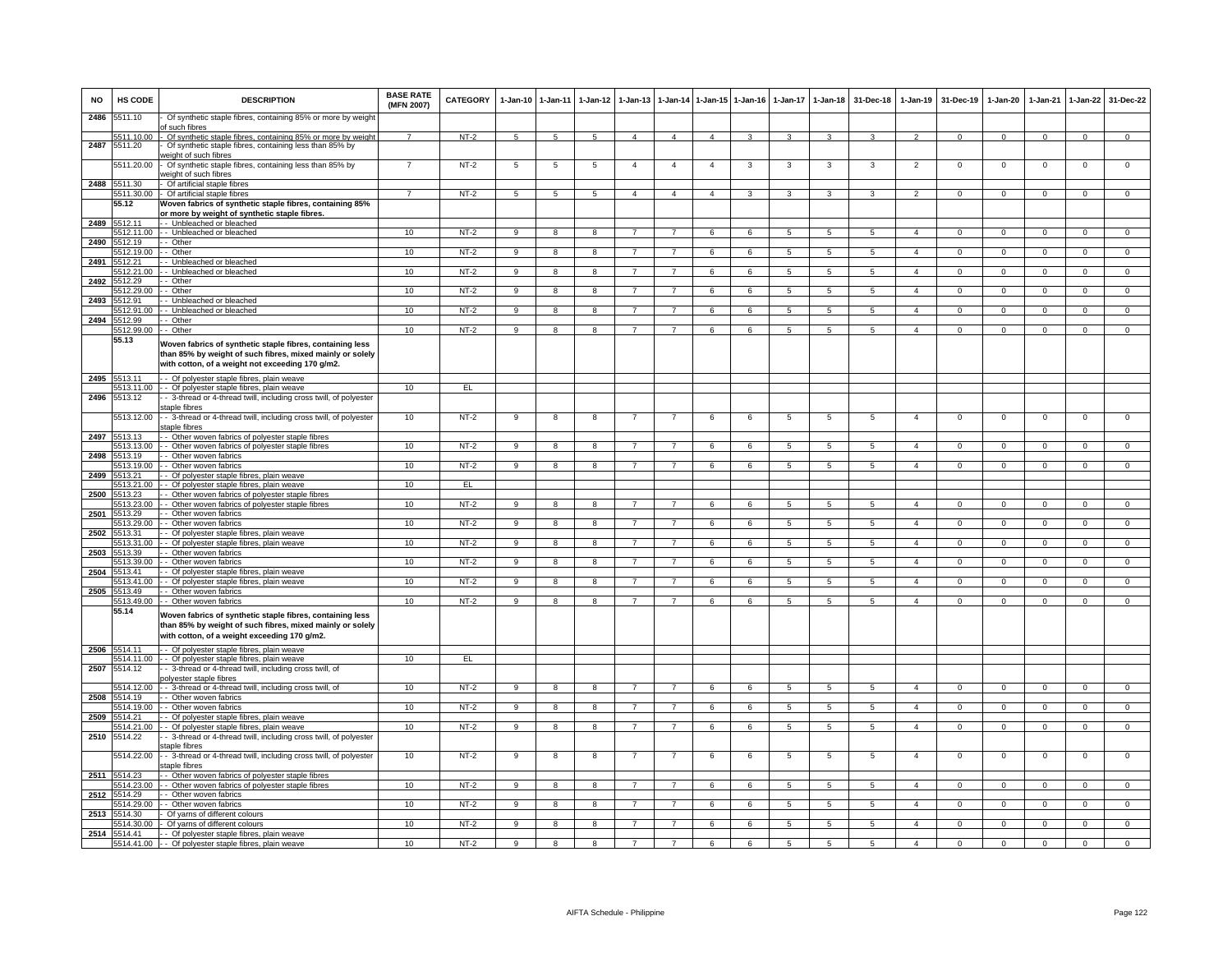| <b>NO</b> | <b>HS CODE</b>        | <b>DESCRIPTION</b>                                                                                                                                                     | <b>BASE RATE</b><br>(MFN 2007) | <b>CATEGORY</b> | $1-Jan-10$     | $1 - Jan-11$            | $1-Jan-12$       | $1 - Jan-13$   |                | 1-Jan-14 1-Jan-15 1-Jan-16 |            | $1-Jan-17$      | $1 - Jan-18$    | 31-Dec-18       | $1-Jan-19$     | 31-Dec-19      | $1-Jan-20$     | $1-Jan-21$     | 1-Jan-22       | 31-Dec-22      |
|-----------|-----------------------|------------------------------------------------------------------------------------------------------------------------------------------------------------------------|--------------------------------|-----------------|----------------|-------------------------|------------------|----------------|----------------|----------------------------|------------|-----------------|-----------------|-----------------|----------------|----------------|----------------|----------------|----------------|----------------|
| 2486      | 5511.10               | Of synthetic staple fibres, containing 85% or more by weight<br>of such fibres                                                                                         |                                |                 |                |                         |                  |                |                |                            |            |                 |                 |                 |                |                |                |                |                |                |
| 2487      | 511.10.00<br>5511.20  | Of synthetic staple fibres, containing 85% or more by weight<br>Of synthetic staple fibres, containing less than 85% by                                                | $\overline{7}$                 | $NT-2$          | -5             | -5                      | 5                | $\Lambda$      | $\overline{a}$ | $\mathbf{A}$               |            |                 |                 |                 |                | $\Omega$       | $\Omega$       | $\Omega$       | $\Omega$       |                |
|           | 5511.20.00            | veight of such fibres<br>Of synthetic staple fibres, containing less than 85% by<br>veight of such fibres                                                              | $\overline{7}$                 | $NT-2$          | 5              | $\overline{5}$          | 5                | 4              | $\overline{4}$ | $\overline{a}$             | 3          | 3               | 3               | 3               | $\overline{2}$ | $\mathbf 0$    | $\mathbf 0$    | $\mathbf 0$    | $^{\circ}$     | $\mathbf 0$    |
| 2488      | 5511.30               | Of artificial staple fibres                                                                                                                                            |                                |                 |                |                         |                  |                |                |                            |            |                 |                 |                 |                |                |                |                |                |                |
|           | 55.12                 | 5511.30.00 - Of artificial staple fibres<br>Woven fabrics of synthetic staple fibres, containing 85%                                                                   | $\overline{7}$                 | $NT-2$          | 5              | 5                       | $5\overline{5}$  | $\overline{4}$ | $\overline{4}$ | $\overline{4}$             | 3          | 3               | $\mathbf{3}$    | $\mathbf{3}$    | $\overline{2}$ | $\mathbf{0}$   | $\mathbf{0}$   | $\mathbf 0$    | $\overline{0}$ | $\overline{0}$ |
|           |                       | or more by weight of synthetic staple fibres                                                                                                                           |                                |                 |                |                         |                  |                |                |                            |            |                 |                 |                 |                |                |                |                |                |                |
| 2489      | 5512.11<br>512.11.00  | - Unbleached or bleached<br>- Unbleached or bleached                                                                                                                   | 10                             | $NT-2$          | 9              | 8                       | 8                |                |                | 6                          | 6          | 5               | 5               | 5               | $\overline{4}$ | $\mathbf 0$    | $\mathbf 0$    | $\Omega$       | $\mathbf 0$    | $\mathbf 0$    |
| 2490      | 5512.19               | - Other                                                                                                                                                                |                                |                 |                |                         |                  |                |                |                            |            |                 |                 |                 |                |                |                |                |                |                |
| 2491      | 5512.19.00<br>5512 21 | - Other<br>- Unbleached or bleached                                                                                                                                    | 10                             | $NT-2$          | 9              | $\overline{\mathbf{8}}$ | 8                |                | $\overline{7}$ | 6                          | 6          | 5               | $\overline{5}$  | 5               | $\overline{4}$ | $\mathbf 0$    | 0              | $\Omega$       | $\mathbf 0$    | $\Omega$       |
|           | 512.21.00             | - Unbleached or bleached                                                                                                                                               | 10                             | NT-2            | 9              | 8                       | R                |                |                | 6                          | ĥ          | 5               | 5               | 5               |                | $\Omega$       | $\Omega$       |                | $\Omega$       | $\Omega$       |
| 2492      | 5512.29<br>512.29.00  | - Other<br>- Other                                                                                                                                                     | 10                             | $NT-2$          |                |                         |                  |                |                | 6                          |            | $\sqrt{2}$      | 5               | 5               | $\overline{4}$ |                | $\Omega$       | $\Omega$       |                | $\Omega$       |
| 2493      | 5512.91               | - Unbleached or bleached                                                                                                                                               |                                |                 | 9              | -8                      | 8                |                |                |                            | 6          |                 |                 |                 |                | $\Omega$       |                |                | $\Omega$       |                |
|           | 5512.91.00            | - Unbleached or bleached                                                                                                                                               | 10                             | $NT-2$          | 9              | $\overline{\mathbf{a}}$ | 8                |                | $\overline{7}$ | 6                          | ĥ          | 5               | $\overline{5}$  | -5              | $\mathbf{A}$   | $\mathbf 0$    | $\Omega$       | $\Omega$       | $\Omega$       | $\overline{0}$ |
| 2494      | 512.99<br>512.99.00   | - Other<br>- Other                                                                                                                                                     | 10                             | $NT-2$          | 9              | 8                       | 8                |                | $\overline{7}$ | 6                          | 6          | 5               | 5               | 5               | $\overline{4}$ | $\mathbf 0$    | $\mathbf 0$    | $\mathbf 0$    | $\mathsf 0$    | $\overline{0}$ |
|           | 55.13                 | Woven fabrics of synthetic staple fibres, containing less                                                                                                              |                                |                 |                |                         |                  |                |                |                            |            |                 |                 |                 |                |                |                |                |                |                |
|           |                       | than 85% by weight of such fibres, mixed mainly or solely<br>with cotton, of a weight not exceeding 170 g/m2.                                                          |                                |                 |                |                         |                  |                |                |                            |            |                 |                 |                 |                |                |                |                |                |                |
| 2495      | 5513.11<br>5513.11.00 | - Of polyester staple fibres, plain weave                                                                                                                              | 10                             | EL.             |                |                         |                  |                |                |                            |            |                 |                 |                 |                |                |                |                |                |                |
| 2496      | 5513.12               | - - Of polyester staple fibres, plain weave<br>- 3-thread or 4-thread twill, including cross twill, of polyester                                                       |                                |                 |                |                         |                  |                |                |                            |            |                 |                 |                 |                |                |                |                |                |                |
|           | 5513.12.00            | taple fibres<br>- 3-thread or 4-thread twill, including cross twill, of polyester                                                                                      | 10                             | $NT-2$          | 9              | $\overline{8}$          | 8                |                | $\overline{7}$ | 6                          | 6          | $\overline{5}$  | 5               | $5\phantom{.0}$ | $\overline{4}$ | $\mathbf 0$    | $\mathsf 0$    | $\mathbf 0$    | $\overline{0}$ | $\overline{0}$ |
|           |                       | taple fibres                                                                                                                                                           |                                |                 |                |                         |                  |                |                |                            |            |                 |                 |                 |                |                |                |                |                |                |
| 2497      | 5513.13<br>5513.13.00 | - Other woven fabrics of polyester staple fibres<br>- Other woven fabrics of polyester staple fibres                                                                   | 10                             | $NT-2$          | 9              | 8                       | 8                |                | $\overline{7}$ | 6                          | 6          | 5               | 5               | $5\overline{5}$ | $\mathbf{A}$   | $\Omega$       | $\Omega$       | $\Omega$       | $\Omega$       | $\Omega$       |
| 2498      | 5513.19               | - Other woven fabrics                                                                                                                                                  |                                |                 |                |                         |                  |                |                |                            |            |                 |                 |                 |                |                |                |                |                |                |
| 2499      | 5513.19.00<br>513.21  | - Other woven fabrics<br>- Of polyester staple fibres, plain weave                                                                                                     | 10                             | $NT-2$          | $\overline{9}$ | $\overline{\mathbf{a}}$ | 8                |                |                | 6                          | 6          | 5               | $\overline{5}$  | $\overline{5}$  | $\Delta$       | $\Omega$       | $\Omega$       | $\Omega$       | $\overline{0}$ | $\overline{0}$ |
|           | 5513.21.00            | - Of polyester staple fibres, plain weave                                                                                                                              | 10                             | EL              |                |                         |                  |                |                |                            |            |                 |                 |                 |                |                |                |                |                |                |
| 2500      | 5513.23<br>513.23.00  | - Other woven fabrics of polyester staple fibres<br>- Other woven fabrics of polyester staple fibres                                                                   | 10                             | $NT-2$          | 9              | 8                       | 8                |                | 7              | 6                          | 6          | 5               | 5               | -5              | $\overline{a}$ | $\Omega$       | $\Omega$       | $\Omega$       | $\Omega$       | $\overline{0}$ |
| 2501      | 513.29                | Other woven fabrics                                                                                                                                                    |                                |                 |                |                         |                  |                |                |                            |            |                 |                 |                 |                |                |                |                |                |                |
| 2502      | 513.29.00<br>5513.31  | - Other woven fabrics<br>Of polyester staple fibres, plain weave                                                                                                       | 10                             | NT-2            | 9              | 8                       | 8                |                | $\overline{7}$ | 6                          | 6          | 5               | 5               | 5               | $\overline{4}$ | $\mathbf 0$    | 0              | $\mathbf 0$    | $\mathbf 0$    | $\mathbf 0$    |
|           | 513.31.00             | - Of polyester staple fibres, plain weave                                                                                                                              | 10                             | $NT-2$          | 9              | $\overline{\mathbf{8}}$ | $\overline{8}$   | $\overline{7}$ | $\overline{7}$ | 6                          | 6          | $\overline{5}$  | $\overline{5}$  | $\overline{5}$  | $\overline{4}$ | $\mathbf 0$    | $\overline{0}$ | $\Omega$       | $\overline{0}$ | $\overline{0}$ |
| 2503      | 513.39<br>513.39.00   | - Other woven fabrics<br>- Other woven fabrics                                                                                                                         | 10                             | $NT-2$          | $\overline{9}$ | $\overline{8}$          | $\boldsymbol{8}$ |                | $\overline{7}$ | 6                          | 6          | 5               | 5               | 5               | $\overline{4}$ | $\overline{0}$ | $\overline{0}$ | $\Omega$       | $\overline{0}$ | $\overline{0}$ |
| 2504      | 5513.41               | - Of polyester staple fibres, plain weave                                                                                                                              |                                |                 |                |                         |                  |                |                |                            |            |                 |                 |                 |                |                |                |                |                |                |
|           | 5513.41.00            | - Of polyester staple fibres, plain weave                                                                                                                              | 10                             | $NT-2$          | 9              | 8                       | 8                | $\overline{7}$ | $\overline{7}$ | 6                          | 6          | 5               | $5\overline{5}$ | 5               | $\overline{4}$ | $\mathbf 0$    | $\mathbf{0}$   | $\mathbf 0$    | $\mathbf{0}$   | $\Omega$       |
| 2505      | 5513.49<br>5513.49.00 | - Other woven fabrics<br>- Other woven fabrics                                                                                                                         | 10                             | $NT-2$          | 9              | $\overline{\mathbf{8}}$ | 8                | $\overline{7}$ | $\overline{7}$ | 6                          | 6          | 5               | $5\overline{)}$ | $5\overline{5}$ | $\overline{4}$ | $\mathbf{0}$   | $\mathbf{0}$   | $\overline{0}$ | $\overline{0}$ | $\overline{0}$ |
|           | 55.14                 | Woven fabrics of synthetic staple fibres, containing less<br>than 85% by weight of such fibres, mixed mainly or solely<br>with cotton, of a weight exceeding 170 g/m2. |                                |                 |                |                         |                  |                |                |                            |            |                 |                 |                 |                |                |                |                |                |                |
| 2506      | 5514.11               | - Of polyester staple fibres, plain weave<br>5514.11.00 - - Of polyester staple fibres, plain weave                                                                    | 10                             | EL              |                |                         |                  |                |                |                            |            |                 |                 |                 |                |                |                |                |                |                |
| 2507      | 5514.12               | - 3-thread or 4-thread twill, including cross twill, of                                                                                                                |                                |                 |                |                         |                  |                |                |                            |            |                 |                 |                 |                |                |                |                |                |                |
|           | 5514.12.00            | oolyester staple fibres<br>- 3-thread or 4-thread twill, including cross twill, of                                                                                     | 10                             | $NT-2$          | 9              | 8                       | 8                | 7              | $\overline{7}$ | 6                          | 6          | 5               | 5               | -5              | $\overline{4}$ | $^{\circ}$     | $\mathbf 0$    | $\Omega$       | $\mathbf{0}$   | $\overline{0}$ |
| 2508      | 514.19                | - Other woven fabrics                                                                                                                                                  |                                |                 |                |                         |                  |                |                |                            |            |                 |                 |                 |                |                |                |                |                |                |
| 2509      | 5514.19.00<br>514.21  | - Other woven fabrics<br>Of polyester staple fibres, plain weave                                                                                                       | 10                             | $NT-2$          | 9              | 8                       | 8                | $\overline{7}$ | $\overline{7}$ | 6                          | 6          | 5               | 5               | 5               | $\overline{4}$ | $\mathbf 0$    | $\mathsf 0$    | $\mathbf 0$    | $\mathsf 0$    | $\mathbf 0$    |
|           | 514.21.00             | - Of polyester staple fibres, plain weave                                                                                                                              | 10                             | $NT-2$          | 9              | 8                       | 8                | $\overline{7}$ | $\overline{7}$ | 6                          | 6          | $5\phantom{.0}$ | $\overline{5}$  | 5               | $\overline{4}$ | $\mathbf 0$    | $\mathbf 0$    | $\mathsf 0$    | $\mathsf 0$    | $\overline{0}$ |
| 2510      | 5514.22               | - 3-thread or 4-thread twill, including cross twill, of polyester<br>staple fibres                                                                                     |                                |                 |                |                         |                  |                |                |                            |            |                 |                 |                 |                |                |                |                |                |                |
|           | 5514.22.00            | - 3-thread or 4-thread twill, including cross twill, of polyester<br>staple fibres                                                                                     | 10                             | $NT-2$          | 9              | 8                       | 8                | $\overline{7}$ | $\overline{7}$ | 6                          | 6          | 5               | 5               | 5               | $\overline{4}$ | $\mathbf 0$    | $\mathbf 0$    | $\mathbf 0$    | $\mathsf 0$    | $\mathbf 0$    |
| 2511      | 5514.23<br>5514.23.00 | - Other woven fabrics of polyester staple fibres<br>- Other woven fabrics of polyester staple fibres                                                                   | 10                             | $NT-2$          | $\overline{9}$ | $\overline{\mathbf{8}}$ | $\overline{8}$   | $\overline{7}$ | $\overline{7}$ | 6                          | 6          | 5               | $\overline{5}$  | $5\overline{5}$ | $\overline{4}$ | $\overline{0}$ | $\overline{0}$ | $\overline{0}$ | $\overline{0}$ | $\overline{0}$ |
| 2512      | 514.29                | - Other woven fabrics                                                                                                                                                  |                                |                 |                |                         |                  |                |                |                            |            |                 |                 |                 |                |                |                |                |                |                |
| 2513      | 514.29.00<br>5514.30  | - Other woven fabrics<br>Of yarns of different colours                                                                                                                 | 10                             | $NT-2$          | 9              | 8                       | 8                |                | $\overline{7}$ | 6                          | 6          | 5               | 5               | 5               | $\overline{4}$ | $\mathbf 0$    | $\Omega$       | $\Omega$       | $\mathsf 0$    | $\Omega$       |
|           | 5514.30.00            | Of yarns of different colours                                                                                                                                          | 10                             | $NT-2$          | $_{9}$         | $\overline{\mathbf{a}}$ | 8                | $\overline{7}$ | $\overline{7}$ | 6                          | $\epsilon$ | 5               | $\overline{5}$  | $5^{\circ}$     | $\overline{4}$ | $\overline{0}$ | $\overline{0}$ | $\Omega$       | $\Omega$       | $\overline{0}$ |
| 2514      | 514.41                | - Of polyester staple fibres, plain weave<br>5514.41.00 - - Of polyester staple fibres, plain weave                                                                    | 10                             | $NT-2$          | 9              |                         |                  |                |                |                            | 6          | 5               | 5               | 5               |                | $\Omega$       |                | $\Omega$       | $\Omega$       |                |
|           |                       |                                                                                                                                                                        |                                |                 |                |                         |                  |                |                |                            |            |                 |                 |                 |                |                |                |                |                |                |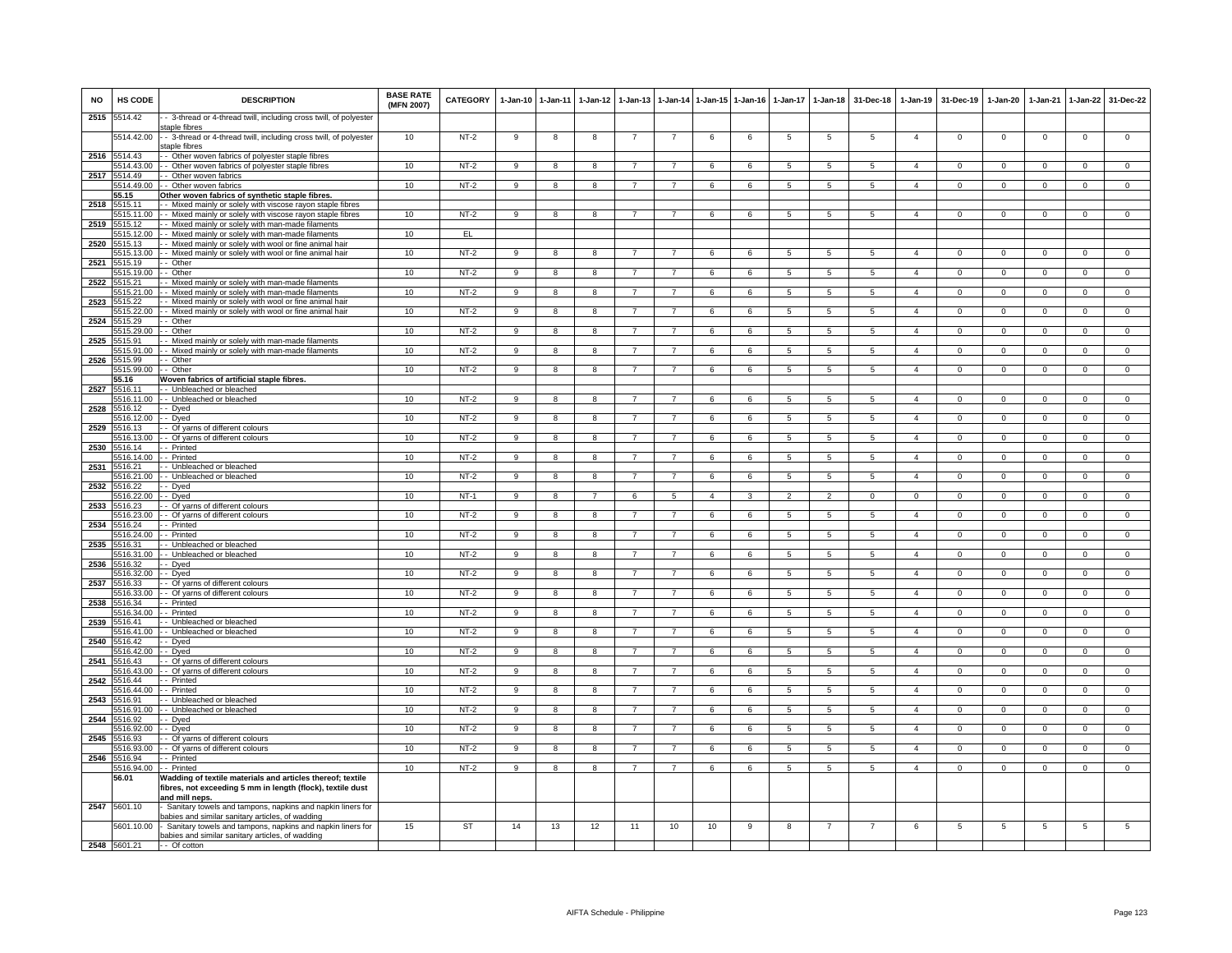| <b>NO</b>    | HS CODE               | <b>DESCRIPTION</b>                                                                                                                         | <b>BASE RATE</b><br>(MFN 2007) | <b>CATEGORY</b> | $1-Jan-10$     | $1 - Jan-11$            | $1 - Jan-12$   | $1-Jan-13$     |                |                | 1-Jan-14 1-Jan-15 1-Jan-16 | 1-Jan-17       | $1 - Jan-18$    | 31-Dec-18       | $1-Jan-19$     | 31-Dec-19      | $1-Jan-20$     | $1-Jan-21$  | 1-Jan-22       | 31-Dec-22      |
|--------------|-----------------------|--------------------------------------------------------------------------------------------------------------------------------------------|--------------------------------|-----------------|----------------|-------------------------|----------------|----------------|----------------|----------------|----------------------------|----------------|-----------------|-----------------|----------------|----------------|----------------|-------------|----------------|----------------|
| 2515         | 5514.42               | - 3-thread or 4-thread twill, including cross twill, of polyester<br>staple fibres                                                         |                                |                 |                |                         |                |                |                |                |                            |                |                 |                 |                |                |                |             |                |                |
|              | 5514.42.00            | - - 3-thread or 4-thread twill, including cross twill, of polyester<br>staple fibres                                                       | 10                             | $NT-2$          | 9              | 8                       | 8              |                |                | 6              | 6                          | 5              | 5               | 5               | $\overline{4}$ | $\mathbf 0$    | $\mathbf 0$    | $\mathbf 0$ | $\mathbf 0$    | $\mathbf 0$    |
| 2516         | 514.43<br>5514.43.00  | - Other woven fabrics of polyester staple fibres<br>- Other woven fabrics of polyester staple fibres                                       | 10                             | $NT-2$          | $\overline{9}$ | 8                       | 8              |                | $\overline{7}$ | 6              | 6                          | 5              | 5               | 5               | $\overline{4}$ | $\mathbf 0$    | 0              | $\mathbf 0$ | $\mathsf 0$    | $\mathbf 0$    |
| 2517         | 5514.49               | - Other woven fabrics                                                                                                                      |                                |                 | $\mathsf{Q}$   |                         |                |                | $\overline{7}$ |                | 6                          | 5              | $\overline{5}$  |                 | $\overline{a}$ |                | $\Omega$       | $\Omega$    |                | $\overline{0}$ |
|              | 514.49.00<br>55.15    | - Other woven fabrics<br>Other woven fabrics of synthetic staple fibres                                                                    | 10                             | $NT-2$          |                | 8                       | $\mathbf{g}$   |                |                | 6              |                            |                |                 | 5               |                | $\Omega$       |                |             | $\mathbf 0$    |                |
| 2518         | 5515.11<br>5515.11.00 | - Mixed mainly or solely with viscose rayon staple fibres<br>- Mixed mainly or solely with viscose rayon staple fibres                     | 10                             | $NT-2$          | 9              | 8                       | 8              |                | -7             | 6              | 6                          | 5              | $5\phantom{.0}$ | $5\phantom{.0}$ | $\overline{4}$ | $\mathsf 0$    | $\mathbf 0$    | $\mathsf 0$ | $\mathbf 0$    | $\mathbf 0$    |
|              | 2519 5515.12          | - Mixed mainly or solely with man-made filaments                                                                                           |                                |                 |                |                         |                |                |                |                |                            |                |                 |                 |                |                |                |             |                |                |
| 2520         | 5515.12.00<br>515.13  | - Mixed mainly or solely with man-made filaments<br>- Mixed mainly or solely with wool or fine animal hair                                 | 10                             | EL              |                |                         |                |                |                |                |                            |                |                 |                 |                |                |                |             |                |                |
|              | 515.13.00             | - Mixed mainly or solely with wool or fine animal hair                                                                                     | 10                             | $NT-2$          | 9              | 8                       | 8              |                |                | 6              | 6                          | 5              | 5               | 5               | $\overline{4}$ | $\mathbf 0$    | $\mathbf 0$    | $\mathbf 0$ | $\mathsf 0$    | $\overline{0}$ |
| 2521         | 515.19<br>5515.19.00  | - Other<br>- Other                                                                                                                         | 10                             | $NT-2$          | 9              | $\overline{8}$          | 8              |                | $\overline{7}$ | 6              | 6                          | 5              | $\overline{5}$  | $5\overline{5}$ | $\mathbf{A}$   | $\mathbf 0$    | $\Omega$       | $\Omega$    | $\Omega$       | $\overline{0}$ |
| 2522         | 515 21                | Mixed mainly or solely with man-made filaments                                                                                             |                                |                 |                |                         |                |                |                |                |                            |                |                 |                 |                |                |                |             |                |                |
|              | 5515.21.00<br>5515.22 | Mixed mainly or solely with man-made filaments<br>- Mixed mainly or solely with wool or fine animal hair                                   | 10                             | $NT-2$          | $\mathsf{Q}$   | $\mathbf{R}$            | $\mathbf{R}$   |                |                | $\mathbf{f}$   | 6                          | 5              | 5               | 5 <sup>1</sup>  | $\Delta$       | $\Omega$       | $\Omega$       | $\Omega$    | $\Omega$       | $\Omega$       |
| 2523         | 5515.22.00            | - Mixed mainly or solely with wool or fine animal hair                                                                                     | 10                             | NT-2            | 9              | 8                       | 8              |                | $\overline{7}$ | 6              | 6                          | -5             | 5               | 5               | $\overline{4}$ | $\mathbf{0}$   | $\mathbf{0}$   | $^{\circ}$  | $\mathbf{0}$   | $\mathbf{0}$   |
| 2524         | 5515.29<br>5515.29.00 | - Other<br>- Other                                                                                                                         | 10                             | $NT-2$          | 9              | 8                       | 8              | 7              | -7             | 6              | 6                          | 5              | 5               | 5               | $\overline{a}$ | $\mathbf 0$    | $\mathbf{0}$   | $^{\circ}$  | $\mathbf 0$    | $\overline{0}$ |
| 2525         | 515.91                | - Mixed mainly or solely with man-made filaments                                                                                           |                                |                 |                |                         |                |                |                |                |                            |                |                 |                 |                |                |                |             |                |                |
| 2526         | 5515.91.00<br>5515.99 | - Mixed mainly or solely with man-made filaments<br>- Other                                                                                | 10                             | $NT-2$          | 9              | 8                       | 8              |                | $\overline{7}$ | 6              | 6                          | 5              | 5               | 5               | $\overline{4}$ | $\mathbf 0$    | 0              | $^{\circ}$  | $\mathsf 0$    | $\mathbf 0$    |
|              | 5515.99.00            | - Other                                                                                                                                    | 10                             | $NT-2$          | 9              | 8                       | 8              | $\overline{7}$ | $\overline{7}$ | 6              | 6                          | 5              | $\sqrt{5}$      | $5^{\circ}$     | $\mathbf{A}$   | $\mathbf 0$    | $\Omega$       | $\Omega$    | $\mathbf 0$    | $\overline{0}$ |
| 2527         | 55.16<br>5516.11      | Woven fabrics of artificial staple fibres.<br>-- Unbleached or bleached                                                                    |                                |                 |                |                         |                |                |                |                |                            |                |                 |                 |                |                |                |             |                |                |
|              | 5516.11.00            | - - Unbleached or bleached                                                                                                                 | 10                             | $NT-2$          | 9              | 8                       | 8              |                |                | 6              | 6                          | 5              | $\sqrt{5}$      | $\overline{5}$  | $\overline{4}$ | $\Omega$       | $\Omega$       | $\Omega$    | $\mathsf 0$    | $\Omega$       |
| 2528         | 5516.12<br>5516.12.00 | - Dyed                                                                                                                                     | 10                             | $NT-2$          |                |                         |                | $\overline{7}$ | $\overline{7}$ |                | 6                          |                |                 |                 | $\overline{4}$ | $\mathbf{0}$   | $\mathbf{0}$   | $^{\circ}$  |                | $^{\circ}$     |
| 2529         | 5516.13               | - Dyed<br>- Of yarns of different colours                                                                                                  |                                |                 | 9              | 8                       | 8              |                |                | 6              |                            | 5              | 5               | 5               |                |                |                |             | $\overline{0}$ |                |
|              | 516.13.00             | - Of yarns of different colours                                                                                                            | 10                             | $NT-2$          | 9              | 8                       | 8              |                | $\overline{7}$ | 6              | 6                          | 5              | 5               | 5               | $\overline{4}$ | $\mathbf 0$    | $\mathbf 0$    | $\mathbf 0$ | $\mathbf 0$    | $\mathbf 0$    |
| 2530         | 516.14<br>5516.14.00  | - Printed<br>- Printed                                                                                                                     | 10                             | $NT-2$          | 9              | 8                       | 8              | $\overline{7}$ | $\overline{7}$ | 6              | 6                          | 5              | 5               | 5               | $\overline{4}$ | $\mathbf 0$    | 0              | $\mathbf 0$ | 0              | $\overline{0}$ |
| 2531         | 5516.21<br>516.21.00  | - Unbleached or bleached                                                                                                                   | 10 <sup>1</sup>                | $NT-2$          | $\overline{9}$ | $\overline{\mathbf{a}}$ | 8              |                | $\overline{7}$ | 6              | 6                          | 5              | 5               | $\overline{5}$  | $\mathbf{A}$   | $\Omega$       | $\Omega$       | $\Omega$    | $\Omega$       | $\overline{0}$ |
| 2532         | 5516.22               | - Unbleached or bleached<br>- Dyed                                                                                                         |                                |                 |                |                         |                |                |                |                |                            |                |                 |                 |                |                |                |             |                |                |
|              | 5516.22.00            | - Dyed                                                                                                                                     | 10                             | NT-1            | 9              | 8                       |                |                | 5              | $\overline{4}$ |                            |                | $\overline{2}$  | $^{\circ}$      | $^{\circ}$     | 0              | 0              | $\Omega$    | $\mathbf 0$    | $^{\circ}$     |
| 2533         | 5516.23<br>5516.23.00 | - Of yarns of different colours<br>- Of yarns of different colours                                                                         | 10                             | $NT-2$          | 9              | 8                       | 8              | 7              | $\overline{7}$ | 6              | 6                          | -5             | -5              | -5              | $\overline{4}$ | $\mathbf 0$    | $\Omega$       | $\Omega$    | $\mathbf 0$    | $\overline{0}$ |
| 2534         | 5516.24<br>516.24.00  | - Printed<br>- Printed                                                                                                                     | 10                             | $NT-2$          | 9              | 8                       | $\mathbf{R}$   |                |                | 6              | 6                          | 5              | $\overline{5}$  | 5               | $\overline{a}$ | $\mathsf 0$    | $\Omega$       | $\Omega$    | $\mathsf 0$    | $\overline{0}$ |
| 2535         | 5516.31               | Unbleached or bleached                                                                                                                     |                                |                 |                |                         |                |                |                |                |                            |                |                 |                 |                |                |                |             |                |                |
| 2536         | 5516.31.00<br>5516.32 | - Unbleached or bleached                                                                                                                   | 10                             | $NT-2$          | 9              | 8                       | 8              | 7              | $\overline{7}$ | 6              | 6                          | $\overline{5}$ | $\sqrt{5}$      | $\overline{5}$  | $\overline{4}$ | $\mathsf 0$    | $\Omega$       | $\Omega$    | $\mathsf 0$    | $\overline{0}$ |
|              | 5516,32.00            | - Dyed<br>- Dved                                                                                                                           | 10                             | $NT-2$          | $_{9}$         | $\overline{8}$          | $\overline{8}$ |                | $\overline{7}$ | 6              | 6                          | $\overline{5}$ | $\overline{5}$  | 5               | $\overline{4}$ | $\overline{0}$ | $\overline{0}$ | $\Omega$    | $\overline{0}$ | $\overline{0}$ |
| 2537         | 5516.33<br>5516.33.00 | - Of yarns of different colours<br>- Of yarns of different colours                                                                         | 10                             | NT-2            | 9              | 8                       | 8              | $\overline{7}$ | $\overline{7}$ | 6              | 6                          | 5              | $5\overline{5}$ | 5               | $\overline{4}$ | $\mathbf 0$    | $\mathbf{0}$   | $\mathbf 0$ | $\circ$        | $\mathbf{0}$   |
| 2538         | 5516.34               | - Printed                                                                                                                                  |                                |                 |                |                         |                |                |                |                |                            |                |                 |                 |                |                |                |             |                |                |
| 2539         | 5516.34.00<br>516.41  | - Printed<br>- Unbleached or bleached                                                                                                      | 10                             | $NT-2$          | 9              | 8                       | 8              | $\overline{7}$ | $\overline{7}$ | 6              | 6                          | 5              | 5               | 5               | $\overline{4}$ | $\mathbf{0}$   | $\mathbf{0}$   | $^{\circ}$  | $\overline{0}$ | $\mathbf{0}$   |
|              | 516.41.00             | - Unbleached or bleached                                                                                                                   | 10                             | $NT-2$          | 9              | 8                       | 8              |                | $\overline{7}$ | 6              | 6                          | 5              | 5               | $5\overline{5}$ | $\overline{4}$ | $\mathbf 0$    | $\mathbf 0$    | $\mathbf 0$ | $\mathbf 0$    | $\overline{0}$ |
| 2540         | 516.42<br>5516.42.00  | - Dyed<br>- Dyed                                                                                                                           | 10                             | $NT-2$          | 9              | 8                       | 8              | $\overline{7}$ | $\overline{7}$ | 6              | 6                          | 5              | 5               | 5               | $\overline{4}$ | $\mathbf 0$    | $\mathbf 0$    | $^{\circ}$  | $\mathbf 0$    | $\overline{0}$ |
| 2541         | 5516.43               | - Of yarns of different colours                                                                                                            |                                |                 |                |                         |                |                |                |                |                            |                |                 |                 |                |                |                |             |                |                |
| 2542         | 516.43.00<br>5516.44  | Of yarns of different colours<br>- Printed                                                                                                 | 10                             | $NT-2$          | 9              | 8                       | $\mathbf{R}$   |                |                | 6              | 6                          | 5              | $\overline{5}$  | $\overline{5}$  | $\Delta$       | $\Omega$       | $\Omega$       |             | $\Omega$       | $\Omega$       |
|              | 516.44.00             | - Printed                                                                                                                                  | 10                             | $NT-2$          | 9              | 8                       | 8              |                | $\overline{7}$ | 6              | 6                          | 5              | 5               | 5               | $\overline{4}$ | $\mathbf 0$    | $\mathbf{0}$   | $\Omega$    | $\mathbf 0$    | $\Omega$       |
| 2543         | 5516.91<br>516.91.00  | - Unbleached or bleached<br>- Unbleached or bleached                                                                                       | 10                             | $NT-2$          | 9              | 8                       | 8              | 7              | -7             | 6              | 6                          | 5              | 5               | 5               | $\overline{4}$ | $\mathbf 0$    | $\mathbf{0}$   | $^{\circ}$  | $\mathbf{0}$   | $\overline{0}$ |
| 2544         | 516.92                | - Dyed                                                                                                                                     |                                |                 |                |                         |                |                |                |                |                            |                |                 |                 |                |                |                |             |                |                |
| 2545         | 516.92.00<br>516.93   | - Dyed<br>- Of yarns of different colours                                                                                                  | 10                             | $NT-2$          | 9              | 8                       | 8              |                |                | 6              | 6                          | 5              | 5               | 5               | $\overline{4}$ | $\mathbf 0$    | $\Omega$       | $\Omega$    | 0              | $\mathbf 0$    |
|              | 5516.93.00            | - Of yarns of different colours                                                                                                            | 10                             | $NT-2$          | $\overline{9}$ | 8                       | 8              | 7              | $\overline{7}$ | 6              | 6                          | 5              | $\overline{5}$  | -5              | $\overline{4}$ | $\mathbf 0$    | $\Omega$       | $\Omega$    | $\mathbf{0}$   | $\overline{0}$ |
| 2546         | 5516.94<br>5516.94.00 | - Printed<br>- Printed                                                                                                                     | 10                             | $NT-2$          | $_{9}$         | $\overline{8}$          | $\mathbf{g}$   |                | $\overline{7}$ | 6              | 6                          | $\overline{5}$ | $\overline{5}$  | $\overline{5}$  | $\overline{4}$ | $\overline{0}$ | $\overline{0}$ | $\Omega$    | $\overline{0}$ | $\overline{0}$ |
|              | 56.01                 | Wadding of textile materials and articles thereof; textile<br>fibres, not exceeding 5 mm in length (flock), textile dust<br>and mill neps. |                                |                 |                |                         |                |                |                |                |                            |                |                 |                 |                |                |                |             |                |                |
| 2547         | 5601.10               | Sanitary towels and tampons, napkins and napkin liners for<br>abies and similar sanitary articles, of wadding                              |                                |                 |                |                         |                |                |                |                |                            |                |                 |                 |                |                |                |             |                |                |
|              | 5601.10.00            | - Sanitary towels and tampons, napkins and napkin liners for<br>babies and similar sanitary articles, of wadding                           | 15                             | ST              | 14             | 13                      | 12             | 11             | 10             | 10             | 9                          | 8              | $\overline{7}$  | $\overline{7}$  | 6              | 5              | 5              | 5           | $\overline{5}$ | $\overline{5}$ |
| 2548 5601.21 |                       | $\overline{ -}$ Of cotton                                                                                                                  |                                |                 |                |                         |                |                |                |                |                            |                |                 |                 |                |                |                |             |                |                |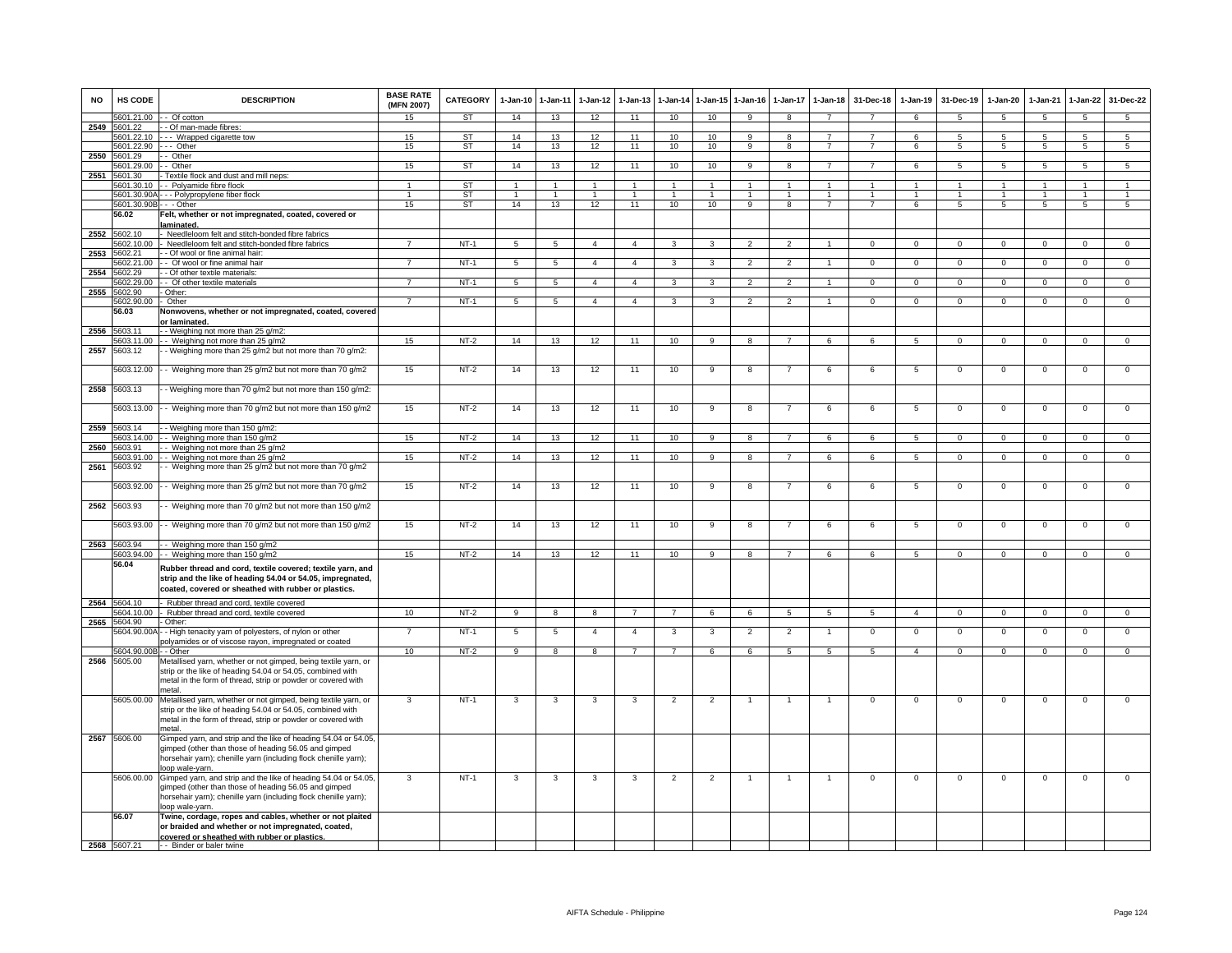| <b>NO</b> | <b>HS CODE</b>       | <b>DESCRIPTION</b>                                                                                                                                                               | <b>BASE RATE</b><br>(MFN 2007) | CATEGORY  | 1-Jan-10        | $1 - Jan-11$            | $1-Jan-12$     | $1-Jan-13$     |                 |                      | 1-Jan-14 1-Jan-15 1-Jan-16 | 1-Jan-17                 | $1-Jan-18$           | 31-Dec-18       | $1-Jan-19$     | 31-Dec-19      | $1-Jan-20$     | $1-Jan-21$     | $1-Jan-22$           | 31-Dec-22            |
|-----------|----------------------|----------------------------------------------------------------------------------------------------------------------------------------------------------------------------------|--------------------------------|-----------|-----------------|-------------------------|----------------|----------------|-----------------|----------------------|----------------------------|--------------------------|----------------------|-----------------|----------------|----------------|----------------|----------------|----------------------|----------------------|
|           | 5601.21.00           | - Of cotton                                                                                                                                                                      | 15                             | ST        | 14              | 13                      | 12             | 11             | 10              | 10                   | 9                          | 8                        | $\overline{ }$       |                 | 6              | 5              | 5              | 5              | 5                    | 5                    |
| 2549      | 5601.22              | - Of man-made fibres:                                                                                                                                                            |                                |           |                 |                         |                |                |                 |                      |                            |                          |                      |                 |                |                |                |                |                      |                      |
|           | 5601.22.10           | - - - Wrapped cigarette tow                                                                                                                                                      | 15                             | ST        | 14              | 13                      | 12             | 11             | 10 <sup>1</sup> | 10 <sup>1</sup>      | 9                          | 8                        | $\overline{7}$       | $\overline{7}$  | -6             | -5             | -5             | -5             | -5                   | $5\overline{5}$      |
| 2550      | 5601.22.90<br>601.29 | -- Other<br>- Other                                                                                                                                                              | 15                             | <b>ST</b> | 14              | 13                      | 12             | 11             | 10              | 10                   | $\overline{9}$             | 8                        | $\overline{7}$       | $\overline{7}$  | 6              | 5              | 5              | 5              | $5\overline{5}$      | $5\overline{)}$      |
|           | 601.29.00            | - Other                                                                                                                                                                          | 15                             | ST        | 14              | 13                      | 12             | 11             | 10              | 10                   | 9                          | 8                        | $\overline{7}$       | $\overline{7}$  | 6              | 5              | 5              | 5              | 5                    | $5\overline{5}$      |
| 2551      | 5601.30              | Textile flock and dust and mill neps:                                                                                                                                            |                                |           |                 |                         |                |                |                 |                      |                            |                          |                      |                 |                |                |                |                |                      |                      |
|           | 5601.30.10           | - Polyamide fibre flock                                                                                                                                                          |                                | <b>ST</b> | $\overline{1}$  | $\overline{1}$          | $\overline{1}$ | $\overline{1}$ | $\overline{1}$  | $\blacktriangleleft$ | $\overline{1}$             | $\overline{ }$           | $\blacktriangleleft$ | $\overline{1}$  | $\overline{1}$ |                | $\overline{1}$ | $\overline{1}$ | $\blacktriangleleft$ | $\blacktriangleleft$ |
|           | 5601.30.90A          | - - Polypropylene fiber flock                                                                                                                                                    |                                | <b>ST</b> | $\overline{1}$  | $\overline{1}$          | $\overline{1}$ | $\mathbf{1}$   | $\overline{1}$  | $\mathbf{1}$         | $\overline{1}$             |                          | $\mathbf{1}$         | $\mathbf{1}$    |                |                | -1             | -1             | $\mathbf{1}$         | $\mathbf{1}$         |
|           | 5601.30.90B          | $-$ - Other                                                                                                                                                                      | 15                             | <b>ST</b> | 14              | 13                      | 12             | 11             | 10              | 10                   | $\overline{9}$             | $\overline{\mathbf{a}}$  | $\overline{7}$       | $\overline{7}$  | 6              | $\overline{5}$ | 5              | $\overline{5}$ | $\overline{5}$       | 5                    |
|           | 56.02                | Felt, whether or not impregnated, coated, covered or                                                                                                                             |                                |           |                 |                         |                |                |                 |                      |                            |                          |                      |                 |                |                |                |                |                      |                      |
|           |                      | laminated.                                                                                                                                                                       |                                |           |                 |                         |                |                |                 |                      |                            |                          |                      |                 |                |                |                |                |                      |                      |
| 2552      | 5602.10<br>602.10.00 | Needleloom felt and stitch-bonded fibre fabrics<br>Needleloom felt and stitch-bonded fibre fabrics                                                                               | $\overline{7}$                 | $NT-1$    | 5               | $5\phantom{.0}$         | $\overline{4}$ | $\overline{4}$ | 3               | $\mathbf{3}$         | $\mathfrak{p}$             | $\overline{2}$           | $\overline{1}$       | $\mathbf{0}$    | $\mathbf 0$    | $\mathbf{0}$   | $\mathbf{0}$   | $\mathbf 0$    | $\overline{0}$       | $\overline{0}$       |
| 2553      | 5602.21              | - Of wool or fine animal hair:                                                                                                                                                   |                                |           |                 |                         |                |                |                 |                      |                            |                          |                      |                 |                |                |                |                |                      |                      |
|           | 602.21.00            | - Of wool or fine animal hair                                                                                                                                                    |                                | $NT-1$    | 5               | 5                       | $\overline{4}$ | $\overline{4}$ | 3               | 3                    | $\mathfrak{p}$             | $\mathfrak{p}$           | $\overline{1}$       | $\mathbf{0}$    | $\mathbf 0$    | $\mathbf{0}$   | $\mathbf{0}$   | $\mathbf 0$    | $\mathbf 0$          | $\mathbf{O}$         |
| 2554      | 5602.29              | - Of other textile materials:                                                                                                                                                    |                                |           |                 |                         |                |                |                 |                      |                            |                          |                      |                 |                |                |                |                |                      |                      |
|           | 5602.29.00           | - Of other textile materials                                                                                                                                                     | $\overline{7}$                 | $NT-1$    | $5\phantom{.0}$ | $\overline{5}$          | $\overline{4}$ | $\overline{4}$ | 3               | 3                    | $\overline{2}$             | $\overline{2}$           | $\overline{1}$       | $^{\circ}$      | $\mathbf 0$    | $\mathbf 0$    | $^{\circ}$     | $^{\circ}$     | $\Omega$             | $\Omega$             |
| 2555      | 5602.90              | Other:                                                                                                                                                                           |                                |           |                 |                         |                |                |                 |                      |                            |                          |                      |                 |                |                |                |                |                      |                      |
|           | 5602.90.00           | Other                                                                                                                                                                            |                                | $NT-1$    | 5               | 5                       | $\mathbf{A}$   | $\overline{4}$ | 3               | 3                    | $\overline{\phantom{a}}$   | $\overline{\phantom{a}}$ |                      | $\overline{0}$  | $\Omega$       | $\overline{0}$ | $\overline{0}$ | $\overline{0}$ | $\overline{0}$       | $\overline{0}$       |
|           | 56.03                | Nonwovens, whether or not impregnated, coated, covered<br>or laminated.                                                                                                          |                                |           |                 |                         |                |                |                 |                      |                            |                          |                      |                 |                |                |                |                |                      |                      |
| 2556      | 5603.11              | - - Weighing not more than 25 g/m2:                                                                                                                                              |                                |           |                 |                         |                |                |                 |                      |                            |                          |                      |                 |                |                |                |                |                      |                      |
|           | 5603.11.00           | - Weighing not more than 25 g/m2                                                                                                                                                 | 15                             | $NT-2$    | 14              | 13                      | 12             | 11             | 10              | 9                    | $\mathbf{R}$               | 7                        | 6                    | 6               | 5              | $\Omega$       | $\Omega$       | $\Omega$       | $\Omega$             | $\overline{0}$       |
| 2557      | 5603.12              | - Weighing more than 25 g/m2 but not more than 70 g/m2:                                                                                                                          |                                |           |                 |                         |                |                |                 |                      |                            |                          |                      |                 |                |                |                |                |                      |                      |
|           |                      |                                                                                                                                                                                  |                                |           |                 |                         |                |                |                 |                      |                            |                          |                      |                 |                |                |                |                |                      |                      |
|           |                      | 5603.12.00 - - Weighing more than 25 g/m2 but not more than 70 g/m2                                                                                                              | 15                             | $NT-2$    | 14              | 13                      | 12             | 11             | 10              | 9                    | 8                          |                          | 6                    | 6               | 5              | $\mathbf 0$    | $\mathsf 0$    | $\mathbf 0$    | $\mathbf 0$          | $\mathsf 0$          |
|           |                      |                                                                                                                                                                                  |                                |           |                 |                         |                |                |                 |                      |                            |                          |                      |                 |                |                |                |                |                      |                      |
| 2558      | 5603.13              | - Weighing more than 70 g/m2 but not more than 150 g/m2:                                                                                                                         |                                |           |                 |                         |                |                |                 |                      |                            |                          |                      |                 |                |                |                |                |                      |                      |
|           | 5603.13.00           | - - Weighing more than 70 g/m2 but not more than 150 g/m2                                                                                                                        | 15                             | $NT-2$    | 14              | 13                      | 12             | 11             | 10              | 9                    | 8                          | $\overline{7}$           | 6                    | 6               | 5              | $\mathbf 0$    | $\mathbf 0$    | $\mathbf 0$    | $\mathbf 0$          | $\mathbf{O}$         |
|           |                      |                                                                                                                                                                                  |                                |           |                 |                         |                |                |                 |                      |                            |                          |                      |                 |                |                |                |                |                      |                      |
| 2559      | 5603.14              | - Weighing more than 150 g/m2:                                                                                                                                                   |                                |           |                 |                         |                |                |                 |                      |                            |                          |                      |                 |                |                |                |                |                      |                      |
|           | 5603.14.00           | - Weighing more than 150 g/m2                                                                                                                                                    | 15                             | $NT-2$    | 14              | 13                      | 12             | 11             | 10              | 9                    | 8                          | $\overline{7}$           | 6                    | 6               | 5              | $\mathbf{0}$   | $^{\circ}$     | $^{\circ}$     | $\mathbf{0}$         | $\mathbf{0}$         |
| 2560      | 603.91               | - Weighing not more than 25 g/m2                                                                                                                                                 |                                |           |                 |                         |                |                |                 |                      |                            |                          |                      |                 |                |                |                |                |                      |                      |
|           | 603.91.00            | - Weighing not more than 25 g/m2                                                                                                                                                 | 15                             | $NT-2$    | 14              | 13                      | 12             | 11             | 10              | 9                    | 8                          | $\overline{7}$           | 6                    | 6               | 5              | $\mathbf{0}$   | $\mathbf{0}$   | $\mathbf 0$    | $\mathbf{0}$         | $\overline{0}$       |
| 2561      | 5603.92              | - Weighing more than 25 g/m2 but not more than 70 g/m2                                                                                                                           |                                |           |                 |                         |                |                |                 |                      |                            |                          |                      |                 |                |                |                |                |                      |                      |
|           | 5603.92.00           | - Weighing more than 25 g/m2 but not more than 70 g/m2                                                                                                                           | 15                             | $NT-2$    | 14              | 13                      | 12             | 11             | 10              | 9                    | 8                          | $\overline{7}$           | 6                    | 6               | 5              | $\mathbf 0$    | $\,0\,$        | $\mathbf 0$    | $\mathbf 0$          | $\mathsf 0$          |
|           |                      |                                                                                                                                                                                  |                                |           |                 |                         |                |                |                 |                      |                            |                          |                      |                 |                |                |                |                |                      |                      |
| 2562      | 5603.93              | - Weighing more than 70 g/m2 but not more than 150 g/m2                                                                                                                          |                                |           |                 |                         |                |                |                 |                      |                            |                          |                      |                 |                |                |                |                |                      |                      |
|           |                      |                                                                                                                                                                                  |                                |           |                 |                         |                |                |                 |                      |                            |                          |                      |                 |                |                |                |                |                      |                      |
|           |                      | 5603.93.00 - - Weighing more than 70 g/m2 but not more than 150 g/m2                                                                                                             | 15                             | $NT-2$    | 14              | 13                      | 12             | 11             | 10              | 9                    | 8                          |                          | 6                    | 6               | 5              | $^{\circ}$     | $^{\circ}$     | $^{\circ}$     | $\mathbf 0$          | $\mathsf 0$          |
| 2563      | 5603.94              | - Weighing more than 150 g/m2                                                                                                                                                    |                                |           |                 |                         |                |                |                 |                      |                            |                          |                      |                 |                |                |                |                |                      |                      |
|           |                      | 5603.94.00 - - Weighing more than 150 g/m2                                                                                                                                       | 15                             | $NT-2$    | 14              | 13                      | 12             | 11             | 10              | 9                    | 8                          | $\overline{7}$           | 6                    | 6               | -5             | $\Omega$       | $\Omega$       | $\Omega$       | $\Omega$             | $\overline{0}$       |
|           | 56.04                |                                                                                                                                                                                  |                                |           |                 |                         |                |                |                 |                      |                            |                          |                      |                 |                |                |                |                |                      |                      |
|           |                      | Rubber thread and cord, textile covered; textile yarn, and<br>strip and the like of heading 54.04 or 54.05, impregnated,<br>coated, covered or sheathed with rubber or plastics. |                                |           |                 |                         |                |                |                 |                      |                            |                          |                      |                 |                |                |                |                |                      |                      |
| 2564      | 5604.10              | - Rubber thread and cord, textile covered                                                                                                                                        |                                |           |                 |                         |                |                |                 |                      |                            |                          |                      |                 |                |                |                |                |                      |                      |
|           | 5604.10.00           | - Rubber thread and cord, textile covered                                                                                                                                        | 10                             | $NT-2$    | 9               | 8                       | $\mathbf{R}$   |                | $\overline{7}$  | 6                    | 6                          | 5 <sup>5</sup>           | 5                    | 5               | $\overline{4}$ | $\Omega$       | $\mathbf 0$    | $\mathbf 0$    | $\Omega$             | $\mathbf{0}$         |
| 2565      | 5604.90              | - Other:                                                                                                                                                                         |                                |           |                 |                         |                |                |                 |                      |                            |                          |                      |                 |                |                |                |                |                      |                      |
|           | 5604.90.00A          | - High tenacity yarn of polyesters, of nylon or other                                                                                                                            | 7                              | $NT-1$    | $\sqrt{5}$      | $\overline{5}$          | $\overline{4}$ | $\overline{4}$ | 3               | 3                    | $\overline{2}$             | $\overline{2}$           | $\overline{1}$       | $\mathbf 0$     | $\mathsf 0$    | $\mathbf 0$    | $\,0\,$        | $\mathbf 0$    | $\mathsf 0$          | $\mathbf 0$          |
|           | 5604.90.00B          | olyamides or of viscose rayon, impregnated or coated<br>- Other                                                                                                                  | 10                             | $NT-2$    | $\overline{9}$  | $\overline{\mathbf{8}}$ | 8              | $\overline{7}$ | $\overline{7}$  | 6                    | 6                          | $5\overline{5}$          | $5\overline{)}$      | $5\overline{)}$ | $\overline{4}$ | $\mathbf 0$    | $\mathbf{0}$   | $\overline{0}$ | $\overline{0}$       | $\overline{0}$       |
| 2566      | 5605.00              | Metallised yarn, whether or not gimped, being textile yarn, or                                                                                                                   |                                |           |                 |                         |                |                |                 |                      |                            |                          |                      |                 |                |                |                |                |                      |                      |
|           |                      | strip or the like of heading 54.04 or 54.05, combined with                                                                                                                       |                                |           |                 |                         |                |                |                 |                      |                            |                          |                      |                 |                |                |                |                |                      |                      |
|           |                      | metal in the form of thread, strip or powder or covered with                                                                                                                     |                                |           |                 |                         |                |                |                 |                      |                            |                          |                      |                 |                |                |                |                |                      |                      |
|           |                      | hetal                                                                                                                                                                            |                                |           |                 |                         |                |                |                 |                      |                            |                          |                      |                 |                |                |                |                |                      |                      |
|           |                      | 5605.00.00 Metallised yarn, whether or not gimped, being textile yarn, or                                                                                                        | 3                              | $NT-1$    | 3               | 3                       | 3              | 3              | $\overline{2}$  | $\overline{2}$       | $\overline{1}$             | 1                        | $\overline{1}$       | $\mathbf 0$     | $\overline{0}$ | $\Omega$       | $\overline{0}$ | $\overline{0}$ | $\mathsf 0$          | $\overline{0}$       |
|           |                      | strip or the like of heading 54.04 or 54.05, combined with                                                                                                                       |                                |           |                 |                         |                |                |                 |                      |                            |                          |                      |                 |                |                |                |                |                      |                      |
|           |                      | metal in the form of thread, strip or powder or covered with<br>metal.                                                                                                           |                                |           |                 |                         |                |                |                 |                      |                            |                          |                      |                 |                |                |                |                |                      |                      |
|           | 2567 5606.00         | Gimped yarn, and strip and the like of heading 54.04 or 54.05,                                                                                                                   |                                |           |                 |                         |                |                |                 |                      |                            |                          |                      |                 |                |                |                |                |                      |                      |
|           |                      | gimped (other than those of heading 56.05 and gimped                                                                                                                             |                                |           |                 |                         |                |                |                 |                      |                            |                          |                      |                 |                |                |                |                |                      |                      |
|           |                      | horsehair yarn); chenille yarn (including flock chenille yarn);                                                                                                                  |                                |           |                 |                         |                |                |                 |                      |                            |                          |                      |                 |                |                |                |                |                      |                      |
|           |                      | loop wale-yarn.                                                                                                                                                                  |                                |           |                 |                         |                |                |                 |                      |                            |                          |                      |                 |                |                |                |                |                      |                      |
|           |                      | 5606.00.00 Gimped yarn, and strip and the like of heading 54.04 or 54.05,                                                                                                        | 3                              | $NT-1$    | 3               | 3                       | 3              | 3              | $\overline{2}$  | $\overline{2}$       | $\overline{1}$             | $\mathbf{1}$             | $\mathbf{1}$         | 0               | 0              | 0              | $\mathbf 0$    | 0              | 0                    | $\mathsf 0$          |
|           |                      | gimped (other than those of heading 56.05 and gimped                                                                                                                             |                                |           |                 |                         |                |                |                 |                      |                            |                          |                      |                 |                |                |                |                |                      |                      |
|           |                      | horsehair yarn); chenille yarn (including flock chenille yarn);<br>oop wale-yarn.                                                                                                |                                |           |                 |                         |                |                |                 |                      |                            |                          |                      |                 |                |                |                |                |                      |                      |
|           | 56.07                | Twine, cordage, ropes and cables, whether or not plaited                                                                                                                         |                                |           |                 |                         |                |                |                 |                      |                            |                          |                      |                 |                |                |                |                |                      |                      |
|           |                      | or braided and whether or not impregnated, coated,                                                                                                                               |                                |           |                 |                         |                |                |                 |                      |                            |                          |                      |                 |                |                |                |                |                      |                      |
|           |                      | covered or sheathed with rubber or plastics.                                                                                                                                     |                                |           |                 |                         |                |                |                 |                      |                            |                          |                      |                 |                |                |                |                |                      |                      |
|           | 2568 5607.21         | -- Binder or baler twine                                                                                                                                                         |                                |           |                 |                         |                |                |                 |                      |                            |                          |                      |                 |                |                |                |                |                      |                      |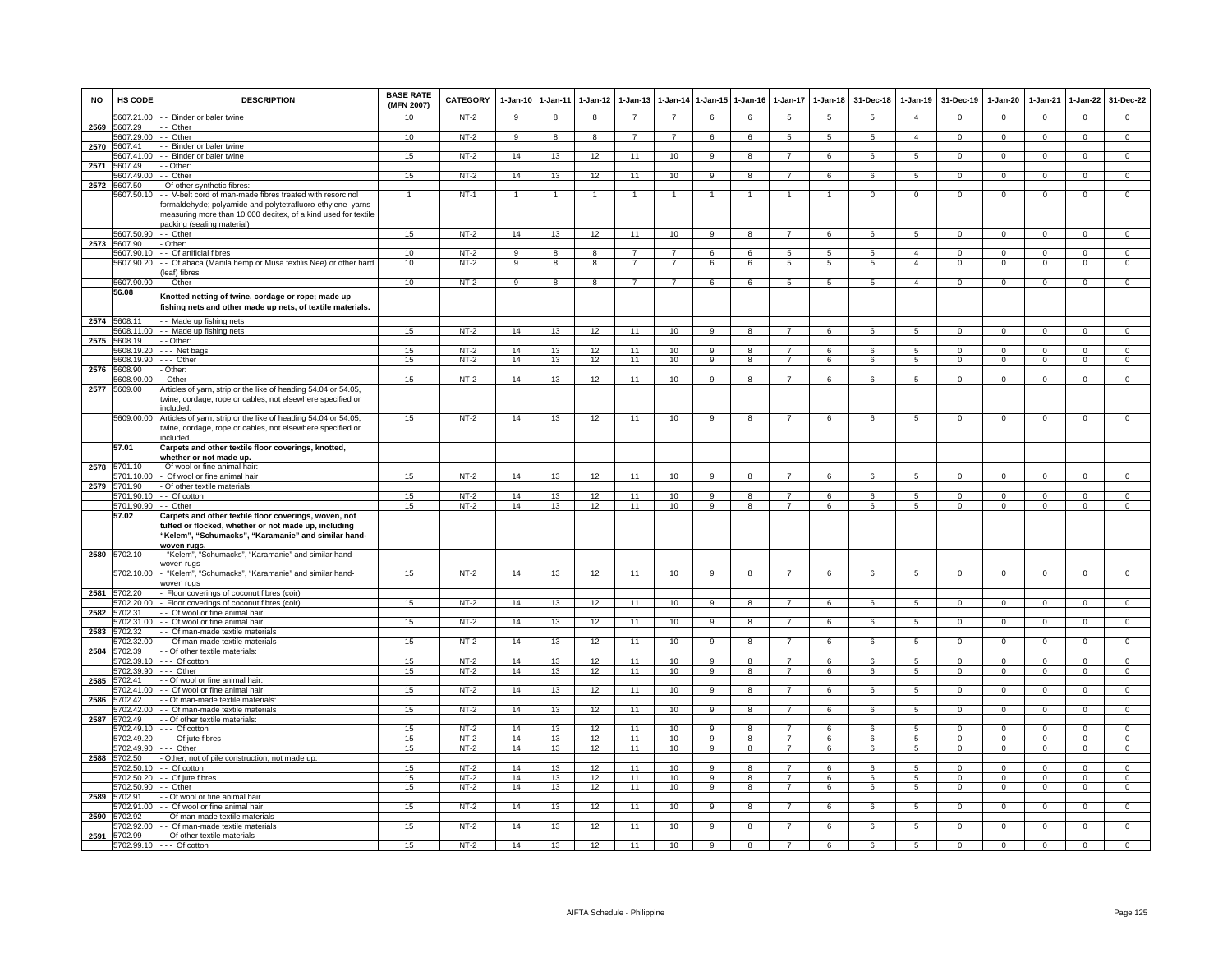| <b>NO</b> | <b>HS CODE</b>           | <b>DESCRIPTION</b>                                                                                                                                                                 | <b>BASE RATE</b><br>(MFN 2007) | CATEGORY         | $1-Jan-10$     | $1 - Jan-11$   | $1-Jan-12$     | $1-Jan-13$      | $1 - Jan-14$   |                                  | 1-Jan-15 1-Jan-16       | $1-Jan-17$     | $1 - Jan-18$    | 31-Dec-18       | $1-Jan-19$      | 31-Dec-19               | $1-Jan-20$               | $1-Jan-21$              | $1-Jan-22$                    | 31-Dec-22                        |
|-----------|--------------------------|------------------------------------------------------------------------------------------------------------------------------------------------------------------------------------|--------------------------------|------------------|----------------|----------------|----------------|-----------------|----------------|----------------------------------|-------------------------|----------------|-----------------|-----------------|-----------------|-------------------------|--------------------------|-------------------------|-------------------------------|----------------------------------|
|           |                          | 5607.21.00 - Binder or baler twine                                                                                                                                                 | 10                             | NT-2             | 9              | 8              | 8              | $\overline{7}$  | $\overline{7}$ | 6                                | 6                       | 5              | $5\overline{5}$ | 5               | $\overline{4}$  | $\mathbf 0$             | $\mathbf{0}$             | $\mathbf 0$             | $\mathbf{0}$                  | $\mathbf{0}$                     |
| 2569      | 5607.29<br>5607.29.00    | - Other<br>- Other                                                                                                                                                                 | 10                             | $NT-2$           | 9              | 8              | 8              | $\overline{7}$  | $\overline{7}$ | 6                                | 6                       | 5              | $5^{\circ}$     | $5\overline{5}$ | $\overline{4}$  | $\mathbf 0$             | $\mathbf 0$              | $\Omega$                | $\overline{0}$                | $\overline{0}$                   |
| 2570      | 5607.41                  | - Binder or baler twine                                                                                                                                                            |                                |                  |                |                |                |                 |                |                                  |                         |                |                 |                 |                 |                         |                          |                         |                               |                                  |
|           | 607.41.00                | - Binder or baler twine                                                                                                                                                            | 15                             | $NT-2$           | 14             | 13             | 12             | 11              | 10             | 9                                | 8                       |                | 6               | 6               | 5               | $\mathbf 0$             | $\mathbf 0$              | $\mathbf 0$             | $\mathbf 0$                   | $\overline{0}$                   |
| 2571      | 5607.49                  | - Other:                                                                                                                                                                           |                                |                  |                |                |                |                 |                |                                  |                         |                |                 |                 |                 |                         |                          |                         |                               |                                  |
|           | 5607.49.00<br>5607.50    | - Other                                                                                                                                                                            | 15                             | $NT-2$           | 14             | 13             | 12             | 11              | 10             | 9                                | 8                       | $\overline{7}$ | $6\overline{6}$ | 6               | 5               | $\mathbf 0$             | $\mathbf{0}$             | $\Omega$                | $\overline{0}$                | $\overline{0}$                   |
| 2572      | 5607.50.10               | Of other synthetic fibres:<br>- V-belt cord of man-made fibres treated with resorcinol                                                                                             | $\mathbf{1}$                   | $NT-1$           | $\mathbf{1}$   | $\overline{1}$ | $\overline{1}$ | 1               | -1             | -1                               | 1                       |                | $\overline{1}$  | $\mathsf 0$     | $\mathsf 0$     | $\mathbf 0$             | $\mathbf 0$              | $\mathbf 0$             | $\mathsf 0$                   | $\mathbf 0$                      |
|           |                          | formaldehyde; polyamide and polytetrafluoro-ethylene yarns<br>measuring more than 10,000 decitex, of a kind used for textile<br>packing (sealing material)                         |                                |                  |                |                |                |                 |                |                                  |                         |                |                 |                 |                 |                         |                          |                         |                               |                                  |
| 2573      | 5607.50.90<br>5607.90    | $-$ Other<br>Other:                                                                                                                                                                | 15                             | $NT-2$           | 14             | 13             | 12             | $\overline{11}$ | 10             | $\mathbf{Q}$                     | $\mathbf{R}$            | $\overline{7}$ | 6               | 6               | 5               | $\mathbf 0$             | $\mathbf{0}$             | $\Omega$                | $\mathbf{0}$                  | $\mathbf{0}$                     |
|           | 5607.90.10               | - Of artificial fibres                                                                                                                                                             | 10                             | $NT-2$           | 9              | 8              | 8              |                 |                | 6                                | 6                       | 5              | 5               | 5               | $\overline{a}$  | $\Omega$                | $\Omega$                 | $\Omega$                | 0                             | $\overline{0}$                   |
|           | 5607.90.20               | - Of abaca (Manila hemp or Musa textilis Nee) or other hard<br>leaf) fibres                                                                                                        | 10                             | $NT-2$           | 9              | 8              | 8              |                 |                | 6                                | 6                       | 5              | 5               | 5               | $\overline{4}$  | $\mathbf 0$             | $^{\circ}$               | $\mathbf 0$             | $\mathsf 0$                   | $\mathbf 0$                      |
|           | 5607.90.90               | - Other                                                                                                                                                                            | 10                             | $NT-2$           | $\overline{9}$ | $\overline{8}$ | $\overline{8}$ | $\overline{7}$  | $\overline{7}$ | 6                                | 6                       | $\overline{5}$ | $\overline{5}$  | 5               | $\overline{4}$  | $\overline{0}$          | $\overline{0}$           | $\overline{0}$          | $\overline{0}$                | $\overline{0}$                   |
|           | 56.08                    | Knotted netting of twine, cordage or rope; made up<br>fishing nets and other made up nets, of textile materials.                                                                   |                                |                  |                |                |                |                 |                |                                  |                         |                |                 |                 |                 |                         |                          |                         |                               |                                  |
| 2574      | 5608.11<br>5608.11.00    | - Made up fishing nets<br>- Made up fishing nets                                                                                                                                   | 15                             | $NT-2$           | 14             | 13             | 12             | 11              | 10             | $\overline{9}$                   | $\overline{8}$          | $\overline{7}$ | 6               | 6               | 5               | $\mathbf 0$             | $\overline{0}$           | $\overline{0}$          | $\overline{0}$                | $\overline{0}$                   |
| 2575      | 5608.19                  | - Other:                                                                                                                                                                           |                                |                  |                |                |                |                 |                |                                  |                         |                |                 |                 |                 |                         |                          |                         |                               |                                  |
|           | 5608.19.20               | --- Net bags                                                                                                                                                                       | 15                             | $NT-2$           | 14             | 13             | 12             | 11              | 10             | 9                                | 8                       | $\overline{7}$ | 6               | 6               | $5^{\circ}$     | $\mathbf 0$             | $\mathbf 0$              | $\Omega$                | $\mathsf 0$                   | $\mathbf 0$                      |
|           | 5608.19.90               | -- Other                                                                                                                                                                           | 15                             | NT-2             | 14             | 13             | 12             | 11              | 10             | 9                                | 8                       | $\overline{7}$ | 6               | 6               | 5               | $\mathbf 0$             | 0                        | $\mathbf 0$             | 0                             | $\mathbf 0$                      |
| 2576      | 5608.90<br>608.90.00     | Other:<br>Other                                                                                                                                                                    | 15                             | $NT-2$           | 14             | 13             | 12             | 11              | 10             | $\overline{9}$                   | $\overline{\mathbf{a}}$ |                | $6\overline{6}$ | 6               | 5               | $\overline{0}$          | $\overline{0}$           | $\overline{0}$          | $\overline{0}$                | $\overline{0}$                   |
| 2577      | 5609.00                  | Articles of yarn, strip or the like of heading 54.04 or 54.05,                                                                                                                     |                                |                  |                |                |                |                 |                |                                  |                         |                |                 |                 |                 |                         |                          |                         |                               |                                  |
|           |                          | twine, cordage, rope or cables, not elsewhere specified or<br>included                                                                                                             |                                |                  |                |                |                |                 |                |                                  |                         |                |                 |                 |                 |                         |                          |                         |                               |                                  |
|           | 5609.00.00               | Articles of yarn, strip or the like of heading 54.04 or 54.05,<br>twine, cordage, rope or cables, not elsewhere specified or<br>included                                           | 15                             | $NT-2$           | 14             | 13             | 12             | 11              | 10             | 9                                | 8                       | 7              | 6               | 6               | -5              | $\,0\,$                 | $\mathbf 0$              | $\Omega$                | $\mathsf 0$                   | $\overline{0}$                   |
|           | 57.01                    | Carpets and other textile floor coverings, knotted,<br>whether or not made up.                                                                                                     |                                |                  |                |                |                |                 |                |                                  |                         |                |                 |                 |                 |                         |                          |                         |                               |                                  |
| 2578      | 701.10<br>701.10.00      | - Of wool or fine animal hair:<br>Of wool or fine animal hair                                                                                                                      | 15                             | $NT-2$           | 14             | 13             | 12             | 11              | 10             | $\overline{a}$                   | $\mathbf{R}$            |                | 6               | $\epsilon$      | $\overline{5}$  | $\overline{0}$          | $\overline{0}$           | $\Omega$                | $\overline{0}$                | $\Omega$                         |
| 2579      | 5701.90                  | - Of other textile materials:                                                                                                                                                      |                                |                  |                |                |                |                 |                |                                  |                         |                |                 |                 |                 |                         |                          |                         |                               |                                  |
|           |                          | 5701.90.10 -- Of cotton                                                                                                                                                            | 15                             | $NT-2$           | 14             | 13             | 12             | 11              | 10             | $\mathbf{Q}$                     | 8                       |                | 6               | 6               | 5               | $\Omega$                | $\Omega$                 | $\Omega$                | $\Omega$                      | $\Omega$                         |
|           | 5701.90.90 -- Other      |                                                                                                                                                                                    | 15                             | $NT-2$           | 14             | 13             | 12             | 11              | 10             | $\mathbf{q}$                     | 8                       | 7              | 6               | 6               | 5               | $\mathbf 0$             | $\mathbf{0}$             | $^{\circ}$              | $\mathbf{0}$                  | $\mathbf{0}$                     |
|           | 57.02                    | Carpets and other textile floor coverings, woven, not<br>tufted or flocked, whether or not made up, including<br>"Kelem", "Schumacks", "Karamanie" and similar hand-<br>woven rugs |                                |                  |                |                |                |                 |                |                                  |                         |                |                 |                 |                 |                         |                          |                         |                               |                                  |
|           | 2580 5702.10             | "Kelem", "Schumacks", "Karamanie" and similar hand-                                                                                                                                |                                |                  |                |                |                |                 |                |                                  |                         |                |                 |                 |                 |                         |                          |                         |                               |                                  |
|           | 5702.10.00               | woven rugs<br>"Kelem", "Schumacks", "Karamanie" and similar hand-<br>woven rugs                                                                                                    | 15                             | $NT-2$           | 14             | 13             | 12             | 11              | 10             | 9                                | 8                       | $\overline{7}$ | 6               | 6               | 5               | $\mathbf 0$             | $\mathbf 0$              | $\mathbf 0$             | $\mathsf 0$                   | $\mathbf 0$                      |
| 2581      | 5702.20                  | - Floor coverings of coconut fibres (coir)                                                                                                                                         |                                |                  |                |                |                |                 |                |                                  |                         |                |                 |                 |                 |                         |                          |                         |                               |                                  |
|           | 5702.20.00               | - Floor coverings of coconut fibres (coir)                                                                                                                                         | 15                             | $NT-2$           | 14             | 13             | 12             | 11              | 10             | 9                                | 8                       | 7              | 6               | 6               | 5               | $\mathbf{0}$            | $\mathbf{0}$             | $^{\circ}$              | $\overline{0}$                | $\overline{0}$                   |
| 2582      | 5702.31<br>702.31.00     | - Of wool or fine animal hair<br>- Of wool or fine animal hair                                                                                                                     | 15                             | $NT-2$           | 14             | 13             | 12             | 11              | 10             | 9                                | 8                       |                | 6               | 6               | 5               | $\mathbf 0$             | $\mathbf 0$              | $\mathbf 0$             | $\mathbf 0$                   | $\overline{0}$                   |
| 2583      | 702.32                   | - Of man-made textile materials                                                                                                                                                    |                                |                  |                |                |                |                 |                |                                  |                         |                |                 |                 |                 |                         |                          |                         |                               |                                  |
|           | 702.32.00                | - Of man-made textile materials                                                                                                                                                    | 15                             | $NT-2$           | 14             | 13             | 12             | 11              | 10             | $\mathbf{Q}$                     | 8                       | $\overline{7}$ | 6               | 6               | $5^{\circ}$     | $\mathbf 0$             | $\Omega$                 | $\Omega$                | $\mathsf 0$                   | $\Omega$                         |
| 2584      | 702.39                   | - Of other textile materials:                                                                                                                                                      |                                |                  |                |                |                |                 |                |                                  |                         |                |                 |                 |                 |                         |                          | $\Omega$                |                               |                                  |
|           | 702.39.10<br>702.39.90   | -- Of cotton<br>-- Other                                                                                                                                                           | 15<br>15                       | $NT-2$<br>$NT-2$ | 14<br>14       | 13<br>13       | 12<br>12       | 11<br>11        | 10<br>10       | $\overline{9}$<br>$\overline{9}$ | 8<br>$\mathbf{R}$       | $\overline{7}$ | 6<br>6          | 6<br>$\epsilon$ | $\sqrt{5}$<br>5 | $\Omega$<br>$\Omega$    | $\Omega$<br>$\Omega$     | $\Omega$                | $\overline{0}$<br>$\mathbf 0$ | $\overline{0}$<br>$\overline{0}$ |
| 2585      | 5702.41                  | - Of wool or fine animal hair:                                                                                                                                                     |                                |                  |                |                |                |                 |                |                                  |                         |                |                 |                 |                 |                         |                          |                         |                               |                                  |
|           | 702.41.00                | - Of wool or fine animal hair                                                                                                                                                      | 15                             | NT-2             | 14             | 13             | 12             | 11              | 10             | -9                               | 8                       |                | 6               | 6               | 5               | $\mathbf 0$             | $\Omega$                 | $\Omega$                | $\mathbf{0}$                  | $\Omega$                         |
| 2586      | 5702.42                  | - Of man-made textile materials                                                                                                                                                    |                                |                  |                |                |                |                 |                |                                  |                         |                |                 |                 |                 |                         |                          |                         |                               |                                  |
| 2587      | 702.42.00<br>702.49      | - Of man-made textile materials<br>- Of other textile materials:                                                                                                                   | 15                             | $NT-2$           | 14             | 13             | 12             | 11              | 10             | $\overline{9}$                   | 8                       | 7              | 6               | 6               | 5               | $\overline{0}$          | $\overline{0}$           | $\overline{0}$          | $\overline{0}$                | $\overline{0}$                   |
|           | 702.49.10                | -- Of cotton                                                                                                                                                                       | 15                             | $NT-2$           | 14             | 13             | 12             | 11              | 10             | 9                                | 8                       |                | 6               | 6               | 5               | $\Omega$                | $\Omega$                 | $\Omega$                | $\Omega$                      | $\Omega$                         |
|           | 5702.49.20               | -- Of jute fibres                                                                                                                                                                  | 15                             | $NT-2$           | 14             | 13             | 12             | 11              | 10             | 9                                | 8                       |                | 6               | 6               | 5               | $\Omega$                | 0                        | $\Omega$                | $\mathbf 0$                   | $\mathbf 0$                      |
|           | 5702 49 90               | --- Other                                                                                                                                                                          | 15                             | $NT-2$           | 14             | 13             | 12             | 11              | 10             | $\overline{a}$                   | $\overline{8}$          | $\overline{7}$ | 6               | $\epsilon$      | $\overline{5}$  | $\Omega$                | $\overline{0}$           | $\Omega$                | $\overline{0}$                | $\overline{0}$                   |
| 2588      | 702.50                   | Other, not of pile construction, not made up:                                                                                                                                      |                                |                  |                |                |                |                 |                |                                  |                         |                |                 |                 |                 |                         |                          |                         |                               |                                  |
|           | 5702.50.10<br>5702.50.20 | - Of cotton<br>- Of jute fibres                                                                                                                                                    | 15<br>15                       | $NT-2$<br>$NT-2$ | 14<br>14       | 13<br>13       | 12<br>12       | 11<br>11        | 10<br>10       | 9<br>9                           | 8<br>8                  | $\overline{7}$ | 6<br>6          | 6<br>6          | 5<br>5          | $\Omega$<br>$\mathbf 0$ | $\Omega$<br>$\mathbf{0}$ | $\Omega$<br>$\mathbf 0$ | $\Omega$<br>$\mathsf 0$       | $\Omega$<br>$\mathbf 0$          |
|           | 5702.50.90               | - Other                                                                                                                                                                            | 15                             | $NT-2$           | 14             | 13             | 12             | 11              | 10             | 9                                | 8                       | $\overline{7}$ | 6               | 6               | 5               | $\mathbf{0}$            | $\mathbf{0}$             | $^{\circ}$              | $\mathbf{0}$                  | $\mathbf{0}$                     |
| 2589      | 702.91                   | - Of wool or fine animal hair                                                                                                                                                      |                                |                  |                |                |                |                 |                |                                  |                         |                |                 |                 |                 |                         |                          |                         |                               |                                  |
|           | 702.91.00                | - Of wool or fine animal hair                                                                                                                                                      | 15                             | $NT-2$           | 14             | 13             | 12             | 11              | 10             | 9                                | 8                       | $\overline{7}$ | 6               | 6               | $\overline{5}$  | $\mathbf{0}$            | $\mathbf 0$              | $\Omega$                | $\circ$                       | $\circ$                          |
| 2590      | 702.92                   | - Of man-made textile materials                                                                                                                                                    |                                | $NT-2$           |                |                |                |                 |                | 9                                | 8                       | $\overline{7}$ |                 |                 |                 |                         |                          |                         |                               | $\Omega$                         |
| 2591      | 702.92.00<br>5702.99     | - Of man-made textile materials<br>- - Of other textile materials                                                                                                                  | 15                             |                  | 14             | 13             | 12             | 11              | 10             |                                  |                         |                | 6               | 6               | 5               | $\mathbf 0$             | $\mathbf 0$              | $\mathbf 0$             | $\mathbf 0$                   |                                  |
|           |                          | 5702.99.10 --- Of cotton                                                                                                                                                           | 15                             | $NT-2$           | 14             | 13             | 12             | 11              | 10             | $\mathsf{Q}$                     | $\overline{\mathbf{a}}$ | $\overline{7}$ | 6               | 6               | $\sqrt{5}$      | $\Omega$                | $\Omega$                 | $\Omega$                | $\overline{0}$                | $\overline{0}$                   |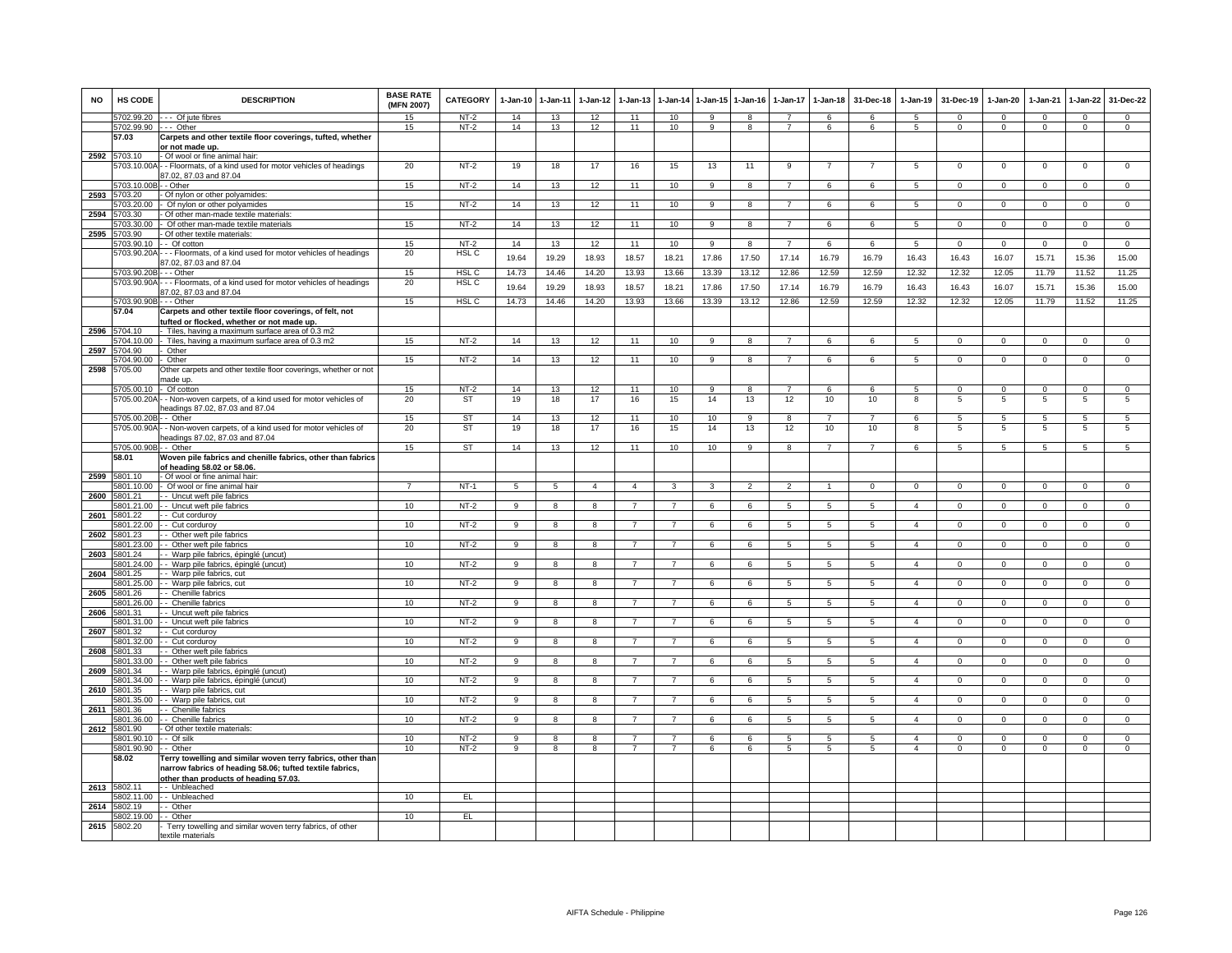| <b>NO</b> | <b>HS CODE</b><br>5702.99.20 | <b>DESCRIPTION</b>                                                                                                                                               | <b>BASE RATE</b><br>(MFN 2007)<br>15 | CATEGORY<br>$NT-2$ | $1-Jan-10$<br>14 | 1-Jan-11<br>13 | $1 - Jan-12$<br>12 | $1 - Jan-13$<br>11 | 1-Jan-14<br>10 | $1 - Jan-15$<br>$\mathsf{Q}$ | $1 - Jan-16$<br>8 | 1-Jan-17       | $1-Jan-18$<br>6 | 31-Dec-18<br>6 | $1-Jan-19$<br>5 | 31-Dec-19<br>$\Omega$ | 1-Jan-20<br>$\Omega$ | 1-Jan-21<br>$\Omega$ | $1 - Jan-22$<br>$\Omega$ | 31-Dec-22<br>$\Omega$ |
|-----------|------------------------------|------------------------------------------------------------------------------------------------------------------------------------------------------------------|--------------------------------------|--------------------|------------------|----------------|--------------------|--------------------|----------------|------------------------------|-------------------|----------------|-----------------|----------------|-----------------|-----------------------|----------------------|----------------------|--------------------------|-----------------------|
|           | 5702.99.90 --- Other         | --- Of jute fibres                                                                                                                                               | 15                                   | $NT-2$             | 14               | 13             | 12                 | 11                 | 10             | <b>q</b>                     | 8                 | $\overline{7}$ | 6               | 6              | -5              | $\Omega$              | $\Omega$             | $\Omega$             | $\mathsf 0$              | $\mathbf 0$           |
|           | 57.03                        | Carpets and other textile floor coverings, tufted, whether<br>or not made up.                                                                                    |                                      |                    |                  |                |                    |                    |                |                              |                   |                |                 |                |                 |                       |                      |                      |                          |                       |
| 2592      | 5703 10                      | - Of wool or fine animal hair:<br>703.10.00A - - Floormats, of a kind used for motor vehicles of headings<br>37.02, 87.03 and 87.04                              | 20                                   | $NT-2$             | 19               | 18             | 17                 | 16                 | 15             | 13                           | 11                | 9              | $\overline{7}$  | $\overline{7}$ | 5               | $\mathbf 0$           | $\mathsf 0$          | $\mathbf 0$          | $\mathsf 0$              | $\overline{0}$        |
|           | 5703.10.00E                  | - - Other                                                                                                                                                        | 15                                   | $NT-2$             | 14               | 13             | 12                 | 11                 | 10             | 9                            | 8                 | $\overline{7}$ | 6               | 6              | 5               | $\Omega$              | $\Omega$             | $\mathbf 0$          | $\Omega$                 | $\mathsf 0$           |
| 2593      | 5703.20                      | Of nylon or other polyamides:                                                                                                                                    |                                      |                    |                  |                |                    |                    |                |                              |                   | $\overline{7}$ |                 |                |                 |                       |                      |                      |                          |                       |
| 2594      | 703.20.00<br>703.30          | Of nylon or other polyamides<br>Of other man-made textile materials                                                                                              | 15                                   | $NT-2$             | 14               | 13             | 12                 | 11                 | 10             | 9                            | 8                 |                | 6               | 6              | 5               | $\mathbf 0$           | $\mathbf 0$          | $^{\circ}$           | $\mathsf 0$              | $\overline{0}$        |
|           | 703.30.00                    | Of other man-made textile materials                                                                                                                              | 15                                   | $NT-2$             | 14               | 13             | 12                 | 11                 | 10             | $\overline{9}$               | $\overline{8}$    | $\overline{7}$ | 6               | 6              | 5               | $\overline{0}$        | $\overline{0}$       | $\overline{0}$       | $\overline{0}$           | $\overline{0}$        |
| 2595      | 703.90                       | Of other textile materials:                                                                                                                                      |                                      |                    |                  |                |                    |                    |                |                              |                   |                |                 |                |                 |                       |                      |                      |                          |                       |
|           | 5703.90.10                   | - - Of cotton                                                                                                                                                    | 15<br>20                             | $NT-2$             | 14               | 13             | 12                 | 11                 | 10             | 9                            | 8                 | $\overline{z}$ | 6               | 6              | 5               | $\mathbf 0$           | $\mathbf 0$          | $\mathbf 0$          | $\mathbf 0$              | $\mathbf{0}$          |
|           |                              | 5703.90.20A - - - Floormats, of a kind used for motor vehicles of headings<br>87.02, 87.03 and 87.04                                                             |                                      | HSL C              | 19.64            | 19.29          | 18.93              | 18.57              | 18.21          | 17.86                        | 17.50             | 17.14          | 16.79           | 16.79          | 16.43           | 16.43                 | 16.07                | 15.71                | 15.36                    | 15.00                 |
|           | 703.90.20B                   | - - Other                                                                                                                                                        | 15                                   | HSL C              | 14.73            | 14.46          | 14.20              | 13.93              | 13.66          | 13.39                        | 13.12             | 12.86          | 12.59           | 12.59          | 12.32           | 12.32                 | 12.05                | 11.79                | 11.52                    | 11.25                 |
|           | 5703.90.90A                  | - - Floormats, of a kind used for motor vehicles of headings<br>37.02, 87.03 and 87.04                                                                           | 20                                   | HSL <sub>C</sub>   | 19.64            | 19.29          | 18.93              | 18.57              | 18.21          | 17.86                        | 17.50             | 17.14          | 16.79           | 16.79          | 16.43           | 16.43                 | 16.07                | 15.71                | 15.36                    | 15.00                 |
|           | 5703.90.90B<br>57.04         | $-$ - Other<br>Carpets and other textile floor coverings, of felt, not                                                                                           | 15                                   | HSL <sub>C</sub>   | 14.73            | 14.46          | 14.20              | 13.93              | 13.66          | 13.39                        | 13.12             | 12.86          | 12.59           | 12.59          | 12.32           | 12.32                 | 12.05                | 11.79                | 11.52                    | 11.25                 |
|           |                              | ufted or flocked, whether or not made up.                                                                                                                        |                                      |                    |                  |                |                    |                    |                |                              |                   |                |                 |                |                 |                       |                      |                      |                          |                       |
| 2596      | 5704.10                      | Tiles, having a maximum surface area of 0.3 m2                                                                                                                   |                                      |                    |                  |                |                    |                    |                |                              |                   |                |                 |                |                 |                       |                      |                      |                          |                       |
|           | 704 10 00                    | Tiles, having a maximum surface area of 0.3 m2                                                                                                                   | 15                                   | $NT-2$             | 14               | 13             | 12                 | 11                 | 10             | $\mathbf{Q}$                 | $\mathbf{R}$      | $\overline{7}$ | ĥ.              | $\epsilon$     | 5               | $\Omega$              | $\Omega$             | $\Omega$             | $\overline{0}$           | $\overline{0}$        |
| 2597      | 704.90<br>704.90.00          | Other<br>Other                                                                                                                                                   | 15                                   | $NT-2$             | 14               | 13             | 12                 | 11                 | 10             | 9                            | 8                 |                | 6               | 6              | $5^{\circ}$     | $\Omega$              | $\Omega$             | $\Omega$             | $\Omega$                 | $\Omega$              |
| 2598      | 5705.00                      | Other carpets and other textile floor coverings, whether or not<br>made up.                                                                                      |                                      |                    |                  |                |                    |                    |                |                              |                   |                |                 |                |                 |                       |                      |                      |                          |                       |
|           | 5705.00.10                   | - Of cotton                                                                                                                                                      | 15                                   | $NT-2$             | 14               | 13             | 12                 | 11                 | 10             | -9                           | 8                 | 7              | 6               | 6              | 5               | $\mathbf 0$           | $\mathbf{0}$         | $\Omega$             | $\mathbf 0$              | $\mathbf{0}$          |
|           | 5705.00.20A                  | - Non-woven carpets, of a kind used for motor vehicles of<br>leadings 87.02, 87.03 and 87.04                                                                     | 20                                   | <b>ST</b>          | 19               | 18             | 17                 | 16                 | 15             | 14                           | 13                | 12             | 10              | 10             | 8               | 5                     | 5                    | 5                    | 5                        | 5                     |
|           | 5705.00.20B                  | - Other                                                                                                                                                          | 15                                   | <b>ST</b>          | 14               | 13             | 12                 | 11                 | 10             | 10                           | 9                 | 8              | $\overline{7}$  | $\overline{7}$ | 6               | 5                     | 5                    | 5                    | 5                        | 5                     |
|           | 5705.00.90A                  | - Non-woven carpets, of a kind used for motor vehicles of                                                                                                        | 20                                   | ST                 | 19               | 18             | 17                 | 16                 | 15             | 14                           | 13                | 12             | 10              | 10             | 8               | 5                     | 5                    | 5                    | 5                        | 5                     |
|           |                              | leadings 87.02, 87.03 and 87.04                                                                                                                                  |                                      |                    |                  |                |                    |                    |                |                              |                   |                |                 |                |                 |                       |                      |                      |                          |                       |
|           | 5705.00.90B<br>58.01         | - Other<br>Woven pile fabrics and chenille fabrics, other than fabrics                                                                                           | 15                                   | ST                 | 14               | 13             | 12                 | 11                 | 10             | 10                           | 9                 | 8              | $\overline{7}$  | $\overline{7}$ | 6               | -5                    | -5                   | -5                   | 5                        | $\overline{5}$        |
|           |                              | of heading 58.02 or 58.06.                                                                                                                                       |                                      |                    |                  |                |                    |                    |                |                              |                   |                |                 |                |                 |                       |                      |                      |                          |                       |
| 2599      | 6801.10                      | - Of wool or fine animal hair.                                                                                                                                   |                                      |                    |                  |                |                    |                    |                |                              |                   |                |                 |                |                 |                       |                      |                      |                          |                       |
|           | 5801.10.00                   | - Of wool or fine animal hair                                                                                                                                    | $\overline{7}$                       | $NT-1$             | 5                | 5              | $\overline{4}$     | $\overline{4}$     | 3              | 3                            | $\mathfrak{p}$    | $\mathfrak{p}$ | $\overline{1}$  | $\Omega$       | $\Omega$        | $\overline{0}$        | $\Omega$             | $\Omega$             | $\overline{0}$           | $\overline{0}$        |
| 2600      | 5801.21<br>5801.21.00        | -- Uncut weft pile fabrics<br>-- Uncut weft pile fabrics                                                                                                         | 10                                   | NT-2               | 9                | 8              | 8                  | $\overline{7}$     | $\overline{7}$ | 6                            | 6                 | 5              | 5               | 5              | $\overline{4}$  | $\mathbf 0$           | $\mathbf 0$          | $\mathbf 0$          | $\mathbf 0$              | $\mathbf{0}$          |
| 2601      | 5801.22                      | - Cut corduroy                                                                                                                                                   |                                      |                    |                  |                |                    |                    |                |                              |                   |                |                 |                |                 |                       |                      |                      |                          |                       |
|           | 5801.22.00                   | - Cut corduroy                                                                                                                                                   | 10                                   | $NT-2$             | -9               | 8              | 8                  | $\overline{7}$     | $\overline{7}$ | 6                            | 6                 | 5              | $5\phantom{.0}$ | -5             | $\mathbf{A}$    | $\mathbf{0}$          | $\mathbf{0}$         | $\mathbf{0}$         | $\mathbf{0}$             | $\overline{0}$        |
| 2602      | 801.23<br>801.23.00          | - Other weft pile fabrics<br>- Other weft pile fabrics                                                                                                           | 10                                   | $NT-2$             | $\overline{9}$   | 8              | 8                  | $\overline{7}$     | $\overline{7}$ | 6                            | 6                 | 5              | 5               | 5              | $\overline{4}$  | $\mathbf 0$           | $\mathbf 0$          | $\mathbf 0$          | $\mathbf 0$              | $\overline{0}$        |
| 2603      | 801.24                       | Warp pile fabrics, épinglé (uncut)                                                                                                                               |                                      |                    |                  |                |                    |                    |                |                              |                   |                |                 |                |                 |                       |                      |                      |                          |                       |
|           | 801.24.00                    | - Warp pile fabrics, épinglé (uncut)                                                                                                                             | 10                                   | $NT-2$             | 9                | 8              | 8                  |                    | $\overline{7}$ | 6                            | 6                 | 5              | 5               | 5              | $\overline{4}$  | $\mathbf 0$           | $\mathbf 0$          | $\mathbf 0$          | $\mathsf 0$              | $\mathbf 0$           |
| 2604      | 5801.25<br>5801.25.00        | - Warp pile fabrics, cut                                                                                                                                         | 10                                   | $NT-2$             | $\overline{9}$   | $\overline{8}$ | $\overline{8}$     | $\overline{7}$     | $\overline{7}$ | 6                            | $\overline{6}$    | $\overline{5}$ | $\overline{5}$  | 5              | $\overline{4}$  | $\overline{0}$        | $\overline{0}$       | $\overline{0}$       | $\overline{0}$           | $\overline{0}$        |
| 2605      | 5801.26                      | - Warp pile fabrics, cut<br>- Chenille fabrics                                                                                                                   |                                      |                    |                  |                |                    |                    |                |                              |                   |                |                 |                |                 |                       |                      |                      |                          |                       |
|           | 5801.26.00                   | - Chenille fabrics                                                                                                                                               | 10                                   | NT-2               | 9                | 8              | R                  |                    |                | 6                            | $\epsilon$        | 5              | 5               | 5              | $\Delta$        | $\mathbf 0$           | $\Omega$             | $\Omega$             | $\mathsf 0$              | $\mathbf 0$           |
| 2606      | 5801.31                      | - Uncut weft pile fabrics                                                                                                                                        |                                      |                    |                  |                |                    |                    |                |                              |                   |                |                 |                |                 |                       |                      |                      |                          |                       |
| 2607      | 5801.31.00<br>5801.32        | - - Uncut weft pile fabrics<br>- Cut corduroy                                                                                                                    | 10                                   | $NT-2$             | 9                | 8              | 8                  |                    | $\overline{7}$ | 6                            | 6                 | 5              | $5\overline{5}$ | 5              | $\overline{4}$  | $\mathbf 0$           | $\mathbf 0$          | $\mathbf 0$          | $\mathbf{0}$             | $\mathbf{0}$          |
|           | 5801.32.00                   | - Cut corduroy                                                                                                                                                   | 10                                   | $NT-2$             | 9                | 8              | 8                  | 7                  | $\overline{7}$ | 6                            | 6                 | 5              | 5               | 5              | $\overline{4}$  | $\mathbf 0$           | $\mathbf{0}$         | $^{\circ}$           | $\mathbf{0}$             | $\mathbf 0$           |
| 2608      | 5801.33                      | - Other weft pile fabrics                                                                                                                                        |                                      |                    |                  |                |                    |                    |                |                              |                   |                |                 |                |                 |                       |                      |                      |                          |                       |
|           | 801.33.00                    | - Other weft pile fabrics                                                                                                                                        | 10                                   | $NT-2$             | $\overline{9}$   | $\overline{8}$ | $\overline{8}$     | $\overline{7}$     | $\overline{7}$ | 6                            | 6                 | $\overline{5}$ | $\overline{5}$  | 5              | $\overline{4}$  | $\overline{0}$        | $\overline{0}$       | $\overline{0}$       | $\overline{0}$           | $\overline{0}$        |
| 2609      | 801.34<br>801.34.00          | - Warp pile fabrics, épinglé (uncut)<br>- Warp pile fabrics, épinglé (uncut)                                                                                     | 10                                   | NT-2               | 9                | 8              | 8                  |                    | $\overline{7}$ | 6                            | 6                 | 5              | 5               | 5              | $\overline{4}$  | $\mathbf 0$           | $\mathbf 0$          | $\mathbf 0$          | $\mathsf 0$              | $\mathbf 0$           |
| 2610      | 801.35                       | Warp pile fabrics, cut                                                                                                                                           |                                      |                    |                  |                |                    |                    |                |                              |                   |                |                 |                |                 |                       |                      |                      |                          |                       |
|           | 5801.35.00                   | - Warp pile fabrics, cut                                                                                                                                         | 10                                   | $NT-2$             | $\overline{9}$   | $\overline{8}$ | $\boldsymbol{8}$   | $\overline{7}$     | $\overline{7}$ | 6                            | 6                 | $\overline{5}$ | $\overline{5}$  | 5              | $\overline{4}$  | $\overline{0}$        | $\overline{0}$       | $\overline{0}$       | $\overline{0}$           | $\overline{0}$        |
| 2611      | 801.36<br>801.36.00          | - Chenille fabrics<br>- Chenille fabrics                                                                                                                         | 10                                   | $NT-2$             | $\overline{9}$   | $\overline{8}$ | $\overline{8}$     | $\overline{7}$     | $\overline{7}$ | 6                            | 6                 | $\overline{5}$ | 5               | 5              | $\overline{4}$  | $\overline{0}$        | $\overline{0}$       | $\overline{0}$       | $\overline{0}$           | $\overline{0}$        |
| 2612      | 5801.90                      | Of other textile materials:                                                                                                                                      |                                      |                    |                  |                |                    |                    |                |                              |                   |                |                 |                |                 |                       |                      |                      |                          |                       |
|           | 5801.90.10                   | - Of silk                                                                                                                                                        | 10                                   | $NT-2$             | 9                | 8              | 8                  |                    |                | 6                            | 6                 | 5              | 5               | -5             | $\mathbf{A}$    | $\Omega$              | $\Omega$             | $\Omega$             | $\Omega$                 | $\Omega$              |
|           | 5801.90.90                   | - - Other                                                                                                                                                        | 10                                   | $NT-2$             | 9                | 8              | 8                  | $\overline{7}$     | $\overline{7}$ | 6                            | 6                 | 5              | 5               | 5              | $\overline{4}$  | $\mathbf 0$           | 0                    | $^{\circ}$           | $\mathsf 0$              | $\mathbf 0$           |
|           | 58.02                        | Ferry towelling and similar woven terry fabrics, other than<br>narrow fabrics of heading 58.06; tufted textile fabrics,<br>other than products of heading 57.03. |                                      |                    |                  |                |                    |                    |                |                              |                   |                |                 |                |                 |                       |                      |                      |                          |                       |
| 2613      | 5802.11                      | -- Unbleached                                                                                                                                                    |                                      |                    |                  |                |                    |                    |                |                              |                   |                |                 |                |                 |                       |                      |                      |                          |                       |
|           | 5802.11.00                   | - Unbleached                                                                                                                                                     | 10                                   | EL                 |                  |                |                    |                    |                |                              |                   |                |                 |                |                 |                       |                      |                      |                          |                       |
| 2614      | 5802.19<br>5802.19.00        | - Other<br>Other                                                                                                                                                 | 10                                   | E                  |                  |                |                    |                    |                |                              |                   |                |                 |                |                 |                       |                      |                      |                          |                       |
| 2615      | 5802.20                      | Terry towelling and similar woven terry fabrics, of other                                                                                                        |                                      |                    |                  |                |                    |                    |                |                              |                   |                |                 |                |                 |                       |                      |                      |                          |                       |
|           |                              | textile materials                                                                                                                                                |                                      |                    |                  |                |                    |                    |                |                              |                   |                |                 |                |                 |                       |                      |                      |                          |                       |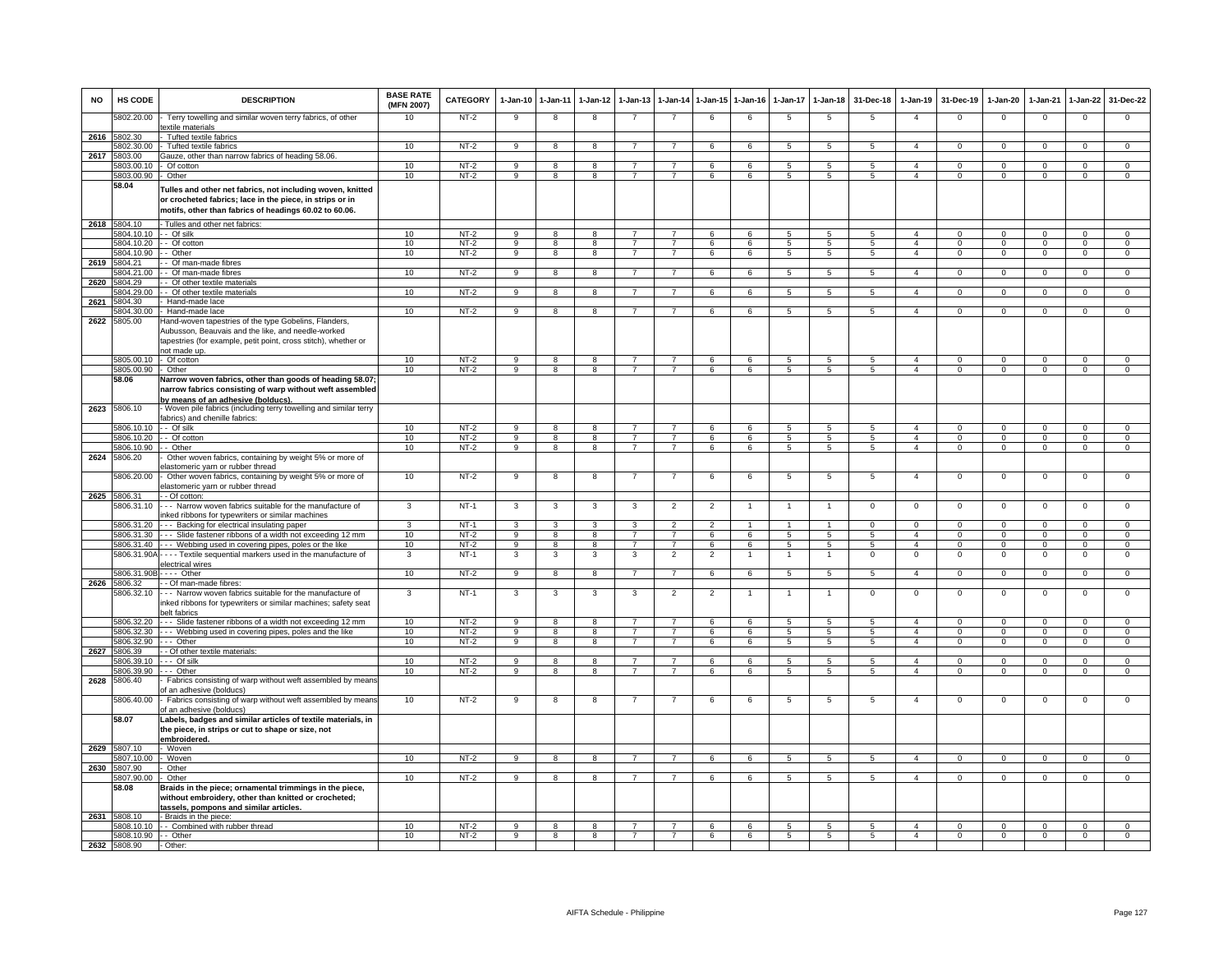| <b>NO</b> | HS CODE                   | <b>DESCRIPTION</b>                                                                                                                                                                            | <b>BASE RATE</b><br>(MFN 2007) | CATEGORY         | $1-Jan-10$          | $1 - Jan-11$                 | $1-Jan-12$              | $1-Jan-13$                       | 1-Jan-14                         |                | 1-Jan-15 1-Jan-16 | $1-Jan-17$       | $1 - Jan-18$                       | 31-Dec-18           | $1-Jan-19$                       | 31-Dec-19                  | 1-Jan-20                 | $1-Jan-21$              | $1-Jan-22$                     | 31-Dec-22                        |
|-----------|---------------------------|-----------------------------------------------------------------------------------------------------------------------------------------------------------------------------------------------|--------------------------------|------------------|---------------------|------------------------------|-------------------------|----------------------------------|----------------------------------|----------------|-------------------|------------------|------------------------------------|---------------------|----------------------------------|----------------------------|--------------------------|-------------------------|--------------------------------|----------------------------------|
|           | 5802.20.00                | Terry towelling and similar woven terry fabrics, of other<br>extile materials                                                                                                                 | 10                             | $NT-2$           | 9                   | 8                            | 8                       | $\overline{7}$                   | $\overline{7}$                   | 6              | 6                 | 5                | 5                                  | 5                   | $\overline{4}$                   | $\mathbf{0}$               | $\overline{0}$           | $\mathbf 0$             | $\mathsf 0$                    | $\mathbf 0$                      |
| 2616      | 5802.30                   | Tufted textile fabrics                                                                                                                                                                        |                                |                  |                     |                              |                         |                                  |                                  |                |                   |                  |                                    |                     |                                  |                            |                          |                         |                                |                                  |
|           | 6802.30.00                | Tufted textile fabrics                                                                                                                                                                        | 10                             | $NT-2$           | 9                   | 8                            | 8                       | $\overline{7}$                   | $\overline{7}$                   | 6              | 6                 | 5                | 5                                  | 5                   | $\overline{a}$                   | $\mathbf 0$                | $\mathbf 0$              | $\Omega$                | $\mathbf{0}$                   | $\overline{0}$                   |
| 2617      | 803.00                    | Gauze, other than narrow fabrics of heading 58.06.                                                                                                                                            |                                |                  |                     |                              |                         |                                  |                                  |                |                   |                  |                                    |                     |                                  |                            |                          |                         |                                |                                  |
|           | 5803.00.10<br>5803.00.90  | Of cotton<br>Other                                                                                                                                                                            | 10<br>10                       | $NT-2$<br>$NT-2$ | 9<br>9              | 8<br>8                       | 8<br>8                  | $\overline{7}$<br>$\overline{7}$ | $\overline{7}$<br>$\overline{7}$ | 6<br>6         | 6<br>6            | 5<br>$5^{\circ}$ | 5<br>$\sqrt{5}$                    | 5<br>$\overline{5}$ | $\overline{a}$<br>$\overline{4}$ | $\mathbf 0$<br>$\mathsf 0$ | 0<br>$\Omega$            | $\mathbf 0$<br>$\Omega$ | $\mathsf 0$<br>$\Omega$        | $\mathbf 0$<br>$\overline{0}$    |
|           | 58.04                     | Tulles and other net fabrics, not including woven, knitted<br>or crocheted fabrics; lace in the piece, in strips or in<br>motifs, other than fabrics of headings 60.02 to 60.06.              |                                |                  |                     |                              |                         |                                  |                                  |                |                   |                  |                                    |                     |                                  |                            |                          |                         |                                |                                  |
|           | 2618 5804.10              | - Tulles and other net fabrics:                                                                                                                                                               |                                |                  |                     |                              |                         |                                  |                                  |                |                   |                  |                                    |                     |                                  |                            |                          |                         |                                |                                  |
|           | 5804.10.10 -- Of silk     |                                                                                                                                                                                               | 10                             | $NT-2$           | 9                   | 8                            | 8                       | $\overline{7}$                   | $\overline{7}$                   | 6              | 6                 | 5                | 5                                  | 5                   | $\overline{4}$                   | $\mathbf{0}$               | $\Omega$                 | $\Omega$                | $\mathbf{0}$                   | $\mathbf{0}$                     |
|           |                           | 5804.10.20 - - Of cotton                                                                                                                                                                      | 10                             | $NT-2$           | $\overline{9}$      | $\overline{8}$               | $\overline{8}$          | $\overline{7}$                   | $\overline{7}$                   | 6              | 6                 | $5^{\circ}$      | $\overline{5}$                     | $5^{\circ}$         | $\overline{4}$                   | $\Omega$                   | $\overline{0}$           | $\overline{0}$          | $\overline{0}$                 | $\overline{0}$                   |
|           | 5804.10.90                | - Other                                                                                                                                                                                       | 10                             | $NT-2$           | 9                   | $\overline{8}$               | 8                       | $\overline{7}$                   | $\overline{7}$                   | 6              | 6                 | 5                | 5                                  | 5                   | $\overline{4}$                   | $\mathbf 0$                | $\mathbf{0}$             | $\mathbf 0$             | $\mathbf{0}$                   | $\mathbf 0$                      |
| 2619      | 5804.21<br>5804.21.00     | - Of man-made fibres<br>- Of man-made fibres                                                                                                                                                  | 10                             | $NT-2$           | 9                   | 8                            | 8                       | $\overline{7}$                   | $\overline{7}$                   | 6              | 6                 | 5                | 5                                  | 5                   | $\overline{4}$                   | $\mathbf 0$                | $\mathbf{0}$             | $\mathbf 0$             | $^{\circ}$                     | $\Omega$                         |
| 2620      | 5804.29                   | - Of other textile materials                                                                                                                                                                  |                                |                  |                     |                              |                         |                                  |                                  |                |                   |                  |                                    |                     |                                  |                            |                          |                         |                                |                                  |
|           | 804 29 00                 | - Of other textile materials                                                                                                                                                                  | 10                             | $NT-2$           | 9                   | 8                            | $\mathbf{R}$            |                                  | $\overline{7}$                   | 6              | $\epsilon$        | $\overline{a}$   | $5\overline{5}$                    | 5                   | $\mathbf{A}$                     | $\Omega$                   | $\Omega$                 | $\Omega$                | $\mathbf 0$                    | $\mathbf 0$                      |
| 2621      | 5804.30                   | Hand-made lace                                                                                                                                                                                |                                |                  |                     |                              |                         |                                  |                                  |                |                   |                  |                                    |                     |                                  |                            |                          |                         |                                |                                  |
|           | 5804.30.00                | - Hand-made lace                                                                                                                                                                              | 10                             | $NT-2$           | -9                  | -8                           | 8                       |                                  | $\overline{7}$                   | 6              | 6                 | 5                | -5                                 | -5                  | $\overline{4}$                   | $\Omega$                   | $\Omega$                 | $\Omega$                | $\Omega$                       | $\Omega$                         |
| 2622      | 5805.00                   | Hand-woven tapestries of the type Gobelins, Flanders<br>Aubusson, Beauvais and the like, and needle-worked<br>tapestries (for example, petit point, cross stitch), whether or<br>not made up. |                                |                  |                     |                              |                         |                                  |                                  |                |                   |                  |                                    |                     |                                  |                            |                          |                         |                                |                                  |
|           | 5805.00.10 - Of cotton    |                                                                                                                                                                                               | 10                             | $NT-2$           | 9                   | 8                            | 8                       | $\overline{7}$                   | $\overline{7}$                   | 6              | 6                 | 5                | $5\phantom{.0}$                    | 5                   | $\overline{4}$                   | $\mathbf 0$                | $\circ$                  | $^{\circ}$              | 0                              | $\circ$                          |
|           | 5805.00.90<br>58.06       | Other<br>Narrow woven fabrics, other than goods of heading 58.07<br>narrow fabrics consisting of warp without weft assembled<br><u>by means of an adhesive (bolducs).</u>                     | 10                             | $NT-2$           | 9                   | 8                            | 8                       | $\overline{7}$                   | $\overline{7}$                   | 6              | 6                 | 5                | $5\overline{5}$                    | 5                   | $\overline{4}$                   | $\mathbf 0$                | $\mathbf{0}$             | $\mathbf 0$             | $\mathbf 0$                    | $\overline{0}$                   |
|           | 2623 5806.10              | Woven pile fabrics (including terry towelling and similar terry<br>fabrics) and chenille fabrics:                                                                                             |                                |                  |                     |                              |                         |                                  |                                  |                |                   |                  |                                    |                     |                                  |                            |                          |                         |                                |                                  |
|           | 5806.10.10 -- Of silk     | 5806.10.20 - - Of cotton                                                                                                                                                                      | 10<br>10                       | $NT-2$<br>$NT-2$ | 9<br>$\overline{9}$ | 8<br>$\overline{\mathbf{8}}$ | 8<br>$\overline{8}$     | $\overline{7}$<br>$\overline{7}$ | $\overline{7}$<br>$\overline{7}$ | 6<br>6         | 6<br>6            | 5<br>5           | 5<br>5                             | 5<br>5              | $\overline{4}$<br>$\overline{a}$ | $\mathbf 0$<br>$\Omega$    | $\Omega$<br>$\Omega$     | $\Omega$<br>$\Omega$    | $\mathbf{0}$<br>$\overline{0}$ | $\mathbf 0$<br>$\overline{0}$    |
|           | 5806.10.90                | - Other                                                                                                                                                                                       | 10                             | $NT-2$           | 9                   | 8                            | 8                       | $\overline{7}$                   | $\overline{7}$                   | 6              | 6                 | 5                | 5                                  | 5                   | $\overline{4}$                   | $\mathbf 0$                | $\mathbf 0$              | $\mathbf 0$             | $\mathbf 0$                    | $\overline{0}$                   |
| 2624      | 5806.20                   | Other woven fabrics, containing by weight 5% or more of<br>elastomeric yarn or rubber thread                                                                                                  |                                |                  |                     |                              |                         |                                  |                                  |                |                   |                  |                                    |                     |                                  |                            |                          |                         |                                |                                  |
|           | 5806.20.00                | - Other woven fabrics, containing by weight 5% or more of<br>elastomeric yarn or rubber thread                                                                                                | 10                             | $NT-2$           | 9                   | 8                            | 8                       | $\overline{7}$                   | $\overline{7}$                   | 6              | 6                 | 5                | $5\phantom{.0}$                    | 5                   | $\overline{4}$                   | $\mathbf{0}$               | $\mathbf 0$              | $\mathbf{0}$            | $\,0\,$                        | $\mathbf 0$                      |
|           | 2625 5806.31              | - - Of cotton:                                                                                                                                                                                |                                |                  |                     |                              |                         |                                  |                                  |                |                   |                  |                                    |                     |                                  |                            |                          |                         |                                |                                  |
|           | 5806.31.10                | - - - Narrow woven fabrics suitable for the manufacture of                                                                                                                                    | 3                              | $NT-1$           | 3                   | 3                            | 3                       | 3                                | $\overline{2}$                   | $\overline{2}$ |                   |                  | $\mathbf{1}$                       | $\mathbf 0$         | $\mathbf 0$                      | $\mathbf 0$                | $\mathbf 0$              | $\mathbf 0$             | $\mathsf 0$                    | $\mathbf 0$                      |
|           |                           | inked ribbons for typewriters or similar machines<br>5806.31.20 --- Backing for electrical insulating paper                                                                                   | $\mathbf{3}$                   | $NT-1$           | $\mathbf{3}$        | 3                            | 3                       | 3                                | $\overline{2}$                   | $\overline{2}$ | $\overline{1}$    | $\mathbf{1}$     | $\overline{1}$                     | $\Omega$            | $\Omega$                         | $\Omega$                   | $\Omega$                 | $\Omega$                | $^{\circ}$                     | $\Omega$                         |
|           |                           | 5806.31.30 --- Slide fastener ribbons of a width not exceeding 12 mm                                                                                                                          | 10                             | $NT-2$           | 9                   | 8                            | 8                       | $\overline{7}$                   | 7                                | 6              | 6                 | 5                | 5                                  | -5                  | $\mathbf{A}$                     | $\Omega$                   | $\Omega$                 | $\Omega$                | $\Omega$                       | $\circ$                          |
|           |                           | 5806.31.40 --- Webbing used in covering pipes, poles or the like                                                                                                                              | 10                             | $NT-2$           | 9                   | 8                            | 8                       | $\overline{7}$                   | $\overline{7}$                   | 6              | 6                 | 5                | 5                                  | 5                   | $\overline{4}$                   | $\mathbf 0$                | $\mathbf 0$              | $\mathbf 0$             | $\mathbf 0$                    | $\mathbf 0$                      |
|           |                           | 5806.31.90A - - - - Textile sequential markers used in the manufacture of                                                                                                                     | 3                              | $NT-1$           | 3                   | 3                            | 3                       | 3                                | $\overline{2}$                   | $\overline{2}$ |                   |                  |                                    | $\mathbf 0$         | $\mathsf 0$                      | $\mathbf 0$                | $\mathbf 0$              | $\Omega$                | $\mathsf 0$                    | $\mathbf 0$                      |
|           |                           | electrical wires                                                                                                                                                                              |                                |                  |                     |                              |                         |                                  |                                  |                |                   |                  |                                    |                     |                                  |                            |                          |                         |                                |                                  |
|           | 5806.31.90B - - - - Other |                                                                                                                                                                                               | 10                             | $NT-2$           | $\overline{9}$      | $\overline{\mathbf{8}}$      | 8                       | $\overline{7}$                   | $\overline{7}$                   | 6              | 6                 | $\overline{5}$   | $5\overline{)}$                    | 5                   | $\overline{4}$                   | $\mathbf 0$                | $\overline{0}$           | $\mathbf 0$             | $\overline{0}$                 | $\overline{0}$                   |
| 2626      | 5806.32<br>5806.32.10     | - - Of man-made fibres:<br>--- Narrow woven fabrics suitable for the manufacture of<br>inked ribbons for typewriters or similar machines; safety seat<br>belt fabrics                         | 3                              | $NT-1$           | 3                   | 3                            | 3                       | 3                                | $\overline{2}$                   | $\overline{c}$ |                   |                  | $\mathbf{1}$                       | $\mathsf 0$         | $\mathbf 0$                      | $\mathbf 0$                | $\mathbf 0$              | $\mathbf 0$             | $\mathsf 0$                    | $\mathbf 0$                      |
|           | 5806.32.20<br>5806.32.30  | --- Slide fastener ribbons of a width not exceeding 12 mm                                                                                                                                     | 10<br>10                       | $NT-2$<br>$NT-2$ | 9<br>9              | 8<br>$\overline{\mathbf{8}}$ | 8<br>8                  | $\overline{7}$<br>$\overline{7}$ | $\overline{7}$<br>$\overline{7}$ | 6<br>6         | 6<br>6            | 5<br>5           | $5\overline{5}$<br>$5\overline{)}$ | 5<br>5              | $\overline{4}$<br>$\overline{4}$ | $\Omega$<br>$\mathbf{0}$   | $\Omega$<br>$\mathbf{0}$ | $\Omega$<br>$\Omega$    | $\mathbf{0}$<br>$\mathbf{0}$   | $\overline{0}$<br>$\overline{0}$ |
|           | 5806.32.90                | --- Webbing used in covering pipes, poles and the like<br>$-$ Other                                                                                                                           | 10                             | $NT-2$           | $\overline{9}$      | $\overline{8}$               | $\overline{8}$          | $\overline{7}$                   | $\overline{7}$                   | 6              | 6                 | $\overline{5}$   | $5\overline{)}$                    | 5                   | $\overline{4}$                   | $\overline{0}$             | $\overline{0}$           | $\overline{0}$          | $\overline{0}$                 | $\overline{0}$                   |
| 2627      | 5806.39                   | - Of other textile materials:                                                                                                                                                                 |                                |                  |                     |                              |                         |                                  |                                  |                |                   |                  |                                    |                     |                                  |                            |                          |                         |                                |                                  |
|           | 5806.39.10                | -- Of silk                                                                                                                                                                                    | 10                             | $NT-2$           | 9                   | 8                            | 8                       | $\overline{7}$                   | $\overline{7}$                   | 6              | 6                 | 5                | 5                                  | 5                   | $\overline{a}$                   | $\mathbf 0$                | $\mathbf{0}$             | $\mathbf 0$             | $\mathsf 0$                    | $\mathbf 0$                      |
| 2628      | 5806.39.90<br>5806.40     | -- Other<br>Fabrics consisting of warp without weft assembled by means<br>of an adhesive (bolducs)                                                                                            | 10                             | $NT-2$           | $\overline{9}$      | $\overline{8}$               | $\overline{\mathbf{8}}$ | $\overline{\phantom{a}}$         | $\overline{7}$                   | 6              | 6                 | $\overline{5}$   | $\overline{5}$                     | $\overline{5}$      | $\overline{4}$                   | $\mathsf 0$                | $\overline{0}$           | $\mathsf 0$             | $\overline{0}$                 | $\overline{0}$                   |
|           | 5806.40.00                | - Fabrics consisting of warp without weft assembled by means<br>of an adhesive (bolducs)                                                                                                      | 10                             | $NT-2$           | 9                   | 8                            | 8                       |                                  |                                  | 6              | 6                 | 5                | 5                                  | 5                   | $\overline{4}$                   | $^{\circ}$                 | $\overline{0}$           | $\mathbf 0$             | $\mathbf 0$                    | $\mathbf 0$                      |
|           | 58.07                     | Labels, badges and similar articles of textile materials, in<br>the piece, in strips or cut to shape or size, not<br>embroidered.                                                             |                                |                  |                     |                              |                         |                                  |                                  |                |                   |                  |                                    |                     |                                  |                            |                          |                         |                                |                                  |
| 2629      | 5807.10                   | - Woven                                                                                                                                                                                       |                                |                  |                     |                              |                         |                                  |                                  |                |                   |                  |                                    |                     |                                  |                            |                          |                         |                                |                                  |
| 2630      | 5807.10.00<br>5807.90     | - Woven                                                                                                                                                                                       | 10                             | $NT-2$           | 9                   | 8                            | 8                       | $\overline{7}$                   | $\overline{7}$                   | 6              | 6                 | 5                | 5                                  | 5                   | $\overline{4}$                   | $\mathbf 0$                | $\mathbf 0$              | $\mathbf 0$             | $\mathbf 0$                    | $\overline{0}$                   |
|           | 5807.90.00                | Other<br>Other                                                                                                                                                                                | 10                             | $NT-2$           | $\mathbf{Q}$        | $\overline{8}$               | 8                       | $\overline{7}$                   | $\overline{7}$                   | 6              | 6                 | $\overline{5}$   | $\overline{5}$                     | $\overline{5}$      | $\overline{4}$                   | $\mathbf 0$                | $\Omega$                 | $\Omega$                | $\overline{0}$                 | $\overline{0}$                   |
|           | 58.08                     | Braids in the piece; ornamental trimmings in the piece,                                                                                                                                       |                                |                  |                     |                              |                         |                                  |                                  |                |                   |                  |                                    |                     |                                  |                            |                          |                         |                                |                                  |
|           | 2631 5808.10              | without embroidery, other than knitted or crocheted;<br>tassels, pompons and similar articles.<br>- Braids in the piece:                                                                      |                                |                  |                     |                              |                         |                                  |                                  |                |                   |                  |                                    |                     |                                  |                            |                          |                         |                                |                                  |
|           |                           | 5808.10.10 - - Combined with rubber thread                                                                                                                                                    | 10                             | $NT-2$           | 9                   | 8                            | 8                       | $\overline{7}$                   | $\overline{7}$                   | 6              | 6                 | 5                | 5                                  | -5                  | $\mathbf{A}$                     | $\Omega$                   | $\Omega$                 | $\Omega$                | $\overline{0}$                 | $\overline{0}$                   |
|           | 5808.10.90 -- Other       |                                                                                                                                                                                               | 10                             | $NT-2$           | 9                   | 8                            | 8                       | $\overline{7}$                   | $\overline{7}$                   | 6              | 6                 | 5                | 5                                  | 5                   | $\overline{4}$                   | $\mathbf 0$                | $\mathbf 0$              | $\mathbf 0$             | $\mathbf 0$                    | $\mathbf 0$                      |
|           | 2632 5808.90              | - Other:                                                                                                                                                                                      |                                |                  |                     |                              |                         |                                  |                                  |                |                   |                  |                                    |                     |                                  |                            |                          |                         |                                |                                  |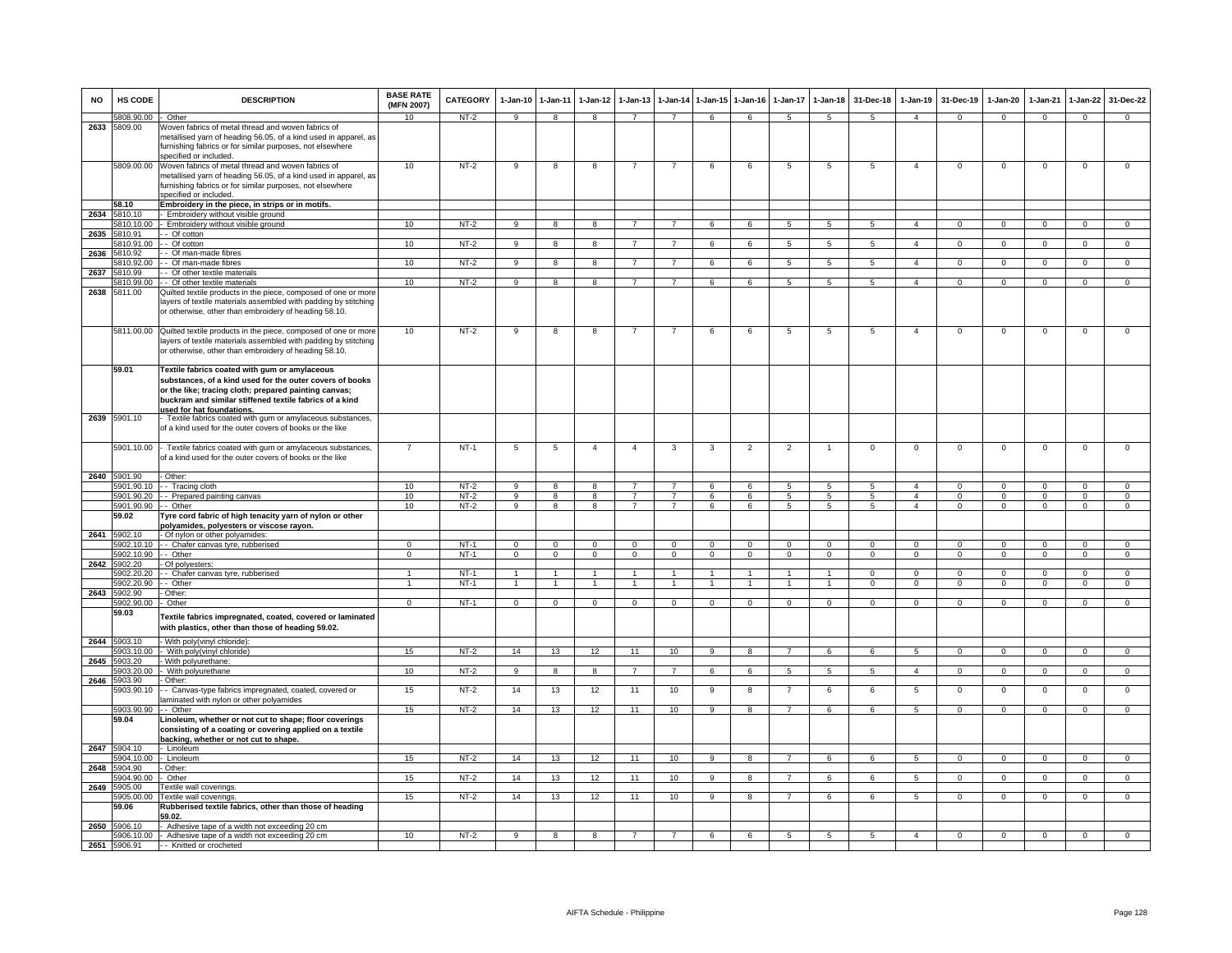| <b>NO</b> | HS CODE                    | <b>DESCRIPTION</b>                                                                                                                                                                                                                                                | <b>BASE RATE</b><br>(MFN 2007) | <b>CATEGORY</b>  | $1-Jan-10$          | 1-Jan-11                | $1-Jan-12$          | $1-Jan-13$     | 1-Jan-14            | $1$ -Jan-15    | $1-Jan-16$     | $1-Jan-17$     | $1-Jan-18$                        | 31-Dec-18            | $1-Jan-19$                     | 31-Dec-19               | 1-Jan-20                | 1-Jan-21             | $1-Jan-22$              | 31-Dec-22                  |
|-----------|----------------------------|-------------------------------------------------------------------------------------------------------------------------------------------------------------------------------------------------------------------------------------------------------------------|--------------------------------|------------------|---------------------|-------------------------|---------------------|----------------|---------------------|----------------|----------------|----------------|-----------------------------------|----------------------|--------------------------------|-------------------------|-------------------------|----------------------|-------------------------|----------------------------|
|           | 5808.90.00                 | Other                                                                                                                                                                                                                                                             | 10                             | NT-2             | 9                   | 8                       | 8                   | $\overline{7}$ | $\overline{7}$      | 6              | 6              | 5              | 5                                 | 5                    | $\overline{4}$                 | $^{\circ}$              | $\mathbf{0}$            | $^{\circ}$           | $\mathbf{0}$            | $\Omega$                   |
| 2633      | 5809.00                    | Woven fabrics of metal thread and woven fabrics of<br>metallised yarn of heading 56.05, of a kind used in apparel, as<br>furnishing fabrics or for similar purposes, not elsewhere<br>specified or included.                                                      |                                |                  |                     |                         |                     |                |                     |                |                |                |                                   |                      |                                |                         |                         |                      |                         |                            |
|           | 5809.00.00                 | Woven fabrics of metal thread and woven fabrics of<br>metallised yarn of heading 56.05, of a kind used in apparel, as<br>furnishing fabrics or for similar purposes, not elsewhere<br>specified or included.                                                      | 10                             | $NT-2$           | 9                   | 8                       | 8                   | $\overline{7}$ | $\overline{7}$      | 6              | 6              | 5              | 5                                 | 5                    | $\overline{4}$                 | $\mathbf 0$             | $\mathbf 0$             | $\mathbf 0$          | 0                       | $\mathbf 0$                |
|           | 58.10                      | Embroidery in the piece, in strips or in motifs.                                                                                                                                                                                                                  |                                |                  |                     |                         |                     |                |                     |                |                |                |                                   |                      |                                |                         |                         |                      |                         |                            |
|           | 2634 5810.10<br>5810.10.00 | - Embroidery without visible ground<br>- Embroidery without visible ground                                                                                                                                                                                        | 10                             | $NT-2$           | $\overline{9}$      | $\overline{\mathbf{8}}$ | 8                   | $\overline{7}$ | $\overline{7}$      | 6              | 6              | 5              | 5                                 | $5\overline{5}$      | $\overline{4}$                 | $\mathbf 0$             | $\mathbf{0}$            | $\mathbf 0$          | $\overline{0}$          | $\overline{0}$             |
| 2635      | 5810.91                    | - Of cotton                                                                                                                                                                                                                                                       |                                |                  |                     |                         |                     |                |                     |                |                |                |                                   |                      |                                |                         |                         |                      |                         |                            |
|           | 5810.91.00                 | - Of cotton                                                                                                                                                                                                                                                       | 10                             | $NT-2$           | 9                   | $\overline{\mathbf{8}}$ | 8                   | $\overline{7}$ | $\overline{7}$      | 6              | 6              | 5              | $5\overline{5}$                   | $5\overline{5}$      | $\overline{4}$                 | $\mathbf 0$             | $\mathbf{0}$            | $\mathbf 0$          | $\mathbf 0$             | $\overline{0}$             |
| 2636      | 5810.92                    | - Of man-made fibres                                                                                                                                                                                                                                              |                                |                  |                     |                         |                     |                |                     |                |                |                |                                   |                      |                                |                         |                         |                      |                         |                            |
|           | 5810.92.00<br>5810.99      | - Of man-made fibres                                                                                                                                                                                                                                              | 10                             | NT-2             | 9                   | 8                       | 8                   | $\overline{7}$ | $\overline{7}$      | 6              | 6              | 5              | 5                                 | 5                    | $\overline{4}$                 | $\mathbf{0}$            | $\mathbf{0}$            | $\mathbf 0$          | $\mathbf{0}$            | $\mathbf{0}$               |
| 2637      | 5810.99.00                 | - - Of other textile materials<br>- Of other textile materials                                                                                                                                                                                                    | 10                             | $NT-2$           | $\overline{9}$      | $\overline{\mathbf{a}}$ | 8                   | $\overline{7}$ | $\overline{7}$      | 6              | $\overline{6}$ | $\overline{5}$ | $\overline{5}$                    | 5                    | $\overline{4}$                 | $\overline{0}$          | $\overline{0}$          | $\Omega$             | $\overline{0}$          | $\overline{0}$             |
| 2638      | 5811.00                    | Quilted textile products in the piece, composed of one or more<br>layers of textile materials assembled with padding by stitching<br>or otherwise, other than embroidery of heading 58.10.                                                                        |                                |                  |                     |                         |                     |                |                     |                |                |                |                                   |                      |                                |                         |                         |                      |                         |                            |
|           |                            | 5811.00.00 Quilted textile products in the piece, composed of one or more<br>layers of textile materials assembled with padding by stitching<br>or otherwise, other than embroidery of heading 58.10.                                                             | 10                             | $NT-2$           | 9                   | 8                       | 8                   | 7              | 7                   | 6              | 6              | 5              | 5                                 | 5                    | $\overline{4}$                 | $\mathbf 0$             | $\mathsf 0$             | $\mathbf 0$          | $\mathsf 0$             | $\overline{0}$             |
|           | 59.01                      | Textile fabrics coated with gum or amylaceous<br>substances, of a kind used for the outer covers of books<br>or the like; tracing cloth; prepared painting canvas;<br>buckram and similar stiffened textile fabrics of a kind<br><u>used for hat foundations.</u> |                                |                  |                     |                         |                     |                |                     |                |                |                |                                   |                      |                                |                         |                         |                      |                         |                            |
|           | 2639 5901.10               | Textile fabrics coated with gum or amylaceous substances,<br>of a kind used for the outer covers of books or the like                                                                                                                                             |                                |                  |                     |                         |                     |                |                     |                |                |                |                                   |                      |                                |                         |                         |                      |                         |                            |
|           | 5901.10.00                 | Textile fabrics coated with gum or amylaceous substances,<br>of a kind used for the outer covers of books or the like                                                                                                                                             |                                | $NT-1$           | 5                   | 5                       | $\overline{4}$      | $\overline{4}$ | 3                   | 3              | $\overline{2}$ | $\overline{2}$ | $\overline{1}$                    | $\mathsf 0$          | $\mathsf 0$                    | $\mathbf 0$             | $\mathsf 0$             | $\mathbf 0$          | $\mathsf 0$             | $\mathbf 0$                |
|           | 2640 5901.90               | - Other:                                                                                                                                                                                                                                                          |                                |                  |                     |                         |                     |                |                     |                |                |                |                                   |                      |                                |                         |                         |                      |                         |                            |
|           | 5901.90.10                 | -- Tracing cloth<br>5901.90.20 - - Prepared painting canvas                                                                                                                                                                                                       | 10<br>10                       | $NT-2$<br>$NT-2$ | 9<br>$\overline{9}$ | 8<br>$\overline{8}$     | R<br>$\overline{8}$ | $\overline{7}$ | 7<br>$\overline{7}$ | 6<br>6         | 6<br>6         | 5<br>5         | $\overline{5}$<br>$5\overline{)}$ | 5<br>$5\overline{5}$ | $\mathbf{A}$<br>$\overline{a}$ | $\Omega$<br>$\mathbf 0$ | $\Omega$<br>$\mathbf 0$ | $\Omega$<br>$\Omega$ | $\Omega$<br>$\mathsf 0$ | $\Omega$<br>$\overline{0}$ |
|           | 5901.90.90 - - Other       |                                                                                                                                                                                                                                                                   | 10                             | $NT-2$           | 9                   | 8                       | 8                   | $\overline{7}$ | $\overline{7}$      | 6              | 6              | 5              | -5                                | 5                    | $\overline{4}$                 | $\mathbf 0$             | $\Omega$                | $\Omega$             | $\mathbf 0$             | $\mathbf 0$                |
|           | 59.02                      | Tyre cord fabric of high tenacity yarn of nylon or other                                                                                                                                                                                                          |                                |                  |                     |                         |                     |                |                     |                |                |                |                                   |                      |                                |                         |                         |                      |                         |                            |
| 2641      | 5902.10                    | polyamides, polyesters or viscose rayon.<br>- Of nylon or other polyamides:                                                                                                                                                                                       |                                |                  |                     |                         |                     |                |                     |                |                |                |                                   |                      |                                |                         |                         |                      |                         |                            |
|           | 5902.10.10                 | - - Chafer canvas tyre, rubberised                                                                                                                                                                                                                                | $\Omega$                       | $NT-1$           | $\mathbf 0$         | $\mathbf 0$             | $\mathbf 0$         | $\mathbf 0$    | $\mathbf 0$         | $\mathbf 0$    | $\mathbf 0$    | $\mathbf 0$    | $\mathbf 0$                       | $\mathsf 0$          | $\mathsf 0$                    | $\mathbf 0$             | $\mathbf 0$             | $\Omega$             | $\mathsf 0$             | $\overline{0}$             |
|           | 5902.10.90                 | - Other                                                                                                                                                                                                                                                           |                                | $NT-1$           | $\mathbf 0$         | $\mathbf 0$             | $\mathbf 0$         | $\mathbf 0$    | $\mathbf 0$         | $^{\circ}$     | $\mathbf 0$    | 0              | $\mathbf 0$                       | 0                    | $^{\circ}$                     | $\mathbf 0$             | $\mathbf 0$             | $\mathbf 0$          | $^{\circ}$              | $\mathbf 0$                |
| 2642      | 5902.20<br>5902.20.20      | Of polyesters:<br>- - Chafer canvas tyre, rubberised                                                                                                                                                                                                              | -1                             | $NT-1$           | $\overline{1}$      | $\overline{1}$          | $\overline{1}$      | $\overline{1}$ | $\overline{1}$      | $\overline{1}$ | $\overline{1}$ | $\mathbf{1}$   | $\overline{1}$                    | $\overline{0}$       | $\overline{0}$                 | $\Omega$                | $\overline{0}$          | $\Omega$             | $\overline{0}$          | $\overline{0}$             |
|           | 5902.20.90                 | - Other                                                                                                                                                                                                                                                           | $\mathbf{1}$                   | $NT-1$           | $\overline{1}$      | $\overline{1}$          | $\overline{1}$      | $\overline{1}$ | $\overline{1}$      | $\overline{1}$ | $\overline{1}$ | $\mathbf{1}$   | $\overline{1}$                    | $\overline{0}$       | $\overline{0}$                 | $\overline{0}$          | $\overline{0}$          | $\overline{0}$       | $\overline{0}$          | $\overline{0}$             |
| 2643      | 5902.90                    | - Other                                                                                                                                                                                                                                                           |                                |                  |                     |                         |                     |                |                     |                |                |                |                                   |                      |                                |                         |                         |                      |                         |                            |
|           | 5902.90.00<br>59.03        | - Other<br>Textile fabrics impregnated, coated, covered or laminated<br>with plastics, other than those of heading 59.02.                                                                                                                                         | $\mathbf{0}$                   | $NT-1$           | $\overline{0}$      | $\mathbf 0$             | $\overline{0}$      | $\mathbf 0$    | $\mathbf{0}$        | $\mathbf 0$    | $\mathbf{0}$   | $^{\circ}$     | $\mathbf{O}$                      | $\mathbf{O}$         | $^{\circ}$                     | $\mathbf 0$             | $\mathbf{0}$            | $^{\circ}$           | $\mathbf{0}$            | $\mathbf{0}$               |
|           | 2644 5903.10               | - With poly(vinyl chloride):                                                                                                                                                                                                                                      |                                |                  |                     |                         |                     |                |                     |                |                |                |                                   |                      |                                |                         |                         |                      |                         |                            |
| 2645      | 5903.10.00<br>5903.20      | - With poly(vinyl chloride)<br>- With polyurethane:                                                                                                                                                                                                               | 15                             | $NT-2$           | 14                  | 13                      | 12                  | 11             | 10                  | 9              | 8              |                | 6                                 | 6                    | 5                              | $\mathsf 0$             | $\mathbf 0$             | $^{\circ}$           | $\mathsf 0$             | $\mathbf 0$                |
|           | 5903.20.00                 | With polyurethane                                                                                                                                                                                                                                                 | 10                             | $NT-2$           | $\overline{9}$      | 8                       | 8                   | $\overline{7}$ | $\overline{7}$      | 6              | 6              | 5              | $5\overline{)}$                   | $5\phantom{.0}$      | $\overline{4}$                 | $\mathbf{0}$            | $\mathbf 0$             | $\Omega$             | $\mathsf{O}\xspace$     | $\circ$                    |
| 2646      | 5903.90<br>5903.90.10      | - Other:<br>- Canvas-type fabrics impregnated, coated, covered or                                                                                                                                                                                                 | 15                             | $NT-2$           | 14                  | 13                      | 12                  | 11             | 10                  | 9              | 8              | $\overline{7}$ | 6                                 | 6                    | $\overline{5}$                 | $\mathbf 0$             | $\mathbf 0$             | $\mathbf 0$          | $\mathsf 0$             | $\,0\,$                    |
|           |                            | laminated with nylon or other polyamides                                                                                                                                                                                                                          |                                |                  |                     |                         |                     |                |                     |                |                |                |                                   |                      |                                |                         |                         |                      |                         |                            |
|           | 5903.90.90<br>59.04        | - - Other<br>Linoleum, whether or not cut to shape; floor coverings<br>consisting of a coating or covering applied on a textile<br><u>backing, whether or not cut to shape.</u>                                                                                   | 15                             | NT-2             | 14                  | 13                      | 12                  | 11             | 10                  | 9              | 8              | $\overline{7}$ | 6                                 | 6                    | 5                              | $\overline{0}$          | $\mathbf{0}$            | $\mathbf 0$          | $\circ$                 | $\Omega$                   |
| 2647      | 5904.10<br>5904.10.00      | - Linoleum<br>· Linoleum                                                                                                                                                                                                                                          | 15                             | $NT-2$           | 14                  | 13                      | 12                  | 11             | 10                  | -9             | 8              | $\overline{7}$ | 6                                 | 6                    | 5                              | $\mathbf{0}$            | $\circ$                 | $\mathbf 0$          | 0                       | $\overline{0}$             |
|           | 2648 5904.90               | - Other:                                                                                                                                                                                                                                                          |                                |                  |                     |                         |                     |                |                     |                |                |                |                                   |                      |                                |                         |                         |                      |                         |                            |
|           | 5904.90.00                 | Other                                                                                                                                                                                                                                                             | 15                             | $NT-2$           | 14                  | 13                      | 12                  | 11             | 10                  | $\overline{9}$ | $\overline{R}$ | $\overline{7}$ | 6                                 | 6                    | $\overline{5}$                 | $\mathbf{0}$            | $\overline{0}$          | $\Omega$             | $\overline{0}$          | $\overline{0}$             |
| 2649      | 5905.00                    | Textile wall coverings.                                                                                                                                                                                                                                           |                                |                  |                     |                         |                     |                |                     |                |                |                |                                   |                      |                                |                         |                         |                      |                         |                            |
|           | 5905.00.00<br>59.06        | Textile wall coverings.<br>Rubberised textile fabrics, other than those of heading<br>59.02.                                                                                                                                                                      | 15                             | $NT-2$           | 14                  | 13                      | 12                  | 11             | 10                  | 9              | 8              | $\overline{7}$ | 6                                 | 6                    | $\overline{5}$                 | $\Omega$                | $\Omega$                | $\Omega$             | $\Omega$                | $\overline{0}$             |
|           | 2650 5906.10               | Adhesive tape of a width not exceeding 20 cm<br>5906.10.00 - Adhesive tape of a width not exceeding 20 cm                                                                                                                                                         | 10                             | $NT-2$           | 9                   | 8                       | 8                   | $\overline{7}$ | $\overline{7}$      | 6              | 6              | 5              | 5                                 | $5\overline{5}$      | $\overline{a}$                 | $\mathbf{0}$            | $\mathbf 0$             | $\mathbf 0$          | $\mathsf 0$             | $\mathbf 0$                |
|           | 2651 5906.91               | - - Knitted or crocheted                                                                                                                                                                                                                                          |                                |                  |                     |                         |                     |                |                     |                |                |                |                                   |                      |                                |                         |                         |                      |                         |                            |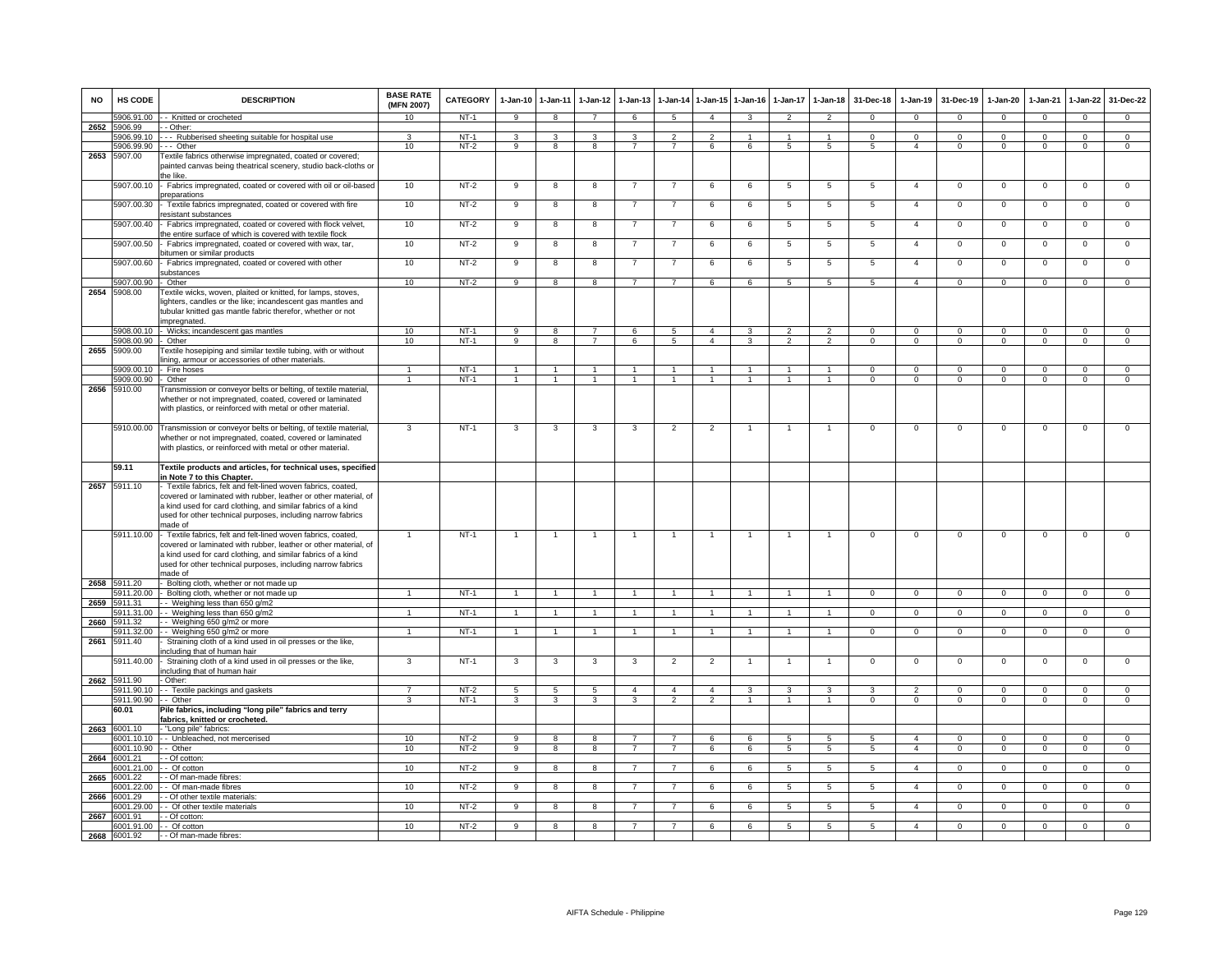| <b>NO</b> | HS CODE                  | <b>DESCRIPTION</b>                                                                                                                                                                                                                                                         | <b>BASE RATE</b><br>(MFN 2007)   | <b>CATEGORY</b>  | $1-Jan-10$                       | $1-Jan-11$                       | $1-Jan-12$                       | $1-Jan-13$                       | $1-Jan-14$                       | $1$ -Jan-15                    | $1-Jan-16$                   | $1-Jan-17$                       | $1-Jan-18$                       | 31-Dec-18                | $1-Jan-19$                  | 31-Dec-19                 | $1-Jan-20$               | 1-Jan-21                | $1-Jan-22$                  | 31-Dec-22                  |
|-----------|--------------------------|----------------------------------------------------------------------------------------------------------------------------------------------------------------------------------------------------------------------------------------------------------------------------|----------------------------------|------------------|----------------------------------|----------------------------------|----------------------------------|----------------------------------|----------------------------------|--------------------------------|------------------------------|----------------------------------|----------------------------------|--------------------------|-----------------------------|---------------------------|--------------------------|-------------------------|-----------------------------|----------------------------|
|           | 5906.91.00               | - - Knitted or crocheted                                                                                                                                                                                                                                                   | 10 <sup>10</sup>                 | $NT-1$           | 9                                | 8                                | $\overline{7}$                   | 6                                | $\sqrt{5}$                       | $\mathbf{A}$                   | 3                            | $\mathfrak{p}$                   | $\overline{2}$                   | $\Omega$                 | $\Omega$                    | $\Omega$                  | $\Omega$                 | $\Omega$                | $\Omega$                    | $\overline{0}$             |
| 2652      | 5906.99<br>5906.99.10    | - Other:<br>-- Rubberised sheeting suitable for hospital use                                                                                                                                                                                                               | 3                                | $NT-1$           | 3                                | 3                                | 3                                | 3                                | $\overline{2}$                   | $\overline{2}$                 | 1                            |                                  | $\mathbf{1}$                     | $\mathbf{0}$             | $\Omega$                    | $\mathbf 0$               | $\Omega$                 | $\Omega$                | $\mathbf{0}$                | $\mathbf 0$                |
|           | 5906.99.90               | $\cdots$ Other                                                                                                                                                                                                                                                             | 10                               | $NT-2$           | 9                                | $\overline{8}$                   | $\overline{8}$                   | $\overline{7}$                   | $\overline{7}$                   | 6                              | 6                            | 5                                | $5\overline{5}$                  | 5                        | $\overline{a}$              | $^{\circ}$                | $\mathbf{0}$             | $\Omega$                | $\mathbf 0$                 | $\overline{0}$             |
| 2653      | 5907.00                  | Textile fabrics otherwise impregnated, coated or covered;<br>painted canvas being theatrical scenery, studio back-cloths or<br>he like                                                                                                                                     |                                  |                  |                                  |                                  |                                  |                                  |                                  |                                |                              |                                  |                                  |                          |                             |                           |                          |                         |                             |                            |
|           | 5907.00.10               | Fabrics impregnated, coated or covered with oil or oil-based<br>oreparations                                                                                                                                                                                               | 10                               | $NT-2$           | 9                                | 8                                | 8                                | $\overline{7}$                   | $\overline{7}$                   | 6                              | 6                            | $\overline{5}$                   | $\overline{5}$                   | 5                        | $\overline{4}$              | $\mathbf 0$               | $\mathbf 0$              | $\mathsf 0$             | $\mathsf 0$                 | $\mathbf 0$                |
|           | 5907.00.30               | Textile fabrics impregnated, coated or covered with fire<br>esistant substances                                                                                                                                                                                            | 10                               | $NT-2$           | 9                                | 8                                | 8                                | $\overline{7}$                   | $\overline{7}$                   | 6                              | 6                            | $5\phantom{.0}$                  | $\overline{5}$                   | 5                        | $\overline{4}$              | $\mathbf 0$               | $\mathbf 0$              | $\mathbf 0$             | 0                           | $\mathbf 0$                |
|           | 5907.00.40               | Fabrics impregnated, coated or covered with flock velvet,<br>the entire surface of which is covered with textile flock                                                                                                                                                     | 10                               | NT-2             | 9                                | 8                                | 8                                | $\overline{7}$                   | $\overline{7}$                   | 6                              | 6                            | $5\phantom{.0}$                  | $5\phantom{.0}$                  | 5                        | $\overline{4}$              | $\mathbf 0$               | $\mathbf 0$              | $\mathbf 0$             | $\mathsf 0$                 | $\mathbf 0$                |
|           | 5907.00.50               | Fabrics impregnated, coated or covered with wax, tar,<br>bitumen or similar products                                                                                                                                                                                       | 10                               | NT-2             | 9                                | 8                                | 8                                | $\overline{7}$                   | $\overline{7}$                   | 6                              | 6                            | 5                                | 5                                | 5                        | $\overline{4}$              | $\mathbf 0$               | $\mathbf 0$              | $\mathbf 0$             | $\mathsf 0$                 | $\mathbf 0$                |
|           | 5907.00.60               | Fabrics impregnated, coated or covered with other<br>substances                                                                                                                                                                                                            | 10                               | NT-2             | 9                                | 8                                | 8                                | -7                               | $\overline{7}$                   | 6                              | 6                            | 5                                | 5                                | 5                        | 4                           | $\mathbf 0$               | $\mathbf 0$              | $\mathbf 0$             | 0                           | $\circ$                    |
|           | 5907.00.90               | Other                                                                                                                                                                                                                                                                      | 10                               | $NT-2$           | $\overline{9}$                   | $\overline{8}$                   | $\overline{8}$                   | $\overline{7}$                   | $\overline{7}$                   | 6                              | 6                            | $\overline{5}$                   | 5                                | 5                        | $\overline{4}$              | $\overline{0}$            | $\overline{0}$           | $\overline{0}$          | $\overline{0}$              | $\overline{0}$             |
| 2654      | 5908.00                  | Textile wicks, woven, plaited or knitted, for lamps, stoves,<br>ighters, candles or the like; incandescent gas mantles and<br>tubular knitted gas mantle fabric therefor, whether or not<br>mpregnated.                                                                    |                                  |                  |                                  |                                  |                                  |                                  |                                  |                                |                              |                                  |                                  |                          |                             |                           |                          |                         |                             |                            |
|           | 5908.00.10               | - Wicks; incandescent gas mantles                                                                                                                                                                                                                                          | 10                               | $NT-1$           | $\overline{9}$                   | $\overline{8}$                   | $\overline{7}$                   | 6                                | $5\overline{)}$                  | $\overline{4}$                 | $\mathbf{3}$                 | $\overline{2}$                   | $\overline{2}$                   | $\Omega$                 | $\mathbf{0}$                | $\mathbf 0$               | $\overline{0}$           | $\mathbf 0$             | $\overline{0}$              | $\overline{0}$             |
|           | 5908.00.90               | Other                                                                                                                                                                                                                                                                      | 10                               | $NT-1$           | $_{9}$                           | $\overline{8}$                   | $\overline{7}$                   | 6                                | $\overline{5}$                   | $\overline{4}$                 | $\overline{\mathbf{3}}$      | $\overline{2}$                   | $\overline{2}$                   | $\overline{0}$           | $\overline{0}$              | $\overline{0}$            | $\overline{0}$           | $\overline{0}$          | $\overline{0}$              | $\overline{0}$             |
| 2655      | 5909.00                  | Textile hosepiping and similar textile tubing, with or without<br>ining, armour or accessories of other materials.                                                                                                                                                         |                                  |                  |                                  |                                  |                                  |                                  |                                  |                                |                              |                                  |                                  |                          |                             |                           |                          |                         |                             |                            |
|           | 5909.00.10<br>5909.00.90 | - Fire hoses<br>- Other                                                                                                                                                                                                                                                    | $\overline{1}$<br>$\overline{1}$ | $NT-1$<br>$NT-1$ | $\overline{1}$<br>$\overline{1}$ | $\overline{1}$<br>$\overline{1}$ | $\overline{1}$<br>$\overline{1}$ | $\overline{1}$<br>$\overline{1}$ | $\overline{1}$<br>$\overline{1}$ | $\overline{1}$<br>$\mathbf{1}$ | $\mathbf{1}$<br>$\mathbf{1}$ | $\overline{1}$<br>$\overline{1}$ | $\overline{1}$<br>$\overline{1}$ | $\Omega$<br>$\mathbf{0}$ | $\mathbf 0$<br>$\mathbf{0}$ | $\mathbf 0$<br>$^{\circ}$ | $\Omega$<br>$\mathbf{0}$ | $\Omega$<br>$\mathbf 0$ | $\mathbf 0$<br>$\mathbf{0}$ | $\Omega$<br>$\overline{0}$ |
| 2656      | 5910.00                  | Transmission or conveyor belts or belting, of textile material,<br>whether or not impregnated, coated, covered or laminated<br>with plastics, or reinforced with metal or other material.                                                                                  |                                  |                  |                                  |                                  |                                  |                                  |                                  |                                |                              |                                  |                                  |                          |                             |                           |                          |                         |                             |                            |
|           | 5910.00.00               | Transmission or conveyor belts or belting, of textile material,<br>whether or not impregnated, coated, covered or laminated<br>with plastics, or reinforced with metal or other material.                                                                                  | 3                                | $NT-1$           | 3                                | 3                                | 3                                | 3                                | $\overline{2}$                   | $\overline{2}$                 |                              | $\mathbf{1}$                     | $\overline{1}$                   | $^{\circ}$               | $\mathbf 0$                 | $\mathbf 0$               | $\mathbf 0$              | $\mathbf 0$             | $\mathsf 0$                 | $\mathsf 0$                |
|           | 59.11                    | Textile products and articles, for technical uses, specified<br>in Note 7 to this Chapter.                                                                                                                                                                                 |                                  |                  |                                  |                                  |                                  |                                  |                                  |                                |                              |                                  |                                  |                          |                             |                           |                          |                         |                             |                            |
| 2657      | 5911.10                  | Textile fabrics, felt and felt-lined woven fabrics, coated,<br>covered or laminated with rubber, leather or other material, of<br>a kind used for card clothing, and similar fabrics of a kind<br>used for other technical purposes, including narrow fabrics<br>made of   |                                  |                  |                                  |                                  |                                  |                                  |                                  |                                |                              |                                  |                                  |                          |                             |                           |                          |                         |                             |                            |
|           | 5911.10.00               | - Textile fabrics, felt and felt-lined woven fabrics, coated,<br>covered or laminated with rubber, leather or other material, of<br>a kind used for card clothing, and similar fabrics of a kind<br>used for other technical purposes, including narrow fabrics<br>made of |                                  | $NT-1$           | 1                                | $\overline{1}$                   | $\overline{1}$                   | $\mathbf{1}$                     | $\overline{1}$                   | $\overline{1}$                 | 1                            | $\mathbf{1}$                     | $\overline{1}$                   | $\mathsf 0$              | $\mathsf 0$                 | $\mathbf 0$               | $\mathsf 0$              | $\mathsf 0$             | $\mathsf 0$                 | $\mathsf 0$                |
|           | 2658 5911.20             | Bolting cloth, whether or not made up                                                                                                                                                                                                                                      |                                  |                  |                                  |                                  |                                  |                                  |                                  |                                |                              |                                  |                                  |                          |                             |                           |                          |                         |                             |                            |
| 2659      | 5911.20.00<br>5911.31    | Bolting cloth, whether or not made up<br>- Weighing less than 650 g/m2                                                                                                                                                                                                     |                                  | $NT-1$           |                                  | $\overline{1}$                   |                                  |                                  | $\overline{1}$                   |                                |                              |                                  |                                  | $\mathbf{0}$             | $^{\circ}$                  | $\mathbf 0$               | $^{\circ}$               | $^{\circ}$              | $\mathbf 0$                 | $\mathbf 0$                |
|           | 5911.31.00               | - Weighing less than 650 g/m2                                                                                                                                                                                                                                              | $\mathbf{1}$                     | $NT-1$           | $\mathbf{1}$                     | $\overline{1}$                   | $\overline{1}$                   | $\overline{1}$                   | $\overline{1}$                   | $\blacktriangleleft$           | $\mathbf{1}$                 |                                  | $\overline{1}$                   | $\mathbf{0}$             | $\mathbf 0$                 | $\mathbf 0$               | $\mathbf{0}$             | $\Omega$                | $\mathbf{0}$                | $\mathbf{0}$               |
| 2660      | 5911.32                  | - Weighing 650 g/m2 or more                                                                                                                                                                                                                                                |                                  |                  |                                  |                                  |                                  |                                  |                                  |                                |                              |                                  |                                  |                          |                             |                           |                          |                         |                             |                            |
| 2661      | 5911.32.00<br>5911.40    | - Weighing 650 g/m2 or more<br>Straining cloth of a kind used in oil presses or the like,                                                                                                                                                                                  | $\mathbf{1}$                     | $NT-1$           | $\overline{1}$                   | $\overline{1}$                   | $\mathbf{1}$                     | $\overline{1}$                   | $\overline{1}$                   | $\overline{1}$                 | $\mathbf{1}$                 | $\mathbf{1}$                     | $\mathbf{1}$                     | $\overline{0}$           | $\mathbf{0}$                | $\mathbf 0$               | $\overline{0}$           | $\overline{0}$          | $\overline{0}$              | $\overline{0}$             |
|           | 5911.40.00               | ncluding that of human hair<br>Straining cloth of a kind used in oil presses or the like,                                                                                                                                                                                  | 3                                | $NT-1$           | 3                                | 3                                | 3                                | 3                                | $\overline{2}$                   | $\overline{2}$                 |                              |                                  |                                  | $\mathbf 0$              | $^{\circ}$                  | $\mathbf 0$               | $\circ$                  | $\mathbf 0$             | $^{\circ}$                  | $\mathbf 0$                |
| 2662      | 5911.90                  | ncluding that of human hair<br>- Other:                                                                                                                                                                                                                                    |                                  |                  |                                  |                                  |                                  |                                  |                                  |                                |                              |                                  |                                  |                          |                             |                           |                          |                         |                             |                            |
|           | 5911.90.10               | - - Textile packings and gaskets                                                                                                                                                                                                                                           | $\overline{7}$                   | $NT-2$           | $\overline{5}$                   | $\overline{5}$                   | 5                                | $\mathbf{A}$                     | $\overline{4}$                   | $\mathbf{A}$                   | $\mathcal{R}$                | $\mathbf{\hat{z}}$               | 3                                | $\mathbf{r}$             | $\overline{2}$              | $\Omega$                  | $\Omega$                 | $\Omega$                | $\overline{0}$              | $\overline{0}$             |
|           | 5911.90.90               | - - Other                                                                                                                                                                                                                                                                  | 3                                | $NT-1$           | 3                                | 3                                | 3                                | 3                                | $\overline{2}$                   | $\overline{2}$                 |                              | $\mathbf{1}$                     | $\overline{1}$                   | $\mathbf{O}$             | $\mathbf 0$                 | $\mathbf 0$               | $\mathbf 0$              | $\Omega$                | $\mathsf 0$                 | $\mathbf{0}$               |
|           | 60.01                    | Pile fabrics, including "long pile" fabrics and terry<br>fabrics, knitted or crocheted.                                                                                                                                                                                    |                                  |                  |                                  |                                  |                                  |                                  |                                  |                                |                              |                                  |                                  |                          |                             |                           |                          |                         |                             |                            |
|           | 2663 6001.10             | · "Long pile" fabrics:                                                                                                                                                                                                                                                     |                                  |                  |                                  |                                  |                                  |                                  |                                  |                                |                              |                                  |                                  |                          |                             |                           |                          |                         |                             |                            |
|           | 6001.10.10<br>6001 10 90 | - Unbleached, not mercerised                                                                                                                                                                                                                                               | 10                               | $NT-2$           | 9                                | 8                                | 8                                | $\overline{7}$<br>$\overline{7}$ | $\overline{7}$                   | 6                              | 6                            | 5                                | 5                                | 5                        | $\overline{4}$              | $\mathbf{0}$              | $^{\circ}$               | $\Omega$                | $\mathbf{0}$                | $\mathbf{0}$               |
| 2664      | 6001.21                  | - Other<br>- Of cotton:                                                                                                                                                                                                                                                    | 10                               | $NT-2$           | $\overline{9}$                   | $\overline{\mathbf{8}}$          | $\overline{\mathbf{8}}$          |                                  | $\overline{7}$                   | 6                              | 6                            | $\overline{5}$                   | $5\overline{)}$                  | 5                        | $\overline{4}$              | $\mathbf 0$               | $\overline{0}$           | $\overline{0}$          | $\overline{0}$              | $\overline{0}$             |
|           | 6001.21.00               | - Of cotton                                                                                                                                                                                                                                                                | 10                               | $NT-2$           | 9                                | 8                                | 8                                | $\overline{7}$                   | $\overline{7}$                   | 6                              | 6                            | 5                                | 5                                | $5\overline{5}$          | $\overline{4}$              | $\mathbf 0$               | $\mathbf 0$              | $\mathbf 0$             | $\mathbf{0}$                | $\overline{0}$             |
| 2665      | 6001.22                  | - Of man-made fibres:                                                                                                                                                                                                                                                      |                                  |                  |                                  |                                  |                                  |                                  |                                  |                                |                              |                                  |                                  |                          |                             |                           |                          |                         |                             |                            |
|           | 6001.22.00               | - Of man-made fibres                                                                                                                                                                                                                                                       | 10                               | $NT-2$           | 9                                | 8                                | 8                                | $\overline{7}$                   | $\overline{7}$                   | 6                              | 6                            | 5                                | $\overline{5}$                   | -5                       | $\mathbf{A}$                | $\mathbf 0$               | $\Omega$                 | $\Omega$                | 0                           | $\mathbf 0$                |
| 2666      | 6001.29                  | - Of other textile materials:                                                                                                                                                                                                                                              | 10                               |                  | $\overline{9}$                   | $\overline{8}$                   |                                  | $\overline{7}$                   | $\overline{7}$                   |                                | $\kappa$                     | $5\overline{5}$                  | $\overline{5}$                   |                          | $\overline{4}$              |                           | $\Omega$                 | $\Omega$                |                             | $\overline{0}$             |
| 2667      | 6001.29.00<br>6001.91    | - Of other textile materials<br>- Of cotton:                                                                                                                                                                                                                               |                                  | $NT-2$           |                                  |                                  | 8                                |                                  |                                  | 6                              |                              |                                  |                                  | 5                        |                             | $\mathbf{0}$              |                          |                         | $\mathbf{0}$                |                            |
|           | 6001.91.00               | - Of cotton                                                                                                                                                                                                                                                                | 10 <sup>1</sup>                  | $NT-2$           | $\mathbf{Q}$                     | $\mathbf{R}$                     | R.                               |                                  | $\overline{7}$                   | $\epsilon$                     | $\epsilon$                   | 5.                               | $\overline{5}$                   | 5                        | $\overline{a}$              | $\Omega$                  | $\Omega$                 | $\Omega$                | $\Omega$                    | $\Omega$                   |
|           | 2668 6001.92             | - - Of man-made fibres:                                                                                                                                                                                                                                                    |                                  |                  |                                  |                                  |                                  |                                  |                                  |                                |                              |                                  |                                  |                          |                             |                           |                          |                         |                             |                            |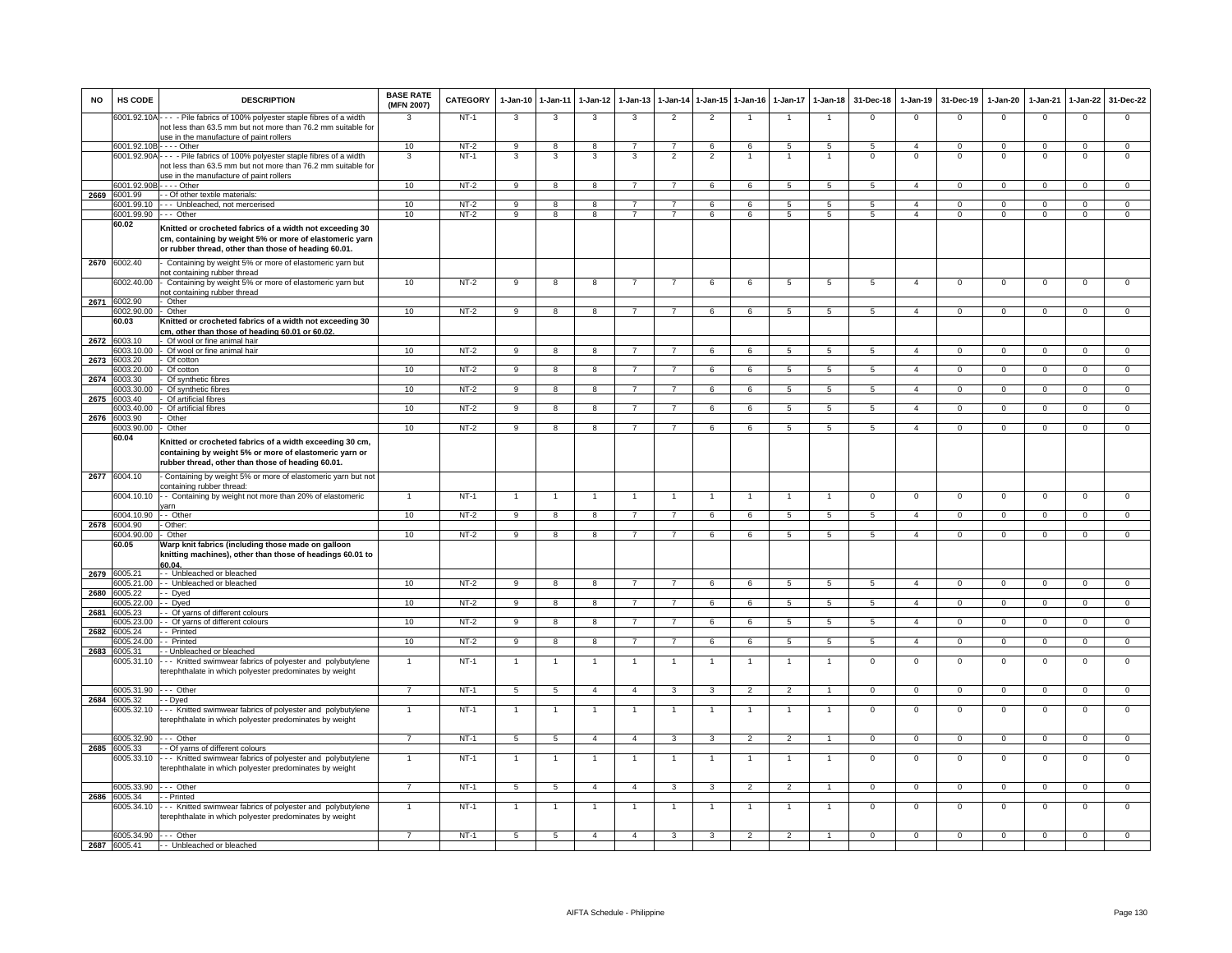| <b>NO</b> | HS CODE                            | <b>DESCRIPTION</b>                                                                                                                                                          | <b>BASE RATE</b><br>(MFN 2007) | <b>CATEGORY</b>  | $1-Jan-10$      | $1-Jan-11$        | $1-Jan-12$              | $1 - Jan-13$   | $1-Jan-14$               | $1 - Jan-15$            | $1-Jan-16$     | $1-Jan-17$      | $1-Jan-18$           | 31-Dec-18      | $1-Jan-19$                     | 31-Dec-19                | $1-Jan-20$              | $1-Jan-21$              | $1-Jan-22$                 | 31-Dec-22                   |
|-----------|------------------------------------|-----------------------------------------------------------------------------------------------------------------------------------------------------------------------------|--------------------------------|------------------|-----------------|-------------------|-------------------------|----------------|--------------------------|-------------------------|----------------|-----------------|----------------------|----------------|--------------------------------|--------------------------|-------------------------|-------------------------|----------------------------|-----------------------------|
|           | 6001.92.10A                        | --- - Pile fabrics of 100% polyester staple fibres of a width<br>not less than 63.5 mm but not more than 76.2 mm suitable for<br>use in the manufacture of paint rollers    | 3                              | $NT-1$           | 3               | 3                 | 3                       | 3              | $\overline{2}$           | $\overline{2}$          |                |                 |                      | $\mathsf 0$    | $^{\circ}$                     | $\mathbf 0$              | $^{\circ}$              | $\mathbf 0$             | $\mathsf 0$                | $\Omega$                    |
|           | 6001.92.10B                        | $---$ Other                                                                                                                                                                 | 10                             | $NT-2$           | 9               | 8                 | 8                       | $\overline{7}$ | $\overline{7}$           | 6                       | 6              | $\sqrt{5}$      | $5^{\circ}$          | -5             | $\overline{a}$                 | $\Omega$                 | $\Omega$                | $\Omega$                | $\Omega$                   | $\overline{0}$              |
|           | 6001.92.90A                        | ---- Pile fabrics of 100% polyester staple fibres of a width<br>not less than 63.5 mm but not more than 76.2 mm suitable for<br>use in the manufacture of paint rollers     | 3                              | $NT-1$           | 3               | 3                 | 3                       | 3              | $\overline{\phantom{a}}$ | $\overline{2}$          |                | -1              |                      | $\overline{0}$ | $\Omega$                       | $\Omega$                 | $\overline{0}$          | $\Omega$                | $\overline{0}$             | $\overline{0}$              |
|           | 6001.92.90E                        | $- -$ Other                                                                                                                                                                 | 10                             | $NT-2$           | 9               | 8                 | 8                       | $\overline{7}$ | $\overline{7}$           | $\,6\,$                 | 6              | 5               | 5                    | $\overline{5}$ | $\overline{4}$                 | $\mathbf 0$              | $\mathbf 0$             | $\Omega$                | $\mathbf 0$                | $\mathsf 0$                 |
| 2669      | 6001.99                            | - - Of other textile materials:                                                                                                                                             |                                |                  |                 |                   |                         |                |                          |                         |                |                 |                      |                |                                |                          |                         |                         |                            |                             |
|           | 6001.99.10<br>6001.99.90 --- Other | --- Unbleached, not mercerised                                                                                                                                              | 10<br>10                       | $NT-2$<br>$NT-2$ | q<br>9          | $\mathbf{R}$<br>8 | $\mathbf{R}$<br>8       | $\overline{7}$ | $\overline{7}$           | 6<br>6                  | ĥ<br>6         | 5<br>5          | 5<br>5               | 5<br>5         | $\mathbf{A}$<br>$\overline{4}$ | $\Omega$<br>$\mathbf{0}$ | $\Omega$<br>$\mathbf 0$ | $\Omega$<br>$\mathbf 0$ | $\mathsf 0$<br>$\mathbf 0$ | $\mathbf 0$<br>$\mathbf{0}$ |
|           | 60.02                              | Knitted or crocheted fabrics of a width not exceeding 30<br>cm, containing by weight 5% or more of elastomeric yarn<br>or rubber thread, other than those of heading 60.01. |                                |                  |                 |                   |                         |                |                          |                         |                |                 |                      |                |                                |                          |                         |                         |                            |                             |
| 2670      | 6002.40                            | Containing by weight 5% or more of elastomeric yarn but<br>not containing rubber thread                                                                                     |                                |                  |                 |                   |                         |                |                          |                         |                |                 |                      |                |                                |                          |                         |                         |                            |                             |
|           | 6002.40.00                         | Containing by weight 5% or more of elastomeric yarn but<br>not containing rubber thread                                                                                     | 10                             | $NT-2$           | 9               | 8                 | 8                       | 7              | $\overline{7}$           | 6                       | 6              | 5               | 5                    | 5              | $\overline{4}$                 | $\overline{0}$           | $\overline{0}$          | $^{\circ}$              | 0                          | $\mathbf 0$                 |
| 2671      | 6002.90<br>6002.90.00              | - Other<br>- Other                                                                                                                                                          | 10                             | $NT-2$           | q               | $\mathbf{R}$      |                         |                |                          | 6                       |                | 5               |                      |                | $\mathbf{A}$                   | $\Omega$                 | O                       |                         | $\Omega$                   | $\Omega$                    |
|           | 60.03                              | Knitted or crocheted fabrics of a width not exceeding 30<br>cm, other than those of heading 60.01 or 60.02.                                                                 |                                |                  |                 |                   |                         |                |                          |                         |                |                 |                      |                |                                |                          |                         |                         |                            |                             |
| 2672      | 6003.10                            | - Of wool or fine animal hair                                                                                                                                               |                                |                  |                 |                   |                         |                |                          |                         |                |                 |                      |                |                                |                          |                         |                         |                            |                             |
|           | 003.10.00                          | - Of wool or fine animal hair                                                                                                                                               | 10                             | $NT-2$           | 9               | 8                 | 8                       | $\overline{7}$ | $\overline{7}$           | 6                       | 6              | 5               | 5                    | 5              | $\overline{4}$                 | $\overline{0}$           | $\mathbf{0}$            | $\mathbf 0$             | $\mathbf 0$                | $\overline{0}$              |
| 2673      | 003.20<br>003.20.00                | Of cotton<br>Of cotton                                                                                                                                                      | 10                             | $NT-2$           | 9               | 8                 | 8                       |                |                          | 6                       | 6              | 5               | 5                    | 5              | $\overline{4}$                 | $\mathbf 0$              | $\Omega$                | $\Omega$                | $\mathsf 0$                | $\mathbf 0$                 |
| 2674      | 6003.30                            | Of synthetic fibres                                                                                                                                                         |                                |                  |                 |                   |                         |                |                          |                         |                |                 |                      |                |                                |                          |                         |                         |                            |                             |
|           | 003.30.00                          | Of synthetic fibres                                                                                                                                                         | 10                             | $NT-2$           | 9               | 8                 | 8                       | 7              | $\overline{7}$           | 6                       | 6              | $\overline{5}$  | $\overline{5}$       | 5              | $\overline{4}$                 | $\mathbf 0$              | $\mathbf{0}$            | $\mathbf 0$             | $\overline{0}$             | $\overline{0}$              |
| 2675      | 003.40<br>003.40.00                | Of artificial fibres                                                                                                                                                        |                                |                  |                 | 8                 | $\overline{8}$          |                |                          |                         | 6              | $5^{\circ}$     |                      | $\overline{5}$ | $\overline{4}$                 | $\Omega$                 | $\overline{0}$          | $\Omega$                |                            | $\overline{0}$              |
| 2676      | 6003.90                            | Of artificial fibres<br>Other                                                                                                                                               | 10                             | $NT-2$           | $\overline{9}$  |                   |                         |                |                          | 6                       |                |                 | 5                    |                |                                |                          |                         |                         | $\overline{0}$             |                             |
|           | 6003.90.00                         | Other                                                                                                                                                                       | 10                             | $NT-2$           | 9               | 8                 | 8                       | $\overline{7}$ | $\overline{7}$           | 6                       | 6              | $5\overline{5}$ | 5                    | 5              | $\overline{4}$                 | $\mathbf 0$              | $\mathbf{0}$            | $\mathbf 0$             | $\mathbf{0}$               | $\mathbf{0}$                |
|           | 60.04                              | Knitted or crocheted fabrics of a width exceeding 30 cm,<br>containing by weight 5% or more of elastomeric yarn or<br>rubber thread, other than those of heading 60.01.     |                                |                  |                 |                   |                         |                |                          |                         |                |                 |                      |                |                                |                          |                         |                         |                            |                             |
|           | 2677 6004.10                       | Containing by weight 5% or more of elastomeric yarn but not<br>containing rubber thread:                                                                                    |                                |                  |                 |                   |                         |                |                          |                         |                |                 |                      |                |                                |                          |                         |                         |                            |                             |
|           | 6004.10.10                         | - - Containing by weight not more than 20% of elastomeric<br>arn                                                                                                            |                                | $NT-1$           |                 | $\overline{1}$    |                         |                |                          | $\overline{1}$          |                | $\overline{1}$  | $\overline{1}$       | $\mathsf 0$    | $\mathbf{0}$                   | $\mathbf 0$              | $\overline{0}$          | $\mathbf 0$             | $\overline{0}$             | $\overline{0}$              |
|           | 6004.10.90<br>2678 6004.90         | - - Other<br>- Other:                                                                                                                                                       | 10                             | $NT-2$           | 9               | 8                 | 8                       |                | $\overline{7}$           | 6                       | 6              | 5               | 5                    | 5              | $\overline{4}$                 | $\mathbf{0}$             | $\mathbf{0}$            | $\Omega$                | $\circ$                    | $\mathbf{0}$                |
|           | 6004.90.00                         | Other                                                                                                                                                                       | 10                             | $NT-2$           | 9               | 8                 | 8                       | $\overline{7}$ | $\overline{7}$           | 6                       | 6              | 5               | 5                    | 5              | $\overline{4}$                 | $\mathbf 0$              | $^{\circ}$              | $^{\circ}$              | $\mathsf 0$                | $\mathsf 0$                 |
|           | 60.05                              | Warp knit fabrics (including those made on galloon<br>knitting machines), other than those of headings 60.01 to<br>60.04                                                    |                                |                  |                 |                   |                         |                |                          |                         |                |                 |                      |                |                                |                          |                         |                         |                            |                             |
| 2679      | 6005.21<br>3005.21.00              | - - Unbleached or bleached<br>-- Unbleached or bleached                                                                                                                     | 10                             | $NT-2$           | $\overline{9}$  | $\overline{8}$    | $\overline{\mathbf{8}}$ | $\overline{7}$ | $\overline{7}$           | 6                       | 6              | 5               | $\overline{5}$       | 5              | $\overline{4}$                 | $\mathbf{0}$             | $\overline{0}$          | $\mathbf 0$             | $\overline{0}$             | $\overline{0}$              |
| 2680      | 005.22                             | - Dved                                                                                                                                                                      |                                |                  |                 |                   |                         |                |                          |                         |                |                 |                      |                |                                |                          |                         |                         |                            |                             |
|           | 6005.22.00                         | - Dyed                                                                                                                                                                      | 10                             | $NT-2$           | 9               | 8                 | 8                       |                |                          | 6                       | 6              | $5\overline{5}$ | 5                    | $\overline{5}$ | $\overline{4}$                 | $\Omega$                 | $\Omega$                | $\Omega$                | $\mathbf 0$                | $\Omega$                    |
| 2681      | 005.23                             | - Of yarns of different colours                                                                                                                                             |                                |                  |                 |                   |                         |                |                          |                         |                |                 |                      |                |                                |                          |                         |                         |                            |                             |
| 2682      | 6005.23.00<br>6005.24              | - - Of yarns of different colours<br>- Printed                                                                                                                              | 10                             | NT-2             | 9               | 8                 | 8                       | $\overline{7}$ | 7                        | 6                       | 6              | 5               | 5                    | 5              | $\overline{4}$                 | $\overline{0}$           | $\mathbf{0}$            | $\mathbf 0$             | $\overline{0}$             | $^{\circ}$                  |
|           | 005.24.00                          | - Printed                                                                                                                                                                   | 10                             | $NT-2$           | 9               | $\overline{8}$    | 8                       | $\overline{7}$ | $\overline{7}$           | 6                       | 6              | -5              | $5\phantom{.0}$      | 5              | $\overline{4}$                 | $\overline{0}$           | $\mathbf{0}$            | $\mathbf 0$             | $\overline{0}$             | $\overline{0}$              |
| 2683      | 005.31<br>005.31.10                | - Unbleached or bleached<br>-- Knitted swimwear fabrics of polyester and polybutylene<br>terephthalate in which polyester predominates by weight                            | $\mathbf{1}$                   | $NT-1$           |                 |                   | $\mathbf{1}$            |                |                          | $\mathbf{1}$            | $\overline{1}$ | $\mathbf{1}$    | $\mathbf{1}$         | $\overline{0}$ | $\overline{0}$                 | $\mathbf 0$              | $\mathsf 0$             | $\mathbf 0$             | $\overline{0}$             | $\overline{0}$              |
|           | 6005.31.90                         | - Other                                                                                                                                                                     | $\overline{7}$                 | $NT-1$           | 5               | 5                 | $\overline{4}$          | $\overline{4}$ | $\overline{\mathbf{3}}$  | $\overline{\mathbf{3}}$ | $\overline{2}$ | $\overline{2}$  | $\blacktriangleleft$ | $\overline{0}$ | $\overline{0}$                 | $\overline{0}$           | $\overline{0}$          | $\Omega$                | $\overline{0}$             | $\overline{0}$              |
| 2684      | 6005.32                            | - Dyed                                                                                                                                                                      |                                |                  |                 |                   |                         |                |                          |                         |                |                 |                      |                |                                |                          |                         |                         |                            |                             |
|           | 6005.32.10                         | --- Knitted swimwear fabrics of polyester and polybutylene<br>terephthalate in which polyester predominates by weight                                                       | $\overline{1}$                 | $NT-1$           |                 |                   | $\mathbf{1}$            |                |                          | $\overline{1}$          |                | $\mathbf{1}$    |                      | $\overline{0}$ | $\overline{0}$                 | $\overline{0}$           | $^{\circ}$              | $\Omega$                | $\overline{0}$             | $\overline{0}$              |
| 2685      | 6005.32.90<br>6005.33              | --- Other<br>- Of yarns of different colours                                                                                                                                | $\overline{7}$                 | $NT-1$           | 5               | 5                 | $\overline{4}$          | $\overline{4}$ | 3                        | $\overline{\mathbf{3}}$ | $\overline{2}$ | $\overline{2}$  | $\overline{1}$       | $\mathbf 0$    | $\overline{0}$                 | $\overline{0}$           | $\mathbf{0}$            | $\mathbf 0$             | $\overline{0}$             | $\overline{0}$              |
|           | 005.33.10                          | --- Knitted swimwear fabrics of polyester and polybutylene<br>terephthalate in which polyester predominates by weight                                                       |                                | $NT-1$           |                 |                   | 1                       |                |                          | $\mathbf{1}$            |                |                 |                      | $\Omega$       | $\mathsf 0$                    | $\mathbf 0$              | 0                       | $\Omega$                | $\mathsf 0$                | $\Omega$                    |
|           | 6005.33.90                         | $\cdots$ Other                                                                                                                                                              | $\overline{7}$                 | $NT-1$           | $5\overline{5}$ | $5\overline{)}$   | $\overline{4}$          | $\overline{4}$ | $\overline{\mathbf{3}}$  | $\overline{\mathbf{3}}$ | $\overline{2}$ | $\overline{2}$  | $\overline{1}$       | $\overline{0}$ | $\overline{0}$                 | $\overline{0}$           | $\overline{0}$          | $\mathbf 0$             | $\overline{0}$             | $\overline{0}$              |
| 2686      | 6005.34<br>6005.34.10              | - Printed<br>--- Knitted swimwear fabrics of polyester and polybutylene<br>terephthalate in which polyester predominates by weight                                          | $\mathbf{1}$                   | $NT-1$           | $\mathbf{1}$    | $\overline{1}$    | $\overline{1}$          | $\overline{1}$ | $\overline{1}$           | $\mathbf{1}$            | $\overline{1}$ | $\mathbf{1}$    | $\overline{1}$       | $\mathsf 0$    | $\mathsf 0$                    | $\mathbf 0$              | $\mathsf 0$             | $\mathbf 0$             | $\mathsf 0$                | $\mathsf 0$                 |
|           | 6005.34.90                         | --- Other                                                                                                                                                                   | $\overline{7}$                 | $NT-1$           | 5               | $5^{\circ}$       | $\overline{a}$          | $\overline{4}$ | 3                        | 3                       | $\overline{2}$ | $\overline{2}$  | $\overline{1}$       | $\Omega$       | $\Omega$                       | $\mathbf{0}$             | $\mathbf{0}$            | $\Omega$                | $\overline{0}$             | $\overline{0}$              |
|           | 2687 6005.41                       | -- Unbleached or bleached                                                                                                                                                   |                                |                  |                 |                   |                         |                |                          |                         |                |                 |                      |                |                                |                          |                         |                         |                            |                             |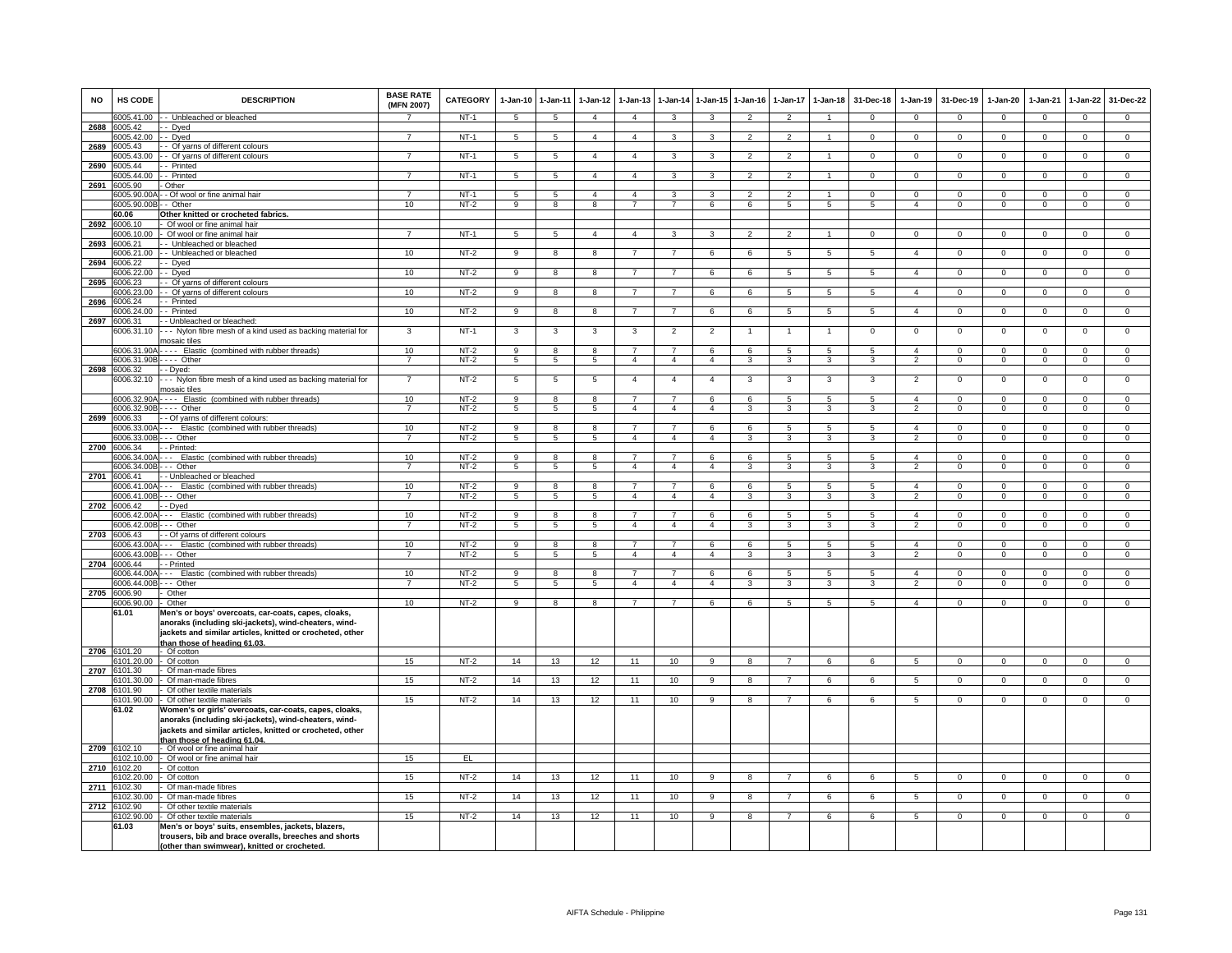| <b>NO</b> | HS CODE                     | <b>DESCRIPTION</b>                                                                                    | <b>BASE RATE</b><br>(MFN 2007) | <b>CATEGORY</b>  | 1-Jan-10             | $1 - Jan-11$                     | $1-Jan-12$           | $1 - Jan-13$                     |                                  | 1-Jan-14 1-Jan-15   | $1 - Jan-16$             | $1-Jan-17$               | $1 - Jan-18$         | 31-Dec-18           | $1-Jan-19$                       | 31-Dec-19                  | $1-Jan-20$                 | $1-Jan-21$                 | $1-Jan-22$                    | 31-Dec-22                        |
|-----------|-----------------------------|-------------------------------------------------------------------------------------------------------|--------------------------------|------------------|----------------------|----------------------------------|----------------------|----------------------------------|----------------------------------|---------------------|--------------------------|--------------------------|----------------------|---------------------|----------------------------------|----------------------------|----------------------------|----------------------------|-------------------------------|----------------------------------|
|           | 6005.41.00                  | - Unbleached or bleached                                                                              |                                | NT-1             | 5                    | 5                                | $\overline{4}$       | $\overline{4}$                   | $\mathbf{3}$                     | $\mathbf{3}$        | $\overline{2}$           | $\overline{2}$           | $\blacktriangleleft$ | $\mathbf{0}$        | $\mathbf{0}$                     | $\mathbf 0$                | $\overline{0}$             | $\mathbf{0}$               | $\mathbf{0}$                  | $\mathbf 0$                      |
| 2688      | 6005.42<br>005.42.00        | - Dyed<br>- Dyed                                                                                      | 7                              | $NT-1$           | $5\phantom{.0}$      | $\overline{5}$                   | $\overline{4}$       | $\overline{4}$                   | 3                                | $\mathbf{3}$        | $\overline{2}$           | $\overline{2}$           | $\mathbf{1}$         | $\Omega$            | $\mathbf 0$                      | $\mathbf{0}$               | $\mathbf 0$                | $\mathbf 0$                | $\overline{0}$                | $\overline{0}$                   |
| 2689      | 6005.43                     | - Of yarns of different colours                                                                       |                                |                  |                      |                                  |                      |                                  |                                  |                     |                          |                          |                      |                     |                                  |                            |                            |                            |                               |                                  |
|           | 005.43.00                   | - Of yarns of different colours                                                                       | $\overline{7}$                 | $NT-1$           | 5                    | 5                                | $\overline{4}$       | $\overline{4}$                   | 3                                | $\mathbf{3}$        | $\overline{2}$           | $\overline{2}$           | $\mathbf{1}$         | $\mathbf 0$         | $\mathbf{0}$                     | $\mathbf 0$                | $\overline{0}$             | $\mathbf 0$                | $\mathbf{0}$                  | $\overline{0}$                   |
| 2690      | 6005.44<br>6005.44.00       | - Printed<br>- Printed                                                                                | $\overline{7}$                 | $NT-1$           | 5                    | $\overline{5}$                   | $\overline{4}$       | $\overline{4}$                   | $\overline{3}$                   | $\mathbf{R}$        | $\overline{2}$           | $\overline{2}$           | 1                    | $\Omega$            | $\overline{0}$                   | $\Omega$                   | $\overline{0}$             | $\overline{0}$             | $\overline{0}$                | $\overline{0}$                   |
| 2691      | 005.90                      | Other                                                                                                 |                                |                  |                      |                                  |                      |                                  |                                  |                     |                          |                          |                      |                     |                                  |                            |                            |                            |                               |                                  |
|           | 6005.90.00                  | - Of wool or fine animal hair                                                                         |                                | $NT-1$           | 5                    | $\overline{5}$                   | $\overline{4}$       | $\overline{4}$                   | 3                                | $\overline{3}$      | $\overline{\phantom{a}}$ | $\overline{\phantom{a}}$ | $\blacktriangleleft$ | $\overline{0}$      | $\overline{0}$                   | $\Omega$                   | $\overline{0}$             | $\overline{0}$             | $\overline{0}$                | $\overline{0}$                   |
|           | 6005.90.00<br>60.06         | - Other<br>Other knitted or crocheted fabrics.                                                        | 10                             | $NT-2$           | 9                    | $\mathbf{g}$                     | 8                    |                                  |                                  | 6                   | 6                        | 5                        | 5                    | $5^{\circ}$         | $\overline{4}$                   | $\Omega$                   | $\Omega$                   | $\Omega$                   | $\mathsf 0$                   | $\overline{0}$                   |
|           | 2692 6006.10                | Of wool or fine animal hair                                                                           |                                |                  |                      |                                  |                      |                                  |                                  |                     |                          |                          |                      |                     |                                  |                            |                            |                            |                               |                                  |
| 2693      | 6006.10.00<br>006.21        | Of wool or fine animal hair<br>- Unbleached or bleached                                               | $\overline{7}$                 | $NT-1$           | 5                    | $\overline{5}$                   | $\overline{a}$       | $\overline{4}$                   | 3                                | 3                   | $\overline{2}$           | $\overline{2}$           | $\overline{1}$       | $^{\circ}$          | $\mathbf{0}$                     | $\mathbf{0}$               | $\mathbf{0}$               | $^{\circ}$                 | $\mathbf{0}$                  | $\mathbf{0}$                     |
|           | 006.21.00                   | - Unbleached or bleached                                                                              | 10                             | $NT-2$           | 9                    | 8                                | 8                    | $\overline{7}$                   | $\overline{7}$                   | 6                   | 6                        | 5                        | 5                    | 5                   | $\overline{4}$                   | $\mathbf 0$                | $\overline{0}$             | $\mathbf 0$                | $\mathbf{0}$                  | $\overline{0}$                   |
| 2694      | 6006.22                     | - Dyed                                                                                                |                                |                  |                      |                                  |                      |                                  |                                  |                     |                          |                          |                      |                     |                                  |                            |                            |                            |                               |                                  |
| 2695      | 6006.22.00<br>3006.23       | - Dyed<br>- Of yarns of different colours                                                             | 10                             | $NT-2$           | 9                    | 8                                | 8                    | $\overline{7}$                   | $\overline{7}$                   | 6                   | 6                        | 5                        | $\overline{5}$       | 5                   | $\overline{4}$                   | $\mathbf 0$                | $\mathbf 0$                | $\mathbf 0$                | $^{\circ}$                    | $\overline{0}$                   |
|           | 006 23.00                   | Of yarns of different colours                                                                         | 10                             | $NT-2$           | 9                    | 8                                | $\mathbf{R}$         |                                  |                                  | $\epsilon$          |                          | 5                        | 5                    | 5                   | $\boldsymbol{\Lambda}$           | $\Omega$                   | $\Omega$                   | $\Omega$                   | $\Omega$                      | $\mathbf 0$                      |
| 2696      | 006.24                      | - Printed                                                                                             |                                |                  |                      |                                  |                      |                                  |                                  |                     |                          |                          |                      |                     |                                  |                            |                            |                            |                               |                                  |
| 2697      | 6006.24.00<br>6006.31       | - Printed<br>Unbleached or bleached:                                                                  | 10                             | $NT-2$           | $\overline{9}$       | $\overline{8}$                   | 8                    | $\overline{7}$                   | $\overline{7}$                   | 6                   | 6                        | -5                       | 5                    | -5                  | $\overline{4}$                   | $\overline{0}$             | $\overline{0}$             | $\overline{0}$             | $\overline{0}$                | $\overline{0}$                   |
|           | 6006.31.10                  | -- Nylon fibre mesh of a kind used as backing material for                                            | 3                              | $NT-1$           | 3                    | 3                                | 3                    | 3                                | $\overline{2}$                   | $\overline{2}$      |                          |                          | $\overline{1}$       | $\mathbf 0$         | $\mathbf{0}$                     | $\mathbf 0$                | $\mathbf 0$                | $\Omega$                   | $\mathsf 0$                   | $\overline{0}$                   |
|           |                             | nosaic tiles                                                                                          |                                |                  |                      |                                  |                      | $\overline{7}$                   | $\overline{7}$                   |                     |                          |                          |                      |                     |                                  |                            |                            |                            |                               |                                  |
|           | 6006.31.90/<br>6006.31.90E  | --- Elastic (combined with rubber threads)<br>--- Other                                               | 10<br>$\overline{7}$           | $NT-2$<br>$NT-2$ | 9<br>$5\phantom{.0}$ | 8<br>$\overline{5}$              | 8<br>$\overline{5}$  | $\overline{4}$                   | $\overline{4}$                   | 6<br>$\overline{4}$ | 6<br>3                   | 5<br>3                   | $\overline{5}$<br>3  | 5<br>3              | $\overline{4}$<br>$\overline{2}$ | $\mathbf 0$<br>$\mathbf 0$ | $\mathbf 0$<br>0           | $\mathbf 0$<br>$^{\circ}$  | $\mathsf 0$<br>$\mathsf 0$    | $\overline{0}$<br>$\mathbf 0$    |
| 2698      | 6006.32                     | - Dyed:                                                                                               |                                |                  |                      |                                  |                      |                                  |                                  |                     |                          |                          |                      |                     |                                  |                            |                            |                            |                               |                                  |
|           | 6006.32.10                  | -- Nylon fibre mesh of a kind used as backing material for<br>nosaic tiles                            | $\overline{7}$                 | $NT-2$           | 5                    | $\overline{5}$                   | 5                    | $\overline{4}$                   | $\overline{4}$                   | $\overline{4}$      | 3                        | 3                        | 3                    | 3                   | $\overline{2}$                   | $\Omega$                   | $\overline{0}$             | $\overline{0}$             | $\overline{0}$                | $\overline{0}$                   |
|           | 6006.32.90/                 | --- Elastic (combined with rubber threads)                                                            | 10                             | $NT-2$           | $_{9}$               | 8                                | 8                    | $\overline{7}$                   | $\overline{7}$                   | 6                   | 6                        | $\overline{5}$           | 5                    | $\overline{5}$      | $\overline{4}$                   | $\Omega$                   | $\overline{0}$             | $\overline{0}$             | $\overline{0}$                | $\overline{0}$                   |
|           | 6006.32.90B                 | $--$ Other                                                                                            | $\overline{7}$                 | $NT-2$           | 5                    | 5                                | $5\overline{5}$      | $\overline{4}$                   | $\overline{4}$                   | $\overline{4}$      | 3                        | 3                        | $\mathbf{3}$         | $\mathbf{3}$        | $\overline{2}$                   | $\mathbf{0}$               | $\overline{0}$             | $\mathbf{0}$               | $\mathbf{0}$                  | $\overline{0}$                   |
|           | 2699 6006.33<br>6006.33.00/ | - Of yarns of different colours:<br>-- Elastic (combined with rubber threads)                         | 10                             | $NT-2$           | 9                    | 8                                | 8                    | $\overline{7}$                   | $\overline{7}$                   | 6                   | 6                        | 5                        | 5                    | 5                   | $\overline{4}$                   | $\mathbf 0$                | $\mathbf 0$                | $^{\circ}$                 | $\mathbf{0}$                  | $\mathbf 0$                      |
|           | 6006.33.00B                 | -- Other                                                                                              | $\overline{7}$                 | $NT-2$           | 5                    | $5\overline{)}$                  | 5 <sup>5</sup>       | $\overline{4}$                   | $\overline{4}$                   | $\overline{4}$      | 3                        | 3                        | 3                    | 3                   | $\overline{2}$                   | $\mathbf 0$                | $\overline{0}$             | $\Omega$                   | $\overline{0}$                | $\overline{0}$                   |
| 2700      | 6006.34                     | - Printed:                                                                                            |                                |                  |                      |                                  |                      |                                  |                                  |                     |                          |                          |                      |                     | $\mathbf{A}$                     |                            |                            |                            |                               |                                  |
|           | 006.34.00<br>006.34.00E     | -- Elastic (combined with rubber threads)<br>-- Other                                                 | 10<br>$\overline{7}$           | $NT-2$<br>$NT-2$ | 9<br>5               | 8<br>5                           | 8<br>5               | 7<br>$\overline{4}$              | $\overline{4}$                   | 6<br>$\overline{4}$ | 6<br>3                   | 5<br>3                   | 5<br>3               | 5<br>3              | $\overline{2}$                   | $^{\circ}$<br>$\mathbf 0$  | $^{\circ}$<br>$\mathbf 0$  | 0<br>$\Omega$              | $\mathbf 0$<br>$\mathsf 0$    | $\mathbf 0$<br>$\overline{0}$    |
| 2701      | 6006.41                     | - Unbleached or bleached                                                                              |                                |                  |                      |                                  |                      |                                  |                                  |                     |                          |                          |                      |                     |                                  |                            |                            |                            |                               |                                  |
|           | 3006.41.00<br>6006.41.00E   | -- Elastic (combined with rubber threads)<br>-- Other                                                 | 10<br>$\overline{7}$           | $NT-2$<br>$NT-2$ | $_{9}$<br>5          | $\overline{8}$<br>$\overline{5}$ | 8<br>$5\overline{5}$ | $\overline{7}$<br>$\overline{4}$ | $\overline{7}$<br>$\overline{4}$ | 6<br>$\overline{4}$ | 6<br>3                   | $\overline{5}$<br>3      | $\overline{5}$<br>3  | $\overline{5}$<br>3 | $\overline{4}$<br>$\mathcal{P}$  | $\Omega$<br>$\Omega$       | $\overline{0}$<br>$\Omega$ | $\overline{0}$<br>$\Omega$ | $\overline{0}$<br>$\mathbf 0$ | $\overline{0}$<br>$\overline{0}$ |
| 2702      | 6006.42                     | - Dyed                                                                                                |                                |                  |                      |                                  |                      |                                  |                                  |                     |                          |                          |                      |                     |                                  |                            |                            |                            |                               |                                  |
|           | 6006.42.004                 | -- Elastic (combined with rubber threads)                                                             | 10                             | $NT-2$           | 9                    | 8                                | 8                    | 7                                | $\overline{7}$                   | 6                   | 6                        | 5                        | 5                    | -5                  | $\overline{4}$                   | $\Omega$                   | $\Omega$                   | $\Omega$                   | $\mathbf{0}$                  | $\Omega$                         |
| 2703      | 6006.42.00B<br>6006.43      | -- Other<br>- Of yarns of different colours                                                           | $\overline{7}$                 | $NT-2$           | $5\phantom{.0}$      | $\overline{5}$                   | 5                    | $\overline{4}$                   | $\overline{4}$                   | $\overline{4}$      | 3                        | 3                        | 3                    | 3                   | 2                                | $\mathbf 0$                | $\mathbf{0}$               | $\mathbf 0$                | $\mathbf{0}$                  | $\overline{0}$                   |
|           | 006.43.00                   | -- Elastic (combined with rubber threads)                                                             | 10                             | $NT-2$           | 9                    | 8                                | 8                    | $\overline{7}$                   | $\overline{7}$                   | 6                   | 6                        | 5                        | $\overline{5}$       | 5                   | $\overline{4}$                   | $\mathbf 0$                | $\mathbf 0$                | $\mathbf 0$                | $\mathbf 0$                   | $\overline{0}$                   |
|           | 6006.43.00                  | -- Other                                                                                              | $\overline{7}$                 | $NT-2$           | $5^{\circ}$          | $\overline{5}$                   | $\overline{5}$       | $\overline{4}$                   | $\overline{4}$                   | $\overline{4}$      | 3                        | 3                        | 3                    |                     | $\mathcal{P}$                    | $\mathbf 0$                | $\mathbf 0$                | $\Omega$                   | $\mathsf 0$                   | $\overline{0}$                   |
| 2704      | 006.44<br>6006.44.00/       | - Printed<br>-- Elastic (combined with rubber threads)                                                | 10                             | $NT-2$           | 9                    | $\overline{\mathbf{8}}$          | 8                    | $\overline{7}$                   | $\overline{7}$                   | 6                   | 6                        | $5\overline{5}$          | 5                    | $5^{\circ}$         | $\overline{4}$                   | $\Omega$                   | $\Omega$                   | $\Omega$                   | $\Omega$                      | $\overline{0}$                   |
|           | 6006 44.00                  | -- Other                                                                                              | $\overline{7}$                 | $NT-2$           | $\overline{5}$       | $\overline{5}$                   | $\overline{5}$       | $\overline{4}$                   | $\overline{4}$                   | $\overline{4}$      | $\overline{\mathbf{3}}$  | $\overline{\mathbf{3}}$  | $\overline{3}$       | $\mathcal{R}$       | $\overline{2}$                   | $\Omega$                   | $\overline{0}$             | $\Omega$                   | $\Omega$                      | $\overline{0}$                   |
| 2705      | 6006.90<br>6006.90.00       | Other<br>Other                                                                                        | 10                             | $NT-2$           | $_{9}$               | $\overline{8}$                   | 8                    |                                  | $\overline{7}$                   | 6                   | 6                        | $\overline{5}$           | $\overline{5}$       | $5^{\circ}$         | $\overline{4}$                   | $\Omega$                   | $\Omega$                   | $\Omega$                   | $\Omega$                      | $\overline{0}$                   |
|           | 61.01                       | Men's or boys' overcoats, car-coats, capes, cloaks,                                                   |                                |                  |                      |                                  |                      |                                  |                                  |                     |                          |                          |                      |                     |                                  |                            |                            |                            |                               |                                  |
|           |                             | anoraks (including ski-jackets), wind-cheaters, wind-                                                 |                                |                  |                      |                                  |                      |                                  |                                  |                     |                          |                          |                      |                     |                                  |                            |                            |                            |                               |                                  |
|           |                             | jackets and similar articles, knitted or crocheted, other<br>than those of heading 61.03.             |                                |                  |                      |                                  |                      |                                  |                                  |                     |                          |                          |                      |                     |                                  |                            |                            |                            |                               |                                  |
| 2706      | 6101.20                     | Of cotton                                                                                             |                                |                  |                      |                                  |                      |                                  |                                  |                     |                          |                          |                      |                     |                                  |                            |                            |                            |                               |                                  |
| 2707      | 101.20.00<br>\$101.30       | Of cotton<br>Of man-made fibres                                                                       | 15                             | $NT-2$           | 14                   | 13                               | 12                   | 11                               | 10                               | 9                   | 8                        | $\overline{7}$           | 6                    | 6                   | $\sqrt{5}$                       | $\mathbf 0$                | $\Omega$                   | $\Omega$                   | $\mathsf 0$                   | $\Omega$                         |
|           | 101.30.00                   | Of man-made fibres                                                                                    | 15                             | $NT-2$           | 14                   | 13                               | 12                   | 11                               | 10                               | $\overline{9}$      | 8                        | $\overline{7}$           | 6                    | 6                   | 5                                | $\Omega$                   | $\overline{0}$             | $\Omega$                   | $\overline{0}$                | $\overline{0}$                   |
| 2708      | \$101.90                    | Of other textile materials                                                                            |                                |                  |                      |                                  |                      |                                  |                                  |                     |                          |                          |                      |                     |                                  |                            |                            |                            |                               |                                  |
|           | 6101.90.00<br>61.02         | Of other textile materials<br>Women's or girls' overcoats, car-coats, capes, cloaks,                  | 15                             | $NT-2$           | 14                   | 13                               | 12                   | 11                               | 10                               | 9                   | 8                        |                          | 6                    | 6                   | 5                                | $\mathbf 0$                | 0                          | $^{\circ}$                 | $\mathsf 0$                   | $\mathbf 0$                      |
|           |                             | anoraks (including ski-jackets), wind-cheaters, wind-                                                 |                                |                  |                      |                                  |                      |                                  |                                  |                     |                          |                          |                      |                     |                                  |                            |                            |                            |                               |                                  |
|           |                             | jackets and similar articles, knitted or crocheted, other                                             |                                |                  |                      |                                  |                      |                                  |                                  |                     |                          |                          |                      |                     |                                  |                            |                            |                            |                               |                                  |
| 2709      | 6102.10                     | than those of heading 61.04.<br>Of wool or fine animal hair                                           |                                |                  |                      |                                  |                      |                                  |                                  |                     |                          |                          |                      |                     |                                  |                            |                            |                            |                               |                                  |
|           | 3102.10.00                  | Of wool or fine animal hair                                                                           | 15                             | EL               |                      |                                  |                      |                                  |                                  |                     |                          |                          |                      |                     |                                  |                            |                            |                            |                               |                                  |
| 2710      | 102.20<br>102.20.00         | Of cotton<br>Of cotton                                                                                | 15                             | $NT-2$           | 14                   | 13                               | 12                   | 11                               | 10                               | $\mathbf{q}$        | $\mathbf{R}$             |                          | $\epsilon$           | $\mathbf{6}$        | 5 <sup>5</sup>                   | $\Omega$                   | $\Omega$                   | $\Omega$                   | $\Omega$                      | $\overline{0}$                   |
| 2711      | 102.30                      | Of man-made fibres                                                                                    |                                |                  |                      |                                  |                      |                                  |                                  |                     |                          |                          |                      |                     |                                  |                            |                            |                            |                               |                                  |
|           | 102.30.00                   | Of man-made fibres                                                                                    | 15                             | $NT-2$           | 14                   | 13                               | 12                   | 11                               | 10                               | 9                   | R                        |                          | 6                    | 6                   | $\sqrt{5}$                       | $\Omega$                   | $\Omega$                   | $\Omega$                   | $\Omega$                      | $\Omega$                         |
| 2712      | 6102.90<br>6102.90.00       | Of other textile materials<br>Of other textile materials                                              | 15                             | NT-2             | 14                   | 13                               | 12                   | 11                               | 10                               | 9                   | 8                        | $\overline{7}$           | 6                    | 6                   | 5                                | $^{\circ}$                 | $^{\circ}$                 | $^{\circ}$                 | $\mathbf{0}$                  | $\overline{0}$                   |
|           | 61.03                       | Men's or boys' suits, ensembles, jackets, blazers,                                                    |                                |                  |                      |                                  |                      |                                  |                                  |                     |                          |                          |                      |                     |                                  |                            |                            |                            |                               |                                  |
|           |                             | trousers, bib and brace overalls, breeches and shorts<br>(other than swimwear), knitted or crocheted. |                                |                  |                      |                                  |                      |                                  |                                  |                     |                          |                          |                      |                     |                                  |                            |                            |                            |                               |                                  |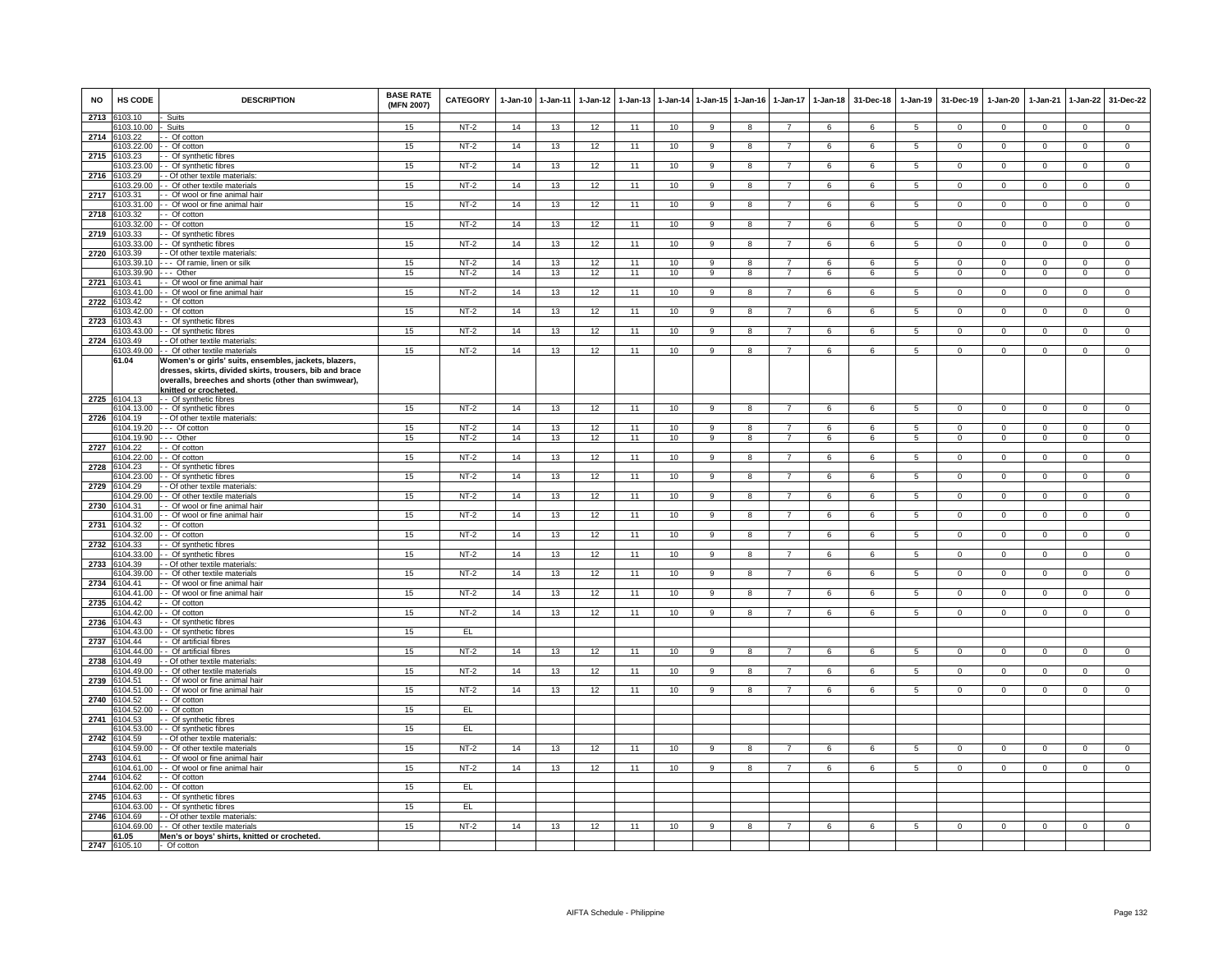| <b>NO</b> | HS CODE                    | <b>DESCRIPTION</b>                                                                                                                                                                                 | <b>BASE RATE</b><br>(MFN 2007) | CATEGORY | $1 - Jan-10$ | 1-Jan-11 | $1-Jan-12$ | $1 - Jan-13$ |    |                | 1-Jan-14 1-Jan-15 1-Jan-16 | $1-Jan-17$     | $1 - Jan-18$ | 31-Dec-18  |                     | 1-Jan-19 31-Dec-19 | 1-Jan-20       | 1-Jan-21       | $1 - Jan-22$   | 31-Dec-22      |
|-----------|----------------------------|----------------------------------------------------------------------------------------------------------------------------------------------------------------------------------------------------|--------------------------------|----------|--------------|----------|------------|--------------|----|----------------|----------------------------|----------------|--------------|------------|---------------------|--------------------|----------------|----------------|----------------|----------------|
| 2713      | 103.10<br>103.10.00        | Suits<br>Suits                                                                                                                                                                                     | 15                             | $NT-2$   | 14           | 13       | 12         | 11           | 10 |                | 8                          |                | 6            |            | 5                   | $^{\circ}$         | 0              | $\mathbf 0$    | $\mathbf 0$    | $^{\circ}$     |
|           | 2714 6103.22               | - Of cotton                                                                                                                                                                                        |                                |          |              |          |            |              |    |                |                            |                |              |            |                     |                    |                |                |                |                |
|           | 103.22.00                  | - Of cotton                                                                                                                                                                                        | 15                             | $NT-2$   | 14           | 13       | 12         | 11           | 10 | 9              | 8                          | $\overline{7}$ | 6            | 6          | 5                   | $\overline{0}$     | $\Omega$       | $\mathbf 0$    | $\overline{0}$ | $\overline{0}$ |
| 2715      | 103.23<br>103.23.00        | - Of synthetic fibres<br>- Of synthetic fibres                                                                                                                                                     | 15                             | $NT-2$   | 14           | 13       | 12         | 11           | 10 | 9              | 8                          |                | 6            | 6          | $\overline{5}$      | $\mathbf 0$        | $\mathbf 0$    | $\mathbf 0$    | $\overline{0}$ | $\overline{0}$ |
| 2716      | 3103.29                    | - Of other textile materials                                                                                                                                                                       |                                |          |              |          |            |              |    |                |                            |                |              |            |                     |                    |                |                |                |                |
|           | 3103.29.00                 | - Of other textile materials                                                                                                                                                                       | 15                             | $NT-2$   | 14           | 13       | 12         | 11           | 10 | $\overline{9}$ | $\overline{8}$             | $\overline{7}$ | 6            | 6          | $\overline{5}$      | $\overline{0}$     | $\overline{0}$ | $\overline{0}$ | $\overline{0}$ | $\overline{0}$ |
| 2717      | 103.31                     | - Of wool or fine animal hair                                                                                                                                                                      |                                |          |              |          |            |              |    |                |                            |                |              |            |                     |                    |                |                |                |                |
| 2718      | 103.31.00<br>3103.32       | - Of wool or fine animal hair<br>- Of cotton                                                                                                                                                       | 15                             | $NT-2$   | 14           | 13       | 12         | 11           | 10 | $\overline{9}$ | $\overline{8}$             | $\overline{7}$ | 6            | 6          | 5                   | $\overline{0}$     | $\overline{0}$ | $\Omega$       | $\overline{0}$ | $\overline{0}$ |
|           | 3103.32.00                 | - Of cotton                                                                                                                                                                                        | 15                             | $NT-2$   | 14           | 13       | 12         | 11           | 10 | 9              | 8                          | $\overline{7}$ | 6            | 6          | 5                   | $\mathbf 0$        | $\mathbf 0$    | $\mathbf{0}$   | $\mathbf{0}$   | $\overline{0}$ |
| 2719      | 6103.33                    | - Of synthetic fibres                                                                                                                                                                              |                                |          |              |          |            |              |    |                |                            |                |              |            |                     |                    |                |                |                |                |
|           | 103.33.00                  | - Of synthetic fibres                                                                                                                                                                              | 15                             | $NT-2$   | 14           | 13       | 12         | 11           | 10 | $\overline{9}$ | $\overline{8}$             | $\overline{7}$ | 6            | 6          | 5                   | $\overline{0}$     | $\overline{0}$ | $\mathbf{0}$   | $\overline{0}$ | $\overline{0}$ |
| 2720      | 103.39<br>103.39.10        | - Of other textile materials:<br>- - Of ramie, linen or silk                                                                                                                                       | 15                             | $NT-2$   | 14           | 13       | 12         | 11           | 10 | 9              | 8                          |                | 6            | 6          | 5                   | $\mathbf 0$        | $\mathbf 0$    | $\mathbf 0$    | $\mathsf 0$    | $\mathbf 0$    |
|           | 3103.39.90                 | -- Other                                                                                                                                                                                           | 15                             | NT-2     | 14           | 13       | 12         | 11           | 10 | 9              | 8                          | $\overline{7}$ | 6            | 6          | 5                   | $\mathbf 0$        | $\mathbf 0$    | $\mathbf 0$    | $\overline{0}$ | $\overline{0}$ |
| 2721      | 6103.41                    | - Of wool or fine animal hair                                                                                                                                                                      |                                |          |              |          |            |              |    |                |                            |                |              |            |                     |                    |                |                |                |                |
|           | 103.41.00                  | - Of wool or fine animal hair                                                                                                                                                                      | 15                             | $NT-2$   | 14           | 13       | 12         | 11           | 10 | 9              | $\mathbf{a}$               |                | $\epsilon$   | $\epsilon$ | 5                   | $\Omega$           | $\Omega$       | $\Omega$       | $\mathbf 0$    | $\Omega$       |
| 2722      | 103.42<br>103.42.00        | - Of cotton<br>- Of cotton                                                                                                                                                                         | 15                             | NT-2     | 14           | 13       | 12         | 11           | 10 | 9              | 8                          | $\overline{7}$ | 6            | 6          | 5                   | $\mathbf{0}$       | $\mathbf 0$    | $^{\circ}$     | $\mathbf 0$    | $\mathbf{0}$   |
| 2723      | 6103.43                    | - Of synthetic fibres                                                                                                                                                                              |                                |          |              |          |            |              |    |                |                            |                |              |            |                     |                    |                |                |                |                |
|           | 3103.43.00                 | - Of synthetic fibres                                                                                                                                                                              | 15                             | $NT-2$   | 14           | 13       | 12         | 11           | 10 | 9              | 8                          | 7              | 6            | 6          | 5                   | $\mathbf{0}$       | 0              | $\mathbf 0$    | $\overline{0}$ | $\mathbf{0}$   |
| 2724      | 3103.49<br>103.49.00       | - Of other textile materials:<br>- Of other textile materials                                                                                                                                      | 15                             | $NT-2$   | 14           | 13       | 12         | 11           | 10 | 9              | 8                          | $\overline{7}$ | 6            | 6          | 5                   | $\overline{0}$     | 0              | $\mathbf 0$    | $\overline{0}$ | $\overline{0}$ |
|           | 61.04                      | Nomen's or girls' suits, ensembles, jackets, blazers,<br>dresses, skirts, divided skirts, trousers, bib and brace<br>overalls, breeches and shorts (other than swimwear),<br>knitted or crocheted. |                                |          |              |          |            |              |    |                |                            |                |              |            |                     |                    |                |                |                |                |
|           | 2725 6104.13               | - - Of synthetic fibres                                                                                                                                                                            |                                |          |              |          |            |              |    |                |                            |                |              |            |                     |                    |                |                |                |                |
|           |                            | 6104.13.00 - - Of synthetic fibres                                                                                                                                                                 | 15                             | $NT-2$   | 14           | 13       | 12         | 11           | 10 | 9              | 8                          | $\overline{7}$ | 6            | 6          | 5                   | $\overline{0}$     | $\mathbf 0$    | $\overline{0}$ | $\overline{0}$ | $\overline{0}$ |
| 2726      | 6104.19<br>104.19.20       | - - Of other textile materials:<br>--- Of cotton                                                                                                                                                   | 15                             | $NT-2$   | 14           | 13       | 12         | 11           | 10 | 9              | 8                          | 7              | 6            | 6          |                     | $\mathbf 0$        | $\Omega$       | $\mathbf 0$    | $\overline{0}$ | $\overline{0}$ |
|           | 104.19.90                  | -- Other                                                                                                                                                                                           | 15                             | $NT-2$   | 14           | 13       | 12         | 11           | 10 | 9              | 8                          | $\overline{7}$ | 6            | 6          | $\overline{5}$<br>5 | $\mathbf{0}$       | $\mathbf 0$    | $\mathbf 0$    | $\mathbf 0$    | $\mathbf{0}$   |
| 2727      | 6104.22                    | - Of cotton                                                                                                                                                                                        |                                |          |              |          |            |              |    |                |                            |                |              |            |                     |                    |                |                |                |                |
|           | 104.22.00                  | - Of cotton                                                                                                                                                                                        | 15                             | $NT-2$   | 14           | 13       | 12         | 11           | 10 | 9              | 8                          | $\overline{7}$ | 6            | 6          | 5                   | $\mathbf 0$        | $^{\circ}$     | 0              | $\mathbf 0$    | $\mathbf 0$    |
| 2728      | 6104.23<br>104.23.00       | - Of synthetic fibres<br>- Of synthetic fibres                                                                                                                                                     | 15                             | $NT-2$   | 14           | 13       | 12         | 11           | 10 | $\overline{9}$ | 8                          | $\overline{7}$ | 6            | 6          | 5                   | $\overline{0}$     | $\Omega$       | $\Omega$       | $\overline{0}$ | $\overline{0}$ |
| 2729      | 104.29                     | - Of other textile materials                                                                                                                                                                       |                                |          |              |          |            |              |    |                |                            |                |              |            |                     |                    |                |                |                |                |
|           | 104.29.00                  | - Of other textile materials                                                                                                                                                                       | 15                             | $NT-2$   | 14           | 13       | 12         | 11           | 10 | 9              | 8                          |                | 6            | 6          | 5                   | $^{\circ}$         | 0              | $\mathbf 0$    | $\mathbf 0$    | $^{\circ}$     |
| 2730      | 3104.31<br>104.31.00       | - Of wool or fine animal hair<br>- Of wool or fine animal hair                                                                                                                                     | 15                             | $NT-2$   | 14           | 13       | 12         | 11           | 10 | 9              | 8                          | -7             | 6            | 6          | 5                   | $\overline{0}$     | $^{\circ}$     | $\mathbf{0}$   | $\overline{0}$ | $\overline{0}$ |
| 2731      | 3104.32                    | - Of cotton                                                                                                                                                                                        |                                |          |              |          |            |              |    |                |                            |                |              |            |                     |                    |                |                |                |                |
|           | 104.32.00                  | - Of cotton                                                                                                                                                                                        | 15                             | $NT-2$   | 14           | 13       | 12         | 11           | 10 | 9              | 8                          | $\overline{7}$ | 6            | 6          | 5                   | $\mathbf 0$        | $\mathbf 0$    | $\mathbf 0$    | $\mathsf 0$    | $\mathsf 0$    |
| 2732      | 6104.33                    | - Of synthetic fibres                                                                                                                                                                              |                                |          |              |          |            |              |    |                |                            | $\overline{7}$ |              |            |                     |                    |                |                |                |                |
| 2733      | 104.33.00<br>104.39        | - Of synthetic fibres<br>- Of other textile materials                                                                                                                                              | 15                             | $NT-2$   | 14           | 13       | 12         | 11           | 10 | 9              | 8                          |                | 6            | 6          | 5                   | $\mathbf{0}$       | $^{\circ}$     | $\mathbf 0$    | $\overline{0}$ | $\mathbf 0$    |
|           | 104.39.00                  | - Of other textile materials                                                                                                                                                                       | 15                             | $NT-2$   | 14           | 13       | 12         | 11           | 10 | 9              | 8                          | $\overline{7}$ | 6            | 6          | 5                   | $\mathbf 0$        | $\mathbf 0$    | $\mathbf 0$    | $\mathbf 0$    | $\mathsf 0$    |
| 2734      | 104.41                     | - Of wool or fine animal hair                                                                                                                                                                      |                                |          |              |          |            |              |    |                |                            |                |              |            |                     |                    |                |                |                |                |
|           | 3104.41.00<br>2735 6104.42 | - Of wool or fine animal hair<br>- Of cotton                                                                                                                                                       | 15                             | NT-2     | 14           | 13       | 12         | 11           | 10 | 9              | 8                          | $\overline{7}$ | 6            | 6          | 5                   | $\mathbf{0}$       | $\mathbf{0}$   | $\mathbf{0}$   | $\overline{0}$ | $\overline{0}$ |
|           | 3104.42.00                 | - Of cotton                                                                                                                                                                                        | 15                             | $NT-2$   | 14           | 13       | 12         | 11           | 10 | 9              | 8                          | $\overline{7}$ | 6            | -6         | -5                  | $\overline{0}$     | $\Omega$       | $\Omega$       | $\overline{0}$ | $\overline{0}$ |
| 2736      | 104.43                     | - Of synthetic fibres                                                                                                                                                                              |                                |          |              |          |            |              |    |                |                            |                |              |            |                     |                    |                |                |                |                |
|           | 104.43.00                  | - Of synthetic fibres                                                                                                                                                                              | 15                             | EL       |              |          |            |              |    |                |                            |                |              |            |                     |                    |                |                |                |                |
| 2737      | 6104.44<br>104.44.00       | - Of artificial fibres<br>- Of artificial fibres                                                                                                                                                   | 15                             | $NT-2$   | 14           | 13       | 12         | 11           | 10 | $\overline{9}$ | $\overline{\mathbf{a}}$    | $\overline{7}$ | 6            | 6          | $\overline{5}$      | $\overline{0}$     | $\overline{0}$ | $\Omega$       | $\overline{0}$ | $\overline{0}$ |
| 2738      | 104.49                     | - Of other textile materials                                                                                                                                                                       |                                |          |              |          |            |              |    |                |                            |                |              |            |                     |                    |                |                |                |                |
|           | 104.49.00                  | - Of other textile materials                                                                                                                                                                       | 15                             | $NT-2$   | 14           | 13       | 12         | 11           | 10 | $\mathbf{Q}$   | $\mathbf{R}$               | $\overline{7}$ | $\epsilon$   | $\epsilon$ | $5\overline{5}$     | $\Omega$           | $\Omega$       | $\Omega$       | $\Omega$       | $\Omega$       |
| 2739      | 3104.51<br>3104.51.00      | - Of wool or fine animal hair<br>- Of wool or fine animal hair                                                                                                                                     | 15                             | NT-2     | 14           | 13       | 12         | 11           | 10 | 9              | 8                          | $\overline{7}$ | 6            | 6          | 5                   | $\Omega$           | $\Omega$       | $\Omega$       | $\Omega$       | $\Omega$       |
| 2740      | 3104.52                    | - Of cotton                                                                                                                                                                                        |                                |          |              |          |            |              |    |                |                            |                |              |            |                     |                    |                |                |                |                |
|           | 104.52.00                  | - Of cotton                                                                                                                                                                                        | 15                             | EL       |              |          |            |              |    |                |                            |                |              |            |                     |                    |                |                |                |                |
| 2741      | 3104.53                    | - Of synthetic fibres                                                                                                                                                                              |                                |          |              |          |            |              |    |                |                            |                |              |            |                     |                    |                |                |                |                |
| 2742      | 3104.53.00<br>6104.59      | - Of synthetic fibres<br>- Of other textile materials                                                                                                                                              | 15                             | EL.      |              |          |            |              |    |                |                            |                |              |            |                     |                    |                |                |                |                |
|           | 3104 59.00                 | - Of other textile materials                                                                                                                                                                       | 15                             | $NT-2$   | 14           | 13       | 12         | 11           | 10 | $\mathbf{Q}$   | 8                          | $\overline{7}$ | 6            | -6         | 5                   | $\Omega$           | $\Omega$       | $\Omega$       | $\overline{0}$ | $\Omega$       |
| 2743      | 104.61                     | - Of wool or fine animal hair                                                                                                                                                                      |                                |          |              |          |            |              |    |                |                            |                |              |            |                     |                    |                |                |                |                |
|           | 104.61.00                  | - Of wool or fine animal hair                                                                                                                                                                      | 15                             | $NT-2$   | 14           | 13       | 12         | 11           | 10 | 9              | 8                          | $\overline{7}$ | 6            | 6          | 5                   | $\Omega$           | $\Omega$       | $\Omega$       | $\Omega$       |                |
| 2744      | 6104.62<br>3104.62.00      | - Of cotton<br>- Of cotton                                                                                                                                                                         | 15                             | EL       |              |          |            |              |    |                |                            |                |              |            |                     |                    |                |                |                |                |
| 2745      | 3104.63                    | - Of synthetic fibres                                                                                                                                                                              |                                |          |              |          |            |              |    |                |                            |                |              |            |                     |                    |                |                |                |                |
|           | 104.63.00                  | - Of synthetic fibres                                                                                                                                                                              | 15                             | EL.      |              |          |            |              |    |                |                            |                |              |            |                     |                    |                |                |                |                |
| 2746      | 6104.69<br>104.69.00       | - Of other textile materials<br>- Of other textile materials                                                                                                                                       | 15                             | $NT-2$   | 14           | 13       | 12         | 11           | 10 | 9              | 8                          | $\overline{7}$ | 6            | 6          | 5                   | $\mathbf 0$        | $\mathbf 0$    | $\mathbf 0$    | $\mathbf 0$    | $\Omega$       |
|           | 61.05                      | Men's or boys' shirts, knitted or crocheted.                                                                                                                                                       |                                |          |              |          |            |              |    |                |                            |                |              |            |                     |                    |                |                |                |                |
|           | 2747 6105.10               | - Of cotton                                                                                                                                                                                        |                                |          |              |          |            |              |    |                |                            |                |              |            |                     |                    |                |                |                |                |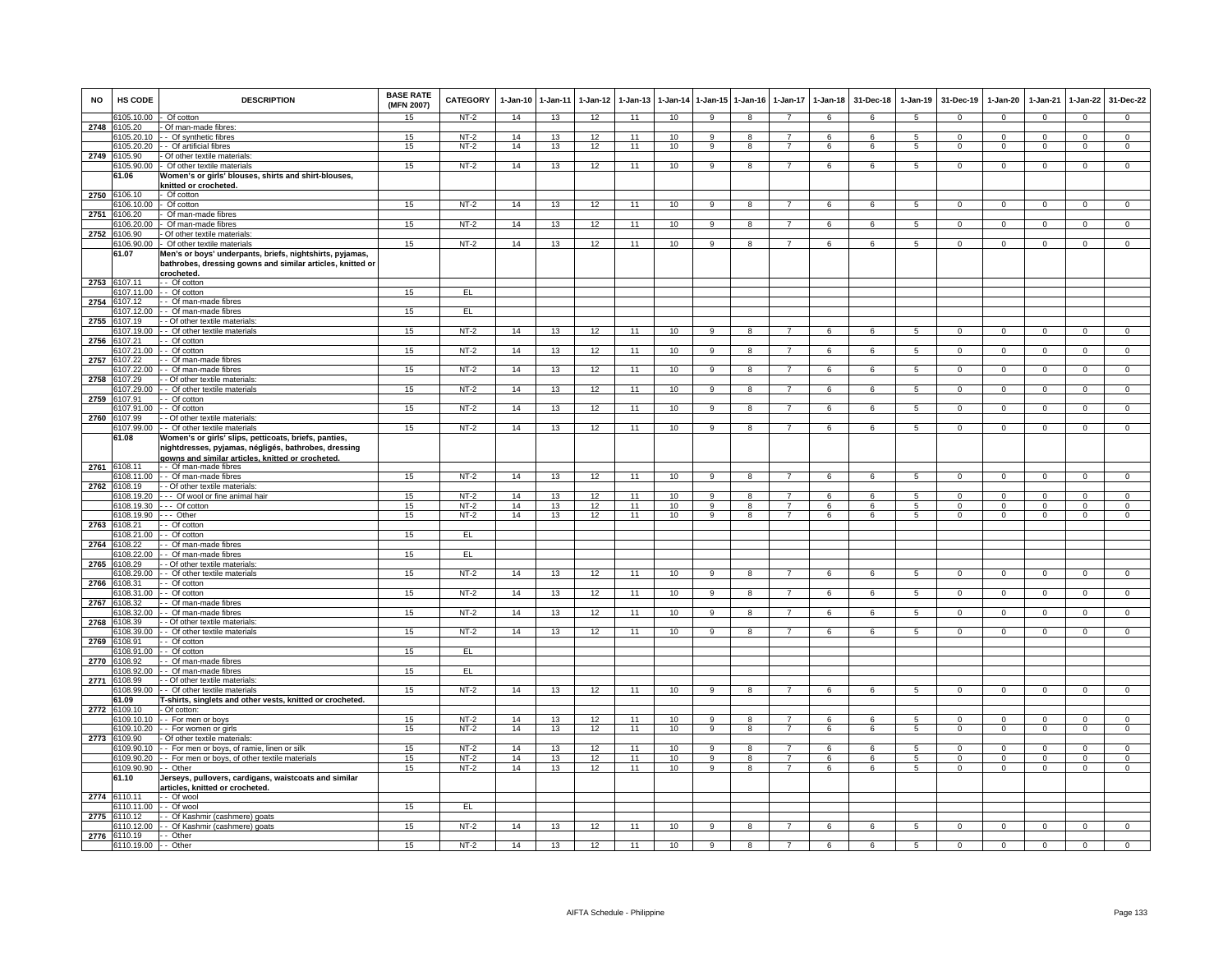| <b>NO</b> | <b>HS CODE</b>              | <b>DESCRIPTION</b>                                                                                       | <b>BASE RATE</b><br>(MFN 2007) | CATEGORY         | $1-Jan-10$ | $1-Jan-11$ | $1-Jan-12$ | $1-Jan-13$ | 1-Jan-14        | $1 - Jan-15$         | $1-Jan-16$          | $1-Jan-17$          | $1-Jan-18$ | 31-Dec-18  | $1-Jan-19$      | 31-Dec-19               | $1-Jan-20$               | 1-Jan-21                | $1-Jan-22$                    | 31-Dec-22      |
|-----------|-----------------------------|----------------------------------------------------------------------------------------------------------|--------------------------------|------------------|------------|------------|------------|------------|-----------------|----------------------|---------------------|---------------------|------------|------------|-----------------|-------------------------|--------------------------|-------------------------|-------------------------------|----------------|
|           | 6105.10.00 - Of cotton      |                                                                                                          | 15                             | NT-2             | 14         | 13         | 12         | 11         | 10              | -9                   | 8                   | $\overline{7}$      | 6          | 6          | 5               | $\overline{0}$          | $^{\circ}$               | $\mathbf{0}$            | $\mathbf{0}$                  | $\mathbf{0}$   |
| 2748      | 3105.20                     | - Of man-made fibres:                                                                                    |                                | $NT-2$           |            |            |            | 11         | 10 <sup>1</sup> |                      |                     |                     |            |            |                 |                         |                          |                         |                               | $\overline{0}$ |
|           | 105.20.10<br>105.20.20      | - - Of synthetic fibres<br>- Of artificial fibres                                                        | 15<br>15                       | $NT-2$           | 14<br>14   | 13<br>13   | 12<br>12   | 11         | 10              | -9<br>$\overline{9}$ | 8<br>$\overline{8}$ | 7<br>$\overline{7}$ | 6<br>6     | -6<br>6    | 5<br>5          | $\Omega$<br>$\mathbf 0$ | $\Omega$<br>$\mathbf{0}$ | $\Omega$<br>$\mathbf 0$ | $\mathbf 0$<br>$\overline{0}$ | $\overline{0}$ |
| 2749      | 105.90                      | Of other textile materials:                                                                              |                                |                  |            |            |            |            |                 |                      |                     |                     |            |            |                 |                         |                          |                         |                               |                |
|           | 6105.90.00                  | - Of other textile materials                                                                             | 15                             | $NT-2$           | 14         | 13         | 12         | 11         | 10              | 9                    | 8                   | $\overline{7}$      | 6          | 6          | 5               | $\mathbf 0$             | $\mathbf 0$              | $\mathbf 0$             | $\mathbf 0$                   | $\mathbf 0$    |
|           | 61.06                       | Women's or girls' blouses, shirts and shirt-blouses,                                                     |                                |                  |            |            |            |            |                 |                      |                     |                     |            |            |                 |                         |                          |                         |                               |                |
|           |                             | knitted or crocheted.                                                                                    |                                |                  |            |            |            |            |                 |                      |                     |                     |            |            |                 |                         |                          |                         |                               |                |
| 2750      | 106.10<br>6106.10.00        | - Of cotton<br>- Of cotton                                                                               | 15                             | $NT-2$           | 14         | 13         | 12         | 11         | 10              | 9                    | 8                   | $\overline{7}$      | 6          | 6          | $5^{\circ}$     | $\Omega$                | $\Omega$                 | $\Omega$                | $\Omega$                      | $\mathbf{0}$   |
| 2751      | 6106.20                     | Of man-made fibres                                                                                       |                                |                  |            |            |            |            |                 |                      |                     |                     |            |            |                 |                         |                          |                         |                               |                |
|           | 6106.20.00                  | Of man-made fibres                                                                                       | 15                             | NT-2             | 14         | 13         | 12         | 11         | 10              | 9                    | 8                   | $\overline{7}$      | 6          | 6          | 5               | $\overline{0}$          | $\mathbf{0}$             | $\mathbf{0}$            | $\overline{0}$                | $\overline{0}$ |
| 2752      | 6106.90                     | Of other textile materials                                                                               |                                |                  |            |            |            |            |                 |                      |                     |                     |            |            |                 |                         |                          |                         |                               |                |
|           | 106.90.00<br>61.07          | - Of other textile materials<br>Men's or boys' underpants, briefs, nightshirts, pyjamas,                 | 15                             | $NT-2$           | 14         | 13         | 12         | 11         | 10              | 9                    | 8                   | $\overline{7}$      | 6          | 6          | 5               | $\mathbf 0$             | 0                        | $\mathbf 0$             | $\mathbf 0$                   | $\mathbf{0}$   |
|           | 107.11                      | bathrobes, dressing gowns and similar articles, knitted or<br>crocheted                                  |                                |                  |            |            |            |            |                 |                      |                     |                     |            |            |                 |                         |                          |                         |                               |                |
| 2753      | 107.11.00                   | - Of cotton<br>$-$ Of cotton                                                                             | 15                             | EL.              |            |            |            |            |                 |                      |                     |                     |            |            |                 |                         |                          |                         |                               |                |
| 2754      | 107.12                      | - Of man-made fibres                                                                                     |                                |                  |            |            |            |            |                 |                      |                     |                     |            |            |                 |                         |                          |                         |                               |                |
|           | 3107.12.00                  | - Of man-made fibres                                                                                     | 15                             | EL.              |            |            |            |            |                 |                      |                     |                     |            |            |                 |                         |                          |                         |                               |                |
| 2755      | 107.19                      | - Of other textile materials                                                                             |                                |                  |            |            |            |            |                 |                      |                     |                     |            |            |                 |                         |                          |                         |                               |                |
| 2756      | 107.19.00<br>107.21         | - Of other textile materials<br>- Of cotton                                                              | 15                             | $NT-2$           | 14         | 13         | 12         | 11         | 10              | 9                    | 8                   | 7                   | 6          | 6          | 5               | $\overline{0}$          | $\mathbf{0}$             | $^{\circ}$              | $\mathbf 0$                   | $\overline{0}$ |
|           | 107.21.00                   | - Of cotton                                                                                              | 15                             | $NT-2$           | 14         | 13         | 12         | 11         | 10              | 9                    | 8                   |                     | 6          | 6          | 5               | 0                       | 0                        | $\mathbf 0$             | $\mathbf 0$                   | $\mathbf 0$    |
| 2757      | 6107.22                     | Of man-made fibres                                                                                       |                                |                  |            |            |            |            |                 |                      |                     |                     |            |            |                 |                         |                          |                         |                               |                |
|           | 3107.22.00                  | - Of man-made fibres                                                                                     | 15                             | $NT-2$           | 14         | 13         | 12         | 11         | 10              | 9                    | 8                   | $\overline{7}$      | 6          | 6          | $5\overline{5}$ | $\overline{0}$          | $\Omega$                 | $\overline{0}$          | $\mathbf 0$                   | $\overline{0}$ |
| 2758      | 107.29                      | - Of other textile materials                                                                             |                                |                  |            |            |            |            |                 |                      | 8                   |                     |            |            |                 |                         | $\mathbf 0$              |                         |                               |                |
| 2759      | 107.29.00<br>107.91         | - Of other textile materials<br>- Of cotton                                                              | 15                             | $NT-2$           | 14         | 13         | 12         | 11         | 10              | 9                    |                     |                     | 6          | 6          | 5               | $\mathbf 0$             |                          | $^{\circ}$              | $\mathbf 0$                   | $\mathsf 0$    |
|           | 6107.91.00                  | - Of cotton                                                                                              | 15                             | NT-2             | 14         | 13         | 12         | 11         | 10              | 9                    | 8                   | 7                   | 6          | 6          | 5               | $\mathbf{0}$            | 0                        | $\mathbf 0$             | $\overline{0}$                | $\mathbf{0}$   |
|           | 2760 6107.99                | - Of other textile materials:                                                                            |                                |                  |            |            |            |            |                 |                      |                     |                     |            |            |                 |                         |                          |                         |                               |                |
|           | 107.99.00                   | - Of other textile materials                                                                             | 15                             | $NT-2$           | 14         | 13         | 12         | 11         | 10              | 9                    | 8                   | $\overline{7}$      | 6          | 6          | 5               | $\mathbf 0$             | $\Omega$                 | $\Omega$                | $\overline{0}$                | $\overline{0}$ |
|           | 61.08                       | Women's or girls' slips, petticoats, briefs, panties                                                     |                                |                  |            |            |            |            |                 |                      |                     |                     |            |            |                 |                         |                          |                         |                               |                |
|           |                             | nightdresses, pyjamas, négligés, bathrobes, dressing<br>gowns and similar articles, knitted or crocheted |                                |                  |            |            |            |            |                 |                      |                     |                     |            |            |                 |                         |                          |                         |                               |                |
| 2761      | 3108.11                     | - - Of man-made fibres                                                                                   |                                |                  |            |            |            |            |                 |                      |                     |                     |            |            |                 |                         |                          |                         |                               |                |
|           | 108.11.00                   | - - Of man-made fibres                                                                                   | 15                             | $NT-2$           | 14         | 13         | 12         | 11         | 10              | 9                    | $\mathbf{R}$        |                     | ĥ          |            | 5               | $\Omega$                | $\Omega$                 | $\Omega$                | $\Omega$                      | $\overline{0}$ |
| 2762      | 108.19<br>108.19.20         | - - Of other textile materials<br>--- Of wool or fine animal hair                                        | 15                             | NT-2             | 14         | 13         | 12         | 11         | 10              | 9                    |                     |                     | 6          | 6          | 5               | 0                       | $\Omega$                 | $\Omega$                | 0                             | 0              |
|           |                             | 6108.19.30 --- Of cotton                                                                                 | 15                             | $NT-2$           | 14         | 13         | 12         | 11         | 10              | 9                    | 8                   | $\overline{7}$      | 6          | 6          | 5               | $\mathbf 0$             | $\Omega$                 | $\mathbf 0$             | $\mathbf{0}$                  | $\overline{0}$ |
|           | 108.19.90                   | --- Other                                                                                                | 15                             | $NT-2$           | 14         | 13         | 12         | 11         | 10              | 9                    | 8                   | $\overline{7}$      | 6          | 6          | 5               | $\mathbf{0}$            | $\mathbf{0}$             | $\Omega$                | $\mathbf{0}$                  | $\mathbf 0$    |
| 2763      | 108.21                      | - Of cotton                                                                                              |                                |                  |            |            |            |            |                 |                      |                     |                     |            |            |                 |                         |                          |                         |                               |                |
|           | 108.21.00<br>108.22         | - Of cotton<br>- Of man-made fibres                                                                      | 15                             | EL               |            |            |            |            |                 |                      |                     |                     |            |            |                 |                         |                          |                         |                               |                |
| 2764      | 108.22.00                   | - Of man-made fibres                                                                                     | 15                             | EL               |            |            |            |            |                 |                      |                     |                     |            |            |                 |                         |                          |                         |                               |                |
| 2765      | 108.29                      | - Of other textile materials                                                                             |                                |                  |            |            |            |            |                 |                      |                     |                     |            |            |                 |                         |                          |                         |                               |                |
|           | 108.29.00                   | - Of other textile materials                                                                             | 15                             | $NT-2$           | 14         | 13         | 12         | 11         | 10              | $\overline{9}$       | $\overline{8}$      | $\overline{7}$      | 6          | 6          | 5               | $\Omega$                | $\Omega$                 | $\Omega$                | $\overline{0}$                | $\overline{0}$ |
| 2766      | 108.31<br>6108.31.00        | - Of cotton<br>- - Of cotton                                                                             | 15                             | NT-2             | 14         |            |            | 11         | 10              | 9                    | 8                   | $\overline{7}$      | 6          | 6          | 5               | $\overline{0}$          | $\mathbf{0}$             | $\mathbf{0}$            | $\mathbf{0}$                  | $\overline{0}$ |
| 2767      | 6108.32                     | - Of man-made fibres                                                                                     |                                |                  |            | 13         | 12         |            |                 |                      |                     |                     |            |            |                 |                         |                          |                         |                               |                |
|           | 3108.32.00                  | - Of man-made fibres                                                                                     | 15                             | $NT-2$           | 14         | 13         | 12         | 11         | 10              | 9                    | 8                   | $\overline{7}$      | 6          | 6          | 5               | $^{\circ}$              | $\mathbf{0}$             | $\mathbf{0}$            | $\overline{0}$                | $\mathbf{0}$   |
| 2768      | 108.39                      | - Of other textile materials:                                                                            |                                |                  |            |            |            |            |                 |                      |                     |                     |            |            |                 |                         |                          |                         |                               |                |
|           | 108.39.00                   | - Of other textile materials                                                                             | 15                             | $NT-2$           | 14         | 13         | 12         | 11         | 10              | 9                    | 8                   | $\overline{7}$      | 6          | 6          | 5               | $\mathbf{0}$            | 0                        | $\mathbf 0$             | $\circ$                       | $\mathbf 0$    |
| 2769      | 08.91<br>108.91.00          | - Of cotton<br>- Of cotton                                                                               | 15                             | EL               |            |            |            |            |                 |                      |                     |                     |            |            |                 |                         |                          |                         |                               |                |
| 2770      | 108.92                      | - Of man-made fibres                                                                                     |                                |                  |            |            |            |            |                 |                      |                     |                     |            |            |                 |                         |                          |                         |                               |                |
|           | 108.92.00                   | - Of man-made fibres                                                                                     | 15                             | EL.              |            |            |            |            |                 |                      |                     |                     |            |            |                 |                         |                          |                         |                               |                |
| 2771      | 108.99                      | - Of other textile materials                                                                             |                                |                  |            |            |            |            |                 |                      |                     |                     |            |            |                 |                         |                          |                         |                               |                |
|           | 108.99.00<br>61.09          | - Of other textile materials<br>T-shirts, singlets and other vests, knitted or crocheted.                | 15                             | NT-2             | 14         | 13         | 12         | 11         | 10              | 9                    | 8                   |                     | 6          | 6          | 5               | $^{\circ}$              | $\Omega$                 | $^{\circ}$              | $^{\circ}$                    | $\Omega$       |
| 2772      | 109.10                      | - Of cotton:                                                                                             |                                |                  |            |            |            |            |                 |                      |                     |                     |            |            |                 |                         |                          |                         |                               |                |
|           | 109.10.10                   | -- For men or boys                                                                                       | 15                             | $NT-2$           | 14         | 13         | 12         | 11         | 10 <sup>1</sup> | 9                    | 8                   | 7                   | 6          | 6          | -5              | $\Omega$                | $\Omega$                 | $\Omega$                | $\Omega$                      | $\overline{0}$ |
|           | 109.10.20                   | - For women or girls                                                                                     | 15                             | $NT-2$           | 14         | 13         | 12         | 11         | 10              | 9                    | 8                   |                     | 6          | 6          | 5               | 0                       | 0                        | 0                       | 0                             | $\mathsf{O}$   |
| 2773      | 109.90<br>109.90.10         | Of other textile materials                                                                               |                                |                  |            |            |            |            |                 | $\mathbf{Q}$         | 8                   | $\overline{7}$      | 6          | $\epsilon$ | 5               | $\Omega$                | $\Omega$                 | $\Omega$                | $\Omega$                      | $\Omega$       |
|           | 3109.90.20                  | - - For men or boys, of ramie, linen or silk<br>- For men or boys, of other textile materials            | 15<br>15                       | $NT-2$<br>$NT-2$ | 14<br>14   | 13<br>13   | 12<br>12   | 11<br>11   | 10<br>10        | $\overline{9}$       | $\overline{8}$      | $\overline{7}$      | 6          | 6          | $5^{\circ}$     | $\Omega$                | $\Omega$                 | $\Omega$                | $\mathbf 0$                   | $\overline{0}$ |
|           | \$109,90.90                 | - Other                                                                                                  | 15                             | $NT-2$           | 14         | 13         | 12         | 11         | 10              | $\overline{9}$       | $\overline{8}$      | $\overline{7}$      | 6          | 6          | $\overline{5}$  | $\overline{0}$          | $\overline{0}$           | $\overline{0}$          | $\overline{0}$                | $\overline{0}$ |
|           | 61.10                       | Jerseys, pullovers, cardigans, waistcoats and similar<br>articles, knitted or crocheted.                 |                                |                  |            |            |            |            |                 |                      |                     |                     |            |            |                 |                         |                          |                         |                               |                |
|           | 2774 6110.11<br>\$110.11.00 | - Of wool<br>- Of wool                                                                                   | 15                             | EL               |            |            |            |            |                 |                      |                     |                     |            |            |                 |                         |                          |                         |                               |                |
| 2775      | 110.12                      | - Of Kashmir (cashmere) goats                                                                            |                                |                  |            |            |            |            |                 |                      |                     |                     |            |            |                 |                         |                          |                         |                               |                |
|           | 110.12.00                   | -- Of Kashmir (cashmere) goats                                                                           | 15                             | $NT-2$           | 14         | 13         | 12         | 11         | 10              | 9                    | 8                   | $\overline{7}$      | 6          | 6          | 5               | $\mathbf 0$             | 0                        | $\mathbf 0$             | $\mathbf 0$                   | $\mathbf 0$    |
| 2776      | 6110.19                     | - Other                                                                                                  |                                |                  |            |            |            |            |                 |                      |                     | $\overline{7}$      |            |            |                 |                         |                          |                         |                               |                |
|           | 6110.19.00 -- Other         |                                                                                                          | 15                             | $NT-2$           | 14         | 13         | 12         | 11         | 10              | $\overline{9}$       | $\boldsymbol{8}$    |                     | 6          | 6          | $5^{\circ}$     | $\Omega$                | $\Omega$                 | $\mathbf 0$             | $\overline{0}$                | $\Omega$       |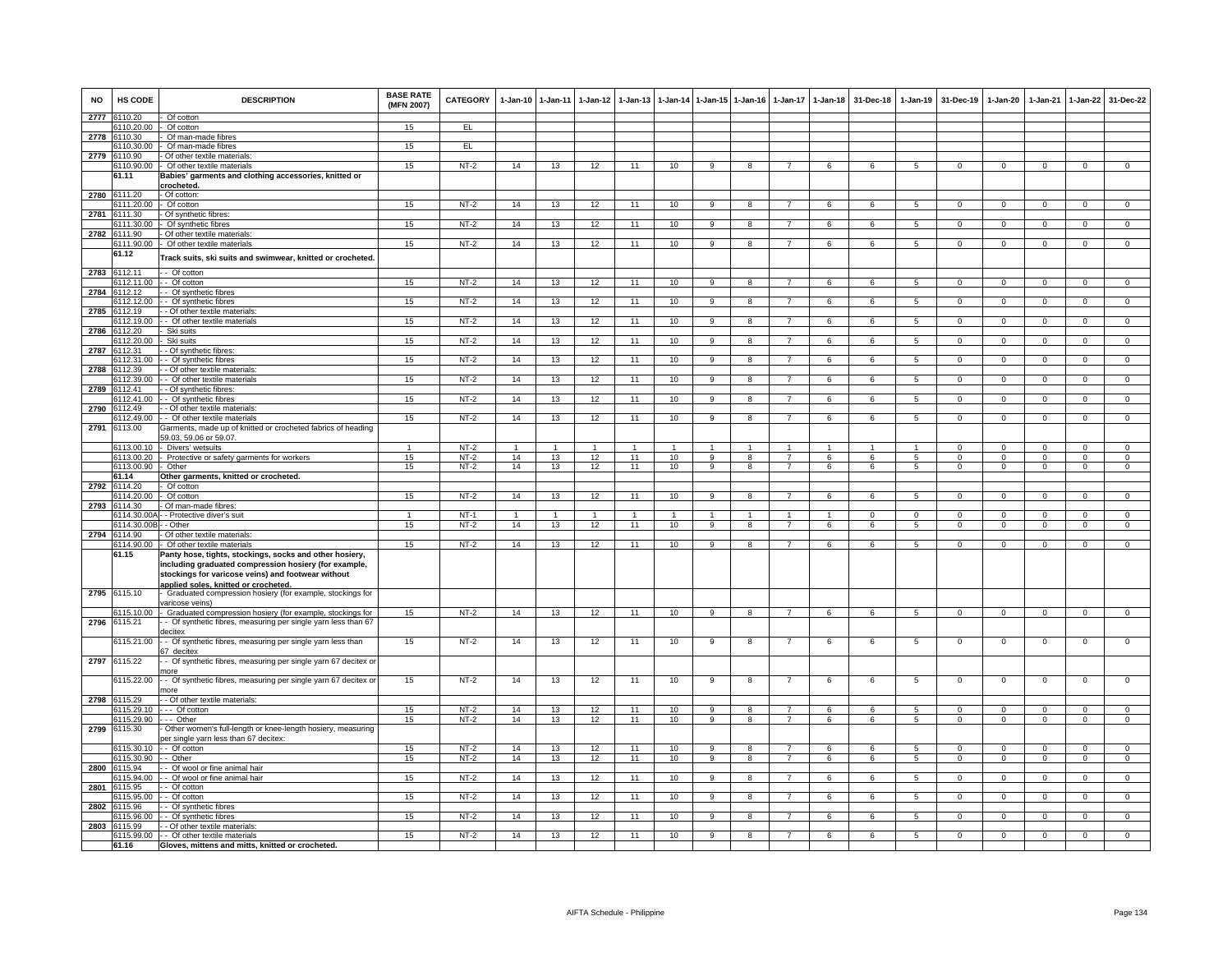| <b>NO</b> | HS CODE                    | <b>DESCRIPTION</b>                                                                                                                                                                                                    | <b>BASE RATE</b><br>(MFN 2007) | CATEGORY         | $1-Jan-10$     | $1 - Jan-11$   | $1-Jan-12$   | $1 - Jan-13$   | $1-Jan-14$     |                                  | 1-Jan-15 1-Jan-16       | $1-Jan-17$                       | $1 - Jan-18$ | 31-Dec-18  | $1-Jan-19$      | 31-Dec-19                        | 1-Jan-20                   | $1-Jan-21$                 | $1 - Jan-22$                     | 31-Dec-22                        |
|-----------|----------------------------|-----------------------------------------------------------------------------------------------------------------------------------------------------------------------------------------------------------------------|--------------------------------|------------------|----------------|----------------|--------------|----------------|----------------|----------------------------------|-------------------------|----------------------------------|--------------|------------|-----------------|----------------------------------|----------------------------|----------------------------|----------------------------------|----------------------------------|
| 2777      | 6110.20                    | Of cotton                                                                                                                                                                                                             |                                |                  |                |                |              |                |                |                                  |                         |                                  |              |            |                 |                                  |                            |                            |                                  |                                  |
| 2778      | 110.20.00<br>6110.30       | Of cotton<br>Of man-made fibres                                                                                                                                                                                       | 15                             | EL.              |                |                |              |                |                |                                  |                         |                                  |              |            |                 |                                  |                            |                            |                                  |                                  |
|           | 6110.30.00                 | Of man-made fibres                                                                                                                                                                                                    | 15                             | EL               |                |                |              |                |                |                                  |                         |                                  |              |            |                 |                                  |                            |                            |                                  |                                  |
| 2779      | 3110.90                    | Of other textile materials:                                                                                                                                                                                           |                                |                  |                |                |              |                |                |                                  |                         |                                  |              |            |                 |                                  |                            |                            |                                  |                                  |
|           | 6110.90.00                 | Of other textile materials                                                                                                                                                                                            | 15                             | $NT-2$           | 14             | 13             | 12           | 11             | 10             | 9                                | 8                       | $\overline{7}$                   | 6            | 6          | 5               | $\mathbf 0$                      | $^{\circ}$                 | $\mathbf 0$                | $\mathbf 0$                      | $\mathbf 0$                      |
|           | 61.11                      | Babies' garments and clothing accessories, knitted or                                                                                                                                                                 |                                |                  |                |                |              |                |                |                                  |                         |                                  |              |            |                 |                                  |                            |                            |                                  |                                  |
| 2780      | 6111.20                    | rocheted:<br>- Of cotton:                                                                                                                                                                                             |                                |                  |                |                |              |                |                |                                  |                         |                                  |              |            |                 |                                  |                            |                            |                                  |                                  |
|           | 6111.20.00                 | Of cotton                                                                                                                                                                                                             | 15                             | $NT-2$           | 14             | 13             | 12           | 11             | 10             | 9                                | 8                       | $\overline{7}$                   | 6            | 6          | $\sqrt{5}$      | $\Omega$                         | $\Omega$                   | $\Omega$                   | $\Omega$                         | $\Omega$                         |
|           | 2781 6111.30               | Of synthetic fibres:                                                                                                                                                                                                  |                                |                  |                |                |              |                |                |                                  |                         |                                  |              |            |                 |                                  |                            |                            |                                  |                                  |
|           | 6111.30.00                 | Of synthetic fibres                                                                                                                                                                                                   | 15                             | $NT-2$           | 14             | 13             | 12           | 11             | 10             | 9                                | 8                       | $\overline{7}$                   | 6            | 6          | 5               | $\mathbf{0}$                     | $^{\circ}$                 | $^{\circ}$                 | $\overline{0}$                   | $\mathbf{0}$                     |
| 2782      | 6111.90<br>6111.90.00      | Of other textile materials<br>Of other textile materials                                                                                                                                                              | 15                             | $NT-2$           | 14             | 13             | 12           | 11             | 10             | $\overline{9}$                   | 8                       | $\overline{7}$                   | 6            | 6          | 5               | $\mathbf{0}$                     | $\mathbf 0$                | $\mathbf 0$                | $\mathbf 0$                      | $\mathbf{0}$                     |
|           | 61.12                      |                                                                                                                                                                                                                       |                                |                  |                |                |              |                |                |                                  |                         |                                  |              |            |                 |                                  |                            |                            |                                  |                                  |
|           |                            | rack suits, ski suits and swimwear, knitted or crocheted                                                                                                                                                              |                                |                  |                |                |              |                |                |                                  |                         |                                  |              |            |                 |                                  |                            |                            |                                  |                                  |
| 2783      | 6112.11                    | - Of cotton                                                                                                                                                                                                           |                                |                  |                |                |              |                |                |                                  |                         |                                  |              |            |                 |                                  |                            |                            |                                  |                                  |
|           | i112.11.00                 | - Of cotton                                                                                                                                                                                                           | 15                             | $NT-2$           | 14             | 13             | 12           | 11             | 10             | 9                                | $\mathsf{R}$            |                                  |              |            | 5               | $\Omega$                         | $\Omega$                   |                            | $\Omega$                         |                                  |
| 2784      | 6112.12<br>6112.12.00      | - Of synthetic fibres<br>- Of synthetic fibres                                                                                                                                                                        | 15                             | $NT-2$           | 14             | 13             | 12           | 11             | 10             | 9                                |                         |                                  |              | 6          | 5               | $\Omega$                         | 0                          | $\Omega$                   | $\mathbf{0}$                     | $\Omega$                         |
| 2785      | 6112.19                    | - Of other textile materials:                                                                                                                                                                                         |                                |                  |                |                |              |                |                |                                  |                         |                                  |              |            |                 |                                  |                            |                            |                                  |                                  |
|           | 6112.19.00                 | - Of other textile materials                                                                                                                                                                                          | 15                             | $NT-2$           | 14             | 13             | 12           | 11             | 10             | 9                                | 8                       | 7                                | 6            | 6          | 5               | $\mathbf 0$                      | $^{\circ}$                 | $\mathbf 0$                | $\mathbf 0$                      | $\mathsf 0$                      |
| 2786      | 6112.20                    | Ski suits                                                                                                                                                                                                             |                                |                  |                |                |              |                |                |                                  |                         |                                  |              |            |                 |                                  |                            |                            |                                  |                                  |
|           | 112.20.00                  | Ski suits                                                                                                                                                                                                             | 15                             | $NT-2$           | 14             | 13             | 12           | 11             | 10             | $\overline{9}$                   | 8                       | $\overline{7}$                   | 6            | 6          | 5               | $\mathbf 0$                      | $\mathbf 0$                | $\mathbf 0$                | $\mathbf 0$                      | $\Omega$                         |
| 2787      | 6112.31<br>6112.31.00      | - Of synthetic fibres:<br>- Of synthetic fibres                                                                                                                                                                       | 15                             | NT-2             | 14             | 13             | 12           | 11             | 10             | 9                                | 8                       | $\overline{7}$                   | 6            | 6          | $5\phantom{.0}$ | $\mathbf 0$                      | $^{\circ}$                 | $\mathbf 0$                | $\overline{0}$                   | $^{\circ}$                       |
| 2788      | 6112.39                    | - Of other textile materials                                                                                                                                                                                          |                                |                  |                |                |              |                |                |                                  |                         |                                  |              |            |                 |                                  |                            |                            |                                  |                                  |
|           | 112.39.00                  | - Of other textile materials                                                                                                                                                                                          | 15                             | $NT-2$           | 14             | 13             | 12           | 11             | 10             | $\overline{9}$                   | $\overline{\mathbf{a}}$ |                                  | 6            | 6          | 5               | $\overline{0}$                   | $\overline{0}$             | $\overline{0}$             | $\overline{0}$                   | $\overline{0}$                   |
| 2789      | 112.41                     | - Of synthetic fibres:                                                                                                                                                                                                |                                |                  |                |                |              |                |                |                                  |                         |                                  |              |            |                 |                                  |                            |                            |                                  |                                  |
|           | 6112.41.00                 | - Of synthetic fibres                                                                                                                                                                                                 | 15                             | $NT-2$           | 14             | 13             | 12           | 11             | 10             | $\overline{9}$                   | 8                       |                                  | 6            | 6          | -5              | $\Omega$                         | $\Omega$                   | $\Omega$                   | $\overline{0}$                   | $\Omega$                         |
| 2790      | 6112.49<br>6112.49.00      | - Of other textile materials:<br>- Of other textile materials                                                                                                                                                         | 15                             | $NT-2$           | 14             | 13             | 12           | 11             | 10             | 9                                | -8                      | 7                                | 6            | -6         | -5              | $\mathbf 0$                      | $\Omega$                   | $^{\circ}$                 | $\overline{0}$                   | $\overline{0}$                   |
| 2791      | 6113.00                    | Garments, made up of knitted or crocheted fabrics of heading                                                                                                                                                          |                                |                  |                |                |              |                |                |                                  |                         |                                  |              |            |                 |                                  |                            |                            |                                  |                                  |
|           |                            | 59.03, 59.06 or 59.07.                                                                                                                                                                                                |                                |                  |                |                |              |                |                |                                  |                         |                                  |              |            |                 |                                  |                            |                            |                                  |                                  |
|           | 6113.00.10                 | Divers' wetsuits                                                                                                                                                                                                      | $\mathbf{1}$                   | $NT-2$           | $\overline{1}$ | $\overline{1}$ | $\mathbf{1}$ |                | $\overline{1}$ |                                  |                         |                                  |              |            | $\overline{1}$  | $^{\circ}$                       | 0                          | $^{\circ}$                 | $^{\circ}$                       | $^{\circ}$                       |
|           | 6113.00.20<br>6113.00.90   | Protective or safety garments for workers<br>Other                                                                                                                                                                    | 15<br>15                       | $NT-2$<br>$NT-2$ | 14<br>14       | 13<br>13       | 12<br>12     | 11<br>11       | 10<br>10       | $\overline{9}$<br>$\overline{9}$ | 8<br>8                  | $\overline{7}$<br>$\overline{7}$ | 6<br>6       | 6<br>6     | 5<br>5          | $\overline{0}$<br>$\overline{0}$ | $\overline{0}$<br>$\Omega$ | $\mathbf 0$<br>$\mathbf 0$ | $\overline{0}$<br>$\overline{0}$ | $\overline{0}$<br>$\overline{0}$ |
|           | 61.14                      | Other garments, knitted or crocheted.                                                                                                                                                                                 |                                |                  |                |                |              |                |                |                                  |                         |                                  |              |            |                 |                                  |                            |                            |                                  |                                  |
| 2792      | 6114.20                    | Of cotton                                                                                                                                                                                                             |                                |                  |                |                |              |                |                |                                  |                         |                                  |              |            |                 |                                  |                            |                            |                                  |                                  |
|           | 6114.20.00                 | Of cotton                                                                                                                                                                                                             | 15                             | NT-2             | 14             | 13             | 12           | 11             | 10             | 9                                | 8                       |                                  | 6            |            | 5               | $\Omega$                         | $\Omega$                   | $\Omega$                   | $\Omega$                         | $\Omega$                         |
| 2793      | 6114.30<br>6114.30.00A     | Of man-made fibres:<br>- Protective diver's suit                                                                                                                                                                      | $\overline{1}$                 | $NT-1$           | $\overline{1}$ | $\overline{1}$ | $\mathbf{1}$ | $\overline{1}$ | $\overline{1}$ | $\mathbf{1}$                     | $\mathbf{1}$            | $\overline{1}$                   | $\mathbf{1}$ | $\Omega$   | $\Omega$        | $\Omega$                         | $\Omega$                   | $\Omega$                   | $\overline{0}$                   | $\overline{0}$                   |
|           | 6114.30.00E                | - Other                                                                                                                                                                                                               | 15                             | $NT-2$           | 14             | 13             | 12           | 11             | 10             | 9                                | 8                       | $\overline{7}$                   | 6            | 6          | -5              | $\mathbf 0$                      | $\mathbf 0$                | $\Omega$                   | $\mathbf 0$                      | $\mathbf{0}$                     |
| 2794      | 6114.90                    | Of other textile materials:                                                                                                                                                                                           |                                |                  |                |                |              |                |                |                                  |                         |                                  |              |            |                 |                                  |                            |                            |                                  |                                  |
|           | 6114.90.00                 | Of other textile materials                                                                                                                                                                                            | 15                             | $NT-2$           | 14             | 13             | 12           | 11             | 10             | 9                                | 8                       | $\overline{7}$                   | 6            | 6          | 5               | $\mathbf{0}$                     | 0                          | $\mathbf 0$                | $\overline{0}$                   | $\overline{0}$                   |
|           | 61.15                      | Panty hose, tights, stockings, socks and other hosiery,<br>including graduated compression hosiery (for example,<br>stockings for varicose veins) and footwear without<br><u>applied soles. knitted or crocheted.</u> |                                |                  |                |                |              |                |                |                                  |                         |                                  |              |            |                 |                                  |                            |                            |                                  |                                  |
|           | 2795 6115.10               | Graduated compression hosiery (for example, stockings for                                                                                                                                                             |                                |                  |                |                |              |                |                |                                  |                         |                                  |              |            |                 |                                  |                            |                            |                                  |                                  |
|           | 3115.10.00                 | aricose veins)<br>Graduated compression hosiery (for example, stockings for                                                                                                                                           | 15                             | $NT-2$           | 14             | 13             | 12           | 11             | 10             | 9                                | 8                       | $\overline{7}$                   | 6            | -6         | -5              | $\Omega$                         | $\Omega$                   | $\Omega$                   | $\overline{0}$                   | $\overline{0}$                   |
| 2796      | 6115.21                    | - Of synthetic fibres, measuring per single yarn less than 67                                                                                                                                                         |                                |                  |                |                |              |                |                |                                  |                         |                                  |              |            |                 |                                  |                            |                            |                                  |                                  |
|           |                            | lecitex                                                                                                                                                                                                               |                                |                  |                |                |              |                |                |                                  |                         |                                  |              |            |                 |                                  |                            |                            |                                  |                                  |
| 2797      | 6115.21.00<br>6115.22      | - Of synthetic fibres, measuring per single yarn less than<br>57 decitex<br>- Of synthetic fibres, measuring per single yarn 67 decitex or                                                                            | 15                             | $NT-2$           | 14             | 13             | 12           | 11             | 10             | 9                                | 8                       | $\overline{7}$                   | 6            | 6          | $5\phantom{.0}$ | $\mathsf 0$                      | $\mathsf 0$                | $\mathbf 0$                | $\mathbf 0$                      | $\mathbf 0$                      |
|           |                            | nore                                                                                                                                                                                                                  |                                |                  |                |                |              |                |                |                                  |                         |                                  |              |            |                 |                                  |                            |                            |                                  |                                  |
|           | 6115.22.00<br>2798 6115.29 | - Of synthetic fibres, measuring per single yarn 67 decitex or<br>nore<br>- Of other textile materials:                                                                                                               | 15                             | NT-2             | 14             | 13             | 12           | 11             | 10             | 9                                | 8                       |                                  | 6            | 6          | 5               | $\mathbf 0$                      | $^{\circ}$                 | $\mathbf 0$                | $\mathbf{0}$                     | $\mathbf 0$                      |
|           | 3115.29.10                 | $-$ Of cotton                                                                                                                                                                                                         | 15                             | $NT-2$           | 14             | 13             | 12           | 11             | 10             | 9                                | 8                       | 7                                | 6            | 6          | 5               | $\Omega$                         | $\Omega$                   | $\Omega$                   | $\overline{0}$                   | $\Omega$                         |
|           | 115.29.90                  | -- Other                                                                                                                                                                                                              | 15                             | $NT-2$           | 14             | 13             | 12           | 11             | 10             | 9                                | 8                       | $\overline{7}$                   | 6            | 6          | 5               | $\mathbf 0$                      | $^{\circ}$                 | $^{\circ}$                 | $\mathbf 0$                      | $\mathbf 0$                      |
| 2799      | 6115.30                    | Other women's full-length or knee-length hosiery, measuring<br>er single yarn less than 67 decitex:                                                                                                                   |                                |                  |                |                |              |                |                |                                  |                         |                                  |              |            |                 |                                  |                            |                            |                                  |                                  |
|           | 6115.30.10                 | - Of cotton                                                                                                                                                                                                           | 15                             | $NT-2$           | 14             | 13             | 12           | 11             | 10             | $\overline{q}$                   | $\mathbf{R}$            | $\overline{7}$                   | $\epsilon$   | $\epsilon$ | $\overline{5}$  | $\overline{0}$                   | $\Omega$                   | $\Omega$                   | $\overline{0}$                   | $\Omega$                         |
| 2800      | 6115.30.90<br>6115.94      | - Other<br>- Of wool or fine animal hair                                                                                                                                                                              | 15                             | $NT-2$           | 14             | 13             | 12           | 11             | 10             | 9                                | 8                       | $\overline{7}$                   | 6            | 6          | 5               | $\mathbf 0$                      | $\mathbf 0$                | $\mathbf 0$                | $\mathbf 0$                      | $\mathbf 0$                      |
|           | 6115.94.00                 | - Of wool or fine animal hair                                                                                                                                                                                         | 15                             | $NT-2$           | 14             | 13             | 12           | 11             | 10             | 9                                | 8                       | $\overline{7}$                   | 6            | 6          | 5               | $\mathbf 0$                      | $\mathbf{0}$               | $^{\circ}$                 | $\mathbf 0$                      | $\mathbf{0}$                     |
| 2801      | 6115.95                    | - Of cotton                                                                                                                                                                                                           |                                |                  |                |                |              |                |                |                                  |                         |                                  |              |            |                 |                                  |                            |                            |                                  |                                  |
|           | 6115.95.00                 | - Of cotton                                                                                                                                                                                                           | 15                             | $NT-2$           | 14             | 13             | 12           | 11             | 10             | 9                                | 8                       |                                  | 6            | 6          | 5               | $\mathbf 0$                      | $^{\circ}$                 | $^{\circ}$                 | $\mathbf{0}$                     | $\Omega$                         |
| 2802      | 6115.96                    | - Of synthetic fibres                                                                                                                                                                                                 |                                |                  |                |                |              |                |                |                                  | 8                       |                                  | 6            | 6          | -5              |                                  | $\Omega$                   | $\Omega$                   |                                  | $\Omega$                         |
| 2803      | 115.96.00<br>6115.99       | - Of synthetic fibres<br>- Of other textile materials:                                                                                                                                                                | 15                             | $NT-2$           | 14             | 13             | 12           | 11             | 10             | 9                                |                         |                                  |              |            |                 | $\,0\,$                          |                            |                            | 0                                |                                  |
|           | 6115.99.00                 | - Of other textile materials                                                                                                                                                                                          | 15                             | $NT-2$           | 14             | 13             | 12           | 11             | 10             | $\overline{9}$                   | $\overline{R}$          | $\overline{7}$                   | $\kappa$     | $\epsilon$ | $\overline{5}$  | $\Omega$                         | $\overline{0}$             | $\Omega$                   | $\Omega$                         | $\overline{0}$                   |
|           | 61.16                      | Gloves, mittens and mitts, knitted or crocheted.                                                                                                                                                                      |                                |                  |                |                |              |                |                |                                  |                         |                                  |              |            |                 |                                  |                            |                            |                                  |                                  |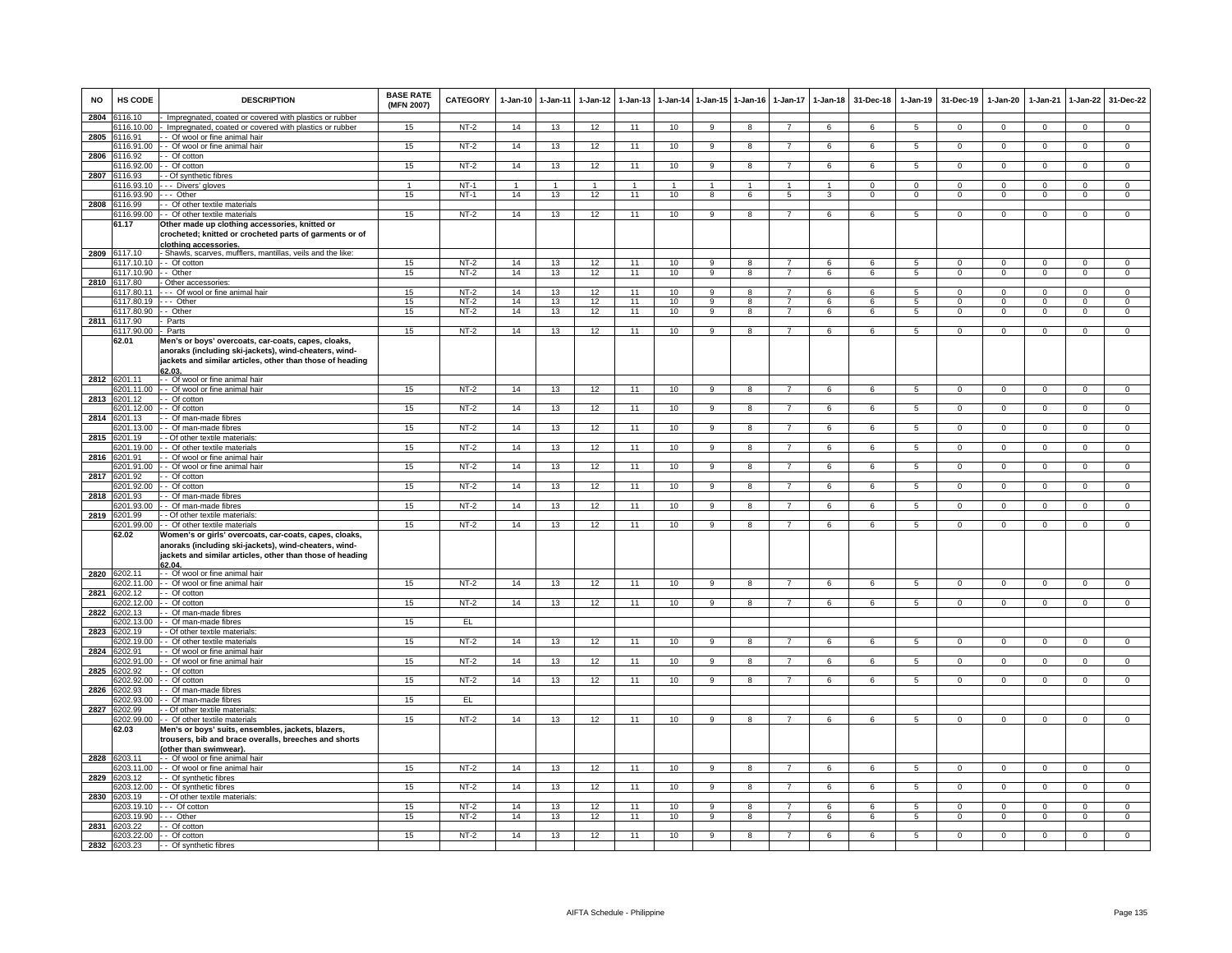| <b>NO</b> | HS CODE                    | <b>DESCRIPTION</b>                                                                                                                                                                     | <b>BASE RATE</b><br>(MFN 2007) | CATEGORY | 1-Jan-10       | 1-Jan-11       | 1-Jan-12       | 1-Jan-13        |                | 1-Jan-14 1-Jan-15 1-Jan-16 |                | 1-Jan-17       | $1-Jan-18$           | 31-Dec-18      | $1-Jan-19$      | 31-Dec-19      | 1-Jan-20       | 1-Jan-21       | 1-Jan-22       | 31-Dec-22      |
|-----------|----------------------------|----------------------------------------------------------------------------------------------------------------------------------------------------------------------------------------|--------------------------------|----------|----------------|----------------|----------------|-----------------|----------------|----------------------------|----------------|----------------|----------------------|----------------|-----------------|----------------|----------------|----------------|----------------|----------------|
| 2804      | 116.10<br>3116.10.00       | Impregnated, coated or covered with plastics or rubber<br>Impregnated, coated or covered with plastics or rubber                                                                       | 15                             | $NT-2$   | 14             | 13             | 12             | 11              | 10             |                            |                |                | 6                    |                |                 | $^{\circ}$     |                |                | $\mathbf 0$    | $^{\circ}$     |
| 2805      | 6116.91                    | - Of wool or fine animal hair                                                                                                                                                          |                                |          |                |                |                |                 |                |                            |                |                |                      |                |                 |                |                |                |                |                |
|           | 3116.91.00                 | - Of wool or fine animal hair                                                                                                                                                          | 15                             | $NT-2$   | 14             | 13             | 12             | 11              | 10             | $\overline{9}$             | 8              | -7             | 6                    | 6              | 5               | $\mathbf{0}$   | $\Omega$       | $\Omega$       | $\overline{0}$ | $\overline{0}$ |
| 2806      | 116.92                     | - Of cotton                                                                                                                                                                            |                                |          |                |                |                |                 |                |                            |                |                |                      |                |                 |                |                |                |                |                |
|           | 116.92.00                  | - Of cotton                                                                                                                                                                            | 15                             | $NT-2$   | 14             | 13             | 12             | 11              | 10             | 9                          | 8              |                | 6                    | 6              | $\overline{5}$  | $\mathsf 0$    | $\mathbf 0$    | $\mathbf 0$    | $\mathbf 0$    | $\overline{0}$ |
| 2807      | 116.93<br>6116.93.10       | Of synthetic fibres<br>- Divers' gloves                                                                                                                                                |                                | $NT-1$   | $\overline{1}$ | $\overline{1}$ | $\overline{1}$ | $\overline{1}$  | $\overline{1}$ | $\blacktriangleleft$       | $\overline{1}$ |                | $\blacktriangleleft$ | $\Omega$       | $\mathbf 0$     | $\mathbf{0}$   | $\Omega$       | $\Omega$       | $\overline{0}$ | $\overline{0}$ |
|           | 6116.93.90                 | - Other                                                                                                                                                                                | 15                             | $NT-1$   | 14             | 13             | 12             | 11              | 10             | $\overline{8}$             | 6              | $\overline{5}$ | $\overline{3}$       | $\overline{0}$ | $\overline{0}$  | $\Omega$       | $\overline{0}$ | $\overline{0}$ | $\overline{0}$ | $\overline{0}$ |
| 2808      | 116.99                     | - Of other textile materials                                                                                                                                                           |                                |          |                |                |                |                 |                |                            |                |                |                      |                |                 |                |                |                |                |                |
|           | 6116.99.00                 | - Of other textile materials                                                                                                                                                           | 15                             | $NT-2$   | 14             | 13             | 12             | 11              | 10             | 9                          | 8              | $\overline{7}$ | 6                    | 6              | 5               | $\mathbf{0}$   | $\mathbf 0$    | $^{\circ}$     | $\mathbf{0}$   | $\mathbf{0}$   |
|           | 61.17                      | Other made up clothing accessories, knitted or<br>crocheted; knitted or crocheted parts of garments or of<br>clothing accessories.                                                     |                                |          |                |                |                |                 |                |                            |                |                |                      |                |                 |                |                |                |                |                |
| 2809      | 6117.10<br>6117.10.10      | Shawls, scarves, mufflers, mantillas, veils and the like:<br>- Of cotton                                                                                                               | 15                             | $NT-2$   | 14             | 13             | 12             | 11              | 10             | 9                          | 8              |                | 6                    | 6              | 5               | $\mathbf 0$    | $\mathbf 0$    | $\mathbf 0$    | $\mathbf 0$    | $\overline{0}$ |
|           | 6117.10.90                 | - Other                                                                                                                                                                                | 15                             | $NT-2$   | 14             | 13             | 12             | 11              | 10             | 9                          | 8              | $\overline{7}$ | 6                    | 6              | 5               | $\mathbf 0$    | $\Omega$       | $\mathbf{0}$   | $\mathbf 0$    | $\overline{0}$ |
|           | 2810 6117.80               | Other accessories:                                                                                                                                                                     |                                |          |                |                |                |                 |                |                            |                |                |                      |                |                 |                |                |                |                |                |
|           | 6117.80.11                 | - Of wool or fine animal hair                                                                                                                                                          | 15                             | $NT-2$   | 14             | 13             | 12             | 11              | 10             | $\alpha$                   | R              |                | 6                    | $\kappa$       | $\sqrt{2}$      | $\Omega$       | $\Omega$       | $\Omega$       | $\Omega$       | $\Omega$       |
|           | 6117.80.19                 | -- Other                                                                                                                                                                               | 15                             | $NT-2$   | 14             | 13             | 12             | 11              | 10             | 9                          | 8              | $\overline{7}$ | 6                    | 6              | 5               | $\Omega$       | $\Omega$       | $\Omega$       | $\mathbf 0$    | $\mathbf 0$    |
|           | 6117.80.90<br>2811 6117.90 | - Other<br>Parts                                                                                                                                                                       | 15                             | $NT-2$   | 14             | 13             | 12             | 11              | 10             | -9                         | 8              |                | 6                    | 6              | 5               | $^{\circ}$     | $\mathbf 0$    | $^{\circ}$     | $\mathbf 0$    | $\mathbf 0$    |
|           | 6117.90.00                 | Parts                                                                                                                                                                                  | 15                             | $NT-2$   | 14             | 13             | 12             | 11              | 10             | 9                          | 8              | $\overline{7}$ | 6                    | 6              | 5               | $\mathbf{0}$   | $\mathbf{0}$   | $^{\circ}$     | $\mathbf 0$    | $\overline{0}$ |
|           | 62.01                      | Men's or boys' overcoats, car-coats, capes, cloaks,<br>anoraks (including ski-jackets), wind-cheaters, wind-<br>jackets and similar articles, other than those of heading              |                                |          |                |                |                |                 |                |                            |                |                |                      |                |                 |                |                |                |                |                |
|           | 6201.11                    | 62.03<br>- - Of wool or fine animal hair                                                                                                                                               |                                |          |                |                |                |                 |                |                            |                |                |                      |                |                 |                |                |                |                |                |
| 2812      | 6201.11.00                 | - Of wool or fine animal hair                                                                                                                                                          | 15                             | $NT-2$   | 14             | 13             | 12             | 11              | 10             | $\overline{9}$             | 8              | $\overline{7}$ | 6                    | 6              | $\overline{5}$  | $\overline{0}$ | $\overline{0}$ | $\overline{0}$ | $\overline{0}$ | $\overline{0}$ |
| 2813      | 3201.12                    | - Of cotton                                                                                                                                                                            |                                |          |                |                |                |                 |                |                            |                |                |                      |                |                 |                |                |                |                |                |
|           | 6201.12.00                 | - Of cotton                                                                                                                                                                            | 15                             | $NT-2$   | 14             | 13             | 12             | 11              | 10             | 9                          | 8              | 7              | 6                    | 6              | $5\phantom{.0}$ | $\mathbf{0}$   | $\mathbf 0$    | $\mathbf 0$    | $\overline{0}$ | $\overline{0}$ |
|           | 2814 6201.13               | - Of man-made fibres                                                                                                                                                                   |                                |          |                |                |                |                 |                |                            |                |                |                      |                |                 |                |                |                |                |                |
|           | 3201.13.00                 | - Of man-made fibres                                                                                                                                                                   | 15                             | $NT-2$   | 14             | 13             | 12             | 11              | 10             | 9                          | 8              | $\overline{7}$ | 6                    | 6              | $5\phantom{.0}$ | $\overline{0}$ | $\mathbf 0$    | $\Omega$       | $\overline{0}$ | $\overline{0}$ |
| 2815      | 201.19<br>201.19.00        | - Of other textile materials:<br>- Of other textile materials                                                                                                                          | 15                             | $NT-2$   | 14             | 13             | 12             | 11              | 10             | 9                          | 8              |                | 6                    | 6              | 5               | $\mathbf 0$    | $\mathbf 0$    | $\mathbf 0$    | $\mathbf 0$    | $\mathbf 0$    |
| 2816      | 6201.91                    | - Of wool or fine animal hair                                                                                                                                                          |                                |          |                |                |                |                 |                |                            |                |                |                      |                |                 |                |                |                |                |                |
|           | 6201.91.00                 | - Of wool or fine animal hair                                                                                                                                                          | 15                             | $NT-2$   | 14             | 13             | 12             | 11              | 10             | $\overline{9}$             | 8              | $\overline{7}$ | 6                    | 6              | $\overline{5}$  | $\overline{0}$ | $\overline{0}$ | $\overline{0}$ | $\overline{0}$ | $\overline{0}$ |
| 2817      | 3201.92                    | - Of cotton                                                                                                                                                                            |                                |          |                |                |                |                 |                |                            |                |                |                      |                |                 |                |                |                |                |                |
|           | 6201.92.00                 | - Of cotton                                                                                                                                                                            | 15                             | $NT-2$   | 14             | 13             | 12             | 11              | 10             | 9                          | 8              |                | 6                    | 6              | $5^{\circ}$     | $\Omega$       | $\Omega$       | $\Omega$       | $\Omega$       | $\Omega$       |
| 2818      | 201.93<br>3201.93.00       | - Of man-made fibres<br>- Of man-made fibres                                                                                                                                           | 15                             | NT-2     | 14             | 13             | 12             | 11              | 10             | 9                          | 8              | $\overline{7}$ | 6                    | 6              | 5               | $\mathbf 0$    | $\mathbf{0}$   | $\mathbf 0$    | $\mathbf{0}$   | $\mathbf{0}$   |
| 2819      | 3201.99                    | - Of other textile materials                                                                                                                                                           |                                |          |                |                |                |                 |                |                            |                |                |                      |                |                 |                |                |                |                |                |
|           | 201.99.00                  | - Of other textile materials                                                                                                                                                           | 15                             | $NT-2$   | 14             | 13             | 12             | 11              | 10             | $\overline{9}$             | 8              | $\overline{7}$ | 6                    | 6              | $5^{\circ}$     | $\overline{0}$ | $\Omega$       | $\Omega$       | $\overline{0}$ | $\overline{0}$ |
|           | 62.02                      | Women's or girls' overcoats, car-coats, capes, cloaks,<br>anoraks (including ski-jackets), wind-cheaters, wind-<br>jackets and similar articles, other than those of heading<br>62.04. |                                |          |                |                |                |                 |                |                            |                |                |                      |                |                 |                |                |                |                |                |
| 2820      | 6202.11<br>6202.11.00      | - Of wool or fine animal hair<br>- Of wool or fine animal hair                                                                                                                         | 15                             | $NT-2$   | 14             | 13             | 12             | 11              | 10             | 9                          | 8              | $\overline{7}$ | 6                    | 6              | $5^{\circ}$     | $\Omega$       | $\Omega$       | $\Omega$       | $\Omega$       | $\Omega$       |
| 2821      | 6202.12                    | - Of cotton                                                                                                                                                                            |                                |          |                |                |                |                 |                |                            |                |                |                      |                |                 |                |                |                |                |                |
|           | 6202.12.00                 | - Of cotton                                                                                                                                                                            | 15                             | $NT-2$   | 14             | 13             | 12             | 11              | 10             | 9                          | 8              | $\overline{7}$ | 6                    | 6              | 5               | $\overline{0}$ | $^{\circ}$     | $^{\circ}$     | $\mathbf{0}$   | $\overline{0}$ |
| 2822      | 3202.13                    | - Of man-made fibres                                                                                                                                                                   |                                |          |                |                |                |                 |                |                            |                |                |                      |                |                 |                |                |                |                |                |
| 2823      | 202.13.00                  | - Of man-made fibres                                                                                                                                                                   | 15                             | EL       |                |                |                |                 |                |                            |                |                |                      |                |                 |                |                |                |                |                |
|           | 202.19<br>202.19.00        | - Of other textile materials<br>Of other textile materials                                                                                                                             | 15                             | $NT-2$   | 14             | 13             | 12             | 11              | 10             | 9                          | 8              | $\overline{7}$ | 6                    | 6              | 5               | $\mathbf 0$    | $\Omega$       | $^{\circ}$     | $\mathbf{0}$   | $\Omega$       |
| 2824      | 6202.91                    | - Of wool or fine animal hair                                                                                                                                                          |                                |          |                |                |                |                 |                |                            |                |                |                      |                |                 |                |                |                |                |                |
|           | 202.91.00                  | - Of wool or fine animal hair                                                                                                                                                          | 15                             | $NT-2$   | 14             | 13             | 12             | 11              | 10             | q                          | $\mathbf{R}$   |                | $\epsilon$           | $\epsilon$     | 5               | $\Omega$       | $\Omega$       | $\Omega$       |                | $\Omega$       |
| 2825      | 202.92                     | Of cotton                                                                                                                                                                              |                                |          |                |                |                |                 |                |                            |                |                |                      |                |                 |                |                |                |                |                |
| 2826      | 3202.92.00<br>3202.93      | - Of cotton<br>- Of man-made fibres                                                                                                                                                    | 15                             | $NT-2$   | 14             | 13             | 12             | 11              | 10             | 9                          | 8              |                | 6                    | 6              | 5               | $^{\circ}$     | $\Omega$       | $^{\circ}$     | $\mathbf{0}$   | $\Omega$       |
|           | 3202.93.00                 | - Of man-made fibres                                                                                                                                                                   | 15                             | E        |                |                |                |                 |                |                            |                |                |                      |                |                 |                |                |                |                |                |
| 2827      | 202.99                     | - Of other textile materials:                                                                                                                                                          |                                |          |                |                |                |                 |                |                            |                |                |                      |                |                 |                |                |                |                |                |
|           | 3202.99.00                 | - Of other textile materials                                                                                                                                                           | 15                             | $NT-2$   | 14             | 13             | 12             | 11              | 10             | 9                          | 8              | $\overline{7}$ | 6                    | 6              | 5               | $\mathbf 0$    | $\mathbf{O}$   | $\overline{0}$ | $\mathbf 0$    | $\mathbf{0}$   |
|           | 62.03<br>6203.11           | Men's or boys' suits, ensembles, jackets, blazers,<br>trousers, bib and brace overalls, breeches and shorts<br>other than swimwear).<br>- Of wool or fine animal hair                  |                                |          |                |                |                |                 |                |                            |                |                |                      |                |                 |                |                |                |                |                |
| 2828      | 6203.11.00                 | - Of wool or fine animal hair                                                                                                                                                          | 15                             | $NT-2$   | 14             | 13             | 12             | 11              | 10             | 9                          | 8              | $\overline{7}$ | 6                    | 6              | $5\overline{5}$ | $\Omega$       | $\Omega$       | $\Omega$       | $\Omega$       | $\Omega$       |
| 2829      | 6203.12                    | - Of synthetic fibres                                                                                                                                                                  |                                |          |                |                |                |                 |                |                            |                |                |                      |                |                 |                |                |                |                |                |
|           | 6203.12.00                 | - Of synthetic fibres                                                                                                                                                                  | 15                             | $NT-2$   | 14             | 13             | 12             | 11              | 10             | 9                          | 8              | $\overline{7}$ | 6                    | 6              | 5               | $\mathbf{0}$   | $^{\circ}$     | $^{\circ}$     | $\overline{0}$ | $\overline{0}$ |
| 2830      | 3203.19                    | - Of other textile materials:                                                                                                                                                          |                                |          |                |                |                |                 |                |                            |                |                |                      |                |                 |                |                |                |                |                |
|           | 203.19.10                  | $-$ Of cotton                                                                                                                                                                          | 15                             | $NT-2$   | 14             | 13             | 12             | 11              | 10             | 9                          | 8              | $\overline{7}$ | 6                    | 6              | $5^{\circ}$     | $\Omega$       | $\Omega$       | $\Omega$       | $\mathbf{0}$   | $\mathbf{0}$   |
|           | 203.19.90<br>2831 6203.22  | -- Other<br>- Of cotton                                                                                                                                                                | 15                             | $NT-2$   | 14             | 13             | 12             | 11              | 10             | $\overline{9}$             | 8              |                | 6                    | 6              | 5               | 0              | 0              | 0              | $\mathbf{0}$   | $\overline{0}$ |
|           | 6203.22.00                 | $-$ Of cotton                                                                                                                                                                          | 15                             | $NT-2$   | 14             | 13             | 12             | $\overline{11}$ | 10             | $\overline{q}$             | $\overline{R}$ | $\overline{7}$ | $\overline{6}$       | $\overline{6}$ | $\overline{5}$  | $\overline{0}$ | $\overline{0}$ | $\overline{0}$ | $\overline{0}$ | $\overline{0}$ |
| 2832      | 6203.23                    | - - Of synthetic fibres                                                                                                                                                                |                                |          |                |                |                |                 |                |                            |                |                |                      |                |                 |                |                |                |                |                |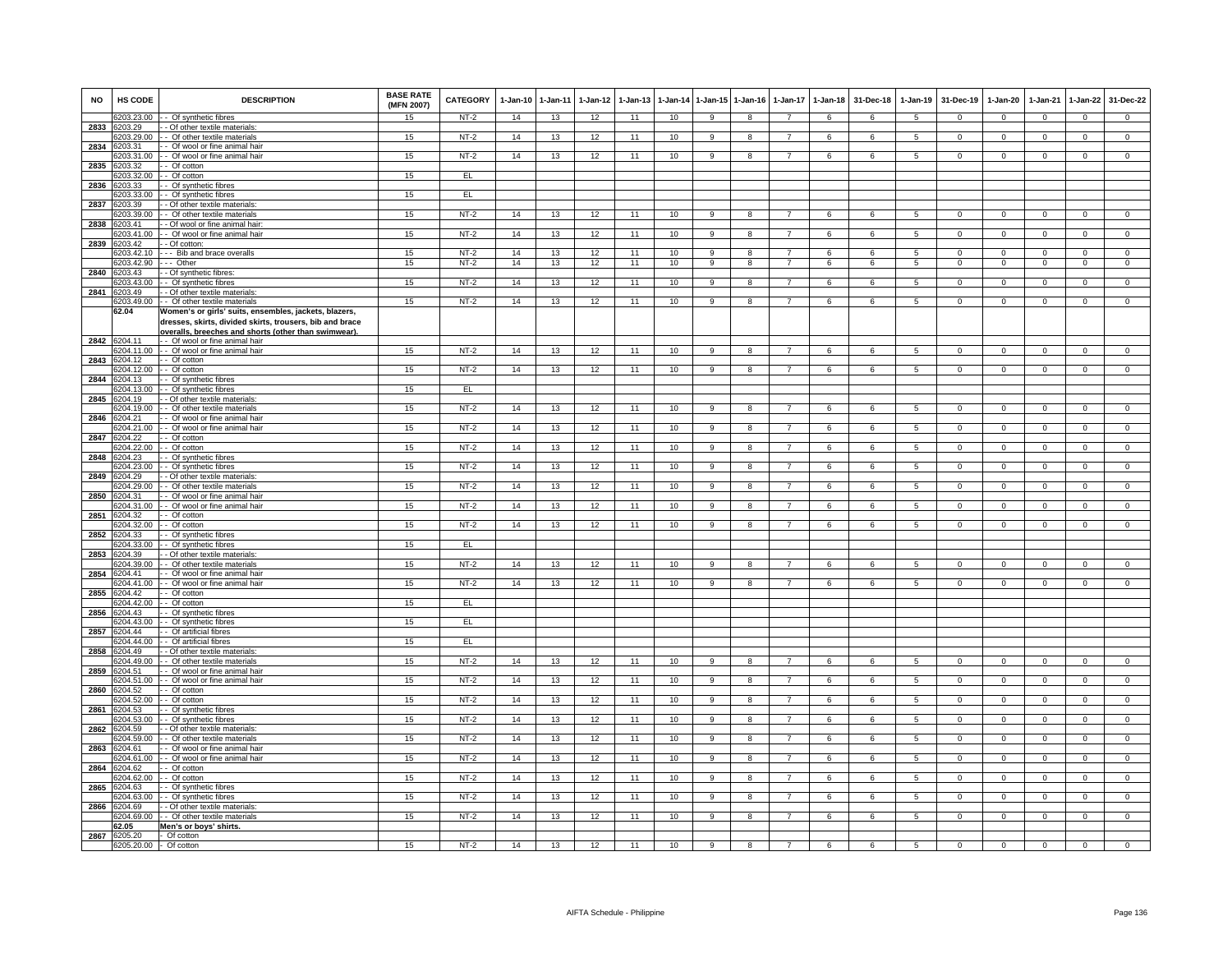| <b>NO</b> | <b>HS CODE</b>         | <b>DESCRIPTION</b>                                                                    | <b>BASE RATE</b><br>(MFN 2007) | <b>CATEGORY</b> | 1-Jan-10 | $1 - Jan-11$ | $1-Jan-12$ | $1 - Jan-13$ | $1-Jan-14$ | $1 - Jan-15$   | $1 - Jan-16$   | $1 - Jan - 17$ | $1-Jan-18$     | 31-Dec-18      | $1-Jan-19$      | 31-Dec-19      | $1-Jan-20$     | $1-Jan-21$     | $1-Jan-22$     | 31-Dec-22      |
|-----------|------------------------|---------------------------------------------------------------------------------------|--------------------------------|-----------------|----------|--------------|------------|--------------|------------|----------------|----------------|----------------|----------------|----------------|-----------------|----------------|----------------|----------------|----------------|----------------|
|           |                        | 6203.23.00 - - Of synthetic fibres                                                    | 15                             | NT-2            | 14       | 13           | 12         | 11           | 10         | 9              | 8              | $\overline{7}$ | 6              | 6              | 5               | $\mathbf 0$    | $\overline{0}$ | $\mathbf 0$    | $\mathbf{0}$   | $\mathbf{0}$   |
| 2833      | 6203.29<br>3203.29.00  | - Of other textile materials:<br>- - Of other textile materials                       | 15                             | $NT-2$          | 14       | 13           | 12         | 11           | 10         | 9              | 8              | $\overline{7}$ | 6              | 6              | 5               | $\overline{0}$ | $\mathbf{0}$   | $\mathbf 0$    | $\mathbf{0}$   | $\overline{0}$ |
| 2834      | 6203.31                | - Of wool or fine animal hair                                                         |                                |                 |          |              |            |              |            |                |                |                |                |                |                 |                |                |                |                |                |
|           | 203.31.00              | - Of wool or fine animal hair                                                         | 15                             | $NT-2$          | 14       | 13           | 12         | 11           | 10         | 9              | 8              | 7              | 6              | 6              | 5               | $\mathbf{0}$   | $\mathbf{0}$   | $^{\circ}$     | $\mathbf 0$    | $\overline{0}$ |
| 2835      | 6203.32                | - Of cotton                                                                           |                                |                 |          |              |            |              |            |                |                |                |                |                |                 |                |                |                |                |                |
|           | 6203.32.00<br>203.33   | - Of cotton                                                                           | 15                             | EL              |          |              |            |              |            |                |                |                |                |                |                 |                |                |                |                |                |
| 2836      | 6203.33.00             | - Of synthetic fibres<br>- Of synthetic fibres                                        | 15                             | EL.             |          |              |            |              |            |                |                |                |                |                |                 |                |                |                |                |                |
| 2837      | 203.39                 | - - Of other textile materials                                                        |                                |                 |          |              |            |              |            |                |                |                |                |                |                 |                |                |                |                |                |
|           | 6203.39.00             | - - Of other textile materials                                                        | 15                             | $NT-2$          | 14       | 13           | 12         | 11           | 10         | 9              | 8              | 7              | 6              | 6              | $5\phantom{.0}$ | $\overline{0}$ | $\overline{0}$ | $\mathbf 0$    | $\overline{0}$ | $\overline{0}$ |
|           | 2838 6203.41           | - Of wool or fine animal hair:                                                        |                                |                 |          |              |            |              |            |                |                |                |                |                |                 |                |                |                |                |                |
|           | 303 41 00              | - Of wool or fine animal hair                                                         | 15                             | $NT-2$          | 14       | 13           | 12         | 11           | 10         | 9              | 8              | 7              | 6              | 6              | 5               | $\Omega$       | $\mathbf 0$    | $\Omega$       | $\mathbf 0$    | $\overline{0}$ |
| 2839      | 6203.42<br>203.42.10   | - Of cotton:<br>Bib and brace overalls                                                | 15                             | $NT-2$          | 14       | 13           | 12         | 11           | 10         | 9              | 8              | $\overline{7}$ | 6              | 6              | 5               | $\mathbf 0$    | $\mathbf 0$    | $\mathbf 0$    | $\mathbf 0$    | $\overline{0}$ |
|           | 203.42.90              | -- Other                                                                              | 15                             | $NT-2$          | 14       | 13           | 12         | 11           | 10         | 9              | 8              | $\overline{7}$ | 6              | 6              | 5               | $\mathbf 0$    | $\mathbf 0$    | $\mathbf 0$    | $\mathsf 0$    | $\mathbf{0}$   |
| 2840      | 6203.43                | - - Of synthetic fibres:                                                              |                                |                 |          |              |            |              |            |                |                |                |                |                |                 |                |                |                |                |                |
|           | 203 43 00              | - Of synthetic fibres                                                                 | 15                             | $NT-2$          | 14       | 13           | 12         | 11           | 10         | $\mathbf{Q}$   | $\mathbf{R}$   | $\overline{7}$ | 6              | 6              | 5               | $\mathbf 0$    | $\overline{0}$ | $\Omega$       | $\mathsf 0$    | $\overline{0}$ |
| 2841      | 6203.49<br>3203.49.00  | - Of other textile materials                                                          | 15                             | $NT-2$          | 14       | 13           | 12         | 11           | 10         | 9              | 8              | $\overline{7}$ | 6              | 6              | 5               | $\Omega$       | $\mathsf 0$    | $\mathbf 0$    | $\mathbf 0$    | $\mathbf 0$    |
|           | 62.04                  | - Of other textile materials<br>Women's or girls' suits, ensembles, jackets, blazers, |                                |                 |          |              |            |              |            |                |                |                |                |                |                 |                |                |                |                |                |
|           |                        | dresses, skirts, divided skirts, trousers, bib and brace                              |                                |                 |          |              |            |              |            |                |                |                |                |                |                 |                |                |                |                |                |
|           |                        | overalls, breeches and shorts (other than swimwear).                                  |                                |                 |          |              |            |              |            |                |                |                |                |                |                 |                |                |                |                |                |
|           | 2842 6204.11           | - Of wool or fine animal hair                                                         |                                |                 |          |              |            |              |            |                |                |                |                |                |                 |                |                |                |                |                |
| 2843      | 6204.12                | 204.11.00 - Of wool or fine animal hair<br>- Of cotton                                | 15                             | $NT-2$          | 14       | 13           | 12         | 11           | 10         | 9              | 8              | $\overline{7}$ | 6              | 6              | 5               | $^{\circ}$     | $\mathsf 0$    | $\mathbf 0$    | $\mathsf 0$    | $\mathbf 0$    |
|           | 204.12.00              | - - Of cotton                                                                         | 15                             | $NT-2$          | 14       | 13           | 12         | 11           | 10         | 9              | 8              | $\overline{7}$ | 6              | 6              | 5               | $^{\circ}$     | $\mathbf 0$    | $\Omega$       | 0              | $\overline{0}$ |
| 2844      | 6204.13                | - - Of synthetic fibres                                                               |                                |                 |          |              |            |              |            |                |                |                |                |                |                 |                |                |                |                |                |
|           | 6204.13.00             | - - Of synthetic fibres                                                               | 15                             | EL              |          |              |            |              |            |                |                |                |                |                |                 |                |                |                |                |                |
| 2845      | 204.19                 | - - Of other textile materials                                                        |                                |                 |          |              |            |              |            |                |                |                |                |                |                 |                |                |                |                |                |
| 2846      | 6204.21                | 6204.19.00 - - Of other textile materials<br>- - Of wool or fine animal hair          | 15                             | NT-2            | 14       | 13           | 12         | 11           | 10         | 9              | 8              | 7              | 6              | 6              | 5               | $\mathbf{0}$   | $\overline{0}$ | $\mathbf 0$    | $\mathbf{0}$   | $\overline{0}$ |
|           | 204.21.00              | - Of wool or fine animal hair                                                         | 15                             | $NT-2$          | 14       | 13           | 12         | 11           | 10         | 9              | 8              | $\overline{7}$ | 6              | 6              | $5\phantom{.0}$ | $\mathbf{0}$   | $\bf{0}$       | $\mathbf 0$    | $\overline{0}$ | $\overline{0}$ |
| 2847      | 6204.22                | - Of cotton                                                                           |                                |                 |          |              |            |              |            |                |                |                |                |                |                 |                |                |                |                |                |
|           | 204.22.00              | - Of cotton                                                                           | 15                             | $NT-2$          | 14       | 13           | 12         | 11           | 10         | 9              | 8              | $\overline{7}$ | 6              | 6              | $5^{\circ}$     | $\overline{0}$ | $\overline{0}$ | $\overline{0}$ | $\mathsf 0$    | $\overline{0}$ |
| 2848      | 6204.23<br>3204.23.00  | - - Of synthetic fibres<br>- Of synthetic fibres                                      | 15                             | $NT-2$          | 14       | 13           | 12         | 11           | 10         | 9              | 8              | $\overline{7}$ | 6              | 6              | 5               | $\mathbf 0$    | $\overline{0}$ | $\Omega$       | $\mathbf 0$    | $\overline{0}$ |
| 2849      | 204.29                 | - Of other textile materials                                                          |                                |                 |          |              |            |              |            |                |                |                |                |                |                 |                |                |                |                |                |
|           | 204.29.00              | - Of other textile materials                                                          | 15                             | $NT-2$          | 14       | 13           | 12         | 11           | 10         | $\overline{9}$ | 8              | $\overline{7}$ | 6              | 6              | $\overline{5}$  | $\Omega$       | $\Omega$       | $\Omega$       | $\mathsf 0$    | $\overline{0}$ |
| 2850      | 204.31                 | - - Of wool or fine animal hair                                                       |                                |                 |          |              |            |              |            |                |                |                |                |                |                 |                |                |                |                |                |
|           | 6204.32                | 3204.31.00 - - Of wool or fine animal hair                                            | 15                             | $NT-2$          | 14       | 13           | 12         | 11           | 10         | 9              | 8              | $\overline{7}$ | 6              | 6              | 5               | $\mathbf 0$    | $\mathsf 0$    | $\mathbf 0$    | $\mathbf 0$    | $\mathbf 0$    |
| 2851      |                        | - Of cotton<br>3204.32.00 - - Of cotton                                               | 15                             | $NT-2$          | 14       | 13           | 12         | 11           | 10         | $\overline{9}$ | $\overline{8}$ | $\overline{7}$ | 6              | 6              | $5^{\circ}$     | $\Omega$       | $\Omega$       | $\overline{0}$ | $\overline{0}$ | $\overline{0}$ |
| 2852      | 204.33                 | - Of synthetic fibres                                                                 |                                |                 |          |              |            |              |            |                |                |                |                |                |                 |                |                |                |                |                |
|           | 3204.33.00             | - - Of synthetic fibres                                                               | 15                             | EL              |          |              |            |              |            |                |                |                |                |                |                 |                |                |                |                |                |
| 2853      | 204.39                 | - Of other textile materials                                                          | 15                             | $NT-2$          | 14       |              |            |              | 10         | 9              | 8              | $\overline{7}$ | 6              |                | 5               |                | $\mathbf 0$    | $\Omega$       | $\mathsf 0$    | $\overline{0}$ |
| 2854      | 204.39.00<br>6204.41   | - Of other textile materials<br>- - Of wool or fine animal hair                       |                                |                 |          | 13           | 12         | 11           |            |                |                |                |                | 6              |                 | $\mathbf 0$    |                |                |                |                |
|           | 6204.41.00             | - Of wool or fine animal hair                                                         | 15                             | $NT-2$          | 14       | 13           | 12         | 11           | 10         | 9              | 8              |                | 6              | 6              | $\overline{5}$  | $\Omega$       | $\Omega$       | $\Omega$       | $\Omega$       | $\Omega$       |
| 2855      | 6204.42                | - - Of cotton                                                                         |                                |                 |          |              |            |              |            |                |                |                |                |                |                 |                |                |                |                |                |
|           |                        | 6204.42.00 - - Of cotton                                                              | 15                             | EL.             |          |              |            |              |            |                |                |                |                |                |                 |                |                |                |                |                |
| 2856      | 6204.43<br>204.43.00   | - Of synthetic fibres<br>- - Of synthetic fibres                                      | 15                             | EL              |          |              |            |              |            |                |                |                |                |                |                 |                |                |                |                |                |
| 2857      | 204.44                 | - Of artificial fibres                                                                |                                |                 |          |              |            |              |            |                |                |                |                |                |                 |                |                |                |                |                |
|           | 04.44.00               | - Of artificial fibres                                                                | 15                             | EL              |          |              |            |              |            |                |                |                |                |                |                 |                |                |                |                |                |
| 2858      | 6204.49                | - - Of other textile materials:                                                       |                                |                 |          |              |            |              |            |                |                |                |                |                |                 |                |                |                |                |                |
| 2859      | 204 49 00<br>204.51    | - Of other textile materials<br>- Of wool or fine animal hair                         | 15                             | $NT-2$          | 14       | 13           | 12         | 11           | 10         | $\overline{a}$ | $\overline{R}$ |                | $\overline{6}$ | $\overline{6}$ | 5               | $\Omega$       | $\overline{0}$ | $\Omega$       | $\overline{0}$ | $\overline{0}$ |
|           | 204.51.00              | - - Of wool or fine animal hair                                                       | 15                             | $NT-2$          | 14       | 13           | 12         | 11           | 10         | $\overline{9}$ | 8              |                | 6              | 6              | $5^{\circ}$     | $\Omega$       | $\Omega$       | $\Omega$       | $\Omega$       | $\overline{0}$ |
| 2860      | 6204.52                | $-$ Of cotton                                                                         |                                |                 |          |              |            |              |            |                |                |                |                |                |                 |                |                |                |                |                |
|           | 6204.52.00             | - Of cotton                                                                           | 15                             | $NT-2$          | 14       | 13           | 12         | 11           | 10         | 9              | 8              | $\overline{7}$ | 6              | 6              | 5               | $\mathbf{0}$   | $\overline{0}$ | $\mathbf 0$    | $\mathbf{0}$   | $\overline{0}$ |
| 2861      | 6204.53<br>204.53.00   | - Of synthetic fibres<br>- Of synthetic fibres                                        | 15                             | $NT-2$          |          |              |            | 11           | 10         | $\overline{9}$ | $\overline{8}$ | $\overline{7}$ | 6              | 6              | $\overline{5}$  | $\Omega$       | $\overline{0}$ | $\overline{0}$ | $\overline{0}$ | $\overline{0}$ |
| 2862      | 204.59                 | - Of other textile materials:                                                         |                                |                 | 14       | 13           | 12         |              |            |                |                |                |                |                |                 |                |                |                |                |                |
|           | 204.59.00              | - Of other textile materials                                                          | 15                             | $NT-2$          | 14       | 13           | 12         | 11           | 10         | 9              | 8              | $\overline{7}$ | 6              | 6              | 5               | $\mathbf 0$    | $\mathsf 0$    | $\mathbf 0$    | $\mathsf 0$    | $\overline{0}$ |
| 2863      | 204.61                 | - - Of wool or fine animal hair                                                       |                                |                 |          |              |            |              |            |                |                |                |                |                |                 |                |                |                |                |                |
|           | 3204.61.00             | - Of wool or fine animal hair                                                         | 15                             | $NT-2$          | 14       | 13           | 12         | 11           | 10         | $\overline{9}$ | $\overline{8}$ | $\overline{7}$ | 6              | 6              | $\overline{5}$  | $\Omega$       | $\overline{0}$ | $\overline{0}$ | $\overline{0}$ | $\overline{0}$ |
| 2864      | 204.62<br>3204.62.00   | - Of cotton<br>- Of cotton                                                            | 15                             | $NT-2$          | 14       | 13           | 12         | 11           | 10         | 9              | 8              | $\overline{7}$ | 6              | 6              | 5               | $\Omega$       | $\Omega$       | $\Omega$       | $\mathbf 0$    | $\mathbf{0}$   |
| 2865      | 6204.63                | - - Of synthetic fibres                                                               |                                |                 |          |              |            |              |            |                |                |                |                |                |                 |                |                |                |                |                |
|           |                        | 6204.63.00 - - Of synthetic fibres                                                    | 15                             | $NT-2$          | 14       | 13           | 12         | 11           | 10         | 9              | 8              | $\overline{7}$ | 6              | 6              | 5               | $^{\circ}$     | $\overline{0}$ | $\overline{0}$ | $\overline{0}$ | $\mathbf{0}$   |
| 2866      | 6204.69                | - - Of other textile materials:                                                       |                                |                 |          |              |            |              |            |                |                |                |                |                |                 |                |                |                |                |                |
|           | 204.69.00              | - Of other textile materials                                                          | 15                             | $NT-2$          | 14       | 13           | 12         | 11           | 10         | 9              | 8              | $\overline{7}$ | 6              | 6              | 5               | $\mathbf{0}$   | $\mathbf 0$    | $\mathbf 0$    | $\mathbf{0}$   | $\mathbf{0}$   |
| 2867      | 62.05<br>6205.20       | Men's or boys' shirts.<br>- Of cotton                                                 |                                |                 |          |              |            |              |            |                |                |                |                |                |                 |                |                |                |                |                |
|           | 6205.20.00 - Of cotton |                                                                                       | 15                             | $NT-2$          | 14       | 13           | 12         | 11           | 10         | $\overline{9}$ | 8              | $\overline{7}$ | 6              | 6              | $5^{\circ}$     | $\Omega$       | $\mathsf 0$    | $\Omega$       | $\Omega$       | $\overline{0}$ |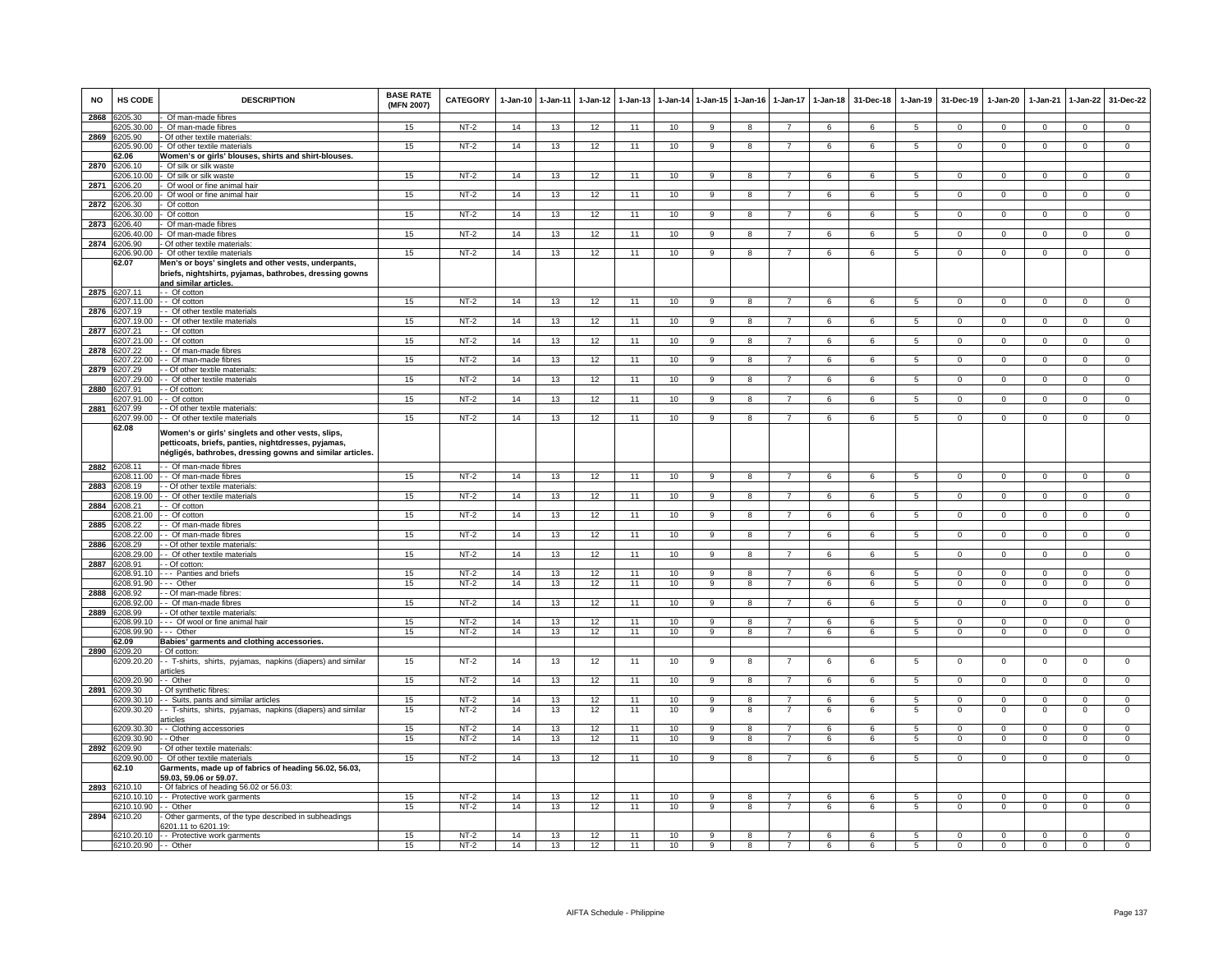| <b>NO</b> | <b>HS CODE</b>          | <b>DESCRIPTION</b>                                                                                                                                                     | <b>BASE RATE</b><br>(MFN 2007) | <b>CATEGORY</b>  | 1-Jan-10 | $1-Jan-11$ | 1-Jan-12 | $1 - Jan-13$ | $1-Jan-14$      | $1 - Jan-15$                   | $1 - Jan-16$            | $1-Jan-17$                       | $1-Jan-18$ | 31-Dec-18       | $1-Jan-19$          | 31-Dec-19                | 1-Jan-20                 | $1-Jan-21$                 | $1-Jan-22$                 | 31-Dec-22                        |
|-----------|-------------------------|------------------------------------------------------------------------------------------------------------------------------------------------------------------------|--------------------------------|------------------|----------|------------|----------|--------------|-----------------|--------------------------------|-------------------------|----------------------------------|------------|-----------------|---------------------|--------------------------|--------------------------|----------------------------|----------------------------|----------------------------------|
| 2868      | 205.30                  | Of man-made fibres                                                                                                                                                     |                                |                  |          |            |          |              |                 |                                |                         |                                  |            |                 |                     |                          |                          |                            |                            |                                  |
|           | 205.90                  | 205.30.00 - Of man-made fibres                                                                                                                                         | 15                             | $NT-2$           | 14       | 13         | 12       | 11           | 10              | 9                              | 8                       | $\overline{7}$                   | 6          | 6               | 5                   | $\Omega$                 | $\mathbf{0}$             | $\mathbf 0$                | $\mathbf 0$                | $\mathbf{0}$                     |
| 2869      | 205.90.00               | Of other textile materials<br>Of other textile materials                                                                                                               | 15                             | $NT-2$           | 14       | 13         | 12       | 11           | 10              | 9                              | 8                       | 7                                | 6          | 6               | 5                   | $\overline{0}$           | $\mathbf 0$              | $\mathbf 0$                | $\mathbf{0}$               | $\overline{0}$                   |
|           | 2.06                    | Women's or girls' blouses, shirts and shirt-blouses.                                                                                                                   |                                |                  |          |            |          |              |                 |                                |                         |                                  |            |                 |                     |                          |                          |                            |                            |                                  |
| 2870      | 6206.10                 | Of silk or silk waste                                                                                                                                                  |                                |                  |          |            |          |              |                 |                                |                         |                                  |            |                 |                     |                          |                          |                            |                            |                                  |
|           | 206.10.00               | Of silk or silk waste                                                                                                                                                  | 15                             | $NT-2$           | 14       | 13         | 12       | 11           | 10              | 9                              | 8                       | 7                                | 6          | 6               | $\overline{5}$      | $\Omega$                 | $\Omega$                 | $\Omega$                   | $\Omega$                   | $\overline{0}$                   |
| 2871      | 206.20<br>3206.20.00    | Of wool or fine animal hair                                                                                                                                            | 15                             |                  | 14       |            |          |              | 10              | $\overline{9}$                 | $\overline{8}$          |                                  | 6          | 6               | $\overline{5}$      | $\Omega$                 | $\overline{0}$           | $\overline{0}$             | $\overline{0}$             | $\overline{0}$                   |
| 2872      | 206.30                  | Of wool or fine animal hair<br>Of cotton                                                                                                                               |                                | $NT-2$           |          | 13         | 12       | 11           |                 |                                |                         |                                  |            |                 |                     |                          |                          |                            |                            |                                  |
|           | 6206.30.00              | - Of cotton                                                                                                                                                            | 15                             | $NT-2$           | 14       | 13         | 12       | 11           | 10              | 9                              | 8                       | $\overline{7}$                   | 6          | 6               | 5                   | $\mathbf 0$              | $\overline{0}$           | $\mathbf 0$                | $\mathbf{0}$               | $\overline{0}$                   |
| 2873      | 6206.40                 | Of man-made fibres                                                                                                                                                     |                                |                  |          |            |          |              |                 |                                |                         |                                  |            |                 |                     |                          |                          |                            |                            |                                  |
|           | 206.40.00               | Of man-made fibres                                                                                                                                                     | 15                             | $NT-2$           | 14       | 13         | 12       | 11           | 10              | 9                              | 8                       | $\overline{7}$                   | 6          | 6               | 5                   | $\mathbf{0}$             | $\mathbf 0$              | $^{\circ}$                 | $\mathbf{0}$               | $\mathbf{0}$                     |
| 2874      | 6206.90                 | Of other textile materials                                                                                                                                             |                                |                  |          |            |          |              |                 |                                |                         |                                  |            |                 |                     |                          |                          |                            |                            |                                  |
|           | 206.90.00<br>62.07      | - Of other textile materials                                                                                                                                           | 15                             | $NT-2$           | 14       | 13         | 12       | 11           | 10              | 9                              | 8                       | $\overline{7}$                   | 6          | 6               | 5                   | $\mathbf 0$              | $\mathbf 0$              | $\mathbf 0$                | $\mathbf{0}$               | $\overline{0}$                   |
|           |                         | Men's or boys' singlets and other vests, underpants,<br>briefs, nightshirts, pyjamas, bathrobes, dressing gowns<br>and similar articles                                |                                |                  |          |            |          |              |                 |                                |                         |                                  |            |                 |                     |                          |                          |                            |                            |                                  |
| 2875      | 6207.11                 | - - Of cotton                                                                                                                                                          |                                |                  |          |            |          |              |                 |                                |                         |                                  |            |                 |                     |                          |                          |                            |                            |                                  |
|           | 6207.11.00              | - Of cotton                                                                                                                                                            | 15                             | $NT-2$           | 14       | 13         | 12       | 11           | 10              | 9                              | 8                       |                                  | 6          | 6               | $5^{\circ}$         | $\Omega$                 | $\Omega$                 | $\Omega$                   | $\Omega$                   | $\Omega$                         |
| 2876      | 6207.19                 | - Of other textile materials<br>6207.19.00 - - Of other textile materials                                                                                              | 15                             | $NT-2$           | 14       | 13         | 12       | 11           | 10              | 9                              | 8                       |                                  | 6          | 6               | 5                   | $^{\circ}$               | $^{\circ}$               | $\mathbf 0$                | $\mathsf 0$                | $\mathbf 0$                      |
| 2877      | 6207.21                 | - - Of cotton                                                                                                                                                          |                                |                  |          |            |          |              |                 |                                |                         |                                  |            |                 |                     |                          |                          |                            |                            |                                  |
|           | 207.21.00               | - - Of cotton                                                                                                                                                          | 15                             | $NT-2$           | 14       | 13         | 12       | 11           | 10              | 9                              | 8                       | $\overline{7}$                   | 6          | 6               | 5                   | $^{\circ}$               | $\overline{0}$           | $\Omega$                   | $\circ$                    | $\overline{0}$                   |
| 2878      | 207.22                  | - Of man-made fibres                                                                                                                                                   |                                |                  |          |            |          |              |                 |                                |                         |                                  |            |                 |                     |                          |                          |                            |                            |                                  |
|           |                         | 207.22.00 - - Of man-made fibres                                                                                                                                       | 15                             | $NT-2$           | 14       | 13         | 12       | 11           | 10              | 9                              | 8                       |                                  | 6          | 6               | 5                   | $^{\circ}$               | $\mathbf 0$              | $\mathbf 0$                | 0                          | $\mathbf 0$                      |
| 2879      | 207.29                  | - Of other textile materials                                                                                                                                           | 15                             | $NT-2$           | 14       | 13         | 12       | 11           | 10              | $\overline{9}$                 | $\overline{\mathbf{8}}$ | $\overline{7}$                   | 6          | 6               | $\overline{5}$      | $\overline{0}$           | $\overline{0}$           | $\overline{0}$             | $\overline{0}$             | $\overline{0}$                   |
| 2880      | 207.29.00<br>6207.91    | - Of other textile materials<br>- Of cotton                                                                                                                            |                                |                  |          |            |          |              |                 |                                |                         |                                  |            |                 |                     |                          |                          |                            |                            |                                  |
|           | 207.91.00               | - Of cotton                                                                                                                                                            | 15                             | $NT-2$           | 14       | 13         | 12       | 11           | 10              | $\overline{9}$                 | $\overline{\mathbf{R}}$ |                                  | 6          | 6               | $\overline{5}$      | $\overline{0}$           | $\overline{0}$           | $\overline{0}$             | $\overline{0}$             | $\overline{0}$                   |
| 2881      | 207.99                  | - - Of other textile materials                                                                                                                                         |                                |                  |          |            |          |              |                 |                                |                         |                                  |            |                 |                     |                          |                          |                            |                            |                                  |
|           | 6207.99.00              | - - Of other textile materials                                                                                                                                         | 15                             | NT-2             | 14       | 13         | 12       | 11           | 10              | 9                              | 8                       | $\overline{7}$                   | 6          | 6               | 5                   | $\mathbf 0$              | $\overline{0}$           | $\mathbf 0$                | $\mathbf{0}$               | $\Omega$                         |
|           | 62.08                   | Women's or girls' singlets and other vests, slips,<br>petticoats, briefs, panties, nightdresses, pyjamas,<br>négligés, bathrobes, dressing gowns and similar articles. |                                |                  |          |            |          |              |                 |                                |                         |                                  |            |                 |                     |                          |                          |                            |                            |                                  |
|           | 2882 6208.11            | - Of man-made fibres                                                                                                                                                   |                                |                  |          |            |          |              |                 |                                |                         |                                  |            |                 |                     |                          |                          |                            |                            |                                  |
|           |                         | 6208.11.00 - - Of man-made fibres                                                                                                                                      | 15                             | $NT-2$           | 14       | 13         | 12       | 11           | 10              | 9                              | 8                       | $\overline{7}$                   | 6          | 6               | $\sqrt{5}$          | $\Omega$                 | $\Omega$                 | $\Omega$                   | $\mathsf 0$                | $\overline{0}$                   |
| 2883      | 6208.19                 | - Of other textile materials                                                                                                                                           |                                |                  |          |            |          |              |                 |                                |                         |                                  |            |                 |                     |                          |                          |                            |                            |                                  |
|           | 208.19.00               | - - Of other textile materials                                                                                                                                         | 15                             | $NT-2$           | 14       | 13         | 12       | 11           | 10              | 9                              | 8                       |                                  | 6          | 6               | 5                   | $\Omega$                 | $\Omega$                 | $\Omega$                   | $\Omega$                   | $\Omega$                         |
| 2884      | 208.21                  | - Of cotton                                                                                                                                                            |                                |                  |          |            |          |              |                 |                                |                         |                                  |            |                 |                     |                          |                          |                            |                            |                                  |
| 2885      | 6208.21.00<br>6208.22   | - Of cotton<br>- Of man-made fibres                                                                                                                                    | 15                             | $NT-2$           | 14       | 13         | 12       | 11           | 10              | 9                              | 8                       |                                  | 6          | 6               | 5                   | 0                        | 0                        | $\mathbf 0$                | $\mathbf{0}$               | $\mathbf 0$                      |
|           | 208 22 00               | - Of man-made fibres                                                                                                                                                   | 15                             | $NT-2$           | 14       | 13         | 12       | 11           | 10              | 9                              | 8                       | 7                                | 6          | 6               | 5                   | $\Omega$                 | $\mathsf 0$              | $\mathbf{0}$               | $\mathsf 0$                | $\overline{0}$                   |
| 2886      | 208.29                  | - Of other textile materials:                                                                                                                                          |                                |                  |          |            |          |              |                 |                                |                         |                                  |            |                 |                     |                          |                          |                            |                            |                                  |
|           | 208.29.00               | - Of other textile materials                                                                                                                                           | 15                             | $NT-2$           | 14       | 13         | 12       | 11           | 10              | 9                              | 8                       |                                  | 6          | 6               | 5                   | $\mathbf 0$              | $\mathsf 0$              | $\mathbf 0$                | $\mathsf 0$                | $\overline{0}$                   |
| 2887      | 208.91                  | - Of cotton:                                                                                                                                                           |                                |                  |          |            |          |              |                 |                                |                         |                                  |            |                 |                     |                          |                          |                            |                            |                                  |
|           | 6208.91.10<br>208.91.90 | Panties and briefs                                                                                                                                                     | 15<br>15                       | $NT-2$<br>$NT-2$ | 14<br>14 | 13<br>13   | 12<br>12 | 11<br>11     | 10<br>10        | $\mathbf{Q}$<br>$\overline{9}$ | 8<br>$\mathbf{R}$       | $\overline{7}$<br>$\overline{7}$ | 6<br>6     | 6<br>$\epsilon$ | 5 <sub>1</sub><br>5 | $\Omega$<br>$\Omega$     | $\Omega$<br>$\Omega$     | $\Omega$<br>$\Omega$       | $\Omega$                   | $\overline{0}$<br>$\overline{0}$ |
| 2888      | 208.92                  | - Other<br>- - Of man-made fibres                                                                                                                                      |                                |                  |          |            |          |              |                 |                                |                         |                                  |            |                 |                     |                          |                          |                            | $\mathsf 0$                |                                  |
|           | 208.92.00               | - - Of man-made fibres                                                                                                                                                 | 15                             | $NT-2$           | 14       | 13         | 12       | 11           | 10              | 9                              | 8                       |                                  | 6          | 6               | $5\phantom{.0}$     | $\Omega$                 | $\Omega$                 | $\Omega$                   | $\mathsf 0$                | $\overline{0}$                   |
| 2889      | 6208.99                 | - Of other textile materials                                                                                                                                           |                                |                  |          |            |          |              |                 |                                |                         |                                  |            |                 |                     |                          |                          |                            |                            |                                  |
|           |                         | 3208.99.10 --- Of wool or fine animal hair                                                                                                                             | 15                             | $NT-2$           | 14       | 13         | 12       | 11           | 10              | 9                              | 8                       | $\overline{7}$                   | 6          | 6               | 5                   | $\Omega$                 | $^{\circ}$               | $\Omega$                   | $\mathbf{0}$               | $\mathbf 0$                      |
|           | 208.99.90<br>2.09       | --- Other                                                                                                                                                              | 15                             | $NT-2$           | 14       | 13         | 12       | 11           | 10              | 9                              | 8                       | 7                                | 6          | 6               | 5                   | $\mathbf{0}$             | $\mathbf 0$              | $\mathbf 0$                | $\mathbf{0}$               | $\overline{0}$                   |
| 2890      | 209.20                  | Babies' garments and clothing accessories.<br>Of cotton:                                                                                                               |                                |                  |          |            |          |              |                 |                                |                         |                                  |            |                 |                     |                          |                          |                            |                            |                                  |
|           | 209.20.20               | - T-shirts, shirts, pyjamas, napkins (diapers) and similar<br>ırticles                                                                                                 | 15                             | $NT-2$           | 14       | 13         | 12       | 11           | 10              | 9                              | 8                       | 7                                | 6          | 6               | $\overline{5}$      | $\mathbf 0$              | $\mathbf 0$              | $\mathbf 0$                | $\mathsf 0$                | $\mathbf 0$                      |
|           | 209.20.90               | - Other                                                                                                                                                                | 15                             | $NT-2$           | 14       | 13         | 12       | 11           | 10              | $\overline{9}$                 | 8                       | $\overline{7}$                   | 6          | 6               | $\overline{5}$      | $\mathbf 0$              | $\overline{0}$           | $\overline{0}$             | $\overline{0}$             | $\overline{0}$                   |
| 2891      | 209.30                  | - Of synthetic fibres:                                                                                                                                                 |                                |                  |          |            |          |              |                 |                                |                         |                                  |            |                 |                     |                          |                          |                            |                            |                                  |
|           | 209.30.10<br>6209.30.20 | - - Suits, pants and similar articles<br>- T-shirts, shirts, pyjamas, napkins (diapers) and similar                                                                    | 15<br>15                       | $NT-2$<br>$NT-2$ | 14<br>14 | 13<br>13   | 12<br>12 | 11<br>11     | 10<br>10        | 9<br>9                         | 8<br>8                  | 7                                | 6<br>6     | 6<br>6          | 5<br>$\overline{5}$ | $^{\circ}$<br>$^{\circ}$ | $^{\circ}$<br>$^{\circ}$ | $\mathbf 0$<br>$\mathbf 0$ | $\mathsf 0$<br>$\mathsf 0$ | $\mathbf 0$<br>$\mathbf 0$       |
|           |                         | ırticles                                                                                                                                                               |                                |                  |          |            |          |              |                 |                                |                         |                                  |            |                 |                     |                          |                          |                            |                            |                                  |
|           | 6209.30.30              | - Clothing accessories                                                                                                                                                 | 15                             | $NT-2$           | 14       | 13         | 12       | 11           | 10 <sup>1</sup> | 9                              | 8                       | $\overline{7}$                   | 6          | 6               | 5                   | $\Omega$                 | $\Omega$                 | $\Omega$                   | $\Omega$                   | $\overline{0}$                   |
|           | 3209.30.90              | - Other                                                                                                                                                                | 15                             | $NT-2$           | 14       | 13         | 12       | 11           | 10              | $\overline{9}$                 | $\overline{\mathbf{8}}$ | 7                                | 6          | 6               | 5                   | 0                        | $\mathbf 0$              | $\overline{0}$             | $\overline{0}$             | $\overline{0}$                   |
| 2892      | 209.90                  | Of other textile materials:                                                                                                                                            |                                |                  |          |            |          |              |                 |                                |                         |                                  |            |                 |                     |                          |                          |                            |                            |                                  |
|           | 6209.90.00              | Of other textile materials                                                                                                                                             | 15                             | $NT-2$           | 14       | 13         | 12       | 11           | 10              | 9                              | 8                       | $\overline{7}$                   | 6          | 6               | 5                   | $\mathbf 0$              | $\mathbf 0$              | $\mathbf 0$                | $\mathsf 0$                | $\overline{0}$                   |
| 2893      | 62.10<br>6210.10        | Garments, made up of fabrics of heading 56.02, 56.03,<br>59.03, 59.06 or 59.07.<br>- Of fabrics of heading 56.02 or 56.03:                                             |                                |                  |          |            |          |              |                 |                                |                         |                                  |            |                 |                     |                          |                          |                            |                            |                                  |
|           |                         | 6210.10.10 - Protective work garments                                                                                                                                  | 15                             | $NT-2$           | 14       | 13         | 12       | 11           | 10              | 9                              | 8                       |                                  | 6          | 6               | $\overline{5}$      | $\Omega$                 | $\Omega$                 | $\Omega$                   | $\Omega$                   | $\Omega$                         |
|           | 6210.10.90 -- Other     |                                                                                                                                                                        | 15                             | $NT-2$           | 14       | 13         | 12       | 11           | 10              | 9                              | 8                       | $\overline{7}$                   | 6          | 6               | 5                   | $\Omega$                 | $\mathbf 0$              | $\mathbf 0$                | $\mathbf 0$                | $\mathbf{0}$                     |
| 2894      | 6210.20                 | Other garments, of the type described in subheadings<br>3201.11 to 6201.19:                                                                                            |                                |                  |          |            |          |              |                 |                                |                         |                                  |            |                 |                     |                          |                          |                            |                            |                                  |
|           |                         | 6210.20.10 - Protective work garments                                                                                                                                  | 15                             | $NT-2$           | 14       | 13         | 12       | 11           | 10              | 9                              | 8                       | $\overline{7}$                   | 6          | 6               | 5                   | $^{\circ}$               | $^{\circ}$               | $^{\circ}$                 | $\mathbf 0$                | $\mathbf 0$                      |
|           | 6210.20.90 - - Other    |                                                                                                                                                                        | 15                             | $NT-2$           | 14       | 13         | 12       | 11           | 10              | 9                              | 8                       |                                  | 6          | 6               |                     | $\Omega$                 | 0                        | $\Omega$                   | $\mathbf 0$                | $\Omega$                         |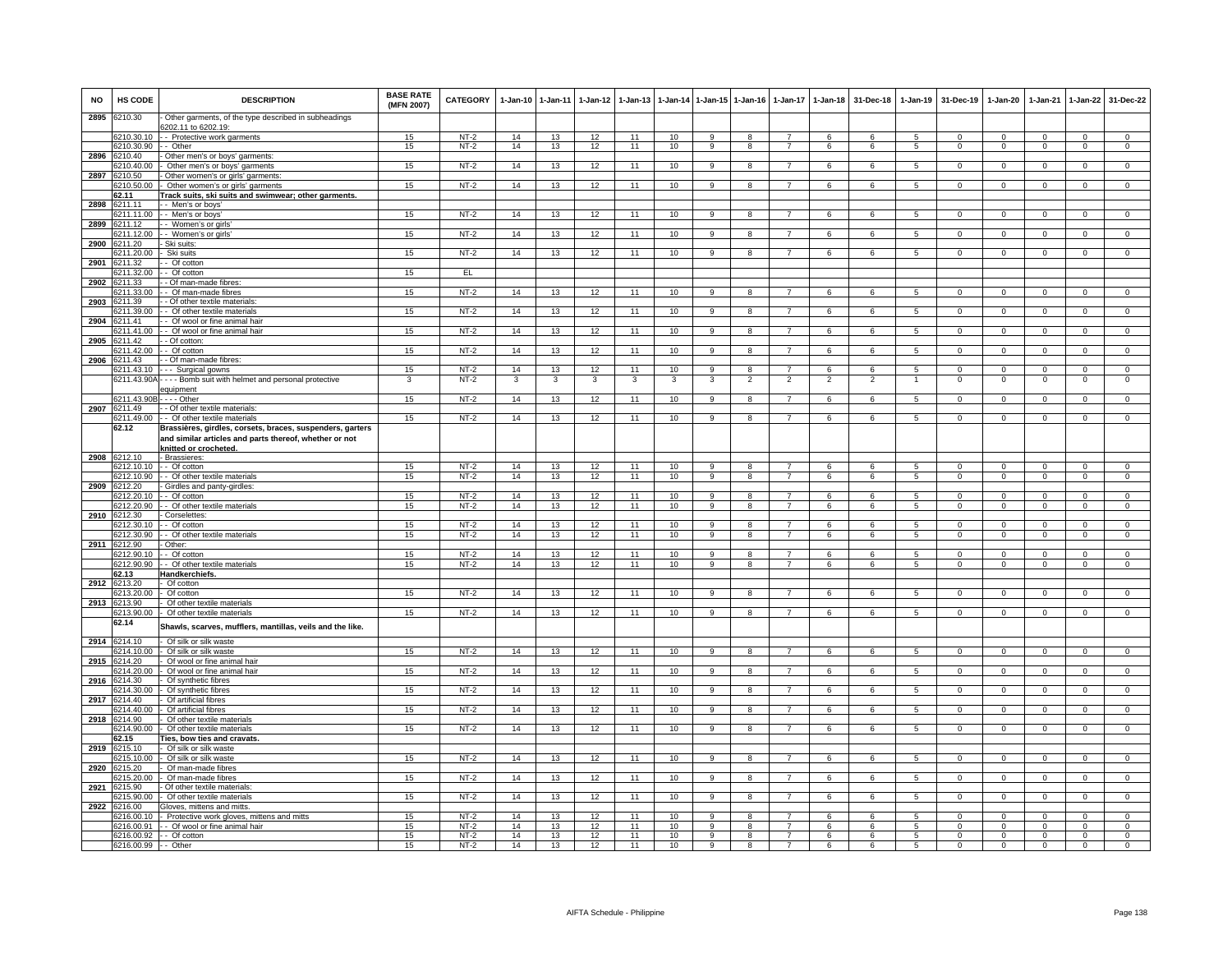| <b>NO</b> | HS CODE                                | <b>DESCRIPTION</b>                                                                        | <b>BASE RATE</b><br>(MFN 2007) | <b>CATEGORY</b>  | $1 - Jan-10$ | 1-Jan-11 | $1-Jan-12$ | $1 - Jan-13$ |          |                     | 1-Jan-14 1-Jan-15 1-Jan-16 | $1 - Jan-17$                     | 1-Jan-18            | 31-Dec-18           | $1-Jan-19$                       | 31-Dec-19                     | $1-Jan-20$                    | $1-Jan-21$                 | $1 - Jan-22$                  | 31-Dec-22                        |
|-----------|----------------------------------------|-------------------------------------------------------------------------------------------|--------------------------------|------------------|--------------|----------|------------|--------------|----------|---------------------|----------------------------|----------------------------------|---------------------|---------------------|----------------------------------|-------------------------------|-------------------------------|----------------------------|-------------------------------|----------------------------------|
| 2895      | 3210.30                                | Other garments, of the type described in subheadings<br>3202.11 to 6202.19:               |                                |                  |              |          |            |              |          |                     |                            |                                  |                     |                     |                                  |                               |                               |                            |                               |                                  |
|           | 6210.30.10                             | - Protective work garments                                                                | 15                             | $NT-2$           | 14           | 13       | 12         | 11           | 10       | 9                   | 8                          | $\overline{7}$                   | 6                   | 6                   | 5                                | $\mathbf{0}$                  | $^{\circ}$                    | $^{\circ}$                 | $\mathbf{0}$                  | $\mathbf 0$                      |
| 2896      | 210.30.90<br>3210.40                   | - Other<br>Other men's or boys' garments:                                                 | 15                             | $NT-2$           | 14           | 13       | 12         | 11           | 10       | 9                   | $\overline{\mathbf{8}}$    | $\overline{7}$                   | 6                   | 6                   | 5                                | $^{\circ}$                    | $\mathbf 0$                   | $\mathbf 0$                | $\overline{0}$                | $\overline{0}$                   |
|           | 210.40.00                              | Other men's or boys' garments                                                             | 15                             | $NT-2$           | 14           | 13       | 12         | 11           | 10       | 9                   | 8                          |                                  | 6                   | 6                   | $\overline{5}$                   | $\mathbf 0$                   | $\mathbf 0$                   | $\overline{0}$             | $\mathsf 0$                   | $\overline{0}$                   |
| 2897      | 3210.50                                | Other women's or girls' garments                                                          |                                |                  |              |          |            |              |          |                     |                            |                                  |                     |                     |                                  |                               |                               |                            |                               |                                  |
|           | 6210.50.00                             | Other women's or girls' garments                                                          | 15                             | $NT-2$           | 14           | 13       | 12         | 11           | 10       | $\overline{9}$      | $\overline{8}$             | $\overline{7}$                   | 6                   | 6                   | $\overline{5}$                   | $\mathbf 0$                   | $\overline{0}$                | $\Omega$                   | $\mathbf 0$                   | $\overline{0}$                   |
| 2898      | 62.11<br>3211.11                       | rack suits, ski suits and swimwear; other garments<br>- - Men's or boys                   |                                |                  |              |          |            |              |          |                     |                            |                                  |                     |                     |                                  |                               |                               |                            |                               |                                  |
|           | 6211.11.00                             | - - Men's or boys'                                                                        | 15                             | $NT-2$           | 14           | 13       | 12         | 11           | 10       | 9                   | 8                          | $\overline{ }$                   | 6                   | 6                   | 5                                | $^{\circ}$                    | $\mathbf{0}$                  | $\mathbf 0$                | $\mathbf{0}$                  | $\mathbf{0}$                     |
| 2899      | 6211.12                                | - Women's or girls                                                                        |                                |                  |              |          |            |              |          |                     |                            |                                  |                     |                     |                                  |                               |                               |                            |                               |                                  |
| 2900      | 6211.12.00<br>6211.20                  | - Women's or girls<br>Ski suits:                                                          | 15                             | $NT-2$           | 14           | 13       | 12         | 11           | 10       | 9                   | 8                          | $\overline{7}$                   | 6                   | 6                   | 5                                | $^{\circ}$                    | $\mathbf{0}$                  | $\mathbf{0}$               | $\overline{0}$                | $^{\circ}$                       |
|           | 211.20.00                              | Ski suits                                                                                 | 15                             | $NT-2$           | 14           | 13       | 12         | 11           | 10       | 9                   | 8                          | 7                                | 6                   | 6                   | 5                                | $\mathbf 0$                   | $\mathbf 0$                   | $\mathbf 0$                | $\mathbf{0}$                  | $\mathbf 0$                      |
| 2901      | 3211.32                                | - Of cotton                                                                               |                                |                  |              |          |            |              |          |                     |                            |                                  |                     |                     |                                  |                               |                               |                            |                               |                                  |
|           | 6211.32.00<br>6211.33                  | Of cotton                                                                                 | 15                             | EL               |              |          |            |              |          |                     |                            |                                  |                     |                     |                                  |                               |                               |                            |                               |                                  |
| 2902      | 3211.33.00                             | - Of man-made fibres<br>- Of man-made fibres                                              | 15                             | $NT-2$           | 14           | 13       | 12         | 11           | 10       | $\alpha$            |                            |                                  | 6                   | $\epsilon$          | $\overline{5}$                   | $\Omega$                      | $\Omega$                      | $\Omega$                   | $\Omega$                      | $\Omega$                         |
| 2903      | 211.39                                 | - Of other textile materials                                                              |                                |                  |              |          |            |              |          |                     |                            |                                  |                     |                     |                                  |                               |                               |                            |                               |                                  |
|           | 211.39.00                              | - Of other textile materials                                                              | 15                             | $NT-2$           | 14           | 13       | 12         | 11           | 10       | 9                   |                            |                                  | 6                   | 6                   | 5                                | $^{\circ}$                    | $\mathbf 0$                   | $\Omega$                   | 0                             | $\Omega$                         |
| 2904      | 6211.41<br>211 41 00                   | - Of wool or fine animal hair<br>- Of wool or fine animal hair                            | 15                             | $NT-2$           | 14           | 13       | 12         | 11           | 10       | 9                   | 8                          | $\overline{7}$                   | 6                   | 6                   | 5                                | $\mathbf{0}$                  | $\mathbf{0}$                  | $\mathbf 0$                | $\mathbf{0}$                  | $\overline{0}$                   |
| 2905      | 3211.42                                | - Of cotton:                                                                              |                                |                  |              |          |            |              |          |                     |                            |                                  |                     |                     |                                  |                               |                               |                            |                               |                                  |
|           | 211.42.00                              | - Of cotton                                                                               | 15                             | $NT-2$           | 14           | 13       | 12         | 11           | 10       | 9                   | 8                          |                                  | 6                   | 6                   | 5                                | 0                             | $\overline{0}$                | $\overline{0}$             | $\overline{0}$                | $\overline{0}$                   |
| 2906      | 3211.43                                | - Of man-made fibres:                                                                     |                                |                  |              |          |            |              |          |                     |                            |                                  |                     |                     |                                  |                               |                               |                            |                               |                                  |
|           | 3211.43.10<br>3211.43.90A              | -- Surgical gowns<br>--- Bomb suit with helmet and personal protective                    | 15<br>3                        | $NT-2$<br>$NT-2$ | 14<br>3      | 13<br>3  | 12<br>3    | 11<br>3      | 10<br>3  | $\mathbf{Q}$<br>3   | 8<br>$\overline{2}$        | $\overline{7}$<br>$\overline{2}$ | 6<br>$\overline{2}$ | 6<br>$\overline{2}$ | -5                               | $\Omega$<br>$\Omega$          | $\Omega$<br>$\mathbf 0$       | $\Omega$<br>$\Omega$       | $\mathbf{0}$<br>$\mathsf 0$   | $\overline{0}$<br>$\overline{0}$ |
|           |                                        | equipment                                                                                 |                                |                  |              |          |            |              |          |                     |                            |                                  |                     |                     |                                  |                               |                               |                            |                               |                                  |
|           | 6211.43.90B                            | - - - - Other                                                                             | 15 <sub>15</sub>               | $NT-2$           | 14           | 13       | 12         | 11           | 10       | 9                   | 8                          |                                  | 6                   | 6                   | $\overline{5}$                   | $\Omega$                      | $\Omega$                      | $\Omega$                   | $\Omega$                      | $\Omega$                         |
|           | 2907 6211.49<br>6211.49.00             | - Of other textile materials:                                                             | 15                             | $NT-2$           | 14           | 13       | 12         | 11           | 10       | 9                   | 8                          | $\overline{7}$                   |                     | 6                   |                                  | $^{\circ}$                    | $\mathbf{0}$                  | $\mathbf{0}$               |                               | $\mathbf{0}$                     |
|           | 62.12                                  | - Of other textile materials<br>Brassières, girdles, corsets, braces, suspenders, garters |                                |                  |              |          |            |              |          |                     |                            |                                  | 6                   |                     | 5                                |                               |                               |                            | $\overline{0}$                |                                  |
|           |                                        | and similar articles and parts thereof, whether or not<br>snitted or crocheted.           |                                |                  |              |          |            |              |          |                     |                            |                                  |                     |                     |                                  |                               |                               |                            |                               |                                  |
|           | 2908 6212.10                           | - Brassieres:                                                                             |                                |                  |              |          |            |              |          |                     |                            |                                  |                     |                     |                                  |                               |                               |                            |                               |                                  |
|           | 6212.10.10                             | - Of cotton                                                                               | 15                             | $NT-2$           | 14           | 13       | 12         | 11           | 10       | $\overline{9}$      | $\overline{8}$             | $\overline{7}$                   | 6                   | 6                   | $\overline{5}$                   | $\Omega$                      | $\overline{0}$                | $\overline{0}$             | $\overline{0}$                | $\overline{0}$                   |
|           | 6212.10.90                             | - Of other textile materials                                                              | 15                             | $NT-2$           | 14           | 13       | 12         | 11           | 10       | $\overline{9}$      | $\overline{\mathbf{a}}$    | $\overline{7}$                   | 6                   | $\overline{6}$      | $\overline{5}$                   | $\overline{0}$                | $\overline{0}$                | $\overline{0}$             | $\overline{0}$                | $\overline{0}$                   |
| 2909      | 6212.20<br>3212.20.10                  | Girdles and panty-girdles<br>- Of cotton                                                  | 15                             | $NT-2$           | 14           | 13       | 12         | 11           | 10       | 9                   | 8                          |                                  | 6                   | 6                   | 5                                | $\Omega$                      | $\Omega$                      | $\Omega$                   | $\mathbf{0}$                  | $^{\circ}$                       |
|           | 3212.20.90                             | - Of other textile materials                                                              | 15                             | $NT-2$           | 14           | 13       | 12         | 11           | 10       | 9                   | 8                          | $\overline{7}$                   | 6                   | 6                   | 5                                | $\mathbf 0$                   | $\overline{0}$                | $\mathbf 0$                | $\circ$                       | $\mathbf{0}$                     |
| 2910      | 6212.30                                | Corselettes:                                                                              |                                |                  |              |          |            |              |          |                     |                            |                                  |                     |                     |                                  |                               |                               |                            |                               |                                  |
|           | 3212.30.10<br>212.30.90                | - Of cotton<br>- Of other textile materials                                               | 15<br>15                       | $NT-2$<br>$NT-2$ | 14<br>14     | 13<br>13 | 12<br>12   | 11<br>11     | 10<br>10 | 9<br>9              | 8<br>8                     | $\overline{7}$<br>$\overline{7}$ | 6<br>6              | 6<br>6              | $\overline{5}$<br>$5^{\circ}$    | $\Omega$<br>$\mathbf 0$       | $\Omega$<br>$\mathbf 0$       | $\Omega$<br>$\mathbf 0$    | $\Omega$<br>$\mathsf 0$       | $\overline{0}$<br>$\mathbf 0$    |
| 2911      | 6212.90                                | Other:                                                                                    |                                |                  |              |          |            |              |          |                     |                            |                                  |                     |                     |                                  |                               |                               |                            |                               |                                  |
|           | 6212.90.10                             | - Of cotton                                                                               | 15                             | $NT-2$           | 14           | 13       | 12         | 11           | 10       | $\mathbf{Q}$        | 8                          | $\overline{7}$                   | 6                   | 6                   | 5                                | $\Omega$                      | $\Omega$                      | $\Omega$                   | $\mathbf 0$                   | $\mathbf 0$                      |
|           | 3212.90.90                             | - Of other textile materials                                                              | 15                             | $NT-2$           | 14           | 13       | 12         | 11           | 10       | $\overline{9}$      | $\mathbf{R}$               | $\overline{7}$                   | 6                   | 6                   | 5                                | $\Omega$                      | $\Omega$                      | $\Omega$                   | $\Omega$                      | $\overline{0}$                   |
| 2912      | 62.13<br>6213.20                       | landkerchiefs.<br>Of cotton                                                               |                                |                  |              |          |            |              |          |                     |                            |                                  |                     |                     |                                  |                               |                               |                            |                               |                                  |
|           | 6213.20.00                             | Of cotton                                                                                 | 15                             | $NT-2$           | 14           | 13       | 12         | 11           | 10       | 9                   | 8                          | 7                                | 6                   | 6                   | 5                                | $\mathbf{0}$                  | $\overline{0}$                | $\mathbf 0$                | $\mathbf{0}$                  | $\mathbf{0}$                     |
|           | 2913 6213.90                           | Of other textile materials                                                                |                                |                  |              |          |            |              |          |                     |                            |                                  |                     |                     |                                  |                               |                               |                            |                               |                                  |
|           | 3213.90.00<br>62.14                    | Of other textile materials                                                                | 15                             | $NT-2$           | 14           | 13       | 12         | 11           | 10       | $\overline{9}$      | $\overline{R}$             | $\overline{7}$                   | 6                   | 6                   | -5                               | $\Omega$                      | $\overline{0}$                | $\overline{0}$             | $\overline{0}$                | $\overline{0}$                   |
|           |                                        | Shawls, scarves, mufflers, mantillas, veils and the like.                                 |                                |                  |              |          |            |              |          |                     |                            |                                  |                     |                     |                                  |                               |                               |                            |                               |                                  |
|           | 2914 6214.10                           | Of silk or silk waste                                                                     |                                |                  |              |          |            |              |          |                     |                            |                                  |                     |                     |                                  |                               |                               |                            |                               |                                  |
| 2915      | 3214.10.00<br>6214.20                  | Of silk or silk waste<br>Of wool or fine animal hair                                      | 15                             | $NT-2$           | 14           | 13       | 12         | 11           | 10       | $\overline{9}$      | $\overline{\mathbf{a}}$    | $\overline{7}$                   | 6                   | 6                   | $\overline{5}$                   | $\overline{0}$                | $\overline{0}$                | $\overline{0}$             | $\overline{0}$                | $\overline{0}$                   |
|           | 3214.20.00                             | Of wool or fine animal hair                                                               | 15                             | $NT-2$           | 14           | 13       | 12         | 11           | 10       | 9                   |                            |                                  | 6                   | $\kappa$            | 5                                | $\Omega$                      | $\Omega$                      | $\Omega$                   | $\Omega$                      | $\Omega$                         |
| 2916      | 6214.30                                | Of synthetic fibres                                                                       |                                |                  |              |          |            |              |          |                     |                            |                                  |                     |                     |                                  |                               |                               |                            |                               |                                  |
|           | 3214.30.00                             | Of synthetic fibres                                                                       | 15                             | $NT-2$           | 14           | 13       | 12         | 11           | 10       | 9                   | 8                          | $\overline{7}$                   | 6                   | 6                   | 5                                | $\mathbf 0$                   | $\overline{0}$                | $\mathbf 0$                | $\mathbf{0}$                  | $\Omega$                         |
| 2917      | 6214.40<br>6214.40.00                  | Of artificial fibres<br>Of artificial fibres                                              | 15                             | $NT-2$           | 14           | 13       | 12         | 11           | 10       | $\overline{9}$      | 8                          | $\overline{7}$                   | 6                   | 6                   | 5                                | $\mathbf 0$                   | $\mathbf 0$                   | $\overline{0}$             | $\overline{0}$                | $\overline{0}$                   |
| 2918      | 3214.90                                | Of other textile materials                                                                |                                |                  |              |          |            |              |          |                     |                            |                                  |                     |                     |                                  |                               |                               |                            |                               |                                  |
|           | 6214.90.00                             | Of other textile materials                                                                | 15                             | $NT-2$           | 14           | 13       | 12         | 11           | 10       | 9                   | 8                          | $\overline{7}$                   | 6                   | 6                   | 5                                | $\mathbf 0$                   | $\mathsf 0$                   | $\mathbf 0$                | $\mathsf 0$                   | $\mathbf 0$                      |
| 2919      | 62.15<br>6215.10                       | <b>Ties, bow ties and cravats.</b><br>Of silk or silk waste                               |                                |                  |              |          |            |              |          |                     |                            |                                  |                     |                     |                                  |                               |                               |                            |                               |                                  |
|           | 3215.10.00                             | Of silk or silk waste                                                                     | 15                             | $NT-2$           | 14           | 13       | 12         | 11           | 10       | 9                   | R                          |                                  | 6                   | 6                   | 5                                | $\mathbf 0$                   | $\mathbf 0$                   | $\Omega$                   | $\mathsf 0$                   | $\mathbf 0$                      |
| 2920      | 215.20                                 | Of man-made fibres                                                                        |                                |                  |              |          |            |              |          |                     |                            |                                  |                     |                     |                                  |                               |                               |                            |                               |                                  |
|           | 3215.20.00                             | Of man-made fibres                                                                        | 15                             | $NT-2$           | 14           | 13       | 12         | 11           | 10       | 9                   | 8                          | $\overline{7}$                   | 6                   | 6                   | 5                                | $\mathbf 0$                   | $\mathbf 0$                   | $\mathbf 0$                | $\mathbf{0}$                  | $\mathbf{0}$                     |
| 2921      | 6215.90<br>3215.90.00                  | Of other textile materials:<br>Of other textile materials                                 | 15                             | $NT-2$           | 14           | 13       | 12         | 11           | 10       | 9                   | 8                          | $\overline{7}$                   | 6                   | 6                   | 5                                | $\mathbf{0}$                  | $\mathbf{0}$                  | $^{\circ}$                 | $\mathbf{0}$                  | $\mathbf 0$                      |
| 2922      | 3216.00                                | Gloves, mittens and mitts.                                                                |                                |                  |              |          |            |              |          |                     |                            |                                  |                     |                     |                                  |                               |                               |                            |                               |                                  |
|           | 216.00.10                              | Protective work gloves, mittens and mitts                                                 | 15                             | $NT-2$           | 14           | 13       | 12         | 11           | 10       | 9                   | 8                          |                                  | 6                   | 6                   | 5                                | $\Omega$                      | $\Omega$                      | $\Omega$                   | 0                             | $\overline{0}$                   |
|           | 6216.00.91<br>6216.00.92 - - Of cotton | - Of wool or fine animal hair                                                             | 15<br>15                       | $NT-2$<br>$NT-2$ | 14<br>14     | 13<br>13 | 12<br>12   | 11<br>11     | 10<br>10 | 9<br>$\overline{9}$ | 8<br>$\overline{8}$        | $\overline{7}$<br>$\overline{7}$ | 6<br>6              | 6<br>6              | $\overline{5}$<br>$\overline{5}$ | $\mathbf 0$<br>$\overline{0}$ | $\mathbf 0$<br>$\overline{0}$ | $\Omega$<br>$\overline{0}$ | $\mathsf 0$<br>$\overline{0}$ | $\mathbf 0$<br>$\overline{0}$    |
|           | 6216.00.99 - - Other                   |                                                                                           | 15                             | $NT-2$           | 14           | 13       | 12         | 11           | 10       | $\overline{9}$      | $\overline{8}$             | $\overline{7}$                   | 6                   | 6                   | $\overline{5}$                   | $\Omega$                      | $\overline{0}$                | $\Omega$                   | $\overline{0}$                | $\overline{0}$                   |
|           |                                        |                                                                                           |                                |                  |              |          |            |              |          |                     |                            |                                  |                     |                     |                                  |                               |                               |                            |                               |                                  |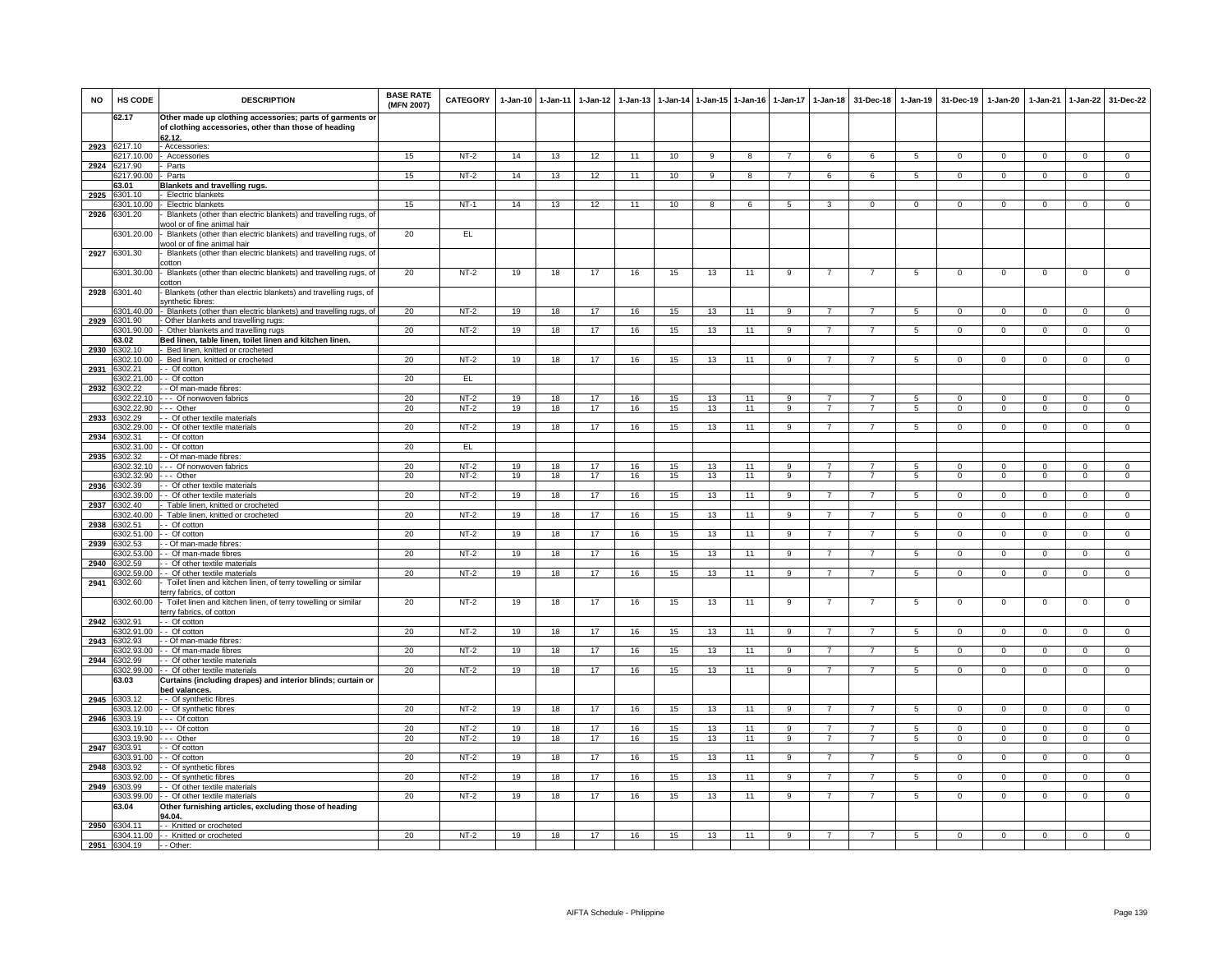| <b>NO</b> | HS CODE                | <b>DESCRIPTION</b>                                                                                                        | <b>BASE RATE</b><br>(MFN 2007) | CATEGORY         | $1 - Jan-10$ | $1 - Jan-11$ | $1-Jan-12$ | $1-Jan-13$ |          |          | 1-Jan-14 1-Jan-15 1-Jan-16 | 1-Jan-17       | $1 - Jan-18$   | 31-Dec-18      | $1-Jan-19$     | 31-Dec-19                  | 1-Jan-20                   | 1-Jan-21                   | 1-Jan-22                   | 31-Dec-22                  |
|-----------|------------------------|---------------------------------------------------------------------------------------------------------------------------|--------------------------------|------------------|--------------|--------------|------------|------------|----------|----------|----------------------------|----------------|----------------|----------------|----------------|----------------------------|----------------------------|----------------------------|----------------------------|----------------------------|
|           | 62.17                  | Other made up clothing accessories; parts of garments or<br>of clothing accessories, other than those of heading<br>62.12 |                                |                  |              |              |            |            |          |          |                            |                |                |                |                |                            |                            |                            |                            |                            |
| 2923      | 6217.10                | - Accessories                                                                                                             |                                |                  |              |              |            |            |          |          |                            |                |                |                |                |                            |                            |                            |                            |                            |
|           | 217.10.00              | Accessories                                                                                                               | 15                             | $NT-2$           | 14           | 13           | 12         | 11         | 10       | 9        | 8                          |                | 6              | -6             | 5              | $\mathbf 0$                | $^{\circ}$                 | $\mathbf 0$                | $\mathbf 0$                | $\mathbf 0$                |
| 2924      | 6217.90                | Parts                                                                                                                     |                                |                  |              |              |            |            |          | $\alpha$ |                            | 7              |                |                |                |                            | $\Omega$                   | $\Omega$                   |                            | $\Omega$                   |
|           | 217.90.00<br>63.01     | Parts<br><b>Blankets and travelling rugs</b>                                                                              | 15                             | NT-2             | 14           | 13           | 12         | 11         | 10       |          | 8                          |                | 6              | 6              | -5             | $\Omega$                   |                            |                            | $\Omega$                   |                            |
| 2925      | 301.10                 | - Electric blankets                                                                                                       |                                |                  |              |              |            |            |          |          |                            |                |                |                |                |                            |                            |                            |                            |                            |
|           | 301.10.00              | <b>Electric blankets</b>                                                                                                  | 15                             | $NT-1$           | 14           | 13           | 12         | 11         | 10       | 8        | 6                          | 5              | 3              | $\Omega$       | $\Omega$       | $\Omega$                   | $\Omega$                   |                            | $\Omega$                   |                            |
| 2926      | 301.20                 | Blankets (other than electric blankets) and travelling rugs, of                                                           |                                |                  |              |              |            |            |          |          |                            |                |                |                |                |                            |                            |                            |                            |                            |
|           |                        | vool or of fine animal hair                                                                                               |                                |                  |              |              |            |            |          |          |                            |                |                |                |                |                            |                            |                            |                            |                            |
|           | 6301.20.00             | Blankets (other than electric blankets) and travelling rugs, of                                                           | 20                             | EL               |              |              |            |            |          |          |                            |                |                |                |                |                            |                            |                            |                            |                            |
| 2927      | 6301.30                | vool or of fine animal hair<br>Blankets (other than electric blankets) and travelling rugs, of                            |                                |                  |              |              |            |            |          |          |                            |                |                |                |                |                            |                            |                            |                            |                            |
|           |                        | :otton                                                                                                                    |                                |                  |              |              |            |            |          |          |                            |                |                |                |                |                            |                            |                            |                            |                            |
|           | 6301.30.00             | - Blankets (other than electric blankets) and travelling rugs, of                                                         | 20                             | $NT-2$           | 19           | 18           | 17         | 16         | 15       | 13       | 11                         | 9              | $\overline{7}$ | $\overline{7}$ | 5              | $\mathbf 0$                | $\overline{0}$             | $\mathbf 0$                | $\mathbf 0$                | $\mathbf 0$                |
|           |                        | :otton                                                                                                                    |                                |                  |              |              |            |            |          |          |                            |                |                |                |                |                            |                            |                            |                            |                            |
| 2928      | 6301.40                | Blankets (other than electric blankets) and travelling rugs, of                                                           |                                |                  |              |              |            |            |          |          |                            |                |                |                |                |                            |                            |                            |                            |                            |
|           |                        | synthetic fibres:<br>301.40.00 - Blankets (other than electric blankets) and travelling rugs, of                          | 20                             | $NT-2$           | 19           | 18           | 17         | 16         | 15       | 13       | 11                         |                |                |                | -5             | $\mathbf 0$                | $\Omega$                   | $\Omega$                   | $\mathbf 0$                | $\Omega$                   |
| 2929      | 301.90                 | - Other blankets and travelling rugs:                                                                                     |                                |                  |              |              |            |            |          |          |                            |                |                |                |                |                            |                            |                            |                            |                            |
|           | 301.90.00              | - Other blankets and travelling rugs                                                                                      | 20                             | NT-2             | 19           | 18           | 17         | 16         | 15       | 13       | 11                         | 9              | $\overline{7}$ | $\overline{7}$ | 5              | $\Omega$                   | $\Omega$                   | $\Omega$                   | $\mathbf 0$                | $\overline{0}$             |
|           | 63.02                  | Bed linen, table linen, toilet linen and kitchen linen.                                                                   |                                |                  |              |              |            |            |          |          |                            |                |                |                |                |                            |                            |                            |                            |                            |
| 2930      | 6302.10                | Bed linen, knitted or crocheted                                                                                           |                                |                  |              |              |            |            |          |          |                            |                |                |                |                |                            |                            |                            |                            |                            |
|           | 6302.10.00             | Bed linen, knitted or crocheted                                                                                           | 20                             | $NT-2$           | 19           | 18           | 17         | 16         | 15       | 13       | 11                         | 9              | $\overline{7}$ | $\overline{7}$ | 5              | $\mathbf 0$                | $\mathbf{0}$               | $\Omega$                   | $\mathbf 0$                | $\mathbf 0$                |
| 2931      | 6302.21                | - Of cotton                                                                                                               |                                |                  |              |              |            |            |          |          |                            |                |                |                |                |                            |                            |                            |                            |                            |
| 2932      | 302.21.00<br>302.22    | - Of cotton<br>- Of man-made fibres:                                                                                      | 20                             | EL               |              |              |            |            |          |          |                            |                |                |                |                |                            |                            |                            |                            |                            |
|           | 302.22.10              | - - Of nonwoven fabrics                                                                                                   | 20                             | $NT-2$           | 19           | 18           | 17         | 16         | 15       | 13       | 11                         |                |                |                | 5              | $\Omega$                   | $\Omega$                   |                            | $\mathbf 0$                | $\Omega$                   |
|           | 6302.22.90             | -- Other                                                                                                                  | 20                             | $NT-2$           | 19           | 18           | 17         | 16         | 15       | 13       | 11                         | 9              | $\overline{7}$ | $\overline{7}$ | 5              | $\mathbf{0}$               | $\overline{0}$             | $^{\circ}$                 | $\mathbf{0}$               | $\mathbf 0$                |
| 2933      | 3302.29                | - Of other textile materials                                                                                              |                                |                  |              |              |            |            |          |          |                            |                |                |                |                |                            |                            |                            |                            |                            |
|           | 302.29.00              | - Of other textile materials                                                                                              | 20                             | $NT-2$           | 19           | 18           | 17         | 16         | 15       | 13       | 11                         | 9              | $\overline{7}$ | $\overline{7}$ | $\sqrt{5}$     | $\Omega$                   | $\Omega$                   | $\Omega$                   | $\mathbf{0}$               | $\circ$                    |
| 2934      | 302.31                 | - Of cotton                                                                                                               |                                |                  |              |              |            |            |          |          |                            |                |                |                |                |                            |                            |                            |                            |                            |
|           | 302.31.00              | Of cotton                                                                                                                 | 20                             | EL.              |              |              |            |            |          |          |                            |                |                |                |                |                            |                            |                            |                            |                            |
| 2935      | 6302.32<br>3302.32.10  | Of man-made fibres:<br>- - Of nonwoven fabrics                                                                            | 20                             | $NT-2$           | 19           | 18           | 17         | 16         | 15       | 13       | 11                         | q              |                | 7              | 5              | $\Omega$                   | $\Omega$                   | $\Omega$                   | $\Omega$                   | $\Omega$                   |
|           | 302.32.90              | -- Other                                                                                                                  | 20                             | $NT-2$           | 19           | 18           | 17         | 16         | 15       | 13       | 11                         | q              |                |                | $\overline{5}$ | $\overline{0}$             | $\overline{0}$             | $\Omega$                   | $\overline{0}$             | $\overline{0}$             |
| 2936      | 6302.39                | - Of other textile materials                                                                                              |                                |                  |              |              |            |            |          |          |                            |                |                |                |                |                            |                            |                            |                            |                            |
|           | 6302.39.00             | - Of other textile materials                                                                                              | 20                             | $NT-2$           | 19           | 18           | 17         | 16         | 15       | 13       | 11                         | 9              | $\overline{7}$ |                | 5              | $\mathbf 0$                | $\mathbf{0}$               | $^{\circ}$                 | $\mathbf{0}$               | $\mathbf 0$                |
| 2937      | 6302.40                | Table linen, knitted or crocheted                                                                                         |                                |                  |              |              |            |            |          |          |                            |                |                |                |                |                            |                            |                            |                            |                            |
| 2938      | 302.40.00<br>302.51    | Table linen, knitted or crocheted<br>- Of cotton                                                                          | 20                             | $NT-2$           | 19           | 18           | 17         | 16         | 15       | 13       | 11                         | 9              | $\overline{7}$ | 7              | 5              | $^{\circ}$                 | $\mathbf{0}$               | $^{\circ}$                 | $\mathbf{0}$               | $\overline{0}$             |
|           | 302.51.00              | - Of cotton                                                                                                               | 20                             | $NT-2$           | 19           | 18           | 17         | 16         | 15       | 13       | 11                         | 9              | $\overline{7}$ |                | 5              | $\mathbf 0$                | $\mathbf 0$                | $\mathbf 0$                | $\mathbf 0$                | $\mathbf 0$                |
| 2939      | 302.53                 | - Of man-made fibres:                                                                                                     |                                |                  |              |              |            |            |          |          |                            |                |                |                |                |                            |                            |                            |                            |                            |
|           | 302.53.00              | - Of man-made fibres                                                                                                      | 20                             | $NT-2$           | 19           | 18           | 17         | 16         | 15       | 13       | 11                         | 9              | $\overline{7}$ | $\overline{7}$ | 5              | $^{\circ}$                 | $\mathbf{0}$               | $\Omega$                   | $\mathbf 0$                | $\overline{0}$             |
| 2940      | 302.59                 | Of other textile materials                                                                                                |                                |                  |              |              |            |            |          |          |                            |                |                |                |                |                            |                            |                            |                            |                            |
|           | 302.59.00              | - Of other textile materials                                                                                              | 20                             | $NT-2$           | 19           | 18           | 17         | 16         | 15       | 13       | 11                         | 9              | $\overline{7}$ | $\overline{7}$ | 5              | $\mathbf 0$                | $\mathbf 0$                | $\mathbf 0$                | $\mathsf 0$                | $\mathbf 0$                |
| 2941      | 302.60                 | Toilet linen and kitchen linen, of terry towelling or similar<br>terry fabrics, of cotton                                 |                                |                  |              |              |            |            |          |          |                            |                |                |                |                |                            |                            |                            |                            |                            |
|           | 6302.60.00             | Toilet linen and kitchen linen, of terry towelling or similar                                                             | 20                             | $NT-2$           | 19           | 18           | 17         | 16         | 15       | 13       | 11                         | 9              | $\overline{7}$ | $\overline{7}$ | 5              | $\mathbf 0$                | $\overline{0}$             | $\mathbf 0$                | 0                          | $\mathbf 0$                |
|           |                        | terry fabrics, of cotton                                                                                                  |                                |                  |              |              |            |            |          |          |                            |                |                |                |                |                            |                            |                            |                            |                            |
| 2942      | 302.91                 | - Of cotton                                                                                                               |                                |                  |              |              |            |            |          |          |                            |                |                |                |                |                            |                            |                            |                            |                            |
|           | 302.91.00              | - Of cotton                                                                                                               | 20                             | $NT-2$           | 19           | 18           | 17         | 16         | 15       | 13       | 11                         | 9              |                | $\overline{7}$ | 5              | $\mathbf 0$                | $\mathbf 0$                | $\mathbf 0$                | $\mathsf 0$                | $\mathbf 0$                |
| 2943      | 302.93<br>6302.93.00   | - Of man-made fibres<br>- Of man-made fibres                                                                              | 20                             | $NT-2$           | 19           | 18           | 17         | 16         | 15       | 13       | 11                         | 9              | $\overline{7}$ | $\overline{7}$ | 5              | $\mathbf 0$                | $\overline{0}$             | $\Omega$                   | $\mathsf 0$                | $\overline{0}$             |
| 2944      | 302.99                 | - Of other textile material                                                                                               |                                |                  |              |              |            |            |          |          |                            |                |                |                |                |                            |                            |                            |                            |                            |
|           | 302.99.00              | - Of other textile materials                                                                                              | 20                             | $NT-2$           | 19           | 18           | 17         | 16         | 15       | 13       | 11                         | $\mathbf{Q}$   |                | $\overline{7}$ | 5              | $\Omega$                   | $\Omega$                   | $\Omega$                   | $\Omega$                   | $\Omega$                   |
|           | 63.03                  | Curtains (including drapes) and interior blinds; curtain or<br>bed valances.                                              |                                |                  |              |              |            |            |          |          |                            |                |                |                |                |                            |                            |                            |                            |                            |
| 2945      | 303.12                 | - Of synthetic fibres                                                                                                     |                                |                  |              |              |            |            |          |          |                            |                |                |                |                |                            |                            |                            |                            |                            |
|           | 303.12.00              | - Of synthetic fibres                                                                                                     | 20                             | $NT-2$           | 19           | 18           | 17         | 16         | 15       | 13       | 11                         | 9              | 7              | 7              | 5              | $^{\circ}$                 | $\mathbf{0}$               | $^{\circ}$                 | $^{\circ}$                 | $\mathbf 0$                |
| 2946      | 303.19                 | -- Of cotton                                                                                                              |                                |                  |              |              |            |            |          |          |                            |                | $\overline{7}$ |                |                |                            |                            |                            |                            |                            |
|           | 303.19.10<br>303.19.90 | - Of cotton<br>-- Other                                                                                                   | 20<br>20                       | $NT-2$<br>$NT-2$ | 19<br>19     | 18<br>18     | 17<br>17   | 16<br>16   | 15<br>15 | 13<br>13 | 11<br>11                   | 9<br>9         | $\overline{7}$ | $\overline{7}$ | 5<br>5         | $\mathbf 0$<br>$\mathbf 0$ | $\mathbf 0$<br>$\mathbf 0$ | $\mathbf 0$<br>$\mathbf 0$ | $\mathsf 0$<br>$\mathsf 0$ | $\mathbf 0$<br>$\mathbf 0$ |
| 2947      | 3303.91                | - Of cotton                                                                                                               |                                |                  |              |              |            |            |          |          |                            |                |                |                |                |                            |                            |                            |                            |                            |
|           | 303.91.00              | $-$ Of cotton                                                                                                             | 20                             | $NT-2$           | 19           | 18           | 17         | 16         | 15       | 13       | 11                         | $\overline{9}$ | $\overline{7}$ | $\overline{7}$ | 5              | $\Omega$                   | $\overline{0}$             | $\Omega$                   | $\overline{0}$             | $\overline{0}$             |
| 2948      | 303.92                 | - Of synthetic fibres                                                                                                     |                                |                  |              |              |            |            |          |          |                            |                |                |                |                |                            |                            |                            |                            |                            |
|           | 303.92.00              | - Of synthetic fibres                                                                                                     | 20                             | $NT-2$           | 19           | 18           | 17         | 16         | 15       | 13       | 11                         | 9              | $\overline{7}$ |                | $5^{\circ}$    | $\Omega$                   | $\mathbf 0$                | $\Omega$                   | $\mathsf 0$                | $\Omega$                   |
| 2949      | 6303.99                | - Of other textile materials                                                                                              |                                |                  |              |              |            |            |          |          |                            |                |                |                |                |                            |                            |                            |                            |                            |
|           | 6303.99.00             | - Of other textile materials                                                                                              | 20                             | $NT-2$           | 19           | 18           | 17         | 16         | 15       | 13       | 11                         | 9              | $\overline{7}$ | $\overline{7}$ | 5              | $\mathbf{0}$               | $^{\circ}$                 | $^{\circ}$                 | $\mathbf{0}$               | $\mathbf{0}$               |
|           | 63.04                  | Other furnishing articles, excluding those of heading<br>94.04.                                                           |                                |                  |              |              |            |            |          |          |                            |                |                |                |                |                            |                            |                            |                            |                            |
| 2950      | 6304.11                | - Knitted or crocheted                                                                                                    |                                |                  |              |              |            |            |          |          |                            |                |                |                |                |                            |                            |                            |                            |                            |
|           | 6304.11.00             | - - Knitted or crocheted                                                                                                  | 20                             | $NT-2$           | 19           | 18           | 17         | 16         | 15       | 13       | 11                         |                |                |                |                | $\Omega$                   |                            |                            |                            |                            |
|           | 2951 6304.19           | - - Other:                                                                                                                |                                |                  |              |              |            |            |          |          |                            |                |                |                |                |                            |                            |                            |                            |                            |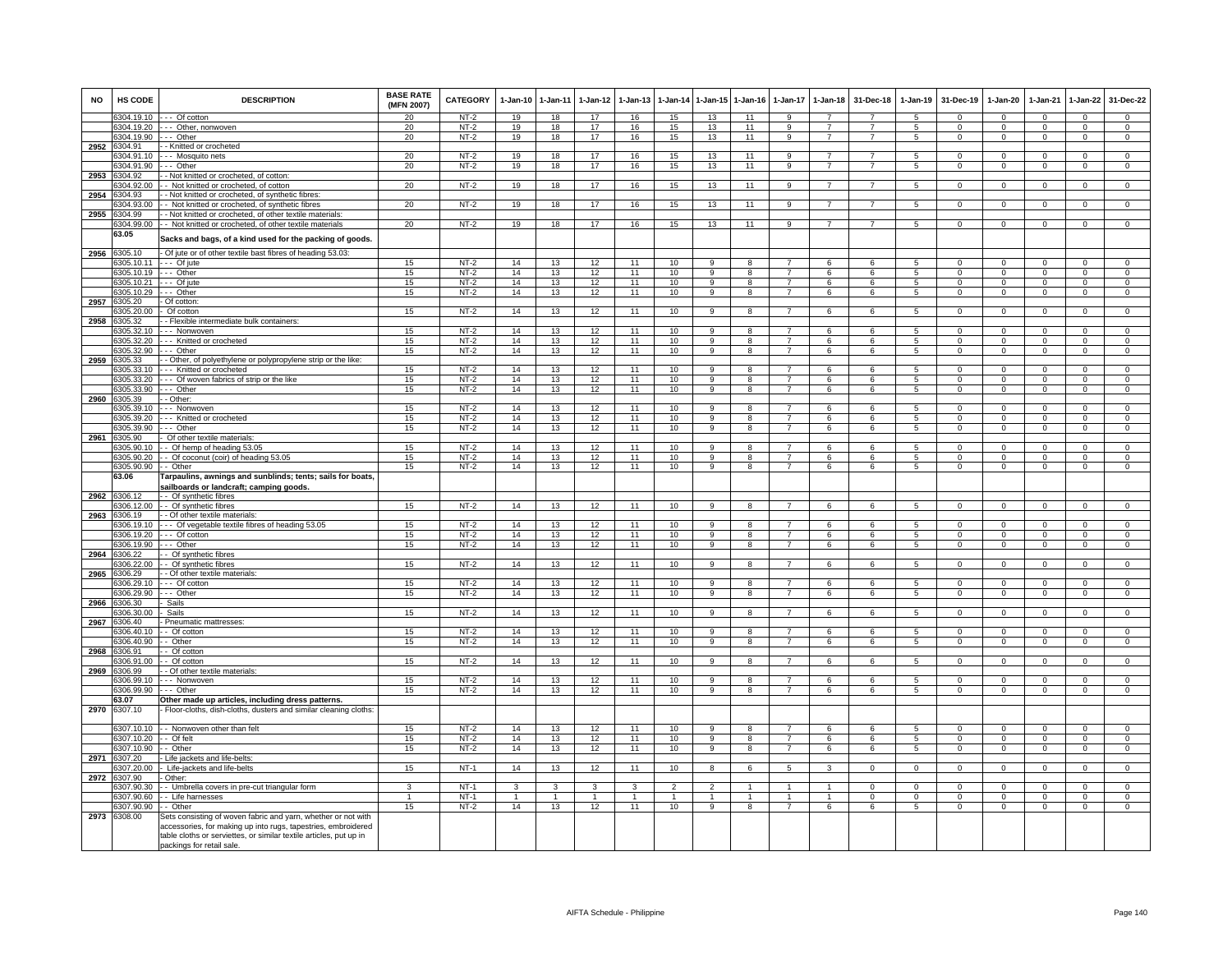| <b>NO</b> | HS CODE                         | <b>DESCRIPTION</b>                                                                                                                                               | <b>BASE RATE</b><br>(MFN 2007) | CATEGORY | $1-Jan-10$     | $1 - Jan-11$            | 1-Jan-12       | $1 - Jan-13$ | 1-Jan-14        | $1 - Jan-15$   | $1-Jan-16$     | $1 - Jan-17$                     | 1-Jan-18       | 31-Dec-18      | 1-Jan-19        | 31-Dec-19      | $1 - Jan-20$   | 1-Jan-21       | $1 - Jan-22$                 | 31-Dec-22      |
|-----------|---------------------------------|------------------------------------------------------------------------------------------------------------------------------------------------------------------|--------------------------------|----------|----------------|-------------------------|----------------|--------------|-----------------|----------------|----------------|----------------------------------|----------------|----------------|-----------------|----------------|----------------|----------------|------------------------------|----------------|
|           |                                 | 6304.19.10 --- Of cotton                                                                                                                                         | 20                             | NT-2     | 19             | 18                      | 17             | 16           | 15              | 13             | 11             | 9                                | $\overline{7}$ |                | $5^{\circ}$     | $\Omega$       | $\Omega$       | $\Omega$       | $\Omega$                     | $\Omega$       |
|           |                                 | 6304.19.20 --- Other, nonwoven                                                                                                                                   | 20                             | $NT-2$   | 19             | 18                      | 17             | 16           | 15              | 13             | 11             | $\mathsf{Q}$                     | $\overline{7}$ | $\overline{7}$ | 5               | $\Omega$       | $\Omega$       | $\Omega$       | $\Omega$                     | $\Omega$       |
| 2952      | 6304.19.90 --- Other<br>6304.91 | - Knitted or crocheted                                                                                                                                           | 20                             | $NT-2$   | 19             | 18                      | 17             | 16           | 15              | 13             | 11             | 9                                | $\overline{7}$ | $\overline{7}$ | 5               | $\mathbf{0}$   | $\overline{0}$ | $^{\circ}$     | $\mathbf{0}$                 | $\mathbf 0$    |
|           | 3304.91.10                      | Mosquito nets                                                                                                                                                    | 20                             | $NT-2$   | 19             | 18                      | 17             | 16           | 15              | 13             | 11             | 9                                | $\overline{7}$ | $\overline{7}$ | 5               | $\Omega$       | $\Omega$       | $\Omega$       | $\Omega$                     | $\overline{0}$ |
|           | 304.91.90                       | -- Other                                                                                                                                                         | 20                             | $NT-2$   | 19             | 18                      | 17             | 16           | 15              | 13             | 11             | 9                                | $\overline{7}$ | $\overline{7}$ | 5               | $\mathbf 0$    | $\mathbf 0$    | $\mathbf 0$    | $\mathsf 0$                  | $\mathbf 0$    |
| 2953      | 304.92                          | - Not knitted or crocheted, of cotton:                                                                                                                           |                                |          |                |                         |                |              |                 |                |                |                                  |                |                |                 |                |                |                |                              |                |
|           | 304.92.00                       | - Not knitted or crocheted, of cotton                                                                                                                            | 20                             | $NT-2$   | 19             | 18                      | 17             | 16           | 15              | 13             | 11             | 9                                | $\overline{7}$ | $\overline{7}$ | 5               | $\mathbf 0$    | $\mathbf 0$    | $\mathbf 0$    | $\mathsf 0$                  | $\mathsf 0$    |
| 2954      | 3304.93                         | · Not knitted or crocheted, of synthetic fibres                                                                                                                  |                                |          |                |                         |                |              |                 |                |                |                                  |                |                |                 |                |                |                |                              |                |
|           | 3304.93.00                      | - Not knitted or crocheted, of synthetic fibres                                                                                                                  | 20                             | $NT-2$   | 19             | 18                      | 17             | 16           | 15              | 13             | 11             | $\overline{9}$                   | $\overline{7}$ | $\overline{7}$ | 5               | $\overline{0}$ | $\overline{0}$ | $\overline{0}$ | $\overline{0}$               | $\overline{0}$ |
| 2955      | 304.99                          | - Not knitted or crocheted, of other textile materials:                                                                                                          |                                |          |                |                         |                |              |                 |                |                |                                  |                |                |                 |                |                |                |                              |                |
|           | 304.99.00<br>63.05              | - Not knitted or crocheted, of other textile materials<br>Sacks and bags, of a kind used for the packing of goods.                                               | 20                             | $NT-2$   | 19             | 18                      | 17             | 16           | 15              | 13             | 11             | 9                                |                |                | 5               | $\mathbf 0$    | $\mathbf{0}$   | $^{\circ}$     | $\mathbf 0$                  | $\mathbf 0$    |
| 2956      | 6305.10                         | Of jute or of other textile bast fibres of heading 53.03:                                                                                                        |                                |          |                |                         |                |              |                 |                |                |                                  |                |                |                 |                |                |                |                              |                |
|           | 305.10.11                       | $\cdots$ Of jute                                                                                                                                                 | 15                             | $NT-2$   | 14             | 13                      | 12             | 11           | 10              | $\overline{9}$ | 8              |                                  | 6              | 6              | $5^{\circ}$     | $\Omega$       | $\overline{0}$ | $\Omega$       | $\overline{0}$               | $\overline{0}$ |
|           | 6305.10.19                      | --- Other                                                                                                                                                        | 15                             | $NT-2$   | 14             | 13                      | 12             | 11           | 10              | 9              | 8              |                                  | 6              | 6              | 5               | $\mathbf 0$    | $\mathbf 0$    | $\mathbf 0$    | $\mathbf 0$                  | $\mathsf 0$    |
|           | 6305.10.21                      | --- Of jute                                                                                                                                                      | 15                             | $NT-2$   | 14             | 13                      | 12             | 11           | 10              | 9              | 8              | $\overline{7}$                   | 6              | 6              | 5               | $\mathbf 0$    | $\mathbf 0$    | $\mathbf 0$    | $\mathbf 0$                  | $\overline{0}$ |
|           | 6305.10.29                      | -- Other                                                                                                                                                         | 15                             | $NT-2$   | 14             | 13                      | 12             | 11           | 10              | 9              | 8              | $\overline{7}$                   | 6              | 6              | 5               | $\mathbf 0$    | $\mathsf 0$    | $\Omega$       | $\mathsf 0$                  | $\overline{0}$ |
| 2957      | 6305.20                         | Of cotton                                                                                                                                                        |                                |          |                |                         |                | 11           |                 | $\mathbf{Q}$   | $\mathbf{R}$   |                                  |                | $\epsilon$     | 5               | $\Omega$       | $\Omega$       |                | $\Omega$                     | $\Omega$       |
| 2958      | 305.20.00<br>6305.32            | Of cotton<br>- - Flexible intermediate bulk containers:                                                                                                          | 15                             | NT-2     | 14             | 13                      | 12             |              | 10              |                |                |                                  | 6              |                |                 |                |                | $\Omega$       |                              |                |
|           |                                 | 6305.32.10 --- Nonwoven                                                                                                                                          | 15                             | $NT-2$   | 14             | 13                      | 12             | 11           | 10              | 9              | 8              | 7                                | 6              | 6              | $\overline{5}$  | $\Omega$       | $\mathbf 0$    | $\Omega$       | $\mathsf 0$                  | $\Omega$       |
|           |                                 | 6305.32.20 --- Knitted or crocheted                                                                                                                              | 15                             | $NT-2$   | 14             | 13                      | 12             | 11           | 10              | -9             | 8              | $\overline{7}$                   | 6              | 6              | 5               | $\mathbf{0}$   | $\mathbf{0}$   | $\Omega$       | $\mathbf{0}$                 | $\mathbf 0$    |
|           | 6305.32.90                      | $-$ Other                                                                                                                                                        | 15                             | $NT-2$   | 14             | 13                      | 12             | 11           | 10              | $\overline{9}$ | 8              | $\overline{7}$                   | 6              | 6              | 5               | $\mathbf 0$    | $\mathbf 0$    | $\Omega$       | $\overline{0}$               | $\overline{0}$ |
| 2959      | 6305.33                         | - Other, of polyethylene or polypropylene strip or the like:                                                                                                     |                                |          |                |                         |                |              |                 |                |                |                                  |                |                |                 |                |                |                |                              |                |
|           | 305.33.10                       | --- Knitted or crocheted                                                                                                                                         | 15                             | $NT-2$   | 14             | 13                      | 12             | 11           | 10              | 9              | 8              |                                  | 6              | 6              |                 | $\Omega$       | $\Omega$       | $\Omega$       | $\Omega$                     | $\mathbf 0$    |
|           | 6305.33.20                      | -- Of woven fabrics of strip or the like                                                                                                                         | 15                             | $NT-2$   | 14             | 13                      | 12             | 11           | 10              | -9             | 8              | $\overline{7}$                   | 6              | 6              | 5               | $\Omega$       | 0              | $\Omega$       | 0                            | 0              |
| 2960      | 6305.33.90<br>6305.39           | --- Other<br>- Other:                                                                                                                                            | 15                             | $NT-2$   | 14             | 13                      | 12             | 11           | 10              | $\overline{9}$ | $\overline{8}$ | $\overline{7}$                   | 6              | 6              | 5               | $\mathbf 0$    | $\overline{0}$ | $\mathbf 0$    | $\mathbf 0$                  | $\overline{0}$ |
|           | 6305.39.10                      | --- Nonwoven                                                                                                                                                     | 15                             | $NT-2$   | 14             | 13                      | 12             | 11           | 10              | 9              | 8              | $\overline{7}$                   | 6              | 6              | $5^{\circ}$     | $\Omega$       | $\Omega$       | $\Omega$       | $\mathbf 0$                  | $\mathbf 0$    |
|           | 6305.39.20                      | --- Knitted or crocheted                                                                                                                                         | 15                             | $NT-2$   | 14             | 13                      | 12             | 11           | 10              | $\overline{9}$ | 8              | $\overline{7}$                   | 6              | 6              | 5               | $\Omega$       | $\Omega$       | $\Omega$       | $\Omega$                     | $\overline{0}$ |
|           | 6305.39.90                      | --- Other                                                                                                                                                        | 15                             | $NT-2$   | 14             | 13                      | 12             | 11           | 10              | 9              | 8              | $\overline{7}$                   | 6              | 6              | 5               | $\mathbf 0$    | $\mathbf 0$    | $\mathbf 0$    | $\mathbf 0$                  | $\mathbf 0$    |
| 2961      | 6305.90                         | Of other textile materials:                                                                                                                                      |                                |          |                |                         |                |              |                 |                |                |                                  |                |                |                 |                |                |                |                              |                |
|           | 8305.90.10                      | - Of hemp of heading 53.05                                                                                                                                       | 15                             | $NT-2$   | 14             | 13                      | 12             | 11           | 10 <sup>1</sup> | $\mathbf{q}$   | <sub>R</sub>   | 7                                | <b>6</b>       | $\epsilon$     | -5              | $\Omega$       | $\Omega$       | $\Omega$       | $\Omega$                     | $\Omega$       |
|           | 6305.90.20                      | - Of coconut (coir) of heading 53.05                                                                                                                             | 15                             | $NT-2$   | 14             | 13                      | 12             | 11           | 10              | 9              | 8              |                                  | 6              | 6              | 5               | $\mathbf 0$    | $\mathbf 0$    | $\Omega$       | $\mathsf 0$                  | $\mathbf 0$    |
|           | 6305.90.90                      | - Other                                                                                                                                                          | 15                             | $NT-2$   | 14             | 13                      | 12             | 11           | 10              | $_{9}$         | 8              |                                  | 6              | 6              | 5               | $\mathbf 0$    | $\Omega$       | $\Omega$       | 0                            | $\overline{0}$ |
|           | 63.06                           | Tarpaulins, awnings and sunblinds; tents; sails for boats,<br>sailboards or landcraft; camping goods.                                                            |                                |          |                |                         |                |              |                 |                |                |                                  |                |                |                 |                |                |                |                              |                |
| 2962      | 306.12                          | - - Of synthetic fibres                                                                                                                                          |                                |          |                |                         |                |              |                 |                |                |                                  |                |                |                 |                |                |                |                              |                |
|           | 306.12.00                       | - Of synthetic fibres                                                                                                                                            | 15                             | $NT-2$   | 14             | 13                      | 12             | 11           | 10              | $\overline{a}$ | $\overline{R}$ | $\overline{7}$                   | 6              | $\overline{6}$ | $\overline{5}$  | $\overline{0}$ | $\overline{0}$ | $\overline{0}$ | $\overline{0}$               | $\overline{0}$ |
| 2963      | 306.19                          | - - Of other textile materials:                                                                                                                                  |                                |          |                |                         |                |              |                 |                |                |                                  |                |                |                 |                |                |                |                              |                |
|           | 6306.19.10                      | --- Of vegetable textile fibres of heading 53.05                                                                                                                 | 15                             | $NT-2$   | 14             | 13                      | 12             | 11           | 10              | 9              | 8              | $\overline{7}$                   | 6              | 6              | 5               | $\mathbf 0$    | $\mathbf{0}$   | $\Omega$       | $\mathbf 0$                  | $\Omega$       |
|           | 6306.19.20                      | --- Of cotton                                                                                                                                                    | 15                             | $NT-2$   | 14             | 13                      | 12             | 11           | 10              | 9              | 8              | $\overline{7}$                   | 6              | 6              | 5               | $\mathbf 0$    | $\circ$        | $\Omega$       | $\mathbf{0}$                 | $\mathbf 0$    |
| 2964      | 6306.19.90<br>306.22            | $-$ Other<br>- Of synthetic fibres                                                                                                                               | 15                             | $NT-2$   | 14             | 13                      | 12             | 11           | 10              | $\overline{9}$ | $\overline{8}$ | $\overline{7}$                   | 6              | 6              | 5               | $\mathbf{0}$   | $\mathbf{0}$   | $\Omega$       | $\mathbf{0}$                 | $\overline{0}$ |
|           | 306.22.00                       | - Of synthetic fibres                                                                                                                                            | 15                             | $NT-2$   | 14             | 13                      | 12             | 11           | 10              | 9              | 8              |                                  | 6              | 6              | $\overline{5}$  | $\mathbf 0$    | $\mathbf 0$    | $\Omega$       | $\mathsf 0$                  | $\mathsf 0$    |
| 2965      | 306.29                          | - Of other textile materials:                                                                                                                                    |                                |          |                |                         |                |              |                 |                |                |                                  |                |                |                 |                |                |                |                              |                |
|           | 306.29.10                       | -- Of cotton                                                                                                                                                     | 15                             | $NT-2$   | 14             | 13                      | 12             | 11           | 10              | -9             | 8              | $\overline{7}$                   | 6              | 6              | 5               | $\mathbf 0$    | $\mathbf{0}$   | $\mathbf 0$    | $\mathbf{0}$                 | $\mathbf 0$    |
|           | 306.29.90                       | -- Other                                                                                                                                                         | 15                             | $NT-2$   | 14             | 13                      | 12             | 11           | 10              | $\overline{9}$ | $\overline{8}$ | $\overline{7}$                   | 6              | 6              | 5               | $\overline{0}$ | $\overline{0}$ | $\overline{0}$ | $\overline{0}$               | $\overline{0}$ |
| 2966      | 306.30                          | Sails                                                                                                                                                            |                                |          |                |                         |                |              |                 |                |                |                                  |                |                |                 |                |                |                |                              |                |
|           | 6306.30.00                      | Sails                                                                                                                                                            | 15                             | $NT-2$   | 14             | 13                      | 12             | 11           | 10              | 9              | 8              |                                  | 6              | 6              | $\overline{5}$  | $\Omega$       | $\Omega$       | $\Omega$       | $\mathbf 0$                  | $\Omega$       |
| 2967      | 6306.40                         | - Pneumatic mattresses:                                                                                                                                          |                                | $NT-2$   |                |                         |                | 11           |                 | 9              |                | 7                                |                |                |                 | $\mathbf{0}$   | $^{\circ}$     | $^{\circ}$     |                              | $^{\circ}$     |
|           | 6306.40.10<br>6306.40.90        | - Of cotton<br>- Other                                                                                                                                           | 15<br>15                       | $NT-2$   | 14<br>14       | 13<br>13                | 12<br>12       | 11           | 10<br>10        | 9              | 8<br>8         | $\overline{7}$                   | 6<br>6         | 6<br>6         | 5<br>5          | $\mathbf{0}$   | $\mathbf{0}$   | $\Omega$       | $\mathbf{0}$<br>$\mathbf{0}$ | $\mathbf{0}$   |
| 2968      | 306.91                          | - Of cotton                                                                                                                                                      |                                |          |                |                         |                |              |                 |                |                |                                  |                |                |                 |                |                |                |                              |                |
|           | 306.91.00                       | - Of cotton                                                                                                                                                      | 15                             | $NT-2$   | 14             | 13                      | 12             | 11           | 10              | 9              | 8              |                                  | 6              | 6              | $\overline{5}$  | $\mathbf 0$    | $\mathbf 0$    | $\Omega$       | $\mathsf 0$                  | $\overline{0}$ |
| 2969      | 306.99                          | - Of other textile materials:                                                                                                                                    |                                |          |                |                         |                |              |                 |                |                |                                  |                |                |                 |                |                |                |                              |                |
|           | 6306.99.10                      | -- Nonwoven                                                                                                                                                      | 15                             | $NT-2$   | 14             | 13                      | 12             | 11           | 10              | 9              | 8<br>R         | $\overline{7}$<br>$\overline{7}$ | 6              | 6              | 5               | $^{\circ}$     | $\mathbf{0}$   | $^{\circ}$     | $\mathbf 0$                  | $\overline{0}$ |
|           | 6306.99.90<br>63.07             | $-$ Other                                                                                                                                                        | 15                             | $NT-2$   | 14             | 13                      | 12             | 11           | 10              | $\overline{9}$ |                |                                  | $\overline{6}$ | $\overline{6}$ | $\overline{5}$  | $\overline{0}$ | $\overline{0}$ | $\overline{0}$ | $\overline{0}$               | $\overline{0}$ |
| 2970      | 6307.10                         | Other made up articles, including dress patterns<br>- Floor-cloths, dish-cloths, dusters and similar cleaning cloths:                                            |                                |          |                |                         |                |              |                 |                |                |                                  |                |                |                 |                |                |                |                              |                |
|           |                                 | 6307.10.10 - - Nonwoven other than felt                                                                                                                          | 15                             | $NT-2$   | 14             | 13                      | 12             | 11           | 10              | 9              | 8              | $\overline{7}$                   | 6              | 6              | 5               | $\mathbf{0}$   | $\Omega$       | $\Omega$       | $\mathbf{0}$                 | $\mathbf 0$    |
|           | 6307.10.20                      | - Of felt                                                                                                                                                        | 15                             | $NT-2$   | 14             | 13                      | 12             | 11           | 10 <sup>1</sup> | 9              | 8              | 7                                | 6              | -6             | 5               | $\mathbf 0$    | $\Omega$       | $\Omega$       | $\mathbf{0}$                 | $\mathbf 0$    |
|           | 307.10.90                       | - Other                                                                                                                                                          | 15                             | $NT-2$   | 14             | 13                      | 12             | 11           | 10              | $\overline{9}$ | 8              | $\overline{7}$                   | 6              | 6              | $5\overline{5}$ | $\Omega$       | $\Omega$       | $\overline{0}$ | $\overline{0}$               | $\overline{0}$ |
| 2971      | 307.20                          | Life jackets and life-belts                                                                                                                                      |                                |          |                |                         |                |              |                 |                |                |                                  |                |                |                 |                |                |                |                              |                |
|           | 307.20.00                       | Life-jackets and life-belts                                                                                                                                      | 15                             | $NT-1$   | 14             | 13                      | 12             | 11           | 10              | 8              | 6              | 5                                | 3              | $\mathsf 0$    | $\mathsf 0$     | $\mathbf 0$    | $\mathbf 0$    | $\mathbf 0$    | $\mathsf 0$                  | $\mathbf 0$    |
| 2972      | 307.90<br>307.90.30             | Other:                                                                                                                                                           | 3                              | $NT-1$   | 3              | $\overline{\mathbf{3}}$ | $\mathbf{3}$   | 3            | $\overline{2}$  | $\overline{2}$ | $\overline{1}$ | $\overline{1}$                   | $\overline{1}$ | $\Omega$       | $\Omega$        | $\mathbf 0$    | $\overline{0}$ | $\Omega$       | $\mathbf 0$                  | $\overline{0}$ |
|           | 307.90.60                       | - Umbrella covers in pre-cut triangular form<br>- Life harnesses                                                                                                 | $\overline{1}$                 | $NT-1$   | $\overline{1}$ | $\overline{1}$          | $\overline{1}$ | 1            | $\mathbf{1}$    | $\overline{1}$ | $\mathbf{1}$   | 1                                | $\mathbf{1}$   | $\overline{0}$ | $\overline{0}$  | $\overline{0}$ | $\overline{0}$ | $\overline{0}$ | $\overline{0}$               | $\overline{0}$ |
|           | 6307.90.90                      | - - Other                                                                                                                                                        | 15                             | $NT-2$   | 14             | 13                      | 12             | 11           | 10              | $\mathbf{Q}$   | $\mathbf{R}$   | $\overline{7}$                   | 6              | 6              | 5               | $\Omega$       | $\mathbf 0$    | $\Omega$       | $\mathsf 0$                  | $\Omega$       |
|           | 2973 6308.00                    | Sets consisting of woven fabric and yarn, whether or not with                                                                                                    |                                |          |                |                         |                |              |                 |                |                |                                  |                |                |                 |                |                |                |                              |                |
|           |                                 | accessories, for making up into rugs, tapestries, embroidered<br>table cloths or serviettes, or similar textile articles, put up in<br>packings for retail sale. |                                |          |                |                         |                |              |                 |                |                |                                  |                |                |                 |                |                |                |                              |                |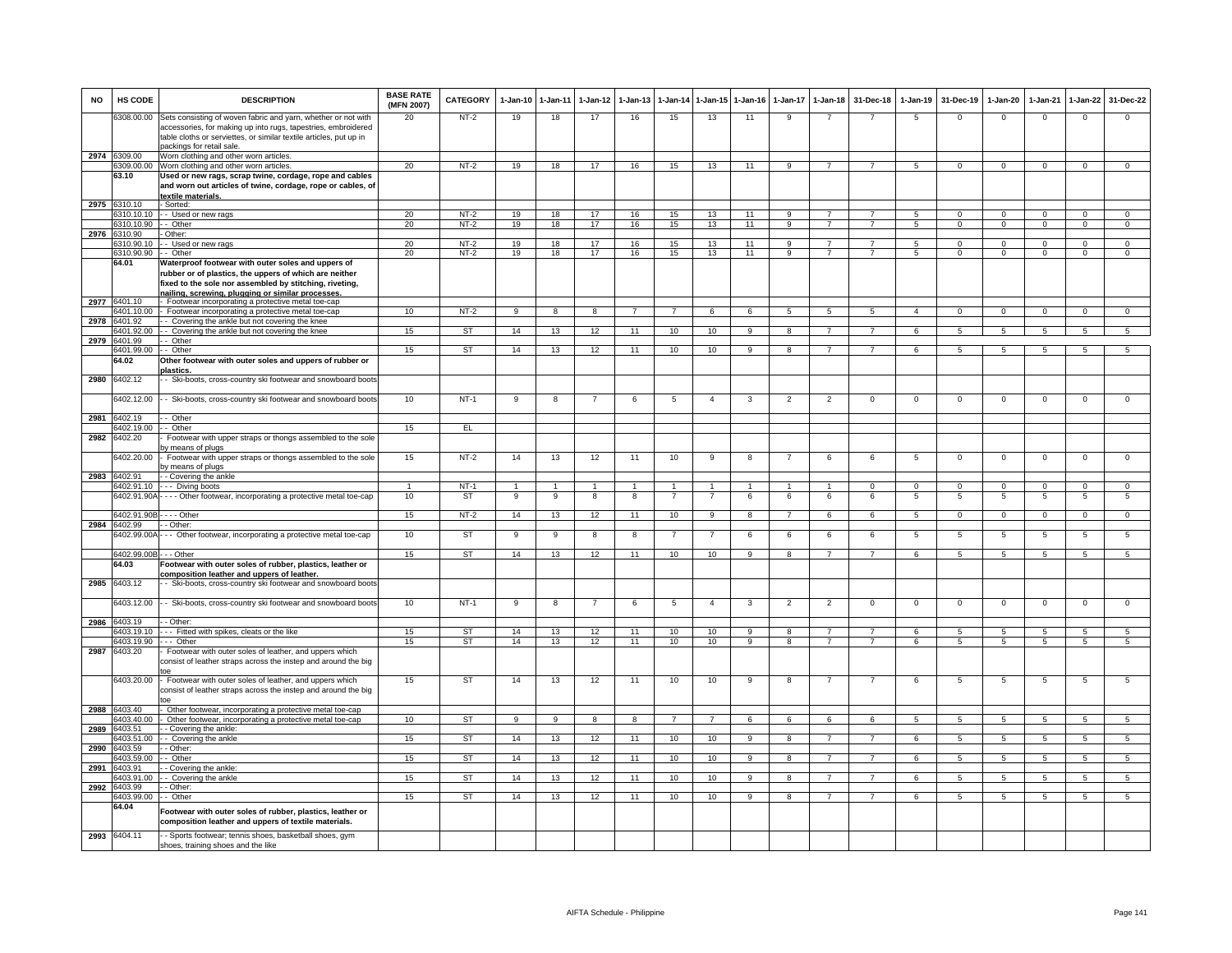| <b>NO</b> | HS CODE                     | <b>DESCRIPTION</b>                                                                                                             | <b>BASE RATE</b><br>(MFN 2007) | <b>CATEGORY</b> | $1-Jan-10$     | 1-Jan-11       | $1-Jan-12$     | $1-Jan-13$     | 1-Jan-14       | 1-Jan-15         | $1-Jan-16$     | $1-Jan-17$     | $1-Jan-18$      | 31-Dec-18      | $1-Jan-19$      | 31-Dec-19      | $1-Jan-20$      | 1-Jan-21        | 1-Jan-22       | 31-Dec-22      |
|-----------|-----------------------------|--------------------------------------------------------------------------------------------------------------------------------|--------------------------------|-----------------|----------------|----------------|----------------|----------------|----------------|------------------|----------------|----------------|-----------------|----------------|-----------------|----------------|-----------------|-----------------|----------------|----------------|
|           | 3308.00.00                  | Sets consisting of woven fabric and yarn, whether or not with<br>accessories, for making up into rugs, tapestries, embroidered | 20                             | NT-2            | 19             | 18             | 17             | 16             | 15             | 13               | 11             | 9              |                 |                | 5               | $\mathbf 0$    | $\mathbf{0}$    | $\mathbf 0$     | $\mathbf 0$    | $\mathbf{0}$   |
|           |                             | table cloths or serviettes, or similar textile articles, put up in<br>packings for retail sale                                 |                                |                 |                |                |                |                |                |                  |                |                |                 |                |                 |                |                 |                 |                |                |
| 2974 6    | 309.00<br>309.00.00         | Worn clothing and other worn articles.<br>Worn clothing and other worn articles.                                               | 20                             | $NT-2$          | 19             | 18             | 17             | 16             | 15             | 13               | 11             | 9              | $\overline{7}$  | $\overline{7}$ | 5               | $\mathbf 0$    | $\mathbf 0$     | $\mathbf 0$     | $\mathbf 0$    | $\mathbf{0}$   |
|           | 63.10                       | Used or new rags, scrap twine, cordage, rope and cables                                                                        |                                |                 |                |                |                |                |                |                  |                |                |                 |                |                 |                |                 |                 |                |                |
|           |                             | and worn out articles of twine, cordage, rope or cables, of<br>extile materials                                                |                                |                 |                |                |                |                |                |                  |                |                |                 |                |                 |                |                 |                 |                |                |
| 2975      | 6310.10                     | - Sorted:                                                                                                                      |                                |                 |                |                |                |                |                |                  |                |                |                 |                |                 |                |                 |                 |                |                |
|           |                             | 6310.10.10 - Used or new rags                                                                                                  | 20                             | $NT-2$          | 19             | 18             | 17             | 16             | 15             | 13               | 11             | q              | $\overline{7}$  |                | 5               | $\Omega$       | $^{\circ}$      | $\mathbf 0$     | $\mathbf 0$    | $\mathbf{0}$   |
|           | 6310.10.90 -- Other         |                                                                                                                                | 20                             | $NT-2$          | 19             | 18             | 17             | 16             | 15             | 13               | 11             | 9              | $7\overline{ }$ | $\overline{7}$ | $5\overline{5}$ | $\mathbf{0}$   | $\mathbf{0}$    | $\overline{0}$  | $\overline{0}$ | $\overline{0}$ |
|           | 2976 6310.90<br>310,90.10   | - Other:<br>- Used or new rags                                                                                                 | 20                             | $NT-2$          | 19             | 18             | 17             | 16             | 15             | 13               | 11             | 9              | $\overline{7}$  | $\overline{7}$ | 5               | $\Omega$       | $\mathbf{0}$    | $\overline{0}$  | $\overline{0}$ | $\overline{0}$ |
|           | 3310.90.90                  | - - Other                                                                                                                      | 20                             | $NT-2$          | 19             | 18             | 17             | 16             | 15             | 13               | 11             | 9              | $\overline{7}$  | $\overline{7}$ | 5               | $\mathbf 0$    | $\mathbf 0$     | $\mathbf{0}$    | $\mathbf 0$    | $\mathbf{0}$   |
|           | 64.01                       | Waterproof footwear with outer soles and uppers of<br>ubber or of plastics, the uppers of which are neither                    |                                |                 |                |                |                |                |                |                  |                |                |                 |                |                 |                |                 |                 |                |                |
|           | 6401.10                     | fixed to the sole nor assembled by stitching, riveting,<br>nailing, screwing, plugging or similar processes                    |                                |                 |                |                |                |                |                |                  |                |                |                 |                |                 |                |                 |                 |                |                |
| 2977      | 6401.10.00                  | - Footwear incorporating a protective metal toe-cap<br>- Footwear incorporating a protective metal toe-cap                     | 10                             | $NT-2$          | 9              | 8              | 8              |                |                | 6                | 6              | 5              | $\overline{5}$  | $5^{\circ}$    | $\overline{a}$  | $\Omega$       | $\Omega$        | $\Omega$        |                | $\Omega$       |
| 2978      | 6401.92                     | - Covering the ankle but not covering the knee                                                                                 |                                |                 |                |                |                |                |                |                  |                |                |                 |                |                 |                |                 |                 |                |                |
|           | 6401.92.00                  | - - Covering the ankle but not covering the knee                                                                               | 15                             | <b>ST</b>       | 14             | 13             | 12             | 11             | 10             | 10 <sup>10</sup> | 9              | 8              | $\overline{7}$  | $\overline{7}$ | 6               | 5              | 5               | 5               | 5              | $5^{\circ}$    |
| 2979      | 6401.99<br>401.99.00        | - Other<br>- - Other                                                                                                           | 15                             | <b>ST</b>       | 14             | 13             | 12             | 11             | 10             | 10               | 9              | 8              | $\overline{7}$  | $\overline{7}$ | 6               | 5              | 5               | 5               | 5              | 5              |
|           | 64.02                       | Other footwear with outer soles and uppers of rubber or<br><b>lastics</b> .                                                    |                                |                 |                |                |                |                |                |                  |                |                |                 |                |                 |                |                 |                 |                |                |
| 2980      | 6402.12                     | - Ski-boots, cross-country ski footwear and snowboard boots                                                                    |                                |                 |                |                |                |                |                |                  |                |                |                 |                |                 |                |                 |                 |                |                |
|           | 6402.12.00                  | - Ski-boots, cross-country ski footwear and snowboard boots                                                                    | 10                             | $NT-1$          | -9             | 8              |                | 6              | 5              | $\overline{4}$   | 3              | $\overline{2}$ | $\overline{2}$  | $\mathsf 0$    | $\mathsf 0$     | $\Omega$       | $\Omega$        | $\mathbf 0$     | $\mathsf 0$    | $\overline{0}$ |
| 2981      | 6402.19                     | - Other                                                                                                                        |                                |                 |                |                |                |                |                |                  |                |                |                 |                |                 |                |                 |                 |                |                |
| 2982      | 402.19.00<br>3402.20        | - Other<br>Footwear with upper straps or thongs assembled to the sole                                                          | 15                             | EL.             |                |                |                |                |                |                  |                |                |                 |                |                 |                |                 |                 |                |                |
|           |                             | y means of plugs                                                                                                               |                                |                 |                |                |                |                |                |                  |                |                |                 |                |                 |                |                 |                 |                |                |
|           | 402.20.00                   | Footwear with upper straps or thongs assembled to the sole<br>y means of plugs                                                 | 15                             | $NT-2$          | 14             | 13             | 12             | 11             | 10             | 9                | 8              |                | 6               | 6              | 5               | $\mathbf 0$    | $\mathbf 0$     | $\overline{0}$  | $\overline{0}$ | $\overline{0}$ |
|           | 2983 6402.91<br>6402.91.10  | - Covering the ankle                                                                                                           | $\mathbf{1}$                   | $NT-1$          | $\overline{1}$ | $\overline{1}$ | $\overline{1}$ | $\overline{1}$ | $\overline{1}$ | $\overline{1}$   | $\overline{1}$ | $\overline{1}$ | $\overline{1}$  | $\Omega$       | $\Omega$        | $\Omega$       | $\mathsf 0$     | $\Omega$        | $\Omega$       | $\overline{0}$ |
|           | 6402.91.90A                 | --- Diving boots<br>---- Other footwear, incorporating a protective metal toe-cap                                              | 10                             | <b>ST</b>       | 9              | $\overline{9}$ | $\overline{8}$ | 8              | $\overline{7}$ | $\overline{7}$   | 6              | 6              | 6               | 6              | 5               | 5              | $\overline{5}$  | 5               | $\overline{5}$ | 5              |
|           |                             |                                                                                                                                |                                |                 |                |                |                |                |                |                  |                |                |                 |                |                 |                |                 |                 |                |                |
|           | 6402.91.90B - - - - Other   |                                                                                                                                | 15                             | NT-2            | 14             | 13             | 12             | 11             | 10             | 9                | 8              | $\overline{7}$ | 6               | 6              | 5               | $^{\circ}$     | $\mathbf 0$     | $\mathbf{0}$    | $\mathbf 0$    | $\mathbf{0}$   |
|           | 2984 6402.99<br>6402.99.00A | - Other:<br>-- Other footwear, incorporating a protective metal toe-cap                                                        | 10                             | ST              | 9              | 9              | 8              | 8              | $\overline{7}$ | $\overline{7}$   | 6              | 6              | 6               | 6              | $5\phantom{.0}$ | 5              | $5\phantom{.0}$ | $\overline{5}$  | $\overline{5}$ | 5              |
|           | 6402.99.00E                 | - - Other                                                                                                                      | 15                             | <b>ST</b>       | 14             | 13             | 12             | 11             | 10             | 10               | 9              | 8              | $\overline{7}$  | $\overline{7}$ | 6               | 5              | 5               | 5               | 5              | 5              |
|           | 64.03                       | Footwear with outer soles of rubber, plastics, leather or                                                                      |                                |                 |                |                |                |                |                |                  |                |                |                 |                |                 |                |                 |                 |                |                |
| 2985      | 6403.12                     | composition leather and uppers of leather.<br>- Ski-boots, cross-country ski footwear and snowboard boots                      |                                |                 |                |                |                |                |                |                  |                |                |                 |                |                 |                |                 |                 |                |                |
|           | 6403.12.00                  | - Ski-boots, cross-country ski footwear and snowboard boots                                                                    | 10                             | $NT-1$          | 9              | 8              | $\overline{7}$ | 6              | 5              | $\overline{4}$   | 3              | $\overline{2}$ | $\overline{2}$  | $\mathbf 0$    | $\mathsf 0$     | $\mathbf 0$    | $\mathsf 0$     | $\mathbf 0$     | $\mathsf 0$    | $\mathbf{0}$   |
|           | 2986 6403.19                | - Other:                                                                                                                       |                                |                 |                |                |                |                |                |                  |                |                |                 |                |                 |                |                 |                 |                |                |
|           | 6403.19.10                  | --- Fitted with spikes, cleats or the like                                                                                     | 15                             | ST              | 14             | 13             | 12             | 11             | 10             | 10               | 9              | 8              | $\overline{7}$  | $\overline{7}$ | 6               | 5              | 5               | 5               | 5              | 5              |
| 2987      | 3403.19.90<br>6403.20       | $-$ Other<br>Footwear with outer soles of leather, and uppers which                                                            | 15                             | ST              | 14             | 13             | 12             | 11             | 10             | 10               | Q              | 8              | $\overline{7}$  | 7              | 6               | 5              | 5               | -5              | 5              | 5              |
|           |                             | consist of leather straps across the instep and around the big                                                                 |                                |                 |                |                |                |                |                |                  |                |                |                 |                |                 |                |                 |                 |                |                |
|           | 6403.20.00                  | - Footwear with outer soles of leather, and uppers which<br>consist of leather straps across the instep and around the big     | 15                             | ST              | 14             | 13             | 12             | 11             | 10             | 10               | 9              | 8              | $\overline{7}$  | $\overline{7}$ | 6               | 5              | 5               | $\overline{5}$  | 5              | 5              |
| 2988      | 6403.40                     | Other footwear, incorporating a protective metal toe-cap                                                                       |                                |                 |                |                |                |                |                |                  |                |                |                 |                |                 |                |                 |                 |                |                |
|           | 6403.40.00                  | Other footwear, incorporating a protective metal toe-cap                                                                       | 10                             | ST              | 9              | 9              | 8              | 8              | $\overline{7}$ | $\overline{7}$   | 6              | -6             | 6               | 6              | 5               | -5             | 5               | 5               | -5             | $5^{\circ}$    |
| 2989      | 6403.51                     | - Covering the ankle:                                                                                                          |                                |                 |                |                |                |                |                |                  |                |                |                 |                |                 |                |                 |                 |                |                |
| 2990      | 3403.51.00<br>403.59        | - Covering the ankle<br>- Other:                                                                                               | 15                             | <b>ST</b>       | 14             | 13             | 12             | 11             | 10             | 10               | 9              | 8              | $\overline{7}$  | $\overline{7}$ | 6               | 5              | 5               | $5\overline{5}$ | 5              | 5              |
|           | 403.59.00                   | - Other                                                                                                                        | 15                             | ST              | 14             | 13             | 12             | 11             | 10             | 10               | 9              | 8              | $\overline{7}$  |                | 6               | 5              | 5               | 5               | 5              | 5              |
| 2991      | 403.91                      | Covering the ankle                                                                                                             |                                |                 |                |                |                |                |                |                  |                |                |                 |                |                 |                |                 |                 |                |                |
|           | 403.91.00                   | Covering the ankle                                                                                                             | 15                             | ST              | 14             | 13             | 12             | 11             | 10             | 10               | $\overline{9}$ | $\overline{8}$ | $\overline{7}$  | $\overline{7}$ | 6               | $\overline{5}$ | $\overline{5}$  | $\overline{5}$  | $\overline{5}$ | $\overline{5}$ |
| 2992      | 3403.99<br>403.99.00        | - Other:<br>- Other                                                                                                            | 15                             | <b>ST</b>       | 14             | 13             | 12             | 11             | 10             | 10               | q              | $\mathbf{R}$   | 7               | $\overline{7}$ | $\overline{6}$  | $\overline{5}$ | $\overline{5}$  | $\overline{5}$  | $\overline{5}$ | $\overline{5}$ |
|           | 64.04                       | Footwear with outer soles of rubber, plastics, leather or<br>composition leather and uppers of textile materials.              |                                |                 |                |                |                |                |                |                  |                |                |                 |                |                 |                |                 |                 |                |                |
| 2993      | 6404.11                     | - Sports footwear; tennis shoes, basketball shoes, gym<br>shoes, training shoes and the like                                   |                                |                 |                |                |                |                |                |                  |                |                |                 |                |                 |                |                 |                 |                |                |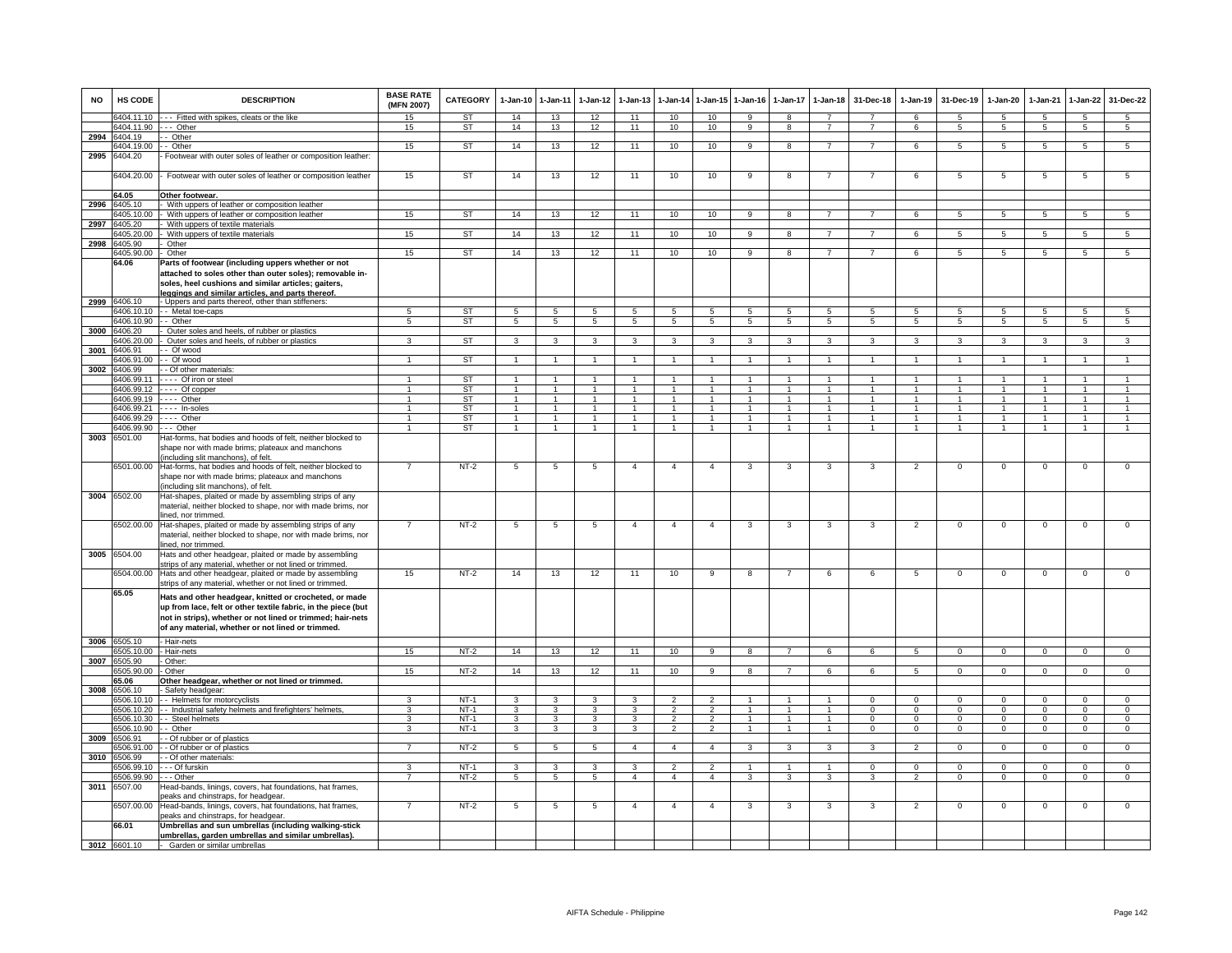| <b>NO</b> | HS CODE                    | <b>DESCRIPTION</b>                                                                                                                                            | <b>BASE RATE</b><br>(MFN 2007) | <b>CATEGORY</b>  | $1-Jan-10$                     | $1-Jan-11$                       | $1-Jan-12$                             | $1 - Jan-13$                   | $1-Jan-14$                      | $1 - Jan-15$                     | $1-Jan-16$                             | $1-Jan-17$                     | $1 - Jan-18$                   | 31-Dec-18                | $1-Jan-19$                       | 31-Dec-19                              | $1-Jan-20$                       | 1-Jan-21                         | $1-Jan-22$                       | 31-Dec-22                      |
|-----------|----------------------------|---------------------------------------------------------------------------------------------------------------------------------------------------------------|--------------------------------|------------------|--------------------------------|----------------------------------|----------------------------------------|--------------------------------|---------------------------------|----------------------------------|----------------------------------------|--------------------------------|--------------------------------|--------------------------|----------------------------------|----------------------------------------|----------------------------------|----------------------------------|----------------------------------|--------------------------------|
|           | 6404.11.10                 | --- Fitted with spikes, cleats or the like                                                                                                                    | 15                             | ST               | 14                             | 13                               | 12                                     | 11                             | 10                              | 10                               | 9                                      | 8                              | $\overline{7}$                 | $\overline{ }$           | 6                                | -5                                     | 5                                | 5                                | -5                               | 5                              |
|           | 6404.11.90<br>6404.19      | -- Other<br>- Other                                                                                                                                           | 15                             | ST               | 14                             | 13                               | 12                                     | 11                             | 10                              | 10                               | 9                                      | 8                              | $\overline{7}$                 | $\overline{7}$           | 6                                | 5                                      | 5                                | $5\overline{5}$                  | $5\overline{5}$                  | 5                              |
| 2994      | 3404.19.00                 | - Other                                                                                                                                                       | 15                             | <b>ST</b>        | 14                             | 13                               | 12                                     | 11                             | 10                              | 10                               | 9                                      | 8                              | $\overline{7}$                 | $\overline{7}$           | 6                                | 5                                      | 5                                | $5\overline{5}$                  | 5                                | $\overline{5}$                 |
| 2995      | 6404.20                    | Footwear with outer soles of leather or composition leather:                                                                                                  |                                |                  |                                |                                  |                                        |                                |                                 |                                  |                                        |                                |                                |                          |                                  |                                        |                                  |                                  |                                  |                                |
|           | 6404.20.00                 | Footwear with outer soles of leather or composition leather                                                                                                   | 15                             | ST               | 14                             | 13                               | 12                                     | 11                             | 10                              | 10                               | 9                                      | 8                              | $\overline{7}$                 | $\overline{7}$           | 6                                | 5                                      | 5                                | 5                                | 5                                | 5                              |
|           | 64.05                      | Other footwear.                                                                                                                                               |                                |                  |                                |                                  |                                        |                                |                                 |                                  |                                        |                                |                                |                          |                                  |                                        |                                  |                                  |                                  |                                |
| 2996      | 6405.10                    | With uppers of leather or composition leather                                                                                                                 |                                |                  |                                |                                  |                                        |                                |                                 |                                  |                                        |                                |                                |                          |                                  |                                        |                                  |                                  |                                  |                                |
|           | 6405.10.00<br>2997 6405.20 | With uppers of leather or composition leather                                                                                                                 | 15 <sub>15</sub>               | ST               | 14                             | 13                               | 12                                     | 11                             | 10                              | 10                               | 9                                      | 8                              | $\overline{7}$                 | $\overline{7}$           | 6                                | $5\overline{5}$                        | 5                                | 5                                | $5\overline{5}$                  | $5\overline{5}$                |
|           | 6405.20.00                 | With uppers of textile materials<br>With uppers of textile materials                                                                                          | 15                             | <b>ST</b>        | 14                             | 13                               | 12                                     | 11                             | 10                              | 10                               | 9                                      | 8                              | $\overline{7}$                 | $\overline{7}$           | 6                                | 5                                      | 5                                | 5                                | 5                                | 5                              |
| 2998      | 6405.90                    | Other                                                                                                                                                         |                                |                  |                                |                                  |                                        |                                |                                 |                                  |                                        |                                |                                |                          |                                  |                                        |                                  |                                  |                                  |                                |
|           | 405.90.00                  | Other                                                                                                                                                         | 15                             | <b>ST</b>        | 14                             | 13                               | 12                                     | 11                             | 10                              | 10                               | 9                                      | 8                              | $\overline{7}$                 | $\overline{7}$           | 6                                | 5                                      | 5                                | $5\overline{5}$                  | $5\overline{5}$                  | 5                              |
|           | 64.06                      | Parts of footwear (including uppers whether or not<br>attached to soles other than outer soles); removable in-                                                |                                |                  |                                |                                  |                                        |                                |                                 |                                  |                                        |                                |                                |                          |                                  |                                        |                                  |                                  |                                  |                                |
| 2999      | 6406.10                    | soles, heel cushions and similar articles; gaiters,<br>leggings and similar articles, and parts thereof<br>- Uppers and parts thereof, other than stiffeners: |                                |                  |                                |                                  |                                        |                                |                                 |                                  |                                        |                                |                                |                          |                                  |                                        |                                  |                                  |                                  |                                |
|           | 6406.10.10                 | - Metal toe-caps                                                                                                                                              | $\overline{5}$                 | ST               | $5^{\circ}$                    | $\sqrt{5}$                       |                                        | $5\overline{5}$                | $5^{\circ}$                     | 5                                | $\overline{5}$                         | 5                              | $5^{\circ}$                    | $5^{\circ}$              | $5^{\circ}$                      | $\overline{5}$                         | 5                                | $\overline{5}$                   |                                  | $\sqrt{5}$                     |
|           | 6406.10.90                 | - Other                                                                                                                                                       | 5                              | ST               | 5                              | 5                                | 5                                      | 5                              | 5                               | $5\overline{5}$                  | 5                                      | 5                              | 5                              | 5                        | 5                                | 5                                      | 5                                | 5                                | $5^{\circ}$                      | $5\overline{5}$                |
|           | 3000 6406.20               | Outer soles and heels, of rubber or plastics                                                                                                                  |                                |                  |                                |                                  |                                        |                                |                                 |                                  |                                        |                                |                                |                          |                                  |                                        |                                  |                                  |                                  |                                |
|           | 3406.20.00                 | Outer soles and heels, of rubber or plastics                                                                                                                  | 3                              | ST               | 3                              | 3                                |                                        | 3                              | -3                              | 3                                | з                                      | з                              | 3                              | 3                        | 3                                | 3                                      | 3                                | 3                                |                                  | $\overline{3}$                 |
| 3001      | 406.91<br>406.91.00        | - Of wood                                                                                                                                                     |                                | <b>ST</b>        |                                | $\overline{1}$                   |                                        |                                | $\overline{1}$                  | $\mathbf{1}$                     |                                        |                                | $\mathbf{1}$                   | 1                        | $\mathbf{1}$                     |                                        |                                  |                                  |                                  | $\mathbf{1}$                   |
| 3002      | 406.99                     | - Of wood<br>- Of other materials:                                                                                                                            |                                |                  |                                |                                  |                                        |                                |                                 |                                  |                                        |                                |                                |                          |                                  |                                        |                                  |                                  |                                  |                                |
|           | 6406.99.11                 | --- Of iron or steel                                                                                                                                          |                                | ST               | $\overline{1}$                 | $\overline{1}$                   |                                        | $\overline{1}$                 | $\overline{1}$                  | $\blacktriangleleft$             | $\blacktriangleleft$                   | $\mathbf{1}$                   | $\overline{1}$                 | $\overline{1}$           | $\overline{1}$                   | $\overline{1}$                         | $\overline{1}$                   | $\overline{1}$                   |                                  | $\overline{1}$                 |
|           | 6406.99.12                 | --- Of copper                                                                                                                                                 |                                | ST               |                                | $\overline{1}$                   |                                        | $\overline{1}$                 | $\overline{1}$                  | $\blacktriangleleft$             | $\overline{1}$                         |                                | $\overline{1}$                 | $\overline{1}$           | $\blacktriangleleft$             |                                        |                                  | -1                               |                                  | $\overline{1}$                 |
|           | 6406.99.19                 | $\cdots$ Other                                                                                                                                                | $\mathbf{1}$                   | <b>ST</b>        | $\overline{1}$                 | $\overline{1}$                   |                                        | $\overline{1}$                 | $\overline{1}$                  | $\mathbf{1}$                     | $\overline{1}$                         | $\mathbf{1}$                   | $\overline{1}$                 | $\overline{1}$           | $\overline{1}$                   | $\overline{1}$                         | $\overline{1}$                   | $\overline{1}$                   |                                  | $\overline{1}$                 |
|           | 6406.99.21                 | In-soles                                                                                                                                                      | $\mathbf{1}$<br>$\overline{1}$ | ST               | $\overline{1}$<br>$\mathbf{1}$ | $\overline{1}$<br>$\overline{1}$ | $\blacktriangleleft$<br>$\overline{1}$ | $\mathbf{1}$<br>$\overline{1}$ | $\mathbf{1}$<br>$\overline{1}$  | $\overline{1}$<br>$\mathbf{1}$   | $\ddot{\phantom{0}}$<br>$\overline{1}$ | $\mathbf{1}$<br>$\overline{1}$ | $\mathbf{1}$<br>$\overline{1}$ | $\overline{1}$<br>$\sim$ | $\overline{1}$<br>$\overline{1}$ | $\blacktriangleleft$<br>$\overline{1}$ | $\overline{1}$<br>$\overline{1}$ | $\overline{1}$<br>$\overline{1}$ | $\overline{1}$<br>$\overline{1}$ | $\mathbf{1}$<br>$\overline{1}$ |
|           | 6406.99.29<br>6406.99.90   | $--$ Other<br>-- Other                                                                                                                                        | $\overline{1}$                 | ST<br>ST         | $\mathbf{1}$                   | $\overline{1}$                   | $\mathbf{1}$                           | $\overline{1}$                 | $\overline{1}$                  | 1                                | $\overline{1}$                         | $\overline{1}$                 | $\overline{1}$                 | $\overline{1}$           | $\mathbf{1}$                     | $\overline{1}$                         | $\overline{1}$                   | $\overline{1}$                   | $\overline{1}$                   | $\overline{1}$                 |
| 3003      | 6501.00                    | Hat-forms, hat bodies and hoods of felt, neither blocked to                                                                                                   |                                |                  |                                |                                  |                                        |                                |                                 |                                  |                                        |                                |                                |                          |                                  |                                        |                                  |                                  |                                  |                                |
|           |                            | shape nor with made brims; plateaux and manchons<br>including slit manchons), of felt.                                                                        |                                |                  |                                |                                  |                                        |                                |                                 |                                  |                                        |                                |                                |                          |                                  |                                        |                                  |                                  |                                  |                                |
|           |                            | 6501.00.00 Hat-forms, hat bodies and hoods of felt, neither blocked to                                                                                        |                                | $NT-2$           | 5                              | 5                                | 5                                      | $\overline{4}$                 | $\overline{4}$                  | $\overline{4}$                   | 3                                      | 3                              | 3                              | 3                        | $\overline{2}$                   | $^{\circ}$                             | $\mathbf 0$                      | $\mathbf 0$                      | $^{\circ}$                       | $\mathsf 0$                    |
|           |                            | shape nor with made brims; plateaux and manchons                                                                                                              |                                |                  |                                |                                  |                                        |                                |                                 |                                  |                                        |                                |                                |                          |                                  |                                        |                                  |                                  |                                  |                                |
|           | 3004 6502.00               | including slit manchons), of felt.<br>Hat-shapes, plaited or made by assembling strips of any                                                                 |                                |                  |                                |                                  |                                        |                                |                                 |                                  |                                        |                                |                                |                          |                                  |                                        |                                  |                                  |                                  |                                |
|           |                            | material, neither blocked to shape, nor with made brims, nor                                                                                                  |                                |                  |                                |                                  |                                        |                                |                                 |                                  |                                        |                                |                                |                          |                                  |                                        |                                  |                                  |                                  |                                |
|           |                            | ined, nor trimmed.                                                                                                                                            |                                |                  |                                |                                  |                                        |                                |                                 |                                  |                                        |                                |                                |                          |                                  |                                        |                                  |                                  |                                  |                                |
|           | 6502.00.00                 | Hat-shapes, plaited or made by assembling strips of any<br>material, neither blocked to shape, nor with made brims, nor<br>lined, nor trimmed.                |                                | $NT-2$           | 5                              | 5                                | 5                                      | $\overline{4}$                 | $\overline{4}$                  | 4                                | 3                                      | 3                              | 3                              | 3                        | $\overline{2}$                   | $\mathbf 0$                            | $\Omega$                         | 0                                | $\Omega$                         | $\Omega$                       |
|           | 3005 6504.00               | Hats and other headgear, plaited or made by assembling                                                                                                        |                                |                  |                                |                                  |                                        |                                |                                 |                                  |                                        |                                |                                |                          |                                  |                                        |                                  |                                  |                                  |                                |
|           |                            | strips of any material, whether or not lined or trimmed.                                                                                                      |                                |                  |                                |                                  |                                        |                                |                                 |                                  |                                        |                                |                                |                          |                                  |                                        |                                  |                                  |                                  |                                |
|           |                            | 6504.00.00 Hats and other headgear, plaited or made by assembling<br>strips of any material, whether or not lined or trimmed                                  | 15                             | NT-2             | 14                             | 13                               | 12                                     | 11                             | 10                              | 9                                | 8                                      | 7                              | 6                              | 6                        | 5                                | 0                                      | $\mathbf 0$                      | 0                                | 0                                | 0                              |
|           | 65.05                      | Hats and other headgear, knitted or crocheted, or made                                                                                                        |                                |                  |                                |                                  |                                        |                                |                                 |                                  |                                        |                                |                                |                          |                                  |                                        |                                  |                                  |                                  |                                |
|           |                            | up from lace, felt or other textile fabric, in the piece (but                                                                                                 |                                |                  |                                |                                  |                                        |                                |                                 |                                  |                                        |                                |                                |                          |                                  |                                        |                                  |                                  |                                  |                                |
|           |                            | not in strips), whether or not lined or trimmed; hair-nets                                                                                                    |                                |                  |                                |                                  |                                        |                                |                                 |                                  |                                        |                                |                                |                          |                                  |                                        |                                  |                                  |                                  |                                |
|           |                            | of any material, whether or not lined or trimmed.                                                                                                             |                                |                  |                                |                                  |                                        |                                |                                 |                                  |                                        |                                |                                |                          |                                  |                                        |                                  |                                  |                                  |                                |
|           | 3006 6505.10               | - Hair-nets                                                                                                                                                   |                                | $NT-2$           | 14                             | 13                               | 12                                     |                                |                                 |                                  |                                        |                                |                                |                          |                                  |                                        |                                  |                                  |                                  |                                |
| 3007      | 3505.10.00<br>6505.90      | Hair-nets<br>Other:                                                                                                                                           | 15                             |                  |                                |                                  |                                        | 11                             | 10                              | 9                                | 8                                      | $\overline{7}$                 | 6                              | 6                        | 5                                | $\mathbf{0}$                           | $\mathbf{0}$                     | $\mathbf{0}$                     | $\mathbf 0$                      | $\mathbf{O}$                   |
|           | 3505.90.00                 | Other                                                                                                                                                         | 15                             | $NT-2$           | 14                             | 13                               | 12                                     | 11                             | 10                              | 9                                | $\mathbf{R}$                           | $\overline{7}$                 | 6                              | 6                        | 5                                | $\Omega$                               | $\Omega$                         | $\Omega$                         | $\Omega$                         | $\Omega$                       |
|           | 65.06                      | Other headgear, whether or not lined or trimmed                                                                                                               |                                |                  |                                |                                  |                                        |                                |                                 |                                  |                                        |                                |                                |                          |                                  |                                        |                                  |                                  |                                  |                                |
| 3008      | 6506.10                    | Safety headgear:                                                                                                                                              |                                |                  |                                |                                  |                                        |                                |                                 |                                  |                                        |                                |                                |                          |                                  |                                        |                                  |                                  |                                  |                                |
|           | 6506.10.10<br>6506.10.20   | - Helmets for motorcyclists<br>- Industrial safety helmets and firefighters' helmets                                                                          | 3<br>3                         | $NT-1$<br>$NT-1$ | 3<br>3                         | $\mathbf{3}$<br>3                | 3<br>3                                 | 3<br>3                         | $\mathfrak{p}$<br>$\mathcal{P}$ | $\mathfrak{p}$<br>$\overline{2}$ |                                        |                                | $\mathbf{1}$                   | $\Omega$<br>$\Omega$     | $\Omega$<br>$\Omega$             | $\Omega$<br>$\Omega$                   | $\Omega$<br>$\Omega$             | $\Omega$<br>$\Omega$             | $\Omega$<br>$\Omega$             | $\Omega$<br>$\overline{0}$     |
|           | 6506.10.30                 | - Steel helmets                                                                                                                                               | 3                              | $NT-1$           | 3                              | 3                                | 3                                      | 3                              | $\overline{2}$                  | $\overline{2}$                   | $\overline{1}$                         | $\mathbf{1}$                   | $\overline{1}$                 | $^{\circ}$               | $\mathbf 0$                      | $^{\circ}$                             | $\mathbf{0}$                     | $\mathbf{0}$                     | $\mathbf{0}$                     | $\mathbf{O}$                   |
|           | 6506.10.90                 | - Other                                                                                                                                                       | 3                              | $NT-1$           | 3                              | 3                                | $\overline{3}$                         | 3                              | $\overline{2}$                  | $\overline{2}$                   | $\overline{1}$                         | $\mathbf{1}$                   | $\overline{1}$                 | $\overline{0}$           | $\overline{0}$                   | $\Omega$                               | $\Omega$                         | $\overline{0}$                   | $\overline{0}$                   | $\overline{0}$                 |
| 3009      | 506.91                     | - Of rubber or of plastics                                                                                                                                    |                                |                  |                                |                                  |                                        |                                |                                 |                                  |                                        |                                |                                |                          |                                  |                                        |                                  |                                  |                                  |                                |
|           | 506.91.00                  | - Of rubber or of plastics                                                                                                                                    |                                | $NT-2$           | 5                              | 5                                | 5                                      | $\overline{4}$                 | $\overline{4}$                  | $\overline{4}$                   | 3                                      | 3                              | 3                              | 3                        | $\mathfrak{p}$                   | $\mathbf 0$                            | $\mathbf 0$                      | $\mathbf 0$                      | $\mathbf 0$                      | $\overline{0}$                 |
| 3010      | 5506.99<br>6506.99.10      | - Of other materials:<br>- - Of furskin                                                                                                                       | 3                              | $NT-1$           | $\mathbf{3}$                   | 3                                | 3                                      | 3                              | $\overline{2}$                  | $\overline{2}$                   | $\overline{1}$                         | $\overline{1}$                 | $\overline{1}$                 | $^{\circ}$               | $\mathbf 0$                      | $\Omega$                               | $^{\circ}$                       | $\mathbf{0}$                     | $\mathbf 0$                      | $\overline{0}$                 |
|           | 6506.99.90                 | - - Other                                                                                                                                                     | $\overline{7}$                 | $NT-2$           | $\overline{5}$                 | $\overline{5}$                   | $\overline{5}$                         | $\overline{4}$                 | $\overline{4}$                  | $\overline{4}$                   | 3                                      | 3                              | $\overline{3}$                 | $\overline{\mathbf{3}}$  | $\overline{2}$                   | $\Omega$                               | $\Omega$                         | $\overline{0}$                   | $\overline{0}$                   | $\overline{0}$                 |
| 3011      | 6507.00                    | Head-bands, linings, covers, hat foundations, hat frames,                                                                                                     |                                |                  |                                |                                  |                                        |                                |                                 |                                  |                                        |                                |                                |                          |                                  |                                        |                                  |                                  |                                  |                                |
|           | 6507.00.00                 | eaks and chinstraps, for headgear.<br>Head-bands, linings, covers, hat foundations, hat frames,                                                               | $\overline{7}$                 | $NT-2$           | 5                              | $\overline{5}$                   | 5                                      | $\overline{a}$                 | $\overline{4}$                  | $\overline{4}$                   | 3                                      | 3                              | 3                              | $\mathbf{3}$             | $\overline{2}$                   | $^{\circ}$                             | $\mathbf 0$                      | $\mathsf 0$                      | $\mathsf 0$                      | $\mathbf 0$                    |
|           | 66.01                      | eaks and chinstraps, for headgear.<br>Umbrellas and sun umbrellas (including walking-stick                                                                    |                                |                  |                                |                                  |                                        |                                |                                 |                                  |                                        |                                |                                |                          |                                  |                                        |                                  |                                  |                                  |                                |
|           | 3012 6601.10               | umbrellas, garden umbrellas and similar umbrellas).<br>- Garden or similar umbrellas                                                                          |                                |                  |                                |                                  |                                        |                                |                                 |                                  |                                        |                                |                                |                          |                                  |                                        |                                  |                                  |                                  |                                |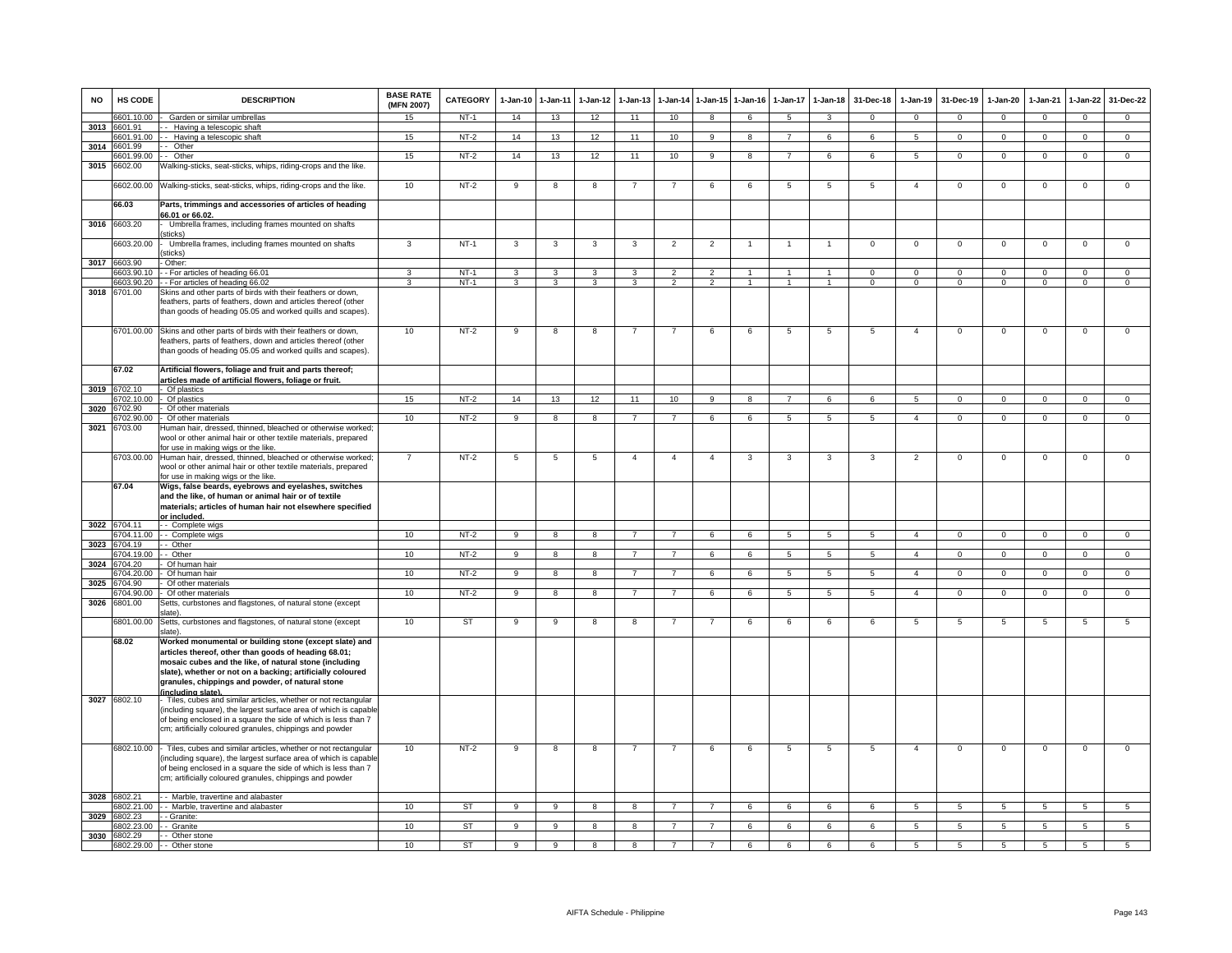| <b>NO</b> | <b>HS CODE</b>          | <b>DESCRIPTION</b>                                                                                                                                                                                                                                                          | <b>BASE RATE</b><br>(MFN 2007) | <b>CATEGORY</b>  | 1-Jan-10            | $1 - Jan-11$                 | $1-Jan-12$                     | $1 - Jan-13$                 | 1-Jan-14                 | $1 - Jan-15$                     | $1-Jan-16$                       | 1-Jan-17                         | $1-Jan-18$                       | 31-Dec-18                     | $1-Jan-19$                    | 31-Dec-19                     | $1-Jan-20$     | $1-Jan-21$             | 1-Jan-22                      | 31-Dec-22                     |
|-----------|-------------------------|-----------------------------------------------------------------------------------------------------------------------------------------------------------------------------------------------------------------------------------------------------------------------------|--------------------------------|------------------|---------------------|------------------------------|--------------------------------|------------------------------|--------------------------|----------------------------------|----------------------------------|----------------------------------|----------------------------------|-------------------------------|-------------------------------|-------------------------------|----------------|------------------------|-------------------------------|-------------------------------|
|           | 6601.10.00              | Garden or similar umbrellas                                                                                                                                                                                                                                                 | 15                             | $NT-1$           | 14                  | 13                           | 12                             | 11                           | 10                       | 8                                | 6                                | $\sqrt{5}$                       | 3                                | $\Omega$                      | $\Omega$                      | $\Omega$                      | $\Omega$       | $\Omega$               | $\Omega$                      | $\Omega$                      |
| 3013      | 6601.91                 | - Having a telescopic shaft                                                                                                                                                                                                                                                 |                                |                  |                     |                              |                                |                              |                          |                                  |                                  |                                  |                                  |                               |                               |                               |                |                        |                               |                               |
| 3014      | 6601.91.00<br>6601.99   | -- Having a telescopic shaft<br>- Other                                                                                                                                                                                                                                     | 15                             | $NT-2$           | 14                  | 13                           | 12                             | 11                           | 10                       | 9                                | 8                                | $\overline{7}$                   | 6                                | 6                             | 5                             | $\mathbf{0}$                  | $\mathbf{0}$   | $^{\circ}$             | $\mathbf{0}$                  | $\overline{0}$                |
|           | 601.99.00               | -- Other                                                                                                                                                                                                                                                                    | 15                             | $NT-2$           | 14                  | 13                           | 12                             | 11                           | 10                       | $\overline{9}$                   | $\overline{8}$                   | $\overline{7}$                   | 6                                | 6                             | $5^{\circ}$                   | $\overline{0}$                | $\Omega$       | $\Omega$               | $\overline{0}$                | $\overline{0}$                |
| 3015      | 6602.00                 | Walking-sticks, seat-sticks, whips, riding-crops and the like.                                                                                                                                                                                                              |                                |                  |                     |                              |                                |                              |                          |                                  |                                  |                                  |                                  |                               |                               |                               |                |                        |                               |                               |
|           |                         | 6602.00.00 Walking-sticks, seat-sticks, whips, riding-crops and the like.                                                                                                                                                                                                   | 10                             | $NT-2$           | 9                   | 8                            | 8                              | $\overline{7}$               | $\overline{7}$           | 6                                | 6                                | 5                                | 5                                | 5                             | $\overline{4}$                | $\mathbf 0$                   | $\mathbf{O}$   | $\mathbf 0$            | $\mathbf 0$                   | $\mathsf 0$                   |
|           | 66.03                   | Parts, trimmings and accessories of articles of heading<br>66.01 or 66.02.                                                                                                                                                                                                  |                                |                  |                     |                              |                                |                              |                          |                                  |                                  |                                  |                                  |                               |                               |                               |                |                        |                               |                               |
| 3016      | 6603.20                 | Umbrella frames, including frames mounted on shafts<br>sticks)                                                                                                                                                                                                              |                                |                  |                     |                              |                                |                              |                          |                                  |                                  |                                  |                                  |                               |                               |                               |                |                        |                               |                               |
|           | 6603.20.00              | Umbrella frames, including frames mounted on shafts<br>sticks)                                                                                                                                                                                                              | 3                              | $NT-1$           | 3                   | 3                            | 3                              | 3                            | $\overline{2}$           | $\overline{2}$                   |                                  | $\overline{1}$                   | -1                               | $\overline{0}$                | $\overline{0}$                | $\overline{0}$                | $\overline{0}$ | $\overline{0}$         | $\overline{0}$                | $\overline{0}$                |
| 3017      | 6603.90                 | Other:                                                                                                                                                                                                                                                                      |                                |                  |                     |                              |                                |                              | $\overline{\phantom{0}}$ |                                  |                                  |                                  |                                  |                               |                               |                               |                |                        |                               |                               |
|           | 603.90.10<br>6603.90.20 | - For articles of heading 66.01<br>- For articles of heading 66.02                                                                                                                                                                                                          | 3<br>্ব                        | $NT-1$<br>$NT-1$ | 3<br>$\overline{3}$ | 3<br>$\overline{\mathbf{3}}$ | $\mathbf{3}$<br>$\overline{3}$ | 3<br>$\overline{\mathbf{3}}$ | $\overline{2}$           | $\overline{2}$<br>$\overline{2}$ | $\overline{1}$<br>$\overline{1}$ | $\overline{1}$<br>$\overline{1}$ | $\overline{1}$<br>$\overline{1}$ | $\mathbf 0$<br>$\overline{0}$ | $\mathsf 0$<br>$\overline{0}$ | $\mathbf 0$<br>$\overline{0}$ | 0<br>$\Omega$  | $^{\circ}$<br>$\Omega$ | $\mathbf 0$<br>$\overline{0}$ | $\mathbf 0$<br>$\overline{0}$ |
| 3018      | 6701.00                 | Skins and other parts of birds with their feathers or down,<br>feathers, parts of feathers, down and articles thereof (other<br>than goods of heading 05.05 and worked quills and scapes).                                                                                  |                                |                  |                     |                              |                                |                              |                          |                                  |                                  |                                  |                                  |                               |                               |                               |                |                        |                               |                               |
|           | 67.02                   | 6701.00.00 Skins and other parts of birds with their feathers or down,<br>feathers, parts of feathers, down and articles thereof (other<br>than goods of heading 05.05 and worked quills and scapes).<br>Artificial flowers, foliage and fruit and parts thereof;           | 10                             | $NT-2$           | 9                   | 8                            | 8                              | -7                           | -7                       | 6                                | 6                                | $\overline{5}$                   | $\overline{5}$                   | $\overline{5}$                | $\overline{4}$                | $\Omega$                      | $\Omega$       | $\Omega$               | $\Omega$                      | $\Omega$                      |
| 3019      | 6702.10                 | articles made of artificial flowers, foliage or fruit.<br>Of plastics                                                                                                                                                                                                       |                                |                  |                     |                              |                                |                              |                          |                                  |                                  |                                  |                                  |                               |                               |                               |                |                        |                               |                               |
|           | 702 10.00               | Of plastics                                                                                                                                                                                                                                                                 | 15                             | $NT-2$           | 14                  | 13                           | 12                             | 11                           | 10                       | $\overline{q}$                   | $\overline{R}$                   | $\overline{7}$                   | <b>6</b>                         | $\epsilon$                    | $\overline{5}$                | $\overline{0}$                | $\Omega$       | $\overline{0}$         | $\overline{0}$                | $\overline{0}$                |
| 3020      | 702.90                  | Of other materials                                                                                                                                                                                                                                                          |                                |                  |                     |                              |                                |                              |                          |                                  |                                  |                                  |                                  |                               |                               |                               |                |                        |                               |                               |
|           | 3702.90.00              | - Of other materials                                                                                                                                                                                                                                                        | 10                             | $NT-2$           | $\overline{9}$      | $\overline{8}$               | 8                              | $\overline{7}$               | $\overline{7}$           | 6                                | 6                                | $\sqrt{5}$                       | $\sqrt{5}$                       | 5 <sub>1</sub>                | $\overline{4}$                | $\Omega$                      | $\Omega$       | $\Omega$               | $\Omega$                      | $\Omega$                      |
| 3021      | 6703.00                 | Human hair, dressed, thinned, bleached or otherwise worked;<br>wool or other animal hair or other textile materials, prepared<br>for use in making wigs or the like.                                                                                                        |                                |                  |                     |                              |                                |                              |                          |                                  |                                  |                                  |                                  |                               |                               |                               |                |                        |                               |                               |
|           |                         | 6703.00.00 Human hair, dressed, thinned, bleached or otherwise worked;<br>wool or other animal hair or other textile materials, prepared                                                                                                                                    | $\overline{7}$                 | $NT-2$           | 5                   | 5                            | 5                              | $\overline{4}$               | $\overline{4}$           | $\overline{4}$                   | 3                                | 3                                | 3                                | 3                             | $\overline{2}$                | $\mathbf 0$                   | $\mathbf{O}$   | $\mathbf 0$            | $\mathbf 0$                   | $\mathsf 0$                   |
|           | 67.04                   | for use in making wigs or the like.<br>Wigs, false beards, eyebrows and eyelashes, switches<br>and the like, of human or animal hair or of textile<br>materials; articles of human hair not elsewhere specified<br>or included.                                             |                                |                  |                     |                              |                                |                              |                          |                                  |                                  |                                  |                                  |                               |                               |                               |                |                        |                               |                               |
|           | 3022 6704.11            | - - Complete wigs                                                                                                                                                                                                                                                           |                                |                  |                     |                              |                                |                              |                          |                                  |                                  |                                  |                                  |                               |                               |                               |                |                        |                               |                               |
| 3023      | 3704.19                 | 3704.11.00 - - Complete wigs<br>- Other                                                                                                                                                                                                                                     | 10                             | $NT-2$           | 9                   | 8                            | 8                              | $\overline{7}$               | $\overline{7}$           | 6                                | 6                                | 5                                | 5                                | 5                             | $\overline{4}$                | $\overline{0}$                | $\mathbf{0}$   | $\mathbf{0}$           | $\mathbf{0}$                  | $\overline{0}$                |
|           | 704.19.00               | - Other                                                                                                                                                                                                                                                                     | 10                             | $NT-2$           | $\overline{9}$      | $^{\circ}$                   | $\overline{8}$                 | $\overline{7}$               | $\overline{7}$           | 6                                | 6                                | $\overline{5}$                   | $\overline{5}$                   | $\overline{5}$                | $\overline{4}$                | $\overline{0}$                | $\overline{0}$ | $\overline{0}$         | $\overline{0}$                | $\overline{0}$                |
| 3024      | 704.20                  | Of human hair                                                                                                                                                                                                                                                               |                                |                  |                     |                              |                                |                              |                          |                                  |                                  |                                  |                                  |                               |                               |                               |                |                        |                               |                               |
|           | 3704.20.00              | Of human hair                                                                                                                                                                                                                                                               | 10                             | $NT-2$           | 9                   | $\overline{8}$               | 8                              | $\overline{7}$               | $\overline{7}$           | 6                                | 6                                | $\overline{5}$                   | 5                                | $\overline{5}$                | $\overline{4}$                | $\mathbf 0$                   | $\Omega$       | $\Omega$               | $\mathbf 0$                   | $\overline{0}$                |
| 3025      | 704.90                  | Of other materials                                                                                                                                                                                                                                                          |                                |                  |                     |                              |                                |                              |                          |                                  |                                  |                                  |                                  |                               |                               |                               |                |                        |                               |                               |
| 3026      | 3704.90.00<br>6801.00   | Of other materials<br>Setts, curbstones and flagstones, of natural stone (except                                                                                                                                                                                            | 10                             | $NT-2$           | $\overline{9}$      | $\overline{8}$               | $\overline{8}$                 | $\overline{7}$               | $\overline{7}$           | 6                                | 6                                | 5                                | 5                                | $\overline{5}$                | $\overline{4}$                | $\overline{0}$                | $\overline{0}$ | $\overline{0}$         | $\overline{0}$                | $\overline{0}$                |
|           | 6801.00.00              | slate)<br>Setts, curbstones and flagstones, of natural stone (except                                                                                                                                                                                                        | 10                             | ST               | 9                   | 9                            | 8                              | -8                           | -7                       | $\overline{7}$                   | 6                                | 6                                | 6                                | 6                             | 5                             | 5                             | 5              | 5                      | 5                             | 5                             |
|           | 68.02                   | slate).<br>Worked monumental or building stone (except slate) and                                                                                                                                                                                                           |                                |                  |                     |                              |                                |                              |                          |                                  |                                  |                                  |                                  |                               |                               |                               |                |                        |                               |                               |
|           |                         | articles thereof, other than goods of heading 68.01;<br>mosaic cubes and the like, of natural stone (including<br>slate), whether or not on a backing; artificially coloured<br>granules, chippings and powder, of natural stone<br>(including slate).                      |                                |                  |                     |                              |                                |                              |                          |                                  |                                  |                                  |                                  |                               |                               |                               |                |                        |                               |                               |
| 3027      | 6802.10                 | - Tiles, cubes and similar articles, whether or not rectangular<br>(including square), the largest surface area of which is capable<br>of being enclosed in a square the side of which is less than 7<br>cm; artificially coloured granules, chippings and powder           |                                |                  |                     |                              |                                |                              |                          |                                  |                                  |                                  |                                  |                               |                               |                               |                |                        |                               |                               |
|           |                         | 6802.10.00 - Tiles, cubes and similar articles, whether or not rectangular<br>including square), the largest surface area of which is capable<br>of being enclosed in a square the side of which is less than 7<br>cm; artificially coloured granules, chippings and powder | 10                             | $NT-2$           | 9                   | $\overline{8}$               | 8                              | 7                            | $\overline{7}$           | 6                                | 6                                | $5\overline{5}$                  | 5                                | $\sqrt{5}$                    | $\overline{4}$                | $\Omega$                      | $\overline{0}$ | $\Omega$               | $\overline{0}$                | $\overline{0}$                |
| 3028      | 6802.21                 | - - Marble, travertine and alabaster                                                                                                                                                                                                                                        |                                |                  |                     |                              |                                |                              |                          |                                  |                                  |                                  |                                  |                               |                               |                               |                |                        |                               |                               |
| 3029      | 6802.23                 | 6802.21.00 - - Marble, travertine and alabaster<br>- - Granite:                                                                                                                                                                                                             | 10                             | ST               | 9                   | 9                            | $\mathbf{R}$                   | $\mathbf{R}$                 | $\overline{7}$           | $\overline{7}$                   | 6                                | 6                                | 6                                | $\epsilon$                    | 5                             | 5                             | 5 <sub>1</sub> | 5                      | 5                             | 5                             |
|           | 6802.23.00              | - - Granite                                                                                                                                                                                                                                                                 | 10                             | ST               | 9                   | $\overline{9}$               | 8                              | 8                            | $\overline{7}$           | $\overline{7}$                   | 6                                | 6                                | 6                                | 6                             | 5                             | 5                             | 5              | 5                      | 5                             | 5                             |
| 3030      | 6802.29                 | - Other stone                                                                                                                                                                                                                                                               |                                |                  |                     |                              |                                |                              |                          |                                  |                                  |                                  |                                  |                               |                               |                               |                |                        |                               |                               |
|           | 6802.29.00 -            | - Other stone                                                                                                                                                                                                                                                               | 10                             | ST               | 9                   | $\overline{9}$               | $\overline{8}$                 | $\overline{8}$               |                          |                                  | 6                                | $\overline{6}$                   | 6                                | 6                             | $\overline{5}$                | 5                             | 5              | 5                      | 5                             | 5                             |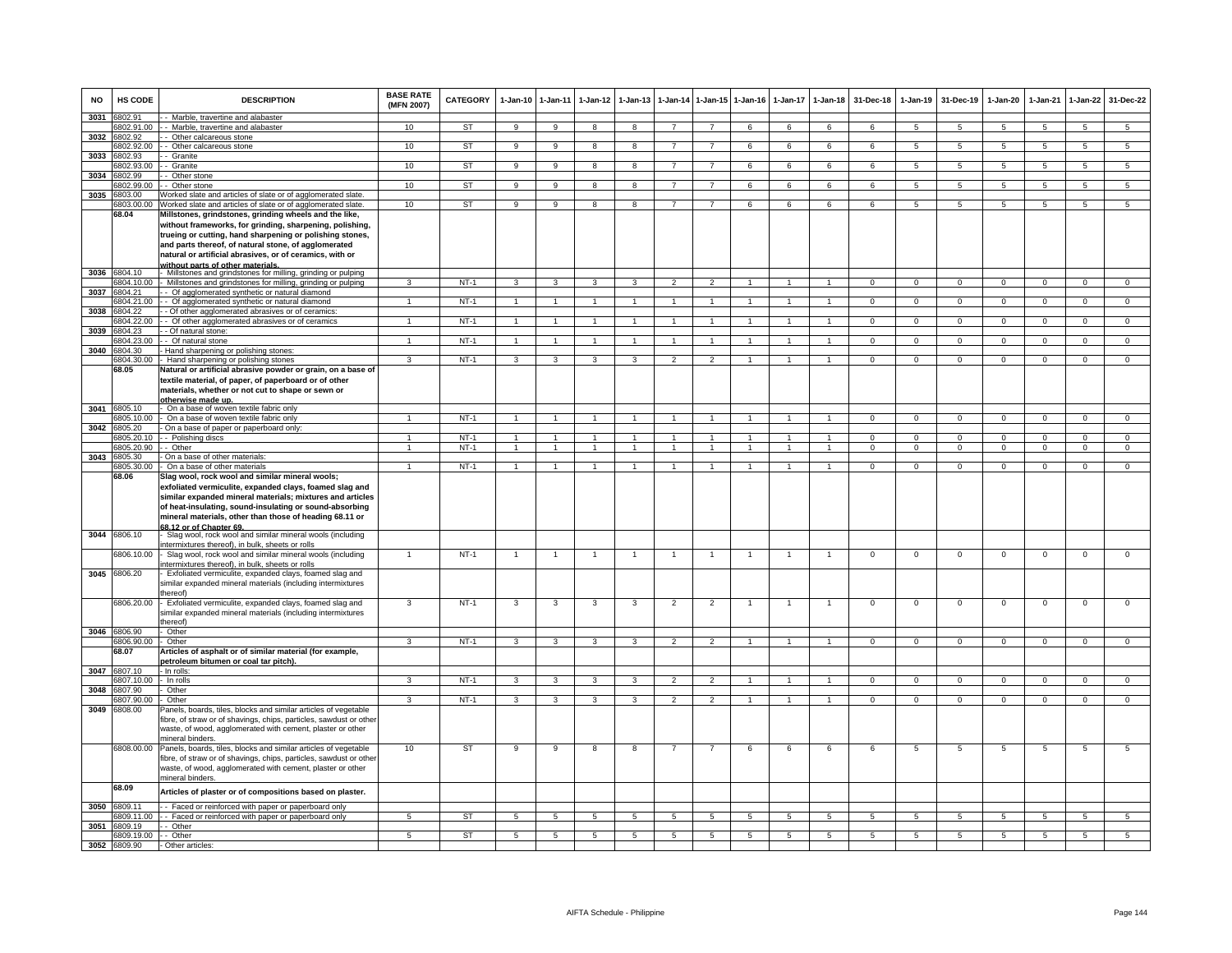| <b>NO</b> | HS CODE                    | <b>DESCRIPTION</b>                                                                                                                                                                                                                                                                                                       | <b>BASE RATE</b><br>(MFN 2007) | CATEGORY  | 1-Jan-10       | $1 - Jan-11$    | $1 - Jan-12$         | $1-Jan-13$              |                | 1-Jan-14 1-Jan-15 1-Jan-16 |                 | $1-Jan-17$     | $1-Jan-18$           | 31-Dec-18      | 1-Jan-19        | 31-Dec-19       | $1-Jan-20$     | 1-Jan-21        | $1 - Jan-22$    | 31-Dec-22       |
|-----------|----------------------------|--------------------------------------------------------------------------------------------------------------------------------------------------------------------------------------------------------------------------------------------------------------------------------------------------------------------------|--------------------------------|-----------|----------------|-----------------|----------------------|-------------------------|----------------|----------------------------|-----------------|----------------|----------------------|----------------|-----------------|-----------------|----------------|-----------------|-----------------|-----------------|
| 3031      | 6802.91                    | - Marble, travertine and alabaster                                                                                                                                                                                                                                                                                       | 10 <sup>1</sup>                |           | 9              | 9               | $\mathbf{R}$         | $\mathbf{R}$            | $\overline{7}$ | $\overline{7}$             |                 | 6              | 6                    | 6              | 5               | $\sqrt{5}$      | $\overline{5}$ | 5               | $5\overline{5}$ | $\overline{5}$  |
|           | 6802.91.00<br>3032 6802.92 | - Marble, travertine and alabaster<br>- Other calcareous stone                                                                                                                                                                                                                                                           |                                | <b>ST</b> |                |                 |                      |                         |                |                            |                 |                |                      |                |                 |                 |                |                 |                 |                 |
|           | 6802.92.00                 | - Other calcareous stone                                                                                                                                                                                                                                                                                                 | 10                             | <b>ST</b> | 9              | $\overline{9}$  | 8                    | 8                       | $\overline{7}$ | $\overline{7}$             | 6               | 6              | 6                    | 6              | $5\phantom{.0}$ | $5\phantom{.0}$ | 5              | 5               | $\overline{5}$  | $5\overline{)}$ |
| 3033      | 3802.93                    | - Granite                                                                                                                                                                                                                                                                                                                |                                |           |                |                 |                      |                         |                |                            |                 |                |                      |                |                 |                 |                |                 |                 |                 |
|           | 802.93.00                  | - Granite                                                                                                                                                                                                                                                                                                                | 10                             | <b>ST</b> | 9              | $\overline{9}$  | 8                    | 8                       | $\overline{7}$ | $\overline{7}$             | 6               | 6              | $6\overline{6}$      | 6              | $\overline{5}$  | 5               | 5              | 5               | $\overline{5}$  | 5               |
| 3034      | 802.99                     | Other stone                                                                                                                                                                                                                                                                                                              | 10                             | <b>ST</b> | 9              | $\overline{9}$  |                      |                         | $\overline{7}$ | $\overline{7}$             |                 |                | 6                    |                | $\overline{5}$  | $\overline{5}$  | 5              | $5\overline{5}$ | $\overline{5}$  | $\overline{5}$  |
| 3035      | 802.99.00<br>6803.00       | Other stone<br>Vorked slate and articles of slate or of agglomerated slate.                                                                                                                                                                                                                                              |                                |           |                |                 | 8                    | 8                       |                |                            | 6               | 6              |                      | 6              |                 |                 |                |                 |                 |                 |
|           | \$803.00.0                 | Worked slate and articles of slate or of agglomerated slate.                                                                                                                                                                                                                                                             | 10                             | ST        | $_{9}$         | $\overline{9}$  | 8                    | $\overline{\mathbf{a}}$ | $\overline{7}$ | $\overline{7}$             | 6               | 6              | 6                    | 6              | $\overline{5}$  | $\overline{5}$  | $\overline{5}$ | $\overline{5}$  | $\overline{5}$  | $\overline{5}$  |
|           | 68.04                      | Millstones, grindstones, grinding wheels and the like,                                                                                                                                                                                                                                                                   |                                |           |                |                 |                      |                         |                |                            |                 |                |                      |                |                 |                 |                |                 |                 |                 |
|           |                            | without frameworks, for grinding, sharpening, polishing,                                                                                                                                                                                                                                                                 |                                |           |                |                 |                      |                         |                |                            |                 |                |                      |                |                 |                 |                |                 |                 |                 |
|           |                            | trueing or cutting, hand sharpening or polishing stones,                                                                                                                                                                                                                                                                 |                                |           |                |                 |                      |                         |                |                            |                 |                |                      |                |                 |                 |                |                 |                 |                 |
|           |                            | and parts thereof, of natural stone, of agglomerated                                                                                                                                                                                                                                                                     |                                |           |                |                 |                      |                         |                |                            |                 |                |                      |                |                 |                 |                |                 |                 |                 |
|           |                            | natural or artificial abrasives, or of ceramics, with or<br>without parts of other materials.                                                                                                                                                                                                                            |                                |           |                |                 |                      |                         |                |                            |                 |                |                      |                |                 |                 |                |                 |                 |                 |
| 3036      | 6804.10                    | Millstones and grindstones for milling, grinding or pulping                                                                                                                                                                                                                                                              |                                |           |                |                 |                      |                         |                |                            |                 |                |                      |                |                 |                 |                |                 |                 |                 |
|           | 804.10.00                  | Millstones and grindstones for milling, grinding or pulping                                                                                                                                                                                                                                                              | $\mathbf{3}$                   | $NT-1$    | $\overline{3}$ | $\overline{3}$  | $\mathcal{R}$        | $\overline{3}$          | $\overline{2}$ | $\overline{2}$             | $\overline{1}$  | $\overline{1}$ | $\mathbf{1}$         | $\Omega$       | $\Omega$        | $\Omega$        | $\overline{0}$ | $\Omega$        | $\overline{0}$  | $\overline{0}$  |
| 3037      | 6804.21                    | - Of agglomerated synthetic or natural diamond                                                                                                                                                                                                                                                                           |                                |           |                |                 |                      |                         |                |                            |                 |                |                      |                |                 |                 |                |                 |                 |                 |
|           | 6804.21.00                 | - Of agglomerated synthetic or natural diamond                                                                                                                                                                                                                                                                           |                                | $NT-1$    | $\overline{1}$ | $\overline{1}$  |                      |                         | $\overline{1}$ | $\blacktriangleleft$       |                 |                |                      | $\overline{0}$ | $\overline{0}$  | $\overline{0}$  | $\overline{0}$ | $\overline{0}$  | $\overline{0}$  | $\overline{0}$  |
| 3038      | 804.22<br>6804.22.00       | - Of other agglomerated abrasives or of ceramics<br>- Of other agglomerated abrasives or of ceramics                                                                                                                                                                                                                     | $\overline{1}$                 | $NT-1$    | $\overline{1}$ | $\mathbf{1}$    |                      | $\mathbf{1}$            | $\overline{1}$ | $\blacktriangleleft$       |                 |                |                      | $\Omega$       | $\Omega$        | $\Omega$        | $\Omega$       | $\Omega$        | $\Omega$        | $\mathbf{0}$    |
| 3039      | 6804.23                    | - Of natural stone:                                                                                                                                                                                                                                                                                                      |                                |           |                |                 |                      |                         |                |                            |                 |                |                      |                |                 |                 |                |                 |                 |                 |
|           | 3804.23.00                 | - Of natural stone                                                                                                                                                                                                                                                                                                       | $\overline{1}$                 | $NT-1$    | $\overline{1}$ | $\mathbf{1}$    |                      | $\mathbf{1}$            | $\overline{1}$ | $\mathbf{1}$               | -1              |                | $\mathbf{1}$         | $\Omega$       | $\mathbf{0}$    | $\mathbf 0$     | $^{\circ}$     | $^{\circ}$      | $\mathbf{0}$    | $\mathbf 0$     |
| 3040      | 804.30                     | Hand sharpening or polishing stones:                                                                                                                                                                                                                                                                                     |                                |           |                |                 |                      |                         |                |                            |                 |                |                      |                |                 |                 |                |                 |                 |                 |
|           | 804.30.00<br>68.05         | Hand sharpening or polishing stones<br>Natural or artificial abrasive powder or grain, on a base of                                                                                                                                                                                                                      | 3                              | $NT-1$    | 3              | 3               | 3                    | 3                       | $\mathfrak{p}$ | $\overline{2}$             |                 |                |                      | $\mathbf 0$    | $\mathbf 0$     | $\mathbf 0$     | $\mathbf 0$    | $\mathbf 0$     | $\mathbf 0$     | $\overline{0}$  |
|           |                            | textile material, of paper, of paperboard or of other                                                                                                                                                                                                                                                                    |                                |           |                |                 |                      |                         |                |                            |                 |                |                      |                |                 |                 |                |                 |                 |                 |
|           |                            | materials, whether or not cut to shape or sewn or                                                                                                                                                                                                                                                                        |                                |           |                |                 |                      |                         |                |                            |                 |                |                      |                |                 |                 |                |                 |                 |                 |
|           |                            | <u>otherwise made up.</u>                                                                                                                                                                                                                                                                                                |                                |           |                |                 |                      |                         |                |                            |                 |                |                      |                |                 |                 |                |                 |                 |                 |
|           | 3041 6805.10               | On a base of woven textile fabric only                                                                                                                                                                                                                                                                                   |                                |           |                |                 |                      |                         |                |                            |                 |                |                      |                |                 |                 |                |                 |                 |                 |
|           | 6805.10.00                 | On a base of woven textile fabric only                                                                                                                                                                                                                                                                                   | $\overline{1}$                 | $NT-1$    | $\overline{1}$ | $\overline{1}$  | $\blacktriangleleft$ |                         | $\overline{1}$ | $\overline{1}$             |                 | $\overline{1}$ | $\overline{1}$       | $\Omega$       | $\overline{0}$  | $\Omega$        | $\overline{0}$ | $\overline{0}$  | $\overline{0}$  | $\overline{0}$  |
|           | 3042 6805.20<br>6805.20.10 | On a base of paper or paperboard only:<br>- Polishing discs                                                                                                                                                                                                                                                              |                                | $NT-1$    | $\overline{1}$ | $\mathbf{1}$    |                      |                         |                |                            |                 |                | $\mathbf{1}$         | $\Omega$       | $\Omega$        | $\Omega$        | $\Omega$       | $\Omega$        | $\mathbf{0}$    | $\overline{0}$  |
|           | 3805.20.90                 | - Other                                                                                                                                                                                                                                                                                                                  |                                | $NT-1$    | -1             | $\mathbf{1}$    | $\mathbf{1}$         |                         | $\overline{1}$ | $\mathbf{1}$               | $\overline{1}$  | $\mathbf{1}$   | $\mathbf{1}$         | $\mathbf{0}$   | $\mathbf 0$     | $\mathbf 0$     | $\mathbf 0$    | $\mathbf 0$     | $\mathbf{0}$    | $\overline{0}$  |
| 3043      | 6805.30                    | On a base of other materials:                                                                                                                                                                                                                                                                                            |                                |           |                |                 |                      |                         |                |                            |                 |                |                      |                |                 |                 |                |                 |                 |                 |
|           | 805.30.00                  | On a base of other materials                                                                                                                                                                                                                                                                                             |                                | $NT-1$    | $\overline{1}$ | $\mathbf{1}$    |                      |                         |                | $\blacktriangleleft$       |                 |                |                      | $\Omega$       | $\overline{0}$  | $\Omega$        | $\Omega$       | $\Omega$        | $\mathbf{0}$    | $\overline{0}$  |
|           | 68.06                      | Slag wool, rock wool and similar mineral wools;<br>exfoliated vermiculite, expanded clays, foamed slag and<br>similar expanded mineral materials; mixtures and articles<br>of heat-insulating, sound-insulating or sound-absorbing<br>mineral materials, other than those of heading 68.11 or<br>68.12 or of Chapter 69. |                                |           |                |                 |                      |                         |                |                            |                 |                |                      |                |                 |                 |                |                 |                 |                 |
|           | 3044 6806.10               | Slag wool, rock wool and similar mineral wools (including<br>ntermixtures thereof), in bulk, sheets or rolls                                                                                                                                                                                                             |                                |           |                |                 |                      |                         |                |                            |                 |                |                      |                |                 |                 |                |                 |                 |                 |
|           | 6806.10.00                 | Slag wool, rock wool and similar mineral wools (including                                                                                                                                                                                                                                                                |                                | $NT-1$    | $\mathbf{1}$   | $\overline{1}$  |                      |                         | -1             | -1                         |                 | -1             | $\mathbf{1}$         | $\overline{0}$ | $\overline{0}$  | $\Omega$        | $\overline{0}$ | $\overline{0}$  | $\overline{0}$  | $\overline{0}$  |
|           | 3045 6806.20               | ntermixtures thereof), in bulk, sheets or rolls<br>Exfoliated vermiculite, expanded clays, foamed slag and<br>similar expanded mineral materials (including intermixtures                                                                                                                                                |                                |           |                |                 |                      |                         |                |                            |                 |                |                      |                |                 |                 |                |                 |                 |                 |
|           | 6806.20.00                 | hereof)<br>Exfoliated vermiculite, expanded clays, foamed slag and<br>similar expanded mineral materials (including intermixtures                                                                                                                                                                                        | 3                              | $NT-1$    | 3              | 3               | 3                    | 3                       | $\overline{2}$ | $\overline{2}$             | $\overline{1}$  | $\overline{1}$ | $\overline{1}$       | $\overline{0}$ | $\overline{0}$  | $\overline{0}$  | $\overline{0}$ | $\overline{0}$  | $\overline{0}$  | $\overline{0}$  |
|           | 3046 6806.90               | hereof)<br>Other                                                                                                                                                                                                                                                                                                         |                                |           |                |                 |                      |                         |                |                            |                 |                |                      |                |                 |                 |                |                 |                 |                 |
|           | 6806.90.00                 | Other                                                                                                                                                                                                                                                                                                                    | $\mathbf{3}$                   | $NT-1$    | 3              | 3               | 3                    | $\mathbf{3}$            | $\overline{2}$ | $\overline{2}$             | $\overline{1}$  | $\overline{1}$ | $\overline{1}$       | $\Omega$       | $\mathbf{0}$    | $\mathbf{0}$    | $\Omega$       | $\Omega$        | $\mathbf{0}$    | $\overline{0}$  |
|           | 68.07                      | Articles of asphalt or of similar material (for example,                                                                                                                                                                                                                                                                 |                                |           |                |                 |                      |                         |                |                            |                 |                |                      |                |                 |                 |                |                 |                 |                 |
|           |                            | betroleum bitumen or coal tar pitch).                                                                                                                                                                                                                                                                                    |                                |           |                |                 |                      |                         |                |                            |                 |                |                      |                |                 |                 |                |                 |                 |                 |
|           | 3047 6807.10<br>6807.10.00 | - In rolls:                                                                                                                                                                                                                                                                                                              | 3                              | $NT-1$    | 3              | 3               | 3                    | 3                       | $\overline{2}$ | $\overline{2}$             | $\overline{1}$  | $\overline{1}$ | $\blacktriangleleft$ | $\Omega$       | $\overline{0}$  | $\mathbf 0$     | $\overline{0}$ | $\overline{0}$  | $\overline{0}$  | $\overline{0}$  |
| 3048      | 6807.90                    | In rolls<br>Other                                                                                                                                                                                                                                                                                                        |                                |           |                |                 |                      |                         |                |                            |                 |                |                      |                |                 |                 |                |                 |                 |                 |
|           | 6807.90.00                 | Other                                                                                                                                                                                                                                                                                                                    | 3                              | $NT-1$    | 3              | 3               | 3                    | 3                       | $\overline{2}$ | $\overline{2}$             |                 |                |                      | $\Omega$       | $\Omega$        | $\Omega$        | $\Omega$       | $\Omega$        | $\mathsf 0$     | $\Omega$        |
| 3049      | 6808.00                    | Panels, boards, tiles, blocks and similar articles of vegetable<br>fibre, of straw or of shavings, chips, particles, sawdust or other<br>waste, of wood, agglomerated with cement, plaster or other<br>nineral binders.                                                                                                  |                                |           |                |                 |                      |                         |                |                            |                 |                |                      |                |                 |                 |                |                 |                 |                 |
|           | 6808.00.00                 | Panels, boards, tiles, blocks and similar articles of vegetable<br>ibre, of straw or of shavings, chips, particles, sawdust or other<br>waste, of wood, agglomerated with cement, plaster or other<br>nineral binders.                                                                                                   | 10                             | <b>ST</b> | 9              | $_{9}$          | 8                    | -8                      | $\overline{7}$ | $\overline{7}$             | 6               | 6              | 6                    | 6              | 5               | 5               | 5              | 5               | 5               | $\overline{5}$  |
|           | 68.09                      | Articles of plaster or of compositions based on plaster.                                                                                                                                                                                                                                                                 |                                |           |                |                 |                      |                         |                |                            |                 |                |                      |                |                 |                 |                |                 |                 |                 |
| 3050      | 6809.11                    | - Faced or reinforced with paper or paperboard only                                                                                                                                                                                                                                                                      | -5                             |           |                |                 |                      |                         |                |                            |                 |                |                      |                |                 |                 |                |                 |                 |                 |
|           | 6809.11.00<br>3051 6809.19 | - Faced or reinforced with paper or paperboard only<br>- Other                                                                                                                                                                                                                                                           |                                | ST        | 5              | $5\overline{5}$ | 5                    | 5                       | 5              | 5                          | $5\overline{5}$ | 5              | 5                    | 5              | 5               | 5               | 5              | 5               | 5               | 5               |
|           | 6809.19.00                 | - Other                                                                                                                                                                                                                                                                                                                  | 5                              | <b>ST</b> | 5              | $5\overline{)}$ | $5\overline{5}$      | $\overline{5}$          | 5              | $5\overline{)}$            | 5               | 5              | $\overline{5}$       | $\overline{5}$ | 5               | 5               | 5              | $\sqrt{5}$      | 5               | $5\overline{)}$ |
|           | 3052 6809.90               | Other articles:                                                                                                                                                                                                                                                                                                          |                                |           |                |                 |                      |                         |                |                            |                 |                |                      |                |                 |                 |                |                 |                 |                 |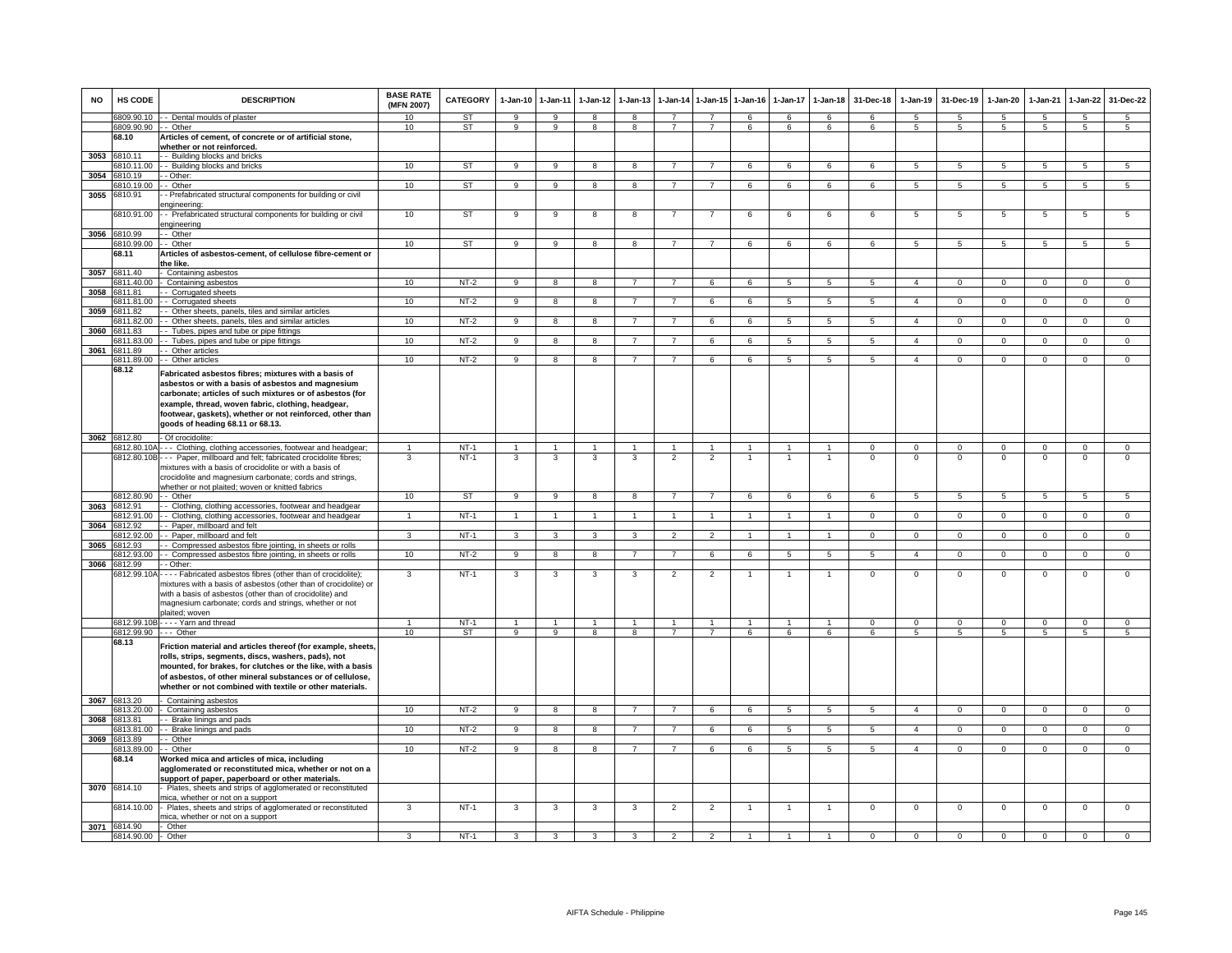| <b>NO</b> | HS CODE                   | <b>DESCRIPTION</b>                                                                                                                                                                                                                                                                                                            | <b>BASE RATE</b><br>(MFN 2007)<br>10 | <b>CATEGORY</b><br><b>ST</b> | $1-Jan-10$<br>9         | 1-Jan-11<br>9           | $1-Jan-12$<br>8         | $1-Jan-13$<br>8         | $1-Jan-14$                       | $1 - Jan-15$<br>$\overline{7}$   | $1 - Jan-16$<br>$\epsilon$ | $1-Jan-17$<br>6   | $1-Jan-18$<br>6      | 31-Dec-18<br>6    | $1-Jan-19$<br>-5    | 31-Dec-19<br>-5   | $1-Jan-20$<br>5 | 1-Jan-21<br>5   | $1-Jan-22$<br>-5               | 31-Dec-22<br>5  |
|-----------|---------------------------|-------------------------------------------------------------------------------------------------------------------------------------------------------------------------------------------------------------------------------------------------------------------------------------------------------------------------------|--------------------------------------|------------------------------|-------------------------|-------------------------|-------------------------|-------------------------|----------------------------------|----------------------------------|----------------------------|-------------------|----------------------|-------------------|---------------------|-------------------|-----------------|-----------------|--------------------------------|-----------------|
|           | 6809.90.90 - - Other      | 6809.90.10 - Dental moulds of plaster                                                                                                                                                                                                                                                                                         | 10                                   | ST                           | 9                       | 9                       | 8                       | 8                       | $\overline{7}$                   | $\overline{7}$                   | 6                          | 6                 | 6                    | 6                 | 5                   | 5                 | 5               | 5               | 5                              | 5               |
|           | 68.10                     | Articles of cement, of concrete or of artificial stone,<br>whether or not reinforced.                                                                                                                                                                                                                                         |                                      |                              |                         |                         |                         |                         |                                  |                                  |                            |                   |                      |                   |                     |                   |                 |                 |                                |                 |
|           | 3053 6810.11<br>810.11.00 | - Building blocks and bricks<br>- Building blocks and bricks                                                                                                                                                                                                                                                                  | 10                                   | <b>ST</b>                    | 9                       | $\overline{9}$          | 8                       | 8                       | $\overline{7}$                   | $\overline{7}$                   | 6                          | 6                 | 6                    | 6                 | 5                   | 5                 | $5^{\circ}$     | $\overline{5}$  | 5                              | $5\overline{)}$ |
| 3054      | 6810.19                   | - Other:                                                                                                                                                                                                                                                                                                                      |                                      |                              |                         |                         |                         |                         |                                  |                                  |                            |                   |                      |                   |                     |                   |                 |                 |                                |                 |
|           | 6810.19.00                | - Other                                                                                                                                                                                                                                                                                                                       | 10                                   | ST                           | 9                       | 9                       | 8                       | 8                       | $\overline{7}$                   | $\overline{7}$                   | 6                          | 6                 | 6                    | 6                 | 5                   | 5                 | $\sqrt{5}$      | $\overline{5}$  | $5\overline{5}$                | $5\phantom{.0}$ |
| 3055      | 6810.91                   | - Prefabricated structural components for building or civil<br>engineering:                                                                                                                                                                                                                                                   |                                      |                              |                         |                         |                         |                         |                                  |                                  |                            |                   |                      |                   |                     |                   |                 |                 |                                |                 |
|           | 6810.91.00                | - Prefabricated structural components for building or civil<br>engineering                                                                                                                                                                                                                                                    | 10                                   | <b>ST</b>                    | 9                       | 9                       | 8                       | 8                       | $\overline{7}$                   | $\overline{7}$                   | 6                          | 6                 | 6                    | 6                 | 5                   | 5                 | 5               | 5               | 5                              | 5               |
|           | 3056 6810.99              | - - Other                                                                                                                                                                                                                                                                                                                     |                                      |                              |                         |                         |                         |                         |                                  |                                  |                            |                   |                      |                   |                     |                   |                 |                 |                                |                 |
|           | 6810.99.00 - - Other      |                                                                                                                                                                                                                                                                                                                               | 10                                   | ST                           | 9                       | 9                       | 8                       | 8                       | $\overline{7}$                   | $\overline{7}$                   | 6                          | 6                 | 6                    | 6                 | 5                   | 5                 | 5               | $5\overline{5}$ | 5                              | 5               |
|           | 68.11                     | Articles of asbestos-cement, of cellulose fibre-cement or<br>the like.                                                                                                                                                                                                                                                        |                                      |                              |                         |                         |                         |                         |                                  |                                  |                            |                   |                      |                   |                     |                   |                 |                 |                                |                 |
|           | 3057 6811.40              | Containing asbestos                                                                                                                                                                                                                                                                                                           |                                      |                              |                         |                         |                         |                         |                                  |                                  |                            |                   |                      |                   |                     |                   |                 |                 |                                |                 |
|           | 811.40.00                 | Containing asbestos                                                                                                                                                                                                                                                                                                           | 10                                   | $NT-2$                       | 9                       | $\overline{8}$          | 8                       | $\overline{7}$          |                                  | 6                                | 6                          | $\overline{5}$    | $5\overline{5}$      | $\overline{5}$    | $\overline{4}$      | $\overline{0}$    | $\overline{0}$  | $\overline{0}$  | $\overline{0}$                 | $\Omega$        |
| 3058      | 6811.81                   | - Corrugated sheets                                                                                                                                                                                                                                                                                                           |                                      |                              |                         |                         |                         |                         |                                  |                                  |                            |                   |                      |                   |                     |                   |                 |                 |                                |                 |
|           | 6811.81.00                | - Corrugated sheets                                                                                                                                                                                                                                                                                                           | 10                                   | $NT-2$                       | $\overline{9}$          | 8                       | $\overline{8}$          | $\overline{7}$          | $\overline{7}$                   | 6                                | 6                          | 5                 | $5\overline{)}$      | 5                 | $\overline{4}$      | $\mathbf{0}$      | $\Omega$        | $\overline{0}$  | $\overline{0}$                 | $\Omega$        |
| 3059      | 6811.82                   | Other sheets, panels, tiles and similar articles                                                                                                                                                                                                                                                                              |                                      |                              |                         | $\mathbf{R}$            | $\mathbf{R}$            |                         |                                  | 6                                |                            | $\overline{5}$    | $\overline{a}$       | $5\overline{5}$   | $\overline{a}$      | $\Omega$          | $\Omega$        | $\Omega$        | $\Omega$                       | $\Omega$        |
| 3060      | 6811.82.00<br>6811.83     | Other sheets, panels, tiles and similar articles<br>- Tubes, pipes and tube or pipe fittings                                                                                                                                                                                                                                  | 10                                   | $NT-2$                       |                         |                         |                         |                         |                                  |                                  |                            |                   |                      |                   |                     |                   |                 |                 |                                |                 |
|           | 3811.83.00                | - Tubes, pipes and tube or pipe fittings                                                                                                                                                                                                                                                                                      | 10                                   | $NT-2$                       | $\mathbf{Q}$            | 8                       | $\mathbf{R}$            |                         |                                  | 6                                |                            | 5                 | 5.                   | 5                 | $\overline{4}$      | $\Omega$          | $\Omega$        | $\Omega$        | $\Omega$                       | $\Omega$        |
|           | 3061 6811.89              | - Other articles                                                                                                                                                                                                                                                                                                              |                                      |                              |                         |                         |                         |                         |                                  |                                  |                            |                   |                      |                   |                     |                   |                 |                 |                                |                 |
|           | 6811.89.00                | - Other articles                                                                                                                                                                                                                                                                                                              | 10                                   | $NT-2$                       | 9                       | 8                       | 8                       | $\overline{7}$          | $\overline{7}$                   | 6                                | 6                          | 5                 | 5                    | 5                 | $\overline{4}$      | $^{\circ}$        | $\mathbf{0}$    | $\mathbf{0}$    | $\mathbf 0$                    | $\mathbf{0}$    |
|           | 68.12                     | Fabricated asbestos fibres; mixtures with a basis of<br>asbestos or with a basis of asbestos and magnesium<br>carbonate; articles of such mixtures or of asbestos (for<br>example, thread, woven fabric, clothing, headgear,<br>footwear, gaskets), whether or not reinforced, other than<br>goods of heading 68.11 or 68.13. |                                      |                              |                         |                         |                         |                         |                                  |                                  |                            |                   |                      |                   |                     |                   |                 |                 |                                |                 |
|           | 3062 6812.80              | - Of crocidolite:                                                                                                                                                                                                                                                                                                             |                                      |                              |                         |                         |                         |                         |                                  |                                  |                            |                   |                      |                   |                     |                   |                 |                 |                                |                 |
|           |                           | 6812.80.10A - - - Clothing, clothing accessories, footwear and headgear;                                                                                                                                                                                                                                                      |                                      | $NT-1$                       |                         |                         |                         | $\mathbf{1}$            |                                  | $\overline{1}$                   |                            |                   | $\overline{1}$       | $\mathbf 0$       | $\mathbf{O}$        | $\mathbf 0$       | $\Omega$        | $\mathbf 0$     | $\mathbf{0}$                   | $\mathbf{0}$    |
|           |                           | 6812.80.10B--- Paper, millboard and felt; fabricated crocidolite fibres;<br>mixtures with a basis of crocidolite or with a basis of<br>crocidolite and magnesium carbonate; cords and strings,                                                                                                                                | 3                                    | $NT-1$                       | 3                       | 3                       | 3                       | 3                       | $\overline{2}$                   | $\overline{2}$                   |                            |                   | $\overline{1}$       | $\Omega$          | $\Omega$            | $\Omega$          | $\Omega$        | $\mathbf 0$     | $\Omega$                       | $\Omega$        |
|           | 6812.80.90 - - Other      | whether or not plaited; woven or knitted fabrics                                                                                                                                                                                                                                                                              | 10                                   | ST                           | $\overline{9}$          | $\overline{9}$          | $\overline{8}$          | $\overline{\mathbf{8}}$ | $\overline{7}$                   | $\overline{7}$                   | 6                          | 6                 | 6                    | 6                 | $5\overline{)}$     |                   | 5               | $\overline{5}$  |                                |                 |
|           | 3063 6812.91              | - Clothing, clothing accessories, footwear and headgear                                                                                                                                                                                                                                                                       |                                      |                              |                         |                         |                         |                         |                                  |                                  |                            |                   |                      |                   |                     | $5\overline{5}$   |                 |                 | $5\overline{5}$                | $5\overline{5}$ |
|           | 812.91.00                 | - Clothing, clothing accessories, footwear and headgear                                                                                                                                                                                                                                                                       |                                      | $NT-1$                       | 1                       | $\overline{1}$          | $\blacktriangleleft$    | $\mathbf{1}$            |                                  | $\overline{1}$                   |                            |                   | $\overline{1}$       | $\overline{0}$    | $\overline{0}$      | $\overline{0}$    | $\overline{0}$  | $\overline{0}$  | $\overline{0}$                 | $\overline{0}$  |
|           | 3064 6812.92              | - Paper, millboard and felt                                                                                                                                                                                                                                                                                                   |                                      |                              |                         |                         |                         |                         |                                  |                                  |                            |                   |                      |                   |                     |                   |                 |                 |                                |                 |
|           | 6812.92.00                | Paper, millboard and felt                                                                                                                                                                                                                                                                                                     | ্ব                                   | $NT-1$                       | $\overline{\mathbf{3}}$ | $\overline{\mathbf{3}}$ | $\overline{\mathbf{3}}$ | $\overline{3}$          | $\overline{2}$                   | $\overline{2}$                   |                            | $\overline{1}$    | $\blacktriangleleft$ | $\mathbf{0}$      | $\overline{0}$      | $\overline{0}$    | $\overline{0}$  | $\overline{0}$  | $\overline{0}$                 | $\circ$         |
| 3065      | 6812.93<br>6812.93.00     | - Compressed asbestos fibre jointing, in sheets or rolls<br>- Compressed asbestos fibre jointing, in sheets or rolls                                                                                                                                                                                                          | 10                                   | $NT-2$                       | $\overline{9}$          | $\overline{8}$          | $\overline{8}$          | $\overline{7}$          | $\overline{7}$                   | 6                                | 6                          | $\overline{5}$    | 5                    | $\overline{5}$    | $\overline{4}$      | $\overline{0}$    | $\overline{0}$  | $\overline{0}$  | $\overline{0}$                 | $\overline{0}$  |
| 3066      | 6812.99                   | - Other:                                                                                                                                                                                                                                                                                                                      |                                      |                              |                         |                         |                         |                         |                                  |                                  |                            |                   |                      |                   |                     |                   |                 |                 |                                |                 |
|           | 6812.99.10A               | ---- Fabricated asbestos fibres (other than of crocidolite);<br>mixtures with a basis of asbestos (other than of crocidolite) or<br>with a basis of asbestos (other than of crocidolite) and<br>magnesium carbonate; cords and strings, whether or not<br>plaited; woven                                                      | 3                                    | $NT-1$                       | 3                       | 3                       | 3                       | 3                       | $\overline{2}$                   | $\overline{2}$                   |                            |                   |                      | $\Omega$          | $\mathbf 0$         | $\Omega$          | $\Omega$        | $\mathbf 0$     | $\Omega$                       | $\Omega$        |
|           | 6812.99.10B               | Yarn and thread                                                                                                                                                                                                                                                                                                               |                                      | $NT-1$                       | $\mathbf{1}$            | $\overline{1}$          | $\overline{1}$          | $\mathbf{1}$            | $\overline{1}$<br>$\overline{7}$ | $\overline{1}$<br>$\overline{7}$ | $\mathbf{1}$<br>6          | $\mathbf{1}$<br>6 | $\overline{1}$<br>6  | $\mathbf{0}$<br>6 | $\overline{0}$<br>5 | $\mathbf 0$<br>-5 | $\mathbf 0$     | $\overline{0}$  | $\mathbf{0}$<br>5 <sup>1</sup> | $\mathbf{0}$    |
|           | 6812.99.90<br>68.13       | --- Other<br>Friction material and articles thereof (for example, sheets,<br>rolls, strips, segments, discs, washers, pads), not<br>mounted, for brakes, for clutches or the like, with a basis<br>of asbestos, of other mineral substances or of cellulose,<br>whether or not combined with textile or other materials.      | 10                                   | ST                           | 9                       | 9                       | 8                       | 8                       |                                  |                                  |                            |                   |                      |                   |                     |                   |                 | 5               |                                | 5               |
|           | 3067 6813.20              | Containing asbestos                                                                                                                                                                                                                                                                                                           |                                      |                              |                         |                         |                         |                         |                                  |                                  |                            |                   |                      |                   |                     |                   |                 |                 |                                |                 |
|           | 6813.20.00                | - Containing asbestos                                                                                                                                                                                                                                                                                                         | 10                                   | $NT-2$                       | $\overline{9}$          | 8                       | $\overline{\mathbf{8}}$ | $\overline{7}$          | $\overline{7}$                   | 6                                | 6                          | 5                 | $5\overline{5}$      | $5\overline{5}$   | $\overline{4}$      | $\mathbf{0}$      | $\overline{0}$  | $\overline{0}$  | $\overline{0}$                 | $\mathbf{0}$    |
|           | 3068 6813.81<br>813.81.00 | - Brake linings and pads<br>- Brake linings and pads                                                                                                                                                                                                                                                                          | 10                                   | $NT-2$                       | 9                       | 8                       | 8                       | $\overline{7}$          |                                  | 6                                | 6                          | 5                 | $5\overline{5}$      | 5                 | $\overline{4}$      | $\mathbf 0$       | $\overline{0}$  | $\overline{0}$  | $\mathbf{0}$                   | $\mathbf{0}$    |
|           | 3069 6813.89              | $\cdot$ - Other                                                                                                                                                                                                                                                                                                               |                                      |                              |                         |                         |                         |                         |                                  |                                  |                            |                   |                      |                   |                     |                   |                 |                 |                                |                 |
|           | 813.89.00                 | - Other                                                                                                                                                                                                                                                                                                                       | 10                                   | $NT-2$                       | $\mathbf{Q}$            | 8                       | 8                       | $\overline{7}$          |                                  | 6                                |                            | 5                 | 5                    | 5                 | $\overline{4}$      | $\mathbf 0$       | 0               | $\mathbf 0$     | $\mathbf 0$                    | 0               |
|           | 68.14<br>3070 6814.10     | Worked mica and articles of mica, including<br>agglomerated or reconstituted mica, whether or not on a<br>support of paper, paperboard or other materials.<br>Plates, sheets and strips of agglomerated or reconstituted<br>mica, whether or not on a support                                                                 |                                      |                              |                         |                         |                         |                         |                                  |                                  |                            |                   |                      |                   |                     |                   |                 |                 |                                |                 |
|           | 6814.10.00                | Plates, sheets and strips of agglomerated or reconstituted<br>mica, whether or not on a support                                                                                                                                                                                                                               | $\mathbf{R}$                         | $NT-1$                       | 3                       | 3                       | 3                       | 3                       | $\overline{2}$                   | $\overline{2}$                   |                            |                   |                      | $\mathbf{0}$      | $\Omega$            | $^{\circ}$        | $\Omega$        | $\overline{0}$  | $\Omega$                       | $\Omega$        |
|           | 3071 6814.90              | - Other                                                                                                                                                                                                                                                                                                                       |                                      |                              |                         |                         |                         |                         |                                  |                                  |                            |                   |                      |                   |                     |                   |                 |                 |                                |                 |
|           | 6814.90.00 - Other        |                                                                                                                                                                                                                                                                                                                               |                                      | $NT-1$                       | 3                       |                         |                         |                         |                                  |                                  |                            |                   |                      |                   |                     |                   |                 |                 |                                |                 |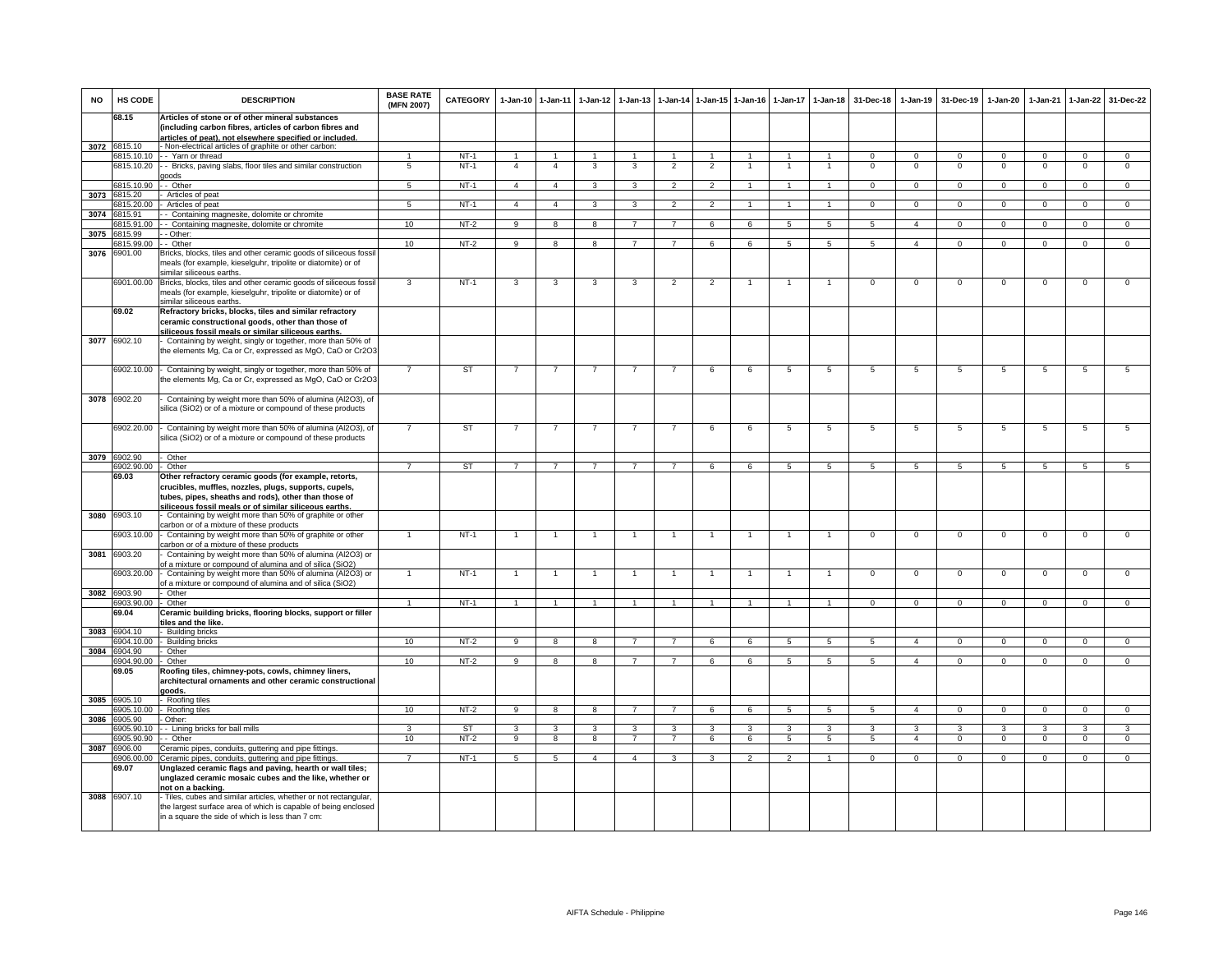| NO   | HS CODE                     | <b>DESCRIPTION</b>                                                                                                                                                                   | <b>BASE RATE</b><br>(MFN 2007) | <b>CATEGORY</b> |                | 1-Jan-10 1-Jan-11       | 1-Jan-12       | 1-Jan-13       |                |                | 1-Jan-14 1-Jan-15 1-Jan-16 | 1-Jan-17       | 1-Jan-18                | 31-Dec-18       | 1-Jan-19                | 31-Dec-19      | 1-Jan-20                | 1-Jan-21       | 1-Jan-22       | 31-Dec-22      |
|------|-----------------------------|--------------------------------------------------------------------------------------------------------------------------------------------------------------------------------------|--------------------------------|-----------------|----------------|-------------------------|----------------|----------------|----------------|----------------|----------------------------|----------------|-------------------------|-----------------|-------------------------|----------------|-------------------------|----------------|----------------|----------------|
|      | 68.15                       | Articles of stone or of other mineral substances<br>(including carbon fibres, articles of carbon fibres and<br>articles of peat), not elsewhere specified or included.               |                                |                 |                |                         |                |                |                |                |                            |                |                         |                 |                         |                |                         |                |                |                |
|      | 3072 6815.10                | - Non-electrical articles of graphite or other carbon:                                                                                                                               |                                |                 |                |                         |                |                |                |                |                            |                |                         |                 |                         |                |                         |                |                |                |
|      |                             | 6815.10.10 - Yarn or thread                                                                                                                                                          |                                | $NT-1$          |                |                         |                |                |                |                |                            |                |                         | $\Omega$        | $\Omega$                | $\Omega$       | $\Omega$                | $\Omega$       | $\Omega$       | $\Omega$       |
|      |                             | 6815.10.20 - Bricks, paving slabs, floor tiles and similar construction<br>goods                                                                                                     | 5                              | $NT-1$          | $\overline{4}$ | $\overline{4}$          | 3              | 3              | $\overline{2}$ | $\overline{2}$ |                            |                |                         | $\Omega$        | $\Omega$                | $\Omega$       | $\Omega$                | $\Omega$       | $\Omega$       | $\mathbf 0$    |
|      | 6815.10.90                  | - - Other                                                                                                                                                                            | 5                              | $NT-1$          | $\overline{4}$ | $\overline{4}$          | 3              | $\mathbf{3}$   | $\overline{2}$ | $\mathcal{P}$  |                            | $\mathbf{1}$   | $\overline{1}$          | $\mathbf{0}$    | $\mathbf{0}$            | $\mathbf 0$    | $\mathbf{0}$            | $\mathbf{0}$   | $\mathbf{0}$   | $\mathbf{0}$   |
|      | 3073 6815.20<br>6815.20.00  | Articles of peat<br>Articles of peat                                                                                                                                                 | 5                              | NT-1            | $\overline{4}$ | $\overline{4}$          | 3              | 3              | $\overline{2}$ | $\overline{2}$ |                            |                | $\mathbf{1}$            | $\Omega$        | $\mathbf 0$             | $\mathbf 0$    | $\circ$                 | $\Omega$       | $\mathbf{0}$   | $\mathbf{0}$   |
| 3074 | 6815.91                     | - Containing magnesite, dolomite or chromite                                                                                                                                         |                                |                 |                |                         |                |                |                |                |                            |                |                         |                 |                         |                |                         |                |                |                |
|      | 815.91.00                   | - Containing magnesite, dolomite or chromite                                                                                                                                         | 10                             | $NT-2$          | 9              | $\overline{8}$          | 8              | $\overline{7}$ | $\overline{7}$ | 6              | 6                          | 5              | $5\phantom{.0}$         | 5               | $\overline{4}$          | $\mathbf 0$    | $\mathbf 0$             | $\mathbf 0$    | $\mathbf 0$    | $\overline{0}$ |
| 3075 | 815.99<br>815.99.00         | - Other:<br>- Other                                                                                                                                                                  | 10                             | $NT-2$          | 9              | 8                       | 8              | $\overline{7}$ | $\overline{7}$ | 6              | 6                          | 5              | 5                       | 5               | $\overline{4}$          | $\mathbf 0$    | $\mathbf 0$             | $\mathbf 0$    | $\mathbf 0$    | $\overline{0}$ |
| 3076 | 6901.00                     | Bricks, blocks, tiles and other ceramic goods of siliceous fossil<br>meals (for example, kieselguhr, tripolite or diatomite) or of<br>similar siliceous earths.                      |                                |                 |                |                         |                |                |                |                |                            |                |                         |                 |                         |                |                         |                |                |                |
|      |                             | 6901.00.00 Bricks, blocks, tiles and other ceramic goods of siliceous fossil<br>meals (for example, kieselguhr, tripolite or diatomite) or of<br>similar siliceous earths.           | 3                              | $NT-1$          | 3              | 3                       | 3              | 3              | $\overline{2}$ | $\overline{2}$ |                            |                | $\overline{1}$          | $^{\circ}$      | $^{\circ}$              | $\mathbf 0$    | $\mathbf 0$             | $\mathbf 0$    | $\mathsf 0$    | $\mathbf 0$    |
|      | 69.02                       | Refractory bricks, blocks, tiles and similar refractory<br>ceramic constructional goods, other than those of<br>siliceous fossil meals or similar siliceous earths.                  |                                |                 |                |                         |                |                |                |                |                            |                |                         |                 |                         |                |                         |                |                |                |
| 3077 | 6902.10                     | Containing by weight, singly or together, more than 50% of<br>the elements Mg, Ca or Cr, expressed as MgO, CaO or Cr2O3                                                              |                                |                 |                |                         |                |                |                |                |                            |                |                         |                 |                         |                |                         |                |                |                |
|      | 6902.10.00                  | - Containing by weight, singly or together, more than 50% of<br>the elements Mg, Ca or Cr, expressed as MgO, CaO or Cr2O3                                                            |                                | ST              | $\overline{7}$ | $\overline{7}$          |                | $\overline{7}$ | $\overline{7}$ | 6              | 6                          | 5              | 5                       | 5               | 5                       | 5              | 5                       | 5              | 5              | 5              |
|      | 3078 6902.20                | Containing by weight more than 50% of alumina (Al2O3), of<br>silica (SiO2) or of a mixture or compound of these products                                                             |                                |                 |                |                         |                |                |                |                |                            |                |                         |                 |                         |                |                         |                |                |                |
|      | 6902.20.00                  | Containing by weight more than 50% of alumina (Al2O3), of<br>silica (SiO2) or of a mixture or compound of these products                                                             | $\overline{7}$                 | <b>ST</b>       | $\overline{7}$ | $\overline{7}$          | $\overline{7}$ | $\overline{7}$ | $\overline{7}$ | $\,6\,$        | 6                          | $\,$ 5 $\,$    | 5                       | $5\phantom{.0}$ | 5                       | $\sqrt{5}$     | $\,$ 5                  | 5              | $\overline{5}$ | $\overline{5}$ |
|      | 3079 6902.90<br>902.90.00   | Other<br>Other                                                                                                                                                                       | $\overline{7}$                 | <b>ST</b>       | $\overline{7}$ | $\overline{7}$          | $\overline{7}$ | $\overline{7}$ | $\overline{7}$ | 6              | 6                          | 5              | 5                       | 5               | 5                       | 5              | 5                       | 5              | 5              | 5              |
|      | 69.03                       | Other refractory ceramic goods (for example, retorts,                                                                                                                                |                                |                 |                |                         |                |                |                |                |                            |                |                         |                 |                         |                |                         |                |                |                |
|      |                             | crucibles, muffles, nozzles, plugs, supports, cupels,<br>tubes, pipes, sheaths and rods), other than those of<br>siliceous fossil meals or of similar siliceous earths.              |                                |                 |                |                         |                |                |                |                |                            |                |                         |                 |                         |                |                         |                |                |                |
|      | 3080 6903.10                | Containing by weight more than 50% of graphite or other                                                                                                                              |                                |                 |                |                         |                |                |                |                |                            |                |                         |                 |                         |                |                         |                |                |                |
|      | 3903.10.00                  | carbon or of a mixture of these products<br>Containing by weight more than 50% of graphite or other<br>arbon or of a mixture of these products                                       | $\overline{1}$                 | $NT-1$          | $\overline{1}$ | $\overline{1}$          | $\overline{1}$ | $\overline{1}$ | $\overline{1}$ | $\overline{1}$ | $\overline{1}$             | $\overline{1}$ | $\mathbf{1}$            | $\mathsf 0$     | $\mathbf 0$             | $\mathbf 0$    | $\mathbf 0$             | $\mathsf 0$    | $\mathsf 0$    | $\mathsf 0$    |
| 3081 | 6903.20                     | Containing by weight more than 50% of alumina (Al2O3) or<br>of a mixture or compound of alumina and of silica (SiO2)                                                                 |                                |                 |                |                         |                |                |                |                |                            |                |                         |                 |                         |                |                         |                |                |                |
|      | 6903.20.00                  | - Containing by weight more than 50% of alumina (Al2O3) or<br>of a mixture or compound of alumina and of silica (SiO2)                                                               |                                | $NT-1$          |                |                         |                |                |                |                |                            |                |                         | $\Omega$        | $\Omega$                | $\Omega$       | $\Omega$                | $\Omega$       | $\Omega$       | $\Omega$       |
|      | 3082 6903.90                | - Other                                                                                                                                                                              |                                |                 |                |                         |                |                |                |                |                            |                |                         |                 |                         |                |                         |                |                |                |
|      | 6903.90.00 - Other<br>69.04 | Ceramic building bricks, flooring blocks, support or filler<br>tiles and the like.                                                                                                   | $\mathbf{1}$                   | $NT-1$          | $\overline{1}$ | $\overline{1}$          | $\mathbf{1}$   |                | $\overline{1}$ |                |                            |                | $\overline{1}$          | $\mathbf{0}$    | $\mathbf 0$             | $\mathbf{0}$   | $^{\circ}$              | $\mathbf 0$    | $\mathbf{0}$   | $\mathbf{0}$   |
| 3083 | 6904.10                     | Building bricks                                                                                                                                                                      |                                |                 |                |                         |                |                |                |                |                            |                |                         |                 |                         |                |                         |                |                |                |
|      | 904.10.00                   | - Building bricks                                                                                                                                                                    | 10                             | $NT-2$          | -9             | 8                       | -8             | 7              | -7             | -6             | 6                          | 5              | -5                      | -5              | $\overline{4}$          | $^{\circ}$     | $\Omega$                | $\Omega$       | $^{\circ}$     | $\overline{0}$ |
| 3084 | 3904.90                     | Other                                                                                                                                                                                |                                |                 |                |                         |                |                |                |                |                            |                |                         |                 |                         |                |                         |                |                |                |
|      | 904.90.00<br>69.05          | Other<br>Roofing tiles, chimney-pots, cowls, chimney liners,<br>architectural ornaments and other ceramic constructional<br>aboot                                                    | 10                             | $NT-2$          | $\overline{9}$ | $\overline{8}$          | $\overline{8}$ | $\overline{7}$ | $\overline{7}$ | 6              | 6                          | $\overline{5}$ | $\overline{5}$          | 5               | $\overline{4}$          | $\overline{0}$ | $\overline{0}$          | $\overline{0}$ | $\overline{0}$ | $\overline{0}$ |
| 3085 | 6905.10                     | Roofing tiles                                                                                                                                                                        |                                |                 |                |                         |                |                |                |                |                            |                |                         |                 |                         |                |                         |                |                |                |
|      | 6905.10.00<br>3905.90       | Roofing tiles                                                                                                                                                                        | 10                             | $NT-2$          | 9              | 8                       | 8              | $\overline{7}$ | $\overline{7}$ | 6              | 6                          | 5              | 5                       | 5               | $\overline{4}$          | $\mathbf 0$    | $\mathbf 0$             | $\mathbf{0}$   | $\mathsf 0$    | $\overline{0}$ |
| 3086 | 905.90.10                   | Other:<br>- Lining bricks for ball mills                                                                                                                                             | $\mathbf{3}$                   | <b>ST</b>       | 3              | $\overline{\mathbf{3}}$ | 3              | $\mathbf{3}$   | $\mathbf{3}$   | $\mathbf{3}$   | $\overline{\mathbf{3}}$    | $\mathbf{R}$   | $\overline{\mathbf{3}}$ | $\mathcal{R}$   | $\overline{\mathbf{3}}$ | $\mathbf{R}$   | $\overline{\mathbf{3}}$ | $\mathbf{B}$   | 3              | 3              |
|      | \$905.90.90                 | - Other                                                                                                                                                                              | 10                             | $NT-2$          | $\overline{9}$ | $\overline{8}$          | $\overline{8}$ | $\overline{7}$ | $\overline{7}$ | 6              | 6                          | 5              | $\overline{5}$          | 5               | $\overline{4}$          | $\mathbf{0}$   | $\overline{0}$          | $\overline{0}$ | $\overline{0}$ | $\overline{0}$ |
| 3087 | 3906.00                     | Ceramic pipes, conduits, guttering and pipe fittings                                                                                                                                 |                                |                 |                |                         |                |                |                |                |                            |                |                         |                 |                         |                |                         |                |                |                |
|      | \$906.00.00<br>69.07        | Ceramic pipes, conduits, guttering and pipe fittings.<br>Unglazed ceramic flags and paving, hearth or wall tiles;                                                                    | $\overline{7}$                 | $NT-1$          | 5              | 5                       | $\overline{4}$ | $\Delta$       | 3              | 3              | $\mathfrak{p}$             | 2              | $\mathbf{1}$            | $\circ$         | $\mathbf{0}$            | $\mathbf 0$    | $\mathbf 0$             | $\mathbf 0$    | $\mathbf 0$    | $\overline{0}$ |
|      |                             | unglazed ceramic mosaic cubes and the like, whether or<br>not on a backing.                                                                                                          |                                |                 |                |                         |                |                |                |                |                            |                |                         |                 |                         |                |                         |                |                |                |
|      | 3088 6907.10                | Tiles, cubes and similar articles, whether or not rectangular,<br>the largest surface area of which is capable of being enclosed<br>in a square the side of which is less than 7 cm: |                                |                 |                |                         |                |                |                |                |                            |                |                         |                 |                         |                |                         |                |                |                |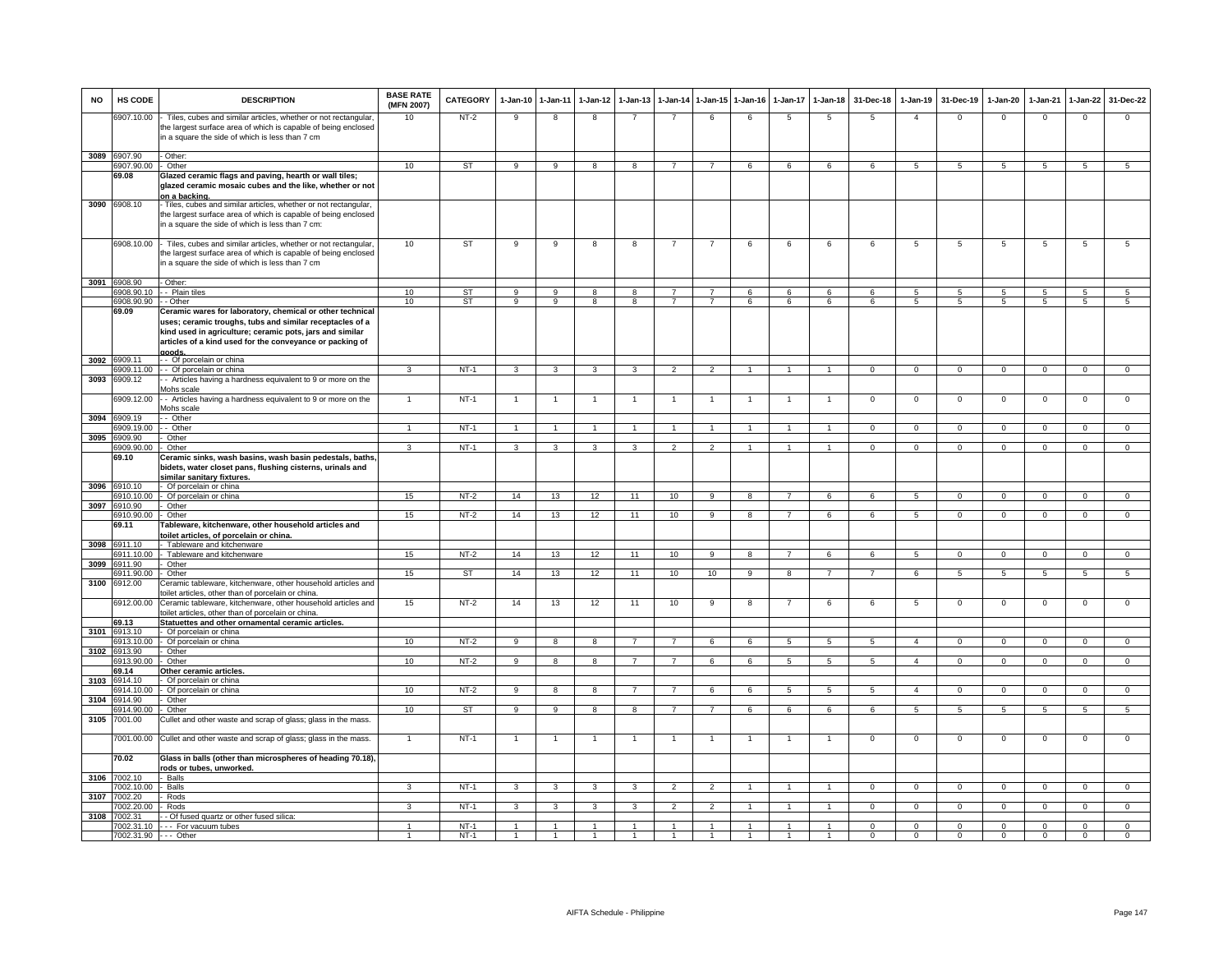| NO   | HS CODE                   | <b>DESCRIPTION</b>                                                                                                                                                                                                                                      | <b>BASE RATE</b><br>(MFN 2007) | <b>CATEGORY</b>        | $1 - Jan-10$   | 1-Jan-11                | $1 - Jan-12$                 | $1-Jan-13$          | 1-Jan-14                         | 1-Jan-15                         | $1 - Jan-16$ | $1 - Jan-17$   | $1 - Jan-18$         | 31-Dec-18      | 1-Jan-19         | 31-Dec-19      | $1 - Jan-20$    | 1-Jan-21         | 1-Jan-22                         | 31-Dec-22                          |
|------|---------------------------|---------------------------------------------------------------------------------------------------------------------------------------------------------------------------------------------------------------------------------------------------------|--------------------------------|------------------------|----------------|-------------------------|------------------------------|---------------------|----------------------------------|----------------------------------|--------------|----------------|----------------------|----------------|------------------|----------------|-----------------|------------------|----------------------------------|------------------------------------|
|      | 6907.10.00                | Tiles, cubes and similar articles, whether or not rectangular,<br>the largest surface area of which is capable of being enclosed<br>in a square the side of which is less than 7 cm                                                                     | 10                             | $NT-2$                 | g              | $\overline{\mathbf{8}}$ | $\overline{8}$               | $\overline{7}$      | $\overline{7}$                   | 6                                | 6            | 5              | $\overline{5}$       | -5             | $\overline{4}$   | $\Omega$       | $\overline{0}$  | $\overline{0}$   | $\overline{0}$                   | $\overline{0}$                     |
|      | 3089 6907.90              | - Other:                                                                                                                                                                                                                                                |                                |                        |                |                         |                              |                     |                                  |                                  |              |                |                      |                |                  |                |                 |                  |                                  |                                    |
|      | 907.90.00                 | Other                                                                                                                                                                                                                                                   | 10                             | ST                     | 9              | $\overline{9}$          | $\overline{8}$               | $\overline{8}$      | $\overline{7}$                   | $\overline{7}$                   | 6            | 6              | 6                    | 6              | -5               | -5             | 5               | $5^{\circ}$      | -5                               | 5                                  |
|      | 69.08                     | Glazed ceramic flags and paving, hearth or wall tiles;<br>glazed ceramic mosaic cubes and the like, whether or not<br>on a backing.                                                                                                                     |                                |                        |                |                         |                              |                     |                                  |                                  |              |                |                      |                |                  |                |                 |                  |                                  |                                    |
|      | 3090 6908.10              | Tiles, cubes and similar articles, whether or not rectangular,<br>the largest surface area of which is capable of being enclosed<br>in a square the side of which is less than 7 cm:                                                                    |                                |                        |                |                         |                              |                     |                                  |                                  |              |                |                      |                |                  |                |                 |                  |                                  |                                    |
|      | 6908.10.00                | - Tiles, cubes and similar articles, whether or not rectangular,<br>the largest surface area of which is capable of being enclosed<br>in a square the side of which is less than 7 cm                                                                   | 10                             | ST                     | 9              | $\overline{9}$          | 8                            | 8                   | $\overline{7}$                   | $\overline{7}$                   | 6            | 6              | 6                    | 6              | 5                | 5              | 5               | 5                | 5                                | $5\overline{)}$                    |
|      | 3091 6908.90              | Other:                                                                                                                                                                                                                                                  |                                |                        |                |                         |                              |                     |                                  |                                  |              |                |                      |                |                  |                |                 |                  |                                  |                                    |
|      | 908.90.10<br>\$908.90.90  | - Plain tiles<br>- Other                                                                                                                                                                                                                                | 10<br>10                       | <b>ST</b><br><b>ST</b> | 9<br>9         | 9<br>$\overline{9}$     | 8<br>$\overline{\mathbf{8}}$ | 8<br>$\overline{8}$ | $\overline{7}$<br>$\overline{7}$ | $\overline{7}$<br>$\overline{7}$ | 6<br>6       | 6<br>6         | 6<br>6               | 6<br>6         | $5^{\circ}$<br>5 | 5<br>5         | 5<br>5          | $5^{\circ}$<br>5 | $\overline{5}$<br>$\overline{5}$ | $5\phantom{.0}$<br>$5\overline{)}$ |
|      | 69.09                     | Ceramic wares for laboratory, chemical or other technical<br>uses; ceramic troughs, tubs and similar receptacles of a<br>kind used in agriculture; ceramic pots, jars and similar<br>articles of a kind used for the conveyance or packing of<br>goods. |                                |                        |                |                         |                              |                     |                                  |                                  |              |                |                      |                |                  |                |                 |                  |                                  |                                    |
| 3092 | 6909.11                   | - - Of porcelain or china<br>909.11.00 - - Of porcelain or china                                                                                                                                                                                        | $\mathcal{R}$                  | $NT-1$                 | 3              | 3                       | $\mathbf{3}$                 | 3                   | $\overline{2}$                   | $\mathcal{P}$                    |              |                | $\overline{1}$       | $\Omega$       | $\Omega$         | $\Omega$       | $\Omega$        | $\Omega$         | $\Omega$                         | $\Omega$                           |
| 3093 | 6909.12                   | - Articles having a hardness equivalent to 9 or more on the<br>Mohs scale                                                                                                                                                                               |                                |                        |                |                         |                              |                     |                                  |                                  |              |                |                      |                |                  |                |                 |                  |                                  |                                    |
| 3094 | 6909.12.00<br>909.19      | - Articles having a hardness equivalent to 9 or more on the<br>Mohs scale<br>- Other                                                                                                                                                                    | $\overline{1}$                 | $NT-1$                 | -1             |                         |                              |                     |                                  |                                  |              |                |                      | $\Omega$       | $\Omega$         | $^{\circ}$     | $\mathbf 0$     | $\Omega$         | $\Omega$                         | $\overline{0}$                     |
|      | 909.19.00                 | - Other                                                                                                                                                                                                                                                 | $\overline{1}$                 | $NT-1$                 |                |                         |                              |                     |                                  |                                  |              |                |                      | $\Omega$       | $\circ$          | $\Omega$       | $\Omega$        | $\Omega$         | $\Omega$                         | $\Omega$                           |
| 3095 | 6909.90                   | Other                                                                                                                                                                                                                                                   |                                |                        |                |                         |                              |                     |                                  |                                  |              |                |                      |                |                  |                |                 |                  |                                  |                                    |
|      | 6909.90.00                | Other                                                                                                                                                                                                                                                   | 3                              | $NT-1$                 | $\mathbf{3}$   | 3                       | $\mathbf{3}$                 | 3                   | $\overline{2}$                   | $\overline{2}$                   | $\mathbf{1}$ | $\overline{1}$ | $\overline{1}$       | $\mathbf{0}$   | $\mathbf 0$      | $\mathbf 0$    | $\overline{0}$  | $\mathbf{0}$     | $\overline{0}$                   | $\overline{0}$                     |
| 3096 | 69.10<br>6910.10          | Ceramic sinks, wash basins, wash basin pedestals, baths,<br>bidets, water closet pans, flushing cisterns, urinals and<br>similar sanitary fixtures.<br>- Of porcelain or china                                                                          |                                |                        |                |                         |                              |                     |                                  |                                  |              |                |                      |                |                  |                |                 |                  |                                  |                                    |
|      | 6910.10.00                | - Of porcelain or china                                                                                                                                                                                                                                 | 15                             | $NT-2$                 | 14             | 13                      | 12                           | 11                  | 10                               | 9                                | 8            | $\overline{7}$ | 6                    | 6              | 5                | $\mathbf{0}$   | $\overline{0}$  | $\mathbf{0}$     | $\mathbf{0}$                     | $\overline{0}$                     |
|      | 3097 6910.90              | Other                                                                                                                                                                                                                                                   |                                |                        |                |                         |                              |                     |                                  |                                  |              |                |                      |                |                  |                |                 |                  |                                  |                                    |
|      | 910.90.00<br>69.11        | Other<br>Tableware, kitchenware, other household articles and<br>oilet articles, of porcelain or china.                                                                                                                                                 | 15                             | $NT-2$                 | 14             | 13                      | 12                           | 11                  | 10                               | $\overline{9}$                   | 8            | $\overline{7}$ | 6                    | 6              | $5\phantom{.0}$  | $\mathbf 0$    | $\overline{0}$  | $\overline{0}$   | $\overline{0}$                   | $\overline{0}$                     |
| 3098 | 3911.10                   | Tableware and kitchenware                                                                                                                                                                                                                               |                                |                        |                |                         |                              |                     |                                  |                                  |              |                |                      |                |                  |                |                 |                  |                                  |                                    |
| 3099 | 911.10.00<br>6911.90      | Tableware and kitchenware<br>Other                                                                                                                                                                                                                      | 15                             | $NT-2$                 | 14             | 13                      | 12                           | 11                  | 10                               | 9                                | 8            | $\overline{7}$ | 6                    | 6              | $5^{\circ}$      | $\mathbf{0}$   | $\mathbf 0$     | $\Omega$         | $\Omega$                         | $\overline{0}$                     |
|      | 911.90.00                 | Other                                                                                                                                                                                                                                                   | 15                             | <b>ST</b>              | 14             | 13                      | 12                           | 11                  | 10                               | 10                               | $_{9}$       | $\overline{8}$ | $\overline{7}$       | $\overline{7}$ | 6                | 5              | $5\overline{)}$ | 5                | $\overline{5}$                   | 5                                  |
| 3100 | 6912.00<br>6912.00.00     | Ceramic tableware, kitchenware, other household articles and<br>pilet articles, other than of porcelain or china.<br>Ceramic tableware, kitchenware, other household articles and                                                                       | 15                             | $NT-2$                 | 14             | 13                      | 12                           | 11                  | 10                               | 9                                | 8            |                | 6                    | 6              | 5                | $^{\circ}$     | $\overline{0}$  | $\mathbf 0$      | $^{\circ}$                       | $\mathbf{O}$                       |
|      | 69.13                     | oilet articles, other than of porcelain or china.<br>Statuettes and other ornamental ceramic articles.                                                                                                                                                  |                                |                        |                |                         |                              |                     |                                  |                                  |              |                |                      |                |                  |                |                 |                  |                                  |                                    |
| 3101 | 6913.10<br>913.10.00      | Of porcelain or china                                                                                                                                                                                                                                   | 10                             |                        | 9              | 8                       | 8                            |                     | $\overline{7}$                   | 6                                |              |                | $\sqrt{5}$           |                | $\overline{a}$   |                | $\Omega$        | $\Omega$         |                                  | $\overline{0}$                     |
| 3102 | 913.90                    | Of porcelain or china<br>Other                                                                                                                                                                                                                          |                                | $NT-2$                 |                |                         |                              |                     |                                  |                                  | 6            | 5              |                      | -5             |                  | $\Omega$       |                 |                  | $\Omega$                         |                                    |
|      | 913.90.00                 | Other                                                                                                                                                                                                                                                   | 10                             | $NT-2$                 | 9              | 8                       | 8                            |                     | $\overline{7}$                   | 6                                | 6            |                | 5                    | -5             | $\overline{4}$   | $\Omega$       | $\Omega$        | $\Omega$         | $\Omega$                         | $\mathbf{0}$                       |
|      | 69.14<br>6914.10          | Other ceramic articles.                                                                                                                                                                                                                                 |                                |                        |                |                         |                              |                     |                                  |                                  |              |                |                      |                |                  |                |                 |                  |                                  |                                    |
| 3103 | 914 10 00                 | Of porcelain or china<br>Of porcelain or china                                                                                                                                                                                                          | 10                             | $NT-2$                 | $\overline{q}$ | $\overline{8}$          | $\overline{8}$               | $\overline{7}$      | $\overline{7}$                   | 6                                | 6            | $\overline{5}$ | $\overline{5}$       | 5              | $\overline{4}$   | $\overline{0}$ | $\overline{0}$  | $\overline{0}$   | $\overline{0}$                   | $\overline{0}$                     |
| 3104 | 914.90                    | Other                                                                                                                                                                                                                                                   |                                |                        |                |                         |                              |                     |                                  |                                  |              |                |                      |                |                  |                |                 |                  |                                  |                                    |
| 3105 | 6914.90.00<br>7001.00     | Other<br>Cullet and other waste and scrap of glass; glass in the mass.                                                                                                                                                                                  | 10                             | ST                     | 9              | 9                       | 8                            | 8                   | $\overline{7}$                   | $\overline{7}$                   | 6            | 6              | 6                    | 6              | 5                | $\sqrt{5}$     | 5               | 5                | 5                                | 5                                  |
|      | 7001.00.00                | Cullet and other waste and scrap of glass; glass in the mass.                                                                                                                                                                                           | $\mathbf{1}$                   | $NT-1$                 | -1             | 1                       | $\mathbf{1}$                 |                     | -1                               |                                  |              |                | 1                    | $^{\circ}$     | $\mathbf{0}$     | $^{\circ}$     | $\overline{0}$  | 0                | $^{\circ}$                       | $\mathbf 0$                        |
|      | 70.02                     | Glass in balls (other than microspheres of heading 70.18),                                                                                                                                                                                              |                                |                        |                |                         |                              |                     |                                  |                                  |              |                |                      |                |                  |                |                 |                  |                                  |                                    |
| 3106 | 7002.10                   | ods or tubes, unworked.<br>- Balls                                                                                                                                                                                                                      |                                |                        |                |                         |                              |                     |                                  |                                  |              |                |                      |                |                  |                |                 |                  |                                  |                                    |
|      | 7002.10.00                | - Balls                                                                                                                                                                                                                                                 | 3                              | $NT-1$                 | 3              | 3                       | 3                            | 3                   | $\mathcal{P}$                    | $\overline{2}$                   |              |                |                      | $\Omega$       | $\Omega$         | $\Omega$       | $\Omega$        | $\Omega$         | $\Omega$                         | $\Omega$                           |
|      | 3107 7002.20<br>002.20.00 | Rods                                                                                                                                                                                                                                                    | $\mathbf{R}$                   | $NT-1$                 | $\mathbf{3}$   | $\mathbf{a}$            | $\mathbf{a}$                 | 3                   | $\mathcal{P}$                    | $\mathcal{P}$                    |              |                | $\blacktriangleleft$ | $\Omega$       | $\circ$          | $\Omega$       | $\Omega$        | $\Omega$         | $\Omega$                         | $\overline{0}$                     |
| 3108 | 002.31                    | Rods<br>- Of fused quartz or other fused silica:                                                                                                                                                                                                        |                                |                        |                |                         |                              |                     |                                  |                                  |              |                |                      |                |                  |                |                 |                  |                                  |                                    |
|      | 7002.31.10                | - - - For vacuum tubes                                                                                                                                                                                                                                  |                                | $NT-1$                 |                |                         |                              |                     |                                  |                                  |              |                |                      | $\Omega$       | $\Omega$         | $\Omega$       | $\Omega$        | $\Omega$         | $\Omega$                         | $\Omega$                           |
|      | 7002.31.90 --- Other      |                                                                                                                                                                                                                                                         | $\mathbf{1}$                   | $NT-1$                 |                |                         |                              |                     |                                  |                                  |              |                |                      | $\Omega$       | $\mathbf 0$      | $\mathbf 0$    | $\mathbf 0$     | $\mathbf 0$      | $\Omega$                         | $\mathbf{O}$                       |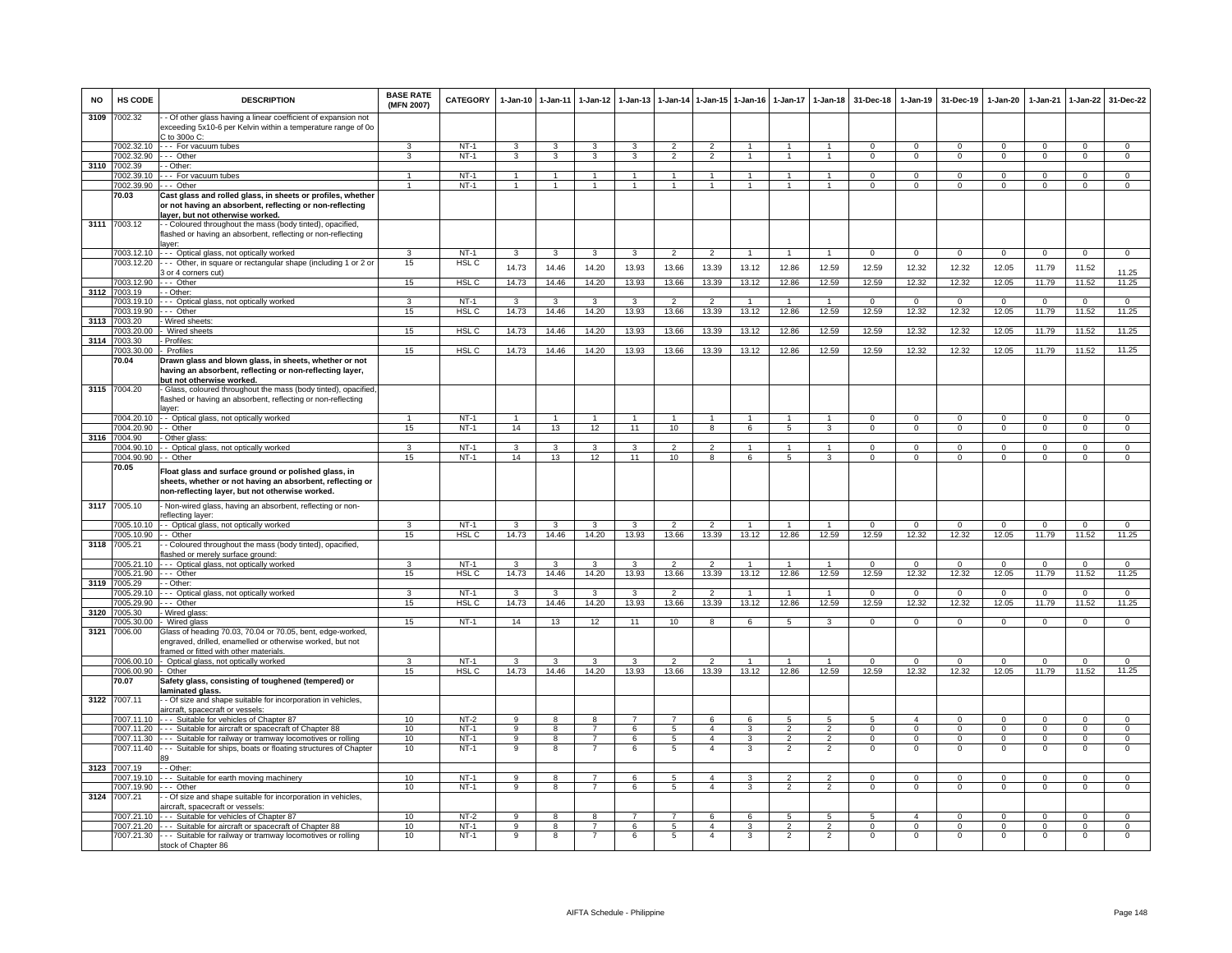| <b>NO</b> | HS CODE                  | <b>DESCRIPTION</b>                                                                                                                                                   | <b>BASE RATE</b><br>(MFN 2007) | <b>CATEGORY</b>            | $1-Jan-10$     | $1-Jan-11$           | $1-Jan-12$          | $1 - Jan-13$    | $1 - Jan-14$             | $1-Jan-15$           | $1 - Jan-16$   | $1-Jan-17$                                 | $1-Jan-18$          | 31-Dec-18   | $1-Jan-19$                 | 31-Dec-19               | $1 - Jan-20$               | $1-Jan-21$           | $1 - Jan-22$                 | 31-Dec-22            |
|-----------|--------------------------|----------------------------------------------------------------------------------------------------------------------------------------------------------------------|--------------------------------|----------------------------|----------------|----------------------|---------------------|-----------------|--------------------------|----------------------|----------------|--------------------------------------------|---------------------|-------------|----------------------------|-------------------------|----------------------------|----------------------|------------------------------|----------------------|
| 3109      | 7002.32                  | - Of other glass having a linear coefficient of expansion not<br>exceeding 5x10-6 per Kelvin within a temperature range of 0o<br>$C$ to 300o $C$ :                   |                                |                            |                |                      |                     |                 |                          |                      |                |                                            |                     |             |                            |                         |                            |                      |                              |                      |
|           | 002.32.10                | --- For vacuum tubes                                                                                                                                                 | 3                              | $NT-1$                     | 3              | 3                    | $\mathbf{3}$        | 3               | $\overline{2}$           | $\overline{2}$       | $\overline{1}$ | $\mathbf{1}$                               | $\mathbf{1}$        | $\Omega$    | $\Omega$                   | $\Omega$                | $\Omega$                   | $\Omega$             | $\Omega$                     | $\overline{0}$       |
|           | 002.32.90                | -- Other                                                                                                                                                             | 3                              | $NT-1$                     | 3              | 3                    | 3                   | 3               | $\overline{2}$           | $\overline{2}$       | $\overline{1}$ | $\mathbf{1}$                               | $\overline{1}$      | $\mathbf 0$ | $\mathbf 0$                | $^{\circ}$              | $\mathbf 0$                | $\mathbf 0$          | $\mathbf 0$                  | $\overline{0}$       |
| 3110      | '002.39                  | - Other:                                                                                                                                                             |                                |                            |                |                      |                     |                 |                          |                      |                |                                            |                     |             |                            |                         |                            |                      |                              |                      |
|           | 002.39.10                | - - For vacuum tubes                                                                                                                                                 | $\blacktriangleleft$           | $NT-1$                     | $\mathbf{1}$   | $\blacktriangleleft$ | $\mathbf{1}$        | $\mathbf{1}$    | $\mathbf{1}$             | $\overline{1}$       | $\overline{1}$ | $\overline{1}$                             | $\mathbf{1}$        | $\Omega$    | $\mathsf 0$                | $\Omega$                | $\Omega$                   | $\Omega$             | $\mathsf 0$                  | $\overline{0}$       |
|           | 002.39.90                | - - Othe                                                                                                                                                             | $\blacktriangleleft$           | $NT-1$                     | $\mathbf{1}$   | $\overline{1}$       | $\overline{1}$      | $\mathbf{1}$    | $\overline{1}$           | $\overline{1}$       | $\overline{1}$ | $\mathbf{1}$                               | $\overline{1}$      | $\Omega$    | $\mathsf 0$                | $\mathbf 0$             | $\mathbf 0$                | $\Omega$             | $\mathsf 0$                  | $\overline{0}$       |
|           | 70.03                    | Cast glass and rolled glass, in sheets or profiles, whether<br>or not having an absorbent, reflecting or non-reflecting<br>ayer, but not otherwise worked.           |                                |                            |                |                      |                     |                 |                          |                      |                |                                            |                     |             |                            |                         |                            |                      |                              |                      |
|           | 3111 7003.12             | - Coloured throughout the mass (body tinted), opacified,<br>flashed or having an absorbent, reflecting or non-reflecting<br>aver:                                    |                                |                            |                |                      |                     |                 |                          |                      |                |                                            |                     |             |                            |                         |                            |                      |                              |                      |
|           | 7003.12.10               | - - - Optical glass, not optically worked                                                                                                                            | 3                              | $NT-1$                     | 3              | 3                    | $\mathbf{3}$        | 3               | $\overline{2}$           | $\overline{2}$       | $\mathbf{1}$   | $\mathbf{1}$                               | $\overline{1}$      | $\mathbf 0$ | $\mathbf 0$                | $\overline{0}$          | $\mathbf{0}$               | $\mathbf 0$          | $\mathbf 0$                  | $\mathbf{0}$         |
|           | 7003.12.20               | -- Other, in square or rectangular shape (including 1 or 2 or<br>3 or 4 corners cut)                                                                                 | 15                             | HSL <sub>C</sub>           | 14.73          | 14.46                | 14.20               | 13.93           | 13.66                    | 13.39                | 13.12          | 12.86                                      | 12.59               | 12.59       | 12.32                      | 12.32                   | 12.05                      | 11.79                | 11.52                        | 11.25                |
|           | 7003.12.90               | --- Other                                                                                                                                                            | 15                             | HSL C                      | 14.73          | 14.46                | 14.20               | 13.93           | 13.66                    | 13.39                | 13.12          | 12.86                                      | 12.59               | 12.59       | 12.32                      | 12.32                   | 12.05                      | 11.79                | 11.52                        | 11.25                |
| 3112      | 7003.19<br>7003.19.10    | Other:<br>- Optical glass, not optically worked                                                                                                                      | 3                              | $NT-1$                     | 3              | 3                    | 3                   | 3               | $\overline{\phantom{a}}$ | $\overline{2}$       |                |                                            |                     | $\Omega$    | $\Omega$                   | $\Omega$                | $\Omega$                   | $\Omega$             | $\Omega$                     | $\Omega$             |
|           | 7003.19.90               | --- Other                                                                                                                                                            | 15                             | HSL <sub>C</sub>           | 14.73          | 14.46                | 14.20               | 13.93           | 13.66                    | 13.39                | 13.12          | 12.86                                      | 12.59               | 12.59       | 12.32                      | 12.32                   | 12.05                      | 11.79                | 11.52                        | 11.25                |
|           | 3113 7003.20             | - Wired sheets:                                                                                                                                                      |                                |                            |                |                      |                     |                 |                          |                      |                |                                            |                     |             |                            |                         |                            |                      |                              |                      |
|           | '003.20.00               | Wired sheets                                                                                                                                                         | 15                             | HSL <sub>C</sub>           | 14.73          | 14.46                | 14.20               | 13.93           | 13.66                    | 13.39                | 13.12          | 12.86                                      | 12.59               | 12.59       | 12.32                      | 12.32                   | 12.05                      | 11.79                | 11.52                        | 11.25                |
| 3114      | '003.30                  | Profiles:                                                                                                                                                            |                                |                            |                |                      |                     |                 |                          |                      |                |                                            |                     |             |                            |                         |                            |                      |                              |                      |
|           | 003.30.00                | Profiles                                                                                                                                                             | 15                             | HSL <sub>C</sub>           | 14.73          | 14.46                | 14.20               | 13.93           | 13.66                    | 13.39                | 13.12          | 12.86                                      | 12.59               | 12.59       | 12.32                      | 12.32                   | 12.05                      | 11.79                | 11.52                        | 11.25                |
|           | 70.04                    | Drawn glass and blown glass, in sheets, whether or not<br>having an absorbent, reflecting or non-reflecting layer,<br><u>out not otherwise worked.</u>               |                                |                            |                |                      |                     |                 |                          |                      |                |                                            |                     |             |                            |                         |                            |                      |                              |                      |
| 3115      | 7004.20                  | Glass, coloured throughout the mass (body tinted), opacified,<br>flashed or having an absorbent, reflecting or non-reflecting<br>aver:                               |                                |                            |                |                      |                     |                 |                          |                      |                |                                            |                     |             |                            |                         |                            |                      |                              |                      |
|           |                          | 7004.20.10 - Optical glass, not optically worked                                                                                                                     | $\mathbf{1}$                   | $NT-1$                     | $\overline{1}$ | $\mathbf{1}$         | $\mathbf{1}$        |                 |                          | $\blacktriangleleft$ |                |                                            |                     | $\Omega$    | $\mathsf 0$                | $\Omega$                | $\Omega$                   | $\Omega$             | $\mathbf 0$                  | $\Omega$             |
|           | 004.20.90                | - Other                                                                                                                                                              | 15                             | $NT-1$                     | 14             | 13                   | 12                  | 11              | 10                       | 8                    | 6              | 5                                          | 3                   | $^{\circ}$  | $\overline{0}$             | $\mathbf{0}$            | $\mathbf 0$                | $^{\circ}$           | $\overline{0}$               | $\mathbf{0}$         |
| 3116      | 7004.90                  | Other glass:                                                                                                                                                         |                                |                            |                |                      |                     |                 |                          |                      |                |                                            |                     |             |                            |                         |                            |                      |                              |                      |
|           | 004.90.10                | - Optical glass, not optically worked                                                                                                                                | 3                              | $NT-1$                     | 3              | 3                    | 3                   | 3               | $\mathcal{P}$            | $\overline{2}$       |                |                                            | $\mathbf{1}$        | $\Omega$    | $\Omega$                   | $\Omega$                | $\Omega$                   | $\Omega$             | $\mathbf 0$                  | $\mathbf{0}$         |
|           | 7004.90.90               | - Other                                                                                                                                                              | 15                             | $NT-1$                     | 14             | 13                   | 12                  | 11              | 10                       | 8                    | 6              | 5                                          | 3                   | 0           | $^{\circ}$                 | $\mathbf 0$             | $\mathbf 0$                | $^{\circ}$           | $\mathsf 0$                  | $\mathbf 0$          |
|           | 70.05                    | Float glass and surface ground or polished glass, in<br>sheets, whether or not having an absorbent, reflecting or<br>non-reflecting layer, but not otherwise worked. |                                |                            |                |                      |                     |                 |                          |                      |                |                                            |                     |             |                            |                         |                            |                      |                              |                      |
| 3117      | 7005.10                  | Non-wired glass, having an absorbent, reflecting or non-<br>eflecting layer:                                                                                         |                                |                            |                |                      |                     |                 |                          |                      |                |                                            |                     |             |                            |                         |                            |                      |                              |                      |
|           | 7005.10.10               | - - Optical glass, not optically worked                                                                                                                              | 3                              | $NT-1$                     | 3              | 3                    | 3                   | 3               | $\overline{2}$           | $\overline{2}$       | -1             | 1                                          | $\mathbf{1}$        | $\Omega$    | $\mathbf{0}$               | $^{\circ}$              | $\mathbf{0}$               | $^{\circ}$           | $^{\circ}$                   | $\mathbf{0}$         |
|           | 005.10.90                | <b>Other</b>                                                                                                                                                         | 15                             | HSL <sub>C</sub>           | 14.73          | 14.46                | 14.20               | 13.93           | 13.66                    | 13.39                | 13.12          | 12.86                                      | 12.59               | 12.59       | 12.32                      | 12.32                   | 12.05                      | 11.79                | 11.52                        | 11.25                |
| 3118      | 7005.21                  | Coloured throughout the mass (body tinted), opacified,<br>ashed or merely surface ground:                                                                            |                                |                            | $\mathbf{3}$   | $\mathbf{3}$         | 3                   | 3               | $\overline{2}$           | $\mathcal{P}$        | $\overline{1}$ |                                            |                     | $\Omega$    |                            |                         |                            |                      |                              |                      |
|           | 7005.21.10<br>7005.21.90 | - - Optical glass, not optically worked<br>--- Other                                                                                                                 | 3<br>15                        | $NT-1$<br>HSL <sub>C</sub> | 14.73          | 14.46                | 14.20               | 13.93           | 13.66                    | 13.39                | 13.12          | 12.86                                      | 12.59               | 12.59       | $\mathbf 0$<br>12.32       | $\overline{0}$<br>12.32 | $\Omega$<br>12.05          | $\mathbf 0$<br>11.79 | $\mathsf 0$<br>11.52         | $\mathbf 0$<br>11.25 |
| 3119      | 005.29                   | - Other:                                                                                                                                                             |                                |                            |                |                      |                     |                 |                          |                      |                |                                            |                     |             |                            |                         |                            |                      |                              |                      |
|           | 7005.29.10               | -- Optical glass, not optically worked                                                                                                                               | 3                              | $NT-1$                     | $\mathbf{3}$   | 3                    | 3                   | 3               | $\overline{2}$           | $\overline{2}$       |                | $\overline{1}$                             | $\overline{1}$      | $\Omega$    | $\mathsf 0$                | $\Omega$                | $\Omega$                   | $\Omega$             | $\mathbf 0$                  | $\mathbf 0$          |
|           | 005.29.90                | - - - Other                                                                                                                                                          | 15                             | HSL <sub>C</sub>           | 14.73          | 14.46                | 14.20               | 13.93           | 13.66                    | 13.39                | 13.12          | 12.86                                      | 12.59               | 12.59       | 12.32                      | 12.32                   | 12.05                      | 11.79                | 11.52                        | 11.25                |
| 3120      | 7005.30                  | - Wired glass                                                                                                                                                        |                                |                            |                |                      |                     |                 |                          |                      |                |                                            |                     |             |                            |                         |                            |                      |                              |                      |
|           | 005.30.00                | Wired glass                                                                                                                                                          | 15                             | $NT-1$                     | 14             | 13                   | 12                  | 11              | 10                       | $\overline{8}$       | 6              | $5\overline{5}$                            | 3                   | $\Omega$    | $\mathbf 0$                | $\mathbf{0}$            | $\mathbf{0}$               | $\mathbf 0$          | $\overline{0}$               | $\overline{0}$       |
| 3121      | 006.00                   | Glass of heading 70.03, 70.04 or 70.05, bent, edge-worked,<br>engraved, drilled, enamelled or otherwise worked, but not<br>ramed or fitted with other materials.     |                                |                            |                |                      |                     |                 |                          |                      |                |                                            |                     |             |                            |                         |                            |                      |                              |                      |
|           |                          | 7006.00.10 - Optical glass, not optically worked                                                                                                                     | 3                              | $NT-1$                     | $\mathbf{3}$   | $\mathbf{3}$         | $\mathbf{3}$        | $\mathbf{3}$    | $\overline{2}$           | $\overline{2}$       | $\overline{1}$ | $\overline{1}$                             | $\overline{1}$      | $\Omega$    | $\mathbf 0$                | $\mathbf 0$             | $\mathbf{0}$               | $\mathbf 0$          | $\mathbf 0$                  | $\mathbf{0}$         |
|           | 7006.00.90               | Other                                                                                                                                                                | 15                             | HSL <sub>C</sub>           | 14.73          | 14.46                | 14.20               | 13.93           | 13.66                    | 13.39                | 13.12          | 12.86                                      | 12.59               | 12.59       | 12.32                      | 12.32                   | 12.05                      | 11.79                | 11.52                        | 11.25                |
|           | 70.07                    | Safety glass, consisting of toughened (tempered) or<br><u>aminated glass.</u>                                                                                        |                                |                            |                |                      |                     |                 |                          |                      |                |                                            |                     |             |                            |                         |                            |                      |                              |                      |
|           | 3122 7007.11             | - Of size and shape suitable for incorporation in vehicles,<br>aircraft, spacecraft or vessels:                                                                      |                                |                            |                |                      |                     |                 | 7                        |                      |                |                                            |                     | 5           |                            |                         |                            | $\Omega$             |                              | $\Omega$             |
|           | 007.11.20                | 7007.11.10 --- Suitable for vehicles of Chapter 87<br>--- Suitable for aircraft or spacecraft of Chapter 88                                                          | 10<br>10                       | NT-2<br>$NT-1$             | 9<br>9         | 8<br>8               | 8<br>$\overline{7}$ | 7<br>6          | $5^{\circ}$              | 6<br>$\overline{a}$  | 6<br>3         | 5<br>2                                     | 5<br>$\overline{2}$ | $\Omega$    | $\overline{4}$<br>$\Omega$ | $^{\circ}$<br>$\Omega$  | $^{\circ}$<br>$\mathbf{0}$ | $\Omega$             | $^{\circ}$<br>$\overline{0}$ | $\overline{0}$       |
|           | 7007.11.30               | - - - Suitable for railway or tramway locomotives or rolling                                                                                                         | 10                             | $NT-1$                     | $\overline{9}$ | $\overline{8}$       | $\overline{7}$      | 6               | $5^{\circ}$              | $\overline{4}$       | $\overline{3}$ | $\overline{2}$                             | $\overline{2}$      | $\Omega$    | $\Omega$                   | $\Omega$                | $\Omega$                   | $\Omega$             | $\overline{0}$               | $\overline{0}$       |
|           | 7007.11.40               | - Suitable for ships, boats or floating structures of Chapter                                                                                                        | 10                             | $NT-1$                     | 9              | 8                    |                     | 6               | 5                        | $\overline{4}$       | 3              | $\overline{2}$                             | $\overline{2}$      | $\Omega$    | $^{\circ}$                 | $^{\circ}$              | $\mathbf 0$                | $\Omega$             | $\mathsf 0$                  | $\mathbf 0$          |
|           | 3123 7007.19             | - - Other:                                                                                                                                                           |                                |                            |                |                      |                     |                 |                          |                      |                |                                            |                     |             |                            |                         |                            |                      |                              |                      |
|           | 007 19 10                | - Suitable for earth moving machinery                                                                                                                                | 10                             | $NT-1$                     | $\mathbf{Q}$   | $\mathbf{R}$         | $\overline{7}$      | $\mathbf{6}$    | $\overline{5}$           | $\mathbf{A}$         | $\mathcal{R}$  | $\mathcal{L}$                              | $\mathcal{L}$       | $\Omega$    | $\Omega$                   | $\Omega$                | $\Omega$                   | $\Omega$             | $\Omega$                     | $\circ$              |
|           | 007.19.90                | -- Other                                                                                                                                                             | 10                             | $NT-1$                     | 9              | 8                    | $\overline{7}$      | 6               | 5                        | $\overline{4}$       | 3              | $\overline{2}$                             | $\overline{2}$      | $\mathbf 0$ | $\mathbf{0}$               | $\mathbf 0$             | $\mathbf 0$                | $\Omega$             | $\mathbf 0$                  | $\overline{0}$       |
| 3124      | 7007.21                  | - Of size and shape suitable for incorporation in vehicles,<br>aircraft, spacecraft or vessels:                                                                      |                                |                            |                |                      |                     |                 |                          |                      |                |                                            |                     |             |                            |                         |                            |                      |                              |                      |
|           |                          | 7007.21.10 --- Suitable for vehicles of Chapter 87                                                                                                                   | 10                             | $NT-2$                     | 9              | 8                    | 8                   | $\overline{7}$  | $\overline{7}$           | 6                    | 6              | 5                                          | 5                   | 5           | $\overline{4}$             | $\mathbf{0}$            | $^{\circ}$                 | $\Omega$             | $\overline{0}$               | $^{\circ}$           |
|           | 7007.21.20<br>7007.21.30 | --- Suitable for aircraft or spacecraft of Chapter 88<br>--- Suitable for railway or tramway locomotives or rolling                                                  | 10<br>10                       | $NT-1$<br>$NT-1$           | 9<br>9         | 8                    | $\overline{7}$      | $\epsilon$<br>6 | 5<br>5                   | $\overline{4}$       | 3<br>3         | $\overline{\phantom{a}}$<br>$\overline{2}$ | $\mathcal{P}$       | $\Omega$    | $\Omega$<br>$^{\circ}$     | $\Omega$<br>$^{\circ}$  | $\Omega$<br>$\mathbf 0$    | $\Omega$             | $\Omega$<br>$\mathbf 0$      | $\overline{0}$       |
|           |                          | stock of Chapter 86                                                                                                                                                  |                                |                            |                |                      |                     |                 |                          |                      |                |                                            |                     |             |                            |                         |                            |                      |                              |                      |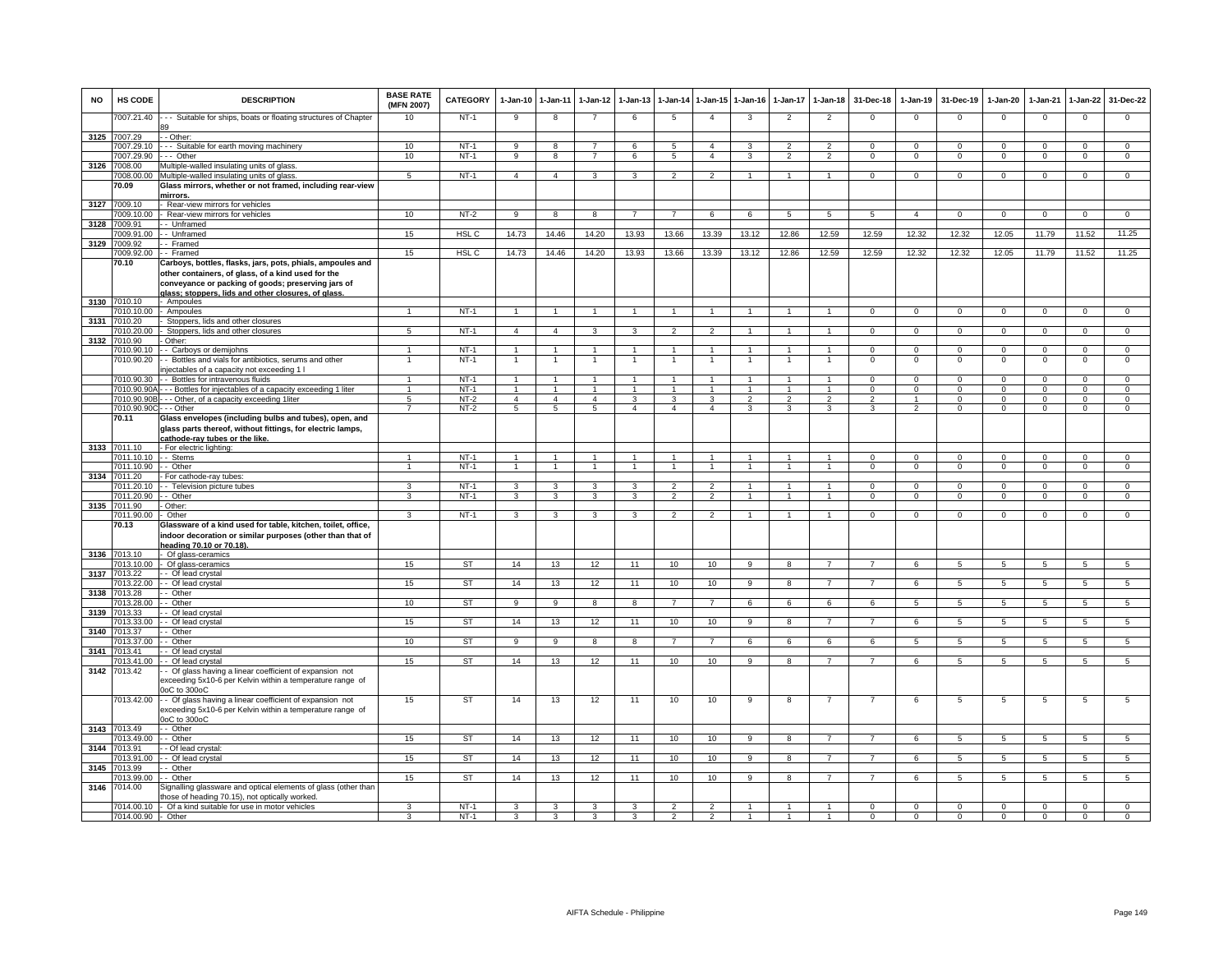| <b>NO</b> | <b>HS CODE</b>          | <b>DESCRIPTION</b>                                                                                                                                    | <b>BASE RATE</b><br>(MFN 2007) | <b>CATEGORY</b> | 1-Jan-10       | 1-Jan-11       | 1-Jan-12        | $1 - Jan-13$            | 1-Jan-14                 | 1-Jan-15       | 1-Jan-16                 | 1-Jan-17                | 1-Jan-18             | 31-Dec-18               | 1-Jan-19       | 31-Dec-19       | 1-Jan-20        | 1-Jan-21       | 1-Jan-22        | 31-Dec-22       |
|-----------|-------------------------|-------------------------------------------------------------------------------------------------------------------------------------------------------|--------------------------------|-----------------|----------------|----------------|-----------------|-------------------------|--------------------------|----------------|--------------------------|-------------------------|----------------------|-------------------------|----------------|-----------------|-----------------|----------------|-----------------|-----------------|
|           | 7007.21.40              | --- Suitable for ships, boats or floating structures of Chapter                                                                                       | 10                             | $NT-1$          | 9              | 8              | $\overline{7}$  | 6                       | 5                        | $\overline{4}$ | 3                        | $\overline{2}$          | $\overline{2}$       | $\mathbf 0$             | $\mathbf{0}$   | $\mathbf 0$     | $^{\circ}$      | $\mathbf 0$    | 0               | $\mathbf 0$     |
| 3125      | 7007.29                 | - Other:                                                                                                                                              |                                |                 |                |                |                 |                         |                          |                |                          |                         |                      |                         |                |                 |                 |                |                 |                 |
|           | 7007.29.10              | - - Suitable for earth moving machinery                                                                                                               | 10                             | $NT-1$          | 9              | 8              | $\overline{7}$  | 6                       | 5                        | $\mathbf{A}$   | 3                        | $\mathcal{P}$           | $\overline{2}$       | $\Omega$                | $\mathbf{0}$   | $\mathbf 0$     | $\mathbf{0}$    | $\Omega$       | $\mathbf 0$     | $\overline{0}$  |
|           | 7007.29.90              | --- Other                                                                                                                                             | 10                             | $NT-1$          | 9              | $\overline{8}$ | $\overline{7}$  | 6                       | 5                        | $\overline{4}$ | $\overline{\mathbf{3}}$  | $\overline{2}$          | $\overline{2}$       | $\Omega$                | $\Omega$       | $\overline{0}$  | $\overline{0}$  | $\Omega$       | $\overline{0}$  | $\overline{0}$  |
| 3126      | 7008.00                 | Multiple-walled insulating units of glass                                                                                                             |                                |                 |                |                |                 |                         |                          |                |                          |                         |                      |                         |                |                 |                 |                |                 |                 |
|           | 7008.00.00              | Multiple-walled insulating units of glass                                                                                                             | $\overline{5}$                 | $NT-1$          | $\overline{4}$ | $\overline{4}$ | 3               | $\overline{\mathbf{3}}$ | $\overline{\phantom{a}}$ | $\overline{2}$ |                          |                         |                      | $\overline{0}$          | $\Omega$       | $\Omega$        | $\Omega$        | $\Omega$       | $\overline{0}$  | $\overline{0}$  |
|           | 70.09                   | Glass mirrors, whether or not framed, including rear-view                                                                                             |                                |                 |                |                |                 |                         |                          |                |                          |                         |                      |                         |                |                 |                 |                |                 |                 |
|           |                         | mirrors.                                                                                                                                              |                                |                 |                |                |                 |                         |                          |                |                          |                         |                      |                         |                |                 |                 |                |                 |                 |
| 3127      | 7009.10                 | - Rear-view mirrors for vehicles                                                                                                                      |                                |                 |                |                |                 |                         |                          |                |                          |                         |                      |                         |                |                 |                 |                |                 |                 |
|           | 7009.10.00              | - Rear-view mirrors for vehicles                                                                                                                      | 10                             | $NT-2$          | -9             | 8              | 8               |                         |                          | $\epsilon$     | 6                        | 5                       | 5                    | 5                       | $\mathbf{A}$   | $\Omega$        | $\Omega$        | $\Omega$       | $\Omega$        | $\Omega$        |
| 3128      | 7009.91                 | - Unframed                                                                                                                                            |                                |                 |                |                |                 |                         |                          |                |                          |                         |                      |                         |                |                 |                 |                |                 |                 |
|           | 7009.91.00              | - Unframed                                                                                                                                            | 15                             | HSL C           | 14.73          | 14.46          | 14.20           | 13.93                   | 13.66                    | 13.39          | 13.12                    | 12.86                   | 12.59                | 12.59                   | 12.32          | 12.32           | 12.05           | 11.79          | 11.52           | 11.25           |
| 3129      | 7009.92                 | - Framed                                                                                                                                              |                                |                 |                |                |                 |                         |                          |                |                          |                         |                      |                         |                |                 |                 |                |                 |                 |
|           | 7009.92.00 -- Framed    |                                                                                                                                                       | 15                             | HSL C           | 14.73          | 14.46          | 14.20           | 13.93                   | 13.66                    | 13.39          | 13.12                    | 12.86                   | 12.59                | 12.59                   | 12.32          | 12.32           | 12.05           | 11.79          | 11.52           | 11.25           |
|           | 70.10                   | Carboys, bottles, flasks, jars, pots, phials, ampoules and<br>other containers, of glass, of a kind used for the                                      |                                |                 |                |                |                 |                         |                          |                |                          |                         |                      |                         |                |                 |                 |                |                 |                 |
|           |                         | conveyance or packing of goods; preserving jars of                                                                                                    |                                |                 |                |                |                 |                         |                          |                |                          |                         |                      |                         |                |                 |                 |                |                 |                 |
|           |                         | glass: stoppers. lids and other closures, of glass                                                                                                    |                                |                 |                |                |                 |                         |                          |                |                          |                         |                      |                         |                |                 |                 |                |                 |                 |
|           | 3130 7010.10            | - Ampoules                                                                                                                                            |                                |                 |                |                |                 |                         |                          |                |                          |                         |                      |                         |                |                 |                 |                |                 |                 |
|           | 010.10.00               | - Ampoules                                                                                                                                            | $\mathbf{1}$                   | $NT-1$          | $\overline{1}$ | $\overline{1}$ | 1               | -1                      | $\mathbf{1}$             | 1              | -1                       | -1                      | 1                    | $\Omega$                | $\mathbf 0$    | $\mathbf 0$     | $\mathbf 0$     | $\mathbf 0$    | $\mathbf{0}$    | $\mathbf{0}$    |
| 3131      | 7010.20                 | Stoppers, lids and other closures                                                                                                                     |                                |                 |                |                |                 |                         |                          |                |                          |                         |                      |                         |                |                 |                 |                |                 |                 |
|           | 7010.20.00              | Stoppers, lids and other closures                                                                                                                     | $\overline{5}$                 | $NT-1$          | $\overline{4}$ | $\overline{4}$ | $\mathbf{3}$    | 3                       | $\overline{2}$           | $\overline{2}$ | $\mathbf{1}$             | 1                       | $\mathbf{1}$         | $\overline{0}$          | $\overline{0}$ | $\mathbf 0$     | $\overline{0}$  | $\overline{0}$ | $\overline{0}$  | $\overline{0}$  |
| 3132      | 7010.90                 | Other:                                                                                                                                                |                                |                 |                |                |                 |                         |                          |                |                          |                         |                      |                         |                |                 |                 |                |                 |                 |
|           | 7010.90.10              | - Carboys or demijohns                                                                                                                                | $\mathbf{1}$                   | $NT-1$          | $\mathbf{1}$   | $\mathbf{1}$   | 1               |                         | 1                        | $\mathbf{1}$   |                          | $\mathbf{1}$            | $\mathbf{1}$         | $\mathsf 0$             | $\mathbf 0$    | $\mathbf 0$     | $\mathsf 0$     | $\mathbf 0$    | $\mathsf 0$     | $\overline{0}$  |
|           | 7010.90.20              | - Bottles and vials for antibiotics, serums and other                                                                                                 | 1                              | $NT-1$          | -1             | 1              |                 |                         | 1                        | -1             |                          | 1                       | -1                   | $\Omega$                | $\Omega$       | $\mathbf 0$     | $\mathbf 0$     | $\Omega$       | $\mathsf 0$     | $\mathsf 0$     |
|           |                         | ijectables of a capacity not exceeding 1 l                                                                                                            |                                |                 |                |                |                 |                         |                          |                |                          |                         |                      |                         |                |                 |                 |                |                 |                 |
|           | 7010.90.30              | - Bottles for intravenous fluids                                                                                                                      |                                | $NT-1$          | $\overline{1}$ | $\overline{1}$ | $\overline{1}$  |                         | $\overline{1}$           | $\mathbf{1}$   |                          |                         | $\overline{1}$       | $\Omega$                | $\Omega$       | $\Omega$        | $\Omega$        | $\Omega$       | 0               | $\mathbf 0$     |
|           | 7010.90.90A             | - - Bottles for injectables of a capacity exceeding 1 liter                                                                                           |                                | $NT-1$          | $\mathbf{1}$   |                |                 |                         |                          | $\mathbf{1}$   |                          |                         |                      | 0                       | 0              | $\mathbf 0$     | 0               | $\Omega$       | 0               | $\overline{0}$  |
|           | 7010.90.90B             | - - Other, of a capacity exceeding 1liter                                                                                                             | 5                              | $NT-2$          | $\overline{4}$ | $\overline{4}$ | $\overline{4}$  | 3                       | 3                        | 3              | $\overline{\phantom{a}}$ | $\overline{\mathbf{c}}$ | $\mathfrak{p}$       | $\overline{\mathbf{c}}$ |                | $\mathbf 0$     | 0               | $\Omega$       | $\mathsf 0$     | $\overline{0}$  |
|           | 7010.90.90C - - - Other |                                                                                                                                                       | $\overline{7}$                 | $NT-2$          | 5              | 5              | $5\overline{5}$ | $\overline{4}$          | $\overline{4}$           | $\overline{4}$ | 3                        | 3                       | 3                    | 3                       | $\overline{2}$ | $\mathbf 0$     | $\mathbf 0$     | $\mathbf 0$    | $\mathsf 0$     | $\mathbf 0$     |
|           | 70.11                   |                                                                                                                                                       |                                |                 |                |                |                 |                         |                          |                |                          |                         |                      |                         |                |                 |                 |                |                 |                 |
|           |                         | Glass envelopes (including bulbs and tubes), open, and<br>glass parts thereof, without fittings, for electric lamps,                                  |                                |                 |                |                |                 |                         |                          |                |                          |                         |                      |                         |                |                 |                 |                |                 |                 |
|           |                         | cathode-ray tubes or the like.                                                                                                                        |                                |                 |                |                |                 |                         |                          |                |                          |                         |                      |                         |                |                 |                 |                |                 |                 |
|           | 3133 7011.10            | - For electric lighting:                                                                                                                              |                                |                 |                |                |                 |                         |                          |                |                          |                         |                      |                         |                |                 |                 |                |                 |                 |
|           | 7011.10.10              | - - Stems                                                                                                                                             |                                | $NT-1$          | $\overline{1}$ | $\overline{1}$ | $\overline{1}$  | $\overline{1}$          | $\overline{1}$           | $\mathbf{1}$   | $\overline{1}$           | $\mathbf{1}$            | $\blacktriangleleft$ | $\Omega$                | $\Omega$       | $\Omega$        | $\mathbf{0}$    | $\Omega$       | $\mathbf 0$     | $\overline{0}$  |
|           | 7011.10.90              | - - Other                                                                                                                                             | $\mathbf{1}$                   | $NT-1$          | $\overline{1}$ | $\overline{1}$ | $\overline{1}$  | $\overline{1}$          | $\overline{1}$           | $\overline{1}$ | $\overline{1}$           | $\mathbf{1}$            | $\blacktriangleleft$ | $\Omega$                | $\Omega$       | $\mathbf 0$     | $\overline{0}$  | $\Omega$       | $\mathsf 0$     | $\overline{0}$  |
| 3134      | 7011.20                 | - For cathode-ray tubes                                                                                                                               |                                |                 |                |                |                 |                         |                          |                |                          |                         |                      |                         |                |                 |                 |                |                 |                 |
|           | 7011.20.10              | - Television picture tubes                                                                                                                            | 3                              | $NT-1$          | 3              | 3              | 3               | 3                       | $\overline{2}$           | $\overline{2}$ |                          | $\mathbf{1}$            | $\blacktriangleleft$ | $\Omega$                | $\overline{0}$ | $\Omega$        | $\overline{0}$  | $\Omega$       | $\overline{0}$  | $\overline{0}$  |
|           | 011.20.90               | - Other                                                                                                                                               | 3                              | $NT-1$          | 3              | 3              | 3               | 3                       | $\overline{2}$           | $\overline{2}$ | $\mathbf{1}$             | $\mathbf{1}$            | $\mathbf{1}$         | $\overline{0}$          | $\overline{0}$ | $\overline{0}$  | $\overline{0}$  | $\overline{0}$ | $\overline{0}$  | $\overline{0}$  |
| 3135      | 7011.90                 | Other:                                                                                                                                                |                                |                 |                |                |                 |                         |                          |                |                          |                         |                      |                         |                |                 |                 |                |                 |                 |
|           | 7011.90.00              | Other                                                                                                                                                 | 3                              | $NT-1$          | 3              | 3              | 3               | 3                       | $\overline{2}$           | 2              |                          | $\mathbf{1}$            | $\overline{1}$       | $\mathbf{0}$            | $\mathbf{0}$   | $\mathbf 0$     | $\mathbf 0$     | $\mathbf{0}$   | $\mathbf 0$     | $\mathbf 0$     |
|           | 70.13                   | Glassware of a kind used for table, kitchen, toilet, office,<br>indoor decoration or similar purposes (other than that of<br>heading 70.10 or 70.18). |                                |                 |                |                |                 |                         |                          |                |                          |                         |                      |                         |                |                 |                 |                |                 |                 |
| 3136      | 7013.10                 | - Of glass-ceramics                                                                                                                                   |                                |                 |                |                |                 |                         |                          |                |                          |                         |                      |                         |                |                 |                 |                |                 |                 |
|           | 7013.10.00              | - Of glass-ceramics                                                                                                                                   | 15                             | ST              | 14             | 13             | 12              | 11                      | 10                       | 10             | 9                        | 8                       | $\overline{7}$       | $\overline{7}$          | 6              | 5               | 5               | $\sqrt{5}$     | 5               | 5 <sup>5</sup>  |
| 3137      | 7013.22                 | - Of lead crystal                                                                                                                                     |                                |                 |                |                |                 |                         |                          |                |                          |                         |                      |                         |                |                 |                 |                |                 |                 |
|           | 7013.22.00              | - Of lead crystal                                                                                                                                     | 15                             | ST              | 14             | 13             | 12              | 11                      | 10                       | 10             | 9                        | 8                       | $\overline{7}$       | $\overline{7}$          | -6             | -5              | -5              | -5             | 5               | 5 <sup>5</sup>  |
| 3138      | 7013.28                 | - Other                                                                                                                                               |                                |                 |                |                |                 |                         |                          |                |                          |                         |                      |                         |                |                 |                 |                |                 |                 |
|           | 7013.28.00              | - Other                                                                                                                                               | 10                             | ST              | 9              | 9              | 8               | 8                       | 7                        | $\overline{7}$ | 6                        | 6                       | 6                    | 6                       | 5              | 5               | 5               | 5              | $5\overline{5}$ | 5 <sub>5</sub>  |
| 3139      | 7013.33                 | - Of lead crystal                                                                                                                                     |                                |                 |                |                |                 |                         |                          |                |                          |                         |                      |                         |                |                 |                 |                |                 |                 |
|           | 7013.33.00              | - Of lead crystal                                                                                                                                     | 15                             | ST              | 14             | 13             | 12              | 11                      | 10                       | 10             | 9                        | 8                       | $\overline{7}$       | $\overline{7}$          | 6              | $5\phantom{.0}$ | 5               | 5              | $5\overline{5}$ | $5\overline{5}$ |
| 3140      | 7013.37                 | - Other                                                                                                                                               |                                |                 |                |                |                 |                         |                          |                |                          |                         |                      |                         |                |                 |                 |                |                 |                 |
|           | 7013.37.00              | - Other                                                                                                                                               | 10                             | <b>ST</b>       | 9              | 9              | 8               | 8                       | $\overline{7}$           | $7^{\circ}$    | 6                        | 6                       | 6                    | 6                       | 5              | 5               | 5               | 5              | 5               | 5               |
| 3141      | 7013.41                 | - Of lead crystal                                                                                                                                     |                                |                 |                |                |                 |                         |                          |                |                          |                         |                      |                         |                |                 |                 |                |                 |                 |
|           | 7013.41.00              | - Of lead crystal                                                                                                                                     | 15                             | ST              | 14             | 13             | 12              | 11                      | 10                       | 10             | 9                        | 8                       | $\overline{7}$       | $\overline{7}$          | 6              | 5               | 5               | 5              | $5\overline{5}$ | 5               |
| 3142      | 7013.42                 | - Of glass having a linear coefficient of expansion not<br>exceeding 5x10-6 per Kelvin within a temperature range of<br>OC to 300oC                   |                                |                 |                |                |                 |                         |                          |                |                          |                         |                      |                         |                |                 |                 |                |                 |                 |
|           |                         | 7013.42.00 - Of glass having a linear coefficient of expansion not<br>exceeding 5x10-6 per Kelvin within a temperature range of<br>OC to 300oC        | 15                             | <b>ST</b>       | 14             | 13             | 12              | 11                      | 10                       | 10             | 9                        | 8                       | $\overline{7}$       | $\overline{7}$          | 6              | 5               | $5\phantom{.0}$ | 5              | 5               | 5               |
|           | 3143 7013.49            | - Other                                                                                                                                               |                                |                 |                |                |                 |                         |                          |                |                          |                         |                      |                         |                |                 |                 |                |                 |                 |
|           | 7013.49.00              | - - Other                                                                                                                                             | 15                             | <b>ST</b>       | 14             | 13             | 12              | 11                      | 10                       | 10             | 9                        | 8                       | $\overline{7}$       |                         | 6              | -5              | 5               | 5              | 5               | 5               |
| 3144      | 7013.91                 | - Of lead crystal:                                                                                                                                    |                                |                 |                |                |                 |                         |                          |                |                          |                         |                      |                         |                |                 |                 |                |                 |                 |
|           | 7013.91.00              | - Of lead crystal                                                                                                                                     | 15                             | ST              | 14             | 13             | 12              | 11                      | 10                       | 10             | 9                        | 8                       | $\overline{7}$       | 7                       | 6              | 5               | 5               | 5              | 5               | $\overline{5}$  |
| 3145      | 7013.99                 | Other                                                                                                                                                 |                                |                 |                |                |                 |                         |                          |                |                          |                         |                      |                         |                |                 |                 |                |                 |                 |
|           | 7013.99.00              | - Other                                                                                                                                               | 15                             | ST              | 14             | 13             | 12              | 11                      | 10                       | 10             | 9                        | 8                       | $\overline{7}$       | $\overline{7}$          | 6              | $\sqrt{5}$      | 5               | 5              | $\overline{5}$  | $\overline{5}$  |
| 3146      | 7014.00                 | Signalling glassware and optical elements of glass (other than<br>those of heading 70.15), not optically worked                                       |                                |                 |                |                |                 |                         |                          |                |                          |                         |                      |                         |                |                 |                 |                |                 |                 |
|           | 7014.00.10              | Of a kind suitable for use in motor vehicles                                                                                                          | 3                              | $NT-1$          | $\mathbf{3}$   | 3              | 3               | 3                       | $\overline{2}$           | $\overline{2}$ | $\mathbf{1}$             | $\mathbf{1}$            | $\blacktriangleleft$ | $\mathbf 0$             | $\Omega$       | $\mathbf 0$     | $\Omega$        | $\Omega$       | $\mathbf 0$     | $\Omega$        |
|           | 7014.00.90 - Other      |                                                                                                                                                       | $\overline{3}$                 | $NT-1$          | 3              | 3              | 3               | 3                       | $\overline{2}$           | $\overline{2}$ | $\overline{1}$           | $\mathbf{1}$            | $\overline{1}$       | $\Omega$                | $\mathbf{0}$   | $\mathbf 0$     | $\overline{0}$  | $\Omega$       | $\overline{0}$  | $\overline{0}$  |
|           |                         |                                                                                                                                                       |                                |                 |                |                |                 |                         |                          |                |                          |                         |                      |                         |                |                 |                 |                |                 |                 |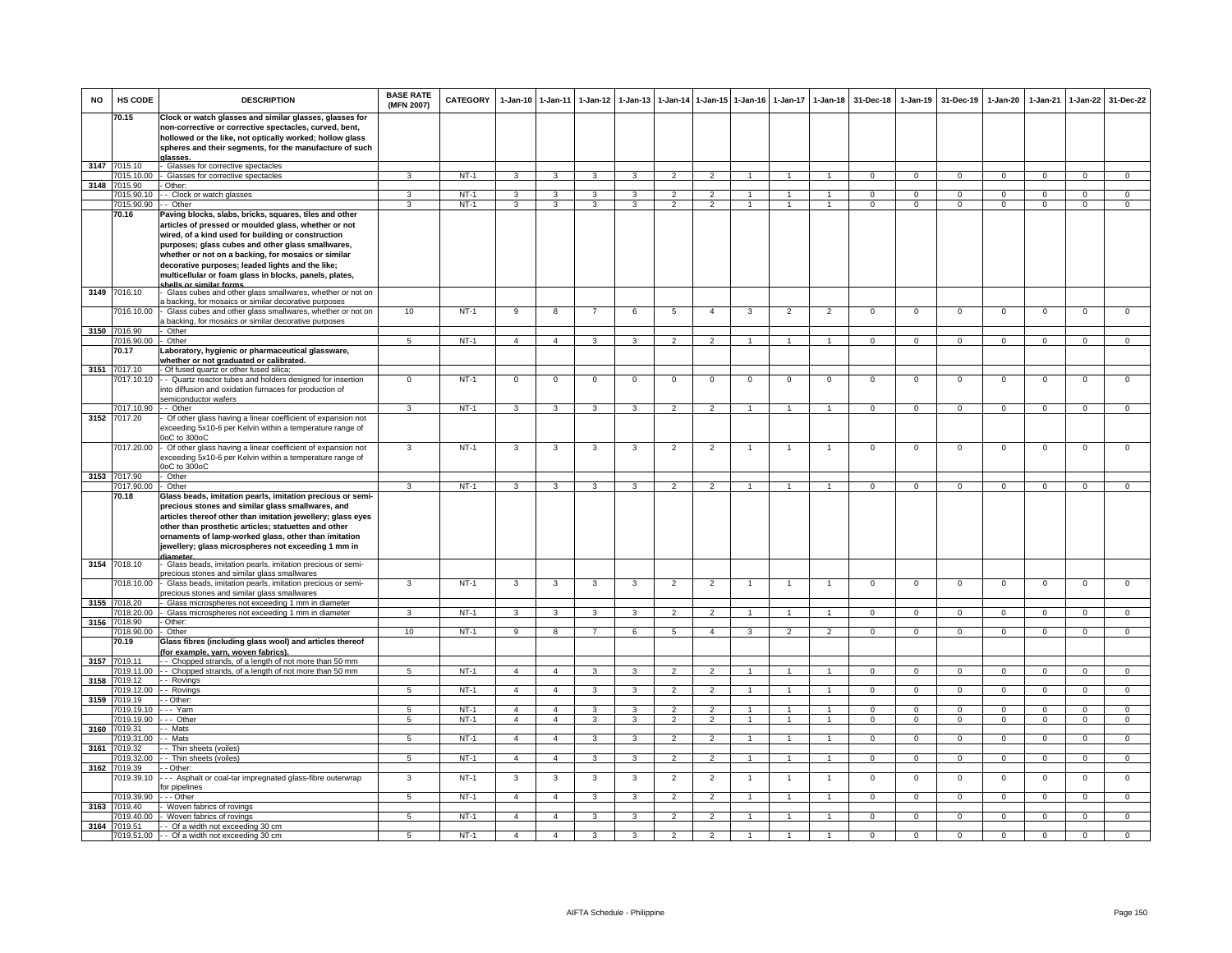| <b>NO</b> | HS CODE               | <b>DESCRIPTION</b>                                                                                                                                                                                                                                                                                                                                                                                                       | <b>BASE RATE</b><br>(MFN 2007) | <b>CATEGORY</b> | 1-Jan-10 1-Jan-11 |                         | $1-Jan-12$              | $1-Jan-13$              | $1-Jan-14$     | 1-Jan-15 1-Jan-16 |                | $1-Jan-17$     | $1-Jan-18$           | 31-Dec-18      | $1-Jan-19$     | 31-Dec-19      | $1-Jan-20$     | $1-Jan-21$     | $1-Jan-22$     | 31-Dec-22      |
|-----------|-----------------------|--------------------------------------------------------------------------------------------------------------------------------------------------------------------------------------------------------------------------------------------------------------------------------------------------------------------------------------------------------------------------------------------------------------------------|--------------------------------|-----------------|-------------------|-------------------------|-------------------------|-------------------------|----------------|-------------------|----------------|----------------|----------------------|----------------|----------------|----------------|----------------|----------------|----------------|----------------|
|           | 70.15                 | Clock or watch glasses and similar glasses, glasses for                                                                                                                                                                                                                                                                                                                                                                  |                                |                 |                   |                         |                         |                         |                |                   |                |                |                      |                |                |                |                |                |                |                |
|           |                       | non-corrective or corrective spectacles, curved, bent,<br>hollowed or the like, not optically worked; hollow glass<br>spheres and their segments, for the manufacture of such<br>alasses                                                                                                                                                                                                                                 |                                |                 |                   |                         |                         |                         |                |                   |                |                |                      |                |                |                |                |                |                |                |
| 3147      | 7015.10               | Glasses for corrective spectacles                                                                                                                                                                                                                                                                                                                                                                                        |                                |                 |                   |                         |                         |                         |                |                   |                |                |                      |                |                |                |                |                |                |                |
| 3148      | 7015.10.00<br>7015.90 | Glasses for corrective spectacles<br>- Other:                                                                                                                                                                                                                                                                                                                                                                            | 3                              | $NT-1$          | $\mathbf{3}$      | $\mathbf{3}$            | $\mathbf{3}$            | $\mathbf{3}$            | $\overline{2}$ | $\overline{2}$    | $\mathbf{1}$   |                | $\overline{1}$       | $\mathbf{O}$   | $\mathbf 0$    | $\mathbf 0$    | $\mathbf{0}$   | $\mathbf 0$    | $\mathbf 0$    | $\mathbf 0$    |
|           | 7015.90.10            | - Clock or watch glasses                                                                                                                                                                                                                                                                                                                                                                                                 | 3                              | $NT-1$          | $\overline{3}$    | $\overline{\mathbf{3}}$ | $\overline{3}$          | 3                       | $\overline{2}$ | $\overline{2}$    | $\mathbf{1}$   | $\overline{1}$ | $\overline{1}$       | $\Omega$       | $\Omega$       | $\Omega$       | $\overline{0}$ | $\Omega$       | $\overline{0}$ | $\overline{0}$ |
|           | 7015.90.90            | - - Other                                                                                                                                                                                                                                                                                                                                                                                                                | $\overline{\mathbf{3}}$        | $NT-1$          | 3                 | $\overline{3}$          | $\overline{\mathbf{3}}$ | $\overline{\mathbf{3}}$ | 2              | $\overline{2}$    | $\mathbf{1}$   | $\mathbf{1}$   | $\overline{1}$       | $\Omega$       | $\Omega$       | $\Omega$       | $\Omega$       | $\Omega$       | $\mathbf 0$    | $\overline{0}$ |
|           | 70.16                 | Paving blocks, slabs, bricks, squares, tiles and other<br>articles of pressed or moulded glass, whether or not<br>wired, of a kind used for building or construction<br>purposes; glass cubes and other glass smallwares,<br>whether or not on a backing, for mosaics or similar<br>decorative purposes; leaded lights and the like;<br>multicellular or foam glass in blocks, panels, plates,<br>halls or similar forms |                                |                 |                   |                         |                         |                         |                |                   |                |                |                      |                |                |                |                |                |                |                |
| 3149      | 7016.10               | Glass cubes and other glass smallwares, whether or not on                                                                                                                                                                                                                                                                                                                                                                |                                |                 |                   |                         |                         |                         |                |                   |                |                |                      |                |                |                |                |                |                |                |
|           | 016.10.00             | a backing, for mosaics or similar decorative purposes<br>Glass cubes and other glass smallwares, whether or not on<br>a backing, for mosaics or similar decorative purposes                                                                                                                                                                                                                                              | 10                             | $NT-1$          | 9                 | 8                       | $\overline{7}$          | 6                       | 5              | $\overline{a}$    | 3              | $\overline{2}$ | $\overline{2}$       | $\mathsf 0$    | $\mathbf 0$    | $\mathbf 0$    | $\mathbf 0$    | $\mathbf 0$    | $\mathsf 0$    | $\mathbf 0$    |
|           | 3150 7016.90          | - Other                                                                                                                                                                                                                                                                                                                                                                                                                  |                                |                 |                   |                         |                         |                         |                |                   |                |                |                      |                |                |                |                |                |                |                |
|           | 7016.90.00            | Other                                                                                                                                                                                                                                                                                                                                                                                                                    | $\overline{5}$                 | $NT-1$          | $\overline{4}$    | $\overline{4}$          | $\mathbf{R}$            | $\overline{\mathbf{3}}$ | $\overline{2}$ | $\overline{2}$    |                |                | $\mathbf{1}$         | $\overline{0}$ | $\overline{0}$ | $\overline{0}$ | $\overline{0}$ | $\Omega$       | $\overline{0}$ |                |
|           | 70.17                 | Laboratory, hygienic or pharmaceutical glassware,<br>whether or not graduated or calibrated.                                                                                                                                                                                                                                                                                                                             |                                |                 |                   |                         |                         |                         |                |                   |                |                |                      |                |                |                |                |                |                |                |
|           | 3151 7017.10          | Of fused quartz or other fused silica:                                                                                                                                                                                                                                                                                                                                                                                   |                                |                 |                   |                         |                         |                         |                |                   |                |                |                      |                |                |                |                |                |                |                |
|           | 7017.10.10            | - Quartz reactor tubes and holders designed for insertion<br>into diffusion and oxidation furnaces for production of<br>semiconductor wafers                                                                                                                                                                                                                                                                             | $\Omega$                       | $NT-1$          | $^{\circ}$        | $\mathbf 0$             | $^{\circ}$              | $\Omega$                | $^{\circ}$     | $\Omega$          | $\Omega$       | $\Omega$       | $\Omega$             | $\Omega$       | $\Omega$       | $\Omega$       | $\Omega$       | $\Omega$       | $\Omega$       | $\Omega$       |
|           | 7017.10.90            | - Other                                                                                                                                                                                                                                                                                                                                                                                                                  | 3                              | $NT-1$          | $\mathbf{3}$      | $\mathbf{3}$            | 3                       | 3                       | $\overline{2}$ | $\overline{2}$    | $\mathbf{1}$   | $\mathbf{1}$   | $\mathbf{1}$         | $\mathbf{0}$   | $\mathbf{0}$   | $\mathbf 0$    | $\mathbf{0}$   | $\mathbf 0$    | $\mathbf 0$    | $\mathbf 0$    |
| 3152      | 7017.20               | Of other glass having a linear coefficient of expansion not<br>exceeding 5x10-6 per Kelvin within a temperature range of<br>JoC to 300oC                                                                                                                                                                                                                                                                                 |                                |                 |                   |                         |                         |                         |                |                   |                |                |                      |                |                |                |                |                |                |                |
|           | 7017.20.00            | Of other glass having a linear coefficient of expansion not<br>exceeding 5x10-6 per Kelvin within a temperature range of<br>0oC to 300oC                                                                                                                                                                                                                                                                                 | 3                              | $NT-1$          | 3                 | 3                       | 3                       | 3                       | $\overline{2}$ | $\overline{2}$    | $\overline{1}$ | $\mathbf{1}$   | $\mathbf{1}$         | $\mathbf 0$    | $\mathbf 0$    | $\mathbf 0$    | $\mathbf 0$    | $\mathbf 0$    | 0              | $\mathbf 0$    |
|           | 3153 7017.90          | Other                                                                                                                                                                                                                                                                                                                                                                                                                    |                                |                 |                   |                         |                         |                         |                |                   |                |                |                      |                |                |                |                |                |                |                |
|           | 7017.90.00<br>70.18   | - Other<br>Glass beads, imitation pearls, imitation precious or semi-                                                                                                                                                                                                                                                                                                                                                    | 3                              | $NT-1$          | $\mathbf{3}$      | $\mathbf{3}$            | $\mathbf{3}$            | 3                       | $\overline{2}$ | $\overline{2}$    | $\overline{1}$ |                | $\overline{1}$       | $\mathbf{0}$   | $\mathbf{0}$   | $\overline{0}$ | $\mathbf{0}$   | $^{\circ}$     | $\overline{0}$ | $\mathbf{0}$   |
| 3154      | 7018.10               | precious stones and similar glass smallwares, and<br>articles thereof other than imitation jewellery; glass eyes<br>other than prosthetic articles; statuettes and other<br>ornaments of lamp-worked glass, other than imitation<br>jewellery; glass microspheres not exceeding 1 mm in<br>liameter<br>Glass beads, imitation pearls, imitation precious or semi-<br>precious stones and similar glass smallwares        |                                |                 |                   |                         |                         |                         |                |                   |                |                |                      |                |                |                |                |                |                |                |
|           | 7018.10.00            | Glass beads, imitation pearls, imitation precious or semi-                                                                                                                                                                                                                                                                                                                                                               | 3                              | $NT-1$          | $\mathbf{3}$      | $\overline{3}$          | 3                       | 3                       | $\overline{2}$ | $\overline{2}$    |                |                | $\overline{1}$       | $\mathbf 0$    | $\mathbf 0$    | $\mathbf 0$    | $\overline{0}$ | $\mathbf 0$    | $\mathbf 0$    | $\Omega$       |
|           |                       | precious stones and similar glass smallwares                                                                                                                                                                                                                                                                                                                                                                             |                                |                 |                   |                         |                         |                         |                |                   |                |                |                      |                |                |                |                |                |                |                |
| 3155      | 7018.20<br>7018.20.00 | Glass microspheres not exceeding 1 mm in diameter<br>Glass microspheres not exceeding 1 mm in diameter                                                                                                                                                                                                                                                                                                                   |                                | $NT-1$          | 3                 | 3                       | 3                       |                         | $\overline{2}$ |                   |                |                |                      | $\Omega$       | $\Omega$       | $\Omega$       | $\Omega$       | $\Omega$       | $\Omega$       | $\Omega$       |
|           | 3156 7018.90          | Other:                                                                                                                                                                                                                                                                                                                                                                                                                   |                                |                 |                   |                         |                         |                         |                |                   |                |                |                      |                |                |                |                |                |                |                |
|           | 7018.90.00<br>70.19   | Other<br>Glass fibres (including glass wool) and articles thereof<br>for example, yarn, woven fabrics).                                                                                                                                                                                                                                                                                                                  | 10                             | $NT-1$          | 9                 | 8                       | $\overline{7}$          | 6                       | 5              | $\overline{4}$    | 3              | $\overline{2}$ | 2                    | $\mathbf{0}$   | $^{\circ}$     | $^{\circ}$     | $^{\circ}$     | $^{\circ}$     | $\mathbf{0}$   | $\mathbf 0$    |
| 3157      | 7019.11               | - Chopped strands, of a length of not more than 50 mm                                                                                                                                                                                                                                                                                                                                                                    |                                |                 |                   |                         |                         |                         |                |                   |                |                |                      |                |                |                |                |                |                |                |
|           | 7019.11.00            | - - Chopped strands, of a length of not more than 50 mm                                                                                                                                                                                                                                                                                                                                                                  | 5                              | $NT-1$          | $\overline{4}$    | $\overline{4}$          | 3                       | 3                       | $\overline{2}$ | $\overline{2}$    |                |                |                      | $\Omega$       | $\mathsf 0$    | $\mathbf 0$    | $\mathbf 0$    | $\Omega$       | $\mathsf 0$    | $\mathsf 0$    |
| 3158      | 7019.12<br>7019.12.00 | - Rovings<br>- Rovings                                                                                                                                                                                                                                                                                                                                                                                                   | 5                              | $NT-1$          | $\overline{4}$    | $\overline{4}$          | $\mathbf{3}$            | 3                       | $\overline{2}$ | $\overline{2}$    | 1              |                | $\blacktriangleleft$ | $\Omega$       | $\mathbf 0$    | $\mathbf 0$    | $\Omega$       | $\Omega$       | $\overline{0}$ | $\overline{0}$ |
| 3159      | 7019.19               | Other:                                                                                                                                                                                                                                                                                                                                                                                                                   |                                |                 |                   |                         |                         |                         |                |                   |                |                |                      |                |                |                |                |                |                |                |
|           | 7019.19.10            | -- Yarn                                                                                                                                                                                                                                                                                                                                                                                                                  | $5\overline{5}$                | $NT-1$          | $\overline{4}$    | $\overline{4}$          | $\mathbf{3}$            | 3                       | $\overline{2}$ | $\overline{2}$    | $\overline{1}$ | $\overline{1}$ | $\overline{1}$       | $\Omega$       | $\mathbf 0$    | $\mathbf 0$    | $\overline{0}$ | $\Omega$       | $\overline{0}$ | $\overline{0}$ |
| 3160      | 7019.19.90<br>7019.31 | - Other<br>- Mats                                                                                                                                                                                                                                                                                                                                                                                                        | 5                              | $NT-1$          | $\overline{4}$    | $\overline{4}$          | $\overline{3}$          | $\overline{\mathbf{3}}$ | $\overline{2}$ | $\overline{2}$    | $\overline{1}$ | $\mathbf{1}$   | $\overline{1}$       | $\overline{0}$ | $\overline{0}$ | $\overline{0}$ | $\overline{0}$ | $\overline{0}$ | $\overline{0}$ | $\overline{0}$ |
|           | 7019.31.00            | - Mats                                                                                                                                                                                                                                                                                                                                                                                                                   | 5                              | $NT-1$          | $\overline{4}$    | $\overline{4}$          | $\mathbf{3}$            | 3                       | $\overline{2}$ | $\overline{2}$    |                |                | $\overline{1}$       | $\Omega$       | $\Omega$       | $\mathbf 0$    | $\Omega$       | $\Omega$       | $\mathbf{0}$   | $\Omega$       |
| 3161      | 7019.32               | - Thin sheets (voiles)                                                                                                                                                                                                                                                                                                                                                                                                   |                                |                 |                   |                         |                         |                         |                |                   |                |                |                      |                |                |                |                |                |                |                |
| 3162      | 7019.32.00<br>7019.39 | - Thin sheets (voiles)<br>- Other:                                                                                                                                                                                                                                                                                                                                                                                       | $5\overline{5}$                | $NT-1$          | $\overline{4}$    | $\overline{4}$          | $\mathbf{3}$            | $\mathbf{3}$            | $\overline{2}$ | $\overline{2}$    | $\mathbf{1}$   | $\mathbf{1}$   | $\overline{1}$       | $\overline{0}$ | $^{\circ}$     | $\overline{0}$ | $\mathbf{0}$   | $\mathbf{0}$   | $\overline{0}$ | $\overline{0}$ |
|           | 7019.39.10            | -- Asphalt or coal-tar impregnated glass-fibre outerwrap<br>or pipelines                                                                                                                                                                                                                                                                                                                                                 | 3                              | $NT-1$          | 3                 | $\mathbf{3}$            | $\mathbf{3}$            | 3                       | $\overline{2}$ | $\overline{2}$    | 1              | 1              | $\mathbf{1}$         | $\mathbf{O}$   | $\mathsf 0$    | $\mathsf 0$    | $\mathbf 0$    | $\mathbf 0$    | $\mathsf 0$    | $\mathbf 0$    |
| 3163      | 7019.39.90<br>7019.40 | $-$ - Other<br>Woven fabrics of rovings                                                                                                                                                                                                                                                                                                                                                                                  | 5                              | $NT-1$          | $\overline{4}$    | $\overline{4}$          | 3                       | 3                       | $\overline{2}$ | $\overline{2}$    |                |                | $\overline{1}$       | $\mathbf{O}$   | $\mathbf{0}$   | $\overline{0}$ | $\overline{0}$ | $\Omega$       | $\overline{0}$ | $\Omega$       |
|           | 7019.40.00            | Woven fabrics of rovings                                                                                                                                                                                                                                                                                                                                                                                                 | 5                              | $NT-1$          | $\overline{4}$    | $\overline{4}$          | $\mathbf{3}$            | 3                       | $\overline{2}$ | $\overline{2}$    |                |                | $\blacktriangleleft$ | $\mathbf{O}$   | $\mathsf 0$    | $\mathsf 0$    | $\mathbf 0$    | $\Omega$       | $\mathbf 0$    | $\mathbf 0$    |
|           | 3164 7019.51          | - - Of a width not exceeding 30 cm                                                                                                                                                                                                                                                                                                                                                                                       |                                |                 |                   |                         |                         |                         |                |                   |                |                |                      |                |                |                |                |                |                |                |
|           |                       | 7019.51.00 - - Of a width not exceeding 30 cm                                                                                                                                                                                                                                                                                                                                                                            | 5                              | $NT-1$          | $\overline{4}$    | $\overline{4}$          | 3                       | 3                       | $\overline{2}$ | $\overline{2}$    |                |                |                      | $\Omega$       | $\overline{0}$ | $\overline{0}$ | $\overline{0}$ | $\overline{0}$ | $\overline{0}$ | $\overline{0}$ |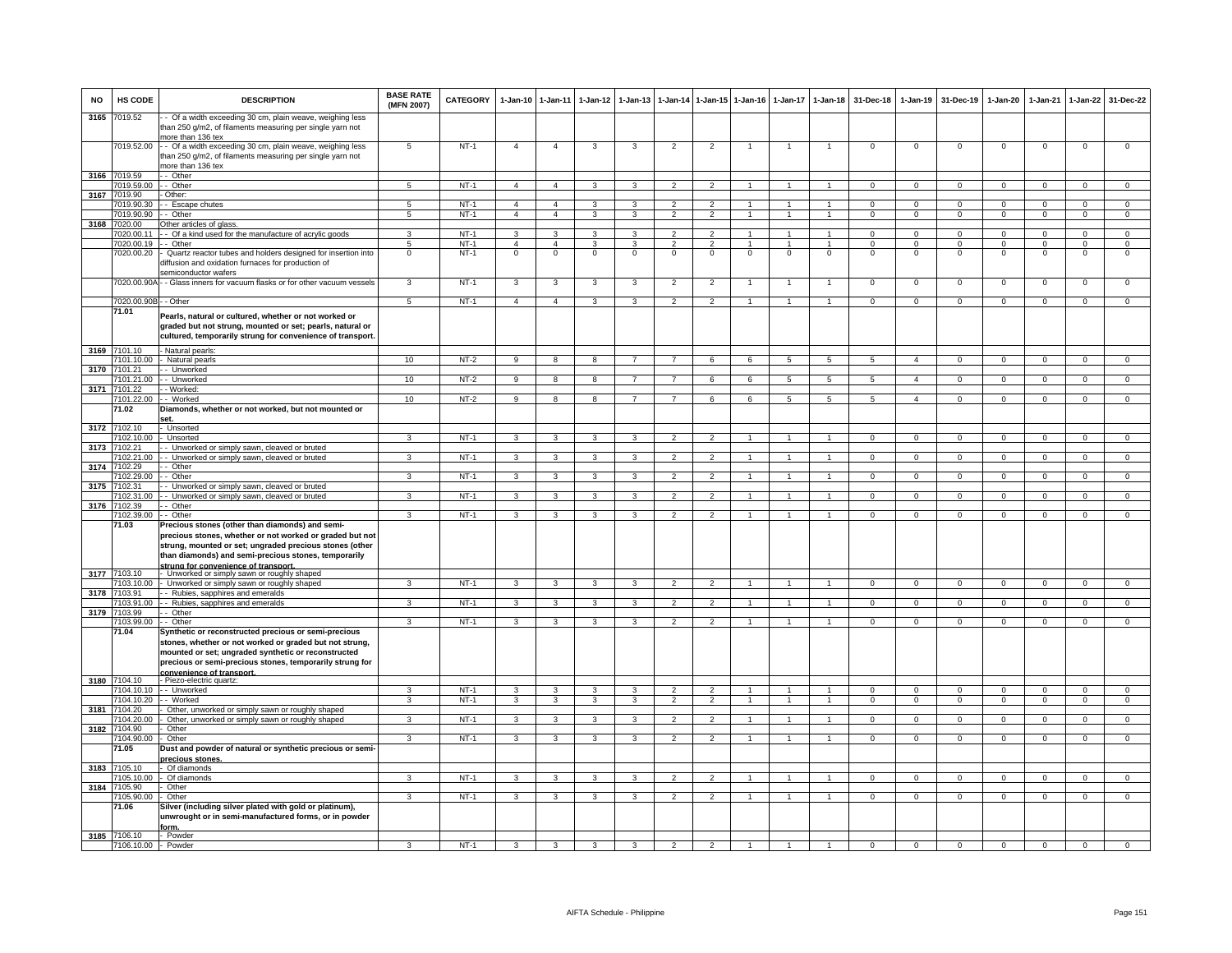| <b>NO</b> | HS CODE                             | <b>DESCRIPTION</b>                                                                                                                                                                                                                                                    | <b>BASE RATE</b><br>(MFN 2007) | CATEGORY         | $1 - Jan-10$        | $1-Jan-11$              | 1-Jan-12                | $1 - Jan-13$   |                                 |                     | 1-Jan-14 1-Jan-15 1-Jan-16 |                    | 1-Jan-17 1-Jan-18            | 31-Dec-18            | $1-Jan-19$               | 31-Dec-19            | $1-Jan-20$                | $1-Jan-21$           | $1-Jan-22$                     | 31-Dec-22                      |
|-----------|-------------------------------------|-----------------------------------------------------------------------------------------------------------------------------------------------------------------------------------------------------------------------------------------------------------------------|--------------------------------|------------------|---------------------|-------------------------|-------------------------|----------------|---------------------------------|---------------------|----------------------------|--------------------|------------------------------|----------------------|--------------------------|----------------------|---------------------------|----------------------|--------------------------------|--------------------------------|
| 3165      | 7019.52                             | - Of a width exceeding 30 cm, plain weave, weighing less<br>than 250 g/m2, of filaments measuring per single yarn not<br>more than 136 tex                                                                                                                            |                                |                  |                     |                         |                         |                |                                 |                     |                            |                    |                              |                      |                          |                      |                           |                      |                                |                                |
|           | 7019.52.00                          | - Of a width exceeding 30 cm, plain weave, weighing less<br>han 250 g/m2, of filaments measuring per single yarn not<br>more than 136 tex                                                                                                                             | 5                              | $NT-1$           | $\overline{4}$      | $\overline{4}$          | 3                       | 3              | $\overline{2}$                  | $\overline{2}$      |                            | $\mathbf{1}$       | 1                            | $\mathbf 0$          | $\mathbf 0$              | $\mathbf 0$          | $\mathsf 0$               | $\mathbf 0$          | $\mathbf 0$                    | $\overline{0}$                 |
| 3166      | 7019.59                             | - Other                                                                                                                                                                                                                                                               |                                |                  |                     |                         |                         |                |                                 |                     |                            |                    |                              |                      |                          |                      |                           |                      |                                |                                |
|           | 7019.59.00<br>7019.90               | - Other<br>Other:                                                                                                                                                                                                                                                     | 5                              | $NT-1$           | $\overline{4}$      | $\overline{4}$          | $\mathbf{3}$            | 3              | 2                               | 2                   | $\overline{1}$             | $\overline{1}$     | $\overline{1}$               | $\Omega$             | $\Omega$                 | $\Omega$             | $\mathbf 0$               | $\mathbf{0}$         | $\Omega$                       | $\overline{0}$                 |
| 3167      | 7019.90.30                          | - Escape chutes                                                                                                                                                                                                                                                       | 5                              | NT-1             | $\overline{4}$      | $\overline{4}$          | 3                       |                | $\overline{\phantom{a}}$        | $\mathfrak{p}$      |                            |                    |                              | $\Omega$             | $\Omega$                 | $\Omega$             | $\Omega$                  | $\Omega$             | $\Omega$                       | $\mathbf{O}$                   |
|           | 7019.90.90                          | - - Other                                                                                                                                                                                                                                                             | $5\overline{5}$                | NT-1             | $\overline{4}$      | $\overline{4}$          | $\mathbf{3}$            | $\mathbf{3}$   | $\overline{2}$                  | $\overline{2}$      | $\mathbf{1}$               | $\overline{1}$     | $\mathbf{1}$                 | $\mathbf{0}$         | $\overline{0}$           | $\mathbf{0}$         | $\mathbf{0}$              | $\overline{0}$       | $\circ$                        | $\overline{0}$                 |
|           | 3168 7020.00                        | Other articles of glass.                                                                                                                                                                                                                                              |                                |                  |                     |                         |                         |                |                                 |                     |                            |                    |                              |                      |                          |                      |                           |                      |                                |                                |
|           | 7020.00.11<br>7020.00.19            | - Of a kind used for the manufacture of acrylic goods<br>- Other                                                                                                                                                                                                      | 3<br>5                         | $NT-1$<br>$NT-1$ | 3<br>$\overline{a}$ | 3<br>$\overline{4}$     | 3<br>3                  | 3<br>3         | $\overline{2}$<br>$\mathcal{P}$ | 2<br>$\overline{2}$ | $\overline{1}$<br>-1       | $\mathbf{1}$<br>-1 | $\mathbf{1}$<br>$\mathbf{1}$ | $\Omega$<br>$\Omega$ | $\mathbf{0}$<br>$\Omega$ | $\Omega$<br>$\Omega$ | $^{\circ}$<br>$\mathsf 0$ | $\Omega$<br>$\Omega$ | $\mathbf{0}$<br>$\overline{0}$ | $\mathbf{0}$<br>$\overline{0}$ |
|           | '020.00.20                          | Quartz reactor tubes and holders designed for insertion into<br>diffusion and oxidation furnaces for production of<br>semiconductor wafers                                                                                                                            | $\mathbf 0$                    | $NT-1$           | $\mathbf 0$         | $\mathbf 0$             | $\mathsf 0$             | $\mathbf 0$    | $\mathbf 0$                     | $\mathbf 0$         | $\mathbf 0$                | $\mathbf 0$        | $\mathbf 0$                  | $\mathbf 0$          | $\mathsf 0$              | $\mathbf 0$          | $\mathbf 0$               | $\mathbf 0$          | $\mathbf 0$                    | $\mathbf 0$                    |
|           |                                     | 7020.00.90A - - Glass inners for vacuum flasks or for other vacuum vessels                                                                                                                                                                                            | 3                              | $NT-1$           | 3                   | $\mathbf{3}$            | 3                       | 3              | $\overline{2}$                  | $\overline{2}$      | $\mathbf{1}$               | $\overline{1}$     | $\overline{1}$               | $\mathbf{0}$         | $\mathbf 0$              | $\overline{0}$       | $\mathsf 0$               | $\mathbf 0$          | $\mathbf 0$                    | $\mathbf{O}$                   |
|           | 7020.00.90B - - Other               |                                                                                                                                                                                                                                                                       | 5                              | $NT-1$           | $\overline{4}$      | $\overline{4}$          | 3                       | 3              | $\mathfrak{p}$                  | $\overline{2}$      |                            |                    |                              | $\Omega$             | $\Omega$                 | $\Omega$             | $\mathsf 0$               | $\Omega$             | $\Omega$                       | $\Omega$                       |
|           | 71.01                               | Pearls, natural or cultured, whether or not worked or<br>graded but not strung, mounted or set; pearls, natural or<br>cultured, temporarily strung for convenience of transport.                                                                                      |                                |                  |                     |                         |                         |                |                                 |                     |                            |                    |                              |                      |                          |                      |                           |                      |                                |                                |
| 3169      | 7101.10<br>101.10.00                | - Natural pearls:<br>Natural pearls                                                                                                                                                                                                                                   | 10                             | $NT-2$           | 9                   | 8                       | 8                       | $\overline{7}$ |                                 | 6                   | 6                          | 5                  | 5                            | 5                    | $\overline{4}$           | $^{\circ}$           | $\mathsf{O}$              | $\mathbf 0$          | 0                              | $\mathbf 0$                    |
| 3170      | 7101.21                             | - Unworked                                                                                                                                                                                                                                                            |                                |                  |                     |                         |                         |                |                                 |                     |                            |                    |                              |                      |                          |                      |                           |                      |                                |                                |
|           | 7101.21.00                          | - Unworked                                                                                                                                                                                                                                                            | 10                             | $NT-2$           | $_{9}$              | $\overline{8}$          | -8                      | $\overline{7}$ | $\overline{7}$                  | 6                   | 6                          | $\overline{5}$     | $\overline{5}$               | $\overline{5}$       | $\overline{4}$           | $\Omega$             | $\overline{0}$            | $\overline{0}$       | $\overline{0}$                 | $\overline{0}$                 |
| 3171      | 7101.22<br>7101.22.00               | - Worked<br>- Worked                                                                                                                                                                                                                                                  | 10                             | $NT-2$           | $\overline{9}$      | $\overline{8}$          | $\overline{8}$          | $\overline{7}$ | $\overline{7}$                  | 6                   | 6                          | $\overline{5}$     | $\overline{5}$               | $\overline{5}$       | $\overline{4}$           | $\overline{0}$       | $\overline{0}$            | $\overline{0}$       | $\overline{0}$                 | $\overline{0}$                 |
|           | 71.02                               | Diamonds, whether or not worked, but not mounted or<br>set.                                                                                                                                                                                                           |                                |                  |                     |                         |                         |                |                                 |                     |                            |                    |                              |                      |                          |                      |                           |                      |                                |                                |
| 3172      | 7102.10<br>7102.10.00               | Unsorted<br><b>Unsorted</b>                                                                                                                                                                                                                                           | 3                              | $NT-1$           | $\mathbf{3}$        | $\overline{3}$          | $\overline{3}$          | 3              | $\overline{2}$                  | $\overline{2}$      | $\overline{1}$             | $\overline{1}$     | $\mathbf{1}$                 | $\overline{0}$       | $\overline{0}$           | $\overline{0}$       | $\overline{0}$            | $\overline{0}$       | $\overline{0}$                 | $\overline{0}$                 |
| 3173      | 7102.21                             | - Unworked or simply sawn, cleaved or bruted                                                                                                                                                                                                                          |                                |                  |                     |                         |                         |                |                                 |                     |                            |                    |                              |                      |                          |                      |                           |                      |                                |                                |
|           | 7102.21.00                          | - Unworked or simply sawn, cleaved or bruted                                                                                                                                                                                                                          | 3                              | $NT-1$           | 3                   | 3                       | 3                       | 3              | $\overline{2}$                  | $\overline{2}$      |                            |                    |                              | $\mathbf 0$          | $\mathsf 0$              | $^{\circ}$           | $\mathbf 0$               | $\mathbf 0$          | $\mathbf 0$                    | $\mathbf{O}$                   |
| 3174      | 7102.29<br>102.29.00                | - Other<br>- Other                                                                                                                                                                                                                                                    | 3                              | $NT-1$           | 3                   | $\mathbf{3}$            | 3                       | 3              | $\overline{2}$                  | $\overline{2}$      |                            | $\mathbf{1}$       |                              | $^{\circ}$           | $\mathbf{0}$             | 0                    | $\mathbf 0$               | $\mathbf 0$          | $^{\circ}$                     | $\overline{0}$                 |
| 3175      | 7102.31                             | Unworked or simply sawn, cleaved or bruted                                                                                                                                                                                                                            |                                |                  |                     |                         |                         |                |                                 |                     |                            |                    |                              |                      |                          |                      |                           |                      |                                |                                |
| 3176      | 102.31.00<br>7102.39                | - Unworked or simply sawn, cleaved or bruted<br>- Other                                                                                                                                                                                                               | 3                              | NT-1             | 3                   | 3                       | 3                       | 3              | $\overline{2}$                  | $\overline{2}$      |                            |                    |                              | $\Omega$             | $\Omega$                 | $\Omega$             | $\Omega$                  | $\Omega$             | $\Omega$                       | $\mathbf{O}$                   |
|           | 7102.39.00                          | - Other                                                                                                                                                                                                                                                               | 3                              | NT-1             | $\mathbf{3}$        | 3                       | 3                       | 3              | $\overline{2}$                  | $\overline{2}$      |                            |                    | 1                            | $\Omega$             | $\mathbf 0$              | $\Omega$             | $\mathbf{0}$              | $\mathbf 0$          | $\Omega$                       | $\overline{0}$                 |
| 3177      | 71.03<br>7103.10                    | Precious stones (other than diamonds) and semi-<br>precious stones, whether or not worked or graded but not<br>strung, mounted or set; ungraded precious stones (other<br>than diamonds) and semi-precious stones, temporarily<br>strung for convenience of transport |                                |                  |                     |                         |                         |                |                                 |                     |                            |                    |                              |                      |                          |                      |                           |                      |                                |                                |
|           | 7103 10 00                          | - Unworked or simply sawn or roughly shaped<br>- Unworked or simply sawn or roughly shaped                                                                                                                                                                            |                                | $NT-1$           | $\mathcal{R}$       | 3                       | 3                       | $\mathbf{3}$   | $\mathcal{P}$                   | $\overline{2}$      | $\overline{1}$             |                    | $\overline{1}$               | $\Omega$             | $\Omega$                 | $\Omega$             | $\Omega$                  | $\Omega$             | $\Omega$                       | $\overline{0}$                 |
| 3178      | 7103.91                             | - - Rubies, sapphires and emeralds                                                                                                                                                                                                                                    |                                |                  |                     |                         |                         |                |                                 |                     |                            |                    |                              |                      |                          |                      |                           |                      |                                |                                |
| 3179      | 7103.91.00<br>7103.99               | -- Rubies, sapphires and emeralds<br>- Other                                                                                                                                                                                                                          | 3                              | $NT-1$           | 3                   | 3                       | 3                       | 3              | $\overline{2}$                  | $\overline{2}$      |                            |                    |                              | $\Omega$             | $\overline{0}$           | $\Omega$             | $\Omega$                  | $\Omega$             | $\Omega$                       | $\overline{0}$                 |
|           | 7103.99.00                          | - Other                                                                                                                                                                                                                                                               | 3                              | $NT-1$           | 3                   | 3                       | 3                       | 3              | $\overline{2}$                  | $\overline{2}$      | $\overline{1}$             | -1                 | $\mathbf{1}$                 | $\Omega$             | $\mathbf 0$              | $\mathbf{0}$         | $\mathbf{O}$              | $\mathbf 0$          | $\mathbf{0}$                   | $\overline{0}$                 |
|           | 71.04                               | Synthetic or reconstructed precious or semi-precious<br>stones, whether or not worked or graded but not strung,<br>mounted or set; ungraded synthetic or reconstructed<br>precious or semi-precious stones, temporarily strung for<br>convenience of transport.       |                                |                  |                     |                         |                         |                |                                 |                     |                            |                    |                              |                      |                          |                      |                           |                      |                                |                                |
|           | 3180 7104.10<br>7104.10.10          | - Piezo-electric quartz:<br>- - Unworked                                                                                                                                                                                                                              | 3                              | $NT-1$           | $\mathcal{R}$       | 3                       | 3                       |                | $\mathcal{P}$                   | $\mathcal{P}$       |                            |                    |                              | $\Omega$             | $\Omega$                 | $\Omega$             | $\Omega$                  | $\Omega$             | $\Omega$                       | $\overline{0}$                 |
|           | 7104.10.20                          | -- Worked                                                                                                                                                                                                                                                             | 3                              | $NT-1$           | $\mathbf{3}$        | 3                       | $\mathbf{3}$            | 3              | $\overline{2}$                  | $\overline{2}$      |                            |                    | $\mathbf{1}$                 | $\mathbf{0}$         | $\mathbf{0}$             | $^{\circ}$           | $\mathbf{0}$              | $\mathbf 0$          | $\mathbf 0$                    | $\mathbf{0}$                   |
| 3181      | 7104.20<br>7104.20.00               | Other, unworked or simply sawn or roughly shaped                                                                                                                                                                                                                      | 3                              | NT-1             | $\mathbf{3}$        | 3                       | 3                       | 3              | $\overline{2}$                  | 2                   | -1                         | $\mathbf{1}$       | $\mathbf{1}$                 | $^{\circ}$           | $\mathbf 0$              | $\overline{0}$       | $\mathbf{0}$              | $^{\circ}$           | $^{\circ}$                     | $\mathbf{0}$                   |
| 3182      | 7104.90                             | Other, unworked or simply sawn or roughly shaped<br>Other                                                                                                                                                                                                             |                                |                  |                     |                         |                         |                |                                 |                     |                            |                    |                              |                      |                          |                      |                           |                      |                                |                                |
|           | 7104.90.00                          | Other                                                                                                                                                                                                                                                                 | 3                              | $NT-1$           | 3                   | $\overline{\mathbf{3}}$ | $\overline{\mathbf{3}}$ | 3              | $\overline{2}$                  | $\overline{2}$      | $\overline{1}$             | $\mathbf{1}$       | $\mathbf{1}$                 | $\overline{0}$       | $\overline{0}$           | $\overline{0}$       | $\overline{0}$            | $\overline{0}$       | $\overline{0}$                 | $\overline{0}$                 |
|           | 71.05                               | Dust and powder of natural or synthetic precious or semi-<br>precious stones.                                                                                                                                                                                         |                                |                  |                     |                         |                         |                |                                 |                     |                            |                    |                              |                      |                          |                      |                           |                      |                                |                                |
| 3183      | 7105.10<br>7105.10.00               | Of diamonds<br>Of diamonds                                                                                                                                                                                                                                            | $\mathbf{3}$                   | $NT-1$           | 3                   | $\overline{3}$          | 3                       | $\mathbf{a}$   | $\mathcal{P}$                   | $\mathfrak{D}$      | $\ddot{\phantom{0}}$       |                    | $\mathbf{1}$                 | $\circ$              | $\overline{0}$           | $\mathbf 0$          | $\overline{0}$            | $\overline{0}$       | $\overline{0}$                 | $\overline{0}$                 |
| 3184      | 7105.90                             | Other                                                                                                                                                                                                                                                                 |                                |                  |                     |                         |                         |                |                                 |                     |                            |                    |                              |                      |                          |                      |                           |                      |                                |                                |
|           | 7105.90.00<br>71.06                 | Other<br>Silver (including silver plated with gold or platinum),<br>unwrought or in semi-manufactured forms, or in powder<br>form.                                                                                                                                    | 3                              | $NT-1$           | 3                   | 3                       | 3                       | 3              | $\overline{2}$                  | $\overline{2}$      |                            |                    |                              | $\Omega$             | $\Omega$                 | $\Omega$             | $\Omega$                  | $\Omega$             | $\Omega$                       | $\overline{0}$                 |
|           | 3185 7106.10<br>7106.10.00 - Powder | - Powder                                                                                                                                                                                                                                                              | 3                              | $NT-1$           | 3                   | 3                       | 3                       | 3              | $\sqrt{2}$                      | $\overline{2}$      |                            |                    |                              | $\overline{0}$       | $\overline{0}$           | $\mathbf 0$          | $\overline{0}$            | $\overline{0}$       | $\overline{0}$                 | $\overline{0}$                 |
|           |                                     |                                                                                                                                                                                                                                                                       |                                |                  |                     |                         |                         |                |                                 |                     |                            |                    |                              |                      |                          |                      |                           |                      |                                |                                |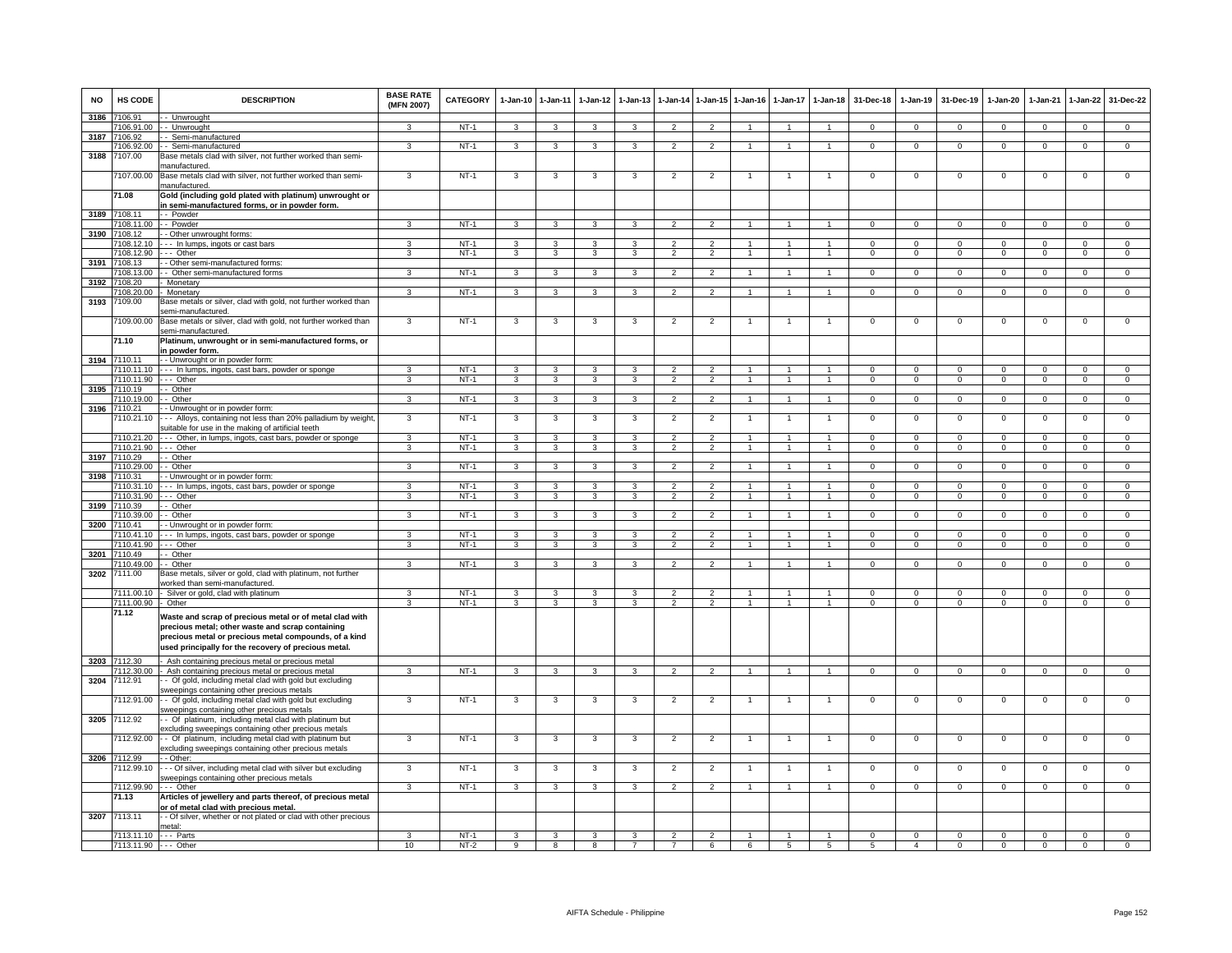| <b>NO</b> | HS CODE                         | <b>DESCRIPTION</b>                                                                                              | <b>BASE RATE</b><br>(MFN 2007) | <b>CATEGORY</b>  | $1-Jan-10$     | $1 - Jan-11$            | $1-Jan-12$     | $1-Jan-13$              | $1-Jan-14$                                 | 1-Jan-15 1-Jan-16                |                | $1-Jan-17$     | $1-Jan-18$                     | 31-Dec-18            | $1-Jan-19$                     | 31-Dec-19                     | $1-Jan-20$                    | $1-Jan-21$                    | $1-Jan-22$                    | 31-Dec-22                     |
|-----------|---------------------------------|-----------------------------------------------------------------------------------------------------------------|--------------------------------|------------------|----------------|-------------------------|----------------|-------------------------|--------------------------------------------|----------------------------------|----------------|----------------|--------------------------------|----------------------|--------------------------------|-------------------------------|-------------------------------|-------------------------------|-------------------------------|-------------------------------|
| 3186      | 7106.91                         | - Unwrought                                                                                                     |                                |                  |                |                         |                |                         |                                            |                                  |                |                |                                |                      |                                |                               |                               |                               |                               |                               |
|           | 106.91.00                       | -- Unwrought                                                                                                    | 3                              | NT-1             | $\mathbf{3}$   | $\mathbf{3}$            | $\mathbf{3}$   | $\mathbf{3}$            | $\overline{2}$                             | $\overline{2}$                   | $\overline{1}$ | $\mathbf{1}$   | $\mathbf{1}$                   | $\mathbf{0}$         | $\mathbf{0}$                   | $\mathbf 0$                   | $\mathbf{0}$                  | $\mathbf{0}$                  | $\mathbf{0}$                  | $\mathbf{0}$                  |
| 3187      | 7106.92<br>7106.92.00           | - Semi-manufactured<br>- - Semi-manufactured                                                                    | 3                              | $NT-1$           | $\mathbf{3}$   | 3                       | 3              | $\mathbf{3}$            | $\overline{2}$                             | $\overline{2}$                   |                |                | $\mathbf{1}$                   | $\Omega$             | $\overline{0}$                 | $\mathbf 0$                   | $\mathbf 0$                   | $\Omega$                      | $\overline{0}$                | $\overline{0}$                |
| 3188      | 107.00                          | Base metals clad with silver, not further worked than semi-<br>nanufactured.                                    |                                |                  |                |                         |                |                         |                                            |                                  |                |                |                                |                      |                                |                               |                               |                               |                               |                               |
|           | 7107.00.00                      | Base metals clad with silver, not further worked than semi-<br>hanufactured.                                    | 3                              | $NT-1$           | 3              | 3                       | 3              | 3                       | $\overline{2}$                             | $\overline{2}$                   |                |                |                                | $\mathsf 0$          | $\mathsf{O}\xspace$            | $\,0\,$                       | $\mathbf 0$                   | $\,0\,$                       | $\mathsf 0$                   | $\mathbf 0$                   |
|           | 71.08                           | Gold (including gold plated with platinum) unwrought or                                                         |                                |                  |                |                         |                |                         |                                            |                                  |                |                |                                |                      |                                |                               |                               |                               |                               |                               |
|           | 3189 7108.11                    | in semi-manufactured forms, or in powder form.<br>-- Powder                                                     |                                |                  |                |                         |                |                         |                                            |                                  |                |                |                                |                      |                                |                               |                               |                               |                               |                               |
|           | 7108.11.00                      | -- Powder                                                                                                       | 3                              | $NT-1$           | $\mathbf{3}$   | $\mathbf{3}$            | 3              | 3                       | $\overline{2}$                             | $\overline{2}$                   |                |                | 1                              | $\mathbf{0}$         | $\mathbf{0}$                   | $\mathbf{0}$                  | $\mathbf{0}$                  | $\mathbf 0$                   | $\mathbf{0}$                  | $\mathbf{0}$                  |
|           | 3190 7108.12                    | - Other unwrought forms:                                                                                        |                                |                  |                |                         |                |                         |                                            |                                  |                |                |                                |                      |                                |                               |                               |                               |                               |                               |
|           | 108.12.10                       | --- In lumps, ingots or cast bars                                                                               | 3                              | $NT-1$           | $\mathbf{3}$   | $\mathbf{3}$            | 3              | 3                       | $\overline{2}$                             | $\overline{2}$                   |                | -1             | $\mathbf{1}$                   | $\overline{0}$       | $\overline{0}$                 | $\Omega$                      | $\overline{0}$                | $\overline{0}$                | $\overline{0}$                | $\overline{0}$                |
|           | 108.12.90                       | -- Other                                                                                                        | 3                              | $NT-1$           | 3              | 3                       | 3              | 3                       | $\overline{2}$                             | $\overline{2}$                   |                |                | 1                              | $\mathbf{O}$         | $\mathbf 0$                    | $\mathbf 0$                   | $\mathbf 0$                   | $\mathbf 0$                   | $\mathbf 0$                   | $\overline{0}$                |
| 3191      | 7108.13                         | - Other semi-manufactured forms:                                                                                |                                |                  |                |                         |                |                         |                                            |                                  |                |                |                                |                      |                                |                               |                               |                               |                               |                               |
|           | 108.13.00                       | - Other semi-manufactured forms                                                                                 | 3                              | $NT-1$           | 3              | $\mathbf{3}$            | 3              | 3                       | $\overline{2}$                             | $\overline{2}$                   |                |                |                                | $^{\circ}$           | $\mathbf 0$                    | $\mathbf 0$                   | $\mathbf 0$                   | $\mathbf 0$                   | $\mathbf{0}$                  | $\mathbf 0$                   |
| 3192      | 7108.20<br>108.20.00            | Monetary                                                                                                        | $\mathbf{3}$                   | $NT-1$           | $\mathcal{R}$  | $\mathbf{3}$            | $\mathcal{R}$  | 3                       | $\mathcal{L}$                              | $\mathcal{L}$                    |                |                |                                | $\Omega$             | $\Omega$                       | $\Omega$                      | $\Omega$                      | $\Omega$                      | $\mathbf 0$                   | $\Omega$                      |
| 3193      | 109.00                          | Monetary<br>Base metals or silver, clad with gold, not further worked than                                      |                                |                  |                |                         |                |                         |                                            |                                  |                |                |                                |                      |                                |                               |                               |                               |                               |                               |
|           |                                 | semi-manufactured.                                                                                              |                                |                  |                |                         |                |                         |                                            |                                  |                |                |                                |                      |                                |                               |                               |                               |                               |                               |
|           | 7109.00.00                      | Base metals or silver, clad with gold, not further worked than<br>semi-manufactured.                            | 3                              | $NT-1$           | 3              | 3                       | 3              | 3                       | $\overline{2}$                             | $\overline{2}$                   |                |                | $\overline{1}$                 | $\mathsf 0$          | $^{\circ}$                     | $\mathbf 0$                   | $\mathbf 0$                   | $\mathbf 0$                   | $\mathsf 0$                   | $\mathbf 0$                   |
|           | 71.10                           | Platinum, unwrought or in semi-manufactured forms, or<br>n powder form.                                         |                                |                  |                |                         |                |                         |                                            |                                  |                |                |                                |                      |                                |                               |                               |                               |                               |                               |
| 3194      | 7110.11                         | - - Unwrought or in powder form:                                                                                |                                |                  |                |                         |                |                         |                                            |                                  |                |                |                                |                      |                                |                               |                               |                               |                               |                               |
|           | 110.11.10                       | --- In lumps, ingots, cast bars, powder or sponge                                                               | 3<br>$\overline{3}$            | $NT-1$           | 3              | 3                       | 3              | 3                       | $\mathcal{P}$<br>$\overline{2}$            | $\mathcal{P}$<br>$\overline{2}$  | $\overline{1}$ | $\overline{1}$ | $\mathbf{1}$<br>$\overline{1}$ | $^{\circ}$           | $\mathbf{0}$<br>$\overline{0}$ | $\mathbf 0$<br>$\overline{0}$ | $\mathbf 0$<br>$\overline{0}$ | $\mathbf 0$<br>$\overline{0}$ | $\mathbf 0$<br>$\overline{0}$ | $\mathbf 0$                   |
| 3195      | 7110.11.90 --- Other<br>7110.19 | - Other                                                                                                         |                                | $NT-1$           | $\mathbf{3}$   | $\overline{\mathbf{3}}$ | $\overline{3}$ | $\overline{\mathbf{3}}$ |                                            |                                  |                |                |                                | $\Omega$             |                                |                               |                               |                               |                               | $\overline{0}$                |
|           | 7110.19.00                      | - Other                                                                                                         | $\overline{3}$                 | $NT-1$           | 3              | $\overline{\mathbf{3}}$ | 3              | 3                       | $\overline{\phantom{a}}$                   | $\overline{2}$                   |                |                | $\mathbf{1}$                   | $\overline{0}$       | $\overline{0}$                 | $\overline{0}$                | $\Omega$                      | $\Omega$                      | $\overline{0}$                | $\overline{0}$                |
| 3196      | 7110.21                         | - - Unwrought or in powder form:                                                                                |                                |                  |                |                         |                |                         |                                            |                                  |                |                |                                |                      |                                |                               |                               |                               |                               |                               |
|           | 7110.21.10                      | --- Alloys, containing not less than 20% palladium by weight,                                                   | $\mathbf{3}$                   | $NT-1$           | $\mathbf{3}$   | 3                       | $\mathbf{3}$   | 3                       | $\overline{2}$                             | $\overline{2}$                   | $\mathbf{1}$   | $\mathbf{1}$   | $\mathbf{1}$                   | $\mathbf{0}$         | $\mathbf 0$                    | $\mathbf 0$                   | $\mathbf 0$                   | $\mathbf 0$                   | $\mathbf 0$                   | $\mathbf 0$                   |
|           | 7110.21.20                      | suitable for use in the making of artificial teeth<br>--- Other, in lumps, ingots, cast bars, powder or sponge  | 3                              | $NT-1$           | $\mathbf{3}$   | 3                       | 3              | 3                       | $\overline{2}$                             | $\overline{2}$                   | 1              | $\mathbf{1}$   | $\mathbf{1}$                   | $\Omega$             | $\overline{0}$                 | $\Omega$                      | $\overline{0}$                | $\Omega$                      | $\overline{0}$                | $\overline{0}$                |
|           | 110.21.90                       | -- Other                                                                                                        | 3                              | $NT-1$           | 3              | 3                       | 3              | 3                       | $\overline{2}$                             | $\overline{2}$                   |                |                | $\mathbf{1}$                   | $\mathbf{O}$         | $\mathbf 0$                    | $\mathbf 0$                   | $\mathbf 0$                   | $\mathbf 0$                   | $\mathbf 0$                   | $\overline{0}$                |
| 3197      | 7110.29                         | - Other                                                                                                         |                                |                  |                |                         |                |                         |                                            |                                  |                |                |                                |                      |                                |                               |                               |                               |                               |                               |
|           | 110.29.00                       | - Other                                                                                                         | 3                              | $NT-1$           | $\mathbf{3}$   | 3                       | $\mathbf{3}$   | 3                       | $\overline{2}$                             | $\overline{2}$                   |                |                | 1                              | $\mathsf 0$          | $\mathbf 0$                    | $\mathbf 0$                   | $\mathsf 0$                   | $\mathbf 0$                   | $\mathbf 0$                   | $\mathbf 0$                   |
| 3198      | 7110.31                         | - Unwrought or in powder form                                                                                   |                                |                  |                |                         |                |                         |                                            |                                  |                |                |                                |                      |                                |                               |                               |                               |                               |                               |
|           | 110.31.10                       | -- In lumps, ingots, cast bars, powder or sponge                                                                | 3                              | $NT-1$           | 3              | 3                       | 3              | 3                       | $\overline{\phantom{a}}$                   | $\overline{2}$                   |                |                |                                | $\Omega$             | $\overline{0}$                 | $\Omega$                      | $\Omega$                      | $\Omega$                      | $\overline{0}$                | $\overline{0}$                |
|           | 110.31.90                       | -- Other                                                                                                        | 3                              | $NT-1$           | 3              | 3                       | $\mathbf{3}$   | 3                       | $\overline{2}$                             | $\overline{2}$                   |                |                | $\mathbf{1}$                   | $\Omega$             | $\mathsf 0$                    | $\Omega$                      | $\mathbf 0$                   | $\Omega$                      | $\mathsf 0$                   | $\overline{0}$                |
| 3199      | 7110.39                         | - Other                                                                                                         |                                |                  |                |                         |                |                         |                                            |                                  |                |                | $\mathbf{1}$                   | $\Omega$             |                                |                               |                               |                               |                               |                               |
| 3200      | 7110.39.00<br>7110.41           | - Other<br>- Unwrought or in powder form:                                                                       | 3                              | NT-1             | $\mathbf{3}$   | 3                       | 3              | 3                       | $\overline{2}$                             | $\overline{2}$                   |                |                |                                |                      | $\mathbf 0$                    | $\mathbf 0$                   | $\circ$                       | $\mathbf 0$                   | $\mathbf{0}$                  | $\circ$                       |
|           | 7110 41 10                      | --- In lumps, ingots, cast bars, powder or sponge                                                               | 3                              | $NT-1$           | 3              | 3                       | 3              | 3                       | 2                                          | $\mathcal{P}$                    |                |                | 1                              | $\Omega$             | $\Omega$                       | $\Omega$                      | $\Omega$                      | $\Omega$                      | $\Omega$                      | $\overline{0}$                |
|           | 7110.41.90                      | -- Other                                                                                                        | 3                              | $NT-1$           | 3              | 3                       | 3              | 3                       | $\overline{2}$                             | $\overline{2}$                   |                |                | $\mathbf{1}$                   | $\mathbf{0}$         | $\mathbf 0$                    | $^{\circ}$                    | $\mathbf{0}$                  | $\mathbf 0$                   | $\mathbf 0$                   | $\mathbf 0$                   |
| 3201      | 7110.49                         | - Other                                                                                                         |                                |                  |                |                         |                |                         |                                            |                                  |                |                |                                |                      |                                |                               |                               |                               |                               |                               |
|           | 7110.49.00                      | - Other                                                                                                         | 3                              | $NT-1$           | 3              | 3                       | 3              | 3                       | $\overline{\phantom{0}}$                   | $\overline{\phantom{0}}$         |                |                | $\overline{1}$                 | $\mathsf 0$          | $\mathbf 0$                    | $\mathbf 0$                   | $\mathbf 0$                   | $\mathbf 0$                   | $\mathsf 0$                   | $\Omega$                      |
| 3202      | 7111.00                         | Base metals, silver or gold, clad with platinum, not further                                                    |                                |                  |                |                         |                |                         |                                            |                                  |                |                |                                |                      |                                |                               |                               |                               |                               |                               |
|           |                                 | vorked than semi-manufactured                                                                                   |                                |                  |                |                         |                |                         |                                            |                                  |                |                |                                |                      |                                |                               |                               |                               |                               |                               |
|           | 7111.00.10                      | Silver or gold, clad with platinum                                                                              | 3<br>3                         | $NT-1$<br>$NT-1$ | 3<br>3         | 3<br>$\mathbf{3}$       | 3<br>3         | 3<br>3                  | $\overline{\phantom{0}}$<br>$\mathfrak{p}$ | $\mathfrak{p}$<br>$\overline{2}$ |                |                | $\blacktriangleleft$           | $\Omega$<br>$\Omega$ | $\Omega$<br>$\Omega$           | $\Omega$<br>$\Omega$          | $\Omega$<br>$\Omega$          | $\Omega$<br>$\Omega$          | $\mathsf 0$<br>$\Omega$       | $\mathbf 0$<br>$\overline{0}$ |
|           | 7111.00.90<br>71.12             | - Other                                                                                                         |                                |                  |                |                         |                |                         |                                            |                                  |                |                |                                |                      |                                |                               |                               |                               |                               |                               |
|           |                                 | Waste and scrap of precious metal or of metal clad with<br>precious metal; other waste and scrap containing     |                                |                  |                |                         |                |                         |                                            |                                  |                |                |                                |                      |                                |                               |                               |                               |                               |                               |
|           |                                 | precious metal or precious metal compounds, of a kind<br>used principally for the recovery of precious metal.   |                                |                  |                |                         |                |                         |                                            |                                  |                |                |                                |                      |                                |                               |                               |                               |                               |                               |
| 3203      | 7112.30                         | Ash containing precious metal or precious metal                                                                 |                                |                  |                |                         |                |                         |                                            |                                  |                |                |                                |                      |                                |                               |                               |                               |                               |                               |
| 3204      | 112.30.00<br>7112.91            | Ash containing precious metal or precious metal<br>- Of gold, including metal clad with gold but excluding      | $\overline{\mathbf{a}}$        | $NT-1$           | $\overline{3}$ | $\overline{\mathbf{3}}$ | $\overline{3}$ | $\overline{\mathbf{3}}$ | $\overline{2}$                             | $\overline{2}$                   |                | $\mathbf{1}$   | $\overline{1}$                 | $\Omega$             | $\mathsf 0$                    | $\mathsf 0$                   | $\overline{0}$                | $\Omega$                      | $\overline{0}$                | $\Omega$                      |
|           | 7112.91.00                      | sweepings containing other precious metals<br>- - Of gold, including metal clad with gold but excluding         | 3                              | $NT-1$           | 3              | 3                       | 3              | 3                       | $\overline{2}$                             | $\overline{2}$                   |                |                |                                | $^{\circ}$           | $^{\circ}$                     | $^{\circ}$                    | $^{\circ}$                    | $\mathbf 0$                   | $\mathbf 0$                   | 0                             |
|           | 3205 7112.92                    | sweepings containing other precious metals<br>- Of platinum, including metal clad with platinum but             |                                |                  |                |                         |                |                         |                                            |                                  |                |                |                                |                      |                                |                               |                               |                               |                               |                               |
|           |                                 | excluding sweepings containing other precious metals                                                            |                                |                  |                |                         |                |                         |                                            |                                  |                |                |                                |                      |                                |                               |                               |                               |                               |                               |
|           | 7112.92.00                      | - - Of platinum, including metal clad with platinum but<br>excluding sweepings containing other precious metals | 3                              | $NT-1$           | 3              | 3                       | 3              | 3                       | $\overline{c}$                             | $\overline{2}$                   |                |                | -1                             | $\overline{0}$       | 0                              | $\mathbf 0$                   | $\mathbf 0$                   | $\Omega$                      | 0                             | $\overline{0}$                |
|           | 3206 7112.99                    | - Other:                                                                                                        |                                |                  |                |                         |                |                         |                                            |                                  |                |                |                                |                      |                                |                               |                               |                               |                               |                               |
|           | 7112.99.10                      | - - Of silver, including metal clad with silver but excluding<br>sweepings containing other precious metals     | 3                              | $NT-1$           | 3              | 3                       | 3              | 3                       | $\overline{2}$                             | $\overline{2}$                   |                |                | $\overline{1}$                 | $\mathbf{0}$         | $\mathbf{0}$                   | $\mathbf 0$                   | $\overline{0}$                | $\mathbf 0$                   | $\mathbf 0$                   | 0                             |
|           | 7112.99.90                      | --- Other                                                                                                       | 3                              | $NT-1$           | 3              | 3                       | 3              | $\mathbf{a}$            | $\overline{2}$                             | $\overline{2}$                   |                |                | $\mathbf{1}$                   | $\mathbf{O}$         | $\mathsf 0$                    | $\mathbf 0$                   | $\mathbf 0$                   | $\Omega$                      | $\Omega$                      | $\Omega$                      |
|           | 71.13                           | Articles of jewellery and parts thereof, of precious metal<br>or of metal clad with precious metal.             |                                |                  |                |                         |                |                         |                                            |                                  |                |                |                                |                      |                                |                               |                               |                               |                               |                               |
| 3207      | 7113.11                         | - Of silver, whether or not plated or clad with other precious<br>netal:                                        |                                |                  |                |                         |                |                         |                                            |                                  |                |                |                                |                      |                                |                               |                               |                               |                               |                               |
|           | 7113.11.10 --- Parts            |                                                                                                                 | 3                              | $NT-1$           | 3              | 3                       | 3              | 3                       | $\overline{2}$                             | $\overline{2}$                   |                | -1             |                                | $^{\circ}$           | $^{\circ}$                     | $\mathbf 0$                   | 0                             | $^{\circ}$                    | $\mathbf 0$                   | 0                             |
|           | 7113.11.90 --- Other            |                                                                                                                 | 10                             | $NT-2$           | 9              | 8                       | 8              |                         | $\overline{7}$                             | 6                                | 6              | 5              | 5                              | 5                    | $\overline{4}$                 | $\mathbf 0$                   | $\mathbf 0$                   | $\Omega$                      | $\mathbf 0$                   | $\Omega$                      |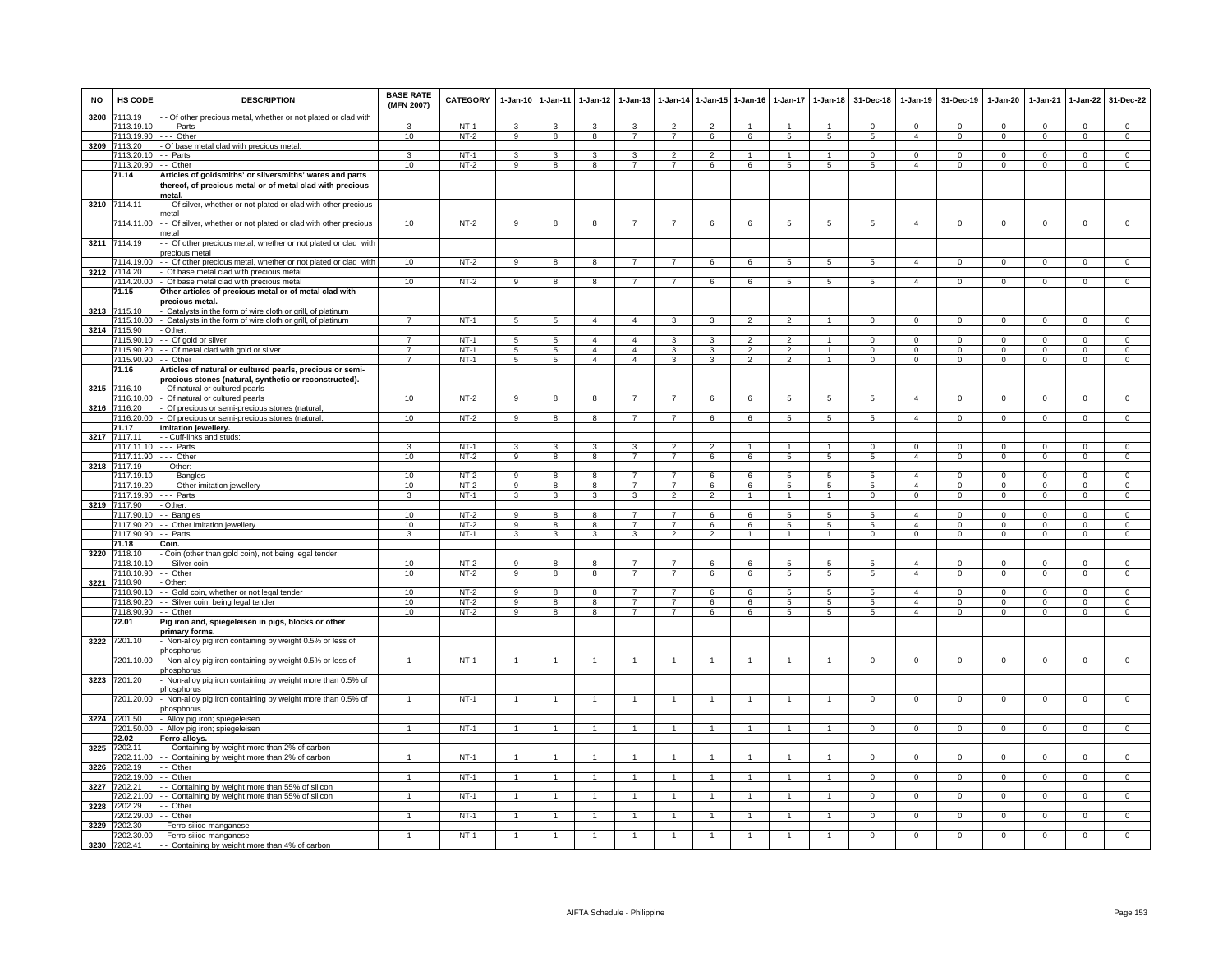| <b>NO</b> | HS CODE                            | <b>DESCRIPTION</b>                                                                                                             | <b>BASE RATE</b><br>(MFN 2007) | CATEGORY         | $1 - Jan-10$    | $1 - Jan-11$            | 1-Jan-12                | $1 - Jan-13$                     |                                  |                          | 1-Jan-14 1-Jan-15 1-Jan-16 | 1-Jan-17            | $1-Jan-18$                | 31-Dec-18    | 1-Jan-19                         | 31-Dec-19                  | 1-Jan-20                     | 1-Jan-21                  | 1-Jan-22                    | 31-Dec-22                        |
|-----------|------------------------------------|--------------------------------------------------------------------------------------------------------------------------------|--------------------------------|------------------|-----------------|-------------------------|-------------------------|----------------------------------|----------------------------------|--------------------------|----------------------------|---------------------|---------------------------|--------------|----------------------------------|----------------------------|------------------------------|---------------------------|-----------------------------|----------------------------------|
| 3208      | 7113.19                            | - Of other precious metal, whether or not plated or clad with                                                                  |                                |                  |                 |                         |                         |                                  |                                  |                          |                            |                     |                           |              |                                  |                            |                              |                           |                             |                                  |
|           | 7113.19.10 --- Parts<br>7113.19.90 | --- Other                                                                                                                      | 3                              | $NT-1$<br>$NT-2$ | $\mathcal{R}$   | 3                       | 3                       | 3<br>$\overline{7}$              | $\mathcal{P}$<br>$\overline{7}$  | $\overline{2}$           |                            | $\mathbf{1}$        | $\overline{1}$            | $\Omega$     | $\Omega$<br>$\overline{a}$       | $\Omega$                   | $\Omega$                     | $\Omega$                  | $\Omega$                    | $\mathbf 0$                      |
|           | 3209 7113.20                       | - Of base metal clad with precious metal:                                                                                      | 10                             |                  | 9               | $\overline{\mathbf{8}}$ | $\overline{\mathbf{8}}$ |                                  |                                  | 6                        | 6                          | 5                   | 5                         | 5            |                                  | $^{\circ}$                 | $\mathbf{0}$                 | $\mathbf{0}$              | $\overline{0}$              | $\overline{0}$                   |
|           | 7113.20.10                         | - Parts                                                                                                                        | 3                              | $NT-1$           | 3               | 3                       | 3                       | 3                                | $\overline{2}$                   | $\overline{2}$           |                            |                     |                           | $^{\circ}$   | $\mathbf{0}$                     | 0                          | $\mathbf{0}$                 | $^{\circ}$                | $^{\circ}$                  | $\mathbf 0$                      |
|           | 7113.20.90                         | - Other                                                                                                                        | 10                             | $NT-2$           | 9               | 8                       | 8                       | $\overline{7}$                   | $\overline{7}$                   | 6                        | 6                          | 5                   | 5                         | 5            | $\overline{4}$                   | $\mathbf 0$                | $\mathbf{0}$                 | $\mathbf 0$               | $\mathbf 0$                 | $\mathsf 0$                      |
|           | 71.14                              | Articles of goldsmiths' or silversmiths' wares and parts<br>thereof, of precious metal or of metal clad with precious<br>metal |                                |                  |                 |                         |                         |                                  |                                  |                          |                            |                     |                           |              |                                  |                            |                              |                           |                             |                                  |
|           | 3210 7114.11                       | - Of silver, whether or not plated or clad with other precious<br>metal                                                        |                                |                  |                 |                         |                         |                                  |                                  |                          |                            |                     |                           |              |                                  |                            |                              |                           |                             |                                  |
|           | 7114.11.00                         | - Of silver, whether or not plated or clad with other precious<br>netal                                                        | 10                             | $NT-2$           | -9              | 8                       | 8                       | $\overline{7}$                   | $\overline{7}$                   | 6                        | 6                          | 5                   | 5                         | 5            | $\overline{4}$                   | $\overline{0}$             | $\mathbf{0}$                 | $\overline{0}$            | $\mathbf 0$                 | $\overline{0}$                   |
| 3211      | 7114.19                            | Of other precious metal, whether or not plated or clad with<br>precious metal                                                  |                                |                  |                 |                         |                         |                                  |                                  |                          |                            |                     |                           |              |                                  |                            |                              |                           |                             |                                  |
|           | 7114.19.00                         | - Of other precious metal, whether or not plated or clad with                                                                  | 10                             | $NT-2$           | 9               | 8                       | 8                       | $\overline{7}$                   | $\overline{7}$                   | 6                        | 6                          | 5                   | $\sqrt{5}$                | 5            | $\overline{4}$                   | $^{\circ}$                 | $\Omega$                     | $^{\circ}$                | $^{\circ}$                  | $\Omega$                         |
| 3212      | 7114.20                            | Of base metal clad with precious metal                                                                                         |                                |                  |                 |                         |                         |                                  |                                  |                          |                            |                     |                           |              |                                  |                            |                              |                           |                             |                                  |
|           | 7114.20.00<br>71.15                | - Of base metal clad with precious metal<br>Other articles of precious metal or of metal clad with                             | 10                             | $NT-2$           | $\overline{9}$  | $\overline{8}$          | $\overline{\mathbf{8}}$ | $\overline{7}$                   | $\overline{7}$                   | 6                        | 6                          | $5\overline{5}$     | 5                         | $\sqrt{5}$   | $\overline{4}$                   | $\overline{0}$             | $\Omega$                     | $\mathbf 0$               | $\overline{0}$              | $\overline{0}$                   |
|           | 3213 7115.10                       | precious metal.<br>- Catalysts in the form of wire cloth or grill, of platinum                                                 |                                |                  |                 |                         |                         |                                  |                                  |                          |                            |                     |                           |              |                                  |                            |                              |                           |                             |                                  |
|           | 7115.10.00                         | - Catalysts in the form of wire cloth or grill, of platinum                                                                    | $\overline{7}$                 | $NT-1$           | 5               | 5                       | $\overline{4}$          | $\overline{4}$                   | 3                                | 3                        | $\overline{2}$             | $\mathfrak{p}$      |                           | $\mathbf{0}$ | $\mathbf{0}$                     | $^{\circ}$                 | $\mathbf{0}$                 | $^{\circ}$                | $^{\circ}$                  | $\Omega$                         |
|           | 3214 7115.90                       | - Other:                                                                                                                       |                                |                  |                 |                         |                         |                                  |                                  |                          |                            |                     |                           |              |                                  |                            |                              |                           |                             |                                  |
|           | 7115.90.10                         | - - Of gold or silver                                                                                                          | $\overline{7}$                 | $NT-1$           | 5               | 5                       | $\overline{4}$          | $\overline{4}$                   | 3                                | 3                        |                            | $\mathfrak{p}$      |                           | $\Omega$     | $\mathbf 0$                      | 0                          | $\mathbf{0}$                 | $\mathbf 0$               | $\mathbf 0$                 | $\mathsf 0$                      |
|           | 7115.90.20                         | -- Of metal clad with gold or silver                                                                                           | $\overline{7}$                 | $NT-1$           | 5               | 5                       | $\overline{4}$          | $\overline{4}$                   | 3                                | 3                        | $\overline{2}$             | $\mathfrak{p}$      | $\overline{1}$            | $\Omega$     | $\mathsf 0$                      | $^{\circ}$                 | 0                            | $^{\circ}$                | $\mathbf 0$                 | $\mathsf 0$                      |
|           | 7115.90.90<br>71.16                | - Other<br>Articles of natural or cultured pearls, precious or semi-<br>precious stones (natural, synthetic or reconstructed). | $\overline{7}$                 | $NT-1$           | $5\phantom{.0}$ | $5\phantom{.0}$         | $\overline{4}$          | $\overline{4}$                   | 3                                | 3                        | $\overline{2}$             | $\overline{2}$      |                           | $\mathbf{0}$ | $\circ$                          | $\mathbf 0$                | 0                            | $\mathbf 0$               | $\mathsf 0$                 | 0                                |
|           | 3215 7116.10                       | Of natural or cultured pearls                                                                                                  |                                |                  |                 |                         |                         |                                  |                                  |                          |                            |                     |                           |              |                                  |                            |                              |                           |                             |                                  |
|           | 7116.10.00                         | - Of natural or cultured pearls                                                                                                | 10                             | $NT-2$           | q               | 8                       | R                       |                                  |                                  | -6                       |                            |                     | 5                         |              | $\overline{4}$                   | $\Omega$                   | $\Omega$                     | $\Omega$                  | $\Omega$                    | $\Omega$                         |
|           | 3216 7116.20                       | Of precious or semi-precious stones (natural                                                                                   |                                |                  |                 |                         |                         |                                  |                                  |                          |                            |                     |                           |              |                                  |                            |                              |                           |                             |                                  |
|           | 7116.20.00<br>71.17                | Of precious or semi-precious stones (natural                                                                                   | 10                             | $NT-2$           | -9              | 8                       | -8                      | 7                                | 7                                | 6                        | 6                          | -5                  | -5                        | -5           | $\overline{4}$                   | $\mathbf 0$                | $\Omega$                     | $\mathbf{0}$              | $\overline{0}$              | $\Omega$                         |
|           | 3217 7117.11                       | Imitation jewellery.<br>- Cuff-links and studs                                                                                 |                                |                  |                 |                         |                         |                                  |                                  |                          |                            |                     |                           |              |                                  |                            |                              |                           |                             |                                  |
|           | 7117.11.10                         | Parts                                                                                                                          | 3                              | $NT-1$           |                 | 3                       | 3                       |                                  |                                  | $\overline{\phantom{a}}$ |                            |                     |                           |              | $\mathbf 0$                      | $\mathbf 0$                |                              |                           | $^{\circ}$                  | 0                                |
|           | 7117.11.90                         | $\cdots$ Other                                                                                                                 | 10                             | $NT-2$           | 9               | 8                       | 8                       | $\overline{7}$                   | $\overline{7}$                   | 6                        | 6                          | $5\overline{5}$     | $\sqrt{5}$                | 5            | $\mathbf{A}$                     | $\mathbf{0}$               | $\Omega$                     | $\mathbf 0$               | $\mathbf 0$                 | $\mathsf 0$                      |
|           | 3218 7117.19                       | - - Other:                                                                                                                     |                                |                  |                 |                         |                         |                                  |                                  |                          |                            |                     |                           |              |                                  |                            |                              |                           |                             |                                  |
|           | 7117.19.10                         | -- Bangles                                                                                                                     | 10                             | $NT-2$           | $\overline{a}$  | $\overline{\mathbf{a}}$ | $\overline{R}$          |                                  |                                  | 6                        | $\epsilon$                 | 5                   | 5                         | 5<br>5       | $\Delta$                         | $\Omega$                   | $\Omega$                     | $\Omega$                  | $\overline{0}$              | $\overline{0}$                   |
|           | 7117.19.20<br>7117.19.90           | --- Other imitation jewellery<br>$--$ Parts                                                                                    | 10<br>3                        | $NT-2$<br>$NT-1$ | 9<br>3          | 8<br>3                  | 8<br>3                  | 3                                | $\overline{2}$                   | 6<br>$\overline{2}$      | 6                          | 5<br>$\overline{1}$ | 5<br>$\blacktriangleleft$ | $\mathbf 0$  | $\overline{4}$<br>$\mathbf 0$    | $\mathbf 0$<br>$\mathbf 0$ | 0<br>$\mathbf 0$             | $^{\circ}$<br>$\mathbf 0$ | $\mathbf 0$<br>$\mathbf{0}$ | $\mathsf 0$<br>$\mathbf 0$       |
|           | 3219 7117.90                       | - Other:                                                                                                                       |                                |                  |                 |                         |                         |                                  |                                  |                          |                            |                     |                           |              |                                  |                            |                              |                           |                             |                                  |
|           | 7117.90.10                         | $-$ Bangles                                                                                                                    | 10                             | $NT-2$           | 9               | $\overline{8}$          | 8                       | $\overline{7}$                   | $\overline{7}$                   | 6                        | 6                          | 5                   | $\sqrt{5}$                | -5           | $\overline{a}$                   | $\Omega$                   | $\Omega$                     | $\Omega$                  | $\overline{0}$              | $\overline{0}$                   |
|           | 7117.90.20                         | - Other imitation jewellery                                                                                                    | 10                             | NT-2             | 9               | 8                       | 8                       | 7                                | 7                                | 6                        | 6                          | 5                   | 5                         | -5           | $\overline{a}$                   | $\Omega$                   | $\Omega$                     | $\Omega$                  | $\mathbf 0$                 | $\mathsf 0$                      |
|           | 7117.90.90                         | - Parts                                                                                                                        | 3                              | $NT-1$           | 3               | 3                       | 3                       | 3                                | $\overline{\mathbf{c}}$          | $\mathfrak{p}$           |                            |                     |                           | $\mathbf 0$  | $\mathbf 0$                      | $\mathbf 0$                | $\mathbf 0$                  | $\mathbf 0$               | $\mathbf 0$                 | $\Omega$                         |
|           | 71.18<br>3220 7118.10              | Coin.<br>- Coin (other than gold coin), not being legal tender                                                                 |                                |                  |                 |                         |                         |                                  |                                  |                          |                            |                     |                           |              |                                  |                            |                              |                           |                             |                                  |
|           | 7118.10.1                          | - Silver coir                                                                                                                  | 10                             | $NT-2$           | $\mathbf{Q}$    | $\mathbf{a}$            | $\mathbf{a}$            |                                  |                                  | 6                        | $\epsilon$                 | 5                   | 5                         |              | $\Delta$                         | $\Omega$                   | $\Omega$                     | $\Omega$                  | $\Omega$                    | $\mathbf 0$                      |
|           | 7118.10.90                         | - - Other                                                                                                                      | 10                             | $NT-2$           | $\overline{9}$  | 8                       | $\overline{8}$          | $\overline{7}$                   | $\overline{7}$                   | 6                        | 6                          | 5                   | 5                         | 5            | $\overline{4}$                   | $\mathbf 0$                | $\mathbf{0}$                 | $\mathbf 0$               | $\overline{0}$              | $\overline{0}$                   |
|           | 3221 7118.90                       | - Other:                                                                                                                       |                                |                  |                 |                         |                         |                                  |                                  |                          |                            |                     |                           |              |                                  |                            |                              |                           |                             |                                  |
|           |                                    | 7118.90.10 - Gold coin, whether or not legal tender                                                                            | 10                             | $NT-2$           | 9               | 8                       | 8                       |                                  |                                  | 6                        | 6                          | 5                   | 5                         | 5            | $\overline{4}$                   | $^{\circ}$                 | $\mathbf{0}$                 | $^{\circ}$                | $\mathbf{0}$                | $\mathbf{0}$                     |
|           | 7118.90.20<br>7118,90.90           | - - Silver coin, being legal tender<br>- Other                                                                                 | 10<br>10                       | $NT-2$<br>$NT-2$ | 9<br>9          | 8<br>8                  | 8<br>8                  | $\overline{7}$<br>$\overline{7}$ | $\overline{7}$<br>$\overline{7}$ | 6<br>6                   | 6<br>6                     | 5<br>5              | 5<br>-5                   | 5<br>5       | $\overline{4}$<br>$\overline{a}$ | $^{\circ}$<br>$\mathbf 0$  | $\mathbf{0}$<br>$\mathbf{0}$ | $\mathbf{0}$<br>$\Omega$  | $\mathbf 0$<br>$\mathbf{0}$ | $\overline{0}$<br>$\overline{0}$ |
|           | 72.01                              | Pig iron and, spiegeleisen in pigs, blocks or other                                                                            |                                |                  |                 |                         |                         |                                  |                                  |                          |                            |                     |                           |              |                                  |                            |                              |                           |                             |                                  |
| 3222      | 7201.10                            | primarv forms.<br>Non-alloy pig iron containing by weight 0.5% or less of                                                      |                                |                  |                 |                         |                         |                                  |                                  |                          |                            |                     |                           |              |                                  |                            |                              |                           |                             |                                  |
|           | 7201.10.00                         | phosphorus<br>- Non-alloy pig iron containing by weight 0.5% or less of                                                        | $\mathbf{1}$                   | $NT-1$           | $\mathbf{1}$    | $\overline{1}$          | $\overline{1}$          | $\mathbf{1}$                     | $\overline{1}$                   | $\overline{1}$           | -1                         | $\overline{1}$      | $\overline{1}$            | $\mathbf 0$  | $\mathbf 0$                      | $\mathbf 0$                | $\mathbf 0$                  | $\mathbf 0$               | $\mathbf 0$                 | $\overline{0}$                   |
| 3223      | 7201.20                            | phosphorus<br>Non-alloy pig iron containing by weight more than 0.5% of                                                        |                                |                  |                 |                         |                         |                                  |                                  |                          |                            |                     |                           |              |                                  |                            |                              |                           |                             |                                  |
|           | 7201.20.00                         | phosphorus<br>- Non-alloy pig iron containing by weight more than 0.5% of                                                      | $\mathbf{1}$                   | $NT-1$           | -1              | $\overline{1}$          | -1                      |                                  |                                  | $\overline{1}$           |                            | $\overline{1}$      | $\overline{1}$            | $\mathbf{0}$ | $\mathbf 0$                      | $\mathbf 0$                | $\mathbf{0}$                 | $\overline{0}$            | $\mathbf 0$                 | $\mathsf 0$                      |
|           | 3224 7201.50                       | phosphorus<br>- Alloy pig iron; spiegeleisen                                                                                   |                                |                  |                 |                         |                         |                                  |                                  |                          |                            |                     |                           |              |                                  |                            |                              |                           |                             |                                  |
|           | 7201.50.00                         | Alloy pig iron; spiegeleisen                                                                                                   |                                | $NT-1$           |                 |                         |                         |                                  |                                  |                          |                            |                     |                           | $\Omega$     | $\mathbf 0$                      | $\Omega$                   | $\Omega$                     | $^{\circ}$                | $\mathbf 0$                 | $\Omega$                         |
|           | 72.02                              | Ferro-alloys.                                                                                                                  |                                |                  |                 |                         |                         |                                  |                                  |                          |                            |                     |                           |              |                                  |                            |                              |                           |                             |                                  |
| 3225      | 7202.11<br>7202.11.00              | - Containing by weight more than 2% of carbon<br>- Containing by weight more than 2% of carbon                                 |                                | $NT-1$           |                 |                         |                         |                                  |                                  |                          |                            |                     |                           | $\Omega$     | $\mathsf 0$                      | $\Omega$                   | $\Omega$                     | $\Omega$                  | $\mathbf 0$                 | $\Omega$                         |
| 3226      | 7202.19                            | - Other                                                                                                                        |                                |                  |                 |                         |                         |                                  |                                  |                          |                            |                     |                           |              |                                  |                            |                              |                           |                             |                                  |
|           | 7202.19.00                         | - - Other                                                                                                                      | $\mathbf{1}$                   | NT-1             | $\overline{1}$  | $\mathbf{1}$            | $\overline{1}$          | $\mathbf{1}$                     | $\overline{1}$                   | $\overline{1}$           | $\blacktriangleleft$       | $\overline{1}$      | $\overline{1}$            | $\mathbf{0}$ | $\mathbf{0}$                     | $\overline{0}$             | $\mathbf{0}$                 | $\mathbf 0$               | $\mathbf{0}$                | $^{\circ}$                       |
|           | 3227 7202.21                       | - Containing by weight more than 55% of silicon                                                                                |                                |                  |                 |                         |                         |                                  |                                  |                          |                            |                     |                           |              |                                  |                            |                              |                           |                             |                                  |
|           | 7202.21.00                         | - Containing by weight more than 55% of silicon                                                                                | -1                             | $NT-1$           | -1              | $\mathbf{1}$            | -1                      |                                  | $\mathbf{1}$                     | $\mathbf{1}$             |                            |                     |                           | $^{\circ}$   | $\mathbf 0$                      | $^{\circ}$                 | $^{\circ}$                   | 0                         | $\mathbf 0$                 | $\mathbf{0}$                     |
|           | 3228 7202.29                       | - Other                                                                                                                        |                                | $NT-1$           |                 |                         |                         |                                  |                                  |                          |                            |                     |                           | $\Omega$     | 0                                | $\Omega$                   | $\Omega$                     |                           |                             | $\Omega$                         |
|           | 7202.29.00<br>3229 7202.30         | - Other<br>Ferro-silico-manganese                                                                                              |                                |                  |                 |                         |                         |                                  |                                  |                          |                            |                     |                           |              |                                  |                            |                              | 0                         | 0                           |                                  |
|           | 7202.30.00                         | - Ferro-silico-manganese                                                                                                       | $\overline{1}$                 | $NT-1$           | $\overline{1}$  |                         | $\blacktriangleleft$    |                                  |                                  |                          |                            |                     |                           | $\Omega$     | $\Omega$                         | $\overline{0}$             | $\Omega$                     | $\overline{0}$            | $\overline{0}$              | $\overline{0}$                   |
|           | 3230 7202.41                       | - Containing by weight more than 4% of carbon                                                                                  |                                |                  |                 |                         |                         |                                  |                                  |                          |                            |                     |                           |              |                                  |                            |                              |                           |                             |                                  |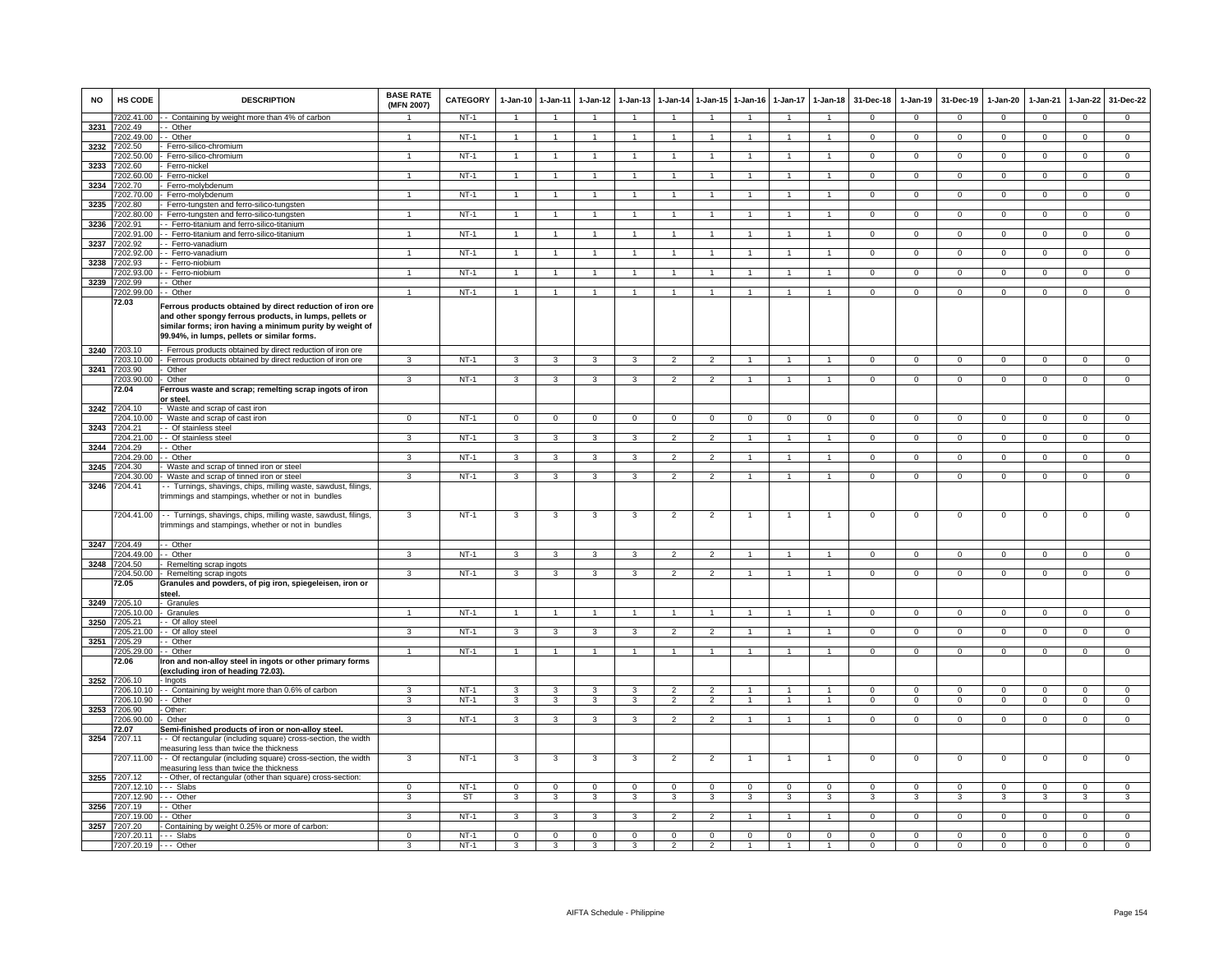| <b>NO</b> | <b>HS CODE</b>                        | <b>DESCRIPTION</b>                                                                                                                                                                                                              | <b>BASE RATE</b><br>(MFN 2007) | <b>CATEGORY</b> | 1-Jan-10                | $1 - Jan-11$            | $1 - Jan-12$   | $1 - Jan-13$   | $1-Jan-14$           | $1 - Jan-15$   | $1 - Jan-16$   | $1-Jan-17$     | $1-Jan-18$     | 31-Dec-18      | $1-Jan-19$     | 31-Dec-19      | 1-Jan-20       | $1-Jan-21$     | $1-Jan-22$     | 31-Dec-22      |
|-----------|---------------------------------------|---------------------------------------------------------------------------------------------------------------------------------------------------------------------------------------------------------------------------------|--------------------------------|-----------------|-------------------------|-------------------------|----------------|----------------|----------------------|----------------|----------------|----------------|----------------|----------------|----------------|----------------|----------------|----------------|----------------|----------------|
|           | 7202.41.00                            | - - Containing by weight more than 4% of carbon                                                                                                                                                                                 |                                | NT-1            | $\overline{1}$          | $\overline{1}$          | $\overline{1}$ | $\overline{1}$ | $\overline{1}$       | $\overline{1}$ | $\overline{1}$ | $\overline{1}$ | $\overline{1}$ | $\mathbf{0}$   | $\overline{0}$ | $\mathbf 0$    | $\overline{0}$ | $\mathbf 0$    | $\mathbf 0$    | $\mathbf{0}$   |
|           | 3231 7202.49<br>7202.49.00            | - Other<br>-- Other                                                                                                                                                                                                             |                                | $NT-1$          | $\overline{1}$          | -1                      |                | -1             | $\overline{1}$       | $\mathbf{1}$   | $\overline{1}$ | 1              | $\overline{1}$ | $^{\circ}$     | $\mathbf{0}$   | $\mathbf{0}$   | 0              | $\mathbf 0$    | $\mathbf{0}$   | $\overline{0}$ |
| 3232      | 7202.50                               | Ferro-silico-chromium                                                                                                                                                                                                           |                                |                 |                         |                         |                |                |                      |                |                |                |                |                |                |                |                |                |                |                |
|           | 7202.50.00                            | Ferro-silico-chromium                                                                                                                                                                                                           |                                | $NT-1$          | $\mathbf{1}$            |                         |                | $\mathbf{1}$   | $\blacktriangleleft$ | $\mathbf{1}$   |                | 1              | $\mathbf{1}$   | $\mathbf{0}$   | $\mathbf 0$    | $^{\circ}$     | $\overline{0}$ | $\mathbf 0$    | $\mathbf{0}$   | $\overline{0}$ |
| 3233      | 7202.60<br>7202.60.00                 | Ferro-nickel<br>Ferro-nickel                                                                                                                                                                                                    |                                | $NT-1$          | $\overline{1}$          | $\overline{1}$          |                | $\mathbf{1}$   | $\overline{1}$       | $\mathbf{1}$   | $\overline{1}$ | $\mathbf{1}$   | $\overline{1}$ | $\Omega$       | $\overline{0}$ | $\Omega$       | $\mathbf 0$    | $\overline{0}$ | $\overline{0}$ | $\overline{0}$ |
| 3234      | 7202.70                               | Ferro-molybdenum                                                                                                                                                                                                                |                                |                 |                         |                         |                |                |                      |                |                |                |                |                |                |                |                |                |                |                |
|           | 7202.70.00                            | Ferro-molvbdenum                                                                                                                                                                                                                |                                | $NT-1$          | $\overline{1}$          | $\overline{1}$          |                |                |                      | $\mathbf{1}$   | $\overline{1}$ |                | $\overline{1}$ | $\overline{0}$ | $\overline{0}$ | $\overline{0}$ | $\overline{0}$ | $\overline{0}$ | $\overline{0}$ | $\overline{0}$ |
| 3235      | 202.80<br>7202.80.00                  | Ferro-tungsten and ferro-silico-tungsten<br>- Ferro-tungsten and ferro-silico-tungsten                                                                                                                                          |                                | $NT-1$          | $\overline{1}$          | $\overline{1}$          | $\mathbf{1}$   | $\mathbf{1}$   | $\overline{1}$       | $\overline{1}$ | $\overline{1}$ | $\overline{1}$ | $\mathbf{1}$   | $\mathbf{0}$   | $\overline{0}$ | $\mathbf{0}$   | $\overline{0}$ | $\mathbf 0$    | $\mathbf{0}$   | $\overline{0}$ |
|           | 3236 7202.91                          | - Ferro-titanium and ferro-silico-titanium                                                                                                                                                                                      |                                |                 |                         |                         |                |                |                      |                |                |                |                |                |                |                |                |                |                |                |
| 3237      | 7202.91.00<br>7202.92                 | - - Ferro-titanium and ferro-silico-titanium<br>- Ferro-vanadium                                                                                                                                                                |                                | $NT-1$          | $\overline{1}$          | $\overline{1}$          |                | 1              | $\overline{1}$       | $\mathbf{1}$   | $\overline{1}$ | 1              | $\overline{1}$ | $^{\circ}$     | $\mathbf 0$    | $^{\circ}$     | $\overline{0}$ | $^{\circ}$     | $\mathbf{0}$   | $\overline{0}$ |
|           | 7202.92.00                            | - Ferro-vanadium                                                                                                                                                                                                                | $\overline{1}$                 | $NT-1$          | $\mathbf{1}$            | $\overline{1}$          | $\mathbf{1}$   | $\mathbf{1}$   | $\mathbf{1}$         | 1              | $\mathbf{1}$   | $\mathbf{1}$   | $\mathbf{1}$   | $\overline{0}$ | $\mathbf 0$    | $\mathbf{0}$   | $\overline{0}$ | $\mathbf 0$    | $\mathbf{0}$   | $\overline{0}$ |
| 3238      | 7202.93                               | - Ferro-niobium                                                                                                                                                                                                                 |                                |                 |                         |                         |                |                |                      |                |                |                |                |                |                |                |                |                |                |                |
|           | 7202.93.00<br>3239 7202.99            | - - Ferro-niobium<br>- Other                                                                                                                                                                                                    |                                | $NT-1$          | $\overline{1}$          |                         |                |                | $\overline{1}$       | $\mathbf{1}$   | 1              | $\mathbf{1}$   | $\mathbf{1}$   | 0              | $\mathbf 0$    | 0              | 0              | $^{\circ}$     | $\mathbf{0}$   | $\mathbf 0$    |
|           | 202.99.00                             | Other                                                                                                                                                                                                                           |                                | $NT-1$          |                         |                         |                |                |                      |                |                |                |                | $\Omega$       | $\Omega$       | $\Omega$       | $\Omega$       | $\Omega$       | $\Omega$       | $\Omega$       |
|           | 72.03                                 | Ferrous products obtained by direct reduction of iron ore<br>and other spongy ferrous products, in lumps, pellets or<br>similar forms; iron having a minimum purity by weight of<br>99.94%, in lumps, pellets or similar forms. |                                |                 |                         |                         |                |                |                      |                |                |                |                |                |                |                |                |                |                |                |
|           | 3240 7203.10<br>7203.10.00            | Ferrous products obtained by direct reduction of iron ore<br>Ferrous products obtained by direct reduction of iron ore                                                                                                          |                                | $NT-1$          |                         | 3                       |                | 3              | $\overline{2}$       | $\overline{2}$ |                |                |                | $\mathsf 0$    | $\mathsf 0$    | $^{\circ}$     | 0              | $\mathbf 0$    | 0              | $\mathbf 0$    |
|           | 3241 7203.90                          | Other                                                                                                                                                                                                                           |                                |                 |                         |                         |                |                |                      |                |                |                |                |                |                |                |                |                |                |                |
|           | 7203.90.00                            | Other                                                                                                                                                                                                                           | 3                              | $NT-1$          | $\mathcal{R}$           | 3                       | $\mathbf{B}$   | 3              | $\overline{2}$       | $\overline{2}$ | $\overline{1}$ | $\mathbf{1}$   | $\overline{1}$ | $\overline{0}$ | $\overline{0}$ | $\Omega$       | $\overline{0}$ | $\overline{0}$ | $\overline{0}$ | $\overline{0}$ |
|           | 72.04                                 | Ferrous waste and scrap; remelting scrap ingots of iron<br><u>or steel</u>                                                                                                                                                      |                                |                 |                         |                         |                |                |                      |                |                |                |                |                |                |                |                |                |                |                |
|           | 3242 7204.10                          | - Waste and scrap of cast iron                                                                                                                                                                                                  |                                |                 |                         |                         |                |                |                      |                |                |                |                |                |                |                |                |                |                |                |
|           | 3243 7204.21                          | 7204.10.00 - Waste and scrap of cast iron<br>- - Of stainless steel                                                                                                                                                             | $\overline{0}$                 | $NT-1$          | $\overline{0}$          | $\mathbf{0}$            | $\mathbf{0}$   | $\mathbf 0$    | $\mathbf 0$          | $\overline{0}$ | $\mathbf{0}$   | $\overline{0}$ | $\mathbf 0$    | $\mathbf{0}$   | $\mathbf{0}$   | $\mathbf{0}$   | $\overline{0}$ | $\mathbf 0$    | $\mathbf{0}$   | $\overline{0}$ |
|           | 7204.21.00                            | - Of stainless steel                                                                                                                                                                                                            | 3                              | $NT-1$          | 3                       | $\overline{3}$          | 3              | $\overline{3}$ | $\overline{2}$       | $\overline{2}$ | $\mathbf{1}$   | $\mathbf{1}$   | $\overline{1}$ | $\Omega$       | $\mathbf{0}$   | $\mathbf{0}$   | $\overline{0}$ | $\mathbf 0$    | $\circ$        | $\overline{0}$ |
| 3244      | 7204.29                               | - Other                                                                                                                                                                                                                         |                                |                 |                         |                         |                |                |                      |                |                |                |                |                |                |                |                |                |                |                |
|           | 7204.29.00<br>3245 7204.30            | · - Other<br>Waste and scrap of tinned iron or steel                                                                                                                                                                            | 3                              | $NT-1$          | 3                       | 3                       | 3              | 3              | $\overline{2}$       | $\overline{2}$ | $\overline{1}$ | $\mathbf{1}$   | $\mathbf{1}$   | $\mathsf 0$    | $\mathbf 0$    | $^{\circ}$     | $\mathsf 0$    | $\mathbf 0$    | $\mathsf 0$    | $\mathbf{0}$   |
|           | 7204.30.00                            | Waste and scrap of tinned iron or steel                                                                                                                                                                                         | 3                              | $NT-1$          | $\mathbf{3}$            | 3                       | 3              | 3              | $\overline{2}$       | $\overline{2}$ | $\overline{1}$ | $\overline{1}$ | $\overline{1}$ | $\Omega$       | $\mathbf 0$    | $^{\circ}$     | $\mathbf 0$    | $\Omega$       | $\mathsf 0$    | $\overline{0}$ |
|           | 3246 7204.41                          | - Turnings, shavings, chips, milling waste, sawdust, filings,<br>trimmings and stampings, whether or not in bundles                                                                                                             |                                |                 |                         |                         |                |                |                      |                |                |                |                |                |                |                |                |                |                |                |
|           | 7204.41.00                            | - - Turnings, shavings, chips, milling waste, sawdust, filings,<br>trimmings and stampings, whether or not in bundles                                                                                                           | 3                              | $NT-1$          | 3                       | 3                       | 3              | 3              | $\overline{2}$       | $\overline{2}$ | $\mathbf{1}$   | $\mathbf{1}$   | $\mathbf{1}$   | $\mathbf 0$    | 0              | $\mathbf 0$    | $\overline{0}$ | $\mathbf 0$    | 0              | $\circ$        |
|           | 3247 7204.49                          | - Other                                                                                                                                                                                                                         | 3                              |                 | 3                       | 3                       |                |                | $\mathfrak{p}$       |                | 1              |                | $\mathbf{1}$   |                |                |                |                |                |                |                |
| 3248      | 7204.49.00<br>7204.50                 | - Other<br>Remelting scrap ingots                                                                                                                                                                                               |                                | $NT-1$          |                         |                         |                | 3              |                      | $\overline{2}$ |                |                |                | $\mathbf 0$    | $\mathbf 0$    | $\mathbf 0$    | $\mathbf 0$    | $\mathbf 0$    | $\mathsf 0$    | $\overline{0}$ |
|           | 7204.50.00<br>72.05                   | Remelting scrap ingots<br>Granules and powders, of pig iron, spiegeleisen, iron or<br>steel.                                                                                                                                    | 3                              | $NT-1$          | $\overline{\mathbf{3}}$ | $\overline{\mathbf{3}}$ | $\mathbf{R}$   | 3              | $\overline{2}$       | $\overline{2}$ | $\overline{1}$ | $\overline{1}$ | $\overline{1}$ | $\Omega$       | $\overline{0}$ | $\Omega$       | $\overline{0}$ | $\overline{0}$ | $\overline{0}$ | $\overline{0}$ |
|           | 3249 7205.10                          | Granules                                                                                                                                                                                                                        |                                |                 |                         |                         |                |                |                      |                |                |                |                |                |                |                |                |                |                |                |
|           | 7205.10.00 - Granules<br>3250 7205.21 | - - Of alloy steel                                                                                                                                                                                                              | $\overline{1}$                 | NT-1            | $\overline{1}$          | $\overline{1}$          | $\overline{1}$ | $\overline{1}$ | $\overline{1}$       | $\overline{1}$ | $\overline{1}$ | $\overline{1}$ | $\overline{1}$ | $\overline{0}$ | $\mathbf{0}$   | $^{\circ}$     | $\mathbf{0}$   | $\mathbf{0}$   | $\mathbf{0}$   | $\overline{0}$ |
|           | 7205.21.00                            | - - Of alloy steel                                                                                                                                                                                                              | 3                              | $NT-1$          | 3                       | 3                       | 3              | 3              | $\overline{2}$       | $\overline{2}$ | $\mathbf{1}$   | $\mathbf{1}$   | $\mathbf{1}$   | $\mathbf{0}$   | $\mathbf 0$    | $\mathbf{0}$   | $\mathbf 0$    | $\mathbf 0$    | $\overline{0}$ | $\overline{0}$ |
|           | 3251 7205.29                          | - Other                                                                                                                                                                                                                         |                                |                 |                         |                         |                |                |                      |                |                |                |                |                |                |                |                |                |                |                |
|           | 7205.29.00<br>72.06                   | - - Other<br>ron and non-alloy steel in ingots or other primary forms<br>excluding iron of heading 72.03)                                                                                                                       |                                | $NT-1$          | $\overline{1}$          |                         |                |                | $\overline{1}$       | $\mathbf{1}$   | $\mathbf{1}$   | $\mathbf{1}$   | $\mathbf{1}$   | $\mathsf 0$    | $\mathbf 0$    | $\mathbf 0$    | $\mathsf 0$    | $\mathbf 0$    | $\mathsf 0$    | $\mathbf 0$    |
| 3252      | 7206.10<br>7206.10.10                 | - Ingots<br>- Containing by weight more than 0.6% of carbon                                                                                                                                                                     | $\mathbf{R}$                   | $NT-1$          | $\mathcal{R}$           | $\overline{\mathbf{3}}$ |                | $\mathbf{3}$   | $\overline{2}$       | $\overline{2}$ |                |                |                | $\Omega$       | $\overline{0}$ | $\Omega$       | $\Omega$       | $\Omega$       | $\overline{0}$ | $\overline{0}$ |
|           | 7206.10.90 - - Other                  |                                                                                                                                                                                                                                 | 3                              | $NT-1$          | 3                       | 3                       | 3              | 3              | $\overline{2}$       | $\overline{2}$ | $\overline{1}$ | $\overline{1}$ | $\mathbf{1}$   | $\mathbf 0$    | $\mathbf 0$    | $\mathbf 0$    | $\mathbf 0$    | $\mathbf 0$    | $\mathbf 0$    | $\mathbf{0}$   |
|           | 3253 7206.90                          | - Other:                                                                                                                                                                                                                        |                                |                 |                         |                         |                |                |                      |                |                |                |                |                |                |                |                |                |                |                |
|           | 7206.90.00<br>72.07                   | Other<br>Semi-finished products of iron or non-alloy steel.                                                                                                                                                                     | 3                              | NT-1            | 3                       | 3                       | 3              | 3              | $\overline{2}$       | $\overline{2}$ | $\mathbf{1}$   | $\mathbf{1}$   | $\overline{1}$ | $\mathbf 0$    | $\mathbf 0$    | 0              | $\mathbf 0$    | $\mathbf 0$    | $\mathbf{0}$   | $\mathbf{0}$   |
| 3254      | 7207.11                               | - Of rectangular (including square) cross-section, the width<br>neasuring less than twice the thickness                                                                                                                         |                                |                 |                         |                         |                |                |                      |                |                |                |                |                |                |                |                |                |                |                |
|           | 7207.11.00                            | - - Of rectangular (including square) cross-section, the width<br>neasuring less than twice the thickness                                                                                                                       | 3                              | $NT-1$          | 3                       | 3                       | 3              | 3              | $\overline{2}$       | $\overline{c}$ |                |                |                | $\mathbf 0$    | $\mathsf 0$    | $^{\circ}$     | $\mathbf 0$    | $\mathbf 0$    | $\mathsf 0$    | $\mathsf 0$    |
| 3255      | 7207.12<br>7207.12.10                 | - Other, of rectangular (other than square) cross-section:<br>--- Slabs                                                                                                                                                         | $\Omega$                       | $NT-1$          | $\mathbf 0$             | $\mathbf 0$             | $\Omega$       | $\mathsf 0$    | $\mathbf 0$          | $\mathbf{O}$   | $\Omega$       | $\Omega$       | $\mathbf 0$    | $\Omega$       | $\mathsf 0$    | $\Omega$       | $\Omega$       | $\Omega$       | $\mathsf 0$    | $\Omega$       |
|           | 7207.12.90 --- Other                  |                                                                                                                                                                                                                                 | 3                              | ST              | $\mathbf{3}$            | 3                       | 3              | 3              | $\mathbf{3}$         | 3              | 3              | $\mathbf{3}$   | 3              | 3              | 3              | 3              | 3              | 3              | $\mathbf{3}$   | 3              |
|           | 3256 7207.19                          | - - Other                                                                                                                                                                                                                       |                                |                 |                         |                         |                |                |                      |                |                |                |                |                |                |                |                |                |                |                |
|           | 7207.19.00 - - Other<br>3257 7207.20  | - Containing by weight 0.25% or more of carbon:                                                                                                                                                                                 | 3                              | $NT-1$          | 3                       | 3                       | 3              | $\mathbf{3}$   | $\overline{2}$       | $\overline{2}$ | $\mathbf{1}$   | $\mathbf{1}$   | $\mathbf{1}$   | $\mathbf{0}$   | $\overline{0}$ | $\overline{0}$ | $\overline{0}$ | $\mathbf{0}$   | $\overline{0}$ | $^{\circ}$     |
|           | 7207.20.11 --- Slabs                  |                                                                                                                                                                                                                                 | $^{\circ}$                     | $NT-1$          | $\mathbf 0$             | $\mathbf 0$             | $\mathbf 0$    | $\mathsf 0$    | $\mathbf 0$          | $\mathbf{O}$   | $\mathsf 0$    | $\mathbf 0$    | $\mathbf 0$    | $\mathbf 0$    | $\mathbf{0}$   | $^{\circ}$     | $\mathbf 0$    | 0              | $\mathsf 0$    | $\mathbf 0$    |
|           | 7207.20.19 --- Other                  |                                                                                                                                                                                                                                 |                                | $NT-1$          |                         |                         |                | 3              |                      | $\mathfrak{p}$ |                |                |                | $\Omega$       | $\Omega$       | $\Omega$       | 0              | $\Omega$       | $\Omega$       | $\Omega$       |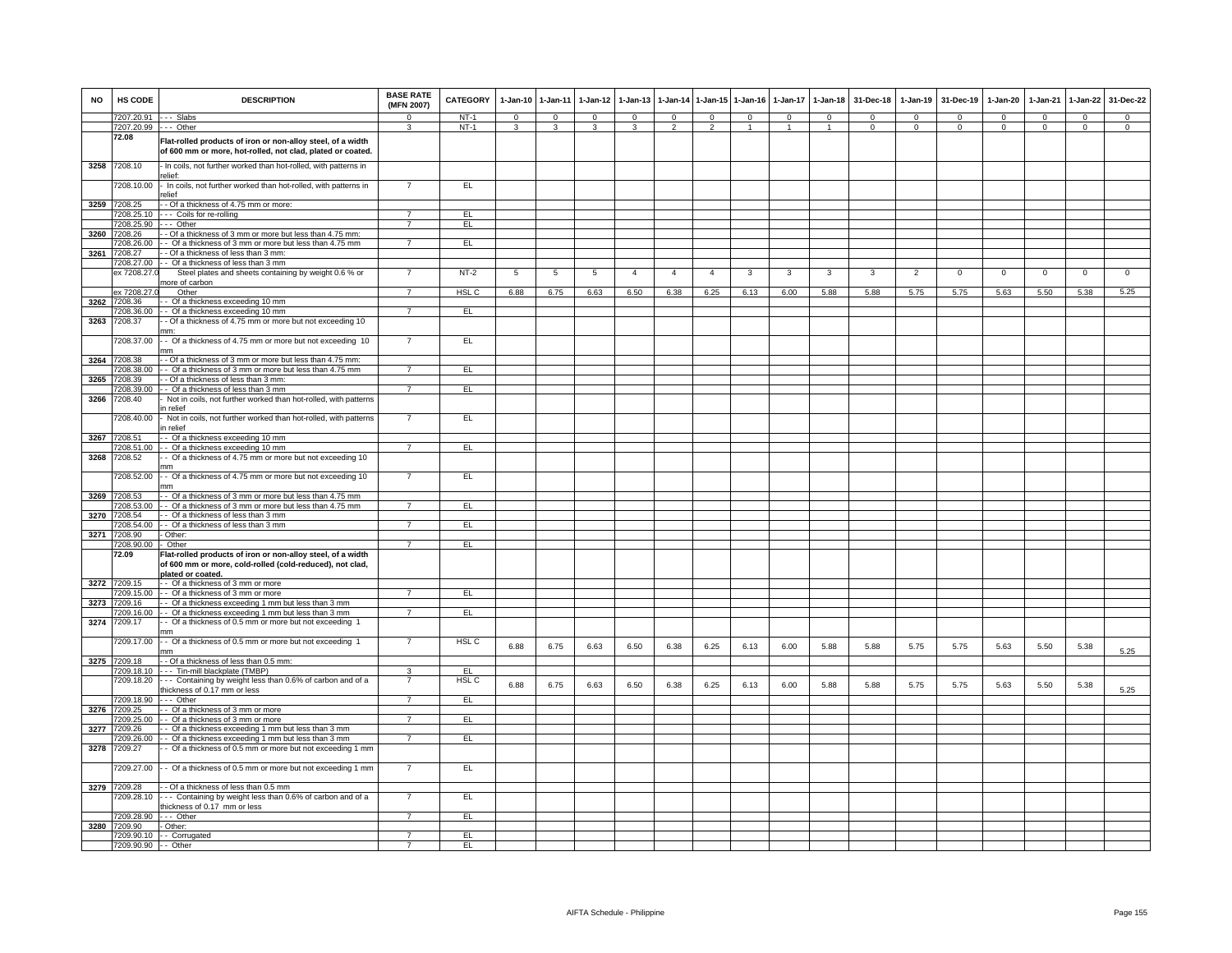| <b>NO</b> | <b>HS CODE</b>                     | <b>DESCRIPTION</b>                                                                                                                           | <b>BASE RATE</b><br>(MFN 2007) | <b>CATEGORY</b>         |              | 1-Jan-10 1-Jan-11 | $1-Jan-12$   | $1-Jan-13$     | 1-Jan-14       | $1 - Jan-15$   | $1-Jan-16$   | $1-Jan-17$   | $1-Jan-18$     | 31-Dec-18 | $1-Jan-19$     | 31-Dec-19   | $1-Jan-20$  | 1-Jan-21    | $1-Jan-22$  | 31-Dec-22   |
|-----------|------------------------------------|----------------------------------------------------------------------------------------------------------------------------------------------|--------------------------------|-------------------------|--------------|-------------------|--------------|----------------|----------------|----------------|--------------|--------------|----------------|-----------|----------------|-------------|-------------|-------------|-------------|-------------|
|           | 7207.20.91                         | -- Slabs                                                                                                                                     | $\Omega$                       | $NT-1$                  | $\mathbf{0}$ | $\mathbf{0}$      | $\mathbf{0}$ | $\mathbf{0}$   | $\mathbf{0}$   | $\mathbf{0}$   | $\mathbf{0}$ | $\Omega$     | $\Omega$       | $\Omega$  | $\Omega$       | $\Omega$    | $\Omega$    | $\Omega$    | $^{\circ}$  | $^{\circ}$  |
|           | 7207.20.99<br>72.08                | $\cdots$ Other<br>Flat-rolled products of iron or non-alloy steel, of a width                                                                | 3                              | $NT-1$                  | 3            | $\mathbf{3}$      | 3            | 3              | $\overline{2}$ | $\mathcal{P}$  | $\mathbf{1}$ | $\mathbf{1}$ | $\overline{1}$ | $\Omega$  | $\Omega$       | $\Omega$    | $\Omega$    | $\Omega$    | $\circ$     | $\Omega$    |
| 3258      | 7208.10                            | of 600 mm or more, hot-rolled, not clad, plated or coated.<br>- In coils, not further worked than hot-rolled, with patterns in               |                                |                         |              |                   |              |                |                |                |              |              |                |           |                |             |             |             |             |             |
|           | 7208.10.00                         | alief <sup>.</sup><br>In coils, not further worked than hot-rolled, with patterns in<br>relief                                               | $\overline{7}$                 | EL.                     |              |                   |              |                |                |                |              |              |                |           |                |             |             |             |             |             |
|           | 3259 7208.25                       | - Of a thickness of 4.75 mm or more:                                                                                                         |                                |                         |              |                   |              |                |                |                |              |              |                |           |                |             |             |             |             |             |
|           | 7208.25.10                         | --- Coils for re-rolling                                                                                                                     | $\overline{7}$                 | EL                      |              |                   |              |                |                |                |              |              |                |           |                |             |             |             |             |             |
|           | 7208.25.90                         | - - - Other                                                                                                                                  | $\overline{7}$                 | E                       |              |                   |              |                |                |                |              |              |                |           |                |             |             |             |             |             |
|           | 3260 7208.26<br>7208.26.00         | - Of a thickness of 3 mm or more but less than 4.75 mm:<br>- Of a thickness of 3 mm or more but less than 4.75 mm                            |                                | EL                      |              |                   |              |                |                |                |              |              |                |           |                |             |             |             |             |             |
| 3261      | 7208.27                            | - Of a thickness of less than 3 mm:                                                                                                          |                                |                         |              |                   |              |                |                |                |              |              |                |           |                |             |             |             |             |             |
|           | 7208.27.00                         | - - Of a thickness of less than 3 mm                                                                                                         |                                |                         |              |                   |              |                |                |                |              |              |                |           |                |             |             |             |             |             |
|           | ex 7208.27                         | Steel plates and sheets containing by weight 0.6 % or<br>nore of carbon                                                                      | $\overline{ }$                 | $NT-2$                  | 5            | 5                 | 5            | $\overline{4}$ | $\overline{4}$ | $\overline{a}$ | 3            | 3            | 3              | 3         | $\overline{2}$ | $\mathbf 0$ | $\mathbf 0$ | $\mathbf 0$ | $\mathsf 0$ | $\mathsf 0$ |
| 3262      | ex 7208.27.<br>7208.36             | Other<br>- Of a thickness exceeding 10 mm                                                                                                    |                                | HSL C                   | 6.88         | 6.75              | 6.63         | 6.50           | 6.38           | 6.25           | 6.13         | 6.00         | 5.88           | 5.88      | 5.75           | 5.75        | 5.63        | 5.50        | 5.38        | 5.25        |
|           | 7208.36.00                         | - Of a thickness exceeding 10 mm                                                                                                             | $\overline{7}$                 | EL                      |              |                   |              |                |                |                |              |              |                |           |                |             |             |             |             |             |
| 3263      | 7208.37                            | - Of a thickness of 4.75 mm or more but not exceeding 10<br>mm:                                                                              |                                |                         |              |                   |              |                |                |                |              |              |                |           |                |             |             |             |             |             |
|           | 7208.37.00                         | - Of a thickness of 4.75 mm or more but not exceeding 10                                                                                     |                                | EL                      |              |                   |              |                |                |                |              |              |                |           |                |             |             |             |             |             |
| 3264      | 7208.38<br>7208 38 00              | - Of a thickness of 3 mm or more but less than 4.75 mm:                                                                                      | $\overline{7}$                 |                         |              |                   |              |                |                |                |              |              |                |           |                |             |             |             |             |             |
| 3265      | 7208.39                            | - Of a thickness of 3 mm or more but less than 4.75 mm<br>- Of a thickness of less than 3 mm:                                                |                                | EL                      |              |                   |              |                |                |                |              |              |                |           |                |             |             |             |             |             |
|           | 7208.39.00                         | - Of a thickness of less than 3 mm                                                                                                           | $\overline{7}$                 | E                       |              |                   |              |                |                |                |              |              |                |           |                |             |             |             |             |             |
| 3266      | 7208.40                            | Not in coils, not further worked than hot-rolled, with patterns<br>n relief                                                                  |                                |                         |              |                   |              |                |                |                |              |              |                |           |                |             |             |             |             |             |
|           | 208.40.00                          | Not in coils, not further worked than hot-rolled, with patterns<br>n relief                                                                  | 7                              | EL                      |              |                   |              |                |                |                |              |              |                |           |                |             |             |             |             |             |
| 3267      | 7208.51                            | - Of a thickness exceeding 10 mm                                                                                                             |                                |                         |              |                   |              |                |                |                |              |              |                |           |                |             |             |             |             |             |
|           | 7208.51.00                         | - Of a thickness exceeding 10 mm                                                                                                             | $\overline{7}$                 | EL.                     |              |                   |              |                |                |                |              |              |                |           |                |             |             |             |             |             |
| 3268      | 7208.52<br>7208.52.00              | - Of a thickness of 4.75 mm or more but not exceeding 10<br>mm<br>- Of a thickness of 4.75 mm or more but not exceeding 10                   |                                | EL                      |              |                   |              |                |                |                |              |              |                |           |                |             |             |             |             |             |
|           | 3269 7208.53                       | mm<br>- Of a thickness of 3 mm or more but less than 4.75 mm                                                                                 |                                |                         |              |                   |              |                |                |                |              |              |                |           |                |             |             |             |             |             |
|           | 7208.53.00                         | - - Of a thickness of 3 mm or more but less than 4.75 mm                                                                                     | 7                              | EL.                     |              |                   |              |                |                |                |              |              |                |           |                |             |             |             |             |             |
| 3270      | 7208.54                            | - - Of a thickness of less than 3 mm                                                                                                         |                                |                         |              |                   |              |                |                |                |              |              |                |           |                |             |             |             |             |             |
|           | 7208.54.00                         | -- Of a thickness of less than 3 mm                                                                                                          | $\overline{7}$                 | EL                      |              |                   |              |                |                |                |              |              |                |           |                |             |             |             |             |             |
| 3271      | 7208.90<br>7208.90.00              | Other:<br>- Other                                                                                                                            | $\overline{7}$                 | EL                      |              |                   |              |                |                |                |              |              |                |           |                |             |             |             |             |             |
|           | 72.09                              | Flat-rolled products of iron or non-alloy steel, of a width<br>of 600 mm or more, cold-rolled (cold-reduced), not clad,<br>plated or coated. |                                |                         |              |                   |              |                |                |                |              |              |                |           |                |             |             |             |             |             |
| 3272      | 7209.15                            | -- Of a thickness of 3 mm or more                                                                                                            |                                |                         |              |                   |              |                |                |                |              |              |                |           |                |             |             |             |             |             |
| 3273      | 7209.15.00<br>7209.16              | - Of a thickness of 3 mm or more<br>- Of a thickness exceeding 1 mm but less than 3 mm                                                       | $\overline{7}$                 | E                       |              |                   |              |                |                |                |              |              |                |           |                |             |             |             |             |             |
|           | 7209.16.00                         | - Of a thickness exceeding 1 mm but less than 3 mm                                                                                           | $\overline{7}$                 | EL                      |              |                   |              |                |                |                |              |              |                |           |                |             |             |             |             |             |
| 3274      | 7209.17                            | Of a thickness of 0.5 mm or more but not exceeding 1<br>mm                                                                                   |                                |                         |              |                   |              |                |                |                |              |              |                |           |                |             |             |             |             |             |
|           | 7209.17.00                         | - Of a thickness of 0.5 mm or more but not exceeding 1<br>mm                                                                                 |                                | HSL C                   | 6.88         | 6.75              | 6.63         | 6.50           | 6.38           | 6.25           | 6.13         | 6.00         | 5.88           | 5.88      | 5.75           | 5.75        | 5.63        | 5.50        | 5.38        | 5.25        |
|           | 3275 7209.18                       | - Of a thickness of less than 0.5 mm:                                                                                                        |                                |                         |              |                   |              |                |                |                |              |              |                |           |                |             |             |             |             |             |
|           | 7209.18.10<br>7209.18.20           | - - - Tin-mill blackplate (TMBP)<br>--- Containing by weight less than 0.6% of carbon and of a<br>thickness of 0.17 mm or less               | $\mathbf{a}$<br>$\overline{7}$ | EL.<br>HSL <sub>C</sub> | 6.88         | 6.75              | 6.63         | 6.50           | 6.38           | 6.25           | 6.13         | 6.00         | 5.88           | 5.88      | 5.75           | 5.75        | 5.63        | 5.50        | 5.38        | 5.25        |
| 3276      | 7209.18.90<br>7209.25              | $--$ Other<br>- Of a thickness of 3 mm or more                                                                                               | $\overline{7}$                 | EL                      |              |                   |              |                |                |                |              |              |                |           |                |             |             |             |             |             |
|           | 7209.25.00                         | - Of a thickness of 3 mm or more                                                                                                             | $\overline{7}$                 | EL                      |              |                   |              |                |                |                |              |              |                |           |                |             |             |             |             |             |
| 3277      | 7209.26                            | - Of a thickness exceeding 1 mm but less than 3 mm                                                                                           |                                |                         |              |                   |              |                |                |                |              |              |                |           |                |             |             |             |             |             |
|           | 7209.26.00                         | - Of a thickness exceeding 1 mm but less than 3 mm                                                                                           | $\overline{7}$                 | EL                      |              |                   |              |                |                |                |              |              |                |           |                |             |             |             |             |             |
| 3278      | 7209.27<br>7209.27.00              | Of a thickness of 0.5 mm or more but not exceeding 1 mm<br>- Of a thickness of 0.5 mm or more but not exceeding 1 mm                         | $\overline{7}$                 | E                       |              |                   |              |                |                |                |              |              |                |           |                |             |             |             |             |             |
|           |                                    | - Of a thickness of less than 0.5 mm                                                                                                         |                                |                         |              |                   |              |                |                |                |              |              |                |           |                |             |             |             |             |             |
|           | 3279 7209.28<br>7209.28.10         | --- Containing by weight less than 0.6% of carbon and of a                                                                                   | $\overline{7}$                 | EL                      |              |                   |              |                |                |                |              |              |                |           |                |             |             |             |             |             |
|           | 7209.28.90                         | thickness of 0.17 mm or less<br>--- Other                                                                                                    | $\overline{7}$                 | EL                      |              |                   |              |                |                |                |              |              |                |           |                |             |             |             |             |             |
| 3280      | 7209.90                            | - Other:                                                                                                                                     |                                | EL.                     |              |                   |              |                |                |                |              |              |                |           |                |             |             |             |             |             |
|           | 7209.90.10<br>7209.90.90 - - Other | -- Corrugated                                                                                                                                | 7                              | EL                      |              |                   |              |                |                |                |              |              |                |           |                |             |             |             |             |             |
|           |                                    |                                                                                                                                              |                                |                         |              |                   |              |                |                |                |              |              |                |           |                |             |             |             |             |             |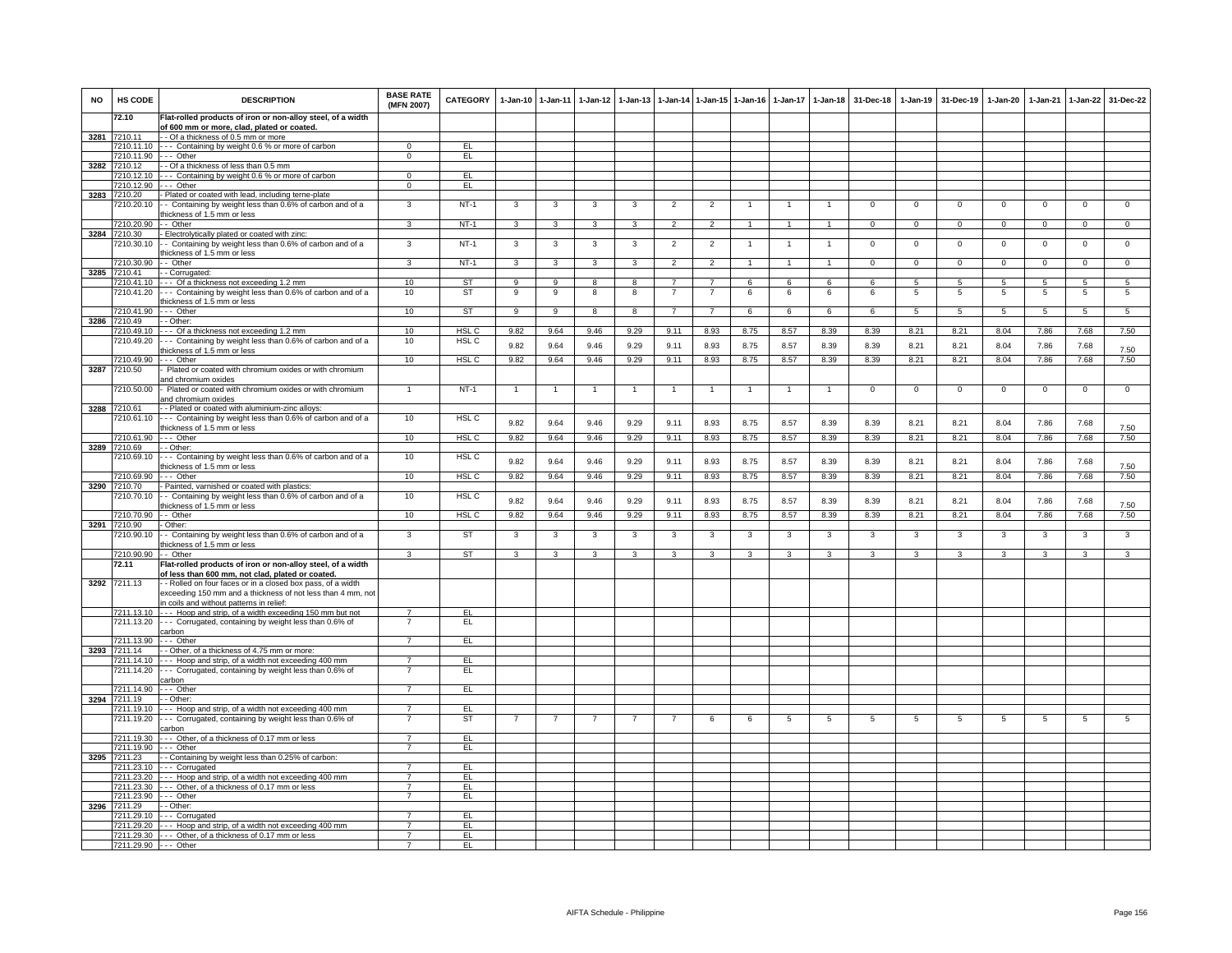| <b>NO</b> | HS CODE                              | <b>DESCRIPTION</b>                                                                                                                                                      | <b>BASE RATE</b><br>(MFN 2007)   | <b>CATEGORY</b>  | $1-Jan-10$     | $1-Jan-11$     | $1-Jan-12$     | $1-Jan-13$     |                | 1-Jan-14 1-Jan-15 1-Jan-16 |                | $1$ -Jan-17    | $1 - Jan-18$   | 31-Dec-18      | $1 - Jan-19$   | 31-Dec-19      | $1-Jan-20$      | $1-Jan-21$     | 1-Jan-22       | 31-Dec-22      |
|-----------|--------------------------------------|-------------------------------------------------------------------------------------------------------------------------------------------------------------------------|----------------------------------|------------------|----------------|----------------|----------------|----------------|----------------|----------------------------|----------------|----------------|----------------|----------------|----------------|----------------|-----------------|----------------|----------------|----------------|
|           | 72.10                                | Flat-rolled products of iron or non-alloy steel, of a width                                                                                                             |                                  |                  |                |                |                |                |                |                            |                |                |                |                |                |                |                 |                |                |                |
| 3281      | 7210.11                              | of 600 mm or more, clad, plated or coated.<br>- - Of a thickness of 0.5 mm or more                                                                                      |                                  |                  |                |                |                |                |                |                            |                |                |                |                |                |                |                 |                |                |                |
|           |                                      | 7210.11.10 --- Containing by weight 0.6 % or more of carbon                                                                                                             | $\Omega$                         | EL               |                |                |                |                |                |                            |                |                |                |                |                |                |                 |                |                |                |
|           |                                      | 7210.11.90 --- Other                                                                                                                                                    | $\mathbf 0$                      | EL               |                |                |                |                |                |                            |                |                |                |                |                |                |                 |                |                |                |
| 3282      | 7210.12                              | - - Of a thickness of less than 0.5 mm<br>7210.12.10 --- Containing by weight 0.6 % or more of carbon                                                                   | $\overline{0}$                   | EL               |                |                |                |                |                |                            |                |                |                |                |                |                |                 |                |                |                |
|           | 7210.12.90                           | --- Other                                                                                                                                                               | $\mathbf{0}$                     | EL               |                |                |                |                |                |                            |                |                |                |                |                |                |                 |                |                |                |
| 3283      | 7210.20                              | - Plated or coated with lead, including terne-plate                                                                                                                     |                                  |                  |                |                |                |                |                |                            |                |                |                |                |                |                |                 |                |                |                |
|           | 7210.20.10                           | - Containing by weight less than 0.6% of carbon and of a<br>thickness of 1.5 mm or less                                                                                 | 3                                | $NT-1$           | 3              | 3              | 3              | 3              | $\overline{2}$ | $\overline{2}$             |                |                | $\overline{1}$ | $^{\circ}$     | $^{\circ}$     | $\mathbf 0$    | $\mathbf 0$     | $\mathbf 0$    | $\mathsf 0$    | $\mathbf 0$    |
|           | 7210.20.90 - - Other                 |                                                                                                                                                                         | $\mathbf{3}$                     | NT-1             | $\mathbf{3}$   | $\mathbf{3}$   | 3              | 3              | $\overline{2}$ | $\overline{2}$             |                | $\mathbf{1}$   | $\mathbf{1}$   | $\mathbf{0}$   | $\mathbf{0}$   | $\overline{0}$ | $\overline{0}$  | $\mathbf 0$    | $\mathbf{0}$   | $\mathbf{0}$   |
|           | 3284 7210.30<br>7210.30.10           | - Electrolytically plated or coated with zinc:<br>- Containing by weight less than 0.6% of carbon and of a                                                              | $\overline{3}$                   | $NT-1$           | 3              | 3              | 3              | 3              | $\overline{2}$ | $\overline{2}$             | 1.             | 1              | $\mathbf{1}$   | $\overline{0}$ | $\overline{0}$ | $\overline{0}$ | $\overline{0}$  | $\overline{0}$ | $\overline{0}$ | $\overline{0}$ |
|           | 7210.30.90                           | thickness of 1.5 mm or less<br>- Other                                                                                                                                  | 3                                | $NT-1$           | 3              | 3              |                | 3              |                | $\mathfrak{p}$             |                | $\overline{1}$ | $\mathbf{1}$   |                |                | $\overline{0}$ | $\overline{0}$  | $\Omega$       |                | $\overline{0}$ |
|           | 3285 7210.41                         | - - Corrugated:                                                                                                                                                         |                                  |                  |                |                | 3              |                | $\overline{2}$ |                            |                |                |                | $\mathsf 0$    | $\mathbf 0$    |                |                 |                | $\mathsf 0$    |                |
|           |                                      | 7210.41.10 --- Of a thickness not exceeding 1.2 mm                                                                                                                      | 10                               | ST               | $\overline{9}$ | $\overline{9}$ | $\overline{8}$ | 8              | $\overline{7}$ | $\overline{7}$             | 6              | 6              | 6              | 6              | $\sqrt{5}$     | $\overline{5}$ | $\overline{5}$  | $5^{\circ}$    | $\overline{5}$ | $\overline{5}$ |
|           |                                      | 7210.41.20 --- Containing by weight less than 0.6% of carbon and of a<br>thickness of 1.5 mm or less                                                                    | 10                               | <b>ST</b>        | 9              | 9              | 8              | 8              | $\overline{7}$ | $\overline{7}$             | 6              | 6              | 6              | 6              | 5              | $\overline{5}$ | $5\phantom{.0}$ | 5              | $\overline{5}$ | 5              |
|           | 7210.41.90 --- Other                 |                                                                                                                                                                         | 10                               | ST               | $\overline{9}$ | $\overline{9}$ | 8              | 8              | $\overline{7}$ | $\overline{7}$             | 6              | 6              | 6              | 6              | -5             | -5             | -5              | -5             | -5             | 5              |
|           | 3286 7210.49<br>7210.49.10           | - - Other:                                                                                                                                                              | 10                               | HSL C            |                | 9.64           | 9.46           | 9.29           | 9.11           | 8.93                       | 8.75           | 8.57           | 8.39           | 8.39           | 8.21           | 8.21           | 8.04            | 7.86           | 7.68           | 7.50           |
|           | 7210.49.20                           | --- Of a thickness not exceeding 1.2 mm<br>--- Containing by weight less than 0.6% of carbon and of a                                                                   | 10                               | HSL C            | 9.82           |                |                |                |                |                            |                |                |                |                |                |                |                 |                |                |                |
|           |                                      | thickness of 1.5 mm or less                                                                                                                                             |                                  |                  | 9.82           | 9.64           | 9.46           | 9.29           | 9.11           | 8.93                       | 8.75           | 8.57           | 8.39           | 8.39           | 8.21           | 8.21           | 8.04            | 7.86           | 7.68           | 7.50           |
|           | 7210.49.90                           | --- Other                                                                                                                                                               | 10                               | HSL C            | 9.82           | 9.64           | 9.46           | 9.29           | 9.11           | 8.93                       | 8.75           | 8.57           | 8.39           | 8.39           | 8.21           | 8.21           | 8.04            | 7.86           | 7.68           | 7.50           |
| 3287      | 7210.50                              | Plated or coated with chromium oxides or with chromium<br>and chromium oxides                                                                                           |                                  |                  |                |                |                |                |                |                            |                |                |                |                |                |                |                 |                |                |                |
|           | 7210.50.00                           | - Plated or coated with chromium oxides or with chromium<br>and chromium oxides                                                                                         | $\overline{1}$                   | $NT-1$           | $\overline{1}$ | $\overline{1}$ | $\overline{1}$ | $\overline{1}$ | $\overline{1}$ | $\overline{1}$             | $\overline{1}$ | $\overline{1}$ | $\mathbf{1}$   | $\mathbf 0$    | $\mathbf 0$    | $\mathbf 0$    | $\mathbf 0$     | $\mathbf 0$    | $\mathsf 0$    | $\overline{0}$ |
| 3288      | 7210.61                              | - - Plated or coated with aluminium-zinc alloys:                                                                                                                        |                                  |                  |                |                |                |                |                |                            |                |                |                |                |                |                |                 |                |                |                |
|           | 7210.61.10                           | --- Containing by weight less than 0.6% of carbon and of a<br>thickness of 1.5 mm or less                                                                               | 10                               | HSL <sub>C</sub> | 9.82           | 9.64           | 9.46           | 9.29           | 9.11           | 8.93                       | 8.75           | 8.57           | 8.39           | 8.39           | 8.21           | 8.21           | 8.04            | 7.86           | 7.68           | 7.50           |
|           | 7210.61.90                           | $--$ Other                                                                                                                                                              | 10                               | HSL <sub>C</sub> | 9.82           | 9.64           | 9.46           | 9.29           | 9.11           | 8.93                       | 8.75           | 8.57           | 8.39           | 8.39           | 8.21           | 8.21           | 8.04            | 7.86           | 7.68           | 7.50           |
|           | 3289 7210.69<br>7210.69.10           | - - Other:<br>--- Containing by weight less than 0.6% of carbon and of a                                                                                                | 10                               | HSL C            |                |                |                |                |                |                            |                |                |                |                |                |                |                 |                |                |                |
|           |                                      | thickness of 1.5 mm or less                                                                                                                                             |                                  |                  | 9.82           | 9.64           | 9.46           | 9.29           | 9.11           | 8.93                       | 8.75           | 8.57           | 8.39           | 8.39           | 8.21           | 8.21           | 8.04            | 7.86           | 7.68           | 7.50           |
|           | 7210.69.90 --- Other<br>3290 7210.70 | - Painted, varnished or coated with plastics:                                                                                                                           | 10                               | HSL <sub>C</sub> | 9.82           | 9.64           | 9.46           | 9.29           | 9.11           | 8.93                       | 8.75           | 8.57           | 8.39           | 8.39           | 8.21           | 8.21           | 8.04            | 7.86           | 7.68           | 7.50           |
|           | 7210.70.10                           | - Containing by weight less than 0.6% of carbon and of a<br>thickness of 1.5 mm or less                                                                                 | 10                               | HSL C            | 9.82           | 9.64           | 9.46           | 9.29           | 9.11           | 8.93                       | 8.75           | 8.57           | 8.39           | 8.39           | 8.21           | 8.21           | 8.04            | 7.86           | 7.68           | 7.50           |
|           | 7210.70.90 -- Other                  |                                                                                                                                                                         | 10                               | HSL <sub>C</sub> | 9.82           | 9.64           | 9.46           | 9.29           | 9.11           | 8.93                       | 8.75           | 8.57           | 8.39           | 8.39           | 8.21           | 8.21           | 8.04            | 7.86           | 7.68           | 7.50           |
|           | 3291 7210.90                         | Other:                                                                                                                                                                  |                                  |                  |                |                |                |                |                |                            |                |                |                |                |                |                |                 |                |                |                |
|           | 7210.90.10                           | - Containing by weight less than 0.6% of carbon and of a<br>thickness of 1.5 mm or less                                                                                 | 3                                | <b>ST</b>        | 3              | $\mathbf{3}$   | 3              | 3              | 3              | 3                          | 3              | 3              | 3              | 3              | 3              | 3              | 3               | 3              | $\mathbf{3}$   | $\overline{3}$ |
|           | 7210.90.90 - - Other                 |                                                                                                                                                                         | $\overline{3}$                   | ST               | 3              | $\mathbf{3}$   | 3              | 3              | $\mathbf{3}$   | 3                          | 3              | 3              | 3              | 3              | 3              | $\mathbf{3}$   | $\mathbf{3}$    | 3              | $\mathbf{3}$   | 3              |
|           | 72.11                                | Flat-rolled products of iron or non-alloy steel, of a width<br>of less than 600 mm, not clad, plated or coated.                                                         |                                  |                  |                |                |                |                |                |                            |                |                |                |                |                |                |                 |                |                |                |
|           | 3292 7211.13                         | - - Rolled on four faces or in a closed box pass, of a width<br>exceeding 150 mm and a thickness of not less than 4 mm, not<br>in coils and without patterns in relief: |                                  |                  |                |                |                |                |                |                            |                |                |                |                |                |                |                 |                |                |                |
|           |                                      | 7211.13.10 --- Hoop and strip, of a width exceeding 150 mm but not                                                                                                      | $\overline{7}$                   | EL               |                |                |                |                |                |                            |                |                |                |                |                |                |                 |                |                |                |
|           |                                      | 7211.13.20 --- Corrugated, containing by weight less than 0.6% of                                                                                                       |                                  | EL               |                |                |                |                |                |                            |                |                |                |                |                |                |                 |                |                |                |
|           | 7211.13.90 --- Other                 | carbon                                                                                                                                                                  | $\overline{7}$                   | EL               |                |                |                |                |                |                            |                |                |                |                |                |                |                 |                |                |                |
| 3293      | 7211.14                              | - - Other, of a thickness of 4.75 mm or more:                                                                                                                           |                                  |                  |                |                |                |                |                |                            |                |                |                |                |                |                |                 |                |                |                |
|           |                                      | 7211.14.10 --- Hoop and strip, of a width not exceeding 400 mm                                                                                                          | $\overline{7}$                   | EL               |                |                |                |                |                |                            |                |                |                |                |                |                |                 |                |                |                |
|           |                                      | 7211.14.20 --- Corrugated, containing by weight less than 0.6% of                                                                                                       | $\overline{7}$                   | EL               |                |                |                |                |                |                            |                |                |                |                |                |                |                 |                |                |                |
|           | 7211.14.90                           | carbon<br>- - - Other                                                                                                                                                   | $\overline{7}$                   | EL               |                |                |                |                |                |                            |                |                |                |                |                |                |                 |                |                |                |
|           | 3294 7211.19                         | - - Other:                                                                                                                                                              |                                  |                  |                |                |                |                |                |                            |                |                |                |                |                |                |                 |                |                |                |
|           |                                      | 7211.19.10 --- Hoop and strip, of a width not exceeding 400 mm                                                                                                          | $\overline{7}$                   | EL               |                |                |                |                |                |                            |                |                |                |                |                |                |                 |                |                |                |
|           | 7211.19.20                           | --- Corrugated, containing by weight less than 0.6% of<br>carbon                                                                                                        | $\overline{7}$                   | ST               |                | -7             | 7              | 7              | -7             | -6                         | 6              | 5              | -5             | -5             | 5              | -5             | 5               | -5             | 5              | 5              |
|           |                                      | 7211.19.30 --- Other, of a thickness of 0.17 mm or less                                                                                                                 | $\overline{7}$                   | EL               |                |                |                |                |                |                            |                |                |                |                |                |                |                 |                |                |                |
| 3295      | 7211.19.90<br>7211.23                | --- Other<br>- Containing by weight less than 0.25% of carbon:                                                                                                          | $\overline{7}$                   | EL.              |                |                |                |                |                |                            |                |                |                |                |                |                |                 |                |                |                |
|           | 7211.23.10                           | --- Corrugated                                                                                                                                                          | $\overline{7}$                   | EL               |                |                |                |                |                |                            |                |                |                |                |                |                |                 |                |                |                |
|           |                                      | 7211.23.20 --- Hoop and strip, of a width not exceeding 400 mm                                                                                                          | $\overline{7}$                   | EL               |                |                |                |                |                |                            |                |                |                |                |                |                |                 |                |                |                |
|           |                                      | 7211.23.30 --- Other, of a thickness of 0.17 mm or less                                                                                                                 | $\overline{7}$                   | EL.              |                |                |                |                |                |                            |                |                |                |                |                |                |                 |                |                |                |
| 3296      | 7211.23.90 --- Other<br>7211.29      | - - Other:                                                                                                                                                              | $\overline{7}$                   | EL.              |                |                |                |                |                |                            |                |                |                |                |                |                |                 |                |                |                |
|           |                                      | 7211.29.10 --- Corrugated                                                                                                                                               | $\overline{7}$                   | EL               |                |                |                |                |                |                            |                |                |                |                |                |                |                 |                |                |                |
|           |                                      | 7211.29.20 --- Hoop and strip, of a width not exceeding 400 mm                                                                                                          | $\overline{7}$                   | EL               |                |                |                |                |                |                            |                |                |                |                |                |                |                 |                |                |                |
|           |                                      | 7211.29.30 --- Other, of a thickness of 0.17 mm or less                                                                                                                 | $\overline{7}$<br>$\overline{7}$ | EL               |                |                |                |                |                |                            |                |                |                |                |                |                |                 |                |                |                |
|           | 7211.29.90 --- Other                 |                                                                                                                                                                         |                                  | EL.              |                |                |                |                |                |                            |                |                |                |                |                |                |                 |                |                |                |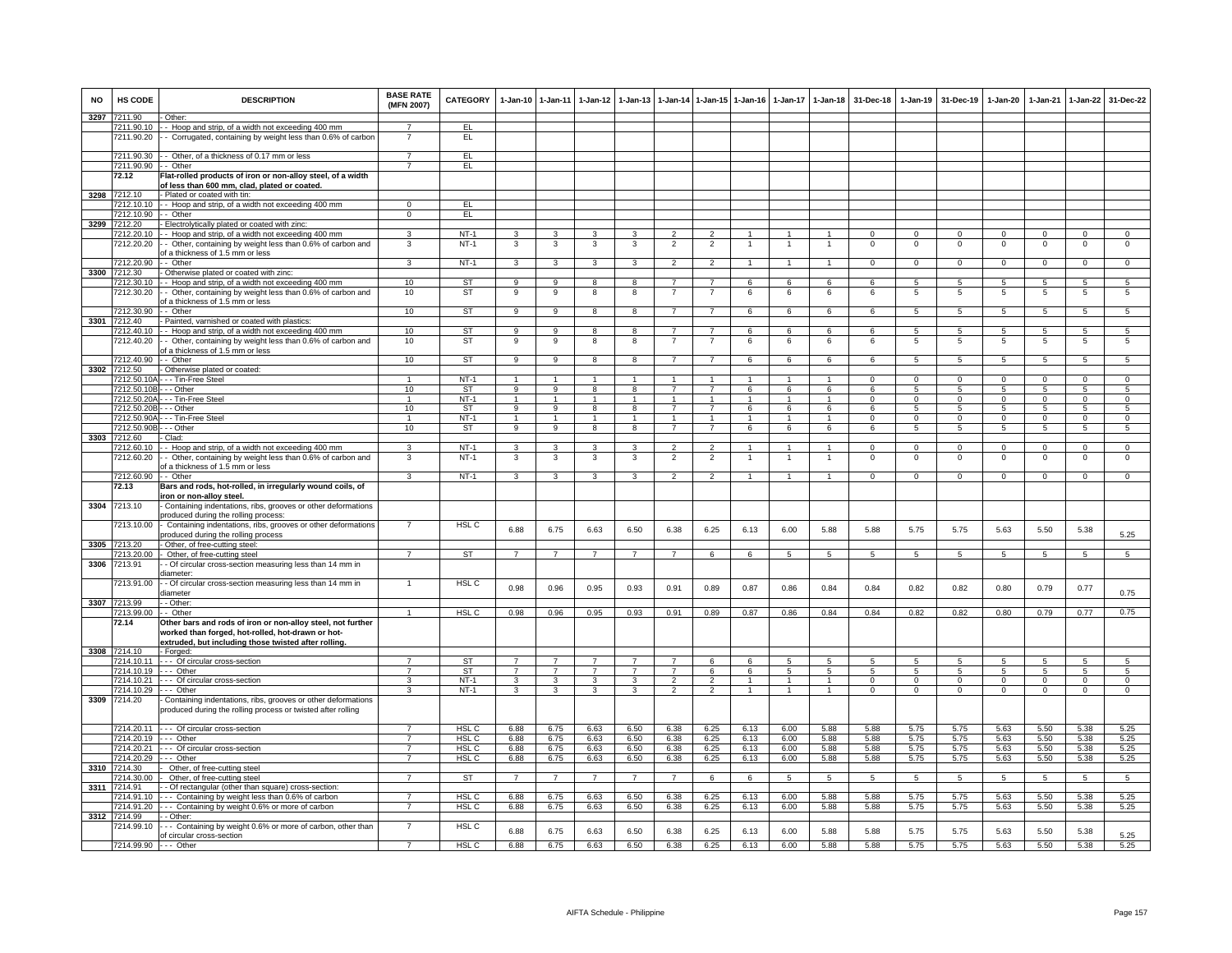| <b>NO</b> | <b>HS CODE</b>                         | <b>DESCRIPTION</b>                                                                                                             | <b>BASE RATE</b><br>(MFN 2007) | <b>CATEGORY</b>  |                         | 1-Jan-10 1-Jan-11              | $1-Jan-12$        | $1-Jan-13$              | $1-Jan-14$               | $1 - Jan - 15$                   | $1-Jan-16$        | $1-Jan-17$        | $1-Jan-18$           | 31-Dec-18               | $1-Jan-19$                    | 31-Dec-19                     | 1-Jan-20                 | 1-Jan-21                | $1-Jan-22$                      | 31-Dec-22                  |
|-----------|----------------------------------------|--------------------------------------------------------------------------------------------------------------------------------|--------------------------------|------------------|-------------------------|--------------------------------|-------------------|-------------------------|--------------------------|----------------------------------|-------------------|-------------------|----------------------|-------------------------|-------------------------------|-------------------------------|--------------------------|-------------------------|---------------------------------|----------------------------|
| 3297      | 7211.90<br>7211.90.10                  | Other:<br>- Hoop and strip, of a width not exceeding 400 mm                                                                    | 7                              | EL               |                         |                                |                   |                         |                          |                                  |                   |                   |                      |                         |                               |                               |                          |                         |                                 |                            |
|           | 7211.90.20                             | - Corrugated, containing by weight less than 0.6% of carbon                                                                    |                                | EL               |                         |                                |                   |                         |                          |                                  |                   |                   |                      |                         |                               |                               |                          |                         |                                 |                            |
|           |                                        | 7211.90.30 - - Other, of a thickness of 0.17 mm or less                                                                        |                                | EL               |                         |                                |                   |                         |                          |                                  |                   |                   |                      |                         |                               |                               |                          |                         |                                 |                            |
|           | 7211.90.90 -- Other                    |                                                                                                                                | $\overline{7}$                 | EL               |                         |                                |                   |                         |                          |                                  |                   |                   |                      |                         |                               |                               |                          |                         |                                 |                            |
|           | 72.12                                  | Flat-rolled products of iron or non-alloy steel, of a width<br>of less than 600 mm, clad, plated or coated.                    |                                |                  |                         |                                |                   |                         |                          |                                  |                   |                   |                      |                         |                               |                               |                          |                         |                                 |                            |
| 3298      | 7212.10                                | - Plated or coated with tin:                                                                                                   |                                |                  |                         |                                |                   |                         |                          |                                  |                   |                   |                      |                         |                               |                               |                          |                         |                                 |                            |
|           | 7212.10.10                             | - - Hoop and strip, of a width not exceeding 400 mm                                                                            | $\Omega$                       | EL               |                         |                                |                   |                         |                          |                                  |                   |                   |                      |                         |                               |                               |                          |                         |                                 |                            |
|           | 7212.10.90                             | -- Other                                                                                                                       | $\mathbf{0}$                   | EL               |                         |                                |                   |                         |                          |                                  |                   |                   |                      |                         |                               |                               |                          |                         |                                 |                            |
|           | 3299 7212.20                           | - Electrolytically plated or coated with zinc:                                                                                 |                                |                  |                         |                                |                   |                         |                          |                                  |                   |                   |                      |                         |                               |                               |                          |                         |                                 |                            |
|           | 7212.20.10<br>7212.20.20               | - Hoop and strip, of a width not exceeding 400 mm<br>- Other, containing by weight less than 0.6% of carbon and                | 3<br>3                         | $NT-1$<br>$NT-1$ | 3<br>3                  | 3<br>3                         | 3<br>3            | 3<br>3                  | 2<br>$\overline{2}$      | $\overline{2}$<br>$\overline{2}$ |                   | 1                 | $\mathbf{1}$         | $\Omega$<br>$\mathsf 0$ | $\Omega$<br>$\mathbf 0$       | $^{\circ}$<br>$\mathbf 0$     | $\Omega$<br>$\mathbf 0$  | $\Omega$<br>$\mathbf 0$ | $\mathbf{0}$<br>$\mathbf 0$     | $\mathbf 0$<br>$\mathsf 0$ |
|           |                                        | of a thickness of 1.5 mm or less                                                                                               |                                |                  |                         |                                |                   |                         |                          |                                  |                   |                   |                      |                         |                               |                               |                          |                         |                                 |                            |
|           | 7212.20.90                             | - Other                                                                                                                        | 3                              | $NT-1$           | $\mathbf{3}$            | $\mathbf{3}$                   | $\mathbf{3}$      | 3                       | $\overline{2}$           | $\overline{2}$                   | $\mathbf{1}$      | $\mathbf{1}$      | $\mathbf{1}$         | $\mathbf 0$             | $\mathbf 0$                   | $\mathbf 0$                   | $\mathbf 0$              | $\mathbf 0$             | $\mathbf 0$                     | $\Omega$                   |
| 3300      | 7212.30                                | - Otherwise plated or coated with zinc:                                                                                        |                                |                  |                         |                                |                   |                         |                          |                                  |                   |                   |                      |                         |                               |                               |                          |                         |                                 |                            |
|           | 7212.30.10                             | -- Hoop and strip, of a width not exceeding 400 mm                                                                             | 10                             | <b>ST</b>        | $_{9}$                  | $_{9}$                         | 8                 | 8                       | $\overline{7}$           | $\overline{7}$                   | 6                 | 6                 | 6                    | -6                      | $5^{\circ}$                   | $\overline{5}$                | 5                        | 5                       | $\overline{5}$                  | $5^{\circ}$                |
|           | 7212.30.20                             | - Other, containing by weight less than 0.6% of carbon and<br>of a thickness of 1.5 mm or less                                 | 10                             | ST               | 9                       | 9                              | 8                 | 8                       | $\overline{7}$           | $\overline{7}$                   | 6                 | 6                 | 6                    | 6                       | $\,$ 5                        | 5                             | 5                        | 5                       | $\sqrt{5}$                      | 5                          |
|           | 7212.30.90                             | - Other                                                                                                                        | 10                             | ST               | 9                       | 9                              | 8                 | 8                       | $\overline{7}$           | $\overline{7}$                   | 6                 | 6                 | 6                    | 6                       | 5                             | 5                             | 5                        | 5                       | 5                               | 5                          |
| 3301      | 7212.40                                | - Painted, varnished or coated with plastics:                                                                                  |                                |                  |                         |                                |                   |                         |                          |                                  |                   |                   |                      |                         |                               |                               |                          |                         |                                 |                            |
|           | 7212.40.10                             | - - Hoop and strip, of a width not exceeding 400 mm                                                                            | 10 <sup>1</sup>                | ST               | 9                       | 9                              | 8                 | 8                       | $\overline{7}$           | $\overline{7}$                   | 6                 | 6                 | 6                    | 6                       | 5                             | 5                             | 5                        | 5                       | 5                               | $5\phantom{.0}$            |
|           | 7212.40.20                             | - Other, containing by weight less than 0.6% of carbon and                                                                     | 10                             | <b>ST</b>        | 9                       | $_{9}$                         | 8                 | $\overline{8}$          | 7                        | $\overline{7}$                   | 6                 | 6                 | 6                    | 6                       | 5                             | 5                             | 5                        | $\overline{5}$          | $\overline{5}$                  | 5                          |
|           |                                        | of a thickness of 1.5 mm or less                                                                                               |                                | ST               |                         |                                |                   | 8                       | $\overline{7}$           | $\overline{7}$                   |                   |                   |                      |                         |                               |                               |                          |                         |                                 |                            |
| 3302      | 7212.40.90<br>7212.50                  | - - Other<br>- Otherwise plated or coated:                                                                                     | 10                             |                  | 9                       | 9                              | 8                 |                         |                          |                                  | 6                 | 6                 | 6                    | 6                       | 5                             | 5                             | 5                        | 5                       | 5                               | 5                          |
|           |                                        | 7212.50.10A - - - Tin-Free Steel                                                                                               | 1                              | $NT-1$           | $\overline{1}$          | $\overline{1}$                 | $\mathbf{1}$      | $\mathbf{1}$            | $\overline{1}$           | $\overline{1}$                   | $\overline{1}$    | $\overline{1}$    | $\blacktriangleleft$ | $\Omega$                | $\overline{0}$                | $\Omega$                      | $\Omega$                 | $\Omega$                | $\overline{0}$                  | $\overline{0}$             |
|           | 7212.50.10B                            | - - Other                                                                                                                      | 10                             | <b>ST</b>        | $\overline{9}$          | $\overline{9}$                 | 8                 | $\overline{\mathbf{a}}$ | 7                        | $\overline{7}$                   | 6                 | 6                 | 6                    | 6                       | $\overline{5}$                | $\overline{5}$                | $\overline{5}$           | $\overline{5}$          | $\overline{5}$                  | $\overline{5}$             |
|           | 7212.50.20A                            | - - - Tin-Free Steel                                                                                                           |                                | $NT-1$           | $\mathbf{1}$            | $\mathbf{1}$                   | $\mathbf{1}$      |                         | $\mathbf{1}$             | $\mathbf{1}$                     | $\overline{1}$    | $\mathbf{1}$      | $\overline{1}$       | $\Omega$                | $\Omega$                      | $\Omega$                      | $\Omega$                 | $\Omega$                | $\Omega$                        | $\Omega$                   |
|           | 7212.50.20B - - - Other                |                                                                                                                                | 10                             | ST               | 9                       | 9                              | 8                 | 8                       | $\overline{7}$           | $\overline{7}$                   | 6                 | 6                 | 6                    | 6                       | 5                             | 5                             | 5                        | 5                       | $5\overline{5}$                 | 5                          |
|           | 7212.50.90A<br>7212.50.90B - - - Other | - - - Tin-Free Steel                                                                                                           | $\mathbf{1}$<br>10             | $NT-1$<br>ST     | $\mathbf{1}$<br>9       | $\mathbf{1}$<br>$\overline{9}$ | $\mathbf{1}$<br>8 | $\mathbf{1}$<br>8       | 1<br>$\overline{7}$      | $\overline{1}$<br>$\overline{7}$ | $\mathbf{1}$<br>6 | $\mathbf{1}$<br>6 | $\mathbf{1}$<br>6    | $^{\circ}$<br>6         | $\mathbf 0$<br>$\overline{5}$ | $^{\circ}$<br>$5\phantom{.0}$ | 0<br>$\overline{5}$      | $^{\circ}$<br>5         | $\mathbf{0}$<br>$5\phantom{.0}$ | $\mathbf 0$<br>5           |
| 3303      | 7212.60                                | Clad:                                                                                                                          |                                |                  |                         |                                |                   |                         |                          |                                  |                   |                   |                      |                         |                               |                               |                          |                         |                                 |                            |
|           | 7212.60.10                             | - - Hoop and strip, of a width not exceeding 400 mm                                                                            | 3                              | $NT-1$           | 3                       | 3                              | 3                 | 3                       | $\overline{\phantom{a}}$ | $\overline{2}$                   |                   |                   |                      | $\Omega$                | $\mathsf 0$                   | $\mathbf 0$                   | $\mathbf 0$              | $\Omega$                | $\mathbf 0$                     | $\mathsf 0$                |
|           | 7212.60.20                             | - Other, containing by weight less than 0.6% of carbon and                                                                     | 3                              | $NT-1$           | 3                       | 3                              | 3                 | 3                       | $\overline{2}$           | $\overline{2}$                   |                   |                   |                      | $\mathbf 0$             | $\mathsf 0$                   | $\mathbf 0$                   | 0                        | 0                       | $\mathbf 0$                     | $\mathbf 0$                |
|           | 7212.60.90 - - Other                   | of a thickness of 1.5 mm or less                                                                                               | $\overline{3}$                 | $NT-1$           | $\overline{\mathbf{3}}$ | 3                              | $\mathbf{3}$      | 3                       | $\overline{2}$           | $\overline{2}$                   | $\mathbf{1}$      | $\mathbf{1}$      | $\overline{1}$       | $\Omega$                | $\mathbf{0}$                  | $\Omega$                      | $\Omega$                 | $\mathbf 0$             | $\mathbf 0$                     | $\overline{0}$             |
|           | 72.13                                  | Bars and rods, hot-rolled, in irregularly wound coils, of                                                                      |                                |                  |                         |                                |                   |                         |                          |                                  |                   |                   |                      |                         |                               |                               |                          |                         |                                 |                            |
|           |                                        | iron or non-alloy steel.                                                                                                       |                                |                  |                         |                                |                   |                         |                          |                                  |                   |                   |                      |                         |                               |                               |                          |                         |                                 |                            |
| 3304      | 7213.10                                | Containing indentations, ribs, grooves or other deformations                                                                   |                                |                  |                         |                                |                   |                         |                          |                                  |                   |                   |                      |                         |                               |                               |                          |                         |                                 |                            |
|           |                                        | produced during the rolling process:                                                                                           |                                | HSL <sub>C</sub> |                         |                                |                   |                         |                          |                                  |                   |                   |                      |                         |                               |                               |                          |                         |                                 |                            |
|           | 7213.10.00                             | Containing indentations, ribs, grooves or other deformations<br>produced during the rolling process                            |                                |                  | 6.88                    | 6.75                           | 6.63              | 6.50                    | 6.38                     | 6.25                             | 6.13              | 6.00              | 5.88                 | 5.88                    | 5.75                          | 5.75                          | 5.63                     | 5.50                    | 5.38                            | 5.25                       |
| 3305      | 7213.20                                | Other, of free-cutting steel:                                                                                                  |                                |                  |                         |                                |                   |                         |                          |                                  |                   |                   |                      |                         |                               |                               |                          |                         |                                 |                            |
|           | 7213.20.00                             | Other, of free-cutting steel                                                                                                   |                                | ST               | $\overline{7}$          | $\overline{7}$                 | $\overline{7}$    | $\overline{7}$          | $\overline{7}$           | 6                                | 6                 | 5                 | 5                    | 5                       | 5                             | 5                             | 5                        | 5                       | 5                               | 5                          |
| 3306      | 7213.91                                | - Of circular cross-section measuring less than 14 mm in                                                                       |                                |                  |                         |                                |                   |                         |                          |                                  |                   |                   |                      |                         |                               |                               |                          |                         |                                 |                            |
|           | 7213.91.00                             | diameter:<br>- Of circular cross-section measuring less than 14 mm in<br>diameter                                              |                                | HSL <sub>C</sub> | 0.98                    | 0.96                           | 0.95              | 0.93                    | 0.91                     | 0.89                             | 0.87              | 0.86              | 0.84                 | 0.84                    | 0.82                          | 0.82                          | 0.80                     | 0.79                    | 0.77                            | 0.75                       |
|           | 3307 7213.99                           | - Other:                                                                                                                       |                                |                  |                         |                                |                   |                         |                          |                                  |                   |                   |                      |                         |                               |                               |                          |                         |                                 |                            |
|           | 7213.99.00                             | - - Other                                                                                                                      | $\mathbf{1}$                   | HSL C            | 0.98                    | 0.96                           | 0.95              | 0.93                    | 0.91                     | 0.89                             | 0.87              | 0.86              | 0.84                 | 0.84                    | 0.82                          | 0.82                          | 0.80                     | 0.79                    | 0.77                            | 0.75                       |
|           | 72.14                                  | Other bars and rods of iron or non-alloy steel, not further                                                                    |                                |                  |                         |                                |                   |                         |                          |                                  |                   |                   |                      |                         |                               |                               |                          |                         |                                 |                            |
|           |                                        | worked than forged, hot-rolled, hot-drawn or hot-                                                                              |                                |                  |                         |                                |                   |                         |                          |                                  |                   |                   |                      |                         |                               |                               |                          |                         |                                 |                            |
|           | 3308 7214.10                           | <u>extruded, but including those twisted after rolling.</u><br>- Forged:                                                       |                                |                  |                         |                                |                   |                         |                          |                                  |                   |                   |                      |                         |                               |                               |                          |                         |                                 |                            |
|           |                                        | 7214.10.11 - - - Of circular cross-section                                                                                     |                                | ST               | $\overline{7}$          | $\overline{7}$                 | $\overline{7}$    | $\overline{7}$          | $\overline{7}$           | 6                                | 6                 | 5                 | 5                    | 5                       | 5                             | 5                             | 5                        | 5                       | 5                               | 5                          |
|           | 7214.10.19 --- Other                   |                                                                                                                                | $\overline{7}$                 | ST               | $\overline{7}$          | $\overline{7}$                 | $\overline{7}$    | $\overline{7}$          | $\overline{7}$           | 6                                | $6\phantom{.0}$   | $\overline{5}$    | $5\phantom{.0}$      | 5                       | $5\phantom{.0}$               | $\sqrt{5}$                    | $\overline{\phantom{a}}$ | $\overline{5}$          | $\,$ 5 $\,$                     | $\overline{\phantom{a}}$   |
|           |                                        | 7214.10.21 - - - Of circular cross-section                                                                                     | 3                              | $NT-1$           | $\overline{\mathbf{3}}$ | $\overline{\mathbf{3}}$        | $\overline{3}$    | $\overline{3}$          | $\overline{2}$           | $\overline{2}$                   | $\mathbf{1}$      | $\mathbf{1}$      | $\mathbf{1}$         | $\overline{0}$          | $\overline{0}$                | $\overline{0}$                | $\overline{0}$           | $\Omega$                | $\overline{0}$                  | $\overline{0}$             |
|           | 7214.10.29                             | --- Other                                                                                                                      | $\mathcal{R}$                  | $NT-1$           | 3                       | $\mathcal{R}$                  | $\mathcal{R}$     | $\mathbf{3}$            | $\mathfrak{p}$           | $\mathcal{P}$                    |                   | $\mathbf{1}$      |                      | $\Omega$                | $\Omega$                      | $\Omega$                      | 0                        | $\Omega$                | $\mathbf 0$                     | $\Omega$                   |
| 3309      | 7214.20                                | - Containing indentations, ribs, grooves or other deformations<br>produced during the rolling process or twisted after rolling |                                |                  |                         |                                |                   |                         |                          |                                  |                   |                   |                      |                         |                               |                               |                          |                         |                                 |                            |
|           |                                        | 7214.20.11 - - - Of circular cross-section                                                                                     | $\overline{7}$                 | <b>HSL C</b>     | 6.88                    | 6.75                           | 6.63              | 6.50                    | 6.38                     | 6.25                             | 6.13              | 6.00              | 5.88                 | 5.88                    | 5.75                          | 5.75                          | 5.63                     | 5.50                    | 5.38                            | 5.25                       |
|           | 7214.20.19 --- Other                   |                                                                                                                                | $\overline{7}$                 | HSL C            | 6.88                    | 6.75                           | 6.63              | 6.50                    | 6.38                     | 6.25                             | 6.13              | 6.00              | 5.88                 | 5.88                    | 5.75                          | 5.75                          | 5.63                     | 5.50                    | 5.38                            | 5.25                       |
|           | 7214.20.21                             | - - - Of circular cross-section                                                                                                |                                | HSL C            | 6.88                    | 6.75                           | 6.63              | 6.50                    | 6.38                     | 6.25                             | 6.13              | 6.00              | 5.88                 | 5.88                    | 5.75                          | 5.75                          | 5.63                     | 5.50                    | 5.38                            | 5.25                       |
|           | 7214.20.29                             | --- Other                                                                                                                      | $\overline{7}$                 | HSL C            | 6.88                    | 6.75                           | 6.63              | 6.50                    | 6.38                     | 6.25                             | 6.13              | 6.00              | 5.88                 | 5.88                    | 5.75                          | 5.75                          | 5.63                     | 5.50                    | 5.38                            | 5.25                       |
| 3310      | 7214.30<br>7214 30.00                  | Other, of free-cutting steel<br>Other, of free-cutting steel                                                                   |                                | ST               | $\overline{7}$          | $\overline{7}$                 | $\overline{7}$    | $\overline{7}$          | $\overline{7}$           | 6                                | 6                 | $\overline{5}$    | $\overline{5}$       | 5                       | $\overline{5}$                | $\overline{5}$                | $\overline{5}$           | $\overline{5}$          | $\overline{5}$                  | $\overline{5}$             |
| 3311      | 7214.91                                | - Of rectangular (other than square) cross-section                                                                             |                                |                  |                         |                                |                   |                         |                          |                                  |                   |                   |                      |                         |                               |                               |                          |                         |                                 |                            |
|           | 7214.91.10                             | --- Containing by weight less than 0.6% of carbon                                                                              |                                | HSL <sub>C</sub> | 6.88                    | 6.75                           | 6.63              | 6.50                    | 6.38                     | 6.25                             | 6.13              | 6.00              | 5.88                 | 5.88                    | 5.75                          | 5.75                          | 5.63                     | 5.50                    | 5.38                            | 5.25                       |
|           | 7214.91.20                             | --- Containing by weight 0.6% or more of carbon                                                                                | $\overline{7}$                 | HSL C            | 6.88                    | 6.75                           | 6.63              | 6.50                    | 6.38                     | 6.25                             | 6.13              | 6.00              | 5.88                 | 5.88                    | 5.75                          | 5.75                          | 5.63                     | 5.50                    | 5.38                            | 5.25                       |
|           | 3312 7214.99<br>7214.99.10             | - - Other:<br>--- Containing by weight 0.6% or more of carbon, other than                                                      | 7                              | HSL <sub>C</sub> |                         |                                |                   |                         |                          |                                  |                   |                   |                      |                         |                               |                               |                          |                         |                                 |                            |
|           |                                        | of circular cross-section                                                                                                      |                                |                  | 6.88                    | 6.75                           | 6.63              | 6.50                    | 6.38                     | 6.25                             | 6.13              | 6.00              | 5.88                 | 5.88                    | 5.75                          | 5.75                          | 5.63                     | 5.50                    | 5.38                            | 5.25                       |
|           | 7214.99.90 --- Other                   |                                                                                                                                |                                | HSL <sub>C</sub> | 6.88                    | 6.75                           | 6.63              | 6.50                    | 6.38                     | 6.25                             | 6.13              | 6.00              | 5.88                 | 5.88                    | 5.75                          | 5.75                          | 5.63                     | 5.50                    | 5.38                            | 5.25                       |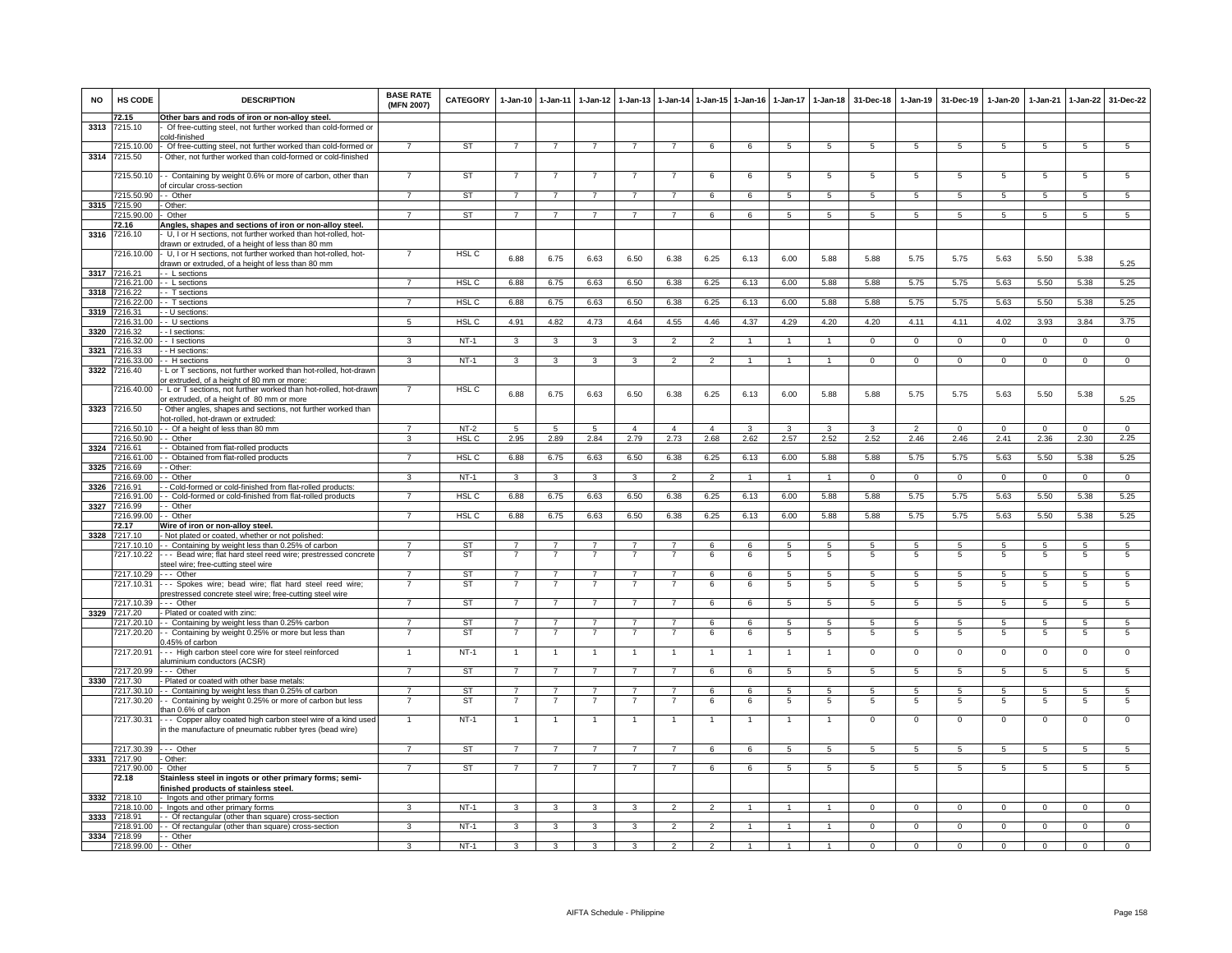| <b>NO</b>    | HS CODE                    | <b>DESCRIPTION</b>                                                                                                                                                           | <b>BASE RATE</b><br>(MFN 2007) | <b>CATEGORY</b>  | $1-Jan-10$                       | $1 - Jan-11$                     | $1-Jan-12$                       | $1 - Jan-13$            |                          |                | 1-Jan-14 1-Jan-15 1-Jan-16 | $1$ -Jan-17     | 1-Jan-18             | 31-Dec-18      | $1-Jan-19$     | 31-Dec-19        | $1-Jan-20$      | $1-Jan-21$     | $1 - Jan-22$        | 31-Dec-22            |
|--------------|----------------------------|------------------------------------------------------------------------------------------------------------------------------------------------------------------------------|--------------------------------|------------------|----------------------------------|----------------------------------|----------------------------------|-------------------------|--------------------------|----------------|----------------------------|-----------------|----------------------|----------------|----------------|------------------|-----------------|----------------|---------------------|----------------------|
| 3313         | 72.15<br>7215.10           | Other bars and rods of iron or non-alloy steel.<br>Of free-cutting steel, not further worked than cold-formed or                                                             |                                |                  |                                  |                                  |                                  |                         |                          |                |                            |                 |                      |                |                |                  |                 |                |                     |                      |
|              |                            | old-finished                                                                                                                                                                 |                                |                  |                                  |                                  |                                  |                         |                          |                |                            |                 |                      |                |                |                  |                 |                |                     |                      |
|              | 7215.10.00                 | Of free-cutting steel, not further worked than cold-formed or                                                                                                                | $\overline{7}$                 | <b>ST</b>        | $\overline{7}$                   | $\overline{7}$                   | $\overline{7}$                   | $\overline{7}$          | $\overline{7}$           | 6              | 6                          | $\overline{5}$  | $\overline{5}$       | 5              | $\overline{5}$ | -5               | 5               | $\overline{5}$ | $\overline{5}$      | $\overline{5}$       |
| 3314         | 7215.50                    | Other, not further worked than cold-formed or cold-finished                                                                                                                  |                                |                  |                                  |                                  |                                  |                         |                          |                |                            |                 |                      |                |                |                  |                 |                |                     |                      |
|              | 7215.50.10                 | - Containing by weight 0.6% or more of carbon, other than<br>f circular cross-section                                                                                        |                                | <b>ST</b>        |                                  |                                  |                                  |                         |                          | 6              | 6                          | 5               | 5                    | 5              | 5              | 5                | 5               | 5              | 5                   | 5                    |
|              | 7215.50.90                 | - Other                                                                                                                                                                      |                                | <b>ST</b>        | $\overline{7}$                   | $\overline{7}$                   |                                  |                         | $\overline{7}$           | 6              | 6                          | -5              | 5                    | $\sqrt{5}$     | -5             | $\sqrt{5}$       | 5               | $\sqrt{5}$     | $\overline{5}$      | $\overline{5}$       |
| 3315         | 7215.90                    | Other:                                                                                                                                                                       |                                |                  |                                  |                                  |                                  |                         |                          |                |                            |                 |                      |                |                |                  |                 |                |                     |                      |
|              | 7215.90.00                 | Other                                                                                                                                                                        | $\overline{7}$                 | ST               | $\overline{7}$                   | $\overline{7}$                   | $\overline{7}$                   | $\overline{7}$          | $\overline{7}$           | 6              | 6                          | 5               | $5\overline{5}$      | 5              | 5              | 5                | 5               | 5              | $5\overline{5}$     | 5                    |
| 3316         | 72.16<br>7216.10           | Angles, shapes and sections of iron or non-alloy steel.<br>U, I or H sections, not further worked than hot-rolled, hot-<br>frawn or extruded, of a height of less than 80 mm |                                |                  |                                  |                                  |                                  |                         |                          |                |                            |                 |                      |                |                |                  |                 |                |                     |                      |
|              | 216.10.00                  | U, I or H sections, not further worked than hot-rolled, hot-<br>frawn or extruded, of a height of less than 80 mm                                                            |                                | HSL <sub>C</sub> | 6.88                             | 6.75                             | 6.63                             | 6.50                    | 6.38                     | 6.25           | 6.13                       | 6.00            | 5.88                 | 5.88           | 5.75           | 5.75             | 5.63            | 5.50           | 5.38                | 5.25                 |
|              | 3317 7216.21               | - L sections                                                                                                                                                                 |                                | HSL C            | 6.88                             |                                  | 6.63                             | 6.50                    | 6.38                     |                | 6.13                       | 6.00            | 5.88                 | 5.88           |                | 5.75             |                 |                | 5.38                |                      |
| 3318         | 7216.21.00<br>7216.22      | - L sections<br>- T sections                                                                                                                                                 |                                |                  |                                  | 6.75                             |                                  |                         |                          | 6.25           |                            |                 |                      |                | 5.75           |                  | 5.63            | 5.50           |                     | 5.25                 |
|              | 7216.22.00                 | - T sections                                                                                                                                                                 |                                | HSL <sub>C</sub> | 6.88                             | 6.75                             | 6.63                             | 6.50                    | 6.38                     | 6.25           | 6.13                       | 6.00            | 5.88                 | 5.88           | 5.75           | 5.75             | 5.63            | 5.50           | 5.38                | 5.25                 |
|              | 3319 7216.31               | - U sections                                                                                                                                                                 |                                |                  |                                  |                                  |                                  |                         |                          |                |                            |                 |                      |                |                |                  |                 |                |                     |                      |
|              | 7216.31.00                 | - U sections                                                                                                                                                                 | 5                              | HSL <sub>C</sub> | 4.91                             | 4.82                             | 4.73                             | 4.64                    | 4.55                     | 4.46           | 4.37                       | 4.29            | 4.20                 | 4.20           | 4.11           | 4.11             | 4.02            | 3.93           | 3.84                | 3.75                 |
|              | 3320 7216.32<br>216.32.00  | - I sections:<br>- I sections                                                                                                                                                | 3                              | $NT-1$           | 3                                | 3                                | 3                                | 3                       | $\overline{2}$           | $\overline{2}$ | $\overline{1}$             | $\mathbf{1}$    | $\overline{1}$       | $\overline{0}$ | $\overline{0}$ | $\overline{0}$   | $\overline{0}$  | $\overline{0}$ | $\overline{0}$      | $\overline{0}$       |
| 3321         | 7216.33                    | - H sections                                                                                                                                                                 |                                |                  |                                  |                                  |                                  |                         |                          |                |                            |                 |                      |                |                |                  |                 |                |                     |                      |
|              | 7216.33.00                 | - H sections                                                                                                                                                                 | $\mathbf{3}$                   | $NT-1$           | $\overline{\mathbf{3}}$          | 3                                | 3                                | 3                       | $\overline{2}$           | $\overline{2}$ | $\mathbf{1}$               | $\overline{1}$  | $\mathbf{1}$         | $\mathbf{0}$   | $\mathbf 0$    | $\mathbf 0$      | $\mathbf 0$     | $\Omega$       | $\mathsf 0$         | $\overline{0}$       |
| 3322         | 7216.40                    | L or T sections, not further worked than hot-rolled, hot-drawr<br>or extruded, of a height of 80 mm or more:                                                                 |                                |                  |                                  |                                  |                                  |                         |                          |                |                            |                 |                      |                |                |                  |                 |                |                     |                      |
|              | 7216.40.00                 | L or T sections, not further worked than hot-rolled, hot-drawn<br>r extruded, of a height of 80 mm or more                                                                   | $\overline{7}$                 | HSL <sub>C</sub> | 6.88                             | 6.75                             | 6.63                             | 6.50                    | 6.38                     | 6.25           | 6.13                       | 6.00            | 5.88                 | 5.88           | 5.75           | 5.75             | 5.63            | 5.50           | 5.38                | 5.25                 |
| 3323         | 7216.50                    | Other angles, shapes and sections, not further worked than<br>iot-rolled, hot-drawn or extruded                                                                              |                                |                  |                                  |                                  |                                  |                         |                          |                |                            |                 |                      |                |                |                  |                 |                |                     |                      |
|              | 7216.50.10                 | - Of a height of less than 80 mm                                                                                                                                             | $\overline{7}$                 | $NT-2$           | 5                                | $\sqrt{5}$                       | $\overline{5}$                   | $\overline{4}$          | $\overline{4}$           | $\overline{4}$ | 3                          | 3               | 3                    | 3              | $\overline{2}$ | $\Omega$         | $\Omega$        | $\Omega$       | $\Omega$            | $\Omega$             |
| 3324 7216.61 | 7216.50.90                 | - Other<br>Obtained from flat-rolled products                                                                                                                                | 3                              | <b>HSL C</b>     | 2.95                             | 2.89                             | 2.84                             | 2.79                    | 2.73                     | 2.68           | 2.62                       | 2.57            | 2.52                 | 2.52           | 2.46           | 2.46             | 2.41            | 2.36           | 2.30                | 2.25                 |
|              | 7216.61.00                 | - Obtained from flat-rolled products                                                                                                                                         | $\overline{7}$                 | HSL <sub>C</sub> | 6.88                             | 6.75                             | 6.63                             | 6.50                    | 6.38                     | 6.25           | 6.13                       | 6.00            | 5.88                 | 5.88           | 5.75           | 5.75             | 5.63            | 5.50           | 5.38                | 5.25                 |
| 3325         | 7216.69                    | - Other                                                                                                                                                                      |                                |                  |                                  |                                  |                                  |                         |                          |                |                            |                 |                      |                |                |                  |                 |                |                     |                      |
|              | 7216.69.00                 | Other                                                                                                                                                                        | $\overline{\mathbf{3}}$        | $NT-1$           | $\overline{\mathbf{3}}$          | 3                                | $\overline{\mathbf{3}}$          | $\overline{\mathbf{3}}$ | $\overline{\phantom{a}}$ | $\overline{2}$ |                            | $\mathbf{1}$    | $\overline{1}$       | $\overline{0}$ | $\overline{0}$ | $\overline{0}$   | $\overline{0}$  | $\overline{0}$ | $\overline{0}$      | $\overline{0}$       |
| 3326         | 7216.91<br>7216.91.00      | - Cold-formed or cold-finished from flat-rolled products:<br>- Cold-formed or cold-finished from flat-rolled products                                                        | $\overline{7}$                 | HSL <sub>C</sub> | 6.88                             | 6.75                             | 6.63                             | 6.50                    | 6.38                     | 6.25           | 6.13                       | 6.00            | 5.88                 | 5.88           | 5.75           | 5.75             | 5.63            | 5.50           | 5.38                | 5.25                 |
|              | 3327 7216.99               | - Other                                                                                                                                                                      |                                |                  |                                  |                                  |                                  |                         |                          |                |                            |                 |                      |                |                |                  |                 |                |                     |                      |
|              | 7216.99.00                 | - Other                                                                                                                                                                      | $\overline{7}$                 | HSL C            | 6.88                             | 6.75                             | 6.63                             | 6.50                    | 6.38                     | 6.25           | 6.13                       | 6.00            | 5.88                 | 5.88           | 5.75           | 5.75             | 5.63            | 5.50           | 5.38                | 5.25                 |
| 3328         | 72.17<br>7217.10           | Wire of iron or non-alloy steel.<br>Not plated or coated, whether or not polished:                                                                                           |                                |                  |                                  |                                  |                                  |                         |                          |                |                            |                 |                      |                |                |                  |                 |                |                     |                      |
|              | 7217.10.10                 | - Containing by weight less than 0.25% of carbon                                                                                                                             | $\overline{7}$                 | <b>ST</b>        | $\overline{7}$                   | $\overline{7}$                   | $\overline{7}$                   | 7                       | $\overline{7}$           | 6              | 6                          | 5               | 5                    | 5              | 5              | 5                | 5               | 5              | 5                   | 5                    |
|              | 7217.10.22                 | - - Bead wire; flat hard steel reed wire; prestressed concrete<br>steel wire; free-cutting steel wire                                                                        | $\overline{7}$                 | <b>ST</b>        | $\overline{7}$                   | $\overline{7}$                   | $\overline{7}$                   | $\overline{7}$          | $\overline{7}$           | 6              | 6                          | $\overline{5}$  | $5\phantom{.0}$      | 5              | 5              | 5                | $5\phantom{.0}$ | 5              | 5                   | 5                    |
|              | 7217.10.29                 | -- Other                                                                                                                                                                     | $\overline{7}$                 | <b>ST</b>        | $\overline{7}$                   | $\overline{7}$                   | $\overline{7}$                   |                         | $\overline{7}$           | 6              | 6                          | $\overline{5}$  | 5                    | $\overline{5}$ | $\overline{5}$ | $\sqrt{5}$       | $5^{\circ}$     | $\sqrt{5}$     | 5                   | 5                    |
|              | 7217.10.31<br>7217.10.39   | -- Spokes wire; bead wire; flat hard steel reed wire;<br>restressed concrete steel wire; free-cutting steel wire<br>-- Other                                                 | $\overline{7}$                 | ST<br><b>ST</b>  | $\overline{7}$<br>$\overline{7}$ | $\overline{7}$<br>$\overline{7}$ | $\overline{7}$<br>$\overline{7}$ | $\overline{7}$          | $\overline{7}$           | 6<br>6         | 6<br>6                     | 5<br>5          | 5<br>$5\phantom{.0}$ | 5<br>5         | 5<br>5         | 5<br>5           | 5<br>5          | 5<br>5         | 5<br>$\overline{5}$ | 5<br>$5\phantom{.0}$ |
|              | 3329 7217.20               | Plated or coated with zinc:                                                                                                                                                  |                                |                  |                                  |                                  |                                  |                         |                          |                |                            |                 |                      |                |                |                  |                 |                |                     |                      |
|              | 7217.20.10<br>7217.20.20   | - Containing by weight less than 0.25% carbon<br>- Containing by weight 0.25% or more but less than                                                                          |                                | ST<br><b>ST</b>  | $\overline{7}$<br>$\overline{7}$ | $\overline{7}$<br>$\overline{7}$ | $\overline{7}$                   |                         |                          | 6<br>6         | 6<br>6                     | 5<br>5          | 5<br>5               | 5<br>5         | 5<br>5         | $5^{\circ}$<br>5 | 5<br>5          | 5<br>5         | 5<br>$\overline{5}$ | 5<br>5               |
|              | 7217.20.91                 | .45% of carbon<br>-- High carbon steel core wire for steel reinforced                                                                                                        |                                | $NT-1$           | $\overline{1}$                   | $\overline{1}$                   |                                  | $\mathbf{1}$            | $\overline{1}$           | $\overline{1}$ | $\mathbf{1}$               | $\overline{1}$  | $\mathbf{1}$         | $\mathbf 0$    | $\mathbf 0$    | $\mathbf 0$      | $\mathbf 0$     | $\mathbf 0$    | $\overline{0}$      | $\overline{0}$       |
|              | 7217.20.99                 | aluminium conductors (ACSR)<br>-- Other                                                                                                                                      | $\overline{7}$                 | <b>ST</b>        | $\overline{7}$                   | $\overline{7}$                   | $\overline{7}$                   | $\overline{7}$          | $\overline{7}$           | 6              | 6                          | $5\overline{5}$ | 5                    | $\sqrt{5}$     | -5             | $\sqrt{5}$       | 5               | $\sqrt{5}$     | 5                   | 5                    |
|              | 3330 7217.30               | Plated or coated with other base metals:                                                                                                                                     |                                |                  |                                  |                                  |                                  |                         |                          |                |                            |                 |                      |                |                |                  |                 |                |                     |                      |
|              | 7217.30.10                 | - Containing by weight less than 0.25% of carbon                                                                                                                             | $\overline{7}$                 | <b>ST</b>        | $\overline{7}$                   | $\overline{7}$                   | $\overline{7}$                   | $\overline{7}$          | $\overline{7}$           | 6              | 6                          | 5               | 5                    | 5              | 5              | 5                | 5               | 5              | 5                   | 5                    |
|              | 7217.30.20                 | - Containing by weight 0.25% or more of carbon but less<br>han 0.6% of carbon                                                                                                |                                | <b>ST</b>        | 7                                | $\overline{7}$                   | 7                                | $\overline{7}$          | 7                        | 6              | 6                          | 5               | $\overline{5}$       | $\overline{5}$ | 5              | -5               | 5               | -5             | 5                   | $\overline{5}$       |
|              | 7217.30.31                 | - - Copper alloy coated high carbon steel wire of a kind used<br>n the manufacture of pneumatic rubber tyres (bead wire)                                                     |                                | $NT-1$           | $\overline{1}$                   | $\overline{1}$                   |                                  |                         |                          | $\overline{1}$ |                            |                 |                      | 0              | $\Omega$       | $\Omega$         | $\mathbf 0$     | $\Omega$       | 0                   | $\Omega$             |
|              | 7217.30.39                 | $\cdots$ Other                                                                                                                                                               | $\overline{7}$                 | <b>ST</b>        | $\overline{7}$                   | $\overline{7}$                   | $\overline{7}$                   | $\overline{7}$          | $\overline{7}$           | 6              | 6                          | $5^{\circ}$     | 5                    | $5^{\circ}$    | -5             | $\sqrt{5}$       | $\overline{5}$  | $\sqrt{5}$     | $\overline{5}$      | $\sqrt{5}$           |
|              | 3331 7217.90<br>7217.90.00 | Other:<br>Other                                                                                                                                                              | $\overline{7}$                 | ST               | $\overline{7}$                   | $\overline{7}$                   | $\overline{7}$                   | $\overline{7}$          | $\overline{7}$           | 6              | 6                          | -5              | 5                    | 5              | 5              | 5                | 5               | -5             | 5                   | $5^{\circ}$          |
|              | 72.18                      | Stainless steel in ingots or other primary forms; semi-<br>inished products of stainless steel.                                                                              |                                |                  |                                  |                                  |                                  |                         |                          |                |                            |                 |                      |                |                |                  |                 |                |                     |                      |
|              | 3332 7218.10               | Ingots and other primary forms                                                                                                                                               |                                |                  |                                  |                                  |                                  |                         |                          |                |                            |                 |                      |                |                |                  |                 |                |                     |                      |
|              | 7218.10.00                 | Ingots and other primary forms                                                                                                                                               | 3                              | $NT-1$           | 3                                | 3                                | 3                                | 3                       | $\overline{2}$           | $\mathcal{P}$  |                            |                 |                      | $^{\circ}$     | $\mathbf 0$    | $\mathbf 0$      | 0               | 0              | $\mathbf 0$         | 0                    |
|              | 3333 7218.91<br>7218.91.00 | - Of rectangular (other than square) cross-section<br>- Of rectangular (other than square) cross-section                                                                     | 3                              | $NT-1$           | 3                                | 3                                |                                  | 3                       | $\overline{2}$           | $\mathcal{P}$  |                            |                 |                      | $\Omega$       | $\Omega$       | $\Omega$         | $\Omega$        | $\Omega$       | $\Omega$            | $\Omega$             |
| 3334         | 7218.99                    | - Other                                                                                                                                                                      |                                |                  |                                  |                                  |                                  |                         |                          |                |                            |                 |                      |                |                |                  |                 |                |                     |                      |
|              | 7218.99.00                 | -- Other                                                                                                                                                                     | 3                              | $NT-1$           | 3                                |                                  |                                  |                         | $\mathfrak{p}$           |                |                            |                 |                      |                |                |                  |                 |                | $\Omega$            |                      |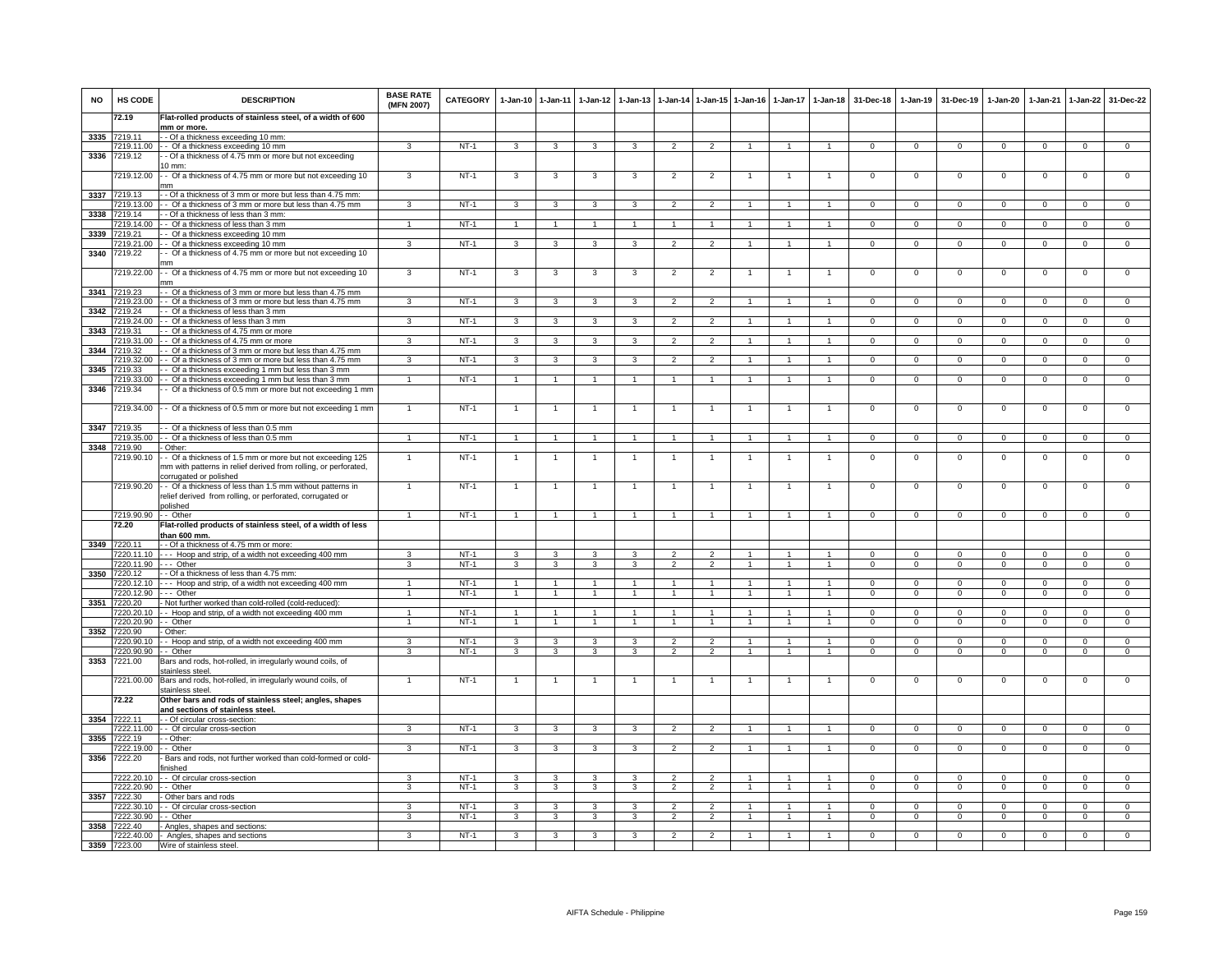| <b>NO</b>    | HS CODE                         | <b>DESCRIPTION</b>                                                                                                                        | <b>BASE RATE</b><br>(MFN 2007) | <b>CATEGORY</b>  | $1 - Jan-10$      | $1 - Jan-11$   | $1 - Jan-12$                 | $1-Jan-13$     |                                  |                                  | 1-Jan-14 1-Jan-15 1-Jan-16 | 1-Jan-17 1-Jan-18              |                                | 31-Dec-18                  | $1-Jan-19$                 | 31-Dec-19                | $1 - Jan-20$               | $1-Jan-21$              | 1-Jan-22                   | 31-Dec-22                |
|--------------|---------------------------------|-------------------------------------------------------------------------------------------------------------------------------------------|--------------------------------|------------------|-------------------|----------------|------------------------------|----------------|----------------------------------|----------------------------------|----------------------------|--------------------------------|--------------------------------|----------------------------|----------------------------|--------------------------|----------------------------|-------------------------|----------------------------|--------------------------|
|              | 72.19                           | Flat-rolled products of stainless steel, of a width of 600<br>mm or more.                                                                 |                                |                  |                   |                |                              |                |                                  |                                  |                            |                                |                                |                            |                            |                          |                            |                         |                            |                          |
| 3335         | 7219.11                         | - Of a thickness exceeding 10 mm:                                                                                                         |                                |                  |                   |                |                              |                |                                  |                                  |                            |                                |                                |                            |                            |                          |                            |                         |                            |                          |
| 3336         | 7219.11.00<br>7219.12           | -- Of a thickness exceeding 10 mm<br>- Of a thickness of 4.75 mm or more but not exceeding                                                | 3                              | $NT-1$           | 3                 | 3              | 3                            | 3              | $\overline{2}$                   | $\overline{2}$                   | $\mathbf{1}$               | $\overline{1}$                 | $\overline{1}$                 | $\overline{0}$             | $\overline{0}$             | $\Omega$                 | $\Omega$                   | $\overline{0}$          | $\overline{0}$             | $\overline{0}$           |
|              |                                 | $10$ mm:                                                                                                                                  |                                |                  |                   |                |                              |                |                                  |                                  |                            |                                |                                |                            |                            |                          |                            |                         |                            |                          |
|              | 7219.12.00                      | - Of a thickness of 4.75 mm or more but not exceeding 10<br>nm                                                                            | 3                              | $NT-1$           | 3                 | 3              | 3                            | 3              | $\overline{2}$                   | $\overline{2}$                   |                            |                                |                                | $\circ$                    | 0                          | $^{\circ}$               | $\overline{0}$             | $\mathbf 0$             | 0                          | 0                        |
| 3337         | 7219.13                         | - Of a thickness of 3 mm or more but less than 4.75 mm:                                                                                   |                                |                  |                   |                |                              |                |                                  |                                  |                            |                                |                                |                            |                            |                          |                            |                         |                            |                          |
|              | 7219.13.00<br>3338 7219.14      | - Of a thickness of 3 mm or more but less than 4.75 mm<br>- Of a thickness of less than 3 mm:                                             | 3                              | $NT-1$           | 3                 | 3              | 3                            | 3              | $\overline{2}$                   | $\overline{2}$                   |                            |                                |                                | $\Omega$                   | $\Omega$                   | $\Omega$                 | $\Omega$                   | $\Omega$                | $\Omega$                   | $\Omega$                 |
|              | 7219.14.00                      | - Of a thickness of less than 3 mm                                                                                                        | $\overline{1}$                 | $NT-1$           | $\mathbf{1}$      | $\mathbf{1}$   |                              | $\mathbf{1}$   | $\overline{1}$                   | 1                                | -1                         | 1                              | 1                              | $\mathbf{0}$               | $\mathbf{0}$               | $\mathbf{0}$             | $\overline{0}$             | $\mathbf 0$             | $\mathbf{0}$               | $\mathbf{0}$             |
| 3339         | 7219.21<br>7219.21.00           | - Of a thickness exceeding 10 mm<br>- Of a thickness exceeding 10 mm                                                                      | 3                              | $NT-1$           | 3                 | 3              | 3                            | 3              | $\overline{2}$                   | $\overline{2}$                   | $\mathbf{1}$               | $\mathbf{1}$                   | $\mathbf{1}$                   | $\mathbf{0}$               | $\mathbf 0$                | $\mathbf 0$              | $\mathbf 0$                | $\mathbf 0$             | $\mathbf{0}$               | $\overline{0}$           |
| 3340         | 7219.22                         | - Of a thickness of 4.75 mm or more but not exceeding 10                                                                                  |                                |                  |                   |                |                              |                |                                  |                                  |                            |                                |                                |                            |                            |                          |                            |                         |                            |                          |
|              | 7219.22.00                      | nm<br>- Of a thickness of 4.75 mm or more but not exceeding 10                                                                            | $\mathbf{3}$                   | $NT-1$           | 3                 | 3              | 3                            | 3              | $\overline{2}$                   | $\overline{2}$                   | -1                         | $\overline{1}$                 | $\overline{1}$                 | $\mathbf 0$                | $\mathsf 0$                | $^{\circ}$               | $\mathbf 0$                | $\mathbf 0$             | $\mathsf 0$                | $\overline{0}$           |
|              |                                 | mm                                                                                                                                        |                                |                  |                   |                |                              |                |                                  |                                  |                            |                                |                                |                            |                            |                          |                            |                         |                            |                          |
|              | 3341 7219.23<br>7219.23.00      | - Of a thickness of 3 mm or more but less than 4.75 mm<br>- Of a thickness of 3 mm or more but less than 4.75 mm                          | $\mathcal{R}$                  | $NT-1$           | 3                 | 3              |                              |                | $\overline{\phantom{a}}$         | $\mathcal{P}$                    |                            |                                |                                | $\Omega$                   | $\Omega$                   | $\Omega$                 | $\Omega$                   | $\Omega$                | $\Omega$                   | $\Omega$                 |
|              | 3342 7219.24                    | - Of a thickness of less than 3 mm                                                                                                        |                                |                  |                   |                |                              |                |                                  |                                  |                            |                                |                                |                            |                            |                          |                            |                         |                            |                          |
| 3343         | 7219.24.00<br>7219.31           | - Of a thickness of less than 3 mm<br>- Of a thickness of 4.75 mm or more                                                                 | 3                              | $NT-1$           | 3                 | 3              | 3                            | 3              | $\overline{2}$                   | $\overline{2}$                   | -1                         | $\mathbf{1}$                   | $\mathbf{1}$                   | $\overline{0}$             | $\mathbf 0$                | $\mathbf 0$              | $\overline{0}$             | $\mathbf 0$             | $\mathbf{0}$               | $\circ$                  |
|              | 7219.31.00                      | - Of a thickness of 4.75 mm or more                                                                                                       | $\overline{3}$                 | $NT-1$           | $\overline{3}$    | 3              | $\mathcal{R}$                | 3              | $\overline{2}$                   | $\overline{2}$                   |                            | 1                              | $\mathbf{1}$                   | $\overline{0}$             | $\overline{0}$             | $\Omega$                 | $\overline{0}$             | $\overline{0}$          | $\overline{0}$             | $\overline{0}$           |
| 3344         | 7219.32                         | - Of a thickness of 3 mm or more but less than 4.75 mm                                                                                    |                                |                  |                   |                |                              |                |                                  |                                  |                            |                                |                                |                            |                            |                          |                            |                         |                            |                          |
| 3345         | 7219.32.00<br>7219.33           | - Of a thickness of 3 mm or more but less than 4.75 mm<br>- Of a thickness exceeding 1 mm but less than 3 mm                              | 3                              | $NT-1$           | 3                 | 3              | 3                            | 3              | $\overline{2}$                   | $\mathcal{P}$                    |                            |                                |                                | $\mathbf 0$                | $\mathbf 0$                | $\Omega$                 | $\mathsf 0$                | $\Omega$                | $\mathsf 0$                | $\Omega$                 |
|              | 7219.33.00                      | - Of a thickness exceeding 1 mm but less than 3 mm                                                                                        | $\overline{1}$                 | $NT-1$           | $\overline{1}$    | $\overline{1}$ |                              | $\overline{1}$ | $\overline{1}$                   | $\overline{1}$                   | $\overline{1}$             | $\mathbf{1}$                   | $\overline{1}$                 | $\overline{0}$             | $\overline{0}$             | $\overline{0}$           | $\overline{0}$             | $\overline{0}$          | $\overline{0}$             | $\overline{0}$           |
| 3346         | 7219.34                         | Of a thickness of 0.5 mm or more but not exceeding 1 mm                                                                                   |                                |                  |                   |                |                              |                |                                  |                                  |                            |                                |                                |                            |                            |                          |                            |                         |                            |                          |
|              | 7219.34.00                      | - Of a thickness of 0.5 mm or more but not exceeding 1 mm                                                                                 | $\overline{1}$                 | $NT-1$           |                   | $\overline{1}$ |                              | $\overline{1}$ | $\overline{1}$                   | $\mathbf{1}$                     | $\mathbf{1}$               | $\mathbf{1}$                   | $\overline{1}$                 | $\overline{0}$             | 0                          | 0                        | $\overline{0}$             | $\mathbf 0$             | 0                          | $\circ$                  |
| 3347         | 7219.35<br>219.35.00            | - Of a thickness of less than 0.5 mm<br>- Of a thickness of less than 0.5 mm                                                              | $\mathbf{1}$                   | $NT-1$           | $\mathbf{1}$      | $\mathbf{1}$   | $\mathbf{1}$                 | $\mathbf{1}$   | $\overline{1}$                   | $\mathbf{1}$                     | $\overline{1}$             | $\mathbf{1}$                   | $\overline{1}$                 | $\mathbf{0}$               | $\mathbf 0$                | $\mathbf 0$              | $\mathbf 0$                | $\mathbf 0$             | $\mathbf 0$                | $\overline{0}$           |
| 3348         | 7219.90                         | Other:                                                                                                                                    |                                |                  |                   |                |                              |                |                                  |                                  |                            |                                |                                |                            |                            |                          |                            |                         |                            |                          |
|              | 7219.90.10                      | - Of a thickness of 1.5 mm or more but not exceeding 125<br>nm with patterns in relief derived from rolling, or perforated,               | $\mathbf{1}$                   | $NT-1$           |                   | $\mathbf{1}$   |                              | $\mathbf{1}$   | $\overline{1}$                   | $\mathbf{1}$                     | 1                          | 1                              | 1                              | $\circ$                    | 0                          | 0                        | 0                          | $\mathbf 0$             | 0                          | $\mathsf 0$              |
|              |                                 | corrugated or polished                                                                                                                    |                                |                  |                   |                |                              |                |                                  |                                  |                            |                                |                                |                            |                            |                          |                            |                         |                            |                          |
|              | 7219.90.20                      | - Of a thickness of less than 1.5 mm without patterns in<br>elief derived from rolling, or perforated, corrugated or<br>oolished          |                                | $NT-1$           |                   |                |                              |                |                                  | $\overline{1}$                   |                            |                                |                                | $\mathbf 0$                | $\Omega$                   | $\Omega$                 | $\mathbf 0$                | $\Omega$                | $\mathbf 0$                | $\Omega$                 |
|              | 7219.90.90                      | - - Other                                                                                                                                 | $\overline{1}$                 | $NT-1$           | $\mathbf{1}$      | -1             |                              | $\mathbf{1}$   | $\overline{1}$                   | $\mathbf{1}$                     | $\mathbf{1}$               | $\mathbf{1}$                   | $\mathbf{1}$                   | $\Omega$                   | $\mathbf 0$                | $\mathbf 0$              | $\mathbf 0$                | $\Omega$                | $\mathbf{0}$               | $\mathbf 0$              |
|              | 72.20                           | Flat-rolled products of stainless steel, of a width of less                                                                               |                                |                  |                   |                |                              |                |                                  |                                  |                            |                                |                                |                            |                            |                          |                            |                         |                            |                          |
| 3349         | 7220.11                         | han 600 mm.<br>- Of a thickness of 4.75 mm or more:                                                                                       |                                |                  |                   |                |                              |                |                                  |                                  |                            |                                |                                |                            |                            |                          |                            |                         |                            |                          |
|              | 7220.11.10                      | --- Hoop and strip, of a width not exceeding 400 mm                                                                                       | 3                              | $NT-1$           | 3                 | 3              |                              | 3              | $\overline{2}$                   | $\mathcal{P}$                    | -1                         | 1                              | $\mathbf{1}$                   | $\mathbf 0$                | $\Omega$                   | 0                        | $\Omega$                   | $\Omega$                | $^{\circ}$                 | $\mathsf 0$              |
| 3350         | 7220.11.90 --- Other<br>7220.12 | - - Of a thickness of less than 4.75 mm:                                                                                                  | 3                              | $NT-1$           | 3                 | 3              | 3                            | 3              | $\overline{2}$                   | 2                                | $\overline{1}$             | $\mathbf{1}$                   | $\mathbf{1}$                   | $\mathbf 0$                | $\Omega$                   | $^{\circ}$               | $\mathbf 0$                | $\Omega$                | $\mathsf 0$                | $\overline{0}$           |
|              | 7220.12.10                      | -- Hoop and strip, of a width not exceeding 400 mm                                                                                        |                                | $NT-1$           |                   |                |                              |                |                                  | $\mathbf{1}$                     |                            |                                | 1                              | $\Omega$                   | $\Omega$                   | $\Omega$                 | $\Omega$                   | $\Omega$                | $\Omega$                   | $\Omega$                 |
|              | 7220.12.90<br>3351 7220.20      | --- Other<br>Not further worked than cold-rolled (cold-reduced):                                                                          | $\overline{1}$                 | $NT-1$           | $\overline{1}$    | $\overline{1}$ | $\overline{1}$               | $\overline{1}$ | $\overline{1}$                   | $\overline{1}$                   | $\overline{1}$             | $\overline{1}$                 | $\mathbf{1}$                   | $\overline{0}$             | $\mathbf{0}$               | $\mathbf 0$              | $\overline{0}$             | $\mathbf 0$             | $\mathbf{0}$               | $\mathbf{0}$             |
|              | 7220.20.10                      | - Hoop and strip, of a width not exceeding 400 mm                                                                                         | $\overline{1}$                 | $NT-1$           | $\overline{1}$    | $\overline{1}$ | $\mathbf{1}$                 | $\mathbf{1}$   | $\overline{1}$                   | $\overline{1}$                   | $\overline{1}$             | $\overline{1}$                 | $\overline{1}$                 | $\Omega$                   | $\Omega$                   | $\Omega$                 | $\Omega$                   | $\Omega$                | $\Omega$                   | $\Omega$                 |
| 3352         | 7220.20.90<br>7220.90           | - Other<br>Other:                                                                                                                         |                                | $NT-1$           |                   | $\overline{1}$ |                              | 1              | -1                               | $\mathbf{1}$                     | $\mathbf{1}$               | 1                              | $\mathbf{1}$                   | $\mathbf 0$                | $\mathbf 0$                | $\Omega$                 | $\Omega$                   | $\Omega$                | $\mathbf 0$                | $\mathbf 0$              |
|              | 7220.90.10                      | - Hoop and strip, of a width not exceeding 400 mm                                                                                         | 3                              | $NT-1$           |                   | 3              |                              | 3              |                                  |                                  |                            |                                | $\overline{1}$                 | $\Omega$                   | $\Omega$                   | $\Omega$                 | $\Omega$                   | $\Omega$                | 0                          | $\Omega$                 |
|              | 7220.90.90                      | - Other                                                                                                                                   | 3                              | $NT-1$           | 3                 | 3              | 3                            | 3              | $\overline{2}$                   | $\overline{2}$                   | $\overline{1}$             | $\overline{1}$                 | $\overline{1}$                 | $\mathbf 0$                | $\mathbf 0$                | $^{\circ}$               | $\mathbf 0$                | $\mathbf 0$             | $\mathsf 0$                | $\overline{0}$           |
| 3353         | 7221.00<br>7221.00.00           | Bars and rods, hot-rolled, in irregularly wound coils, of<br>stainless steel<br>Bars and rods, hot-rolled, in irregularly wound coils, of |                                | $NT-1$           |                   |                |                              |                |                                  | $\overline{1}$                   |                            |                                |                                | $\mathbf 0$                | $\mathbf 0$                | $\Omega$                 | $\mathbf 0$                | $\mathbf 0$             | $\mathbf 0$                | $\overline{0}$           |
|              | 72.22                           | stainless steel<br>Other bars and rods of stainless steel; angles, shapes                                                                 |                                |                  |                   |                |                              |                |                                  |                                  |                            |                                |                                |                            |                            |                          |                            |                         |                            |                          |
| 3354 7222.11 |                                 | and sections of stainless steel.<br>- Of circular cross-section                                                                           |                                |                  |                   |                |                              |                |                                  |                                  |                            |                                |                                |                            |                            |                          |                            |                         |                            |                          |
|              | 222.11.00                       | - Of circular cross-section                                                                                                               | 3                              | $NT-1$           |                   | 3              |                              | 3              |                                  | $\mathcal{P}$                    |                            |                                |                                | 0                          | $\Omega$                   | $\Omega$                 | $\Omega$                   | $\Omega$                | 0                          | $\Omega$                 |
| 3355         | 7222.19                         | - Other:                                                                                                                                  |                                |                  |                   |                |                              |                |                                  | $\overline{2}$                   |                            |                                |                                |                            |                            |                          |                            |                         |                            | $\overline{0}$           |
| 3356         | 7222.19.00<br>7222.20           | - Other<br>Bars and rods, not further worked than cold-formed or cold-                                                                    | $\mathbf{3}$                   | $NT-1$           | 3                 | 3              | $\mathbf{R}$                 | 3              | $\overline{2}$                   |                                  | $\overline{1}$             | $\overline{1}$                 | $\mathbf{1}$                   | $\Omega$                   | $\Omega$                   | $\Omega$                 | $\Omega$                   | $\Omega$                | $\mathbf{0}$               |                          |
|              |                                 | inished                                                                                                                                   |                                |                  |                   |                |                              |                |                                  |                                  |                            |                                |                                |                            |                            |                          |                            |                         |                            |                          |
|              | 7222.20.10<br>7222.20.90        | - Of circular cross-section<br>- - Other                                                                                                  | 3<br>$\mathbf{3}$              | $NT-1$<br>$NT-1$ | 3<br>$\mathbf{3}$ | 3<br>3         | $\mathbf{a}$<br>$\mathbf{3}$ | 3<br>3         | $\overline{2}$<br>$\overline{2}$ | $\overline{2}$<br>$\overline{2}$ | $\overline{1}$             | $\overline{1}$<br>$\mathbf{1}$ | $\overline{1}$<br>$\mathbf{1}$ | $\Omega$<br>$\overline{0}$ | $\Omega$<br>$\overline{0}$ | $\Omega$<br>$\mathbf{0}$ | $\Omega$<br>$\overline{0}$ | $\Omega$<br>$\mathbf 0$ | $\Omega$<br>$\overline{0}$ | $\Omega$<br>$\mathbf{0}$ |
|              | 3357 7222.30                    | - Other bars and rods                                                                                                                     |                                |                  |                   |                |                              |                |                                  |                                  |                            |                                |                                |                            |                            |                          |                            |                         |                            |                          |
|              | 7222.30.10                      | - Of circular cross-section                                                                                                               | 3                              | $NT-1$           | 3                 | 3              | 3                            | 3              | $\overline{2}$                   | $\overline{2}$                   | $\mathbf{1}$               | $\overline{1}$                 | $\overline{1}$                 | $\Omega$                   | $\Omega$                   | $\Omega$                 | $\mathbf 0$                | $\Omega$                | $\mathbf{0}$               | $\overline{0}$           |
| 3358         | 7222.30.90<br>7222.40           | - Other<br>Angles, shapes and sections:                                                                                                   | 3                              | $NT-1$           | 3                 | 3              | 3                            | 3              | $\overline{2}$                   | $\overline{2}$                   |                            | 1                              | $\mathbf{1}$                   | $\mathbf 0$                | $\mathbf 0$                | $\mathbf{0}$             | $\mathbf{0}$               | $^{\circ}$              | $\mathbf 0$                | $\mathbf 0$              |
|              | 7222.40.00                      | Angles, shapes and sections                                                                                                               | 3                              | $NT-1$           | 3                 | 3              |                              | 3              | $\overline{2}$                   | $\mathcal{P}$                    |                            |                                |                                | $\Omega$                   | $\Omega$                   | $\Omega$                 | $\Omega$                   | $\Omega$                | $\Omega$                   | $\Omega$                 |
|              | 3359 7223.00                    | Wire of stainless steel.                                                                                                                  |                                |                  |                   |                |                              |                |                                  |                                  |                            |                                |                                |                            |                            |                          |                            |                         |                            |                          |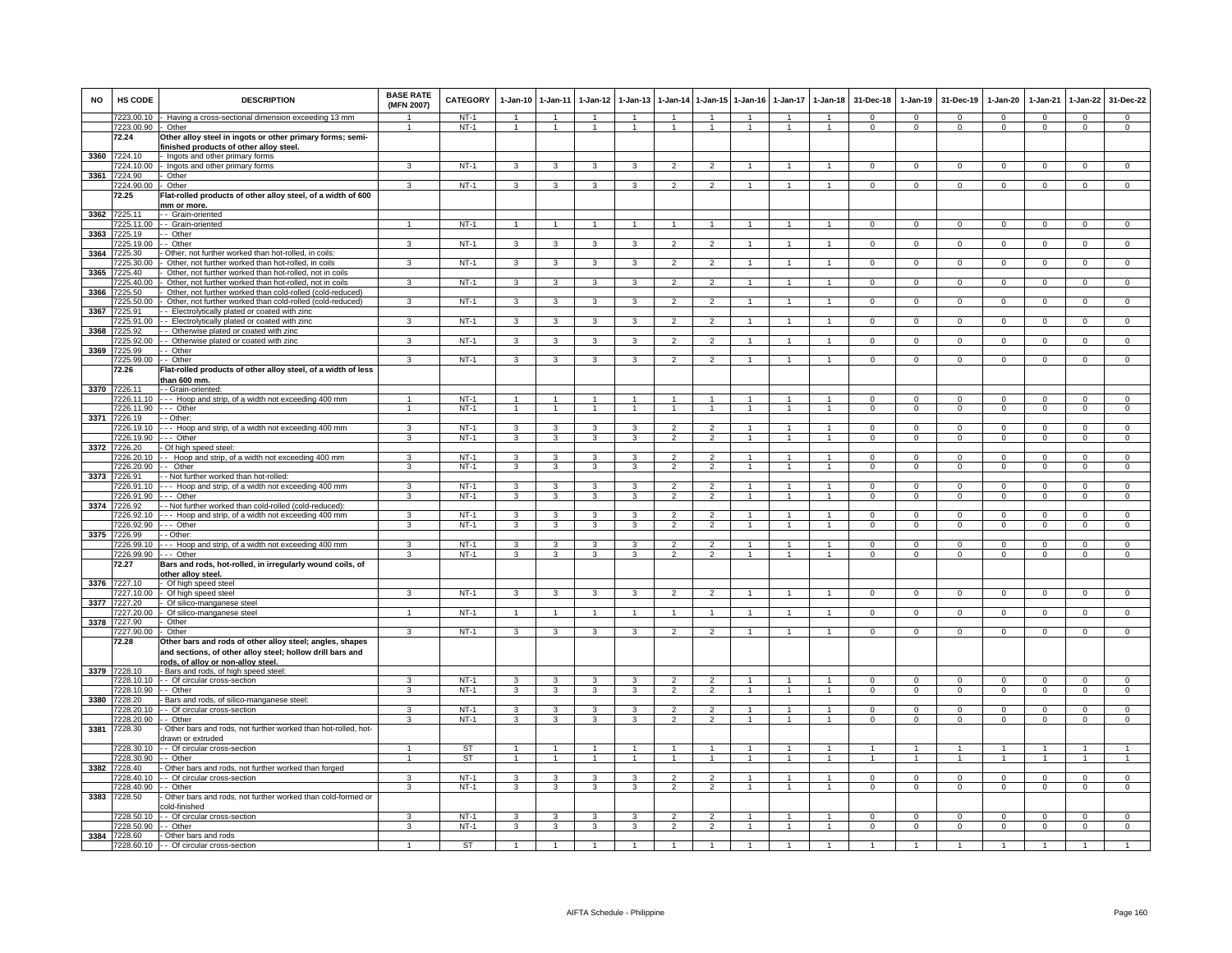| <b>NO</b> | <b>HS CODE</b>                       | <b>DESCRIPTION</b>                                                                                                                                         | <b>BASE RATE</b><br>(MFN 2007) | <b>CATEGORY</b>  | 1-Jan-10 1-Jan-11                |                                  | $1-Jan-12$                       | $1 - Jan-13$                     | $1-Jan-14$                                 |                                  | 1-Jan-15 1-Jan-16                | $1-Jan-17$                   | $1-Jan-18$                       | 31-Dec-18                      | $1-Jan-19$                 | 31-Dec-19                  | $1-Jan-20$                   | $1-Jan-21$                 | $1-Jan-22$                     | 31-Dec-22                      |
|-----------|--------------------------------------|------------------------------------------------------------------------------------------------------------------------------------------------------------|--------------------------------|------------------|----------------------------------|----------------------------------|----------------------------------|----------------------------------|--------------------------------------------|----------------------------------|----------------------------------|------------------------------|----------------------------------|--------------------------------|----------------------------|----------------------------|------------------------------|----------------------------|--------------------------------|--------------------------------|
|           | 7223.00.10<br>7223.00.90             | - Having a cross-sectional dimension exceeding 13 mm<br>- Other                                                                                            | $\overline{1}$                 | $NT-1$<br>$NT-1$ | $\overline{1}$<br>$\overline{1}$ | $\overline{1}$<br>$\overline{1}$ | $\overline{1}$<br>$\overline{1}$ | $\overline{1}$<br>$\overline{1}$ | $\overline{1}$<br>$\overline{1}$           | $\overline{1}$                   | $\overline{1}$<br>$\overline{1}$ | $\overline{1}$               | $\overline{1}$<br>$\overline{1}$ | $\Omega$<br>$\mathbf{0}$       | $\Omega$<br>$\mathbf{0}$   | $\Omega$<br>$\overline{0}$ | $\Omega$<br>$\mathbf{0}$     | $\Omega$<br>$\overline{0}$ | $\mathbf{0}$<br>$\circ$        | $\Omega$<br>$\mathbf{0}$       |
|           | 72.24                                | Other alloy steel in ingots or other primary forms; semi-<br>finished products of other alloy steel.                                                       |                                |                  |                                  |                                  |                                  |                                  |                                            |                                  |                                  |                              |                                  |                                |                            |                            |                              |                            |                                |                                |
|           | 3360 7224.10<br>7224.10.00           | Ingots and other primary forms<br>Ingots and other primary forms                                                                                           | 3                              | $NT-1$           | $\mathbf{3}$                     | 3                                | 3                                | 3                                | $\overline{2}$                             | $\overline{2}$                   |                                  |                              | $\mathbf{1}$                     | $\mathbf{0}$                   | $\mathbf{0}$               | $\mathbf 0$                | $^{\circ}$                   | $^{\circ}$                 | $^{\circ}$                     | $\mathbf 0$                    |
| 3361      | 7224.90                              | - Other                                                                                                                                                    |                                |                  |                                  |                                  |                                  |                                  |                                            |                                  |                                  |                              |                                  |                                |                            |                            |                              |                            |                                |                                |
|           | 7224.90.00                           | Other                                                                                                                                                      | $\overline{3}$                 | $NT-1$           | $\mathbf{3}$                     | $\overline{3}$                   | $\mathbf{3}$                     | 3                                | $\overline{2}$                             | $\mathcal{P}$                    | $\overline{1}$                   |                              | $\overline{1}$                   | $\Omega$                       | $\mathbf 0$                | $\mathbf 0$                | $\circ$                      | $\mathbf 0$                | $\mathsf 0$                    | $\overline{0}$                 |
|           | 72.25                                | Flat-rolled products of other alloy steel, of a width of 600                                                                                               |                                |                  |                                  |                                  |                                  |                                  |                                            |                                  |                                  |                              |                                  |                                |                            |                            |                              |                            |                                |                                |
| 3362      | 7225.11                              | mm or more.<br>- Grain-oriented                                                                                                                            |                                |                  |                                  |                                  |                                  |                                  |                                            |                                  |                                  |                              |                                  |                                |                            |                            |                              |                            |                                |                                |
|           | 7225.11.00                           | - Grain-oriented                                                                                                                                           | 1                              | <b>NT-1</b>      | $\mathbf{1}$                     | $\overline{1}$                   | $\mathbf{1}$                     | 1                                | $\overline{1}$                             |                                  |                                  |                              | $\mathbf{1}$                     | $\mathbf{0}$                   | $\mathbf{0}$               | $\mathbf{0}$               | $\mathbf{0}$                 | $\mathbf 0$                | $\mathbf{0}$                   | $\mathbf{0}$                   |
|           | 3363 7225.19                         | - Other                                                                                                                                                    |                                |                  |                                  |                                  |                                  |                                  |                                            |                                  |                                  |                              |                                  |                                |                            |                            |                              |                            |                                |                                |
|           | 7225.19.00                           | - Other                                                                                                                                                    | 3                              | $NT-1$           | $\overline{\mathbf{3}}$          | $\overline{\mathbf{3}}$          | $\overline{\mathbf{3}}$          | $\overline{3}$                   | $\overline{2}$                             | $\overline{2}$                   | 1                                | -1                           | $\mathbf{1}$                     | $\overline{0}$                 | $\overline{0}$             | $\overline{0}$             | $\overline{0}$               | $\Omega$                   | $\overline{0}$                 | $\overline{0}$                 |
| 3364      | 7225.30<br>7225.30.00                | Other, not further worked than hot-rolled, in coils:<br>Other, not further worked than hot-rolled, in coils                                                | 3                              | $NT-1$           | 3                                | 3                                | 3                                | 3                                | $\overline{2}$                             | $\overline{2}$                   |                                  |                              | $\mathbf{1}$                     | $\mathsf 0$                    | $\mathbf 0$                | $\mathbf 0$                | $\mathbf 0$                  | $\mathbf 0$                | $\mathsf 0$                    | $\mathbf 0$                    |
| 3365      | 7225.40                              | Other, not further worked than hot-rolled, not in coils                                                                                                    |                                |                  |                                  |                                  |                                  |                                  |                                            |                                  |                                  |                              |                                  |                                |                            |                            |                              |                            |                                |                                |
|           | 7225.40.00                           | Other, not further worked than hot-rolled, not in coils                                                                                                    | 3                              | $NT-1$           | $\overline{\mathbf{3}}$          | 3                                | $\mathbf{3}$                     | $\mathbf{a}$                     | $\overline{2}$                             | $\overline{2}$                   | $\overline{1}$                   | $\mathbf{1}$                 | $\blacktriangleleft$             | $\Omega$                       | $\Omega$                   | $\mathbf 0$                | $\Omega$                     | $\Omega$                   | $\mathbf 0$                    | $\overline{0}$                 |
| 3366      | 7225.50                              | Other, not further worked than cold-rolled (cold-reduced)                                                                                                  |                                |                  |                                  |                                  |                                  |                                  |                                            |                                  |                                  |                              |                                  |                                |                            |                            |                              |                            |                                |                                |
|           | 7225.50.00                           | Other, not further worked than cold-rolled (cold-reduced)                                                                                                  | 3                              | $NT-1$           | 3                                | 3                                | 3                                | 3                                | $\overline{2}$                             | $\overline{2}$                   |                                  |                              |                                  | $\Omega$                       | $\Omega$                   | $\Omega$                   | $\Omega$                     | $\Omega$                   | $\Omega$                       | $\Omega$                       |
| 3367      | 7225.91<br>7225.91.00                | - Electrolytically plated or coated with zinc<br>- Electrolytically plated or coated with zinc                                                             | 3                              | $NT-1$           | $\mathbf{3}$                     | $\mathbf{3}$                     | $\mathbf{3}$                     | 3                                | $\overline{2}$                             | $\overline{2}$                   | $\overline{1}$                   |                              | $\overline{1}$                   | $\mathbf{O}$                   | $\mathbf 0$                | $\mathbf{0}$               | $\mathbf{0}$                 | $^{\circ}$                 | $\mathsf 0$                    | $\mathbf 0$                    |
| 3368      | 7225.92                              | - Otherwise plated or coated with zinc                                                                                                                     |                                |                  |                                  |                                  |                                  |                                  |                                            |                                  |                                  |                              |                                  |                                |                            |                            |                              |                            |                                |                                |
|           | 7225.92.00                           | - Otherwise plated or coated with zinc                                                                                                                     | 3                              | $NT-1$           | 3                                | $\overline{\mathbf{3}}$          | 3                                | 3                                | $\overline{2}$                             | $\overline{2}$                   |                                  |                              | 1                                | $\Omega$                       | $\Omega$                   | $\Omega$                   | $\Omega$                     | $\Omega$                   | $\Omega$                       | $\overline{0}$                 |
| 3369      | 7225.99                              | - - Other                                                                                                                                                  | 3                              | $NT-1$           | 3                                | 3                                | 3                                | 3                                | $\overline{2}$                             | $\overline{2}$                   |                                  |                              |                                  | $^{\circ}$                     | $^{\circ}$                 |                            | $^{\circ}$                   | $\mathbf 0$                | $\mathsf 0$                    | $\mathbf 0$                    |
|           | 7225.99.00 -- Other<br>72.26         | Flat-rolled products of other alloy steel, of a width of less                                                                                              |                                |                  |                                  |                                  |                                  |                                  |                                            |                                  |                                  |                              |                                  |                                |                            | $\mathbf 0$                |                              |                            |                                |                                |
|           |                                      | than 600 mm.                                                                                                                                               |                                |                  |                                  |                                  |                                  |                                  |                                            |                                  |                                  |                              |                                  |                                |                            |                            |                              |                            |                                |                                |
|           | 3370 7226.11                         | - - Grain-oriented:                                                                                                                                        |                                |                  |                                  |                                  |                                  |                                  |                                            |                                  |                                  |                              |                                  |                                |                            |                            |                              |                            |                                |                                |
|           | 7226.11.10<br>7226.11.90 --- Other   | --- Hoop and strip, of a width not exceeding 400 mm                                                                                                        | $\mathbf{1}$                   | $NT-1$<br>$NT-1$ | $\mathbf{1}$<br>$\overline{1}$   | $\overline{1}$<br>$\overline{1}$ | $\mathbf{1}$                     | $\overline{1}$                   | $\overline{1}$                             | $\overline{1}$                   | $\overline{1}$                   | $\mathbf{1}$                 | $\mathbf{1}$<br>$\overline{1}$   | $\Omega$<br>$\mathbf{O}$       | $\Omega$<br>$\mathbf{0}$   | $\Omega$<br>$\mathbf 0$    | $\Omega$<br>$\mathbf{0}$     | $\Omega$<br>$\mathbf 0$    | $\overline{0}$<br>$\mathbf{0}$ | $\overline{0}$<br>$\mathbf{0}$ |
|           | 3371 7226.19                         | - - Other:                                                                                                                                                 |                                |                  |                                  |                                  |                                  |                                  |                                            |                                  |                                  |                              |                                  |                                |                            |                            |                              |                            |                                |                                |
|           | 7226.19.10                           | --- Hoop and strip, of a width not exceeding 400 mm                                                                                                        | 3                              | $NT-1$           | 3                                | $\mathbf{3}$                     | 3                                | 3                                | $\overline{2}$                             | $\overline{2}$                   | $\mathbf{1}$                     | $\mathbf{1}$                 | $\mathbf{1}$                     | $\Omega$                       | $\mathbf{0}$               | $\mathbf 0$                | $\Omega$                     | $\Omega$                   | $^{\circ}$                     | $\mathbf 0$                    |
|           | 7226.19.90 --- Other                 |                                                                                                                                                            | 3                              | $NT-1$           | $\mathbf{3}$                     | $\overline{\mathbf{3}}$          | $\mathbf{3}$                     | $\overline{3}$                   | $\overline{2}$                             | $\overline{2}$                   | $\overline{1}$                   | 1                            | $\mathbf{1}$                     | $\mathbf{O}$                   | $\mathbf{0}$               | $\mathbf 0$                | $\mathbf{0}$                 | $\Omega$                   | $\mathbf{0}$                   | $\overline{0}$                 |
|           | 3372 7226.20<br>7226.20.10           | - Of high speed steel:<br>- Hoop and strip, of a width not exceeding 400 mm                                                                                | 3                              | $NT-1$           | 3                                | 3                                | 3                                | 3                                | $\overline{2}$                             | $\overline{2}$                   |                                  |                              | $\mathbf{1}$                     | $^{\circ}$                     | $^{\circ}$                 | $\mathbf 0$                | $\mathbf 0$                  | $\mathbf 0$                | $^{\circ}$                     | $\mathbf 0$                    |
|           | 7226.20.90                           | -- Other                                                                                                                                                   | 3                              | $NT-1$           | $\mathbf{3}$                     | 3                                | $\mathbf{3}$                     | 3                                | $\overline{2}$                             | $\overline{2}$                   |                                  |                              | $\overline{1}$                   | $\mathsf 0$                    | $\mathsf 0$                | $\mathbf 0$                | $\mathbf 0$                  | $\mathbf 0$                | $\mathsf 0$                    | $\mathbf 0$                    |
|           | 3373 7226.91                         | - - Not further worked than hot-rolled:                                                                                                                    |                                |                  |                                  |                                  |                                  |                                  |                                            |                                  |                                  |                              |                                  |                                |                            |                            |                              |                            |                                |                                |
|           | 7226.91.10<br>7226.91.90             | --- Hoop and strip, of a width not exceeding 400 mm<br>- - - Other                                                                                         | 3<br>3                         | $NT-1$<br>$NT-1$ | 3<br>3                           | $\overline{3}$<br>3              | 3<br>3                           | 3<br>3                           | $\overline{\phantom{a}}$<br>$\overline{2}$ | $\overline{2}$<br>$\overline{2}$ |                                  |                              | $\mathbf{1}$                     | $\Omega$<br>$\Omega$           | $\Omega$<br>$\mathsf 0$    | $\Omega$<br>$\Omega$       | $\Omega$<br>$\Omega$         | $\Omega$<br>$\Omega$       | $\overline{0}$<br>$\mathsf 0$  | $\overline{0}$<br>$\Omega$     |
|           | 3374 7226.92                         | - - Not further worked than cold-rolled (cold-reduced):                                                                                                    |                                |                  |                                  |                                  |                                  |                                  |                                            |                                  |                                  |                              |                                  |                                |                            |                            |                              |                            |                                |                                |
|           |                                      | 7226.92.10 --- Hoop and strip, of a width not exceeding 400 mm                                                                                             | 3                              | $NT-1$           | 3                                | $\mathbf{3}$                     | $\mathbf{3}$                     | 3                                | $\overline{2}$                             | $\overline{2}$                   |                                  |                              | $\overline{1}$                   | $\Omega$                       | $\Omega$                   | $\Omega$                   | $\Omega$                     | $\Omega$                   | $\mathbf{0}$                   | $\Omega$                       |
|           | 7226.92.90 --- Other                 |                                                                                                                                                            | 3                              | $NT-1$           | $\mathbf{3}$                     | $\mathbf{3}$                     | $\mathbf{3}$                     | 3                                | $\overline{2}$                             | $\overline{2}$                   | $\mathbf{1}$                     | $\mathbf{1}$                 | $\overline{1}$                   | $\overline{0}$                 | $\mathbf{0}$               | $\mathbf{0}$               | $\mathbf{0}$                 | $\overline{0}$             | $\mathbf{0}$                   | $\mathbf{0}$                   |
|           | 3375 7226.99<br>7226.99.10           | - Other:<br>--- Hoop and strip, of a width not exceeding 400 mm                                                                                            | 3                              | $NT-1$           | 3                                | 3                                | 3                                | 3                                | $\overline{2}$                             | $\overline{2}$                   | 1                                | 1                            | $\mathbf{1}$                     | $\mathbf{0}$                   | $\mathbf{0}$               | $^{\circ}$                 | $\mathbf 0$                  | $^{\circ}$                 | $\mathbf 0$                    | $\mathbf 0$                    |
|           | 7226.99.90                           | --- Other                                                                                                                                                  | 3                              | $NT-1$           | 3                                | $\mathbf{3}$                     | 3                                | 3                                | $\mathfrak{p}$                             | $\overline{2}$                   | $\mathbf{1}$                     | $\mathbf{1}$                 |                                  | $\Omega$                       | $\mathsf 0$                | $\mathbf 0$                | $\mathbf 0$                  | $\Omega$                   | $\mathsf 0$                    | $\Omega$                       |
|           | 72.27                                | Bars and rods, hot-rolled, in irregularly wound coils, of<br>other alloy steel.                                                                            |                                |                  |                                  |                                  |                                  |                                  |                                            |                                  |                                  |                              |                                  |                                |                            |                            |                              |                            |                                |                                |
|           | 3376 7227.10                         | - Of high speed steel                                                                                                                                      |                                |                  |                                  |                                  |                                  |                                  |                                            |                                  |                                  |                              |                                  |                                |                            |                            |                              |                            |                                |                                |
| 3377      | 7227.10.00<br>7227.20                | - Of high speed steel<br>Of silico-manganese steel                                                                                                         | 3                              | $NT-1$           | $\mathbf{3}$                     | 3                                | 3                                | 3                                | $\overline{2}$                             | $\overline{2}$                   |                                  |                              | $\overline{1}$                   | $\Omega$                       | $\mathsf 0$                | $\Omega$                   | $\mathbf 0$                  | $\Omega$                   | $\mathsf 0$                    | $\Omega$                       |
|           | 7227.20.00                           | Of silico-manganese steel                                                                                                                                  | $\mathbf{1}$                   | $NT-1$           | $\overline{1}$                   | $\overline{1}$                   | $\mathbf{1}$                     | $\overline{1}$                   | $\overline{1}$                             | $\overline{1}$                   | $\overline{1}$                   | $\mathbf{1}$                 | $\overline{1}$                   | $\mathbf{0}$                   | $\mathbf 0$                | $\mathbf 0$                | $\mathbf{0}$                 | $^{\circ}$                 | $\mathbf{0}$                   | $\Omega$                       |
| 3378      | 7227.90                              | Other                                                                                                                                                      |                                |                  |                                  |                                  |                                  |                                  |                                            |                                  |                                  |                              |                                  |                                |                            |                            |                              |                            |                                |                                |
|           | 7227.90.00                           | - Other                                                                                                                                                    | $\mathbf{3}$                   | $NT-1$           | $\mathbf{3}$                     | $\overline{\mathbf{3}}$          | $\mathbf{3}$                     | 3                                | $\overline{2}$                             | $\overline{2}$                   | $\mathbf{1}$                     | -1                           | $\overline{1}$                   | $\mathbf{0}$                   | $^{\circ}$                 | $\mathbf{0}$               | $^{\circ}$                   | $^{\circ}$                 | $\overline{0}$                 | $\overline{0}$                 |
|           | 72.28                                | Other bars and rods of other alloy steel; angles, shapes<br>and sections, of other alloy steel; hollow drill bars and<br>rods, of allov or non-allov steel |                                |                  |                                  |                                  |                                  |                                  |                                            |                                  |                                  |                              |                                  |                                |                            |                            |                              |                            |                                |                                |
|           | 3379 7228.10                         | - Bars and rods, of high speed steel:                                                                                                                      |                                |                  |                                  |                                  |                                  |                                  |                                            |                                  |                                  |                              |                                  |                                |                            |                            |                              |                            |                                |                                |
|           |                                      | 7228.10.10 - - Of circular cross-section                                                                                                                   | 3                              | $NT-1$           | $\mathbf{3}$                     | 3                                | 3                                | $\mathbf{3}$                     | $\overline{2}$                             | $\overline{2}$                   | $\overline{1}$                   |                              | $\overline{1}$                   | $\Omega$                       | $\Omega$                   | $\Omega$                   | $\Omega$                     | $\Omega$                   | $\Omega$                       | $\overline{0}$                 |
|           | 7228.10.90 - - Other<br>3380 7228.20 | - Bars and rods, of silico-manganese steel:                                                                                                                | $\overline{\mathbf{3}}$        | $NT-1$           | 3                                | $\overline{3}$                   | 3                                | $\overline{\mathbf{3}}$          | $\overline{2}$                             | $\overline{2}$                   |                                  |                              | $\overline{1}$                   | $\overline{0}$                 | $\overline{0}$             | $\overline{0}$             | $\overline{0}$               | $\overline{0}$             | $\overline{0}$                 | $\overline{0}$                 |
|           |                                      | 7228.20.10 - - Of circular cross-section                                                                                                                   | $\mathcal{R}$                  | $NT-1$           | $\mathbf{3}$                     | $\mathbf{3}$                     | $\mathbf{3}$                     | 3                                | $\overline{2}$                             | $\overline{2}$                   |                                  |                              | $\overline{1}$                   | $\Omega$                       | $\Omega$                   | $\Omega$                   | $\Omega$                     | $\Omega$                   | $\mathbf 0$                    | $\Omega$                       |
|           | 7228.20.90                           | -- Other                                                                                                                                                   | 3                              | <b>NT-1</b>      | $\mathbf{3}$                     | $\mathbf{3}$                     | $\mathbf{3}$                     | 3                                | $\overline{2}$                             | 2                                | $\mathbf{1}$                     | 1                            | $\overline{1}$                   | $\mathbf{0}$                   | $\mathbf{0}$               | $\mathbf{0}$               | $\mathbf{0}$                 | $^{\circ}$                 | $\mathbf{0}$                   | $\mathbf{0}$                   |
| 3381      | 7228.30                              | Other bars and rods, not further worked than hot-rolled, hot-<br>drawn or extruded                                                                         |                                |                  |                                  |                                  |                                  |                                  |                                            |                                  |                                  |                              |                                  |                                |                            |                            |                              |                            |                                |                                |
|           | 7228.30.10                           | - Of circular cross-section                                                                                                                                | $\mathbf{1}$                   | ST               | $\mathbf{1}$                     | $\overline{1}$                   | $\mathbf{1}$                     | $\mathbf{1}$                     | $\overline{1}$                             |                                  | 1                                | $\mathbf{1}$                 | $\mathbf{1}$                     | $\mathbf{1}$                   |                            | $\mathbf{1}$               | $\mathbf{1}$                 | $\overline{1}$             | $\mathbf{1}$<br>$\overline{1}$ |                                |
| 3382      | 7228.30.90<br>7228.40                | - - Other<br>- Other bars and rods, not further worked than forged                                                                                         | $\mathbf{1}$                   | ST               | $\overline{1}$                   | $\overline{1}$                   | $\overline{1}$                   | $\mathbf{1}$                     | $\overline{1}$                             | $\blacktriangleleft$             | $\mathbf{1}$                     | $\mathbf{1}$                 | $\mathbf{1}$                     | $\overline{1}$                 | $\overline{1}$             | $\overline{1}$             | $\mathbf{1}$                 |                            |                                | $\overline{1}$                 |
|           | 7228.40.10                           | - Of circular cross-section                                                                                                                                | $\mathbf{a}$                   | $NT-1$           | $\overline{\mathbf{3}}$          | $\overline{3}$                   | $\mathbf{3}$                     | $\overline{\mathbf{3}}$          | $\overline{\phantom{a}}$                   | $\mathcal{P}$                    | $\overline{1}$                   | $\mathbf{1}$                 | $\overline{1}$                   | $\Omega$                       | $\Omega$                   | $\Omega$                   | $\Omega$                     | $\Omega$                   | $\Omega$                       | $\Omega$                       |
|           | 7228.40.90                           | - - Other                                                                                                                                                  | 3                              | $NT-1$           | 3                                | 3                                | 3                                | 3                                | $\overline{2}$                             | $\overline{2}$                   | $\mathbf{1}$                     | $\overline{1}$               | $\blacktriangleleft$             | $\mathbf{O}$                   | $\mathsf 0$                | $\mathbf 0$                | $\mathbf 0$                  | $\mathbf 0$                | $\mathbf 0$                    | $\mathbf 0$                    |
| 3383      | 7228.50                              | Other bars and rods, not further worked than cold-formed or<br>cold-finished                                                                               |                                |                  |                                  |                                  |                                  |                                  |                                            |                                  |                                  |                              |                                  |                                |                            |                            |                              |                            |                                |                                |
|           | 7228.50.10<br>7228.50.90             | - Of circular cross-section<br>- Other                                                                                                                     | 3<br>3                         | $NT-1$<br>$NT-1$ | 3<br>$\mathbf{3}$                | $\mathbf{3}$<br>$\mathbf{3}$     | $\mathbf{3}$<br>3                | $\mathbf{3}$<br>3                | $\overline{2}$<br>$\overline{2}$           | 2<br>$\overline{2}$              | $\mathbf{1}$<br>$\mathbf{1}$     | $\mathbf{1}$<br>$\mathbf{1}$ | $\overline{1}$<br>$\overline{1}$ | $\overline{0}$<br>$\mathbf{0}$ | $^{\circ}$<br>$\mathbf{0}$ | $^{\circ}$<br>$\mathbf 0$  | $\mathbf{0}$<br>$\mathbf{0}$ | $\Omega$<br>$\Omega$       | $\mathbf{0}$<br>$\mathbf{0}$   | $^{\circ}$<br>$\overline{0}$   |
|           | 3384 7228.60                         | - Other bars and rods                                                                                                                                      |                                |                  |                                  |                                  |                                  |                                  |                                            |                                  |                                  |                              |                                  |                                |                            |                            |                              |                            |                                |                                |
|           |                                      | 7228.60.10 - Of circular cross-section                                                                                                                     |                                | <b>ST</b>        |                                  |                                  |                                  |                                  |                                            |                                  |                                  |                              |                                  |                                |                            |                            |                              |                            |                                |                                |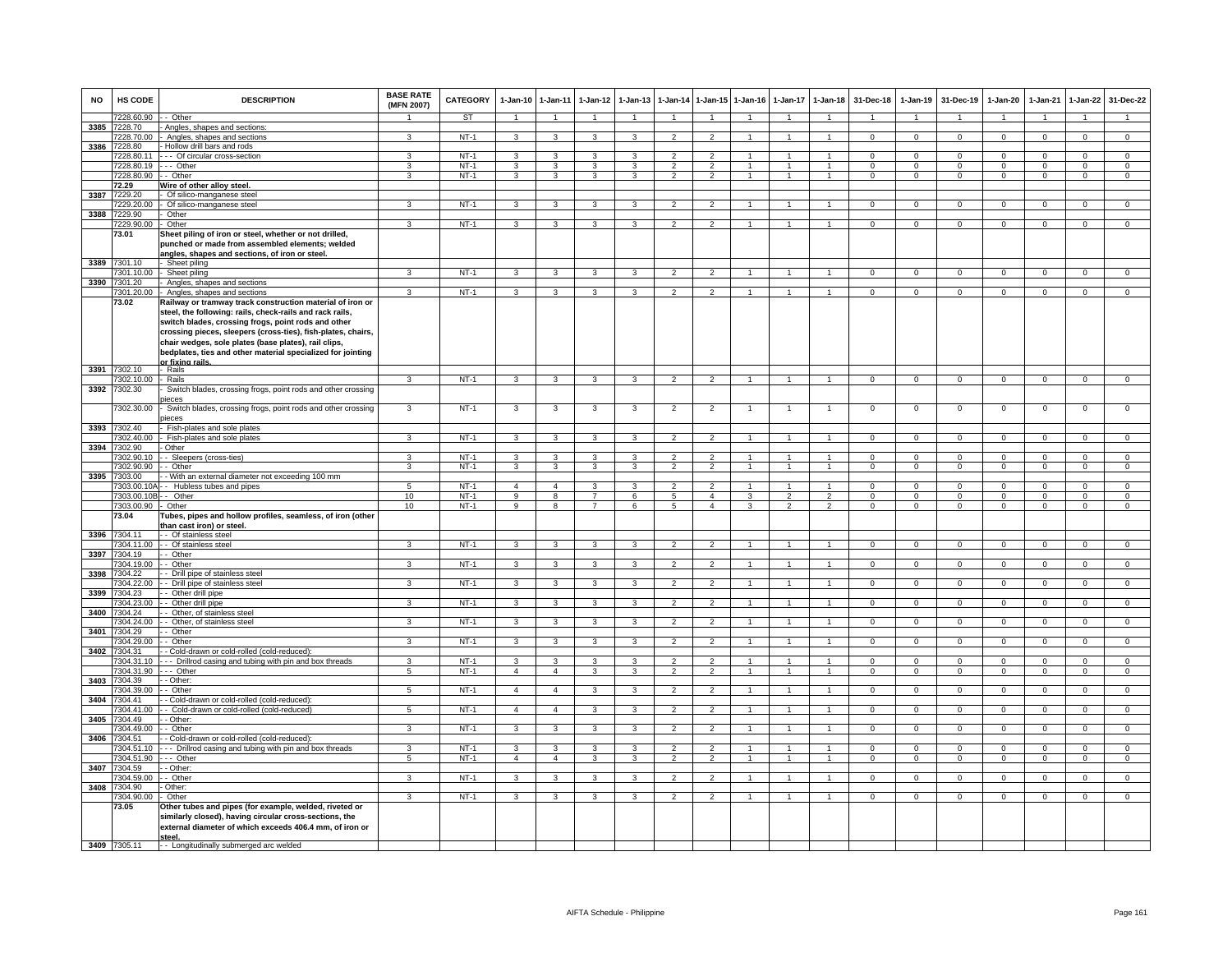| <b>NO</b> | HS CODE                    | <b>DESCRIPTION</b>                                                                                                                                                                                                                                                                                                                                                                      | <b>BASE RATE</b><br>(MFN 2007) | CATEGORY         | 1-Jan-10                | $1 - Jan-11$                              | $1-Jan-12$                       | $1-Jan-13$              | 1-Jan-14                         | 1-Jan-15                         | $1 - Jan-16$   | $1-Jan-17$                       | $1 - Jan-18$                     | 31-Dec-18                     | 1-Jan-19                         | 31-Dec-19                     | $1-Jan-20$                       | 1-Jan-21                   | $1 - Jan-22$                     | 31-Dec-22                        |
|-----------|----------------------------|-----------------------------------------------------------------------------------------------------------------------------------------------------------------------------------------------------------------------------------------------------------------------------------------------------------------------------------------------------------------------------------------|--------------------------------|------------------|-------------------------|-------------------------------------------|----------------------------------|-------------------------|----------------------------------|----------------------------------|----------------|----------------------------------|----------------------------------|-------------------------------|----------------------------------|-------------------------------|----------------------------------|----------------------------|----------------------------------|----------------------------------|
|           | 7228.60.90                 | - Other                                                                                                                                                                                                                                                                                                                                                                                 |                                | <b>ST</b>        | $\mathbf{1}$            | $\mathbf{1}$                              |                                  |                         | $\overline{1}$                   |                                  |                |                                  |                                  |                               |                                  |                               | 1                                | $\mathbf{1}$               |                                  |                                  |
| 3385      | 7228.70                    | Angles, shapes and sections                                                                                                                                                                                                                                                                                                                                                             |                                |                  |                         |                                           |                                  |                         |                                  |                                  |                |                                  |                                  |                               |                                  |                               |                                  |                            |                                  |                                  |
|           | 7228.70.00<br>3386 7228.80 | Angles, shapes and sections<br>Hollow drill bars and rods                                                                                                                                                                                                                                                                                                                               | 3                              | $NT-1$           | 3                       | $\mathbf{3}$                              | 3                                | 3                       | $\overline{2}$                   | $\overline{2}$                   | 1              | $\mathbf{1}$                     | 1                                | $\mathbf{0}$                  | $\mathbf{0}$                     | $\mathbf{0}$                  | $\mathbf{0}$                     | $^{\circ}$                 | $\mathbf 0$                      | $\overline{0}$                   |
|           | 7228.80.11                 | - - Of circular cross-section                                                                                                                                                                                                                                                                                                                                                           | 3                              | $NT-1$           | 3                       | $\mathbf{3}$                              | 3                                | 3                       | 2                                | $\overline{2}$                   | $\overline{1}$ |                                  | $\overline{1}$                   | $\Omega$                      | $\Omega$                         | $\Omega$                      | $\Omega$                         | $\Omega$                   | $\Omega$                         | $\overline{0}$                   |
|           | 7228.80.19                 | -- Other                                                                                                                                                                                                                                                                                                                                                                                | 3                              | $NT-1$           | 3                       | 3                                         | 3                                | 3                       | $\overline{2}$                   | $\overline{2}$                   | $\mathbf{1}$   | 1                                | $\mathbf{1}$                     | $\mathbf 0$                   | $\mathbf 0$                      | $\mathbf 0$                   | $\mathbf 0$                      | $\mathbf 0$                | $\mathsf 0$                      | $\overline{0}$                   |
|           | 7228.80.90                 | - Other                                                                                                                                                                                                                                                                                                                                                                                 | 3                              | $NT-1$           | 3                       | 3                                         | 3                                | 3                       |                                  |                                  |                |                                  | $\overline{1}$                   | $\Omega$                      | $\Omega$                         | $\Omega$                      | $\Omega$                         | $\Omega$                   | $\Omega$                         | $\overline{0}$                   |
|           | 72.29                      | Wire of other alloy steel.                                                                                                                                                                                                                                                                                                                                                              |                                |                  |                         |                                           |                                  |                         |                                  |                                  |                |                                  |                                  |                               |                                  |                               |                                  |                            |                                  |                                  |
| 3387      | 7229.20<br>7229.20.00      | Of silico-manganese steel<br>Of silico-manganese steel                                                                                                                                                                                                                                                                                                                                  | 3                              | $NT-1$           | $\overline{\mathbf{3}}$ | 3                                         | 3                                | 3                       | $\overline{2}$                   | $\overline{2}$                   |                |                                  | $\blacktriangleleft$             | $\Omega$                      | $\overline{0}$                   | $\overline{0}$                | $\overline{0}$                   | $\Omega$                   | $\overline{0}$                   | $\overline{0}$                   |
| 3388      | 7229.90                    | Other                                                                                                                                                                                                                                                                                                                                                                                   |                                |                  |                         |                                           |                                  |                         |                                  |                                  |                |                                  |                                  |                               |                                  |                               |                                  |                            |                                  |                                  |
|           | 7229.90.00                 | Other                                                                                                                                                                                                                                                                                                                                                                                   | 3                              | $NT-1$           | $\mathbf{3}$            | 3                                         | 3                                | 3                       | $\overline{2}$                   | 2                                |                |                                  |                                  | $\mathbf{0}$                  | $\mathbf{0}$                     | $^{\circ}$                    | $^{\circ}$                       | $\mathbf 0$                | $\mathbf{0}$                     | $\mathbf{0}$                     |
|           | 73.01                      | Sheet piling of iron or steel, whether or not drilled,                                                                                                                                                                                                                                                                                                                                  |                                |                  |                         |                                           |                                  |                         |                                  |                                  |                |                                  |                                  |                               |                                  |                               |                                  |                            |                                  |                                  |
|           |                            | punched or made from assembled elements; welded                                                                                                                                                                                                                                                                                                                                         |                                |                  |                         |                                           |                                  |                         |                                  |                                  |                |                                  |                                  |                               |                                  |                               |                                  |                            |                                  |                                  |
|           | 3389 7301.10               | angles, shapes and sections, of iron or steel.<br>Sheet pilina                                                                                                                                                                                                                                                                                                                          |                                |                  |                         |                                           |                                  |                         |                                  |                                  |                |                                  |                                  |                               |                                  |                               |                                  |                            |                                  |                                  |
|           | 7301.10.00                 | Sheet piling                                                                                                                                                                                                                                                                                                                                                                            | 3                              | $NT-1$           | 3                       | 3                                         | 3                                | 3                       | $\overline{2}$                   | $\overline{2}$                   | $\mathbf{1}$   | $\overline{1}$                   | $\mathbf{1}$                     | $\overline{0}$                | $\mathbf 0$                      | $\mathbf 0$                   | $\overline{0}$                   | $\mathbf 0$                | $\mathsf 0$                      | $\mathbf 0$                      |
|           | 3390 7301.20               | Angles, shapes and sections                                                                                                                                                                                                                                                                                                                                                             |                                |                  |                         |                                           |                                  |                         |                                  |                                  |                |                                  |                                  |                               |                                  |                               |                                  |                            |                                  |                                  |
|           | 7301.20.00                 | Angles, shapes and sections                                                                                                                                                                                                                                                                                                                                                             | $\mathbf{3}$                   | $NT-1$           | $\overline{3}$          | $\overline{3}$                            | 3                                | $\mathbf{3}$            | $\overline{2}$                   | $\overline{2}$                   | $\overline{1}$ | $\overline{1}$                   | $\mathbf{1}$                     | $\mathbf 0$                   | $\mathsf 0$                      | $\mathsf 0$                   | $\mathsf 0$                      | $\mathsf 0$                | $\mathsf 0$                      | $\overline{0}$                   |
|           | 73.02                      | Railway or tramway track construction material of iron or<br>steel, the following: rails, check-rails and rack rails,<br>switch blades, crossing frogs, point rods and other<br>crossing pieces, sleepers (cross-ties), fish-plates, chairs,<br>chair wedges, sole plates (base plates), rail clips,<br>bedplates, ties and other material specialized for jointing<br>or fixing rails. |                                |                  |                         |                                           |                                  |                         |                                  |                                  |                |                                  |                                  |                               |                                  |                               |                                  |                            |                                  |                                  |
| 3391      | 7302.10                    | Rails                                                                                                                                                                                                                                                                                                                                                                                   |                                |                  |                         |                                           |                                  |                         |                                  |                                  |                |                                  |                                  |                               |                                  |                               |                                  |                            |                                  |                                  |
|           | 7302.10.00                 | Rails                                                                                                                                                                                                                                                                                                                                                                                   | $\mathbf{3}$                   | $NT-1$           | 3                       | 3                                         | 3                                | 3                       | $\overline{2}$                   | $\overline{2}$                   | $\overline{1}$ | $\overline{1}$                   | $\overline{1}$                   | $\mathbf{0}$                  | $\mathbf 0$                      | $\Omega$                      | $\mathbf 0$                      | $\mathbf 0$                | $\mathsf 0$                      | $\overline{0}$                   |
| 3392      | 7302.30                    | Switch blades, crossing frogs, point rods and other crossing<br>ieces                                                                                                                                                                                                                                                                                                                   |                                |                  |                         |                                           |                                  |                         |                                  |                                  |                |                                  |                                  |                               |                                  |                               |                                  |                            |                                  |                                  |
|           | 7302.30.00                 | Switch blades, crossing frogs, point rods and other crossing<br>vieces                                                                                                                                                                                                                                                                                                                  | $\mathbf{3}$                   | $NT-1$           | 3                       | 3                                         | 3                                | 3                       | $\overline{2}$                   | $\overline{2}$                   | $\overline{1}$ | $\overline{1}$                   | $\mathbf{1}$                     | $\mathbf 0$                   | $\mathbf 0$                      | $\mathbf 0$                   | $\mathbf 0$                      | $\mathbf 0$                | $\mathsf 0$                      | $\mathbf 0$                      |
|           | 3393 7302.40               | Fish-plates and sole plates                                                                                                                                                                                                                                                                                                                                                             |                                |                  |                         |                                           |                                  |                         |                                  |                                  |                |                                  |                                  |                               |                                  |                               |                                  |                            |                                  |                                  |
|           | 7302.40.00                 | Fish-plates and sole plates                                                                                                                                                                                                                                                                                                                                                             | 3                              | $NT-1$           | 3                       | 3                                         | 3                                | 3                       | $\overline{2}$                   | $\overline{2}$                   | $\overline{1}$ | $\overline{1}$                   | $\mathbf{1}$                     | $\mathbf{0}$                  | $\mathbf{0}$                     | $\mathbf{0}$                  | $\overline{0}$                   | $\mathbf 0$                | $\mathbf{0}$                     | $\overline{0}$                   |
|           | 3394 7302.90<br>7302.90.10 | Other<br>- Sleepers (cross-ties)                                                                                                                                                                                                                                                                                                                                                        | 3                              | $NT-1$           | 3                       | 3                                         | 3                                | 3                       | $\overline{2}$                   | $\overline{2}$                   | $\mathbf{1}$   | $\mathbf{1}$                     | $\mathbf{1}$                     | $\mathbf{0}$                  | $\mathbf 0$                      | $\mathbf 0$                   | $\mathbf 0$                      | $\mathbf 0$                | $\mathbf{0}$                     | $\overline{0}$                   |
|           | 302.90.90                  | - Other                                                                                                                                                                                                                                                                                                                                                                                 | 3                              | $NT-1$           | 3                       | 3                                         | 3                                | 3                       | $\overline{2}$                   | $\overline{2}$                   |                |                                  |                                  | 0                             | 0                                | $\mathbf 0$                   | 0                                | $\Omega$                   | $\overline{0}$                   | $\overline{0}$                   |
| 3395      | 7303.00                    | - With an external diameter not exceeding 100 mm                                                                                                                                                                                                                                                                                                                                        |                                |                  |                         |                                           |                                  |                         |                                  |                                  |                |                                  |                                  |                               |                                  |                               |                                  |                            |                                  |                                  |
|           | 7303.00.10                 | - Hubless tubes and pipes                                                                                                                                                                                                                                                                                                                                                               | 5                              | $NT-1$           | $\overline{4}$          | $\overline{4}$                            | $\overline{3}$                   | 3                       | $\overline{2}$                   | $\overline{2}$                   | $\overline{1}$ | $\overline{1}$                   | $\overline{1}$                   | $\overline{0}$                | $\overline{0}$                   | $\Omega$                      | $\overline{0}$                   | $\overline{0}$             | $\overline{0}$                   | $\overline{0}$                   |
|           | 7303.00.10<br>7303.00.90   | - Other<br>Other                                                                                                                                                                                                                                                                                                                                                                        | 10<br>10                       | $NT-1$<br>$NT-1$ | 9<br>$_{9}$             | $\overline{\mathbf{8}}$<br>$\overline{8}$ | $\overline{7}$<br>$\overline{7}$ | 6<br>6                  | $\overline{5}$<br>$\overline{5}$ | $\overline{4}$<br>$\overline{4}$ | 3<br>3         | $\overline{2}$<br>$\overline{2}$ | $\overline{2}$<br>$\overline{2}$ | $\mathbf 0$<br>$\overline{0}$ | $\overline{0}$<br>$\overline{0}$ | $\mathbf 0$<br>$\overline{0}$ | $\overline{0}$<br>$\overline{0}$ | $\Omega$<br>$\overline{0}$ | $\overline{0}$<br>$\overline{0}$ | $\overline{0}$<br>$\overline{0}$ |
|           | 73.04                      | Tubes, pipes and hollow profiles, seamless, of iron (other<br>than cast iron) or steel                                                                                                                                                                                                                                                                                                  |                                |                  |                         |                                           |                                  |                         |                                  |                                  |                |                                  |                                  |                               |                                  |                               |                                  |                            |                                  |                                  |
|           | 3396 7304.11               | - Of stainless steel                                                                                                                                                                                                                                                                                                                                                                    |                                |                  |                         |                                           |                                  |                         |                                  |                                  |                |                                  |                                  |                               |                                  |                               |                                  |                            |                                  |                                  |
| 3397      | 7304.11.00<br>7304.19      | - Of stainless steel<br>- Other                                                                                                                                                                                                                                                                                                                                                         | 3                              | $NT-1$           | 3                       | 3                                         | 3                                | 3                       | $\overline{2}$                   | $\overline{2}$                   | $\overline{1}$ | $\mathbf{1}$                     | 1                                | $^{\circ}$                    | $\mathbf{0}$                     | $\mathbf{0}$                  | $\mathbf{0}$                     | $\mathbf 0$                | $\circ$                          | $\overline{0}$                   |
|           | 304.19.00                  | - Other                                                                                                                                                                                                                                                                                                                                                                                 | 3                              | $NT-1$           | 3                       | $\mathbf{3}$                              | 3                                | 3                       | $\overline{2}$                   | $\overline{2}$                   |                |                                  |                                  | $\mathbf 0$                   | $\mathsf 0$                      | $\mathbf 0$                   | $\mathbf 0$                      | $\Omega$                   | $\mathsf 0$                      | $\mathsf 0$                      |
| 3398      | 7304.22                    | Drill pipe of stainless steel                                                                                                                                                                                                                                                                                                                                                           |                                |                  |                         |                                           |                                  |                         |                                  |                                  |                |                                  |                                  |                               |                                  |                               |                                  |                            |                                  |                                  |
|           | '304.22.00                 | - Drill pipe of stainless steel                                                                                                                                                                                                                                                                                                                                                         | 3                              | $NT-1$           | 3                       | 3                                         | 3                                | 3                       | $\overline{2}$                   | $\overline{2}$                   | 1              | $\overline{1}$                   | $\mathbf{1}$                     | $\mathbf{0}$                  | $\mathbf 0$                      | $\mathbf 0$                   | $^{\circ}$                       | $\mathbf 0$                | $\mathsf 0$                      | $\overline{0}$                   |
| 3399      | 7304.23                    | - Other drill pipe                                                                                                                                                                                                                                                                                                                                                                      |                                |                  |                         |                                           |                                  |                         |                                  |                                  |                |                                  |                                  |                               |                                  |                               |                                  |                            |                                  |                                  |
| 3400      | 304.23.00<br>304.24        | Other drill pipe<br>Other, of stainless steel                                                                                                                                                                                                                                                                                                                                           | 3                              | $NT-1$           | 3                       | 3                                         | 3                                | 3                       | $\overline{2}$                   | $\overline{2}$                   |                |                                  |                                  | $\overline{0}$                | $\overline{0}$                   | $\overline{0}$                | $\overline{0}$                   | $\overline{0}$             | $\overline{0}$                   | $\overline{0}$                   |
|           | 7304.24.00                 | - Other, of stainless steel                                                                                                                                                                                                                                                                                                                                                             | $\mathbf{3}$                   | $NT-1$           | $\mathbf{3}$            | $\mathbf{3}$                              | 3 <sup>1</sup>                   | $\mathbf{3}$            | $\overline{2}$                   | $\overline{2}$                   | $\mathbf{1}$   | $\mathbf{1}$                     | $\mathbf{1}$                     | $\mathbf{0}$                  | $\mathbf{0}$                     | $\mathbf 0$                   | $\overline{0}$                   | $\mathbf{0}$               | $\circ$                          | $\mathbf{0}$                     |
|           | 3401 7304.29               | - Other                                                                                                                                                                                                                                                                                                                                                                                 |                                |                  |                         |                                           |                                  |                         |                                  |                                  |                |                                  |                                  |                               |                                  |                               |                                  |                            |                                  |                                  |
|           | 7304.29.00                 | - Other                                                                                                                                                                                                                                                                                                                                                                                 | 3                              | $NT-1$           | 3                       | 3                                         | 3                                | 3                       | $\overline{2}$                   | $\overline{2}$                   | $\overline{1}$ | $\overline{1}$                   | $\overline{1}$                   | $\Omega$                      | $\mathbf{0}$                     | $\mathbf{0}$                  | $\overline{0}$                   | $\mathbf 0$                | $\circ$                          | $\overline{0}$                   |
| 3402      | 7304.31<br>304.31.10       | - Cold-drawn or cold-rolled (cold-reduced):<br>- - Drillrod casing and tubing with pin and box threads                                                                                                                                                                                                                                                                                  | 3                              | $NT-1$           | 3                       | 3                                         | 3                                | 3                       | $\overline{2}$                   | $\overline{2}$                   |                |                                  | $\mathbf{1}$                     | $\mathbf 0$                   | $\mathbf 0$                      | $\mathbf 0$                   | $\mathbf 0$                      | $\Omega$                   | $\mathsf 0$                      | $\overline{0}$                   |
|           | 7304.31.90                 | -- Other                                                                                                                                                                                                                                                                                                                                                                                | 5                              | $NT-1$           | $\overline{4}$          | $\overline{4}$                            | 3                                | 3                       | $\overline{2}$                   | $\overline{2}$                   | $\overline{1}$ | $\overline{1}$                   | $\blacktriangleleft$             | $\mathbf 0$                   | $\mathbf 0$                      | $\mathbf 0$                   | $\mathbf 0$                      | $\mathbf 0$                | $\mathsf 0$                      | $\overline{0}$                   |
|           | 3403 7304.39               | - Other:                                                                                                                                                                                                                                                                                                                                                                                |                                |                  |                         |                                           |                                  |                         |                                  |                                  |                |                                  |                                  |                               |                                  |                               |                                  |                            |                                  |                                  |
|           | 7304.39.00                 | - Other                                                                                                                                                                                                                                                                                                                                                                                 | $\overline{5}$                 | $NT-1$           | $\overline{4}$          | $\overline{4}$                            | 3                                | $\overline{\mathbf{3}}$ | $\overline{\phantom{a}}$         | $\overline{2}$                   | $\overline{1}$ | $\mathbf{1}$                     | $\mathbf{1}$                     | $\overline{0}$                | $\overline{0}$                   | $\overline{0}$                | $\overline{0}$                   | $\overline{0}$             | $\overline{0}$                   | $\overline{0}$                   |
| 3404      | 7304.41<br>7304.41.00      | Cold-drawn or cold-rolled (cold-reduced)<br>- Cold-drawn or cold-rolled (cold-reduced)                                                                                                                                                                                                                                                                                                  | $\overline{5}$                 | $NT-1$           | $\overline{4}$          | $\overline{4}$                            | 3                                | 3                       | $\overline{2}$                   | $\overline{2}$                   |                |                                  |                                  | $\Omega$                      | $\Omega$                         | $\Omega$                      | $\Omega$                         | $\Omega$                   | $\Omega$                         | $\overline{0}$                   |
| 3405      | 7304.49                    | - Other:                                                                                                                                                                                                                                                                                                                                                                                |                                |                  |                         |                                           |                                  |                         |                                  |                                  |                |                                  |                                  |                               |                                  |                               |                                  |                            |                                  |                                  |
|           | 7304.49.00                 | - Other                                                                                                                                                                                                                                                                                                                                                                                 | $\mathbf{3}$                   | $NT-1$           | $\mathbf{3}$            | $\mathbf{3}$                              | $\mathbf{3}$                     | 3                       | $\overline{2}$                   | $\overline{2}$                   | $\overline{1}$ | $\mathbf{1}$                     | $\overline{1}$                   | $\mathbf{0}$                  | $\overline{0}$                   | $\overline{0}$                | $\mathbf{0}$                     | $\mathbf{0}$               | $\overline{0}$                   | $\overline{0}$                   |
| 3406      | 7304.51                    | - Cold-drawn or cold-rolled (cold-reduced):                                                                                                                                                                                                                                                                                                                                             |                                |                  |                         |                                           |                                  |                         |                                  |                                  |                |                                  |                                  |                               |                                  |                               |                                  |                            |                                  |                                  |
|           | 7304.51.10                 | -- Drillrod casing and tubing with pin and box threads                                                                                                                                                                                                                                                                                                                                  | 3                              | $NT-1$           | 3                       | 3                                         | 3                                | $\mathbf{3}$            | $\overline{2}$                   | $\overline{2}$                   | $\overline{1}$ | $\mathbf{1}$                     | $\mathbf{1}$                     | $\Omega$                      | $\Omega$                         | $\Omega$                      | $\Omega$                         | $\Omega$                   | $\overline{0}$                   | $\overline{0}$                   |
| 3407      | 7304.51.90<br>7304.59      | -- Other<br>- Other:                                                                                                                                                                                                                                                                                                                                                                    | 5                              | $NT-1$           | $\overline{4}$          | $\overline{4}$                            | 3                                | 3                       | $\overline{2}$                   | $\overline{2}$                   |                |                                  |                                  | $\mathsf 0$                   | $\mathsf 0$                      | $\,0\,$                       | $\mathsf 0$                      | $\Omega$                   | $\mathsf 0$                      | $\overline{0}$                   |
|           | 7304.59.00                 | - Other                                                                                                                                                                                                                                                                                                                                                                                 | $\mathbf{3}$                   | $NT-1$           | $\mathbf{3}$            | $\overline{3}$                            | $\overline{3}$                   | 3                       | $\overline{2}$                   | $\overline{2}$                   | $\overline{1}$ | $\overline{1}$                   | $\mathbf{1}$                     | $\mathbf{0}$                  | $\circ$                          | $\mathbf 0$                   | $\mathbf{0}$                     | $\mathbf{0}$               | $\mathsf 0$                      | $\overline{0}$                   |
| 3408      | 7304.90                    | Other:                                                                                                                                                                                                                                                                                                                                                                                  |                                |                  |                         |                                           |                                  |                         |                                  |                                  |                |                                  |                                  |                               |                                  |                               |                                  |                            |                                  |                                  |
|           | 7304.90.00                 | Other                                                                                                                                                                                                                                                                                                                                                                                   | 3                              | $NT-1$           | 3                       | 3                                         | 3                                | 3                       | $\overline{2}$                   | $\overline{2}$                   | $\overline{1}$ | $\overline{1}$                   | $\overline{1}$                   | $\overline{0}$                | $\overline{0}$                   | $\overline{0}$                | $\overline{0}$                   | $\overline{0}$             | $\overline{0}$                   | $\overline{0}$                   |
|           | 73.05                      | Other tubes and pipes (for example, welded, riveted or<br>similarly closed), having circular cross-sections, the<br>external diameter of which exceeds 406.4 mm, of iron or<br>steel.                                                                                                                                                                                                   |                                |                  |                         |                                           |                                  |                         |                                  |                                  |                |                                  |                                  |                               |                                  |                               |                                  |                            |                                  |                                  |
|           | 3409 7305.11               | - - Longitudinally submerged arc welded                                                                                                                                                                                                                                                                                                                                                 |                                |                  |                         |                                           |                                  |                         |                                  |                                  |                |                                  |                                  |                               |                                  |                               |                                  |                            |                                  |                                  |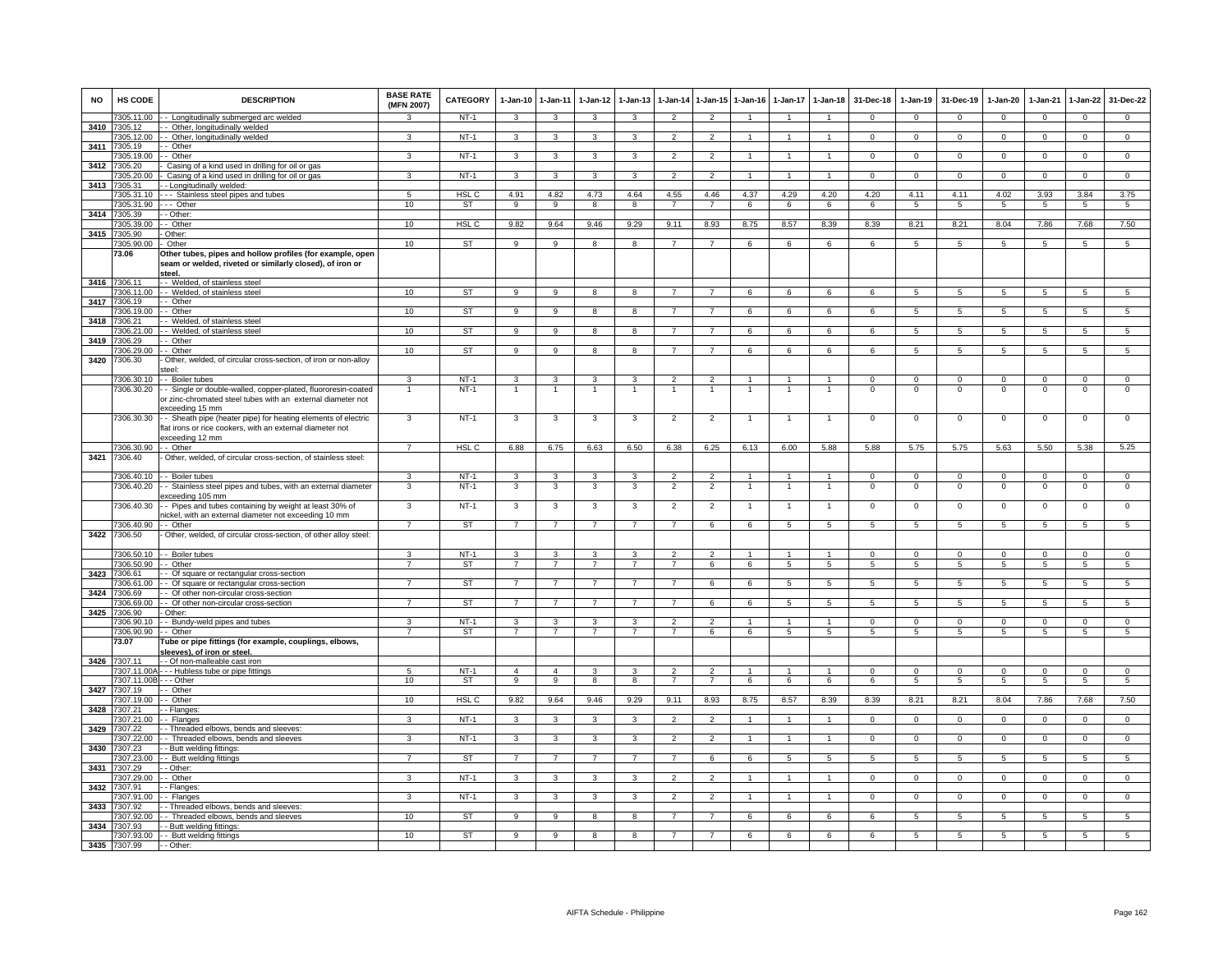| <b>NO</b> | HS CODE                    | <b>DESCRIPTION</b>                                                                                                                            | <b>BASE RATE</b><br>(MFN 2007) | <b>CATEGORY</b>     | $1-Jan-10$                                | $1 - Jan-11$        | $1-Jan-12$          | $1 - Jan-13$        |                                  |                                  | 1-Jan-14 1-Jan-15 1-Jan-16 | $1-Jan-17$     | $1 - Jan-18$                     | 31-Dec-18               | $1-Jan-19$                    | 31-Dec-19               | $1-Jan-20$                    | $1-Jan-21$                    | $1-Jan-22$                     | 31-Dec-22                     |
|-----------|----------------------------|-----------------------------------------------------------------------------------------------------------------------------------------------|--------------------------------|---------------------|-------------------------------------------|---------------------|---------------------|---------------------|----------------------------------|----------------------------------|----------------------------|----------------|----------------------------------|-------------------------|-------------------------------|-------------------------|-------------------------------|-------------------------------|--------------------------------|-------------------------------|
|           | 7305.11.00                 | - Longitudinally submerged arc welded                                                                                                         | $\mathbf{R}$                   | $NT-1$              | $\mathbf{3}$                              | $\mathbf{3}$        | 3                   | 3                   | $\overline{2}$                   | $\overline{2}$                   | $\overline{1}$             | $\overline{1}$ | $\blacktriangleleft$             | $\mathbf{0}$            | $\mathbf{0}$                  | $\mathbf 0$             | $\overline{0}$                | $\mathbf 0$                   | $\mathbf{0}$                   | $\mathbf{0}$                  |
|           | 3410 7305.12<br>7305.12.00 | - Other, longitudinally welded<br>- Other, longitudinally welded                                                                              | 3                              | $NT-1$              | 3                                         | 3                   | 3                   | 3                   | $\overline{2}$                   | $\overline{2}$                   | $\overline{1}$             | $\mathbf{1}$   | $\mathbf{1}$                     | $\Omega$                | $\mathbf 0$                   | $\mathbf 0$             | $\mathbf 0$                   | $\mathbf 0$                   | $\mathbf{0}$                   | $\overline{0}$                |
| 3411      | 7305.19                    | - Other                                                                                                                                       |                                |                     |                                           |                     |                     |                     |                                  |                                  |                            |                |                                  |                         |                               |                         |                               |                               |                                |                               |
|           | 305.19.00                  | - Other                                                                                                                                       | 3                              | $NT-1$              | 3                                         | 3                   | 3                   | 3                   | $\overline{2}$                   | $\overline{2}$                   |                            | $\mathbf{1}$   | $\mathbf{1}$                     | $\mathbf 0$             | $\mathbf{0}$                  | $\mathbf 0$             | $\mathbf{0}$                  | $\mathbf 0$                   | $\mathbf{0}$                   | $\overline{0}$                |
| 3412      | 7305.20                    | Casing of a kind used in drilling for oil or gas                                                                                              |                                | $NT-1$              |                                           | 3                   |                     |                     |                                  | $\overline{2}$                   | $\overline{1}$             | $\overline{1}$ |                                  |                         |                               |                         |                               |                               |                                | $\overline{0}$                |
| 3413      | 7305.20.00<br>7305.31      | Casing of a kind used in drilling for oil or gas<br>- Longitudinally welded                                                                   | 3                              |                     | $\overline{\mathbf{3}}$                   |                     | 3                   | 3                   | $\overline{2}$                   |                                  |                            |                | $\mathbf{1}$                     | $\mathbf{0}$            | $\mathbf 0$                   | $\mathbf 0$             | $\overline{0}$                | $\mathbf 0$                   | $\mathbf 0$                    |                               |
|           | 7305.31.10                 | - - Stainless steel pipes and tubes                                                                                                           | 5                              | HSL <sub>C</sub>    | 4.91                                      | 4.82                | 4.73                | 4.64                | 4.55                             | 4.46                             | 4.37                       | 4.29           | 4.20                             | 4.20                    | 4.11                          | 4.11                    | 4.02                          | 3.93                          | 3.84                           | 3.75                          |
|           | 7305.31.90                 | -- Other                                                                                                                                      | 10                             | <b>ST</b>           | 9                                         | 9                   | 8                   | 8                   | $\overline{7}$                   | $\overline{7}$                   | 6                          | 6              | 6                                | 6                       | -5                            | 5                       | -5                            | $\sqrt{5}$                    | 5                              | $5^{\circ}$                   |
|           | 3414 7305.39               | - Other:<br>- Other                                                                                                                           |                                | HSL <sub>C</sub>    |                                           |                     |                     |                     |                                  |                                  |                            |                |                                  |                         |                               |                         |                               |                               |                                | 7.50                          |
|           | 7305.39.00<br>3415 7305.90 | Other:                                                                                                                                        | 10                             |                     | 9.82                                      | 9.64                | 9.46                | 9.29                | 9.11                             | 8.93                             | 8.75                       | 8.57           | 8.39                             | 8.39                    | 8.21                          | 8.21                    | 8.04                          | 7.86                          | 7.68                           |                               |
|           | 7305.90.00                 | Other                                                                                                                                         | 10                             | <b>ST</b>           | 9                                         | 9                   | 8                   | 8                   | $\overline{7}$                   | $\overline{7}$                   | 6                          | 6              | 6                                | 6                       | 5                             | 5                       | 5                             | 5                             | 5                              | 5                             |
|           | 73.06                      | Other tubes, pipes and hollow profiles (for example, open<br>seam or welded, riveted or similarly closed), of iron or<br>steel.               |                                |                     |                                           |                     |                     |                     |                                  |                                  |                            |                |                                  |                         |                               |                         |                               |                               |                                |                               |
|           | 3416 7306.11<br>7306.11.00 | - Welded, of stainless steel<br>- Welded, of stainless steel                                                                                  | 10                             | <b>ST</b>           | $\mathbf{q}$                              | 9                   | $\mathbf{R}$        | $\mathbf{R}$        | $\overline{7}$                   | $\overline{7}$                   | 6                          | $\epsilon$     | 6                                | $\mathbf{6}$            | 5                             | $5\overline{5}$         | $5\overline{5}$               | $5\overline{5}$               | 5                              | 5                             |
| 3417      | 7306.19                    | - Other                                                                                                                                       |                                |                     |                                           |                     |                     |                     |                                  |                                  |                            |                |                                  |                         |                               |                         |                               |                               |                                |                               |
|           | 7306.19.00                 | - Other                                                                                                                                       | 10                             | ST                  | 9                                         | 9                   | 8                   | 8                   | $\overline{7}$                   | $\overline{7}$                   | 6                          | 6              | 6                                | 6                       | 5                             | 5                       | 5                             | 5                             | 5                              | $5^{\circ}$                   |
|           | 3418 7306.21               | - Welded, of stainless steel                                                                                                                  |                                |                     |                                           |                     |                     |                     |                                  |                                  |                            |                |                                  |                         |                               |                         |                               |                               |                                |                               |
| 3419      | 7306.21.00<br>306.29       | - Welded, of stainless steel<br>- Other                                                                                                       | 10                             | <b>ST</b>           | 9                                         | $\overline{9}$      | 8                   | 8                   | $\overline{7}$                   | $\overline{7}$                   | 6                          | 6              | 6                                | 6                       | 5                             | 5                       | $5\phantom{.0}$               | 5                             | 5                              | $5\overline{)}$               |
|           | 306.29.00                  | - Other                                                                                                                                       | 10                             | ST                  | 9                                         | 9                   | 8                   | 8                   | $\overline{7}$                   | $\overline{7}$                   | 6                          | 6              | 6                                | 6                       | 5                             | 5                       | 5                             | 5                             | 5                              | 5                             |
| 3420      | 7306.30                    | Other, welded, of circular cross-section, of iron or non-alloy<br>teel:                                                                       |                                |                     |                                           |                     |                     |                     |                                  |                                  |                            |                |                                  |                         |                               |                         |                               |                               |                                |                               |
|           | 7306.30.10<br>7306.30.20   | - Boiler tubes                                                                                                                                | 3                              | $NT-1$<br>$NT-1$    | $\overline{\mathbf{3}}$<br>$\overline{1}$ | 3<br>$\overline{1}$ | 3                   | 3<br>$\mathbf{1}$   | $\overline{2}$<br>$\overline{1}$ | $\overline{2}$<br>$\overline{1}$ | $\mathbf{1}$               | $\mathbf{1}$   | $\overline{1}$<br>$\overline{1}$ | $\Omega$<br>$\mathbf 0$ | $\overline{0}$<br>$\mathbf 0$ | $\Omega$<br>$\mathbf 0$ | $\overline{0}$<br>$\mathbf 0$ | $\overline{0}$<br>$\mathbf 0$ | $\overline{0}$<br>$\mathsf 0$  | $\overline{0}$<br>$\mathbf 0$ |
|           |                            | - Single or double-walled, copper-plated, fluororesin-coated<br>or zinc-chromated steel tubes with an external diameter not<br>xceeding 15 mm |                                |                     |                                           |                     |                     |                     |                                  |                                  |                            |                |                                  |                         |                               |                         |                               |                               |                                |                               |
|           | 7306.30.30                 | - Sheath pipe (heater pipe) for heating elements of electric<br>flat irons or rice cookers, with an external diameter not<br>xceeding 12 mm   | 3                              | $NT-1$              | 3                                         | 3                   | 3                   | 3                   | $\overline{2}$                   | $\overline{2}$                   | -1                         | $\mathbf{1}$   | $\overline{1}$                   | $\mathbf{0}$            | $\mathbf{0}$                  | $\mathbf 0$             | $\overline{0}$                | $\mathbf 0$                   | 0                              | $\mathbf 0$                   |
|           | 7306.30.90                 | - Other                                                                                                                                       | $\overline{7}$                 | HSL <sub>C</sub>    | 6.88                                      | 6.75                | 6.63                | 6.50                | 6.38                             | 6.25                             | 6.13                       | 6.00           | 5.88                             | 5.88                    | 5.75                          | 5.75                    | 5.63                          | 5.50                          | 5.38                           | 5.25                          |
| 3421      | 7306.40                    | Other, welded, of circular cross-section, of stainless steel:                                                                                 |                                |                     |                                           |                     |                     |                     |                                  |                                  |                            |                |                                  |                         |                               |                         |                               |                               |                                |                               |
|           | 7306.40.10                 | - Boiler tubes                                                                                                                                | 3                              | $NT-1$              | 3                                         | $\mathbf{3}$        | 3                   | 3                   | $\mathcal{P}$                    | $\overline{2}$                   |                            |                | $\mathbf{1}$                     | $\Omega$                | $\Omega$                      | $\Omega$                | $\overline{0}$                | $\Omega$                      | $\Omega$                       | $\Omega$                      |
|           | 7306.40.20                 | - Stainless steel pipes and tubes, with an external diameter<br>xceeding 105 mm                                                               | 3                              | $NT-1$              | 3                                         | 3                   | 3                   | 3                   | $\overline{2}$                   | $\overline{2}$                   | $\overline{1}$             | $\overline{1}$ | $\overline{1}$                   | $\mathbf 0$             | $\mathbf 0$                   | $\mathbf 0$             | $\mathbf 0$                   | $\mathbf 0$                   | $\mathsf 0$                    | $\mathbf 0$                   |
|           | 7306.40.30                 | - Pipes and tubes containing by weight at least 30% of<br>ickel, with an external diameter not exceeding 10 mm                                | 3                              | $NT-1$              | $\mathbf{3}$                              | 3                   | 3                   | 3                   | $\overline{2}$                   | $\overline{2}$                   | $\mathbf{1}$               | $\overline{1}$ | $\mathbf{1}$                     | $\mathbf 0$             | $\mathbf 0$                   | $\mathbf 0$             | $\mathbf 0$                   | $\mathbf 0$                   | $\mathsf 0$                    | $\mathbf 0$                   |
| 3422      | 7306.40.90<br>7306.50      | - Other<br>Other, welded, of circular cross-section, of other alloy steel:                                                                    | $\overline{7}$                 | <b>ST</b>           | $\overline{7}$                            | $\overline{7}$      | $\overline{7}$      | $\overline{7}$      | $\overline{7}$                   | 6                                | 6                          | $\overline{5}$ | $\overline{5}$                   | $\overline{5}$          | $\overline{5}$                | $\sqrt{5}$              | $\overline{5}$                | $\sqrt{5}$                    | $\overline{5}$                 | $\overline{5}$                |
|           | 7306.50.10                 | - Boiler tubes                                                                                                                                | $\mathbf{3}$                   | $NT-1$              | $\mathbf{3}$                              | $\mathbf{3}$        | 3                   | 3                   | $\mathcal{P}$                    | $\mathcal{L}$                    | $\overline{1}$             | $\mathbf{1}$   | $\mathbf{1}$                     | $\Omega$                | $\Omega$                      | $\Omega$                | $\Omega$                      | $\Omega$                      | $\Omega$                       | $\Omega$                      |
|           | 7306.50.90                 | - Other                                                                                                                                       | $\overline{7}$                 | <b>ST</b>           | $\overline{7}$                            | $\overline{7}$      | $\overline{7}$      | $\overline{7}$      | $\overline{7}$                   | 6                                | 6                          | $\overline{5}$ | $\overline{5}$                   | 5                       | 5                             | $\overline{5}$          | $\overline{5}$                | $5\overline{5}$               | 5                              | $\overline{5}$                |
| 3423      | 7306.61                    | - Of square or rectangular cross-section                                                                                                      |                                |                     |                                           |                     |                     |                     |                                  |                                  |                            |                |                                  |                         |                               |                         |                               |                               |                                |                               |
|           | 7306.61.00<br>3424 7306.69 | - Of square or rectangular cross-section<br>- Of other non-circular cross-section                                                             |                                | <b>ST</b>           | $\overline{7}$                            | $\overline{7}$      |                     |                     |                                  | 6                                | 6                          | 5              | 5                                | $\overline{5}$          | $\overline{5}$                | $\sqrt{5}$              | $\overline{5}$                | 5                             | 5                              | $\overline{5}$                |
|           | 7306.69.00                 | - Of other non-circular cross-section                                                                                                         | $\overline{7}$                 | ST                  | $\overline{7}$                            | $\overline{7}$      | $\overline{7}$      | $\overline{7}$      | $\overline{7}$                   | 6                                | 6                          | 5              | 5                                | 5                       | 5                             | 5                       | 5                             | 5                             | 5                              | 5                             |
|           | 3425 7306.90               | Other:                                                                                                                                        |                                |                     |                                           |                     |                     |                     |                                  |                                  |                            |                |                                  |                         |                               |                         |                               |                               |                                |                               |
|           | 7306.90.10                 | - Bundy-weld pipes and tubes                                                                                                                  | 3<br>$\overline{7}$            | $NT-1$<br><b>ST</b> | 3<br>$\overline{7}$                       | 3<br>$\overline{7}$ | 3<br>$\overline{7}$ | 3<br>$\overline{7}$ | $\mathfrak{p}$<br>$\overline{7}$ | $\overline{2}$<br>6              | $\mathbf{1}$               | $\mathbf{1}$   | $\mathbf{1}$<br>5                | $\mathbf 0$             | $\mathbf 0$                   | $\mathbf 0$             | $\mathbf 0$                   | $\mathbf 0$<br>$\overline{5}$ | $\mathbf{0}$<br>$\overline{5}$ | $\mathbf 0$<br>5              |
|           | 7306.90.90<br>73.07        | - Other<br>Tube or pipe fittings (for example, couplings, elbows,<br>leeves), of iron or steel.                                               |                                |                     |                                           |                     |                     |                     |                                  |                                  | 6                          | 5              |                                  | 5                       | 5                             | 5                       | 5                             |                               |                                |                               |
|           | 3426 7307.11<br>7307.11.00 | - Of non-malleable cast iron                                                                                                                  | 5                              | $NT-1$              | $\Delta$                                  | $\Delta$            |                     |                     |                                  | $\mathcal{P}$                    |                            |                |                                  | $\Omega$                | $\Omega$                      | $\Omega$                | $\Omega$                      | $\Omega$                      | $\Omega$                       | $\Omega$                      |
|           | 7307.11.00E                | - - Hubless tube or pipe fittings<br>$-$ Other                                                                                                | 10                             | <b>ST</b>           | 9                                         | $\overline{9}$      | 8                   | -8                  | $\overline{7}$                   | $\overline{7}$                   | 6                          | 6              | 6                                | 6                       | 5                             | 5                       | 5                             | $\sqrt{5}$                    | $5\overline{)}$                | $\overline{5}$                |
|           | 3427 7307.19               | - Other                                                                                                                                       |                                |                     |                                           |                     |                     |                     |                                  |                                  |                            |                |                                  |                         |                               |                         |                               |                               |                                |                               |
|           | 7307.19.00                 | - Other                                                                                                                                       | 10                             | HSL <sub>C</sub>    | 9.82                                      | 9.64                | 9.46                | 9.29                | 9.11                             | 8.93                             | 8.75                       | 8.57           | 8.39                             | 8.39                    | 8.21                          | 8.21                    | 8.04                          | 7.86                          | 7.68                           | 7.50                          |
|           | 3428 7307.21<br>307.21.00  | - Flanges:<br>- Flanges                                                                                                                       | 3                              | $NT-1$              | 3                                         | 3                   | 3                   | 3                   | $\overline{2}$                   | $\overline{2}$                   |                            | $\mathbf{1}$   | $\mathbf{1}$                     | $\Omega$                | $\overline{0}$                | $\Omega$                | $\overline{0}$                | $\overline{0}$                | $\overline{0}$                 | $\overline{0}$                |
| 3429      | 307.22                     | - Threaded elbows, bends and sleeves:                                                                                                         |                                |                     |                                           |                     |                     |                     |                                  |                                  |                            |                |                                  |                         |                               |                         |                               |                               |                                |                               |
|           | 7307.22.00                 | - Threaded elbows, bends and sleeves                                                                                                          | 3                              | $NT-1$              | 3                                         | 3                   | 3                   | 3                   | $\overline{2}$                   | $\overline{2}$                   |                            | $\overline{1}$ | $\overline{1}$                   | $\mathbf 0$             | $\mathbf 0$                   | $\mathbf 0$             | $\mathbf 0$                   | $\mathbf 0$                   | $\mathsf 0$                    | $\mathbf 0$                   |
| 3430      | 7307.23                    | - Butt welding fittings:                                                                                                                      |                                |                     |                                           |                     |                     |                     |                                  |                                  |                            |                |                                  |                         |                               |                         |                               |                               |                                |                               |
| 3431      | 7307.23.00<br>307.29       | - Butt welding fittings<br>- Other:                                                                                                           | $\overline{7}$                 | <b>ST</b>           | $\overline{7}$                            | $\overline{7}$      | $\overline{7}$      | $\overline{7}$      | $\overline{7}$                   | 6                                | 6                          | $\overline{5}$ | $\overline{5}$                   | $\overline{5}$          | $\overline{5}$                | 5                       | 5                             | $\overline{5}$                | $\overline{5}$                 | 5                             |
|           | 7307.29.00                 | - Other                                                                                                                                       | 3                              | $NT-1$              | $\mathbf{3}$                              | 3                   | 3                   | 3                   | $\overline{2}$                   | 2                                |                            | $\overline{1}$ | $\mathbf{1}$                     | $\Omega$                | $\Omega$                      | $\Omega$                | $\Omega$                      | $\Omega$                      | $\mathbf 0$                    | $\mathbf{0}$                  |
| 3432      | 7307.91                    | - Flanges:                                                                                                                                    |                                |                     |                                           |                     |                     |                     |                                  |                                  |                            |                |                                  |                         |                               |                         |                               |                               |                                |                               |
|           | 7307.91.00                 | - Flanges                                                                                                                                     | 3                              | $NT-1$              | 3                                         | 3                   | 3                   | 3                   | 2                                | $\overline{2}$                   | $\overline{1}$             | $\mathbf{1}$   | $\overline{1}$                   | $\mathbf{0}$            | $\mathbf{0}$                  | $\mathbf{0}$            | $\mathbf{0}$                  | $^{\circ}$                    | $\mathbf{0}$                   | $^{\circ}$                    |
| 3433      | 7307 92<br>7307.92.00      | - Threaded elbows, bends and sleeves:<br>- Threaded elbows, bends and sleeves                                                                 | 10                             | ST                  | 9                                         | 9                   | 8                   | 8                   | $\overline{7}$                   | $\overline{7}$                   | 6                          | 6              | 6                                | 6                       | 5                             | 5                       | 5                             | 5                             | 5                              | 5                             |
| 3434      | 7307.93                    | - Butt welding fittings:                                                                                                                      |                                |                     |                                           |                     |                     |                     |                                  |                                  |                            |                |                                  |                         |                               |                         |                               |                               |                                |                               |
|           | 7307.93.00                 | - Butt welding fittings                                                                                                                       | 10                             | <b>ST</b>           | 9                                         | 9                   | 8                   | 8                   | $\overline{7}$                   |                                  | 6                          | 6              | 6                                | 6                       | 5                             | 5                       | 5                             | 5                             | -5                             | 5                             |
|           | 3435 7307.99               | - Other:                                                                                                                                      |                                |                     |                                           |                     |                     |                     |                                  |                                  |                            |                |                                  |                         |                               |                         |                               |                               |                                |                               |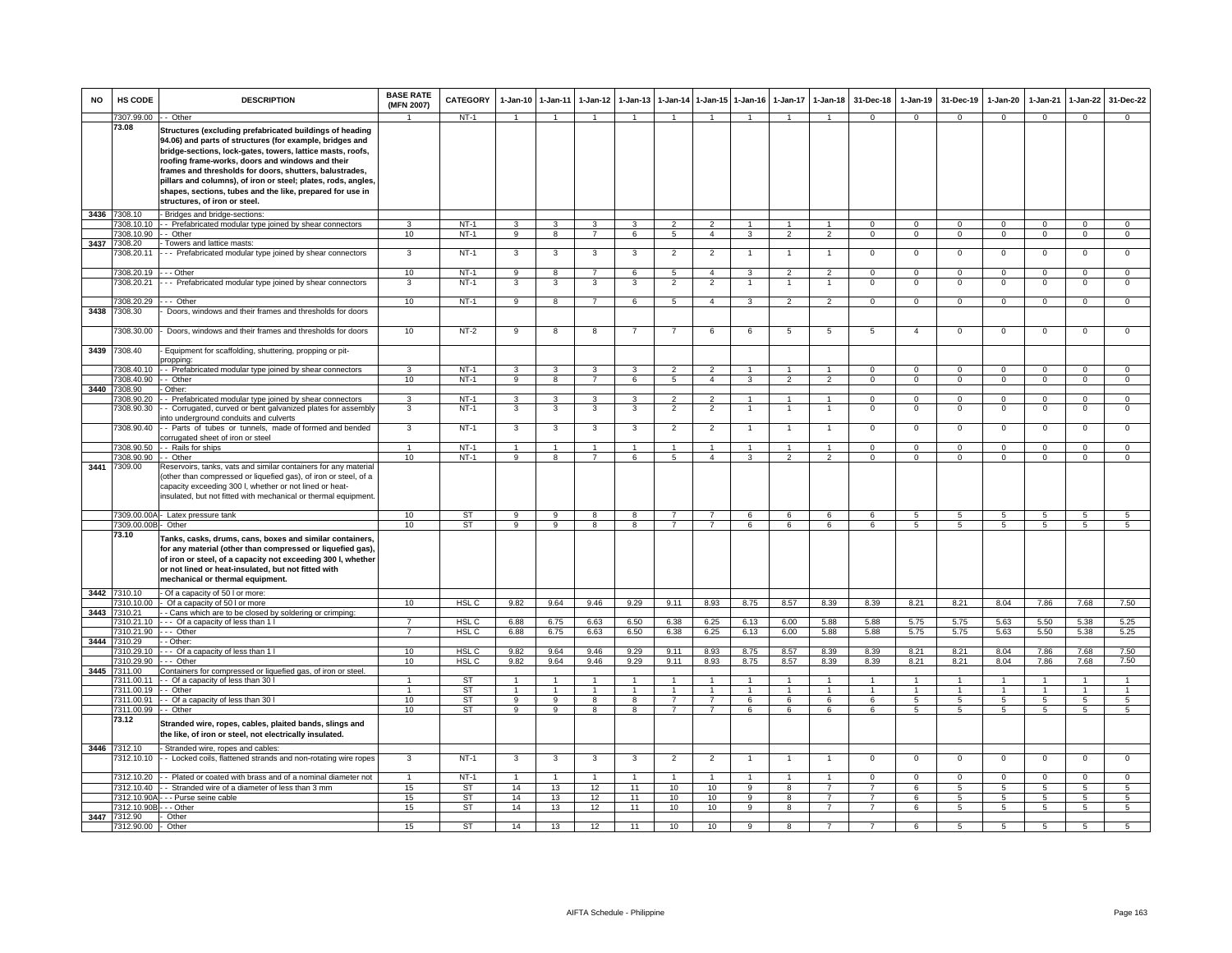| <b>NO</b> | HS CODE                                 | <b>DESCRIPTION</b>                                                                                                                                                                                                                                                                                                                                                                                                                                               | <b>BASE RATE</b><br>(MFN 2007) | <b>CATEGORY</b>        | $1 - Jan-10$      | $1 - Jan-11$         | $1-Jan-12$                   | $1 - Jan-13$      |                                  | 1-Jan-14 1-Jan-15                    | 1-Jan-16                         | 1-Jan-17                         | $1-Jan-18$                       | 31-Dec-18                        | $1-Jan-19$                 | 31-Dec-19                  | 1-Jan-20                   | 1-Jan-21                  | 1-Jan-22                   | 31-Dec-22                  |
|-----------|-----------------------------------------|------------------------------------------------------------------------------------------------------------------------------------------------------------------------------------------------------------------------------------------------------------------------------------------------------------------------------------------------------------------------------------------------------------------------------------------------------------------|--------------------------------|------------------------|-------------------|----------------------|------------------------------|-------------------|----------------------------------|--------------------------------------|----------------------------------|----------------------------------|----------------------------------|----------------------------------|----------------------------|----------------------------|----------------------------|---------------------------|----------------------------|----------------------------|
|           | 7307.99.00 - - Other                    |                                                                                                                                                                                                                                                                                                                                                                                                                                                                  | $\mathbf{1}$                   | $NT-1$                 | $\overline{1}$    | $\overline{1}$       | $\overline{1}$               | $\mathbf{1}$      |                                  | $\overline{1}$                       | $\overline{1}$                   | $\mathbf{1}$                     | $\mathbf{1}$                     | $\Omega$                         | $\mathbf{0}$               | $\mathbf{0}$               | $\Omega$                   | $\Omega$                  | $\mathbf{0}$               | $\Omega$                   |
|           | 73.08                                   | Structures (excluding prefabricated buildings of heading<br>94.06) and parts of structures (for example, bridges and<br>bridge-sections, lock-gates, towers, lattice masts, roofs,<br>roofing frame-works, doors and windows and their<br>frames and thresholds for doors, shutters, balustrades,<br>pillars and columns), of iron or steel; plates, rods, angles,<br>shapes, sections, tubes and the like, prepared for use in<br>structures, of iron or steel. |                                |                        |                   |                      |                              |                   |                                  |                                      |                                  |                                  |                                  |                                  |                            |                            |                            |                           |                            |                            |
|           | 3436 7308.10                            | - Bridges and bridge-sections:                                                                                                                                                                                                                                                                                                                                                                                                                                   |                                |                        |                   |                      |                              |                   |                                  |                                      |                                  |                                  |                                  |                                  |                            |                            |                            |                           |                            |                            |
|           | 308.10.10                               | - Prefabricated modular type joined by shear connectors                                                                                                                                                                                                                                                                                                                                                                                                          | 3                              | $NT-1$                 | 3                 | 3                    | 3                            | 3                 | $\overline{2}$                   | $\overline{2}$                       | $\overline{1}$                   | $\overline{1}$                   | $\overline{1}$                   | $\Omega$                         | $\Omega$                   | $\Omega$                   | $\mathbf{0}$               | $\Omega$                  | $\mathbf 0$                | $\mathbf 0$                |
|           | 308.10.90                               | - - Other                                                                                                                                                                                                                                                                                                                                                                                                                                                        | 10                             | $NT-1$                 | $\overline{9}$    | $\overline{8}$       | $\overline{7}$               | 6                 | 5                                | $\overline{4}$                       | 3                                | $\overline{2}$                   | $\overline{2}$                   | $\Omega$                         | $\mathbf 0$                | $\mathbf 0$                | $\overline{0}$             | $\Omega$                  | $\mathsf 0$                | $\overline{0}$             |
| 3437      | 308.20<br>308.20.11                     | Towers and lattice masts:<br>-- Prefabricated modular type joined by shear connectors                                                                                                                                                                                                                                                                                                                                                                            | 3                              | $NT-1$                 | $\mathbf{3}$      | 3                    | $\overline{\mathbf{3}}$      | 3                 | $\overline{2}$                   | $\overline{2}$                       | $\overline{1}$                   | $\mathbf{1}$                     | $\overline{1}$                   | $\mathbf 0$                      | $\mathbf 0$                | $\mathbf 0$                | $\overline{0}$             | $\mathbf 0$               | $\overline{0}$             | $\overline{0}$             |
|           | 7308.20.19                              | --- Other                                                                                                                                                                                                                                                                                                                                                                                                                                                        | 10                             | $NT-1$                 | 9                 | 8                    | $\overline{7}$               | 6                 | 5                                | $\overline{4}$                       | 3                                | $\overline{2}$                   | $\overline{2}$                   | $\Omega$                         | $\mathbf 0$                | $\Omega$                   | $\mathbf 0$                | $\Omega$                  | $\mathbf 0$                | $\mathbf 0$                |
|           | 7308.20.21                              | -- Prefabricated modular type joined by shear connectors                                                                                                                                                                                                                                                                                                                                                                                                         | 3                              | $NT-1$                 | 3                 | 3                    | 3                            | 3                 | $\overline{2}$                   | $\overline{2}$                       |                                  | $\mathbf{1}$                     |                                  | $\mathbf 0$                      | $\mathsf 0$                | $\mathbf 0$                | $\mathbf 0$                | $\mathbf 0$               | $\mathsf 0$                | $\mathbf 0$                |
| 3438      | 7308.20.29<br>7308.30                   | $\cdots$ Other<br>Doors, windows and their frames and thresholds for doors                                                                                                                                                                                                                                                                                                                                                                                       | 10                             | NT-1                   | 9                 | 8                    | $7\overline{ }$              | 6                 | 5                                | $\overline{4}$                       | 3                                | $\overline{2}$                   | $\overline{2}$                   | $\mathbf{0}$                     | $\overline{0}$             | $\mathbf 0$                | $\mathbf{0}$               | $\mathbf{0}$              | $\mathbf{0}$               | $\mathbf{0}$               |
|           | 308.30.00                               | Doors, windows and their frames and thresholds for doors                                                                                                                                                                                                                                                                                                                                                                                                         | 10                             | $NT-2$                 | 9                 | 8                    | 8                            | $\overline{7}$    | 7                                | 6                                    | 6                                | 5                                | 5                                | 5                                | $\overline{4}$             | $\mathbf 0$                | $\mathbf 0$                | $^{\circ}$                | $\mathsf 0$                | $\mathbf 0$                |
| 3439      | 7308.40                                 | Equipment for scaffolding, shuttering, propping or pit-                                                                                                                                                                                                                                                                                                                                                                                                          |                                |                        |                   |                      |                              |                   |                                  |                                      |                                  |                                  |                                  |                                  |                            |                            |                            |                           |                            |                            |
|           | 308.40.10                               | propping:<br>- Prefabricated modular type joined by shear connectors                                                                                                                                                                                                                                                                                                                                                                                             | $\overline{3}$                 | $NT-1$                 | 3                 | 3                    | 3                            | 3                 | $\overline{2}$                   | $\overline{2}$                       | $\overline{1}$                   | $\mathbf{1}$                     | $\overline{1}$                   | $\overline{0}$                   | $\overline{0}$             | $\overline{0}$             | $\overline{0}$             | $\overline{0}$            | $\overline{0}$             | $\overline{0}$             |
|           | 308.40.90                               | - Other                                                                                                                                                                                                                                                                                                                                                                                                                                                          | 10                             | $NT-1$                 | 9                 | 8                    | $\overline{7}$               | 6                 | 5                                | $\overline{4}$                       | 3                                | $\overline{2}$                   | $\overline{2}$                   | $\mathbf 0$                      | $\mathbf 0$                | $\mathbf{0}$               | $\overline{0}$             | $\mathbf 0$               | $\overline{0}$             | $\overline{0}$             |
| 3440 7    | 308.90                                  | Other:                                                                                                                                                                                                                                                                                                                                                                                                                                                           |                                |                        |                   |                      |                              |                   |                                  |                                      |                                  |                                  |                                  |                                  |                            |                            |                            |                           |                            |                            |
|           | 308.90.20                               | - Prefabricated modular type joined by shear connectors                                                                                                                                                                                                                                                                                                                                                                                                          | 3                              | $NT-1$                 | 3                 | 3                    | 3                            | 3                 | $\overline{a}$                   | $\overline{2}$                       |                                  | $\mathbf{1}$                     | $\mathbf{1}$                     | $\mathsf 0$                      | $\mathsf 0$                | $\mathbf 0$                | $\mathbf 0$                | $\Omega$                  | $\mathsf 0$                | $\mathbf 0$                |
|           | 308.90.30<br>7308.90.40                 | - Corrugated, curved or bent galvanized plates for assembly<br>nto underground conduits and culverts<br>-- Parts of tubes or tunnels, made of formed and bended                                                                                                                                                                                                                                                                                                  | 3<br>3                         | $NT-1$<br>$NT-1$       | 3<br>$\mathbf{3}$ | 3<br>$\mathbf{3}$    | 3<br>$\mathbf{3}$            | 3<br>$\mathbf{3}$ | $\overline{2}$<br>$\overline{2}$ | $\overline{2}$<br>$\overline{2}$     | $\overline{1}$<br>$\overline{1}$ | 1<br>$\overline{1}$              | $\overline{1}$<br>$\overline{1}$ | $\mathsf 0$<br>$\mathbf 0$       | $\mathsf 0$<br>$\mathbf 0$ | $\mathbf 0$<br>$\mathbf 0$ | $\mathsf 0$<br>$\mathbf 0$ | $^{\circ}$<br>$\mathbf 0$ | $\mathsf 0$<br>$\mathsf 0$ | $\mathbf 0$<br>$\mathbf 0$ |
|           | 7308.90.50                              | corrugated sheet of iron or steel<br>- - Rails for ships                                                                                                                                                                                                                                                                                                                                                                                                         | $\blacktriangleleft$           | $NT-1$                 | $\overline{1}$    | $\blacktriangleleft$ | $\overline{1}$               | $\mathbf{1}$      | $\overline{1}$                   | $\overline{1}$                       | $\overline{1}$                   | $\overline{1}$                   | $\blacktriangleleft$             | $\Omega$                         | $\Omega$                   | $\Omega$                   | $\overline{0}$             | $\Omega$                  | $\overline{0}$             | $\overline{0}$             |
|           | 7308.90.90                              | - Other                                                                                                                                                                                                                                                                                                                                                                                                                                                          | 10                             | $NT-1$                 | $\overline{9}$    | 8                    | $\overline{7}$               | 6                 | 5                                | $\overline{4}$                       | 3                                | $\overline{2}$                   | $\overline{2}$                   | $\overline{0}$                   | $\overline{0}$             | $\overline{0}$             | $\overline{0}$             | $\overline{0}$            | $\overline{0}$             | $\overline{0}$             |
|           | 3441 7309.00                            | Reservoirs, tanks, vats and similar containers for any material<br>(other than compressed or liquefied gas), of iron or steel, of a<br>capacity exceeding 300 l, whether or not lined or heat-<br>insulated, but not fitted with mechanical or thermal equipment.                                                                                                                                                                                                |                                |                        |                   |                      |                              |                   |                                  |                                      |                                  |                                  |                                  |                                  |                            |                            |                            |                           |                            |                            |
|           |                                         | 7309.00.00A - Latex pressure tank                                                                                                                                                                                                                                                                                                                                                                                                                                | 10                             | ST                     | 9                 | 9                    | 8                            | 8                 | 7                                | $\overline{7}$                       | 6                                | 6                                | 6                                | 6                                | 5                          | 5                          | 5                          | 5                         | 5                          | 5                          |
| 3442      | 7309.00.00B - Other<br>73.10<br>7310.10 | Tanks, casks, drums, cans, boxes and similar containers,<br>for any material (other than compressed or liquefied gas),<br>of iron or steel, of a capacity not exceeding 300 l, whether<br>or not lined or heat-insulated, but not fitted with<br>mechanical or thermal equipment.<br>- Of a capacity of 50 l or more:                                                                                                                                            | 10                             | <b>ST</b>              | 9                 | -9                   | 8                            | 8                 | $\overline{7}$                   | $\overline{7}$                       | 6                                | 6                                | 6                                | 6                                | 5                          | 5                          | 5                          | -5                        | 5                          | 5                          |
|           | 310.10.00                               | - Of a capacity of 50 I or more                                                                                                                                                                                                                                                                                                                                                                                                                                  | 10                             | HSL <sub>C</sub>       | 9.82              | 9.64                 | 9.46                         | 9.29              | 9.11                             | 8.93                                 | 8.75                             | 8.57                             | 8.39                             | 8.39                             | 8.21                       | 8.21                       | 8.04                       | 7.86                      | 7.68                       | 7.50                       |
| 3443      | 310.21                                  | - Cans which are to be closed by soldering or crimping                                                                                                                                                                                                                                                                                                                                                                                                           |                                |                        |                   |                      |                              |                   |                                  |                                      |                                  |                                  |                                  |                                  |                            |                            |                            |                           |                            |                            |
|           | 7310.21.10                              | --- Of a capacity of less than 1 I                                                                                                                                                                                                                                                                                                                                                                                                                               | $\overline{7}$                 | HSL C                  | 6.88              | 6.75                 | 6.63                         | 6.50              | 6.38                             | 6.25                                 | 6.13                             | 6.00                             | 5.88                             | 5.88                             | 5.75                       | 5.75                       | 5.63                       | 5.50                      | 5.38                       | 5.25                       |
| 3444      | 7310.21.90<br>310.29                    | -- Other<br>- Other:                                                                                                                                                                                                                                                                                                                                                                                                                                             | $\overline{7}$                 | HSL <sub>C</sub>       | 6.88              | 6.75                 | 6.63                         | 6.50              | 6.38                             | 6.25                                 | 6.13                             | 6.00                             | 5.88                             | 5.88                             | 5.75                       | 5.75                       | 5.63                       | 5.50                      | 5.38                       | 5.25                       |
|           | 310.29.10                               | -- Of a capacity of less than 1 I                                                                                                                                                                                                                                                                                                                                                                                                                                | 10                             | HSL <sub>C</sub>       | 9.82              | 9.64                 | 9.46                         | 9.29              | 9.11                             | 8.93                                 | 8.75                             | 8.57                             | 8.39                             | 8.39                             | 8.21                       | 8.21                       | 8.04                       | 7.86                      | 7.68                       | 7.50                       |
|           | 310.29.90                               | -- Other                                                                                                                                                                                                                                                                                                                                                                                                                                                         | 10                             | <b>HSL C</b>           | 9.82              | 9.64                 | 9.46                         | 9.29              | 9.11                             | 8.93                                 | 8.75                             | 8.57                             | 8.39                             | 8.39                             | 8.21                       | 8.21                       | 8.04                       | 7.86                      | 7.68                       | 7.50                       |
| 3445      | 311.00                                  | Containers for compressed or liquefied gas, of iron or steel.                                                                                                                                                                                                                                                                                                                                                                                                    |                                |                        |                   |                      |                              |                   |                                  |                                      |                                  |                                  |                                  |                                  |                            |                            |                            |                           |                            |                            |
|           | 7311.00.1<br>7311.00.19                 | - Of a capacity of less than 30 I<br>- Other                                                                                                                                                                                                                                                                                                                                                                                                                     |                                | <b>ST</b><br><b>ST</b> |                   | $\mathbf{1}$         | $\mathbf{1}$<br>$\mathbf{1}$ |                   |                                  | $\mathbf{1}$<br>$\blacktriangleleft$ |                                  |                                  | $\mathbf{1}$                     |                                  | $\mathbf{1}$               |                            | $\overline{1}$             |                           | $\mathbf{1}$               |                            |
|           | 7311.00.91                              | - Of a capacity of less than 30 l                                                                                                                                                                                                                                                                                                                                                                                                                                | 10                             | <b>ST</b>              | 9                 | 9                    | 8                            | 8                 | $\overline{7}$                   | $\overline{7}$                       | 6                                | 6                                | 6                                | 6                                | 5                          | 5                          | 5                          | 5                         | 5                          | 5                          |
|           | 7311.00.99                              | - - Other                                                                                                                                                                                                                                                                                                                                                                                                                                                        | 10                             | ST                     | 9                 | 9                    | 8                            | 8                 | $\overline{7}$                   | $\overline{7}$                       | 6                                | 6                                | 6                                | 6                                | 5                          | 5                          | $5\overline{5}$            | $5\overline{5}$           | 5                          | $5\overline{5}$            |
|           | 73.12<br>3446 7312.10                   | Stranded wire, ropes, cables, plaited bands, slings and<br>the like, of iron or steel, not electrically insulated.<br>- Stranded wire, ropes and cables:                                                                                                                                                                                                                                                                                                         |                                |                        |                   |                      |                              |                   |                                  |                                      |                                  |                                  |                                  |                                  |                            |                            |                            |                           |                            |                            |
|           | 7312.10.10                              | - Locked coils, flattened strands and non-rotating wire ropes                                                                                                                                                                                                                                                                                                                                                                                                    | $\overline{3}$                 | $NT-1$                 | 3                 | 3                    | 3                            | $\overline{3}$    | $\overline{2}$                   | $\overline{2}$                       | -1                               | $\overline{1}$                   | $\overline{1}$                   | $\Omega$                         | $\overline{0}$             | $\overline{0}$             | $\overline{0}$             | $\Omega$                  | $\overline{0}$             | $\overline{0}$             |
|           | 312.10.20                               | - Plated or coated with brass and of a nominal diameter not                                                                                                                                                                                                                                                                                                                                                                                                      | $\mathbf{1}$                   | $NT-1$                 | $\overline{1}$    | $\mathbf{1}$         | $\overline{1}$               | 1                 | $\mathbf{1}$                     | $\overline{1}$                       | -1                               | $\overline{1}$                   | $\mathbf{1}$                     | $\mathbf 0$                      | $\mathbf 0$                | $\mathbf{0}$               | $\mathbf{0}$               | $\mathbf 0$               | $\mathbf 0$                | $\circ$                    |
|           | 312.10.40<br>312 10 904                 | - Stranded wire of a diameter of less than 3 mm<br>-- Purse seine cable                                                                                                                                                                                                                                                                                                                                                                                          | 15<br>15                       | ST<br>ST               | 14<br>14          | 13<br>13             | 12<br>12                     | 11<br>11          | 10<br>10                         | 10<br>10                             | $\overline{9}$<br>$\overline{9}$ | $\overline{8}$<br>$\overline{8}$ | $\overline{7}$<br>$\overline{7}$ | $\overline{7}$<br>$\overline{7}$ | 6                          | $\overline{5}$             | 5<br>$\overline{5}$        | $\sqrt{5}$                | 5<br>$\overline{5}$        | 5<br>$\overline{5}$        |
|           | 7312.10.90B                             | -- Other                                                                                                                                                                                                                                                                                                                                                                                                                                                         | 15                             | <b>ST</b>              | 14                | 13                   | 12                           | 11                | 10                               | 10                                   | $\overline{9}$                   | 8                                | $\overline{7}$                   | $\overline{7}$                   | 6<br>6                     | -5<br>5                    | 5                          | -5<br>-5                  | $\overline{5}$             | $\overline{5}$             |
|           | 3447 7312.90                            | Other                                                                                                                                                                                                                                                                                                                                                                                                                                                            |                                |                        |                   |                      |                              |                   |                                  |                                      |                                  |                                  |                                  |                                  |                            |                            |                            |                           |                            |                            |
|           | 7312.90.00 - Other                      |                                                                                                                                                                                                                                                                                                                                                                                                                                                                  | 15                             | <b>ST</b>              | 14                | 13                   | 12                           | 11                | 10                               | 10                                   | 9                                | 8                                |                                  |                                  |                            |                            | 5                          |                           | 5                          |                            |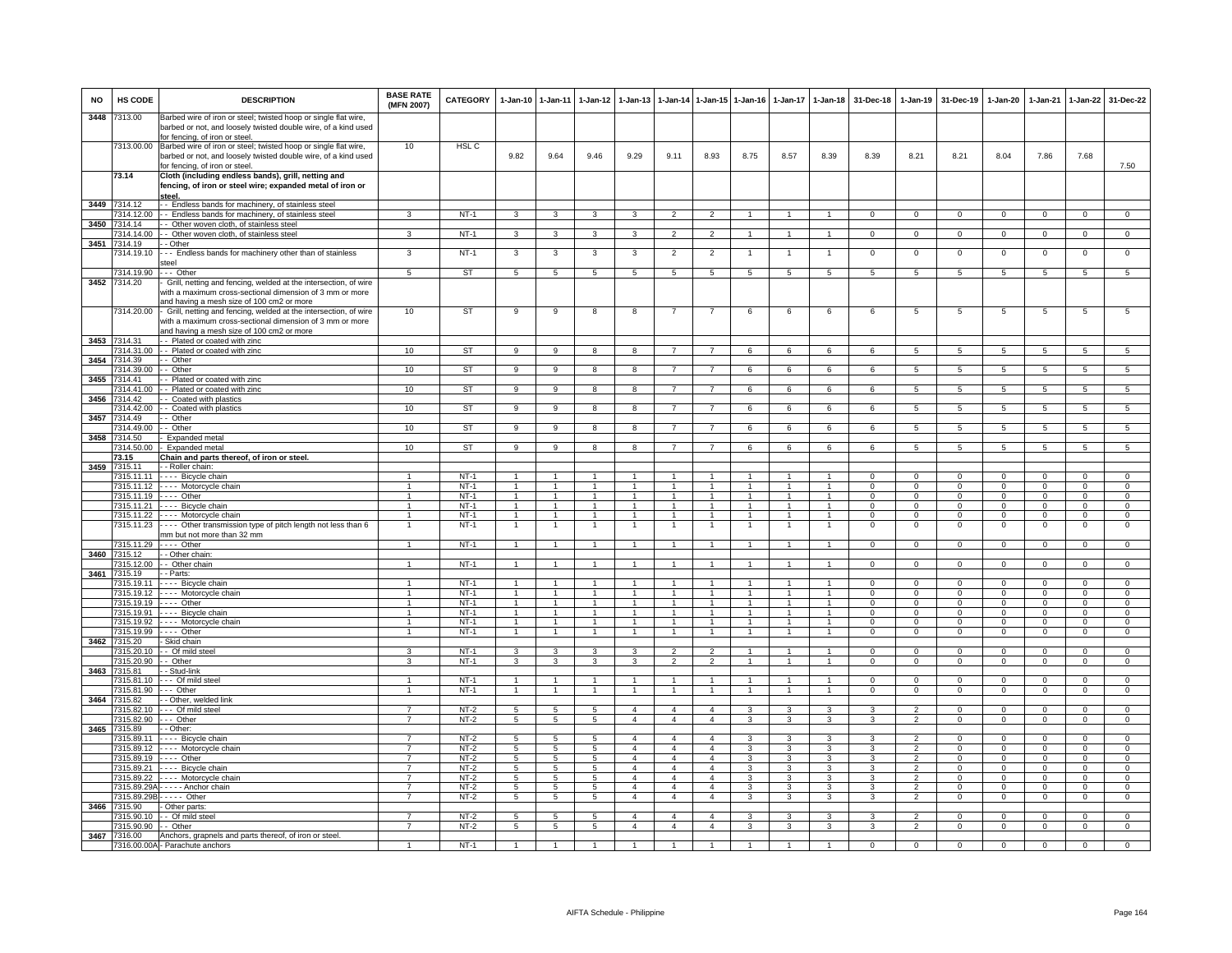| <b>NO</b> | HS CODE                          | <b>DESCRIPTION</b>                                                                                                                                                       | <b>BASE RATE</b><br>(MFN 2007)   | <b>CATEGORY</b>     | 1-Jan-10 1-Jan-11                    |                                      | $1 - Jan-12$                       | $1 - Jan-13$                     |                                   |                                   | 1-Jan-14 1-Jan-15 1-Jan-16     | $1-Jan-17$                      | $1 - Jan-18$                     | 31-Dec-18                      | $1-Jan-19$                       | 31-Dec-19                      | $1-Jan-20$                     | 1-Jan-21                       | 1-Jan-22                       | 31-Dec-22                        |
|-----------|----------------------------------|--------------------------------------------------------------------------------------------------------------------------------------------------------------------------|----------------------------------|---------------------|--------------------------------------|--------------------------------------|------------------------------------|----------------------------------|-----------------------------------|-----------------------------------|--------------------------------|---------------------------------|----------------------------------|--------------------------------|----------------------------------|--------------------------------|--------------------------------|--------------------------------|--------------------------------|----------------------------------|
| 3448      | 7313.00                          | Barbed wire of iron or steel; twisted hoop or single flat wire,<br>barbed or not, and loosely twisted double wire, of a kind used<br>for fencing, of iron or steel.      |                                  |                     |                                      |                                      |                                    |                                  |                                   |                                   |                                |                                 |                                  |                                |                                  |                                |                                |                                |                                |                                  |
|           | 7313.00.00                       | Barbed wire of iron or steel; twisted hoop or single flat wire,<br>barbed or not, and loosely twisted double wire, of a kind used                                        | 10                               | HSL C               | 9.82                                 | 9.64                                 | 9.46                               | 9.29                             | 9.11                              | 8.93                              | 8.75                           | 8.57                            | 8.39                             | 8.39                           | 8.21                             | 8.21                           | 8.04                           | 7.86                           | 7.68                           | 7.50                             |
|           | 73.14                            | for fencing, of iron or steel.<br>Cloth (including endless bands), grill, netting and<br>fencing, of iron or steel wire; expanded metal of iron or                       |                                  |                     |                                      |                                      |                                    |                                  |                                   |                                   |                                |                                 |                                  |                                |                                  |                                |                                |                                |                                |                                  |
|           | 3449 7314.12                     | <u>steel.</u><br>- - Endless bands for machinery, of stainless steel                                                                                                     |                                  |                     |                                      |                                      |                                    |                                  |                                   |                                   |                                |                                 |                                  |                                |                                  |                                |                                |                                |                                |                                  |
|           | 7314.12.00                       | - - Endless bands for machinery, of stainless steel                                                                                                                      | 3                                | $NT-1$              | $\mathbf{3}$                         | $\mathbf{3}$                         | $\mathbf{3}$                       | $\mathbf{3}$                     | $\overline{2}$                    | $\overline{2}$                    | $\mathbf{1}$                   | $\mathbf{1}$                    | $\overline{1}$                   | $\mathbf{0}$                   | $\mathbf{0}$                     | $\overline{0}$                 | $\overline{0}$                 | $\mathbf{0}$                   | $\circ$                        | $\overline{0}$                   |
|           | 3450 7314.14<br>7314.14.00       | - Other woven cloth, of stainless steel<br>- Other woven cloth, of stainless steel                                                                                       | 3                                | $NT-1$              | $\mathbf{3}$                         | $\overline{\mathbf{3}}$              | $\mathbf{3}$                       | 3                                | $\overline{2}$                    | $\overline{2}$                    | $\mathbf{1}$                   | $\mathbf{1}$                    | $\overline{1}$                   | $\Omega$                       | $\mathbf{0}$                     | $\mathbf 0$                    | $\mathbf{0}$                   | $\Omega$                       | $\circ$                        | $\overline{0}$                   |
| 3451      | 7314.19                          | - Other                                                                                                                                                                  |                                  |                     |                                      |                                      |                                    |                                  |                                   |                                   |                                |                                 |                                  |                                |                                  |                                |                                |                                |                                |                                  |
|           | 314.19.10<br>7314.19.90          | -- Endless bands for machinery other than of stainless<br>steel<br>-- Other                                                                                              | 3<br>5                           | $NT-1$<br><b>ST</b> | 3<br>$5\overline{5}$                 | 3<br>$5\overline{)}$                 | 3<br>$5\overline{5}$               | 3<br>$5\overline{5}$             | $\overline{2}$<br>$5\overline{)}$ | $\overline{2}$<br>$5\phantom{.0}$ | $5\overline{5}$                | $\mathbf{1}$<br>$5\overline{)}$ | $\mathbf{1}$<br>$5\overline{5}$  | $\mathsf 0$<br>$5\overline{5}$ | $\mathsf 0$<br>$5\overline{5}$   | $\mathbf 0$<br>$5\overline{)}$ | $\mathbf 0$<br>$5\overline{5}$ | $\mathbf 0$<br>$5\phantom{.0}$ | $\mathsf 0$<br>$5\overline{)}$ | $\overline{0}$<br>5              |
| 3452      | 7314.20                          | Grill, netting and fencing, welded at the intersection, of wire                                                                                                          |                                  |                     |                                      |                                      |                                    |                                  |                                   |                                   |                                |                                 |                                  |                                |                                  |                                |                                |                                |                                |                                  |
|           |                                  | with a maximum cross-sectional dimension of 3 mm or more<br>and having a mesh size of 100 cm2 or more                                                                    |                                  |                     |                                      |                                      |                                    |                                  |                                   |                                   |                                |                                 |                                  |                                |                                  |                                |                                |                                |                                |                                  |
|           | 7314.20.00                       | Grill, netting and fencing, welded at the intersection, of wire<br>with a maximum cross-sectional dimension of 3 mm or more<br>and having a mesh size of 100 cm2 or more | 10                               | ST                  | 9                                    | 9                                    | 8                                  | 8                                | $\overline{7}$                    | $\overline{7}$                    | 6                              | 6                               | 6                                | 6                              | 5                                | 5                              | 5                              | 5                              | 5                              | 5                                |
|           | 3453 7314.31                     | - Plated or coated with zinc                                                                                                                                             |                                  |                     |                                      |                                      |                                    |                                  |                                   |                                   |                                |                                 |                                  |                                |                                  |                                |                                |                                |                                |                                  |
| 3454      | 7314.31.00<br>7314.39            | - - Plated or coated with zinc<br>- Other                                                                                                                                | 10                               | <b>ST</b>           | 9                                    | $_{9}$                               | 8                                  | 8                                | $\overline{7}$                    |                                   | 6                              | 6                               | 6                                | 6                              | -5                               | -5                             | 5                              | 5                              | -5                             | $\overline{5}$                   |
|           | 7314.39.00                       | - Other                                                                                                                                                                  | 10                               | <b>ST</b>           | $\overline{9}$                       | $\overline{9}$                       | 8                                  | 8                                | $\overline{7}$                    | $\overline{7}$                    | 6                              | 6                               | 6                                | 6                              | $5\overline{5}$                  | -5                             | $\overline{5}$                 | $\sqrt{5}$                     | $\overline{5}$                 | $\overline{5}$                   |
| 3455      | 7314.41<br>7314.41.00            | -- Plated or coated with zinc<br>-- Plated or coated with zinc                                                                                                           | 10                               | <b>ST</b>           | $\overline{9}$                       | $\overline{9}$                       | $\overline{8}$                     | $\overline{\mathbf{a}}$          | $\overline{7}$                    | $\overline{7}$                    | 6                              | 6                               | 6                                | 6                              | 5                                | $\overline{5}$                 | $\overline{5}$                 | $\overline{5}$                 | $\overline{5}$                 | $\overline{5}$                   |
| 3456      | 7314.42                          | - - Coated with plastics                                                                                                                                                 |                                  |                     |                                      |                                      |                                    |                                  |                                   |                                   |                                |                                 |                                  |                                |                                  |                                |                                |                                |                                |                                  |
|           | 7314.42.00                       | - - Coated with plastics                                                                                                                                                 | 10                               | ST                  | 9                                    | 9                                    | 8                                  | 8                                | $\overline{7}$                    | $\overline{7}$                    | 6                              | 6                               | 6                                | 6                              | 5                                | $5\overline{5}$                | 5                              | $5\overline{5}$                | $5\overline{5}$                | $5\overline{5}$                  |
| 3457      | 7314.49<br>7314.49.00            | - Other<br>- Other                                                                                                                                                       | 10                               | <b>ST</b>           | 9                                    | 9                                    | 8                                  | 8                                | $\overline{7}$                    | $\overline{7}$                    | 6                              | 6                               | 6                                | 6                              | 5                                | 5                              | $5\phantom{.0}$                | 5                              | $\overline{5}$                 | 5                                |
| 3458      | 7314.50                          | Expanded metal                                                                                                                                                           |                                  |                     |                                      |                                      |                                    |                                  |                                   |                                   |                                |                                 |                                  |                                |                                  |                                |                                |                                |                                |                                  |
|           | 7314.50.00<br>73.15              | Expanded metal<br>Chain and parts thereof, of iron or steel.                                                                                                             | 10                               | <b>ST</b>           | 9                                    | 9                                    | 8                                  | 8                                |                                   | $\overline{7}$                    | 6                              | 6                               | 6                                | 6                              | $\overline{5}$                   | 5                              | 5                              | $\overline{5}$                 | 5                              | $5^{\circ}$                      |
| 3459      | 7315.11                          | - - Roller chain:                                                                                                                                                        |                                  |                     |                                      |                                      |                                    |                                  |                                   |                                   |                                |                                 |                                  |                                |                                  |                                |                                |                                |                                |                                  |
|           | 7315.11.11                       | - - - - Bicycle chain                                                                                                                                                    | $\overline{1}$<br>$\mathbf{1}$   | $NT-1$              | $\blacktriangleleft$<br>$\mathbf{1}$ | $\overline{1}$<br>$\mathbf{1}$       |                                    |                                  | $\overline{1}$<br>$\mathbf{1}$    |                                   |                                |                                 | $\overline{1}$                   | $\Omega$<br>$\Omega$           | $\Omega$                         | $\Omega$<br>$\mathbf 0$        | $\overline{0}$<br>$\mathbf 0$  | $\Omega$<br>$\Omega$           | $\overline{0}$                 | $\overline{0}$                   |
|           | 7315.11.19 ---- Other            | 7315.11.12 ---- Motorcycle chain                                                                                                                                         | $\mathbf{1}$                     | $NT-1$<br>$NT-1$    | $\mathbf{1}$                         | $\mathbf{1}$                         | $\mathbf{1}$                       |                                  | $\overline{1}$                    | $\blacktriangleleft$              |                                |                                 | $\overline{1}$                   | $\Omega$                       | $\mathsf 0$<br>$\mathbf 0$       | $\Omega$                       | $\mathbf{0}$                   | $\Omega$                       | $\mathsf 0$<br>$\mathbf 0$     | $\mathbf 0$<br>$\overline{0}$    |
|           |                                  | 7315.11.21 ---- Bicycle chain                                                                                                                                            | $\mathbf{1}$                     | $NT-1$              | $\overline{1}$                       | $\overline{1}$                       | $\mathbf{1}$                       |                                  | $\overline{1}$                    | $\overline{1}$                    |                                |                                 | $\overline{1}$                   | $^{\circ}$                     | $\mathsf 0$                      | $\mathbf 0$                    | $\mathbf 0$                    | $\Omega$                       | $\mathbf 0$                    | $\mathbf 0$                      |
|           | 7315.11.23                       | 7315.11.22 ---- Motorcycle chain<br>---- Other transmission type of pitch length not less than 6                                                                         | $\mathbf{1}$<br>-1               | $NT-1$<br>$NT-1$    | $\overline{1}$<br>$\mathbf{1}$       | $\overline{1}$<br>$\overline{1}$     | $\mathbf{1}$<br>-1                 | $\overline{1}$                   | $\overline{1}$<br>$\overline{1}$  | $\overline{1}$<br>$\overline{1}$  | $\mathbf{1}$<br>1              | $\mathbf{1}$                    | $\overline{1}$<br>$\mathbf{1}$   | $^{\circ}$<br>$\Omega$         | $^{\circ}$<br>$\Omega$           | $\mathbf{0}$<br>$\Omega$       | $\mathbf{0}$<br>$\mathbf 0$    | $\Omega$<br>$\Omega$           | $\mathbf{0}$<br>0              | $\mathbf 0$<br>$\overline{0}$    |
|           |                                  | mm but not more than 32 mm                                                                                                                                               |                                  |                     |                                      |                                      |                                    |                                  |                                   |                                   |                                |                                 |                                  |                                |                                  |                                |                                |                                |                                |                                  |
| 3460      | 7315.11.29                       | $---$ Other                                                                                                                                                              |                                  | $NT-1$              | $\overline{1}$                       | $\overline{1}$                       | $\mathbf{1}$                       |                                  | $\overline{1}$                    | $\overline{1}$                    |                                |                                 | $\overline{1}$                   | $\mathsf 0$                    | $\mathsf 0$                      | $\mathbf 0$                    | $\mathbf 0$                    | $\mathbf 0$                    | $\mathsf 0$                    | $\overline{0}$                   |
|           | 7315.12<br>7315.12.00            | - Other chain<br>- Other chain                                                                                                                                           | $\overline{1}$                   | $NT-1$              | $\overline{1}$                       | $\overline{1}$                       | $\overline{1}$                     | $\overline{1}$                   | $\overline{1}$                    | $\overline{1}$                    | $\overline{1}$                 | $\mathbf{1}$                    | $\overline{1}$                   | $\circ$                        | $\overline{0}$                   | $\mathbf{0}$                   | $\overline{0}$                 | $\mathbf 0$                    | $\overline{0}$                 | $\overline{0}$                   |
| 3461      | 7315.19                          | - - Parts:                                                                                                                                                               |                                  |                     |                                      |                                      |                                    |                                  |                                   |                                   |                                |                                 |                                  |                                |                                  |                                |                                |                                |                                |                                  |
|           | 7315.19.11                       | - - - - Bicycle chain<br>7315.19.12 ---- Motorcycle chain                                                                                                                |                                  | $NT-1$<br>$NT-1$    | $\overline{1}$<br>$\mathbf{1}$       | $\overline{1}$<br>$\mathbf{1}$       | $\mathbf{1}$<br>$\mathbf{1}$       |                                  | $\mathbf{1}$<br>$\overline{1}$    | $\overline{1}$                    |                                |                                 | $\overline{1}$<br>$\overline{1}$ | $\Omega$<br>$\mathbf{0}$       | $\overline{0}$<br>$\mathsf 0$    | $\Omega$<br>$^{\circ}$         | $\overline{0}$<br>$\mathbf 0$  | $\Omega$<br>$^{\circ}$         | $\overline{0}$<br>$\mathbf 0$  | $\overline{0}$<br>$\mathbf 0$    |
|           |                                  | 7315.19.19 ---- Other                                                                                                                                                    | $\mathbf{1}$                     | $NT-1$              | $\overline{1}$                       | $\overline{1}$                       | $\overline{1}$                     | $\overline{1}$                   | $\overline{1}$                    | $\overline{1}$                    | $\mathbf{1}$                   | $\overline{1}$                  | $\overline{1}$                   | $\mathbf{0}$                   | $\mathbf{0}$                     | $\mathbf{0}$                   | $\mathbf{0}$                   | $\mathbf 0$                    | $\mathbf{0}$                   | $\mathbf{0}$                     |
|           |                                  | 7315.19.91 ---- Bicycle chain<br>7315.19.92 - - - - Motorcycle chain                                                                                                     | 1<br>$\mathbf{1}$                | $NT-1$<br>$NT-1$    | $\overline{1}$<br>$\mathbf{1}$       | $\overline{1}$<br>$\overline{1}$     | $\overline{1}$<br>$\mathbf{1}$     | $\overline{1}$<br>$\overline{1}$ | $\overline{1}$<br>$\overline{1}$  | $\overline{1}$<br>$\mathbf{1}$    | $\overline{1}$<br>$\mathbf{1}$ | $\mathbf{1}$<br>1               | $\overline{1}$<br>$\mathbf{1}$   | $\Omega$<br>$\Omega$           | $\Omega$<br>$\Omega$             | $\mathbf{0}$<br>$\Omega$       | $\overline{0}$<br>$\mathbf{0}$ | $\Omega$<br>$\Omega$           | $\mathbf{0}$<br>$\mathbf{0}$   | $\mathbf{0}$<br>$\overline{0}$   |
|           | 7315.19.99                       | $---$ Other                                                                                                                                                              | $\mathbf{1}$                     | $NT-1$              | $\mathbf{1}$                         | $\overline{1}$                       | 1                                  | $\overline{1}$                   | $\mathbf{1}$                      | $\mathbf{1}$                      | $\overline{1}$                 | 1                               | $\mathbf{1}$                     | $\overline{0}$                 | $\overline{0}$                   | $\overline{0}$                 | $\overline{0}$                 | $\overline{0}$                 | $\overline{0}$                 | $\overline{0}$                   |
| 3462      | 7315.20<br>7315.20.10            | - Skid chain<br>- - Of mild stee                                                                                                                                         | 3                                | $NT-1$              | $\mathbf{3}$                         | 3                                    | $\mathbf{3}$                       | 3                                | $\overline{2}$                    | $\overline{2}$                    |                                |                                 | $\overline{1}$                   | $\mathsf 0$                    | $\mathsf 0$                      | $\mathbf 0$                    | $\mathsf 0$                    | $\mathbf 0$                    | $\mathsf 0$                    | $\mathbf 0$                      |
|           | 7315.20.90 - - Other             |                                                                                                                                                                          | 3                                | $NT-1$              | $\overline{\mathbf{3}}$              | $\overline{\mathbf{3}}$              | $\overline{3}$                     | 3                                | $\overline{2}$                    | $\overline{2}$                    | $\overline{1}$                 | $\blacktriangleleft$            | $\overline{1}$                   | $\Omega$                       | $\mathbf 0$                      | $\mathbf 0$                    | $\overline{0}$                 | $\Omega$                       | $\mathbf 0$                    | $\overline{0}$                   |
| 3463      | 7315.81                          | - - Stud-link                                                                                                                                                            |                                  |                     |                                      |                                      |                                    |                                  |                                   |                                   |                                |                                 |                                  |                                |                                  |                                |                                |                                |                                |                                  |
|           | 7315.81.10<br>7315.81.90         | --- Of mild steel<br>--- Other                                                                                                                                           | $\mathbf{1}$<br>$\mathbf{1}$     | $NT-1$<br>$NT-1$    | $\overline{1}$<br>$\overline{1}$     | $\blacktriangleleft$<br>$\mathbf{1}$ | 1<br>$\mathbf{1}$                  |                                  | $\mathbf{1}$<br>$\mathbf{1}$      | $\blacktriangleleft$              |                                |                                 | $\mathbf{1}$<br>$\overline{1}$   | $\Omega$<br>$\Omega$           | $\mathsf 0$<br>$\mathbf 0$       | $\Omega$<br>$\Omega$           | $\Omega$<br>$\mathbf 0$        | $\Omega$<br>$\Omega$           | $\mathbf 0$<br>$\mathbf 0$     | $\mathbf 0$<br>$\overline{0}$    |
|           | 3464 7315.82                     | - - Other, welded link                                                                                                                                                   |                                  |                     |                                      |                                      |                                    |                                  |                                   |                                   |                                |                                 |                                  |                                |                                  |                                |                                |                                |                                |                                  |
|           | 7315.82.90                       | 7315.82.10 --- Of mild steel<br>$\cdots$ Other                                                                                                                           | $\overline{7}$<br>$\overline{7}$ | NT-2<br>$NT-2$      | 5                                    | 5<br>$\overline{5}$                  | $5\overline{5}$<br>$5\overline{5}$ | $\overline{4}$<br>$\overline{4}$ | $\overline{4}$<br>$\overline{4}$  | $\overline{4}$<br>$\overline{4}$  | 3<br>$\overline{\mathbf{3}}$   | 3<br>3                          | 3<br>3                           | 3<br>$\mathbf{R}$              | 2<br>$\overline{2}$              | $\mathbf{0}$<br>$\Omega$       | $\mathbf{0}$<br>$\Omega$       | $\Omega$<br>$\Omega$           | $\mathbf{0}$<br>$\overline{0}$ | $\mathbf{0}$<br>$\overline{0}$   |
| 3465      | 7315.89                          | - Other:                                                                                                                                                                 |                                  |                     | $5\overline{)}$                      |                                      |                                    |                                  |                                   |                                   |                                |                                 |                                  |                                |                                  |                                |                                |                                |                                |                                  |
|           | 7315.89.11                       | - - - - Bicycle chain                                                                                                                                                    |                                  | $NT-2$              | 5                                    | 5                                    | 5                                  | 4                                | $\overline{4}$                    | $\overline{a}$                    | 3                              | 3                               | 3                                | 3                              | $\overline{\phantom{0}}$         | $\mathbf 0$                    | $\Omega$                       | $\Omega$                       | $\mathsf 0$                    | $\overline{0}$                   |
|           | 7315.89.12<br>7315.89.19         | ---- Motorcycle chain<br>$---$ Other                                                                                                                                     | $\overline{7}$                   | $NT-2$<br>$NT-2$    | 5<br>$5\overline{5}$                 | 5<br>$5\overline{)}$                 | 5<br>$5\overline{)}$               | $\overline{4}$<br>$\overline{4}$ | $\overline{4}$<br>$\overline{4}$  | $\overline{4}$<br>$\overline{4}$  | 3<br>3                         | $\overline{3}$                  | 3<br>$\overline{\mathbf{3}}$     | 3                              | $\overline{2}$                   | $\mathbf 0$<br>$\Omega$        | $\mathbf 0$<br>$\overline{0}$  | $\Omega$                       | $^{\circ}$<br>$\circ$          | 0<br>$\overline{0}$              |
|           | 7315 89 21                       | - - - - Bicycle chain                                                                                                                                                    | 7                                | $NT-2$              | $\overline{5}$                       | $\overline{5}$                       | $\overline{5}$                     | $\overline{4}$                   | $\overline{4}$                    | $\overline{4}$                    | $\overline{3}$                 | $\overline{3}$                  | $\overline{3}$                   | $\mathbf{a}$                   | $\overline{2}$                   | $\Omega$                       | $\Omega$                       | $\Omega$                       | $\Omega$                       | $\overline{0}$                   |
|           | 7315.89.22                       | ---- Motorcycle chain                                                                                                                                                    | $\overline{7}$<br>$\overline{7}$ | $NT-2$<br>$NT-2$    | $5^{\circ}$<br>$5\overline{5}$       | 5<br>$5\overline{)}$                 | $5\overline{5}$<br>$5\overline{)}$ | $\overline{4}$<br>$\overline{4}$ | $\overline{4}$<br>$\overline{4}$  | $\overline{4}$<br>$\overline{4}$  | 3<br>3                         | 3<br>3                          | $\mathbf{3}$<br>3                | $\mathcal{R}$<br>3             | $\overline{2}$<br>$\overline{2}$ | $\mathbf 0$<br>$\Omega$        | $\circ$<br>$\Omega$            | $\Omega$<br>$\Omega$           | $\mathbf{0}$<br>$\Omega$       | $\circ$<br>$\Omega$              |
|           |                                  | 7315.89.29A - - - - - Anchor chain<br>7315.89.29B - - - - - Other                                                                                                        | $\overline{7}$                   | NT-2                | $5\overline{5}$                      | $5\overline{5}$                      | 5 <sub>5</sub>                     | $\overline{4}$                   | $\overline{4}$                    | $\overline{4}$                    | $\mathbf{3}$                   | 3                               | $\mathbf{3}$                     | 3                              | $\overline{2}$                   | $\mathbf 0$                    | $\mathbf{0}$                   | $\mathbf 0$                    | $\mathbf{0}$                   | $\mathbf{0}$                     |
|           | 3466 7315.90                     | - Other parts                                                                                                                                                            |                                  |                     |                                      |                                      |                                    |                                  |                                   |                                   |                                |                                 |                                  |                                |                                  |                                |                                |                                |                                |                                  |
|           | 7315.90.10<br>7315.90.90 - Other | - Of mild stee                                                                                                                                                           | $\overline{7}$<br>$\overline{7}$ | $NT-2$<br>$NT-2$    | 5<br>5                               | $5\overline{5}$<br>$\overline{5}$    | 5<br>$\overline{5}$                | $\overline{4}$<br>$\overline{4}$ | $\overline{a}$<br>$\overline{4}$  | $\overline{4}$<br>$\overline{4}$  | 3<br>3                         | 3<br>3                          | 3<br>3                           | 3<br>3                         | $\overline{2}$<br>$\overline{2}$ | $\Omega$<br>$\overline{0}$     | $\Omega$<br>$\overline{0}$     | $\Omega$<br>$\overline{0}$     | $\Omega$<br>$\overline{0}$     | $\overline{0}$<br>$\overline{0}$ |
| 3467      | 7316.00                          | Anchors, grapnels and parts thereof, of iron or steel                                                                                                                    |                                  |                     |                                      |                                      |                                    |                                  |                                   |                                   |                                |                                 |                                  |                                |                                  |                                |                                |                                |                                |                                  |
|           |                                  | 7316.00.00A - Parachute anchors                                                                                                                                          | $\mathbf{1}$                     | $NT-1$              | $\overline{1}$                       | $\overline{1}$                       | $\mathbf{1}$                       | $\mathbf{1}$                     | $\overline{1}$                    | $\blacktriangleleft$              | $\mathbf{1}$                   |                                 | $\overline{1}$                   | $\mathbf{O}$                   | $\mathbf 0$                      | $\mathbf 0$                    | $\mathbf 0$                    | $\mathbf 0$                    | $\mathbf 0$                    | $\Omega$                         |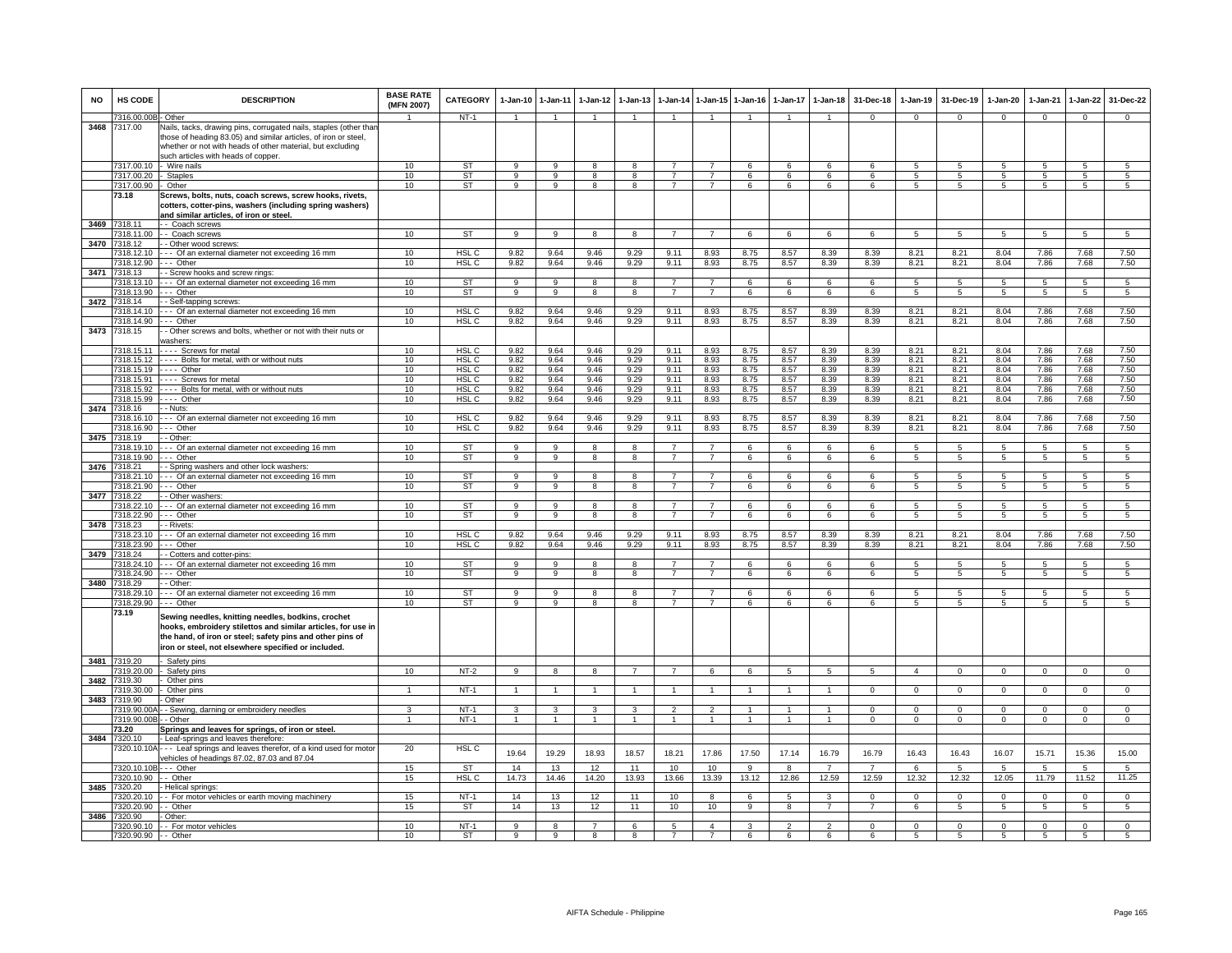| <b>NO</b> | HS CODE                   | <b>DESCRIPTION</b>                                                                                                                                                                                                                        | <b>BASE RATE</b><br>(MFN 2007) | <b>CATEGORY</b>  | $1-Jan-10$     | $1-Jan-11$     | $1 - Jan-12$   | $1-Jan-13$              | $1-Jan-14$     | 1-Jan-15       | $1-Jan-16$     | $1-Jan-17$      | $1-Jan-18$           | 31-Dec-18                     | $1-Jan-19$       | 31-Dec-19                  | 1-Jan-20         | $1-Jan-21$      | $1-Jan-22$       | 31-Dec-22        |
|-----------|---------------------------|-------------------------------------------------------------------------------------------------------------------------------------------------------------------------------------------------------------------------------------------|--------------------------------|------------------|----------------|----------------|----------------|-------------------------|----------------|----------------|----------------|-----------------|----------------------|-------------------------------|------------------|----------------------------|------------------|-----------------|------------------|------------------|
|           | 7316.00.00                | Other                                                                                                                                                                                                                                     |                                | $NT-1$           |                |                |                |                         |                |                |                |                 |                      | $\Omega$                      | $\Omega$         | $\Omega$                   | $\Omega$         | $\Omega$        | $\Omega$         | $\Omega$         |
| 3468      | 7317.00                   | Vails, tacks, drawing pins, corrugated nails, staples (other than<br>those of heading 83.05) and similar articles, of iron or steel,<br>whether or not with heads of other material, but excluding<br>such articles with heads of copper. |                                |                  |                |                |                |                         |                |                |                |                 |                      |                               |                  |                            |                  |                 |                  |                  |
|           | 7317.00.10                | Wire nails                                                                                                                                                                                                                                | 10                             | ST               | 9              | 9              | 8              | 8                       | $\overline{7}$ | 7              | 6              | 6               | 6                    | 6                             | 5                | 5                          | 5                | -5              | 5                | $5\phantom{.0}$  |
|           | 317.00.20                 | <b>Staples</b>                                                                                                                                                                                                                            | 10                             | <b>ST</b>        | 9              | 9              | 8              | 8                       |                | $\overline{7}$ | 6              | 6               | 6                    | 6                             | $\overline{5}$   | 5                          | 5                | $\sqrt{5}$      | 5                | 5                |
|           | 7317.00.90                | Other                                                                                                                                                                                                                                     | 10                             | <b>ST</b>        | 9              | 9              | 8              | 8                       |                | $\overline{7}$ | 6              | 6               | 6                    |                               | $5^{\circ}$      | $\overline{5}$             | 5                | $\overline{5}$  | 5                | 5                |
|           | 73.18                     | Screws, bolts, nuts, coach screws, screw hooks, rivets,<br>cotters, cotter-pins, washers (including spring washers)<br>and similar articles, of iron or steel.                                                                            |                                |                  |                |                |                |                         |                |                |                |                 |                      |                               |                  |                            |                  |                 |                  |                  |
| 3469      | 318.11                    | - Coach screws                                                                                                                                                                                                                            |                                |                  |                |                |                |                         |                |                |                |                 |                      |                               |                  |                            |                  |                 |                  |                  |
|           | 318.11.00                 | - Coach screws                                                                                                                                                                                                                            | 10                             | <b>ST</b>        | $\mathbf{Q}$   | $\mathbf{Q}$   | $\mathbf{R}$   | $\mathbf{R}$            | $\overline{7}$ | $\overline{7}$ | $\epsilon$     | $\epsilon$      | $\epsilon$           | $\epsilon$                    | 5                | -5                         | 5                | $5\overline{5}$ | 5 <sup>5</sup>   | $\overline{5}$   |
| 3470      | 7318.12                   | - Other wood screws:                                                                                                                                                                                                                      |                                |                  |                |                |                |                         |                |                |                |                 |                      |                               |                  |                            |                  |                 |                  |                  |
|           | 7318.12.10                | --- Of an external diameter not exceeding 16 mm                                                                                                                                                                                           | 10                             | HSL C            | 9.82           | 9.64           | 9.46           | 9.29                    | 9.11           | 8.93           | 8.75           | 8.57            | 8.39                 | 8.39                          | 8.21             | 8.21                       | 8.04             | 7.86            | 7.68             | 7.50             |
|           | 318.12.90 --- Other       |                                                                                                                                                                                                                                           | 10                             | HSL C            | 9.82           | 9.64           | 9.46           | 9.29                    | 9.11           | 8.93           | 8.75           | 8.57            | 8.39                 | 8.39                          | 8.21             | 8.21                       | 8.04             | 7.86            | 7.68             | 7.50             |
| 3471      | 318.13                    | - Screw hooks and screw rings:                                                                                                                                                                                                            |                                |                  |                |                |                |                         |                |                |                |                 |                      |                               |                  |                            |                  |                 |                  |                  |
|           | 318.13.10                 | - Of an external diameter not exceeding 16 mm                                                                                                                                                                                             | 10                             | ST               | 9              | -9             | 8              | 8                       | $\overline{7}$ | $\overline{7}$ | 6              | 6               | 6                    | 6                             | -5               | $\sqrt{5}$                 | $5^{\circ}$      | -5              | $5^{\circ}$      | 5                |
|           | 318.13.90                 | - Other                                                                                                                                                                                                                                   | 10                             | <b>ST</b>        | 9              | 9              | 8              | 8                       | $\overline{7}$ | $\overline{7}$ | 6              | 6               | 6                    | 6                             | 5                | $\sqrt{5}$                 | 5                | $\sqrt{5}$      | 5                | 5                |
| 3472      | 318.14                    | Self-tapping screws:                                                                                                                                                                                                                      |                                |                  |                |                |                |                         |                |                |                |                 |                      |                               |                  |                            |                  |                 |                  |                  |
|           | 318.14.10                 | -- Of an external diameter not exceeding 16 mm                                                                                                                                                                                            | 10                             | HSL C            | 9.82           | 9.64           | 9.46           | 9.29                    | 9.11           | 8.93           | 8.75           | 8.57            | 8.39                 | 8.39                          | 8.21             | 8.21                       | 8.04             | 7.86            | 7.68             | 7.50<br>7.50     |
|           | 318.14.90<br>3473 7318.15 | -- Other                                                                                                                                                                                                                                  | 10                             | HSL C            | 9.82           | 9.64           | 9.46           | 9.29                    | 9.11           | 8.93           | 8.75           | 8.57            | 8.39                 | 8.39                          | 8.21             | 8.21                       | 8.04             | 7.86            | 7.68             |                  |
|           |                           | - Other screws and bolts, whether or not with their nuts or<br>vashers:                                                                                                                                                                   |                                |                  |                |                |                |                         |                |                |                |                 |                      |                               |                  |                            |                  |                 |                  |                  |
|           | 318 15 11                 | --- Screws for metal                                                                                                                                                                                                                      | 10                             | HSL C            | 9.82           | 9.64           | 9.46           | 9.29                    | 9.11           | 8.93           | 8.75           | 8.57            | 8.39                 | 8.39                          | 8.21             | 8.21                       | 8.04             | 7.86            | 7.68             | 7.50             |
|           | 7318.15.12                | --- Bolts for metal, with or without nuts                                                                                                                                                                                                 | 10                             | HSL <sub>C</sub> | 9.82           | 9.64           | 9.46           | 9.29                    | 9.11           | 8.93           | 8.75           | 8.57            | 8.39                 | 8.39                          | 8.21             | 8.21                       | 8.04             | 7.86            | 7.68             | 7.50             |
|           | 7318.15.19                | - - - - Othe                                                                                                                                                                                                                              | 10                             | HSL <sub>C</sub> | 9.82           | 9.64           | 9.46           | 9.29                    | 9.11           | 8.93           | 8.75           | 8.57            | 8.39                 | 8.39                          | 8.21             | 8.21                       | 8.04             | 7.86            | 7.68             | 7.50             |
|           | 7318.15.91                | ---- Screws for metal                                                                                                                                                                                                                     | 10                             | HSL C            | 9.82           | 9.64           | 9.46           | 9.29                    | 9.11           | 8.93           | 8.75           | 8.57            | 8.39                 | 8.39                          | 8.21             | 8.21                       | 8.04             | 7.86            | 7.68             | 7.50             |
|           | 7318.15.92                | ---- Bolts for metal, with or without nuts                                                                                                                                                                                                | 10                             | HSL C            | 9.82           | 9.64           | 9.46           | 9.29                    | 9.11           | 8.93           | 8.75           | 8.57            | 8.39                 | 8.39                          | 8.21             | 8.21                       | 8.04             | 7.86            | 7.68             | 7.50             |
|           | 7318.15.99                | --- Other                                                                                                                                                                                                                                 | 10                             | <b>HSLC</b>      | 9.82           | 9.64           | 9.46           | 9.29                    | 9.11           | 8.93           | 8.75           | 8.57            | 8.39                 | 8.39                          | 8.21             | 8.21                       | 8.04             | 7.86            | 7.68             | 7.50             |
| 3474      | 318.16                    | - Nuts:                                                                                                                                                                                                                                   |                                |                  |                |                |                |                         |                |                |                |                 |                      |                               |                  |                            |                  |                 |                  |                  |
|           | 318.16.10                 | -- Of an external diameter not exceeding 16 mm                                                                                                                                                                                            | 10                             | HSL C            | 9.82           | 9.64           | 9.46           | 9.29                    | 9.11           | 8.93           | 8.75           | 8.57            | 8.39                 | 8.39                          | 8.21             | 8.21                       | 8.04             | 7.86            | 7.68             | 7.50             |
|           | 318.16.90                 | - Other                                                                                                                                                                                                                                   | 10                             | HSL C            | 9.82           | 9.64           | 9.46           | 9.29                    | 9.11           | 8.93           | 8.75           | 8.57            | 8.39                 | 8.39                          | 8.21             | 8.21                       | 8.04             | 7.86            | 7.68             | 7.50             |
| 3475      | 318.19                    | - Other:                                                                                                                                                                                                                                  |                                |                  |                |                |                |                         |                |                |                |                 |                      |                               |                  |                            |                  |                 |                  |                  |
|           | 318.19.10                 | -- Of an external diameter not exceeding 16 mm                                                                                                                                                                                            | 10                             | <b>ST</b>        | Q              | $\overline{q}$ | 8              | 8                       | $\overline{7}$ | $\overline{7}$ | 6              | 6               | 6                    | $\epsilon$                    | 5                | -5                         | -5               | $\overline{a}$  | $\overline{5}$   | $\overline{5}$   |
| 3476      | 318 19 90<br>318.21       | $-$ Other                                                                                                                                                                                                                                 | 10                             | <b>ST</b>        | $\overline{9}$ | $\overline{9}$ | $\overline{8}$ | $\overline{8}$          | $\overline{7}$ | $\overline{7}$ | 6              | 6               | 6                    | $\epsilon$                    | 5                | 5                          | 5                | $\overline{5}$  | 5                | 5                |
|           | 318,21.10                 | - Spring washers and other lock washers:<br>- Of an external diameter not exceeding 16 mm                                                                                                                                                 | 10                             | <b>ST</b>        | 9              | $\overline{9}$ | 8              | 8                       | $\overline{7}$ | $\overline{7}$ | 6              | 6               | 6                    | 6                             | $5^{\circ}$      | 5                          | $\overline{5}$   | 5               | $\overline{5}$   | $\overline{5}$   |
|           | 318.21.90                 | -- Other                                                                                                                                                                                                                                  | 10                             | ST               | $\overline{9}$ | $\overline{9}$ | $\overline{8}$ | 8                       | $\overline{7}$ | $\overline{7}$ | 6              | 6               | 6                    | 6                             | $5\overline{5}$  | $-5$                       | 5                | -5              | $5\overline{5}$  | 5                |
| 3477      | 318.22                    | - Other washers:                                                                                                                                                                                                                          |                                |                  |                |                |                |                         |                |                |                |                 |                      |                               |                  |                            |                  |                 |                  |                  |
|           | 318.22.10                 | -- Of an external diameter not exceeding 16 mm                                                                                                                                                                                            | 10                             | ST               | 9              | 9              | 8              | 8                       | $\overline{7}$ | $\overline{7}$ | 6              | 6               | 6                    | 6                             | 5                | -5                         | 5                | -5              | 5                | 5                |
|           | 7318.22.90                | -- Other                                                                                                                                                                                                                                  | 10                             | ST               | 9              | $\overline{9}$ | 8              | $\overline{8}$          | $\overline{7}$ | $\overline{7}$ | 6              | 6               | 6                    | 6                             | $5\phantom{.0}$  | 5                          | 5                | 5               | $5\phantom{.0}$  | 5                |
| 3478      | 318 23                    | - Rivets:                                                                                                                                                                                                                                 |                                |                  |                |                |                |                         |                |                |                |                 |                      |                               |                  |                            |                  |                 |                  |                  |
|           | 318.23.10                 | Of an external diameter not exceeding 16 mm                                                                                                                                                                                               | 10                             | HSL <sub>C</sub> | 9.82           | 9.64           | 9.46           | 9.29                    | 9.11           | 8.93           | 8.75           | 8.57            | 8.39                 | 8.39                          | 8.21             | 8.21                       | 8.04             | 7.86            | 7.68             | 7.50             |
|           | 318.23.90                 | - Other                                                                                                                                                                                                                                   | 10                             | HSL <sub>C</sub> | 9.82           | 9.64           | 9.46           | 9.29                    | 9.11           | 8.93           | 8.75           | 8.57            | 8.39                 | 8.39                          | 8.21             | 8.21                       | 8.04             | 7.86            | 7.68             | 7.50             |
| 3479      | 318.24                    | Cotters and cotter-pins:                                                                                                                                                                                                                  |                                |                  |                |                |                |                         |                |                |                |                 |                      |                               |                  |                            |                  |                 |                  |                  |
|           | 318.24.10                 | - Of an external diameter not exceeding 16 mm                                                                                                                                                                                             | 10                             | <b>ST</b>        | q              | 9              | 8              | 8                       |                | $\overline{7}$ | 6              | 6               | 6                    | 6                             | 5                | 5                          | 5                |                 | 5                | 5                |
|           | 7318.24.90                | -- Other                                                                                                                                                                                                                                  | 10                             | ST               | 9              | $\overline{9}$ | 8              | $\overline{\mathbf{a}}$ | $\overline{7}$ | $\overline{7}$ | 6              | 6               | 6                    | 6                             | $\overline{5}$   | 5                          | 5                | $\overline{5}$  | $\overline{5}$   | 5                |
|           | 3480 7318.29<br>318.29.10 | - Other:<br>- Of an external diameter not exceeding 16 mm                                                                                                                                                                                 | 10                             | <b>ST</b>        | 9              | $\overline{9}$ | $\overline{8}$ | $\overline{\mathbf{a}}$ | 7              | $\overline{7}$ | 6              | 6               | 6                    | 6                             | $\overline{5}$   | $\overline{5}$             | $\overline{5}$   | 5               | $\overline{5}$   | $\overline{5}$   |
|           | 318.29.90                 | - Other                                                                                                                                                                                                                                   | 10                             | <b>ST</b>        | 9              | $\mathbf{Q}$   | 8              | 8                       | $\overline{7}$ | $\overline{7}$ | 6              | 6               | 6                    | 6                             | 5                | 5                          | 5                | $\overline{5}$  | 5                | 5                |
|           | 73.19                     | Sewing needles, knitting needles, bodkins, crochet<br>hooks, embroidery stilettos and similar articles, for use in<br>the hand, of iron or steel; safety pins and other pins of<br>iron or steel, not elsewhere specified or included.    |                                |                  |                |                |                |                         |                |                |                |                 |                      |                               |                  |                            |                  |                 |                  |                  |
| 3481      | 319.20                    | Safety pins                                                                                                                                                                                                                               |                                |                  |                |                |                |                         |                |                |                |                 |                      |                               |                  |                            |                  |                 |                  |                  |
|           | 319.20.00                 | Safety pins                                                                                                                                                                                                                               | 10                             | $NT-2$           | 9              | 8              | 8              | $\overline{7}$          | $\overline{7}$ | 6              | 6              | $5\overline{5}$ | 5                    | $\overline{5}$                | $\overline{4}$   | $\mathbf 0$                | $\mathbf 0$      | $\mathbf 0$     | $\mathsf 0$      | $\mathsf 0$      |
| 3482      | 319.30                    | Other pins                                                                                                                                                                                                                                | $\mathbf{1}$                   |                  |                |                | $\mathbf{1}$   |                         |                | $\overline{1}$ | $\overline{1}$ | $\mathbf{1}$    | $\blacktriangleleft$ |                               |                  |                            | $\Omega$         |                 |                  | $\overline{0}$   |
| 3483      | 319.30.00<br>319.90       | Other pins<br>Other                                                                                                                                                                                                                       |                                | $NT-1$           | $\mathbf{1}$   | $\mathbf{1}$   |                | $\overline{1}$          | $\mathbf{1}$   |                |                |                 |                      | $\mathbf 0$                   | $\mathsf 0$      | $\mathbf 0$                |                  | $\Omega$        | $\mathsf 0$      |                  |
|           | 319 90 00                 | - Sewing, darning or embroidery needles                                                                                                                                                                                                   | $\mathcal{R}$                  | $NT-1$           | $\mathcal{R}$  | 3              | 3              | 3                       | $\mathcal{P}$  | $\overline{2}$ | $\overline{1}$ | $\mathbf{1}$    | $\overline{1}$       | $\Omega$                      | $\mathsf 0$      | $\mathbf 0$                | $\Omega$         | $\Omega$        | $\mathsf 0$      | $\overline{0}$   |
|           | 319,90,00                 | - Other                                                                                                                                                                                                                                   | $\mathbf{1}$                   | $NT-1$           | $\mathbf{1}$   | $\overline{1}$ | $\overline{1}$ | $\mathbf{1}$            | $\mathbf{1}$   | $\overline{1}$ | $\overline{1}$ | $\overline{1}$  | $\mathbf{1}$         | $\Omega$                      | $\Omega$         | $\Omega$                   | $\overline{0}$   | $\Omega$        | $\overline{0}$   | $\overline{0}$   |
|           | 3.20                      | Springs and leaves for springs, of iron or steel.                                                                                                                                                                                         |                                |                  |                |                |                |                         |                |                |                |                 |                      |                               |                  |                            |                  |                 |                  |                  |
| 3484      | 320.10                    | - Leaf-springs and leaves therefore                                                                                                                                                                                                       |                                |                  |                |                |                |                         |                |                |                |                 |                      |                               |                  |                            |                  |                 |                  |                  |
|           | 320.10.10                 | Leaf springs and leaves therefor, of a kind used for motor<br>vehicles of headings 87.02, 87.03 and 87.04                                                                                                                                 | 20                             | HSL <sub>C</sub> | 19.64          | 19.29          | 18.93          | 18.57                   | 18.21          | 17.86          | 17.50          | 17.14           | 16.79                | 16.79                         | 16.43            | 16.43                      | 16.07            | 15.71           | 15.36            | 15.00            |
|           | 7320.10.10                | $-$ Other                                                                                                                                                                                                                                 | 15                             | <b>ST</b>        | 14             | 13             | 12             | 11                      | 10             | 10             | $\mathbf{Q}$   | $\mathbf{R}$    | $\overline{7}$       | $\overline{7}$                | -6               | $\sqrt{5}$                 | 5                | -5              | 5                | 5                |
|           | 320 10 90                 | - Other                                                                                                                                                                                                                                   | 15                             | HSL C            | 14.73          | 14.46          | 14.20          | 13.93                   | 13.66          | 13.39          | 13.12          | 12.86           | 12.59                | 12.59                         | 12.32            | 12.32                      | 12.05            | 11.79           | 11.52            | 11.25            |
| 3485      | 320.20                    | Helical springs:                                                                                                                                                                                                                          |                                |                  |                |                |                |                         |                |                |                |                 |                      |                               |                  |                            |                  | $\Omega$        |                  |                  |
|           | 320.20.10<br>320.20.90    | - For motor vehicles or earth moving machinery                                                                                                                                                                                            | 15<br>15                       | $NT-1$<br>ST     | 14<br>14       | 13<br>13       | 12<br>12       | 11<br>11                | 10<br>10       | 8<br>10        | 6<br>9         | 5<br>8          | 3<br>$\overline{7}$  | $\mathsf 0$<br>$\overline{7}$ | $\mathsf 0$<br>6 | $\mathbf 0$<br>$5^{\circ}$ | $\mathbf 0$<br>5 | 5               | $\mathbf 0$<br>5 | $\mathbf 0$<br>5 |
| 3486      | 320.90                    | Other<br>Other:                                                                                                                                                                                                                           |                                |                  |                |                |                |                         |                |                |                |                 |                      |                               |                  |                            |                  |                 |                  |                  |
|           | 320.90.10                 | - - For motor vehicles                                                                                                                                                                                                                    | 10                             | $NT-1$           | 9              | 8              | $\overline{7}$ | 6                       | $\overline{5}$ | $\overline{4}$ | 3              | $\overline{2}$  | $\mathcal{P}$        | $\Omega$                      | $\Omega$         | $^{\circ}$                 | $\Omega$         | $\Omega$        | $\mathsf 0$      | $\overline{0}$   |
|           | 7320.90.90                | - Other                                                                                                                                                                                                                                   | 10                             | ST               | $\overline{9}$ | $\overline{9}$ | $\overline{8}$ | $\overline{\mathbf{a}}$ | $\overline{7}$ | $\overline{7}$ | 6              | 6               | 6                    | $\epsilon$                    | $\overline{5}$   | $\overline{5}$             | $\overline{5}$   | $\overline{5}$  | $\overline{5}$   | $\overline{5}$   |
|           |                           |                                                                                                                                                                                                                                           |                                |                  |                |                |                |                         |                |                |                |                 |                      |                               |                  |                            |                  |                 |                  |                  |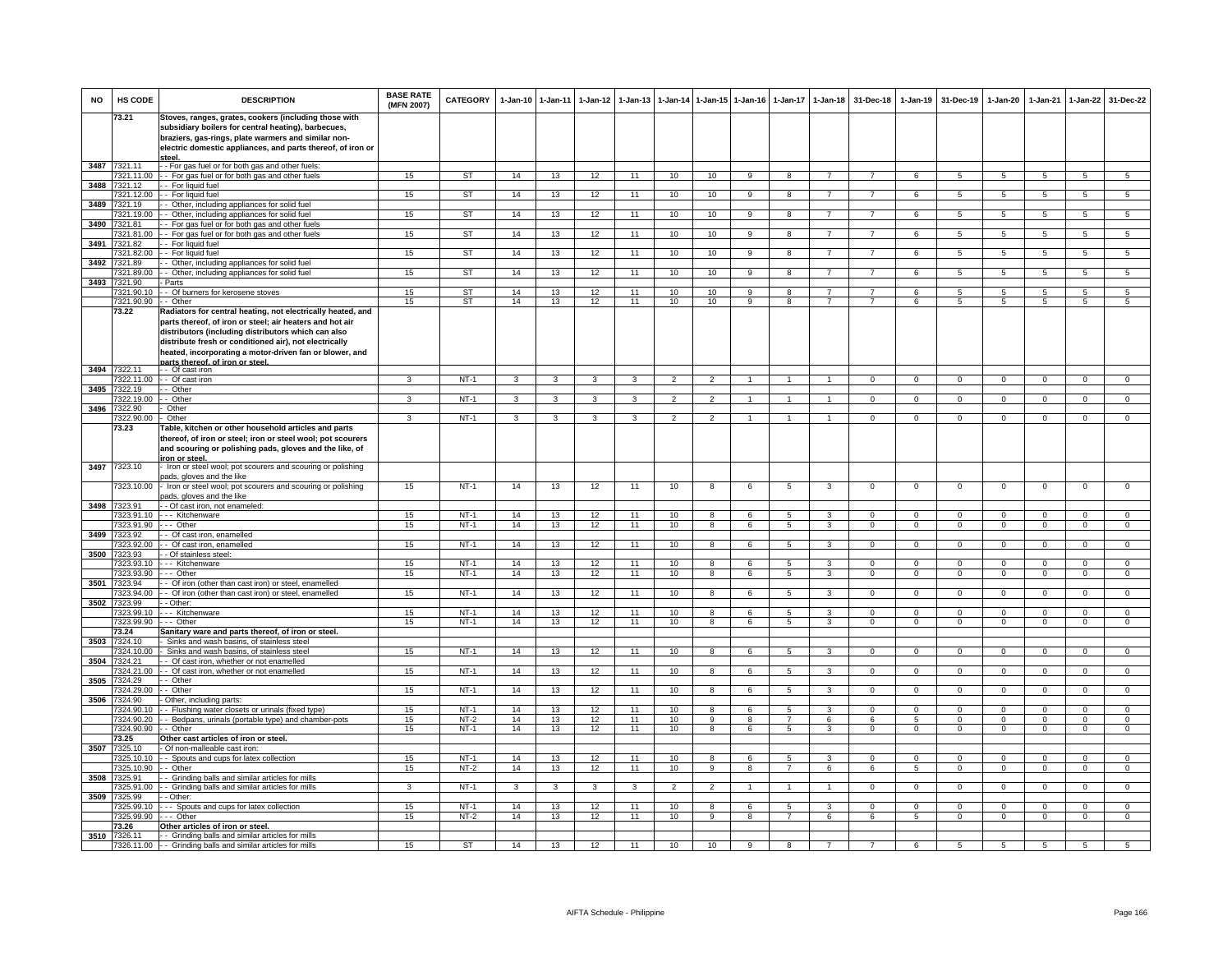| <b>NO</b> | HS CODE                  | <b>DESCRIPTION</b>                                                                                                                                                                                                                 | <b>BASE RATE</b><br>(MFN 2007) | <b>CATEGORY</b>  | $1-Jan-10$   | $1 - Jan-11$ | $1-Jan-12$   | $1-Jan-13$   |                       |                     | 1-Jan-14 1-Jan-15 1-Jan-16 | $1-Jan-17$                       | $1-Jan-18$                       | 31-Dec-18                        | $1-Jan-19$                 | 31-Dec-19                  | 1-Jan-20                         | 1-Jan-21                   | $1-Jan-22$                       | 31-Dec-22                        |
|-----------|--------------------------|------------------------------------------------------------------------------------------------------------------------------------------------------------------------------------------------------------------------------------|--------------------------------|------------------|--------------|--------------|--------------|--------------|-----------------------|---------------------|----------------------------|----------------------------------|----------------------------------|----------------------------------|----------------------------|----------------------------|----------------------------------|----------------------------|----------------------------------|----------------------------------|
|           | 73.21                    | Stoves, ranges, grates, cookers (including those with<br>subsidiary boilers for central heating), barbecues,<br>braziers, gas-rings, plate warmers and similar non-<br>electric domestic appliances, and parts thereof, of iron or |                                |                  |              |              |              |              |                       |                     |                            |                                  |                                  |                                  |                            |                            |                                  |                            |                                  |                                  |
|           | 3487 7321.11             | - - For gas fuel or for both gas and other fuels:                                                                                                                                                                                  |                                |                  |              |              |              |              |                       |                     |                            |                                  |                                  |                                  |                            |                            |                                  |                            |                                  |                                  |
|           | 7321.11.00               | - - For gas fuel or for both gas and other fuels                                                                                                                                                                                   | 15                             | ST               | 14           | 13           | 12           | 11           | 10                    | 10                  | q                          | $\overline{\mathbf{R}}$          | $\overline{7}$                   | $\overline{7}$                   | $\epsilon$                 | $\overline{5}$             | $\overline{5}$                   | $\overline{5}$             | $\overline{5}$                   | $\overline{5}$                   |
| 3488      | 321.12                   | - For liquid fuel                                                                                                                                                                                                                  |                                |                  |              |              |              |              |                       |                     |                            |                                  |                                  |                                  |                            |                            |                                  |                            |                                  |                                  |
| 3489      | 7321.12.00<br>7321.19    | -- For liquid fuel<br>- Other, including appliances for solid fuel                                                                                                                                                                 | 15                             | <b>ST</b>        | 14           | 13           | 12           | 11           | 10                    | 10                  | 9                          | 8                                | $\overline{7}$                   | $\overline{7}$                   | 6                          | $\overline{5}$             | $\overline{5}$                   | $\sqrt{5}$                 | 5                                | 5                                |
|           | 7321.19.00               | - Other, including appliances for solid fuel                                                                                                                                                                                       | 15 <sub>15</sub>               | ST               | 14           | 13           | 12           | 11           | 10                    | 10                  | 9                          | 8                                | $\overline{7}$                   | $\overline{7}$                   | 6                          | 5                          | 5                                | 5                          | $5\phantom{.0}$                  | $5\overline{5}$                  |
| 3490      | 7321.81                  | - For gas fuel or for both gas and other fuels                                                                                                                                                                                     |                                |                  |              |              |              |              |                       |                     |                            |                                  |                                  |                                  |                            |                            |                                  |                            |                                  |                                  |
|           | 321.81.00                | - For gas fuel or for both gas and other fuels                                                                                                                                                                                     | 15                             | ST               | 14           | 13           | 12           | 11           | 10                    | 10                  | $\overline{9}$             | 8                                | $\overline{7}$                   | $\overline{7}$                   | 6                          | $5\overline{5}$            | $5^{\circ}$                      | $\sqrt{5}$                 | 5                                | 5                                |
| 3491      | 7321.82<br>321.82.00     | For liquid fuel<br>- For liquid fuel                                                                                                                                                                                               | 15                             | <b>ST</b>        | 14           | 13           | 12           | 11           | 10                    | 10                  | 9                          | 8                                | $\overline{7}$                   | $\overline{7}$                   | 6                          | 5                          | 5                                | 5                          | 5                                | 5                                |
| 3492      | 7321.89                  | - Other, including appliances for solid fuel                                                                                                                                                                                       |                                |                  |              |              |              |              |                       |                     |                            |                                  |                                  |                                  |                            |                            |                                  |                            |                                  |                                  |
|           | 321.89.00                | - Other, including appliances for solid fuel                                                                                                                                                                                       | 15 <sub>15</sub>               | <b>ST</b>        | 14           | 13           | 12           | 11           | 10                    | 10                  | $\overline{9}$             | 8                                | $\overline{7}$                   | $\overline{7}$                   | 6                          | 5                          | 5                                | $\overline{5}$             | $5\overline{)}$                  | $\overline{5}$                   |
| 3493      | 7321.90                  | Parts                                                                                                                                                                                                                              |                                |                  |              |              |              |              |                       |                     |                            |                                  |                                  |                                  |                            |                            |                                  |                            |                                  |                                  |
|           | 7321.90.10<br>7321.90.90 | - Of burners for kerosene stoves<br>- Other                                                                                                                                                                                        | 15<br>15 <sub>15</sub>         | <b>ST</b><br>ST  | 14<br>14     | 13<br>13     | 12<br>12     | 11<br>11     | 10 <sup>1</sup><br>10 | 10<br>10            | 9<br>9                     | 8<br>8                           | $\overline{7}$<br>$\overline{7}$ | $\overline{7}$<br>$\overline{7}$ | 6<br>6                     | 5<br>5                     | $\overline{5}$<br>5              | 5<br>5                     | $5\overline{5}$<br>5             | 5<br>5                           |
|           | 73.22                    | Radiators for central heating, not electrically heated, and                                                                                                                                                                        |                                |                  |              |              |              |              |                       |                     |                            |                                  |                                  |                                  |                            |                            |                                  |                            |                                  |                                  |
|           |                          | parts thereof, of iron or steel; air heaters and hot air                                                                                                                                                                           |                                |                  |              |              |              |              |                       |                     |                            |                                  |                                  |                                  |                            |                            |                                  |                            |                                  |                                  |
|           |                          | distributors (including distributors which can also<br>distribute fresh or conditioned air), not electrically<br>heated, incorporating a motor-driven fan or blower, and                                                           |                                |                  |              |              |              |              |                       |                     |                            |                                  |                                  |                                  |                            |                            |                                  |                            |                                  |                                  |
|           | 3494 7322.11             | parts thereof, of iron or steel.                                                                                                                                                                                                   |                                |                  |              |              |              |              |                       |                     |                            |                                  |                                  |                                  |                            |                            |                                  |                            |                                  |                                  |
|           | 7322.11.00               | - Of cast iron<br>- - Of cast iron                                                                                                                                                                                                 | 3                              | $NT-1$           | 3            | 3            | 3            | $\mathbf{3}$ | $\overline{2}$        | $\overline{2}$      |                            |                                  |                                  | $\Omega$                         | $\Omega$                   | $\Omega$                   | $\Omega$                         | $\Omega$                   | $\mathsf 0$                      | $\overline{0}$                   |
| 3495      | 322.19                   | - Other                                                                                                                                                                                                                            |                                |                  |              |              |              |              |                       |                     |                            |                                  |                                  |                                  |                            |                            |                                  |                            |                                  |                                  |
|           | 7322.19.00               | - Other                                                                                                                                                                                                                            | 3                              | $NT-1$           | 3            | 3            |              | 3            | $\overline{2}$        | $\overline{2}$      |                            |                                  | $\blacktriangleleft$             | $^{\circ}$                       | $\mathbf 0$                | $^{\circ}$                 | $\mathbf{0}$                     | $^{\circ}$                 | $^{\circ}$                       | $\Omega$                         |
| 3496      | 7322.90                  | Other<br>Other                                                                                                                                                                                                                     |                                | $NT-1$           |              |              | 3            |              | 2                     |                     | -1                         |                                  | $\mathbf{1}$                     | $\Omega$                         | $\Omega$                   |                            | $\Omega$                         | $\Omega$                   |                                  |                                  |
|           | 322.90.00<br>73.23       | able, kitchen or other household articles and parts                                                                                                                                                                                | 3                              |                  | 3            | 3            |              | 3            |                       | $\mathcal{P}$       |                            | 1                                |                                  |                                  |                            | $\Omega$                   |                                  |                            | $\mathbf{0}$                     | $\mathbf 0$                      |
|           |                          | thereof, of iron or steel; iron or steel wool; pot scourers<br>and scouring or polishing pads, gloves and the like, of<br>ron or steel                                                                                             |                                |                  |              |              |              |              |                       |                     |                            |                                  |                                  |                                  |                            |                            |                                  |                            |                                  |                                  |
| 3497      | 7323.10                  | Iron or steel wool; pot scourers and scouring or polishing                                                                                                                                                                         |                                |                  |              |              |              |              |                       |                     |                            |                                  |                                  |                                  |                            |                            |                                  |                            |                                  |                                  |
|           | 7323.10.00               | bads, gloves and the like<br>Iron or steel wool; pot scourers and scouring or polishing<br>bads, gloves and the like                                                                                                               | 15                             | $NT-1$           | 14           | 13           | 12           | 11           | 10                    | 8                   | 6                          | 5                                | 3                                | $\mathbf 0$                      | $^{\circ}$                 | $^{\circ}$                 | $^{\circ}$                       | $\mathbf 0$                | $\mathbf 0$                      | $\mathbf 0$                      |
|           | 3498 7323.91             | - Of cast iron, not enameled:                                                                                                                                                                                                      |                                |                  |              |              |              |              |                       |                     |                            |                                  |                                  |                                  |                            |                            |                                  |                            |                                  |                                  |
|           | 7323.91.10<br>7323.91.90 | -- Kitchenware<br>-- Other                                                                                                                                                                                                         | 15<br>15                       | $NT-1$<br>$NT-1$ | 14<br>14     | 13<br>13     | 12<br>12     | 11<br>11     | 10<br>10              | 8<br>8              | 6<br>6                     | 5<br>$\overline{5}$              | $\mathbf{3}$<br>3                | $\Omega$<br>$\overline{0}$       | $\Omega$<br>$\overline{0}$ | $\Omega$<br>$\Omega$       | $\Omega$<br>$\Omega$             | $\Omega$<br>$\overline{0}$ | $\Omega$<br>$\overline{0}$       | $\overline{0}$<br>$\overline{0}$ |
| 3499      | 323.92                   | - Of cast iron, enamelled                                                                                                                                                                                                          |                                |                  |              |              |              |              |                       |                     |                            |                                  |                                  |                                  |                            |                            |                                  |                            |                                  |                                  |
|           | 7323.92.00               | - Of cast iron, enamelled                                                                                                                                                                                                          | 15                             | $NT-1$           | 14           | 13           | 12           | 11           | 10                    | 8                   | 6                          | 5                                | 3                                | $\mathbf 0$                      | $\mathbf 0$                | $\mathbf 0$                | $\mathbf 0$                      | $\Omega$                   | $\mathbf 0$                      | $\overline{0}$                   |
| 3500      | 7323.93                  | - Of stainless steel                                                                                                                                                                                                               |                                |                  |              |              |              |              |                       |                     |                            |                                  |                                  |                                  |                            |                            |                                  |                            |                                  |                                  |
|           | 323.93.10<br>7323.93.90  | -- Kitchenware<br>-- Other                                                                                                                                                                                                         | 15<br>15                       | $NT-1$<br>$NT-1$ | 14<br>14     | 13<br>13     | 12<br>12     | 11<br>11     | 10<br>10              | $\mathbf{R}$<br>8   | 6<br>6                     | $\overline{5}$<br>5              | $\overline{\mathbf{3}}$<br>3     | $\Omega$<br>$\mathbf 0$          | $\Omega$<br>$\mathbf 0$    | $\Omega$<br>$\Omega$       | $\Omega$<br>$\mathsf 0$          | $\Omega$<br>$\Omega$       | $\Omega$<br>$\mathsf 0$          | $\overline{0}$<br>$\overline{0}$ |
| 3501      | 7323.94                  | - Of iron (other than cast iron) or steel, enamelled                                                                                                                                                                               |                                |                  |              |              |              |              |                       |                     |                            |                                  |                                  |                                  |                            |                            |                                  |                            |                                  |                                  |
|           | 7323.94.00               | - Of iron (other than cast iron) or steel, enamelled                                                                                                                                                                               | 15                             | $NT-1$           | 14           | 13           | 12           | 11           | 10                    | 8                   | 6                          | 5                                | 3                                | $\mathbf{0}$                     | $\mathbf 0$                | $\mathbf 0$                | $\overline{0}$                   | $\mathbf 0$                | $\mathbf{0}$                     | $\mathbf{0}$                     |
|           | 3502 7323.99             | - Other:                                                                                                                                                                                                                           |                                |                  |              |              |              |              |                       |                     |                            |                                  |                                  |                                  |                            |                            |                                  |                            |                                  |                                  |
|           | 7323.99.10<br>7323.99.90 | -- Kitchenware<br>-- Other                                                                                                                                                                                                         | 15<br>15                       | $NT-1$<br>$NT-1$ | 14<br>14     | 13<br>13     | 12<br>12     | 11<br>11     | 10<br>10              | 8<br>8              | 6<br>6                     | 5<br>5                           | 3<br>3                           | $\Omega$<br>$\mathbf 0$          | $\Omega$<br>$\mathbf 0$    | $\Omega$<br>$^{\circ}$     | $\Omega$<br>$\mathbf{0}$         | $\Omega$<br>$^{\circ}$     | $\Omega$<br>$\mathbf 0$          | $\overline{0}$<br>$\mathbf 0$    |
|           | 73.24                    | Sanitary ware and parts thereof, of iron or steel.                                                                                                                                                                                 |                                |                  |              |              |              |              |                       |                     |                            |                                  |                                  |                                  |                            |                            |                                  |                            |                                  |                                  |
| 3503      | 7324.10                  | Sinks and wash basins, of stainless steel                                                                                                                                                                                          |                                |                  |              |              |              |              |                       |                     |                            |                                  |                                  |                                  |                            |                            |                                  |                            |                                  |                                  |
|           | 7324.10.00               | Sinks and wash basins, of stainless steel                                                                                                                                                                                          | 15                             | $NT-1$           | 14           | 13           | 12           | 11           | 10                    | 8                   | 6                          | 5                                | 3                                | $\Omega$                         | $\overline{0}$             | $\Omega$                   | $\overline{0}$                   | $\Omega$                   | $\mathbf 0$                      | $\overline{0}$                   |
| 3504      | 7324 21<br>7324.21.00    | - Of cast iron, whether or not enamelled<br>- Of cast iron, whether or not enamelled                                                                                                                                               | 15 <sup>15</sup>               | $NT-1$           | 14           | 13           | 12           | 11           | 10                    | 8                   | $\kappa$                   | $\overline{5}$                   | 3                                | $\mathbf 0$                      | $\mathbf 0$                | $\Omega$                   | $\Omega$                         | $\Omega$                   | $\mathbf 0$                      | $\mathbf 0$                      |
| 3505      | 324.29                   | - Other                                                                                                                                                                                                                            |                                |                  |              |              |              |              |                       |                     |                            |                                  |                                  |                                  |                            |                            |                                  |                            |                                  |                                  |
|           | 7324.29.00               | - Other                                                                                                                                                                                                                            | 15                             | $NT-1$           | 14           | 13           | 12           | 11           | 10                    | 8                   | 6                          | 5                                | 3                                | $\mathbf{0}$                     | $\mathbf 0$                | $\mathbf 0$                | $\mathbf 0$                      | $\mathbf 0$                | $\mathbf 0$                      | $\Omega$                         |
| 3506      | 7324.90                  | Other, including parts:                                                                                                                                                                                                            |                                |                  |              |              |              |              |                       |                     |                            |                                  |                                  |                                  |                            |                            |                                  |                            |                                  |                                  |
|           | 7324.90.10<br>7324.90.20 | - Flushing water closets or urinals (fixed type)<br>- Bedpans, urinals (portable type) and chamber-pots                                                                                                                            | 15<br>15                       | $NT-1$<br>$NT-2$ | 14<br>14     | 13<br>13     | 12<br>12     | 11<br>11     | 10<br>10              | 8<br>$\overline{9}$ | 6<br>$\overline{8}$        | 5<br>$\overline{7}$              | 3<br>6                           | $\Omega$<br>6                    | $\Omega$<br>5              | $\Omega$<br>$\Omega$       | $\Omega$<br>$\Omega$             | $\Omega$<br>$\Omega$       | $\Omega$<br>$\overline{0}$       | $\overline{0}$<br>$\overline{0}$ |
|           | 7324.90.90               | - Other                                                                                                                                                                                                                            | 15                             | $NT-1$           | 14           | 13           | 12           | 11           | 10                    | 8                   | 6                          | 5                                | 3                                | $\mathbf 0$                      | $^{\circ}$                 | 0                          | 0                                | 0                          | $\mathbf 0$                      | $\mathbf 0$                      |
|           | 73.25                    | Other cast articles of iron or steel.                                                                                                                                                                                              |                                |                  |              |              |              |              |                       |                     |                            |                                  |                                  |                                  |                            |                            |                                  |                            |                                  |                                  |
| 3507      | 7325.10                  | Of non-malleable cast iron:                                                                                                                                                                                                        |                                |                  |              |              |              |              |                       |                     |                            |                                  |                                  |                                  |                            |                            |                                  |                            |                                  |                                  |
|           | 7325.10.10<br>7325.10.90 | - Spouts and cups for latex collection<br>$-$ Other                                                                                                                                                                                | 15<br>15                       | $NT-1$<br>$NT-2$ | 14<br>14     | 13<br>13     | 12<br>12     | 11<br>11     | 10<br>10              | 8<br>$\overline{9}$ | 6<br>R                     | $\overline{5}$<br>$\overline{7}$ | 3<br>6                           | $\Omega$<br>6                    | $\overline{0}$<br>5        | $\Omega$<br>$\overline{0}$ | $\overline{0}$<br>$\overline{0}$ | $\Omega$<br>$\overline{0}$ | $\overline{0}$<br>$\overline{0}$ | $\overline{0}$<br>$\overline{0}$ |
| 3508      | 7325.91                  | - Grinding balls and similar articles for mills                                                                                                                                                                                    |                                |                  |              |              |              |              |                       |                     |                            |                                  |                                  |                                  |                            |                            |                                  |                            |                                  |                                  |
|           | 7325.91.00               | - Grinding balls and similar articles for mills                                                                                                                                                                                    | $\mathbf{3}$                   | $NT-1$           | $\mathbf{3}$ | $\mathbf{3}$ | $\mathbf{3}$ | 3            | $\overline{2}$        | $\overline{2}$      | -1                         | $\mathbf{1}$                     | $\mathbf{1}$                     | $\mathbf{0}$                     | $\mathbf{O}$               | $\mathbf 0$                | $\overline{0}$                   | $\mathbf 0$                | $\mathbf{0}$                     | $\mathbf{0}$                     |
| 3509      | 7325.99                  | - Other:                                                                                                                                                                                                                           |                                |                  |              |              |              |              |                       |                     |                            |                                  |                                  |                                  |                            |                            |                                  |                            |                                  |                                  |
|           | 325.99.10                | - - Spouts and cups for latex collection                                                                                                                                                                                           | 15 <sub>15</sub>               | $NT-1$           | 14           | 13           | 12           | 11           | 10                    | 8                   | 6                          | 5                                | 3                                | $\Omega$                         | $\Omega$                   | $\Omega$                   | $\Omega$                         | $\Omega$                   | $\Omega$                         | $\overline{0}$                   |
|           | 325.99.90<br>73.26       | Other<br>Other articles of iron or steel.                                                                                                                                                                                          | 15                             | $NT-2$           | 14           | 13           | 12           | 11           | 10                    | 9                   | 8                          | $\overline{7}$                   | 6                                | 6                                | 5                          | $\mathbf 0$                | $\mathbf 0$                      | $\mathbf 0$                | $\mathbf 0$                      | $\mathbf 0$                      |
| 3510      | 7326.11                  | - Grinding balls and similar articles for mills                                                                                                                                                                                    |                                |                  |              |              |              |              |                       |                     |                            |                                  |                                  |                                  |                            |                            |                                  |                            |                                  |                                  |
|           |                          | 7326.11.00 - Grinding balls and similar articles for mills                                                                                                                                                                         | 15                             | ST               | 14           | 13           | 12           | 11           | 10                    | 10                  | $_{9}$                     | 8                                |                                  |                                  | $\epsilon$                 | 5                          | $5^{\circ}$                      | $\overline{5}$             | $\overline{5}$                   | 5                                |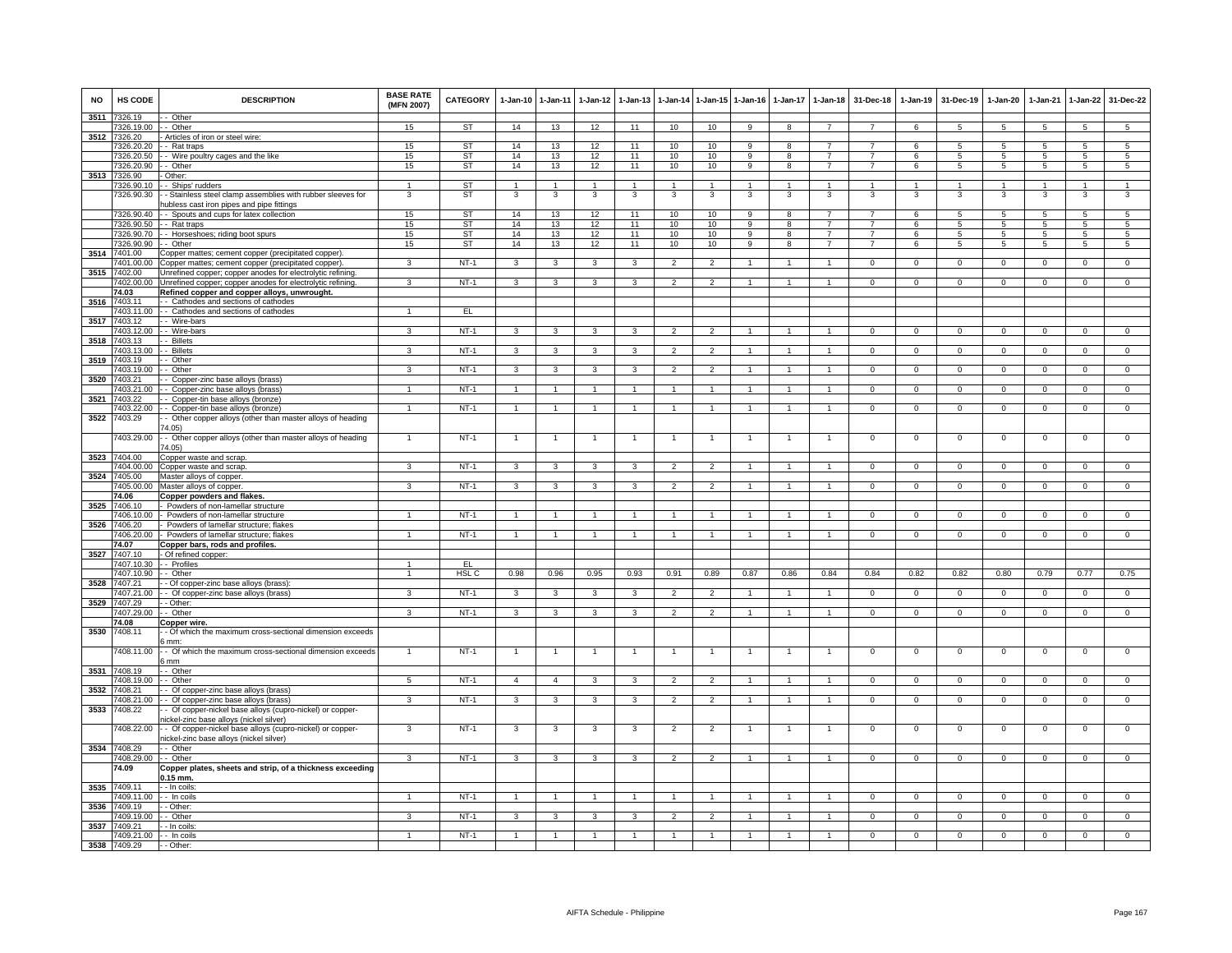| <b>NO</b> | <b>HS CODE</b>             | <b>DESCRIPTION</b>                                                                 | <b>BASE RATE</b><br>(MFN 2007) | CATEGORY         | 1-Jan-10       | $1 - Jan-11$   | $1 - Jan-12$   | $1-Jan-13$   | 1-Jan-14                 | 1-Jan-15 1-Jan-16    |                | $1 - Jan-17$ | $1-Jan-18$           | 31-Dec-18      | $1-Jan-19$     | 31-Dec-19       | $1-Jan-20$      | $1-Jan-21$     | $1-Jan-22$      | 31-Dec-22       |
|-----------|----------------------------|------------------------------------------------------------------------------------|--------------------------------|------------------|----------------|----------------|----------------|--------------|--------------------------|----------------------|----------------|--------------|----------------------|----------------|----------------|-----------------|-----------------|----------------|-----------------|-----------------|
| 3511      | 7326.19<br>326.19.00       | - Other<br>- Other                                                                 | 15                             | ST               | 14             | 13             | 12             | 11           | 10                       | 10                   | 9              | 8            | $\overline{7}$       | $\overline{7}$ | 6              | $5\phantom{.0}$ | $5\phantom{.0}$ | $\overline{5}$ | $\overline{5}$  | $5\phantom{.0}$ |
| 3512      | 7326.20                    | Articles of iron or steel wire:                                                    |                                |                  |                |                |                |              |                          |                      |                |              |                      |                |                |                 |                 |                |                 |                 |
|           | 326,20.20                  | - Rat traps                                                                        | 15                             | <b>ST</b>        | 14             | 13             | 12             | 11           | 10                       | 10                   | 9              | 8            | $\overline{7}$       | $\overline{7}$ | 6              | -5              | 5               | -5             | -5              | 5               |
|           | 326.20.50                  | - Wire poultry cages and the like                                                  | 15                             | ST               | 14             | 13             | 12             | 11           | 10                       | 10                   | 9              | 8            | $\overline{7}$       |                | 6              | 5               | 5               | 5              | 5               | 5               |
|           | 7326.20.90                 | - Other                                                                            | 15                             | <b>ST</b>        | 14             | 13             | 12             | 11           | 10                       | 10                   | 9              | 8            | $\overline{7}$       | $\overline{7}$ | 6              | 5               | $5\phantom{.0}$ | 5              | 5               | 5               |
|           | 3513 7326.90               | Other:                                                                             |                                |                  |                |                |                |              |                          |                      |                |              |                      |                |                |                 |                 |                |                 |                 |
|           | 7326.90.10                 | - Ships' rudders                                                                   |                                | <b>ST</b>        | $\overline{1}$ | $\overline{1}$ | $\overline{1}$ | $\mathbf{1}$ | $\overline{1}$           | $\blacktriangleleft$ | $\overline{1}$ | $\mathbf{1}$ | $\overline{1}$       | $\overline{1}$ | $\overline{1}$ | $\overline{1}$  | $\overline{1}$  |                | $\mathbf{1}$    | $\overline{1}$  |
|           | 7326.90.30                 | - Stainless steel clamp assemblies with rubber sleeves for                         | 3                              | <b>ST</b>        | 3              | 3              | 3              | 3            | 3                        | 3                    | 3              | 3            | 3                    | 3              | 3              | 3               | 3               | 3              | 3               | 3               |
|           | 7326.90.40                 | ubless cast iron pipes and pipe fittings<br>- Spouts and cups for latex collection | 15                             | ST               | 14             | 13             | 12             | 11           | 10                       | 10                   | 9              | 8            | $\overline{7}$       | 7              | 6              | 5               | 5               | 5              | 5               | 5               |
|           | 7326.90.50                 | - Rat traps                                                                        | 15                             | <b>ST</b>        | 14             | 13             | 12             | 11           | 10                       | 10                   | 9              | 8            | $\overline{7}$       | $\overline{7}$ | 6              | 5               | 5               | 5              | $5\phantom{.0}$ | $\overline{5}$  |
|           | 7326.90.70                 | - Horseshoes; riding boot spurs                                                    | 15                             | <b>ST</b>        | 14             | 13             | 12             | 11           | 10                       | 10                   | 9              | 8            | $\overline{7}$       | $\overline{7}$ | 6              | $\overline{5}$  | $\overline{5}$  | 5              | $5\overline{)}$ | $\overline{5}$  |
|           | 7326.90.90                 | - Other                                                                            | 15                             | <b>ST</b>        | 14             | 13             | 12             | 11           | 10                       | 10                   | 9              | 8            | $\overline{7}$       | $\overline{7}$ | 6              | 5               | 5               | 5              | 5               | 5               |
| 3514      | 7401.00                    | Copper mattes; cement copper (precipitated copper).                                |                                |                  |                |                |                |              |                          |                      |                |              |                      |                |                |                 |                 |                |                 |                 |
|           | 7401.00.00                 | Copper mattes; cement copper (precipitated copper).                                | $\mathbf{3}$                   | NT-1             | 3              | $\mathbf{3}$   | $\mathbf{3}$   | 3            | $\overline{2}$           | $\overline{2}$       | $\mathbf{1}$   | $\mathbf{1}$ | $\mathbf{1}$         | $\mathbf 0$    | $\mathsf 0$    | $\mathbf 0$     | 0               | $\overline{0}$ | $\mathbf{0}$    | $\mathsf 0$     |
| 3515      | 7402.00                    | Unrefined copper; copper anodes for electrolytic refining                          |                                |                  |                |                |                |              |                          |                      |                |              |                      |                |                |                 |                 |                |                 |                 |
|           | 7402.00.00<br>74.03        | Unrefined copper; copper anodes for electrolytic refining                          |                                | $NT-1$           | 3              | 3              | 3              |              | $\overline{\phantom{a}}$ | $\mathcal{P}$        |                |              |                      | $\Omega$       | $\Omega$       | $\Omega$        | $\Omega$        | $\Omega$       | $\Omega$        | $\Omega$        |
| 3516      | 7403.11                    | Refined copper and copper alloys, unwrought<br>- Cathodes and sections of cathodes |                                |                  |                |                |                |              |                          |                      |                |              |                      |                |                |                 |                 |                |                 |                 |
|           | 7403.11.00                 | - Cathodes and sections of cathodes                                                | $\blacktriangleleft$           | EL.              |                |                |                |              |                          |                      |                |              |                      |                |                |                 |                 |                |                 |                 |
| 3517      | 7403.12                    | - Wire-bars                                                                        |                                |                  |                |                |                |              |                          |                      |                |              |                      |                |                |                 |                 |                |                 |                 |
|           | 403.12.00                  | - Wire-bars                                                                        | 3                              | $NT-1$           | 3              | 3              | 3              | $\mathbf{3}$ | $\overline{2}$           | $\overline{2}$       |                |              | $\mathbf{1}$         | $\mathbf 0$    | $\mathbf{0}$   | $\mathbf{0}$    | $\mathbf{0}$    | $\mathbf 0$    | $\mathbf 0$     | $\overline{0}$  |
| 3518      | 7403.13                    | - Billets                                                                          |                                |                  |                |                |                |              |                          |                      |                |              |                      |                |                |                 |                 |                |                 |                 |
|           | 7403.13.00                 | - Billets                                                                          | 3                              | $NT-1$           | 3              | 3              | 3              | 3            | $\overline{2}$           | $\overline{2}$       |                |              | $\overline{1}$       | $\mathsf 0$    | $\mathsf 0$    | $\mathbf 0$     | 0               | $\mathbf 0$    | $\mathbf 0$     | $\mathbf 0$     |
| 3519      | 7403.19                    | Other                                                                              |                                |                  |                |                |                |              |                          |                      |                |              |                      |                |                |                 |                 |                |                 |                 |
|           | 7403.19.00<br>403.21       | - Other<br>Copper-zinc base alloys (brass)                                         | 3                              | $NT-1$           | $\mathbf{3}$   | $\mathbf{3}$   | $\mathbf{3}$   | $\mathbf{3}$ | $\overline{2}$           | $\overline{2}$       | $\overline{1}$ |              | $\blacktriangleleft$ | $\Omega$       | $\mathbf 0$    | $\mathbf 0$     | $\mathbf{O}$    | $\mathbf 0$    | $\mathbf 0$     | $\overline{0}$  |
| 3520      | 7403.21.00                 | - Copper-zinc base alloys (brass)                                                  | 1                              | $NT-1$           | $\mathbf{1}$   | $\mathbf{1}$   | $\mathbf{1}$   |              | $\overline{1}$           | $\mathbf{1}$         |                |              | $\mathbf{1}$         | $\mathbf 0$    | $\mathsf 0$    | $\mathbf 0$     | $\mathbf 0$     | $\Omega$       | $\mathbf 0$     | $\mathsf 0$     |
| 3521      | 7403.22                    | - Copper-tin base alloys (bronze)                                                  |                                |                  |                |                |                |              |                          |                      |                |              |                      |                |                |                 |                 |                |                 |                 |
|           | 7403.22.00                 | - Copper-tin base alloys (bronze)                                                  | $\mathbf{1}$                   | $NT-1$           | $\overline{1}$ | $\overline{1}$ | $\overline{1}$ | $\mathbf{1}$ | $\overline{1}$           | $\mathbf{1}$         | $\mathbf{1}$   | 1            | $\mathbf{1}$         | $\overline{0}$ | $\circ$        | $\mathbf{0}$    | $\mathbf{0}$    | $\mathbf{0}$   | $\overline{0}$  | $\mathbf{0}$    |
| 3522      | 7403.29                    | - Other copper alloys (other than master alloys of heading                         |                                |                  |                |                |                |              |                          |                      |                |              |                      |                |                |                 |                 |                |                 |                 |
|           |                            | (4.05)                                                                             |                                |                  |                |                |                |              |                          |                      |                |              |                      |                |                |                 |                 |                |                 |                 |
|           | 7403.29.00                 | - Other copper alloys (other than master alloys of heading                         |                                | $NT-1$           | $\mathbf{1}$   | $\mathbf{1}$   |                |              | $\overline{1}$           |                      |                |              | $\mathbf{1}$         | $\mathsf 0$    | $\mathsf 0$    | $\mathbf 0$     | $\mathsf 0$     | $\mathbf 0$    | $\mathbf 0$     | $\overline{0}$  |
|           |                            | (4.05)                                                                             |                                |                  |                |                |                |              |                          |                      |                |              |                      |                |                |                 |                 |                |                 |                 |
|           | 3523 7404.00<br>7404.00.00 | Copper waste and scrap.                                                            | 3                              | $NT-1$           | 3              | 3              | 3              | 3            | $\overline{2}$           | $\overline{2}$       |                |              |                      | $\Omega$       | $\Omega$       | $\Omega$        | $\Omega$        | $\Omega$       | $\mathbf 0$     | $\mathsf 0$     |
| 3524      | 7405.00                    | Copper waste and scrap<br>Master alloys of copper                                  |                                |                  |                |                |                |              |                          |                      |                |              |                      |                |                |                 |                 |                |                 |                 |
|           | 7405.00.00                 | Master alloys of copper                                                            | $\mathbf{R}$                   | $NT-1$           | 3              | 3              | 3              | 3            | $\overline{2}$           | $\mathcal{P}$        |                |              |                      | $\mathbf{0}$   | $^{\circ}$     | $^{\circ}$      | 0               | 0              | $^{\circ}$      | $\mathbf{0}$    |
|           | 74.06                      | Copper powders and flakes.                                                         |                                |                  |                |                |                |              |                          |                      |                |              |                      |                |                |                 |                 |                |                 |                 |
|           | 3525 7406.10               | Powders of non-lamellar structure                                                  |                                |                  |                |                |                |              |                          |                      |                |              |                      |                |                |                 |                 |                |                 |                 |
|           | 7406.10.00                 | Powders of non-lamellar structure                                                  |                                | $NT-1$           | -1             | 1              |                |              | $\overline{1}$           |                      |                |              | -1                   | $\mathbf{0}$   | $\mathbf{0}$   | $^{\circ}$      | $\mathbf{0}$    | $\mathbf{0}$   | $^{\circ}$      | $\overline{0}$  |
| 3526      | 7406.20                    | Powders of lamellar structure; flakes                                              |                                |                  |                | $\overline{1}$ |                |              | $\overline{1}$           |                      |                |              |                      |                |                |                 |                 |                |                 |                 |
|           | 7406.20.00<br>74.07        | Powders of lamellar structure; flakes<br>Copper bars, rods and profiles.           |                                | $NT-1$           |                |                |                |              |                          |                      |                |              |                      | $\Omega$       | $\mathsf 0$    | $\mathbf 0$     | $\Omega$        | $\Omega$       | $\mathbf 0$     | $\Omega$        |
|           | 3527 7407.10               | - Of refined copper:                                                               |                                |                  |                |                |                |              |                          |                      |                |              |                      |                |                |                 |                 |                |                 |                 |
|           | 7407 10 30                 | - Profiles                                                                         |                                | FL               |                |                |                |              |                          |                      |                |              |                      |                |                |                 |                 |                |                 |                 |
|           | 7407.10.90                 | - Other                                                                            |                                | HSL <sub>C</sub> | 0.98           | 0.96           | 0.95           | 0.93         | 0.91                     | 0.89                 | 0.87           | 0.86         | 0.84                 | 0.84           | 0.82           | 0.82            | 0.80            | 0.79           | 0.77            | 0.75            |
| 3528      | 7407.21                    | - Of copper-zinc base alloys (brass)                                               |                                |                  |                |                |                |              |                          |                      |                |              |                      |                |                |                 |                 |                |                 |                 |
|           | 7407.21.00                 | - Of copper-zinc base alloys (brass)                                               | $\mathbf{3}$                   | $NT-1$           | 3              | 3              | $\mathbf{3}$   | 3            | $\overline{2}$           | $\overline{2}$       | $\mathbf{1}$   | 1            | $\overline{1}$       | $\overline{0}$ | $\circ$        | $\mathbf{0}$    | $\mathbf{0}$    | $\mathbf{0}$   | $\overline{0}$  | $\mathbf{0}$    |
|           | 3529 7407.29               | - Other:                                                                           |                                |                  |                |                |                |              |                          |                      |                |              |                      |                |                |                 |                 |                |                 |                 |
|           | 7407.29.00<br>74.08        | - Other<br><u>Copper wire.</u>                                                     | 3                              | $NT-1$           | 3              | 3              | 3              | 3            | $\overline{2}$           | $\overline{2}$       | 1              | 1            | $\mathbf{1}$         | $\mathbf{0}$   | $^{\circ}$     | $\mathbf{0}$    | $\mathbf{0}$    | $^{\circ}$     | $\mathbf{0}$    | $\overline{0}$  |
| 3530      | 7408.11                    | - Of which the maximum cross-sectional dimension exceeds                           |                                |                  |                |                |                |              |                          |                      |                |              |                      |                |                |                 |                 |                |                 |                 |
|           |                            | imm:                                                                               |                                |                  |                |                |                |              |                          |                      |                |              |                      |                |                |                 |                 |                |                 |                 |
|           | 408.11.00                  | - Of which the maximum cross-sectional dimension exceeds                           |                                | $NT-1$           | $\overline{1}$ | $\overline{1}$ |                |              | $\mathbf{1}$             | -1                   |                |              | -1                   | 0              | 0              | $\mathbf 0$     | $\mathbf 0$     | $\mathbf{0}$   | 0               | $\mathbf 0$     |
|           |                            | smm                                                                                |                                |                  |                |                |                |              |                          |                      |                |              |                      |                |                |                 |                 |                |                 |                 |
|           | 3531 7408.19               | - Other                                                                            |                                |                  |                |                |                |              |                          |                      |                |              |                      |                |                |                 |                 |                |                 |                 |
|           | 7408.19.00<br>3532 7408.21 | - Other                                                                            | 5                              | $NT-1$           | $\overline{4}$ | $\overline{4}$ | 3              | $\mathbf{3}$ | $\overline{2}$           | $\overline{2}$       |                |              |                      | $\mathbf 0$    | $\mathbf 0$    | $^{\circ}$      | 0               | $^{\circ}$     | $^{\circ}$      | $\mathbf{0}$    |
|           | 7408.21.00                 | - Of copper-zinc base alloys (brass)<br>- Of copper-zinc base alloys (brass)       | 3                              | $NT-1$           | 3              | 3              | 3              | 3            | $\overline{2}$           | $\overline{2}$       | 1              | -1           | $\mathbf{1}$         | $\mathbf{0}$   | $\mathbf 0$    | $\mathbf 0$     | $\mathbf{0}$    | $\mathbf{0}$   | $\mathbf 0$     | $\overline{0}$  |
| 3533      | 7408.22                    | - Of copper-nickel base alloys (cupro-nickel) or copper-                           |                                |                  |                |                |                |              |                          |                      |                |              |                      |                |                |                 |                 |                |                 |                 |
|           |                            | ickel-zinc base alloys (nickel silver)                                             |                                |                  |                |                |                |              |                          |                      |                |              |                      |                |                |                 |                 |                |                 |                 |
|           | 408.22.00                  | - Of copper-nickel base alloys (cupro-nickel) or copper-                           | 3                              | $NT-1$           | 3              | 3              | 3              | 3            | $\overline{2}$           | $\overline{2}$       |                |              |                      | $\mathsf 0$    | $\mathsf 0$    | $\mathbf 0$     | $\mathbf 0$     | $^{\circ}$     | $\mathbf 0$     | $\Omega$        |
|           |                            | iickel-zinc base alloys (nickel silver)                                            |                                |                  |                |                |                |              |                          |                      |                |              |                      |                |                |                 |                 |                |                 |                 |
|           | 3534 7408.29               | - Other                                                                            |                                |                  |                |                |                |              |                          |                      |                |              |                      |                |                |                 |                 |                |                 |                 |
|           | 7408.29.00                 | - Other                                                                            | 3                              | $NT-1$           | 3              | 3              | 3              | 3            | $\overline{2}$           | $\overline{2}$       |                |              |                      | $\Omega$       | $\Omega$       | $\mathbf 0$     | $\Omega$        | $\Omega$       | $\mathbf 0$     | $\Omega$        |
|           | 74.09                      | Copper plates, sheets and strip, of a thickness exceeding                          |                                |                  |                |                |                |              |                          |                      |                |              |                      |                |                |                 |                 |                |                 |                 |
|           | 3535 7409.11               | .15 mm.<br>- In coils:                                                             |                                |                  |                |                |                |              |                          |                      |                |              |                      |                |                |                 |                 |                |                 |                 |
|           | 7409 11 00                 | - In coils                                                                         |                                | $NT-1$           | $\overline{1}$ | -1             |                |              | $\mathbf{1}$             |                      |                | -1           | $\overline{1}$       | $\mathbf{0}$   | $\circ$        | $\mathbf 0$     | $^{\circ}$      | $^{\circ}$     | $\mathbf{0}$    | $\mathbf{0}$    |
| 3536      | 7409.19                    | - Other:                                                                           |                                |                  |                |                |                |              |                          |                      |                |              |                      |                |                |                 |                 |                |                 |                 |
|           | 409.19.00                  | - Other                                                                            | 3                              | $NT-1$           | 3              | 3              | 3              | 3            | $\overline{\phantom{a}}$ |                      |                |              |                      | 0              | 0              | $\mathbf 0$     | 0               | 0              | $\mathbf{0}$    | $\Omega$        |
| 3537      | 7409.21                    | - In coils                                                                         |                                |                  |                |                |                |              |                          |                      |                |              |                      |                |                |                 |                 |                |                 |                 |
|           | 7409.21.00                 | - In coils                                                                         |                                | $NT-1$           | $\overline{1}$ |                |                |              |                          |                      |                |              |                      | $\overline{0}$ | $\Omega$       | $\overline{0}$  | $\Omega$        | $\Omega$       | $\overline{0}$  | $\overline{0}$  |
|           | 3538 7409.29               | - Other:                                                                           |                                |                  |                |                |                |              |                          |                      |                |              |                      |                |                |                 |                 |                |                 |                 |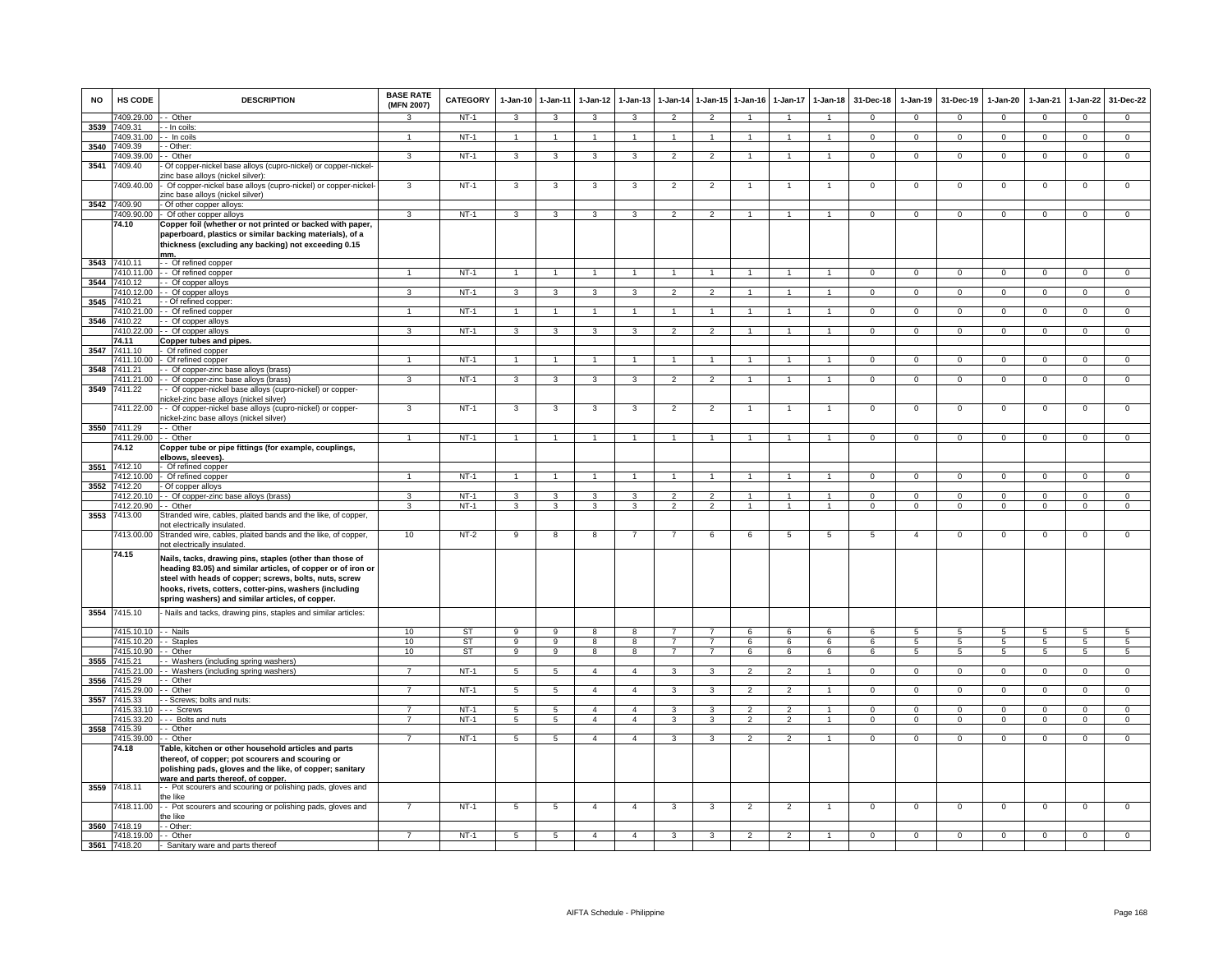| <b>NO</b> | <b>HS CODE</b>          | <b>DESCRIPTION</b>                                                                                                                                                                                                                                                                                | <b>BASE RATE</b><br>(MFN 2007) | CATEGORY         | $1 - Jan-10$    | $1 - Jan-11$         | $1 - Jan-12$   | $1 - Jan-13$   | 1-Jan-14       |                                 | 1-Jan-15 1-Jan-16            | $1 - Jan-17$      | $1 - Jan-18$                 | 31-Dec-18                | $1-Jan-19$       | 31-Dec-19                  | $1 - Jan-20$     | $1-Jan-21$              | $1-Jan-22$       | 31-Dec-22                  |
|-----------|-------------------------|---------------------------------------------------------------------------------------------------------------------------------------------------------------------------------------------------------------------------------------------------------------------------------------------------|--------------------------------|------------------|-----------------|----------------------|----------------|----------------|----------------|---------------------------------|------------------------------|-------------------|------------------------------|--------------------------|------------------|----------------------------|------------------|-------------------------|------------------|----------------------------|
|           | 7409.29.00              | - Other                                                                                                                                                                                                                                                                                           | 3                              | $NT-1$           | 3               | $\mathbf{3}$         | 3              | 3              | $\overline{2}$ | $\overline{2}$                  | 1                            | $\mathbf{1}$      | 1                            | $\mathbf{0}$             | $\mathbf 0$      | $^{\circ}$                 | $\mathbf 0$      | $\mathbf 0$             | $\mathbf{0}$     | $\overline{0}$             |
| 3539      | 409.31                  | - In coils                                                                                                                                                                                                                                                                                        | $\mathbf{1}$                   |                  | $\overline{1}$  | $\overline{1}$       | $\mathbf{1}$   | $\mathbf{1}$   | $\overline{1}$ | $\mathbf{1}$                    |                              |                   | $\mathbf{1}$                 | $\mathsf 0$              |                  |                            | $\mathbf 0$      | $\mathbf 0$             | $\mathbf 0$      |                            |
| 3540      | 7409.31.00<br>7409.39   | - In coils<br>- Other:                                                                                                                                                                                                                                                                            |                                | $NT-1$           |                 |                      |                |                |                |                                 |                              |                   |                              |                          | $\mathsf 0$      | $\,0\,$                    |                  |                         |                  | $\mathbf 0$                |
|           | 7409.39.00              | - Other                                                                                                                                                                                                                                                                                           | 3                              | $NT-1$           | $\overline{3}$  | $\mathbf{3}$         | $\mathbf{3}$   | $\mathbf{3}$   | $\overline{2}$ | $\overline{2}$                  | $\mathbf{1}$                 | $\mathbf{1}$      | $\mathbf{1}$                 | $\mathbf{0}$             | $\mathsf 0$      | $\mathbf 0$                | $\overline{0}$   | $\mathbf 0$             | $\overline{0}$   | $\overline{0}$             |
| 3541      | 409.40                  | Of copper-nickel base alloys (cupro-nickel) or copper-nickel-<br>tinc base alloys (nickel silver):                                                                                                                                                                                                |                                |                  |                 |                      |                |                |                |                                 |                              |                   |                              |                          |                  |                            |                  |                         |                  |                            |
|           | 409.40.00               | Of copper-nickel base alloys (cupro-nickel) or copper-nickel-<br>zinc base alloys (nickel silver)                                                                                                                                                                                                 | $\mathbf{3}$                   | $NT-1$           | $\mathbf{3}$    | $\mathbf{3}$         | 3              | 3              | $\overline{2}$ | $\overline{2}$                  | $\overline{1}$               | $\overline{1}$    | $\mathbf{1}$                 | $\mathsf 0$              | $\mathsf 0$      | $\mathbf 0$                | $\mathbf 0$      | $\mathsf 0$             | $\mathsf 0$      | $\mathsf 0$                |
| 3542      | 7409.90                 | - Of other copper alloys:                                                                                                                                                                                                                                                                         |                                |                  |                 |                      |                |                |                |                                 |                              |                   |                              |                          |                  |                            |                  |                         |                  |                            |
|           | 409.90.00               | - Of other copper alloys                                                                                                                                                                                                                                                                          | 3                              | $NT-1$           | 3               | 3                    | 3              | 3              | $\overline{2}$ | $\overline{2}$                  |                              |                   | 1                            | $\mathbf{O}$             | $\mathbf 0$      | $\mathbf 0$                | $\mathbf 0$      | $\mathbf 0$             | $\mathbf 0$      | $\mathbf 0$                |
|           | 74.10                   | Copper foil (whether or not printed or backed with paper,<br>paperboard, plastics or similar backing materials), of a<br>thickness (excluding any backing) not exceeding 0.15<br>mm.                                                                                                              |                                |                  |                 |                      |                |                |                |                                 |                              |                   |                              |                          |                  |                            |                  |                         |                  |                            |
| 3543      | 410.11                  | - Of refined copper                                                                                                                                                                                                                                                                               |                                |                  |                 |                      |                |                |                |                                 |                              |                   |                              |                          |                  |                            |                  |                         |                  |                            |
|           |                         | 7410.11.00 - - Of refined copper                                                                                                                                                                                                                                                                  |                                | $NT-1$           |                 | $\blacktriangleleft$ |                |                |                |                                 |                              |                   |                              | $\mathbf{0}$             | $^{\circ}$       | $^{\circ}$                 | $\mathbf{0}$     | $^{\circ}$              | $\mathbf{0}$     | $\mathbf{0}$               |
| 3544      | 7410.12<br>1410.12.00   | - Of copper alloys<br>-- Of copper alloys                                                                                                                                                                                                                                                         | 3                              | $NT-1$           | 3               | $\mathbf{3}$         | 3              | 3              | $\overline{2}$ | $\overline{2}$                  |                              |                   | $\mathbf{1}$                 | $\mathbf{0}$             | $\mathbf{0}$     | $\mathbf 0$                | $\mathbf{0}$     | $^{\circ}$              | $\mathsf 0$      | $\mathbf 0$                |
| 3545      | 7410.21                 | - Of refined copper:                                                                                                                                                                                                                                                                              |                                |                  |                 |                      |                |                |                |                                 |                              |                   |                              |                          |                  |                            |                  |                         |                  |                            |
|           | 410.21.00               | - Of refined copper                                                                                                                                                                                                                                                                               |                                | NT-1             | 1               | $\mathbf{1}$         |                |                | 1              |                                 |                              |                   |                              | $\mathbf{0}$             | $\mathbf{0}$     | $\mathbf 0$                | $\mathbf{0}$     | $\mathbf 0$             | $\mathbf{0}$     | $\overline{0}$             |
| 3546      | 410.22                  | - Of copper alloys                                                                                                                                                                                                                                                                                |                                |                  |                 |                      |                |                |                |                                 |                              |                   |                              |                          |                  |                            |                  |                         |                  |                            |
|           | 410.22.00               | - Of copper alloys                                                                                                                                                                                                                                                                                | 3                              | NT-1             | 3               | $\mathbf{3}$         | 3              | 3              | $\overline{2}$ | $\overline{2}$                  |                              |                   |                              | $^{\circ}$               | $\mathbf{0}$     | $\mathbf 0$                | 0                | $\mathbf 0$             | 0                | $\mathbf 0$                |
|           | 74.11                   | Copper tubes and pipes.                                                                                                                                                                                                                                                                           |                                |                  |                 |                      |                |                |                |                                 |                              |                   |                              |                          |                  |                            |                  |                         |                  |                            |
| 3547      | 7411.10<br>7411.10.00   | Of refined copper<br>Of refined copper                                                                                                                                                                                                                                                            | 1                              | $NT-1$           |                 | $\mathbf{1}$         |                |                |                |                                 |                              |                   |                              | $\Omega$                 | $\Omega$         | $\Omega$                   | $\Omega$         | $\Omega$                | $\mathsf 0$      | $\Omega$                   |
| 3548      | 7411.21                 | - Of copper-zinc base alloys (brass)                                                                                                                                                                                                                                                              |                                |                  |                 |                      |                |                |                |                                 |                              |                   |                              |                          |                  |                            |                  |                         |                  |                            |
|           | 7411.21.00              | - Of copper-zinc base alloys (brass)                                                                                                                                                                                                                                                              | $\mathbf{3}$                   | $NT-1$           | $\mathbf{3}$    | $\mathbf{3}$         | 3              | $\mathbf{3}$   | $\overline{2}$ | $\overline{2}$                  | 1                            | 1                 | $\mathbf{1}$                 | $\overline{0}$           | $\overline{0}$   | $\overline{0}$             | $\overline{0}$   | $\mathbf{0}$            | $\overline{0}$   | $\overline{0}$             |
| 3549      | 7411.22                 | - Of copper-nickel base alloys (cupro-nickel) or copper-<br>ickel-zinc base alloys (nickel silver)                                                                                                                                                                                                |                                |                  |                 |                      |                |                |                |                                 |                              |                   |                              |                          |                  |                            |                  |                         |                  |                            |
|           | 411.22.00               | - Of copper-nickel base alloys (cupro-nickel) or copper-<br>ickel-zinc base alloys (nickel silver)                                                                                                                                                                                                | 3                              | $NT-1$           | 3               | 3                    | 3              | 3              | $\overline{2}$ | $\overline{c}$                  |                              |                   |                              | 0                        | 0                | $\mathbf 0$                | $\overline{0}$   | $\mathbf 0$             | $\overline{0}$   | 0                          |
| 3550      | 7411.29                 | - Other                                                                                                                                                                                                                                                                                           |                                |                  |                 |                      |                |                |                |                                 |                              |                   |                              |                          |                  |                            |                  |                         |                  |                            |
|           | 7411.29.00              | - Other                                                                                                                                                                                                                                                                                           | $\mathbf{1}$                   | $NT-1$           | $\overline{1}$  | $\overline{1}$       |                |                | $\overline{1}$ | $\mathbf{1}$                    |                              |                   |                              | $\overline{0}$           | $\overline{0}$   | $\overline{0}$             | $\overline{0}$   | $\overline{0}$          | $\overline{0}$   | $\overline{0}$             |
|           | 74.12                   | Copper tube or pipe fittings (for example, couplings,<br>elbows, sleeves).                                                                                                                                                                                                                        |                                |                  |                 |                      |                |                |                |                                 |                              |                   |                              |                          |                  |                            |                  |                         |                  |                            |
|           | 3551 7412.10            | - Of refined copper                                                                                                                                                                                                                                                                               |                                |                  |                 |                      |                |                |                |                                 |                              |                   |                              |                          |                  |                            |                  |                         |                  |                            |
|           | 7412.10.00              | - Of refined copper                                                                                                                                                                                                                                                                               | $\mathbf{1}$                   | NT-1             | $\overline{1}$  | $\overline{1}$       | $\mathbf{1}$   | $\overline{1}$ | $\overline{1}$ | $\mathbf{1}$                    | $\overline{1}$               | $\mathbf{1}$      | $\overline{1}$               | $\Omega$                 | $^{\circ}$       | $\mathbf{0}$               | $\mathbf{0}$     | $\Omega$                | $\mathbf{0}$     | $\mathbf{0}$               |
| 3552      | 7412.20                 | Of copper alloys                                                                                                                                                                                                                                                                                  |                                |                  |                 |                      |                |                |                |                                 |                              |                   |                              |                          |                  |                            |                  |                         |                  |                            |
|           | 412.20.10<br>7412.20.90 | - Of copper-zinc base alloys (brass)<br>- Other                                                                                                                                                                                                                                                   | 3<br>3                         | $NT-1$<br>$NT-1$ | 3<br>3          | 3<br>3               | 3<br>3         | 3<br>3         | $\overline{2}$ | $\overline{2}$<br>$\mathcal{P}$ | $\mathbf{1}$<br>$\mathbf{1}$ | 1<br>$\mathbf{1}$ | $\mathbf{1}$<br>$\mathbf{1}$ | $\mathbf{O}$<br>$\Omega$ | $\mathsf 0$<br>0 | $\mathbf 0$<br>$\mathbf 0$ | $\mathbf 0$<br>0 | $\mathbf 0$<br>$\Omega$ | $\mathsf 0$<br>0 | $\overline{0}$<br>$\Omega$ |
| 3553      | 7413.00                 | Stranded wire, cables, plaited bands and the like, of copper,<br>not electrically insulated.                                                                                                                                                                                                      |                                |                  |                 |                      |                |                |                |                                 |                              |                   |                              |                          |                  |                            |                  |                         |                  |                            |
|           | 7413.00.00              | Stranded wire, cables, plaited bands and the like, of copper,<br>not electrically insulated.                                                                                                                                                                                                      | 10                             | $NT-2$           | 9               | 8                    | 8              | $\overline{7}$ | $\overline{7}$ | 6                               | 6                            | $\overline{5}$    | $5\phantom{.0}$              | $\overline{5}$           | $\overline{4}$   | $\mathbf 0$                | $\mathbf 0$      | $\mathbf 0$             | $\mathsf 0$      | $\mathbf 0$                |
|           | 74.15                   | Nails, tacks, drawing pins, staples (other than those of<br>heading 83.05) and similar articles, of copper or of iron or<br>steel with heads of copper; screws, bolts, nuts, screw<br>hooks, rivets, cotters, cotter-pins, washers (including<br>spring washers) and similar articles, of copper. |                                |                  |                 |                      |                |                |                |                                 |                              |                   |                              |                          |                  |                            |                  |                         |                  |                            |
|           | 3554 7415.10            | - Nails and tacks, drawing pins, staples and similar articles:                                                                                                                                                                                                                                    |                                |                  |                 |                      |                |                |                |                                 |                              |                   |                              |                          |                  |                            |                  |                         |                  |                            |
|           | 7415.10.10 -- Nails     |                                                                                                                                                                                                                                                                                                   | 10                             | ST               | 9               | 9                    | 8              | 8              | $\overline{7}$ | $\overline{7}$                  | 6                            | 6                 | 6                            | 6                        | 5                | $\sqrt{5}$                 | $5^{\circ}$      | 5                       | $5\overline{5}$  | $5^{\circ}$                |
|           | 7415.10.20              | - Staples                                                                                                                                                                                                                                                                                         | 10                             | <b>ST</b>        | 9               | $\overline{9}$       | $\overline{8}$ | 8              | $\overline{7}$ | $\overline{7}$                  | 6                            | 6                 | 6                            | 6                        | $5^{\circ}$      | $\sqrt{5}$                 | 5                | $5^{\circ}$             | 5                | $\overline{5}$             |
|           | 7415.10.90              | - Other                                                                                                                                                                                                                                                                                           | 10                             | ST               | 9               | 9                    | 8              | 8              | $\overline{7}$ | $\overline{7}$                  | 6                            | 6                 | 6                            | 6                        | 5                | 5                          | 5                | 5                       | 5                | $5\phantom{.0}$            |
| 3555      | 7415.21                 | - Washers (including spring washers)                                                                                                                                                                                                                                                              |                                |                  |                 |                      |                |                |                |                                 |                              |                   |                              |                          |                  |                            |                  |                         |                  |                            |
| 3556      | 7415.21.00<br>415.29    | Washers (including spring washers)<br>Other                                                                                                                                                                                                                                                       | $\overline{7}$                 | $NT-1$           | $5\overline{5}$ | 5                    | $\overline{4}$ | $\overline{4}$ | 3              | 3                               | $\mathfrak{p}$               | $\mathfrak{p}$    | $\mathbf{1}$                 | $\Omega$                 | $\mathbf 0$      | $\mathbf{0}$               | $\mathbf{0}$     | $\Omega$                | $\circ$          | $\mathbf 0$                |
|           | 415.29.00               | - Other                                                                                                                                                                                                                                                                                           |                                | NT-1             | 5               | 5                    | $\overline{4}$ | $\overline{4}$ | 3              | $\mathbf{B}$                    | $\mathcal{P}$                |                   | $\mathbf{1}$                 | $^{\circ}$               | $\mathsf 0$      | $\mathbf 0$                | 0                | $\Omega$                | $\mathsf 0$      | $\mathbf 0$                |
| 3557      | 7415.33                 | - Screws; bolts and nuts:                                                                                                                                                                                                                                                                         |                                |                  |                 |                      |                |                |                |                                 |                              |                   |                              |                          |                  |                            |                  |                         |                  |                            |
|           | 7415.33.10              | -- Screws                                                                                                                                                                                                                                                                                         | $\overline{7}$                 | $NT-1$           | $5\overline{)}$ | $\overline{5}$       | $\overline{4}$ | $\overline{4}$ | 3              | 3                               | $\overline{2}$               | $\overline{2}$    | $\overline{1}$               | $\Omega$                 | $\Omega$         | $\mathbf 0$                | $\overline{0}$   | $\Omega$                | $\overline{0}$   | $\overline{0}$             |
|           | 7415.33.20              | Bolts and nuts                                                                                                                                                                                                                                                                                    | $\overline{7}$                 | $NT-1$           | 5               | 5                    | $\overline{4}$ | $\overline{4}$ | 3              | 3                               | $\overline{2}$               | $\overline{2}$    | $\overline{1}$               | $\overline{0}$           | $\overline{0}$   | $\overline{0}$             | $\overline{0}$   | $\overline{0}$          | $\overline{0}$   | $\overline{0}$             |
| 3558      | 7415.39                 | - Other                                                                                                                                                                                                                                                                                           | $\overline{7}$                 |                  |                 |                      |                |                |                |                                 |                              |                   |                              |                          |                  |                            |                  |                         |                  |                            |
|           | 7415.39.00<br>74.18     | - - Other<br>Table, kitchen or other household articles and parts<br>thereof, of copper; pot scourers and scouring or<br>polishing pads, gloves and the like, of copper; sanitary<br>ware and parts thereof. of copper.                                                                           |                                | NT-1             | 5               | $5\overline{5}$      | $\overline{4}$ | $\overline{4}$ | $\mathbf{3}$   | $\mathbf{3}$                    | $\overline{2}$               | 2                 | $\mathbf{1}$                 | $\mathbf{0}$             | $^{\circ}$       | $\mathbf{0}$               | $^{\circ}$       | $\mathbf 0$             | $\overline{0}$   | $\mathbf{0}$               |
|           | 3559 7418.11            | - - Pot scourers and scouring or polishing pads, gloves and<br>the like                                                                                                                                                                                                                           |                                |                  |                 |                      |                |                |                |                                 |                              |                   |                              |                          |                  |                            |                  |                         |                  |                            |
|           | 418.11.00               | - - Pot scourers and scouring or polishing pads, gloves and<br>the like                                                                                                                                                                                                                           |                                | $NT-1$           | $5\phantom{.0}$ | $\sqrt{5}$           | $\overline{4}$ | $\overline{4}$ | 3              | 3                               | $\overline{2}$               | $\overline{2}$    |                              | $\mathsf 0$              | $\mathsf 0$      | $\mathbf 0$                | $\mathbf 0$      | $\mathbf 0$             | $\mathsf 0$      | $\mathbf 0$                |
|           | 3560 7418.19            | - - Other:                                                                                                                                                                                                                                                                                        |                                |                  |                 |                      |                |                |                |                                 |                              |                   |                              |                          |                  |                            |                  |                         |                  |                            |
|           | 7418.19.00              | - - Other                                                                                                                                                                                                                                                                                         | $\overline{7}$                 | $NT-1$           | 5               | 5                    | $\overline{a}$ | 4              | 3              | 3                               | $\mathbf{2}$                 | $\overline{2}$    |                              | $\Omega$                 | $\mathbf{0}$     | $^{\circ}$                 | $^{\circ}$       | $\Omega$                | $^{\circ}$       | $\Omega$                   |
|           | 3561 7418.20            | - Sanitary ware and parts thereof                                                                                                                                                                                                                                                                 |                                |                  |                 |                      |                |                |                |                                 |                              |                   |                              |                          |                  |                            |                  |                         |                  |                            |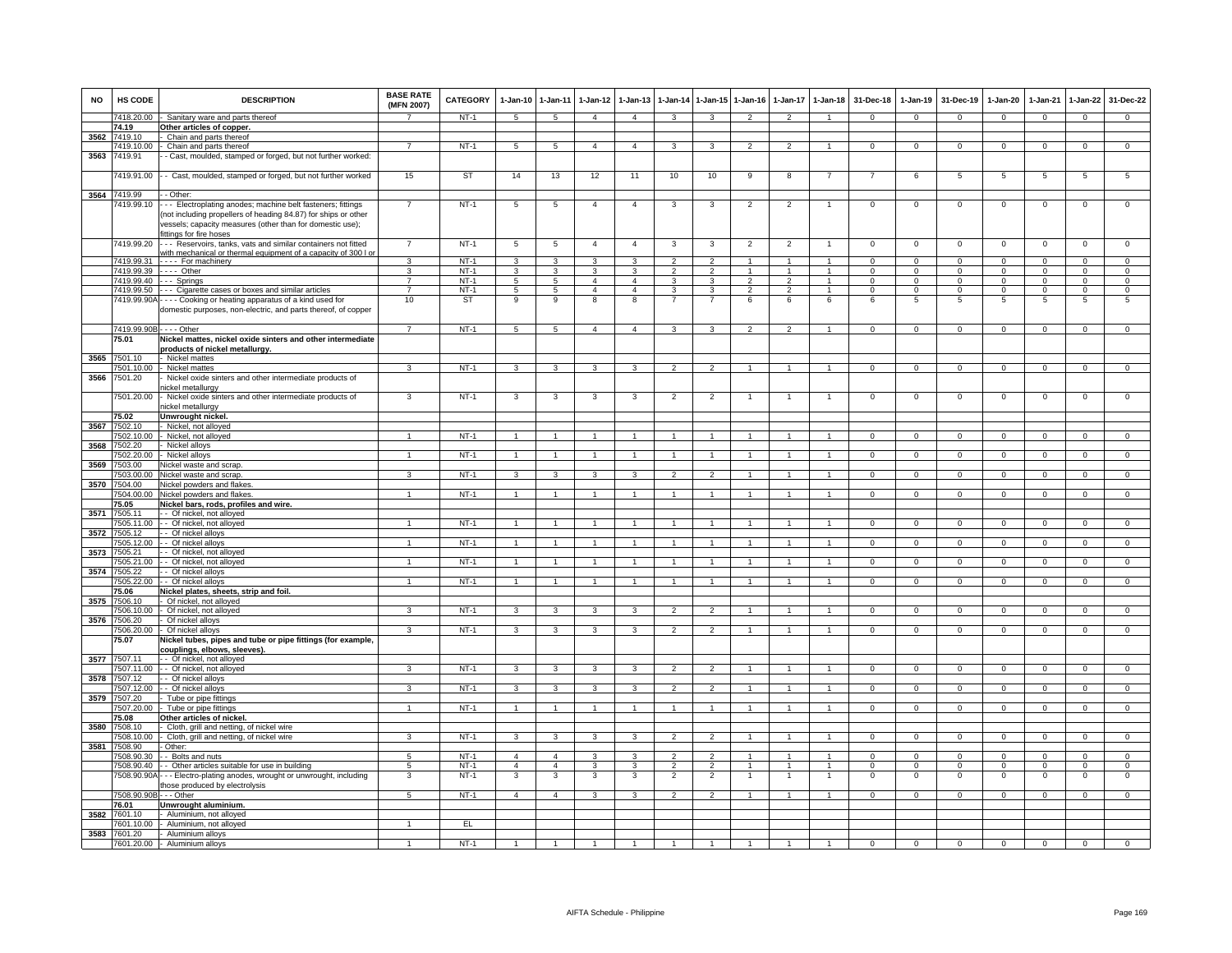| <b>NO</b> | HS CODE                          | <b>DESCRIPTION</b>                                                                                                                                                                                                   | <b>BASE RATE</b><br>(MFN 2007) | CATEGORY    | 1-Jan-10 1-Jan-11        |                         | $1 - Jan-12$   | $1-Jan-13$              | $1 - Jan-14$            |                | 1-Jan-15 1-Jan-16 | $1 - Jan-17$             | $1 - Jan-18$         | 31-Dec-18    | $1-Jan-19$     | 31-Dec-19      | $1-Jan-20$     | $1-Jan-21$  | 1-Jan-22            | 31-Dec-22      |
|-----------|----------------------------------|----------------------------------------------------------------------------------------------------------------------------------------------------------------------------------------------------------------------|--------------------------------|-------------|--------------------------|-------------------------|----------------|-------------------------|-------------------------|----------------|-------------------|--------------------------|----------------------|--------------|----------------|----------------|----------------|-------------|---------------------|----------------|
|           | 7418.20.00                       | Sanitary ware and parts thereof                                                                                                                                                                                      |                                | $NT-1$      | $5^{\circ}$              | $\sqrt{5}$              | $\overline{4}$ | 4                       | 3                       | 3              | $\overline{2}$    | $\mathfrak{p}$           |                      | $\Omega$     | $\Omega$       | $\Omega$       | $\Omega$       | $\Omega$    | $\Omega$            | $\Omega$       |
|           | 74.19                            | Other articles of copper.                                                                                                                                                                                            |                                |             |                          |                         |                |                         |                         |                |                   |                          |                      |              |                |                |                |             |                     |                |
| 3562      | 7419.10                          | Chain and parts thereof                                                                                                                                                                                              |                                |             |                          |                         |                |                         |                         |                |                   |                          |                      |              |                |                |                |             |                     |                |
|           | 7419.10.00                       | Chain and parts thereof                                                                                                                                                                                              | $\overline{7}$                 | $NT-1$      | 5                        | $5\phantom{.0}$         | $\overline{4}$ | $\overline{4}$          | 3                       | 3              | $\overline{2}$    | $\overline{2}$           | $\mathbf{1}$         | $^{\circ}$   | $\mathbf{0}$   | $\mathbf{0}$   | $\mathbf{0}$   | $^{\circ}$  | $\mathbf{0}$        | $\overline{0}$ |
| 3563      | 7419.91                          | - Cast, moulded, stamped or forged, but not further worked:                                                                                                                                                          |                                |             |                          |                         |                |                         |                         |                |                   |                          |                      |              |                |                |                |             |                     |                |
|           | 419.91.00                        | - Cast, moulded, stamped or forged, but not further worked                                                                                                                                                           | 15                             | ST          | 14                       | 13                      | 12             | 11                      | 10                      | 10             | 9                 | 8                        |                      |              | 6              | 5              | 5              | 5           | 5                   | 5              |
| 3564      | 7419.99                          | - - Other:                                                                                                                                                                                                           |                                |             |                          |                         |                |                         |                         |                |                   |                          |                      |              |                |                |                |             |                     |                |
|           | 7419.99.10                       | - - Electroplating anodes; machine belt fasteners; fittings<br>not including propellers of heading 84.87) for ships or other<br>vessels; capacity measures (other than for domestic use);<br>fittings for fire hoses | $\overline{7}$                 | $NT-1$      | $\overline{5}$           | $\overline{5}$          | $\overline{4}$ | $\overline{4}$          | $\overline{\mathbf{3}}$ | 3              | $\overline{2}$    | $\overline{2}$           | $\mathbf{1}$         | $\mathsf 0$  | $\mathsf 0$    | $\,0\,$        | $\mathsf 0$    | $\mathbf 0$ | $\overline{0}$      | $\overline{0}$ |
|           | 7419.99.20                       | -- Reservoirs, tanks, vats and similar containers not fitted                                                                                                                                                         | $\overline{7}$                 | $NT-1$      | $\overline{\phantom{a}}$ | $\overline{5}$          | $\overline{4}$ | $\overline{4}$          | 3                       | 3              | $\overline{2}$    | $\overline{2}$           | $\overline{1}$       | $\mathbf{0}$ | $\mathbf 0$    | $\mathbf{0}$   | $\overline{0}$ | $\mathbf 0$ | $\overline{0}$      | $\overline{0}$ |
|           | 7419.99.31                       | with mechanical or thermal equipment of a capacity of 300 L<br>---- For machinery                                                                                                                                    | 3                              | $NT-1$      | $\overline{\mathbf{3}}$  | $\overline{\mathbf{3}}$ | $\mathbf{3}$   | 3                       | $\overline{2}$          | $\overline{2}$ | $\mathbf{1}$      | $\mathbf{1}$             | $\mathbf{1}$         | $\Omega$     | $\Omega$       | $\Omega$       | $\overline{0}$ | $\Omega$    | $\overline{0}$      | $\overline{0}$ |
|           | 7419.99.39                       | - - - - Other                                                                                                                                                                                                        | 3                              | $NT-1$      | 3                        | 3                       | 3              | 3                       | $\overline{2}$          | $\overline{2}$ |                   |                          | $\mathbf{1}$         | $\mathsf 0$  | $\mathsf 0$    | $\mathbf 0$    | $\mathsf 0$    | $\Omega$    | $\mathsf 0$         | $\mathbf 0$    |
|           |                                  | 7419.99.40 --- Springs                                                                                                                                                                                               | $\overline{7}$                 | $NT-1$      | $5\overline{)}$          | 5                       | $\overline{4}$ | $\overline{4}$          | 3                       | 3              | $\overline{2}$    | $\mathfrak{p}$           | $\overline{1}$       | $\Omega$     | $\overline{0}$ | $\mathbf 0$    | $\overline{0}$ | $\Omega$    | $\overline{0}$      | $\overline{0}$ |
|           | 7419.99.50                       | --- Cigarette cases or boxes and similar articles                                                                                                                                                                    | $\overline{7}$                 | $NT-1$      | 5                        | $5\overline{5}$         | $\overline{4}$ | $\overline{4}$          | $\mathbf{3}$            | $\mathbf{3}$   | $\overline{2}$    | $\overline{2}$           | $\overline{1}$       | $\mathbf{O}$ | $\mathbf{0}$   | $\mathbf 0$    | $\mathbf{0}$   | $\mathbf 0$ | $\mathbf{0}$        | $\mathbf 0$    |
|           |                                  | 7419.99.90A - - - - Cooking or heating apparatus of a kind used for<br>domestic purposes, non-electric, and parts thereof, of copper                                                                                 | 10                             | ST          | 9                        | 9                       | 8              | 8                       | 7                       | $\overline{7}$ | 6                 | 6                        | 6                    | 6            | 5              | 5              | 5              | 5           | 5                   | 5              |
|           | 7419.99.90B - - - - Other        |                                                                                                                                                                                                                      | $\overline{7}$                 | $NT-1$      | 5                        | 5                       | $\overline{4}$ | $\overline{4}$          | 3                       | 3              | $\overline{2}$    | $\overline{\phantom{0}}$ | $\overline{1}$       | $\mathbf{O}$ | $\circ$        | $\mathbf 0$    | $\mathbf 0$    | $\mathbf 0$ | $\mathsf 0$         | $\mathbf 0$    |
|           | 75.01                            | Nickel mattes, nickel oxide sinters and other intermediate                                                                                                                                                           |                                |             |                          |                         |                |                         |                         |                |                   |                          |                      |              |                |                |                |             |                     |                |
|           |                                  | products of nickel metallurgy.                                                                                                                                                                                       |                                |             |                          |                         |                |                         |                         |                |                   |                          |                      |              |                |                |                |             |                     |                |
| 3565      | 7501.10                          | ⋅ Nickel mattes                                                                                                                                                                                                      |                                |             |                          |                         |                |                         |                         |                |                   |                          |                      |              |                |                |                |             |                     |                |
|           | 7501.10.00                       | Nickel mattes                                                                                                                                                                                                        | 3                              | $NT-1$      | 3                        | 3                       | 3              | $\overline{\mathbf{3}}$ | $\mathcal{P}$           | $\mathcal{P}$  |                   |                          |                      | $\mathbf 0$  | $\mathbf 0$    | $\mathbf{0}$   | $\Omega$       | $\Omega$    | $\mathbf 0$         | $\mathbf 0$    |
| 3566      | 7501.20                          | Nickel oxide sinters and other intermediate products of                                                                                                                                                              |                                |             |                          |                         |                |                         |                         |                |                   |                          |                      |              |                |                |                |             |                     |                |
|           | 7501.20.00                       | nickel metallurgy<br>Nickel oxide sinters and other intermediate products of                                                                                                                                         | 3                              | $NT-1$      | 3                        | 3                       | 3              | 3                       | $\overline{c}$          | $\overline{2}$ |                   |                          | -1                   | $^{\circ}$   | $\mathbf 0$    | $\mathbf 0$    | $\mathbf 0$    | $\mathbf 0$ | $\mathsf 0$         | $\overline{0}$ |
|           |                                  | nickel metallurgy                                                                                                                                                                                                    |                                |             |                          |                         |                |                         |                         |                |                   |                          |                      |              |                |                |                |             |                     |                |
|           | 75.02                            | Unwrought nickel.                                                                                                                                                                                                    |                                |             |                          |                         |                |                         |                         |                |                   |                          |                      |              |                |                |                |             |                     |                |
| 3567      | 7502.10                          | Nickel, not alloyed                                                                                                                                                                                                  |                                |             |                          |                         |                |                         |                         |                |                   |                          |                      |              |                |                |                |             |                     |                |
|           | 7502.10.00                       | Nickel, not alloyed                                                                                                                                                                                                  |                                | $NT-1$      | $\overline{1}$           | $\overline{1}$          | 1              |                         | $\overline{1}$          |                |                   |                          | $\mathbf{1}$         | $\mathsf 0$  | $\mathbf 0$    | $\mathbf 0$    | $\mathbf{0}$   | $\mathbf 0$ | $^{\circ}$          | $\mathbf 0$    |
| 3568      | 7502.20                          | - Nickel alloys                                                                                                                                                                                                      |                                |             |                          |                         |                |                         |                         |                |                   |                          |                      |              |                |                |                |             |                     |                |
|           | 7502.20.00                       | - Nickel alloys                                                                                                                                                                                                      |                                | $NT-1$      | $\overline{1}$           | $\overline{1}$          |                |                         | $\overline{1}$          |                |                   |                          | $\overline{1}$       | $\Omega$     | $\mathbf 0$    | $\mathbf 0$    | $\Omega$       | $\Omega$    | $\mathsf 0$         | $\overline{0}$ |
| 3569      | 7503.00                          | Nickel waste and scrap                                                                                                                                                                                               |                                |             |                          |                         |                |                         |                         |                |                   |                          |                      |              |                |                |                |             |                     |                |
|           | 7503.00.00                       | Nickel waste and scrap                                                                                                                                                                                               | 3                              | $NT-1$      | 3                        | 3                       |                |                         | $\mathfrak{p}$          |                |                   |                          |                      | $\Omega$     | $\Omega$       | $\Omega$       | $\Omega$       |             | $\Omega$            | $\Omega$       |
| 3570      | 7504.00                          | Nickel powders and flakes.                                                                                                                                                                                           | -1                             |             | $\mathbf{1}$             | $\overline{1}$          | -1             | 1                       | $\overline{1}$          |                |                   |                          | $\overline{1}$       | $\Omega$     |                |                |                | $\Omega$    |                     | $\Omega$       |
|           | 7504.00.00<br>75.05              | Nickel powders and flakes.<br>Nickel bars, rods, profiles and wire.                                                                                                                                                  |                                | NT-1        |                          |                         |                |                         |                         |                |                   |                          |                      |              | $\mathbf 0$    | $\mathbf{0}$   | $\mathbf{0}$   |             | $\mathbf{0}$        |                |
| 3571      | 7505.11                          | - Of nickel, not alloyed                                                                                                                                                                                             |                                |             |                          |                         |                |                         |                         |                |                   |                          |                      |              |                |                |                |             |                     |                |
|           | 7505.11.00                       | - - Of nickel, not alloyed                                                                                                                                                                                           |                                | $NT-1$      | $\mathbf{1}$             | 1                       |                |                         | 1                       |                |                   |                          |                      | $\mathbf{0}$ | $\mathbf{0}$   | $^{\circ}$     | $\mathbf{0}$   | $\mathbf 0$ | $\mathbf 0$         | $\mathbf 0$    |
| 3572      | 7505.12                          | - Of nickel alloys                                                                                                                                                                                                   |                                |             |                          |                         |                |                         |                         |                |                   |                          |                      |              |                |                |                |             |                     |                |
|           | 7505.12.00                       | - Of nickel alloys                                                                                                                                                                                                   |                                | <b>NT-1</b> | $\overline{1}$           | $\overline{1}$          | -1             |                         | $\overline{1}$          |                |                   |                          | $\overline{1}$       | $\mathbf{0}$ | $\mathbf 0$    | $\mathbf 0$    | $\circ$        | $^{\circ}$  | $\mathsf 0$         | $\mathbf 0$    |
| 3573      | 7505.21                          | - Of nickel, not alloyed                                                                                                                                                                                             |                                |             |                          |                         |                |                         |                         |                |                   |                          |                      |              |                |                |                |             |                     |                |
|           | 7505.21.00                       | - Of nickel, not alloyed                                                                                                                                                                                             |                                | $NT-1$      |                          | $\overline{1}$          |                |                         |                         |                |                   |                          | $\overline{1}$       | $\Omega$     | $\overline{0}$ | $\overline{0}$ | $\overline{0}$ | $\Omega$    | $\overline{0}$      | $\overline{0}$ |
| 3574      | 7505.22                          | - - Of nickel alloys                                                                                                                                                                                                 |                                |             |                          |                         |                |                         |                         |                |                   |                          |                      |              |                |                |                |             |                     |                |
|           | 7505.22.00                       | - - Of nickel alloys                                                                                                                                                                                                 | $\mathbf{1}$                   | $NT-1$      | $\overline{1}$           | $\mathbf{1}$            | $\overline{1}$ | $\overline{1}$          | $\overline{1}$          | $\overline{1}$ | $\overline{1}$    |                          | $\overline{1}$       | $\Omega$     | $\Omega$       | $\mathbf{0}$   | $\Omega$       | $\Omega$    | $\mathsf{O}\xspace$ | $\mathbf{0}$   |
|           | 75.06                            | Nickel plates, sheets, strip and foil.                                                                                                                                                                               |                                |             |                          |                         |                |                         |                         |                |                   |                          |                      |              |                |                |                |             |                     |                |
| 3575      | 7506.10                          | Of nickel, not alloved                                                                                                                                                                                               |                                |             |                          |                         |                |                         |                         |                |                   |                          |                      |              |                |                |                |             |                     |                |
| 3576      | 7506.10.00<br>7506.20            | Of nickel, not alloyed<br>Of nickel alloys                                                                                                                                                                           | 3                              | $NT-1$      | 3                        | 3                       | 3              | 3                       | $\overline{2}$          | $\overline{2}$ |                   | 1                        | $\mathbf{1}$         | $\mathbf{O}$ | $\mathbf 0$    | $\mathsf 0$    | $\mathbf 0$    | $\mathbf 0$ | $\mathbf{0}$        | $\mathsf 0$    |
|           | 7506.20.00                       | Of nickel alloys                                                                                                                                                                                                     | 3                              | $NT-1$      | 3                        | 3                       | 3              | з                       | $\mathcal{P}$           | $\mathcal{P}$  |                   |                          | $\overline{1}$       | $\Omega$     | $\Omega$       | $\Omega$       | $\Omega$       | $\Omega$    | $\Omega$            | $\mathbf 0$    |
|           | 75.07                            | Nickel tubes, pipes and tube or pipe fittings (for example,<br>couplings, elbows, sleeves).                                                                                                                          |                                |             |                          |                         |                |                         |                         |                |                   |                          |                      |              |                |                |                |             |                     |                |
| 3577      | 7507.11                          | - - Of nickel, not alloyed                                                                                                                                                                                           |                                |             |                          |                         |                |                         |                         |                |                   |                          |                      |              |                |                |                |             |                     |                |
|           |                                  | 7507.11.00 - - Of nickel, not alloyed                                                                                                                                                                                | 3                              | $NT-1$      | 3                        | 3                       | 3              | 3                       | $\overline{2}$          |                |                   |                          |                      | $\Omega$     | $\Omega$       | $\Omega$       | $\Omega$       | $\Omega$    | $\mathsf 0$         | $\Omega$       |
| 3578      | 7507.12                          | - - Of nickel alloys                                                                                                                                                                                                 |                                |             |                          |                         |                |                         |                         |                |                   |                          |                      |              |                |                |                |             |                     |                |
|           |                                  | 7507.12.00 - - Of nickel alloys                                                                                                                                                                                      | $\mathbf{3}$                   | $NT-1$      | $\mathbf{3}$             | $\mathbf{3}$            | $\mathbf{3}$   | 3                       | $\overline{2}$          | $\overline{2}$ | $\mathbf{1}$      |                          | $\overline{1}$       | $\mathbf{0}$ | $\mathbf{0}$   | $\mathbf 0$    | $\mathbf{0}$   | $\mathbf 0$ | $\circ$             | $\mathbf{0}$   |
| 3579      | 7507.20                          | - Tube or pipe fittings                                                                                                                                                                                              |                                |             |                          |                         |                |                         |                         |                |                   |                          |                      |              |                |                |                |             |                     |                |
|           | 7507.20.00                       | - Tube or pipe fittings                                                                                                                                                                                              | 1                              | $NT-1$      | $\mathbf{1}$             | $\mathbf{1}$            | $\mathbf{1}$   | $\mathbf{1}$            | $\overline{1}$          | $\overline{1}$ | $\overline{1}$    | 1                        | $\mathbf{1}$         | $\Omega$     | $\Omega$       | $\mathbf 0$    | $\mathbf 0$    | $\Omega$    | $\overline{0}$      | $\overline{0}$ |
|           | 75.08                            | Other articles of nickel.                                                                                                                                                                                            |                                |             |                          |                         |                |                         |                         |                |                   |                          |                      |              |                |                |                |             |                     |                |
| 3580      | 7508.10                          | Cloth, grill and netting, of nickel wire                                                                                                                                                                             | $\mathbf{R}$                   |             | $\mathbf{3}$             | $\mathbf{3}$            |                | $\mathbf{3}$            | $\overline{2}$          | $\mathcal{P}$  | $\mathbf{1}$      |                          | $\blacktriangleleft$ | $\Omega$     |                |                | $\Omega$       | $\Omega$    |                     | $\overline{0}$ |
| 3581      | 7508.10.00<br>7508.90            | - Cloth, grill and netting, of nickel wire<br>- Other:                                                                                                                                                               |                                | $NT-1$      |                          |                         | $\mathbf{3}$   |                         |                         |                |                   |                          |                      |              | $\mathbf 0$    | $\mathbf 0$    |                |             | $\mathbf 0$         |                |
|           | 7508.90.30                       | - Bolts and nuts                                                                                                                                                                                                     | 5                              | $NT-1$      | $\overline{4}$           | $\overline{4}$          | 3              | 3                       | $\overline{2}$          | $\overline{2}$ |                   |                          | $\overline{1}$       | $\Omega$     | $\overline{0}$ | $\Omega$       | $\overline{0}$ | $\Omega$    | $\overline{0}$      | $\overline{0}$ |
|           | 7508.90.40                       | - - Other articles suitable for use in building                                                                                                                                                                      | 5                              | $NT-1$      | $\Delta$                 | $\mathbf{A}$            | 3              | 3                       | $\mathcal{P}$           | $\overline{2}$ |                   |                          | $\mathbf{1}$         | $\mathsf 0$  | $\mathsf 0$    | $\Omega$       | $\mathbf 0$    | $\Omega$    | $\mathsf 0$         | $\mathbf 0$    |
|           |                                  | 7508.90.90A - - - Electro-plating anodes, wrought or unwrought, including                                                                                                                                            | 3                              | $NT-1$      | $\mathbf{3}$             | 3                       | 3              | 3                       | $\overline{2}$          | $\overline{2}$ | $\mathbf{1}$      | $\mathbf{1}$             | $\overline{1}$       | $\mathbf{O}$ | $\mathsf 0$    | $\mathbf 0$    | $\mathbf 0$    | $\mathbf 0$ | $\mathsf 0$         | $\mathbf 0$    |
|           |                                  | those produced by electrolysis                                                                                                                                                                                       |                                |             |                          |                         |                |                         |                         |                |                   |                          |                      |              |                |                |                |             |                     |                |
|           | 7508.90.90B - - - Other<br>76.01 |                                                                                                                                                                                                                      | 5                              | $NT-1$      | $\overline{4}$           | $\overline{4}$          | 3              | 3                       | $\overline{2}$          | 2              | $\mathbf{1}$      | $\mathbf{1}$             | $\overline{1}$       | $^{\circ}$   | $\mathbf{0}$   | $\mathbf{0}$   | $\mathbf{0}$   | $^{\circ}$  | $\overline{0}$      | $\mathbf{0}$   |
| 3582      | 7601.10                          | Unwrought aluminium.<br>Aluminium, not alloyed                                                                                                                                                                       |                                |             |                          |                         |                |                         |                         |                |                   |                          |                      |              |                |                |                |             |                     |                |
|           | 7601.10.00                       | Aluminium, not alloyed                                                                                                                                                                                               |                                | EL.         |                          |                         |                |                         |                         |                |                   |                          |                      |              |                |                |                |             |                     |                |
| 3583      | 7601.20                          | - Aluminium alloys                                                                                                                                                                                                   |                                |             |                          |                         |                |                         |                         |                |                   |                          |                      |              |                |                |                |             |                     |                |
|           |                                  | 7601.20.00 - Aluminium alloys                                                                                                                                                                                        | $\mathbf{1}$                   | $NT-1$      |                          |                         |                | $\overline{1}$          | $\overline{1}$          | $\overline{1}$ | $\overline{1}$    | $\overline{1}$           | $\overline{1}$       | $\mathbf{0}$ | $\mathbf{0}$   | $\mathbf 0$    | $\Omega$       | $\Omega$    | $\overline{0}$      | $\overline{0}$ |
|           |                                  |                                                                                                                                                                                                                      |                                |             |                          |                         |                |                         |                         |                |                   |                          |                      |              |                |                |                |             |                     |                |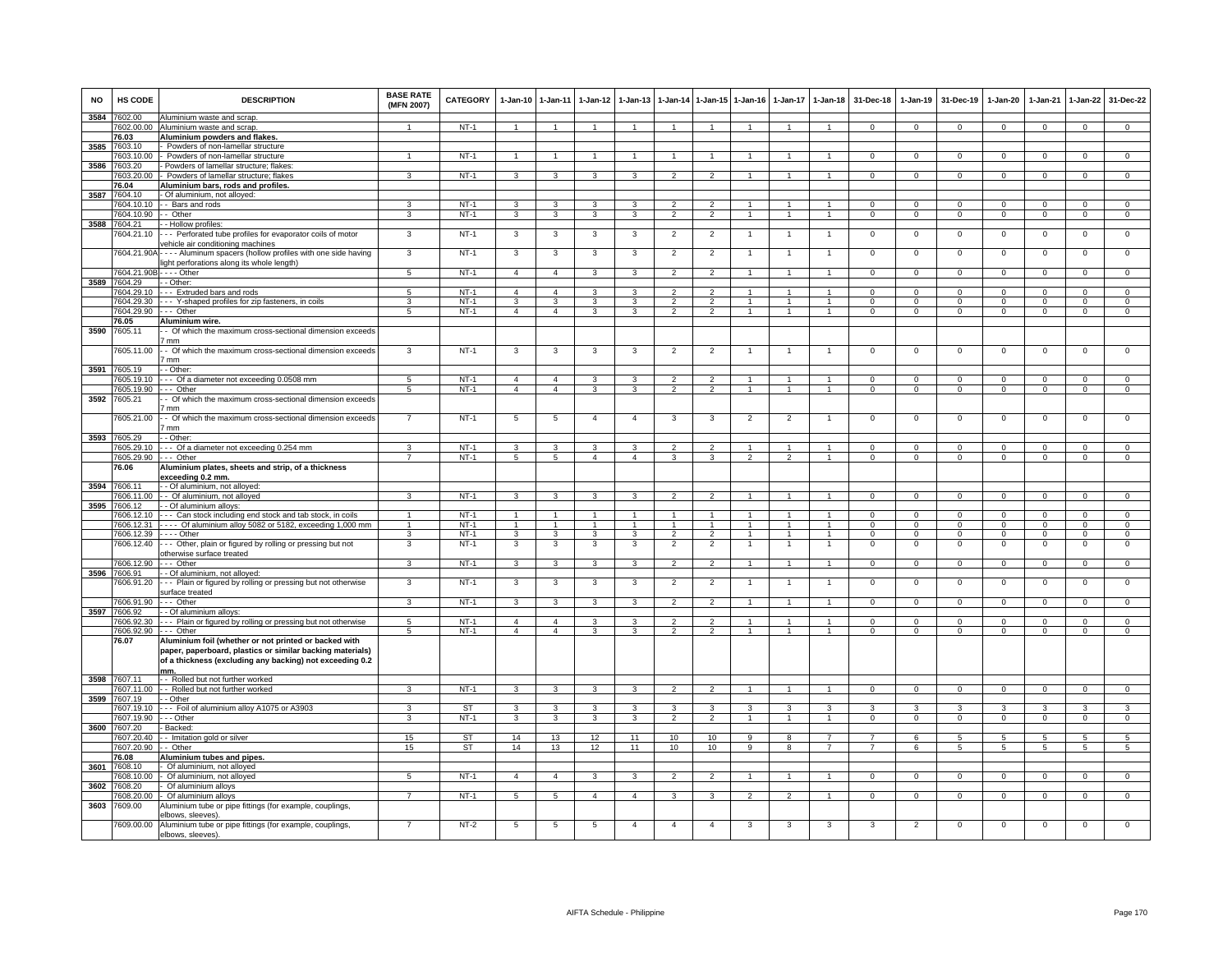| <b>NO</b> | HS CODE                            | <b>DESCRIPTION</b>                                                                            | <b>BASE RATE</b><br>(MFN 2007) | <b>CATEGORY</b>        | 1-Jan-10 1-Jan-11   |                         | $1-Jan-12$     | $1-Jan-13$              | $1 - Jan-14$                     | 1-Jan-15 1-Jan-16                |                     | 1-Jan-17                     | $1 - Jan-18$                     | 31-Dec-18                        | 1-Jan-19                  | 31-Dec-19                  | 1-Jan-20         | $1-Jan-21$                | 1-Jan-22                    | 31-Dec-22                     |
|-----------|------------------------------------|-----------------------------------------------------------------------------------------------|--------------------------------|------------------------|---------------------|-------------------------|----------------|-------------------------|----------------------------------|----------------------------------|---------------------|------------------------------|----------------------------------|----------------------------------|---------------------------|----------------------------|------------------|---------------------------|-----------------------------|-------------------------------|
| 3584      | 602.00<br>7602.00.00               | Aluminium waste and scrap.<br>Aluminium waste and scrap                                       |                                | $NT-1$                 |                     |                         |                |                         |                                  |                                  |                     |                              |                                  | $\Omega$                         | $\Omega$                  | $\Omega$                   | $\Omega$         | $\Omega$                  | $\Omega$                    | $\Omega$                      |
|           | 76.03                              | Aluminium powders and flakes.                                                                 |                                |                        |                     |                         |                |                         |                                  |                                  |                     |                              |                                  |                                  |                           |                            |                  |                           |                             |                               |
|           | 3585 7603.10                       | - Powders of non-lamellar structure                                                           |                                |                        |                     |                         |                |                         |                                  |                                  |                     |                              |                                  |                                  |                           |                            |                  |                           |                             |                               |
|           | 7603.10.00                         | - Powders of non-lamellar structure                                                           | $\blacktriangleleft$           | $NT-1$                 | -1                  | $\mathbf{1}$            |                |                         | $\mathbf{1}$                     |                                  |                     |                              |                                  | $\mathbf{0}$                     | $\mathbf 0$               | $^{\circ}$                 | $\circ$          | $^{\circ}$                | $^{\circ}$                  | $\mathbf{0}$                  |
| 3586      | 7603.20<br>7603.20.00              | Powders of lamellar structure; flakes:<br>- Powders of lamellar structure: flakes             | 3                              | $NT-1$                 | $\mathbf{3}$        | $\overline{\mathbf{3}}$ | 3              | 3                       | $\overline{2}$                   | $\overline{2}$                   | $\mathbf{1}$        | $\mathbf{1}$                 | $\mathbf{1}$                     | $\overline{0}$                   | $\Omega$                  | $\overline{0}$             | $\Omega$         | $\Omega$                  | $\overline{0}$              | $\overline{0}$                |
|           | 76.04                              | Aluminium bars, rods and profiles.                                                            |                                |                        |                     |                         |                |                         |                                  |                                  |                     |                              |                                  |                                  |                           |                            |                  |                           |                             |                               |
| 3587      | 7604.10                            | Of aluminium, not alloyed:                                                                    |                                |                        |                     |                         |                |                         |                                  |                                  |                     |                              |                                  |                                  |                           |                            |                  |                           |                             |                               |
|           | 7604.10.10                         | - Bars and rods                                                                               | 3                              | $NT-1$                 | 3                   | 3                       | 3              | з                       | $\mathcal{P}$                    | $\mathcal{P}$                    | $\mathbf{1}$        | $\mathbf{1}$                 |                                  | $\Omega$                         | $^{\circ}$                | $^{\circ}$                 | $\Omega$         | $\Omega$                  | $\mathbf 0$                 | $\mathsf 0$                   |
|           | 7604.10.90                         | - - Other                                                                                     | 3                              | $NT-1$                 | 3                   | 3                       | 3              | $\overline{3}$          | $\frac{1}{2}$                    | $\overline{2}$                   | $\overline{1}$      | $\overline{1}$               | $\mathbf{1}$                     | $\Omega$                         | $\Omega$                  | $\overline{0}$             | $\overline{0}$   | $\Omega$                  | $\overline{0}$              | $\overline{0}$                |
| 3588      | 7604.21                            | - Hollow profiles:                                                                            |                                |                        |                     |                         |                |                         |                                  |                                  |                     |                              |                                  |                                  |                           |                            |                  |                           |                             |                               |
|           | 7604.21.10                         | - Perforated tube profiles for evaporator coils of motor<br>vehicle air conditioning machines | 3                              | $NT-1$                 | 3                   | $\overline{\mathbf{3}}$ | 3              | $\overline{\mathbf{3}}$ | $\overline{2}$                   | $\overline{2}$                   | $\overline{1}$      | $\overline{1}$               | $\overline{1}$                   | $\mathbf 0$                      | $\mathbf 0$               | $\overline{0}$             | $\mathbf{O}$     | $\mathbf 0$               | $\overline{0}$              | $\overline{0}$                |
|           |                                    | 7604.21.90A - - - - Aluminum spacers (hollow profiles with one side having                    | 3                              | <b>NT-1</b>            | 3                   | 3                       | 3              | 3                       | $\overline{2}$                   | $\overline{2}$                   |                     |                              |                                  | $\mathbf 0$                      | $\mathsf 0$               | $\mathbf 0$                | $\mathbf 0$      | $\Omega$                  | $\mathsf 0$                 | $\mathbf 0$                   |
|           |                                    | light perforations along its whole length)                                                    |                                |                        |                     |                         |                |                         |                                  |                                  |                     |                              |                                  |                                  |                           |                            |                  |                           |                             |                               |
|           | 7604.21.90B-                       |                                                                                               | $5\overline{5}$                | $NT-1$                 | $\overline{4}$      | $\overline{4}$          | 3              | 3                       | $\overline{2}$                   | $\overline{2}$                   | $\mathbf{1}$        | $\mathbf{1}$                 | $\mathbf{1}$                     | $\mathbf{0}$                     | $\overline{0}$            | $^{\circ}$                 | $^{\circ}$       | $^{\circ}$                | $\mathbf{0}$                | $\overline{0}$                |
|           | 3589 7604.29                       | - Other:                                                                                      |                                |                        |                     |                         |                |                         |                                  |                                  |                     |                              |                                  |                                  |                           |                            |                  |                           |                             |                               |
|           | 7604.29.10                         | -- Extruded bars and rods                                                                     | 5                              | $NT-1$                 | $\overline{a}$      | $\overline{4}$          | 3              | 3                       | $\mathfrak{p}$                   | $\mathcal{P}$                    |                     | 1                            | $\mathbf{1}$                     | $\Omega$                         | $\Omega$                  | $\Omega$                   | $\Omega$         | $\Omega$                  | $\mathbf 0$                 | $\Omega$                      |
|           | 7604.29.30<br>7604.29.90           | --- Y-shaped profiles for zip fasteners, in coils<br>--- Other                                | 3<br>$\overline{5}$            | $NT-1$<br>$NT-1$       | 3<br>$\overline{4}$ | 3<br>$\overline{4}$     | 3<br>3         | 3<br>3                  | $\overline{2}$<br>$\mathfrak{p}$ | $\overline{2}$<br>$\overline{2}$ | 1                   | $\mathbf{1}$<br>$\mathbf{1}$ | 1                                | $\mathbf 0$<br>$\Omega$          | $^{\circ}$<br>$\mathbf 0$ | $\mathbf 0$<br>$\mathbf 0$ | 0<br>$\mathbf 0$ | $^{\circ}$<br>$\mathbf 0$ | $\mathbf 0$<br>$\mathbf 0$  | $\overline{0}$<br>$\mathsf 0$ |
|           | 76.05                              | Aluminium wire.                                                                               |                                |                        |                     |                         |                |                         |                                  |                                  |                     |                              |                                  |                                  |                           |                            |                  |                           |                             |                               |
| 3590      | 7605.11                            | - Of which the maximum cross-sectional dimension exceeds                                      |                                |                        |                     |                         |                |                         |                                  |                                  |                     |                              |                                  |                                  |                           |                            |                  |                           |                             |                               |
|           |                                    | mm <sup>7</sup>                                                                               |                                |                        |                     |                         |                |                         |                                  |                                  |                     |                              |                                  |                                  |                           |                            |                  |                           |                             |                               |
|           | 7605.11.00                         | - - Of which the maximum cross-sectional dimension exceeds                                    | 3                              | $NT-1$                 | 3                   | 3                       | 3              | 3                       | $\overline{2}$                   | $\overline{2}$                   | 1                   |                              |                                  | $\overline{0}$                   | $\Omega$                  | $\overline{0}$             | $\Omega$         | $\Omega$                  | $\overline{0}$              | $\overline{0}$                |
|           |                                    | mm <sup>7</sup>                                                                               |                                |                        |                     |                         |                |                         |                                  |                                  |                     |                              |                                  |                                  |                           |                            |                  |                           |                             |                               |
| 3591      | 7605.19<br>7605.19.10              | - - Other:<br>--- Of a diameter not exceeding 0.0508 mm                                       | $\sqrt{5}$                     | $NT-1$                 | $\overline{a}$      | $\overline{4}$          | $\mathbf{3}$   | 3                       | $\overline{\phantom{a}}$         | $\overline{2}$                   |                     |                              |                                  | $\Omega$                         | $\Omega$                  | $\Omega$                   | $\Omega$         | $\Omega$                  | $\Omega$                    | $\Omega$                      |
|           | 7605.19.90                         | -- Other                                                                                      | -5                             | $NT-1$                 | $\overline{a}$      | $\overline{4}$          | 3              | 3                       | $\overline{2}$                   | $\overline{2}$                   | $\mathbf{1}$        | $\mathbf{1}$                 |                                  | $\Omega$                         | $\mathbf{0}$              | $\mathbf 0$                | 0                | $\mathbf 0$               | $\mathbf{0}$                | $\mathbf{0}$                  |
| 3592      | 7605.21                            | - Of which the maximum cross-sectional dimension exceeds                                      |                                |                        |                     |                         |                |                         |                                  |                                  |                     |                              |                                  |                                  |                           |                            |                  |                           |                             |                               |
|           |                                    | ' mm                                                                                          |                                |                        |                     |                         |                |                         |                                  |                                  |                     |                              |                                  |                                  |                           |                            |                  |                           |                             |                               |
|           | 7605.21.00                         | - Of which the maximum cross-sectional dimension exceeds                                      | $\overline{7}$                 | $NT-1$                 | $\overline{5}$      | 5                       | $\overline{4}$ | $\Delta$                | $\mathbf{3}$                     | 3                                | $\overline{2}$      | 2                            |                                  | $\mathbf 0$                      | $\mathbf 0$               | $\mathbf 0$                | $\Omega$         | $\Omega$                  | $\Omega$                    | $\mathbf 0$                   |
|           |                                    | mm                                                                                            |                                |                        |                     |                         |                |                         |                                  |                                  |                     |                              |                                  |                                  |                           |                            |                  |                           |                             |                               |
| 3593      | 7605.29<br>7605.29.10              | - Other:<br>-- Of a diameter not exceeding 0.254 mm                                           | з                              | $NT-1$                 | $\overline{3}$      | 3                       | 3              | 3                       | $\mathcal{D}$                    | $\mathcal{P}$                    | 1                   |                              |                                  | $\Omega$                         | 0                         | $\Omega$                   | $\Omega$         | $\Omega$                  | $^{\circ}$                  | $\mathsf 0$                   |
|           | 7605.29.90                         | -- Other                                                                                      | $\overline{7}$                 | $NT-1$                 | $\overline{5}$      | $5\phantom{.0}$         | $\overline{4}$ | $\overline{4}$          | $\mathbf{3}$                     | 3                                | $\overline{2}$      | $\overline{2}$               | $\overline{1}$                   | $\Omega$                         | $\mathsf 0$               | $\mathbf 0$                | $\mathbf{O}$     | $\Omega$                  | $\mathbf 0$                 | $\overline{0}$                |
|           | 76.06                              | Aluminium plates, sheets and strip, of a thickness                                            |                                |                        |                     |                         |                |                         |                                  |                                  |                     |                              |                                  |                                  |                           |                            |                  |                           |                             |                               |
|           |                                    | exceeding 0.2 mm.                                                                             |                                |                        |                     |                         |                |                         |                                  |                                  |                     |                              |                                  |                                  |                           |                            |                  |                           |                             |                               |
| 3594      | 7606.11                            | - - Of aluminium, not alloyed:                                                                |                                |                        |                     |                         |                |                         |                                  |                                  |                     |                              |                                  |                                  |                           |                            |                  |                           |                             |                               |
|           |                                    | 7606.11.00 - - Of aluminium, not alloyed                                                      | 3                              | $NT-1$                 | 3                   | $\mathbf{3}$            | $\mathbf{3}$   | 3                       | $\overline{2}$                   | $\overline{2}$                   |                     |                              |                                  | $\mathbf{0}$                     | $\mathbf 0$               | $\mathbf{0}$               | $\mathbf 0$      | $^{\circ}$                | $\mathbf 0$                 | $\mathbf 0$                   |
|           | 3595 7606.12<br>7606.12.10         | - - Of aluminium alloys:<br>--- Can stock including end stock and tab stock, in coils         | 1                              | $NT-1$                 | 1                   | $\mathbf{1}$            | 1              |                         | 1                                | $\mathbf{1}$                     |                     |                              | $\mathbf{1}$                     | $\Omega$                         | $\mathbf 0$               | $\Omega$                   | $\Omega$         | $\Omega$                  | $\mathbf{0}$                | $\overline{0}$                |
|           | 7606.12.31                         | --- Of aluminium alloy 5082 or 5182, exceeding 1,000 mm                                       | $\mathbf{1}$                   | $NT-1$                 | $\overline{1}$      | $\overline{1}$          | 1              | $\overline{1}$          | $\mathbf{1}$                     | $\overline{1}$                   | 1                   | $\mathbf{1}$                 | $\overline{1}$                   | $\Omega$                         | $\Omega$                  | $\Omega$                   | $\Omega$         | $\Omega$                  | $\Omega$                    | $\overline{0}$                |
|           | 7606.12.39                         | - - - - Other                                                                                 | 3                              | $NT-1$                 | 3                   | 3                       | 3              | 3                       | $\overline{2}$                   | $\overline{2}$                   |                     | 1                            | 1                                | $\mathbf{0}$                     | $^{\circ}$                | $^{\circ}$                 | $\mathbf 0$      | $^{\circ}$                | $^{\circ}$                  | $\mathbf 0$                   |
|           |                                    | 7606.12.40 --- Other, plain or figured by rolling or pressing but not                         | 3                              | $NT-1$                 | 3                   | 3                       | $\mathbf{3}$   | 3                       | $\overline{2}$                   | $\overline{2}$                   | 1                   |                              | $\overline{1}$                   | $\mathsf 0$                      | $\mathsf 0$               | $\mathbf 0$                | $\mathbf 0$      | $\mathbf 0$               | $\mathsf 0$                 | $\mathsf 0$                   |
|           | 7606.12.90                         | otherwise surface treated<br>--- Other                                                        | $\overline{3}$                 | $NT-1$                 | $\mathbf{3}$        | $\mathbf{3}$            | $\mathbf{3}$   | 3                       | $\overline{2}$                   | $\overline{2}$                   | $\overline{1}$      | $\overline{1}$               | $\overline{1}$                   | $\mathbf 0$                      | $\mathbf 0$               | $\mathsf 0$                | $\mathbf{O}$     | $\mathbf 0$               | $\mathsf 0$                 | $\mathsf 0$                   |
| 3596      | 7606.91                            | - Of aluminium, not alloyed:                                                                  |                                |                        |                     |                         |                |                         |                                  |                                  |                     |                              |                                  |                                  |                           |                            |                  |                           |                             |                               |
|           | 7606.91.20                         | --- Plain or figured by rolling or pressing but not otherwise                                 | 3                              | $NT-1$                 | 3                   | 3                       | 3              | 3                       | $\overline{2}$                   | $\overline{2}$                   | 1                   | -1                           | -1                               | $\overline{0}$                   | $\overline{0}$            | $\overline{0}$             | $\mathsf 0$      | $\mathbf 0$               | $\overline{0}$              | $\overline{0}$                |
|           |                                    | surface treated                                                                               |                                |                        |                     |                         |                |                         |                                  |                                  |                     |                              |                                  |                                  |                           |                            |                  |                           |                             |                               |
|           | 7606.91.90                         | --- Other                                                                                     | 3                              | $NT-1$                 | $\mathbf{3}$        | $\mathbf{3}$            | $\mathbf{3}$   | 3                       | $\overline{2}$                   | $\overline{2}$                   |                     | $\mathbf{1}$                 | $\overline{1}$                   | $\mathbf 0$                      | $\mathbf 0$               | $\mathbf{0}$               | $\mathbf{O}$     | $\mathbf{0}$              | $\circ$                     | $\mathbf{0}$                  |
|           | 3597 7606.92                       | - Of aluminium alloys:                                                                        |                                | $NT-1$                 | 4                   | $\overline{4}$          | 3              | 3                       | 2                                | 2                                | 1.                  | 1                            | -1.                              | $\Omega$                         | $\Omega$                  | $\Omega$                   | $\Omega$         | $\Omega$                  |                             |                               |
|           | 7606.92.30<br>7606.92.90 --- Other | --- Plain or figured by rolling or pressing but not otherwise                                 | 5<br>5                         | $NT-1$                 | $\overline{4}$      | $\overline{4}$          | 3              | 3                       | $\overline{2}$                   | $\overline{2}$                   | $\mathbf{1}$        | $\mathbf{1}$                 | $\overline{1}$                   | $\mathbf 0$                      | $\mathbf 0$               | $\mathbf{0}$               | 0                | $\mathbf 0$               | $\mathbf{0}$<br>$\mathbf 0$ | $\mathbf 0$<br>$\mathbf 0$    |
|           | 76.07                              | Aluminium foil (whether or not printed or backed with                                         |                                |                        |                     |                         |                |                         |                                  |                                  |                     |                              |                                  |                                  |                           |                            |                  |                           |                             |                               |
|           |                                    | paper, paperboard, plastics or similar backing materials)                                     |                                |                        |                     |                         |                |                         |                                  |                                  |                     |                              |                                  |                                  |                           |                            |                  |                           |                             |                               |
|           |                                    | of a thickness (excluding any backing) not exceeding 0.2                                      |                                |                        |                     |                         |                |                         |                                  |                                  |                     |                              |                                  |                                  |                           |                            |                  |                           |                             |                               |
|           | 7607.11                            | mm.<br>- - Rolled but not further worked                                                      |                                |                        |                     |                         |                |                         |                                  |                                  |                     |                              |                                  |                                  |                           |                            |                  |                           |                             |                               |
| 3598      | 7607.11.00                         | - - Rolled but not further worked                                                             | 3                              | $NT-1$                 | $\mathcal{R}$       | 3                       | 3              | 3                       | $\overline{2}$                   | $\overline{2}$                   |                     |                              | $\overline{1}$                   | $\Omega$                         | $\mathbf 0$               | $\mathbf 0$                | $\Omega$         | $\mathbf{0}$              | $\mathbf{0}$                | $\mathbf 0$                   |
| 3599      | 7607.19                            | - - Other                                                                                     |                                |                        |                     |                         |                |                         |                                  |                                  |                     |                              |                                  |                                  |                           |                            |                  |                           |                             |                               |
|           |                                    | 7607.19.10 --- Foil of aluminium alloy A1075 or A3903                                         | 3                              | ST                     | 3                   | $\mathbf{3}$            | $\mathbf{3}$   | 3                       | 3                                | $\mathbf{3}$                     | 3                   | $\mathbf{3}$                 | 3                                | 3                                | 3                         | $\mathbf{3}$               | 3                | 3                         | 3                           | 3                             |
|           | 7607.19.90 --- Other               |                                                                                               | 3                              | $NT-1$                 | $\mathbf{3}$        | $\mathbf{3}$            | $\mathbf{3}$   | $\mathbf{3}$            | $\overline{2}$                   | $\overline{2}$                   | $\mathbf{1}$        | $\overline{1}$               | $\overline{1}$                   | $\mathbf{0}$                     | $\overline{0}$            | $\overline{0}$             | $\mathbf{0}$     | $\mathbf{0}$              | $\mathbf{0}$                | $\overline{0}$                |
| 3600      | 7607.20                            | Backed:                                                                                       |                                |                        |                     |                         |                |                         |                                  |                                  |                     |                              |                                  |                                  |                           |                            |                  |                           |                             |                               |
|           | 7607.20.40<br>607.20.90            | - Imitation gold or silver<br>- Other                                                         | 15<br>15                       | <b>ST</b><br><b>ST</b> | 14<br>14            | 13<br>13                | 12<br>12       | 11<br>11                | 10<br>10                         | 10<br>10                         | 9<br>$\overline{9}$ | 8<br>$\overline{\mathbf{a}}$ | $\overline{7}$<br>$\overline{7}$ | $\overline{7}$<br>$\overline{7}$ | 6<br>6                    | 5<br>5                     | 5<br>5           | 5<br>$\overline{5}$       | $5\phantom{.0}$<br>5        | $\overline{5}$<br>5           |
|           | 76.08                              | Aluminium tubes and pipes.                                                                    |                                |                        |                     |                         |                |                         |                                  |                                  |                     |                              |                                  |                                  |                           |                            |                  |                           |                             |                               |
| 3601      | 7608.10                            | Of aluminium, not alloyed                                                                     |                                |                        |                     |                         |                |                         |                                  |                                  |                     |                              |                                  |                                  |                           |                            |                  |                           |                             |                               |
|           | '608.10.00                         | Of aluminium, not alloyed                                                                     | 5                              | $NT-1$                 | $\overline{4}$      | $\overline{4}$          | $\mathbf{3}$   | $\mathbf{a}$            | $\mathcal{D}$                    | $\mathcal{P}$                    |                     | $\mathbf{1}$                 |                                  | $\Omega$                         | $\mathbf 0$               | $\mathbf 0$                | $\Omega$         | $\mathbf 0$               | $\circ$                     | $\Omega$                      |
| 3602      | 7608.20                            | Of aluminium alloys                                                                           |                                |                        |                     |                         |                |                         |                                  |                                  |                     |                              |                                  |                                  |                           |                            |                  |                           |                             |                               |
|           | 608.20.00                          | Of aluminium alloys                                                                           |                                | $NT-1$                 | 5                   | $\overline{5}$          | $\overline{4}$ | $\boldsymbol{\Lambda}$  | 3                                | $\mathbf{z}$                     |                     | 2                            |                                  | $\Omega$                         | $\Omega$                  | $\Omega$                   | $\Omega$         | $\Omega$                  | $\Omega$                    | $\Omega$                      |
| 3603      | 7609.00                            | Aluminium tube or pipe fittings (for example, couplings<br>elbows, sleeves).                  |                                |                        |                     |                         |                |                         |                                  |                                  |                     |                              |                                  |                                  |                           |                            |                  |                           |                             |                               |
|           | 7609.00.00                         | Aluminium tube or pipe fittings (for example, couplings,                                      |                                | $NT-2$                 | $5\overline{5}$     | 5                       | 5              | $\Delta$                | $\mathbf{A}$                     | $\Lambda$                        | 3                   | 3                            |                                  | $\mathcal{R}$                    | $\overline{2}$            | $\Omega$                   | $\Omega$         | $\Omega$                  | $\Omega$                    | $\Omega$                      |
|           |                                    | elbows, sleeves).                                                                             |                                |                        |                     |                         |                |                         |                                  |                                  |                     |                              |                                  |                                  |                           |                            |                  |                           |                             |                               |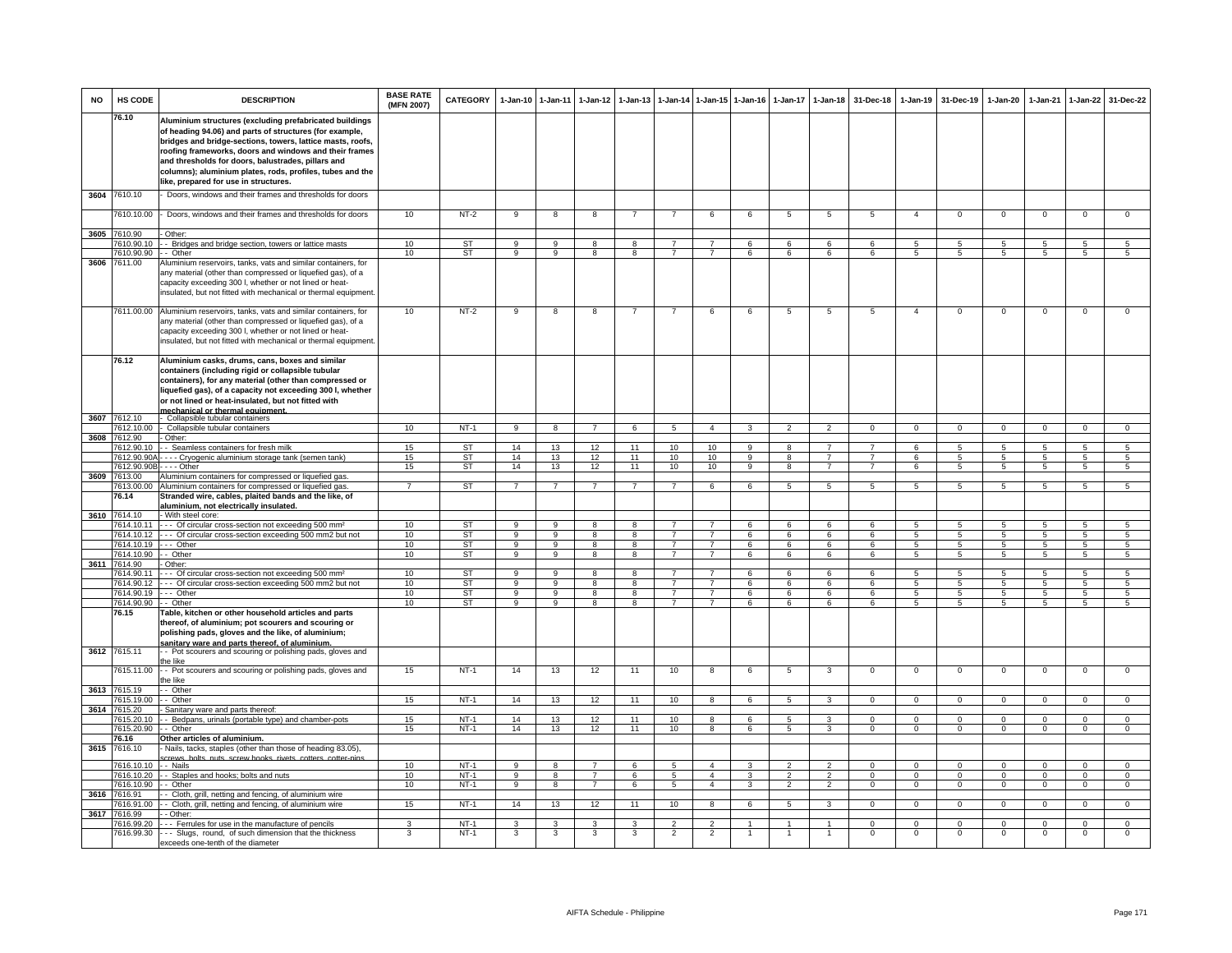| <b>NO</b> | HS CODE                    | <b>DESCRIPTION</b>                                                                                                                                                                                                                                                                                                                                                                                     | <b>BASE RATE</b><br>(MFN 2007) | <b>CATEGORY</b>        |                            | 1-Jan-10 1-Jan-11       | $1-Jan-12$          | $1 - Jan-13$                  | $1-Jan-14$                       | $1 - Jan-15$                     | $1 - Jan-16$  | $1-Jan-17$      | $1-Jan-18$           | 31-Dec-18                    | $1-Jan-19$           | 31-Dec-19           | $1-Jan-20$           | 1-Jan-21            | 1-Jan-22             | 31-Dec-22                        |
|-----------|----------------------------|--------------------------------------------------------------------------------------------------------------------------------------------------------------------------------------------------------------------------------------------------------------------------------------------------------------------------------------------------------------------------------------------------------|--------------------------------|------------------------|----------------------------|-------------------------|---------------------|-------------------------------|----------------------------------|----------------------------------|---------------|-----------------|----------------------|------------------------------|----------------------|---------------------|----------------------|---------------------|----------------------|----------------------------------|
|           | 76.10                      | Aluminium structures (excluding prefabricated buildings<br>of heading 94.06) and parts of structures (for example,<br>bridges and bridge-sections, towers, lattice masts, roofs,<br>roofing frameworks, doors and windows and their frames<br>and thresholds for doors, balustrades, pillars and<br>columns); aluminium plates, rods, profiles, tubes and the<br>like, prepared for use in structures. |                                |                        |                            |                         |                     |                               |                                  |                                  |               |                 |                      |                              |                      |                     |                      |                     |                      |                                  |
| 3604      | 7610.10                    | Doors, windows and their frames and thresholds for doors                                                                                                                                                                                                                                                                                                                                               |                                |                        |                            |                         |                     |                               |                                  |                                  |               |                 |                      |                              |                      |                     |                      |                     |                      |                                  |
|           | 7610.10.00                 | - Doors, windows and their frames and thresholds for doors                                                                                                                                                                                                                                                                                                                                             | 10                             | $NT-2$                 | 9                          | 8                       | 8                   | $\overline{7}$                | $\overline{7}$                   | 6                                | 6             | 5               | $5\overline{5}$      | 5                            | $\overline{4}$       | $\mathbf{0}$        | $\mathbf 0$          | $\mathbf 0$         | $\mathbf 0$          | $\mathbf 0$                      |
|           | 3605 7610.90               | - Other:                                                                                                                                                                                                                                                                                                                                                                                               |                                |                        |                            |                         |                     |                               |                                  |                                  |               |                 |                      |                              |                      |                     |                      |                     |                      |                                  |
|           | 7610.90.10                 | - Bridges and bridge section, towers or lattice masts                                                                                                                                                                                                                                                                                                                                                  | 10                             | <b>ST</b>              | 9                          | $\overline{9}$          | 8                   | $\overline{8}$                | $\overline{7}$                   | $\overline{7}$                   | 6             | 6               | 6                    | 6                            | $5^{\circ}$          | -5                  | $5^{\circ}$          | 5                   | 5                    | 5                                |
|           | 7610.90.90                 | - Other                                                                                                                                                                                                                                                                                                                                                                                                | 10                             | ST                     | 9                          | 9                       | 8                   | 8                             | $\overline{7}$                   | $\overline{7}$                   | 6             | 6               | 6                    | 6                            | 5                    | 5                   | 5                    | $\sqrt{5}$          | 5                    | 5                                |
| 3606      | 7611.00                    | Aluminium reservoirs, tanks, vats and similar containers, for<br>any material (other than compressed or liquefied gas), of a<br>capacity exceeding 300 l, whether or not lined or heat-<br>insulated, but not fitted with mechanical or thermal equipment.                                                                                                                                             |                                |                        |                            |                         |                     |                               |                                  |                                  |               |                 |                      |                              |                      |                     |                      |                     |                      |                                  |
|           |                            | 7611.00.00 Aluminium reservoirs, tanks, vats and similar containers, for<br>any material (other than compressed or liquefied gas), of a<br>capacity exceeding 300 l, whether or not lined or heat-<br>insulated, but not fitted with mechanical or thermal equipment.                                                                                                                                  | 10                             | $NT-2$                 | 9                          | 8                       | 8                   |                               | $\overline{7}$                   | 6                                | 6             | 5               | 5                    | 5                            | $\overline{4}$       | $\Omega$            | $\Omega$             | $\Omega$            | $\mathsf 0$          | $\Omega$                         |
|           | 76.12                      | Aluminium casks, drums, cans, boxes and similar<br>containers (including rigid or collapsible tubular<br>containers), for any material (other than compressed or<br>liquefied gas), of a capacity not exceeding 300 l, whether<br>or not lined or heat-insulated, but not fitted with<br>mechanical or thermal equipment.                                                                              |                                |                        |                            |                         |                     |                               |                                  |                                  |               |                 |                      |                              |                      |                     |                      |                     |                      |                                  |
|           | 3607 7612.10               | - Collapsible tubular containers                                                                                                                                                                                                                                                                                                                                                                       |                                |                        |                            |                         |                     |                               |                                  |                                  |               |                 |                      |                              |                      |                     |                      |                     |                      |                                  |
|           | 7612.10.00                 | - Collapsible tubular containers                                                                                                                                                                                                                                                                                                                                                                       | 10                             | $NT-1$                 | 9                          | 8                       | $\overline{7}$      | 6                             | 5                                | $\overline{4}$                   | 3             | $\overline{2}$  | $\overline{2}$       | $\overline{0}$               | $\mathbf{0}$         | $\mathbf 0$         | $\mathbf{0}$         | $\mathbf 0$         | $\mathbf{0}$         | $\mathbf{0}$                     |
|           | 3608 7612.90<br>7612.90.10 | - Other:<br>- Seamless containers for fresh milk                                                                                                                                                                                                                                                                                                                                                       | 15                             |                        | 14                         | 13                      | 12                  | 11                            | 10                               | 10                               | 9             | 8               | $\overline{7}$       | $\overline{7}$               | 6                    | $5^{\circ}$         | $5^{\circ}$          | 5                   | $\overline{5}$       | $\overline{5}$                   |
|           | 7612.90.90                 | ---- Cryogenic aluminium storage tank (semen tank)                                                                                                                                                                                                                                                                                                                                                     | 15                             | <b>ST</b><br><b>ST</b> | 14                         | 13                      | 12                  | 11                            | 10                               | 10                               | 9             | 8               | $\overline{7}$       |                              | 6                    | 5                   | 5                    |                     | 5                    | 5                                |
|           | 7612.90.90E                | --- Other                                                                                                                                                                                                                                                                                                                                                                                              | 15                             | ST                     | 14                         | 13                      | 12                  | 11                            | 10                               | 10                               | 9             | 8               | $\overline{7}$       | $\overline{7}$               | 6                    | 5                   | 5                    | 5                   | 5                    | 5                                |
|           | 3609 7613.00               | Aluminium containers for compressed or liquefied gas.                                                                                                                                                                                                                                                                                                                                                  |                                |                        |                            |                         |                     |                               |                                  |                                  |               |                 |                      |                              |                      |                     |                      |                     |                      |                                  |
|           | 7613.00.00                 | Aluminium containers for compressed or liquefied gas.                                                                                                                                                                                                                                                                                                                                                  | $\overline{7}$                 | ST                     | $\overline{7}$             | $\overline{7}$          | $\overline{7}$      | $\overline{7}$                | $\overline{7}$                   | 6                                | 6             | $\overline{5}$  | $5\overline{)}$      | $\overline{5}$               | $\overline{5}$       | 5                   | $\overline{5}$       | $\sqrt{5}$          | 5                    | $\overline{5}$                   |
|           | 76.14                      | Stranded wire, cables, plaited bands and the like, of                                                                                                                                                                                                                                                                                                                                                  |                                |                        |                            |                         |                     |                               |                                  |                                  |               |                 |                      |                              |                      |                     |                      |                     |                      |                                  |
|           | 3610 7614.10               | aluminium, not electrically insulated<br>- With steel core:                                                                                                                                                                                                                                                                                                                                            |                                |                        |                            |                         |                     |                               |                                  |                                  |               |                 |                      |                              |                      |                     |                      |                     |                      |                                  |
|           | 7614.10.11                 | --- Of circular cross-section not exceeding 500 mm <sup>2</sup>                                                                                                                                                                                                                                                                                                                                        | 10 <sup>1</sup>                | ST                     | $\mathbf{Q}$               | $\mathbf{q}$            | 8                   | 8                             | $\overline{7}$                   | $\overline{7}$                   | -6            | 6               | 6                    | -6                           | -5                   | -5                  | -5                   | -5                  | -5                   | 5                                |
|           | 7614.10.12                 | --- Of circular cross-section exceeding 500 mm2 but not                                                                                                                                                                                                                                                                                                                                                | 10                             | ST                     | 9                          | 9                       | 8                   | 8                             | $\overline{7}$                   | $\overline{7}$                   | 6             | 6               | 6                    | 6                            | 5                    | 5                   | 5                    | 5                   | $\overline{5}$       | 5                                |
|           | 614.10.19                  | $\cdots$ Other                                                                                                                                                                                                                                                                                                                                                                                         | 10                             | <b>ST</b>              | $\overline{9}$             | $\overline{9}$          | $\overline{8}$      | $\overline{8}$                | $\overline{7}$                   | $\overline{7}$                   | 6             | 6               | 6                    | 6                            | 5                    | $5^{\circ}$         | 5                    | $\sqrt{5}$          | 5                    | $\overline{5}$                   |
|           | 7614.10.90                 | - Other                                                                                                                                                                                                                                                                                                                                                                                                | 10                             | <b>ST</b>              | 9                          | 9                       | 8                   | 8                             | $\overline{7}$                   | $\overline{7}$                   | 6             | 6               | 6                    | 6                            | 5                    | 5                   | 5                    | $\sqrt{5}$          | 5                    | 5                                |
| 3611      | 7614.90                    | Other:                                                                                                                                                                                                                                                                                                                                                                                                 |                                |                        |                            |                         |                     |                               |                                  |                                  |               |                 |                      |                              |                      |                     |                      |                     |                      |                                  |
|           | 7614.90.11                 | - - Of circular cross-section not exceeding 500 mm <sup>2</sup>                                                                                                                                                                                                                                                                                                                                        | 10                             | <b>ST</b>              | $\overline{9}$<br><b>q</b> | 9<br>$\overline{q}$     | 8                   | 8                             | $\overline{7}$                   | $\overline{7}$<br>$\overline{7}$ | 6             | 6               | 6                    | 6                            | -5<br>$\overline{5}$ | -5                  | -5<br>$\overline{5}$ | 5                   | -5<br>$\overline{5}$ | 5                                |
|           | 7614.90.12<br>7614.90.19   | - - Of circular cross-section exceeding 500 mm2 but not<br>-- Other                                                                                                                                                                                                                                                                                                                                    | 10<br>10                       | ST<br><b>ST</b>        | q                          | $\overline{9}$          | $\overline{8}$<br>8 | -8<br>$\overline{\mathbf{a}}$ | $\overline{7}$<br>$\overline{7}$ | $\overline{7}$                   | 6<br>6        | 6<br>6          | $\epsilon$<br>6      | $\epsilon$<br>$\overline{6}$ | $\overline{5}$       | 5<br>$\overline{5}$ | $\overline{5}$       | 5<br>$\overline{5}$ | $\overline{5}$       | $\overline{5}$<br>$\overline{5}$ |
|           | 7614.90.90                 | - Other                                                                                                                                                                                                                                                                                                                                                                                                | 10                             | <b>ST</b>              | 9                          | 9                       | 8                   | 8                             | $\overline{7}$                   | $\overline{7}$                   | 6             | 6               | 6                    | 6                            | $\sqrt{5}$           | $\sqrt{5}$          | $5^{\circ}$          | $\sqrt{5}$          | $\sqrt{5}$           | $5^{\circ}$                      |
|           | 76.15                      | Table, kitchen or other household articles and parts<br>thereof, of aluminium; pot scourers and scouring or<br>polishing pads, gloves and the like, of aluminium;<br>sanitary ware and parts thereof, of aluminium.                                                                                                                                                                                    |                                |                        |                            |                         |                     |                               |                                  |                                  |               |                 |                      |                              |                      |                     |                      |                     |                      |                                  |
| 3612      | 7615.11                    | - Pot scourers and scouring or polishing pads, gloves and<br>he like                                                                                                                                                                                                                                                                                                                                   |                                |                        |                            |                         |                     |                               |                                  |                                  |               |                 |                      |                              |                      |                     |                      |                     |                      |                                  |
|           | 615.11.00                  | - Pot scourers and scouring or polishing pads, gloves and<br>the like                                                                                                                                                                                                                                                                                                                                  | 15                             | $NT-1$                 | 14                         | 13                      | 12                  | 11                            | 10                               | 8                                | 6             | 5               | $\mathbf{3}$         | $\mathsf 0$                  | $\mathbf 0$          | $\mathbf 0$         | $\mathbf 0$          | $\mathbf 0$         | $\mathsf 0$          | $\mathbf 0$                      |
| 3613      | 7615.19                    | - Other                                                                                                                                                                                                                                                                                                                                                                                                |                                |                        |                            |                         |                     |                               |                                  |                                  |               |                 |                      |                              |                      |                     |                      |                     |                      |                                  |
|           | 7615.19.00                 | - Other                                                                                                                                                                                                                                                                                                                                                                                                | 15                             | $NT-1$                 | 14                         | 13                      | 12                  | 11                            | 10                               | 8                                | 6             | $5\overline{5}$ | 3                    | $\Omega$                     | $\Omega$             | $\Omega$            | $\Omega$             |                     | $\Omega$             | $\Omega$                         |
| 3614      | 7615.20                    | - Sanitary ware and parts thereof:                                                                                                                                                                                                                                                                                                                                                                     |                                |                        |                            |                         |                     |                               |                                  |                                  |               |                 |                      |                              |                      |                     |                      |                     |                      |                                  |
|           | 7615.20.10                 | - - Bedpans, urinals (portable type) and chamber-pots                                                                                                                                                                                                                                                                                                                                                  | 15                             | $NT-1$                 | 14                         | 13                      | 12                  | 11                            | 10                               | 8                                | 6             | 5               | 3                    | $\Omega$                     | $\Omega$             | $\Omega$            | $\Omega$             |                     | $\mathbf 0$          | $\Omega$                         |
|           | 7615.20.90<br>76.16        | - Other<br>Other articles of aluminium.                                                                                                                                                                                                                                                                                                                                                                | 15                             | $NT-1$                 | 14                         | 13                      | 12                  | 11                            | 10                               | 8                                | 6             | 5               | 3                    | $\mathbf 0$                  | $\mathbf{0}$         | $\mathbf{0}$        | $^{\circ}$           | $\Omega$            | $\mathbf 0$          | $\overline{0}$                   |
| 3615      | 7616.10                    | Nails, tacks, staples (other than those of heading 83.05),                                                                                                                                                                                                                                                                                                                                             |                                |                        |                            |                         |                     |                               |                                  |                                  |               |                 |                      |                              |                      |                     |                      |                     |                      |                                  |
|           |                            | crews, bolts, nuts, screw hooks, rivets, cotters, cotter-pin                                                                                                                                                                                                                                                                                                                                           |                                |                        |                            |                         |                     |                               |                                  |                                  |               |                 |                      |                              |                      |                     |                      |                     |                      |                                  |
|           | 7616.10.10                 | - - Nails                                                                                                                                                                                                                                                                                                                                                                                              | 10                             | $NT-1$                 | $\mathbf{q}$               | 8                       | $\overline{7}$      | 6                             | -5                               | $\mathbf{A}$                     | $\mathcal{R}$ | $\mathcal{P}$   | $\mathcal{P}$        | $\Omega$                     | $^{\circ}$           | $\Omega$            | $\Omega$             | $\Omega$            | $\mathbf{0}$         | $\Omega$                         |
|           | 7616.10.20                 | - Staples and hooks; bolts and nuts                                                                                                                                                                                                                                                                                                                                                                    | 10                             | $NT-1$                 | 9                          | 8                       | $\overline{7}$      | 6                             | 5                                | $\overline{4}$                   | 3             | 2               | 2                    | $\mathbf{0}$                 | $\mathbf{0}$         | $^{\circ}$          | $^{\circ}$           | $\Omega$            | $\mathbf{0}$         | $\mathbf 0$                      |
|           | 7616.10.90                 | - Other                                                                                                                                                                                                                                                                                                                                                                                                | 10                             | $NT-1$                 | 9                          | $\overline{\mathbf{8}}$ | $\overline{7}$      | 6                             | $5\overline{5}$                  | $\overline{4}$                   | 3             | 2               | $\overline{2}$       | $\overline{0}$               | $^{\circ}$           | $\overline{0}$      | $\overline{0}$       | $\mathbf 0$         | $\overline{0}$       | $\overline{0}$                   |
|           | 3616 7616.91               | - Cloth, grill, netting and fencing, of aluminium wire                                                                                                                                                                                                                                                                                                                                                 |                                |                        |                            |                         |                     |                               |                                  |                                  |               |                 |                      |                              |                      |                     |                      |                     |                      |                                  |
|           | 616.91.00<br>7616.99       | Cloth, grill, netting and fencing, of aluminium wire<br>- Other:                                                                                                                                                                                                                                                                                                                                       | 15                             | $NT-1$                 | 14                         | 13                      | 12                  | 11                            | 10                               | 8                                | 6             | 5               | 3                    | $\mathbf 0$                  | $\mathsf 0$          | $\mathbf 0$         | $\mathbf 0$          | $\Omega$            | $\overline{0}$       | $\overline{0}$                   |
| 3617      | 7616.99.20                 | - - Ferrules for use in the manufacture of pencils                                                                                                                                                                                                                                                                                                                                                     | $\mathbf{R}$                   | $NT-1$                 | $\mathcal{R}$              | 3                       | 3                   | $\mathbf{R}$                  | $\mathcal{D}$                    | $\mathcal{P}$                    | $\mathbf{1}$  | $\mathbf{1}$    | $\blacktriangleleft$ | $\Omega$                     | $\Omega$             | $\mathbf 0$         | $\Omega$             | $\Omega$            | $\mathbf 0$          | $\mathbf 0$                      |
|           | 7616.99.30                 | Slugs, round, of such dimension that the thickness                                                                                                                                                                                                                                                                                                                                                     | 3                              | $NT-1$                 | 3                          | 3                       | 3                   | 3                             | $\overline{2}$                   | $\overline{2}$                   |               |                 |                      | $\Omega$                     | $\Omega$             | $\Omega$            | $\Omega$             | $\Omega$            | $\Omega$             | $\Omega$                         |
|           |                            | exceeds one-tenth of the diameter                                                                                                                                                                                                                                                                                                                                                                      |                                |                        |                            |                         |                     |                               |                                  |                                  |               |                 |                      |                              |                      |                     |                      |                     |                      |                                  |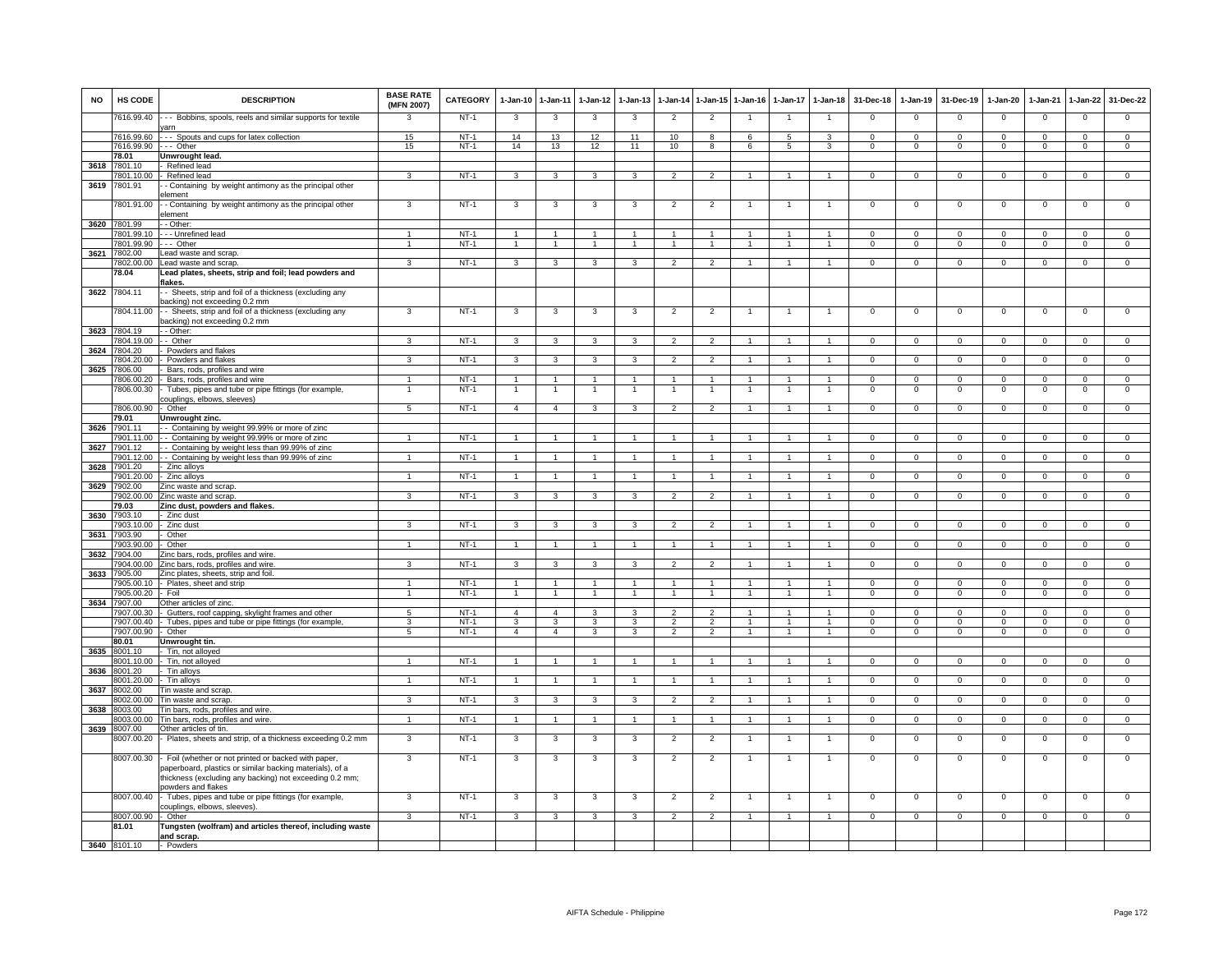| NO   | HS CODE                    | <b>DESCRIPTION</b>                                                                                                                                                                               | <b>BASE RATE</b><br>(MFN 2007) | CATEGORY         | 1-Jan-10                       | 1-Jan-11                         | 1-Jan-12       | 1-Jan-13                     |                                  |                                        | 1-Jan-14 1-Jan-15 1-Jan-16       | 1-Jan-17           | 1-Jan-18                       | 31-Dec-18                | 1-Jan-19                  | 31-Dec-19                 | 1-Jan-20                  | 1-Jan-21                     | 1-Jan-22                   | 31-Dec-22                  |
|------|----------------------------|--------------------------------------------------------------------------------------------------------------------------------------------------------------------------------------------------|--------------------------------|------------------|--------------------------------|----------------------------------|----------------|------------------------------|----------------------------------|----------------------------------------|----------------------------------|--------------------|--------------------------------|--------------------------|---------------------------|---------------------------|---------------------------|------------------------------|----------------------------|----------------------------|
|      | 7616.99.40                 | -- Bobbins, spools, reels and similar supports for textile<br>varn                                                                                                                               | 3                              | $NT-1$           | $\mathbf{3}$                   | $\mathbf{3}$                     | 3              | 3                            | $\overline{2}$                   | $\overline{2}$                         | $\overline{1}$                   | $\mathbf{1}$       | $\overline{1}$                 | $\mathbf 0$              | $\mathsf 0$               | $\Omega$                  | $\mathsf 0$               | $\overline{0}$               | $\Omega$                   | $\overline{0}$             |
|      |                            | 7616.99.60 --- Spouts and cups for latex collection                                                                                                                                              | 15                             | $NT-1$           | 14                             | 13                               | 12             | 11                           | 10                               | 8                                      | 6                                | 5                  | 3                              | $\Omega$                 | $\mathbf 0$               | $\Omega$                  | $\overline{0}$            | $\Omega$                     | $\Omega$                   | $\Omega$                   |
|      | 7616.99.90 --- Other       |                                                                                                                                                                                                  | 15                             | NT-1             | 14                             | 13                               | 12             | 11                           | 10                               | 8                                      | 6                                | 5                  | 3                              | $\mathbf{0}$             | $\mathbf 0$               | $\mathbf 0$               | $\mathbf{0}$              | $\mathbf{0}$                 | $\mathbf 0$                | $\mathbf{0}$               |
| 3618 | 78.01<br>7801.10           | Unwrought lead.<br>Refined lead                                                                                                                                                                  |                                |                  |                                |                                  |                |                              |                                  |                                        |                                  |                    |                                |                          |                           |                           |                           |                              |                            |                            |
|      | 7801.10.00                 | Refined lead                                                                                                                                                                                     | 3                              | $NT-1$           | 3                              | 3                                | 3              | 3                            | $\overline{2}$                   | $\overline{2}$                         | $\mathbf{1}$                     | $\mathbf{1}$       | $\overline{1}$                 | $\mathbf 0$              | $\mathbf 0$               | $\mathbf 0$               | $\mathsf 0$               | $\mathbf 0$                  | $\mathbf 0$                | $\Omega$                   |
| 3619 | 7801.91                    | - Containing by weight antimony as the principal other                                                                                                                                           |                                |                  |                                |                                  |                |                              |                                  |                                        |                                  |                    |                                |                          |                           |                           |                           |                              |                            |                            |
|      |                            | element                                                                                                                                                                                          |                                |                  |                                |                                  |                |                              |                                  |                                        |                                  |                    |                                |                          |                           |                           |                           |                              |                            |                            |
|      | 7801.91.00                 | - - Containing by weight antimony as the principal other<br>element                                                                                                                              | 3                              | $NT-1$           | 3                              | 3                                | 3              | 3                            | $\overline{2}$                   | $\overline{a}$                         | -1                               |                    | -1                             | $\mathbf{0}$             | $\mathsf 0$               | $\mathbf 0$               | $^{\circ}$                | $\mathbf 0$                  | $\mathsf 0$                | $\overline{0}$             |
| 3620 | 7801.99                    | - Other:                                                                                                                                                                                         |                                |                  |                                |                                  |                |                              |                                  |                                        |                                  |                    |                                |                          |                           |                           |                           |                              |                            |                            |
|      | 7801.99.10                 | - - Unrefined lead                                                                                                                                                                               |                                | $NT-1$           | $\overline{ }$                 | $\blacktriangleleft$             |                |                              |                                  |                                        |                                  |                    |                                | $\Omega$                 | $\Omega$                  | $\Omega$                  | $\Omega$                  |                              |                            | $\Omega$                   |
|      | 7801.99.90                 | --- Other                                                                                                                                                                                        | $\overline{1}$                 | $NT-1$           | $\overline{1}$                 | $\overline{1}$                   | $\mathbf{1}$   | $\overline{1}$               | $\overline{1}$                   | $\mathbf{1}$                           | $\overline{1}$                   | $\mathbf{1}$       | $\overline{1}$                 | $\mathbf{0}$             | $\overline{0}$            | $\mathbf{0}$              | $\mathbf{0}$              | $\overline{0}$               | $\mathbf 0$                | $\overline{0}$             |
| 3621 | 7802.00<br>7802.00.00      | ead waste and scrap.<br>ead waste and scrap                                                                                                                                                      | 3                              | $NT-1$           | $\mathbf{3}$                   | $\overline{\mathbf{3}}$          | 3              | 3                            | $\overline{2}$                   | $\overline{2}$                         | $\overline{1}$                   | $\mathbf{1}$       | $\overline{1}$                 | $\overline{0}$           | $\overline{0}$            | $\Omega$                  | $\overline{0}$            | $\overline{0}$               | $\overline{0}$             | $\overline{0}$             |
|      | 78.04                      | Lead plates, sheets, strip and foil; lead powders and                                                                                                                                            |                                |                  |                                |                                  |                |                              |                                  |                                        |                                  |                    |                                |                          |                           |                           |                           |                              |                            |                            |
|      |                            | lakes.                                                                                                                                                                                           |                                |                  |                                |                                  |                |                              |                                  |                                        |                                  |                    |                                |                          |                           |                           |                           |                              |                            |                            |
| 3622 | 7804.11                    | - Sheets, strip and foil of a thickness (excluding any<br>backing) not exceeding 0.2 mm                                                                                                          |                                |                  |                                |                                  |                |                              |                                  |                                        |                                  |                    |                                |                          |                           |                           |                           |                              |                            |                            |
|      | 7804.11.00                 | - - Sheets, strip and foil of a thickness (excluding any                                                                                                                                         | 3                              | $NT-1$           | 3                              | 3                                | 3              | 3                            | $\overline{2}$                   | $\overline{2}$                         | -1                               | -1                 | $\overline{1}$                 | $\overline{0}$           | $\overline{0}$            | $\overline{0}$            | $\overline{0}$            | $\overline{0}$               | $\overline{0}$             | $\overline{0}$             |
|      |                            | backing) not exceeding 0.2 mm                                                                                                                                                                    |                                |                  |                                |                                  |                |                              |                                  |                                        |                                  |                    |                                |                          |                           |                           |                           |                              |                            |                            |
|      | 3623 7804.19<br>7804.19.00 | - - Other:<br>- - Other                                                                                                                                                                          | 3                              | $NT-1$           | 3                              | 3                                | 3              | 3                            | $\overline{2}$                   | $\overline{2}$                         | -1                               | 1                  | $\overline{1}$                 | $^{\circ}$               | $\mathbf{0}$              | $^{\circ}$                | 0                         | $\mathbf{0}$                 | $^{\circ}$                 | $\mathbf{0}$               |
| 3624 | 7804.20                    | Powders and flakes                                                                                                                                                                               |                                |                  |                                |                                  |                |                              |                                  |                                        |                                  |                    |                                |                          |                           |                           |                           |                              |                            |                            |
|      | 7804.20.00                 | Powders and flakes                                                                                                                                                                               | 3                              | $NT-1$           | $\mathbf{3}$                   | 3                                | 3              | 3                            | $\overline{2}$                   | $\overline{2}$                         | $\mathbf{1}$                     | 1                  | $\mathbf{1}$                   | $\overline{0}$           | $\mathbf 0$               | $\mathbf{0}$              | $\mathbf{0}$              | $\mathbf 0$                  | $\overline{0}$             | $\overline{0}$             |
| 3625 | 7806.00                    | Bars, rods, profiles and wire                                                                                                                                                                    |                                |                  |                                |                                  |                |                              |                                  |                                        |                                  |                    |                                |                          |                           |                           |                           |                              |                            |                            |
|      | 7806.00.20                 | Bars, rods, profiles and wire                                                                                                                                                                    | $\overline{1}$                 | $NT-1$<br>$NT-1$ | $\overline{1}$                 | $\overline{1}$<br>$\overline{1}$ | $\overline{1}$ | $\mathbf{1}$<br>$\mathbf{1}$ | $\overline{1}$<br>$\overline{1}$ | $\blacktriangleleft$<br>$\overline{1}$ | $\overline{1}$<br>$\overline{1}$ | $\mathbf{1}$<br>-1 | $\mathbf{1}$<br>$\overline{1}$ | $^{\circ}$<br>$^{\circ}$ | $\mathbf 0$<br>$^{\circ}$ | $^{\circ}$<br>$\mathbf 0$ | $\mathbf 0$<br>$^{\circ}$ | $^{\circ}$<br>$\overline{0}$ | $\mathbf 0$<br>$\mathsf 0$ | $\mathbf 0$<br>$\mathsf 0$ |
|      | 7806.00.30                 | Tubes, pipes and tube or pipe fittings (for example,<br>couplings, elbows, sleeves)                                                                                                              |                                |                  |                                |                                  |                |                              |                                  |                                        |                                  |                    |                                |                          |                           |                           |                           |                              |                            |                            |
|      | 7806.00.90                 | Other                                                                                                                                                                                            | $5\overline{)}$                | $NT-1$           | $\overline{4}$                 | $\overline{4}$                   | $\mathbf{3}$   | 3                            | $\overline{2}$                   | $\overline{2}$                         |                                  |                    |                                | $\mathbf 0$              | $\mathbf 0$               | $\Omega$                  | $\Omega$                  | $\mathbf 0$                  | $\Omega$                   | $\Omega$                   |
|      | 79.01                      | Unwrought zinc.                                                                                                                                                                                  |                                |                  |                                |                                  |                |                              |                                  |                                        |                                  |                    |                                |                          |                           |                           |                           |                              |                            |                            |
| 3626 | 7901.11<br>7901.11.00      | - Containing by weight 99.99% or more of zinc                                                                                                                                                    |                                | $NT-1$           |                                |                                  |                |                              |                                  |                                        |                                  |                    |                                |                          |                           |                           |                           |                              |                            |                            |
| 3627 | 7901.12                    | - - Containing by weight 99.99% or more of zinc<br>- Containing by weight less than 99.99% of zinc                                                                                               | -1                             |                  | $\mathbf{1}$                   | $\overline{1}$                   | 1.             |                              | $\overline{1}$                   | -1.                                    | -1                               | 1                  | $\mathbf{1}$                   | $\mathbf 0$              | $\mathbf 0$               | $\mathbf 0$               | $\mathbf 0$               | $\mathbf{0}$                 | $\mathbf{0}$               | $\mathbf{0}$               |
|      | 901.12.00                  | - Containing by weight less than 99.99% of zinc                                                                                                                                                  |                                | $NT-1$           |                                | $\mathbf{1}$                     |                |                              |                                  |                                        |                                  |                    |                                | $\mathbf 0$              | $\mathsf 0$               | $\mathbf 0$               | $\mathsf 0$               | $\mathbf 0$                  | $\mathsf 0$                | $\overline{0}$             |
| 3628 | 7901.20                    | Zinc alloys                                                                                                                                                                                      |                                |                  |                                |                                  |                |                              |                                  |                                        |                                  |                    |                                |                          |                           |                           |                           |                              |                            |                            |
|      | 7901.20.00                 | Zinc alloys                                                                                                                                                                                      |                                | $NT-1$           | $\overline{1}$                 | $\overline{1}$                   |                |                              | $\overline{1}$                   |                                        |                                  |                    |                                | $\Omega$                 | $\Omega$                  | $\Omega$                  | $\Omega$                  | $\Omega$                     | $\Omega$                   | $\Omega$                   |
| 3629 | 7902.00<br>7902.00.00      | Zinc waste and scrap<br>Zinc waste and scrap                                                                                                                                                     | 3                              | $NT-1$           | 3                              | 3                                | 3              | 3                            | $\overline{2}$                   | $\overline{2}$                         |                                  |                    |                                | $\Omega$                 | $\Omega$                  | $\Omega$                  | $\Omega$                  | $\Omega$                     | $\overline{0}$             | $\overline{0}$             |
|      | 79.03                      | Zinc dust, powders and flakes.                                                                                                                                                                   |                                |                  |                                |                                  |                |                              |                                  |                                        |                                  |                    |                                |                          |                           |                           |                           |                              |                            |                            |
| 3630 | 7903.10                    | - Zinc dust                                                                                                                                                                                      |                                |                  |                                |                                  |                |                              |                                  |                                        |                                  |                    |                                |                          |                           |                           |                           |                              |                            |                            |
|      | 7903.10.00                 | - Zinc dust                                                                                                                                                                                      | 3                              | NT-1             | 3                              | 3                                | 3              | 3                            | $\overline{2}$                   | 2                                      |                                  |                    | 1                              | $^{\circ}$               | $\mathbf{0}$              | $^{\circ}$                | 0                         | $^{\circ}$                   | $^{\circ}$                 | $\Omega$                   |
| 3631 | 7903.90<br>7903.90.00      | Other<br>Other                                                                                                                                                                                   |                                | $NT-1$           | $\mathbf{1}$                   | $\mathbf{1}$                     |                |                              | -1                               | $\mathbf{1}$                           |                                  |                    | $\mathbf{1}$                   | $\mathbf{0}$             | $\mathbf 0$               | $\mathbf 0$               | $\mathbf{0}$              | $\mathbf 0$                  | $\mathbf 0$                | $\overline{0}$             |
| 3632 | 904.00                     | Zinc bars, rods, profiles and wire.                                                                                                                                                              |                                |                  |                                |                                  |                |                              |                                  |                                        |                                  |                    |                                |                          |                           |                           |                           |                              |                            |                            |
|      | 7904.00.00                 | Zinc bars, rods, profiles and wire                                                                                                                                                               | $\mathbf{3}$                   | $NT-1$           | 3                              | 3                                | 3              | 3                            | $\mathcal{D}$                    | $\mathcal{L}$                          |                                  |                    | $\mathbf{1}$                   | $\mathbf 0$              | $\mathbf 0$               | $^{\circ}$                | $\mathsf 0$               | $\mathbf 0$                  | $\mathbf 0$                | $\Omega$                   |
| 3633 | 7905.00                    | Zinc plates, sheets, strip and foil.                                                                                                                                                             |                                |                  |                                |                                  |                |                              |                                  |                                        |                                  |                    |                                |                          |                           |                           |                           |                              |                            |                            |
|      | 7905.00.10<br>7905.00.20   | Plates, sheet and strip<br>Foil                                                                                                                                                                  | 1                              | $NT-1$<br>$NT-1$ | $\overline{1}$<br>$\mathbf{1}$ | $\overline{1}$<br>$\overline{1}$ | $\mathbf{1}$   | $\mathbf{1}$                 | $\mathbf{1}$                     | $\blacktriangleleft$<br>$\mathbf{1}$   | $\mathbf{1}$                     | $\mathbf{1}$       | $\overline{1}$<br>$\mathbf{1}$ | $\Omega$<br>$\mathbf 0$  | $\Omega$<br>$\mathbf 0$   | $\Omega$<br>$\mathbf{O}$  | $\Omega$<br>$\mathbf{O}$  | $\Omega$<br>$\mathbf 0$      | $\Omega$<br>$\overline{0}$ | $\Omega$<br>$\overline{0}$ |
| 3634 | 7907.00                    | Other articles of zinc.                                                                                                                                                                          |                                |                  |                                |                                  |                |                              |                                  |                                        |                                  |                    |                                |                          |                           |                           |                           |                              |                            |                            |
|      | 7907.00.30                 | - Gutters, roof capping, skylight frames and other                                                                                                                                               | 5                              | $NT-1$           | $\overline{4}$                 | $\overline{4}$                   | 3              | 3                            | $\overline{2}$                   | $\mathcal{P}$                          |                                  | $\mathbf{1}$       | $\overline{1}$                 | $\mathbf 0$              | $\mathbf 0$               | $\Omega$                  | $^{\circ}$                | $\Omega$                     | $\Omega$                   | $\Omega$                   |
|      | 7907.00.40                 | Tubes, pipes and tube or pipe fittings (for example                                                                                                                                              | $\mathbf{3}$                   | $NT-1$           | -3                             | 3                                | 3              | 3                            | $\overline{2}$                   | $\overline{2}$                         | -1                               | 1                  | $\mathbf{1}$                   | $\Omega$                 | $\Omega$                  | $\Omega$                  | $\Omega$                  | $\Omega$                     | $\Omega$                   | $\overline{0}$             |
|      | 7907.00.90<br>80.01        | - Other<br>Unwrought tin.                                                                                                                                                                        | $5\phantom{.0}$                | $NT-1$           | $\overline{4}$                 | $\overline{4}$                   | 3              | 3                            | $\overline{2}$                   | $\overline{2}$                         | $\overline{1}$                   | $\mathbf{1}$       | $\overline{1}$                 | $\mathbf{0}$             | $\mathbf{0}$              | $\mathbf 0$               | $\mathbf{0}$              | $\mathbf 0$                  | $\mathbf 0$                | $\overline{0}$             |
| 3635 | 8001.10                    | Tin, not alloyed                                                                                                                                                                                 |                                |                  |                                |                                  |                |                              |                                  |                                        |                                  |                    |                                |                          |                           |                           |                           |                              |                            |                            |
|      | 8001.10.00                 | Tin, not alloyed                                                                                                                                                                                 |                                | $NT-1$           | $\overline{1}$                 | $\overline{1}$                   |                |                              | $\overline{1}$                   |                                        |                                  |                    | $\mathbf{1}$                   | $\Omega$                 | $\Omega$                  | $\Omega$                  | $\Omega$                  | $\Omega$                     | $\Omega$                   | $\Omega$                   |
| 3636 | 8001.20                    | Tin alloys                                                                                                                                                                                       |                                |                  |                                |                                  |                |                              |                                  |                                        |                                  |                    |                                |                          |                           |                           |                           |                              |                            |                            |
| 3637 | 8001.20.00<br>8002.00      | Tin alloys<br>Tin waste and scrap                                                                                                                                                                |                                | $NT-1$           | $\overline{1}$                 | $\overline{1}$                   |                |                              |                                  |                                        |                                  |                    |                                | $\Omega$                 | $\overline{0}$            | $\Omega$                  | $\Omega$                  | $\Omega$                     | $\Omega$                   | $\overline{0}$             |
|      |                            | 8002.00.00 Tin waste and scrap.                                                                                                                                                                  | $\mathbf{3}$                   | $NT-1$           | $\mathbf{3}$                   | $\mathbf{3}$                     | 3              | 3                            | $\overline{2}$                   | $\overline{2}$                         |                                  |                    |                                | $\mathbf{0}$             | $\mathbf 0$               | $\mathbf 0$               | $\mathbf{0}$              | $\mathbf{0}$                 | $\mathbf 0$                | $\mathbf{0}$               |
|      | 3638 8003.00               | Tin bars, rods, profiles and wire.                                                                                                                                                               |                                |                  |                                |                                  |                |                              |                                  |                                        |                                  |                    |                                |                          |                           |                           |                           |                              |                            |                            |
|      | 8003.00.00                 | Tin bars, rods, profiles and wire.                                                                                                                                                               | $\overline{1}$                 | $NT-1$           | $\overline{1}$                 | $\overline{1}$                   | $\mathbf{1}$   | $\mathbf{1}$                 | $\overline{1}$                   | $\mathbf{1}$                           | -1                               | 1                  | $\overline{1}$                 | $\mathbf{0}$             | $\mathbf{0}$              | $\mathbf 0$               | $\mathbf 0$               | $^{\circ}$                   | $\mathbf 0$                | $\mathbf{O}$               |
| 3639 | 8007.00<br>8007.00.20      | Other articles of tin.<br>- Plates, sheets and strip, of a thickness exceeding 0.2 mm                                                                                                            | 3                              | $NT-1$           | 3                              | 3                                | 3              | 3                            | $\overline{2}$                   | $\overline{2}$                         |                                  | 1                  | $\overline{1}$                 | $\mathbf 0$              | $\mathsf 0$               | $\mathbf 0$               | $\,0\,$                   | $\mathbf 0$                  | $\mathbf 0$                | $\mathsf 0$                |
|      |                            |                                                                                                                                                                                                  |                                |                  |                                |                                  |                |                              |                                  |                                        |                                  |                    |                                |                          |                           |                           |                           |                              |                            |                            |
|      | 8007.00.30                 | - Foil (whether or not printed or backed with paper,<br>aperboard, plastics or similar backing materials), of a<br>thickness (excluding any backing) not exceeding 0.2 mm;<br>powders and flakes | 3                              | $NT-1$           | 3                              | 3                                | 3              | 3                            | $\overline{2}$                   | $\overline{2}$                         | -1                               | $\mathbf{1}$       | $\mathbf{1}$                   | $\mathbf 0$              | 0                         | $\mathbf 0$               | $\mathbf 0$               | $\mathbf 0$                  | $\mathbf 0$                | $\mathsf 0$                |
|      | 8007.00.40                 | - Tubes, pipes and tube or pipe fittings (for example,<br>couplings, elbows, sleeves).                                                                                                           | 3                              | $NT-1$           | $\mathbf{3}$                   | 3                                | 3              | 3                            | $\overline{2}$                   | $\overline{2}$                         | $\overline{1}$                   | $\overline{1}$     | $\mathbf{1}$                   | $\mathbf 0$              | $\mathbf 0$               | $\mathbf 0$               | $\mathsf 0$               | $\mathbf 0$                  | $\mathbf 0$                | $\mathbf 0$                |
|      | 8007.00.90                 | Other                                                                                                                                                                                            | 3                              | $NT-1$           | 3                              | 3                                | 3              | 3                            | $\overline{2}$                   | $\overline{2}$                         | $\overline{1}$                   | $\mathbf{1}$       | $\overline{1}$                 | $\Omega$                 | $\mathbf 0$               | $\mathbf 0$               | $\mathbf 0$               | $\mathbf{0}$                 | $\mathbf{0}$               | $\overline{0}$             |
|      | 81.01                      | Tungsten (wolfram) and articles thereof, including waste<br>and scrap.                                                                                                                           |                                |                  |                                |                                  |                |                              |                                  |                                        |                                  |                    |                                |                          |                           |                           |                           |                              |                            |                            |
|      | 3640 8101.10               | - Powders                                                                                                                                                                                        |                                |                  |                                |                                  |                |                              |                                  |                                        |                                  |                    |                                |                          |                           |                           |                           |                              |                            |                            |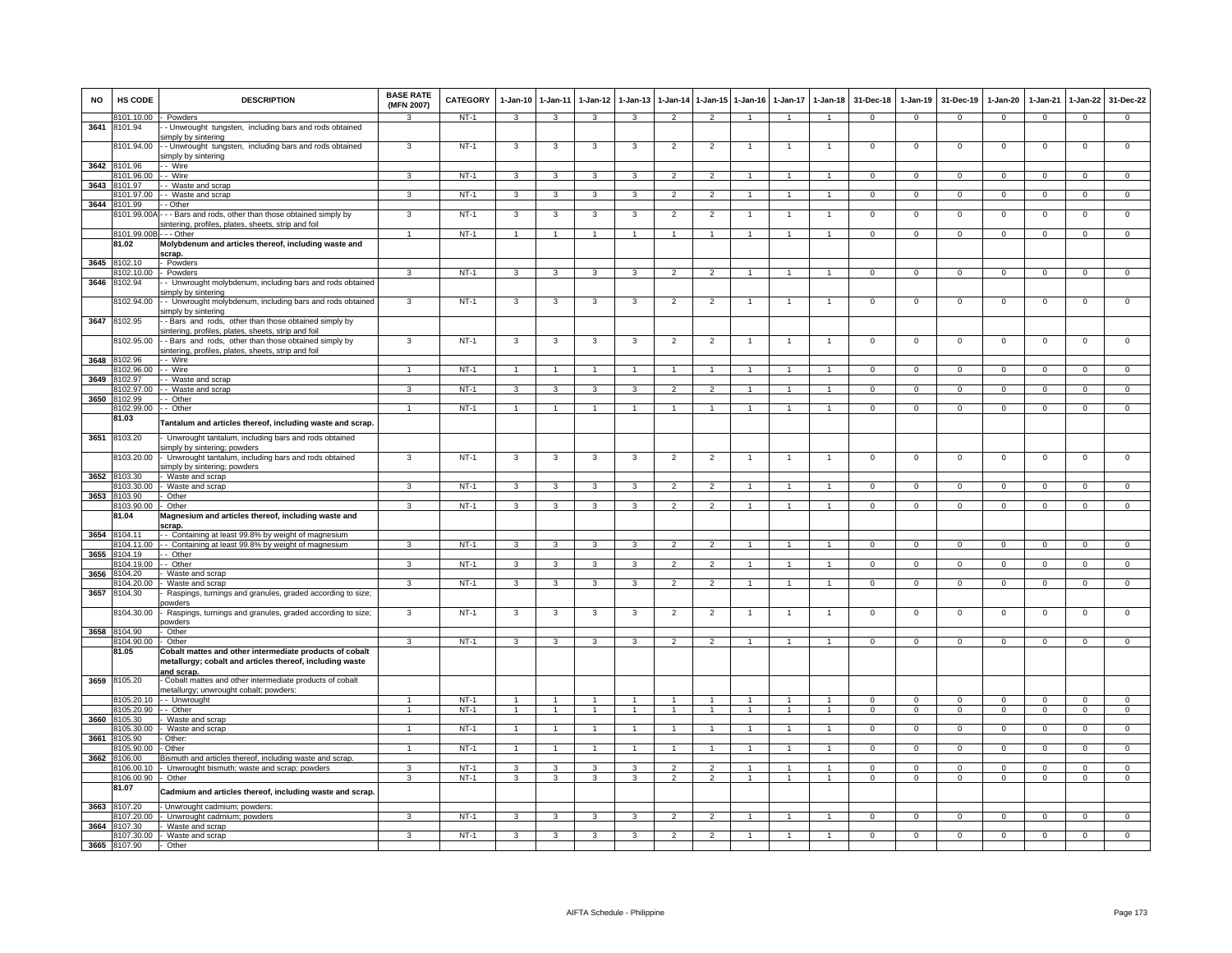| <b>NO</b> | HS CODE               | <b>DESCRIPTION</b>                                                                                                  | <b>BASE RATE</b><br>(MFN 2007) | CATEGORY       | $1-Jan-10$     | $1 - Jan-11$                     | $1-Jan-12$           | $1-Jan-13$              | 1-Jan-14                 |                          | 1-Jan-15 1-Jan-16    | 1-Jan-17       | $1-Jan-18$                   | 31-Dec-18                  | $1-Jan-19$                  | 31-Dec-19                   | $1-Jan-20$                | $1-Jan-21$              | $1-Jan-22$                     | 31-Dec-22              |
|-----------|-----------------------|---------------------------------------------------------------------------------------------------------------------|--------------------------------|----------------|----------------|----------------------------------|----------------------|-------------------------|--------------------------|--------------------------|----------------------|----------------|------------------------------|----------------------------|-----------------------------|-----------------------------|---------------------------|-------------------------|--------------------------------|------------------------|
|           | 8101.10.00 - Powders  |                                                                                                                     | $\mathcal{R}$                  | NT-1           | $\mathbf{3}$   | $\mathbf{3}$                     | 3                    | 3                       | $\overline{2}$           | $\mathcal{P}$            | $\blacktriangleleft$ | $\overline{1}$ | $\overline{1}$               | $\mathbf{0}$               | $\mathbf{0}$                | $\mathbf{0}$                | $\mathbf{0}$              | $\mathbf 0$             | $\mathbf 0$                    | $\mathbf{0}$           |
| 3641      | 8101.94               | - Unwrought tungsten, including bars and rods obtained<br>simply by sintering                                       |                                |                |                |                                  |                      |                         |                          |                          |                      |                |                              |                            |                             |                             |                           |                         |                                |                        |
|           | 8101.94.00            | - - Unwrought tungsten, including bars and rods obtained<br>simply by sintering                                     | 3                              | $NT-1$         | 3              | 3                                | 3                    | 3                       | $\overline{2}$           | $\overline{2}$           |                      |                |                              | $\mathsf 0$                | $^{\circ}$                  | $\mathbf 0$                 | $\mathbf 0$               | $\mathbf 0$             | $\mathsf 0$                    | $\overline{0}$         |
| 3642      | 8101.96               | - Wire                                                                                                              |                                |                |                |                                  |                      |                         |                          |                          |                      |                |                              |                            |                             |                             |                           |                         |                                |                        |
|           | 101.96.00             | - Wire                                                                                                              | 3                              | NT-1           | 3              | 3                                | 3                    | $\mathbf{3}$            | $\mathcal{P}$            | $\mathcal{L}$            |                      |                | $\blacktriangleleft$         | $\Omega$                   | $\Omega$                    | $\Omega$                    | $\Omega$                  | $\Omega$                | $\Omega$                       | $\Omega$               |
| 3643      | 3101.97<br>3101.97.00 | - Waste and scrap<br>- - Waste and scrap                                                                            | 3                              | $NT-1$         | 3              | $\overline{\mathbf{3}}$          | 3                    | 3                       | $\overline{2}$           | $\overline{2}$           |                      |                |                              | $\overline{0}$             | $\overline{0}$              | $\overline{0}$              | $\overline{0}$            | $\Omega$                | $\overline{0}$                 | $\overline{0}$         |
| 3644      | 8101.99               | - - Other                                                                                                           |                                |                |                |                                  |                      |                         |                          |                          |                      |                |                              |                            |                             |                             |                           |                         |                                |                        |
|           |                       | 8101.99.00A - - - Bars and rods, other than those obtained simply by                                                | 3                              | $NT-1$         | 3              | 3                                | 3                    | 3                       | $\overline{2}$           | $\overline{2}$           | $\mathbf{1}$         |                | $\mathbf{1}$                 | $\mathbf 0$                | $\mathbf 0$                 | $\mathbf 0$                 | $\mathbf 0$               | $\mathbf 0$             | $\mathsf 0$                    | $\mathbf 0$            |
|           |                       | sintering, profiles, plates, sheets, strip and foil                                                                 |                                |                |                |                                  |                      |                         |                          |                          |                      |                |                              |                            |                             |                             |                           |                         |                                |                        |
|           | 8101.99.00B           | $-$ - Other                                                                                                         | $\blacktriangleleft$           | $NT-1$         | $\overline{1}$ | $\overline{1}$                   | $\overline{1}$       | -1                      | $\mathbf{1}$             | $\mathbf{1}$             | $\overline{1}$       | $\mathbf{1}$   | $\overline{1}$               | $\Omega$                   | $\Omega$                    | $\mathbf{0}$                | $\Omega$                  | $\Omega$                | $\circ$                        | $\overline{0}$         |
|           | 81.02                 | Molybdenum and articles thereof, including waste and                                                                |                                |                |                |                                  |                      |                         |                          |                          |                      |                |                              |                            |                             |                             |                           |                         |                                |                        |
| 3645      | 8102.10               | scrap.<br>Powders                                                                                                   |                                |                |                |                                  |                      |                         |                          |                          |                      |                |                              |                            |                             |                             |                           |                         |                                |                        |
|           | 8102.10.00            | - Powders                                                                                                           | $\mathbf{3}$                   | $NT-1$         | 3              | $\mathbf{3}$                     | 3                    | 3                       | $\overline{2}$           | $\overline{2}$           | $\mathbf{1}$         | 1              | $\overline{1}$               | $^{\circ}$                 | $\mathsf 0$                 | $\mathbf 0$                 | $\mathbf 0$               | $^{\circ}$              | 0                              | $\mathbf 0$            |
| 3646      | 8102.94               | - Unwrought molybdenum, including bars and rods obtained                                                            |                                |                |                |                                  |                      |                         |                          |                          |                      |                |                              |                            |                             |                             |                           |                         |                                |                        |
|           |                       | simply by sintering                                                                                                 |                                |                |                |                                  |                      |                         |                          |                          |                      |                |                              |                            |                             |                             |                           |                         |                                |                        |
|           | 8102.94.00            | - - Unwrought molybdenum, including bars and rods obtained<br>simply by sintering                                   | 3                              | $NT-1$         | 3              | 3                                | 3                    | 3                       | $\overline{2}$           | $\overline{2}$           |                      |                |                              | $\mathsf 0$                | $\mathbf 0$                 | $\mathbf 0$                 | $\mathbf 0$               | $\mathbf 0$             | $\mathsf 0$                    | $\mathbf 0$            |
| 3647      | 8102.95               | - Bars and rods, other than those obtained simply by<br>sintering, profiles, plates, sheets, strip and foil         |                                |                |                |                                  |                      |                         |                          |                          |                      |                |                              |                            |                             |                             |                           |                         |                                |                        |
|           | 8102.95.00            | - Bars and rods, other than those obtained simply by<br>sintering, profiles, plates, sheets, strip and foil         | 3                              | $NT-1$         | 3              | 3                                | 3                    | з                       | $\overline{2}$           | $\overline{2}$           |                      |                |                              | $^{\circ}$                 | $^{\circ}$                  | $\mathbf 0$                 | $\mathbf 0$               | $\mathbf 0$             | $\mathbf 0$                    | $\mathbf 0$            |
| 3648      | 8102.96               | - Wire                                                                                                              |                                |                |                |                                  |                      |                         |                          |                          |                      |                |                              |                            |                             |                             |                           |                         |                                |                        |
|           | 102.96.00             | - Wire                                                                                                              |                                | NT-1           | $\overline{1}$ | -1                               | $\blacktriangleleft$ |                         |                          |                          |                      |                | $\blacktriangleleft$         | $\Omega$                   | $\Omega$                    | $\,0\,$                     | $\Omega$                  | $\Omega$                | $\Omega$                       | $\Omega$               |
| 3649      | 102.97                | - Waste and scrap                                                                                                   |                                |                |                |                                  |                      |                         |                          |                          |                      |                |                              |                            |                             |                             |                           |                         |                                |                        |
|           | 102.97.00             | - Waste and scrap                                                                                                   | 3                              | $NT-1$         | 3              | $\overline{\mathbf{3}}$          | 3                    | 3                       | $\overline{\phantom{a}}$ | $\overline{2}$           |                      |                |                              | $\Omega$                   | $\overline{0}$              | $\overline{0}$              | $\overline{0}$            | $\Omega$                | $\overline{0}$                 | $\overline{0}$         |
| 3650      | 102.99<br>8102.99.00  | - Other<br>- Other                                                                                                  | $\overline{1}$                 | NT-1           | $\overline{1}$ | $\overline{1}$                   | $\overline{1}$       | $\overline{1}$          | $\overline{1}$           | $\overline{1}$           |                      |                | $\mathbf{1}$                 | $\mathbf{0}$               | $\circ$                     | $\mathbf 0$                 | $\mathbf{0}$              | $\mathbf 0$             | $\circ$                        | $\mathbf{0}$           |
|           | 81.03                 |                                                                                                                     |                                |                |                |                                  |                      |                         |                          |                          |                      |                |                              |                            |                             |                             |                           |                         |                                |                        |
|           |                       | Tantalum and articles thereof, including waste and scrap.                                                           |                                |                |                |                                  |                      |                         |                          |                          |                      |                |                              |                            |                             |                             |                           |                         |                                |                        |
| 3651      | 8103.20               | Unwrought tantalum, including bars and rods obtained                                                                |                                |                |                |                                  |                      |                         |                          |                          |                      |                |                              |                            |                             |                             |                           |                         |                                |                        |
|           |                       | simply by sintering; powders<br>8103.20.00 - Unwrought tantalum, including bars and rods obtained                   | 3                              | $NT-1$         | 3              | 3                                | 3                    | 3                       | $\overline{2}$           | $\overline{2}$           |                      |                | $\overline{1}$               | $\mathbf 0$                | $\mathbf 0$                 | $\mathbf 0$                 | $\mathbf 0$               | $\mathbf 0$             | $\mathsf 0$                    | $\mathbf 0$            |
|           |                       | simply by sintering; powders                                                                                        |                                |                |                |                                  |                      |                         |                          |                          |                      |                |                              |                            |                             |                             |                           |                         |                                |                        |
| 3652      | 8103.30               | - Waste and scrap                                                                                                   |                                |                |                |                                  |                      |                         |                          |                          |                      |                |                              |                            |                             |                             |                           |                         |                                |                        |
|           | 103.30.00             | - Waste and scrap                                                                                                   | 3                              | $NT-1$         | 3              | 3                                | 3                    | 3                       | $\mathfrak{p}$           | $\overline{\phantom{a}}$ |                      |                |                              | $\Omega$                   | $\Omega$                    | $\Omega$                    | $\Omega$                  | $\Omega$                | $\Omega$                       | $\Omega$               |
| 3653      | 8103.90               | Other                                                                                                               | ર                              |                |                | $\mathbf{B}$                     | $\mathbf{B}$         |                         | $\mathcal{P}$            |                          |                      |                |                              | $\Omega$                   | $\Omega$                    |                             | $\Omega$                  | $\Omega$                |                                | $\Omega$               |
|           | 8103.90.00<br>81.04   | - Other<br>Magnesium and articles thereof, including waste and                                                      |                                | $NT-1$         | 3              |                                  |                      |                         |                          |                          |                      |                |                              |                            |                             | $\mathbf 0$                 |                           |                         | 0                              |                        |
|           |                       | scrap.                                                                                                              |                                |                |                |                                  |                      |                         |                          |                          |                      |                |                              |                            |                             |                             |                           |                         |                                |                        |
| 3654      | 3104.11               | - Containing at least 99.8% by weight of magnesium                                                                  |                                |                |                |                                  |                      |                         |                          |                          |                      |                |                              |                            |                             |                             |                           |                         |                                |                        |
|           | 104.11.00             | - Containing at least 99.8% by weight of magnesium                                                                  | 3                              | $NT-1$         | 3              | 3                                | 3                    | 3                       | $\overline{\mathbf{c}}$  | $\mathfrak{p}$           |                      |                |                              | $\mathsf 0$                | $\mathbf 0$                 | $\mathbf 0$                 | $\mathbf 0$               | $\Omega$                | $\mathsf 0$                    | $\overline{0}$         |
| 3655      | 104.19<br>3104.19.00  | - Other<br>- Other                                                                                                  | $\overline{3}$                 | $NT-1$         | $\mathbf{3}$   | $\overline{3}$                   | 3                    | 3                       | $\overline{2}$           | $\overline{2}$           |                      |                | $\mathbf{1}$                 | $\mathbf{0}$               | $\mathbf{0}$                | $\mathbf 0$                 | $\circ$                   | $\mathbf 0$             | $\mathbf 0$                    | $\overline{0}$         |
| 3656      | 3104.20               | Waste and scrap                                                                                                     |                                |                |                |                                  |                      |                         |                          |                          |                      |                |                              |                            |                             |                             |                           |                         |                                |                        |
|           | 104.20.00             | Waste and scrap                                                                                                     | 3                              | $NT-1$         | 3              | $\overline{\mathbf{3}}$          | 3                    | $\overline{\mathbf{3}}$ | $\overline{\phantom{a}}$ | $\overline{2}$           |                      |                | $\blacktriangleleft$         | $\overline{0}$             | $\overline{0}$              | $\overline{0}$              | $\overline{0}$            | $\overline{0}$          | $\overline{0}$                 | $\overline{0}$         |
| 3657      | 8104.30               | Raspings, turnings and granules, graded according to size;<br>oowders                                               |                                |                |                |                                  |                      |                         |                          |                          |                      |                |                              |                            |                             |                             |                           |                         |                                |                        |
|           | 8104.30.00            | Raspings, turnings and granules, graded according to size;<br>owders                                                | $\mathbf{3}$                   | NT-1           | 3              | 3                                | 3                    | 3                       | $\overline{2}$           | $\overline{2}$           |                      |                | $\overline{1}$               | $\mathbf 0$                | $\mathbf 0$                 | $\mathbf 0$                 | $\mathbf 0$               | $\mathbf 0$             | 0                              | $\circ$                |
|           | 3658 8104.90          | Other                                                                                                               |                                |                |                |                                  |                      |                         |                          |                          |                      |                |                              |                            |                             |                             |                           |                         |                                |                        |
|           | 3104.90.00            | Other                                                                                                               | 3                              | $NT-1$         | 3              | 3                                | 3                    | 3                       | $\overline{2}$           | 2                        |                      |                | 1                            | $\mathbf{0}$               | $\mathbf{0}$                | $\mathbf 0$                 | $^{\circ}$                | $^{\circ}$              | $^{\circ}$                     | $\mathbf 0$            |
|           | 81.05                 | Cobalt mattes and other intermediate products of cobalt<br>metallurgy; cobalt and articles thereof, including waste |                                |                |                |                                  |                      |                         |                          |                          |                      |                |                              |                            |                             |                             |                           |                         |                                |                        |
| 3659      | 8105.20               | <u>and scrap.</u><br>- Cobalt mattes and other intermediate products of cobalt                                      |                                |                |                |                                  |                      |                         |                          |                          |                      |                |                              |                            |                             |                             |                           |                         |                                |                        |
|           |                       | metallurgy; unwrought cobalt; powders:                                                                              |                                |                |                |                                  |                      |                         |                          |                          |                      |                |                              |                            |                             |                             |                           |                         |                                |                        |
|           | 8105.20.90            | 8105.20.10 - - Unwrought<br>- Other                                                                                 | $\mathbf{1}$<br>$\overline{1}$ | NT-1<br>$NT-1$ | $\overline{1}$ | $\overline{1}$<br>$\overline{1}$ | $\overline{1}$       | $\overline{1}$          | $\overline{1}$           | $\overline{1}$           | $\mathbf{1}$         | $\mathbf{1}$   | $\mathbf{1}$<br>$\mathbf{1}$ | $\Omega$<br>$\overline{0}$ | $\mathbf 0$<br>$\mathbf{0}$ | $\mathbf 0$<br>$\mathbf{0}$ | $\circ$<br>$\overline{0}$ | $\Omega$<br>$\mathbf 0$ | $\mathbf{0}$<br>$\overline{0}$ | $\circ$<br>$\mathbf 0$ |
| 3660      | 8105.30               | Waste and scrap                                                                                                     |                                |                |                |                                  |                      |                         |                          |                          |                      |                |                              |                            |                             |                             |                           |                         |                                |                        |
|           | 105.30.00             | Waste and scrap                                                                                                     | 1                              | $NT-1$         | 1              | 1                                |                      |                         |                          |                          |                      |                | 1                            | $\mathbf{0}$               | $\mathbf 0$                 | $^{\circ}$                  | $^{\circ}$                | $^{\circ}$              | $\mathbf 0$                    | $\mathbf 0$            |
| 3661      | 3105.90               | Other:                                                                                                              |                                |                |                |                                  |                      |                         |                          |                          |                      |                |                              |                            |                             |                             |                           |                         |                                |                        |
|           | 105.90.00             | Other                                                                                                               |                                | $NT-1$         | $\overline{1}$ | $\blacktriangleleft$             | $\blacktriangleleft$ |                         |                          |                          |                      |                | $\overline{1}$               | $\mathbf{0}$               | $\mathbf{0}$                | $\mathbf 0$                 | 0                         | $\mathbf 0$             | $\mathbf 0$                    | $\Omega$               |
| 3662      | 8106.00<br>8106.00.10 | Bismuth and articles thereof, including waste and scrap.<br>- Unwrought bismuth; waste and scrap; powders           | $\mathbf{R}$                   | $NT-1$         | $\overline{3}$ | $\overline{3}$                   | $\mathbf{B}$         | $\mathbf{3}$            | っ                        | $\overline{2}$           | $\overline{1}$       |                | $\blacktriangleleft$         | $\Omega$                   | $\Omega$                    | $\Omega$                    | $\overline{0}$            | $\Omega$                | $\overline{0}$                 | $\overline{0}$         |
|           | 8106.00.90            | Other                                                                                                               | $\mathbf{a}$                   | $NT-1$         | 3              | 3                                | 3                    | $\mathbf{3}$            | $\mathfrak{D}$           | $\overline{2}$           |                      |                | $\ddot{\phantom{1}}$         | $\circ$                    | $\mathbf 0$                 | $\mathbf{0}$                | $\Omega$                  | $\Omega$                | $\mathbf 0$                    | $\mathbf 0$            |
|           | 81.07                 | Cadmium and articles thereof, including waste and scrap.                                                            |                                |                |                |                                  |                      |                         |                          |                          |                      |                |                              |                            |                             |                             |                           |                         |                                |                        |
|           |                       |                                                                                                                     |                                |                |                |                                  |                      |                         |                          |                          |                      |                |                              |                            |                             |                             |                           |                         |                                |                        |
| 3663      | 8107.20<br>8107.20.00 | Unwrought cadmium; powders:<br>- Unwrought cadmium: powders                                                         | 3                              | $NT-1$         | 3              | 3                                | 3                    | 3                       | $\overline{2}$           | $\overline{2}$           | 1                    | $\mathbf{1}$   | 1                            | $\Omega$                   | $\mathbf{0}$                | $\mathbf{0}$                | $\mathbf{0}$              | $^{\circ}$              | $\circ$                        | $\mathbf 0$            |
| 3664      | 3107.30               | Waste and scrap                                                                                                     |                                |                |                |                                  |                      |                         |                          |                          |                      |                |                              |                            |                             |                             |                           |                         |                                |                        |
|           | 8107.30.00            | Waste and scrap                                                                                                     | 3                              | $NT-1$         | 3              | 3                                | 3                    | 3                       | $\overline{2}$           |                          |                      |                |                              | $\mathbf 0$                | $\mathbf 0$                 | 0                           | 0                         | $\mathbf 0$             | 0                              | $\Omega$               |
|           | 3665 8107.90          | - Other                                                                                                             |                                |                |                |                                  |                      |                         |                          |                          |                      |                |                              |                            |                             |                             |                           |                         |                                |                        |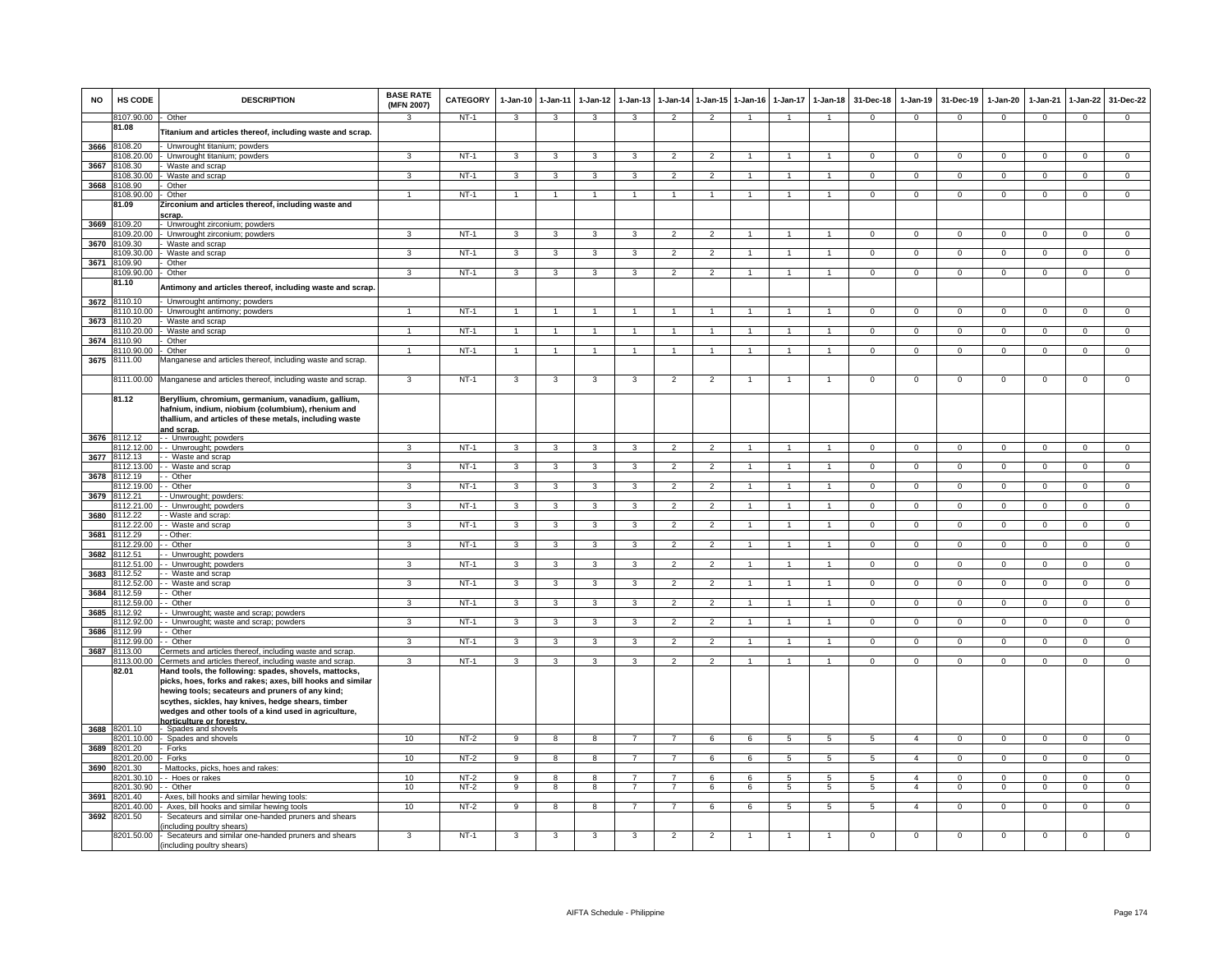| <b>NO</b> | HS CODE                    | <b>DESCRIPTION</b>                                                                                                                                                                                                                                                                     | <b>BASE RATE</b><br>(MFN 2007) | <b>CATEGORY</b> | $1-Jan-10$     | $1 - Jan-11$            | $1-Jan-12$   | $1-Jan-13$     | $1-Jan-14$     | $1-Jan-15$     | $1-Jan-16$           | $1-Jan-17$     | $1 - Jan-18$         | 31-Dec-18      | $1-Jan-19$     | 31-Dec-19      | $1-Jan-20$     | $1-Jan-21$     | $1-Jan-22$     | 31-Dec-22      |
|-----------|----------------------------|----------------------------------------------------------------------------------------------------------------------------------------------------------------------------------------------------------------------------------------------------------------------------------------|--------------------------------|-----------------|----------------|-------------------------|--------------|----------------|----------------|----------------|----------------------|----------------|----------------------|----------------|----------------|----------------|----------------|----------------|----------------|----------------|
|           | 8107.90.00                 | Other                                                                                                                                                                                                                                                                                  | 3                              | NT-1            | $\mathbf{3}$   | $\mathbf{3}$            | $\mathbf{3}$ | 3              | $\overline{2}$ | $\overline{2}$ | $\overline{1}$       | $\overline{1}$ | $\overline{1}$       | $\Omega$       | $\mathbf{0}$   | $\mathbf 0$    | $\overline{0}$ | $\overline{0}$ | $\Omega$       | $\mathbf{0}$   |
|           | 81.08                      | Titanium and articles thereof, including waste and scrap.                                                                                                                                                                                                                              |                                |                 |                |                         |              |                |                |                |                      |                |                      |                |                |                |                |                |                |                |
| 3666      | 8108.20                    | Unwrought titanium; powders                                                                                                                                                                                                                                                            |                                |                 |                |                         |              |                |                |                |                      |                |                      |                |                |                |                |                |                |                |
|           | 108.20.00                  | Unwrought titanium; powders                                                                                                                                                                                                                                                            | 3                              | $NT-1$          | 3              | $\mathbf{R}$            |              | 3              | $\mathcal{P}$  | $\overline{2}$ |                      |                |                      | $\mathsf 0$    | $\mathbf{0}$   | $\mathbf 0$    | $\mathbf 0$    | $\mathbf 0$    | $\mathbf 0$    | $\mathbf{0}$   |
| 3667      | 3108.30<br>3108.30.00      | Waste and scrap<br>Waste and scrap                                                                                                                                                                                                                                                     | 3                              | $NT-1$          | $\mathbf{a}$   | $\overline{\mathbf{3}}$ | $\mathbf{a}$ | $\mathbf{3}$   | $\overline{2}$ | $\overline{2}$ |                      | $\overline{1}$ | $\blacktriangleleft$ | $\Omega$       | $\overline{0}$ | $\Omega$       | $\mathbf 0$    | $\overline{0}$ | $\Omega$       | $\overline{0}$ |
| 3668      | 3108.90                    | Other                                                                                                                                                                                                                                                                                  |                                |                 |                |                         |              |                |                |                |                      |                |                      |                |                |                |                |                |                |                |
|           | 108.90.00                  | Other                                                                                                                                                                                                                                                                                  |                                | $NT-1$          |                |                         |              |                |                | $\overline{1}$ |                      |                | $\overline{1}$       | $\overline{0}$ | $\overline{0}$ | $\overline{0}$ | $\overline{0}$ | $\overline{0}$ | $\overline{0}$ | $\overline{0}$ |
|           | 81.09                      | Zirconium and articles thereof, including waste and                                                                                                                                                                                                                                    |                                |                 |                |                         |              |                |                |                |                      |                |                      |                |                |                |                |                |                |                |
|           | 3669 8109.20               | scrap.<br>Unwrought zirconium; powders                                                                                                                                                                                                                                                 |                                |                 |                |                         |              |                |                |                |                      |                |                      |                |                |                |                |                |                |                |
|           | 8109.20.00                 | Unwrought zirconium; powders                                                                                                                                                                                                                                                           | 3                              | $NT-1$          | 3              | 3                       | 3            | 3              | $\overline{2}$ | $\overline{2}$ | $\overline{1}$       | $\overline{1}$ | $\overline{1}$       | $\overline{0}$ | $\overline{0}$ | $\mathbf{0}$   | $\mathbf{0}$   | $\overline{0}$ | $^{\circ}$     | $\mathbf{0}$   |
| 3670      | 3109.30                    | Waste and scrap                                                                                                                                                                                                                                                                        |                                |                 |                |                         |              |                |                |                |                      |                |                      |                |                |                |                |                |                |                |
| 3671      | 3109.30.00<br>8109.90      | Waste and scrap<br>Other                                                                                                                                                                                                                                                               | 3                              | $NT-1$          | 3              | 3                       | 3            | 3              | $\overline{2}$ | $\overline{2}$ |                      | 1              | $\mathbf{1}$         | $\mathbf 0$    | $\mathbf{0}$   | $\mathbf 0$    | $\mathbf 0$    | $\mathbf{0}$   | $\mathbf 0$    | $\mathbf{0}$   |
|           | 8109.90.00                 | Other                                                                                                                                                                                                                                                                                  | 3                              | $NT-1$          | 3              | 3                       | 3            | 3              | $\overline{2}$ | $\overline{2}$ | $\blacktriangleleft$ | $\overline{1}$ | $\overline{1}$       | $\mathsf 0$    | $\mathbf 0$    | $\mathbf 0$    | 0              | $\mathsf 0$    | $\mathbf 0$    | $\overline{0}$ |
|           | 81.10                      | Antimony and articles thereof, including waste and scrap                                                                                                                                                                                                                               |                                |                 |                |                         |              |                |                |                |                      |                |                      |                |                |                |                |                |                |                |
|           |                            |                                                                                                                                                                                                                                                                                        |                                |                 |                |                         |              |                |                |                |                      |                |                      |                |                |                |                |                |                |                |
| 3672      | 8110.10<br>8110.10.00      | Unwrought antimony; powders<br>Unwrought antimony; powders                                                                                                                                                                                                                             |                                | $NT-1$          |                |                         |              |                |                |                |                      |                |                      | $\Omega$       | $\Omega$       | $\Omega$       | $\Omega$       | $\Omega$       |                | $\Omega$       |
| 3673      | 8110.20                    | Waste and scrap                                                                                                                                                                                                                                                                        |                                |                 |                |                         |              |                |                |                |                      |                |                      |                |                |                |                |                |                |                |
|           | 8110.20.00                 | Waste and scrap                                                                                                                                                                                                                                                                        | $\overline{1}$                 | $NT-1$          |                |                         |              |                |                | $\mathbf{1}$   |                      | $\mathbf{1}$   | $\overline{1}$       | $\overline{0}$ | $\overline{0}$ | $\mathbf 0$    | $\mathbf 0$    | $\overline{0}$ | $\mathbf 0$    | $\overline{0}$ |
| 3674      | 3110.90                    | Other                                                                                                                                                                                                                                                                                  | $\mathbf{1}$                   |                 |                |                         |              | $\mathbf{1}$   |                | $\mathbf{1}$   |                      | $\mathbf{1}$   | $\mathbf{1}$         |                |                |                |                |                |                |                |
| 3675      | 3110.90.00<br>8111.00      | Other<br>Manganese and articles thereof, including waste and scrap.                                                                                                                                                                                                                    |                                | $NT-1$          |                |                         |              |                |                |                |                      |                |                      | $\overline{0}$ | $\overline{0}$ | $\mathbf 0$    | $\overline{0}$ | $\overline{0}$ | $\overline{0}$ | $\overline{0}$ |
|           |                            |                                                                                                                                                                                                                                                                                        |                                |                 |                |                         |              |                |                |                |                      |                |                      |                |                |                |                |                |                |                |
|           |                            | 8111.00.00 Manganese and articles thereof, including waste and scrap.                                                                                                                                                                                                                  | 3                              | $NT-1$          | 3              | 3                       | 3            | 3              | $\overline{2}$ | $\overline{2}$ | $\mathbf{1}$         | $\overline{1}$ | $\overline{1}$       | $\overline{0}$ | $\overline{0}$ | $\overline{0}$ | $\overline{0}$ | $\overline{0}$ | $\overline{0}$ | $\overline{0}$ |
|           | 81.12                      | Beryllium, chromium, germanium, vanadium, gallium,<br>hafnium, indium, niobium (columbium), rhenium and                                                                                                                                                                                |                                |                 |                |                         |              |                |                |                |                      |                |                      |                |                |                |                |                |                |                |
|           |                            | thallium, and articles of these metals, including waste                                                                                                                                                                                                                                |                                |                 |                |                         |              |                |                |                |                      |                |                      |                |                |                |                |                |                |                |
|           |                            | and scrap.                                                                                                                                                                                                                                                                             |                                |                 |                |                         |              |                |                |                |                      |                |                      |                |                |                |                |                |                |                |
|           | 3676 8112.12<br>8112.12.00 | - Unwrought; powders<br>- Unwrought; powders                                                                                                                                                                                                                                           | $\mathcal{R}$                  | $NT-1$          | 3              | 3                       | $\mathbf{R}$ | 3              | $\overline{2}$ | $\overline{2}$ |                      | $\mathbf{1}$   | $\mathbf{1}$         | $\mathbf 0$    | $\mathbf{0}$   | $\mathbf 0$    | $\mathbf 0$    | $\mathbf{0}$   | $\mathbf 0$    | $\mathbf{0}$   |
| 3677      | 8112.13                    | - Waste and scrap                                                                                                                                                                                                                                                                      |                                |                 |                |                         |              |                |                |                |                      |                |                      |                |                |                |                |                |                |                |
|           | 8112.13.00                 | - Waste and scrap                                                                                                                                                                                                                                                                      | 3                              | $NT-1$          | 3              | 3                       | 3            | 3              | $\overline{2}$ | $\overline{2}$ |                      | $\mathbf{1}$   | $\overline{1}$       | $\mathsf 0$    | $\mathbf 0$    | $\mathbf 0$    | $\mathsf 0$    | $\mathbf 0$    | $\mathbf 0$    | $\mathbf{0}$   |
|           | 3678 8112.19<br>3112.19.00 | - Other<br>- Other                                                                                                                                                                                                                                                                     | 3                              | $NT-1$          | 3              | 3                       | 3            | 3              | $\overline{2}$ | $\overline{2}$ |                      |                | $\mathbf{1}$         | $\overline{0}$ | $\overline{0}$ | $\overline{0}$ | $\overline{0}$ | $\overline{0}$ | $\overline{0}$ | $\overline{0}$ |
| 3679      | 3112.21                    | Unwrought; powders:                                                                                                                                                                                                                                                                    |                                |                 |                |                         |              |                |                |                |                      |                |                      |                |                |                |                |                |                |                |
|           | 8112.21.00                 | - Unwrought; powders                                                                                                                                                                                                                                                                   | 3                              | $NT-1$          | 3              | 3                       |              |                | $\mathcal{P}$  | $\overline{2}$ |                      |                | $\mathbf{1}$         | $\Omega$       | $\overline{0}$ | $\Omega$       | $\Omega$       | $\Omega$       | $\Omega$       | $\overline{0}$ |
| 3680      | 8112.22                    | - Waste and scrap:                                                                                                                                                                                                                                                                     |                                |                 |                |                         |              |                |                |                |                      |                |                      |                |                |                |                |                |                |                |
| 3681      | 8112.22.00<br>8112.29      | - Waste and scrap<br>- Other:                                                                                                                                                                                                                                                          | 3                              | $NT-1$          | 3              | 3                       | 3            | 3              | 2              | 2              | $\overline{1}$       | $\overline{1}$ | $\overline{1}$       | $\overline{0}$ | $\overline{0}$ | $\Omega$       | $\mathbf{0}$   | $\overline{0}$ | $\mathbf{0}$   | $\Omega$       |
|           | 8112.29.00                 | - Other                                                                                                                                                                                                                                                                                | 3                              | $NT-1$          | 3              | 3                       | 3            | 3              | $\overline{2}$ | $\overline{2}$ |                      | $\mathbf{1}$   | $\mathbf{1}$         | $\mathbf{0}$   | $\mathbf{0}$   | $\mathbf 0$    | $\mathbf 0$    | $\mathbf{0}$   | $\mathbf 0$    | $\overline{0}$ |
| 3682      | 8112.51                    | - Unwrought; powders                                                                                                                                                                                                                                                                   |                                |                 |                |                         |              |                |                |                |                      |                |                      |                |                |                |                |                |                |                |
| 3683      | 8112.51.00<br>8112.52      | - Unwrought; powders<br>- Waste and scrap                                                                                                                                                                                                                                              | 3                              | $NT-1$          | $\mathcal{R}$  | $\mathbf{R}$            |              | 3              | $\mathcal{P}$  | $\mathfrak{p}$ |                      | $\overline{1}$ | $\overline{1}$       | $\mathbf 0$    | $\mathbf 0$    | $\mathbf 0$    | $\mathsf 0$    | $\mathbf 0$    | $\mathsf 0$    | $\mathsf 0$    |
|           | 8112 52 00                 | - Waste and scrap                                                                                                                                                                                                                                                                      | $\mathbf{3}$                   | $NT-1$          | $\overline{3}$ | $\overline{3}$          | $\mathbf{3}$ | $\overline{3}$ | $\overline{2}$ | $\overline{2}$ | $\overline{1}$       | $\overline{1}$ | $\overline{1}$       | $\overline{0}$ | $\overline{0}$ | $\overline{0}$ | $\overline{0}$ | $\overline{0}$ | $\overline{0}$ | $\overline{0}$ |
| 3684      | 3112.59                    | - Other                                                                                                                                                                                                                                                                                |                                |                 |                |                         |              |                |                |                |                      |                |                      |                |                |                |                |                |                |                |
| 3685      | 8112.59.00<br>8112.92      | - Other                                                                                                                                                                                                                                                                                | 3                              | $NT-1$          | 3              | 3                       |              | $\mathbf{3}$   | $\mathfrak{p}$ | $\overline{2}$ |                      |                | $\overline{1}$       | $\Omega$       | $\overline{0}$ | $\Omega$       | $\overline{0}$ | $\overline{0}$ | $\overline{0}$ | $\overline{0}$ |
|           | 8112.92.00                 | - Unwrought; waste and scrap; powders<br>- Unwrought; waste and scrap; powders                                                                                                                                                                                                         | 3                              | $NT-1$          | $\mathbf{3}$   | $\mathbf{3}$            | 3            | 3              | $\overline{2}$ | $\overline{2}$ | -1                   | $\overline{1}$ | $\overline{1}$       | $\overline{0}$ | $\mathbf{0}$   | $\mathbf 0$    | $\overline{0}$ | $\mathbf 0$    | $\mathbf{0}$   | $\overline{0}$ |
| 3686      | 8112.99                    | - Other                                                                                                                                                                                                                                                                                |                                |                 |                |                         |              |                |                |                |                      |                |                      |                |                |                |                |                |                |                |
|           | 3112.99.00                 | Other                                                                                                                                                                                                                                                                                  | 3                              | $NT-1$          | $\overline{3}$ | 3                       | 3            | 3              | $\overline{2}$ | $\overline{2}$ | $\overline{1}$       | $\mathbf{1}$   | $\overline{1}$       | $\overline{0}$ | $\overline{0}$ | $\overline{0}$ | $\overline{0}$ | $\overline{0}$ | $\overline{0}$ | $\overline{0}$ |
| 3687      | 8113.00<br>8113.00.00      | Cermets and articles thereof, including waste and scrap.<br>Cermets and articles thereof, including waste and scrap.                                                                                                                                                                   | 3                              | $NT-1$          | 3              | 3                       | 3            | 3              | $\overline{2}$ | $\overline{2}$ | $\overline{1}$       | $\overline{1}$ | $\overline{1}$       | $\mathbf{0}$   | $\mathbf{0}$   | $\mathbf 0$    | $\mathsf 0$    | $\mathbf{0}$   | $\mathbf 0$    | $\mathbf{0}$   |
|           | 82.01                      | Hand tools, the following: spades, shovels, mattocks,<br>picks, hoes, forks and rakes; axes, bill hooks and similar<br>hewing tools; secateurs and pruners of any kind;<br>scythes, sickles, hay knives, hedge shears, timber<br>wedges and other tools of a kind used in agriculture, |                                |                 |                |                         |              |                |                |                |                      |                |                      |                |                |                |                |                |                |                |
|           | 3688 8201.10               | horticulture or forestry<br>Spades and shovels                                                                                                                                                                                                                                         |                                |                 |                |                         |              |                |                |                |                      |                |                      |                |                |                |                |                |                |                |
|           | 3201.10.00                 | Spades and shovels                                                                                                                                                                                                                                                                     | 10                             | $NT-2$          | $_{9}$         | $\overline{8}$          | 8            | $\overline{7}$ | $\overline{7}$ | 6              | 6                    | -5             | $\overline{5}$       | $\overline{5}$ | $\overline{4}$ | $\overline{0}$ | $\overline{0}$ | $\overline{0}$ | $\overline{0}$ | $\overline{0}$ |
| 3689      | 3201.20                    | Forks                                                                                                                                                                                                                                                                                  |                                |                 |                |                         |              |                |                |                |                      |                |                      |                |                |                |                |                |                |                |
|           | 3201.20.00                 | Forks                                                                                                                                                                                                                                                                                  | 10                             | $NT-2$          | 9              | 8                       | 8            | $\overline{7}$ | $\overline{7}$ | 6              | 6                    | 5              | 5                    | 5              | $\overline{4}$ | $\mathbf 0$    | $\mathsf 0$    | $\mathbf 0$    | $\mathbf 0$    | $\mathbf{0}$   |
| 3690      | 8201.30<br>3201.30.10      | Mattocks, picks, hoes and rakes<br>- Hoes or rakes                                                                                                                                                                                                                                     | 10 <sup>1</sup>                | $NT-2$          | $\mathbf{Q}$   | $\mathbf{R}$            | $\mathbf{R}$ |                |                | 6              | 6                    | $\overline{5}$ | $\overline{5}$       | 5              | $\overline{a}$ | $\Omega$       | $\Omega$       | $\Omega$       | $\Omega$       | $\Omega$       |
|           | 8201.30.90                 | - Other                                                                                                                                                                                                                                                                                | 10                             | $NT-2$          | 9              | 8                       | 8            | $\overline{7}$ | $\overline{7}$ | 6              | 6                    | 5              | $\overline{5}$       | 5              | $\overline{4}$ | $\mathbf 0$    | $\mathbf 0$    | $\mathbf 0$    | $\mathbf 0$    | $\mathbf{0}$   |
| 3691      | 8201.40                    | Axes, bill hooks and similar hewing tools                                                                                                                                                                                                                                              |                                |                 |                |                         |              |                |                |                |                      |                |                      |                |                |                |                |                |                |                |
| 3692      | 8201.40.00<br>8201.50      | Axes, bill hooks and similar hewing tools<br>Secateurs and similar one-handed pruners and shears                                                                                                                                                                                       | 10                             | $NT-2$          | -9             | 8                       | $\mathbf{R}$ | $\overline{7}$ | $\overline{7}$ | 6              | -6                   | 5              | $5\overline{5}$      | 5              | $\overline{4}$ | $\mathbf 0$    | $\mathbf 0$    | $\mathbf 0$    | $\mathbf{0}$   | $\mathbf{0}$   |
|           | 8201.50.00                 | including poultry shears)<br>Secateurs and similar one-handed pruners and shears<br>including poultry shears)                                                                                                                                                                          | 3                              | $NT-1$          | 3              | 3                       | 3            | 3              | $\overline{2}$ | $\overline{2}$ |                      | $\mathbf{1}$   | $\mathbf{1}$         | $\mathbf 0$    | $\mathbf 0$    | $\mathbf 0$    | $\mathsf 0$    | $\mathbf 0$    | $\mathsf 0$    | 0              |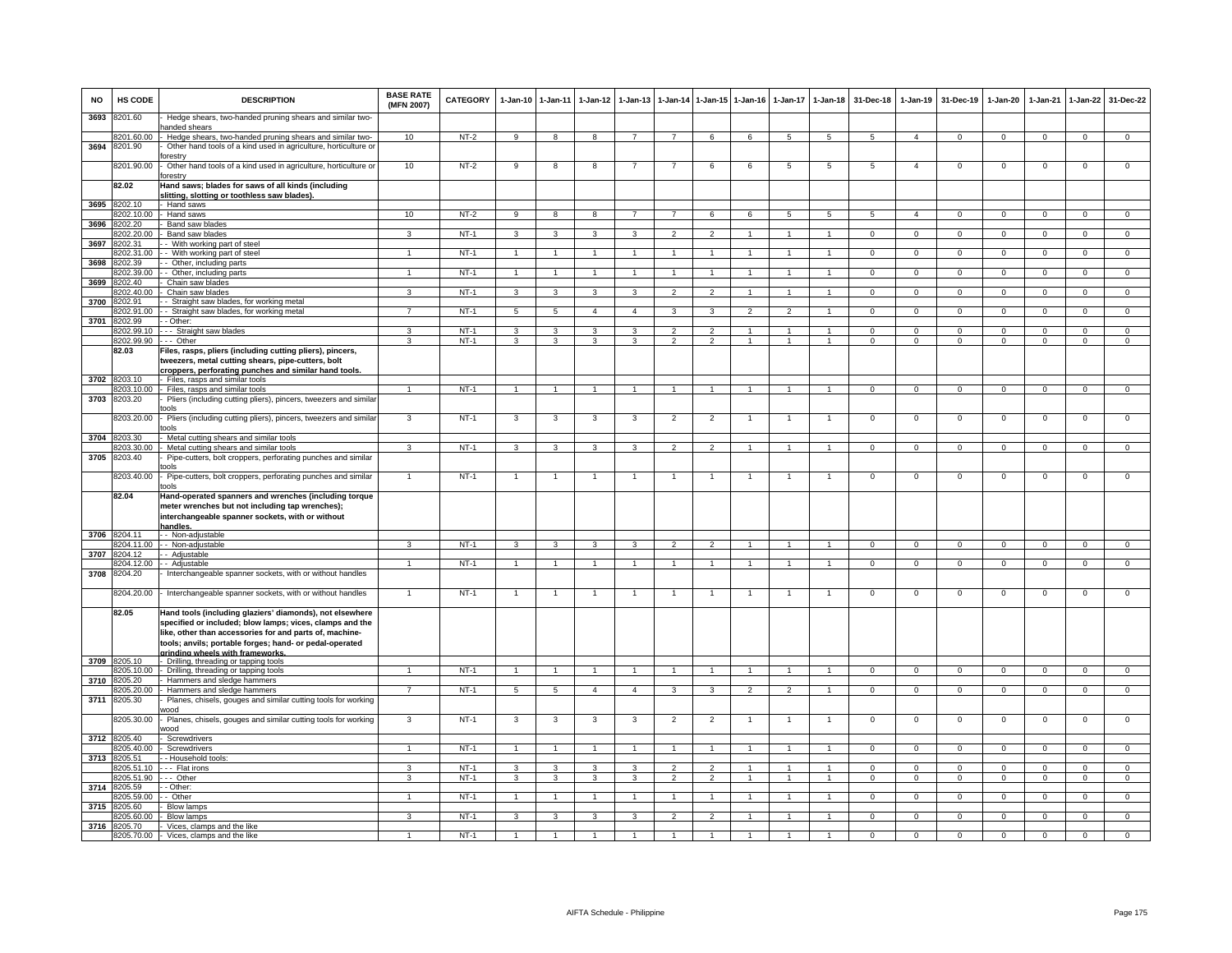| <b>NO</b> | HS CODE                    | <b>DESCRIPTION</b>                                                                                              | <b>BASE RATE</b><br>(MFN 2007) | <b>CATEGORY</b> | $1-Jan-10$              | $1-Jan-11$              | $1-Jan-12$              | $1-Jan-13$              | $1-Jan-14$     | 1-Jan-15       | $1 - Jan-16$   | $1-Jan-17$      | $1 - Jan-18$         | 31-Dec-18      | $1-Jan-19$     | 31-Dec-19      | $1-Jan-20$     | 1-Jan-21       | $1 - Jan-22$   | 31-Dec-22      |
|-----------|----------------------------|-----------------------------------------------------------------------------------------------------------------|--------------------------------|-----------------|-------------------------|-------------------------|-------------------------|-------------------------|----------------|----------------|----------------|-----------------|----------------------|----------------|----------------|----------------|----------------|----------------|----------------|----------------|
| 3693      | 8201.60                    | Hedge shears, two-handed pruning shears and similar two-<br>anded shears                                        |                                |                 |                         |                         |                         |                         |                |                |                |                 |                      |                |                |                |                |                |                |                |
|           | 8201.60.00                 | Hedge shears, two-handed pruning shears and similar two-                                                        | 10                             | $NT-2$          | 9                       | 8                       | 8                       | 7                       | $\overline{7}$ | 6              | 6              | 5               | 5                    | 5              | $\overline{a}$ | $^{\circ}$     | $\mathbf 0$    | $\mathbf{0}$   | $^{\circ}$     | $\mathbf 0$    |
| 3694      | 8201.90                    | Other hand tools of a kind used in agriculture, horticulture or                                                 |                                |                 |                         |                         |                         |                         |                |                |                |                 |                      |                |                |                |                |                |                |                |
|           |                            | orestrv                                                                                                         |                                |                 |                         |                         |                         |                         |                |                |                | $5\overline{5}$ |                      |                |                | $\Omega$       |                |                |                |                |
|           | 8201.90.00                 | Other hand tools of a kind used in agriculture, horticulture or<br>orestry                                      | 10                             | NT-2            | 9                       | 8                       | 8                       |                         | 7              | 6              | 6              |                 | 5                    | 5              | $\overline{4}$ |                | $\mathsf 0$    | $\mathbf 0$    | $\mathbf 0$    | $\mathsf 0$    |
|           | 82.02                      | Hand saws; blades for saws of all kinds (including<br>slitting, slotting or toothless saw blades).              |                                |                 |                         |                         |                         |                         |                |                |                |                 |                      |                |                |                |                |                |                |                |
| 3695      | 8202.10                    | Hand saws                                                                                                       |                                |                 |                         |                         |                         |                         |                |                |                |                 |                      |                |                |                |                |                |                |                |
|           | 8202.10.00                 | Hand saws                                                                                                       | 10                             | $NT-2$          | -9                      | $\overline{\mathbf{8}}$ | $\overline{\mathbf{8}}$ | $\overline{7}$          | $\overline{7}$ | 6              | 6              | $\overline{5}$  | 5                    | $\overline{5}$ | $\overline{4}$ | $\overline{0}$ | $\overline{0}$ | $\overline{0}$ | $\overline{0}$ | $\overline{0}$ |
| 3696      | 8202.20                    | Band saw blades                                                                                                 |                                |                 |                         |                         |                         |                         |                |                |                |                 |                      |                |                |                |                |                |                |                |
|           | 8202.20.00                 | Band saw blades                                                                                                 | 3                              | $NT-1$          | $\mathcal{R}$           | $\mathcal{R}$           | $\mathcal{R}$           | 3                       | $\mathcal{P}$  | $\overline{2}$ |                |                 |                      | $\Omega$       | $\mathbf 0$    | $\Omega$       | $\Omega$       | $\mathbf 0$    | $\mathbf 0$    | $\Omega$       |
| 3697      | 8202.31                    | - With working part of steel                                                                                    |                                |                 |                         |                         |                         |                         |                |                |                |                 |                      |                |                |                |                |                |                |                |
|           | 8202.31.00                 | - With working part of steel                                                                                    |                                | $NT-1$          | $\overline{1}$          | $\mathbf{1}$            | 1                       |                         |                | $\mathbf{1}$   |                | $\overline{1}$  |                      | $\mathbf 0$    | $\mathbf 0$    | $\mathbf{0}$   | 0              | $\mathbf 0$    | $\mathbf{0}$   | $\mathbf{0}$   |
| 3698      | 8202.39<br>3202.39.00      | - Other, including parts<br>Other, including parts                                                              | $\mathbf{1}$                   | $NT-1$          | $\overline{1}$          | $\mathbf{1}$            | $\mathbf{1}$            | $\mathbf{1}$            | $\overline{1}$ | $\mathbf{1}$   | $\overline{1}$ | $\mathbf{1}$    | $\overline{1}$       | $\mathbf{0}$   | $\overline{0}$ | $\mathbf 0$    | $\mathbf{0}$   | $\mathbf{0}$   | $\overline{0}$ | $\overline{0}$ |
| 3699      | 8202.40                    | Chain saw blades                                                                                                |                                |                 |                         |                         |                         |                         |                |                |                |                 |                      |                |                |                |                |                |                |                |
|           | 3202.40.00                 | Chain saw blades                                                                                                | 3                              | $NT-1$          | 3                       | $\overline{\mathbf{3}}$ | 3                       | 3                       | $\mathfrak{p}$ | $\overline{2}$ | $\mathbf{1}$   | $\mathbf{1}$    | $\mathbf{1}$         | $\circ$        | $\mathbf 0$    | $\mathbf{0}$   | $\mathbf{0}$   | $\mathbf{0}$   | $\mathbf{0}$   | $\overline{0}$ |
| 3700      | 8202.91                    | Straight saw blades, for working metal                                                                          |                                |                 |                         |                         |                         |                         |                |                |                |                 |                      |                |                |                |                |                |                |                |
|           | 8202.91.00                 | - Straight saw blades, for working metal                                                                        |                                | $NT-1$          | 5                       | 5                       | $\overline{4}$          | $\Delta$                | 3              | 3              |                |                 |                      | 0              | $\mathsf 0$    | $^{\circ}$     | $\Omega$       | $^{\circ}$     | $\mathbf 0$    | $\mathsf 0$    |
| 3701      | 8202.99                    | - Other:                                                                                                        |                                |                 |                         |                         |                         |                         |                |                |                |                 |                      |                |                |                |                |                |                |                |
|           | 8202.99.10                 | -- Straight saw blades                                                                                          | 3                              | $NT-1$          | 3                       | 3                       | $\overline{\mathbf{3}}$ | 3                       | $\overline{2}$ | $\overline{2}$ | $\mathbf{1}$   | $\mathbf{1}$    | $\overline{1}$       | $\Omega$       | $\mathsf 0$    | $\overline{0}$ | $\Omega$       | $\mathbf 0$    | $\overline{0}$ | $\overline{0}$ |
|           | 8202.99.90                 | --- Other                                                                                                       | $\overline{\mathbf{3}}$        | $NT-1$          | $\overline{\mathbf{3}}$ | $\overline{\mathbf{3}}$ | $\overline{3}$          | $\overline{\mathbf{3}}$ | $\overline{2}$ | $\overline{2}$ | $\overline{1}$ | $\overline{1}$  | $\overline{1}$       | $\Omega$       | $\Omega$       | $\Omega$       | $\overline{0}$ | $\overline{0}$ | $\overline{0}$ | $\overline{0}$ |
|           | 82.03                      | Files, rasps, pliers (including cutting pliers), pincers,<br>tweezers, metal cutting shears, pipe-cutters, bolt |                                |                 |                         |                         |                         |                         |                |                |                |                 |                      |                |                |                |                |                |                |                |
|           |                            | croppers, perforating punches and similar hand tools.                                                           |                                |                 |                         |                         |                         |                         |                |                |                |                 |                      |                |                |                |                |                |                |                |
|           | 3702 8203.10               | Files, rasps and similar tools                                                                                  |                                |                 |                         |                         |                         |                         |                |                |                |                 |                      |                |                |                |                |                |                |                |
|           | 8203.10.00                 | Files, rasps and similar tools                                                                                  |                                | $NT-1$          | 1                       | $\overline{1}$          | 1                       | $\mathbf{1}$            | $\mathbf{1}$   |                | 1              | 1               |                      | $\mathbf{0}$   | $\mathbf 0$    | 0              | $\mathbf 0$    | $\mathbf 0$    | $\mathbf{0}$   | $\mathbf 0$    |
| 3703      | 8203.20                    | Pliers (including cutting pliers), pincers, tweezers and simila                                                 |                                |                 |                         |                         |                         |                         |                |                |                |                 |                      |                |                |                |                |                |                |                |
|           | 8203.20.00                 | ools<br>Pliers (including cutting pliers), pincers, tweezers and simila                                         | 3                              | $NT-1$          | $\mathbf{3}$            | 3                       | 3                       | 3                       | $\overline{2}$ | $\overline{2}$ |                | -1              |                      | $\mathsf 0$    | $\mathsf 0$    | $\Omega$       | $\Omega$       | $\mathbf 0$    | $\mathbf 0$    | $\mathsf 0$    |
|           | 8203.30                    | nols                                                                                                            |                                |                 |                         |                         |                         |                         |                |                |                |                 |                      |                |                |                |                |                |                |                |
| 3704      | 8203.30.00                 | Metal cutting shears and similar tools<br>Metal cutting shears and similar tools                                | ٩                              | $NT-1$          | 3                       | 3                       | 3                       | 3                       | $\overline{2}$ | $\overline{2}$ | $\overline{1}$ | $\mathbf{1}$    |                      | $\Omega$       | 0              | $\Omega$       | $\Omega$       | $\Omega$       | $\mathbf 0$    | $\Omega$       |
| 3705      | 8203.40                    | Pipe-cutters, bolt croppers, perforating punches and similar                                                    |                                |                 |                         |                         |                         |                         |                |                |                |                 |                      |                |                |                |                |                |                |                |
|           |                            | ools                                                                                                            |                                |                 |                         |                         |                         |                         |                |                |                |                 |                      |                |                |                |                |                |                |                |
|           | 8203.40.00                 | Pipe-cutters, bolt croppers, perforating punches and similar<br>tools                                           | 1                              | $NT-1$          | $\overline{1}$          | $\overline{1}$          | $\overline{1}$          | $\overline{1}$          | $\overline{1}$ | $\overline{1}$ | -1             | $\overline{1}$  |                      | $\overline{0}$ | $\overline{0}$ | $\overline{0}$ | $\overline{0}$ | $\overline{0}$ | $\overline{0}$ | $\overline{0}$ |
|           | 82.04                      | Hand-operated spanners and wrenches (including torque                                                           |                                |                 |                         |                         |                         |                         |                |                |                |                 |                      |                |                |                |                |                |                |                |
|           |                            | meter wrenches but not including tap wrenches);                                                                 |                                |                 |                         |                         |                         |                         |                |                |                |                 |                      |                |                |                |                |                |                |                |
|           |                            | interchangeable spanner sockets, with or without                                                                |                                |                 |                         |                         |                         |                         |                |                |                |                 |                      |                |                |                |                |                |                |                |
| 3706      | 8204.11                    | handles.<br>- Non-adjustable                                                                                    |                                |                 |                         |                         |                         |                         |                |                |                |                 |                      |                |                |                |                |                |                |                |
|           | 8204.11.00                 | - Non-adjustable                                                                                                | 3                              | $NT-1$          | 3                       | 3                       | 3                       | 3                       | $\overline{2}$ | $\overline{2}$ | $\mathbf{1}$   | $\mathbf{1}$    | $\mathbf{1}$         | $\overline{0}$ | $\overline{0}$ | $\overline{0}$ | $\overline{0}$ | $\overline{0}$ | $\overline{0}$ | $\overline{0}$ |
| 3707      | 8204.12                    | - Adjustable                                                                                                    |                                |                 |                         |                         |                         |                         |                |                |                |                 |                      |                |                |                |                |                |                |                |
|           | 3204.12.00                 | Adjustable                                                                                                      |                                | $NT-1$          | $\overline{1}$          | $\mathbf{1}$            | 1                       |                         | $\overline{1}$ | $\overline{1}$ |                | $\overline{1}$  |                      | $\Omega$       | $\mathsf 0$    | $\mathbf 0$    | $\mathbf 0$    | $\mathbf 0$    | $\mathbf 0$    | $\mathsf 0$    |
| 3708      | 8204.20                    | Interchangeable spanner sockets, with or without handles                                                        |                                |                 |                         |                         |                         |                         |                |                |                |                 |                      |                |                |                |                |                |                |                |
|           | 8204.20.00                 | - Interchangeable spanner sockets, with or without handles                                                      |                                | $NT-1$          | $\overline{1}$          | $\overline{1}$          | -1                      |                         | -1             | $\overline{1}$ | -1             | $\overline{1}$  | $\overline{1}$       | $\overline{0}$ | $\overline{0}$ | $\overline{0}$ | $\Omega$       | $\Omega$       | $\overline{0}$ | $\overline{0}$ |
|           | 82.05                      | Hand tools (including glaziers' diamonds), not elsewhere                                                        |                                |                 |                         |                         |                         |                         |                |                |                |                 |                      |                |                |                |                |                |                |                |
|           |                            | specified or included; blow lamps; vices, clamps and the                                                        |                                |                 |                         |                         |                         |                         |                |                |                |                 |                      |                |                |                |                |                |                |                |
|           |                            | like, other than accessories for and parts of, machine-                                                         |                                |                 |                         |                         |                         |                         |                |                |                |                 |                      |                |                |                |                |                |                |                |
|           |                            | tools; anvils; portable forges; hand- or pedal-operated                                                         |                                |                 |                         |                         |                         |                         |                |                |                |                 |                      |                |                |                |                |                |                |                |
|           | 3709 8205.10               | grinding wheels with frameworks.<br>Drilling, threading or tapping tools                                        |                                |                 |                         |                         |                         |                         |                |                |                |                 |                      |                |                |                |                |                |                |                |
|           | 8205.10.00                 | Drilling, threading or tapping tools                                                                            |                                | $NT-1$          | $\ddot{\phantom{0}}$    | $\overline{1}$          | $\mathbf{1}$            |                         | $\mathbf{1}$   |                | $\overline{1}$ | $\overline{1}$  | $\overline{1}$       | $\mathbf 0$    | $\mathbf 0$    | $\mathbf 0$    | 0              | $\mathbf 0$    | $\mathbf 0$    | $\mathsf 0$    |
| 3710      | 8205.20                    | Hammers and sledge hammers                                                                                      |                                |                 |                         |                         |                         |                         |                |                |                |                 |                      |                |                |                |                |                |                |                |
|           | 8205.20.00                 | Hammers and sledge hammers                                                                                      | $\overline{7}$                 | $NT-1$          | 5                       | $5\overline{)}$         | $\overline{4}$          | $\overline{4}$          | 3              | 3              | $\mathfrak{p}$ | $\overline{2}$  |                      | $\Omega$       | $\mathbf 0$    | $\Omega$       | $\Omega$       | $\mathbf 0$    | $\mathbf 0$    | $\overline{0}$ |
| 3711      | 8205.30                    | Planes, chisels, gouges and similar cutting tools for working                                                   |                                |                 |                         |                         |                         |                         |                |                |                |                 |                      |                |                |                |                |                |                |                |
|           |                            | vood                                                                                                            |                                |                 |                         |                         |                         |                         |                |                |                |                 |                      |                |                |                |                |                |                |                |
|           | 8205.30.00                 | Planes, chisels, gouges and similar cutting tools for working<br>boow                                           | 3                              | $NT-1$          | 3                       | 3                       | $\mathbf{3}$            | 3                       | $\overline{2}$ | $\overline{2}$ | -1             | $\overline{1}$  |                      | $\mathbf 0$    | $\overline{0}$ | $\overline{0}$ | 0              | $\mathbf 0$    | $\overline{0}$ | $\overline{0}$ |
| 3712      | 8205.40                    | Screwdrivers                                                                                                    |                                |                 |                         |                         |                         |                         |                |                |                |                 |                      |                |                |                |                |                |                |                |
|           | 8205.40.00                 | Screwdrivers                                                                                                    |                                | $NT-1$          | $\overline{1}$          | $\mathbf{1}$            | $\mathbf{1}$            |                         | $\mathbf{1}$   | $\overline{1}$ |                | $\overline{1}$  |                      | $\mathbf{0}$   | $\mathbf 0$    | $\mathbf 0$    | $\mathbf{0}$   | $^{\circ}$     | $\mathbf 0$    | $\mathbf 0$    |
|           | 3713 8205.51<br>8205.51.10 | - Household tools:<br>-- Flat irons                                                                             | $\mathbf{B}$                   | $NT-1$          | 3                       | 3                       | 3                       | 3                       | $\overline{2}$ | $\overline{2}$ | -1             | $\overline{1}$  | $\blacktriangleleft$ | $\Omega$       | $\mathbf{0}$   | $\overline{0}$ | $\Omega$       | $\Omega$       | $\mathbf 0$    | $\overline{0}$ |
|           | 3205.51.90                 | -- Other                                                                                                        | $\mathbf{B}$                   | $NT-1$          | 3                       | 3                       | 3                       | $\mathbf{3}$            | $\mathfrak{p}$ | $\overline{2}$ | $\mathbf{1}$   | $\mathbf{1}$    | $\mathbf{1}$         | $\mathbf{0}$   | $\mathbf{0}$   | $\mathbf{0}$   | $\mathbf{0}$   | $\Omega$       | $\mathbf 0$    | $\overline{0}$ |
| 3714      | 8205.59                    | - Other:                                                                                                        |                                |                 |                         |                         |                         |                         |                |                |                |                 |                      |                |                |                |                |                |                |                |
|           | 3205.59.00                 | Other                                                                                                           |                                | $NT-1$          | 1                       | $\mathbf{1}$            |                         |                         |                |                |                |                 |                      | $\Omega$       | $\mathsf 0$    | $\mathbf 0$    | $\mathbf 0$    | $\mathbf 0$    | $\mathbf 0$    | $\Omega$       |
| 3715      | 8205.60                    | <b>Blow lamps</b>                                                                                               |                                |                 |                         |                         |                         |                         |                |                |                |                 |                      |                |                |                |                |                |                |                |
|           | 8205.60.00                 | <b>Blow lamps</b>                                                                                               | ٩                              | $NT-1$          | 3                       | 3                       | 3                       | 3                       | $\mathfrak{p}$ | $\overline{2}$ |                |                 |                      | $\Omega$       | $\Omega$       | $\Omega$       | $\Omega$       | $\Omega$       | $\mathsf 0$    | $\mathsf 0$    |
| 3716      | 8205.70                    | Vices, clamps and the like                                                                                      |                                |                 |                         |                         |                         |                         |                |                |                |                 |                      |                |                |                |                |                |                |                |
|           | 8205.70.00                 | - Vices, clamps and the like                                                                                    |                                | $NT-1$          | $\ddot{\phantom{0}}$    |                         |                         |                         |                |                |                |                 |                      | $\Omega$       | $\Omega$       | $\overline{0}$ | $\Omega$       | $\overline{0}$ | $\overline{0}$ | $\overline{0}$ |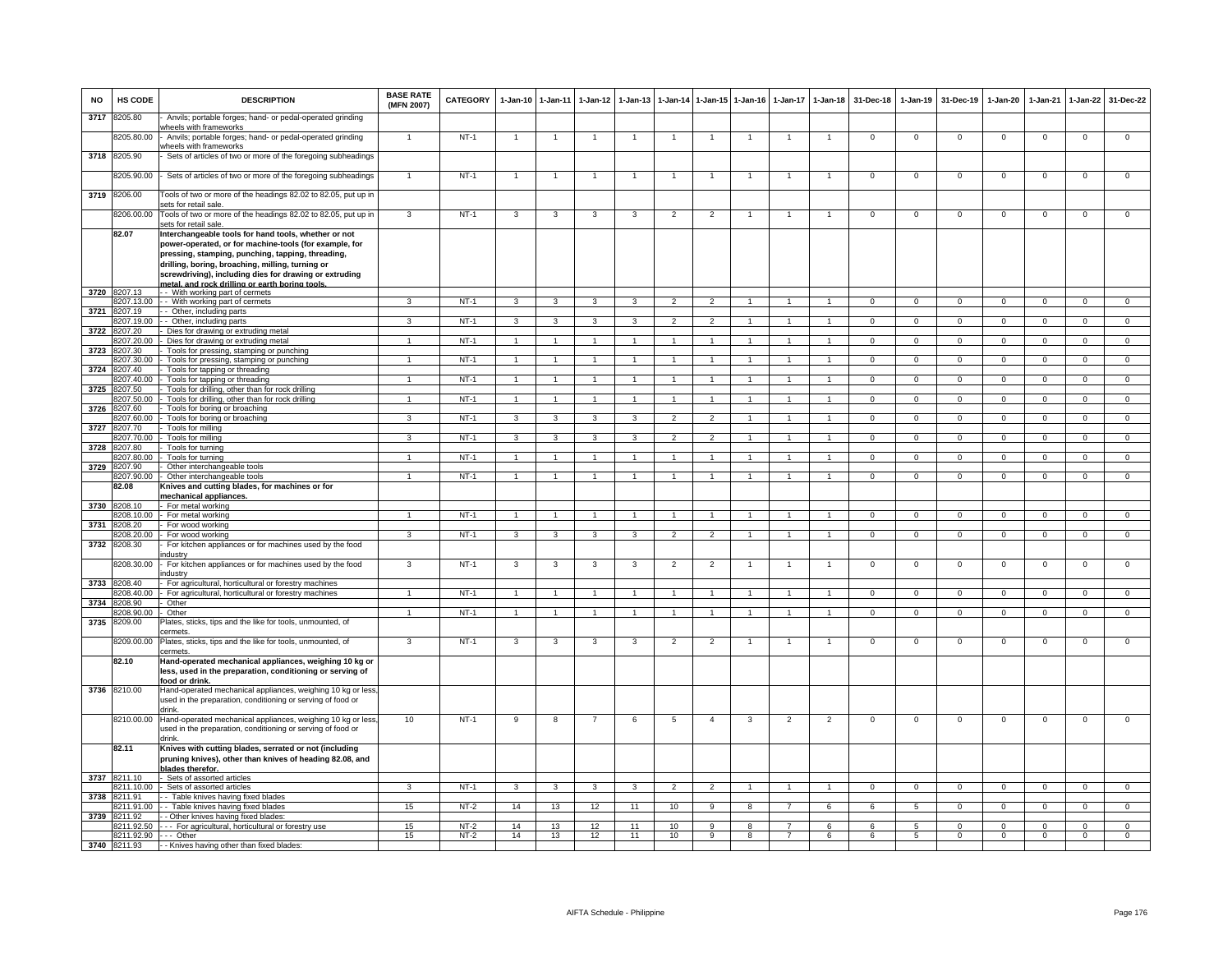| <b>NO</b> | HS CODE               | <b>DESCRIPTION</b>                                                                                                                                                                                                                                                                                                                  | <b>BASE RATE</b><br>(MFN 2007) | CATEGORY         | $1-Jan-10$     | $1-Jan-11$     | $1 - Jan-12$   | $1-Jan-13$     |                          | 1-Jan-14 1-Jan-15 1-Jan-16 |              | $1-Jan-17$     | $1 - Jan-18$         | 31-Dec-18      | $1-Jan-19$          | 31-Dec-19               | 1-Jan-20             | $1-Jan-21$           | $1-Jan-22$              | 31-Dec-22               |
|-----------|-----------------------|-------------------------------------------------------------------------------------------------------------------------------------------------------------------------------------------------------------------------------------------------------------------------------------------------------------------------------------|--------------------------------|------------------|----------------|----------------|----------------|----------------|--------------------------|----------------------------|--------------|----------------|----------------------|----------------|---------------------|-------------------------|----------------------|----------------------|-------------------------|-------------------------|
| 3717      | 8205.80               | Anvils; portable forges; hand- or pedal-operated grinding<br>vheels with frameworks                                                                                                                                                                                                                                                 |                                |                  |                |                |                |                |                          |                            |              |                |                      |                |                     |                         |                      |                      |                         |                         |
|           | 3205.80.00            | Anvils; portable forges; hand- or pedal-operated grinding<br>vheels with frameworks                                                                                                                                                                                                                                                 |                                | $NT-1$           |                |                |                |                |                          |                            |              |                |                      | $\mathbf{0}$   | $^{\circ}$          | $\mathbf 0$             | $\mathbf 0$          | $\mathbf 0$          | $\mathsf 0$             | $\mathsf 0$             |
| 3718      | 8205.90               | Sets of articles of two or more of the foregoing subheadings                                                                                                                                                                                                                                                                        |                                |                  |                |                |                |                |                          |                            |              |                |                      |                |                     |                         |                      |                      |                         |                         |
|           | 8205.90.00            | Sets of articles of two or more of the foregoing subheadings                                                                                                                                                                                                                                                                        |                                | $NT-1$           |                |                |                |                |                          |                            |              |                |                      | 0              | $\mathbf 0$         | $\mathbf 0$             | $\overline{0}$       | $\mathbf 0$          | 0                       | $\mathbf 0$             |
| 3719      | 8206.00               | Tools of two or more of the headings 82.02 to 82.05, put up in<br>sets for retail sale.                                                                                                                                                                                                                                             |                                |                  |                |                |                |                |                          |                            |              |                |                      |                |                     |                         |                      |                      |                         |                         |
|           | 8206.00.00            | Tools of two or more of the headings 82.02 to 82.05, put up in<br>sets for retail sale.                                                                                                                                                                                                                                             | 3                              | $NT-1$           | 3              | $\mathbf{3}$   | 3              | 3              | $\overline{2}$           | $\overline{2}$             |              |                | $\mathbf{1}$         | $\mathsf 0$    | $\mathsf{O}\xspace$ | $\,0\,$                 | $\mathbf 0$          | $\,0\,$              | $\mathsf 0$             | $\overline{0}$          |
|           | 82.07                 | Interchangeable tools for hand tools, whether or not<br>power-operated, or for machine-tools (for example, for<br>pressing, stamping, punching, tapping, threading,<br>drilling, boring, broaching, milling, turning or<br>screwdriving), including dies for drawing or extruding<br>metal, and rock drilling or earth boring tools |                                |                  |                |                |                |                |                          |                            |              |                |                      |                |                     |                         |                      |                      |                         |                         |
| 3720      | 8207.13               | - - With working part of cermets                                                                                                                                                                                                                                                                                                    |                                |                  |                |                |                |                |                          |                            |              |                |                      |                |                     |                         |                      |                      |                         |                         |
| 3721      | 8207.13.00<br>8207.19 | - - With working part of cermets<br>- Other, including parts                                                                                                                                                                                                                                                                        |                                | $NT-1$           | 3              | 3              |                |                | $\overline{\phantom{a}}$ |                            |              |                |                      | $\Omega$       | $\Omega$            | $\Omega$                | $\Omega$             |                      | $\Omega$                | $\Omega$                |
|           | 207.19.00             | - Other, including parts                                                                                                                                                                                                                                                                                                            | $\mathbf{R}$                   | $NT-1$           | $\mathbf{3}$   | $\mathbf{3}$   | 3              | $\mathbf{3}$   | $\overline{2}$           | $\mathcal{P}$              |              |                | $\mathbf{1}$         | $\Omega$       | $\Omega$            | $\mathbf 0$             | $\Omega$             | $\Omega$             | $\mathsf{O}\xspace$     | $\overline{0}$          |
| 3722      | 3207.20               | Dies for drawing or extruding metal                                                                                                                                                                                                                                                                                                 |                                |                  |                |                |                |                |                          |                            |              |                |                      |                |                     |                         |                      |                      |                         |                         |
|           | 207.20.00             | Dies for drawing or extruding metal                                                                                                                                                                                                                                                                                                 |                                | $NT-1$           | $\mathbf{1}$   | $\mathbf{1}$   |                |                |                          |                            |              |                |                      | $\Omega$       | $\overline{0}$      | $\overline{0}$          | $\overline{0}$       | $\Omega$             | $\overline{0}$          | $\overline{0}$          |
| 3723      | 207.30<br>8207.30.00  | Tools for pressing, stamping or punching<br>Tools for pressing, stamping or punching                                                                                                                                                                                                                                                | $\mathbf{1}$                   | $NT-1$           | $\overline{1}$ | $\overline{1}$ | $\mathbf{1}$   |                | $\overline{1}$           | $\blacktriangleleft$       |              |                | $\blacktriangleleft$ | $\mathbf 0$    | $\mathbf 0$         | $\mathbf 0$             | $\mathbf 0$          | $\mathbf 0$          | $\mathbf 0$             | $\overline{0}$          |
| 3724      | 8207.40               | Tools for tapping or threading                                                                                                                                                                                                                                                                                                      |                                |                  |                |                |                |                |                          |                            |              |                |                      |                |                     |                         |                      |                      |                         |                         |
|           | 3207.40.00            | Tools for tapping or threading                                                                                                                                                                                                                                                                                                      |                                | $NT-1$           | $\overline{1}$ | $\overline{1}$ | $\overline{1}$ |                |                          | $\mathbf{1}$               |              |                | $\blacktriangleleft$ | $\overline{0}$ | $\overline{0}$      | $\overline{0}$          | $\overline{0}$       | $\overline{0}$       | $\overline{0}$          | $\overline{0}$          |
| 3725      | 207.50                | Tools for drilling, other than for rock drilling                                                                                                                                                                                                                                                                                    |                                |                  |                |                |                |                |                          |                            |              |                |                      |                |                     |                         |                      |                      |                         |                         |
|           | 8207.50.00            | Tools for drilling, other than for rock drilling                                                                                                                                                                                                                                                                                    | $\mathbf{1}$                   | $NT-1$           | $\overline{1}$ | $\mathbf{1}$   | $\mathbf{1}$   |                |                          | $\mathbf{1}$               |              |                | $\mathbf{1}$         | $\Omega$       | $\Omega$            | $\Omega$                | $\Omega$             | $\Omega$             | $\mathbf 0$             | $\overline{0}$          |
| 3726      | 8207.60<br>8207.60.00 | Tools for boring or broaching<br>Tools for boring or broaching                                                                                                                                                                                                                                                                      | 3                              | $NT-1$           | 3              | 3              | 3              | 3              | $\overline{2}$           | 2                          | -1           |                | $\overline{1}$       | $^{\circ}$     | $\mathbf{0}$        | $\mathbf{0}$            | $\mathbf{0}$         | $^{\circ}$           | $\overline{0}$          | $\mathbf{0}$            |
| 3727      | 207 70                | Tools for milling                                                                                                                                                                                                                                                                                                                   |                                |                  |                |                |                |                |                          |                            |              |                |                      |                |                     |                         |                      |                      |                         |                         |
|           | 207.70.00             | Tools for milling                                                                                                                                                                                                                                                                                                                   | 3                              | $NT-1$           | 3              | 3              | 3              | 3              | $\overline{2}$           | $\overline{2}$             |              |                | $\mathbf{1}$         | $\mathbf{O}$   | $\mathbf{0}$        | $\mathbf 0$             | $\mathbf 0$          | $\mathbf 0$          | $\mathbf{0}$            | $\overline{0}$          |
| 3728      | 07.80                 | Tools for turning                                                                                                                                                                                                                                                                                                                   |                                |                  |                | $\overline{1}$ |                |                |                          |                            |              |                |                      |                |                     |                         |                      |                      |                         |                         |
| 3729      | 8207.80.00<br>8207.90 | Tools for turning<br>Other interchangeable tools                                                                                                                                                                                                                                                                                    | $\mathbf{1}$                   | $NT-1$           | $\overline{1}$ |                | $\mathbf{1}$   |                | $\overline{1}$           | $\mathbf{1}$               |              |                |                      | $\mathbf 0$    | $\mathbf 0$         | $\mathsf 0$             | $\mathbf 0$          | $^{\circ}$           | $\mathsf 0$             | $\overline{0}$          |
|           | 207.90.00             | Other interchangeable tools                                                                                                                                                                                                                                                                                                         |                                | $NT-1$           |                |                |                |                |                          |                            |              |                |                      | $\Omega$       | $\Omega$            | $\Omega$                | $\Omega$             | $\Omega$             | $\overline{0}$          | $\overline{0}$          |
|           | 82.08                 | Knives and cutting blades, for machines or for<br>mechanical appliances.                                                                                                                                                                                                                                                            |                                |                  |                |                |                |                |                          |                            |              |                |                      |                |                     |                         |                      |                      |                         |                         |
|           | 3730 8208.10          | - For metal working                                                                                                                                                                                                                                                                                                                 |                                |                  |                |                |                |                |                          |                            |              |                |                      |                |                     |                         |                      |                      |                         |                         |
| 3731      | 208.10.00<br>208.20   | - For metal working<br>For wood working                                                                                                                                                                                                                                                                                             | $\mathbf{1}$                   | $NT-1$           | $\mathbf{1}$   | $\overline{1}$ | $\mathbf{1}$   |                | $\overline{1}$           | $\mathbf{1}$               | -1           |                | $\mathbf{1}$         | $\mathbf{0}$   | $\Omega$            | $\mathbf{0}$            | $\Omega$             | $\Omega$             | $\mathsf 0$             | $\overline{0}$          |
|           | 208.20.00             | For wood working                                                                                                                                                                                                                                                                                                                    | $\mathbf{3}$                   | $NT-1$           | 3              | 3              | $\mathbf{a}$   | $\mathbf{3}$   | $\mathcal{P}$            | $\mathcal{L}$              |              |                |                      | $\mathsf 0$    | $\mathsf 0$         | $\mathsf 0$             | $\Omega$             | $\mathbf 0$          | $\mathsf 0$             | $\overline{0}$          |
| 3732      | 8208.30               | For kitchen appliances or for machines used by the food<br>ndustry                                                                                                                                                                                                                                                                  |                                |                  |                |                |                |                |                          |                            |              |                |                      |                |                     |                         |                      |                      |                         |                         |
|           | 8208.30.00            | For kitchen appliances or for machines used by the food<br>ndustrv                                                                                                                                                                                                                                                                  | $\mathbf{3}$                   | $NT-1$           | 3              | 3              | 3              | 3              | $\overline{2}$           | $\overline{2}$             |              |                | $\overline{1}$       | $\mathbf 0$    | $\mathbf 0$         | $\mathbf 0$             | $\mathbf 0$          | $\mathbf 0$          | $\mathsf 0$             | $\mathbf 0$             |
| 3733      | 8208.40               | For agricultural, horticultural or forestry machines                                                                                                                                                                                                                                                                                | $\mathbf{1}$                   |                  |                | $\overline{1}$ | $\overline{1}$ | $\overline{1}$ | $\overline{1}$           | $\overline{1}$             |              |                | $\overline{1}$       |                |                     |                         |                      |                      |                         |                         |
| 3734      | 8208.40.00<br>8208.90 | For agricultural, horticultural or forestry machines<br>Other                                                                                                                                                                                                                                                                       |                                | $NT-1$           | $\overline{1}$ |                |                |                |                          |                            |              |                |                      | $\mathbf{0}$   | $\mathbf{0}$        | $\overline{0}$          | $\mathbf{0}$         | $\mathbf{0}$         | $\circ$                 | $\overline{0}$          |
|           | 208.90.00             | Other                                                                                                                                                                                                                                                                                                                               | $\mathbf{1}$                   | $NT-1$           | $\overline{1}$ | $\mathbf{1}$   | $\mathbf{1}$   |                | $\overline{1}$           | $\mathbf{1}$               | -1           | $\mathbf{1}$   | $\overline{1}$       | $^{\circ}$     | $\mathbf{0}$        | $\mathbf{0}$            | $\mathbf{0}$         | $^{\circ}$           | $\mathbf{0}$            | $\overline{0}$          |
| 3735      | 3209.00               | Plates, sticks, tips and the like for tools, unmounted, of<br>ermets.                                                                                                                                                                                                                                                               |                                |                  |                |                |                |                |                          |                            |              |                |                      |                |                     |                         |                      |                      |                         |                         |
|           | 8209.00.00            | Plates, sticks, tips and the like for tools, unmounted, of<br>cermets                                                                                                                                                                                                                                                               | 3                              | $NT-1$           | 3              | 3              | $\mathbf{3}$   | 3              | $\overline{c}$           | $\overline{2}$             |              |                |                      | 0              | 0                   | $\mathbf 0$             | $\overline{0}$       | $\Omega$             | $\overline{0}$          | $\overline{0}$          |
|           | 82.10                 | Hand-operated mechanical appliances, weighing 10 kg or<br>less, used in the preparation, conditioning or serving of<br><u>food or drink</u>                                                                                                                                                                                         |                                |                  |                |                |                |                |                          |                            |              |                |                      |                |                     |                         |                      |                      |                         |                         |
|           | 3736 8210.00          | Hand-operated mechanical appliances, weighing 10 kg or less<br>used in the preparation, conditioning or serving of food or<br>drink.                                                                                                                                                                                                |                                |                  |                |                |                |                |                          |                            |              |                |                      |                |                     |                         |                      |                      |                         |                         |
|           | 8210.00.00            | Hand-operated mechanical appliances, weighing 10 kg or less<br>used in the preparation, conditioning or serving of food or<br>drink.                                                                                                                                                                                                | 10                             | $NT-1$           | 9              | 8              |                | 6              | 5                        | $\overline{4}$             | 3            | $\overline{2}$ | $\overline{2}$       | $\Omega$       | $\mathsf 0$         | $\mathbf 0$             | $\mathbf 0$          | $\Omega$             | $\mathsf 0$             | $\overline{0}$          |
|           | 82.11                 | Knives with cutting blades, serrated or not (including<br>pruning knives), other than knives of heading 82.08, and<br>blades therefor.                                                                                                                                                                                              |                                |                  |                |                |                |                |                          |                            |              |                |                      |                |                     |                         |                      |                      |                         |                         |
|           | 3737 8211.10          | - Sets of assorted articles<br>8211.10.00 - Sets of assorted articles                                                                                                                                                                                                                                                               | 3                              | $NT-1$           | $\mathbf{3}$   | $\mathbf{3}$   | $\mathbf{3}$   | $\mathbf{3}$   | $\overline{2}$           | $\overline{2}$             |              |                | $\mathbf{1}$         | $\mathbf{0}$   | $\mathbf{0}$        | $\mathbf 0$             | $\mathbf{0}$         | $\mathbf 0$          | $\mathbf{0}$            | $\overline{0}$          |
|           | 3738 8211.91          | - - Table knives having fixed blades                                                                                                                                                                                                                                                                                                |                                |                  |                |                |                |                |                          |                            |              |                |                      |                |                     |                         |                      |                      |                         |                         |
|           | 3211.91.00            | - - Table knives having fixed blades                                                                                                                                                                                                                                                                                                | 15                             | $NT-2$           | 14             | 13             | 12             | 11             | 10                       | 9                          | $\mathbf{R}$ | $\overline{7}$ | 6                    | 6              | 5                   | $\mathbf{0}$            | $\mathbf 0$          | $\Omega$             | $\mathbf 0$             | $\overline{0}$          |
| 3739      | 3211.92               | - Other knives having fixed blades:                                                                                                                                                                                                                                                                                                 |                                |                  |                |                |                |                |                          |                            |              |                |                      |                |                     |                         |                      |                      |                         |                         |
|           | 211.92.50             | --- For agricultural, horticultural or forestry use                                                                                                                                                                                                                                                                                 | 15<br>15                       | $NT-2$<br>$NT-2$ | 14<br>14       | 13<br>13       | 12<br>12       | 11             | 10<br>10                 | 9<br>$\mathbf{Q}$          | 8<br>R       |                | 6<br>6               | 6<br>6         | 5<br>5              | $\mathbf 0$<br>$\Omega$ | $\Omega$<br>$\Omega$ | $\Omega$<br>$\Omega$ | $\mathsf 0$<br>$\Omega$ | $\mathbf 0$<br>$\Omega$ |
|           | 8211.92.90 --- Other  | 3740 8211.93 - Knives having other than fixed blades.                                                                                                                                                                                                                                                                               |                                |                  |                |                |                | 11             |                          |                            |              |                |                      |                |                     |                         |                      |                      |                         |                         |
|           |                       |                                                                                                                                                                                                                                                                                                                                     |                                |                  |                |                |                |                |                          |                            |              |                |                      |                |                     |                         |                      |                      |                         |                         |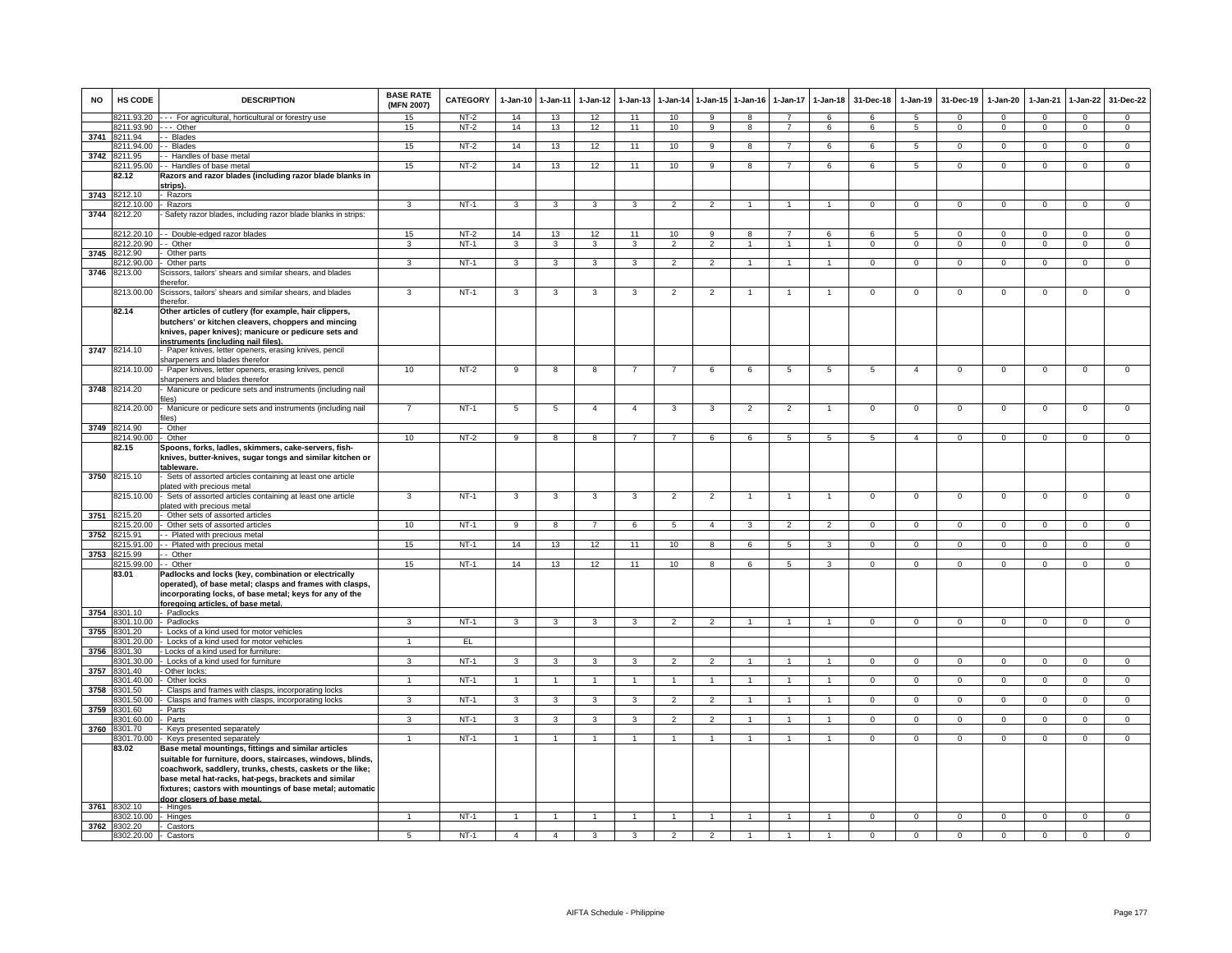| <b>NO</b> | HS CODE                              | <b>DESCRIPTION</b>                                                                                                                                                                                                                                                                                                                  | <b>BASE RATE</b><br>(MFN 2007) | CATEGORY | $1-Jan-10$     | 1-Jan-11                | $1-Jan-12$              | $1-Jan-13$     | 1-Jan-14       | $1 - Jan - 15$ | $1-Jan-16$     | $1-Jan-17$     | $1-Jan-18$           | 31-Dec-18      | $1-Jan-19$     | 31-Dec-19      | $1-Jan-20$     | $1-Jan-21$     | $1-Jan-22$     | 31-Dec-22      |
|-----------|--------------------------------------|-------------------------------------------------------------------------------------------------------------------------------------------------------------------------------------------------------------------------------------------------------------------------------------------------------------------------------------|--------------------------------|----------|----------------|-------------------------|-------------------------|----------------|----------------|----------------|----------------|----------------|----------------------|----------------|----------------|----------------|----------------|----------------|----------------|----------------|
|           | 8211.93.20                           | - - - For agricultural, horticultural or forestry use                                                                                                                                                                                                                                                                               | 15                             | $NT-2$   | 14             | 13                      | 12                      | 11             | 10             | 9              | 8              |                | 6                    | 6              | $\overline{5}$ | $\Omega$       | $\Omega$       | $\Omega$       | $\Omega$       | $\Omega$       |
|           | 8211.93.90                           | --- Other<br>- Blades                                                                                                                                                                                                                                                                                                               | 15                             | $NT-2$   | 14             | 13                      | 12                      | 11             | 10             | $\mathbf{Q}$   | 8              | $\overline{7}$ | 6                    | 6              | -5             | $\mathbf{0}$   | $\Omega$       | $\Omega$       | $\mathbf{0}$   | $\mathbf{0}$   |
|           | 3741 8211.94<br>8211.94.00           | - Blades                                                                                                                                                                                                                                                                                                                            | 15                             | $NT-2$   | 14             | 13                      | 12                      | 11             | 10             | 9              | 8              | $\overline{7}$ | 6                    | 6              | 5              | $^{\circ}$     | $\mathbf{0}$   | $^{\circ}$     | $\mathbf{0}$   | $\overline{0}$ |
| 3742      | 8211.95                              | - Handles of base metal                                                                                                                                                                                                                                                                                                             |                                |          |                |                         |                         |                |                |                |                |                |                      |                |                |                |                |                |                |                |
|           | 3211.95.00                           | -- Handles of base metal                                                                                                                                                                                                                                                                                                            | 15                             | $NT-2$   | 14             | 13                      | 12                      | 11             | 10             | 9              | 8              |                | 6                    | 6              | 5              | $\mathbf 0$    | $\Omega$       | $\mathbf 0$    | $\mathbf 0$    | $\overline{0}$ |
|           | 82.12                                | Razors and razor blades (including razor blade blanks in                                                                                                                                                                                                                                                                            |                                |          |                |                         |                         |                |                |                |                |                |                      |                |                |                |                |                |                |                |
|           |                                      | strips).                                                                                                                                                                                                                                                                                                                            |                                |          |                |                         |                         |                |                |                |                |                |                      |                |                |                |                |                |                |                |
|           | 3743 8212.10                         | - Razors                                                                                                                                                                                                                                                                                                                            |                                |          |                |                         |                         |                |                |                |                |                |                      |                |                |                |                |                |                |                |
|           | 212.10.00                            | Razors                                                                                                                                                                                                                                                                                                                              | 3                              | NT-1     | 3              | $\mathbf{3}$            | 3                       | 3              | $\overline{2}$ | $\overline{2}$ | $\mathbf{1}$   | 1              | $\mathbf{1}$         | $\mathbf{0}$   | $\mathbf{0}$   | $\mathbf 0$    | $\Omega$       | $^{\circ}$     | $\mathbf 0$    | $\overline{0}$ |
| 3744      | 8212.20                              | Safety razor blades, including razor blade blanks in strips:                                                                                                                                                                                                                                                                        |                                |          |                |                         |                         |                |                |                |                |                |                      |                |                |                |                |                |                |                |
|           |                                      |                                                                                                                                                                                                                                                                                                                                     |                                |          |                |                         |                         |                |                |                |                |                |                      |                |                |                |                |                |                |                |
|           |                                      | 8212.20.10 - Double-edged razor blades                                                                                                                                                                                                                                                                                              | 15<br>3                        | $NT-2$   | 14             | 13                      | 12                      | 11<br>3        | 10             | $\mathsf{Q}$   | $\mathbf{R}$   |                | 6<br>$\overline{1}$  | $\epsilon$     | 5              | $\Omega$       | $\Omega$       | $\Omega$       | $\Omega$       | $\Omega$       |
|           | 8212.20.90 - - Other<br>3745 8212.90 | Other parts                                                                                                                                                                                                                                                                                                                         |                                | $NT-1$   | $\mathbf{3}$   | 3                       | $\mathbf{3}$            |                | $\overline{2}$ | $\overline{2}$ |                |                |                      | $\mathbf{O}$   | $\mathbf 0$    | $\mathbf 0$    | $\mathbf 0$    | $\mathbf 0$    | $\mathbf 0$    | $\mathbf{0}$   |
|           | 8212.90.00                           | Other parts                                                                                                                                                                                                                                                                                                                         | 3                              | $NT-1$   | $\mathbf{3}$   | $\mathbf{3}$            | 3 <sup>3</sup>          | $\mathbf{3}$   | $\overline{2}$ | $\overline{2}$ | $\mathbf{1}$   | $\overline{1}$ | $\overline{1}$       | $\mathbf{0}$   | $\mathbf{0}$   | $\mathbf 0$    | $\mathbf{0}$   | $\mathbf{0}$   | $\circ$        | $\overline{0}$ |
| 3746      | 8213.00                              | Scissors, tailors' shears and similar shears, and blades                                                                                                                                                                                                                                                                            |                                |          |                |                         |                         |                |                |                |                |                |                      |                |                |                |                |                |                |                |
|           |                                      | herefor.                                                                                                                                                                                                                                                                                                                            |                                |          |                |                         |                         |                |                |                |                |                |                      |                |                |                |                |                |                |                |
|           | 8213.00.00                           | Scissors, tailors' shears and similar shears, and blades<br>therefor.                                                                                                                                                                                                                                                               | $\mathbf{3}$                   | $NT-1$   | $\mathbf{3}$   | 3                       | 3                       | 3              | $\overline{2}$ | $\overline{2}$ | 1              | $\overline{1}$ | $\mathbf{1}$         | $\mathsf 0$    | $\mathsf 0$    | $\mathsf 0$    | $\mathbf 0$    | $\mathsf 0$    | $\mathsf 0$    | $\mathsf 0$    |
|           | 82.14                                | Other articles of cutlery (for example, hair clippers,                                                                                                                                                                                                                                                                              |                                |          |                |                         |                         |                |                |                |                |                |                      |                |                |                |                |                |                |                |
|           |                                      | butchers' or kitchen cleavers, choppers and mincing                                                                                                                                                                                                                                                                                 |                                |          |                |                         |                         |                |                |                |                |                |                      |                |                |                |                |                |                |                |
|           |                                      | knives, paper knives); manicure or pedicure sets and                                                                                                                                                                                                                                                                                |                                |          |                |                         |                         |                |                |                |                |                |                      |                |                |                |                |                |                |                |
|           |                                      | instruments (including nail files)                                                                                                                                                                                                                                                                                                  |                                |          |                |                         |                         |                |                |                |                |                |                      |                |                |                |                |                |                |                |
| 3747      | 8214.10                              | - Paper knives, letter openers, erasing knives, pencil<br>sharpeners and blades therefor                                                                                                                                                                                                                                            |                                |          |                |                         |                         |                |                |                |                |                |                      |                |                |                |                |                |                |                |
|           | 8214.10.00                           | - Paper knives, letter openers, erasing knives, pencil<br>sharpeners and blades therefor                                                                                                                                                                                                                                            | 10                             | $NT-2$   | 9              | $\overline{8}$          | $\mathbf{g}$            | $\overline{7}$ | $\overline{7}$ | 6              | 6              | 5              | $\overline{5}$       | 5              | $\overline{4}$ | $\Omega$       | $\mathbf 0$    | $\mathbf 0$    | $\mathsf 0$    | $\overline{0}$ |
|           | 3748 8214.20                         | Manicure or pedicure sets and instruments (including nail<br>iles)                                                                                                                                                                                                                                                                  |                                |          |                |                         |                         |                |                |                |                |                |                      |                |                |                |                |                |                |                |
|           | 8214.20.00                           | - Manicure or pedicure sets and instruments (including nail<br>iles)                                                                                                                                                                                                                                                                | $\overline{7}$                 | $NT-1$   | $\overline{5}$ | $\overline{5}$          | $\overline{4}$          | $\Delta$       | 3              | 3              | $\overline{2}$ | $\overline{2}$ | -1.                  | $\overline{0}$ | $\overline{0}$ | $\mathbf 0$    | $\overline{0}$ | $\overline{0}$ | $\mathsf 0$    | $\overline{0}$ |
|           | 3749 8214.90                         | Other                                                                                                                                                                                                                                                                                                                               |                                |          |                |                         |                         |                |                |                |                |                |                      |                |                |                |                |                |                |                |
|           | 8214.90.00                           | Other                                                                                                                                                                                                                                                                                                                               | 10                             | $NT-2$   | 9              | 8                       | 8                       | $\overline{7}$ | $\overline{7}$ | 6              | 6              | 5              | 5                    | 5              | $\overline{4}$ | $\mathbf 0$    | $\mathbf 0$    | $\mathbf 0$    | $\mathbf 0$    | $\Omega$       |
|           | 82.15                                | Spoons, forks, ladles, skimmers, cake-servers, fish-<br>knives, butter-knives, sugar tongs and similar kitchen or<br>tableware.                                                                                                                                                                                                     |                                |          |                |                         |                         |                |                |                |                |                |                      |                |                |                |                |                |                |                |
| 3750      | 8215.10                              | Sets of assorted articles containing at least one article<br>lated with precious metal                                                                                                                                                                                                                                              |                                |          |                |                         |                         |                |                |                |                |                |                      |                |                |                |                |                |                |                |
|           | 8215.10.00                           | Sets of assorted articles containing at least one article<br>olated with precious metal                                                                                                                                                                                                                                             | 3                              | $NT-1$   | 3              | 3                       | 3                       | 3              | $\overline{2}$ | $\overline{c}$ |                |                | $\overline{1}$       | $\mathsf 0$    | $^{\circ}$     | $\mathbf 0$    | $\mathbf 0$    | $\mathbf 0$    | $\mathsf 0$    | $\mathbf 0$    |
| 3751      | 8215.20                              | Other sets of assorted articles                                                                                                                                                                                                                                                                                                     |                                |          |                |                         |                         |                |                |                |                |                |                      |                |                |                |                |                |                |                |
| 3752      | 3215 20 00<br>8215.91                | Other sets of assorted articles<br>- Plated with precious metal                                                                                                                                                                                                                                                                     | 10                             | $NT-1$   | 9              | 8                       | $\overline{7}$          | 6              | 5              | $\mathbf{A}$   | $\mathbf{3}$   | $\mathcal{P}$  | 2                    | $\Omega$       | $\mathbf{0}$   | $\mathbf{0}$   | $\mathbf{0}$   | $\Omega$       | $\mathbf{0}$   | $\overline{0}$ |
|           | 3215.91.00                           | - Plated with precious metal                                                                                                                                                                                                                                                                                                        | 15                             | $NT-1$   | 14             | 13                      | 12                      | 11             | 10             | 8              | 6              | 5              | 3                    | $\mathbf{O}$   | $\mathbf 0$    | $\mathbf 0$    | $\mathbf 0$    | $\mathbf 0$    | $\mathbf 0$    | $\overline{0}$ |
| 3753      | 8215.99                              | - Other                                                                                                                                                                                                                                                                                                                             |                                |          |                |                         |                         |                |                |                |                |                |                      |                |                |                |                |                |                |                |
|           | 8215.99.00                           | - Other                                                                                                                                                                                                                                                                                                                             | 15                             | $NT-1$   | 14             | 13                      | 12                      | 11             | 10             | 8              | 6              | 5              | $\mathbf{3}$         | $\mathsf 0$    | $\mathsf 0$    | $\mathbf 0$    | $\mathbf 0$    | $\mathbf 0$    | $\mathsf 0$    | $\Omega$       |
|           | 83.01                                | Padlocks and locks (key, combination or electrically<br>operated), of base metal; clasps and frames with clasps,<br>incorporating locks, of base metal; keys for any of the<br>foregoing articles, of base metal                                                                                                                    |                                |          |                |                         |                         |                |                |                |                |                |                      |                |                |                |                |                |                |                |
|           | 3754 8301.10                         | - Padlocks                                                                                                                                                                                                                                                                                                                          |                                |          |                |                         |                         |                |                |                |                |                |                      |                |                |                |                |                |                |                |
|           | 8301.10.00 - Padlocks                |                                                                                                                                                                                                                                                                                                                                     | 3                              | $NT-1$   | $\mathbf{3}$   | 3                       | $\mathbf{3}$            | $\mathbf{3}$   | $\overline{2}$ | $\overline{2}$ |                |                |                      | $\Omega$       | $\Omega$       | $\Omega$       | $\Omega$       | $\Omega$       | $\mathbf{0}$   | $\Omega$       |
|           | 3755 8301.20                         | Locks of a kind used for motor vehicles                                                                                                                                                                                                                                                                                             |                                |          |                |                         |                         |                |                |                |                |                |                      |                |                |                |                |                |                |                |
|           | 3301.20.00<br>3301.30                | Locks of a kind used for motor vehicles                                                                                                                                                                                                                                                                                             | $\mathbf{1}$                   | EL.      |                |                         |                         |                |                |                |                |                |                      |                |                |                |                |                |                |                |
| 3756      | 301.30.00                            | Locks of a kind used for furniture:<br>Locks of a kind used for furniture                                                                                                                                                                                                                                                           | 3                              | $NT-1$   | $\overline{3}$ | $\overline{\mathbf{3}}$ | $\overline{3}$          | 3              | $\overline{2}$ | $\overline{2}$ |                |                | $\mathbf{1}$         | $\overline{0}$ | $\overline{0}$ | $\overline{0}$ | $\overline{0}$ | $\overline{0}$ | $\overline{0}$ | $\overline{0}$ |
| 3757      | 301.40                               | Other locks:                                                                                                                                                                                                                                                                                                                        |                                |          |                |                         |                         |                |                |                |                |                |                      |                |                |                |                |                |                |                |
|           | 301.40.00                            | Other locks                                                                                                                                                                                                                                                                                                                         | $\overline{1}$                 | NT-1     | $\overline{1}$ | $\mathbf{1}$            | $\blacktriangleleft$    |                |                |                |                |                |                      | $\mathsf 0$    | $\mathbf 0$    | $\mathbf 0$    | $\mathbf 0$    | $\mathbf 0$    | $\mathsf 0$    | $\mathbf 0$    |
| 3758      | 301.50                               | Clasps and frames with clasps, incorporating locks                                                                                                                                                                                                                                                                                  |                                |          |                |                         |                         |                |                |                |                |                |                      |                |                |                |                |                |                |                |
|           | 8301.50.00                           | Clasps and frames with clasps, incorporating locks                                                                                                                                                                                                                                                                                  | $\overline{3}$                 | $NT-1$   | $\mathbf{3}$   | $\overline{\mathbf{3}}$ | 3                       | 3              | $\overline{2}$ | $\overline{2}$ |                |                | $\blacktriangleleft$ | $\overline{0}$ | $\overline{0}$ | $\overline{0}$ | $\overline{0}$ | $\overline{0}$ | $\overline{0}$ | $\overline{0}$ |
| 3759      | 301.60                               | Parts                                                                                                                                                                                                                                                                                                                               |                                |          |                |                         |                         |                |                |                |                |                |                      |                |                |                |                |                |                |                |
|           | 3301.60.00                           | Parts                                                                                                                                                                                                                                                                                                                               | $\overline{\mathbf{3}}$        | $NT-1$   | $\overline{3}$ | $\overline{\mathbf{3}}$ | $\overline{\mathbf{3}}$ | 3              | $\overline{2}$ | $\overline{2}$ | $\overline{1}$ | $\mathbf{1}$   | $\mathbf{1}$         | $\overline{0}$ | $\overline{0}$ | $\overline{0}$ | $\overline{0}$ | $\overline{0}$ | $\overline{0}$ | $\overline{0}$ |
| 3760      | 8301.70                              | Keys presented separately                                                                                                                                                                                                                                                                                                           |                                |          |                |                         |                         |                |                |                |                |                |                      |                |                |                |                |                |                |                |
|           | 8301.70.00                           | Keys presented separately                                                                                                                                                                                                                                                                                                           | $\overline{1}$                 | $NT-1$   |                | $\mathbf{1}$            |                         |                |                |                |                |                |                      | $\Omega$       | $\Omega$       | $\Omega$       | $\Omega$       | $\Omega$       | $\Omega$       | $\Omega$       |
|           | 83.02                                | Base metal mountings, fittings and similar articles<br>suitable for furniture, doors, staircases, windows, blinds,<br>coachwork, saddlery, trunks, chests, caskets or the like;<br>base metal hat-racks, hat-pegs, brackets and similar<br>fixtures; castors with mountings of base metal; automatic<br>door closers of base metal. |                                |          |                |                         |                         |                |                |                |                |                |                      |                |                |                |                |                |                |                |
|           | 3761 8302.10                         | - Hinges                                                                                                                                                                                                                                                                                                                            |                                |          |                |                         |                         |                |                |                |                |                |                      |                |                |                |                |                |                |                |
|           | 8302.10.00                           | - Hinges                                                                                                                                                                                                                                                                                                                            |                                | $NT-1$   | $\overline{1}$ | $\overline{1}$          | $\mathbf{1}$            |                |                |                |                |                |                      | $\mathbf 0$    | $\Omega$       | $\mathbf 0$    | $\Omega$       | $\Omega$       | $\mathsf 0$    | $\mathbf 0$    |
|           | 3762 8302.20                         | Castors                                                                                                                                                                                                                                                                                                                             |                                |          |                |                         |                         |                |                |                |                |                |                      |                |                |                |                |                |                |                |
|           | 8302.20.00                           | - Castors                                                                                                                                                                                                                                                                                                                           | 5                              | $NT-1$   | $\overline{4}$ | $\overline{4}$          | 3                       | 3              | $\overline{2}$ | $\overline{2}$ |                |                |                      | $\Omega$       | $\Omega$       | $\overline{0}$ | $\overline{0}$ | $\overline{0}$ | $\overline{0}$ | $\overline{0}$ |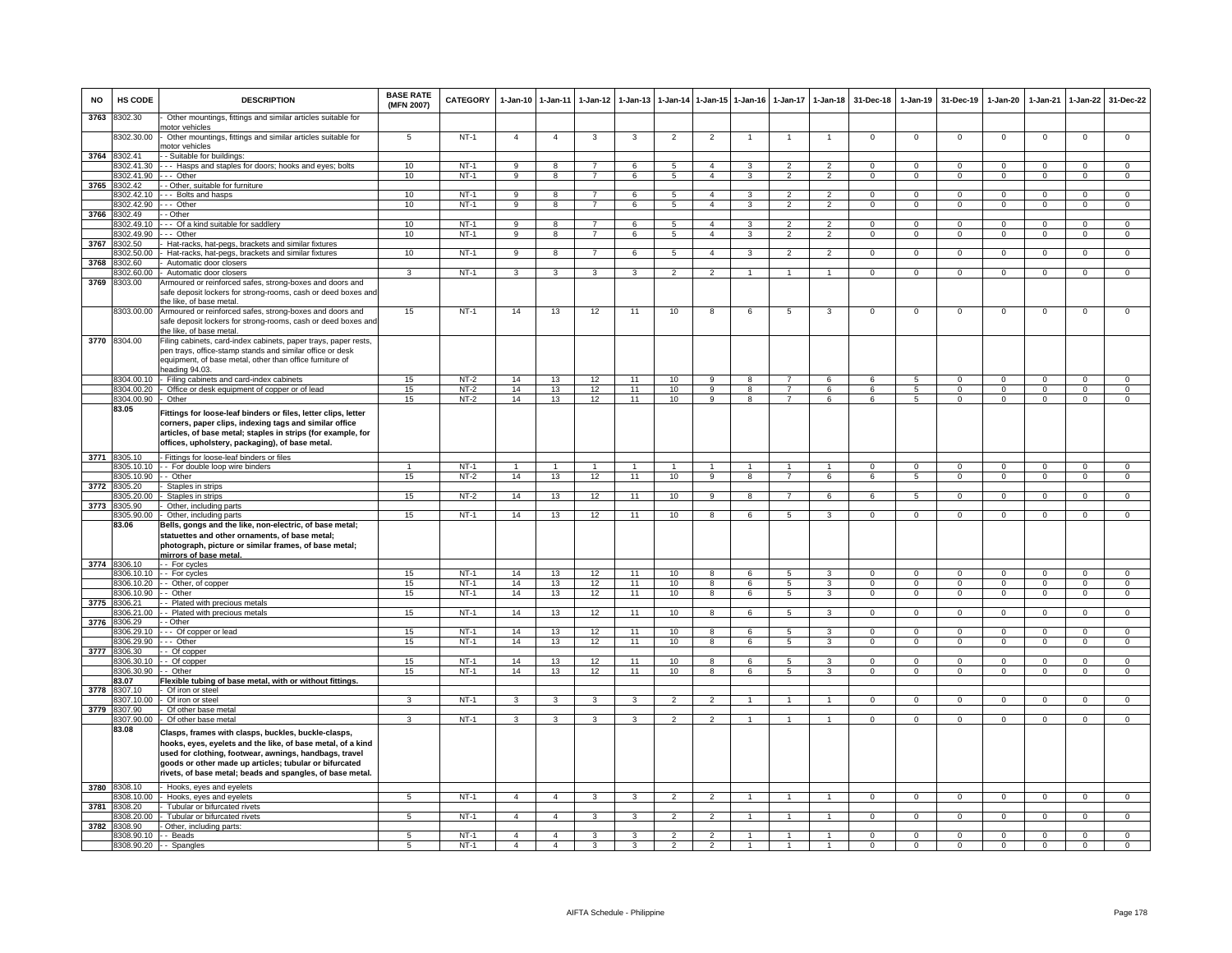| <b>NO</b> | HS CODE                    | <b>DESCRIPTION</b>                                                                                                                                                                                                                                                                                  | <b>BASE RATE</b><br>(MFN 2007) | <b>CATEGORY</b>  | $1-Jan-10$     | $1-Jan-11$              | $1 - Jan-12$   | $1-Jan-13$              |                          |                                | 1-Jan-14 1-Jan-15 1-Jan-16 |                                  | 1-Jan-17 1-Jan-18 | 31-Dec-18            | $1-Jan-19$           | 31-Dec-19            | $1 - Jan-20$         | $1-Jan-21$           | $1-Jan-22$           | 31-Dec-22                  |
|-----------|----------------------------|-----------------------------------------------------------------------------------------------------------------------------------------------------------------------------------------------------------------------------------------------------------------------------------------------------|--------------------------------|------------------|----------------|-------------------------|----------------|-------------------------|--------------------------|--------------------------------|----------------------------|----------------------------------|-------------------|----------------------|----------------------|----------------------|----------------------|----------------------|----------------------|----------------------------|
| 3763      | 8302.30                    | Other mountings, fittings and similar articles suitable for<br>notor vehicles                                                                                                                                                                                                                       |                                |                  |                |                         |                |                         |                          |                                |                            |                                  |                   |                      |                      |                      |                      |                      |                      |                            |
|           | 8302.30.00                 | Other mountings, fittings and similar articles suitable for<br>notor vehicles                                                                                                                                                                                                                       | 5                              | $NT-1$           | $\overline{4}$ | $\overline{4}$          | 3              | -3                      | $\overline{c}$           | $\overline{2}$                 |                            |                                  |                   | $^{\circ}$           | $^{\circ}$           | $^{\circ}$           | $^{\circ}$           | $\mathbf 0$          | $\mathsf 0$          | $\mathbf 0$                |
| 3764      | 8302.41                    | - Suitable for buildings:                                                                                                                                                                                                                                                                           |                                |                  |                |                         |                |                         |                          |                                |                            |                                  |                   |                      |                      |                      |                      |                      |                      |                            |
|           | 8302.41.30                 | - - Hasps and staples for doors; hooks and eyes; bolts                                                                                                                                                                                                                                              | 10                             | $NT-1$           | 9              | 8                       | $\overline{7}$ | 6                       | 5                        | $\overline{4}$                 | 3                          | $\mathcal{D}$                    | $\overline{2}$    | $\mathbf 0$          | $\Omega$             | $\Omega$             | $\Omega$             | $\Omega$             | $\mathbf 0$          | $\mathbf 0$                |
|           | 8302.41.90<br>8302 42      | -- Other                                                                                                                                                                                                                                                                                            | 10                             | $NT-1$           | 9              | 8                       | $\overline{7}$ | 6                       | 5                        | $\overline{4}$                 | 3                          | $\overline{2}$                   | $\overline{2}$    | $\Omega$             | $\Omega$             | $\Omega$             | $\Omega$             | $\Omega$             | $\Omega$             | $\overline{0}$             |
| 3765      | 8302.42.10                 | - Other, suitable for furniture<br>-- Bolts and hasps                                                                                                                                                                                                                                               | 10                             | $NT-1$           | 9              | 8                       | $\overline{7}$ | 6                       | 5                        | $\overline{4}$                 | 3                          | $\overline{\phantom{0}}$         | $\overline{2}$    | $\Omega$             | $\mathbf 0$          | $\Omega$             | $\Omega$             | $\Omega$             | $\mathsf 0$          | $\mathbf 0$                |
|           | 8302.42.90                 | - Other                                                                                                                                                                                                                                                                                             | 10                             | $NT-1$           | $\overline{9}$ | $\overline{8}$          | $\overline{7}$ | 6                       | $\sqrt{5}$               | $\overline{4}$                 | 3                          | $\mathfrak{p}$                   | $\mathfrak{p}$    | $\Omega$             | $\Omega$             | $\Omega$             | $\Omega$             | $\Omega$             | $\mathbf 0$          | $\overline{0}$             |
| 3766      | 8302.49                    | - Other                                                                                                                                                                                                                                                                                             |                                |                  |                |                         |                |                         |                          |                                |                            |                                  |                   |                      |                      |                      |                      |                      |                      |                            |
|           | 8302.49.10                 | -- Of a kind suitable for saddlery                                                                                                                                                                                                                                                                  | 10                             | $NT-1$           | 9              | 8                       | $\overline{7}$ | 6                       | - 5                      | $\overline{4}$                 | 3                          | $\overline{2}$                   | $\overline{2}$    | $\Omega$             | $^{\circ}$           | $\mathbf{0}$         | $\mathbf{0}$         | $\Omega$             | $^{\circ}$           | $\mathbf{0}$               |
|           | 302.49.90                  | -- Other                                                                                                                                                                                                                                                                                            | 10                             | $NT-1$           | 9              | 8                       | $\overline{7}$ | 6                       | 5                        | $\mathbf{A}$                   | $\mathcal{R}$              | $\mathcal{P}$                    | $\overline{2}$    | $\Omega$             | $\mathbf{0}$         | $\mathbf{0}$         | $\overline{0}$       | $\Omega$             | $\mathbf{0}$         | $\overline{0}$             |
| 3767      | 8302.50                    | Hat-racks, hat-pegs, brackets and similar fixtures                                                                                                                                                                                                                                                  |                                |                  |                |                         |                |                         |                          |                                |                            |                                  |                   |                      |                      |                      |                      |                      |                      |                            |
|           | 302.50.00                  | Hat-racks, hat-pegs, brackets and similar fixtures                                                                                                                                                                                                                                                  | 10                             | $NT-1$           | 9              | $\overline{\mathbf{8}}$ | $\overline{7}$ | 6                       | 5                        | $\overline{4}$                 | 3                          | $\mathfrak{p}$                   | $\overline{2}$    | 0                    | $\overline{0}$       | $\overline{0}$       | 0                    | $\Omega$             | $\overline{0}$       | $\overline{0}$             |
| 3768      | 302.60                     | Automatic door closers                                                                                                                                                                                                                                                                              |                                |                  |                |                         |                |                         |                          |                                |                            |                                  |                   |                      |                      |                      |                      |                      |                      |                            |
|           | 8302.60.00                 | Automatic door closers                                                                                                                                                                                                                                                                              | $\overline{\mathbf{3}}$        | $NT-1$           | $\overline{3}$ | 3                       | $\overline{3}$ | $\overline{\mathbf{3}}$ | $\overline{2}$           | $\overline{2}$                 | -1                         | $\overline{1}$                   | $\overline{1}$    | $\overline{0}$       | $\overline{0}$       | $\overline{0}$       | $\overline{0}$       | $\overline{0}$       | $\overline{0}$       | $\overline{0}$             |
| 3769      | 8303.00                    | Armoured or reinforced safes, strong-boxes and doors and<br>safe deposit lockers for strong-rooms, cash or deed boxes and<br>the like, of base metal.                                                                                                                                               |                                |                  |                |                         |                |                         |                          |                                |                            |                                  |                   |                      |                      |                      |                      |                      |                      | $\Omega$                   |
|           | 3770 8304.00               | 8303.00.00 Armoured or reinforced safes, strong-boxes and doors and<br>safe deposit lockers for strong-rooms, cash or deed boxes and<br>he like, of base metal.<br>Filing cabinets, card-index cabinets, paper trays, paper rests,                                                                  | 15                             | $NT-1$           | 14             | 13                      | 12             | 11                      | 10                       | 8                              | 6                          | 5                                | 3                 | $\mathbf 0$          | $\mathbf 0$          | $\mathbf 0$          | $\mathbf 0$          | $\mathbf 0$          | $\mathsf 0$          |                            |
|           |                            | pen trays, office-stamp stands and similar office or desk<br>equipment, of base metal, other than office furniture of<br>heading 94.03.                                                                                                                                                             |                                |                  |                |                         |                |                         |                          |                                |                            |                                  |                   |                      |                      |                      |                      |                      |                      |                            |
|           | 8304.00.10                 | Filing cabinets and card-index cabinets                                                                                                                                                                                                                                                             | 15                             | $NT-2$           | 14             | 13                      | 12             | 11                      | 10                       | $\overline{9}$                 | 8                          |                                  | $6\overline{6}$   | $6 \overline{6}$     | 5                    | $\Omega$             | $\Omega$             | $\Omega$             | $\Omega$             | $\Omega$                   |
|           | 8304.00.20                 | Office or desk equipment of copper or of lead                                                                                                                                                                                                                                                       | 15                             | $NT-2$           | 14             | 13                      | 12             | 11                      | 10                       | $\overline{9}$                 | 8                          | $\overline{7}$<br>$\overline{7}$ | 6                 | 6                    | $5^{\circ}$          | $\Omega$             | $\Omega$             | $\Omega$             | $\mathsf 0$          | $\overline{0}$             |
|           | 8304.00.90<br>83.05        | Other<br>Fittings for loose-leaf binders or files, letter clips, letter<br>corners, paper clips, indexing tags and similar office<br>articles, of base metal; staples in strips (for example, for<br>offices, upholstery, packaging), of base metal.                                                | 15                             | $NT-2$           | 14             | 13                      | 12             | 11                      | 10                       | $\overline{9}$                 | $\overline{8}$             |                                  | 6                 | -6                   | -5                   | $\overline{0}$       | $\overline{0}$       | $\Omega$             | $\overline{0}$       | $\overline{0}$             |
|           | 3771 8305.10               | Fittings for loose-leaf binders or files                                                                                                                                                                                                                                                            |                                |                  |                |                         |                |                         |                          |                                |                            |                                  |                   |                      |                      |                      |                      |                      |                      |                            |
|           | 305.10.10                  | - For double loop wire binders                                                                                                                                                                                                                                                                      |                                | $NT-1$           | $\overline{1}$ | $\overline{1}$          |                | $\overline{1}$          | $\overline{1}$           | $\overline{1}$                 | $\overline{1}$             | $\overline{1}$                   | $\mathbf{1}$      | $\Omega$             | $\Omega$             | $\Omega$             | $\Omega$             | $\Omega$             | $\overline{0}$       | $\overline{0}$             |
|           | 3305.10.90                 | - Other                                                                                                                                                                                                                                                                                             | 15                             | $NT-2$           | 14             | 13                      | 12             | 11                      | 10                       | $\overline{9}$                 | $\mathbf{R}$               |                                  | 6                 | $\overline{6}$       | $\overline{5}$       | $\overline{0}$       | $\overline{0}$       | $\Omega$             | $\overline{0}$       | $\overline{0}$             |
| 3772      | 8305.20                    | Staples in strips                                                                                                                                                                                                                                                                                   |                                |                  |                |                         |                |                         |                          |                                |                            | $\overline{7}$                   |                   |                      |                      |                      |                      |                      |                      | $\Omega$                   |
| 3773      | 8305.20.00<br>8305.90      | Staples in strips<br>Other, including parts                                                                                                                                                                                                                                                         | 15                             | NT-2             | 14             | 13                      | 12             | 11                      | 10                       | 9                              | 8                          |                                  | 6                 | 6                    | 5                    | $\mathbf 0$          | $\mathbf 0$          | $\mathbf 0$          | $\mathbf{0}$         |                            |
|           | 3305.90.00                 | Other, including parts                                                                                                                                                                                                                                                                              | 15                             | $NT-1$           | 14             | 13                      | 12             | 11                      | 10                       | $\overline{8}$                 | 6                          | $\overline{5}$                   | 3                 | $\Omega$             | $\overline{0}$       | $\Omega$             | $\mathbf 0$          | $\Omega$             | $\overline{0}$       | $\overline{0}$             |
|           | 83.06                      | Bells, gongs and the like, non-electric, of base metal;<br>statuettes and other ornaments, of base metal;<br>photograph, picture or similar frames, of base metal;<br>mirrors of base metal.                                                                                                        |                                |                  |                |                         |                |                         |                          |                                |                            |                                  |                   |                      |                      |                      |                      |                      |                      |                            |
|           | 3774 8306.10               | - For cycles                                                                                                                                                                                                                                                                                        |                                |                  |                |                         |                |                         |                          |                                |                            |                                  |                   |                      |                      |                      |                      |                      |                      |                            |
|           | 8306.10.10                 | - For cycles                                                                                                                                                                                                                                                                                        | 15                             | $NT-1$           | 14             | 13                      | 12             | 11                      | 10                       | 8                              | 6                          | 5                                | 3                 | $\Omega$             | $\Omega$             | $\Omega$             | $\Omega$             | $\Omega$             | $\mathsf 0$          | $\mathbf{0}$               |
|           | 8306.10.20                 | - Other, of copper                                                                                                                                                                                                                                                                                  | 15                             | $NT-1$           | 14             | 13                      | 12             | 11                      | 10                       | 8                              | 6                          | 5                                | 3                 | $\Omega$             | $\Omega$             | $\Omega$             | $\Omega$             | $\Omega$             | $\Omega$             | $\overline{0}$             |
|           | 8306.10.90<br>3775 8306.21 | - Other<br>- Plated with precious metals                                                                                                                                                                                                                                                            | 15                             | <b>NT-1</b>      | 14             | 13                      | 12             | 11                      | 10                       | 8                              | 6                          | 5                                | $\mathbf{3}$      | $\mathbf{0}$         | $\overline{0}$       | $\overline{0}$       | $\overline{0}$       | $^{\circ}$           | $\overline{0}$       | $\mathbf{0}$               |
|           | 306.21.00                  | - Plated with precious metals                                                                                                                                                                                                                                                                       | 15                             | $NT-1$           | 14             | 13                      | 12             | 11                      | 10                       | 8                              | 6                          | 5                                | 3                 | $\Omega$             | $\mathbf 0$          | $\mathbf 0$          | $\mathbf 0$          | $\Omega$             | $\mathbf{0}$         | $\overline{0}$             |
| 3776      | 306.29                     | - Other                                                                                                                                                                                                                                                                                             |                                |                  |                |                         |                |                         |                          |                                |                            |                                  |                   |                      |                      |                      |                      |                      |                      |                            |
|           | 306.29.10                  | -- Of copper or lead                                                                                                                                                                                                                                                                                | 15                             | $NT-1$           | 14             | 13                      | 12             | 11                      | 10                       | 8                              | 6                          | 5                                | 3                 | $\mathbf 0$          | $^{\circ}$           | $^{\circ}$           | $^{\circ}$           | 0                    | $\mathbf 0$          | $^{\circ}$                 |
|           | 3306.29.90                 | -- Other                                                                                                                                                                                                                                                                                            | 15                             | $NT-1$           | 14             | 13                      | 12             | 11                      | 10                       | $\mathbf{R}$                   | 6                          | 5                                | 3                 | $\Omega$             | $\Omega$             | $\Omega$             | $\Omega$             | $\Omega$             | $\Omega$             | $\overline{0}$             |
| 3777      | 8306.30                    | - Of copper                                                                                                                                                                                                                                                                                         |                                |                  |                |                         |                |                         |                          |                                |                            |                                  |                   |                      |                      |                      |                      |                      |                      |                            |
|           | 3306.30.10                 | - Of copper                                                                                                                                                                                                                                                                                         | 15<br>15                       | $NT-1$<br>$NT-1$ | 14<br>14       | 13<br>13                | 12<br>12       | 11<br>11                | 10                       | $\overline{8}$<br>$\mathbf{R}$ | 6<br>$\epsilon$            | 5<br>5.                          | 3<br>$\mathbf{R}$ | $\Omega$<br>$\Omega$ | $\Omega$<br>$\Omega$ | $\Omega$<br>$\Omega$ | $\Omega$<br>$\Omega$ | $\Omega$<br>$\Omega$ | $\Omega$<br>$\Omega$ | $\overline{0}$<br>$\Omega$ |
|           | 8306.30.90<br>83.07        | - Other<br>Flexible tubing of base metal, with or without fittings.                                                                                                                                                                                                                                 |                                |                  |                |                         |                |                         | 10                       |                                |                            |                                  |                   |                      |                      |                      |                      |                      |                      |                            |
| 3778      | 8307.10                    | Of iron or steel                                                                                                                                                                                                                                                                                    |                                |                  |                |                         |                |                         |                          |                                |                            |                                  |                   |                      |                      |                      |                      |                      |                      |                            |
|           | 307.10.00                  | Of iron or steel                                                                                                                                                                                                                                                                                    | 3                              | $NT-1$           | 3              | 3                       | 3              | 3                       | $\overline{2}$           | $\overline{2}$                 | -1                         | $\mathbf{1}$                     | $\mathbf{1}$      | $\Omega$             | $\mathbf 0$          | $\mathbf 0$          | $\mathbf 0$          | $\mathbf 0$          | $\mathbf{0}$         | $\overline{0}$             |
| 3779      | 3307.90                    | Of other base metal                                                                                                                                                                                                                                                                                 |                                |                  |                |                         |                |                         |                          |                                |                            |                                  |                   |                      |                      |                      |                      |                      |                      |                            |
|           | 3307.90.00                 | Of other base metal                                                                                                                                                                                                                                                                                 | 3                              | $NT-1$           | 3              | 3                       | 3              | 3                       | $\overline{2}$           | $\mathfrak{p}$                 | $\mathbf{1}$               | $\mathbf{1}$                     | $\overline{1}$    | $\mathbf 0$          | $\mathbf 0$          | $\mathbf 0$          | $\mathbf 0$          | $\mathbf 0$          | $\mathbf 0$          | $\overline{0}$             |
|           | 83.08                      | Clasps, frames with clasps, buckles, buckle-clasps,<br>hooks, eyes, eyelets and the like, of base metal, of a kind<br>used for clothing, footwear, awnings, handbags, travel<br>goods or other made up articles; tubular or bifurcated<br>rivets, of base metal; beads and spangles, of base metal. |                                |                  |                |                         |                |                         |                          |                                |                            |                                  |                   |                      |                      |                      |                      |                      |                      |                            |
|           | 3780 8308.10               | Hooks, eyes and eyelets                                                                                                                                                                                                                                                                             |                                |                  |                |                         |                |                         |                          |                                |                            |                                  |                   |                      |                      |                      |                      |                      |                      |                            |
|           | 8308.10.00<br>308.20       | Hooks, eyes and eyelets                                                                                                                                                                                                                                                                             | 5                              | $NT-1$           | $\overline{4}$ | $\overline{4}$          | 3              | 3                       | $\overline{2}$           | $\overline{2}$                 | -1                         |                                  | $\mathbf{1}$      | $^{\circ}$           | $\mathbf{0}$         | $\mathbf{0}$         | $^{\circ}$           | $^{\circ}$           | $\mathbf{0}$         | $\mathbf{0}$               |
| 3781      | 308.20.00                  | Tubular or bifurcated rivets<br>Tubular or bifurcated rivets                                                                                                                                                                                                                                        | 5                              | $NT-1$           | $\overline{4}$ | $\overline{4}$          | 3              | 3                       | $\mathcal{P}$            | $\overline{2}$                 |                            |                                  |                   | $\Omega$             | $\mathbf 0$          | $\Omega$             | $\Omega$             | $\Omega$             | 0                    | $\Omega$                   |
|           | 3782 8308.90               | Other, including parts:                                                                                                                                                                                                                                                                             |                                |                  |                |                         |                |                         |                          |                                |                            |                                  |                   |                      |                      |                      |                      |                      |                      |                            |
|           | 8308.90.10                 | - Beads                                                                                                                                                                                                                                                                                             | $\overline{5}$                 | $NT-1$           | $\overline{4}$ | $\overline{4}$          | $\mathbf{R}$   | 3                       | $\overline{\phantom{a}}$ | $\overline{2}$                 |                            |                                  |                   | $\Omega$             | $\Omega$             | $\Omega$             | $\overline{0}$       | $\Omega$             | $\overline{0}$       | $\overline{0}$             |
|           |                            | 8308.90.20 -- Spangles                                                                                                                                                                                                                                                                              | 5                              | $NT-1$           | $\overline{4}$ | $\overline{4}$          | 3              | 3                       | $\overline{2}$           | $\overline{2}$                 |                            |                                  |                   | $\Omega$             | $\Omega$             | $\Omega$             | $\overline{0}$       | $\Omega$             | $\overline{0}$       | $\overline{0}$             |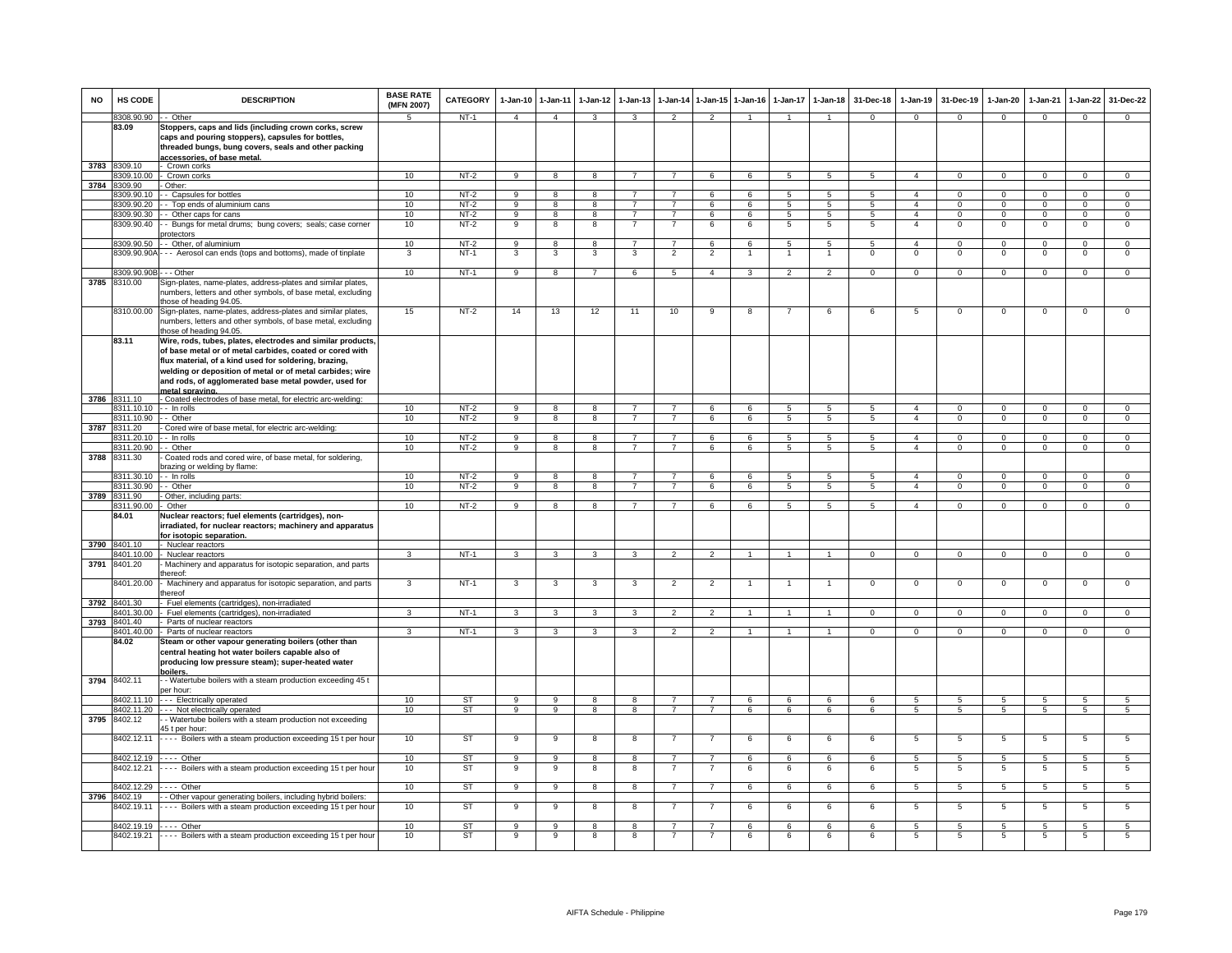| <b>NO</b> | HS CODE                                       | <b>DESCRIPTION</b>                                                                                                                                                                                | <b>BASE RATE</b><br>(MFN 2007) | CATEGORY         | 1-Jan-10            | $1 - Jan-11$            | $1-Jan-12$          | $1-Jan-13$                       |                                  |                                  | 1-Jan-14 1-Jan-15 1-Jan-16 | $1-Jan-17$          | $1-Jan-18$                         | 31-Dec-18           | $1-Jan-19$                       | 31-Dec-19                   | 1-Jan-20                      | $1-Jan-21$                 | $1-Jan-22$                  | 31-Dec-22                      |
|-----------|-----------------------------------------------|---------------------------------------------------------------------------------------------------------------------------------------------------------------------------------------------------|--------------------------------|------------------|---------------------|-------------------------|---------------------|----------------------------------|----------------------------------|----------------------------------|----------------------------|---------------------|------------------------------------|---------------------|----------------------------------|-----------------------------|-------------------------------|----------------------------|-----------------------------|--------------------------------|
|           | 8308.90.90 -- Other                           |                                                                                                                                                                                                   | 5.                             | NT-1             | $\overline{4}$      | $\overline{4}$          | 3                   | 3                                | $\overline{2}$                   | $\mathcal{P}$                    | $\overline{1}$             | $\overline{1}$      | $\overline{1}$                     | $\Omega$            | $\mathbf{0}$                     | $\Omega$                    | $\overline{0}$                | $\mathbf 0$                | $\mathbf{0}$                | $\Omega$                       |
|           | 83.09                                         | Stoppers, caps and lids (including crown corks, screw<br>caps and pouring stoppers), capsules for bottles,<br>threaded bungs, bung covers, seals and other packing<br>accessories. of base metal. |                                |                  |                     |                         |                     |                                  |                                  |                                  |                            |                     |                                    |                     |                                  |                             |                               |                            |                             |                                |
| 3783      | 8309.10                                       | Crown corks                                                                                                                                                                                       |                                |                  |                     |                         |                     |                                  |                                  |                                  |                            |                     |                                    |                     |                                  |                             |                               |                            |                             |                                |
|           | 8309.10.00                                    | Crown corks                                                                                                                                                                                       | 10                             | $NT-2$           | $\overline{9}$      | 8                       | 8                   | $\overline{7}$                   | $\overline{7}$                   | 6                                | 6                          | $5\overline{5}$     | $5^{\circ}$                        | $5\overline{5}$     | $\mathbf{A}$                     | $\Omega$                    | $\mathbf 0$                   | $\Omega$                   | $\Omega$                    | $\overline{0}$                 |
| 3784      | 8309.90                                       | Other:                                                                                                                                                                                            |                                |                  |                     |                         |                     |                                  |                                  |                                  |                            |                     |                                    |                     |                                  |                             |                               |                            |                             |                                |
|           | 8309.90.10                                    | - Capsules for bottles                                                                                                                                                                            | 10                             | $NT-2$           | $_{9}$              | $\overline{8}$          | 8                   |                                  |                                  | 6                                | 6                          | $\overline{5}$      | $\overline{5}$                     | $\overline{5}$      | $\overline{4}$                   | $\overline{0}$              | $\overline{0}$                | $\overline{0}$             | $\overline{0}$              | $\overline{0}$                 |
|           | 8309.90.20<br>8309.90.30                      | - Top ends of aluminium cans<br>- Other caps for cans                                                                                                                                             | 10<br>10                       | $NT-2$<br>$NT-2$ | 9<br>9              | 8<br>8                  | 8<br>8              | $\overline{7}$                   | $\overline{7}$                   | 6<br>6                           | 6<br>6                     | 5<br>5              | 5<br>$5\overline{5}$               | 5<br>5              | $\overline{a}$<br>$\overline{4}$ | $\Omega$<br>$\mathbf 0$     | $\Omega$<br>$\mathbf{0}$      | $\Omega$<br>$\mathbf 0$    | $\mathbf 0$<br>$\mathbf{0}$ | $\mathbf{0}$<br>$\overline{0}$ |
|           | 8309.90.40                                    | - Bungs for metal drums; bung covers; seals; case corner                                                                                                                                          | 10                             | $NT-2$           | 9                   | 8                       | 8                   | 7                                | 7                                | 6                                | 6                          | 5                   | 5                                  | 5                   | $\overline{4}$                   | $\mathbf 0$                 | 0                             | $\Omega$                   | $\mathbf{0}$                | 0                              |
|           | 8309.90.50                                    | rotectors<br>Other, of aluminium                                                                                                                                                                  | 10                             | $NT-2$           | $\overline{9}$      | 8                       | 8                   | 7                                | 7                                | 6                                | 6                          | 5                   | 5                                  | 5                   | $\overline{a}$                   | $\Omega$                    | $\Omega$                      | $\Omega$                   | $\overline{0}$              | $\overline{0}$                 |
|           | 8309.90.90A                                   | - - Aerosol can ends (tops and bottoms), made of tinplate                                                                                                                                         | 3                              | $NT-1$           | 3                   | 3                       | 3                   | 3                                | $\overline{2}$                   | $\overline{2}$                   |                            | -1                  | $\mathbf{1}$                       | $\mathbf 0$         | $\mathsf 0$                      | $\mathbf 0$                 | $\mathsf 0$                   | $\mathbf 0$                | $\mathsf 0$                 | $\mathbf 0$                    |
|           | 8309.90.90B - - - Other                       |                                                                                                                                                                                                   | 10                             | $NT-1$           | 9                   | 8                       | $\overline{7}$      | 6                                | $5\phantom{.0}$                  | $\overline{4}$                   | 3                          | $\overline{2}$      | $\overline{2}$                     | $\mathbf{0}$        | $\mathbf 0$                      | $^{\circ}$                  | $\mathbf 0$                   | $\mathbf{0}$               | $\mathsf 0$                 | $\mathbf{0}$                   |
| 3785      | 8310.00                                       | Sign-plates, name-plates, address-plates and similar plates,                                                                                                                                      |                                |                  |                     |                         |                     |                                  |                                  |                                  |                            |                     |                                    |                     |                                  |                             |                               |                            |                             |                                |
|           |                                               | numbers, letters and other symbols, of base metal, excluding<br>those of heading 94.05.                                                                                                           |                                |                  |                     |                         |                     |                                  |                                  |                                  |                            |                     |                                    |                     |                                  |                             |                               |                            |                             |                                |
|           | 8310.00.00                                    | Sign-plates, name-plates, address-plates and similar plates,<br>numbers, letters and other symbols, of base metal, excluding<br>those of heading 94.05.                                           | 15                             | $NT-2$           | 14                  | 13                      | 12                  | 11                               | 10                               | 9                                | 8                          |                     | 6                                  | 6                   | 5                                | $\Omega$                    | $\Omega$                      | $\overline{0}$             | $\Omega$                    | $\overline{0}$                 |
|           | 83.11                                         | Wire, rods, tubes, plates, electrodes and similar products,<br>of base metal or of metal carbides, coated or cored with<br>flux material, of a kind used for soldering, brazing,                  |                                |                  |                     |                         |                     |                                  |                                  |                                  |                            |                     |                                    |                     |                                  |                             |                               |                            |                             |                                |
|           |                                               | welding or deposition of metal or of metal carbides; wire<br>and rods, of agglomerated base metal powder, used for                                                                                |                                |                  |                     |                         |                     |                                  |                                  |                                  |                            |                     |                                    |                     |                                  |                             |                               |                            |                             |                                |
|           |                                               | netal spraving.                                                                                                                                                                                   |                                |                  |                     |                         |                     |                                  |                                  |                                  |                            |                     |                                    |                     |                                  |                             |                               |                            |                             |                                |
|           | 3786 8311.10                                  | - Coated electrodes of base metal, for electric arc-welding:                                                                                                                                      |                                |                  |                     |                         |                     |                                  |                                  |                                  |                            |                     |                                    |                     |                                  |                             |                               |                            |                             |                                |
|           | 8311.10.10 -- In rolls<br>8311.10.90 -- Other |                                                                                                                                                                                                   | 10<br>10                       | $NT-2$<br>$NT-2$ | 9<br>9              | 8<br>8                  | 8<br>8              | $\overline{7}$<br>$\overline{7}$ | $\overline{7}$<br>$\overline{7}$ | 6<br>6                           | 6<br>6                     | 5<br>5              | $5\overline{5}$<br>5               | 5<br>5              | $\overline{4}$<br>$\overline{4}$ | $\mathbf 0$<br>$\mathbf{0}$ | $\mathbf 0$<br>$\overline{0}$ | $\mathbf 0$<br>$\mathbf 0$ | $\mathbf 0$<br>$\mathbf{0}$ | $\mathbf{0}$<br>$\overline{0}$ |
|           | 3787 8311.20                                  | Cored wire of base metal, for electric arc-welding:                                                                                                                                               |                                |                  |                     |                         |                     |                                  |                                  |                                  |                            |                     |                                    |                     |                                  |                             |                               |                            |                             |                                |
|           | 8311.20.10                                    | - In rolls                                                                                                                                                                                        | 10                             | $NT-2$           | 9                   | $\overline{\mathbf{8}}$ | 8                   | $\overline{7}$                   | $\overline{7}$                   | 6                                | 6                          | 5                   | 5                                  | $5\overline{5}$     | $\overline{4}$                   | $\Omega$                    | $\overline{0}$                | $\overline{0}$             | $\overline{0}$              | $\overline{0}$                 |
|           | 311.20.90                                     | - Other                                                                                                                                                                                           | 10                             | $NT-2$           | 9                   | 8                       | 8                   | $\overline{7}$                   | $\overline{7}$                   | 6                                | 6                          | 5                   | $5\overline{5}$                    | 5                   | $\overline{4}$                   | $\mathbf 0$                 | $\mathbf 0$                   | $\mathbf 0$                | $\mathbf 0$                 | $\mathbf{0}$                   |
| 3788      | 3311.30                                       | Coated rods and cored wire, of base metal, for soldering,<br>razing or welding by flame:                                                                                                          |                                |                  |                     |                         |                     |                                  |                                  |                                  |                            |                     |                                    |                     |                                  |                             |                               |                            |                             |                                |
|           | 8311.30.10<br>8311.30.90                      | - - In rolls<br>- Other                                                                                                                                                                           | 10<br>10                       | $NT-2$<br>$NT-2$ | 9<br>$\overline{9}$ | 8<br>$\overline{8}$     | 8<br>$\overline{8}$ | $\overline{7}$<br>$\overline{7}$ | $\overline{7}$<br>$\overline{7}$ | 6<br>6                           | 6<br>6                     | 5<br>$\overline{5}$ | $5\overline{5}$<br>$5\overline{)}$ | 5<br>$\overline{5}$ | $\overline{4}$<br>$\overline{4}$ | $\Omega$<br>$\overline{0}$  | $\mathbf 0$<br>$\overline{0}$ | $\Omega$<br>$\overline{0}$ | $\Omega$<br>$\overline{0}$  | $\Omega$<br>$\overline{0}$     |
| 3789      | 8311.90                                       | Other, including parts:                                                                                                                                                                           |                                |                  |                     |                         |                     |                                  |                                  |                                  |                            |                     |                                    |                     |                                  |                             |                               |                            |                             |                                |
|           | 8311.90.00                                    | - Other                                                                                                                                                                                           | 10                             | $NT-2$           | 9                   | $\mathbf{g}$            | 8                   |                                  | $\overline{7}$                   | 6                                | 6                          | $\overline{5}$      | $\overline{5}$                     | $\overline{5}$      | $\overline{4}$                   | $\Omega$                    | $\Omega$                      | $\Omega$                   | $\Omega$                    | $\Omega$                       |
|           | 84.01                                         | Nuclear reactors; fuel elements (cartridges), non-<br>irradiated, for nuclear reactors; machinery and apparatus<br><u>or isotopic separation.</u>                                                 |                                |                  |                     |                         |                     |                                  |                                  |                                  |                            |                     |                                    |                     |                                  |                             |                               |                            |                             |                                |
| 3790      | 8401.10                                       | Nuclear reactors                                                                                                                                                                                  |                                |                  |                     |                         |                     |                                  |                                  |                                  |                            |                     |                                    |                     |                                  |                             |                               |                            |                             |                                |
|           | 401.10.00                                     | - Nuclear reactors                                                                                                                                                                                | $\mathbf{R}$                   | $NT-1$           | 3                   | 3                       | 3                   | 3                                | $\overline{2}$                   | $\mathcal{P}$                    | $\overline{1}$             | $\mathbf{1}$        | $\mathbf{1}$                       | $\overline{0}$      | $\overline{0}$                   | $\overline{0}$              | $\overline{0}$                | $\overline{0}$             | $\Omega$                    | $\overline{0}$                 |
| 3791      | 8401.20                                       | Machinery and apparatus for isotopic separation, and parts<br>hereof                                                                                                                              |                                |                  |                     |                         |                     |                                  |                                  |                                  |                            |                     |                                    |                     |                                  |                             |                               |                            |                             |                                |
|           | 8401.20.00                                    | Machinery and apparatus for isotopic separation, and parts<br>thereof                                                                                                                             | 3                              | $NT-1$           | 3                   | 3                       | 3                   | 3                                | $\overline{2}$                   | $\overline{2}$                   | $\overline{1}$             |                     | -1                                 | $^{\circ}$          | $\mathsf 0$                      | $\mathbf 0$                 | $^{\circ}$                    | $\mathbf 0$                | $\mathsf 0$                 | $\Omega$                       |
| 3792      | 8401.30                                       | Fuel elements (cartridges), non-irradiated                                                                                                                                                        | $\mathbf{R}$                   |                  |                     |                         |                     |                                  |                                  | $\overline{2}$                   | $\overline{1}$             | $\overline{1}$      | $\overline{1}$                     |                     |                                  |                             |                               |                            |                             | $\Omega$                       |
| 3793      | 8401.30.00<br>8401.40                         | - Fuel elements (cartridges), non-irradiated<br>Parts of nuclear reactors                                                                                                                         |                                | NT-1             | $\mathbf{3}$        | $\mathbf{3}$            | $\mathbf{3}$        | 3                                | $\overline{2}$                   |                                  |                            |                     |                                    | $\mathbf{0}$        | $\overline{0}$                   | $\overline{0}$              | $\overline{0}$                | $\overline{0}$             | $\mathbf{0}$                |                                |
|           | 8401.40.00                                    | - Parts of nuclear reactors                                                                                                                                                                       | 3                              | $NT-1$           | 3                   | 3                       | 3                   | 3                                | $\overline{2}$                   | $\overline{2}$                   | $\mathbf{1}$               | $\mathbf{1}$        | $\overline{1}$                     | $\Omega$            | $\mathbf{0}$                     | $\mathbf 0$                 | $^{\circ}$                    | $\Omega$                   | $\mathbf 0$                 | $\overline{0}$                 |
|           | 84.02                                         | Steam or other vapour generating boilers (other than<br>central heating hot water boilers capable also of<br>producing low pressure steam); super-heated water                                    |                                |                  |                     |                         |                     |                                  |                                  |                                  |                            |                     |                                    |                     |                                  |                             |                               |                            |                             |                                |
| 3794      | 8402.11                                       | boilers.<br>- - Watertube boilers with a steam production exceeding 45 t<br>per hour:                                                                                                             |                                |                  |                     |                         |                     |                                  |                                  |                                  |                            |                     |                                    |                     |                                  |                             |                               |                            |                             |                                |
|           | 8402.11.10                                    | --- Electrically operated                                                                                                                                                                         | 10                             | ST               | 9                   | 9                       | 8                   | 8                                | $\overline{7}$                   | $\overline{7}$                   | 6                          | 6                   | 6                                  | 6                   | 5                                | 5                           | 5                             | 5                          | 5                           | 5                              |
|           | 8402.11.20                                    | - - - Not electrically operated                                                                                                                                                                   | 10                             | ST               | 9                   | 9                       | 8                   | 8                                | $\overline{7}$                   | $\overline{7}$                   | 6                          | 6                   | 6                                  | 6                   | 5                                | $5\overline{5}$             | $5\overline{5}$               | $5\overline{5}$            | 5                           | 5 <sup>5</sup>                 |
| 3795      | 8402.12                                       | - Watertube boilers with a steam production not exceeding<br>45 t per hour:                                                                                                                       |                                |                  |                     |                         |                     |                                  |                                  |                                  |                            |                     |                                    |                     |                                  |                             |                               |                            |                             |                                |
|           | 8402.12.11                                    | ---- Boilers with a steam production exceeding 15 t per hour                                                                                                                                      | 10                             | <b>ST</b>        | 9                   | $\overline{9}$          | 8                   | -8                               | $\overline{7}$                   | 7                                | 6                          | 6                   | 6                                  | 6                   | 5                                | -5                          | 5                             | $5\overline{)}$            | $\overline{5}$              | 5                              |
|           | 8402.12.19<br>8402.12.21                      | $---$ Other<br>Boilers with a steam production exceeding 15 t per hour                                                                                                                            | 10<br>10                       | ST<br><b>ST</b>  | 9<br>9              | 9<br>9                  | 8<br>8              | 8<br>8                           | $\overline{7}$<br>$\overline{7}$ | $\overline{7}$<br>$\overline{7}$ | 6<br>6                     | 6<br>6              | 6<br>6                             | 6<br>6              | 5<br>5                           | 5<br>5                      | 5<br>5                        | 5<br>5                     | 5<br>$\overline{5}$         | 5<br>$5\phantom{.0}$           |
|           | 8402.12.29                                    | $---$ Other                                                                                                                                                                                       | 10                             | ST               | 9                   | 9                       | 8                   | 8                                | $\overline{7}$                   | $\overline{7}$                   | 6                          | 6                   | 6                                  | 6                   | 5                                | 5                           | 5                             | 5                          | 5                           | 5                              |
| 3796      | 8402.19<br>8402.19.11                         | - - Other vapour generating boilers, including hybrid boilers:<br>---- Boilers with a steam production exceeding 15 t per hour                                                                    | 10                             | ST               | 9                   | 9                       | 8                   | 8                                | $\overline{7}$                   | $\overline{7}$                   | 6                          | 6                   | 6                                  | 6                   | $\overline{5}$                   | $5\phantom{.0}$             | $5\phantom{.0}$               | $5\phantom{.0}$            | $\overline{5}$              | 5                              |
|           |                                               |                                                                                                                                                                                                   |                                |                  |                     |                         |                     |                                  |                                  |                                  |                            |                     |                                    |                     |                                  |                             |                               |                            |                             |                                |
|           | 8402.19.19<br>8402.19.21                      | $---$ Other<br>Boilers with a steam production exceeding 15 t per hour                                                                                                                            | 10 <sup>1</sup><br>10          | ST<br>ST         | $\mathbf{q}$<br>9   | 9<br>9                  | я.<br>8             | -8<br>8                          | -7                               | $\overline{7}$                   | -6<br>6                    | ĥ<br>6              | 6<br>6                             | 6<br>6              | -5<br>5                          | 5<br>5                      | -5<br>5                       | $\overline{5}$<br>5        | -5<br>5                     | 5<br>5                         |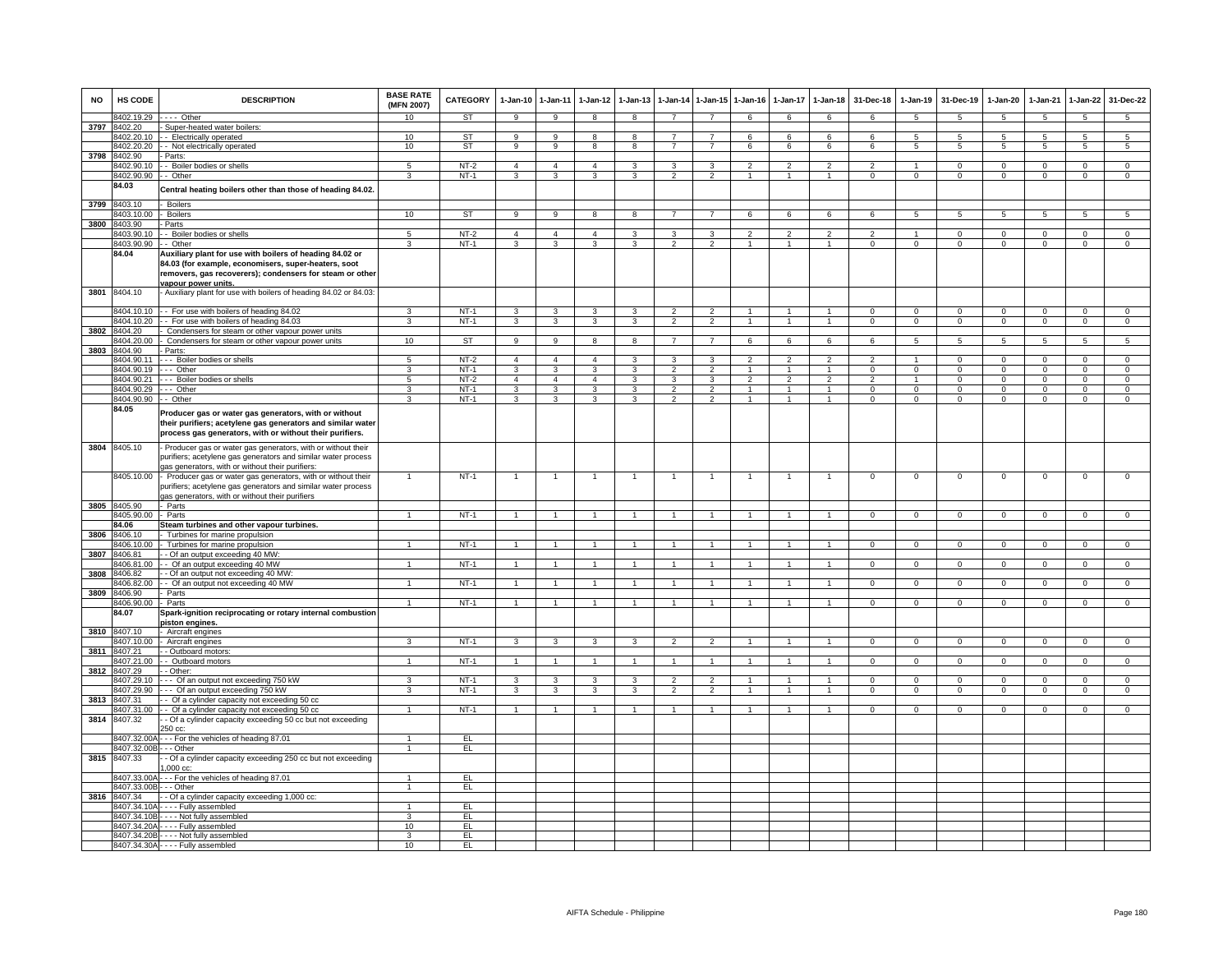| <b>NO</b> | HS CODE                 | <b>DESCRIPTION</b>                                                                                                                                                                                      | <b>BASE RATE</b><br>(MFN 2007) | CATEGORY    | $1-Jan-10$     | 1-Jan-11       | $1$ -Jan-12    | $1-Jan-13$              | 1-Jan-14                 | 1-Jan-15                 | $1 - Jan-16$   | 1-Jan-17                 | $1 - Jan-18$         | 31-Dec-18      | 1-Jan-19        | 31-Dec-19      | 1-Jan-20        | 1-Jan-21       | 1-Jan-22        | 31-Dec-22       |
|-----------|-------------------------|---------------------------------------------------------------------------------------------------------------------------------------------------------------------------------------------------------|--------------------------------|-------------|----------------|----------------|----------------|-------------------------|--------------------------|--------------------------|----------------|--------------------------|----------------------|----------------|-----------------|----------------|-----------------|----------------|-----------------|-----------------|
|           | 8402.19.29              | - - - - Other                                                                                                                                                                                           | 10                             | ST          | 9              | 9              | 8              | 8                       | $\overline{7}$           | $\overline{7}$           | 6              | 6                        | 6                    | 6              | $\overline{5}$  | $\sqrt{5}$     | 5               | $\sqrt{5}$     | $5\overline{5}$ | $\overline{5}$  |
| 3797      | 8402.20                 | - Super-heated water boilers:                                                                                                                                                                           |                                |             |                |                |                |                         |                          |                          |                |                          |                      |                |                 |                |                 |                |                 |                 |
|           |                         | 8402.20.10 - Electrically operated                                                                                                                                                                      | 10 <sup>1</sup>                | ST          | 9              | 9              | 8              | 8                       | $\overline{7}$           | $\overline{7}$           | 6              | 6                        | 6                    | 6              | 5               | 5              | 5               | 5              | 5               | 5               |
|           | 8402.20.20              | - Not electrically operated                                                                                                                                                                             | 10                             | <b>ST</b>   | 9              | $\overline{9}$ | 8              | $\overline{\mathbf{8}}$ | $\overline{7}$           | $\overline{7}$           | 6              | 6                        | 6                    | 6              | 5               | 5              | $5\overline{5}$ | 5              | $5\overline{)}$ | $5\overline{)}$ |
| 3798      | 8402.90<br>8402.90.10   | Parts:<br>- - Boiler bodies or shells                                                                                                                                                                   | 5                              | $NT-2$      | $\overline{4}$ | $\overline{4}$ | $\overline{4}$ | 3                       | 3                        | 3                        | $\mathfrak{p}$ | $\overline{\mathbf{c}}$  | $\mathfrak{p}$       | $\overline{2}$ |                 | $\Omega$       | 0               | $\Omega$       | $\mathsf 0$     | $\overline{0}$  |
|           | 8402.90.90              | - Other                                                                                                                                                                                                 | 3                              | $NT-1$      | 3              | 3              | 3              | 3                       | $\overline{2}$           | $\mathfrak{p}$           | $\mathbf{1}$   |                          | $\overline{1}$       | $^{\circ}$     | $^{\circ}$      | $\mathbf 0$    | 0               | $\mathbf 0$    | $\mathsf 0$     | $\mathbf 0$     |
|           | 84.03                   |                                                                                                                                                                                                         |                                |             |                |                |                |                         |                          |                          |                |                          |                      |                |                 |                |                 |                |                 |                 |
| 3799      | 8403.10                 | Central heating boilers other than those of heading 84.02<br>Boilers                                                                                                                                    |                                |             |                |                |                |                         |                          |                          |                |                          |                      |                |                 |                |                 |                |                 |                 |
|           | 8403.10.00              | - Boilers                                                                                                                                                                                               | 10                             | ST          | 9              | 9              | 8              | 8                       | $\overline{7}$           | $\overline{7}$           | 6              | 6                        | 6                    | 6              | 5               | 5              | 5               | 5              | 5               | 5               |
|           | 3800 8403.90            | - Parts                                                                                                                                                                                                 |                                |             |                |                |                |                         |                          |                          |                |                          |                      |                |                 |                |                 |                |                 |                 |
|           | 8403.90.10              | - - Boiler bodies or shells                                                                                                                                                                             | 5                              | $NT-2$      | $\overline{4}$ | $\overline{4}$ | $\overline{4}$ | 3                       | 3                        | 3                        | $\overline{2}$ | $\mathfrak{p}$           | $\overline{2}$       | 2              | $\mathbf{1}$    | $\mathbf 0$    | $^{\circ}$      | $^{\circ}$     | $\mathbf{0}$    | $\mathbf{0}$    |
|           | 8403.90.90              | - - Other                                                                                                                                                                                               | $\overline{3}$                 | $NT-1$      | $\mathbf{3}$   | 3              | 3              | 3                       | $\mathcal{P}$            | $\overline{2}$           | $\mathbf{1}$   | $\mathbf{1}$             | $\mathbf{1}$         | $\overline{0}$ | $\overline{0}$  | $\Omega$       | $\mathbf 0$     | $\overline{0}$ | $\overline{0}$  | $\overline{0}$  |
|           | 84.04                   | Auxiliary plant for use with boilers of heading 84.02 or<br>84.03 (for example, economisers, super-heaters, soot<br>removers, gas recoverers); condensers for steam or other<br>vapour power units.     |                                |             |                |                |                |                         |                          |                          |                |                          |                      |                |                 |                |                 |                |                 |                 |
| 3801      | 8404.10                 | - Auxiliary plant for use with boilers of heading 84.02 or 84.03:                                                                                                                                       |                                |             |                |                |                |                         |                          |                          |                |                          |                      |                |                 |                |                 |                |                 |                 |
|           |                         | 8404.10.10 - - For use with boilers of heading 84.02                                                                                                                                                    | ર                              | $NT-1$      | 3              | 3              | 3              | 3                       | $\overline{\phantom{a}}$ | $\overline{\phantom{a}}$ |                |                          | $\overline{1}$       | $^{\circ}$     | $\Omega$        | $\mathbf 0$    | $\Omega$        | $\Omega$       | $\mathbf 0$     | $\Omega$        |
|           |                         | 8404.10.20 - For use with boilers of heading 84.03                                                                                                                                                      | $\mathbf{3}$                   | $NT-1$      | $\mathbf{3}$   | $\mathbf{3}$   | $\mathbf{3}$   | 3                       | $\overline{2}$           | $\overline{2}$           | $\mathbf{1}$   | $\mathbf{1}$             | $\mathbf{1}$         | $\overline{0}$ | $\mathbf{0}$    | $\mathbf 0$    | $\mathbf{0}$    | $\mathbf 0$    | $\mathbf 0$     | $\mathbf{0}$    |
| 3802      | 8404.20<br>404.20.00    | Condensers for steam or other vapour power units<br>Condensers for steam or other vapour power units                                                                                                    | 10                             | ST          | $\overline{9}$ | $\overline{9}$ | $\overline{8}$ | $\overline{8}$          | $\overline{7}$           | $\overline{7}$           | 6              | 6                        | 6                    | 6              | $5\overline{5}$ | 5              | $\overline{5}$  | $\sqrt{5}$     | $\overline{5}$  | $\overline{5}$  |
| 3803      | 3404.90                 | Parts:                                                                                                                                                                                                  |                                |             |                |                |                |                         |                          |                          |                |                          |                      |                |                 |                |                 |                |                 |                 |
|           | 8404.90.11              | --- Boiler bodies or shells                                                                                                                                                                             | 5                              | <b>NT-2</b> | $\overline{4}$ | $\overline{4}$ | $\overline{4}$ | 3                       | 3                        | $\mathcal{R}$            | $\mathfrak{p}$ | $\overline{\phantom{0}}$ | $\overline{2}$       | $\mathcal{P}$  |                 | $\mathbf 0$    | $\mathbf 0$     | $\Omega$       | $\mathsf 0$     | $\mathbf 0$     |
|           | 8404.90.19              | -- Other                                                                                                                                                                                                | 3                              | NT-1        | 3              | 3              | 3              | 3                       | $\mathcal{P}$            | $\mathcal{P}$            | 1              |                          | $\blacktriangleleft$ | $\Omega$       | 0               | $\Omega$       | $\Omega$        | $\Omega$       | 0               | $\Omega$        |
|           | 8404.90.21              | - - Boiler bodies or shells                                                                                                                                                                             | $\overline{5}$                 | $NT-2$      | $\overline{4}$ | $\overline{4}$ | $\overline{4}$ | 3                       | $\overline{\mathbf{3}}$  | 3                        | $\overline{2}$ | $\overline{2}$           | $\overline{2}$       | $\overline{2}$ | $\overline{1}$  | $\Omega$       | $\overline{0}$  | $\Omega$       | $\overline{0}$  | $\overline{0}$  |
|           | 8404.90.29              | -- Other                                                                                                                                                                                                | 3                              | $NT-1$      | 3              | 3              | 3              | $\overline{\mathbf{3}}$ | $\overline{2}$           | $\overline{2}$           |                |                          | $\overline{1}$       | $\overline{0}$ | $\overline{0}$  | $\overline{0}$ | $\overline{0}$  | $\overline{0}$ | $\overline{0}$  | $\overline{0}$  |
|           | 8404.90.90              | - Other                                                                                                                                                                                                 | 3                              | $NT-1$      | 3              | 3              | 3              | 3                       | $\overline{2}$           | $\overline{2}$           |                |                          | $\mathbf{1}$         | $\Omega$       | $\Omega$        | $\Omega$       | $\Omega$        | $\Omega$       | $\Omega$        | $\Omega$        |
|           | 84.05                   | Producer gas or water gas generators, with or without<br>their purifiers; acetylene gas generators and similar water<br>process gas generators, with or without their purifiers.                        |                                |             |                |                |                |                         |                          |                          |                |                          |                      |                |                 |                |                 |                |                 |                 |
|           | 3804 8405.10            | - Producer gas or water gas generators, with or without their<br>purifiers; acetylene gas generators and similar water process<br>gas generators, with or without their purifiers                       |                                |             |                |                |                |                         |                          |                          |                |                          |                      |                |                 |                |                 |                |                 |                 |
|           | 3805 8405.90            | 8405.10.00 - Producer gas or water gas generators, with or without their<br>purifiers; acetylene gas generators and similar water process<br>gas generators, with or without their purifiers<br>- Parts | $\mathbf{1}$                   | $NT-1$      | $\mathbf{1}$   | $\overline{1}$ | $\overline{1}$ | $\mathbf{1}$            | $\overline{1}$           | $\overline{1}$           | $\mathbf{1}$   | $\mathbf{1}$             | $\overline{1}$       | $\mathbf{0}$   | $\mathbf 0$     | $\mathbf 0$    | $\mathbf 0$     | $\mathbf 0$    | $\mathsf 0$     | $\overline{0}$  |
|           | 8405.90.00              | - Parts                                                                                                                                                                                                 | $\overline{1}$                 | $NT-1$      | $\overline{1}$ | $\overline{1}$ | 1              | 1                       | $\overline{1}$           | 1                        | 1              | 1                        | 1                    | $\mathbf{0}$   | $\mathbf 0$     | $\mathbf 0$    | $^{\circ}$      | $\mathbf 0$    | $\mathbf{0}$    | $\mathbf 0$     |
|           | 84.06                   | Steam turbines and other vapour turbines.                                                                                                                                                               |                                |             |                |                |                |                         |                          |                          |                |                          |                      |                |                 |                |                 |                |                 |                 |
| 3806      | 3406.10                 | Turbines for marine propulsion                                                                                                                                                                          |                                |             |                |                |                |                         |                          |                          |                |                          |                      |                |                 |                |                 |                |                 |                 |
|           | 8406.10.00              | Turbines for marine propulsion                                                                                                                                                                          |                                | $NT-1$      | $\overline{1}$ | $\overline{1}$ | 1              |                         |                          |                          |                |                          |                      | $\mathsf 0$    | $\mathbf 0$     | $\mathbf 0$    | 0               | $\mathbf 0$    | $\mathsf 0$     | $\mathbf 0$     |
| 3807      | 8406.81                 | - Of an output exceeding 40 MW                                                                                                                                                                          |                                |             |                |                |                |                         |                          |                          |                |                          |                      |                |                 |                |                 |                |                 |                 |
|           | 8406.81.00              | - Of an output exceeding 40 MW                                                                                                                                                                          | $\overline{1}$                 | $NT-1$      | $\overline{1}$ | $\overline{1}$ | $\overline{1}$ | $\overline{1}$          | $\overline{1}$           | $\overline{1}$           | $\overline{1}$ | $\mathbf{1}$             | $\mathbf{1}$         | $\mathbf{0}$   | $\mathbf{0}$    | $\mathbf{0}$   | $\Omega$        | $\Omega$       | $\mathbf{0}$    | $\overline{0}$  |
| 3808      | 406.82                  | - Of an output not exceeding 40 MW                                                                                                                                                                      |                                |             |                |                |                |                         |                          |                          |                |                          |                      |                |                 |                |                 |                |                 |                 |
|           | 8406.82.00              | - Of an output not exceeding 40 MW                                                                                                                                                                      | $\mathbf{1}$                   | $NT-1$      | $\mathbf{1}$   | $\mathbf{1}$   |                |                         |                          |                          |                |                          | $\mathbf{1}$         | $\Omega$       | $\Omega$        | $\Omega$       | $\Omega$        | $\Omega$       | $\mathbf 0$     | $\Omega$        |
| 3809      | 8406.90<br>8406.90.00   | - Parts<br>- Parts                                                                                                                                                                                      | $\overline{1}$                 | $NT-1$      | $\overline{1}$ | $\mathbf{1}$   | 1              | $\mathbf{1}$            | $\mathbf{1}$             | 1                        | 1              | 1                        | $\mathbf{1}$         | $^{\circ}$     | $\mathbf{0}$    | $\mathbf{0}$   | $^{\circ}$      | $^{\circ}$     | $\overline{0}$  | $\mathbf{0}$    |
|           | 84.07                   | Spark-ignition reciprocating or rotary internal combustion<br>piston engines.                                                                                                                           |                                |             |                |                |                |                         |                          |                          |                |                          |                      |                |                 |                |                 |                |                 |                 |
| 3810      | 8407.10                 | Aircraft engines                                                                                                                                                                                        |                                |             |                |                |                |                         |                          |                          |                |                          |                      |                |                 |                |                 |                |                 |                 |
|           | 3407.10.00              | Aircraft engines                                                                                                                                                                                        | $\mathcal{R}$                  | $NT-1$      | $\mathbf{3}$   | 3              | 3              | $\mathbf{3}$            | $\overline{2}$           | $\mathcal{P}$            | $\mathbf{1}$   |                          | $\mathbf{1}$         | $\mathbf{O}$   | $\mathbf 0$     | $\mathbf 0$    | $\mathbf 0$     | $\mathbf 0$    | $\mathbf 0$     | $\mathbf 0$     |
| 3811      | 8407.21                 | - Outboard motors                                                                                                                                                                                       |                                |             |                |                |                |                         |                          |                          |                |                          |                      |                |                 |                |                 |                |                 |                 |
|           | 3407.21.00<br>8407.29   | - Outboard motors<br>- Other:                                                                                                                                                                           |                                | $NT-1$      |                | $\mathbf{1}$   |                |                         |                          |                          |                |                          |                      | $\Omega$       | $\Omega$        | $\Omega$       | $\Omega$        | $\Omega$       | $\Omega$        | $\overline{0}$  |
| 3812      | 8407.29.10              | --- Of an output not exceeding 750 kW                                                                                                                                                                   | 3                              | $NT-1$      | 3              | 3              | 3              | 3                       | $\overline{\phantom{a}}$ | $\overline{2}$           |                |                          |                      | $\Omega$       | $^{\circ}$      | $\mathbf 0$    | $\Omega$        | $\Omega$       | $\mathbf 0$     | $\mathbf 0$     |
|           | 8407.29.90              | --- Of an output exceeding 750 kW                                                                                                                                                                       | 3                              | $NT-1$      | $\mathbf{3}$   | $\mathbf{3}$   | $\mathbf{3}$   | $\mathbf{3}$            | $\overline{2}$           | $\overline{2}$           | $\mathbf{1}$   | $\blacktriangleleft$     | $\mathbf{1}$         | $\mathbf{0}$   | $\mathbf{0}$    | $\mathbf 0$    | $\mathbf{0}$    | $\mathbf 0$    | $\mathbf{0}$    | $\mathbf{0}$    |
| 3813      | 8407.31                 | - Of a cylinder capacity not exceeding 50 cc                                                                                                                                                            |                                |             |                |                |                |                         |                          |                          |                |                          |                      |                |                 |                |                 |                |                 |                 |
|           | 8407.31.00              | - Of a cylinder capacity not exceeding 50 cc                                                                                                                                                            | $\overline{1}$                 | $NT-1$      | $\mathbf{1}$   | $\mathbf{1}$   | $\mathbf{1}$   | $\mathbf{1}$            | $\mathbf{1}$             | $\overline{1}$           | $\mathbf{1}$   | 1                        | $\mathbf{1}$         | $\Omega$       | $\overline{0}$  | $\mathbf{0}$   | $\Omega$        | $\Omega$       | $\overline{0}$  | $\overline{0}$  |
| 3814      | 8407.32                 | - Of a cylinder capacity exceeding 50 cc but not exceeding<br>250 cc:                                                                                                                                   |                                |             |                |                |                |                         |                          |                          |                |                          |                      |                |                 |                |                 |                |                 |                 |
|           |                         | 8407.32.00A - - - For the vehicles of heading 87.01                                                                                                                                                     | $\blacktriangleleft$           | EL.         |                |                |                |                         |                          |                          |                |                          |                      |                |                 |                |                 |                |                 |                 |
|           | 8407.32.00B - - - Other |                                                                                                                                                                                                         | $\overline{1}$                 | EL          |                |                |                |                         |                          |                          |                |                          |                      |                |                 |                |                 |                |                 |                 |
| 3815      | 8407.33                 | - Of a cylinder capacity exceeding 250 cc but not exceeding<br>$,000$ cc:                                                                                                                               |                                |             |                |                |                |                         |                          |                          |                |                          |                      |                |                 |                |                 |                |                 |                 |
|           | 8407.33.00A             | -- For the vehicles of heading 87.01                                                                                                                                                                    | $\mathbf{1}$                   | EL          |                |                |                |                         |                          |                          |                |                          |                      |                |                 |                |                 |                |                 |                 |
|           | 8407.33.00B             | $\overline{\cdots}$ Other                                                                                                                                                                               | $\overline{1}$                 | EL.         |                |                |                |                         |                          |                          |                |                          |                      |                |                 |                |                 |                |                 |                 |
| 3816      | 8407.34<br>3407.34.10A  | - Of a cylinder capacity exceeding 1,000 cc:                                                                                                                                                            | $\mathbf{1}$                   | EL.         |                |                |                |                         |                          |                          |                |                          |                      |                |                 |                |                 |                |                 |                 |
|           | 8407.34.10B             | --- Fully assembled<br>---- Not fully assembled                                                                                                                                                         | 3                              | E           |                |                |                |                         |                          |                          |                |                          |                      |                |                 |                |                 |                |                 |                 |
|           |                         | 8407.34.20A - - - - Fully assembled                                                                                                                                                                     | 10                             | EL          |                |                |                |                         |                          |                          |                |                          |                      |                |                 |                |                 |                |                 |                 |
|           |                         | 8407.34.20B - - - - Not fully assembled                                                                                                                                                                 | $\overline{3}$                 | EL          |                |                |                |                         |                          |                          |                |                          |                      |                |                 |                |                 |                |                 |                 |
|           |                         | 8407.34.30A - - - - Fully assembled                                                                                                                                                                     | 10                             | EL          |                |                |                |                         |                          |                          |                |                          |                      |                |                 |                |                 |                |                 |                 |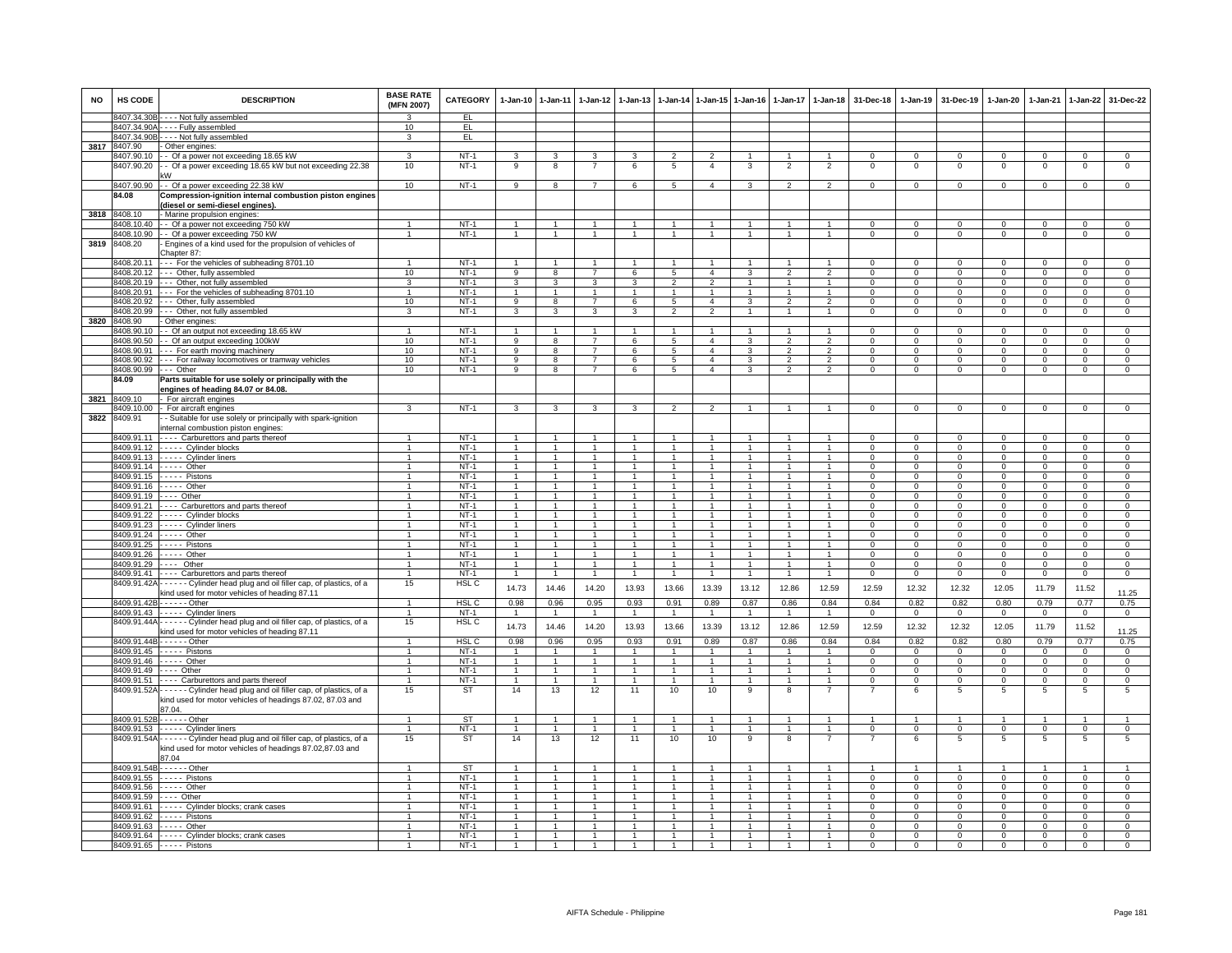| <b>NO</b> | <b>HS CODE</b>       | <b>DESCRIPTION</b>                                                                                                                                      | <b>BASE RATE</b><br>(MFN 2007) | CATEGORY                   | $1-Jan-10$                     | $1 - Jan-11$                   |                                  | $1 - Jan - 12$ 1-Jan-13        |                                      |                                  | 1-Jan-14 1-Jan-15 1-Jan-16           | $1 - Jan-17$                     | $1-Jan-18$                       | 31-Dec-18                     |                                | 1-Jan-19 31-Dec-19            | $1 - Jan-20$                  | $1-Jan-21$                    | $1 - Jan-22$                     | 31-Dec-22                        |
|-----------|----------------------|---------------------------------------------------------------------------------------------------------------------------------------------------------|--------------------------------|----------------------------|--------------------------------|--------------------------------|----------------------------------|--------------------------------|--------------------------------------|----------------------------------|--------------------------------------|----------------------------------|----------------------------------|-------------------------------|--------------------------------|-------------------------------|-------------------------------|-------------------------------|----------------------------------|----------------------------------|
|           |                      | 8407.34.30B - - - - Not fully assembled                                                                                                                 | $\mathbf{R}$                   | EL                         |                                |                                |                                  |                                |                                      |                                  |                                      |                                  |                                  |                               |                                |                               |                               |                               |                                  |                                  |
|           |                      | 8407.34.90A - - - - Fully assembled                                                                                                                     | 10 <sup>1</sup>                | EL.                        |                                |                                |                                  |                                |                                      |                                  |                                      |                                  |                                  |                               |                                |                               |                               |                               |                                  |                                  |
|           |                      | 8407.34.90B - - - - Not fully assembled                                                                                                                 | 3                              | EL                         |                                |                                |                                  |                                |                                      |                                  |                                      |                                  |                                  |                               |                                |                               |                               |                               |                                  |                                  |
| 3817      | 8407.90              | - Other engines:<br>3407.90.10 -- Of a power not exceeding 18.65 kW                                                                                     |                                |                            |                                |                                |                                  |                                |                                      |                                  |                                      |                                  |                                  |                               |                                |                               |                               |                               |                                  |                                  |
|           | 8407.90.20           | - Of a power exceeding 18.65 kW but not exceeding 22.38                                                                                                 | 3<br>10                        | $NT-1$<br>$NT-1$           | 3<br>9                         | 3<br>8                         | 3<br>$\overline{7}$              | 3<br>6                         | $\overline{2}$<br>5                  | $\overline{2}$<br>$\overline{4}$ | 3                                    | $\overline{2}$                   | $\overline{2}$                   | $^{\circ}$<br>$^{\circ}$      | $\mathbf{O}$<br>$\mathbf 0$    | $^{\circ}$<br>$\mathbf 0$     | $^{\circ}$<br>$^{\circ}$      | $\mathbf 0$<br>$\mathbf 0$    | $\mathbf 0$<br>$\mathbf{0}$      | $\mathbf{0}$<br>$\mathsf 0$      |
|           |                      | ، ۸۸                                                                                                                                                    |                                |                            |                                |                                |                                  |                                |                                      |                                  |                                      |                                  |                                  |                               |                                |                               |                               |                               |                                  |                                  |
|           | 8407.90.90           | - - Of a power exceeding 22.38 kW                                                                                                                       | 10                             | $NT-1$                     | 9                              | 8                              | $\overline{7}$                   | 6                              | $\overline{5}$                       | $\overline{4}$                   | $\mathcal{R}$                        | $\overline{2}$                   | $\mathcal{P}$                    | $\Omega$                      | $\mathsf 0$                    | $\overline{0}$                | $\Omega$                      | $\mathbf 0$                   | $\mathbf{0}$                     | $\mathsf 0$                      |
|           | 84.08                | Compression-ignition internal combustion piston engines                                                                                                 |                                |                            |                                |                                |                                  |                                |                                      |                                  |                                      |                                  |                                  |                               |                                |                               |                               |                               |                                  |                                  |
|           |                      | (diesel or semi-diesel engines).                                                                                                                        |                                |                            |                                |                                |                                  |                                |                                      |                                  |                                      |                                  |                                  |                               |                                |                               |                               |                               |                                  |                                  |
|           | 3818 8408.10         | - Marine propulsion engines:                                                                                                                            |                                |                            |                                |                                |                                  |                                |                                      |                                  |                                      |                                  |                                  |                               |                                |                               |                               |                               |                                  |                                  |
|           | 8408.10.40           | - - Of a power not exceeding 750 kW                                                                                                                     | 1                              | $NT-1$                     | $\mathbf{1}$                   | $\mathbf{1}$                   | -1                               | $\mathbf{1}$                   | 1                                    | $\overline{1}$                   |                                      |                                  |                                  | $^{\circ}$                    | $\mathbf{0}$                   | $^{\circ}$                    | $\mathbf{0}$                  | $\mathbf 0$                   | $\mathbf{0}$                     | $^{\circ}$                       |
|           | 8408.10.90           | - - Of a power exceeding 750 kW                                                                                                                         | $\overline{1}$                 | $NT-1$                     | $\overline{1}$                 | $\overline{1}$                 | $\overline{1}$                   | $\mathbf{1}$                   | $\mathbf{1}$                         | $\overline{1}$                   | $\overline{1}$                       | $\overline{1}$                   | $\overline{1}$                   | $^{\circ}$                    | $\mathbf{0}$                   | $\overline{0}$                | $\mathbf{0}$                  | $\mathbf{0}$                  | $\overline{0}$                   | $\overline{0}$                   |
| 3819      | 8408.20              | - Engines of a kind used for the propulsion of vehicles of                                                                                              |                                |                            |                                |                                |                                  |                                |                                      |                                  |                                      |                                  |                                  |                               |                                |                               |                               |                               |                                  |                                  |
|           |                      | Chapter 87:                                                                                                                                             | $\mathbf{1}$                   | $NT-1$                     |                                | $\mathbf{1}$                   |                                  |                                |                                      | $\mathbf{1}$                     |                                      |                                  |                                  | $\Omega$                      | $\Omega$                       | $\Omega$                      | $\Omega$                      | $\Omega$                      | $\Omega$                         | $\Omega$                         |
|           | 3408.20.11           | --- For the vehicles of subheading 8701.10<br>8408.20.12 --- Other, fully assembled                                                                     | 10                             | $NT-1$                     | $\overline{9}$                 | $\overline{8}$                 | $\overline{7}$                   | 6                              | 5                                    | $\overline{4}$                   | 3                                    | $\overline{2}$                   | $\overline{2}$                   | $\mathbf{0}$                  | $\mathbf 0$                    | $\overline{0}$                | $\overline{0}$                | $\mathbf{0}$                  | $\overline{0}$                   | $\overline{0}$                   |
|           |                      | 8408.20.19 --- Other, not fully assembled                                                                                                               | $\overline{3}$                 | $NT-1$                     | $\overline{3}$                 | $\overline{3}$                 | $\overline{3}$                   | $\overline{3}$                 | $\overline{2}$                       | $\overline{2}$                   | $\overline{1}$                       | $\overline{1}$                   | $\overline{1}$                   | $\overline{0}$                | $\overline{0}$                 | $\overline{0}$                | $\overline{0}$                | $\overline{0}$                | $\overline{0}$                   | $\overline{0}$                   |
|           |                      | 8408.20.91 --- For the vehicles of subheading 8701.10                                                                                                   | $\mathbf{1}$                   | $NT-1$                     | $\mathbf{1}$                   | $\blacktriangleleft$           | 1                                | $\mathbf{1}$                   | $\overline{1}$                       | $\mathbf{1}$                     |                                      | $\mathbf{1}$                     |                                  | $\Omega$                      | $\mathbf 0$                    | $\mathbf 0$                   | $\mathbf 0$                   | $\Omega$                      | $\mathbf 0$                      | $\Omega$                         |
|           |                      | $8408.20.92$ $\leftarrow$ - Other, fully assembled                                                                                                      | 10                             | $NT-1$                     | 9                              | 8                              | $\overline{7}$                   | 6                              | 5                                    | $\overline{4}$                   | 3                                    | $\overline{2}$                   | $\mathfrak{p}$                   | $\Omega$                      | $\Omega$                       | $\Omega$                      | $\Omega$                      | $\Omega$                      | $\Omega$                         | $\Omega$                         |
|           |                      | 8408.20.99 - - - Other, not fully assembled                                                                                                             | 3                              | $NT-1$                     | $\mathbf{3}$                   | 3                              | $\mathbf{3}$                     | 3                              | $\overline{2}$                       | $\overline{2}$                   | $\overline{1}$                       | $\overline{1}$                   | $\overline{1}$                   | $^{\circ}$                    | $^{\circ}$                     | $\mathbf 0$                   | $^{\circ}$                    | $^{\circ}$                    | $\mathbf 0$                      | $\mathbf{0}$                     |
|           | 3820 8408.90         | - Other engines:                                                                                                                                        |                                |                            |                                |                                |                                  |                                |                                      |                                  |                                      |                                  |                                  |                               |                                |                               |                               |                               |                                  |                                  |
|           |                      | 8408.90.10 -- Of an output not exceeding 18.65 kW                                                                                                       | $\mathbf{1}$                   | $NT-1$                     | $\overline{1}$                 | $\blacktriangleleft$           | $\overline{1}$                   | $\mathbf{1}$                   | $\mathbf{1}$                         | $\overline{1}$                   |                                      |                                  | $\blacktriangleleft$             | $\Omega$                      | $\Omega$                       | $\Omega$                      | $\Omega$                      | $\Omega$                      | $\Omega$                         | $\Omega$                         |
|           | 8408.90.91           | 8408.90.50 - Of an output exceeding 100kW                                                                                                               | 10<br>10                       | $NT-1$<br>$NT-1$           | $\overline{9}$<br>9            | 8<br>8                         | $\overline{7}$<br>$\overline{7}$ | 6                              | $\overline{5}$                       | $\overline{4}$<br>$\overline{4}$ | $\mathbf{3}$<br>3                    | $\overline{2}$<br>$\mathfrak{p}$ | $\overline{2}$<br>$\overline{2}$ | $\Omega$<br>$\Omega$          | $\overline{0}$                 | $\Omega$                      | $\Omega$                      | $\Omega$<br>$\Omega$          | $\overline{0}$<br>$\overline{0}$ | $\overline{0}$<br>$\overline{0}$ |
|           |                      | --- For earth moving machinery<br>8408.90.92 --- For railway locomotives or tramway vehicles                                                            | 10                             | $NT-1$                     | 9                              | 8                              | $\overline{7}$                   | 6<br>6                         | 5<br>5                               | $\overline{4}$                   | 3                                    | $\overline{2}$                   | $\overline{2}$                   | $^{\circ}$                    | 0<br>$\mathbf{0}$              | 0<br>$\mathbf 0$              | 0<br>$\mathbf 0$              | $\mathbf{0}$                  | $\mathbf 0$                      | $\mathbf 0$                      |
|           | 8408.90.99 --- Other |                                                                                                                                                         | 10                             | $NT-1$                     | $\overline{9}$                 | $\overline{8}$                 | $\overline{7}$                   | 6                              | $\overline{5}$                       | $\overline{4}$                   | $\overline{3}$                       | $\overline{2}$                   | $\overline{2}$                   | $\Omega$                      | $\overline{0}$                 | $\overline{0}$                | $\overline{0}$                | $\mathbf 0$                   | $\overline{0}$                   | $\overline{0}$                   |
|           | 84.09                | Parts suitable for use solely or principally with the                                                                                                   |                                |                            |                                |                                |                                  |                                |                                      |                                  |                                      |                                  |                                  |                               |                                |                               |                               |                               |                                  |                                  |
|           |                      | engines of heading 84.07 or 84.08.                                                                                                                      |                                |                            |                                |                                |                                  |                                |                                      |                                  |                                      |                                  |                                  |                               |                                |                               |                               |                               |                                  |                                  |
| 3821      | 8409.10              | - For aircraft engines                                                                                                                                  |                                |                            |                                |                                |                                  |                                |                                      |                                  |                                      |                                  |                                  |                               |                                |                               |                               |                               |                                  |                                  |
|           |                      | 8409.10.00 - For aircraft engines                                                                                                                       | $\mathbf{3}$                   | $NT-1$                     | $\mathbf{3}$                   | $\mathbf{3}$                   | $\mathbf{3}$                     | $\mathbf{3}$                   | $\overline{2}$                       | $\overline{2}$                   | $\overline{1}$                       | $\overline{1}$                   | $\overline{1}$                   | $\mathbf{0}$                  | $\mathbf{0}$                   | $\overline{0}$                | $\mathbf{0}$                  | $\overline{0}$                | $\mathbf{0}$                     | $\overline{0}$                   |
| 3822      | 8409.91              | - Suitable for use solely or principally with spark-ignition                                                                                            |                                |                            |                                |                                |                                  |                                |                                      |                                  |                                      |                                  |                                  |                               |                                |                               |                               |                               |                                  |                                  |
|           |                      | internal combustion piston engines:                                                                                                                     | 1                              | $NT-1$                     |                                |                                |                                  |                                | $\blacktriangleleft$                 |                                  |                                      | $\mathbf{1}$                     | $\mathbf{1}$                     |                               |                                |                               |                               |                               |                                  |                                  |
|           |                      | 8409.91.11 ---- Carburettors and parts thereof<br>8409.91.12 ----- Cylinder blocks                                                                      | $\mathbf{1}$                   | $NT-1$                     | $\overline{1}$<br>$\mathbf{1}$ | $\overline{1}$<br>$\mathbf{1}$ | 1<br>$\mathbf{1}$                | $\mathbf{1}$                   | $\overline{1}$                       | $\mathbf{1}$<br>$\mathbf{1}$     |                                      |                                  | $\mathbf{1}$                     | $\overline{0}$<br>$\mathsf 0$ | $\overline{0}$<br>$\mathbf{O}$ | $\overline{0}$<br>$\mathbf 0$ | $\overline{0}$<br>$\mathbf 0$ | $\overline{0}$<br>$\mathbf 0$ | $\overline{0}$<br>$\mathbf 0$    | $\overline{0}$<br>$\mathbf 0$    |
|           |                      | 8409.91.13 ----- Cylinder liners                                                                                                                        | $\mathbf{1}$                   | $NT-1$                     | $\mathbf{1}$                   | $\mathbf{1}$                   | $\mathbf{1}$                     | $\mathbf{1}$                   | $\mathbf{1}$                         | $\overline{1}$                   | $\mathbf{1}$                         | $\overline{1}$                   | $\mathbf{1}$                     | $\mathsf 0$                   | $\mathbf{0}$                   | $\mathbf{0}$                  | $\mathbf 0$                   | $\mathbf 0$                   | $\mathbf 0$                      | $\overline{0}$                   |
|           |                      | 8409.91.14 ----- Other                                                                                                                                  | $\mathbf{1}$                   | $NT-1$                     | $\mathbf{1}$                   | $\mathbf{1}$                   | $\mathbf{1}$                     | $\mathbf{1}$                   | $\mathbf{1}$                         | $\overline{1}$                   | $\mathbf{1}$                         | $\overline{1}$                   | $\mathbf{1}$                     | $\mathsf 0$                   | $\mathbf 0$                    | $\overline{0}$                | $\mathbf 0$                   | $\mathbf 0$                   | $\overline{0}$                   | $\overline{0}$                   |
|           |                      | 8409.91.15 ----- Pistons                                                                                                                                | $\overline{1}$                 | $NT-1$                     | $\overline{1}$                 | $\overline{1}$                 | $\overline{1}$                   | $\overline{1}$                 | $\overline{1}$                       | $\overline{1}$                   |                                      |                                  |                                  | $\Omega$                      | $\overline{0}$                 | $\overline{0}$                | $\overline{0}$                | $\Omega$                      | $\overline{0}$                   | $\overline{0}$                   |
|           |                      | 8409.91.16 ----- Other                                                                                                                                  | $\mathbf{1}$                   | $NT-1$                     | $\mathbf{1}$                   | $\mathbf{1}$                   | $\mathbf{1}$                     |                                |                                      | $\mathbf{1}$                     |                                      |                                  |                                  | $\Omega$                      | 0                              | $\mathbf 0$                   | $\mathbf 0$                   | $\Omega$                      | $\mathbf 0$                      | $\mathbf 0$                      |
|           |                      | 8409.91.19 ---- Other                                                                                                                                   | $\mathbf{1}$                   | $NT-1$                     | $\overline{1}$                 | $\mathbf{1}$                   | $\mathbf{1}$                     |                                |                                      | $\mathbf{1}$                     |                                      |                                  |                                  | $\Omega$                      | $\Omega$                       | $\Omega$                      | $\Omega$                      | $\Omega$                      | $\Omega$                         | $\Omega$                         |
|           |                      | 8409.91.21 ---- Carburettors and parts thereof                                                                                                          | $\mathbf{1}$                   | $NT-1$                     | $\overline{1}$                 | $\overline{1}$                 | $\mathbf{1}$                     | $\mathbf{1}$                   | $\overline{1}$                       | $\overline{1}$                   |                                      |                                  |                                  | $^{\circ}$                    | $^{\circ}$                     | $\mathbf 0$                   | $^{\circ}$                    | $^{\circ}$                    | $\mathbf 0$                      | $^{\circ}$                       |
|           |                      | 8409.91.22 ----- Cylinder blocks                                                                                                                        | 1<br>$\overline{1}$            | $NT-1$<br>$NT-1$           | $\overline{1}$                 | $\mathbf{1}$<br>$\overline{1}$ | $\overline{1}$<br>$\overline{1}$ | $\mathbf{1}$<br>$\overline{1}$ | $\mathbf{1}$                         | $\overline{1}$<br>$\overline{1}$ | -1                                   | $\overline{1}$                   | $\overline{1}$                   | $\mathbf{0}$                  | $^{\circ}$                     | $\overline{0}$                | $^{\circ}$                    | $\Omega$                      | $\mathbf 0$<br>$\overline{0}$    | $\mathbf{0}$<br>$\overline{0}$   |
|           |                      | 8409.91.23 ----- Cylinder liners<br>3409.91.24 ----- Other                                                                                              | $\mathbf{1}$                   | $NT-1$                     | $\mathbf{1}$<br>$\mathbf{1}$   | $\mathbf{1}$                   | $\mathbf{1}$                     | $\mathbf{1}$                   | $\blacktriangleleft$<br>$\mathbf{1}$ | $\mathbf{1}$                     | $\blacktriangleleft$<br>$\mathbf{1}$ | $\overline{1}$<br>$\mathbf{1}$   | $\mathbf{1}$<br>$\mathbf{1}$     | $\Omega$<br>$\Omega$          | $\Omega$<br>$\Omega$           | $\overline{0}$<br>$\Omega$    | $\Omega$<br>$\Omega$          | $\Omega$<br>$\Omega$          | $\mathbf{0}$                     | $\mathbf 0$                      |
|           |                      | 8409.91.25 ----- Pistons                                                                                                                                | $\mathbf{1}$                   | $NT-1$                     | $\mathbf{1}$                   | $\mathbf{1}$                   | $\mathbf{1}$                     | $\mathbf{1}$                   | $\mathbf{1}$                         | $\mathbf{1}$                     |                                      |                                  |                                  | $\Omega$                      | 0                              | $\mathbf 0$                   | $\mathbf 0$                   | $\mathbf 0$                   | $\overline{0}$                   | $\overline{0}$                   |
|           |                      | 8409.91.26 ----- Other                                                                                                                                  | $\mathbf{1}$                   | <b>NT-1</b>                | $\mathbf{1}$                   | $\mathbf{1}$                   | $\mathbf{1}$                     | $\mathbf{1}$                   | $\mathbf{1}$                         | $\overline{1}$                   | $\overline{1}$                       | $\overline{1}$                   | $\overline{1}$                   | $^{\circ}$                    | $\mathbf 0$                    | $\mathbf 0$                   | $\mathbf 0$                   | $\mathbf 0$                   | $\mathbf 0$                      | $\mathbf 0$                      |
|           |                      | 8409.91.29 ---- Other                                                                                                                                   | $\mathbf{1}$                   | $NT-1$                     | $\overline{1}$                 | $\overline{1}$                 | $\overline{1}$                   | $\overline{1}$                 | $\mathbf{1}$                         | $\overline{1}$                   | $\overline{1}$                       | $\overline{1}$                   | $\blacktriangleleft$             | $\mathbf 0$                   | $\overline{0}$                 | $\overline{0}$                | $\mathsf 0$                   | $\mathsf 0$                   | $\overline{0}$                   | $\overline{0}$                   |
|           |                      | 8409.91.41 ---- Carburettors and parts thereof                                                                                                          | 1                              | $NT-1$                     | $\overline{1}$                 | $\overline{1}$                 | $\overline{1}$                   | $\overline{1}$                 | $\overline{1}$                       | $\overline{1}$                   | $\overline{1}$                       | $\overline{1}$                   | $\overline{1}$                   | $\Omega$                      | $\overline{0}$                 | $\overline{0}$                | $\overline{0}$                | $\mathbf 0$                   | $\overline{0}$                   | $\overline{0}$                   |
|           |                      | 8409.91.42A - - - - - - Cylinder head plug and oil filler cap, of plastics, of a<br>kind used for motor vehicles of heading 87.11                       | 15                             | HSL <sub>C</sub>           | 14.73                          | 14.46                          | 14.20                            | 13.93                          | 13.66                                | 13.39                            | 13.12                                | 12.86                            | 12.59                            | 12.59                         | 12.32                          | 12.32                         | 12.05                         | 11.79                         | 11.52                            | 11.25                            |
|           |                      | 8409.91.42B - - - - - - Other                                                                                                                           | 1                              | HSL C                      | 0.98                           | 0.96                           | 0.95                             | 0.93                           | 0.91                                 | 0.89                             | 0.87                                 | 0.86                             | 0.84                             | 0.84                          | 0.82                           | 0.82                          | 0.80                          | 0.79                          | 0.77                             | 0.75                             |
|           |                      | 8409.91.43 ----- Cylinder liners<br>8409.91.44A - - - - - - Cylinder head plug and oil filler cap, of plastics, of a                                    | $\mathbf{1}$<br>15             | $NT-1$<br>HSL <sub>C</sub> | $\overline{1}$                 | $\overline{1}$                 | $\overline{1}$                   | $\overline{1}$                 | $\overline{1}$                       | $\overline{1}$                   | $\overline{1}$                       | $\overline{1}$                   | $\overline{1}$                   | $\mathbf{0}$                  | $\overline{0}$                 | $\overline{0}$                | $\Omega$                      | $\overline{0}$                | $\overline{0}$                   | $\overline{0}$                   |
|           |                      | kind used for motor vehicles of heading 87.11                                                                                                           |                                |                            | 14.73                          | 14.46                          | 14.20                            | 13.93                          | 13.66                                | 13.39                            | 13.12                                | 12.86                            | 12.59                            | 12.59                         | 12.32                          | 12.32                         | 12.05                         | 11.79                         | 11.52                            | 11.25                            |
|           |                      | 8409.91.44B - - - - - - Other                                                                                                                           | 1                              | HSL <sub>C</sub>           | 0.98                           | 0.96                           | 0.95                             | 0.93                           | 0.91                                 | 0.89                             | 0.87                                 | 0.86                             | 0.84                             | 0.84                          | 0.82                           | 0.82                          | 0.80                          | 0.79                          | 0.77                             | 0.75                             |
|           |                      | 8409.91.45 ----- Pistons                                                                                                                                | $\mathbf{1}$                   | $NT-1$                     | $\overline{1}$                 | $\mathbf{1}$                   | $\mathbf{1}$                     | $\mathbf{1}$                   | $\mathbf{1}$                         | $\overline{1}$                   | $\overline{1}$                       | $\overline{1}$                   | $\overline{1}$                   | $\mathbf 0$                   | $\mathbf{0}$                   | $\overline{0}$                | $\mathbf{0}$                  | $\overline{0}$                | $\mathbf 0$                      | $\mathbf{0}$                     |
|           |                      | 8409.91.46 ----- Other                                                                                                                                  | 1                              | $NT-1$                     | $\overline{1}$                 | $\overline{1}$                 | $\overline{1}$                   | $\mathbf{1}$                   | $\overline{1}$                       | $\overline{1}$                   | $\overline{1}$                       | $\overline{1}$                   | $\overline{1}$                   | $\overline{0}$                | $\overline{0}$                 | $\overline{0}$                | $\overline{0}$                | $\mathbf 0$                   | $\overline{0}$                   | $\overline{0}$                   |
|           |                      | 8409.91.49 ---- Other                                                                                                                                   | $\mathbf{1}$                   | $NT-1$                     | $\overline{1}$                 | $\overline{1}$                 | $\overline{1}$                   | $\overline{1}$                 | $\mathbf{1}$                         | $\overline{1}$                   | $\mathbf{1}$                         | $\overline{1}$                   | $\overline{1}$                   | $\mathbf 0$                   | $\overline{0}$                 | $\overline{0}$                | $\Omega$                      | $\mathbf 0$                   | $\overline{0}$                   | $\overline{0}$                   |
|           |                      | 8409.91.51 ---- Carburettors and parts thereof                                                                                                          | $\mathbf{1}$                   | $NT-1$                     | $\overline{1}$                 | $\mathbf{1}$                   | 1                                | $\mathbf{1}$                   | $\blacktriangleleft$                 | $\mathbf{1}$                     | $\mathbf{1}$                         | $\overline{1}$                   | $\mathbf{1}$                     | $\mathbf{O}$                  | $\mathbf{O}$                   | $\mathbf 0$                   | $\mathbf 0$                   | $\mathbf 0$                   | $\mathbf 0$                      | $\mathbf 0$                      |
|           |                      | 8409.91.52A - - - - - - Cylinder head plug and oil filler cap, of plastics, of a<br>kind used for motor vehicles of headings 87.02, 87.03 and<br>87.04. | 15                             | <b>ST</b>                  | 14                             | 13                             | 12                               | 11                             | 10                                   | 10                               | 9                                    | 8                                | $\overline{7}$                   |                               | 6                              | 5                             | 5                             | 5                             | 5                                | 5                                |
|           |                      | 8409.91.52B - - - - - - Other                                                                                                                           | $\mathbf{1}$                   | ST                         | $\overline{1}$                 | $\overline{1}$                 | $\mathbf{1}$                     | $\mathbf{1}$                   | $\mathbf{1}$                         | $\overline{1}$                   |                                      | $\mathbf{1}$                     | $\overline{1}$                   |                               | $\overline{1}$                 | $\mathbf{1}$                  | -1                            |                               | $\overline{1}$                   |                                  |
|           |                      | 8409.91.53 ----- Cylinder liners                                                                                                                        | $\mathbf{1}$                   | $NT-1$                     | $\mathbf{1}$                   | $\overline{1}$                 | 1                                | $\mathbf{1}$                   | $\mathbf{1}$                         | $\mathbf{1}$                     | 1                                    | 1                                | $\mathbf{1}$                     | $\mathbf{O}$                  | $\mathbf{0}$                   | $\mathbf{0}$                  | $\mathbf 0$                   | $^{\circ}$                    | $\mathbf 0$                      | $\mathbf{0}$                     |
|           |                      | 8409.91.54A - - - - - - Cylinder head plug and oil filler cap, of plastics, of a<br>kind used for motor vehicles of headings 87.02,87.03 and            | 15                             | <b>ST</b>                  | 14                             | 13                             | 12                               | 11                             | 10                                   | 10                               | 9                                    | 8                                |                                  |                               | 6                              | 5                             | 5                             | 5                             | 5                                | $\overline{5}$                   |
|           |                      | 87.04<br>8409.91.54B - - - - - - Other                                                                                                                  | $\mathbf{1}$                   | ST                         | $\overline{1}$                 | $\overline{1}$                 | $\overline{1}$                   | $\overline{1}$                 | $\blacktriangleleft$                 | $\overline{1}$                   | $\overline{1}$                       | $\overline{1}$                   | $\overline{1}$                   | $\mathbf{1}$                  | $\overline{1}$                 | $\overline{1}$                | $\mathbf{1}$                  | $\overline{1}$                | $\overline{1}$                   | $\overline{1}$                   |
|           |                      | 8409.91.55 ----- Pistons                                                                                                                                | $\mathbf{1}$                   | $NT-1$                     | $\mathbf{1}$                   | $\mathbf{1}$                   | $\mathbf{1}$                     | $\mathbf{1}$                   | $\blacktriangleleft$                 | $\mathbf{1}$                     | $\mathbf{1}$                         | $\overline{1}$                   | $\overline{1}$                   | $\circ$                       | $\mathbf{0}$                   | $\mathbf 0$                   | $\mathbf{0}$                  | $\mathbf 0$                   | $\mathbf{0}$                     | $\mathbf{0}$                     |
|           |                      | 8409.91.56 ----- Other                                                                                                                                  | 1                              | $NT-1$                     | $\overline{1}$                 | 1                              | $\mathbf{1}$                     | $\mathbf{1}$                   | $\mathbf{1}$                         | $\overline{1}$                   | $\mathbf{1}$                         | $\overline{1}$                   | $\overline{1}$                   | $\Omega$                      | $\Omega$                       | $\Omega$                      | $\Omega$                      | $\Omega$                      | $\overline{0}$                   | $\overline{0}$                   |
|           |                      | 8409.91.59 ---- Other                                                                                                                                   | $\overline{1}$                 | $NT-1$                     | $\overline{1}$                 | $\overline{1}$                 | $\mathbf{1}$                     | $\overline{1}$                 | $\overline{1}$                       | $\overline{1}$                   | $\overline{1}$                       | $\overline{1}$                   | $\overline{1}$                   | $\mathbf{0}$                  | $\mathbf{0}$                   | $\overline{0}$                | $\mathbf{0}$                  | $\mathbf{0}$                  | $\mathbf{0}$                     | $\mathbf{0}$                     |
|           |                      | 8409.91.61 ----- Cylinder blocks; crank cases                                                                                                           | 1                              | $NT-1$                     | $\overline{1}$                 | $\mathbf{1}$                   | $\overline{1}$                   | $\mathbf{1}$                   | $\mathbf{1}$                         | $\mathbf{1}$                     | $\overline{1}$                       | $\overline{1}$                   | $\overline{1}$                   | $\Omega$                      | $\mathbf 0$                    | $\overline{0}$                | $\Omega$                      | $\Omega$                      | $\mathbf{0}$                     | $\mathsf 0$                      |
|           |                      | 8409.91.62 ----- Pistons                                                                                                                                | 1                              | $NT-1$                     | $\overline{1}$                 | $\overline{1}$                 | $\overline{1}$                   | $\mathbf{1}$                   | $\mathbf{1}$                         | $\overline{1}$                   | $\mathbf{1}$                         | $\overline{1}$                   | $\overline{1}$                   | $\Omega$                      | $\mathbf{0}$                   | $\overline{0}$                | $\mathbf{0}$                  | $\Omega$                      | $\overline{0}$                   | $\overline{0}$                   |
|           |                      | 8409.91.63 ----- Other                                                                                                                                  | $\mathbf{1}$                   | $NT-1$                     | $\mathbf{1}$                   | $\overline{1}$                 | $\overline{1}$                   | $\overline{1}$                 | $\overline{1}$                       | $\overline{1}$                   | $\mathbf{1}$                         | $\mathbf{1}$                     | $\mathbf{1}$                     | $\Omega$                      | $\overline{0}$                 | $\overline{0}$                | $\Omega$                      | $\overline{0}$                | $\overline{0}$                   | $\overline{0}$                   |
|           |                      | 8409.91.64 ----- Cylinder blocks; crank cases                                                                                                           |                                | $NT-1$                     | $\mathbf{1}$                   | $\mathbf{1}$                   | $\mathbf{1}$                     | $\mathbf{1}$                   |                                      | $\mathbf{1}$                     |                                      |                                  |                                  | 0                             | 0                              | 0                             | 0                             | $\mathbf 0$                   | $\mathsf 0$                      | $\mathbf 0$                      |
|           |                      | 8409.91.65 ----- Pistons                                                                                                                                | $\mathbf{1}$                   | $NT-1$                     | $\overline{1}$                 | $\overline{1}$                 | $\overline{1}$                   | $\overline{1}$                 | $\mathbf{1}$                         | $\overline{1}$                   | $\overline{1}$                       | $\overline{1}$                   | $\overline{1}$                   | $\mathsf 0$                   | $\mathbf 0$                    | $\Omega$                      | $\mathbf 0$                   | $\mathbf{0}$                  | $\overline{0}$                   | $\Omega$                         |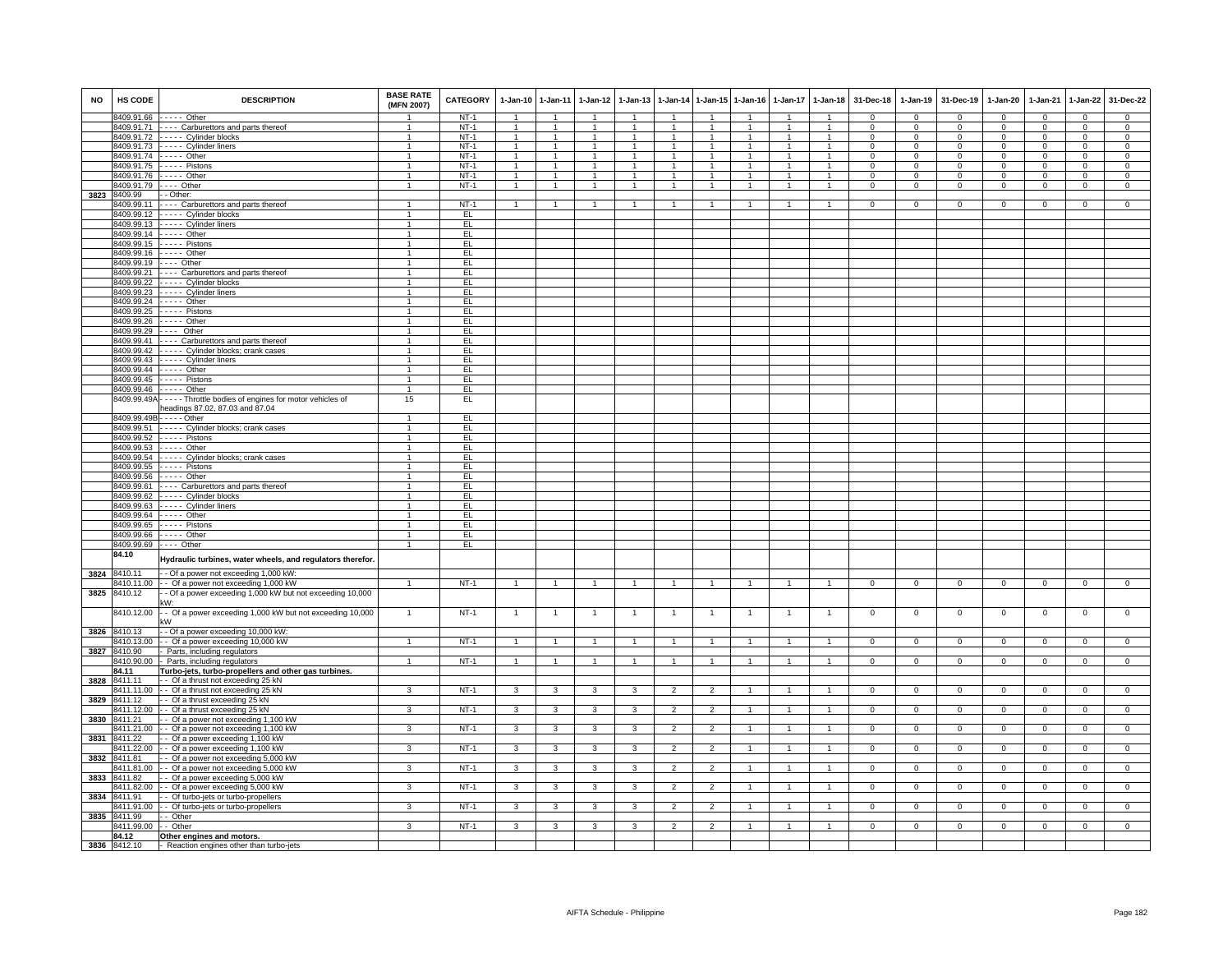| <b>NO</b> | HS CODE                  | <b>DESCRIPTION</b>                                                               | <b>BASE RATE</b><br>(MFN 2007) | CATEGORY         | $1-Jan-10$                     | $1 - Jan-11$                     | $1 - Jan-12$                   | $1 - Jan-13$                 |                         | 1-Jan-14 1-Jan-15              | $1-Jan-16$                     | $1-Jan-17$           | $1-Jan-18$                     | 31-Dec-18            | $1 - Jan-19$                   | 31-Dec-19               | $1-Jan-20$                 | $1-Jan-21$           | $1 - Jan-22$                     | 31-Dec-22                        |
|-----------|--------------------------|----------------------------------------------------------------------------------|--------------------------------|------------------|--------------------------------|----------------------------------|--------------------------------|------------------------------|-------------------------|--------------------------------|--------------------------------|----------------------|--------------------------------|----------------------|--------------------------------|-------------------------|----------------------------|----------------------|----------------------------------|----------------------------------|
|           |                          | 8409.91.66 ----- Other                                                           |                                | $NT-1$           | $\overline{1}$                 | $\overline{1}$                   | $\overline{1}$                 | $\overline{1}$               | $\overline{1}$          | $\overline{1}$                 | $\overline{1}$                 | $\overline{1}$       | $\overline{1}$                 | $\mathbf{0}$         | $\mathbf 0$                    | $\Omega$                | $\Omega$                   | $\Omega$             | $\mathbf 0$                      | $\mathbf{0}$                     |
|           |                          | 8409.91.71 ---- Carburettors and parts thereof                                   | $\mathbf{1}$                   | $NT-1$           | $\overline{1}$                 | $\overline{1}$                   | $\overline{1}$                 | $\overline{1}$               | $\blacktriangleleft$    | $\overline{1}$                 | $\overline{1}$                 | $\overline{1}$       | $\overline{1}$                 | $\Omega$             | $\mathbf{0}$                   | $\Omega$                | $\Omega$                   | $\Omega$             | $\Omega$                         | $\Omega$                         |
|           |                          | 8409.91.72 ----- Cylinder blocks<br>8409.91.73 ----- Cylinder liners             | $\mathbf{1}$<br>$\mathbf{1}$   | $NT-1$<br>$NT-1$ | $\overline{1}$<br>$\mathbf{1}$ | $\overline{1}$<br>$\overline{1}$ | $\overline{1}$<br>$\mathbf{1}$ | $\mathbf{1}$<br>$\mathbf{1}$ | 1<br>$\mathbf{1}$       | $\overline{1}$<br>$\mathbf{1}$ | $\overline{1}$<br>$\mathbf{1}$ | $\overline{1}$       | $\overline{1}$<br>$\mathbf{1}$ | $\Omega$<br>$\Omega$ | $\mathbf{0}$<br>$\overline{0}$ | $\mathbf 0$<br>$\Omega$ | $\Omega$<br>$\overline{0}$ | $\Omega$<br>$\Omega$ | $\overline{0}$<br>$\overline{0}$ | $\overline{0}$<br>$\overline{0}$ |
|           |                          | 8409.91.74 ----- Other                                                           | $\mathbf{1}$                   | $NT-1$           | $\mathbf{1}$                   | $\mathbf{1}$                     | 1                              | $\mathbf{1}$                 | 1                       | $\mathbf{1}$                   |                                | -1<br>-1             | 1                              | $^{\circ}$           | $\mathbf{0}$                   | $\mathbf 0$             | $^{\circ}$                 | $\mathbf 0$          | $\mathbf{0}$                     | $\mathbf 0$                      |
|           |                          | 8409.91.75 ----- Pistons                                                         | $\mathbf{1}$                   | $NT-1$           | $\mathbf{1}$                   | $\mathbf{1}$                     | $\mathbf{1}$                   | $\mathbf{1}$                 | 1                       | $\overline{1}$                 | $\overline{1}$                 | $\blacktriangleleft$ | $\blacktriangleleft$           | $^{\circ}$           | $\circ$                        | $\mathbf 0$             | $\mathbf 0$                | $\mathbf 0$          | $\mathbf 0$                      | $\mathbf 0$                      |
|           |                          | 8409.91.76 ----- Other                                                           | $\mathbf{1}$                   | $NT-1$           | $\mathbf{1}$                   | $\mathbf{1}$                     | $\overline{1}$                 | $\overline{1}$               | $\mathbf{1}$            | $\overline{1}$                 | $\overline{1}$                 | $\overline{1}$       | $\overline{1}$                 | $\Omega$             | $\mathbf 0$                    | $\Omega$                | $\Omega$                   | $^{\circ}$           | $\mathbf 0$                      | $\mathbf 0$                      |
|           |                          | 8409.91.79 ---- Other                                                            | $\mathbf{1}$                   | $NT-1$           | $\overline{1}$                 | $\overline{1}$                   | $\overline{1}$                 | $\overline{1}$               | $\mathbf{1}$            | $\overline{1}$                 | $\overline{1}$                 | $\overline{1}$       | $\overline{1}$                 | $\Omega$             | $\overline{0}$                 | $\mathbf 0$             | $\mathbf 0$                | $\mathbf 0$          | $\overline{0}$                   | $\mathsf 0$                      |
| 3823      | 8409.99                  | - - Other:                                                                       |                                |                  |                                |                                  |                                |                              |                         |                                |                                |                      |                                |                      |                                |                         |                            |                      |                                  |                                  |
|           | 8409.99.11               | ---- Carburettors and parts thereof                                              | $\mathbf{1}$                   | $NT-1$           | $\overline{1}$                 | $\mathbf{1}$                     | $\mathbf{1}$                   |                              |                         | $\mathbf{1}$                   |                                |                      |                                | $\Omega$             | $\Omega$                       | $\Omega$                | $\Omega$                   | $\Omega$             | $\Omega$                         | $\Omega$                         |
|           |                          | 8409.99.12 ----- Cylinder blocks                                                 | 1                              | EL.              |                                |                                  |                                |                              |                         |                                |                                |                      |                                |                      |                                |                         |                            |                      |                                  |                                  |
|           |                          | 8409.99.13 ----- Cylinder liners                                                 | $\mathbf{1}$                   | EL               |                                |                                  |                                |                              |                         |                                |                                |                      |                                |                      |                                |                         |                            |                      |                                  |                                  |
|           |                          | 8409.99.14 ----- Other                                                           | $\overline{1}$                 | EL               |                                |                                  |                                |                              |                         |                                |                                |                      |                                |                      |                                |                         |                            |                      |                                  |                                  |
|           |                          | 8409.99.15 ----- Pistons                                                         | $\mathbf{1}$                   | EL               |                                |                                  |                                |                              |                         |                                |                                |                      |                                |                      |                                |                         |                            |                      |                                  |                                  |
|           |                          | 8409.99.16 ----- Other                                                           | $\mathbf{1}$                   | EL               |                                |                                  |                                |                              |                         |                                |                                |                      |                                |                      |                                |                         |                            |                      |                                  |                                  |
|           |                          | 8409.99.19 ---- Other<br>8409.99.21 ---- Carburettors and parts thereof          | $\mathbf{1}$<br>$\overline{1}$ | EL.<br>EL        |                                |                                  |                                |                              |                         |                                |                                |                      |                                |                      |                                |                         |                            |                      |                                  |                                  |
|           |                          | 8409.99.22 ----- Cylinder blocks                                                 | $\overline{1}$                 | EL               |                                |                                  |                                |                              |                         |                                |                                |                      |                                |                      |                                |                         |                            |                      |                                  |                                  |
|           |                          | 8409.99.23 ----- Cylinder liners                                                 | $\mathbf{1}$                   | EL.              |                                |                                  |                                |                              |                         |                                |                                |                      |                                |                      |                                |                         |                            |                      |                                  |                                  |
|           |                          | 8409.99.24 ----- Other                                                           | $\mathbf{1}$                   | EL               |                                |                                  |                                |                              |                         |                                |                                |                      |                                |                      |                                |                         |                            |                      |                                  |                                  |
|           |                          | 8409.99.25 ----- Pistons                                                         | $\overline{1}$                 | EL.              |                                |                                  |                                |                              |                         |                                |                                |                      |                                |                      |                                |                         |                            |                      |                                  |                                  |
|           |                          | 8409.99.26 ----- Other                                                           | $\mathbf{1}$                   | EL               |                                |                                  |                                |                              |                         |                                |                                |                      |                                |                      |                                |                         |                            |                      |                                  |                                  |
|           |                          | 8409.99.29 ---- Other                                                            | $\mathbf{1}$                   | EL               |                                |                                  |                                |                              |                         |                                |                                |                      |                                |                      |                                |                         |                            |                      |                                  |                                  |
|           |                          | 8409.99.41 ---- Carburettors and parts thereof                                   | $\overline{1}$                 | EL               |                                |                                  |                                |                              |                         |                                |                                |                      |                                |                      |                                |                         |                            |                      |                                  |                                  |
|           |                          | 8409.99.42 ----- Cylinder blocks; crank cases                                    | $\mathbf{1}$                   | EL               |                                |                                  |                                |                              |                         |                                |                                |                      |                                |                      |                                |                         |                            |                      |                                  |                                  |
|           |                          | 8409.99.43 ----- Cylinder liners                                                 | $\mathbf{1}$                   | EL               |                                |                                  |                                |                              |                         |                                |                                |                      |                                |                      |                                |                         |                            |                      |                                  |                                  |
|           |                          | 8409.99.44 ----- Other                                                           | $\overline{1}$                 | EL               |                                |                                  |                                |                              |                         |                                |                                |                      |                                |                      |                                |                         |                            |                      |                                  |                                  |
|           |                          | 8409.99.45 ----- Pistons                                                         | $\mathbf{1}$                   | EL               |                                |                                  |                                |                              |                         |                                |                                |                      |                                |                      |                                |                         |                            |                      |                                  |                                  |
|           |                          | 8409.99.46 ----- Other                                                           | $\mathbf{1}$                   | EL               |                                |                                  |                                |                              |                         |                                |                                |                      |                                |                      |                                |                         |                            |                      |                                  |                                  |
|           |                          | 8409.99.49A - - - - - Throttle bodies of engines for motor vehicles of           | 15                             | EL               |                                |                                  |                                |                              |                         |                                |                                |                      |                                |                      |                                |                         |                            |                      |                                  |                                  |
|           |                          | headings 87.02, 87.03 and 87.04<br>8409.99.49B - - - - - Other                   | 1                              | EL               |                                |                                  |                                |                              |                         |                                |                                |                      |                                |                      |                                |                         |                            |                      |                                  |                                  |
|           |                          | 8409.99.51 ----- Cylinder blocks; crank cases                                    | 1                              | EL               |                                |                                  |                                |                              |                         |                                |                                |                      |                                |                      |                                |                         |                            |                      |                                  |                                  |
|           |                          | 8409.99.52 - - - - - Pistons                                                     | $\mathbf{1}$                   | EL               |                                |                                  |                                |                              |                         |                                |                                |                      |                                |                      |                                |                         |                            |                      |                                  |                                  |
|           |                          | 8409.99.53 ----- Other                                                           | $\mathbf{1}$                   | EL               |                                |                                  |                                |                              |                         |                                |                                |                      |                                |                      |                                |                         |                            |                      |                                  |                                  |
|           |                          | 8409.99.54 ----- Cylinder blocks; crank cases                                    | $\mathbf{1}$                   | EL               |                                |                                  |                                |                              |                         |                                |                                |                      |                                |                      |                                |                         |                            |                      |                                  |                                  |
|           |                          | 8409.99.55 ----- Pistons                                                         | $\overline{1}$                 | EL               |                                |                                  |                                |                              |                         |                                |                                |                      |                                |                      |                                |                         |                            |                      |                                  |                                  |
|           |                          | 8409.99.56 ----- Other                                                           | $\mathbf{1}$                   | EL               |                                |                                  |                                |                              |                         |                                |                                |                      |                                |                      |                                |                         |                            |                      |                                  |                                  |
|           |                          | 8409.99.61 - - - - Carburettors and parts thereof                                | $\mathbf{1}$                   | EL               |                                |                                  |                                |                              |                         |                                |                                |                      |                                |                      |                                |                         |                            |                      |                                  |                                  |
|           |                          | 8409.99.62 ----- Cylinder blocks                                                 | $\mathbf{1}$                   | EL               |                                |                                  |                                |                              |                         |                                |                                |                      |                                |                      |                                |                         |                            |                      |                                  |                                  |
|           |                          | 8409.99.63 ----- Cylinder liners                                                 | $\overline{1}$                 | EL.              |                                |                                  |                                |                              |                         |                                |                                |                      |                                |                      |                                |                         |                            |                      |                                  |                                  |
|           |                          | 8409.99.64 ----- Other                                                           | 1                              | EL.              |                                |                                  |                                |                              |                         |                                |                                |                      |                                |                      |                                |                         |                            |                      |                                  |                                  |
|           | 8409.99.65<br>8409.99.66 | $---$ Pistons<br>$---$ Other                                                     | $\overline{1}$<br>$\mathbf{1}$ | EL<br>EL         |                                |                                  |                                |                              |                         |                                |                                |                      |                                |                      |                                |                         |                            |                      |                                  |                                  |
|           |                          | 8409.99.69 ---- Other                                                            | $\overline{1}$                 | EL               |                                |                                  |                                |                              |                         |                                |                                |                      |                                |                      |                                |                         |                            |                      |                                  |                                  |
|           | 84.10                    |                                                                                  |                                |                  |                                |                                  |                                |                              |                         |                                |                                |                      |                                |                      |                                |                         |                            |                      |                                  |                                  |
|           |                          | Hydraulic turbines, water wheels, and regulators therefor                        |                                |                  |                                |                                  |                                |                              |                         |                                |                                |                      |                                |                      |                                |                         |                            |                      |                                  |                                  |
| 3824      | 8410.11                  | - - Of a power not exceeding 1,000 kW:                                           |                                |                  |                                |                                  |                                |                              |                         |                                |                                |                      |                                |                      |                                |                         |                            |                      |                                  |                                  |
|           | 8410.11.00               | -- Of a power not exceeding 1,000 kW                                             | 1                              | $NT-1$           | $\overline{1}$                 | $\mathbf{1}$                     | $\mathbf{1}$                   |                              |                         | $\mathbf{1}$                   |                                | $\overline{1}$       |                                | $\mathbf{O}$         | $\mathbf{0}$                   | $\overline{0}$          | $\mathbf 0$                | $\mathbf 0$          | $\mathbf 0$                      | $\mathbf 0$                      |
| 3825      | 8410.12                  | - Of a power exceeding 1,000 kW but not exceeding 10,000                         |                                |                  |                                |                                  |                                |                              |                         |                                |                                |                      |                                |                      |                                |                         |                            |                      |                                  |                                  |
|           |                          | ،W:                                                                              |                                |                  |                                |                                  |                                |                              |                         |                                |                                |                      |                                |                      |                                |                         |                            |                      |                                  |                                  |
|           | 8410.12.00               | - Of a power exceeding 1,000 kW but not exceeding 10,000                         | $\mathbf{1}$                   | $NT-1$           | $\overline{1}$                 | $\overline{1}$                   | $\overline{1}$                 | $\mathbf{1}$                 | $\overline{1}$          | $\overline{1}$                 | -1                             | $\mathbf{1}$         | $\overline{1}$                 | $\mathbf{0}$         | $\mathbf 0$                    | $\mathbf 0$             | $\mathbf 0$                | $\mathbf 0$          | $\overline{0}$                   | $\overline{0}$                   |
|           |                          | ٢W                                                                               |                                |                  |                                |                                  |                                |                              |                         |                                |                                |                      |                                |                      |                                |                         |                            |                      |                                  |                                  |
| 3826      | 8410.13                  | - Of a power exceeding 10,000 kW:                                                |                                |                  |                                |                                  |                                |                              |                         |                                |                                |                      |                                |                      |                                |                         |                            |                      |                                  |                                  |
| 3827      | 3410.13.00<br>8410.90    | -- Of a power exceeding 10,000 kW<br>- Parts, including regulators               | 1                              | $NT-1$           | $\mathbf{1}$                   | $\mathbf{1}$                     | $\mathbf{1}$                   | $\mathbf{1}$                 | 1                       | $\mathbf{1}$                   |                                |                      |                                | 0                    | 0                              | $\overline{0}$          | 0                          | $\mathbf 0$          | $\overline{0}$                   | $\overline{0}$                   |
|           | 8410.90.00               | - Parts, including regulators                                                    | $\overline{1}$                 | $NT-1$           | $\overline{1}$                 | $\overline{1}$                   | $\overline{1}$                 | $\mathbf{1}$                 | $\overline{1}$          | $\overline{1}$                 |                                |                      |                                | $\overline{0}$       | $\overline{0}$                 | $\overline{0}$          | $\overline{0}$             | $\Omega$             | $\overline{0}$                   | $\Omega$                         |
|           | 84.11                    | Turbo-jets, turbo-propellers and other gas turbines.                             |                                |                  |                                |                                  |                                |                              |                         |                                |                                |                      |                                |                      |                                |                         |                            |                      |                                  |                                  |
| 3828      | 8411.11                  | - - Of a thrust not exceeding 25 kN                                              |                                |                  |                                |                                  |                                |                              |                         |                                |                                |                      |                                |                      |                                |                         |                            |                      |                                  |                                  |
|           |                          | 8411.11.00 - Of a thrust not exceeding 25 kN                                     | $\mathcal{R}$                  | $NT-1$           | $\mathbf{3}$                   | 3                                | $\mathbf{3}$                   | 3                            | $\overline{2}$          | $\overline{2}$                 | $\overline{1}$                 |                      | $\blacktriangleleft$           | $\mathbf{0}$         | $^{\circ}$                     | $\overline{0}$          | $\mathbf 0$                | $^{\circ}$           | $\mathbf 0$                      | $^{\circ}$                       |
| 3829      | 8411.12                  | - - Of a thrust exceeding 25 kN                                                  |                                |                  |                                |                                  |                                |                              |                         |                                |                                |                      |                                |                      |                                |                         |                            |                      |                                  |                                  |
|           |                          | 8411.12.00 - - Of a thrust exceeding 25 kN                                       | 3                              | $NT-1$           | 3                              | 3                                | $\mathbf{3}$                   | 3                            | $\overline{2}$          | $\overline{2}$                 | $\overline{1}$                 | $\mathbf{1}$         | $\overline{1}$                 | $^{\circ}$           | $\mathbf{0}$                   | $\overline{0}$          | $^{\circ}$                 | $^{\circ}$           | $\overline{0}$                   | $\overline{0}$                   |
| 3830      | 8411.21                  | -- Of a power not exceeding 1,100 kW                                             |                                |                  |                                |                                  |                                |                              |                         |                                |                                |                      |                                |                      |                                |                         |                            |                      |                                  |                                  |
|           | 8411.21.00               | - - Of a power not exceeding 1,100 kW                                            | 3                              | $NT-1$           | 3                              | 3                                | 3                              | 3                            | $\overline{\mathbf{c}}$ | $\overline{2}$                 |                                |                      |                                | 0                    | $\mathbf 0$                    | $\mathsf 0$             | 0                          | 0                    | $\mathbf 0$                      | $\,0\,$                          |
| 3831      | 8411.22                  | - Of a power exceeding 1,100 kW                                                  |                                |                  |                                |                                  |                                |                              |                         |                                |                                |                      |                                |                      |                                |                         |                            |                      |                                  |                                  |
|           | 8411.22.00               | - - Of a power exceeding 1,100 kW                                                | 3                              | $NT-1$           | $\overline{3}$                 | $\overline{3}$                   | $\overline{\mathbf{3}}$        | 3                            | $\overline{2}$          | $\overline{2}$                 | $\overline{1}$                 | $\overline{1}$       | $\blacktriangleleft$           | 0                    | $\overline{0}$                 | $\overline{0}$          | $\Omega$                   | $\mathbf{0}$         | $\overline{0}$                   | $\overline{0}$                   |
| 3832      | 8411.81                  | -- Of a power not exceeding 5,000 kW                                             |                                |                  |                                |                                  |                                |                              |                         |                                |                                |                      |                                |                      |                                |                         |                            |                      |                                  |                                  |
|           | 8411.81.00<br>8411.82    | -- Of a power not exceeding 5,000 kW                                             | 3                              | $NT-1$           | $\overline{3}$                 | 3                                | $\overline{3}$                 | 3                            | $\overline{2}$          | $\overline{2}$                 |                                | $\overline{1}$       |                                | $\overline{0}$       | $\overline{0}$                 | $\overline{0}$          | $\overline{0}$             | $\overline{0}$       | $\overline{0}$                   | $\overline{0}$                   |
| 3833      |                          | -- Of a power exceeding 5,000 kW<br>8411.82.00 - - Of a power exceeding 5,000 kW | 3                              | $NT-1$           | $\mathbf{3}$                   | $\mathbf{3}$                     | $\mathbf{3}$                   | $\mathbf{3}$                 | $\overline{2}$          | $\overline{2}$                 | $\mathbf{1}$                   | $\overline{1}$       | $\overline{1}$                 | $\mathbf{0}$         | $\mathbf{0}$                   | $\overline{0}$          | $\mathbf{0}$               | $\mathbf 0$          | $\mathbf{0}$                     | $\overline{0}$                   |
|           | 3834 8411.91             | - - Of turbo-jets or turbo-propellers                                            |                                |                  |                                |                                  |                                |                              |                         |                                |                                |                      |                                |                      |                                |                         |                            |                      |                                  |                                  |
|           | 8411.91.00               | - - Of turbo-jets or turbo-propellers                                            | 3                              | $NT-1$           | 3                              | 3                                | 3                              | 3                            | $\overline{2}$          | $\overline{2}$                 | $\overline{1}$                 | $\overline{1}$       | $\overline{1}$                 | $\mathbf{0}$         | $\mathbf{0}$                   | $\mathbf{0}$            | $\mathbf{0}$               | $\mathbf{0}$         | $\circ$                          | $\mathbf 0$                      |
| 3835      | 8411.99                  | - Other                                                                          |                                |                  |                                |                                  |                                |                              |                         |                                |                                |                      |                                |                      |                                |                         |                            |                      |                                  |                                  |
|           | 3411.99.00 - - Other     |                                                                                  | 3                              | $NT-1$           | 3                              | 3                                | 3                              | 3                            | $\overline{2}$          | $\overline{2}$                 | $\mathbf{1}$                   | $\mathbf{1}$         | $\mathbf{1}$                   | $\mathbf{0}$         | $\mathbf{0}$                   | $\mathbf{0}$            | $\mathbf 0$                | $\mathbf{0}$         | $\mathbf{0}$                     | $\mathbf{0}$                     |
|           | 84.12                    | Other engines and motors.                                                        |                                |                  |                                |                                  |                                |                              |                         |                                |                                |                      |                                |                      |                                |                         |                            |                      |                                  |                                  |
|           | 3836 8412.10             | - Reaction engines other than turbo-jets                                         |                                |                  |                                |                                  |                                |                              |                         |                                |                                |                      |                                |                      |                                |                         |                            |                      |                                  |                                  |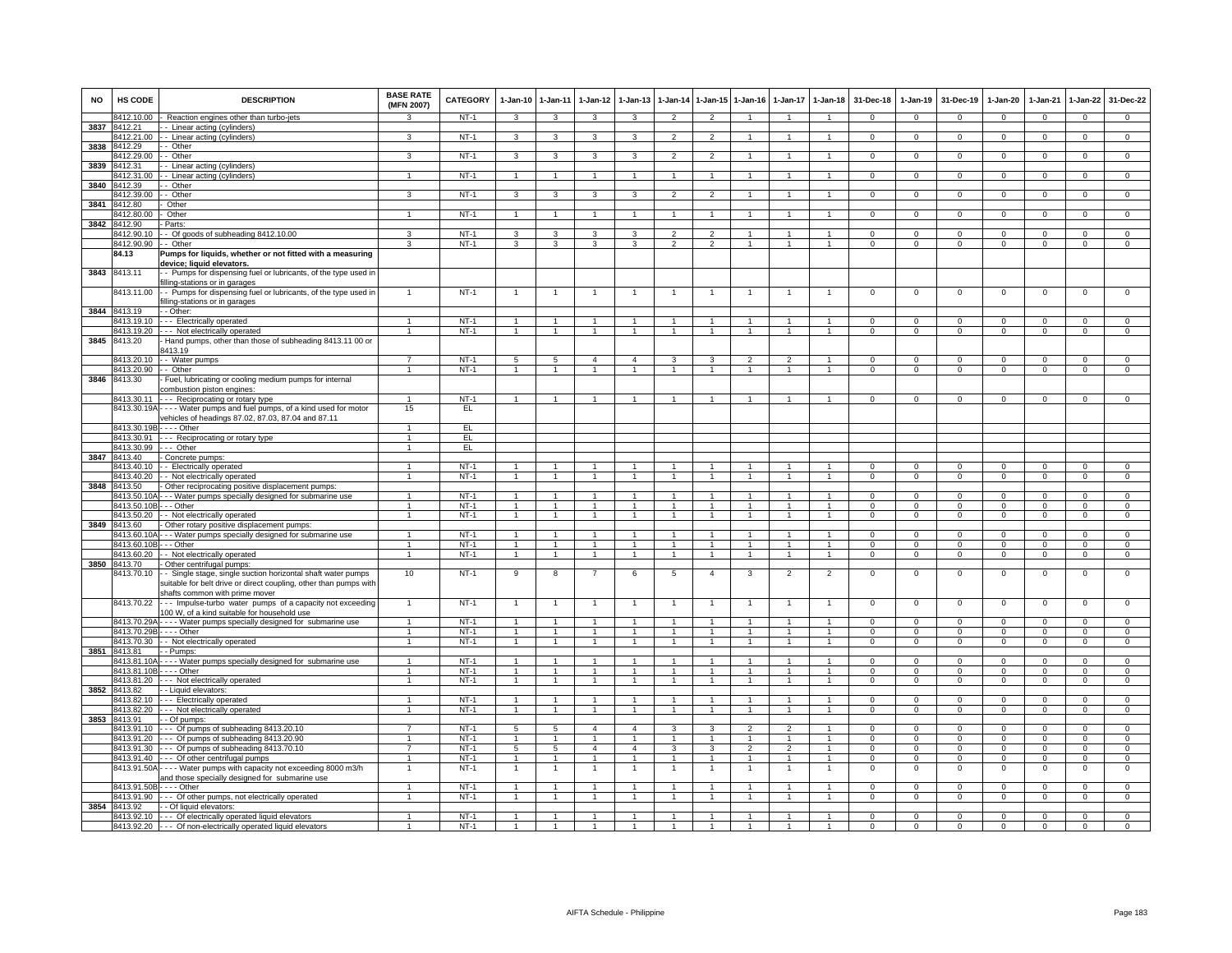| NO   | HS CODE                    | <b>DESCRIPTION</b>                                                                                                                                           | <b>BASE RATE</b><br>(MFN 2007) | CATEGORY         | $1 - Jan-10$                 | $1 - Jan-11$            | 1-Jan-12             | 1-Jan-13       |                |                      | 1-Jan-14 1-Jan-15 1-Jan-16 |                | 1-Jan-17 1-Jan-18    | 31-Dec-18            | $1-Jan-19$           | 31-Dec-19            | 1-Jan-20             | 1-Jan-21             | 1-Jan-22                         | 31-Dec-22                   |
|------|----------------------------|--------------------------------------------------------------------------------------------------------------------------------------------------------------|--------------------------------|------------------|------------------------------|-------------------------|----------------------|----------------|----------------|----------------------|----------------------------|----------------|----------------------|----------------------|----------------------|----------------------|----------------------|----------------------|----------------------------------|-----------------------------|
|      | 3412.10.00                 | Reaction engines other than turbo-jets                                                                                                                       | $\mathbf{R}$                   | $NT-1$           | 3                            | $\overline{\mathbf{3}}$ | 3                    | $\mathbf{3}$   | $\overline{2}$ | $\overline{2}$       | $\overline{1}$             | $\overline{1}$ | $\overline{1}$       | $\Omega$             | $\Omega$             | $\Omega$             | $\Omega$             | $\overline{0}$       | $\mathsf 0$                      | $\overline{0}$              |
| 3837 | 3412.21                    | - Linear acting (cylinders                                                                                                                                   |                                |                  |                              |                         |                      |                |                |                      |                            |                |                      |                      |                      |                      |                      |                      |                                  |                             |
| 3838 | 8412.21.00<br>8412.29      | - Linear acting (cylinders)<br>- Other                                                                                                                       | 3                              | $NT-1$           | 3                            | 3                       | 3                    | 3              | $\overline{2}$ | $\mathfrak{p}$       |                            |                |                      | $\Omega$             | $\Omega$             | $\Omega$             | $\Omega$             | $\Omega$             | $\Omega$                         | $\Omega$                    |
|      | 8412.29.00                 | - Other                                                                                                                                                      | 3                              | $NT-1$           | 3                            | 3                       |                      |                | $\mathcal{P}$  |                      |                            |                |                      |                      | $\Omega$             | $\Omega$             | $\Omega$             | $\Omega$             | $\Omega$                         | $\Omega$                    |
| 3839 | 8412.31                    | - Linear acting (cylinders)                                                                                                                                  |                                |                  |                              |                         |                      |                |                |                      |                            |                |                      |                      |                      |                      |                      |                      |                                  |                             |
|      | 8412.31.00                 | - Linear acting (cylinders)                                                                                                                                  | $\overline{1}$                 | NT-1             | $\mathbf{1}$                 | $\overline{1}$          | $\mathbf{1}$         | $\mathbf{1}$   | $\overline{1}$ | $\overline{1}$       |                            |                |                      | $\mathbf{0}$         | $\mathbf{0}$         | $\mathbf{0}$         | $^{\circ}$           | $\mathbf 0$          | $\mathbf{0}$                     | $\mathbf{0}$                |
| 3840 | 8412.39                    | - Other                                                                                                                                                      |                                |                  |                              |                         |                      |                |                |                      |                            |                |                      |                      |                      |                      |                      |                      |                                  |                             |
|      | 3412.39.00                 | - Other                                                                                                                                                      | 3                              | $NT-1$           | 3                            | 3                       | 3                    | 3              | $\overline{2}$ | 2                    | -1                         | -1             | $\mathbf{1}$         | $\Omega$             | $\mathbf 0$          | $\mathbf 0$          | $\mathbf 0$          | $\mathbf 0$          | $\mathbf{0}$                     | $\overline{0}$              |
| 3841 | 8412.80                    | Other<br>Other                                                                                                                                               |                                | $NT-1$           | $\mathbf{1}$                 | $\mathbf{1}$            |                      |                |                | 1                    |                            |                |                      | $\mathbf 0$          | $\mathbf{0}$         | $\Omega$             |                      | $\mathbf{0}$         | $\mathbf{0}$                     | $\mathbf 0$                 |
| 3842 | 3412.80.00<br>3412.90      | Parts:                                                                                                                                                       |                                |                  |                              |                         |                      |                | -1             |                      |                            |                |                      |                      |                      |                      | $\mathbf 0$          |                      |                                  |                             |
|      | 8412.90.10                 | - Of goods of subheading 8412.10.00                                                                                                                          | 3                              | $NT-1$           | 3                            | 3                       | 3                    | 3              | $\mathfrak{p}$ | $\mathfrak{p}$       | $\mathbf{1}$               | $\mathbf{1}$   | $\mathbf{1}$         | $\mathbf 0$          | $\mathbf 0$          | $\mathbf 0$          | $\mathbf 0$          | $\mathbf 0$          | $\mathbf 0$                      | $\overline{0}$              |
|      | 8412.90.90                 | - Other                                                                                                                                                      | 3                              | $NT-1$           | 3                            | 3                       | 3                    | 3              | $\overline{2}$ | $\mathcal{P}$        |                            |                |                      | $^{\circ}$           | $^{\circ}$           | 0                    | 0                    | 0                    | $\mathbf 0$                      | $\mathbf 0$                 |
|      | 84.13                      | Pumps for liquids, whether or not fitted with a measuring<br>levice; liquid elevators.                                                                       |                                |                  |                              |                         |                      |                |                |                      |                            |                |                      |                      |                      |                      |                      |                      |                                  |                             |
| 3843 | 8413.11                    | - Pumps for dispensing fuel or lubricants, of the type used in<br>lling-stations or in garages                                                               |                                |                  |                              |                         |                      |                |                |                      |                            |                |                      |                      |                      |                      |                      |                      |                                  |                             |
|      | 8413.11.00                 | - Pumps for dispensing fuel or lubricants, of the type used in<br>Iling-stations or in garages                                                               | $\mathbf{1}$                   | $NT-1$           | $\overline{1}$               | $\overline{1}$          |                      | $\mathbf{1}$   | $\overline{1}$ | $\overline{1}$       | -1                         | $\overline{1}$ | $\overline{1}$       | $\mathbf 0$          | $\mathbf 0$          | $\mathbf 0$          | $\mathbf 0$          | $\mathbf 0$          | 0                                | $\overline{0}$              |
|      | 3844 8413.19               | - Other:                                                                                                                                                     |                                |                  | $\overline{1}$               | $\mathbf{1}$            |                      |                | $\overline{1}$ | $\blacktriangleleft$ |                            |                |                      | $\Omega$             | $\Omega$             | $\Omega$             | $\Omega$             | $\Omega$             |                                  |                             |
|      | 8413.19.10<br>8413.19.20   | - - Electrically operated<br>-- Not electrically operated                                                                                                    | $\overline{1}$                 | $NT-1$<br>$NT-1$ | $\mathbf{1}$                 | $\overline{1}$          | $\blacktriangleleft$ | $\mathbf{1}$   | $\overline{1}$ | $\overline{1}$       | $\overline{1}$             | $\overline{1}$ | $\overline{1}$       | $^{\circ}$           | $\mathbf{0}$         | $\mathbf 0$          | $\overline{0}$       | $\mathbf{0}$         | $\mathsf 0$<br>$\mathbf{0}$      | $\mathbf 0$<br>$\mathbf{0}$ |
| 3845 | 8413.20                    | Hand pumps, other than those of subheading 8413.11 00 or                                                                                                     |                                |                  |                              |                         |                      |                |                |                      |                            |                |                      |                      |                      |                      |                      |                      |                                  |                             |
|      |                            | 3413.19                                                                                                                                                      |                                |                  |                              |                         |                      |                |                |                      |                            |                |                      |                      |                      |                      |                      |                      |                                  |                             |
|      | 8413.20.10                 | - Water pumps                                                                                                                                                | $\overline{7}$                 | $NT-1$           | 5                            | 5                       | $\overline{a}$       | $\overline{4}$ | 3              | 3                    | 2                          | $\overline{2}$ | $\overline{1}$       | $\Omega$             | $\mathbf{0}$         | $^{\circ}$           | $\overline{0}$       | $^{\circ}$           | $\mathbf{0}$                     | $^{\circ}$                  |
|      | 8413.20.90                 | $-$ Other                                                                                                                                                    | $\overline{1}$                 | $NT-1$           | $\overline{1}$               | $\overline{1}$          | $\mathbf{1}$         | $\overline{1}$ | $\overline{1}$ | $\overline{1}$       | $\overline{1}$             | $\overline{1}$ | $\overline{1}$       | $\overline{0}$       | $^{\circ}$           | $\overline{0}$       | $\mathbf{0}$         | $\mathbf{0}$         | $\mathbf{0}$                     | $\mathbf{0}$                |
| 3846 | 8413.30                    | Fuel, lubricating or cooling medium pumps for internal<br>combustion piston engines:                                                                         |                                |                  |                              |                         |                      |                |                |                      |                            |                |                      |                      |                      |                      |                      |                      |                                  |                             |
|      | 8413.30.11<br>8413.30.19A  | --- Reciprocating or rotary type<br>Water pumps and fuel pumps, of a kind used for motor                                                                     | $\mathbf{1}$<br>15             | $NT-1$<br>EL     | $\overline{1}$               | $\mathbf{1}$            |                      |                | $\overline{1}$ | $\overline{1}$       | $\overline{1}$             | $\overline{1}$ | $\mathbf{1}$         | $\overline{0}$       | $\overline{0}$       | $\overline{0}$       | $\overline{0}$       | $\overline{0}$       | $\overline{0}$                   | $\overline{0}$              |
|      |                            | vehicles of headings 87.02, 87.03, 87.04 and 87.11                                                                                                           |                                |                  |                              |                         |                      |                |                |                      |                            |                |                      |                      |                      |                      |                      |                      |                                  |                             |
|      | 8413.30.19B - - - - Other  |                                                                                                                                                              | $\blacktriangleleft$           | EL.              |                              |                         |                      |                |                |                      |                            |                |                      |                      |                      |                      |                      |                      |                                  |                             |
|      | 8413.30.91<br>8413.30.99   | --- Reciprocating or rotary type<br>-- Other                                                                                                                 |                                | E<br>EL          |                              |                         |                      |                |                |                      |                            |                |                      |                      |                      |                      |                      |                      |                                  |                             |
| 3847 | 8413.40                    | Concrete pumps:                                                                                                                                              |                                |                  |                              |                         |                      |                |                |                      |                            |                |                      |                      |                      |                      |                      |                      |                                  |                             |
|      | 8413.40.10                 | - Electrically operated                                                                                                                                      | $\mathbf{1}$                   | $NT-1$           | $\overline{1}$               | $\overline{1}$          |                      |                | $\mathbf{1}$   | $\overline{1}$       | $\mathbf{1}$               | $\mathbf{1}$   | $\overline{1}$       | $\Omega$             | $\Omega$             | $\Omega$             | $\Omega$             | $\Omega$             | $\mathsf 0$                      | $\overline{0}$              |
|      | 8413.40.20                 | - Not electrically operated                                                                                                                                  |                                | $NT-1$           | $\overline{1}$               | $\overline{1}$          |                      |                | $\overline{1}$ | $\overline{1}$       |                            |                | $\mathbf{1}$         | $\overline{0}$       | $\overline{0}$       | $\overline{0}$       | $\overline{0}$       | $\overline{0}$       | $\overline{0}$                   | $\overline{0}$              |
| 3848 | 8413.50                    | Other reciprocating positive displacement pumps                                                                                                              |                                |                  |                              |                         |                      |                |                |                      |                            |                |                      |                      |                      |                      |                      |                      |                                  |                             |
|      | 8413.50.10<br>8413.50.10   | - - Water pumps specially designed for submarine use<br>$-$ Other                                                                                            | $\mathbf{1}$                   | $NT-1$<br>$NT-1$ | $\mathbf{1}$<br>$\mathbf{1}$ | $\mathbf{1}$            |                      |                |                | $\blacktriangleleft$ |                            |                |                      | $\Omega$<br>$\Omega$ | $\Omega$<br>$\Omega$ | $\Omega$<br>$\Omega$ | $\Omega$<br>$\Omega$ | $\Omega$<br>$\Omega$ | $\Omega$<br>$\Omega$             | $\Omega$<br>$\Omega$        |
|      | 8413.50.20                 | - Not electrically operated                                                                                                                                  | $\mathbf{1}$                   | <b>NT-1</b>      | $\mathbf{1}$                 | $\overline{1}$          |                      | $\mathbf{1}$   | $\overline{1}$ | $\overline{1}$       |                            | $\mathbf{1}$   | $\mathbf{1}$         | $\mathbf 0$          | $\mathbf 0$          | $\mathbf 0$          | $\mathbf 0$          | $\mathbf 0$          | $\mathbf{0}$                     | $\mathbf 0$                 |
|      | 3849 8413.60               | Other rotary positive displacement pumps:                                                                                                                    |                                |                  |                              |                         |                      |                |                |                      |                            |                |                      |                      |                      |                      |                      |                      |                                  |                             |
|      | 8413.60.10A                | --- Water pumps specially designed for submarine use                                                                                                         | $\overline{1}$                 | $NT-1$           | $\overline{1}$               | $\overline{1}$          |                      | $\mathbf{1}$   | $\overline{1}$ | $\overline{1}$       | -1                         | $\mathbf{1}$   | $\blacktriangleleft$ | $\Omega$             | $\Omega$             | $\Omega$             | $\Omega$             | $\Omega$             | $\Omega$                         | $\Omega$                    |
|      | 8413.60.10B                | - - Other                                                                                                                                                    | $\mathbf{1}$                   | $NT-1$           | $\mathbf{1}$                 | $\overline{1}$          | $\mathbf{1}$         | 1              | $\overline{1}$ | $\overline{1}$       | $\overline{1}$             | $\mathbf{1}$   | $\mathbf{1}$         | $\Omega$             | $\circ$              | $\mathbf 0$          | $\mathbf{0}$         | $\Omega$             | $\mathbf{0}$                     | $\mathbf 0$                 |
| 3850 | 8413.60.20<br>8413.70      | - Not electrically operated                                                                                                                                  | $\overline{1}$                 | $NT-1$           | $\mathbf{1}$                 | $\mathbf{1}$            | $\mathbf{1}$         | $\mathbf{1}$   | $\overline{1}$ | $\mathbf{1}$         | $\overline{1}$             | $\mathbf{1}$   | $\mathbf{1}$         | $^{\circ}$           | $\mathbf 0$          | $\mathbf{0}$         | $\overline{0}$       | $\mathbf 0$          | $\mathbf{0}$                     | $\overline{0}$              |
|      | 3413.70.10                 | Other centrifugal pumps:<br>- Single stage, single suction horizontal shaft water pumps<br>suitable for belt drive or direct coupling, other than pumps with | 10                             | $NT-1$           | 9                            | 8                       |                      | 6              | $\sqrt{5}$     | $\overline{4}$       | 3                          | $\overline{2}$ | $\overline{2}$       | $\mathbf 0$          | $\mathbf 0$          | $\mathbf 0$          | $\mathbf 0$          | $\mathbf 0$          | $\mathsf 0$                      | $\mathbf 0$                 |
|      | 8413.70.22                 | hafts common with prime mover<br>--- Impulse-turbo water pumps of a capacity not exceeding<br>00 W, of a kind suitable for household use                     | $\mathbf{1}$                   | $NT-1$           | $\overline{1}$               | $\overline{1}$          |                      |                | $\overline{1}$ | $\overline{1}$       |                            | $\overline{1}$ | 1                    | $\mathbf 0$          | $\mathbf 0$          | $\mathbf 0$          | $\mathbf 0$          | $\mathbf 0$          | $\mathsf 0$                      | $\mathsf 0$                 |
|      | 8413.70.29A                | - - - - Water pumps specially designed for submarine use                                                                                                     | $\overline{1}$                 | $NT-1$           | $\overline{1}$               | $\overline{1}$          |                      | $\overline{1}$ | $\overline{1}$ | $\overline{1}$       | $\overline{1}$             | $\overline{1}$ | $\blacktriangleleft$ | $\Omega$             | $\overline{0}$       | $\Omega$             | $\overline{0}$       | $\overline{0}$       | $\overline{0}$                   | $\overline{0}$              |
|      | 8413.70.29B                | $--$ Other                                                                                                                                                   | $\blacktriangleleft$           | $NT-1$           | $\overline{1}$               | $\overline{1}$          | $\overline{1}$       | $\mathbf{1}$   | $\overline{1}$ | $\overline{1}$       | $\overline{1}$             | $\overline{1}$ | $\blacktriangleleft$ | $\Omega$             | $\Omega$             | $\Omega$             | $\Omega$             | $\Omega$             | $\mathbf 0$                      | $\overline{0}$              |
|      |                            | 8413.70.30 - - Not electrically operated                                                                                                                     | $\mathbf{1}$                   | $NT-1$           | $\overline{1}$               | $\overline{1}$          |                      | $\overline{1}$ | $\overline{1}$ | $\overline{1}$       | $\mathbf{1}$               | $\overline{1}$ | $\blacktriangleleft$ | $\mathbf 0$          | $\mathbf{0}$         | $\mathbf 0$          | $\mathbf{0}$         | $\Omega$             | $\mathsf 0$                      | $\overline{0}$              |
| 3851 | 8413.81                    | - Pumps:                                                                                                                                                     |                                |                  | $\overline{1}$               | $\mathbf{1}$            |                      |                |                | $\blacktriangleleft$ |                            |                | $\mathbf{1}$         | $\Omega$             | $\Omega$             | $\Omega$             | $\Omega$             | $\Omega$             | $\Omega$                         | $\Omega$                    |
|      | 8413.81.10/<br>8413.81.10B | --- Water pumps specially designed for submarine use<br>$- -$ Other                                                                                          |                                | $NT-1$<br>$NT-1$ | $\mathbf{1}$                 | $\mathbf{1}$            |                      |                | $\overline{1}$ | $\overline{1}$       |                            |                |                      | $\Omega$             | $\Omega$             | $\Omega$             | $\Omega$             | $\Omega$             | $\Omega$                         | $\Omega$                    |
|      | 8413.81.20                 | --- Not electrically operated                                                                                                                                | $\mathbf{1}$                   | $NT-1$           | $\mathbf{1}$                 | $\overline{1}$          | $\mathbf{1}$         | $\mathbf{1}$   | $\overline{1}$ | $\overline{1}$       |                            | $\mathbf{1}$   | $\mathbf{1}$         | $\mathbf{0}$         | $\mathbf{0}$         | $\mathbf 0$          | $\mathbf 0$          | $\mathbf 0$          | $\mathbf 0$                      | $\mathbf{0}$                |
|      | 3852 8413.82               | - Liquid elevators:                                                                                                                                          |                                |                  |                              |                         |                      |                |                |                      |                            |                |                      |                      |                      |                      |                      |                      |                                  |                             |
|      | 8413.82.10                 | -- Electrically operated                                                                                                                                     | $\overline{1}$                 | $NT-1$           | $\mathbf{1}$                 | $\overline{1}$          | $\mathbf{1}$         | $\mathbf{1}$   | $\overline{1}$ | $\overline{1}$       | $\mathbf{1}$               | $\mathbf{1}$   | $\overline{1}$       | $\Omega$             | $\mathbf{0}$         | $^{\circ}$           | $^{\circ}$           | $\Omega$             | $\mathbf{0}$                     | $\overline{0}$              |
|      | 8413.82.20                 | - - Not electrically operated                                                                                                                                | $\overline{1}$                 | $NT-1$           | $\mathbf{1}$                 | $\overline{1}$          | $\mathbf{1}$         | $\overline{1}$ | $\overline{1}$ | $\mathbf{1}$         | $\overline{1}$             | $\overline{1}$ | $\overline{1}$       | $\mathbf{0}$         | $\mathbf{0}$         | $\mathbf{0}$         | $\overline{0}$       | $\mathbf 0$          | $\mathbf{0}$                     | $\overline{0}$              |
|      | 3853 8413.91<br>8413.91.10 | - Of pumps:<br>--- Of pumps of subheading 8413.20.10                                                                                                         | 7                              | $NT-1$           | 5                            | 5                       | $\overline{4}$       | $\overline{4}$ | 3              | $\overline{3}$       | $\overline{2}$             | $\mathfrak{p}$ | 1                    | $\Omega$             | $\Omega$             | $\Omega$             | $\Omega$             | $\Omega$             | $\Omega$                         | $\overline{0}$              |
|      | 8413.91.20                 | - Of pumps of subheading 8413.20.90                                                                                                                          | $\mathbf{1}$                   | $NT-1$           | $\mathbf{1}$                 | $\mathbf{1}$            | 1                    | 1              | $\mathbf{1}$   | $\overline{1}$       | $\overline{1}$             | $\mathbf{1}$   | $\mathbf{1}$         | $\mathbf{0}$         | $\mathbf{0}$         | $\Omega$             | $\mathbf 0$          | $\mathbf{0}$         | $\mathbf{0}$                     | $\mathbf{0}$                |
|      | 8413.91.30                 | -- Of pumps of subheading 8413.70.10                                                                                                                         | $\overline{7}$                 | $NT-1$           | 5                            | 5                       | $\overline{4}$       | $\overline{4}$ | 3              | 3                    | $\overline{2}$             | $\mathfrak{p}$ | $\mathbf{1}$         | $\mathbf{0}$         | $\mathbf{0}$         | $\Omega$             | $\Omega$             | $\mathbf{0}$         | $\mathbf{0}$                     | $\mathbf{0}$                |
|      |                            | 8413.91.40 --- Of other centrifugal pumps                                                                                                                    | $\overline{1}$                 | $NT-1$           | $\overline{1}$               | $\mathbf{1}$            |                      |                |                | $\overline{1}$       |                            |                | 1                    | 0                    | $\Omega$             | $\Omega$             | $\mathbf 0$          | $\Omega$             | 0                                | $\mathsf 0$                 |
|      | 8413.91.50A -              | ---- Water pumps with capacity not exceeding 8000 m3/h<br>and those specially designed for submarine use                                                     |                                | $NT-1$           |                              | $\overline{1}$          |                      |                |                | $\overline{1}$       |                            |                |                      | 0                    | 0                    | $\mathbf 0$          | 0                    | 0                    | $\mathsf 0$                      | $\mathsf 0$                 |
|      | 8413.91.50B - - - - Other  |                                                                                                                                                              |                                | $NT-1$           | $\overline{1}$               | $\overline{1}$          |                      |                | $\overline{1}$ | $\mathbf{1}$         | -1                         | $\overline{1}$ | $\mathbf{1}$         | $\mathbf{0}$         | $\mathbf{0}$         | $\mathbf 0$          | $^{\circ}$           | $\Omega$             | $^{\circ}$                       | $\mathbf 0$                 |
|      |                            | 8413.91.90 - - - Of other pumps, not electrically operated                                                                                                   |                                | $NT-1$           | $\overline{1}$               | $\overline{1}$          |                      |                | $\overline{1}$ | $\overline{1}$       | $\overline{1}$             | $\overline{1}$ |                      | $\Omega$             | $\overline{0}$       | $\mathbf 0$          | $\overline{0}$       | $\Omega$             | $\overline{0}$                   | $\overline{0}$              |
| 3854 | 8413.92                    | - Of liquid elevators:                                                                                                                                       |                                |                  |                              |                         |                      |                |                |                      |                            |                |                      |                      |                      |                      |                      |                      |                                  |                             |
|      |                            | 8413.92.10 --- Of electrically operated liquid elevators<br>8413.92.20 - - - Of non-electrically operated liquid elevators                                   |                                | $NT-1$<br>$NT-1$ | $\overline{1}$               |                         |                      |                |                |                      |                            |                |                      | $\Omega$             | $\Omega$<br>$\Omega$ | $\Omega$<br>$\Omega$ | $\Omega$<br>$\Omega$ | $\Omega$<br>$\Omega$ | $\overline{0}$<br>$\overline{0}$ | $\Omega$                    |
|      |                            |                                                                                                                                                              |                                |                  |                              |                         |                      |                |                |                      |                            |                |                      |                      |                      |                      |                      |                      |                                  |                             |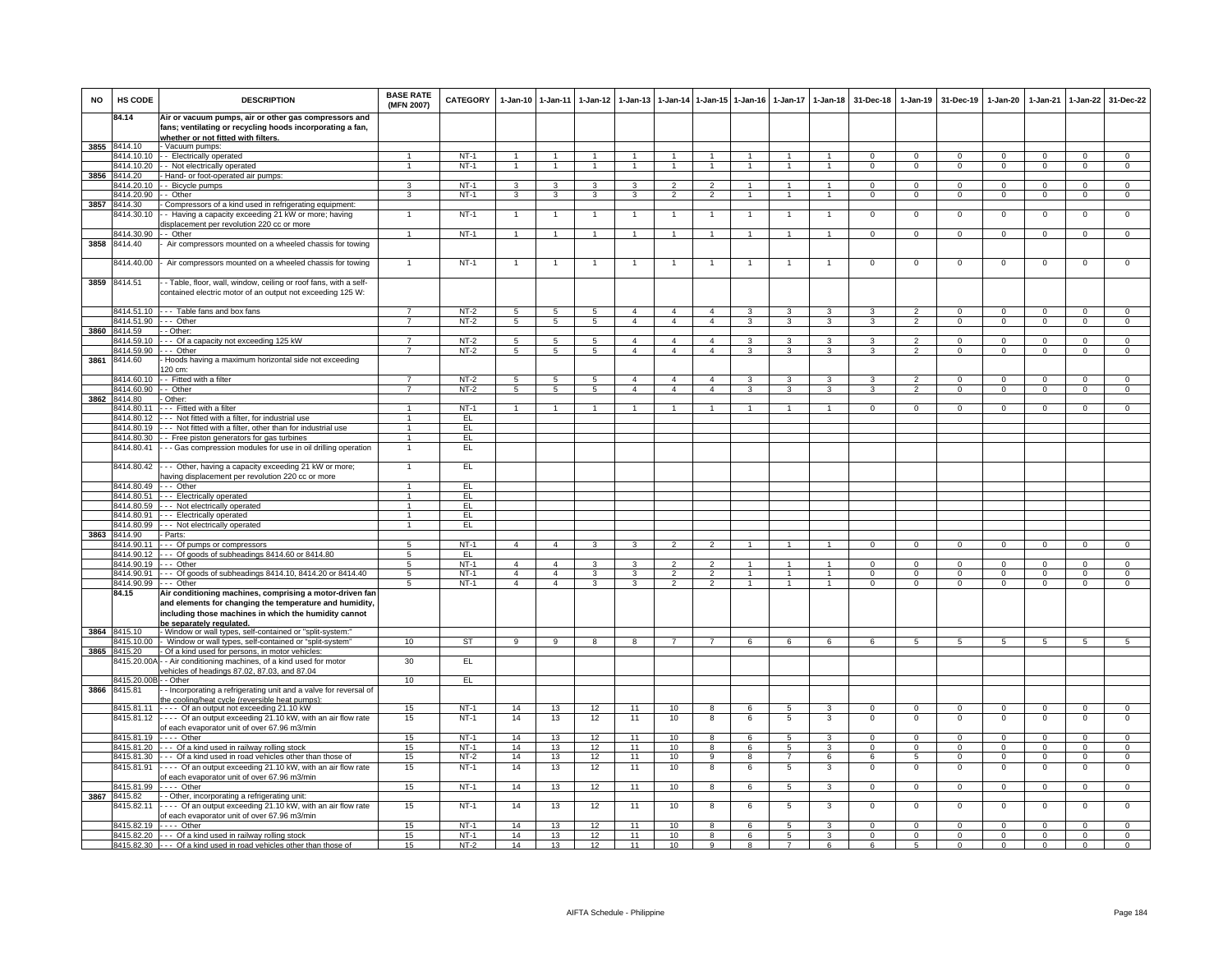| <b>NO</b> | HS CODE                              | <b>DESCRIPTION</b>                                                                                                                                                                                       | <b>BASE RATE</b><br>(MFN 2007) | CATEGORY         |                                | 1-Jan-10 1-Jan-11              | $1-Jan-12$                   | $1 - Jan-13$                            |                                  |                                  | 1-Jan-14 1-Jan-15 1-Jan-16     | $1 - Jan-17$                      | $1-Jan-18$                       | 31-Dec-18                      | $1-Jan-19$                     | 31-Dec-19                     | $1 - Jan-20$                  | 1-Jan-21                      | $1 - Jan-22$                  | 31-Dec-22                     |
|-----------|--------------------------------------|----------------------------------------------------------------------------------------------------------------------------------------------------------------------------------------------------------|--------------------------------|------------------|--------------------------------|--------------------------------|------------------------------|-----------------------------------------|----------------------------------|----------------------------------|--------------------------------|-----------------------------------|----------------------------------|--------------------------------|--------------------------------|-------------------------------|-------------------------------|-------------------------------|-------------------------------|-------------------------------|
|           | 84.14                                | Air or vacuum pumps, air or other gas compressors and<br>fans; ventilating or recycling hoods incorporating a fan,<br>whether or not fitted with filters.                                                |                                |                  |                                |                                |                              |                                         |                                  |                                  |                                |                                   |                                  |                                |                                |                               |                               |                               |                               |                               |
| 3855      | 8414.10                              | - Vacuum pumps:                                                                                                                                                                                          |                                |                  |                                |                                |                              |                                         |                                  |                                  |                                |                                   |                                  |                                |                                |                               |                               |                               |                               |                               |
|           | 8414.10.10                           | - Electrically operated                                                                                                                                                                                  | $\mathbf{1}$                   | $NT-1$           | $\mathbf{1}$                   | $\mathbf{1}$                   | $\mathbf{1}$                 | $\overline{1}$                          | $\overline{1}$                   | $\mathbf{1}$                     | $\mathbf{1}$                   | $\mathbf{1}$                      | $\mathbf{1}$                     | $\Omega$                       | $\Omega$                       | $\Omega$                      | $\Omega$                      | $\Omega$                      | $\Omega$                      | $\overline{0}$                |
|           | 8414.10.20                           | - - Not electrically operated                                                                                                                                                                            | $\mathbf{1}$                   | $NT-1$           | $\mathbf{1}$                   | $\mathbf{1}$                   | $\mathbf{1}$                 | $\overline{1}$                          | $\mathbf{1}$                     | $\mathbf{1}$                     | $\mathbf{1}$                   | $\mathbf{1}$                      | $\overline{1}$                   | $\mathsf 0$                    | $\mathbf 0$                    | $\mathbf 0$                   | $\mathbf 0$                   | $\mathbf 0$                   | $\mathsf 0$                   | $\overline{0}$                |
| 3856      | 8414.20                              | - Hand- or foot-operated air pumps:                                                                                                                                                                      |                                |                  |                                |                                |                              |                                         |                                  |                                  |                                |                                   |                                  |                                |                                |                               |                               |                               |                               |                               |
|           | 8414.20.10<br>8414.20.90             | - Bicycle pumps                                                                                                                                                                                          | 3<br>$\overline{3}$            | $NT-1$<br>$NT-1$ | $\mathbf{3}$<br>$\overline{3}$ | $\mathbf{3}$<br>$\overline{3}$ | 3<br>$\overline{\mathbf{3}}$ | $\mathbf{3}$<br>$\overline{\mathbf{3}}$ | $\overline{2}$<br>$\overline{2}$ | $\overline{2}$<br>$\overline{2}$ | $\mathbf{1}$<br>$\overline{1}$ | $\overline{1}$<br>$\overline{1}$  | $\overline{1}$<br>$\overline{1}$ | $\mathbf{O}$<br>$\overline{0}$ | $\mathbf 0$<br>$\overline{0}$  | $\mathbf 0$<br>$\overline{0}$ | $\mathbf 0$<br>$\overline{0}$ | $\mathbf 0$<br>$\overline{0}$ | $\mathsf 0$<br>$\overline{0}$ | $\mathbf 0$<br>$\overline{0}$ |
| 3857      | 8414.30                              | -- Other<br>- Compressors of a kind used in refrigerating equipment:                                                                                                                                     |                                |                  |                                |                                |                              |                                         |                                  |                                  |                                |                                   |                                  |                                |                                |                               |                               |                               |                               |                               |
|           | 8414.30.10                           | -- Having a capacity exceeding 21 kW or more; having                                                                                                                                                     |                                | $NT-1$           | $\overline{1}$                 | $\overline{1}$                 |                              |                                         | $\overline{1}$                   | $\mathbf{1}$                     |                                |                                   | $\overline{1}$                   | $\Omega$                       | $\Omega$                       | $\Omega$                      | $\overline{0}$                | $\Omega$                      | $\overline{0}$                | $\Omega$                      |
|           |                                      | displacement per revolution 220 cc or more                                                                                                                                                               |                                |                  |                                |                                |                              |                                         |                                  |                                  |                                |                                   |                                  |                                |                                |                               |                               |                               |                               |                               |
|           | 8414.30.90                           | - Other                                                                                                                                                                                                  | $\mathbf{1}$                   | $NT-1$           | $\overline{1}$                 | $\overline{1}$                 | $\overline{1}$               | $\overline{1}$                          | $\overline{1}$                   | $\overline{1}$                   | $\overline{1}$                 | $\overline{1}$                    | $\overline{1}$                   | $\mathbf{0}$                   | $\mathbf{0}$                   | $\overline{0}$                | $\overline{0}$                | $\overline{0}$                | $\circ$                       | $\overline{0}$                |
| 3858      | 8414.40                              | Air compressors mounted on a wheeled chassis for towing                                                                                                                                                  |                                |                  |                                |                                |                              |                                         |                                  |                                  |                                |                                   |                                  |                                |                                |                               |                               |                               |                               |                               |
|           | 3414.40.00                           | Air compressors mounted on a wheeled chassis for towing                                                                                                                                                  | $\mathbf{1}$                   | $NT-1$           | $\mathbf{1}$                   | $\mathbf{1}$                   | $\mathbf{1}$                 | 1                                       | $\overline{1}$                   | $\overline{1}$                   | 1                              | $\mathbf{1}$                      | $\mathbf{1}$                     | $\mathbf{O}$                   | $\mathbf 0$                    | $\mathsf 0$                   | $\mathbf 0$                   | $\mathbf 0$                   | $\mathsf 0$                   | $\mathbf 0$                   |
|           | 3859 8414.51                         | - - Table, floor, wall, window, ceiling or roof fans, with a self-<br>contained electric motor of an output not exceeding 125 W:                                                                         |                                |                  |                                |                                |                              |                                         |                                  |                                  |                                |                                   |                                  |                                |                                |                               |                               |                               |                               |                               |
|           |                                      | 8414.51.10 --- Table fans and box fans                                                                                                                                                                   |                                | $NT-2$           | $5^{\circ}$                    | $\sqrt{5}$                     | $5^{\circ}$                  | 4                                       | $\overline{4}$                   | $\overline{a}$                   | 3                              | 3                                 | 3                                |                                | $\overline{2}$                 | $\Omega$                      | $\Omega$                      | $\Omega$                      | $\Omega$                      | $\Omega$                      |
|           | 8414.51.90 --- Other<br>3860 8414.59 | - Other:                                                                                                                                                                                                 | $\overline{7}$                 | $NT-2$           | $5\overline{5}$                | $5\phantom{.0}$                | $5\overline{5}$              | $\overline{4}$                          | $\overline{4}$                   | $\overline{4}$                   | 3                              | $\mathbf{3}$                      | $\mathbf{3}$                     | 3                              | 2                              | $\mathbf{0}$                  | $\circ$                       | $\mathbf{0}$                  | $\circ$                       | $\mathbf{0}$                  |
|           | 8414.59.10                           | --- Of a capacity not exceeding 125 kW                                                                                                                                                                   | $\overline{7}$                 | $NT-2$           | 5                              | $5\phantom{.0}$                | 5                            | $\overline{4}$                          | $\overline{a}$                   | $\overline{4}$                   | 3                              | 3                                 | 3                                | 3                              | $\overline{2}$                 | $\Omega$                      | $\Omega$                      | $\Omega$                      | $\mathbf 0$                   | $\Omega$                      |
|           | 3414.59.90                           | --- Other                                                                                                                                                                                                |                                | $NT-2$           | 5                              | 5                              | 5                            | $\overline{4}$                          | $\overline{4}$                   | $\overline{4}$                   | 3                              | 3                                 | 3                                | 3                              | $\overline{2}$                 | $\mathbf 0$                   | $\mathbf 0$                   | $\mathbf 0$                   | $\mathbf 0$                   | $\mathbf 0$                   |
| 3861      | 8414.60                              | Hoods having a maximum horizontal side not exceeding<br>120 cm:                                                                                                                                          |                                |                  |                                |                                |                              |                                         |                                  |                                  |                                |                                   |                                  |                                |                                |                               |                               |                               |                               |                               |
|           | 8414.60.10                           | -- Fitted with a filter                                                                                                                                                                                  | $\overline{7}$<br>7            | $NT-2$           | $5\overline{5}$                | $5\phantom{.0}$                | $5\phantom{.0}$              | $\overline{4}$<br>$\overline{4}$        | $\overline{4}$<br>$\overline{4}$ | $\overline{4}$<br>$\overline{4}$ | 3                              | 3                                 | $\mathbf{3}$                     | 3<br>$\overline{\mathbf{3}}$   | $\overline{2}$                 | $\mathbf{0}$                  | $^{\circ}$                    | $\Omega$                      | $\mathbf 0$                   | $\mathbf 0$                   |
| 3862      | 8414.60.90<br>8414.80                | - Other<br>- Other:                                                                                                                                                                                      |                                | $NT-2$           | $5\overline{)}$                | $\overline{5}$                 | $5\overline{)}$              |                                         |                                  |                                  | 3                              | 3                                 | $\overline{3}$                   |                                | $\overline{2}$                 | $\Omega$                      | $\overline{0}$                | $\Omega$                      | $\overline{0}$                | $\overline{0}$                |
|           | 8414.80.11                           | --- Fitted with a filter                                                                                                                                                                                 |                                | $NT-1$           | $\overline{1}$                 | $\mathbf{1}$                   | $\mathbf{1}$                 |                                         | $\overline{1}$                   | $\mathbf{1}$                     |                                |                                   |                                  | $\Omega$                       | $\Omega$                       | $\Omega$                      | $\Omega$                      | $\Omega$                      | $\Omega$                      | $\Omega$                      |
|           | 8414.80.12                           | --- Not fitted with a filter, for industrial use                                                                                                                                                         | 1                              | EL.              |                                |                                |                              |                                         |                                  |                                  |                                |                                   |                                  |                                |                                |                               |                               |                               |                               |                               |
|           | 8414.80.19                           | --- Not fitted with a filter, other than for industrial use                                                                                                                                              | $\mathbf{1}$                   | EL.              |                                |                                |                              |                                         |                                  |                                  |                                |                                   |                                  |                                |                                |                               |                               |                               |                               |                               |
|           | 8414.80.30                           | - Free piston generators for gas turbines                                                                                                                                                                | $\mathbf{1}$                   | EL               |                                |                                |                              |                                         |                                  |                                  |                                |                                   |                                  |                                |                                |                               |                               |                               |                               |                               |
|           | 8414.80.41                           | - Gas compression modules for use in oil drilling operation                                                                                                                                              | $\mathbf{1}$                   | EL               |                                |                                |                              |                                         |                                  |                                  |                                |                                   |                                  |                                |                                |                               |                               |                               |                               |                               |
|           | 8414.80.42<br>8414.80.49             | -- Other, having a capacity exceeding 21 kW or more;<br>naving displacement per revolution 220 cc or more<br>--- Other                                                                                   | $\mathbf{1}$                   | EL<br>EL         |                                |                                |                              |                                         |                                  |                                  |                                |                                   |                                  |                                |                                |                               |                               |                               |                               |                               |
|           | 8414.80.51                           | --- Electrically operated                                                                                                                                                                                | $\mathbf{1}$                   | EL               |                                |                                |                              |                                         |                                  |                                  |                                |                                   |                                  |                                |                                |                               |                               |                               |                               |                               |
|           |                                      | 8414.80.59 --- Not electrically operated                                                                                                                                                                 | $\mathbf{1}$                   | EL               |                                |                                |                              |                                         |                                  |                                  |                                |                                   |                                  |                                |                                |                               |                               |                               |                               |                               |
|           |                                      | 8414.80.91 --- Electrically operated                                                                                                                                                                     | $\overline{1}$                 | EL.              |                                |                                |                              |                                         |                                  |                                  |                                |                                   |                                  |                                |                                |                               |                               |                               |                               |                               |
|           | 8414.80.99                           | - - - Not electrically operated                                                                                                                                                                          | $\mathbf{1}$                   | EL               |                                |                                |                              |                                         |                                  |                                  |                                |                                   |                                  |                                |                                |                               |                               |                               |                               |                               |
| 3863      | 8414.90<br>3414.90.11                | - Parts:<br>--- Of pumps or compressors                                                                                                                                                                  | 5                              | $NT-1$           | $\overline{4}$                 | $\overline{4}$                 | 3                            | 3                                       | $\overline{2}$                   | $\mathcal{P}$                    |                                |                                   |                                  | $\Omega$                       | $\overline{0}$                 | $\Omega$                      | $\overline{0}$                | $\overline{0}$                | $\overline{0}$                | $\overline{0}$                |
|           | 8414.90.12                           | --- Of goods of subheadings 8414.60 or 8414.80                                                                                                                                                           | 5                              | EL.              |                                |                                |                              |                                         |                                  |                                  |                                |                                   |                                  |                                |                                |                               |                               |                               |                               |                               |
|           | 8414.90.19                           | --- Other                                                                                                                                                                                                | 5                              | $NT-1$           | $\overline{4}$                 | $\overline{4}$                 | 3                            | 3                                       | $\mathcal{L}$                    | $\mathcal{P}$                    |                                |                                   | $\overline{1}$                   | $\Omega$                       | $\mathbf 0$                    | $\mathbf{0}$                  | $\Omega$                      | $\Omega$                      | $\Omega$                      | $\mathbf 0$                   |
|           | 8414.90.91                           | --- Of goods of subheadings 8414.10, 8414.20 or 8414.40                                                                                                                                                  | $5\overline{5}$                | $NT-1$           | $\overline{4}$                 | $\overline{4}$                 | $\mathbf{3}$                 | 3                                       | $\overline{2}$                   | $\overline{2}$                   | $\mathbf{1}$                   | 1                                 | $\overline{1}$                   | $\Omega$                       | $\mathbf{0}$                   | $^{\circ}$                    | $^{\circ}$                    | $^{\circ}$                    | $^{\circ}$                    | $\mathbf 0$                   |
|           | 8414.90.99                           | --- Other                                                                                                                                                                                                | 5                              | $NT-1$           | $\overline{4}$                 | $\overline{4}$                 | $\overline{3}$               | 3                                       | $\overline{2}$                   | $\overline{2}$                   | $\overline{1}$                 | $\mathbf{1}$                      | $\blacktriangleleft$             | $\Omega$                       | $\Omega$                       | $\Omega$                      | $\overline{0}$                | $\Omega$                      | $\Omega$                      | $\overline{0}$                |
|           | 84.15                                | Air conditioning machines, comprising a motor-driven fan<br>and elements for changing the temperature and humidity,<br>including those machines in which the humidity cannot<br>be separately regulated. |                                |                  |                                |                                |                              |                                         |                                  |                                  |                                |                                   |                                  |                                |                                |                               |                               |                               |                               |                               |
| 3864      | 8415.10<br>3415.10.00                | - Window or wall types, self-contained or "split-system:"                                                                                                                                                | 10                             | ST               | $\overline{9}$                 | $\overline{9}$                 | $\overline{8}$               | $\overline{8}$                          | $\overline{7}$                   | $\overline{7}$                   | 6                              | 6                                 | 6                                | 6                              | $\overline{5}$                 | 5                             | $\overline{5}$                | $\overline{5}$                | 5                             |                               |
| 3865      | 8415.20                              | Window or wall types, self-contained or "split-system"<br>Of a kind used for persons, in motor vehicles:                                                                                                 |                                |                  |                                |                                |                              |                                         |                                  |                                  |                                |                                   |                                  |                                |                                |                               |                               |                               |                               | 5                             |
|           | 415.20.00A                           | - Air conditioning machines, of a kind used for motor<br>vehicles of headings 87.02, 87.03, and 87.04                                                                                                    | 30                             | E                |                                |                                |                              |                                         |                                  |                                  |                                |                                   |                                  |                                |                                |                               |                               |                               |                               |                               |
|           | 8415.20.00B - - Other                |                                                                                                                                                                                                          | 10                             | EL               |                                |                                |                              |                                         |                                  |                                  |                                |                                   |                                  |                                |                                |                               |                               |                               |                               |                               |
| 3866      | 8415.81                              | - Incorporating a refrigerating unit and a valve for reversal of                                                                                                                                         |                                |                  |                                |                                |                              |                                         |                                  |                                  |                                |                                   |                                  |                                |                                |                               |                               |                               |                               |                               |
|           |                                      | the cooling/heat cycle (reversible heat pumps)                                                                                                                                                           | 15                             | $NT-1$           |                                |                                |                              | 11                                      | 10                               |                                  | 6                              |                                   | $\mathbf{3}$                     |                                |                                |                               |                               |                               |                               |                               |
|           | 8415.81.12                           | 8415.81.11 ---- Of an output not exceeding 21.10 kW<br>---- Of an output exceeding 21.10 kW, with an air flow rate                                                                                       | 15                             | $NT-1$           | 14<br>14                       | 13<br>13                       | 12<br>12                     | 11                                      | 10                               | 8<br>8                           | 6                              | -5<br>5                           | 3                                | $\Omega$<br>$\Omega$           | $\Omega$<br>$\Omega$           | $\overline{0}$<br>$\mathbf 0$ | $\mathbf 0$<br>$\mathsf 0$    | $\Omega$<br>$\Omega$          | $\mathbf 0$<br>$\mathsf 0$    | $\mathbf 0$<br>$\overline{0}$ |
|           |                                      | of each evaporator unit of over 67.96 m3/min                                                                                                                                                             |                                |                  |                                |                                |                              |                                         |                                  |                                  |                                |                                   |                                  |                                |                                |                               |                               |                               |                               |                               |
|           | 8415.81.19                           | $---$ Other                                                                                                                                                                                              | 15                             | $NT-1$           | 14                             | 13                             | 12                           | 11                                      | 10                               | 8                                | 6                              | 5                                 | 3                                | $\mathsf 0$                    | $\mathbf 0$                    | $\mathbf 0$                   | $\mathbf 0$                   | $\Omega$                      | $\mathsf 0$                   | $\mathbf 0$                   |
|           |                                      | 8415.81.20 --- Of a kind used in railway rolling stock                                                                                                                                                   | 15                             | $NT-1$           | 14                             | 13                             | 12                           | 11                                      | 10                               | 8                                | 6                              | 5                                 | $\mathcal{R}$                    | $\Omega$                       | $\Omega$                       | $^{\circ}$                    | $\Omega$                      | $\Omega$                      | $\mathsf 0$                   | $\Omega$                      |
|           | 8415.81.30                           | --- Of a kind used in road vehicles other than those of                                                                                                                                                  | 15                             | $NT-2$<br>$NT-1$ | 14                             | 13<br>13                       | 12<br>12                     | 11<br>11                                | 10                               | $\overline{9}$                   | 8                              | $\overline{7}$                    | 6                                | 6<br>$\mathbf{O}$              | $5\overline{)}$<br>$\mathbf 0$ | $\mathbf 0$<br>$\mathbf 0$    | $\overline{0}$                | $\Omega$<br>$\mathbf 0$       | $\overline{0}$                | $\overline{0}$<br>$\mathsf 0$ |
|           | 8415.81.91<br>8415.81.99             | ---- Of an output exceeding 21.10 kW, with an air flow rate<br>of each evaporator unit of over 67.96 m3/min<br>$---$ Other                                                                               | 15<br>15                       | $NT-1$           | 14<br>14                       | 13                             | 12                           | 11                                      | 10<br>10                         | 8<br>8                           | 6<br>6                         | $5\phantom{.0}$<br>$\overline{5}$ | 3<br>3                           | $\Omega$                       | $\Omega$                       | $\Omega$                      | $\mathbf 0$<br>$\Omega$       | $\Omega$                      | $\mathsf 0$<br>$\overline{0}$ | $\Omega$                      |
|           | 3867 8415.82                         | - - Other, incorporating a refrigerating unit:                                                                                                                                                           |                                |                  |                                |                                |                              |                                         |                                  |                                  |                                |                                   |                                  |                                |                                |                               |                               |                               |                               |                               |
|           | 8415.82.11                           | Of an output exceeding 21.10 kW, with an air flow rate<br>of each evaporator unit of over 67.96 m3/min                                                                                                   | 15                             | $NT-1$           | 14                             | 13                             | 12                           | 11                                      | 10                               | 8                                | 6                              | $\overline{5}$                    | 3                                | $\mathsf 0$                    | $\mathsf 0$                    | $\,0\,$                       | $\,0\,$                       | $\,0\,$                       | $\mathsf 0$                   | $\mathsf{O}\xspace$           |
|           | 8415.82.19                           | $---$ Other                                                                                                                                                                                              | 15                             | $NT-1$           | 14                             | 13                             | 12                           | 11                                      | 10                               | 8                                | 6                              | 5                                 | 3                                | $\Omega$                       | $\Omega$                       | $\Omega$                      | $\overline{0}$                | $\Omega$                      | $\overline{0}$                | $\overline{0}$                |
|           |                                      | 8415.82.20 --- Of a kind used in railway rolling stock                                                                                                                                                   | 15                             | $NT-1$           | 14                             | 13                             | 12                           | 11                                      | 10                               | 8                                | 6                              | 5<br>$\overline{7}$               | 3                                | $^{\circ}$                     | $^{\circ}$                     | $\mathbf 0$                   | 0                             | $\mathbf 0$                   | $\mathsf 0$                   | $\mathbf 0$                   |
|           |                                      | 8415.82.30 --- Of a kind used in road vehicles other than those of                                                                                                                                       | 15                             | NT-2             | 14                             | 13                             | 12                           | 11                                      | 10                               | $\mathbf{q}$                     | 8                              |                                   | 6                                | 6                              | 5                              | $\Omega$                      | $\Omega$                      | $\Omega$                      | $\Omega$                      | $\Omega$                      |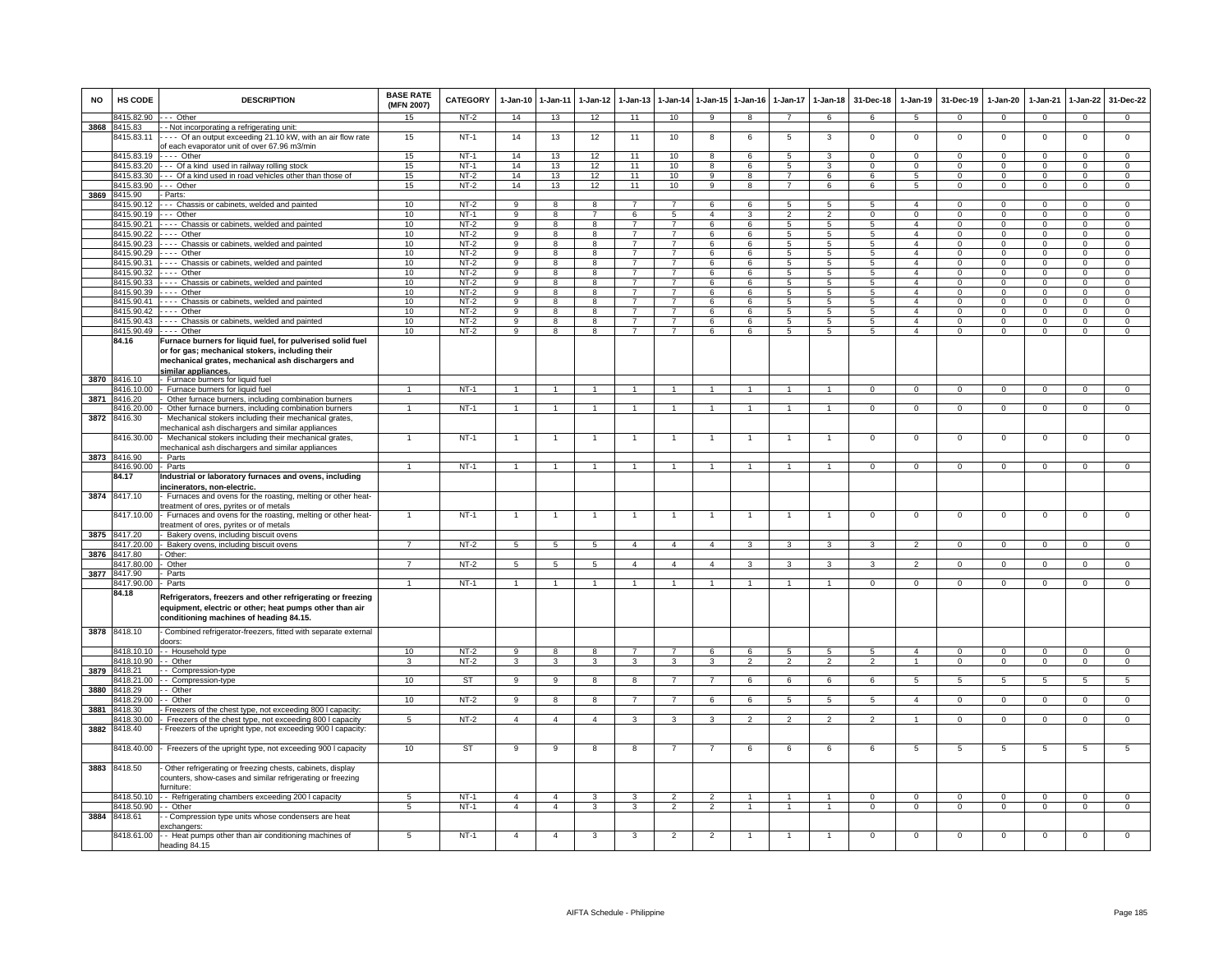| <b>NO</b> | HS CODE                            | <b>DESCRIPTION</b>                                                                                                                    | <b>BASE RATE</b><br>(MFN 2007) | <b>CATEGORY</b>  | $1-Jan-10$          | 1-Jan-11                     | $1-Jan-12$          | $1-Jan-13$                                | 1-Jan-14                          | 1-Jan-15                     | $1 - Jan-16$        | $1-Jan-17$          | $1 - Jan-18$                      | 31-Dec-18              | $1-Jan-19$                       | 31-Dec-19                    | $1-Jan-20$                     | $1-Jan-21$                 | $1-Jan-22$                    | 31-Dec-22                     |
|-----------|------------------------------------|---------------------------------------------------------------------------------------------------------------------------------------|--------------------------------|------------------|---------------------|------------------------------|---------------------|-------------------------------------------|-----------------------------------|------------------------------|---------------------|---------------------|-----------------------------------|------------------------|----------------------------------|------------------------------|--------------------------------|----------------------------|-------------------------------|-------------------------------|
|           | 8415.82.90                         | --- Other                                                                                                                             | 15                             | NT-2             | 14                  | 13                           | 12                  | 11                                        | 10                                | 9                            | 8                   | $\overline{7}$      | 6                                 | 6                      | 5                                | $\mathbf 0$                  | $\mathbf{0}$                   | $\mathbf 0$                | $\mathbf{0}$                  | $\mathbf{0}$                  |
|           | 3868 8415.83<br>8415.83.11         | - Not incorporating a refrigerating unit:<br>--- Of an output exceeding 21.10 kW, with an air flow rate                               | 15                             | $NT-1$           | 14                  | 13                           | 12                  | 11                                        | 10                                | -8                           | 6                   | 5                   | 3                                 | $\Omega$               | $^{\circ}$                       | $\mathbf 0$                  | $^{\circ}$                     | $\Omega$                   | $\mathsf 0$                   | $\overline{0}$                |
|           |                                    | of each evaporator unit of over 67.96 m3/min                                                                                          |                                |                  |                     |                              |                     |                                           |                                   |                              |                     |                     |                                   |                        |                                  |                              |                                |                            |                               |                               |
|           | 8415.83.19                         | $---$ Other                                                                                                                           | 15                             | $NT-1$           | 14                  | 13                           | 12                  | 11                                        | 10                                | 8                            | 6                   | $\overline{5}$      | 3                                 | $^{\circ}$             | $\mathsf 0$                      | $\mathbf 0$                  | $\mathbf 0$                    | $\Omega$                   | $\mathsf 0$                   | $\mathbf 0$                   |
|           | 8415.83.20                         | --- Of a kind used in railway rolling stock                                                                                           | 15                             | $NT-1$           | 14<br>14            | 13                           | 12                  | 11<br>11                                  | 10                                | 8<br>$\mathbf{Q}$            | 6                   | 5<br>$\overline{7}$ | 3                                 | $^{\circ}$<br>$\kappa$ | $^{\circ}$<br>5                  | $\mathbf 0$<br>$\Omega$      | $\mathbf 0$<br>$\Omega$        | $\Omega$<br>$\Omega$       | $\mathsf 0$                   | $\mathbf 0$<br>$\overline{0}$ |
|           | 8415.83.30<br>8415 83 90           | --- Of a kind used in road vehicles other than those of<br>$- -$ Other                                                                | 15<br>15                       | $NT-2$<br>$NT-2$ | 14                  | 13<br>13                     | 12<br>12            | 11                                        | 10<br>10                          | $\overline{9}$               | 8<br>$\overline{8}$ | $\overline{7}$      | 6<br>6                            | 6                      | 5                                | $\mathbf 0$                  | $\mathbf 0$                    | $\Omega$                   | $\mathsf 0$<br>$\mathsf 0$    | $\overline{0}$                |
| 3869      | 8415.90                            | - Parts:                                                                                                                              |                                |                  |                     |                              |                     |                                           |                                   |                              |                     |                     |                                   |                        |                                  |                              |                                |                            |                               |                               |
|           | 8415.90.12                         | --- Chassis or cabinets, welded and painted                                                                                           | 10                             | $NT-2$           | 9                   | 8                            | 8                   |                                           | $\overline{7}$                    | 6                            | 6                   | 5                   | $\overline{5}$                    | 5                      | $\overline{4}$                   | $\Omega$                     | $\Omega$                       | $\Omega$                   | $\Omega$                      | $\Omega$                      |
|           | 8415.90.19 --- Other<br>8415.90.21 | ---- Chassis or cabinets, welded and painted                                                                                          | 10<br>10                       | $NT-1$<br>$NT-2$ | 9<br>9              | 8<br>8                       | $\overline{7}$<br>8 | 6<br>$\overline{7}$                       | $5\phantom{.0}$<br>$\overline{7}$ | $\overline{4}$<br>6          | 3<br>6              | $\overline{2}$<br>5 | $\overline{2}$<br>5               | $\Omega$<br>5          | $\mathsf 0$<br>$\overline{4}$    | $\Omega$<br>$^{\circ}$       | $\mathbf 0$<br>$\mathbf{0}$    | $\mathsf 0$<br>$^{\circ}$  | $\mathsf 0$<br>$\circ$        | $\mathbf 0$<br>$\overline{0}$ |
|           | 8415 90 22                         | $- -$ Other                                                                                                                           | 10                             | $NT-2$           | 9                   | $\overline{8}$               | 8                   | $\overline{7}$                            | $\overline{7}$                    | 6                            | 6                   | 5                   | $5\phantom{.0}$                   | -5                     | $\mathbf{A}$                     | $\Omega$                     | $\Omega$                       | $\Omega$                   | $\Omega$                      | $\overline{0}$                |
|           | 8415.90.23                         | Chassis or cabinets, welded and painted                                                                                               | 10                             | $NT-2$           | 9                   | 8                            | 8                   | 7                                         | 7                                 | 6                            | 6                   | 5                   | 5                                 | 5                      | $\overline{4}$                   | $\mathbf 0$                  | $\mathbf{0}$                   | $\mathbf 0$                | $\mathbf 0$                   | $\mathbf 0$                   |
|           | 8415.90.29                         | - - - - Other                                                                                                                         | 10                             | $NT-2$           | 9                   | 8                            | 8                   |                                           |                                   | 6                            | 6                   | 5                   | 5                                 | 5                      | $\overline{4}$                   | $\mathbf 0$                  | $\mathbf 0$                    | $\Omega$                   | $\mathsf 0$                   | $\overline{0}$                |
|           | 8415.90.31<br>8415.90.32           | --- Chassis or cabinets, welded and painted<br>Other                                                                                  | 10<br>10                       | $NT-2$<br>$NT-2$ | 9<br>$\overline{9}$ | 8<br>$\overline{8}$          | 8<br>8              | $\overline{ }$<br>$\overline{7}$          | $\overline{7}$<br>$\overline{7}$  | 6<br>6                       | 6<br>6              | 5<br>$\overline{5}$ | 5<br>$\overline{5}$               | 5<br>$5^{\circ}$       | $\overline{4}$<br>$\overline{4}$ | $\mathbf 0$<br>$\Omega$      | $\circ$<br>$\overline{0}$      | $\Omega$<br>$\Omega$       | $\mathbf 0$<br>$\mathbf 0$    | $\mathbf 0$<br>$\overline{0}$ |
|           | 8415 90 33                         | --- Chassis or cabinets, welded and painted                                                                                           | 10                             | $NT-2$           | $_{9}$              | $\overline{8}$               | $\overline{8}$      | $\overline{7}$                            | $\overline{7}$                    | $\epsilon$                   | ĥ.                  | 5                   | $\overline{5}$                    | $5\overline{5}$        | $\overline{4}$                   | $\Omega$                     | $\Omega$                       | $\Omega$                   | $\Omega$                      | $\overline{0}$                |
|           | 8415.90.39                         | Other                                                                                                                                 | 10                             | $NT-2$           | 9                   | 8                            | 8                   | $\overline{7}$                            | $\overline{7}$                    | 6                            | 6                   | 5                   | 5                                 | 5 <sup>1</sup>         | $\mathbf{A}$                     | $\mathbf 0$                  | $\Omega$                       | $\Omega$                   | $\mathbf 0$                   | $\mathbf 0$                   |
|           | 8415.90.41                         | ---- Chassis or cabinets, welded and painted                                                                                          | 10                             | $NT-2$           | 9                   | -8                           | 8                   | $\overline{7}$                            | $\overline{7}$                    | 6                            | 6                   | 5                   | $5\overline{5}$                   | -5                     | $\overline{4}$                   | $\Omega$                     | $\Omega$                       | $\Omega$                   | $\Omega$                      | $\Omega$                      |
|           | 8415.90.42<br>8415.90.43           | $---$ Other<br>---- Chassis or cabinets, welded and painted                                                                           | 10<br>10                       | $NT-2$<br>$NT-2$ | 9<br>9              | 8<br>8                       | 8<br>8              | $\overline{7}$                            | $\overline{7}$<br>$\overline{7}$  | 6<br>6                       | 6<br>6              | -5<br>5             | $5\overline{5}$<br>$\overline{5}$ | 5<br>-5                | $\overline{4}$<br>$\overline{4}$ | $\mathbf{0}$<br>$\mathbf 0$  | $\mathbf{0}$<br>$\Omega$       | $\Omega$<br>$\Omega$       | $\mathbf{0}$<br>$\mathbf{0}$  | $\Omega$<br>$\mathsf 0$       |
|           | 8415.90.49 ---- Other              |                                                                                                                                       | 10                             | $NT-2$           | 9                   | 8                            | 8                   | $\overline{7}$                            | $\overline{7}$                    | 6                            | 6                   | 5                   | $\sqrt{5}$                        | -5                     | $\overline{a}$                   | $^{\circ}$                   | $\mathbf{0}$                   | $\Omega$                   | $\circ$                       | $\overline{0}$                |
|           | 84.16                              | Furnace burners for liquid fuel, for pulverised solid fuel                                                                            |                                |                  |                     |                              |                     |                                           |                                   |                              |                     |                     |                                   |                        |                                  |                              |                                |                            |                               |                               |
|           |                                    | or for gas; mechanical stokers, including their                                                                                       |                                |                  |                     |                              |                     |                                           |                                   |                              |                     |                     |                                   |                        |                                  |                              |                                |                            |                               |                               |
|           |                                    | mechanical grates, mechanical ash dischargers and<br>similar appliances.                                                              |                                |                  |                     |                              |                     |                                           |                                   |                              |                     |                     |                                   |                        |                                  |                              |                                |                            |                               |                               |
| 3870      | 8416.10                            | - Furnace burners for liquid fuel                                                                                                     |                                |                  |                     |                              |                     |                                           |                                   |                              |                     |                     |                                   |                        |                                  |                              |                                |                            |                               |                               |
|           | 8416.10.00                         | - Furnace burners for liquid fuel                                                                                                     | 1                              | $NT-1$           |                     | $\overline{1}$               |                     |                                           |                                   | $\mathbf{1}$                 |                     |                     | $\overline{1}$                    | $\mathbf{O}$           | $\mathbf 0$                      | $\mathbf 0$                  | $\mathbf 0$                    | $\Omega$                   | $\mathsf 0$                   | $\mathbf 0$                   |
| 3871      | 8416.20<br>8416.20.00              | Other furnace burners, including combination burners<br>Other furnace burners, including combination burners                          | 1                              | NT-1             | $\mathbf{1}$        | $\mathbf{1}$                 | $\mathbf{1}$        | $\mathbf{1}$                              | $\mathbf{1}$                      | $\overline{1}$               |                     |                     | $\overline{1}$                    | $\Omega$               | $\mathbf{0}$                     | $\overline{0}$               | $\mathbf{0}$                   | $\mathbf{0}$               | $\overline{0}$                | $\Omega$                      |
| 3872      | 8416.30                            | Mechanical stokers including their mechanical grates                                                                                  |                                |                  |                     |                              |                     |                                           |                                   |                              |                     |                     |                                   |                        |                                  |                              |                                |                            |                               |                               |
|           |                                    | nechanical ash dischargers and similar appliances                                                                                     |                                |                  |                     |                              |                     |                                           |                                   |                              |                     |                     |                                   |                        |                                  |                              |                                |                            |                               |                               |
|           | 3416.30.00                         | Mechanical stokers including their mechanical grates,                                                                                 |                                | $NT-1$           | $\overline{1}$      | $\overline{1}$               | $\mathbf{1}$        |                                           | $\overline{1}$                    | $\mathbf{1}$                 |                     | $\mathbf{1}$        | $\mathbf{1}$                      | $\mathsf 0$            | $\mathsf 0$                      | $\mathbf 0$                  | $\mathbf 0$                    | $\mathbf 0$                | $\mathsf 0$                   | $\mathbf 0$                   |
|           | 3873 8416.90                       | nechanical ash dischargers and similar appliances<br>- Parts                                                                          |                                |                  |                     |                              |                     |                                           |                                   |                              |                     |                     |                                   |                        |                                  |                              |                                |                            |                               |                               |
|           | 8416.90.00                         | - Parts                                                                                                                               | $\overline{1}$                 | $NT-1$           | $\overline{1}$      | $\overline{1}$               | $\mathbf{1}$        | $\overline{1}$                            | $\overline{1}$                    | $\blacktriangleleft$         |                     | $\mathbf{1}$        | $\blacktriangleleft$              | $\overline{0}$         | $\overline{0}$                   | $\overline{0}$               | $\overline{0}$                 | $\overline{0}$             | $\overline{0}$                | $\overline{0}$                |
|           | 84.17                              | Industrial or laboratory furnaces and ovens, including                                                                                |                                |                  |                     |                              |                     |                                           |                                   |                              |                     |                     |                                   |                        |                                  |                              |                                |                            |                               |                               |
|           | 3874 8417.10                       | ncinerators, non-electric<br>Furnaces and ovens for the roasting, melting or other heat-                                              |                                |                  |                     |                              |                     |                                           |                                   |                              |                     |                     |                                   |                        |                                  |                              |                                |                            |                               |                               |
|           |                                    | treatment of ores, pyrites or of metals                                                                                               |                                |                  |                     |                              |                     |                                           |                                   |                              |                     |                     |                                   |                        |                                  |                              |                                |                            |                               |                               |
|           | 8417.10.00                         | - Furnaces and ovens for the roasting, melting or other heat-                                                                         |                                | $NT-1$           |                     |                              |                     |                                           |                                   |                              |                     |                     |                                   | $\Omega$               | $\Omega$                         | $\Omega$                     | $\Omega$                       | $\Omega$                   | $\Omega$                      | $\Omega$                      |
|           | 3417.20                            | reatment of ores, pyrites or of metals                                                                                                |                                |                  |                     |                              |                     |                                           |                                   |                              |                     |                     |                                   |                        |                                  |                              |                                |                            |                               |                               |
| 3875      | 8417.20.00                         | Bakery ovens, including biscuit ovens<br>Bakery ovens, including biscuit ovens                                                        | $\overline{7}$                 | $NT-2$           | 5                   | 5                            | 5                   | 4                                         | $\overline{4}$                    | $\overline{4}$               | 3                   | 3                   | 3                                 | 3                      | $\mathfrak{p}$                   | $\mathbf 0$                  | 0                              | $\mathbf 0$                | $\mathbf 0$                   | $\Omega$                      |
| 3876      | 8417.80                            | Other:                                                                                                                                |                                |                  |                     |                              |                     |                                           |                                   |                              |                     |                     |                                   |                        |                                  |                              |                                |                            |                               |                               |
|           | 8417.80.00                         | Other                                                                                                                                 | $\overline{7}$                 | $NT-2$           | $\overline{5}$      | $\overline{5}$               | $\overline{5}$      | $\overline{4}$                            | $\overline{4}$                    | $\overline{4}$               | 3                   | 3                   | $\overline{3}$                    | 3                      | $\overline{2}$                   | $\mathsf 0$                  | $\circ$                        | $\mathbf{0}$               | $\mathbf{0}$                  | $\Omega$                      |
| 3877      | 8417.90<br>8417.90.00              | Parts<br>Parts                                                                                                                        | $\mathbf{1}$                   | $NT-1$           |                     | $\mathbf{1}$                 |                     |                                           |                                   |                              |                     |                     |                                   | $\Omega$               | $\Omega$                         | $\Omega$                     | $\Omega$                       | $\Omega$                   | $\Omega$                      |                               |
|           | 84.18                              | Refrigerators, freezers and other refrigerating or freezing                                                                           |                                |                  |                     |                              |                     |                                           |                                   |                              |                     |                     |                                   |                        |                                  |                              |                                |                            |                               |                               |
|           |                                    | equipment, electric or other; heat pumps other than air                                                                               |                                |                  |                     |                              |                     |                                           |                                   |                              |                     |                     |                                   |                        |                                  |                              |                                |                            |                               |                               |
|           |                                    | conditioning machines of heading 84.15.                                                                                               |                                |                  |                     |                              |                     |                                           |                                   |                              |                     |                     |                                   |                        |                                  |                              |                                |                            |                               |                               |
|           | 3878 8418.10                       | Combined refrigerator-freezers, fitted with separate external                                                                         |                                |                  |                     |                              |                     |                                           |                                   |                              |                     |                     |                                   |                        |                                  |                              |                                |                            |                               |                               |
|           |                                    | doors:                                                                                                                                |                                |                  |                     |                              |                     |                                           |                                   |                              |                     |                     |                                   |                        |                                  |                              |                                |                            |                               |                               |
|           | 8418.10.10<br>8418 10 90           | - - Household type<br>- Other                                                                                                         | 10<br>$\overline{3}$           | $NT-2$<br>$NT-2$ | 9<br>$\mathbf{R}$   | 8<br>$\overline{\mathbf{3}}$ | 8<br>$\overline{3}$ | $\overline{7}$<br>$\overline{\mathbf{3}}$ | $\overline{7}$<br>3               | 6<br>$\overline{\mathbf{3}}$ | 6<br>$\overline{2}$ | 5<br>2              | $\sqrt{5}$<br>$\overline{2}$      | 5<br>$\overline{2}$    | $\overline{4}$                   | $^{\circ}$<br>$\overline{0}$ | $\mathbf{0}$<br>$\overline{0}$ | $\Omega$<br>$\overline{0}$ | $\mathbf 0$<br>$\overline{0}$ | $\mathbf 0$<br>$\overline{0}$ |
| 3879      | 8418.21                            | Compression-type                                                                                                                      |                                |                  |                     |                              |                     |                                           |                                   |                              |                     |                     |                                   |                        |                                  |                              |                                |                            |                               |                               |
|           | 8418.21.00                         | - Compression-type                                                                                                                    | 10                             | ST               | 9                   | 9                            | 8                   |                                           |                                   |                              | 6                   | 6                   | 6                                 | 6                      | $5^{\circ}$                      | $\overline{5}$               | 5                              |                            | 5                             | 5                             |
| 3880      | 8418.29<br>8418.29.00              | - Other<br>- Other                                                                                                                    | 10                             | $NT-2$           | 9                   | 8                            | 8                   | $\overline{7}$                            | $\overline{7}$                    | 6                            | 6                   | 5                   | $5\overline{5}$                   | 5                      | $\overline{4}$                   | $\mathbf{0}$                 | $\mathbf 0$                    | $\mathbf 0$                | $\mathbf{0}$                  | $\overline{0}$                |
| 3881      | 8418.30                            | Freezers of the chest type, not exceeding 800 I capacity:                                                                             |                                |                  |                     |                              |                     |                                           |                                   |                              |                     |                     |                                   |                        |                                  |                              |                                |                            |                               |                               |
|           | 418.30.00                          | Freezers of the chest type, not exceeding 800 I capacity                                                                              | $\overline{5}$                 | $NT-2$           | $\overline{4}$      | $\overline{4}$               | $\overline{4}$      | 3                                         | 3                                 | 3                            | $\overline{2}$      | $\overline{2}$      | $\overline{2}$                    | $\mathcal{P}$          |                                  | $\Omega$                     | $\Omega$                       | $\overline{0}$             | $\overline{0}$                | $\overline{0}$                |
| 3882      | 8418.40                            | Freezers of the upright type, not exceeding 900 I capacity:                                                                           |                                |                  |                     |                              |                     |                                           |                                   |                              |                     |                     |                                   |                        |                                  |                              |                                |                            |                               |                               |
|           | 8418.40.00                         | - Freezers of the upright type, not exceeding 900 I capacity                                                                          | 10                             | <b>ST</b>        | 9                   | 9                            | 8                   | 8                                         | 7                                 | 7                            | 6                   | 6                   | 6                                 | 6                      | 5                                | 5                            | 5                              | 5                          | 5                             | 5                             |
|           |                                    |                                                                                                                                       |                                |                  |                     |                              |                     |                                           |                                   |                              |                     |                     |                                   |                        |                                  |                              |                                |                            |                               |                               |
| 3883      | 8418.50                            | Other refrigerating or freezing chests, cabinets, display<br>counters, show-cases and similar refrigerating or freezing<br>furniture: |                                |                  |                     |                              |                     |                                           |                                   |                              |                     |                     |                                   |                        |                                  |                              |                                |                            |                               |                               |
|           |                                    | 8418.50.10 - Refrigerating chambers exceeding 200 I capacity                                                                          | 5                              | NT-1             | $\overline{4}$      | $\overline{4}$               | 3                   | 3                                         | $\overline{2}$                    | $\overline{2}$               | $\mathbf{1}$        | $\mathbf{1}$        | $\overline{1}$                    | $\Omega$               | $\mathbf{0}$                     | $\mathbf{0}$                 | $\mathbf{0}$                   | $\Omega$                   | $\mathbf{0}$                  | $\mathbf{0}$                  |
|           | 8418.50.90                         | - Other                                                                                                                               | $\overline{5}$                 | $NT-1$           | $\overline{4}$      | $\overline{4}$               | 3                   | $\mathbf{3}$                              | $\mathfrak{p}$                    | $\overline{2}$               | $\mathbf{1}$        | $\mathbf{1}$        | $\mathbf{1}$                      | $\circ$                | $\Omega$                         | $\mathbf 0$                  | $\mathbf{0}$                   | $\mathbf{0}$               | $\mathbf 0$                   | $\overline{0}$                |
| 3884      | 8418.61                            | Compression type units whose condensers are heat<br>exchangers                                                                        |                                |                  |                     |                              |                     |                                           |                                   |                              |                     |                     |                                   |                        |                                  |                              |                                |                            |                               |                               |
|           | 8418.61.00                         | - - Heat pumps other than air conditioning machines of<br>heading 84.15                                                               | -5                             | $NT-1$           | $\overline{4}$      | $\overline{4}$               | 3                   | 3                                         | $\overline{c}$                    | $\overline{2}$               |                     |                     |                                   | $\Omega$               | $\Omega$                         | $\Omega$                     | $\Omega$                       | $\Omega$                   | $\Omega$                      | $\Omega$                      |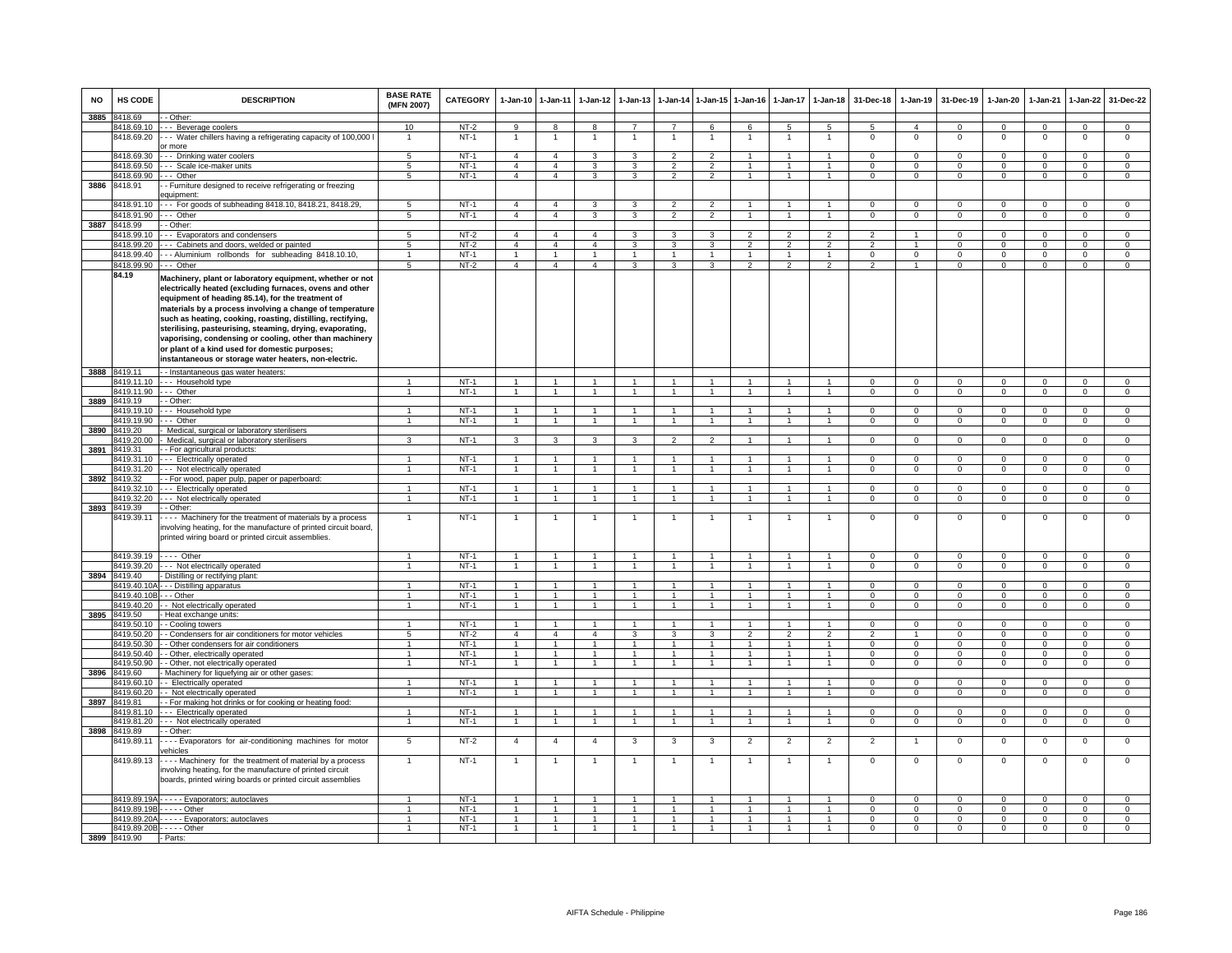| <b>NO</b> | HS CODE                    | <b>DESCRIPTION</b>                                                                                                                                                                                                                                                                                                                                                                                                                                                                                                                      | <b>BASE RATE</b><br>(MFN 2007) | CATEGORY         | 1-Jan-10                         | $1 - Jan-11$                     | $1-Jan-12$                       | $1-Jan-13$     |                                  | 1-Jan-14 1-Jan-15 1-Jan-16       |                | $1-Jan-17$     | $1-Jan-18$                      | 31-Dec-18                  | $1-Jan-19$                   | 31-Dec-19                  | $1-Jan-20$                 | 1-Jan-21                   | 1-Jan-22                    | 31-Dec-22                        |
|-----------|----------------------------|-----------------------------------------------------------------------------------------------------------------------------------------------------------------------------------------------------------------------------------------------------------------------------------------------------------------------------------------------------------------------------------------------------------------------------------------------------------------------------------------------------------------------------------------|--------------------------------|------------------|----------------------------------|----------------------------------|----------------------------------|----------------|----------------------------------|----------------------------------|----------------|----------------|---------------------------------|----------------------------|------------------------------|----------------------------|----------------------------|----------------------------|-----------------------------|----------------------------------|
| 3885      | 8418.69                    | - Other:                                                                                                                                                                                                                                                                                                                                                                                                                                                                                                                                |                                |                  |                                  |                                  |                                  | $\overline{7}$ |                                  |                                  |                |                |                                 |                            |                              |                            |                            |                            |                             |                                  |
|           | 8418.69.10<br>8418.69.20   | -- Beverage coolers<br>- Water chillers having a refrigerating capacity of 100,000<br>or more                                                                                                                                                                                                                                                                                                                                                                                                                                           | 10<br>1                        | $NT-2$<br>$NT-1$ | 9<br>$\overline{1}$              | 8<br>$\overline{1}$              | 8<br>1                           | 1              | $\overline{7}$<br>$\overline{1}$ | 6<br>$\overline{1}$              | 6              | -5             | 5<br>1                          | -5<br>$^{\circ}$           | $\overline{4}$<br>$^{\circ}$ | $\Omega$<br>$\mathbf 0$    | $\Omega$<br>0              | $\Omega$<br>$^{\circ}$     | $\mathbf 0$<br>$\mathbf{0}$ | $\overline{0}$<br>$\mathsf 0$    |
|           | 8418.69.30                 | - Drinking water coolers                                                                                                                                                                                                                                                                                                                                                                                                                                                                                                                | $5^{\circ}$                    | $NT-1$           | $\overline{4}$                   | $\overline{a}$                   | 3                                | 3              | $\overline{2}$                   | $\overline{2}$                   | 1              | 1              | $\mathbf{1}$                    | $\Omega$                   | $\Omega$                     | $\Omega$                   | $\Omega$                   | $\Omega$                   | $\Omega$                    | $\Omega$                         |
|           | 3418.69.50                 | - - Scale ice-maker units                                                                                                                                                                                                                                                                                                                                                                                                                                                                                                               | 5                              | $NT-1$           | $\overline{4}$                   | $\overline{4}$                   | 3                                | 3              | $\overline{2}$                   | $\overline{2}$<br>$\overline{2}$ |                |                | $\mathbf{1}$                    | $\mathbf 0$                | $\mathsf 0$                  | $\mathbf 0$                | 0                          | $\mathbf 0$                | $\mathbf 0$                 | $\mathbf 0$                      |
| 3886      | 8418.69.90<br>8418.91      | -- Other<br>- Furniture designed to receive refrigerating or freezing                                                                                                                                                                                                                                                                                                                                                                                                                                                                   | 5                              | NT-1             | $\overline{4}$                   | $\overline{4}$                   | $\mathbf{3}$                     | 3              | $\mathcal{L}$                    |                                  | $\sim$         | $\mathbf{1}$   | $\overline{1}$                  | $\mathbf 0$                | $\mathbf 0$                  | $\mathbf{0}$               | 0                          | $\mathbf 0$                | $\mathbf 0$                 | $\mathbf 0$                      |
|           | 8418.91.10                 | quipment<br>- - For goods of subheading 8418.10, 8418.21, 8418.29,                                                                                                                                                                                                                                                                                                                                                                                                                                                                      | 5                              | $NT-1$           | $\overline{4}$                   | $\overline{4}$                   | 3                                | $\mathbf{3}$   | $\overline{2}$                   | $\overline{2}$                   | $\overline{1}$ | $\mathbf{1}$   | $\overline{1}$                  | $\Omega$                   | $\Omega$                     | $\Omega$                   | $\Omega$                   | $\Omega$                   | $\mathbf 0$                 | $\mathsf 0$                      |
|           | 8418.91.90                 | -- Other                                                                                                                                                                                                                                                                                                                                                                                                                                                                                                                                | 5                              | $NT-1$           | $\overline{4}$                   | $\overline{4}$                   | 3                                | 3              | $\overline{2}$                   | $\overline{2}$                   | $\overline{1}$ | $\mathbf{1}$   | $\overline{1}$                  | $\Omega$                   | $\overline{0}$               | $\mathbf 0$                | $\overline{0}$             | $\Omega$                   | $\mathbf 0$                 | $\overline{0}$                   |
| 3887      | 8418.99                    | - Other                                                                                                                                                                                                                                                                                                                                                                                                                                                                                                                                 |                                |                  |                                  |                                  |                                  |                |                                  |                                  |                |                |                                 |                            |                              |                            |                            |                            |                             |                                  |
|           | 3418.99.10                 | - Evaporators and condensers                                                                                                                                                                                                                                                                                                                                                                                                                                                                                                            | 5<br>$5^{\circ}$               | $NT-2$           | $\overline{4}$<br>$\overline{4}$ | $\overline{4}$<br>$\overline{4}$ | $\overline{4}$<br>$\overline{4}$ | 3              | 3<br>3                           | 3<br>3                           | $\overline{2}$ | $\mathfrak{p}$ | $\mathcal{P}$<br>$\overline{2}$ | $\overline{2}$             |                              | n<br>$\Omega$              | O<br>$\Omega$              | $\Omega$<br>$\Omega$       | $\Omega$                    | $\Omega$                         |
|           | 8418.99.20<br>8418.99.40   | -- Cabinets and doors, welded or painted<br>-- Aluminium rollbonds for subheading 8418.10.10,                                                                                                                                                                                                                                                                                                                                                                                                                                           |                                | $NT-2$<br>$NT-1$ | $\overline{1}$                   | $\overline{1}$                   | $\mathbf{1}$                     |                | 1                                | $\overline{1}$                   |                |                | $\overline{1}$                  | $\Omega$                   | $\Omega$                     | $\Omega$                   | $\Omega$                   | $\Omega$                   | $\mathbf 0$                 | $\mathbf 0$                      |
|           | 8418.99.90                 | - Other                                                                                                                                                                                                                                                                                                                                                                                                                                                                                                                                 | 5 <sub>1</sub>                 | $NT-2$           | $\overline{a}$                   | $\mathbf{A}$                     | $\mathbf{4}$                     | $\mathbf{a}$   | $\mathbf{R}$                     | $\mathbf{R}$                     | $\mathfrak{D}$ | $\mathcal{P}$  | $\mathcal{P}$                   | $\mathfrak{D}$             |                              | $\Omega$                   | $\Omega$                   | $\Omega$                   | $\mathbf 0$<br>$\Omega$     | 0<br>$\Omega$                    |
|           | 84.19                      |                                                                                                                                                                                                                                                                                                                                                                                                                                                                                                                                         |                                |                  |                                  |                                  |                                  |                |                                  |                                  |                |                |                                 |                            |                              |                            |                            |                            |                             |                                  |
|           |                            | Machinery, plant or laboratory equipment, whether or not<br>electrically heated (excluding furnaces, ovens and other<br>equipment of heading 85.14), for the treatment of<br>materials by a process involving a change of temperature<br>such as heating, cooking, roasting, distilling, rectifying,<br>sterilising, pasteurising, steaming, drying, evaporating,<br>vaporising, condensing or cooling, other than machinery<br>or plant of a kind used for domestic purposes;<br>instantaneous or storage water heaters, non-electric. |                                |                  |                                  |                                  |                                  |                |                                  |                                  |                |                |                                 |                            |                              |                            |                            |                            |                             |                                  |
| 3888      | 8419.11                    | - Instantaneous gas water heaters:                                                                                                                                                                                                                                                                                                                                                                                                                                                                                                      |                                |                  |                                  |                                  |                                  |                |                                  |                                  |                |                |                                 |                            |                              |                            |                            |                            |                             |                                  |
|           | 8419.11.10                 | -- Household type                                                                                                                                                                                                                                                                                                                                                                                                                                                                                                                       |                                | $NT-1$           |                                  |                                  |                                  |                |                                  |                                  |                |                |                                 | $\Omega$                   | $\Omega$                     | $\Omega$                   | $\Omega$                   | $\Omega$                   | $\Omega$                    | $\Omega$                         |
|           | 8419.11.90                 | -- Other                                                                                                                                                                                                                                                                                                                                                                                                                                                                                                                                |                                | $NT-1$           |                                  | $\overline{1}$                   |                                  |                | $\overline{1}$                   |                                  |                |                |                                 | $\Omega$                   | $\Omega$                     | $\Omega$                   | $\Omega$                   | $\Omega$                   | $\Omega$                    | $\overline{0}$                   |
| 3889      | 8419.19                    | - Other:                                                                                                                                                                                                                                                                                                                                                                                                                                                                                                                                |                                |                  |                                  |                                  |                                  |                |                                  |                                  |                |                |                                 |                            |                              |                            |                            |                            |                             |                                  |
|           | 8419.19.10                 | -- Household type                                                                                                                                                                                                                                                                                                                                                                                                                                                                                                                       | $\mathbf{1}$                   | $NT-1$           | $\mathbf{1}$                     | $\overline{1}$                   | $\mathbf{1}$                     | 1              | $\overline{1}$                   | $\overline{1}$                   | 1              |                | $\mathbf{1}$                    | $\mathbf{0}$               | $^{\circ}$                   | $\mathbf{0}$               | $\Omega$                   | $\Omega$                   | $\mathbf{0}$                | $\mathbf{0}$                     |
|           | 3419.19.90                 | -- Other                                                                                                                                                                                                                                                                                                                                                                                                                                                                                                                                | 1                              | $NT-1$           | -1                               | $\overline{1}$                   | $\mathbf{1}$                     | $\mathbf{1}$   | $\overline{1}$                   | $\overline{1}$                   | $\overline{1}$ |                | $\overline{1}$                  | $\Omega$                   | $^{\circ}$                   | $\mathbf{0}$               | $\circ$                    | $\Omega$                   | $\mathbf 0$                 | $\overline{0}$                   |
| 3890      | 419.20                     | Medical, surgical or laboratory sterilisers                                                                                                                                                                                                                                                                                                                                                                                                                                                                                             |                                |                  |                                  |                                  |                                  |                |                                  |                                  |                |                |                                 |                            |                              |                            |                            |                            |                             |                                  |
|           | 419.20.00                  | Medical, surgical or laboratory sterilisers                                                                                                                                                                                                                                                                                                                                                                                                                                                                                             | 3                              | $NT-1$           | 3                                | 3                                | 3                                | 3              | $\overline{2}$                   | $\overline{2}$                   |                |                | $\mathbf{1}$                    | $\mathbf 0$                | $\mathbf 0$                  | $\mathbf 0$                | 0                          | $\mathbf 0$                | $\mathbf 0$                 | $\overline{0}$                   |
| 3891      | 3419.31                    | - For agricultural products                                                                                                                                                                                                                                                                                                                                                                                                                                                                                                             |                                | $NT-1$           | $\overline{1}$                   | $\overline{1}$                   | $\mathbf{1}$                     |                | $\mathbf{1}$                     | $\overline{1}$                   |                |                | $\overline{1}$                  | $\Omega$                   | $^{\circ}$                   | $\mathbf 0$                | 0                          | $^{\circ}$                 |                             | $\mathbf 0$                      |
|           | 3419.31.10<br>8419.31.20   | -- Electrically operated<br>- - Not electrically operated                                                                                                                                                                                                                                                                                                                                                                                                                                                                               | $\overline{1}$                 | $NT-1$           | $\overline{1}$                   | $\overline{1}$                   | $\overline{1}$                   | $\overline{1}$ | $\overline{1}$                   | $\overline{1}$                   | $\overline{1}$ | $\mathbf{1}$   | $\overline{1}$                  | $\Omega$                   | $\mathbf 0$                  | $\mathbf{0}$               | $\overline{0}$             | $\Omega$                   | 0<br>$\overline{0}$         | $\overline{0}$                   |
| 3892      | 3419.32                    | - For wood, paper pulp, paper or paperboard:                                                                                                                                                                                                                                                                                                                                                                                                                                                                                            |                                |                  |                                  |                                  |                                  |                |                                  |                                  |                |                |                                 |                            |                              |                            |                            |                            |                             |                                  |
|           | 3419.32.10                 | -- Electrically operated                                                                                                                                                                                                                                                                                                                                                                                                                                                                                                                |                                | $NT-1$           | $\mathbf{1}$                     | $\mathbf{1}$                     |                                  |                |                                  | $\overline{1}$                   |                |                | $\mathbf{1}$                    | $\Omega$                   | $^{\circ}$                   | $^{\circ}$                 | $\mathbf 0$                | $^{\circ}$                 | $\mathbf 0$                 | $\mathbf 0$                      |
|           | 8419.32.20                 | - - Not electrically operated                                                                                                                                                                                                                                                                                                                                                                                                                                                                                                           | $\mathbf{1}$                   | $NT-1$           | $\overline{1}$                   | $\overline{1}$                   | 1                                | $\mathbf{1}$   | $\overline{1}$                   | $\overline{1}$                   | $\overline{1}$ | $\mathbf{1}$   | $\overline{1}$                  | $\Omega$                   | $\mathbf{0}$                 | $\Omega$                   | $\Omega$                   | $\Omega$                   | $\Omega$                    | $\overline{0}$                   |
| 3893      | 8419.39                    | - Other:                                                                                                                                                                                                                                                                                                                                                                                                                                                                                                                                |                                |                  |                                  |                                  |                                  |                |                                  |                                  |                |                |                                 |                            |                              |                            |                            |                            |                             |                                  |
|           | 8419.39.11                 | --- Machinery for the treatment of materials by a process<br>involving heating, for the manufacture of printed circuit board,<br>printed wiring board or printed circuit assemblies.                                                                                                                                                                                                                                                                                                                                                    | $\mathbf{1}$                   | $NT-1$           | $\overline{1}$                   | $\overline{1}$                   | 1                                | 1              | $\overline{1}$                   | $\overline{1}$                   | 1              | 1              | $\mathbf{1}$                    | $^{\circ}$                 | 0                            | $^{\circ}$                 | 0                          | $^{\circ}$                 | $\mathbf{0}$                | $^{\circ}$                       |
|           | 8419.39.19                 | Other                                                                                                                                                                                                                                                                                                                                                                                                                                                                                                                                   |                                | $NT-1$           | $\overline{1}$                   | $\mathbf{1}$                     |                                  |                | $\overline{1}$                   |                                  |                |                | $\overline{1}$                  | $\mathsf 0$                | $\mathsf 0$                  | $\mathbf 0$                | $\mathbf 0$                | $\Omega$                   | $\mathbf 0$                 | $\mathsf 0$                      |
|           |                            | 8419.39.20 --- Not electrically operated                                                                                                                                                                                                                                                                                                                                                                                                                                                                                                |                                | $NT-1$           | $\overline{1}$                   | $\overline{1}$                   | $\blacktriangleleft$             |                | $\overline{1}$                   | $\overline{1}$                   |                |                | $\overline{1}$                  | $\Omega$                   | $\mathsf 0$                  | $\Omega$                   | $\Omega$                   | $\Omega$                   | $\overline{0}$              | $\overline{0}$                   |
|           | 3894 8419.40<br>8419.40.10 | Distilling or rectifying plant:<br>- - Distilling apparatus                                                                                                                                                                                                                                                                                                                                                                                                                                                                             |                                | $NT-1$           | $\overline{1}$                   | $\overline{1}$                   | $\mathbf{1}$                     | $\mathbf{1}$   | $\overline{1}$                   | $\blacktriangleleft$             |                |                | $\overline{1}$                  | $\Omega$                   | $\Omega$                     | $\Omega$                   | $\Omega$                   | $\Omega$                   | $\mathbf 0$                 | $\mathbf 0$                      |
|           | 8419.40.10E                | - - Other                                                                                                                                                                                                                                                                                                                                                                                                                                                                                                                               |                                | $NT-1$           | $\overline{1}$                   | $\mathbf{1}$                     | $\mathbf{1}$                     |                | $\mathbf{1}$                     | $\overline{1}$                   |                |                | $\mathbf{1}$                    | $\overline{0}$             | $\overline{0}$               | $\overline{0}$             | $\overline{0}$             | $\overline{0}$             | $\overline{0}$              | $\overline{0}$                   |
|           | 8419.40.20                 | - Not electrically operated                                                                                                                                                                                                                                                                                                                                                                                                                                                                                                             | $\mathbf{1}$                   | $NT-1$           | $\overline{1}$                   | $\mathbf{1}$                     | $\mathbf{1}$                     |                | $\overline{1}$                   | $\mathbf{1}$                     |                |                | $\mathbf{1}$                    | $\Omega$                   | $\mathbf 0$                  | $\Omega$                   | 0                          | $\Omega$                   | $\Omega$                    | $\mathbf{0}$                     |
| 3895      | 8419.50                    | Heat exchange units:                                                                                                                                                                                                                                                                                                                                                                                                                                                                                                                    |                                |                  |                                  |                                  |                                  |                |                                  |                                  |                |                |                                 |                            |                              |                            |                            |                            |                             |                                  |
|           | 8419.50.10                 | - Cooling towers                                                                                                                                                                                                                                                                                                                                                                                                                                                                                                                        | 1                              | <b>NT-1</b>      | $\overline{1}$                   | $\overline{1}$                   | $\mathbf{1}$                     | $\mathbf{1}$   | $\overline{1}$                   | $\overline{1}$                   |                |                | $\mathbf{1}$                    | $\Omega$                   | $\mathbf 0$                  | $\Omega$                   | $\Omega$                   | $\Omega$                   | $\Omega$                    | $\Omega$                         |
|           | 8419.50.20                 | - Condensers for air conditioners for motor vehicles                                                                                                                                                                                                                                                                                                                                                                                                                                                                                    | 5                              | $NT-2$           | $\overline{4}$                   | $\overline{4}$                   | $\overline{4}$                   | 3              | 3                                | 3                                | 2              | $\overline{2}$ | $\overline{2}$                  | 2                          | 1                            | $\mathbf 0$                | $\mathbf 0$                | $^{\circ}$                 | $\mathbf{0}$                | $\mathbf 0$                      |
|           | 8419.50.30<br>3419.50.40   | - Other condensers for air conditioners<br>- Other, electrically operated                                                                                                                                                                                                                                                                                                                                                                                                                                                               | $\overline{1}$                 | $NT-1$<br>$NT-1$ | $\overline{1}$                   | $\overline{1}$                   | $\overline{1}$                   | $\overline{1}$ | $\mathbf{1}$                     | $\overline{1}$                   | $\mathbf{1}$   | 1              | $\mathbf{1}$                    | $\Omega$                   | $\Omega$                     | $\Omega$                   | $\Omega$                   | $\Omega$                   | $\Omega$<br>$\overline{0}$  | $\overline{0}$<br>$\overline{0}$ |
|           | 3419.50.90                 | - Other, not electrically operated                                                                                                                                                                                                                                                                                                                                                                                                                                                                                                      |                                | $NT-1$           | 1<br>$\mathbf{1}$                | 1<br>1                           | 1<br>$\mathbf{1}$                |                | 1<br>1                           | $\overline{1}$<br>$\overline{1}$ |                | -1             | $\overline{1}$<br>$\mathbf{1}$  | $\Omega$<br>$\mathbf 0$    | $\Omega$<br>$\mathbf 0$      | $\Omega$<br>$^{\circ}$     | $\Omega$<br>0              | $\Omega$<br>$^{\circ}$     | $\mathbf 0$                 | $\mathbf 0$                      |
| 3896      | 8419.60                    | Machinery for liquefying air or other gases:                                                                                                                                                                                                                                                                                                                                                                                                                                                                                            |                                |                  |                                  |                                  |                                  |                |                                  |                                  |                |                |                                 |                            |                              |                            |                            |                            |                             |                                  |
|           | 3419.60.10                 | - Electrically operated                                                                                                                                                                                                                                                                                                                                                                                                                                                                                                                 | 1                              | NT-1             | $\overline{1}$                   | $\overline{1}$                   | $\overline{1}$                   | $\mathbf{1}$   | $\overline{1}$                   | $\blacktriangleleft$             | 1              |                | $\blacktriangleleft$            | $\Omega$                   | 0                            | $\mathbf 0$                | 0                          | $\Omega$                   | $\mathbf{0}$                | $\mathbf 0$                      |
|           | 8419.60.20                 | - Not electrically operated                                                                                                                                                                                                                                                                                                                                                                                                                                                                                                             | $\overline{1}$                 | $NT-1$           | $\overline{1}$                   | $\overline{1}$                   | $\overline{1}$                   | $\overline{1}$ | $\overline{1}$                   | $\overline{1}$                   | $\mathbf{1}$   | $\overline{1}$ | $\overline{1}$                  | $\Omega$                   | $\mathbf 0$                  | $\mathbf{0}$               | $\Omega$                   | $\Omega$                   | $\mathbf 0$                 | $\overline{0}$                   |
| 3897      | 3419.81                    | - For making hot drinks or for cooking or heating food:                                                                                                                                                                                                                                                                                                                                                                                                                                                                                 |                                |                  |                                  |                                  |                                  |                |                                  |                                  |                |                |                                 |                            |                              |                            |                            |                            |                             |                                  |
|           | 3419.81.10                 | - - Electrically operated                                                                                                                                                                                                                                                                                                                                                                                                                                                                                                               |                                | $NT-1$           |                                  | $\mathbf{1}$                     |                                  |                |                                  |                                  |                |                | $\mathbf{1}$                    | $\Omega$                   | $\mathbf 0$                  | $\Omega$                   | $\Omega$                   | $\Omega$                   | $\mathbf 0$                 | $\mathbf{0}$                     |
|           | 8419.81.20                 | -- Not electrically operated                                                                                                                                                                                                                                                                                                                                                                                                                                                                                                            | $\overline{1}$                 | $NT-1$           | $\mathbf{1}$                     | $\overline{1}$                   | $\mathbf{1}$                     | $\overline{1}$ | $\overline{1}$                   | $\overline{1}$                   | $\overline{1}$ | $\overline{1}$ | $\overline{1}$                  | $\Omega$                   | $\mathbf 0$                  | $\Omega$                   | $\mathbf{O}$               | $\Omega$                   | $\mathbf 0$                 | $\circ$                          |
|           | 3898 8419.89<br>8419.89.11 | - Other:<br>--- Evaporators for air-conditioning machines for motor                                                                                                                                                                                                                                                                                                                                                                                                                                                                     | 5                              | $NT-2$           | $\overline{4}$                   | $\overline{4}$                   | $\overline{4}$                   | 3              | 3                                | 3                                | $\overline{2}$ | $\overline{2}$ | $\overline{2}$                  | $\overline{2}$             | $\mathbf{1}$                 | $\mathbf{0}$               | $\mathbf{0}$               | 0                          | $\mathbf{0}$                | $\mathbf 0$                      |
|           | 8419.89.13                 | ehicles<br>--- Machinery for the treatment of material by a process<br>involving heating, for the manufacture of printed circuit                                                                                                                                                                                                                                                                                                                                                                                                        | $\mathbf{1}$                   | $NT-1$           | $\overline{1}$                   | $\overline{1}$                   | $\mathbf{1}$                     | 1              | $\overline{1}$                   | $\overline{1}$                   | 1              | 1              | $\overline{1}$                  | $\mathbf 0$                | $\overline{0}$               | $\overline{0}$             | $\overline{0}$             | $\mathbf 0$                | $\overline{0}$              | $\overline{0}$                   |
|           |                            | boards, printed wiring boards or printed circuit assemblies                                                                                                                                                                                                                                                                                                                                                                                                                                                                             |                                |                  |                                  |                                  |                                  |                |                                  |                                  |                |                |                                 |                            |                              |                            |                            |                            |                             |                                  |
|           |                            | 8419.89.19A - - - - - Evaporators; autoclaves                                                                                                                                                                                                                                                                                                                                                                                                                                                                                           |                                | $NT-1$           | $\overline{1}$                   | $\overline{1}$                   | $\blacktriangleleft$             | $\mathbf{1}$   | $\overline{1}$                   |                                  |                |                | $\overline{1}$                  | $\Omega$                   | $\mathbf 0$                  | $\Omega$                   | $\Omega$                   | $\Omega$                   | $\Omega$                    | $\Omega$                         |
|           | 8419.89.19B                | $\cdots$ - Other                                                                                                                                                                                                                                                                                                                                                                                                                                                                                                                        |                                | $NT-1$           | $\overline{1}$                   | $\overline{1}$                   | $\overline{1}$                   | $\overline{1}$ | $\overline{1}$                   | $\overline{1}$                   | $\mathbf{1}$   | $\mathbf{1}$   | $\mathbf{1}$                    | $\overline{0}$             | $\overline{0}$               | $\overline{0}$             | $\overline{0}$             | $\mathbf 0$                | $\overline{0}$              | $\overline{0}$                   |
|           |                            | 8419.89.20A - - - - - Evaporators; autoclaves<br>8419.89.20B - - - - - Other                                                                                                                                                                                                                                                                                                                                                                                                                                                            | $\mathbf{1}$                   | $NT-1$<br>$NT-1$ | $\overline{1}$                   | $\overline{1}$                   | $\overline{1}$                   | $\mathbf{1}$   | $\overline{1}$                   | $\overline{1}$                   | $\mathbf{1}$   | $\mathbf{1}$   | $\mathbf{1}$                    | $\overline{0}$<br>$\Omega$ | $\overline{0}$<br>$\Omega$   | $\overline{0}$<br>$\Omega$ | $\overline{0}$<br>$\Omega$ | $\overline{0}$<br>$\Omega$ | $\overline{0}$<br>$\Omega$  | $\overline{0}$<br>$\Omega$       |
|           | 3899 8419.90               | - Parts:                                                                                                                                                                                                                                                                                                                                                                                                                                                                                                                                |                                |                  |                                  |                                  |                                  |                |                                  |                                  |                |                |                                 |                            |                              |                            |                            |                            |                             |                                  |
|           |                            |                                                                                                                                                                                                                                                                                                                                                                                                                                                                                                                                         |                                |                  |                                  |                                  |                                  |                |                                  |                                  |                |                |                                 |                            |                              |                            |                            |                            |                             |                                  |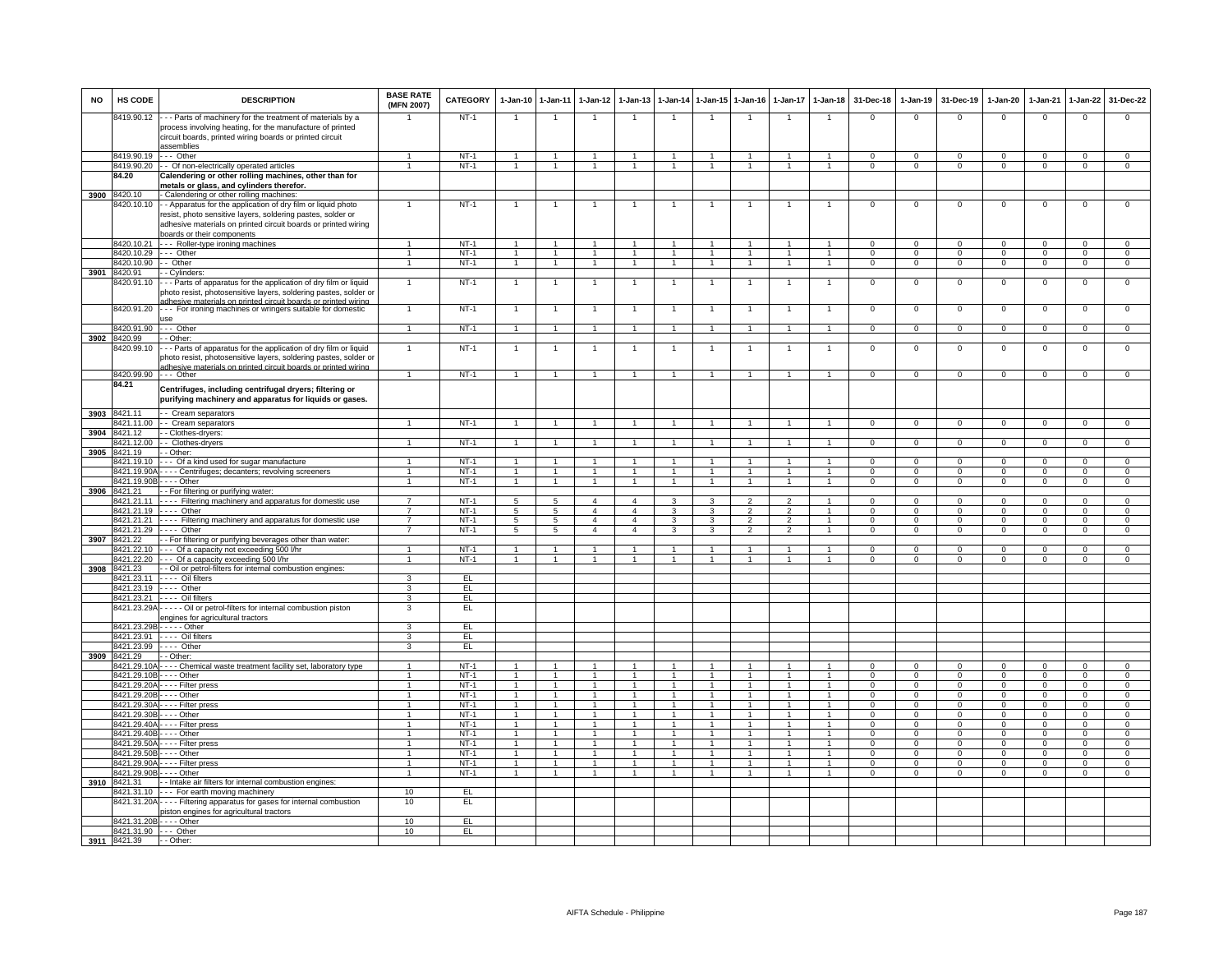| <b>NO</b> | HS CODE                             | <b>DESCRIPTION</b>                                                                                                                                                                                      | <b>BASE RATE</b><br>(MFN 2007) | <b>CATEGORY</b>  |                                  | 1-Jan-10 1-Jan-11            | $1-Jan-12$           | $1-Jan-13$     | $1-Jan-14$                   |                              | 1-Jan-15 1-Jan-16 |                          | 1-Jan-17 1-Jan-18   | 31-Dec-18                  | $1-Jan-19$                 | 31-Dec-19            | $1-Jan-20$                  | 1-Jan-21                   | 1-Jan-22                   | 31-Dec-22                |
|-----------|-------------------------------------|---------------------------------------------------------------------------------------------------------------------------------------------------------------------------------------------------------|--------------------------------|------------------|----------------------------------|------------------------------|----------------------|----------------|------------------------------|------------------------------|-------------------|--------------------------|---------------------|----------------------------|----------------------------|----------------------|-----------------------------|----------------------------|----------------------------|--------------------------|
|           | 3419.90.12                          | --- Parts of machinery for the treatment of materials by a<br>process involving heating, for the manufacture of printed<br>circuit boards, printed wiring boards or printed circuit<br>assemblies       |                                | <b>NT-1</b>      |                                  | $\overline{1}$               |                      |                |                              |                              |                   |                          |                     | 0                          | $\Omega$                   | $\Omega$             | $\Omega$                    | $\mathsf 0$                | 0                          | $\Omega$                 |
|           | 8419.90.19                          | $\cdots$ Other                                                                                                                                                                                          | 1                              | $NT-1$           | $\overline{1}$                   | $\mathbf{1}$                 | $\mathbf{1}$         | $\mathbf{1}$   | $\mathbf{1}$                 | $\overline{1}$               | $\overline{1}$    | $\mathbf{1}$             | $\mathbf{1}$        | $\Omega$                   | $\Omega$                   | $\Omega$             | $\Omega$                    | $\Omega$                   | $\Omega$                   | $\overline{0}$           |
|           | 3419.90.20                          | - Of non-electrically operated articles                                                                                                                                                                 | $\mathbf{1}$                   | $NT-1$           | 1                                | $\overline{1}$               | $\mathbf{1}$         | $\mathbf{1}$   | $\mathbf{1}$                 |                              |                   | $\mathbf{1}$             | $\overline{1}$      | $\mathbf 0$                | $\Omega$                   | $\mathbf 0$          | $\mathbf 0$                 | $\mathbf{0}$               | 0                          | $\overline{0}$           |
|           | 84.20                               | Calendering or other rolling machines, other than for                                                                                                                                                   |                                |                  |                                  |                              |                      |                |                              |                              |                   |                          |                     |                            |                            |                      |                             |                            |                            |                          |
|           | 420.10                              | metals or glass, and cylinders therefor                                                                                                                                                                 |                                |                  |                                  |                              |                      |                |                              |                              |                   |                          |                     |                            |                            |                      |                             |                            |                            |                          |
| 3900      | 420.10.10                           | - Calendering or other rolling machines:<br>- Apparatus for the application of dry film or liquid photo                                                                                                 | $\mathbf{1}$                   | $NT-1$           | $\overline{1}$                   | $\overline{1}$               | $\overline{1}$       | $\overline{1}$ | $\overline{1}$               | $\overline{1}$               | $\overline{1}$    | $\overline{1}$           | $\mathbf{1}$        | $\overline{0}$             | $\overline{0}$             | $\mathbf 0$          | $\mathbf 0$                 | $\overline{0}$             | $\overline{0}$             | $\overline{0}$           |
|           |                                     | resist, photo sensitive layers, soldering pastes, solder or<br>adhesive materials on printed circuit boards or printed wiring<br>poards or their components                                             |                                |                  |                                  |                              |                      |                |                              |                              |                   |                          |                     |                            |                            |                      |                             |                            |                            |                          |
|           | 8420.10.21                          | --- Roller-type ironing machines                                                                                                                                                                        | 1                              | $NT-1$           | $\overline{1}$                   | $\overline{1}$               | -1                   | $\overline{1}$ | $\overline{1}$               | $\overline{1}$               | $\overline{1}$    | -1                       | $\mathbf{1}$        | $\mathbf{0}$               | $\mathbf{0}$               | $\mathbf{0}$         | $^{\circ}$                  | $\overline{0}$             | $\mathbf{0}$               | $\mathbf{0}$             |
|           | 3420.10.29                          | $\overline{\cdots}$ Other                                                                                                                                                                               | 1                              | $NT-1$           | $\overline{1}$                   | 1                            | $\overline{1}$       | $\overline{1}$ | $\overline{1}$               | $\mathbf{1}$                 | $\mathbf{1}$      | $\overline{1}$           | $\overline{1}$      | $\overline{0}$             | $\overline{0}$             | $\overline{0}$       | $\overline{0}$              | $\overline{0}$             | $\overline{0}$             | $\overline{0}$           |
|           | 3420.10.90                          | - Other                                                                                                                                                                                                 | $\overline{1}$                 | $NT-1$           | $\overline{1}$                   | $\overline{1}$               | $\overline{1}$       | $\overline{1}$ | $\overline{1}$               | $\overline{1}$               | $\overline{1}$    | $\mathbf{1}$             | $\overline{1}$      | $\overline{0}$             | $\overline{0}$             | $\overline{0}$       | $\overline{0}$              | $\overline{0}$             | $\overline{0}$             | $\overline{0}$           |
| 3901      | 8420.91<br>420.91.10                | - Cylinders<br>--- Parts of apparatus for the application of dry film or liquid                                                                                                                         | $\mathbf{1}$                   | $NT-1$           | $\overline{1}$                   | $\mathbf{1}$                 | 1                    | $\mathbf{1}$   | $\mathbf{1}$                 | $\mathbf{1}$                 |                   | $\mathbf{1}$             | 1                   | $\mathsf 0$                | $\mathsf 0$                | $\mathsf 0$          | $\,0\,$                     | $\mathsf 0$                | $\mathsf 0$                | $\mathsf 0$              |
|           | 8420.91.20                          | photo resist, photosensitive layers, soldering pastes, solder or<br>adhesive materials on printed circuit boards or printed wiring                                                                      | $\mathbf{1}$                   | $NT-1$           | $\overline{1}$                   | $\mathbf{1}$                 |                      |                | $\overline{1}$               | -1                           |                   |                          |                     |                            |                            |                      |                             |                            |                            | $\mathsf 0$              |
|           |                                     | - - - For ironing machines or wringers suitable for domestic<br><b>ISA</b>                                                                                                                              |                                |                  |                                  |                              |                      |                |                              |                              |                   |                          |                     | $\mathbf 0$                | $\mathbf 0$                | $\mathbf 0$          | $\overline{0}$              | $\mathbf 0$                | $\mathbf{0}$               |                          |
|           | 420.91.90                           | Other                                                                                                                                                                                                   | $\mathbf{1}$                   | $NT-1$           | $\overline{1}$                   | $\mathbf{1}$                 | $\mathbf{1}$         |                | $\overline{1}$               | $\mathbf{1}$                 |                   | $\overline{1}$           |                     | $\overline{0}$             | $\overline{0}$             | $\mathbf 0$          | $\mathbf 0$                 | $\overline{0}$             | $\overline{0}$             | $\mathbf{0}$             |
| 3902      | 420.99                              | Other:                                                                                                                                                                                                  |                                |                  |                                  |                              |                      |                |                              |                              |                   |                          |                     |                            |                            |                      |                             |                            |                            |                          |
|           | 8420.99.10                          | --- Parts of apparatus for the application of dry film or liquid<br>photo resist, photosensitive layers, soldering pastes, solder or<br>erials on printed circuit hoards or printed wiring<br>dhaciva m | $\mathbf{1}$                   | $NT-1$           | $\overline{1}$                   | $\overline{1}$               | 1                    | $\overline{1}$ | $\overline{1}$               | $\mathbf{1}$                 | 1                 | $\mathbf{1}$             | $\overline{1}$      | $\mathbf 0$                | $\mathsf 0$                | $\mathsf 0$          | $\circ$                     | $\overline{0}$             | $\overline{0}$             | $\overline{0}$           |
|           | 8420.99.90                          | --- Other                                                                                                                                                                                               | $\mathbf{1}$                   | $NT-1$           | $\mathbf{1}$                     | $\mathbf{1}$                 | $\mathbf{1}$         | $\overline{1}$ | $\mathbf{1}$                 | $\mathbf{1}$                 | $\overline{1}$    | $\mathbf{1}$             | $\mathbf{1}$        | $\overline{0}$             | $\mathbf 0$                | $\mathbf 0$          | $\mathbf{0}$                | $\mathbf{0}$               | $\mathbf 0$                | $\mathbf{0}$             |
|           | 84.21                               | Centrifuges, including centrifugal dryers; filtering or<br>purifying machinery and apparatus for liquids or gases.                                                                                      |                                |                  |                                  |                              |                      |                |                              |                              |                   |                          |                     |                            |                            |                      |                             |                            |                            |                          |
| 3903      | 8421.11                             | - Cream separator                                                                                                                                                                                       |                                |                  |                                  |                              |                      |                |                              |                              |                   |                          |                     |                            |                            |                      |                             |                            |                            |                          |
|           | 421.11.00                           | - Cream separators                                                                                                                                                                                      |                                | $NT-1$           |                                  |                              |                      |                |                              |                              |                   |                          |                     | $\overline{0}$             | $\overline{0}$             | $\overline{0}$       | $\Omega$                    | $\overline{0}$             | $\Omega$                   | $\overline{0}$           |
| 3904      | 3421.12                             | - Clothes-dryers:<br>8421.12.00 - Clothes-dryers                                                                                                                                                        | $\blacktriangleleft$           | $NT-1$           | $\overline{1}$                   | $\overline{1}$               |                      |                | $\overline{1}$               |                              |                   |                          |                     | $\Omega$                   | $\Omega$                   | $\Omega$             | $\Omega$                    | $\mathbf 0$                | $\Omega$                   | $\Omega$                 |
|           | 3905 8421.19                        | - - Other:                                                                                                                                                                                              |                                |                  |                                  |                              |                      |                |                              |                              |                   |                          |                     |                            |                            |                      |                             |                            |                            |                          |
|           |                                     | 8421.19.10 --- Of a kind used for sugar manufacture                                                                                                                                                     | $\mathbf{1}$                   | NT-1             | $\overline{1}$                   | $\overline{1}$               | 1                    | $\mathbf{1}$   | $\overline{1}$               | $\mathbf{1}$                 | 1                 | $\mathbf{1}$             | $\mathbf{1}$        | $\Omega$                   | $\mathbf{0}$               | $^{\circ}$           | $\mathbf{0}$                | $\Omega$                   | $\mathbf{0}$               | $\Omega$                 |
|           | 8421.19.90A                         | - - - - Centrifuges; decanters; revolving screeners                                                                                                                                                     | $\mathbf{1}$                   | $NT-1$           | $\overline{1}$                   | $\overline{1}$               | $\mathbf{1}$         | $\mathbf{1}$   | $\mathbf{1}$                 | $\mathbf{1}$                 | $\mathbf{1}$      | $\mathbf{1}$             | $\mathbf{1}$        | $\Omega$                   | $\mathbf 0$                | $\Omega$             | $^{\circ}$                  | $\Omega$                   | $\overline{0}$             | $\overline{0}$           |
|           | 8421.19.90B                         | $\cdots$ - Other                                                                                                                                                                                        | $\mathbf{1}$                   | $NT-1$           | $\mathbf{1}$                     | $\mathbf{1}$                 | $\mathbf{1}$         | $\mathbf{1}$   | $\mathbf{1}$                 | $\mathbf{1}$                 | $\mathbf{1}$      | $\mathbf{1}$             | $\mathbf{1}$        | $\mathbf{0}$               | $\mathbf 0$                | $\mathbf 0$          | $\mathbf 0$                 | $\mathbf{0}$               | $\mathsf 0$                | $\mathbf{0}$             |
| 3906      | 421.21<br>8421.21.11                | - - For filtering or purifying water:<br>- - - - Filtering machinery and apparatus for domestic use                                                                                                     | $\overline{7}$                 | $NT-1$           | $5\overline{)}$                  | $\overline{5}$               | $\overline{4}$       | $\overline{4}$ | 3                            | 3                            | $\overline{2}$    | $\mathcal{P}$            | $\mathbf{1}$        | $\Omega$                   | $\Omega$                   | $\Omega$             | $\mathbf 0$                 | $\Omega$                   | $\Omega$                   | $\overline{0}$           |
|           | 8421.21.19                          | $---$ Other                                                                                                                                                                                             | $\overline{7}$                 | $NT-1$           | 5                                | 5                            | $\overline{4}$       | $\overline{a}$ | 3                            | 3                            | $\overline{2}$    | $\mathfrak{p}$           | $\mathbf{1}$        | $^{\circ}$                 | $\mathsf 0$                | $\Omega$             | $\mathbf 0$                 | $\Omega$                   | $\mathsf 0$                | $\mathbf 0$              |
|           | 8421.21.21                          | - - - - Filtering machinery and apparatus for domestic use                                                                                                                                              | $\overline{7}$                 | $NT-1$           | 5                                | $\overline{5}$               | $\overline{4}$       | $\overline{4}$ | 3                            | 3                            | $\overline{2}$    | $\overline{2}$           | $\mathbf{1}$        | $\Omega$                   | $\Omega$                   | $\Omega$             | $\mathbf{0}$                | $\Omega$                   | $\Omega$                   | $\overline{0}$           |
|           | 8421.21.29                          | $- - -$ Other                                                                                                                                                                                           | $\overline{7}$                 | $NT-1$           | $\overline{5}$                   | $\overline{5}$               | $\overline{4}$       | $\overline{4}$ | 3                            | 3                            | $\overline{2}$    | $\overline{\phantom{a}}$ |                     | $\overline{0}$             | $\overline{0}$             | $\overline{0}$       | $\overline{0}$              | $\overline{0}$             | $\overline{0}$             | $\overline{0}$           |
| 3907      | 8421.22<br>8421.22.10               | - - For filtering or purifying beverages other than water:<br>- - - Of a capacity not exceeding 500 l/hr                                                                                                | $\mathbf{1}$                   | $NT-1$           | 1                                | $\mathbf{1}$                 | $\mathbf{1}$         |                | $\overline{1}$               | $\mathbf{1}$                 |                   |                          |                     | $\Omega$                   | $\Omega$                   | $\Omega$             | $\Omega$                    | $\Omega$                   | $\Omega$                   | $\Omega$                 |
|           |                                     | 8421.22.20 - - - Of a capacity exceeding 500 l/hr                                                                                                                                                       | 1                              | NT-1             | $\overline{1}$                   | $\overline{1}$               | $\mathbf{1}$         | $\mathbf{1}$   | $\overline{1}$               | $\mathbf{1}$                 | 1                 | $\mathbf{1}$             | $\mathbf{1}$        | $\Omega$                   | $\mathbf{0}$               | $\mathbf 0$          | $\mathbf{0}$                | $\Omega$                   | $\mathbf{0}$               | $\mathbf{0}$             |
|           | 3908 8421.23                        | - - Oil or petrol-filters for internal combustion engines:                                                                                                                                              |                                |                  |                                  |                              |                      |                |                              |                              |                   |                          |                     |                            |                            |                      |                             |                            |                            |                          |
|           | 421.23.11                           | ---- Oil filters                                                                                                                                                                                        | 3                              | EL               |                                  |                              |                      |                |                              |                              |                   |                          |                     |                            |                            |                      |                             |                            |                            |                          |
|           | 3421.23.19                          | - - - - Other                                                                                                                                                                                           | 3<br>3                         | EL<br>EL         |                                  |                              |                      |                |                              |                              |                   |                          |                     |                            |                            |                      |                             |                            |                            |                          |
|           | 8421.23.21<br>8421.23.29A           | ---- Oil filter<br>- - - - - Oil or petrol-filters for internal combustion piston                                                                                                                       | 3                              | EL               |                                  |                              |                      |                |                              |                              |                   |                          |                     |                            |                            |                      |                             |                            |                            |                          |
|           |                                     | engines for agricultural tractors                                                                                                                                                                       |                                |                  |                                  |                              |                      |                |                              |                              |                   |                          |                     |                            |                            |                      |                             |                            |                            |                          |
|           | 8421.23.29                          | - - - - - Other                                                                                                                                                                                         | 3                              | EL               |                                  |                              |                      |                |                              |                              |                   |                          |                     |                            |                            |                      |                             |                            |                            |                          |
|           | 8421.23.91                          | Oil filters                                                                                                                                                                                             | 3                              | EL               |                                  |                              |                      |                |                              |                              |                   |                          |                     |                            |                            |                      |                             |                            |                            |                          |
| 3909      | 8421.23.99<br>8421.29               | - - - - Other<br>- - Other:                                                                                                                                                                             | 3                              | EL               |                                  |                              |                      |                |                              |                              |                   |                          |                     |                            |                            |                      |                             |                            |                            |                          |
|           |                                     | 8421.29.10A - - - - Chemical waste treatment facility set, laboratory type                                                                                                                              | 1                              | $NT-1$           | 1                                | $\mathbf{1}$                 |                      |                |                              |                              |                   |                          |                     | $\Omega$                   | $\Omega$                   | $\Omega$             | $\Omega$                    | $\Omega$                   | $\Omega$                   | $\Omega$                 |
|           | 8421.29.10B                         | - - - - Other                                                                                                                                                                                           | $\mathbf{1}$                   | $NT-1$           | $\overline{1}$                   | $\overline{1}$               | $\blacktriangleleft$ | $\overline{1}$ | $\overline{1}$               | $\mathbf{1}$                 | $\mathbf{1}$      |                          | $\mathbf{1}$        | $\Omega$                   | $^{\circ}$                 | $\mathbf 0$          | $\circ$                     | $\Omega$                   | $^{\circ}$                 | $\overline{0}$           |
|           | 8421.29.20A                         | ---- Filter press                                                                                                                                                                                       | $\mathbf{1}$                   | $NT-1$           | $\overline{1}$                   | $\overline{1}$               | $\sim$               | $\overline{1}$ | $\overline{1}$               | $\overline{1}$               | $\mathbf{1}$      | $\mathbf{1}$             | 1                   | $\Omega$                   | $\mathsf 0$                | $\Omega$             | $\mathbf{0}$                | $\mathbf 0$                | $\overline{0}$             | $\overline{0}$           |
|           | 8421.29.20B                         | $- -$ - Other                                                                                                                                                                                           | $\mathbf{1}$<br>$\mathbf{1}$   | $NT-1$           | $\mathbf{1}$<br>$\mathbf{1}$     | $\mathbf{1}$<br>$\mathbf{1}$ | 1                    | $\mathbf{1}$   | 1                            | $\mathbf{1}$                 | $\overline{1}$    |                          | $\mathbf{1}$        | $\mathbf 0$                | $\mathbf 0$                | $^{\circ}$           | $\mathbf{0}$                | $\mathbf 0$                | $\mathbf 0$                | $\mathbf{0}$             |
|           | 421.29.30A<br>8421.29.30B           | Filter press<br>$--$ Other                                                                                                                                                                              | 1                              | $NT-1$<br>$NT-1$ | 1                                | $\overline{1}$               | 1                    |                |                              |                              |                   |                          | $\overline{1}$<br>1 | $\mathbf 0$<br>$\mathbf 0$ | $\mathbf 0$<br>$\mathsf 0$ | $\Omega$<br>$\Omega$ | $\mathbf{0}$<br>$\mathsf 0$ | $\mathbf 0$<br>$\mathbf 0$ | $\mathbf 0$<br>$\mathbf 0$ | 0<br>0                   |
|           | 8421.29.40A                         | --- Filter press                                                                                                                                                                                        | $\overline{1}$                 | $NT-1$           | $\overline{1}$                   | $\overline{1}$               | $\blacktriangleleft$ | $\mathbf{1}$   | $\blacktriangleleft$         | $\blacktriangleleft$         | $\mathbf{1}$      |                          | $\mathbf{1}$        | $^{\circ}$                 | $\mathsf 0$                | $\Omega$             | $\mathbf 0$                 | $\mathbf 0$                | $\mathsf 0$                | $\mathbf 0$              |
|           | 8421.29.40B                         | --- Other                                                                                                                                                                                               | $\overline{1}$                 | $NT-1$           | $\overline{1}$                   | $\overline{1}$               | $\mathbf{1}$         | $\overline{1}$ | $\overline{1}$               | $\overline{1}$               | $\overline{1}$    | $\mathbf{1}$             | $\overline{1}$      | $\Omega$                   | $\overline{0}$             | $\Omega$             | $\mathbf{0}$                | $\Omega$                   | $\overline{0}$             | $\overline{0}$           |
|           | 8421.29.50                          | - - - Filter press                                                                                                                                                                                      |                                | $NT-1$           | $\overline{1}$                   | $\overline{1}$               |                      |                | $\mathbf{1}$                 | $\mathbf{1}$                 |                   |                          |                     | $\Omega$                   | $\overline{0}$             | $\Omega$             | $\overline{0}$              | $\overline{0}$             | $\overline{0}$             | $\overline{0}$           |
|           | 8421.29.50E<br>8421.29.90           | --- Other                                                                                                                                                                                               | $\mathbf{1}$<br>$\mathbf{1}$   | $NT-1$<br>$NT-1$ | $\overline{1}$<br>$\overline{1}$ | $\mathbf{1}$<br>$\mathbf{1}$ | $\mathbf{1}$         |                | $\mathbf{1}$<br>$\mathbf{1}$ | $\mathbf{1}$<br>$\mathbf{1}$ |                   |                          |                     | $\Omega$<br>$\Omega$       | $\mathbf 0$<br>$\Omega$    | $\Omega$<br>$\Omega$ | $\Omega$<br>0               | $\Omega$<br>$\Omega$       | $\mathbf 0$<br>$\Omega$    | $\mathbf{0}$<br>$\Omega$ |
|           | 8421.29.90B - - - - Other           | - - - - Filter press                                                                                                                                                                                    | $\mathbf{1}$                   | $NT-1$           | $\overline{1}$                   | $\overline{1}$               | $\overline{1}$       | $\mathbf{1}$   | $\overline{1}$               | $\mathbf{1}$                 |                   | $\mathbf{1}$             |                     | $\Omega$                   | $\mathbf{0}$               | $\mathbf{0}$         | $\mathbf{0}$                | $\Omega$                   | $\mathbf{0}$               | $\Omega$                 |
|           | 3910 8421.31                        | - - Intake air filters for internal combustion engines:                                                                                                                                                 |                                |                  |                                  |                              |                      |                |                              |                              |                   |                          |                     |                            |                            |                      |                             |                            |                            |                          |
|           | 8421.31.10                          | --- For earth moving machinery                                                                                                                                                                          | 10                             | EL.              |                                  |                              |                      |                |                              |                              |                   |                          |                     |                            |                            |                      |                             |                            |                            |                          |
|           |                                     | 8421.31.20A - - - - Filtering apparatus for gases for internal combustion<br>biston engines for agricultural tractors                                                                                   | 10                             | EL.              |                                  |                              |                      |                |                              |                              |                   |                          |                     |                            |                            |                      |                             |                            |                            |                          |
|           | 8421.31.20B<br>8421.31.90 --- Other | - - - - Other                                                                                                                                                                                           | 10<br>10                       | EL<br>EL         |                                  |                              |                      |                |                              |                              |                   |                          |                     |                            |                            |                      |                             |                            |                            |                          |
|           | 3911 8421.39 -- Other:              |                                                                                                                                                                                                         |                                |                  |                                  |                              |                      |                |                              |                              |                   |                          |                     |                            |                            |                      |                             |                            |                            |                          |
|           |                                     |                                                                                                                                                                                                         |                                |                  |                                  |                              |                      |                |                              |                              |                   |                          |                     |                            |                            |                      |                             |                            |                            |                          |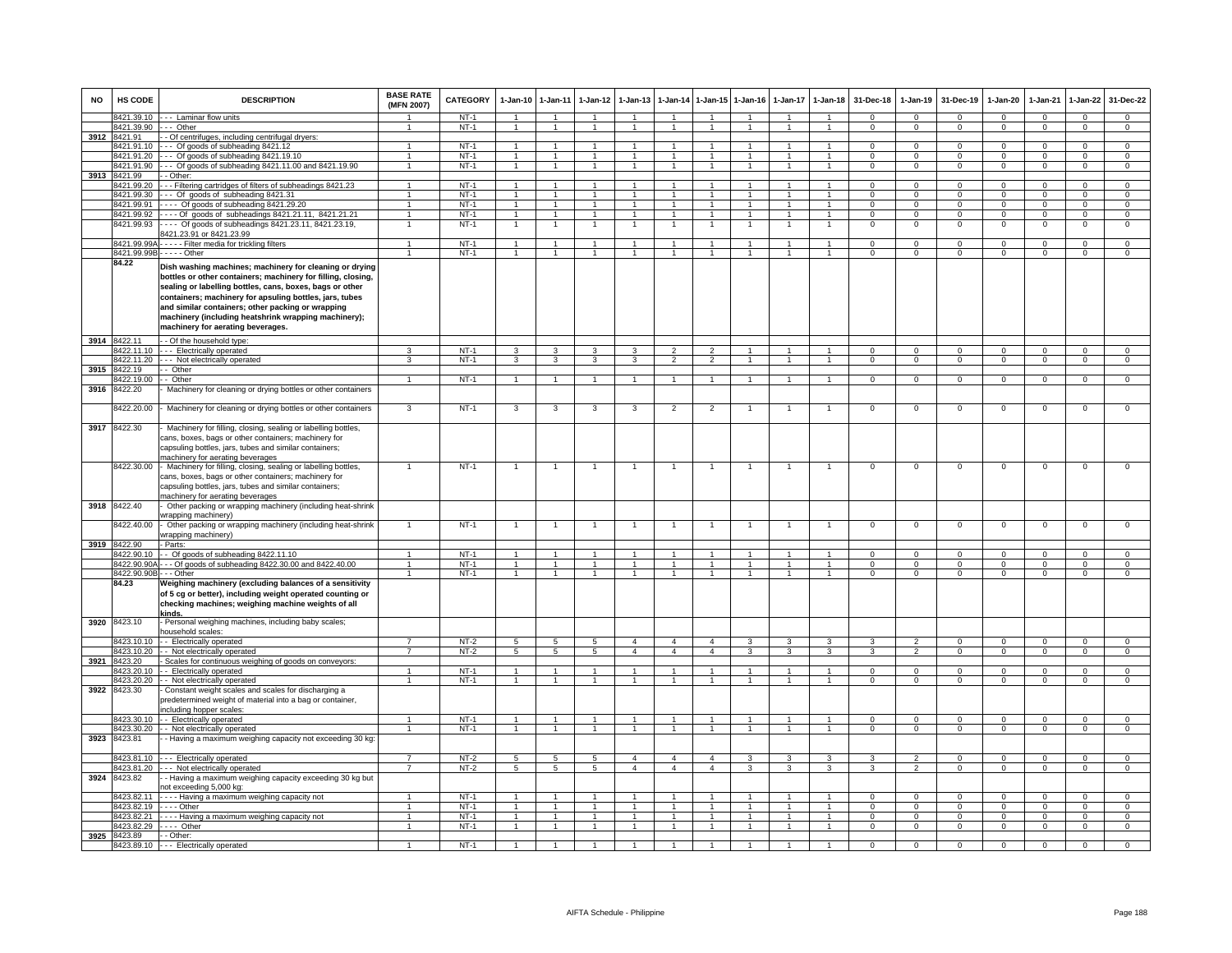| <b>NO</b> | <b>HS CODE</b>             | <b>DESCRIPTION</b>                                                                                                                                                                                                                                                                                                                                                                               | <b>BASE RATE</b><br>(MFN 2007) | <b>CATEGORY</b>  | $1-Jan-10$                     | $1 - Jan-11$                     | $1-Jan-12$                     | $1-Jan-13$                       | 1-Jan-14                         | $1 - Jan-15$                     | $1-Jan-16$           | $1-Jan-17$         | $1 - Jan-18$                 | 31-Dec-18              | $1-Jan-19$                 | 31-Dec-19                  | $1-Jan-20$                     | $1-Jan-21$              | $1-Jan-22$                  | 31-Dec-22                   |
|-----------|----------------------------|--------------------------------------------------------------------------------------------------------------------------------------------------------------------------------------------------------------------------------------------------------------------------------------------------------------------------------------------------------------------------------------------------|--------------------------------|------------------|--------------------------------|----------------------------------|--------------------------------|----------------------------------|----------------------------------|----------------------------------|----------------------|--------------------|------------------------------|------------------------|----------------------------|----------------------------|--------------------------------|-------------------------|-----------------------------|-----------------------------|
|           |                            | 8421.39.10 --- Laminar flow units                                                                                                                                                                                                                                                                                                                                                                |                                | NT-1             | $\overline{1}$                 | $\overline{1}$                   | $\overline{1}$                 | $\overline{1}$                   | $\overline{1}$                   | $\overline{1}$                   | $\blacktriangleleft$ |                    | $\overline{1}$               | $\Omega$               | $\Omega$                   | $\Omega$                   | $\Omega$                       | $\Omega$                | $\mathbf{0}$                | $\Omega$                    |
|           |                            | 8421.39.90 --- Other                                                                                                                                                                                                                                                                                                                                                                             | $\mathbf{1}$                   | $NT-1$           | $\overline{1}$                 | $\overline{1}$                   | $\overline{1}$                 | $\overline{1}$                   | $\overline{1}$                   | $\overline{1}$                   | $\overline{1}$       | $\overline{1}$     | $\overline{1}$               | $\Omega$               | $\overline{0}$             | $\overline{0}$             | $\overline{0}$                 | $\Omega$                | $\overline{0}$              | $\overline{0}$              |
| 3912      | 8421.91<br>8421.91.10      | - - Of centrifuges, including centrifugal dryers:<br>--- Of goods of subheading 8421.12                                                                                                                                                                                                                                                                                                          |                                | $NT-1$           | $\mathbf{1}$                   | 1                                |                                |                                  |                                  | $\mathbf{1}$                     |                      |                    | $\mathbf{1}$                 | $\Omega$               | $\overline{0}$             | $\Omega$                   | $\overline{0}$                 | $\overline{0}$          | $\overline{0}$              | $\overline{0}$              |
|           | 421.91.20                  | $- -$ Of goods of subheading 8421.19.10                                                                                                                                                                                                                                                                                                                                                          | 1<br>$\mathbf{1}$              | $NT-1$           | 1                              |                                  | $\mathbf{1}$                   |                                  |                                  | $\mathbf{1}$                     |                      |                    | $\mathbf{1}$                 | $^{\circ}$             | $\mathsf 0$                | $\mathbf 0$                | $^{\circ}$                     | $\Omega$                | $\mathsf 0$                 | $\mathbf 0$                 |
|           | 8421.91.90                 | --- Of goods of subheading 8421.11.00 and 8421.19.90                                                                                                                                                                                                                                                                                                                                             | $\mathbf{1}$                   | $NT-1$           | $\overline{1}$                 | $\overline{1}$                   | $\overline{1}$                 | $\overline{1}$                   | $\overline{1}$                   | $\overline{1}$                   | $\mathbf{1}$         |                    | $\overline{1}$               | $\mathbf 0$            | $\mathbf 0$                | $\mathbf 0$                | $\mathbf{0}$                   | $\mathbf 0$             | $\mathbf 0$                 | $\mathbf 0$                 |
| 3913      | 8421.99                    | - - Other:                                                                                                                                                                                                                                                                                                                                                                                       |                                |                  |                                |                                  |                                |                                  |                                  |                                  |                      |                    |                              |                        |                            |                            |                                |                         |                             |                             |
|           | 8421.99.20                 | -- Filtering cartridges of filters of subheadings 8421.23                                                                                                                                                                                                                                                                                                                                        | $\overline{1}$                 | $NT-1$           | $\overline{1}$                 | $\overline{1}$                   | $\ddot{\phantom{1}}$           |                                  | $\overline{1}$                   | $\overline{1}$                   | $\overline{1}$       |                    | $\overline{1}$               | $\Omega$               | $\Omega$                   | $\Omega$                   | $\Omega$                       | $\Omega$                | $\Omega$                    | $\overline{0}$              |
|           | 8421.99.30                 | --- Of goods of subheading 8421.31                                                                                                                                                                                                                                                                                                                                                               | $\mathbf{1}$                   | $NT-1$           | $\overline{1}$                 | $\overline{1}$                   | $\mathbf{1}$                   | $\mathbf{1}$                     | $\overline{1}$                   | $\overline{1}$                   |                      |                    | $\mathbf{1}$                 | $\Omega$               | $\mathbf 0$                | $\Omega$                   | $\mathbf 0$                    | $\Omega$                | $\mathbf 0$                 | $\mathbf 0$                 |
|           | 8421.99.91<br>8421.99.92   | $\cdots$ Of goods of subheading 8421.29.20                                                                                                                                                                                                                                                                                                                                                       | $\mathbf{1}$                   | $NT-1$           | $\mathbf{1}$<br>$\overline{1}$ | $\overline{1}$<br>$\overline{1}$ | $\mathbf{1}$<br>$\overline{1}$ | $\mathbf{1}$                     | $\overline{1}$<br>$\overline{1}$ | $\overline{1}$<br>$\overline{1}$ | $\mathbf{1}$<br>-1   | $\mathbf{1}$       | $\mathbf{1}$<br>$\mathbf{1}$ | $\Omega$<br>$^{\circ}$ | $\Omega$                   | $\Omega$                   | $\Omega$                       | $\Omega$                | $\mathbf 0$                 | $\overline{0}$              |
|           | 8421.99.93                 | ---- Of goods of subheadings 8421.21.11, 8421.21.21<br>--- Of goods of subheadings 8421.23.11, 8421.23.19,                                                                                                                                                                                                                                                                                       | 1<br>$\overline{1}$            | $NT-1$<br>$NT-1$ | $\overline{1}$                 | $\overline{1}$                   | $\overline{1}$                 | $\overline{1}$<br>$\overline{1}$ | $\mathbf{1}$                     | $\overline{1}$                   | $\overline{1}$       | $\mathbf{1}$       | $\mathbf{1}$                 | $\Omega$               | $\mathbf{0}$<br>$^{\circ}$ | $\mathbf{0}$<br>$^{\circ}$ | $\overline{0}$<br>$\mathbf{0}$ | $\mathbf 0$<br>$\Omega$ | $\mathbf{0}$<br>$\mathbf 0$ | $\mathbf{0}$<br>$\mathbf 0$ |
|           |                            | 421.23.91 or 8421.23.99                                                                                                                                                                                                                                                                                                                                                                          |                                |                  |                                |                                  |                                |                                  |                                  |                                  |                      |                    |                              |                        |                            |                            |                                |                         |                             |                             |
|           | 8421.99.99A-               | - - - - - Filter media for trickling filters                                                                                                                                                                                                                                                                                                                                                     | $\mathbf{1}$                   | $NT-1$           | $\mathbf{1}$                   | 1                                | $\mathbf{1}$                   |                                  | 1                                | $\mathbf{1}$                     |                      | $\mathbf{1}$       | $\mathbf{1}$                 | $\mathsf 0$            | $\mathsf 0$                | $\mathbf 0$                | $\mathbf 0$                    | $\mathbf 0$             | $\mathbf 0$                 | $\mathbf 0$                 |
|           | 8421.99.99B                | $---$ Other                                                                                                                                                                                                                                                                                                                                                                                      | $\overline{1}$                 | $NT-1$           | $\mathbf{1}$                   | $\mathbf{1}$                     | $\mathbf{1}$                   | $\mathbf{1}$                     |                                  | $\mathbf{1}$                     |                      |                    | $\mathbf{1}$                 | $\Omega$               | $\overline{0}$             | $\overline{0}$             | $\overline{0}$                 | $\Omega$                | $\overline{0}$              | $\overline{0}$              |
|           | 84.22                      | Dish washing machines; machinery for cleaning or drying<br>bottles or other containers; machinery for filling, closing,<br>sealing or labelling bottles, cans, boxes, bags or other<br>containers; machinery for apsuling bottles, jars, tubes<br>and similar containers; other packing or wrapping<br>machinery (including heatshrink wrapping machinery);<br>machinery for aerating beverages. |                                |                  |                                |                                  |                                |                                  |                                  |                                  |                      |                    |                              |                        |                            |                            |                                |                         |                             |                             |
|           | 3914 8422.11               | - - Of the household type:                                                                                                                                                                                                                                                                                                                                                                       |                                |                  |                                |                                  |                                |                                  |                                  |                                  |                      |                    |                              |                        |                            |                            |                                |                         |                             |                             |
|           | 8422.11.10                 | --- Electrically operated                                                                                                                                                                                                                                                                                                                                                                        | 3                              | $NT-1$           | 3                              | 3                                | 3                              | 3                                | $\overline{2}$                   | $\mathfrak{p}$                   | $\overline{1}$       |                    | $\mathbf{1}$                 | $\mathbf 0$            | $\mathbf 0$                | $\mathbf 0$                | $\mathbf 0$                    | $\mathbf 0$             | $\mathsf 0$                 | $\mathbf 0$                 |
|           |                            | 8422.11.20 --- Not electrically operated                                                                                                                                                                                                                                                                                                                                                         | 3                              | $NT-1$           | 3                              | $\mathbf{3}$                     | $\mathbf{3}$                   | $\mathbf{3}$                     | $\overline{2}$                   | $\overline{2}$                   | $\mathbf{1}$         | 1                  | $\mathbf{1}$                 | $\mathbf{0}$           | $\mathbf{0}$               | $\mathbf 0$                | $\mathbf 0$                    | $^{\circ}$              | 0                           | $\mathbf 0$                 |
| 3915      | 8422.19                    | - - Other                                                                                                                                                                                                                                                                                                                                                                                        | $\overline{1}$                 |                  | $\mathbf{1}$                   | $\overline{1}$                   |                                |                                  |                                  | $\overline{1}$                   |                      |                    | $\overline{1}$               | $\overline{0}$         |                            | $\overline{0}$             |                                | $\overline{0}$          |                             | $\overline{0}$              |
| 3916      | 422.19.00<br>8422.20       | - Other<br>Machinery for cleaning or drying bottles or other containers                                                                                                                                                                                                                                                                                                                          |                                | $NT-1$           |                                |                                  |                                |                                  |                                  |                                  |                      |                    |                              |                        | $\overline{0}$             |                            | $\overline{0}$                 |                         | $\overline{0}$              |                             |
|           | 8422.20.00                 | Machinery for cleaning or drying bottles or other containers                                                                                                                                                                                                                                                                                                                                     | $\mathbf{3}$                   | $NT-1$           | 3                              | 3                                | 3                              | 3                                | $\overline{2}$                   | $\overline{2}$                   | 1                    | $\mathbf{1}$       | $\overline{1}$               | $\overline{0}$         | $\mathbf{0}$               | $\mathbf{0}$               | $\mathbf 0$                    | $^{\circ}$              | $\mathsf 0$                 | $\overline{0}$              |
| 3917      | 8422.30                    | Machinery for filling, closing, sealing or labelling bottles,<br>cans, boxes, bags or other containers; machinery for                                                                                                                                                                                                                                                                            |                                |                  |                                |                                  |                                |                                  |                                  |                                  |                      |                    |                              |                        |                            |                            |                                |                         |                             |                             |
|           |                            | capsuling bottles, jars, tubes and similar containers;<br>machinery for aerating beverages                                                                                                                                                                                                                                                                                                       |                                |                  |                                |                                  |                                |                                  |                                  |                                  |                      |                    |                              |                        |                            |                            |                                |                         |                             |                             |
|           | 3918 8422.40               | 8422.30.00 - Machinery for filling, closing, sealing or labelling bottles,<br>cans, boxes, bags or other containers; machinery for<br>capsuling bottles, jars, tubes and similar containers;<br>machinery for aerating beverages<br>Other packing or wrapping machinery (including heat-shrink                                                                                                   |                                | $NT-1$           | $\overline{1}$                 | $\overline{1}$                   | $\overline{1}$                 | $\mathbf{1}$                     | $\mathbf{1}$                     | $\overline{1}$                   | $\overline{1}$       | $\overline{1}$     | $\overline{1}$               | $\mathbf 0$            | $\mathbf 0$                | $\mathbf 0$                | $\mathbf 0$                    | $\mathbf 0$             | $\mathsf 0$                 | $\mathsf 0$                 |
|           | 8422.40.00                 | wrapping machinery)<br>Other packing or wrapping machinery (including heat-shrink                                                                                                                                                                                                                                                                                                                |                                | $NT-1$           | -1                             |                                  |                                |                                  |                                  |                                  |                      |                    | $\mathbf{1}$                 | $\mathsf 0$            | $\mathsf 0$                | $\mathbf 0$                | $\mathsf 0$                    | $\mathbf 0$             | $\mathsf 0$                 | $\Omega$                    |
|           |                            | wrapping machinery)                                                                                                                                                                                                                                                                                                                                                                              |                                |                  |                                |                                  |                                |                                  |                                  |                                  |                      |                    |                              |                        |                            |                            |                                |                         |                             |                             |
|           | 3919 8422.90<br>8422.90.10 | - Parts:<br>-- Of goods of subheading 8422.11.10                                                                                                                                                                                                                                                                                                                                                 |                                | $NT-1$           | $\overline{1}$                 | $\overline{1}$                   | $\mathbf{1}$                   | $\mathbf{1}$                     | $\overline{1}$                   | $\mathbf{1}$                     | $\overline{1}$       |                    | $\mathbf{1}$                 | $\Omega$               | $\Omega$                   | $\mathbf 0$                | $\Omega$                       | $\Omega$                | $\mathbf 0$                 | $\mathbf 0$                 |
|           | 8422.90.90A                | - - Of goods of subheading 8422.30.00 and 8422.40.00                                                                                                                                                                                                                                                                                                                                             |                                | $NT-1$           | $\overline{1}$                 | $\overline{1}$                   | $\ddot{\phantom{1}}$           | $\overline{1}$                   | $\overline{1}$                   | $\ddot{\phantom{1}}$             | $\overline{1}$       |                    | $\overline{1}$               | $\Omega$               | $\Omega$                   | $\Omega$                   | $\Omega$                       | $\Omega$                | $\Omega$                    | $\overline{0}$              |
|           | 8422.90.90B - - - Other    |                                                                                                                                                                                                                                                                                                                                                                                                  | $\mathbf{1}$                   | $NT-1$           | $\mathbf{1}$                   | $\overline{1}$                   | $\mathbf{1}$                   | $\mathbf{1}$                     | $\overline{1}$                   | $\overline{1}$                   | $\mathbf{1}$         | $\mathbf{1}$       | $\mathbf{1}$                 | $\Omega$               | $\mathbf{0}$               | $\Omega$                   | $\Omega$                       | $\Omega$                | $\mathbf 0$                 | $\overline{0}$              |
|           | 84.23                      | Weighing machinery (excluding balances of a sensitivity<br>of 5 cg or better), including weight operated counting or<br>checking machines; weighing machine weights of all<br>kinds.                                                                                                                                                                                                             |                                |                  |                                |                                  |                                |                                  |                                  |                                  |                      |                    |                              |                        |                            |                            |                                |                         |                             |                             |
|           | 3920 8423.10               | - Personal weighing machines, including baby scales;<br>nousehold scales:                                                                                                                                                                                                                                                                                                                        |                                |                  |                                |                                  |                                |                                  |                                  |                                  |                      |                    |                              |                        |                            |                            |                                |                         |                             |                             |
|           |                            | 8423.10.10 - Electrically operated                                                                                                                                                                                                                                                                                                                                                               | $\overline{7}$                 | $NT-2$           | 5                              | 5                                | $5^{\circ}$                    | $\overline{4}$                   | $\overline{4}$                   | $\mathbf{A}$                     | $\mathcal{R}$        | $\mathbf{\hat{z}}$ | 3                            | $\mathcal{R}$          | $\overline{2}$             | $\Omega$                   | $\Omega$                       | $\Omega$                | $\mathbf 0$                 | $\Omega$                    |
|           |                            | 8423.10.20 - - Not electrically operated                                                                                                                                                                                                                                                                                                                                                         | 7                              | $NT-2$           | $\overline{5}$                 | $\overline{5}$                   | $\overline{5}$                 | $\overline{4}$                   | $\overline{4}$                   | $\overline{4}$                   | 3                    | 3                  | $\overline{3}$               | $\mathcal{R}$          | $\overline{2}$             | $\overline{0}$             | $\overline{0}$                 | $\overline{0}$          | $\overline{0}$              | $\overline{0}$              |
| 3921      | 8423.20<br>8423.20.10      | - Scales for continuous weighing of goods on conveyors:<br>- - Electrically operated                                                                                                                                                                                                                                                                                                             |                                | $NT-1$           |                                |                                  |                                |                                  |                                  |                                  |                      |                    | $\blacktriangleleft$         | $\Omega$               | $\Omega$                   | $\Omega$                   | $\Omega$                       | $\Omega$                | $\Omega$                    | $\Omega$                    |
|           |                            | 8423.20.20 - - Not electrically operated                                                                                                                                                                                                                                                                                                                                                         | $\blacktriangleleft$           | $NT-1$           | $\overline{1}$                 | $\overline{1}$                   | $\overline{1}$                 | $\mathbf{1}$                     | $\overline{1}$                   | $\overline{1}$                   |                      | $\mathbf{1}$       | $\overline{1}$               | $\mathbf{0}$           | $\mathbf{0}$               | $\mathbf{0}$               | $\mathbf{0}$                   | $\mathbf{0}$            | $\mathbf{0}$                | $\mathbf{0}$                |
|           | 3922 8423.30               | Constant weight scales and scales for discharging a<br>predetermined weight of material into a bag or container,<br>including hopper scales:                                                                                                                                                                                                                                                     |                                |                  |                                |                                  |                                |                                  |                                  |                                  |                      |                    |                              |                        |                            |                            |                                |                         |                             |                             |
|           |                            | 8423.30.10 - Electrically operated                                                                                                                                                                                                                                                                                                                                                               | $\mathbf{1}$                   | $NT-1$           | $\mathbf{1}$                   | $\overline{1}$                   | $\mathbf{1}$                   | $\mathbf{1}$                     | $\overline{1}$                   | $\mathbf{1}$                     | $\mathbf{1}$         | $\mathbf{1}$       | $\overline{1}$               | $\mathbf{0}$           | $\mathbf 0$                | $\mathbf 0$                | $\mathbf 0$                    | $\mathbf 0$             | $\mathsf 0$                 | $\mathbf 0$                 |
|           |                            | 8423.30.20 - - Not electrically operated                                                                                                                                                                                                                                                                                                                                                         |                                | $NT-1$           | $\mathbf{1}$                   | $\overline{1}$                   | $\overline{1}$                 | $\mathbf{1}$                     | $\overline{1}$                   | $\blacktriangleleft$             | 1                    |                    | $\blacktriangleleft$         | $\Omega$               | $\Omega$                   | $\Omega$                   | $\mathbf 0$                    | $\Omega$                | $\Omega$                    | $\Omega$                    |
| 3923      | 8423.81                    | - Having a maximum weighing capacity not exceeding 30 kg:                                                                                                                                                                                                                                                                                                                                        |                                |                  |                                |                                  |                                |                                  |                                  |                                  |                      |                    |                              |                        |                            |                            |                                |                         |                             |                             |
|           |                            | 8423.81.10 --- Electrically operated                                                                                                                                                                                                                                                                                                                                                             | $\overline{7}$                 | $NT-2$           | 5                              | 5                                | 5                              | $\overline{4}$                   | $\overline{4}$                   | $\overline{4}$                   | 3                    | 3                  | 3                            | 3                      | $\overline{2}$             | $\mathbf 0$                | $\mathsf 0$                    | $\mathbf 0$             | $\mathsf 0$                 | $\mathbf 0$                 |
| 3924      | 8423.82                    | 8423.81.20 - - - Not electrically operated<br>- Having a maximum weighing capacity exceeding 30 kg but<br>not exceeding 5,000 kg:                                                                                                                                                                                                                                                                | $\overline{7}$                 | $NT-2$           | $5\overline{5}$                | 5                                | 5                              | $\overline{4}$                   | $\overline{4}$                   | $\overline{4}$                   | 3                    | 3                  | 3                            | 3                      | $\overline{2}$             | $\Omega$                   | $\Omega$                       | $\Omega$                | $\overline{0}$              | $\overline{0}$              |
|           | 8423.82.11                 | ---- Having a maximum weighing capacity not                                                                                                                                                                                                                                                                                                                                                      | 1                              | $NT-1$           | $\overline{1}$                 | -1                               | -1                             |                                  | $\mathbf{1}$                     | $\mathbf{1}$                     | -1                   | $\mathbf{1}$       | $\mathbf{1}$                 | $\Omega$               | $\mathbf{0}$               | $\mathbf{0}$               | $\overline{0}$                 | $\Omega$                | $\mathbf{0}$                | $\mathbf 0$                 |
|           | 3423.82.19                 | $- -$ Other                                                                                                                                                                                                                                                                                                                                                                                      | $\mathbf{1}$                   | $NT-1$           | $\mathbf{1}$                   | $\overline{1}$                   | $\mathbf{1}$                   | $\mathbf{1}$                     | $\overline{1}$                   | $\mathbf{1}$                     | $\overline{1}$       | $\mathbf{1}$       | $\mathbf{1}$                 | $\circ$                | $\circ$                    | $\mathbf 0$                | $\circ$                        | $\mathbf{0}$            | $\mathbf{0}$                | $\mathbf{0}$                |
|           | 8423.82.21                 | ---- Having a maximum weighing capacity not                                                                                                                                                                                                                                                                                                                                                      | $\mathbf{1}$                   | $NT-1$           | $\mathbf{1}$                   | $\overline{1}$                   | $\mathbf{1}$                   | $\mathbf{1}$                     | $\overline{1}$                   | $\mathbf{1}$                     |                      |                    | $\overline{1}$               | 0                      | 0                          | $\mathbf 0$                | $\circ$                        | $\Omega$                | $\mathsf 0$                 | $\mathbf 0$                 |
|           |                            | 8423.82.29 ---- Other                                                                                                                                                                                                                                                                                                                                                                            | $\mathbf{1}$                   | $NT-1$           | $\overline{1}$                 | $\overline{1}$                   | $\overline{1}$                 | $\overline{1}$                   | $\overline{1}$                   | $\overline{1}$                   | $\mathbf{1}$         | $\mathbf{1}$       | $\overline{1}$               | $\Omega$               | $\mathbf 0$                | $\mathbf 0$                | $\overline{0}$                 | $\mathbf 0$             | $\mathbf 0$                 | $\overline{0}$              |
| 3925      | 8423.89                    | $-$ Other:<br>8423.89.10 --- Electrically operated                                                                                                                                                                                                                                                                                                                                               | $\mathbf{1}$                   | $NT-1$           | $\overline{1}$                 |                                  |                                |                                  |                                  |                                  |                      |                    |                              | $\Omega$               | $\Omega$                   | $\Omega$                   | $\overline{0}$                 | $\Omega$                | $\overline{0}$              | $\overline{0}$              |
|           |                            |                                                                                                                                                                                                                                                                                                                                                                                                  |                                |                  |                                |                                  |                                |                                  |                                  |                                  |                      |                    |                              |                        |                            |                            |                                |                         |                             |                             |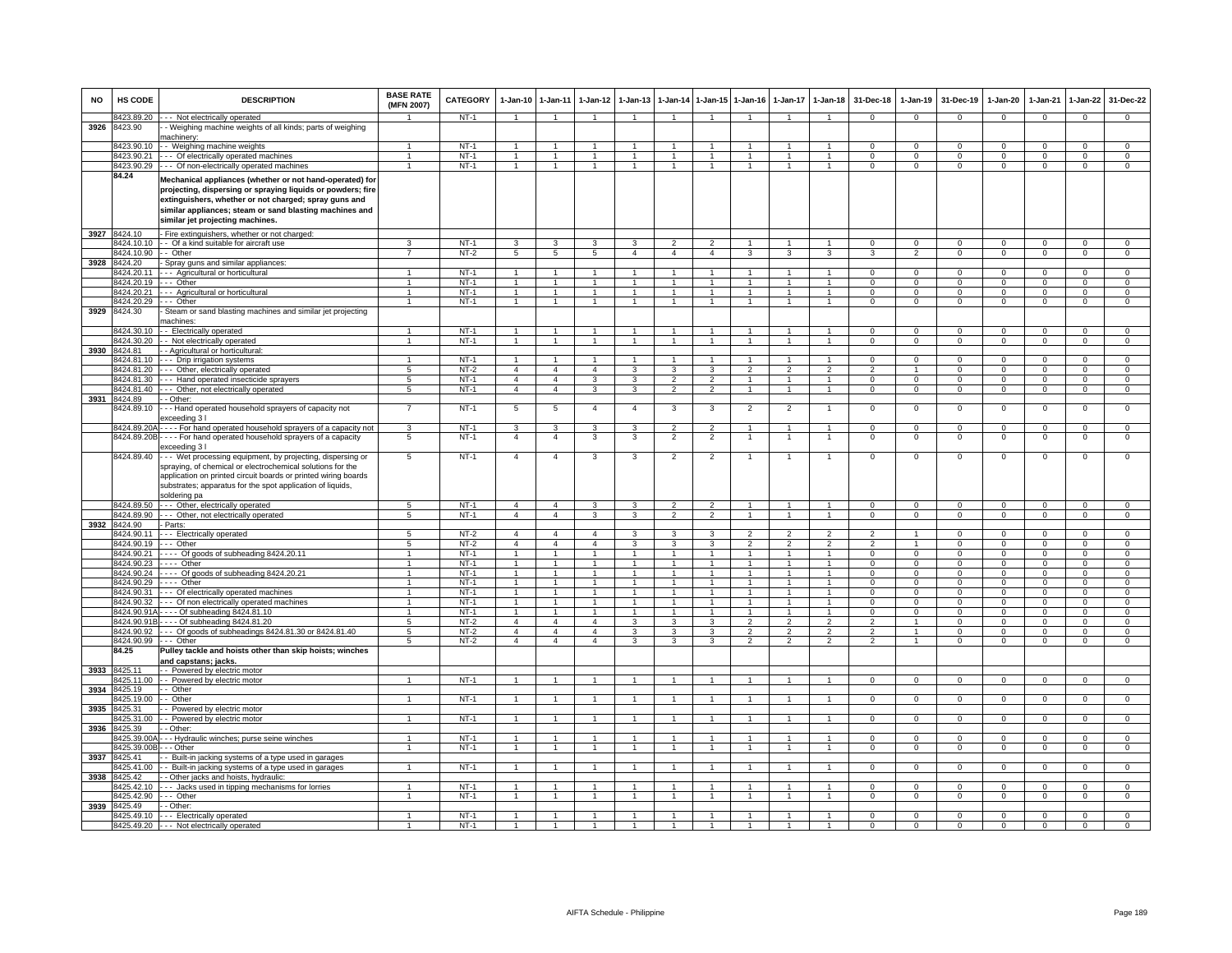| <b>NO</b> | HS CODE                        | <b>DESCRIPTION</b>                                                                                                                                                                                                                                                              | <b>BASE RATE</b><br>(MFN 2007) | <b>CATEGORY</b>  | 1-Jan-10 1-Jan-11   |                                  | $1-Jan-12$           | $1-Jan-13$              | 1-Jan-14                       | $1 - Jan-15$            | $1 - Jan-16$                     | $1 - Jan-17$         | $1-Jan-18$                   | 31-Dec-18                    | 1-Jan-19                 | 31-Dec-19                 | 1-Jan-20                    | 1-Jan-21                | $1-Jan-22$                  | 31-Dec-22                     |
|-----------|--------------------------------|---------------------------------------------------------------------------------------------------------------------------------------------------------------------------------------------------------------------------------------------------------------------------------|--------------------------------|------------------|---------------------|----------------------------------|----------------------|-------------------------|--------------------------------|-------------------------|----------------------------------|----------------------|------------------------------|------------------------------|--------------------------|---------------------------|-----------------------------|-------------------------|-----------------------------|-------------------------------|
| 3926      | 3423.89.20<br>8423.90          | - - Not electrically operated                                                                                                                                                                                                                                                   |                                | $NT-1$           |                     | $\overline{1}$                   |                      |                         | $\mathbf{1}$                   |                         |                                  |                      |                              | $\mathbf 0$                  | $\mathbf 0$              | $\mathbf 0$               | $\Omega$                    | $\mathbf{0}$            | $\mathbf 0$                 | $\Omega$                      |
|           |                                | - Weighing machine weights of all kinds; parts of weighing<br>machinerv                                                                                                                                                                                                         |                                |                  |                     |                                  |                      |                         |                                |                         |                                  |                      |                              |                              |                          |                           |                             |                         |                             |                               |
|           | 8423.90.10                     | -- Weighing machine weights                                                                                                                                                                                                                                                     |                                | $NT-1$           | $\mathbf{1}$        | $\mathbf{1}$                     |                      |                         | $\overline{1}$                 |                         |                                  |                      |                              | $\Omega$                     | $\Omega$                 | $\Omega$                  | $\Omega$                    | $\Omega$                | $\Omega$                    | $\Omega$                      |
|           | 8423.90.21                     | --- Of electrically operated machines                                                                                                                                                                                                                                           | $\blacktriangleleft$           | $NT-1$           | $\overline{1}$      | $\overline{1}$                   | $\mathbf{1}$         | $\mathbf{1}$            | $\overline{1}$                 | $\overline{1}$          | $\mathbf{1}$                     |                      | $\overline{1}$               | $^{\circ}$                   | $\mathsf 0$              | $^{\circ}$                | $^{\circ}$                  | $\Omega$                | $\mathbf 0$                 | $\mathbf 0$                   |
|           |                                | 8423.90.29 --- Of non-electrically operated machines                                                                                                                                                                                                                            | $\mathbf{1}$                   | $NT-1$           | $\mathbf{1}$        | $\overline{1}$                   | $\overline{1}$       | $\overline{1}$          | $\overline{1}$                 | $\overline{1}$          | $\overline{1}$                   | $\mathbf{1}$         | $\overline{1}$               | $\mathbf{0}$                 | $\mathbf{0}$             | $\mathbf{0}$              | $\mathbf{0}$                | $\mathbf 0$             | $\mathbf{0}$                | $\mathbf{0}$                  |
|           | 84.24                          | Mechanical appliances (whether or not hand-operated) for<br>projecting, dispersing or spraying liquids or powders; fire<br>extinguishers, whether or not charged; spray guns and<br>similar appliances; steam or sand blasting machines and<br>similar jet projecting machines. |                                |                  |                     |                                  |                      |                         |                                |                         |                                  |                      |                              |                              |                          |                           |                             |                         |                             |                               |
| 3927      | 8424.10                        | - Fire extinguishers, whether or not charged:                                                                                                                                                                                                                                   |                                |                  |                     |                                  |                      |                         |                                |                         |                                  |                      |                              |                              |                          |                           |                             |                         |                             |                               |
|           | 8424.10.10                     | - - Of a kind suitable for aircraft use                                                                                                                                                                                                                                         |                                | $NT-1$           | 3                   | 3                                | 3                    | 3                       | $\mathfrak{p}$                 | $\overline{2}$          |                                  |                      |                              | $^{\circ}$                   | $^{\circ}$               | $\mathbf 0$               | $\mathbf 0$                 | $\mathbf 0$             | $\mathsf 0$                 | $\mathbf 0$                   |
| 3928      | 8424.10.90 -- Other<br>8424.20 | Spray guns and similar appliances:                                                                                                                                                                                                                                              |                                | $NT-2$           | 5                   | 5                                | 5                    | $\overline{4}$          | $\overline{4}$                 | $\overline{a}$          | 3                                | 3                    | 3                            | 3                            | $\overline{2}$           | $\mathbf 0$               | $\mathbf 0$                 | $\mathbf 0$             | $\mathsf 0$                 | $\mathbf 0$                   |
|           | 8424.20.11                     | --- Agricultural or horticultural                                                                                                                                                                                                                                               |                                | $NT-1$           | $\overline{1}$      | $\overline{1}$                   | $\mathbf{1}$         | $\mathbf{1}$            | $\overline{1}$                 | $\blacktriangleleft$    |                                  |                      | $\overline{1}$               | $\Omega$                     | $\Omega$                 | $\Omega$                  | $\Omega$                    | $\Omega$                | $\mathsf 0$                 | $\overline{0}$                |
|           | 8424.20.19                     | -- Other                                                                                                                                                                                                                                                                        | $\blacktriangleleft$           | $NT-1$           | $\overline{1}$      | $\overline{1}$                   | $\overline{1}$       | $\overline{1}$          | $\overline{1}$                 | $\overline{1}$          | $\overline{1}$                   | $\mathbf{1}$         | $\overline{1}$               | $\Omega$                     | $\Omega$                 | $\Omega$                  | $\overline{0}$              | $\Omega$                | $\overline{0}$              | $\overline{0}$                |
|           | 8424.20.21                     | -- Agricultural or horticultural                                                                                                                                                                                                                                                |                                | $NT-1$           | $\overline{1}$      | $\overline{1}$                   | $\ddot{\phantom{0}}$ | $\overline{1}$          | $\ddot{\phantom{1}}$           | $\overline{1}$          | $\overline{1}$                   |                      | $\mathbf{1}$                 | $\Omega$                     | $\Omega$                 | $\Omega$                  | $\Omega$                    | $\Omega$                | $\mathbf 0$                 | $\mathbf 0$                   |
|           | 8424.20.29                     | $\cdots$ Other                                                                                                                                                                                                                                                                  |                                | $NT-1$           | $\mathbf{1}$        | $\overline{1}$                   | $\mathbf{1}$         | 1                       | $\mathbf{1}$                   | $\overline{1}$          | $\mathbf{1}$                     |                      | $\overline{1}$               | $\overline{0}$               | $\overline{0}$           | $\overline{0}$            | $\overline{0}$              | $\overline{0}$          | $\overline{0}$              | $\overline{0}$                |
| 3929      | 8424.30<br>8424.30.10          | Steam or sand blasting machines and similar jet projecting<br>nachines:                                                                                                                                                                                                         |                                | $NT-1$           | $\overline{1}$      | $\overline{1}$                   | $\blacktriangleleft$ |                         | $\overline{1}$                 |                         |                                  |                      | $\overline{1}$               | $\Omega$                     | $\Omega$                 | $\Omega$                  | $\Omega$                    | $\Omega$                | $\mathbf{0}$                | $\mathbf{0}$                  |
|           | 8424.30.20                     | - Electrically operated<br>- Not electrically operated                                                                                                                                                                                                                          | $\blacktriangleleft$           | $NT-1$           | $\overline{1}$      | $\overline{1}$                   | $\overline{1}$       | $\overline{1}$          | $\overline{1}$                 | $\overline{1}$          | $\overline{1}$                   | $\blacktriangleleft$ | $\overline{1}$               | $\Omega$                     | $\mathbf 0$              | $\Omega$                  | $\mathbf{0}$                | $\Omega$                | $\mathbf{0}$                | $\mathbf{0}$                  |
| 3930      | 8424.81                        | - Agricultural or horticultural:                                                                                                                                                                                                                                                |                                |                  |                     |                                  |                      |                         |                                |                         |                                  |                      |                              |                              |                          |                           |                             |                         |                             |                               |
|           | 8424.81.10                     | --- Drip irrigation systems                                                                                                                                                                                                                                                     | 1                              | NT-1             | $\mathbf{1}$        | $\mathbf{1}$                     | 1                    | 1                       | $\overline{1}$                 | $\mathbf{1}$            |                                  |                      | $\mathbf{1}$                 | $\mathbf 0$                  | 0                        | $\mathbf 0$               | 0                           | $\Omega$                | $\mathbf{0}$                | $\mathbf 0$                   |
|           | 8424.81.20                     | Other, electrically operated                                                                                                                                                                                                                                                    | 5                              | $NT-2$           | $\overline{4}$      | $\overline{4}$                   | $\overline{4}$       | 3                       | 3                              | 3                       | $\overline{2}$                   | $\mathfrak{p}$       | $\overline{2}$               | $\overline{2}$               | -1                       | $\mathbf 0$               | $\circ$                     | $\Omega$                | $\mathbf{0}$                | $\mathbf 0$                   |
|           | 8424.81.30                     | -- Hand operated insecticide sprayers                                                                                                                                                                                                                                           | $5\phantom{.0}$                | $NT-1$           | $\overline{4}$      | $\overline{4}$                   | $\mathbf{3}$         | $\overline{3}$          | $\overline{2}$                 | $\overline{2}$          | $\mathbf{1}$                     | 1                    | $\mathbf{1}$                 | $\mathbf 0$                  | $\mathbf{0}$             | $\mathbf{0}$              | $\mathbf{0}$                | $\Omega$                | $\mathbf{0}$                | $\overline{0}$                |
|           | 8424.81.40                     | - - Other, not electrically operated                                                                                                                                                                                                                                            | $5\overline{)}$                | $NT-1$           | $\overline{4}$      | $\overline{4}$                   | $\mathbf{3}$         | $\overline{3}$          | $\overline{2}$                 | $\overline{2}$          | $\mathbf{1}$                     | $\mathbf{1}$         | $\mathbf{1}$                 | $\mathbf 0$                  | $\mathbf{0}$             | $\overline{0}$            | $\overline{0}$              | $\mathbf 0$             | $\overline{0}$              | $\overline{0}$                |
| 3931      | 8424.89<br>3424.89.10          | - Other:<br>- - Hand operated household sprayers of capacity not<br>exceeding 3 l                                                                                                                                                                                               | $\overline{7}$                 | $NT-1$           | $\overline{5}$      | $\overline{5}$                   | $\overline{4}$       | $\overline{4}$          | 3                              | 3                       | $\overline{2}$                   | $\overline{c}$       | $\overline{1}$               | $\mathsf 0$                  | $\mathsf 0$              | $\,0\,$                   | $\,0\,$                     | $\mathbf 0$             | $\mathsf 0$                 | $\overline{0}$                |
|           | 8424.89.20/                    | --- For hand operated household sprayers of a capacity not                                                                                                                                                                                                                      | $\mathbf{r}$                   | $NT-1$           | $\mathbf{3}$        | $\mathbf{3}$                     | $\mathbf{R}$         | $\mathbf{B}$            | $\sim$                         | $\mathcal{L}$           | $\overline{1}$                   | $\mathbf{1}$         | $\overline{1}$               | $\Omega$                     | $\Omega$                 | $\Omega$                  | $\Omega$                    | $\Omega$                | $\mathsf 0$                 | $\mathsf 0$                   |
|           |                                | 8424.89.20B - - - - For hand operated household sprayers of a capacity                                                                                                                                                                                                          | 5                              | $NT-1$           | $\overline{4}$      | $\overline{4}$                   | 3                    | 3                       | $\overline{2}$                 | $\overline{2}$          |                                  |                      | $\overline{1}$               | 0                            | 0                        | $\mathbf 0$               | $\mathbf 0$                 | $\mathbf 0$             | $\mathsf 0$                 | $\mathsf 0$                   |
|           |                                | xceeding 3 l                                                                                                                                                                                                                                                                    |                                |                  |                     |                                  |                      |                         |                                |                         |                                  |                      |                              |                              |                          |                           |                             |                         |                             |                               |
|           | 8424.89.40                     | · - Wet processing equipment, by projecting, dispersing or<br>spraying, of chemical or electrochemical solutions for the<br>application on printed circuit boards or printed wiring boards<br>substrates; apparatus for the spot application of liquids,<br>soldering pa        | 5                              | $NT-1$           | $\overline{4}$      | $\overline{4}$                   | $\mathbf{3}$         | 3                       | $\overline{2}$                 | $\overline{2}$          | $\overline{1}$                   | $\mathbf{1}$         | $\overline{1}$               | $\mathsf 0$                  | 0                        | $\,0\,$                   | $\,0\,$                     | $\mathbf 0$             | $\mathsf 0$                 | $\mathbf 0$                   |
|           | 8424.89.50                     | Other, electrically operated                                                                                                                                                                                                                                                    | 5                              | $NT-1$           | $\overline{4}$      | $\overline{4}$                   | 3                    | 3                       | $\overline{2}$                 |                         |                                  |                      | $\overline{1}$               | $\Omega$                     | $\Omega$                 | $\Omega$                  | $\Omega$                    | $\Omega$                | $\Omega$                    | $\Omega$                      |
|           | 8424.89.90                     | -- Other, not electrically operated                                                                                                                                                                                                                                             | $5\overline{5}$                | $NT-1$           | $\overline{4}$      | $\overline{4}$                   | $\mathbf{3}$         | 3                       | $\overline{2}$                 | $\overline{2}$          | $\mathbf{1}$                     | $\mathbf{1}$         | $\overline{1}$               | $\mathbf{O}$                 | $\mathbf{0}$             | $\mathbf{0}$              | $\mathbf{0}$                | $\mathbf{0}$            | $\mathbf{0}$                | $\mathbf{0}$                  |
|           | 3932 8424.90                   | Parts:                                                                                                                                                                                                                                                                          | $\overline{5}$                 |                  | $\overline{4}$      | $\overline{4}$                   | $\overline{4}$       | $\mathbf{a}$            | 3                              | 3                       |                                  | $\mathcal{P}$        | $\overline{2}$               | $\mathcal{P}$                |                          | $\Omega$                  |                             | $\Omega$                |                             | $\Omega$                      |
|           | 8424.90.11<br>8424.90.19       | --- Electrically operated<br>--- Other                                                                                                                                                                                                                                          | 5                              | $NT-2$<br>$NT-2$ | $\overline{4}$      | $\overline{4}$                   | $\overline{a}$       | 3                       | 3                              | 3                       | $\overline{2}$<br>$\overline{2}$ | $\mathfrak{p}$       | 2                            | $\overline{2}$               | -1                       | $\mathbf 0$               | $\Omega$<br>$\mathbf{0}$    | $\Omega$                | $\mathbf 0$<br>$\mathbf 0$  | $\mathbf 0$                   |
|           | 8424.90.21                     | $---$ Of goods of subheading 8424.20.11                                                                                                                                                                                                                                         | 1                              | $NT-1$           | $\overline{1}$      | $\overline{1}$                   | $\overline{1}$       | $\mathbf{1}$            | $\mathbf{1}$                   | $\mathbf{1}$            | $\overline{1}$                   | $\mathbf{1}$         | $\mathbf{1}$                 | $\Omega$                     | $^{\circ}$               | $^{\circ}$                | $^{\circ}$                  | $\Omega$                | $\mathbf 0$                 | $\overline{0}$                |
|           | 3424.90.23                     | $---$ Other                                                                                                                                                                                                                                                                     | $\overline{1}$                 | $NT-1$           | $\overline{1}$      | $\overline{1}$                   | $\mathbf{1}$         | $\overline{1}$          | $\overline{1}$                 | $\overline{1}$          | $\overline{1}$                   | $\mathbf{1}$         | $\overline{1}$               | $\Omega$                     | $\Omega$                 | $^{\circ}$                | 0                           | $\Omega$                | $\mathsf 0$                 | $\overline{0}$                |
|           | 8424.90.24                     | $\cdots$ Of goods of subheading 8424.20.21                                                                                                                                                                                                                                      | $\mathbf{1}$                   | $NT-1$           | $\mathbf{1}$        | $\overline{1}$                   | 1                    | $\overline{1}$          | $\mathbf{1}$                   | $\mathbf{1}$            | $\overline{1}$                   | 1                    | $\overline{1}$               | $\Omega$                     | $\Omega$                 | $\Omega$                  | $\Omega$                    | $\overline{0}$          | $\overline{0}$              | $\overline{0}$                |
|           | 8424.90.29                     | $- - -$ Other                                                                                                                                                                                                                                                                   | 1                              | $NT-1$           | 1                   | $\mathbf{1}$                     | 1                    | $\mathbf{1}$            | $\mathbf{1}$                   | $\overline{1}$          |                                  | 1                    | $\mathbf{1}$                 | $\Omega$                     | $\Omega$                 | $\Omega$                  | $\Omega$                    | $\Omega$                | $\mathbf 0$                 | $\mathbf 0$                   |
|           | 8424.90.31<br>8424.90.32       | --- Of electrically operated machines<br>--- Of non electrically operated machines                                                                                                                                                                                              |                                | $NT-1$<br>$NT-1$ | 1                   |                                  | $\mathbf{1}$         |                         |                                |                         |                                  |                      |                              | $\Omega$<br>$\Omega$         | $\Omega$<br>$\Omega$     | $\Omega$<br>$\Omega$      | $\mathbf 0$<br>$\Omega$     | $\Omega$<br>$\Omega$    | $\Omega$<br>$\Omega$        | $\Omega$<br>$\Omega$          |
|           |                                | 8424.90.91A - - - - Of subheading 8424.81.10                                                                                                                                                                                                                                    |                                | $NT-1$           | 1                   | $\overline{1}$                   | 1                    | $\mathbf{1}$            |                                |                         |                                  |                      |                              |                              | $\Omega$                 | $\Omega$                  | $\Omega$                    | $\Omega$                | $\Omega$                    | $\Omega$                      |
|           |                                | 8424.90.91B---- Of subheading 8424.81.20                                                                                                                                                                                                                                        | 5                              | $NT-2$           | $\overline{4}$      | $\overline{4}$                   | $\overline{4}$       | 3                       | 3                              | 3                       | $\overline{2}$                   | $\mathfrak{p}$       | $\overline{2}$               | $\mathcal{P}$                |                          | $\Omega$                  | $\mathbf 0$                 | $\Omega$                | 0                           | 0                             |
|           | 8424.90.92                     | -- Of goods of subheadings 8424.81.30 or 8424.81.40                                                                                                                                                                                                                             | 5                              | $NT-2$           | $\overline{4}$      | $\mathbf{A}$                     | $\overline{4}$       | 3                       | 3                              | 3                       | $\overline{2}$                   | $\mathcal{P}$        | $\mathcal{P}$                | $\mathcal{P}$                |                          | $\Omega$                  | $\Omega$                    | $\Omega$                | 0                           | $\Omega$                      |
|           | 8424.90.99<br>84.25            | --- Other<br>Pulley tackle and hoists other than skip hoists; winches                                                                                                                                                                                                           | $5\overline{)}$                | $NT-2$           | $\overline{4}$      | $\overline{4}$                   | $\overline{4}$       | $\overline{\mathbf{3}}$ | 3                              | $\overline{\mathbf{3}}$ | $\overline{2}$                   | $\overline{2}$       | $\overline{2}$               | $\mathcal{L}$                |                          | $\mathbf 0$               | $\overline{0}$              | $\Omega$                | $\mathsf 0$                 | $\overline{0}$                |
|           | 8425.11                        | <u>ınd capstans; jacks</u>                                                                                                                                                                                                                                                      |                                |                  |                     |                                  |                      |                         |                                |                         |                                  |                      |                              |                              |                          |                           |                             |                         |                             |                               |
| 3933      | 8425.11.00                     | - Powered by electric motor<br>- Powered by electric motor                                                                                                                                                                                                                      |                                | $NT-1$           | $\mathbf{1}$        | $\mathbf{1}$                     |                      |                         | $\overline{1}$                 |                         |                                  |                      | $\overline{1}$               | $\mathbf{O}$                 | $\Omega$                 | $\Omega$                  | $\mathbf 0$                 | $\Omega$                | $\mathsf 0$                 | $\mathbf{0}$                  |
| 3934      | 8425.19                        | - Other                                                                                                                                                                                                                                                                         |                                |                  |                     |                                  |                      |                         |                                |                         |                                  |                      |                              |                              |                          |                           |                             |                         |                             |                               |
|           | 8425.19.00                     | - Other                                                                                                                                                                                                                                                                         |                                | $NT-1$           | $\overline{1}$      | $\overline{1}$                   | $\mathbf{1}$         |                         | $\overline{1}$                 | $\blacktriangleleft$    |                                  |                      | $\overline{1}$               | $\Omega$                     | $\Omega$                 | $\Omega$                  | $\Omega$                    | $\Omega$                | $\mathbf 0$                 | $\mathbf{0}$                  |
| 3935      | 8425.31                        | - Powered by electric motor                                                                                                                                                                                                                                                     |                                |                  |                     |                                  |                      |                         |                                |                         |                                  |                      |                              |                              |                          |                           |                             |                         |                             |                               |
|           | 8425.31.00                     | - Powered by electric motor                                                                                                                                                                                                                                                     | $\mathbf{1}$                   | $NT-1$           | $\overline{1}$      | $\mathbf{1}$                     | $\overline{1}$       | $\overline{1}$          | $\overline{1}$                 | $\overline{1}$          | $\mathbf{1}$                     | $\overline{1}$       | $\overline{1}$               | $\mathbf{0}$                 | $\mathbf{0}$             | $\overline{0}$            | $\mathbf{0}$                | $\mathbf 0$             | $\circ$                     | $\mathbf{0}$                  |
| 3936      | 8425.39                        | - Other:                                                                                                                                                                                                                                                                        |                                |                  |                     |                                  |                      |                         |                                |                         |                                  |                      |                              |                              |                          |                           |                             |                         |                             |                               |
|           | 8425.39.00<br>8425.39.00       | - Hydraulic winches; purse seine winches<br>$-$ Other                                                                                                                                                                                                                           | 1<br>1                         | $NT-1$<br>$NT-1$ | 1<br>$\overline{1}$ | $\overline{1}$<br>$\overline{1}$ | 1<br>$\mathbf{1}$    | $\mathbf{1}$            | $\mathbf{1}$<br>$\overline{1}$ | $\overline{1}$          | 1<br>1                           | 1                    | $\mathbf{1}$<br>$\mathbf{1}$ | $\mathbf{0}$<br>$\mathbf{O}$ | $^{\circ}$<br>$^{\circ}$ | $^{\circ}$<br>$\mathbf 0$ | $\mathbf{0}$<br>$\mathbf 0$ | $\Omega$<br>$\mathbf 0$ | $\mathbf{0}$<br>$\mathsf 0$ | $\mathbf 0$<br>$\overline{0}$ |
| 3937      | 8425.41                        | - Built-in jacking systems of a type used in garages                                                                                                                                                                                                                            |                                |                  |                     |                                  |                      |                         |                                |                         |                                  |                      |                              |                              |                          |                           |                             |                         |                             |                               |
|           | 8425.41.00                     | - Built-in jacking systems of a type used in garages                                                                                                                                                                                                                            | 1                              | $NT-1$           | $\mathbf{1}$        | $\mathbf{1}$                     | 1                    | $\mathbf{1}$            | $\overline{1}$                 | 1                       | $\mathbf{1}$                     | $\mathbf{1}$         | $\mathbf{1}$                 | $\overline{0}$               | $\overline{0}$           | $\mathbf 0$               | $\overline{0}$              | $\mathbf 0$             | $\overline{0}$              | $\overline{0}$                |
| 3938      | 8425.42                        | - Other jacks and hoists, hydraulic:                                                                                                                                                                                                                                            |                                |                  |                     |                                  |                      |                         |                                |                         |                                  |                      |                              |                              |                          |                           |                             |                         |                             |                               |
|           | 425.42.10                      | -- Jacks used in tipping mechanisms for lorries                                                                                                                                                                                                                                 |                                | $NT-1$           |                     |                                  |                      |                         |                                |                         |                                  |                      |                              | $\Omega$                     | $\mathsf 0$              | $\mathbf 0$               | $\mathbf 0$                 | $\Omega$                | $\mathsf 0$                 | $\overline{0}$                |
| 3939      | 3425.42.90<br>8425.49          | $\cdots$ Other<br>- - Other:                                                                                                                                                                                                                                                    |                                | $NT-1$           |                     | $\overline{1}$                   |                      |                         |                                |                         |                                  |                      |                              | $\Omega$                     | $\mathsf 0$              | $\mathbf 0$               | $\mathbf 0$                 | $\Omega$                | $\overline{0}$              | $\overline{0}$                |
|           | 8425.49.10                     | --- Electrically operated                                                                                                                                                                                                                                                       |                                | $NT-1$           | 1                   | $\mathbf{1}$                     | 1                    |                         | $\mathbf{1}$                   |                         |                                  |                      |                              | $\Omega$                     | $^{\circ}$               | $\mathbf 0$               | $\Omega$                    | $\Omega$                | 0                           | $\Omega$                      |
|           |                                | 8425.49.20 --- Not electrically operated                                                                                                                                                                                                                                        |                                | $NT-1$           | $\overline{1}$      | $\blacktriangleleft$             | $\blacktriangleleft$ | $\mathbf{1}$            | $\blacktriangleleft$           |                         | $\overline{1}$                   |                      |                              | $\Omega$                     | $\Omega$                 | $\Omega$                  | $\Omega$                    | $\Omega$                | $\Omega$                    | $\Omega$                      |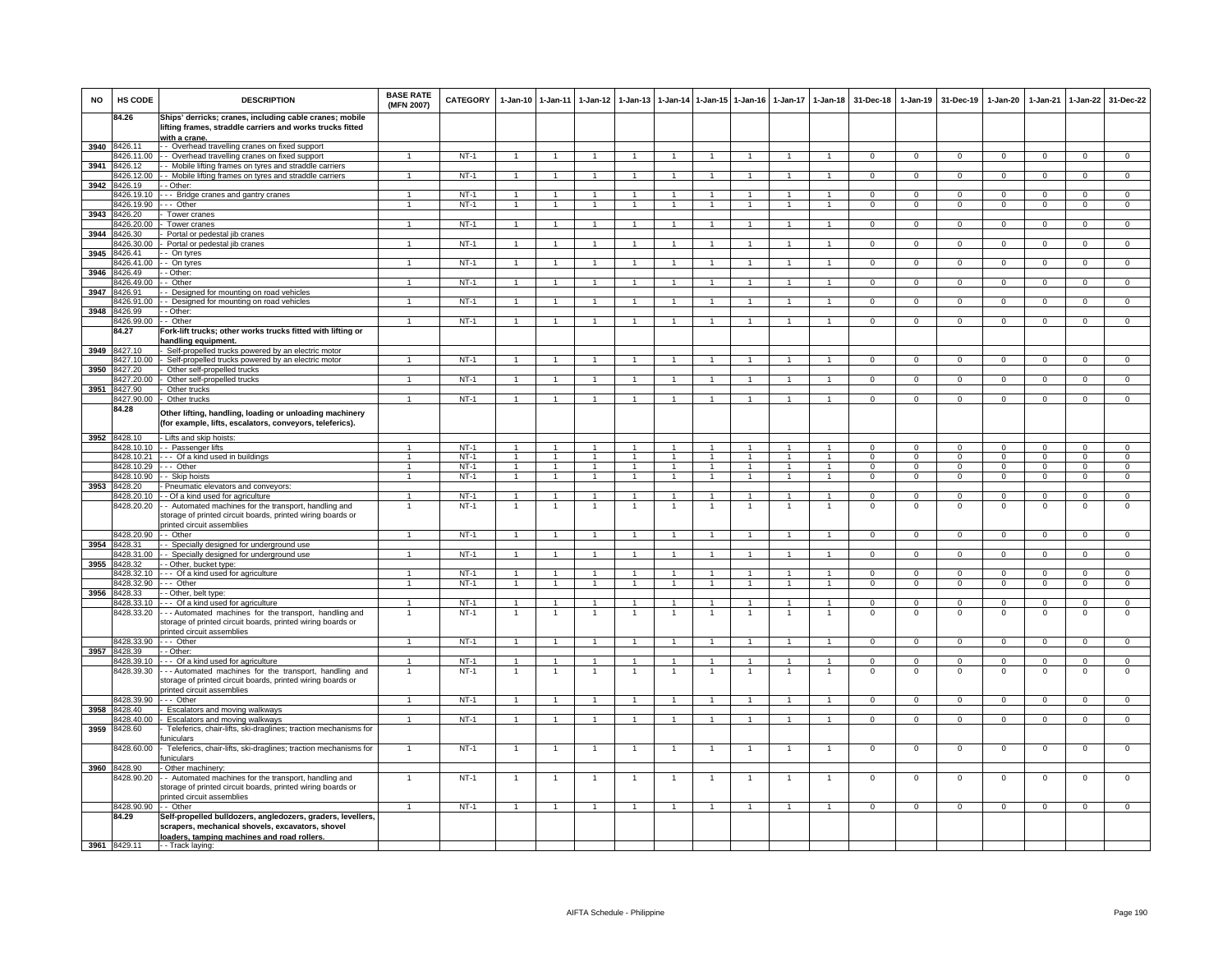| <b>NO</b> | HS CODE                    | <b>DESCRIPTION</b>                                                                                                                                             | <b>BASE RATE</b><br>(MFN 2007) | <b>CATEGORY</b>  | $1-Jan-10$     | $1 - Jan-11$                     | $1-Jan-12$                             | 1-Jan-13                       | $1 - Jan-14$                   | $1 - Jan-15$                 | $1 - Jan-16$                     | $1 - Jan - 17$                 | $1-Jan-18$                     | 31-Dec-18                  | $1-Jan-19$                 | 31-Dec-19                  | 1-Jan-20                   | 1-Jan-21                   | $1-Jan-22$                 | 31-Dec-22                     |
|-----------|----------------------------|----------------------------------------------------------------------------------------------------------------------------------------------------------------|--------------------------------|------------------|----------------|----------------------------------|----------------------------------------|--------------------------------|--------------------------------|------------------------------|----------------------------------|--------------------------------|--------------------------------|----------------------------|----------------------------|----------------------------|----------------------------|----------------------------|----------------------------|-------------------------------|
|           | 84.26                      | Ships' derricks; cranes, including cable cranes; mobile<br>lifting frames, straddle carriers and works trucks fitted                                           |                                |                  |                |                                  |                                        |                                |                                |                              |                                  |                                |                                |                            |                            |                            |                            |                            |                            |                               |
|           |                            | with a crane.                                                                                                                                                  |                                |                  |                |                                  |                                        |                                |                                |                              |                                  |                                |                                |                            |                            |                            |                            |                            |                            |                               |
|           | 3940 8426.11<br>3426.11.00 | - Overhead travelling cranes on fixed support<br>- Overhead travelling cranes on fixed support                                                                 | $\mathbf{1}$                   | $NT-1$           |                |                                  |                                        |                                |                                | $\mathbf{1}$                 |                                  |                                | $\mathbf{1}$                   | $\mathbf 0$                | $\mathbf{0}$               | $\mathbf 0$                | $\mathbf 0$                | $\mathbf 0$                | $\mathbf 0$                | $\mathbf{0}$                  |
| 3941      | 8426.12                    | - Mobile lifting frames on tyres and straddle carriers                                                                                                         |                                |                  |                |                                  |                                        |                                |                                |                              |                                  |                                |                                |                            |                            |                            |                            |                            |                            |                               |
|           | 8426.12.00                 | - Mobile lifting frames on tyres and straddle carriers                                                                                                         | $\mathbf{1}$                   | $NT-1$           |                |                                  |                                        |                                |                                | $\mathbf{1}$                 |                                  | $\mathbf{1}$                   | $\blacktriangleleft$           | $\Omega$                   | $\mathbf 0$                | $\Omega$                   | $\mathbf 0$                | $\overline{0}$             | $\Omega$                   | $\overline{0}$                |
| 3942      | 3426.19<br>3426.19.10      | - Other:                                                                                                                                                       |                                | $NT-1$           |                |                                  |                                        |                                |                                | $\mathbf{1}$                 |                                  |                                | $\mathbf{1}$                   | $\overline{0}$             | $\overline{0}$             | $\Omega$                   | $\overline{0}$             | $\overline{0}$             | $\overline{0}$             | $\overline{0}$                |
|           | 8426.19.90                 | -- Bridge cranes and gantry cranes<br>- Other                                                                                                                  | 1                              | $NT-1$           |                |                                  |                                        |                                |                                | $\mathbf{1}$                 |                                  |                                | $\overline{1}$                 | $\Omega$                   | $\mathbf 0$                | $\Omega$                   | $\mathbf 0$                | $\mathbf 0$                | $\mathbf 0$                | $\mathbf{0}$                  |
| 3943      | 8426.20                    | Tower cranes                                                                                                                                                   |                                |                  |                |                                  |                                        |                                |                                |                              |                                  |                                |                                |                            |                            |                            |                            |                            |                            |                               |
|           | 8426.20.00                 | Tower cranes                                                                                                                                                   | $\mathbf{1}$                   | $NT-1$           |                |                                  |                                        |                                |                                | $\mathbf{1}$                 | -1                               | $\mathbf{1}$                   | $\mathbf{1}$                   | $\mathbf{0}$               | $\mathbf{0}$               | $\mathbf 0$                | $\overline{0}$             | $\mathbf{0}$               | $\mathbf{0}$               | $\mathbf{0}$                  |
| 3944      | 8426.30<br>426.30.00       | Portal or pedestal jib cranes<br>Portal or pedestal jib cranes                                                                                                 | -1.                            | $NT-1$           | $\overline{1}$ | $\mathbf{1}$                     |                                        | -1                             | $\mathbf{1}$                   | 1                            |                                  | $\mathbf{1}$                   | $\overline{1}$                 | $\overline{0}$             | $\overline{0}$             | $\overline{0}$             | $\overline{0}$             | $\overline{0}$             | $\overline{0}$             | $\overline{0}$                |
| 3945      | 3426.41                    | - On tyres                                                                                                                                                     |                                |                  |                |                                  |                                        |                                |                                |                              |                                  |                                |                                |                            |                            |                            |                            |                            |                            |                               |
|           | 426.41.00                  | - On tyres                                                                                                                                                     |                                | $NT-1$           |                |                                  |                                        |                                |                                | $\mathbf{1}$                 |                                  |                                | $\mathbf{1}$                   | $\mathbf 0$                | $\mathbf 0$                | $\mathbf 0$                | $\mathsf 0$                | $\mathbf 0$                | $\mathsf 0$                | $\overline{0}$                |
| 3946      | 8426.49                    | - Other:                                                                                                                                                       |                                |                  |                |                                  |                                        |                                |                                |                              |                                  |                                |                                |                            |                            |                            |                            |                            |                            |                               |
|           | 3426.49.00<br>1426.91      | · Other                                                                                                                                                        | $\mathbf{1}$                   | $NT-1$           |                | $\overline{1}$                   |                                        |                                |                                | $\mathbf{1}$                 |                                  | $\mathbf{1}$                   | $\overline{1}$                 | $\overline{0}$             | $\overline{0}$             | $\Omega$                   | $\mathbf 0$                | $\overline{0}$             | $\overline{0}$             | $\overline{0}$                |
| 3947      | 3426.91.00                 | Designed for mounting on road vehicles<br>- Designed for mounting on road vehicles                                                                             |                                | $NT-1$           |                |                                  |                                        |                                |                                |                              |                                  |                                |                                | $\Omega$                   | $\mathbf 0$                | $\Omega$                   | $\Omega$                   | $\mathbf 0$                | $\Omega$                   | $\Omega$                      |
| 3948      | 8426.99                    | - Other:                                                                                                                                                       |                                |                  |                |                                  |                                        |                                |                                |                              |                                  |                                |                                |                            |                            |                            |                            |                            |                            |                               |
|           | 8426.99.00                 | - Other                                                                                                                                                        | $\overline{1}$                 | $NT-1$           |                |                                  |                                        |                                |                                | $\mathbf{1}$                 |                                  | $\overline{1}$                 | $\overline{1}$                 | $\mathbf 0$                | $\mathbf{0}$               | $\mathbf 0$                | $\mathbf 0$                | $\mathbf 0$                | $\mathbf 0$                | $\Omega$                      |
|           | 84.27                      | Fork-lift trucks; other works trucks fitted with lifting or                                                                                                    |                                |                  |                |                                  |                                        |                                |                                |                              |                                  |                                |                                |                            |                            |                            |                            |                            |                            |                               |
| 3949      | 3427.10                    | handling equipment.<br>Self-propelled trucks powered by an electric motor                                                                                      |                                |                  |                |                                  |                                        |                                |                                |                              |                                  |                                |                                |                            |                            |                            |                            |                            |                            |                               |
|           | 427.10.00                  | Self-propelled trucks powered by an electric motor                                                                                                             |                                | $NT-1$           |                |                                  |                                        |                                |                                |                              |                                  |                                |                                | $\mathbf 0$                | $\mathsf 0$                | 0                          | $^{\circ}$                 | 0                          | 0                          | $\mathbf 0$                   |
| 3950      | 3427.20                    | Other self-propelled trucks                                                                                                                                    |                                | $NT-1$           |                |                                  |                                        | $\overline{1}$                 |                                | $\overline{1}$               | $\overline{1}$                   |                                | $\overline{1}$                 |                            | $\overline{0}$             |                            |                            | $\overline{0}$             | $\overline{0}$             | $\overline{0}$                |
| 3951      | 8427.20.00<br>8427.90      | Other self-propelled trucks<br>Other trucks                                                                                                                    | $\mathbf{1}$                   |                  |                |                                  |                                        |                                |                                |                              |                                  | $\mathbf{1}$                   |                                | $\overline{0}$             |                            | $\overline{0}$             | $\overline{0}$             |                            |                            |                               |
|           | 8427.90.00                 | Other trucks                                                                                                                                                   |                                | $NT-1$           |                |                                  |                                        |                                |                                |                              |                                  |                                |                                | $\overline{0}$             | $\overline{0}$             | $\overline{0}$             | $\overline{0}$             | $\overline{0}$             | $\overline{0}$             | $\overline{0}$                |
|           | 84.28                      | Other lifting, handling, loading or unloading machinery<br>(for example, lifts, escalators, conveyors, teleferics).                                            |                                |                  |                |                                  |                                        |                                |                                |                              |                                  |                                |                                |                            |                            |                            |                            |                            |                            |                               |
|           | 3952 8428.10               | - Lifts and skip hoists:                                                                                                                                       |                                |                  |                |                                  |                                        |                                |                                |                              |                                  |                                |                                |                            |                            |                            |                            |                            |                            |                               |
|           |                            | 8428.10.10 - Passenger lifts                                                                                                                                   | 1.                             | $NT-1$           |                |                                  |                                        |                                |                                | $\mathbf{1}$                 |                                  | 1                              | 1                              | $\Omega$                   | $\mathbf 0$                | $\Omega$                   | $\Omega$                   | $\mathbf 0$                | $\mathbf 0$                | $\mathbf{0}$                  |
|           | 8428.10.21<br>8428.10.29   | --- Of a kind used in buildings<br>.-- Other                                                                                                                   | $\overline{1}$<br>$\mathbf{1}$ | $NT-1$<br>$NT-1$ | $\overline{1}$ | $\overline{1}$<br>$\overline{1}$ | $\overline{1}$<br>$\blacktriangleleft$ | $\overline{1}$<br>$\mathbf{1}$ | $\overline{1}$<br>$\mathbf{1}$ | $\mathbf{1}$<br>$\mathbf{1}$ | $\overline{1}$<br>$\overline{1}$ | $\overline{1}$<br>$\mathbf{1}$ | $\mathbf{1}$<br>$\overline{1}$ | $\mathbf 0$<br>$\mathbf 0$ | $\mathbf 0$<br>$\mathbf 0$ | $\mathbf 0$<br>$\mathbf 0$ | $\mathsf 0$<br>$\mathbf 0$ | $\mathbf 0$<br>$\mathbf 0$ | $\mathbf 0$<br>$\mathbf 0$ | $\mathbf 0$<br>$\overline{0}$ |
|           |                            | 8428.10.90 - - Skip hoists                                                                                                                                     | $\overline{1}$                 | $NT-1$           | $\overline{1}$ | $\overline{1}$                   | $\overline{1}$                         | $\overline{1}$                 | $\overline{1}$                 | $\overline{1}$               | $\overline{1}$                   | $\overline{1}$                 | $\overline{1}$                 | $\overline{0}$             | $\overline{0}$             | $\Omega$                   | $\mathbf 0$                | $\overline{0}$             | $\overline{0}$             | $\overline{0}$                |
| 3953      | 8428.20                    | - Pneumatic elevators and conveyors:                                                                                                                           |                                |                  |                |                                  |                                        |                                |                                |                              |                                  |                                |                                |                            |                            |                            |                            |                            |                            |                               |
|           | 8428.20.10                 | - - Of a kind used for agriculture                                                                                                                             | $\mathbf{1}$                   | $NT-1$           |                |                                  |                                        |                                |                                | $\mathbf{1}$                 |                                  |                                | $\overline{1}$                 | $\Omega$                   | $\mathbf 0$                | $\Omega$                   | $\mathsf 0$                | $\mathbf 0$                | $\mathbf 0$                | $\mathbf 0$                   |
|           | 8428.20.20                 | - Automated machines for the transport, handling and<br>storage of printed circuit boards, printed wiring boards or<br>rinted circuit assemblies               | $\mathbf{1}$                   | $NT-1$           |                |                                  |                                        |                                |                                | $\mathbf{1}$                 |                                  |                                | $\mathbf{1}$                   | $\mathbf 0$                | $\mathbf 0$                | $\mathbf 0$                | $\mathbf 0$                | $\mathbf 0$                | $\mathbf 0$                | $\mathbf 0$                   |
|           | 8428.20.90                 | - Other                                                                                                                                                        | $\mathbf{1}$                   | $NT-1$           | $\overline{1}$ |                                  |                                        |                                |                                | $\mathbf{1}$                 |                                  | $\mathbf{1}$                   | $\mathbf{1}$                   | $\Omega$                   | $\mathbf{0}$               | $\Omega$                   | $\Omega$                   | $\mathbf{0}$               | $\mathbf 0$                | $\mathbf{0}$                  |
| 3954      | 3428.31<br>8428.31.00      | - Specially designed for underground use                                                                                                                       | $\mathbf{1}$                   | $NT-1$           |                | $\mathbf{1}$                     |                                        |                                |                                | $\mathbf{1}$                 |                                  | $\mathbf{1}$                   | $\mathbf{1}$                   | $\mathbf 0$                | $\overline{0}$             | $\mathbf 0$                | $\mathsf 0$                | $\overline{0}$             | $\mathsf 0$                | $\overline{0}$                |
| 3955      | 8428.32                    | - - Specially designed for underground use<br>- Other, bucket type:                                                                                            |                                |                  |                |                                  |                                        |                                |                                |                              |                                  |                                |                                |                            |                            |                            |                            |                            |                            |                               |
|           | 8428.32.10                 | -- Of a kind used for agriculture                                                                                                                              | $\mathbf{1}$                   | $NT-1$           | $\overline{1}$ | $\overline{1}$                   | $\overline{1}$                         | $\mathbf{1}$                   | $\overline{1}$                 | $\mathbf{1}$                 | $\overline{1}$                   | $\overline{1}$                 | $\overline{1}$                 | $\Omega$                   | $\mathbf 0$                | $\Omega$                   | $\mathbf 0$                | $\Omega$                   | $\mathbf 0$                | $\overline{0}$                |
|           | 8428.32.90                 | -- Other                                                                                                                                                       | $\mathbf{1}$                   | $NT-1$           | $\overline{1}$ | $\overline{1}$                   | $\overline{1}$                         | $\overline{1}$                 | $\blacktriangleleft$           | $\overline{1}$               | $\overline{1}$                   | $\overline{1}$                 | $\overline{1}$                 | $\Omega$                   | $\Omega$                   | $\Omega$                   | $\Omega$                   | $\Omega$                   | $\Omega$                   | $\overline{0}$                |
| 3956      | 8428.33<br>8428.33.10      | - Other, belt type:<br>- - Of a kind used for agriculture                                                                                                      |                                | $NT-1$           |                |                                  |                                        |                                |                                | $\mathbf{1}$                 |                                  |                                | $\mathbf{1}$                   | $\Omega$                   | $\overline{0}$             | $\Omega$                   | $\Omega$                   | $\Omega$                   | $\mathbf 0$                | $\overline{0}$                |
|           | 8428.33.20                 | -- Automated machines for the transport, handling and                                                                                                          | $\overline{1}$                 | $NT-1$           |                |                                  |                                        | $\mathbf{1}$                   |                                | $\overline{1}$               | $\mathbf{1}$                     | $\overline{1}$                 | $\overline{1}$                 | $\mathsf 0$                | $\mathbf 0$                | $^{\circ}$                 | $\mathsf 0$                | $\mathbf 0$                | $\mathsf 0$                | $\mathbf 0$                   |
|           |                            | storage of printed circuit boards, printed wiring boards or<br>orinted circuit assemblies                                                                      |                                |                  |                |                                  |                                        |                                |                                |                              |                                  |                                |                                |                            |                            |                            |                            |                            |                            |                               |
|           | 3428.33.90                 | $-$ Other                                                                                                                                                      | $\mathbf{1}$                   | $NT-1$           | $\overline{1}$ | $\blacktriangleleft$             | $\overline{1}$                         | $\overline{1}$                 | $\overline{1}$                 | 1                            | $\overline{1}$                   | $\mathbf{1}$                   | $\overline{1}$                 | $\overline{0}$             | $\overline{0}$             | $\overline{0}$             | $\overline{0}$             | $\overline{0}$             | $\overline{0}$             | $\overline{0}$                |
| 3957      | 8428.39<br>8428.39.10      | - Other:<br>-- Of a kind used for agriculture                                                                                                                  | $\overline{1}$                 | $NT-1$           | $\overline{1}$ | $\overline{1}$                   | $\overline{1}$                         | $\mathbf{1}$                   | $\mathbf{1}$                   | $\mathbf{1}$                 | $\mathbf{1}$                     | $\overline{1}$                 | $\mathbf{1}$                   | $\mathsf 0$                | $\mathbf 0$                | $^{\circ}$                 | $^{\circ}$                 | $\mathbf 0$                | $^{\circ}$                 | $\mathbf{0}$                  |
|           | 8428.39.30                 | -- Automated machines for the transport, handling and<br>storage of printed circuit boards, printed wiring boards or<br>orinted circuit assemblies             | $\overline{1}$                 | $NT-1$           | $\overline{1}$ | $\overline{1}$                   | $\overline{1}$                         |                                |                                | $\mathbf{1}$                 | $\overline{1}$                   | $\overline{1}$                 | $\overline{1}$                 | $\,0\,$                    | $\,0\,$                    | $\mathbf 0$                | 0                          | $\mathbf 0$                | $\,0\,$                    | $\overline{0}$                |
|           | 8428.39.90                 | $--$ Other                                                                                                                                                     |                                | $NT-1$           |                |                                  |                                        |                                |                                |                              |                                  |                                |                                | 0                          | $\mathbf 0$                | 0                          | $\mathsf 0$                | $\mathbf 0$                | $\Omega$                   | $\mathbf{0}$                  |
|           | 3958 8428.40               | Escalators and moving walkways                                                                                                                                 |                                |                  |                |                                  |                                        |                                |                                |                              |                                  |                                |                                |                            |                            |                            |                            |                            |                            |                               |
|           | 3428.40.00                 | - Escalators and moving walkways                                                                                                                               | $\overline{1}$                 | $NT-1$           | $\overline{1}$ | $\mathbf{1}$                     |                                        |                                |                                | $\mathbf{1}$                 | -1                               | $\mathbf{1}$                   | $\overline{1}$                 | $^{\circ}$                 | $\overline{0}$             | $\mathbf 0$                | $\overline{0}$             | $\mathbf{0}$               | $\mathbf{0}$               | $\mathbf{0}$                  |
| 3959      | 8428.60                    | Teleferics, chair-lifts, ski-draglines; traction mechanisms for<br>uniculars                                                                                   |                                |                  |                |                                  |                                        |                                |                                |                              |                                  |                                |                                |                            |                            |                            |                            |                            |                            |                               |
|           | 428.60.00                  | Teleferics, chair-lifts, ski-draglines; traction mechanisms for<br>uniculars                                                                                   |                                | $NT-1$           |                |                                  |                                        |                                |                                |                              |                                  |                                |                                | $\mathbf 0$                | $\mathbf 0$                | $\mathbf 0$                | $\mathsf 0$                | $\mathbf 0$                | $\mathsf 0$                | $\mathbf 0$                   |
|           | 3960 8428.90               | Other machinery:                                                                                                                                               |                                |                  |                |                                  |                                        |                                |                                |                              |                                  |                                |                                |                            |                            |                            |                            |                            |                            |                               |
|           | 8428.90.20                 | - Automated machines for the transport, handling and<br>storage of printed circuit boards, printed wiring boards or<br>orinted circuit assemblies              | $\overline{1}$                 | $NT-1$           | $\overline{1}$ |                                  | $\overline{1}$                         |                                |                                | $\mathbf{1}$                 | $\overline{1}$                   | $\overline{1}$                 | $\overline{1}$                 | $\mathbf 0$                | $\mathbf 0$                | $\mathbf 0$                | $\mathsf 0$                | $\mathbf 0$                | $\,0\,$                    | $\mathbf 0$                   |
|           | 8428.90.90                 | - - Other                                                                                                                                                      | $\overline{1}$                 | $NT-1$           | $\overline{1}$ | $\overline{1}$                   | $\overline{1}$                         | $\overline{1}$                 | $\overline{1}$                 | $\overline{1}$               | $\overline{1}$                   | $\overline{1}$                 | $\overline{1}$                 | $\mathbf{0}$               | $\mathbf{0}$               | $\mathbf 0$                | $\mathbf 0$                | $\overline{0}$             | $\mathbf{0}$               | $\mathbf{0}$                  |
|           | 84.29                      | Self-propelled bulldozers, angledozers, graders, levellers,<br>scrapers, mechanical shovels, excavators, shovel<br>loaders, tamping machines and road rollers. |                                |                  |                |                                  |                                        |                                |                                |                              |                                  |                                |                                |                            |                            |                            |                            |                            |                            |                               |
|           | 3961 8429.11               | -- Track laying:                                                                                                                                               |                                |                  |                |                                  |                                        |                                |                                |                              |                                  |                                |                                |                            |                            |                            |                            |                            |                            |                               |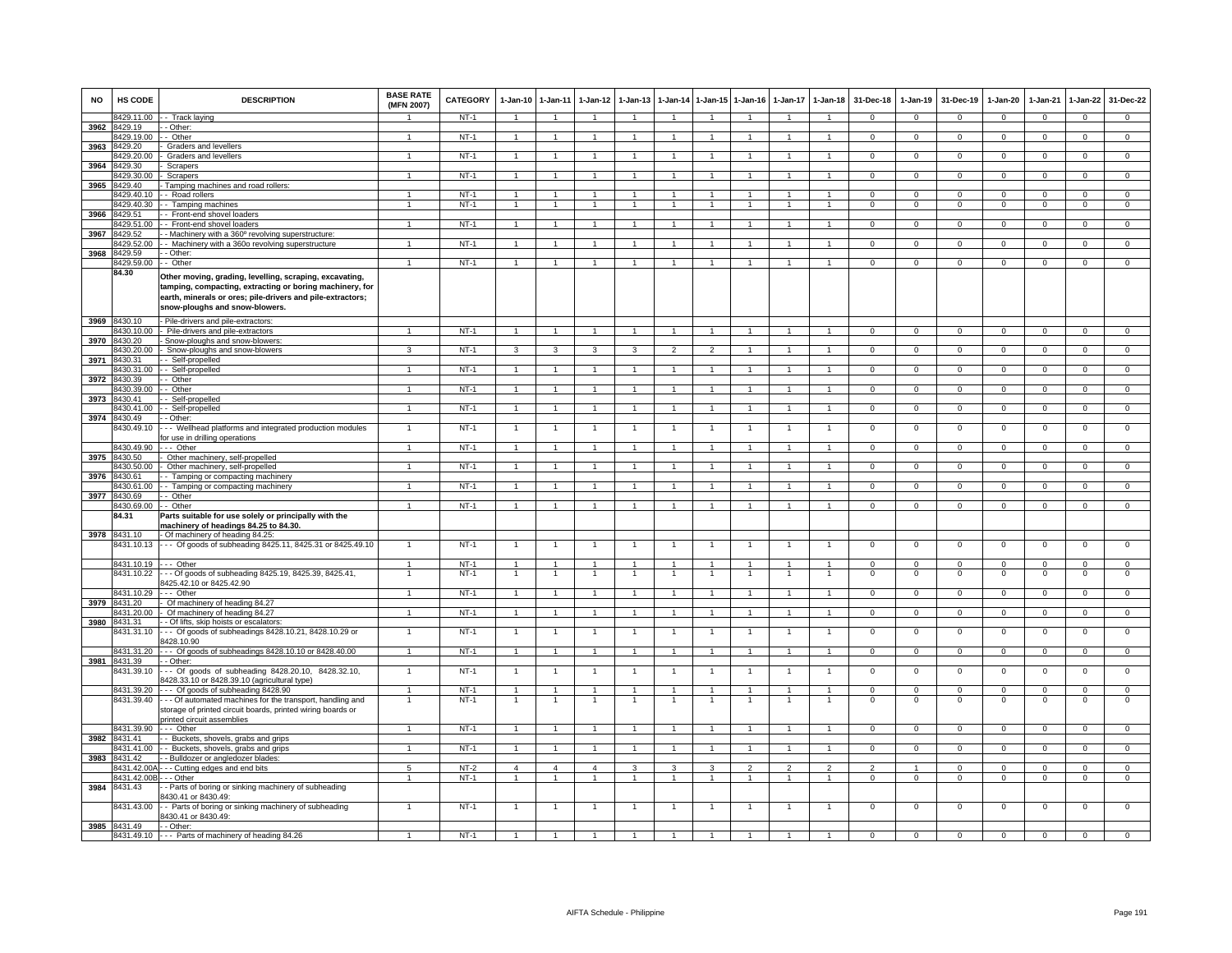| <b>NO</b> | HS CODE                    | <b>DESCRIPTION</b>                                                                                                                                                                                                  | <b>BASE RATE</b><br>(MFN 2007) | <b>CATEGORY</b>  | $1-Jan-10$                       | $1 - Jan-11$                   | $1-Jan-12$                     | $1-Jan-13$                   |                                  |                                  | 1-Jan-14 1-Jan-15 1-Jan-16       | $1-Jan-17$                       | $1 - Jan-18$                   | 31-Dec-18                        | $1-Jan-19$                    | 31-Dec-19                     | $1-Jan-20$                    | $1-Jan-21$                    | $1-Jan-22$                    | 31-Dec-22                     |
|-----------|----------------------------|---------------------------------------------------------------------------------------------------------------------------------------------------------------------------------------------------------------------|--------------------------------|------------------|----------------------------------|--------------------------------|--------------------------------|------------------------------|----------------------------------|----------------------------------|----------------------------------|----------------------------------|--------------------------------|----------------------------------|-------------------------------|-------------------------------|-------------------------------|-------------------------------|-------------------------------|-------------------------------|
|           | 8429.11.00                 | - Track laying                                                                                                                                                                                                      |                                | $NT-1$           | $\overline{1}$                   | $\overline{1}$                 |                                |                              | $\overline{1}$                   |                                  |                                  |                                  |                                | $\Omega$                         | $\Omega$                      | $\Omega$                      | $\Omega$                      | $\Omega$                      | $\Omega$                      | $\Omega$                      |
| 3962      | 8429.19                    | - Other:                                                                                                                                                                                                            |                                |                  |                                  |                                |                                |                              |                                  |                                  |                                  |                                  |                                |                                  |                               |                               |                               |                               |                               |                               |
| 3963      | 8429.19.00<br>3429.20      | - Other<br>Graders and levellers                                                                                                                                                                                    |                                | $NT-1$           | $\mathbf{1}$                     | $\mathbf{1}$                   |                                |                              | $\overline{1}$                   | 1                                | -1                               |                                  | $\mathbf{1}$                   | $\mathbf{0}$                     | $\circ$                       | $\mathbf 0$                   | $\mathbf 0$                   | $^{\circ}$                    | $\mathbf{0}$                  | $\mathbf{0}$                  |
|           | 3429.20.00                 | Graders and levellers                                                                                                                                                                                               | -1                             | $NT-1$           | $\overline{1}$                   | $\overline{1}$                 | $\mathbf{1}$                   | $\mathbf{1}$                 | $\overline{1}$                   | $\overline{1}$                   | $\overline{1}$                   | $\overline{1}$                   | $\overline{1}$                 | $\Omega$                         | $\mathbf 0$                   | $^{\circ}$                    | $\mathbf 0$                   | $\Omega$                      | $\mathbf{0}$                  | $\overline{0}$                |
| 3964      | 3429.30                    | Scrapers                                                                                                                                                                                                            |                                |                  |                                  |                                |                                |                              |                                  |                                  |                                  |                                  |                                |                                  |                               |                               |                               |                               |                               |                               |
|           | 3429.30.00                 | Scrapers                                                                                                                                                                                                            |                                | $NT-1$           | $\mathbf{1}$                     | $\mathbf{1}$                   |                                |                              | $\mathbf{1}$                     | $\mathbf{1}$                     | $\mathbf{1}$                     | $\mathbf{1}$                     | $\mathbf{1}$                   | $\mathbf{0}$                     | $\overline{0}$                | $\mathbf 0$                   | $\mathbf 0$                   | $\mathbf 0$                   | $\mathbf 0$                   | $\overline{0}$                |
| 3965      | 429.40                     | Tamping machines and road rollers:                                                                                                                                                                                  |                                |                  |                                  |                                |                                |                              |                                  |                                  |                                  |                                  |                                |                                  |                               |                               |                               |                               |                               |                               |
|           | 8429.40.10                 | - Road rollers                                                                                                                                                                                                      | 1                              | $NT-1$           | $\overline{1}$                   | $\overline{1}$                 |                                | 1                            | $\overline{1}$                   | $\blacktriangleleft$             | $\mathbf{1}$                     | $\mathbf{1}$                     | $\mathbf{1}$                   | $\mathbf 0$                      | $\Omega$                      | $\mathbf 0$                   | $\mathsf 0$                   | $\Omega$                      | $\mathsf 0$                   | $\overline{0}$                |
|           | 3429.40.30                 | - Tamping machines                                                                                                                                                                                                  | 1                              | $NT-1$           | $\overline{1}$                   | $\overline{1}$                 | $\overline{1}$                 | $\overline{1}$               | $\overline{1}$                   | $\overline{1}$                   | $\mathbf{1}$                     | $\mathbf{1}$                     | $\overline{1}$                 | $\circ$                          | $\circ$                       | $\mathbf 0$                   | $\Omega$                      | $\Omega$                      | 0                             | $\overline{0}$                |
| 3966      | 8429.51<br>3429.51.00      | - Front-end shovel loaders<br>- Front-end shovel loaders                                                                                                                                                            |                                | $NT-1$           | $\overline{1}$                   | $\overline{1}$                 | $\overline{1}$                 | $\overline{1}$               | $\overline{1}$                   | $\overline{1}$                   | $\overline{1}$                   | $\overline{1}$                   | $\overline{1}$                 | $\overline{0}$                   | $\overline{0}$                | $\overline{0}$                | $\overline{0}$                | $\overline{0}$                | $\overline{0}$                | $\overline{0}$                |
| 3967      | 429.52                     | - Machinery with a 360° revolving superstructure                                                                                                                                                                    |                                |                  |                                  |                                |                                |                              |                                  |                                  |                                  |                                  |                                |                                  |                               |                               |                               |                               |                               |                               |
|           | 8429.52.00                 | - Machinery with a 360o revolving superstructure                                                                                                                                                                    |                                | $NT-1$           | $\overline{1}$                   | $\mathbf{1}$                   |                                |                              | $\overline{1}$                   |                                  |                                  |                                  |                                | $\Omega$                         | $\mathbf{0}$                  | $\Omega$                      | $\Omega$                      | $\Omega$                      | $\mathsf 0$                   | $\mathbf{0}$                  |
| 3968      | 8429.59                    | - Other:                                                                                                                                                                                                            |                                |                  |                                  |                                |                                |                              |                                  |                                  |                                  |                                  |                                |                                  |                               |                               |                               |                               |                               |                               |
|           | 8429.59.00                 | - Other                                                                                                                                                                                                             | $\overline{1}$                 | NT-1             | $\overline{1}$                   | $\overline{1}$                 | $\overline{1}$                 | $\overline{1}$               | $\overline{1}$                   | $\overline{1}$                   | $\overline{1}$                   | $\overline{1}$                   | $\mathbf{1}$                   | $\overline{0}$                   | $\overline{0}$                | $\overline{0}$                | $\overline{0}$                | $\mathbf 0$                   | $\circ$                       | $\Omega$                      |
|           | 84.30                      | Other moving, grading, levelling, scraping, excavating,<br>tamping, compacting, extracting or boring machinery, for<br>earth, minerals or ores; pile-drivers and pile-extractors;<br>snow-ploughs and snow-blowers. |                                |                  |                                  |                                |                                |                              |                                  |                                  |                                  |                                  |                                |                                  |                               |                               |                               |                               |                               |                               |
|           | 3969 8430.10               | Pile-drivers and pile-extractors:                                                                                                                                                                                   |                                |                  |                                  |                                |                                |                              |                                  |                                  |                                  |                                  |                                |                                  |                               |                               |                               |                               |                               |                               |
| 3970      | 8430.10.00<br>8430.20      | Pile-drivers and pile-extractors<br>Snow-ploughs and snow-blowers                                                                                                                                                   |                                | $NT-1$           | $\mathbf{1}$                     | $\overline{1}$                 |                                | $\mathbf{1}$                 | $\overline{1}$                   | $\mathbf{1}$                     | $\overline{1}$                   | $\mathbf{1}$                     | $\overline{1}$                 | $\mathbf 0$                      | $\mathbf 0$                   | $\mathbf 0$                   | $\overline{0}$                | $\mathbf 0$                   | $\mathbf 0$                   | $\overline{0}$                |
|           | 3430.20.00                 | Snow-ploughs and snow-blowers                                                                                                                                                                                       | 3                              | $NT-1$           | 3                                | 3                              | 3                              | 3                            | $\overline{2}$                   | $\overline{2}$                   |                                  |                                  |                                | $\overline{0}$                   | $\overline{0}$                | $\overline{0}$                | $\overline{0}$                | $\overline{0}$                | $\overline{0}$                | $\overline{0}$                |
| 3971      | 3430.31                    | - Self-propelled                                                                                                                                                                                                    |                                |                  |                                  |                                |                                |                              |                                  |                                  |                                  |                                  |                                |                                  |                               |                               |                               |                               |                               |                               |
|           | 8430.31.00                 | - Self-propelled                                                                                                                                                                                                    |                                | $NT-1$           | $\mathbf{1}$                     |                                |                                |                              |                                  |                                  |                                  |                                  |                                | $\Omega$                         | $\Omega$                      | $\Omega$                      | $\Omega$                      | $\Omega$                      | $\Omega$                      | $\Omega$                      |
| 3972      | 8430.39                    | - Other                                                                                                                                                                                                             |                                |                  |                                  |                                |                                |                              |                                  |                                  |                                  |                                  |                                |                                  |                               |                               |                               |                               |                               |                               |
|           | 8430.39.00                 | - Other                                                                                                                                                                                                             | $\blacktriangleleft$           | NT-1             | $\overline{1}$                   | $\overline{1}$                 |                                |                              | $\overline{1}$                   | $\overline{1}$                   |                                  |                                  | $\mathbf{1}$                   | $\Omega$                         | $\mathbf 0$                   | $\mathbf 0$                   | $\mathbf 0$                   | $\mathbf 0$                   | $\mathbf{0}$                  | $\mathbf 0$                   |
| 3973      | 8430.41<br>3430.41.00      | - Self-propelled<br>- Self-propelled                                                                                                                                                                                | $\overline{1}$                 | $NT-1$           | 1                                | $\mathbf{1}$                   | $\mathbf{1}$                   | $\mathbf{1}$                 | $\overline{1}$                   | $\overline{1}$                   | $\mathbf{1}$                     | $\overline{1}$                   | $\mathbf{1}$                   | $\mathbf{0}$                     | $\overline{0}$                | $\mathbf 0$                   | $\overline{0}$                | $\overline{0}$                | $\overline{0}$                | $\overline{0}$                |
| 3974      | 8430.49                    | - Other:                                                                                                                                                                                                            |                                |                  |                                  |                                |                                |                              |                                  |                                  |                                  |                                  |                                |                                  |                               |                               |                               |                               |                               |                               |
|           | 3430.49.10                 | -- Wellhead platforms and integrated production modules<br>or use in drilling operations                                                                                                                            |                                | $NT-1$           | $\overline{1}$                   | $\mathbf{1}$                   |                                |                              | -1                               | $\mathbf{1}$                     |                                  |                                  | $\mathbf{1}$                   | $\mathbf 0$                      | $\mathbf 0$                   | $\mathbf 0$                   | $\mathbf 0$                   | $\mathbf 0$                   | $\mathsf 0$                   | $\overline{0}$                |
|           | 8430.49.90                 | -- Other                                                                                                                                                                                                            | $\blacktriangleleft$           | $NT-1$           | $\overline{1}$                   | $\overline{1}$                 | $\overline{1}$                 | $\mathbf{1}$                 | $\overline{1}$                   | $\overline{1}$                   | $\overline{1}$                   | $\overline{1}$                   | $\mathbf{1}$                   | $\mathbf{0}$                     | $\mathbf 0$                   | $\mathbf 0$                   | $\mathbf 0$                   | $\mathbf 0$                   | $\mathbf 0$                   | $\mathbf{0}$                  |
| 3975      | 8430.50                    | Other machinery, self-propelled                                                                                                                                                                                     |                                |                  |                                  |                                |                                |                              |                                  |                                  |                                  |                                  |                                |                                  |                               |                               |                               |                               |                               |                               |
|           | 8430.50.00                 | Other machinery, self-propelled                                                                                                                                                                                     | $\mathbf{1}$                   | $NT-1$           | $\overline{1}$                   | $\overline{1}$                 | $\overline{1}$                 | $\overline{1}$               | $\overline{1}$                   | $\overline{1}$                   | $\overline{1}$                   | $\overline{1}$                   | $\overline{1}$                 | $\mathbf{0}$                     | $\overline{0}$                | $\mathbf{0}$                  | $\overline{0}$                | $\mathbf{0}$                  | $\overline{0}$                | $\overline{0}$                |
| 3976      | 3430.61<br>8430.61.00      | - Tamping or compacting machiner                                                                                                                                                                                    |                                | $NT-1$           | $\mathbf{1}$                     | $\mathbf{1}$                   |                                |                              |                                  |                                  |                                  |                                  |                                | $\Omega$                         | $\mathbf 0$                   | $\Omega$                      | $\mathbf 0$                   | $\Omega$                      | $\mathbf 0$                   | $\Omega$                      |
| 3977      | 8430.69                    | - Tamping or compacting machinery<br>- Other                                                                                                                                                                        |                                |                  |                                  |                                |                                |                              |                                  |                                  |                                  |                                  |                                |                                  |                               |                               |                               |                               |                               |                               |
|           | 8430.69.00                 | - Other                                                                                                                                                                                                             |                                | $NT-1$           | $\overline{1}$                   | $\overline{1}$                 |                                |                              | $\overline{1}$                   |                                  |                                  |                                  | $\blacktriangleleft$           | $\Omega$                         | $\Omega$                      | $\Omega$                      | $\Omega$                      | $\Omega$                      | $\mathbf{0}$                  | $\Omega$                      |
|           | 84.31                      | Parts suitable for use solely or principally with the<br>machinery of headings 84.25 to 84.30.                                                                                                                      |                                |                  |                                  |                                |                                |                              |                                  |                                  |                                  |                                  |                                |                                  |                               |                               |                               |                               |                               |                               |
|           | 3978 8431.10               | Of machinery of heading 84.25:                                                                                                                                                                                      |                                |                  |                                  |                                |                                |                              |                                  |                                  |                                  |                                  |                                |                                  |                               |                               |                               |                               |                               |                               |
|           | 8431.10.13                 | - Of goods of subheading 8425.11, 8425.31 or 8425.49.10                                                                                                                                                             | 1                              | $NT-1$           | $\overline{1}$                   | $\mathbf{1}$                   | $\mathbf{1}$                   | $\mathbf{1}$                 | $\overline{1}$                   | $\mathbf{1}$                     | $\mathbf{1}$                     | $\overline{1}$                   | $\mathbf{1}$                   | $\mathsf 0$                      | $\mathbf 0$                   | $\,0\,$                       | $\mathbf 0$                   | $\mathbf{0}$                  | $\mathsf 0$                   | $\overline{0}$                |
|           | 8431.10.19                 | -- Other                                                                                                                                                                                                            |                                | $NT-1$           | $\mathbf{1}$                     | $\mathbf{1}$                   |                                |                              | $\mathbf{1}$                     |                                  |                                  | $\mathbf{1}$                     | 1                              | $\mathbf 0$                      | $\Omega$                      | $\Omega$                      | $\mathbf 0$                   | $\Omega$                      | $\mathsf 0$                   | $\mathsf 0$                   |
|           | 8431.10.22<br>8431.10.29   | --- Of goods of subheading 8425.19, 8425.39, 8425.41,<br>3425.42.10 or 8425.42.90                                                                                                                                   |                                | $NT-1$<br>$NT-1$ | $\overline{1}$<br>$\overline{1}$ | $\mathbf{1}$<br>$\overline{1}$ |                                | $\mathbf{1}$<br>$\mathbf{1}$ | $\overline{1}$<br>$\overline{1}$ | $\overline{1}$<br>$\overline{1}$ | $\mathbf{1}$<br>$\overline{1}$   | $\mathbf{1}$<br>$\overline{1}$   | $\overline{1}$<br>$\mathbf{1}$ | $\mathbf 0$<br>$\overline{0}$    | $\mathbf 0$<br>$\overline{0}$ | $\mathbf 0$<br>$\overline{0}$ | $\mathbf 0$<br>$\overline{0}$ | $\mathbf 0$<br>$\overline{0}$ | $\mathsf 0$<br>$\overline{0}$ | $\mathbf 0$<br>$\overline{0}$ |
| 3979      | 8431.20                    | -- Other<br>Of machinery of heading 84.27                                                                                                                                                                           |                                |                  |                                  |                                |                                |                              |                                  |                                  |                                  |                                  |                                |                                  |                               |                               |                               |                               |                               |                               |
|           | 8431.20.00                 | Of machinery of heading 84.27                                                                                                                                                                                       |                                | $NT-1$           | $\overline{1}$                   | $\mathbf{1}$                   |                                |                              |                                  |                                  |                                  |                                  |                                | $\overline{0}$                   | $\overline{0}$                | $\overline{0}$                | $\overline{0}$                | $\overline{0}$                | $\overline{0}$                | $\overline{0}$                |
| 3980      | 8431.31                    | - Of lifts, skip hoists or escalators                                                                                                                                                                               |                                |                  |                                  |                                |                                |                              |                                  |                                  |                                  |                                  |                                |                                  |                               |                               |                               |                               |                               |                               |
|           | 8431.31.10                 | --- Of goods of subheadings 8428.10.21, 8428.10.29 or<br>3428.10.90                                                                                                                                                 |                                | $NT-1$           | $\overline{1}$                   | $\mathbf{1}$                   |                                |                              |                                  |                                  |                                  |                                  |                                | $\mathsf 0$                      | $\mathbf 0$                   | $\mathbf 0$                   | $\overline{0}$                | $\mathbf 0$                   | $\mathsf 0$                   | $\mathbf 0$                   |
|           | 8431.31.20                 | -- Of goods of subheadings 8428.10.10 or 8428.40.00                                                                                                                                                                 | $\overline{1}$                 | $NT-1$           | $\overline{1}$                   | $\overline{1}$                 | $\mathbf{1}$                   | $\mathbf{1}$                 | $\overline{1}$                   | $\overline{1}$                   | $\mathbf{1}$                     | $\overline{1}$                   | $\overline{1}$                 | $\mathbf{0}$                     | $\overline{0}$                | $\mathbf 0$                   | $\overline{0}$                | $\overline{0}$                | $\overline{0}$                | $\overline{0}$                |
| 3981      | 8431.39<br>8431.39.10      | - Other:<br>-- Of goods of subheading 8428.20.10, 8428.32.10,                                                                                                                                                       | 1                              | $NT-1$           | $\overline{1}$                   | $\overline{1}$                 |                                | $\overline{1}$               | $\overline{1}$                   | $\overline{1}$                   | -1                               | $\overline{1}$                   | $\mathbf{1}$                   | $\mathbf 0$                      | $\mathbf 0$                   | $\mathbf 0$                   | $\mathbf 0$                   | $\mathbf 0$                   | $\mathsf 0$                   | $\mathbf 0$                   |
|           | 8431.39.20                 | 428.33.10 or 8428.39.10 (agricultural type)<br>-- Of goods of subheading 8428.90                                                                                                                                    |                                | $NT-1$           | $\overline{1}$                   | $\mathbf{1}$                   |                                | $\mathbf{1}$                 | $\overline{1}$                   |                                  | $\mathbf{1}$                     | $\overline{1}$                   | $\mathbf{1}$                   | $\mathbf 0$                      | $\Omega$                      | $\Omega$                      | $\Omega$                      | $\Omega$                      | $\mathsf 0$                   | $\overline{0}$                |
|           | 8431.39.40                 | - - Of automated machines for the transport, handling and                                                                                                                                                           |                                | NT-1             | $\overline{1}$                   | $\overline{1}$                 |                                |                              | $\mathbf{1}$                     | $\overline{1}$                   | 1                                | $\mathbf{1}$                     | 1                              | 0                                | $\mathbf{0}$                  | $\mathbf 0$                   | $\mathbf 0$                   | $\mathbf 0$                   | 0                             | 0                             |
|           |                            | storage of printed circuit boards, printed wiring boards or<br>vrinted circuit assemblies                                                                                                                           |                                |                  |                                  |                                |                                |                              |                                  |                                  |                                  |                                  |                                |                                  |                               |                               |                               |                               |                               |                               |
|           | 8431.39.90                 | -- Other                                                                                                                                                                                                            |                                | $NT-1$           | $\overline{1}$                   | $\overline{1}$                 |                                | $\overline{1}$               | $\overline{1}$                   | $\overline{1}$                   | $\overline{1}$                   | $\overline{1}$                   | $\overline{1}$                 | $\overline{0}$                   | $\overline{0}$                | $\overline{0}$                | $\overline{0}$                | $\overline{0}$                | $\overline{0}$                | $\overline{0}$                |
| 3982      | 8431.41                    | - Buckets, shovels, grabs and grips                                                                                                                                                                                 |                                |                  |                                  |                                |                                |                              |                                  |                                  |                                  |                                  |                                |                                  |                               |                               |                               |                               |                               |                               |
|           | 8431.41.00                 | - Buckets, shovels, grabs and grips                                                                                                                                                                                 |                                | $NT-1$           | $\mathbf{1}$                     | $\mathbf{1}$                   |                                |                              | $\mathbf{1}$                     |                                  |                                  |                                  | $\mathbf{1}$                   | $\Omega$                         | $\mathbf 0$                   | $\Omega$                      | $\mathbf 0$                   | $\Omega$                      | $\mathbf 0$                   | $\overline{0}$                |
| 3983      | 8431.42                    | - Bulldozer or angledozer blades:                                                                                                                                                                                   |                                |                  |                                  |                                |                                |                              |                                  |                                  |                                  |                                  |                                |                                  |                               |                               |                               |                               |                               |                               |
|           | 8431.42.00/<br>8431.42.00E | - - Cutting edges and end bits                                                                                                                                                                                      | 5<br>$\overline{1}$            | $NT-2$<br>$NT-1$ | $\overline{4}$<br>$\mathbf{1}$   | $\overline{4}$<br>$\mathbf{1}$ | $\overline{4}$<br>$\mathbf{1}$ | 3<br>$\overline{1}$          | 3<br>$\overline{1}$              | 3<br>$\mathbf{1}$                | $\overline{2}$<br>$\overline{1}$ | $\overline{2}$<br>$\overline{1}$ | $\overline{2}$<br>$\mathbf{1}$ | $\overline{2}$<br>$\overline{0}$ | $\overline{1}$<br>$\mathsf 0$ | $\mathbf 0$<br>$\overline{0}$ | $\mathbf 0$<br>$\overline{0}$ | $\mathbf 0$<br>$\mathsf 0$    | $\mathbf 0$<br>$\mathbf{0}$   | $\mathbf 0$<br>$\overline{0}$ |
| 3984      | 8431.43                    | - - Other<br>- Parts of boring or sinking machinery of subheading<br>430.41 or 8430.49:                                                                                                                             |                                |                  |                                  |                                |                                |                              |                                  |                                  |                                  |                                  |                                |                                  |                               |                               |                               |                               |                               |                               |
|           | 8431.43.00                 | - Parts of boring or sinking machinery of subheading<br>3430.41 or 8430.49:                                                                                                                                         |                                | $NT-1$           | $\overline{1}$                   | $\mathbf{1}$                   |                                |                              | $\overline{1}$                   | $\overline{1}$                   | -1                               | $\overline{1}$                   | $\mathbf{1}$                   | $\mathbf 0$                      | $\mathbf 0$                   | $\mathbf 0$                   | $\mathbf 0$                   | $\mathbf 0$                   | $\mathsf 0$                   | $\mathbf 0$                   |
|           | 3985 8431.49               | - - Other:                                                                                                                                                                                                          |                                |                  |                                  |                                |                                |                              |                                  |                                  |                                  |                                  |                                |                                  |                               |                               |                               |                               |                               |                               |
|           |                            | 8431.49.10 --- Parts of machinery of heading 84.26                                                                                                                                                                  |                                | $NT-1$           | $\overline{1}$                   | $\mathbf{1}$                   |                                |                              |                                  |                                  |                                  |                                  |                                | $\Omega$                         | $\Omega$                      | $\Omega$                      | $\overline{0}$                | $\Omega$                      | $\overline{0}$                | $\overline{0}$                |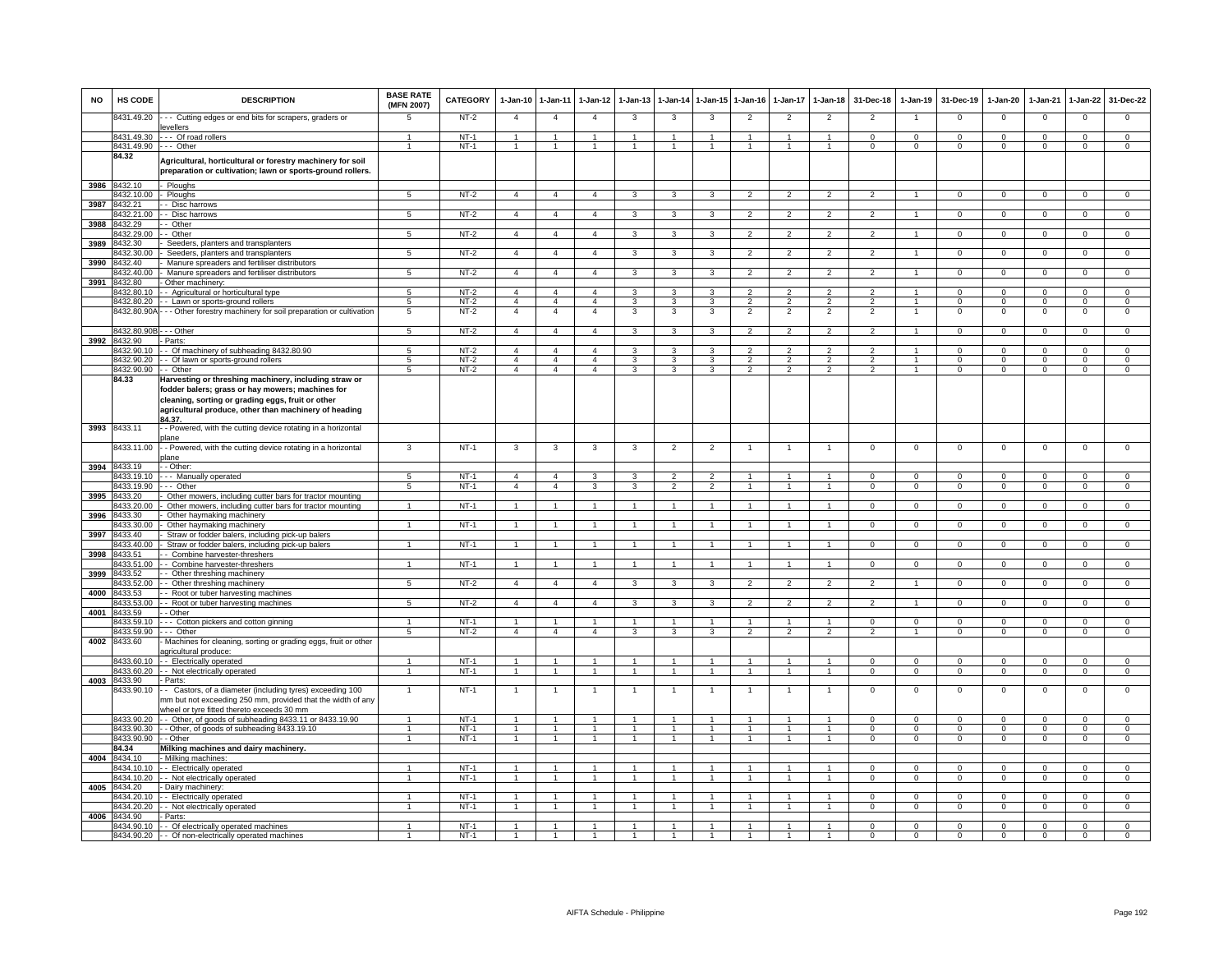| <b>NO</b> | HS CODE                  | <b>DESCRIPTION</b>                                                                                                                                                      | <b>BASE RATE</b><br>(MFN 2007)       | <b>CATEGORY</b>  | 1-Jan-10 1-Jan-11              |                                  | 1-Jan-12                       | $1 - Jan-13$   | 1-Jan-14                       | $1 - Jan-15$         | $1 - Jan-16$                    | 1-Jan-17                 | $1 - Jan-18$                    | 31-Dec-18                       | $1-Jan-19$                | 31-Dec-19                  | 1-Jan-20                | 1-Jan-21                   | 1-Jan-22                      | 31-Dec-22                     |
|-----------|--------------------------|-------------------------------------------------------------------------------------------------------------------------------------------------------------------------|--------------------------------------|------------------|--------------------------------|----------------------------------|--------------------------------|----------------|--------------------------------|----------------------|---------------------------------|--------------------------|---------------------------------|---------------------------------|---------------------------|----------------------------|-------------------------|----------------------------|-------------------------------|-------------------------------|
|           | 8431.49.20               | -- Cutting edges or end bits for scrapers, graders or<br>evellers                                                                                                       | 5                                    | $NT-2$           | $\overline{4}$                 | $\overline{4}$                   | $\overline{4}$                 | 3              | 3                              | 3                    | $\overline{2}$                  | $\overline{2}$           | $\overline{2}$                  | $\overline{2}$                  |                           | $\mathbf 0$                | $\mathbf 0$             | $\mathbf 0$                | 0                             | $\overline{0}$                |
|           | 8431.49.30               | --- Of road rollers                                                                                                                                                     |                                      | $NT-1$           | $\overline{1}$                 | $\overline{1}$                   | $\mathbf{1}$                   | $\mathbf{1}$   | $\overline{1}$                 |                      |                                 |                          | $\overline{1}$                  | $\mathbf{0}$                    | $\mathsf 0$               | $\mathbf 0$                | $\mathbf{0}$            | $\Omega$                   | $\mathbf 0$                   | $\mathbf{0}$                  |
|           | 8431.49.90               | .-- Other                                                                                                                                                               | $\blacktriangleleft$                 | $NT-1$           | $\overline{1}$                 | $\overline{1}$                   | $\mathbf{1}$                   | $\mathbf{1}$   | $\overline{1}$                 | $\blacktriangleleft$ | $\mathbf{1}$                    | $\mathbf{1}$             | $\overline{1}$                  | $\mathbf{O}$                    | $\mathbf 0$               | $\mathbf{0}$               | $\mathbf{0}$            | $\mathbf 0$                | $\mathbf{0}$                  | $\mathbf{0}$                  |
|           | 84.32                    | Agricultural, horticultural or forestry machinery for soil<br>preparation or cultivation; lawn or sports-ground rollers                                                 |                                      |                  |                                |                                  |                                |                |                                |                      |                                 |                          |                                 |                                 |                           |                            |                         |                            |                               |                               |
| 3986      | 8432.10                  | Ploughs                                                                                                                                                                 |                                      |                  |                                |                                  |                                |                |                                |                      |                                 |                          |                                 |                                 |                           |                            |                         |                            |                               |                               |
| 3987      | 3432.10.00<br>8432.21    | Ploughs<br>- Disc harrows                                                                                                                                               | 5                                    | $NT-2$           | $\overline{4}$                 | $\overline{4}$                   | $\overline{4}$                 | 3              | 3                              | 3                    | $\overline{2}$                  |                          | $\overline{2}$                  | $\overline{2}$                  |                           | $\mathbf 0$                | $\mathbf 0$             | $\mathbf 0$                | 0                             | $\mathbf 0$                   |
|           | 8432.21.00               | - Disc harrows                                                                                                                                                          | 5                                    | $NT-2$           | $\overline{4}$                 | $\overline{4}$                   | $\overline{4}$                 | 3              | $\overline{\mathbf{3}}$        | $\overline{3}$       | $\overline{2}$                  | $\overline{2}$           | $\overline{2}$                  | $\overline{2}$                  |                           | $\overline{0}$             | $\overline{0}$          | $\overline{0}$             | $\overline{0}$                | $\overline{0}$                |
| 3988      | 8432.29                  | - Other                                                                                                                                                                 |                                      |                  |                                |                                  |                                |                |                                |                      |                                 |                          |                                 |                                 |                           |                            |                         |                            |                               |                               |
|           | 3432.29.00               | Other                                                                                                                                                                   | 5                                    | $NT-2$           | $\overline{4}$                 | $\overline{4}$                   | $\overline{4}$                 | 3              | 3                              | 3                    | $\overline{\phantom{a}}$        | $\mathfrak{p}$           | $\overline{\phantom{a}}$        | $\mathcal{P}$                   |                           | $\Omega$                   | $\Omega$                | $\Omega$                   | $\Omega$                      | $\overline{0}$                |
| 3989      | 8432.30<br>8432.30.00    | Seeders, planters and transplanters                                                                                                                                     | 5                                    |                  | $\overline{4}$                 | $\overline{4}$                   | $\overline{4}$                 | 3              | $\mathbf{3}$                   | 3                    | $\overline{2}$                  | $\mathfrak{p}$           | $\overline{2}$                  | $\overline{2}$                  |                           | $\Omega$                   | $\Omega$                | $\Omega$                   |                               | $\overline{0}$                |
| 3990      | 8432.40                  | Seeders, planters and transplanters<br>Manure spreaders and fertiliser distributors                                                                                     |                                      | $NT-2$           |                                |                                  |                                |                |                                |                      |                                 |                          |                                 |                                 |                           |                            |                         |                            | $\overline{0}$                |                               |
|           | 8432.40.00               | Manure spreaders and fertiliser distributors                                                                                                                            | 5                                    | $NT-2$           | $\overline{4}$                 | $\overline{4}$                   | $\overline{4}$                 | 3              | 3                              | 3                    | $\overline{2}$                  | 2                        | $\overline{2}$                  | $\overline{2}$                  |                           | $\mathbf 0$                | $\mathbf{0}$            | $\mathbf 0$                | $\mathbf{0}$                  | $\mathbf{0}$                  |
| 3991      | 8432.80                  | Other machinery:                                                                                                                                                        |                                      |                  |                                |                                  |                                |                |                                |                      |                                 |                          |                                 |                                 |                           |                            |                         |                            |                               |                               |
|           | 3432.80.10               | - Agricultural or horticultural type                                                                                                                                    | 5 <sub>1</sub>                       | $NT-2$           | $\overline{4}$                 | $\overline{4}$                   | $\overline{4}$                 | 3              | 3                              | $\mathbf{3}$         | $\overline{2}$                  | 2                        | $\overline{\mathbf{c}}$         | $\overline{2}$                  | $\overline{1}$            | $\mathbf 0$                | $\circ$                 | $\Omega$                   | $\mathbf{0}$                  | $\overline{0}$                |
|           | 3432.80.20               | Lawn or sports-ground rollers                                                                                                                                           | 5                                    | $NT-2$           | $\overline{4}$                 | $\overline{4}$                   | $\overline{4}$                 | 3              | 3                              | 3                    | $\overline{2}$                  | $\overline{2}$           | $\overline{2}$                  | $\overline{2}$                  | $\overline{1}$            | $\mathbf 0$                | $\mathsf 0$             | $\mathbf 0$                | $\mathbf 0$                   | $\mathbf 0$                   |
|           | 8432.80.90A              | - - Other forestry machinery for soil preparation or cultivation                                                                                                        | 5                                    | $NT-2$           | $\overline{4}$                 | $\overline{4}$                   | $\overline{4}$                 | 3              | 3                              | 3                    | $\overline{2}$                  | $\overline{2}$           | $\overline{2}$                  | $\overline{2}$                  |                           | $\mathbf 0$                | $\mathbf 0$             | $\mathbf 0$                | $\mathsf 0$                   | $\mathbf 0$                   |
|           | 8432.80.90B - - - Other  |                                                                                                                                                                         | 5                                    | $NT-2$           | $\overline{4}$                 | $\overline{4}$                   | $\overline{4}$                 | 3              | 3                              | 3                    | $\overline{2}$                  | $\mathfrak{p}$           | $\overline{2}$                  | $\overline{2}$                  | $\overline{1}$            | $\mathbf 0$                | $\circ$                 | $\Omega$                   | $\mathbf{0}$                  | $\mathbf{0}$                  |
| 3992      | 8432.90                  | - Parts:                                                                                                                                                                |                                      |                  |                                |                                  |                                |                |                                |                      |                                 |                          |                                 |                                 |                           |                            |                         |                            |                               |                               |
|           | 8432.90.10               | - Of machinery of subheading 8432.80.90                                                                                                                                 | $5\overline{5}$                      | $NT-2$           | $\overline{4}$                 | $\overline{4}$                   | $\overline{4}$                 | 3              | 3                              | 3                    | $\overline{2}$                  | $\overline{\phantom{a}}$ | $\overline{2}$                  | $\overline{2}$                  |                           | $\Omega$                   | $\overline{0}$          | $\Omega$                   | $\overline{0}$                | $\overline{0}$                |
|           | 8432.90.20               | Of lawn or sports-ground rollers                                                                                                                                        | 5                                    | $NT-2$           | $\overline{4}$<br>$\mathbf{A}$ | $\overline{4}$<br>$\mathbf{A}$   | $\overline{4}$<br>$\mathbf{A}$ | 3<br>3         | 3                              | 3<br>$\mathbf{R}$    | $\overline{2}$<br>$\mathcal{P}$ | $\overline{2}$           | $\overline{2}$<br>$\mathcal{P}$ | $\overline{2}$<br>$\mathcal{P}$ |                           | $\overline{0}$             | $\overline{0}$          | $\overline{0}$<br>$\Omega$ | $\overline{0}$                | $\overline{0}$<br>$\Omega$    |
|           | 8432.90.90<br>84.33      | - - Other<br>Harvesting or threshing machinery, including straw or                                                                                                      | 5                                    | $NT-2$           |                                |                                  |                                |                | 3                              |                      |                                 | $\overline{2}$           |                                 |                                 |                           | $\mathbf 0$                | $\mathbf 0$             |                            | $\mathsf 0$                   |                               |
|           |                          | fodder balers; grass or hay mowers; machines for<br>cleaning, sorting or grading eggs, fruit or other<br>agricultural produce, other than machinery of heading<br>34.37 |                                      |                  |                                |                                  |                                |                |                                |                      |                                 |                          |                                 |                                 |                           |                            |                         |                            |                               |                               |
| 3993      | 8433.11                  | - Powered, with the cutting device rotating in a horizontal                                                                                                             |                                      |                  |                                |                                  |                                |                |                                |                      |                                 |                          |                                 |                                 |                           |                            |                         |                            |                               |                               |
|           | 8433.11.00               | plane<br>- Powered, with the cutting device rotating in a horizontal                                                                                                    | 3                                    | $NT-1$           | 3                              | 3                                | 3                              | 3              | $\overline{2}$                 | $\overline{2}$       |                                 |                          |                                 | $^{\circ}$                      | $\mathbf 0$               | $\mathbf 0$                | $\mathbf 0$             | $\mathbf 0$                | 0                             | $\mathbf 0$                   |
| 3994      | 8433.19                  | plane<br>- Other:                                                                                                                                                       |                                      |                  |                                |                                  |                                |                |                                |                      |                                 |                          |                                 |                                 |                           |                            |                         |                            |                               |                               |
|           | 3433.19.10               | - Manually operated                                                                                                                                                     | 5                                    | $NT-1$           | $\overline{4}$                 | $\overline{4}$                   | 3                              |                | $\mathcal{P}$                  | $\mathcal{P}$        |                                 |                          |                                 | $\Omega$                        | $\Omega$                  | $\Omega$                   | $\Omega$                |                            | $\Omega$                      | $\Omega$                      |
|           | 8433.19.90               | -- Other                                                                                                                                                                | 5                                    | $NT-1$           | $\overline{4}$                 | $\overline{4}$                   | 3                              | 3              | $\overline{2}$                 | $\overline{2}$       |                                 |                          | $\overline{1}$                  | $\Omega$                        | $\mathbf 0$               | $\Omega$                   | $\mathbf 0$             | $\Omega$                   | $\mathbf 0$                   | $\overline{0}$                |
| 3995      | 8433.20                  | Other mowers, including cutter bars for tractor mounting                                                                                                                |                                      |                  |                                |                                  |                                |                |                                |                      |                                 |                          |                                 |                                 |                           |                            |                         |                            |                               |                               |
|           | 8433.20.00               | Other mowers, including cutter bars for tractor mounting                                                                                                                | $\blacktriangleleft$                 | $NT-1$           | $\overline{1}$                 | $\overline{1}$                   | $\mathbf{1}$                   |                | $\overline{1}$                 | $\overline{1}$       |                                 |                          | $\overline{1}$                  | $\mathbf{0}$                    | $^{\circ}$                | $^{\circ}$                 | $\mathbf{0}$            | $^{\circ}$                 | $\mathbf{0}$                  | $\mathbf{0}$                  |
| 3996      | 8433.30                  | Other haymaking machinery                                                                                                                                               | 1                                    | $NT-1$           | $\overline{1}$                 | $\overline{1}$                   | 1                              |                | $\overline{1}$                 |                      |                                 |                          | $\mathbf{1}$                    |                                 |                           |                            |                         |                            |                               |                               |
| 3997      | 8433.30.00<br>3433.40    | Other haymaking machinery<br>Straw or fodder balers, including pick-up balers                                                                                           |                                      |                  |                                |                                  |                                |                |                                | $\overline{1}$       |                                 |                          |                                 | $\mathbf{0}$                    | $\mathbf{0}$              | $\mathbf{0}$               | $\mathbf{0}$            | $^{\circ}$                 | $\mathbf{0}$                  | $\mathbf{0}$                  |
|           | 3433.40.00               | Straw or fodder balers, including pick-up balers                                                                                                                        | $\mathbf{1}$                         | $NT-1$           | $\mathbf{1}$                   | $\mathbf{1}$                     | $\mathbf{1}$                   |                | $\mathbf{1}$                   | $\mathbf{1}$         |                                 |                          | $\mathbf{1}$                    | $\mathbf{O}$                    | $\mathbf{0}$              | $\mathbf 0$                | $\mathbf 0$             | $\mathbf 0$                | $\mathbf 0$                   | $\mathbf 0$                   |
| 3998      | 3433.51                  | Combine harvester-threshers                                                                                                                                             |                                      |                  |                                |                                  |                                |                |                                |                      |                                 |                          |                                 |                                 |                           |                            |                         |                            |                               |                               |
|           | 3433.51.00               | - Combine harvester-threshers                                                                                                                                           |                                      | $NT-1$           |                                | $\mathbf{1}$                     |                                |                |                                |                      |                                 |                          |                                 | $\Omega$                        | $\Omega$                  | $\mathbf 0$                | $\Omega$                | $\Omega$                   | $\Omega$                      | $\mathbf 0$                   |
| 3999      | 8433.52                  | - Other threshing machinery                                                                                                                                             | 5                                    | $NT-2$           |                                | $\overline{4}$                   |                                | 3              |                                | 3                    | $\overline{2}$                  | $\mathfrak{p}$           | $\overline{2}$                  | $\overline{2}$                  |                           |                            | $\Omega$                |                            |                               | $\overline{0}$                |
| 4000      | 8433.52.00<br>8433.53    | - Other threshing machinery<br>- Root or tuber harvesting machines                                                                                                      |                                      |                  | $\overline{4}$                 |                                  | $\overline{4}$                 |                | 3                              |                      |                                 |                          |                                 |                                 |                           | $\,0\,$                    |                         | $\mathbf 0$                | $^{\circ}$                    |                               |
|           | 8433.53.00               | - Root or tuber harvesting machines                                                                                                                                     | 5                                    | $NT-2$           | $\overline{4}$                 | $\overline{4}$                   | $\overline{4}$                 | 3              | 3                              | 3                    | $\overline{2}$                  | $\overline{2}$           | $\overline{2}$                  | $\overline{2}$                  |                           | $\overline{0}$             | $\overline{0}$          | $\overline{0}$             | $\overline{0}$                | $\overline{0}$                |
| 4001      | 8433.59                  | - Other                                                                                                                                                                 |                                      |                  |                                |                                  |                                |                |                                |                      |                                 |                          |                                 |                                 |                           |                            |                         |                            |                               |                               |
|           | 8433.59.10               | --- Cotton pickers and cotton ginning                                                                                                                                   |                                      | $NT-1$           |                                | $\overline{1}$                   | 1                              |                | $\overline{1}$                 |                      |                                 |                          | $\overline{1}$                  | $\mathsf 0$                     | $^{\circ}$                | $\mathbf 0$                | $\Omega$                | $\Omega$                   | $\mathbf 0$                   | $\mathbf 0$                   |
| 4002      | 8433.59.90<br>8433.60    | .-- Other<br>Machines for cleaning, sorting or grading eggs, fruit or other<br>agricultural produce:                                                                    | $5\overline{5}$                      | $NT-2$           | $\overline{4}$                 | $\overline{4}$                   | $\overline{4}$                 | 3              | 3                              | 3                    | $\overline{2}$                  | $\overline{2}$           | $\overline{2}$                  | $\overline{2}$                  |                           | $\mathbf 0$                | $\mathbf 0$             | $\mathbf 0$                | $\mathbf 0$                   | $\mathbf 0$                   |
|           | 3433.60.10               | - Electrically operated                                                                                                                                                 | $\overline{1}$                       | $NT-1$           | $\mathbf{1}$                   | $\overline{1}$                   | $\mathbf{1}$                   | $\overline{1}$ | $\overline{1}$                 | $\mathbf{1}$         | $\overline{1}$                  | $\mathbf{1}$             | $\mathbf{1}$                    | $\Omega$                        | $\Omega$                  | $\Omega$                   | $\Omega$                | $\Omega$                   | $\overline{0}$                | $\overline{0}$                |
|           | 433.60.20                | - Not electrically operated                                                                                                                                             | $\mathbf{1}$                         | $NT-1$           | 1.                             | $\mathbf{1}$                     | 1                              | -1             | $\mathbf{1}$                   | -1                   | $\mathbf{1}$                    | 1                        | $\overline{1}$                  | $\circ$                         | $\Omega$                  | $\mathbf{0}$               | $\circ$                 | $\mathbf 0$                | $\mathbf 0$                   | $\mathsf 0$                   |
| 4003      | 8433.90                  | Parts:                                                                                                                                                                  |                                      |                  |                                |                                  |                                |                |                                |                      |                                 |                          |                                 |                                 |                           |                            |                         |                            |                               |                               |
|           | 8433.90.10               | - Castors, of a diameter (including tyres) exceeding 100<br>nm but not exceeding 250 mm, provided that the width of any<br>wheel or tyre fitted thereto exceeds 30 mm   |                                      | $NT-1$           |                                | $\mathbf{1}$                     |                                |                |                                |                      |                                 |                          |                                 | $\mathbf 0$                     | $^{\circ}$                | $\mathbf 0$                | $\circ$                 | $\mathbf 0$                | $\mathsf 0$                   | $\mathbf 0$                   |
|           | 8433.90.20               | - Other, of goods of subheading 8433.11 or 8433.19.90                                                                                                                   | $\mathbf{1}$                         | $NT-1$           | $\mathbf{1}$                   | $\overline{1}$                   | -1                             | $\overline{1}$ | $\overline{1}$                 | $\overline{1}$       | $\mathbf{1}$                    | $\mathbf{1}$             | $\overline{1}$                  | $\Omega$                        | $\Omega$                  | $\Omega$                   | $\Omega$                | $\Omega$                   | $\Omega$                      | $\Omega$                      |
|           | 8433.90.30<br>8433.90.90 | - Other, of goods of subheading 8433.19.10                                                                                                                              | $\mathbf{1}$<br>$\ddot{\phantom{0}}$ | $NT-1$<br>$NT-1$ | $\overline{1}$                 | $\overline{1}$<br>$\overline{1}$ | $\mathbf{1}$                   | 1              | $\mathbf{1}$<br>$\overline{1}$ | $\blacktriangleleft$ |                                 |                          | $\overline{1}$                  | $\Omega$<br>$\Omega$            | $\Omega$<br>$\Omega$      | $\Omega$<br>$\Omega$       | $\Omega$<br>$\Omega$    | $\Omega$<br>$\Omega$       | $\mathsf 0$<br>$\overline{0}$ | $\mathbf 0$<br>$\overline{0}$ |
|           | 84.34                    | - - Other<br>Milking machines and dairy machinery.                                                                                                                      |                                      |                  |                                |                                  |                                |                |                                |                      |                                 |                          |                                 |                                 |                           |                            |                         |                            |                               |                               |
|           | 4004 8434.10             | Milking machines:                                                                                                                                                       |                                      |                  |                                |                                  |                                |                |                                |                      |                                 |                          |                                 |                                 |                           |                            |                         |                            |                               |                               |
|           | 8434.10.10               | - Electrically operated                                                                                                                                                 |                                      | $NT-1$           | $\overline{1}$                 | $\overline{1}$                   |                                | -1             | $\overline{1}$                 |                      | 1                               |                          | $\overline{1}$                  | $\Omega$                        | $\Omega$                  | $\overline{0}$             | $\Omega$                | $\Omega$                   | $\mathbf{0}$                  | $\mathbf 0$                   |
|           | 3434.10.20               | - Not electrically operated                                                                                                                                             | $\overline{1}$                       | $NT-1$           | $\overline{1}$                 | $\overline{1}$                   | 1                              | $\overline{1}$ | $\overline{1}$                 | $\overline{1}$       | $\overline{1}$                  | $\mathbf{1}$             | $\overline{1}$                  | $\Omega$                        | $\Omega$                  | $\mathbf{0}$               | $\overline{0}$          | $\Omega$                   | $\mathbf{0}$                  | $\overline{0}$                |
| 4005      | 8434.20                  | Dairy machinery                                                                                                                                                         |                                      |                  |                                |                                  |                                |                |                                |                      |                                 |                          |                                 |                                 |                           |                            |                         |                            |                               |                               |
|           | 3434.20.10<br>3434.20.20 | - Electrically operated<br>- Not electrically operated                                                                                                                  |                                      | $NT-1$<br>$NT-1$ | 1<br>1                         | $\mathbf{1}$<br>$\overline{1}$   | $\mathbf{1}$                   |                | $\mathbf{1}$<br>$\mathbf{1}$   | $\overline{1}$       |                                 |                          |                                 | $^{\circ}$<br>$\Omega$          | $^{\circ}$<br>$\mathsf 0$ | $\mathbf 0$<br>$\mathbf 0$ | $\mathbf 0$<br>$\Omega$ | $\Omega$<br>$\Omega$       | $\mathbf 0$<br>$\Omega$       | $\mathbf 0$<br>$\mathbf 0$    |
| 4006      | 8434.90                  | - Parts:                                                                                                                                                                |                                      |                  |                                |                                  |                                |                |                                |                      |                                 |                          |                                 |                                 |                           |                            |                         |                            |                               |                               |
|           |                          | 8434.90.10 - Of electrically operated machines                                                                                                                          |                                      | $NT-1$           | $\mathbf{1}$                   | $\overline{1}$                   |                                |                | $\overline{1}$                 |                      |                                 |                          |                                 | $\Omega$                        | $\Omega$                  | $\mathbf 0$                | $\Omega$                | $\Omega$                   | $\mathsf 0$                   | $\Omega$                      |
|           |                          | 8434.90.20 - - Of non-electrically operated machines                                                                                                                    |                                      | $NT-1$           |                                |                                  |                                |                |                                |                      |                                 |                          |                                 | $\Omega$                        | $\Omega$                  | $\Omega$                   | $\overline{0}$          | $\Omega$                   | $\overline{0}$                | $\overline{0}$                |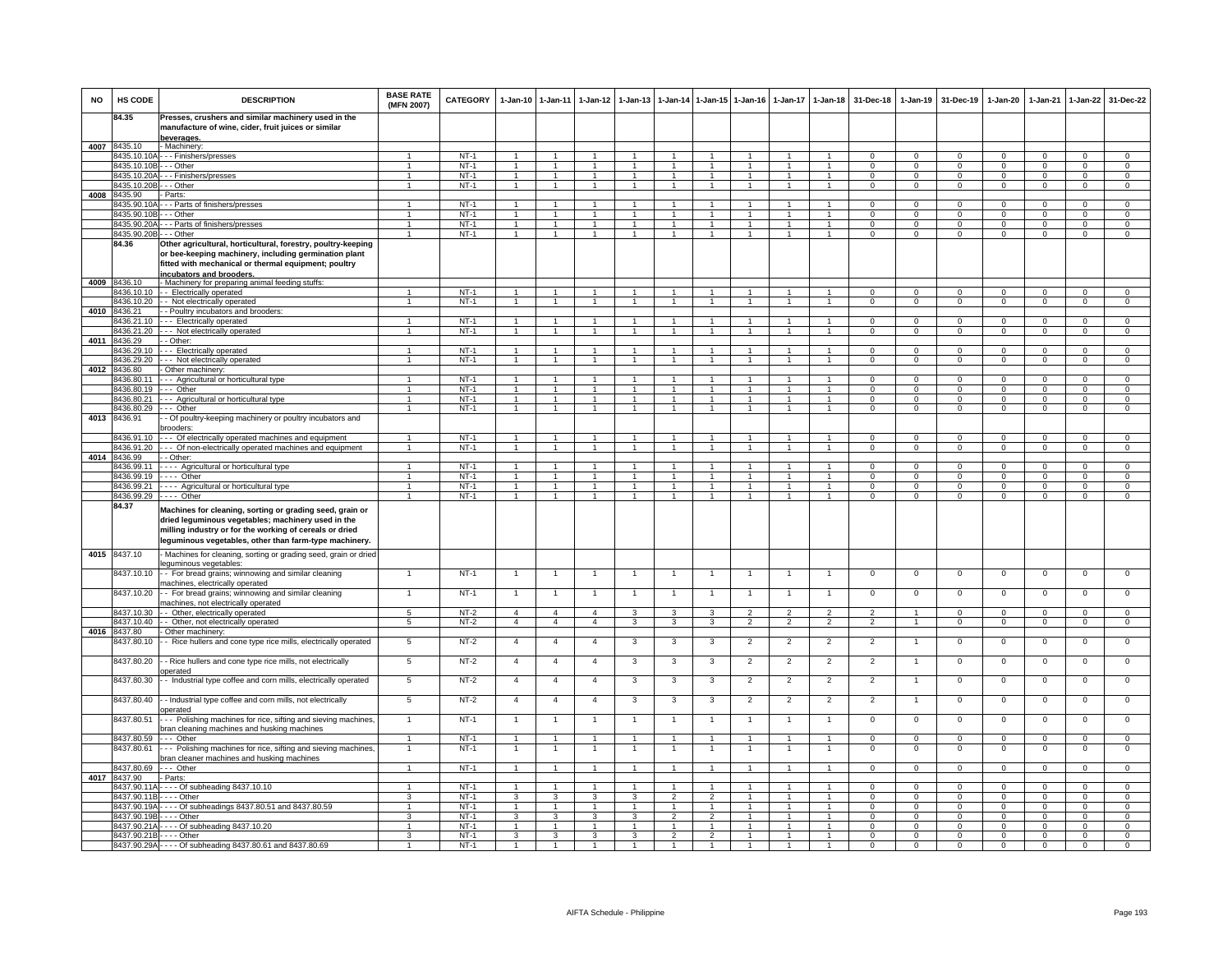| <b>NO</b> | HS CODE                               | <b>DESCRIPTION</b>                                                                                                                                                                                                                 | <b>BASE RATE</b><br>(MFN 2007) | CATEGORY         | $1-Jan-10$                   | $1 - Jan-11$                   | $1 - Jan-12$                         | $1-Jan-13$           |                              |                                      | 1-Jan-14 1-Jan-15 1-Jan-16           |                              | 1-Jan-17 1-Jan-18            | 31-Dec-18                     | $1 - Jan-19$                  | 31-Dec-19               | $1-Jan-20$                    | 1-Jan-21                      | 1-Jan-22                      | 31-Dec-22                      |
|-----------|---------------------------------------|------------------------------------------------------------------------------------------------------------------------------------------------------------------------------------------------------------------------------------|--------------------------------|------------------|------------------------------|--------------------------------|--------------------------------------|----------------------|------------------------------|--------------------------------------|--------------------------------------|------------------------------|------------------------------|-------------------------------|-------------------------------|-------------------------|-------------------------------|-------------------------------|-------------------------------|--------------------------------|
|           | 84.35                                 | Presses, crushers and similar machinery used in the<br>manufacture of wine, cider, fruit juices or similar                                                                                                                         |                                |                  |                              |                                |                                      |                      |                              |                                      |                                      |                              |                              |                               |                               |                         |                               |                               |                               |                                |
|           | 8435.10                               | beverages.<br>- Machinery                                                                                                                                                                                                          |                                |                  |                              |                                |                                      |                      |                              |                                      |                                      |                              |                              |                               |                               |                         |                               |                               |                               |                                |
| 4007      |                                       | 3435.10.10A - - - Finishers/presses                                                                                                                                                                                                |                                | $NT-1$           |                              |                                |                                      |                      |                              |                                      |                                      |                              | 1                            | $^{\circ}$                    | $\Omega$                      | $^{\circ}$              | 0                             | $\Omega$                      | $\Omega$                      | $\mathbf 0$                    |
|           | 8435.10.10B                           | -- Other                                                                                                                                                                                                                           | $\mathbf{1}$                   | $NT-1$           | $\mathbf{1}$                 | $\overline{1}$                 | $\overline{1}$                       | $\mathbf{1}$         | $\mathbf{1}$                 | $\blacktriangleleft$                 | $\mathbf{1}$                         | $\mathbf{1}$                 | $\overline{1}$               | $\mathbf 0$                   | $\mathbf 0$                   | $^{\circ}$              | $\mathsf 0$                   | $\mathbf 0$                   | $\mathbf 0$                   | $\mathbf{O}$                   |
|           | 8435.10.20A                           | -- Finishers/presses                                                                                                                                                                                                               | $\blacktriangleleft$           | $NT-1$           | $\overline{1}$               | $\overline{1}$                 | $\overline{1}$                       | $\blacktriangleleft$ | $\overline{1}$               | $\overline{1}$                       | $\mathbf{1}$                         | $\mathbf{1}$                 | $\mathbf{1}$                 | $\Omega$                      | $\Omega$                      | $^{\circ}$              | $^{\circ}$                    | $\Omega$                      | $\mathbf 0$                   | $\overline{0}$                 |
|           | 8435.10.20B                           | $-$ - Other                                                                                                                                                                                                                        | $\mathbf{1}$                   | $NT-1$           | $\overline{1}$               | $\overline{1}$                 | $\overline{1}$                       | $\mathbf{1}$         | $\overline{1}$               | $\overline{1}$                       | $\overline{1}$                       | $\overline{1}$               | $\mathbf{1}$                 | $\Omega$                      | $\Omega$                      | $\Omega$                | $\Omega$                      | $\Omega$                      | $\circ$                       | $\overline{0}$                 |
| 4008      | 8435.90                               | - Parts:                                                                                                                                                                                                                           |                                |                  |                              |                                |                                      |                      |                              |                                      |                                      |                              |                              |                               |                               |                         |                               |                               |                               |                                |
|           | 8435.90.10<br>8435.90.10B - - - Other | --- Parts of finishers/presses                                                                                                                                                                                                     | -1                             | $NT-1$<br>$NT-1$ | $\overline{1}$               | $\blacktriangleleft$           | $\overline{1}$                       | $\mathbf{1}$         | $\overline{1}$               | $\mathbf{1}$                         | -1                                   | $\mathbf{1}$                 | 1                            | $\Omega$<br>$\Omega$          | $\Omega$<br>$\mathbf 0$       | $\Omega$<br>$\mathbf 0$ | $\Omega$<br>$\mathbf 0$       | $\Omega$<br>$\Omega$          | $\Omega$<br>$\mathbf 0$       | $\Omega$<br>$\mathbf 0$        |
|           | 8435.90.20A                           | --- Parts of finishers/presses                                                                                                                                                                                                     | $\overline{1}$                 | $NT-1$           | $\mathbf{1}$                 | $\overline{1}$                 | $\overline{1}$                       | $\overline{1}$       | $\overline{1}$               | $\overline{1}$                       | $\mathbf{1}$                         | $\overline{1}$               | $\mathbf{1}$                 | $\mathbf{0}$                  | $^{\circ}$                    | $\mathbf{0}$            | $\mathbf{0}$                  | $^{\circ}$                    | $\mathbf{0}$                  | $\overline{0}$                 |
|           | 8435.90.20B                           | $\cdot$ - Other                                                                                                                                                                                                                    | $\overline{1}$                 | $NT-1$           | -1                           | $\overline{1}$                 | $\overline{1}$                       | $\mathbf{1}$         | $\mathbf{1}$                 | $\overline{1}$                       | $\overline{1}$                       | $\mathbf{1}$                 | $\mathbf{1}$                 | $\Omega$                      | $\Omega$                      | $\Omega$                | $^{\circ}$                    | $\Omega$                      | $\overline{0}$                | $\overline{0}$                 |
|           | 84.36                                 | Other agricultural, horticultural, forestry, poultry-keeping                                                                                                                                                                       |                                |                  |                              |                                |                                      |                      |                              |                                      |                                      |                              |                              |                               |                               |                         |                               |                               |                               |                                |
|           |                                       | or bee-keeping machinery, including germination plant                                                                                                                                                                              |                                |                  |                              |                                |                                      |                      |                              |                                      |                                      |                              |                              |                               |                               |                         |                               |                               |                               |                                |
|           |                                       | fitted with mechanical or thermal equipment; poultry                                                                                                                                                                               |                                |                  |                              |                                |                                      |                      |                              |                                      |                                      |                              |                              |                               |                               |                         |                               |                               |                               |                                |
|           | 4009 8436.10                          | incubators and brooders.<br>- Machinery for preparing animal feeding stuffs:                                                                                                                                                       |                                |                  |                              |                                |                                      |                      |                              |                                      |                                      |                              |                              |                               |                               |                         |                               |                               |                               |                                |
|           | 8436.10.10                            | - - Electrically operated                                                                                                                                                                                                          |                                | $NT-1$           |                              |                                |                                      |                      |                              |                                      |                                      |                              |                              | $\Omega$                      | $\Omega$                      | $\Omega$                | $\Omega$                      | $\Omega$                      | $\Omega$                      | $\circ$                        |
|           | 8436.10.20                            | - - Not electrically operated                                                                                                                                                                                                      | $\mathbf{1}$                   | $NT-1$           | $\overline{1}$               | $\mathbf{1}$                   | $\mathbf{1}$                         |                      | $\overline{1}$               | $\overline{1}$                       |                                      |                              |                              | $\Omega$                      | $\Omega$                      | $\Omega$                | $\Omega$                      | $\Omega$                      | $\Omega$                      | $\mathbf{O}$                   |
|           | 4010 8436.21                          | - - Poultry incubators and brooders:                                                                                                                                                                                               |                                |                  |                              |                                |                                      |                      |                              |                                      |                                      |                              |                              |                               |                               |                         |                               |                               |                               |                                |
|           | 8436.21.10                            | - - - Electrically operated                                                                                                                                                                                                        | $\mathbf{1}$                   | $NT-1$           | $\overline{1}$               | $\overline{1}$                 | $\overline{1}$                       |                      | $\mathbf{1}$                 | $\mathbf{1}$                         | -1                                   |                              | $\overline{1}$               | $\Omega$                      | $\Omega$                      | $\Omega$                | $\Omega$                      | $\Omega$                      | $\Omega$                      | $\mathsf 0$                    |
|           | 8436.21.20                            | --- Not electrically operated                                                                                                                                                                                                      | $\mathbf{1}$                   | $NT-1$           | $\overline{1}$               | $\overline{1}$                 | 1                                    | $\overline{1}$       | $\overline{1}$               | $\mathbf{1}$                         | $\mathbf{1}$                         | $\overline{1}$               | 1                            | $\mathbf{0}$                  | $\overline{0}$                | $^{\circ}$              | $\mathbf{0}$                  | $\overline{0}$                | $\overline{0}$                | $\overline{0}$                 |
| 4011      | 8436.29<br>3436.29.10                 | - Other:<br>--- Electrically operated                                                                                                                                                                                              |                                | $NT-1$           |                              |                                | 1                                    |                      |                              |                                      |                                      |                              |                              | 0                             | 0                             | $\mathbf 0$             | $\mathbf 0$                   | $\mathbf 0$                   | $\mathbf 0$                   | 0                              |
|           | 8436.29.20                            | --- Not electrically operated                                                                                                                                                                                                      | $\overline{1}$                 | $NT-1$           | $\overline{1}$               | $\overline{1}$                 | $\overline{1}$                       | $\mathbf{1}$         | $\overline{1}$               | $\overline{1}$                       | $\mathbf{1}$                         | $\mathbf{1}$                 | $\mathbf{1}$                 | $\mathbf 0$                   | $\mathbf 0$                   | $\mathbf 0$             | $\mathbf 0$                   | $\Omega$                      | $\mathbf 0$                   | $\overline{0}$                 |
| 4012      | 8436.80                               | Other machinery:                                                                                                                                                                                                                   |                                |                  |                              |                                |                                      |                      |                              |                                      |                                      |                              |                              |                               |                               |                         |                               |                               |                               |                                |
|           | 8436.80.11                            | -- Agricultural or horticultural type                                                                                                                                                                                              | 1                              | $NT-1$           | $\overline{1}$               | $\mathbf{1}$                   | $\overline{1}$                       |                      |                              | $\blacktriangleleft$                 |                                      | $\mathbf{1}$                 | $\mathbf{1}$                 | $\Omega$                      | $\overline{0}$                | $\Omega$                | $\overline{0}$                | $\overline{0}$                | $\overline{0}$                | $\overline{0}$                 |
|           | 8436.80.19                            | .-- Other                                                                                                                                                                                                                          | 1                              | $NT-1$           | $\mathbf{1}$                 | $\mathbf{1}$                   | $\mathbf{1}$                         |                      | $\mathbf{1}$                 | $\overline{1}$                       |                                      | $\mathbf{1}$                 | $\overline{1}$               | $\mathbf 0$                   | $\mathbf 0$                   | $\mathbf 0$             | $\mathsf 0$                   | $\mathbf 0$                   | $\mathbf 0$                   | $\mathbf{O}$                   |
|           | 8436.80.21                            | --- Agricultural or horticultural type                                                                                                                                                                                             | $\mathbf{1}$                   | $NT-1$           | $\overline{1}$               | $\mathbf{1}$                   | $\overline{1}$                       |                      | $\mathbf{1}$                 | $\overline{1}$                       | $\ddot{\phantom{0}}$<br>$\mathbf{1}$ | $\overline{1}$               | $\mathbf{1}$                 | $\Omega$                      | $\Omega$                      | $\Omega$                | $\Omega$                      | $\Omega$                      | $\Omega$                      | $\mathbf{O}$                   |
| 4013      | 8436.80.29<br>8436.91                 | --- Other<br>- Of poultry-keeping machinery or poultry incubators and                                                                                                                                                              | $\overline{1}$                 | $NT-1$           | $\overline{1}$               | $\overline{1}$                 | $\overline{1}$                       | $\overline{1}$       | $\overline{1}$               | $\overline{1}$                       |                                      | $\mathbf{1}$                 | $\mathbf{1}$                 | $\Omega$                      | $\mathbf{0}$                  | $\mathbf 0$             | $\mathbf{0}$                  | $\mathbf{0}$                  | $\mathbf{0}$                  | $\mathbf{0}$                   |
|           |                                       | orooders:                                                                                                                                                                                                                          |                                |                  |                              |                                |                                      |                      |                              |                                      |                                      |                              |                              |                               |                               |                         |                               |                               |                               |                                |
|           | 3436.91.10<br>3436.91.20              | - Of electrically operated machines and equipment                                                                                                                                                                                  | $\mathbf{1}$<br>$\mathbf{1}$   | $NT-1$<br>$NT-1$ | $\mathbf{1}$<br>$\mathbf{1}$ | $\mathbf{1}$<br>$\overline{1}$ | $\mathbf{1}$<br>$\blacktriangleleft$ |                      | $\mathbf{1}$<br>$\mathbf{1}$ | $\mathbf{1}$<br>$\blacktriangleleft$ | $\mathbf{1}$<br>$\overline{1}$       | $\mathbf{1}$<br>$\mathbf{1}$ | $\mathbf{1}$<br>$\mathbf{1}$ | $\mathbf 0$<br>$\overline{0}$ | $\mathbf 0$<br>$\overline{0}$ | $\mathbf 0$<br>$\Omega$ | $\mathbf 0$<br>$\overline{0}$ | $\mathbf 0$<br>$\overline{0}$ | $\mathbf 0$<br>$\overline{0}$ | $\mathbf{O}$<br>$\overline{0}$ |
| 4014      | 8436.99                               | --- Of non-electrically operated machines and equipment<br>- Other:                                                                                                                                                                |                                |                  |                              |                                |                                      |                      |                              |                                      |                                      |                              |                              |                               |                               |                         |                               |                               |                               |                                |
|           | 8436.99.11                            | ---- Agricultural or horticultural type                                                                                                                                                                                            | $\mathbf{1}$                   | $NT-1$           | $\overline{1}$               | $\mathbf{1}$                   | $\overline{1}$                       | $\overline{1}$       | $\overline{1}$               | $\mathbf{1}$                         | $\overline{1}$                       | $\mathbf{1}$                 | $\blacktriangleleft$         | $\Omega$                      | $\Omega$                      | $\Omega$                | $\Omega$                      | $\Omega$                      | $\Omega$                      | $\overline{0}$                 |
|           | 8436.99.19                            | $\cdots$ Other                                                                                                                                                                                                                     | $\mathbf{1}$                   | $NT-1$           | $\overline{1}$               | $\overline{1}$                 | $\blacktriangleleft$                 | $\mathbf{1}$         | $\mathbf{1}$                 | $\overline{1}$                       | $\overline{1}$                       | $\overline{1}$               | $\mathbf{1}$                 | $\Omega$                      | $\Omega$                      | $\Omega$                | $\Omega$                      | $\Omega$                      | $\Omega$                      | $\overline{0}$                 |
|           | 8436.99.21                            | ---- Agricultural or horticultural type                                                                                                                                                                                            | $\mathbf{1}$                   | $NT-1$           | $\mathbf{1}$                 |                                | $\mathbf{1}$                         |                      |                              | $\mathbf{1}$                         |                                      |                              |                              | $\Omega$                      | $\Omega$                      | $\Omega$                | $\Omega$                      | $\Omega$                      | $\Omega$                      | $\mathbf{O}$                   |
|           | 8436.99.29<br>84.37                   | $\cdots$ Other                                                                                                                                                                                                                     | $\overline{1}$                 | $NT-1$           | $\overline{1}$               | $\blacktriangleleft$           | $\overline{1}$                       | $\overline{1}$       | $\overline{1}$               | $\overline{1}$                       |                                      | $\overline{1}$               |                              | $^{\circ}$                    | $\mathbf 0$                   | $^{\circ}$              | $^{\circ}$                    | $\mathbf{0}$                  | $\mathbf 0$                   | $\mathbf{O}$                   |
|           |                                       | Machines for cleaning, sorting or grading seed, grain or<br>dried leguminous vegetables; machinery used in the<br>milling industry or for the working of cereals or dried<br>leguminous vegetables, other than farm-type machinery |                                |                  |                              |                                |                                      |                      |                              |                                      |                                      |                              |                              |                               |                               |                         |                               |                               |                               |                                |
|           | 4015 8437.10                          | Machines for cleaning, sorting or grading seed, grain or dried                                                                                                                                                                     |                                |                  |                              |                                |                                      |                      |                              |                                      |                                      |                              |                              |                               |                               |                         |                               |                               |                               |                                |
|           | 8437.10.10                            | eguminous vegetables:<br>- For bread grains; winnowing and similar cleaning                                                                                                                                                        | $\mathbf{1}$                   | $NT-1$           | $\overline{1}$               | $\overline{1}$                 | -1                                   | -1                   | -1                           | $\mathbf{1}$                         | $\overline{1}$                       | $\overline{1}$               | $\overline{1}$               | $\mathbf 0$                   | $\mathsf 0$                   | $\Omega$                | $\overline{0}$                | $\overline{0}$                | $\overline{0}$                | $\overline{0}$                 |
|           | 8437.10.20                            | machines, electrically operated<br>- For bread grains; winnowing and similar cleaning                                                                                                                                              | $\mathbf{1}$                   | $NT-1$           | $\overline{1}$               | $\overline{1}$                 | $\overline{1}$                       | $\mathbf{1}$         | $\overline{1}$               | $\mathbf{1}$                         |                                      | $\overline{1}$               | $\overline{1}$               | $\mathbf 0$                   | $\mathsf 0$                   | $\mathbf 0$             | $\mathsf 0$                   | $\mathbf 0$                   | $\mathbf 0$                   | $\mathbf{O}$                   |
|           |                                       | machines, not electrically operated                                                                                                                                                                                                |                                |                  |                              |                                |                                      |                      |                              |                                      |                                      |                              |                              |                               |                               |                         |                               |                               |                               |                                |
|           | 8437.10.30                            | - Other, electrically operated                                                                                                                                                                                                     | 5                              | $NT-2$           | $\overline{4}$               | $\overline{4}$                 | $\overline{a}$                       | 3                    | 3                            | 3                                    | $\overline{2}$                       | $\overline{2}$               | 2                            | $\overline{2}$                | $\overline{1}$                | $\Omega$                | $^{\circ}$                    | $\Omega$                      | $\mathbf{0}$                  | $\mathbf{O}$                   |
| 4016      | 3437.10.40<br>8437.80                 | - Other, not electrically operated<br>Other machinery                                                                                                                                                                              | $5\phantom{.0}$                | $NT-2$           | $\overline{4}$               | $\overline{4}$                 | $\overline{4}$                       | 3                    | 3                            | 3                                    | $\overline{2}$                       | $\overline{2}$               | $\overline{c}$               | $\overline{2}$                | $\mathbf{1}$                  | $\Omega$                | $\mathbf 0$                   | $\mathbf 0$                   | $\mathbf 0$                   | $\mathbf 0$                    |
|           | 437.80.10                             | Rice hullers and cone type rice mills, electrically operated                                                                                                                                                                       | $\overline{5}$                 | $NT-2$           | $\overline{4}$               | $\overline{4}$                 | $\overline{4}$                       | 3                    | 3                            | 3                                    | $\overline{2}$                       | $\overline{2}$               | $\overline{2}$               | $\overline{2}$                | $\overline{1}$                | 0                       | $\mathbf 0$                   | $\overline{0}$                | $\overline{0}$                | $\overline{0}$                 |
|           | 8437.80.20                            | - Rice hullers and cone type rice mills, not electrically                                                                                                                                                                          | $\overline{5}$                 | $NT-2$           | $\overline{4}$               | $\overline{4}$                 | $\overline{4}$                       | 3                    | 3                            | $\mathbf{3}$                         | $\overline{2}$                       | $\overline{c}$               | $\overline{2}$               | $\overline{2}$                | $\mathbf{1}$                  | $\mathbf 0$             | $\,0\,$                       | $\overline{0}$                | $\mathbf 0$                   | $\overline{0}$                 |
|           | 8437.80.30                            | perated<br>- Industrial type coffee and corn mills, electrically operated                                                                                                                                                          | 5                              | $NT-2$           | $\overline{4}$               | $\overline{4}$                 | $\overline{4}$                       | 3                    | 3                            | 3                                    | $\overline{2}$                       | $\overline{2}$               | $\overline{2}$               | $\overline{2}$                | $\overline{1}$                | $\mathbf 0$             | $\mathsf 0$                   | $\mathbf 0$                   | $\overline{0}$                | $\overline{0}$                 |
|           | 8437.80.40                            | - Industrial type coffee and corn mills, not electrically<br>operated                                                                                                                                                              | 5                              | $NT-2$           | $\overline{4}$               | $\overline{4}$                 | $\overline{4}$                       | 3                    | 3                            | 3                                    | $\overline{2}$                       | $\overline{2}$               | $\overline{2}$               | $\overline{2}$                | $\overline{1}$                | $\overline{0}$          | $\mathbf 0$                   | $^{\circ}$                    | $\mathbf{0}$                  | $\mathsf 0$                    |
|           | 8437.80.51                            | -- Polishing machines for rice, sifting and sieving machines,<br>oran cleaning machines and husking machines                                                                                                                       | 1                              | $NT-1$           | $\overline{1}$               | $\mathbf{1}$                   | $\mathbf{1}$                         |                      | $\overline{1}$               | $\mathbf{1}$                         | -1                                   | $\overline{1}$               | $\mathbf{1}$                 | $\mathbf 0$                   | $\mathbf 0$                   | $\mathbf 0$             | $\overline{0}$                | $\mathbf 0$                   | $\overline{0}$                | $\overline{0}$                 |
|           | 8437.80.59                            | -- Other                                                                                                                                                                                                                           | $\mathbf{1}$                   | $NT-1$           | $\overline{1}$               | $\overline{1}$                 | $\overline{1}$                       | $\overline{1}$       | $\overline{1}$               | $\overline{1}$                       | $\overline{1}$                       | $\overline{1}$               | $\mathbf{1}$                 | $\mathbf 0$                   | $\mathbf 0$                   | $^{\circ}$              | $\mathbf 0$                   | $\mathbf 0$                   | $\mathbf 0$                   | $\mathbf{O}$                   |
|           | 8437.80.61                            | -- Polishing machines for rice, sifting and sieving machines<br>oran cleaner machines and husking machines                                                                                                                         |                                | $NT-1$           |                              | $\overline{1}$                 | 1                                    |                      |                              | $\mathbf{1}$                         |                                      | $\mathbf{1}$                 | 1                            | 0                             | 0                             | 0                       | $\mathbf 0$                   | 0                             | 0                             | 0                              |
|           | 8437.80.69                            | $\cdots$ Other                                                                                                                                                                                                                     |                                | $NT-1$           | $\overline{1}$               | $\overline{1}$                 | $\overline{1}$                       |                      | $\overline{1}$               | $\overline{1}$                       |                                      | $\mathbf{1}$                 | $\overline{1}$               | $\overline{0}$                | $\overline{0}$                | $\Omega$                | $\overline{0}$                | $\overline{0}$                | $\overline{0}$                | $\overline{0}$                 |
| 4017      | 8437.90                               | - Parts:<br>8437.90.11A - - - - Of subheading 8437.10.10                                                                                                                                                                           | $\blacktriangleleft$           | $NT-1$           | $\overline{1}$               | $\overline{1}$                 | $\mathbf{1}$                         | $\mathbf{1}$         | $\overline{1}$               | $\mathbf{1}$                         |                                      | $\mathbf{1}$                 | $\mathbf{1}$                 | $\Omega$                      | $\mathbf 0$                   | $\mathbf 0$             | $\mathbf{0}$                  | $\mathbf 0$                   | $\mathbf 0$                   | $\mathbf{0}$                   |
|           | 8437.90.11B - - - - Other             |                                                                                                                                                                                                                                    | 3                              | $NT-1$           | 3                            | 3                              | 3                                    | 3                    | $\overline{2}$               | $\overline{2}$                       | $\mathbf{1}$                         | $\overline{1}$               | $\mathbf{1}$                 | $\mathbf{0}$                  | $^{\circ}$                    | $^{\circ}$              | $\mathbf{0}$                  | $^{\circ}$                    | $\mathbf{0}$                  | $\mathbf 0$                    |
|           |                                       | 8437.90.19A - - - - Of subheadings 8437.80.51 and 8437.80.59                                                                                                                                                                       | $\mathbf{1}$                   | $NT-1$           | $\overline{1}$               | $\overline{1}$                 | $\overline{1}$                       | $\overline{1}$       | $\overline{1}$               | $\overline{1}$                       | $\mathbf{1}$                         | $\mathbf{1}$                 | $\mathbf{1}$                 | $\Omega$                      | $\Omega$                      | $\Omega$                | $\mathbf{0}$                  | $\Omega$                      | $\mathbf{0}$                  | $\overline{0}$                 |
|           | 3437.90.19B - - - - Other             |                                                                                                                                                                                                                                    | 3                              | $NT-1$           | 3                            | 3                              | 3                                    | 3                    | $\overline{2}$               | $\overline{2}$                       | 1                                    | $\mathbf{1}$                 | $\mathbf{1}$                 | $\mathbf 0$                   | $\mathbf 0$                   | $\mathbf{0}$            | $\mathbf{0}$                  | $\mathbf 0$                   | $\mathbf 0$                   | $\overline{0}$                 |
|           | 8437.90.21B - - - - Other             | 8437.90.21A - - - - Of subheading 8437.10.20                                                                                                                                                                                       | $\mathbf{1}$<br>3              | $NT-1$           | $\mathbf{1}$                 | $\mathbf{1}$                   | $\mathbf{1}$                         | 1                    | $\overline{2}$               | $\mathbf{1}$<br>$\overline{2}$       | $\mathbf{1}$                         | $\mathbf{1}$                 | $\mathbf{1}$<br>1            | $\mathbf 0$<br>$\Omega$       | $\Omega$<br>$\Omega$          | $\Omega$<br>$\Omega$    | $\mathbf 0$                   | $\Omega$<br>$\Omega$          | $\mathbf 0$                   | $\overline{0}$<br>$\Omega$     |
|           |                                       | 8437.90.29A - - - - Of subheading 8437.80.61 and 8437.80.69                                                                                                                                                                        | $\mathbf{1}$                   | $NT-1$<br>$NT-1$ | 3<br>$\overline{1}$          | 3<br>$\overline{1}$            | 3<br>$\overline{1}$                  | 3<br>$\overline{1}$  | $\overline{1}$               | $\overline{1}$                       | $\overline{1}$                       | $\overline{1}$               | $\overline{1}$               | $\Omega$                      | $\Omega$                      | $\Omega$                | 0<br>$\overline{0}$           | $\Omega$                      | 0<br>$\overline{0}$           | $\overline{0}$                 |
|           |                                       |                                                                                                                                                                                                                                    |                                |                  |                              |                                |                                      |                      |                              |                                      |                                      |                              |                              |                               |                               |                         |                               |                               |                               |                                |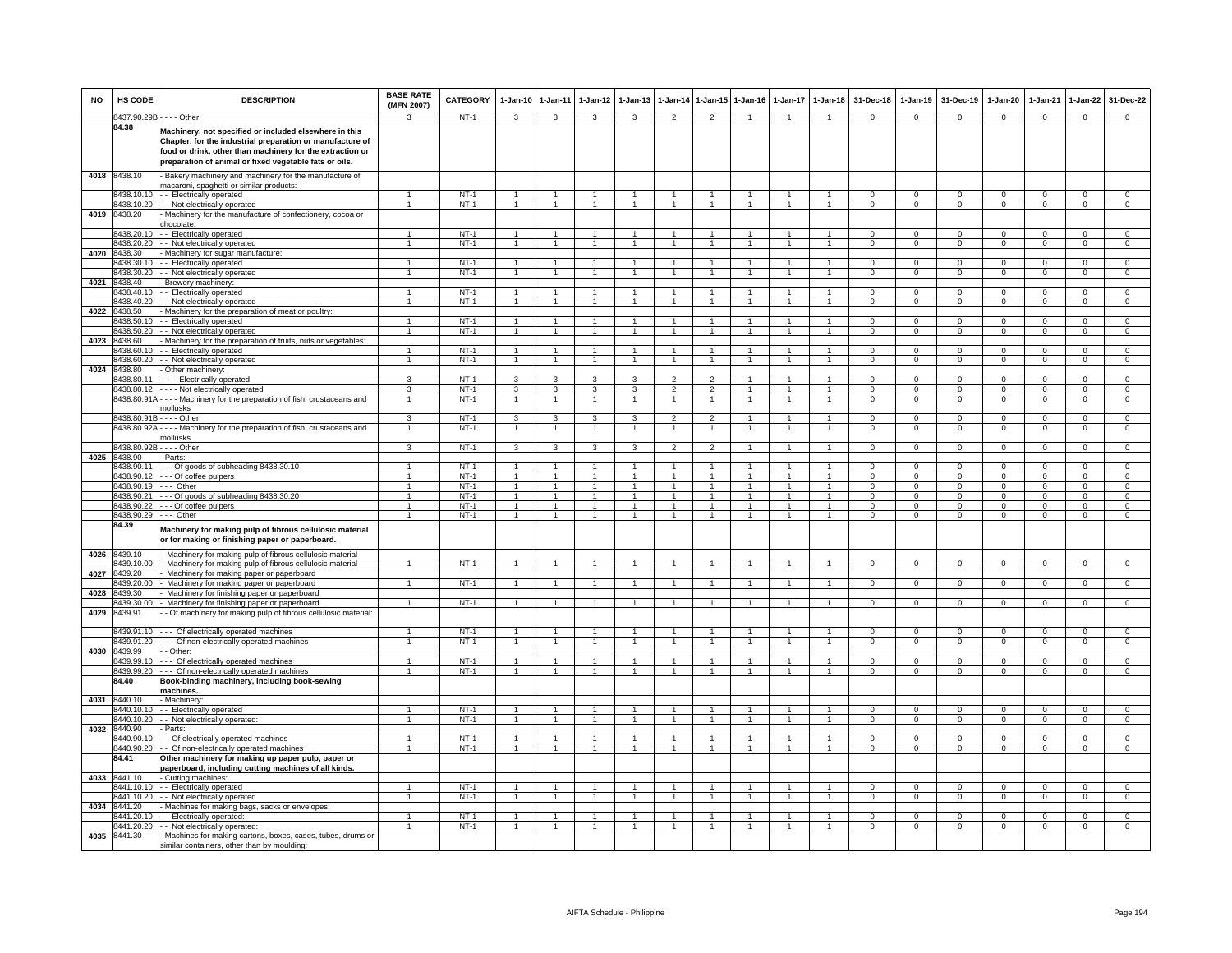| <b>NO</b> | <b>HS CODE</b>             | <b>DESCRIPTION</b>                                                                                                                                                                                                                         | <b>BASE RATE</b><br>(MFN 2007)       | CATEGORY         | 1-Jan-10                         | $1 - Jan-11$                     | $1-Jan-12$                           | $1-Jan-13$                   |                                  | 1-Jan-14 1-Jan-15              | $1-Jan-16$                       | $1-Jan-17$           | $1-Jan-18$                     | 31-Dec-18                | 1-Jan-19                    | 31-Dec-19              | $1-Jan-20$                    | $1-Jan-21$               | 1-Jan-22                      | 31-Dec-22                    |
|-----------|----------------------------|--------------------------------------------------------------------------------------------------------------------------------------------------------------------------------------------------------------------------------------------|--------------------------------------|------------------|----------------------------------|----------------------------------|--------------------------------------|------------------------------|----------------------------------|--------------------------------|----------------------------------|----------------------|--------------------------------|--------------------------|-----------------------------|------------------------|-------------------------------|--------------------------|-------------------------------|------------------------------|
|           | 8437.90.29B - - - - Other  |                                                                                                                                                                                                                                            | 3                                    | NT-1             | 3                                | 3                                | 3                                    | 3                            | $\overline{2}$                   | 2                              | $\overline{1}$                   | $\mathbf{1}$         | $\overline{1}$                 | $\Omega$                 | $\mathbf{0}$                | $^{\circ}$             | $\mathbf{0}$                  | $\mathbf{0}$             | $^{\circ}$                    | $\mathbf{0}$                 |
|           | 84.38                      | Machinery, not specified or included elsewhere in this<br>Chapter, for the industrial preparation or manufacture of<br>food or drink, other than machinery for the extraction or<br>preparation of animal or fixed vegetable fats or oils. |                                      |                  |                                  |                                  |                                      |                              |                                  |                                |                                  |                      |                                |                          |                             |                        |                               |                          |                               |                              |
| 4018      | 8438.10                    | - Bakery machinery and machinery for the manufacture of<br>macaroni, spaghetti or similar products:                                                                                                                                        |                                      |                  |                                  |                                  |                                      |                              |                                  |                                |                                  |                      |                                |                          |                             |                        |                               |                          |                               |                              |
|           | 8438.10.10                 | - - Electrically operated                                                                                                                                                                                                                  | 1                                    | $NT-1$           |                                  | $\mathbf{1}$                     |                                      |                              |                                  |                                |                                  |                      |                                | $\Omega$                 | $\mathsf 0$                 | $\Omega$               | $\Omega$                      | $\mathbf 0$              | $\mathbf 0$                   | $\mathbf{0}$                 |
|           | 8438.10.20                 | - - Not electrically operated                                                                                                                                                                                                              |                                      | $NT-1$           | $\blacktriangleleft$             | $\overline{1}$                   | $\overline{1}$                       | $\mathbf{1}$                 | $\overline{1}$                   | $\overline{1}$                 | $\overline{1}$                   | $\mathbf{1}$         | $\overline{1}$                 | $\Omega$                 | $\overline{0}$              | $\Omega$               | $\Omega$                      | $\overline{0}$           | $\overline{0}$                | $\overline{0}$               |
| 4019      | 8438.20                    | Machinery for the manufacture of confectionery, cocoa or<br>chocolate:                                                                                                                                                                     |                                      |                  |                                  |                                  |                                      |                              |                                  |                                |                                  |                      |                                |                          |                             |                        |                               |                          |                               |                              |
|           | 3438.20.10                 | - Electrically operated                                                                                                                                                                                                                    | 1                                    | $NT-1$           | $\overline{1}$                   | $\mathbf{1}$                     | $\overline{1}$                       | $\mathbf{1}$                 | $\overline{1}$                   | $\mathbf{1}$                   | $\overline{1}$                   | $\mathbf{1}$         | $\overline{1}$                 | $\Omega$                 | $\Omega$                    | $\Omega$               | $\Omega$                      | $\Omega$                 | $\Omega$                      | $\Omega$                     |
|           | 8438.20.20                 | - Not electrically operated                                                                                                                                                                                                                | $\mathbf{1}$                         | $NT-1$           | $\mathbf{1}$                     | $\mathbf{1}$                     | $\mathbf{1}$                         |                              | $\mathbf{1}$                     | $\mathbf{1}$                   | $\mathbf{1}$                     | $\mathbf{1}$         | $\overline{1}$                 | $\mathbf 0$              | $\mathbf{O}$                | $\mathbf 0$            | $\mathbf 0$                   | $\mathbf 0$              | $\mathbf 0$                   | $\mathbf 0$                  |
| 4020      | 8438.30<br>8438.30.10      | Machinery for sugar manufacture:<br>- Electrically operated                                                                                                                                                                                | $\mathbf{1}$                         | $NT-1$           | $\overline{1}$                   | $\overline{1}$                   | $\blacktriangleleft$                 | $\mathbf{1}$                 | $\overline{1}$                   | $\blacktriangleleft$           | $\mathbf{1}$                     |                      | $\overline{1}$                 | 0                        | $\mathsf 0$                 | $\mathbf 0$            | $^{\circ}$                    | $\mathbf 0$              | 0                             | $\mathbf 0$                  |
|           | 8438.30.20                 | - - Not electrically operated                                                                                                                                                                                                              | $\overline{1}$                       | $NT-1$           | $\overline{1}$                   | $\overline{1}$                   |                                      | $\overline{1}$               | $\overline{1}$                   | $\blacktriangleleft$           | $\overline{1}$                   | $\mathbf{1}$         | $\overline{1}$                 | $\overline{0}$           | $\overline{0}$              | $\overline{0}$         | $\overline{0}$                | $\overline{0}$           | $\overline{0}$                | $\overline{0}$               |
| 4021      | 8438.40                    | - Brewery machinery                                                                                                                                                                                                                        |                                      |                  |                                  |                                  |                                      |                              |                                  |                                |                                  |                      |                                |                          |                             |                        |                               |                          |                               |                              |
|           | 8438.40.10                 | - Electrically operated                                                                                                                                                                                                                    | 1                                    | $NT-1$           | $\overline{1}$                   |                                  |                                      |                              |                                  |                                |                                  |                      |                                | $\Omega$                 | $\mathbf 0$                 | $\Omega$               | $\Omega$                      | $\Omega$                 | $\Omega$                      | $\mathbf{0}$                 |
|           | 8438.40.20<br>4022 8438.50 | - - Not electrically operated<br>- Machinery for the preparation of meat or poultry:                                                                                                                                                       | $\mathbf{1}$                         | $NT-1$           | $\overline{1}$                   | $\overline{1}$                   |                                      |                              | $\overline{1}$                   | $\overline{1}$                 |                                  |                      | $\mathbf{1}$                   | 0                        | $\mathsf{O}$                | $^{\circ}$             | $^{\circ}$                    | $\mathbf 0$              | $^{\circ}$                    | $\mathbf{0}$                 |
|           | 8438.50.10                 | - Electrically operated                                                                                                                                                                                                                    | $\overline{1}$                       | $NT-1$           | $\overline{1}$                   | $\overline{1}$                   | $\blacktriangleleft$                 | $\mathbf{1}$                 | $\overline{1}$                   | $\overline{1}$                 | $\overline{1}$                   | 1                    | $\overline{1}$                 | $\mathbf{0}$             | $^{\circ}$                  | $\mathbf 0$            | 0                             | $^{\circ}$               | $^{\circ}$                    | $\mathbf{0}$                 |
|           | 8438.50.20                 | - Not electrically operated                                                                                                                                                                                                                | $\mathbf{1}$                         | $NT-1$           | $\mathbf{1}$                     | $\mathbf{1}$                     | $\mathbf{1}$                         | $\overline{1}$               | $\overline{1}$                   | $\mathbf{1}$                   | $\overline{1}$                   | $\overline{1}$       | $\overline{1}$                 | $\overline{0}$           | $\overline{0}$              | $\mathbf 0$            | $\overline{0}$                | $\overline{0}$           | $\overline{0}$                | $\overline{0}$               |
| 4023      | 3438.60                    | Machinery for the preparation of fruits, nuts or vegetables:                                                                                                                                                                               |                                      |                  |                                  |                                  |                                      |                              |                                  |                                |                                  |                      |                                |                          |                             |                        |                               |                          |                               |                              |
|           | 3438.60.10                 | - Electrically operated                                                                                                                                                                                                                    | $\overline{1}$                       | NT-1             | $\mathbf{1}$<br>$\overline{1}$   | $\mathbf{1}$<br>$\overline{1}$   | $\overline{1}$                       | $\overline{1}$               | $\overline{1}$                   | $\blacktriangleleft$           | $\overline{1}$                   | $\mathbf{1}$         | $\overline{1}$                 | $\mathbf 0$              | $^{\circ}$                  | $\Omega$<br>$\Omega$   | $\mathbf 0$                   | 0                        | 0                             | 0                            |
| 4024      | 8438.60.20<br>8438.80      | - Not electrically operated<br>Other machinery:                                                                                                                                                                                            |                                      | $NT-1$           |                                  |                                  |                                      |                              |                                  |                                |                                  |                      |                                | $\mathsf 0$              | $\mathbf 0$                 |                        | $\mathbf 0$                   | $\mathbf 0$              | $\mathbf 0$                   | $\mathbf 0$                  |
|           | 8438.80.11                 | --- Electrically operated                                                                                                                                                                                                                  | 3                                    | $NT-1$           | $\overline{\mathbf{3}}$          | 3                                | 3                                    | 3                            | $\overline{2}$                   | $\overline{2}$                 | $\overline{1}$                   | $\overline{1}$       | $\overline{1}$                 | $\Omega$                 | $\overline{0}$              | $\overline{0}$         | $\overline{0}$                | $\overline{0}$           | $\overline{0}$                | $\overline{0}$               |
|           | 8438.80.12                 | ---- Not electrically operated                                                                                                                                                                                                             | 3                                    | $NT-1$           | $\overline{3}$                   | 3                                | 3                                    | 3                            | $\overline{2}$                   | $\overline{2}$                 |                                  |                      | $\overline{1}$                 | $\overline{0}$           | $\overline{0}$              | $\overline{0}$         | $\overline{0}$                | $\overline{0}$           | $\overline{0}$                | $\overline{0}$               |
|           |                            | 8438.80.91A - - - - Machinery for the preparation of fish, crustaceans and                                                                                                                                                                 | $\mathbf{1}$                         | $NT-1$           | $\overline{1}$                   | $\overline{1}$                   | $\mathbf{1}$                         | $\overline{1}$               | $\overline{1}$                   | $\mathbf{1}$                   | $\overline{1}$                   | $\mathbf{1}$         | $\overline{1}$                 | 0                        | $\mathsf 0$                 | $\mathbf 0$            | $\mathsf 0$                   | $\mathbf 0$              | $\mathsf 0$                   | $\mathbf 0$                  |
|           | 8438.80.91B - - - - Other  | mollusks                                                                                                                                                                                                                                   | 3                                    | NT-1             | 3                                | 3                                | 3                                    | 3                            | $\overline{2}$                   | $\overline{2}$                 | -1                               | -1                   | $\overline{1}$                 | $\mathbf 0$              | $^{\circ}$                  | $^{\circ}$             | 0                             | $^{\circ}$               | 0                             | $\mathbf{0}$                 |
|           |                            | 8438.80.92A - - - - Machinery for the preparation of fish, crustaceans and                                                                                                                                                                 | $\mathbf{1}$                         | $NT-1$           | $\overline{1}$                   | $\overline{1}$                   | $\mathbf{1}$                         | $\overline{1}$               | $\overline{1}$                   | $\overline{1}$                 | $\overline{1}$                   | $\mathbf{1}$         | $\overline{1}$                 | $\mathbf 0$              | $\mathsf 0$                 | $\mathsf 0$            | $\mathsf 0$                   | $\mathbf{0}$             | $\mathsf 0$                   | $\mathsf 0$                  |
|           |                            | nollusks                                                                                                                                                                                                                                   |                                      |                  |                                  |                                  |                                      |                              |                                  |                                |                                  |                      |                                |                          |                             |                        |                               |                          |                               |                              |
|           | 8438.80.92<br>8438.90      | $--$ Other<br>- Parts:                                                                                                                                                                                                                     | 3                                    | $NT-1$           | 3                                | 3                                | 3                                    | 3                            | $\overline{2}$                   | $\overline{2}$                 |                                  | 1                    | $\mathbf{1}$                   | 0                        | $\mathbf 0$                 | $\mathbf 0$            | $\mathbf 0$                   | $\mathbf 0$              | $\mathbf 0$                   | $\mathbf{0}$                 |
| 4025      | 8438.90.11                 | --- Of goods of subheading 8438.30.10                                                                                                                                                                                                      | $\mathbf{1}$                         | $NT-1$           | $\overline{1}$                   | $\overline{1}$                   |                                      |                              | $\overline{1}$                   | $\overline{1}$                 |                                  |                      | $\mathbf{1}$                   | $\Omega$                 | $\Omega$                    | $\Omega$               | $^{\circ}$                    | $\Omega$                 | $\Omega$                      | $\Omega$                     |
|           | 8438.90.12                 | --- Of coffee pulpers                                                                                                                                                                                                                      | $\blacktriangleleft$                 | $NT-1$           | $\overline{1}$                   | $\overline{1}$                   | $\blacktriangleleft$                 | $\mathbf{1}$                 | $\overline{1}$                   | $\blacktriangleleft$           | $\overline{1}$                   | $\blacktriangleleft$ | $\overline{1}$                 | $\Omega$                 | $\Omega$                    | $\Omega$               | $\Omega$                      | $\Omega$                 | $\Omega$                      | $\overline{0}$               |
|           | 8438.90.19                 | Other                                                                                                                                                                                                                                      | $\mathbf{1}$                         | <b>NT-1</b>      | $\overline{1}$                   | $\mathbf{1}$                     |                                      |                              |                                  | $\blacktriangleleft$           |                                  |                      | $\mathbf{1}$                   | $\mathbf 0$              | $\mathbf 0$                 | $\mathbf 0$            | $\mathsf 0$                   | $\mathbf 0$              | $\mathbf 0$                   | $\mathbf{0}$                 |
|           | 8438.90.21                 | --- Of goods of subheading 8438.30.20                                                                                                                                                                                                      | $\mathbf{1}$<br>$\blacktriangleleft$ | $NT-1$           | $\overline{1}$<br>$\overline{1}$ | $\overline{1}$<br>$\overline{1}$ | $\mathbf{1}$<br>$\blacktriangleleft$ | $\blacktriangleleft$         | $\overline{1}$<br>$\overline{1}$ | $\mathbf{1}$<br>$\overline{1}$ | $\overline{1}$                   | $\blacktriangleleft$ | $\mathbf{1}$<br>$\overline{1}$ | $\Omega$                 | $\mathbf{O}$                | $\Omega$               | $\mathbf 0$                   | $\Omega$                 | $\mathbf 0$                   | $\overline{0}$               |
|           | 8438.90.22<br>8438.90.29   | - - Of coffee pulpers<br>--- Other                                                                                                                                                                                                         | $\overline{1}$                       | $NT-1$<br>$NT-1$ | $\overline{1}$                   | $\overline{1}$                   | $\mathbf{1}$                         | $\mathbf{1}$                 | $\overline{1}$                   | $\mathbf{1}$                   | $\overline{1}$                   | $\mathbf{1}$         | $\overline{1}$                 | $\Omega$<br>$\mathbf{0}$ | $\mathsf 0$<br>$\mathbf{0}$ | $\Omega$<br>$^{\circ}$ | $\Omega$<br>$\mathbf 0$       | $\Omega$<br>$^{\circ}$   | $\mathbf 0$<br>$\mathbf{0}$   | $\mathbf{0}$<br>$\mathbf{0}$ |
|           | 84.39                      | Machinery for making pulp of fibrous cellulosic material<br>or for making or finishing paper or paperboard.                                                                                                                                |                                      |                  |                                  |                                  |                                      |                              |                                  |                                |                                  |                      |                                |                          |                             |                        |                               |                          |                               |                              |
| 4026      | 8439.10                    | Machinery for making pulp of fibrous cellulosic material                                                                                                                                                                                   |                                      |                  |                                  |                                  |                                      |                              |                                  |                                |                                  |                      |                                |                          |                             |                        |                               |                          |                               |                              |
| 4027      | 8439.10.00<br>8439.20      | Machinery for making pulp of fibrous cellulosic material<br>- Machinery for making paper or paperboard                                                                                                                                     | $\overline{1}$                       | $NT-1$           | $\overline{1}$                   | $\overline{1}$                   | $\overline{1}$                       | $\mathbf{1}$                 | $\overline{1}$                   | $\blacktriangleleft$           | $\overline{1}$                   | $\mathbf{1}$         | $\overline{1}$                 | $\mathbf 0$              | $\mathbf 0$                 | $\mathbf{0}$           | $\mathbf 0$                   | $\circ$                  | $\mathbf 0$                   | $\mathbf{0}$                 |
|           | 3439.20.00                 | Machinery for making paper or paperboard                                                                                                                                                                                                   | $\mathbf{1}$                         | $NT-1$           | $\overline{1}$                   | $\overline{1}$                   |                                      | $\overline{1}$               | $\overline{1}$                   | $\blacktriangleleft$           | $\overline{1}$                   |                      | $\overline{1}$                 | $\Omega$                 | $\overline{0}$              | $\Omega$               | $\Omega$                      | $\overline{0}$           | $\Omega$                      | $\Omega$                     |
| 4028      | 8439.30                    | Machinery for finishing paper or paperboard                                                                                                                                                                                                | $\overline{1}$                       |                  | $\overline{1}$                   | $\overline{1}$                   | $\blacktriangleleft$                 | $\blacktriangleleft$         | $\overline{1}$                   | $\overline{1}$                 | $\overline{1}$                   | $\blacktriangleleft$ | $\overline{1}$                 |                          |                             |                        |                               |                          |                               |                              |
| 4029      | 8439.30.00<br>8439.91      | Machinery for finishing paper or paperboard<br>- Of machinery for making pulp of fibrous cellulosic material:                                                                                                                              |                                      | $NT-1$           |                                  |                                  |                                      |                              |                                  |                                |                                  |                      |                                | $\mathbf{0}$             | $\mathbf{0}$                | $\mathbf 0$            | $\mathbf 0$                   | $\mathbf{0}$             | $\mathbf{0}$                  | $\mathbf{0}$                 |
|           | 3439.91.10                 |                                                                                                                                                                                                                                            |                                      | $NT-1$           | $\overline{1}$                   |                                  |                                      |                              |                                  |                                |                                  |                      | $\overline{1}$                 | $\Omega$                 | $\Omega$                    | $\Omega$               |                               | $\Omega$                 |                               | $\Omega$                     |
|           | 3439.91.20                 | - - - Of electrically operated machines<br>--- Of non-electrically operated machines                                                                                                                                                       | 1<br>$\mathbf{1}$                    | $NT-1$           | $\mathbf{1}$                     | $\mathbf{1}$<br>$\overline{1}$   | $\mathbf{1}$                         | $\mathbf{1}$<br>$\mathbf{1}$ | $\overline{1}$<br>$\overline{1}$ | $\mathbf{1}$<br>$\mathbf{1}$   | $\overline{1}$<br>$\overline{1}$ | 1<br>$\mathbf{1}$    | $\overline{1}$                 | $\overline{0}$           | $\overline{0}$              | $\overline{0}$         | $\mathbf 0$<br>$\overline{0}$ | $\overline{0}$           | $\mathbf 0$<br>$\overline{0}$ | $\overline{0}$               |
| 4030      | 8439.99                    | - Other:                                                                                                                                                                                                                                   |                                      |                  |                                  |                                  |                                      |                              |                                  |                                |                                  |                      |                                |                          |                             |                        |                               |                          |                               |                              |
|           | 8439.99.10                 | --- Of electrically operated machines                                                                                                                                                                                                      | $\blacktriangleleft$                 | $NT-1$           | $\overline{1}$                   | $\blacktriangleleft$             | $\blacktriangleleft$                 | $\blacktriangleleft$         | $\overline{1}$                   | $\blacktriangleleft$           | $\overline{1}$                   | $\mathbf{1}$         | $\overline{1}$                 | $\Omega$                 | $\Omega$                    | $\Omega$               | $\mathbf 0$                   | $\Omega$                 | $\Omega$                      | $\Omega$                     |
|           | 8439.99.20<br>84.40        | -- Of non-electrically operated machines<br>Book-binding machinery, including book-sewing<br><u>machines</u>                                                                                                                               | $\blacktriangleleft$                 | $NT-1$           | $\overline{1}$                   | $\overline{1}$                   | $\blacktriangleleft$                 | $\overline{1}$               | $\overline{1}$                   | $\blacktriangleleft$           | $\overline{1}$                   | $\mathbf{1}$         | $\overline{1}$                 | $\Omega$                 | $\mathsf 0$                 | $\mathbf{0}$           | $\mathsf 0$                   | $\mathbf{0}$             | $\mathsf 0$                   | $\mathbf 0$                  |
| 4031      | 8440.10                    | - Machinery:                                                                                                                                                                                                                               |                                      |                  |                                  |                                  |                                      |                              |                                  |                                |                                  |                      |                                |                          |                             |                        |                               |                          |                               |                              |
|           | 8440.10.10<br>8440.10.20   | - - Electrically operated                                                                                                                                                                                                                  | $\blacktriangleleft$                 | $NT-1$<br>$NT-1$ | $\overline{1}$<br>$\overline{1}$ | $\overline{1}$<br>$\overline{1}$ | $\overline{1}$                       | $\overline{1}$               | $\overline{1}$                   | $\overline{1}$<br>$\mathbf{1}$ | $\overline{1}$                   | $\overline{1}$       | $\mathbf{1}$<br>$\overline{1}$ | $\Omega$<br>$^{\circ}$   | $\Omega$<br>$\overline{0}$  | $\Omega$<br>$^{\circ}$ | $\Omega$                      | $\Omega$<br>$\mathbf{0}$ | $\mathbf 0$<br>$^{\circ}$     | $\Omega$<br>$\mathbf{0}$     |
| 4032      | 8440.90                    | - - Not electrically operated:<br>- Parts:                                                                                                                                                                                                 |                                      |                  |                                  |                                  |                                      |                              |                                  |                                |                                  |                      |                                |                          |                             |                        | $\mathbf{0}$                  |                          |                               |                              |
|           | 3440.90.10                 | - Of electrically operated machines                                                                                                                                                                                                        | 1                                    | $NT-1$           | -1                               | $\mathbf{1}$                     | 1                                    | 1                            | -1                               | 1                              | -1                               | 1                    | $\mathbf{1}$                   | $\mathbf{0}$             | $\mathbf{O}$                | $^{\circ}$             | $^{\circ}$                    | $\mathbf 0$              | $\mathbf 0$                   | $\mathbf{0}$                 |
|           | 8440.90.20                 | - - Of non-electrically operated machines                                                                                                                                                                                                  | $\mathbf{1}$                         | $NT-1$           | $\mathbf{1}$                     | 1                                | $\mathbf{1}$                         |                              | 1                                |                                | $\mathbf{1}$                     | 1                    | $\mathbf{1}$                   | $\mathbf 0$              | $\mathsf 0$                 | $\Omega$               | $^{\circ}$                    | $\mathbf 0$              | 0                             | $\mathbf 0$                  |
| 4033      | 84.41<br>8441.10           | Other machinery for making up paper pulp, paper or<br>paperboard, including cutting machines of all kinds.<br>- Cutting machines:                                                                                                          |                                      |                  |                                  |                                  |                                      |                              |                                  |                                |                                  |                      |                                |                          |                             |                        |                               |                          |                               |                              |
|           | 8441.10.10                 | - - Electrically operated                                                                                                                                                                                                                  | 1                                    | $NT-1$           |                                  | $\overline{1}$                   |                                      |                              |                                  | $\overline{1}$                 |                                  |                      | $\mathbf{1}$                   | $\Omega$                 | $\mathsf 0$                 | $\Omega$               | $\Omega$                      | $\mathbf 0$              | 0                             | $\mathbf{0}$                 |
|           | 8441.10.20                 | - - Not electrically operated                                                                                                                                                                                                              | $\mathbf{1}$                         | $NT-1$           | $\overline{1}$                   | $\overline{1}$                   | $\mathbf{1}$                         | $\overline{1}$               | $\overline{1}$                   | $\mathbf{1}$                   | $\overline{1}$                   | $\mathbf{1}$         | $\overline{1}$                 | $\Omega$                 | $\mathbf{O}$                | $\Omega$               | $\Omega$                      | $\Omega$                 | $\Omega$                      | $\overline{0}$               |
| 4034      | 8441.20<br>8441.20.10      | - Machines for making bags, sacks or envelopes:<br>-- Electrically operated:                                                                                                                                                               | $\overline{1}$                       | $NT-1$           | -1                               | $\overline{1}$                   | 1                                    | $\mathbf{1}$                 | $\overline{1}$                   | $\mathbf{1}$                   | -1                               | 1                    | $\overline{1}$                 | $^{\circ}$               | $^{\circ}$                  | $^{\circ}$             | $\mathbf 0$                   | $\mathbf{0}$             | $\mathbf{0}$                  | $^{\circ}$                   |
|           | 8441.20.20                 | - Not electrically operated:                                                                                                                                                                                                               | $\mathbf{1}$                         | $NT-1$           | $\overline{1}$                   | $\overline{1}$                   | $\overline{1}$                       | $\mathbf{1}$                 | $\overline{1}$                   | $\overline{1}$                 | $\overline{1}$                   | $\mathbf{1}$         | $\overline{1}$                 | $\Omega$                 | $\Omega$                    | $\Omega$               | $\Omega$                      | $\overline{0}$           | $\Omega$                      | $\overline{0}$               |
| 4035      | 8441.30                    | Machines for making cartons, boxes, cases, tubes, drums or                                                                                                                                                                                 |                                      |                  |                                  |                                  |                                      |                              |                                  |                                |                                  |                      |                                |                          |                             |                        |                               |                          |                               |                              |
|           |                            | similar containers, other than by moulding:                                                                                                                                                                                                |                                      |                  |                                  |                                  |                                      |                              |                                  |                                |                                  |                      |                                |                          |                             |                        |                               |                          |                               |                              |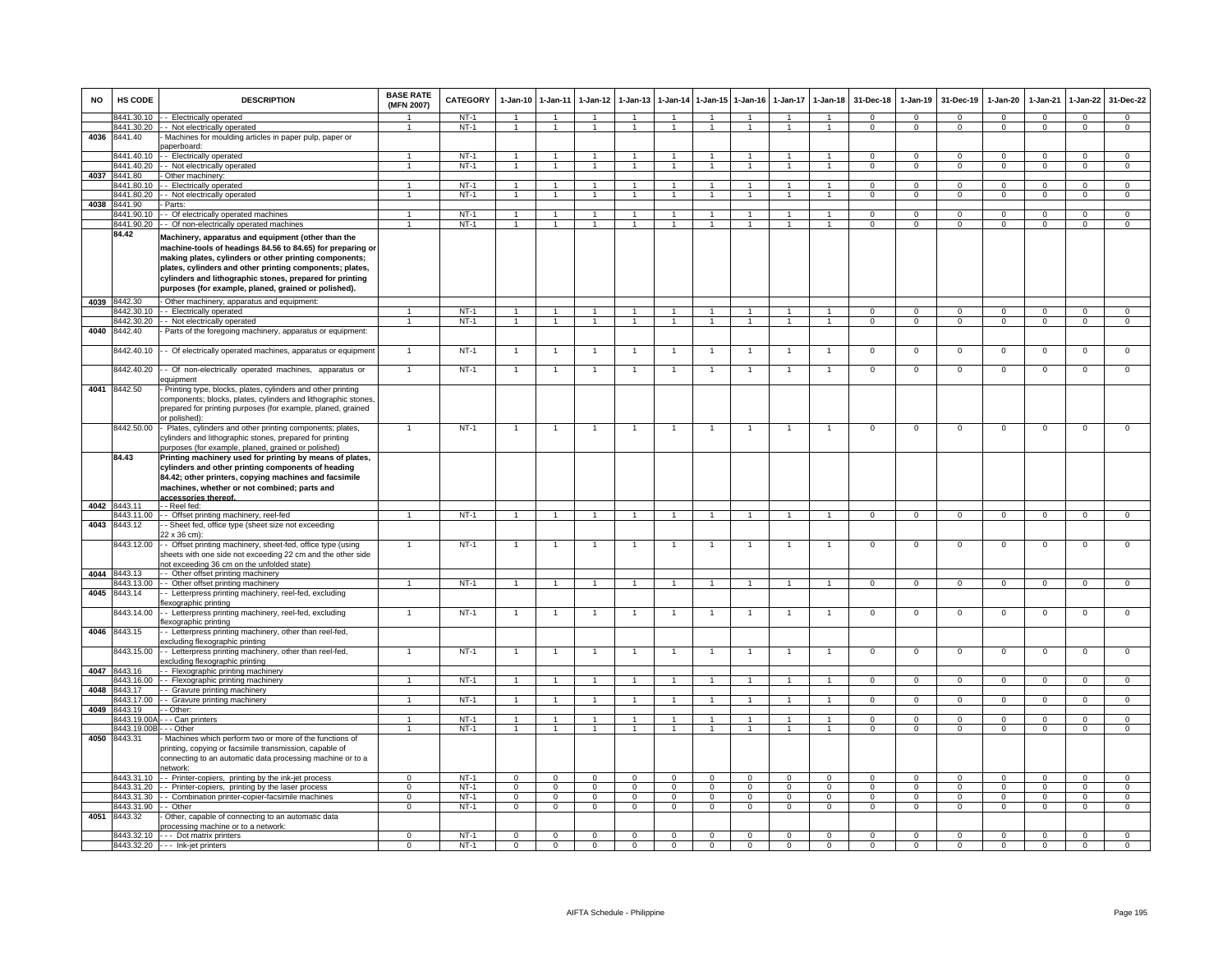| <b>NO</b> | HS CODE                    | <b>DESCRIPTION</b>                                                                                                                                                                                                                                                                                                                                         | <b>BASE RATE</b><br>(MFN 2007)       | <b>CATEGORY</b>  | 1-Jan-10                         | $1 - Jan-11$                           | $1 - Jan-12$                     | $1 - Jan-13$               | 1-Jan-14                         |                                        | 1-Jan-15 1-Jan-16              |                                | 1-Jan-17 1-Jan-18            | 31-Dec-18                     | 1-Jan-19                       | 31-Dec-19               | 1-Jan-20                       | 1-Jan-21                      | 1-Jan-22                      | 31-Dec-22                        |
|-----------|----------------------------|------------------------------------------------------------------------------------------------------------------------------------------------------------------------------------------------------------------------------------------------------------------------------------------------------------------------------------------------------------|--------------------------------------|------------------|----------------------------------|----------------------------------------|----------------------------------|----------------------------|----------------------------------|----------------------------------------|--------------------------------|--------------------------------|------------------------------|-------------------------------|--------------------------------|-------------------------|--------------------------------|-------------------------------|-------------------------------|----------------------------------|
|           | 8441.30.10                 | - - Electrically operated                                                                                                                                                                                                                                                                                                                                  | 1                                    | $NT-1$           | $\overline{1}$                   | $\mathbf{1}$                           | $\mathbf{1}$                     | $\mathbf{1}$               | $\overline{1}$                   | $\overline{1}$                         | $\overline{1}$                 | $\mathbf{1}$                   | $\mathbf{1}$                 | $\Omega$                      | $\Omega$                       | $\Omega$                | $\Omega$                       | $\Omega$                      | $\mathbf 0$                   | $\overline{0}$                   |
| 4036      | 3441.30.20<br>8441.40      | - - Not electrically operated<br>Machines for moulding articles in paper pulp, paper or                                                                                                                                                                                                                                                                    |                                      | $NT-1$           | $\mathbf{1}$                     | $\overline{1}$                         | $\blacktriangleleft$             | $\overline{1}$             | $\blacktriangleleft$             | $\overline{1}$                         | $\overline{1}$                 | $\mathbf{1}$                   | $\mathbf{1}$                 | $\overline{0}$                | $\Omega$                       | $\Omega$                | $\Omega$                       | $\overline{0}$                | $\overline{0}$                | $\overline{0}$                   |
|           |                            | paperboard:                                                                                                                                                                                                                                                                                                                                                |                                      |                  |                                  |                                        |                                  |                            |                                  |                                        |                                |                                |                              |                               |                                |                         |                                |                               |                               |                                  |
|           | 8441.40.10                 | - Electrically operated                                                                                                                                                                                                                                                                                                                                    | $\blacktriangleleft$                 | $NT-1$           | $\overline{1}$                   | $\overline{1}$                         | $\overline{1}$                   | $\overline{1}$             | $\overline{1}$                   | $\overline{1}$                         | $\overline{1}$                 | $\overline{1}$                 | $\blacktriangleleft$         | $\Omega$                      | $\Omega$                       | $\Omega$                | $\Omega$                       | $\Omega$                      | $\Omega$                      | $\Omega$                         |
|           | 8441.40.20<br>8441.80      | - Not electrically operated                                                                                                                                                                                                                                                                                                                                |                                      | $NT-1$           | $\overline{1}$                   | $\overline{1}$                         | $\overline{1}$                   | $\mathbf{1}$               | $\overline{1}$                   | $\overline{1}$                         | $\mathbf{1}$                   | $\mathbf{1}$                   | $\overline{1}$               | $\Omega$                      | $\overline{0}$                 | $\overline{0}$          | $\overline{0}$                 | $\overline{0}$                | $\overline{0}$                | $\overline{0}$                   |
| 4037      | 8441.80.10                 | - Other machinery:<br>- Electrically operated                                                                                                                                                                                                                                                                                                              | $\overline{1}$                       | $NT-1$           | $\overline{1}$                   | $\overline{1}$                         | $\overline{1}$                   | $\mathbf{1}$               | $\overline{1}$                   | $\mathbf{1}$                           | $\overline{1}$                 | $\overline{1}$                 | $\mathbf{1}$                 | $\Omega$                      | $\mathbf{0}$                   | $\Omega$                | $\Omega$                       | $\Omega$                      | $\Omega$                      | $\mathbf{0}$                     |
|           | 8441.80.20                 | - - Not electrically operated                                                                                                                                                                                                                                                                                                                              | 1                                    | NT-1             | $\overline{1}$                   | $\overline{1}$                         | $\overline{1}$                   | $\overline{1}$             | $\overline{1}$                   | $\mathbf{1}$                           | 1                              | $\mathbf{1}$                   | 1                            | $\mathbf{0}$                  | $\mathbf{0}$                   | $\mathbf{0}$            | $\mathbf{0}$                   | $\mathbf{0}$                  | $\mathbf{0}$                  | $\mathbf{0}$                     |
|           | 4038 8441.90               | - Parts:                                                                                                                                                                                                                                                                                                                                                   |                                      |                  |                                  |                                        |                                  |                            |                                  |                                        |                                |                                |                              |                               |                                |                         |                                |                               |                               |                                  |
|           | 8441.90.10<br>8441.90.20   | - Of electrically operated machines<br>- Of non-electrically operated machines                                                                                                                                                                                                                                                                             | $\mathbf{1}$<br>$\mathbf{1}$         | $NT-1$<br>$NT-1$ | $\overline{1}$<br>1              | $\mathbf{1}$<br>1                      | 1<br>$\mathbf{1}$                | 1<br>$\mathbf{1}$          | $\mathbf{1}$<br>1                | 1<br>$\mathbf{1}$                      | $\overline{1}$<br>$\mathbf{1}$ | $\mathbf{1}$<br>$\mathbf{1}$   | $\mathbf{1}$<br>$\mathbf{1}$ | $\overline{0}$<br>$\mathbf 0$ | $\overline{0}$<br>$\mathbf 0$  | $\Omega$<br>$\mathbf 0$ | $\overline{0}$<br>$\mathbf{0}$ | $\overline{0}$<br>$\mathbf 0$ | $\overline{0}$<br>$\mathbf 0$ | $\overline{0}$<br>$\overline{0}$ |
|           | 84.42                      | Machinery, apparatus and equipment (other than the<br>machine-tools of headings 84.56 to 84.65) for preparing or<br>making plates, cylinders or other printing components;<br>plates, cylinders and other printing components; plates,<br>cylinders and lithographic stones, prepared for printing<br>purposes (for example, planed, grained or polished). |                                      |                  |                                  |                                        |                                  |                            |                                  |                                        |                                |                                |                              |                               |                                |                         |                                |                               |                               |                                  |
| 4039      | 8442.30<br>3442.30.10      | - Other machinery, apparatus and equipment:                                                                                                                                                                                                                                                                                                                | $\overline{1}$                       | $NT-1$           |                                  | $\overline{1}$                         |                                  | $\mathbf{1}$               | $\blacktriangleleft$             |                                        | $\overline{1}$                 |                                | $\mathbf{1}$                 | $\Omega$                      | $\overline{0}$                 | $\Omega$                | $\overline{0}$                 | $\overline{0}$                | $\overline{0}$                | $\overline{0}$                   |
|           | 8442.30.20                 | - Electrically operated<br>- - Not electrically operated                                                                                                                                                                                                                                                                                                   | $\mathbf{1}$                         | $NT-1$           | $\mathbf{1}$<br>-1               | $\mathbf{1}$                           | $\mathbf{1}$<br>$\mathbf{1}$     | $\mathbf{1}$               | 1                                | $\overline{1}$<br>$\blacktriangleleft$ | $\mathbf{1}$                   | $\mathbf{1}$<br>$\mathbf{1}$   | $\mathbf{1}$                 | $\mathbf 0$                   | $\mathbf 0$                    | $^{\circ}$              | $\mathbf{0}$                   | $\mathbf 0$                   | $\mathbf 0$                   | $\mathbf{O}$                     |
| 4040      | 8442.40                    | Parts of the foregoing machinery, apparatus or equipment:                                                                                                                                                                                                                                                                                                  |                                      |                  |                                  |                                        |                                  |                            |                                  |                                        |                                |                                |                              |                               |                                |                         |                                |                               |                               |                                  |
|           | 8442.40.10                 | - Of electrically operated machines, apparatus or equipment                                                                                                                                                                                                                                                                                                | $\mathbf{1}$                         | $NT-1$           | $\overline{1}$                   | $\overline{1}$                         | $\overline{1}$                   | $\overline{1}$             | $\overline{1}$                   | $\overline{1}$                         | $\overline{1}$                 | $\overline{1}$                 | $\overline{1}$               | $\mathbf 0$                   | $\mathbf 0$                    | $\Omega$                | $\mathbf 0$                    | $\mathbf 0$                   | $\overline{0}$                | $\overline{0}$                   |
|           | 8442.40.20                 | - Of non-electrically operated machines, apparatus or<br>equipment                                                                                                                                                                                                                                                                                         | $\mathbf{1}$                         | $NT-1$           | $\overline{1}$                   | $\overline{1}$                         | $\overline{1}$                   | $\overline{1}$             | $\overline{1}$                   | $\overline{1}$                         | $\overline{1}$                 | $\overline{1}$                 | $\overline{1}$               | $\mathbf 0$                   | $\mathsf 0$                    | $\mathbf 0$             | $\mathsf 0$                    | $\mathbf 0$                   | $\mathbf 0$                   | $\mathbf{O}$                     |
| 4041      | 8442.50                    | Printing type, blocks, plates, cylinders and other printing<br>components; blocks, plates, cylinders and lithographic stones<br>prepared for printing purposes (for example, planed, grained<br>or polished):                                                                                                                                              |                                      |                  |                                  |                                        |                                  |                            |                                  |                                        |                                |                                |                              |                               |                                |                         |                                |                               |                               |                                  |
|           | 8442.50.00                 | - Plates, cylinders and other printing components; plates,<br>cylinders and lithographic stones, prepared for printing<br>ourposes (for example, planed, grained or polished)                                                                                                                                                                              | $\mathbf{1}$                         | $NT-1$           | $\overline{1}$                   | $\overline{1}$                         | $\overline{1}$                   | $\mathbf{1}$               | $\overline{1}$                   | $\overline{1}$                         | $\overline{1}$                 | $\overline{1}$                 | $\mathbf{1}$                 | $\mathbf 0$                   | $\mathsf 0$                    | $^{\circ}$              | $\mathsf 0$                    | $\mathbf 0$                   | $\mathbf 0$                   | $\mathbf{O}$                     |
| 4042      | 84.43<br>8443.11           | Printing machinery used for printing by means of plates,<br>cylinders and other printing components of heading<br>84.42; other printers, copying machines and facsimile<br>machines, whether or not combined; parts and<br>accessories thereof.<br>- Reel fed:                                                                                             |                                      |                  |                                  |                                        |                                  |                            |                                  |                                        |                                |                                |                              |                               |                                |                         |                                |                               |                               |                                  |
|           | 3443.11.00                 | - Offset printing machinery, reel-fed                                                                                                                                                                                                                                                                                                                      |                                      | $NT-1$           | $\overline{1}$                   | $\overline{1}$                         | $\overline{1}$                   | $\overline{1}$             | $\overline{1}$                   | $\overline{1}$                         | $\mathbf{1}$                   | $\overline{1}$                 | $\mathbf{1}$                 | $\mathbf{0}$                  | $\mathbf 0$                    | $\mathbf 0$             | $\mathbf{0}$                   | $\mathbf 0$                   | $\mathbf 0$                   | $\overline{0}$                   |
| 4043      | 8443.12                    | - Sheet fed, office type (sheet size not exceeding                                                                                                                                                                                                                                                                                                         |                                      |                  |                                  |                                        |                                  |                            |                                  |                                        |                                |                                |                              |                               |                                |                         |                                |                               |                               |                                  |
|           | 3443.12.00                 | 22 x 36 cm)<br>- Offset printing machinery, sheet-fed, office type (using<br>sheets with one side not exceeding 22 cm and the other side<br>not exceeding 36 cm on the unfolded state)                                                                                                                                                                     |                                      | $NT-1$           |                                  | $\overline{1}$                         |                                  | -1                         | -1                               | -1.                                    | -1                             | -1                             | $\overline{1}$               | $\mathbf 0$                   | $\overline{0}$                 | $\Omega$                | $\overline{0}$                 | $\overline{0}$                | $\overline{0}$                | $\overline{0}$                   |
| 4044      | 8443.13                    | - Other offset printing machinery                                                                                                                                                                                                                                                                                                                          |                                      | $NT-1$           |                                  |                                        |                                  |                            |                                  |                                        |                                |                                |                              |                               |                                |                         |                                |                               |                               |                                  |
| 4045      | 8443.13.00<br>3443.14      | - Other offset printing machinery<br>- Letterpress printing machinery, reel-fed, excluding                                                                                                                                                                                                                                                                 | $\overline{1}$                       |                  | $\overline{1}$                   | $\overline{1}$                         | $\blacktriangleleft$             | $\overline{1}$             | $\overline{1}$                   | $\mathbf{1}$                           | $\overline{1}$                 | $\overline{1}$                 | $\overline{1}$               | $\Omega$                      | $\mathbf 0$                    | $^{\circ}$              | $\mathbf{0}$                   | $\mathbf 0$                   | $\mathbf 0$                   | $\overline{0}$                   |
|           |                            | lexographic printing                                                                                                                                                                                                                                                                                                                                       |                                      |                  |                                  |                                        |                                  |                            |                                  |                                        |                                |                                |                              |                               |                                |                         |                                |                               |                               |                                  |
|           | 3443.14.00                 | - Letterpress printing machinery, reel-fed, excluding<br>lexographic printing                                                                                                                                                                                                                                                                              |                                      | $NT-1$           | $\mathbf{1}$                     | $\overline{1}$                         |                                  |                            |                                  |                                        |                                |                                |                              | $\mathsf 0$                   | 0                              | 0                       | $\mathbf 0$                    | $\mathbf 0$                   | $\mathbf{0}$                  | $\mathsf{O}$                     |
| 4046      | 8443.15<br>8443.15.00      | - Letterpress printing machinery, other than reel-fed,<br>excluding flexographic printing<br>- Letterpress printing machinery, other than reel-fed,                                                                                                                                                                                                        |                                      | $NT-1$           |                                  |                                        |                                  |                            |                                  |                                        |                                |                                |                              | $\mathsf 0$                   | $\mathsf 0$                    | $\Omega$                | $\mathsf 0$                    | $\mathbf 0$                   | $\Omega$                      | $\Omega$                         |
|           |                            | excluding flexographic printing                                                                                                                                                                                                                                                                                                                            |                                      |                  |                                  |                                        |                                  |                            |                                  |                                        |                                |                                |                              |                               |                                |                         |                                |                               |                               |                                  |
| 4047      | 8443.16                    | - Flexographic printing machinery                                                                                                                                                                                                                                                                                                                          |                                      |                  |                                  |                                        |                                  |                            |                                  |                                        |                                |                                |                              |                               |                                |                         |                                |                               |                               |                                  |
| 4048      | 8443.16.00<br>3443.17      | - Flexographic printing machinery<br>- Gravure printing machinery                                                                                                                                                                                                                                                                                          | $\overline{1}$                       | $NT-1$           | $\overline{1}$                   | $\overline{1}$                         | $\overline{1}$                   | $\mathbf{1}$               | $\overline{1}$                   | $\overline{1}$                         | $\overline{1}$                 | $\overline{1}$                 | $\mathbf{1}$                 | $\Omega$                      | $\mathbf 0$                    | $^{\circ}$              | $\mathbf{0}$                   | $\Omega$                      | $\mathbf 0$                   | $\overline{0}$                   |
|           | 3443.17.00                 | -- Gravure printing machinery                                                                                                                                                                                                                                                                                                                              |                                      | $NT-1$           |                                  | $\overline{1}$                         |                                  |                            |                                  |                                        |                                |                                |                              | $\mathbf 0$                   | $\mathbf 0$                    | $^{\circ}$              | $\mathsf 0$                    | $\mathbf 0$                   | $\mathbf 0$                   | $\mathbf{O}$                     |
| 4049      | 8443.19                    | - Other:                                                                                                                                                                                                                                                                                                                                                   |                                      |                  |                                  |                                        |                                  |                            |                                  |                                        |                                |                                |                              |                               |                                |                         |                                |                               |                               |                                  |
|           | 8443.19.00.<br>8443.19.00E | · - - Can printers<br>- - Other                                                                                                                                                                                                                                                                                                                            | $\blacktriangleleft$<br>$\mathbf{1}$ | NT-1<br>$NT-1$   | $\overline{1}$<br>$\overline{1}$ | $\blacktriangleleft$<br>$\overline{1}$ | $\overline{1}$<br>$\overline{1}$ | 1<br>$\overline{1}$        | $\overline{1}$<br>$\overline{1}$ | $\blacktriangleleft$<br>$\overline{1}$ | 1<br>$\mathbf{1}$              | $\overline{1}$<br>$\mathbf{1}$ | $\mathbf{1}$<br>$\mathbf{1}$ | $^{\circ}$<br>$\overline{0}$  | $\mathbf{0}$<br>$\overline{0}$ | $^{\circ}$<br>$\Omega$  | $\mathbf 0$<br>$\overline{0}$  | $^{\circ}$<br>$\overline{0}$  | $^{\circ}$<br>$\overline{0}$  | $\mathbf 0$<br>$\overline{0}$    |
| 4050      | 8443.31                    | Machines which perform two or more of the functions of<br>printing, copying or facsimile transmission, capable of<br>connecting to an automatic data processing machine or to a<br>etwork:                                                                                                                                                                 |                                      |                  |                                  |                                        |                                  |                            |                                  |                                        |                                |                                |                              |                               |                                |                         |                                |                               |                               |                                  |
|           | 8443.31.10<br>8443.31.20   | - Printer-copiers, printing by the ink-jet process<br>- Printer-copiers, printing by the laser process                                                                                                                                                                                                                                                     | $\Omega$<br>$\mathbf{0}$             | $NT-1$<br>$NT-1$ | $\mathbf 0$<br>$\mathbf{0}$      | $\mathbf 0$<br>$\mathbf 0$             | $\Omega$<br>$\mathbf{0}$         | $\mathbf 0$<br>$\mathbf 0$ | $\mathbf 0$<br>$\mathbf 0$       | $\mathbf 0$<br>$\mathbf 0$             | $\mathsf 0$<br>$\overline{0}$  | $\mathbf 0$<br>$\mathbf 0$     | $\mathbf 0$<br>$\mathbf 0$   | $\Omega$<br>$\mathbf 0$       | $\mathbf 0$<br>$\mathbf 0$     | $\Omega$<br>$\mathbf 0$ | $\mathsf 0$<br>$\mathbf{0}$    | $\Omega$<br>$\mathbf 0$       | $\mathbf 0$<br>$\mathbf 0$    | $\mathsf 0$<br>$\mathbf{O}$      |
|           | 8443.31.30                 | - - Combination printer-copier-facsimile machines                                                                                                                                                                                                                                                                                                          | $\overline{0}$                       | $NT-1$           | 0                                | $\overline{0}$                         | $\overline{0}$                   | $\overline{0}$             | $\Omega$                         | $\overline{0}$                         | $\overline{0}$                 | $\Omega$                       | 0                            | $\Omega$                      | $\Omega$                       | $\Omega$                | $\Omega$                       | $\Omega$                      | $\overline{0}$                | $\overline{0}$                   |
| 4051      | 8443.31.90<br>8443.32      | - Other<br>- Other, capable of connecting to an automatic data                                                                                                                                                                                                                                                                                             | $\mathbf 0$                          | $NT-1$           | $\mathbf{0}$                     | $\mathsf 0$                            | $\mathbf 0$                      | $\mathsf 0$                | $\mathbf 0$                      | $\mathsf 0$                            | $\mathsf 0$                    | $\Omega$                       | $\mathbf 0$                  | $\mathbf 0$                   | $\mathbf 0$                    | $\mathbf 0$             | $\mathsf 0$                    | $\mathbf 0$                   | $\mathbf 0$                   | $\mathsf 0$                      |
|           |                            | processing machine or to a network:                                                                                                                                                                                                                                                                                                                        |                                      |                  |                                  |                                        |                                  |                            |                                  |                                        |                                |                                |                              |                               |                                |                         |                                |                               |                               |                                  |
|           |                            | 8443.32.10 --- Dot matrix printers<br>8443.32.20 --- Ink-jet printers                                                                                                                                                                                                                                                                                      | $\Omega$<br>$\mathbf 0$              | $NT-1$<br>$NT-1$ | $\Omega$<br>$\mathbf 0$          | $\Omega$<br>$\mathbf 0$                | $\Omega$<br>$\mathbf{O}$         | $\Omega$<br>$\mathsf 0$    | $\Omega$<br>$\mathbf 0$          | $\Omega$<br>$\mathbf 0$                | $\Omega$<br>0                  | $\Omega$<br>0                  | $\Omega$<br>$\mathbf{0}$     | $\Omega$<br>$^{\circ}$        | $\Omega$<br>$\mathbf 0$        | $\Omega$<br>0           | $\Omega$<br>0                  | $\Omega$<br>$\mathbf{0}$      | $\Omega$<br>$\mathbf 0$       | $\Omega$<br>0                    |
|           |                            |                                                                                                                                                                                                                                                                                                                                                            |                                      |                  |                                  |                                        |                                  |                            |                                  |                                        |                                |                                |                              |                               |                                |                         |                                |                               |                               |                                  |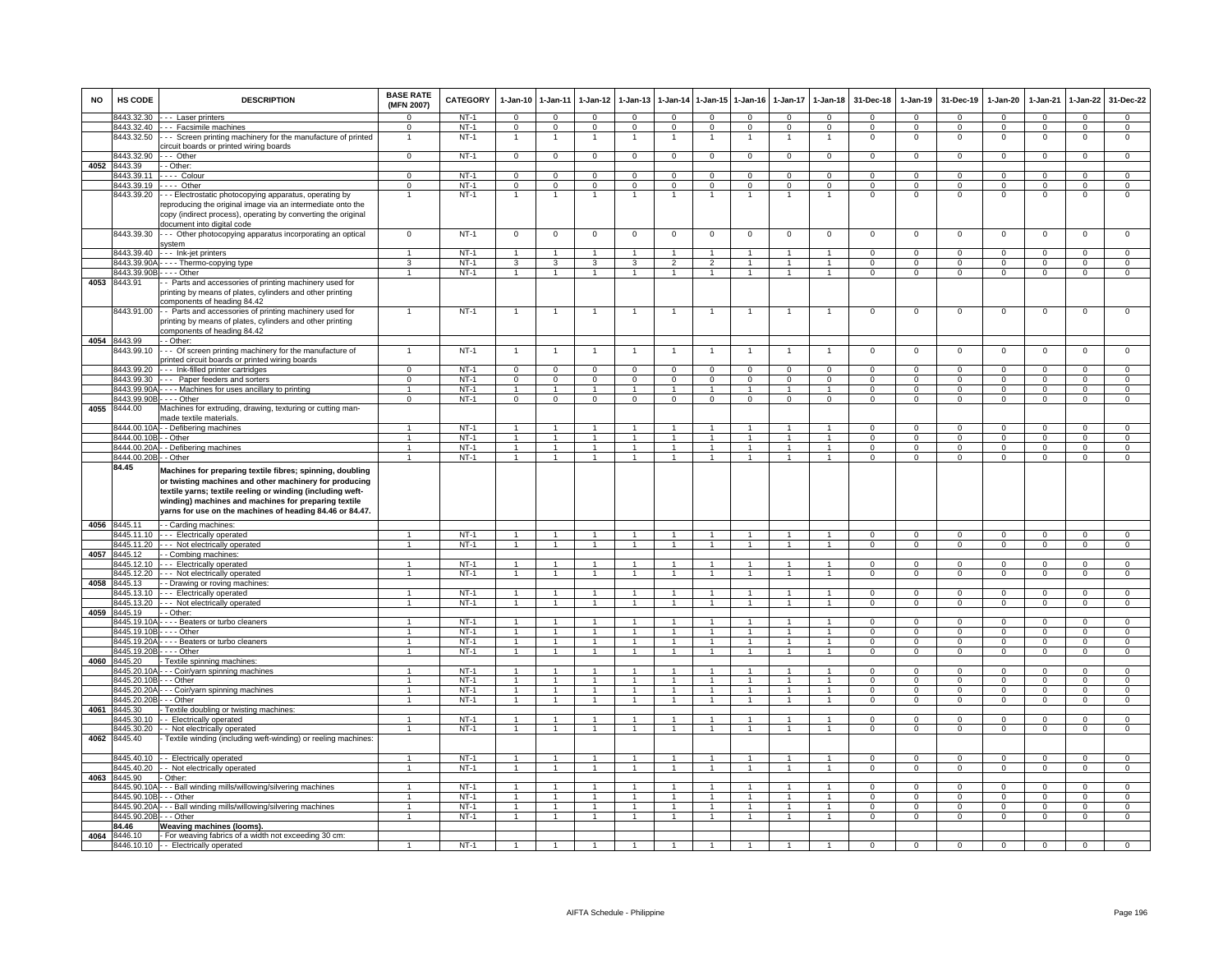| <b>NO</b> | HS CODE                                | <b>DESCRIPTION</b>                                                                                                                                                                                                                                                                                    | <b>BASE RATE</b><br>(MFN 2007) | <b>CATEGORY</b>  | $1-Jan-10$                       | $1 - Jan-11$                     | $1-Jan-12$                     | $1 - Jan-13$                     | 1-Jan-14                       | $1$ -Jan-15                    | $1-Jan-16$                   | $1-Jan-17$                   | $1-Jan-18$                     | 31-Dec-18                | $1-Jan-19$                 | 31-Dec-19                  | $1-Jan-20$                 | 1-Jan-21               | $1-Jan-22$              | 31-Dec-22                      |
|-----------|----------------------------------------|-------------------------------------------------------------------------------------------------------------------------------------------------------------------------------------------------------------------------------------------------------------------------------------------------------|--------------------------------|------------------|----------------------------------|----------------------------------|--------------------------------|----------------------------------|--------------------------------|--------------------------------|------------------------------|------------------------------|--------------------------------|--------------------------|----------------------------|----------------------------|----------------------------|------------------------|-------------------------|--------------------------------|
|           | 8443.32.30                             | --- Laser printers                                                                                                                                                                                                                                                                                    | $\Omega$                       | $NT-1$           | $\mathbf 0$                      | $\mathbf 0$                      | $\mathbf{0}$                   | $\Omega$                         | $\mathbf 0$                    | $\Omega$                       | $\mathbf{0}$                 | $\Omega$                     | $\mathbf{0}$                   | $\mathbf{O}$             | $\mathbf{0}$               | $\mathbf 0$                | $\Omega$                   | $^{\circ}$             | $\mathbf 0$             | $\mathbf 0$                    |
|           | 8443.32.40                             | --- Facsimile machines                                                                                                                                                                                                                                                                                | $\Omega$                       | $NT-1$           | $\overline{0}$                   | $\overline{0}$                   | $\overline{0}$                 | $\Omega$                         | $\Omega$                       | $\Omega$                       | $\mathbf{0}$                 | $\Omega$                     | $\Omega$                       | $\Omega$                 | $\mathbf{0}$               | $\mathbf 0$                | $\mathbf{0}$               | $\Omega$               | $\mathbf{0}$            | $\overline{0}$                 |
|           | 8443.32.50                             | -- Screen printing machinery for the manufacture of printed<br>circuit boards or printed wiring boards                                                                                                                                                                                                | 1                              | $NT-1$           | 1                                | $\overline{1}$                   | 1                              | 1                                | $\overline{1}$                 | $\overline{1}$                 | 1                            | 1                            | $\mathbf{1}$                   | $^{\circ}$               | $\mathbf 0$                | $\mathbf 0$                | $\mathbf{0}$               | $\mathbf 0$            | $\mathsf 0$             | $\overline{0}$                 |
| 4052      | 8443.32.90<br>8443.39                  | --- Other<br>- Other:                                                                                                                                                                                                                                                                                 | $\mathbf 0$                    | $NT-1$           | $\overline{0}$                   | $\mathbf 0$                      | $\mathbf{0}$                   | $\mathsf 0$                      | $\mathbf 0$                    | $\mathbf{0}$                   | $\mathbf 0$                  | 0                            | $\mathbf{0}$                   | $\mathbf{O}$             | $\circ$                    | $\mathbf 0$                | $\mathbf{0}$               | $\mathbf 0$            | $\mathbf{0}$            | $\mathbf 0$                    |
|           | 8443.39.11                             | . <b>- - -</b> Colour                                                                                                                                                                                                                                                                                 | $\Omega$                       | $NT-1$           | $\overline{0}$                   | $\overline{0}$                   | $\overline{0}$                 | $\mathbf 0$                      | $\mathbf{0}$                   | $\mathbf 0$                    | $\mathbf{0}$                 | $\Omega$                     | $\mathbf{0}$                   | $\Omega$                 | $\mathbf{0}$               | $\mathbf 0$                | $\overline{0}$             | $\Omega$               | $\overline{0}$          | $\overline{0}$                 |
|           | 8443.39.19                             | $- - -$ Other                                                                                                                                                                                                                                                                                         | $\Omega$                       | $NT-1$           | $\overline{0}$                   | $\overline{0}$                   | $\mathsf 0$                    | $\mathbf 0$                      | $\mathbf{0}$                   | $\mathbf 0$                    | $\mathbf 0$                  | $\Omega$                     | $\mathbf 0$                    | $\Omega$                 | $\mathsf 0$                | $\Omega$                   | $\Omega$                   | $\Omega$               | $\mathsf 0$             | $\overline{0}$                 |
|           | 8443.39.20                             | - - Electrostatic photocopying apparatus, operating by                                                                                                                                                                                                                                                |                                | $NT-1$           | 1                                | $\overline{1}$                   | 1                              | $\mathbf{1}$                     | $\mathbf{1}$                   | $\overline{1}$                 | $\mathbf{1}$                 | 1                            | $\overline{1}$                 | $\mathsf 0$              | $\mathsf 0$                | $\mathbf 0$                | $\mathbf 0$                | $\mathbf 0$            | $\mathsf 0$             | $\Omega$                       |
|           |                                        | reproducing the original image via an intermediate onto the                                                                                                                                                                                                                                           |                                |                  |                                  |                                  |                                |                                  |                                |                                |                              |                              |                                |                          |                            |                            |                            |                        |                         |                                |
|           |                                        | copy (indirect process), operating by converting the original                                                                                                                                                                                                                                         |                                |                  |                                  |                                  |                                |                                  |                                |                                |                              |                              |                                |                          |                            |                            |                            |                        |                         |                                |
|           |                                        | document into digital code                                                                                                                                                                                                                                                                            |                                |                  |                                  |                                  |                                |                                  |                                |                                |                              |                              |                                |                          |                            |                            |                            |                        |                         |                                |
|           | 8443.39.30                             | - - Other photocopying apparatus incorporating an optical<br>svstem                                                                                                                                                                                                                                   | $\overline{0}$                 | $NT-1$           | $\overline{0}$                   | $\overline{0}$                   | $\overline{0}$                 | $\overline{0}$                   | $\overline{0}$                 | $\overline{0}$                 | $\Omega$                     | $\mathsf 0$                  | $\overline{0}$                 | $\mathbf 0$              | $\mathsf 0$                | $\mathsf 0$                | $\overline{0}$             | $\overline{0}$         | $\overline{0}$          | $\overline{0}$                 |
|           | 8443.39.40                             | --- Ink-jet printers                                                                                                                                                                                                                                                                                  |                                | $NT-1$           | $\overline{1}$                   | $\mathbf{1}$                     |                                |                                  | $\overline{1}$                 |                                |                              |                              | $\overline{1}$                 | $\Omega$                 | $\overline{0}$             | $\overline{0}$             | $\overline{0}$             | $\Omega$               | $\overline{0}$          | $\overline{0}$                 |
|           |                                        | 8443.39.90A - - - - Thermo-copying type                                                                                                                                                                                                                                                               | 3                              | $NT-1$           | 3                                | 3                                | 3                              | 3                                | $\mathfrak{p}$                 | $\overline{2}$                 | $\overline{1}$               |                              | $\overline{1}$                 | $\mathbf 0$              | $^{\circ}$                 | $\mathbf 0$                | $\mathbf 0$                | $\mathbf 0$            | $\mathsf 0$             | $\mathbf 0$                    |
|           |                                        | 8443.39.90B - - - - Other                                                                                                                                                                                                                                                                             | $\mathbf{1}$                   | $NT-1$           | $\overline{1}$                   | $\overline{1}$                   | $\overline{1}$                 | $\overline{1}$                   | $\overline{1}$                 | $\overline{1}$                 | $\overline{1}$               | $\mathbf{1}$                 | $\overline{1}$                 | $\mathbf{O}$             | $\overline{0}$             | $\mathbf 0$                | $\overline{0}$             | $\mathbf 0$            | $\overline{0}$          | $\overline{0}$                 |
| 4053      | 8443.91                                | Parts and accessories of printing machinery used for                                                                                                                                                                                                                                                  |                                |                  |                                  |                                  |                                |                                  |                                |                                |                              |                              |                                |                          |                            |                            |                            |                        |                         |                                |
|           |                                        | printing by means of plates, cylinders and other printing<br>components of heading 84.42                                                                                                                                                                                                              |                                |                  |                                  |                                  |                                |                                  |                                |                                |                              |                              |                                |                          |                            |                            |                            |                        |                         |                                |
|           | 8443.91.00                             | - Parts and accessories of printing machinery used for                                                                                                                                                                                                                                                |                                | $NT-1$           |                                  | $\overline{1}$                   |                                |                                  | $\overline{1}$                 |                                |                              |                              |                                | $\mathsf 0$              | $\mathbf 0$                | $\mathbf 0$                | $^{\circ}$                 | $\mathbf 0$            | $\mathsf 0$             | $\mathbf 0$                    |
|           |                                        | printing by means of plates, cylinders and other printing                                                                                                                                                                                                                                             |                                |                  |                                  |                                  |                                |                                  |                                |                                |                              |                              |                                |                          |                            |                            |                            |                        |                         |                                |
|           |                                        | components of heading 84.42                                                                                                                                                                                                                                                                           |                                |                  |                                  |                                  |                                |                                  |                                |                                |                              |                              |                                |                          |                            |                            |                            |                        |                         |                                |
|           | 4054 8443.99                           | - Other:                                                                                                                                                                                                                                                                                              |                                |                  |                                  | $\mathbf{1}$                     |                                |                                  |                                |                                |                              |                              |                                |                          |                            |                            |                            |                        |                         | $\mathbf 0$                    |
|           | 3443.99.10                             | -- Of screen printing machinery for the manufacture of<br>printed circuit boards or printed wiring boards                                                                                                                                                                                             |                                | $NT-1$           |                                  |                                  |                                |                                  |                                |                                |                              |                              |                                | 0                        | $^{\circ}$                 | $\mathbf 0$                | $\circ$                    | $\mathbf 0$            | $^{\circ}$              |                                |
|           | 8443.99.20                             | --- Ink-filled printer cartridges                                                                                                                                                                                                                                                                     | $\Omega$                       | <b>NT-1</b>      | $\overline{0}$                   | $\mathbf 0$                      | 0                              | $\circ$                          | $\mathbf 0$                    | $\mathbf 0$                    | 0                            | $\Omega$                     | $\mathbf 0$                    | $\Omega$                 | $^{\circ}$                 | $\mathbf 0$                | $\Omega$                   | $\Omega$               | 0                       | $^{\circ}$                     |
|           | 8443.99.30                             | -- Paper feeders and sorters                                                                                                                                                                                                                                                                          | $\overline{0}$                 | $NT-1$           | $\overline{0}$                   | $\overline{0}$                   | $\overline{0}$                 | $\overline{0}$                   | $\overline{0}$                 | $\overline{0}$                 | $\overline{0}$               | $\overline{0}$               | $\overline{0}$                 | $\Omega$                 | $\overline{0}$             | $\Omega$                   | $\overline{0}$             | $\Omega$               | $\overline{0}$          | $\overline{0}$                 |
|           | 8443.99.90A                            | - Machines for uses ancillary to printing                                                                                                                                                                                                                                                             | $\mathbf{1}$                   | $NT-1$           | $\mathbf{1}$                     | $\overline{1}$                   | $\mathbf{1}$                   |                                  | $\mathbf{1}$                   | $\mathbf{1}$                   |                              | $\mathbf{1}$                 | $\overline{1}$                 | $\mathbf{O}$             | $\mathsf 0$                | $\mathbf 0$                | $\mathbf 0$                | $\mathbf 0$            | $\mathsf 0$             | $\overline{0}$                 |
|           | 8443.99.90B                            | - Other                                                                                                                                                                                                                                                                                               | $\Omega$                       | $NT-1$           | $\Omega$                         | $\overline{0}$                   | $\Omega$                       | $\Omega$                         | $\Omega$                       | $\overline{0}$                 | $\Omega$                     | $\Omega$                     | $\Omega$                       | $\Omega$                 | $\Omega$                   | $\Omega$                   | $\Omega$                   | $\Omega$               | $\overline{0}$          | $\overline{0}$                 |
| 4055      | 8444.00                                | Machines for extruding, drawing, texturing or cutting man-<br>made textile materials.                                                                                                                                                                                                                 |                                |                  |                                  |                                  |                                |                                  |                                |                                |                              |                              |                                |                          |                            |                            |                            |                        |                         |                                |
|           |                                        | 3444.00.10A - - Defibering machines                                                                                                                                                                                                                                                                   | $\mathbf{1}$                   | $NT-1$           | $\overline{1}$                   | $\mathbf{1}$                     | 1                              | $\mathbf{1}$                     | $\overline{1}$                 | $\overline{1}$                 |                              | $\mathbf{1}$                 | $\overline{1}$                 | $\Omega$                 | $\mathsf 0$                | $\Omega$                   | $\mathsf 0$                | $\Omega$               | $\mathsf{O}\xspace$     | $\overline{0}$                 |
|           | 8444.00.10B                            | - Other                                                                                                                                                                                                                                                                                               | $\mathbf{1}$                   | $NT-1$           | $\mathbf{1}$                     | $\mathbf{1}$                     | $\mathbf{1}$                   | $\mathbf{1}$                     | $\mathbf{1}$                   | $\mathbf{1}$                   | $\mathbf{1}$                 | $\mathbf{1}$                 | $\mathbf{1}$                   | $\mathsf 0$              | $\mathbf{0}$               | $\mathbf 0$                | $\mathbf 0$                | $\mathbf 0$            | $\overline{0}$          | $\overline{0}$                 |
|           | 8444.00.20A                            | - Defibering machines                                                                                                                                                                                                                                                                                 | $\overline{1}$                 | $NT-1$           | $\mathbf{1}$                     | $\overline{1}$                   | $\mathbf{1}$                   | $\mathbf{1}$                     | $\mathbf{1}$                   | $\overline{1}$                 | $\overline{1}$               | $\mathbf{1}$                 | $\overline{1}$                 | $\Omega$                 | $\mathsf 0$                | $\Omega$                   | $\overline{0}$             | $\Omega$               | $\overline{0}$          | $\overline{0}$                 |
|           | 8444.00.20B - - Other                  |                                                                                                                                                                                                                                                                                                       | $\mathbf{1}$                   | $NT-1$           | $\overline{1}$                   | $\overline{1}$                   | $\overline{1}$                 | $\mathbf{1}$                     | $\overline{1}$                 | $\overline{1}$                 | 1                            |                              | $\mathbf{1}$                   | $\mathsf 0$              | $\mathsf 0$                | $\,0\,$                    | $\overline{0}$             | $^{\circ}$             | $\mathsf 0$             | $\overline{0}$                 |
|           | 84.45                                  | Machines for preparing textile fibres; spinning, doubling<br>or twisting machines and other machinery for producing<br>textile yarns; textile reeling or winding (including weft-<br>winding) machines and machines for preparing textile<br>yarns for use on the machines of heading 84.46 or 84.47. |                                |                  |                                  |                                  |                                |                                  |                                |                                |                              |                              |                                |                          |                            |                            |                            |                        |                         |                                |
|           | 4056 8445.11                           | - Carding machines:                                                                                                                                                                                                                                                                                   |                                |                  |                                  |                                  |                                |                                  |                                |                                |                              |                              |                                |                          |                            |                            |                            |                        |                         |                                |
|           | 3445.11.10                             | --- Electrically operated                                                                                                                                                                                                                                                                             |                                | $NT-1$           |                                  |                                  |                                |                                  |                                |                                |                              |                              | $\mathbf{1}$                   | $\Omega$                 | $\mathsf 0$                | $\Omega$                   | $\Omega$                   | $\Omega$               | $\mathsf 0$             | $\mathsf 0$                    |
|           | 8445.11.20                             | - - - Not electrically operated                                                                                                                                                                                                                                                                       |                                | $NT-1$           | 1                                | $\overline{1}$                   | $\mathbf{1}$                   | $\mathbf{1}$                     | $\overline{1}$                 |                                |                              |                              | $\overline{1}$                 | $^{\circ}$               | $^{\circ}$                 | $\mathbf 0$                | 0                          | $\mathbf 0$            | $\mathsf 0$             | $\mathbf 0$                    |
| 4057      | 8445.12                                | - Combing machines                                                                                                                                                                                                                                                                                    |                                |                  |                                  |                                  |                                |                                  |                                |                                |                              |                              |                                |                          |                            |                            |                            |                        |                         |                                |
|           | 8445.12.10                             | --- Electrically operated                                                                                                                                                                                                                                                                             | $\overline{1}$                 | $NT-1$           | $\overline{1}$                   | $\overline{1}$                   | $\overline{1}$                 | $\overline{1}$                   | $\overline{1}$                 | $\blacktriangleleft$           | $\overline{1}$               | $\mathbf{1}$                 | $\blacktriangleleft$           | $\Omega$                 | $\Omega$                   | $\mathbf 0$                | $\mathbf 0$                | $\Omega$               | $\mathsf 0$             | $\overline{0}$                 |
| 4058      | 8445.12.20<br>8445.13                  | - - Not electrically operated                                                                                                                                                                                                                                                                         |                                | $NT-1$           | $\overline{1}$                   | $\overline{1}$                   | $\mathbf{1}$                   | 1                                | $\overline{1}$                 | $\overline{1}$                 | $\mathbf{1}$                 |                              | $\overline{1}$                 | $\overline{0}$           | $\overline{0}$             | $\overline{0}$             | $\overline{0}$             | $\overline{0}$         | $\overline{0}$          | $\overline{0}$                 |
|           | 8445.13.10                             | - Drawing or roving machines<br>--- Electrically operated                                                                                                                                                                                                                                             |                                | $NT-1$           | $\overline{1}$                   | $\overline{1}$                   | 1                              | $\mathbf{1}$                     | $\overline{1}$                 | $\overline{1}$                 |                              |                              | $\mathbf{1}$                   | $\mathbf{O}$             | $\mathsf 0$                | $\mathbf 0$                | $\mathbf 0$                | $\Omega$               | $\overline{0}$          | $\mathbf{0}$                   |
|           | 8445.13.20                             | --- Not electrically operated                                                                                                                                                                                                                                                                         | $\mathbf{1}$                   | $NT-1$           | $\overline{1}$                   | $\overline{1}$                   | $\mathbf{1}$                   | $\overline{1}$                   | $\overline{1}$                 | $\mathbf{1}$                   | $\mathbf{1}$                 | 1                            | $\overline{1}$                 | $\mathbf{0}$             | $\mathbf{0}$               | $\mathbf{0}$               | $\overline{0}$             | $\mathbf 0$            | $\overline{0}$          | $\overline{0}$                 |
| 4059      | 8445.19                                | - Other:                                                                                                                                                                                                                                                                                              |                                |                  |                                  |                                  |                                |                                  |                                |                                |                              |                              |                                |                          |                            |                            |                            |                        |                         |                                |
|           | 3445.19.10A                            | --- Beaters or turbo cleaners                                                                                                                                                                                                                                                                         | $\mathbf{1}$                   | $NT-1$           | $\overline{1}$                   | $\mathbf{1}$                     | $\mathbf{1}$                   |                                  | $\mathbf{1}$                   | $\mathbf{1}$                   |                              |                              | $\mathbf{1}$                   | $\mathbf{O}$             | $\mathbf{0}$               | $\mathbf 0$                | $\mathbf 0$                | $\mathbf 0$            | $\mathbf{0}$            | $\overline{0}$                 |
|           | 8445.19.10B                            | $\cdots$ - Other                                                                                                                                                                                                                                                                                      | $\mathbf{1}$                   | $NT-1$           | $\mathbf{1}$                     | $\mathbf{1}$                     | $\mathbf{1}$                   | $\mathbf{1}$                     | $\mathbf{1}$                   | $\mathbf{1}$                   |                              | $\mathbf{1}$                 | $\overline{1}$                 | $\mathsf 0$              | $\mathsf 0$                | $\mathbf 0$                | $\mathbf 0$                | $\mathbf 0$            | $\mathbf 0$             | $\overline{0}$                 |
|           | 8445.19.20A                            | - - - - Beaters or turbo cleaners                                                                                                                                                                                                                                                                     | $\mathbf{1}$                   | $NT-1$           | $\overline{1}$                   | $\overline{1}$                   | $\overline{1}$                 | $\overline{1}$                   | $\overline{1}$                 | $\overline{1}$                 | $\overline{1}$               | $\mathbf{1}$                 | $\overline{1}$                 | $\Omega$                 | $\Omega$                   | $\Omega$                   | $\Omega$                   | $\Omega$               | $\overline{0}$          | $\overline{0}$                 |
|           |                                        | 8445.19.20B - - - - Other                                                                                                                                                                                                                                                                             | $\mathbf{1}$                   | $NT-1$           | $\overline{1}$                   | $\overline{1}$                   | $\overline{1}$                 | 1                                | $\overline{1}$                 | $\overline{1}$                 |                              |                              | $\overline{1}$                 | $\Omega$                 | $\mathsf 0$                | $\mathbf 0$                | $\overline{0}$             | $\Omega$               | $\overline{0}$          | $\overline{0}$                 |
| 4060      | 8445.20                                | - Textile spinning machines:                                                                                                                                                                                                                                                                          |                                |                  |                                  |                                  |                                |                                  |                                |                                |                              |                              |                                |                          |                            |                            |                            |                        |                         |                                |
|           | 8445.20.10                             | - - Coir/yarn spinning machines                                                                                                                                                                                                                                                                       | $\overline{1}$                 | $NT-1$           | 1                                | $\overline{1}$                   |                                |                                  | $\overline{1}$                 |                                |                              |                              | $\overline{1}$                 | $\Omega$                 | $\Omega$                   | $\Omega$                   | $\Omega$                   | $\Omega$               | $\mathbf 0$             | $\mathbf 0$                    |
|           | 8445.20.10B                            | - - - Other                                                                                                                                                                                                                                                                                           | $\mathbf{1}$                   | $NT-1$           | $\mathbf{1}$                     | $\overline{1}$                   | $\mathbf{1}$                   |                                  | $\overline{1}$                 | $\blacktriangleleft$           |                              |                              | $\mathbf{1}$                   | $\Omega$                 | $\mathsf 0$                | $\Omega$                   | $\mathbf 0$                | $\Omega$               | $\mathbf 0$             | $\overline{0}$                 |
|           | 8445.20.20A                            | - - Coir/yarn spinning machines                                                                                                                                                                                                                                                                       | $\mathbf{1}$<br>$\mathbf{1}$   | $NT-1$<br>$NT-1$ | $\overline{1}$                   | $\overline{1}$<br>$\overline{1}$ | $\overline{1}$<br>$\mathbf{1}$ | $\overline{1}$<br>$\overline{1}$ | $\overline{1}$                 | $\overline{1}$<br>$\mathbf{1}$ | $\mathbf{1}$<br>$\mathbf{1}$ | $\mathbf{1}$<br>$\mathbf{1}$ | $\overline{1}$<br>$\mathbf{1}$ | $\mathbf{O}$             | $\mathbf{0}$               | $\mathbf 0$                | $\mathbf{0}$               | $\Omega$               | $\mathbf 0$             | $\mathbf{0}$<br>$\overline{0}$ |
| 4061      | 8445.20.20B - - - Other<br>8445.30     |                                                                                                                                                                                                                                                                                                       |                                |                  | $\overline{1}$                   |                                  |                                |                                  | $\overline{1}$                 |                                |                              |                              |                                | $\mathbf{O}$             | $\mathbf{0}$               | $\mathbf{0}$               | $\mathbf{0}$               | $\mathbf 0$            | $\overline{0}$          |                                |
|           | 3445.30.10                             | Textile doubling or twisting machines:<br>- Electrically operated                                                                                                                                                                                                                                     | 1                              | $NT-1$           | $\overline{1}$                   | $\overline{1}$                   | $\mathbf{1}$                   | $\mathbf{1}$                     | $\overline{1}$                 | $\mathbf{1}$                   | $\mathbf{1}$                 | 1                            | $\mathbf{1}$                   | $\Omega$                 | $\Omega$                   | $\Omega$                   | $\Omega$                   | $\Omega$               | $\overline{0}$          | $\overline{0}$                 |
|           | 3445.30.20                             | - Not electrically operated                                                                                                                                                                                                                                                                           | $\mathbf{1}$                   | $NT-1$           | 1                                | $\overline{1}$                   | $\mathbf{1}$                   | $\mathbf{1}$                     | $\overline{1}$                 | $\overline{1}$                 | 1                            |                              | $\overline{1}$                 | $\Omega$                 | $\Omega$                   | $\Omega$                   | $\Omega$                   | $\Omega$               | $\mathsf 0$             | $\mathbf 0$                    |
| 4062      | 8445.40                                | Textile winding (including weft-winding) or reeling machines:                                                                                                                                                                                                                                         |                                |                  |                                  |                                  |                                |                                  |                                |                                |                              |                              |                                |                          |                            |                            |                            |                        |                         |                                |
|           |                                        |                                                                                                                                                                                                                                                                                                       |                                |                  |                                  |                                  |                                |                                  |                                |                                |                              |                              |                                |                          |                            |                            |                            |                        |                         |                                |
|           | 8445.40.10                             | - - Electrically operated                                                                                                                                                                                                                                                                             | $\mathbf{1}$                   | $NT-1$           | $\overline{1}$                   | $\overline{1}$                   | $\overline{1}$                 | $\overline{1}$                   | $\overline{1}$                 | $\overline{1}$                 | $\mathbf{1}$                 | $\mathbf{1}$                 | $\overline{1}$                 | $\Omega$                 | $\Omega$                   | $\Omega$                   | $\Omega$                   | $\Omega$               | $\overline{0}$          | $\overline{0}$                 |
|           | 8445.40.20                             | - Not electrically operated                                                                                                                                                                                                                                                                           |                                | $NT-1$           | $\overline{1}$                   | $\overline{1}$                   | $\overline{1}$                 |                                  | $\overline{1}$                 | $\blacktriangleleft$           | $\mathbf{1}$                 |                              | $\overline{1}$                 | $\overline{0}$           | $\overline{0}$             | $\overline{0}$             | $\overline{0}$             | $\overline{0}$         | $\overline{0}$          | $\overline{0}$                 |
| 4063      | 8445.90<br>8445.90.10A                 | Other:                                                                                                                                                                                                                                                                                                |                                |                  |                                  | $\overline{1}$                   | $\mathbf{1}$                   |                                  |                                | $\blacktriangleleft$           |                              |                              |                                |                          |                            | $\Omega$                   |                            |                        |                         |                                |
|           |                                        | --- Ball winding mills/willowing/silvering machines                                                                                                                                                                                                                                                   | $\mathbf{1}$                   | $NT-1$           | $\overline{1}$<br>$\overline{1}$ |                                  | $\overline{1}$                 | $\overline{1}$                   | $\mathbf{1}$<br>$\overline{1}$ | $\mathbf{1}$                   | $\overline{1}$               | 1                            | $\mathbf{1}$                   | $\mathbf{O}$             | $\mathsf 0$                |                            | $\mathbf 0$                | $\Omega$               | $\mathbf{0}$            | $\mathbf{0}$                   |
|           | 8445.90.10B - - - Other<br>8445 90 20A | -- Ball winding mills/willowing/silvering machines                                                                                                                                                                                                                                                    | $\mathbf{1}$                   | $NT-1$<br>$NT-1$ | $\overline{1}$                   | $\overline{1}$<br>$\overline{1}$ | 1                              | $\overline{1}$                   | $\overline{1}$                 | $\mathbf{1}$                   | $\mathbf{1}$                 | $\mathbf{1}$                 | $\overline{1}$<br>$\mathbf{1}$ | $\mathbf{0}$<br>$\Omega$ | $^{\circ}$<br>$\mathbf{0}$ | $^{\circ}$<br>$\mathbf{0}$ | $^{\circ}$<br>$\mathbf{0}$ | $^{\circ}$<br>$\Omega$ | $\mathbf{0}$<br>$\circ$ | $\mathbf 0$<br>$\overline{0}$  |
|           | 3445.90.20B - - - Other                |                                                                                                                                                                                                                                                                                                       | $\mathbf{1}$                   | $NT-1$           | 1                                | $\mathbf{1}$                     | $\mathbf{1}$                   | $\mathbf{1}$                     | $\mathbf{1}$                   | $\mathbf{1}$                   |                              | $\mathbf{1}$                 | $\mathbf{1}$                   | $\mathbf{O}$             | $\mathbf{O}$               | $\mathbf{0}$               | $\mathbf 0$                | $\mathbf 0$            | $\mathbf{0}$            | $\mathbf 0$                    |
|           | 84.46                                  | Weaving machines (looms).                                                                                                                                                                                                                                                                             |                                |                  |                                  |                                  |                                |                                  |                                |                                |                              |                              |                                |                          |                            |                            |                            |                        |                         |                                |
| 4064      | 8446.10                                | - For weaving fabrics of a width not exceeding 30 cm:                                                                                                                                                                                                                                                 |                                |                  |                                  |                                  |                                |                                  |                                |                                |                              |                              |                                |                          |                            |                            |                            |                        |                         |                                |
|           |                                        | 8446.10.10 - Electrically operated                                                                                                                                                                                                                                                                    |                                | $NT-1$           |                                  |                                  |                                |                                  |                                |                                |                              |                              |                                | $\Omega$                 | $\Omega$                   | $\Omega$                   | $\Omega$                   | $\Omega$               | $\Omega$                | $\Omega$                       |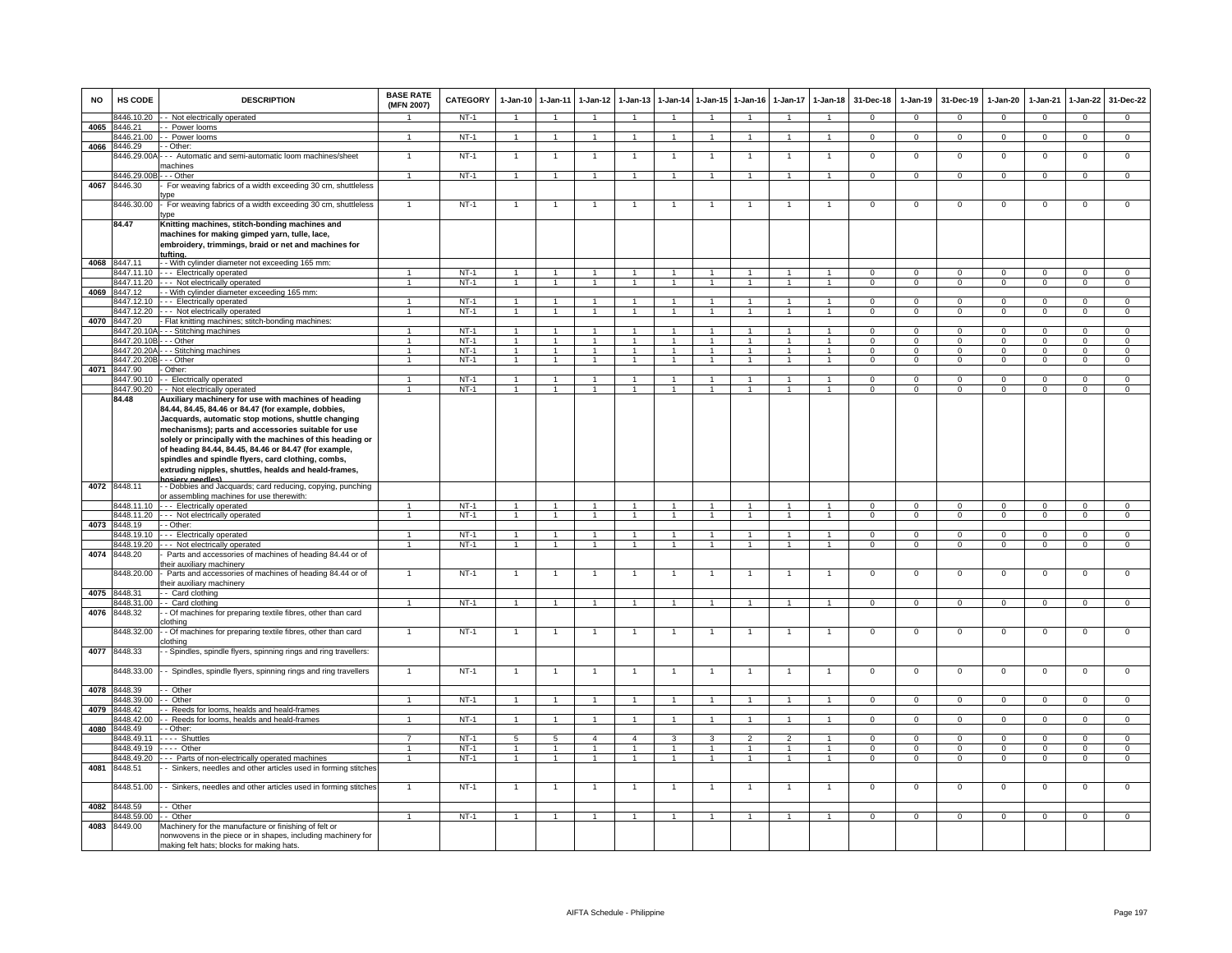| <b>NO</b> | HS CODE                    | <b>DESCRIPTION</b>                                                                                                                                                                                                                                                                                                                                                                                                                                                                  | <b>BASE RATE</b><br>(MFN 2007) | <b>CATEGORY</b>  | $1-Jan-10$                       | $1-Jan-11$                       | $1-Jan-12$                     | $1 - Jan-13$                   | $1 - Jan-14$                     | $1 - Jan-15$         | $1 - Jan-16$        | $1-Jan-17$          | $1-Jan-18$                       | 31-Dec-18              | $1-Jan-19$                 | 31-Dec-19                   | 1-Jan-20                      | $1-Jan-21$              | $1-Jan-22$                     | 31-Dec-22                      |
|-----------|----------------------------|-------------------------------------------------------------------------------------------------------------------------------------------------------------------------------------------------------------------------------------------------------------------------------------------------------------------------------------------------------------------------------------------------------------------------------------------------------------------------------------|--------------------------------|------------------|----------------------------------|----------------------------------|--------------------------------|--------------------------------|----------------------------------|----------------------|---------------------|---------------------|----------------------------------|------------------------|----------------------------|-----------------------------|-------------------------------|-------------------------|--------------------------------|--------------------------------|
|           | 8446.10.20                 | - Not electrically operated                                                                                                                                                                                                                                                                                                                                                                                                                                                         |                                | $NT-1$           | $\overline{1}$                   | $\mathbf{1}$                     |                                |                                | $\mathbf{1}$                     |                      |                     |                     | $\overline{1}$                   | $\Omega$               | $\Omega$                   | $\Omega$                    | $\Omega$                      | $\Omega$                | $\Omega$                       | $\Omega$                       |
| 4065      | 8446.21                    | - Power looms                                                                                                                                                                                                                                                                                                                                                                                                                                                                       |                                |                  |                                  |                                  |                                |                                |                                  |                      |                     |                     |                                  |                        |                            |                             |                               |                         |                                |                                |
| 4066      | 8446.21.00<br>8446.29      | - Power looms<br>- Other:                                                                                                                                                                                                                                                                                                                                                                                                                                                           | 1                              | $NT-1$           | $\mathbf{1}$                     | $\overline{1}$                   | $\mathbf{1}$                   | 1                              | $\overline{1}$                   |                      | $\mathbf{1}$        | $\mathbf{1}$        | $\overline{1}$                   | $\mathbf{0}$           | $\mathbf{0}$               | $\overline{0}$              | $\mathbf{0}$                  | $\mathbf{0}$            | $\overline{0}$                 | $\mathbf{0}$                   |
|           | 3446.29.00A                | -- Automatic and semi-automatic loom machines/sheet<br>nachines                                                                                                                                                                                                                                                                                                                                                                                                                     | $\mathbf{1}$                   | $NT-1$           | 1                                | $\overline{1}$                   | -1                             |                                | $\overline{1}$                   | -1                   | 1                   | -1                  | $\mathbf{1}$                     | $\Omega$               | $\mathbf 0$                | $\mathbf 0$                 | $\mathsf 0$                   | $^{\circ}$              | $\mathsf 0$                    | $\overline{0}$                 |
|           | 8446.29.00                 | --- Other                                                                                                                                                                                                                                                                                                                                                                                                                                                                           | $\overline{1}$                 | $NT-1$           | $\overline{1}$                   | $\overline{1}$                   | $\overline{1}$                 | $\overline{1}$                 | $\overline{1}$                   | $\overline{1}$       | $\overline{1}$      | $\overline{1}$      | $\overline{1}$                   | $\overline{0}$         | $\overline{0}$             | $\overline{0}$              | $\overline{0}$                | $\overline{0}$          | $\overline{0}$                 | $\overline{0}$                 |
| 4067      | 8446.30                    | For weaving fabrics of a width exceeding 30 cm, shuttleless<br>vne                                                                                                                                                                                                                                                                                                                                                                                                                  |                                |                  |                                  |                                  |                                |                                |                                  |                      |                     |                     |                                  |                        |                            |                             |                               |                         |                                |                                |
|           | 8446.30.00                 | For weaving fabrics of a width exceeding 30 cm, shuttleless<br>tvpe                                                                                                                                                                                                                                                                                                                                                                                                                 | $\overline{1}$                 | $NT-1$           | $\overline{1}$                   | $\overline{1}$                   | $\overline{1}$                 | $\overline{1}$                 | $\overline{1}$                   | $\overline{1}$       | $\overline{1}$      | $\overline{1}$      | $\overline{1}$                   | $\Omega$               | $\mathsf 0$                | $\mathbf 0$                 | $\overline{0}$                | $\mathbf 0$             | $\overline{0}$                 | $\overline{0}$                 |
|           | 84.47                      | Knitting machines, stitch-bonding machines and<br>machines for making gimped yarn, tulle, lace,<br>embroidery, trimmings, braid or net and machines for<br>tufting.                                                                                                                                                                                                                                                                                                                 |                                |                  |                                  |                                  |                                |                                |                                  |                      |                     |                     |                                  |                        |                            |                             |                               |                         |                                |                                |
|           | 4068 8447.11               | - With cylinder diameter not exceeding 165 mm:                                                                                                                                                                                                                                                                                                                                                                                                                                      |                                |                  |                                  |                                  |                                |                                |                                  |                      |                     |                     |                                  |                        |                            |                             |                               |                         |                                |                                |
|           |                            | 3447.11.10 --- Electrically operated<br>8447.11.20 --- Not electrically operated                                                                                                                                                                                                                                                                                                                                                                                                    | $\blacktriangleleft$           | $NT-1$<br>$NT-1$ | $\overline{1}$<br>$\overline{1}$ | $\overline{1}$<br>$\overline{1}$ | $\mathbf{1}$<br>$\overline{1}$ | $\mathbf{1}$<br>$\overline{1}$ | $\overline{1}$<br>$\overline{1}$ | $\overline{1}$       | 1<br>$\sim$         | $\mathbf{1}$        | $\overline{1}$<br>$\overline{1}$ | $^{\circ}$<br>$\Omega$ | $^{\circ}$<br>$\mathbf{0}$ | $\mathbf 0$<br>$\mathbf{0}$ | $\mathbf 0$<br>$\overline{0}$ | $\mathbf 0$<br>$\Omega$ | $\mathsf 0$<br>$\mathbf 0$     | $\mathbf 0$<br>$\overline{0}$  |
| 4069      | 8447.12                    | - With cylinder diameter exceeding 165 mm:                                                                                                                                                                                                                                                                                                                                                                                                                                          |                                |                  |                                  |                                  |                                |                                |                                  |                      |                     |                     |                                  |                        |                            |                             |                               |                         |                                |                                |
|           | 8447.12.10                 | --- Electrically operated                                                                                                                                                                                                                                                                                                                                                                                                                                                           | $\mathbf{1}$                   | $NT-1$           | $\overline{1}$                   | $\overline{1}$                   | $\overline{1}$                 | $\mathbf{1}$                   | $\overline{1}$                   | $\blacktriangleleft$ | $\overline{1}$      | $\mathbf{1}$        | $\overline{1}$                   | $\overline{0}$         | $\overline{0}$             | $\overline{0}$              | $\overline{0}$                | $\overline{0}$          | $\overline{0}$                 | $\overline{0}$                 |
|           | 8447 12 20                 | - - - Not electrically operated                                                                                                                                                                                                                                                                                                                                                                                                                                                     |                                | $NT-1$           | $\mathbf{1}$                     | $\overline{1}$                   |                                |                                | $\overline{1}$                   |                      |                     |                     | $\overline{1}$                   | $\Omega$               | $\Omega$                   | $\Omega$                    | $\Omega$                      | $\Omega$                | $\mathbf 0$                    | $\overline{0}$                 |
| 4070      | 8447.20                    | - Flat knitting machines; stitch-bonding machines:                                                                                                                                                                                                                                                                                                                                                                                                                                  |                                |                  |                                  |                                  |                                |                                |                                  |                      |                     |                     |                                  |                        |                            |                             |                               |                         |                                |                                |
|           |                            | 8447.20.10A - - - Stitching machines                                                                                                                                                                                                                                                                                                                                                                                                                                                | -1                             | $NT-1$           | $\overline{1}$                   | $\overline{1}$                   | $\mathbf{1}$                   | 1                              | $\overline{1}$                   | $\mathbf{1}$         | 1                   |                     | $\mathbf{1}$                     | $\Omega$               | $\Omega$                   | $\Omega$                    | $\Omega$                      | $\Omega$                | $\mathbf 0$                    | $\mathbf 0$                    |
|           | 8447.20.10B - - - Other    | 8447.20.20A - - - Stitching machines                                                                                                                                                                                                                                                                                                                                                                                                                                                | $\mathbf{1}$<br>$\mathbf{1}$   | $NT-1$<br>$NT-1$ | $\overline{1}$<br>1              | $\overline{1}$<br>$\overline{1}$ | $\overline{1}$<br>$\mathbf{1}$ | $\overline{1}$<br>$\mathbf{1}$ | $\overline{1}$<br>1              | $\blacktriangleleft$ | $\overline{1}$<br>1 | $\overline{1}$<br>1 | $\overline{1}$<br>$\overline{1}$ | $\Omega$<br>$\Omega$   | $\Omega$<br>$\Omega$       | $^{\circ}$<br>$\Omega$      | $\Omega$<br>$\Omega$          | $\Omega$<br>$\Omega$    | $\mathbf{0}$<br>$\overline{0}$ | $\mathbf{0}$<br>$\overline{0}$ |
|           | 8447.20.20B - - - Other    |                                                                                                                                                                                                                                                                                                                                                                                                                                                                                     | $\mathbf{1}$                   | $NT-1$           | $\mathbf{1}$                     | $\mathbf{1}$                     | $\mathbf{1}$                   | $\mathbf{1}$                   | $\mathbf{1}$                     | $\mathbf{1}$         | $\mathbf{1}$        | $\mathbf{1}$        | $\mathbf{1}$                     | $\mathbf{O}$           | $\mathbf 0$                | $\mathbf 0$                 | $\mathbf 0$                   | $\mathbf 0$             | $\mathbf 0$                    | $\overline{0}$                 |
| 4071      | 8447.90                    | Other:                                                                                                                                                                                                                                                                                                                                                                                                                                                                              |                                |                  |                                  |                                  |                                |                                |                                  |                      |                     |                     |                                  |                        |                            |                             |                               |                         |                                |                                |
|           | 8447.90.10                 | - Electrically operated                                                                                                                                                                                                                                                                                                                                                                                                                                                             | 1                              | $NT-1$           | $\overline{1}$                   | $\overline{1}$                   | $\overline{1}$                 | 1                              | $\overline{1}$                   | $\mathbf{1}$         | $\overline{1}$      | $\mathbf{1}$        | $\overline{1}$                   | $\Omega$               | $\Omega$                   | $\Omega$                    | $\Omega$                      | $\Omega$                | 0                              | $\mathbf 0$                    |
|           | 8447.90.20                 | - - Not electrically operated                                                                                                                                                                                                                                                                                                                                                                                                                                                       | $\mathbf{1}$                   | $NT-1$           | $\overline{1}$                   | $\overline{1}$                   | $\overline{1}$                 | $\overline{1}$                 | $\overline{1}$                   | $\overline{1}$       | $\overline{1}$      | $\mathbf{1}$        | $\overline{1}$                   | $\Omega$               | $\overline{0}$             | $\mathbf{0}$                | $\overline{0}$                | $\overline{0}$          | $\overline{0}$                 | $\overline{0}$                 |
|           | 84.48                      | Auxiliary machinery for use with machines of heading<br>84.44, 84.45, 84.46 or 84.47 (for example, dobbies,<br>Jacquards, automatic stop motions, shuttle changing<br>mechanisms); parts and accessories suitable for use<br>solely or principally with the machines of this heading or<br>of heading 84.44, 84.45, 84.46 or 84.47 (for example,<br>spindles and spindle flyers, card clothing, combs,<br>extruding nipples, shuttles, healds and heald-frames,<br>Ansiery needles) |                                |                  |                                  |                                  |                                |                                |                                  |                      |                     |                     |                                  |                        |                            |                             |                               |                         |                                |                                |
| 4072      | 8448.11                    | - - Dobbies and Jacquards; card reducing, copying, punching<br>or assembling machines for use therewith:                                                                                                                                                                                                                                                                                                                                                                            |                                |                  |                                  |                                  |                                |                                |                                  |                      |                     |                     |                                  |                        |                            |                             |                               |                         |                                |                                |
|           |                            | 8448.11.10 --- Electrically operated                                                                                                                                                                                                                                                                                                                                                                                                                                                |                                | $NT-1$           |                                  | $\overline{1}$                   | $\blacktriangleleft$           |                                | $\mathbf{1}$                     |                      |                     |                     |                                  | $\overline{0}$         | $\overline{0}$             | $\overline{0}$              | $\overline{0}$                | $\overline{0}$          | $\overline{0}$                 | $\overline{0}$                 |
|           | 4073 8448.19               | 8448.11.20 - - - Not electrically operated<br>- - Other:                                                                                                                                                                                                                                                                                                                                                                                                                            |                                | $NT-1$           | $\overline{1}$                   | $\overline{1}$                   |                                |                                | $\overline{1}$                   |                      |                     |                     | $\overline{1}$                   | $\mathbf{0}$           | $\mathsf 0$                | $\mathbf 0$                 | $\mathbf 0$                   | $^{\circ}$              | $\mathbf 0$                    | $\mathbf{0}$                   |
|           | 8448.19.10                 | --- Electrically operated                                                                                                                                                                                                                                                                                                                                                                                                                                                           | $\overline{1}$                 | $NT-1$           | $\overline{1}$                   | $\overline{1}$                   | $\blacktriangleleft$           | $\mathbf{1}$                   | $\overline{1}$                   | $\mathbf{1}$         | 1                   |                     | $\blacktriangleleft$             | $\Omega$               | $\Omega$                   | $\Omega$                    | $\Omega$                      | $\Omega$                | $\mathbf{0}$                   | $\overline{0}$                 |
|           | 8448.19.20                 | --- Not electrically operated                                                                                                                                                                                                                                                                                                                                                                                                                                                       | $\overline{1}$                 | $NT-1$           | $\mathbf{1}$                     | $\overline{1}$                   | $\overline{1}$                 | $\overline{1}$                 | $\overline{1}$                   | $\overline{1}$       | $\mathbf{1}$        | $\mathbf{1}$        | $\mathbf{1}$                     | $\overline{0}$         | $\overline{0}$             | $\mathbf{0}$                | $\overline{0}$                | $\overline{0}$          | $\overline{0}$                 | $\overline{0}$                 |
| 4074      | 8448.20                    | Parts and accessories of machines of heading 84.44 or of<br>heir auxiliary machinery                                                                                                                                                                                                                                                                                                                                                                                                |                                |                  |                                  |                                  |                                |                                |                                  |                      |                     |                     |                                  |                        |                            |                             |                               |                         |                                |                                |
|           | 8448.20.00                 | Parts and accessories of machines of heading 84.44 or of<br>heir auxiliary machinery                                                                                                                                                                                                                                                                                                                                                                                                |                                | $NT-1$           | $\overline{1}$                   | $\overline{1}$                   |                                |                                | $\overline{1}$                   |                      |                     |                     | $\overline{1}$                   | $\mathsf 0$            | $\mathsf 0$                | $\mathbf 0$                 | $\mathsf 0$                   | $\mathbf 0$             | $\mathsf 0$                    | $\mathbf 0$                    |
| 4075      | 8448.31                    | - Card clothing                                                                                                                                                                                                                                                                                                                                                                                                                                                                     |                                |                  |                                  |                                  |                                |                                |                                  |                      |                     |                     |                                  |                        |                            |                             |                               |                         |                                |                                |
| 4076      | 8448.31.00<br>8448.32      | - Card clothing<br>- Of machines for preparing textile fibres, other than card                                                                                                                                                                                                                                                                                                                                                                                                      |                                | $NT-1$           |                                  | $\overline{1}$                   |                                |                                |                                  |                      |                     |                     |                                  | $\overline{0}$         | $\overline{0}$             | $\overline{0}$              | $\overline{0}$                | $\overline{0}$          | $\overline{0}$                 | $\overline{0}$                 |
|           | 3448.32.00                 | dothing<br>- Of machines for preparing textile fibres, other than card<br>clothing                                                                                                                                                                                                                                                                                                                                                                                                  | 1                              | $NT-1$           | $\overline{1}$                   | $\overline{1}$                   | $\overline{1}$                 | $\mathbf{1}$                   | $\overline{1}$                   | $\overline{1}$       | $\mathbf{1}$        | $\mathbf{1}$        | $\overline{1}$                   | $^{\circ}$             | $\mathbf 0$                | $\mathbf{0}$                | $\mathbf 0$                   | $^{\circ}$              | 0                              | $\mathbf 0$                    |
| 4077      | 8448.33                    | - Spindles, spindle flyers, spinning rings and ring travellers:                                                                                                                                                                                                                                                                                                                                                                                                                     |                                |                  |                                  |                                  |                                |                                |                                  |                      |                     |                     |                                  |                        |                            |                             |                               |                         |                                |                                |
|           | 8448.33.00                 | - Spindles, spindle flyers, spinning rings and ring travellers                                                                                                                                                                                                                                                                                                                                                                                                                      | 1                              | $NT-1$           | $\overline{1}$                   | $\overline{1}$                   | $\overline{1}$                 | $\mathbf{1}$                   | $\overline{1}$                   | $\overline{1}$       | $\mathbf{1}$        |                     | $\overline{1}$                   | $\mathsf 0$            | $\mathbf 0$                | $\mathbf{0}$                | $\mathbf 0$                   | $\mathbf 0$             | $\mathsf 0$                    | $\mathbf 0$                    |
|           | 4078 8448.39               | - Other                                                                                                                                                                                                                                                                                                                                                                                                                                                                             |                                |                  |                                  |                                  |                                |                                |                                  |                      |                     |                     |                                  |                        |                            |                             |                               |                         |                                |                                |
|           | 8448.39.00                 | - Other                                                                                                                                                                                                                                                                                                                                                                                                                                                                             |                                | $NT-1$           | $\mathbf{1}$                     | $\overline{1}$                   |                                |                                | $\mathbf{1}$                     |                      |                     |                     | $\overline{1}$                   | $\Omega$               | $\Omega$                   | $\Omega$                    | $\Omega$                      | $\Omega$                | $\mathbf 0$                    | $\Omega$                       |
| 4079      | 8448.42                    | - Reeds for looms, healds and heald-frames                                                                                                                                                                                                                                                                                                                                                                                                                                          |                                |                  |                                  |                                  |                                |                                |                                  |                      |                     |                     |                                  |                        |                            |                             |                               |                         |                                |                                |
|           | 8448.42.00                 | - - Reeds for looms, healds and heald-frames                                                                                                                                                                                                                                                                                                                                                                                                                                        |                                | $NT-1$           | $\blacktriangleleft$             | $\blacktriangleleft$             |                                |                                |                                  |                      |                     |                     | $\blacktriangleleft$             | $\Omega$               | $\Omega$                   | $\mathbf 0$                 | $\Omega$                      | $\Omega$                | $\mathsf 0$                    | $\Omega$                       |
| 4080      | 8448.49<br>8448.49.11      | - Other:<br>- - - - Shuttles                                                                                                                                                                                                                                                                                                                                                                                                                                                        | $\overline{7}$                 | $NT-1$           | 5                                | $5\overline{5}$                  | $\mathbf{A}$                   | $\mathbf{A}$                   | 3                                | 3                    | $\overline{2}$      | $\mathcal{P}$       | $\blacktriangleleft$             | $\Omega$               | $\Omega$                   | $\Omega$                    | $\mathbf{0}$                  | $\mathbf 0$             | $\mathbf{0}$                   | $\overline{0}$                 |
|           | 3448.49.19                 | $\cdots$ Other                                                                                                                                                                                                                                                                                                                                                                                                                                                                      | $\overline{1}$                 | $NT-1$           | $\overline{1}$                   | $\overline{1}$                   | $\mathbf{1}$                   | $\overline{1}$                 | $\mathbf{1}$                     | $\mathbf{1}$         | $\overline{1}$      | $\mathbf{1}$        | $\overline{1}$                   | $\Omega$               | $\Omega$                   | $\Omega$                    | $\Omega$                      | $\overline{0}$          | $\overline{0}$                 | $\overline{0}$                 |
|           | 8448.49.20                 | - - - Parts of non-electrically operated machines                                                                                                                                                                                                                                                                                                                                                                                                                                   | $\mathbf{1}$                   | $NT-1$           | $\mathbf{1}$                     | $\overline{1}$                   | $\mathbf{1}$                   | 1                              | $\mathbf{1}$                     | $\overline{1}$       | $\mathbf{1}$        | 1                   | $\mathbf{1}$                     | $\Omega$               | $\mathsf 0$                | $\overline{0}$              | $\mathsf 0$                   | $\Omega$                | $\overline{0}$                 | $\overline{0}$                 |
| 4081      | 8448.51                    | - Sinkers, needles and other articles used in forming stitches                                                                                                                                                                                                                                                                                                                                                                                                                      |                                |                  |                                  |                                  |                                |                                |                                  |                      |                     |                     |                                  |                        |                            |                             |                               |                         |                                |                                |
|           | 8448.51.00                 | - Sinkers, needles and other articles used in forming stitches                                                                                                                                                                                                                                                                                                                                                                                                                      | $\mathbf{1}$                   | $NT-1$           | $\overline{1}$                   | $\overline{1}$                   | $\overline{1}$                 | $\overline{1}$                 | $\overline{1}$                   | $\overline{1}$       | $\overline{1}$      | $\mathbf{1}$        | $\overline{1}$                   | $\mathbf{O}$           | $\mathbf 0$                | $\mathbf 0$                 | $\overline{0}$                | $\mathbf 0$             | $\overline{0}$                 | $\overline{0}$                 |
| 4082      | 8448.59                    | - Other                                                                                                                                                                                                                                                                                                                                                                                                                                                                             |                                |                  |                                  |                                  |                                |                                |                                  |                      |                     |                     |                                  |                        |                            |                             |                               |                         |                                |                                |
|           | 8448.59.00<br>4083 8449.00 | - - Other<br>Machinery for the manufacture or finishing of felt or                                                                                                                                                                                                                                                                                                                                                                                                                  |                                | $NT-1$           | $\overline{1}$                   | $\overline{1}$                   | $\overline{1}$                 | $\mathbf{1}$                   | $\overline{1}$                   | $\overline{1}$       | $\mathbf{1}$        |                     | $\overline{1}$                   | $\mathbf{0}$           | $\Omega$                   | $\overline{0}$              | $\mathbf{0}$                  | $\mathbf 0$             | $\overline{0}$                 | $\mathbf{0}$                   |
|           |                            | nonwovens in the piece or in shapes, including machinery for<br>making felt hats: blocks for making hats.                                                                                                                                                                                                                                                                                                                                                                           |                                |                  |                                  |                                  |                                |                                |                                  |                      |                     |                     |                                  |                        |                            |                             |                               |                         |                                |                                |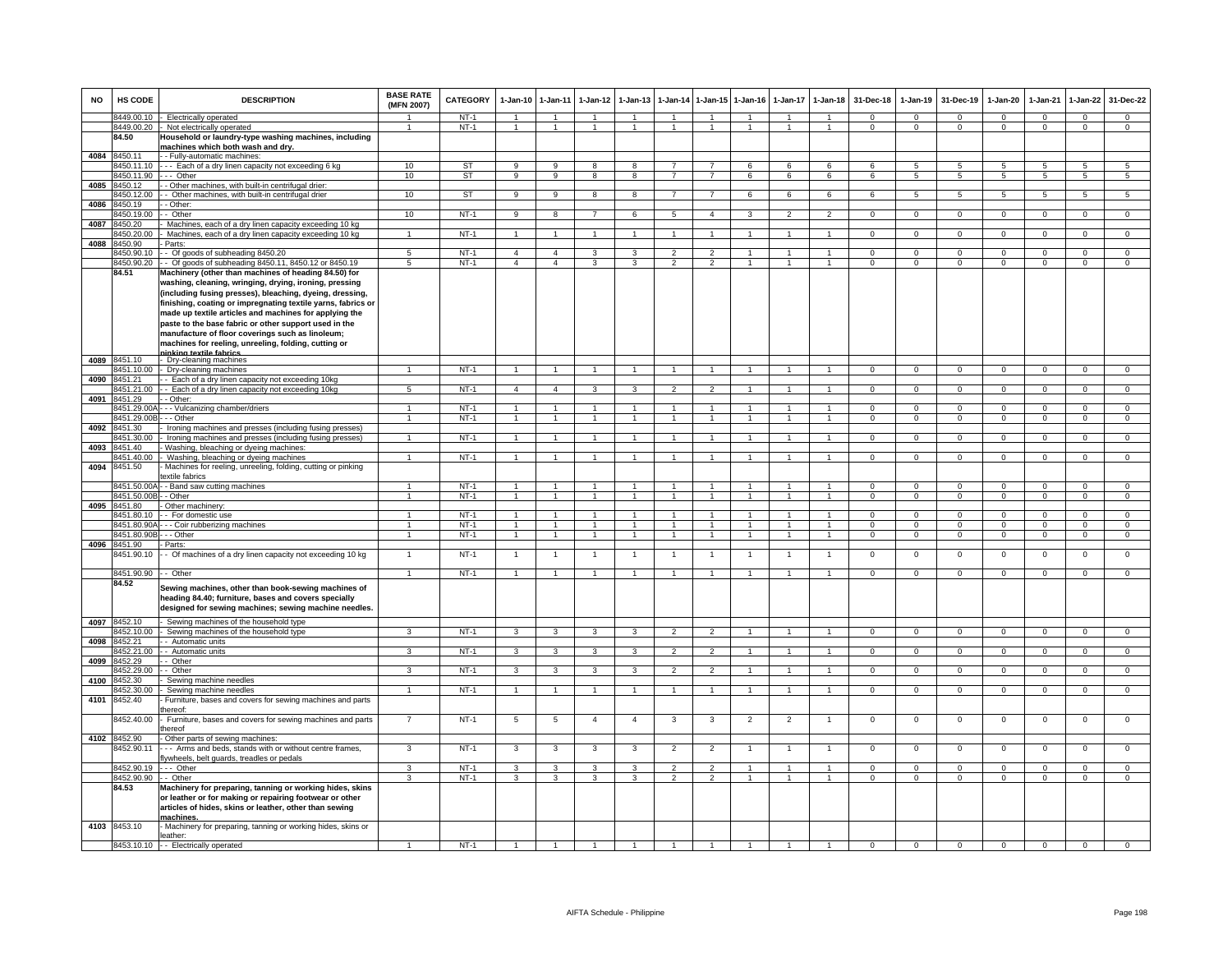| <b>NO</b> | HS CODE                  | <b>DESCRIPTION</b>                                                                                                                                                                                                                                                                                                                                            | <b>BASE RATE</b><br>(MFN 2007) | <b>CATEGORY</b>  | $1-Jan-10$<br>$\overline{1}$ | 1-Jan-11<br>$\overline{1}$ | $1-Jan-12$     | $1-Jan-13$                     | $1-Jan-14$                       | 1-Jan-15<br>$\overline{1}$ | $1-Jan-16$                       | $1-Jan-17$                     | $1-Jan-18$                       | 31-Dec-18                  | $1-Jan-19$                   | 31-Dec-19                | $1-Jan-20$                    | 1-Jan-21                | 1-Jan-22                 | 31-Dec-22                      |
|-----------|--------------------------|---------------------------------------------------------------------------------------------------------------------------------------------------------------------------------------------------------------------------------------------------------------------------------------------------------------------------------------------------------------|--------------------------------|------------------|------------------------------|----------------------------|----------------|--------------------------------|----------------------------------|----------------------------|----------------------------------|--------------------------------|----------------------------------|----------------------------|------------------------------|--------------------------|-------------------------------|-------------------------|--------------------------|--------------------------------|
|           | 8449.00.10<br>8449.00.20 | <b>Electrically operated</b><br>Not electrically operated                                                                                                                                                                                                                                                                                                     | $\overline{1}$                 | $NT-1$<br>$NT-1$ | $\overline{1}$               | $\overline{1}$             | $\overline{1}$ | $\mathbf{1}$<br>$\overline{1}$ | $\overline{1}$<br>$\overline{1}$ | $\sim$                     | $\overline{1}$<br>$\overline{1}$ | $\mathbf{1}$<br>$\overline{1}$ | $\overline{1}$<br>$\overline{1}$ | $\Omega$<br>$\overline{0}$ | $\mathbf{0}$<br>$\mathbf{0}$ | $\Omega$<br>$\mathbf{0}$ | $\Omega$<br>$\mathbf{0}$      | $\Omega$<br>$\mathbf 0$ | $\Omega$<br>$\mathbf{0}$ | $\mathbf{0}$<br>$\overline{0}$ |
|           | 84.50                    | Household or laundry-type washing machines, including<br>machines which both wash and dry.                                                                                                                                                                                                                                                                    |                                |                  |                              |                            |                |                                |                                  |                            |                                  |                                |                                  |                            |                              |                          |                               |                         |                          |                                |
| 4084      | 3450.11<br>3450.11.10    | - Fully-automatic machines:<br>-- Each of a dry linen capacity not exceeding 6 kg                                                                                                                                                                                                                                                                             | 10                             | ST               | 9                            | 9                          | 8              | 8                              | $\overline{7}$                   |                            | 6                                | 6                              | 6                                | 6                          | 5                            | 5                        | 5                             | 5                       | 5                        | $5\phantom{.0}$                |
|           | 8450.11.90               | -- Other                                                                                                                                                                                                                                                                                                                                                      | 10                             | ST               | 9                            | 9                          | 8              | 8                              | $\overline{7}$                   | $\overline{7}$             | 6                                | 6                              | 6                                | 6                          | $\sqrt{5}$                   | $\sqrt{5}$               | 5                             | $5\overline{5}$         | $\overline{5}$           | 5                              |
| 4085      | 3450.12                  | - Other machines, with built-in centrifugal drier.                                                                                                                                                                                                                                                                                                            |                                |                  |                              |                            |                |                                |                                  |                            |                                  |                                |                                  |                            |                              |                          |                               |                         |                          |                                |
|           | 3450.12.00               | - Other machines, with built-in centrifugal drier                                                                                                                                                                                                                                                                                                             | 10                             | <b>ST</b>        | $\overline{9}$               | 9                          | 8              | $\overline{8}$                 | $\overline{7}$                   | $\overline{7}$             | 6                                | $\overline{6}$                 | 6                                | 6                          | $\overline{5}$               | $\overline{5}$           | 5                             | $\overline{5}$          | 5                        | 5                              |
| 4086      | 450.19                   | - Other:                                                                                                                                                                                                                                                                                                                                                      |                                |                  |                              |                            |                |                                |                                  |                            |                                  |                                |                                  |                            |                              |                          |                               |                         |                          |                                |
|           | 8450.19.00               | - Other                                                                                                                                                                                                                                                                                                                                                       | 10                             | $NT-1$           | 9                            | 8                          | $\overline{7}$ | 6                              | 5                                | $\overline{4}$             | $\mathbf{3}$                     | $\overline{2}$                 | $\overline{2}$                   | $\mathbf{0}$               | $\overline{0}$               | $\mathbf 0$              | $\mathbf{0}$                  | $\mathbf 0$             | $\overline{0}$           | $\mathbf{0}$                   |
| 4087      | 8450.20<br>3450.20.00    | Machines, each of a dry linen capacity exceeding 10 kg<br>Machines, each of a dry linen capacity exceeding 10 kg                                                                                                                                                                                                                                              | -1                             | <b>NT-1</b>      | $\mathbf{1}$                 | $\overline{1}$             |                | $\mathbf{1}$                   | $\overline{1}$                   | $\mathbf{1}$               | $\overline{1}$                   | $\mathbf{1}$                   | $\overline{1}$                   | $\mathbf{0}$               | $\circ$                      | $\mathbf{0}$             | $\mathbf{0}$                  | $\mathbf{0}$            | $\mathbf{0}$             | $\mathbf{0}$                   |
| 4088      | 3450.90                  | Parts:                                                                                                                                                                                                                                                                                                                                                        |                                |                  |                              |                            |                |                                |                                  |                            |                                  |                                |                                  |                            |                              |                          |                               |                         |                          |                                |
|           | 450.90.10                | - Of goods of subheading 8450.20                                                                                                                                                                                                                                                                                                                              | 5                              | $NT-1$           | $\overline{4}$               | $\overline{4}$             | 3              | 3                              | $\overline{2}$                   | $\overline{2}$             | 1                                | 1                              | $\mathbf{1}$                     | $\mathbf{0}$               | $\mathbf 0$                  | $\mathbf 0$              | $^{\circ}$                    | $\mathbf{O}$            | $\mathbf{0}$             | $\overline{0}$                 |
|           | 3450.90.20               | - Of goods of subheading 8450.11, 8450.12 or 8450.19                                                                                                                                                                                                                                                                                                          | $\overline{5}$                 | $NT-1$           | $\overline{4}$               | $\overline{4}$             | 3              | 3                              | $\mathfrak{p}$                   | $\mathfrak{p}$             | 1                                |                                | $\mathbf{1}$                     | $\mathbf 0$                | $\mathbf 0$                  | $\mathbf 0$              | $\mathbf 0$                   | $\mathbf 0$             | $\overline{0}$           | $\overline{0}$                 |
|           | 84.51                    | Machinery (other than machines of heading 84.50) for<br>washing, cleaning, wringing, drying, ironing, pressing<br>(including fusing presses), bleaching, dyeing, dressing,<br>finishing, coating or impregnating textile yarns, fabrics or<br>made up textile articles and machines for applying the<br>paste to the base fabric or other support used in the |                                |                  |                              |                            |                |                                |                                  |                            |                                  |                                |                                  |                            |                              |                          |                               |                         |                          |                                |
|           |                          | manufacture of floor coverings such as linoleum;                                                                                                                                                                                                                                                                                                              |                                |                  |                              |                            |                |                                |                                  |                            |                                  |                                |                                  |                            |                              |                          |                               |                         |                          |                                |
|           |                          | machines for reeling, unreeling, folding, cutting or<br>inking textile fabrics                                                                                                                                                                                                                                                                                |                                |                  |                              |                            |                |                                |                                  |                            |                                  |                                |                                  |                            |                              |                          |                               |                         |                          |                                |
| 4089      | 8451.10                  | Dry-cleaning machines                                                                                                                                                                                                                                                                                                                                         |                                |                  |                              |                            |                |                                |                                  |                            |                                  |                                |                                  |                            |                              |                          |                               |                         |                          |                                |
| 4090      | 3451.10.00<br>3451.21    | Dry-cleaning machines<br>- Each of a dry linen capacity not exceeding 10kg                                                                                                                                                                                                                                                                                    | $\overline{1}$                 | $NT-1$           | $\overline{1}$               | $\overline{1}$             | $\overline{1}$ | $\overline{1}$                 | $\overline{1}$                   | $\overline{1}$             | $\overline{1}$                   | $\blacktriangleleft$           | $\overline{1}$                   | $\mathbf 0$                | $\mathbf 0$                  | $^{\circ}$               | $^{\circ}$                    | $\mathbf{0}$            | $\mathbf 0$              | $\mathbf{0}$                   |
|           | 3451.21.00               | - Each of a dry linen capacity not exceeding 10kg                                                                                                                                                                                                                                                                                                             | $\overline{5}$                 | <b>NT-1</b>      | $\mathbf{A}$                 | $\overline{4}$             | 3              | 3                              | $\overline{2}$                   | $\overline{2}$             | $\overline{1}$                   | $\overline{1}$                 | $\overline{1}$                   | $\mathbf{0}$               | $\mathbf 0$                  | $\mathbf 0$              | $\mathbf 0$                   | $\overline{0}$          | $\overline{0}$           | $\overline{0}$                 |
| 4091      | 3451.29                  | - Other                                                                                                                                                                                                                                                                                                                                                       |                                |                  |                              |                            |                |                                |                                  |                            |                                  |                                |                                  |                            |                              |                          |                               |                         |                          |                                |
|           | 8451.29.00               | - - Vulcanizing chamber/driers                                                                                                                                                                                                                                                                                                                                |                                | $NT-1$           |                              | $\blacktriangleleft$       |                |                                | $\overline{1}$                   | $\mathbf{1}$               |                                  |                                | $\mathbf{1}$                     | $\Omega$                   | $\Omega$                     | $\Omega$                 | $\Omega$                      | $\Omega$                | $\Omega$                 | $\overline{0}$                 |
|           | 8451.29.00E              | - - Other                                                                                                                                                                                                                                                                                                                                                     | $\overline{1}$                 | $NT-1$           | $\overline{1}$               | $\overline{1}$             | $\overline{1}$ | $\overline{1}$                 | $\overline{1}$                   | $\mathbf{1}$               | $\overline{1}$                   | $\overline{1}$                 | $\overline{1}$                   | $\overline{0}$             | $\mathbf{0}$                 | $\mathbf 0$              | $\mathbf{0}$                  | $\mathbf{0}$            | $\mathbf{0}$             | $\overline{0}$                 |
| 4092      | 8451.30<br>3451.30.00    | Ironing machines and presses (including fusing presses)                                                                                                                                                                                                                                                                                                       | $\overline{1}$                 | $NT-1$           | $\mathbf{1}$                 | $\overline{1}$             |                | $\mathbf{1}$                   | $\overline{1}$                   | $\mathbf{1}$               | $\mathbf{1}$                     | 1                              | $\mathbf{1}$                     | $\mathbf{0}$               | $\mathbf 0$                  | $\mathbf 0$              | $\mathbf{0}$                  | $\mathbf{0}$            | $\mathbf{0}$             | $\overline{0}$                 |
| 4093      | 451.40                   | Ironing machines and presses (including fusing presses)<br>Washing, bleaching or dyeing machines:                                                                                                                                                                                                                                                             |                                |                  |                              |                            |                |                                |                                  |                            |                                  |                                |                                  |                            |                              |                          |                               |                         |                          |                                |
|           | 451.40.00                | Washing, bleaching or dyeing machines                                                                                                                                                                                                                                                                                                                         | $\mathbf{1}$                   | $NT-1$           | $\overline{1}$               | $\overline{1}$             |                | $\mathbf{1}$                   | $\mathbf{1}$                     | $\mathbf{1}$               | $\mathbf{1}$                     |                                | $\mathbf{1}$                     | $\overline{0}$             | $\overline{0}$               | $\overline{0}$           | $\mathbf 0$                   | $\overline{0}$          | $\overline{0}$           | $\overline{0}$                 |
| 4094      | 8451.50                  | Machines for reeling, unreeling, folding, cutting or pinking                                                                                                                                                                                                                                                                                                  |                                |                  |                              |                            |                |                                |                                  |                            |                                  |                                |                                  |                            |                              |                          |                               |                         |                          |                                |
|           |                          | extile fabrics                                                                                                                                                                                                                                                                                                                                                |                                | $NT-1$           | $\overline{1}$               | $\overline{1}$             |                | $\mathbf{1}$                   | $\overline{1}$                   | $\overline{1}$             | $\overline{1}$                   | $\mathbf{1}$                   | $\overline{1}$                   | $\Omega$                   | $\Omega$                     | $\Omega$                 |                               | $\Omega$                | $\Omega$                 | $\overline{0}$                 |
|           | 8451.50.00<br>8451.50.00 | - Band saw cutting machines<br>- Other                                                                                                                                                                                                                                                                                                                        | 1<br>$\mathbf{1}$              | $NT-1$           |                              | $\overline{1}$             |                | $\overline{1}$                 | $\overline{1}$                   | $\mathbf{1}$               | $\overline{1}$                   | $\mathbf{1}$                   | $\overline{1}$                   | $\overline{0}$             | $\overline{0}$               | $\overline{0}$           | $\mathbf 0$<br>$\overline{0}$ | $\overline{0}$          | $\overline{0}$           | $\overline{0}$                 |
| 4095      | 845180                   | Other machinery:                                                                                                                                                                                                                                                                                                                                              |                                |                  |                              |                            |                |                                |                                  |                            |                                  |                                |                                  |                            |                              |                          |                               |                         |                          |                                |
|           | 8451.80.10               | - For domestic use                                                                                                                                                                                                                                                                                                                                            | $\blacktriangleleft$           | $NT-1$           |                              | $\blacktriangleleft$       |                |                                | $\overline{1}$                   | 1                          |                                  |                                | $\mathbf{1}$                     | $\Omega$                   | $\mathbf 0$                  | $\Omega$                 | $\mathsf 0$                   | $\Omega$                | $\Omega$                 | $\Omega$                       |
|           | 8451.80.90/              | - - Coir rubberizing machines                                                                                                                                                                                                                                                                                                                                 | $\overline{1}$                 | <b>NT-1</b>      | $\overline{1}$               | $\overline{1}$             |                | $\mathbf{1}$                   | $\mathbf{1}$                     | $\mathbf{1}$               | 1                                | $\mathbf{1}$                   | $\mathbf{1}$                     | $\Omega$                   | $\mathbf 0$                  | $\Omega$                 | $\mathbf{0}$                  | $\Omega$                | $\mathbf 0$              | $\overline{0}$                 |
| 4096      | 3451.80.90E<br>8451.90   | - - Other<br>Parts:                                                                                                                                                                                                                                                                                                                                           | $\mathbf{1}$                   | $NT-1$           | 1                            | $\mathbf{1}$               | $\mathbf{1}$   | $\mathbf{1}$                   | $\overline{1}$                   | 1                          | $\mathbf{1}$                     | $\overline{1}$                 | $\overline{1}$                   | $\overline{0}$             | $\mathbf{0}$                 | $\mathbf{0}$             | $\mathbf{0}$                  | $\mathbf{0}$            | $\mathsf 0$              | $\overline{0}$                 |
|           | 3451.90.10               | - Of machines of a dry linen capacity not exceeding 10 kg                                                                                                                                                                                                                                                                                                     |                                | $NT-1$           | $\mathbf{1}$                 | $\overline{1}$             |                | 1                              | $\mathbf{1}$                     | $\overline{1}$             | 1                                | 1                              | $\overline{1}$                   | $\mathbf 0$                | $\mathbf 0$                  | $\mathbf 0$              | $\mathsf 0$                   | $\mathbf 0$             | $\mathsf 0$              | $\overline{0}$                 |
|           |                          |                                                                                                                                                                                                                                                                                                                                                               |                                |                  |                              |                            |                |                                |                                  |                            |                                  |                                |                                  |                            |                              |                          |                               |                         |                          |                                |
|           | 8451.90.90               | - Other                                                                                                                                                                                                                                                                                                                                                       | $\overline{1}$                 | <b>NT-1</b>      | $\overline{1}$               | $\overline{1}$             | $\mathbf{1}$   | $\overline{1}$                 | $\overline{1}$                   | $\overline{1}$             | $\overline{1}$                   | $\overline{1}$                 | $\overline{1}$                   | $\mathbf{0}$               | $\mathbf 0$                  | $\Omega$                 | $\mathbf 0$                   | $\mathbf{0}$            | $\mathbf 0$              | $\overline{0}$                 |
|           | 84.52                    | Sewing machines, other than book-sewing machines of<br>heading 84.40; furniture, bases and covers specially<br>designed for sewing machines; sewing machine needles.                                                                                                                                                                                          |                                |                  |                              |                            |                |                                |                                  |                            |                                  |                                |                                  |                            |                              |                          |                               |                         |                          |                                |
|           | 4097 8452.10             | Sewing machines of the household type                                                                                                                                                                                                                                                                                                                         |                                | $NT-1$           |                              |                            | 3              |                                |                                  |                            | $\mathbf{1}$                     | $\mathbf{1}$                   | $\overline{1}$                   | $\overline{0}$             |                              | $^{\circ}$               |                               | $\mathbf{0}$            | $\mathbf{0}$             |                                |
| 4098      | 8452.10.00<br>8452.21    | Sewing machines of the household type<br>- Automatic units                                                                                                                                                                                                                                                                                                    | 3                              |                  | $\mathbf{3}$                 | $\mathbf{3}$               |                | 3                              | $\overline{2}$                   | $\overline{2}$             |                                  |                                |                                  |                            | $\overline{0}$               |                          | $\mathbf{0}$                  |                         |                          | $\overline{0}$                 |
|           | 452.21.00                | - Automatic units                                                                                                                                                                                                                                                                                                                                             | 3                              | $NT-1$           | 3                            | 3                          | 3              | 3                              | $\overline{2}$                   | $\overline{2}$             | $\mathbf{1}$                     | $\mathbf{1}$                   | $\overline{1}$                   | $\mathbf{0}$               | $\mathbf 0$                  | $\mathbf{0}$             | $\mathbf{0}$                  | $\mathbf{0}$            | $\mathbf{0}$             | $\mathbf{O}$                   |
| 4099      | 3452.29                  | Other                                                                                                                                                                                                                                                                                                                                                         |                                |                  |                              |                            |                |                                |                                  |                            |                                  |                                |                                  |                            |                              |                          |                               |                         |                          |                                |
|           | 3452.29.00               | Other                                                                                                                                                                                                                                                                                                                                                         | 3                              | $NT-1$           | 3                            | 3                          | 3              | 3                              | $\overline{2}$                   | $\overline{2}$             | $\mathbf{1}$                     | $\mathbf{1}$                   | $\overline{1}$                   | $\mathbf 0$                | $\mathbf 0$                  | $\mathbf 0$              | $\mathbf 0$                   | $\mathbf 0$             | $\mathbf 0$              | $\mathbf{O}$                   |
| 4100      | 8452.30<br>3452.30.00    | Sewing machine needles<br>Sewing machine needles                                                                                                                                                                                                                                                                                                              | $\blacktriangleleft$           | $NT-1$           |                              | $\blacktriangleleft$       |                | $\mathbf{1}$                   | $\overline{1}$                   | $\mathbf{1}$               | $\blacktriangleleft$             |                                | $\overline{1}$                   | $\Omega$                   | $\overline{0}$               | $\Omega$                 | $\Omega$                      | $\overline{0}$          | $\overline{0}$           | $\overline{0}$                 |
| 4101      | 3452.40                  | Furniture, bases and covers for sewing machines and parts                                                                                                                                                                                                                                                                                                     |                                |                  |                              |                            |                |                                |                                  |                            |                                  |                                |                                  |                            |                              |                          |                               |                         |                          |                                |
|           |                          | hereof:                                                                                                                                                                                                                                                                                                                                                       |                                |                  |                              |                            |                |                                |                                  |                            |                                  |                                |                                  |                            |                              |                          |                               |                         |                          |                                |
|           | 8452.40.00               | Furniture, bases and covers for sewing machines and parts<br>hereof                                                                                                                                                                                                                                                                                           |                                | $NT-1$           | 5                            | 5                          | $\overline{4}$ | $\overline{4}$                 | 3                                | 3                          | $\overline{2}$                   | $\overline{2}$                 |                                  | $\mathbf 0$                | $\mathsf 0$                  | $\mathbf 0$              | $\mathsf 0$                   | $\mathbf 0$             | $\mathbf 0$              | $\mathbf{O}$                   |
| 4102      | 8452.90<br>3452.90.11    | Other parts of sewing machines:<br>- - Arms and beds, stands with or without centre frames,                                                                                                                                                                                                                                                                   | 3                              | $NT-1$           | 3                            | 3                          | 3              | 3                              | $\overline{2}$                   | $\overline{2}$             | 1                                | 1                              | $\mathbf{1}$                     | $\Omega$                   | $\overline{0}$               | $\mathbf 0$              | $\overline{0}$                | $\overline{0}$          | $\overline{0}$           | $\overline{0}$                 |
|           |                          | lywheels, belt guards, treadles or pedals                                                                                                                                                                                                                                                                                                                     |                                |                  |                              |                            |                |                                |                                  |                            |                                  |                                |                                  |                            |                              |                          |                               |                         |                          |                                |
|           | 8452.90.19               | -- Other                                                                                                                                                                                                                                                                                                                                                      | 3                              | $NT-1$           | 3                            | 3                          | 3              | 3                              | $\overline{2}$                   | $\overline{2}$             | $\overline{1}$                   | $\mathbf{1}$                   | $\mathbf{1}$                     | $\mathbf 0$                | $\mathsf 0$                  | $^{\circ}$               | $^{\circ}$                    | $\mathbf 0$             | $\mathbf 0$              | 0                              |
|           | 8452.90.90               | - Other                                                                                                                                                                                                                                                                                                                                                       | 3                              | $NT-1$           | $\mathcal{R}$                | 3                          | $\mathbf{3}$   | $\mathbf{3}$                   | 2                                | $\overline{2}$             | $\overline{1}$                   |                                | $\overline{1}$                   | $\Omega$                   | $\Omega$                     | $\Omega$                 | $\Omega$                      | $\Omega$                | $\mathbf 0$              | $\overline{0}$                 |
|           | 84.53                    | Machinery for preparing, tanning or working hides, skins<br>or leather or for making or repairing footwear or other<br>articles of hides, skins or leather, other than sewing<br>machines                                                                                                                                                                     |                                |                  |                              |                            |                |                                |                                  |                            |                                  |                                |                                  |                            |                              |                          |                               |                         |                          |                                |
|           | 4103 8453.10             | Machinery for preparing, tanning or working hides, skins or<br>eather:                                                                                                                                                                                                                                                                                        |                                |                  |                              |                            |                |                                |                                  |                            |                                  |                                |                                  |                            |                              |                          |                               |                         |                          |                                |
|           |                          | 8453.10.10 - Electrically operated                                                                                                                                                                                                                                                                                                                            |                                | $NT-1$           |                              |                            |                | -1                             | $\mathbf{1}$                     |                            | 1                                |                                |                                  | $\overline{0}$             | $\overline{0}$               | $\mathbf 0$              | $\overline{0}$                | $\overline{0}$          | $\overline{0}$           | $\overline{0}$                 |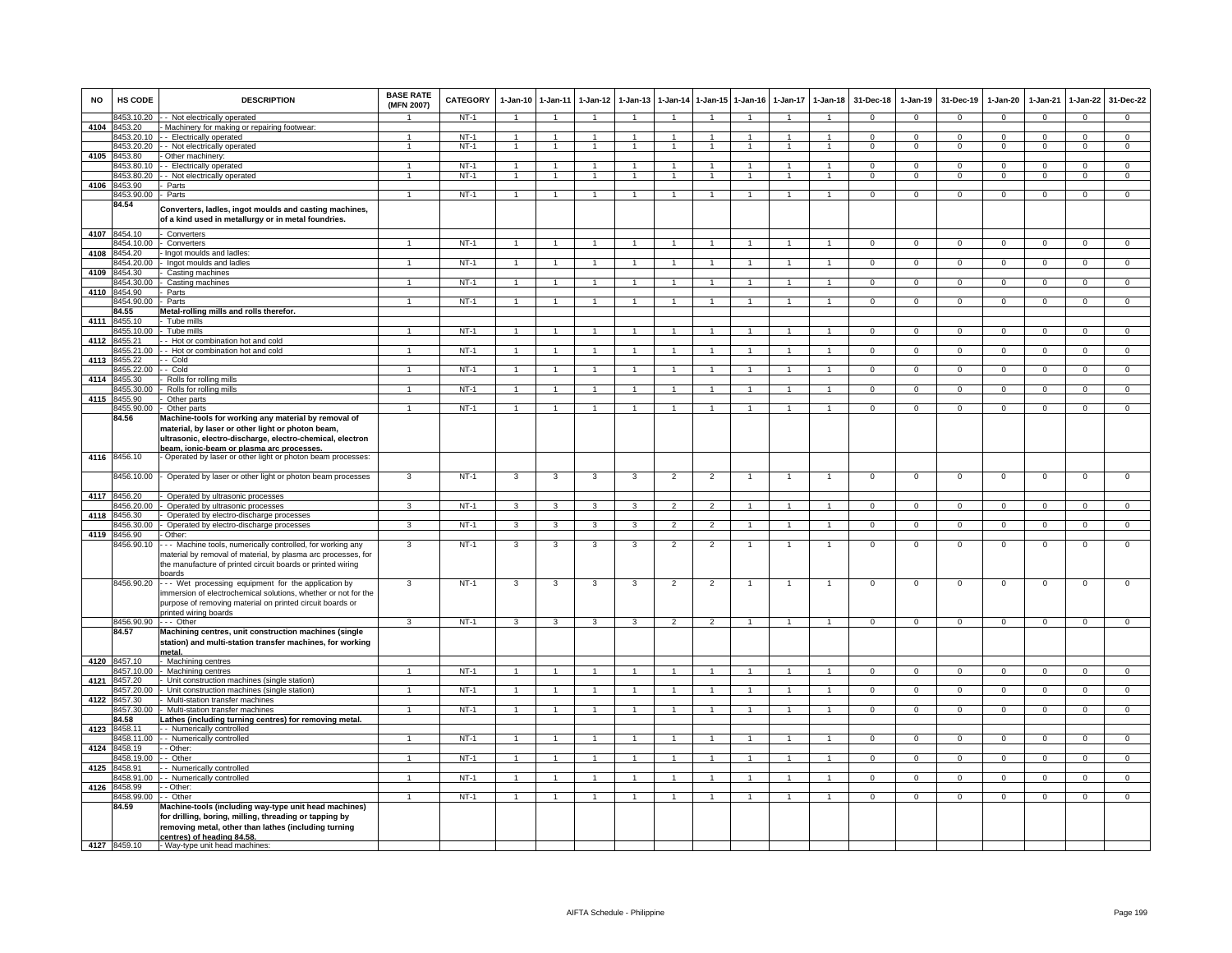| <b>NO</b>    | HS CODE                  | <b>DESCRIPTION</b>                                                                                                                                                                                          | <b>BASE RATE</b><br>(MFN 2007) | CATEGORY         | $1-Jan-10$                     | $1 - Jan-11$                   | $1-Jan-12$           | $1-Jan-13$     |                                |                                | 1-Jan-14 1-Jan-15 1-Jan-16 | 1-Jan-17     | $1-Jan-18$                   | 31-Dec-18                | $1-Jan-19$              | 31-Dec-19      | $1-Jan-20$     | $1-Jan-21$              | $1-Jan-22$                   | 31-Dec-22                        |
|--------------|--------------------------|-------------------------------------------------------------------------------------------------------------------------------------------------------------------------------------------------------------|--------------------------------|------------------|--------------------------------|--------------------------------|----------------------|----------------|--------------------------------|--------------------------------|----------------------------|--------------|------------------------------|--------------------------|-------------------------|----------------|----------------|-------------------------|------------------------------|----------------------------------|
|              | 8453.10.20               | - - Not electrically operated                                                                                                                                                                               |                                | NT-1             | $\overline{1}$                 | $\overline{1}$                 | $\mathbf{1}$         |                | $\overline{1}$                 |                                |                            |              | $\blacktriangleleft$         | $\mathbf{0}$             | $\mathbf{0}$            | $^{\circ}$     | $\mathbf{0}$   | $^{\circ}$              | $^{\circ}$                   | $\mathbf 0$                      |
| 4104         | 8453.20                  | - Machinery for making or repairing footwear:                                                                                                                                                               |                                |                  |                                |                                |                      |                |                                |                                |                            |              |                              |                          |                         |                |                |                         |                              |                                  |
|              | 8453.20.10<br>8453.20.20 | - - Electrically operated<br>- Not electrically operated                                                                                                                                                    | $\mathbf{1}$<br>1              | $NT-1$<br>$NT-1$ | $\mathbf{1}$<br>$\overline{1}$ | $\overline{1}$<br>$\mathbf{1}$ | -1<br>1              | 1              | $\overline{1}$<br>$\mathbf{1}$ | $\mathbf{1}$<br>$\overline{1}$ | -1<br>$\mathbf{1}$         | $\mathbf{1}$ | $\mathbf{1}$<br>$\mathbf{1}$ | $\Omega$<br>$\mathbf{0}$ | $\Omega$<br>$\mathbf 0$ | $^{\circ}$     | $\mathbf{0}$   | $\Omega$<br>$\mathbf 0$ | $^{\circ}$<br>$\overline{0}$ | $\overline{0}$<br>$\overline{0}$ |
| 4105         | 453.80                   | Other machinery:                                                                                                                                                                                            |                                |                  |                                |                                |                      |                |                                |                                |                            |              |                              |                          |                         | $\mathbf{0}$   | $\mathbf{0}$   |                         |                              |                                  |
|              | 8453.80.10               | - Electrically operated                                                                                                                                                                                     | $\mathbf{1}$                   | $NT-1$           | $\overline{1}$                 | $\overline{1}$                 | $\mathbf{1}$         |                | $\mathbf{1}$                   |                                |                            |              | $\mathbf{1}$                 | $^{\circ}$               | $^{\circ}$              | $\mathbf 0$    | 0              | $\mathbf 0$             | $\mathsf 0$                  | $\mathbf 0$                      |
|              | 8453.80.20               | - Not electrically operated                                                                                                                                                                                 | $\blacktriangleleft$           | $NT-1$           | $\overline{1}$                 | $\overline{1}$                 | $\overline{1}$       | $\overline{1}$ | $\overline{1}$                 | $\overline{1}$                 | $\mathbf{1}$               | $\mathbf{1}$ | $\mathbf{1}$                 | $\Omega$                 | $\mathbf 0$             | $\mathbf 0$    | $\mathbf{0}$   | $\Omega$                | $\mathsf 0$                  | $\overline{0}$                   |
| 4106         | 8453.90                  | Parts                                                                                                                                                                                                       |                                |                  |                                |                                |                      |                |                                |                                |                            |              |                              |                          |                         |                |                |                         |                              |                                  |
|              | 8453.90.00               | - Parts                                                                                                                                                                                                     | $\mathbf{1}$                   | $NT-1$           |                                | $\overline{1}$                 | $\mathbf{1}$         |                |                                | $\mathbf{1}$                   |                            |              | $\overline{1}$               | $\overline{0}$           | $\overline{0}$          | $\overline{0}$ | $\overline{0}$ | $\Omega$                | $\overline{0}$               | $\overline{0}$                   |
|              | 84.54                    | Converters, ladles, ingot moulds and casting machines,<br>of a kind used in metallurgy or in metal foundries.                                                                                               |                                |                  |                                |                                |                      |                |                                |                                |                            |              |                              |                          |                         |                |                |                         |                              |                                  |
|              | 4107 8454.10             | Converters                                                                                                                                                                                                  |                                |                  |                                |                                |                      |                |                                |                                |                            |              |                              |                          |                         |                |                |                         |                              |                                  |
|              | 8454.10.00               | Converters                                                                                                                                                                                                  | 1                              | $NT-1$           | $\mathbf{1}$                   | $\mathbf{1}$                   | $\mathbf{1}$         | $\mathbf{1}$   | $\mathbf{1}$                   | $\overline{1}$                 | $\mathbf{1}$               | $\mathbf{1}$ | $\overline{1}$               | $\overline{0}$           | $\overline{0}$          | $\overline{0}$ | $\overline{0}$ | $\overline{0}$          | $\overline{0}$               | $\overline{0}$                   |
| 4108         | 454.20                   | Ingot moulds and ladles:                                                                                                                                                                                    |                                |                  |                                |                                |                      |                |                                |                                |                            |              |                              |                          |                         |                |                |                         |                              |                                  |
|              | 454.20.00                | Ingot moulds and ladles                                                                                                                                                                                     |                                | $NT-1$           | $\mathbf{1}$                   | $\mathbf{1}$                   |                      |                |                                |                                |                            |              | $\mathbf{1}$                 | $\mathbf{O}$             | $\mathbf 0$             | $\mathbf{0}$   | $\mathbf 0$    | $\mathbf 0$             | $\mathbf 0$                  | $\mathbf 0$                      |
| 4109         | 8454.30<br>8454.30.00    | Casting machines<br>Casting machines                                                                                                                                                                        | $\mathbf{1}$                   | NT-1             | $\overline{1}$                 | $\overline{1}$                 | $\mathbf{1}$         |                | $\overline{1}$                 | $\mathbf{1}$                   |                            |              | $\blacktriangleleft$         | $\mathbf{0}$             | $\mathsf 0$             | $\mathsf 0$    | $\mathbf 0$    | $\mathbf 0$             | $\mathsf 0$                  | $\overline{0}$                   |
| 4110         | 8454 90                  | Parts                                                                                                                                                                                                       |                                |                  |                                |                                |                      |                |                                |                                |                            |              |                              |                          |                         |                |                |                         |                              |                                  |
|              | 3454.90.00               | Parts                                                                                                                                                                                                       |                                | NT-1             |                                |                                |                      |                |                                |                                |                            |              |                              | $\Omega$                 | $\Omega$                | $\Omega$       | $\Omega$       | $\Omega$                | $\Omega$                     | $\Omega$                         |
|              | 84.55                    | Metal-rolling mills and rolls therefor                                                                                                                                                                      |                                |                  |                                |                                |                      |                |                                |                                |                            |              |                              |                          |                         |                |                |                         |                              |                                  |
| 4111         | 8455.10                  | Tube mills                                                                                                                                                                                                  |                                |                  |                                |                                |                      |                |                                |                                |                            |              |                              |                          |                         |                |                |                         |                              |                                  |
| 4112         | 8455.10.00<br>8455.21    | Tube mills                                                                                                                                                                                                  | $\mathbf{1}$                   | $NT-1$           | $\mathbf{1}$                   | $\overline{1}$                 |                      |                |                                |                                |                            |              | 1                            | $^{\circ}$               | $\mathbf{0}$            | $\mathbf 0$    | $\mathbf{0}$   | $^{\circ}$              | $\mathbf{0}$                 | $\overline{0}$                   |
|              | 455.21.00                | - Hot or combination hot and cold<br>- Hot or combination hot and cold                                                                                                                                      | $\mathbf{1}$                   | $NT-1$           | 1                              | $\mathbf{1}$                   |                      |                | 1                              | $\mathbf{1}$                   |                            |              | $\mathbf{1}$                 | $\mathbf{0}$             | $\mathbf{0}$            | $\mathbf{0}$   | $\mathbf 0$    | $\mathbf 0$             | $\mathbf 0$                  | $\overline{0}$                   |
| 4113         | 455.22                   | Cold                                                                                                                                                                                                        |                                |                  |                                |                                |                      |                |                                |                                |                            |              |                              |                          |                         |                |                |                         |                              |                                  |
|              | 455.22.00                | - Cold                                                                                                                                                                                                      | $\overline{1}$                 | NT-1             | $\overline{1}$                 | $\overline{1}$                 | $\blacktriangleleft$ |                |                                |                                |                            |              | $\blacktriangleleft$         | $^{\circ}$               | $\mathbf 0$             | $\mathbf 0$    | $\mathbf{0}$   | $\mathbf 0$             | $\mathsf 0$                  | $\mathbf 0$                      |
| 4114         | 8455.30                  | Rolls for rolling mills                                                                                                                                                                                     |                                |                  |                                |                                |                      |                |                                |                                |                            |              |                              |                          |                         |                |                |                         |                              |                                  |
|              | 3455.30.00               | Rolls for rolling mills                                                                                                                                                                                     | $\blacktriangleleft$           | $NT-1$           | $\overline{1}$                 | $\overline{1}$                 | $\overline{1}$       | $\overline{1}$ | $\overline{1}$                 | $\overline{1}$                 |                            |              | $\overline{1}$               | $\mathbf{0}$             | $\overline{0}$          | $\mathsf 0$    | $\mathbf{0}$   | $\mathbf 0$             | $\mathsf 0$                  | $\overline{0}$                   |
| 4115         | 3455.90<br>8455.90.00    | Other parts<br>Other parts                                                                                                                                                                                  | $\mathbf{1}$                   | $NT-1$           |                                | $\mathbf{1}$                   |                      |                |                                | $\blacktriangleleft$           |                            |              | $\blacktriangleleft$         | $\Omega$                 | $\Omega$                | $\Omega$       | $\Omega$       | $\Omega$                | $\overline{0}$               | $\overline{0}$                   |
|              | 84.56                    | Machine-tools for working any material by removal of                                                                                                                                                        |                                |                  |                                |                                |                      |                |                                |                                |                            |              |                              |                          |                         |                |                |                         |                              |                                  |
|              |                          | material, by laser or other light or photon beam,<br>ultrasonic, electro-discharge, electro-chemical, electron                                                                                              |                                |                  |                                |                                |                      |                |                                |                                |                            |              |                              |                          |                         |                |                |                         |                              |                                  |
|              | 4116 8456.10             | beam. ionic-beam or plasma arc processes.<br>- Operated by laser or other light or photon beam processes:                                                                                                   |                                |                  |                                |                                |                      |                |                                |                                |                            |              |                              |                          |                         |                |                |                         |                              |                                  |
|              | 8456.10.00               | - Operated by laser or other light or photon beam processes                                                                                                                                                 | 3                              | $NT-1$           | 3                              | 3                              | 3                    | 3              | $\overline{2}$                 | $\overline{2}$                 |                            |              | 1                            | $\mathsf 0$              | $\mathbf 0$             | $\mathbf 0$    | $\mathbf 0$    | $\mathbf 0$             | $\mathsf 0$                  | $\mathbf 0$                      |
| 4117         | 8456.20<br>456.20.00     | Operated by ultrasonic processes<br>Operated by ultrasonic processes                                                                                                                                        | 3                              | NT-1             | $\mathcal{R}$                  | $\mathbf{R}$                   | 3                    |                | $\mathcal{P}$                  | $\mathcal{P}$                  |                            |              |                              | $\Omega$                 | $\Omega$                | $\Omega$       | $\Omega$       |                         | $\Omega$                     | $\Omega$                         |
| 4118         | 8456.30                  | Operated by electro-discharge processes                                                                                                                                                                     |                                |                  |                                |                                |                      |                |                                |                                |                            |              |                              |                          |                         |                |                |                         |                              |                                  |
|              | 3456.30.00               | Operated by electro-discharge processes                                                                                                                                                                     | 3                              | NT-1             | 3                              | 3                              | 3                    | $\mathbf{3}$   | $\overline{2}$                 | $\overline{2}$                 |                            |              | $\mathbf{1}$                 | $\Omega$                 | $\mathbf 0$             | $\mathbf 0$    | $\circ$        | $\Omega$                | $\mathbf{0}$                 | $\Omega$                         |
| 4119         | 8456.90                  | Other:                                                                                                                                                                                                      |                                |                  |                                |                                |                      |                |                                |                                |                            |              |                              |                          |                         |                |                |                         |                              |                                  |
|              | 8456.90.10               | - - Machine tools, numerically controlled, for working any<br>naterial by removal of material, by plasma arc processes, for<br>the manufacture of printed circuit boards or printed wiring<br>boards        | $\overline{3}$                 | $NT-1$           | 3                              | $\overline{\mathbf{3}}$        | 3                    | 3              | $\overline{2}$                 | $\overline{2}$                 | 1                          | -1           | -1.                          | $\overline{0}$           | $\Omega$                | $\mathbf 0$    | $\mathsf 0$    | $\Omega$                | $\overline{0}$               | $\overline{0}$                   |
|              | 8456.90.20               | --- Wet processing equipment for the application by<br>immersion of electrochemical solutions, whether or not for the<br>purpose of removing material on printed circuit boards or<br>printed wiring boards | 3                              | $NT-1$           | 3                              | 3                              | 3                    | 3              | $\overline{2}$                 | $\overline{2}$                 | $\mathbf{1}$               | -1           | $\mathbf{1}$                 | $\mathbf 0$              | $\mathbf 0$             | $\mathbf 0$    | $\mathbf 0$    | $\mathbf 0$             | 0                            | $\mathsf 0$                      |
|              | 8456.90.90 --- Other     |                                                                                                                                                                                                             | $\mathbf{3}$                   | <b>NT-1</b>      | $\mathbf{3}$                   | $\mathbf{3}$                   | 3                    | $\mathbf{3}$   | $\overline{2}$                 | $\overline{2}$                 | $\mathbf{1}$               | $\mathbf{1}$ | $\overline{1}$               | $\mathbf{0}$             | $\mathbf{0}$            | $\mathbf{0}$   | $\overline{0}$ | $\mathbf 0$             | $\mathbf{0}$                 | $\overline{0}$                   |
|              | 84.57                    | Machining centres, unit construction machines (single<br>station) and multi-station transfer machines, for working<br>metal.                                                                                |                                |                  |                                |                                |                      |                |                                |                                |                            |              |                              |                          |                         |                |                |                         |                              |                                  |
| 4120         | 8457.10                  | Machining centres                                                                                                                                                                                           |                                |                  |                                |                                |                      |                |                                |                                |                            |              |                              |                          |                         |                |                |                         |                              |                                  |
|              | 8457.10.00<br>8457.20    | Machining centres                                                                                                                                                                                           |                                | $NT-1$           |                                |                                |                      |                |                                |                                |                            |              |                              | $\mathsf 0$              | $\Omega$                | $\mathbf 0$    | $\Omega$       | $\Omega$                | $\Omega$                     | $\Omega$                         |
| 4121         | 8457.20.00               | Unit construction machines (single station)<br>Unit construction machines (single station)                                                                                                                  |                                | $NT-1$           |                                |                                |                      |                |                                |                                |                            |              |                              | $\Omega$                 | $\Omega$                | $\Omega$       | $\Omega$       | $\Omega$                | $\Omega$                     | $\overline{0}$                   |
| 4122         | 3457.30                  | Multi-station transfer machines                                                                                                                                                                             |                                |                  |                                |                                |                      |                |                                |                                |                            |              |                              |                          |                         |                |                |                         |                              |                                  |
|              | 8457.30.00               | Multi-station transfer machines                                                                                                                                                                             |                                | $NT-1$           |                                |                                |                      |                |                                |                                |                            |              |                              | $\Omega$                 | $\Omega$                | $\Omega$       | $\Omega$       |                         | $\Omega$                     | $\Omega$                         |
|              | 84.58                    | Lathes (including turning centres) for removing metal.                                                                                                                                                      |                                |                  |                                |                                |                      |                |                                |                                |                            |              |                              |                          |                         |                |                |                         |                              |                                  |
| 4123         | 8458.11                  | - Numerically controlled                                                                                                                                                                                    |                                |                  |                                |                                |                      |                |                                |                                |                            |              |                              |                          |                         |                |                |                         |                              |                                  |
|              | 3458.11.00               | - Numerically controlled                                                                                                                                                                                    | $\overline{1}$                 | <b>NT-1</b>      | $\overline{1}$                 | $\overline{1}$                 | 1                    | -1             | $\mathbf{1}$                   | 1                              | 1                          |              | 1                            | $^{\circ}$               | $\mathbf{0}$            | $\mathbf{0}$   | $\mathbf{0}$   | $^{\circ}$              | $\overline{0}$               | $\overline{0}$                   |
| 4124         | 458.19<br>458.19.00      | - Other:<br>- Other                                                                                                                                                                                         |                                | $NT-1$           |                                |                                |                      |                |                                |                                |                            |              |                              | $\Omega$                 | 0                       | $\mathbf 0$    | $\Omega$       | $\Omega$                | 0                            | $\mathbf 0$                      |
| 4125         | 3458.91                  | Numerically controlled                                                                                                                                                                                      |                                |                  |                                |                                |                      |                |                                |                                |                            |              |                              |                          |                         |                |                |                         |                              |                                  |
|              | 8458.91.00               | - Numerically controlled                                                                                                                                                                                    | $\blacktriangleleft$           | $NT-1$           | $\overline{1}$                 | $\overline{1}$                 | $\blacktriangleleft$ |                |                                | $\blacktriangleleft$           |                            |              | $\blacktriangleleft$         | $\,0\,$                  | $\,0\,$                 | $\mathbf 0$    | $\Omega$       | $\mathbf 0$             | $\mathsf 0$                  | $\overline{0}$                   |
| 4126         | 8458.99                  | - Other:                                                                                                                                                                                                    |                                |                  |                                |                                |                      |                |                                |                                |                            |              |                              |                          |                         |                |                |                         |                              |                                  |
|              | 3458.99.00<br>84.59      | - Other<br>Machine-tools (including way-type unit head machines)<br>for drilling, boring, milling, threading or tapping by<br>removing metal, other than lathes (including turning                          | 1                              | $NT-1$           |                                | $\overline{1}$                 |                      |                |                                | $\mathbf{1}$                   |                            |              |                              | $\overline{0}$           | $\overline{0}$          | $\overline{0}$ | $\overline{0}$ | $\overline{0}$          | $\overline{0}$               | $\overline{0}$                   |
| 4127 8459.10 |                          | centres) of heading 84.58.<br>- Way-type unit head machines:                                                                                                                                                |                                |                  |                                |                                |                      |                |                                |                                |                            |              |                              |                          |                         |                |                |                         |                              |                                  |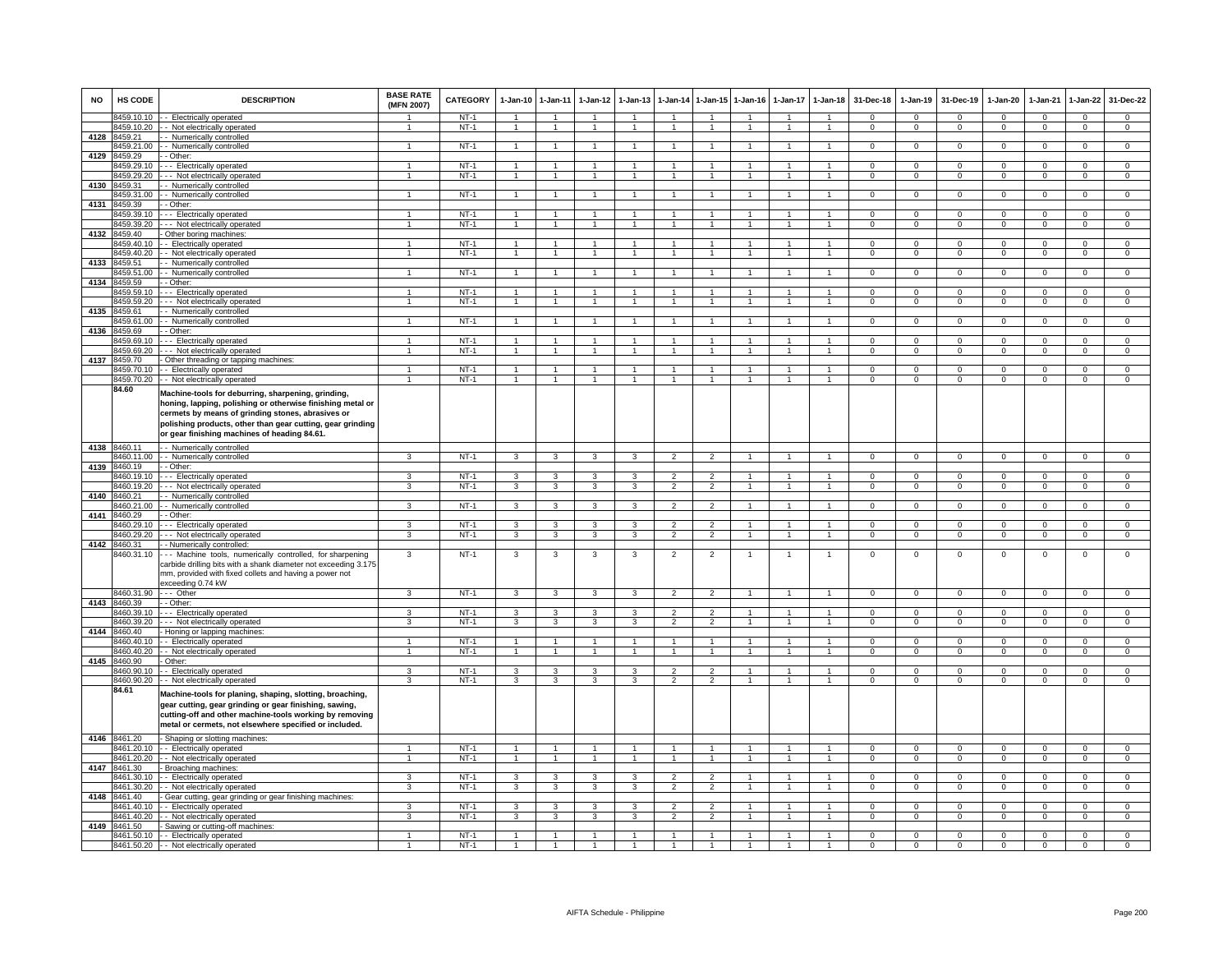| <b>NO</b>    | <b>HS CODE</b>             | <b>DESCRIPTION</b>                                                                                                                                                                                                                                                                  | <b>BASE RATE</b><br>(MFN 2007) | <b>CATEGORY</b>  | 1-Jan-10       | $1-Jan-11$           | $1-Jan-12$     | $1-Jan-13$        |                                            |                                 | 1-Jan-14 1-Jan-15 1-Jan-16 | $1-Jan-17$        | $1-Jan-18$           | 31-Dec-18              | $1-Jan-19$                    | 31-Dec-19              | 1-Jan-20             | $1-Jan-21$              | $1-Jan-22$                    | 31-Dec-22                     |
|--------------|----------------------------|-------------------------------------------------------------------------------------------------------------------------------------------------------------------------------------------------------------------------------------------------------------------------------------|--------------------------------|------------------|----------------|----------------------|----------------|-------------------|--------------------------------------------|---------------------------------|----------------------------|-------------------|----------------------|------------------------|-------------------------------|------------------------|----------------------|-------------------------|-------------------------------|-------------------------------|
|              | 3459.10.10                 | - Electrically operated                                                                                                                                                                                                                                                             |                                | $NT-1$           | $\overline{1}$ | $\overline{1}$       |                | $\overline{1}$    | $\overline{1}$                             | $\overline{1}$                  | $\overline{1}$             | $\overline{1}$    | $\mathbf{1}$         | $\mathbf{0}$           | $\mathbf 0$                   | $\Omega$               | $\mathbf 0$          | $\mathbf 0$             | $\mathbf 0$                   | $\mathbf{0}$                  |
| 4128         | 3459.10.20<br>3459.21      | - Not electrically operated<br>- Numerically controlled                                                                                                                                                                                                                             | $\overline{1}$                 | $NT-1$           | $\mathbf{1}$   | $\blacktriangleleft$ | $\mathbf{1}$   | $\overline{1}$    | $\overline{1}$                             | $\sim$                          | $\overline{1}$             | $\mathbf{1}$      | $\mathbf{1}$         | $\Omega$               | $\mathbf{O}$                  | $\mathbf 0$            | $\overline{0}$       | $\mathbf 0$             | $\mathbf{0}$                  | $\overline{0}$                |
|              | 459.21.00                  | - Numerically controlled                                                                                                                                                                                                                                                            | -1                             | $NT-1$           | $\mathbf{1}$   | $\overline{1}$       |                | $\mathbf{1}$      | $\mathbf{1}$                               | $\mathbf{1}$                    | $\overline{1}$             | $\mathbf{1}$      | $\overline{1}$       | $\Omega$               | $\overline{0}$                | $\mathbf 0$            | $\mathbf{0}$         | $\overline{0}$          | $\overline{0}$                | $\overline{0}$                |
| 4129         | 459.29                     | - Other:                                                                                                                                                                                                                                                                            |                                |                  |                |                      |                |                   |                                            |                                 |                            |                   |                      |                        |                               |                        |                      |                         |                               |                               |
|              | 3459.29.10                 | - - Electrically operated                                                                                                                                                                                                                                                           | $\mathbf{1}$                   | $NT-1$           |                |                      |                | $\mathbf{1}$      | $\overline{1}$                             | $\blacktriangleleft$            | $\mathbf{1}$               |                   |                      | $\mathbf 0$            | $\mathbf 0$                   | $^{\circ}$             | $\mathbf 0$          | $\mathbf 0$             | $\mathsf 0$                   | $\mathbf 0$                   |
|              | 3459.29.20                 | - - Not electrically operated                                                                                                                                                                                                                                                       | $\blacktriangleleft$           | $NT-1$           |                | $\overline{1}$       |                | $\overline{1}$    | $\overline{1}$                             | $\overline{1}$                  | $\overline{1}$             | $\mathbf{1}$      | $\mathbf{1}$         | $\mathbf{0}$           | $\Omega$                      | $^{\circ}$             | $\mathbf 0$          | $\Omega$                | $\mathbf 0$                   | $\overline{0}$                |
| 4130         | 459.31                     | - Numerically controlled                                                                                                                                                                                                                                                            |                                |                  |                |                      |                |                   |                                            | $\blacktriangleleft$            |                            |                   |                      |                        |                               |                        | $\Omega$             |                         |                               |                               |
| 4131         | 3459.31.00<br>459.39       | - Numerically controlled<br>- Other:                                                                                                                                                                                                                                                |                                | $NT-1$           |                |                      |                |                   |                                            |                                 |                            |                   |                      | $\mathbf 0$            | $\mathbf 0$                   | $\Omega$               |                      | $\mathbf 0$             | $\mathbf 0$                   | $\mathbf 0$                   |
|              | 3459.39.10                 | -- Electrically operated                                                                                                                                                                                                                                                            | 1                              | $NT-1$           |                | $\overline{1}$       |                | 1                 | $\mathbf{1}$                               | $\mathbf{1}$                    |                            |                   | $\mathbf{1}$         | $\Omega$               | $\mathbf 0$                   | $\Omega$               | $\mathbf 0$          | $\Omega$                | $\mathbf 0$                   | $\mathbf 0$                   |
|              | 3459.39.20                 | - - Not electrically operated                                                                                                                                                                                                                                                       | $\overline{1}$                 | $NT-1$           | $\mathbf{1}$   | $\overline{1}$       |                | $\mathbf{1}$      | $\overline{1}$                             | $\mathbf{1}$                    | $\overline{1}$             | $\mathbf{1}$      | $\mathbf{1}$         | $\overline{0}$         | $\mathbf{0}$                  | $\mathbf{0}$           | $\overline{0}$       | $\mathbf 0$             | $\overline{0}$                | $\overline{0}$                |
| 4132         | 459 40                     | Other boring machines:                                                                                                                                                                                                                                                              |                                |                  |                |                      |                |                   |                                            |                                 |                            |                   |                      |                        |                               |                        |                      |                         |                               |                               |
|              | 459.40.10                  | - Electrically operated                                                                                                                                                                                                                                                             | 1                              | $NT-1$           | $\mathbf{1}$   | $\mathbf{1}$         |                |                   | 1                                          | $\mathbf{1}$                    | $\mathbf{1}$               | 1                 | $\mathbf{1}$         | $\mathbf{0}$           | $\mathbf 0$                   | $\mathbf 0$            | $\mathbf 0$          | $\mathbf 0$             | $\mathbf{0}$                  | $\overline{0}$                |
|              | 459.40.20                  | - Not electrically operated                                                                                                                                                                                                                                                         | 1                              | $NT-1$           |                |                      |                |                   |                                            | $\mathbf{1}$                    |                            |                   |                      | $\mathbf 0$            | $\mathbf 0$                   | $\mathbf 0$            | $\mathbf 0$          | $\mathbf 0$             | $\mathsf 0$                   | $\overline{0}$                |
| 4133         | 3459.51<br>459.51.00       | - Numerically controlled<br>- Numerically controlled                                                                                                                                                                                                                                | $\overline{1}$                 | $NT-1$           |                | $\blacktriangleleft$ |                | $\overline{1}$    | $\overline{1}$                             | $\overline{1}$                  | $\overline{1}$             | $\mathbf{1}$      | $\blacktriangleleft$ | $\overline{0}$         | $\overline{0}$                | $\overline{0}$         | $\overline{0}$       | $\overline{0}$          | $\overline{0}$                | $\overline{0}$                |
| 4134         | 459.59                     | - Other:                                                                                                                                                                                                                                                                            |                                |                  |                |                      |                |                   |                                            |                                 |                            |                   |                      |                        |                               |                        |                      |                         |                               |                               |
|              | 459.59.10                  | - - Electrically operated                                                                                                                                                                                                                                                           |                                | $NT-1$           |                |                      |                |                   |                                            | $\blacktriangleleft$            |                            |                   |                      | $\Omega$               | $\mathbf 0$                   | $\Omega$               | $\Omega$             | $\Omega$                | $\mathbf 0$                   | $\mathbf 0$                   |
|              | 459.59.20                  | - - Not electrically operated                                                                                                                                                                                                                                                       | $\mathbf{1}$                   | $NT-1$           |                |                      |                |                   | $\overline{1}$                             | $\overline{1}$                  |                            | $\mathbf{1}$      | 1                    | $\Omega$               | $\mathbf 0$                   | $\Omega$               | $\mathbf 0$          | $\Omega$                | $\mathbf 0$                   | $\mathbf{0}$                  |
| 4135         | 8459.61                    | - Numerically controlled                                                                                                                                                                                                                                                            |                                |                  |                |                      |                |                   |                                            |                                 |                            |                   |                      |                        |                               |                        |                      |                         |                               |                               |
|              | 3459.61.00                 | - Numerically controlled                                                                                                                                                                                                                                                            | $\overline{1}$                 | $NT-1$           | $\overline{1}$ | $\mathbf{1}$         |                | $\mathbf{1}$      | $\overline{1}$                             | $\mathbf{1}$                    | $\mathbf{1}$               | $\mathbf{1}$      | $\overline{1}$       | $\Omega$               | $\mathbf 0$                   | 0                      | $\overline{0}$       | $\Omega$                | $\mathbf{0}$                  | $\mathsf 0$                   |
| 4136         | 3459.69                    | - Other:                                                                                                                                                                                                                                                                            |                                |                  |                | $\blacktriangleleft$ |                |                   |                                            |                                 |                            |                   |                      |                        |                               |                        |                      |                         |                               | $\overline{0}$                |
|              | 459.69.10<br>459.69.20     | -- Electrically operated<br>-- Not electrically operated                                                                                                                                                                                                                            | $\overline{1}$                 | $NT-1$<br>$NT-1$ | $\mathbf{1}$   |                      |                | 1<br>$\mathbf{1}$ | -1<br>$\overline{1}$                       | $\mathbf{1}$<br>$\mathbf{1}$    | $\mathbf{1}$               | 1<br>$\mathbf{1}$ | $\mathbf{1}$         | $\Omega$<br>$^{\circ}$ | $\overline{0}$<br>$\mathbf 0$ | $\Omega$<br>$^{\circ}$ | $\overline{0}$<br>0  | $\Omega$<br>$\mathbf 0$ | $\overline{0}$<br>$\mathsf 0$ | $\mathsf 0$                   |
| 4137         | 8459.70                    | Other threading or tapping machines:                                                                                                                                                                                                                                                |                                |                  |                |                      |                |                   |                                            |                                 |                            |                   |                      |                        |                               |                        |                      |                         |                               |                               |
|              | 3459.70.10                 | - Electrically operated                                                                                                                                                                                                                                                             | 1                              | $NT-1$           |                |                      |                | 1                 | $\mathbf{1}$                               | $\mathbf{1}$                    | -1                         | 1                 | $\mathbf{1}$         | $^{\circ}$             | $^{\circ}$                    | 0                      | 0                    | $\Omega$                | 0                             | $\mathsf 0$                   |
|              | 8459.70.20                 | - Not electrically operated                                                                                                                                                                                                                                                         | $\mathbf{1}$                   | $NT-1$           |                | $\overline{1}$       |                | $\mathbf{1}$      | $\overline{1}$                             | $\overline{1}$                  | $\overline{1}$             | $\mathbf{1}$      | $\mathbf{1}$         | $\Omega$               | $\overline{0}$                | $\Omega$               | $\overline{0}$       | $\Omega$                | $\overline{0}$                | $\overline{0}$                |
|              | 84.60                      | Machine-tools for deburring, sharpening, grinding,<br>honing, lapping, polishing or otherwise finishing metal or<br>cermets by means of grinding stones, abrasives or<br>polishing products, other than gear cutting, gear grinding<br>or gear finishing machines of heading 84.61. |                                |                  |                |                      |                |                   |                                            |                                 |                            |                   |                      |                        |                               |                        |                      |                         |                               |                               |
| 4138 8460.11 |                            | - Numerically controlled                                                                                                                                                                                                                                                            |                                |                  |                |                      |                |                   |                                            |                                 |                            |                   |                      |                        |                               |                        |                      |                         |                               |                               |
|              | 3460.11.00                 | - Numerically controlled                                                                                                                                                                                                                                                            | 3                              | $NT-1$           | 3              | 3                    | 3              | 3                 | $\overline{2}$                             | $\overline{2}$                  |                            |                   |                      | $^{\circ}$             | $\mathbf 0$                   | $^{\circ}$             | $\mathbf 0$          | $\mathbf 0$             | $\mathbf 0$                   | $\mathbf 0$                   |
| 4139         | 8460.19<br>3460.19.10      | - Other:<br>- - Electrically operated                                                                                                                                                                                                                                               | 3                              | $NT-1$           | 3              | 3                    | $\mathbf{R}$   | 3                 | $\mathcal{P}$                              | $\overline{2}$                  | $\mathbf{1}$               |                   |                      | $\Omega$               | $\Omega$                      | $\Omega$               | $\Omega$             | $\Omega$                | $\Omega$                      | $\overline{0}$                |
|              | 460.19.20                  | -- Not electrically operated                                                                                                                                                                                                                                                        | 3                              | $NT-1$           | 3              | 3                    | 3              | 3                 | $\overline{2}$                             | $\overline{2}$                  |                            |                   |                      | $\Omega$               | $\Omega$                      | $\Omega$               | $\Omega$             | $\Omega$                | $\Omega$                      | $\overline{0}$                |
| 4140         | 460.21                     | - Numerically controlled                                                                                                                                                                                                                                                            |                                |                  |                |                      |                |                   |                                            |                                 |                            |                   |                      |                        |                               |                        |                      |                         |                               |                               |
|              | 3460.21.00                 | - Numerically controlled                                                                                                                                                                                                                                                            | 3                              | $NT-1$           | 3              | 3                    | 3              | 3                 | $\overline{2}$                             | $\overline{2}$                  |                            |                   |                      | $\mathbf 0$            | $\mathbf 0$                   | $\mathbf 0$            | $\mathbf 0$          | $\Omega$                | $\mathbf 0$                   | $\Omega$                      |
| 4141         | 3460.29                    | - Other:                                                                                                                                                                                                                                                                            |                                |                  |                |                      |                |                   |                                            |                                 |                            |                   |                      |                        |                               |                        |                      |                         |                               |                               |
|              | 460.29.10                  | - Electrically operated                                                                                                                                                                                                                                                             | $\mathbf{3}$<br>3              | $NT-1$           | 3              | 3                    | 3              | $\mathbf{3}$      | $\overline{\phantom{0}}$<br>$\mathfrak{p}$ | $\overline{2}$                  | $\mathbf{1}$               | 1                 | $\mathbf{1}$         | $\Omega$               | $\overline{0}$                | $\Omega$               | $\Omega$             | $\Omega$                | $\overline{0}$                | $\overline{0}$                |
| 4142         | 460.29.20<br>3460.31       | - - Not electrically operated<br>- Numerically controlled:                                                                                                                                                                                                                          |                                | $NT-1$           | 3              | 3                    | 3              | 3                 |                                            | $\overline{2}$                  | $\mathbf{1}$               | 1                 | $\mathbf{1}$         | $\mathsf 0$            | $\mathsf 0$                   | $\Omega$               | $\Omega$             | $\mathsf 0$             | $\mathsf 0$                   | $\overline{0}$                |
|              | 3460.31.10                 | -- Machine tools, numerically controlled, for sharpening<br>carbide drilling bits with a shank diameter not exceeding 3.175<br>mm, provided with fixed collets and having a power not<br>exceeding 0.74 kW                                                                          | 3                              | $NT-1$           | 3              | 3                    | 3              | 3                 | $\overline{2}$                             | $\overline{2}$                  | 1                          | 1                 | 1                    | $\mathsf 0$            | $\,0\,$                       | $\mathbf 0$            | $\mathbf 0$          | $\,0\,$                 | $\mathsf 0$                   | $\mathbf 0$                   |
|              | 8460.31.90                 | --- Other                                                                                                                                                                                                                                                                           | $\mathbf{3}$                   | $NT-1$           | $\mathbf{3}$   | $\mathbf{3}$         | $\mathbf{3}$   | $\mathbf{3}$      | $\overline{2}$                             | 2                               | $\overline{1}$             | $\overline{1}$    | $\overline{1}$       | $\overline{0}$         | $\mathbf{0}$                  | $\mathbf 0$            | $\mathbf{0}$         | $\mathbf 0$             | $\mathbf{0}$                  | $\overline{0}$                |
|              | 4143 8460.39<br>3460.39.10 | - Other:                                                                                                                                                                                                                                                                            | 3                              | $NT-1$           | 3              |                      | 3              | 3                 | $\overline{2}$                             | $\overline{2}$                  | $\mathbf{1}$               | $\mathbf{1}$      | $\overline{1}$       | $\Omega$               | $\Omega$                      | $\Omega$               | $^{\circ}$           | $\Omega$                | $\mathbf{0}$                  | $\mathbf{0}$                  |
|              | 460.39.20                  | -- Electrically operated<br>- - Not electrically operated                                                                                                                                                                                                                           | 3                              | $NT-1$           | 3              | 3<br>3               | 3              | 3                 | $\mathcal{P}$                              | $\overline{2}$                  | $\mathbf{1}$               | 1                 | $\overline{1}$       | $\mathbf 0$            | $\Omega$                      | $\Omega$               | $\Omega$             | $\Omega$                | $\mathbf 0$                   | $\mathbf 0$                   |
| 4144         | 3460.40                    | Honing or lapping machines:                                                                                                                                                                                                                                                         |                                |                  |                |                      |                |                   |                                            |                                 |                            |                   |                      |                        |                               |                        |                      |                         |                               |                               |
|              | 460.40.10                  | - Electrically operated                                                                                                                                                                                                                                                             |                                | $NT-1$           |                |                      |                |                   |                                            |                                 |                            |                   |                      | 0                      | $\Omega$                      | $\Omega$               | $\Omega$             | $\Omega$                | 0                             | $\overline{0}$                |
|              | 3460.40.20                 | - Not electrically operated                                                                                                                                                                                                                                                         | $\mathbf{1}$                   | $NT-1$           |                | $\blacktriangleleft$ |                | $\overline{1}$    | $\overline{1}$                             | $\mathbf{1}$                    | $\overline{1}$             | $\overline{1}$    | $\overline{1}$       | $\mathbf 0$            | $\mathbf 0$                   | $\mathbf 0$            | $\overline{0}$       | $\Omega$                | $\mathsf 0$                   | $\overline{0}$                |
| 4145         | 8460.90                    | Other:                                                                                                                                                                                                                                                                              |                                |                  |                |                      |                |                   |                                            |                                 |                            |                   |                      |                        |                               |                        |                      |                         |                               |                               |
|              | 460.90.10<br>3460.90.20    | Electrically operated<br>- Not electrically operated                                                                                                                                                                                                                                | 3<br>3                         | $NT-1$<br>$NT-1$ | 3<br>3         | 3<br>3               | 3<br>3         | 3<br>3            | $\mathcal{P}$<br>$\mathfrak{p}$            | $\mathcal{P}$<br>$\overline{2}$ | 1                          | $\mathbf{1}$      |                      | $\Omega$<br>$\Omega$   | $\Omega$<br>$\Omega$          | $\Omega$<br>$\Omega$   | $\Omega$<br>$\Omega$ | $\Omega$<br>$\Omega$    | $\Omega$<br>$\Omega$          | $\mathbf 0$<br>$\overline{0}$ |
|              | 84.61                      | Machine-tools for planing, shaping, slotting, broaching,<br>gear cutting, gear grinding or gear finishing, sawing,<br>cutting-off and other machine-tools working by removing<br>metal or cermets, not elsewhere specified or included.                                             |                                |                  |                |                      |                |                   |                                            |                                 |                            |                   |                      |                        |                               |                        |                      |                         |                               |                               |
| 4146 8461.20 |                            | Shaping or slotting machines:                                                                                                                                                                                                                                                       | -1                             | $NT-1$           |                |                      |                | $\mathbf{1}$      | $\overline{1}$                             | $\overline{1}$                  | $\overline{1}$             | -1                | $\mathbf{1}$         | $\Omega$               | $\Omega$                      | $\Omega$               | $\Omega$             | $\Omega$                | $\Omega$                      | $\overline{0}$                |
|              | 3461.20.10<br>3461.20.20   | -- Electrically operated<br>- Not electrically operated                                                                                                                                                                                                                             | $\mathbf{1}$                   | $NT-1$           | $\overline{1}$ | $\overline{1}$       | $\overline{1}$ | $\overline{1}$    | $\overline{1}$                             | $\mathbf{1}$                    | $\overline{1}$             | $\mathbf{1}$      | $\mathbf{1}$         | $\Omega$               | $\overline{0}$                | $\Omega$               | $\overline{0}$       | $\Omega$                | $\overline{0}$                | $\overline{0}$                |
| 4147         | 461.30                     | Broaching machines                                                                                                                                                                                                                                                                  |                                |                  |                |                      |                |                   |                                            |                                 |                            |                   |                      |                        |                               |                        |                      |                         |                               |                               |
|              | 461.30.10                  | - Electrically operated                                                                                                                                                                                                                                                             | 3                              | $NT-1$           | 3              | 3                    | $\mathbf{R}$   | 3                 | $\overline{2}$                             | $\overline{2}$                  |                            |                   |                      | $\Omega$               | $\Omega$                      | $\Omega$               | $\Omega$             | $\Omega$                | $\Omega$                      | $\Omega$                      |
|              | 8461.30.20                 | - Not electrically operated                                                                                                                                                                                                                                                         | $\mathbf{3}$                   | $NT-1$           | $\mathbf{3}$   | 3                    | $\mathbf{3}$   | 3                 | $\overline{2}$                             | $\overline{2}$                  | $\overline{1}$             | $\mathbf{1}$      | $\mathbf{1}$         | $\mathbf{0}$           | $\mathbf{O}$                  | $\mathbf 0$            | $\overline{0}$       | $\mathbf 0$             | $\mathbf{0}$                  | $\mathbf{0}$                  |
|              | 4148 8461.40               | Gear cutting, gear grinding or gear finishing machines:                                                                                                                                                                                                                             |                                |                  |                |                      |                |                   |                                            |                                 |                            |                   |                      |                        |                               |                        |                      |                         |                               |                               |
|              | 461.40.10                  | - Electrically operated                                                                                                                                                                                                                                                             | 3                              | $NT-1$           | 3              | 3                    | 3              | 3                 | $\overline{2}$                             | $\overline{2}$                  | $\mathbf{1}$               | $\mathbf{1}$      | $\overline{1}$       | $\Omega$               | $\Omega$                      | $\Omega$               | $\mathsf 0$          | $\Omega$                | $\mathbf 0$                   | $\mathsf 0$                   |
| 4149         | 461.40.20<br>8461.50       | - Not electrically operated<br>Sawing or cutting-off machines:                                                                                                                                                                                                                      | 3                              | $NT-1$           | 3              | 3                    | 3              | 3                 | $\overline{2}$                             | $\overline{2}$                  | $\mathbf{1}$               | 1                 | $\mathbf{1}$         | $\mathbf 0$            | $\mathbf 0$                   | $\mathbf 0$            | $\mathbf 0$          | $^{\circ}$              | $\mathbf 0$                   | $\mathbf 0$                   |
|              | 8461.50.10                 | -- Electrically operated                                                                                                                                                                                                                                                            |                                | $NT-1$           |                |                      |                |                   |                                            |                                 |                            |                   |                      | $\Omega$               | $\Omega$                      | $\Omega$               | $\Omega$             | $\Omega$                | 0                             | $\Omega$                      |
|              |                            | 8461.50.20 - - Not electrically operated                                                                                                                                                                                                                                            |                                | $NT-1$           |                |                      |                |                   |                                            | $\blacktriangleleft$            |                            |                   |                      | $\Omega$               | $\Omega$                      | $\Omega$               | $\overline{0}$       | $\Omega$                | $\Omega$                      | $\overline{0}$                |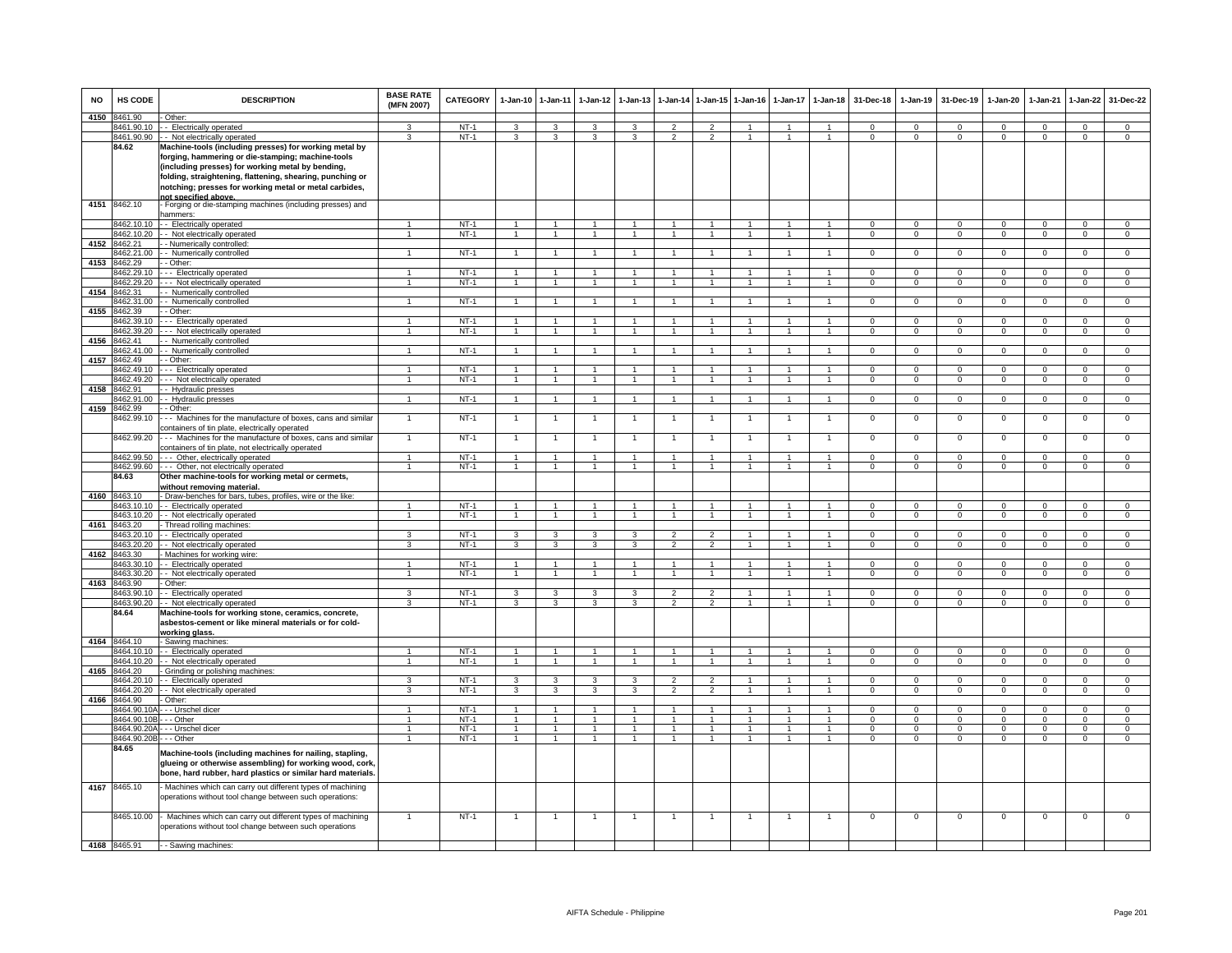| <b>NO</b> | HS CODE                  | <b>DESCRIPTION</b>                                                                                                                                                                  | <b>BASE RATE</b><br>(MFN 2007) | <b>CATEGORY</b>  |                                  | 1-Jan-10 1-Jan-11                | $1-Jan-12$              | $1-Jan-13$   | $1-Jan-14$                       | $1$ -Jan-15          | $1-Jan-16$     | $1-Jan-17$     | $1-Jan-18$           | 31-Dec-18            | $1-Jan-19$               | 31-Dec-19      | $1-Jan-20$     | 1-Jan-21             | 1-Jan-22                   | 31-Dec-22      |
|-----------|--------------------------|-------------------------------------------------------------------------------------------------------------------------------------------------------------------------------------|--------------------------------|------------------|----------------------------------|----------------------------------|-------------------------|--------------|----------------------------------|----------------------|----------------|----------------|----------------------|----------------------|--------------------------|----------------|----------------|----------------------|----------------------------|----------------|
| 4150      | 8461.90                  | Other:                                                                                                                                                                              |                                |                  |                                  |                                  |                         |              |                                  |                      |                |                |                      |                      |                          |                |                |                      |                            |                |
|           | 8461.90.10               | - - Electrically operated                                                                                                                                                           | 3<br>3                         | $NT-1$           | 3                                | 3                                | 3                       | 3            | $\mathfrak{p}$<br>$\mathfrak{p}$ | $\overline{2}$       | $\mathbf{1}$   | 1              | $\mathbf{1}$         | $\Omega$<br>$\Omega$ | $^{\circ}$<br>$\Omega$   | $\Omega$       | $\Omega$       | $\Omega$<br>$\Omega$ | $\mathbf 0$                | $\mathbf{0}$   |
|           | 8461.90.90<br>84.62      | - - Not electrically operated<br>Machine-tools (including presses) for working metal by                                                                                             |                                | $NT-1$           | 3                                | 3                                | 3                       | 3            |                                  | $\overline{2}$       |                | $\mathbf{1}$   | $\mathbf{1}$         |                      |                          | $\mathbf 0$    | 0              |                      | $\mathbf 0$                | $\overline{0}$ |
|           |                          | forging, hammering or die-stamping; machine-tools                                                                                                                                   |                                |                  |                                  |                                  |                         |              |                                  |                      |                |                |                      |                      |                          |                |                |                      |                            |                |
|           |                          | (including presses) for working metal by bending,                                                                                                                                   |                                |                  |                                  |                                  |                         |              |                                  |                      |                |                |                      |                      |                          |                |                |                      |                            |                |
|           |                          | folding, straightening, flattening, shearing, punching or                                                                                                                           |                                |                  |                                  |                                  |                         |              |                                  |                      |                |                |                      |                      |                          |                |                |                      |                            |                |
|           |                          | notching; presses for working metal or metal carbides,                                                                                                                              |                                |                  |                                  |                                  |                         |              |                                  |                      |                |                |                      |                      |                          |                |                |                      |                            |                |
|           |                          | not specified above                                                                                                                                                                 |                                |                  |                                  |                                  |                         |              |                                  |                      |                |                |                      |                      |                          |                |                |                      |                            |                |
| 4151      | 8462.10                  | - Forging or die-stamping machines (including presses) and                                                                                                                          |                                |                  |                                  |                                  |                         |              |                                  |                      |                |                |                      |                      |                          |                |                |                      |                            |                |
|           |                          | hammers:                                                                                                                                                                            |                                |                  |                                  |                                  |                         |              |                                  |                      |                |                |                      |                      |                          |                |                |                      |                            |                |
|           | 8462.10.10               | - - Electrically operated                                                                                                                                                           | 1.                             | $NT-1$           | $\overline{1}$                   | $\mathbf{1}$                     | $\blacktriangleleft$    | $\mathbf{1}$ | $\overline{1}$                   | $\blacktriangleleft$ | -1             | $\mathbf{1}$   | -1                   | $\Omega$             | $\Omega$                 | $\Omega$       | $\Omega$       | $\Omega$             | $\mathbf 0$                | $\mathbf 0$    |
|           | 3462.10.20               | - Not electrically operated                                                                                                                                                         | $\overline{1}$                 | $NT-1$           | $\overline{1}$                   | $\mathbf{1}$                     | $\mathbf{1}$            | $\mathbf{1}$ | $\mathbf{1}$                     | $\mathbf{1}$         | $\mathbf{1}$   | $\mathbf{1}$   | $\mathbf{1}$         | $\mathbf 0$          | $\overline{0}$           | $\mathbf{0}$   | $\mathbf{0}$   | $^{\circ}$           | $\overline{0}$             | $\overline{0}$ |
| 4152      | 8462.21                  | - Numerically controlled:                                                                                                                                                           |                                |                  |                                  |                                  |                         |              |                                  |                      |                |                |                      |                      |                          |                |                |                      |                            |                |
|           | 3462.21.00               | - Numerically controlled                                                                                                                                                            |                                | $NT-1$           | $\overline{1}$                   | $\mathbf{1}$                     | 1                       |              |                                  |                      |                |                |                      | 0                    | 0                        | $^{\circ}$     | 0              | 0                    | 0                          | $\mathbf 0$    |
| 4153      | 8462.29                  | - Other:                                                                                                                                                                            |                                |                  |                                  |                                  |                         |              |                                  |                      |                |                |                      |                      |                          |                |                |                      |                            |                |
|           | 8462.29.10               | --- Electrically operated                                                                                                                                                           |                                | $NT-1$           | $\overline{1}$<br>$\overline{1}$ | $\overline{1}$<br>$\overline{1}$ | $\mathbf{1}$            | $\mathbf{1}$ | $\overline{1}$                   | $\blacktriangleleft$ | -1             | $\overline{1}$ | $\blacktriangleleft$ | $\Omega$             | $\Omega$                 | $\overline{0}$ | $\Omega$       | $\Omega$             | $\overline{0}$             | $\overline{0}$ |
| 4154      | 3462.29.20<br>8462.31    | -- Not electrically operated                                                                                                                                                        |                                | $NT-1$           |                                  |                                  | $\mathbf{1}$            |              | $\overline{1}$                   | $\blacktriangleleft$ | $\overline{1}$ | $\overline{1}$ |                      | $\overline{0}$       | $\overline{0}$           | $\overline{0}$ | $\overline{0}$ | $\overline{0}$       | $\overline{0}$             | $\overline{0}$ |
|           | 8462.31.00               | - Numerically controlled<br>- - Numerically controlled                                                                                                                              |                                | $NT-1$           | $\overline{1}$                   | $\overline{1}$                   |                         |              |                                  |                      |                |                |                      | $^{\circ}$           | $^{\circ}$               | $^{\circ}$     | 0              | $^{\circ}$           | $\mathbf{0}$               | $\mathbf 0$    |
| 4155      | 8462.39                  | - Other:                                                                                                                                                                            |                                |                  |                                  |                                  |                         |              |                                  |                      |                |                |                      |                      |                          |                |                |                      |                            |                |
|           | 8462.39.10               | --- Electrically operated                                                                                                                                                           | 1                              | $NT-1$           | $\mathbf{1}$                     | $\overline{1}$                   | 1                       | $\mathbf{1}$ | -1                               | $\mathbf{1}$         | -1             | -1             | $\blacktriangleleft$ | $\Omega$             | 0                        | $^{\circ}$     | $\mathbf 0$    | $^{\circ}$           | $\mathbf{0}$               | $\mathbf 0$    |
|           | 8462.39.20               | - - - Not electrically operated                                                                                                                                                     | $\mathbf{1}$                   | $NT-1$           | $\overline{1}$                   | $\overline{1}$                   | $\mathbf{1}$            | $\mathbf{1}$ | $\overline{1}$                   | $\mathbf{1}$         | $\mathbf{1}$   | 1              | $\mathbf{1}$         | $\mathbf 0$          | $^{\circ}$               | $\mathbf{0}$   | $\mathbf{0}$   | $\mathbf{0}$         | $\overline{0}$             | $\overline{0}$ |
| 4156      | 3462.41                  | - Numerically controlled                                                                                                                                                            |                                |                  |                                  |                                  |                         |              |                                  |                      |                |                |                      |                      |                          |                |                |                      |                            |                |
|           | 3462.41.00               | - Numerically controlled                                                                                                                                                            |                                | $NT-1$           | $\overline{1}$                   | $\mathbf{1}$                     | 1                       |              |                                  |                      |                | $\overline{1}$ |                      | 0                    | $\mathsf 0$              | $\mathbf 0$    | 0              | $\mathbf 0$          | $\mathbf 0$                | $\mathsf 0$    |
| 4157      | 8462.49                  | - Other:                                                                                                                                                                            |                                |                  |                                  |                                  |                         |              |                                  |                      |                |                |                      |                      |                          |                |                |                      |                            |                |
|           | 8462.49.10               | --- Electrically operated                                                                                                                                                           |                                | $NT-1$           | $\overline{1}$                   | $\mathbf{1}$                     | 1                       | 1            | $\mathbf{1}$                     | $\mathbf{1}$         | -1             | $\mathbf{1}$   | $\blacktriangleleft$ | $\Omega$             | 0                        | $\mathbf 0$    | $\mathbf 0$    | $^{\circ}$           | 0                          | $\mathbf 0$    |
|           | 8462.49.20               | -- Not electrically operated                                                                                                                                                        | $\mathbf{1}$                   | $NT-1$           | $\overline{1}$                   | $\overline{1}$                   | $\mathbf{1}$            | $\mathbf{1}$ | $\overline{1}$                   | $\overline{1}$       | $\overline{1}$ | $\mathbf{1}$   | $\overline{1}$       | $\Omega$             | $\overline{0}$           | $\overline{0}$ | $\overline{0}$ | $\Omega$             | $\overline{0}$             | $\overline{0}$ |
| 4158      | 8462.91                  | - Hydraulic presses                                                                                                                                                                 |                                |                  |                                  |                                  |                         |              |                                  |                      |                |                |                      |                      |                          |                |                |                      |                            |                |
|           | 8462.91.00               | - Hydraulic presses                                                                                                                                                                 | $\mathbf{1}$                   | $NT-1$           | $\overline{1}$                   | $\mathbf{1}$                     | $\mathbf{1}$            |              | $\overline{1}$                   | $\mathbf{1}$         | $\overline{1}$ | $\overline{1}$ | $\mathbf{1}$         | $\Omega$             | $\mathbf 0$              | $\Omega$       | $\mathbf 0$    | $\mathbf 0$          | $\mathbf 0$                | $\Omega$       |
| 4159      | 8462.99<br>8462.99.10    | - Other:<br>- - Machines for the manufacture of boxes, cans and similar                                                                                                             | 1                              | <b>NT-1</b>      | $\overline{1}$                   | $\mathbf{1}$                     | 1                       | $\mathbf{1}$ | 1                                | $\mathbf{1}$         | -1             | $\mathbf{1}$   | 1                    | $\circ$              | $\mathbf 0$              | $\mathbf 0$    | 0              | 0                    | $\mathbf{0}$               | $\mathbf 0$    |
|           |                          | containers of tin plate, electrically operated                                                                                                                                      |                                |                  |                                  |                                  |                         |              |                                  |                      |                |                |                      |                      |                          |                |                |                      |                            |                |
|           | 8462.99.20               | - - Machines for the manufacture of boxes, cans and similar                                                                                                                         | $\overline{1}$                 | $NT-1$           | $\overline{1}$                   | $\mathbf{1}$                     | $\overline{1}$          | $\mathbf{1}$ | $\overline{1}$                   | $\mathbf{1}$         | $\overline{1}$ | $\overline{1}$ | $\overline{1}$       | $\mathbf 0$          | $\mathsf 0$              | $\mathbf 0$    | $\mathbf 0$    | $\mathbf 0$          | $\mathbf 0$                | $\mathbf 0$    |
|           |                          | containers of tin plate, not electrically operated                                                                                                                                  |                                |                  |                                  |                                  |                         |              |                                  |                      |                |                |                      |                      |                          |                |                |                      |                            |                |
|           |                          | 8462.99.50 - - - Other, electrically operated                                                                                                                                       |                                | $NT-1$           | $\overline{1}$                   | $\mathbf{1}$                     | 1                       | $\mathbf{1}$ | $\overline{1}$                   | $\blacktriangleleft$ | $\mathbf{1}$   | $\overline{1}$ | $\overline{1}$       | $\Omega$             | $\mathsf 0$              | $\mathbf 0$    | $\Omega$       | $\Omega$             | $\mathbf 0$                | $\mathbf 0$    |
|           |                          | 8462.99.60 --- Other, not electrically operated                                                                                                                                     |                                | $NT-1$           | $\mathbf{1}$                     | $\overline{1}$                   | $\mathbf{1}$            | $\mathbf{1}$ | $\mathbf{1}$                     | $\overline{1}$       | $\overline{1}$ | $\overline{1}$ | $\overline{1}$       | $\mathbf 0$          | $\mathbf 0$              | $\mathbf 0$    | $\mathbf 0$    | $\mathbf 0$          | $\overline{0}$             | $\mathsf 0$    |
|           | 84.63                    | Other machine-tools for working metal or cermets,                                                                                                                                   |                                |                  |                                  |                                  |                         |              |                                  |                      |                |                |                      |                      |                          |                |                |                      |                            |                |
|           |                          | without removing material.                                                                                                                                                          |                                |                  |                                  |                                  |                         |              |                                  |                      |                |                |                      |                      |                          |                |                |                      |                            |                |
| 4160      | 8463.10                  | - Draw-benches for bars, tubes, profiles, wire or the like:                                                                                                                         |                                |                  |                                  | $\overline{1}$                   |                         |              |                                  |                      |                |                |                      |                      |                          | $\Omega$       | $\Omega$       | $\Omega$             |                            | $\Omega$       |
|           | 8463.10.10<br>8463.10.20 | -- Electrically operated<br>- - Not electrically operated                                                                                                                           | $\mathbf{1}$                   | $NT-1$<br>$NT-1$ | $\overline{1}$                   | $\overline{1}$                   | $\mathbf{1}$            | $\mathbf{1}$ | $\overline{1}$                   | $\mathbf{1}$         | $\mathbf{1}$   | $\overline{1}$ | $\mathbf{1}$         | $\circ$              | $\Omega$<br>$\mathbf{0}$ | $\mathbf{0}$   | $\mathbf 0$    | $\overline{0}$       | $\Omega$<br>$\overline{0}$ | $\overline{0}$ |
| 4161      | 8463.20                  | - Thread rolling machines:                                                                                                                                                          |                                |                  |                                  |                                  |                         |              |                                  |                      |                |                |                      |                      |                          |                |                |                      |                            |                |
|           | 3463.20.10               | - Electrically operated                                                                                                                                                             | 3                              | $NT-1$           | 3                                | 3                                | 3                       | 3            | $\mathfrak{p}$                   | $\mathfrak{p}$       | -1             | 1              | $\mathbf{1}$         | $\Omega$             | $\Omega$                 | $\Omega$       | $\Omega$       | $\Omega$             | $\Omega$                   | $\mathbf{0}$   |
|           | 8463.20.20               | - Not electrically operated                                                                                                                                                         | 3                              | $NT-1$           | 3                                | 3                                | 3                       | 3            | $\overline{2}$                   | $\overline{2}$       | $\mathbf{1}$   | $\mathbf{1}$   |                      | $\mathbf 0$          | $\mathsf 0$              | $\mathbf 0$    | 0              | $\mathbf 0$          | $\mathbf 0$                | $\mathsf 0$    |
| 4162      | 8463.30                  | Machines for working wire:                                                                                                                                                          |                                |                  |                                  |                                  |                         |              |                                  |                      |                |                |                      |                      |                          |                |                |                      |                            |                |
|           | 8463.30.10               | - Electrically operated                                                                                                                                                             | $\overline{1}$                 | $NT-1$           | $\overline{1}$                   | $\overline{1}$                   | $\blacktriangleleft$    | $\mathbf{1}$ | $\overline{1}$                   | $\blacktriangleleft$ | $\overline{1}$ | $\mathbf{1}$   | $\overline{1}$       | $\Omega$             | $\mathbf 0$              | $\mathbf 0$    | $\Omega$       | $\Omega$             | $\mathbf 0$                | $\mathbf 0$    |
|           | 8463.30.20               | - Not electrically operated                                                                                                                                                         |                                | $NT-1$           | $\overline{1}$                   | $\overline{1}$                   | $\overline{1}$          | $\mathbf{1}$ | $\overline{1}$                   | $\overline{1}$       | -1             | $\overline{1}$ |                      | $\Omega$             | $\mathbf 0$              | $\overline{0}$ | $\overline{0}$ | $\Omega$             | $\overline{0}$             | $\overline{0}$ |
| 4163      | 8463.90                  | Other                                                                                                                                                                               |                                |                  |                                  |                                  |                         |              |                                  |                      |                |                |                      |                      |                          |                |                |                      |                            |                |
|           | 8463.90.10               | - - Electrically operated                                                                                                                                                           | 3                              | $NT-1$           | 3                                | 3                                | 3                       | 3            | $\mathfrak{p}$                   | $\overline{2}$       | $\overline{1}$ |                |                      | $\Omega$             | $\Omega$                 | $\Omega$       | $\Omega$       | $\Omega$             | $\mathbf 0$                | $\overline{0}$ |
|           | 8463.90.20               | - - Not electrically operated                                                                                                                                                       | 3                              | $NT-1$           | 3                                | 3                                | 3                       | 3            | $\overline{2}$                   | $\overline{2}$       |                | $\overline{1}$ |                      | $^{\circ}$           | $\mathbf 0$              | $^{\circ}$     | $\mathbf 0$    | $^{\circ}$           | $\circ$                    | $\mathbf 0$    |
|           | 84.64                    | Machine-tools for working stone, ceramics, concrete,<br>asbestos-cement or like mineral materials or for cold-                                                                      |                                |                  |                                  |                                  |                         |              |                                  |                      |                |                |                      |                      |                          |                |                |                      |                            |                |
|           |                          | working glass.                                                                                                                                                                      |                                |                  |                                  |                                  |                         |              |                                  |                      |                |                |                      |                      |                          |                |                |                      |                            |                |
|           | 4164 8464.10             | Sawing machines                                                                                                                                                                     |                                |                  |                                  |                                  |                         |              |                                  |                      |                |                |                      |                      |                          |                |                |                      |                            |                |
|           | 3464.10.10               | - Electrically operated                                                                                                                                                             |                                | $NT-1$           |                                  | $\mathbf{1}$                     |                         |              |                                  |                      |                |                |                      | 0                    | $^{\circ}$               | $\mathbf 0$    | 0              | $^{\circ}$           | $\mathsf 0$                | $\mathsf 0$    |
|           | 8464.10.20               | - Not electrically operated                                                                                                                                                         |                                | $NT-1$           | $\overline{1}$                   | $\overline{1}$                   | $\mathbf{1}$            | $\mathbf{1}$ | $\overline{1}$                   | $\overline{1}$       | $\mathbf{1}$   | $\mathbf{1}$   | $\overline{1}$       | $\Omega$             | $\mathbf 0$              | $\mathbf 0$    | $\mathbf 0$    | $\mathbf 0$          | $\mathbf 0$                | $\mathbf 0$    |
| 4165      | 8464.20                  | Grinding or polishing machines:                                                                                                                                                     |                                |                  |                                  |                                  |                         |              |                                  |                      |                |                |                      |                      |                          |                |                |                      |                            |                |
|           | 8464.20.10               | - - Electrically operated                                                                                                                                                           | 3                              | $NT-1$           | $\overline{\mathbf{3}}$          | 3                                | $\overline{\mathbf{3}}$ | 3            | $\overline{2}$                   | $\overline{2}$       | $\overline{1}$ | $\overline{1}$ | $\mathbf{1}$         | $\Omega$             | $\overline{0}$           | $\overline{0}$ | $\overline{0}$ | $\Omega$             | $\overline{0}$             | $\overline{0}$ |
| 4166      | 8464.20.20<br>8464.90    | - - Not electrically operated<br>- Other:                                                                                                                                           | $\mathbf{R}$                   | $NT-1$           | 3                                | $\mathcal{R}$                    | $\mathcal{R}$           | 3            | $\mathcal{P}$                    | $\mathcal{P}$        |                |                |                      | $\Omega$             | $\Omega$                 | $\Omega$       | $\Omega$       | $\Omega$             | $\mathbf 0$                | $\mathbf 0$    |
|           |                          | 8464.90.10A - - - Urschel dicer                                                                                                                                                     | $\overline{1}$                 | $NT-1$           | $\overline{1}$                   | $\overline{1}$                   | $\mathbf{1}$            | $\mathbf{1}$ | $\overline{1}$                   | $\mathbf{1}$         | $\mathbf{1}$   | $\mathbf{1}$   | $\mathbf{1}$         | $\Omega$             | $\mathbf 0$              | $\mathbf 0$    | $\mathbf 0$    | $\mathbf 0$          | $\circ$                    | $\mathbf 0$    |
|           | 8464.90.10B - - - Other  |                                                                                                                                                                                     | $\blacktriangleleft$           | $NT-1$           | $\overline{1}$                   | $\overline{1}$                   | $\mathbf{1}$            | $\mathbf{1}$ | $\mathbf{1}$                     | $\mathbf{1}$         | $\overline{1}$ | $\mathbf{1}$   | $\mathbf{1}$         | $\Omega$             | $\mathbf{0}$             | $^{\circ}$     | $\mathbf 0$    | $^{\circ}$           | $\mathbf{0}$               | $\mathbf 0$    |
|           | 8464.90.20A              | - - Urschel dicer                                                                                                                                                                   | $\mathbf{1}$                   | $NT-1$           | $\overline{1}$                   | $\overline{1}$                   | 1                       | $\mathbf{1}$ | $\overline{1}$                   | $\overline{1}$       | $\mathbf{1}$   | $\mathbf{1}$   | $\overline{1}$       | $\Omega$             | $\Omega$                 | $\Omega$       | $\Omega$       | $\Omega$             | $\overline{0}$             | $\overline{0}$ |
|           | 8464.90.20B              | - - Other                                                                                                                                                                           | $\mathbf{1}$                   | $NT-1$           | 1                                | $\mathbf{1}$                     | $\mathbf{1}$            | $\mathbf{1}$ | $\mathbf{1}$                     | $\blacktriangleleft$ | $\mathbf{1}$   | $\mathbf{1}$   | $\blacktriangleleft$ | $\mathbf 0$          | $\mathbf 0$              | $\mathbf 0$    | 0              | $\mathbf 0$          | $\circ$                    | $\mathbf 0$    |
|           | 84.65                    | Machine-tools (including machines for nailing, stapling,<br>glueing or otherwise assembling) for working wood, cork,<br>bone, hard rubber, hard plastics or similar hard materials. |                                |                  |                                  |                                  |                         |              |                                  |                      |                |                |                      |                      |                          |                |                |                      |                            |                |
| 4167      | 8465.10                  | Machines which can carry out different types of machining<br>operations without tool change between such operations:                                                                |                                |                  |                                  |                                  |                         |              |                                  |                      |                |                |                      |                      |                          |                |                |                      |                            |                |
|           | 8465.10.00               | Machines which can carry out different types of machining<br>operations without tool change between such operations                                                                 | 1                              | $NT-1$           | $\overline{1}$                   | $\overline{1}$                   | $\mathbf{1}$            | $\mathbf{1}$ | $\overline{1}$                   | $\overline{1}$       | $\overline{1}$ | $\overline{1}$ | $\mathbf{1}$         | $\mathbf{0}$         | $\overline{0}$           | $\overline{0}$ | $\mathbf{0}$   | $\overline{0}$       | $\mathbf 0$                | $\mathsf 0$    |
|           | 4168 8465.91             | - - Sawing machines:                                                                                                                                                                |                                |                  |                                  |                                  |                         |              |                                  |                      |                |                |                      |                      |                          |                |                |                      |                            |                |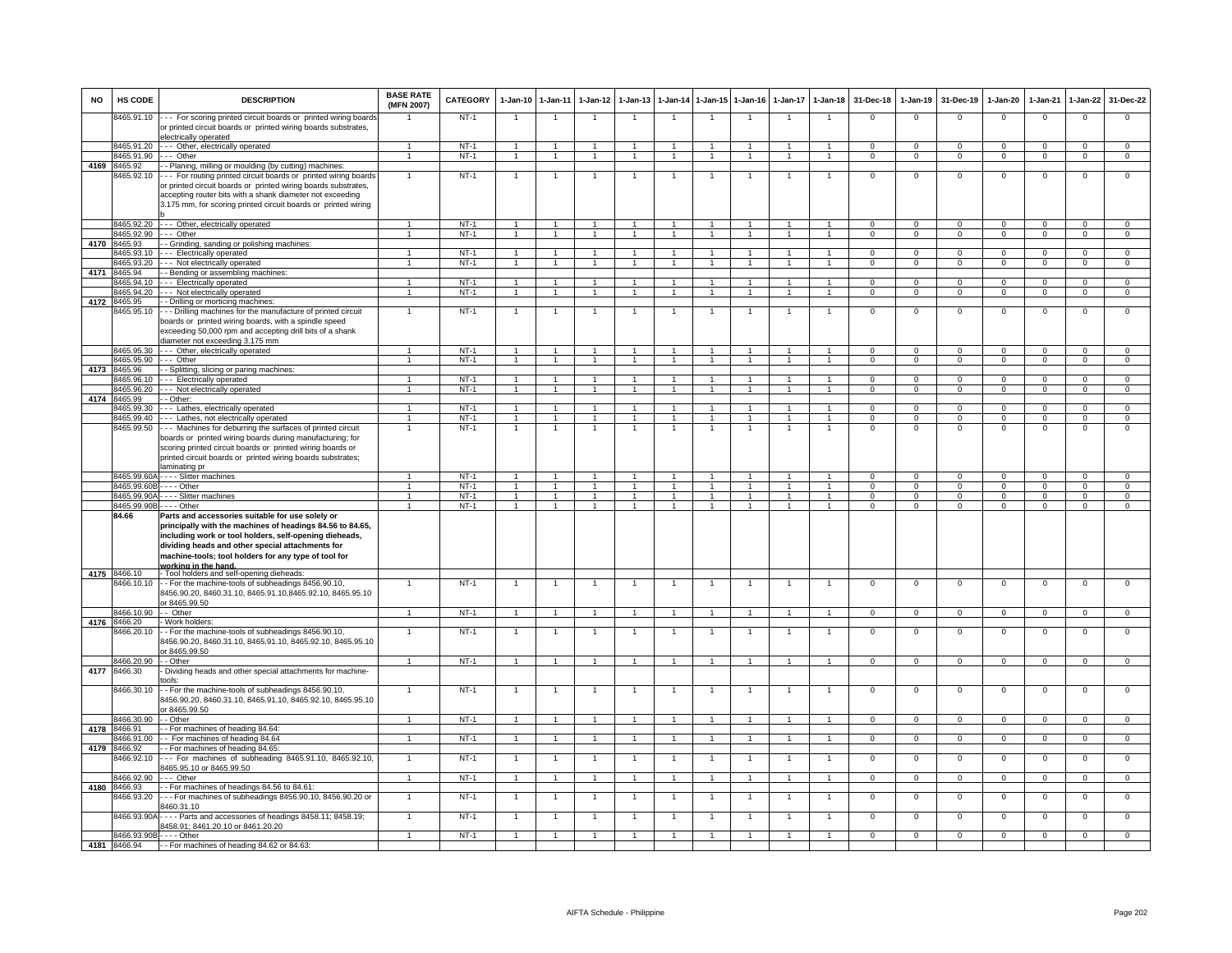| <b>NO</b> | HS CODE                    | <b>DESCRIPTION</b>                                                                                                                                                                                                                                                                                                                                       | <b>BASE RATE</b><br>(MFN 2007) | CATEGORY         | 1-Jan-10                       | $1-Jan-11$                       | $1-Jan-12$           | $1-Jan-13$     |                                  |                                      | 1-Jan-14 1-Jan-15 1-Jan-16 | $1-Jan-17$          | $1 - Jan-18$                   | 31-Dec-18         | 1-Jan-19                       | 31-Dec-19                  | $1-Jan-20$                 | $1-Jan-21$                    | 1-Jan-22                    | 31-Dec-22                     |
|-----------|----------------------------|----------------------------------------------------------------------------------------------------------------------------------------------------------------------------------------------------------------------------------------------------------------------------------------------------------------------------------------------------------|--------------------------------|------------------|--------------------------------|----------------------------------|----------------------|----------------|----------------------------------|--------------------------------------|----------------------------|---------------------|--------------------------------|-------------------|--------------------------------|----------------------------|----------------------------|-------------------------------|-----------------------------|-------------------------------|
|           | 8465.91.10                 | --- For scoring printed circuit boards or printed wiring boards<br>or printed circuit boards or printed wiring boards substrates,<br>electrically operated                                                                                                                                                                                               |                                | $NT-1$           | $\overline{1}$                 | $\overline{1}$                   | $\overline{1}$       | $\overline{1}$ | $\overline{1}$                   | $\overline{1}$                       | $\mathbf{1}$               | $\overline{1}$      | $\overline{1}$                 | $\mathbf 0$       | $\mathsf 0$                    | $\mathbf 0$                | $^{\circ}$                 | $\mathbf{0}$                  | $\mathsf 0$                 | $\mathbf{0}$                  |
|           | 8465.91.20                 | --- Other, electrically operated                                                                                                                                                                                                                                                                                                                         | -1                             | $NT-1$           | $\overline{1}$                 | -1                               |                      |                | -1                               | $\overline{1}$                       | -1                         | -1                  | $\mathbf{1}$                   | $\Omega$          | $\overline{0}$                 | $\Omega$                   | $\Omega$                   | $\overline{0}$                | $\overline{0}$              | $\overline{0}$                |
|           | 8465.91.90                 | $- -$ Other                                                                                                                                                                                                                                                                                                                                              | $\mathbf{1}$                   | $NT-1$           | $\mathbf{1}$                   | $\mathbf{1}$                     |                      |                | $\mathbf{1}$                     | $\mathbf{1}$                         | $\mathbf{1}$               | $\mathbf{1}$        | $\mathbf{1}$                   | $\mathbf 0$       | $\mathbf 0$                    | $\mathbf 0$                | $\mathbf 0$                | $\mathbf 0$                   | $\mathbf 0$                 | $\mathbf 0$                   |
| 4169      | 8465.92                    | - - Planing, milling or moulding (by cutting) machines:                                                                                                                                                                                                                                                                                                  |                                |                  |                                |                                  |                      |                |                                  |                                      |                            |                     |                                |                   |                                |                            |                            |                               |                             |                               |
|           | 3465.92.10                 | For routing printed circuit boards or printed wiring boards<br>or printed circuit boards or printed wiring boards substrates,<br>accepting router bits with a shank diameter not exceeding<br>3.175 mm, for scoring printed circuit boards or printed wiring                                                                                             | -1                             | $NT-1$           | $\mathbf{1}$                   | $\overline{1}$                   |                      | 1              | $\overline{1}$                   | 1                                    | 1                          | 1                   | 1                              | 0                 | 0                              | $\mathbf 0$                | 0                          | $\mathbf 0$                   | 0                           | $\mathbf{0}$                  |
|           |                            | 8465.92.20 --- Other, electrically operated                                                                                                                                                                                                                                                                                                              | 1                              | $NT-1$           | $\overline{1}$                 | $\overline{1}$                   | $\mathbf{1}$         | $\mathbf{1}$   | $\overline{1}$                   | $\overline{1}$                       | $\overline{1}$             | $\mathbf{1}$        | $\overline{1}$                 | $^{\circ}$        | $^{\circ}$                     | $^{\circ}$                 | $^{\circ}$                 | $\mathbf{0}$                  | $\mathbf{0}$                | $^{\circ}$                    |
|           | 8465 92 90                 | --- Other                                                                                                                                                                                                                                                                                                                                                | $\mathbf{1}$                   | $NT-1$           | $\overline{1}$                 | $\overline{1}$                   | $\mathbf{1}$         | $\mathbf{1}$   | $\overline{1}$                   | $\overline{1}$                       | $\mathbf{1}$               | $\mathbf{1}$        | $\overline{1}$                 | $\Omega$          | $\mathbf 0$                    | $\Omega$                   | $\mathbf 0$                | $\overline{0}$                | $\overline{0}$              | $\overline{0}$                |
|           | 4170 8465.93<br>3465.93.10 | - Grinding, sanding or polishing machines:<br>--- Electrically operated                                                                                                                                                                                                                                                                                  |                                | $NT-1$           |                                |                                  |                      |                |                                  |                                      |                            |                     |                                | $\mathbf 0$       | $\mathsf 0$                    | $\Omega$                   | $\Omega$                   | $\overline{0}$                | 0                           | $\overline{0}$                |
|           | 8465.93.20                 | --- Not electrically operated                                                                                                                                                                                                                                                                                                                            | $\mathbf{1}$                   | $NT-1$           | $\overline{1}$                 | $\overline{1}$                   | $\overline{1}$       | $\overline{1}$ | $\overline{1}$                   | $\blacktriangleleft$                 | $\overline{1}$             | $\mathbf{1}$        | $\overline{1}$                 | $\mathbf 0$       | $\mathsf 0$                    | $\mathbf 0$                | $\mathsf 0$                | $\mathbf 0$                   | $\mathbf 0$                 | $\mathbf{0}$                  |
| 4171      | 8465.94                    | - - Bending or assembling machines:                                                                                                                                                                                                                                                                                                                      |                                |                  |                                |                                  |                      |                |                                  |                                      |                            |                     |                                |                   |                                |                            |                            |                               |                             |                               |
|           | 8465 94 10                 | - - - Electrically operated                                                                                                                                                                                                                                                                                                                              | $\overline{1}$                 | $NT-1$           | $\overline{1}$                 | $\overline{1}$                   |                      | $\overline{1}$ | $\overline{1}$                   | $\overline{1}$                       | $\overline{1}$             | $\mathbf{1}$        | $\overline{1}$                 | $\Omega$          | $\Omega$                       | $\Omega$                   | $\Omega$                   | $\Omega$                      | $\Omega$                    | $\overline{0}$                |
|           | 8465.94.20                 | --- Not electrically operated                                                                                                                                                                                                                                                                                                                            | $\mathbf{1}$                   | $NT-1$           | $\overline{1}$                 | $\overline{1}$                   |                      |                | $\overline{1}$                   | $\overline{1}$                       | $\ddot{\phantom{0}}$       | $\mathbf{1}$        | $\overline{1}$                 | $\mathbf{0}$      | $\mathbf{0}$                   | $\mathbf{0}$               | $\mathbf{0}$               | $\mathbf{0}$                  | $\mathbf{0}$                | $\mathbf{0}$                  |
| 4172      | 8465.95                    | - - Drilling or morticing machines                                                                                                                                                                                                                                                                                                                       |                                |                  |                                |                                  |                      |                |                                  |                                      |                            |                     |                                |                   |                                |                            |                            |                               |                             |                               |
|           | 8465.95.10                 | --- Drilling machines for the manufacture of printed circuit<br>boards or printed wiring boards, with a spindle speed<br>exceeding 50,000 rpm and accepting drill bits of a shank<br>liameter not exceeding 3.175 mm                                                                                                                                     | $\mathbf{1}$                   | $NT-1$           | $\overline{1}$                 | $\overline{1}$                   |                      |                |                                  | $\mathbf{1}$                         |                            |                     | $\overline{1}$                 | $\mathsf 0$       | $\mathsf 0$                    | $\mathbf 0$                | $^{\circ}$                 | $\mathbf 0$                   | $\mathsf 0$                 | $\mathbf 0$                   |
|           | 8465.95.30                 | --- Other, electrically operated                                                                                                                                                                                                                                                                                                                         |                                | $NT-1$           | $\overline{1}$                 | $\overline{1}$                   |                      | $\overline{1}$ | $\overline{1}$                   | $\overline{1}$                       | $\overline{1}$             | $\overline{1}$      | $\overline{1}$                 | $^{\circ}$        | $^{\circ}$                     | $\mathbf 0$                | $^{\circ}$                 | $\mathbf 0$                   | $\mathbf 0$                 | $\mathbf{0}$                  |
|           | 8465.95.90                 | --- Other                                                                                                                                                                                                                                                                                                                                                | $\overline{1}$                 | $NT-1$           | $\overline{1}$                 | $\overline{1}$                   | $\overline{1}$       | $\overline{1}$ | $\overline{1}$                   | $\blacktriangleleft$                 | $\overline{1}$             | $\mathbf{1}$        | $\overline{1}$                 | $\mathbf 0$       | $\mathbf 0$                    | $\Omega$                   | $\mathbf 0$                | $\mathbf 0$                   | $\mathbf 0$                 | $\overline{0}$                |
| 4173      | 8465.96<br>8465.96.10      | - - Splitting, slicing or paring machines:                                                                                                                                                                                                                                                                                                               |                                | $NT-1$           | $\overline{1}$                 | $\overline{1}$                   | $\blacktriangleleft$ | $\overline{1}$ | $\overline{1}$                   | $\overline{1}$                       | $\overline{1}$             | $\mathbf{1}$        | $\overline{1}$                 | $\overline{0}$    | $\overline{0}$                 | $\overline{0}$             | $\overline{0}$             | $\overline{0}$                | $\overline{0}$              | $\overline{0}$                |
|           | 8465.96.20                 | --- Electrically operated<br>--- Not electrically operated                                                                                                                                                                                                                                                                                               |                                | $NT-1$           | $\mathbf{1}$                   | $\overline{1}$                   |                      |                | $\mathbf{1}$                     | $\overline{1}$                       |                            |                     | $\mathbf{1}$                   | 0                 | $\mathbf{O}$                   | $\mathbf 0$                | $\mathbf 0$                | $\mathbf 0$                   | $\mathbf 0$                 | $\mathbf{0}$                  |
| 4174      | 8465.99                    | - - Other:                                                                                                                                                                                                                                                                                                                                               |                                |                  |                                |                                  |                      |                |                                  |                                      |                            |                     |                                |                   |                                |                            |                            |                               |                             |                               |
|           | 8465.99.30                 | Lathes, electrically operated                                                                                                                                                                                                                                                                                                                            | $\blacktriangleleft$           | NT-1             | $\overline{1}$                 | $\mathbf{1}$                     |                      |                | $\overline{1}$                   | $\mathbf{1}$                         |                            | 1                   | $\overline{1}$                 | $\Omega$          | $\Omega$                       | $\Omega$                   | $\mathbf 0$                | $\Omega$                      | $\mathbf{0}$                | $\Omega$                      |
|           | 8465.99.40                 | -- Lathes, not electrically operated                                                                                                                                                                                                                                                                                                                     | $\mathbf{1}$                   | $NT-1$           | $\overline{1}$                 | $\overline{1}$                   | $\mathbf{1}$         | $\mathbf{1}$   | $\overline{1}$                   | $\mathbf{1}$                         | $\mathbf{1}$               | 1                   | $\overline{1}$                 | $\mathbf{0}$      | $^{\circ}$                     | $\Omega$                   | $^{\circ}$                 | $\Omega$                      | $\mathsf 0$                 | $\mathbf{0}$                  |
|           | 8465.99.50                 | --- Machines for deburring the surfaces of printed circuit<br>boards or printed wiring boards during manufacturing; for<br>scoring printed circuit boards or printed wiring boards or<br>printed circuit boards or printed wiring boards substrates;                                                                                                     | $\mathbf{1}$                   | $NT-1$           | $\mathbf{1}$                   | $\overline{1}$                   | $\mathbf{1}$         | $\mathbf{1}$   | $\overline{1}$                   | $\mathbf{1}$                         | $\overline{1}$             | 1                   | $\ddot{\phantom{1}}$           | $\mathbf 0$       | $\mathsf 0$                    | $\Omega$                   | $\mathsf 0$                | $\mathsf 0$                   | $\overline{0}$              | $\overline{0}$                |
|           |                            | laminating pr                                                                                                                                                                                                                                                                                                                                            |                                |                  |                                |                                  |                      |                |                                  |                                      |                            |                     |                                |                   |                                |                            |                            |                               |                             |                               |
|           |                            | 8465.99.60A - - - - Slitter machines                                                                                                                                                                                                                                                                                                                     | $\mathbf{1}$                   | $NT-1$<br>$NT-1$ | $\overline{1}$<br>$\mathbf{1}$ | $\overline{1}$<br>$\mathbf{1}$   | $\mathbf{1}$         | $\mathbf{1}$   | $\overline{1}$<br>$\overline{1}$ | $\blacktriangleleft$<br>$\mathbf{1}$ | $\mathbf{1}$               | $\mathbf{1}$        | $\overline{1}$                 | $\Omega$          | $\overline{0}$                 | $\Omega$                   | $\Omega$                   | $\Omega$                      | $\Omega$                    | $\Omega$                      |
|           | 8465.99.60B - - - - Other  | 8465.99.90A - - - - Slitter machines                                                                                                                                                                                                                                                                                                                     | $\overline{1}$                 | $NT-1$           | $\overline{1}$                 | $\overline{1}$                   | $\mathbf{1}$         | $\overline{1}$ | $\overline{1}$                   | $\mathbf{1}$                         | $\mathbf{1}$               | $\overline{1}$      | $\mathbf{1}$                   | 0<br>0            | $\overline{0}$<br>$\mathbf{O}$ | $\mathbf 0$<br>$\mathbf 0$ | $\mathbf 0$<br>$\mathbf 0$ | $\overline{0}$<br>$\mathbf 0$ | $\mathbf 0$<br>$\mathbf 0$  | $\overline{0}$<br>$\mathbf 0$ |
|           | 8465.99.90B - - - - Other  |                                                                                                                                                                                                                                                                                                                                                          | $\overline{1}$                 | NT-1             | $\overline{1}$                 | $\overline{1}$                   | $\overline{1}$       | $\overline{1}$ | $\overline{1}$                   | $\overline{1}$                       | $\overline{1}$             | $\overline{1}$      | $\overline{1}$                 | $\mathbf{0}$      | $\overline{0}$                 | $\overline{0}$             | $\overline{0}$             | $\overline{0}$                | $\overline{0}$              | $\overline{0}$                |
|           | 84.66<br>4175 8466.10      | Parts and accessories suitable for use solely or<br>principally with the machines of headings 84.56 to 84.65,<br>including work or tool holders, self-opening dieheads,<br>dividing heads and other special attachments for<br>machine-tools; tool holders for any type of tool for<br>working in the hand.<br>- Tool holders and self-opening dieheads: |                                |                  |                                |                                  |                      |                |                                  |                                      |                            |                     |                                |                   |                                |                            |                            |                               |                             |                               |
|           | 8466.10.10                 | - - For the machine-tools of subheadings 8456.90.10,<br>8456.90.20, 8460.31.10, 8465.91.10, 8465.92.10, 8465.95.10<br>or 8465.99.50                                                                                                                                                                                                                      | $\mathbf{1}$                   | $NT-1$           | $\overline{1}$                 | $\mathbf{1}$                     |                      | $\overline{1}$ | $\overline{1}$                   | $\overline{1}$                       | $\overline{1}$             | $\mathbf{1}$        | $\overline{1}$                 | $\mathsf 0$       | $\mathsf 0$                    | $\mathbf 0$                | $\mathsf 0$                | $\mathbf 0$                   | $\mathsf 0$                 | $\mathbf 0$                   |
|           | 8466.10.90                 | - Other                                                                                                                                                                                                                                                                                                                                                  | $\overline{1}$                 | $NT-1$           | $\overline{1}$                 | $\overline{1}$                   | $\overline{1}$       | $\overline{1}$ | $\overline{1}$                   | $\mathbf{1}$                         | $\overline{1}$             | $\overline{1}$      | $\overline{1}$                 | $\overline{0}$    | $\overline{0}$                 | $\mathbf{0}$               | $\mathbf{0}$               | $\Omega$                      | $\mathbf{0}$                | $\Omega$                      |
| 4176      | 8466.20<br>466.20.10       | Work holders:<br>- For the machine-tools of subheadings 8456.90.10,<br>1456.90.20, 8460.31.10, 8465.91.10, 8465.92.10, 8465.95.10<br>or 8465.99.50                                                                                                                                                                                                       |                                | $NT-1$           | $\mathbf{1}$                   | $\mathbf{1}$                     |                      |                | $\mathbf{1}$                     | $\mathbf{1}$                         |                            | $\mathbf{1}$        | $\overline{1}$                 | $\overline{0}$    | $\mathsf 0$                    | $\mathbf 0$                | $\mathsf 0$                | $\overline{0}$                | $\mathbf 0$                 | $\overline{0}$                |
|           | 8466.20.90                 | - - Other                                                                                                                                                                                                                                                                                                                                                | $\mathbf{1}$                   | $NT-1$           | $\overline{1}$                 | $\overline{1}$                   | $\overline{1}$       | $\overline{1}$ | $\overline{1}$                   | $\blacktriangleleft$                 | $\overline{1}$             | $\mathbf{1}$        | $\overline{1}$                 | $\overline{0}$    | $\overline{0}$                 | $\overline{0}$             | $\overline{0}$             | $\overline{0}$                | $\overline{0}$              | $\overline{0}$                |
| 4177      | 8466.30<br>8466.30.10      | Dividing heads and other special attachments for machine-<br>tools:<br>- For the machine-tools of subheadings 8456.90.10,                                                                                                                                                                                                                                | $\overline{1}$                 | $NT-1$           | $\overline{1}$                 | $\overline{1}$                   |                      |                | $\overline{1}$                   | $\mathbf{1}$                         |                            |                     | $\overline{1}$                 | $\mathsf 0$       | $\mathsf 0$                    | $\mathbf 0$                | $^{\circ}$                 | $\mathbf 0$                   | $\mathsf 0$                 | $\mathbf 0$                   |
|           | 8466.30.90                 | 8456.90.20, 8460.31.10, 8465.91.10, 8465.92.10, 8465.95.10<br>or 8465.99.50<br>- Other                                                                                                                                                                                                                                                                   | $\mathbf{1}$                   | $NT-1$           | $\overline{1}$                 | $\overline{1}$                   | $\overline{1}$       | $\overline{1}$ | $\overline{1}$                   | $\overline{1}$                       | $\overline{1}$             | $\mathbf{1}$        | $\overline{1}$                 | $\overline{0}$    | $\overline{0}$                 | $\overline{0}$             | $\overline{0}$             | $\overline{0}$                | $\overline{0}$              | $\overline{0}$                |
| 4178      | 8466.91                    | - For machines of heading 84.64:                                                                                                                                                                                                                                                                                                                         |                                |                  |                                |                                  |                      |                |                                  |                                      |                            |                     |                                |                   |                                |                            |                            |                               |                             |                               |
|           | 8466.91.00                 | - For machines of heading 84.64                                                                                                                                                                                                                                                                                                                          | $\overline{1}$                 | $NT-1$           | $\overline{1}$                 | $\overline{1}$                   |                      | $\mathbf{1}$   | $\overline{1}$                   | $\blacktriangleleft$                 | $\overline{1}$             | $\overline{1}$      | $\overline{1}$                 | $\mathbf 0$       | $\mathbf{0}$                   | $\mathbf 0$                | $\mathbf 0$                | $\mathbf{0}$                  | $\mathbf 0$                 | $\mathbf{0}$                  |
| 4179      | 8466.92<br>3466.92.10      | - For machines of heading 84.65:<br>--- For machines of subheading 8465.91.10, 8465.92.10,<br>3465.95.10 or 8465.99.50                                                                                                                                                                                                                                   | $\overline{1}$                 | $NT-1$           | $\overline{1}$                 | $\overline{1}$                   |                      | $\overline{1}$ | $\overline{1}$                   | $\overline{1}$                       | $\overline{1}$             | $\mathbf{1}$        | $\overline{1}$                 | $\mathsf 0$       | $\overline{0}$                 | $\mathbf 0$                | $\mathsf 0$                | $\mathbf 0$                   | $\overline{0}$              | $\overline{0}$                |
|           | 8466.92.90                 | - Other                                                                                                                                                                                                                                                                                                                                                  | $\blacktriangleleft$           | $NT-1$           | $\overline{1}$                 | $\overline{1}$                   |                      | $\overline{1}$ | $\overline{1}$                   | $\overline{1}$                       |                            | $\overline{1}$      | $\overline{1}$                 | $\Omega$          | $\Omega$                       | $\Omega$                   | $\Omega$                   | $\Omega$                      | $\Omega$                    | $\Omega$                      |
|           | 4180 8466.93               | - For machines of headings 84.56 to 84.61:                                                                                                                                                                                                                                                                                                               |                                |                  |                                |                                  |                      |                |                                  |                                      |                            |                     |                                |                   |                                |                            |                            |                               |                             |                               |
|           | 8466.93.20<br>8466.93.90A  | - - For machines of subheadings 8456.90.10, 8456.90.20 or<br>3460.31.10<br>Parts and accessories of headings 8458.11; 8458.19;                                                                                                                                                                                                                           | $\overline{1}$<br>$\mathbf{1}$ | $NT-1$<br>$NT-1$ | $\overline{1}$<br>$\mathbf{1}$ | $\overline{1}$<br>$\overline{1}$ |                      | $\overline{1}$ | $\overline{1}$<br>$\overline{1}$ | $\mathbf{1}$<br>$\mathbf{1}$         | $\mathbf{1}$               | $\overline{1}$<br>1 | $\overline{1}$<br>$\mathbf{1}$ | $\mathbf{0}$<br>0 | $\mathbf{0}$<br>$\mathsf 0$    | $\mathbf 0$<br>$\mathbf 0$ | 0<br>$\mathbf 0$           | $\mathbf{0}$<br>$\mathbf 0$   | $\mathbf{0}$<br>$\mathbf 0$ | $\mathbf{0}$<br>$\mathbf 0$   |
|           |                            | 3458.91; 8461.20.10 or 8461.20.20                                                                                                                                                                                                                                                                                                                        |                                |                  |                                |                                  |                      |                |                                  |                                      |                            |                     |                                |                   |                                |                            |                            |                               |                             |                               |
|           |                            | 8466.93.90B - - - - Other                                                                                                                                                                                                                                                                                                                                |                                | $NT-1$           | $\overline{1}$                 | $\blacktriangleleft$             |                      |                | $\overline{1}$                   |                                      |                            |                     |                                | $\Omega$          | $\mathsf 0$                    | $\Omega$                   | $\Omega$                   | $\mathbf 0$                   | $\Omega$                    | $\cap$                        |
|           | 4181 8466.94               | -- For machines of heading 84.62 or 84.63:                                                                                                                                                                                                                                                                                                               |                                |                  |                                |                                  |                      |                |                                  |                                      |                            |                     |                                |                   |                                |                            |                            |                               |                             |                               |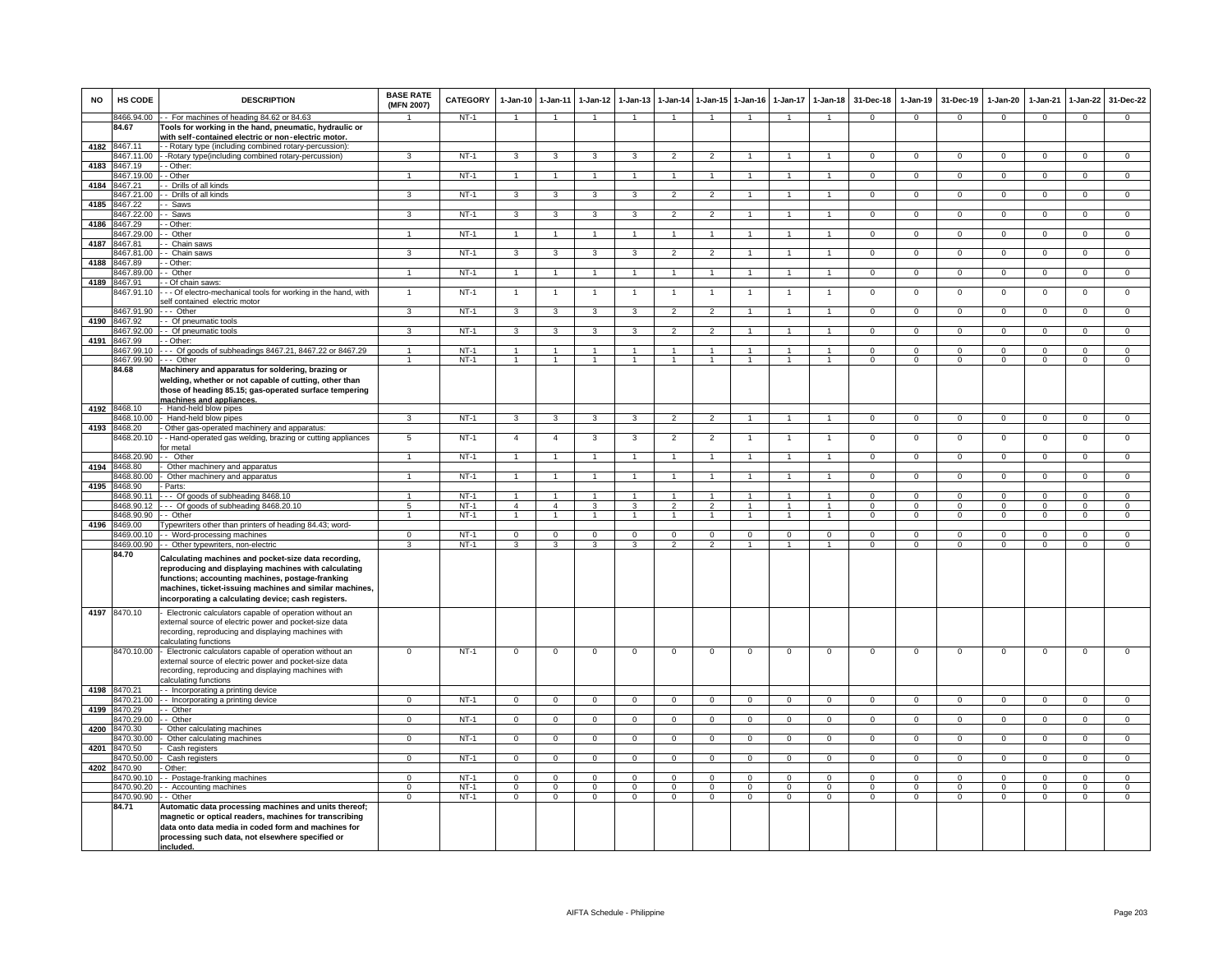| <b>NO</b> | HS CODE                      | <b>DESCRIPTION</b>                                                                                                                                                                                                                                                                 | <b>BASE RATE</b><br>(MFN 2007)   | CATEGORY | 1-Jan-10                | $1 - Jan-11$   | $1-Jan-12$              | $1-Jan-13$                                |                                            |                                  | 1-Jan-14 1-Jan-15 1-Jan-16 | $1 - Jan-17$                 | $1-Jan-18$     | 31-Dec-18      | $1-Jan-19$     | 31-Dec-19      | $1-Jan-20$     | $1-Jan-21$     | $1 - Jan-22$   | 31-Dec-22      |
|-----------|------------------------------|------------------------------------------------------------------------------------------------------------------------------------------------------------------------------------------------------------------------------------------------------------------------------------|----------------------------------|----------|-------------------------|----------------|-------------------------|-------------------------------------------|--------------------------------------------|----------------------------------|----------------------------|------------------------------|----------------|----------------|----------------|----------------|----------------|----------------|----------------|----------------|
|           | 8466.94.00                   | -- For machines of heading 84.62 or 84.63                                                                                                                                                                                                                                          |                                  | $NT-1$   | $\mathbf{1}$            |                |                         |                                           | $\mathbf{1}$                               |                                  |                            |                              |                | $\Omega$       | $\Omega$       | $\Omega$       | $\Omega$       | $\Omega$       | $\Omega$       | $\Omega$       |
|           | 84.67                        | Tools for working in the hand, pneumatic, hydraulic or                                                                                                                                                                                                                             |                                  |          |                         |                |                         |                                           |                                            |                                  |                            |                              |                |                |                |                |                |                |                |                |
| 4182      | 8467.11                      | with self-contained electric or non-electric motor.<br>- Rotary type (including combined rotary-percussion):                                                                                                                                                                       |                                  |          |                         |                |                         |                                           |                                            |                                  |                            |                              |                |                |                |                |                |                |                |                |
|           | 467.11.00                    | -Rotary type(including combined rotary-percussion)                                                                                                                                                                                                                                 | 3                                | $NT-1$   | $\mathbf{3}$            | $\mathbf{3}$   | 3                       | $\mathbf{3}$                              | $\overline{2}$                             | $\overline{2}$                   | $\mathbf{1}$               | $\mathbf{1}$                 | $\mathbf{1}$   | $\Omega$       | $\Omega$       | $\Omega$       | $\Omega$       | $\Omega$       | $\Omega$       | $\overline{0}$ |
| 4183      | 467.19                       | - Other:                                                                                                                                                                                                                                                                           |                                  |          |                         |                |                         |                                           |                                            |                                  |                            |                              |                |                |                |                |                |                |                |                |
|           | 467.19.00                    | - Other                                                                                                                                                                                                                                                                            |                                  | $NT-1$   | $\overline{1}$          | $\overline{1}$ |                         |                                           | $\overline{1}$                             |                                  |                            |                              |                | $\Omega$       | $\Omega$       | $\Omega$       | $\Omega$       | $\Omega$       | $\Omega$       | $\overline{0}$ |
| 4184      | 8467.21<br>8467.21.00        | - Drills of all kinds<br>- Drills of all kinds                                                                                                                                                                                                                                     | $\overline{\mathbf{3}}$          | $NT-1$   | $\overline{3}$          | 3              | $\overline{\mathbf{3}}$ | 3                                         | $\overline{2}$                             | $\overline{2}$                   | $\overline{1}$             | $\overline{1}$               | $\overline{1}$ | $\overline{0}$ | $\overline{0}$ | $\overline{0}$ | $\overline{0}$ | $\overline{0}$ | $\overline{0}$ | $\overline{0}$ |
| 4185      | 8467.22                      | Saws                                                                                                                                                                                                                                                                               |                                  |          |                         |                |                         |                                           |                                            |                                  |                            |                              |                |                |                |                |                |                |                |                |
|           | 8467.22.00                   | - Saws                                                                                                                                                                                                                                                                             | 3                                | $NT-1$   | 3                       | 3              | 3                       | 3                                         | $\overline{2}$                             | $\overline{2}$                   |                            |                              | $\overline{1}$ | $\Omega$       | $\Omega$       | $\Omega$       | $\Omega$       | $\Omega$       | $\Omega$       | $\Omega$       |
| 4186      | 8467.29                      | - Other:                                                                                                                                                                                                                                                                           |                                  |          |                         |                |                         |                                           |                                            |                                  |                            |                              |                |                |                |                |                |                |                |                |
|           | 8467.29.00                   | - Other                                                                                                                                                                                                                                                                            | $\overline{1}$                   | NT-1     | $\mathbf{1}$            | $\overline{1}$ | $\overline{1}$          | $\overline{1}$                            | $\overline{1}$                             | $\overline{1}$                   | $\overline{1}$             | $\overline{1}$               | $\mathbf{1}$   | $\overline{0}$ | $\overline{0}$ | $\mathbf 0$    | $\mathbf{0}$   | $\mathbf 0$    | $\circ$        | $\mathbf{0}$   |
| 4187      | <b>8467 81</b><br>3467.81.00 | - Chain saws<br>- Chain saws                                                                                                                                                                                                                                                       | 3                                | $NT-1$   | $\mathbf{3}$            | 3              | $\mathbf{3}$            | 3                                         | $\overline{2}$                             | $\overline{2}$                   | $\overline{1}$             | $\mathbf{1}$                 | $\overline{1}$ | $\Omega$       | $\overline{0}$ | $\mathbf 0$    | $\mathbf{0}$   | $\overline{0}$ | $\overline{0}$ | $\overline{0}$ |
| 4188      | 467.89                       | - Other:                                                                                                                                                                                                                                                                           |                                  |          |                         |                |                         |                                           |                                            |                                  |                            |                              |                |                |                |                |                |                |                |                |
|           | 467.89.00                    | - Other                                                                                                                                                                                                                                                                            | $\mathbf{1}$                     | $NT-1$   | $\overline{1}$          | $\overline{1}$ | $\mathbf{1}$            |                                           | $\overline{1}$                             | $\overline{1}$                   |                            | $\mathbf{1}$                 |                | $\mathsf 0$    | $\mathbf 0$    | $^{\circ}$     | $\mathbf{0}$   | $\mathbf 0$    | $\mathbf 0$    | $\mathbf{O}$   |
| 4189      | 8467.91                      | - Of chain saws:                                                                                                                                                                                                                                                                   |                                  |          |                         |                |                         |                                           |                                            |                                  |                            |                              |                |                |                |                |                |                |                |                |
|           | 8467.91.10                   | - - Of electro-mechanical tools for working in the hand, with<br>self contained electric motor                                                                                                                                                                                     | $\overline{1}$                   | $NT-1$   | $\overline{1}$          | $\mathbf{1}$   | $\overline{1}$          | $\overline{1}$                            | $\overline{1}$                             | $\mathbf{1}$                     | $\overline{1}$             | $\overline{1}$               | $\overline{1}$ | $\mathbf 0$    | $\mathsf 0$    | $\mathsf 0$    | $\,0\,$        | $\,0\,$        | $\mathsf 0$    | $\mathsf 0$    |
| 4190      | 467.91.90<br>8467.92         | -- Other<br>- Of pneumatic tools                                                                                                                                                                                                                                                   | 3                                | $NT-1$   | $\mathcal{R}$           | $\mathbf{R}$   | 3                       | 3                                         | $\overline{2}$                             | $\mathcal{P}$                    |                            |                              |                | $\Omega$       | $\Omega$       | $\Omega$       | $\Omega$       | $\Omega$       | $\Omega$       | $\Omega$       |
|           | 8467.92.00                   | -- Of pneumatic tools                                                                                                                                                                                                                                                              | $\mathbf{3}$                     | $NT-1$   | $\mathbf{3}$            | $\mathbf{3}$   | $\mathbf{3}$            | $\mathbf{3}$                              | $\overline{2}$                             | $\overline{2}$                   | -1                         | $\mathbf{1}$                 | $\mathbf{1}$   | $\mathbf 0$    | $\overline{0}$ | $\mathbf 0$    | $\mathbf{0}$   | $\mathbf 0$    | $\mathbf 0$    | $\overline{0}$ |
|           | 4191 8467.99                 | - Other:                                                                                                                                                                                                                                                                           |                                  |          |                         |                |                         |                                           |                                            |                                  |                            |                              |                |                |                |                |                |                |                |                |
|           | 8467.99.10                   | --- Of goods of subheadings 8467.21, 8467.22 or 8467.29                                                                                                                                                                                                                            | 1                                | $NT-1$   | $\mathbf{1}$            | $\mathbf{1}$   |                         |                                           | $\overline{1}$                             | $\overline{1}$                   | $\mathbf{1}$               | 1                            | $\mathbf{1}$   | $\overline{0}$ | $\overline{0}$ | $\Omega$       | $\overline{0}$ | $\overline{0}$ | $\overline{0}$ | $\overline{0}$ |
|           | 8467.99.90 --- Other         |                                                                                                                                                                                                                                                                                    | $\overline{1}$                   | $NT-1$   | $\mathbf{1}$            | $\overline{1}$ | $\mathbf{1}$            | $\mathbf{1}$                              | $\mathbf{1}$                               | $\mathbf{1}$                     | $\mathbf{1}$               | 1                            | $\overline{1}$ | $\mathbf{0}$   | $\mathbf 0$    | $\mathbf 0$    | $\mathbf{0}$   | $\mathbf 0$    | $\mathbf 0$    | $\mathbf{O}$   |
|           | 84.68                        | Machinery and apparatus for soldering, brazing or<br>welding, whether or not capable of cutting, other than<br>those of heading 85.15; gas-operated surface tempering<br>machines and appliances                                                                                   |                                  |          |                         |                |                         |                                           |                                            |                                  |                            |                              |                |                |                |                |                |                |                |                |
| 4192      | 8468.10<br>8468.10.00        | - Hand-held blow pipes<br>- Hand-held blow pipes                                                                                                                                                                                                                                   | 3                                | $NT-1$   | $\overline{\mathbf{3}}$ | 3              | 3                       | $\mathbf{3}$                              | $\overline{2}$                             | $\overline{2}$                   | $\overline{1}$             | $\overline{1}$               | $\mathbf{1}$   | $\overline{0}$ | $\overline{0}$ | $\overline{0}$ | $\overline{0}$ | $\overline{0}$ | $\overline{0}$ | $\overline{0}$ |
|           | 4193 8468.20                 | Other gas-operated machinery and apparatus:                                                                                                                                                                                                                                        |                                  |          |                         |                |                         |                                           |                                            |                                  |                            |                              |                |                |                |                |                |                |                |                |
|           | 8468.20.10                   | - Hand-operated gas welding, brazing or cutting appliances                                                                                                                                                                                                                         | 5                                | $NT-1$   | $\overline{4}$          | $\overline{4}$ | 3                       | 3                                         | $\overline{2}$                             | $\overline{2}$                   | -1                         | $\mathbf{1}$                 | $\mathbf{1}$   | $\mathbf{0}$   | $^{\circ}$     | $\mathbf 0$    | $\mathbf{0}$   | $\mathbf 0$    | $\mathbf 0$    | $\overline{0}$ |
|           |                              | or metal                                                                                                                                                                                                                                                                           |                                  |          |                         |                |                         |                                           |                                            |                                  |                            |                              |                |                |                |                |                |                |                |                |
| 4194      | 468.20.90<br>3468.80         | - Other<br>Other machinery and apparatus                                                                                                                                                                                                                                           | $\mathbf{1}$                     | $NT-1$   | $\mathbf{1}$            | $\mathbf{1}$   | $\mathbf{1}$            |                                           | $\overline{1}$                             | $\mathbf{1}$                     | $\mathbf{1}$               | $\mathbf{1}$                 | $\mathbf{1}$   | $\mathbf{0}$   | $\overline{0}$ | $\mathbf{0}$   | $\mathbf{0}$   | $\mathbf 0$    | $\overline{0}$ | $\overline{0}$ |
|           | 468.80.00                    | Other machinery and apparatus                                                                                                                                                                                                                                                      |                                  | $NT-1$   | $\overline{1}$          | $\overline{1}$ |                         |                                           | $\overline{1}$                             |                                  |                            |                              | $\mathbf{1}$   | $\mathbf 0$    | $\mathsf 0$    | $^{\circ}$     | $^{\circ}$     | $\mathbf 0$    | $\Omega$       | $\Omega$       |
| 4195      | 8468.90                      | Parts:                                                                                                                                                                                                                                                                             |                                  |          |                         |                |                         |                                           |                                            |                                  |                            |                              |                |                |                |                |                |                |                |                |
|           | 3468.90.11                   | -- Of goods of subheading 8468.10                                                                                                                                                                                                                                                  | $\overline{1}$                   | $NT-1$   | $\overline{1}$          | $\overline{1}$ | $\overline{1}$          | $\overline{1}$                            | $\overline{1}$                             | $\mathbf{1}$                     | $\overline{1}$             | $\overline{1}$               | $\overline{1}$ | $\Omega$       | $\Omega$       | $\Omega$       | $\Omega$       | $\Omega$       | $\overline{0}$ | $\overline{0}$ |
|           | 468.90.12                    | - Of goods of subheading 8468.20.10                                                                                                                                                                                                                                                | $\overline{5}$<br>$\overline{1}$ | $NT-1$   | $\overline{4}$          | $\overline{4}$ | $\overline{\mathbf{3}}$ | $\overline{\mathbf{3}}$<br>$\overline{1}$ | $\overline{\phantom{a}}$<br>$\overline{1}$ | $\overline{2}$<br>$\overline{1}$ |                            | $\mathbf{1}$<br>$\mathbf{1}$ | $\overline{1}$ | $\overline{0}$ | $\overline{0}$ | $\overline{0}$ | $\overline{0}$ | $\overline{0}$ | $\overline{0}$ | $\overline{0}$ |
| 4196      | 8468.90.90<br>8469.00        | - Other<br>Typewriters other than printers of heading 84.43; word-                                                                                                                                                                                                                 |                                  | $NT-1$   | $\mathbf{1}$            | $\overline{1}$ |                         |                                           |                                            |                                  |                            |                              |                | $^{\circ}$     | $\mathbf 0$    | $^{\circ}$     | $^{\circ}$     | $^{\circ}$     | $^{\circ}$     | $\mathbf{O}$   |
|           | 8469.00.10                   | - Word-processing machines                                                                                                                                                                                                                                                         | $\mathbf 0$                      | $NT-1$   | $\circ$                 | $\mathbf 0$    | $\mathbf 0$             | $\mathbf 0$                               | $\Omega$                                   | $\Omega$                         | $\mathbf 0$                | $\Omega$                     | $\Omega$       | $\Omega$       | $\Omega$       | $\Omega$       | $\Omega$       | $\Omega$       | $\Omega$       | $\mathbf{O}$   |
|           | 8469.00.90                   | - Other typewriters, non-electric                                                                                                                                                                                                                                                  | 3                                | $NT-1$   | $\mathbf{3}$            | 3              | 3                       | 3                                         | $\overline{2}$                             | $\overline{2}$                   | $\overline{1}$             | $\mathbf{1}$                 | $\mathbf{1}$   | $\Omega$       | $\Omega$       | $\Omega$       | $\mathbf{0}$   | $\overline{0}$ | $\overline{0}$ | $\overline{0}$ |
|           | 84.70                        | Calculating machines and pocket-size data recording,<br>reproducing and displaying machines with calculating<br>functions; accounting machines, postage-franking<br>machines, ticket-issuing machines and similar machines,<br>incorporating a calculating device; cash registers. |                                  |          |                         |                |                         |                                           |                                            |                                  |                            |                              |                |                |                |                |                |                |                |                |
|           | 4197 8470.10                 | Electronic calculators capable of operation without an<br>external source of electric power and pocket-size data<br>recording, reproducing and displaying machines with<br>calculating functions                                                                                   |                                  |          |                         |                |                         |                                           |                                            |                                  |                            |                              |                |                |                |                |                |                |                |                |
|           |                              | 8470.10.00 - Electronic calculators capable of operation without an<br>external source of electric power and pocket-size data<br>recording, reproducing and displaying machines with<br>calculating functions                                                                      | $\mathbf 0$                      | $NT-1$   | $\mathbf 0$             | $\mathbf 0$    | $\mathbf 0$             | $\mathbf 0$                               | $\mathbf 0$                                | $\mathbf 0$                      | $\mathbf 0$                | $\mathsf 0$                  | $\mathbf 0$    | $\mathbf 0$    | $\mathsf 0$    | $\mathbf 0$    | $\,0\,$        | $\mathbf 0$    | $\mathbf 0$    | $\mathsf 0$    |
| 4198      | 8470 21                      | -- Incorporating a printing device                                                                                                                                                                                                                                                 |                                  |          |                         |                |                         |                                           |                                            |                                  |                            |                              |                |                |                |                |                |                |                |                |
| 4199      | 470.21.00<br>8470.29         | -- Incorporating a printing device<br>- Other                                                                                                                                                                                                                                      | $\Omega$                         | $NT-1$   | $\Omega$                | $\mathbf 0$    | $\Omega$                | $\Omega$                                  | $\Omega$                                   | $\mathbf 0$                      | $\Omega$                   | $\Omega$                     | $\mathbf 0$    | $\mathbf 0$    | $\Omega$       | $\Omega$       | $\Omega$       | $\Omega$       | $\Omega$       | $\mathbf{O}$   |
|           | 470.29.00                    | - Other                                                                                                                                                                                                                                                                            | $\Omega$                         | $NT-1$   | $\mathbf{0}$            | $\mathbf 0$    | 0                       | $\Omega$                                  | $\mathbf 0$                                | $\mathbf 0$                      |                            | $\Omega$                     | $\mathbf 0$    | $^{\circ}$     | $\Omega$       | $\Omega$       | $\Omega$       | $\Omega$       |                | $\Omega$       |
| 4200      | 8470.30                      | Other calculating machines                                                                                                                                                                                                                                                         |                                  |          |                         |                |                         |                                           |                                            |                                  |                            |                              |                |                |                |                |                |                |                |                |
|           | 470.30.00                    | Other calculating machines                                                                                                                                                                                                                                                         | $\mathbf{0}$                     | $NT-1$   | $\overline{0}$          | $\overline{0}$ | $\overline{0}$          | $\,0\,$                                   | $\mathbf{0}$                               | $\mathbf 0$                      | $\mathbf{0}$               | $\mathbf 0$                  | $\overline{0}$ | $\overline{0}$ | $\mathbf 0$    | $\mathbf{0}$   | $\mathbf{0}$   | $\mathbf 0$    | $\mathbf 0$    | $\overline{0}$ |
| 4201      | 470.50                       | Cash registers                                                                                                                                                                                                                                                                     |                                  |          |                         |                |                         |                                           |                                            |                                  |                            |                              |                |                |                |                |                |                |                |                |
|           | 470.50.00                    | Cash registers                                                                                                                                                                                                                                                                     | $\overline{0}$                   | $NT-1$   | $\overline{0}$          | $\overline{0}$ | $\overline{0}$          | $\mathbf 0$                               | $\mathbf 0$                                | $\overline{0}$                   | $\mathbf 0$                | $\mathbf 0$                  | $\overline{0}$ | $\overline{0}$ | $\overline{0}$ | $\mathbf 0$    | $\mathsf 0$    | $\mathbf 0$    | $\overline{0}$ | $\overline{0}$ |
| 4202      | 470.90<br>3470.90.10         | Other:<br>- Postage-franking machines                                                                                                                                                                                                                                              | $\mathbf 0$                      | $NT-1$   | $\mathbf 0$             | $\mathsf 0$    | $\mathbf 0$             | $\mathsf 0$                               | $\mathbf 0$                                | $\mathsf 0$                      | $\mathbf 0$                | $\mathbf 0$                  | $\mathsf 0$    | $\Omega$       | $\mathbf 0$    | $\Omega$       | $\mathsf 0$    | $\Omega$       | $\Omega$       | $\mathsf 0$    |
|           | 8470.90.20                   | - Accounting machines                                                                                                                                                                                                                                                              | $\mathbf 0$                      | $NT-1$   | $\mathbf 0$             | $\mathbf 0$    | $\mathbf 0$             | $\,0\,$                                   | $\mathbf{0}$                               | $\mathbf 0$                      | $\mathbf 0$                | $\Omega$                     | $\Omega$       | $\Omega$       | $\Omega$       | $\Omega$       | $\mathbf 0$    | $\Omega$       | $\mathbf 0$    | $\overline{0}$ |
|           | 8470.90.90                   | - Other                                                                                                                                                                                                                                                                            | $\overline{0}$                   | $NT-1$   | $\overline{0}$          | $\overline{0}$ | $\overline{0}$          | $\overline{0}$                            | $\overline{0}$                             | $\overline{0}$                   | $\overline{0}$             | $\overline{0}$               | $\overline{0}$ | $\overline{0}$ | $\overline{0}$ | $\overline{0}$ | $\overline{0}$ | $\overline{0}$ | $\overline{0}$ | $\overline{0}$ |
|           | 84.71                        | Automatic data processing machines and units thereof;<br>magnetic or optical readers, machines for transcribing<br>data onto data media in coded form and machines for<br>processing such data, not elsewhere specified or<br>included                                             |                                  |          |                         |                |                         |                                           |                                            |                                  |                            |                              |                |                |                |                |                |                |                |                |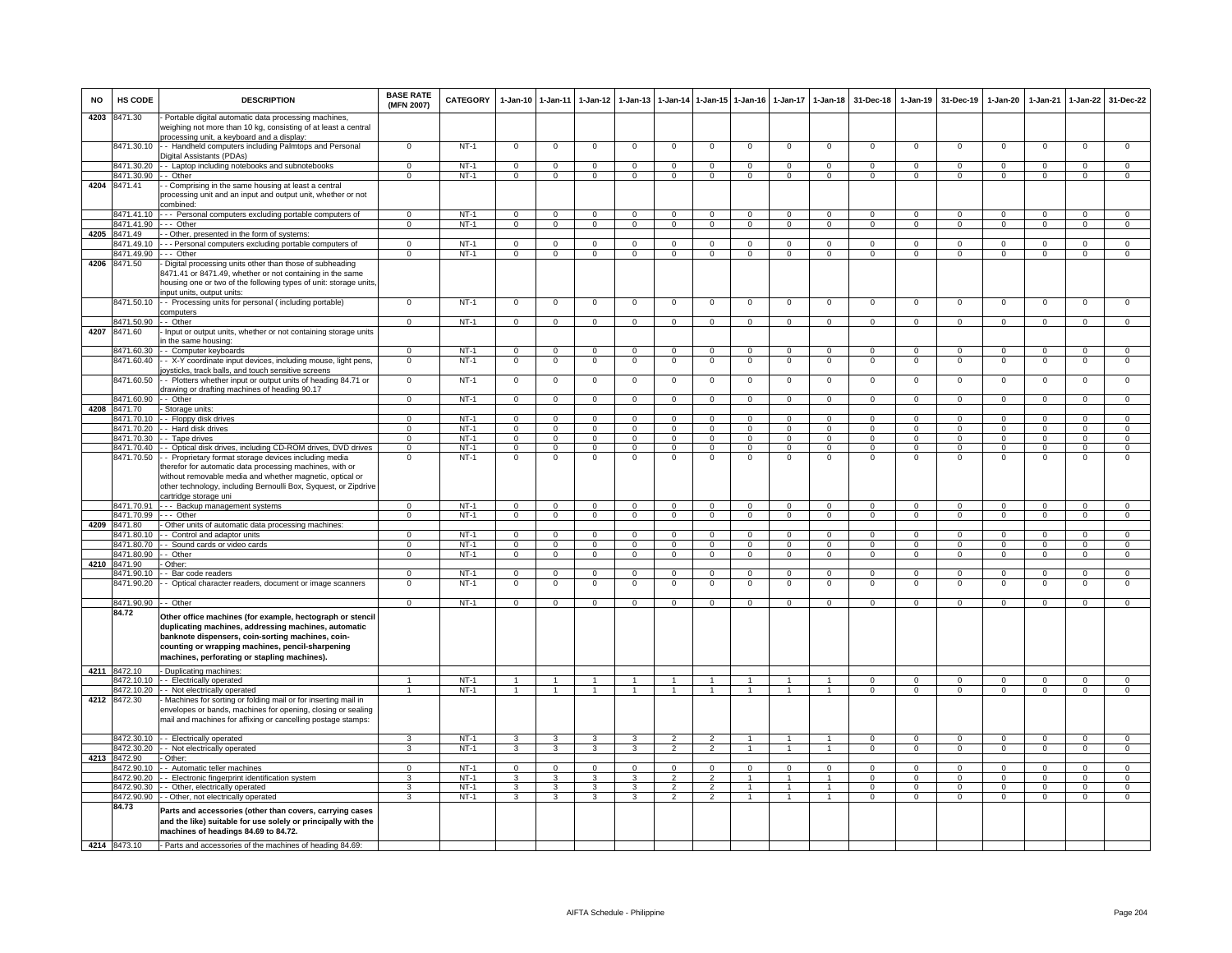| <b>NO</b> | HS CODE                    | <b>DESCRIPTION</b>                                                                                                                                                                                                                                                         | <b>BASE RATE</b><br>(MFN 2007) | <b>CATEGORY</b>  | 1-Jan-10                 | $1 - Jan-11$                 | $1 - Jan-12$               | $1-Jan-13$              |                               |                                  | 1-Jan-14 1-Jan-15 1-Jan-16       | 1-Jan-17                       | $1-Jan-18$                       | 31-Dec-18                | $1-Jan-19$               | 31-Dec-19              | $1-Jan-20$                 | 1-Jan-21                 | $1 - Jan-22$                 | 31-Dec-22                        |
|-----------|----------------------------|----------------------------------------------------------------------------------------------------------------------------------------------------------------------------------------------------------------------------------------------------------------------------|--------------------------------|------------------|--------------------------|------------------------------|----------------------------|-------------------------|-------------------------------|----------------------------------|----------------------------------|--------------------------------|----------------------------------|--------------------------|--------------------------|------------------------|----------------------------|--------------------------|------------------------------|----------------------------------|
| 4203      | 8471.30                    | Portable digital automatic data processing machines,<br>weighing not more than 10 kg, consisting of at least a central                                                                                                                                                     |                                |                  |                          |                              |                            |                         |                               |                                  |                                  |                                |                                  |                          |                          |                        |                            |                          |                              |                                  |
|           | 8471.30.10                 | processing unit, a keyboard and a display:<br>- Handheld computers including Palmtops and Personal<br>Digital Assistants (PDAs)                                                                                                                                            | $\Omega$                       | $NT-1$           | $\mathbf 0$              | $\mathbf 0$                  | $\mathbf 0$                | $\mathbf 0$             | $\mathbf 0$                   | $\mathbf 0$                      | $\mathsf 0$                      | $\mathsf 0$                    | $\mathbf 0$                      | 0                        | $\mathbf 0$              | $\mathbf 0$            | $^{\circ}$                 | $\mathbf 0$              | $\mathsf 0$                  | $\mathbf 0$                      |
|           | 8471.30.20                 | - - Laptop including notebooks and subnotebooks                                                                                                                                                                                                                            | $\mathbf 0$                    | $NT-1$           | $\mathbf 0$              | $\mathbf 0$                  | $\mathbf 0$                | $\mathbf 0$             | $\mathbf 0$                   | $^{\circ}$                       | $\mathsf 0$                      | $\mathsf 0$                    | $\mathbf 0$                      | $\mathbf 0$              | $\mathbf 0$              | $\mathbf 0$            | $\mathsf 0$                | $\mathbf 0$              | $\mathbf 0$                  | $\mathbf 0$                      |
|           | 8471.30.90                 | - Other                                                                                                                                                                                                                                                                    | $\Omega$                       | $NT-1$           | $\mathbf{0}$             | $\mathbf 0$                  | $\mathbf 0$                | $\mathbf 0$             | $\mathbf 0$                   | $\Omega$                         | $\mathbf 0$                      | $\Omega$                       | $\Omega$                         | $\mathbf 0$              | $\overline{0}$           | $\Omega$               | $\mathbf 0$                | $\mathbf 0$              | $\Omega$                     | $\mathbf{0}$                     |
| 4204      | 8471.41                    | - Comprising in the same housing at least a central<br>processing unit and an input and output unit, whether or not<br>combined:                                                                                                                                           |                                |                  |                          |                              |                            |                         |                               |                                  |                                  |                                |                                  |                          |                          |                        |                            |                          |                              |                                  |
|           | 8471.41.10                 | --- Personal computers excluding portable computers of                                                                                                                                                                                                                     | $\Omega$                       | NT-1             | $\mathbf{0}$             | $\mathbf 0$                  | $\mathbf 0$                | $\mathbf 0$             | $\Omega$                      | $\mathbf{0}$                     | $\mathbf 0$                      | $\Omega$                       | $\Omega$                         | $\Omega$                 | $\mathbf{0}$             | $\Omega$               | $^{\circ}$                 | $\mathbf{0}$             | $\mathbf 0$                  | $\mathbf{0}$                     |
|           | 8471.41.90                 | --- Other                                                                                                                                                                                                                                                                  | $\mathbf{0}$                   | $NT-1$           | $\overline{0}$           | $\mathbf{0}$                 | $\mathbf{0}$               | $\mathbf{0}$            | $\mathbf 0$                   | $\overline{0}$                   | $\mathbf{0}$                     | $\mathbf{0}$                   | $\mathbf 0$                      | $\overline{0}$           | $\overline{0}$           | $\mathbf{0}$           | $\overline{0}$             | $\overline{0}$           | $\overline{0}$               | $\overline{0}$                   |
|           | 4205 8471.49               | - Other, presented in the form of systems:                                                                                                                                                                                                                                 |                                |                  |                          |                              |                            |                         |                               |                                  |                                  |                                |                                  |                          |                          |                        |                            |                          |                              |                                  |
|           | 3471.49.10                 | - - Personal computers excluding portable computers of                                                                                                                                                                                                                     | $\overline{0}$                 | $NT-1$           | $\mathbf 0$              | $\overline{0}$               | $\mathbf{0}$               | $\overline{0}$          | $\mathbf 0$                   | $\mathbf 0$                      | $\overline{0}$                   | 0                              | $\overline{0}$                   | $\mathbf{0}$             | $\overline{0}$           | $\mathbf 0$            | $\mathbf 0$                | $\mathbf 0$              | $\overline{0}$               | $\overline{0}$                   |
|           | 3471.49.90                 | -- Other                                                                                                                                                                                                                                                                   | $\overline{0}$                 | $NT-1$           | $\overline{0}$           | $\overline{0}$               | $\mathbf{0}$               | $\overline{0}$          | $\mathbf 0$                   | $\mathbf{0}$                     | $\overline{0}$                   | $\mathbf 0$                    | $\overline{0}$                   | $\mathbf{0}$             | $\mathbf 0$              | $\mathbf{0}$           | $\mathbf{0}$               | $\mathbf 0$              | $\overline{0}$               | $\overline{0}$                   |
| 4206      | 8471.50                    | Digital processing units other than those of subheading<br>3471.41 or 8471.49, whether or not containing in the same<br>nousing one or two of the following types of unit: storage units,                                                                                  |                                |                  |                          |                              |                            |                         |                               |                                  |                                  |                                |                                  |                          |                          |                        |                            |                          |                              |                                  |
|           |                            | nput units, output units:                                                                                                                                                                                                                                                  |                                |                  |                          |                              |                            |                         |                               |                                  |                                  |                                |                                  |                          |                          |                        |                            |                          |                              |                                  |
|           | 8471.50.10                 | - - Processing units for personal (including portable)                                                                                                                                                                                                                     | $\mathbf 0$                    | $NT-1$           | $\mathbf 0$              | $\mathbf 0$                  | $\mathbf 0$                | $\mathbf 0$             | $\mathbf 0$                   | $\mathbf 0$                      | $\mathbf 0$                      | $\mathsf 0$                    | $\overline{0}$                   | $\mathbf 0$              | $\mathbf 0$              | $\mathbf 0$            | $\mathbf 0$                | $\mathbf 0$              | $\mathsf 0$                  | $\mathbf 0$                      |
|           | 8471.50.90                 | computers<br>- - Other                                                                                                                                                                                                                                                     | $\Omega$                       | $NT-1$           | $\mathbf 0$              | $\mathbf 0$                  | $^{\circ}$                 | $\mathbf 0$             | $\mathbf 0$                   | $\mathbf{0}$                     | $\mathsf 0$                      | $^{\circ}$                     | $\mathbf{0}$                     | 0                        | $\mathbf{O}$             | $^{\circ}$             | $\mathbf 0$                | $\mathbf 0$              | $\mathbf 0$                  | $\mathbf{0}$                     |
| 4207      | 8471.60                    | Input or output units, whether or not containing storage units                                                                                                                                                                                                             |                                |                  |                          |                              |                            |                         |                               |                                  |                                  |                                |                                  |                          |                          |                        |                            |                          |                              |                                  |
|           |                            | n the same housing:                                                                                                                                                                                                                                                        |                                |                  |                          |                              |                            |                         |                               |                                  |                                  |                                |                                  |                          |                          |                        |                            |                          |                              |                                  |
|           | 8471.60.30                 | -- Computer keyboards                                                                                                                                                                                                                                                      | $\Omega$                       | $NT-1$           | $\mathbf{0}$             | $\overline{0}$               | $^{\circ}$                 | $\mathbf 0$             | $\overline{0}$                | $\mathbf{0}$                     | $\mathbf{0}$                     | $^{\circ}$                     | $\overline{0}$                   | $\Omega$                 | $\Omega$                 | $\Omega$               | $\mathbf{0}$               | $\Omega$                 | $\mathbf 0$                  | $\mathbf{0}$                     |
|           | 8471.60.40                 | - X-Y coordinate input devices, including mouse, light pens,<br>bysticks, track balls, and touch sensitive screens                                                                                                                                                         | $\overline{0}$                 | $NT-1$           | $\mathbf 0$              | $\mathbf 0$                  | $\mathbf 0$                | $\overline{0}$          | $\mathbf 0$                   | $\overline{0}$                   | $\overline{0}$                   | $\mathsf 0$                    | $\overline{0}$                   | $\Omega$                 | $\overline{0}$           | $\Omega$               | $\mathsf 0$                | $\Omega$                 | $\overline{0}$               | $\overline{0}$                   |
|           | 8471.60.50                 | - Plotters whether input or output units of heading 84.71 or<br>Irawing or drafting machines of heading 90.17                                                                                                                                                              | $\mathbf 0$                    | $NT-1$           | $\mathsf 0$              | $\mathbf 0$                  | $\mathbf 0$                | $^{\circ}$              | $\mathbf 0$                   | 0                                | $\mathbf 0$                      | $\mathbf 0$                    | $\mathbf 0$                      | $\mathbf 0$              | $\mathsf 0$              | $\mathbf 0$            | $^{\circ}$                 | $\mathbf 0$              | $\mathbf 0$                  | 0                                |
|           | 8471.60.90                 | - Other                                                                                                                                                                                                                                                                    | $\Omega$                       | $NT-1$           | $\circ$                  | $\mathsf 0$                  | $\mathbf 0$                | $\mathsf 0$             | $\mathbf 0$                   | $\mathbf{0}$                     | $\mathbf{0}$                     | $\mathbf{0}$                   | $\mathbf{0}$                     | $\mathsf 0$              | $\mathbf 0$              | $\mathbf{0}$           | $\mathsf 0$                | $\mathbf{0}$             | $\mathbf{0}$                 | $\mathbf{0}$                     |
| 4208      | 8471.70                    | - Storage units:                                                                                                                                                                                                                                                           |                                |                  |                          |                              |                            |                         |                               |                                  |                                  |                                |                                  |                          |                          |                        |                            |                          |                              |                                  |
|           | 8471.70.10                 | - - Floppy disk drives                                                                                                                                                                                                                                                     | $\Omega$                       | NT-1             | $\Omega$                 | $\Omega$                     | $\Omega$                   | $\Omega$                | $\Omega$                      | $\Omega$                         | $\Omega$                         | $\Omega$                       | $\Omega$                         | $\Omega$                 | $\Omega$                 | $\Omega$               | $\Omega$                   | $\Omega$                 | $\Omega$                     | $\Omega$                         |
|           | 8471.70.20<br>8471.70.30   | - - Hard disk drives<br>- Tape drives                                                                                                                                                                                                                                      | $\Omega$<br>$^{\circ}$         | $NT-1$<br>$NT-1$ | $\Omega$<br>$\mathbf{0}$ | $\mathbf{0}$<br>$\mathbf{0}$ | $\Omega$<br>$\overline{0}$ | $\Omega$<br>$\mathbf 0$ | $\Omega$<br>$\mathbf{0}$      | $\mathbf{0}$<br>$\mathbf{0}$     | $\mathbf{0}$<br>$\overline{0}$   | $\Omega$<br>$\mathbf{0}$       | $\mathbf{0}$<br>$\overline{0}$   | $\Omega$<br>$\mathbf{0}$ | $\Omega$<br>$\mathbf{0}$ | $\Omega$<br>$^{\circ}$ | $\Omega$<br>$\mathbf{0}$   | $\Omega$<br>$\mathbf{0}$ | $\mathbf{0}$<br>$\mathbf{0}$ | $\mathbf 0$<br>$\mathbf{0}$      |
|           | 8471.70.40                 | - Optical disk drives, including CD-ROM drives, DVD drives                                                                                                                                                                                                                 | $\Omega$                       | $NT-1$           | $\Omega$                 | $\mathbf 0$                  | $\Omega$                   | $\Omega$                | $\Omega$                      | $\mathbf 0$                      | $\Omega$                         | $\Omega$                       | $\overline{0}$                   | $^{\circ}$               | $\Omega$                 | $\Omega$               | $\Omega$                   | $\Omega$                 | $\mathbf 0$                  | $\overline{0}$                   |
|           | 8471.70.50                 | - Proprietary format storage devices including media                                                                                                                                                                                                                       | $\Omega$                       | $NT-1$           | $\mathbf 0$              | $\overline{0}$               | $\mathbf 0$                | $\Omega$                | $^{\circ}$                    | 0                                | $\Omega$                         | $\mathbf 0$                    | $\overline{0}$                   | $\Omega$                 | 0                        | $\Omega$               | $\Omega$                   | $\Omega$                 | 0                            | $\overline{0}$                   |
|           |                            | herefor for automatic data processing machines, with or<br>without removable media and whether magnetic, optical or<br>other technology, including Bernoulli Box, Syquest, or Zipdrive<br>cartridge storage uni                                                            |                                |                  |                          |                              |                            |                         |                               |                                  |                                  |                                |                                  |                          |                          |                        |                            |                          |                              |                                  |
|           | 8471.70.91                 | --- Backup management systems                                                                                                                                                                                                                                              | $\Omega$                       | NT-1             | $\Omega$                 | $\Omega$                     | $\Omega$                   | $\Omega$                | $\Omega$                      | $\Omega$                         | $\Omega$                         | $\Omega$                       | $\Omega$                         | $\Omega$                 | $\mathsf 0$              | $\Omega$               | $\Omega$                   | $\mathbf 0$              | $\Omega$                     | $\mathbf{0}$                     |
|           | 8471.70.99                 | --- Other                                                                                                                                                                                                                                                                  | $\mathbf 0$                    | $NT-1$           | $\mathbf{0}$             | $\mathbf{0}$                 | $\overline{0}$             | $\mathbf{0}$            | $\overline{0}$                | $\mathbf{0}$                     | $\mathbf{0}$                     | $\mathbf{0}$                   | $\mathbf 0$                      | $\mathbf{0}$             | $\mathbf{0}$             | $\mathbf{0}$           | $\mathbf{0}$               | $\mathbf{0}$             | $\mathbf{0}$                 | $\mathbf{0}$                     |
|           | 4209 8471.80<br>8471.80.10 | - Other units of automatic data processing machines:<br>- - Control and adaptor units                                                                                                                                                                                      | $\Omega$                       | $NT-1$           | $\circ$                  | $\mathbf 0$                  | $^{\circ}$                 | $^{\circ}$              | $\mathbf 0$                   | $\mathbf{0}$                     | $\mathbf 0$                      | $^{\circ}$                     | $\mathbf{0}$                     | $\Omega$                 | $\Omega$                 | $\Omega$               | $^{\circ}$                 | $\Omega$                 | $^{\circ}$                   | $\Omega$                         |
|           | 8471.80.70                 | - Sound cards or video cards                                                                                                                                                                                                                                               | $\Omega$                       | $NT-1$           | $\mathbf{0}$             | $\overline{0}$               | $\overline{0}$             | $\overline{0}$          | $\Omega$                      | $\overline{0}$                   | $\overline{0}$                   | $\mathbf 0$                    | $\overline{0}$                   | $\Omega$                 | $\overline{0}$           | $\Omega$               | $\mathbf{0}$               | $\overline{0}$           | $\overline{0}$               | $\overline{0}$                   |
|           | 3471.80.90                 | - Other                                                                                                                                                                                                                                                                    | $\mathbf 0$                    | $NT-1$           | $\mathbf{0}$             | $\mathbf{0}$                 | $\mathbf{0}$               | $\mathbf 0$             | $\mathbf{0}$                  | $\mathbf{0}$                     | $\mathbf{0}$                     | $\mathbf 0$                    | $\mathbf{0}$                     | $\mathbf 0$              | $\mathbf{O}$             | $\mathbf 0$            | $\mathbf{0}$               | $\mathbf 0$              | $\mathbf 0$                  | $\mathbf{0}$                     |
| 4210      | 8471.90                    | Other:                                                                                                                                                                                                                                                                     |                                |                  |                          |                              |                            |                         |                               |                                  |                                  |                                |                                  |                          |                          |                        |                            |                          |                              |                                  |
|           | 8471.90.10                 | - Bar code readers                                                                                                                                                                                                                                                         | $\Omega$                       | <b>NT-1</b>      | $\mathbf 0$              | $\mathbf 0$                  | $\Omega$                   | 0                       | $\Omega$                      | 0                                | $\mathbf 0$                      | $\Omega$                       | $\mathsf 0$                      | $\Omega$                 | 0                        | $\Omega$               | $\Omega$                   | $\Omega$                 | $\Omega$                     | $\mathbf{0}$                     |
|           | 8471.90.20                 | - Optical character readers, document or image scanners                                                                                                                                                                                                                    | $\mathbf 0$                    | $NT-1$           | $\mathbf 0$              | $\mathbf 0$                  | $\mathbf 0$                | 0                       | $\mathbf 0$                   | 0                                | $\mathbf 0$                      | $\mathbf 0$                    | $\overline{0}$                   | $^{\circ}$               | $\mathsf 0$              | $\mathbf 0$            | $^{\circ}$                 | $\mathbf 0$              | $\mathsf 0$                  | $\overline{0}$                   |
|           | 8471.90.90                 | - Other                                                                                                                                                                                                                                                                    | $\Omega$                       | $NT-1$           | $\Omega$                 | $\mathbf 0$                  | $\Omega$                   | $\Omega$                | $\mathbf 0$                   | $\mathbf 0$                      | $\Omega$                         | $\Omega$                       | $\Omega$                         | 0                        | $\mathbf{O}$             | $\Omega$               | $\Omega$                   | $\mathbf 0$              | 0                            | $\Omega$                         |
|           | 84.72                      | Other office machines (for example, hectograph or stencil<br>duplicating machines, addressing machines, automatic<br>banknote dispensers, coin-sorting machines, coin-<br>counting or wrapping machines, pencil-sharpening<br>machines, perforating or stapling machines). |                                |                  |                          |                              |                            |                         |                               |                                  |                                  |                                |                                  |                          |                          |                        |                            |                          |                              |                                  |
|           | 4211 8472.10               | - Duplicating machines                                                                                                                                                                                                                                                     |                                |                  |                          |                              |                            |                         |                               |                                  |                                  |                                |                                  |                          |                          |                        |                            |                          |                              |                                  |
|           | 8472.10.10                 | - Electrically operated                                                                                                                                                                                                                                                    | $\overline{1}$                 | $NT-1$           | $\overline{1}$           | $\overline{1}$               | $\overline{1}$             | $\mathbf{1}$            | $\overline{1}$                | $\mathbf{1}$                     | $\overline{1}$                   | $\mathbf{1}$                   | $\overline{1}$                   | $\Omega$                 | $\overline{0}$           | $\Omega$               | $\mathbf 0$                | $\Omega$                 | $\mathbf 0$                  | $\mathbf{0}$                     |
|           |                            | 8472.10.20 - Not electrically operated                                                                                                                                                                                                                                     | $\overline{1}$                 | $NT-1$           | $\overline{1}$           | $\overline{1}$               | $\overline{1}$             | $\overline{1}$          | $\overline{1}$                | $\overline{1}$                   | $\overline{1}$                   | $\mathbf{1}$                   | $\overline{1}$                   | $\Omega$                 | $\overline{0}$           | $\Omega$               | $\overline{0}$             | $\overline{0}$           | $\overline{0}$               | $\overline{0}$                   |
|           | 4212 8472.30               | - Machines for sorting or folding mail or for inserting mail in<br>envelopes or bands, machines for opening, closing or sealing<br>mail and machines for affixing or cancelling postage stamps:                                                                            |                                |                  |                          |                              |                            |                         |                               |                                  |                                  |                                |                                  |                          |                          |                        |                            |                          |                              |                                  |
|           | 8472.30.10                 | - - Electrically operated                                                                                                                                                                                                                                                  | 3                              | $NT-1$           | 3                        | 3                            | 3                          | 3                       | $\overline{2}$                | $\overline{2}$                   | $\overline{1}$                   | $\overline{1}$                 | $\overline{1}$                   | $\Omega$                 | $\Omega$                 | $\Omega$               | $\mathbf{0}$               | $\Omega$                 | $\mathbf 0$                  | $\Omega$                         |
|           | 3472.30.20                 | - Not electrically operated                                                                                                                                                                                                                                                | 3                              | $NT-1$           | $\overline{3}$           | $\overline{3}$               | $\overline{3}$             | $\overline{\mathbf{3}}$ | $\overline{2}$                | $\overline{2}$                   | $\mathbf{1}$                     | $\mathbf{1}$                   | $\overline{1}$                   | $\overline{0}$           | $\overline{0}$           | $\overline{0}$         | $\overline{0}$             | $\overline{0}$           | $\overline{0}$               | $\overline{0}$                   |
| 4213      | 8472.90                    | Other:                                                                                                                                                                                                                                                                     |                                |                  |                          |                              |                            |                         |                               |                                  |                                  |                                |                                  |                          |                          |                        |                            |                          |                              |                                  |
|           | 8472.90.10                 | - Automatic teller machines                                                                                                                                                                                                                                                | $\mathbf 0$                    | NT-1             | $\mathbf 0$              | $\mathbf 0$                  | $\mathbf 0$                | $^{\circ}$              | $\mathbf 0$<br>$\overline{2}$ | $\mathbf{0}$                     | $\mathbf{0}$                     | $\mathsf 0$                    | $\mathbf 0$                      | $\mathbf 0$              | $\mathsf 0$              | 0                      | $\mathsf 0$                | $\mathbf 0$              | $\mathbf 0$                  | $\mathbf{0}$                     |
|           | 8472.90.20<br>8472.90.30   | - Electronic fingerprint identification system<br>- Other, electrically operated                                                                                                                                                                                           | 3<br>3                         | $NT-1$<br>$NT-1$ | $\mathbf{3}$<br>3        | $\mathbf{3}$<br>3            | $\mathbf{3}$<br>3          | $\mathbf{3}$<br>3       | $\overline{2}$                | $\overline{2}$<br>$\overline{2}$ | $\overline{1}$<br>$\overline{1}$ | $\mathbf{1}$<br>$\overline{1}$ | $\overline{1}$<br>$\overline{1}$ | $\mathsf 0$<br>$\Omega$  | $\,0\,$<br>$\Omega$      | $\Omega$<br>$\Omega$   | $\mathbf 0$<br>$\mathbf 0$ | $\mathbf{0}$<br>$\Omega$ | $\mathbf{0}$<br>$\mathbf 0$  | $\overline{0}$<br>$\overline{0}$ |
|           | 8472.90.90                 | - Other, not electrically operated                                                                                                                                                                                                                                         | $\overline{\mathbf{3}}$        | $NT-1$           | 3                        | 3                            | $\overline{\mathbf{3}}$    | $\overline{\mathbf{3}}$ | $\overline{\phantom{a}}$      | $\overline{2}$                   | $\overline{1}$                   | $\mathbf{1}$                   | $\overline{1}$                   | $\overline{0}$           | $\overline{0}$           | $\overline{0}$         | $\overline{0}$             | $\overline{0}$           | $\overline{0}$               | $\overline{0}$                   |
|           | 84.73                      | Parts and accessories (other than covers, carrying cases<br>and the like) suitable for use solely or principally with the<br>machines of headings 84.69 to 84.72.                                                                                                          |                                |                  |                          |                              |                            |                         |                               |                                  |                                  |                                |                                  |                          |                          |                        |                            |                          |                              |                                  |
|           | 4214 8473.10               | - Parts and accessories of the machines of heading 84.69:                                                                                                                                                                                                                  |                                |                  |                          |                              |                            |                         |                               |                                  |                                  |                                |                                  |                          |                          |                        |                            |                          |                              |                                  |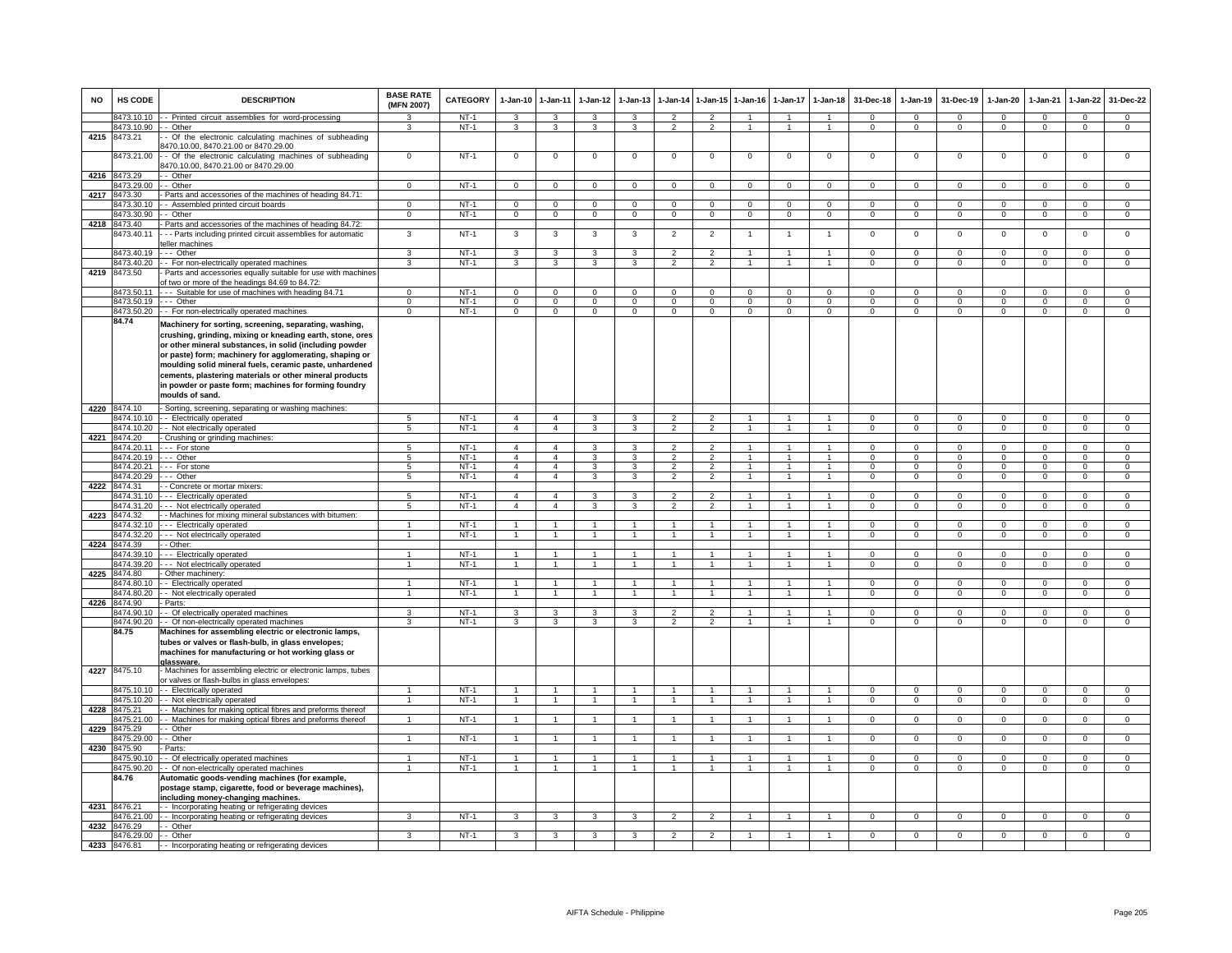| <b>NO</b> | HS CODE                  | <b>DESCRIPTION</b>                                                                                                                                                                                                                                                                                                                                                                                                                          | <b>BASE RATE</b><br>(MFN 2007) | <b>CATEGORY</b>  | 1-Jan-10          | $1 - Jan-11$         | $1-Jan-12$           | $1-Jan-13$     | 1-Jan-14                         |                                  | 1-Jan-15 1-Jan-16 | $1-Jan-17$     | $1 - Jan-18$                   | 31-Dec-18                | $1-Jan-19$                  | 31-Dec-19                 | $1-Jan-20$               | 1-Jan-21                | 1-Jan-22                    | 31-Dec-22                   |
|-----------|--------------------------|---------------------------------------------------------------------------------------------------------------------------------------------------------------------------------------------------------------------------------------------------------------------------------------------------------------------------------------------------------------------------------------------------------------------------------------------|--------------------------------|------------------|-------------------|----------------------|----------------------|----------------|----------------------------------|----------------------------------|-------------------|----------------|--------------------------------|--------------------------|-----------------------------|---------------------------|--------------------------|-------------------------|-----------------------------|-----------------------------|
|           | 3473.10.10               | - Printed circuit assemblies for word-processing                                                                                                                                                                                                                                                                                                                                                                                            | 3                              | $NT-1$           | 3                 | 3                    | 3                    | 3              | $\overline{2}$                   | $\overline{2}$                   |                   |                | $\mathbf{1}$                   | $\mathbf{0}$             | $^{\circ}$                  | $^{\circ}$                | $\Omega$                 | $^{\circ}$              | $^{\circ}$                  | $\mathbf{0}$                |
| 4215      | 3473.10.90<br>8473.21    | - Other<br>- Of the electronic calculating machines of subheading<br>470.10.00, 8470.21.00 or 8470.29.00                                                                                                                                                                                                                                                                                                                                    | $\mathbf{3}$                   | $NT-1$           | $\mathbf{3}$      | $\mathbf{3}$         | 3                    | $\mathbf{3}$   | $\overline{2}$                   | $\overline{2}$                   | $\overline{1}$    | $\overline{1}$ | $\overline{1}$                 | $\mathbf{0}$             | $\mathbf{0}$                | $\mathbf 0$               | $\mathbf{0}$             | $\overline{0}$          | $\mathbf{0}$                | $\overline{0}$              |
|           | 473.21.00                | - Of the electronic calculating machines of subheading<br>470.10.00, 8470.21.00 or 8470.29.00                                                                                                                                                                                                                                                                                                                                               | $\overline{0}$                 | $NT-1$           | $\mathbf 0$       | $\overline{0}$       | 0                    | $\Omega$       | $\mathbf 0$                      | $\mathbf 0$                      | $\Omega$          | 0              | $\Omega$                       | $\overline{0}$           | 0                           | $\mathbf 0$               | $\Omega$                 | 0                       | $\Omega$                    | $\overline{0}$              |
|           | 4216 8473.29             | - Other                                                                                                                                                                                                                                                                                                                                                                                                                                     |                                |                  |                   |                      |                      |                |                                  | $\mathbf{0}$                     |                   |                |                                |                          |                             |                           |                          |                         |                             |                             |
| 4217      | 3473.29.00<br>3473.30    | - Other<br>Parts and accessories of the machines of heading 84.71:                                                                                                                                                                                                                                                                                                                                                                          | $\mathbf 0$                    | $NT-1$           | $\mathbf 0$       | $\mathbf 0$          | $\mathbf 0$          | $\mathsf 0$    | $\mathbf 0$                      |                                  | $\mathbf{0}$      | $\mathbf 0$    | $\mathbf 0$                    | $\mathbf{0}$             | $\mathbf 0$                 | $\mathsf 0$               | $\mathsf 0$              | $\mathbf 0$             | $\mathbf 0$                 | $\mathbf 0$                 |
|           | 473.30.10                | - Assembled printed circuit boards                                                                                                                                                                                                                                                                                                                                                                                                          | $\Omega$                       | $NT-1$           | $\Omega$          | $\mathbf 0$          | $\Omega$             | $\Omega$       | $\Omega$                         | $\Omega$                         | $\Omega$          |                | $^{\circ}$                     | $\Omega$                 | $\Omega$                    | $\Omega$                  | $\Omega$                 | $\Omega$                | $\Omega$                    | $\mathbf 0$                 |
|           | 8473.30.90               | - Other                                                                                                                                                                                                                                                                                                                                                                                                                                     | $\mathbf 0$                    | $NT-1$           | $\overline{0}$    | $\overline{0}$       | $\overline{0}$       | $\mathbf{0}$   | $\overline{0}$                   | $\mathbf{0}$                     | $\mathbf{0}$      | $\mathbf{0}$   | $\overline{0}$                 | $\mathbf{0}$             | $\mathbf{0}$                | $\mathbf 0$               | $\mathbf{0}$             | $\overline{0}$          | $\mathbf{0}$                | $\overline{0}$              |
|           | 4218 8473.40             | Parts and accessories of the machines of heading 84.72:                                                                                                                                                                                                                                                                                                                                                                                     |                                |                  |                   |                      |                      |                |                                  |                                  |                   |                |                                |                          |                             |                           |                          |                         |                             |                             |
|           | 3473.40.11               | - - Parts including printed circuit assemblies for automatic<br>eller machines                                                                                                                                                                                                                                                                                                                                                              | 3                              | $NT-1$           | 3                 | 3                    | 3                    | 3              | $\overline{c}$                   | $\overline{c}$                   |                   |                | 1                              | 0                        | 0                           | $\mathbf 0$               | 0                        | 0                       | $\mathbf{0}$                | 0                           |
|           | 473.40.19<br>473.40.20   | -- Other                                                                                                                                                                                                                                                                                                                                                                                                                                    | 3<br>3                         | $NT-1$           | 3<br>3            | 3<br>3               | 3<br>3               | 3<br>3         | $\overline{2}$<br>$\mathfrak{p}$ | $\overline{2}$<br>$\mathfrak{p}$ | $\mathbf{1}$      | $\mathbf{1}$   | $\mathbf{1}$<br>$\overline{1}$ | $\mathbf{O}$<br>$\Omega$ | $\mathbf 0$                 | $\mathbf 0$               | $\mathbf{O}$<br>$\Omega$ | $\mathbf 0$<br>$\Omega$ | $\mathbf 0$                 | $\mathbf{0}$                |
| 4219      | 8473.50                  | - For non-electrically operated machines<br>Parts and accessories equally suitable for use with machines                                                                                                                                                                                                                                                                                                                                    |                                | $NT-1$           |                   |                      |                      |                |                                  |                                  |                   |                |                                |                          | $\mathsf 0$                 | $\mathbf 0$               |                          |                         | $\mathbf 0$                 | $\overline{0}$              |
|           |                          | f two or more of the headings 84.69 to 84.72                                                                                                                                                                                                                                                                                                                                                                                                |                                |                  |                   |                      |                      |                |                                  |                                  |                   |                |                                |                          |                             |                           |                          |                         |                             |                             |
|           | 473.50.11                | --- Suitable for use of machines with heading 84.71                                                                                                                                                                                                                                                                                                                                                                                         | $\Omega$                       | $NT-1$           | $\mathbf 0$       | $\mathbf 0$          | $\Omega$             | $\Omega$       | $\Omega$                         | $\Omega$                         | $\Omega$          |                | $\Omega$                       | $\Omega$                 | $\Omega$                    | $\Omega$                  | $\Omega$                 | $\Omega$                | $\Omega$                    | $\mathbf 0$                 |
|           | 3473.50.19               | --- Other                                                                                                                                                                                                                                                                                                                                                                                                                                   | $\Omega$                       | $NT-1$           | $\mathbf{0}$      | $\mathbf 0$          | $\mathbf{O}$         | $\mathsf 0$    | $\Omega$                         | $\mathbf 0$                      | 0                 | $\Omega$       | $\mathbf 0$                    | $\Omega$                 | $\mathbf 0$                 | $\mathbf 0$               | 0                        | $\Omega$                | $\mathbf 0$                 | $\mathbf 0$                 |
|           | 8473.50.20               | - For non-electrically operated machines                                                                                                                                                                                                                                                                                                                                                                                                    | $\Omega$                       | $NT-1$           | $\Omega$          | $\Omega$             | $\Omega$             | $\Omega$       | $\Omega$                         | $\overline{0}$                   | $\Omega$          | $\Omega$       | $\Omega$                       | $\Omega$                 | $\Omega$                    | $\Omega$                  | $\Omega$                 | $\Omega$                | $\Omega$                    | $\Omega$                    |
|           | 84.74                    | Machinery for sorting, screening, separating, washing,<br>crushing, grinding, mixing or kneading earth, stone, ores<br>or other mineral substances, in solid (including powder<br>or paste) form; machinery for agglomerating, shaping or<br>moulding solid mineral fuels, ceramic paste, unhardened<br>cements, plastering materials or other mineral products<br>in powder or paste form; machines for forming foundry<br>moulds of sand. |                                |                  |                   |                      |                      |                |                                  |                                  |                   |                |                                |                          |                             |                           |                          |                         |                             |                             |
| 4220      | 8474.10                  | Sorting, screening, separating or washing machines:                                                                                                                                                                                                                                                                                                                                                                                         |                                |                  |                   |                      |                      |                |                                  |                                  |                   |                |                                |                          |                             |                           |                          |                         |                             |                             |
|           | 8474.10.10               | -- Electrically operated                                                                                                                                                                                                                                                                                                                                                                                                                    | 5                              | $NT-1$           | $\overline{a}$    | $\overline{4}$       |                      | 3              | $\overline{\phantom{a}}$         | $\mathcal{P}$                    | $\mathbf{1}$      |                | $\mathbf{1}$                   | $\Omega$                 | $\Omega$                    | $\Omega$                  |                          |                         | $\mathbf 0$                 | $\mathbf{0}$                |
| 4221      | 8474.10.20<br>8474.20    | - Not electrically operated<br>Crushing or grinding machines:                                                                                                                                                                                                                                                                                                                                                                               | 5                              | $NT-1$           | $\overline{4}$    | $\overline{4}$       | 3                    | 3              | $\overline{2}$                   | $\overline{2}$                   |                   | $\overline{1}$ | $\mathbf{1}$                   | $\mathbf{0}$             | $\mathbf{0}$                | $\mathbf{0}$              | $\mathbf{0}$             | $\mathbf 0$             | $\mathbf{0}$                | $\overline{0}$              |
|           | 474.20.11                | $-$ For stone                                                                                                                                                                                                                                                                                                                                                                                                                               | -5                             | $NT-1$           | $\overline{4}$    | $\overline{a}$       | 3                    | 3              | $\mathfrak{p}$                   | $\overline{2}$                   |                   | $\mathbf{1}$   | $\mathbf{1}$                   | $\Omega$                 | $\Omega$                    | $\Omega$                  | $\Omega$                 | $\Omega$                | $\Omega$                    | $\overline{0}$              |
|           | 474.20.19                | -- Other                                                                                                                                                                                                                                                                                                                                                                                                                                    | 5                              | $NT-1$           | 4                 | $\overline{4}$       | 3                    | 3              |                                  | $\mathcal{P}$                    |                   |                |                                | 0                        | 0                           | $^{\circ}$                | 0                        | $\Omega$                | 0                           | $\overline{0}$              |
|           | 3474.20.21               | -- For stone                                                                                                                                                                                                                                                                                                                                                                                                                                | 5                              | $NT-1$           | $\overline{4}$    | $\overline{4}$       | 3                    | 3              | $\overline{2}$                   | $\overline{2}$                   |                   |                |                                | $^{\circ}$               | $^{\circ}$                  | $^{\circ}$                | 0                        | $^{\circ}$              | $\mathbf 0$                 | $\mathbf 0$                 |
|           | 3474.20.29               | - Other                                                                                                                                                                                                                                                                                                                                                                                                                                     | $\sqrt{5}$                     | $NT-1$           | $\overline{a}$    | $\overline{4}$       | 3                    | 3              | $\overline{2}$                   | $\overline{2}$                   |                   |                | $\mathbf{1}$                   | $\Omega$                 | $\mathsf 0$                 | $\mathbf 0$               | $\mathbf 0$              | $\mathbf 0$             | $\mathbf 0$                 | $\mathbf 0$                 |
| 4222      | 8474.31<br>3474.31.10    | - Concrete or mortar mixers:                                                                                                                                                                                                                                                                                                                                                                                                                | $\overline{5}$                 | $NT-1$           | $\overline{4}$    | $\overline{4}$       | 3                    | 3              | $\overline{\phantom{a}}$         | $\overline{2}$                   |                   |                | $\mathbf{1}$                   | $\overline{0}$           | $\Omega$                    | $\Omega$                  | $\Omega$                 | $\Omega$                | $\Omega$                    | $\overline{0}$              |
|           | 474 31 20                | -- Electrically operated<br>-- Not electrically operated                                                                                                                                                                                                                                                                                                                                                                                    | $\overline{5}$                 | $NT-1$           | $\overline{4}$    | $\mathbf{A}$         | $\mathbf{R}$         | 3              | $\mathcal{P}$                    | $\mathcal{P}$                    |                   |                | $\mathbf{1}$                   | $\Omega$                 | $\mathsf 0$                 | $\Omega$                  | $\Omega$                 | $\Omega$                | $\Omega$                    | $\mathbf 0$                 |
| 4223      | 8474.32                  | - Machines for mixing mineral substances with bitumen:                                                                                                                                                                                                                                                                                                                                                                                      |                                |                  |                   |                      |                      |                |                                  |                                  |                   |                |                                |                          |                             |                           |                          |                         |                             |                             |
|           | 3474.32.10               | --- Electrically operated                                                                                                                                                                                                                                                                                                                                                                                                                   | $\mathbf{1}$                   | NT-1             | $\mathbf{1}$      | $\overline{1}$       | $\overline{1}$       | $\mathbf{1}$   | $\overline{1}$                   | $\overline{1}$                   | -1                |                | $\overline{1}$                 | $\Omega$                 | $\mathbf{0}$                | $\Omega$                  | $\Omega$                 | $\Omega$                | $\mathbf{0}$                | $\mathbf{0}$                |
|           | 474.32.20                | --- Not electrically operated                                                                                                                                                                                                                                                                                                                                                                                                               | $\overline{1}$                 | $NT-1$           | $\mathbf{1}$      | $\mathbf{1}$         | $\mathbf{1}$         | $\overline{1}$ | $\overline{1}$                   | $\overline{1}$                   | $\mathbf{1}$      | $\overline{1}$ | $\overline{1}$                 | $\mathbf{O}$             | $\mathbf{0}$                | $\mathbf{0}$              | $\mathbf 0$              | $^{\circ}$              | $\mathbf 0$                 | $\circ$                     |
| 4224      | 3474.39                  | - Other:                                                                                                                                                                                                                                                                                                                                                                                                                                    |                                |                  |                   |                      |                      |                |                                  |                                  |                   |                |                                |                          |                             |                           |                          |                         |                             |                             |
|           | 474.39.10<br>474.39.20   | -- Electrically operated<br>- - Not electrically operated                                                                                                                                                                                                                                                                                                                                                                                   | $\mathbf{1}$                   | $NT-1$<br>$NT-1$ | 1<br>$\mathbf{1}$ | 1<br>$\mathbf{1}$    |                      | 1              |                                  | -1<br>$\blacktriangleleft$       |                   |                | 1<br>$\mathbf{1}$              | $\mathbf{0}$<br>$\Omega$ | $\mathbf{0}$<br>$\mathsf 0$ | $^{\circ}$<br>$\mathbf 0$ | 0<br>$\mathbf 0$         | $^{\circ}$<br>$\Omega$  | $\mathbf{0}$<br>$\mathbf 0$ | $\mathbf{0}$<br>$\mathsf 0$ |
| 4225      | 8474.80                  | Other machinery:                                                                                                                                                                                                                                                                                                                                                                                                                            |                                |                  |                   |                      |                      |                |                                  |                                  |                   |                |                                |                          |                             |                           |                          |                         |                             |                             |
|           | 3474.80.10               | - Electrically operated                                                                                                                                                                                                                                                                                                                                                                                                                     | $\overline{1}$                 | $NT-1$           | $\overline{1}$    | $\overline{1}$       | $\blacktriangleleft$ | $\overline{1}$ | $\overline{1}$                   | $\overline{1}$                   | $\mathbf{1}$      | $\mathbf{1}$   | $\mathbf{1}$                   | $\Omega$                 | $\Omega$                    | $^{\circ}$                | $\Omega$                 | $\Omega$                | $\mathbf 0$                 | $\overline{0}$              |
|           | 3474.80.20               | - Not electrically operated                                                                                                                                                                                                                                                                                                                                                                                                                 |                                | $NT-1$           | $\overline{1}$    | $\overline{1}$       |                      |                | $\overline{1}$                   | $\overline{1}$                   |                   |                | $\overline{1}$                 | $\overline{0}$           | $\overline{0}$              | $\overline{0}$            | $\overline{0}$           | $\overline{0}$          | $\overline{0}$              | $\overline{0}$              |
| 4226      | 3474.90                  | Parts:                                                                                                                                                                                                                                                                                                                                                                                                                                      |                                |                  |                   |                      |                      |                |                                  |                                  |                   |                |                                |                          |                             |                           |                          |                         |                             |                             |
|           | 3474.90.10<br>8474.90.20 | - Of electrically operated machines<br>- Of non-electrically operated machines                                                                                                                                                                                                                                                                                                                                                              | 3<br>3                         | $NT-1$<br>NT-1   | 3<br>3            | 3<br>3               | 3                    | 3<br>3         | $\mathcal{P}$<br>$\overline{2}$  | $\mathfrak{p}$<br>2              | $\mathbf{1}$      | 1              | $\mathbf{1}$<br>$\overline{1}$ | $\Omega$<br>$\mathbf{0}$ | $\Omega$<br>$\mathbf{0}$    | $\Omega$<br>$\mathbf{0}$  | $\mathbf{0}$             | $^{\circ}$              | $\Omega$<br>$\mathbf{0}$    | $\Omega$<br>$\mathbf{0}$    |
|           | 84.75                    | Machines for assembling electric or electronic lamps,<br>tubes or valves or flash-bulb, in glass envelopes;<br>machines for manufacturing or hot working glass or                                                                                                                                                                                                                                                                           |                                |                  |                   |                      |                      |                |                                  |                                  |                   |                |                                |                          |                             |                           |                          |                         |                             |                             |
|           | 4227 8475.10             | alassware<br>Machines for assembling electric or electronic lamps, tubes<br>or valves or flash-bulbs in glass envelopes:                                                                                                                                                                                                                                                                                                                    |                                |                  |                   |                      |                      |                |                                  |                                  |                   |                |                                |                          |                             |                           |                          |                         |                             |                             |
|           | 475.10.10                | - Electrically operated                                                                                                                                                                                                                                                                                                                                                                                                                     | -1                             | $NT-1$           | $\overline{1}$    | $\blacktriangleleft$ |                      |                |                                  |                                  |                   |                |                                | $\Omega$                 | $\Omega$                    | $\Omega$                  | $\Omega$                 | $\Omega$                | $\Omega$                    | $\Omega$                    |
|           | 475.10.20                | - Not electrically operated                                                                                                                                                                                                                                                                                                                                                                                                                 | $\mathbf{1}$                   | $NT-1$           | $\mathbf{1}$      | $\mathbf{1}$         |                      |                | $\mathbf{1}$                     | $\mathbf{1}$                     |                   |                | $\mathbf{1}$                   | $\mathbf{O}$             | $\mathbf{O}$                | $\mathbf{0}$              | $\mathbf{O}$             | $\mathbf 0$             | $\mathbf 0$                 | $\mathbf 0$                 |
| 4228      | 3475.21                  | - Machines for making optical fibres and preforms thereof                                                                                                                                                                                                                                                                                                                                                                                   |                                |                  |                   |                      |                      |                |                                  |                                  |                   |                |                                |                          |                             |                           |                          |                         |                             |                             |
|           | 3475.21.00               | - Machines for making optical fibres and preforms thereof                                                                                                                                                                                                                                                                                                                                                                                   | $\blacktriangleleft$           | $NT-1$           | $\overline{1}$    | $\blacktriangleleft$ |                      |                |                                  |                                  |                   |                |                                | $\Omega$                 | $^{\circ}$                  | $^{\circ}$                | $\Omega$                 | $\Omega$                | $\Omega$                    | $\Omega$                    |
| 4229      | 8475.29<br>475.29.00     | - Other<br>- Other                                                                                                                                                                                                                                                                                                                                                                                                                          | $\overline{1}$                 | $NT-1$           | $\mathbf{1}$      | 1                    |                      |                | $\overline{1}$                   | 1                                | 1                 | -1             | 1                              | $\mathbf{0}$             | $\mathbf{0}$                | $\mathbf{0}$              | $\mathbf{0}$             | $\mathbf{0}$            | $\mathbf{0}$                | $\overline{0}$              |
| 4230      | 3475.90                  | Parts:                                                                                                                                                                                                                                                                                                                                                                                                                                      |                                |                  |                   |                      |                      |                |                                  |                                  |                   |                |                                |                          |                             |                           |                          |                         |                             |                             |
|           | 475.90.10                | - Of electrically operated machines                                                                                                                                                                                                                                                                                                                                                                                                         |                                | $NT-1$           | $\overline{1}$    |                      |                      |                |                                  |                                  |                   |                |                                | $\Omega$                 | 0                           | 0                         | 0                        | $\Omega$                | 0                           | $\mathsf 0$                 |
|           | 3475.90.20               | - Of non-electrically operated machines                                                                                                                                                                                                                                                                                                                                                                                                     | $\overline{1}$                 | $NT-1$           | $\overline{1}$    | $\mathbf{1}$         | $\overline{1}$       | $\mathbf{1}$   | $\mathbf{1}$                     |                                  | $\mathbf{1}$      |                | $\mathbf{1}$                   | $^{\circ}$               | $^{\circ}$                  | $^{\circ}$                | 0                        | $^{\circ}$              | $\mathbf 0$                 | $\Omega$                    |
|           | 84.76                    | Automatic goods-vending machines (for example,<br>postage stamp, cigarette, food or beverage machines),<br><u>including money-changing machines</u>                                                                                                                                                                                                                                                                                         |                                |                  |                   |                      |                      |                |                                  |                                  |                   |                |                                |                          |                             |                           |                          |                         |                             |                             |
| 4231      | 8476.21                  | - Incorporating heating or refrigerating devices                                                                                                                                                                                                                                                                                                                                                                                            |                                |                  |                   |                      |                      |                |                                  |                                  |                   |                |                                |                          |                             |                           |                          |                         |                             |                             |
| 4232      | 8476.21.00<br>8476.29    | - - Incorporating heating or refrigerating devices<br>- Other                                                                                                                                                                                                                                                                                                                                                                               | 3                              | $NT-1$           | 3                 | 3                    | 3                    | 3              | $\overline{2}$                   | $\overline{2}$                   |                   |                | $\mathbf{1}$                   | $\mathbf{O}$             | $^{\circ}$                  | $\mathbf{0}$              | $\mathbf 0$              | $^{\circ}$              | $\mathbf 0$                 | $\mathbf{0}$                |
|           | 3476.29.00               | - Other                                                                                                                                                                                                                                                                                                                                                                                                                                     | 3                              | $NT-1$           | 3                 | 3                    | 3                    | 3              | $\overline{2}$                   | $\overline{2}$                   | $\mathbf{1}$      | $\mathbf{1}$   | $\mathbf{1}$                   | $\Omega$                 | $\mathbf{0}$                | $\mathbf{0}$              | $\mathbf{O}$             | $\mathbf 0$             | $\overline{0}$              | $\overline{0}$              |
| 4233      | 8476.81                  | - Incorporating heating or refrigerating devices                                                                                                                                                                                                                                                                                                                                                                                            |                                |                  |                   |                      |                      |                |                                  |                                  |                   |                |                                |                          |                             |                           |                          |                         |                             |                             |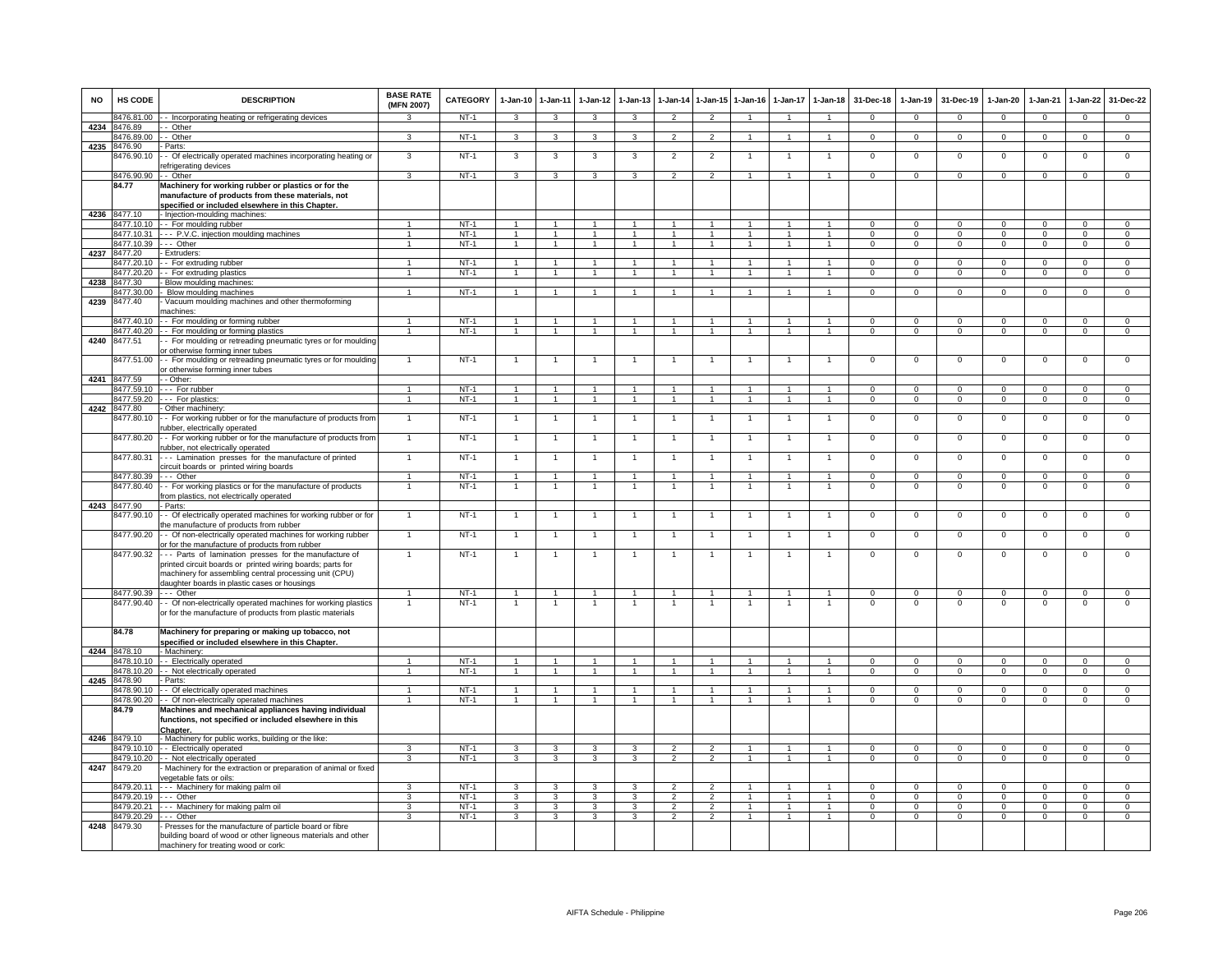| <b>NO</b> | HS CODE                    | <b>DESCRIPTION</b>                                                                                                                                               | <b>BASE RATE</b><br>(MFN 2007)   | CATEGORY         | $1-Jan-10$                       | $1 - Jan-11$                     | $1-Jan-12$                       | $1-Jan-13$                       | $1-Jan-14$                       | 1-Jan-15                         | $1-Jan-16$                   | $1-Jan-17$                       | $1 - Jan-18$                   | 31-Dec-18                  | $1-Jan-19$                 | 31-Dec-19                  | $1-Jan-20$                       | 1-Jan-21                   | $1 - Jan-22$                     | 31-Dec-22                        |
|-----------|----------------------------|------------------------------------------------------------------------------------------------------------------------------------------------------------------|----------------------------------|------------------|----------------------------------|----------------------------------|----------------------------------|----------------------------------|----------------------------------|----------------------------------|------------------------------|----------------------------------|--------------------------------|----------------------------|----------------------------|----------------------------|----------------------------------|----------------------------|----------------------------------|----------------------------------|
|           |                            | 8476.81.00 - - Incorporating heating or refrigerating devices                                                                                                    | $\mathcal{R}$                    | NT-1             | $\mathbf{3}$                     | $\mathbf{3}$                     | $\mathbf{3}$                     | 3                                | $\overline{2}$                   | $\overline{2}$                   |                              |                                  | $\overline{1}$                 | $\mathbf{0}$               | $\mathbf{0}$               | $\mathbf 0$                | $\mathbf{0}$                     | $\mathbf{0}$               | $\mathbf{0}$                     | $\mathbf{0}$                     |
| 4234      | 8476.89<br>8476.89.00      | - Other<br>- Other                                                                                                                                               | 3                                | $NT-1$           | 3                                | 3                                | 3                                | 3                                | $\overline{2}$                   | $\overline{2}$                   | $\mathbf{1}$                 | $\mathbf{1}$                     | $\mathbf{1}$                   | $\Omega$                   | $\mathbf{0}$               | $\mathbf 0$                | $\mathbf 0$                      | $\overline{0}$             | $\overline{0}$                   | $\overline{0}$                   |
| 4235      | 8476.90                    | Parts:                                                                                                                                                           |                                  |                  |                                  |                                  |                                  |                                  |                                  |                                  |                              |                                  |                                |                            |                            |                            |                                  |                            |                                  |                                  |
|           | 8476.90.10                 | - Of electrically operated machines incorporating heating or<br>efrigerating devices                                                                             | 3                                | $NT-1$           | 3                                | 3                                | 3                                | 3                                | $\overline{2}$                   | $\overline{2}$                   |                              | -1                               | $\mathbf{1}$                   | $\mathsf 0$                | $\mathsf 0$                | $\mathbf 0$                | $\mathsf 0$                      | $\mathbf 0$                | $\mathsf 0$                      | $\mathbf 0$                      |
|           | 8476.90.90 - - Other       |                                                                                                                                                                  | $\mathcal{R}$                    | $NT-1$           | $\mathbf{3}$                     | $\overline{\mathbf{3}}$          | $\overline{3}$                   | $\mathbf{R}$                     | $\overline{2}$                   | $\overline{2}$                   | $\overline{1}$               | $\mathbf{1}$                     | $\sim$                         | $\Omega$                   | $\Omega$                   | $\Omega$                   | $\Omega$                         | $\Omega$                   | $\mathsf 0$                      | $\overline{0}$                   |
|           | 84.77                      | Machinery for working rubber or plastics or for the<br>manufacture of products from these materials, not                                                         |                                  |                  |                                  |                                  |                                  |                                  |                                  |                                  |                              |                                  |                                |                            |                            |                            |                                  |                            |                                  |                                  |
|           | 4236 8477.10               | specified or included elsewhere in this Chapter.<br>- Injection-moulding machines:                                                                               |                                  |                  |                                  |                                  |                                  |                                  |                                  |                                  |                              |                                  |                                |                            |                            |                            |                                  |                            |                                  |                                  |
|           |                            | 8477.10.10 - For moulding rubber                                                                                                                                 |                                  | $NT-1$           | $\overline{1}$                   | $\overline{1}$                   | -1                               |                                  | $\mathbf{1}$                     | $\mathbf{1}$                     |                              |                                  | 1                              | $\Omega$                   | $\Omega$                   | $\Omega$                   | $\Omega$                         | $\Omega$                   | $\Omega$                         | $\mathbf{0}$                     |
|           | 8477.10.31                 | --- P.V.C. injection moulding machines                                                                                                                           | $\overline{1}$                   | $NT-1$           | $\overline{1}$                   | $\overline{1}$                   | $\overline{1}$                   | $\overline{1}$                   | $\overline{1}$                   | $\overline{1}$                   | $\overline{1}$               | $\mathbf{1}$                     | $\overline{1}$                 | $\Omega$                   | $\Omega$                   | $\mathbf{0}$               | $\mathbf{0}$                     | $\Omega$                   | $\mathbf{0}$                     | $\overline{0}$                   |
|           | 8477.10.39                 | $- -$ Other                                                                                                                                                      | $\mathbf{1}$                     | $NT-1$           | $\overline{1}$                   | $\overline{1}$                   | $\mathbf{1}$                     | $\overline{1}$                   | $\mathbf{1}$                     | $\overline{1}$                   | $\mathbf{1}$                 | 1                                | $\overline{1}$                 | $\overline{0}$             | $\overline{0}$             | $\overline{0}$             | $\overline{0}$                   | $\overline{0}$             | $\overline{0}$                   | $\overline{0}$                   |
| 4237      | 8477.20<br>3477.20.10      | Extruders:<br>- For extruding rubber                                                                                                                             |                                  | $NT-1$           | $\overline{1}$                   | $\mathbf{1}$                     | $\mathbf{1}$                     |                                  | $\overline{1}$                   |                                  |                              |                                  | $\mathbf{1}$                   | $\Omega$                   | $\Omega$                   | $\Omega$                   | $\Omega$                         | $\Omega$                   | $\mathsf 0$                      | $\overline{0}$                   |
|           | 8477.20.20                 | -- For extruding plastics                                                                                                                                        | $\overline{1}$                   | $NT-1$           | $\overline{1}$                   | $\overline{1}$                   | $\blacktriangleleft$             | $\overline{1}$                   | $\overline{1}$                   | $\blacktriangleleft$             |                              |                                  | $\blacktriangleleft$           | $\Omega$                   | $\mathbf{0}$               | $\mathbf 0$                | $\mathsf 0$                      | $\Omega$                   | $\mathsf 0$                      | $\mathbf 0$                      |
| 4238      | 8477.30                    | - Blow moulding machines                                                                                                                                         |                                  |                  |                                  |                                  |                                  |                                  |                                  |                                  |                              |                                  |                                |                            |                            |                            |                                  |                            |                                  |                                  |
|           | 3477.30.00                 | Blow moulding machines                                                                                                                                           | $\blacktriangleleft$             | $NT-1$           | $\overline{1}$                   | $\overline{1}$                   |                                  |                                  |                                  |                                  |                              |                                  |                                | $\Omega$                   | $\Omega$                   | $\Omega$                   | $\Omega$                         | $\Omega$                   | $\mathbf 0$                      | $\mathbf 0$                      |
| 4239      | 8477.40                    | Vacuum moulding machines and other thermoforming<br>machines:                                                                                                    |                                  |                  |                                  |                                  |                                  |                                  |                                  |                                  |                              |                                  |                                |                            |                            |                            |                                  |                            |                                  |                                  |
|           | 8477.40.10                 | - - For moulding or forming rubber                                                                                                                               | $\overline{1}$                   | $NT-1$           | $\overline{1}$                   | $\overline{1}$                   | $\overline{1}$                   | $\overline{1}$                   | $\overline{1}$                   | $\overline{1}$                   | $\overline{1}$               | $\mathbf{1}$                     | $\overline{1}$                 | $\Omega$                   | $\mathbf 0$                | $\mathbf 0$                | $\mathbf 0$                      | $\Omega$                   | $\mathsf 0$                      | $\mathbf 0$                      |
|           | 8477.40.20                 | - For moulding or forming plastics                                                                                                                               | $\overline{1}$                   | $NT-1$           | $\overline{1}$                   | $\overline{1}$                   | $\overline{1}$                   | $\overline{1}$                   | $\overline{1}$                   | $\mathbf{1}$                     | $\mathbf{1}$                 | $\mathbf{1}$                     | $\mathbf{1}$                   | $\Omega$                   | $\mathbf{0}$               | $^{\circ}$                 | $\mathbf{0}$                     | $\mathbf 0$                | $\mathbf 0$                      | $\overline{0}$                   |
| 4240      | 8477.51                    | - For moulding or retreading pneumatic tyres or for moulding<br>or otherwise forming inner tubes                                                                 |                                  |                  |                                  |                                  |                                  |                                  |                                  |                                  |                              |                                  |                                |                            |                            |                            |                                  |                            |                                  |                                  |
|           | 8477.51.00                 | - For moulding or retreading pneumatic tyres or for moulding<br>or otherwise forming inner tubes                                                                 |                                  | $NT-1$           |                                  |                                  |                                  |                                  |                                  |                                  |                              |                                  |                                | $\mathbf 0$                | $^{\circ}$                 | $^{\circ}$                 | $\mathbf 0$                      | $\mathbf 0$                | $^{\circ}$                       | $\mathbf 0$                      |
| 4241      | 8477.59                    | - - Other:                                                                                                                                                       |                                  |                  |                                  |                                  |                                  |                                  |                                  |                                  |                              |                                  |                                |                            |                            |                            |                                  |                            |                                  |                                  |
|           | 8477.59.10<br>3477.59.20   | -- For rubber<br>--- For plastics:                                                                                                                               | $\overline{1}$<br>$\overline{1}$ | $NT-1$<br>$NT-1$ | $\overline{1}$<br>$\overline{1}$ | $\overline{1}$<br>$\overline{1}$ | $\overline{1}$<br>$\overline{1}$ | $\overline{1}$<br>$\overline{1}$ | $\overline{1}$<br>$\overline{1}$ | $\overline{1}$<br>$\overline{1}$ | $\mathbf{1}$                 | $\overline{1}$                   | $\mathbf{1}$<br>$\overline{1}$ | $\Omega$<br>$\overline{0}$ | $\Omega$<br>$\overline{0}$ | $\Omega$<br>$\overline{0}$ | $\overline{0}$<br>$\overline{0}$ | $\Omega$<br>$\overline{0}$ | $\overline{0}$<br>$\overline{0}$ | $\overline{0}$<br>$\overline{0}$ |
| 4242      | 8477.80                    | - Other machinery:                                                                                                                                               |                                  |                  |                                  |                                  |                                  |                                  |                                  |                                  |                              |                                  |                                |                            |                            |                            |                                  |                            |                                  |                                  |
|           | 8477.80.10                 | - - For working rubber or for the manufacture of products from<br>rubber, electrically operated                                                                  | $\mathbf{1}$                     | $NT-1$           | $\overline{1}$                   | $\overline{1}$                   | $\overline{1}$                   | $\overline{1}$                   | $\overline{1}$                   | $\overline{1}$                   | $\mathbf{1}$                 | $\mathbf{1}$                     | $\mathbf{1}$                   | $\mathbf{0}$               | $\mathbf 0$                | $\mathbf 0$                | $\mathbf 0$                      | $\mathbf 0$                | $\mathbf 0$                      | $\mathbf 0$                      |
|           | 8477.80.20                 | - - For working rubber or for the manufacture of products from<br>ubber, not electrically operated                                                               | $\mathbf{1}$                     | $NT-1$           | $\overline{1}$                   | $\overline{1}$                   | $\mathbf{1}$                     | 1                                | $\overline{1}$                   | $\mathbf{1}$                     | $\mathbf{1}$                 | $\overline{1}$                   | $\mathbf{1}$                   | $\overline{0}$             | $\overline{0}$             | $\overline{0}$             | $\overline{0}$                   | $\overline{0}$             | $\overline{0}$                   | $\overline{0}$                   |
|           | 8477.80.31                 | --- Lamination presses for the manufacture of printed<br>circuit boards or printed wiring boards                                                                 | $\mathbf{1}$                     | $NT-1$           | $\overline{1}$                   | $\overline{1}$                   | $\overline{1}$                   | $\overline{1}$                   | $\overline{1}$                   | $\overline{1}$                   | 1                            | $\mathbf{1}$                     | $\mathbf{1}$                   | $\mathsf 0$                | $\mathbf 0$                | $\mathbf 0$                | $\mathbf 0$                      | $\mathbf 0$                | $\mathsf 0$                      | $\mathbf 0$                      |
|           | 8477.80.39 --- Other       |                                                                                                                                                                  | $\overline{1}$                   | $NT-1$           | $\overline{1}$                   | $\overline{1}$                   | $\overline{1}$                   | $\overline{1}$                   | $\overline{1}$                   | $\overline{1}$                   | $\overline{1}$               | $\overline{1}$                   | $\overline{1}$                 | $\Omega$                   | $\Omega$                   | $\Omega$                   | $\Omega$                         | $\Omega$                   | $\mathbf 0$                      | $\Omega$                         |
|           |                            | 8477.80.40 - For working plastics or for the manufacture of products<br>from plastics, not electrically operated                                                 | $\mathbf{1}$                     | $NT-1$           |                                  | $\overline{1}$                   |                                  |                                  |                                  | $\overline{1}$                   |                              |                                  | $\overline{1}$                 | $\Omega$                   | $\Omega$                   | $\mathbf 0$                | $\overline{0}$                   | $\Omega$                   | $\overline{0}$                   | $\overline{0}$                   |
|           | 4243 8477.90<br>8477.90.10 | - Parts:<br>- Of electrically operated machines for working rubber or for                                                                                        | 1                                | NT-1             | $\mathbf{1}$                     | $\overline{1}$                   |                                  | 1                                | $\overline{1}$                   | $\mathbf{1}$                     |                              |                                  | $\mathbf{1}$                   | $\mathbf 0$                | $\mathbf 0$                | $\mathbf 0$                | $\overline{0}$                   | $\mathbf 0$                | 0                                | 0                                |
|           | 8477.90.20                 | the manufacture of products from rubber<br>- Of non-electrically operated machines for working rubber                                                            | $\mathbf{1}$                     | $NT-1$           | $\mathbf{1}$                     | $\overline{1}$                   | $\mathbf{1}$                     |                                  | $\mathbf{1}$                     | $\overline{1}$                   |                              | $\mathbf{1}$                     | $\mathbf{1}$                   | $\Omega$                   | $\mathbf 0$                | $\mathbf 0$                | $\,0\,$                          | $\Omega$                   | 0                                | $\mathbf 0$                      |
|           | 8477.90.32                 | or for the manufacture of products from rubber<br>--- Parts of lamination presses for the manufacture of                                                         |                                  | $NT-1$           |                                  |                                  |                                  |                                  |                                  |                                  |                              |                                  |                                | $\mathsf 0$                | $\mathbf 0$                | $\mathbf 0$                | $\mathbf 0$                      | $\Omega$                   | $\mathsf 0$                      | $\Omega$                         |
|           |                            | printed circuit boards or printed wiring boards; parts for<br>machinery for assembling central processing unit (CPU)                                             |                                  |                  |                                  |                                  |                                  |                                  |                                  |                                  |                              |                                  |                                |                            |                            |                            |                                  |                            |                                  |                                  |
|           | 8477.90.39 --- Other       | daughter boards in plastic cases or housings                                                                                                                     |                                  | $NT-1$           | $\mathbf{1}$                     | $\mathbf{1}$                     |                                  |                                  | 1                                | $\mathbf{1}$                     |                              |                                  | $\mathbf{1}$                   | $\mathsf 0$                | $\Omega$                   | $\Omega$                   | $\Omega$                         | $\Omega$                   | $\mathsf 0$                      | $\mathbf 0$                      |
|           |                            | 8477.90.40 - Of non-electrically operated machines for working plastics<br>or for the manufacture of products from plastic materials                             |                                  | $NT-1$           |                                  | $\mathbf{1}$                     |                                  |                                  |                                  |                                  |                              |                                  | $\mathbf{1}$                   | $\Omega$                   | $\Omega$                   | $\Omega$                   | $\Omega$                         | $\Omega$                   | $\Omega$                         | $\Omega$                         |
|           | 84.78                      | Machinery for preparing or making up tobacco, not<br>specified or included elsewhere in this Chapter.                                                            |                                  |                  |                                  |                                  |                                  |                                  |                                  |                                  |                              |                                  |                                |                            |                            |                            |                                  |                            |                                  |                                  |
| 4244      | 8478.10                    | - Machinery:                                                                                                                                                     |                                  |                  |                                  |                                  |                                  |                                  |                                  |                                  |                              |                                  |                                |                            |                            |                            |                                  |                            |                                  |                                  |
|           | 8478.10.10                 | -- Electrically operated                                                                                                                                         | $\mathbf{1}$<br>$\overline{1}$   | NT-1             | $\overline{1}$                   | $\overline{1}$<br>$\overline{1}$ | $\overline{1}$                   | $\overline{1}$<br>$\overline{1}$ | $\overline{1}$                   | $\mathbf{1}$<br>$\overline{1}$   | $\mathbf{1}$                 | $\overline{1}$<br>$\overline{1}$ | $\mathbf{1}$<br>$\overline{1}$ | $\mathsf 0$                | $\mathbf 0$                | $\mathbf 0$                | $\mathbf 0$                      | $\Omega$                   | $\mathbf 0$                      | $\mathbf 0$<br>$\overline{0}$    |
| 4245      | 8478.10.20<br>8478.90      | - - Not electrically operated<br>- Parts:                                                                                                                        |                                  | $NT-1$           | $\overline{1}$                   |                                  | $\overline{1}$                   |                                  | $\overline{1}$                   |                                  | $\overline{1}$               |                                  |                                | $\overline{0}$             | $\overline{0}$             | $\overline{0}$             | $\overline{0}$                   | $\overline{0}$             | $\overline{0}$                   |                                  |
|           | 8478.90.10                 | - Of electrically operated machines                                                                                                                              | 1                                | $NT-1$           | $\overline{1}$                   |                                  |                                  |                                  |                                  |                                  |                              |                                  |                                | $\Omega$                   | $\overline{0}$             | $\Omega$                   | $\overline{0}$                   | $\Omega$                   | $\overline{0}$                   | $\overline{0}$                   |
|           |                            | 8478.90.20 - Of non-electrically operated machines                                                                                                               | $\overline{1}$                   | $NT-1$           | $\overline{1}$                   | $\mathbf{1}$                     | $\mathbf{1}$                     |                                  | $\overline{1}$                   | $\overline{1}$                   |                              |                                  | $\blacktriangleleft$           | $^{\circ}$                 | $\mathsf 0$                | $\mathbf 0$                | $\mathbf 0$                      | $^{\circ}$                 | $\mathbf 0$                      | $\mathbf 0$                      |
|           | 84.79                      | Machines and mechanical appliances having individual<br>functions, not specified or included elsewhere in this                                                   |                                  |                  |                                  |                                  |                                  |                                  |                                  |                                  |                              |                                  |                                |                            |                            |                            |                                  |                            |                                  |                                  |
|           | 4246 8479.10               | Chapter.<br>- Machinery for public works, building or the like:                                                                                                  |                                  |                  |                                  |                                  |                                  |                                  |                                  |                                  |                              |                                  |                                |                            |                            |                            |                                  |                            |                                  |                                  |
|           | 479.10.10                  | - - Electrically operated                                                                                                                                        | 3                                | $NT-1$           | 3                                | 3                                | 3                                | 3                                | $\overline{2}$                   | $\overline{2}$                   |                              | 1                                | $\mathbf{1}$                   | $^{\circ}$                 | $\mathsf 0$                | $\mathbf 0$                | $\mathbf 0$                      | $\mathbf 0$                | $\mathsf 0$                      | $\mathbf 0$                      |
| 4247      |                            | 8479.10.20 - Not electrically operated                                                                                                                           | 3                                | $NT-1$           | $\mathbf{3}$                     | 3                                | $\mathbf{3}$                     | 3                                | $\overline{2}$                   | $\overline{2}$                   | $\mathbf{1}$                 | $\mathbf{1}$                     | $\mathbf{1}$                   | $\Omega$                   | $\mathbf 0$                | $\mathbf 0$                | $\mathbf 0$                      | $\mathbf 0$                | $\mathsf 0$                      | $\mathbf 0$                      |
|           | 8479.20                    | Machinery for the extraction or preparation of animal or fixed<br>egetable fats or oils:                                                                         |                                  |                  |                                  |                                  |                                  |                                  |                                  |                                  |                              |                                  |                                |                            |                            |                            |                                  |                            |                                  |                                  |
|           | 8479.20.11                 | --- Machinery for making palm oil                                                                                                                                | 3                                | $NT-1$           | 3                                | 3                                | 3                                | $\mathbf{3}$                     | $\overline{2}$                   | $\mathcal{P}$                    |                              |                                  | $\blacktriangleleft$           | $\Omega$                   | $\mathbf 0$                | $\Omega$                   | $\Omega$                         | $\Omega$                   | $\mathsf 0$                      | $\Omega$                         |
|           | 8479.20.19 --- Other       | 8479.20.21 --- Machinery for making palm oil                                                                                                                     | 3<br>3                           | $NT-1$<br>$NT-1$ | $\mathbf{3}$<br>3                | $\mathbf{3}$<br>$\mathbf{3}$     | 3<br>$\mathbf{3}$                | 3<br>3                           | $\mathfrak{p}$<br>$\overline{2}$ | $\overline{2}$<br>$\overline{2}$ | $\mathbf{1}$<br>$\mathbf{1}$ | $\mathbf{1}$<br>$\overline{1}$   | $\mathbf{1}$<br>$\mathbf{1}$   | $\Omega$<br>$\mathbf{0}$   | $\Omega$<br>$\mathbf 0$    | $\Omega$<br>$\mathbf 0$    | $\Omega$<br>$\mathbf 0$          | $\Omega$<br>$\mathbf 0$    | $\Omega$<br>$\mathbf 0$          | $\overline{0}$<br>$\mathbf{0}$   |
|           | 8479.20.29                 | --- Other                                                                                                                                                        | $\mathbf{3}$                     | $NT-1$           | 3                                | $\mathbf{3}$                     | 3                                | $\mathbf{3}$                     | $\overline{2}$                   | $\overline{2}$                   | $\mathbf{1}$                 | $\mathbf{1}$                     | $\overline{1}$                 | $\overline{0}$             | $\mathbf{0}$               | $^{\circ}$                 | $^{\circ}$                       | $^{\circ}$                 | $\mathbf{0}$                     | $\Omega$                         |
| 4248      | 8479.30                    | - Presses for the manufacture of particle board or fibre<br>building board of wood or other ligneous materials and other<br>machinery for treating wood or cork: |                                  |                  |                                  |                                  |                                  |                                  |                                  |                                  |                              |                                  |                                |                            |                            |                            |                                  |                            |                                  |                                  |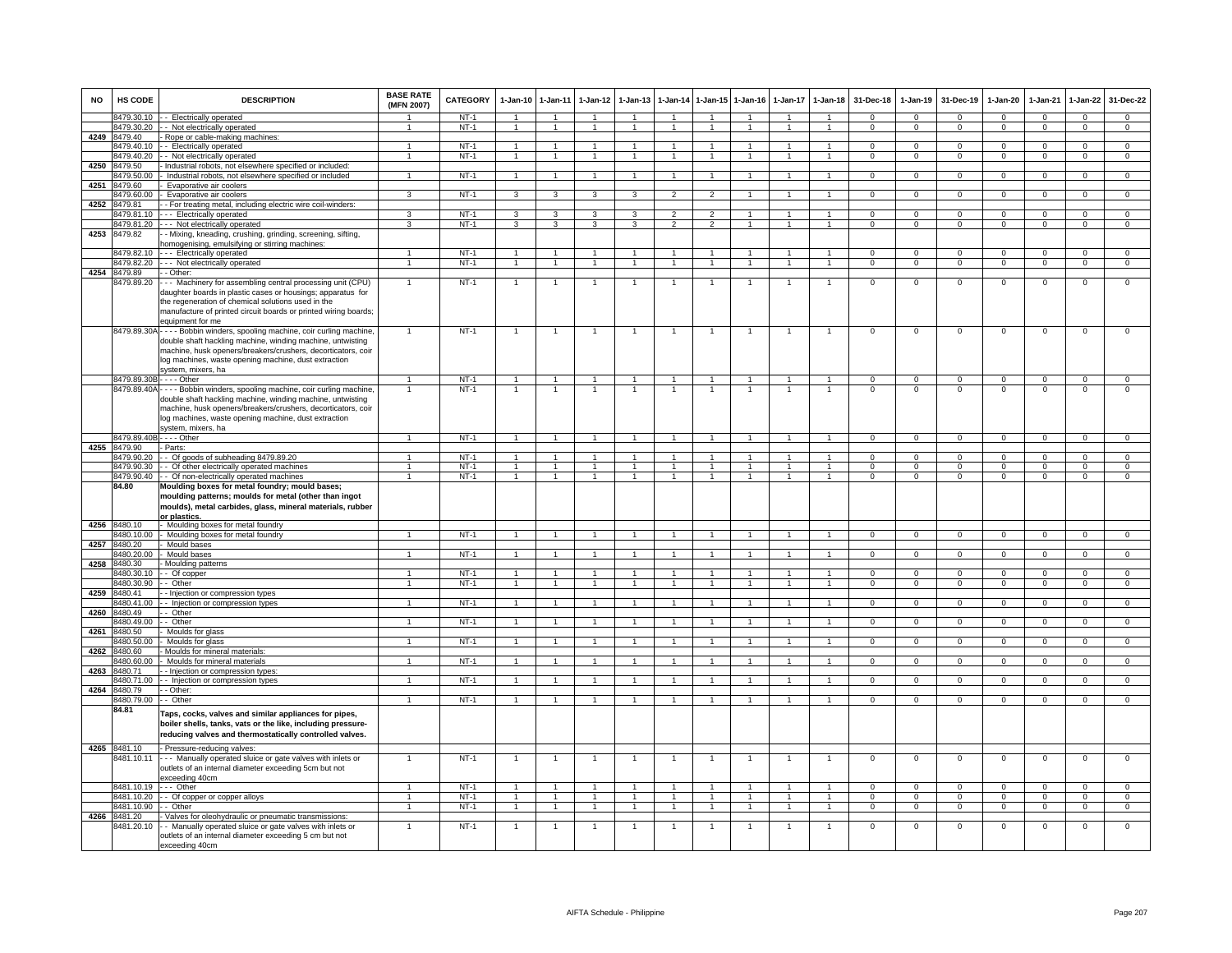| <b>NO</b> | <b>HS CODE</b>               | <b>DESCRIPTION</b>                                                                                                                                                                                                                                                                      | <b>BASE RATE</b><br>(MFN 2007) | CATEGORY         | 1-Jan-10       | 1-Jan-11                       | $1-Jan-12$           | $1-Jan-13$     | 1-Jan-14       | $1$ -Jan-15    | $1-Jan-16$     | $1-Jan-17$   | $1-Jan-18$                     | 31-Dec-18            | $1-Jan-19$              | 31-Dec-19               | $1-Jan-20$              | 1-Jan-21             | 1-Jan-22       | 31-Dec-22                     |
|-----------|------------------------------|-----------------------------------------------------------------------------------------------------------------------------------------------------------------------------------------------------------------------------------------------------------------------------------------|--------------------------------|------------------|----------------|--------------------------------|----------------------|----------------|----------------|----------------|----------------|--------------|--------------------------------|----------------------|-------------------------|-------------------------|-------------------------|----------------------|----------------|-------------------------------|
|           | 8479.30.10                   | - Electrically operated                                                                                                                                                                                                                                                                 |                                | $NT-1$           | $\overline{1}$ | $\overline{1}$                 | $\mathbf{1}$         | $\overline{1}$ | $\overline{1}$ | $\mathbf{1}$   | -1             | $\mathbf{1}$ | $\overline{1}$                 | $\Omega$             | $\Omega$                | $\Omega$                | $\Omega$                | $\Omega$             | $\mathbf{0}$   | $^{\circ}$                    |
|           | 8479.30.20                   | - Not electrically operated                                                                                                                                                                                                                                                             | $\mathbf{1}$                   | $NT-1$           | $\overline{1}$ | $\overline{1}$                 | $\mathbf{1}$         | $\overline{1}$ | $\overline{1}$ | $\mathbf{1}$   | $\mathbf{1}$   | $\mathbf{1}$ | $\mathbf{1}$                   | $\Omega$             | $\Omega$                | $\Omega$                | $\Omega$                | $\Omega$             | $\overline{0}$ | $\overline{0}$                |
| 4249      | 3479.40<br>479.40.10         | - Rope or cable-making machines:<br>- Electrically operated                                                                                                                                                                                                                             | $\mathbf{1}$                   | $NT-1$           | 1              | $\mathbf{1}$                   | 1                    |                |                | $\mathbf{1}$   |                |              | $\mathbf{1}$                   | $\mathsf 0$          | $\mathsf 0$             | $\mathbf 0$             | $\mathbf 0$             | $\Omega$             | $\mathsf 0$    | $\overline{0}$                |
|           | 479.40.20                    | - Not electrically operated                                                                                                                                                                                                                                                             | $\mathbf{1}$                   | $NT-1$           | $\overline{1}$ | $\overline{1}$                 | $\blacktriangleleft$ | $\mathbf{1}$   |                |                | $\overline{1}$ |              | $\overline{1}$                 | $^{\circ}$           | $^{\circ}$              | $\mathbf 0$             | 0                       | $\Omega$             | $\mathbf 0$    | $\mathbf 0$                   |
| 4250      | 8479.50                      | Industrial robots, not elsewhere specified or included                                                                                                                                                                                                                                  |                                |                  |                |                                |                      |                |                |                |                |              |                                |                      |                         |                         |                         |                      |                |                               |
| 4251      | 3479.50.00<br>479.60         | Industrial robots, not elsewhere specified or included<br>Evaporative air coolers                                                                                                                                                                                                       | $\overline{1}$                 | $NT-1$           | $\overline{1}$ | $\overline{1}$                 | $\overline{1}$       |                | $\overline{1}$ | $\overline{1}$ |                |              | $\overline{1}$                 | $\overline{0}$       | $\overline{0}$          | $\overline{0}$          | $\overline{0}$          | $\overline{0}$       | $\overline{0}$ | $\overline{0}$                |
|           | 8479.60.00                   | Evaporative air coolers                                                                                                                                                                                                                                                                 | 3                              | $NT-1$           | 3              | 3                              | 3                    | 3              | $\overline{2}$ | $\overline{2}$ |                |              |                                | $\Omega$             | $\Omega$                | $\Omega$                | $\Omega$                | $\Omega$             | $\overline{0}$ | $\overline{0}$                |
| 4252      | 8479.81                      | - For treating metal, including electric wire coil-winders:                                                                                                                                                                                                                             |                                |                  |                |                                |                      |                |                |                |                |              |                                |                      |                         |                         |                         |                      |                |                               |
|           | 8479.81.10                   | --- Electrically operated                                                                                                                                                                                                                                                               | 3                              | $NT-1$           | 3              | $\mathbf{3}$                   | 3                    | 3              | $\overline{2}$ | $\overline{2}$ | $\mathbf{1}$   |              | $\mathbf{1}$<br>$\mathbf{1}$   | $\Omega$<br>$\Omega$ | $\Omega$                | $\Omega$                | $\Omega$                | $\Omega$             | $\mathbf 0$    | $\overline{0}$                |
| 4253      | 479.81.20<br>8479.82         | - Not electrically operated<br>- Mixing, kneading, crushing, grinding, screening, sifting,<br>omogenising, emulsifying or stirring machines:                                                                                                                                            | 3                              | $NT-1$           | 3              | 3                              | 3                    | 3              | $\overline{2}$ | $\overline{2}$ |                | $\mathbf{1}$ |                                |                      | $\mathbf 0$             | $\mathbf 0$             | $\mathbf 0$             | $\mathbf 0$          | $\overline{0}$ | $\overline{0}$                |
|           | 8479.82.10                   | --- Electrically operated                                                                                                                                                                                                                                                               | $\overline{1}$                 | $NT-1$           | $\overline{1}$ | $\overline{1}$                 | $\mathbf{1}$         | $\mathbf{1}$   | $\overline{1}$ | $\mathbf{1}$   |                |              | $\overline{1}$                 | $\mathbf 0$          | $\mathbf 0$             | $\mathbf 0$             | $\mathbf 0$             | $\mathbf 0$          | $\mathbf 0$    | $\mathbf 0$                   |
|           |                              | 3479.82.20 --- Not electrically operated                                                                                                                                                                                                                                                | $\overline{1}$                 | $NT-1$           | $\overline{1}$ | $\overline{1}$                 | $\overline{1}$       | $\overline{1}$ | $\overline{1}$ | $\overline{1}$ | $\overline{1}$ | $\mathbf{1}$ | $\overline{1}$                 | $\overline{0}$       | $\overline{0}$          | $\overline{0}$          | $\overline{0}$          | $\overline{0}$       | $\overline{0}$ | $\overline{0}$                |
| 4254      | 8479.89                      | - - Other:                                                                                                                                                                                                                                                                              | $\mathbf{1}$                   | $NT-1$           |                | $\overline{1}$                 |                      |                |                |                | $\overline{1}$ |              | $\overline{1}$                 | $\overline{0}$       | $\overline{0}$          | $\Omega$                | $\overline{0}$          | $\Omega$             |                |                               |
|           | 8479.89.20                   | --- Machinery for assembling central processing unit (CPU)<br>daughter boards in plastic cases or housings; apparatus for<br>the regeneration of chemical solutions used in the<br>manufacture of printed circuit boards or printed wiring boards;<br>equipment for me                  |                                |                  | $\overline{1}$ |                                | $\mathbf{1}$         | -1             | -1             | -1             |                | -1           |                                |                      |                         |                         |                         |                      | $\overline{0}$ | $\overline{0}$                |
|           |                              | 8479.89.30A - - - - Bobbin winders, spooling machine, coir curling machine,<br>double shaft hackling machine, winding machine, untwisting<br>machine, husk openers/breakers/crushers, decorticators, coir<br>log machines, waste opening machine, dust extraction<br>system, mixers, ha | 1                              | $NT-1$           | -1             | $\overline{1}$                 | -1                   | 1              | -1             | -1             | -1             | -1           | $\mathbf{1}$                   | $\mathsf 0$          | $\mathbf 0$             | $\Omega$                | $\mathbf 0$             | $\mathbf 0$          | $\mathsf 0$    | $\mathbf 0$                   |
|           | 8479.89.30B - - - - Other    |                                                                                                                                                                                                                                                                                         |                                | $NT-1$           |                |                                |                      |                |                |                |                |              |                                | $\mathsf 0$          | $\mathsf 0$             | 0                       | 0                       | $\Omega$             | $\mathsf 0$    | $\mathbf 0$                   |
|           |                              | 8479.89.40A - - - - Bobbin winders, spooling machine, coir curling machine,<br>double shaft hackling machine, winding machine, untwisting<br>machine, husk openers/breakers/crushers, decorticators, coir<br>log machines, waste opening machine, dust extraction<br>system, mixers, ha |                                | $NT-1$           |                | $\overline{1}$                 | $\mathbf{1}$         |                |                |                |                |              | $\mathbf{1}$                   | $\Omega$             | $\Omega$                | $\Omega$                | $\Omega$                | $\Omega$             | $\mathsf 0$    | $\Omega$                      |
|           | 8479.89.40B-                 | $\cdots$ - Other                                                                                                                                                                                                                                                                        |                                | $NT-1$           | $\overline{1}$ | $\overline{1}$                 | $\mathbf{1}$         |                | $\overline{1}$ |                |                |              |                                | $\overline{0}$       | $\overline{0}$          | $\overline{0}$          | $\overline{0}$          | $\overline{0}$       | $\overline{0}$ | $\overline{0}$                |
|           | 4255 8479.90<br>8479.90.20   | Parts:<br>-- Of goods of subheading 8479.89.20                                                                                                                                                                                                                                          | $\blacktriangleleft$           | $NT-1$           | $\overline{1}$ | $\overline{1}$                 | $\mathbf{1}$         | $\mathbf{1}$   | $\overline{1}$ | $\overline{1}$ | $\overline{1}$ |              | $\overline{1}$                 | $\overline{0}$       | $\overline{0}$          | $\overline{0}$          | $\overline{0}$          | $\overline{0}$       | $\overline{0}$ | $\overline{0}$                |
|           | 8479.90.30                   | - Of other electrically operated machines                                                                                                                                                                                                                                               | $\mathbf{1}$                   | $NT-1$           | $\overline{1}$ | $\overline{1}$                 | $\overline{1}$       | $\overline{1}$ | $\overline{1}$ | $\overline{1}$ | $\mathbf{1}$   | $\mathbf{1}$ | $\mathbf{1}$                   | $\overline{0}$       | $\overline{0}$          | $\overline{0}$          | $\overline{0}$          | $\Omega$             | $\overline{0}$ | $\overline{0}$                |
|           | 8479.90.40                   | - - Of non-electrically operated machines                                                                                                                                                                                                                                               | $\overline{1}$                 | $NT-1$           | $\overline{1}$ | $\overline{1}$                 | $\overline{1}$       | $\mathbf{1}$   | $\overline{1}$ | $\mathbf{1}$   |                |              |                                | $\overline{0}$       | $\overline{0}$          | $\overline{0}$          | $\overline{0}$          | $\overline{0}$       | $\overline{0}$ | $\overline{0}$                |
|           | 84.80                        | Moulding boxes for metal foundry; mould bases;<br>moulding patterns; moulds for metal (other than ingot<br>moulds), metal carbides, glass, mineral materials, rubber<br>or plastics.                                                                                                    |                                |                  |                |                                |                      |                |                |                |                |              |                                |                      |                         |                         |                         |                      |                |                               |
| 4256      | 3480.10                      | Moulding boxes for metal foundry                                                                                                                                                                                                                                                        |                                |                  |                |                                |                      |                |                |                |                |              |                                |                      |                         |                         |                         |                      |                |                               |
| 4257      | 3480.10.00<br>8480.20        | Moulding boxes for metal foundry<br>Mould bases                                                                                                                                                                                                                                         | $\mathbf{1}$                   | $NT-1$           | $\overline{1}$ | $\overline{1}$                 | $\mathbf{1}$         |                | $\overline{1}$ | $\mathbf{1}$   |                |              | $\mathbf{1}$                   | $\mathsf 0$          | $\mathsf 0$             | $\mathbf 0$             | $\mathbf 0$             | $\mathbf{0}$         | $\mathsf 0$    | $\mathbf 0$                   |
|           | 8480.20.00                   | Mould bases                                                                                                                                                                                                                                                                             | $\blacktriangleleft$           | $NT-1$           | $\overline{1}$ | $\overline{1}$                 | $\overline{1}$       | $\overline{1}$ | $\overline{1}$ | $\overline{1}$ | $\mathbf{1}$   | $\mathbf{1}$ | $\overline{1}$                 | $\Omega$             | $\mathbf 0$             | $\mathbf 0$             | $\Omega$                | $\Omega$             | $\mathbf{0}$   | $\overline{0}$                |
| 4258      | 3480.30                      | Moulding patterns                                                                                                                                                                                                                                                                       |                                |                  |                |                                |                      |                |                |                |                |              |                                |                      |                         |                         |                         |                      |                |                               |
|           | 8480.30.10                   | - Of copper<br>- Other                                                                                                                                                                                                                                                                  | $\mathbf{1}$                   | $NT-1$<br>$NT-1$ | $\overline{1}$ | $\mathbf{1}$<br>$\overline{1}$ | $\mathbf{1}$         | $\mathbf{1}$   | $\overline{1}$ | $\overline{1}$ |                | $\mathbf{1}$ | $\mathbf{1}$<br>$\overline{1}$ | $\Omega$<br>$\Omega$ | $\mathsf 0$<br>$\Omega$ | $\mathbf 0$<br>$\Omega$ | $\Omega$<br>$\Omega$    | $\Omega$<br>$\Omega$ | $\mathsf 0$    | $\mathbf 0$<br>$\overline{0}$ |
| 4259      | 8480.30.90<br>8480.41        | - Injection or compression types                                                                                                                                                                                                                                                        |                                |                  |                |                                |                      |                |                |                |                |              |                                |                      |                         |                         |                         |                      | $\mathbf 0$    |                               |
|           | 8480.41.00                   | - Injection or compression types                                                                                                                                                                                                                                                        | $\mathbf{1}$                   | $NT-1$           | $\overline{1}$ | $\overline{1}$                 | $\mathbf{1}$         | $\mathbf{1}$   | $\overline{1}$ | $\mathbf{1}$   | 1              | 1            | $\mathbf{1}$                   | $\overline{0}$       | $\mathbf{0}$            | $\mathbf{0}$            | $\mathbf{0}$            | $^{\circ}$           | $\overline{0}$ | $\mathbf{0}$                  |
| 4260      | 480.49                       | - Other                                                                                                                                                                                                                                                                                 |                                |                  |                |                                |                      |                |                |                |                |              |                                |                      |                         |                         |                         |                      |                |                               |
| 4261      | 480.49.00<br>480.50          | - Other<br>Moulds for glass                                                                                                                                                                                                                                                             |                                | $NT-1$           | $\mathbf{1}$   | $\mathbf{1}$                   | $\mathbf{1}$         |                | 1              | $\mathbf{1}$   |                |              | $\mathbf{1}$                   | $\mathbf{O}$         | $\mathbf{0}$            | $\mathbf 0$             | $\mathbf 0$             | $\mathbf 0$          | $\mathbf{0}$   | $\overline{0}$                |
|           | 480.50.00                    | Moulds for glass                                                                                                                                                                                                                                                                        | $\mathbf{1}$                   | $NT-1$           | $\overline{1}$ | $\overline{1}$                 | $\mathbf{1}$         |                | $\overline{1}$ |                |                |              |                                | $\mathsf 0$          | $\mathbf 0$             | $\mathbf 0$             | $\mathbf{0}$            | $^{\circ}$           | $\mathbf 0$    | $\mathbf 0$                   |
| 4262      | 8480.60                      | Moulds for mineral materials:                                                                                                                                                                                                                                                           |                                |                  |                |                                |                      |                |                |                |                |              |                                |                      |                         |                         |                         |                      |                |                               |
| 4263      | 480.60.00<br>3480.71         | Moulds for mineral materials<br>- Injection or compression types                                                                                                                                                                                                                        |                                | $NT-1$           |                |                                |                      |                |                |                |                |              |                                | $\Omega$             | $\Omega$                | $\Omega$                | $\Omega$                | $\Omega$             | $\overline{0}$ | $\overline{0}$                |
|           | 8480.71.00                   | - - Injection or compression types                                                                                                                                                                                                                                                      |                                | $NT-1$           |                |                                |                      |                |                |                |                |              |                                | $\Omega$             | $\Omega$                | $\Omega$                | $\Omega$                | $\Omega$             | $\Omega$       | $\Omega$                      |
| 4264      | 8480.79                      | - Other:                                                                                                                                                                                                                                                                                |                                |                  |                |                                |                      |                |                |                |                |              |                                |                      |                         |                         |                         |                      |                |                               |
|           | 8480.79.00 -- Other<br>84.81 | Taps, cocks, valves and similar appliances for pipes,<br>boiler shells, tanks, vats or the like, including pressure-<br>reducing valves and thermostatically controlled valves.                                                                                                         | $\mathbf{1}$                   | $NT-1$           | $\overline{1}$ | $\overline{1}$                 | $\mathbf{1}$         |                | $\overline{1}$ | $\mathbf{1}$   | -1             |              | $\mathbf{1}$                   | $\overline{0}$       | $\Omega$                | $\mathbf 0$             | $\Omega$                | $\Omega$             | $\overline{0}$ | $\overline{0}$                |
|           | 4265 8481.10                 | - Pressure-reducing valves:                                                                                                                                                                                                                                                             |                                |                  |                |                                |                      |                |                |                |                |              |                                |                      |                         |                         |                         |                      |                |                               |
|           | 8481.10.11                   | - - - Manually operated sluice or gate valves with inlets or<br>outlets of an internal diameter exceeding 5cm but not<br>exceeding 40cm                                                                                                                                                 |                                | $NT-1$           | $\mathbf{1}$   | $\overline{1}$                 | $\overline{1}$       | $\overline{1}$ | $\mathbf{1}$   | $\overline{1}$ | $\mathbf{1}$   | $\mathbf{1}$ | $\overline{1}$                 | $\Omega$             | $\Omega$                | $\mathbf 0$             | $\overline{\mathbf{0}}$ | $\Omega$             | $\overline{0}$ | $\overline{0}$                |
|           | 8481.10.19 --- Other         |                                                                                                                                                                                                                                                                                         | 1                              | $NT-1$           | $\overline{1}$ | $\overline{1}$                 | 1                    | $\mathbf{1}$   | $\overline{1}$ | $\overline{1}$ |                |              | $\overline{1}$                 | $\Omega$             | $\mathbf 0$             | $\mathbf 0$             | $\mathbf 0$             | $\Omega$             | $\mathbf{0}$   | $\mathbf 0$                   |
|           |                              | 8481.10.20 - Of copper or copper alloys                                                                                                                                                                                                                                                 | $\overline{1}$                 | $NT-1$           | $\overline{1}$ | $\overline{1}$                 | $\overline{1}$       | $\overline{1}$ | $\overline{1}$ | $\overline{1}$ | $\mathbf{1}$   | $\mathbf{1}$ | $\overline{1}$                 | $\overline{0}$       | $^{\circ}$              | $\mathbf{0}$            | $\mathbf{0}$            | $^{\circ}$           | $\mathbf{0}$   | $\overline{0}$                |
| 4266      | 8481.10.90<br>8481.20        | - Other<br>Valves for oleohydraulic or pneumatic transmissions:                                                                                                                                                                                                                         | $\blacktriangleleft$           | $NT-1$           | $\overline{1}$ | $\overline{1}$                 | $\overline{1}$       | $\overline{1}$ | $\overline{1}$ | $\mathbf{1}$   | $\mathbf{1}$   | $\mathbf{1}$ | $\mathbf{1}$                   | $\mathbf 0$          | $\mathbf{0}$            | $\mathbf 0$             | $\circ$                 | $\mathbf{0}$         | $\overline{0}$ | $\overline{0}$                |
|           | 8481.20.10                   | - Manually operated sluice or gate valves with inlets or<br>outlets of an internal diameter exceeding 5 cm but not                                                                                                                                                                      | $\mathbf{1}$                   | $NT-1$           | $\overline{1}$ | $\mathbf{1}$                   | $\mathbf{1}$         | $\mathbf{1}$   | $\overline{1}$ | $\mathbf{1}$   | 1              | $\mathbf{1}$ | $\mathbf{1}$                   | $\mathsf 0$          | $\mathsf 0$             | $\mathbf 0$             | $\mathsf 0$             | $\mathbf 0$          | $\mathsf 0$    | $\overline{0}$                |
|           |                              | exceeding 40cm                                                                                                                                                                                                                                                                          |                                |                  |                |                                |                      |                |                |                |                |              |                                |                      |                         |                         |                         |                      |                |                               |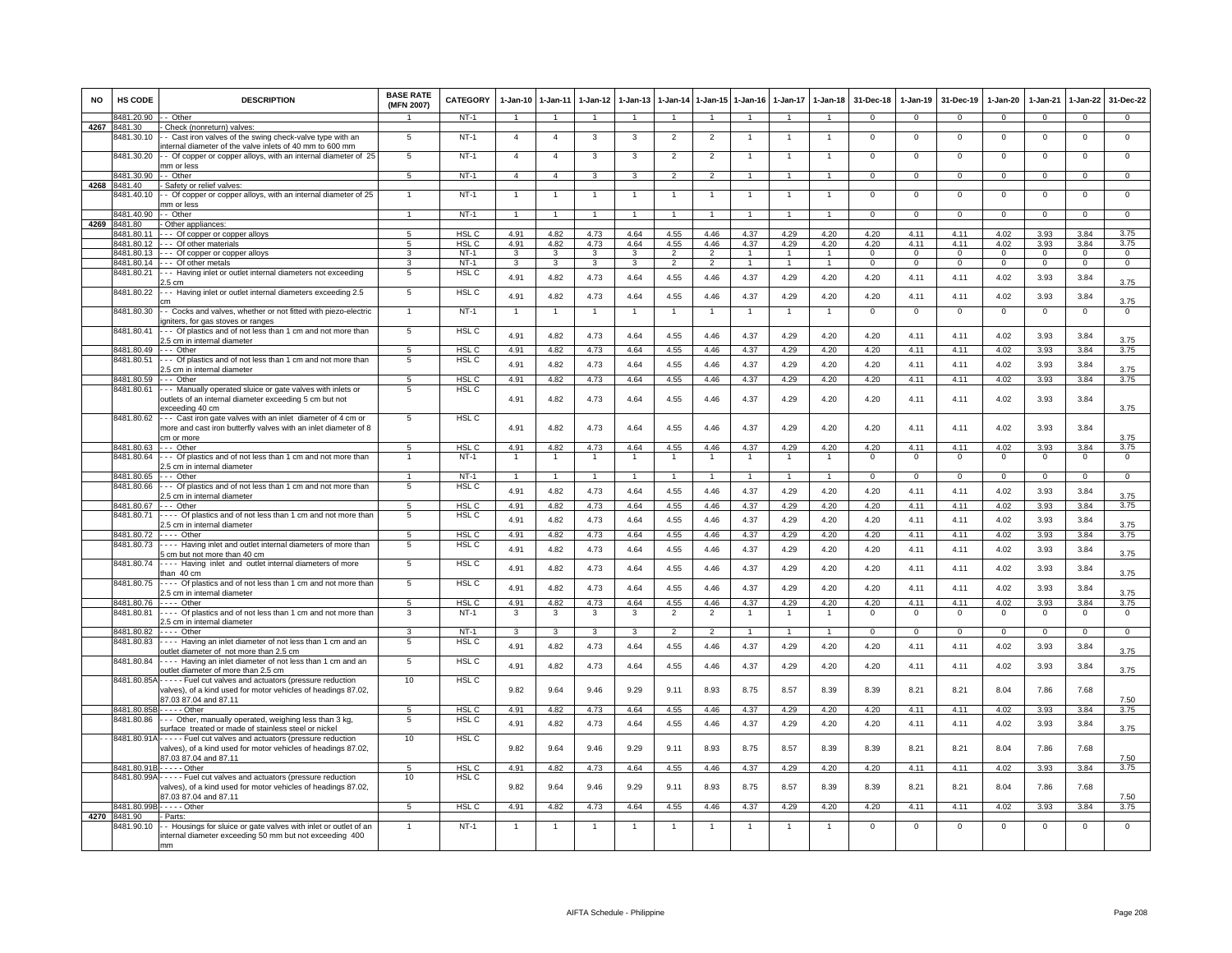| <b>NO</b> | <b>HS CODE</b>             | <b>DESCRIPTION</b>                                                                                                        | <b>BASE RATE</b><br>(MFN 2007) | <b>CATEGORY</b>           | $1-Jan-10$     | $1 - Jan-11$   | $1-Jan-12$     | $1-Jan-13$     | $1 - Jan-14$   | 1-Jan-15             | $1-Jan-16$           | $1-Jan-17$     | $1-Jan-18$     | 31-Dec-18      | $1-Jan-19$   | 31-Dec-19      | 1-Jan-20       | 1-Jan-21    | $1-Jan-22$     | 31-Dec-22      |
|-----------|----------------------------|---------------------------------------------------------------------------------------------------------------------------|--------------------------------|---------------------------|----------------|----------------|----------------|----------------|----------------|----------------------|----------------------|----------------|----------------|----------------|--------------|----------------|----------------|-------------|----------------|----------------|
|           | 8481.20.90                 | - Other                                                                                                                   |                                | $NT-1$                    | $\overline{1}$ | $\overline{1}$ | $\overline{1}$ |                | $\overline{1}$ |                      |                      |                | $\overline{1}$ | $\mathbf{0}$   | $\mathbf{0}$ | $\mathbf{0}$   | $\mathbf{0}$   | $^{\circ}$  | $\mathbf{0}$   | $\mathbf 0$    |
|           | 4267 8481.30               | Check (nonreturn) valves:                                                                                                 |                                |                           |                |                |                |                |                |                      |                      |                |                |                |              |                |                |             |                |                |
|           | 3481.30.10                 | - Cast iron valves of the swing check-valve type with an<br>nternal diameter of the valve inlets of 40 mm to 600 mm       | 5                              | $NT-1$                    | $\overline{a}$ | $\overline{4}$ | 3              | 3              | $\overline{2}$ | $\overline{2}$       |                      |                | -1             | $^{\circ}$     | $^{\circ}$   | $\mathbf 0$    | $\mathbf{0}$   | $\mathbf 0$ | $\mathsf 0$    | $\overline{0}$ |
|           | 8481.30.20                 | - Of copper or copper alloys, with an internal diameter of 25<br>nm or less                                               | 5                              | $NT-1$                    | $\overline{4}$ | $\overline{4}$ | 3              | 3              | $\overline{2}$ | $\overline{2}$       |                      |                | 1              | $^{\circ}$     | $\mathbf 0$  | $\mathbf 0$    | $\mathbf 0$    | $\mathbf 0$ | $^{\circ}$     | $\mathbf 0$    |
|           | 8481.30.90                 | - Other                                                                                                                   | $\overline{5}$                 | $NT-1$                    | $\overline{4}$ | $\overline{4}$ | $\mathbf{3}$   | $\mathbf{R}$   | $\overline{2}$ | $\overline{2}$       | $\blacktriangleleft$ | $\mathbf{1}$   | $\overline{1}$ | $\Omega$       | $\Omega$     | $\Omega$       | $\Omega$       | $\Omega$    | $\Omega$       | $\overline{0}$ |
| 4268      | 8481.40                    | - Safety or relief valves:                                                                                                |                                |                           |                |                |                |                |                |                      |                      |                |                |                |              |                |                |             |                |                |
|           | 8481.40.10                 | - Of copper or copper alloys, with an internal diameter of 25<br>mm or less                                               |                                | $NT-1$                    |                | $\overline{1}$ | $\overline{1}$ |                | $\overline{1}$ |                      | $\mathbf{1}$         |                | $\overline{1}$ | $\overline{0}$ | $\Omega$     | $\overline{0}$ | $\overline{0}$ | $\Omega$    | $\overline{0}$ | $\overline{0}$ |
|           | 8481.40.90                 | - Other                                                                                                                   |                                | $NT-1$                    | $\overline{1}$ | $\overline{1}$ | $\overline{1}$ | $\overline{1}$ | $\overline{1}$ | $\overline{1}$       | $\overline{1}$       | $\overline{1}$ | $\overline{1}$ | $\mathbf{0}$   | $\mathbf{0}$ | $\mathbf 0$    | $\mathbf{0}$   | $\mathbf 0$ | $\mathbf{0}$   | $\mathbf{0}$   |
|           | 4269 8481.80<br>8481.80.11 | Other appliances:                                                                                                         |                                | HSL C                     | 4.91           | 4.82           |                | 4.64           |                | 4.46                 | 4.37                 | 4.29           |                |                | 4.11         | 4.11           | 4.02           | 3.93        | 3.84           | 3.75           |
|           | 8481.80.12                 | --- Of copper or copper alloys<br>Of other materials                                                                      | 5<br>5                         | HSL C                     | 4.91           | 4.82           | 4.73<br>4.73   | 4.64           | 4.55<br>4.55   | 4.46                 | 4.37                 | 4.29           | 4.20<br>4.20   | 4.20<br>4.20   | 4.11         | 4.11           | 4.02           | 3.93        | 3.84           | 3.75           |
|           | 8481.80.13                 | Of copper or copper alloys                                                                                                | 3                              | $NT-1$                    | 3              | $\mathbf{3}$   | 3              | 3              | $\overline{2}$ | $\overline{2}$       | 1                    | 1              | $\mathbf{1}$   | $\mathbf{O}$   | $\mathbf{O}$ | $\mathbf 0$    | $\mathbf 0$    | $\Omega$    | $\mathbf{0}$   | $\mathbf{0}$   |
|           | 8481.80.14                 | --- Of other metals                                                                                                       | 3                              | $NT-1$                    | 3              | $\mathbf{3}$   | 3              | 3              | $\mathfrak{p}$ | $\overline{2}$       | $\mathbf{1}$         |                | $\mathbf{1}$   | $\Omega$       | $\mathsf 0$  | $\mathbf 0$    | $\Omega$       | $\Omega$    | $\mathsf 0$    | $\overline{0}$ |
|           | 8481.80.21                 | --- Having inlet or outlet internal diameters not exceeding<br>.5 cm                                                      | 5                              | HSL C                     | 4.91           | 4.82           | 4.73           | 4.64           | 4.55           | 4.46                 | 4.37                 | 4.29           | 4.20           | 4.20           | 4.11         | 4.11           | 4.02           | 3.93        | 3.84           | 3.75           |
|           | 8481.80.22                 | -- Having inlet or outlet internal diameters exceeding 2.5<br>m:                                                          | $\overline{5}$                 | HSL C                     | 4.91           | 4.82           | 4.73           | 4.64           | 4.55           | 4.46                 | 4.37                 | 4.29           | 4.20           | 4.20           | 4.11         | 4.11           | 4.02           | 3.93        | 3.84           | 3.75           |
|           | 8481.80.30                 | - Cocks and valves, whether or not fitted with piezo-electric<br>gniters, for gas stoves or ranges                        |                                | $NT-1$                    | $\overline{1}$ | $\overline{1}$ |                |                | $\overline{1}$ |                      |                      |                | $\overline{1}$ | $\Omega$       | $\Omega$     | $\Omega$       | $\Omega$       | $\Omega$    | $\overline{0}$ | 0              |
|           | 8481.80.41                 | -- Of plastics and of not less than 1 cm and not more than                                                                | $\overline{5}$                 | <b>HSL C</b>              | 4.91           | 4.82           | 4.73           | 4.64           | 4.55           | 4.46                 | 4.37                 | 4.29           | 4.20           | 4.20           | 4.11         | 4.11           | 4.02           | 3.93        | 3.84           |                |
|           | 8481.80.49                 | 2.5 cm in internal diameter<br>--- Other                                                                                  | 5                              |                           |                |                |                |                |                |                      |                      |                |                |                |              |                |                |             |                | 3.75           |
|           | 3481.80.51                 | -- Of plastics and of not less than 1 cm and not more than                                                                | 5                              | HSL <sub>C</sub><br>HSL C | 4.91           | 4.82           | 4.73           | 4.64           | 4.55           | 4.46                 | 4.37                 | 4.29           | 4.20           | 4.20           | 4.11         | 4.11           | 4.02           | 3.93        | 3.84           | 3.75           |
|           |                            | 2.5 cm in internal diameter                                                                                               |                                |                           | 4.91           | 4.82           | 4.73           | 4.64           | 4.55           | 4.46                 | 4.37                 | 4.29           | 4.20           | 4.20           | 4.11         | 4.11           | 4.02           | 3.93        | 3.84           | 3.75           |
|           | 8481.80.59                 | --- Other                                                                                                                 | $\overline{5}$                 | HSL C                     | 4.91           | 4.82           | 4.73           | 4.64           | 4.55           | 4.46                 | 4.37                 | 4.29           | 4.20           | 4.20           | 4.11         | 4.11           | 4.02           | 3.93        | 3.84           | 3.75           |
|           | 8481.80.61                 | -- Manually operated sluice or gate valves with inlets or                                                                 | 5                              | HSL C                     |                |                |                |                |                |                      |                      |                |                |                |              |                |                |             |                |                |
|           |                            | outlets of an internal diameter exceeding 5 cm but not<br>exceeding 40 cm                                                 |                                |                           | 4.91           | 4.82           | 4.73           | 4.64           | 4.55           | 4.46                 | 4.37                 | 4.29           | 4.20           | 4.20           | 4.11         | 4.11           | 4.02           | 3.93        | 3.84           | 3.75           |
|           | 8481.80.62                 | -- Cast iron gate valves with an inlet diameter of 4 cm or                                                                | $5\overline{5}$                | HSL <sub>C</sub>          |                |                |                |                |                |                      |                      |                |                |                |              |                |                |             |                |                |
|           |                            | more and cast iron butterfly valves with an inlet diameter of 8<br>m or more                                              |                                |                           | 4.91           | 4.82           | 4.73           | 4.64           | 4.55           | 4.46                 | 4.37                 | 4.29           | 4.20           | 4.20           | 4.11         | 4.11           | 4.02           | 3.93        | 3.84           | 3.75           |
|           | 8481.80.63                 | Other                                                                                                                     | 5                              | HSL <sub>C</sub>          | 4.91           | 4.82           | 4.73           | 4.64           | 4.55           | 4.46                 | 4.37                 | 4.29           | 4.20           | 4.20           | 4.11         | 4.11           | 4.02           | 3.93        | 3.84           | 3.75           |
|           | 8481.80.64                 | -- Of plastics and of not less than 1 cm and not more than                                                                |                                | $NT-1$                    |                |                | $\overline{1}$ |                |                |                      |                      |                | $\overline{1}$ | $^{\circ}$     | $\mathbf 0$  | $\mathbf{0}$   | $\mathbf{0}$   | $\mathbf 0$ | $^{\circ}$     | $^{\circ}$     |
|           | 8481.80.65                 | 2.5 cm in internal diameter<br>$- -$ Other                                                                                | $\overline{1}$                 | $NT-1$                    | $\overline{1}$ | $\overline{1}$ | $\overline{1}$ | $\overline{1}$ | $\overline{1}$ | $\blacktriangleleft$ | $\overline{1}$       | $\overline{1}$ | $\overline{1}$ | $\Omega$       | $\Omega$     | $\Omega$       | $\Omega$       | $\Omega$    | $\mathbf 0$    | $\overline{0}$ |
|           | 8481.80.66                 | -- Of plastics and of not less than 1 cm and not more than                                                                | 5                              | HSL C                     |                |                |                |                |                |                      |                      |                |                |                |              |                |                |             |                |                |
|           |                            | 2.5 cm in internal diameter                                                                                               |                                |                           | 4.91           | 4.82           | 4.73           | 4.64           | 4.55           | 4.46                 | 4.37                 | 4.29           | 4.20           | 4.20           | 4.11         | 4.11           | 4.02           | 3.93        | 3.84           | 3.75           |
|           | 8481.80.67                 | --- Other                                                                                                                 | 5                              | HSL C                     | 4.91           | 4.82           | 4.73           | 4.64           | 4.55           | 4.46                 | 4.37                 | 4.29           | 4.20           | 4.20           | 4.11         | 4.11           | 4.02           | 3.93        | 3.84           | 3.75           |
|           | 8481.80.71                 | Of plastics and of not less than 1 cm and not more than                                                                   | -5                             | HSL C                     | 4.91           | 4.82           | 4.73           | 4.64           | 4.55           | 4.46                 | 4.37                 | 4.29           | 4.20           | 4.20           | 4.11         | 4.11           | 4.02           | 3.93        | 3.84           |                |
|           | 8481.80.72                 | 2.5 cm in internal diameter<br>$\cdots$ Other                                                                             |                                |                           | 4.91           | 4.82           | 4.73           | 4.64           | 4.55           | 4.46                 | 4.37                 | 4.29           | 4.20           | 4.20           | 4.11         | 4.11           | 4.02           | 3.93        | 3.84           | 3.75<br>3.75   |
|           | 3481.80.73                 | --- Having inlet and outlet internal diameters of more than                                                               | 5<br>5                         | HSL C<br>HSL C            |                |                |                |                |                |                      |                      |                |                |                |              |                |                |             |                |                |
|           | 8481.80.74                 | cm but not more than 40 cm<br>Having inlet and outlet internal diameters of more                                          | 5                              | HSL C                     | 4.91           | 4.82           | 4.73           | 4.64           | 4.55           | 4.46                 | 4.37                 | 4.29           | 4.20           | 4.20           | 4.11         | 4.11           | 4.02           | 3.93        | 3.84           | 3.75           |
|           | 8481.80.75                 | than 40 cm<br>--- Of plastics and of not less than 1 cm and not more than                                                 | $5\overline{5}$                | HSL <sub>C</sub>          | 4.91           | 4.82           | 4.73           | 4.64           | 4.55           | 4.46                 | 4.37                 | 4.29           | 4.20           | 4.20           | 4.11         | 4.11           | 4.02           | 3.93        | 3.84           | 3.75           |
|           |                            | 2.5 cm in internal diameter                                                                                               |                                |                           | 4.91           | 4.82           | 4.73           | 4.64           | 4.55           | 4.46                 | 4.37                 | 4.29           | 4.20           | 4.20           | 4.11         | 4.11           | 4.02           | 3.93        | 3.84           | 3.75           |
|           | 8481.80.76                 | $---$ Other                                                                                                               | 5                              | HSL C                     | 4.91           | 4.82           | 4.73           | 4.64           | 4.55           | 4.46                 | 4.37                 | 4.29           | 4.20           | 4.20           | 4.11         | 4.11           | 4.02           | 3.93        | 3.84           | 3.75           |
|           | 8481.80.81                 | Of plastics and of not less than 1 cm and not more than<br>2.5 cm in internal diameter                                    | 3                              | $NT-1$                    | 3              | 3              | 3              | 3              | 2              | $\overline{2}$       | 1                    | $\mathbf{1}$   | $\overline{1}$ | $^{\circ}$     | $\mathbf 0$  | $\overline{0}$ | $\overline{0}$ | $\mathbf 0$ | $\mathsf 0$    | $^{\circ}$     |
|           | 8481.80.82                 | $---$ Other                                                                                                               | 3                              | $NT-1$                    | $\mathbf{3}$   | $\mathbf{3}$   | $\mathbf{3}$   | 3              | $\overline{2}$ | $\overline{2}$       | $\mathbf{1}$         | $\overline{1}$ | $\overline{1}$ | $\Omega$       | $\Omega$     | $\mathbf{0}$   | $\Omega$       | $\Omega$    | $\mathbf{0}$   | $\overline{0}$ |
|           | 8481.80.83                 | --- Having an inlet diameter of not less than 1 cm and an                                                                 | $\overline{5}$                 | HSL C                     | 4.91           | 4.82           | 4.73           | 4.64           | 4.55           | 4.46                 | 4.37                 | 4.29           | 4.20           | 4.20           | 4.11         | 4.11           | 4.02           | 3.93        | 3.84           |                |
|           | 8481.80.84                 | outlet diameter of not more than 2.5 cm<br>Having an inlet diameter of not less than 1 cm and an                          | $5\overline{5}$                | HSL C                     |                |                |                |                |                |                      |                      |                |                |                |              |                |                |             |                | 3.75           |
|           |                            | outlet diameter of more than 2.5 cm<br>8481.80.85A - - - - - Fuel cut valves and actuators (pressure reduction            | 10                             | <b>HSL C</b>              | 4.91           | 4.82           | 4.73           | 4.64           | 4.55           | 4.46                 | 4.37                 | 4.29           | 4.20           | 4.20           | 4.11         | 4.11           | 4.02           | 3.93        | 3.84           | 3.75           |
|           |                            | valves), of a kind used for motor vehicles of headings 87.02,<br>87.03 87.04 and 87.11                                    |                                |                           | 9.82           | 9.64           | 9.46           | 9.29           | 9.11           | 8.93                 | 8.75                 | 8.57           | 8.39           | 8.39           | 8.21         | 8.21           | 8.04           | 7.86        | 7.68           | 7.50           |
|           |                            | 8481.80.85B - - - - - Other                                                                                               | $5\overline{5}$                | HSL <sub>C</sub>          | 4.91           | 4.82           | 4.73           | 4.64           | 4.55           | 4.46                 | 4.37                 | 4.29           | 4.20           | 4.20           | 4.11         | 4.11           | 4.02           | 3.93        | 3.84           | 3.75           |
|           | 8481.80.86                 | -- Other, manually operated, weighing less than 3 kg,                                                                     | 5                              | HSL C                     | 4.91           | 4.82           | 4.73           | 4.64           | 4.55           | 4.46                 | 4.37                 | 4.29           | 4.20           | 4.20           | 4.11         | 4.11           | 4.02           | 3.93        | 3.84           |                |
|           | 8481.80.91A                | surface treated or made of stainless steel or nickel<br>Fuel cut valves and actuators (pressure reduction                 | 10                             | HSL C                     |                |                |                |                |                |                      |                      |                |                |                |              |                |                |             |                | 3.75           |
|           |                            | valves), of a kind used for motor vehicles of headings 87.02,<br>87.03 87.04 and 87.11                                    |                                |                           | 9.82           | 9.64           | 9.46           | 9.29           | 9.11           | 8.93                 | 8.75                 | 8.57           | 8.39           | 8.39           | 8.21         | 8.21           | 8.04           | 7.86        | 7.68           | 7.50           |
|           |                            | 8481.80.91B - - - - - Other                                                                                               | 5                              | HSL <sub>C</sub>          | 4.91           | 4.82           | 4.73           | 4.64           | 4.55           | 4.46                 | 4.37                 | 4.29           | 4.20           | 4.20           | 4.11         | 4.11           | 4.02           | 3.93        | 3.84           | 3.75           |
|           | 8481.80.99A                | - - - - - Fuel cut valves and actuators (pressure reduction                                                               | 10                             | HSL C                     |                |                |                |                |                |                      |                      |                |                |                |              |                |                |             |                |                |
|           |                            | valves), of a kind used for motor vehicles of headings 87.02,<br>37.03 87.04 and 87.11                                    |                                |                           | 9.82           | 9.64           | 9.46           | 9.29           | 9.11           | 8.93                 | 8.75                 | 8.57           | 8.39           | 8.39           | 8.21         | 8.21           | 8.04           | 7.86        | 7.68           | 7.50           |
|           | 8481.80.99                 | $\cdots$ - Other                                                                                                          | $5 -$                          | HSL <sub>C</sub>          | 4.91           | 4.82           | 4.73           | 4.64           | 4.55           | 4.46                 | 4.37                 | 4.29           | 4.20           | 4.20           | 4.11         | 4.11           | 4.02           | 3.93        | 3.84           | 3.75           |
|           | 4270 8481.90               | - Parts:                                                                                                                  |                                |                           |                |                |                |                |                |                      |                      |                |                |                |              |                |                |             |                |                |
|           | 8481.90.10                 | - Housings for sluice or gate valves with inlet or outlet of an<br>nternal diameter exceeding 50 mm but not exceeding 400 |                                | $NT-1$                    | -1             | $\overline{1}$ |                |                | -1             |                      |                      |                | $\overline{1}$ | $\Omega$       | $\Omega$     | $\Omega$       | $\Omega$       | $\Omega$    | $\overline{0}$ | $\overline{0}$ |
|           |                            | mm                                                                                                                        |                                |                           |                |                |                |                |                |                      |                      |                |                |                |              |                |                |             |                |                |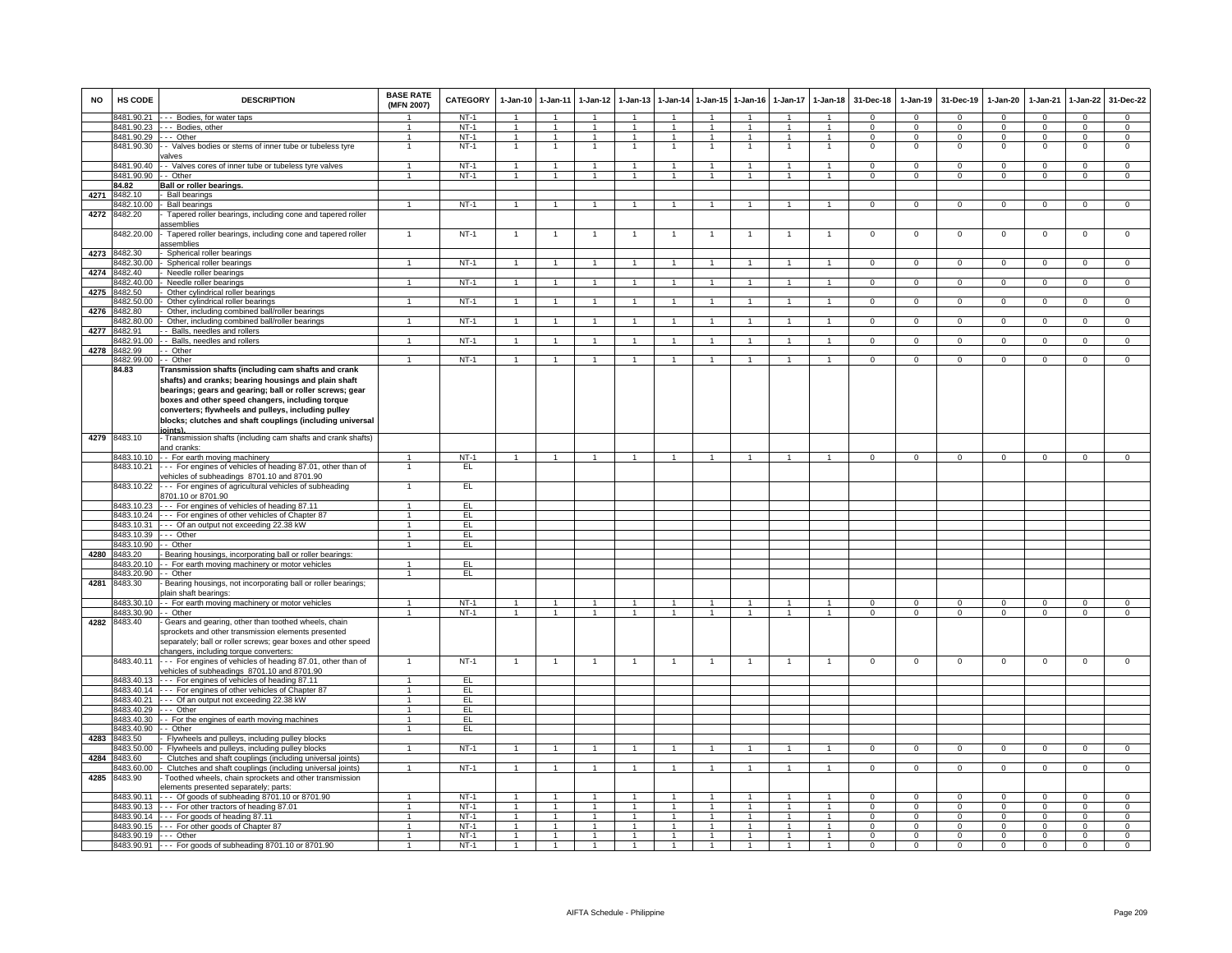| <b>NO</b> | HS CODE                            | <b>DESCRIPTION</b>                                                                                                                                                      | <b>BASE RATE</b><br>(MFN 2007) | <b>CATEGORY</b>  | $1-Jan-10$           | 1-Jan-11                       | $1-Jan-12$           | $1 - Jan-13$                   | $1-Jan-14$                   |                                | 1-Jan-15 1-Jan-16            | $1-Jan-17$   | $1 - Jan-18$                 | 31-Dec-18            | $1-Jan-19$           | 31-Dec-19               | $1-Jan-20$                 | $1-Jan-21$           | 1-Jan-22                         | 31-Dec-22                        |
|-----------|------------------------------------|-------------------------------------------------------------------------------------------------------------------------------------------------------------------------|--------------------------------|------------------|----------------------|--------------------------------|----------------------|--------------------------------|------------------------------|--------------------------------|------------------------------|--------------|------------------------------|----------------------|----------------------|-------------------------|----------------------------|----------------------|----------------------------------|----------------------------------|
|           | 8481.90.21                         | --- Bodies, for water taps                                                                                                                                              |                                | $NT-1$           | $\overline{1}$       | $\overline{1}$                 | $\overline{1}$       | $\mathbf{1}$                   | $\overline{1}$               |                                | $\overline{1}$               |              | $\overline{1}$               | $\Omega$             | $\Omega$             | $\Omega$                | $\Omega$                   | $\Omega$             | $\mathbf{0}$                     | $\Omega$                         |
|           |                                    | 8481.90.23 --- Bodies, other                                                                                                                                            | $\blacktriangleleft$           | $NT-1$           | $\overline{1}$       | $\overline{1}$                 | $\mathbf{1}$         | $\overline{1}$                 | $\overline{1}$               | $\mathbf{1}$                   | $\overline{1}$               | $\mathbf{1}$ | $\overline{1}$               | $\Omega$             | $\Omega$             | $\Omega$                | $\Omega$                   | $\Omega$             | $\mathbf{0}$                     | $\Omega$                         |
|           | 8481.90.29 --- Other<br>8481.90.30 | - Valves bodies or stems of inner tube or tubeless tyre<br>ralves                                                                                                       | $\mathbf{1}$<br>$\mathbf{1}$   | $NT-1$<br>$NT-1$ | $\overline{1}$<br>1. | $\overline{1}$<br>$\mathbf{1}$ | $\overline{1}$<br>1. | $\overline{1}$                 | $\overline{1}$<br>-1         | $\mathbf{1}$                   | $\mathbf{1}$<br>$\mathbf{1}$ | 1<br>-1      | $\mathbf{1}$<br>-1           | $\Omega$<br>$\Omega$ | $\Omega$<br>$\Omega$ | $\Omega$<br>$\mathbf 0$ | $\mathbf 0$<br>$\mathbf 0$ | $\Omega$<br>$\Omega$ | $\overline{0}$<br>$\overline{0}$ | $\overline{0}$<br>$\overline{0}$ |
|           | 8481.90.40                         | - Valves cores of inner tube or tubeless tyre valves                                                                                                                    | $\mathbf{1}$                   | $NT-1$           | $\overline{1}$       | $\overline{1}$                 | $\overline{1}$       | $\overline{1}$                 | $\overline{1}$               | $\overline{1}$                 | $\overline{1}$               | $\mathbf{1}$ | $\overline{1}$               | $\mathsf 0$          | $\mathbf 0$          | $\mathbf 0$             | $\mathbf 0$                | $\Omega$             | $\mathsf 0$                      | $\mathbf 0$                      |
|           | 8481.90.90                         | - - Other                                                                                                                                                               | $\mathbf{1}$                   | $NT-1$           | $\overline{1}$       | $\overline{1}$                 | $\overline{1}$       | $\overline{1}$                 | $\overline{1}$               | $\overline{1}$                 | $\overline{1}$               | $\mathbf{1}$ | $\overline{1}$               | $\Omega$             | $\Omega$             | $\Omega$                | $\Omega$                   | $\Omega$             | $\Omega$                         | $\overline{0}$                   |
|           | 84.82                              | <b>Ball or roller bearings.</b>                                                                                                                                         |                                |                  |                      |                                |                      |                                |                              |                                |                              |              |                              |                      |                      |                         |                            |                      |                                  |                                  |
| 4271      | 8482.10                            | <b>Ball bearings</b>                                                                                                                                                    |                                |                  |                      |                                |                      |                                |                              |                                |                              |              |                              |                      |                      |                         |                            |                      |                                  |                                  |
|           | 8482.10.00                         | <b>Ball bearings</b>                                                                                                                                                    |                                | $NT-1$           | $\overline{1}$       | $\mathbf{1}$                   | $\mathbf{1}$         |                                | $\overline{1}$               | $\mathbf{1}$                   |                              |              | $\overline{1}$               | $\Omega$             | $\Omega$             | $\Omega$                | $\Omega$                   | $\Omega$             | $\overline{0}$                   | $\overline{0}$                   |
| 4272      | 8482.20                            | Tapered roller bearings, including cone and tapered roller<br>assemblies                                                                                                |                                |                  |                      |                                |                      |                                |                              |                                |                              |              |                              |                      |                      |                         |                            |                      |                                  |                                  |
|           | 3482.20.00                         | Tapered roller bearings, including cone and tapered roller<br>assemblies                                                                                                | $\overline{1}$                 | $NT-1$           | $\overline{1}$       | $\overline{1}$                 | -1                   | 1                              | $\overline{1}$               | $\overline{1}$                 | 1                            | $\mathbf{1}$ | $\overline{1}$               | $\mathbf{O}$         | $\mathsf 0$          | $\mathbf 0$             | $\mathbf 0$                | $\mathbf 0$          | $\mathsf 0$                      | $\overline{0}$                   |
| 4273      | 8482.30                            | Spherical roller bearings                                                                                                                                               |                                |                  |                      |                                |                      |                                |                              |                                |                              |              |                              |                      |                      |                         |                            |                      |                                  |                                  |
|           | 3482.30.00                         | Spherical roller bearings                                                                                                                                               |                                | $NT-1$           | $\mathbf{1}$         | $\overline{1}$                 | $\mathbf{1}$         | $\mathbf{1}$                   | $\overline{1}$               |                                |                              |              | $\overline{1}$               | $\Omega$             | $^{\circ}$           | $\mathbf 0$             | $\Omega$                   | $\Omega$             | $\mathsf 0$                      | $\Omega$                         |
| 4274      | 8482.40                            | Needle roller bearings                                                                                                                                                  |                                |                  |                      |                                |                      |                                |                              |                                |                              |              |                              |                      |                      |                         |                            |                      |                                  |                                  |
|           | 8482.40.00                         | Needle roller bearings                                                                                                                                                  | $\overline{1}$                 | $NT-1$           | $\overline{1}$       | $\overline{1}$                 | $\mathbf{1}$         | $\mathbf{1}$                   | $\overline{1}$               | $\blacktriangleleft$           | $\mathbf{1}$                 |              | $\overline{1}$               | $\overline{0}$       | $\overline{0}$       | $\overline{0}$          | $\overline{0}$             | $\Omega$             | $\overline{0}$                   | $\overline{0}$                   |
| 4275      | 8482.50<br>8482.50.00              | Other cylindrical roller bearings<br>Other cylindrical roller bearings                                                                                                  |                                | $NT-1$           | $\overline{1}$       | $\mathbf{1}$                   |                      |                                | $\overline{1}$               |                                |                              |              |                              | $^{\circ}$           | $^{\circ}$           | $\mathbf 0$             | $\mathbf 0$                | $\mathbf 0$          | $\mathbf 0$                      | $\Omega$                         |
| 4276      | 8482.80                            | Other, including combined ball/roller bearings                                                                                                                          |                                |                  |                      |                                |                      |                                |                              |                                |                              |              |                              |                      |                      |                         |                            |                      |                                  |                                  |
|           | 8482.80.00                         | Other, including combined ball/roller bearings                                                                                                                          | $\mathbf{1}$                   | $NT-1$           | $\overline{1}$       | $\overline{1}$                 | $\overline{1}$       | $\overline{1}$                 | $\overline{1}$               | $\mathbf{1}$                   | $\overline{1}$               | $\mathbf{1}$ | $\mathbf{1}$                 | $\mathbf{O}$         | $\mathbf{0}$         | $\overline{0}$          | $\mathbf{0}$               | $\mathbf 0$          | $\mathsf 0$                      | $\mathbf 0$                      |
| 4277      | 8482.91                            | - Balls, needles and rollers                                                                                                                                            |                                |                  |                      |                                |                      |                                |                              |                                |                              |              |                              |                      |                      |                         |                            |                      |                                  |                                  |
|           | 3482.91.00                         | - - Balls, needles and rollers                                                                                                                                          | $\mathbf{1}$                   | $NT-1$           | 1                    | $\mathbf{1}$                   | $\mathbf{1}$         |                                | $\mathbf{1}$                 |                                |                              |              | $\mathbf{1}$                 | $\mathbf{O}$         | $\mathbf{0}$         | $\mathbf 0$             | $\mathbf 0$                | $\mathbf 0$          | $\overline{0}$                   | $\overline{0}$                   |
| 4278      | 8482.99                            | - Other                                                                                                                                                                 |                                |                  |                      |                                |                      |                                |                              |                                |                              |              |                              |                      |                      |                         |                            |                      |                                  |                                  |
|           | 8482.99.00                         | -- Other                                                                                                                                                                | $\mathbf{1}$                   | <b>NT-1</b>      | $\mathbf{1}$         | $\overline{1}$                 | $\overline{1}$       | $\overline{1}$                 | $\overline{1}$               | $\blacktriangleleft$           |                              |              | $\blacktriangleleft$         | $\mathbf{0}$         | $\mathbf 0$          | $\mathbf 0$             | $\mathbf{0}$               | $^{\circ}$           | $\mathsf 0$                      | $\mathbf 0$                      |
|           | 84.83                              | Transmission shafts (including cam shafts and crank<br>shafts) and cranks; bearing housings and plain shaft<br>bearings; gears and gearing; ball or roller screws; gear |                                |                  |                      |                                |                      |                                |                              |                                |                              |              |                              |                      |                      |                         |                            |                      |                                  |                                  |
|           |                                    | boxes and other speed changers, including torque<br>converters; flywheels and pulleys, including pulley<br>blocks; clutches and shaft couplings (including universal    |                                |                  |                      |                                |                      |                                |                              |                                |                              |              |                              |                      |                      |                         |                            |                      |                                  |                                  |
| 4279      | 8483.10                            | ioints)<br>Transmission shafts (including cam shafts and crank shafts)                                                                                                  |                                |                  |                      |                                |                      |                                |                              |                                |                              |              |                              |                      |                      |                         |                            |                      |                                  |                                  |
|           |                                    | and cranks:                                                                                                                                                             |                                |                  |                      |                                |                      |                                |                              |                                |                              |              |                              |                      |                      |                         |                            |                      |                                  |                                  |
|           |                                    | 8483.10.10 - - For earth moving machinery                                                                                                                               | $\mathbf{1}$                   | $NT-1$           |                      | $\overline{1}$                 | -1                   | $\overline{1}$                 | $\overline{1}$               |                                |                              | 1            |                              | $\Omega$             | $\mathbf{0}$         | $\mathbf 0$             | $\Omega$                   | $\mathbf 0$          | $\mathsf 0$                      | $\overline{0}$                   |
|           | 8483.10.21                         | -- For engines of vehicles of heading 87.01, other than of<br>vehicles of subheadings 8701.10 and 8701.90                                                               | $\mathbf{1}$                   | EL               |                      |                                |                      |                                |                              |                                |                              |              |                              |                      |                      |                         |                            |                      |                                  |                                  |
|           | 8483.10.22                         | --- For engines of agricultural vehicles of subheading<br>8701.10 or 8701.90                                                                                            |                                | EL.              |                      |                                |                      |                                |                              |                                |                              |              |                              |                      |                      |                         |                            |                      |                                  |                                  |
|           |                                    | 8483.10.23 --- For engines of vehicles of heading 87.11                                                                                                                 | $\blacktriangleleft$           | EL               |                      |                                |                      |                                |                              |                                |                              |              |                              |                      |                      |                         |                            |                      |                                  |                                  |
|           |                                    | 8483.10.24 --- For engines of other vehicles of Chapter 87                                                                                                              | $\mathbf{1}$                   | EL               |                      |                                |                      |                                |                              |                                |                              |              |                              |                      |                      |                         |                            |                      |                                  |                                  |
|           |                                    | 8483.10.31 --- Of an output not exceeding 22.38 kW                                                                                                                      | 1                              | EL               |                      |                                |                      |                                |                              |                                |                              |              |                              |                      |                      |                         |                            |                      |                                  |                                  |
|           | 8483.10.39 --- Other               |                                                                                                                                                                         |                                | EL               |                      |                                |                      |                                |                              |                                |                              |              |                              |                      |                      |                         |                            |                      |                                  |                                  |
|           | 8483.10.90 -- Other                |                                                                                                                                                                         | $\mathbf{1}$                   | E                |                      |                                |                      |                                |                              |                                |                              |              |                              |                      |                      |                         |                            |                      |                                  |                                  |
| 4280      | 8483.20<br>3483.20.10              | - Bearing housings, incorporating ball or roller bearings                                                                                                               |                                | F1               |                      |                                |                      |                                |                              |                                |                              |              |                              |                      |                      |                         |                            |                      |                                  |                                  |
|           | 8483.20.90                         | - For earth moving machinery or motor vehicles<br>- Other                                                                                                               | $\mathbf{1}$                   | EL               |                      |                                |                      |                                |                              |                                |                              |              |                              |                      |                      |                         |                            |                      |                                  |                                  |
| 4281      | 8483.30                            | Bearing housings, not incorporating ball or roller bearings;<br>blain shaft bearings:                                                                                   |                                |                  |                      |                                |                      |                                |                              |                                |                              |              |                              |                      |                      |                         |                            |                      |                                  |                                  |
|           | 8483.30.10                         | - - For earth moving machinery or motor vehicles                                                                                                                        | $\mathbf{1}$                   | $NT-1$           | $\overline{1}$       | $\overline{1}$                 | $\overline{1}$       | $\overline{1}$                 | $\overline{1}$               | $\blacktriangleleft$           | $\mathbf{1}$                 | $\mathbf{1}$ | $\overline{1}$               | $\Omega$             | $\Omega$             | $\Omega$                | $\Omega$                   | $\Omega$             | $^{\circ}$                       | $\mathbf{0}$                     |
| 4282      | 3483.30.90<br>8483.40              | - Other<br>Gears and gearing, other than toothed wheels, chain                                                                                                          | $\mathbf{1}$                   | $NT-1$           | 1                    | $\overline{1}$                 | $\mathbf{1}$         | $\overline{1}$                 | $\overline{1}$               | $\mathbf{1}$                   | $\mathbf{1}$                 | $\mathbf{1}$ | $\overline{1}$               | $\Omega$             | $\Omega$             | $\Omega$                | $^{\circ}$                 | $\Omega$             | $\Omega$                         | $\overline{0}$                   |
|           |                                    | sprockets and other transmission elements presented<br>separately; ball or roller screws; gear boxes and other speed<br>changers, including torque converters:          |                                |                  |                      |                                |                      |                                |                              |                                |                              |              |                              |                      |                      |                         |                            |                      |                                  |                                  |
|           | 8483.40.11                         | --- For engines of vehicles of heading 87.01, other than of<br>vehicles of subheadings 8701.10 and 8701.90                                                              |                                | $NT-1$           |                      | $\overline{1}$                 |                      | -1                             | $\overline{1}$               | $\mathbf{1}$                   |                              |              | $\overline{1}$               | $\mathsf 0$          | $\mathsf 0$          | $\mathbf 0$             | $\mathbf 0$                | $\mathbf 0$          | $\overline{0}$                   | $\overline{0}$                   |
|           |                                    | 8483.40.13 --- For engines of vehicles of heading 87.11                                                                                                                 |                                | EL.              |                      |                                |                      |                                |                              |                                |                              |              |                              |                      |                      |                         |                            |                      |                                  |                                  |
|           |                                    | 8483.40.14 --- For engines of other vehicles of Chapter 87                                                                                                              | 1                              | EL               |                      |                                |                      |                                |                              |                                |                              |              |                              |                      |                      |                         |                            |                      |                                  |                                  |
|           |                                    | 8483.40.21 --- Of an output not exceeding 22.38 kW                                                                                                                      | $\mathbf{1}$                   | EL.              |                      |                                |                      |                                |                              |                                |                              |              |                              |                      |                      |                         |                            |                      |                                  |                                  |
|           | 8483.40.29                         | $--$ Other                                                                                                                                                              | 1                              | EL               |                      |                                |                      |                                |                              |                                |                              |              |                              |                      |                      |                         |                            |                      |                                  |                                  |
|           | 8483.40.30<br>8483.40.90           | - - For the engines of earth moving machines<br>- Other                                                                                                                 | $\mathbf{1}$                   | EL<br>EL         |                      |                                |                      |                                |                              |                                |                              |              |                              |                      |                      |                         |                            |                      |                                  |                                  |
| 4283      | 8483.50                            | Flywheels and pulleys, including pulley blocks                                                                                                                          |                                |                  |                      |                                |                      |                                |                              |                                |                              |              |                              |                      |                      |                         |                            |                      |                                  |                                  |
|           | 8483.50.00                         | Flywheels and pulleys, including pulley blocks                                                                                                                          | $\mathbf{1}$                   | $NT-1$           |                      | $\overline{1}$                 |                      | $\overline{1}$                 | $\overline{1}$               |                                |                              |              |                              | $\Omega$             | $\Omega$             | $\Omega$                | $\Omega$                   | $\Omega$             | $\Omega$                         | $\overline{0}$                   |
| 4284      | 8483.60                            | Clutches and shaft couplings (including universal joints)                                                                                                               |                                |                  |                      |                                |                      |                                |                              |                                |                              |              |                              |                      |                      |                         |                            |                      |                                  |                                  |
| 4285      | 8483.60.0<br>8483.90               | Clutches and shaft couplings (including universal joints)<br>Toothed wheels, chain sprockets and other transmission                                                     |                                | $NT-1$           | $\overline{1}$       | $\overline{1}$                 | $\overline{1}$       |                                | $\overline{1}$               | $\blacktriangleleft$           |                              |              | $\overline{1}$               | $\Omega$             | $\Omega$             | $\Omega$                | $\Omega$                   | $\Omega$             | $\Omega$                         | $\Omega$                         |
|           |                                    | elements presented separately; parts:                                                                                                                                   |                                |                  |                      |                                |                      |                                |                              |                                |                              |              |                              |                      |                      |                         |                            |                      |                                  |                                  |
|           | 3483.90.11                         | --- Of goods of subheading 8701.10 or 8701.90                                                                                                                           | 1                              | $NT-1$           | $\overline{1}$       | 1                              |                      |                                | $\mathbf{1}$                 |                                | 1                            | $\mathbf{1}$ | $\overline{1}$               | $\Omega$             | $\mathbf{0}$         | $^{\circ}$              | $\mathbf{0}$               | $\Omega$             | $\mathbf{0}$                     | $^{\circ}$                       |
|           | 3483.90.13<br>8483.90.14           | --- For other tractors of heading 87.01                                                                                                                                 | $\mathbf{1}$                   | $NT-1$           | $\mathbf{1}$         | $\mathbf{1}$<br>$\overline{1}$ | $\mathbf{1}$<br>1    | $\overline{1}$<br>$\mathbf{1}$ | $\mathbf{1}$<br>$\mathbf{1}$ | $\mathbf{1}$<br>$\overline{1}$ | $\overline{1}$               | $\mathbf{1}$ | $\mathbf{1}$<br>$\mathbf{1}$ | $\Omega$<br>$\Omega$ | $\mathbf 0$          | $\Omega$<br>$\Omega$    | $\circ$                    | $\Omega$<br>$\Omega$ | $\mathbf{0}$                     | $\circ$                          |
|           |                                    | --- For goods of heading 87.11<br>8483.90.15 --- For other goods of Chapter 87                                                                                          | $\mathbf{1}$                   | $NT-1$<br>$NT-1$ | $\mathbf{1}$         | $\overline{1}$                 | $\overline{1}$       | $\overline{1}$                 | $\overline{1}$               | $\overline{1}$                 | $\mathbf{1}$                 | $\mathbf{1}$ | $\overline{1}$               | $\Omega$             | 0<br>$\mathbf 0$     | $\mathbf 0$             | 0<br>$\mathbf{0}$          | $\Omega$             | $\mathsf 0$<br>$\mathbf 0$       | $\mathsf 0$<br>$\overline{0}$    |
|           |                                    | 8483.90.19 --- Other                                                                                                                                                    | $\overline{1}$                 | $NT-1$           | $\overline{1}$       | $\overline{1}$                 | $\overline{1}$       | $\overline{1}$                 | $\overline{1}$               | $\overline{1}$                 | $\overline{1}$               | $\mathbf{1}$ | $\blacktriangleleft$         | $\overline{0}$       | $\overline{0}$       | $\overline{0}$          | $\overline{0}$             | $\overline{0}$       | $\overline{0}$                   | $\overline{0}$                   |
|           |                                    | 8483.90.91 --- For goods of subheading 8701.10 or 8701.90                                                                                                               | $\mathbf{1}$                   | $NT-1$           | $\overline{1}$       | $\overline{1}$                 | $\mathbf{1}$         | $\mathbf{1}$                   | $\mathbf{1}$                 |                                |                              |              |                              | $\Omega$             | $\overline{0}$       | $\Omega$                | $\overline{0}$             | $\Omega$             | $\overline{0}$                   | $\overline{0}$                   |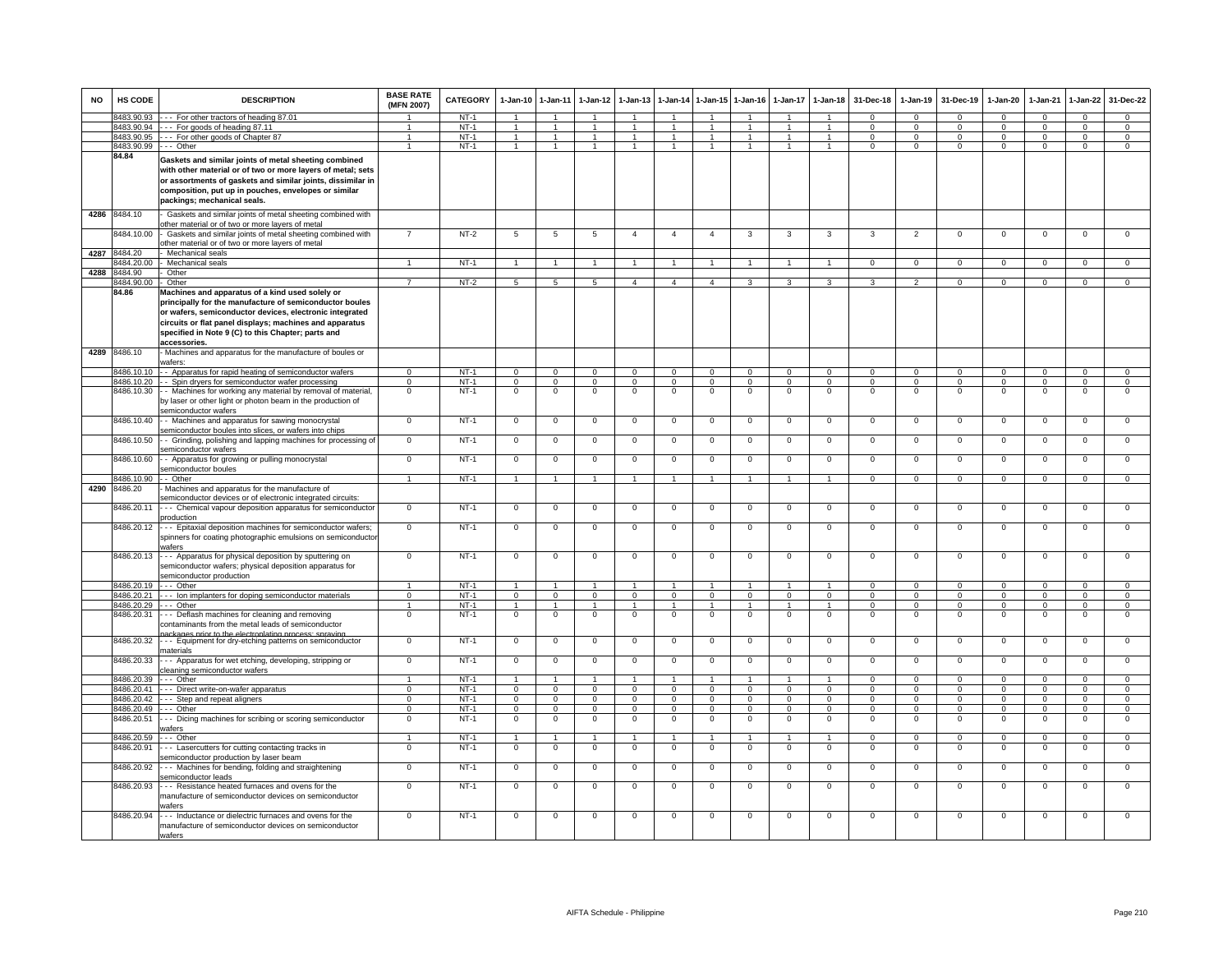| <b>NO</b> | HS CODE                            | <b>DESCRIPTION</b>                                                                                                                                                                                                                                                                                     | <b>BASE RATE</b><br>(MFN 2007) | <b>CATEGORY</b>  | $1-Jan-10$       | $1 - Jan-11$         | $1-Jan-12$                    | $1-Jan-13$     | $1-Jan-14$           | $1 - Jan-15$                  | $1-Jan-16$                 | $1-Jan-17$           | $1-Jan-18$           | 31-Dec-18            | $1-Jan-19$       | 31-Dec-19               | $1-Jan-20$              | $1-Jan-21$           | $1 - Jan-22$     | 31-Dec-22                  |
|-----------|------------------------------------|--------------------------------------------------------------------------------------------------------------------------------------------------------------------------------------------------------------------------------------------------------------------------------------------------------|--------------------------------|------------------|------------------|----------------------|-------------------------------|----------------|----------------------|-------------------------------|----------------------------|----------------------|----------------------|----------------------|------------------|-------------------------|-------------------------|----------------------|------------------|----------------------------|
|           | 8483.90.93                         | --- For other tractors of heading 87.01                                                                                                                                                                                                                                                                |                                | $NT-1$           |                  |                      |                               |                |                      |                               |                            |                      |                      | $\Omega$             | $\Omega$         | $\Omega$                | $\Omega$                | $\Omega$             | $\Omega$         | $\Omega$                   |
|           |                                    | 8483.90.94 --- For goods of heading 87.11                                                                                                                                                                                                                                                              |                                | $NT-1$           | $\overline{1}$   | $\blacktriangleleft$ | $\overline{1}$                |                |                      | $\overline{1}$                |                            | $\overline{1}$       | $\overline{1}$       | $\Omega$             | $\Omega$         | $\Omega$                | $\Omega$                | $\Omega$             | $\overline{0}$   | $\overline{0}$             |
|           |                                    | 8483.90.95 --- For other goods of Chapter 87                                                                                                                                                                                                                                                           | -1                             | $NT-1$           | $\mathbf{1}$     | $\overline{1}$       | $\blacktriangleleft$          | $\mathbf{1}$   | $\mathbf{1}$         | $\overline{1}$                | $\mathbf{1}$               | $\mathbf{1}$         | $\mathbf{1}$         | $\Omega$             | $\Omega$         | $\Omega$                | $\Omega$                | $\Omega$             | $\mathbf{0}$     | $\Omega$                   |
|           | 8483.90.99 --- Other               |                                                                                                                                                                                                                                                                                                        | 1                              | $NT-1$           | $\mathbf{1}$     | $\mathbf{1}$         | $\mathbf{1}$                  | $\mathbf{1}$   | $\overline{1}$       | $\overline{1}$                | $\overline{1}$             | $\mathbf{1}$         | $\mathbf{1}$         | $^{\circ}$           | $\mathbf{0}$     | $\mathbf{0}$            | $\mathbf{0}$            | $^{\circ}$           | $\mathbf{0}$     | $\Omega$                   |
|           | 84.84                              | Gaskets and similar joints of metal sheeting combined<br>with other material or of two or more layers of metal; sets<br>or assortments of gaskets and similar joints, dissimilar in<br>composition, put up in pouches, envelopes or similar<br>packings; mechanical seals.                             |                                |                  |                  |                      |                               |                |                      |                               |                            |                      |                      |                      |                  |                         |                         |                      |                  |                            |
| 4286      | 8484.10                            | Gaskets and similar joints of metal sheeting combined with<br>other material or of two or more layers of metal                                                                                                                                                                                         |                                |                  |                  |                      |                               |                |                      |                               |                            |                      |                      |                      |                  |                         |                         |                      |                  |                            |
|           | 8484.10.00                         | Gaskets and similar joints of metal sheeting combined with<br>other material or of two or more layers of metal                                                                                                                                                                                         | $\overline{7}$                 | $NT-2$           | $5\overline{5}$  | 5                    | 5                             | $\overline{4}$ | $\overline{4}$       | $\overline{4}$                | 3                          | 3                    | 3                    | 3                    | $\overline{2}$   | $\Omega$                | $\overline{0}$          | $\Omega$             | $\overline{0}$   | $\overline{0}$             |
| 4287      | 8484.20                            | Mechanical seals                                                                                                                                                                                                                                                                                       | $\overline{1}$                 |                  | $\overline{1}$   | $\blacktriangleleft$ | $\overline{1}$                | $\mathbf{1}$   | $\overline{1}$       | $\overline{1}$                |                            | $\mathbf{1}$         | $\overline{1}$       |                      |                  |                         |                         |                      |                  |                            |
|           | 3484.20.00<br>4288 8484.90         | Mechanical seals<br>Other                                                                                                                                                                                                                                                                              |                                | NT-1             |                  |                      |                               |                |                      |                               |                            |                      |                      | $\mathbf 0$          | $\mathbf 0$      | $\mathbf{0}$            | $\mathbf{0}$            | $^{\circ}$           | $\mathbf{0}$     | $\mathbf 0$                |
|           | 8484.90.00                         | Other                                                                                                                                                                                                                                                                                                  | $\overline{7}$                 | $NT-2$           | 5                | $5\overline{5}$      | $5^{\circ}$                   | $\overline{4}$ | $\overline{4}$       | $\overline{a}$                | 3                          | 3                    | 3                    | 3                    | $\overline{2}$   | $\Omega$                | $\Omega$                | $\Omega$             | $\mathbf{0}$     | $\overline{0}$             |
|           | 84.86                              | Machines and apparatus of a kind used solely or<br>principally for the manufacture of semiconductor boules<br>or wafers, semiconductor devices, electronic integrated<br>circuits or flat panel displays; machines and apparatus<br>specified in Note 9 (C) to this Chapter; parts and<br>accessories. |                                |                  |                  |                      |                               |                |                      |                               |                            |                      |                      |                      |                  |                         |                         |                      |                  |                            |
|           | 4289 8486.10                       | Machines and apparatus for the manufacture of boules or<br>vafers:                                                                                                                                                                                                                                     |                                |                  |                  |                      |                               |                |                      |                               |                            |                      |                      |                      |                  |                         |                         |                      |                  |                            |
|           | 3486.10.10                         | - Apparatus for rapid heating of semiconductor wafers                                                                                                                                                                                                                                                  | $\mathbf 0$                    | $NT-1$           | $\Omega$         | $\Omega$             | $\Omega$                      | $\Omega$       | $\Omega$             | $\mathbf 0$                   | $\mathbf 0$                | $\mathbf 0$          | $\mathbf 0$          | $\Omega$             | $\mathbf 0$      | $\mathbf 0$             | $\Omega$                | $\Omega$             | $\mathbf 0$      | $\mathbf 0$                |
|           | 8486.10.20                         | - - Spin dryers for semiconductor wafer processing                                                                                                                                                                                                                                                     | $\mathbf 0$                    | $NT-1$           | $\mathbf 0$      | $\mathbf 0$          | $\mathbf 0$                   | $\mathbf 0$    | 0                    | $\,0\,$                       | $\mathsf 0$                | 0                    | $\mathbf 0$          | $\mathbf 0$          | $^{\circ}$       | $\mathbf 0$             | $\mathbf 0$             | $^{\circ}$           | $\mathsf 0$      | $\mathsf 0$                |
|           |                                    | 8486.10.30 - Machines for working any material by removal of material,<br>by laser or other light or photon beam in the production of<br>semiconductor wafers                                                                                                                                          | $\mathbf 0$                    | $NT-1$           | 0                | $\mathbf 0$          | $\mathbf 0$                   | $\mathbf 0$    | $\mathbf 0$          | $\mathbf 0$                   | $\mathsf 0$                | $\mathbf 0$          | $\mathbf 0$          | $\mathbf 0$          | $\mathsf 0$      | $\mathbf 0$             | $\mathbf 0$             | $^{\circ}$           | $\mathsf 0$      | $\mathbf 0$                |
|           | 8486.10.40                         | - - Machines and apparatus for sawing monocrystal<br>semiconductor boules into slices, or wafers into chips                                                                                                                                                                                            | $\overline{0}$                 | $NT-1$           | $\mathbf{0}$     | $\mathbf 0$          | $\overline{0}$                | $\mathbf 0$    | $\mathbf 0$          | $\mathsf 0$                   | $\mathbf 0$                | $\mathbf 0$          | $\mathbf 0$          | $\mathbf 0$          | $\mathbf 0$      | $\mathbf 0$             | $\mathbf{0}$            | $\mathbf 0$          | $\mathsf 0$      | $\overline{0}$             |
|           | 8486.10.50                         | - Grinding, polishing and lapping machines for processing of<br>semiconductor wafers                                                                                                                                                                                                                   | $\overline{0}$                 | $NT-1$           | $\mathbf 0$      | $\mathbf 0$          | $\mathbf 0$                   | $\mathbf 0$    | $\mathbf 0$          | $\mathbf 0$                   | $\mathbf 0$                | $\mathbf 0$          | $\mathbf 0$          | $\mathsf 0$          | $\mathsf 0$      | $\mathbf 0$             | $\mathsf 0$             | $\mathbf 0$          | $\mathsf 0$      | $\mathbf 0$                |
|           | 8486.10.60                         | - - Apparatus for growing or pulling monocrystal<br>semiconductor boules                                                                                                                                                                                                                               | $\Omega$                       | $NT-1$           | $\mathbf{0}$     | $\Omega$             | $\overline{0}$                | $\Omega$       | $\Omega$             | $\mathbf 0$                   | 0                          | $\mathbf 0$          | $\Omega$             | $\Omega$             | 0                | $\Omega$                | $\Omega$                | $\mathbf 0$          | 0                | $\circ$                    |
|           | 8486.10.90                         | - Other                                                                                                                                                                                                                                                                                                | $\blacktriangleleft$           | $NT-1$           | $\mathbf{1}$     | $\blacktriangleleft$ | $\overline{1}$                | $\mathbf{1}$   | $\mathbf{1}$         | $\overline{1}$                | $\overline{1}$             | $\overline{1}$       | $\blacktriangleleft$ | $\mathbf{0}$         | $\mathsf 0$      | $\mathsf 0$             | $\mathbf 0$             | $\Omega$             | $\mathbf 0$      | $\mathsf 0$                |
| 4290      | 8486.20                            | Machines and apparatus for the manufacture of<br>emiconductor devices or of electronic integrated circuits:                                                                                                                                                                                            |                                |                  |                  |                      |                               |                |                      |                               |                            |                      |                      |                      |                  |                         |                         |                      |                  |                            |
|           | 8486.20.11                         | --- Chemical vapour deposition apparatus for semiconductor<br>oroduction                                                                                                                                                                                                                               | $\mathbf 0$                    | $NT-1$           | $\mathbf 0$      | $\mathbf 0$          | $\mathbf 0$                   | $\mathbf 0$    | $\mathbf 0$          | $\mathbf 0$                   | $\mathsf 0$                | $\mathbf 0$          | $\mathbf 0$          | $\mathsf 0$          | $\mathsf 0$      | $\mathbf 0$             | $\mathbf 0$             | $\mathbf 0$          | $\mathsf 0$      | $\mathbf 0$                |
|           | 8486.20.12                         | --- Epitaxial deposition machines for semiconductor wafers;<br>spinners for coating photographic emulsions on semiconductor<br>wafers                                                                                                                                                                  | $\mathbf 0$                    | $NT-1$           | $\mathsf 0$      | $\mathbf 0$          | $\mathbf 0$                   | $\mathbf 0$    | $\mathbf 0$          | $\mathbf 0$                   | $\mathbf 0$                | $\mathbf 0$          | $\mathbf 0$          | $\mathsf 0$          | $\mathsf 0$      | $\mathbf 0$             | $\mathsf 0$             | $\mathbf 0$          | $\mathsf 0$      | $\mathbf 0$                |
|           | 8486.20.13                         | -- Apparatus for physical deposition by sputtering on<br>semiconductor wafers; physical deposition apparatus for<br>semiconductor production                                                                                                                                                           | $\overline{0}$                 | $NT-1$           | $\mathbf 0$      | $\mathbf 0$          | $\mathbf 0$                   | $\mathsf 0$    | $^{\circ}$           | $\,0\,$                       | $^{\circ}$                 | $\mathbf 0$          | $\mathbf 0$          | $\mathsf 0$          | $\mathsf 0$      | $\mathbf 0$             | $\mathbf 0$             | $\mathbf 0$          | $\overline{0}$   | $\overline{0}$             |
|           | 8486.20.19                         | $--$ Other                                                                                                                                                                                                                                                                                             | $\mathbf{1}$                   | $NT-1$           | $\overline{1}$   | $\overline{1}$       | $\overline{1}$                | $\mathbf{1}$   | $\blacktriangleleft$ | $\overline{1}$                | $\overline{ }$             | $\mathbf{1}$         | $\overline{1}$       | $\Omega$             | $\mathbf 0$      | $\Omega$                | $\Omega$                | $\Omega$             | $\mathbf{0}$     | $\Omega$                   |
|           |                                    | 8486.20.21 --- Ion implanters for doping semiconductor materials                                                                                                                                                                                                                                       | $\mathbf{O}$                   | $NT-1$           | $\mathbf{0}$     | $\overline{0}$       | $\mathbf 0$                   | $\mathbf{0}$   | $\mathbf{0}$         | $\overline{0}$                | $\mathbf{0}$               | $\mathbf 0$          | $\mathbf 0$          | $^{\circ}$           | $\mathbf{0}$     | $\mathbf{0}$            | $\mathbf{0}$            | $\mathbf 0$          | $\mathbf 0$      | $\mathbf 0$                |
|           | 8486.20.29                         | --- Other                                                                                                                                                                                                                                                                                              | $\mathbf{1}$                   | $NT-1$           | $\mathbf{1}$     | $\mathbf{1}$         | $\mathbf{1}$                  | $\mathbf{1}$   | $\overline{1}$       | $\mathbf{1}$                  | $\mathbf{1}$               | 1                    | $\overline{1}$       | $\mathbf 0$          | $\mathbf{0}$     | $\mathbf{0}$            | $\mathbf{0}$            | $^{\circ}$           | $\mathbf 0$      | $\overline{0}$             |
|           | 8486.20.31                         | -- Deflash machines for cleaning and removing<br>contaminants from the metal leads of semiconductor<br>ckanes prior to the electronisting process: spray                                                                                                                                               | $\mathbf 0$                    | $NT-1$           | $\mathbf 0$      | $\mathbf{0}$         | $\overline{0}$                | $\mathbf{0}$   | $\mathbf 0$          | $\overline{0}$                | $\mathbf 0$                | $\mathsf 0$          | $\mathbf 0$          | $\Omega$             | $\mathsf 0$      | $\mathsf 0$             | $\mathsf 0$             | $\Omega$             | $\mathsf 0$      | $\mathbf 0$                |
|           | 8486.20.32                         | --- Equipment for dry-etching patterns on semiconductor<br>naterials                                                                                                                                                                                                                                   | $\Omega$                       | $NT-1$           | $\mathbf 0$      | $\Omega$             | $\overline{0}$                | $\Omega$       | $\Omega$             | $\Omega$                      | $\Omega$                   | $\mathbf 0$          | $\Omega$             | 0                    | 0                | $\mathbf 0$             | $\circ$                 | $\mathbf 0$          | 0                | $\circ$                    |
|           | 8486.20.33                         | --- Apparatus for wet etching, developing, stripping or<br>cleaning semiconductor wafers                                                                                                                                                                                                               | $\Omega$                       | $NT-1$           | $\mathsf 0$      | $\Omega$             | $\Omega$                      | $\Omega$       | $\Omega$             | $\Omega$                      | $\Omega$                   | $\mathbf 0$          | $\Omega$             | $\Omega$             | $\mathsf 0$      | $\mathbf 0$             | $\mathsf 0$             | $\Omega$             | $\Omega$         | $\overline{0}$             |
|           | 3486.20.39                         | --- Other                                                                                                                                                                                                                                                                                              | $\mathbf{1}$                   | $NT-1$           | $\mathbf{1}$     | $\blacktriangleleft$ | 1                             |                | $\mathbf{1}$         | $\mathbf{1}$                  | $\overline{1}$             | $\mathbf{1}$         | $\blacktriangleleft$ | $\Omega$             | $\mathbf 0$      | $\mathbf 0$             | $\mathbf 0$             | $\mathbf 0$          | $\mathbf 0$      | $\mathbf 0$                |
|           | 486.20.41                          | -- Direct write-on-wafer apparatus                                                                                                                                                                                                                                                                     | $\mathbf 0$                    | $NT-1$           | $\mathbf 0$      | $\Omega$             | $\Omega$                      | $\Omega$       | $\mathbf 0$          | $\mathbf 0$                   | $\Omega$                   | $\Omega$             | $\Omega$             | $\Omega$             | $\mathbf 0$      | $\mathbf 0$             | $\mathbf 0$             | $\Omega$             | $\Omega$         | $\mathsf 0$                |
|           | 3486.20.42                         | -- Step and repeat aligners                                                                                                                                                                                                                                                                            | $\mathbf 0$                    | $NT-1$           | $\mathbf 0$      | $\mathbf 0$          | $\mathbf 0$                   | 0              | 0                    | $\mathbf 0$                   | $\mathsf 0$                | $\mathbf 0$          | $\mathbf 0$          | $\Omega$             | $\mathsf 0$      | $\mathbf 0$             | $\mathbf 0$             | $\Omega$             | $\mathsf 0$      | $\mathbf 0$                |
|           | 8486.20.49 --- Other<br>8486.20.51 | -- Dicing machines for scribing or scoring semiconductor<br>vafers                                                                                                                                                                                                                                     | $\mathbf 0$<br>$\mathbf 0$     | $NT-1$<br>$NT-1$ | 0<br>$\mathbf 0$ | $\Omega$<br>$\Omega$ | $\overline{0}$<br>$\mathbf 0$ | 0<br>0         | $\Omega$<br>$\Omega$ | $\overline{0}$<br>$\mathbf 0$ | $\mathbf 0$<br>$\mathbf 0$ | $\Omega$<br>$\Omega$ | $\Omega$<br>$\Omega$ | $\Omega$<br>$\Omega$ | $\mathbf 0$<br>0 | $\mathbf 0$<br>$\Omega$ | $\Omega$<br>$\mathsf 0$ | $\Omega$<br>$\Omega$ | $\mathsf 0$<br>0 | $\overline{0}$<br>$\Omega$ |
|           | 8486.20.59                         | -- Other                                                                                                                                                                                                                                                                                               | $\mathbf{1}$                   | $NT-1$           | $\mathbf{1}$     | $\overline{1}$       | $\overline{1}$                | $\overline{1}$ | $\overline{1}$       | $\overline{1}$                | $\overline{1}$             | $\mathbf{1}$         | $\overline{1}$       | $\overline{0}$       | $\overline{0}$   | $\Omega$                | $\overline{0}$          | $\Omega$             | $\overline{0}$   | $\overline{0}$             |
|           | 8486.20.91                         | --- Lasercutters for cutting contacting tracks in                                                                                                                                                                                                                                                      | $\Omega$                       | $NT-1$           | $\Omega$         | $\Omega$             | $\mathbf 0$                   | $\mathbf 0$    | $\mathbf 0$          | $\Omega$                      | $\mathsf 0$                | $\mathbf 0$          | $\mathbf 0$          | $\Omega$             | $\mathsf 0$      | $\Omega$                | $\mathbf 0$             | $\Omega$             | $\mathsf 0$      | $\mathbf 0$                |
|           | 8486.20.92                         | semiconductor production by laser beam<br>--- Machines for bending, folding and straightening<br>semiconductor leads                                                                                                                                                                                   | $\mathbf{O}$                   | $NT-1$           | $\mathbf{O}$     | $\mathbf 0$          | $\mathbf 0$                   | $\mathbf 0$    | $\mathbf 0$          | $\mathbf 0$                   | $^{\circ}$                 | $\mathbf 0$          | $\mathbf 0$          | $\mathsf 0$          | $\mathsf 0$      | $\mathbf 0$             | $\mathbf 0$             | $\mathbf 0$          | $\mathsf 0$      | $\mathbf 0$                |
|           | 8486.20.93                         | -- Resistance heated furnaces and ovens for the<br>manufacture of semiconductor devices on semiconductor<br>vafers                                                                                                                                                                                     | $\Omega$                       | $NT-1$           | $\mathbf{0}$     | $\Omega$             | $\mathbf{0}$                  | $\Omega$       | $^{\circ}$           | $\mathbf 0$                   | $^{\circ}$                 | $\mathbf{0}$         | $\mathbf 0$          | $^{\circ}$           | $^{\circ}$       | $\mathbf 0$             | $\mathbf{0}$            | $\mathbf 0$          | $\mathsf 0$      | $\mathbf 0$                |
|           | 8486.20.94                         | -- Inductance or dielectric furnaces and ovens for the<br>manufacture of semiconductor devices on semiconductor<br>wafers                                                                                                                                                                              | $\mathbf 0$                    | $NT-1$           | $\mathbf 0$      | $\mathbf 0$          | $\mathbf 0$                   | $\mathbf 0$    | $\mathbf 0$          | $\mathbf 0$                   | $\mathsf 0$                | $\mathbf 0$          | $\mathbf 0$          | $\mathbf 0$          | $\mathsf 0$      | $\mathbf 0$             | $\mathbf 0$             | $\mathbf 0$          | $\mathsf 0$      | $\mathbf 0$                |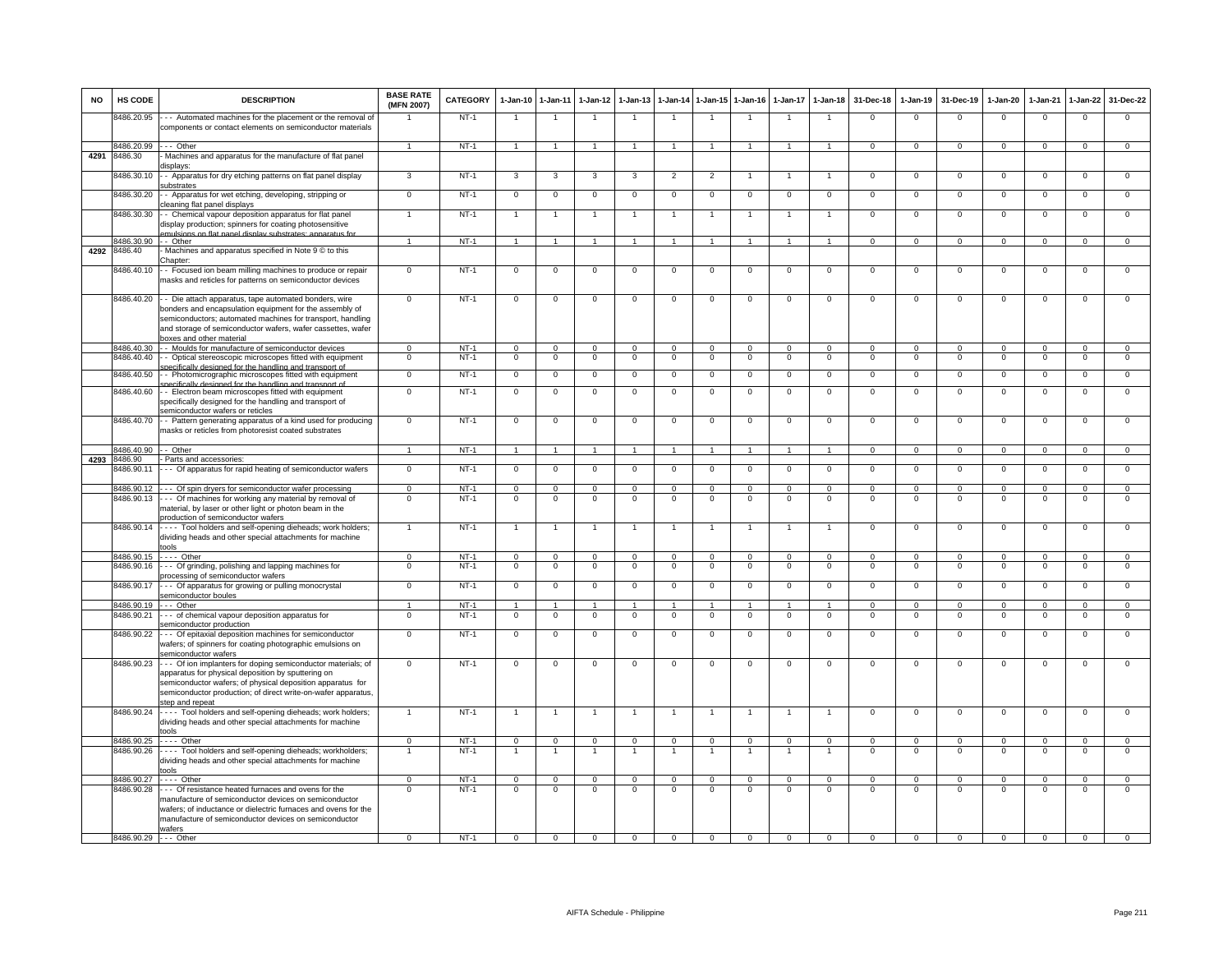| <b>NO</b> | HS CODE                  | <b>DESCRIPTION</b>                                                                                                                                                                                                                                                         | <b>BASE RATE</b><br>(MFN 2007) | <b>CATEGORY</b>  | 1-Jan-10                 | $1 - Jan-11$            | $1-Jan-12$              | $1 - Jan-13$           |                            |                         | 1-Jan-14 1-Jan-15 1-Jan-16 | $1-Jan-17$              | $1 - Jan-18$                   | 31-Dec-18            | $1-Jan-19$                | 31-Dec-19               | $1 - Jan-20$           | 1-Jan-21             | 1-Jan-22                | 31-Dec-22                     |
|-----------|--------------------------|----------------------------------------------------------------------------------------------------------------------------------------------------------------------------------------------------------------------------------------------------------------------------|--------------------------------|------------------|--------------------------|-------------------------|-------------------------|------------------------|----------------------------|-------------------------|----------------------------|-------------------------|--------------------------------|----------------------|---------------------------|-------------------------|------------------------|----------------------|-------------------------|-------------------------------|
|           | 8486.20.95               | --- Automated machines for the placement or the removal of<br>components or contact elements on semiconductor materials                                                                                                                                                    |                                | $NT-1$           | -1                       | $\overline{1}$          |                         | $\mathbf{1}$           | $\overline{1}$             | $\overline{1}$          | -1                         | -1                      | $\overline{1}$                 | $\Omega$             | $\overline{0}$            | $\Omega$                | $\mathsf 0$            | $\overline{0}$       | $\overline{0}$          | $\overline{0}$                |
|           | 8486.20.99 --- Other     |                                                                                                                                                                                                                                                                            | $\mathbf{1}$                   | $NT-1$           | $\overline{1}$           | $\overline{1}$          | $\overline{1}$          | $\mathbf{1}$           | $\overline{1}$             | $\overline{1}$          | $\overline{1}$             | $\mathbf{1}$            | $\overline{1}$                 | $\mathbf{0}$         | $\circ$                   | $\mathbf 0$             | $\mathbf{0}$           | $\mathbf 0$          | $\mathbf{0}$            | $\overline{0}$                |
| 4291      | 8486.30                  | Machines and apparatus for the manufacture of flat panel<br>displays:                                                                                                                                                                                                      |                                |                  |                          |                         |                         |                        |                            |                         |                            |                         |                                |                      |                           |                         |                        |                      |                         |                               |
|           | 3486.30.10               | - Apparatus for dry etching patterns on flat panel display<br>ubstrates                                                                                                                                                                                                    | 3                              | $NT-1$           | 3                        | 3                       | 3                       | 3                      | $\overline{2}$             | $\overline{2}$          |                            |                         | $\mathbf{1}$                   | 0                    | $\overline{0}$            | $\mathbf 0$             | $\mathbf 0$            | $\mathbf 0$          | $\mathsf 0$             | $\overline{0}$                |
|           | 8486.30.20               | - Apparatus for wet etching, developing, stripping or<br>leaning flat panel displays                                                                                                                                                                                       | $\,0\,$                        | $NT-1$           | $\mathbf 0$              | $\,0\,$                 | $\Omega$                | 0                      | $\,0\,$                    | 0                       | $\mathbf 0$                | $\mathbf 0$             | $\overline{0}$                 | $\mathbf 0$          | $\mathsf 0$               | $\mathbf 0$             | 0                      | $\mathbf{0}$         | 0                       | $\mathbf 0$                   |
|           | 8486.30.30               | - Chemical vapour deposition apparatus for flat panel<br>display production; spinners for coating photosensitive                                                                                                                                                           |                                | $NT-1$           | $\overline{1}$           | $\overline{1}$          |                         | $\overline{1}$         | $\overline{1}$             | $\mathbf{1}$            | $\overline{1}$             | $\mathbf{1}$            | $\overline{1}$                 | $\mathbf 0$          | $\,0\,$                   | $\mathbf 0$             | 0                      | $\mathbf{0}$         | $\mathsf 0$             | $\overline{0}$                |
|           | 8486.30.90               | mulsions on flat nanel display substrates: apparatus for<br>-- Other                                                                                                                                                                                                       | $\mathbf{1}$                   | $NT-1$           | $\mathbf{1}$             | $\mathbf{1}$            | $\blacktriangleleft$    | $\mathbf{1}$           | $\overline{1}$             | $\mathbf{1}$            | $\overline{1}$             | $\mathbf{1}$            | $\overline{1}$                 | $\mathbf{0}$         | $\circ$                   | $\mathbf{0}$            | $\mathbf{0}$           | $\mathbf{0}$         | $\mathsf 0$             | $\mathbf{0}$                  |
| 4292      | 8486.40                  | Machines and apparatus specified in Note 9 C to this<br>Chapter:                                                                                                                                                                                                           |                                |                  |                          |                         |                         |                        |                            |                         |                            |                         |                                |                      |                           |                         |                        |                      |                         |                               |
|           | 8486.40.10               | - Focused ion beam milling machines to produce or repair<br>nasks and reticles for patterns on semiconductor devices                                                                                                                                                       | $\Omega$                       | $NT-1$           | $\mathbf 0$              | $\mathbf 0$             | $\mathbf 0$             | $\mathbf 0$            | $\mathbf 0$                | $\mathbf 0$             | $\mathbf 0$                | $\mathbf 0$             | $\mathbf{0}$                   | $\mathbf 0$          | $\mathbf 0$               | $\mathbf 0$             | $\mathsf 0$            | $\mathbf{0}$         | $\mathsf 0$             | $\mathbf{0}$                  |
|           | 8486.40.20               | - - Die attach apparatus, tape automated bonders, wire<br>bonders and encapsulation equipment for the assembly of<br>semiconductors; automated machines for transport, handling<br>and storage of semiconductor wafers, wafer cassettes, wafer<br>boxes and other material | $\overline{0}$                 | $NT-1$           | $\overline{0}$           | $\overline{0}$          | $\mathbf 0$             | $\Omega$               | $\overline{0}$             | $\mathbf 0$             | $\mathbf 0$                | $\mathbf 0$             | $\overline{0}$                 | $\overline{0}$       | $\overline{0}$            | $\overline{0}$          | $\mathsf 0$            | $\overline{0}$       | $\mathsf 0$             | $\overline{0}$                |
|           | 8486.40.30               | - - Moulds for manufacture of semiconductor devices                                                                                                                                                                                                                        | $\Omega$                       | $NT-1$           | $\Omega$                 | $\mathbf 0$             | $\Omega$                | $\overline{0}$         | $\Omega$                   | $\Omega$                | $\overline{0}$             | $\Omega$                | $\overline{0}$                 | $\Omega$             | $\Omega$                  | $\Omega$                | $\mathbf 0$            | $\Omega$             | $\Omega$                | $\overline{0}$                |
|           | 3486.40.40               | - Optical stereoscopic microscopes fitted with equipment<br>difically designed for the handling and transport of                                                                                                                                                           | $\mathbf 0$                    | $NT-1$           | $^{\circ}$               | $\,0\,$                 | $\mathbf 0$             | $\mathbf 0$            | $\mathbf 0$                | $\mathbf 0$             | $\mathbf 0$                | 0                       | $\mathbf 0$                    | $\mathbf{0}$         | $\mathsf 0$               | $\mathbf 0$             | $^{\circ}$             | $\mathbf 0$          | $\mathsf 0$             | $\overline{0}$                |
|           | 8486.40.50               | - Photomicrographic microscopes fitted with equipment<br>ecifically designed for the handling and transport of                                                                                                                                                             | $\overline{0}$                 | $NT-1$           | $\mathsf 0$              | $\mathbf 0$             | $\mathbf 0$             | $\mathsf 0$            | $\mathbf 0$                | $\mathbf 0$             | $\mathbf 0$                | $\mathbf 0$             | $\overline{0}$                 | $\overline{0}$       | $\mathsf 0$               | $\mathbf 0$             | $\mathsf 0$            | $\mathbf 0$          | $\mathsf 0$             | $\overline{0}$                |
|           | 8486.40.60               | - Electron beam microscopes fitted with equipment<br>specifically designed for the handling and transport of<br>semiconductor wafers or reticles                                                                                                                           | $\mathbf 0$                    | $NT-1$           | $\mathbf 0$              | $\mathbf 0$             | $\mathbf 0$             | $\mathbf 0$            | $\mathbf 0$                | $\mathbf 0$             | $\mathbf 0$                | $\mathbf 0$             | $\overline{0}$                 | $\mathbf 0$          | $\mathbf 0$               | $\mathbf 0$             | $\mathsf 0$            | $\mathbf{0}$         | $\mathbf 0$             | $\mathbf{0}$                  |
|           |                          | 8486.40.70 - Pattern generating apparatus of a kind used for producing<br>masks or reticles from photoresist coated substrates                                                                                                                                             | $\Omega$                       | $NT-1$           | $\mathsf 0$              | $\overline{0}$          | $\mathbf 0$             | $\mathbf 0$            | $\mathbf 0$                | $\mathbf 0$             | $\mathbf 0$                | $\mathbf 0$             | $\overline{0}$                 | $\mathbf 0$          | $\overline{0}$            | $\overline{0}$          | $\mathsf 0$            | $\overline{0}$       | $\mathsf 0$             | $\overline{0}$                |
|           | 8486.40.90               | - - Other                                                                                                                                                                                                                                                                  | $\blacktriangleleft$           | $NT-1$           | $\overline{1}$           | $\overline{1}$          |                         | $\overline{1}$         | $\overline{1}$             | $\overline{1}$          | $\overline{1}$             | $\overline{1}$          | $\overline{1}$                 | $\mathbf{0}$         | $\mathbf{0}$              | $\mathbf 0$             | $\mathbf{0}$           | $\mathbf 0$          | $\mathbf 0$             | $\mathbf{0}$                  |
|           | 4293 8486.90             | - Parts and accessories:                                                                                                                                                                                                                                                   |                                |                  |                          |                         |                         |                        |                            |                         |                            |                         |                                |                      |                           |                         |                        |                      |                         |                               |
|           | 8486.90.11<br>8486.90.12 | --- Of apparatus for rapid heating of semiconductor wafers                                                                                                                                                                                                                 | $\Omega$<br>$\mathbf{0}$       | $NT-1$<br>$NT-1$ | $\mathbf{0}$<br>$\Omega$ | $\mathbf 0$<br>$\Omega$ | $\mathbf 0$<br>$\Omega$ | $\mathbf 0$<br>$\circ$ | $\overline{0}$<br>$\Omega$ | $\mathbf 0$<br>$\Omega$ | $\mathbf 0$<br>$\mathbf 0$ | $\mathbf 0$<br>$\Omega$ | $\overline{0}$<br>$\mathbf{0}$ | $\Omega$<br>$\Omega$ | $\overline{0}$<br>$\circ$ | $\mathbf 0$<br>$\Omega$ | $^{\circ}$<br>$\Omega$ | $\Omega$<br>$\Omega$ | $\mathbf 0$<br>$\Omega$ | $\overline{0}$<br>$\mathbf 0$ |
|           | 8486.90.13               | --- Of spin dryers for semiconductor wafer processing<br>- - Of machines for working any material by removal of<br>naterial, by laser or other light or photon beam in the<br>production of semiconductor wafers                                                           | $\mathbf 0$                    | $NT-1$           | $\mathsf 0$              | $\mathbf 0$             | $\mathbf 0$             | $\mathbf 0$            | $\mathbf 0$                | $\mathbf 0$             | $\mathbf 0$                | $\mathbf 0$             | $\mathbf 0$                    | $\Omega$             | $\mathsf 0$               | $\Omega$                | $\mathbf 0$            | $\Omega$             | $\mathbf 0$             | $\overline{0}$                |
|           | 8486.90.14               | - - - - Tool holders and self-opening dieheads; work holders;<br>dividing heads and other special attachments for machine<br>tools                                                                                                                                         | $\overline{1}$                 | $NT-1$           | $\overline{1}$           | $\overline{1}$          | $\overline{1}$          | $\overline{1}$         | $\overline{1}$             | $\overline{1}$          | $\overline{1}$             | $\overline{1}$          | $\overline{1}$                 | $^{\circ}$           | $\overline{0}$            | $\mathbf{0}$            | $\mathbf 0$            | $\mathbf{0}$         | $\mathbf{0}$            | $\mathbf 0$                   |
|           | 8486.90.15               | - - - - Other                                                                                                                                                                                                                                                              | $\mathbf{0}$                   | $NT-1$           | $\mathbf 0$              | $\mathbf{0}$            | $\mathbf 0$             | $\mathbf 0$            | $\mathbf 0$                | $\mathbf 0$             | $\mathbf 0$                | $\mathbf 0$             | $\mathbf{0}$                   | $\mathbf 0$          | $\mathbf 0$               | $\mathbf 0$             | $\mathbf 0$            | $\mathbf 0$          | $\mathbf 0$             | $\mathbf{0}$                  |
|           | 8486.90.16               | --- Of grinding, polishing and lapping machines for<br>processing of semiconductor wafers                                                                                                                                                                                  | $\overline{0}$                 | $NT-1$           | $\mathsf 0$              | $\overline{0}$          | $\mathbf 0$             | $\mathbf 0$            | $\mathbf 0$                | $\mathbf 0$             | $\overline{\mathbf{0}}$    | $\mathbf 0$             | $\overline{0}$                 | $\mathsf 0$          | $\mathsf 0$               | $\mathbf 0$             | $\mathsf 0$            | $\mathbf 0$          | $\mathbf 0$             | $\overline{0}$                |
|           | 8486.90.17               | --- Of apparatus for growing or pulling monocrystal<br>emiconductor boules                                                                                                                                                                                                 | $\mathbf 0$                    | $NT-1$           | $\mathbf{0}$             | $\mathbf{0}$            | $\mathbf 0$             | $\mathbf{0}$           | $\overline{0}$             | $\mathbf 0$             | $\mathbf 0$                | $\mathbf 0$             | $\overline{0}$                 | $\circ$              | $\mathbf{0}$              | $\mathbf 0$             | $\mathbf 0$            | $\mathbf{0}$         | $\mathbf{0}$            | $\mathbf 0$                   |
|           | 8486.90.19               | $- -$ Other                                                                                                                                                                                                                                                                | $\mathbf{1}$                   | $NT-1$           | $\overline{1}$           | $\overline{1}$          | $\blacktriangleleft$    | $\overline{1}$         | $\overline{1}$             | $\mathbf{1}$            | $\overline{1}$             | $\mathbf{1}$            | $\overline{1}$                 | $\Omega$             | $\overline{0}$            | $\Omega$                | $\Omega$               | $\Omega$             | $\overline{0}$          | $\overline{0}$                |
|           | 8486.90.21               | - - of chemical vapour deposition apparatus for<br>emiconductor production                                                                                                                                                                                                 | $\overline{0}$                 | $NT-1$           | $\overline{0}$           | $\overline{0}$          | $\overline{0}$          | $\overline{0}$         | $\overline{0}$             | $\overline{0}$          | $\overline{\mathbf{0}}$    | $\overline{0}$          | $\overline{0}$                 | $\overline{0}$       | $\overline{0}$            | $\overline{0}$          | $\overline{0}$         | $\overline{0}$       | $\overline{0}$          | $\overline{0}$                |
|           | 8486.90.22               | - - Of epitaxial deposition machines for semiconductor<br>wafers; of spinners for coating photographic emulsions on<br>semiconductor wafers                                                                                                                                | $\mathbf 0$                    | $NT-1$           | $\mathbf 0$              | $\mathsf 0$             | $\mathsf 0$             | 0                      | $\overline{0}$             | $\mathbf 0$             | $\mathbf 0$                | $\,0\,$                 | $\overline{0}$                 | $\mathbf 0$          | $\mathbf 0$               | $\mathsf 0$             | $\mathbf 0$            | $\mathbf 0$          | $\mathsf 0$             | $\mathbf{0}$                  |
|           | 8486.90.23               | - - - Of ion implanters for doping semiconductor materials; of<br>apparatus for physical deposition by sputtering on<br>semiconductor wafers; of physical deposition apparatus for<br>semiconductor production; of direct write-on-wafer apparatus,<br>step and repeat     | $\overline{0}$                 | $NT-1$           | $\mathsf 0$              | $\mathbf 0$             | $\mathbf 0$             | $\mathbf 0$            | $\mathbf 0$                | $\mathbf 0$             | $\mathbf 0$                | $\mathbf 0$             | $\overline{0}$                 | $\mathsf 0$          | $\mathsf 0$               | $\mathbf 0$             | $\mathsf 0$            | $\mathbf 0$          | $\mathsf 0$             | $\overline{0}$                |
|           | 8486.90.24               | - - - - Tool holders and self-opening dieheads; work holders;<br>dividing heads and other special attachments for machine<br>tools                                                                                                                                         | -1                             | $NT-1$           | $\overline{1}$           | $\overline{1}$          |                         |                        | $\overline{1}$             | $\overline{1}$          |                            | 1                       | 1                              | $\mathsf 0$          | $\mathsf 0$               | $\mathbf 0$             | $^{\circ}$             | $\mathbf 0$          | $\mathsf 0$             | $\mathbf 0$                   |
|           | 8486.90.25               | - - - - Other                                                                                                                                                                                                                                                              | $\mathbf{0}$                   | $NT-1$           | $\mathbf{0}$             | $\mathbf{0}$            | $\mathbf 0$             | $\mathbf 0$            | $\mathbf{0}$               | $\mathbf 0$             | $\mathbf 0$                | $\mathbf 0$             | $\mathbf{0}$                   | $\mathbf{0}$         | $\mathbf 0$               | $\mathbf 0$             | $\mathbf 0$            | $\mathbf 0$          | $\mathbf 0$             | $\mathbf{0}$                  |
|           | 8486.90.26               | --- Tool holders and self-opening dieheads; workholders;<br>dividing heads and other special attachments for machine<br>tools                                                                                                                                              |                                | $NT-1$           |                          | $\mathbf{1}$            |                         |                        |                            | $\mathbf{1}$            |                            |                         |                                | $\Omega$             | $\mathsf 0$               | $\Omega$                | $\mathsf 0$            | $\mathbf 0$          | $\mathsf 0$             | $\overline{0}$                |
|           | 8486.90.27               | - - - - Other                                                                                                                                                                                                                                                              | $\mathbf{0}$                   | <b>NT-1</b>      | $\circ$                  | $\mathsf 0$             | $\mathbf 0$             | $\mathbf 0$            | $\mathbf 0$                | $\mathbf{0}$            | $\mathbf 0$                | $\mathbf 0$             | $\mathsf 0$                    | $\mathbf 0$          | $\mathbf 0$               | $^{\circ}$              | $\mathbf 0$            | $\mathbf{0}$         | $^{\circ}$              | $\mathbf 0$                   |
|           | 8486.90.28               | Of resistance heated furnaces and ovens for the<br>manufacture of semiconductor devices on semiconductor<br>wafers; of inductance or dielectric furnaces and ovens for the<br>manufacture of semiconductor devices on semiconductor<br>wafers                              | $\overline{0}$                 | $NT-1$           | $\mathsf 0$              | $\mathbf 0$             | $\mathbf 0$             | $\mathbf 0$            | $\mathbf 0$                | $\mathbf 0$             | $\mathbf 0$                | $\mathbf 0$             | $\Omega$                       | $\Omega$             | $\Omega$                  | $\Omega$                | $\mathsf 0$            | $\Omega$             | $\mathsf 0$             | $\overline{0}$                |
|           | 8486.90.29 --- Other     |                                                                                                                                                                                                                                                                            | $\Omega$                       | $NT-1$           | $\Omega$                 | $\Omega$                | $\Omega$                | $\Omega$               | $\Omega$                   | $\Omega$                | $\Omega$                   | $\Omega$                |                                | $\Omega$             |                           | $\Omega$                | $\Omega$               | $\Omega$             | $\Omega$                | $\Omega$                      |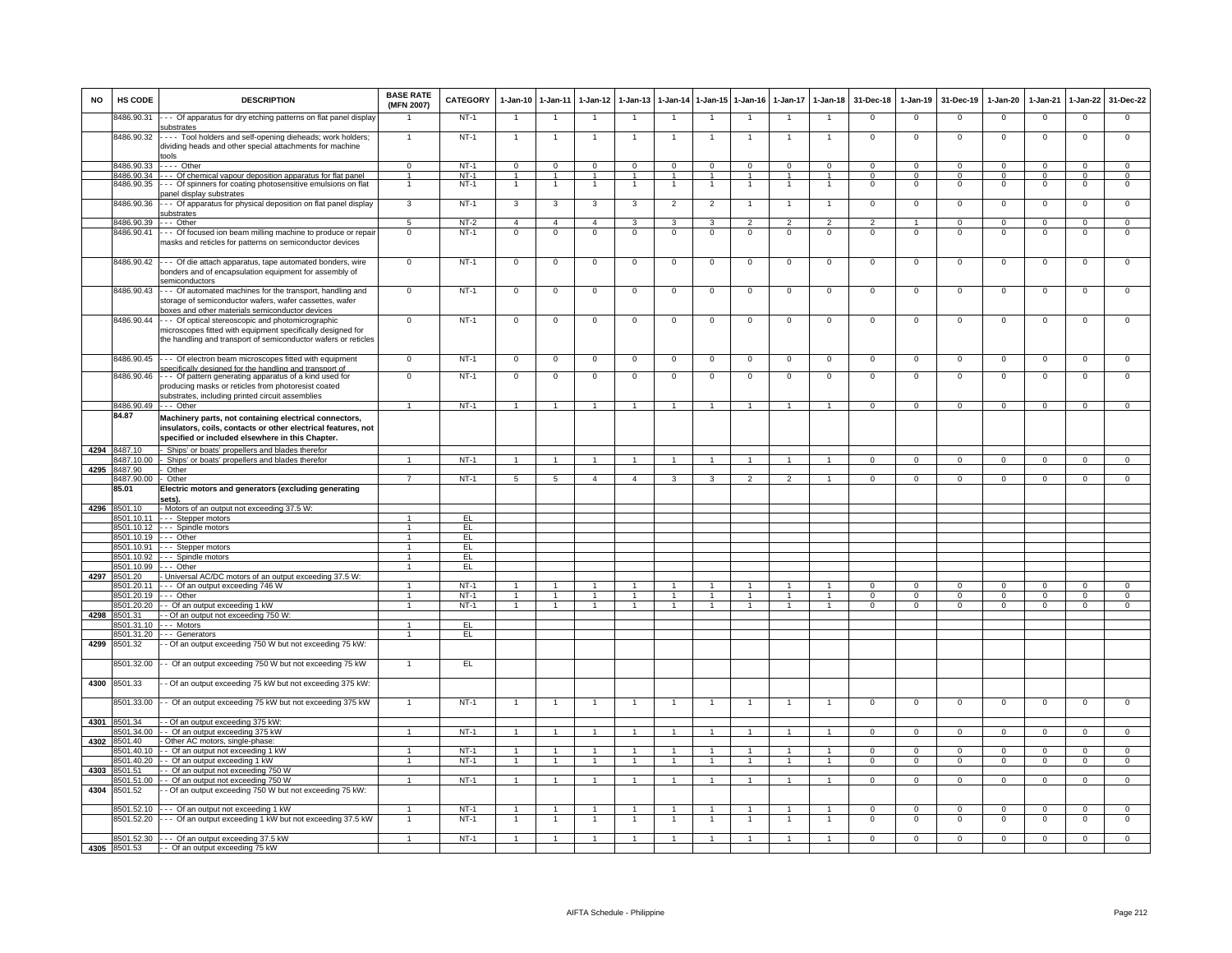| <b>NO</b> | HS CODE                    | <b>DESCRIPTION</b>                                                                                                                                                                | <b>BASE RATE</b><br>(MFN 2007)   | CATEGORY | $1-Jan-10$     | $1 - Jan-11$         | 1-Jan-12             | $1-Jan-13$                     |                | 1-Jan-14 1-Jan-15    | $1-Jan-16$     | 1-Jan-17             | $1-Jan-18$           | 31-Dec-18                  | 1-Jan-19                      | 31-Dec-19                     | $1-Jan-20$                    | $1-Jan-21$                 | $1 - Jan-22$                  | 31-Dec-22                        |
|-----------|----------------------------|-----------------------------------------------------------------------------------------------------------------------------------------------------------------------------------|----------------------------------|----------|----------------|----------------------|----------------------|--------------------------------|----------------|----------------------|----------------|----------------------|----------------------|----------------------------|-------------------------------|-------------------------------|-------------------------------|----------------------------|-------------------------------|----------------------------------|
|           | 8486.90.31                 | --- Of apparatus for dry etching patterns on flat panel display<br>substrates                                                                                                     |                                  | $NT-1$   |                |                      |                      |                                |                |                      |                |                      | $\overline{1}$       | $\mathsf 0$                | $\Omega$                      | $\Omega$                      | $\mathbf 0$                   | $\mathbf 0$                | $\mathbf 0$                   | $\mathbf 0$                      |
|           | 8486.90.32                 | ---- Tool holders and self-opening dieheads; work holders;<br>dividing heads and other special attachments for machine<br>ools                                                    | $\mathbf{1}$                     | $NT-1$   | $\mathbf{1}$   | $\overline{1}$       | $\mathbf{1}$         | -1                             | $\overline{1}$ | $\overline{1}$       | -1             | $\mathbf{1}$         | $\overline{1}$       | $^{\circ}$                 | $\mathbf{0}$                  | $\overline{0}$                | $\overline{0}$                | $\mathbf{0}$               | $\mathbf{0}$                  | $\mathbf{0}$                     |
|           | 8486.90.33                 | . - Other                                                                                                                                                                         | 0                                | $NT-1$   | 0              | 0                    | $\mathbf 0$          | 0                              | 0              | $^{\circ}$           | 0              | $\mathbf 0$          | 0                    | $\mathbf 0$                | $\mathbf 0$                   | $^{\circ}$                    | $^{\circ}$                    | 0                          | $\mathbf 0$                   | 0                                |
|           |                            | 8486.90.34 --- Of chemical vapour deposition apparatus for flat panel                                                                                                             | $\blacktriangleleft$             | $NT-1$   | $\mathbf{1}$   | $\mathbf{1}$         | $\blacktriangleleft$ | $\mathbf{1}$<br>$\overline{1}$ | $\overline{1}$ | $\blacktriangleleft$ | $\overline{1}$ | $\mathbf{1}$         | $\blacktriangleleft$ | $\Omega$<br>$\overline{0}$ | $\mathsf 0$<br>$\overline{0}$ | $\mathbf 0$<br>$\overline{0}$ | $\mathbf 0$<br>$\overline{0}$ | $\Omega$<br>$\overline{0}$ | $\mathbf 0$<br>$\overline{0}$ | $\overline{0}$<br>$\overline{0}$ |
|           | 8486.90.35                 | --- Of spinners for coating photosensitive emulsions on flat<br>banel display substrates                                                                                          |                                  | $NT-1$   |                | $\overline{1}$       | $\mathbf{1}$         |                                |                |                      |                |                      | $\overline{1}$       |                            |                               |                               |                               |                            |                               |                                  |
|           | 8486.90.36                 | --- Of apparatus for physical deposition on flat panel display<br>ubstrates                                                                                                       | 3                                | NT-1     | $\mathbf{3}$   | 3                    | $\mathbf{3}$         | 3                              | $\overline{2}$ | $\overline{2}$       | $\mathbf{1}$   | $\overline{1}$       | $\mathbf{1}$         | 0                          | $\mathbf 0$                   | $\mathbf 0$                   | $\mathbf 0$                   | $\mathbf 0$                | $\mathbf{0}$                  | $\mathbf{0}$                     |
|           | 8486.90.39                 | - Other                                                                                                                                                                           | $\overline{5}$                   | $NT-2$   | $\overline{4}$ | $\overline{4}$       | $\overline{4}$       | 3                              | 3              | 3                    | $\overline{2}$ | $\overline{2}$       | $\overline{2}$       | $\overline{2}$             |                               | $\Omega$                      | $\overline{0}$                | $\Omega$                   | $\overline{0}$                | $\overline{0}$                   |
|           | 8486.90.41                 | -- Of focused ion beam milling machine to produce or repair<br>masks and reticles for patterns on semiconductor devices                                                           | $\mathbf 0$                      | $NT-1$   | 0              | $\mathbf 0$          | $\overline{0}$       | $\overline{0}$                 | $\mathbf 0$    | $\overline{0}$       | $\overline{0}$ | $\mathbf 0$          | $\overline{0}$       | $\mathsf 0$                | $\mathsf 0$                   | $\mathbf 0$                   | $\mathbf 0$                   | $\mathbf 0$                | $\overline{0}$                | $\overline{0}$                   |
|           |                            | 8486.90.42 --- Of die attach apparatus, tape automated bonders, wire<br>bonders and of encapsulation equipment for assembly of<br>semiconductors                                  | $\overline{0}$                   | $NT-1$   | 0              | $\mathbf 0$          | $\overline{0}$       | 0                              | $\mathbf 0$    | $\overline{0}$       | $\circ$        | $\Omega$             | $\overline{0}$       | $\Omega$                   | $\Omega$                      | $\Omega$                      | $\overline{0}$                | $\overline{0}$             | 0                             | $\overline{0}$                   |
|           | 8486.90.43                 | --- Of automated machines for the transport, handling and<br>storage of semiconductor wafers, wafer cassettes, wafer<br>boxes and other materials semiconductor devices           | $\mathbf 0$                      | NT-1     | $\mathbf 0$    | $\mathbf 0$          | $\mathbf 0$          | $\mathbf 0$                    | $\mathbf 0$    | $\mathbf 0$          | $\mathbf 0$    | $\mathbf 0$          | $\mathbf{0}$         | $\mathbf{0}$               | $\mathbf 0$                   | $\mathbf 0$                   | $\mathbf 0$                   | $\mathbf 0$                | $\mathbf 0$                   | $\mathbf{O}$                     |
|           | 8486.90.44                 | -- Of optical stereoscopic and photomicrographic<br>microscopes fitted with equipment specifically designed for<br>the handling and transport of semiconductor wafers or reticles | $\Omega$                         | $NT-1$   | $\Omega$       | $\Omega$             | $\mathsf 0$          | $\Omega$                       | $\Omega$       | $\mathsf 0$          | $\Omega$       | $\Omega$             | $\mathsf 0$          | $\mathsf 0$                | $\mathsf 0$                   | $\mathsf 0$                   | $\mathbf 0$                   | $\mathsf 0$                | $\Omega$                      | $\Omega$                         |
|           |                            | 8486.90.45 --- Of electron beam microscopes fitted with equipment<br>pecifically designed for the handling and transport of                                                       | $\overline{0}$                   | $NT-1$   | $\overline{0}$ | $\overline{0}$       | $\overline{0}$       | $\overline{0}$                 | $\overline{0}$ | $\overline{0}$       | $\overline{0}$ | $\overline{0}$       | $\overline{0}$       | $\overline{0}$             | $\overline{0}$                | $\overline{0}$                | $\overline{0}$                | $\overline{0}$             | $\overline{0}$                | $\overline{0}$                   |
|           | 8486.90.46                 | --- Of pattern generating apparatus of a kind used for<br>producing masks or reticles from photoresist coated<br>substrates, including printed circuit assemblies                 | $\mathbf 0$                      | $NT-1$   | $\mathbf 0$    | $\overline{0}$       | $\overline{0}$       | $\mathbf 0$                    | $\mathbf 0$    | $\overline{0}$       | $\mathbf 0$    | $\mathbf 0$          | $\mathbf{O}$         | $\mathbf{O}$               | $\mathsf 0$                   | $\mathbf 0$                   | $\mathbf 0$                   | $\mathbf 0$                | $\mathbf 0$                   | $\mathbf{O}$                     |
|           |                            | 8486.90.49 --- Other                                                                                                                                                              | $\blacktriangleleft$             | $NT-1$   | $\mathbf{1}$   | $\overline{1}$       | $\overline{1}$       | $\overline{1}$                 | $\overline{1}$ | $\overline{1}$       | $\mathbf{1}$   | $\mathbf{1}$         | $\overline{1}$       | $\overline{0}$             | $\mathbf 0$                   | $\Omega$                      | $\overline{0}$                | $\overline{0}$             | $\Omega$                      | $\overline{0}$                   |
|           | 84.87                      | Machinery parts, not containing electrical connectors,<br>insulators, coils, contacts or other electrical features, not<br>specified or included elsewhere in this Chapter.       |                                  |          |                |                      |                      |                                |                |                      |                |                      |                      |                            |                               |                               |                               |                            |                               |                                  |
|           | 4294 8487.10               | - Ships' or boats' propellers and blades therefor                                                                                                                                 |                                  |          |                |                      |                      |                                |                |                      |                |                      |                      |                            |                               |                               |                               |                            |                               |                                  |
|           | 8487.10.00                 | - Ships' or boats' propellers and blades therefor                                                                                                                                 | $\overline{1}$                   | $NT-1$   | $\overline{1}$ | $\overline{1}$       | $\overline{1}$       | $\overline{1}$                 | $\overline{1}$ | $\overline{1}$       | $\overline{1}$ | $\overline{1}$       | $\overline{1}$       | $\overline{0}$             | $\overline{0}$                | $\overline{0}$                | $\overline{0}$                | $\overline{0}$             | $\mathbf{0}$                  | $\overline{0}$                   |
|           | 4295 8487.90               | Other                                                                                                                                                                             | $\overline{7}$                   |          |                |                      | $\overline{4}$       |                                |                |                      |                |                      | $\overline{1}$       |                            |                               |                               |                               |                            |                               |                                  |
|           | 3487.90.00<br>35.01        | Other<br>Electric motors and generators (excluding generating<br>sets).                                                                                                           |                                  | $NT-1$   | 5              | 5                    |                      | $\overline{4}$                 | 3              | 3                    | $\overline{2}$ | $\overline{2}$       |                      | $\mathbf{O}$               | $\mathbf 0$                   | $\mathbf 0$                   | $\mathbf 0$                   | $\mathbf 0$                | $\mathbf 0$                   | $\overline{0}$                   |
| 4296      | 8501.10                    | - Motors of an output not exceeding 37.5 W:                                                                                                                                       |                                  |          |                |                      |                      |                                |                |                      |                |                      |                      |                            |                               |                               |                               |                            |                               |                                  |
|           | 3501.10.11                 | --- Stepper motors                                                                                                                                                                | $\blacktriangleleft$             | EL       |                |                      |                      |                                |                |                      |                |                      |                      |                            |                               |                               |                               |                            |                               |                                  |
|           |                            | 8501.10.12 --- Spindle motors                                                                                                                                                     | $\blacktriangleleft$             | EL.      |                |                      |                      |                                |                |                      |                |                      |                      |                            |                               |                               |                               |                            |                               |                                  |
|           |                            | 8501.10.19 --- Other                                                                                                                                                              | $\overline{1}$<br>$\overline{1}$ | EL.      |                |                      |                      |                                |                |                      |                |                      |                      |                            |                               |                               |                               |                            |                               |                                  |
|           | 3501.10.92                 | 8501.10.91 --- Stepper motors<br>--- Spindle motors                                                                                                                               | $\mathbf{1}$                     | EL<br>EL |                |                      |                      |                                |                |                      |                |                      |                      |                            |                               |                               |                               |                            |                               |                                  |
|           | 3501.10.99                 | --- Other                                                                                                                                                                         |                                  | EL       |                |                      |                      |                                |                |                      |                |                      |                      |                            |                               |                               |                               |                            |                               |                                  |
| 4297      | 3501.20                    | - Universal AC/DC motors of an output exceeding 37.5 W:                                                                                                                           |                                  |          |                |                      |                      |                                |                |                      |                |                      |                      |                            |                               |                               |                               |                            |                               |                                  |
|           | 8501.20.11                 | --- Of an output exceeding 746 W                                                                                                                                                  |                                  | $NT-1$   |                |                      |                      |                                |                |                      |                |                      |                      | $\Omega$                   | $\Omega$                      | $\Omega$                      |                               | $\Omega$                   |                               | 0                                |
|           | 8501.20.19                 | $- -$ Other                                                                                                                                                                       | $\mathbf{1}$                     | $NT-1$   |                | $\blacktriangleleft$ | $\overline{1}$       | $\mathbf{1}$                   | $\mathbf{1}$   | $\blacktriangleleft$ | $\overline{1}$ | 1                    | $\overline{1}$       | $\Omega$                   | $\Omega$                      | $\Omega$                      | $\Omega$                      | $\overline{0}$             | $\Omega$                      | $\overline{0}$                   |
|           | 8501.20.20                 | - Of an output exceeding 1 kW                                                                                                                                                     | $\overline{1}$                   | $NT-1$   |                |                      | $\blacktriangleleft$ |                                |                |                      |                | $\ddot{\phantom{0}}$ |                      | $\Omega$                   | $\Omega$                      | $\Omega$                      | $\Omega$                      | $\Omega$                   | $\Omega$                      | $\mathbf 0$                      |
| 4298      | 8501.31<br>8501.31.10      | - - Of an output not exceeding 750 W:<br>--- Motors                                                                                                                               |                                  | EL       |                |                      |                      |                                |                |                      |                |                      |                      |                            |                               |                               |                               |                            |                               |                                  |
|           | 8501.31.20                 | --- Generators                                                                                                                                                                    | $\overline{1}$                   | EL       |                |                      |                      |                                |                |                      |                |                      |                      |                            |                               |                               |                               |                            |                               |                                  |
| 4299      | 8501.32                    | - Of an output exceeding 750 W but not exceeding 75 kW:                                                                                                                           |                                  |          |                |                      |                      |                                |                |                      |                |                      |                      |                            |                               |                               |                               |                            |                               |                                  |
|           | 3501.32.00                 | - Of an output exceeding 750 W but not exceeding 75 kW                                                                                                                            |                                  | EL       |                |                      |                      |                                |                |                      |                |                      |                      |                            |                               |                               |                               |                            |                               |                                  |
|           | 4300 8501.33               | - Of an output exceeding 75 kW but not exceeding 375 kW:                                                                                                                          |                                  |          |                |                      |                      |                                |                |                      |                |                      |                      |                            |                               |                               |                               |                            |                               |                                  |
|           | 8501.33.00<br>4301 8501.34 | - - Of an output exceeding 75 kW but not exceeding 375 kW<br>- - Of an output exceeding 375 kW:                                                                                   |                                  | $NT-1$   |                |                      |                      |                                |                |                      |                |                      | $\overline{1}$       | $\mathsf 0$                | $\mathsf 0$                   | $\mathbf 0$                   | $\mathbf 0$                   | $\mathbf 0$                | $\mathbf 0$                   | $\mathbf{O}$                     |
|           | 8501.34.00                 | -- Of an output exceeding 375 kW                                                                                                                                                  | $\mathbf{1}$                     | $NT-1$   | $\mathbf{1}$   | $\overline{1}$       | $\blacktriangleleft$ | $\mathbf{1}$                   | $\mathbf{1}$   | $\mathbf{1}$         | $\mathbf{1}$   | $\mathbf{1}$         | $\blacktriangleleft$ | $\Omega$                   | $^{\circ}$                    | $\mathbf{0}$                  | $\mathbf{0}$                  | $\mathbf{0}$               | $\Omega$                      | $\mathbf{0}$                     |
| 4302      | 8501.40                    | Other AC motors, single-phase:                                                                                                                                                    |                                  |          |                |                      |                      |                                |                |                      |                |                      |                      |                            |                               |                               |                               |                            |                               |                                  |
|           | 3501.40.10                 | -- Of an output not exceeding 1 kW                                                                                                                                                |                                  | $NT-1$   | $\mathbf{1}$   | $\mathbf{1}$         | $\mathbf{1}$         |                                | 1              | $\mathbf{1}$         |                | $\mathbf{1}$         | $\overline{1}$       | $\mathsf 0$                | $\mathbf 0$                   | $\mathbf 0$                   | $\mathbf 0$                   | $\mathbf 0$                | $\mathbf 0$                   | $\overline{0}$                   |
|           | 3501.40.20                 | - Of an output exceeding 1 kW                                                                                                                                                     | $\blacktriangleleft$             | $NT-1$   | $\mathbf{1}$   | $\mathbf{1}$         | $\overline{1}$       | $\mathbf{1}$                   | $\mathbf{1}$   | $\mathbf{1}$         | $\mathbf{1}$   | $\mathbf{1}$         | $\overline{1}$       | $^{\circ}$                 | $\mathbf 0$                   | $\mathbf 0$                   | $\mathbf 0$                   | $\mathbf 0$                | $\mathbf 0$                   | $\mathbf{O}$                     |
| 4303      | 8501.51                    | - Of an output not exceeding 750 W                                                                                                                                                |                                  |          |                |                      |                      |                                |                |                      |                |                      |                      |                            |                               |                               |                               |                            |                               |                                  |
|           | 3501.51.00                 | - - Of an output not exceeding 750 W                                                                                                                                              | $\overline{1}$                   | $NT-1$   | $\overline{1}$ | $\blacktriangleleft$ | $\overline{1}$       | $\overline{1}$                 | $\overline{1}$ | $\overline{1}$       | $\overline{1}$ | $\overline{1}$       | $\overline{1}$       | $\Omega$                   | $\mathbf 0$                   | $\mathbf 0$                   | $\overline{0}$                | $\overline{0}$             | $\overline{0}$                | $\overline{0}$                   |
| 4304      | 8501.52                    | - Of an output exceeding 750 W but not exceeding 75 kW:                                                                                                                           |                                  |          |                |                      |                      |                                |                |                      |                |                      |                      |                            |                               |                               |                               |                            |                               |                                  |
|           |                            | 8501.52.10 --- Of an output not exceeding 1 kW                                                                                                                                    | $\blacktriangleleft$             | $NT-1$   | $\mathbf{1}$   | $\overline{1}$       | $\overline{1}$       | $\mathbf{1}$                   | $\overline{1}$ | $\blacktriangleleft$ | $\overline{1}$ | $\mathbf{1}$         | $\overline{1}$       | $\mathbf{0}$               | $\mathbf 0$                   | $\mathbf 0$                   | $\mathbf 0$                   | $\mathbf 0$                | $\mathbf 0$                   | $\mathbf{0}$                     |
|           | 8501.52.20                 | --- Of an output exceeding 1 kW but not exceeding 37.5 kW                                                                                                                         | $\mathbf{1}$                     | $NT-1$   | $\mathbf{1}$   | $\overline{1}$       | $\overline{1}$       | $\mathbf{1}$                   | $\mathbf{1}$   | $\overline{1}$       | -1             | $\mathbf{1}$         | $\overline{1}$       | $^{\circ}$                 | $\mathbf{0}$                  | $\mathbf 0$                   | $\overline{0}$                | $\mathbf 0$                | $^{\circ}$                    | $\mathbf{O}$                     |
|           |                            | 8501.52.30 --- Of an output exceeding 37.5 kW                                                                                                                                     |                                  | $NT-1$   | $\mathbf{1}$   |                      | $\mathbf{1}$         |                                | $\mathbf{1}$   |                      |                | 1                    |                      | $\Omega$                   | $\mathsf 0$                   | $\mathbf 0$                   | $\mathbf 0$                   | $\mathbf 0$                | $\mathbf 0$                   | $\Omega$                         |
|           |                            | 4305 8501.53 - Of an output exceeding 75 kW                                                                                                                                       |                                  |          |                |                      |                      |                                |                |                      |                |                      |                      |                            |                               |                               |                               |                            |                               |                                  |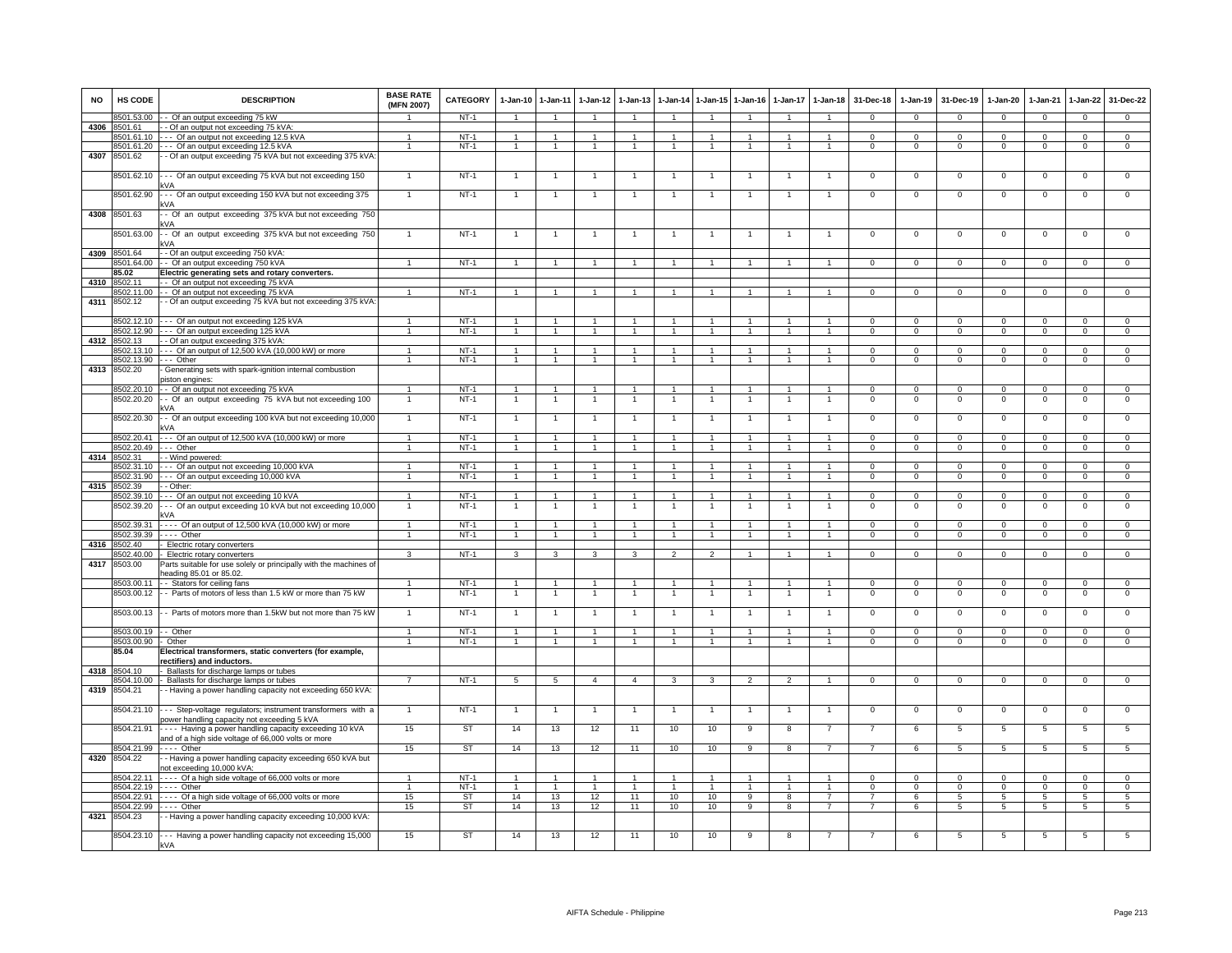| NO   | <b>HS CODE</b>           | <b>DESCRIPTION</b>                                                                                         | <b>BASE RATE</b><br>(MFN 2007) | CATEGORY              | 1-Jan-10 1-Jan-11                |                                  | 1-Jan-12             | 1-Jan-13             | 1-Jan-14                         |                      | 1-Jan-15 1-Jan-16 | 1-Jan-17                     | $1 - Jan-18$                     | 31-Dec-18                      | 1-Jan-19                  | 31-Dec-19                   | 1-Jan-20                   | 1-Jan-21             | 1-Jan-22                       | 31-Dec-22                      |
|------|--------------------------|------------------------------------------------------------------------------------------------------------|--------------------------------|-----------------------|----------------------------------|----------------------------------|----------------------|----------------------|----------------------------------|----------------------|-------------------|------------------------------|----------------------------------|--------------------------------|---------------------------|-----------------------------|----------------------------|----------------------|--------------------------------|--------------------------------|
|      | 8501.53.00               | - Of an output exceeding 75 kW                                                                             |                                | $NT-1$                | $\overline{1}$                   | $\overline{1}$                   | $\overline{1}$       | $\overline{1}$       | $\overline{1}$                   | $\overline{1}$       | $\overline{1}$    | $\overline{1}$               | $\overline{1}$                   | $\Omega$                       | $\Omega$                  | $\Omega$                    | $\overline{0}$             | $\overline{0}$       | $\overline{0}$                 | $\overline{0}$                 |
| 4306 | 8501.61                  | - Of an output not exceeding 75 kVA                                                                        |                                |                       |                                  |                                  |                      |                      |                                  |                      |                   |                              |                                  |                                |                           |                             |                            |                      |                                |                                |
|      | 8501.61.10               | --- Of an output not exceeding 12.5 kVA                                                                    |                                | $NT-1$                |                                  | $\mathbf{1}$                     |                      |                      |                                  |                      |                   |                              |                                  | $\Omega$                       | $\Omega$                  | $\mathbf 0$                 | $\Omega$                   | $\Omega$             | $\mathsf 0$                    | $\Omega$                       |
|      | 8501.61.20               | - - - Of an output exceeding 12.5 kVA                                                                      | 1                              | $NT-1$                | $\overline{1}$                   | $\overline{1}$                   | $\overline{1}$       | $\mathbf{1}$         | $\overline{1}$                   | $\overline{1}$       | 1                 | $\mathbf{1}$                 | $\overline{1}$                   | $\mathbf{O}$                   | $\mathbf{0}$              | $\mathbf{0}$                | $\mathbf{0}$               | $\mathbf 0$          | $\mathbf{0}$                   | $\Omega$                       |
| 4307 | 8501.62                  | - Of an output exceeding 75 kVA but not exceeding 375 kVA:                                                 |                                |                       |                                  |                                  |                      |                      |                                  |                      |                   |                              |                                  |                                |                           |                             |                            |                      |                                |                                |
|      | 8501.62.10               | --- Of an output exceeding 75 kVA but not exceeding 150                                                    |                                | $NT-1$                | 1                                |                                  |                      |                      |                                  |                      |                   |                              |                                  | 0                              | $\mathbf 0$               | $\mathbf 0$                 | $\mathbf 0$                | $\mathbf 0$          | $^{\circ}$                     | $\mathbf 0$                    |
|      | 8501.62.90               | --- Of an output exceeding 150 kVA but not exceeding 375                                                   |                                | $NT-1$                |                                  | $\mathbf{1}$                     |                      |                      | $\mathbf{1}$                     |                      |                   |                              | -1                               | 0                              | $\mathbf 0$               | $\mathbf 0$                 | $\mathbf 0$                | $\mathbf 0$          | 0                              | 0                              |
| 4308 | 8501.63                  | - Of an output exceeding 375 kVA but not exceeding 750<br>kVA                                              |                                |                       |                                  |                                  |                      |                      |                                  |                      |                   |                              |                                  |                                |                           |                             |                            |                      |                                |                                |
|      | 8501.63.00               | - Of an output exceeding 375 kVA but not exceeding 750<br>kVA                                              |                                | $NT-1$                |                                  |                                  |                      |                      |                                  |                      |                   |                              |                                  | $\Omega$                       | $\Omega$                  | $\Omega$                    | $\mathbf 0$                | $\Omega$             | $\Omega$                       | $\overline{0}$                 |
|      | 4309 8501.64             | - Of an output exceeding 750 kVA:                                                                          |                                |                       |                                  |                                  |                      |                      |                                  |                      |                   |                              |                                  |                                |                           |                             |                            |                      |                                |                                |
|      | 8501.64.00               | - Of an output exceeding 750 kVA                                                                           |                                | $NT-1$                | $\overline{1}$                   | $\overline{1}$                   | $\mathbf{1}$         | $\overline{1}$       | $\overline{1}$                   | $\mathbf{1}$         | $\overline{1}$    | $\overline{1}$               | $\mathbf{1}$                     | $\Omega$                       | $\Omega$                  | $\Omega$                    | $\Omega$                   | $\Omega$             | $\Omega$                       | $\Omega$                       |
|      | 85.02                    | Electric generating sets and rotary converters.                                                            |                                |                       |                                  |                                  |                      |                      |                                  |                      |                   |                              |                                  |                                |                           |                             |                            |                      |                                |                                |
| 4310 | 8502.11                  | - Of an output not exceeding 75 kVA                                                                        |                                |                       |                                  |                                  |                      |                      |                                  |                      |                   |                              |                                  |                                |                           |                             |                            |                      |                                |                                |
|      | 8502.11.00               | - Of an output not exceeding 75 kVA                                                                        |                                | $NT-1$                | $\overline{1}$                   | $\overline{1}$                   | $\mathbf{1}$         |                      | $\overline{1}$                   |                      |                   |                              |                                  | $\Omega$                       | $\mathbf 0$               | $\mathbf 0$                 | $\Omega$                   | $\Omega$             | $\mathsf 0$                    | $\Omega$                       |
| 4311 | 8502.12                  | - Of an output exceeding 75 kVA but not exceeding 375 kVA                                                  |                                |                       |                                  |                                  |                      |                      |                                  |                      |                   |                              |                                  |                                |                           |                             |                            |                      |                                |                                |
|      | 8502 12 10               | Of an output not exceeding 125 kVA                                                                         |                                | $NT-1$                |                                  |                                  |                      |                      |                                  |                      |                   |                              |                                  |                                |                           |                             |                            |                      |                                |                                |
|      | 8502.12.90               | --- Of an output exceeding 125 kVA                                                                         |                                | $NT-1$                | $\overline{1}$                   | $\overline{1}$                   |                      |                      | $\overline{1}$                   |                      |                   |                              |                                  | 0                              | $\mathbf{0}$              | $\mathbf 0$                 | $\mathbf{0}$               | $\mathbf 0$          | $^{\circ}$                     | $\Omega$                       |
|      | 4312 8502.13             | - - Of an output exceeding 375 kVA:                                                                        | $\overline{1}$                 | $NT-1$                | $\mathbf{1}$                     | $\overline{1}$                   | $\mathbf{1}$         | $\mathbf{1}$         | $\overline{1}$                   | $\overline{1}$       | $\mathbf{1}$      |                              | $\overline{1}$                   | $\Omega$                       |                           |                             |                            | $\Omega$             |                                | $\overline{0}$                 |
|      | 8502.13.90               | 8502.13.10 --- Of an output of 12,500 kVA (10,000 kW) or more<br>--- Other                                 | $\mathbf{1}$                   | $NT-1$                | $\mathbf{1}$                     | $\overline{1}$                   | $\mathbf{1}$         | $\mathbf{1}$         | $\overline{1}$                   | $\overline{1}$       | $\mathbf{1}$      | -1<br>$\mathbf{1}$           | $\mathbf{1}$                     | $\Omega$                       | $^{\circ}$<br>$\Omega$    | $\mathbf{0}$<br>$\Omega$    | $^{\circ}$<br>$\mathbf{0}$ | $\Omega$             | $\mathbf{0}$<br>$\overline{0}$ | $\overline{0}$                 |
| 4313 | 8502.20                  | Generating sets with spark-ignition internal combustion<br>piston engines:                                 |                                |                       |                                  |                                  |                      |                      |                                  |                      |                   |                              |                                  |                                |                           |                             |                            |                      |                                |                                |
|      | 8502.20.10               | - - Of an output not exceeding 75 kVA                                                                      | $\mathbf{1}$                   | NT-1                  | $\overline{1}$                   | $\overline{1}$                   | $\overline{1}$       | $\overline{1}$       | $\overline{1}$                   | $\overline{1}$       | $\mathbf{1}$      | 1                            | $\mathbf{1}$                     | $\Omega$                       | $\mathbf 0$               | $\mathbf 0$                 | $\circ$                    | $\mathbf 0$          | 0                              | $\circ$                        |
|      | 8502.20.20               | - Of an output exceeding 75 kVA but not exceeding 100                                                      | $\overline{1}$                 | $NT-1$                | -1                               | $\overline{1}$                   | $\overline{1}$       | $\overline{1}$       | $\overline{1}$                   | $\overline{1}$       | $\overline{1}$    | 1                            | $\overline{1}$                   | $\mathbf{0}$                   | $\mathbf{0}$              | $\mathbf 0$                 | $\overline{0}$             | $\mathbf 0$          | 0                              | $\circ$                        |
|      | 8502.20.30               | «۷A<br>- Of an output exceeding 100 kVA but not exceeding 10,000                                           | $\mathbf{1}$                   | $NT-1$                | $\overline{1}$                   | $\overline{1}$                   |                      |                      | $\overline{1}$                   |                      |                   |                              | $\overline{1}$                   | $\mathsf 0$                    | $\mathsf 0$               | $\mathbf 0$                 | $\mathbf 0$                | $\mathbf 0$          | $\mathsf 0$                    | $\mathbf 0$                    |
|      |                          | kVA<br>--- Of an output of 12,500 kVA (10,000 kW) or more                                                  | 1                              |                       |                                  |                                  | 1                    |                      | $\overline{1}$                   |                      |                   |                              |                                  | $\mathbf{0}$                   | $\mathbf{0}$              | $^{\circ}$                  |                            | $^{\circ}$           |                                | $^{\circ}$                     |
|      | 8502.20.41<br>8502.20.49 | $- -$ Other                                                                                                | $\overline{1}$                 | <b>NT-1</b><br>$NT-1$ | $\overline{1}$<br>$\overline{1}$ | $\mathbf{1}$<br>$\overline{1}$   | $\overline{1}$       | $\overline{1}$       | $\overline{1}$                   | $\overline{1}$       | $\overline{1}$    | $\mathbf{1}$                 | $\mathbf{1}$<br>$\overline{1}$   | $\overline{0}$                 | $^{\circ}$                | $\mathbf{0}$                | $\circ$<br>$\mathbf{0}$    | $\Omega$             | $\mathbf{0}$<br>$\mathbf{0}$   | $\overline{0}$                 |
| 4314 | 8502.31                  | - Wind powered:                                                                                            |                                |                       |                                  |                                  |                      |                      |                                  |                      |                   |                              |                                  |                                |                           |                             |                            |                      |                                |                                |
|      | 8502.31.10               | --- Of an output not exceeding 10,000 kVA                                                                  |                                | $NT-1$                | 1                                | $\mathbf{1}$                     |                      |                      |                                  |                      |                   |                              |                                  | $\Omega$                       | $\mathbf{0}$              | $\mathbf 0$                 | $\mathbf 0$                | $\Omega$             | $\mathsf 0$                    | $\mathbf 0$                    |
|      | 8502.31.90               | --- Of an output exceeding 10,000 kVA                                                                      |                                | $NT-1$                |                                  | $\overline{1}$                   |                      |                      |                                  |                      |                   |                              |                                  | $\Omega$                       | $\Omega$                  | $\Omega$                    | $\Omega$                   | $\Omega$             | $\Omega$                       | $\overline{0}$                 |
| 4315 | 8502.39                  | $-$ Other:                                                                                                 |                                |                       |                                  |                                  |                      |                      |                                  |                      |                   |                              |                                  |                                |                           |                             |                            |                      |                                |                                |
|      | 8502.39.10               | --- Of an output not exceeding 10 kVA                                                                      | $\overline{1}$                 | $NT-1$                | $\overline{1}$                   | $\overline{1}$                   | $\mathbf{1}$         |                      | $\overline{1}$                   | $\blacktriangleleft$ |                   |                              | $\overline{1}$                   | $\Omega$                       | $\mathbf{0}$              | $\Omega$                    | $\Omega$                   | $\Omega$             | $\,0\,$                        | $\overline{0}$                 |
|      | 8502.39.20               | --- Of an output exceeding 10 kVA but not exceeding 10,000                                                 | $\mathbf{1}$                   | $NT-1$                | $\overline{1}$                   | $\overline{1}$                   | $\overline{1}$       | $\mathbf{1}$         | $\overline{1}$                   | $\overline{1}$       | $\overline{1}$    |                              | $\overline{1}$                   | $^{\circ}$                     | $\mathsf 0$               | $\mathbf 0$                 | $\mathsf 0$                | $\mathbf 0$          | $\mathsf 0$                    | $\overline{0}$                 |
|      | 8502.39.31               | kVA<br>- - - - Of an output of 12,500 kVA (10,000 kW) or more                                              |                                | $NT-1$                | $\overline{1}$                   | $\mathbf{1}$                     |                      |                      | $\overline{1}$                   |                      |                   |                              | $\overline{1}$                   | $\Omega$                       | $^{\circ}$                | $\mathbf 0$                 | $\Omega$                   | $\Omega$             | $^{\circ}$                     |                                |
|      | 8502.39.39               | - - - - Other                                                                                              | $\overline{1}$                 | $NT-1$                | $\overline{1}$                   | $\overline{1}$                   | $\mathbf{1}$         | $\overline{1}$       | $\overline{1}$                   | $\mathbf{1}$         | $\mathbf{1}$      | $\overline{1}$               | $\overline{1}$                   | $\mathbf{0}$                   | $\mathbf 0$               | $\mathbf 0$                 | $\mathbf{0}$               | $\mathbf 0$          | $\mathbf 0$                    | $\mathbf 0$                    |
| 4316 | 8502.40                  | Electric rotary converters                                                                                 |                                |                       |                                  |                                  |                      |                      |                                  |                      |                   |                              |                                  |                                |                           |                             |                            |                      |                                |                                |
|      | 8502.40.00               | Electric rotary converters                                                                                 | 3                              | $NT-1$                | 3                                | $\overline{3}$                   | 3                    | 3                    | $\overline{\phantom{a}}$         | $\overline{2}$       | $\mathbf{1}$      | 1                            | $\mathbf{1}$                     | $\Omega$                       | $\Omega$                  | $\Omega$                    | $\Omega$                   | $\Omega$             | $\overline{0}$                 | $\overline{0}$                 |
| 4317 | 8503.00                  | Parts suitable for use solely or principally with the machines of                                          |                                |                       |                                  |                                  |                      |                      |                                  |                      |                   |                              |                                  |                                |                           |                             |                            |                      |                                |                                |
|      | 8503.00.11               | eading 85.01 or 85.02.<br>- Stators for ceiling fans                                                       | 1                              | $NT-1$                | $\overline{1}$                   | $\overline{1}$                   | $\overline{1}$       | $\overline{1}$       | $\overline{1}$                   | $\overline{1}$       | $\mathbf{1}$      | 1                            | $\overline{1}$                   | $\mathsf 0$                    | $\mathbf 0$               | $\mathbf 0$                 | $\mathbf 0$                | $\mathbf 0$          | $\mathsf 0$                    | $\mathbf 0$                    |
|      | 8503.00.12               | - Parts of motors of less than 1.5 kW or more than 75 kW                                                   | $\mathbf{1}$                   | $NT-1$                | $\overline{1}$                   | $\overline{1}$                   | $\overline{1}$       | $\overline{1}$       | $\overline{1}$                   | $\overline{1}$       | $\overline{1}$    | $\mathbf{1}$                 | $\mathbf{1}$                     | $\mathbf{0}$                   | $\mathbf{0}$              | $\mathbf{0}$                | $\mathbf 0$                | $^{\circ}$           | $\mathsf 0$                    | $\mathbf 0$                    |
|      | 8503.00.13               | - Parts of motors more than 1.5kW but not more than 75 kW                                                  |                                | $NT-1$                | $\overline{1}$                   | $\overline{1}$                   |                      |                      | $\overline{1}$                   |                      |                   |                              | $\overline{1}$                   | $\mathsf 0$                    | $\mathbf 0$               | $\mathbf 0$                 | $\mathbf 0$                | $\mathbf 0$          | $\mathsf 0$                    | $\mathbf 0$                    |
|      |                          |                                                                                                            |                                |                       |                                  |                                  |                      |                      |                                  |                      |                   |                              |                                  |                                |                           |                             |                            |                      |                                |                                |
|      | 8503.00.19<br>8503.00.90 | -- Other<br>- Other                                                                                        | 1<br>$\overline{1}$            | NT-1<br>$NT-1$        | $\overline{1}$<br>$\overline{1}$ | $\overline{1}$<br>$\overline{1}$ | -1<br>$\overline{1}$ | -1<br>$\overline{1}$ | $\overline{1}$<br>$\overline{1}$ | $\overline{1}$       | $\overline{1}$    | $\mathbf{1}$<br>$\mathbf{1}$ | $\overline{1}$<br>$\overline{1}$ | $\mathbf{0}$<br>$\overline{0}$ | $\mathbf 0$<br>$^{\circ}$ | $\mathbf 0$<br>$\mathbf{0}$ | 0<br>$\mathbf{0}$          | $\Omega$<br>$\Omega$ | $\mathbf{0}$<br>$\mathbf{0}$   | $\mathbf{0}$<br>$\overline{0}$ |
|      | 85.04                    | Electrical transformers, static converters (for example,                                                   |                                |                       |                                  |                                  |                      |                      |                                  |                      |                   |                              |                                  |                                |                           |                             |                            |                      |                                |                                |
|      |                          | rectifiers) and inductors.                                                                                 |                                |                       |                                  |                                  |                      |                      |                                  |                      |                   |                              |                                  |                                |                           |                             |                            |                      |                                |                                |
| 4318 | 8504.10                  | Ballasts for discharge lamps or tubes                                                                      |                                |                       |                                  |                                  |                      |                      |                                  |                      |                   |                              |                                  |                                |                           |                             |                            |                      |                                |                                |
|      | 8504.10.00               | Ballasts for discharge lamps or tubes                                                                      |                                | <b>NT-1</b>           | 5                                | $5\phantom{.0}$                  | $\overline{4}$       | $\overline{a}$       | 3                                | 3                    | 2                 | $\overline{2}$               |                                  | $^{\circ}$                     | $\mathbf 0$               | $\mathbf 0$                 | $^{\circ}$                 | $\mathbf 0$          | 0                              | $\Omega$                       |
| 4319 | 8504.21                  | - Having a power handling capacity not exceeding 650 kVA:                                                  |                                |                       |                                  |                                  |                      |                      |                                  |                      |                   |                              |                                  |                                |                           |                             |                            |                      |                                |                                |
|      | 8504.21.10               | --- Step-voltage regulators; instrument transformers with a<br>power handling capacity not exceeding 5 kVA |                                | $NT-1$                | $\overline{1}$                   | $\mathbf{1}$                     |                      |                      | $\overline{1}$                   |                      |                   |                              | $\overline{1}$                   | $\mathbf 0$                    | $\mathbf 0$               | $\mathbf 0$                 | $\mathbf 0$                | $\mathbf 0$          | $\mathsf 0$                    | $\mathbf 0$                    |
|      | 8504.21.91               | - - - - Having a power handling capacity exceeding 10 kVA                                                  | 15                             | ST                    | 14                               | 13                               | 12                   | 11                   | 10                               | 10                   | 9                 | 8                            | $\overline{7}$                   | $\overline{7}$                 | 6                         | 5                           | 5                          | 5                    | 5                              | 5                              |
|      | 8504.21.99               | and of a high side voltage of 66,000 volts or more<br>$\cdots$ Other                                       | 15                             | <b>ST</b>             | 14                               | 13                               | 12                   | 11                   | 10                               | 10                   | 9                 | 8                            | $\overline{7}$                   | $\overline{7}$                 | 6                         | $5^{\circ}$                 | $5^{\circ}$                | $\sqrt{5}$           | $\overline{5}$                 | $\overline{5}$                 |
| 4320 | 8504.22                  | - Having a power handling capacity exceeding 650 kVA but<br>not exceeding 10,000 kVA:                      |                                |                       |                                  |                                  |                      |                      |                                  |                      |                   |                              |                                  |                                |                           |                             |                            |                      |                                |                                |
|      | 8504.22.11               | - - - - Of a high side voltage of 66,000 volts or more                                                     |                                | $NT-1$                | $\overline{1}$                   | $\overline{1}$                   | $\overline{1}$       | $\overline{1}$       | $\overline{1}$                   | $\overline{1}$       | $\overline{1}$    |                              | $\overline{1}$                   | $\Omega$                       | $\mathbf 0$               | $\mathbf 0$                 | $\Omega$                   | $\Omega$             | $\mathsf 0$                    | $\mathbf 0$                    |
|      | 8504.22.19               | $---$ Other                                                                                                | $\mathbf{1}$                   | $NT-1$                | $\overline{1}$                   | $\overline{1}$                   | $\overline{1}$       | $\overline{1}$       | $\overline{1}$                   | $\overline{1}$       | $\overline{1}$    | $\mathbf{1}$                 | $\overline{1}$                   | $\Omega$                       | $^{\circ}$                | $^{\circ}$                  | $\Omega$                   | $\Omega$             | $\mathbf 0$                    | $\mathbf 0$                    |
|      | 8504.22.91               | ---- Of a high side voltage of 66,000 volts or more                                                        | 15                             | <b>ST</b>             | 14                               | 13                               | 12                   | 11                   | 10                               | 10                   | $\overline{9}$    | $\overline{\mathbf{a}}$      | $\overline{7}$                   | $\overline{7}$                 | 6                         | $\overline{5}$              | $\overline{5}$             | 5.                   | $\overline{5}$                 | $\overline{5}$                 |
|      | 8504.22.99               | - - - - Other                                                                                              | 15                             | ST                    | 14                               | 13                               | 12                   | 11                   | 10                               | 10                   | 9                 | 8                            | $\overline{7}$                   | $\overline{7}$                 | $\epsilon$                | 5                           | 5                          | 5                    | $\overline{5}$                 | 5                              |
| 4321 | 8504.23                  | - Having a power handling capacity exceeding 10,000 kVA:                                                   |                                |                       |                                  |                                  |                      |                      |                                  |                      |                   |                              |                                  |                                |                           |                             |                            |                      |                                |                                |
|      | 8504.23.10               | -- Having a power handling capacity not exceeding 15,000<br>kVA                                            | 15                             | ST                    | 14                               | 13                               | 12                   | 11                   | 10                               | 10                   | 9                 | 8                            | $\overline{7}$                   | $\overline{7}$                 | 6                         | 5                           | 5                          | 5                    | 5                              | 5                              |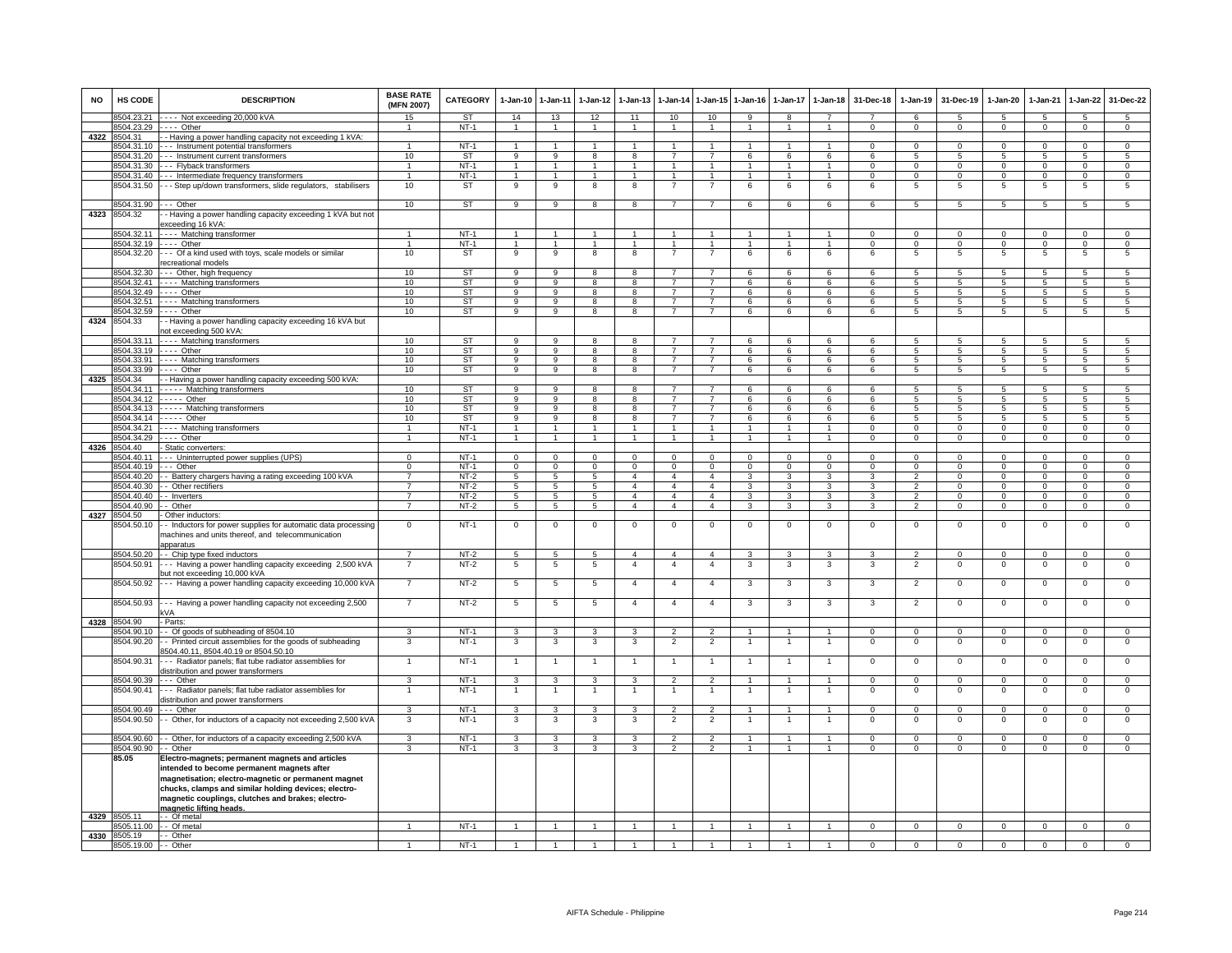| <b>NO</b> | HS CODE                  | <b>DESCRIPTION</b>                                                                                                                                                                                                                                                                           | <b>BASE RATE</b><br>(MFN 2007)   | CATEGORY               | $1 - Jan-10$                      | $1 - Jan-11$                            | $1 - Jan - 12$                            | $1 - Jan-13$                     | 1-Jan-14                         | $1 - Jan-15$                     | $1-Jan-16$                       | $1 - Jan-17$                 | $1-Jan-18$                                | 31-Dec-18            | 1-Jan-19                         | 31-Dec-19                     | 1-Jan-20                         | 1-Jan-21             | 1-Jan-22                          | 31-Dec-22                        |
|-----------|--------------------------|----------------------------------------------------------------------------------------------------------------------------------------------------------------------------------------------------------------------------------------------------------------------------------------------|----------------------------------|------------------------|-----------------------------------|-----------------------------------------|-------------------------------------------|----------------------------------|----------------------------------|----------------------------------|----------------------------------|------------------------------|-------------------------------------------|----------------------|----------------------------------|-------------------------------|----------------------------------|----------------------|-----------------------------------|----------------------------------|
|           | 8504.23.21<br>8504.23.29 | ---- Not exceeding 20,000 kVA<br>$---$ Other                                                                                                                                                                                                                                                 | 15<br>$\mathbf{1}$               | <b>ST</b><br>$NT-1$    | 14<br>$\overline{1}$              | 13<br>$\overline{1}$                    | 12<br>$\overline{1}$                      | 11<br>$\mathbf{1}$               | 10<br>$\overline{1}$             | 10<br>$\blacktriangleleft$       | 9<br>$\overline{1}$              | 8<br>$\mathbf{1}$            | $\overline{7}$<br>$\overline{1}$          | $\Omega$             | 6<br>$\Omega$                    | $5^{\circ}$<br>$\Omega$       | $\overline{5}$<br>$\Omega$       | 5<br>$\Omega$        | $\overline{5}$<br>$\overline{0}$  | $5^{\circ}$<br>$\overline{0}$    |
| 4322      | 8504.31                  | - Having a power handling capacity not exceeding 1 kVA:                                                                                                                                                                                                                                      |                                  |                        |                                   |                                         |                                           |                                  |                                  |                                  |                                  |                              |                                           |                      |                                  |                               |                                  |                      |                                   |                                  |
|           | 8504.31.10               | --- Instrument potential transformers                                                                                                                                                                                                                                                        | $\mathbf{1}$                     | $NT-1$                 | $\overline{1}$                    | $\overline{1}$                          | $\mathbf{1}$                              | 1                                | $\mathbf{1}$                     | $\overline{1}$                   | $\mathbf{1}$                     |                              | $\mathbf{1}$                              | $\Omega$             | $\mathbf{0}$                     | $^{\circ}$                    | $\Omega$                         | $\Omega$             | $\mathbf 0$                       | $\overline{0}$                   |
|           | 8504.31.20<br>8504.31.30 | -- Instrument current transformers                                                                                                                                                                                                                                                           | 10<br>$\mathbf{1}$               | ST<br>$NT-1$           | 9                                 | $\overline{9}$<br>$\mathbf{1}$          | 8<br>$\mathbf{1}$                         | 8<br>$\mathbf{1}$                | $\overline{7}$<br>$\mathbf{1}$   | $\overline{7}$                   | 6                                | 6                            | 6<br>$\mathbf{1}$                         | 6<br>$\Omega$        | -5                               | -5                            | 5                                | 5<br>$\Omega$        | -5                                | $\sqrt{5}$<br>$\overline{0}$     |
|           | 8504.31.40               | --- Flyback transformers<br>--- Intermediate frequency transformers                                                                                                                                                                                                                          | $\mathbf{1}$                     | $NT-1$                 | 1<br>1                            | $\overline{1}$                          | 1                                         | $\mathbf{1}$                     | $\mathbf{1}$                     | $\overline{1}$                   | 1                                |                              | $\mathbf{1}$                              | $\Omega$             | $\mathsf 0$<br>$\Omega$          | $\mathbf 0$<br>$\Omega$       | $\mathbf 0$<br>$\Omega$          |                      | $\mathsf 0$<br>0                  | $\Omega$                         |
|           | 8504.31.50               | -- Step up/down transformers, slide regulators, stabilisers                                                                                                                                                                                                                                  | 10                               | ST                     | 9                                 | 9                                       | 8                                         | 8                                | $\overline{7}$                   | $\overline{7}$                   | 6                                | 6                            | 6                                         | 6                    | 5                                | 5                             | 5                                | 5                    | 5                                 | 5                                |
|           | 8504.31.90               | $--$ Other                                                                                                                                                                                                                                                                                   | 10                               | <b>ST</b>              | $\overline{9}$                    | $\overline{9}$                          | 8                                         | 8                                | $\overline{7}$                   | $\overline{7}$                   | 6                                | 6                            | 6                                         | 6                    | $\overline{5}$                   | 5                             | $\overline{5}$                   | $\sqrt{5}$           | $\overline{5}$                    | $\overline{5}$                   |
| 4323      | 8504.32                  | - Having a power handling capacity exceeding 1 kVA but not                                                                                                                                                                                                                                   |                                  |                        |                                   |                                         |                                           |                                  |                                  |                                  |                                  |                              |                                           |                      |                                  |                               |                                  |                      |                                   |                                  |
|           |                          | exceeding 16 kVA:                                                                                                                                                                                                                                                                            |                                  |                        |                                   |                                         |                                           |                                  |                                  |                                  |                                  |                              |                                           |                      |                                  |                               |                                  |                      |                                   |                                  |
|           |                          | 8504.32.11 ---- Matching transformer                                                                                                                                                                                                                                                         | 1                                | $NT-1$                 | $\overline{1}$                    | $\mathbf{1}$                            | $\overline{1}$                            | $\overline{1}$                   | $\overline{1}$                   | $\overline{1}$                   | $\mathbf{1}$                     | $\overline{1}$               | $\overline{1}$                            | $\mathbf{0}$         | $\mathbf{0}$                     | $\mathbf 0$                   | $\mathbf{0}$                     | $\mathbf 0$          | $\circ$                           | $\mathbf{0}$                     |
|           | 8504.32.20               | 8504.32.19 ---- Other<br>--- Of a kind used with toys, scale models or similar                                                                                                                                                                                                               | $\overline{1}$<br>10             | $NT-1$<br>ST           | $\overline{1}$<br>9               | $\overline{1}$<br>$\overline{9}$        | $\overline{1}$<br>$\overline{\mathbf{8}}$ | $\overline{1}$<br>8              | $\overline{1}$<br>$\overline{7}$ | $\mathbf{1}$<br>$\overline{7}$   | $\mathbf{1}$<br>6                | $\mathbf{1}$<br>6            | $\overline{1}$<br>6                       | $\Omega$<br>6        | $\Omega$<br>$\overline{5}$       | $\mathbf 0$<br>$\overline{5}$ | $\Omega$<br>$5\phantom{.0}$      | $\Omega$<br>5        | $\overline{0}$<br>$5\overline{)}$ | $\overline{0}$<br>5              |
|           |                          | ecreational models                                                                                                                                                                                                                                                                           |                                  |                        |                                   |                                         |                                           |                                  |                                  |                                  |                                  |                              |                                           |                      |                                  |                               |                                  |                      |                                   |                                  |
|           |                          | 8504.32.30 --- Other, high frequency                                                                                                                                                                                                                                                         | 10                               | <b>ST</b>              | 9                                 | 9                                       | 8                                         | 8                                | $\overline{7}$                   | $\overline{7}$                   | 6                                | 6                            | 6                                         | 6                    | 5                                | 5                             | 5                                | 5                    | 5                                 | 5                                |
|           |                          | 8504.32.41 ---- Matching transformers                                                                                                                                                                                                                                                        | 10                               | ST                     | 9                                 | 9                                       | 8                                         | 8                                | $\overline{7}$                   | $\overline{7}$                   | 6                                | 6                            | 6                                         | 6                    | 5                                | 5                             | 5                                | $\sqrt{5}$           | 5                                 | 5                                |
|           | 8504.32.51               | 8504.32.49 ---- Other<br>---- Matching transformers                                                                                                                                                                                                                                          | 10<br>10                         | ST<br><b>ST</b>        | $\overline{9}$<br>$\overline{9}$  | $\overline{9}$<br>$\overline{9}$        | 8<br>$\overline{8}$                       | 8<br>8                           | $\overline{7}$<br>$\overline{7}$ | $\overline{7}$<br>$\overline{7}$ | 6<br>6                           | 6<br>6                       | 6<br>6                                    | 6<br>6               | $\overline{5}$<br>5              | 5<br>$\overline{5}$           | $\overline{5}$<br>$\overline{5}$ | 5<br>$\overline{5}$  | 5<br>$\overline{5}$               | $\overline{5}$<br>5              |
|           | 8504.32.59               | $---$ Other                                                                                                                                                                                                                                                                                  | 10                               | ST                     | 9                                 | $\mathbf{q}$                            | 8                                         | $\mathbf{R}$                     | $\overline{7}$                   | $\overline{7}$                   | 6                                | 6                            | 6                                         | $\epsilon$           | 5                                | 5                             | 5                                | 5.                   | 5                                 | 5                                |
| 4324      | 8504.33                  | - Having a power handling capacity exceeding 16 kVA but<br>not exceeding 500 kVA:                                                                                                                                                                                                            |                                  |                        |                                   |                                         |                                           |                                  |                                  |                                  |                                  |                              |                                           |                      |                                  |                               |                                  |                      |                                   |                                  |
|           | 8504.33.11               | ---- Matching transformers                                                                                                                                                                                                                                                                   | 10                               | ST                     | 9                                 | 9                                       | 8                                         | -8                               | $\overline{7}$                   | $\overline{7}$                   | 6                                | 6                            | -6                                        | -6                   | 5                                | 5                             | 5                                | -5                   | 5                                 | 5                                |
|           | 8504.33.19<br>8504.33.91 | $---$ Other<br>---- Matching transformers                                                                                                                                                                                                                                                    | 10<br>10                         | <b>ST</b><br><b>ST</b> | 9<br>9                            | 9<br>9                                  | 8<br>8                                    | 8<br>8                           | $\overline{7}$<br>$\overline{7}$ | $\overline{7}$<br>$\overline{7}$ | 6<br>6                           | 6<br>6                       | 6<br>6                                    | 6<br>6               | 5<br>5                           | 5<br>5                        | 5<br>5                           | -5<br>5              | 5<br>5                            | 5<br>$\overline{5}$              |
|           | 8504.33.99               | $\cdots$ Other                                                                                                                                                                                                                                                                               | 10                               | <b>ST</b>              | 9                                 | $\overline{9}$                          | 8                                         | 8                                | $\overline{7}$                   | $\overline{7}$                   | 6                                | 6                            | 6                                         | 6                    | 5                                | 5                             | 5                                | 5                    | 5                                 | 5                                |
| 4325      | 8504.34                  | - Having a power handling capacity exceeding 500 kVA:                                                                                                                                                                                                                                        |                                  |                        |                                   |                                         |                                           |                                  |                                  |                                  |                                  |                              |                                           |                      |                                  |                               |                                  |                      |                                   |                                  |
|           | 8504.34.11<br>8504 34 12 | Matching transformers                                                                                                                                                                                                                                                                        | 10<br>10                         | ST<br>ST               | 9<br>$\overline{9}$               | 9<br>-9                                 | 8<br>$\overline{R}$                       | 8<br>$\overline{\mathbf{R}}$     | $\overline{7}$<br>$\overline{7}$ | $\overline{7}$<br>$\overline{7}$ | 6<br>$\overline{6}$              | 6<br>$\overline{6}$          | 6<br>$\overline{6}$                       | 6<br>R.              | 5<br>$\overline{5}$              | -5                            | 5<br>$\overline{5}$              | -5<br>$\overline{a}$ | $\overline{5}$<br>$\overline{5}$  | 5<br>$\overline{5}$              |
|           | 8504.34.13               | $\cdots$ Other<br>----- Matching transformers                                                                                                                                                                                                                                                | 10                               | <b>ST</b>              | 9                                 | 9                                       | 8                                         | 8                                | $\overline{7}$                   | $\overline{7}$                   | 6                                | 6                            | 6                                         | 6                    | 5                                | -5<br>$\sqrt{5}$              | 5                                | $\overline{5}$       | 5                                 | 5                                |
|           | 8504.34.14               | $---$ Other                                                                                                                                                                                                                                                                                  | 10                               | <b>ST</b>              | $\overline{9}$                    | $\overline{9}$                          | $\overline{8}$                            | 8                                | $\overline{7}$                   | $\overline{7}$                   | 6                                | 6                            | 6                                         | 6                    | $5\overline{5}$                  | $5^{\circ}$                   | $\sqrt{5}$                       | 5                    | $\overline{5}$                    | $\overline{5}$                   |
|           | 8504.34.21               | ---- Matching transformers                                                                                                                                                                                                                                                                   | 1                                | $NT-1$                 | $\mathbf{1}$                      | $\overline{1}$                          | $\overline{1}$                            | $\overline{1}$                   | $\mathbf{1}$                     | $\overline{1}$                   | $\mathbf{1}$                     | $\overline{1}$               | $\overline{1}$                            | $\mathbf{O}$         | $\mathbf 0$                      | $\mathbf 0$                   | $\mathbf 0$                      | $^{\circ}$           | $\mathbf 0$                       | $\mathbf 0$                      |
| 4326      | 8504.34.29<br>8504 40    | ---- Other<br>Static converters:                                                                                                                                                                                                                                                             | $\mathbf{1}$                     | $NT-1$                 | $\overline{1}$                    | $\mathbf{1}$                            | $\overline{1}$                            | $\overline{1}$                   | $\overline{1}$                   | $\overline{1}$                   | $\mathbf{1}$                     | $\mathbf{1}$                 | $\overline{1}$                            | $\mathbf{0}$         | $\mathbf{0}$                     | $\mathbf{0}$                  | $\overline{0}$                   | $^{\circ}$           | $\overline{0}$                    | $\overline{0}$                   |
|           | 3504.40.11               | --- Uninterrupted power supplies (UPS)                                                                                                                                                                                                                                                       | $\Omega$                         | $NT-1$                 | $\mathbf 0$                       | $\overline{0}$                          | $\mathbf 0$                               | $\mathbf 0$                      | $\mathbf 0$                      | $\mathbf 0$                      | $\mathbf 0$                      | $\mathbf 0$                  | $\mathbf 0$                               | $\Omega$             | $\mathsf 0$                      | $\mathbf 0$                   | $\mathbf 0$                      | $\Omega$             | $\mathsf 0$                       | $\overline{0}$                   |
|           | 8504.40.19               | $--$ Other                                                                                                                                                                                                                                                                                   | 0                                | $NT-1$                 | 0                                 | $\overline{0}$                          | $\overline{0}$                            | $\overline{0}$                   | $\overline{0}$                   | 0                                | 0                                | $\Omega$                     | 0                                         | $\Omega$             | 0                                | $\Omega$                      | 0                                | $\Omega$             | $\Omega$                          | $\overline{0}$                   |
|           | 8504.40.20               | - Battery chargers having a rating exceeding 100 kVA                                                                                                                                                                                                                                         | $\overline{7}$                   | $NT-2$                 | 5                                 | 5                                       | 5                                         | $\overline{4}$                   | $\overline{4}$                   | $\overline{4}$                   | 3                                | $\mathbf{3}$                 | 3                                         | 3                    | $\overline{2}$                   | $\mathbf 0$                   | $\mathbf 0$                      | $\Omega$             | $\mathsf 0$                       | $\mathbf 0$                      |
|           | 8504.40.30<br>8504.40.40 | - - Other rectifiers<br>- - Inverters                                                                                                                                                                                                                                                        | $\overline{7}$<br>$\overline{7}$ | $NT-2$<br>$NT-2$       | $\overline{5}$<br>$5\overline{5}$ | $\overline{5}$<br>$5\overline{)}$       | $5\overline{)}$<br>$5\overline{5}$        | $\overline{4}$<br>$\overline{4}$ | $\overline{4}$<br>$\overline{4}$ | $\overline{4}$<br>$\overline{4}$ | $\overline{3}$<br>$\overline{3}$ | 3<br>$\overline{3}$          | $\overline{3}$<br>$\overline{\mathbf{3}}$ | $\overline{3}$<br>3  | $\overline{2}$<br>$\overline{2}$ | $\mathbf 0$<br>$\mathbf 0$    | $\overline{0}$<br>$\overline{0}$ | $\Omega$<br>$\Omega$ | $\overline{0}$<br>$\overline{0}$  | $\overline{0}$<br>$\overline{0}$ |
|           | 8504.40.90               | Other                                                                                                                                                                                                                                                                                        | $\overline{7}$                   | $NT-2$                 | $\overline{5}$                    | 5                                       | 5                                         | $\overline{4}$                   | $\overline{4}$                   | $\overline{4}$                   | 3                                | 3                            | $\overline{\mathbf{3}}$                   | $\overline{3}$       | $\overline{2}$                   | $\overline{0}$                | $\overline{0}$                   | $\overline{0}$       | $\overline{0}$                    | $\overline{0}$                   |
| 4327      | 8504.50                  | - Other inductors:                                                                                                                                                                                                                                                                           |                                  |                        |                                   |                                         |                                           |                                  |                                  |                                  |                                  |                              |                                           |                      |                                  |                               |                                  |                      |                                   |                                  |
|           | 8504.50.10               | - Inductors for power supplies for automatic data processing<br>machines and units thereof, and telecommunication<br>apparatus                                                                                                                                                               | $\Omega$                         | $NT-1$                 | $\mathbf 0$                       | $\mathbf 0$                             | $^{\circ}$                                | $\mathbf 0$                      | $^{\circ}$                       | $\mathbf 0$                      | $\mathbf{0}$                     | 0                            | $\mathbf 0$                               | $\mathsf 0$          | $\mathbf 0$                      | $\mathbf 0$                   | $\mathbf 0$                      | $\mathbf 0$          | $\mathsf 0$                       | $\mathbf 0$                      |
|           | 8504.50.20               | - Chip type fixed inductors                                                                                                                                                                                                                                                                  | $\overline{7}$                   | $NT-2$                 | $\overline{5}$                    | $\overline{5}$                          | $\overline{5}$                            | $\overline{4}$                   | $\overline{4}$                   | $\overline{a}$                   | 3                                | 3                            | 3                                         | 3                    | $\overline{2}$                   | $\Omega$                      | $\Omega$                         | $\Omega$             | $\overline{0}$                    | $\overline{0}$                   |
|           | 8504.50.91               | -- Having a power handling capacity exceeding 2,500 kVA<br>out not exceeding 10,000 kVA                                                                                                                                                                                                      |                                  | $NT-2$                 | 5                                 | 5                                       | 5                                         | $\overline{4}$                   | $\overline{4}$                   | $\overline{4}$                   | 3                                | 3                            | 3                                         | 3                    | $\overline{2}$                   | $\mathbf 0$                   | $\mathbf 0$                      | $\mathbf 0$          | $\mathsf 0$                       | $\mathbf 0$                      |
|           | 8504.50.92               | --- Having a power handling capacity exceeding 10,000 kVA                                                                                                                                                                                                                                    | $\overline{7}$                   | NT-2                   | 5                                 | 5                                       | 5                                         | $\overline{4}$                   | $\overline{4}$                   | $\overline{4}$                   | 3                                | 3                            | 3                                         | 3                    | $\overline{2}$                   | $\mathbf 0$                   | $\overline{0}$                   | $\mathbf 0$          | 0                                 | 0                                |
|           | 8504.50.93               | --- Having a power handling capacity not exceeding 2,500<br>kVA                                                                                                                                                                                                                              | $\overline{7}$                   | $NT-2$                 | 5                                 | 5                                       | 5                                         | $\overline{4}$                   | $\overline{4}$                   | $\overline{4}$                   | 3                                | 3                            | 3                                         | 3                    | $\overline{2}$                   | $\overline{0}$                | $\overline{\mathbf{0}}$          | $\overline{0}$       | $\overline{0}$                    | $\overline{0}$                   |
|           | 4328 8504.90             | - Parts:                                                                                                                                                                                                                                                                                     |                                  |                        |                                   |                                         |                                           |                                  |                                  |                                  |                                  |                              |                                           |                      |                                  |                               |                                  |                      |                                   |                                  |
|           | 8504.90.10               | -- Of goods of subheading of 8504.10                                                                                                                                                                                                                                                         | 3                                | $NT-1$                 | 3                                 | $\mathbf{3}$                            | $\mathbf{3}$                              | 3                                | $\overline{2}$                   | $\overline{2}$                   | 1                                | 1                            | $\overline{1}$                            | $\mathbf{0}$         | $^{\circ}$                       | $\mathbf{0}$                  | $^{\circ}$                       | $^{\circ}$           | $\mathbf{0}$                      | $\mathbf{0}$                     |
|           | 8504.90.20               | - Printed circuit assemblies for the goods of subheading<br>3504.40.11, 8504.40.19 or 8504.50.10                                                                                                                                                                                             | 3                                | $NT-1$                 | 3                                 | 3                                       | 3                                         | 3                                | $\overline{2}$                   | $\overline{2}$                   | 1                                | -1                           | -1                                        | $\mathbf{0}$         | $\mathbf 0$                      | $^{\circ}$                    | $\overline{0}$                   | $\Omega$             | $^{\circ}$                        | $\overline{0}$                   |
|           | 8504.90.31               | -- Radiator panels; flat tube radiator assemblies for<br>distribution and power transformers                                                                                                                                                                                                 |                                  | $NT-1$                 | $\mathbf{1}$                      | $\mathbf{1}$                            | 1                                         |                                  | $\overline{1}$                   |                                  |                                  |                              | $\mathbf{1}$                              | $\mathbf 0$          | $\mathsf 0$                      | $\overline{0}$                | $\overline{0}$                   | $\mathbf 0$          | $\overline{0}$                    | $\overline{0}$                   |
|           | 8504.90.39               | .-- Other                                                                                                                                                                                                                                                                                    | 3                                | $NT-1$                 | $\mathbf{3}$                      | $\mathbf{3}$                            | $\mathbf{3}$                              | 3                                | $\overline{2}$                   | $\overline{2}$                   | $\overline{1}$                   | $\overline{1}$               | $\overline{1}$                            | $^{\circ}$           | $\mathbf{0}$                     | $^{\circ}$                    | $\mathbf{0}$                     | $^{\circ}$           | $\mathsf 0$                       | $\mathbf 0$                      |
|           | 8504.90.41               | -- Radiator panels; flat tube radiator assemblies for                                                                                                                                                                                                                                        |                                  | $NT-1$                 |                                   | $\overline{1}$                          | 1                                         |                                  | -1                               | $\overline{1}$                   | 1                                |                              | -1                                        | $\mathsf{O}$         | $\mathsf 0$                      | $\,0\,$                       | $\overline{0}$                   | $\,0\,$              | $\,0\,$                           | $\overline{0}$                   |
|           | 8504.90.49               | distribution and power transformers<br>Other                                                                                                                                                                                                                                                 | $\mathbf{R}$                     | $NT-1$                 | 3                                 | 3                                       | 3                                         | 3                                | $\mathfrak{p}$                   | $\overline{2}$                   |                                  |                              |                                           | $\Omega$             | $\Omega$                         | $\Omega$                      | $\Omega$                         | $\Omega$             | $\Omega$                          | $\Omega$                         |
|           | 8504.90.50               | - Other, for inductors of a capacity not exceeding 2,500 kVA                                                                                                                                                                                                                                 | 3                                | $NT-1$                 | 3                                 | 3                                       | 3                                         | 3                                | $\overline{2}$                   | $\overline{2}$                   |                                  |                              |                                           | $\mathbf 0$          | $^{\circ}$                       | $\mathbf 0$                   | $^{\circ}$                       | $\mathbf 0$          | $^{\circ}$                        | $\mathbf 0$                      |
|           |                          |                                                                                                                                                                                                                                                                                              |                                  |                        |                                   |                                         |                                           |                                  |                                  |                                  |                                  |                              |                                           |                      |                                  |                               |                                  |                      |                                   |                                  |
|           | 8504.90.60<br>8504.90.90 | - Other, for inductors of a capacity exceeding 2,500 kVA<br>- Other                                                                                                                                                                                                                          | 3<br>3                           | $NT-1$<br>$NT-1$       | 3<br>3                            | $\mathbf{3}$<br>$\overline{\mathbf{3}}$ | 3<br>3                                    | 3<br>3                           | $\overline{2}$<br>$\overline{2}$ | $\overline{2}$<br>$\overline{2}$ | 1<br>$\mathbf{1}$                | $\mathbf{1}$<br>$\mathbf{1}$ | $\mathbf{1}$<br>$\mathbf{1}$              | $\Omega$<br>$\Omega$ | $\Omega$<br>$\Omega$             | $\Omega$<br>$\Omega$          | $\Omega$<br>$\Omega$             | $\Omega$<br>$\Omega$ | $\Omega$<br>$\overline{0}$        | $\mathbf 0$<br>$\overline{0}$    |
|           | 85.05                    | Electro-magnets; permanent magnets and articles<br>intended to become permanent magnets after<br>magnetisation; electro-magnetic or permanent magnet<br>chucks, clamps and similar holding devices; electro-<br>magnetic couplings, clutches and brakes; electro-<br>magnetic lifting heads. |                                  |                        |                                   |                                         |                                           |                                  |                                  |                                  |                                  |                              |                                           |                      |                                  |                               |                                  |                      |                                   |                                  |
|           | 4329 8505.11             | - Of metal                                                                                                                                                                                                                                                                                   |                                  |                        | $\overline{1}$                    |                                         | $\overline{1}$                            | $\overline{1}$                   | $\overline{1}$                   | $\overline{1}$                   | $\mathbf{1}$                     |                              | $\overline{1}$                            |                      |                                  |                               |                                  |                      |                                   |                                  |
| 4330      | 8505.19                  | 8505.11.00 - - Of metal<br>- Other                                                                                                                                                                                                                                                           | $\mathbf{1}$                     | $NT-1$                 |                                   | $\mathbf{1}$                            |                                           |                                  |                                  |                                  |                                  | $\mathbf{1}$                 |                                           | $\mathbf{0}$         | $\mathbf{0}$                     | $\overline{0}$                | $\overline{0}$                   | $\mathbf 0$          | $\mathbf{0}$                      | $\overline{0}$                   |
|           | 8505.19.00               | - Other                                                                                                                                                                                                                                                                                      |                                  | $NT-1$                 |                                   | -1                                      |                                           |                                  |                                  |                                  |                                  |                              |                                           | $\overline{0}$       | $\overline{0}$                   | $\overline{0}$                | $\overline{0}$                   | $\overline{0}$       | $\overline{0}$                    | $\overline{0}$                   |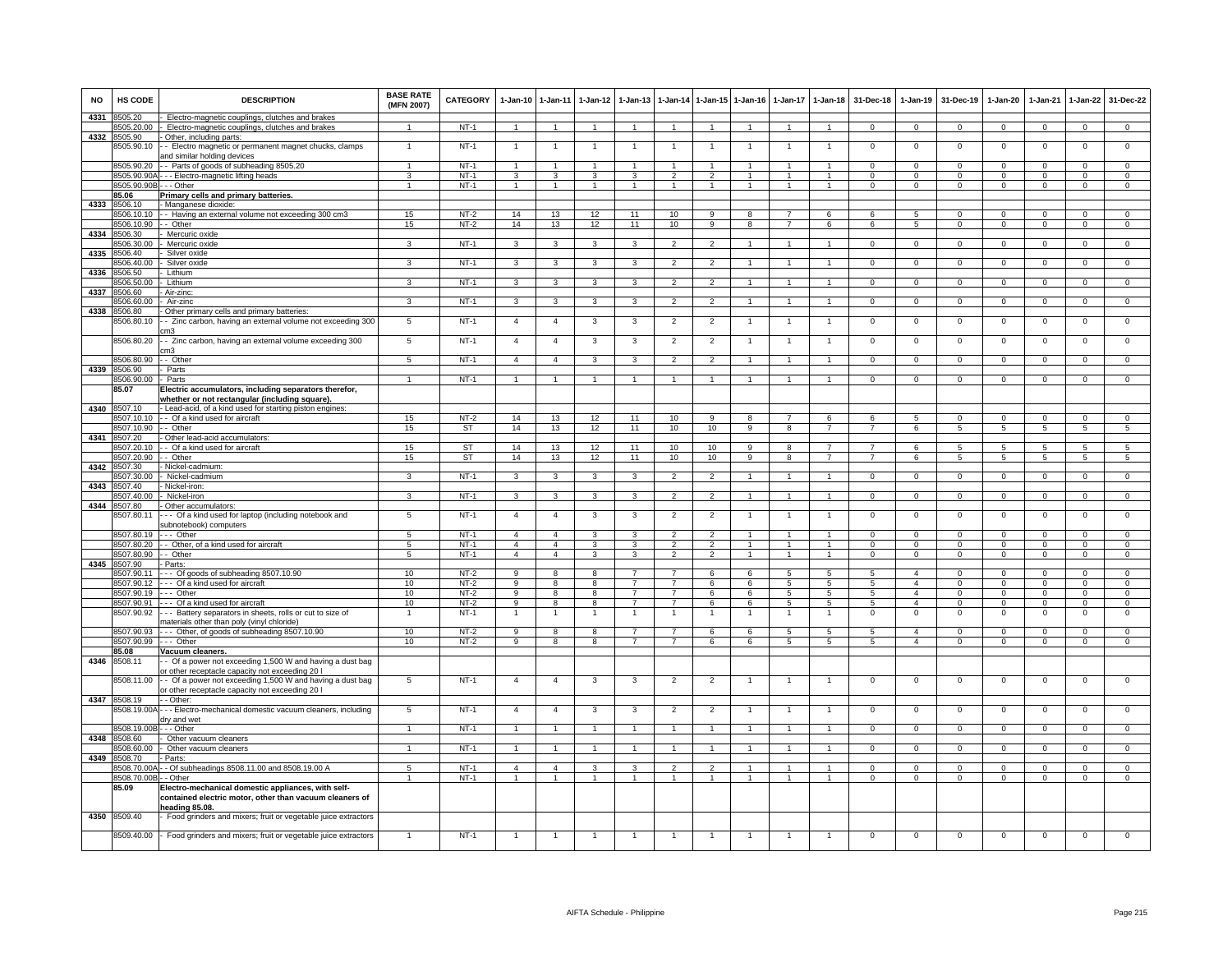| NO   | HS CODE                    | <b>DESCRIPTION</b>                                                                                                            | <b>BASE RATE</b><br>(MFN 2007) | <b>CATEGORY</b>  | $1-Jan-10$          | $1 - Jan-11$         | $1-Jan-12$           | $1-Jan-13$                       |                                  |                      | 1-Jan-14 1-Jan-15 1-Jan-16 |                     | 1-Jan-17 1-Jan-18    | 31-Dec-18        | $1-Jan-19$                       | 31-Dec-19               | $1 - Jan-20$        | $1-Jan-21$           | $1-Jan-22$                 | 31-Dec-22           |
|------|----------------------------|-------------------------------------------------------------------------------------------------------------------------------|--------------------------------|------------------|---------------------|----------------------|----------------------|----------------------------------|----------------------------------|----------------------|----------------------------|---------------------|----------------------|------------------|----------------------------------|-------------------------|---------------------|----------------------|----------------------------|---------------------|
| 4331 | 8505.20                    | Electro-magnetic couplings, clutches and brakes                                                                               |                                |                  |                     |                      |                      |                                  |                                  |                      |                            |                     |                      |                  |                                  |                         |                     |                      |                            |                     |
|      | 8505.20.00                 | Electro-magnetic couplings, clutches and brakes                                                                               | $\overline{1}$                 | NT-1             | $\overline{1}$      | $\overline{1}$       | $\blacktriangleleft$ | $\overline{1}$                   | $\overline{1}$                   | $\overline{1}$       | $\overline{1}$             | $\overline{1}$      | $\overline{1}$       | $\mathbf{0}$     | $\mathbf{0}$                     | $\mathbf 0$             | $\overline{0}$      | $\mathbf 0$          | $\mathbf{0}$               | $\mathbf{0}$        |
| 4332 | 8505.90<br>3505.90.10      | Other, including parts:<br>- Electro magnetic or permanent magnet chucks, clamps<br>ind similar holding devices               |                                | $NT-1$           | $\mathbf{1}$        | $\overline{1}$       |                      |                                  |                                  | -1                   |                            |                     | 1                    | $^{\circ}$       | $^{\circ}$                       | $\mathbf 0$             | $\mathbf 0$         | $\mathbf 0$          | $\mathsf 0$                | $\overline{0}$      |
|      | 8505.90.20                 | - Parts of goods of subheading 8505.20                                                                                        | $\mathbf{1}$                   | $NT-1$           | $\overline{1}$      | $\overline{1}$       |                      |                                  |                                  | $\blacktriangleleft$ |                            |                     |                      | $\mathbf 0$      | $\mathbf{0}$                     | $\mathbf 0$             | $^{\circ}$          | $\mathbf 0$          | $\mathbf 0$                | $^{\circ}$          |
|      | 8505.90.90/                | - Electro-magnetic lifting heads                                                                                              | 3                              | $NT-1$           | 3                   | 3                    | 3                    | 3                                | $\mathcal{P}$                    | $\mathcal{P}$        | $\mathbf{1}$               | $\mathbf{1}$        | $\mathbf{1}$         | $\Omega$         | $\Omega$                         | $\Omega$                | $\mathbf 0$         | $\Omega$             | $\mathsf 0$                | $\mathbf 0$         |
|      | 8505.90.90E                | - - Other                                                                                                                     | $\overline{1}$                 | $NT-1$           | $\overline{1}$      | $\overline{1}$       | $\blacktriangleleft$ | $\mathbf{1}$                     | $\overline{1}$                   | $\overline{1}$       | $\overline{1}$             | $\overline{1}$      | $\overline{1}$       | $\mathbf 0$      | $\mathbf 0$                      | $\Omega$                | $\overline{0}$      | $\Omega$             | $\mathsf 0$                | $\overline{0}$      |
|      | 85.06                      | Primary cells and primary batteries                                                                                           |                                |                  |                     |                      |                      |                                  |                                  |                      |                            |                     |                      |                  |                                  |                         |                     |                      |                            |                     |
| 4333 | 8506.10                    | Manganese dioxide:                                                                                                            |                                |                  |                     |                      |                      |                                  |                                  |                      |                            |                     |                      |                  |                                  |                         |                     |                      |                            |                     |
|      | 8506.10.10                 | - Having an external volume not exceeding 300 cm3                                                                             | 15                             | $NT-2$           | 14                  | 13                   | 12                   | 11                               | 10                               | 9                    | 8                          |                     | 6                    | 6                | 5                                | $\mathbf 0$             | 0                   | $^{\circ}$           | $\mathbf 0$                | $\mathbf{0}$        |
|      | 8506.10.90<br>4334 8506.30 | - Other<br>Mercuric oxide                                                                                                     | 15                             | $NT-2$           | 14                  | 13                   | 12                   | 11                               | 10                               | 9                    | 8                          | $\overline{7}$      | 6                    | 6                | 5                                | $\mathbf 0$             | $\overline{0}$      | $\mathbf{0}$         | $\mathbf{0}$               | $\mathbf{0}$        |
|      | 3506.30.00                 | Mercuric oxide                                                                                                                | 3                              | $NT-1$           | $\mathbf{3}$        | 3                    | 3                    | 3                                | $\overline{c}$                   | $\overline{2}$       | 1                          | $\mathbf{1}$        | 1                    | $^{\circ}$       | $\mathbf 0$                      | $\mathbf 0$             | $\mathbf{0}$        | $^{\circ}$           | $\overline{0}$             | $\overline{0}$      |
| 4335 | 8506.40                    | Silver oxide                                                                                                                  |                                |                  |                     |                      |                      |                                  |                                  |                      |                            |                     |                      |                  |                                  |                         |                     |                      |                            |                     |
|      | 506.40.00                  | Silver oxide                                                                                                                  | 3                              | $NT-1$           | 3                   | 3                    | 3                    | 3                                | $\overline{2}$                   | $\overline{2}$       |                            | $\mathbf{1}$        | $\overline{1}$       | $\mathbf 0$      | $\mathbf 0$                      | $\mathbf 0$             | $\mathbf 0$         | $\mathbf 0$          | $\mathbf{0}$               | $\overline{0}$      |
| 4336 | 8506.50                    | Lithium                                                                                                                       |                                |                  |                     |                      |                      |                                  |                                  |                      |                            |                     |                      |                  |                                  |                         |                     |                      |                            |                     |
|      | 3506.50.00                 | Lithium                                                                                                                       | 3                              | $NT-1$           | 3                   | 3                    | 3                    | 3                                | $\overline{2}$                   | $\mathcal{P}$        |                            |                     |                      | $\Omega$         | $\Omega$                         | $\mathbf 0$             | $\Omega$            | $\Omega$             | 0                          | $\overline{0}$      |
| 4337 | 8506.60                    | Air-zinc:                                                                                                                     |                                |                  |                     |                      |                      |                                  |                                  |                      |                            |                     |                      |                  |                                  |                         |                     |                      |                            |                     |
|      | 3506.60.00                 | Air-zinc                                                                                                                      | $\overline{\mathbf{3}}$        | $NT-1$           | 3                   | 3                    | 3                    | 3                                | $\overline{2}$                   | $\overline{2}$       | $\overline{1}$             | $\overline{1}$      | $\overline{1}$       | $\overline{0}$   | $\overline{0}$                   | $\Omega$                | $\overline{0}$      | $\overline{0}$       | $\overline{0}$             | $\overline{0}$      |
| 4338 | 3506.80                    | Other primary cells and primary batteries                                                                                     | 5                              | $NT-1$           | $\overline{4}$      | $\overline{4}$       | 3                    | 3                                | $\overline{2}$                   | $\overline{2}$       |                            | $\overline{1}$      | $\overline{1}$       | $\mathbf 0$      | $\mathbf 0$                      | $\mathbf 0$             | $\mathbf 0$         | $\mathbf 0$          | $\mathsf 0$                | $\mathbf 0$         |
|      | 8506.80.10<br>8506.80.20   | - Zinc carbon, having an external volume not exceeding 300<br>m3:<br>- Zinc carbon, having an external volume exceeding 300   | 5                              | $NT-1$           | $\overline{4}$      | $\overline{4}$       | 3                    | 3                                | $\overline{c}$                   | $\overline{2}$       |                            | $\mathbf{1}$        | 1                    | 0                | $\mathbf{0}$                     | $\mathbf 0$             | $\overline{0}$      | $\mathbf 0$          | 0                          | 0                   |
|      | 8506.80.90                 | m3:<br>- Other                                                                                                                | 5                              | $NT-1$           | $\overline{4}$      | $\overline{4}$       | 3                    | 3                                | $\overline{2}$                   | $\overline{2}$       |                            | $\mathbf{1}$        | $\blacktriangleleft$ | $\mathbf 0$      | $\mathbf 0$                      | $\mathbf 0$             | $\mathbf 0$         | $\mathbf 0$          | $\mathbf 0$                | $\mathbf 0$         |
| 4339 | 8506.90                    | Parts                                                                                                                         |                                |                  |                     |                      |                      |                                  |                                  |                      |                            |                     |                      |                  |                                  |                         |                     |                      |                            |                     |
|      | 8506.90.00                 | Parts                                                                                                                         | $\overline{1}$                 | $NT-1$           | $\mathbf{1}$        | $\overline{1}$       | $\blacktriangleleft$ | $\overline{1}$                   | $\overline{1}$                   | $\overline{1}$       | 1                          | $\mathbf{1}$        | $\mathbf{1}$         | $\mathbf 0$      | $\mathbf 0$                      | $\mathbf 0$             | $\mathbf 0$         | $\mathbf 0$          | $\mathbf 0$                | $\overline{0}$      |
|      | 85.07                      | Electric accumulators, including separators therefor,                                                                         |                                |                  |                     |                      |                      |                                  |                                  |                      |                            |                     |                      |                  |                                  |                         |                     |                      |                            |                     |
|      |                            | vhether or not rectangular (including square)                                                                                 |                                |                  |                     |                      |                      |                                  |                                  |                      |                            |                     |                      |                  |                                  |                         |                     |                      |                            |                     |
| 4340 | 8507.10                    | Lead-acid, of a kind used for starting piston engines:                                                                        |                                |                  |                     |                      |                      |                                  |                                  |                      |                            |                     |                      |                  |                                  |                         |                     |                      |                            |                     |
|      | 8507.10.10<br>8507.10.90   | - Of a kind used for aircraft<br>- Other                                                                                      | 15<br>15                       | $NT-2$           | 14<br>14            | 13                   | 12                   | 11<br>11                         | 10                               | 9                    | 9                          |                     | 6<br>$\overline{7}$  | 6                | $\overline{5}$                   | $\Omega$                | $\Omega$<br>5       | $\Omega$<br>5        | $\Omega$<br>5              | $\Omega$<br>5       |
|      | 4341 8507.20               | Other lead-acid accumulators:                                                                                                 |                                | ST               |                     | 13                   | 12                   |                                  | 10                               | 10                   |                            | 8                   |                      | $\overline{7}$   | -6                               | -5                      |                     |                      |                            |                     |
|      | 8507.20.10                 | - Of a kind used for aircraft                                                                                                 | 15                             | <b>ST</b>        | 14                  | 13                   | 12                   | 11                               | 10                               | 10                   | 9                          | -8                  | $\overline{7}$       | $\overline{7}$   | -6                               | 5                       | 5                   | -5                   | 5                          | 5                   |
|      | 3507.20.90                 | - Other                                                                                                                       | 15                             | ST               | 14                  | 13                   | 12                   | 11                               | 10                               | 10                   | 9                          | 8                   | $\overline{7}$       | $\overline{7}$   | -6                               | -5                      | 5                   | -5                   | -5                         | 5                   |
| 4342 | 8507.30                    | Nickel-cadmium:                                                                                                               |                                |                  |                     |                      |                      |                                  |                                  |                      |                            |                     |                      |                  |                                  |                         |                     |                      |                            |                     |
|      | 507.30.00                  | Nickel-cadmium                                                                                                                | 3                              | $NT-1$           | 3                   | 3                    | 3                    | 3                                |                                  |                      |                            |                     |                      | $\Omega$         | $\Omega$                         | $\Omega$                | $\Omega$            | $\Omega$             | 0                          | $\Omega$            |
| 4343 | 8507.40                    | Nickel-iron:                                                                                                                  |                                |                  |                     |                      |                      |                                  |                                  |                      |                            |                     |                      |                  |                                  |                         |                     |                      |                            |                     |
|      | 8507.40.00                 | Nickel-iron                                                                                                                   | 3                              | $NT-1$           | $\mathbf{3}$        | 3                    | 3                    | 3                                | $\overline{2}$                   | $\overline{2}$       |                            | $\overline{1}$      | $\overline{1}$       | $\mathbf 0$      | $\overline{0}$                   | $\mathbf 0$             | $\overline{0}$      | $\mathbf 0$          | $\overline{0}$             | $\overline{0}$      |
| 4344 | 8507.80<br>8507.80.11      | Other accumulators<br>- - Of a kind used for laptop (including notebook and<br>subnotebook) computers                         | 5                              | $NT-1$           | $\overline{4}$      | $\overline{4}$       | 3                    | 3                                | $\overline{2}$                   | $\overline{2}$       |                            |                     |                      | $\mathbf 0$      | $\mathbf 0$                      | $\mathbf 0$             | $\mathbf 0$         | $\mathbf 0$          | $\mathsf 0$                | $\mathbf 0$         |
|      | 8507.80.19                 | -- Other                                                                                                                      | 5                              | $NT-1$           | $\overline{4}$      | $\overline{4}$       | 3                    | 3                                | $\overline{2}$                   | $\overline{2}$       | $\mathbf{1}$               | $\mathbf{1}$        | $\overline{1}$       | $\Omega$         | $\mathbf 0$                      | $\mathbf 0$             | $\mathbf 0$         | $\Omega$             | $\mathsf 0$                | $\Omega$            |
|      | 8507.80.20                 | - Other, of a kind used for aircraft                                                                                          | 5                              | $NT-1$           | $\overline{4}$      | $\overline{4}$       | 3                    | 3                                | $\overline{2}$                   | $\overline{2}$       | $\overline{1}$             | $\mathbf{1}$        | $\overline{1}$       | $\Omega$         | $\mathbf{0}$                     | $\mathbf 0$             | $^{\circ}$          | $\Omega$             | $\mathbf{0}$               | $\mathbf 0$         |
|      | 8507.80.90                 | - Other                                                                                                                       | 5                              | $NT-1$           | $\mathbf{A}$        | $\mathbf{A}$         | 3                    | 3                                | $\mathcal{P}$                    | $\overline{2}$       | $\overline{1}$             | $\mathbf{1}$        | $\mathbf{1}$         | $\Omega$         | $\mathbf 0$                      | $^{\circ}$              | $^{\circ}$          | $\Omega$             | $\mathbf{0}$               | $\overline{0}$      |
| 4345 | 8507.90                    | Parts:                                                                                                                        |                                |                  |                     |                      |                      |                                  |                                  |                      |                            |                     |                      |                  |                                  |                         |                     |                      |                            |                     |
|      | 3507.90.11                 | -- Of goods of subheading 8507.10.90                                                                                          | 10                             | $NT-2$           | 9                   | $\mathbf{g}$         | 8                    |                                  |                                  | 6                    | 6                          | 5                   | 5                    | 5                | $\overline{4}$                   | $\Omega$                | $\Omega$            | $\Omega$             | $\Omega$                   | $\Omega$            |
|      | 8507.90.12<br>8507.90.19   | -- Of a kind used for aircraft<br>- Other                                                                                     | 10<br>10                       | $NT-2$<br>$NT-2$ | 9<br>$\overline{9}$ | 8<br>8               | 8<br>8               | $\overline{7}$<br>$\overline{7}$ | $\overline{7}$<br>$\overline{7}$ | 6<br>6               | 6<br>6                     | 5<br>$\overline{5}$ | 5<br>$\overline{5}$  | 5<br>$5^{\circ}$ | $\overline{4}$<br>$\overline{4}$ | $\mathbf 0$<br>$\Omega$ | 0<br>$\overline{0}$ | $\Omega$<br>$\Omega$ | $\mathbf 0$<br>$\mathsf 0$ | 0<br>$\overline{0}$ |
|      | 8507.90.91                 | - - Of a kind used for aircraft                                                                                               | 10                             | $NT-2$           | $\overline{9}$      | 8                    | 8                    | $\overline{7}$                   | $\overline{7}$                   | $6\overline{6}$      | 6                          | 5                   | $\overline{5}$       | 5                | $\mathbf{A}$                     | $\Omega$                | $\Omega$            | $\Omega$             | $\mathsf 0$                | $\mathbf 0$         |
|      | 8507.90.92                 | - - Battery separators in sheets, rolls or cut to size of<br>naterials other than poly (vinyl chloride)                       |                                | $NT-1$           | $\overline{1}$      | $\overline{1}$       |                      | $\mathbf{1}$                     |                                  | $\overline{1}$       | $\mathbf{1}$               | $\mathbf{1}$        | $\overline{1}$       | $^{\circ}$       | $\mathbf 0$                      | $\mathbf 0$             | $\mathbf 0$         | $\Omega$             | $\mathsf 0$                | $\mathbf 0$         |
|      | 8507.90.93                 | -- Other, of goods of subheading 8507.10.90                                                                                   | 10                             | $NT-2$           | 9                   | 8                    | 8                    | $\overline{7}$                   | $\overline{7}$                   | 6                    | 6                          | 5                   | 5                    | 5                | $\overline{4}$                   | $\mathbf 0$             | $^{\circ}$          | $\mathbf 0$          | $\mathbf 0$                | $\mathbf{0}$        |
|      | 8507.90.99                 | -- Other                                                                                                                      | 10                             | $NT-2$           | 9                   | 8                    | 8                    | $\overline{7}$                   | $\overline{7}$                   | 6                    | 6                          | 5                   | $5\overline{5}$      | 5                | $\overline{4}$                   | $\mathbf 0$             | $\overline{0}$      | $\mathbf 0$          | $\mathbf{0}$               | $\mathbf{0}$        |
| 4346 | 85.08<br>8508.11           | Vacuum cleaners.<br>- Of a power not exceeding 1,500 W and having a dust bag                                                  |                                |                  |                     |                      |                      |                                  |                                  |                      |                            |                     |                      |                  |                                  |                         |                     |                      |                            |                     |
|      | 8508.11.00                 | or other receptacle capacity not exceeding 201<br>- Of a power not exceeding 1,500 W and having a dust bag                    | $5\phantom{.0}$                | $NT-1$           | $\overline{4}$      | $\overline{4}$       | 3                    | 3                                | $\overline{2}$                   | $\overline{2}$       | $\overline{1}$             | $\overline{1}$      | $\overline{1}$       | $\circ$          | $\mathbf 0$                      | $\,0\,$                 | $\mathbf 0$         | $\mathsf 0$          | $\mathsf 0$                | $\mathbf 0$         |
|      | 4347 8508.19               | r other receptacle capacity not exceeding 20 I<br>- Other:                                                                    |                                |                  |                     |                      |                      |                                  |                                  |                      |                            |                     |                      |                  |                                  |                         |                     |                      |                            |                     |
|      | 8508.19.00/                | - - Electro-mechanical domestic vacuum cleaners, including<br>try and wet                                                     | 5                              | $NT-1$           | $\overline{4}$      | $\overline{4}$       | 3                    | 3                                | $\overline{2}$                   | $\overline{2}$       |                            |                     |                      | $^{\circ}$       | $\mathbf 0$                      | $\mathbf 0$             | $\mathbf 0$         | $\mathbf 0$          | $\mathsf 0$                | $\mathsf 0$         |
|      | 8508.19.00E                | - - Other                                                                                                                     | $\blacktriangleleft$           | $NT-1$           | $\overline{1}$      | $\blacktriangleleft$ |                      |                                  | $\overline{1}$                   |                      |                            |                     |                      | $^{\circ}$       | $\mathbf{0}$                     | $\mathbf 0$             | $\mathsf 0$         | $^{\circ}$           | $^{\circ}$                 | $^{\circ}$          |
| 4348 | 8508.60                    | Other vacuum cleaners                                                                                                         |                                |                  | $\overline{1}$      | $\mathbf{1}$         |                      |                                  | $\overline{1}$                   |                      |                            |                     | 1                    | $\Omega$         |                                  |                         |                     | $\Omega$             |                            | $\Omega$            |
| 4349 | 3508.60.00<br>8508.70      | Other vacuum cleaners<br>Parts:                                                                                               |                                | NT-1             |                     |                      |                      |                                  |                                  |                      |                            |                     |                      |                  | $\circ$                          | $\mathbf 0$             | $\mathbf 0$         |                      | $\mathbf{0}$               |                     |
|      | 3508.70.00                 | - Of subheadings 8508.11.00 and 8508.19.00 A                                                                                  | -5                             | $NT-1$           | $\overline{4}$      | $\overline{4}$       | 3                    | 3                                | $\mathfrak{p}$                   | $\overline{2}$       | $\overline{1}$             | -1                  | $\mathbf{1}$         | $\Omega$         | $\overline{0}$                   | $\Omega$                | $\Omega$            | $\Omega$             | $\overline{0}$             | $\overline{0}$      |
|      | 8508.70.00E                | - Other                                                                                                                       | 1                              | $NT-1$           |                     | $\mathbf{1}$         |                      |                                  |                                  | $\mathbf{1}$         | $\mathbf{1}$               | 1                   | 1                    | $\mathbf 0$      | $\mathbf 0$                      | $\mathbf 0$             | 0                   | $\mathbf 0$          | $\mathsf 0$                | $\Omega$            |
|      | 85.09                      | Electro-mechanical domestic appliances, with self-<br>contained electric motor, other than vacuum cleaners of<br>eading 85.08 |                                |                  |                     |                      |                      |                                  |                                  |                      |                            |                     |                      |                  |                                  |                         |                     |                      |                            |                     |
| 4350 | 8509.40                    | Food grinders and mixers; fruit or vegetable juice extractors                                                                 |                                |                  |                     |                      |                      |                                  |                                  |                      |                            |                     |                      |                  |                                  |                         |                     |                      |                            |                     |
|      | 8509.40.00                 | - Food grinders and mixers; fruit or vegetable juice extractors                                                               | $\mathbf{1}$                   | $NT-1$           | $\overline{1}$      | $\overline{1}$       |                      |                                  |                                  |                      |                            |                     |                      | $\mathbf 0$      | 0                                | $\mathbf 0$             | $\circ$             | $\mathbf 0$          | $\mathsf 0$                | $\Omega$            |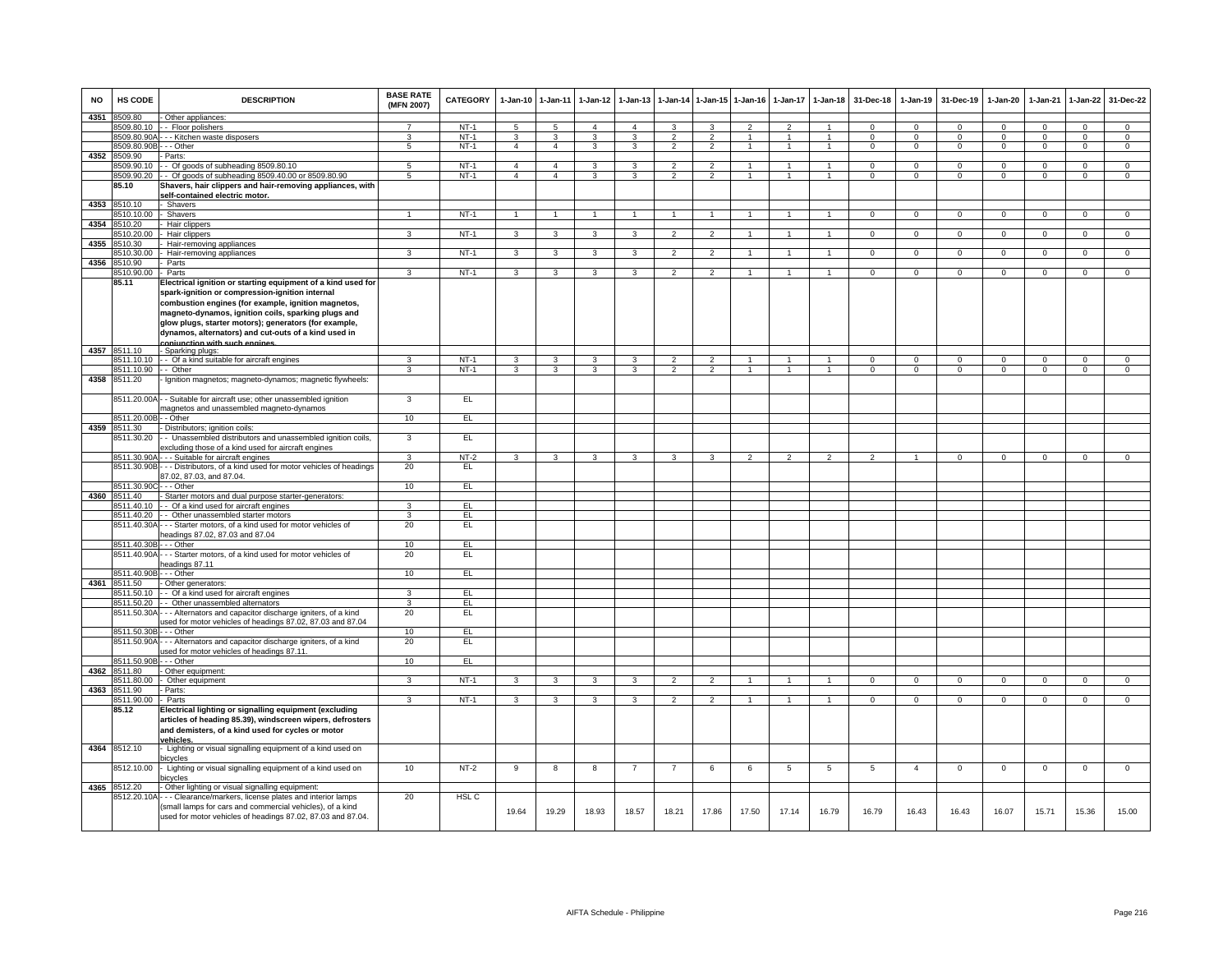| NO   | HS CODE                    | <b>DESCRIPTION</b>                                                                                                                                                                                                                                                                                                                                                              | <b>BASE RATE</b><br>(MFN 2007) | CATEGORY | 1-Jan-10 1-Jan-11 |                | 1-Jan-12       | $1-Jan-13$     | 1-Jan-14                 |                                 | 1-Jan-15 1-Jan-16 | 1-Jan-17       | $1 - Jan-18$   | 31-Dec-18      | $1 - Jan-19$   | 31-Dec-19      | 1-Jan-20       | 1-Jan-21       | 1-Jan-22       | 31-Dec-22      |
|------|----------------------------|---------------------------------------------------------------------------------------------------------------------------------------------------------------------------------------------------------------------------------------------------------------------------------------------------------------------------------------------------------------------------------|--------------------------------|----------|-------------------|----------------|----------------|----------------|--------------------------|---------------------------------|-------------------|----------------|----------------|----------------|----------------|----------------|----------------|----------------|----------------|----------------|
| 4351 | 3509.80                    | - Other appliances:                                                                                                                                                                                                                                                                                                                                                             |                                |          |                   |                |                |                |                          |                                 |                   |                |                |                |                |                |                |                |                |                |
|      | 3509 80 10                 | - Floor polishers                                                                                                                                                                                                                                                                                                                                                               | 7                              | $NT-1$   | $\overline{5}$    | $\overline{5}$ | $\mathbf{A}$   | $\Delta$       | 3                        | 3                               | $\mathcal{P}$     | $\mathcal{P}$  | -1             | $\Omega$       | $\mathsf 0$    | $\Omega$       | $\Omega$       | $\Omega$       | $\mathbf 0$    | $\mathbf 0$    |
|      | 8509.80.90A                | - - Kitchen waste disposers                                                                                                                                                                                                                                                                                                                                                     | 3                              | $NT-1$   | 3                 | 3              | 3              | 3              | $\overline{2}$           | $\overline{2}$                  |                   | $\overline{1}$ |                | $\mathbf 0$    | $\mathbf 0$    | $\mathbf 0$    | 0              | $\mathbf 0$    | $\mathbf 0$    | $\mathbf 0$    |
|      | 8509.80.90B                | - - Other                                                                                                                                                                                                                                                                                                                                                                       | $5\overline{)}$                | $NT-1$   | $\mathbf{A}$      | $\mathbf{A}$   | 3              | 3              | $\overline{2}$           | $\overline{2}$                  |                   | $\overline{1}$ |                | $\Omega$       | $\mathbf 0$    | $\mathbf 0$    | 0              | $\mathbf 0$    | $\mathbf 0$    | $\overline{0}$ |
| 4352 | 8509.90                    | - Parts:                                                                                                                                                                                                                                                                                                                                                                        |                                |          |                   |                |                |                |                          |                                 |                   |                |                |                |                |                |                |                |                |                |
|      |                            | 8509.90.10 -- Of goods of subheading 8509.80.10                                                                                                                                                                                                                                                                                                                                 | 5                              | $NT-1$   | $\overline{4}$    | $\overline{4}$ | 3              | 3<br>3         | $\overline{2}$           | $\overline{2}$<br>$\mathcal{P}$ | $\mathbf{1}$      |                | $\overline{1}$ | $\Omega$       | 0              | $^{\circ}$     | 0              | $^{\circ}$     | $^{\circ}$     | $\mathbf 0$    |
|      |                            | 8509.90.20 - Of goods of subheading 8509.40.00 or 8509.80.90                                                                                                                                                                                                                                                                                                                    | 5                              | $NT-1$   | $\overline{4}$    | $\overline{4}$ | $\mathbf{3}$   |                | $\overline{\phantom{a}}$ |                                 |                   | $\overline{1}$ |                | $\mathbf 0$    | $\mathbf{0}$   | $\mathbf 0$    | $\mathbf 0$    | $\mathbf 0$    | $\mathbf 0$    | $\mathbf 0$    |
|      | 85.10                      | Shavers, hair clippers and hair-removing appliances, with<br>self-contained electric motor.                                                                                                                                                                                                                                                                                     |                                |          |                   |                |                |                |                          |                                 |                   |                |                |                |                |                |                |                |                |                |
| 4353 | 8510.10                    | Shavers                                                                                                                                                                                                                                                                                                                                                                         |                                |          |                   |                |                |                |                          |                                 |                   |                |                |                |                |                |                |                |                |                |
|      | 510.10.00                  | - Shavers                                                                                                                                                                                                                                                                                                                                                                       | $\mathbf{1}$                   | $NT-1$   | $\mathbf{1}$      | $\mathbf{1}$   | $\mathbf{1}$   | $\overline{1}$ | $\overline{1}$           | $\mathbf{1}$                    | $\mathbf{1}$      | $\mathbf{1}$   | $\mathbf{1}$   | $\mathbf 0$    | $\mathbf{0}$   | $\mathbf 0$    | $\mathbf{0}$   | $\mathbf{0}$   | $\overline{0}$ | $\overline{0}$ |
| 4354 | 3510.20                    | Hair clippers                                                                                                                                                                                                                                                                                                                                                                   |                                |          |                   |                |                |                |                          |                                 |                   |                |                |                |                |                |                |                |                |                |
|      | \$510.20.00                | Hair clippers                                                                                                                                                                                                                                                                                                                                                                   | $\overline{3}$                 | $NT-1$   | $\overline{3}$    | $\overline{3}$ | $\overline{3}$ | $\overline{3}$ | $\overline{2}$           | $\overline{2}$                  | $\mathbf{1}$      | $\mathbf{1}$   | $\overline{1}$ | $\overline{0}$ | $\overline{0}$ | $\overline{0}$ | $\overline{0}$ | $\overline{0}$ | $\overline{0}$ | $\overline{0}$ |
| 4355 | 510.30                     | Hair-removing appliances                                                                                                                                                                                                                                                                                                                                                        |                                |          |                   |                |                |                |                          |                                 |                   |                |                |                |                |                |                |                |                |                |
|      | 510.30.00                  | Hair-removing appliances                                                                                                                                                                                                                                                                                                                                                        | 3                              | $NT-1$   | 3                 | 3              | 3              | 3              | $\overline{2}$           | $\overline{2}$                  |                   |                | $\mathbf{1}$   | $\mathbf 0$    | $\mathsf 0$    | $\mathbf 0$    | $\mathbf{O}$   | $\mathbf 0$    | $\mathbf 0$    | $\overline{0}$ |
| 4356 | 3510.90                    | Parts                                                                                                                                                                                                                                                                                                                                                                           |                                |          |                   |                |                |                |                          |                                 |                   |                |                |                |                |                |                |                |                |                |
|      | 8510.90.00                 | - Parts                                                                                                                                                                                                                                                                                                                                                                         | 3                              | $NT-1$   | 3                 | 3              | $\mathbf{3}$   | 3              | $\overline{2}$           | $\overline{2}$                  | $\mathbf{1}$      | $\overline{1}$ | $\overline{1}$ | $\mathbf 0$    | $\mathbf 0$    | $\mathbf 0$    | 0              | $\mathbf 0$    | $\mathbf 0$    | $\overline{0}$ |
|      | 85.11                      | Electrical ignition or starting equipment of a kind used for<br>spark-ignition or compression-ignition internal<br>combustion engines (for example, ignition magnetos,<br>magneto-dynamos, ignition coils, sparking plugs and<br>glow plugs, starter motors); generators (for example,<br>dynamos, alternators) and cut-outs of a kind used in<br>conjunction with such engines |                                |          |                   |                |                |                |                          |                                 |                   |                |                |                |                |                |                |                |                |                |
| 4357 | 8511.10                    | - Sparking plugs:                                                                                                                                                                                                                                                                                                                                                               |                                |          |                   |                |                |                |                          |                                 |                   |                |                |                |                |                |                |                |                |                |
|      |                            | 8511.10.10 - Of a kind suitable for aircraft engines                                                                                                                                                                                                                                                                                                                            | 3                              | $NT-1$   | 3                 | 3              | 3              |                | $\mathfrak{p}$           |                                 |                   |                |                | $\Omega$       | $\Omega$       | $\Omega$       | $\Omega$       | $\Omega$       | $\Omega$       | $\Omega$       |
|      | 8511.10.90 -- Other        |                                                                                                                                                                                                                                                                                                                                                                                 | $\mathbf{R}$                   | $NT-1$   | 3                 | 3              | $\mathbf{3}$   | 3              | $\mathcal{P}$            | $\mathcal{P}$                   | $\mathbf{1}$      | $\mathbf{1}$   | $\overline{1}$ | $\mathbf 0$    | $\mathbf 0$    | $\mathbf 0$    | 0              | $\mathbf 0$    | $\mathbf 0$    | $\overline{0}$ |
| 4358 | 8511.20                    | Ignition magnetos; magneto-dynamos; magnetic flywheels:                                                                                                                                                                                                                                                                                                                         |                                |          |                   |                |                |                |                          |                                 |                   |                |                |                |                |                |                |                |                |                |
|      | 8511.20.00A<br>3511.20.00B | - Suitable for aircraft use; other unassembled ignition<br>nagnetos and unassembled magneto-dynamos<br>- Other                                                                                                                                                                                                                                                                  | $\mathbf{3}$<br>10             | EL<br>E  |                   |                |                |                |                          |                                 |                   |                |                |                |                |                |                |                |                |                |
| 4359 | 3511.30                    | Distributors; ignition coils:                                                                                                                                                                                                                                                                                                                                                   |                                |          |                   |                |                |                |                          |                                 |                   |                |                |                |                |                |                |                |                |                |
|      | 8511.30.20                 | - Unassembled distributors and unassembled ignition coils,                                                                                                                                                                                                                                                                                                                      | 3                              | EL       |                   |                |                |                |                          |                                 |                   |                |                |                |                |                |                |                |                |                |
|      |                            | excluding those of a kind used for aircraft engines                                                                                                                                                                                                                                                                                                                             |                                |          |                   |                |                |                |                          |                                 |                   |                |                |                |                |                |                |                |                |                |
|      |                            | 8511.30.90A - - - Suitable for aircraft engines                                                                                                                                                                                                                                                                                                                                 | 3                              | NT-2     | 3                 | 3              | $\mathbf{3}$   | 3              | 3                        | 3                               | $\overline{2}$    | $\mathfrak{p}$ | $\mathcal{P}$  | $\overline{2}$ |                | $\overline{0}$ | $\Omega$       | $\mathbf 0$    | $\mathbf{0}$   | $\mathbf 0$    |
|      |                            | 8511.30.90B - - - Distributors, of a kind used for motor vehicles of headings                                                                                                                                                                                                                                                                                                   | 20                             | EL       |                   |                |                |                |                          |                                 |                   |                |                |                |                |                |                |                |                |                |
|      |                            | 87.02, 87.03, and 87.04.                                                                                                                                                                                                                                                                                                                                                        |                                |          |                   |                |                |                |                          |                                 |                   |                |                |                |                |                |                |                |                |                |
|      | 8511.30.90C                | - - - Other                                                                                                                                                                                                                                                                                                                                                                     | 10                             | EL       |                   |                |                |                |                          |                                 |                   |                |                |                |                |                |                |                |                |                |
|      | 4360 8511.40               | Starter motors and dual purpose starter-generators:                                                                                                                                                                                                                                                                                                                             |                                |          |                   |                |                |                |                          |                                 |                   |                |                |                |                |                |                |                |                |                |
|      | 8511.40.10                 | - - Of a kind used for aircraft engines                                                                                                                                                                                                                                                                                                                                         | 3                              | EL       |                   |                |                |                |                          |                                 |                   |                |                |                |                |                |                |                |                |                |
|      | 8511.40.20<br>8511.40.30A  | - Other unassembled starter motors<br>-- Starter motors, of a kind used for motor vehicles of                                                                                                                                                                                                                                                                                   | 3<br>20                        | EL<br>EL |                   |                |                |                |                          |                                 |                   |                |                |                |                |                |                |                |                |                |
|      |                            | eadings 87.02, 87.03 and 87.04                                                                                                                                                                                                                                                                                                                                                  |                                |          |                   |                |                |                |                          |                                 |                   |                |                |                |                |                |                |                |                |                |
|      | 8511.40.30B                | - - Other                                                                                                                                                                                                                                                                                                                                                                       | 10                             | EL       |                   |                |                |                |                          |                                 |                   |                |                |                |                |                |                |                |                |                |
|      |                            | 8511.40.90A - - - Starter motors, of a kind used for motor vehicles of                                                                                                                                                                                                                                                                                                          | 20                             | EL       |                   |                |                |                |                          |                                 |                   |                |                |                |                |                |                |                |                |                |
|      |                            | headings 87.11                                                                                                                                                                                                                                                                                                                                                                  |                                |          |                   |                |                |                |                          |                                 |                   |                |                |                |                |                |                |                |                |                |
|      | 8511.40.90B - - - Other    |                                                                                                                                                                                                                                                                                                                                                                                 | 10                             | EL.      |                   |                |                |                |                          |                                 |                   |                |                |                |                |                |                |                |                |                |
|      | 4361 8511.50               | Other generators:                                                                                                                                                                                                                                                                                                                                                               |                                |          |                   |                |                |                |                          |                                 |                   |                |                |                |                |                |                |                |                |                |
|      | 8511.50.10                 | - - Of a kind used for aircraft engines                                                                                                                                                                                                                                                                                                                                         | 3                              | EL       |                   |                |                |                |                          |                                 |                   |                |                |                |                |                |                |                |                |                |
|      | 8511.50.20                 | - - Other unassembled alternators                                                                                                                                                                                                                                                                                                                                               | 3                              | EL       |                   |                |                |                |                          |                                 |                   |                |                |                |                |                |                |                |                |                |
|      | 8511.50.30A                | -- Alternators and capacitor discharge igniters, of a kind                                                                                                                                                                                                                                                                                                                      | 20                             | E        |                   |                |                |                |                          |                                 |                   |                |                |                |                |                |                |                |                |                |
|      | 8511.50.30B                | ised for motor vehicles of headings 87.02, 87.03 and 87.04<br>- - Other                                                                                                                                                                                                                                                                                                         | 10                             | EL       |                   |                |                |                |                          |                                 |                   |                |                |                |                |                |                |                |                |                |
|      | 8511.50.90A                | - - Alternators and capacitor discharge igniters, of a kind                                                                                                                                                                                                                                                                                                                     | 20                             | EL       |                   |                |                |                |                          |                                 |                   |                |                |                |                |                |                |                |                |                |
|      |                            | ised for motor vehicles of headings 87.11.                                                                                                                                                                                                                                                                                                                                      |                                |          |                   |                |                |                |                          |                                 |                   |                |                |                |                |                |                |                |                |                |
|      | 8511.50.90E                | - - Other                                                                                                                                                                                                                                                                                                                                                                       | 10                             | EL.      |                   |                |                |                |                          |                                 |                   |                |                |                |                |                |                |                |                |                |
| 4362 | 8511.80                    | Other equipment:                                                                                                                                                                                                                                                                                                                                                                |                                |          |                   |                |                |                |                          |                                 |                   |                |                |                |                |                |                |                |                |                |
|      | 8511.80.00                 | Other equipment                                                                                                                                                                                                                                                                                                                                                                 | 3                              | $NT-1$   | 3                 | 3              | 3              | 3              | $\overline{2}$           | $\overline{2}$                  | $\overline{1}$    |                |                | $\mathbf{0}$   | $\mathbf{0}$   | $\overline{0}$ | $\mathbf{0}$   | $\overline{0}$ | $\mathbf 0$    | $\overline{0}$ |
| 4363 | 8511.90                    | Parts                                                                                                                                                                                                                                                                                                                                                                           | 3                              |          |                   | 3              |                | 3              | $\overline{2}$           | $\overline{2}$                  | $\overline{1}$    | $\overline{1}$ | $\overline{1}$ | $\Omega$       | $\Omega$       | $\Omega$       | $\Omega$       | $\Omega$       |                | $\overline{0}$ |
|      | 8511.90.00<br>85.12        | - Parts                                                                                                                                                                                                                                                                                                                                                                         |                                | $NT-1$   | 3                 |                | 3              |                |                          |                                 |                   |                |                |                |                |                |                |                | $\mathbf 0$    |                |
|      |                            | Electrical lighting or signalling equipment (excluding<br>articles of heading 85.39), windscreen wipers, defrosters<br>and demisters, of a kind used for cycles or motor<br><u>vehicles.</u>                                                                                                                                                                                    |                                |          |                   |                |                |                |                          |                                 |                   |                |                |                |                |                |                |                |                |                |
| 4364 | 8512.10                    | - Lighting or visual signalling equipment of a kind used on<br>picycles                                                                                                                                                                                                                                                                                                         |                                |          |                   |                |                |                |                          |                                 |                   |                |                |                |                |                |                |                |                |                |
|      | 8512.10.00                 | Lighting or visual signalling equipment of a kind used on<br>icycles                                                                                                                                                                                                                                                                                                            | 10                             | $NT-2$   | 9                 | 8              | 8              | -7             | $\overline{7}$           | 6                               | 6                 | 5              | 5              | 5              | $\overline{4}$ | $\mathbf 0$    | $\mathbf{O}$   | $\mathbf 0$    | $\mathbf 0$    | $\overline{0}$ |
|      | 4365 8512.20               | Other lighting or visual signalling equipment:                                                                                                                                                                                                                                                                                                                                  |                                |          |                   |                |                |                |                          |                                 |                   |                |                |                |                |                |                |                |                |                |
|      | 8512.20.10A                | -- Clearance/markers, license plates and interior lamps                                                                                                                                                                                                                                                                                                                         | 20                             | HSL C    |                   |                |                |                |                          |                                 |                   |                |                |                |                |                |                |                |                |                |
|      |                            | small lamps for cars and commercial vehicles), of a kind<br>used for motor vehicles of headings 87.02, 87.03 and 87.04.                                                                                                                                                                                                                                                         |                                |          | 19.64             | 19.29          | 18.93          | 18.57          | 18.21                    | 17.86                           | 17.50             | 17.14          | 16.79          | 16.79          | 16.43          | 16.43          | 16.07          | 15.71          | 15.36          | 15.00          |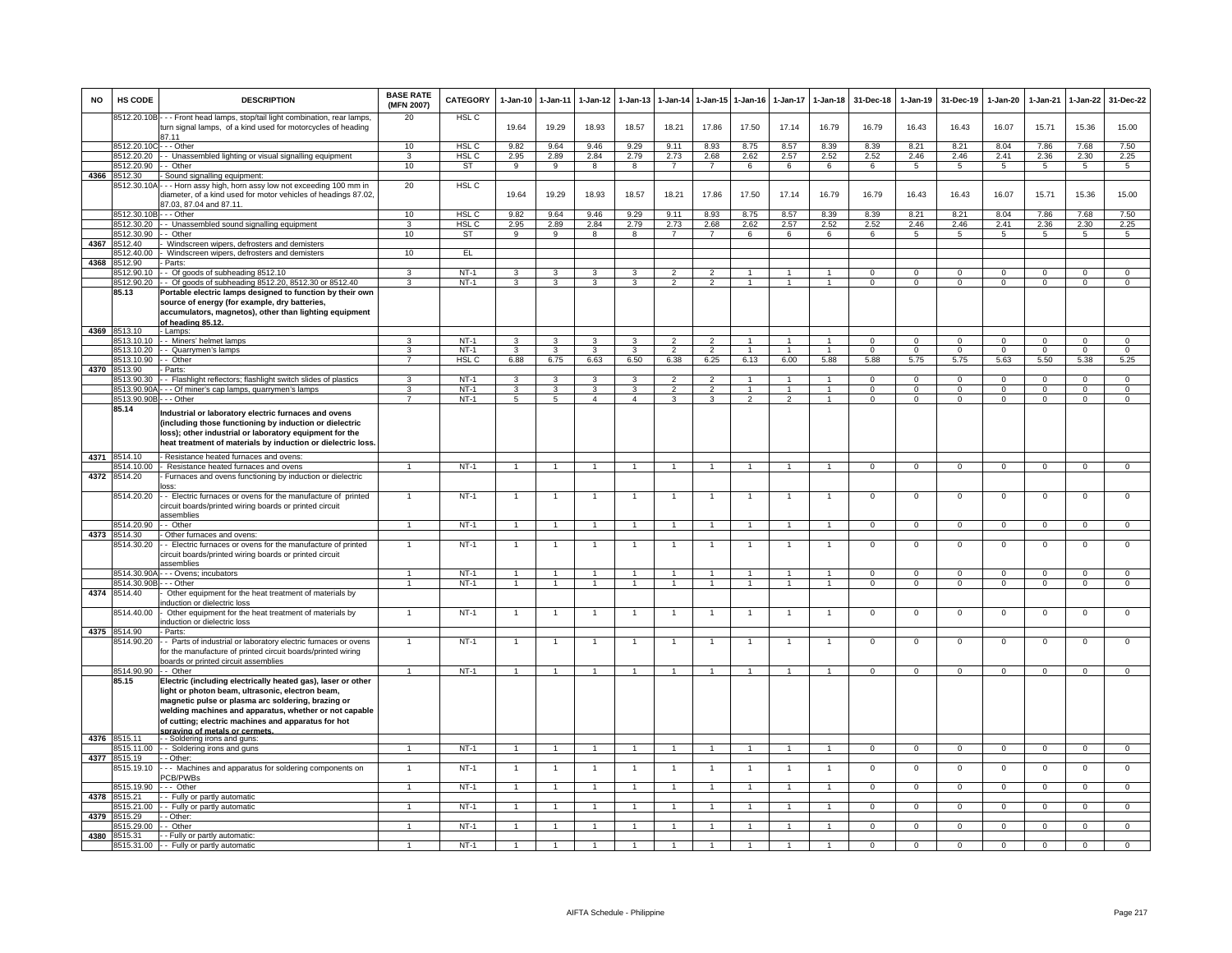| <b>NO</b> | HS CODE                    | <b>DESCRIPTION</b>                                                                                                                                                                                                                                                                                                       | <b>BASE RATE</b><br>(MFN 2007) | CATEGORY         | $1 - Jan-10$            | $1-Jan-11$              | 1-Jan-12       | $1-Jan-13$     | 1-Jan-14       | 1-Jan-15             | $1 - Jan-16$   | 1-Jan-17      | $1-Jan-18$     | 31-Dec-18      | 1-Jan-19       | 31-Dec-19      | 1-Jan-20       | 1-Jan-21       | $1-Jan-22$     | 31-Dec-22      |
|-----------|----------------------------|--------------------------------------------------------------------------------------------------------------------------------------------------------------------------------------------------------------------------------------------------------------------------------------------------------------------------|--------------------------------|------------------|-------------------------|-------------------------|----------------|----------------|----------------|----------------------|----------------|---------------|----------------|----------------|----------------|----------------|----------------|----------------|----------------|----------------|
|           |                            | 8512.20.10B - - - Front head lamps, stop/tail light combination, rear lamps,<br>turn signal lamps, of a kind used for motorcycles of heading<br>87.11                                                                                                                                                                    | 20                             | HSL <sub>C</sub> | 19.64                   | 19.29                   | 18.93          | 18.57          | 18.21          | 17.86                | 17.50          | 17.14         | 16.79          | 16.79          | 16.43          | 16.43          | 16.07          | 15.71          | 15.36          | 15.00          |
|           | 8512.20.10C - - - Other    |                                                                                                                                                                                                                                                                                                                          | 10                             | <b>HSL C</b>     | 9.82                    | 9.64                    | 9.46           | 9.29           | 9.11           | 8.93                 | 8.75           | 8.57          | 8.39           | 8.39           | 8.21           | 8.21           | 8.04           | 7.86           | 7.68           | 7.50           |
|           | 8512.20.20                 | - Unassembled lighting or visual signalling equipment                                                                                                                                                                                                                                                                    | 3                              | <b>HSL C</b>     | 2.95                    | 2.89                    | 2.84           | 2.79           | 2.73           | 2.68                 | 2.62           | 2.57          | 2.52           | 2.52           | 2.46           | 2.46           | 2.41           | 2.36           | 2.30           | 2.25           |
|           | 8512.20.90                 | - Other                                                                                                                                                                                                                                                                                                                  | 10                             | <b>ST</b>        | 9                       | $\overline{9}$          | $\overline{8}$ | 8              | $\overline{7}$ | $\overline{7}$       | 6              | 6             | 6              | 6              | 5              | 5              | 5              | $\sqrt{5}$     | 5              | $\overline{5}$ |
| 4366      | 8512.30                    | Sound signalling equipment:                                                                                                                                                                                                                                                                                              | 20                             | HSL C            |                         |                         |                |                |                |                      |                |               |                |                |                |                |                |                |                |                |
|           | 8512.30.10/                | -- Horn assy high, horn assy low not exceeding 100 mm in<br>diameter, of a kind used for motor vehicles of headings 87.02,<br>87.03, 87.04 and 87.11.                                                                                                                                                                    |                                |                  | 19.64                   | 19.29                   | 18.93          | 18.57          | 18.21          | 17.86                | 17.50          | 17.14         | 16.79          | 16.79          | 16.43          | 16.43          | 16.07          | 15.71          | 15.36          | 15.00          |
|           | 8512.30.10E                | --- Other                                                                                                                                                                                                                                                                                                                | 10                             | HSL C            | 9.82                    | 9.64                    | 9.46           | 9.29           | 9.11           | 8.93                 | 8.75           | 8.57          | 8.39           | 8.39           | 8.21           | 8.21           | 8.04           | 7.86           | 7.68           | 7.50           |
|           | 8512.30.20                 | - Unassembled sound signalling equipment                                                                                                                                                                                                                                                                                 | 3                              | HSL C            | 2.95                    | 2.89                    | 2.84           | 2.79           | 2.73           | 2.68                 | 2.62           | 2.57          | 2.52           | 2.52           | 2.46           | 2.46           | 2.41           | 2.36           | 2.30           | 2.25           |
|           | 8512.30.90<br>8512.40      | - Other<br>Windscreen wipers, defrosters and demisters                                                                                                                                                                                                                                                                   | 10                             | ST               | 9                       | 9                       | 8              | 8              | $\overline{7}$ | $\overline{7}$       | 6              | 6             | 6              | 6              | 5              | 5              | 5              | 5              | 5              | 5              |
| 4367      | 3512.40.00                 | Windscreen wipers, defrosters and demisters                                                                                                                                                                                                                                                                              | 10                             | EL               |                         |                         |                |                |                |                      |                |               |                |                |                |                |                |                |                |                |
| 4368      | 8512.90                    | Parts:                                                                                                                                                                                                                                                                                                                   |                                |                  |                         |                         |                |                |                |                      |                |               |                |                |                |                |                |                |                |                |
|           | 8512.90.10                 | - Of goods of subheading 8512.10                                                                                                                                                                                                                                                                                         | 3                              | $NT-1$           | 3                       | 3                       | 3              | 3              | $\mathcal{P}$  | $\overline{2}$       | 1              |               | $\overline{1}$ | $\Omega$       | 0              | $\mathbf 0$    | 0              | $\Omega$       | 0              | 0              |
|           | 8512.90.20                 | - Of goods of subheading 8512.20, 8512.30 or 8512.40                                                                                                                                                                                                                                                                     | $\overline{3}$                 | $NT-1$           | $\overline{3}$          | 3                       | $\overline{3}$ | 3              | $\overline{2}$ | $\overline{2}$       | $\mathbf{1}$   | $\mathbf{1}$  | $\overline{1}$ | $\overline{0}$ | $\overline{0}$ | $\mathbf{0}$   | $\overline{0}$ | $\overline{0}$ | $\overline{0}$ | $\overline{0}$ |
|           | 85.13                      | Portable electric lamps designed to function by their own<br>source of energy (for example, dry batteries,<br>accumulators, magnetos), other than lighting equipment<br>of heading 85.12                                                                                                                                 |                                |                  |                         |                         |                |                |                |                      |                |               |                |                |                |                |                |                |                |                |
|           | 4369 8513.10               | - Lamps:                                                                                                                                                                                                                                                                                                                 |                                |                  |                         |                         |                |                |                |                      |                |               |                |                |                |                |                |                |                |                |
|           | 3513.10.10                 | - Miners' helmet lamps                                                                                                                                                                                                                                                                                                   | 3                              | $NT-1$           | 3                       | $\overline{\mathbf{3}}$ | 3              | 3              | $\overline{2}$ | $\mathcal{P}$        | $\mathbf{1}$   | $\mathbf{1}$  | $\mathbf{1}$   | $\Omega$       | $\Omega$       | $\Omega$       | $\Omega$       | $\Omega$       | $\Omega$       | $\Omega$       |
|           | 8513.10.20                 | - Quarrymen's lamps                                                                                                                                                                                                                                                                                                      | 3                              | $NT-1$           | 3                       | 3                       | 3              | 3              | $\overline{2}$ | $\overline{2}$       |                |               |                | $\Omega$       | $^{\circ}$     | $\Omega$       | $\mathbf 0$    | $\Omega$       | $\mathsf 0$    | $\mathbf 0$    |
|           | 8513.10.90                 | - Other                                                                                                                                                                                                                                                                                                                  |                                | HSL C            | 6.88                    | 6.75                    | 6.63           | 6.50           | 6.38           | 6.25                 | 6.13           | 6.00          | 5.88           | 5.88           | 5.75           | 5.75           | 5.63           | 5.50           | 5.38           | 5.25           |
| 4370      | 8513.90<br>8513.90.30      | Parts<br>- Flashlight reflectors; flashlight switch slides of plastics                                                                                                                                                                                                                                                   | $\mathbf{R}$                   | $NT-1$           | $\overline{3}$          | $\overline{\mathbf{3}}$ | $\mathbf{3}$   | 3              | $\overline{2}$ | $\overline{2}$       | $\mathbf{1}$   | $\mathbf{1}$  | $\overline{1}$ | $\Omega$       | $\mathbf 0$    | $\mathbf 0$    | $\Omega$       | $\Omega$       | $\mathsf 0$    | $\overline{0}$ |
|           | 8513.90.90A                | - - Of miner's cap lamps, quarrymen's lamps                                                                                                                                                                                                                                                                              | 3                              | $NT-1$           | $\overline{\mathbf{3}}$ | 3                       | 3              | 3              | $\overline{2}$ | $\overline{2}$       | $\mathbf{1}$   | $\mathbf{1}$  | $\overline{1}$ | $\Omega$       | $\Omega$       | $\Omega$       | $\overline{0}$ | $\Omega$       | $\overline{0}$ | $\overline{0}$ |
|           | 8513.90.90B                | $-$ - Other                                                                                                                                                                                                                                                                                                              | $\overline{7}$                 | $NT-1$           | 5                       | 5                       | $\Delta$       | $\Delta$       | $\mathbf{R}$   | $\mathbf{R}$         | $\mathcal{P}$  | $\mathcal{P}$ | $\mathbf{1}$   | $\Omega$       | $\Omega$       | $\Omega$       | $\Omega$       | $\Omega$       | $\Omega$       | $\Omega$       |
|           | 85.14                      | ndustrial or laboratory electric furnaces and ovens<br>(including those functioning by induction or dielectric<br>loss); other industrial or laboratory equipment for the<br>heat treatment of materials by induction or dielectric loss                                                                                 |                                |                  |                         |                         |                |                |                |                      |                |               |                |                |                |                |                |                |                |                |
| 4371      | 8514.10                    | - Resistance heated furnaces and ovens:                                                                                                                                                                                                                                                                                  |                                |                  |                         |                         |                |                |                |                      |                |               |                |                |                |                |                |                |                |                |
| 4372      | 8514.10.00                 | - Resistance heated furnaces and ovens                                                                                                                                                                                                                                                                                   | $\mathbf{1}$                   | $NT-1$           | $\overline{1}$          | $\overline{1}$          | $\mathbf{1}$   | $\overline{1}$ | $\overline{1}$ | $\blacktriangleleft$ | $\overline{1}$ | $\mathbf{1}$  | $\mathbf{1}$   | $\Omega$       | $\mathbf 0$    | $\mathbf 0$    | $\mathbf 0$    | $\mathbf 0$    | $\mathsf 0$    | $\mathbf 0$    |
|           | 8514.20<br>8514.20.20      | - Furnaces and ovens functioning by induction or dielectric<br>nss:<br>- Electric furnaces or ovens for the manufacture of printed                                                                                                                                                                                       |                                | $NT-1$           |                         | $\overline{1}$          |                |                | $\overline{1}$ |                      |                |               | $\overline{1}$ | $\Omega$       | $\Omega$       | $\Omega$       | $\Omega$       | $\Omega$       | $\mathsf 0$    | $\Omega$       |
|           |                            | circuit boards/printed wiring boards or printed circuit<br>assemblies                                                                                                                                                                                                                                                    |                                |                  |                         |                         |                |                |                |                      |                |               |                |                |                |                |                |                |                |                |
|           | 8514.20.90                 | - Other                                                                                                                                                                                                                                                                                                                  | -1                             | $NT-1$           | $\overline{1}$          | $\blacktriangleleft$    | -1             | 1              | $\overline{1}$ |                      | $\overline{1}$ | 1             | $\overline{1}$ | $\mathbf{0}$   | $^{\circ}$     | $\mathbf{0}$   | $\mathbf{0}$   | $^{\circ}$     | $\mathbf{0}$   | $^{\circ}$     |
|           | 4373 8514.30<br>3514.30.20 | Other furnaces and ovens:<br>- Electric furnaces or ovens for the manufacture of printed<br>circuit boards/printed wiring boards or printed circuit<br>assemblies                                                                                                                                                        |                                | $NT-1$           |                         | $\mathbf{1}$            |                |                | $\overline{1}$ |                      |                |               | $\overline{1}$ | $\Omega$       | $\Omega$       | $\mathbf 0$    | $\Omega$       | $\Omega$       | $\mathsf 0$    | $\Omega$       |
|           |                            | 8514.30.90A - - - Ovens; incubators                                                                                                                                                                                                                                                                                      | $\mathbf{1}$                   | $NT-1$           | $\overline{1}$          | $\overline{1}$          | $\overline{1}$ | $\overline{1}$ | $\overline{1}$ | $\overline{1}$       | $\overline{1}$ | $\mathbf{1}$  | $\overline{1}$ | $\Omega$       | $\Omega$       | $\Omega$       | $\Omega$       | $\Omega$       | $\mathbf 0$    | $\overline{0}$ |
|           | 8514.30.90B                | $-$ - Other                                                                                                                                                                                                                                                                                                              |                                | $NT-1$           |                         | $\overline{1}$          | $\overline{1}$ |                | $\overline{1}$ |                      | $\overline{1}$ |               | $\overline{1}$ | $\overline{0}$ | $\overline{0}$ | $\overline{0}$ | $\overline{0}$ | $\overline{0}$ | $\overline{0}$ | $\overline{0}$ |
| 4374      | 8514.40                    | Other equipment for the heat treatment of materials by<br>nduction or dielectric loss                                                                                                                                                                                                                                    |                                |                  |                         |                         |                |                |                |                      |                |               |                |                |                |                |                |                |                |                |
|           | 8514.40.00                 | Other equipment for the heat treatment of materials by<br>nduction or dielectric loss                                                                                                                                                                                                                                    |                                | $NT-1$           | -1                      | $\overline{1}$          |                | 1              | -1             |                      |                |               | $\overline{1}$ | $^{\circ}$     | $\mathbf 0$    | $\mathbf 0$    | $\mathbf 0$    | $\mathbf 0$    | 0              | 0              |
|           | 4375 8514.90<br>3514.90.20 | Parts:<br>- Parts of industrial or laboratory electric furnaces or ovens                                                                                                                                                                                                                                                 |                                | $NT-1$           |                         | $\mathbf{1}$            |                |                | $\overline{1}$ |                      |                |               | $\overline{1}$ | $\mathsf 0$    | $\mathsf 0$    | $\mathbf 0$    | $\mathsf 0$    | $\mathbf 0$    | $\mathsf 0$    | $\overline{0}$ |
|           |                            | for the manufacture of printed circuit boards/printed wiring<br>boards or printed circuit assemblies                                                                                                                                                                                                                     |                                |                  |                         |                         |                |                |                |                      |                |               |                |                |                |                |                |                |                |                |
|           | 8514.90.90                 | - Other                                                                                                                                                                                                                                                                                                                  |                                | $NT-1$           |                         |                         |                |                |                |                      |                |               |                | $\Omega$       | $\Omega$       | $\Omega$       | $\Omega$       | $\Omega$       | $\Omega$       |                |
|           | 85.15                      | Electric (including electrically heated gas), laser or other<br>light or photon beam, ultrasonic, electron beam,<br>magnetic pulse or plasma arc soldering, brazing or<br>welding machines and apparatus, whether or not capable<br>of cutting; electric machines and apparatus for hot<br>spraving of metals or cermets |                                |                  |                         |                         |                |                |                |                      |                |               |                |                |                |                |                |                |                |                |
| 4376      | 8515.11                    | - Soldering irons and guns:                                                                                                                                                                                                                                                                                              |                                |                  | $\overline{1}$          |                         |                |                |                | $\overline{1}$       |                |               |                |                |                |                |                |                |                |                |
| 4377      | 8515.19                    | 8515.11.00 - - Soldering irons and guns<br>- - Other:                                                                                                                                                                                                                                                                    | -1                             | $NT-1$           |                         | $\overline{1}$          | $\overline{1}$ | $\overline{1}$ | $\overline{1}$ |                      | $\overline{1}$ | $\mathbf{1}$  | $\overline{1}$ | $\Omega$       | $\Omega$       | $\mathbf 0$    | $\Omega$       | $\Omega$       | $\overline{0}$ | $\overline{0}$ |
|           | 8515.19.10                 | -- Machines and apparatus for soldering components on<br><b>PCB/PWBs</b>                                                                                                                                                                                                                                                 |                                | $NT-1$           |                         | $\overline{1}$          |                |                | $\overline{1}$ | $\overline{1}$       | $\overline{1}$ |               | $\overline{1}$ | $\Omega$       | $\overline{0}$ | $\overline{0}$ | $\overline{0}$ | $\Omega$       | $\overline{0}$ | $\overline{0}$ |
|           | 8515.19.90                 | -- Other                                                                                                                                                                                                                                                                                                                 | $\mathbf{1}$                   | $NT-1$           | $\overline{1}$          | $\mathbf{1}$            | $\overline{1}$ | $\overline{1}$ | $\overline{1}$ | $\blacktriangleleft$ | $\mathbf{1}$   |               | $\overline{1}$ | $\mathbf{0}$   | $\mathbf 0$    | $\mathbf 0$    | $\mathbf{0}$   | $\mathbf 0$    | $\mathbf{0}$   | $\mathbf{0}$   |
|           | 4378 8515.21               | - Fully or partly automatic                                                                                                                                                                                                                                                                                              |                                |                  |                         |                         |                |                |                |                      |                |               |                |                |                |                |                |                |                |                |
|           | 8515.21.00                 | - Fully or partly automatic                                                                                                                                                                                                                                                                                              | $\mathbf{1}$                   | $NT-1$           | $\overline{1}$          | $\overline{1}$          | 1              | $\overline{1}$ | $\overline{1}$ | $\mathbf{1}$         | 1              | $\mathbf{1}$  | $\mathbf{1}$   | $\Omega$       | $\mathbf{0}$   | $\mathbf 0$    | $\mathbf{0}$   | $\Omega$       | $\overline{0}$ | $\mathbf 0$    |
| 4379      | 8515.29<br>8515.29.00      | - Other:<br>- Other                                                                                                                                                                                                                                                                                                      |                                | $NT-1$           | $\mathbf{1}$            | $\mathbf{1}$            |                | $\mathbf{1}$   | $\mathbf{1}$   |                      |                |               | $\mathbf{1}$   | $\mathsf 0$    | $\mathsf 0$    | $\mathbf 0$    | $\mathbf 0$    | $\Omega$       | $\mathsf 0$    | $\Omega$       |
| 4380      | 8515.31                    | - Fully or partly automatic:                                                                                                                                                                                                                                                                                             |                                |                  |                         |                         |                |                |                |                      |                |               |                |                |                |                |                |                |                |                |
|           | 8515.31.00                 | - - Fully or partly automatic                                                                                                                                                                                                                                                                                            | $\mathbf{1}$                   | $NT-1$           | $\overline{1}$          | $\blacktriangleleft$    |                |                | $\overline{1}$ |                      |                |               |                | $\Omega$       | $\Omega$       | $\Omega$       | $\overline{0}$ | $\Omega$       | $\Omega$       | $\Omega$       |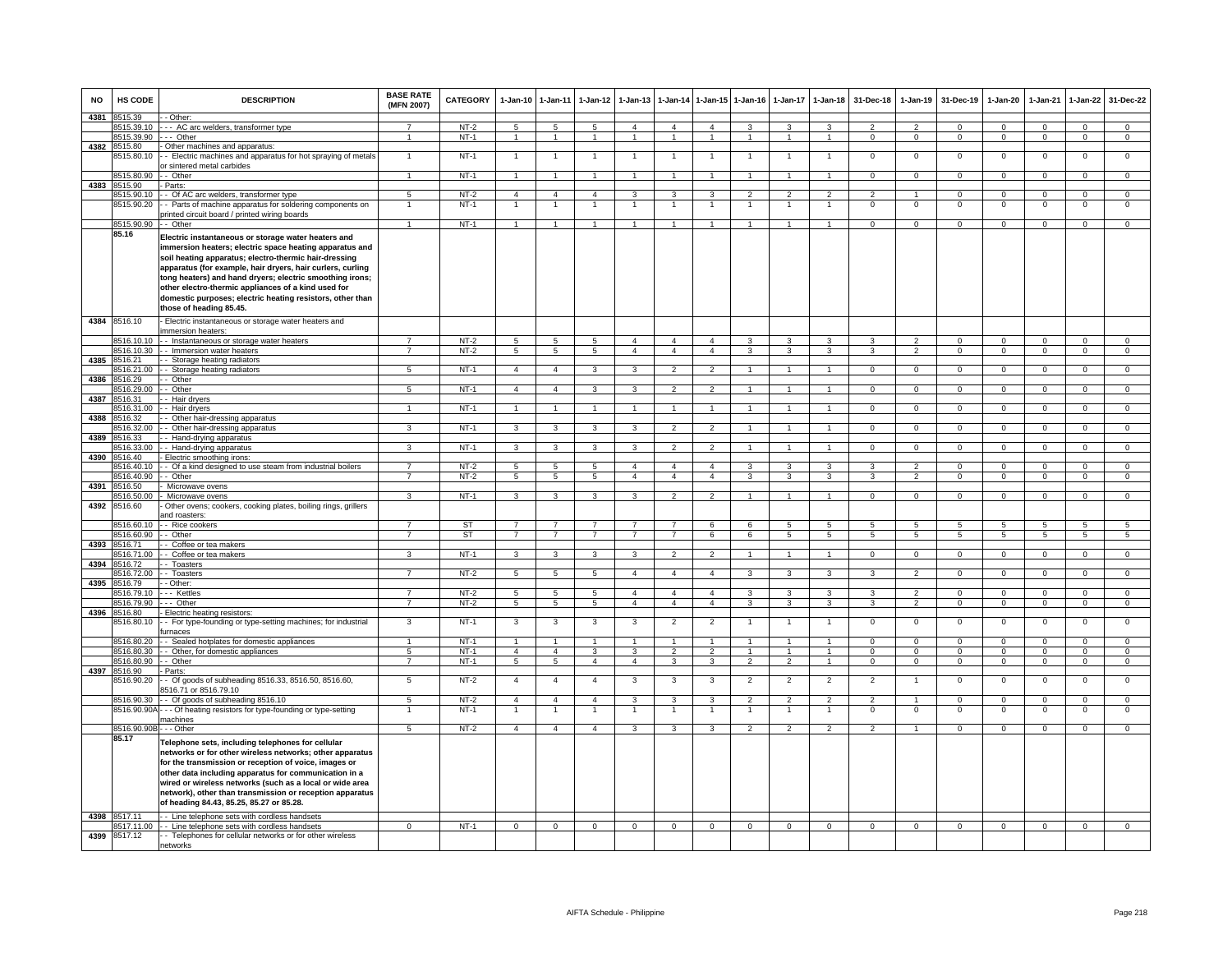| <b>NO</b> | HS CODE                    | <b>DESCRIPTION</b>                                                                                                                                                                                                                                                                                                                                                                                                                               | <b>BASE RATE</b><br>(MFN 2007) | CATEGORY | $1 - Jan-10$   | 1-Jan-11                | $1-Jan-12$              | $1-Jan-13$     | 1-Jan-14                 | $1 - Jan-15$   | $1 - Jan-16$            | $1-Jan-17$              | $1 - Jan-18$         | 31-Dec-18       | $1 - Jan-19$   | 31-Dec-19      | $1-Jan-20$      | 1-Jan-21       | $1 - Jan-22$    | 31-Dec-22       |
|-----------|----------------------------|--------------------------------------------------------------------------------------------------------------------------------------------------------------------------------------------------------------------------------------------------------------------------------------------------------------------------------------------------------------------------------------------------------------------------------------------------|--------------------------------|----------|----------------|-------------------------|-------------------------|----------------|--------------------------|----------------|-------------------------|-------------------------|----------------------|-----------------|----------------|----------------|-----------------|----------------|-----------------|-----------------|
| 4381      | 8515.39                    | - Other:                                                                                                                                                                                                                                                                                                                                                                                                                                         |                                |          |                |                         |                         |                |                          |                |                         |                         |                      |                 |                |                |                 |                |                 |                 |
|           | 8515.39.10                 | --- AC arc welders, transformer type                                                                                                                                                                                                                                                                                                                                                                                                             |                                | $NT-2$   | $\overline{5}$ | -5                      | 5                       | $\overline{4}$ | $\overline{4}$           | $\overline{4}$ | 3                       | 3                       | 3                    |                 |                | $\Omega$       | $\Omega$        | $\Omega$       | $\Omega$        | $\Omega$        |
|           | 8515.39.90                 | --- Other                                                                                                                                                                                                                                                                                                                                                                                                                                        | $\overline{1}$                 | $NT-1$   | $\overline{1}$ | $\overline{1}$          | $\overline{1}$          | $\overline{1}$ | $\overline{1}$           | $\overline{1}$ | $\mathbf{1}$            | $\mathbf{1}$            | $\mathbf{1}$         | $^{\circ}$      | $\overline{0}$ | $\overline{0}$ | $\overline{0}$  | $^{\circ}$     | $\overline{0}$  | $\mathbf{0}$    |
| 4382      | 8515.80<br>8515.80.10      | Other machines and apparatus:<br>- Electric machines and apparatus for hot spraying of metals                                                                                                                                                                                                                                                                                                                                                    | 1                              | $NT-1$   | $\overline{1}$ | $\overline{1}$          | $\mathbf{1}$            | 1              | $\mathbf{1}$             | $\overline{1}$ | $\mathbf{1}$            | -1                      | $\mathbf{1}$         | $\Omega$        | $^{\circ}$     | $\mathbf 0$    | $\overline{0}$  | $^{\circ}$     | $\mathsf 0$     | $\overline{0}$  |
|           | 8515.80.90                 | r sintered metal carbides<br>- Other                                                                                                                                                                                                                                                                                                                                                                                                             | $\mathbf{1}$                   | $NT-1$   | $\overline{1}$ | $\overline{1}$          | $\mathbf{1}$            |                | $\overline{1}$           | $\mathbf{1}$   |                         |                         | $\mathbf{1}$         | $\Omega$        | $\overline{0}$ | $\overline{0}$ | $\overline{0}$  | $\Omega$       | $\overline{0}$  | $\Omega$        |
| 4383      | 8515.90                    | Parts                                                                                                                                                                                                                                                                                                                                                                                                                                            |                                |          |                |                         |                         |                |                          |                |                         |                         |                      |                 |                |                |                 |                |                 |                 |
|           | 8515.90.10                 | - Of AC arc welders, transformer type                                                                                                                                                                                                                                                                                                                                                                                                            | $\overline{5}$                 | $NT-2$   | $\overline{4}$ | $\overline{4}$          | $\overline{4}$          | $\overline{3}$ | $\overline{\mathbf{3}}$  | $\overline{3}$ | $\overline{2}$          | $\overline{2}$          | $\overline{2}$       | $\overline{2}$  | $\overline{1}$ | $\overline{0}$ | $\overline{0}$  | $\overline{0}$ | $\overline{0}$  | $\overline{0}$  |
|           | 8515.90.20                 | - Parts of machine apparatus for soldering components on                                                                                                                                                                                                                                                                                                                                                                                         | $\mathbf{1}$                   | $NT-1$   | $\overline{1}$ | $\overline{1}$          | $\overline{1}$          | $\overline{1}$ | $\overline{1}$           | $\overline{1}$ | $\mathbf{1}$            | $\mathbf{1}$            | $\overline{1}$       | $\Omega$        | $\mathbf 0$    | $\Omega$       | $\mathbf 0$     | $\Omega$       | $\mathsf 0$     | $\overline{0}$  |
|           |                            | printed circuit board / printed wiring boards                                                                                                                                                                                                                                                                                                                                                                                                    |                                |          |                |                         |                         |                |                          |                |                         |                         |                      |                 |                |                |                 |                |                 |                 |
|           | 8515.90.90                 | - Other                                                                                                                                                                                                                                                                                                                                                                                                                                          | $\blacktriangleleft$           | NT-1     | $\overline{1}$ | $\overline{1}$          | $\overline{1}$          | $\overline{ }$ | $\overline{1}$           | $\mathbf{1}$   |                         |                         | $\blacktriangleleft$ | $\mathbf{0}$    | $\mathbf{0}$   | $^{\circ}$     | $\mathbf{0}$    | $^{\circ}$     | $\mathbf 0$     | $\mathbf{0}$    |
|           | 85.16                      | Electric instantaneous or storage water heaters and<br>immersion heaters; electric space heating apparatus and<br>soil heating apparatus; electro-thermic hair-dressing<br>apparatus (for example, hair dryers, hair curlers, curling<br>tong heaters) and hand dryers; electric smoothing irons;<br>other electro-thermic appliances of a kind used for<br>domestic purposes; electric heating resistors, other than<br>those of heading 85.45. |                                |          |                |                         |                         |                |                          |                |                         |                         |                      |                 |                |                |                 |                |                 |                 |
|           | 4384 8516.10               | Electric instantaneous or storage water heaters and<br>immersion heaters:                                                                                                                                                                                                                                                                                                                                                                        |                                |          |                |                         |                         |                |                          |                |                         |                         |                      |                 |                |                |                 |                |                 |                 |
|           |                            | 8516.10.10 - Instantaneous or storage water heaters                                                                                                                                                                                                                                                                                                                                                                                              | $\overline{7}$                 | $NT-2$   | 5              | 5                       | 5                       | $\overline{4}$ | $\overline{4}$           | $\overline{4}$ | 3<br>3                  | $\mathbf{3}$            | 3                    | $\mathbf{3}$    | $\overline{2}$ | $\mathbf{0}$   | $\Omega$        | $\Omega$       | $\mathbf{0}$    | $\Omega$        |
|           | 8516.10.30                 | - Immersion water heaters                                                                                                                                                                                                                                                                                                                                                                                                                        | $\overline{7}$                 | $NT-2$   | 5              | $\overline{5}$          | 5                       | $\overline{4}$ | $\overline{4}$           | $\overline{4}$ |                         | 3                       | 3                    | 3               | $\mathfrak{p}$ | $\Omega$       | $\mathbf 0$     | $\Omega$       | $\overline{0}$  | $\overline{0}$  |
| 4385      | 8516.21                    | - Storage heating radiators                                                                                                                                                                                                                                                                                                                                                                                                                      | 5                              | $NT-1$   | $\overline{4}$ | $\overline{4}$          | 3                       | 3              | $\mathfrak{p}$           | $\mathfrak{p}$ |                         |                         | $\mathbf{1}$         | $\Omega$        | $\Omega$       |                | $\mathbf 0$     | $\Omega$       |                 | $\overline{0}$  |
|           | 3516.21.00<br>8516.29      | -- Storage heating radiators<br>· Other                                                                                                                                                                                                                                                                                                                                                                                                          |                                |          |                |                         |                         |                |                          |                |                         |                         |                      |                 |                | $\mathbf 0$    |                 |                | $\mathsf 0$     |                 |
| 4386      | 8516.29.00                 | - Other                                                                                                                                                                                                                                                                                                                                                                                                                                          | $5\overline{)}$                | $NT-1$   | $\overline{4}$ | $\overline{4}$          | $\mathbf{3}$            | 3              | $\overline{2}$           | $\overline{2}$ | $\overline{1}$          | $\overline{1}$          | $\overline{1}$       | $\overline{0}$  | $\mathbf{0}$   | $\mathbf 0$    | $\overline{0}$  | $\Omega$       | $\mathbf{0}$    | $\overline{0}$  |
| 4387      | 851631                     | Hair dryers                                                                                                                                                                                                                                                                                                                                                                                                                                      |                                |          |                |                         |                         |                |                          |                |                         |                         |                      |                 |                |                |                 |                |                 |                 |
|           | 8516.31.00                 | - Hair dryers                                                                                                                                                                                                                                                                                                                                                                                                                                    | $\mathbf{1}$                   | $NT-1$   | $\overline{1}$ | $\overline{1}$          | $\mathbf{1}$            | $\mathbf{1}$   | $\overline{1}$           | $\overline{1}$ |                         |                         | $\mathbf{1}$         | $\Omega$        | $\mathbf 0$    | $\Omega$       | $\Omega$        | $\Omega$       | $\mathbf 0$     | $\Omega$        |
| 4388      | 8516.32                    | - Other hair-dressing apparatus                                                                                                                                                                                                                                                                                                                                                                                                                  |                                |          |                |                         |                         |                |                          |                |                         |                         |                      |                 |                |                |                 |                |                 |                 |
|           | 8516.32.00                 | - Other hair-dressing apparatus                                                                                                                                                                                                                                                                                                                                                                                                                  | 3                              | NT-1     | $\mathbf{3}$   | 3                       | $\mathbf{3}$            | 3              | $\overline{2}$           | $\overline{2}$ | $\mathbf{1}$            | $\overline{1}$          | $\mathbf{1}$         | $\mathbf{0}$    | $\mathbf 0$    | $\mathbf 0$    | $\mathbf{0}$    | $\mathbf 0$    | $\mathbf{0}$    | $\mathbf{0}$    |
| 4389      | 8516.33                    | - Hand-drying apparatus                                                                                                                                                                                                                                                                                                                                                                                                                          |                                |          |                |                         |                         |                |                          |                |                         |                         |                      |                 |                |                |                 |                |                 |                 |
|           | 516.33.00                  | - Hand-drying apparatus                                                                                                                                                                                                                                                                                                                                                                                                                          | $\mathbf{R}$                   | $NT-1$   | 3              | 3                       | $\mathbf{3}$            | $\mathbf{R}$   | $\overline{2}$           | $\overline{2}$ | $\overline{1}$          | $\mathbf{1}$            | $\sim$               | $\Omega$        | $\mathbf{0}$   | $\Omega$       | $\Omega$        | $\Omega$       | $\circ$         | $\overline{0}$  |
| 4390      | 516.40                     | Electric smoothing irons:                                                                                                                                                                                                                                                                                                                                                                                                                        |                                |          |                |                         |                         |                |                          |                |                         |                         |                      |                 |                |                |                 |                |                 |                 |
|           | 516.40.10                  | - Of a kind designed to use steam from industrial boilers                                                                                                                                                                                                                                                                                                                                                                                        |                                | $NT-2$   | 5              | 5                       | 5                       | $\overline{4}$ | $\overline{4}$           | $\overline{a}$ | 3                       | 3                       | 3                    | 3               | $\mathcal{P}$  | $\Omega$       | $\Omega$        | $\Omega$       | 0               | $\overline{0}$  |
|           | 516.40.90                  | - Other                                                                                                                                                                                                                                                                                                                                                                                                                                          | $\overline{7}$                 | $NT-2$   | 5              | 5                       | 5                       | $\overline{4}$ | $\overline{a}$           | $\mathbf{A}$   | $\mathcal{R}$           | $\mathbf{a}$            | 3                    | 3               | $\mathcal{P}$  | $\mathbf 0$    | $\mathbf 0$     | $\Omega$       | $\mathsf 0$     | $\Omega$        |
| 4391      | 8516.50                    | Microwave ovens                                                                                                                                                                                                                                                                                                                                                                                                                                  |                                |          |                |                         |                         |                |                          |                |                         |                         |                      |                 |                |                |                 |                |                 |                 |
|           | 516.50.00                  | Microwave ovens                                                                                                                                                                                                                                                                                                                                                                                                                                  | $\overline{\mathbf{3}}$        | $NT-1$   | 3              | 3                       | $\overline{\mathbf{3}}$ | 3              | $\overline{2}$           | $\overline{2}$ | $\overline{1}$          | $\mathbf{1}$            | $\overline{1}$       | $\overline{0}$  | $\overline{0}$ | $\Omega$       | $\overline{0}$  | $\Omega$       | $\overline{0}$  | $\overline{0}$  |
| 4392      | 8516.60                    | Other ovens; cookers, cooking plates, boiling rings, grillers                                                                                                                                                                                                                                                                                                                                                                                    |                                |          |                |                         |                         |                |                          |                |                         |                         |                      |                 |                |                |                 |                |                 |                 |
|           |                            | and roasters:                                                                                                                                                                                                                                                                                                                                                                                                                                    |                                |          |                |                         |                         |                |                          |                |                         |                         |                      |                 |                |                |                 |                |                 |                 |
|           | 8516.60.10                 | - - Rice cookers                                                                                                                                                                                                                                                                                                                                                                                                                                 | $\overline{7}$                 | ST       | $\overline{7}$ | $\overline{7}$          | $\overline{7}$          | $\overline{7}$ | $\overline{7}$           | 6              | 6                       | -5                      | $5\overline{5}$      | 5               | 5              | 5              | 5               | $\sqrt{5}$     | 5               | $5^{\circ}$     |
|           | 3516.60.90<br>8516.71      | - Other<br>- Coffee or tea makers                                                                                                                                                                                                                                                                                                                                                                                                                | $\overline{7}$                 | ST       | $\overline{7}$ | $\overline{7}$          | $7\overline{ }$         | $\overline{7}$ | $\overline{7}$           | 6              | 6                       | 5                       | $5\phantom{.0}$      | $5\phantom{.0}$ | 5              | 5              | $5\phantom{.0}$ | 5              | $5\phantom{.0}$ | $5\overline{5}$ |
| 4393      | 516.71.00                  | - Coffee or tea makers                                                                                                                                                                                                                                                                                                                                                                                                                           | 3                              | $NT-1$   | $\overline{3}$ | $\overline{\mathbf{3}}$ | 3                       | 3              | $\overline{\phantom{a}}$ | $\overline{2}$ | $\overline{1}$          | $\mathbf{1}$            | $\overline{1}$       | $\overline{0}$  | $\overline{0}$ | $\overline{0}$ | $\overline{0}$  | $\overline{0}$ | $\overline{0}$  | $\overline{0}$  |
| 4394      | 8516.72                    | - Toasters                                                                                                                                                                                                                                                                                                                                                                                                                                       |                                |          |                |                         |                         |                |                          |                |                         |                         |                      |                 |                |                |                 |                |                 |                 |
|           | 8516.72.00                 | - - Toasters                                                                                                                                                                                                                                                                                                                                                                                                                                     | $\overline{7}$                 | $NT-2$   | 5              | 5                       | $5\overline{5}$         | $\overline{4}$ | $\overline{4}$           | $\overline{4}$ | 3                       | 3                       | $\mathbf{3}$         | $\mathbf{3}$    | $\overline{2}$ | $\mathbf 0$    | $\mathbf 0$     | $\mathbf 0$    | $\mathbf 0$     | $\overline{0}$  |
| 4395      | 8516.79                    | - Other:                                                                                                                                                                                                                                                                                                                                                                                                                                         |                                |          |                |                         |                         |                |                          |                |                         |                         |                      |                 |                |                |                 |                |                 |                 |
|           | 8516.79.10                 | -- Kettles                                                                                                                                                                                                                                                                                                                                                                                                                                       | $\overline{7}$                 | $NT-2$   | 5              | 5                       | $\overline{5}$          | $\overline{4}$ | $\overline{4}$           | $\overline{4}$ | 3                       | 3                       | $\overline{3}$       | 3               | $\overline{2}$ | $\overline{0}$ | $\overline{0}$  | $\overline{0}$ | $\overline{0}$  | $\overline{0}$  |
|           | 8516.79.90                 | -- Other                                                                                                                                                                                                                                                                                                                                                                                                                                         | $\overline{7}$                 | $NT-2$   | 5              | $\overline{5}$          | $\overline{5}$          | $\overline{4}$ | $\overline{4}$           | $\overline{4}$ | $\overline{\mathbf{3}}$ | 3                       | 3                    | 3               | $\overline{2}$ | $\overline{0}$ | $\overline{0}$  | $\overline{0}$ | $\overline{0}$  | $\overline{0}$  |
| 4396      | 8516.80                    | Electric heating resistors:                                                                                                                                                                                                                                                                                                                                                                                                                      |                                |          |                |                         |                         |                |                          |                |                         |                         |                      |                 |                |                |                 |                |                 |                 |
|           | 8516.80.10                 | - For type-founding or type-setting machines; for industrial<br>furnaces                                                                                                                                                                                                                                                                                                                                                                         | 3                              | $NT-1$   | $\mathbf{3}$   | 3                       | $\mathbf{3}$            | 3              | $\overline{2}$           | $\overline{2}$ | $\mathbf{1}$            | $\mathbf{1}$            | $\mathbf{1}$         | $\mathbf{0}$    | $\mathbf 0$    | $\mathbf 0$    | $\mathbf 0$     | $\mathbf 0$    | $\mathbf 0$     | $\mathbf 0$     |
|           | 8516.80.20                 | - Sealed hotplates for domestic appliances                                                                                                                                                                                                                                                                                                                                                                                                       | $\blacktriangleleft$           | $NT-1$   | $\overline{1}$ | $\overline{1}$          | $\mathbf{1}$            | $\overline{1}$ | $\overline{1}$           | $\mathbf{1}$   | $\overline{1}$          | $\mathbf{1}$            | $\overline{1}$       | $\Omega$        | $\Omega$       | $\Omega$       | $\Omega$        | $\Omega$       | $\Omega$        | $\Omega$        |
|           | 3516.80.30                 | - Other, for domestic appliances                                                                                                                                                                                                                                                                                                                                                                                                                 | 5                              | $NT-1$   | $\overline{4}$ | $\overline{4}$          | 3                       | 3              | $\overline{2}$           | $\overline{2}$ | $\overline{1}$          | $\mathbf{1}$            | $\mathbf{1}$         | $\mathsf 0$     | $\mathbf 0$    | $\mathbf 0$    | $\mathbf 0$     | $\mathbf 0$    | $\mathbf 0$     | $\mathbf 0$     |
|           | 8516.80.90                 | - Other                                                                                                                                                                                                                                                                                                                                                                                                                                          | $\overline{7}$                 | $NT-1$   | 5              | $\overline{5}$          | $\overline{4}$          | $\overline{4}$ | 3                        | 3              | $\overline{2}$          | $\overline{\mathbf{c}}$ | $\mathbf{1}$         | $\mathsf 0$     | $\mathsf 0$    | $\mathbf 0$    | $\mathbf 0$     | $\Omega$       | $\mathsf 0$     | $\overline{0}$  |
|           | 4397 8516.90<br>8516.90.20 | Parts:<br>- Of goods of subheading 8516.33, 8516.50, 8516.60,<br>3516.71 or 8516.79.10                                                                                                                                                                                                                                                                                                                                                           | $5\phantom{.0}$                | $NT-2$   | $\overline{4}$ | $\overline{4}$          | $\overline{4}$          | 3              | 3                        | 3              | $\overline{2}$          | 2                       | $\overline{2}$       | $\overline{2}$  | $\overline{1}$ | $\mathbf{0}$   | $\mathbf 0$     | $^{\circ}$     | $\mathbf 0$     | $\mathbf 0$     |
|           | 8516.90.30                 | -- Of goods of subheading 8516.10                                                                                                                                                                                                                                                                                                                                                                                                                | $\overline{5}$                 | NT-2     | $\overline{4}$ | $\overline{4}$          | $\overline{4}$          | 3              | 3                        | 3              | $\mathfrak{p}$          | $\mathfrak{p}$          | $\overline{2}$       | $\overline{2}$  | $\mathbf{1}$   | $\Omega$       | $\mathbf 0$     | $\mathbf 0$    | $\mathsf 0$     | $\mathbf 0$     |
|           |                            | 8516.90.90A - - - Of heating resistors for type-founding or type-setting<br>machines                                                                                                                                                                                                                                                                                                                                                             |                                | $NT-1$   |                | $\mathbf{1}$            |                         |                |                          |                |                         |                         | $\overline{1}$       | $\mathbf 0$     | $\Omega$       | $\Omega$       | $\mathbf 0$     | $\Omega$       | $\mathbf 0$     | $\mathbf 0$     |
|           | 8516.90.90B                | - - Other                                                                                                                                                                                                                                                                                                                                                                                                                                        | $5\overline{5}$                | $NT-2$   | $\overline{4}$ | $\overline{4}$          | $\overline{4}$          | 3              | $\mathbf{3}$             | 3              | $\overline{2}$          | 2                       | $\overline{2}$       | $\overline{2}$  | $\overline{1}$ | $\mathbf{0}$   | $\mathbf{0}$    | $^{\circ}$     | $\mathbf{0}$    | $\overline{0}$  |
|           | 85.17                      | Telephone sets, including telephones for cellular<br>networks or for other wireless networks; other apparatus<br>for the transmission or reception of voice, images or<br>other data including apparatus for communication in a<br>wired or wireless networks (such as a local or wide area<br>network), other than transmission or reception apparatus<br>of heading 84.43, 85.25, 85.27 or 85.28.                                              |                                |          |                |                         |                         |                |                          |                |                         |                         |                      |                 |                |                |                 |                |                 |                 |
|           | 4398 8517.11               | - - Line telephone sets with cordless handsets                                                                                                                                                                                                                                                                                                                                                                                                   |                                |          |                |                         |                         |                |                          |                |                         |                         |                      |                 |                |                |                 |                |                 |                 |
|           |                            | 8517.11.00 - - Line telephone sets with cordless handsets                                                                                                                                                                                                                                                                                                                                                                                        | $\Omega$                       | $NT-1$   | $\overline{0}$ | $\overline{0}$          | $\overline{0}$          | $\overline{0}$ | $\overline{0}$           | $\overline{0}$ | $\overline{0}$          | $\overline{0}$          | $\overline{0}$       | $\Omega$        | $\overline{0}$ | $\overline{0}$ | $\Omega$        | $\overline{0}$ | $\overline{0}$  | $\Omega$        |
| 4399      | 8517.12                    | - Telephones for cellular networks or for other wireless<br>networks                                                                                                                                                                                                                                                                                                                                                                             |                                |          |                |                         |                         |                |                          |                |                         |                         |                      |                 |                |                |                 |                |                 |                 |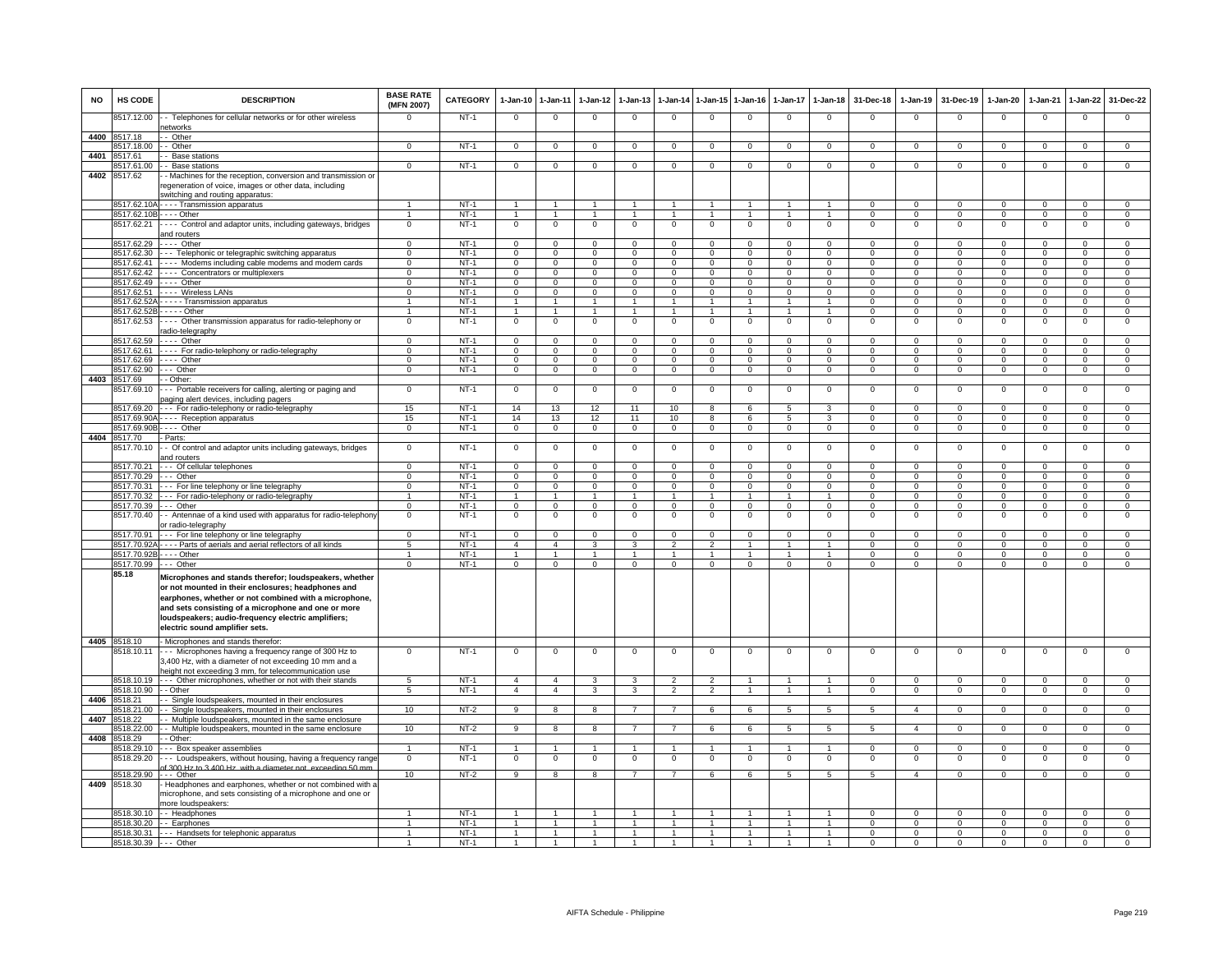| <b>NO</b> | HS CODE                    | <b>DESCRIPTION</b>                                                                                                                                                                                                                                                                                                   | <b>BASE RATE</b><br>(MFN 2007) | <b>CATEGORY</b>  | 1-Jan-10 1-Jan-11                |                                  | $1-Jan-12$                     | $1 - Jan-13$                  | $1-Jan-14$                       | 1-Jan-15 1-Jan-16                |                              | $1-Jan-17$                   | $1 - Jan-18$                   | 31-Dec-18                        | $1-Jan-19$                       | 31-Dec-19                  | $1-Jan-20$                       | $1-Jan-21$                       | $1-Jan-22$                       | 31-Dec-22                        |
|-----------|----------------------------|----------------------------------------------------------------------------------------------------------------------------------------------------------------------------------------------------------------------------------------------------------------------------------------------------------------------|--------------------------------|------------------|----------------------------------|----------------------------------|--------------------------------|-------------------------------|----------------------------------|----------------------------------|------------------------------|------------------------------|--------------------------------|----------------------------------|----------------------------------|----------------------------|----------------------------------|----------------------------------|----------------------------------|----------------------------------|
|           | 8517.12.00                 | - Telephones for cellular networks or for other wireless<br>networks                                                                                                                                                                                                                                                 | $\Omega$                       | $NT-1$           | $\overline{0}$                   | $\mathbf 0$                      | $^{\circ}$                     | $^{\circ}$                    | $\overline{0}$                   | $^{\circ}$                       | $\mathbf 0$                  | $^{\circ}$                   | $^{\circ}$                     | $\mathbf{0}$                     | $\mathbf 0$                      | $^{\circ}$                 | $^{\circ}$                       | $^{\circ}$                       | $\mathbf{0}$                     | $\mathbf{O}$                     |
|           | 4400 8517.18               | - Other                                                                                                                                                                                                                                                                                                              |                                |                  |                                  |                                  |                                |                               |                                  |                                  |                              |                              |                                |                                  |                                  |                            |                                  |                                  |                                  |                                  |
| 4401      | 8517.18.00<br>517.61       | - Other<br>- Base stations                                                                                                                                                                                                                                                                                           | $\Omega$                       | $NT-1$           | $\overline{0}$                   | $\overline{0}$                   | $\mathbf{0}$                   | $\Omega$                      | $\mathbf{0}$                     | $\mathbf 0$                      | $\Omega$                     | $\Omega$                     | $\Omega$                       | $\Omega$                         | $\mathbf 0$                      | $\Omega$                   | $\mathbf{O}$                     | $\Omega$                         | $\mathbf 0$                      | $\overline{0}$                   |
|           | 517.61.00                  | - Base stations                                                                                                                                                                                                                                                                                                      | $\Omega$                       | $NT-1$           | $\mathsf 0$                      | $\mathbf 0$                      | $\mathbf 0$                    | $\Omega$                      | $\mathbf 0$                      | $\Omega$                         | $\Omega$                     | 0                            | $\mathbf 0$                    | $\Omega$                         | $\mathbf 0$                      | $\Omega$                   | $\mathsf 0$                      | $\Omega$                         | $\mathbf 0$                      | $\mathbf{O}$                     |
| 4402      | 8517.62                    | - Machines for the reception, conversion and transmission or                                                                                                                                                                                                                                                         |                                |                  |                                  |                                  |                                |                               |                                  |                                  |                              |                              |                                |                                  |                                  |                            |                                  |                                  |                                  |                                  |
|           |                            | egeneration of voice, images or other data, including<br>switching and routing apparatus:                                                                                                                                                                                                                            |                                |                  |                                  |                                  |                                |                               |                                  |                                  |                              |                              |                                |                                  |                                  |                            |                                  |                                  |                                  |                                  |
|           | 8517.62.10/                | Transmission apparatus                                                                                                                                                                                                                                                                                               |                                | $NT-1$           | $\overline{1}$                   | $\overline{1}$                   | $\mathbf{1}$                   |                               | $\overline{1}$                   |                                  |                              | $\mathbf{1}$                 | $\blacktriangleleft$           | $\Omega$                         | $\overline{0}$                   | $\Omega$                   | $\overline{0}$                   | $\overline{0}$                   | $\overline{0}$                   | $\overline{0}$                   |
|           | 8517.62.10B - - - - Other  |                                                                                                                                                                                                                                                                                                                      |                                | $NT-1$           | $\mathbf{1}$                     | $\overline{1}$                   | $\mathbf{1}$                   |                               | $\overline{1}$                   | $\blacktriangleleft$             |                              |                              | $\mathbf{1}$                   | $\Omega$                         | $\Omega$                         | $\Omega$                   | $\Omega$                         | $\Omega$                         | $\overline{0}$                   | $\overline{0}$                   |
|           | 8517.62.21                 | ---- Control and adaptor units, including gateways, bridges<br>and routers                                                                                                                                                                                                                                           | $\mathbf 0$                    | $NT-1$           | $\mathbf 0$                      | $\mathbf 0$                      | $\mathbf 0$                    | $\mathbf 0$                   | $\mathbf 0$                      | $\mathbf 0$                      | $\mathbf 0$                  | $\mathbf 0$                  | $\mathbf 0$                    | $\mathbf 0$                      | $^{\circ}$                       | $\mathbf 0$                | $^{\circ}$                       | $\mathbf 0$                      | $\mathbf 0$                      | $\mathbf{O}$                     |
|           | 8517.62.29<br>8517.62.30   | $---$ Other<br>--- Telephonic or telegraphic switching apparatus                                                                                                                                                                                                                                                     | $\Omega$<br>$\overline{0}$     | $NT-1$<br>$NT-1$ | $\Omega$<br>$\overline{0}$       | $\mathbf 0$<br>$\overline{0}$    | $\Omega$<br>$\overline{0}$     | $\Omega$<br>$\overline{0}$    | $\Omega$<br>$\overline{0}$       | $\mathbf{0}$<br>$\overline{0}$   | $\Omega$<br>$\overline{0}$   | $\Omega$<br>$\Omega$         | $\Omega$<br>$\overline{0}$     | $\Omega$<br>$\Omega$             | $\Omega$<br>$\Omega$             | $\Omega$<br>$\Omega$       | $\Omega$<br>$\Omega$             | $\Omega$<br>$\overline{0}$       | $\Omega$<br>$\overline{0}$       | $\mathbf{O}$<br>$\overline{0}$   |
|           |                            | 8517.62.41 ---- Modems including cable modems and modem cards                                                                                                                                                                                                                                                        | $\overline{0}$                 | $NT-1$           | $\overline{0}$                   | $\overline{0}$                   | $\overline{0}$                 | $\overline{0}$                | $\overline{0}$                   | $\overline{0}$                   | $\overline{0}$               | $\Omega$                     | $\overline{0}$                 | $\overline{0}$                   | $\overline{0}$                   | $\overline{0}$             | $\overline{0}$                   | $\overline{0}$                   | $\overline{0}$                   | $\overline{0}$                   |
|           | 8517.62.42                 | - - - - Concentrators or multiplexers                                                                                                                                                                                                                                                                                | 0                              | $NT-1$           | $\mathbf 0$                      | $\mathbf{0}$                     | $\mathbf{0}$                   | $\mathsf 0$                   | $\mathbf 0$                      | $\mathbf 0$                      | $\mathbf 0$                  | $\mathbf 0$                  | $\mathbf 0$                    | $^{\circ}$                       | $\mathbf 0$                      | $^{\circ}$                 | $\mathbf 0$                      | $^{\circ}$                       | $\mathbf 0$                      | $\mathbf 0$                      |
|           | 8517.62.49 ---- Other      |                                                                                                                                                                                                                                                                                                                      | $\mathbf 0$                    | $NT-1$           | $\overline{0}$                   | $\overline{0}$                   | $\mathbf{0}$                   | $\mathbf 0$                   | $\mathbf 0$                      | $\mathbf 0$                      | $\mathbf{0}$                 | $\mathbf 0$                  | $\mathbf{0}$                   | $\mathbf 0$                      | $\mathbf 0$                      | $\mathbf 0$                | $\mathbf{O}$                     | $\Omega$                         | $\mathbf 0$                      | $\overline{0}$                   |
|           |                            | 8517.62.51 ---- Wireless LANs                                                                                                                                                                                                                                                                                        | $\mathbf 0$                    | $NT-1$           | $\overline{0}$                   | $\overline{0}$                   | $\mathbf{0}$                   | $\overline{0}$                | $\overline{0}$                   | $\mathsf 0$                      | $\mathbf 0$                  | $\mathbf 0$                  | $\mathsf 0$                    | $\mathbf 0$                      | $\circ$                          | $\mathbf 0$                | $\mathsf 0$                      | $\mathbf{0}$                     | $\mathsf 0$                      | $\overline{0}$                   |
|           | 8517.62.52A<br>8517.62.52B | Transmission apparatus<br>$---$ Other                                                                                                                                                                                                                                                                                | $\mathbf{1}$                   | $NT-1$<br>$NT-1$ | $\overline{1}$<br>$\overline{1}$ | $\overline{1}$<br>$\overline{1}$ | $\mathbf{1}$<br>$\overline{1}$ | $\overline{1}$                | $\overline{1}$<br>$\overline{1}$ | $\overline{1}$<br>$\overline{1}$ | $\mathbf{1}$<br>$\mathbf{1}$ | $\mathbf{1}$                 | $\mathbf{1}$<br>$\overline{1}$ | $\overline{0}$<br>$\overline{0}$ | $\overline{0}$<br>$\overline{0}$ | $\Omega$<br>$\overline{0}$ | $\overline{0}$<br>$\overline{0}$ | $\overline{0}$<br>$\overline{0}$ | $\overline{0}$<br>$\overline{0}$ | $\overline{0}$<br>$\overline{0}$ |
|           | 8517.62.53                 | ---- Other transmission apparatus for radio-telephony or                                                                                                                                                                                                                                                             | $\mathbf 0$                    | $NT-1$           | $\mathbf 0$                      | $\mathbf 0$                      | $\mathbf 0$                    | $\mathbf 0$                   | $\mathbf 0$                      | $\mathbf 0$                      | $\mathbf 0$                  | $\mathbf 0$                  | $\mathbf 0$                    | $\mathbf 0$                      | $\mathbf 0$                      | $\mathbf 0$                | $\mathbf 0$                      | $\mathbf 0$                      | $\mathbf 0$                      | $\mathsf 0$                      |
|           | 8517.62.59 ---- Other      | radio-telegraphy                                                                                                                                                                                                                                                                                                     | $\Omega$                       | $NT-1$           | $\overline{0}$                   | $\Omega$                         | $\Omega$                       | $\Omega$                      | $\Omega$                         | $\Omega$                         | $\Omega$                     | $\Omega$                     | $\Omega$                       | $\Omega$                         | $\Omega$                         | $\Omega$                   | $\Omega$                         | $\Omega$                         | $\Omega$                         | $\Omega$                         |
|           |                            | 8517.62.61 ---- For radio-telephony or radio-telegraphy                                                                                                                                                                                                                                                              | $\Omega$                       | $NT-1$           | $\Omega$                         | $\overline{0}$                   | $\Omega$                       | $\overline{0}$                | $\Omega$                         | $\Omega$                         | $\overline{0}$               | $\Omega$                     | $\Omega$                       | $\Omega$                         | $\Omega$                         | $\Omega$                   | $\Omega$                         | $\Omega$                         | $\Omega$                         | $\overline{0}$                   |
|           | 8517.62.69                 | $\cdots$ Other                                                                                                                                                                                                                                                                                                       | $\Omega$                       | $NT-1$           | $\overline{0}$                   | $\overline{0}$                   | $\overline{0}$                 | $\overline{0}$                | $\overline{0}$                   | $\overline{0}$                   | $\overline{0}$               | $\Omega$                     | $\overline{0}$                 | $\Omega$                         | $\overline{0}$                   | $\Omega$                   | $\overline{0}$                   | $\overline{0}$                   | $\overline{0}$                   | $\overline{0}$                   |
|           | 8517.62.90                 | --- Other                                                                                                                                                                                                                                                                                                            | $\mathbf 0$                    | $NT-1$           | $\overline{0}$                   | $\overline{0}$                   | $\mathbf{0}$                   | $\mathbf 0$                   | $\mathbf 0$                      | $\mathbf{0}$                     | $\mathbf{0}$                 | 0                            | $\mathbf{0}$                   | $\mathbf 0$                      | $\mathbf 0$                      | $\mathbf 0$                | $\mathbf{O}$                     | $\mathbf 0$                      | $\mathbf 0$                      | $\mathbf{O}$                     |
| 4403      | 8517.69                    | - - Other:                                                                                                                                                                                                                                                                                                           |                                |                  |                                  |                                  |                                |                               |                                  |                                  |                              |                              |                                |                                  |                                  |                            |                                  |                                  |                                  |                                  |
|           | 8517.69.10                 | --- Portable receivers for calling, alerting or paging and<br>paging alert devices, including pagers                                                                                                                                                                                                                 | 0                              | $NT-1$           | $\mathbf 0$                      | $\mathbf 0$                      | $\mathbf{0}$                   | $\overline{0}$                | 0                                | $\mathbf 0$                      | 0                            | $^{\circ}$                   | 0                              | 0                                | $\mathbf{0}$                     | 0                          | $\mathbf 0$                      | 0                                | $\mathbf{0}$                     | $\overline{0}$                   |
|           | 8517.69.20                 | --- For radio-telephony or radio-telegraphy                                                                                                                                                                                                                                                                          | 15                             | $NT-1$           | 14                               | 13                               | 12                             | 11                            | 10                               | 8                                | 6                            | 5                            | $\overline{3}$                 | $\overline{0}$                   | $\overline{0}$                   | $\overline{0}$             | $\overline{0}$                   | $\overline{0}$                   | $\overline{0}$                   | $\overline{0}$                   |
|           |                            | 8517.69.90A - - - - Reception apparatus                                                                                                                                                                                                                                                                              | 15                             | $NT-1$           | 14                               | 13                               | 12                             | 11                            | 10                               | $\mathbf{R}$                     | 6                            | 5.                           | 3                              | $\Omega$                         | $\Omega$                         | $\Omega$                   | $\Omega$                         | $\Omega$                         | $\Omega$                         | $\mathbf{O}$                     |
|           | 8517.69.90B                | $- - -$ Other                                                                                                                                                                                                                                                                                                        | $\mathbf{0}$                   | $NT-1$           | $\circ$                          | $\overline{0}$                   | $\overline{0}$                 | $\mathbf{0}$                  | $\circ$                          | $\mathbf{0}$                     | $\mathbf 0$                  | $\Omega$                     | $\mathbf 0$                    | $\Omega$                         | $\mathbf{0}$                     | $\Omega$                   | $\mathbf{O}$                     | $\mathbf{0}$                     | $\mathbf{0}$                     | $\mathbf 0$                      |
|           | 4404 8517.70               | - Parts:                                                                                                                                                                                                                                                                                                             |                                |                  |                                  |                                  |                                |                               |                                  |                                  |                              |                              |                                |                                  |                                  |                            |                                  |                                  |                                  |                                  |
|           | 8517.70.10                 | - Of control and adaptor units including gateways, bridges<br>and routers                                                                                                                                                                                                                                            | $\mathbf{0}$                   | $NT-1$           | $\mathbf 0$                      | $\mathbf 0$                      | $^{\circ}$                     | $\overline{0}$                | $\mathbf 0$                      | 0                                | $\mathbf{0}$                 | $^{\circ}$                   | $\mathbf 0$                    | $\mathbf 0$                      | $\mathbf{0}$                     | $^{\circ}$                 | $\mathbf 0$                      | 0                                | 0                                | $\mathbf{O}$                     |
|           | 8517.70.21                 | - - Of cellular telephones                                                                                                                                                                                                                                                                                           | $\mathbf 0$                    | $NT-1$           | $\mathbf 0$                      | $\mathbf 0$                      | $\mathbf 0$                    | $\Omega$                      | $\mathbf 0$                      | $\mathbf 0$                      | $\mathbf 0$<br>$\Omega$      | $\Omega$                     | $\mathbf 0$                    | $\mathsf 0$<br>$\Omega$          | $\mathbf 0$                      | $\mathbf 0$<br>$\Omega$    | $\mathsf 0$                      | $\mathbf 0$<br>$\Omega$          | $\mathbf 0$                      | $\mathbf{O}$                     |
|           | 8517.70.29                 | $-$ Other<br>8517.70.31 - - - For line telephony or line telegraphy                                                                                                                                                                                                                                                  | $\mathbf 0$<br>$\mathbf 0$     | $NT-1$<br>$NT-1$ | $\mathbf 0$<br>$\overline{0}$    | $\mathbf 0$<br>$\overline{0}$    | $\mathbf 0$<br>$\mathbf{0}$    | $\mathbf 0$<br>$\overline{0}$ | $\mathbf 0$<br>$\mathbf 0$       | $\mathbf 0$<br>$\mathbf 0$       | $\Omega$                     | 0<br>$\Omega$                | $\mathbf 0$<br>$\mathbf 0$     | $\Omega$                         | $\mathbf 0$<br>$\Omega$          | $\Omega$                   | $\mathbf 0$<br>$\mathbf{0}$      | $\Omega$                         | $\mathbf 0$<br>$\mathbf 0$       | 0<br>$\overline{0}$              |
|           | 8517.70.32                 | - - - For radio-telephony or radio-telegraphy                                                                                                                                                                                                                                                                        | $\mathbf{1}$                   | $NT-1$           | $\overline{1}$                   | $\overline{1}$                   | $\mathbf{1}$                   | $\overline{1}$                | $\overline{1}$                   | $\mathbf{1}$                     | $\mathbf{1}$                 | $\mathbf{1}$                 | $\overline{1}$                 | $\mathbf 0$                      | $\mathbf{0}$                     | $^{\circ}$                 | $\mathsf 0$                      | $\mathbf 0$                      | $\mathbf 0$                      | $\overline{0}$                   |
|           | 8517.70.39 --- Other       |                                                                                                                                                                                                                                                                                                                      | $\Omega$                       | $NT-1$           | $\overline{0}$                   | $\overline{0}$                   | $\overline{0}$                 | $\overline{0}$                | $\overline{0}$                   | $\Omega$                         | $\Omega$                     | $\Omega$                     | $\Omega$                       | $\Omega$                         | $\Omega$                         | $\Omega$                   | $\Omega$                         | $\Omega$                         | $\overline{0}$                   | $\overline{0}$                   |
|           | 8517.70.40                 | - Antennae of a kind used with apparatus for radio-telephony<br>or radio-telegraphy                                                                                                                                                                                                                                  | $\overline{0}$                 | $NT-1$           | $\overline{0}$                   | $\overline{0}$                   | $\overline{0}$                 | $\overline{0}$                | $\overline{0}$                   | $\overline{0}$                   | $\overline{0}$               | $\overline{0}$               | $\overline{0}$                 | $\overline{0}$                   | $\overline{0}$                   | $\overline{0}$             | $\overline{0}$                   | $\overline{0}$                   | $\overline{0}$                   | $\overline{0}$                   |
|           |                            | 8517.70.91 --- For line telephony or line telegraphy                                                                                                                                                                                                                                                                 | $\Omega$                       | $NT-1$           | $\mathbf{0}$                     | $\mathbf{0}$                     | $\Omega$                       | $\Omega$                      | $\mathbf{0}$                     | $\Omega$                         | $\Omega$                     | $\Omega$                     | $\Omega$                       | $\Omega$                         | $\circ$                          | $\Omega$                   | $\Omega$                         | $\Omega$                         | $\Omega$                         | $\Omega$                         |
|           | 8517.70.92B - - - - Other  | 8517.70.92A - - - - Parts of aerials and aerial reflectors of all kinds                                                                                                                                                                                                                                              | 5<br>$\mathbf{1}$              | $NT-1$<br>$NT-1$ | $\overline{4}$<br>$\overline{1}$ | $\overline{4}$<br>$\overline{1}$ | 3<br>$\mathbf{1}$              | 3<br>$\mathbf{1}$             | $\overline{2}$<br>$\overline{1}$ | $\overline{2}$<br>$\overline{1}$ | $\mathbf{1}$<br>$\mathbf{1}$ | $\mathbf{1}$<br>$\mathbf{1}$ | $\mathbf{1}$<br>$\overline{1}$ | $\Omega$<br>$\Omega$             | $\circ$                          | $^{\circ}$                 | $\mathbf{0}$                     | $\mathbf{0}$                     | $^{\circ}$                       | $\mathbf{0}$<br>$\overline{0}$   |
|           | 8517.70.99                 | --- Other                                                                                                                                                                                                                                                                                                            | $\mathbf 0$                    | $NT-1$           | $\mathsf 0$                      | $\overline{0}$                   | $\mathsf 0$                    | $\overline{0}$                | $\mathbf 0$                      | $\mathbf 0$                      | $\mathbf 0$                  | $\Omega$                     | $\Omega$                       | $\Omega$                         | $\mathbf{0}$<br>$^{\circ}$       | $\mathbf{0}$<br>$\Omega$   | $^{\circ}$<br>0                  | $^{\circ}$<br>$\Omega$           | $\mathbf 0$<br>$\mathbf 0$       | $\mathbf{O}$                     |
|           | 85.18                      | Microphones and stands therefor; loudspeakers, whether<br>or not mounted in their enclosures; headphones and<br>earphones, whether or not combined with a microphone,<br>and sets consisting of a microphone and one or more<br>loudspeakers; audio-frequency electric amplifiers;<br>electric sound amplifier sets. |                                |                  |                                  |                                  |                                |                               |                                  |                                  |                              |                              |                                |                                  |                                  |                            |                                  |                                  |                                  |                                  |
|           | 4405 8518.10               | - Microphones and stands therefor:                                                                                                                                                                                                                                                                                   | $\Omega$                       |                  |                                  |                                  |                                |                               |                                  |                                  |                              |                              |                                |                                  |                                  |                            |                                  |                                  |                                  |                                  |
|           | 8518.10.11                 | --- Microphones having a frequency range of 300 Hz to<br>3,400 Hz, with a diameter of not exceeding 10 mm and a                                                                                                                                                                                                      |                                | $NT-1$           | $^{\circ}$                       | $\overline{0}$                   | $^{\circ}$                     | $^{\circ}$                    | $\overline{0}$                   | $^{\circ}$                       | $\mathbf{0}$                 | $\mathbf 0$                  | $^{\circ}$                     | $^{\circ}$                       | $\mathbf 0$                      | $^{\circ}$                 | $^{\circ}$                       | $^{\circ}$                       | $\mathbf 0$                      | $\mathbf{0}$                     |
|           |                            | height not exceeding 3 mm, for telecommunication use<br>8518.10.19 --- Other microphones, whether or not with their stands                                                                                                                                                                                           | 5                              | $NT-1$           | $\overline{4}$                   | $\overline{4}$                   | 3                              | 3                             | $\overline{2}$                   | $\overline{2}$                   | 1                            | $\mathbf{1}$                 | $\mathbf{1}$                   | $\mathsf 0$                      | $\mathbf 0$                      | $\mathbf 0$                | $\mathbf 0$                      | $\mathbf 0$                      | $\mathbf 0$                      | 0                                |
|           | 8518.10.90                 | - Other                                                                                                                                                                                                                                                                                                              | 5                              | $NT-1$           | $\overline{4}$                   | $\overline{4}$                   | $\overline{3}$                 | $\overline{\mathbf{3}}$       | $\overline{2}$                   | $\overline{2}$                   | $\overline{1}$               | $\mathbf{1}$                 | $\overline{1}$                 | $\overline{0}$                   | $\overline{0}$                   | $\Omega$                   | $\overline{0}$                   | $\overline{0}$                   | $\overline{0}$                   | $\overline{0}$                   |
|           | 4406 8518.21               | - Single loudspeakers, mounted in their enclosures                                                                                                                                                                                                                                                                   |                                |                  |                                  |                                  |                                |                               |                                  |                                  |                              |                              |                                |                                  |                                  |                            |                                  |                                  |                                  |                                  |
|           | 8518.21.00                 | - - Single loudspeakers, mounted in their enclosures                                                                                                                                                                                                                                                                 | 10                             | $NT-2$           | $\overline{9}$                   | $\overline{\mathbf{8}}$          | $\overline{\mathbf{8}}$        | $\overline{7}$                | $\overline{7}$                   | 6                                | 6                            | $\overline{5}$               | 5                              | $5\overline{5}$                  | $\overline{4}$                   | $\Omega$                   | $\overline{0}$                   | $\overline{0}$                   | $\overline{0}$                   | $\overline{0}$                   |
| 4407      | 8518.22<br>8518.22.00      | - Multiple loudspeakers, mounted in the same enclosure<br>- Multiple loudspeakers, mounted in the same enclosure                                                                                                                                                                                                     | 10                             | $NT-2$           | 9                                | 8                                | 8                              | $\overline{7}$                | $\overline{7}$                   | 6                                | 6                            | 5                            | 5                              | $5^{\circ}$                      | $\overline{4}$                   | $\Omega$                   | $\Omega$                         | $\Omega$                         | $\Omega$                         | $\Omega$                         |
| 4408      | 8518.29                    | - Other:                                                                                                                                                                                                                                                                                                             |                                |                  |                                  |                                  |                                |                               |                                  |                                  |                              |                              |                                |                                  |                                  |                            |                                  |                                  |                                  |                                  |
|           | 8518.29.10                 | --- Box speaker assemblies                                                                                                                                                                                                                                                                                           |                                | $NT-1$           | $\overline{1}$                   | $\overline{1}$                   | $\blacktriangleleft$           |                               | $\overline{1}$                   | $\overline{4}$                   | $\blacktriangleleft$         |                              | $\mathbf{1}$                   | $\Omega$                         | $\Omega$                         | $\Omega$                   | $\Omega$                         | $\Omega$                         | $\Omega$                         | $\Omega$                         |
|           | 8518.29.20                 | --- Loudspeakers, without housing, having a frequency range                                                                                                                                                                                                                                                          | $\mathbf 0$                    | $NT-1$           | $\overline{0}$                   | $\mathbf 0$                      | $^{\circ}$                     | $\Omega$                      | $\overline{0}$                   | $\mathbf 0$                      | $\mathbf{0}$                 | $^{\circ}$                   | $^{\circ}$                     | $\mathbf{0}$                     | $\mathbf{0}$                     | $^{\circ}$                 | $\mathbf{0}$                     | $^{\circ}$                       | $\mathbf{0}$                     | $\mathbf{O}$                     |
|           | 8518.29.90                 | 300 Hz to 3.400 Hz with a diameter not<br>. - - Other                                                                                                                                                                                                                                                                | 10                             | $NT-2$           | $\overline{9}$                   | $\overline{8}$                   | $\overline{8}$                 | $\overline{7}$                | $\overline{7}$                   | 6                                | 6                            | $5^{\circ}$                  | $\overline{5}$                 | $\overline{5}$                   | $\overline{4}$                   | $\Omega$                   | $\overline{0}$                   | $\overline{0}$                   | $\overline{0}$                   | $\overline{0}$                   |
| 4409      | 8518.30                    | Headphones and earphones, whether or not combined with                                                                                                                                                                                                                                                               |                                |                  |                                  |                                  |                                |                               |                                  |                                  |                              |                              |                                |                                  |                                  |                            |                                  |                                  |                                  |                                  |
|           |                            | microphone, and sets consisting of a microphone and one or<br>more loudspeakers:                                                                                                                                                                                                                                     |                                |                  |                                  |                                  |                                |                               |                                  |                                  |                              |                              |                                |                                  |                                  |                            |                                  |                                  |                                  |                                  |
|           |                            | 8518.30.10 - Headphones                                                                                                                                                                                                                                                                                              | 1                              | $NT-1$           | $\mathbf{1}$                     | $\overline{1}$                   | $\mathbf{1}$                   | $\overline{1}$                | $\overline{1}$                   | $\overline{1}$                   | $\overline{1}$               | $\mathbf{1}$                 | $\mathbf{1}$                   | $\Omega$                         | $\Omega$                         | $\Omega$                   | $\Omega$                         | $\Omega$                         | $\Omega$                         | $\Omega$                         |
|           | 8518.30.20                 | - Earphones                                                                                                                                                                                                                                                                                                          | $\mathbf{1}$                   | $NT-1$           | $\overline{1}$                   | $\overline{1}$                   | $\mathbf{1}$                   | $\overline{1}$                | $\overline{1}$                   | $\overline{1}$                   | $\overline{1}$               | $\mathbf{1}$                 | $\overline{1}$                 | $\overline{0}$                   | $\overline{0}$                   | $\overline{0}$             | $\overline{0}$                   | $\overline{0}$                   | $\overline{0}$                   | $\overline{0}$                   |
|           |                            | 8518.30.31 --- Handsets for telephonic apparatus                                                                                                                                                                                                                                                                     |                                | $NT-1$           | $\mathbf{1}$                     | $\mathbf{1}$                     | $\mathbf{1}$                   | $\overline{1}$                | $\mathbf{1}$                     | $\overline{1}$                   | $\mathbf{1}$                 | $\mathbf{1}$                 | $\mathbf{1}$                   | $\mathbf{0}$                     | $^{\circ}$                       | $^{\circ}$                 | 0                                | $\mathbf{0}$                     | $\mathbf 0$                      | $\mathbf{O}$                     |
|           | 8518.30.39 --- Other       |                                                                                                                                                                                                                                                                                                                      | $\blacktriangleleft$           | $NT-1$           | $\overline{1}$                   | $\overline{1}$                   | $\overline{1}$                 | $\overline{1}$                | $\overline{1}$                   | $\overline{1}$                   | $\overline{1}$               | $\overline{1}$               | $\overline{1}$                 | $\Omega$                         | $\Omega$                         | $\Omega$                   | $\Omega$                         | $\Omega$                         | $\Omega$                         | $\overline{0}$                   |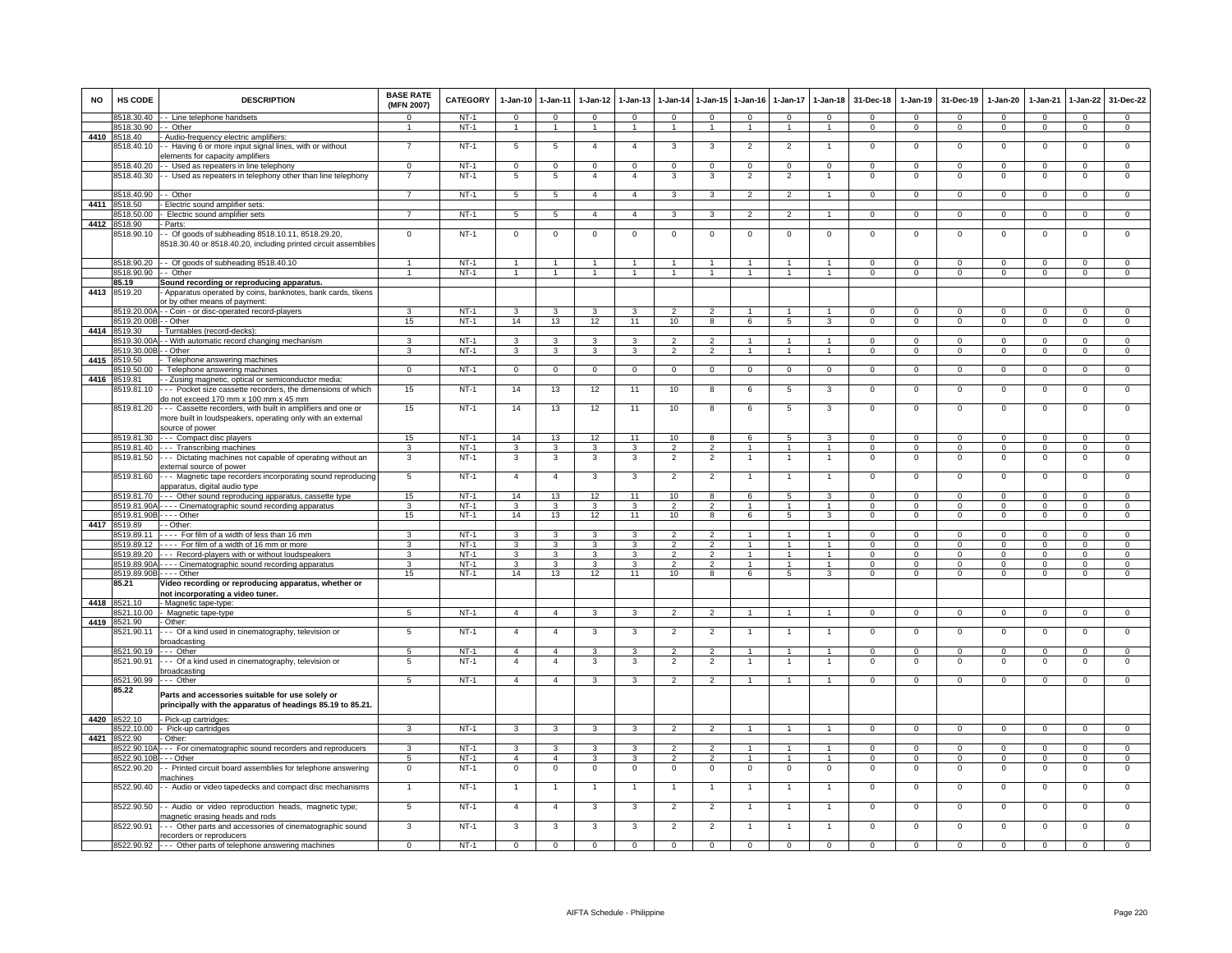| <b>NO</b> | HS CODE                          | <b>DESCRIPTION</b>                                                                                                                           | <b>BASE RATE</b><br>(MFN 2007) | <b>CATEGORY</b> | $1-Jan-10$      | $1 - Jan-11$            | $1-Jan-12$     | $1-Jan-13$              | $1-Jan-14$     | $1$ -Jan-15    | $1-Jan-16$     | $1-Jan-17$     | $1-Jan-18$     | 31-Dec-18      | $1-Jan-19$     | 31-Dec-19      | $1-Jan-20$     | 1-Jan-21       | $1-Jan-22$     | 31-Dec-22      |
|-----------|----------------------------------|----------------------------------------------------------------------------------------------------------------------------------------------|--------------------------------|-----------------|-----------------|-------------------------|----------------|-------------------------|----------------|----------------|----------------|----------------|----------------|----------------|----------------|----------------|----------------|----------------|----------------|----------------|
|           | 8518.30.40                       | - - Line telephone handsets                                                                                                                  | $\Omega$                       | $NT-1$          | $\mathbf 0$     | $\mathbf 0$             | $\mathbf{0}$   | $\Omega$                | $\mathbf 0$    | $\Omega$       | $\mathbf 0$    | $\Omega$       | $\mathbf{0}$   | $\Omega$       | $\mathbf{0}$   | $\Omega$       | $\Omega$       | $\Omega$       | $\mathbf{0}$   | $\mathbf{0}$   |
|           | 8518.30.90                       | - Other                                                                                                                                      | $\mathbf{1}$                   | $NT-1$          | $\mathbf{1}$    | $\mathbf{1}$            | $\overline{1}$ | $\overline{1}$          | $\mathbf{1}$   | $\overline{1}$ | $\overline{1}$ | $\overline{1}$ | $\overline{1}$ | $\mathbf{0}$   | $\mathbf{0}$   | $\overline{0}$ | $\mathbf{0}$   | $\overline{0}$ | $\mathbf{0}$   | $\overline{0}$ |
|           | 4410 8518.40                     | - Audio-frequency electric amplifiers:                                                                                                       |                                |                 |                 |                         |                |                         |                |                |                |                |                |                |                |                |                |                |                |                |
|           | 8518.40.10                       | - Having 6 or more input signal lines, with or without                                                                                       | $\overline{7}$                 | $NT-1$          | $5\phantom{.0}$ | 5                       | $\overline{4}$ | $\overline{4}$          | 3              | 3              | $\overline{2}$ | $\overline{2}$ | $\overline{1}$ | $\Omega$       | $\mathsf 0$    | $\mathbf 0$    | $\mathsf 0$    | $\mathbf 0$    | $\overline{0}$ | $\overline{0}$ |
|           | 8518.40.20                       | lements for capacity amplifiers<br>- Used as repeaters in line telephony                                                                     | $\mathbf{0}$                   | $NT-1$          | $\mathbf 0$     | $\mathbf{0}$            | $\mathbf{0}$   | $\mathsf 0$             | $\mathbf{0}$   | $^{\circ}$     | $\mathbf 0$    | 0              | $\mathbf{0}$   | $\mathbf{0}$   | $\mathbf{0}$   | $\overline{0}$ | $\mathbf{0}$   | $^{\circ}$     | $\mathsf 0$    | $\mathbf 0$    |
|           | 8518.40.30                       | - Used as repeaters in telephony other than line telephony                                                                                   | 7                              | $NT-1$          | 5               | $\overline{5}$          | $\overline{4}$ | $\overline{4}$          | 3              | 3              | $\overline{2}$ | $\overline{2}$ | -1             | $\mathsf 0$    | $\mathsf 0$    | $\,0\,$        | $\mathbf 0$    | $\,0\,$        | $\mathsf 0$    | $\mathbf 0$    |
|           |                                  |                                                                                                                                              |                                |                 |                 |                         |                |                         |                |                |                |                |                |                |                |                |                |                |                |                |
|           | 8518.40.90                       | - Other                                                                                                                                      | $\overline{7}$                 | $NT-1$          | 5               | 5                       | $\overline{4}$ | $\overline{4}$          | 3              | 3              | $\overline{2}$ | $\overline{2}$ | $\overline{1}$ | $\overline{0}$ | $\overline{0}$ | $\Omega$       | $\overline{0}$ | $\Omega$       | $\overline{0}$ | $\overline{0}$ |
| 4411      | 8518.50                          | - Electric sound amplifier sets:                                                                                                             |                                |                 |                 |                         |                |                         |                |                |                |                |                |                |                |                |                |                |                |                |
|           | 8518.50.00                       | - Electric sound amplifier sets                                                                                                              | $\overline{7}$                 | $NT-1$          | 5               | 5 <sup>5</sup>          | 4              | $\overline{4}$          | $\mathbf{3}$   | $\mathbf{3}$   | $\overline{2}$ | $\overline{2}$ | $\overline{1}$ | $\mathbf{0}$   | $\mathbf{0}$   | $\overline{0}$ | $\overline{0}$ | $\mathbf{0}$   | $\overline{0}$ | $\overline{0}$ |
|           | 4412 8518.90                     | - Parts:                                                                                                                                     |                                |                 |                 |                         |                |                         |                |                |                |                |                |                |                |                |                |                |                |                |
|           | 8518.90.10                       | - Of goods of subheading 8518.10.11, 8518.29.20,<br>3518.30.40 or 8518.40.20, including printed circuit assemblies                           | $\Omega$                       | $NT-1$          | $\overline{0}$  | $\mathbf 0$             | $^{\circ}$     | $\mathbf 0$             | $\mathbf{0}$   | $^{\circ}$     | $\mathbf{0}$   | $\mathbf 0$    | $\mathbf{0}$   | $\mathbf{0}$   | $\mathbf 0$    | $^{\circ}$     | $\overline{0}$ | $\mathbf 0$    | $\mathbf{0}$   | $\mathbf 0$    |
|           | 8518.90.20                       | - Of goods of subheading 8518.40.10                                                                                                          | $\mathbf{1}$                   | $NT-1$          | $\overline{1}$  | $\overline{1}$          |                |                         | $\overline{1}$ |                |                | $\mathbf{1}$   |                | $\Omega$       | $\Omega$       | $\Omega$       | $\Omega$       | $\Omega$       | $\mathsf 0$    | $\mathbf 0$    |
|           | 8518.90.90 - - Other             |                                                                                                                                              | $\mathbf{1}$                   | $NT-1$          | $\overline{1}$  | $\overline{1}$          | $\overline{1}$ | $\overline{1}$          | $\overline{1}$ | $\overline{1}$ | $\overline{1}$ | $\mathbf{1}$   | $\overline{1}$ | $^{\circ}$     | $\mathbf{0}$   | $\mathbf 0$    | $\mathbf 0$    | $^{\circ}$     | $\mathsf 0$    | $\overline{0}$ |
| 4413      | 85.19                            | Sound recording or reproducing apparatus                                                                                                     |                                |                 |                 |                         |                |                         |                |                |                |                |                |                |                |                |                |                |                |                |
|           | 8519.20                          | Apparatus operated by coins, banknotes, bank cards, tikens<br>or by other means of payment:                                                  |                                |                 |                 |                         |                |                         |                |                |                |                |                |                |                |                |                |                |                |                |
|           | 8519.20.00/                      | - - Coin - or disc-operated record-players                                                                                                   | 3                              | $NT-1$          | 3               | 3                       | 3              |                         | $\mathcal{P}$  |                |                |                | $\overline{1}$ | $\Omega$       | $\Omega$       | $\Omega$       | $\Omega$       | $\Omega$       | $\Omega$       | $\Omega$       |
| 4414      | 8519.20.00B - - Other<br>8519.30 | Turntables (record-decks):                                                                                                                   | 15                             | $NT-1$          | 14              | 13                      | 12             | 11                      | 10             | 8              | 6              | 5              | $\mathbf{3}$   | $\mathbf{0}$   | $\mathbf{0}$   | $\mathbf 0$    | $\mathbf{0}$   | $\mathbf 0$    | $\mathbf{0}$   | $\mathbf{0}$   |
|           | 8519.30.00A                      | - With automatic record changing mechanism                                                                                                   | 3                              | $NT-1$          | 3               | $\overline{3}$          | 3              | 3                       | $\mathfrak{p}$ | $\overline{2}$ | $\mathbf{1}$   | 1              | $\mathbf{1}$   | $\Omega$       | $\Omega$       | $\Omega$       | $\Omega$       | $\Omega$       | $\Omega$       | $\overline{0}$ |
|           | 8519.30.00E                      | - Other                                                                                                                                      | 3                              | $NT-1$          | 3               | 3                       | $\mathbf{3}$   | 3                       | $\overline{2}$ | $\overline{2}$ | $\mathbf{1}$   | $\mathbf{1}$   | $\mathbf{1}$   | $\mathbf{O}$   | $\mathbf{0}$   | $\mathbf 0$    | $\mathbf{0}$   | $\mathbf 0$    | $\mathbf 0$    | $\overline{0}$ |
| 4415      | 8519.50                          | Telephone answering machines                                                                                                                 |                                |                 |                 |                         |                |                         |                |                |                |                |                |                |                |                |                |                |                |                |
|           | 8519.50.00                       | Telephone answering machines                                                                                                                 | $\mathbf{O}$                   | $NT-1$          | $\overline{0}$  | $\overline{0}$          | $\overline{0}$ | $\mathbf 0$             | $\overline{0}$ | $\mathbf{0}$   | $\mathbf{0}$   | $\mathbf 0$    | $\overline{0}$ | $\mathbf{0}$   | $\mathbf 0$    | $\mathbf 0$    | $\mathbf{0}$   | $\mathbf 0$    | $\mathbf 0$    | $\mathbf 0$    |
| 4416      | 8519.81                          | - Zusing magnetic, optical or semiconductor media                                                                                            |                                |                 |                 |                         |                |                         |                |                |                |                |                |                |                |                |                |                |                |                |
|           | 3519.81.10                       | -- Pocket size cassette recorders, the dimensions of which<br>do not exceed 170 mm x 100 mm x 45 mm                                          | 15                             | $NT-1$          | 14              | 13                      | 12             | 11                      | 10             | 8              | 6              | $\overline{5}$ | 3              | $\overline{0}$ | $\overline{0}$ | $\overline{0}$ | $\overline{0}$ | $\mathbf 0$    | $\overline{0}$ | $\overline{0}$ |
|           | 8519.81.20                       | -- Cassette recorders, with built in amplifiers and one or<br>more built in loudspeakers, operating only with an external<br>source of power | 15                             | $NT-1$          | 14              | 13                      | 12             | 11                      | 10             | 8              | 6              | 5              | 3              | $^{\circ}$     | $^{\circ}$     | $\mathbf 0$    | $\mathbf 0$    | $\mathbf 0$    | $\mathsf 0$    | $\mathbf 0$    |
|           |                                  | 8519.81.30 --- Compact disc players                                                                                                          | 15                             | $NT-1$          | 14              | 13                      | 12             | 11                      | 10             | 8              | 6              | $\sqrt{5}$     | $\mathbf{3}$   | $\Omega$       | $\overline{0}$ | $\Omega$       | $\overline{0}$ | $\Omega$       | $\overline{0}$ | $\overline{0}$ |
|           | 8519.81.40                       | --- Transcribing machines                                                                                                                    | 3                              | $NT-1$          | 3               | $\mathbf{3}$            | $\mathbf{3}$   | 3                       | $\overline{2}$ | $\overline{2}$ | $\mathbf{1}$   | $\mathbf{1}$   | $\mathbf{1}$   | $\mathbf{O}$   | $\mathsf 0$    | $\mathbf 0$    | $\mathbf 0$    | $\mathbf 0$    | $\mathbf{0}$   | $\mathbf{0}$   |
|           | 8519.81.50                       | -- Dictating machines not capable of operating without an<br>external source of power                                                        | 3                              | $NT-1$          | 3               | 3                       | $\mathbf{3}$   | 3                       | $\overline{2}$ | $\overline{2}$ | 1              |                | $\overline{1}$ | $\mathsf 0$    | $\mathbf 0$    | $\mathsf 0$    | $\,0\,$        | $^{\circ}$     | $\mathsf 0$    | $\mathbf 0$    |
|           | 8519.81.60                       | Magnetic tape recorders incorporating sound reproducing<br>apparatus, digital audio type                                                     | $5\phantom{.0}$                | $NT-1$          | $\overline{4}$  | $\overline{4}$          | $\mathbf{3}$   | 3                       | $\overline{2}$ | $\overline{2}$ | $\mathbf{1}$   | 1              | $\mathbf{1}$   | $\mathbf{0}$   | $\mathbf 0$    | $\mathbf{0}$   | $\overline{0}$ | $\mathbf 0$    | $\mathbf{0}$   | $\mathbf 0$    |
|           | 8519.81.70                       | --- Other sound reproducing apparatus, cassette type                                                                                         | 15                             | $NT-1$          | 14              | 13                      | 12             | 11                      | 10             | 8              | 6              | 5              | 3              | $\Omega$       | $\mathsf 0$    | $\Omega$       | $\Omega$       | $\Omega$       | $\Omega$       | $\Omega$       |
|           |                                  | 8519.81.90A - - - - Cinematographic sound recording apparatus                                                                                | 3                              | $NT-1$          | $\mathbf{3}$    | $\mathbf{3}$            | 3              | 3                       | $\overline{2}$ | $\overline{2}$ |                |                | $\overline{1}$ | $\Omega$       | $\Omega$       | $\Omega$       | $\Omega$       | $\Omega$       | $\Omega$       | $\Omega$       |
|           | 8519.81.90B - - - - Other        |                                                                                                                                              | 15                             | <b>NT-1</b>     | 14              | 13                      | 12             | 11                      | 10             | 8              | 6              | 5              | 3              | $\mathbf{0}$   | $\mathbf{0}$   | $\mathbf{0}$   | $\overline{0}$ | $\mathbf 0$    | $\mathbf{0}$   | $\mathbf{0}$   |
|           | 4417 8519.89<br>8519 89 11       | - - Other:<br>---- For film of a width of less than 16 mm                                                                                    | з                              | $NT-1$          | 3               | 3                       | 3              | з                       | 2              | $\mathcal{P}$  | $\mathbf{1}$   | -1             | $\mathbf{1}$   | $\Omega$       | $\Omega$       | $\Omega$       | $\Omega$       | $\Omega$       | $\Omega$       | $\circ$        |
|           | 8519.89.12                       | ---- For film of a width of 16 mm or more                                                                                                    | 3                              | $NT-1$          | 3               | 3                       | 3              | 3                       | $\overline{2}$ | 2              | $\mathbf{1}$   | 1              | 1              | $^{\circ}$     | $\mathbf{0}$   | $\mathbf 0$    | $\mathbf{0}$   | $\mathbf 0$    | $\mathbf 0$    | $\mathbf 0$    |
|           | 8519.89.20                       | --- Record-players with or without loudspeakers                                                                                              | 3                              | $NT-1$          | 3               | 3                       | 3              | 3                       | $\mathfrak{p}$ | $\overline{2}$ | $\mathbf{1}$   |                |                | $\Omega$       | $\Omega$       | $\Omega$       | $\mathbf 0$    | $\Omega$       | $\mathsf 0$    | $\overline{0}$ |
|           | 8519.89.90A-                     | ---- Cinematographic sound recording apparatus                                                                                               | 3                              | $NT-1$          | 3               | 3                       | 3              | 3                       | $\mathfrak{p}$ | $\overline{2}$ | $\mathbf{1}$   |                | $\overline{1}$ | $^{\circ}$     | $^{\circ}$     | $\mathbf 0$    | $\mathbf 0$    | $\mathbf 0$    | $\mathsf 0$    | $\mathbf 0$    |
|           | 8519.89.90B - - - - Other        |                                                                                                                                              | 15                             | $NT-1$          | 14              | 13                      | 12             | 11                      | 10             | $\overline{8}$ | 6              | $\overline{5}$ | 3              | $\Omega$       | $\mathbf{0}$   | $\mathbf{0}$   | $\overline{0}$ | $\Omega$       | $\circ$        | $\overline{0}$ |
| 4418      | 85.21<br>8521.10                 | Video recording or reproducing apparatus, whether or<br>not incorporating a video tuner.                                                     |                                |                 |                 |                         |                |                         |                |                |                |                |                |                |                |                |                |                |                |                |
|           | 8521.10.00                       | - Magnetic tape-type<br>- Magnetic tape-type                                                                                                 | 5 <sub>5</sub>                 | NT-1            | $\overline{4}$  | $\overline{4}$          | $\mathbf{3}$   | 3                       | $\overline{2}$ | $\overline{2}$ | $\mathbf{1}$   | $\mathbf{1}$   | $\overline{1}$ | $\mathbf{0}$   | $\mathbf{0}$   | $\mathbf 0$    | $\mathbf{0}$   | $^{\circ}$     | $\mathbf{0}$   | $\mathbf{0}$   |
|           | 4419 8521.90                     | - Other:                                                                                                                                     |                                |                 |                 |                         |                |                         |                |                |                |                |                |                |                |                |                |                |                |                |
|           | 8521.90.11                       | -- Of a kind used in cinematography, television or<br>proadcasting                                                                           | $5\phantom{.0}$                | $NT-1$          | $\overline{4}$  | $\overline{4}$          | $\mathbf{3}$   | 3                       | $\overline{2}$ | $\overline{2}$ | $\mathbf{1}$   | 1              | $\mathbf{1}$   | $\mathbf{O}$   | $\mathbf 0$    | $\mathbf 0$    | $\mathbf 0$    | $\mathbf 0$    | $\mathbf 0$    | $\overline{0}$ |
|           | 8521.90.19                       | --- Other                                                                                                                                    | 5                              | $NT-1$          | $\overline{4}$  | $\overline{4}$          | 3              | 3                       | $\mathfrak{p}$ | $\overline{2}$ |                |                | $\mathbf{1}$   | $\Omega$       | 0              | $\mathbf 0$    | $\Omega$       | $\Omega$       | 0              | 0              |
|           | 8521.90.91                       | -- Of a kind used in cinematography, television or<br>oroadcasting                                                                           | 5                              | $NT-1$          | $\overline{4}$  | $\overline{4}$          | $\mathbf{3}$   | 3                       | $\overline{2}$ | $\overline{2}$ |                |                | $\overline{1}$ | $\mathsf 0$    | $\mathsf 0$    | $\,0\,$        | $\mathbf 0$    | $\mathbf 0$    | $\mathsf 0$    | $\mathbf 0$    |
|           | 8521.90.99                       | --- Other                                                                                                                                    | 5                              | $NT-1$          | $\overline{4}$  | $\overline{4}$          | 3              | 3                       | $\overline{2}$ | $\overline{2}$ | $\mathbf{1}$   | $\overline{1}$ | $\overline{1}$ | $\overline{0}$ | $\mathbf 0$    | $\Omega$       | $\overline{0}$ | $\mathbf 0$    | $\overline{0}$ | $\overline{0}$ |
|           | 85.22                            | Parts and accessories suitable for use solely or<br>principally with the apparatus of headings 85.19 to 85.21.                               |                                |                 |                 |                         |                |                         |                |                |                |                |                |                |                |                |                |                |                |                |
|           | 4420 8522.10                     | - Pick-up cartridges:                                                                                                                        |                                |                 |                 |                         |                |                         |                |                |                |                |                |                |                |                |                |                |                |                |
|           | 8522.10.00                       | - Pick-up cartridges                                                                                                                         | $\overline{3}$                 | $NT-1$          | $\overline{3}$  | $\overline{\mathbf{3}}$ | $\mathbf{3}$   | $\overline{3}$          | $\overline{2}$ | $\overline{2}$ | $\mathbf{1}$   | 1              | $\mathbf{1}$   | $\overline{0}$ | $\overline{0}$ | $\Omega$       | $\overline{0}$ | $\overline{0}$ | $\overline{0}$ | $\overline{0}$ |
| 4421      | 8522.90                          | Other:                                                                                                                                       |                                |                 |                 |                         |                |                         |                |                |                |                |                |                |                |                |                |                |                |                |
|           | 3522.90.10A                      | --- For cinematographic sound recorders and reproducers                                                                                      | 3                              | $NT-1$          | 3               | 3                       | 3              | 3                       | $\mathfrak{p}$ | $\mathfrak{p}$ |                |                | $\mathbf{1}$   | $^{\circ}$     | $\mathsf 0$    | $\mathbf 0$    | $\mathbf 0$    | $\Omega$       | $\mathsf 0$    | $\mathbf 0$    |
|           | 8522.90.10B                      | -- Other                                                                                                                                     | $5\overline{5}$                | $NT-1$          | $\overline{4}$  | $\overline{4}$          | $\mathbf{3}$   | 3                       | $\overline{2}$ | $\overline{2}$ | $\overline{1}$ |                | $\overline{1}$ | $\mathsf 0$    | $\mathbf 0$    | $\mathbf 0$    | $\mathbf 0$    | $\mathbf 0$    | $\mathsf 0$    | $\mathbf 0$    |
|           | 8522.90.20                       | - Printed circuit board assemblies for telephone answering<br>nachines                                                                       | $\mathbf 0$                    | $NT-1$          | $\mathbf 0$     | $\mathbf 0$             | $\mathbf 0$    | $\mathbf 0$             | $\mathbf 0$    | $\mathbf 0$    | $\mathbf 0$    | $\mathbf{0}$   | $\overline{0}$ | $^{\circ}$     | 0              | $\mathbf 0$    | $\mathbf 0$    | $\mathbf 0$    | 0              | $\mathbf 0$    |
|           | 8522.90.40                       | - Audio or video tapedecks and compact disc mechanisms                                                                                       | $\mathbf{1}$                   | $NT-1$          | $\overline{1}$  | $\overline{1}$          | $\overline{1}$ | $\overline{1}$          | $\overline{1}$ | $\overline{1}$ | $\mathbf{1}$   | $\overline{1}$ | $\overline{1}$ | $\mathsf 0$    | $\mathbf 0$    | $\mathbf 0$    | $\mathbf 0$    | $\mathbf 0$    | $\mathsf 0$    | $\mathsf 0$    |
|           | 8522.90.50                       | - Audio or video reproduction heads, magnetic type;<br>magnetic erasing heads and rods                                                       | 5                              | $NT-1$          | $\overline{4}$  | $\overline{4}$          | 3              | $\overline{\mathbf{3}}$ | $\overline{2}$ | $\overline{2}$ | $\overline{1}$ | $\overline{1}$ | $\mathbf{1}$   | $\mathsf 0$    | 0              | $\mathsf 0$    | $\mathbf 0$    | $\mathbf 0$    | $\mathsf 0$    | $\mathbf 0$    |
|           | 8522.90.91                       | -- Other parts and accessories of cinematographic sound<br>recorders or reproducers                                                          | $\overline{3}$                 | $NT-1$          | 3               | 3                       | 3              | 3                       | $\overline{2}$ | $\overline{2}$ | 1              | $\mathbf{1}$   | $\overline{1}$ | $\overline{0}$ | $\Omega$       | $\overline{0}$ | $\overline{0}$ | $\overline{0}$ | $\overline{0}$ | $\overline{0}$ |
|           |                                  | 8522.90.92 --- Other parts of telephone answering machines                                                                                   | $\overline{0}$                 | $NT-1$          | $\overline{0}$  | $\overline{0}$          | $\overline{0}$ | $\overline{0}$          | $\overline{0}$ | $\overline{0}$ | $\overline{0}$ | $\overline{0}$ | $\overline{0}$ | $\Omega$       | $\overline{0}$ | $\overline{0}$ | $\overline{0}$ | $\overline{0}$ | $\overline{0}$ | $\Omega$       |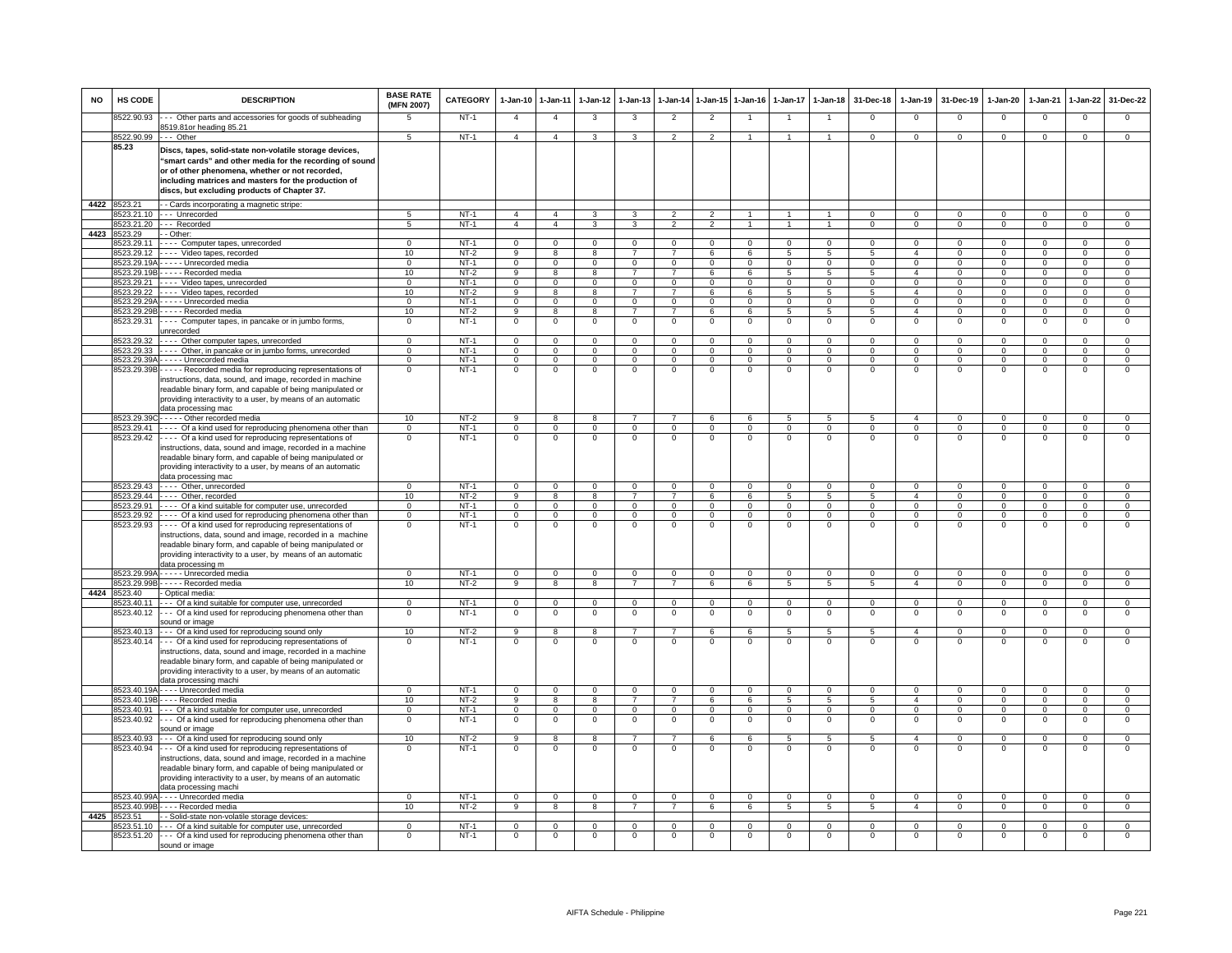| <b>NO</b> | HS CODE                    | <b>DESCRIPTION</b>                                                                                                                                                                                                                                                                                                        | <b>BASE RATE</b><br>(MFN 2007) | CATEGORY         | 1-Jan-10                         | $1-Jan-11$                       | $1-Jan-12$                     | $1-Jan-13$                 | 1-Jan-14                         | $1 - Jan-15$                     | $1-Jan-16$                 | $1-Jan-17$                   | $1-Jan-18$                       | 31-Dec-18                        | $1-Jan-19$                     | 31-Dec-19                     | 1-Jan-20                       | 1-Jan-21                     | 1-Jan-22                       | 31-Dec-22                        |
|-----------|----------------------------|---------------------------------------------------------------------------------------------------------------------------------------------------------------------------------------------------------------------------------------------------------------------------------------------------------------------------|--------------------------------|------------------|----------------------------------|----------------------------------|--------------------------------|----------------------------|----------------------------------|----------------------------------|----------------------------|------------------------------|----------------------------------|----------------------------------|--------------------------------|-------------------------------|--------------------------------|------------------------------|--------------------------------|----------------------------------|
|           | 8522.90.93                 | -- Other parts and accessories for goods of subheading                                                                                                                                                                                                                                                                    | 5                              | $NT-1$           | $\overline{4}$                   | $\overline{4}$                   | 3                              | 3                          | $\overline{2}$                   | $\overline{2}$                   |                            |                              | $\mathbf{1}$                     | $\Omega$                         | $\Omega$                       | $\Omega$                      | $\Omega$                       | $\Omega$                     | $^{\circ}$                     | $\mathbf{O}$                     |
|           | 8522.90.99                 | 3519.81or heading 85.21<br>--- Other                                                                                                                                                                                                                                                                                      | 5                              | $NT-1$           | $\overline{4}$                   | $\overline{4}$                   | $\mathbf{3}$                   | 3                          | $\overline{2}$                   | $\overline{2}$                   | $\mathbf{1}$               | $\mathbf{1}$                 | $\blacktriangleleft$             | $\mathbf{O}$                     | $\mathbf{0}$                   | $\overline{0}$                | $\overline{0}$                 | $\mathbf 0$                  | $\mathbf 0$                    | $\overline{0}$                   |
|           | 85.23                      | Discs, tapes, solid-state non-volatile storage devices,<br>"smart cards" and other media for the recording of sound<br>or of other phenomena, whether or not recorded,<br>including matrices and masters for the production of<br>discs, but excluding products of Chapter 37.                                            |                                |                  |                                  |                                  |                                |                            |                                  |                                  |                            |                              |                                  |                                  |                                |                               |                                |                              |                                |                                  |
|           | 4422 8523.21               | - - Cards incorporating a magnetic stripe:                                                                                                                                                                                                                                                                                |                                | $NT-1$           |                                  |                                  |                                |                            |                                  |                                  |                            |                              |                                  |                                  |                                |                               |                                |                              |                                |                                  |
|           | 523.21.20                  | 8523.21.10 --- Unrecorded<br>-- Recorded                                                                                                                                                                                                                                                                                  | 5<br>$\overline{5}$            | $NT-1$           | $\overline{4}$<br>$\overline{4}$ | $\overline{4}$<br>$\overline{4}$ | 3<br>$\overline{\mathbf{3}}$   | 3<br>$\overline{3}$        | $\overline{2}$<br>$\overline{2}$ | $\overline{2}$<br>$\overline{2}$ | -1<br>$\mathbf{1}$         | $\mathbf{1}$<br>$\mathbf{1}$ | $\overline{1}$<br>$\overline{1}$ | $\overline{0}$<br>$\overline{0}$ | $\Omega$<br>$\overline{0}$     | $\mathbf 0$<br>$\overline{0}$ | $\mathbf{0}$<br>$\overline{0}$ | $^{\circ}$<br>$\overline{0}$ | $\mathbf{0}$<br>$\overline{0}$ | $\overline{0}$<br>$\overline{0}$ |
| 4423      | 523.29                     | - Other:                                                                                                                                                                                                                                                                                                                  |                                |                  |                                  |                                  |                                |                            |                                  |                                  |                            |                              |                                  |                                  |                                |                               |                                |                              |                                |                                  |
|           | 523.29.11                  | Computer tapes, unrecorded                                                                                                                                                                                                                                                                                                | $\overline{0}$                 | $NT-1$           | $\overline{0}$                   | $\overline{0}$                   | $\overline{0}$                 | $\Omega$                   | $\overline{0}$                   | $\overline{0}$                   | $\Omega$                   | $\Omega$                     | $\overline{0}$                   | $\Omega$                         | $\Omega$                       | $\Omega$                      | $\Omega$                       | $\overline{0}$               | $\overline{0}$                 | $\overline{0}$                   |
|           | 523.29.12<br>3523.29.19/   | ---- Video tapes, recorded<br>Unrecorded media                                                                                                                                                                                                                                                                            | 10<br>$\mathbf 0$              | $NT-2$<br>$NT-1$ | 9<br>$\overline{0}$              | 8<br>$\overline{0}$              | 8<br>$\overline{0}$            | 7<br>$\Omega$              | $\overline{7}$<br>$\Omega$       | 6<br>$\mathbf 0$                 | 6<br>$\mathbf{0}$          | 5<br>$\Omega$                | 5<br>$\mathbf{0}$                | 5<br>$\Omega$                    | $\overline{4}$<br>$\mathbf 0$  | $^{\circ}$<br>$\mathbf 0$     | $\mathbf 0$<br>$\mathbf 0$     | $\mathbf 0$<br>$\Omega$      | $\mathbf 0$<br>$\mathbf 0$     | $\overline{0}$<br>$\overline{0}$ |
|           | 3523.29.19E                | Recorded media                                                                                                                                                                                                                                                                                                            | 10                             | $NT-2$           | $\overline{9}$                   | $\overline{\mathbf{8}}$          | $\overline{\mathbf{8}}$        | $\overline{7}$             | $\overline{7}$                   | 6                                | 6                          | $\overline{5}$               | 5                                | 5                                | $\overline{4}$                 | $\mathbf 0$                   | $\overline{0}$                 | $\overline{0}$               | $\overline{0}$                 | $\overline{0}$                   |
|           | 523.29.21                  | --- Video tapes, unrecorded                                                                                                                                                                                                                                                                                               | $\overline{0}$                 | $NT-1$           | $\overline{0}$                   | $\overline{0}$                   | $\overline{0}$                 | $\overline{0}$             | $\overline{0}$                   | $\overline{0}$                   | $\overline{0}$             | $\overline{0}$               | $\overline{0}$                   | $\overline{0}$                   | $\overline{0}$                 | $\overline{0}$                | $\overline{0}$                 | $\overline{0}$               | $\overline{0}$                 | $\overline{0}$                   |
|           | 8523.29.22                 | --- Video tapes, recorded                                                                                                                                                                                                                                                                                                 | 10                             | $NT-2$           | $\mathbf{Q}$                     | 8                                | 8                              | $\overline{7}$             | $\overline{7}$                   | 6                                | 6                          | 5.                           | 5                                | 5                                | $\mathbf{A}$                   | $\Omega$                      | $\Omega$                       | $\Omega$                     | $\Omega$                       | $\overline{0}$                   |
|           | 8523.29.29E                | 3523.29.29A - - - - - Unrecorded media<br>- Recorded media                                                                                                                                                                                                                                                                | $\mathbf 0$<br>10              | $NT-1$<br>$NT-2$ | $\mathbf 0$<br>9                 | $\mathbf{0}$<br>8                | $\mathbf{0}$<br>8              | 0<br>$\overline{7}$        | $\mathbf{0}$<br>$\overline{7}$   | $\mathbf{0}$<br>6                | $\mathbf{0}$<br>6          | 0<br>5                       | $\mathbf{0}$<br>5                | $\mathbf{O}$<br>$5\overline{5}$  | $\mathbf{0}$<br>$\overline{4}$ | $\mathbf 0$<br>$\mathbf 0$    | $\mathbf 0$<br>$\mathbf{0}$    | $\mathbf 0$<br>$\Omega$      | $\mathbf 0$<br>$\mathbf 0$     | $\mathbf{0}$<br>$\overline{0}$   |
|           | 8523.29.31                 | ---- Computer tapes, in pancake or in jumbo forms,<br>unrecorded                                                                                                                                                                                                                                                          | $\mathbf 0$                    | $NT-1$           | $\mathbf 0$                      | $\mathbf 0$                      | $\mathsf 0$                    | $\mathbf 0$                | $\mathbf 0$                      | $\mathbf 0$                      | $\Omega$                   | $\mathbf 0$                  | $\mathbf 0$                      | $\Omega$                         | $^{\circ}$                     | $^{\circ}$                    | $\mathsf 0$                    | $\Omega$                     | $\mathsf 0$                    | $\mathsf 0$                      |
|           | 8523.29.32                 | ---- Other computer tapes, unrecorded                                                                                                                                                                                                                                                                                     | $\mathbf 0$                    | $NT-1$           | $\mathbf 0$                      | $\mathbf 0$                      | $\mathbf 0$                    | $\mathbf 0$                | $\mathbf 0$                      | $\mathbf 0$                      | $\mathbf 0$                | $\mathbf 0$                  | $\mathbf 0$                      | $\Omega$                         | $\mathbf 0$                    | $\mathbf 0$                   | $\mathbf 0$                    | $\Omega$                     | $\mathbf 0$                    | 0                                |
|           | 8523.29.33                 | - - - - Other, in pancake or in jumbo forms, unrecorded                                                                                                                                                                                                                                                                   | $\mathbf 0$                    | $NT-1$           | $\mathbf 0$                      | $\Omega$                         | $\mathbf{0}$                   | $\Omega$                   | $\Omega$                         | $\mathbf 0$                      | $\mathbf 0$                | $\Omega$                     | $\mathbf 0$                      | $\Omega$                         | $\Omega$                       | $\Omega$                      | $\mathbf 0$                    | $\Omega$                     | $\mathbf 0$                    | $\mathbf{O}$                     |
|           | 8523.29.39A<br>8523.29.39B | - Unrecorded media<br>Recorded media for reproducing representations of                                                                                                                                                                                                                                                   | 0<br>$\Omega$                  | $NT-1$<br>$NT-1$ | $\mathbf 0$<br>$\mathbf 0$       | $\overline{0}$<br>$\mathbf 0$    | $\overline{0}$<br>$\mathbf 0$  | $\mathbf 0$<br>$\mathbf 0$ | $\mathbf{0}$<br>$\overline{0}$   | $\mathbf 0$<br>$\mathbf 0$       | $\mathbf 0$<br>$\mathbf 0$ | $\Omega$<br>$\mathbf 0$      | $\Omega$<br>$\overline{0}$       | $\Omega$<br>$\Omega$             | $\Omega$<br>$\mathbf{0}$       | $\Omega$<br>$^{\circ}$        | $\mathbf 0$<br>$\overline{0}$  | $\mathbf 0$<br>$\Omega$      | $\mathbf{0}$<br>$\mathbf 0$    | $\overline{0}$<br>$\Omega$       |
|           |                            | instructions, data, sound, and image, recorded in machine<br>readable binary form, and capable of being manipulated or<br>providing interactivity to a user, by means of an automatic<br>data processing mac                                                                                                              |                                |                  |                                  |                                  |                                |                            |                                  |                                  |                            |                              |                                  |                                  |                                |                               |                                |                              |                                |                                  |
|           |                            | 8523.29.39C - - - - - Other recorded media                                                                                                                                                                                                                                                                                | 10                             | $NT-2$           | 9                                | 8                                | 8                              | $\overline{7}$             | $\overline{7}$                   | 6                                | 6                          | -5                           | 5                                | $5\overline{5}$                  | $\overline{a}$                 | $\Omega$                      | $\overline{0}$                 | $\Omega$                     | $\mathbf 0$                    | $\mathbf{0}$                     |
|           | 8523.29.41                 | --- Of a kind used for reproducing phenomena other than                                                                                                                                                                                                                                                                   | $\mathbf 0$                    | $NT-1$           | $\mathbf 0$                      | $\mathsf 0$<br>$\overline{0}$    | $\mathbf 0$                    | $\mathbf 0$                | $\Omega$                         | $\mathbf 0$                      | $\Omega$                   | $\Omega$                     | $\Omega$                         | $\Omega$                         | $\mathbf 0$                    | $\Omega$                      | $\mathbf 0$                    | $\mathbf 0$                  | $\mathsf 0$                    | $\mathsf 0$                      |
|           | 8523.29.42                 | Of a kind used for reproducing representations of<br>nstructions, data, sound and image, recorded in a machine<br>readable binary form, and capable of being manipulated or<br>providing interactivity to a user, by means of an automatic<br>data processing mac                                                         | $\Omega$                       | $NT-1$           | $\mathbf 0$                      |                                  | $\mathbf 0$                    | $\Omega$                   | $\mathbf 0$                      | $\Omega$                         | $\Omega$                   | $\mathbf 0$                  | $\mathbf 0$                      | $\Omega$                         | $\Omega$                       | $\Omega$                      | $\mathbf 0$                    | $\Omega$                     | $\overline{0}$                 | $\Omega$                         |
|           | 8523.29.43                 | - - - - Other, unrecorded                                                                                                                                                                                                                                                                                                 | $\Omega$                       | $NT-1$           | $\Omega$                         | $\overline{0}$                   | $\Omega$                       | $\Omega$                   | $\Omega$                         | $\Omega$                         | $\Omega$                   | $\Omega$                     | $\Omega$                         | $\Omega$                         | $\Omega$                       | $\Omega$                      | $\Omega$                       | $\Omega$                     | $\Omega$                       | $\Omega$                         |
|           |                            | 3523.29.44 ---- Other, recorded                                                                                                                                                                                                                                                                                           | 10                             | $NT-2$           | 9                                | 8                                | 8                              | $\overline{7}$             | $\overline{7}$                   | 6                                | 6                          | 5                            | 5                                | 5                                | $\overline{4}$                 | $^{\circ}$                    | $\mathbf{0}$                   | $\mathbf{0}$                 | $\mathbf 0$                    | $\mathbf{O}$                     |
|           | 8523.29.92                 | 8523.29.91 ---- Of a kind suitable for computer use, unrecorded<br>---- Of a kind used for reproducing phenomena other than                                                                                                                                                                                               | $\Omega$<br>$\Omega$           | $NT-1$<br>$NT-1$ | $\mathbf{0}$<br>$\mathbf 0$      | $\mathbf{0}$<br>$\overline{0}$   | $\mathbf{0}$<br>$\overline{0}$ | $\Omega$<br>$\overline{0}$ | $\Omega$<br>$\Omega$             | $\Omega$<br>$\mathbf 0$          | $\mathbf{0}$<br>$\Omega$   | $\Omega$<br>$\Omega$         | $\Omega$<br>$\Omega$             | $\Omega$<br>$\Omega$             | $\mathbf{0}$<br>$\Omega$       | $\mathbf 0$<br>$^{\circ}$     | $\mathbf{0}$<br>$\mathbf 0$    | $\Omega$<br>$\Omega$         | $\Omega$<br>$\mathbf 0$        | $\overline{0}$<br>$\overline{0}$ |
|           | 8523.29.93                 | Of a kind used for reproducing representations of<br>instructions, data, sound and image, recorded in a machine<br>readable binary form, and capable of being manipulated or<br>providing interactivity to a user, by means of an automatic<br>data processing m                                                          | $\Omega$                       | $NT-1$           | $^{\circ}$                       | $\Omega$                         | $\overline{0}$                 | $\overline{0}$             | $\Omega$                         | $\Omega$                         | $\Omega$                   | $\Omega$                     | $\Omega$                         | $\Omega$                         | $\Omega$                       | $\Omega$                      | $\mathbf 0$                    | $\Omega$                     | $\Omega$                       | $\overline{0}$                   |
|           | 3523.29.99/                | ---- Unrecorded media                                                                                                                                                                                                                                                                                                     | $\overline{0}$                 | $NT-1$           | $\overline{0}$                   | $\overline{0}$                   | $\overline{0}$                 | $\overline{0}$             | $\overline{0}$                   | $\overline{0}$                   | $\overline{0}$             | $\Omega$                     | $\overline{0}$                   | $\Omega$                         | $\overline{0}$                 | $\Omega$                      | $\overline{0}$                 | $\overline{0}$               | $\overline{0}$                 | $\overline{0}$                   |
| 4424      | 3523.29.99E<br>8523.40     | Recorded media<br>- Optical media:                                                                                                                                                                                                                                                                                        | 10                             | $NT-2$           | $\overline{a}$                   | $\overline{8}$                   | $\overline{\mathbf{8}}$        | $\overline{7}$             | $\overline{7}$                   | 6                                | 6                          | $\overline{5}$               | $5\overline{)}$                  | $\overline{5}$                   | $\overline{4}$                 | $\overline{0}$                | $\overline{0}$                 | $\overline{0}$               | $\overline{0}$                 | $\overline{0}$                   |
|           | 8523.40.11                 | --- Of a kind suitable for computer use, unrecorded                                                                                                                                                                                                                                                                       | $\Omega$                       | $NT-1$           | $\mathbf{0}$                     | $\mathbf{0}$                     | $\mathbf{0}$                   | $\Omega$                   | $\Omega$                         | $\mathbf{0}$                     | $\Omega$                   | $\Omega$                     | $\mathbf{0}$                     | $\Omega$                         | $\Omega$                       | $\Omega$                      | $\mathbf 0$                    | $\mathbf 0$                  | $\mathbf 0$                    | $\overline{0}$                   |
|           | 8523.40.12                 | --- Of a kind used for reproducing phenomena other than<br>sound or image                                                                                                                                                                                                                                                 | $\Omega$                       | $NT-1$           | $\mathbf{0}$                     | $\Omega$                         | $^{\circ}$                     | $\mathbf 0$                | $\mathbf 0$                      | $\Omega$                         | $\Omega$                   | 0                            | $^{\circ}$                       | $^{\circ}$                       | $^{\circ}$                     | $\Omega$                      | $^{\circ}$                     | $^{\circ}$                   | $\mathbf 0$                    | $\overline{0}$                   |
|           | 8523.40.13<br>8523.40.14   | --- Of a kind used for reproducing sound only<br>--- Of a kind used for reproducing representations of<br>instructions, data, sound and image, recorded in a machine<br>readable binary form, and capable of being manipulated or<br>providing interactivity to a user, by means of an automatic<br>data processing machi | 10<br>$\Omega$                 | $NT-2$<br>$NT-1$ | 9<br>$\overline{0}$              | 8<br>$\overline{0}$              | 8<br>$\overline{0}$            | $\Omega$                   | $\overline{7}$<br>$\Omega$       | 6<br>$\overline{0}$              | 6<br>$\Omega$              | 5<br>$\mathbf 0$             | 5<br>$\Omega$                    | 5<br>$\Omega$                    | $\overline{4}$<br>$\Omega$     | $^{\circ}$<br>$\Omega$        | $\mathbf 0$<br>$\mathbf 0$     | $\mathbf 0$<br>$\Omega$      | $\mathbf 0$<br>$\overline{0}$  | $\mathbf{O}$<br>$\overline{0}$   |
|           | 8523.40.19A                | ---- Unrecorded media                                                                                                                                                                                                                                                                                                     | $\Omega$                       | $NT-1$           | $\Omega$                         | $\overline{0}$                   | $\Omega$                       | $\Omega$                   | $\Omega$                         | $\Omega$                         | $\Omega$                   | $\Omega$                     | $\Omega$                         | $\Omega$                         | $\Omega$                       | $\Omega$                      | $\Omega$                       | $\Omega$                     | $\Omega$                       | $\Omega$                         |
|           | 8523.40.91                 | 8523.40.19B - - - - Recorded media<br>--- Of a kind suitable for computer use, unrecorded                                                                                                                                                                                                                                 | 10<br>$\Omega$                 | NT-2<br>$NT-1$   | 9<br>$\Omega$                    | 8<br>$\overline{0}$              | 8<br>$\mathbf{0}$              | $\overline{7}$<br>$\Omega$ | $\overline{7}$<br>$\Omega$       | 6<br>$\mathbf 0$                 | 6<br>$\Omega$              | 5<br>$\Omega$                | 5<br>$\Omega$                    | 5<br>$\Omega$                    | $\overline{4}$<br>$\Omega$     | $\mathbf 0$<br>$\Omega$       | $\overline{0}$<br>$\mathbf{0}$ | $\mathbf{0}$<br>$\mathbf 0$  | $^{\circ}$<br>$\mathbf 0$      | $\overline{0}$<br>$\overline{0}$ |
|           | 8523.40.92                 | --- Of a kind used for reproducing phenomena other than<br>sound or image                                                                                                                                                                                                                                                 | $\mathbf 0$                    | $NT-1$           | $\Omega$                         | $\Omega$                         | $\mathbf 0$                    | $\Omega$                   | $\Omega$                         | $\Omega$                         | $\Omega$                   | $\Omega$                     | $\Omega$                         | $\Omega$                         | $\Omega$                       | $\Omega$                      | 0                              | $\Omega$                     | $\Omega$                       | $\Omega$                         |
|           | 8523.40.93                 | --- Of a kind used for reproducing sound only                                                                                                                                                                                                                                                                             | 10                             | $NT-2$           | 9                                | 8                                | 8                              | $\overline{7}$             | $\overline{7}$                   | 6                                | 6                          | 5                            | 5                                | 5                                | $\overline{4}$                 | $\Omega$                      | $\mathsf 0$                    | $\Omega$                     | $\mathbf 0$                    | $\overline{0}$                   |
|           | 8523.40.94                 | - - Of a kind used for reproducing representations of<br>nstructions, data, sound and image, recorded in a machine<br>readable binary form, and capable of being manipulated or<br>providing interactivity to a user, by means of an automatic<br>data processing machi                                                   | $\mathbf 0$                    | $NT-1$           | $^{\circ}$                       | $\mathbf 0$                      | $\mathbf 0$                    | $^{\circ}$                 | $^{\circ}$                       | $\mathbf 0$                      | $^{\circ}$                 | 0                            | $\mathbf 0$                      | $^{\circ}$                       | $\mathbf 0$                    | $^{\circ}$                    | $^{\circ}$                     | $^{\circ}$                   | $\mathbf 0$                    | $\mathsf 0$                      |
|           | 3523.40.99B                | 8523.40.99A - - - - Unrecorded media                                                                                                                                                                                                                                                                                      | $\Omega$                       | $NT-1$<br>$NT-2$ | $\Omega$                         | $\mathbf 0$                      | $\overline{0}$                 | $\Omega$<br>$\overline{7}$ | $\Omega$                         | $\mathbf{0}$                     | $\overline{0}$             | $\Omega$                     | $\overline{0}$                   | $\mathbf{0}$                     | $\overline{0}$                 | $\mathbf 0$                   | $\mathbf{0}$                   | $\mathbf{0}$                 | $\mathbf 0$                    | $\overline{0}$                   |
|           | 4425 8523.51               | Recorded media<br>- Solid-state non-volatile storage devices:                                                                                                                                                                                                                                                             | 10                             |                  | 9                                | $\overline{\mathbf{8}}$          | 8                              |                            | $\overline{7}$                   | 6                                | 6                          | 5                            | $\overline{5}$                   | $5\phantom{.0}$                  | $\overline{4}$                 | $\mathbf{0}$                  | $\overline{0}$                 | $\mathsf 0$                  | $\overline{0}$                 | $\overline{0}$                   |
|           | 523.51.10                  | --- Of a kind suitable for computer use, unrecorded                                                                                                                                                                                                                                                                       | $\overline{0}$                 | $NT-1$           | $\Omega$                         | $\overline{0}$                   | $\overline{0}$                 | $\Omega$                   | $\overline{0}$                   | $\overline{0}$                   | $\Omega$                   | $\Omega$                     | $\Omega$                         | $\Omega$                         | $\Omega$                       | $\Omega$                      | $\Omega$                       | $\Omega$                     | $\overline{0}$                 | $\overline{0}$                   |
|           | 8523.51.20                 | --- Of a kind used for reproducing phenomena other than<br>sound or image                                                                                                                                                                                                                                                 | 0                              | $NT-1$           | $\mathbf 0$                      | $\mathbf 0$                      | $\mathbf 0$                    | $\mathbf 0$                | $^{\circ}$                       | $^{\circ}$                       | 0                          | 0                            | $^{\circ}$                       | 0                                |                                | $^{\circ}$                    |                                | 0                            | $\mathbf 0$                    |                                  |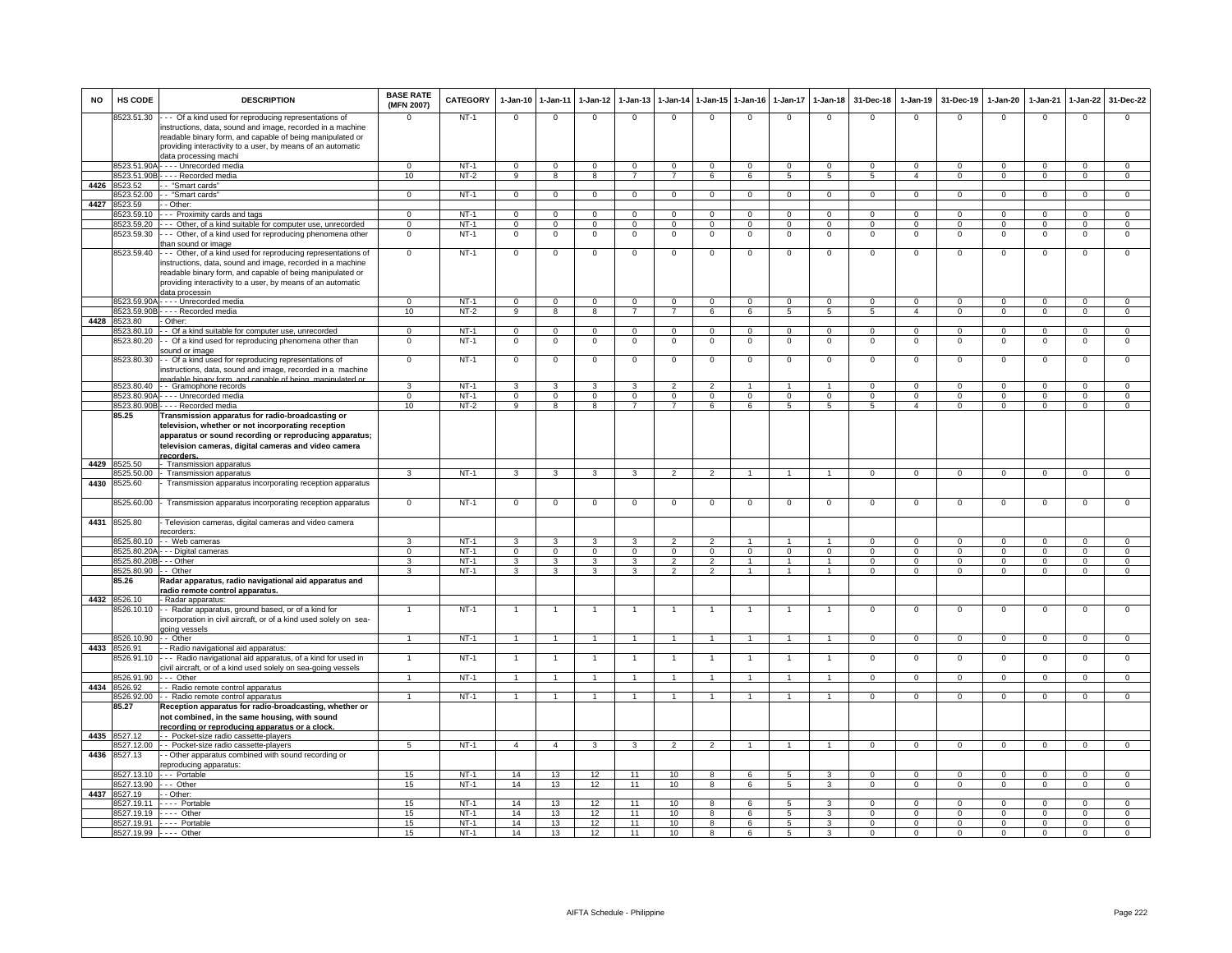| <b>NO</b> | HS CODE               | <b>DESCRIPTION</b>                                                                                                                                                                                                                                     | <b>BASE RATE</b><br>(MFN 2007) | CATEGORY         | 1-Jan-10                       | $1 - Jan-11$                  | $1-Jan-12$                    | $1-Jan-13$                       |                                  |                      | 1-Jan-14 1-Jan-15 1-Jan-16 | $1-Jan-17$                     | $1-Jan-18$                       | 31-Dec-18                      | $1-Jan-19$                       | 31-Dec-19                     | 1-Jan-20                         | $1-Jan-21$                 | 1-Jan-22                      | 31-Dec-22                        |
|-----------|-----------------------|--------------------------------------------------------------------------------------------------------------------------------------------------------------------------------------------------------------------------------------------------------|--------------------------------|------------------|--------------------------------|-------------------------------|-------------------------------|----------------------------------|----------------------------------|----------------------|----------------------------|--------------------------------|----------------------------------|--------------------------------|----------------------------------|-------------------------------|----------------------------------|----------------------------|-------------------------------|----------------------------------|
|           | 8523.51.30            | --- Of a kind used for reproducing representations of<br>instructions, data, sound and image, recorded in a machine<br>readable binary form, and capable of being manipulated or<br>providing interactivity to a user, by means of an automatic        | $\Omega$                       | $NT-1$           | $\mathsf 0$                    | $\mathbf 0$                   | $\Omega$                      | $\mathbf 0$                      | $\mathbf 0$                      | $\mathbf 0$          | $\mathbf 0$                | $\mathbf 0$                    | $\mathbf 0$                      | $\mathbf 0$                    | $\mathsf 0$                      | $\mathbf 0$                   | $\Omega$                         | $\mathbf 0$                | $\mathsf 0$                   | $\mathbf 0$                      |
|           |                       | data processing machi                                                                                                                                                                                                                                  |                                |                  |                                |                               |                               |                                  |                                  |                      |                            |                                |                                  |                                |                                  |                               |                                  |                            |                               |                                  |
|           |                       | 8523.51.90A - - - - Unrecorded media<br>8523.51.90B - - - - Recorded media                                                                                                                                                                             | $\Omega$<br>10                 | $NT-1$<br>$NT-2$ | $\mathbf{0}$<br>$\overline{9}$ | $\mathbf 0$<br>$\overline{8}$ | $\mathbf 0$<br>$\overline{8}$ | $\overline{0}$<br>$\overline{7}$ | $\overline{0}$<br>$\overline{7}$ | $\mathbf{0}$<br>6    | $\overline{0}$<br>6        | $\mathbf{0}$<br>$\overline{5}$ | $\overline{0}$<br>$\overline{5}$ | $\mathbf{0}$<br>$\overline{5}$ | $\overline{0}$<br>$\overline{4}$ | $\mathbf 0$<br>$\overline{0}$ | $\overline{0}$<br>$\overline{0}$ | $\Omega$<br>$\overline{0}$ | $\mathbf 0$<br>$\overline{0}$ | $\overline{0}$<br>$\overline{0}$ |
| 4426      | 8523.52               | - "Smart cards"                                                                                                                                                                                                                                        |                                |                  |                                |                               |                               |                                  |                                  |                      |                            |                                |                                  |                                |                                  |                               |                                  |                            |                               |                                  |
|           | 8523.52.00            | -- "Smart cards"                                                                                                                                                                                                                                       | $\Omega$                       | $NT-1$           | $\mathbf 0$                    | $\mathbf 0$                   | $\mathbf 0$                   | 0                                | $\mathbf 0$                      | $\mathbf 0$          | $\mathsf 0$                | $\mathsf 0$                    | $\mathbf 0$                      | $\mathsf 0$                    | $\mathsf 0$                      | $\mathbf 0$                   | $\mathbf 0$                      | $\mathbf 0$                | 0                             | $\mathbf 0$                      |
| 4427      | 8523.59               | - Other:                                                                                                                                                                                                                                               |                                |                  |                                |                               |                               |                                  |                                  |                      |                            |                                |                                  |                                |                                  |                               |                                  |                            |                               |                                  |
|           | 8523.59.10            | -- Proximity cards and tags                                                                                                                                                                                                                            | $\mathbf 0$                    | $NT-1$           | $\overline{0}$                 | $\overline{0}$                | $\mathbf{0}$                  | $\mathbf 0$                      | $\overline{0}$                   | $\mathbf 0$          | $\mathbf{0}$               | $\mathbf{0}$                   | $\overline{0}$                   | $\Omega$                       | $\Omega$                         | $\Omega$                      | $\overline{0}$                   | $\Omega$                   | $\mathbf 0$                   | $\overline{0}$                   |
|           | 8523.59.20            | --- Other, of a kind suitable for computer use, unrecorded                                                                                                                                                                                             | $\overline{0}$                 | $NT-1$           | $\mathbf{0}$                   | $\overline{0}$                | $\mathbf 0$                   | $\overline{0}$                   | $\mathbf 0$                      | $\overline{0}$       | $\overline{0}$             | $\mathbf 0$                    | $\overline{0}$                   | $\Omega$                       | $\Omega$                         | $\Omega$                      | $\mathbf 0$                      | $\Omega$                   | $\overline{0}$                | $\overline{0}$                   |
|           | 8523.59.30            | --- Other, of a kind used for reproducing phenomena other<br>than sound or image                                                                                                                                                                       | $\overline{0}$                 | $NT-1$           | $\mathbf 0$                    | $\overline{0}$                | $\mathbf 0$                   | $\overline{0}$                   | $\mathbf 0$                      | $\overline{0}$       | $\overline{\mathbf{0}}$    | $\circ$                        | $\overline{0}$                   | $\mathbf 0$                    | $\overline{0}$                   | $\Omega$                      | 0                                | $\overline{0}$             | $\overline{0}$                | $\overline{0}$                   |
|           | 8523.59.40            | - - Other, of a kind used for reproducing representations of<br>instructions, data, sound and image, recorded in a machine<br>readable binary form, and capable of being manipulated or<br>providing interactivity to a user, by means of an automatic | $\mathbf 0$                    | $NT-1$           | $\mathsf 0$                    | $\mathbf 0$                   | $^{\circ}$                    | $\mathbf 0$                      | $\mathbf 0$                      | $\mathbf 0$          | $\mathbf 0$                | $\mathbf 0$                    | $\mathbf 0$                      | $\mathbf 0$                    | $\mathsf 0$                      | $\mathbf 0$                   | $^{\circ}$                       | $\mathbf 0$                | $\mathsf 0$                   | $\mathbf 0$                      |
|           |                       | data processin                                                                                                                                                                                                                                         |                                |                  |                                |                               |                               |                                  |                                  |                      |                            |                                |                                  |                                |                                  |                               |                                  |                            |                               |                                  |
|           |                       | 8523.59.90A - - - - Unrecorded media                                                                                                                                                                                                                   | $\Omega$                       | $NT-1$           | $\mathbf{0}$                   | $\overline{0}$                | $\mathbf 0$                   | $\overline{0}$                   | $\mathbf 0$                      | $\mathbf{0}$         | $\overline{0}$             | $\mathbf 0$                    | $\overline{0}$                   | $\mathbf{0}$                   | $\Omega$                         | $\Omega$                      | $\mathbf 0$                      | $\overline{0}$             | $\mathbf 0$                   | $\mathbf{0}$                     |
|           |                       | 8523.59.90B - - - - Recorded media                                                                                                                                                                                                                     | 10                             | $NT-2$           | $\overline{9}$                 | $\overline{8}$                | $\overline{8}$                | $\overline{7}$                   | $\overline{7}$                   | 6                    | 6                          | $5\overline{)}$                | $5\overline{)}$                  | 5                              | $\overline{4}$                   | $\overline{0}$                | $\overline{0}$                   | $\overline{0}$             | $\overline{0}$                | $\overline{0}$                   |
| 4428      | 8523.80<br>3523.80.10 | Other:<br>- Of a kind suitable for computer use, unrecorded                                                                                                                                                                                            | $\mathbf 0$                    | $NT-1$           | $\mathbf 0$                    | $\mathbf 0$                   | $\mathbf 0$                   | $\mathbf 0$                      | $\mathbf 0$                      | $\mathbf 0$          | $\mathsf 0$                | $\mathbf 0$                    | $\overline{0}$                   | 0                              | $\mathsf 0$                      | $\mathbf 0$                   | $\mathsf 0$                      | $\mathbf 0$                | 0                             | $\mathbf 0$                      |
|           | 8523.80.20            | - Of a kind used for reproducing phenomena other than<br>sound or image                                                                                                                                                                                | $\mathsf 0$                    | $NT-1$           | $\circ$                        | $\,0\,$                       | $\mathsf 0$                   | $\mathsf 0$                      | $\mathbf 0$                      | $\mathbf 0$          | $\mathbf 0$                | $\mathbf 0$                    | $\overline{0}$                   | $\mathbf 0$                    | $\mathsf 0$                      | $\,0\,$                       | $\mathbf 0$                      | $\mathsf 0$                | $\mathsf 0$                   | $\mathsf 0$                      |
|           | 8523.80.30            | - Of a kind used for reproducing representations of<br>nstructions, data, sound and image, recorded in a machine<br>padable binary form, and canable of being, manipulated of                                                                          | $\overline{0}$                 | $NT-1$           | $\,0\,$                        | $\mathbf 0$                   | $\mathbf 0$                   | $\mathbf 0$                      | $\,0\,$                          | $\mathbf 0$          | $\mathbf 0$                | $\mathbf 0$                    | $\overline{0}$                   | $\mathbf 0$                    | $\mathsf 0$                      | $\mathbf 0$                   | $\mathbf 0$                      | $\mathbf 0$                | $\mathsf 0$                   | $\overline{0}$                   |
|           | 8523.80.40            | -- Gramophone records                                                                                                                                                                                                                                  | 3                              | $NT-1$           | $\mathbf{3}$                   | 3                             | 3                             | 3                                | $\overline{\phantom{0}}$         | $\overline{2}$       |                            |                                | $\mathbf{1}$                     | $\mathbf 0$                    | $\mathsf 0$                      | $\Omega$                      | $\mathsf 0$                      | $\Omega$                   | $\Omega$                      | 0                                |
|           | 8523.80.90A           | · - - - Unrecorded media                                                                                                                                                                                                                               | $\mathbf 0$                    | $NT-1$           | $\Omega$                       | $\mathbf 0$                   | $\mathbf 0$                   | $\Omega$                         | $\Omega$                         | $\mathbf 0$          | $\mathbf 0$                | $\Omega$                       | $\Omega$                         | $\Omega$                       | $\Omega$                         | $\Omega$                      | $\Omega$                         | $\Omega$                   | 0                             | $\mathsf 0$                      |
|           |                       | 8523.80.90B - - - - Recorded media                                                                                                                                                                                                                     | 10                             | $NT-2$           | 9                              | 8                             | 8                             | $\overline{7}$                   | $\overline{7}$                   | 6                    | 6                          | $5\phantom{.0}$                | $\overline{5}$                   | 5                              | $\overline{4}$                   | $\Omega$                      | $\mathbf 0$                      | $\mathbf{0}$               | $\mathbf{0}$                  | $\overline{0}$                   |
|           | 85.25                 | Transmission apparatus for radio-broadcasting or<br>television, whether or not incorporating reception<br>apparatus or sound recording or reproducing apparatus;<br>television cameras, digital cameras and video camera<br>recorders.                 |                                |                  |                                |                               |                               |                                  |                                  |                      |                            |                                |                                  |                                |                                  |                               |                                  |                            |                               |                                  |
| 4429      | 8525.50               | - Transmission apparatus                                                                                                                                                                                                                               |                                |                  |                                |                               |                               |                                  |                                  |                      |                            |                                |                                  |                                |                                  |                               |                                  |                            |                               |                                  |
| 4430      | 8525.50.00<br>8525.60 | - Transmission apparatus<br>Transmission apparatus incorporating reception apparatus                                                                                                                                                                   | 3                              | $NT-1$           | $\mathbf{3}$                   | $\mathbf{3}$                  | $\mathbf{3}$                  | $\mathbf{3}$                     | $\overline{2}$                   | $\overline{2}$       | $\overline{1}$             | $\mathbf{1}$                   | $\overline{1}$                   | $\mathbf{0}$                   | $\overline{0}$                   | $\mathbf 0$                   | $\overline{0}$                   | $\overline{0}$             | $\mathbf{0}$                  | $\overline{0}$                   |
|           | 3525.60.00            | Transmission apparatus incorporating reception apparatus                                                                                                                                                                                               | $\mathbf 0$                    | $NT-1$           | $\mathbf 0$                    | $\mathsf 0$                   | $\,0\,$                       | $\mathsf 0$                      | $\mathbf 0$                      | $\mathbf 0$          | $\mathbf 0$                | $\,0\,$                        | $\mathbf 0$                      | $\mathbf 0$                    | $\mathsf{O}\xspace$              | $\mathsf 0$                   | $\mathbf 0$                      | $\mathbf 0$                | $\mathsf{O}\xspace$           | $\mathsf{O}$                     |
| 4431      | 8525.80               | Television cameras, digital cameras and video camera<br>ecorders:                                                                                                                                                                                      |                                |                  |                                |                               |                               |                                  |                                  |                      |                            |                                |                                  |                                |                                  |                               |                                  |                            |                               |                                  |
|           | 8525.80.10            | - - Web cameras                                                                                                                                                                                                                                        | 3                              | $NT-1$           | $\mathbf{3}$                   | 3                             | 3                             | 3                                | $\overline{2}$                   | $\overline{2}$       | $\mathbf{1}$               | $\mathbf{1}$                   | $\mathbf{1}$                     | $\Omega$                       | $\mathbf{0}$                     | $\Omega$                      | $\mathbf 0$                      | $\Omega$                   | $\mathbf 0$                   | $\mathbf{0}$                     |
|           | 8525.80.20/           | - - Digital cameras                                                                                                                                                                                                                                    | $\overline{0}$                 | $NT-1$           | $\mathbf 0$                    | $\overline{0}$                | $\mathbf 0$                   | $\mathbf 0$                      | $\mathsf 0$                      | $\mathbf 0$          | $\overline{0}$             | $\mathbf 0$                    | $\overline{0}$                   | $\mathbf 0$                    | $\overline{0}$                   | $\Omega$                      | $\mathbf 0$                      | $\mathsf 0$                | $\mathsf 0$                   | $\overline{0}$                   |
|           | 8525.80.20B           | - - Other                                                                                                                                                                                                                                              | 3                              | $NT-1$           | $\mathbf{3}$                   | $\overline{\mathbf{3}}$       | $\mathbf{3}$                  | 3                                | $\overline{2}$                   | $\overline{2}$       | $\overline{1}$             | $\overline{1}$                 | $\overline{1}$                   | $\Omega$                       | $\overline{0}$                   | $\Omega$                      | $\mathbf 0$                      | $\overline{0}$             | $\overline{0}$                | $\overline{0}$                   |
|           | 8525.80.90<br>85.26   | - Other<br>Radar apparatus, radio navigational aid apparatus and                                                                                                                                                                                       | $\overline{\mathbf{3}}$        | $NT-1$           | 3                              | $\overline{\mathbf{3}}$       | 3                             | 3                                | $\overline{2}$                   | $\overline{2}$       | $\overline{1}$             | $\overline{1}$                 | $\overline{1}$                   | $\Omega$                       | $\overline{0}$                   | $\overline{0}$                | $\overline{0}$                   | $\overline{0}$             | $\overline{0}$                | $\overline{0}$                   |
|           |                       | radio remote control apparatus.                                                                                                                                                                                                                        |                                |                  |                                |                               |                               |                                  |                                  |                      |                            |                                |                                  |                                |                                  |                               |                                  |                            |                               |                                  |
|           | 4432 8526.10          | - Radar apparatus:                                                                                                                                                                                                                                     |                                |                  |                                |                               |                               |                                  |                                  |                      |                            |                                |                                  |                                |                                  |                               |                                  |                            |                               |                                  |
|           | 8526.10.10            | - - Radar apparatus, ground based, or of a kind for<br>incorporation in civil aircraft, or of a kind used solely on sea-<br>going vessels                                                                                                              | $\mathbf{1}$                   | $NT-1$           | $\overline{1}$                 | $\overline{1}$                |                               | $\overline{1}$                   | $\overline{1}$                   | $\overline{1}$       | $\overline{1}$             | $\mathbf{1}$                   | $\overline{1}$                   | $\mathsf 0$                    | $\mathsf 0$                      | $\mathbf 0$                   | $^{\circ}$                       | $\mathbf 0$                | $\mathsf 0$                   | $\mathbf 0$                      |
|           | 8526,10.90            | - Other                                                                                                                                                                                                                                                | $\overline{1}$                 | $NT-1$           | $\mathbf{1}$                   | $\mathbf{1}$                  | $\sim$                        | $\overline{1}$                   | $\overline{1}$                   | $\mathbf{1}$         | $\overline{1}$             | $\overline{1}$                 | $\overline{1}$                   | $\mathbf{O}$                   | $\mathbf{0}$                     | $\mathbf 0$                   | $\overline{0}$                   | $\mathbf{0}$               | $\mathsf 0$                   | $\mathbf{0}$                     |
| 4433      | 8526.91<br>3526.91.10 | - Radio navigational aid apparatus:<br>- - Radio navigational aid apparatus, of a kind for used in                                                                                                                                                     |                                | $NT-1$           | -1                             | $\overline{1}$                |                               |                                  | -1                               | $\mathbf{1}$         |                            | 1                              | $\mathbf{1}$                     | 0                              | $\mathbf 0$                      | $\mathbf 0$                   | $\mathsf 0$                      | $\mathbf 0$                | $\mathsf 0$                   | $\mathbf 0$                      |
|           | 8526.91.90            | ivil aircraft, or of a kind used solely on sea-going vessels<br>--- Other                                                                                                                                                                              | $\mathbf{1}$                   | $NT-1$           | $\overline{1}$                 | $\overline{1}$                |                               | $\mathbf{1}$                     | $\overline{1}$                   | $\blacktriangleleft$ |                            | $\mathbf{1}$                   | $\overline{1}$                   | $\mathbf 0$                    | $\circ$                          | $\mathbf 0$                   | $\mathsf 0$                      | $\mathbf 0$                | $\mathbf 0$                   | $\mathbf 0$                      |
| 4434      | 8526.92<br>8526.92.00 | - - Radio remote control apparatus                                                                                                                                                                                                                     | $\overline{1}$                 | $NT-1$           | $\overline{1}$                 | $\overline{1}$                | $\overline{1}$                | $\overline{1}$                   | $\overline{1}$                   | $\mathbf{1}$         | $\overline{1}$             | $\overline{1}$                 | $\overline{1}$                   | $\mathbf{0}$                   | $\overline{0}$                   | $\overline{0}$                | $\mathbf 0$                      | $\overline{0}$             | $\overline{0}$                | $\overline{0}$                   |
|           | 85.27                 | - - Radio remote control apparatus<br>Reception apparatus for radio-broadcasting, whether or                                                                                                                                                           |                                |                  |                                |                               |                               |                                  |                                  |                      |                            |                                |                                  |                                |                                  |                               |                                  |                            |                               |                                  |
| 4435      | 8527.12               | not combined, in the same housing, with sound<br>recording or reproducing apparatus or a clock<br>- - Pocket-size radio cassette-players                                                                                                               |                                |                  |                                |                               |                               |                                  |                                  |                      |                            |                                |                                  |                                |                                  |                               |                                  |                            |                               |                                  |
|           | 8527.12.00            | - - Pocket-size radio cassette-players                                                                                                                                                                                                                 | $-5$                           | $NT-1$           | $\overline{4}$                 | $\overline{4}$                | $\mathbf{3}$                  | $\mathbf{3}$                     | $\overline{2}$                   | $\overline{2}$       | $\overline{1}$             | $\overline{1}$                 | $\overline{1}$                   | $\mathbf{0}$                   | $\overline{0}$                   | $\mathbf{0}$                  | $\mathbf{0}$                     | $\overline{0}$             | $\mathbf{0}$                  | $\mathbf{0}$                     |
| 4436      | 8527.13               | - Other apparatus combined with sound recording or                                                                                                                                                                                                     |                                |                  |                                |                               |                               |                                  |                                  |                      |                            |                                |                                  |                                |                                  |                               |                                  |                            |                               |                                  |
|           |                       | eproducing apparatus:                                                                                                                                                                                                                                  |                                |                  |                                |                               |                               |                                  |                                  |                      |                            |                                |                                  |                                |                                  |                               |                                  |                            |                               |                                  |
|           | 8527.13.10            | --- Portable                                                                                                                                                                                                                                           | 15                             | $NT-1$           | 14                             | 13                            | 12                            | 11                               | 10                               | 8                    | 6                          | $\overline{5}$                 | $\overline{3}$                   | $\overline{0}$                 | $\overline{0}$                   | $\overline{0}$                | $\Omega$                         | $\overline{0}$             | $\overline{0}$                | $\overline{0}$                   |
| 4437      | 8527.13.90<br>8527.19 | $- -$ Other<br>- - Other:                                                                                                                                                                                                                              | 15                             | $NT-1$           | 14                             | 13                            | 12                            | 11                               | 10                               | 8                    | 6                          | $5\overline{)}$                | $\overline{3}$                   | $\overline{0}$                 | $\overline{0}$                   | $\overline{0}$                | $\overline{0}$                   | $\overline{0}$             | $\overline{0}$                | $\overline{0}$                   |
|           |                       | 8527.19.11 ---- Portable                                                                                                                                                                                                                               | 15                             | $NT-1$           | 14                             | 13                            | 12                            | 11                               | 10                               | 8                    | 6                          | 5                              | 3                                | $\Omega$                       | $\Omega$                         | $\Omega$                      | $\Omega$                         | $\Omega$                   | $\Omega$                      | $\Omega$                         |
|           |                       | 8527.19.19 ---- Other                                                                                                                                                                                                                                  | 15                             | $NT-1$           | 14                             | 13                            | 12                            | 11                               | 10                               | 8                    | 6                          | 5                              | 3                                | $\mathsf 0$                    | $\mathsf 0$                      | $\mathbf 0$                   | $\mathsf 0$                      | $\mathbf 0$                | $\mathbf 0$                   | $\mathbf 0$                      |
|           |                       | 8527.19.91 ---- Portable                                                                                                                                                                                                                               | 15                             | $NT-1$           | 14                             | 13                            | 12                            | 11                               | 10                               | 8                    | 6                          | 5                              | 3                                | $\mathbf 0$                    | $\mathbf 0$                      | $\mathbf 0$                   | $\mathbf 0$                      | $\mathbf 0$                | $\mathbf 0$                   | $\mathbf{0}$                     |
|           | 8527.19.99 ---- Other |                                                                                                                                                                                                                                                        | 15                             | $NT-1$           | 14                             | 13                            | 12                            | 11                               | 10                               | 8                    | 6                          | $5\overline{)}$                | $\overline{3}$                   | $\overline{0}$                 | $\overline{0}$                   | $\overline{0}$                | $\overline{0}$                   | $\overline{0}$             | $\overline{0}$                | $\overline{0}$                   |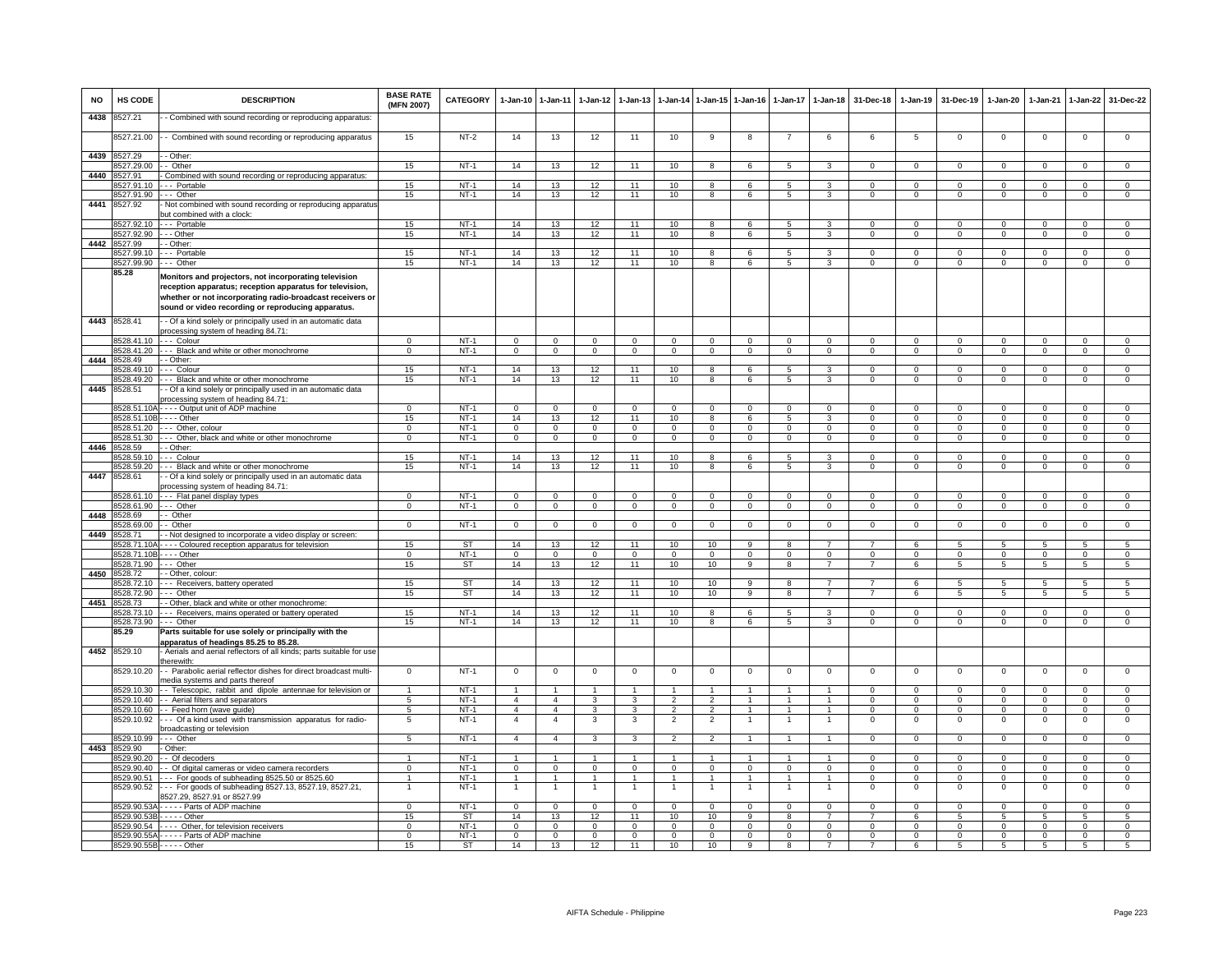| <b>NO</b> | HS CODE                    | <b>DESCRIPTION</b>                                                                                                                                                                                                                   | <b>BASE RATE</b><br>(MFN 2007)    | <b>CATEGORY</b>   | $1-Jan-10$                       | $1 - Jan-11$                     | $1 - Jan-12$               | $1 - Jan-13$                     |                                  |                                  | 1-Jan-14 1-Jan-15 1-Jan-16 | $1-Jan-17$               | $1 - Jan-18$                   | 31-Dec-18                  | $1-Jan-19$               | 31-Dec-19                    | $1-Jan-20$                  | $1-Jan-21$                | 1-Jan-22                       | 31-Dec-22                        |
|-----------|----------------------------|--------------------------------------------------------------------------------------------------------------------------------------------------------------------------------------------------------------------------------------|-----------------------------------|-------------------|----------------------------------|----------------------------------|----------------------------|----------------------------------|----------------------------------|----------------------------------|----------------------------|--------------------------|--------------------------------|----------------------------|--------------------------|------------------------------|-----------------------------|---------------------------|--------------------------------|----------------------------------|
| 4438      | 8527.21                    | - Combined with sound recording or reproducing apparatus:                                                                                                                                                                            |                                   |                   |                                  |                                  |                            |                                  |                                  |                                  |                            |                          |                                |                            |                          |                              |                             |                           |                                |                                  |
|           | 8527.21.00                 | - - Combined with sound recording or reproducing apparatus                                                                                                                                                                           | 15                                | $NT-2$            | 14                               | 13                               | 12                         | 11                               | 10                               | -9                               | 8                          |                          | 6                              | 6                          | 5                        | $\mathbf 0$                  | $\mathbf 0$                 | $\mathbf 0$               | $\mathbf 0$                    | $\mathbf 0$                      |
| 4439      | 8527.29                    | - Other:                                                                                                                                                                                                                             |                                   |                   |                                  |                                  |                            |                                  |                                  |                                  |                            |                          |                                |                            |                          |                              |                             |                           |                                |                                  |
|           | 8527.29.00                 | - Other                                                                                                                                                                                                                              | 15                                | $NT-1$            | 14                               | 13                               | 12                         | 11                               | 10                               | 8                                | 6                          | 5                        | 3                              | $\mathbf 0$                | $\mathbf 0$              | $\mathbf 0$                  | $\mathbf{0}$                | $\mathbf 0$               | $\mathsf 0$                    | $\mathbf 0$                      |
| 4440      | 8527.91<br>8527.91.10      | Combined with sound recording or reproducing apparatus:<br>-- Portable                                                                                                                                                               | 15                                | $NT-1$            | 14                               | 13                               | 12                         | 11                               | 10                               | $\mathbf{R}$                     | 6                          | 5                        | $\overline{3}$                 | $\Omega$                   | $\Omega$                 | $\Omega$                     | $\Omega$                    | $\Omega$                  | $\mathbf 0$                    | $\overline{0}$                   |
|           | 8527.91.90                 | $- -$ Other                                                                                                                                                                                                                          | 15                                | $NT-1$            | 14                               | 13                               | 12                         | 11                               | 10                               | $\overline{8}$                   | 6                          | $\overline{5}$           | 3                              | $\overline{0}$             | $\overline{0}$           | $\overline{0}$               | $\overline{0}$              | $\overline{0}$            | $\overline{0}$                 | $\overline{0}$                   |
| 4441      | 8527.92                    | - Not combined with sound recording or reproducing apparatus<br>but combined with a clock:                                                                                                                                           |                                   |                   |                                  |                                  |                            |                                  |                                  |                                  |                            |                          |                                |                            |                          |                              |                             |                           |                                |                                  |
|           |                            | 8527.92.10 --- Portable                                                                                                                                                                                                              | 15                                | $NT-1$            | 14                               | 13                               | 12                         | 11                               | 10                               | 8                                | 6                          | 5                        | 3                              | $^{\circ}$                 | $\mathbf{0}$             | $^{\circ}$                   | $\mathbf{0}$                | $^{\circ}$                | $\mathbf{0}$                   | $^{\circ}$                       |
|           | 8527.92.90                 | - - Other                                                                                                                                                                                                                            | 15                                | $NT-1$            | 14                               | 13                               | 12                         | 11                               | 10                               | 8                                | 6                          | 5                        | 3                              | $\Omega$                   | $\mathbf{0}$             | $\mathbf 0$                  | $\mathbf{0}$                | $\Omega$                  | $\mathbf{0}$                   | $\overline{0}$                   |
|           | 4442 8527.99<br>8527.99.10 | - Other:<br>- - Portable                                                                                                                                                                                                             | 15                                | $NT-1$            | 14                               | 13                               | 12                         | 11                               | 10                               | 8                                | 6                          | 5                        | 3                              | $\mathsf 0$                | $\mathsf 0$              | $\mathbf 0$                  | $\mathbf 0$                 | $\Omega$                  | $\mathbf 0$                    | $\overline{0}$                   |
|           | 8527.99.90                 | - - - Other                                                                                                                                                                                                                          | 15                                | $NT-1$            | 14                               | 13                               | 12                         | 11                               | 10                               | 8                                | 6                          | 5                        | 3                              | $\Omega$                   | $\Omega$                 | $\Omega$                     | $\Omega$                    | $\Omega$                  | $\Omega$                       | $\mathbf 0$                      |
|           | 85.28                      | Monitors and projectors, not incorporating television<br>reception apparatus; reception apparatus for television,<br>whether or not incorporating radio-broadcast receivers or<br>sound or video recording or reproducing apparatus. |                                   |                   |                                  |                                  |                            |                                  |                                  |                                  |                            |                          |                                |                            |                          |                              |                             |                           |                                |                                  |
|           | 4443 8528.41               | - Of a kind solely or principally used in an automatic data<br>processing system of heading 84.71:                                                                                                                                   |                                   |                   |                                  |                                  |                            |                                  |                                  |                                  |                            |                          |                                |                            |                          |                              |                             |                           |                                |                                  |
|           | 3528.41.10                 | --- Colour<br>-- Black and white or other monochrome                                                                                                                                                                                 | $\Omega$<br>$\Omega$              | $NT-1$<br>$NT-1$  | $\overline{0}$                   | $\overline{0}$                   | $\Omega$<br>$\overline{0}$ | $\overline{0}$<br>$\overline{0}$ | $\overline{0}$                   | $\Omega$                         | $\Omega$                   | $\Omega$<br>0            | $\Omega$                       | $\Omega$                   | $\overline{0}$           | $\Omega$                     | $\Omega$<br>0               | $\Omega$<br>$\Omega$      | $\Omega$                       | $\overline{0}$<br>$\overline{0}$ |
| 4444      | 528.41.20<br>8528.49       | - Other:                                                                                                                                                                                                                             |                                   |                   | $\mathbf{0}$                     | $\mathbf 0$                      |                            |                                  | 0                                | $\mathbf 0$                      | 0                          |                          | 0                              | 0                          | 0                        | $\mathbf 0$                  |                             |                           | 0                              |                                  |
|           | 8528.49.10                 | - Colour                                                                                                                                                                                                                             | 15                                | $NT-1$            | 14                               | 13                               | 12                         | 11                               | 10                               | 8                                | 6                          | 5                        | 3                              | $\Omega$                   | $\Omega$                 | $\Omega$                     | $\Omega$                    | $\Omega$                  | $\Omega$                       | $\overline{0}$                   |
|           | 8528.49.20                 | -- Black and white or other monochrome                                                                                                                                                                                               | 15                                | $NT-1$            | 14                               | 13                               | 12                         | 11                               | 10                               | 8                                | 6                          | 5                        | $\overline{\mathbf{3}}$        | $\Omega$                   | $\overline{0}$           | $\mathbf 0$                  | $\overline{0}$              | $\Omega$                  | $\overline{0}$                 | $\overline{0}$                   |
| 4445      | 8528.51                    | - Of a kind solely or principally used in an automatic data<br>processing system of heading 84.71                                                                                                                                    |                                   |                   |                                  |                                  |                            |                                  |                                  |                                  |                            |                          |                                |                            |                          |                              |                             |                           |                                |                                  |
|           |                            | 8528.51.10A - - - - Output unit of ADP machine                                                                                                                                                                                       | $\Omega$                          | NT-1              | $\mathbf{0}$                     | $\mathbf 0$                      | $\mathbf 0$                | $\mathbf 0$                      | $\overline{0}$                   | $\mathbf{0}$                     | $\mathbf{0}$               | $\Omega$                 | $\mathbf 0$                    | $\mathbf{0}$               | $\mathbf 0$              | $\mathbf 0$                  | $\mathbf 0$                 | $\mathbf 0$               | $\mathbf{0}$                   | $\mathbf{0}$                     |
|           | 8528.51.10B - - - - Other  | 8528.51.20 --- Other, colour                                                                                                                                                                                                         | 15<br>$\mathbf{0}$                | $NT-1$<br>$NT-1$  | 14                               | 13                               | 12<br>$\mathbf 0$          | 11<br>$\mathsf 0$                | 10<br>$\mathbf{0}$               | 8<br>$\mathbf 0$                 | 6<br>$\Omega$              | 5<br>$\Omega$            | $\mathbf{3}$<br>$\Omega$       | $\overline{0}$<br>$\Omega$ | $\mathbf{0}$<br>$\Omega$ | $\mathbf{0}$<br>$\mathbf{0}$ | $\mathbf{0}$<br>$\mathbf 0$ | $\Omega$<br>$\Omega$      | $\mathbf{0}$<br>$\mathbf{0}$   | $\mathbf 0$<br>$\mathbf 0$       |
|           | 8528.51.30                 | --- Other, black and white or other monochrome                                                                                                                                                                                       | $\overline{0}$                    | $NT-1$            | $\mathbf 0$<br>$\overline{0}$    | $\overline{0}$<br>$\overline{0}$ | $\overline{0}$             | $\overline{0}$                   | $\overline{0}$                   | $\overline{0}$                   | $\overline{0}$             | $\Omega$                 | $\overline{0}$                 | $\overline{0}$             | $\overline{0}$           | $\overline{0}$               | $\overline{0}$              | $\overline{0}$            | $\overline{0}$                 | $\overline{0}$                   |
|           | 4446 8528.59               | - - Other:                                                                                                                                                                                                                           |                                   |                   |                                  |                                  |                            |                                  |                                  |                                  |                            |                          |                                |                            |                          |                              |                             |                           |                                |                                  |
|           | 8528.59.10                 | -- Colour                                                                                                                                                                                                                            | 15                                | $NT-1$            | 14                               | 13                               | 12                         | 11                               | 10                               | 8                                | 6                          | 5                        | 3                              | $\mathsf 0$                | $\mathbf 0$              | $\mathbf 0$                  | $\mathsf 0$                 | $\mathbf 0$               | $\mathsf 0$                    | $\mathbf 0$                      |
|           | 8528.59.20                 | --- Black and white or other monochrome                                                                                                                                                                                              | 15                                | $NT-1$            | 14                               | 13                               | 12                         | 11                               | 10                               | 8                                | 6                          | 5                        | 3                              | $\overline{0}$             | $\mathbf 0$              | $\mathbf 0$                  | $\mathbf 0$                 | $\mathbf 0$               | $\mathsf 0$                    | $\overline{0}$                   |
| 4447      | 8528.61                    | - Of a kind solely or principally used in an automatic data<br>processing system of heading 84.71:<br>8528.61.10 --- Flat panel display types                                                                                        | $\Omega$                          | $NT-1$            | $\Omega$                         | $\Omega$                         | $\Omega$                   | $\Omega$                         | $\Omega$                         | $\Omega$                         | $\Omega$                   | $\Omega$                 | $\Omega$                       | $\Omega$                   | $\Omega$                 | $\Omega$                     | $\Omega$                    | $\Omega$                  | $\Omega$                       | $\Omega$                         |
|           | 8528.61.90                 | --- Other                                                                                                                                                                                                                            | $^{\circ}$                        | $NT-1$            | $^{\circ}$                       | $\mathbf 0$                      | $\mathbf{0}$               | $\mathsf 0$                      | $^{\circ}$                       | $^{\circ}$                       | $\mathbf 0$                | $\mathbf 0$              | $\mathbf 0$                    | $^{\circ}$                 | $^{\circ}$               | $\mathbf 0$                  | $\mathbf 0$                 | $\mathbf 0$               | $\mathbf 0$                    | $\mathbf 0$                      |
|           | 4448 8528.69               | - Other                                                                                                                                                                                                                              |                                   |                   |                                  |                                  |                            |                                  |                                  |                                  |                            |                          |                                |                            |                          |                              |                             |                           |                                |                                  |
|           | 8528 69 00                 | $-$ Other                                                                                                                                                                                                                            | $\overline{0}$                    | $NT-1$            | $\Omega$                         | $\overline{0}$                   | $\overline{0}$             | $\overline{0}$                   | $\overline{0}$                   | $\overline{0}$                   | $\Omega$                   | $\Omega$                 | $\Omega$                       | $\Omega$                   | $\Omega$                 | $\Omega$                     | $\Omega$                    | $\overline{0}$            | $\overline{0}$                 | $\overline{0}$                   |
| 4449      | 8528.71                    | - Not designed to incorporate a video display or screen:                                                                                                                                                                             |                                   |                   |                                  |                                  |                            |                                  |                                  |                                  |                            |                          |                                |                            |                          |                              |                             |                           |                                |                                  |
|           | 528.71.10A<br>8528.71.10B  | --- Coloured reception apparatus for television<br>--- Other                                                                                                                                                                         | 15<br>$\mathbf 0$                 | <b>ST</b><br>NT-1 | 14<br>$^{\circ}$                 | 13<br>$\mathbf 0$                | 12<br>$\mathbf 0$          | 11<br>$\mathsf 0$                | 10<br>$\mathbf 0$                | 10<br>$\mathbf 0$                | 9<br>0                     | 8<br>$\mathbf 0$         | $\overline{7}$<br>$\mathbf 0$  | $^{\circ}$                 | 6<br>$^{\circ}$          | 5<br>$\mathbf 0$             | 5<br>0                      | 5<br>$\mathbf 0$          | $5\overline{5}$<br>$\mathbf 0$ | $5^{\circ}$<br>$\mathbf 0$       |
|           | 8528.71.90                 | -- Other                                                                                                                                                                                                                             | 15                                | ST                | 14                               | 13                               | 12                         | 11                               | 10                               | 10                               | $\overline{9}$             | $\overline{8}$           | $\overline{7}$                 | $\overline{7}$             | $\,6\,$                  | 5                            | $\overline{5}$              | $5\overline{5}$           | $\overline{5}$                 | $\overline{5}$                   |
| 4450      | 8528.72                    | - Other, colour:                                                                                                                                                                                                                     |                                   |                   |                                  |                                  |                            |                                  |                                  |                                  |                            |                          |                                |                            |                          |                              |                             |                           |                                |                                  |
|           | 3528,72.10                 | -- Receivers, battery operated                                                                                                                                                                                                       | 15                                | <b>ST</b>         | 14                               | 13                               | 12                         | 11                               | 10                               | 10                               | 9                          | $\overline{\mathbf{R}}$  | $\overline{7}$                 | $\overline{7}$             | 6                        | $\overline{5}$               | 5                           | 5                         | $\overline{5}$                 | $\overline{5}$                   |
|           | 8528.72.90                 | --- Other                                                                                                                                                                                                                            | 15                                | ST                | 14                               | 13                               | 12                         | 11                               | 10                               | 10                               | 9                          | 8                        | $\overline{7}$                 | $\overline{7}$             | 6                        | 5                            | 5                           | 5                         | 5                              | 5                                |
|           | 4451 8528.73               | - - Other, black and white or other monochrome:                                                                                                                                                                                      | 15                                | NT-1              | 14                               | 13                               | 12                         | 11                               | 10                               | 8                                | 6                          | 5                        | 3                              | $\Omega$                   | $\Omega$                 | $\Omega$                     | $\Omega$                    | $\Omega$                  | $\mathbf{0}$                   | $\Omega$                         |
|           | 8528.73.90 --- Other       | 8528.73.10 --- Receivers, mains operated or battery operated                                                                                                                                                                         | 15                                | $NT-1$            | 14                               | 13                               | 12                         | 11                               | 10                               | 8                                | 6                          | 5                        | 3                              | $\Omega$                   | $\mathbf 0$              | $\mathbf 0$                  | $\mathbf 0$                 | $\Omega$                  | $\mathbf{0}$                   | $\overline{0}$                   |
|           | 85.29                      | Parts suitable for use solely or principally with the<br>apparatus of headings 85.25 to 85.28.                                                                                                                                       |                                   |                   |                                  |                                  |                            |                                  |                                  |                                  |                            |                          |                                |                            |                          |                              |                             |                           |                                |                                  |
|           | 4452 8529.10               | Aerials and aerial reflectors of all kinds; parts suitable for use<br>herewith:                                                                                                                                                      |                                   |                   |                                  |                                  |                            |                                  |                                  |                                  |                            |                          |                                |                            |                          |                              |                             |                           |                                |                                  |
|           | 8529.10.20                 | - - Parabolic aerial reflector dishes for direct broadcast multi-<br>media systems and parts thereof                                                                                                                                 | $\mathsf 0$                       | $NT-1$            | $\mathsf 0$                      | $\mathbf 0$                      | $\mathbf 0$                | $\mathbf 0$                      | $\mathbf 0$                      | $\mathbf 0$                      | $\mathbf 0$                | $\mathbf 0$              | $\mathbf 0$                    | $\mathsf 0$                | $\mathbf 0$              | $\mathbf 0$                  | $\mathbf 0$                 | $\mathbf 0$               | $\mathsf 0$                    | $\mathbf 0$                      |
|           | 8529.10.30                 | - - Telescopic, rabbit and dipole antennae for television or                                                                                                                                                                         |                                   | $NT-1$            | $\mathbf{1}$                     |                                  |                            |                                  |                                  |                                  |                            |                          | $\mathbf{1}$                   | $\Omega$                   | $\Omega$                 | $\Omega$                     | $\Omega$                    | $\Omega$                  | $\Omega$                       | $\Omega$                         |
|           |                            | 8529.10.40 - Aerial filters and separators                                                                                                                                                                                           | 5                                 | <b>NT-1</b>       | $\overline{4}$                   | $\overline{4}$                   | 3                          | 3                                | $\overline{2}$                   | $\overline{2}$                   | 1                          | $\mathbf{1}$             | $\overline{1}$                 | $\Omega$                   | $\mathbf{0}$             | $\mathbf 0$                  | $\circ$                     | $\mathbf 0$               | $\mathbf{0}$                   | $\circ$                          |
|           | 8529.10.92                 | 8529.10.60 - Feed horn (wave guide)<br>-- Of a kind used with transmission apparatus for radio-                                                                                                                                      | $5\overline{5}$<br>$\overline{5}$ | $NT-1$<br>$NT-1$  | $\overline{4}$<br>$\overline{4}$ | $\overline{4}$<br>$\overline{4}$ | 3<br>3                     | $\mathbf{3}$<br>3                | $\overline{2}$<br>$\overline{2}$ | $\overline{2}$<br>$\overline{2}$ | $\overline{1}$<br>-1       | $\mathbf{1}$<br>-1       | $\overline{1}$<br>$\mathbf{1}$ | $\Omega$<br>$\Omega$       | $^{\circ}$<br>$^{\circ}$ | $\mathbf{0}$<br>$^{\circ}$   | $\mathbf{0}$<br>$^{\circ}$  | $\Omega$<br>$\Omega$      | $\mathbf{0}$<br>$\mathsf 0$    | $\mathbf{0}$<br>$\overline{0}$   |
|           |                            | roadcasting or television                                                                                                                                                                                                            |                                   |                   |                                  |                                  |                            |                                  |                                  |                                  |                            |                          |                                |                            |                          |                              |                             |                           |                                |                                  |
|           | 8529.10.99                 | -- Other                                                                                                                                                                                                                             | 5                                 | $NT-1$            | $\overline{4}$                   | $\overline{4}$                   | 3                          | 3                                | $\overline{2}$                   | $\overline{2}$                   |                            | $\mathbf{1}$             | $\mathbf{1}$                   | $\mathbf{O}$               | $\mathbf 0$              | $\mathbf 0$                  | $\mathbf 0$                 | $\mathbf 0$               | $\mathsf 0$                    | $\overline{0}$                   |
| 4453      | 529.90                     | Other:                                                                                                                                                                                                                               |                                   |                   |                                  |                                  |                            |                                  |                                  |                                  |                            |                          |                                |                            |                          |                              |                             |                           |                                |                                  |
|           | 8529.90.20<br>8529 90 40   | - Of decoders                                                                                                                                                                                                                        | $\overline{1}$<br>$\overline{0}$  | $NT-1$<br>$NT-1$  | $\overline{1}$<br>$\Omega$       | $\overline{1}$<br>$\overline{0}$ | $\overline{1}$<br>$\Omega$ | $\overline{1}$<br>$\overline{0}$ | $\overline{1}$<br>$\overline{0}$ | $\overline{1}$<br>$\Omega$       | $\mathbf{1}$<br>$\Omega$   | $\mathbf{1}$<br>$\Omega$ | $\overline{1}$<br>$\Omega$     | $\Omega$<br>$\Omega$       | $\Omega$<br>$\Omega$     | $\Omega$<br>$\Omega$         | $\Omega$<br>$\Omega$        | $\Omega$<br>$\Omega$      | $\mathbf 0$<br>$\Omega$        | $\overline{0}$<br>$\overline{0}$ |
|           | 8529.90.51                 | - Of digital cameras or video camera recorders<br>-- For goods of subheading 8525.50 or 8525.60                                                                                                                                      | $\mathbf{1}$                      | $NT-1$            | $\overline{1}$                   | $\overline{1}$                   | $\mathbf{1}$               | $\mathbf{1}$                     | $\overline{1}$                   | $\overline{1}$                   | $\mathbf{1}$               | $\mathbf{1}$             | $\mathbf{1}$                   | $\Omega$                   | $\mathbf{0}$             | $\mathbf{0}$                 | $\circ$                     | $\Omega$                  | $\mathbf{0}$                   | $\circ$                          |
|           | 8529.90.52                 | -- For goods of subheading 8527.13, 8527.19, 8527.21,<br>8527.29, 8527.91 or 8527.99                                                                                                                                                 | $\mathbf{1}$                      | $NT-1$            | $\overline{1}$                   | $\overline{1}$                   | $\mathbf{1}$               | $\overline{1}$                   |                                  | $\mathbf{1}$                     |                            |                          | $\overline{1}$                 | $\Omega$                   | $\Omega$                 | $\Omega$                     | $\mathbf 0$                 | $\Omega$                  | 0                              | 0                                |
|           | 8529.90.53A                | ---- Parts of ADP machine                                                                                                                                                                                                            | $\Omega$                          | $NT-1$            | $\Omega$                         | $\Omega$                         | $\Omega$                   | $\mathbf 0$                      | $\Omega$                         | $\Omega$                         | $\Omega$                   | $\Omega$                 | $\Omega$                       | $\Omega$                   | $\Omega$                 | $\Omega$                     | $\Omega$                    | $\Omega$                  | $\mathsf 0$                    | $\Omega$                         |
|           | 8529.90.53B                | $- - -$ Other                                                                                                                                                                                                                        | 15                                | ST                | 14                               | 13                               | 12                         | 11                               | 10                               | 10                               | 9                          | 8                        | $\overline{7}$                 | $\overline{7}$             | 6                        | 5                            | 5                           | -5                        | 5                              | $5\overline{)}$                  |
|           |                            | 8529.90.54 ---- Other, for television receivers                                                                                                                                                                                      | $\overline{0}$                    | $NT-1$            | $\overline{0}$                   | $\overline{0}$                   | $\overline{0}$             | $\overline{0}$                   | $\overline{0}$                   | $\overline{0}$                   | $\overline{0}$             | $\Omega$                 | $\overline{0}$                 | $\overline{0}$             | $\overline{0}$           | $\overline{0}$               | $\overline{0}$              | $\Omega$                  | $\overline{0}$                 | $\overline{0}$                   |
|           |                            | 8529.90.55A - - - - - Parts of ADP machine<br>8529.90.55B - - - - - Other                                                                                                                                                            | $\mathbf 0$<br>15                 | $NT-1$<br>ST      | 0<br>14                          | $\mathbf 0$<br>13                | $\mathbf{0}$<br>12         | $\mathsf 0$<br>11                | 0<br>10                          | $\mathsf 0$<br>10                | 0<br>9                     | 0<br>8                   | 0<br>$\overline{7}$            | 0<br>$\overline{7}$        | $^{\circ}$<br>6          | $\mathbf 0$<br>$\sqrt{5}$    | 0<br>5                      | $\mathbf 0$<br>$\sqrt{5}$ | 0<br>$5\overline{5}$           | $\mathsf 0$<br>$5^{\circ}$       |
|           |                            |                                                                                                                                                                                                                                      |                                   |                   |                                  |                                  |                            |                                  |                                  |                                  |                            |                          |                                |                            |                          |                              |                             |                           |                                |                                  |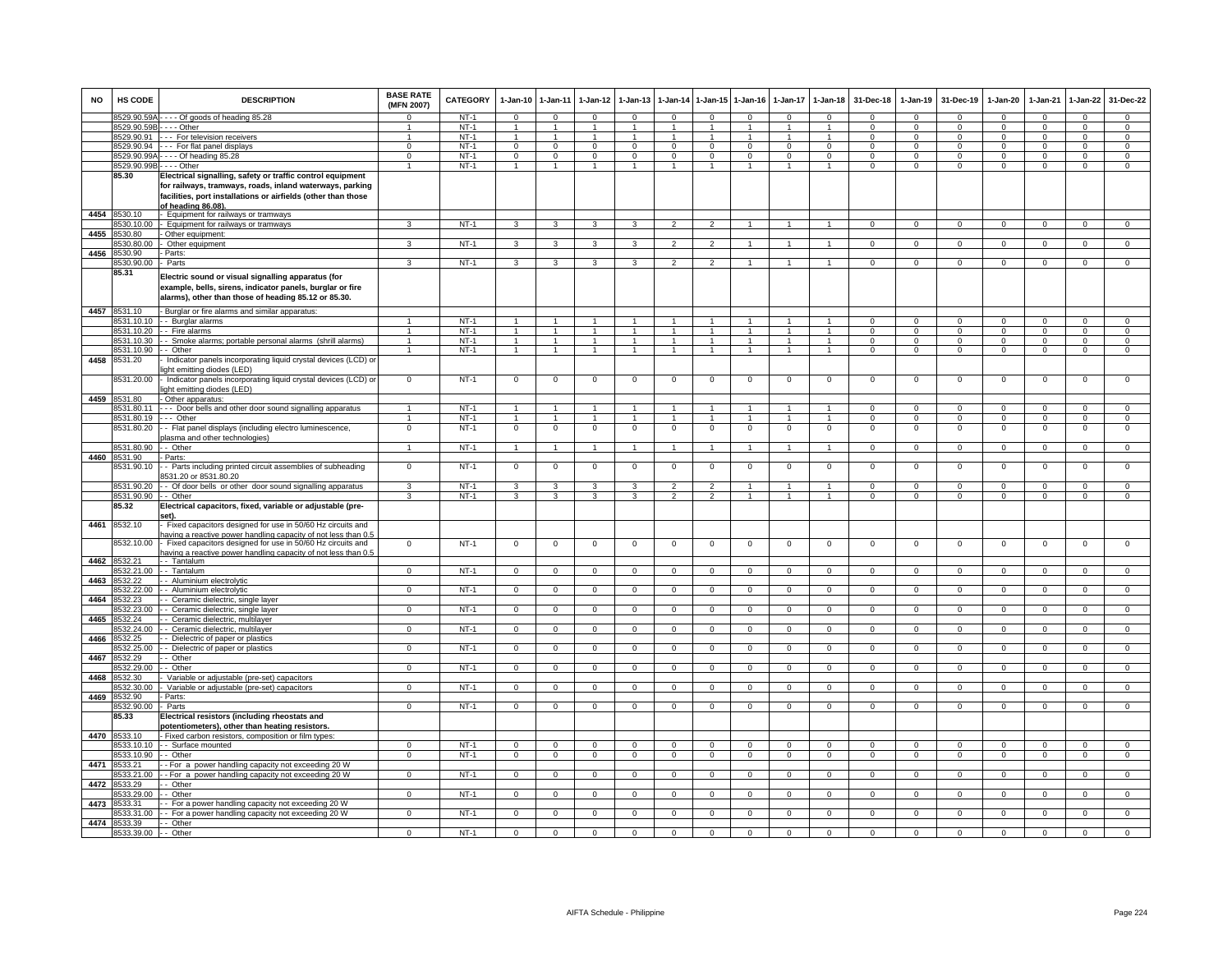| <b>NO</b> | HS CODE               | <b>DESCRIPTION</b>                                                                                                                                                      | <b>BASE RATE</b><br>(MFN 2007) | <b>CATEGORY</b> | $1-Jan-10$     | $1-Jan-11$     | $1-Jan-12$     | $1-Jan-13$     | $1-Jan-14$     | I-Jan-15             | $1 - Jan-16$         | $1-Jan-17$     | $1-Jan-18$           | 31-Dec-18      | $1-Jan-19$     | 31-Dec-19      | $1-Jan-20$     | $1-Jan-21$     | $1-Jan-22$     | 31-Dec-22      |
|-----------|-----------------------|-------------------------------------------------------------------------------------------------------------------------------------------------------------------------|--------------------------------|-----------------|----------------|----------------|----------------|----------------|----------------|----------------------|----------------------|----------------|----------------------|----------------|----------------|----------------|----------------|----------------|----------------|----------------|
|           | 8529.90.59A           | --- Of goods of heading 85.28                                                                                                                                           |                                | $NT-1$          | $\Omega$       | $\Omega$       | $\Omega$       | $\Omega$       | $\Omega$       | $\Omega$             | $\Omega$             | $\Omega$       | $\Omega$             | $\Omega$       | $\Omega$       | $\Omega$       | $\Omega$       | $\Omega$       | $\Omega$       | $\Omega$       |
|           | 8529.90.59E           | $--$ Other                                                                                                                                                              |                                | $NT-1$          | $\overline{1}$ | $\mathbf{1}$   | $\mathbf{1}$   |                |                | $\blacktriangleleft$ |                      |                | $\overline{1}$       | $\Omega$       | $\Omega$       | $\Omega$       | $\Omega$       | $\Omega$       | $\Omega$       | $\Omega$       |
|           | 8529.90.91            | --- For television receivers                                                                                                                                            | -1                             | $NT-1$          | -1             | $\mathbf{1}$   | $\mathbf{1}$   |                |                | $\overline{1}$       |                      | $\mathbf{1}$   | $\overline{1}$       | $\Omega$       | $\Omega$       | 0              | $\Omega$       | $\Omega$       | $\Omega$       | $\mathbf 0$    |
|           | 8529.90.94            | --- For flat panel displays                                                                                                                                             | $\Omega$                       | NT-1            | $\mathbf{0}$   | $\mathbf{0}$   | $\mathbf{0}$   | $^{\circ}$     | $\mathbf{0}$   | $^{\circ}$           | $\mathbf{0}$         | $^{\circ}$     | $^{\circ}$           | $\Omega$       | $\mathbf{0}$   | $^{\circ}$     | $\mathbf{0}$   | $^{\circ}$     | $\mathbf 0$    | $\mathbf 0$    |
|           | 8529.90.99/           | $\overline{\cdots}$ Of heading 85.28                                                                                                                                    | $\Omega$                       | $NT-1$          | 0              | $\mathbf 0$    | $\mathbf{0}$   | 0              | $\mathbf{0}$   | $\mathbf 0$          | $\mathbf{O}$         | $^{\circ}$     | $^{\circ}$           | $\Omega$       | 0              | 0              | $\mathbf{0}$   | $^{\circ}$     | $\mathbf 0$    | $\mathbf 0$    |
|           | 8529.90.99B           | $\cdots$ - Other                                                                                                                                                        | $\mathbf{1}$                   | $NT-1$          | $\mathbf{1}$   | $\overline{1}$ | $\overline{1}$ | $\overline{1}$ | $\overline{1}$ | $\overline{1}$       | $\mathbf{1}$         | $\mathbf{1}$   | $\overline{1}$       | $\Omega$       | $\mathbf 0$    | $\mathbf 0$    | $\mathbf 0$    | $\Omega$       | $\overline{0}$ | $\overline{0}$ |
|           | 85.30                 | Electrical signalling, safety or traffic control equipment                                                                                                              |                                |                 |                |                |                |                |                |                      |                      |                |                      |                |                |                |                |                |                |                |
|           |                       | for railways, tramways, roads, inland waterways, parking                                                                                                                |                                |                 |                |                |                |                |                |                      |                      |                |                      |                |                |                |                |                |                |                |
|           |                       | facilities, port installations or airfields (other than those                                                                                                           |                                |                 |                |                |                |                |                |                      |                      |                |                      |                |                |                |                |                |                |                |
|           |                       | of heading 86.08)                                                                                                                                                       |                                |                 |                |                |                |                |                |                      |                      |                |                      |                |                |                |                |                |                |                |
| 4454      | 8530.10               | Equipment for railways or tramways                                                                                                                                      |                                |                 |                |                |                |                |                |                      |                      |                |                      |                |                |                |                |                |                |                |
|           | 8530.10.00            | Equipment for railways or tramways                                                                                                                                      | 3                              | $NT-1$          | $\overline{3}$ | $\overline{3}$ | 3              | $\overline{3}$ | $\overline{2}$ | $\overline{2}$       | $\overline{1}$       | $\mathbf{1}$   | $\mathbf{1}$         | $\overline{0}$ | $\overline{0}$ | $\overline{0}$ | $\overline{0}$ | $\overline{0}$ | $\overline{0}$ | $\overline{0}$ |
| 4455      | 8530.80               | Other equipment                                                                                                                                                         |                                |                 |                |                |                |                |                |                      |                      |                |                      |                |                |                |                |                |                |                |
|           | 8530.80.00            | Other equipment                                                                                                                                                         | 3                              | NT-1            | 3              | 3              | 3              | 3              | $\mathfrak{p}$ | $\overline{2}$       |                      |                |                      | $\Omega$       | $\mathbf 0$    | $\Omega$       | $\mathbf 0$    | $\Omega$       | $\circ$        | $\mathsf 0$    |
| 4456      | 8530.90               | Parts:                                                                                                                                                                  |                                |                 |                |                |                |                |                |                      |                      |                |                      |                |                |                |                |                |                |                |
|           | 8530.90.00            | - Parts                                                                                                                                                                 | 3                              | $NT-1$          | 3              | 3              | 3              | 3              | $\mathfrak{p}$ | $\overline{2}$       |                      |                |                      | $\Omega$       | $\Omega$       | $\Omega$       | $\Omega$       | $\Omega$       | $\Omega$       | $\Omega$       |
|           | 85.31                 | Electric sound or visual signalling apparatus (for<br>example, bells, sirens, indicator panels, burglar or fire<br>alarms), other than those of heading 85.12 or 85.30. |                                |                 |                |                |                |                |                |                      |                      |                |                      |                |                |                |                |                |                |                |
|           | 4457 8531.10          | - Burglar or fire alarms and similar apparatus:                                                                                                                         |                                |                 |                |                |                |                |                |                      |                      |                |                      |                |                |                |                |                |                |                |
|           | 3531.10.10            | - Burglar alarms                                                                                                                                                        | $\mathbf{1}$                   | $NT-1$          |                | $\overline{1}$ |                |                |                |                      |                      |                |                      | $\Omega$       | $\mathbf 0$    | $\Omega$       | $\Omega$       | $\Omega$       | $\mathbf{0}$   | $\overline{0}$ |
|           | 8531.10.20            | - Fire alarms                                                                                                                                                           | $\mathbf{1}$                   | $NT-1$          | $\mathbf{1}$   | $\mathbf{1}$   | $\mathbf{1}$   | $\mathbf{1}$   |                | $\mathbf{1}$         | $\overline{1}$       | $\overline{1}$ | $\overline{1}$       | $\mathbf 0$    | $\mathbf 0$    | $\mathbf 0$    | 0              | $\mathbf 0$    | $\mathbf 0$    | $\mathbf 0$    |
|           | 8531.10.30            | - Smoke alarms; portable personal alarms (shrill alarms)                                                                                                                | $\mathbf{1}$                   | $NT-1$          | $\mathbf{1}$   | $\mathbf{1}$   | $\mathbf{1}$   | $\mathbf{1}$   | $\mathbf{1}$   | $\overline{1}$       | $\blacktriangleleft$ | $\mathbf{1}$   |                      | $\Omega$       | $\mathbf 0$    | $\mathbf 0$    | 0              | $^{\circ}$     | $\mathbf 0$    | $\mathsf 0$    |
|           | 8531.10.90            | - Other                                                                                                                                                                 | $\mathbf{1}$                   | $NT-1$          | $\mathbf{1}$   | $\overline{1}$ | $\overline{1}$ | $\mathbf{1}$   | $\overline{1}$ | $\overline{1}$       | $\overline{1}$       | $\mathbf{1}$   | $\overline{1}$       | $\Omega$       | $\mathbf 0$    | $\overline{0}$ | $\mathbf 0$    | $\mathbf 0$    | $\overline{0}$ | $\overline{0}$ |
| 4458      | 8531.20               | Indicator panels incorporating liquid crystal devices (LCD) or<br>ight emitting diodes (LED)                                                                            |                                |                 |                |                |                |                |                |                      |                      |                |                      |                |                |                |                |                |                |                |
|           | 8531.20.00            | Indicator panels incorporating liquid crystal devices (LCD) or<br>light emitting diodes (LED)                                                                           | $\mathbf 0$                    | $NT-1$          | $\mathbf 0$    | $\mathbf 0$    | $\mathbf 0$    | $\mathbf 0$    | $\mathbf 0$    | $\mathbf 0$          | $\mathbf 0$          | $\mathbf 0$    | $\mathbf 0$          | $\mathbf 0$    | $\mathbf 0$    | $\mathbf 0$    | $\mathbf 0$    | $\mathbf 0$    | $\mathbf 0$    | $\mathsf 0$    |
| 4459      | 8531.80               | - Other apparatus:                                                                                                                                                      |                                |                 |                |                |                |                |                |                      |                      |                |                      |                |                |                |                |                |                |                |
|           | 8531.80.11            | --- Door bells and other door sound signalling apparatus                                                                                                                | 1                              | $NT-1$          |                | $\mathbf{1}$   | $\mathbf{1}$   |                |                | $\mathbf{1}$         |                      |                | $\blacktriangleleft$ | $\Omega$       | $\mathbf 0$    | $\Omega$       | $\Omega$       | $\Omega$       | $\circ$        | $\mathbf 0$    |
|           | 8531.80.19            | .-- Other                                                                                                                                                               | $\mathbf{1}$                   | $NT-1$          | -1             | $\overline{1}$ | $\mathbf{1}$   | $\mathbf{1}$   | $\mathbf{1}$   | $\overline{1}$       |                      | $\mathbf{1}$   | $\overline{1}$       | $\Omega$       | $\Omega$       | $\Omega$       | $\Omega$       | $\Omega$       | $\mathbf{0}$   | $\mathbf 0$    |
|           | 8531.80.20            | - Flat panel displays (including electro luminescence,<br>plasma and other technologies)                                                                                | $\mathbf 0$                    | $NT-1$          | $\mathsf 0$    | $\mathbf 0$    | $\mathbf 0$    | 0              | 0              | $\mathbf 0$          | $^{\circ}$           | $^{\circ}$     | $\mathbf 0$          | $^{\circ}$     | $\mathbf 0$    | $^{\circ}$     | 0              | $^{\circ}$     | $\mathsf 0$    | $\mathsf 0$    |
|           | 8531.80.90            | - Other                                                                                                                                                                 | 1                              | $NT-1$          | $\overline{1}$ | $\overline{1}$ | $\overline{1}$ | $\mathbf{1}$   | $\mathbf{1}$   | $\overline{1}$       | $\mathbf{1}$         | $\mathbf{1}$   | $\overline{1}$       | $\Omega$       | $\overline{0}$ | $\overline{0}$ | $\overline{0}$ | $\overline{0}$ | $\overline{0}$ | $\overline{0}$ |
| 4460      | 531.90                | Parts:                                                                                                                                                                  |                                |                 |                |                |                |                |                |                      |                      |                |                      |                |                |                |                |                |                |                |
|           | 8531.90.10            | - Parts including printed circuit assemblies of subheading<br>3531.20 or 8531.80.20                                                                                     | 0                              | $NT-1$          | $\mathsf 0$    | $\mathbf 0$    | $\mathsf 0$    | 0              | $\Omega$       | $\,0\,$              | $\Omega$             | 0              | $\mathbf 0$          | $\Omega$       | 0              | $\Omega$       | $\Omega$       | $\Omega$       | $\mathsf 0$    | $\mathsf 0$    |
|           | 8531.90.20            | - Of door bells or other door sound signalling apparatus                                                                                                                | 3                              | $NT-1$          | 3              | 3              | 3              | 3              | $\overline{2}$ | $\overline{2}$       | $\blacktriangleleft$ | $\mathbf{1}$   | $\overline{1}$       | $\Omega$       | $\mathbf{0}$   | $^{\circ}$     | $\Omega$       | $\Omega$       | $\mathbf 0$    | $\mathbf 0$    |
|           | 8531.90.90            | - Other                                                                                                                                                                 | 3                              | $NT-1$          | $\overline{3}$ | 3              | 3              | 3              | $\overline{2}$ | $\overline{2}$       | $\overline{1}$       | $\mathbf{1}$   | $\overline{1}$       | $\Omega$       | $\mathbf 0$    | $\overline{0}$ | $\Omega$       | $\mathbf 0$    | $\mathbf 0$    | $\overline{0}$ |
|           | 85.32                 | Electrical capacitors, fixed, variable or adjustable (pre-<br>iet)                                                                                                      |                                |                 |                |                |                |                |                |                      |                      |                |                      |                |                |                |                |                |                |                |
| 4461      | 8532.10               | Fixed capacitors designed for use in 50/60 Hz circuits and                                                                                                              |                                |                 |                |                |                |                |                |                      |                      |                |                      |                |                |                |                |                |                |                |
|           | 3532.10.00            | having a reactive power handling capacity of not less than 0.5<br>Fixed capacitors designed for use in 50/60 Hz circuits and                                            | $\overline{0}$                 | $NT-1$          | $\overline{0}$ | $\overline{0}$ | $\overline{0}$ | $\mathbf 0$    | $\mathbf 0$    | $\overline{0}$       | $\mathsf 0$          | $\mathbf 0$    | $\overline{0}$       | $\mathbf 0$    | $\overline{0}$ | $\overline{0}$ | $\overline{0}$ | $\mathbf 0$    | $\overline{0}$ | $\overline{0}$ |
|           |                       | having a reactive power handling capacity of not less than 0.                                                                                                           |                                |                 |                |                |                |                |                |                      |                      |                |                      |                |                |                |                |                |                |                |
| 4462      | 8532.21               | - Tantalum                                                                                                                                                              |                                |                 |                |                |                |                |                |                      |                      |                |                      |                |                |                |                |                |                |                |
|           | 8532.21.00            | - Tantalum                                                                                                                                                              | $\mathbf{0}$                   | $NT-1$          | $\Omega$       | $\Omega$       | $\Omega$       | $\Omega$       | $\Omega$       | $\mathbf 0$          | $\Omega$             | $\Omega$       | $\Omega$             | $\Omega$       | $\Omega$       | $\Omega$       | $\Omega$       | $\Omega$       | $\Omega$       | $\mathbf 0$    |
| 4463      | 8532.22               | - Aluminium electrolytic                                                                                                                                                |                                |                 |                |                |                |                |                |                      |                      |                |                      |                |                |                |                |                |                |                |
|           | 8532.22.00            | - - Aluminium electrolytic                                                                                                                                              | $\mathbf 0$                    | $NT-1$          | $\Omega$       | $\mathbf 0$    | $^{\circ}$     | $\Omega$       | 0              | $\mathbf{0}$         | $\Omega$             | $^{\circ}$     | $\Omega$             | $\Omega$       | $\mathbf 0$    | $\mathbf 0$    | $\mathbf 0$    | $^{\circ}$     | $\mathbf 0$    | $\mathbf{0}$   |
| 4464      | 8532.23               | - Ceramic dielectric, single layer                                                                                                                                      |                                | $NT-1$          |                |                |                |                |                |                      |                      |                |                      |                |                |                |                |                |                |                |
|           | 8532.23.00<br>8532.24 | - Ceramic dielectric, single layer                                                                                                                                      | $\mathbf{0}$                   |                 | 0              | $\mathbf 0$    | $\mathbf 0$    | 0              | 0              | $\mathsf 0$          | $\Omega$             | 0              | $\Omega$             | $\Omega$       | $\mathbf 0$    | 0              | 0              | 0              | $\mathbf 0$    | $\overline{0}$ |
| 4465      | 532.24.00             | - Ceramic dielectric, multilayer<br>- Ceramic dielectric, multilayer                                                                                                    | $\Omega$                       | $NT-1$          | $\Omega$       | $\overline{0}$ | $\overline{0}$ | $\Omega$       | $\Omega$       | $\overline{0}$       | $\Omega$             | $\Omega$       | $\overline{0}$       | $\Omega$       | $\Omega$       | $\overline{0}$ | $\Omega$       | $\Omega$       | $\overline{0}$ | $\overline{0}$ |
| 4466      | 8532.25               | - Dielectric of paper or plastics                                                                                                                                       |                                |                 |                |                |                |                |                |                      |                      |                |                      |                |                |                |                |                |                |                |
|           | 532.25.00             | - Dielectric of paper or plastics                                                                                                                                       | $\mathbf 0$                    | $NT-1$          | $\mathbf{O}$   | $\overline{0}$ | $\overline{0}$ | $\mathbf 0$    | $\mathbf 0$    | $\overline{0}$       | $\mathbf{O}$         | $\mathbf 0$    | $\mathbf 0$          | $\mathbf 0$    | $\mathsf 0$    | $\mathbf 0$    | $\mathbf 0$    | $\mathbf 0$    | $\mathbf 0$    | $\overline{0}$ |
| 4467      | 532.29                | · Other                                                                                                                                                                 |                                |                 |                |                |                |                |                |                      |                      |                |                      |                |                |                |                |                |                |                |
|           | 8532.29.00            | - Other                                                                                                                                                                 | $\Omega$                       | $NT-1$          | $\Omega$       | $\mathbf 0$    | $\mathbf 0$    | $\Omega$       | $\Omega$       | $\mathsf 0$          | $\Omega$             | $\Omega$       | $\mathbf 0$          | $\Omega$       | $\Omega$       | $\Omega$       | $\Omega$       | $\Omega$       | $\mathbf 0$    | $\overline{0}$ |
| 4468      | 8532.30               | Variable or adjustable (pre-set) capacitors                                                                                                                             |                                |                 |                |                |                |                |                |                      |                      |                |                      |                |                |                |                |                |                |                |
|           | 8532.30.00            | Variable or adjustable (pre-set) capacitors                                                                                                                             | $\Omega$                       | $NT-1$          | $\overline{0}$ | $\overline{0}$ | $\overline{0}$ | $\Omega$       | $\Omega$       | $\overline{0}$       | $\Omega$             | $\Omega$       | $\overline{0}$       | $\Omega$       | $\overline{0}$ | $\overline{0}$ | $\Omega$       | $\mathbf 0$    | $\overline{0}$ | $\overline{0}$ |
| 4469      | 8532.90               | Parts:                                                                                                                                                                  |                                |                 |                |                |                |                |                |                      |                      |                |                      |                |                |                |                |                |                |                |
|           | 8532.90.00            | Parts                                                                                                                                                                   | $\mathbf{0}$                   | $NT-1$          | $\mathbf 0$    | $\mathbf 0$    | $\mathbf{0}$   | $\mathbf 0$    | $\Omega$       | $\mathbf{0}$         | $\mathbf 0$          | $\mathbf 0$    | $\mathbf 0$          | $\mathbf 0$    | $\mathbf 0$    | $\circ$        | $\mathbf 0$    | $\mathbf 0$    | $\mathbf{0}$   | $\mathbf 0$    |
|           | 85.33                 | Electrical resistors (including rheostats and                                                                                                                           |                                |                 |                |                |                |                |                |                      |                      |                |                      |                |                |                |                |                |                |                |
|           |                       | potentiometers), other than heating resistors.                                                                                                                          |                                |                 |                |                |                |                |                |                      |                      |                |                      |                |                |                |                |                |                |                |
|           | 4470 8533.10          | - Fixed carbon resistors, composition or film types:                                                                                                                    |                                |                 |                |                |                |                |                |                      |                      |                |                      |                |                |                |                |                |                |                |
|           | 8533.10.10            | - Surface mounted                                                                                                                                                       | $\Omega$                       | $NT-1$          | $\mathbf{0}$   | $\mathbf 0$    | $\mathbf 0$    | 0              | $\mathbf 0$    | $\mathbf 0$          | $\Omega$             | $\Omega$       | $\mathbf 0$          | $\mathbf 0$    | $\mathbf 0$    | $\mathbf 0$    | $\mathbf 0$    | $\mathbf 0$    | $\mathbf 0$    | $\mathbf 0$    |
|           | 8533.10.90            | - Other                                                                                                                                                                 | $\mathbf 0$                    | $NT-1$          | $\mathbf 0$    | $\mathbf{0}$   | $\mathbf 0$    | $\mathbf{0}$   | $^{\circ}$     | $\overline{0}$       | $\mathbf{O}$         | $\circ$        | $\mathbf 0$          | $\mathbf 0$    | $\mathbf 0$    | $\overline{0}$ | $\mathbf{0}$   | $\mathbf{0}$   | $\mathbf{O}$   | $\overline{0}$ |
| 4471      | 533.21                | - For a power handling capacity not exceeding 20 W                                                                                                                      |                                |                 |                |                |                |                |                |                      |                      |                |                      |                |                |                |                |                |                |                |
|           | 533.21.00             | - For a power handling capacity not exceeding 20 W                                                                                                                      | $\mathbf 0$                    | $NT-1$          | $\mathbf{O}$   | $\overline{0}$ | $\mathbf{0}$   | 0              | $\mathbf 0$    | $\mathbf{0}$         | $\mathbf{O}$         | $\mathbf 0$    | $\mathbf 0$          | $\mathbf 0$    | $\mathbf 0$    | $\mathbf 0$    | $\mathbf 0$    | $\mathbf 0$    | $\mathbf 0$    | $\overline{0}$ |
| 4472      | 533.29                | Other                                                                                                                                                                   |                                |                 |                |                |                |                |                |                      |                      |                |                      |                |                |                |                |                |                |                |
|           | 533.29.00             | - Other                                                                                                                                                                 | $\Omega$                       | $NT-1$          | $\Omega$       | $\overline{0}$ | $\overline{0}$ | $\Omega$       | $\Omega$       | $\overline{0}$       | $\Omega$             | $\mathbf 0$    | $\Omega$             | $\Omega$       | $\Omega$       | $\Omega$       | $\Omega$       | $\Omega$       | $\mathbf 0$    | $\Omega$       |
| 4473      | 8533.31               | - For a power handling capacity not exceeding 20 W                                                                                                                      |                                |                 |                |                |                |                |                |                      |                      |                |                      |                |                |                |                |                |                |                |
|           | 8533.31.00            | - For a power handling capacity not exceeding 20 W                                                                                                                      | $\mathbf 0$                    | $NT-1$          | 0              | $\mathbf 0$    | $\mathbf{0}$   | $^{\circ}$     | $\mathbf{0}$   | $\mathsf 0$          | $\mathbf{0}$         | $^{\circ}$     | $\Omega$             | $\Omega$       | $\mathbf{0}$   | $\mathbf 0$    | $\mathbf{0}$   | $^{\circ}$     | $\mathbf 0$    | $\overline{0}$ |
| 4474      | 8533.39               | - Other                                                                                                                                                                 |                                |                 |                |                |                |                |                |                      |                      |                |                      |                |                |                |                |                |                |                |
|           | 8533.39.00 - - Other  |                                                                                                                                                                         | $\overline{0}$                 | $NT-1$          | $\overline{0}$ | $\Omega$       | $\Omega$       | $\Omega$       | $\Omega$       | $\overline{0}$       | $\Omega$             | $\Omega$       | $\Omega$             |                | $\Omega$       | $\Omega$       | $\Omega$       | $\Omega$       | $\overline{0}$ | $\overline{0}$ |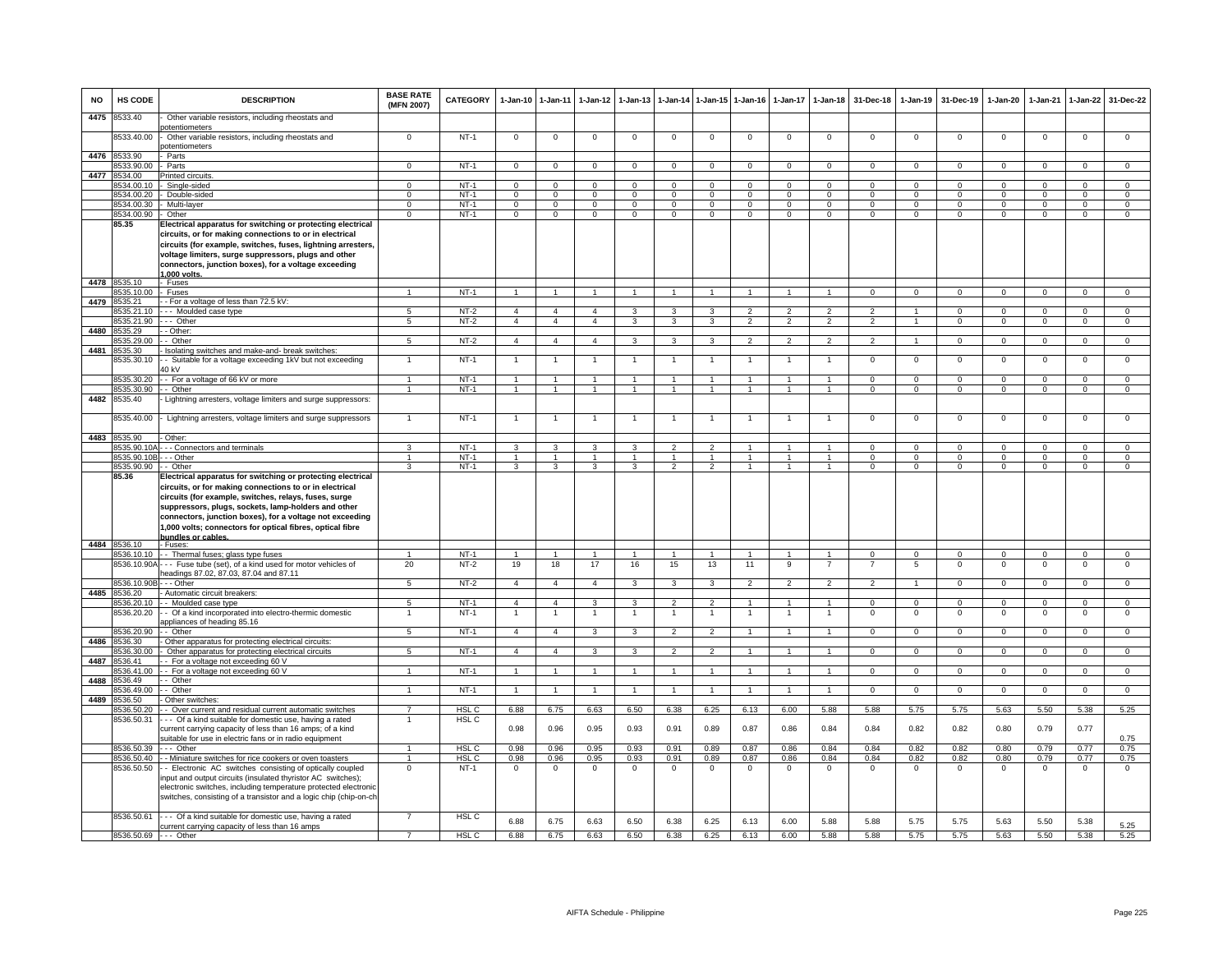| <b>NO</b> | <b>HS CODE</b>                         | <b>DESCRIPTION</b>                                                                                                                                                                                                                                                                                                                                                                   | <b>BASE RATE</b><br>(MFN 2007) | <b>CATEGORY</b>       | $1-Jan-10$                       | $1-Jan-11$                       | 1-Jan-12                         | $1-Jan-13$                     |                                 | 1-Jan-14 1-Jan-15 1-Jan-16      |                      |                              | 1-Jan-17 1-Jan-18                    | 31-Dec-18            | $1 - Jan-19$               | 31-Dec-19                 | $1-Jan-20$                   | $1-Jan-21$                 | 1-Jan-22                   | 31-Dec-22                    |
|-----------|----------------------------------------|--------------------------------------------------------------------------------------------------------------------------------------------------------------------------------------------------------------------------------------------------------------------------------------------------------------------------------------------------------------------------------------|--------------------------------|-----------------------|----------------------------------|----------------------------------|----------------------------------|--------------------------------|---------------------------------|---------------------------------|----------------------|------------------------------|--------------------------------------|----------------------|----------------------------|---------------------------|------------------------------|----------------------------|----------------------------|------------------------------|
| 4475      | 8533.40                                | Other variable resistors, including rheostats and<br>potentiometers                                                                                                                                                                                                                                                                                                                  |                                |                       |                                  |                                  |                                  |                                |                                 |                                 |                      |                              |                                      |                      |                            |                           |                              |                            |                            |                              |
|           | 8533.40.00                             | Other variable resistors, including rheostats and<br>potentiometers                                                                                                                                                                                                                                                                                                                  | $^{\circ}$                     | $NT-1$                | $\mathbf 0$                      | $\overline{0}$                   | $\mathbf 0$                      | $^{\circ}$                     | $\mathbf 0$                     | $\mathbf 0$                     | $^{\circ}$           | 0                            | $\mathbf 0$                          | $\circ$              | $^{\circ}$                 | $^{\circ}$                | $\mathbf 0$                  | $^{\circ}$                 | $\mathbf 0$                | $\mathbf{0}$                 |
| 4476      | 8533.90                                | Parts                                                                                                                                                                                                                                                                                                                                                                                |                                |                       |                                  |                                  |                                  |                                |                                 |                                 |                      |                              |                                      |                      |                            |                           |                              |                            |                            |                              |
|           | 533.90.00                              | Parts                                                                                                                                                                                                                                                                                                                                                                                | $\Omega$                       | $NT-1$                | $\mathbf{O}$                     | $\mathbf 0$                      | $\mathbf{0}$                     | $\mathsf 0$                    | $\mathbf 0$                     | $\mathbf 0$                     | 0                    | $\Omega$                     | $\mathbf 0$                          | $\mathbf 0$          | $\mathbf 0$                | $\Omega$                  | $\mathbf{O}$                 | $\mathbf 0$                | $\mathbf 0$                | $\mathbf{O}$                 |
| 4477      | 8534.00                                | Printed circuits                                                                                                                                                                                                                                                                                                                                                                     |                                | $NT-1$                | $\Omega$                         | $\Omega$                         | $\Omega$                         | $\Omega$                       | $\Omega$                        | $\Omega$                        | $\Omega$             |                              | $\Omega$                             | $\Omega$             | $\Omega$                   | $\Omega$                  | $\Omega$                     | $\Omega$                   | $\Omega$                   | $\Omega$                     |
|           | 3534.00.10<br>8534.00.20               | Single-sided<br>Double-sided                                                                                                                                                                                                                                                                                                                                                         | $\Omega$                       | $NT-1$                | $\mathbf 0$                      | $\mathbf 0$                      | $\mathbf 0$                      | $^{\circ}$                     | $\Omega$                        | $\Omega$                        | 0                    | $\Omega$                     | $\Omega$                             | $\Omega$             | $\Omega$                   | $\Omega$                  | $\mathbf 0$                  | $\Omega$                   | $\Omega$                   | $\overline{0}$               |
|           | 8534.00.30                             | Multi-layer                                                                                                                                                                                                                                                                                                                                                                          | $\mathbf{O}$                   | $NT-1$                | $\mathsf{O}$                     | $\mathbf 0$                      | $\mathsf 0$                      | $\,0\,$                        | $\mathbf 0$                     | $\mathbf 0$                     | $\mathsf{O}$         | $\mathbf 0$                  | 0                                    | $^{\circ}$           | $\mathbf{0}$               | $^{\circ}$                | $\mathsf{O}$                 | $^{\circ}$                 | $\mathbf 0$                | $\overline{0}$               |
|           | 8534.00.90                             | - Other                                                                                                                                                                                                                                                                                                                                                                              | $\mathbf{0}$                   | $NT-1$                | $\overline{0}$                   | $\overline{0}$                   | $\mathbf{0}$                     | $\mathbf 0$                    | $\overline{0}$                  | $\overline{0}$                  | $\overline{0}$       | $\mathbf 0$                  | $\mathbf{0}$                         | $\mathbf 0$          | $\mathbf 0$                | $\mathbf 0$               | $\overline{0}$               | $\Omega$                   | $\overline{0}$             | $\overline{0}$               |
|           | 85.35                                  | Electrical apparatus for switching or protecting electrical<br>circuits, or for making connections to or in electrical<br>circuits (for example, switches, fuses, lightning arresters,<br>voltage limiters, surge suppressors, plugs and other<br>connectors, junction boxes), for a voltage exceeding<br>1.000 volts                                                                |                                |                       |                                  |                                  |                                  |                                |                                 |                                 |                      |                              |                                      |                      |                            |                           |                              |                            |                            |                              |
|           | 4478 8535.10                           | · Fuses                                                                                                                                                                                                                                                                                                                                                                              |                                |                       |                                  |                                  |                                  |                                |                                 |                                 |                      |                              |                                      |                      |                            |                           |                              |                            |                            |                              |
|           | 3535.10.00                             | <b>Fuses</b>                                                                                                                                                                                                                                                                                                                                                                         | $\mathbf{1}$                   | $NT-1$                | $\mathbf{1}$                     | $\overline{1}$                   | $\blacktriangleleft$             | $\mathbf{1}$                   | $\mathbf{1}$                    | $\overline{1}$                  | $\overline{1}$       | $\mathbf{1}$                 | $\mathbf{1}$                         | $\mathbf{0}$         | $\mathbf 0$                | $\mathbf{0}$              | $\mathbf{0}$                 | $\mathbf{0}$               | $\circ$                    | $\mathbf{O}$                 |
| 4479      | 8535.21                                | - For a voltage of less than 72.5 kV:                                                                                                                                                                                                                                                                                                                                                |                                |                       |                                  |                                  |                                  |                                |                                 |                                 | $\mathcal{P}$        |                              |                                      | $\mathcal{P}$        |                            |                           |                              |                            |                            |                              |
|           | 3535.21.10<br>8535.21.90               | --- Moulded case type<br>- Other                                                                                                                                                                                                                                                                                                                                                     | 5<br>5                         | $NT-2$<br>$NT-2$      | $\overline{4}$<br>$\overline{4}$ | $\overline{4}$<br>$\overline{4}$ | $\overline{4}$<br>$\overline{4}$ | 3<br>$\mathbf{3}$              | 3<br>$\mathbf{3}$               | $\mathbf{a}$                    | $\overline{2}$       | $\mathcal{P}$                | $\overline{2}$<br>$\overline{2}$     | $\overline{2}$       | $\overline{1}$             | $^{\circ}$<br>$\mathbf 0$ | $^{\circ}$<br>$\mathsf 0$    | $^{\circ}$<br>$\Omega$     | $\mathbf 0$<br>$\Omega$    | 0<br>$\mathbf{O}$            |
| 4480      | 8535.29                                | - Other:                                                                                                                                                                                                                                                                                                                                                                             |                                |                       |                                  |                                  |                                  |                                |                                 |                                 |                      |                              |                                      |                      |                            |                           |                              |                            |                            |                              |
|           | 3535 29 00                             | Other                                                                                                                                                                                                                                                                                                                                                                                | 5.                             | $NT-2$                | $\overline{4}$                   | $\overline{4}$                   | $\mathbf{A}$                     | $\mathbf{3}$                   | 3                               | $\overline{\mathbf{3}}$         | $\overline{2}$       | $\mathcal{P}$                | 2                                    | $\mathcal{P}$        | $\overline{1}$             | $\mathbf{0}$              | $\Omega$                     | $\Omega$                   | $\overline{0}$             | $\overline{0}$               |
| 4481      | 3535.30                                | Isolating switches and make-and- break switches                                                                                                                                                                                                                                                                                                                                      |                                |                       |                                  |                                  |                                  |                                |                                 |                                 |                      |                              |                                      |                      |                            |                           |                              |                            |                            |                              |
|           | 8535.30.10                             | - Suitable for a voltage exceeding 1kV but not exceeding                                                                                                                                                                                                                                                                                                                             |                                | $NT-1$                |                                  | $\overline{1}$                   |                                  |                                |                                 | $\overline{1}$                  |                      |                              | 1                                    | $\mathbf 0$          | $\mathbf 0$                | $\mathbf 0$               | $\mathbf 0$                  | $\mathbf 0$                | $\mathbf 0$                | $\mathbf 0$                  |
|           |                                        | 40 kV                                                                                                                                                                                                                                                                                                                                                                                | -1                             |                       | $\overline{1}$                   | $\overline{1}$                   | $\mathbf{1}$                     | $\mathbf{1}$                   | $\overline{1}$                  | $\overline{1}$                  | -1                   | $\mathbf{1}$                 | $\mathbf{1}$                         | $\Omega$             |                            | $\Omega$                  |                              | $\Omega$                   | $\Omega$                   |                              |
|           | 8535.30.20<br>8535.30.90               | - - For a voltage of 66 kV or more<br>- Other                                                                                                                                                                                                                                                                                                                                        | $\overline{1}$                 | <b>NT-1</b><br>$NT-1$ | $\mathbf{1}$                     | $\overline{1}$                   | $\overline{1}$                   | $\mathbf{1}$                   | $\overline{1}$                  | $\overline{1}$                  | $\mathbf{1}$         | $\mathbf{1}$                 | $\mathbf{1}$                         | $\mathbf{0}$         | $\mathbf 0$<br>$\mathbf 0$ | $^{\circ}$                | $\mathbf{0}$<br>$\mathbf{0}$ | $^{\circ}$                 | $\mathbf{0}$               | $\mathbf{0}$<br>$\mathbf{0}$ |
| 4482      | 8535.40                                | Lightning arresters, voltage limiters and surge suppressors:                                                                                                                                                                                                                                                                                                                         |                                |                       |                                  |                                  |                                  |                                |                                 |                                 |                      |                              |                                      |                      |                            |                           |                              |                            |                            |                              |
|           | 8535.40.00                             | Lightning arresters, voltage limiters and surge suppressors                                                                                                                                                                                                                                                                                                                          | 1                              | $NT-1$                | -1                               | -1                               |                                  |                                | -1                              | -1                              |                      | -1                           |                                      | $\Omega$             | $\Omega$                   | $\Omega$                  | $\mathbf 0$                  | $\Omega$                   | $\Omega$                   | $\mathsf 0$                  |
|           |                                        |                                                                                                                                                                                                                                                                                                                                                                                      |                                |                       |                                  |                                  |                                  |                                |                                 |                                 |                      |                              |                                      |                      |                            |                           |                              |                            |                            |                              |
| 4483      | 8535.90                                | - Other:                                                                                                                                                                                                                                                                                                                                                                             |                                |                       |                                  |                                  |                                  |                                |                                 |                                 |                      |                              |                                      |                      |                            |                           |                              |                            |                            |                              |
|           | 8535.90.10/<br>8535.90.10B - - - Other | --- Connectors and terminals                                                                                                                                                                                                                                                                                                                                                         | $\mathbf{a}$<br>$\overline{1}$ | NT-1<br>$NT-1$        | 3<br>$\overline{1}$              | $\mathbf{3}$<br>$\overline{1}$   | $\mathbf{3}$<br>$\overline{1}$   | $\mathbf{3}$<br>$\overline{1}$ | $\mathcal{P}$<br>$\overline{1}$ | $\mathcal{L}$<br>$\overline{1}$ | -1<br>$\overline{1}$ | $\mathbf{1}$<br>$\mathbf{1}$ | $\mathbf{1}$<br>$\blacktriangleleft$ | $\Omega$<br>$\Omega$ | $\Omega$<br>$\overline{0}$ | $\Omega$<br>$\Omega$      | $\Omega$<br>$\overline{0}$   | $\Omega$<br>$\overline{0}$ | $\Omega$<br>$\overline{0}$ | $\Omega$<br>$\overline{0}$   |
|           | 8535.90.90                             | - - Other                                                                                                                                                                                                                                                                                                                                                                            | 3                              | $NT-1$                | 3                                | 3                                | 3                                | 3                              | $\overline{2}$                  | $\overline{2}$                  | $\mathbf{1}$         | $\overline{1}$               | $\mathbf{1}$                         | $\Omega$             | $\overline{0}$             | $\Omega$                  | $\overline{0}$               | $\overline{0}$             | $\overline{0}$             | $\overline{0}$               |
|           | 85.36                                  | Electrical apparatus for switching or protecting electrical<br>circuits, or for making connections to or in electrical<br>circuits (for example, switches, relays, fuses, surge<br>suppressors, plugs, sockets, lamp-holders and other<br>connectors, junction boxes), for a voltage not exceeding<br>1,000 volts; connectors for optical fibres, optical fibre<br>bundles or cables |                                |                       |                                  |                                  |                                  |                                |                                 |                                 |                      |                              |                                      |                      |                            |                           |                              |                            |                            |                              |
|           | 4484 8536.10                           | - Fuses:                                                                                                                                                                                                                                                                                                                                                                             |                                |                       |                                  |                                  |                                  |                                |                                 |                                 |                      |                              |                                      |                      |                            |                           |                              |                            |                            |                              |
|           |                                        | 8536.10.10 - Thermal fuses; glass type fuses                                                                                                                                                                                                                                                                                                                                         |                                | $NT-1$                |                                  | $\overline{1}$                   |                                  |                                |                                 |                                 |                      |                              | $\overline{1}$                       | $\mathbf 0$          | $\Omega$                   | $\Omega$                  | $\Omega$                     | $\Omega$                   | $\mathbf 0$                | $\mathbf 0$                  |
|           |                                        | 8536.10.90A - - - Fuse tube (set), of a kind used for motor vehicles of<br>neadings 87.02, 87.03, 87.04 and 87.11                                                                                                                                                                                                                                                                    | 20                             | $NT-2$                | 19                               | 18                               | 17                               | 16                             | 15                              | 13                              | 11                   | 9                            | $\overline{7}$                       | $\overline{7}$       | $\overline{5}$             | $\mathbf 0$               | $\,0\,$                      | $\mathbf 0$                | $\mathsf 0$                | $\mathsf 0$                  |
|           | 8536.10.90B - - - Other                |                                                                                                                                                                                                                                                                                                                                                                                      | 5                              | $NT-2$                | $\overline{4}$                   | $\overline{4}$                   | $\overline{4}$                   | $\mathbf{3}$                   | 3                               | 3                               | $\overline{2}$       | $\overline{2}$               | $\overline{2}$                       | $\overline{2}$       | $\mathbf{1}$               | $\mathbf 0$               | $\overline{0}$               | $\overline{0}$             | $\Omega$                   | $\overline{0}$               |
| 4485      | 8536.20                                | Automatic circuit breakers:                                                                                                                                                                                                                                                                                                                                                          |                                |                       |                                  |                                  |                                  |                                |                                 |                                 |                      |                              |                                      |                      |                            |                           |                              |                            |                            |                              |
|           | 8536.20.10                             | - Moulded case type                                                                                                                                                                                                                                                                                                                                                                  | 5                              | NT-1                  | $\mathbf{A}$                     | $\mathbf{A}$                     | 3                                | 3                              | $\mathcal{P}$                   | $\overline{2}$                  |                      |                              |                                      | $\mathbf 0$          | $\mathsf 0$                | $\mathbf 0$               | $\mathbf 0$                  | $\mathbf 0$                | $\mathbf 0$                | $\mathbf{O}$                 |
|           | 8536.20.20                             | - Of a kind incorporated into electro-thermic domestic<br>appliances of heading 85.16                                                                                                                                                                                                                                                                                                | $\mathbf{1}$                   | $NT-1$                | $\mathbf{1}$                     | $\overline{1}$                   | $\overline{1}$                   |                                |                                 | $\mathbf{1}$                    |                      | $\overline{1}$               | $\overline{1}$                       | $\mathbf 0$          | $\mathsf 0$                | $\mathbf 0$               | $\mathbf 0$                  | $\mathbf 0$                | $\mathbf 0$                | $\mathbf{O}$                 |
|           | 8536.20.90                             | - Other                                                                                                                                                                                                                                                                                                                                                                              | $5\overline{5}$                | NT-1                  | $\overline{4}$                   | $\overline{4}$                   | 3                                | $\mathbf{3}$                   | $\overline{2}$                  | $\overline{2}$                  | -1                   | $\overline{1}$               | $\mathbf{1}$                         | $\overline{0}$       | $\mathbf{0}$               | $\mathbf{0}$              | $\mathbf{0}$                 | $\mathbf{0}$               | $\mathbf{0}$               | $\overline{0}$               |
| 4486      | 8536.30                                | Other apparatus for protecting electrical circuits:                                                                                                                                                                                                                                                                                                                                  |                                |                       |                                  |                                  |                                  |                                |                                 |                                 |                      |                              |                                      |                      |                            |                           |                              |                            |                            |                              |
|           | 8536.30.00                             | Other apparatus for protecting electrical circuits                                                                                                                                                                                                                                                                                                                                   | $5\overline{5}$                | $NT-1$                | $\overline{4}$                   | $\overline{4}$                   | $\mathbf{3}$                     | 3                              | $\overline{2}$                  | $\overline{2}$                  | $\mathbf{1}$         | $\overline{1}$               | $\mathbf{1}$                         | $\overline{0}$       | $\overline{0}$             | $\mathbf 0$               | $\overline{0}$               | $\overline{0}$             | $\overline{0}$             | $\overline{0}$               |
| 4487      | 8536.41                                | - For a voltage not exceeding 60 V                                                                                                                                                                                                                                                                                                                                                   |                                |                       |                                  |                                  |                                  |                                |                                 |                                 |                      |                              |                                      |                      |                            |                           |                              |                            |                            |                              |
|           | 536.41.00                              | -- For a voltage not exceeding 60 V                                                                                                                                                                                                                                                                                                                                                  |                                | $NT-1$                | $\overline{1}$                   | $\mathbf{1}$                     | $\mathbf{1}$                     |                                | 1                               | $\blacktriangleleft$            |                      |                              | $\blacktriangleleft$                 | $\mathbf 0$          | $\mathbf 0$                | $\mathbf 0$               | $\mathsf 0$                  | $\mathbf 0$                | $\mathsf 0$                | $\mathsf 0$                  |
| 4488      | 8536.49<br>8536.49.00                  | - Other<br>- Other                                                                                                                                                                                                                                                                                                                                                                   | $\mathbf{1}$                   | NT-1                  | $\overline{1}$                   | $\overline{1}$                   | $\overline{1}$                   | $\overline{1}$                 | $\overline{1}$                  | $\overline{1}$                  | $\overline{1}$       | $\overline{1}$               | $\mathbf{1}$                         | $\mathbf 0$          | $\mathbf 0$                | $\mathbf 0$               | $\mathbf{0}$                 | $\mathbf 0$                | $\mathbf 0$                | $\overline{0}$               |
| 4489      | 8536.50                                | Other switches:                                                                                                                                                                                                                                                                                                                                                                      |                                |                       |                                  |                                  |                                  |                                |                                 |                                 |                      |                              |                                      |                      |                            |                           |                              |                            |                            |                              |
|           | 8536.50.20                             | Over current and residual current automatic switches                                                                                                                                                                                                                                                                                                                                 | $\overline{7}$                 | HSL <sub>C</sub>      | 6.88                             | 6.75                             | 6.63                             | 6.50                           | 6.38                            | 6.25                            | 6.13                 | 6.00                         | 5.88                                 | 5.88                 | 5.75                       | 5.75                      | 5.63                         | 5.50                       | 5.38                       | 5.25                         |
|           | 8536.50.31                             | - - Of a kind suitable for domestic use, having a rated                                                                                                                                                                                                                                                                                                                              | $\mathbf{1}$                   | HSL C                 |                                  |                                  |                                  |                                |                                 |                                 |                      |                              |                                      |                      |                            |                           |                              |                            |                            |                              |
|           |                                        | current carrying capacity of less than 16 amps; of a kind<br>suitable for use in electric fans or in radio equipment                                                                                                                                                                                                                                                                 |                                |                       | 0.98                             | 0.96                             | 0.95                             | 0.93                           | 0.91                            | 0.89                            | 0.87                 | 0.86                         | 0.84                                 | 0.84                 | 0.82                       | 0.82                      | 0.80                         | 0.79                       | 0.77                       | 0.75                         |
|           | 8536.50.39                             | --- Other                                                                                                                                                                                                                                                                                                                                                                            |                                | HSL C                 | 0.98                             | 0.96                             | 0.95                             | 0.93                           | 0.91                            | 0.89                            | 0.87                 | 0.86                         | 0.84                                 | 0.84                 | 0.82                       | 0.82                      | 0.80                         | 0.79                       | 0.77                       | 0.75                         |
|           | 8536.50.40<br>8536.50.50               | - Miniature switches for rice cookers or oven toasters<br>- Electronic AC switches consisting of optically coupled                                                                                                                                                                                                                                                                   | $\overline{1}$<br>$\Omega$     | HSL C<br>$NT-1$       | 0.98<br>$^{\circ}$               | 0.96<br>$\overline{0}$           | 0.95<br>$\mathbf 0$              | 0.93<br>$^{\circ}$             | 0.91<br>$\overline{0}$          | 0.89<br>$\mathbf 0$             | 0.87<br>$^{\circ}$   | 0.86<br>$\overline{0}$       | 0.84<br>$\mathbf 0$                  | 0.84<br>$\mathbf{0}$ | 0.82<br>$^{\circ}$         | 0.82<br>$^{\circ}$        | 0.80<br>$^{\circ}$           | 0.79<br>$^{\circ}$         | 0.77<br>$\mathbf 0$        | 0.75<br>$^{\circ}$           |
|           |                                        | input and output circuits (insulated thyristor AC switches);<br>electronic switches, including temperature protected electronic<br>switches, consisting of a transistor and a logic chip (chip-on-ch                                                                                                                                                                                 |                                |                       |                                  |                                  |                                  |                                |                                 |                                 |                      |                              |                                      |                      |                            |                           |                              |                            |                            |                              |
|           | 8536.50.61                             | --- Of a kind suitable for domestic use, having a rated<br>current carrying capacity of less than 16 amps                                                                                                                                                                                                                                                                            | 7                              | HSL <sub>C</sub>      | 6.88                             | 6.75                             | 6.63                             | 6.50                           | 6.38                            | 6.25                            | 6.13                 | 6.00                         | 5.88                                 | 5.88                 | 5.75                       | 5.75                      | 5.63                         | 5.50                       | 5.38                       | 5.25                         |
|           | 8536.50.69 --- Other                   |                                                                                                                                                                                                                                                                                                                                                                                      | $\overline{7}$                 | HSL C                 | 6.88                             | 6.75                             | 6.63                             | 6.50                           | 6.38                            | 6.25                            | 6.13                 | 6.00                         | 5.88                                 | 5.88                 | 5.75                       | 5.75                      | 5.63                         | 5.50                       | 5.38                       | 5.25                         |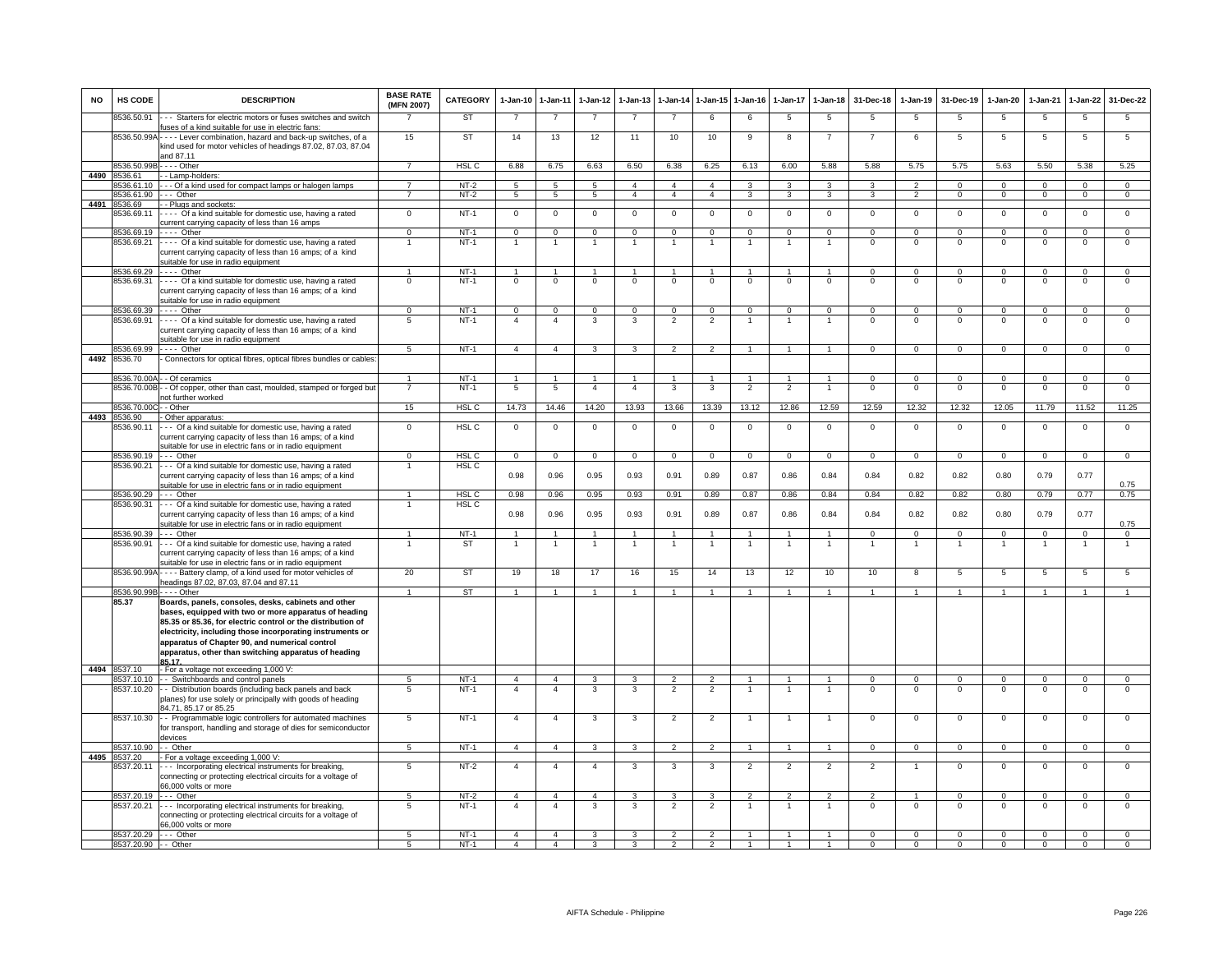| <b>NO</b> | HS CODE                    | <b>DESCRIPTION</b>                                                                                                                                                                                                                                                                                                                                 | <b>BASE RATE</b><br>(MFN 2007) | CATEGORY         | $1-Jan-10$      | $1-Jan-11$           | $1-Jan-12$      | $1-Jan-13$     | $1-Jan-14$              | $1 - Jan-15$         | $1-Jan-16$              | $1-Jan-17$              | $1-Jan-18$                           | 31-Dec-18               | $1-Jan-19$     | 31-Dec-19      | $1-Jan-20$                    | 1-Jan-21                 | 1-Jan-22       | 31-Dec-22         |
|-----------|----------------------------|----------------------------------------------------------------------------------------------------------------------------------------------------------------------------------------------------------------------------------------------------------------------------------------------------------------------------------------------------|--------------------------------|------------------|-----------------|----------------------|-----------------|----------------|-------------------------|----------------------|-------------------------|-------------------------|--------------------------------------|-------------------------|----------------|----------------|-------------------------------|--------------------------|----------------|-------------------|
|           | 8536.50.91                 | --- Starters for electric motors or fuses switches and switch<br>fuses of a kind suitable for use in electric fans:                                                                                                                                                                                                                                |                                | ST               |                 | $\overline{7}$       | $\overline{7}$  |                | 7                       | 6                    | 6                       | 5                       | 5                                    | 5                       | 5              | 5              | 5                             | 5                        | 5              | 5                 |
|           |                            | 8536.50.99A - - - - Lever combination, hazard and back-up switches, of a<br>kind used for motor vehicles of headings 87.02, 87.03, 87.04<br>and 87.11                                                                                                                                                                                              | 15                             | ST               | 14              | 13                   | 12              | 11             | 10                      | 10                   | 9                       | 8                       | 7                                    | 7                       | -6             | -5             | 5                             | 5                        | 5              | 5                 |
|           | 3536.50.99                 | . - - - Other                                                                                                                                                                                                                                                                                                                                      | $\overline{7}$                 | HSL C            | 6.88            | 6.75                 | 6.63            | 6.50           | 6.38                    | 6.25                 | 6.13                    | 6.00                    | 5.88                                 | 5.88                    | 5.75           | 5.75           | 5.63                          | 5.50                     | 5.38           | 5.25              |
| 4490      | 8536.61                    | - Lamp-holders:                                                                                                                                                                                                                                                                                                                                    | $\overline{7}$                 | $NT-2$           | 5               | $\overline{5}$       | $\overline{5}$  | $\overline{4}$ | $\overline{4}$          | $\overline{4}$       | $\overline{\mathbf{3}}$ | $\mathbf{a}$            | $\overline{3}$                       | $\overline{3}$          | $\overline{2}$ | $\mathbf 0$    |                               | $\overline{0}$           | $\overline{0}$ | $\overline{0}$    |
|           | 8536.61.10<br>8536.61.90   | --- Of a kind used for compact lamps or halogen lamps<br>$- -$ Other                                                                                                                                                                                                                                                                               | $\overline{7}$                 | $NT-2$           | $5\overline{5}$ | $\overline{5}$       | $5\overline{)}$ | $\overline{4}$ | $\overline{4}$          | $\overline{4}$       | $\overline{3}$          | $\overline{\mathbf{3}}$ | $\overline{\mathbf{3}}$              | $\overline{\mathbf{3}}$ | $\overline{2}$ | $\mathbf{0}$   | $\mathsf 0$<br>$\overline{0}$ | $\overline{0}$           | $\overline{0}$ | $\overline{0}$    |
| 4491      | 8536.69                    | - - Plugs and sockets:                                                                                                                                                                                                                                                                                                                             |                                |                  |                 |                      |                 |                |                         |                      |                         |                         |                                      |                         |                |                |                               |                          |                |                   |
|           | 8536.69.11                 | Of a kind suitable for domestic use, having a rated                                                                                                                                                                                                                                                                                                | $\mathbf{0}$                   | $NT-1$           | $\mathsf 0$     | $\overline{0}$       | $\mathbf 0$     | $\mathsf 0$    | $\mathbf 0$             | $\mathsf 0$          | $\mathbf 0$             | $\mathbf 0$             | $\mathsf 0$                          | $\mathbf 0$             | $\mathsf 0$    | $\mathsf 0$    | $\mathsf 0$                   | $\mathbf 0$              | $\overline{0}$ | $\overline{0}$    |
|           | 8536.69.19                 | current carrying capacity of less than 16 amps<br>$\cdots$ Other                                                                                                                                                                                                                                                                                   | $\overline{0}$                 | $NT-1$           | $\overline{0}$  | $\overline{0}$       | $\overline{0}$  | $\Omega$       | $\overline{0}$          | $\Omega$             | $\Omega$                | $\Omega$                | $\overline{0}$                       | $\Omega$                | $\overline{0}$ | $\Omega$       | $\overline{0}$                | $\Omega$                 | $\overline{0}$ | $\overline{0}$    |
|           | 8536.69.21                 | ---- Of a kind suitable for domestic use, having a rated                                                                                                                                                                                                                                                                                           |                                | $NT-1$           |                 |                      |                 |                |                         |                      |                         |                         |                                      | $\overline{0}$          | $\Omega$       | $\Omega$       | $\Omega$                      | $\overline{0}$           | $\overline{0}$ | $\Omega$          |
|           |                            | current carrying capacity of less than 16 amps; of a kind<br>suitable for use in radio equipment                                                                                                                                                                                                                                                   |                                |                  |                 |                      |                 |                |                         |                      |                         |                         |                                      |                         |                |                |                               |                          |                |                   |
|           | 8536.69.29                 | - - - - Other                                                                                                                                                                                                                                                                                                                                      | $\mathbf{1}$                   | $NT-1$           | $\overline{1}$  | $\overline{1}$       | $\overline{1}$  | $\overline{1}$ | $\overline{1}$          | $\blacktriangleleft$ | $\overline{1}$          | $\overline{1}$          | $\overline{1}$                       | $\Omega$                | $\Omega$       | $\Omega$       | $\mathbf 0$                   | $\mathbf 0$              | $\overline{0}$ | $\overline{0}$    |
|           | 8536.69.31                 | ---- Of a kind suitable for domestic use, having a rated<br>current carrying capacity of less than 16 amps; of a kind<br>suitable for use in radio equipment                                                                                                                                                                                       | $\overline{0}$                 | $NT-1$           | $\overline{0}$  | $\overline{0}$       | $\overline{0}$  | $\overline{0}$ | $\overline{0}$          | $\overline{0}$       | $\overline{0}$          | $\Omega$                | $\overline{0}$                       | $\overline{0}$          | $\overline{0}$ | $\overline{0}$ | $\overline{0}$                | $\overline{0}$           | $\overline{0}$ | $\overline{0}$    |
|           | 8536.69.39                 | $---$ Other                                                                                                                                                                                                                                                                                                                                        | $\Omega$                       | $NT-1$           | $\Omega$        | $\overline{0}$       | $\mathbf 0$     | $\mathbf 0$    | $\Omega$                | $\mathbf{0}$         | $\mathbf{0}$            | $\Omega$                | $\mathbf 0$                          | $\mathbf{0}$            | $\mathbf 0$    | $\Omega$       | $\mathbf{0}$                  | $\overline{0}$           | $\mathbf 0$    | $\mathbf{0}$      |
|           | 8536.69.91                 | ---- Of a kind suitable for domestic use, having a rated<br>current carrying capacity of less than 16 amps; of a kind<br>uitable for use in radio equipment                                                                                                                                                                                        | 5                              | $NT-1$           | $\overline{4}$  | $\mathbf{A}$         | $\mathbf{3}$    | 3              | $\overline{2}$          | $\overline{2}$       | $\mathbf{1}$            | 1                       | $\overline{1}$                       | $\mathbf{0}$            | $\mathbf{0}$   | $\mathbf 0$    | $\mathbf{0}$                  | $\mathbf 0$              | $\mathbf 0$    | $\mathbf 0$       |
|           | 3536.69.99                 | ---- Other                                                                                                                                                                                                                                                                                                                                         | $\sqrt{5}$                     | $NT-1$           | $\overline{4}$  | $\overline{a}$       | 3               | 3              | $\overline{2}$          | $\overline{2}$       |                         |                         | $\mathbf{1}$                         | $\mathbf 0$             | $\Omega$       | $\Omega$       | $\mathbf 0$                   | $\mathbf 0$              | $\mathbf 0$    | $\mathbf 0$       |
| 4492      | 8536.70                    | Connectors for optical fibres, optical fibres bundles or cables                                                                                                                                                                                                                                                                                    |                                |                  |                 |                      |                 |                |                         |                      |                         |                         |                                      |                         |                |                |                               |                          |                |                   |
|           |                            | 8536.70.00A - - Of ceramics                                                                                                                                                                                                                                                                                                                        | $\mathbf{1}$                   | $NT-1$           | $\overline{1}$  | $\overline{1}$       | $\overline{1}$  | $\overline{1}$ | $\overline{1}$          | $\overline{1}$       | $\overline{1}$          | $\overline{1}$          | $\mathbf{1}$                         | $\Omega$                | $\overline{0}$ | $\Omega$       | $\mathbf 0$                   | $\overline{0}$           | $\overline{0}$ | $\overline{0}$    |
|           |                            | 3536.70.00B - - Of copper, other than cast, moulded, stamped or forged but<br>not further worked                                                                                                                                                                                                                                                   | 7                              | $NT-1$           | 5               | 5                    | $\overline{4}$  | $\overline{4}$ | $\overline{\mathbf{3}}$ | 3                    | $\overline{2}$          | $\overline{2}$          | $\overline{1}$                       | $\overline{0}$          | $\overline{0}$ | $\overline{0}$ | $\overline{0}$                | $\overline{0}$           | $\overline{0}$ | $\overline{0}$    |
|           | 8536.70.000                | - - Other                                                                                                                                                                                                                                                                                                                                          | 15                             | HSL C            | 14.73           | 14.46                | 14.20           | 13.93          | 13.66                   | 13.39                | 13.12                   | 12.86                   | 12.59                                | 12.59                   | 12.32          | 12.32          | 12.05                         | 11.79                    | 11.52          | 11.25             |
|           | 4493 8536.90<br>3536.90.11 | - Other apparatus:<br>--- Of a kind suitable for domestic use, having a rated                                                                                                                                                                                                                                                                      | $\Omega$                       | HSL <sub>C</sub> | $\mathbf{0}$    | $^{\circ}$           | $\mathbf 0$     | $\mathbf 0$    | $\overline{\mathbf{0}}$ | 0                    | $\mathbf 0$             | $^{\circ}$              | $\mathbf 0$                          | $\circ$                 | 0              | $^{\circ}$     | $^{\circ}$                    | $^{\circ}$               | $\mathsf 0$    | $\mathbf{0}$      |
|           |                            | current carrying capacity of less than 16 amps; of a kind<br>suitable for use in electric fans or in radio equipment                                                                                                                                                                                                                               |                                |                  |                 |                      |                 |                |                         |                      |                         |                         |                                      |                         |                |                |                               |                          |                |                   |
|           | 8536.90.19                 | --- Other                                                                                                                                                                                                                                                                                                                                          | $\Omega$                       | HSL C            | $\mathsf 0$     | $\mathbf 0$          | $\mathsf 0$     | $\mathbf 0$    | $\mathbf 0$             | $\mathbf 0$          | $\mathbf{0}$            | $\Omega$                | $\mathbf{0}$                         | $\Omega$                | $\mathbf{0}$   | $\mathbf 0$    | $\mathbf 0$                   | $\mathsf 0$              | $\mathbf{0}$   | $\mathbf 0$       |
|           | 8536.90.21                 | --- Of a kind suitable for domestic use, having a rated                                                                                                                                                                                                                                                                                            |                                | HSL C            |                 |                      |                 |                |                         |                      |                         |                         |                                      |                         |                |                |                               |                          |                |                   |
|           |                            | current carrying capacity of less than 16 amps; of a kind<br>suitable for use in electric fans or in radio equipment                                                                                                                                                                                                                               |                                |                  | 0.98            | 0.96                 | 0.95            | 0.93           | 0.91                    | 0.89                 | 0.87                    | 0.86                    | 0.84                                 | 0.84                    | 0.82           | 0.82           | 0.80                          | 0.79                     | 0.77           | 0.75              |
|           | 8536.90.29                 | .-- Other                                                                                                                                                                                                                                                                                                                                          |                                | HSL C            | 0.98            | 0.96                 | 0.95            | 0.93           | 0.91                    | 0.89                 | 0.87                    | 0.86                    | 0.84                                 | 0.84                    | 0.82           | 0.82           | 0.80                          | 0.79                     | 0.77           | 0.75              |
|           | 8536.90.31                 | --- Of a kind suitable for domestic use, having a rated<br>current carrying capacity of less than 16 amps; of a kind<br>suitable for use in electric fans or in radio equipment                                                                                                                                                                    | $\mathbf{1}$                   | HSL C            | 0.98            | 0.96                 | 0.95            | 0.93           | 0.91                    | 0.89                 | 0.87                    | 0.86                    | 0.84                                 | 0.84                    | 0.82           | 0.82           | 0.80                          | 0.79                     | 0.77           | 0.75              |
|           | 8536.90.39                 | $--$ Other                                                                                                                                                                                                                                                                                                                                         |                                | $NT-1$<br>ST     | -1              | $\overline{1}$<br>-1 | $\mathbf{1}$    |                | $\mathbf{1}$            |                      | 1                       |                         | $\blacktriangleleft$<br>$\mathbf{1}$ | $\Omega$<br>-1          | $\Omega$       | $\Omega$       | $^{\circ}$                    | $\Omega$<br>$\mathbf{1}$ | $\Omega$       | $\mathbf{0}$<br>1 |
|           | 3536.90.91                 | --- Of a kind suitable for domestic use, having a rated<br>current carrying capacity of less than 16 amps; of a kind                                                                                                                                                                                                                               |                                |                  | -1              |                      | 1               |                |                         |                      |                         |                         |                                      |                         |                |                |                               |                          | -1             |                   |
|           |                            | uitable for use in electric fans or in radio equipment                                                                                                                                                                                                                                                                                             |                                |                  |                 |                      |                 |                |                         |                      |                         |                         |                                      |                         |                |                |                               |                          |                |                   |
|           |                            | 8536.90.99A - - - - Battery clamp, of a kind used for motor vehicles of                                                                                                                                                                                                                                                                            | 20                             | <b>ST</b>        | 19              | 18                   | 17              | 16             | 15                      | 14                   | 13                      | 12                      | 10                                   | 10                      | 8              | 5              | 5                             | 5                        | $\overline{5}$ | $5\phantom{.0}$   |
|           | 8536.90.99E                | neadings 87.02, 87.03, 87.04 and 87.11<br>- - - - Other                                                                                                                                                                                                                                                                                            | $\mathbf{1}$                   | ST               | $\overline{1}$  | $\overline{1}$       | $\overline{1}$  | $\overline{1}$ | $\overline{1}$          | $\overline{1}$       | $\overline{1}$          | $\overline{1}$          | $\mathbf{1}$                         | $\overline{1}$          | $\overline{1}$ | $\overline{1}$ | $\overline{1}$                | $\overline{1}$           | $\overline{1}$ | $\overline{1}$    |
|           | 85.37                      | Boards, panels, consoles, desks, cabinets and other<br>bases, equipped with two or more apparatus of heading<br>85.35 or 85.36, for electric control or the distribution of<br>electricity, including those incorporating instruments or<br>apparatus of Chapter 90, and numerical control<br>apparatus, other than switching apparatus of heading |                                |                  |                 |                      |                 |                |                         |                      |                         |                         |                                      |                         |                |                |                               |                          |                |                   |
|           | 4494 8537.10               | 85.17<br>- For a voltage not exceeding 1,000 V:                                                                                                                                                                                                                                                                                                    |                                |                  |                 |                      |                 |                |                         |                      |                         |                         |                                      |                         |                |                |                               |                          |                |                   |
|           | 8537.10.10                 | - Switchboards and control panels                                                                                                                                                                                                                                                                                                                  | 5                              | $NT-1$           | $\overline{4}$  | $\overline{4}$       | $\mathbf{3}$    | 3              | $\overline{2}$          | $\overline{2}$       | $\overline{1}$          | $\mathbf{1}$            | $\overline{1}$                       | $\overline{0}$          | $\mathbf 0$    | $^{\circ}$     | $\circ$                       | $\overline{0}$           | $\mathsf 0$    | $\mathbf 0$       |
|           | 8537.10.20                 | - - Distribution boards (including back panels and back<br>planes) for use solely or principally with goods of heading<br>84.71, 85.17 or 85.25                                                                                                                                                                                                    | $\overline{5}$                 | $NT-1$           | $\overline{4}$  | $\overline{4}$       | $\overline{3}$  | 3              | $\overline{2}$          | $\overline{2}$       | $\overline{1}$          |                         | $\overline{1}$                       | $\overline{0}$          | $\overline{0}$ | $\Omega$       | $\mathsf 0$                   | $\overline{0}$           | $\overline{0}$ | $\overline{0}$    |
|           | 8537.10.30                 | - - Programmable logic controllers for automated machines<br>for transport, handling and storage of dies for semiconductor<br>devices                                                                                                                                                                                                              | $\overline{5}$                 | $NT-1$           | $\overline{4}$  | $\overline{4}$       | 3               | 3              | $\overline{2}$          | $\overline{2}$       |                         |                         |                                      | $\overline{0}$          | $\Omega$       | $\Omega$       | $\Omega$                      | $\overline{0}$           | $\overline{0}$ | $\overline{0}$    |
|           | 8537.10.90                 | - Other                                                                                                                                                                                                                                                                                                                                            | 5.                             | $NT-1$           | $\mathbf{A}$    | $\overline{4}$       | $\mathcal{R}$   | $\mathbf{R}$   | $\mathcal{P}$           | $\mathcal{P}$        | $\overline{1}$          | $\overline{1}$          | $\sim$                               | $\overline{0}$          | $\overline{0}$ | $\overline{0}$ | $\overline{0}$                | $\overline{0}$           | $\mathbf 0$    | $\mathbf{0}$      |
| 4495      | 3537.20                    | - For a voltage exceeding 1,000 V:                                                                                                                                                                                                                                                                                                                 |                                |                  | $\overline{4}$  | $\overline{4}$       | $\overline{4}$  | 3              |                         | 3                    | $\mathfrak{p}$          |                         | $\overline{2}$                       | $\overline{2}$          |                | $\Omega$       |                               |                          |                | $\overline{0}$    |
|           | 3537.20.11                 | --- Incorporating electrical instruments for breaking.<br>connecting or protecting electrical circuits for a voltage of<br>66,000 volts or more                                                                                                                                                                                                    | 5                              | $NT-2$           |                 |                      |                 |                | 3                       |                      |                         | $\overline{2}$          |                                      |                         |                |                | $\mathsf 0$                   | $\overline{0}$           | $\mathbf 0$    |                   |
|           | 8537.20.19                 | .-- Other                                                                                                                                                                                                                                                                                                                                          | 5.                             | $NT-2$           | $\mathbf{A}$    | $\Delta$             | $\mathbf{A}$    | $\mathbf{B}$   | $\mathbf{R}$            | $\mathcal{R}$        | $\mathcal{P}$           | $\mathcal{P}$           | $\overline{2}$                       | $\overline{2}$          | $\overline{1}$ | $\Omega$       | $\Omega$                      | $\Omega$                 | $\Omega$       | $\overline{0}$    |
|           | 8537.20.21                 | -- Incorporating electrical instruments for breaking,<br>connecting or protecting electrical circuits for a voltage of<br>66,000 volts or more                                                                                                                                                                                                     | 5                              | $NT-1$           | $\overline{4}$  | $\overline{4}$       | $\mathbf{3}$    | 3              | $\overline{2}$          | $\overline{2}$       |                         |                         | $\overline{1}$                       | $\mathbf 0$             | $\mathsf 0$    | $\mathbf 0$    | $\mathsf 0$                   | $\mathbf 0$              | $\mathsf 0$    | $\mathbf 0$       |
|           | 8537.20.29 --- Other       |                                                                                                                                                                                                                                                                                                                                                    | $5\overline{5}$                | $NT-1$           | $\overline{4}$  | $\overline{4}$       | 3               | 3              | $\overline{2}$          | $\overline{2}$       | $\overline{1}$          | $\mathbf{1}$            | $\overline{1}$                       | $\Omega$                | $\Omega$       | $\Omega$       | $\mathbf 0$                   | $\Omega$                 | $\mathbf 0$    | $\mathbf{0}$      |
|           | 8537.20.90 - - Other       |                                                                                                                                                                                                                                                                                                                                                    | 5                              | $NT-1$           | 4               | $\mathbf 4$          | 3               |                | 2                       |                      |                         |                         |                                      | $\Omega$                | $\Omega$       | $\Omega$       | 0                             | $\Omega$                 | 0              | 0                 |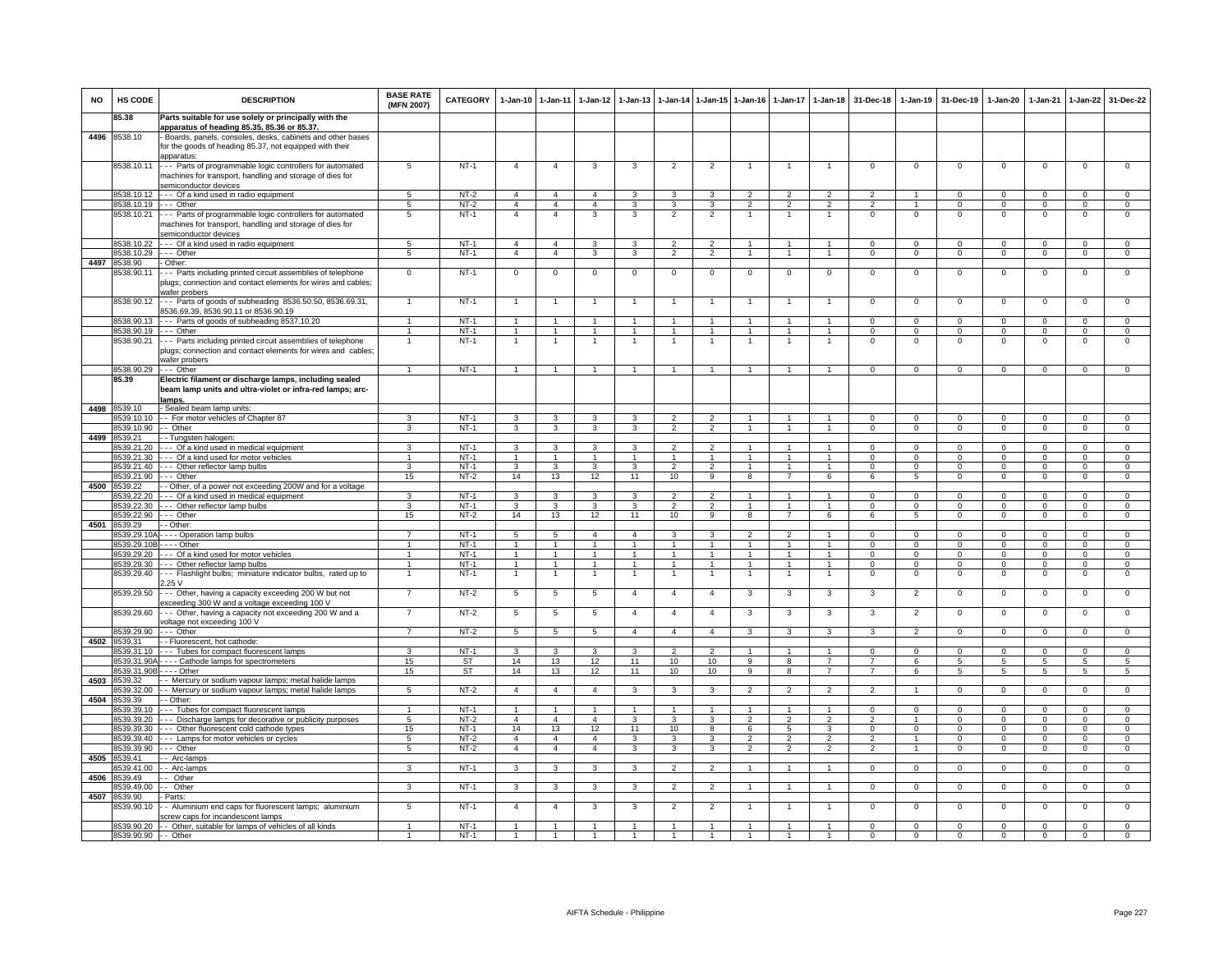| NO   | HS CODE                              | <b>DESCRIPTION</b>                                                                                                                                                                 | <b>BASE RATE</b><br>(MFN 2007)   | <b>CATEGORY</b>  | 1-Jan-10                         | $1 - Jan-11$                     | $1-Jan-12$                       | $1-Jan-13$                     | $1-Jan-14$                                 | $1 - Jan-15$                     | $1-Jan-16$                       | $1-Jan-17$                     | $1-Jan-18$                             | 31-Dec-18                        | $1-Jan-19$                    | 31-Dec-19                     | 1-Jan-20                         | $1-Jan-21$                 | $1-Jan-22$                       | 31-Dec-22                        |
|------|--------------------------------------|------------------------------------------------------------------------------------------------------------------------------------------------------------------------------------|----------------------------------|------------------|----------------------------------|----------------------------------|----------------------------------|--------------------------------|--------------------------------------------|----------------------------------|----------------------------------|--------------------------------|----------------------------------------|----------------------------------|-------------------------------|-------------------------------|----------------------------------|----------------------------|----------------------------------|----------------------------------|
|      | 85.38                                | Parts suitable for use solely or principally with the                                                                                                                              |                                  |                  |                                  |                                  |                                  |                                |                                            |                                  |                                  |                                |                                        |                                  |                               |                               |                                  |                            |                                  |                                  |
| 4496 | 8538.10                              | apparatus of heading 85.35, 85.36 or 85.37<br>- Boards, panels, consoles, desks, cabinets and other bases<br>for the goods of heading 85.37, not equipped with their<br>apparatus: |                                  |                  |                                  |                                  |                                  |                                |                                            |                                  |                                  |                                |                                        |                                  |                               |                               |                                  |                            |                                  |                                  |
|      | 8538.10.11                           | --- Parts of programmable logic controllers for automated<br>machines for transport, handling and storage of dies for<br>semiconductor devices                                     | 5                                | $NT-1$           | $\overline{4}$                   | $\overline{4}$                   | 3                                | 3                              | $\overline{2}$                             | $\overline{2}$                   |                                  | 1                              |                                        | $\Omega$                         | 0                             | $\mathbf 0$                   | $\mathbf 0$                      | $\Omega$                   | 0                                | $\Omega$                         |
|      | 8538.10.12                           | --- Of a kind used in radio equipment                                                                                                                                              | $5\overline{5}$                  | $NT-2$           | $\overline{4}$                   | $\overline{4}$                   | $\overline{4}$                   | $\overline{\mathbf{3}}$        | $\overline{3}$                             | $\overline{\mathbf{3}}$          | $\overline{2}$                   | $\overline{2}$                 | $\overline{2}$                         | $\mathcal{P}$                    | $\overline{1}$                | $\Omega$                      | $\Omega$                         | $\Omega$                   | $\Omega$                         | $\Omega$                         |
|      | 8538.10.19                           | $--$ Other                                                                                                                                                                         | $5^{\circ}$                      | $NT-2$           | $\mathbf{A}$                     | $\Delta$                         | $\overline{4}$                   | 3                              | 3                                          | 3                                | $\overline{2}$                   | 2                              | $\overline{2}$                         | $\overline{2}$                   | $\overline{1}$                | $\Omega$                      | $\Omega$                         | $\Omega$                   | $\mathsf 0$                      | $\mathbf 0$                      |
|      | 8538.10.21                           | --- Parts of programmable logic controllers for automated<br>machines for transport, handling and storage of dies for<br>semiconductor devices                                     | 5                                | $NT-1$           | $\overline{4}$                   | $\mathbf{A}$                     | $\mathbf{3}$                     | 3                              | $\overline{2}$                             | $\overline{2}$                   | $\mathbf{1}$                     | $\mathbf{1}$                   | $\mathbf{1}$                           | $\mathsf 0$                      | $\mathsf 0$                   | $\mathbf 0$                   | $\mathbf 0$                      | $\mathbf 0$                | $\mathsf 0$                      | $\mathbf 0$                      |
|      |                                      | 8538.10.22 - - Of a kind used in radio equipment                                                                                                                                   | 5 <sub>5</sub>                   | $NT-1$           | $\overline{4}$                   | $\overline{4}$                   | 3                                | 3                              | $\overline{2}$                             | $\overline{2}$                   | $\overline{1}$                   | $\mathbf{1}$                   | $\overline{1}$                         | $\Omega$                         | $\mathbf 0$                   | $\Omega$                      | $\Omega$                         | $\Omega$                   | $\mathbf{0}$                     | $\mathbf 0$                      |
|      | 8538.10.29 --- Other<br>4497 8538.90 | - Other:                                                                                                                                                                           | 5                                | $NT-1$           | $\overline{4}$                   | $\overline{4}$                   | 3                                | 3                              | $\overline{2}$                             | $\overline{2}$                   | $\overline{1}$                   | $\mathbf{1}$                   | $\mathbf{1}$                           | $\mathbf 0$                      | $\overline{0}$                | $\overline{0}$                | $\mathbf{0}$                     | $\mathbf{0}$               | $\overline{0}$                   | $\mathbf 0$                      |
|      | 538.90.11                            | - Parts including printed circuit assemblies of telephone<br>plugs; connection and contact elements for wires and cables;<br>wafer probers                                         | $\overline{0}$                   | $NT-1$           | $\overline{0}$                   | $\overline{0}$                   | $\overline{0}$                   | $\overline{0}$                 | $\overline{0}$                             | $\overline{0}$                   | $\overline{0}$                   | $\overline{0}$                 | $\overline{0}$                         | $\overline{0}$                   | $\overline{0}$                | $\overline{0}$                | $\overline{0}$                   | $\overline{0}$             | $\overline{0}$                   | $\overline{0}$                   |
|      | 8538.90.12                           | --- Parts of goods of subheading 8536.50.50, 8536.69.31,<br>8536.69.39, 8536.90.11 or 8536.90.19                                                                                   | $\overline{1}$                   | $NT-1$           |                                  | $\mathbf{1}$                     | $\overline{1}$                   |                                |                                            | $\overline{1}$                   |                                  | $\overline{1}$                 | $\overline{1}$                         | $\mathsf 0$                      | $\mathsf 0$                   | $\,0\,$                       | $\,0\,$                          | $^{\circ}$                 | $\mathsf 0$                      | $\mathbf 0$                      |
|      | 8538.90.13                           | -- Parts of goods of subheading 8537.10.20                                                                                                                                         | $\blacktriangleleft$             | $NT-1$           | $\mathbf{1}$                     | $\mathbf{1}$                     | $\overline{1}$                   | $\mathbf{1}$                   | $\overline{1}$                             | $\mathbf{1}$                     | $\overline{1}$                   | $\mathbf{1}$                   | $\overline{1}$                         | $\Omega$                         | $\mathsf 0$                   | $\mathbf 0$                   | $\mathbf 0$                      | $\mathbf 0$                | $\,0\,$                          | $\mathsf 0$                      |
|      | 8538.90.19<br>8538.90.21             | -- Other<br>-- Parts including printed circuit assemblies of telephone                                                                                                             | $\mathbf{1}$<br>$\overline{1}$   | $NT-1$<br>$NT-1$ | $\mathbf{1}$<br>$\mathbf{1}$     | $\overline{1}$<br>$\overline{1}$ | $\overline{1}$<br>$\overline{1}$ | $\mathbf{1}$<br>$\mathbf{1}$   | $\mathbf{1}$<br>$\overline{1}$             | $\overline{1}$<br>$\overline{1}$ | $\mathbf{1}$<br>$\overline{1}$   | $\mathbf{1}$<br>$\overline{1}$ | $\overline{1}$<br>$\overline{1}$       | $\Omega$<br>$\overline{0}$       | $\mathbf 0$<br>$\overline{0}$ | $\mathbf 0$<br>$\overline{0}$ | $\overline{0}$<br>$\overline{0}$ | $\mathbf 0$<br>$\Omega$    | $\overline{0}$<br>$\overline{0}$ | $\overline{0}$<br>$\overline{0}$ |
|      |                                      | plugs; connection and contact elements for wires and cables;<br>wafer probers                                                                                                      |                                  |                  |                                  |                                  |                                  |                                |                                            |                                  |                                  |                                |                                        |                                  |                               |                               |                                  |                            |                                  |                                  |
|      | 8538.90.29 --- Other                 |                                                                                                                                                                                    | $\overline{1}$                   | NT-1             | $\overline{1}$                   | $\overline{1}$                   | $\overline{1}$                   | $\mathbf{1}$                   | $\overline{1}$                             | $\overline{1}$                   | $\overline{1}$                   | $\mathbf{1}$                   | $\overline{1}$                         | $\Omega$                         | $\mathbf 0$                   | $\overline{0}$                | $\Omega$                         | $\Omega$                   | $\mathbf 0$                      | $\Omega$                         |
|      | 85.39                                | Electric filament or discharge lamps, including sealed<br>beam lamp units and ultra-violet or infra-red lamps; arc-<br>lamps.                                                      |                                  |                  |                                  |                                  |                                  |                                |                                            |                                  |                                  |                                |                                        |                                  |                               |                               |                                  |                            |                                  |                                  |
|      | 4498 8539.10                         | - Sealed beam lamp units:                                                                                                                                                          |                                  |                  |                                  |                                  |                                  |                                |                                            |                                  |                                  |                                |                                        |                                  |                               |                               |                                  |                            |                                  |                                  |
|      | 539.10.10<br>539.10.90               | - - For motor vehicles of Chapter 87<br>- Other                                                                                                                                    | 3<br>3                           | $NT-1$<br>$NT-1$ | 3<br>3                           | 3<br>3                           | 3<br>3                           | 3<br>3                         | $\mathfrak{p}$<br>$\overline{\phantom{a}}$ | $\overline{2}$<br>2              | $\overline{1}$                   | $\mathbf{1}$<br>$\overline{1}$ | $\overline{1}$                         | $\Omega$<br>$\Omega$             | $\mathsf 0$<br>$\Omega$       | $\mathbf 0$<br>$\mathbf 0$    | $\mathbf 0$<br>$\Omega$          | $\mathbf 0$<br>$\Omega$    | $\mathsf 0$<br>$\mathbf 0$       | $\mathbf 0$<br>$\mathbf 0$       |
| 4499 | 8539.21                              | - - Tungsten halogen:                                                                                                                                                              |                                  |                  |                                  |                                  |                                  |                                |                                            |                                  |                                  |                                |                                        |                                  |                               |                               |                                  |                            |                                  |                                  |
|      | 8539.21.20                           | - - - Of a kind used in medical equipment                                                                                                                                          | 3                                | $NT-1$           | $\overline{3}$                   | 3                                | $\mathbf{3}$                     | 3                              | $\overline{2}$                             | $\overline{2}$                   | $\overline{1}$                   | $\mathbf{1}$                   | $\overline{1}$                         | $\Omega$                         | $\Omega$                      | $\mathbf 0$                   | $\Omega$                         | $\Omega$                   | $\Omega$                         | $\Omega$                         |
|      | 539.21.30                            | - - - Of a kind used for motor vehicles                                                                                                                                            | $\mathbf{1}$                     | $NT-1$           | $\mathbf{1}$                     | $\mathbf{1}$                     | $\mathbf{1}$                     | $\mathbf{1}$                   | $\mathbf{1}$                               | $\overline{1}$                   | $\mathbf{1}$                     | 1                              |                                        | $\Omega$                         | $\Omega$                      | $\Omega$                      | $\overline{0}$                   | $\Omega$                   | $\overline{0}$                   | $\overline{0}$                   |
|      | 539.21.40<br>3539.21.90              | --- Other reflector lamp bulbs<br>--- Other                                                                                                                                        | $\overline{3}$<br>15             | $NT-1$<br>$NT-2$ | 3<br>14                          | 3<br>13                          | $\overline{3}$<br>12             | 3<br>11                        | $\overline{\phantom{a}}$<br>10             | $\overline{2}$<br>9              | $\mathbf{R}$                     | $\mathbf{1}$<br>$\overline{7}$ | $\mathbf{1}$<br>6                      | $\overline{0}$<br>6              | $\overline{0}$<br>5           | $\overline{0}$<br>$\mathbf 0$ | $\overline{0}$<br>$\mathbf 0$    | $\overline{0}$<br>$\Omega$ | $\overline{0}$<br>$\mathbf 0$    | $\overline{0}$<br>$\mathbf 0$    |
| 4500 | 8539.22                              | - - Other, of a power not exceeding 200W and for a voltage                                                                                                                         |                                  |                  |                                  |                                  |                                  |                                |                                            |                                  |                                  |                                |                                        |                                  |                               |                               |                                  |                            |                                  |                                  |
|      | 8539.22.20                           | - - - Of a kind used in medical equipment                                                                                                                                          | $\mathbf{3}$                     | $NT-1$           | $\mathbf{3}$                     | $\mathbf{3}$                     | $\mathbf{3}$                     | 3                              | $\overline{2}$                             | $\overline{2}$                   |                                  | $\overline{1}$                 | $\overline{1}$                         | $\Omega$                         | $\mathbf 0$                   | $\Omega$                      | $\Omega$                         | $\Omega$                   | $\circ$                          | $\mathbf{0}$                     |
|      |                                      | 3539.22.30 --- Other reflector lamp bulbs                                                                                                                                          | 3                                | $NT-1$           | 3                                | 3                                | $\mathbf{3}$                     | 3                              | $\overline{2}$                             | $\overline{2}$                   | $\blacktriangleleft$             | $\mathbf{1}$                   | $\mathbf{1}$                           | $\Omega$                         | $\mathbf 0$                   | $\Omega$                      | $\Omega$                         | $\Omega$                   | $\mathbf 0$                      | $\Omega$                         |
| 4501 | 539.22.90<br>539.29                  | $- -$ Other<br>- Other:                                                                                                                                                            | 15                               | $NT-2$           | 14                               | 13                               | 12                               | 11                             | 10                                         | 9                                | 8                                | 7                              | 6                                      | 6                                | 5                             | $\mathbf{0}$                  | $\mathbf 0$                      | $\mathbf 0$                | $\overline{0}$                   | $\mathbf 0$                      |
|      | 539.29.10                            | - - - Operation lamp bulbs                                                                                                                                                         | $\overline{7}$                   | $NT-1$           | 5                                | 5                                | $\overline{4}$                   | $\overline{4}$                 | 3                                          | 3                                | $\mathcal{P}$                    | $\mathfrak{p}$                 | $\mathbf{1}$                           | $\mathbf 0$                      | $\Omega$                      | $\mathbf 0$                   | $\mathbf 0$                      | $\Omega$                   | $\mathbf 0$                      | $\circ$                          |
|      | 539.29.10                            | --- Other                                                                                                                                                                          | $\overline{1}$                   | $NT-1$           |                                  | 1                                | $\mathbf{1}$                     |                                |                                            | $\overline{1}$                   | $\overline{1}$                   |                                |                                        | $\Omega$                         | 0                             | $\mathbf 0$                   | 0                                | $\Omega$                   | $\overline{0}$                   | $\overline{0}$                   |
|      | 539.29.20                            | Of a kind used for motor vehicles                                                                                                                                                  | $\mathbf{1}$                     | $NT-1$           | $\mathbf{1}$                     | $\overline{1}$                   | $\mathbf{1}$                     | $\mathbf{1}$                   | $\mathbf{1}$                               | $\mathbf{1}$                     | $\mathbf{1}$                     | $\mathbf{1}$                   | $\blacktriangleleft$<br>$\overline{1}$ | $\mathbf 0$                      | $\mathsf 0$                   | $\mathbf 0$                   | $\mathbf 0$                      | $\mathbf 0$                | $\mathbf 0$                      | $\mathbf 0$                      |
|      | 8539.29.30<br>8539.29.40             | -- Other reflector lamp bulbs<br>--- Flashlight bulbs; miniature indicator bulbs, rated up to<br>.25 V                                                                             | $\overline{1}$<br>$\overline{1}$ | $NT-1$<br>$NT-1$ | $\mathbf{1}$                     | $\mathbf{1}$<br>$\overline{1}$   | $\mathbf{1}$<br>$\overline{1}$   | $\mathbf{1}$<br>$\overline{1}$ | $\overline{1}$                             | $\mathbf{1}$<br>$\overline{1}$   | $\overline{1}$                   | $\mathbf{1}$<br>$\overline{1}$ | $\overline{1}$                         | $\Omega$<br>$\mathsf 0$          | $\mathsf 0$<br>0              | $\mathbf 0$<br>$\mathbf 0$    | $\mathbf 0$<br>$\,0\,$           | $\Omega$<br>$\mathbf 0$    | $\mathsf 0$<br>0                 | $\mathsf 0$<br>$\mathsf 0$       |
|      | 8539.29.50                           | --- Other, having a capacity exceeding 200 W but not<br>exceeding 300 W and a voltage exceeding 100 V                                                                              | $\overline{7}$                   | $NT-2$           | $\overline{5}$                   | 5                                | $5\phantom{.0}$                  | $\overline{4}$                 | $\overline{4}$                             | $\overline{4}$                   | 3                                | 3                              | 3                                      | 3                                | $\overline{2}$                | $\mathbf 0$                   | $\mathbf 0$                      | $\mathbf 0$                | $\mathsf 0$                      | $\mathbf 0$                      |
|      | 8539.29.60                           | --- Other, having a capacity not exceeding 200 W and a<br>voltage not exceeding 100 V                                                                                              | $\overline{7}$                   | $NT-2$           | 5                                | 5                                | 5                                | $\overline{4}$                 | $\overline{4}$                             | $\overline{4}$                   | 3                                | 3                              | 3                                      | 3                                | $\overline{2}$                | $\mathbf 0$                   | $\mathsf 0$                      | $\Omega$                   | $\overline{0}$                   | $\mathbf 0$                      |
|      | 8539.29.90 --- Other                 |                                                                                                                                                                                    | $\overline{7}$                   | $NT-2$           | 5                                | $5\overline{5}$                  | $5\overline{5}$                  | $\overline{4}$                 | $\overline{4}$                             | $\overline{4}$                   | 3                                | 3                              | 3                                      | 3                                | $\overline{2}$                | $\mathbf{0}$                  | $\mathbf{0}$                     | $^{\circ}$                 | $\mathbf{0}$                     | $\mathbf{0}$                     |
|      | 4502 8539.31<br>8539.31.10           | - - Fluorescent, hot cathode:<br>--- Tubes for compact fluorescent lamps                                                                                                           | 3                                | $NT-1$           | $\overline{3}$                   | 3                                | $\overline{3}$                   | 3                              | $\overline{2}$                             | $\overline{2}$                   | $\overline{1}$                   | 1                              | $\overline{1}$                         | $\overline{0}$                   | $\overline{0}$                | $\Omega$                      | $\overline{0}$                   | $\Omega$                   | $\overline{0}$                   | $\overline{0}$                   |
|      | 3539.31.90A                          | --- Cathode lamps for spectrometers                                                                                                                                                | 15                               | <b>ST</b>        | 14                               | 13                               | 12                               | 11                             | 10                                         | 10                               | 9                                | 8                              | $\overline{7}$                         |                                  | -6                            | -5                            | 5                                | -5                         | 5                                | 5                                |
|      | 3539.31.90E                          | --- Other                                                                                                                                                                          | 15                               | <b>ST</b>        | 14                               | 13                               | 12                               | 11                             | 10                                         | 10                               | 9                                | 8                              | $\overline{7}$                         |                                  | 6                             | $\overline{5}$                | 5                                | $\sqrt{5}$                 | $\overline{5}$                   | 5                                |
| 4503 | 539.32                               | - Mercury or sodium vapour lamps; metal halide lamps                                                                                                                               |                                  |                  | $\overline{a}$                   | $\overline{4}$                   |                                  | 3                              | 3                                          |                                  | $\overline{2}$                   | $\overline{2}$                 | $\mathfrak{p}$                         | $\mathfrak{p}$                   |                               |                               |                                  | $\Omega$                   |                                  |                                  |
| 4504 | 539.32.00<br>539.39                  | - Mercury or sodium vapour lamps; metal halide lamps<br>- Other:                                                                                                                   | 5                                | $NT-2$           |                                  |                                  | $\overline{4}$                   |                                |                                            | 3                                |                                  |                                |                                        |                                  | $\overline{1}$                | $\mathbf 0$                   | $\mathbf 0$                      |                            | $\mathbf 0$                      | $\overline{0}$                   |
|      | 539.39.10                            | - - Tubes for compact fluorescent lamps                                                                                                                                            | $\mathbf{1}$                     | $NT-1$           | $\mathbf{1}$                     | $\overline{1}$                   | $\overline{1}$                   | $\mathbf{1}$                   | $\overline{1}$                             | $\overline{1}$                   | $\overline{1}$                   | $\mathbf{1}$                   | $\overline{1}$                         | $\Omega$                         | $\Omega$                      | $\Omega$                      | $\overline{0}$                   | $\Omega$                   | $\overline{0}$                   | $\overline{0}$                   |
|      | 539.39.20                            | - Discharge lamps for decorative or publicity purposes                                                                                                                             | 5                                | $NT-2$           | $\overline{4}$                   | $\overline{4}$                   | $\overline{4}$                   | $\overline{\mathbf{3}}$        | 3                                          | 3                                | $\overline{2}$                   | $\overline{2}$                 | $\overline{2}$                         | $\overline{2}$                   |                               | $\Omega$                      | $\overline{0}$                   | $\Omega$                   | $\overline{0}$                   | $\overline{0}$                   |
|      | 8539.39.30                           | --- Other fluorescent cold cathode types                                                                                                                                           | 15                               | $NT-1$           | 14                               | 13                               | 12                               | 11                             | 10                                         | $\overline{8}$                   | 6                                | $5^{\circ}$                    | 3                                      | $\Omega$                         | $\Omega$                      | $\Omega$                      | $\Omega$                         | $\Omega$                   | $\Omega$                         | $\Omega$                         |
|      | 3539.39.40<br>3539.39.90             | --- Lamps for motor vehicles or cycles<br>--- Other                                                                                                                                | 5<br>$5\overline{5}$             | $NT-2$<br>$NT-2$ | $\overline{4}$<br>$\overline{4}$ | $\overline{4}$<br>$\overline{4}$ | $\overline{4}$<br>$\overline{4}$ | 3<br>3                         | 3<br>3                                     | 3<br>$\mathbf{3}$                | $\mathfrak{p}$<br>$\overline{2}$ | $\mathfrak{p}$<br>2            | $\mathcal{P}$<br>$\overline{2}$        | $\mathfrak{p}$<br>$\overline{2}$ | $\mathbf{1}$                  | $\Omega$<br>$\mathbf{0}$      | $\Omega$<br>$\mathbf 0$          | $\Omega$<br>$^{\circ}$     | $\mathsf 0$<br>$\mathbf 0$       | $\mathbf 0$<br>$\mathbf 0$       |
| 4505 | 8539.41                              | - Arc-lamps                                                                                                                                                                        |                                  |                  |                                  |                                  |                                  |                                |                                            |                                  |                                  |                                |                                        |                                  |                               |                               |                                  |                            |                                  |                                  |
|      | 539.41.00                            | Arc-lamps                                                                                                                                                                          | 3                                | $NT-1$           | 3                                | 3                                | 3                                | 3                              | $\mathfrak{p}$                             | $\overline{2}$                   | -1                               | $\mathbf{1}$                   | $\overline{1}$                         | $\Omega$                         | $\mathbf 0$                   | $\mathbf{0}$                  | $\Omega$                         | $\Omega$                   | $\overline{0}$                   | $\overline{0}$                   |
| 4506 | 539.49                               | Other                                                                                                                                                                              |                                  | $NT-1$           | 3                                | 3                                |                                  | 3                              | $\overline{2}$                             |                                  |                                  |                                | $\overline{1}$                         |                                  |                               |                               |                                  |                            |                                  |                                  |
| 4507 | 539.49.00<br>8539.90                 | - Other<br>Parts:                                                                                                                                                                  | 3                                |                  |                                  |                                  | 3                                |                                |                                            | $\overline{2}$                   | 1                                | $\mathbf{1}$                   |                                        | $\mathbf 0$                      | $\mathbf 0$                   | $\mathbf{0}$                  | $\mathbf 0$                      | $\mathbf 0$                | $\mathbf{0}$                     | $\mathbf 0$                      |
|      | 3539.90.10                           | - Aluminium end caps for fluorescent lamps; aluminium<br>screw caps for incandescent lamps                                                                                         | 5                                | $NT-1$           | $\overline{4}$                   | $\overline{4}$                   | $\mathbf{3}$                     | 3                              | $\overline{2}$                             | $\overline{2}$                   |                                  | $\overline{1}$                 |                                        | $\mathsf 0$                      | $\mathsf 0$                   | $\mathsf 0$                   | $\mathbf 0$                      | $^{\circ}$                 | $\mathsf 0$                      | $\mathbf 0$                      |
|      |                                      | 8539.90.20 - Other, suitable for lamps of vehicles of all kinds                                                                                                                    | $\mathbf{1}$                     | $NT-1$           | $\overline{1}$                   | $\blacktriangleleft$             | $\overline{1}$                   |                                | $\mathbf{1}$                               | $\blacktriangleleft$             |                                  | $\mathbf{1}$                   |                                        | $\Omega$                         | $\Omega$                      | $^{\circ}$                    | $\Omega$                         | $\Omega$                   | $\mathsf 0$                      | $\Omega$                         |
|      | 8539.90.90 - - Other                 |                                                                                                                                                                                    | $\mathbf{1}$                     | $NT-1$           | $\overline{1}$                   |                                  | $\mathbf{1}$                     |                                |                                            |                                  |                                  |                                |                                        | $\Omega$                         | $\Omega$                      | $\Omega$                      | $\overline{0}$                   | $\Omega$                   | $\overline{0}$                   | $\overline{0}$                   |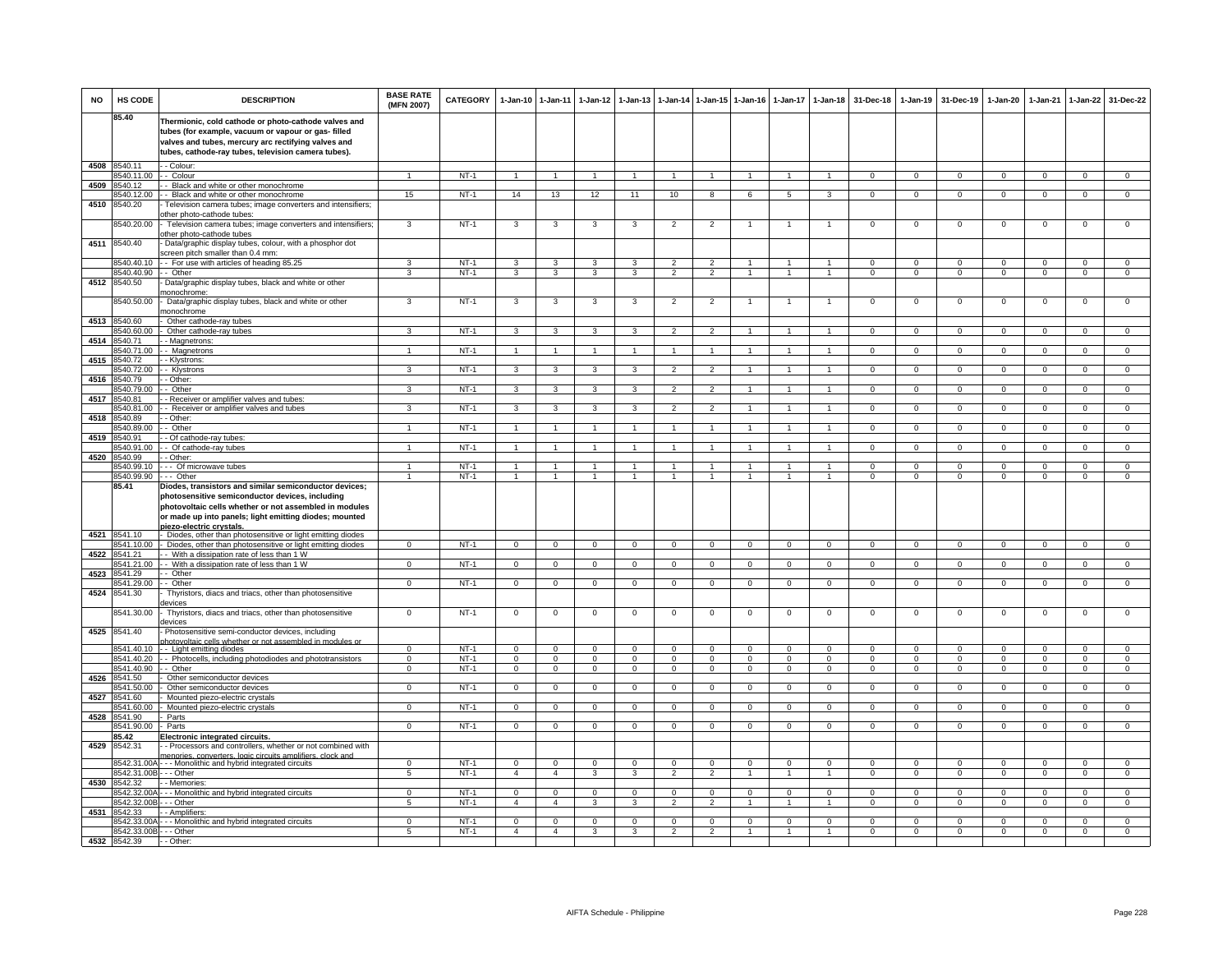| <b>NO</b> | HS CODE                                 | <b>DESCRIPTION</b>                                                                                                                                                                                                                                        | <b>BASE RATE</b><br>(MFN 2007) | <b>CATEGORY</b>  | 1-Jan-10 1-Jan-11             |                               | 1-Jan-12                   | $1 - Jan-13$             |                            |                               | 1-Jan-14 1-Jan-15 1-Jan-16 | $1 - Jan-17$             | 1-Jan-18                      | 31-Dec-18                  | $1-Jan-19$                 | 31-Dec-19                  | 1-Jan-20                 | $1-Jan-21$              | $1-Jan-22$                 | 31-Dec-22                  |
|-----------|-----------------------------------------|-----------------------------------------------------------------------------------------------------------------------------------------------------------------------------------------------------------------------------------------------------------|--------------------------------|------------------|-------------------------------|-------------------------------|----------------------------|--------------------------|----------------------------|-------------------------------|----------------------------|--------------------------|-------------------------------|----------------------------|----------------------------|----------------------------|--------------------------|-------------------------|----------------------------|----------------------------|
|           | 85.40                                   | Thermionic, cold cathode or photo-cathode valves and<br>tubes (for example, vacuum or vapour or gas- filled<br>valves and tubes, mercury arc rectifying valves and<br>tubes, cathode-ray tubes, television camera tubes).                                 |                                |                  |                               |                               |                            |                          |                            |                               |                            |                          |                               |                            |                            |                            |                          |                         |                            |                            |
| 4508      | 8540.11                                 | - - Colour:                                                                                                                                                                                                                                               |                                |                  |                               |                               |                            |                          |                            |                               |                            |                          |                               |                            |                            |                            |                          |                         |                            |                            |
| 4509      | 8540.11.00<br>8540.12                   | - Colour<br>- Black and white or other monochrome                                                                                                                                                                                                         |                                | $NT-1$           |                               | $\overline{1}$                |                            | $\overline{1}$           | $\overline{1}$             |                               | $\overline{1}$             |                          | $\overline{1}$                | $\Omega$                   | $\Omega$                   | $\Omega$                   | $\Omega$                 | $\Omega$                | $\overline{0}$             | $\overline{0}$             |
|           | 8540.12.00                              | - Black and white or other monochrome                                                                                                                                                                                                                     | 15                             | $NT-1$           | 14                            | 13                            | 12                         | 11                       | 10                         | 8                             | 6                          | 5                        | $\mathbf{3}$                  | $\mathbf{O}$               | $\mathbf 0$                | $\mathbf{0}$               | $\mathbf 0$              | $\mathbf 0$             | $\mathbf{0}$               | $\mathbf{0}$               |
| 4510      | 8540.20                                 | Television camera tubes; image converters and intensifiers;<br>other photo-cathode tubes:                                                                                                                                                                 |                                |                  |                               |                               |                            |                          |                            |                               |                            |                          |                               |                            |                            |                            |                          |                         |                            |                            |
|           | 3540.20.00                              | Television camera tubes; image converters and intensifiers;<br>other photo-cathode tubes                                                                                                                                                                  | 3                              | $NT-1$           | 3                             | 3                             | 3                          | 3                        | $\overline{2}$             | $\overline{2}$                | 1                          | 1                        | $\mathbf{1}$                  | $\mathbf{O}$               | $\mathsf 0$                | $\mathbf 0$                | $\mathbf 0$              | $\mathbf 0$             | $\mathbf 0$                | $\overline{0}$             |
| 4511      | 8540.40                                 | Data/graphic display tubes, colour, with a phosphor dot<br>screen pitch smaller than 0.4 mm:                                                                                                                                                              |                                |                  |                               |                               |                            |                          |                            |                               |                            |                          |                               |                            |                            |                            |                          |                         |                            |                            |
|           | 8540.40.10                              | -- For use with articles of heading 85.25                                                                                                                                                                                                                 | 3                              | NT-1             | 3                             | 3                             | 3                          | 3                        | $\overline{2}$             | $\mathcal{P}$                 | $\mathbf{1}$               | $\mathbf{1}$             | $\overline{1}$                | $\Omega$                   | $\Omega$                   | $\mathbf 0$                | $\Omega$                 | $\Omega$                | 0                          | $\Omega$                   |
| 4512      | 8540.40.90<br>8540.50                   | - - Other<br>Data/graphic display tubes, black and white or other                                                                                                                                                                                         | 3                              | $NT-1$           | 3                             | 3                             | $\mathbf{3}$               | 3                        | $\overline{2}$             | $\overline{2}$                | $\mathbf{1}$               | $\overline{1}$           | $\mathbf{1}$                  | $\overline{0}$             | $\overline{0}$             | $\mathbf 0$                | $\overline{0}$           | $\overline{0}$          | $\overline{0}$             | $\overline{0}$             |
|           | 8540.50.00                              | nonochrome:<br>Data/graphic display tubes, black and white or other                                                                                                                                                                                       | 3                              | $NT-1$           | 3                             | 3                             | 3                          | 3                        | $\overline{2}$             | $\overline{2}$                |                            |                          | $\overline{1}$                | $\mathsf 0$                | $\mathbf 0$                | $\mathbf 0$                | $\mathbf 0$              | $\mathbf 0$             | $\mathsf 0$                | $\mathbf 0$                |
|           |                                         | nonochrome                                                                                                                                                                                                                                                |                                |                  |                               |                               |                            |                          |                            |                               |                            |                          |                               |                            |                            |                            |                          |                         |                            |                            |
| 4513      | 8540.60<br>3540.60.00                   | Other cathode-ray tubes<br>Other cathode-ray tubes                                                                                                                                                                                                        | $\overline{3}$                 | $NT-1$           | $\overline{\mathbf{3}}$       | $\overline{\mathbf{3}}$       | $\overline{3}$             | 3                        | $\overline{2}$             | $\overline{2}$                | $\mathbf{1}$               | 1                        | $\mathbf{1}$                  | $\overline{0}$             | $\overline{0}$             | $\mathbf 0$                | $\overline{0}$           | $\overline{0}$          | $\overline{0}$             | $\overline{0}$             |
| 4514      | 8540.71                                 | - Magnetrons:                                                                                                                                                                                                                                             |                                |                  |                               |                               |                            |                          |                            |                               |                            |                          |                               |                            |                            |                            |                          |                         |                            |                            |
| 4515      | 8540.71.00<br>8540.72                   | - Magnetrons<br>- Klystrons:                                                                                                                                                                                                                              |                                | $NT-1$           | $\overline{1}$                | $\overline{1}$                | $\mathbf{1}$               | $\mathbf{1}$             | $\overline{1}$             |                               |                            |                          | $\overline{1}$                | $\mathsf 0$                | $\mathsf 0$                | $\mathbf 0$                | $\mathbf 0$              | $\mathbf 0$             | $\mathsf 0$                | $\mathbf 0$                |
|           | 8540.72.00                              | - Klystrons                                                                                                                                                                                                                                               | 3                              | $NT-1$           | $\mathbf{3}$                  | 3                             | $\mathbf{3}$               | 3                        | $\overline{2}$             | $\overline{2}$                | $\overline{1}$             | 1                        | $\mathbf{1}$                  | $\Omega$                   | $\mathbf 0$                | $^{\circ}$                 | $\mathbf 0$              | $^{\circ}$              | $\mathsf 0$                | $\overline{0}$             |
| 4516      | 8540.79<br>8540.79.00                   | - Other:<br>Other                                                                                                                                                                                                                                         | 3                              | $NT-1$           | 3                             | 3                             | 3                          | 3                        | $\overline{2}$             | $\overline{2}$                |                            |                          | $\overline{1}$                | $\mathbf{O}$               | $\mathsf 0$                | $\mathbf 0$                | $\mathsf 0$              | $\Omega$                | $\mathbf 0$                | $\overline{0}$             |
| 4517      | 8540.81                                 | - Receiver or amplifier valves and tubes:                                                                                                                                                                                                                 |                                |                  |                               |                               |                            |                          |                            |                               |                            |                          |                               |                            |                            |                            |                          |                         |                            |                            |
|           | 8540.81.00                              | - Receiver or amplifier valves and tubes                                                                                                                                                                                                                  | 3                              | NT-1             | $\mathbf{3}$                  | $\mathbf{3}$                  | $\mathbf{3}$               | 3                        | $\overline{2}$             | $\overline{2}$                | 1                          | 1                        | $\mathbf{1}$                  | $\mathbf{0}$               | $\mathbf{0}$               | $\overline{0}$             | $\mathbf{0}$             | $\mathbf 0$             | $\overline{0}$             | $\mathbf{0}$               |
| 4518      | 8540.89<br>3540.89.00                   | - Other:<br>Other                                                                                                                                                                                                                                         | $\mathbf{1}$                   | $NT-1$           | $\overline{1}$                | $\mathbf{1}$                  | $\mathbf{1}$               | $\overline{1}$           | $\overline{1}$             | $\overline{1}$                | $\mathbf{1}$               | $\mathbf{1}$             | $\mathbf{1}$                  | $\circ$                    | $\mathbf 0$                | $\circ$                    | $\mathbf 0$              | $\mathbf 0$             | $\overline{0}$             | $\overline{0}$             |
| 4519      | 3540.91                                 | - Of cathode-ray tubes:                                                                                                                                                                                                                                   |                                |                  |                               |                               |                            |                          |                            |                               |                            |                          |                               |                            |                            |                            |                          |                         |                            |                            |
| 4520      | 540.91.00<br>8540.99                    | - Of cathode-ray tubes<br>- Other:                                                                                                                                                                                                                        |                                | $NT-1$           | $\overline{1}$                | $\mathbf{1}$                  | $\mathbf{1}$               |                          | $\overline{1}$             | $\mathbf{1}$                  |                            | $\mathbf{1}$             | $\overline{1}$                | $\mathsf 0$                | $\mathsf 0$                | $\mathbf 0$                | $\mathbf 0$              | $\mathbf 0$             | $\mathbf 0$                | $\overline{0}$             |
|           | 8540.99.10                              | --- Of microwave tubes                                                                                                                                                                                                                                    | $\mathbf{1}$                   | $NT-1$           | $\overline{1}$                | $\blacktriangleleft$          | $\mathbf{1}$               | 1                        | $\overline{1}$             | $\blacktriangleleft$          | 1                          | 1                        | $\overline{1}$                | $\Omega$                   | $\mathbf{0}$               | $\mathbf 0$                | 0                        | $\Omega$                | 0                          | $\mathbf 0$                |
|           | 8540.99.90<br>85.41                     | --- Other                                                                                                                                                                                                                                                 | $\blacktriangleleft$           | $NT-1$           | $\overline{1}$                | $\overline{1}$                | $\overline{1}$             | $\overline{1}$           | $\overline{1}$             | $\overline{1}$                | $\mathbf{1}$               | $\mathbf{1}$             | $\overline{1}$                | $\Omega$                   | $\mathbf 0$                | $\mathbf 0$                | $\overline{0}$           | $\Omega$                | $\mathsf 0$                | $\overline{0}$             |
|           |                                         | Diodes, transistors and similar semiconductor devices;<br>photosensitive semiconductor devices, including<br>photovoltaic cells whether or not assembled in modules<br>or made up into panels; light emitting diodes; mounted<br>piezo-electric crystals. |                                |                  |                               |                               |                            |                          |                            |                               |                            |                          |                               |                            |                            |                            |                          |                         |                            |                            |
| 4521      | 8541.10                                 | Diodes, other than photosensitive or light emitting diodes                                                                                                                                                                                                |                                |                  |                               |                               |                            |                          |                            |                               |                            |                          |                               |                            |                            |                            |                          |                         |                            |                            |
|           | 3541.10.00<br>8541.21                   | Diodes, other than photosensitive or light emitting diodes                                                                                                                                                                                                | $\mathbf{O}$                   | $NT-1$           | $\mathbf 0$                   | $\overline{0}$                | $\mathbf 0$                | $\mathsf 0$              | $\overline{0}$             | $\mathbf 0$                   | $\mathbf 0$                | $\mathbf 0$              | $\mathbf{0}$                  | $\mathbf{O}$               | $\mathbf 0$                | $\mathbf 0$                | $\mathbf 0$              | $\mathbf 0$             | $\mathsf 0$                | $\overline{0}$             |
| 4522      | 8541.21.00                              | - With a dissipation rate of less than 1 W<br>- With a dissipation rate of less than 1 W                                                                                                                                                                  | $\mathbf 0$                    | $NT-1$           | $\mathbf 0$                   | $\mathbf 0$                   | $\mathbf 0$                | $\mathsf 0$              | $\mathbf 0$                | $\mathbf 0$                   | $\mathbf 0$                | $\mathbf 0$              | $\mathbf{0}$                  | $\mathbf{O}$               | $\mathbf 0$                | $\mathbf 0$                | $\mathbf 0$              | $\mathbf 0$             | $\mathbf 0$                | $\mathbf 0$                |
| 4523      | 8541.29                                 | -- Other                                                                                                                                                                                                                                                  |                                |                  |                               |                               |                            |                          |                            |                               |                            |                          |                               |                            |                            |                            |                          |                         |                            |                            |
| 4524      | 8541 29 00<br>8541.30                   | - Other<br>Thyristors, diacs and triacs, other than photosensitive<br>levices                                                                                                                                                                             | $\Omega$                       | $NT-1$           | $\overline{0}$                | $\overline{0}$                | $\overline{0}$             | $\overline{0}$           | $\overline{0}$             | $\overline{0}$                | $\overline{0}$             | $\Omega$                 | $\overline{0}$                | $\Omega$                   | $\Omega$                   | $\Omega$                   | $\overline{0}$           | $\Omega$                | $\overline{0}$             | $\overline{0}$             |
|           | 8541.30.00                              | Thyristors, diacs and triacs, other than photosensitive<br>devices                                                                                                                                                                                        | $\mathbf 0$                    | $NT-1$           | $\mathbf 0$                   | $\mathbf 0$                   | $^{\circ}$                 | $^{\circ}$               | $\mathbf 0$                | $\mathbf 0$                   | 0                          | 0                        | $\mathbf 0$                   | $\mathsf 0$                | $\mathbf 0$                | $\mathbf 0$                | $\mathbf 0$              | $\mathbf 0$             | $\mathsf 0$                | $\mathbf 0$                |
| 4525      | 8541.40                                 | Photosensitive semi-conductor devices, including<br>hotovoltaic cells whether or not assembled                                                                                                                                                            |                                |                  |                               |                               |                            |                          |                            |                               |                            |                          |                               |                            |                            |                            |                          |                         |                            |                            |
|           | 8541.40.10<br>8541.40.20                | -- Light emitting diodes                                                                                                                                                                                                                                  | $\Omega$                       | $NT-1$<br>$NT-1$ | $\mathbf 0$                   | $\mathbf 0$<br>$\overline{0}$ | $\Omega$                   | $\Omega$                 | $\mathbf 0$                | $\Omega$                      | $\Omega$                   | $\Omega$                 | $\Omega$                      | $\Omega$                   | $\Omega$                   | $\Omega$                   | $\Omega$                 | $\Omega$                | $\Omega$                   | $\Omega$                   |
|           | 8541.40.90                              | - Photocells, including photodiodes and phototransistors<br>- Other                                                                                                                                                                                       | $\Omega$<br>$\mathbf{0}$       | $NT-1$           | $\Omega$<br>$\overline{0}$    | $\mathbf{0}$                  | $\Omega$<br>$\overline{0}$ | $\Omega$<br>$\mathbf{0}$ | $\Omega$<br>$\overline{0}$ | $\Omega$<br>$\mathbf{0}$      | $\Omega$<br>$\mathbf{0}$   | $\Omega$<br>$\mathbf{0}$ | $\Omega$<br>$\overline{0}$    | $\Omega$<br>$\mathbf{0}$   | $\Omega$<br>$\mathbf{0}$   | $\Omega$<br>$\overline{0}$ | $\Omega$<br>$\mathbf{0}$ | $\Omega$<br>$^{\circ}$  | $\Omega$<br>$\overline{0}$ | $\Omega$<br>$\mathbf 0$    |
| 4526      | 8541.50                                 | Other semiconductor devices                                                                                                                                                                                                                               |                                |                  |                               |                               |                            |                          |                            |                               |                            |                          |                               |                            |                            |                            |                          |                         |                            |                            |
| 4527      | 3541.50.00<br>8541.60                   | Other semiconductor devices<br>Mounted piezo-electric crystals                                                                                                                                                                                            | $\Omega$                       | $NT-1$           | $\mathbf 0$                   | $\overline{0}$                | $\mathbf{0}$               | $\Omega$                 | $\mathbf 0$                | $^{\circ}$                    | $\Omega$                   | $\Omega$                 | $\Omega$                      | $\Omega$                   | $\mathbf{0}$               | $^{\circ}$                 | 0                        | $\Omega$                | $\mathbf{0}$               | $\overline{0}$             |
|           | 541.60.00                               | Mounted piezo-electric crystals                                                                                                                                                                                                                           | $\Omega$                       | $NT-1$           | $\overline{0}$                | $\overline{0}$                | $\Omega$                   | $\Omega$                 | $\overline{0}$             | 0                             | $\Omega$                   | $\Omega$                 | $\overline{0}$                | $\Omega$                   | $\overline{0}$             | $\mathbf 0$                | $\overline{0}$           | $\Omega$                | $\overline{0}$             | $\overline{0}$             |
| 4528      | 8541.90<br>8541.90.00                   | Parts<br>Parts                                                                                                                                                                                                                                            | $\overline{0}$                 | $NT-1$           | $\overline{0}$                | $\overline{0}$                | $\overline{0}$             | $\overline{0}$           | $\overline{0}$             | $\overline{0}$                | $\overline{0}$             | $\overline{0}$           | $\overline{0}$                | $\overline{0}$             | $\overline{0}$             | $\overline{0}$             | $\overline{0}$           | $\overline{0}$          | $\overline{0}$             | $\overline{0}$             |
|           | 8542                                    | <b>Electronic integrated circuits.</b>                                                                                                                                                                                                                    |                                |                  |                               |                               |                            |                          |                            |                               |                            |                          |                               |                            |                            |                            |                          |                         |                            |                            |
| 4529      | 8542.31                                 | - Processors and controllers, whether or not combined with<br>menories, converters, logic circuits amplifiers, clock and                                                                                                                                  |                                |                  |                               |                               |                            |                          |                            |                               |                            |                          |                               |                            |                            |                            |                          |                         |                            |                            |
|           | 8542.31.00A<br>8542.31.00B - - - Other  | --- Monolithic and hybrid integrated circuits                                                                                                                                                                                                             | $\Omega$<br>5                  | $NT-1$<br>$NT-1$ | $\mathsf 0$<br>$\overline{4}$ | $\mathbf 0$<br>$\overline{4}$ | $\Omega$<br>3              | $\Omega$<br>3            | $\Omega$<br>$\overline{2}$ | $\mathbf 0$<br>$\overline{2}$ | $\Omega$                   | $\Omega$                 | $\mathbf 0$<br>$\overline{1}$ | $\mathsf 0$<br>$\mathsf 0$ | $\mathsf 0$<br>$\mathsf 0$ | $\mathbf 0$<br>$\mathbf 0$ | $\Omega$<br>$\mathbf 0$  | $\Omega$<br>$\mathbf 0$ | $\mathsf 0$<br>$\mathsf 0$ | $\mathbf 0$<br>$\mathbf 0$ |
|           | 4530 8542.32                            | - Memories                                                                                                                                                                                                                                                |                                |                  |                               |                               |                            |                          |                            |                               |                            |                          |                               |                            |                            |                            |                          |                         |                            |                            |
|           | 8542.32.00A                             | -- Monolithic and hybrid integrated circuits                                                                                                                                                                                                              | $\Omega$                       | $NT-1$           | $\mathbf 0$                   | $\mathbf 0$                   | $\mathbf 0$                | $\Omega$                 | $\Omega$                   | $\mathbf 0$                   | $\Omega$                   | $\Omega$                 | $\Omega$                      | $\Omega$                   | $\Omega$                   | $\mathbf 0$                | $\Omega$                 | $\Omega$                | $\mathsf 0$                | $\mathbf 0$                |
| 4531      | 8542.32.00B<br>8542.33                  | - - Other<br>- Amplifiers:                                                                                                                                                                                                                                | 5                              | $NT-1$           | $\overline{4}$                | $\overline{4}$                | 3                          | 3                        | $\overline{2}$             | $\overline{2}$                | $\mathbf{1}$               | $\mathbf{1}$             | $\overline{1}$                | $\Omega$                   | $\overline{0}$             | $\Omega$                   | $\overline{0}$           | $\Omega$                | $\overline{0}$             | $\overline{0}$             |
|           |                                         | 8542.33.00A - - - Monolithic and hybrid integrated circuits                                                                                                                                                                                               | $\Omega$                       | $NT-1$           | $\mathsf 0$                   | $\mathbf 0$                   | $\mathbf 0$                | $\Omega$                 | $\mathbf 0$                | $\mathbf 0$                   | $\mathbf{0}$               | $\Omega$                 | $\mathbf 0$                   | $\Omega$                   | $\mathbf{0}$               | $\mathbf 0$                | $\Omega$                 | $\Omega$                | $\mathbf 0$                | $\Omega$                   |
|           | 8542.33.00B - - - Other<br>4532 8542.39 | - - Other:                                                                                                                                                                                                                                                | $5\overline{5}$                | $NT-1$           | $\overline{4}$                | $\overline{4}$                | $\mathbf{3}$               | 3                        | $\overline{2}$             | $\overline{2}$                | $\mathbf{1}$               | $\mathbf{1}$             | $\mathbf{1}$                  | $\mathbf{O}$               | $\mathbf{O}$               | $\mathbf{0}$               | $\mathbf 0$              | $\mathbf 0$             | $\mathbf{0}$               | $\mathbf 0$                |
|           |                                         |                                                                                                                                                                                                                                                           |                                |                  |                               |                               |                            |                          |                            |                               |                            |                          |                               |                            |                            |                            |                          |                         |                            |                            |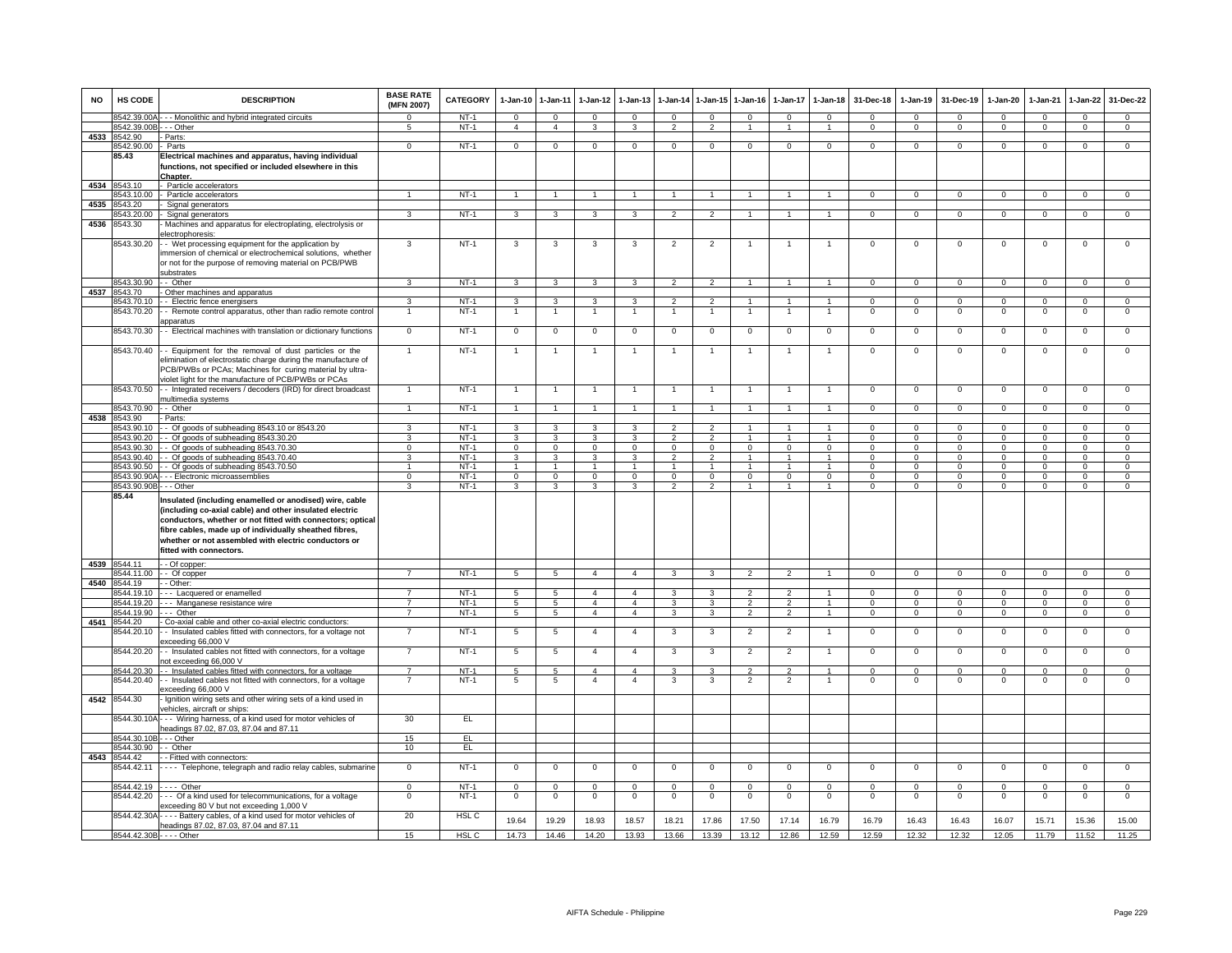| <b>NO</b> | HS CODE                    | <b>DESCRIPTION</b>                                                                                                                                                                                                                                                                                                                           | <b>BASE RATE</b><br>(MFN 2007) | CATEGORY         | 1-Jan-10                | 1-Jan-11                | $1-Jan-12$              | $1-Jan-13$              | $1-Jan-14$                    | $1 - Jan-15$               | $1-Jan-16$       | $1-Jan-17$     | $1 - Jan-18$         | 31-Dec-18                 | $1-Jan-19$             | 31-Dec-19               | 1-Jan-20         | 1-Jan-21       | $1-Jan-22$                 | 31-Dec-22                  |
|-----------|----------------------------|----------------------------------------------------------------------------------------------------------------------------------------------------------------------------------------------------------------------------------------------------------------------------------------------------------------------------------------------|--------------------------------|------------------|-------------------------|-------------------------|-------------------------|-------------------------|-------------------------------|----------------------------|------------------|----------------|----------------------|---------------------------|------------------------|-------------------------|------------------|----------------|----------------------------|----------------------------|
|           | 8542.39.00A                | - - Monolithic and hybrid integrated circuits                                                                                                                                                                                                                                                                                                | $\Omega$                       | $NT-1$           | $\mathbf{O}$            | $\Omega$                | $\Omega$                | $\mathbf{0}$            | $\Omega$                      | $\mathbf{0}$               | $\Omega$         | $\Omega$       | $\Omega$             | $\Omega$                  | $\Omega$               | $\Omega$                | $\Omega$         | $\Omega$       | $\mathbf{0}$               | $\mathbf{0}$               |
|           | 8542.39.00E                | - - Other                                                                                                                                                                                                                                                                                                                                    | 5                              | $NT-1$           | $\overline{4}$          | $\overline{4}$          | 3                       | 3                       | $\overline{2}$                | $\overline{2}$             | $\mathbf{1}$     | $\overline{1}$ | $\overline{1}$       | $\Omega$                  | $\mathbf{0}$           | $\mathbf 0$             | $\mathbf{0}$     | $\mathbf 0$    | $\mathbf{0}$               | $\overline{0}$             |
| 4533      | 8542.90                    | Parts:                                                                                                                                                                                                                                                                                                                                       |                                | $NT-1$           |                         | $\overline{0}$          |                         | $\overline{0}$          |                               |                            | $\overline{0}$   |                |                      |                           |                        |                         |                  |                | $\overline{0}$             | $\overline{0}$             |
|           | 8542.90.00<br>85.43        | Parts<br>Electrical machines and apparatus, having individual<br>functions, not specified or included elsewhere in this<br><b>Chapter</b>                                                                                                                                                                                                    | $\mathbf{0}$                   |                  | $\mathbf{0}$            |                         | $\mathbf{0}$            |                         | $\mathbf 0$                   | $\overline{0}$             |                  | $\mathbf{0}$   | $\mathbf 0$          | $\mathbf{0}$              | $\mathbf{0}$           | $\mathbf{0}$            | $\mathbf{0}$     | $\mathbf{0}$   |                            |                            |
|           | 4534 8543.10               | Particle accelerators                                                                                                                                                                                                                                                                                                                        |                                |                  |                         |                         |                         |                         |                               |                            |                  |                |                      |                           |                        |                         |                  |                |                            |                            |
|           | 8543.10.00                 | Particle accelerators                                                                                                                                                                                                                                                                                                                        | $\mathbf{1}$                   | $NT-1$           | $\overline{1}$          | $\overline{1}$          | $\overline{1}$          | $\mathbf{1}$            | $\overline{1}$                | $\overline{1}$             | $\overline{1}$   | $\overline{1}$ | $\overline{1}$       | $\mathbf{0}$              | $\mathbf{0}$           | $\mathbf{0}$            | $\overline{0}$   | $\mathbf{0}$   | $\circ$                    | $\overline{0}$             |
| 4535      | 8543.20                    | Signal generators                                                                                                                                                                                                                                                                                                                            |                                |                  |                         |                         |                         |                         |                               |                            |                  |                |                      |                           |                        |                         |                  |                |                            |                            |
|           | 8543.20.00                 | Signal generators                                                                                                                                                                                                                                                                                                                            | 3                              | $NT-1$           | $\overline{\mathbf{3}}$ | 3                       | 3                       | 3                       | $\overline{2}$                | $\overline{2}$             |                  |                | $\blacktriangleleft$ | $\overline{0}$            | $\overline{0}$         | $\overline{0}$          | $\overline{0}$   | $\overline{0}$ | $\overline{0}$             | $\overline{0}$             |
| 4536      | 8543.30                    | Machines and apparatus for electroplating, electrolysis or<br>electrophoresis:                                                                                                                                                                                                                                                               |                                |                  |                         |                         |                         |                         |                               |                            |                  |                |                      |                           |                        |                         |                  |                |                            |                            |
|           | 8543.30.20                 | - Wet processing equipment for the application by<br>immersion of chemical or electrochemical solutions, whether<br>or not for the purpose of removing material on PCB/PWB<br>substrates                                                                                                                                                     | $\mathbf{3}$                   | $NT-1$           | $\mathbf{3}$            | 3                       | 3                       | 3                       | $\overline{2}$                | $\overline{2}$             | $\mathbf{1}$     | $\overline{1}$ | $\overline{1}$       | $\mathbf 0$               | $\mathbf 0$            | $\mathbf 0$             | $\mathbf 0$      | $\mathbf 0$    | $\mathbf 0$                | $\mathbf 0$                |
|           | 8543.30.90                 | - Other                                                                                                                                                                                                                                                                                                                                      | $\mathbf{3}$                   | $NT-1$           | $\overline{\mathbf{3}}$ | $\overline{\mathbf{3}}$ | $\overline{\mathbf{3}}$ | $\overline{\mathbf{3}}$ | $\overline{2}$                | $\overline{2}$             | $\overline{1}$   | $\overline{1}$ | $\overline{1}$       | $\overline{0}$            | $\overline{0}$         | $\overline{0}$          | $\overline{0}$   | $\overline{0}$ | $\overline{0}$             | $\overline{0}$             |
| 4537      | 8543.70                    | Other machines and apparatus                                                                                                                                                                                                                                                                                                                 |                                |                  |                         |                         |                         |                         |                               |                            |                  |                |                      |                           |                        |                         |                  |                |                            |                            |
|           | 8543.70.10                 | - Electric fence energisers                                                                                                                                                                                                                                                                                                                  | 3                              | $NT-1$           | 3                       | 3<br>$\mathbf{1}$       | 3                       | 3                       | $\overline{2}$                | $\mathcal{P}$              |                  |                | 1                    | $^{\circ}$                | $\Omega$               | $\Omega$                | $\Omega$         | $\Omega$       | 0                          | $\mathsf 0$                |
|           | 8543.70.20                 | - Remote control apparatus, other than radio remote control<br>ipparatus                                                                                                                                                                                                                                                                     |                                | $NT-1$<br>$NT-1$ |                         |                         |                         |                         |                               |                            | 1                |                | 1                    | $\mathsf 0$               | $\mathbf 0$            | $\,0\,$                 | $\mathbf 0$      | $\mathbf 0$    | $\mathsf 0$                | $\mathsf 0$                |
|           | 8543.70.30                 | - Electrical machines with translation or dictionary functions                                                                                                                                                                                                                                                                               | $\overline{0}$                 |                  | $\mathbf 0$             | $\mathbf 0$             | $\mathbf 0$             | $\mathbf 0$             | $\mathbf 0$                   | $\mathbf 0$                | $\mathbf 0$      | $\mathbf 0$    | $\overline{0}$       | $\mathbf 0$               | $\mathbf 0$            | $\mathbf 0$             | $\overline{0}$   | $\mathbf 0$    | $\mathsf 0$                | $\overline{0}$             |
|           | 8543.70.40                 | - Equipment for the removal of dust particles or the<br>elimination of electrostatic charge during the manufacture of<br>PCB/PWBs or PCAs; Machines for curing material by ultra-<br>violet light for the manufacture of PCB/PWBs or PCAs                                                                                                    | $\mathbf{1}$                   | $NT-1$           | $\overline{1}$          | $\mathbf{1}$            |                         | 1                       | $\mathbf{1}$                  | $\mathbf{1}$               | -1               | $\mathbf{1}$   | $\overline{1}$       | $\mathbf 0$               | $\mathbf 0$            | $\mathbf 0$             | $\mathbf 0$      | $\mathbf 0$    | $\mathsf 0$                | $\mathbf 0$                |
|           | 8543.70.50                 | - Integrated receivers / decoders (IRD) for direct broadcast<br>nultimedia systems                                                                                                                                                                                                                                                           |                                | $NT-1$           | $\mathbf{1}$            | $\mathbf{1}$            |                         | $\overline{1}$          | $\overline{1}$                | $\overline{1}$             |                  | $\overline{1}$ | $\overline{1}$       | $\overline{0}$            | $\mathbf{0}$           | $\mathbf 0$             | $\mathbf 0$      | $\mathbf 0$    | 0                          | $\circ$                    |
|           | 8543.70.90                 | - Other                                                                                                                                                                                                                                                                                                                                      | $\mathbf{1}$                   | $NT-1$           | $\mathbf{1}$            | $\overline{1}$          | $\mathbf{1}$            | $\overline{1}$          | $\overline{1}$                | $\overline{1}$             | $\overline{1}$   | $\overline{1}$ | $\mathbf{1}$         | $\Omega$                  | $\overline{0}$         | $\mathbf 0$             | $\overline{0}$   | $\overline{0}$ | $\overline{0}$             | $\overline{0}$             |
| 4538      | 8543.90                    | Parts:                                                                                                                                                                                                                                                                                                                                       |                                |                  |                         |                         |                         |                         |                               |                            |                  |                |                      |                           |                        |                         |                  |                |                            |                            |
|           | 3543.90.10                 | - Of goods of subheading 8543.10 or 8543.20                                                                                                                                                                                                                                                                                                  | 3                              | $NT-1$           | 3                       | 3                       | $\mathbf{3}$            | $\mathbf{3}$            | $\mathcal{D}$                 | $\mathcal{P}$              |                  |                |                      | $\mathbf 0$               | $\Omega$               | $\Omega$                | $\Omega$         | $\Omega$       | $\mathsf 0$                | $\mathsf 0$                |
|           | 8543.90.20<br>8543.90.30   | - Of goods of subheading 8543.30.20<br>Of goods of subheading 8543.70.30                                                                                                                                                                                                                                                                     | 3<br>$\mathbf 0$               | $NT-1$<br>$NT-1$ | 3<br>$\mathbf{O}$       | 3<br>$\mathbf 0$        | 3<br>$\mathbf 0$        | 3<br>$\mathbf 0$        | $\overline{2}$<br>$\mathbf 0$ | $\overline{2}$<br>$\Omega$ | 1<br>$\mathsf 0$ | $\Omega$       | 1<br>$\mathbf 0$     | $^{\circ}$<br>$\mathbf 0$ | $^{\circ}$<br>$\Omega$ | $\mathbf 0$<br>$\Omega$ | 0<br>$\mathbf 0$ | 0<br>$\Omega$  | $\mathsf 0$<br>$\mathsf 0$ | $\mathbf 0$<br>$\mathbf 0$ |
|           | 8543.90.40                 | - Of goods of subheading 8543.70.40                                                                                                                                                                                                                                                                                                          | 3                              | $NT-1$           | 3                       | 3                       | 3                       | 3                       | $\overline{2}$                | $\overline{2}$             | $\overline{1}$   | $\overline{1}$ | $\overline{1}$       | $\Omega$                  | $\Omega$               | $\Omega$                | $\overline{0}$   | $\Omega$       | $\Omega$                   | $\overline{0}$             |
|           | 8543.90.50                 | - Of goods of subheading 8543.70.50                                                                                                                                                                                                                                                                                                          |                                | $NT-1$           | $\overline{1}$          | $\overline{1}$          | $\blacktriangleleft$    | $\overline{1}$          | $\overline{1}$                | $\overline{1}$             | $\overline{1}$   | $\overline{1}$ | $\blacktriangleleft$ | $\Omega$                  | $\mathbf{0}$           | $\Omega$                | $\mathbf{0}$     | $\Omega$       | $\mathbf 0$                | $\overline{0}$             |
|           | 8543.90.90/                | - Electronic microassemblies                                                                                                                                                                                                                                                                                                                 | $\Omega$                       | $NT-1$           | $\overline{0}$          | $\overline{0}$          | $\overline{0}$          | $\overline{0}$          | $\Omega$                      | $\overline{0}$             | $\overline{0}$   | $\overline{0}$ | $\overline{0}$       | $\Omega$                  | $\Omega$               | $\Omega$                | $\overline{0}$   | $\Omega$       | $\Omega$                   | $\overline{0}$             |
|           | 8543.90.90                 | - - Other                                                                                                                                                                                                                                                                                                                                    | 3                              | $NT-1$           | 3                       | 3                       | 3                       | 3                       | $\overline{2}$                | $\overline{2}$             |                  |                | $\mathbf{1}$         | $\Omega$                  | $\Omega$               | $\Omega$                | $\Omega$         | $\Omega$       | $\Omega$                   | $\Omega$                   |
|           | 85.44<br>4539 8544.11      | nsulated (including enamelled or anodised) wire, cable<br>(including co-axial cable) and other insulated electric<br>conductors, whether or not fitted with connectors; optical<br>fibre cables, made up of individually sheathed fibres,<br>whether or not assembled with electric conductors or<br>fitted with connectors.<br>- Of copper: |                                |                  |                         |                         |                         |                         |                               |                            |                  |                |                      |                           |                        |                         |                  |                |                            |                            |
|           | 8544.11.00                 | - Of copper                                                                                                                                                                                                                                                                                                                                  |                                | $NT-1$           | 5                       | 5                       | $\overline{4}$          | $\overline{a}$          | 3                             | 3                          | $\overline{2}$   | $\overline{2}$ |                      | $\mathbf 0$               | $\mathbf 0$            | $\mathbf 0$             | $\mathbf 0$      | $\mathbf 0$    | $\mathsf 0$                | $\mathbf 0$                |
|           | 4540 8544.19               | - Other:                                                                                                                                                                                                                                                                                                                                     |                                |                  |                         |                         |                         |                         |                               |                            |                  |                |                      |                           |                        |                         |                  |                |                            |                            |
|           | 8544.19.10                 | - - Lacquered or enamelled                                                                                                                                                                                                                                                                                                                   | $\overline{7}$                 | $NT-1$           | $\overline{5}$          | $\overline{5}$          | $\mathbf{A}$            | $\overline{4}$          | 3                             | $\overline{\mathbf{3}}$    | $\overline{2}$   | $\overline{2}$ | $\mathbf{1}$         | $\Omega$                  | $\overline{0}$         | $\mathbf 0$             | $\overline{0}$   | $\Omega$       | $\overline{0}$             | $\overline{0}$             |
|           | 8544.19.20                 | - - Manganese resistance wire                                                                                                                                                                                                                                                                                                                | $\overline{7}$                 | $NT-1$           | $5\overline{)}$         | $\overline{5}$          | $\overline{4}$          | $\overline{4}$          | 3                             | 3                          | $\overline{2}$   | $\overline{2}$ | $\mathbf{1}$         | $\Omega$                  | $\overline{0}$         | $\mathbf 0$             | $\overline{0}$   | $\Omega$       | $\overline{0}$             | $\overline{0}$             |
|           | 8544.19.90                 | -- Other                                                                                                                                                                                                                                                                                                                                     | $\overline{7}$                 | $NT-1$           | 5                       | 5                       | $\overline{4}$          | $\overline{4}$          | $\overline{3}$                | $\overline{\mathbf{3}}$    | $\overline{2}$   | $\overline{2}$ | $\mathbf{1}$         | $\overline{0}$            | $\overline{0}$         | $\overline{0}$          | $\overline{0}$   | $\overline{0}$ | $\overline{0}$             | $\overline{0}$             |
|           | 4541 8544.20<br>8544.20.10 | Co-axial cable and other co-axial electric conductors<br>- Insulated cables fitted with connectors, for a voltage not                                                                                                                                                                                                                        |                                | $NT-1$           | 5                       | 5                       | $\overline{a}$          | $\overline{4}$          | 3                             | 3                          | $\overline{2}$   | $\overline{2}$ | 1                    | $^{\circ}$                | $\mathbf 0$            | $\Omega$                | $\overline{0}$   | $\Omega$       | 0                          | 0                          |
|           | 8544.20.20                 | xceeding 66,000 V<br>- Insulated cables not fitted with connectors, for a voltage<br>ot exceeding 66,000 V                                                                                                                                                                                                                                   | $\overline{7}$                 | $NT-1$           | 5                       | 5                       | $\overline{4}$          | $\overline{4}$          | $\mathbf{3}$                  | 3                          | $\overline{2}$   | $\overline{2}$ | $\mathbf{1}$         | $\overline{0}$            | $\mathbf{0}$           | $\mathbf{0}$            | $\mathbf 0$      | $^{\circ}$     | 0                          | $\mathbf{0}$               |
|           | 8544.20.30                 | - Insulated cables fitted with connectors, for a voltage                                                                                                                                                                                                                                                                                     | $\overline{7}$                 | $NT-1$           | 5                       | -5                      | $\mathbf{4}$            | $\mathbf{A}$            |                               |                            |                  |                | $\overline{1}$       | $\Omega$                  | $\Omega$               | $\Omega$                | $\Omega$         | $\Omega$       | $\Omega$                   | $\Omega$                   |
|           | 8544.20.40                 | - Insulated cables not fitted with connectors, for a voltage<br>xceeding 66,000 V                                                                                                                                                                                                                                                            |                                | $NT-1$           | 5                       | $5^{\circ}$             |                         |                         | 3                             | 3                          | $\mathfrak{p}$   | $\mathfrak{p}$ |                      | $\Omega$                  | $\Omega$               |                         |                  | $\Omega$       | $\Omega$                   | $\Omega$                   |
| 4542      | 8544.30                    | Ignition wiring sets and other wiring sets of a kind used in<br>ehicles, aircraft or ships:                                                                                                                                                                                                                                                  |                                |                  |                         |                         |                         |                         |                               |                            |                  |                |                      |                           |                        |                         |                  |                |                            |                            |
|           | 8544.30.10                 | -- Wiring harness, of a kind used for motor vehicles of<br>leadings 87.02, 87.03, 87.04 and 87.11                                                                                                                                                                                                                                            | 30                             | EL               |                         |                         |                         |                         |                               |                            |                  |                |                      |                           |                        |                         |                  |                |                            |                            |
|           | 8544.30.10<br>8544.30.90   | - - Other<br>- Other                                                                                                                                                                                                                                                                                                                         | 15<br>10                       | EL<br>EL         |                         |                         |                         |                         |                               |                            |                  |                |                      |                           |                        |                         |                  |                |                            |                            |
|           | 4543 8544.42               | - Fitted with connectors:                                                                                                                                                                                                                                                                                                                    |                                |                  |                         |                         |                         |                         |                               |                            |                  |                |                      |                           |                        |                         |                  |                |                            |                            |
|           | 8544.42.11                 | --- Telephone, telegraph and radio relay cables, submarine                                                                                                                                                                                                                                                                                   | $\mathbf{0}$                   | $NT-1$           | $\mathbf 0$             | $\mathbf 0$             | 0                       | 0                       | $\mathbf 0$                   | $\mathbf 0$                | 0                | 0              | $\mathbf 0$          | $\mathbf{0}$              | $\mathbf{0}$           | $\mathbf 0$             | $\mathbf 0$      | $\mathbf 0$    | 0                          | $\mathbf{0}$               |
|           | 8544.42.19                 | $--$ Other                                                                                                                                                                                                                                                                                                                                   | $\Omega$                       | $NT-1$           | $\Omega$                | $\mathbf 0$             | $\Omega$                | $\mathbf 0$             | $\Omega$                      | $\mathbf{0}$               | $\Omega$         | $\Omega$       | $\Omega$             | $\Omega$                  | $\Omega$               | $\Omega$                | $\Omega$         | $\Omega$       | $\mathbf{0}$               | $\overline{0}$             |
|           | 8544.42.20                 | -- Of a kind used for telecommunications, for a voltage<br>xceeding 80 V but not exceeding 1,000 V                                                                                                                                                                                                                                           | $\overline{0}$                 | $NT-1$           | $\overline{0}$          | $\overline{0}$          | $\overline{0}$          | $\overline{0}$          | $\overline{0}$                | $\overline{0}$             | $\overline{0}$   | $\overline{0}$ | $\overline{0}$       | $\overline{0}$            | $\Omega$               | $\overline{0}$          | $\overline{0}$   | $\overline{0}$ | $\overline{0}$             | $\overline{0}$             |
|           |                            | 8544.42.30A - - - - Battery cables, of a kind used for motor vehicles of<br>headings 87.02, 87.03, 87.04 and 87.11                                                                                                                                                                                                                           | 20                             | HSL C            | 19.64                   | 19.29                   | 18.93                   | 18.57                   | 18.21                         | 17.86                      | 17.50            | 17.14          | 16.79                | 16.79                     | 16.43                  | 16.43                   | 16.07            | 15.71          | 15.36                      | 15.00                      |
|           | 8544.42.30B - - - - Other  |                                                                                                                                                                                                                                                                                                                                              | 15                             | HSL C            | 14.73                   | 14.46                   | 14.20                   | 13.93                   | 13.66                         | 13.39                      | 13.12            | 12.86          | 12.59                | 12.59                     | 12.32                  | 12.32                   | 12.05            | 11.79          | 11.52                      | 11.25                      |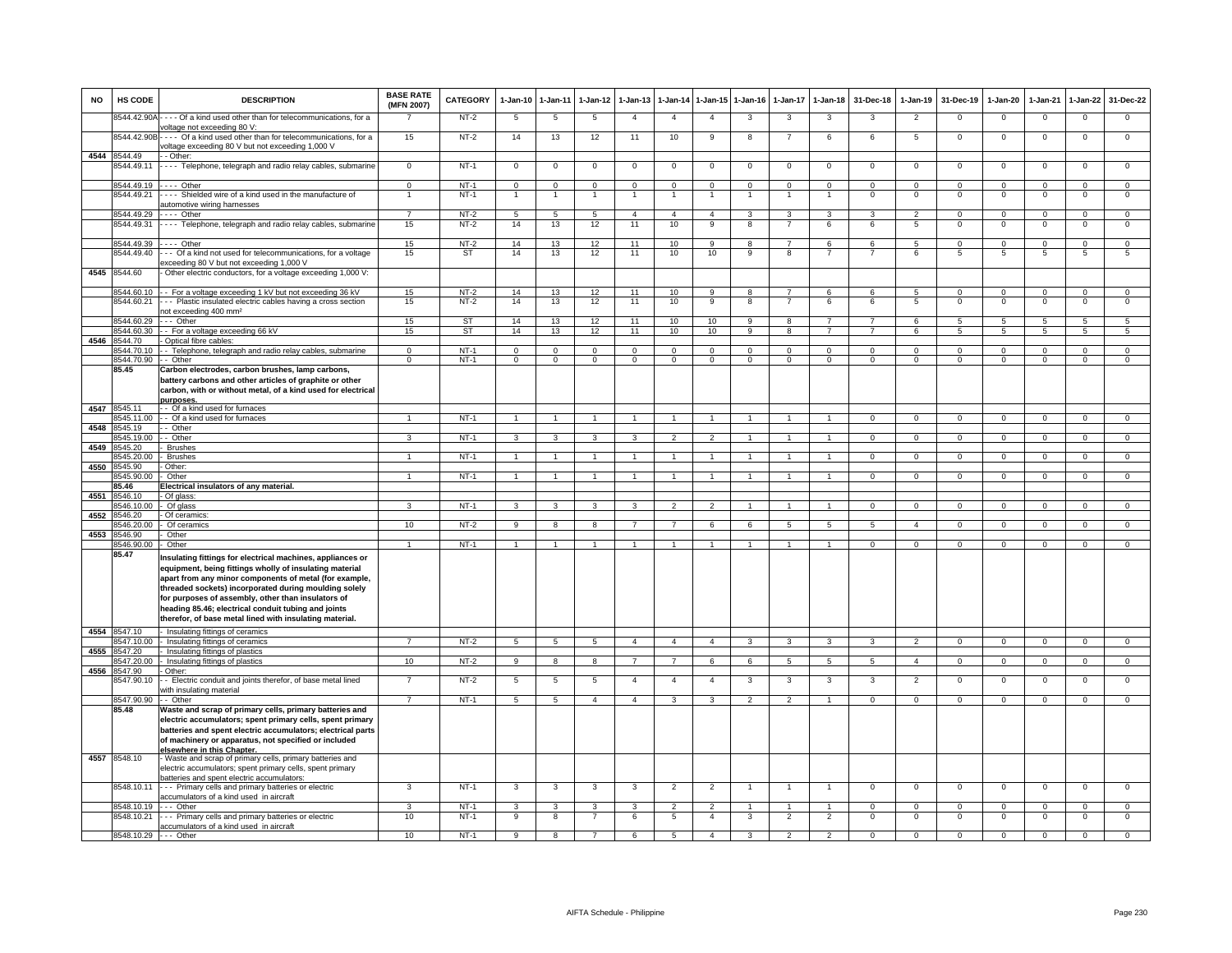| <b>NO</b> | HS CODE                    | <b>DESCRIPTION</b>                                                                                                                                                                                                                                                                                                                                                                                               | <b>BASE RATE</b><br>(MFN 2007) | <b>CATEGORY</b>  | $1 - Jan-10$   | 1-Jan-11       | $1-Jan-12$          | $1 - Jan-13$   |                               | 1-Jan-14 1-Jan-15                | $1-Jan-16$              | 1-Jan-17                         | $1-Jan-18$                       | 31-Dec-18            | $1-Jan-19$       | 31-Dec-19               | 1-Jan-20                | $1-Jan-21$           | $1 - Jan-22$     | 31-Dec-22        |
|-----------|----------------------------|------------------------------------------------------------------------------------------------------------------------------------------------------------------------------------------------------------------------------------------------------------------------------------------------------------------------------------------------------------------------------------------------------------------|--------------------------------|------------------|----------------|----------------|---------------------|----------------|-------------------------------|----------------------------------|-------------------------|----------------------------------|----------------------------------|----------------------|------------------|-------------------------|-------------------------|----------------------|------------------|------------------|
|           | 3544.42.90A                | - - - - Of a kind used other than for telecommunications, for a<br>voltage not exceeding 80 V:                                                                                                                                                                                                                                                                                                                   |                                | $NT-2$           | 5              | $\overline{5}$ | 5                   | $\overline{4}$ | $\overline{4}$                | $\overline{4}$                   | 3                       | 3                                | 3                                | 3                    | $\overline{2}$   | $\overline{0}$          | $\overline{0}$          | $\Omega$             | $\overline{0}$   | $\overline{0}$   |
|           | 8544.42.90B                | ---- Of a kind used other than for telecommunications, for a<br>voltage exceeding 80 V but not exceeding 1,000 V                                                                                                                                                                                                                                                                                                 | 15                             | NT-2             | 14             | 13             | 12                  | 11             | 10                            | 9                                | 8                       | $\overline{7}$                   | 6                                | 6                    | 5                | $\mathbf 0$             | $\mathbf 0$             | $^{\circ}$           | $\mathbf 0$      | $\mathbf 0$      |
|           | 4544 8544.49               | - - Other:                                                                                                                                                                                                                                                                                                                                                                                                       |                                |                  |                |                |                     |                |                               |                                  |                         |                                  |                                  |                      |                  |                         |                         |                      |                  |                  |
|           | 544.49.11                  | - - - - Telephone, telegraph and radio relay cables, submarine                                                                                                                                                                                                                                                                                                                                                   | $\mathbf 0$                    | $NT-1$           | $^{\circ}$     | 0              | $\mathbf 0$         | 0              | 0                             | $\mathbf 0$                      | $^{\circ}$              | $\mathbf 0$                      | $^{\circ}$                       | $^{\circ}$           | $^{\circ}$       | $\mathbf 0$             | $^{\circ}$              | $\mathbf 0$          | 0                | $\overline{0}$   |
|           | 8544.49.19                 | $- - -$ Other                                                                                                                                                                                                                                                                                                                                                                                                    | $\mathbf 0$                    | $NT-1$           | $\Omega$       | $\mathbf{0}$   | $\mathbf 0$         | $\Omega$       | $\Omega$                      | $\mathbf{0}$                     | $\mathbf 0$             | $\mathbf 0$                      | $\mathbf 0$                      | $\mathbf 0$          | $\mathbf 0$      | $\mathbf{0}$            | $\Omega$                | $\Omega$             | $\mathbf 0$      | $\circ$          |
|           | 8544.49.21                 | --- Shielded wire of a kind used in the manufacture of<br>automotive wiring harnesses                                                                                                                                                                                                                                                                                                                            | $\mathbf{1}$                   | $NT-1$           |                |                | $\mathbf{1}$        | $\mathbf{1}$   |                               | $\overline{1}$                   | $\overline{1}$          | $\mathbf{1}$                     | $\overline{1}$                   | $^{\circ}$           | $\mathsf 0$      | $\mathbf 0$             | $^{\circ}$              | $^{\circ}$           | $\mathsf 0$      | $\mathbf 0$      |
|           | 8544.49.29                 | Other                                                                                                                                                                                                                                                                                                                                                                                                            | $\overline{7}$                 | $NT-2$           | $\overline{5}$ | $\overline{5}$ | $\overline{5}$      | $\overline{4}$ | $\overline{4}$                | $\overline{4}$                   | $\overline{\mathbf{3}}$ | $\overline{\mathbf{3}}$          | $\overline{3}$                   | $\mathcal{R}$        | $\overline{2}$   | $\overline{0}$          | $\overline{0}$          | $\Omega$             | $\overline{0}$   | $\overline{0}$   |
|           | 8544.49.31                 | ---- Telephone, telegraph and radio relay cables, submarine                                                                                                                                                                                                                                                                                                                                                      | 15                             | $NT-2$           | 14             | 13             | 12                  | 11             | 10                            | 9                                | 8                       | $\overline{7}$                   | 6                                | 6                    | 5                | $\Omega$                | $^{\circ}$              | $\Omega$             | $^{\circ}$       | $\overline{0}$   |
|           | 8544.49.39                 | - - - - Other                                                                                                                                                                                                                                                                                                                                                                                                    | 15                             | $NT-2$           | 14             | 13             | 12                  | 11             | 10                            | 9                                | 8                       | $\overline{7}$                   | 6                                | 6                    | 5                | $\Omega$                | $\Omega$                | $\Omega$             | $\mathbf 0$      | $\mathbf 0$      |
|           | 8544.49.40                 | -- Of a kind not used for telecommunications, for a voltage                                                                                                                                                                                                                                                                                                                                                      | 15                             | <b>ST</b>        | 14             | 13             | 12                  | 11             | 10                            | 10                               | 9                       | 8                                | $\overline{7}$                   | $\overline{7}$       | 6                | 5                       | 5                       | $\overline{5}$       | 5                | 5                |
|           |                            | exceeding 80 V but not exceeding 1,000 V                                                                                                                                                                                                                                                                                                                                                                         |                                |                  |                |                |                     |                |                               |                                  |                         |                                  |                                  |                      |                  |                         |                         |                      |                  |                  |
|           | 4545 8544.60               | Other electric conductors, for a voltage exceeding 1,000 V:                                                                                                                                                                                                                                                                                                                                                      |                                |                  |                |                |                     |                |                               |                                  |                         |                                  |                                  |                      |                  |                         |                         |                      |                  |                  |
|           | 544.60.10                  | - For a voltage exceeding 1 kV but not exceeding 36 kV                                                                                                                                                                                                                                                                                                                                                           | 15                             | $NT-2$           | 14             | 13             | 12                  | 11             | 10                            | 9                                | 8                       | $\overline{7}$                   | 6                                | 6                    | 5                | $\mathbf 0$             | $\mathsf 0$             | $\Omega$             | $\overline{0}$   | $\overline{0}$   |
|           | 3544.60.21                 | - - Plastic insulated electric cables having a cross section                                                                                                                                                                                                                                                                                                                                                     | 15                             | $NT-2$           | 14             | 13             | 12                  | 11             | 10                            | $\overline{9}$                   | 8                       | $\overline{7}$                   | 6                                | 6                    | 5                | $\mathbf 0$             | $\mathbf 0$             | $\mathbf 0$          | $\mathsf 0$      | $\overline{0}$   |
|           |                            | not exceeding 400 mm <sup>2</sup>                                                                                                                                                                                                                                                                                                                                                                                |                                |                  |                |                |                     |                |                               |                                  |                         |                                  |                                  |                      |                  |                         |                         |                      |                  |                  |
|           | 8544.60.29                 | --- Other                                                                                                                                                                                                                                                                                                                                                                                                        | 15                             | ST               | 14             | 13             | 12                  | 11             | 10                            | 10                               | 9                       | 8                                | $\overline{7}$                   | $\overline{7}$       | 6                | 5                       | 5                       | 5                    | 5                | 5                |
|           |                            | 8544.60.30 - - For a voltage exceeding 66 kV                                                                                                                                                                                                                                                                                                                                                                     | 15                             | <b>ST</b>        | 14             | 13             | 12                  | 11             | 10                            | 10                               | 9                       | 8                                | $\overline{7}$                   | $\overline{7}$       | 6                | $\overline{5}$          | $5\phantom{.0}$         | -5                   | 5                | 5                |
|           | 4546 8544.70<br>8544.70.10 | - Optical fibre cables:                                                                                                                                                                                                                                                                                                                                                                                          | $\overline{0}$                 | $NT-1$           | $\overline{0}$ | $\overline{0}$ | $\overline{0}$      | $\overline{0}$ | $\overline{0}$                | $\overline{0}$                   | $\overline{0}$          | $\overline{0}$                   | $\overline{0}$                   | $\overline{0}$       | $\overline{0}$   | $\Omega$                | $\overline{0}$          | $\Omega$             | $\overline{0}$   | $\overline{0}$   |
|           | 3544.70.90                 | - Telephone, telegraph and radio relay cables, submarine<br>- Other                                                                                                                                                                                                                                                                                                                                              | $\overline{0}$                 | $NT-1$           | $\overline{0}$ | $\overline{0}$ | $\overline{0}$      | $\overline{0}$ | $\overline{0}$                | $\overline{0}$                   | $\overline{0}$          | $\overline{0}$                   | $\overline{0}$                   | $\overline{0}$       | $\overline{0}$   | $\overline{0}$          | $\overline{0}$          | $\overline{0}$       | $\overline{0}$   | $\overline{0}$   |
|           | 85.45                      | Carbon electrodes, carbon brushes, lamp carbons,                                                                                                                                                                                                                                                                                                                                                                 |                                |                  |                |                |                     |                |                               |                                  |                         |                                  |                                  |                      |                  |                         |                         |                      |                  |                  |
|           |                            | battery carbons and other articles of graphite or other<br>carbon, with or without metal, of a kind used for electrical                                                                                                                                                                                                                                                                                          |                                |                  |                |                |                     |                |                               |                                  |                         |                                  |                                  |                      |                  |                         |                         |                      |                  |                  |
|           |                            | purposes.                                                                                                                                                                                                                                                                                                                                                                                                        |                                |                  |                |                |                     |                |                               |                                  |                         |                                  |                                  |                      |                  |                         |                         |                      |                  |                  |
| 4547      | 545.11                     | -- Of a kind used for furnaces                                                                                                                                                                                                                                                                                                                                                                                   |                                |                  |                |                |                     |                |                               |                                  |                         |                                  |                                  |                      |                  |                         |                         |                      |                  |                  |
|           | 545,11.00                  | - Of a kind used for furnaces                                                                                                                                                                                                                                                                                                                                                                                    | $\mathbf{1}$                   | $NT-1$           | $\mathbf{1}$   | $\overline{1}$ | $\overline{1}$      | $\mathbf{1}$   | $\mathbf{1}$                  | $\mathbf{1}$                     | $\mathbf{1}$            | $\mathbf{1}$                     | $\overline{1}$                   | $\overline{0}$       | $\overline{0}$   | $\overline{0}$          | $\overline{0}$          | $\overline{0}$       | $\overline{0}$   | $\overline{0}$   |
| 4548      | 545.19                     | - Other                                                                                                                                                                                                                                                                                                                                                                                                          |                                |                  |                |                |                     | 3              | $\mathcal{P}$                 |                                  |                         |                                  |                                  |                      |                  |                         |                         |                      |                  |                  |
| 4549      | 545.19.00<br>545.20        | - Other<br><b>Brushes</b>                                                                                                                                                                                                                                                                                                                                                                                        |                                | <b>NT-1</b>      | 3              | 3              | 3                   |                |                               | $\overline{2}$                   |                         |                                  |                                  | 0                    | $\mathsf 0$      | $\mathbf 0$             | $\mathbf 0$             | $^{\circ}$           | $\mathbf 0$      | $\mathbf 0$      |
|           | 545.20.00                  | <b>Brushes</b>                                                                                                                                                                                                                                                                                                                                                                                                   | $\mathbf{1}$                   | $NT-1$           | $\mathbf{1}$   | $\overline{1}$ | $\overline{1}$      | $\mathbf{1}$   | $\mathbf{1}$                  | $\overline{1}$                   | $\overline{1}$          | $\overline{1}$                   | $\overline{1}$                   | $\overline{0}$       | $\overline{0}$   | $\overline{0}$          | $\overline{0}$          | $\overline{0}$       | $\overline{0}$   | $\overline{0}$   |
| 4550      | 545.90                     | Other:                                                                                                                                                                                                                                                                                                                                                                                                           |                                |                  |                |                |                     |                |                               |                                  |                         |                                  |                                  |                      |                  |                         |                         |                      |                  |                  |
|           | 545,90.00                  | Other                                                                                                                                                                                                                                                                                                                                                                                                            |                                | $NT-1$           | $\overline{1}$ | $\overline{1}$ | $\mathbf{1}$        |                |                               | $\overline{1}$                   |                         | $\mathbf{1}$                     |                                  | $\overline{0}$       | $\overline{0}$   | $\Omega$                | $\overline{0}$          | $\Omega$             | $\overline{0}$   | $\overline{0}$   |
|           | 85.46                      | Electrical insulators of any material.                                                                                                                                                                                                                                                                                                                                                                           |                                |                  |                |                |                     |                |                               |                                  |                         |                                  |                                  |                      |                  |                         |                         |                      |                  |                  |
| 4551      | 8546.10                    | - Of glass                                                                                                                                                                                                                                                                                                                                                                                                       |                                |                  |                |                |                     |                |                               |                                  |                         |                                  |                                  |                      |                  |                         |                         |                      |                  |                  |
|           | 546.10.00                  | - Of glass                                                                                                                                                                                                                                                                                                                                                                                                       | $\mathbf{r}$                   | NT-1             | $\mathcal{R}$  | 3              | $\mathcal{R}$       | $\mathbf{R}$   | $\mathcal{P}$                 | $\overline{2}$                   | $\overline{1}$          | $\overline{1}$                   | $\overline{1}$                   | $\mathbf 0$          | $\mathbf 0$      | $\mathbf{0}$            | $\Omega$                | $^{\circ}$           | $\mathbf{0}$     | $\mathbf{0}$     |
| 4552      | 8546.20                    | Of ceramics                                                                                                                                                                                                                                                                                                                                                                                                      |                                |                  |                |                |                     |                |                               |                                  |                         |                                  |                                  |                      |                  |                         |                         |                      |                  |                  |
|           | 546.20.00                  | Of ceramics                                                                                                                                                                                                                                                                                                                                                                                                      | 10                             | $NT-2$           | 9              | 8              | 8                   | $\overline{7}$ | $\overline{7}$                | 6                                | 6                       | 5                                | 5                                | 5                    | $\overline{a}$   | $\mathbf{0}$            | $\mathbf{0}$            | $\Omega$             | $\mathbf{0}$     | $\overline{0}$   |
| 4553      | 546.90                     | Other                                                                                                                                                                                                                                                                                                                                                                                                            |                                |                  |                |                |                     |                |                               |                                  |                         |                                  |                                  |                      |                  |                         |                         |                      |                  |                  |
|           | 546.90.00<br>85.47         | Other                                                                                                                                                                                                                                                                                                                                                                                                            | $\mathbf{1}$                   | $NT-1$           | $\mathbf{1}$   | $\mathbf{1}$   | $\mathbf{1}$        | $\mathbf{1}$   | $\mathbf{1}$                  | $\mathbf{1}$                     | $\mathbf{1}$            | 1                                | $\mathbf{1}$                     | $\mathbf 0$          | $\mathbf{0}$     | $\mathbf{0}$            | $\mathbf{0}$            | $\mathbf 0$          | $\mathbf{0}$     | $\overline{0}$   |
|           |                            | Insulating fittings for electrical machines, appliances or<br>equipment, being fittings wholly of insulating material<br>apart from any minor components of metal (for example,<br>threaded sockets) incorporated during moulding solely<br>for purposes of assembly, other than insulators of<br>heading 85.46; electrical conduit tubing and joints<br>therefor, of base metal lined with insulating material. |                                |                  |                |                |                     |                |                               |                                  |                         |                                  |                                  |                      |                  |                         |                         |                      |                  |                  |
|           | 4554 8547.10<br>547.10.00  | Insulating fittings of ceramics<br>- Insulating fittings of ceramics                                                                                                                                                                                                                                                                                                                                             | $\overline{7}$                 | NT-2             | 5              | 5              | 5                   | $\overline{4}$ | $\overline{a}$                | $\overline{4}$                   | 3                       | 3                                | 3                                | 3                    | $\overline{2}$   | $\mathbf{0}$            | $\mathbf{0}$            | $\Omega$             | $\overline{0}$   | $\Omega$         |
| 4555      | 547.20                     | Insulating fittings of plastics                                                                                                                                                                                                                                                                                                                                                                                  |                                |                  |                |                |                     |                |                               |                                  |                         |                                  |                                  |                      |                  |                         |                         |                      |                  |                  |
|           | 547.20.00                  | Insulating fittings of plastics                                                                                                                                                                                                                                                                                                                                                                                  | 10                             | $NT-2$           | $\overline{9}$ | $\overline{8}$ | $\overline{8}$      | $\overline{7}$ | $\overline{7}$                | 6                                | 6                       | 5                                | $\overline{5}$                   | $\overline{5}$       | $\overline{4}$   | $\overline{0}$          | $\overline{0}$          | $\overline{0}$       | $\overline{0}$   | $\overline{0}$   |
| 4556      | 547.90                     | Other:                                                                                                                                                                                                                                                                                                                                                                                                           |                                |                  |                |                |                     |                |                               |                                  |                         |                                  |                                  |                      |                  |                         |                         |                      |                  |                  |
|           | 547.90.10                  | - Electric conduit and joints therefor, of base metal lined<br>with insulating material                                                                                                                                                                                                                                                                                                                          |                                | $NT-2$           | 5              | 5              | 5                   | $\overline{4}$ | $\overline{4}$                | $\overline{4}$                   | 3                       | 3                                | 3                                | 3                    | $\overline{2}$   | $\mathbf 0$             | $\circ$                 | $^{\circ}$           | $\mathsf 0$      | $\mathbf 0$      |
|           | 8547.90.90                 | - - Other                                                                                                                                                                                                                                                                                                                                                                                                        | $\overline{7}$                 | $NT-1$           | $\overline{5}$ | $\overline{5}$ | $\overline{4}$      | $\overline{4}$ | 3                             | 3                                | $\overline{2}$          | $\overline{2}$                   | $\overline{1}$                   | $\overline{0}$       | $\Omega$         | $\Omega$                | $\Omega$                | $\Omega$             | $\overline{0}$   | $\overline{0}$   |
|           | 85.48                      | Waste and scrap of primary cells, primary batteries and<br>electric accumulators; spent primary cells, spent primary<br>batteries and spent electric accumulators; electrical parts<br>of machinery or apparatus, not specified or included<br>elsewhere in this Chanter.                                                                                                                                        |                                |                  |                |                |                     |                |                               |                                  |                         |                                  |                                  |                      |                  |                         |                         |                      |                  |                  |
|           | 4557 8548.10               | - Waste and scrap of primary cells, primary batteries and<br>electric accumulators; spent primary cells, spent primary<br>patteries and spent electric accumulators:                                                                                                                                                                                                                                             |                                |                  |                |                |                     |                |                               |                                  |                         |                                  |                                  |                      |                  |                         |                         |                      |                  |                  |
|           | 8548.10.11                 | - - - Primary cells and primary batteries or electric<br>accumulators of a kind used in aircraft                                                                                                                                                                                                                                                                                                                 | 3                              | $NT-1$           | 3              | 3              | 3                   | 3              | $\overline{2}$                | $\overline{2}$                   | -1                      | $\overline{1}$                   | $\overline{1}$                   | $\mathsf 0$          | $\mathsf 0$      | $\mathbf 0$             | $\mathbf 0$             | $\mathbf 0$          | $\mathsf 0$      | $\mathbf 0$      |
|           | 8548.10.19                 | --- Other<br>8548.10.21 - - - Primary cells and primary batteries or electric<br>accumulators of a kind used in aircraft                                                                                                                                                                                                                                                                                         | 3<br>10                        | $NT-1$<br>$NT-1$ | 3<br>9         | 3<br>8         | 3<br>$\overline{7}$ | 3<br>6         | $\overline{\phantom{a}}$<br>5 | $\overline{2}$<br>$\overline{4}$ | 3                       | $\overline{1}$<br>$\overline{2}$ | $\overline{1}$<br>$\overline{2}$ | $\Omega$<br>$\Omega$ | $\mathbf 0$<br>0 | $\Omega$<br>$\mathbf 0$ | $\Omega$<br>$\mathbf 0$ | $\Omega$<br>$\Omega$ | $\mathsf 0$<br>0 | $\mathsf 0$<br>0 |
|           | 8548.10.29 --- Other       |                                                                                                                                                                                                                                                                                                                                                                                                                  | 10                             | $NT-1$           | $\overline{9}$ | 8              | $\overline{7}$      | 6              | $\overline{5}$                | $\overline{4}$                   | $\overline{3}$          | $\overline{2}$                   | $\overline{2}$                   | $\overline{0}$       | $\overline{0}$   | $\overline{0}$          | $\overline{0}$          | $\overline{0}$       | $\overline{0}$   | $\overline{0}$   |
|           |                            |                                                                                                                                                                                                                                                                                                                                                                                                                  |                                |                  |                |                |                     |                |                               |                                  |                         |                                  |                                  |                      |                  |                         |                         |                      |                  |                  |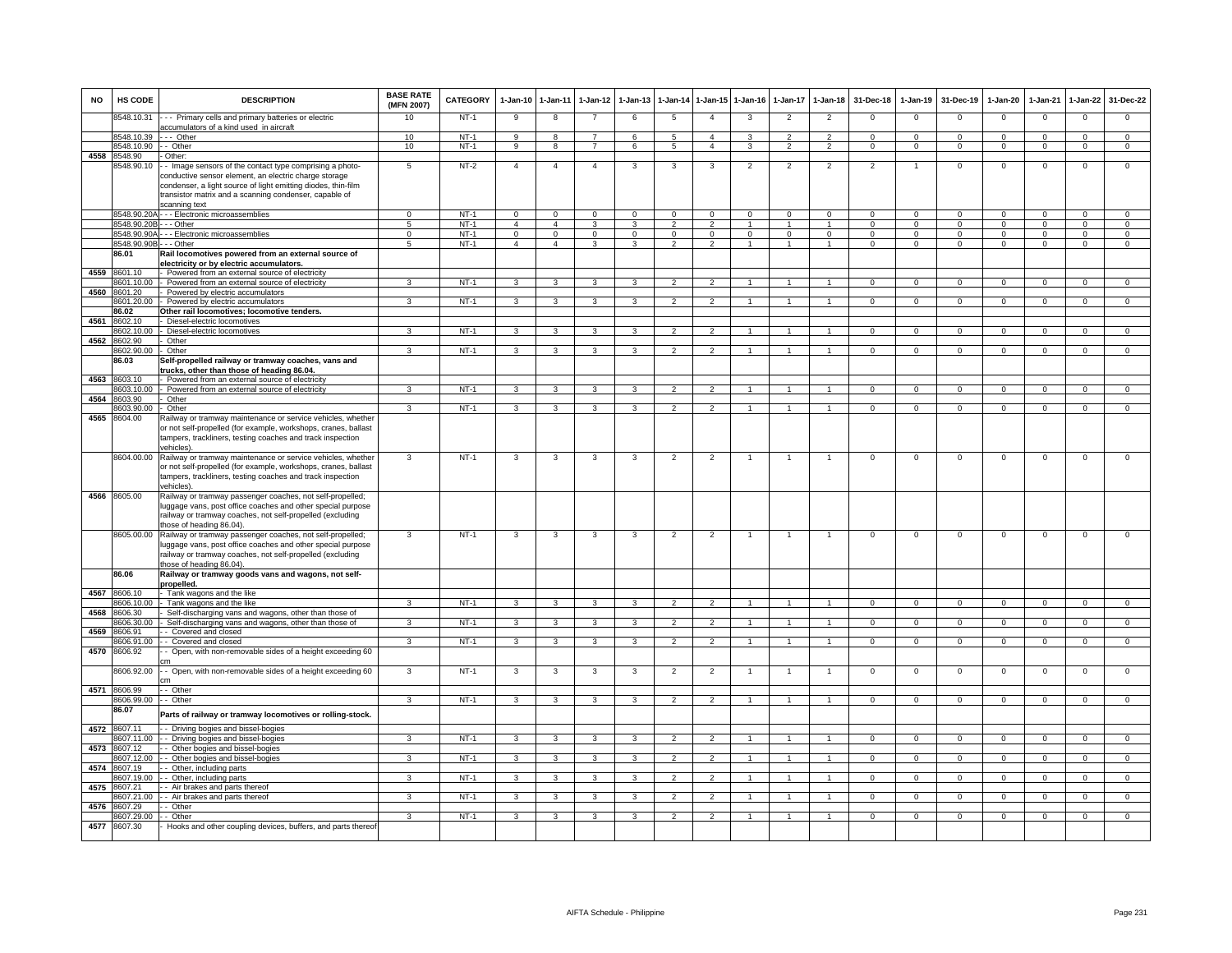| <b>NO</b> | HS CODE                    | <b>DESCRIPTION</b>                                                                                                       | <b>BASE RATE</b><br>(MFN 2007) | <b>CATEGORY</b> | $1-Jan-10$     | $1 - Jan-11$   | $1-Jan-12$              | $1-Jan-13$              | $1 - Jan-14$             | $1-Jan-15$     | $1 - Jan-16$   | $1-Jan-17$     | $1-Jan-18$     | 31-Dec-18      | $1-Jan-19$     | 31-Dec-19      | $1-Jan-20$     | $1-Jan-21$     | $1-Jan-22$     | 31-Dec-22      |
|-----------|----------------------------|--------------------------------------------------------------------------------------------------------------------------|--------------------------------|-----------------|----------------|----------------|-------------------------|-------------------------|--------------------------|----------------|----------------|----------------|----------------|----------------|----------------|----------------|----------------|----------------|----------------|----------------|
|           | 8548.10.31                 | --- Primary cells and primary batteries or electric                                                                      | 10                             | $NT-1$          | 9              | 8              | $\overline{7}$          | 6                       | 5                        | $\overline{4}$ | 3              | $\overline{2}$ | $\overline{2}$ | $\Omega$       | $\Omega$       | $\Omega$       | $\Omega$       | $\Omega$       | $\mathsf 0$    | $\Omega$       |
|           | 8548.10.39 --- Other       | accumulators of a kind used in aircraft                                                                                  | 10                             | $NT-1$          | 9              | 8              | $\overline{7}$          | 6                       | 5                        | $\overline{4}$ | 3              | 2              | 2              | $\mathbf{0}$   | $\mathbf{0}$   | $^{\circ}$     | $^{\circ}$     | $\Omega$       | $^{\circ}$     | $\mathbf{0}$   |
|           | 8548.10.90                 | - Other                                                                                                                  | 10                             | $NT-1$          | 9              | 8              | $\overline{7}$          | 6                       | 5                        | $\overline{4}$ | 3              | 2              | $\overline{2}$ | $\mathbf 0$    | $\mathbf{0}$   | $\mathbf{0}$   | $\mathbf{0}$   | $^{\circ}$     | $\mathbf 0$    | $\overline{0}$ |
| 4558      | 8548.90                    | - Other:                                                                                                                 |                                |                 |                |                |                         |                         |                          |                |                |                |                |                |                |                |                |                |                |                |
|           | 8548.90.10                 | - Image sensors of the contact type comprising a photo-                                                                  | 5                              | NT-2            | $\overline{4}$ | $\overline{4}$ | $\overline{4}$          | 3                       | 3                        | 3              | $\overline{2}$ | $\overline{2}$ | $\overline{2}$ | $\mathfrak{p}$ |                | $\mathbf 0$    | $\Omega$       | $\Omega$       | $\mathsf 0$    | $\Omega$       |
|           |                            | conductive sensor element, an electric charge storage                                                                    |                                |                 |                |                |                         |                         |                          |                |                |                |                |                |                |                |                |                |                |                |
|           |                            | condenser, a light source of light emitting diodes, thin-film<br>transistor matrix and a scanning condenser, capable of  |                                |                 |                |                |                         |                         |                          |                |                |                |                |                |                |                |                |                |                |                |
|           |                            | scanning text                                                                                                            |                                |                 |                |                |                         |                         |                          |                |                |                |                |                |                |                |                |                |                |                |
|           |                            | 8548.90.20A - - - Electronic microassemblies                                                                             | $\Omega$                       | $NT-1$          | $\overline{0}$ | $\overline{0}$ | $\overline{0}$          | $\Omega$                | $\overline{0}$           | $\mathbf 0$    | $\Omega$       | $\Omega$       | $\overline{0}$ | $\Omega$       | $\Omega$       | $\Omega$       | $\overline{0}$ | $\Omega$       | $\overline{0}$ | $\overline{0}$ |
|           | 8548.90.20B                | $\cdot$ - Other                                                                                                          | $\overline{5}$                 | $NT-1$          | $\overline{4}$ | $\overline{4}$ | $\overline{\mathbf{3}}$ | 3                       | $\overline{2}$           | $\overline{2}$ | $\overline{1}$ | $\mathbf{1}$   | $\overline{1}$ | $\overline{0}$ | $\overline{0}$ | $\overline{0}$ | $\overline{0}$ | $\overline{0}$ | $\overline{0}$ | $\overline{0}$ |
|           | 8548.90.90A                | - - - Electronic microassemblies                                                                                         | $\mathbf{0}$                   | $NT-1$          | $\Omega$       | $\mathbf{0}$   | $\mathbf{0}$            | $\Omega$                | $\Omega$                 | $\mathbf{0}$   | $\mathbf 0$    | $\Omega$       | $\mathbf{0}$   | $\Omega$       | $\mathbf 0$    | $\Omega$       | $\Omega$       | $\Omega$       | $\mathbf{0}$   | $\overline{0}$ |
|           | 8548.90.90B                | - - - Other                                                                                                              | 5                              | $NT-1$          | $\overline{4}$ | $\overline{4}$ | $\mathbf{3}$            | 3                       | $\overline{2}$           | $\overline{2}$ | $\overline{1}$ | $\overline{1}$ | $\overline{1}$ | $\mathbf 0$    | $\mathbf{O}$   | $\mathbf{0}$   | $\mathbf 0$    | $\mathbf 0$    | $\mathbf{0}$   | $\mathbf{0}$   |
|           | 86.01                      | Rail locomotives powered from an external source of<br>electricity or by electric accumulators.                          |                                |                 |                |                |                         |                         |                          |                |                |                |                |                |                |                |                |                |                |                |
| 4559      | 8601.10                    | - Powered from an external source of electricity                                                                         |                                |                 |                |                |                         |                         |                          |                |                |                |                |                |                |                |                |                |                |                |
|           | 8601.10.00                 | Powered from an external source of electricity                                                                           | 3                              | $NT-1$          | $\mathbf{3}$   | $\overline{3}$ | $\overline{3}$          | 3                       | $\overline{2}$           | $\overline{2}$ | $\mathbf{1}$   | $\mathbf{1}$   | $\mathbf{1}$   | $\overline{0}$ | $\Omega$       | $\Omega$       | $\overline{0}$ | $\Omega$       | $\overline{0}$ | $\overline{0}$ |
|           | 4560 8601.20               | Powered by electric accumulators                                                                                         |                                |                 |                |                |                         |                         |                          |                |                |                |                |                |                |                |                |                |                |                |
|           | 601.20.00                  | Powered by electric accumulators                                                                                         | 3                              | $NT-1$          | 3              | 3              | 3                       | 3                       | $\mathfrak{p}$           | $\overline{2}$ |                |                |                | $\Omega$       | $\Omega$       | $\mathbf 0$    | $\Omega$       | $\Omega$       | $\overline{0}$ | $\overline{0}$ |
|           | 86.02<br>4561 8602.10      | Other rail locomotives; locomotive tenders.<br>Diesel-electric locomotives                                               |                                |                 |                |                |                         |                         |                          |                |                |                |                |                |                |                |                |                |                |                |
|           | 8602.10.00                 | Diesel-electric locomotives                                                                                              | $\overline{\mathbf{3}}$        | $NT-1$          | 3              | 3              | 3                       | $\overline{\mathbf{3}}$ | $\overline{2}$           | $\overline{2}$ |                |                |                | $\Omega$       | $\Omega$       | $\Omega$       | $\overline{0}$ | $\Omega$       | $\overline{0}$ | $\overline{0}$ |
| 4562      | 8602.90                    | Other                                                                                                                    |                                |                 |                |                |                         |                         |                          |                |                |                |                |                |                |                |                |                |                |                |
|           | 8602.90.00                 | Other                                                                                                                    | $\mathbf{R}$                   | $NT-1$          | 3              | $\mathbf{R}$   | $\mathbf{R}$            | 3                       | $\mathcal{P}$            | $\mathcal{P}$  |                |                |                | $\Omega$       | $\Omega$       | $\Omega$       | $\Omega$       | $\Omega$       | $\mathsf 0$    | $\Omega$       |
|           | 86.03                      | Self-propelled railway or tramway coaches, vans and                                                                      |                                |                 |                |                |                         |                         |                          |                |                |                |                |                |                |                |                |                |                |                |
|           |                            | trucks, other than those of heading 86.04                                                                                |                                |                 |                |                |                         |                         |                          |                |                |                |                |                |                |                |                |                |                |                |
|           | 4563 8603.10<br>8603.10.00 | Powered from an external source of electricity<br>Powered from an external source of electricity                         | 3                              | $NT-1$          | 3              | 3              | $\mathbf{3}$            | 3                       | 2                        | 2              |                |                | $\overline{1}$ | $\mathbf{0}$   | $^{\circ}$     | $\mathbf{0}$   | $^{\circ}$     | $\Omega$       | $\mathbf{0}$   | $\mathbf{0}$   |
| 4564      | 8603.90                    | Other                                                                                                                    |                                |                 |                |                |                         |                         |                          |                |                |                |                |                |                |                |                |                |                |                |
|           | 8603.90.00                 | - Other                                                                                                                  | 3                              | $NT-1$          | 3              | 3              | 3                       | 3                       | $\overline{2}$           | $\overline{2}$ |                |                |                | $\overline{0}$ | $\Omega$       | $\Omega$       | $\Omega$       | $\Omega$       | $\overline{0}$ | $\overline{0}$ |
| 4565      | 8604.00                    | Railway or tramway maintenance or service vehicles, whether                                                              |                                |                 |                |                |                         |                         |                          |                |                |                |                |                |                |                |                |                |                |                |
|           |                            | or not self-propelled (for example, workshops, cranes, ballast                                                           |                                |                 |                |                |                         |                         |                          |                |                |                |                |                |                |                |                |                |                |                |
|           |                            | tampers, trackliners, testing coaches and track inspection<br>vehicles)                                                  |                                |                 |                |                |                         |                         |                          |                |                |                |                |                |                |                |                |                |                |                |
|           |                            | 8604.00.00 Railway or tramway maintenance or service vehicles, whether                                                   | 3                              | $NT-1$          | 3              | 3              | 3                       | 3                       | $\overline{2}$           | $\overline{2}$ | -1             | -1             | -1             | $^{\circ}$     | $\mathbf 0$    | $\mathbf 0$    | $\mathsf 0$    | $\mathbf 0$    | $\mathsf 0$    | $\mathsf 0$    |
|           |                            | or not self-propelled (for example, workshops, cranes, ballast                                                           |                                |                 |                |                |                         |                         |                          |                |                |                |                |                |                |                |                |                |                |                |
|           |                            | tampers, trackliners, testing coaches and track inspection                                                               |                                |                 |                |                |                         |                         |                          |                |                |                |                |                |                |                |                |                |                |                |
|           |                            | vehicles)                                                                                                                |                                |                 |                |                |                         |                         |                          |                |                |                |                |                |                |                |                |                |                |                |
| 4566      | 8605.00                    | Railway or tramway passenger coaches, not self-propelled;<br>luggage vans, post office coaches and other special purpose |                                |                 |                |                |                         |                         |                          |                |                |                |                |                |                |                |                |                |                |                |
|           |                            | railway or tramway coaches, not self-propelled (excluding                                                                |                                |                 |                |                |                         |                         |                          |                |                |                |                |                |                |                |                |                |                |                |
|           |                            | those of heading 86.04).                                                                                                 |                                |                 |                |                |                         |                         |                          |                |                |                |                |                |                |                |                |                |                |                |
|           |                            | 8605.00.00 Railway or tramway passenger coaches, not self-propelled;                                                     | 3                              | $NT-1$          | $\mathbf{3}$   | $\mathbf{3}$   | $\mathbf{3}$            | 3                       | $\overline{2}$           | $\overline{2}$ | $\mathbf{1}$   | $\mathbf{1}$   | $\overline{1}$ | $\mathsf 0$    | $\mathsf 0$    | $\mathsf 0$    | $\mathsf 0$    | $\mathbf{0}$   | $\mathsf 0$    | $\mathsf 0$    |
|           |                            | luggage vans, post office coaches and other special purpose                                                              |                                |                 |                |                |                         |                         |                          |                |                |                |                |                |                |                |                |                |                |                |
|           |                            | railway or tramway coaches, not self-propelled (excluding                                                                |                                |                 |                |                |                         |                         |                          |                |                |                |                |                |                |                |                |                |                |                |
|           | 86.06                      | those of heading 86.04).<br>Railway or tramway goods vans and wagons, not self-                                          |                                |                 |                |                |                         |                         |                          |                |                |                |                |                |                |                |                |                |                |                |
|           |                            | propelled.                                                                                                               |                                |                 |                |                |                         |                         |                          |                |                |                |                |                |                |                |                |                |                |                |
| 4567      | 8606.10                    | Tank wagons and the like                                                                                                 |                                |                 |                |                |                         |                         |                          |                |                |                |                |                |                |                |                |                |                |                |
|           | 8606.10.00                 | Tank wagons and the like                                                                                                 | $\mathbf{R}$                   | $NT-1$          | 3              | 3              |                         |                         | $\mathcal{P}$            | $\mathcal{P}$  |                |                |                | $\Omega$       | $\Omega$       | $\Omega$       | $\Omega$       |                |                | $\Omega$       |
| 4568      | 8606.30<br>8606.30.00      | Self-discharging vans and wagons, other than those of<br>Self-discharging vans and wagons, other than those of           | $\mathbf{z}$                   | $NT-1$          |                | $\mathbf{z}$   |                         |                         |                          |                |                |                |                | $\Omega$       | $\Omega$       | $\Omega$       | $\Omega$       |                | $\Omega$       | $\Omega$       |
| 4569      | 8606.91                    | - Covered and closed                                                                                                     |                                |                 |                |                |                         |                         |                          |                |                |                |                |                |                |                |                |                |                |                |
|           | 8606.91.00                 | - Covered and closed                                                                                                     | 3                              | $NT-1$          | 3              | 3              | 3                       | 3                       | $\overline{2}$           | $\overline{2}$ |                |                | -1             | $\mathbf{0}$   | 0              | $\mathbf 0$    | $^{\circ}$     | $\Omega$       | $\mathbf 0$    | $^{\circ}$     |
| 4570      | 8606.92                    | Open, with non-removable sides of a height exceeding 60                                                                  |                                |                 |                |                |                         |                         |                          |                |                |                |                |                |                |                |                |                |                |                |
|           |                            |                                                                                                                          |                                |                 |                |                |                         |                         |                          |                |                |                |                |                |                |                |                |                |                |                |
|           | 8606.92.00                 | - Open, with non-removable sides of a height exceeding 60                                                                | 3                              | $NT-1$          | 3              | 3              | $\mathbf{3}$            | 3                       | $\overline{\phantom{0}}$ | $\overline{2}$ |                |                |                | $\Omega$       | $\mathsf 0$    | $\mathbf 0$    | $\mathsf 0$    | $\Omega$       | $\mathsf 0$    | $\Omega$       |
|           | 4571 8606.99               | - Other                                                                                                                  |                                |                 |                |                |                         |                         |                          |                |                |                |                |                |                |                |                |                |                |                |
|           | 8606.99.00                 | · - Other                                                                                                                | $\overline{\mathbf{3}}$        | $NT-1$          | $\overline{3}$ | $\overline{3}$ | 3                       | 3                       | $\overline{2}$           | $\overline{2}$ | $\overline{1}$ | $\overline{1}$ |                | $\overline{0}$ | $\overline{0}$ | $\overline{0}$ | $\overline{0}$ | $\Omega$       | $\overline{0}$ | $\overline{0}$ |
|           | 86.07                      | Parts of railway or tramway locomotives or rolling-stock.                                                                |                                |                 |                |                |                         |                         |                          |                |                |                |                |                |                |                |                |                |                |                |
|           |                            |                                                                                                                          |                                |                 |                |                |                         |                         |                          |                |                |                |                |                |                |                |                |                |                |                |
| 4572      | 8607.11<br>8607.11.00      | - Driving bogies and bissel-bogies<br>- Driving bogies and bissel-bogies                                                 | 3                              | $NT-1$          | 3              | 3              | 3                       | 3                       | $\mathfrak{p}$           | $\overline{2}$ |                |                |                | $\Omega$       | $\Omega$       | $\Omega$       | $\Omega$       | $\Omega$       | $\Omega$       | $\overline{0}$ |
| 4573      | 8607.12                    | - Other bogies and bissel-bogies                                                                                         |                                |                 |                |                |                         |                         |                          |                |                |                |                |                |                |                |                |                |                |                |
|           | 8607.12.00                 | - Other bogies and bissel-bogies                                                                                         | 3                              | $NT-1$          | 3              | $\mathbf{3}$   | $\mathbf{3}$            | 3                       | 2                        | $\overline{2}$ | -1             | $\mathbf{1}$   | $\mathbf{1}$   | $\mathbf{0}$   | $\mathbf{0}$   | $\overline{0}$ | $^{\circ}$     | $^{\circ}$     | $\overline{0}$ | $\overline{0}$ |
|           | 4574 8607.19               | - Other, including parts                                                                                                 |                                |                 |                |                |                         |                         |                          |                |                |                |                |                |                |                |                |                |                |                |
|           | 8607 19 00                 | - Other, including parts                                                                                                 | $\mathcal{R}$                  | $NT-1$          | 3              | $\mathbf{3}$   | $\mathbf{3}$            | 3                       | $\overline{2}$           | $\overline{2}$ | -1             | $\mathbf{1}$   | $\overline{1}$ | $\mathbf{0}$   | $\Omega$       | $\overline{0}$ | $\overline{0}$ | $\mathbf{0}$   | $\mathbf{0}$   | $\mathbf{0}$   |
| 4575      | 8607.21<br>8607.21.00      | - Air brakes and parts thereof<br>Air brakes and parts thereof                                                           | 3                              | $NT-1$          | 3              | 3              | 3                       | 3                       | $\mathfrak{p}$           | $\overline{2}$ |                | $\mathbf{1}$   | $\mathbf{1}$   | $\mathbf 0$    | $\mathsf 0$    | $\mathbf 0$    | $\mathbf 0$    | $\mathbf 0$    | $\mathbf 0$    | $\mathbf 0$    |
| 4576      | 8607.29                    | Other                                                                                                                    |                                |                 |                |                |                         |                         |                          |                |                |                |                |                |                |                |                |                |                |                |
|           | 8607.29.00                 | Other                                                                                                                    | 3                              | $NT-1$          | 3              | 3              | $\mathbf{3}$            | 3                       | $\mathfrak{p}$           | $\overline{2}$ |                |                | $\overline{1}$ | $\Omega$       | 0              | $\mathbf 0$    | $\Omega$       | $\mathbf 0$    | $\mathsf 0$    | $\mathbf 0$    |
| 4577      | 8607.30                    | Hooks and other coupling devices, buffers, and parts thereof                                                             |                                |                 |                |                |                         |                         |                          |                |                |                |                |                |                |                |                |                |                |                |
|           |                            |                                                                                                                          |                                |                 |                |                |                         |                         |                          |                |                |                |                |                |                |                |                |                |                |                |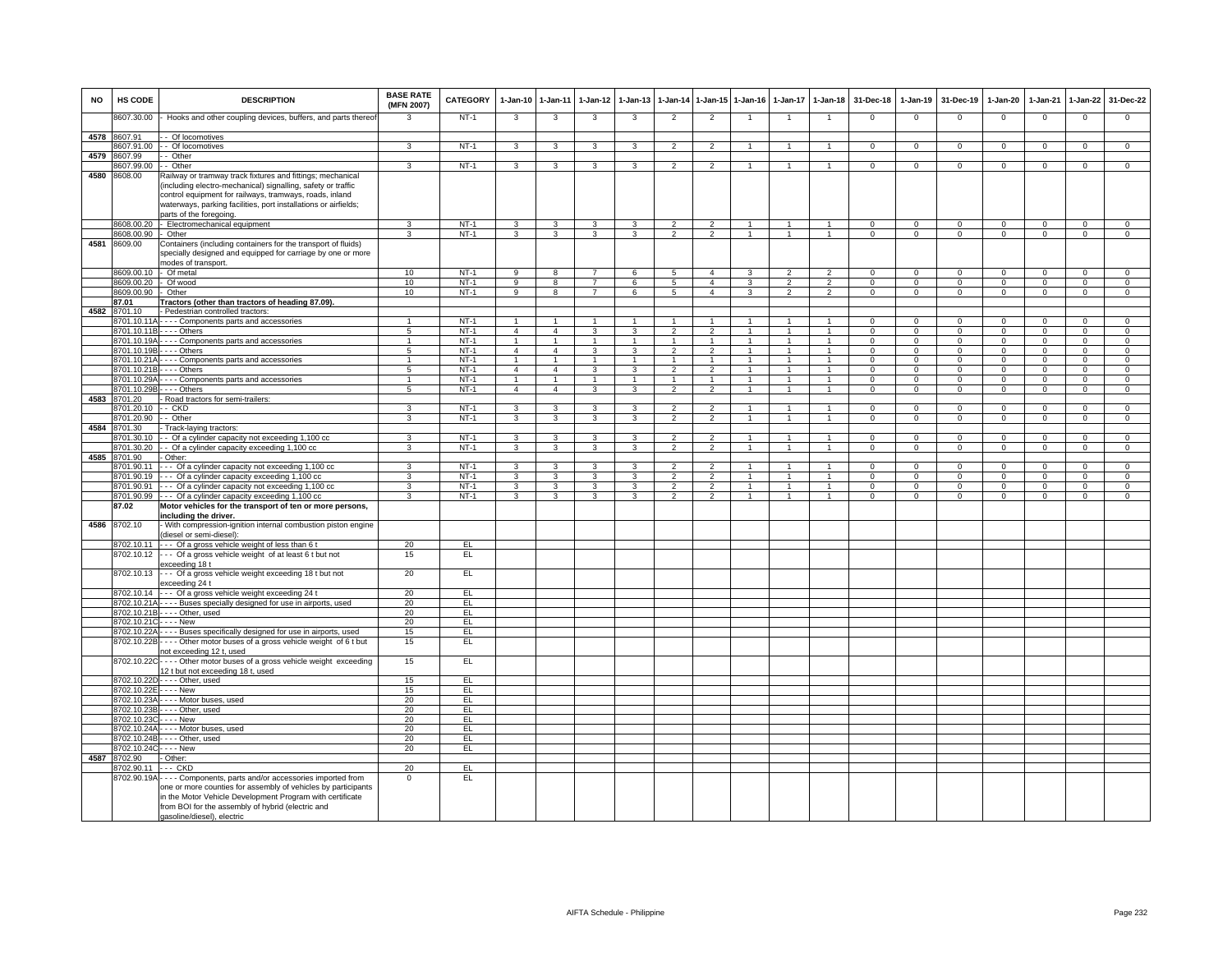| <b>NO</b> | HS CODE                 | <b>DESCRIPTION</b>                                                        | <b>BASE RATE</b><br>(MFN 2007) | <b>CATEGORY</b> | 1-Jan-10                | $1-Jan-11$              | $1-Jan-12$              | $1-Jan-13$     |                          | 1-Jan-14 1-Jan-15 | $1-Jan-16$           | $1-Jan-17$     | $1-Jan-18$           | 31-Dec-18      | 1-Jan-19       | 31-Dec-19      | 1-Jan-20       | $1-Jan-21$     | 1-Jan-22       | 31-Dec-22      |
|-----------|-------------------------|---------------------------------------------------------------------------|--------------------------------|-----------------|-------------------------|-------------------------|-------------------------|----------------|--------------------------|-------------------|----------------------|----------------|----------------------|----------------|----------------|----------------|----------------|----------------|----------------|----------------|
|           | 8607.30.00              | Hooks and other coupling devices, buffers, and parts thereof              | 3                              | $NT-1$          | $\overline{\mathbf{3}}$ | 3                       | $\overline{\mathbf{3}}$ | 3              | $\overline{2}$           | $\overline{2}$    | -1                   | $\overline{1}$ | $\overline{1}$       | $\mathsf 0$    | $\mathbf 0$    | $\mathbf 0$    | $\Omega$       | $\mathbf 0$    | $\mathbf 0$    | $\overline{0}$ |
|           | 4578 8607.91            | - Of locomotives                                                          |                                |                 |                         |                         |                         |                |                          |                   |                      |                |                      |                |                |                |                |                |                |                |
|           | 8607.91.00              | - Of locomotives                                                          | 3                              | $NT-1$          | $\overline{3}$          | 3                       | 3                       | 3              | $\overline{2}$           | $\overline{2}$    |                      | $\mathbf{1}$   |                      | $\overline{0}$ | $\overline{0}$ | $\overline{0}$ | $\overline{0}$ | $\overline{0}$ | $\overline{0}$ | $\overline{0}$ |
| 4579      | 8607.99                 | - Other                                                                   |                                |                 |                         |                         |                         |                |                          |                   |                      |                |                      |                |                |                |                |                |                |                |
|           | 8607.99.00              | - Other                                                                   | 3                              | $NT-1$          | 3                       | 3                       | 3                       | 3              | $\overline{2}$           | $\overline{2}$    |                      |                |                      | $\Omega$       | $\Omega$       | $\Omega$       | $\Omega$       | $\Omega$       | $\Omega$       | $\Omega$       |
|           | 4580 8608.00            | Railway or tramway track fixtures and fittings; mechanical                |                                |                 |                         |                         |                         |                |                          |                   |                      |                |                      |                |                |                |                |                |                |                |
|           |                         | (including electro-mechanical) signalling, safety or traffic              |                                |                 |                         |                         |                         |                |                          |                   |                      |                |                      |                |                |                |                |                |                |                |
|           |                         | control equipment for railways, tramways, roads, inland                   |                                |                 |                         |                         |                         |                |                          |                   |                      |                |                      |                |                |                |                |                |                |                |
|           |                         | waterways, parking facilities, port installations or airfields;           |                                |                 |                         |                         |                         |                |                          |                   |                      |                |                      |                |                |                |                |                |                |                |
|           |                         | parts of the foregoing.                                                   |                                |                 |                         |                         |                         |                |                          |                   |                      |                |                      |                |                |                |                |                |                |                |
|           |                         | 8608.00.20 - Electromechanical equipment                                  | 3                              | $NT-1$          | 3                       | $\mathbf{3}$            | 3                       | 3              | $\overline{2}$           | $\overline{2}$    | $\overline{1}$       | $\overline{1}$ | $\overline{1}$       | $\mathbf{0}$   | $\mathbf{0}$   | $\mathbf 0$    | $\mathbf 0$    | $\mathbf 0$    | $\mathbf{0}$   | $\mathbf{0}$   |
|           | 8608.00.90 - Other      |                                                                           | $\mathbf{R}$                   | $NT-1$          | $\mathcal{R}$           | $\mathbf{3}$            | $\mathcal{R}$           | $\mathcal{R}$  | $\overline{2}$           | $\overline{2}$    | $\overline{1}$       | $\overline{1}$ | $\overline{1}$       | $\Omega$       | $\mathbf{0}$   | $\mathbf{0}$   | $\mathbf{0}$   | $\overline{0}$ | $\mathbf{0}$   | $\overline{0}$ |
| 4581      | 8609.00                 | Containers (including containers for the transport of fluids)             |                                |                 |                         |                         |                         |                |                          |                   |                      |                |                      |                |                |                |                |                |                |                |
|           |                         | specially designed and equipped for carriage by one or more               |                                |                 |                         |                         |                         |                |                          |                   |                      |                |                      |                |                |                |                |                |                |                |
|           |                         | modes of transport.                                                       |                                |                 |                         |                         |                         |                |                          |                   |                      |                |                      |                |                |                |                |                |                |                |
|           | 8609.00.10              | - Of metal                                                                | 10                             | $NT-1$          | 9                       | 8                       | $\overline{7}$          | 6              | 5                        | $\overline{4}$    | 3                    | $\overline{2}$ | $\overline{2}$       | $\Omega$       | $\Omega$       | $\Omega$       | $\Omega$       | $\Omega$       | $\Omega$       | $\Omega$       |
|           | 8609.00.20              | - Of wood                                                                 | 10                             | $NT-1$          | 9                       | 8                       | $\overline{7}$          | 6              | 5                        | $\overline{4}$    | 3                    | $\overline{2}$ | $\overline{2}$       | $\Omega$       | $^{\circ}$     | $^{\circ}$     | $\mathbf{0}$   | $\mathbf 0$    | $\circ$        | $\overline{0}$ |
|           | 8609.00.90              | - Other                                                                   | 10                             | $NT-1$          | 9                       | 8                       | $\overline{7}$          | 6              | $\overline{5}$           | $\overline{4}$    | 3                    | $\overline{2}$ | $\mathcal{P}$        | $\mathbf 0$    | $^{\circ}$     | $\mathbf 0$    | $\mathbf 0$    | $\mathbf 0$    | $\overline{0}$ | $\overline{0}$ |
|           | 87.01                   | Tractors (other than tractors of heading 87.09).                          |                                |                 |                         |                         |                         |                |                          |                   |                      |                |                      |                |                |                |                |                |                |                |
| 4582      | 8701.10                 | - Pedestrian controlled tractors:                                         |                                |                 |                         |                         |                         |                |                          |                   |                      |                |                      |                |                |                |                |                |                |                |
|           | 3701.10.11A             | - - - - Components parts and accessories                                  | -1                             | $NT-1$          | $\overline{1}$          | $\mathbf{1}$            | $\mathbf{1}$            | $\mathbf{1}$   | $\mathbf{1}$             | $\overline{1}$    | -1                   | $\mathbf{1}$   | $\mathbf{1}$         | $\Omega$       | $\mathbf 0$    | 0              | $\Omega$       | 0              | $\mathsf 0$    | $\mathsf 0$    |
|           |                         | 8701.10.11B - - - - Others                                                | $\overline{5}$                 | $NT-1$          | $\overline{4}$          | $\overline{4}$          | 3                       | 3              | $\overline{2}$           | $\overline{2}$    | $\mathbf{1}$         | $\overline{1}$ | $\overline{1}$       | $\Omega$       | $\circ$        | $\mathbf 0$    | $\overline{0}$ | $\overline{0}$ | $\overline{0}$ | $\overline{0}$ |
|           | 3701.10.19A             | Components parts and accessories                                          | $\mathbf{1}$                   | $NT-1$          | $\mathbf{1}$            | $\overline{1}$          | $\overline{1}$          | $\overline{1}$ | $\overline{1}$           | $\overline{1}$    | $\overline{1}$       | $\overline{1}$ | $\mathbf{1}$         | $\Omega$       | $\Omega$       | $\Omega$       | $\Omega$       | $\Omega$       | $\overline{0}$ | $\overline{0}$ |
|           | 8701.10.19B             | $- -$ Others                                                              | 5                              | $NT-1$          | $\overline{4}$          | $\overline{4}$          | 3                       | 3              | $\overline{2}$           | $\overline{2}$    |                      | $\mathbf{1}$   | $\blacktriangleleft$ | $\mathbf 0$    | $\mathbf{0}$   | $\Omega$       | $\mathbf 0$    | $\Omega$       | $\mathbf{0}$   | $\mathbf 0$    |
|           | 8701.10.21A             | Components parts and accessories                                          | $\mathbf{1}$                   | $NT-1$          | $\mathbf{1}$            | $\overline{1}$          | $\mathbf{1}$            | $\mathbf{1}$   | $\mathbf{1}$             | $\mathbf{1}$      | -1                   | $\mathbf{1}$   | $\mathbf{1}$         | $\Omega$       | $\Omega$       | $\Omega$       | $\mathbf 0$    | $\Omega$       | $\mathbf{0}$   | $\mathbf 0$    |
|           | 8701.10.21E             | $--$ Others                                                               | 5                              | $NT-1$          | $\overline{4}$          | $\overline{4}$          | 3                       | 3              | $\overline{2}$           | 2                 | -1                   | $\mathbf{1}$   | $\mathbf{1}$         | $\Omega$       | $\Omega$       | $\Omega$       | $\Omega$       | $\Omega$       | $\mathbf{0}$   | $\mathbf{0}$   |
|           | 8701.10.29A             | Components parts and accessories                                          | $\mathbf{1}$                   | $NT-1$          | $\mathbf{1}$            | $\overline{1}$          | $\mathbf{1}$            |                |                          | $\mathbf{1}$      |                      |                | $\overline{1}$       | $\Omega$       | $\mathsf 0$    | $\mathbf 0$    | $\mathbf 0$    | $\Omega$       | $\mathbf 0$    | $\overline{0}$ |
|           | 8701.10.29E             | $- -$ Others                                                              | 5                              | $NT-1$          | $\overline{4}$          | $\overline{4}$          | 3                       | 3              | $\overline{2}$           | $\overline{2}$    | $\mathbf{1}$         | $\mathbf{1}$   | $\overline{1}$       | $\mathbf 0$    | $\mathbf 0$    | $\mathbf 0$    | $\overline{0}$ | $\mathbf 0$    | $\overline{0}$ | $\overline{0}$ |
| 4583      | 3701.20                 | Road tractors for semi-trailers:                                          |                                |                 |                         |                         |                         |                |                          |                   |                      |                |                      |                |                |                |                |                |                |                |
|           | 701.20.10               | - - CKD                                                                   | 3                              | $NT-1$          | 3                       | 3                       | 3                       | 3              | $\overline{\phantom{0}}$ | $\overline{2}$    |                      | $\overline{1}$ | $\blacktriangleleft$ | $\Omega$       | $\mathbf 0$    | $\Omega$       | $\Omega$       | $\mathbf 0$    | $\mathbf{0}$   | $\mathbf 0$    |
|           | 701.20.90               | - Other                                                                   | 3                              | $NT-1$          | 3                       | $\mathcal{R}$           | 3                       | $\mathbf{3}$   | 2                        | $\overline{2}$    | $\overline{1}$       | $\mathbf{1}$   | $\overline{1}$       | $\Omega$       | $\mathbf 0$    | $\Omega$       | $\Omega$       | $\mathbf 0$    | $\mathbf 0$    | $\mathbf 0$    |
| 4584      | 701.30                  | Track-laying tractors:                                                    |                                |                 |                         |                         |                         |                |                          |                   |                      |                |                      |                |                |                |                |                |                |                |
|           | 3701.30.10              | - Of a cylinder capacity not exceeding 1,100 cc                           | 3                              | $NT-1$          | 3                       | 3                       | 3                       | 3              | $\overline{2}$           | $\overline{2}$    |                      | $\overline{1}$ | $\overline{1}$       | $\Omega$       | $\mathsf 0$    | $\mathbf 0$    | $\mathbf 0$    | $\Omega$       | $\mathbf 0$    | $\mathsf 0$    |
|           | 3701.30.20              | - Of a cylinder capacity exceeding 1,100 cc                               | 3                              | $NT-1$          | $\overline{3}$          | $\overline{\mathbf{3}}$ | $\overline{3}$          | 3              | $\mathcal{P}$            | $\overline{2}$    | $\overline{1}$       | $\mathbf{1}$   | $\overline{1}$       | $\Omega$       | $\mathbf{0}$   | $\mathbf 0$    | $\mathbf 0$    | $\Omega$       | $\mathbf 0$    | $\mathbf 0$    |
| 4585      | 8701.90                 | - Other:                                                                  |                                |                 |                         |                         |                         |                |                          |                   |                      |                |                      |                |                |                |                |                |                |                |
|           | 3701.90.11              | --- Of a cylinder capacity not exceeding 1,100 cc                         | 3                              | $NT-1$          | $\overline{3}$          | $\mathbf{3}$            | $\overline{3}$          | 3              | $\mathcal{P}$            | $\overline{2}$    | $\overline{1}$       | $\overline{1}$ | $\overline{1}$       | $\Omega$       | $\Omega$       | $\mathbf 0$    | $\mathbf 0$    | $\Omega$       | $\overline{0}$ | $\mathbf{0}$   |
|           | 8701.90.19              | -- Of a cylinder capacity exceeding 1,100 cc                              | 3                              | $NT-1$          | 3                       | $\mathbf{R}$            | 3                       | 3              | $\mathcal{P}$            | 2                 | $\blacktriangleleft$ | $\mathbf{1}$   | $\blacktriangleleft$ | $\Omega$       | $\Omega$       | $\Omega$       | $\Omega$       | $\Omega$       | $\mathbf 0$    | $\mathbf 0$    |
|           | 8701.90.91              | --- Of a cylinder capacity not exceeding 1,100 cc                         | $\overline{3}$                 | $NT-1$          | $\overline{3}$          | $\overline{\mathbf{3}}$ | $\overline{3}$          | $\overline{3}$ | $\overline{2}$           | $\overline{2}$    | $\overline{1}$       | $\mathbf{1}$   | $\overline{1}$       | $\mathbf{0}$   | $\mathbf{0}$   | $\mathbf{0}$   | $\mathbf{0}$   | $\mathbf{0}$   | $\mathbf 0$    | $\mathsf 0$    |
|           | 8701.90.99              | --- Of a cylinder capacity exceeding 1,100 cc                             | $\overline{3}$                 | $NT-1$          | $\overline{3}$          | $\overline{\mathbf{3}}$ | $\overline{\mathbf{3}}$ | $\overline{3}$ | $\overline{2}$           | $\overline{2}$    | $\overline{1}$       | $\overline{1}$ | $\overline{1}$       | $\Omega$       | $\mathbf 0$    | $\overline{0}$ | $\overline{0}$ | $\overline{0}$ | $\overline{0}$ | $\overline{0}$ |
|           | 87.02                   | Motor vehicles for the transport of ten or more persons,                  |                                |                 |                         |                         |                         |                |                          |                   |                      |                |                      |                |                |                |                |                |                |                |
|           |                         | including the driver.                                                     |                                |                 |                         |                         |                         |                |                          |                   |                      |                |                      |                |                |                |                |                |                |                |
| 4586      | 8702.10                 | With compression-ignition internal combustion piston engine               |                                |                 |                         |                         |                         |                |                          |                   |                      |                |                      |                |                |                |                |                |                |                |
|           |                         | (diesel or semi-diesel):                                                  |                                |                 |                         |                         |                         |                |                          |                   |                      |                |                      |                |                |                |                |                |                |                |
|           | 8702.10.11              | --- Of a gross vehicle weight of less than 6 t                            | 20                             | EL              |                         |                         |                         |                |                          |                   |                      |                |                      |                |                |                |                |                |                |                |
|           | 8702.10.12              | --- Of a gross vehicle weight of at least 6 t but not                     | 15                             | EL              |                         |                         |                         |                |                          |                   |                      |                |                      |                |                |                |                |                |                |                |
|           |                         | exceeding 18 t                                                            |                                |                 |                         |                         |                         |                |                          |                   |                      |                |                      |                |                |                |                |                |                |                |
|           | 8702.10.13              | --- Of a gross vehicle weight exceeding 18 t but not                      | 20                             | EL              |                         |                         |                         |                |                          |                   |                      |                |                      |                |                |                |                |                |                |                |
|           |                         | exceeding 24 t                                                            |                                |                 |                         |                         |                         |                |                          |                   |                      |                |                      |                |                |                |                |                |                |                |
|           | 8702.10.14              | --- Of a gross vehicle weight exceeding 24 t                              | 20                             | EL.             |                         |                         |                         |                |                          |                   |                      |                |                      |                |                |                |                |                |                |                |
|           |                         | 8702.10.21A - - - - Buses specially designed for use in airports, used    | 20                             | EL              |                         |                         |                         |                |                          |                   |                      |                |                      |                |                |                |                |                |                |                |
|           |                         | 8702.10.21B - - - - Other, used                                           | 20                             | EL              |                         |                         |                         |                |                          |                   |                      |                |                      |                |                |                |                |                |                |                |
|           | 8702.10.21C - - - - New |                                                                           | 20                             | EL.             |                         |                         |                         |                |                          |                   |                      |                |                      |                |                |                |                |                |                |                |
|           | 8702.10.22A             | - - - - Buses specifically designed for use in airports, used             | 15                             | EL.             |                         |                         |                         |                |                          |                   |                      |                |                      |                |                |                |                |                |                |                |
|           | 8702.10.22B             | ---- Other motor buses of a gross vehicle weight of 6 t but               | 15                             | EL.             |                         |                         |                         |                |                          |                   |                      |                |                      |                |                |                |                |                |                |                |
|           |                         | not exceeding 12 t, used                                                  |                                |                 |                         |                         |                         |                |                          |                   |                      |                |                      |                |                |                |                |                |                |                |
|           |                         | 8702.10.22C - - - - Other motor buses of a gross vehicle weight exceeding | 15                             | EL              |                         |                         |                         |                |                          |                   |                      |                |                      |                |                |                |                |                |                |                |
|           |                         | 12 t but not exceeding 18 t, used                                         |                                |                 |                         |                         |                         |                |                          |                   |                      |                |                      |                |                |                |                |                |                |                |
|           |                         | 8702.10.22D - - - - Other, used                                           | 15                             | E               |                         |                         |                         |                |                          |                   |                      |                |                      |                |                |                |                |                |                |                |
|           | 8702.10.22E - - - - New |                                                                           | 15                             | EL              |                         |                         |                         |                |                          |                   |                      |                |                      |                |                |                |                |                |                |                |
|           | 8702.10.23A             | - - - - Motor buses, used                                                 | 20                             | EL              |                         |                         |                         |                |                          |                   |                      |                |                      |                |                |                |                |                |                |                |
|           | 8702.10.23B             | -Other, used                                                              | 20                             | E               |                         |                         |                         |                |                          |                   |                      |                |                      |                |                |                |                |                |                |                |
|           | 8702.10.23C             | - - - - New                                                               | 20                             | EL              |                         |                         |                         |                |                          |                   |                      |                |                      |                |                |                |                |                |                |                |
|           |                         | 8702.10.24A - - - - Motor buses, used                                     | 20                             | EL              |                         |                         |                         |                |                          |                   |                      |                |                      |                |                |                |                |                |                |                |
|           | 8702.10.24B             | -Other, used                                                              | 20                             | E               |                         |                         |                         |                |                          |                   |                      |                |                      |                |                |                |                |                |                |                |
|           | 8702.10.24C             | $--$ New                                                                  | 20                             | EL              |                         |                         |                         |                |                          |                   |                      |                |                      |                |                |                |                |                |                |                |
|           | 4587 8702.90            | Other:                                                                    |                                |                 |                         |                         |                         |                |                          |                   |                      |                |                      |                |                |                |                |                |                |                |
|           | 8702.90.11              | .-- CKD                                                                   | 20                             | EL              |                         |                         |                         |                |                          |                   |                      |                |                      |                |                |                |                |                |                |                |
|           | 8702.90.19A             | - - - - Components, parts and/or accessories imported from                | $\Omega$                       | EL.             |                         |                         |                         |                |                          |                   |                      |                |                      |                |                |                |                |                |                |                |
|           |                         | one or more counties for assembly of vehicles by participants             |                                |                 |                         |                         |                         |                |                          |                   |                      |                |                      |                |                |                |                |                |                |                |
|           |                         | in the Motor Vehicle Development Program with certificate                 |                                |                 |                         |                         |                         |                |                          |                   |                      |                |                      |                |                |                |                |                |                |                |
|           |                         | from BOI for the assembly of hybrid (electric and                         |                                |                 |                         |                         |                         |                |                          |                   |                      |                |                      |                |                |                |                |                |                |                |
|           |                         | gasoline/diesel), electric                                                |                                |                 |                         |                         |                         |                |                          |                   |                      |                |                      |                |                |                |                |                |                |                |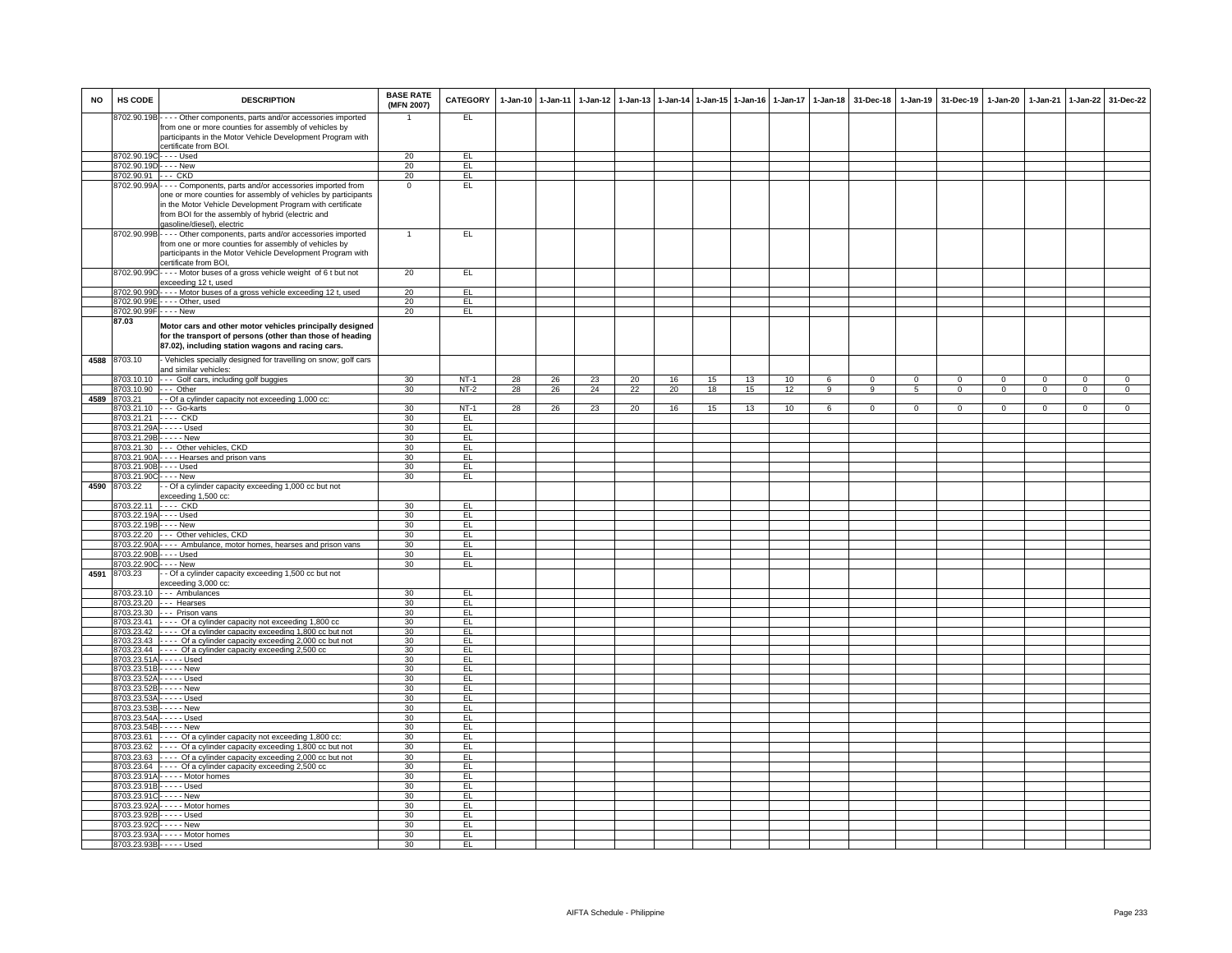| <b>NO</b> | HS CODE                                             | <b>DESCRIPTION</b>                                                                                                                                                                                            | <b>BASE RATE</b><br>(MFN 2007) | <b>CATEGORY</b> | 1-Jan-10 1-Jan-11 |    |    | 1-Jan-12 1-Jan-13 |    |    | 1-Jan-14 1-Jan-15 1-Jan-16 | $1-Jan-17$ | $1 - Jan-18$   | 31-Dec-18    | $1 - Jan-19$    | 31-Dec-19    | 1-Jan-20       | 1-Jan-21    |                | 1-Jan-22 31-Dec-22 |
|-----------|-----------------------------------------------------|---------------------------------------------------------------------------------------------------------------------------------------------------------------------------------------------------------------|--------------------------------|-----------------|-------------------|----|----|-------------------|----|----|----------------------------|------------|----------------|--------------|-----------------|--------------|----------------|-------------|----------------|--------------------|
|           |                                                     | 8702.90.19B - - - - Other components, parts and/or accessories imported<br>from one or more counties for assembly of vehicles by<br>participants in the Motor Vehicle Development Program with                |                                | EL.             |                   |    |    |                   |    |    |                            |            |                |              |                 |              |                |             |                |                    |
|           |                                                     | certificate from BOI.                                                                                                                                                                                         |                                |                 |                   |    |    |                   |    |    |                            |            |                |              |                 |              |                |             |                |                    |
|           | 8702.90.19C---- Used<br>8702.90.19D - - - - New     |                                                                                                                                                                                                               | 20                             | EL              |                   |    |    |                   |    |    |                            |            |                |              |                 |              |                |             |                |                    |
|           | 8702.90.91 --- CKD                                  |                                                                                                                                                                                                               | 20<br>20                       | EL<br>EL        |                   |    |    |                   |    |    |                            |            |                |              |                 |              |                |             |                |                    |
|           | 8702.90.99A                                         | Components, parts and/or accessories imported from                                                                                                                                                            | $\mathbf 0$                    | EL              |                   |    |    |                   |    |    |                            |            |                |              |                 |              |                |             |                |                    |
|           |                                                     | one or more counties for assembly of vehicles by participants<br>in the Motor Vehicle Development Program with certificate<br>from BOI for the assembly of hybrid (electric and<br>gasoline/diesel), electric |                                |                 |                   |    |    |                   |    |    |                            |            |                |              |                 |              |                |             |                |                    |
|           |                                                     | 8702.90.99B - - - - Other components, parts and/or accessories imported<br>from one or more counties for assembly of vehicles by                                                                              | $\mathbf{1}$                   | EL              |                   |    |    |                   |    |    |                            |            |                |              |                 |              |                |             |                |                    |
|           |                                                     | participants in the Motor Vehicle Development Program with<br>certificate from BOI,<br>8702.90.99C - - - - Motor buses of a gross vehicle weight of 6 t but not                                               | 20                             | E               |                   |    |    |                   |    |    |                            |            |                |              |                 |              |                |             |                |                    |
|           |                                                     | exceeding 12 t, used                                                                                                                                                                                          |                                |                 |                   |    |    |                   |    |    |                            |            |                |              |                 |              |                |             |                |                    |
|           |                                                     | 8702.90.99D - - - - Motor buses of a gross vehicle exceeding 12 t, used                                                                                                                                       | 20                             | EL              |                   |    |    |                   |    |    |                            |            |                |              |                 |              |                |             |                |                    |
|           |                                                     | 8702.90.99E - - - - Other, used                                                                                                                                                                               | 20                             | EL              |                   |    |    |                   |    |    |                            |            |                |              |                 |              |                |             |                |                    |
|           | 8702.90.99F - - - - New<br>87.03                    |                                                                                                                                                                                                               | 20                             | E               |                   |    |    |                   |    |    |                            |            |                |              |                 |              |                |             |                |                    |
|           |                                                     | Motor cars and other motor vehicles principally designed<br>for the transport of persons (other than those of heading<br>87.02), including station wagons and racing cars.                                    |                                |                 |                   |    |    |                   |    |    |                            |            |                |              |                 |              |                |             |                |                    |
|           | 4588 8703.10                                        | - Vehicles specially designed for travelling on snow; golf cars<br>and similar vehicles:                                                                                                                      |                                |                 |                   |    |    |                   |    |    |                            |            |                |              |                 |              |                |             |                |                    |
|           | 8703.10.10                                          | --- Golf cars, including golf buggies                                                                                                                                                                         | 30                             | $NT-1$          | 28                | 26 | 23 | 20                | 16 | 15 | 13                         | 10         | 6              | $\Omega$     | $\overline{0}$  | $\Omega$     | $\overline{0}$ | $\Omega$    | $\overline{0}$ | $\overline{0}$     |
|           | 8703.10.90                                          | $--$ Other                                                                                                                                                                                                    | 30                             | $NT-2$          | 28                | 26 | 24 | 22                | 20 | 18 | 15                         | 12         | $\overline{9}$ | 9            | $5\overline{)}$ | $\mathbf{0}$ | $\overline{0}$ | $\mathbf 0$ | $\overline{0}$ | $\overline{0}$     |
| 4589      | 8703.21                                             | - - Of a cylinder capacity not exceeding 1,000 cc:                                                                                                                                                            |                                |                 |                   |    |    |                   |    |    |                            |            |                |              |                 |              |                |             |                |                    |
|           | 8703.21.21 ---- CKD                                 | 8703.21.10 --- Go-karts                                                                                                                                                                                       | 30<br>30                       | $NT-1$<br>EL.   | 28                | 26 | 23 | 20                | 16 | 15 | 13                         | 10         | 6              | $\mathbf{0}$ | $\mathbf 0$     | $\mathbf{0}$ | $\mathbf{0}$   | $\mathbf 0$ | $\circ$        | $\mathbf{0}$       |
|           |                                                     | 8703.21.29A - - - - - Used                                                                                                                                                                                    | 30                             | EL.             |                   |    |    |                   |    |    |                            |            |                |              |                 |              |                |             |                |                    |
|           | 8703.21.29B - - - - - New                           |                                                                                                                                                                                                               | 30 <sup>2</sup>                | EL              |                   |    |    |                   |    |    |                            |            |                |              |                 |              |                |             |                |                    |
|           |                                                     | 8703.21.30 --- Other vehicles, CKD                                                                                                                                                                            | 30                             | EL              |                   |    |    |                   |    |    |                            |            |                |              |                 |              |                |             |                |                    |
|           | 8703.21.90B - - - - Used                            | 8703.21.90A - - - - Hearses and prison vans                                                                                                                                                                   | 30<br>30                       | EL<br>EL        |                   |    |    |                   |    |    |                            |            |                |              |                 |              |                |             |                |                    |
|           | 8703.21.90C - - - - New                             |                                                                                                                                                                                                               | 30                             | EL              |                   |    |    |                   |    |    |                            |            |                |              |                 |              |                |             |                |                    |
| 4590      | 8703.22                                             | - - Of a cylinder capacity exceeding 1,000 cc but not<br>exceeding 1,500 cc:                                                                                                                                  |                                |                 |                   |    |    |                   |    |    |                            |            |                |              |                 |              |                |             |                |                    |
|           | 8703.22.11 ---- CKD                                 |                                                                                                                                                                                                               | 30                             | EL              |                   |    |    |                   |    |    |                            |            |                |              |                 |              |                |             |                |                    |
|           | 8703.22.19A - - - - Used<br>8703.22.19B - - - - New |                                                                                                                                                                                                               | 30<br>30                       | E<br>EL         |                   |    |    |                   |    |    |                            |            |                |              |                 |              |                |             |                |                    |
|           |                                                     | 8703.22.20 --- Other vehicles, CKD                                                                                                                                                                            | 30                             | EL              |                   |    |    |                   |    |    |                            |            |                |              |                 |              |                |             |                |                    |
|           |                                                     | 8703.22.90A - - - - Ambulance, motor homes, hearses and prison vans                                                                                                                                           | 30                             | EL              |                   |    |    |                   |    |    |                            |            |                |              |                 |              |                |             |                |                    |
|           | 8703.22.90B                                         | - - - - Used                                                                                                                                                                                                  | 30                             | EL              |                   |    |    |                   |    |    |                            |            |                |              |                 |              |                |             |                |                    |
|           | 8703.22.90C                                         | - - - - New                                                                                                                                                                                                   | 30                             | EL              |                   |    |    |                   |    |    |                            |            |                |              |                 |              |                |             |                |                    |
| 4591      | 8703.23                                             | - - Of a cylinder capacity exceeding 1,500 cc but not<br>exceeding 3,000 cc:                                                                                                                                  |                                |                 |                   |    |    |                   |    |    |                            |            |                |              |                 |              |                |             |                |                    |
|           |                                                     | 8703.23.10 --- Ambulances                                                                                                                                                                                     | 30                             | EL              |                   |    |    |                   |    |    |                            |            |                |              |                 |              |                |             |                |                    |
|           |                                                     | 8703.23.20 --- Hearses                                                                                                                                                                                        | 30                             | E               |                   |    |    |                   |    |    |                            |            |                |              |                 |              |                |             |                |                    |
|           |                                                     | 8703.23.30 --- Prison vans                                                                                                                                                                                    | 30                             | EL.             |                   |    |    |                   |    |    |                            |            |                |              |                 |              |                |             |                |                    |
|           |                                                     | 8703.23.41 ---- Of a cylinder capacity not exceeding 1,800 cc<br>703.23.42 ---- Of a cylinder capacity exceeding 1,800 cc but not                                                                             | 30<br>30                       | EL<br>EL        |                   |    |    |                   |    |    |                            |            |                |              |                 |              |                |             |                |                    |
|           |                                                     | 8703.23.43 ---- Of a cylinder capacity exceeding 2,000 cc but not                                                                                                                                             | 30                             | EL              |                   |    |    |                   |    |    |                            |            |                |              |                 |              |                |             |                |                    |
|           |                                                     | 8703.23.44 ---- Of a cylinder capacity exceeding 2,500 cc                                                                                                                                                     | 30                             | EL              |                   |    |    |                   |    |    |                            |            |                |              |                 |              |                |             |                |                    |
|           |                                                     | 8703.23.51A - - - - - Used                                                                                                                                                                                    | 30                             | EL              |                   |    |    |                   |    |    |                            |            |                |              |                 |              |                |             |                |                    |
|           | 8703.23.51B - - - - - New                           | 8703.23.52A - - - - - Used                                                                                                                                                                                    | 30<br>30                       | EL<br>EL.       |                   |    |    |                   |    |    |                            |            |                |              |                 |              |                |             |                |                    |
|           | 8703.23.52B - - - - - New                           |                                                                                                                                                                                                               | 30                             | EL              |                   |    |    |                   |    |    |                            |            |                |              |                 |              |                |             |                |                    |
|           |                                                     | 8703.23.53A - - - - - Used                                                                                                                                                                                    | 30                             | EL              |                   |    |    |                   |    |    |                            |            |                |              |                 |              |                |             |                |                    |
|           | 8703.23.53B - - - - - New                           |                                                                                                                                                                                                               | 30                             | EL              |                   |    |    |                   |    |    |                            |            |                |              |                 |              |                |             |                |                    |
|           |                                                     | 8703.23.54A - - - - - Used                                                                                                                                                                                    | 30                             | EL              |                   |    |    |                   |    |    |                            |            |                |              |                 |              |                |             |                |                    |
|           | 8703.23.54B - - - - - New                           | 8703.23.61 ---- Of a cylinder capacity not exceeding 1,800 cc:                                                                                                                                                | 30<br>30                       | EL<br>EL        |                   |    |    |                   |    |    |                            |            |                |              |                 |              |                |             |                |                    |
|           |                                                     | 8703.23.62 ---- Of a cylinder capacity exceeding 1,800 cc but not                                                                                                                                             | 30                             | EL              |                   |    |    |                   |    |    |                            |            |                |              |                 |              |                |             |                |                    |
|           |                                                     | 8703.23.63 ---- Of a cylinder capacity exceeding 2,000 cc but not                                                                                                                                             | 30                             | EL              |                   |    |    |                   |    |    |                            |            |                |              |                 |              |                |             |                |                    |
|           |                                                     | 8703.23.64 ---- Of a cylinder capacity exceeding 2,500 cc                                                                                                                                                     | 30                             | EL              |                   |    |    |                   |    |    |                            |            |                |              |                 |              |                |             |                |                    |
|           |                                                     | 8703.23.91A - - - - - Motor homes                                                                                                                                                                             | 30                             | EL              |                   |    |    |                   |    |    |                            |            |                |              |                 |              |                |             |                |                    |
|           | 8703.23.91C----- New                                | 8703.23.91B - - - - - Used                                                                                                                                                                                    | 30<br>30                       | EL<br>E         |                   |    |    |                   |    |    |                            |            |                |              |                 |              |                |             |                |                    |
|           |                                                     | 8703.23.92A - - - - - Motor homes                                                                                                                                                                             | 30                             | EL              |                   |    |    |                   |    |    |                            |            |                |              |                 |              |                |             |                |                    |
|           |                                                     | 8703.23.92B - - - - - Used                                                                                                                                                                                    | 30                             | EL              |                   |    |    |                   |    |    |                            |            |                |              |                 |              |                |             |                |                    |
|           |                                                     | 8703.23.92C-----New                                                                                                                                                                                           | 30                             | EL              |                   |    |    |                   |    |    |                            |            |                |              |                 |              |                |             |                |                    |
|           |                                                     | 8703.23.93A - - - - - Motor homes                                                                                                                                                                             | 30                             | EL              |                   |    |    |                   |    |    |                            |            |                |              |                 |              |                |             |                |                    |
|           |                                                     | 8703.23.93B - - - - - Used                                                                                                                                                                                    | 30                             | EL              |                   |    |    |                   |    |    |                            |            |                |              |                 |              |                |             |                |                    |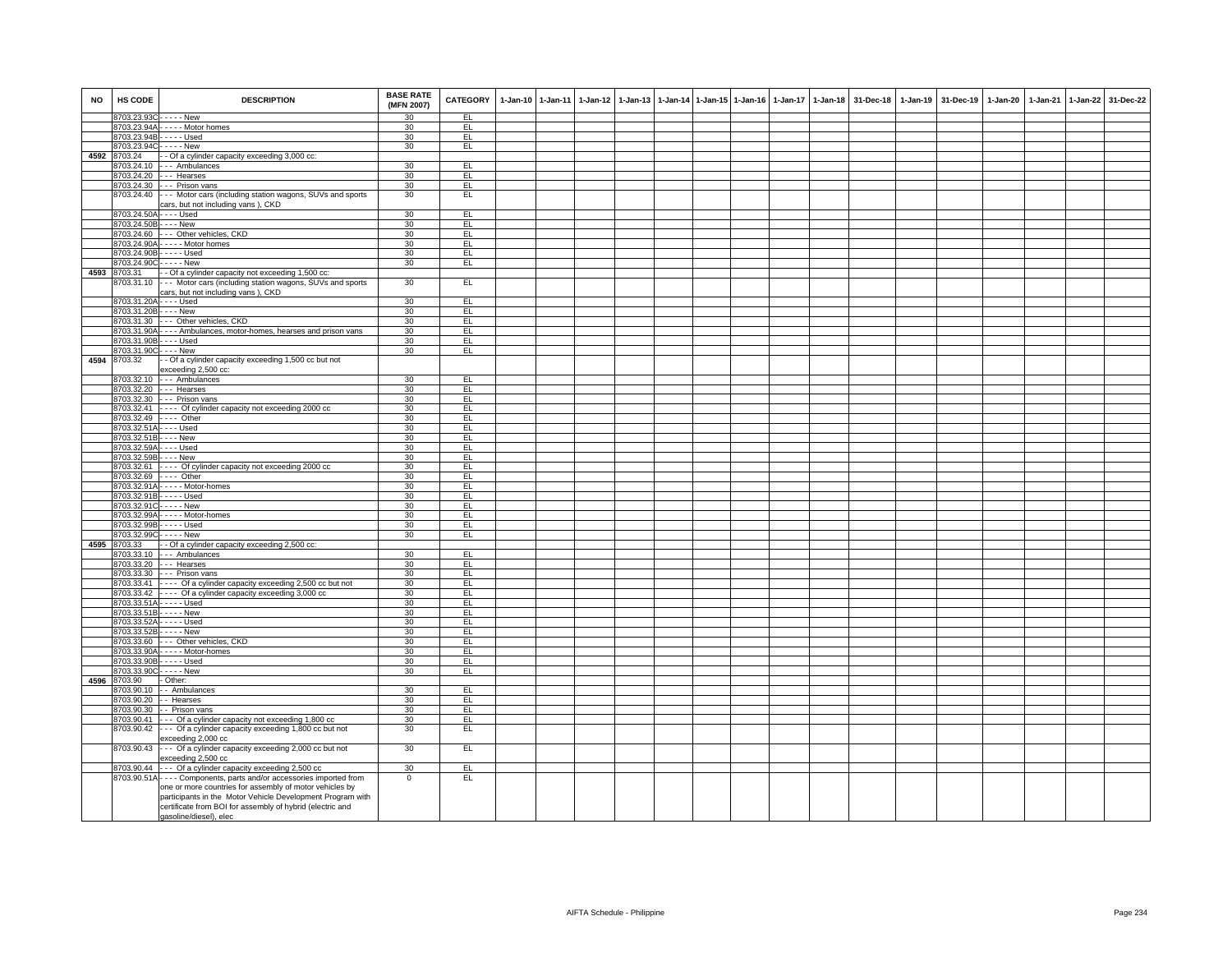| <b>NO</b> | HS CODE                    | <b>DESCRIPTION</b>                                                                                                                                                                                                                                          | <b>BASE RATE</b><br>(MFN 2007) | CATEGORY   | $1-Jan-10$ | $1-Jan-11$ | $1-Jan-12$ | 1-Jan-13 |  | 1-Jan-14 1-Jan-15 1-Jan-16 1-Jan-17 | $1 - Jan-18$ | 31-Dec-18 | 1-Jan-19 | 31-Dec-19 | 1-Jan-20 | 1-Jan-21 1-Jan-22 | 31-Dec-22 |
|-----------|----------------------------|-------------------------------------------------------------------------------------------------------------------------------------------------------------------------------------------------------------------------------------------------------------|--------------------------------|------------|------------|------------|------------|----------|--|-------------------------------------|--------------|-----------|----------|-----------|----------|-------------------|-----------|
|           | 8703.23.93C - - - - - New  | 8703.23.94A - - - - - Motor homes                                                                                                                                                                                                                           | 30<br>30                       | EL<br>EL   |            |            |            |          |  |                                     |              |           |          |           |          |                   |           |
|           |                            | 8703.23.94B - - - - - Used                                                                                                                                                                                                                                  | 30                             | EL         |            |            |            |          |  |                                     |              |           |          |           |          |                   |           |
|           | 8703.23.94C----- New       |                                                                                                                                                                                                                                                             | 30                             | EL         |            |            |            |          |  |                                     |              |           |          |           |          |                   |           |
|           | 4592 8703.24               | - - Of a cylinder capacity exceeding 3,000 cc:                                                                                                                                                                                                              |                                |            |            |            |            |          |  |                                     |              |           |          |           |          |                   |           |
|           |                            | 8703.24.10 --- Ambulances                                                                                                                                                                                                                                   | 30                             | EL         |            |            |            |          |  |                                     |              |           |          |           |          |                   |           |
|           |                            | 8703.24.20 --- Hearses                                                                                                                                                                                                                                      | 30                             | EL.        |            |            |            |          |  |                                     |              |           |          |           |          |                   |           |
|           |                            | 8703.24.30 --- Prison vans                                                                                                                                                                                                                                  | 30                             | EL         |            |            |            |          |  |                                     |              |           |          |           |          |                   |           |
|           | 8703.24.40                 | --- Motor cars (including station wagons, SUVs and sports                                                                                                                                                                                                   | 30                             | EL.        |            |            |            |          |  |                                     |              |           |          |           |          |                   |           |
|           |                            | cars, but not including vans), CKD                                                                                                                                                                                                                          |                                |            |            |            |            |          |  |                                     |              |           |          |           |          |                   |           |
|           | 8703.24.50A - - - - Used   |                                                                                                                                                                                                                                                             | 30                             | EL         |            |            |            |          |  |                                     |              |           |          |           |          |                   |           |
|           | 8703.24.50B - - - - New    |                                                                                                                                                                                                                                                             | 30                             | EL         |            |            |            |          |  |                                     |              |           |          |           |          |                   |           |
|           |                            | 8703.24.60 --- Other vehicles, CKD                                                                                                                                                                                                                          | 30                             | 린          |            |            |            |          |  |                                     |              |           |          |           |          |                   |           |
|           |                            | 8703.24.90A - - - - - Motor homes                                                                                                                                                                                                                           | 30                             | EL         |            |            |            |          |  |                                     |              |           |          |           |          |                   |           |
|           |                            | 8703.24.90B - - - - - Used                                                                                                                                                                                                                                  | 30                             | EL         |            |            |            |          |  |                                     |              |           |          |           |          |                   |           |
|           |                            | 8703.24.90C - - - - - New                                                                                                                                                                                                                                   | 30                             | EL         |            |            |            |          |  |                                     |              |           |          |           |          |                   |           |
|           | 4593 8703.31               | - Of a cylinder capacity not exceeding 1,500 cc:                                                                                                                                                                                                            |                                |            |            |            |            |          |  |                                     |              |           |          |           |          |                   |           |
|           | 3703.31.10                 | --- Motor cars (including station wagons, SUVs and sports<br>cars, but not including vans), CKD                                                                                                                                                             | 30                             | EL         |            |            |            |          |  |                                     |              |           |          |           |          |                   |           |
|           |                            | 8703.31.20A - - - - Used                                                                                                                                                                                                                                    | 30                             | EL         |            |            |            |          |  |                                     |              |           |          |           |          |                   |           |
|           | 8703.31.20B - - - - New    |                                                                                                                                                                                                                                                             | 30                             | EL         |            |            |            |          |  |                                     |              |           |          |           |          |                   |           |
|           |                            | 8703.31.30 --- Other vehicles, CKD                                                                                                                                                                                                                          | 30                             | EL.        |            |            |            |          |  |                                     |              |           |          |           |          |                   |           |
|           |                            | 8703.31.90A - - - - Ambulances, motor-homes, hearses and prison vans                                                                                                                                                                                        | 30                             | EL.        |            |            |            |          |  |                                     |              |           |          |           |          |                   |           |
|           | 8703.31.90B - - - - Used   |                                                                                                                                                                                                                                                             | 30                             | EL         |            |            |            |          |  |                                     |              |           |          |           |          |                   |           |
|           | 8703.31.90C - - - - New    |                                                                                                                                                                                                                                                             | 30                             | EL         |            |            |            |          |  |                                     |              |           |          |           |          |                   |           |
| 4594      | 8703.32                    | - - Of a cylinder capacity exceeding 1,500 cc but not<br>exceeding 2,500 cc:                                                                                                                                                                                |                                |            |            |            |            |          |  |                                     |              |           |          |           |          |                   |           |
|           |                            | 8703.32.10 --- Ambulances                                                                                                                                                                                                                                   | 30                             | EL         |            |            |            |          |  |                                     |              |           |          |           |          |                   |           |
|           |                            | 8703.32.20 --- Hearses                                                                                                                                                                                                                                      | 30                             | EL         |            |            |            |          |  |                                     |              |           |          |           |          |                   |           |
|           |                            | 8703.32.30 --- Prison vans                                                                                                                                                                                                                                  | 30                             | EL         |            |            |            |          |  |                                     |              |           |          |           |          |                   |           |
|           |                            | 8703.32.41 ---- Of cylinder capacity not exceeding 2000 cc                                                                                                                                                                                                  | 30                             | EL         |            |            |            |          |  |                                     |              |           |          |           |          |                   |           |
|           | 8703.32.49 ---- Other      |                                                                                                                                                                                                                                                             | 30                             | EL         |            |            |            |          |  |                                     |              |           |          |           |          |                   |           |
|           | 8703.32.51A - - - - Used   |                                                                                                                                                                                                                                                             | 30                             | EL.        |            |            |            |          |  |                                     |              |           |          |           |          |                   |           |
|           | 8703.32.51B - - - - New    |                                                                                                                                                                                                                                                             | 30                             | EL         |            |            |            |          |  |                                     |              |           |          |           |          |                   |           |
|           | 8703.32.59A - - - - Used   |                                                                                                                                                                                                                                                             | 30                             | EL.        |            |            |            |          |  |                                     |              |           |          |           |          |                   |           |
|           | 8703.32.59B - - - - New    |                                                                                                                                                                                                                                                             | 30                             | EL         |            |            |            |          |  |                                     |              |           |          |           |          |                   |           |
|           |                            | 8703.32.61 ---- Of cylinder capacity not exceeding 2000 cc                                                                                                                                                                                                  | 30                             | EL         |            |            |            |          |  |                                     |              |           |          |           |          |                   |           |
|           |                            | 8703.32.69 ---- Other<br>8703.32.91A - - - - - Motor-homes                                                                                                                                                                                                  | 30<br>30                       | EL<br>E    |            |            |            |          |  |                                     |              |           |          |           |          |                   |           |
|           |                            | 8703.32.91B - - - - - Used                                                                                                                                                                                                                                  | 30                             | EL         |            |            |            |          |  |                                     |              |           |          |           |          |                   |           |
|           | 8703.32.91C----- New       |                                                                                                                                                                                                                                                             | 30                             | EL         |            |            |            |          |  |                                     |              |           |          |           |          |                   |           |
|           |                            | 8703.32.99A - - - - - Motor-homes                                                                                                                                                                                                                           | 30                             | EL         |            |            |            |          |  |                                     |              |           |          |           |          |                   |           |
|           |                            | 8703.32.99B - - - - - Used                                                                                                                                                                                                                                  | 30                             | EL         |            |            |            |          |  |                                     |              |           |          |           |          |                   |           |
|           | 8703.32.99C - - - - - New  |                                                                                                                                                                                                                                                             | 30                             | EL         |            |            |            |          |  |                                     |              |           |          |           |          |                   |           |
| 4595      | 8703.33                    | - - Of a cylinder capacity exceeding 2,500 cc:                                                                                                                                                                                                              |                                |            |            |            |            |          |  |                                     |              |           |          |           |          |                   |           |
|           |                            | 8703.33.10 --- Ambulances                                                                                                                                                                                                                                   | 30                             | EL         |            |            |            |          |  |                                     |              |           |          |           |          |                   |           |
|           |                            | 8703.33.20 --- Hearses                                                                                                                                                                                                                                      | 30                             | EL.        |            |            |            |          |  |                                     |              |           |          |           |          |                   |           |
|           |                            | 8703.33.30 --- Prison vans                                                                                                                                                                                                                                  | 30                             | EL         |            |            |            |          |  |                                     |              |           |          |           |          |                   |           |
|           |                            | 8703.33.41 ---- Of a cylinder capacity exceeding 2,500 cc but not                                                                                                                                                                                           | 30                             | E          |            |            |            |          |  |                                     |              |           |          |           |          |                   |           |
|           |                            | 8703.33.42 ---- Of a cylinder capacity exceeding 3,000 cc                                                                                                                                                                                                   | 30                             | EL         |            |            |            |          |  |                                     |              |           |          |           |          |                   |           |
|           |                            | 8703.33.51A - - - - - Used                                                                                                                                                                                                                                  | 30                             | EL         |            |            |            |          |  |                                     |              |           |          |           |          |                   |           |
|           | 8703.33.51B - - - - - New  |                                                                                                                                                                                                                                                             | 30                             | EL         |            |            |            |          |  |                                     |              |           |          |           |          |                   |           |
|           | 8703.33.52A - - - - - Used |                                                                                                                                                                                                                                                             | 30                             | EL         |            |            |            |          |  |                                     |              |           |          |           |          |                   |           |
|           | 8703.33.52B - - - - - New  |                                                                                                                                                                                                                                                             | 30                             | EL         |            |            |            |          |  |                                     |              |           |          |           |          |                   |           |
|           |                            | 8703.33.60 --- Other vehicles, CKD                                                                                                                                                                                                                          | 30                             | EL         |            |            |            |          |  |                                     |              |           |          |           |          |                   |           |
|           |                            | 8703.33.90A - - - - - Motor-homes                                                                                                                                                                                                                           | 30                             | EL         |            |            |            |          |  |                                     |              |           |          |           |          |                   |           |
|           |                            | 8703.33.90B - - - - - Used                                                                                                                                                                                                                                  | 30                             | EL         |            |            |            |          |  |                                     |              |           |          |           |          |                   |           |
|           | 8703.33.90C - - - - - New  |                                                                                                                                                                                                                                                             | 30                             | EL         |            |            |            |          |  |                                     |              |           |          |           |          |                   |           |
| 4596      | 8703.90                    | - Other:                                                                                                                                                                                                                                                    |                                |            |            |            |            |          |  |                                     |              |           |          |           |          |                   |           |
|           | 8703.90.10                 | - - Ambulances                                                                                                                                                                                                                                              | 30                             | EL         |            |            |            |          |  |                                     |              |           |          |           |          |                   |           |
|           | 8703.90.20                 | - - Hearses                                                                                                                                                                                                                                                 | 30                             | EL         |            |            |            |          |  |                                     |              |           |          |           |          |                   |           |
|           |                            | 8703.90.30 - - Prison vans                                                                                                                                                                                                                                  | 30                             | EL         |            |            |            |          |  |                                     |              |           |          |           |          |                   |           |
|           | 8703.90.42                 | 8703.90.41 --- Of a cylinder capacity not exceeding 1,800 cc                                                                                                                                                                                                | 30<br>30                       | EL.<br>EL. |            |            |            |          |  |                                     |              |           |          |           |          |                   |           |
|           |                            | --- Of a cylinder capacity exceeding 1,800 cc but not<br>exceeding 2,000 cc                                                                                                                                                                                 |                                |            |            |            |            |          |  |                                     |              |           |          |           |          |                   |           |
|           | 8703.90.43                 | --- Of a cylinder capacity exceeding 2,000 cc but not<br>exceeding 2,500 cc                                                                                                                                                                                 | 30                             | EL.        |            |            |            |          |  |                                     |              |           |          |           |          |                   |           |
|           |                            | 8703.90.44 --- Of a cylinder capacity exceeding 2,500 cc<br>8703.90.51A - - - - Components, parts and/or accessories imported from<br>one or more countries for assembly of motor vehicles by<br>participants in the Motor Vehicle Development Program with | 30<br>$\mathbf{0}$             | EL<br>EL   |            |            |            |          |  |                                     |              |           |          |           |          |                   |           |
|           |                            | certificate from BOI for assembly of hybrid (electric and<br>qasoline/diesel), elec                                                                                                                                                                         |                                |            |            |            |            |          |  |                                     |              |           |          |           |          |                   |           |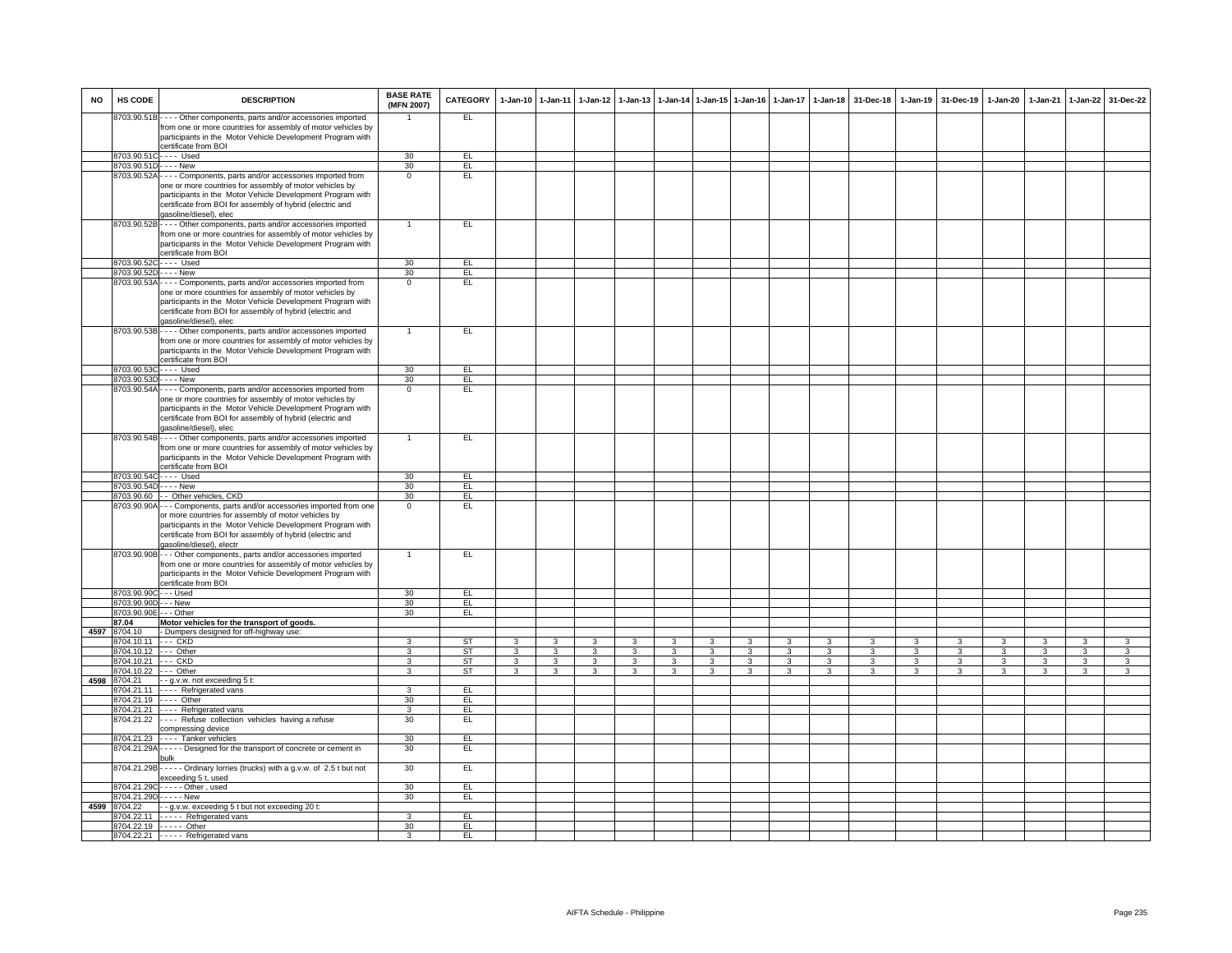| <b>NO</b> | HS CODE                 | <b>DESCRIPTION</b>                                                                                                                                 | <b>BASE RATE</b><br>(MFN 2007) | <b>CATEGORY</b> | 1-Jan-10       | 1-Jan-11     | 1-Jan-12       | $1-Jan-13$    |   |              | 1-Jan-14 1-Jan-15 1-Jan-16 | $1-Jan-17$    | $1-Jan-18$   | 31-Dec-18    |              | 1-Jan-19 31-Dec-19 | 1-Jan-20       | 1-Jan-21     |                         | 1-Jan-22 31-Dec-22 |
|-----------|-------------------------|----------------------------------------------------------------------------------------------------------------------------------------------------|--------------------------------|-----------------|----------------|--------------|----------------|---------------|---|--------------|----------------------------|---------------|--------------|--------------|--------------|--------------------|----------------|--------------|-------------------------|--------------------|
|           |                         | 8703.90.51B---- Other components, parts and/or accessories imported                                                                                |                                | EL              |                |              |                |               |   |              |                            |               |              |              |              |                    |                |              |                         |                    |
|           |                         | from one or more countries for assembly of motor vehicles by<br>participants in the Motor Vehicle Development Program with<br>certificate from BOI |                                |                 |                |              |                |               |   |              |                            |               |              |              |              |                    |                |              |                         |                    |
|           |                         | 8703.90.51C---- Used                                                                                                                               | 30                             | EL              |                |              |                |               |   |              |                            |               |              |              |              |                    |                |              |                         |                    |
|           | 8703.90.51D             | - - - - New                                                                                                                                        | 30                             | EL              |                |              |                |               |   |              |                            |               |              |              |              |                    |                |              |                         |                    |
|           | 8703.90.52A             | Components, parts and/or accessories imported from                                                                                                 | $\Omega$                       | EL.             |                |              |                |               |   |              |                            |               |              |              |              |                    |                |              |                         |                    |
|           |                         | one or more countries for assembly of motor vehicles by                                                                                            |                                |                 |                |              |                |               |   |              |                            |               |              |              |              |                    |                |              |                         |                    |
|           |                         | participants in the Motor Vehicle Development Program with                                                                                         |                                |                 |                |              |                |               |   |              |                            |               |              |              |              |                    |                |              |                         |                    |
|           |                         | certificate from BOI for assembly of hybrid (electric and<br>gasoline/diesel), elec                                                                |                                |                 |                |              |                |               |   |              |                            |               |              |              |              |                    |                |              |                         |                    |
|           |                         | 8703.90.52B - - - - Other components, parts and/or accessories imported                                                                            | $\blacktriangleleft$           | EL              |                |              |                |               |   |              |                            |               |              |              |              |                    |                |              |                         |                    |
|           |                         | from one or more countries for assembly of motor vehicles by                                                                                       |                                |                 |                |              |                |               |   |              |                            |               |              |              |              |                    |                |              |                         |                    |
|           |                         | participants in the Motor Vehicle Development Program with                                                                                         |                                |                 |                |              |                |               |   |              |                            |               |              |              |              |                    |                |              |                         |                    |
|           |                         | certificate from BOI                                                                                                                               |                                |                 |                |              |                |               |   |              |                            |               |              |              |              |                    |                |              |                         |                    |
|           |                         | 8703.90.52C---- Used                                                                                                                               | 30                             | EL              |                |              |                |               |   |              |                            |               |              |              |              |                    |                |              |                         |                    |
|           | 8703.90.52D - - - - New |                                                                                                                                                    | 30<br>$\Omega$                 | EL<br>EL        |                |              |                |               |   |              |                            |               |              |              |              |                    |                |              |                         |                    |
|           |                         | 8703.90.53A - - - - Components, parts and/or accessories imported from<br>one or more countries for assembly of motor vehicles by                  |                                |                 |                |              |                |               |   |              |                            |               |              |              |              |                    |                |              |                         |                    |
|           |                         | participants in the Motor Vehicle Development Program with                                                                                         |                                |                 |                |              |                |               |   |              |                            |               |              |              |              |                    |                |              |                         |                    |
|           |                         | certificate from BOI for assembly of hybrid (electric and                                                                                          |                                |                 |                |              |                |               |   |              |                            |               |              |              |              |                    |                |              |                         |                    |
|           |                         | qasoline/diesel), elec                                                                                                                             |                                |                 |                |              |                |               |   |              |                            |               |              |              |              |                    |                |              |                         |                    |
|           |                         | 8703.90.53B - - - - Other components, parts and/or accessories imported                                                                            |                                | EL              |                |              |                |               |   |              |                            |               |              |              |              |                    |                |              |                         |                    |
|           |                         | from one or more countries for assembly of motor vehicles by                                                                                       |                                |                 |                |              |                |               |   |              |                            |               |              |              |              |                    |                |              |                         |                    |
|           |                         | participants in the Motor Vehicle Development Program with                                                                                         |                                |                 |                |              |                |               |   |              |                            |               |              |              |              |                    |                |              |                         |                    |
|           |                         | certificate from BOI<br>8703.90.53C---- Used                                                                                                       | 30                             | EL.             |                |              |                |               |   |              |                            |               |              |              |              |                    |                |              |                         |                    |
|           | 8703.90.53D - - - - New |                                                                                                                                                    | 30                             | EL              |                |              |                |               |   |              |                            |               |              |              |              |                    |                |              |                         |                    |
|           |                         | 8703.90.54A - - - - Components, parts and/or accessories imported from                                                                             | $\overline{0}$                 | EL              |                |              |                |               |   |              |                            |               |              |              |              |                    |                |              |                         |                    |
|           |                         | one or more countries for assembly of motor vehicles by                                                                                            |                                |                 |                |              |                |               |   |              |                            |               |              |              |              |                    |                |              |                         |                    |
|           |                         | participants in the Motor Vehicle Development Program with                                                                                         |                                |                 |                |              |                |               |   |              |                            |               |              |              |              |                    |                |              |                         |                    |
|           |                         | certificate from BOI for assembly of hybrid (electric and                                                                                          |                                |                 |                |              |                |               |   |              |                            |               |              |              |              |                    |                |              |                         |                    |
|           |                         | qasoline/diesel), elec<br>8703.90.54B - - - - Other components, parts and/or accessories imported                                                  | $\mathbf{1}$                   | EL              |                |              |                |               |   |              |                            |               |              |              |              |                    |                |              |                         |                    |
|           |                         | from one or more countries for assembly of motor vehicles by                                                                                       |                                |                 |                |              |                |               |   |              |                            |               |              |              |              |                    |                |              |                         |                    |
|           |                         | participants in the Motor Vehicle Development Program with                                                                                         |                                |                 |                |              |                |               |   |              |                            |               |              |              |              |                    |                |              |                         |                    |
|           |                         | certificate from BOI                                                                                                                               |                                |                 |                |              |                |               |   |              |                            |               |              |              |              |                    |                |              |                         |                    |
|           |                         | 8703.90.54C---- Used                                                                                                                               | 30                             | EL.             |                |              |                |               |   |              |                            |               |              |              |              |                    |                |              |                         |                    |
|           | 8703.90.54D - - - - New |                                                                                                                                                    | 30                             | EL              |                |              |                |               |   |              |                            |               |              |              |              |                    |                |              |                         |                    |
|           |                         | 8703.90.60 - - Other vehicles, CKD                                                                                                                 | 30<br>$\Omega$                 | EL<br>EL        |                |              |                |               |   |              |                            |               |              |              |              |                    |                |              |                         |                    |
|           |                         | 8703.90.90A - - - Components, parts and/or accessories imported from one<br>or more countries for assembly of motor vehicles by                    |                                |                 |                |              |                |               |   |              |                            |               |              |              |              |                    |                |              |                         |                    |
|           |                         | participants in the Motor Vehicle Development Program with                                                                                         |                                |                 |                |              |                |               |   |              |                            |               |              |              |              |                    |                |              |                         |                    |
|           |                         | certificate from BOI for assembly of hybrid (electric and                                                                                          |                                |                 |                |              |                |               |   |              |                            |               |              |              |              |                    |                |              |                         |                    |
|           |                         | gasoline/diesel), electr                                                                                                                           |                                |                 |                |              |                |               |   |              |                            |               |              |              |              |                    |                |              |                         |                    |
|           |                         | 8703.90.90B - - - Other components, parts and/or accessories imported                                                                              |                                | EL              |                |              |                |               |   |              |                            |               |              |              |              |                    |                |              |                         |                    |
|           |                         | from one or more countries for assembly of motor vehicles by<br>participants in the Motor Vehicle Development Program with                         |                                |                 |                |              |                |               |   |              |                            |               |              |              |              |                    |                |              |                         |                    |
|           |                         | certificate from BOI                                                                                                                               |                                |                 |                |              |                |               |   |              |                            |               |              |              |              |                    |                |              |                         |                    |
|           | 8703.90.90C - - - Used  |                                                                                                                                                    | 30                             | EL              |                |              |                |               |   |              |                            |               |              |              |              |                    |                |              |                         |                    |
|           | 8703.90.90D - - - New   |                                                                                                                                                    | 30                             | EL              |                |              |                |               |   |              |                            |               |              |              |              |                    |                |              |                         |                    |
|           | 8703.90.90E - - - Other |                                                                                                                                                    | 30                             | EL.             |                |              |                |               |   |              |                            |               |              |              |              |                    |                |              |                         |                    |
| 4597      | 87.04<br>8704.10        | Motor vehicles for the transport of goods.<br>- Dumpers designed for off-highway use:                                                              |                                |                 |                |              |                |               |   |              |                            |               |              |              |              |                    |                |              |                         |                    |
|           | 3704.10.11 --- CKD      |                                                                                                                                                    | 3                              | <b>ST</b>       | 3              | 3            | 3              | $\mathcal{R}$ | 3 | 3            |                            | $\mathcal{R}$ | $\mathbf{R}$ | $\mathbf{a}$ | 3            | 3                  | 3              | $\mathbf{R}$ | $\overline{\mathbf{3}}$ | 3                  |
|           | 3704.10.12              | --- Other                                                                                                                                          |                                | <b>ST</b>       | 3              | 3            | 3              | 3             | 3 | 3            |                            |               |              |              | 3            | 3                  | 3              | 3            | 3                       | 3                  |
|           | 3704.10.21 --- CKD      |                                                                                                                                                    | $\mathcal{R}$                  | ST              | 3              | 3            | 3              | 3             | 3 | 3            | $\mathcal{R}$              | 3             | 3            | 3            | 3            | 3                  | 3              | 3            | 3                       | 3                  |
|           | 8704.10.22              | --- Other                                                                                                                                          | $\mathbf{3}$                   | ST              | $\overline{3}$ | $\mathbf{a}$ | $\overline{3}$ | 3             | 3 | $\mathbf{3}$ | $\mathbf{R}$               | $\mathbf{R}$  | $\mathbf{R}$ | $\mathbf{R}$ | $\mathbf{3}$ | $\mathbf{a}$       | $\overline{3}$ | 3            | $\mathbf{3}$            | 3                  |
| 4598      | 8704.21                 | - - g.v.w. not exceeding 5 t:                                                                                                                      |                                |                 |                |              |                |               |   |              |                            |               |              |              |              |                    |                |              |                         |                    |
|           |                         | 8704.21.11 - - - - Refrigerated vans<br>8704.21.19 ---- Other                                                                                      | 3<br>30                        | EL<br>EL        |                |              |                |               |   |              |                            |               |              |              |              |                    |                |              |                         |                    |
|           |                         | 8704.21.21 ---- Refrigerated vans                                                                                                                  | 3                              | EL              |                |              |                |               |   |              |                            |               |              |              |              |                    |                |              |                         |                    |
|           |                         | 8704.21.22 ---- Refuse collection vehicles having a refuse                                                                                         | 30                             | EL.             |                |              |                |               |   |              |                            |               |              |              |              |                    |                |              |                         |                    |
|           |                         | compressing device                                                                                                                                 |                                |                 |                |              |                |               |   |              |                            |               |              |              |              |                    |                |              |                         |                    |
|           |                         | 8704.21.23 ---- Tanker vehicles                                                                                                                    | 30                             | EL              |                |              |                |               |   |              |                            |               |              |              |              |                    |                |              |                         |                    |
|           |                         | 8704.21.29A - - - - - Designed for the transport of concrete or cement in<br>bulk                                                                  | 30                             | EL              |                |              |                |               |   |              |                            |               |              |              |              |                    |                |              |                         |                    |
|           |                         | B704.21.29B - - - - - Ordinary lorries (trucks) with a g.v.w. of 2.5 t but not                                                                     | 30                             | EL              |                |              |                |               |   |              |                            |               |              |              |              |                    |                |              |                         |                    |
|           |                         | exceeding 5 t, used                                                                                                                                |                                |                 |                |              |                |               |   |              |                            |               |              |              |              |                    |                |              |                         |                    |
|           |                         | 8704.21.29C - - - - - Other, used                                                                                                                  | 30                             | EL              |                |              |                |               |   |              |                            |               |              |              |              |                    |                |              |                         |                    |
|           |                         | 8704.21.29D - - - - - New                                                                                                                          | 30                             | EL              |                |              |                |               |   |              |                            |               |              |              |              |                    |                |              |                         |                    |
| 4599      |                         | 8704.22 - g.v.w. exceeding 5 t but not exceeding 20 t:<br>3704.22.11 - - - - Refrigerated vans                                                     | 3                              | EL              |                |              |                |               |   |              |                            |               |              |              |              |                    |                |              |                         |                    |
|           |                         | 3704.22.19 ----- Other                                                                                                                             | 30                             | EL              |                |              |                |               |   |              |                            |               |              |              |              |                    |                |              |                         |                    |
|           |                         | 8704.22.21 ----- Refrigerated vans                                                                                                                 | 3                              | EL.             |                |              |                |               |   |              |                            |               |              |              |              |                    |                |              |                         |                    |
|           |                         |                                                                                                                                                    |                                |                 |                |              |                |               |   |              |                            |               |              |              |              |                    |                |              |                         |                    |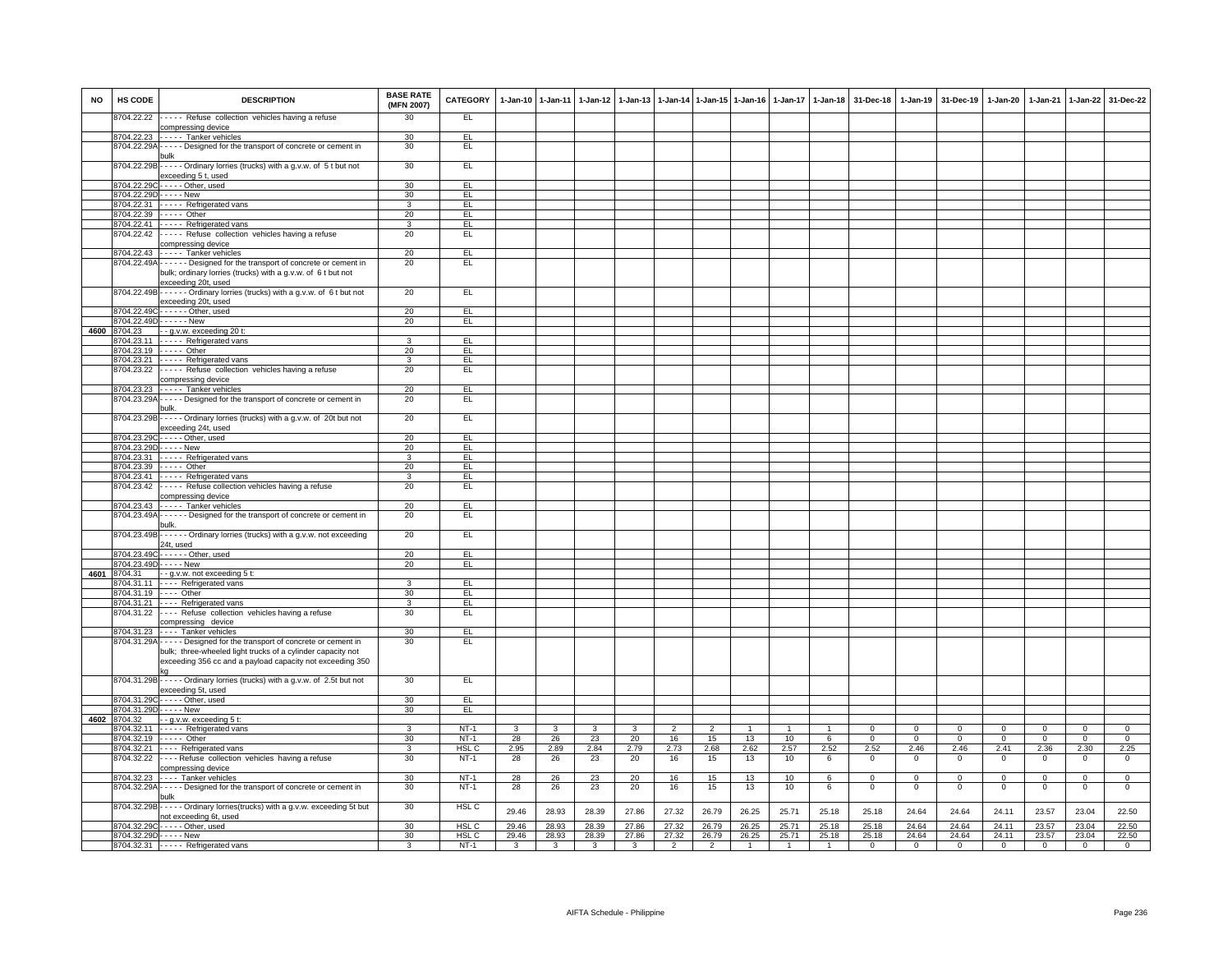| <b>NO</b> | <b>HS CODE</b> | <b>DESCRIPTION</b>                                                                                                                                                                                    | <b>BASE RATE</b><br>(MFN 2007)    | <b>CATEGORY</b>  |                         | 1-Jan-10 1-Jan-11                | $1-Jan-12$              | $1-Jan-13$                       |                         |                      | 1-Jan-14 1-Jan-15 1-Jan-16 |                         | 1-Jan-17 1-Jan-18       | 31-Dec-18                |                               | 1-Jan-19 31-Dec-19         | 1-Jan-20                | $1-Jan-21$                    | 1-Jan-22                         | 31-Dec-22                     |
|-----------|----------------|-------------------------------------------------------------------------------------------------------------------------------------------------------------------------------------------------------|-----------------------------------|------------------|-------------------------|----------------------------------|-------------------------|----------------------------------|-------------------------|----------------------|----------------------------|-------------------------|-------------------------|--------------------------|-------------------------------|----------------------------|-------------------------|-------------------------------|----------------------------------|-------------------------------|
|           | 8704.22.22     | ----- Refuse collection vehicles having a refuse                                                                                                                                                      | 30                                | EL               |                         |                                  |                         |                                  |                         |                      |                            |                         |                         |                          |                               |                            |                         |                               |                                  |                               |
|           |                | compressing device<br>8704.22.23 ----- Tanker vehicles                                                                                                                                                | 30                                | EL               |                         |                                  |                         |                                  |                         |                      |                            |                         |                         |                          |                               |                            |                         |                               |                                  |                               |
|           |                | 8704.22.29A - - - - - Designed for the transport of concrete or cement in                                                                                                                             | 30                                | EL               |                         |                                  |                         |                                  |                         |                      |                            |                         |                         |                          |                               |                            |                         |                               |                                  |                               |
|           |                | 8704.22.29B - - - - - Ordinary lorries (trucks) with a g.v.w. of 5 t but not<br>exceeding 5 t, used                                                                                                   | 30                                | EL               |                         |                                  |                         |                                  |                         |                      |                            |                         |                         |                          |                               |                            |                         |                               |                                  |                               |
|           |                | 8704.22.29C - - - - - Other, used                                                                                                                                                                     | 30                                | EL.              |                         |                                  |                         |                                  |                         |                      |                            |                         |                         |                          |                               |                            |                         |                               |                                  |                               |
|           |                | 8704.22.29D - - - - - New                                                                                                                                                                             | 30                                | EL               |                         |                                  |                         |                                  |                         |                      |                            |                         |                         |                          |                               |                            |                         |                               |                                  |                               |
|           |                | 8704.22.31 ----- Refrigerated vans                                                                                                                                                                    | $\mathbf{3}$                      | EL.              |                         |                                  |                         |                                  |                         |                      |                            |                         |                         |                          |                               |                            |                         |                               |                                  |                               |
|           |                | 8704.22.39 ----- Other                                                                                                                                                                                | 20                                | EL               |                         |                                  |                         |                                  |                         |                      |                            |                         |                         |                          |                               |                            |                         |                               |                                  |                               |
|           |                | 8704.22.41 - - - - Refrigerated vans                                                                                                                                                                  | $\overline{3}$                    | E                |                         |                                  |                         |                                  |                         |                      |                            |                         |                         |                          |                               |                            |                         |                               |                                  |                               |
|           |                | 8704.22.42 ----- Refuse collection vehicles having a refuse<br>compressing device                                                                                                                     | 20                                | EL               |                         |                                  |                         |                                  |                         |                      |                            |                         |                         |                          |                               |                            |                         |                               |                                  |                               |
|           |                | 8704.22.43 - - - - - Tanker vehicles                                                                                                                                                                  | 20                                | EL               |                         |                                  |                         |                                  |                         |                      |                            |                         |                         |                          |                               |                            |                         |                               |                                  |                               |
|           |                | 8704.22.49A - - - - - - Designed for the transport of concrete or cement in<br>bulk; ordinary lorries (trucks) with a g.v.w. of 6 t but not<br>exceeding 20t, used                                    | 20                                | EL               |                         |                                  |                         |                                  |                         |                      |                            |                         |                         |                          |                               |                            |                         |                               |                                  |                               |
|           |                | 8704.22.49B - - - - - - Ordinary lorries (trucks) with a g.v.w. of 6 t but not<br>exceeding 20t, used                                                                                                 | 20                                | EL.              |                         |                                  |                         |                                  |                         |                      |                            |                         |                         |                          |                               |                            |                         |                               |                                  |                               |
|           |                | 8704.22.49C - - - - - - Other, used                                                                                                                                                                   | 20                                | EL               |                         |                                  |                         |                                  |                         |                      |                            |                         |                         |                          |                               |                            |                         |                               |                                  |                               |
|           |                | 8704.22.49D------ New                                                                                                                                                                                 | 20                                | EL               |                         |                                  |                         |                                  |                         |                      |                            |                         |                         |                          |                               |                            |                         |                               |                                  |                               |
| 4600      | 8704.23        | - - g.v.w. exceeding 20 t:                                                                                                                                                                            |                                   |                  |                         |                                  |                         |                                  |                         |                      |                            |                         |                         |                          |                               |                            |                         |                               |                                  |                               |
|           |                | 8704.23.11 - - - - Refrigerated vans                                                                                                                                                                  | 3                                 | EL               |                         |                                  |                         |                                  |                         |                      |                            |                         |                         |                          |                               |                            |                         |                               |                                  |                               |
|           |                | 8704.23.19 ----- Other                                                                                                                                                                                | 20<br>3                           | E<br>EL          |                         |                                  |                         |                                  |                         |                      |                            |                         |                         |                          |                               |                            |                         |                               |                                  |                               |
|           |                | 8704.23.21 - - - - - Refrigerated vans<br>8704.23.22 ----- Refuse collection vehicles having a refuse                                                                                                 | 20                                | E                |                         |                                  |                         |                                  |                         |                      |                            |                         |                         |                          |                               |                            |                         |                               |                                  |                               |
|           |                | compressing device                                                                                                                                                                                    |                                   |                  |                         |                                  |                         |                                  |                         |                      |                            |                         |                         |                          |                               |                            |                         |                               |                                  |                               |
|           |                | 8704.23.23 ----- Tanker vehicles                                                                                                                                                                      | 20                                | EL               |                         |                                  |                         |                                  |                         |                      |                            |                         |                         |                          |                               |                            |                         |                               |                                  |                               |
|           |                | 8704.23.29A - - - - - Designed for the transport of concrete or cement in                                                                                                                             | 20                                | EL.              |                         |                                  |                         |                                  |                         |                      |                            |                         |                         |                          |                               |                            |                         |                               |                                  |                               |
|           |                | bulk.<br>8704.23.29B - - - - - Ordinary lorries (trucks) with a g.v.w. of 20t but not                                                                                                                 | 20                                | E                |                         |                                  |                         |                                  |                         |                      |                            |                         |                         |                          |                               |                            |                         |                               |                                  |                               |
|           |                | exceeding 24t, used<br>8704.23.29C----- Other, used                                                                                                                                                   | 20                                | EL               |                         |                                  |                         |                                  |                         |                      |                            |                         |                         |                          |                               |                            |                         |                               |                                  |                               |
|           |                | 8704.23.29D----- New                                                                                                                                                                                  | 20                                | EL               |                         |                                  |                         |                                  |                         |                      |                            |                         |                         |                          |                               |                            |                         |                               |                                  |                               |
|           |                | 8704.23.31 - - - - Refrigerated vans                                                                                                                                                                  | 3                                 | EL               |                         |                                  |                         |                                  |                         |                      |                            |                         |                         |                          |                               |                            |                         |                               |                                  |                               |
|           |                | 8704.23.39 ----- Other                                                                                                                                                                                | 20                                | EL               |                         |                                  |                         |                                  |                         |                      |                            |                         |                         |                          |                               |                            |                         |                               |                                  |                               |
|           |                | 8704.23.41 - - - - - Refrigerated vans                                                                                                                                                                | 3                                 | EL               |                         |                                  |                         |                                  |                         |                      |                            |                         |                         |                          |                               |                            |                         |                               |                                  |                               |
|           |                | 8704.23.42 ----- Refuse collection vehicles having a refuse<br>compressing device                                                                                                                     | 20                                | EL.              |                         |                                  |                         |                                  |                         |                      |                            |                         |                         |                          |                               |                            |                         |                               |                                  |                               |
|           |                | 8704.23.43 ----- Tanker vehicles                                                                                                                                                                      | 20                                | EL.              |                         |                                  |                         |                                  |                         |                      |                            |                         |                         |                          |                               |                            |                         |                               |                                  |                               |
|           |                | 8704.23.49A - - - - - - Designed for the transport of concrete or cement in                                                                                                                           | 20                                | EL               |                         |                                  |                         |                                  |                         |                      |                            |                         |                         |                          |                               |                            |                         |                               |                                  |                               |
|           |                | 8704.23.49B - - - - - - Ordinary lorries (trucks) with a g.v.w. not exceeding<br>24t, used                                                                                                            | 20                                | EL.              |                         |                                  |                         |                                  |                         |                      |                            |                         |                         |                          |                               |                            |                         |                               |                                  |                               |
|           |                | 8704.23.49C - - - - - - Other, used                                                                                                                                                                   | 20                                | F1               |                         |                                  |                         |                                  |                         |                      |                            |                         |                         |                          |                               |                            |                         |                               |                                  |                               |
|           |                | 8704.23.49D - - - - - New                                                                                                                                                                             | 20                                | EL.              |                         |                                  |                         |                                  |                         |                      |                            |                         |                         |                          |                               |                            |                         |                               |                                  |                               |
| 4601      | 8704.31        | - - g.v.w. not exceeding 5 t:                                                                                                                                                                         |                                   |                  |                         |                                  |                         |                                  |                         |                      |                            |                         |                         |                          |                               |                            |                         |                               |                                  |                               |
|           |                | 8704.31.11 ---- Refrigerated vans                                                                                                                                                                     | 3                                 | EL.              |                         |                                  |                         |                                  |                         |                      |                            |                         |                         |                          |                               |                            |                         |                               |                                  |                               |
|           |                | 8704.31.19 ---- Other                                                                                                                                                                                 | 30                                | EL               |                         |                                  |                         |                                  |                         |                      |                            |                         |                         |                          |                               |                            |                         |                               |                                  |                               |
|           |                | 8704.31.21 ---- Refrigerated vans<br>8704.31.22 ---- Refuse collection vehicles having a refuse                                                                                                       | 3<br>30                           | EL<br>EL         |                         |                                  |                         |                                  |                         |                      |                            |                         |                         |                          |                               |                            |                         |                               |                                  |                               |
|           |                | compressing device                                                                                                                                                                                    |                                   |                  |                         |                                  |                         |                                  |                         |                      |                            |                         |                         |                          |                               |                            |                         |                               |                                  |                               |
|           |                | 8704.31.23 ---- Tanker vehicles                                                                                                                                                                       | 30<br>30                          | EL<br>EL         |                         |                                  |                         |                                  |                         |                      |                            |                         |                         |                          |                               |                            |                         |                               |                                  |                               |
|           |                | 8704.31.29A - - - - - Designed for the transport of concrete or cement in<br>bulk; three-wheeled light trucks of a cylinder capacity not<br>exceeding 356 cc and a payload capacity not exceeding 350 |                                   |                  |                         |                                  |                         |                                  |                         |                      |                            |                         |                         |                          |                               |                            |                         |                               |                                  |                               |
|           |                | 8704.31.29B - - - - - Ordinary lorries (trucks) with a g.v.w. of 2.5t but not<br>exceeding 5t, used                                                                                                   | 30                                | E                |                         |                                  |                         |                                  |                         |                      |                            |                         |                         |                          |                               |                            |                         |                               |                                  |                               |
|           |                | 8704.31.29C - - - - - Other, used                                                                                                                                                                     | 30                                | EL               |                         |                                  |                         |                                  |                         |                      |                            |                         |                         |                          |                               |                            |                         |                               |                                  |                               |
|           |                | 8704.31.29D - - - - - New                                                                                                                                                                             | 30                                | EL               |                         |                                  |                         |                                  |                         |                      |                            |                         |                         |                          |                               |                            |                         |                               |                                  |                               |
| 4602      | 8704.32        | - - g.v.w. exceeding 5 t:                                                                                                                                                                             |                                   |                  |                         |                                  |                         |                                  |                         |                      |                            |                         |                         |                          |                               |                            |                         |                               |                                  |                               |
|           |                | 8704.32.11 - - - - - Refrigerated vans<br>8704.32.19 ----- Other                                                                                                                                      | 3<br>30                           | $NT-1$<br>$NT-1$ | $\mathbf{3}$<br>28      | $\mathbf{3}$<br>26               | 3<br>23                 | 3                                | $\overline{2}$<br>16    | $\overline{2}$<br>15 | $\overline{1}$             | 10                      | $\overline{1}$          | $\Omega$<br>$\mathbf{0}$ | $\mathbf 0$<br>$\overline{0}$ | $\Omega$<br>$\overline{0}$ | 0<br>$\mathbf{0}$       | $\mathbf 0$<br>$\overline{0}$ | $\overline{0}$<br>$\overline{0}$ | $\mathbf 0$<br>$\overline{0}$ |
|           |                | 8704.32.21 ---- Refrigerated vans                                                                                                                                                                     | $\overline{3}$                    | HSL C            | 2.95                    | 2.89                             | 2.84                    | 20<br>2.79                       | 2.73                    | 2.68                 | 13<br>2.62                 | 2.57                    | 6<br>2.52               | 2.52                     | 2.46                          | 2.46                       | 2.41                    | 2.36                          | 2.30                             | 2.25                          |
|           |                | 8704.32.22 ---- Refuse collection vehicles having a refuse                                                                                                                                            | 30                                | $NT-1$           | 28                      | 26                               | 23                      | 20                               | 16                      | 15                   | 13                         | 10                      | 6                       | $\mathsf 0$              | $\,0\,$                       | $\mathsf 0$                | $\mathsf 0$             | $\mathbf 0$                   | $\,0\,$                          | $\mathsf 0$                   |
|           |                | compressing device                                                                                                                                                                                    | 30                                | $NT-1$           |                         |                                  |                         |                                  |                         | 15                   | 13                         | 10                      | 6                       | $\mathbf 0$              | $\mathbf{0}$                  | $\mathbf 0$                | $\mathbf{0}$            | $\mathbf 0$                   | $\mathbf 0$                      | $\mathbf{0}$                  |
|           |                | 8704.32.23 ---- Tanker vehicles<br>8704.32.29A - - - - - Designed for the transport of concrete or cement in                                                                                          | 30                                | $NT-1$           | 28<br>28                | 26<br>26                         | 23<br>23                | 20<br>20                         | 16<br>16                | 15                   | 13                         | 10                      | 6                       | $\mathbf{0}$             | $\mathbf{0}$                  | $\mathbf 0$                | $\mathbf 0$             | $^{\circ}$                    | $\mathbf 0$                      | $\overline{0}$                |
|           |                | oulk i                                                                                                                                                                                                |                                   |                  |                         |                                  |                         |                                  |                         |                      |                            |                         |                         |                          |                               |                            |                         |                               |                                  |                               |
|           |                | 8704.32.29B - - - - - Ordinary lorries(trucks) with a g.v.w. exceeding 5t but<br>not exceeding 6t, used                                                                                               | 30                                | HSL C            | 29.46                   | 28.93                            | 28.39                   | 27.86                            | 27.32                   | 26.79                | 26.25                      | 25.71                   | 25.18                   | 25.18                    | 24.64                         | 24.64                      | 24.11                   | 23.57                         | 23.04                            | 22.50                         |
|           |                | 8704.32.29C - - - - - Other, used                                                                                                                                                                     | 30                                | HSL C            | 29.46                   | 28.93                            | 28.39                   | 27.86                            | 27.32                   | 26.79                | 26.25                      | 25.71                   | 25.18                   | 25.18                    | 24.64                         | 24.64                      | 24.11                   | 23.57                         | 23.04                            | 22.50                         |
|           |                | 8704.32.29D-----New                                                                                                                                                                                   | 30 <sup>2</sup><br>$\overline{3}$ | HSL C            | 29.46<br>$\overline{3}$ | 28.93<br>$\overline{\mathbf{3}}$ | 28.39                   | 27.86<br>$\overline{\mathbf{3}}$ | 27.32<br>$\overline{2}$ | 26.79                | 26.25<br>$\overline{1}$    | 25.71<br>$\overline{1}$ | 25.18<br>$\overline{1}$ | 25.18                    | 24.64                         | 24.64<br>$\overline{0}$    | 24.11<br>$\overline{0}$ | 23.57                         | 23.04<br>$\overline{0}$          | 22.50                         |
|           |                | 8704.32.31 - - - - - Refrigerated vans                                                                                                                                                                |                                   | $NT-1$           |                         |                                  | $\overline{\mathbf{3}}$ |                                  |                         | $\overline{2}$       |                            |                         |                         | $\overline{0}$           | $\overline{0}$                |                            |                         | $\mathbf 0$                   |                                  | $\overline{0}$                |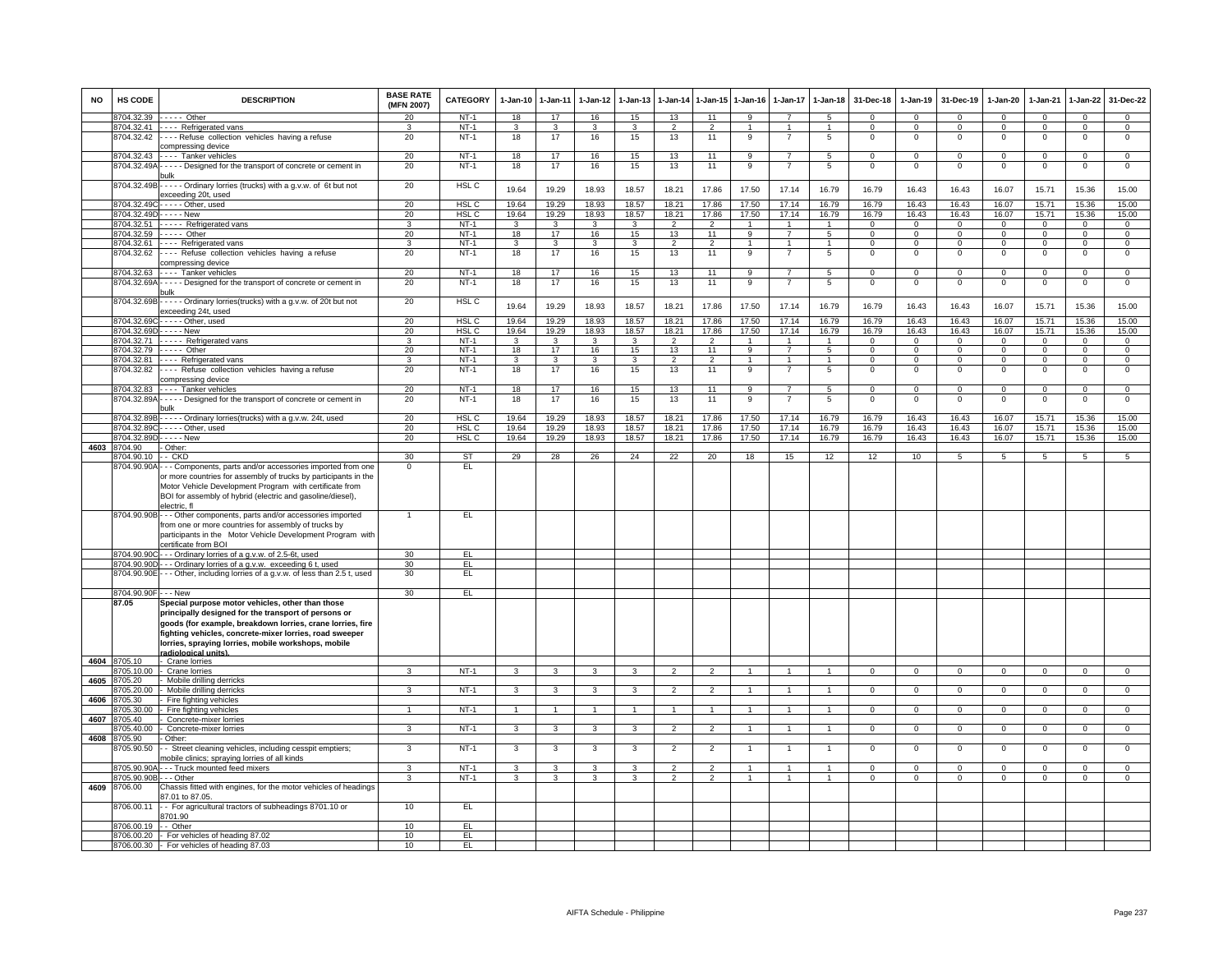| <b>NO</b> | HS CODE                    | <b>DESCRIPTION</b>                                                                                                                                                                                                                                                                                              | <b>BASE RATE</b><br>(MFN 2007) | CATEGORY         | $1 - Jan-10$ | 1-Jan-11                      | 1-Jan-12                | $1-Jan-13$           | 1-Jan-14                 | 1-Jan-15             | $1-Jan-16$        | 1-Jan-17                       | $1-Jan-18$           | 31-Dec-18                     | $1-Jan-19$                     | 31-Dec-19                    | 1-Jan-20                       | 1-Jan-21               | 1-Jan-22                         | 31-Dec-22                        |
|-----------|----------------------------|-----------------------------------------------------------------------------------------------------------------------------------------------------------------------------------------------------------------------------------------------------------------------------------------------------------------|--------------------------------|------------------|--------------|-------------------------------|-------------------------|----------------------|--------------------------|----------------------|-------------------|--------------------------------|----------------------|-------------------------------|--------------------------------|------------------------------|--------------------------------|------------------------|----------------------------------|----------------------------------|
|           | 3704.32.39                 | $---$ Other                                                                                                                                                                                                                                                                                                     | 20                             | $NT-1$           | 18           | 17                            | 16                      | 15                   | 13                       | 11                   | 9                 |                                | $\overline{5}$       | $\Omega$                      | $\Omega$                       | $\Omega$                     | $\Omega$                       | $\Omega$               | $\Omega$                         | $\Omega$                         |
|           | 3704.32.41<br>8704.32.42   | - - - - Refrigerated vans<br>----Refuse collection vehicles having a refuse                                                                                                                                                                                                                                     | 20                             | $NT-1$<br>$NT-1$ | 3<br>18      | 3<br>17                       | 3<br>16                 | 3<br>15              | $\overline{2}$<br>13     | $\overline{2}$<br>11 | 9                 | $\overline{7}$                 | 5                    | $\mathbf 0$<br>$^{\circ}$     | $^{\circ}$<br>$\mathbf{0}$     | $^{\circ}$<br>$\mathbf{0}$   | $\mathbf 0$<br>$\mathbf{0}$    | $\Omega$<br>$^{\circ}$ | $\mathsf 0$<br>$^{\circ}$        | $^{\circ}$<br>$\mathbf 0$        |
|           |                            | compressing device                                                                                                                                                                                                                                                                                              |                                |                  |              |                               |                         |                      |                          |                      |                   |                                |                      |                               |                                |                              |                                |                        |                                  |                                  |
|           | 704.32.43                  | --- Tanker vehicles                                                                                                                                                                                                                                                                                             | 20                             | $NT-1$           | 18           | 17                            | 16                      | 15                   | 13                       | 11                   | $\overline{9}$    | $\overline{7}$                 | $\overline{5}$       | $\Omega$                      | $\overline{0}$                 | $\Omega$                     | $\overline{0}$                 | $\Omega$               | $\overline{0}$                   | $\overline{0}$                   |
|           | 3704.32.49A                | ---- Designed for the transport of concrete or cement in                                                                                                                                                                                                                                                        | 20                             | $NT-$            | 18           | 17                            | 16                      | 15                   | 13                       | 11                   | 9                 |                                | 5                    | $\Omega$                      | $\mathbf 0$                    | $\mathbf 0$                  | $\mathbf 0$                    | $\Omega$               | $\mathbf 0$                      | $\mathbf 0$                      |
|           | 8704.32.49B                | - - - - - Ordinary lorries (trucks) with a g.v.w. of 6t but not<br>exceeding 20t, used                                                                                                                                                                                                                          | 20                             | HSL C            | 19.64        | 19.29                         | 18.93                   | 18.57                | 18.21                    | 17.86                | 17.50             | 17.14                          | 16.79                | 16.79                         | 16.43                          | 16.43                        | 16.07                          | 15.71                  | 15.36                            | 15.00                            |
|           | 704 32 49                  | Other, used                                                                                                                                                                                                                                                                                                     | 20                             | <b>HSL C</b>     | 19.64        | 19.29                         | 18.93                   | 18.57                | 18.21                    | 17.86                | 17.50             | 17.14                          | 16.79                | 16.79                         | 16.43                          | 16.43                        | 16.07                          | 15.71                  | 15.36                            | 15.00                            |
|           |                            | 3704.32.49D - - - - - New                                                                                                                                                                                                                                                                                       | 20                             | HSL C            | 19.64        | 19.29                         | 18.93                   | 18.57                | 18.21                    | 17.86                | 17.50             | 17.14                          | 16.79                | 16.79                         | 16.43                          | 16.43                        | 16.07                          | 15.71                  | 15.36                            | 15.00                            |
|           |                            | 8704.32.51 ----- Refrigerated vans                                                                                                                                                                                                                                                                              | 3                              | NT-1             | $\mathbf{3}$ | $\mathbf{3}$                  | $\mathbf{3}$            | 3                    | $\overline{2}$           | $\overline{2}$       | $\overline{1}$    | $\overline{1}$                 | $\overline{1}$       | $\overline{0}$                | $\mathbf{0}$                   | $\overline{0}$               | $\overline{0}$                 | $\mathbf{0}$           | $\overline{0}$                   | $\overline{0}$                   |
|           | 8704.32.61                 | 8704.32.59 ----- Other<br>---- Refrigerated vans                                                                                                                                                                                                                                                                | 20<br>3                        | $NT-1$<br>$NT-1$ | 18<br>3      | 17<br>$\overline{\mathbf{3}}$ | 16<br>$\overline{3}$    | 15<br>$\overline{3}$ | 13<br>$\overline{2}$     | 11<br>$\overline{2}$ | 9<br>$\mathbf{1}$ | $\overline{7}$<br>$\mathbf{1}$ | 5<br>$\mathbf{1}$    | $\mathbf 0$<br>$\overline{0}$ | $\mathbf{0}$<br>$\overline{0}$ | $\mathbf{0}$<br>$\mathbf{0}$ | $\mathbf{0}$<br>$\overline{0}$ | $^{\circ}$<br>$\Omega$ | $\overline{0}$<br>$\overline{0}$ | $\overline{0}$<br>$\overline{0}$ |
|           | 8704.32.62                 | Refuse collection vehicles having a refuse                                                                                                                                                                                                                                                                      | 20                             | $NT-1$           | 18           | 17                            | 16                      | 15                   | 13                       | 11                   | 9                 | $\overline{7}$                 | 5                    | $\mathsf 0$                   | $\mathsf 0$                    | $\mathbf 0$                  | $\mathbf 0$                    | $\mathbf 0$            | $\mathbf 0$                      | $\mathbf 0$                      |
|           |                            | compressing device<br>8704.32.63 ---- Tanker vehicles                                                                                                                                                                                                                                                           | 20                             | <b>NT-1</b>      | 18           | 17                            | 16                      | 15                   | 13                       | 11                   | 9                 | $\overline{7}$                 | 5                    | $^{\circ}$                    | 0                              | $\mathbf 0$                  | $\mathbf{0}$                   | $^{\circ}$             | $\mathsf 0$                      | $\mathbf{0}$                     |
|           | 8704.32.69A                | ----- Designed for the transport of concrete or cement in                                                                                                                                                                                                                                                       | 20                             | $NT-1$           | 18           | 17                            | 16                      | 15                   | 13                       | 11                   | 9                 | $\overline{7}$                 | $\overline{5}$       | $\mathsf 0$                   | $^{\circ}$                     | $\mathbf 0$                  | $\mathbf 0$                    | $\mathbf 0$            | $\mathsf 0$                      | $\mathbf 0$                      |
|           | 8704.32.69E                | λulk<br>Ordinary lorries(trucks) with a g.v.w. of 20t but not                                                                                                                                                                                                                                                   | 20                             | HSL <sub>C</sub> |              |                               |                         |                      |                          |                      |                   |                                |                      |                               |                                |                              |                                |                        |                                  |                                  |
|           |                            | exceeding 24t, used                                                                                                                                                                                                                                                                                             |                                |                  | 19.64        | 19.29                         | 18.93                   | 18.57                | 18.21                    | 17.86                | 17.50             | 17.14                          | 16.79                | 16.79                         | 16.43                          | 16.43                        | 16.07                          | 15.71                  | 15.36                            | 15.00                            |
|           | 8704.32.69C                | - - - - - Other, used                                                                                                                                                                                                                                                                                           | 20                             | HSL C            | 19.64        | 19.29                         | 18.93                   | 18.57                | 18.21                    | 17.86                | 17.50             | 17.14                          | 16.79                | 16.79                         | 16.43                          | 16.43                        | 16.07                          | 15.71                  | 15.36                            | 15.00                            |
|           | 3704.32.69D                | - - - - - New                                                                                                                                                                                                                                                                                                   | 20                             | HSL C            | 19.64        | 19.29                         | 18.93                   | 18.57                | 18.21                    | 17.86                | 17.50             | 17.14                          | 16.79                | 16.79                         | 16.43                          | 16.43                        | 16.07                          | 15.71                  | 15.36                            | 15.00                            |
|           | 704.32.71<br>704.32.79     | ----- Refrigerated vans<br>$\cdots$ Other                                                                                                                                                                                                                                                                       | 3<br>20                        | $NT-1$<br>$NT-1$ | 3<br>18      | $\mathbf{3}$<br>17            | 3<br>16                 | 3<br>15              | $\overline{2}$<br>13     | $\overline{2}$<br>11 | $\mathbf{1}$<br>9 | $\mathbf{1}$<br>$\overline{7}$ | $\overline{1}$<br>5  | $\Omega$<br>$\Omega$          | $\Omega$<br>0                  | $\Omega$<br>$\mathbf 0$      | $\Omega$<br>0                  | $\Omega$<br>$\Omega$   | $\Omega$<br>$\overline{0}$       | $\Omega$<br>$\overline{0}$       |
|           | 704.32.81                  | Refrigerated vans                                                                                                                                                                                                                                                                                               | 3                              | $NT-1$           | 3            | 3                             | 3                       | 3                    | $\overline{2}$           | $\overline{2}$       | $\overline{1}$    | $\overline{1}$                 | $\overline{1}$       | $\mathsf 0$                   | $\mathsf 0$                    | $\mathbf 0$                  | $\mathbf 0$                    | $^{\circ}$             | $\mathbf 0$                      | $\mathbf 0$                      |
|           | 8704.32.82                 | ---- Refuse collection vehicles having a refuse<br>compressing device                                                                                                                                                                                                                                           | 20                             | $NT-1$           | 18           | 17                            | 16                      | 15                   | 13                       | 11                   | 9                 | 7                              | 5                    | 0                             | 0                              | $\mathbf 0$                  | $\mathbf 0$                    | 0                      | 0                                | 0                                |
|           | 8704.32.83                 | --- Tanker vehicles                                                                                                                                                                                                                                                                                             | 20                             | $NT-1$           | 18           | 17                            | 16                      | 15                   | 13                       | 11                   | $\overline{9}$    | $\overline{7}$                 | $\overline{5}$       | $\overline{0}$                | $\Omega$                       | $\Omega$                     | $\overline{0}$                 | $\Omega$               | $\overline{0}$                   | $\overline{0}$                   |
|           | 8704.32.89A                | ----- Designed for the transport of concrete or cement in<br>oulk                                                                                                                                                                                                                                               | 20                             | $NT-1$           | 18           | 17                            | 16                      | 15                   | 13                       | 11                   | 9                 | $\overline{7}$                 | 5                    | $\mathbf 0$                   | $\mathsf 0$                    | $\mathbf 0$                  | $\mathbf 0$                    | $\Omega$               | $\mathsf 0$                      | $\mathbf 0$                      |
|           | 8704.32.89E                | ----- Ordinary lorries(trucks) with a g.v.w. 24t, used                                                                                                                                                                                                                                                          | 20                             | HSL C            | 19.64        | 19.29                         | 18.93                   | 18.57                | 18.21                    | 17.86                | 17.50             | 17.14                          | 16.79                | 16.79                         | 16.43                          | 16.43                        | 16.07                          | 15.71                  | 15.36                            | 15.00                            |
|           | 704.32.890                 | -Other, used                                                                                                                                                                                                                                                                                                    | 20                             | HSL <sub>C</sub> | 19.64        | 19.29                         | 18.93                   | 18.57                | 18.21                    | 17.86                | 17.50             | 17.14                          | 16.79                | 16.79                         | 16.43                          | 16.43                        | 16.07                          | 15.71                  | 15.36                            | 15.00                            |
|           | 704.32.89                  | - - - - New                                                                                                                                                                                                                                                                                                     | 20                             | HSL <sub>C</sub> | 19.64        | 19.29                         | 18.93                   | 18.57                | 18.21                    | 17.86                | 17.50             | 17.14                          | 16.79                | 16.79                         | 16.43                          | 16.43                        | 16.07                          | 15.71                  | 15.36                            | 15.00                            |
|           | 4603 8704.90<br>8704.90.10 | Other:<br>- CKD                                                                                                                                                                                                                                                                                                 | 30                             | <b>ST</b>        | 29           | 28                            | 26                      | 24                   | 22                       | 20                   | 18                | 15                             | 12                   | 12                            | 10                             | $\overline{5}$               | 5                              | 5                      | $\overline{5}$                   | 5                                |
|           | 8704.90.90A                | - - Components, parts and/or accessories imported from one                                                                                                                                                                                                                                                      | $\mathbf 0$                    | EL               |              |                               |                         |                      |                          |                      |                   |                                |                      |                               |                                |                              |                                |                        |                                  |                                  |
|           |                            | or more countries for assembly of trucks by participants in the<br>Motor Vehicle Development Program with certificate from<br>BOI for assembly of hybrid (electric and gasoline/diesel),<br>electric, fl                                                                                                        |                                |                  |              |                               |                         |                      |                          |                      |                   |                                |                      |                               |                                |                              |                                |                        |                                  |                                  |
|           |                            | 8704.90.90B - - - Other components, parts and/or accessories imported<br>from one or more countries for assembly of trucks by<br>participants in the Motor Vehicle Development Program with<br>certificate from BOI                                                                                             | 1                              | EL               |              |                               |                         |                      |                          |                      |                   |                                |                      |                               |                                |                              |                                |                        |                                  |                                  |
|           | 8704.90.900                | -- Ordinary lorries of a g.v.w. of 2.5-6t, used                                                                                                                                                                                                                                                                 | 30                             | EL.              |              |                               |                         |                      |                          |                      |                   |                                |                      |                               |                                |                              |                                |                        |                                  |                                  |
|           | 8704.90.90D                | - - Ordinary lorries of a g.v.w. exceeding 6 t, used                                                                                                                                                                                                                                                            | 30                             | EL               |              |                               |                         |                      |                          |                      |                   |                                |                      |                               |                                |                              |                                |                        |                                  |                                  |
|           |                            | 8704.90.90E - - - Other, including lorries of a g.v.w. of less than 2.5 t, used                                                                                                                                                                                                                                 | 30                             | EL.              |              |                               |                         |                      |                          |                      |                   |                                |                      |                               |                                |                              |                                |                        |                                  |                                  |
|           | 8704.90.90F - - - New      |                                                                                                                                                                                                                                                                                                                 | 30 <sup>2</sup>                | EL               |              |                               |                         |                      |                          |                      |                   |                                |                      |                               |                                |                              |                                |                        |                                  |                                  |
|           | 87.05                      | Special purpose motor vehicles, other than those<br>principally designed for the transport of persons or<br>goods (for example, breakdown lorries, crane lorries, fire<br>fighting vehicles, concrete-mixer lorries, road sweeper<br>lorries, spraying lorries, mobile workshops, mobile<br>radiological units) |                                |                  |              |                               |                         |                      |                          |                      |                   |                                |                      |                               |                                |                              |                                |                        |                                  |                                  |
| 4604      | 8705.10                    | - Crane lorries                                                                                                                                                                                                                                                                                                 |                                |                  |              |                               |                         |                      |                          |                      |                   |                                |                      |                               |                                |                              |                                |                        |                                  |                                  |
|           | 705.10.00                  | Crane lorries                                                                                                                                                                                                                                                                                                   |                                | $NT-1$           | $\mathbf{a}$ | $\mathbf{a}$                  | $\mathbf{a}$            | $\mathbf{3}$         | $\mathcal{P}$            | $\mathcal{P}$        |                   |                                |                      | $\Omega$                      | $\Omega$                       | $\Omega$                     | $\Omega$                       | $\Omega$               | $\Omega$                         | $\Omega$                         |
| 4605      | 8705.20<br>705.20.00       | Mobile drilling derricks<br>- Mobile drilling derricks                                                                                                                                                                                                                                                          | 3                              | $NT-1$           | 3            | 3                             | 3                       | ٩                    | $\mathcal{P}$            | $\overline{2}$       |                   |                                |                      | $\Omega$                      | $^{\circ}$                     | $\mathbf 0$                  | $\Omega$                       | $\Omega$               | $\mathbf 0$                      | $\Omega$                         |
| 4606      | 705.30                     | Fire fighting vehicles                                                                                                                                                                                                                                                                                          |                                |                  |              |                               |                         |                      |                          |                      |                   |                                |                      |                               |                                |                              |                                |                        |                                  |                                  |
|           | 705.30.00                  | Fire fighting vehicles                                                                                                                                                                                                                                                                                          | $\mathbf{1}$                   | $NT-1$           | $\mathbf{1}$ | $\mathbf{1}$                  | $\mathbf{1}$            | $\mathbf{1}$         | $\overline{1}$           | $\overline{1}$       | $\overline{1}$    | $\overline{1}$                 | $\overline{1}$       | $\overline{0}$                | $\overline{0}$                 | $\overline{0}$               | $\overline{0}$                 | $\overline{0}$         | $\overline{0}$                   | $\overline{0}$                   |
| 4607      | 705.40                     | Concrete-mixer lorries                                                                                                                                                                                                                                                                                          |                                |                  |              |                               |                         |                      |                          |                      |                   |                                |                      |                               |                                |                              |                                |                        |                                  |                                  |
|           | 705.40.00                  | Concrete-mixer lorries                                                                                                                                                                                                                                                                                          | 3                              | $NT-1$           | 3            | 3                             | 3                       | 3                    | $\overline{2}$           | $\overline{2}$       | $\overline{1}$    | $\overline{1}$                 | $\blacktriangleleft$ | $\mathbf 0$                   | $\mathsf 0$                    | $\mathbf 0$                  | $\mathbf 0$                    | $\mathbf 0$            | $\overline{0}$                   | $\overline{0}$                   |
| 4608      | 8705.90<br>705.90.50       | Other:<br>- Street cleaning vehicles, including cesspit emptiers;<br>nobile clinics; spraying lorries of all kinds                                                                                                                                                                                              | 3                              | $NT-1$           | 3            | 3                             | $\overline{\mathbf{3}}$ | 3                    | $\overline{2}$           | $\overline{2}$       | $\overline{1}$    | $\overline{1}$                 | $\overline{1}$       | $\mathsf 0$                   | $\mathsf 0$                    | $\mathbf 0$                  | $\mathbf 0$                    | $\Omega$               | $\mathsf 0$                      | $\overline{0}$                   |
|           | 8705.90.90                 | --- Truck mounted feed mixers                                                                                                                                                                                                                                                                                   | 3                              | $NT-1$           | 3            | 3                             | 3                       | 3                    | $\overline{\phantom{a}}$ | $\overline{2}$       |                   |                                |                      | $\Omega$                      | $\Omega$                       | $\Omega$                     | $\Omega$                       | $\Omega$               | $\Omega$                         | $\Omega$                         |
|           | 8705.90.90B                | - - - Other                                                                                                                                                                                                                                                                                                     | 3                              | $NT-1$           | $\mathbf{3}$ | 3                             | 3                       | 3                    | $\overline{2}$           | $\overline{2}$       | $\overline{1}$    | $\overline{1}$                 | $\overline{1}$       | $\mathbf 0$                   | $\mathbf{0}$                   | $\mathbf 0$                  | $^{\circ}$                     | $^{\circ}$             | $\mathbf 0$                      | $\mathbf{0}$                     |
| 4609      | 8706.00                    | Chassis fitted with engines, for the motor vehicles of headings                                                                                                                                                                                                                                                 |                                |                  |              |                               |                         |                      |                          |                      |                   |                                |                      |                               |                                |                              |                                |                        |                                  |                                  |
|           | 8706.00.11                 | 37.01 to 87.05.<br>- For agricultural tractors of subheadings 8701.10 or                                                                                                                                                                                                                                        | 10                             | EL.              |              |                               |                         |                      |                          |                      |                   |                                |                      |                               |                                |                              |                                |                        |                                  |                                  |
|           |                            | 3701.90                                                                                                                                                                                                                                                                                                         |                                |                  |              |                               |                         |                      |                          |                      |                   |                                |                      |                               |                                |                              |                                |                        |                                  |                                  |
|           | 8706.00.19                 | - - Other<br>8706.00.20 - For vehicles of heading 87.02                                                                                                                                                                                                                                                         | 10<br>10                       | EL<br>EL         |              |                               |                         |                      |                          |                      |                   |                                |                      |                               |                                |                              |                                |                        |                                  |                                  |
|           |                            | 8706.00.30 - For vehicles of heading 87.03                                                                                                                                                                                                                                                                      | 10                             | EL               |              |                               |                         |                      |                          |                      |                   |                                |                      |                               |                                |                              |                                |                        |                                  |                                  |
|           |                            |                                                                                                                                                                                                                                                                                                                 |                                |                  |              |                               |                         |                      |                          |                      |                   |                                |                      |                               |                                |                              |                                |                        |                                  |                                  |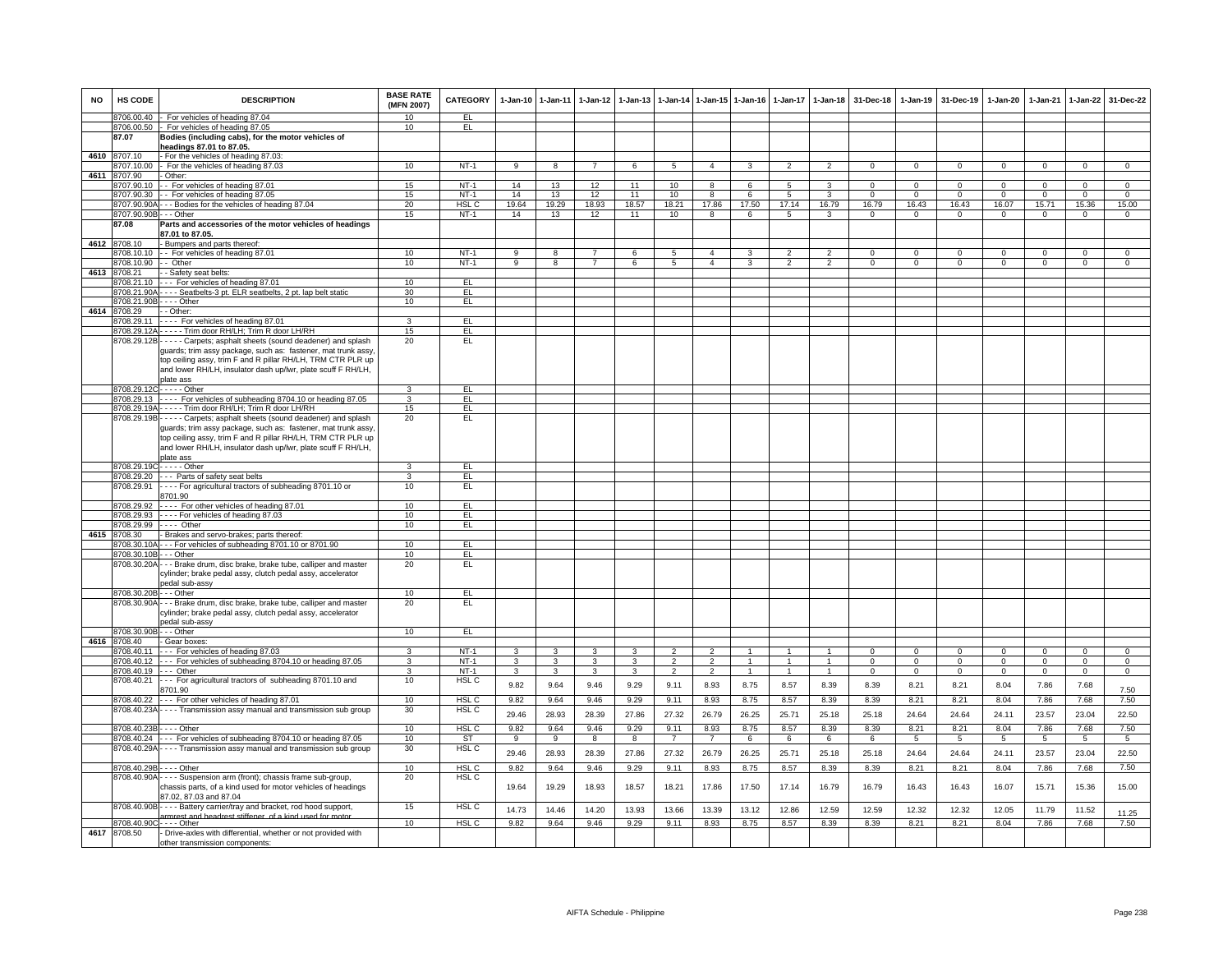| <b>NO</b> | HS CODE                     | <b>DESCRIPTION</b>                                                                                                                                                                                                                                                                     | <b>BASE RATE</b><br>(MFN 2007) | CATEGORY               |                   | 1-Jan-10 1-Jan-11   | $1-Jan-12$                              | $1 - Jan-13$ | $1-Jan-14$                       |                                  | 1-Jan-15 1-Jan-16                | $1-Jan-17$                   | $1 - Jan-18$                   | 31-Dec-18                 | 1-Jan-19                | 31-Dec-19                      | 1-Jan-20                 | $1-Jan-21$               | 1-Jan-22                       | 31-Dec-22                      |
|-----------|-----------------------------|----------------------------------------------------------------------------------------------------------------------------------------------------------------------------------------------------------------------------------------------------------------------------------------|--------------------------------|------------------------|-------------------|---------------------|-----------------------------------------|--------------|----------------------------------|----------------------------------|----------------------------------|------------------------------|--------------------------------|---------------------------|-------------------------|--------------------------------|--------------------------|--------------------------|--------------------------------|--------------------------------|
|           |                             | 8706.00.40 - For vehicles of heading 87.04                                                                                                                                                                                                                                             | 10                             | EL.                    |                   |                     |                                         |              |                                  |                                  |                                  |                              |                                |                           |                         |                                |                          |                          |                                |                                |
|           | 87.07                       | 8706.00.50 - For vehicles of heading 87.05<br>Bodies (including cabs), for the motor vehicles of<br>headings 87.01 to 87.05.                                                                                                                                                           | 10                             | EL.                    |                   |                     |                                         |              |                                  |                                  |                                  |                              |                                |                           |                         |                                |                          |                          |                                |                                |
| 4610      | 8707.10                     | For the vehicles of heading 87.03:                                                                                                                                                                                                                                                     |                                |                        |                   |                     |                                         |              |                                  |                                  |                                  |                              |                                |                           |                         |                                |                          |                          |                                |                                |
|           | 707.10.00                   | For the vehicles of heading 87.03                                                                                                                                                                                                                                                      | 10                             | $NT-1$                 | 9                 | 8                   | $\overline{7}$                          | 6            | 5                                | $\overline{4}$                   | 3                                | $\overline{2}$               | $\overline{2}$                 | $^{\circ}$                | $^{\circ}$              | $^{\circ}$                     | 0                        | $^{\circ}$               | $\mathbf 0$                    | $^{\circ}$                     |
| 4611      | 8707.90                     | Other:                                                                                                                                                                                                                                                                                 |                                |                        |                   |                     |                                         |              |                                  |                                  |                                  |                              |                                |                           |                         |                                |                          |                          |                                |                                |
|           | 8707.90.10                  | -- For vehicles of heading 87.01                                                                                                                                                                                                                                                       | 15                             | $NT-1$                 | 14                | 13                  | 12                                      | 11           | 10                               | $\overline{8}$                   | 6                                | $\overline{5}$               | $\overline{\mathbf{3}}$        | $\Omega$                  | $\overline{0}$          | $\overline{0}$                 | $\Omega$                 | $\Omega$                 | $\overline{0}$                 | $\overline{0}$                 |
|           | 8707.90.30                  | - - For vehicles of heading 87.05                                                                                                                                                                                                                                                      | 15<br>20                       | $NT-1$<br><b>HSL C</b> | 14<br>19.64       | 13<br>19.29         | 12<br>18.93                             | 11<br>18.57  | 10<br>18.21                      | 8<br>17.86                       | 6<br>17.50                       | $\overline{5}$<br>17.14      | 3<br>16.79                     | $\Omega$<br>16.79         | $\overline{0}$<br>16.43 | $\overline{0}$<br>16.43        | $\Omega$<br>16.07        | $\Omega$<br>15.71        | $\overline{0}$<br>15.36        | $\Omega$<br>15.00              |
|           | 8707.90.90B - - - Other     | 8707.90.90A - - - Bodies for the vehicles of heading 87.04                                                                                                                                                                                                                             | 15                             | $NT-1$                 | 14                | 13                  | 12                                      | 11           | 10                               | 8                                | 6                                | 5                            | 3                              | $\mathbf{0}$              | $\mathbf{0}$            | $\mathbf{0}$                   | $\mathbf{0}$             | $\mathbf{0}$             | $\mathbf{0}$                   | $\overline{0}$                 |
|           | 87.08                       | Parts and accessories of the motor vehicles of headings<br>87.01 to 87.05.                                                                                                                                                                                                             |                                |                        |                   |                     |                                         |              |                                  |                                  |                                  |                              |                                |                           |                         |                                |                          |                          |                                |                                |
|           | 4612 8708.10                | - Bumpers and parts thereof:                                                                                                                                                                                                                                                           |                                |                        |                   |                     |                                         |              |                                  |                                  |                                  |                              |                                |                           |                         |                                |                          |                          |                                |                                |
|           |                             | 8708.10.10 - For vehicles of heading 87.01                                                                                                                                                                                                                                             | 10                             | $NT-1$                 | $\overline{9}$    | $\overline{8}$      | $\overline{7}$                          | 6            | $5\overline{5}$                  | $\overline{4}$                   | 3                                | $\overline{2}$               | $\overline{2}$                 | $\Omega$                  | $\Omega$                | $\Omega$                       | $\Omega$                 | $\Omega$                 | $\overline{0}$                 | $\overline{0}$                 |
|           | 3708.10.90                  | - Other                                                                                                                                                                                                                                                                                | 10                             | $NT-1$                 | 9                 | 8                   | $\overline{7}$                          | 6            | 5                                | $\overline{4}$                   | 3                                | $\overline{2}$               | $\overline{2}$                 | $\Omega$                  | $\mathbf 0$             | $\mathbf 0$                    | 0                        | $\mathbf 0$              | $\mathbf 0$                    | $\mathbf 0$                    |
| 4613      | 8708.21                     | - Safety seat belts:                                                                                                                                                                                                                                                                   |                                |                        |                   |                     |                                         |              |                                  |                                  |                                  |                              |                                |                           |                         |                                |                          |                          |                                |                                |
|           | 8708.21.10                  | --- For vehicles of heading 87.01                                                                                                                                                                                                                                                      | 10                             | EL                     |                   |                     |                                         |              |                                  |                                  |                                  |                              |                                |                           |                         |                                |                          |                          |                                |                                |
|           |                             | 8708.21.90A - - - - Seatbelts-3 pt. ELR seatbelts, 2 pt. lap belt static                                                                                                                                                                                                               | 30                             | EL                     |                   |                     |                                         |              |                                  |                                  |                                  |                              |                                |                           |                         |                                |                          |                          |                                |                                |
|           | 8708.21.90B - - - - Other   |                                                                                                                                                                                                                                                                                        | 10                             | EL                     |                   |                     |                                         |              |                                  |                                  |                                  |                              |                                |                           |                         |                                |                          |                          |                                |                                |
| 4614      | 8708.29                     | - - Other:                                                                                                                                                                                                                                                                             |                                |                        |                   |                     |                                         |              |                                  |                                  |                                  |                              |                                |                           |                         |                                |                          |                          |                                |                                |
|           | 8708.29.11                  | - - - - For vehicles of heading 87.01                                                                                                                                                                                                                                                  | 3                              | EL.                    |                   |                     |                                         |              |                                  |                                  |                                  |                              |                                |                           |                         |                                |                          |                          |                                |                                |
|           |                             | 8708.29.12A - - - - - Trim door RH/LH; Trim R door LH/RH                                                                                                                                                                                                                               | 15<br>20                       | EL.<br>EL              |                   |                     |                                         |              |                                  |                                  |                                  |                              |                                |                           |                         |                                |                          |                          |                                |                                |
|           |                             | 8708.29.12B----- Carpets; asphalt sheets (sound deadener) and splash<br>guards; trim assy package, such as: fastener, mat trunk assy,<br>top ceiling assy, trim F and R pillar RH/LH, TRM CTR PLR up<br>and lower RH/LH, insulator dash up/lwr, plate scuff F RH/LH,<br>plate ass      |                                |                        |                   |                     |                                         |              |                                  |                                  |                                  |                              |                                |                           |                         |                                |                          |                          |                                |                                |
|           | 8708.29.12C-----Other       |                                                                                                                                                                                                                                                                                        | 3                              | EL                     |                   |                     |                                         |              |                                  |                                  |                                  |                              |                                |                           |                         |                                |                          |                          |                                |                                |
|           |                             | 8708.29.13 ---- For vehicles of subheading 8704.10 or heading 87.05                                                                                                                                                                                                                    | $\overline{3}$                 | FL                     |                   |                     |                                         |              |                                  |                                  |                                  |                              |                                |                           |                         |                                |                          |                          |                                |                                |
|           |                             | 8708.29.19A - - - - - Trim door RH/LH; Trim R door LH/RH                                                                                                                                                                                                                               | 15                             | EL                     |                   |                     |                                         |              |                                  |                                  |                                  |                              |                                |                           |                         |                                |                          |                          |                                |                                |
|           |                             | 8708.29.19B - - - - - Carpets; asphalt sheets (sound deadener) and splash<br>guards; trim assy package, such as: fastener, mat trunk assy,<br>top ceiling assy, trim F and R pillar RH/LH, TRM CTR PLR up<br>and lower RH/LH, insulator dash up/lwr, plate scuff F RH/LH,<br>plate ass | 20                             | EL                     |                   |                     |                                         |              |                                  |                                  |                                  |                              |                                |                           |                         |                                |                          |                          |                                |                                |
|           | 8708.29.19C - - - - - Other |                                                                                                                                                                                                                                                                                        | 3                              | EL                     |                   |                     |                                         |              |                                  |                                  |                                  |                              |                                |                           |                         |                                |                          |                          |                                |                                |
|           |                             | 8708.29.20 - - - Parts of safety seat belts                                                                                                                                                                                                                                            | 3                              | EL                     |                   |                     |                                         |              |                                  |                                  |                                  |                              |                                |                           |                         |                                |                          |                          |                                |                                |
|           | 8708.29.91                  | - - - - For agricultural tractors of subheading 8701.10 or<br>8701.90                                                                                                                                                                                                                  | 10                             | EL                     |                   |                     |                                         |              |                                  |                                  |                                  |                              |                                |                           |                         |                                |                          |                          |                                |                                |
|           | 8708 29 92                  | ---- For other vehicles of heading 87.01                                                                                                                                                                                                                                               | 10                             | EL                     |                   |                     |                                         |              |                                  |                                  |                                  |                              |                                |                           |                         |                                |                          |                          |                                |                                |
|           |                             | 8708.29.93 - - - - For vehicles of heading 87.03                                                                                                                                                                                                                                       | 10                             | EL                     |                   |                     |                                         |              |                                  |                                  |                                  |                              |                                |                           |                         |                                |                          |                          |                                |                                |
|           | 8708.29.99                  | $---$ Other                                                                                                                                                                                                                                                                            | 10                             | EL                     |                   |                     |                                         |              |                                  |                                  |                                  |                              |                                |                           |                         |                                |                          |                          |                                |                                |
| 4615      | 8708.30                     | - Brakes and servo-brakes; parts thereof:                                                                                                                                                                                                                                              | 10                             | EL                     |                   |                     |                                         |              |                                  |                                  |                                  |                              |                                |                           |                         |                                |                          |                          |                                |                                |
|           | 8708.30.10B                 | 8708.30.10A - - - For vehicles of subheading 8701.10 or 8701.90<br>- - - Other                                                                                                                                                                                                         | 10                             |                        |                   |                     |                                         |              |                                  |                                  |                                  |                              |                                |                           |                         |                                |                          |                          |                                |                                |
|           |                             | 8708.30.20A - - - Brake drum, disc brake, brake tube, calliper and master<br>cylinder; brake pedal assy, clutch pedal assy, accelerator<br>edal sub-assy                                                                                                                               | 20                             | EL<br>EL.              |                   |                     |                                         |              |                                  |                                  |                                  |                              |                                |                           |                         |                                |                          |                          |                                |                                |
|           | 8708.30.20B - - - Other     |                                                                                                                                                                                                                                                                                        | 10                             | EL                     |                   |                     |                                         |              |                                  |                                  |                                  |                              |                                |                           |                         |                                |                          |                          |                                |                                |
|           |                             | 8708.30.90A - - - Brake drum, disc brake, brake tube, calliper and master<br>cylinder; brake pedal assy, clutch pedal assy, accelerator<br>pedal sub-assy                                                                                                                              | 20                             | EL                     |                   |                     |                                         |              |                                  |                                  |                                  |                              |                                |                           |                         |                                |                          |                          |                                |                                |
|           | 8708.30.90B - - - Other     |                                                                                                                                                                                                                                                                                        | 10                             | EL.                    |                   |                     |                                         |              |                                  |                                  |                                  |                              |                                |                           |                         |                                |                          |                          |                                |                                |
|           | 4616 8708.40                | - Gear boxes:                                                                                                                                                                                                                                                                          |                                |                        |                   |                     |                                         |              |                                  |                                  |                                  |                              |                                |                           |                         |                                |                          |                          |                                |                                |
|           | 8708.40.11                  | --- For vehicles of heading 87.03                                                                                                                                                                                                                                                      | 3                              | $NT-1$                 | 3                 | 3                   | 3                                       | 3            | $\overline{2}$                   | $\overline{2}$                   | -1                               | $\mathbf{1}$                 | $\mathbf{1}$                   | $\Omega$                  | $\mathbf 0$             | 0                              | $\Omega$                 | $^{\circ}$               | $\mathbf{0}$                   | $\mathbf 0$                    |
|           | 8708.40.19                  | 8708.40.12 --- For vehicles of subheading 8704.10 or heading 87.05<br>$-$ - Other                                                                                                                                                                                                      | 3<br>3                         | $NT-1$<br>$NT-1$       | $\mathbf{3}$<br>3 | $\overline{3}$<br>3 | $\overline{\mathbf{3}}$<br>$\mathbf{3}$ | 3<br>3       | $\overline{2}$<br>$\overline{2}$ | $\overline{2}$<br>$\overline{2}$ | $\overline{1}$<br>$\overline{1}$ | $\mathbf{1}$<br>$\mathbf{1}$ | $\overline{1}$<br>$\mathbf{1}$ | $\overline{0}$<br>$\circ$ | $\Omega$<br>$\mathbf 0$ | $\overline{0}$<br>$\mathbf{0}$ | $\Omega$<br>$\mathbf{0}$ | $\Omega$<br>$\mathbf{0}$ | $\overline{0}$<br>$\mathbf{0}$ | $\overline{0}$<br>$\mathbf{0}$ |
|           | 8708.40.21                  | --- For agricultural tractors of subheading 8701.10 and<br>8701.90                                                                                                                                                                                                                     | 10                             | HSL C                  | 9.82              | 9.64                | 9.46                                    | 9.29         | 9.11                             | 8.93                             | 8.75                             | 8.57                         | 8.39                           | 8.39                      | 8.21                    | 8.21                           | 8.04                     | 7.86                     | 7.68                           | 7.50                           |
|           |                             | 8708.40.22 --- For other vehicles of heading 87.01                                                                                                                                                                                                                                     | 10                             | HSL <sub>C</sub>       | 9.82              | 9.64                | 9.46                                    | 9.29         | 9.11                             | 8.93                             | 8.75                             | 8.57                         | 8.39                           | 8.39                      | 8.21                    | 8.21                           | 8.04                     | 7.86                     | 7.68                           | 7.50                           |
|           |                             | 8708.40.23A - - - - Transmission assy manual and transmission sub group                                                                                                                                                                                                                | 30                             | HSL <sub>C</sub>       | 29.46             | 28.93               | 28.39                                   | 27.86        | 27.32                            | 26.79                            | 26.25                            | 25.71                        | 25.18                          | 25.18                     | 24.64                   | 24.64                          | 24.11                    | 23.57                    | 23.04                          | 22.50                          |
|           | 8708.40.23B - - - - Other   |                                                                                                                                                                                                                                                                                        | 10                             | HSL C                  | 9.82              | 9.64                | 9.46                                    | 9.29         | 9.11                             | 8.93                             | 8.75                             | 8.57                         | 8.39                           | 8.39                      | 8.21                    | 8.21                           | 8.04                     | 7.86                     | 7.68                           | 7.50                           |
|           |                             | 8708.40.24 --- For vehicles of subheading 8704.10 or heading 87.05                                                                                                                                                                                                                     | 10                             | ST                     | 9                 | 9                   | 8                                       | 8            | $\overline{7}$                   | $7\overline{ }$                  | 6                                | 6                            | 6                              | 6                         | 5                       | 5                              | 5                        | 5                        | $5\overline{5}$                | $5\overline{5}$                |
|           |                             | 8708.40.29A - - - - Transmission assy manual and transmission sub group                                                                                                                                                                                                                | 30                             | HSL C                  | 29.46             | 28.93               | 28.39                                   | 27.86        | 27.32                            | 26.79                            | 26.25                            | 25.71                        | 25.18                          | 25.18                     | 24.64                   | 24.64                          | 24.11                    | 23.57                    | 23.04                          | 22.50                          |
|           | 8708.40.29B - - - - Other   |                                                                                                                                                                                                                                                                                        | 10                             | HSL C                  | 9.82              | 9.64                | 9.46                                    | 9.29         | 9.11                             | 8.93                             | 8.75                             | 8.57                         | 8.39                           | 8.39                      | 8.21                    | 8.21                           | 8.04                     | 7.86                     | 7.68                           | 7.50                           |
|           |                             | 8708.40.90A - - - - Suspension arm (front); chassis frame sub-group,<br>chassis parts, of a kind used for motor vehicles of headings<br>87.02, 87.03 and 87.04                                                                                                                         | 20                             | HSL C                  | 19.64             | 19.29               | 18.93                                   | 18.57        | 18.21                            | 17.86                            | 17.50                            | 17.14                        | 16.79                          | 16.79                     | 16.43                   | 16.43                          | 16.07                    | 15.71                    | 15.36                          | 15.00                          |
|           |                             | 8708.40.90B - - - - Battery carrier/tray and bracket, rod hood support,                                                                                                                                                                                                                | 15                             | HSL C                  | 14.73             | 14.46               | 14.20                                   | 13.93        | 13.66                            | 13.39                            | 13.12                            | 12.86                        | 12.59                          | 12.59                     | 12.32                   | 12.32                          | 12.05                    | 11.79                    | 11.52                          | 11.25                          |
|           | 8708.40.90C - - - - Other   | armrest and headrest stiffener, of a kind used for mot                                                                                                                                                                                                                                 | 10                             | HSL <sub>C</sub>       | 9.82              | 9.64                | 9.46                                    | 9.29         | 9.11                             | 8.93                             | 8.75                             | 8.57                         | 8.39                           | 8.39                      | 8.21                    | 8.21                           | 8.04                     | 7.86                     | 7.68                           | 7.50                           |
| 4617      | 8708.50                     | - Drive-axles with differential, whether or not provided with<br>other transmission components:                                                                                                                                                                                        |                                |                        |                   |                     |                                         |              |                                  |                                  |                                  |                              |                                |                           |                         |                                |                          |                          |                                |                                |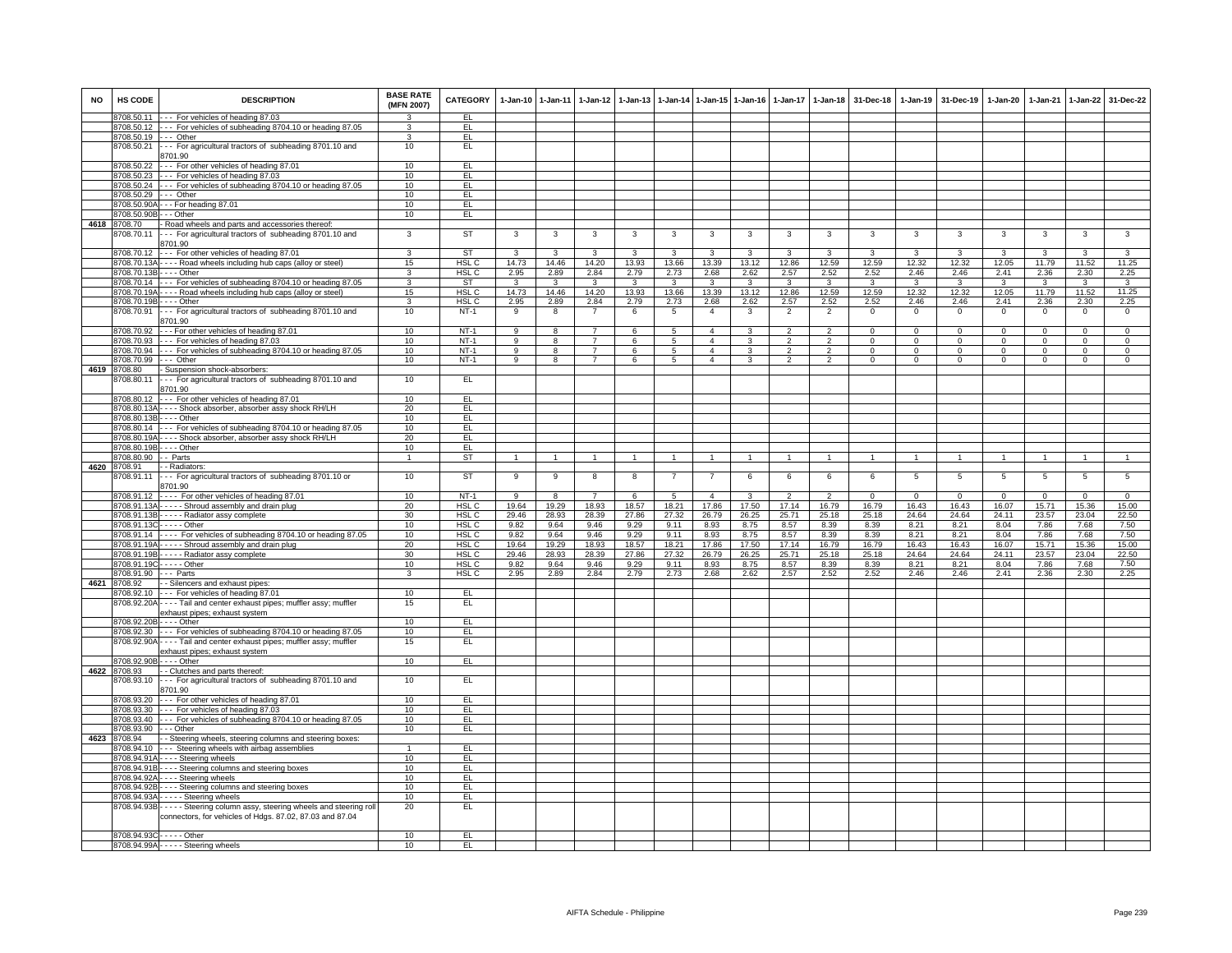| <b>NO</b> | HS CODE                   | <b>DESCRIPTION</b>                                                                                                                        | <b>BASE RATE</b><br>(MFN 2007) | CATEGORY         |                | 1-Jan-10 1-Jan-11       | $1 - Jan-12$   | $1-Jan-13$              |                 |                | 1-Jan-14 1-Jan-15 1-Jan-16 |                | 1-Jan-17 1-Jan-18 | 31-Dec-18   |                | 1-Jan-19 31-Dec-19 | $1 - Jan-20$ | $1-Jan-21$  |              | 1-Jan-22 31-Dec-22 |
|-----------|---------------------------|-------------------------------------------------------------------------------------------------------------------------------------------|--------------------------------|------------------|----------------|-------------------------|----------------|-------------------------|-----------------|----------------|----------------------------|----------------|-------------------|-------------|----------------|--------------------|--------------|-------------|--------------|--------------------|
|           |                           | 8708.50.11 --- For vehicles of heading 87.03                                                                                              | $\mathbf{R}$                   | EL               |                |                         |                |                         |                 |                |                            |                |                   |             |                |                    |              |             |              |                    |
|           |                           | 8708.50.12 --- For vehicles of subheading 8704.10 or heading 87.05                                                                        | 3                              | EL.              |                |                         |                |                         |                 |                |                            |                |                   |             |                |                    |              |             |              |                    |
|           | 8708.50.19 --- Other      |                                                                                                                                           | $\mathbf{R}$                   | EL               |                |                         |                |                         |                 |                |                            |                |                   |             |                |                    |              |             |              |                    |
|           | 8708.50.21                | --- For agricultural tractors of subheading 8701.10 and                                                                                   | 10                             | EL               |                |                         |                |                         |                 |                |                            |                |                   |             |                |                    |              |             |              |                    |
|           |                           | 8701.90                                                                                                                                   |                                |                  |                |                         |                |                         |                 |                |                            |                |                   |             |                |                    |              |             |              |                    |
|           |                           | 8708.50.22 --- For other vehicles of heading 87.01                                                                                        | 10                             | EL.              |                |                         |                |                         |                 |                |                            |                |                   |             |                |                    |              |             |              |                    |
|           |                           | 8708.50.23 --- For vehicles of heading 87.03                                                                                              | 10                             | EL               |                |                         |                |                         |                 |                |                            |                |                   |             |                |                    |              |             |              |                    |
|           |                           | 8708.50.24 --- For vehicles of subheading 8704.10 or heading 87.05                                                                        | 10                             | EL               |                |                         |                |                         |                 |                |                            |                |                   |             |                |                    |              |             |              |                    |
|           | 8708.50.29 --- Other      |                                                                                                                                           | 10                             | EL               |                |                         |                |                         |                 |                |                            |                |                   |             |                |                    |              |             |              |                    |
|           |                           | 8708.50.90A - - - For heading 87.01                                                                                                       | 10                             | EL.              |                |                         |                |                         |                 |                |                            |                |                   |             |                |                    |              |             |              |                    |
|           | 8708.50.90B - - - Other   |                                                                                                                                           | 10                             | EL.              |                |                         |                |                         |                 |                |                            |                |                   |             |                |                    |              |             |              |                    |
|           | 4618 8708.70              | - Road wheels and parts and accessories thereof:                                                                                          |                                |                  |                |                         |                |                         |                 |                |                            |                |                   |             |                |                    |              |             |              |                    |
|           | 8708.70.11                | --- For agricultural tractors of subheading 8701.10 and                                                                                   | 3                              | ST               | 3              | $\mathbf{3}$            | $\mathbf{3}$   | 3                       | $\mathbf{3}$    | 3              | 3                          | 3              | 3                 | 3           | 3              | 3                  | 3            | 3           | 3            | 3                  |
|           |                           | 8701.90                                                                                                                                   |                                |                  |                |                         |                |                         |                 |                |                            |                |                   |             |                |                    |              |             |              |                    |
|           | 8708.70.12                | --- For other vehicles of heading 87.01                                                                                                   | 3                              | ST               | $\mathbf{3}$   | 3                       | $\mathbf{3}$   | 3                       | $\mathbf{3}$    | 3              | 3                          | 3              | $\mathbf{3}$      | 3           | 3              | 3                  | 3            | 3           | $\mathbf{3}$ | 3                  |
|           |                           | 8708.70.13A - - - - Road wheels including hub caps (alloy or steel)                                                                       | 15                             | HSL <sub>C</sub> | 14.73          | 14.46                   | 14.20          | 13.93                   | 13.66           | 13.39          | 13.12                      | 12.86          | 12.59             | 12.59       | 12.32          | 12.32              | 12.05        | 11.79       | 11.52        | 11.25              |
|           | 8708.70.13B---- Other     |                                                                                                                                           | 3                              | HSL <sub>C</sub> | 2.95           | 2.89                    | 2.84           | 2.79                    | 2.73            | 2.68           | 2.62                       | 2.57           | 2.52              | 2.52        | 2.46           | 2.46               | 2.41         | 2.36        | 2.30         | 2.25               |
|           |                           | 8708.70.14 --- For vehicles of subheading 8704.10 or heading 87.05                                                                        | $\overline{3}$                 | <b>ST</b>        | $\mathbf{3}$   | $\mathbf{3}$            | $\mathbf{3}$   | $\overline{\mathbf{3}}$ | $\mathbf{3}$    | 3              | 3                          | 3              | $\mathbf{3}$      | 3           | $\mathbf{3}$   | $\mathbf{3}$       | $\mathbf{3}$ | 3           | $\mathbf{3}$ | $\overline{3}$     |
|           |                           | 8708.70.19A - - - - Road wheels including hub caps (alloy or steel)                                                                       | 15                             | HSL <sub>C</sub> | 14.73          | 14.46                   | 14.20          | 13.93                   | 13.66           | 13.39          | 13.12                      | 12.86          | 12.59             | 12.59       | 12.32          | 12.32              | 12.05        | 11.79       | 11.52        | 11.25              |
|           | 8708.70.19B - - - - Other |                                                                                                                                           | 3                              | HSL C            | 2.95           | 2.89                    | 2.84           | 2.79                    | 2.73            | 2.68           | 2.62                       | 2.57           | 2.52              | 2.52        | 2.46           | 2.46               | 2.41         | 2.36        | 2.30         | 2.25               |
|           | 8708.70.91                | --- For agricultural tractors of subheading 8701.10 and                                                                                   | 10                             | $NT-1$           | 9              | 8                       | $\overline{7}$ | 6                       | $\sqrt{5}$      | $\overline{4}$ | 3                          | $\overline{2}$ | $\overline{2}$    | $\mathsf 0$ | $\mathsf 0$    | $\mathbf 0$        | $\mathsf 0$  | $\mathbf 0$ | $\mathbf 0$  | $\mathsf 0$        |
|           |                           | 8701.90                                                                                                                                   |                                |                  |                |                         |                |                         |                 |                |                            |                |                   |             |                |                    |              |             |              |                    |
|           |                           | 8708.70.92 --- For other vehicles of heading 87.01                                                                                        | 10                             | $NT-1$           | 9              | 8                       | $\overline{7}$ | 6                       | 5               | $\overline{4}$ | 3                          | 2              | $\overline{2}$    | $\Omega$    | $^{\circ}$     | $\overline{0}$     | $\Omega$     | $\Omega$    | $^{\circ}$   | $\Omega$           |
|           |                           | 8708.70.93 --- For vehicles of heading 87.03                                                                                              | 10                             | $NT-1$           | $\overline{9}$ | $\overline{\mathbf{8}}$ | $\overline{7}$ | 6                       | $5\overline{)}$ | $\overline{a}$ | 3                          | $\overline{2}$ | $\overline{2}$    | $\Omega$    | $\mathbf 0$    | 0                  | $\mathbf 0$  | $\Omega$    | $\mathbf{0}$ | $\overline{0}$     |
|           |                           | 8708.70.94 --- For vehicles of subheading 8704.10 or heading 87.05                                                                        | 10                             | $NT-1$           | 9              | 8                       | $\overline{7}$ | 6                       | 5               | $\overline{4}$ | 3                          | $\overline{2}$ | $\overline{2}$    | $\mathbf 0$ | $\mathbf 0$    | $\mathbf 0$        | 0            | $\mathbf 0$ | $\circ$      | $\mathbf 0$        |
|           | 8708.70.99                | --- Other                                                                                                                                 | 10                             | $NT-1$           | 9              | 8                       | $\overline{7}$ | 6                       | 5               | $\overline{4}$ | 3                          | $\overline{2}$ | $\overline{2}$    | $\mathbf 0$ | $\mathbf 0$    | $\mathbf 0$        | 0            | $\mathbf 0$ | $\circ$      | $\mathsf 0$        |
|           | 4619 8708.80              | - Suspension shock-absorbers:                                                                                                             |                                |                  |                |                         |                |                         |                 |                |                            |                |                   |             |                |                    |              |             |              |                    |
|           | 8708.80.11                | --- For agricultural tractors of subheading 8701.10 and                                                                                   | 10                             | EL               |                |                         |                |                         |                 |                |                            |                |                   |             |                |                    |              |             |              |                    |
|           |                           | 8701.90                                                                                                                                   |                                |                  |                |                         |                |                         |                 |                |                            |                |                   |             |                |                    |              |             |              |                    |
|           | 8708.80.12                | --- For other vehicles of heading 87.01                                                                                                   | 10                             | EL               |                |                         |                |                         |                 |                |                            |                |                   |             |                |                    |              |             |              |                    |
|           |                           | 8708.80.13A - - - - Shock absorber, absorber assy shock RH/LH                                                                             | 20                             | EL               |                |                         |                |                         |                 |                |                            |                |                   |             |                |                    |              |             |              |                    |
|           | 8708.80.13B - - - - Other |                                                                                                                                           | 10                             | EL.              |                |                         |                |                         |                 |                |                            |                |                   |             |                |                    |              |             |              |                    |
|           |                           | 8708.80.14 --- For vehicles of subheading 8704.10 or heading 87.05                                                                        | 10                             | EL.              |                |                         |                |                         |                 |                |                            |                |                   |             |                |                    |              |             |              |                    |
|           |                           | 8708.80.19A - - - - Shock absorber, absorber assy shock RH/LH                                                                             | 20                             | EL               |                |                         |                |                         |                 |                |                            |                |                   |             |                |                    |              |             |              |                    |
|           | 8708.80.19B - - - - Other |                                                                                                                                           | 10                             | EL               |                |                         |                |                         |                 |                |                            |                |                   |             |                |                    |              |             |              |                    |
|           | 8708.80.90 - - Parts      |                                                                                                                                           | $\overline{1}$                 | <b>ST</b>        | $\mathbf{1}$   | $\mathbf{1}$            | $\overline{1}$ | $\mathbf{1}$            | $\mathbf{1}$    | $\mathbf{1}$   | $\mathbf{1}$               | $\mathbf{1}$   | $\overline{1}$    |             | $\mathbf{1}$   | $\mathbf{1}$       | $\mathbf{1}$ |             | $\mathbf{1}$ |                    |
| 4620      | 8708.91                   | - - Radiators                                                                                                                             |                                |                  |                |                         |                |                         |                 |                |                            |                |                   |             |                |                    |              |             |              |                    |
|           | 8708.91.11                | --- For agricultural tractors of subheading 8701.10 or                                                                                    | 10                             | ST               | 9              | 9                       | 8              | 8                       | 7               | $\overline{7}$ | 6                          | 6              | 6                 | 6           | $\sqrt{5}$     | $\sqrt{5}$         | $\sqrt{5}$   | 5           | $\sqrt{5}$   | 5                  |
|           |                           | 8701.90                                                                                                                                   |                                |                  |                |                         |                |                         |                 |                |                            |                |                   |             |                |                    |              |             |              |                    |
|           |                           | 8708.91.12 ---- For other vehicles of heading 87.01                                                                                       | 10                             | $NT-1$           | $\overline{9}$ | 8                       | $\overline{7}$ | 6                       | 5               | $\overline{4}$ | $\mathbf{3}$               | $\overline{2}$ | $\overline{2}$    | $\Omega$    | $\overline{0}$ | $\overline{0}$     | $\Omega$     | $\Omega$    | $\Omega$     | $\overline{0}$     |
|           |                           | 8708.91.13A - - - - - Shroud assembly and drain plug                                                                                      | 20                             | HSL C            | 19.64          | 19.29                   | 18.93          | 18.57                   | 18.21           | 17.86          | 17.50                      | 17.14          | 16.79             | 16.79       | 16.43          | 16.43              | 16.07        | 1571        | 15.36        | 15.00              |
|           |                           | 8708.91.13B - - - - - Radiator assy complete                                                                                              | 30                             | HSL C            | 29.46          | 28.93                   | 28.39          | 27.86                   | 27.32           | 26.79          | 26.25                      | 25.71          | 25.18             | 25.18       | 24.64          | 24.64              | 24.11        | 23.57       | 23.04        | 22.50              |
|           |                           | 8708.91.13C-----Other                                                                                                                     | 10                             | HSL <sub>C</sub> | 9.82           | 9.64                    | 9.46           | 9.29                    | 9.11            | 8.93           | 8.75                       | 8.57           | 8.39              | 8.39        | 8.21           | 8.21               | 8.04         | 7.86        | 7.68         | 7.50               |
|           |                           | 8708.91.14 ---- For vehicles of subheading 8704.10 or heading 87.05                                                                       | 10                             | HSL C            | 9.82           | 9.64                    | 9.46           | 9.29                    | 9.11            | 8.93           | 8.75                       | 8.57           | 8.39              | 8.39        | 8.21           | 8.21               | 8.04         | 7.86        | 7.68         | 7.50               |
|           |                           | 8708.91.19A - - - - - Shroud assembly and drain plug                                                                                      | 20                             | <b>HSL C</b>     | 19.64          | 19.29                   | 18.93          | 18.57                   | 18.21           | 17.86          | 17.50                      | 17.14          | 16.79             | 16.79       | 16.43          | 16.43              | 16.07        | 15.71       | 15.36        | 15.00              |
|           |                           | 8708.91.19B - - - - - Radiator assy complete                                                                                              | 30                             | HSL C            | 29.46          | 28.93                   | 28.39          | 27.86                   | 27.32           | 26.79          | 26.25                      | 25.71          | 25.18             | 25.18       | 24.64          | 24.64              | 24.11        | 23.57       | 23.04        | 22.50              |
|           | 8708.91.19C----- Other    |                                                                                                                                           | 10                             | HSL C            | 9.82           | 9.64                    | 9.46           | 9.29                    | 9.11            | 8.93           | 8.75                       | 8.57           | 8.39              | 8.39        | 8.21           | 8.21               | 8.04         | 7.86        | 7.68         | 7.50               |
|           | 8708.91.90 --- Parts      |                                                                                                                                           | 3                              | HSL C            | 2.95           | 2.89                    | 2.84           | 2.79                    | 2.73            | 2.68           | 2.62                       | 2.57           | 2.52              | 2.52        | 2.46           | 2.46               | 2.41         | 2.36        | 2.30         | 2.25               |
| 4621      | 8708.92                   | - - Silencers and exhaust pipes:                                                                                                          |                                |                  |                |                         |                |                         |                 |                |                            |                |                   |             |                |                    |              |             |              |                    |
|           |                           | 8708.92.10 --- For vehicles of heading 87.01                                                                                              | 10                             | EL               |                |                         |                |                         |                 |                |                            |                |                   |             |                |                    |              |             |              |                    |
|           |                           | 8708.92.20A - - - - Tail and center exhaust pipes; muffler assy; muffler                                                                  | 15                             | EL.              |                |                         |                |                         |                 |                |                            |                |                   |             |                |                    |              |             |              |                    |
|           |                           | exhaust pipes; exhaust system                                                                                                             |                                |                  |                |                         |                |                         |                 |                |                            |                |                   |             |                |                    |              |             |              |                    |
|           | 8708.92.20B - - - - Other |                                                                                                                                           | 10                             | EL.              |                |                         |                |                         |                 |                |                            |                |                   |             |                |                    |              |             |              |                    |
|           |                           | 8708.92.30 --- For vehicles of subheading 8704.10 or heading 87.05                                                                        | 10                             | EL               |                |                         |                |                         |                 |                |                            |                |                   |             |                |                    |              |             |              |                    |
|           |                           | 8708.92.90A - - - - Tail and center exhaust pipes; muffler assy; muffler                                                                  | 15                             | EL.              |                |                         |                |                         |                 |                |                            |                |                   |             |                |                    |              |             |              |                    |
|           |                           | exhaust pipes; exhaust system                                                                                                             |                                |                  |                |                         |                |                         |                 |                |                            |                |                   |             |                |                    |              |             |              |                    |
|           | 8708.92.90B - - - - Other |                                                                                                                                           | 10                             | EL               |                |                         |                |                         |                 |                |                            |                |                   |             |                |                    |              |             |              |                    |
|           | 4622 8708.93              | - - Clutches and parts thereof:                                                                                                           |                                |                  |                |                         |                |                         |                 |                |                            |                |                   |             |                |                    |              |             |              |                    |
|           | 8708.93.10                | --- For agricultural tractors of subheading 8701.10 and                                                                                   | 10                             | E                |                |                         |                |                         |                 |                |                            |                |                   |             |                |                    |              |             |              |                    |
|           |                           | 8701.90                                                                                                                                   |                                |                  |                |                         |                |                         |                 |                |                            |                |                   |             |                |                    |              |             |              |                    |
|           |                           | 8708.93.20 --- For other vehicles of heading 87.01                                                                                        | 10                             | EL               |                |                         |                |                         |                 |                |                            |                |                   |             |                |                    |              |             |              |                    |
|           |                           | 8708.93.30 --- For vehicles of heading 87.03                                                                                              | 10                             | EL               |                |                         |                |                         |                 |                |                            |                |                   |             |                |                    |              |             |              |                    |
|           |                           | 8708.93.40 --- For vehicles of subheading 8704.10 or heading 87.05                                                                        | 10                             | EL               |                |                         |                |                         |                 |                |                            |                |                   |             |                |                    |              |             |              |                    |
|           | 8708.93.90 - - - Other    |                                                                                                                                           | 10                             | EL               |                |                         |                |                         |                 |                |                            |                |                   |             |                |                    |              |             |              |                    |
| 4623      | 8708.94                   | - - Steering wheels, steering columns and steering boxes:                                                                                 |                                |                  |                |                         |                |                         |                 |                |                            |                |                   |             |                |                    |              |             |              |                    |
|           |                           | 8708.94.10 --- Steering wheels with airbag assemblies                                                                                     | $\mathbf{1}$                   | EL               |                |                         |                |                         |                 |                |                            |                |                   |             |                |                    |              |             |              |                    |
|           |                           | 8708.94.91A - - - - Steering wheels                                                                                                       | 10                             | EL               |                |                         |                |                         |                 |                |                            |                |                   |             |                |                    |              |             |              |                    |
|           |                           | 8708.94.91B---- Steering columns and steering boxes                                                                                       | 10                             | EL.              |                |                         |                |                         |                 |                |                            |                |                   |             |                |                    |              |             |              |                    |
|           |                           | 8708.94.92A - - - - Steering wheels                                                                                                       | 10                             | EL.              |                |                         |                |                         |                 |                |                            |                |                   |             |                |                    |              |             |              |                    |
|           |                           | 8708.94.92B - - - - Steering columns and steering boxes                                                                                   | 10                             | EL.              |                |                         |                |                         |                 |                |                            |                |                   |             |                |                    |              |             |              |                    |
|           |                           | 8708.94.93A - - - - - Steering wheels                                                                                                     | 10                             | EL               |                |                         |                |                         |                 |                |                            |                |                   |             |                |                    |              |             |              |                    |
|           |                           | 8708.94.93B - - - - - Steering column assy, steering wheels and steering roll<br>connectors, for vehicles of Hdgs. 87.02, 87.03 and 87.04 | 20                             | EL               |                |                         |                |                         |                 |                |                            |                |                   |             |                |                    |              |             |              |                    |
|           |                           | 8708.94.93C-----Other                                                                                                                     | 10 <sup>1</sup>                | EL.              |                |                         |                |                         |                 |                |                            |                |                   |             |                |                    |              |             |              |                    |
|           |                           | 8708.94.99A - - - - - Steering wheels                                                                                                     | 10                             | EL               |                |                         |                |                         |                 |                |                            |                |                   |             |                |                    |              |             |              |                    |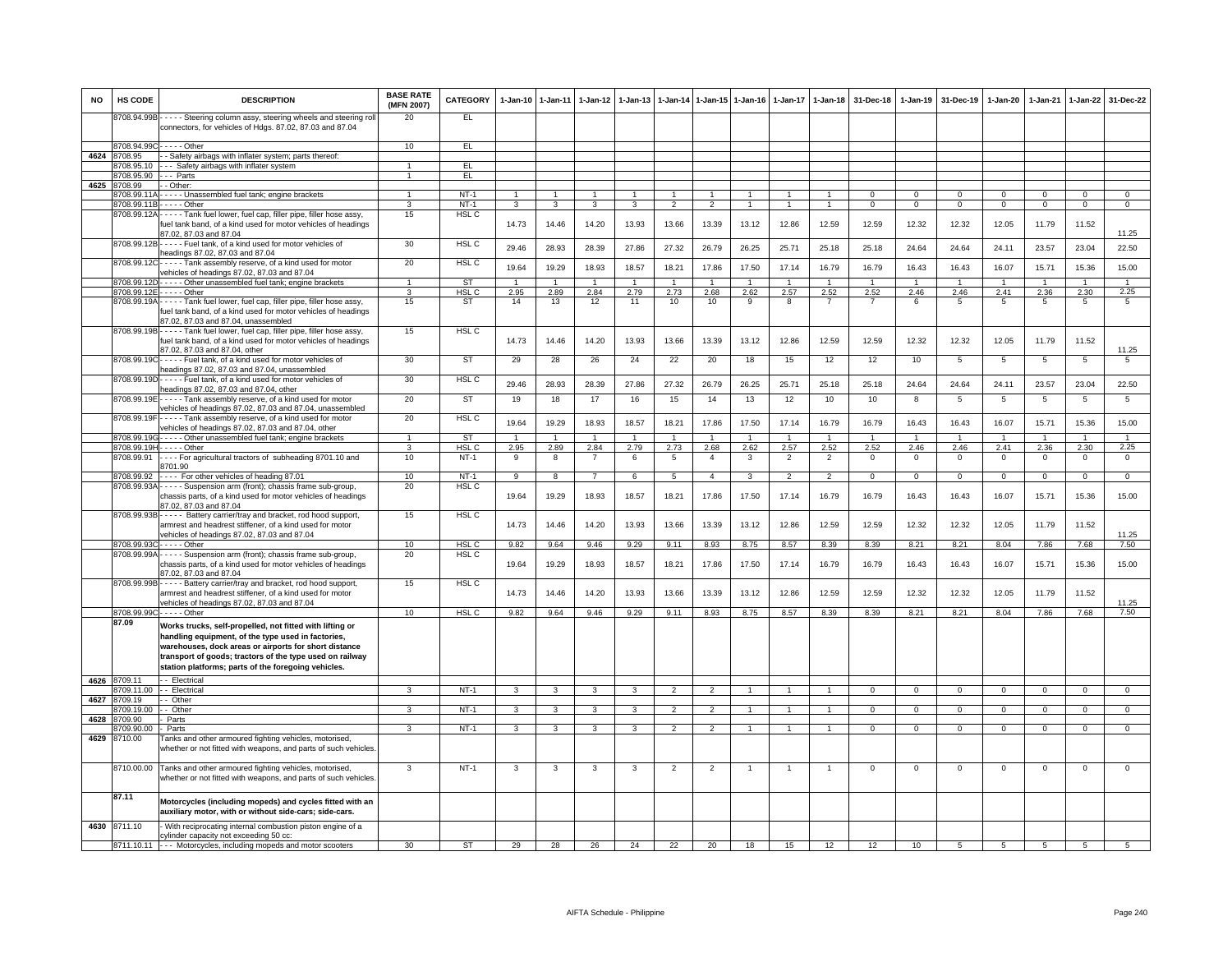| <b>NO</b> | HS CODE              | <b>DESCRIPTION</b>                                                                                                                                                                                                             | <b>BASE RATE</b><br>(MFN 2007) | <b>CATEGORY</b>  | $1-Jan-10$     | $1 - Jan-11$            | $1-Jan-12$     | $1 - Jan-13$   | 1-Jan-14        | 1-Jan-15       | $1-Jan-16$     | $1-Jan-17$     | $1-Jan-18$     | 31-Dec-18            | $1-Jan-19$           | 31-Dec-19            | 1-Jan-20             | $1-Jan-21$           | $1-Jan-22$                 | 31-Dec-22                  |
|-----------|----------------------|--------------------------------------------------------------------------------------------------------------------------------------------------------------------------------------------------------------------------------|--------------------------------|------------------|----------------|-------------------------|----------------|----------------|-----------------|----------------|----------------|----------------|----------------|----------------------|----------------------|----------------------|----------------------|----------------------|----------------------------|----------------------------|
|           |                      | 8708.94.99B - - - - - Steering column assy, steering wheels and steering roll<br>connectors, for vehicles of Hdgs. 87.02, 87.03 and 87.04                                                                                      | 20                             | EL.              |                |                         |                |                |                 |                |                |                |                |                      |                      |                      |                      |                      |                            |                            |
|           | 8708.94.99C          | $\cdots$ - Other                                                                                                                                                                                                               | 10                             | EL               |                |                         |                |                |                 |                |                |                |                |                      |                      |                      |                      |                      |                            |                            |
| 4624      | 708.95               | - Safety airbags with inflater system; parts thereof                                                                                                                                                                           |                                |                  |                |                         |                |                |                 |                |                |                |                |                      |                      |                      |                      |                      |                            |                            |
|           | 8708.95.10           | --- Safety airbags with inflater system                                                                                                                                                                                        | $\mathbf{1}$                   | EL               |                |                         |                |                |                 |                |                |                |                |                      |                      |                      |                      |                      |                            |                            |
|           | 3708.95.90           | -- Parts                                                                                                                                                                                                                       | $\mathbf{1}$                   | EL               |                |                         |                |                |                 |                |                |                |                |                      |                      |                      |                      |                      |                            |                            |
| 4625      | 3708.99              | - Other:                                                                                                                                                                                                                       |                                |                  |                |                         |                |                |                 |                |                |                |                |                      |                      |                      |                      |                      |                            |                            |
|           | 8708.99.11.          | - - - - - Unassembled fuel tank; engine brackets<br>3708.99.11B - - - - - Other                                                                                                                                                | $\mathbf{1}$                   | $NT-1$<br>$NT-1$ | 3              | 3                       | 3              | 3              | $\mathcal{P}$   | $\overline{2}$ | $\overline{1}$ | $\overline{1}$ | $\overline{1}$ | $\Omega$<br>$\Omega$ | $\Omega$<br>$\Omega$ | $\Omega$<br>$\Omega$ | $\Omega$<br>$\Omega$ | $\Omega$<br>$\Omega$ | $\Omega$<br>$\overline{0}$ | $\Omega$<br>$\overline{0}$ |
|           |                      | 8708.99.12A - - - - - Tank fuel lower, fuel cap, filler pipe, filler hose assy,                                                                                                                                                | 15                             | HSL C            |                |                         |                |                |                 |                |                |                |                |                      |                      |                      |                      |                      |                            |                            |
|           |                      | fuel tank band, of a kind used for motor vehicles of headings<br>87.02, 87.03 and 87.04                                                                                                                                        |                                |                  | 14.73          | 14.46                   | 14.20          | 13.93          | 13.66           | 13.39          | 13.12          | 12.86          | 12.59          | 12.59                | 12.32                | 12.32                | 12.05                | 11.79                | 11.52                      | 11.25                      |
|           | 8708.99.12B          | ----- Fuel tank, of a kind used for motor vehicles of<br>eadings 87.02, 87.03 and 87.04                                                                                                                                        | 30                             | HSL C            | 29.46          | 28.93                   | 28.39          | 27.86          | 27.32           | 26.79          | 26.25          | 25.71          | 25.18          | 25.18                | 24.64                | 24.64                | 24.11                | 23.57                | 23.04                      | 22.50                      |
|           |                      | 8708.99.12C----- Tank assembly reserve, of a kind used for motor<br>vehicles of headings 87.02, 87.03 and 87.04                                                                                                                | 20                             | HSL C            | 19.64          | 19.29                   | 18.93          | 18.57          | 18.21           | 17.86          | 17.50          | 17.14          | 16.79          | 16.79                | 16.43                | 16.43                | 16.07                | 15.71                | 15.36                      | 15.00                      |
|           | 3708.99.12D          | Other unassembled fuel tank; engine brackets                                                                                                                                                                                   | $\blacktriangleleft$           | <b>ST</b>        | $\overline{1}$ | $\overline{1}$          |                | $\overline{1}$ | $\overline{1}$  | $\overline{1}$ | $\overline{1}$ | $\overline{1}$ | $\overline{1}$ | $\overline{1}$       | $\overline{1}$       | $\overline{1}$       | $\overline{1}$       | $\overline{1}$       | $\overline{1}$             | $\mathbf{1}$               |
|           |                      | 8708.99.12E - - - - - Other                                                                                                                                                                                                    | $\mathbf{R}$                   | HSL <sub>C</sub> | 2.95           | 2.89                    | 2.84           | 2.79           | 2.73            | 2.68           | 2.62           | 2.57           | 2.52           | 2.52                 | 2.46                 | 2.46                 | 2.41                 | 2.36                 | 2.30                       | 2.25                       |
|           |                      | 8708.99.19A - - - - - Tank fuel lower, fuel cap, filler pipe, filler hose assy,<br>fuel tank band, of a kind used for motor vehicles of headings<br>87.02, 87.03 and 87.04, unassembled                                        | 15                             | <b>ST</b>        | 14             | 13                      | 12             | 11             | 10              | 10             | 9              | 8              | $\overline{7}$ | $\overline{7}$       | 6                    | 5                    | 5                    | 5                    | 5                          | 5                          |
|           |                      | 8708.99.19B - - - - - Tank fuel lower, fuel cap, filler pipe, filler hose assy,<br>fuel tank band, of a kind used for motor vehicles of headings                                                                               | 15                             | <b>HSL C</b>     | 14.73          | 14.46                   | 14.20          | 13.93          | 13.66           | 13.39          | 13.12          | 12.86          | 12.59          | 12.59                | 12.32                | 12.32                | 12.05                | 11.79                | 11.52                      |                            |
|           | 8708.99.19C          | 37.02, 87.03 and 87.04, other<br>- - - - - Fuel tank, of a kind used for motor vehicles of                                                                                                                                     | 30                             | <b>ST</b>        | 29             | 28                      | 26             | 24             | 22              | 20             | 18             | 15             | 12             | 12                   | 10                   | 5                    | 5                    | 5                    | 5                          | 11.25<br>5                 |
|           | 8708.99.19D          | headings 87.02, 87.03 and 87.04, unassembled<br>Fuel tank, of a kind used for motor vehicles of<br>headings 87,02, 87,03 and 87,04, other                                                                                      | 30                             | HSL <sub>C</sub> | 29.46          | 28.93                   | 28.39          | 27.86          | 27.32           | 26.79          | 26.25          | 25.71          | 25.18          | 25.18                | 24.64                | 24.64                | 24.11                | 23.57                | 23.04                      | 22.50                      |
|           | 8708.99.19E          | - - - - - Tank assembly reserve, of a kind used for motor<br>vehicles of headings 87.02, 87.03 and 87.04, unassembled                                                                                                          | 20                             | <b>ST</b>        | 19             | 18                      | 17             | 16             | 15              | 14             | 13             | 12             | 10             | 10                   | 8                    | 5                    | 5                    | 5                    | 5                          | 5                          |
|           | 8708.99.19F          | - - - - - Tank assembly reserve, of a kind used for motor<br>vehicles of headings 87.02, 87.03 and 87.04, other                                                                                                                | 20                             | HSL <sub>C</sub> | 19.64          | 19.29                   | 18.93          | 18.57          | 18.21           | 17.86          | 17.50          | 17.14          | 16.79          | 16.79                | 16.43                | 16.43                | 16.07                | 15.71                | 15.36                      | 15.00                      |
|           | 8708.99.190          | - - - - Other unassembled fuel tank; engine brackets                                                                                                                                                                           | 1                              | ST               | $\overline{1}$ | $\overline{1}$          | $\mathbf{1}$   |                | $\mathbf{1}$    | $\overline{1}$ | $\overline{1}$ | $\mathbf{1}$   | $\overline{1}$ | $\overline{1}$       | $\overline{1}$       | $\overline{1}$       | $\overline{1}$       |                      | $\mathbf{1}$               | -1                         |
|           | 3708.99.19           | $- - -$ Other                                                                                                                                                                                                                  | 3                              | HSL <sub>C</sub> | 2.95           | 2.89                    | 2.84           | 2.79           | 2.73            | 2.68           | 2.62           | 2.57           | 2.52           | 2.52                 | 2.46                 | 2.46                 | 2.41                 | 2.36                 | 2.30                       | 2.25                       |
|           | 8708.99.91           | - - - - For agricultural tractors of subheading 8701.10 and<br>3701.90                                                                                                                                                         | 10                             | <b>NT-1</b>      | 9              | 8                       | -7             | 6              | 5               | $\overline{4}$ | 3              | $\overline{2}$ | $\overline{2}$ | $\mathsf 0$          | $\mathsf 0$          | $\mathbf 0$          | 0                    | $\mathbf 0$          | $\mathsf 0$                | 0                          |
|           | 8708.99.92           | ---- For other vehicles of heading 87.01                                                                                                                                                                                       | 10                             | $NT-1$           | $\overline{9}$ | $\overline{\mathbf{8}}$ | $\overline{7}$ | 6              | $5\overline{5}$ | $\overline{4}$ | $\overline{3}$ | $\overline{2}$ | $\overline{2}$ | $\overline{0}$       | $\overline{0}$       | $\overline{0}$       | $\overline{0}$       | $\Omega$             | $\overline{0}$             | $\overline{0}$             |
|           | 8708.99.93A          | ---- Suspension arm (front); chassis frame sub-group,<br>chassis parts, of a kind used for motor vehicles of headings<br>87.02, 87.03 and 87.04                                                                                | 20                             | HSL C            | 19.64          | 19.29                   | 18.93          | 18.57          | 18.21           | 17.86          | 17.50          | 17.14          | 16.79          | 16.79                | 16.43                | 16.43                | 16.07                | 15.71                | 15.36                      | 15.00                      |
|           |                      | 8708.99.93B - - - - - Battery carrier/tray and bracket, rod hood support,<br>armrest and headrest stiffener, of a kind used for motor                                                                                          | 15                             | HSL C            | 14.73          | 14.46                   | 14.20          | 13.93          | 13.66           | 13.39          | 13.12          | 12.86          | 12.59          | 12.59                | 12.32                | 12.32                | 12.05                | 11.79                | 11.52                      |                            |
|           | 8708.99.930          | vehicles of headings 87.02, 87.03 and 87.04<br>$\cdots$ - Other                                                                                                                                                                | 10                             | HSL <sub>C</sub> | 9.82           | 9.64                    | 9.46           | 9.29           | 9.11            | 8.93           | 8.75           | 8.57           | 8.39           | 8.39                 | 8.21                 | 8.21                 | 8.04                 | 7.86                 | 7.68                       | 11.25<br>7.50              |
|           | 3708.99.99A          | - - - - Suspension arm (front); chassis frame sub-group,<br>chassis parts, of a kind used for motor vehicles of headings<br>37.02, 87.03 and 87.04                                                                             | 20                             | HSL C            | 19.64          | 19.29                   | 18.93          | 18.57          | 18.21           | 17.86          | 17.50          | 17.14          | 16.79          | 16.79                | 16.43                | 16.43                | 16.07                | 15.71                | 15.36                      | 15.00                      |
|           | 8708.99.99E          | Battery carrier/tray and bracket, rod hood support,<br>armrest and headrest stiffener, of a kind used for motor                                                                                                                | 15                             | HSL <sub>C</sub> | 14.73          | 14.46                   | 14.20          | 13.93          | 13.66           | 13.39          | 13.12          | 12.86          | 12.59          | 12.59                | 12.32                | 12.32                | 12.05                | 11.79                | 11.52                      |                            |
|           | 8708.99.990          | vehicles of headings 87.02, 87.03 and 87.04<br>$- - - -$ Other                                                                                                                                                                 | 10                             | HSL C            | 9.82           | 9.64                    | 9.46           | 9.29           | 9.11            | 8.93           | 8.75           | 8.57           | 8.39           | 8.39                 | 8.21                 | 8.21                 | 8.04                 | 7.86                 | 7.68                       | 11.25<br>7.50              |
|           | 87.09                | Works trucks, self-propelled, not fitted with lifting or                                                                                                                                                                       |                                |                  |                |                         |                |                |                 |                |                |                |                |                      |                      |                      |                      |                      |                            |                            |
|           |                      | handling equipment, of the type used in factories,<br>warehouses, dock areas or airports for short distance<br>transport of goods; tractors of the type used on railway<br>station platforms; parts of the foregoing vehicles. |                                |                  |                |                         |                |                |                 |                |                |                |                |                      |                      |                      |                      |                      |                            |                            |
| 4626      | 8709.11              | - Electrical                                                                                                                                                                                                                   |                                |                  |                | $\mathcal{R}$           | $\mathbf{R}$   |                | $\mathcal{P}$   | $\mathcal{P}$  |                |                |                |                      |                      |                      | $\Omega$             |                      |                            | $\Omega$                   |
| 4627      | 709.11.00<br>8709.19 | - - Electrical<br>- - Other                                                                                                                                                                                                    |                                | $NT-1$           | $\mathbf{B}$   |                         |                |                |                 |                |                |                |                | $\Omega$             | $\Omega$             | $\Omega$             |                      |                      | $\Omega$                   |                            |
|           | 3709.19.00           | - - Other                                                                                                                                                                                                                      | 3                              | $NT-1$           | 3              | $\mathbf{3}$            | $\mathbf{3}$   | 3              | $\overline{2}$  | $\overline{2}$ |                | $\mathbf{1}$   |                | $\mathbf 0$          | $\mathbf{0}$         | $\mathbf{0}$         | $\mathbf{0}$         | $^{\circ}$           | $\circ$                    | $\mathbf{0}$               |
|           | 4628 8709.90         | Parts                                                                                                                                                                                                                          |                                |                  |                |                         |                |                |                 |                |                |                |                |                      |                      |                      |                      |                      |                            |                            |
|           | 3709.90.00           | Parts                                                                                                                                                                                                                          | 3                              | $NT-1$           | 3              | 3                       | $\overline{3}$ | 3              | $\overline{2}$  | $\overline{2}$ | $\mathbf{1}$   | $\mathbf{1}$   |                | $\Omega$             | $\Omega$             | $\Omega$             | $\Omega$             | $\Omega$             | $\overline{0}$             | $\overline{0}$             |
| 4629      | 8710.00              | Tanks and other armoured fighting vehicles, motorised,<br>whether or not fitted with weapons, and parts of such vehicles                                                                                                       |                                |                  |                |                         |                |                |                 |                |                |                |                |                      |                      |                      |                      |                      |                            |                            |
|           |                      | 8710.00.00 Tanks and other armoured fighting vehicles, motorised,<br>whether or not fitted with weapons, and parts of such vehicles.                                                                                           | 3                              | $NT-1$           | $\mathbf{3}$   | 3                       | $\mathbf{3}$   | 3              | $\overline{2}$  | $\overline{2}$ | $\overline{1}$ | $\overline{1}$ | $\mathbf{1}$   | $^{\circ}$           | $\overline{0}$       | $\overline{0}$       | $\mathbf{0}$         | $^{\circ}$           | $^{\circ}$                 | $\mathbf 0$                |
|           | 87.11                | Motorcycles (including mopeds) and cycles fitted with an<br>auxiliary motor, with or without side-cars; side-cars.                                                                                                             |                                |                  |                |                         |                |                |                 |                |                |                |                |                      |                      |                      |                      |                      |                            |                            |
|           | 4630 8711.10         | - With reciprocating internal combustion piston engine of a<br>cylinder capacity not exceeding 50 cc:                                                                                                                          |                                |                  |                |                         |                |                |                 |                |                |                |                |                      |                      |                      |                      |                      |                            |                            |
|           |                      | 8711.10.11 --- Motorcycles, including mopeds and motor scooters                                                                                                                                                                | 30                             | <b>ST</b>        | 29             | 28                      | 26             | 24             | 22              | 20             | 18             | 15             | 12             | 12                   | 10                   | $\overline{5}$       | 5                    | $\overline{5}$       | 5                          |                            |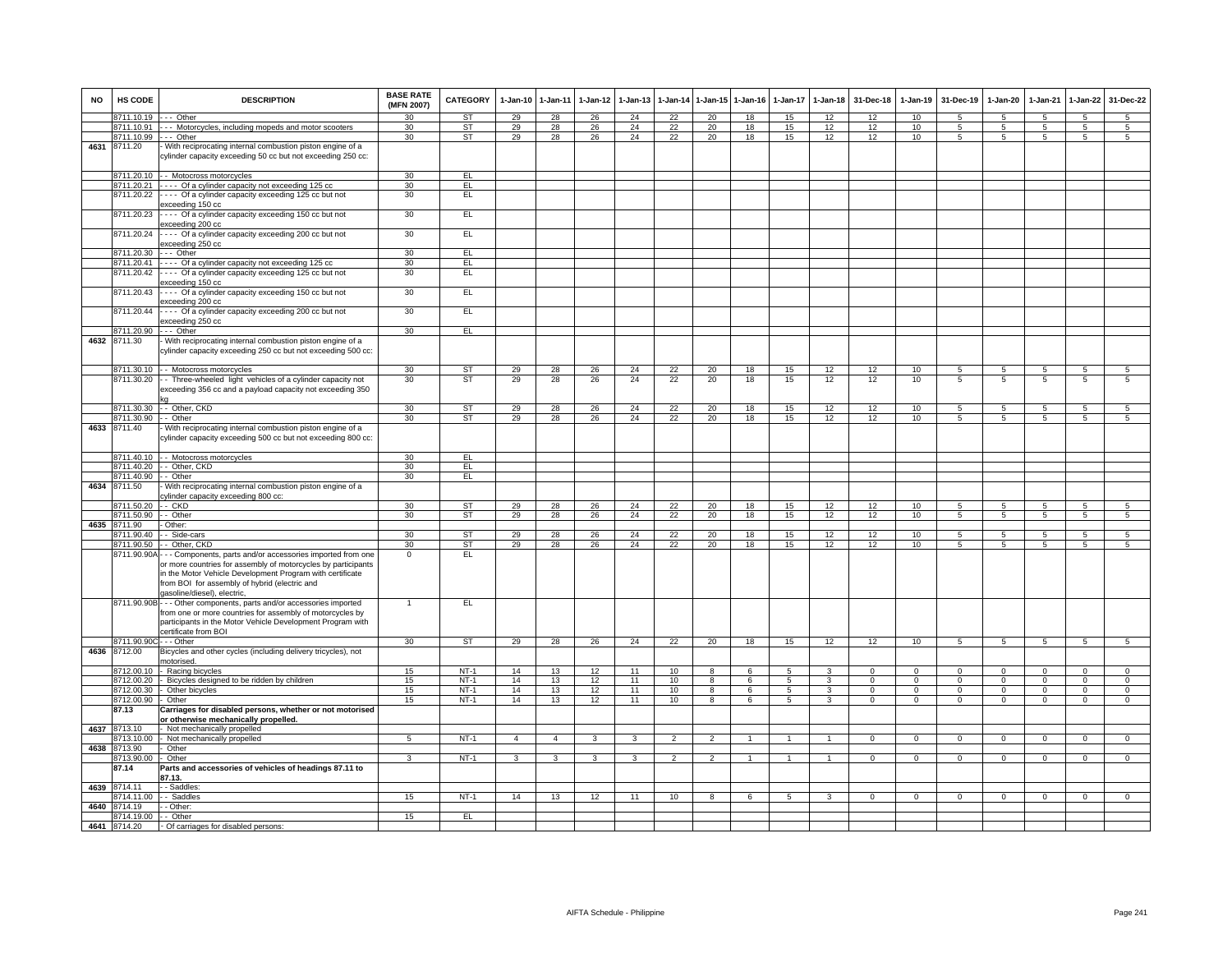| NO   | HS CODE                 | <b>DESCRIPTION</b>                                                                                                                                                                                                                                                       | <b>BASE RATE</b><br>(MFN 2007) | CATEGORY               | 1-Jan-10       | 1-Jan-11       | 1-Jan-12     | $1 - Jan-13$ | 1-Jan-14                 | 1-Jan-15       | $1 - Jan-16$ | 1-Jan-17       | $1 - Jan-18$            | 31-Dec-18    | 1-Jan-19     | 31-Dec-19       | 1-Jan-20        | $1-Jan-21$      | 1-Jan-22        | 31-Dec-22       |
|------|-------------------------|--------------------------------------------------------------------------------------------------------------------------------------------------------------------------------------------------------------------------------------------------------------------------|--------------------------------|------------------------|----------------|----------------|--------------|--------------|--------------------------|----------------|--------------|----------------|-------------------------|--------------|--------------|-----------------|-----------------|-----------------|-----------------|-----------------|
|      | 8711.10.19              | $- -$ Other                                                                                                                                                                                                                                                              | 30                             | <b>ST</b>              | 29             | 28             | 26           | 24           | 22                       | 20             | 18           | 15             | 12                      | 12           | 10           | 5               | 5               | $5\overline{5}$ | $\overline{5}$  | $\overline{5}$  |
|      | 8711.10.91              | -- Motorcycles, including mopeds and motor scooters                                                                                                                                                                                                                      | 30                             | <b>ST</b>              | 29             | 28             | 26           | 24           | 22                       | 20             | 18           | 15             | 12                      | 12           | 10           | $\overline{5}$  | 5               | 5               | $\overline{5}$  | 5               |
| 4631 | 8711.10.99              | $--$ Other                                                                                                                                                                                                                                                               | 30                             | <b>ST</b>              | 29             | 28             | 26           | 24           | 22                       | 20             | 18           | 15             | 12                      | 12           | 10           | $5\overline{)}$ | 5               | 5               | $5\overline{)}$ | 5               |
|      | 8711.20                 | With reciprocating internal combustion piston engine of a<br>cylinder capacity exceeding 50 cc but not exceeding 250 cc:                                                                                                                                                 |                                |                        |                |                |              |              |                          |                |              |                |                         |              |              |                 |                 |                 |                 |                 |
|      |                         | 8711.20.10 - - Motocross motorcycles                                                                                                                                                                                                                                     | 30                             | EL                     |                |                |              |              |                          |                |              |                |                         |              |              |                 |                 |                 |                 |                 |
|      | 8711.20.21              | --- Of a cylinder capacity not exceeding 125 cc                                                                                                                                                                                                                          | 30                             | EL.                    |                |                |              |              |                          |                |              |                |                         |              |              |                 |                 |                 |                 |                 |
|      | 8711.20.22              | --- Of a cylinder capacity exceeding 125 cc but not                                                                                                                                                                                                                      | 30                             | EL                     |                |                |              |              |                          |                |              |                |                         |              |              |                 |                 |                 |                 |                 |
|      | 8711.20.23              | xceeding 150 cc<br>- - - - Of a cylinder capacity exceeding 150 cc but not<br>exceeding 200 cc                                                                                                                                                                           | 30                             | EL                     |                |                |              |              |                          |                |              |                |                         |              |              |                 |                 |                 |                 |                 |
|      | 8711.20.24              | - - - - Of a cylinder capacity exceeding 200 cc but not<br>exceeding 250 cc                                                                                                                                                                                              | 30                             | EL                     |                |                |              |              |                          |                |              |                |                         |              |              |                 |                 |                 |                 |                 |
|      | 8711.20.30              | --- Other                                                                                                                                                                                                                                                                | 30                             | EL.                    |                |                |              |              |                          |                |              |                |                         |              |              |                 |                 |                 |                 |                 |
|      | 8711.20.41              | ---- Of a cylinder capacity not exceeding 125 cc                                                                                                                                                                                                                         | 30                             | EL                     |                |                |              |              |                          |                |              |                |                         |              |              |                 |                 |                 |                 |                 |
|      | 8711.20.42              | ---- Of a cylinder capacity exceeding 125 cc but not<br>xceeding 150 cc                                                                                                                                                                                                  | 30                             | E                      |                |                |              |              |                          |                |              |                |                         |              |              |                 |                 |                 |                 |                 |
|      | 8711.20.43              | --- Of a cylinder capacity exceeding 150 cc but not<br>exceeding 200 cc                                                                                                                                                                                                  | 30                             | EL                     |                |                |              |              |                          |                |              |                |                         |              |              |                 |                 |                 |                 |                 |
|      | 8711.20.44              | --- Of a cylinder capacity exceeding 200 cc but not<br>exceeding 250 cc                                                                                                                                                                                                  | 30                             | EL                     |                |                |              |              |                          |                |              |                |                         |              |              |                 |                 |                 |                 |                 |
|      | 8711.20.90              | --- Other                                                                                                                                                                                                                                                                | 30                             | EL                     |                |                |              |              |                          |                |              |                |                         |              |              |                 |                 |                 |                 |                 |
|      | 4632 8711.30            | - With reciprocating internal combustion piston engine of a<br>cylinder capacity exceeding 250 cc but not exceeding 500 cc:                                                                                                                                              |                                |                        |                |                |              |              |                          |                |              |                |                         |              |              |                 |                 |                 |                 |                 |
|      |                         | 8711.30.10 - Motocross motorcycles                                                                                                                                                                                                                                       | 30                             | <b>ST</b>              | 29             | 28             | 26           | 24           | 22                       | 20             | 18           | 15             | 12                      | 12           | 10           | 5               | 5               | 5               | $\overline{5}$  | $5\phantom{.0}$ |
|      | 8711.30.20              | - Three-wheeled light vehicles of a cylinder capacity not                                                                                                                                                                                                                | 30                             | <b>ST</b>              | 29             | 28             | 26           | 24           | 22                       | 20             | 18           | 15             | 12                      | 12           | 10           | $\overline{5}$  | $\overline{5}$  | $\overline{5}$  | $\overline{5}$  | $\overline{5}$  |
|      |                         | exceeding 356 cc and a payload capacity not exceeding 350                                                                                                                                                                                                                |                                |                        |                |                |              |              |                          |                |              |                |                         |              |              |                 |                 |                 |                 |                 |
|      |                         | 8711.30.30 -- Other, CKD                                                                                                                                                                                                                                                 | 30                             | <b>ST</b><br><b>ST</b> | 29             | 28             | 26           | 24           | 22                       | 20             | 18           | 15             | 12                      | 12           | 10           | 5               | 5               | 5               | 5               | 5               |
| 4633 | 8711.30.90              | - - Other                                                                                                                                                                                                                                                                | 30                             |                        | 29             | 28             | 26           | 24           | 22                       | 20             | 18           | 15             | 12                      | 12           | 10           | 5               | 5               | 5               | 5               | $\overline{5}$  |
|      | 8711.40                 | With reciprocating internal combustion piston engine of a<br>cylinder capacity exceeding 500 cc but not exceeding 800 cc:                                                                                                                                                |                                |                        |                |                |              |              |                          |                |              |                |                         |              |              |                 |                 |                 |                 |                 |
|      |                         | 8711.40.10 - - Motocross motorcycles                                                                                                                                                                                                                                     | 30                             | EL                     |                |                |              |              |                          |                |              |                |                         |              |              |                 |                 |                 |                 |                 |
|      |                         | 8711.40.20 - Other, CKD                                                                                                                                                                                                                                                  | 30                             | EL                     |                |                |              |              |                          |                |              |                |                         |              |              |                 |                 |                 |                 |                 |
|      | 8711.40.90              | - Other                                                                                                                                                                                                                                                                  | 30                             | EL                     |                |                |              |              |                          |                |              |                |                         |              |              |                 |                 |                 |                 |                 |
| 4634 | 8711.50                 | With reciprocating internal combustion piston engine of a<br>cylinder capacity exceeding 800 cc:                                                                                                                                                                         |                                |                        |                |                |              |              |                          |                |              |                |                         |              |              |                 |                 |                 |                 |                 |
|      | 8711.50.20              | $-$ CKD                                                                                                                                                                                                                                                                  | 30                             | <b>ST</b>              | 29             | 28             | 26           | 24           | 22                       | 20             | 18           | 15             | 12                      | 12           | 10           | 5               | 5               | 5               | $5\overline{5}$ | $\overline{5}$  |
|      | 8711.50.90 - - Other    |                                                                                                                                                                                                                                                                          | 30                             | ST                     | 29             | 28             | 26           | 24           | 22                       | 20             | 18           | 15             | 12                      | 12           | 10           | 5               | 5               | 5               | 5               | 5               |
|      | 4635 8711.90            | Other:                                                                                                                                                                                                                                                                   |                                |                        |                |                |              |              |                          |                |              |                |                         |              |              |                 |                 |                 |                 |                 |
|      | 8711.90.40              | - Side-cars                                                                                                                                                                                                                                                              | 30                             | ST                     | 29             | 28             | 26           | 24           | 22                       | 20             | 18           | 15             | 12                      | 12           | 10           | 5               | 5               | 5               | 5               | $5\phantom{.0}$ |
|      | 8711.90.50              | - Other, CKD                                                                                                                                                                                                                                                             | 30                             | <b>ST</b>              | 29             | 28             | 26           | 24           | 22                       | 20             | 18           | 15             | 12                      | 12           | 10           | $5\overline{5}$ | $5\overline{5}$ | $5\phantom{.0}$ | $5\phantom{.0}$ | $5\overline{)}$ |
|      | 8711.90.90A             | - - Components, parts and/or accessories imported from one<br>or more countries for assembly of motorcycles by participants<br>in the Motor Vehicle Development Program with certificate<br>from BOI for assembly of hybrid (electric and<br>gasoline/diesel), electric, | $\mathbf 0$                    | EL                     |                |                |              |              |                          |                |              |                |                         |              |              |                 |                 |                 |                 |                 |
|      |                         | 8711.90.90B - - - Other components, parts and/or accessories imported<br>from one or more countries for assembly of motorcycles by<br>participants in the Motor Vehicle Development Program with<br>certificate from BOI                                                 | $\mathbf{1}$                   | EL                     |                |                |              |              |                          |                |              |                |                         |              |              |                 |                 |                 |                 |                 |
|      | 8711.90.90C - - - Other |                                                                                                                                                                                                                                                                          | 30                             | ST                     | 29             | 28             | 26           | 24           | 22                       | 20             | 18           | 15             | 12                      | 12           | 10           | 5               | $5\overline{)}$ | 5               | $\overline{5}$  | $5\overline{5}$ |
| 4636 | 8712.00                 | Bicycles and other cycles (including delivery tricycles), not                                                                                                                                                                                                            |                                |                        |                |                |              |              |                          |                |              |                |                         |              |              |                 |                 |                 |                 |                 |
|      | 8712.00.10              | notorised.<br>- Racing bicycles                                                                                                                                                                                                                                          | 15                             | $NT-1$                 | 14             | 13             | 12           | 11           | 10                       | 8              | 6            | 5              | 3                       | $\Omega$     | $\Omega$     | $\Omega$        | $\Omega$        | $\Omega$        | $\Omega$        | $\Omega$        |
|      |                         | 8712.00.20 - Bicycles designed to be ridden by children                                                                                                                                                                                                                  | 15                             | $NT-1$                 | 14             | 13             | 12           | 11           | 10                       | 8              | 6            | 5              | $\mathbf{3}$            | $\mathbf{O}$ | $\mathbf{0}$ | $\mathbf 0$     | $\mathbf{0}$    | $\mathbf 0$     | $\mathbf 0$     | $\overline{0}$  |
|      |                         | 8712.00.30 - Other bicycles                                                                                                                                                                                                                                              | 15                             | NT-1                   | 14             | 13             | 12           | 11           | 10                       | 8              | 6            | 5              | $\mathbf{3}$            | $\mathbf{0}$ | $\mathbf{0}$ | $\mathbf{0}$    | $\mathbf{0}$    | $\mathbf{0}$    | $\mathbf{0}$    | $\overline{0}$  |
|      | 8712.00.90              | Other                                                                                                                                                                                                                                                                    | 15                             | $NT-1$                 | 14             | 13             | 12           | 11           | 10                       | 8              | 6            | 5              | $\overline{\mathbf{3}}$ | $\mathbf{0}$ | $\mathbf{0}$ | $^{\circ}$      | $\mathbf{0}$    | $\mathbf{0}$    | $\overline{0}$  | $\overline{0}$  |
|      | 87.13                   | Carriages for disabled persons, whether or not motorised                                                                                                                                                                                                                 |                                |                        |                |                |              |              |                          |                |              |                |                         |              |              |                 |                 |                 |                 |                 |
|      |                         | or otherwise mechanically propelled.                                                                                                                                                                                                                                     |                                |                        |                |                |              |              |                          |                |              |                |                         |              |              |                 |                 |                 |                 |                 |
| 4637 | 8713.10                 | Not mechanically propelled                                                                                                                                                                                                                                               |                                |                        |                |                |              |              |                          |                |              |                |                         |              |              |                 |                 |                 |                 |                 |
|      | 8713.10.00              | Not mechanically propelled                                                                                                                                                                                                                                               | $5\overline{5}$                | $NT-1$                 | $\overline{4}$ | $\overline{4}$ | $\mathbf{3}$ | 3            | $\overline{2}$           | $\overline{2}$ | $\mathbf{1}$ | $\mathbf{1}$   | $\mathbf{1}$            | $\mathbf{O}$ | $\mathbf{0}$ | $\mathbf 0$     | $\mathbf{0}$    | $\mathbf 0$     | $\circ$         | $\overline{0}$  |
| 4638 | 8713.90                 | Other                                                                                                                                                                                                                                                                    |                                |                        |                |                |              |              |                          |                |              |                |                         |              |              |                 |                 |                 |                 |                 |
|      | 3713.90.00              | Other                                                                                                                                                                                                                                                                    | 3                              | $NT-1$                 | 3              | $\mathbf{3}$   | 3            | 3            | $\overline{\phantom{0}}$ | $\overline{c}$ |              |                | $\mathbf{1}$            | $\mathsf 0$  | $\mathsf 0$  | $\mathsf 0$     | $\mathbf 0$     | $\mathbf{0}$    | $\mathsf 0$     | $\mathbf{0}$    |
|      | 87.14                   | Parts and accessories of vehicles of headings 87.11 to<br>87.13.                                                                                                                                                                                                         |                                |                        |                |                |              |              |                          |                |              |                |                         |              |              |                 |                 |                 |                 |                 |
|      | 4639 8714.11            | - - Saddles:                                                                                                                                                                                                                                                             |                                |                        |                |                |              |              |                          |                |              |                |                         |              |              |                 |                 |                 |                 |                 |
|      | 8714.11.00              | -- Saddles                                                                                                                                                                                                                                                               | 15                             | $NT-1$                 | 14             | 13             | 12           | 11           | 10                       | $\mathbf{R}$   | 6            | $\overline{5}$ | $\mathbf{R}$            | $\Omega$     | $\Omega$     | $\Omega$        | $\overline{0}$  | $\Omega$        | $\Omega$        | $\overline{0}$  |
| 4640 | 8714.19                 | - Other:                                                                                                                                                                                                                                                                 |                                |                        |                |                |              |              |                          |                |              |                |                         |              |              |                 |                 |                 |                 |                 |
|      | 8714.19.00              | $-$ Other                                                                                                                                                                                                                                                                | 15                             | EL                     |                |                |              |              |                          |                |              |                |                         |              |              |                 |                 |                 |                 |                 |
| 4641 | 8714.20                 | - Of carriages for disabled persons:                                                                                                                                                                                                                                     |                                |                        |                |                |              |              |                          |                |              |                |                         |              |              |                 |                 |                 |                 |                 |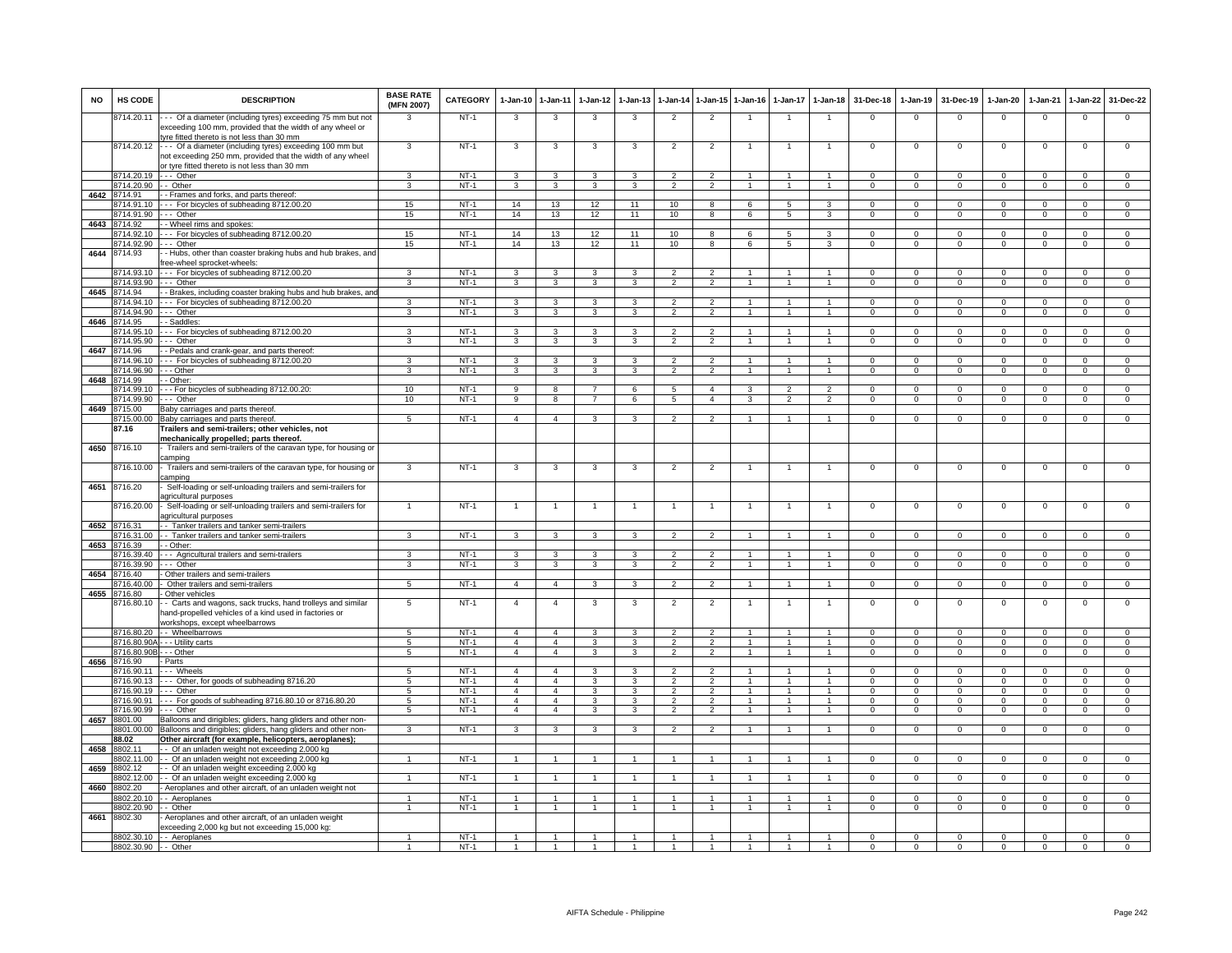| <b>NO</b> | HS CODE                  | <b>DESCRIPTION</b>                                                                                                                                                      | <b>BASE RATE</b><br>(MFN 2007) | <b>CATEGORY</b>  | $1 - Jan-10$                     | 1-Jan-11                         | 1-Jan-12                         | $1-Jan-13$              | $1 - Jan-14$                     | $1 - Jan-15$                     | 1-Jan-16                       | $1-Jan-17$                       | $1 - Jan-18$                   | 31-Dec-18                | 1-Jan-19                      | 31-Dec-19                    | $1-Jan-20$                    | 1-Jan-21                      | 1-Jan-22                       | 31-Dec-22                      |
|-----------|--------------------------|-------------------------------------------------------------------------------------------------------------------------------------------------------------------------|--------------------------------|------------------|----------------------------------|----------------------------------|----------------------------------|-------------------------|----------------------------------|----------------------------------|--------------------------------|----------------------------------|--------------------------------|--------------------------|-------------------------------|------------------------------|-------------------------------|-------------------------------|--------------------------------|--------------------------------|
|           | 8714.20.11               | --- Of a diameter (including tyres) exceeding 75 mm but not<br>exceeding 100 mm, provided that the width of any wheel or<br>yre fitted thereto is not less than 30 mm   |                                | $NT-1$           | 3                                | 3                                | 3                                | 3                       | $\overline{2}$                   | $\overline{2}$                   |                                |                                  | $\overline{1}$                 | $\mathbf 0$              | $\mathbf 0$                   | $\mathbf 0$                  | $\mathbf 0$                   | $\mathbf 0$                   | $\mathbf 0$                    | $\mathbf 0$                    |
|           | 8714.20.12               | --- Of a diameter (including tyres) exceeding 100 mm but<br>not exceeding 250 mm, provided that the width of any wheel<br>or tyre fitted thereto is not less than 30 mm | $\mathbf{3}$                   | $NT-1$           | 3                                | 3                                | 3                                | -3                      | $\overline{2}$                   | $\overline{2}$                   |                                |                                  | -1                             | $\Omega$                 | $\Omega$                      | $\Omega$                     | $^{\circ}$                    | $\Omega$                      | $\Omega$                       | $\overline{0}$                 |
|           | 8714.20.19               | --- Other                                                                                                                                                               | 3                              | $NT-1$           | 3                                | 3                                |                                  | 3                       | $\overline{2}$                   | $\mathfrak{p}$                   |                                | $\mathbf{1}$                     | $\mathbf{1}$                   | $\mathbf 0$              | $\mathbf 0$                   | $\mathbf 0$                  | $^{\circ}$                    | $\mathbf 0$                   | 0                              | 0                              |
|           | 8714.20.90               | - Other                                                                                                                                                                 | 3                              | $NT-1$           | 3                                | $\mathbf{3}$                     | 3                                | 3                       | 2                                | $\overline{2}$                   | $\overline{1}$                 | $\overline{1}$                   | $\overline{1}$                 | $\Omega$                 | $\mathbf 0$                   | $\Omega$                     | $\mathsf 0$                   | $\mathbf{0}$                  | $\mathbf{0}$                   | $\mathbf 0$                    |
| 4642      | 8714.91                  | - Frames and forks, and parts thereof                                                                                                                                   |                                |                  |                                  |                                  |                                  |                         |                                  |                                  |                                |                                  |                                |                          |                               |                              |                               |                               |                                |                                |
|           | 714.91.10<br>8714.91.90  | -- For bicycles of subheading 8712.00.20<br>--- Other                                                                                                                   | 15<br>15                       | $NT-1$<br>$NT-1$ | 14<br>14                         | 13<br>13                         | 12<br>12                         | 11<br>11                | 10<br>10                         | $\overline{8}$<br>8              | 6<br>6                         | $\overline{5}$<br>5              | 3<br>3                         | $\Omega$<br>0            | $\overline{0}$<br>$\mathbf 0$ | $\overline{0}$<br>$^{\circ}$ | $\overline{0}$<br>$\mathbf 0$ | $\overline{0}$<br>$\mathbf 0$ | $\overline{0}$<br>$\mathbf{0}$ | $\overline{0}$<br>$\mathbf{0}$ |
|           | 4643 8714.92             | - Wheel rims and spokes:                                                                                                                                                |                                |                  |                                  |                                  |                                  |                         |                                  |                                  |                                |                                  |                                |                          |                               |                              |                               |                               |                                |                                |
|           | 8714.92.10               | -- For bicycles of subheading 8712.00.20                                                                                                                                | 15                             | NT-1             | 14                               | 13                               | 12                               | 11                      | 10                               | 8                                | 6                              | 5                                | 3                              | $\mathbf{0}$             | $^{\circ}$                    | $^{\circ}$                   | 0                             | 0                             | $\mathbf{0}$                   | $\mathbf{0}$                   |
|           | 3714.92.90               | -- Other                                                                                                                                                                | 15                             | $NT-1$           | 14                               | 13                               | 12                               | 11                      | 10                               | $\overline{8}$                   | 6                              | $\overline{5}$                   | $\overline{3}$                 | $\overline{0}$           | $\overline{0}$                | $\overline{0}$               | $\overline{0}$                | $\overline{0}$                | $\overline{0}$                 | $\overline{0}$                 |
| 4644      | 8714.93                  | - Hubs, other than coaster braking hubs and hub brakes, and<br>ree-wheel sprocket-wheels:                                                                               |                                |                  |                                  |                                  |                                  |                         |                                  |                                  |                                |                                  |                                |                          |                               |                              |                               |                               |                                |                                |
|           | 8714.93.10<br>8714.93.90 | --- For bicycles of subheading 8712.00.20<br>--- Other                                                                                                                  | $\mathbf{3}$<br>3              | $NT-1$<br>$NT-1$ | 3<br>$\overline{3}$              | 3<br>3                           | 3<br>3                           | 3<br>3                  | $\overline{2}$<br>$\overline{2}$ | $\mathfrak{p}$<br>$\overline{2}$ | $\mathbf{1}$<br>$\overline{1}$ | $\overline{1}$<br>$\overline{1}$ | $\mathbf{1}$<br>$\overline{1}$ | $\Omega$<br>$\mathsf 0$  | $\Omega$<br>$\overline{0}$    | $\Omega$<br>$\overline{0}$   | 0<br>$\overline{0}$           | $\Omega$<br>$\overline{0}$    | $\Omega$<br>$\overline{0}$     | $\Omega$<br>$\overline{0}$     |
| 4645      | 8714.94                  | Brakes, including coaster braking hubs and hub brakes, an                                                                                                               |                                |                  |                                  |                                  |                                  |                         |                                  |                                  |                                |                                  |                                |                          |                               |                              |                               |                               |                                |                                |
|           | 3714.94.10               | -- For bicycles of subheading 8712.00.20                                                                                                                                | 3                              | $NT-1$           | 3                                | 3                                | 3                                | 3                       | $\overline{2}$                   | $\overline{2}$                   | $\mathbf{1}$                   |                                  | $\overline{1}$                 | $\Omega$                 | $\Omega$                      | $\Omega$                     | $\Omega$                      | $\Omega$                      | $\Omega$                       | $\Omega$                       |
|           | 714.94.90                | $-$ Other                                                                                                                                                               | $\overline{\mathbf{3}}$        | $NT-1$           | 3                                | 3                                | $\overline{\mathbf{3}}$          | $\overline{\mathbf{3}}$ | $\overline{2}$                   | $\overline{2}$                   |                                |                                  |                                | $\overline{0}$           | $\overline{0}$                | $\overline{0}$               | $\overline{0}$                | $\overline{0}$                | $\overline{0}$                 | $\overline{0}$                 |
|           | 4646 8714.95             | - - Saddles:                                                                                                                                                            |                                |                  |                                  |                                  |                                  |                         |                                  |                                  |                                |                                  |                                |                          |                               |                              |                               |                               |                                |                                |
|           | 8714.95.10<br>8714.95.90 | --- For bicycles of subheading 8712.00.20<br>--- Other                                                                                                                  | 3<br>3                         | $NT-1$<br>$NT-1$ | 3                                | 3                                | 3<br>3                           | 3                       | $\overline{2}$<br>$\overline{2}$ | $\overline{2}$                   | $\overline{1}$                 | 1                                | $\mathbf{1}$<br>$\overline{1}$ | $\Omega$<br>$\mathbf{0}$ | $\Omega$<br>$^{\circ}$        | $\Omega$<br>$^{\circ}$       | $\Omega$                      | $\Omega$<br>$^{\circ}$        | $\Omega$<br>$^{\circ}$         | $\Omega$<br>$\mathbf{0}$       |
| 4647      | 3714.96                  | - Pedals and crank-gear, and parts thereof:                                                                                                                             |                                |                  | 3                                | 3                                |                                  | 3                       |                                  | $\overline{2}$                   |                                |                                  |                                |                          |                               |                              | $\mathbf 0$                   |                               |                                |                                |
|           | 714.96.10                | -- For bicycles of subheading 8712.00.20                                                                                                                                | 3                              | $NT-1$           | 3                                | 3                                | 3                                | 3                       | $\overline{2}$                   | $\overline{2}$                   |                                |                                  | $\mathbf{1}$                   | $\mathbf 0$              | $\mathbf 0$                   | $^{\circ}$                   | $\mathbf 0$                   | $\mathbf 0$                   | $\mathbf 0$                    | $\mathbf{0}$                   |
|           | 3714.96.90               | - - Other                                                                                                                                                               | 3                              | $NT-1$           | 3                                | 3                                | 3                                | 3                       | $\mathfrak{p}$                   | $\overline{2}$                   |                                |                                  | $\mathbf{1}$                   | $\mathsf 0$              | $\mathbf 0$                   | $\mathbf 0$                  | $\mathsf 0$                   | $\mathbf 0$                   | $\mathsf 0$                    | $\mathbf 0$                    |
| 4648      | 3714.99                  | - Other:                                                                                                                                                                |                                |                  | $\overline{q}$                   |                                  |                                  |                         | $\overline{5}$                   | $\overline{4}$                   |                                | $\overline{\phantom{a}}$         | $\overline{\phantom{a}}$       |                          |                               |                              |                               |                               |                                | $\overline{0}$                 |
|           | 8714.99.10<br>3714.99.90 | - - For bicycles of subheading 8712.00.20:<br>-- Other                                                                                                                  | 10<br>10                       | $NT-1$<br>$NT-1$ | 9                                | $\overline{8}$<br>8              | $\overline{7}$<br>$\overline{7}$ | 6<br>6                  | $\sqrt{5}$                       | $\overline{4}$                   | $\mathbf{B}$<br>$\mathbf{z}$   | $\mathcal{L}$                    | $\mathcal{D}$                  | $\Omega$<br>$\Omega$     | $\Omega$<br>$\Omega$          | $\Omega$<br>$\Omega$         | $\Omega$<br>$\Omega$          | $\Omega$<br>$\Omega$          | $\Omega$<br>$\mathbf{0}$       | $\mathbf 0$                    |
| 4649      | 8715.00                  | Baby carriages and parts thereof                                                                                                                                        |                                |                  |                                  |                                  |                                  |                         |                                  |                                  |                                |                                  |                                |                          |                               |                              |                               |                               |                                |                                |
|           | 8715.00.00               | Baby carriages and parts thereof                                                                                                                                        | 5                              | $NT-1$           | $\overline{4}$                   | $\overline{4}$                   | $\mathbf{B}$                     | 3                       | $\mathcal{P}$                    | $\mathcal{P}$                    |                                |                                  | $\mathbf{1}$                   | $\mathbf{0}$             | $^{\circ}$                    | $^{\circ}$                   | $\mathbf{0}$                  | $\mathbf 0$                   | $\mathbf 0$                    | $\Omega$                       |
|           | 87.16                    | Trailers and semi-trailers; other vehicles, not<br>mechanically propelled; parts thereof.                                                                               |                                |                  |                                  |                                  |                                  |                         |                                  |                                  |                                |                                  |                                |                          |                               |                              |                               |                               |                                |                                |
| 4650      | 8716.10                  | Trailers and semi-trailers of the caravan type, for housing or<br>camping                                                                                               |                                |                  |                                  |                                  |                                  |                         |                                  |                                  |                                |                                  |                                |                          |                               |                              |                               |                               |                                |                                |
| 4651      | 716.10.00<br>8716.20     | - Trailers and semi-trailers of the caravan type, for housing or<br>camping<br>Self-loading or self-unloading trailers and semi-trailers for                            | 3                              | $NT-1$           | 3                                | 3                                | 3                                | 3                       | $\overline{2}$                   | $\overline{2}$                   | 1                              | $\mathbf{1}$                     | $\overline{1}$                 | $\mathbf 0$              | $\mathsf 0$                   | $\mathbf 0$                  | $^{\circ}$                    | $\mathsf 0$                   | 0                              | $\mathbf 0$                    |
|           | 3716.20.00               | agricultural purposes<br>- Self-loading or self-unloading trailers and semi-trailers for                                                                                |                                | $NT-1$           | $\overline{1}$                   | $\overline{1}$                   |                                  | $\overline{1}$          | $\overline{1}$                   | $\overline{1}$                   |                                |                                  | $\mathbf{1}$                   | $\mathbf 0$              | $\mathbf 0$                   | $\mathbf 0$                  | $^{\circ}$                    | $\mathbf 0$                   | $\mathsf 0$                    | $\mathbf 0$                    |
|           |                          | agricultural purposes                                                                                                                                                   |                                |                  |                                  |                                  |                                  |                         |                                  |                                  |                                |                                  |                                |                          |                               |                              |                               |                               |                                |                                |
| 4652      | 8716.31                  | - Tanker trailers and tanker semi-trailers                                                                                                                              |                                | $NT-1$           |                                  |                                  | $\mathbf{B}$                     |                         |                                  | $\overline{2}$                   | $\mathbf{1}$                   | $\overline{1}$                   | $\overline{1}$                 | $\Omega$                 | $\circ$                       | $\Omega$                     |                               | $\mathbf{0}$                  | $\Omega$                       | $\mathbf 0$                    |
| 4653      | 3716.31.00<br>3716.39    | - Tanker trailers and tanker semi-trailers<br>- Other:                                                                                                                  | 3                              |                  | 3                                | 3                                |                                  | 3                       | $\overline{2}$                   |                                  |                                |                                  |                                |                          |                               |                              | $\mathbf 0$                   |                               |                                |                                |
|           | 716.39.40                | --- Agricultural trailers and semi-trailers                                                                                                                             | 3                              | $NT-1$           | 3                                | 3                                |                                  | 3                       |                                  |                                  |                                |                                  |                                | $\Omega$                 | $\mathbf 0$                   | $\Omega$                     | $\Omega$                      | $\Omega$                      | $\mathbf 0$                    | 0                              |
|           | 8716.39.90               | --- Other                                                                                                                                                               | 3                              | NT-1             | 3                                | 3                                | 3                                | 3                       | $\overline{2}$                   | $\overline{2}$                   | $\overline{1}$                 | $\mathbf{1}$                     | $\overline{1}$                 | 0                        | $\Omega$                      | $\Omega$                     | $\mathbf 0$                   | $\Omega$                      | $\mathbf{0}$                   | 0                              |
| 4654      | 8716.40<br>3716 40.00    | Other trailers and semi-trailers                                                                                                                                        | 5                              | $NT-1$           | $\overline{4}$                   | $\overline{4}$                   | $\mathbf{R}$                     |                         | $\mathcal{P}$                    | $\overline{2}$                   | $\overline{1}$                 | $\mathbf{1}$                     | $\mathbf{1}$                   | $\Omega$                 | $\Omega$                      | $\Omega$                     | $\Omega$                      | $\overline{0}$                | $\overline{0}$                 | $\Omega$                       |
| 4655      | 716.80                   | Other trailers and semi-trailers<br>Other vehicles                                                                                                                      |                                |                  |                                  |                                  |                                  | 3                       |                                  |                                  |                                |                                  |                                |                          |                               |                              |                               |                               |                                |                                |
|           | 8716.80.10               | - Carts and wagons, sack trucks, hand trolleys and similar<br>hand-propelled vehicles of a kind used in factories or                                                    | 5                              | $NT-1$           | $\overline{4}$                   | $\overline{4}$                   | 3                                | $\mathbf{3}$            | $\overline{2}$                   | $\overline{2}$                   | 1                              |                                  | $\overline{1}$                 | $\overline{0}$           | $\overline{0}$                | $\overline{0}$               | $\Omega$                      | $\overline{0}$                | $\overline{0}$                 | $\overline{0}$                 |
|           | 8716.80.20               | workshops, except wheelbarrows                                                                                                                                          | $-5$                           | $NT-1$           | $\overline{4}$                   | $\overline{a}$                   | 3                                | $\mathbf{3}$            | $\overline{2}$                   | $\overline{2}$                   | $\overline{1}$                 |                                  | $\overline{1}$                 | $\Omega$                 | $\Omega$                      | $\Omega$                     | $\Omega$                      | $\Omega$                      | $\Omega$                       | $\Omega$                       |
|           | 3716.80.90A              | - Wheelbarrows<br>- - Utility carts                                                                                                                                     | 5                              | $NT-1$           | $\overline{4}$                   | $\overline{4}$                   | 3                                | 3                       | $\mathfrak{D}$                   | $\overline{2}$                   |                                | $\overline{1}$                   | $\mathbf{1}$                   | $\mathbf 0$              | $\mathbf 0$                   | $\Omega$                     | $\Omega$                      | $\Omega$                      | $\mathbf{0}$                   | $\mathbf 0$                    |
|           | 8716.80.90B              | - - Other                                                                                                                                                               | 5                              | $NT-1$           | $\overline{4}$                   | $\overline{4}$                   | 3                                | 3                       | $\overline{2}$                   | $\overline{2}$                   |                                |                                  | $\overline{1}$                 | $^{\circ}$               | $\mathsf 0$                   | $\mathbf 0$                  | $\mathsf 0$                   | $\mathbf 0$                   | $\mathsf 0$                    | $\mathsf 0$                    |
|           | 4656 8716.90             | Parts                                                                                                                                                                   |                                |                  |                                  |                                  |                                  |                         |                                  |                                  |                                |                                  |                                |                          |                               |                              |                               |                               |                                |                                |
|           | 8716.90.11<br>8716.90.13 | -- Wheels                                                                                                                                                               | 5                              | $NT-1$<br>$NT-1$ | $\overline{a}$<br>$\overline{4}$ | $\overline{4}$<br>$\overline{4}$ | $\mathbf{B}$<br>3                | 3                       | $\overline{2}$<br>$\overline{2}$ | $\overline{2}$<br>$\overline{2}$ |                                |                                  | $\mathbf{1}$                   | $\Omega$<br>$\Omega$     | $\Omega$<br>$\overline{0}$    | $\Omega$<br>$\Omega$         | $^{\circ}$<br>$\overline{0}$  | $\Omega$<br>$\overline{0}$    | $\Omega$<br>$\overline{0}$     | $\mathbf{0}$<br>$\overline{0}$ |
|           | 8716.90.19               | --- Other, for goods of subheading 8716.20<br>--- Other                                                                                                                 | $\overline{5}$<br>5            | $NT-1$           | $\overline{a}$                   | $\overline{4}$                   | 3                                | 3<br>3                  | $\overline{2}$                   | $\overline{2}$                   |                                |                                  |                                | $\Omega$                 | $\mathbf 0$                   | $\Omega$                     | $\Omega$                      | $\Omega$                      | $\Omega$                       | $\mathbf{0}$                   |
|           |                          | 8716.90.91 --- For goods of subheading 8716.80.10 or 8716.80.20                                                                                                         | 5                              | $NT-1$           | $\overline{4}$                   | $\overline{4}$                   | 3                                | 3                       | $\overline{2}$                   | $\overline{2}$                   | $\overline{1}$                 | $\mathbf{1}$                     | $\overline{1}$                 | $\Omega$                 | $\mathbf{0}$                  | $\mathbf 0$                  | $\mathbf 0$                   | $\mathbf{0}$                  | $\mathbf 0$                    | $\mathbf{0}$                   |
|           | 8716.90.99               | --- Other                                                                                                                                                               | 5                              | $NT-1$           | $\overline{4}$                   | $\overline{4}$                   | 3                                | 3                       | $\overline{2}$                   | $\overline{2}$                   | $\overline{1}$                 | $\overline{1}$                   | $\overline{1}$                 | $^{\circ}$               | $\mathbf{0}$                  | $\mathbf 0$                  | $\mathbf{0}$                  | $^{\circ}$                    | $\mathbf{0}$                   | $\mathbf{0}$                   |
| 4657      | 8801.00                  | Balloons and dirigibles; gliders, hang gliders and other non-                                                                                                           |                                |                  |                                  |                                  |                                  |                         |                                  |                                  |                                |                                  |                                |                          |                               |                              |                               |                               |                                |                                |
|           | 8801.00.00<br>88.02      | Balloons and dirigibles; gliders, hang gliders and other non-<br>Other aircraft (for example, helicopters, aeroplanes);                                                 | 3                              | $NT-1$           | 3                                | 3                                | 3                                | 3                       | $\overline{2}$                   | $\overline{2}$                   |                                |                                  | $\mathbf{1}$                   | $\overline{0}$           | $\overline{0}$                | $\Omega$                     | $\Omega$                      | $\overline{0}$                | $\overline{0}$                 | $\overline{0}$                 |
| 4658      | 8802.11                  | - Of an unladen weight not exceeding 2,000 kg                                                                                                                           |                                |                  |                                  |                                  |                                  |                         |                                  |                                  |                                |                                  |                                |                          |                               |                              |                               |                               |                                |                                |
|           | 8802.11.00               | - Of an unladen weight not exceeding 2,000 kg                                                                                                                           | $\mathbf{1}$                   | NT-1             | $\overline{1}$                   | $\overline{1}$                   |                                  | $\mathbf{1}$            | $\overline{1}$                   | $\mathbf{1}$                     |                                |                                  | $\overline{1}$                 | $^{\circ}$               | $\mathbf 0$                   | $^{\circ}$                   | $\mathbf{0}$                  | $\Omega$                      | $\mathbf{0}$                   | $\overline{0}$                 |
| 4659      | 3802.12                  | - Of an unladen weight exceeding 2,000 kg                                                                                                                               |                                |                  |                                  |                                  |                                  |                         |                                  |                                  |                                |                                  |                                |                          |                               |                              |                               |                               |                                |                                |
|           | 3802.12.00               | - Of an unladen weight exceeding 2,000 kg                                                                                                                               |                                | $NT-1$           |                                  |                                  |                                  |                         |                                  |                                  |                                |                                  |                                | $\Omega$                 | $\mathbf 0$                   | $\Omega$                     | $\Omega$                      | $\Omega$                      | $\Omega$                       | $\Omega$                       |
| 4660      | 8802.20                  | - Aeroplanes and other aircraft, of an unladen weight not                                                                                                               |                                |                  |                                  |                                  |                                  |                         |                                  |                                  |                                |                                  |                                |                          |                               |                              |                               |                               |                                |                                |
|           | 8802.20.10<br>8802.20.90 | - Aeroplanes<br>- - Other                                                                                                                                               | $\overline{1}$                 | $NT-1$<br>$NT-1$ | $\overline{1}$                   | $\mathbf{1}$                     | $\overline{1}$                   | $\overline{1}$          | $\overline{1}$                   | $\overline{1}$                   | $\overline{1}$                 | $\overline{1}$                   | $\overline{1}$                 | $\Omega$<br>$\mathbf{0}$ | $\Omega$<br>$\overline{0}$    | $\Omega$<br>$\mathbf{0}$     | $\Omega$<br>$\mathbf{0}$      | $\Omega$<br>$\mathbf 0$       | $\Omega$<br>$\mathbf{0}$       | $\mathbf{0}$<br>$\overline{0}$ |
| 4661      | 8802.30                  | Aeroplanes and other aircraft, of an unladen weight<br>exceeding 2,000 kg but not exceeding 15,000 kg:                                                                  |                                |                  |                                  |                                  |                                  |                         |                                  |                                  |                                |                                  |                                |                          |                               |                              |                               |                               |                                |                                |
|           |                          | 8802.30.10 - - Aeroplanes                                                                                                                                               | $\mathbf{1}$                   | $NT-1$           | $\mathbf{1}$                     | $\mathbf{1}$                     |                                  | $\overline{1}$          | $\mathbf{1}$                     | $\mathbf{1}$                     | 1                              | $\mathbf{1}$                     | 1                              | $\mathbf{0}$             | $\mathbf 0$                   | $^{\circ}$                   | $\mathbf{0}$                  | $\mathbf{0}$                  | $\mathbf{0}$                   | $\mathbf{0}$                   |
|           | 8802.30.90 - - Other     |                                                                                                                                                                         |                                | $NT-1$           |                                  |                                  |                                  |                         |                                  |                                  |                                |                                  |                                | $\mathbf 0$              | $\overline{0}$                | $\mathbf 0$                  | $\mathbf 0$                   | $\overline{0}$                | $\Omega$                       | $\Omega$                       |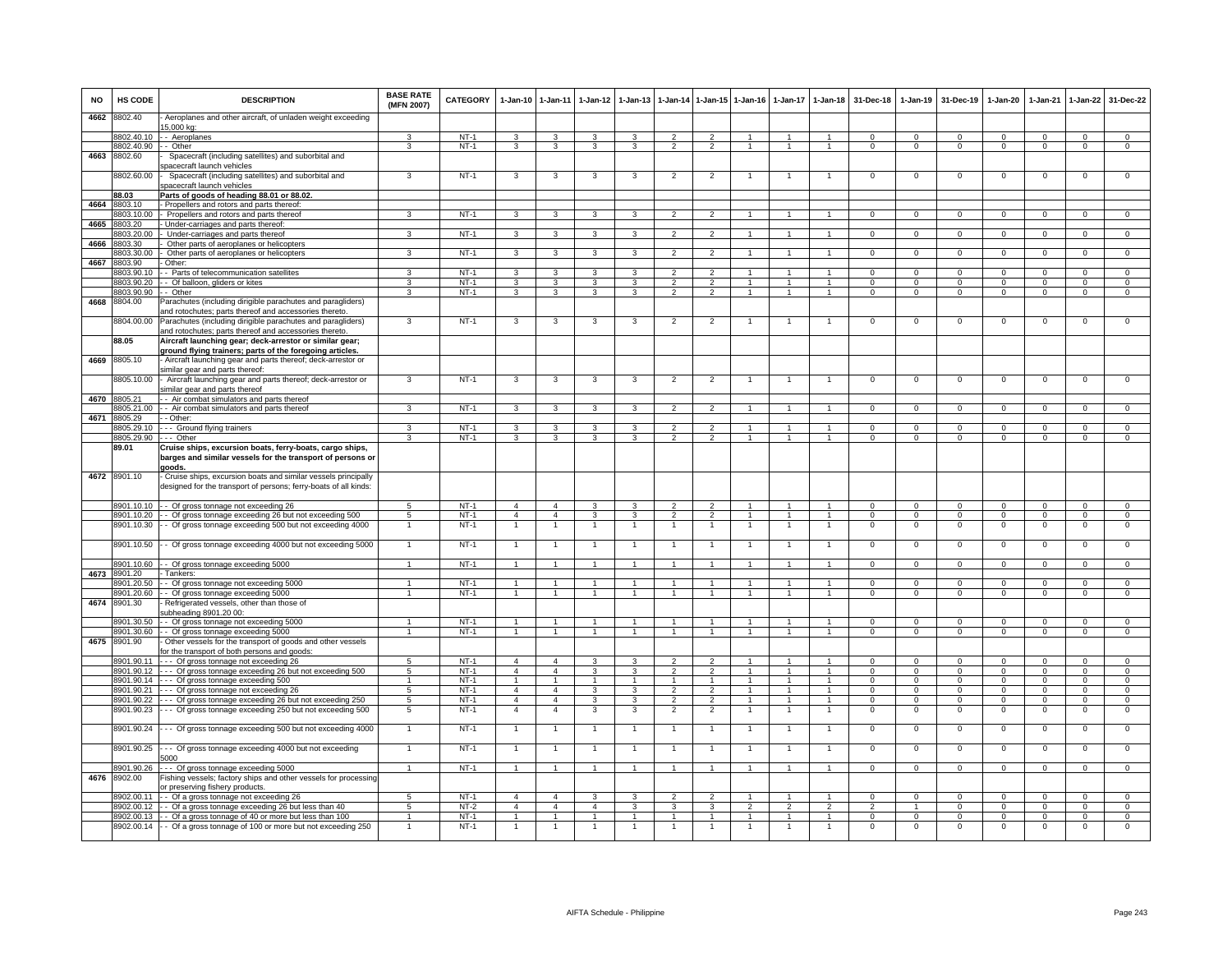| <b>NO</b> | HS CODE                    | <b>DESCRIPTION</b>                                                                                                                      | <b>BASE RATE</b><br>(MFN 2007) | <b>CATEGORY</b>  | $1-Jan-10$                     | $1 - Jan-11$                     | $1-Jan-12$          | $1-Jan-13$           |                                  |                                  | 1-Jan-14 1-Jan-15 1-Jan-16 | $1 - Jan-17$                     | $1 - Jan-18$                     | 31-Dec-18                  | $1-Jan-19$                       | 31-Dec-19                  | $1-Jan-20$                       | $1-Jan-21$                 | $1 - Jan-22$               | 31-Dec-22                        |
|-----------|----------------------------|-----------------------------------------------------------------------------------------------------------------------------------------|--------------------------------|------------------|--------------------------------|----------------------------------|---------------------|----------------------|----------------------------------|----------------------------------|----------------------------|----------------------------------|----------------------------------|----------------------------|----------------------------------|----------------------------|----------------------------------|----------------------------|----------------------------|----------------------------------|
| 4662      | 8802.40                    | Aeroplanes and other aircraft, of unladen weight exceeding<br>5,000 kg:                                                                 |                                |                  |                                |                                  |                     |                      |                                  |                                  |                            |                                  |                                  |                            |                                  |                            |                                  |                            |                            |                                  |
|           | 8802.40.10                 | - Aeroplanes                                                                                                                            | 3                              | $NT-1$           | 3                              | 3                                | 3                   | 3                    | $\overline{2}$                   | $\overline{2}$                   |                            |                                  |                                  | $\Omega$                   | $\Omega$                         | $\Omega$                   | $\Omega$                         | $\Omega$                   | $\mathbf 0$                | $\Omega$                         |
|           | 8802.40.90                 | - Other                                                                                                                                 | 3                              | $NT-1$           | 3                              | 3                                | 3                   | 3                    | $\overline{2}$                   | $\overline{2}$                   | $\overline{1}$             | $\mathbf{1}$                     |                                  | $\Omega$                   | $\Omega$                         | $^{\circ}$                 | $\mathbf 0$                      | $\Omega$                   | $\mathbf 0$                | $\overline{0}$                   |
| 4663      | 8802.60                    | Spacecraft (including satellites) and suborbital and<br>pacecraft launch vehicles                                                       |                                |                  |                                |                                  |                     |                      |                                  |                                  |                            |                                  |                                  |                            |                                  |                            |                                  |                            |                            |                                  |
|           | 8802.60.00                 | Spacecraft (including satellites) and suborbital and<br>pacecraft launch vehicles                                                       | 3                              | $NT-1$           | 3                              | $\mathbf{3}$                     | 3                   | 3                    | $\overline{2}$                   | $\overline{2}$                   |                            |                                  |                                  | $\mathbf 0$                | $\Omega$                         | $\Omega$                   | $\mathbf 0$                      | $\Omega$                   | $\mathbf 0$                | $\Omega$                         |
|           | 88.03                      | Parts of goods of heading 88.01 or 88.02.                                                                                               |                                |                  |                                |                                  |                     |                      |                                  |                                  |                            |                                  |                                  |                            |                                  |                            |                                  |                            |                            |                                  |
| 4664      | 8803.10<br>8803.10.00      | - Propellers and rotors and parts thereof:<br>Propellers and rotors and parts thereof                                                   | 3                              | $NT-1$           | 3                              | 3                                | 3                   | 3                    | $\overline{2}$                   | $\overline{2}$                   |                            |                                  |                                  | $\overline{0}$             | $\overline{0}$                   | $\Omega$                   | $\overline{0}$                   | $\overline{0}$             | $\overline{0}$             | $\overline{0}$                   |
| 4665      | 3803.20                    | Under-carriages and parts thereof:                                                                                                      |                                |                  |                                |                                  |                     |                      |                                  |                                  |                            |                                  |                                  |                            |                                  |                            |                                  |                            |                            |                                  |
|           | 8803.20.00                 | Under-carriages and parts thereof                                                                                                       | 3                              | $NT-1$           | 3                              | 3                                | 3                   |                      | $\overline{2}$                   | $\mathfrak{p}$                   |                            |                                  |                                  | $\Omega$                   | $\Omega$                         | $\Omega$                   | $\Omega$                         | $\Omega$                   | $\Omega$                   | $\Omega$                         |
| 4666      | 8803.30                    | Other parts of aeroplanes or helicopters                                                                                                |                                |                  |                                |                                  |                     |                      |                                  |                                  |                            |                                  |                                  |                            |                                  |                            |                                  |                            |                            |                                  |
|           | 8803.30.00                 | Other parts of aeroplanes or helicopters                                                                                                | 3                              | $NT-1$           | 3                              | 3                                | 3                   | 3                    | $\overline{2}$                   | $\overline{2}$                   |                            | $\mathbf{1}$                     | 1                                | $^{\circ}$                 | $\mathbf{0}$                     | $\mathbf 0$                | $\overline{0}$                   | $\mathbf 0$                | $\overline{0}$             | $\mathbf{0}$                     |
|           | 4667 8803.90<br>803.90.10  | Other:<br>- Parts of telecommunication satellites                                                                                       | 3                              | $NT-1$           | 3                              | 3                                | 3                   | 3                    | $\overline{2}$                   | $\overline{2}$                   |                            | $\mathbf{1}$                     | $\mathbf{1}$                     | $\overline{0}$             | $\overline{0}$                   | $\Omega$                   | $\overline{0}$                   | $\overline{0}$             | $\overline{0}$             | $\overline{0}$                   |
|           | 803.90.20                  | - Of balloon, gliders or kites                                                                                                          | 3                              | $NT-1$           | 3                              | 3                                | 3                   | 3                    | $\mathfrak{p}$                   | $\overline{2}$                   | $\overline{1}$             | $\mathbf{1}$                     | 1                                | $\mathbf 0$                | $\mathbf 0$                      | $\mathbf 0$                | $\mathbf 0$                      | $\Omega$                   | $\mathbf 0$                | $\overline{0}$                   |
|           | 3803.90.90                 | - Other                                                                                                                                 | 3                              | $NT-1$           | 3                              | 3                                | $\mathbf{3}$        | 3                    | $\overline{2}$                   | $\overline{2}$                   | $\mathbf{1}$               | $\mathbf{1}$                     | $\mathbf{1}$                     | $\Omega$                   | $\Omega$                         | $\mathbf 0$                | $\Omega$                         | $\Omega$                   | $\mathsf 0$                | $\circ$                          |
| 4668      | 8804.00                    | Parachutes (including dirigible parachutes and paragliders)                                                                             |                                |                  |                                |                                  |                     |                      |                                  |                                  |                            |                                  |                                  |                            |                                  |                            |                                  |                            |                            |                                  |
|           |                            | ind rotochutes; parts thereof and accessories thereto                                                                                   |                                |                  |                                |                                  |                     |                      |                                  |                                  |                            |                                  |                                  |                            |                                  |                            |                                  |                            |                            |                                  |
|           | 8804.00.00                 | Parachutes (including dirigible parachutes and paragliders)<br>and rotochutes; parts thereof and accessories thereto.                   | 3                              | $NT-1$           | $\mathbf{3}$                   | 3                                | 3                   | 3                    | $\overline{2}$                   | $\overline{2}$                   | $\overline{1}$             | $\overline{1}$                   | $\overline{1}$                   | $\mathbf 0$                | $\mathbf 0$                      | $\mathbf 0$                | $\mathbf 0$                      | $\mathbf 0$                | $\mathsf 0$                | $\mathbf 0$                      |
|           | 88.05                      | Aircraft launching gear; deck-arrestor or similar gear;<br>ground flying trainers; parts of the foregoing articles.                     |                                |                  |                                |                                  |                     |                      |                                  |                                  |                            |                                  |                                  |                            |                                  |                            |                                  |                            |                            |                                  |
|           | 4669 8805.10               | Aircraft launching gear and parts thereof; deck-arrestor or                                                                             |                                |                  |                                |                                  |                     |                      |                                  |                                  |                            |                                  |                                  |                            |                                  |                            |                                  |                            |                            |                                  |
|           |                            | imilar gear and parts thereof:                                                                                                          | 3                              | $NT-1$           |                                |                                  | 3                   | 3                    |                                  |                                  |                            |                                  |                                  | $\Omega$                   | $\Omega$                         | $\Omega$                   | $\Omega$                         | $\Omega$                   | $\Omega$                   | $\Omega$                         |
|           | 8805.10.00                 | Aircraft launching gear and parts thereof; deck-arrestor or<br>imilar gear and parts thereof                                            |                                |                  | 3                              | 3                                |                     |                      | $\overline{2}$                   | 2                                |                            |                                  |                                  |                            |                                  |                            |                                  |                            |                            |                                  |
|           | 4670 8805.21               | - Air combat simulators and parts thereof                                                                                               |                                | $NT-1$           | 3                              | 3                                | 3                   | 3                    | $\overline{2}$                   | $\mathcal{P}$                    |                            |                                  |                                  | $\Omega$                   | $\Omega$                         | $\Omega$                   | $\Omega$                         | $\Omega$                   | $\Omega$                   | $\Omega$                         |
| 4671      | 805.21.00<br>3805.29       | - Air combat simulators and parts thereof<br>- Other:                                                                                   |                                |                  |                                |                                  |                     |                      |                                  |                                  |                            |                                  |                                  |                            |                                  |                            |                                  |                            |                            |                                  |
|           | 8805.29.10                 | - Ground flying trainers                                                                                                                | 3                              | $NT-1$           | 3                              | 3                                | 3                   | 3                    | $\mathcal{P}$                    | $\mathcal{P}$                    | $\overline{1}$             | $\overline{1}$                   | $\mathbf{1}$                     | $\mathbf 0$                | $\Omega$                         | $\Omega$                   | $\Omega$                         | $\Omega$                   | $\mathsf 0$                | $\mathbf 0$                      |
|           | 8805.29.90                 | -- Other                                                                                                                                | 3                              | $NT-1$           | 3                              | 3                                | 3                   | 3                    | $\overline{2}$                   | $\overline{2}$                   | $\overline{1}$             | $\mathbf{1}$                     |                                  | $\Omega$                   | $\Omega$                         | $\Omega$                   | $\overline{0}$                   | $\Omega$                   | $\Omega$                   | $\overline{0}$                   |
|           | 89.01                      | Cruise ships, excursion boats, ferry-boats, cargo ships,<br>barges and similar vessels for the transport of persons or<br><u>qoods.</u> |                                |                  |                                |                                  |                     |                      |                                  |                                  |                            |                                  |                                  |                            |                                  |                            |                                  |                            |                            |                                  |
|           | 4672 8901.10               | Cruise ships, excursion boats and similar vessels principally<br>designed for the transport of persons; ferry-boats of all kinds:       |                                |                  |                                |                                  |                     |                      |                                  |                                  |                            |                                  |                                  |                            |                                  |                            |                                  |                            |                            |                                  |
|           | 8901.10.10                 | - Of gross tonnage not exceeding 26                                                                                                     | -5                             | $NT-1$           | $\mathbf{A}$                   | $\mathbf{A}$                     | 3                   | -3                   | $\mathcal{P}$                    | $\mathcal{P}$                    | $\mathbf{1}$               | $\mathbf{1}$                     | $\overline{1}$                   | $\Omega$                   | $\Omega$                         | $\Omega$                   | $\Omega$                         | $\Omega$                   | $\Omega$                   | $\Omega$                         |
|           | 8901.10.20                 | - Of gross tonnage exceeding 26 but not exceeding 500                                                                                   | 5                              | $NT-1$           | $\overline{4}$                 | $\overline{4}$                   | 3                   | 3                    | $\overline{2}$                   | $\overline{2}$                   | $\mathbf{1}$               | $\mathbf{1}$                     | $\mathbf{1}$                     | $\mathbf 0$                | $\mathbf 0$                      | $\mathbf 0$                | $\mathbf 0$                      | $^{\circ}$                 | $\mathbf 0$                | $\mathbf 0$                      |
|           | 8901.10.30                 | - Of gross tonnage exceeding 500 but not exceeding 4000                                                                                 |                                | $NT-1$           |                                |                                  |                     |                      |                                  |                                  |                            |                                  | 1                                | $\mathbf 0$                | $\mathbf 0$                      | $\mathbf 0$                | $\mathbf 0$                      | $\mathbf 0$                | $\mathsf 0$                | $\overline{0}$                   |
|           | 8901.10.50                 | - Of gross tonnage exceeding 4000 but not exceeding 5000                                                                                | $\overline{1}$                 | $NT-1$           | $\mathbf{1}$                   | $\overline{1}$                   |                     | $\overline{1}$       | $\overline{1}$                   | $\overline{1}$                   | -1                         | $\overline{1}$                   | $\mathbf{1}$                     | $\circ$                    | $\circ$                          | $\mathbf 0$                | $\mathbf 0$                      | $\mathbf 0$                | 0                          | $\mathbf 0$                      |
| 4673      | 8901.10.60<br>8901.20      | Of gross tonnage exceeding 5000<br>Tankers:                                                                                             |                                | $NT-1$           | $\overline{1}$                 | $\overline{1}$                   |                     |                      | $\overline{1}$                   | $\blacktriangleleft$             |                            | $\overline{1}$                   | $\overline{1}$                   | $\Omega$                   | $\Omega$                         | $\Omega$                   | $\Omega$                         | $\Omega$                   | $\Omega$                   | $\overline{0}$                   |
|           | 8901.20.50                 | - Of gross tonnage not exceeding 5000                                                                                                   |                                | $NT-1$           | $\mathbf{1}$                   |                                  |                     |                      |                                  |                                  |                            |                                  |                                  | $\Omega$                   | $\Omega$                         | $\Omega$                   | $\Omega$                         | $\Omega$                   | $\Omega$                   | $\Omega$                         |
|           | 8901.20.60                 | - Of gross tonnage exceeding 5000                                                                                                       | $\blacktriangleleft$           | $NT-1$           | $\overline{1}$                 | $\overline{1}$                   |                     | $\overline{1}$       | $\overline{1}$                   | $\overline{1}$                   |                            | $\mathbf{1}$                     |                                  | $\Omega$                   | $\mathbf 0$                      | $\mathbf 0$                | $\mathbf 0$                      | $\mathbf 0$                | $\mathbf 0$                | $\mathbf 0$                      |
| 4674      | 8901.30                    | Refrigerated vessels, other than those of<br>ubheading 8901.20 00:                                                                      |                                |                  |                                |                                  |                     |                      |                                  |                                  |                            |                                  |                                  |                            |                                  |                            |                                  |                            |                            |                                  |
|           | 8901.30.50                 | - Of gross tonnage not exceeding 5000                                                                                                   | $\overline{1}$                 | $NT-1$           | $\mathbf{1}$                   | $\overline{1}$                   | $\overline{1}$      | $\mathbf{1}$         | $\overline{1}$                   | $\overline{1}$                   | $\overline{1}$             | $\overline{1}$                   | $\mathbf{1}$                     | $\overline{0}$             | $\overline{0}$                   | $\Omega$                   | $\Omega$                         | $\overline{0}$             | $\overline{0}$             | $\overline{0}$                   |
| 4675      | 3901.30.60<br>8901.90      | - Of gross tonnage exceeding 5000<br>Other vessels for the transport of goods and other vessels                                         |                                | $NT-1$           | 1                              | $\mathbf{1}$                     |                     |                      |                                  |                                  | $\mathbf{1}$               | $\mathbf{1}$                     |                                  | $\mathbf 0$                | $\mathbf{0}$                     | $\Omega$                   | $\Omega$                         | $\mathbf{0}$               | $\mathbf 0$                | $\mathbf 0$                      |
|           |                            | or the transport of both persons and goods:                                                                                             |                                |                  |                                |                                  |                     |                      |                                  |                                  |                            |                                  |                                  |                            |                                  |                            |                                  |                            |                            |                                  |
|           | 8901.90.11                 | -- Of gross tonnage not exceeding 26                                                                                                    | -5                             | $NT-1$           | $\overline{4}$                 | $\overline{4}$                   | 3                   | 3                    | $\overline{2}$                   | $\overline{2}$                   | $\overline{1}$             | $\overline{1}$                   | $\mathbf{1}$                     | $\Omega$                   | $\Omega$                         | $\Omega$                   | $\Omega$                         | $\Omega$                   | 0                          | $\Omega$                         |
|           | 8901.90.12                 | - Of gross tonnage exceeding 26 but not exceeding 500                                                                                   | $\overline{5}$                 | $NT-1$           | $\overline{4}$                 | $\overline{4}$                   | 3                   | $\mathbf{3}$         | $\overline{2}$                   | 2                                | $\mathbf{1}$               | $\overline{1}$                   | $\mathbf{1}$                     | $\Omega$                   | $\Omega$                         | $\mathbf 0$                | $\mathbf{0}$                     | $\Omega$                   | $\mathsf 0$                | $\mathsf 0$                      |
|           | 8901.90.14<br>8901.90.21   | -- Of gross tonnage exceeding 500<br>- Of gross tonnage not exceeding 26                                                                | $\overline{5}$                 | $NT-1$<br>$NT-1$ | $\mathbf{1}$<br>$\overline{4}$ | $\overline{1}$<br>$\overline{4}$ | $\overline{1}$<br>3 | $\overline{1}$<br>3  | $\overline{1}$<br>$\overline{2}$ | $\overline{1}$<br>$\overline{2}$ | $\mathbf{1}$               | $\overline{1}$<br>$\overline{1}$ | $\overline{1}$<br>$\overline{1}$ | $\Omega$<br>$\overline{0}$ | $\overline{0}$<br>$\overline{0}$ | $\Omega$<br>$\overline{0}$ | $\overline{0}$<br>$\overline{0}$ | $\Omega$<br>$\overline{0}$ | $\Omega$<br>$\overline{0}$ | $\overline{0}$<br>$\overline{0}$ |
|           | 8901.90.22                 | - Of gross tonnage exceeding 26 but not exceeding 250                                                                                   | $5^{\circ}$                    | $NT-1$           | $\overline{4}$                 | $\overline{4}$                   | 3                   | 3                    | $\overline{2}$                   | $\overline{2}$                   |                            |                                  | $\mathbf{1}$                     | $\Omega$                   | $\Omega$                         | $\Omega$                   | $\Omega$                         | $\Omega$                   | $\mathsf 0$                | $\mathbf 0$                      |
|           | 8901.90.23                 | -- Of gross tonnage exceeding 250 but not exceeding 500                                                                                 | 5                              | $NT-1$           | $\overline{4}$                 | $\overline{4}$                   | 3                   | 3                    | $\overline{2}$                   | $\overline{2}$                   | $\mathbf{1}$               | $\overline{1}$                   | $\mathbf{1}$                     | $^{\circ}$                 | $\mathbf{0}$                     | $\mathbf 0$                | $\mathsf 0$                      | $\mathbf 0$                | $\mathsf 0$                | $\mathbf 0$                      |
|           | 8901.90.24                 | -- Of gross tonnage exceeding 500 but not exceeding 4000                                                                                | $\overline{1}$                 | $NT-1$           | $\mathbf{1}$                   | $\overline{1}$                   | $\overline{1}$      | $\mathbf{1}$         | $\overline{1}$                   | $\overline{1}$                   | -1                         | $\overline{1}$                   | $\blacktriangleleft$             | $\circ$                    | $\Omega$                         | $\mathbf 0$                | $\mathbf 0$                      | $\Omega$                   | $\mathsf 0$                | $\mathbf 0$                      |
|           | 8901.90.25                 | -- Of gross tonnage exceeding 4000 but not exceeding                                                                                    | 1                              | $NT-1$           | $\overline{1}$                 | $\mathbf{1}$                     |                     |                      | $\overline{1}$                   | $\mathbf{1}$                     |                            | $\overline{1}$                   | $\mathbf{1}$                     | $\overline{0}$             | $\overline{0}$                   | $\overline{0}$             | $\overline{0}$                   | $\overline{0}$             | $\overline{0}$             | $\overline{0}$                   |
|           |                            | 000                                                                                                                                     | $\blacktriangleleft$           |                  | $\overline{1}$                 | $\overline{1}$                   | $\overline{1}$      | $\blacktriangleleft$ | $\overline{1}$                   | $\overline{1}$                   |                            |                                  |                                  |                            |                                  |                            |                                  |                            |                            | $\Omega$                         |
|           | 8901.90.26<br>4676 8902.00 | -- Of gross tonnage exceeding 5000<br>ishing vessels; factory ships and other vessels for processing                                    |                                | $NT-1$           |                                |                                  |                     |                      |                                  |                                  | $\mathbf{1}$               | $\overline{1}$                   | 1                                | $\mathbf{0}$               | $\mathbf 0$                      | $\mathbf 0$                | $\mathbf 0$                      | $\mathbf 0$                | $\mathbf{0}$               |                                  |
|           | 8902.00.11                 | or preserving fishery products.<br>- Of a gross tonnage not exceeding 26                                                                | 5.                             | $NT-1$           | $\mathbf{A}$                   | $\Delta$                         |                     |                      |                                  |                                  |                            |                                  |                                  | $\Omega$                   | $\Omega$                         | $\Omega$                   | $\Omega$                         | $\Omega$                   | $\Omega$                   | $\Omega$                         |
|           | 8902.00.12                 | Of a gross tonnage exceeding 26 but less than 40                                                                                        | 5                              | $NT-2$           | $\overline{4}$                 | $\overline{4}$                   | $\overline{4}$      | 3                    | 3                                | $\mathbf{3}$                     | $\overline{2}$             | $\mathfrak{p}$                   | $\overline{2}$                   | $\overline{2}$             | $\overline{1}$                   | $\mathbf{0}$               | $\mathbf{0}$                     | $\mathbf{0}$               | $\mathbf 0$                | $\circ$                          |
|           | 8902.00.13                 | - Of a gross tonnage of 40 or more but less than 100                                                                                    |                                | $NT-1$           | $\overline{1}$                 | $\mathbf{1}$                     | $\mathbf{1}$        | $\mathbf{1}$         | $\overline{1}$                   | $\overline{1}$                   | $\overline{1}$             | $\mathbf{1}$                     | $\mathbf{1}$                     | $\Omega$                   | $\mathbf 0$                      | $\Omega$                   | $\mathbf 0$                      | $\Omega$                   | $\mathbf 0$                | $\overline{0}$                   |
|           |                            | 8902.00.14 - Of a gross tonnage of 100 or more but not exceeding 250                                                                    |                                | $NT-1$           | $\overline{1}$                 | $\overline{1}$                   |                     |                      |                                  | $\overline{1}$                   |                            |                                  |                                  | $\Omega$                   | $\Omega$                         | $\Omega$                   | $\Omega$                         | $\Omega$                   | $\Omega$                   | $\mathbf 0$                      |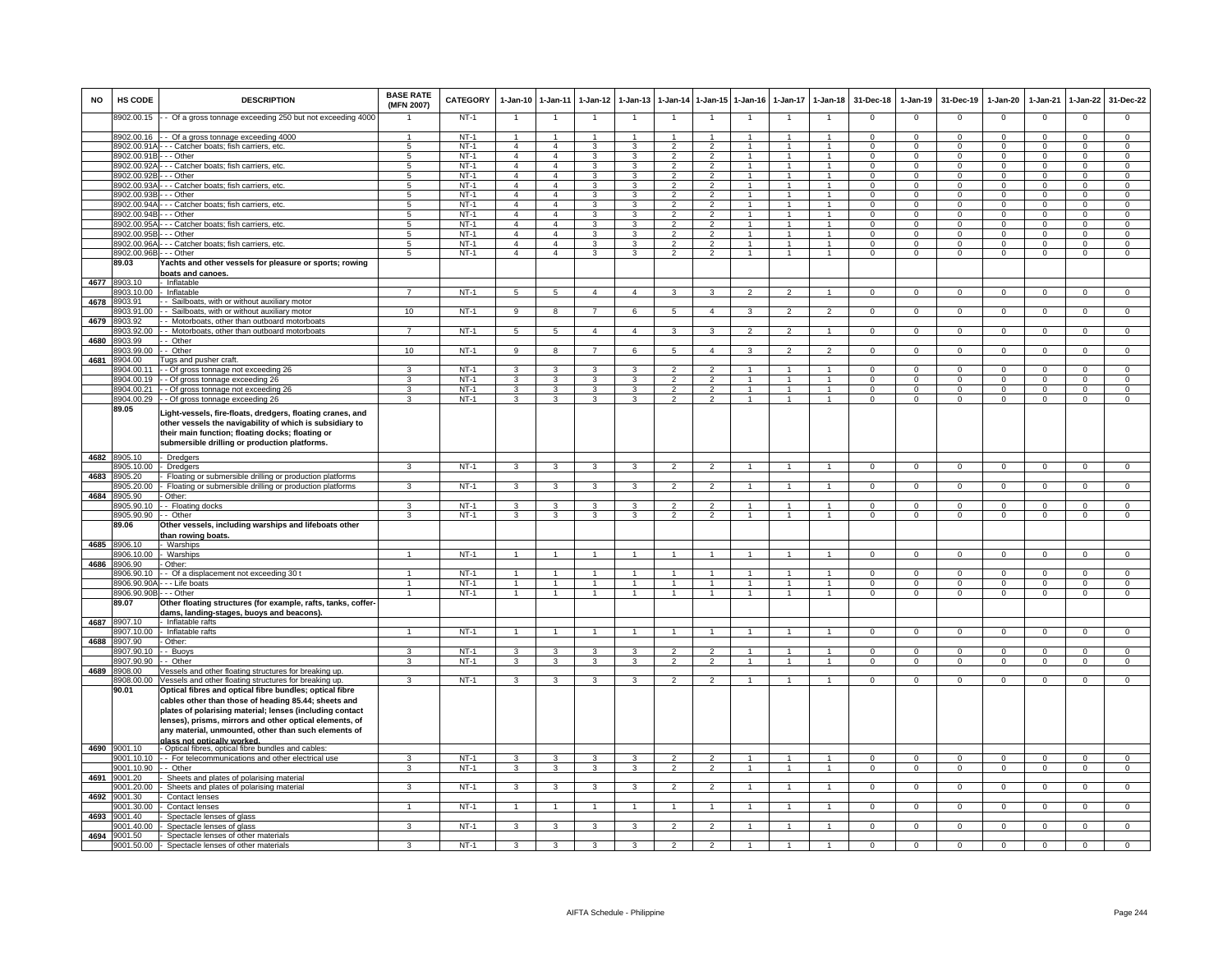| <b>NO</b> | HS CODE                    | <b>DESCRIPTION</b>                                                                                                                                                                                                                                                                                                            | <b>BASE RATE</b><br>(MFN 2007)   | <b>CATEGORY</b>  | 1-Jan-10                         | $1-Jan-11$                       | $1-Jan-12$           | $1-Jan-13$                   | 1-Jan-14                                  | 1-Jan-15                               | $1 - Jan-16$                   | $1-Jan-17$                     | $1 - Jan-18$                   | 31-Dec-18                   | 1-Jan-19                    | 31-Dec-19                  | $1-Jan-20$                    | 1-Jan-21                | 1-Jan-22                   | 31-Dec-22                     |
|-----------|----------------------------|-------------------------------------------------------------------------------------------------------------------------------------------------------------------------------------------------------------------------------------------------------------------------------------------------------------------------------|----------------------------------|------------------|----------------------------------|----------------------------------|----------------------|------------------------------|-------------------------------------------|----------------------------------------|--------------------------------|--------------------------------|--------------------------------|-----------------------------|-----------------------------|----------------------------|-------------------------------|-------------------------|----------------------------|-------------------------------|
|           | 8902.00.15                 | - Of a gross tonnage exceeding 250 but not exceeding 4000                                                                                                                                                                                                                                                                     |                                  | $NT-1$           | $\overline{1}$                   | $\overline{1}$                   |                      |                              | $\overline{1}$                            | $\overline{1}$                         |                                |                                | 1                              | $\mathbf 0$                 | $\mathsf 0$                 | $\mathbf 0$                | $\mathbf 0$                   | $\mathbf 0$             | $\mathsf 0$                | $\mathbf 0$                   |
|           | 8902.00.16                 | - Of a gross tonnage exceeding 4000                                                                                                                                                                                                                                                                                           |                                  | $NT-1$           | $\overline{1}$                   | $\overline{1}$                   | 1                    | $\mathbf{1}$                 | $\overline{1}$                            | $\mathbf{1}$                           | -1                             | $\mathbf{1}$                   | $\overline{1}$                 | $\Omega$                    | $\mathbf{0}$                | $\mathbf 0$                | $\mathbf{0}$                  | $\Omega$                | $\mathbf{0}$               | $\Omega$                      |
|           | 8902.00.91/<br>8902.00.91E | - - Catcher boats; fish carriers, etc.<br>- - Other                                                                                                                                                                                                                                                                           | 5                                | $NT-1$<br>$NT-1$ | $\overline{4}$                   | $\overline{4}$<br>$\overline{4}$ | 3<br>3               | 3<br>$\mathbf{3}$            | $\overline{2}$                            | $\overline{2}$<br>$\overline{2}$       | $\mathbf{1}$<br>$\overline{1}$ | -1<br>$\mathbf{1}$             | $\mathbf{1}$<br>$\mathbf{1}$   | $\Omega$                    | $\mathbf{0}$<br>$\Omega$    | $\mathbf 0$                | $^{\circ}$                    | $\Omega$<br>$\Omega$    | $\mathbf{0}$<br>$\Omega$   | $\mathbf 0$<br>$\overline{0}$ |
|           | 8902.00.92/                | - - Catcher boats; fish carriers, etc.                                                                                                                                                                                                                                                                                        | -5<br>5                          | $NT-1$           | $\overline{a}$<br>$\overline{4}$ | $\overline{4}$                   | 3                    | 3                            | $\mathfrak{p}$<br>$\overline{\mathbf{c}}$ | $\overline{2}$                         | $\mathbf{1}$                   |                                | $\mathbf{1}$                   | $\Omega$<br>$\mathbf 0$     | $\mathbf 0$                 | $\Omega$<br>$\Omega$       | $\Omega$<br>$\mathbf 0$       | $\Omega$                | $\mathsf 0$                | $\mathbf 0$                   |
|           | 3902.00.92                 | - - Other                                                                                                                                                                                                                                                                                                                     |                                  | $NT-1$           | $\overline{4}$                   | $\overline{4}$                   |                      |                              |                                           |                                        |                                |                                |                                | 0                           |                             |                            | 0                             |                         | $\mathbf 0$                | $\mathbf 0$                   |
|           | 8902.00.93/                | - Catcher boats; fish carriers, etc.                                                                                                                                                                                                                                                                                          | 5                                | $NT-1$           | $\overline{4}$                   | $\overline{4}$                   | 3                    | 3                            | $\overline{2}$                            | 2                                      | $\overline{1}$                 |                                | $\mathbf{1}$                   | $\mathbf 0$                 | $\mathbf 0$                 | $\mathbf 0$                | $\mathsf 0$                   | $\Omega$                | $\mathsf 0$                | $\mathsf 0$                   |
|           | 8902.00.93                 | - - Other                                                                                                                                                                                                                                                                                                                     | -5                               | $NT-1$           | $\overline{4}$                   | $\overline{4}$                   | 3                    | 3                            | $\overline{\phantom{a}}$                  | $\overline{2}$                         | $\overline{1}$                 | $\overline{1}$                 | $\overline{1}$                 | $\Omega$                    | $\overline{0}$              | $\Omega$                   | $\overline{0}$                | $\Omega$                | $\Omega$                   | $\overline{0}$                |
|           | 8902.00.94<br>8902.00.94   | - Catcher boats; fish carriers, etc.                                                                                                                                                                                                                                                                                          | $\overline{5}$<br>$\overline{5}$ | $NT-1$<br>$NT-1$ | $\overline{4}$<br>$\overline{4}$ | $\overline{4}$<br>$\overline{4}$ | 3<br>3               | 3<br>3                       | $\overline{2}$<br>$\mathcal{P}$           | $\overline{2}$<br>$\overline{2}$       | $\overline{1}$                 | $\overline{1}$                 | $\mathbf{1}$<br>$\mathbf{1}$   | $\Omega$<br>$\Omega$        | $\overline{0}$<br>$\Omega$  | $\Omega$<br>$\Omega$       | $\overline{0}$<br>$\Omega$    | $\Omega$<br>$\Omega$    | $\overline{0}$<br>$\Omega$ | $\overline{0}$<br>$\Omega$    |
|           | 8902.00.95                 | - - Other<br>- - Catcher boats; fish carriers, etc.                                                                                                                                                                                                                                                                           | 5                                | $NT-1$           | $\overline{4}$                   | $\overline{4}$                   | 3                    | 3                            | $\overline{2}$                            | $\overline{2}$                         |                                | $\mathbf{1}$                   | $\mathbf{1}$                   | $^{\circ}$                  | $\mathbf{0}$                | 0                          | $^{\circ}$                    | $\mathbf 0$             | $\mathbf 0$                | $\mathbf 0$                   |
|           | 8902.00.95                 | - - Other                                                                                                                                                                                                                                                                                                                     | 5                                | $NT-1$           | $\overline{4}$                   | $\overline{4}$                   | 3                    | $\mathbf{3}$                 | $\overline{2}$                            | $\overline{2}$                         | $\mathbf{1}$                   | $\overline{1}$                 | $\mathbf{1}$                   | $\Omega$                    | $\mathbf{0}$                | $\mathbf 0$                | $\mathbf{0}$                  | $\Omega$                | $\mathbf{0}$               | $\mathbf{0}$                  |
|           | 8902.00.96A                | - - Catcher boats; fish carriers, etc.                                                                                                                                                                                                                                                                                        | $5\phantom{.0}$                  | $NT-1$           | $\overline{a}$                   | $\overline{4}$                   | 3                    | 3                            | $\overline{2}$                            | $\overline{2}$                         | $\mathbf{1}$                   | $\mathbf{1}$                   | $\overline{1}$                 | $\Omega$                    | $\mathbf{0}$                | $^{\circ}$                 | $^{\circ}$                    | $\Omega$                | $\mathbf{0}$               | $\overline{0}$                |
|           | 8902.00.96B                | - - Other                                                                                                                                                                                                                                                                                                                     | 5                                | $NT-1$           | $\overline{4}$                   | $\overline{4}$                   | 3                    | 3                            | $\overline{2}$                            | $\overline{2}$                         | $\mathbf{1}$                   | $\mathbf{1}$                   | $\mathbf{1}$                   | $\Omega$                    | $\mathbf 0$                 | $\mathbf 0$                | $\mathbf 0$                   | $\Omega$                | $\overline{0}$             | $\overline{0}$                |
|           | 89.03                      | achts and other vessels for pleasure or sports; rowing<br>boats and canoes.                                                                                                                                                                                                                                                   |                                  |                  |                                  |                                  |                      |                              |                                           |                                        |                                |                                |                                |                             |                             |                            |                               |                         |                            |                               |
|           | 4677 8903.10               | Inflatable                                                                                                                                                                                                                                                                                                                    |                                  |                  |                                  |                                  |                      |                              |                                           |                                        |                                |                                |                                |                             |                             |                            |                               |                         |                            |                               |
| 4678      | 3903.10.00<br>3903.91      | Inflatable<br>- Sailboats, with or without auxiliary motor                                                                                                                                                                                                                                                                    | $\overline{7}$                   | $NT-1$           | $\overline{5}$                   | $\overline{5}$                   | $\mathbf{A}$         | $\overline{a}$               | 3                                         | $\mathbf{B}$                           | $\mathcal{P}$                  | $\mathcal{P}$                  | $\overline{1}$                 | $\Omega$                    | $\Omega$                    | $\Omega$                   | $\Omega$                      | $\Omega$                | $\mathbf 0$                | $\overline{0}$                |
|           | 3903.91.00                 | - Sailboats, with or without auxiliary motor                                                                                                                                                                                                                                                                                  | 10                               | $NT-1$           | 9                                | 8                                |                      | 6                            | $\overline{5}$                            | $\overline{4}$                         |                                |                                |                                | $\Omega$                    | $\Omega$                    | $\Omega$                   | $\Omega$                      | $\Omega$                | $\Omega$                   | $\Omega$                      |
| 4679      | 8903.92                    | - Motorboats, other than outboard motorboats                                                                                                                                                                                                                                                                                  |                                  |                  |                                  |                                  |                      |                              |                                           |                                        |                                |                                |                                |                             |                             |                            |                               |                         |                            |                               |
|           | 8903.92.00                 | - Motorboats, other than outboard motorboats                                                                                                                                                                                                                                                                                  | $\overline{7}$                   | NT-1             | 5                                | 5                                | $\overline{4}$       | $\overline{4}$               | 3                                         | $\mathbf{3}$                           | 2                              | $\overline{2}$                 | $\mathbf{1}$                   | $^{\circ}$                  | $\circ$                     | $\mathbf 0$                | $\overline{0}$                | $\mathbf 0$             | $\mathbf{0}$               | $\mathbf{0}$                  |
| 4680      | 3903.99                    | - Other                                                                                                                                                                                                                                                                                                                       |                                  |                  |                                  |                                  |                      |                              |                                           |                                        |                                |                                |                                |                             |                             |                            |                               |                         |                            |                               |
|           | 903.99.00                  | - Other                                                                                                                                                                                                                                                                                                                       | 10                               | $NT-1$           | 9                                | 8                                | $\overline{7}$       | 6                            | 5                                         | $\overline{4}$                         | 3                              | $\mathfrak{p}$                 | $\overline{2}$                 | $\mathbf{0}$                | $\mathbf 0$                 | $\mathbf 0$                | $\mathbf 0$                   | $\mathbf 0$             | $\mathbf 0$                | $\overline{0}$                |
| 4681      | 904.00                     | Tugs and pusher craft.                                                                                                                                                                                                                                                                                                        |                                  | $NT-1$           | 3                                | 3                                |                      | 3                            |                                           |                                        |                                |                                | 1                              | $\Omega$                    | $\Omega$                    | $\Omega$                   | $\Omega$                      | $\Omega$                | $\Omega$                   | $\Omega$                      |
|           | 904.00.11<br>8904.00.19    | - Of gross tonnage not exceeding 26<br>- Of gross tonnage exceeding 26                                                                                                                                                                                                                                                        | 3                                | $NT-1$           | 3                                | 3                                | 3                    | 3                            | $\overline{2}$                            | $\overline{2}$                         | $\overline{1}$                 | $\overline{1}$                 | $\mathbf{1}$                   | $\overline{0}$              | $\mathbf{0}$                | $^{\circ}$                 | $\mathbf 0$                   | $\Omega$                | $\mathbf 0$                | $\mathbf 0$                   |
|           | 8904.00.21                 | - Of gross tonnage not exceeding 26                                                                                                                                                                                                                                                                                           | 3                                | $NT-1$           | 3                                | 3                                | 3                    | 3                            | $\overline{\phantom{a}}$                  | $\overline{2}$                         | $\overline{1}$                 | $\overline{1}$                 | $\overline{1}$                 | $\Omega$                    | $\Omega$                    | $\Omega$                   | $\overline{0}$                | $\Omega$                | $\Omega$                   | $\overline{0}$                |
|           | 8904.00.29                 | - Of gross tonnage exceeding 26                                                                                                                                                                                                                                                                                               | 3                                | $NT-1$           | 3                                | 3                                | 3                    | 3                            | $\overline{\phantom{a}}$                  | $\overline{2}$                         | $\overline{1}$                 | $\mathbf{1}$                   | $\mathbf{1}$                   | $\Omega$                    | $\Omega$                    | $\Omega$                   | $\overline{0}$                | $\Omega$                | $\Omega$                   | $\overline{0}$                |
|           | 89.05                      | .ight-vessels, fire-floats, dredgers, floating cranes, and<br>other vessels the navigability of which is subsidiary to<br>their main function; floating docks; floating or<br>submersible drilling or production platforms.                                                                                                   |                                  |                  |                                  |                                  |                      |                              |                                           |                                        |                                |                                |                                |                             |                             |                            |                               |                         |                            |                               |
| 4682      | 8905.10                    | <b>Dredgers</b>                                                                                                                                                                                                                                                                                                               |                                  |                  |                                  |                                  |                      |                              |                                           |                                        |                                |                                |                                |                             |                             |                            |                               |                         |                            |                               |
|           | 905.10.00                  | Dredgers                                                                                                                                                                                                                                                                                                                      | 3                                | $NT-1$           | 3                                | 3                                | 3                    | 3                            | $\overline{2}$                            | $\overline{2}$                         |                                | $\overline{1}$                 | $\mathbf{1}$                   | $\mathbf 0$                 | $\mathbf 0$                 | $\mathbf 0$                | $\mathbf 0$                   | $\mathbf 0$             | $\mathsf 0$                | $\mathbf 0$                   |
| 4683      | 3905.20<br>8905.20.00      | Floating or submersible drilling or production platforms<br>Floating or submersible drilling or production platforms                                                                                                                                                                                                          | 3                                | $NT-1$           | 3                                | 3                                | 3                    | 3                            | $\overline{2}$                            | $\overline{2}$                         | $\overline{1}$                 | $\overline{1}$                 | $\mathbf{1}$                   | $\Omega$                    | $\overline{0}$              | $\Omega$                   | $\overline{0}$                | $\Omega$                | $\overline{0}$             | $\overline{0}$                |
| 4684      | 8905.90                    | Other:                                                                                                                                                                                                                                                                                                                        |                                  |                  |                                  |                                  |                      |                              |                                           |                                        |                                |                                |                                |                             |                             |                            |                               |                         |                            |                               |
|           | 8905.90.10                 | - Floating docks                                                                                                                                                                                                                                                                                                              |                                  | $NT-1$           | 3                                | 3                                | 3                    |                              |                                           | $\overline{2}$                         |                                |                                |                                | $\Omega$                    | $\Omega$                    | $\Omega$                   | $\Omega$                      | $\Omega$                | $\Omega$                   | $\Omega$                      |
|           | 8905.90.90                 | - Other                                                                                                                                                                                                                                                                                                                       | $\mathbf{3}$                     | $NT-1$           | $\mathbf{3}$                     | $\mathbf{3}$                     | 3                    | 3                            | $\overline{2}$                            | $\overline{2}$                         | $\overline{1}$                 | $\overline{1}$                 | $\mathbf{1}$                   | $\mathbf{0}$                | $\mathbf{0}$                | $\mathbf 0$                | $\overline{0}$                | $\mathbf 0$             | $\mathbf{0}$               | $\mathbf{0}$                  |
|           | 89.06                      | Other vessels, including warships and lifeboats other                                                                                                                                                                                                                                                                         |                                  |                  |                                  |                                  |                      |                              |                                           |                                        |                                |                                |                                |                             |                             |                            |                               |                         |                            |                               |
| 4685      | 8906.10                    | han rowing boats.<br>Warships                                                                                                                                                                                                                                                                                                 |                                  |                  |                                  |                                  |                      |                              |                                           |                                        |                                |                                |                                |                             |                             |                            |                               |                         |                            |                               |
|           | 906.10.00                  | Warships                                                                                                                                                                                                                                                                                                                      |                                  | $NT-1$           | 1                                |                                  |                      |                              |                                           |                                        |                                |                                |                                | $^{\circ}$                  | $\mathbf 0$                 | $\mathbf 0$                | $\mathbf 0$                   | $\Omega$                | $\mathbf 0$                | $\mathbf 0$                   |
| 4686      | 3906.90                    | Other:                                                                                                                                                                                                                                                                                                                        |                                  |                  |                                  |                                  |                      |                              |                                           |                                        |                                |                                |                                |                             |                             |                            |                               |                         |                            |                               |
|           | 8906.90.10                 | - Of a displacement not exceeding 30 t                                                                                                                                                                                                                                                                                        | $\mathbf{1}$                     | $NT-1$           | $\overline{1}$                   | $\overline{1}$                   |                      | $\mathbf{1}$                 | $\mathbf{1}$                              | $\blacktriangleleft$                   | -1                             | $\mathbf{1}$                   | $\overline{1}$                 | $\mathbf{0}$                | $\Omega$                    | $\mathbf 0$                | $\mathbf{0}$                  | $\Omega$                | $\mathbf 0$                | $\mathbf 0$                   |
|           | 8906.90.90/<br>8906.90.90  | - - Life boats<br>- - Other                                                                                                                                                                                                                                                                                                   |                                  | $NT-1$<br>$NT-1$ | $\overline{1}$<br>$\mathbf{1}$   | $\overline{1}$<br>$\mathbf{1}$   |                      | $\mathbf{1}$<br>$\mathbf{1}$ | $\overline{1}$<br>$\overline{1}$          | $\blacktriangleleft$<br>$\overline{1}$ | $\overline{1}$<br>$\mathbf{1}$ | $\overline{1}$<br>$\mathbf{1}$ | $\overline{1}$<br>$\mathbf{1}$ | $\Omega$<br>$\mathbf 0$     | $\Omega$<br>$\mathbf 0$     | $\Omega$<br>$\mathbf 0$    | $\overline{0}$<br>$\mathsf 0$ | $\Omega$<br>$\Omega$    | $\Omega$<br>$\mathsf 0$    | $\overline{0}$<br>$\mathbf 0$ |
|           | 89.07                      | Other floating structures (for example, rafts, tanks, coffer-                                                                                                                                                                                                                                                                 |                                  |                  |                                  |                                  |                      |                              |                                           |                                        |                                |                                |                                |                             |                             |                            |                               |                         |                            |                               |
|           |                            | dams, landing-stages, buoys and beacons)                                                                                                                                                                                                                                                                                      |                                  |                  |                                  |                                  |                      |                              |                                           |                                        |                                |                                |                                |                             |                             |                            |                               |                         |                            |                               |
|           | 4687 8907.10               | Inflatable rafts                                                                                                                                                                                                                                                                                                              |                                  |                  |                                  |                                  |                      |                              |                                           |                                        |                                |                                |                                |                             |                             |                            |                               |                         |                            |                               |
|           | 8907.10.00                 | Inflatable rafts                                                                                                                                                                                                                                                                                                              | $\mathbf{1}$                     | $NT-1$           | -1                               | $\overline{1}$                   | $\overline{1}$       | $\mathbf{1}$                 | $\overline{1}$                            | $\overline{1}$                         | $\overline{1}$                 | $\overline{1}$                 | $\overline{1}$                 | $\Omega$                    | $\mathbf{0}$                | $\mathbf{0}$               | $\overline{0}$                | $\mathbf 0$             | $\overline{0}$             | $\overline{0}$                |
| 4688      | 3907.90<br>907.90.10       | Other:<br>- Buoys                                                                                                                                                                                                                                                                                                             | 3                                | $NT-1$           | 3                                | 3                                | 3                    | 3                            | $\mathfrak{p}$                            | $\overline{2}$                         |                                |                                | $\mathbf{1}$                   | $\mathbf 0$                 | $\Omega$                    | $\Omega$                   | $\Omega$                      | $\Omega$                | $\mathsf 0$                | $\overline{0}$                |
|           | 907.90.90                  | - Other                                                                                                                                                                                                                                                                                                                       | 3                                | $NT-1$           | 3                                | 3                                | 3                    | 3                            | $\overline{2}$                            | $\mathcal{P}$                          | $\overline{1}$                 |                                | $\overline{1}$                 | $^{\circ}$                  | $\mathbf 0$                 | $^{\circ}$                 | 0                             | $\Omega$                | $\mathbf 0$                | $\Omega$                      |
| 4689      | 8908.00                    | essels and other floating structures for breaking up.                                                                                                                                                                                                                                                                         |                                  |                  |                                  |                                  |                      |                              |                                           |                                        |                                |                                |                                |                             |                             |                            |                               |                         |                            |                               |
|           | 8908.00.00                 | /essels and other floating structures for breaking up.                                                                                                                                                                                                                                                                        | 3                                | $NT-1$           | 3                                | 3                                | 3                    | 3                            | $\overline{2}$                            | $\overline{2}$                         | $\overline{1}$                 | $\mathbf{1}$                   | $\overline{1}$                 | $\Omega$                    | $\mathbf 0$                 | $\mathbf 0$                | $\mathbf 0$                   | $\mathbf 0$             | $\mathbf 0$                | $\overline{0}$                |
|           | 90.01                      | Optical fibres and optical fibre bundles; optical fibre<br>cables other than those of heading 85.44; sheets and<br>plates of polarising material; lenses (including contact<br>lenses), prisms, mirrors and other optical elements, of<br>any material, unmounted, other than such elements of<br>glass not optically worked. |                                  |                  |                                  |                                  |                      |                              |                                           |                                        |                                |                                |                                |                             |                             |                            |                               |                         |                            |                               |
| 4690      | 9001.10                    | - Optical fibres, optical fibre bundles and cables:                                                                                                                                                                                                                                                                           |                                  |                  |                                  |                                  |                      |                              |                                           |                                        |                                |                                |                                |                             |                             |                            |                               |                         |                            |                               |
|           | 9001.10.10                 | - For telecommunications and other electrical use<br>- Other                                                                                                                                                                                                                                                                  | 3<br>3                           | $NT-1$<br>$NT-1$ | 3<br>3                           | 3                                | 3                    | 3                            | $\overline{2}$<br>$\overline{2}$          | $\mathcal{P}$<br>$\overline{2}$        | $\mathbf{1}$<br>$\mathbf{1}$   | $\mathbf{1}$<br>$\overline{1}$ | $\overline{1}$<br>$\mathbf{1}$ | $\mathbf 0$<br>$\mathbf{0}$ | $\mathbf 0$<br>$\mathbf{0}$ | $\mathbf 0$<br>$\mathbf 0$ | $\mathsf 0$<br>$\mathbf 0$    | $\mathbf 0$<br>$\Omega$ | $\mathsf 0$<br>$\mathbf 0$ | $\mathbf 0$<br>$\overline{0}$ |
| 4691      | 9001.10.90<br>9001.20      | Sheets and plates of polarising material                                                                                                                                                                                                                                                                                      |                                  |                  |                                  | 3                                | 3                    | 3                            |                                           |                                        |                                |                                |                                |                             |                             |                            |                               |                         |                            |                               |
|           | 9001.20.00                 | Sheets and plates of polarising material                                                                                                                                                                                                                                                                                      | 3                                | $NT-1$           | 3                                | 3                                | 3                    | 3                            | $\overline{2}$                            | $\overline{2}$                         |                                |                                | $\overline{1}$                 | $\mathbf 0$                 | $\mathbf 0$                 | $\Omega$                   | $\Omega$                      | $\Omega$                | $\mathbf 0$                | $\Omega$                      |
| 4692      | 001.30                     | Contact lenses                                                                                                                                                                                                                                                                                                                |                                  |                  |                                  |                                  |                      |                              |                                           |                                        |                                |                                |                                |                             |                             |                            |                               |                         |                            |                               |
|           | 9001.30.00                 | Contact lenses                                                                                                                                                                                                                                                                                                                | $\mathbf{1}$                     | $NT-1$           | $\overline{1}$                   | $\overline{1}$                   | $\blacktriangleleft$ | $\mathbf{1}$                 | $\overline{1}$                            | $\overline{1}$                         | $\overline{1}$                 | $\overline{1}$                 | $\mathbf{1}$                   | $\Omega$                    | $\mathsf 0$                 | $\Omega$                   | $\Omega$                      | $\Omega$                | $\mathsf 0$                | $\Omega$                      |
|           | 4693 9001.40<br>9001.40.00 | Spectacle lenses of glass<br>Spectacle lenses of glass                                                                                                                                                                                                                                                                        | 3                                | $NT-1$           | 3                                | 3                                | 3                    | 3                            | $\overline{2}$                            | $\overline{2}$                         | -1                             | $\mathbf{1}$                   | $\mathbf{1}$                   | $\Omega$                    | $\overline{0}$              | $\Omega$                   | $\overline{0}$                | $\Omega$                | $\overline{0}$             | $\overline{0}$                |
| 4694      | 9001.50                    | Spectacle lenses of other materials                                                                                                                                                                                                                                                                                           |                                  |                  |                                  |                                  |                      |                              |                                           |                                        |                                |                                |                                |                             |                             |                            |                               |                         |                            |                               |
|           | 9001.50.00                 | Spectacle lenses of other materials                                                                                                                                                                                                                                                                                           | 3                                | $NT-1$           | 3                                | 3                                | 3                    | 3                            | $\mathfrak{p}$                            |                                        |                                |                                |                                | $\Omega$                    | $\mathbf 0$                 | $\Omega$                   | $\overline{0}$                | $\Omega$                | $\mathsf 0$                | $\Omega$                      |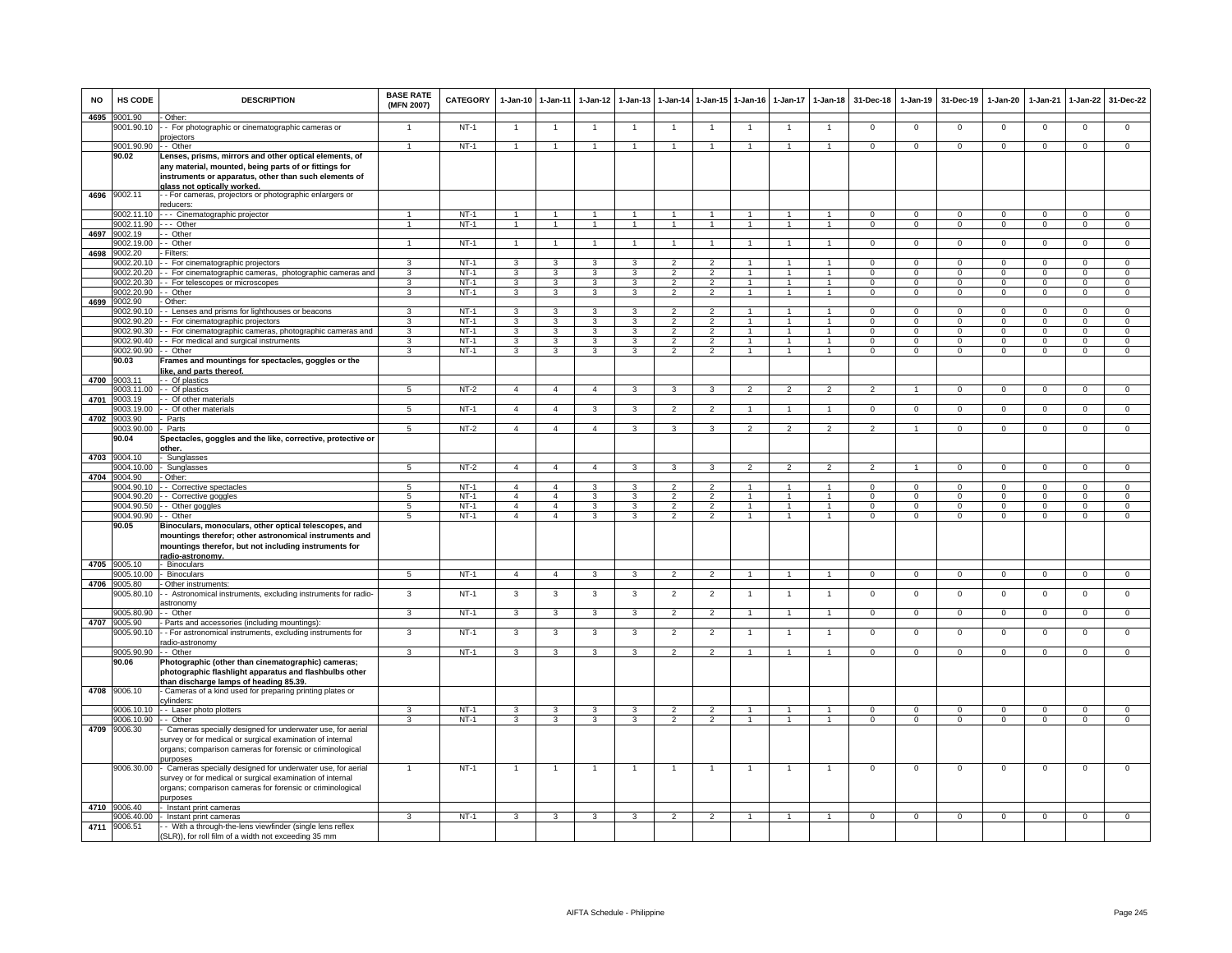| <b>NO</b> | HS CODE               | <b>DESCRIPTION</b>                                                                                                                                                                                      | <b>BASE RATE</b><br>(MFN 2007) | <b>CATEGORY</b> | $1-Jan-10$              | $1 - Jan-11$            | $1-Jan-12$              | $1-Jan-13$     | $1-Jan-14$     | $1$ -Jan-15          | $1-Jan-16$     | $1-Jan-17$     | $1-Jan-18$           | 31-Dec-18      | $1-Jan-19$     | 31-Dec-19      | $1-Jan-20$     | $1-Jan-21$     | $1-Jan-22$     | 31-Dec-22      |
|-----------|-----------------------|---------------------------------------------------------------------------------------------------------------------------------------------------------------------------------------------------------|--------------------------------|-----------------|-------------------------|-------------------------|-------------------------|----------------|----------------|----------------------|----------------|----------------|----------------------|----------------|----------------|----------------|----------------|----------------|----------------|----------------|
| 4695      | 9001.90<br>9001.90.10 | Other:<br>- - For photographic or cinematographic cameras or                                                                                                                                            |                                | <b>NT-1</b>     |                         |                         |                         |                |                | $\overline{1}$       |                |                |                      | $\Omega$       | $\Omega$       | $\Omega$       | $\Omega$       | $\Omega$       | 0              | $\Omega$       |
|           | 9001.90.90            | projectors<br>- Other                                                                                                                                                                                   | $\blacktriangleleft$           | $NT-1$          | -1                      | $\mathbf{1}$            | $\overline{1}$          |                |                | $\blacktriangleleft$ | -1             | $\mathbf{1}$   |                      | $\Omega$       | $\mathbf{0}$   | $\mathbf 0$    | $\mathbf{0}$   | $^{\circ}$     | $\mathbf 0$    | $\overline{0}$ |
|           | 90.02                 | Lenses, prisms, mirrors and other optical elements, of<br>any material, mounted, being parts of or fittings for<br>instruments or apparatus, other than such elements of<br>alass not optically worked. |                                |                 |                         |                         |                         |                |                |                      |                |                |                      |                |                |                |                |                |                |                |
| 4696      | 9002.11               | - - For cameras, projectors or photographic enlargers or<br>reducers:                                                                                                                                   |                                |                 |                         |                         |                         |                |                |                      |                |                |                      |                |                |                |                |                |                |                |
|           | 002.11.10             | --- Cinematographic projector                                                                                                                                                                           |                                | $NT-1$          | $\mathbf{1}$            | $\overline{1}$          | $\overline{1}$          | $\mathbf{1}$   | $\mathbf{1}$   | $\overline{1}$       | $\overline{1}$ | $\overline{1}$ | $\overline{1}$       | $\Omega$       | $\Omega$       | $\Omega$       | $\overline{0}$ | $\Omega$       | $\overline{0}$ | $\overline{0}$ |
|           | 9002.11.90            | $\cdots$ Other                                                                                                                                                                                          | $\mathbf{1}$                   | $NT-1$          | $\overline{1}$          | $\mathbf{1}$            | $\overline{1}$          | $\mathbf{1}$   | $\overline{1}$ | $\overline{1}$       | $\overline{1}$ | $\mathbf{1}$   | $\overline{1}$       | $\overline{0}$ | $\overline{0}$ | $\overline{0}$ | $\overline{0}$ | $\overline{0}$ | $\overline{0}$ | $\overline{0}$ |
| 4697      | 9002.19<br>9002.19.00 | - - Other<br>- - Other                                                                                                                                                                                  | $\overline{1}$                 | $NT-1$          |                         | $\mathbf{1}$            | $\overline{1}$          |                |                | $\mathbf{1}$         |                | $\mathbf{1}$   | $\overline{1}$       | $\mathbf 0$    | $\mathbf 0$    | $\mathbf{0}$   | $\mathbf{0}$   | $\mathbf 0$    | $\circ$        | $\mathbf{0}$   |
| 4698      | 9002.20               | - Filters:                                                                                                                                                                                              |                                |                 |                         |                         |                         |                |                |                      |                |                |                      |                |                |                |                |                |                |                |
|           | 9002.20.10            | - - For cinematographic projectors                                                                                                                                                                      | 3                              | $NT-1$          | 3                       | 3                       | 3                       | 3              | $\mathcal{P}$  | $\overline{2}$       |                | -1             |                      | $\Omega$       | $\mathsf 0$    | $\Omega$       | $\Omega$       | $\Omega$       | $\mathbf{0}$   | $\Omega$       |
|           | 9002.20.20            | - For cinematographic cameras, photographic cameras and                                                                                                                                                 | 3                              | $NT-1$          | 3                       | 3                       | 3                       | 3              | $\overline{c}$ | $\overline{2}$       | -1             | $\mathbf{1}$   | $\mathbf{1}$         | $\Omega$       | $\mathbf{0}$   | $\mathbf{0}$   | $\mathbf{0}$   | $\Omega$       | $\overline{0}$ | $\overline{0}$ |
|           | 002.20.30             | - For telescopes or microscopes                                                                                                                                                                         | 3                              | $NT-1$          | 3                       | 3                       | $\overline{3}$          | 3              | $\overline{2}$ | $\overline{2}$       | $\mathbf{1}$   | $\mathbf{1}$   | $\overline{1}$       | $\Omega$       | $\Omega$       | $\Omega$       | $\Omega$       | $\Omega$       | $\overline{0}$ | $\overline{0}$ |
|           | 002.20.90             | Other                                                                                                                                                                                                   | 3                              | $NT-1$          | 3                       | 3                       | 3                       | 3              | $\overline{2}$ | 2                    | $\mathbf{1}$   | $\mathbf{1}$   | $\overline{1}$       | $\Omega$       | $\mathbf 0$    | $\Omega$       | $\mathbf 0$    | $\mathbf 0$    | $\mathbf 0$    | $\circ$        |
| 4699      | 9002.90               | Other:                                                                                                                                                                                                  |                                |                 |                         |                         |                         |                |                |                      |                |                |                      |                |                |                |                |                |                |                |
|           | 002.90.10             | - Lenses and prisms for lighthouses or beacons                                                                                                                                                          | 3                              | $NT-1$          | 3                       | $\mathcal{R}$           | 3                       |                |                | $\overline{2}$       |                |                |                      | $\Omega$       | $^{\circ}$     | $\mathbf 0$    | $\mathbf 0$    | $^{\circ}$     | $\mathsf 0$    | $\mathbf 0$    |
|           | 9002.90.20            | - For cinematographic projectors                                                                                                                                                                        | 3                              | $NT-1$          | $\overline{3}$          | $\mathbf{a}$            | $\mathbf{3}$            | $\mathbf{3}$   | $\mathcal{P}$  | $\overline{2}$       | $\overline{1}$ | $\overline{1}$ | $\overline{1}$       | $\Omega$       | $\mathsf 0$    | $\mathbf 0$    | $\Omega$       | $\Omega$       | $\mathsf 0$    | $\mathsf 0$    |
|           | 9002.90.30            | - For cinematographic cameras, photographic cameras and                                                                                                                                                 | 3                              | $NT-1$          | $\overline{\mathbf{3}}$ | $\overline{3}$          | $\overline{\mathbf{3}}$ | $\overline{3}$ | $\overline{2}$ | $\overline{2}$       | $\overline{1}$ | $\mathbf{1}$   | $\overline{1}$       | $\Omega$       | $\mathbf 0$    | $\mathbf 0$    | $\overline{0}$ | $\Omega$       | $\overline{0}$ | $\overline{0}$ |
|           | 9002.90.40            | - For medical and surgical instruments                                                                                                                                                                  | 3                              | $NT-1$          | 3                       | 3                       | 3                       | 3              | $\overline{2}$ | $\overline{2}$       | $\mathbf{1}$   | $\mathbf{1}$   | $\overline{1}$       | $\Omega$       | 0              | $^{\circ}$     | 0              | $\Omega$       | 0              | $\mathbf 0$    |
|           | 9002.90.90<br>90.03   | - Other<br>Frames and mountings for spectacles, goggles or the<br>ike, and parts thereof.                                                                                                               | $\overline{3}$                 | $NT-1$          | $\overline{3}$          | 3                       | $\overline{\mathbf{3}}$ | 3              | $\overline{2}$ | $\overline{2}$       | $\mathbf{1}$   | $\mathbf{1}$   | $\overline{1}$       | $\Omega$       | $\overline{0}$ | $\mathbf 0$    | $\overline{0}$ | $\mathbf 0$    | $\overline{0}$ | $\overline{0}$ |
| 4700      | 9003.11               | - Of plastics                                                                                                                                                                                           |                                |                 |                         |                         |                         |                |                |                      |                |                |                      |                |                |                |                |                |                |                |
|           |                       | 9003.11.00 - - Of plastics                                                                                                                                                                              | 5.                             | $NT-2$          | $\overline{a}$          | $\overline{4}$          | $\overline{a}$          |                |                | 3                    |                |                |                      |                |                | $\Omega$       |                |                | $\Omega$       | $\Omega$       |
| 4701      | 9003.19               | - Of other materials                                                                                                                                                                                    |                                |                 |                         |                         |                         |                |                |                      |                |                |                      |                |                |                |                |                |                |                |
|           | 9003.19.00            | - - Of other materials                                                                                                                                                                                  | $5\overline{5}$                | $NT-1$          | $\overline{a}$          | $\overline{4}$          | 3                       | 3              | $\overline{2}$ | $\overline{2}$       |                |                |                      | $\overline{0}$ | $\mathbf 0$    | $\mathbf 0$    | $\mathbf{0}$   | $\mathbf 0$    | $\overline{0}$ | $\overline{0}$ |
| 4702      | 003.90                | Parts                                                                                                                                                                                                   |                                |                 |                         |                         |                         |                |                |                      |                |                |                      |                |                |                |                |                |                |                |
|           | 003.90.00             | Parts                                                                                                                                                                                                   | 5                              | $NT-2$          | $\overline{4}$          | $\overline{4}$          | $\overline{4}$          | 3              | 3              | 3                    | $\mathfrak{p}$ | $\overline{2}$ | $\mathfrak{p}$       | $\mathcal{P}$  |                | $\Omega$       | $\mathbf 0$    | $\Omega$       | $\mathbf 0$    | $\overline{0}$ |
|           | 90.04                 | Spectacles, goggles and the like, corrective, protective or                                                                                                                                             |                                |                 |                         |                         |                         |                |                |                      |                |                |                      |                |                |                |                |                |                |                |
| 4703      | 9004.10               | other.<br>Sunglasses                                                                                                                                                                                    |                                |                 |                         |                         |                         |                |                |                      |                |                |                      |                |                |                |                |                |                |                |
|           | 9004.10.00            | Sunglasses                                                                                                                                                                                              | $5\overline{5}$                | $NT-2$          | $\overline{4}$          | $\overline{4}$          | $\overline{4}$          | $\overline{3}$ | 3              | 3                    | $\overline{2}$ | $\overline{2}$ | $\overline{2}$       | $\overline{2}$ | $\overline{1}$ | $\mathbf{0}$   | $\overline{0}$ | $\mathbf 0$    | $\overline{0}$ | $\overline{0}$ |
| 4704      | 004.90                | Other:                                                                                                                                                                                                  |                                |                 |                         |                         |                         |                |                |                      |                |                |                      |                |                |                |                |                |                |                |
|           | 9004.90.10            | - Corrective spectacles                                                                                                                                                                                 | 5.                             | $NT-1$          | $\Delta$                | $\mathbf{A}$            | 3                       | 3              | $\mathcal{P}$  | $\overline{2}$       |                |                |                      | $\Omega$       | $\Omega$       | $\Omega$       | $\Omega$       | $\Omega$       | $\mathbf 0$    | $\mathbf 0$    |
|           | 9004.90.20            | - Corrective goggles                                                                                                                                                                                    | 5                              | $NT-1$          | $\overline{4}$          | $\overline{4}$          | 3                       | 3              | $\overline{2}$ | $\overline{2}$       |                |                |                      | $\Omega$       | $\mathbf 0$    | $\Omega$       | $\Omega$       | $\Omega$       | $\mathsf 0$    | $\mathbf 0$    |
|           | 9004.90.50            | - Other goggles                                                                                                                                                                                         | $5^{\circ}$                    | $NT-1$          | $\overline{4}$          | $\overline{4}$          | $\overline{\mathbf{3}}$ | 3              | $\overline{2}$ | $\overline{2}$       | $\overline{1}$ | $\mathbf{1}$   | $\blacktriangleleft$ | $\Omega$       | $\Omega$       | $\Omega$       | $\Omega$       | $\Omega$       | $\Omega$       | $\overline{0}$ |
|           | 9004.90.90 - - Other  |                                                                                                                                                                                                         | $5\overline{5}$                | $NT-1$          | $\overline{4}$          | $\overline{4}$          | $\mathbf{3}$            | 3              | $\overline{2}$ | $\overline{2}$       | $\mathbf{1}$   | $\mathbf{1}$   | $\mathbf{1}$         | $\mathbf{0}$   | $\mathbf{0}$   | $\mathbf{0}$   | $\mathbf 0$    | $\mathbf 0$    | $\circ$        | $\mathbf{0}$   |
|           | 90.05                 | Binoculars, monoculars, other optical telescopes, and<br>mountings therefor; other astronomical instruments and<br>mountings therefor, but not including instruments for<br>radio-astronomv.            |                                |                 |                         |                         |                         |                |                |                      |                |                |                      |                |                |                |                |                |                |                |
| 4705      | 9005.10<br>005.10.00  | Binoculars<br>Binoculars                                                                                                                                                                                | 5                              | $NT-1$          | $\overline{4}$          | $\overline{4}$          | 3                       | 3              | $\overline{2}$ | $\overline{2}$       | $\overline{1}$ | $\overline{1}$ | $\overline{1}$       | $\mathbf 0$    | $\mathbf 0$    | $\mathbf 0$    | $\mathbf 0$    | $\mathbf 0$    | $\mathbf 0$    | $\mathbf 0$    |
| 4706      | 9005.80               | Other instruments:                                                                                                                                                                                      |                                |                 |                         |                         |                         |                |                |                      |                |                |                      |                |                |                |                |                |                |                |
|           | 005.80.10             | - Astronomical instruments, excluding instruments for radio-<br>astronomy                                                                                                                               | 3                              | $NT-1$          | $\overline{3}$          | $\overline{\mathbf{3}}$ | $\mathbf{3}$            | 3              | $\overline{2}$ | $\overline{2}$       | -1             | $\overline{1}$ | $\mathbf{1}$         | $\mathsf 0$    | $\mathbf 0$    | $\mathbf 0$    | $\mathbf 0$    | $\mathbf 0$    | $\mathsf 0$    | $\mathbf 0$    |
|           | 005.80.90             | - Other                                                                                                                                                                                                 | $\overline{3}$                 | $NT-1$          | $\overline{3}$          | 3                       | $\overline{3}$          | 3              | $\overline{2}$ | $\overline{2}$       | $\overline{1}$ | $\overline{1}$ | $\overline{1}$       | $\overline{0}$ | $\overline{0}$ | $\overline{0}$ | $\overline{0}$ | $\Omega$       | $\overline{0}$ | $\overline{0}$ |
| 4707      | 9005.90<br>9005.90.10 | Parts and accessories (including mountings)<br>- For astronomical instruments, excluding instruments for                                                                                                | 3                              | <b>NT-1</b>     | 3                       | 3                       | 3                       | 3              | $\overline{2}$ | $\overline{2}$       |                |                |                      | $\Omega$       | 0              | $\Omega$       | $\mathbf 0$    | $\Omega$       | $\mathsf 0$    | $\mathbf 0$    |
|           | 9005.90.90 - - Other  | radio-astronomy                                                                                                                                                                                         | 3                              | $NT-1$          | 3                       | $\mathbf{3}$            | $\mathbf{3}$            | 3              | 2              | $\overline{2}$       | $\overline{1}$ | $\mathbf{1}$   | $\mathbf{1}$         | $\Omega$       | $\mathbf{0}$   | $^{\circ}$     | $^{\circ}$     | $\mathbf{0}$   | $\mathbf{0}$   | $\mathbf{0}$   |
|           | 90.06                 | Photographic (other than cinematographic) cameras;                                                                                                                                                      |                                |                 |                         |                         |                         |                |                |                      |                |                |                      |                |                |                |                |                |                |                |
|           |                       | photographic flashlight apparatus and flashbulbs other<br>than discharge lamps of heading 85.39.                                                                                                        |                                |                 |                         |                         |                         |                |                |                      |                |                |                      |                |                |                |                |                |                |                |
| 4708      | 9006.10               | Cameras of a kind used for preparing printing plates or<br>cylinders:                                                                                                                                   |                                |                 |                         |                         |                         |                |                |                      |                |                |                      |                |                |                |                |                |                |                |
|           | 9006.10.10            | - - Laser photo plotters                                                                                                                                                                                | 3                              | <b>NT-1</b>     | 3                       | 3                       | 3                       | 3              | $\overline{2}$ | $\overline{2}$       | $\overline{1}$ | $\mathbf{1}$   | $\overline{1}$       | $^{\circ}$     | $\overline{0}$ | $\mathbf 0$    | 0              | $^{\circ}$     | $\mathbf 0$    | $\mathbf 0$    |
|           | 9006.10.90            | - - Other                                                                                                                                                                                               | 3                              | $NT-1$          | $\overline{3}$          | $\overline{\mathbf{3}}$ | $\overline{\mathbf{3}}$ | $\overline{3}$ | $\overline{2}$ | $\overline{2}$       | $\overline{1}$ | $\mathbf{1}$   | $\overline{1}$       | $\Omega$       | $\overline{0}$ | $\mathbf{0}$   | $\Omega$       | $\Omega$       | $\mathbf 0$    | $\overline{0}$ |
| 4709      | 9006.30               | Cameras specially designed for underwater use, for aerial<br>survey or for medical or surgical examination of internal<br>organs; comparison cameras for forensic or criminological<br>ourposes         |                                |                 |                         |                         |                         |                |                |                      |                |                |                      |                |                |                |                |                |                |                |
|           | 9006.30.00            | Cameras specially designed for underwater use, for aerial<br>survey or for medical or surgical examination of internal<br>organs; comparison cameras for forensic or criminological<br><b>urposes</b>   | $\mathbf{1}$                   | $NT-1$          | -1                      | $\overline{1}$          | $\overline{1}$          | 1              | $\overline{1}$ | $\overline{1}$       | $\mathbf{1}$   | $\mathbf{1}$   | $\mathbf{1}$         | $\mathbf 0$    | $\mathbf 0$    | $\mathbf{0}$   | $\mathbf 0$    | $\mathbf 0$    | $\mathbf 0$    | $\mathbf 0$    |
|           | 4710 9006.40          | Instant print cameras                                                                                                                                                                                   |                                |                 |                         |                         |                         |                |                |                      |                |                |                      |                |                |                |                |                |                |                |
|           | 006.40.00             | Instant print cameras                                                                                                                                                                                   | 3                              | <b>NT-1</b>     | 3                       | 3                       | 3                       | 3              | $\overline{2}$ | $\overline{2}$       | $\overline{1}$ | $\overline{1}$ | $\overline{1}$       | $\mathbf 0$    | $\mathsf 0$    | $^{\circ}$     | 0              | $\mathbf 0$    | $\mathsf 0$    | $\mathbf 0$    |
| 4711      | 9006.51               | - With a through-the-lens viewfinder (single lens reflex<br>(SLR)), for roll film of a width not exceeding 35 mm                                                                                        |                                |                 |                         |                         |                         |                |                |                      |                |                |                      |                |                |                |                |                |                |                |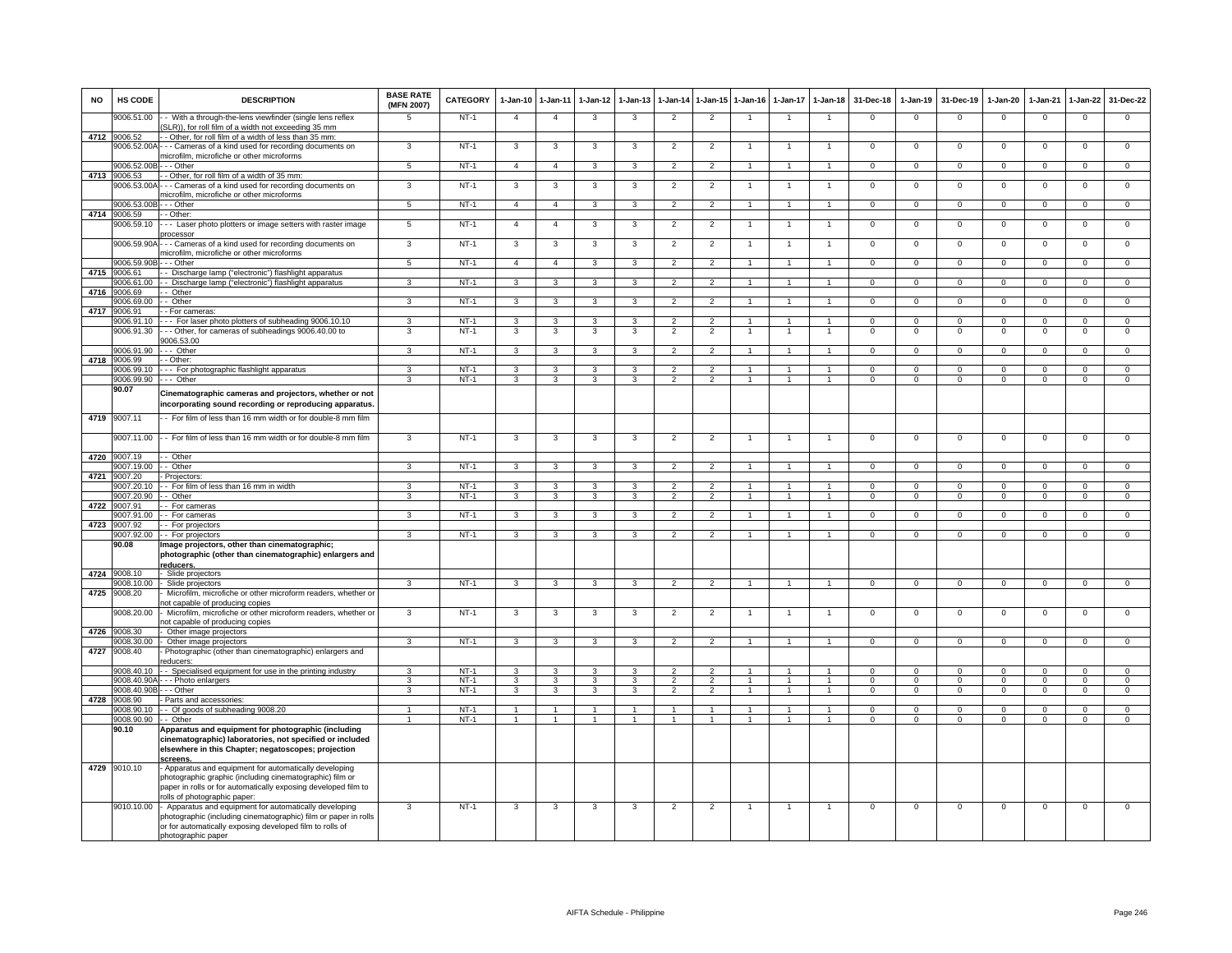| <b>NO</b> | HS CODE                   | <b>DESCRIPTION</b>                                                                                                                                                                                                | <b>BASE RATE</b><br>(MFN 2007)   | <b>CATEGORY</b>  | 1-Jan-10 1-Jan-11            |                         | 1-Jan-12                | $1-Jan-13$              | 1-Jan-14                         | 1-Jan-15 1-Jan-16                |                                  | 1-Jan-17     | $1 - Jan-18$                     | 31-Dec-18                  | $1-Jan-19$                 | 31-Dec-19                     | 1-Jan-20                                  | 1-Jan-21                   | 1-Jan-22                         | 31-Dec-22                        |
|-----------|---------------------------|-------------------------------------------------------------------------------------------------------------------------------------------------------------------------------------------------------------------|----------------------------------|------------------|------------------------------|-------------------------|-------------------------|-------------------------|----------------------------------|----------------------------------|----------------------------------|--------------|----------------------------------|----------------------------|----------------------------|-------------------------------|-------------------------------------------|----------------------------|----------------------------------|----------------------------------|
|           | 006.51.00                 | - With a through-the-lens viewfinder (single lens reflex<br>SLR)), for roll film of a width not exceeding 35 mm                                                                                                   | 5                                | $NT-1$           | $\overline{4}$               | $\overline{4}$          | 3                       | 3                       | $\overline{2}$                   | $\overline{2}$                   | $\overline{1}$                   | -1           | $\mathbf{1}$                     | $\Omega$                   | $\Omega$                   | $\Omega$                      | $\mathbf 0$                               | $\Omega$                   | $\overline{0}$                   | $\overline{0}$                   |
|           | 4712 9006.52              | - Other, for roll film of a width of less than 35 mm:                                                                                                                                                             |                                  |                  |                              |                         |                         |                         |                                  |                                  |                                  |              |                                  |                            |                            |                               |                                           |                            |                                  |                                  |
|           | 9006.52.00/               | - - Cameras of a kind used for recording documents on                                                                                                                                                             | 3                                | $NT-1$           | $\mathbf{3}$                 | 3                       | 3                       | 3                       | $\overline{2}$                   | $\overline{2}$                   |                                  |              | -1                               | $\mathsf 0$                | $\mathsf 0$                | $\mathbf 0$                   | $\mathbf 0$                               | $\mathbf 0$                | $\mathsf 0$                      | $\mathbf 0$                      |
|           | 9006.52.00B - - - Other   | microfilm, microfiche or other microforms                                                                                                                                                                         | 5 <sub>5</sub>                   | $NT-1$           | $\overline{4}$               | $\overline{4}$          | $\mathbf{3}$            | 3                       | $\overline{2}$                   | $\overline{2}$                   | $\mathbf{1}$                     | 1            | $\mathbf{1}$                     | $\mathbf{O}$               | $\mathbf{0}$               | $\mathbf 0$                   | $\mathbf{0}$                              | $\mathbf 0$                | $\overline{0}$                   | $\overline{0}$                   |
| 4713      | 9006.53                   | - Other, for roll film of a width of 35 mm:                                                                                                                                                                       |                                  |                  |                              |                         |                         |                         |                                  |                                  |                                  |              |                                  |                            |                            |                               |                                           |                            |                                  |                                  |
|           | 9006.53.00A               | - - Cameras of a kind used for recording documents on                                                                                                                                                             | 3                                | $NT-1$           | 3                            | $\mathbf{3}$            | 3                       | 3                       | $\overline{2}$                   | $\overline{2}$                   |                                  |              | $\overline{1}$                   | $\mathbf 0$                | $\mathsf 0$                | $\mathbf 0$                   | $\mathsf 0$                               | $\mathbf 0$                | $\mathsf 0$                      | $\mathsf 0$                      |
|           |                           | nicrofilm, microfiche or other microforms                                                                                                                                                                         |                                  |                  |                              |                         |                         |                         |                                  |                                  |                                  |              |                                  |                            |                            |                               |                                           |                            |                                  |                                  |
|           | 9006.53.00B - - - Other   |                                                                                                                                                                                                                   | $5^{\circ}$                      | $NT-1$           | $\overline{4}$               | $\overline{4}$          | $\mathbf{3}$            | $\mathbf{3}$            | $\overline{2}$                   | $\mathcal{P}$                    | $\mathbf{1}$                     | $\mathbf{1}$ | $\overline{1}$                   | $\Omega$                   | $\mathbf 0$                | $\mathbf 0$                   | $\Omega$                                  | $\Omega$                   | $\mathbf 0$                      | $\Omega$                         |
| 4714      | 9006.59                   | $-$ Other:                                                                                                                                                                                                        |                                  |                  | $\overline{4}$               |                         |                         |                         |                                  |                                  |                                  |              |                                  |                            |                            |                               |                                           |                            |                                  |                                  |
|           | 9006.59.10<br>9006.59.90A | Laser photo plotters or image setters with raster image<br>processor<br>-- Cameras of a kind used for recording documents on                                                                                      | $\overline{5}$<br>$\overline{3}$ | $NT-1$<br>$NT-1$ | 3                            | $\overline{4}$<br>3     | 3                       | 3<br>3                  | $\overline{2}$<br>$\overline{2}$ | $\overline{2}$<br>$\overline{2}$ | $\overline{1}$<br>$\overline{1}$ |              | $\overline{1}$<br>$\overline{1}$ | $\mathsf 0$<br>$\Omega$    | $\mathsf 0$<br>$\Omega$    | $\mathbf 0$<br>$\overline{0}$ | $\overline{0}$<br>$\overline{\mathbf{0}}$ | $\mathbf 0$<br>$\Omega$    | $\overline{0}$<br>$\overline{0}$ | $\overline{0}$<br>$\overline{0}$ |
|           |                           | microfilm, microfiche or other microforms                                                                                                                                                                         |                                  |                  |                              |                         | 3                       |                         |                                  |                                  |                                  |              |                                  |                            |                            |                               |                                           |                            |                                  |                                  |
|           | 9006.59.90B               | --- Other                                                                                                                                                                                                         | 5 <sub>5</sub>                   | $NT-1$           | $\overline{4}$               | $\overline{4}$          | $\mathbf{3}$            | 3                       | $\overline{2}$                   | $\overline{2}$                   | $\mathbf{1}$                     | $\mathbf{1}$ | $\overline{1}$                   | $\mathbf{0}$               | $\mathbf 0$                | $\mathbf 0$                   | $\mathbf{0}$                              | $\mathbf 0$                | $\mathbf{0}$                     | $\mathbf{0}$                     |
| 4715      | 9006.61                   | - Discharge lamp ("electronic") flashlight apparatus                                                                                                                                                              |                                  |                  |                              |                         |                         |                         |                                  |                                  |                                  |              |                                  |                            |                            |                               |                                           |                            |                                  |                                  |
|           | 3006 61.00                | - Discharge lamp ("electronic") flashlight apparatus                                                                                                                                                              | 3                                | $NT-1$           | 3                            | $\mathbf{3}$            | 3                       | 3                       | $\overline{2}$                   | $\overline{2}$                   | $\overline{1}$                   | 1            | $\overline{1}$                   | $\mathbf{0}$               | $^{\circ}$                 | $\mathbf{0}$                  | $\mathbf{0}$                              | $^{\circ}$                 | $\overline{0}$                   | $\overline{0}$                   |
| 4716      | 88.8006                   | - Other                                                                                                                                                                                                           |                                  |                  |                              |                         |                         |                         |                                  |                                  |                                  |              |                                  |                            |                            |                               |                                           |                            |                                  |                                  |
|           | 006.69.00                 | Other                                                                                                                                                                                                             | 3                                | $NT-1$           | 3                            | 3                       | 3                       | 3                       | $\overline{2}$                   | $\overline{2}$                   |                                  |              |                                  | $\mathsf 0$                | $\mathsf 0$                | $\mathbf 0$                   | $\overline{0}$                            | $\mathbf 0$                | $\mathsf 0$                      | $\overline{0}$                   |
| 4717      | 9006.91                   | - For cameras:                                                                                                                                                                                                    |                                  |                  |                              |                         |                         |                         |                                  |                                  |                                  |              |                                  |                            |                            |                               |                                           |                            |                                  |                                  |
|           | 9006.91.10                | -- For laser photo plotters of subheading 9006.10.10                                                                                                                                                              | $\mathbf{R}$<br>3                | $NT-1$<br>$NT-1$ | $\mathbf{3}$<br>$\mathbf{3}$ | 3<br>$\mathbf{3}$       | 3<br>$\mathbf{3}$       | 3<br>3                  | $\overline{2}$<br>$\overline{2}$ | $\overline{2}$<br>$\overline{2}$ | $\mathbf{1}$                     |              | $\overline{1}$<br>$\overline{1}$ | $\mathsf 0$<br>$\mathsf 0$ | $\mathsf 0$<br>$\mathbf 0$ | $\mathbf 0$<br>$\,0\,$        | $\mathbf 0$<br>$\mathbf 0$                | $\mathbf 0$<br>$\mathbf 0$ | $\mathsf 0$<br>$\mathsf 0$       | $\mathbf 0$<br>$\mathbf 0$       |
|           | 9006.91.30                | - - Other, for cameras of subheadings 9006.40.00 to<br>9006.53.00                                                                                                                                                 |                                  |                  |                              |                         |                         |                         |                                  |                                  |                                  |              |                                  |                            |                            |                               |                                           |                            |                                  |                                  |
|           | 9006.91.90                | - Other                                                                                                                                                                                                           | 3                                | $NT-1$           | $\mathbf{3}$                 | 3                       | 3                       | 3                       | $\overline{2}$                   | $\overline{2}$                   |                                  |              | $\overline{1}$                   | $\Omega$                   | $\mathsf 0$                | $\Omega$                      | $\mathbf 0$                               | $\Omega$                   | $\mathbf 0$                      | $\Omega$                         |
| 4718      | 9006.99                   | - Other:                                                                                                                                                                                                          |                                  |                  |                              |                         |                         |                         |                                  |                                  |                                  |              |                                  |                            |                            |                               |                                           |                            |                                  |                                  |
|           | 9006.99.10                | --- For photographic flashlight apparatus                                                                                                                                                                         | $\mathbf{a}$                     | $NT-1$           | 3                            | 3                       | 3                       |                         |                                  |                                  |                                  |              |                                  | $\Omega$                   | $\Omega$                   | $\Omega$                      | $\Omega$                                  | $\Omega$                   | $\Omega$                         | $\Omega$                         |
|           | 9006.99.90                | --- Other                                                                                                                                                                                                         | 3                                | <b>NT-1</b>      | $\mathbf{3}$                 | $\mathbf{3}$            | $\mathbf{3}$            | 3                       | $\overline{2}$                   | $\overline{2}$                   | $\overline{1}$                   | $\mathbf{1}$ | $\overline{1}$                   | $\mathbf{0}$               | $\mathbf{0}$               | $\mathbf 0$                   | $\mathbf{0}$                              | $^{\circ}$                 | $\mathbf{0}$                     | $\mathbf{0}$                     |
|           | 90.07                     | Cinematographic cameras and projectors, whether or not<br>incorporating sound recording or reproducing apparatus                                                                                                  |                                  |                  |                              |                         |                         |                         |                                  |                                  |                                  |              |                                  |                            |                            |                               |                                           |                            |                                  |                                  |
| 4719      | 9007.11                   | - For film of less than 16 mm width or for double-8 mm film                                                                                                                                                       |                                  |                  |                              |                         |                         |                         |                                  |                                  |                                  |              |                                  |                            |                            |                               |                                           |                            |                                  |                                  |
|           | 9007.11.00                | - For film of less than 16 mm width or for double-8 mm film                                                                                                                                                       | 3                                | $NT-1$           | 3                            | 3                       | 3                       | 3                       | $\overline{2}$                   | $\overline{2}$                   |                                  |              |                                  | 0                          | 0                          | $\mathbf 0$                   | $\overline{0}$                            | $\mathbf 0$                | 0                                | $\circ$                          |
| 4720      | 9007.19                   | - Other                                                                                                                                                                                                           |                                  |                  |                              |                         |                         |                         |                                  |                                  |                                  |              |                                  |                            |                            |                               |                                           |                            |                                  |                                  |
|           | 9007.19.00                | - Other                                                                                                                                                                                                           | 3                                | $NT-1$           | $\overline{\mathbf{3}}$      | $\overline{\mathbf{3}}$ | $\overline{\mathbf{3}}$ | 3                       | $\overline{2}$                   | $\overline{2}$                   |                                  |              | $\overline{1}$                   | $\overline{0}$             | $\overline{0}$             | $\overline{0}$                | $\overline{0}$                            | $\Omega$                   | $\overline{0}$                   | $\overline{0}$                   |
| 4721      | 9007.20<br>9007.20.10     | - Projectors<br>-- For film of less than 16 mm in width                                                                                                                                                           | 3                                | $NT-1$           | $\mathbf{3}$                 | $\mathbf{3}$            | $\mathbf{3}$            | 3                       | $\overline{2}$                   | $\overline{2}$                   |                                  |              | $\mathbf{1}$                     | $\mathbf{O}$               | $\mathsf 0$                | $\mathbf{0}$                  | $\mathbf{0}$                              | $^{\circ}$                 | $\mathbf{0}$                     | $\mathbf{0}$                     |
|           | 9007.20.90                | - Other                                                                                                                                                                                                           | 3                                | $NT-1$           | $\mathbf{3}$                 | $\mathbf{3}$            | $\mathbf{3}$            | 3                       | $\overline{2}$                   | $\overline{2}$                   | $\overline{1}$                   | $\mathbf{1}$ | $\overline{1}$                   | $\mathbf{0}$               | $\mathbf{0}$               | $\mathbf{0}$                  | $\mathbf{0}$                              | $\mathbf 0$                | $\mathbf{0}$                     | $\mathbf{0}$                     |
|           | 4722 9007.91              | - For cameras                                                                                                                                                                                                     |                                  |                  |                              |                         |                         |                         |                                  |                                  |                                  |              |                                  |                            |                            |                               |                                           |                            |                                  |                                  |
|           | 9007.91.00                | - For cameras                                                                                                                                                                                                     | 3                                | $NT-1$           | $\mathbf{3}$                 | $\overline{\mathbf{3}}$ | $\mathbf{3}$            | 3                       | $\overline{2}$                   | $\overline{2}$                   | 1                                | 1            | $\mathbf{1}$                     | $\mathbf{O}$               | $\mathbf 0$                | $\overline{0}$                | $\overline{0}$                            | $\mathbf 0$                | $\overline{0}$                   | $\overline{0}$                   |
| 4723      | 9007.92                   | - For projectors                                                                                                                                                                                                  |                                  |                  |                              |                         |                         |                         |                                  |                                  |                                  |              |                                  |                            |                            |                               |                                           |                            |                                  |                                  |
|           | 007.92.00<br>90.08        | - For projectors<br>Image projectors, other than cinematographic;<br>photographic (other than cinematographic) enlargers and<br>reducers.                                                                         | $\mathbf{R}$                     | $NT-1$           | 3                            | 3                       | 3                       | 3                       | $\mathcal{P}$                    | $\mathcal{P}$                    |                                  |              | $\mathbf{1}$                     | $\mathsf 0$                | $\mathsf 0$                | $\mathbf 0$                   | $\Omega$                                  | $\mathbf 0$                | $\mathsf 0$                      | $\mathsf 0$                      |
| 4724      | 9008.10                   | - Slide projectors                                                                                                                                                                                                |                                  |                  |                              |                         |                         |                         |                                  |                                  |                                  |              |                                  |                            |                            |                               |                                           |                            |                                  |                                  |
|           | 9008.10.00                | Slide projectors                                                                                                                                                                                                  | 3                                | $NT-1$           | 3                            | 3                       | 3                       | $\overline{\mathbf{3}}$ | $\overline{2}$                   | $\overline{2}$                   |                                  |              | $\overline{1}$                   | $\overline{0}$             | $\overline{0}$             | $\overline{0}$                | $\overline{0}$                            | $\Omega$                   | $\overline{0}$                   | $\overline{0}$                   |
| 4725      | 9008.20                   | Microfilm, microfiche or other microform readers, whether or                                                                                                                                                      |                                  |                  |                              |                         |                         |                         |                                  |                                  |                                  |              |                                  |                            |                            |                               |                                           |                            |                                  |                                  |
|           |                           | not capable of producing copies                                                                                                                                                                                   |                                  |                  |                              |                         |                         |                         |                                  |                                  |                                  |              |                                  |                            |                            |                               |                                           |                            |                                  |                                  |
|           | 9008.20.00                | Microfilm, microfiche or other microform readers, whether or<br>not capable of producing copies                                                                                                                   | 3                                | $NT-1$           | 3                            | 3                       | 3                       | 3                       | $\overline{2}$                   | $\overline{2}$                   |                                  |              |                                  | $\Omega$                   | $\Omega$                   | $\mathbf 0$                   | $\Omega$                                  | $\Omega$                   | $^{\circ}$                       | $\mathbf 0$                      |
| 4726      | 9008.30<br>9008.30.00     | Other image projectors                                                                                                                                                                                            | 3                                |                  | $\overline{3}$               | $\overline{3}$          | 3                       | 3                       | $\overline{2}$                   | $\overline{2}$                   | $\mathbf{1}$                     |              |                                  | $\Omega$                   | $\Omega$                   | $\Omega$                      | $\Omega$                                  | $\overline{0}$             | $\overline{0}$                   | $\overline{0}$                   |
| 4727      | 9008.40                   | Other image projectors<br>Photographic (other than cinematographic) enlargers and                                                                                                                                 |                                  | $NT-1$           |                              |                         |                         |                         |                                  |                                  |                                  | 1            | $\mathbf{1}$                     |                            |                            |                               |                                           |                            |                                  |                                  |
|           | 9008.40.10                | educers:<br>- Specialised equipment for use in the printing industry                                                                                                                                              | $\mathbf{\Omega}$                | $NT-1$           | $\mathbf{3}$                 | $\mathbf{3}$            | 3                       | 3                       | $\mathcal{L}$                    | $\mathcal{P}$                    | $\overline{1}$                   |              | $\overline{1}$                   | $\mathsf 0$                | $\mathsf 0$                | $\mathbf 0$                   | $\Omega$                                  | $\Omega$                   | $\mathsf 0$                      | $\mathbf 0$                      |
|           |                           | 9008.40.90A - - - Photo enlargers                                                                                                                                                                                 | 3                                | $NT-1$           | $\mathbf{3}$                 | 3                       | 3                       | 3                       | $\overline{2}$                   | $\overline{2}$                   | $\overline{1}$                   | 1            | $\overline{1}$                   | $\Omega$                   | $\Omega$                   | $\Omega$                      | $\Omega$                                  | $\Omega$                   | $\mathsf 0$                      | $\overline{0}$                   |
|           | 9008 40 90F               | $-$ - Other                                                                                                                                                                                                       | $\overline{\mathbf{3}}$          | $NT-1$           | 3                            | $\overline{3}$          | $\overline{3}$          | $\overline{\mathbf{3}}$ | 2                                | $\overline{2}$                   | $\overline{1}$                   | $\mathbf{1}$ | $\overline{1}$                   | $\overline{0}$             | $\overline{0}$             | $\overline{0}$                | $\overline{0}$                            | $\overline{0}$             | $\overline{0}$                   | $\overline{0}$                   |
| 4728      | 9008.90                   | Parts and accessories:                                                                                                                                                                                            |                                  |                  |                              |                         |                         |                         |                                  |                                  |                                  |              |                                  |                            |                            |                               |                                           |                            |                                  |                                  |
|           | 9008.90.10                | - Of goods of subheading 9008.20                                                                                                                                                                                  |                                  | $NT-1$           |                              | $\mathbf{1}$            |                         |                         | $\overline{1}$                   |                                  |                                  |              |                                  | $\Omega$                   | $\Omega$                   | $\Omega$                      | $\Omega$                                  | $\Omega$                   | $\mathsf 0$                      | $\mathbf 0$                      |
|           | 9008.90.90                | - - Other                                                                                                                                                                                                         | $\overline{1}$                   | $NT-1$           | $\overline{1}$               | $\overline{1}$          | $\blacktriangleleft$    | $\ddot{\phantom{0}}$    | $\overline{1}$                   | $\blacktriangleleft$             | $\overline{1}$                   | $\mathbf{1}$ | $\overline{1}$                   | $\Omega$                   | $\Omega$                   | $\Omega$                      | $\Omega$                                  | $\Omega$                   | $\Omega$                         | $\overline{0}$                   |
|           | 90.10                     | Apparatus and equipment for photographic (including<br>cinematographic) laboratories, not specified or included<br>elsewhere in this Chapter; negatoscopes; projection<br>screens.                                |                                  |                  |                              |                         |                         |                         |                                  |                                  |                                  |              |                                  |                            |                            |                               |                                           |                            |                                  |                                  |
|           | 4729 9010.10              | Apparatus and equipment for automatically developing<br>photographic graphic (including cinematographic) film or<br>paper in rolls or for automatically exposing developed film to<br>olls of photographic paper: |                                  |                  |                              |                         |                         |                         |                                  |                                  |                                  |              |                                  |                            |                            |                               |                                           |                            |                                  |                                  |
|           | 9010.10.00                | Apparatus and equipment for automatically developing<br>photographic (including cinematographic) film or paper in rolls<br>or for automatically exposing developed film to rolls of<br>photographic paper         | 3                                | $NT-1$           | 3                            | 3                       | 3                       | 3                       | $\overline{2}$                   | $\overline{2}$                   | $\mathbf{1}$                     | $\mathbf{1}$ | $\overline{1}$                   | $^{\circ}$                 | $\mathbf 0$                | $\mathbf 0$                   | $\mathsf 0$                               | $\mathbf 0$                | $\mathsf 0$                      | $\mathbf 0$                      |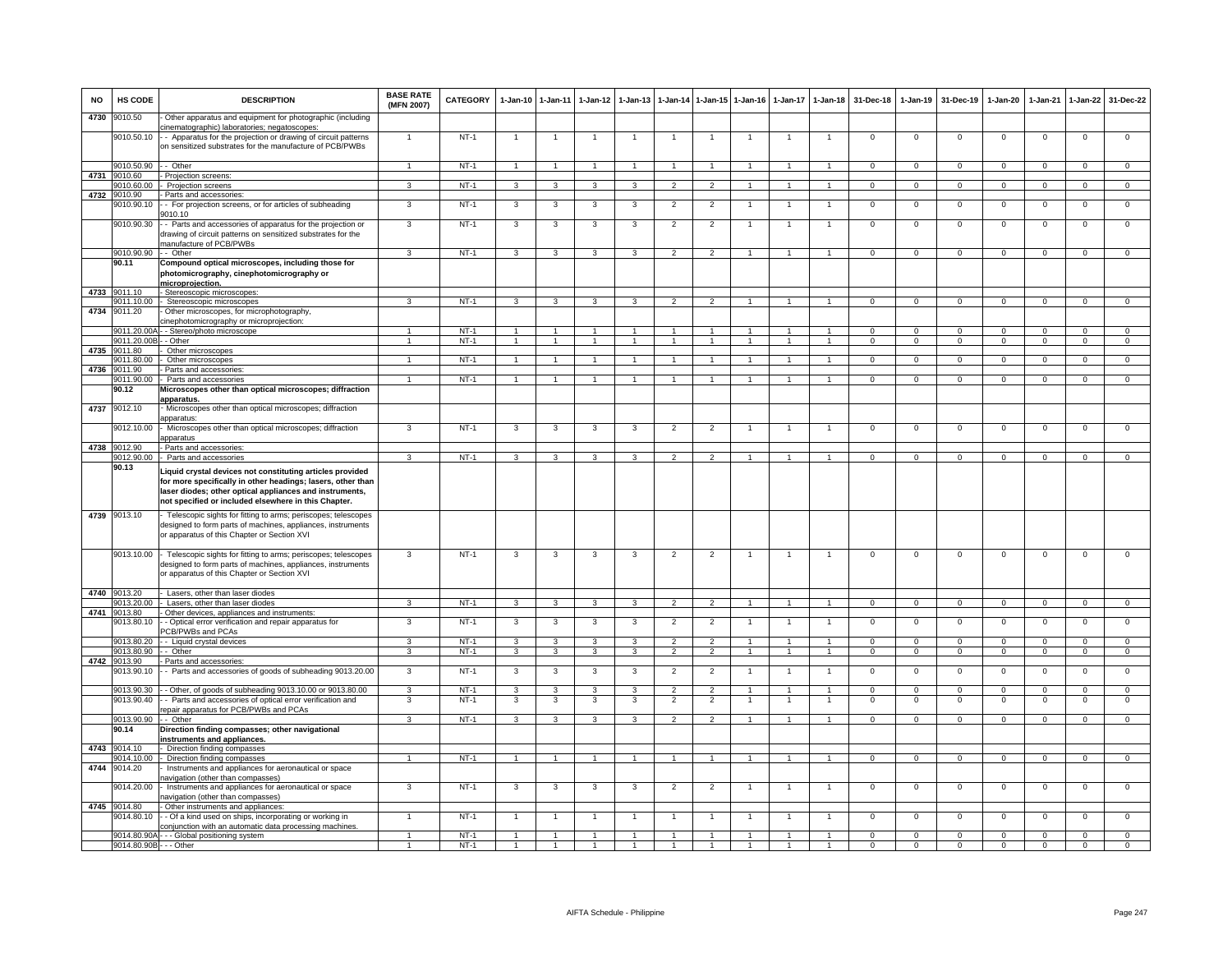| <b>NO</b> | HS CODE                    | <b>DESCRIPTION</b>                                                                                                                                                                                                                          | <b>BASE RATE</b><br>(MFN 2007) | <b>CATEGORY</b> | $1-Jan-10$           | $1 - Jan-11$            | $1 - Jan-12$   | $1-Jan-13$     |                                  |                                 | 1-Jan-14 1-Jan-15 1-Jan-16 | $1-Jan-17$     | $1 - Jan-18$                     | 31-Dec-18            | $1-Jan-19$                | 31-Dec-19               | $1-Jan-20$                    | $1-Jan-21$           | 1-Jan-22                   | 31-Dec-22               |
|-----------|----------------------------|---------------------------------------------------------------------------------------------------------------------------------------------------------------------------------------------------------------------------------------------|--------------------------------|-----------------|----------------------|-------------------------|----------------|----------------|----------------------------------|---------------------------------|----------------------------|----------------|----------------------------------|----------------------|---------------------------|-------------------------|-------------------------------|----------------------|----------------------------|-------------------------|
| 4730      | 9010.50                    | Other apparatus and equipment for photographic (including<br>cinematographic) laboratories; negatoscopes:                                                                                                                                   |                                |                 |                      |                         |                |                |                                  |                                 |                            |                |                                  |                      |                           |                         |                               |                      |                            |                         |
|           |                            | 9010.50.10 - Apparatus for the projection or drawing of circuit patterns<br>on sensitized substrates for the manufacture of PCB/PWBs                                                                                                        | 1                              | $NT-1$          | $\mathbf{1}$         |                         |                |                |                                  |                                 |                            |                |                                  | $^{\circ}$           | $^{\circ}$                | $\mathbf 0$             | $\overline{0}$                | $\mathbf 0$          | $\mathsf 0$                | $\overline{0}$          |
|           | 9010.50.90 - - Other       |                                                                                                                                                                                                                                             | $\overline{1}$                 | $NT-1$          | $\overline{1}$       | $\overline{1}$          | $\mathbf{1}$   |                | $\overline{1}$                   | $\blacktriangleleft$            |                            |                | $\blacktriangleleft$             | $\mathbf{0}$         | $\mathbf 0$               | $\mathbf 0$             | $\mathbf 0$                   | $\mathbf 0$          | $\mathsf 0$                | $\mathbf 0$             |
| 4731      | 9010.60<br>9010.60.00      | Projection screens:<br>Projection screens                                                                                                                                                                                                   | 3                              | $NT-1$          | $\overline{3}$       | $\overline{3}$          | $\overline{3}$ | 3              | $\overline{2}$                   | $\overline{2}$                  | $\overline{1}$             | $\overline{1}$ | $\overline{1}$                   | $\Omega$             | $\overline{0}$            | $\mathbf{0}$            | $\overline{0}$                | $\overline{0}$       | $\overline{0}$             | $\overline{0}$          |
| 4732      | 9010.90                    | Parts and accessories:                                                                                                                                                                                                                      |                                |                 |                      |                         |                |                |                                  |                                 |                            |                |                                  |                      |                           |                         |                               |                      |                            |                         |
|           | 9010.90.10                 | - For projection screens, or for articles of subheading<br>9010.10                                                                                                                                                                          | 3                              | $NT-1$          | 3                    | 3                       | 3              | 3              | $\overline{2}$                   | $\overline{2}$                  |                            |                | $\mathbf{1}$                     | $\mathsf 0$          | $\mathsf 0$               | $\mathbf 0$             | $\mathbf 0$                   | $\mathbf 0$          | $\mathsf 0$                | $\mathbf 0$             |
|           | 9010.90.30                 | - Parts and accessories of apparatus for the projection or<br>drawing of circuit patterns on sensitized substrates for the<br>manufacture of PCB/PWBs                                                                                       | 3                              | $NT-1$          | 3                    | 3                       | 3              | 3              | $\overline{2}$                   | $\overline{2}$                  | $\mathbf{1}$               | $\mathbf{1}$   | $\overline{1}$                   | $^{\circ}$           | $\mathbf{0}$              | $\mathbf{0}$            | $\overline{0}$                | $^{\circ}$           | 0                          | $\mathbf 0$             |
|           | 9010.90.90 - - Other       |                                                                                                                                                                                                                                             | $\overline{\mathbf{3}}$        | $NT-1$          | 3                    | 3                       | 3              | 3              | $\overline{2}$                   | $\mathfrak{p}$                  |                            |                | $\mathbf{1}$                     | $\mathsf 0$          | $\overline{0}$            | $\overline{0}$          | $\mathbf 0$                   | $\mathbf 0$          | $\mathsf 0$                | $\overline{0}$          |
|           | 90.11                      | Compound optical microscopes, including those for<br>photomicrography, cinephotomicrography or<br>microprojection.                                                                                                                          |                                |                 |                      |                         |                |                |                                  |                                 |                            |                |                                  |                      |                           |                         |                               |                      |                            |                         |
| 4733      | 9011.10                    | - Stereoscopic microscopes:                                                                                                                                                                                                                 |                                |                 |                      |                         |                |                |                                  |                                 |                            |                |                                  |                      |                           |                         |                               |                      |                            |                         |
| 4734      | 9011.10.00<br>9011.20      | - Stereoscopic microscopes<br>Other microscopes, for microphotography,<br>cinephotomicrography or microprojection:                                                                                                                          |                                | $NT-1$          | 3                    | 3                       | 3              |                | $\overline{2}$                   |                                 |                            |                |                                  | $\Omega$             | $\Omega$                  | $\Omega$                | $\Omega$                      | $\Omega$             | $\Omega$                   | $\Omega$                |
|           |                            | 9011.20.00A - - Stereo/photo microscope                                                                                                                                                                                                     | $\mathbf{1}$                   | $NT-1$          | $\overline{1}$       | $\overline{1}$          | $\mathbf{1}$   | -1             | $\mathbf{1}$                     | $\mathbf{1}$                    | -1                         | $\mathbf{1}$   | $\mathbf{1}$                     | $\Omega$             | $\Omega$                  | $\Omega$                | $\Omega$                      | $\Omega$             | $\Omega$                   | $\overline{0}$          |
|           | 9011.20.00B                | - Other                                                                                                                                                                                                                                     |                                | $NT-1$          | -1                   |                         |                |                |                                  |                                 |                            |                |                                  | $\Omega$             | $\overline{0}$            | $\Omega$                | $\Omega$                      | $\Omega$             | $\overline{0}$             | $\overline{0}$          |
| 4735      | 9011.80<br>9011.80.00      | Other microscopes<br>Other microscopes                                                                                                                                                                                                      | $\mathbf{1}$                   | $NT-1$          | $\overline{1}$       | $\blacktriangleleft$    |                |                |                                  |                                 |                            |                | $\mathbf{1}$                     | $\mathsf 0$          | $\mathbf 0$               | $\mathbf 0$             | $\mathbf 0$                   | $\mathbf 0$          | $\mathbf 0$                | $\mathbf 0$             |
| 4736      | 9011.90                    | Parts and accessories                                                                                                                                                                                                                       |                                |                 |                      |                         |                |                |                                  |                                 |                            |                |                                  |                      |                           |                         |                               |                      |                            |                         |
|           | 9011.90.00                 | - Parts and accessories                                                                                                                                                                                                                     | $\mathbf{1}$                   | $NT-1$          | $\overline{1}$       | $\mathbf{1}$            |                |                |                                  |                                 |                            |                | $\mathbf{1}$                     | $\overline{0}$       | $\overline{0}$            | $\overline{0}$          | $\overline{0}$                | $\overline{0}$       | $\overline{0}$             | $\overline{0}$          |
|           | 90.12                      | Microscopes other than optical microscopes; diffraction<br>apparatus.                                                                                                                                                                       |                                |                 |                      |                         |                |                |                                  |                                 |                            |                |                                  |                      |                           |                         |                               |                      |                            |                         |
| 4737      | 9012.10                    | Microscopes other than optical microscopes; diffraction<br>apparatus:                                                                                                                                                                       |                                |                 |                      |                         |                |                |                                  |                                 |                            |                |                                  |                      |                           |                         |                               |                      |                            |                         |
|           | 9012.10.00<br>4738 9012.90 | Microscopes other than optical microscopes; diffraction<br>apparatus<br>Parts and accessories:                                                                                                                                              | $\overline{3}$                 | $NT-1$          | $\mathbf{3}$         | $\mathbf{3}$            | $\mathbf{3}$   | 3              | $\overline{2}$                   | $\overline{2}$                  | $\overline{1}$             | $\overline{1}$ | $\mathbf{1}$                     | $\mathsf 0$          | $\mathsf 0$               | $\mathsf 0$             | $\overline{0}$                | $\mathsf 0$          | $\overline{0}$             | $\overline{0}$          |
|           | 9012.90.00                 | - Parts and accessories                                                                                                                                                                                                                     | 3                              | $NT-1$          | 3                    | 3                       | 3              | 3              | $\overline{2}$                   | $\overline{2}$                  | $\mathbf{1}$               | $\mathbf{1}$   | $\blacktriangleleft$             | $^{\circ}$           | $\mathbf 0$               | $\mathbf 0$             | $\mathbf 0$                   | $^{\circ}$           | $\mathsf 0$                | $\overline{0}$          |
|           | 90.13                      | Liquid crystal devices not constituting articles provided<br>for more specifically in other headings; lasers, other than<br>laser diodes; other optical appliances and instruments,<br>not specified or included elsewhere in this Chapter. |                                |                 |                      |                         |                |                |                                  |                                 |                            |                |                                  |                      |                           |                         |                               |                      |                            |                         |
|           | 4739 9013.10               | Telescopic sights for fitting to arms; periscopes; telescopes<br>designed to form parts of machines, appliances, instruments<br>or apparatus of this Chapter or Section XVI                                                                 |                                |                 |                      |                         |                |                |                                  |                                 |                            |                |                                  |                      |                           |                         |                               |                      |                            |                         |
|           |                            | 9013.10.00 - Telescopic sights for fitting to arms; periscopes; telescopes<br>designed to form parts of machines, appliances, instruments<br>or apparatus of this Chapter or Section XVI                                                    | 3                              | $NT-1$          | 3                    | 3                       | 3              | 3              | $\overline{2}$                   | $\overline{2}$                  |                            |                | $\overline{1}$                   | $\,0\,$              | $^{\circ}$                | $\,0\,$                 | $\mathbf 0$                   | $\,0\,$              | $\mathsf 0$                | $\,0\,$                 |
|           | 4740 9013.20               | - Lasers, other than laser diodes                                                                                                                                                                                                           |                                |                 |                      |                         |                |                |                                  |                                 |                            |                |                                  |                      |                           |                         |                               |                      |                            |                         |
|           | 9013.20.00<br>4741 9013.80 | - Lasers, other than laser diodes<br>Other devices, appliances and instruments:                                                                                                                                                             | 3                              | $NT-1$          | $\mathbf{3}$         | $\mathbf{3}$            | 3              | $\mathbf{3}$   | $\overline{2}$                   | $\overline{2}$                  |                            |                | $\overline{1}$                   | $\mathbf{0}$         | $\mathbf{0}$              | $\mathbf{0}$            | $\overline{0}$                | $\mathbf 0$          | $\mathbf{0}$               | $\overline{0}$          |
|           | 9013.80.10                 | - Optical error verification and repair apparatus for<br><b>CB/PWBs and PCAs</b>                                                                                                                                                            | 3                              | $NT-1$          | 3                    | $\mathbf{3}$            | 3              | 3              | $\overline{2}$                   | $\overline{2}$                  | -1                         | $\mathbf{1}$   | $\mathbf{1}$                     | $\mathsf 0$          | $\mathsf 0$               | $\,0\,$                 | $\mathbf 0$                   | $\mathbf 0$          | $\mathsf 0$                | $\overline{0}$          |
|           | 9013.80.20                 | - - Liquid crystal devices                                                                                                                                                                                                                  | 3                              | $NT-1$          | 3                    | 3                       | 3              | 3              | $\mathcal{P}$                    | $\overline{\phantom{a}}$        |                            |                | $\overline{1}$                   | $\Omega$             | $\overline{0}$            | $\Omega$                | $\Omega$                      | $\Omega$             | $\overline{0}$             | $\overline{0}$          |
| 4742      | 9013.80.90<br>9013.90      | - - Other                                                                                                                                                                                                                                   | $\overline{\mathbf{3}}$        | $NT-1$          | $\overline{3}$       | 3                       | 3              | 3              | $\overline{2}$                   | $\overline{2}$                  | $\overline{1}$             | $\mathbf{1}$   | $\overline{1}$                   | $\overline{0}$       | $\,0\,$                   | $\overline{0}$          | $\overline{0}$                | $\mathbf 0$          | $\overline{0}$             | $\overline{0}$          |
|           | 9013.90.10                 | Parts and accessories<br>- Parts and accessories of goods of subheading 9013.20.00                                                                                                                                                          | $\mathbf{3}$                   | $NT-1$          | $\mathbf{3}$         | $\mathbf{3}$            | 3              | 3              | $\overline{2}$                   | $\overline{2}$                  | $\mathbf{1}$               | -1             | $\mathbf{1}$                     | $\mathsf 0$          | $\mathbf 0$               | $\mathbf 0$             | $\mathbf 0$                   | $\mathbf 0$          | $\mathsf 0$                | $\mathbf 0$             |
|           | 9013.90.40                 | 9013.90.30 - - Other, of goods of subheading 9013.10.00 or 9013.80.00<br>- Parts and accessories of optical error verification and                                                                                                          | $\mathbf{3}$<br>3              | NT-1<br>$NT-1$  | $\mathbf{3}$<br>3    | 3<br>3                  | 3<br>3         | 3<br>3         | $\overline{2}$<br>$\overline{2}$ | $\mathcal{P}$<br>$\overline{2}$ | $\overline{1}$             | $\overline{1}$ | $\overline{1}$<br>$\overline{1}$ | $\Omega$<br>$\Omega$ | $\mathbf 0$<br>$^{\circ}$ | $\mathbf 0$<br>$\Omega$ | $\mathbf 0$<br>$\overline{0}$ | $\Omega$<br>$\Omega$ | $\mathbf 0$<br>$\mathbf 0$ | $\Omega$<br>$\mathbf 0$ |
|           | 9013.90.90 - - Other       | epair apparatus for PCB/PWBs and PCAs                                                                                                                                                                                                       | $\overline{\mathbf{3}}$        | $NT-1$          | 3                    | $\overline{\mathbf{3}}$ | 3              | 3              | $\overline{2}$                   | $\overline{2}$                  | $\overline{1}$             | $\mathbf{1}$   | $\mathbf{1}$                     | $\overline{0}$       | $\overline{0}$            | $\Omega$                | $\overline{0}$                | $\overline{0}$       | $\overline{0}$             | $\overline{0}$          |
|           | 90.14                      | Direction finding compasses; other navigational<br>instruments and appliances.                                                                                                                                                              |                                |                 |                      |                         |                |                |                                  |                                 |                            |                |                                  |                      |                           |                         |                               |                      |                            |                         |
|           | 4743 9014.10               | Direction finding compasses                                                                                                                                                                                                                 |                                |                 |                      |                         |                |                |                                  |                                 |                            |                |                                  |                      |                           |                         |                               |                      |                            |                         |
| 4744      | 9014.10.00<br>9014.20      | - Direction finding compasses<br>Instruments and appliances for aeronautical or space                                                                                                                                                       | $\mathbf{1}$                   | $NT-1$          | $\overline{1}$       | $\overline{1}$          | $\overline{1}$ | $\overline{1}$ | $\overline{1}$                   | $\overline{1}$                  | $\overline{1}$             | $\overline{1}$ | $\overline{1}$                   | $\overline{0}$       | $\overline{0}$            | $\overline{0}$          | $\overline{0}$                | $\overline{0}$       | $\overline{0}$             | $\overline{0}$          |
|           | 9014.20.00                 | avigation (other than compasses)<br>Instruments and appliances for aeronautical or space<br>navigation (other than compasses)                                                                                                               | 3                              | $NT-1$          | $\mathbf{3}$         | 3                       | 3              | 3              | $\overline{2}$                   | $\overline{2}$                  |                            |                | $\overline{1}$                   | $\overline{0}$       | $\mathbf 0$               | $\mathbf 0$             | $\mathbf 0$                   | $\mathbf 0$          | $\mathsf 0$                | $\mathbf 0$             |
|           | 4745 9014.80<br>9014.80.10 | Other instruments and appliances<br>- - Of a kind used on ships, incorporating or working in<br>conjunction with an automatic data processing machines.                                                                                     |                                | $NT-1$          | 1                    |                         |                |                |                                  |                                 |                            |                | 1                                | $\mathsf 0$          | $\mathsf 0$               | $\mathbf 0$             | $\mathbf 0$                   | $\mathbf 0$          | $\mathsf 0$                | $\mathbf 0$             |
|           |                            | 9014.80.90A - - - Global positioning system                                                                                                                                                                                                 | $\blacktriangleleft$           | $NT-1$          | $\blacktriangleleft$ |                         |                |                |                                  |                                 |                            |                |                                  | $\Omega$             | $\Omega$                  | $\Omega$                | $\Omega$                      | $\Omega$             | $\Omega$                   | $\Omega$                |
|           | 9014.80.90B - - - Other    |                                                                                                                                                                                                                                             | $\overline{1}$                 | $NT-1$          | $\overline{1}$       |                         |                |                | $\overline{1}$                   |                                 |                            |                |                                  | $\Omega$             | $\Omega$                  | $\Omega$                | $\overline{0}$                | $\Omega$             | $\Omega$                   | $\Omega$                |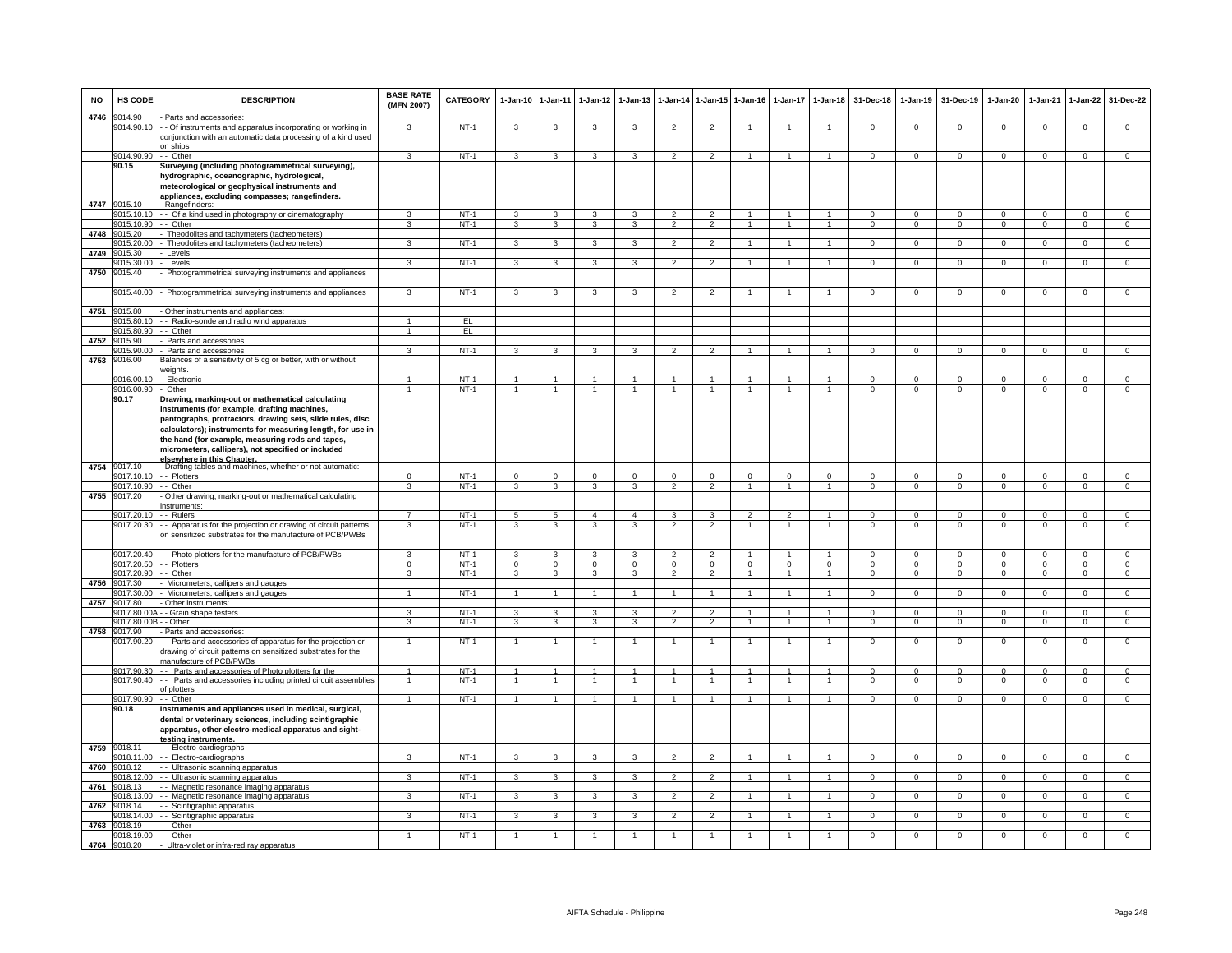| NO   | HS CODE                    | <b>DESCRIPTION</b>                                                                                                                                                                                                                                                                                                                    | <b>BASE RATE</b><br>(MFN 2007) | <b>CATEGORY</b>  | 1-Jan-10                       | $1 - Jan-11$                         | $1-Jan-12$              | $1-Jan-13$                   | 1-Jan-14                         | $1$ -Jan-15                      | $1-Jan-16$                       | $1-Jan-17$                     | $1-Jan-18$                       | 31-Dec-18                      | $1-Jan-19$                     | 31-Dec-19                      | 1-Jan-20                      | $1-Jan-21$              | $1-Jan-22$                    | 31-Dec-22                        |
|------|----------------------------|---------------------------------------------------------------------------------------------------------------------------------------------------------------------------------------------------------------------------------------------------------------------------------------------------------------------------------------|--------------------------------|------------------|--------------------------------|--------------------------------------|-------------------------|------------------------------|----------------------------------|----------------------------------|----------------------------------|--------------------------------|----------------------------------|--------------------------------|--------------------------------|--------------------------------|-------------------------------|-------------------------|-------------------------------|----------------------------------|
|      | 4746 9014.90<br>9014.90.10 | - Parts and accessories:<br>- Of instruments and apparatus incorporating or working in<br>conjunction with an automatic data processing of a kind used                                                                                                                                                                                | 3                              | $NT-1$           | 3                              | 3                                    | 3                       | 3                            | $\overline{2}$                   | $\overline{2}$                   |                                  |                                | -1                               | $\Omega$                       | $\mathbf 0$                    | $\Omega$                       | $\Omega$                      | $\Omega$                | $\mathsf 0$                   | $\Omega$                         |
|      | 9014.90.90                 | on ships<br>- - Other                                                                                                                                                                                                                                                                                                                 | $\mathbf{R}$                   | $NT-1$           | 3                              | 3                                    | 3                       | 3                            | $\mathcal{P}$                    | $\mathcal{P}$                    | $\overline{1}$                   | $\mathbf{1}$                   | $\overline{1}$                   | $^{\circ}$                     | $\mathbf{0}$                   | $^{\circ}$                     | $^{\circ}$                    | $\mathbf 0$             | $^{\circ}$                    | $\Omega$                         |
|      | 90.15                      | Surveying (including photogrammetrical surveying),<br>hydrographic, oceanographic, hydrological,<br>meteorological or geophysical instruments and<br>appliances, excluding compasses; rangefinders.                                                                                                                                   |                                |                  |                                |                                      |                         |                              |                                  |                                  |                                  |                                |                                  |                                |                                |                                |                               |                         |                               |                                  |
|      | 4747 9015.10               | - Rangefinders:                                                                                                                                                                                                                                                                                                                       |                                |                  |                                |                                      |                         |                              |                                  |                                  |                                  |                                |                                  |                                |                                |                                |                               |                         |                               |                                  |
|      | 9015.10.10                 | - - Of a kind used in photography or cinematography                                                                                                                                                                                                                                                                                   | 3                              | $NT-1$           | 3                              | $\mathbf{3}$                         | 3                       | 3                            | $\overline{2}$                   | $\overline{2}$                   | $\overline{1}$                   | $\mathbf{1}$                   | $\overline{1}$                   | $\mathbf{0}$                   | $\Omega$                       | $\mathbf{0}$                   | $\Omega$                      | $\Omega$                | $\mathbf{0}$                  | $\mathbf{0}$                     |
|      | 9015.10.90                 | $-$ Other                                                                                                                                                                                                                                                                                                                             | 3                              | $NT-1$           | $\mathbf{3}$                   | $\overline{\mathbf{3}}$              | $\overline{\mathbf{3}}$ | 3                            | $\overline{2}$                   | $\overline{2}$                   | $\mathbf{1}$                     | $\overline{1}$                 | $\overline{1}$                   | $\overline{0}$                 | $\mathbf{0}$                   | $\mathbf{0}$                   | $\mathbf{0}$                  | $\mathbf{0}$            | $\overline{0}$                | $\overline{0}$                   |
| 4748 | 9015.20                    | Theodolites and tachymeters (tacheometers)<br>Theodolites and tachymeters (tacheometers)                                                                                                                                                                                                                                              | 3                              | $NT-1$           | 3                              | 3                                    | $\overline{3}$          | 3                            | $\overline{\mathbf{c}}$          | $\overline{2}$                   |                                  |                                | $\overline{1}$                   | $\Omega$                       |                                | $\overline{0}$                 | $\overline{0}$                | $\Omega$                | $\overline{0}$                | $\overline{0}$                   |
| 4749 | 015.20.00<br>9015.30       | Levels                                                                                                                                                                                                                                                                                                                                |                                |                  |                                |                                      |                         |                              |                                  |                                  |                                  |                                |                                  |                                | 0                              |                                |                               |                         |                               |                                  |
|      | 9015.30.00                 | Levels                                                                                                                                                                                                                                                                                                                                | $\mathcal{R}$                  | $NT-1$           | $\overline{3}$                 | $\overline{3}$                       | $\overline{\mathbf{3}}$ | 3                            | $\overline{2}$                   | $\overline{2}$                   | $\mathbf{1}$                     | $\mathbf{1}$                   | $\overline{1}$                   | $\Omega$                       | 0                              | $\mathbf 0$                    | $\Omega$                      | $\Omega$                | $\mathbf 0$                   | $\overline{0}$                   |
| 4750 | 9015.40                    | Photogrammetrical surveying instruments and appliances                                                                                                                                                                                                                                                                                |                                |                  |                                |                                      |                         |                              |                                  |                                  |                                  |                                |                                  |                                |                                |                                |                               |                         |                               |                                  |
|      | 9015.40.00<br>4751 9015.80 | Photogrammetrical surveying instruments and appliances<br>- Other instruments and appliances:                                                                                                                                                                                                                                         | 3                              | $NT-1$           | 3                              | 3                                    | 3                       | 3                            | $\overline{2}$                   | $\overline{2}$                   |                                  |                                |                                  | $\mathbf 0$                    | $\mathbf 0$                    | $\mathbf 0$                    | $\mathbf 0$                   | $\Omega$                | $\mathsf 0$                   | $\mathbf 0$                      |
|      | 9015.80.10                 | - - Radio-sonde and radio wind apparatus                                                                                                                                                                                                                                                                                              | $\mathbf{1}$                   | EL               |                                |                                      |                         |                              |                                  |                                  |                                  |                                |                                  |                                |                                |                                |                               |                         |                               |                                  |
|      | 9015.80.90                 | - Other                                                                                                                                                                                                                                                                                                                               | $\mathbf{1}$                   | EL               |                                |                                      |                         |                              |                                  |                                  |                                  |                                |                                  |                                |                                |                                |                               |                         |                               |                                  |
| 4752 | 015.90                     | Parts and accessories                                                                                                                                                                                                                                                                                                                 |                                |                  |                                |                                      |                         |                              |                                  |                                  |                                  |                                |                                  |                                |                                |                                |                               |                         |                               |                                  |
|      | 9015.90.00                 | Parts and accessories                                                                                                                                                                                                                                                                                                                 | 3                              | $NT-1$           | $\mathbf{3}$                   | 3                                    | $\mathbf{3}$            | 3                            | $\overline{2}$                   | $\overline{2}$                   | $\overline{1}$                   | $\mathbf{1}$                   | $\mathbf{1}$                     | $\Omega$                       | $\mathsf 0$                    | $\mathbf 0$                    | $\Omega$                      | $\Omega$                | $\Omega$                      | $\overline{0}$                   |
| 4753 | 9016.00                    | Balances of a sensitivity of 5 cg or better, with or without<br>weights                                                                                                                                                                                                                                                               |                                |                  |                                |                                      |                         |                              |                                  |                                  |                                  |                                |                                  |                                |                                |                                |                               |                         |                               |                                  |
|      | 9016.00.10                 | - Electronic                                                                                                                                                                                                                                                                                                                          |                                | $NT-1$           | $\overline{1}$                 | $\mathbf{1}$                         |                         |                              |                                  |                                  |                                  |                                | $\mathbf{1}$                     | $\Omega$                       | $\Omega$                       | $\Omega$                       | $\Omega$                      | $\Omega$                | $\Omega$                      | $\Omega$                         |
|      | 9016.00.90                 | - Other                                                                                                                                                                                                                                                                                                                               |                                | $NT-1$           | $\overline{1}$                 | $\mathbf{1}$                         | $\blacktriangleleft$    |                              | $\mathbf{1}$                     |                                  | $\overline{1}$                   |                                | $\overline{1}$                   | $\Omega$                       | $\Omega$                       | $\Omega$                       | $\Omega$                      | $\Omega$                | $\Omega$                      | $\overline{0}$                   |
|      | 90.17                      | Drawing, marking-out or mathematical calculating<br>instruments (for example, drafting machines,<br>pantographs, protractors, drawing sets, slide rules, disc<br>calculators); instruments for measuring length, for use in<br>the hand (for example, measuring rods and tapes,<br>micrometers, callipers), not specified or included |                                |                  |                                |                                      |                         |                              |                                  |                                  |                                  |                                |                                  |                                |                                |                                |                               |                         |                               |                                  |
|      | 4754 9017.10               | elsewhere in this Chanter<br>- Drafting tables and machines, whether or not automatic:                                                                                                                                                                                                                                                |                                |                  |                                |                                      |                         |                              |                                  |                                  |                                  |                                |                                  |                                |                                |                                |                               |                         |                               |                                  |
|      | 9017.10.10<br>9017.10.90   | - - Plotters<br>- - Other                                                                                                                                                                                                                                                                                                             | $\overline{0}$<br>3            | $NT-1$<br>$NT-1$ | $\overline{0}$<br>3            | $\overline{0}$<br>3                  | $\overline{0}$<br>3     | $\overline{0}$<br>3          | $\overline{0}$<br>$\overline{2}$ | $\overline{0}$<br>$\overline{2}$ | $\overline{0}$<br>$\overline{1}$ | $\overline{0}$<br>$\mathbf{1}$ | $\overline{0}$<br>$\overline{1}$ | $\overline{0}$<br>$\mathbf{0}$ | $\overline{0}$<br>$\mathbf{O}$ | $\overline{0}$<br>$\mathbf{0}$ | $\overline{0}$<br>$\mathbf 0$ | $\Omega$<br>$^{\circ}$  | $\overline{0}$<br>$\mathbf 0$ | $\overline{0}$<br>$\mathbf 0$    |
| 4755 | 9017.20                    | Other drawing, marking-out or mathematical calculating<br>instruments:                                                                                                                                                                                                                                                                |                                |                  |                                |                                      |                         |                              |                                  |                                  |                                  |                                |                                  |                                |                                |                                |                               |                         |                               |                                  |
|      | 9017.20.10                 | - Rulers                                                                                                                                                                                                                                                                                                                              | $\overline{7}$                 | $NT-1$           | $5^{\circ}$                    | $5\overline{5}$                      | $\overline{a}$          | $\overline{4}$               | $\mathbf{3}$                     | 3                                | $\overline{2}$                   | $\overline{2}$                 | $\overline{1}$                   | $\Omega$                       | $\Omega$                       | $\Omega$                       | $\Omega$                      | $\Omega$                | $\mathbf 0$                   | $\overline{0}$                   |
|      | 9017.20.30                 | - Apparatus for the projection or drawing of circuit patterns<br>on sensitized substrates for the manufacture of PCB/PWBs                                                                                                                                                                                                             | 3                              | $NT-1$           | 3                              | 3                                    | 3                       | 3                            | $\overline{\phantom{a}}$         | $\overline{2}$                   |                                  |                                |                                  | $\overline{0}$                 | $\Omega$                       | $\overline{0}$                 | $\overline{0}$                | $\overline{0}$          | $\overline{0}$                | $\overline{0}$                   |
|      |                            | 9017.20.40 - Photo plotters for the manufacture of PCB/PWBs                                                                                                                                                                                                                                                                           | 3                              | $NT-1$           | 3                              | 3                                    | 3                       | 3                            | $\overline{2}$                   | $\overline{2}$                   | $\overline{1}$                   | $\mathbf{1}$                   | $\overline{1}$                   | $\Omega$                       | 0                              | $\mathbf 0$                    | $\Omega$                      | $\Omega$                | 0                             | $^{\circ}$                       |
|      | 9017.20.50<br>9017.20.90   | - Plotters<br>- Other                                                                                                                                                                                                                                                                                                                 | $\Omega$<br>3                  | $NT-1$<br>$NT-1$ | $\overline{0}$<br>3            | $\overline{0}$<br>3                  | $\overline{0}$<br>3     | $\mathbf 0$<br>$\mathcal{R}$ | $\Omega$<br>$\overline{2}$       | $\mathbf{0}$<br>$\overline{2}$   | $\Omega$<br>$\overline{1}$       | $\Omega$<br>$\mathbf{1}$       | $\Omega$<br>$\overline{1}$       | $\Omega$<br>$\Omega$           | $\mathbf 0$<br>$\mathbf{O}$    | $\Omega$<br>$\Omega$           | $\overline{0}$<br>$\mathbf 0$ | $\Omega$<br>$\Omega$    | $\mathbf 0$<br>$\mathbf 0$    | $\overline{0}$<br>$\overline{0}$ |
| 4756 | 9017.30                    | Micrometers, callipers and gauges                                                                                                                                                                                                                                                                                                     |                                |                  |                                |                                      |                         |                              |                                  |                                  |                                  |                                |                                  |                                |                                |                                |                               |                         |                               |                                  |
|      | 9017.30.00                 | Micrometers, callipers and gauges                                                                                                                                                                                                                                                                                                     | $\mathbf{1}$                   | $NT-1$           | $\overline{1}$                 | $\overline{1}$                       | $\overline{1}$          | $\mathbf{1}$                 | $\overline{1}$                   | $\mathbf{1}$                     | -1                               | $\overline{1}$                 | $\overline{1}$                   | $\mathbf{0}$                   | $\mathbf{0}$                   | $\overline{0}$                 | $\overline{0}$                | $\Omega$                | $\overline{0}$                | $\Omega$                         |
|      | 4757 9017.80               | Other instruments:                                                                                                                                                                                                                                                                                                                    |                                |                  |                                |                                      |                         |                              |                                  |                                  |                                  |                                |                                  |                                |                                |                                |                               |                         |                               |                                  |
|      | 9017.80.00                 | - Grain shape testers                                                                                                                                                                                                                                                                                                                 | 3                              | $NT-1$<br>$NT-1$ | $\mathbf{3}$                   | $\mathbf{3}$<br>3                    | 3                       | 3<br>3                       | $\overline{2}$                   | $\overline{2}$<br>$\overline{2}$ | $\overline{1}$                   | $\mathbf{1}$<br>$\mathbf{1}$   | $\mathbf{1}$                     | $\Omega$                       | $\mathbf{0}$                   | $\Omega$                       | $^{\circ}$                    | $\Omega$                | $^{\circ}$                    | $\mathbf 0$<br>$\overline{0}$    |
| 4758 | 9017.80.00<br>9017.90      | - Other<br>Parts and accessories:                                                                                                                                                                                                                                                                                                     | 3                              |                  | 3                              |                                      | 3                       |                              | $\overline{2}$                   |                                  | $\mathbf{1}$                     |                                | $\mathbf{1}$                     | $\mathbf 0$                    | $\mathbf{0}$                   | $\mathbf 0$                    | $\mathbf{0}$                  | $\mathbf 0$             | $\mathbf 0$                   |                                  |
|      | 9017.90.20                 | - Parts and accessories of apparatus for the projection or<br>drawing of circuit patterns on sensitized substrates for the<br>manufacture of PCB/PWBs                                                                                                                                                                                 | $\mathbf{1}$                   | $NT-1$           | $\overline{1}$                 | $\mathbf{1}$                         | $\overline{1}$          |                              | $\mathbf{1}$                     | $\overline{1}$                   | $\overline{1}$                   | $\mathbf{1}$                   | $\overline{1}$                   | $\mathsf 0$                    | $\mathsf 0$                    | $\mathbf 0$                    | $\,0\,$                       | $\mathbf 0$             | $\mathsf 0$                   | $\mathbf 0$                      |
|      | 9017.90.30<br>9017.90.40   | - Parts and accessories of Photo plotters for the<br>- Parts and accessories including printed circuit assemblies<br>of plotters                                                                                                                                                                                                      |                                | $NT-1$<br>$NT-1$ | $\overline{1}$<br>$\mathbf{1}$ | $\ddot{\phantom{1}}$<br>$\mathbf{1}$ | 1                       |                              |                                  |                                  |                                  |                                | $\overline{1}$<br>-1             | $\Omega$<br>$\Omega$           | $\Omega$<br>$\mathsf 0$        | $\Omega$<br>$\,0\,$            | $\Omega$<br>0                 | $\Omega$<br>$\mathbf 0$ | $\Omega$<br>$\mathsf 0$       | $\Omega$<br>$\mathbf 0$          |
|      | 9017.90.90                 | - Other                                                                                                                                                                                                                                                                                                                               | $\mathbf{1}$                   | $NT-1$           | $\overline{1}$                 | $\overline{1}$                       | $\overline{1}$          | $\mathbf{1}$                 | $\overline{1}$                   | $\mathbf{1}$                     | $\overline{1}$                   | $\mathbf{1}$                   | $\overline{1}$                   | $\mathbf{0}$                   | $\mathbf{0}$                   | $\mathbf 0$                    | $\mathbf{0}$                  | $\mathbf 0$             | $\mathbf{0}$                  | $\overline{0}$                   |
|      | 90.18                      | Instruments and appliances used in medical, surgical,<br>dental or veterinary sciences, including scintigraphic<br>apparatus, other electro-medical apparatus and sight-                                                                                                                                                              |                                |                  |                                |                                      |                         |                              |                                  |                                  |                                  |                                |                                  |                                |                                |                                |                               |                         |                               |                                  |
| 4759 | 9018.11                    | testing instruments.<br>-- Electro-cardiographs                                                                                                                                                                                                                                                                                       |                                |                  |                                |                                      |                         |                              |                                  |                                  |                                  |                                |                                  |                                |                                |                                |                               |                         |                               |                                  |
|      | 9018.11.00                 | - - Electro-cardiographs                                                                                                                                                                                                                                                                                                              | 3                              | $NT-1$           | $\mathbf{3}$                   | 3                                    | $\mathbf{3}$            | 3                            | $\overline{2}$                   | $\overline{2}$                   | $\overline{1}$                   | $\mathbf{1}$                   | $\overline{1}$                   | $\Omega$                       | $\mathbf{O}$                   | $\Omega$                       | $\Omega$                      | $\Omega$                | $\mathbf 0$                   | $\overline{0}$                   |
| 4760 | 9018.12                    | - Ultrasonic scanning apparatus                                                                                                                                                                                                                                                                                                       |                                |                  |                                |                                      |                         |                              |                                  |                                  |                                  |                                |                                  |                                |                                |                                |                               |                         |                               |                                  |
|      | 9018.12.00                 | -- Ultrasonic scanning apparatus                                                                                                                                                                                                                                                                                                      | 3                              | $NT-1$           | $\mathbf{3}$                   | $\mathbf{3}$                         | $\mathbf{3}$            | 3                            | $\overline{2}$                   | $\overline{2}$                   | $\mathbf{1}$                     | $\overline{1}$                 | $\overline{1}$                   | $\overline{0}$                 | $\mathbf{0}$                   | $\mathbf 0$                    | $\mathbf{0}$                  | $^{\circ}$              | $\mathbf{0}$                  | $\mathbf{0}$                     |
|      | 4761 9018.13<br>9018.13.00 | - Magnetic resonance imaging apparatus<br>- Magnetic resonance imaging apparatus                                                                                                                                                                                                                                                      | 3                              | $NT-1$           | 3                              | 3                                    | 3                       | 3                            | $\mathfrak{p}$                   | $\overline{2}$                   |                                  | $\mathbf{1}$                   | $\mathbf{1}$                     | $\mathbf{0}$                   | $^{\circ}$                     | $\overline{0}$                 | $\mathbf{0}$                  | $\Omega$                | $\mathbf 0$                   | $\Omega$                         |
| 4762 | 9018.14                    | - Scintigraphic apparatus                                                                                                                                                                                                                                                                                                             |                                |                  |                                |                                      |                         |                              |                                  |                                  |                                  |                                |                                  |                                |                                |                                |                               |                         |                               |                                  |
|      | 9018.14.00                 | - Scintigraphic apparatus                                                                                                                                                                                                                                                                                                             | 3                              | $NT-1$           | 3                              | 3                                    | 3                       | 3                            | $\overline{2}$                   | $\overline{2}$                   |                                  |                                | $\overline{1}$                   | $\mathsf 0$                    | 0                              | $\mathbf 0$                    | 0                             | $^{\circ}$              | $\mathsf 0$                   | $\mathbf 0$                      |
|      | 4763 9018.19               | - Other                                                                                                                                                                                                                                                                                                                               | $\overline{1}$                 | $NT-1$           | $\overline{1}$                 | $\overline{1}$                       | 1                       |                              | $\overline{1}$                   |                                  |                                  | $\mathbf{1}$                   |                                  | $\overline{0}$                 | $\overline{0}$                 | $\overline{0}$                 | $\overline{0}$                | $\overline{0}$          | $\overline{0}$                | $\overline{0}$                   |
|      | 9018.19.00<br>4764 9018.20 | - Other<br>- Ultra-violet or infra-red ray apparatus                                                                                                                                                                                                                                                                                  |                                |                  |                                |                                      |                         |                              |                                  |                                  |                                  |                                |                                  |                                |                                |                                |                               |                         |                               |                                  |
|      |                            |                                                                                                                                                                                                                                                                                                                                       |                                |                  |                                |                                      |                         |                              |                                  |                                  |                                  |                                |                                  |                                |                                |                                |                               |                         |                               |                                  |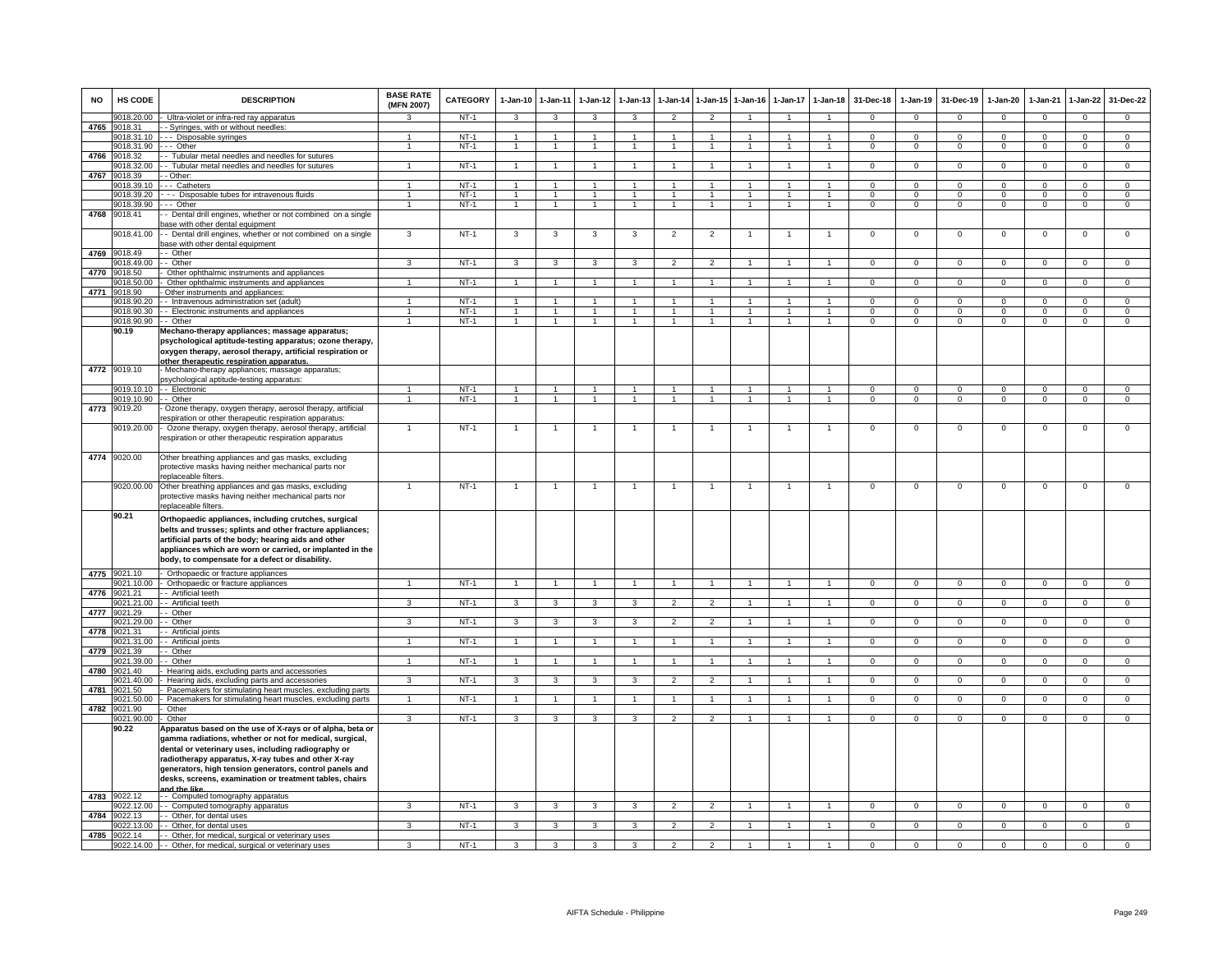| <b>NO</b> | HS CODE                    | <b>DESCRIPTION</b>                                                                                                                                                                                                                                                                                                                                                       | <b>BASE RATE</b><br>(MFN 2007) | <b>CATEGORY</b>  | $1-Jan-10$           | $1-Jan-11$                     | $1-Jan-12$           | $1-Jan-13$                   | 1-Jan-14                       | $1$ -Jan-15                      | $1-Jan-16$     | $1-Jan-17$        | $1-Jan-18$                       | 31-Dec-18                    | $1-Jan-19$                  | 31-Dec-19                  | 1-Jan-20                    | 1-Jan-21                  | 1-Jan-22                       | 31-Dec-22                      |
|-----------|----------------------------|--------------------------------------------------------------------------------------------------------------------------------------------------------------------------------------------------------------------------------------------------------------------------------------------------------------------------------------------------------------------------|--------------------------------|------------------|----------------------|--------------------------------|----------------------|------------------------------|--------------------------------|----------------------------------|----------------|-------------------|----------------------------------|------------------------------|-----------------------------|----------------------------|-----------------------------|---------------------------|--------------------------------|--------------------------------|
|           | 9018.20.00                 | Ultra-violet or infra-red ray apparatus                                                                                                                                                                                                                                                                                                                                  | 3                              | $NT-1$           | $\mathbf{3}$         | $\mathbf{3}$                   | $\mathbf{3}$         | $\mathbf{3}$                 | $\overline{2}$                 | 2                                | 1              | $\mathbf{1}$      | $\overline{1}$                   | $^{\circ}$                   | $^{\circ}$                  | $\mathbf{0}$               | $\mathbf{0}$                | $^{\circ}$                | $\mathbf{0}$                   | $\mathbf{0}$                   |
| 4765      | 9018.31                    | - Syringes, with or without needles:                                                                                                                                                                                                                                                                                                                                     |                                |                  |                      |                                |                      |                              |                                |                                  |                |                   |                                  |                              |                             |                            |                             |                           |                                |                                |
|           | 9018.31.10<br>9018.31.90   | --- Disposable syringes<br>. - Other                                                                                                                                                                                                                                                                                                                                     | $\mathbf{1}$                   | $NT-1$<br>$NT-1$ | 1<br>$\mathbf{1}$    | $\mathbf{1}$<br>$\mathbf{1}$   | 1<br>$\mathbf{1}$    | $\mathbf{1}$<br>$\mathbf{1}$ | $\mathbf{1}$<br>$\mathbf{1}$   | $\overline{1}$<br>$\overline{1}$ | $\mathbf{1}$   | 1<br>$\mathbf{1}$ | $\mathbf{1}$<br>$\overline{1}$   | $\mathbf{0}$<br>$\mathbf{O}$ | $\mathbf{O}$<br>$\mathbf 0$ | $^{\circ}$<br>$\mathbf 0$  | $\mathbf 0$<br>$\mathbf{0}$ | $^{\circ}$<br>$\mathbf 0$ | $\mathbf 0$<br>$\mathsf 0$     | $\mathbf{0}$<br>$\overline{0}$ |
| 4766      | 018.32                     | Tubular metal needles and needles for sutures                                                                                                                                                                                                                                                                                                                            |                                |                  |                      |                                |                      |                              |                                |                                  |                |                   |                                  |                              |                             |                            |                             |                           |                                |                                |
|           | 9018.32.00                 | - Tubular metal needles and needles for sutures                                                                                                                                                                                                                                                                                                                          | $\mathbf{1}$                   | $NT-1$           | $\overline{1}$       | $\overline{1}$                 | $\overline{1}$       | $\overline{1}$               | $\overline{1}$                 | $\mathbf{1}$                     | $\overline{1}$ | $\mathbf{1}$      | $\mathbf{1}$                     | $\mathbf{O}$                 | $\mathbf{0}$                | $\mathbf 0$                | $\overline{0}$              | $\Omega$                  | $\overline{0}$                 | $\overline{0}$                 |
| 4767      | 9018.39                    | - Other                                                                                                                                                                                                                                                                                                                                                                  |                                |                  |                      |                                |                      |                              |                                |                                  |                |                   |                                  |                              |                             |                            |                             |                           |                                |                                |
|           | 9018.39.10                 | -- Catheters                                                                                                                                                                                                                                                                                                                                                             |                                | $NT-1$<br>$NT-1$ | $\mathbf{1}$         | $\overline{1}$                 | 1                    |                              | $\overline{1}$<br>$\mathbf{1}$ | $\overline{1}$                   |                |                   | $\overline{1}$<br>$\overline{1}$ | $\Omega$                     | $\Omega$                    | $\Omega$                   | $\Omega$                    | $\Omega$                  | $\mathbf 0$                    | $\mathbf 0$                    |
|           | 9018.39.20<br>9018.39.90   | - - Disposable tubes for intravenous fluids<br>-- Other                                                                                                                                                                                                                                                                                                                  | 1                              | $NT-1$           | $\mathbf{1}$         | $\mathbf{1}$<br>$\overline{1}$ | $\overline{1}$       | $\overline{1}$               | $\mathbf{1}$                   | $\overline{1}$                   | $\mathbf{1}$   | $\overline{1}$    | $\overline{1}$                   | $\Omega$<br>$\mathbf{0}$     | $\Omega$<br>$\circ$         | $\Omega$<br>$\overline{0}$ | $\Omega$<br>$\overline{0}$  | $\Omega$<br>$\mathbf{0}$  | $\overline{0}$<br>$\mathbf{0}$ | $\overline{0}$<br>$\mathbf{0}$ |
| 4768      | 9018.41                    | Dental drill engines, whether or not combined on a single                                                                                                                                                                                                                                                                                                                |                                |                  |                      |                                |                      |                              |                                |                                  |                |                   |                                  |                              |                             |                            |                             |                           |                                |                                |
|           |                            | base with other dental equipment                                                                                                                                                                                                                                                                                                                                         |                                |                  |                      |                                |                      |                              |                                |                                  |                |                   |                                  |                              |                             |                            |                             |                           |                                |                                |
|           | 018.41.00                  | - Dental drill engines, whether or not combined on a single<br>ase with other dental equipment                                                                                                                                                                                                                                                                           | 3                              | $NT-1$           | 3                    | 3                              | 3                    | 3                            | $\overline{2}$                 | $\overline{2}$                   | $\mathbf{1}$   | $\mathbf{1}$      | $\overline{1}$                   | $\overline{0}$               | $\overline{0}$              | $\overline{0}$             | $\overline{0}$              | $\overline{0}$            | $\overline{0}$                 | $\overline{0}$                 |
|           | 4769 9018.49               | - Other                                                                                                                                                                                                                                                                                                                                                                  |                                |                  |                      |                                |                      |                              |                                |                                  |                |                   |                                  |                              |                             |                            |                             |                           |                                |                                |
| 4770      | 9018.49.00<br>9018.50      | - Other<br>Other ophthalmic instruments and appliances                                                                                                                                                                                                                                                                                                                   | $\mathbf{a}$                   | $NT-1$           | $\mathbf{3}$         | 3                              | 3                    | 3                            | $\overline{2}$                 | $\overline{2}$                   |                |                   | $\overline{1}$                   | $\Omega$                     | $\mathbf{0}$                | $^{\circ}$                 | $\Omega$                    | $\Omega$                  | $\mathsf 0$                    | $\Omega$                       |
|           | 9018.50.00                 | Other ophthalmic instruments and appliances                                                                                                                                                                                                                                                                                                                              |                                | $NT-1$           |                      |                                |                      |                              |                                |                                  |                |                   |                                  | $\Omega$                     | $\Omega$                    | $\mathbf 0$                | $\Omega$                    | $\Omega$                  | $\mathsf 0$                    | $\Omega$                       |
| 4771      | 9018.90                    | Other instruments and appliances:                                                                                                                                                                                                                                                                                                                                        |                                |                  |                      |                                |                      |                              |                                |                                  |                |                   |                                  |                              |                             |                            |                             |                           |                                |                                |
|           | 9018.90.20                 | - - Intravenous administration set (adult)                                                                                                                                                                                                                                                                                                                               |                                | $NT-1$           | $\overline{1}$       | $\mathbf{1}$                   | 1                    |                              | $\mathbf{1}$                   |                                  |                |                   | $\overline{1}$                   | $\Omega$                     | 0                           | $\Omega$                   | $\Omega$                    | $\Omega$                  | $\mathbf{0}$                   | $\Omega$                       |
|           |                            | 9018.90.30 - - Electronic instruments and appliances                                                                                                                                                                                                                                                                                                                     | $\overline{1}$                 | $NT-1$           | $\overline{1}$       | $\overline{1}$                 | $\overline{1}$       | $\overline{1}$               | $\overline{1}$                 | $\blacktriangleleft$             | $\overline{1}$ | $\mathbf{1}$      | $\overline{1}$                   | $\Omega$                     | $^{\circ}$                  | $^{\circ}$                 | $^{\circ}$                  | $\Omega$                  | $\mathbf{0}$                   | $\mathbf{0}$                   |
|           | 9018.90.90<br>90.19        | - - Other<br>Mechano-therapy appliances; massage apparatus;                                                                                                                                                                                                                                                                                                              | 1                              | $NT-1$           | 1                    | $\overline{1}$                 | 1                    | $\mathbf{1}$                 | $\mathbf{1}$                   |                                  | $\overline{1}$ | 1                 | $\mathbf{1}$                     | $\Omega$                     | $\Omega$                    | $^{\circ}$                 | $\mathbf 0$                 | $\Omega$                  | $\mathsf 0$                    | $\circ$                        |
|           |                            | psychological aptitude-testing apparatus; ozone therapy,<br>oxygen therapy, aerosol therapy, artificial respiration or<br>other therapeutic respiration apparatus.                                                                                                                                                                                                       |                                |                  |                      |                                |                      |                              |                                |                                  |                |                   |                                  |                              |                             |                            |                             |                           |                                |                                |
| 4772      | 9019.10                    | - Mechano-therapy appliances; massage apparatus;<br>psychological aptitude-testing apparatus:                                                                                                                                                                                                                                                                            |                                |                  |                      |                                |                      |                              |                                |                                  |                |                   |                                  |                              |                             |                            |                             |                           |                                |                                |
|           | 9019.10.10                 | - - Electronic                                                                                                                                                                                                                                                                                                                                                           |                                | $NT-1$           |                      | $\mathbf{1}$                   |                      |                              |                                |                                  |                |                   |                                  | 0                            | $^{\circ}$                  | $\mathbf 0$                | 0                           | $\Omega$                  | 0                              | $^{\circ}$                     |
|           | 9019.10.90                 | - Other                                                                                                                                                                                                                                                                                                                                                                  | $\mathbf{1}$                   | $NT-1$           | $\overline{1}$       | $\overline{1}$                 | $\overline{1}$       | $\overline{1}$               | $\overline{1}$                 | $\overline{1}$                   | $\mathbf{1}$   | $\mathbf{1}$      | $\overline{1}$                   | $\mathbf{0}$                 | $\mathbf{0}$                | $\overline{0}$             | $\mathbf{0}$                | $\mathbf{0}$              | $\mathbf{0}$                   | $\mathbf{0}$                   |
| 4773      | 9019.20                    | Ozone therapy, oxygen therapy, aerosol therapy, artificial<br>espiration or other therapeutic respiration apparatus:                                                                                                                                                                                                                                                     |                                |                  |                      |                                |                      |                              |                                |                                  |                |                   |                                  |                              |                             |                            |                             |                           |                                |                                |
|           | 9019.20.00                 | Ozone therapy, oxygen therapy, aerosol therapy, artificial<br>espiration or other therapeutic respiration apparatus                                                                                                                                                                                                                                                      | $\mathbf{1}$                   | $NT-1$           | $\mathbf{1}$         | $\mathbf{1}$                   |                      | 1                            | $\overline{1}$                 | -1                               | 1              | $\mathbf{1}$      | $\mathbf{1}$                     | $\mathbf 0$                  | $\mathsf 0$                 | $\mathbf 0$                | $\,0\,$                     | $\mathbf 0$               | $\mathsf 0$                    | $\mathsf{O}\xspace$            |
| 4774      | 9020.00                    | Other breathing appliances and gas masks, excluding<br>protective masks having neither mechanical parts nor<br>eplaceable filters.                                                                                                                                                                                                                                       |                                |                  |                      |                                |                      |                              |                                |                                  |                |                   |                                  |                              |                             |                            |                             |                           |                                |                                |
|           | 9020.00.00                 | Other breathing appliances and gas masks, excluding<br>protective masks having neither mechanical parts nor<br>replaceable filters.                                                                                                                                                                                                                                      |                                | $NT-1$           |                      | $\mathbf{1}$                   |                      |                              | $\overline{1}$                 |                                  |                |                   |                                  | $^{\circ}$                   | $\mathbf 0$                 | $\mathbf 0$                | $^{\circ}$                  | $\mathbf 0$               | $\mathsf 0$                    | $\Omega$                       |
|           | 90.21                      | Orthopaedic appliances, including crutches, surgical<br>belts and trusses; splints and other fracture appliances;<br>artificial parts of the body; hearing aids and other<br>appliances which are worn or carried, or implanted in the<br>body, to compensate for a defect or disability.                                                                                |                                |                  |                      |                                |                      |                              |                                |                                  |                |                   |                                  |                              |                             |                            |                             |                           |                                |                                |
| 4775      | 9021.10                    | Orthopaedic or fracture appliances                                                                                                                                                                                                                                                                                                                                       |                                |                  | $\blacktriangleleft$ |                                | $\blacktriangleleft$ |                              |                                |                                  |                |                   | $\overline{1}$                   |                              |                             |                            |                             |                           |                                |                                |
|           | 9021.10.00<br>4776 9021.21 | Orthopaedic or fracture appliances<br>- Artificial teeth                                                                                                                                                                                                                                                                                                                 |                                | $NT-1$           |                      | $\overline{1}$                 |                      |                              | $\overline{1}$                 |                                  |                |                   |                                  | $\mathbf{0}$                 | $\mathbf{0}$                | $\mathbf{0}$               | $\mathbf{0}$                | $^{\circ}$                | $\mathbf 0$                    | $^{\circ}$                     |
|           | 9021.21.00                 | - Artificial teeth                                                                                                                                                                                                                                                                                                                                                       | 3                              | $NT-1$           | 3                    | $\mathbf{3}$                   | 3                    | 3                            | $\overline{2}$                 | $\overline{2}$                   |                | -1                | $\mathbf{1}$                     | $\mathbf{0}$                 | $\mathbf 0$                 | $\mathbf{0}$               | $\mathbf{0}$                | $\mathbf 0$               | $\mathbf{0}$                   | $\overline{0}$                 |
| 4777      | 9021.29                    | - Other                                                                                                                                                                                                                                                                                                                                                                  |                                |                  |                      |                                |                      |                              |                                |                                  |                |                   |                                  |                              |                             |                            |                             |                           |                                |                                |
|           | 021.29.00                  | Other                                                                                                                                                                                                                                                                                                                                                                    | 3                              | $NT-1$           | 3                    | 3                              | 3                    | 3                            | $\mathfrak{p}$                 | $\overline{2}$                   |                |                   |                                  | $\Omega$                     | 0                           | $\mathbf 0$                | 0                           | $\Omega$                  | 0                              | $\overline{0}$                 |
| 4778      | 9021.31<br>021.31.0        | - Artificial joints<br>Artificial joints                                                                                                                                                                                                                                                                                                                                 |                                | $NT-1$           |                      | $\overline{1}$                 | 1                    |                              | $\blacktriangleleft$           |                                  |                |                   |                                  | $\Omega$                     | $\Omega$                    | $\,0\,$                    | $\Omega$                    | $\Omega$                  | $\mathsf 0$                    | $\overline{0}$                 |
| 4779      | 9021.39                    | Other                                                                                                                                                                                                                                                                                                                                                                    |                                |                  |                      |                                |                      |                              |                                |                                  |                |                   |                                  |                              |                             |                            |                             |                           |                                |                                |
|           | 9021.39.00                 | Other                                                                                                                                                                                                                                                                                                                                                                    |                                | $NT-1$           |                      | $\overline{1}$                 |                      |                              | $\mathbf{1}$                   |                                  |                |                   | $\mathbf{1}$                     | $\overline{0}$               | $\overline{0}$              | $\overline{0}$             | $\overline{0}$              | $\overline{0}$            | $\overline{0}$                 | $\overline{0}$                 |
| 4780      | 9021.40                    | Hearing aids, excluding parts and accessories                                                                                                                                                                                                                                                                                                                            |                                |                  |                      |                                |                      |                              |                                |                                  |                |                   |                                  |                              |                             |                            |                             |                           |                                |                                |
| 4781      | 9021.40.00<br>9021.50      | Hearing aids, excluding parts and accessories                                                                                                                                                                                                                                                                                                                            | 3                              | $NT-1$           | $\mathbf{3}$         | $\mathbf{3}$                   | $\mathbf{3}$         | 3                            | $\overline{2}$                 | $\overline{2}$                   |                |                   |                                  | $\mathbf{O}$                 | $\mathsf 0$                 | $\mathbf 0$                | $\mathbf 0$                 | $\mathbf 0$               | $\mathbf{0}$                   | $\mathbf 0$                    |
|           | 021.50.00                  | Pacemakers for stimulating heart muscles, excluding parts<br>Pacemakers for stimulating heart muscles, excluding parts                                                                                                                                                                                                                                                   | $\mathbf{1}$                   | $NT-1$           | $\overline{1}$       | $\mathbf{1}$                   | 1                    |                              | $\overline{1}$                 | $\overline{1}$                   | 1              | $\mathbf{1}$      | $\overline{1}$                   | $\circ$                      | $\mathsf 0$                 | $\mathbf 0$                | $\mathbf 0$                 | $\mathbf 0$               | $\mathsf 0$                    | $\overline{0}$                 |
| 4782      | 9021.90                    | Other                                                                                                                                                                                                                                                                                                                                                                    |                                |                  |                      |                                |                      |                              |                                |                                  |                |                   |                                  |                              |                             |                            |                             |                           |                                |                                |
|           | 9021.90.00                 | Other                                                                                                                                                                                                                                                                                                                                                                    | 3                              | $NT-1$           | 3                    | $\mathbf{3}$                   | $\mathbf{3}$         | 3                            | $\overline{2}$                 | $\mathcal{P}$                    | $\mathbf{1}$   |                   | $\blacktriangleleft$             | $\mathbf{O}$                 | $\mathsf 0$                 | $\mathbf 0$                | $^{\circ}$                  | $^{\circ}$                | $\mathsf 0$                    | $\overline{0}$                 |
|           | 90.22                      | Apparatus based on the use of X-rays or of alpha, beta or<br>gamma radiations, whether or not for medical, surgical,<br>dental or veterinary uses, including radiography or<br>radiotherapy apparatus, X-ray tubes and other X-ray<br>generators, high tension generators, control panels and<br>desks, screens, examination or treatment tables, chairs<br>and the like |                                |                  |                      |                                |                      |                              |                                |                                  |                |                   |                                  |                              |                             |                            |                             |                           |                                |                                |
| 4783      | 9022.12                    | - Computed tomography apparatus                                                                                                                                                                                                                                                                                                                                          |                                |                  |                      |                                |                      |                              | $\mathcal{P}$                  |                                  |                |                   |                                  |                              |                             |                            |                             |                           |                                |                                |
| 4784      | 9022.12.00<br>9022.13      | - Computed tomography apparatus<br>- - Other, for dental uses                                                                                                                                                                                                                                                                                                            |                                | $NT-1$           | 3                    | 3                              | 3                    | 3                            |                                | $\overline{2}$                   |                |                   |                                  | $\Omega$                     | $\Omega$                    | $\mathbf 0$                | $\Omega$                    | $\Omega$                  | $\Omega$                       | $\Omega$                       |
|           | 9022.13.00                 | - - Other, for dental uses                                                                                                                                                                                                                                                                                                                                               | 3                              | $NT-1$           | 3                    | 3                              | 3                    | з                            | $\overline{2}$                 | $\mathcal{P}$                    |                |                   |                                  | $\Omega$                     | $\Omega$                    | $\mathbf 0$                | $\Omega$                    | $\Omega$                  | $\Omega$                       | $\overline{0}$                 |
| 4785      | 9022.14                    | - - Other, for medical, surgical or veterinary uses                                                                                                                                                                                                                                                                                                                      |                                |                  |                      |                                |                      |                              |                                |                                  |                |                   |                                  |                              |                             |                            |                             |                           |                                |                                |
|           |                            | 9022.14.00 - Other, for medical, surgical or veterinary uses                                                                                                                                                                                                                                                                                                             | 3                              | $NT-1$           | 3                    | 3                              |                      |                              | $\mathfrak{p}$                 |                                  |                |                   |                                  |                              | $\Omega$                    | $\Omega$                   | $\Omega$                    | $\Omega$                  | $\Omega$                       | $\Omega$                       |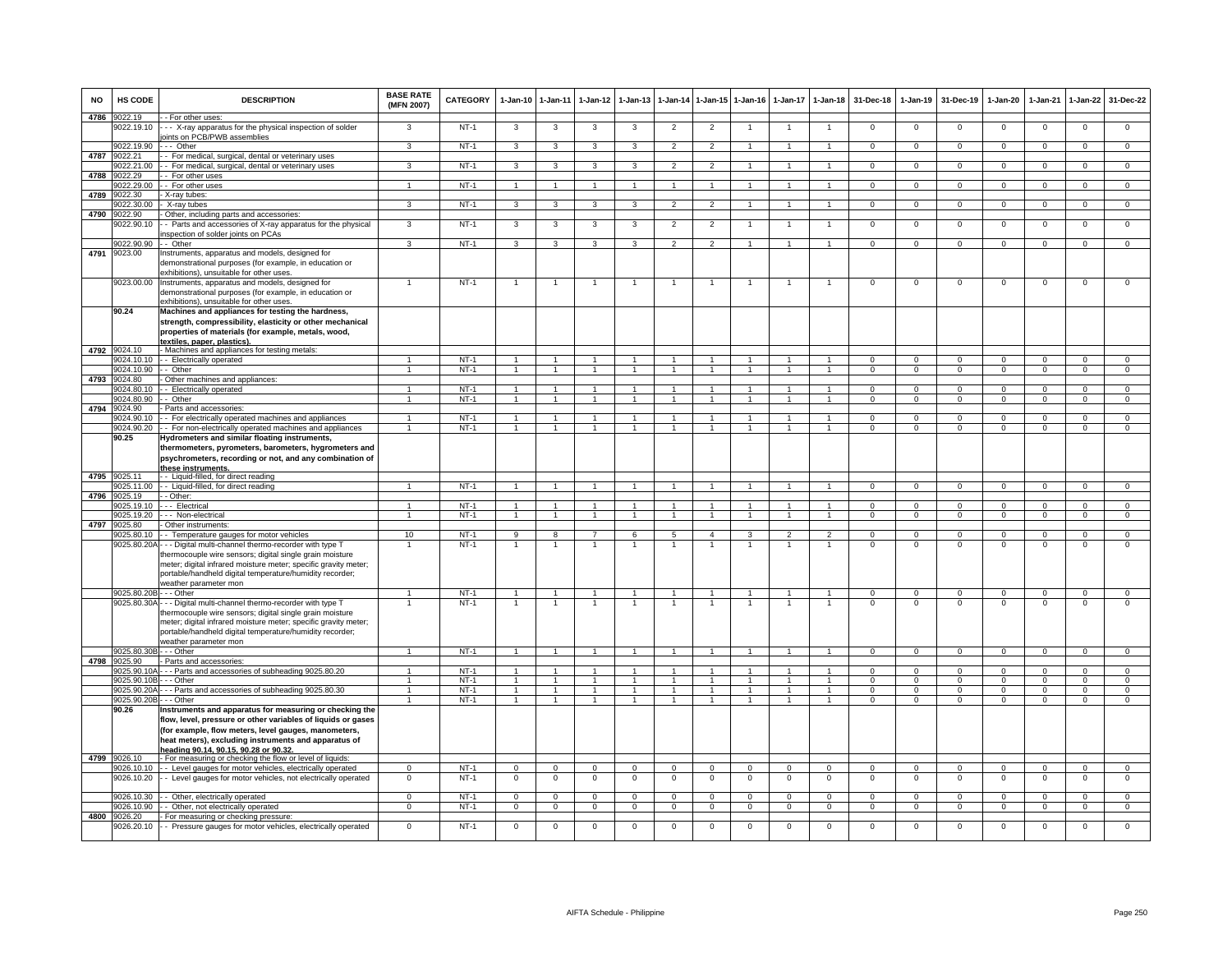| <b>NO</b> | HS CODE                    | <b>DESCRIPTION</b>                                                                                                                                                                                                                                                                                                                          | <b>BASE RATE</b><br>(MFN 2007)         | CATEGORY         | $1-Jan-10$                       | 1-Jan-11                         | $1-Jan-12$                           | $1-Jan-13$                       | 1-Jan-14                         | 1-Jan-15 1-Jan-16                    |                                  | 1-Jan-17                     | $1-Jan-18$                             | 31-Dec-18                 | $1-Jan-19$                 | 31-Dec-19                  | $1-Jan-20$                 | $1-Jan-21$               | $1-Jan-22$                    | 31-Dec-22                        |
|-----------|----------------------------|---------------------------------------------------------------------------------------------------------------------------------------------------------------------------------------------------------------------------------------------------------------------------------------------------------------------------------------------|----------------------------------------|------------------|----------------------------------|----------------------------------|--------------------------------------|----------------------------------|----------------------------------|--------------------------------------|----------------------------------|------------------------------|----------------------------------------|---------------------------|----------------------------|----------------------------|----------------------------|--------------------------|-------------------------------|----------------------------------|
| 4786      | 9022.19<br>9022.19.10      | - For other uses:<br>- - X-ray apparatus for the physical inspection of solder                                                                                                                                                                                                                                                              | 3                                      | $NT-1$           | 3                                | 3                                | 3                                    | 3                                | $\overline{2}$                   | $\overline{2}$                       |                                  |                              | $\overline{1}$                         | $^{\circ}$                | $^{\circ}$                 | $\mathbf 0$                | $\mathbf 0$                | $\mathbf 0$              | $\mathsf 0$                   | $\mathbf{0}$                     |
|           |                            | joints on PCB/PWB assemblies                                                                                                                                                                                                                                                                                                                |                                        |                  |                                  |                                  |                                      |                                  |                                  |                                      |                                  |                              |                                        |                           |                            |                            |                            |                          |                               |                                  |
|           | 9022.19.90                 | $\cdots$ Other                                                                                                                                                                                                                                                                                                                              | 3                                      | $NT-1$           | 3                                | 3                                | 3                                    | 3                                | $\overline{2}$                   | $\overline{2}$                       |                                  | $\mathbf{1}$                 | $\mathbf{1}$                           | $\Omega$                  | $\mathbf 0$                | $\mathbf 0$                | $\overline{0}$             | $\overline{0}$           | $\overline{0}$                | $\overline{0}$                   |
| 4787      | 9022.21<br>9022.21.00      | - For medical, surgical, dental or veterinary uses<br>- For medical, surgical, dental or veterinary uses                                                                                                                                                                                                                                    | 3                                      | $NT-1$           | 3                                | 3                                | 3                                    | 3                                | $\overline{2}$                   | $\overline{2}$                       |                                  | $\mathbf{1}$                 | $\mathbf{1}$                           | $\mathbf{O}$              | $\overline{0}$             | $\mathbf 0$                | $\mathbf 0$                | $\mathbf 0$              | $\overline{0}$                | $\overline{0}$                   |
| 4788      | 9022.29                    | For other uses                                                                                                                                                                                                                                                                                                                              |                                        |                  |                                  |                                  |                                      |                                  |                                  |                                      |                                  |                              |                                        |                           |                            |                            |                            |                          |                               |                                  |
|           | 9022.29.00                 | - For other uses                                                                                                                                                                                                                                                                                                                            | $\overline{1}$                         | NT-1             | $\overline{1}$                   | $\overline{1}$                   | $\mathbf{1}$                         |                                  | $\overline{1}$                   | $\blacktriangleleft$                 |                                  |                              | $\mathbf{1}$                           | $\mathsf 0$               | $\mathbf 0$                | $\mathbf 0$                | $\mathbf 0$                | $\mathbf 0$              | $\mathsf 0$                   | $\mathsf 0$                      |
| 4789      | 9022.30<br>9022.30.00      | X-ray tubes:<br>X-ray tubes                                                                                                                                                                                                                                                                                                                 | 3                                      | $NT-1$           | $\overline{\mathbf{3}}$          | 3                                | $\mathbf{3}$                         | 3                                | $\overline{2}$                   | $\overline{2}$                       | $\overline{1}$                   | $\overline{1}$               | $\overline{1}$                         | $\Omega$                  | $\overline{0}$             | $\overline{0}$             | $\overline{0}$             | $\overline{0}$           | $\overline{0}$                | $\overline{0}$                   |
| 4790      | 9022.90                    | Other, including parts and accessories:                                                                                                                                                                                                                                                                                                     |                                        |                  |                                  |                                  |                                      |                                  |                                  |                                      |                                  |                              |                                        |                           |                            |                            |                            |                          |                               |                                  |
|           | 9022.90.10                 | - Parts and accessories of X-ray apparatus for the physical<br>inspection of solder joints on PCAs                                                                                                                                                                                                                                          | 3                                      | $NT-1$           | 3                                | 3                                | 3                                    | 3                                | $\overline{2}$                   | $\overline{2}$                       | $\mathbf{1}$                     | $\overline{1}$               | $\mathbf{1}$                           | $\mathsf 0$               | $\mathsf 0$                | $\mathbf 0$                | $\mathbf 0$                | $\mathbf 0$              | $\mathsf 0$                   | $\overline{0}$                   |
| 4791      | 9022.90.90                 | - - Other                                                                                                                                                                                                                                                                                                                                   | 3                                      | NT-1             | $\mathbf{3}$                     | $\mathbf{3}$                     | $\mathbf{3}$                         | $\mathbf{3}$                     | $\overline{2}$                   | $\overline{2}$                       | $\overline{1}$                   | $\mathbf{1}$                 | $\overline{1}$                         | $\mathbf{0}$              | $\mathbf 0$                | $\mathbf 0$                | $\mathbf 0$                | $\mathbf 0$              | $\mathbf{0}$                  | $\mathbf{0}$                     |
|           | 9023.00                    | Instruments, apparatus and models, designed for<br>demonstrational purposes (for example, in education or<br>exhibitions), unsuitable for other uses.                                                                                                                                                                                       |                                        |                  |                                  |                                  |                                      |                                  |                                  |                                      |                                  |                              |                                        |                           |                            |                            |                            |                          |                               |                                  |
|           | 9023.00.00                 | Instruments, apparatus and models, designed for<br>demonstrational purposes (for example, in education or<br>exhibitions), unsuitable for other uses.                                                                                                                                                                                       |                                        | $NT-1$           | $\overline{1}$                   | $\mathbf{1}$                     | $\mathbf{1}$                         | -1                               | $\overline{1}$                   | -1                                   | 1                                | $\mathbf{1}$                 | $\overline{1}$                         | $\mathsf 0$               | $\mathsf 0$                | $\mathbf 0$                | $\,0\,$                    | $\mathbf 0$              | $\mathsf 0$                   | $\mathbf 0$                      |
|           | 90.24                      | Machines and appliances for testing the hardness,<br>strength, compressibility, elasticity or other mechanical<br>properties of materials (for example, metals, wood,                                                                                                                                                                       |                                        |                  |                                  |                                  |                                      |                                  |                                  |                                      |                                  |                              |                                        |                           |                            |                            |                            |                          |                               |                                  |
|           | 4792 9024.10               | textiles. paper. plastics).<br>- Machines and appliances for testing metals:                                                                                                                                                                                                                                                                |                                        |                  |                                  |                                  |                                      |                                  |                                  |                                      |                                  |                              |                                        |                           |                            |                            |                            |                          |                               |                                  |
|           |                            | 9024.10.10 - Electrically operated                                                                                                                                                                                                                                                                                                          | $\overline{1}$                         | $NT-1$           | $\overline{1}$                   | $\overline{1}$                   | $\mathbf{1}$                         |                                  | $\overline{1}$                   |                                      |                                  |                              |                                        | $\Omega$                  | $\Omega$                   | $\mathbf 0$                | $\Omega$                   | $\Omega$                 | $\mathbf 0$                   | $\mathbf 0$                      |
|           | 9024.10.90<br>9024 80      | - Other                                                                                                                                                                                                                                                                                                                                     | $\overline{1}$                         | $NT-1$           | $\overline{1}$                   | $\overline{1}$                   | $\mathbf{1}$                         | $\overline{1}$                   | $\overline{1}$                   | $\overline{1}$                       | $\mathbf{1}$                     | $\overline{1}$               | $\overline{1}$                         | $\mathbf{0}$              | $\mathbf{0}$               | $\mathbf 0$                | $\mathbf{0}$               | $\mathbf{0}$             | $\circ$                       | $\overline{0}$                   |
| 4793      | 9024.80.10                 | Other machines and appliances:<br>- Electrically operated                                                                                                                                                                                                                                                                                   | $\mathbf{1}$                           | $NT-1$           | $\overline{1}$                   | $\overline{1}$                   | 1                                    | 1                                | $\overline{1}$                   | 1                                    | 1                                | $\mathbf{1}$                 | $\mathbf{1}$                           | $\Omega$                  | $\Omega$                   | $\Omega$                   | $\Omega$                   | $\Omega$                 | $\Omega$                      | $\overline{0}$                   |
|           | 024,80.90                  | - Other                                                                                                                                                                                                                                                                                                                                     | $\mathbf{1}$                           | $NT-1$           | $\overline{1}$                   | $\mathbf{1}$                     | $\mathbf{1}$                         | $\mathbf{1}$                     | $\overline{1}$                   | $\mathbf{1}$                         | $\overline{1}$                   | $\mathbf{1}$                 | $\mathbf{1}$                           | $\Omega$                  | $\overline{0}$             | $\Omega$                   | $\mathbf 0$                | $\overline{0}$           | $\overline{0}$                | $\overline{0}$                   |
| 4794      | 024.90                     | Parts and accessories:                                                                                                                                                                                                                                                                                                                      |                                        |                  |                                  |                                  |                                      |                                  |                                  | $\overline{1}$                       |                                  |                              |                                        |                           |                            |                            |                            |                          |                               |                                  |
|           | 9024.90.10<br>9024.90.20   | - For electrically operated machines and appliances<br>- For non-electrically operated machines and appliances                                                                                                                                                                                                                              | $\overline{1}$<br>$\ddot{\phantom{1}}$ | $NT-1$<br>$NT-1$ | $\overline{1}$<br>$\overline{1}$ | $\overline{1}$<br>$\overline{1}$ | $\overline{1}$<br>$\overline{1}$     | $\mathbf{1}$<br>$\overline{1}$   | $\overline{1}$<br>$\overline{1}$ | $\ddot{\phantom{1}}$                 | $\mathbf{1}$<br>$\mathbf{1}$     | $\mathbf{1}$<br>$\mathbf{1}$ | $\mathbf{1}$<br>$\overline{1}$         | $^{\circ}$<br>$\mathsf 0$ | $\mathbf 0$<br>$\Omega$    | $\mathbf 0$<br>$\mathbf 0$ | $\mathbf 0$<br>$\mathsf 0$ | $\Omega$<br>$\Omega$     | $\mathbf 0$<br>$\mathsf 0$    | $\mathbf{0}$<br>$\overline{0}$   |
|           | 90.25                      | -lydrometers and similar floating instruments,<br>thermometers, pyrometers, barometers, hygrometers and<br>psychrometers, recording or not, and any combination of                                                                                                                                                                          |                                        |                  |                                  |                                  |                                      |                                  |                                  |                                      |                                  |                              |                                        |                           |                            |                            |                            |                          |                               |                                  |
| 4795      | 9025.11                    | these instruments.<br>- Liquid-filled, for direct reading                                                                                                                                                                                                                                                                                   |                                        |                  |                                  |                                  |                                      |                                  |                                  |                                      |                                  |                              |                                        |                           |                            |                            |                            |                          |                               |                                  |
|           | 9025.11.00                 | - - Liquid-filled, for direct reading                                                                                                                                                                                                                                                                                                       | $\mathbf{1}$                           | $NT-1$           | $\mathbf{1}$                     | $\overline{1}$                   | 1                                    | $\mathbf{1}$                     | $\overline{1}$                   | 1                                    | -1                               |                              | $\mathbf{1}$                           | $^{\circ}$                | $\mathbf 0$                | $\mathbf{0}$               | $\mathbf{0}$               | $^{\circ}$               | $\mathbf{0}$                  | $\mathbf 0$                      |
| 4796      | 9025.19<br>9025.19.10      | - Other:<br>-- Electrical                                                                                                                                                                                                                                                                                                                   | 1                                      | $NT-1$           | $\mathbf{1}$                     | 1                                | 1                                    |                                  | -1                               | 1                                    | -1                               | 1                            | 1                                      | $\Omega$                  | 0                          | $\mathbf 0$                | $\mathbf 0$                | $\Omega$                 | $\mathbf 0$                   | $\mathbf 0$                      |
|           | 9025.19.20                 | - - Non-electrical                                                                                                                                                                                                                                                                                                                          | $\mathbf{1}$                           | $NT-1$           | $\mathbf{1}$                     | $\mathbf{1}$                     | $\mathbf{1}$                         | $\mathbf{1}$                     | $\mathbf{1}$                     | $\mathbf{1}$                         | $\mathbf{1}$                     | $\mathbf{1}$                 | $\mathbf{1}$                           | $\mathbf{0}$              | $\mathbf 0$                | $\mathbf 0$                | $\mathbf 0$                | $\mathbf 0$              | $\mathbf 0$                   | $\overline{0}$                   |
| 4797      | 9025.80                    | Other instruments:                                                                                                                                                                                                                                                                                                                          |                                        |                  |                                  |                                  |                                      |                                  |                                  |                                      |                                  |                              |                                        |                           |                            |                            |                            |                          |                               |                                  |
|           | 9025.80.10                 | - Temperature gauges for motor vehicles<br>9025.80.20A - - - Digital multi-channel thermo-recorder with type T<br>thermocouple wire sensors; digital single grain moisture<br>meter; digital infrared moisture meter; specific gravity meter;<br>portable/handheld digital temperature/humidity recorder;<br>weather parameter mon          | 10                                     | $NT-1$<br>$NT-1$ | 9                                | 8<br>$\overline{1}$              | $\overline{7}$<br>$\overline{1}$     | 6                                | 5                                | $\overline{4}$<br>-1                 | 3                                | 2                            | $\mathcal{P}$<br>1                     | $\Omega$<br>$^{\circ}$    | $\Omega$<br>0              | $\Omega$<br>$\mathbf 0$    | $\Omega$<br>$\mathbf 0$    | $\Omega$<br>$\mathbf 0$  | $\mathsf 0$<br>0              | $\mathsf 0$<br>0                 |
|           | 9025.80.20B - - - Other    |                                                                                                                                                                                                                                                                                                                                             | $\overline{1}$                         | $NT-1$           | $\overline{1}$                   | $\overline{1}$                   | $\mathbf{1}$                         | $\blacktriangleleft$             | $\overline{1}$                   | $\overline{1}$                       |                                  |                              | $\mathbf{1}$                           | $\Omega$                  | $\Omega$                   | $\mathbf 0$                | $\mathbf 0$                | $\Omega$                 | $\mathbf 0$                   | $\mathbf 0$                      |
|           |                            | 9025.80.30A - - - Digital multi-channel thermo-recorder with type T<br>thermocouple wire sensors; digital single grain moisture<br>meter; digital infrared moisture meter; specific gravity meter;<br>portable/handheld digital temperature/humidity recorder;<br>weather parameter mon                                                     |                                        | $NT-1$           |                                  | $\overline{1}$                   | $\mathbf{1}$                         |                                  |                                  | $\mathbf{1}$                         |                                  |                              |                                        | $\Omega$                  | $\Omega$                   | $\Omega$                   | $\Omega$                   | $\Omega$                 | 0                             | $\Omega$                         |
|           | 9025.80.30B                | - - - Other                                                                                                                                                                                                                                                                                                                                 | $\mathbf{1}$                           | NT-1             | $\overline{1}$                   | $\overline{1}$                   | $\overline{1}$                       | $\overline{1}$                   | $\overline{1}$                   | $\overline{1}$                       |                                  |                              | $\mathbf{1}$                           | $\overline{0}$            | $\mathbf 0$                | $\mathbf 0$                | $\mathbf{0}$               | $\mathbf 0$              | $\mathbf 0$                   | $\mathbf 0$                      |
| 4798      | 9025.90                    | Parts and accessories:                                                                                                                                                                                                                                                                                                                      |                                        |                  |                                  |                                  |                                      |                                  |                                  |                                      |                                  |                              |                                        |                           |                            |                            |                            |                          |                               |                                  |
|           | 9025.90.10A<br>9025.90.10B | -- Parts and accessories of subheading 9025.80.20<br>- Other                                                                                                                                                                                                                                                                                |                                        | $NT-1$<br>$NT-1$ | $\overline{1}$<br>$\overline{1}$ | $\overline{1}$<br>$\overline{1}$ | $\blacktriangleleft$<br>$\mathbf{1}$ | $\overline{1}$<br>$\overline{1}$ | $\overline{1}$<br>$\overline{1}$ | $\blacktriangleleft$<br>$\mathbf{1}$ | $\overline{1}$<br>$\overline{1}$ | $\mathbf{1}$                 | $\overline{1}$<br>$\blacktriangleleft$ | $\Omega$<br>$\Omega$      | $\Omega$<br>$\overline{0}$ | $\Omega$<br>$\Omega$       | $\Omega$<br>$\overline{0}$ | $\Omega$<br>$\Omega$     | $\mathsf 0$<br>$\overline{0}$ | $\overline{0}$<br>$\overline{0}$ |
|           | 9025.90.20A                | - Parts and accessories of subheading 9025.80.30                                                                                                                                                                                                                                                                                            | $\overline{1}$                         | $NT-1$           | $\overline{1}$                   | $\mathbf{1}$                     | $\overline{1}$                       |                                  | $\overline{1}$                   | $\overline{1}$                       |                                  |                              | $\mathbf{1}$                           | $\Omega$                  | $\overline{0}$             | $\overline{0}$             | $\overline{0}$             | $\Omega$                 | $\overline{0}$                | $\overline{0}$                   |
|           | 9025.90.20B                | - - Other                                                                                                                                                                                                                                                                                                                                   | $\blacktriangleleft$                   | $NT-1$           | $\overline{1}$                   | $\overline{1}$                   | $\overline{1}$                       | $\blacktriangleleft$             | $\overline{1}$                   | $\overline{1}$                       |                                  |                              | $\blacktriangleleft$                   | $\Omega$                  | $\Omega$                   | $\Omega$                   | $\Omega$                   | $\Omega$                 | $\mathbf 0$                   | $\mathbf{0}$                     |
| 4799      | 90.26<br>9026.10           | Instruments and apparatus for measuring or checking the<br>flow, level, pressure or other variables of liquids or gases<br>(for example, flow meters, level gauges, manometers,<br>heat meters), excluding instruments and apparatus of<br>heading 90.14, 90.15, 90.28 or 90.32.<br>For measuring or checking the flow or level of liquids: |                                        |                  |                                  |                                  |                                      |                                  |                                  |                                      |                                  |                              |                                        |                           |                            |                            |                            |                          |                               |                                  |
|           | 9026.10.10                 | - Level gauges for motor vehicles, electrically operated                                                                                                                                                                                                                                                                                    | $\mathbf 0$                            | $NT-1$           | $\mathbf{0}$                     | $\overline{0}$                   | $^{\circ}$                           | $^{\circ}$                       | $\mathbf{0}$                     | $^{\circ}$                           | $\mathbf 0$                      | $\Omega$                     | $^{\circ}$                             | $^{\circ}$                | $\mathbf 0$                | $\mathbf 0$                | $\mathbf{0}$               | $\mathbf 0$              | $\mathbf 0$                   | $\mathbf 0$                      |
|           | 9026.10.20                 | - Level gauges for motor vehicles, not electrically operated                                                                                                                                                                                                                                                                                | $\mathbf 0$                            | $NT-1$           | $\mathsf 0$                      | $\mathbf 0$                      | $\mathbf 0$                          | $\mathbf 0$                      | $\mathbf 0$                      | $\mathbf 0$                          | $\mathbf 0$                      | $\mathbf 0$                  | $\mathbf 0$                            | $\mathsf 0$               | $\mathbf 0$                | $\mathbf 0$                | $\mathbf 0$                | $\mathbf 0$              | $\mathsf 0$                   | $\mathbf 0$                      |
|           | 9026.10.30<br>9026.10.90   | - Other, electrically operated                                                                                                                                                                                                                                                                                                              | $\Omega$<br>$\mathbf 0$                | $NT-1$<br>$NT-1$ | $\Omega$<br>$\mathbf{0}$         | $\Omega$<br>$\mathbf{0}$         | $\Omega$<br>$\mathbf 0$              | $\Omega$<br>$\mathbf 0$          | $\Omega$<br>$\mathbf 0$          | $\Omega$<br>$\mathbf 0$              | $\Omega$<br>$\Omega$             | $\Omega$                     | $\Omega$<br>$\mathbf 0$                | $\Omega$<br>$\mathbf 0$   | $\Omega$<br>$\mathbf{0}$   | $\Omega$<br>$\mathbf 0$    | $\Omega$<br>$\circ$        | $\Omega$<br>$\mathbf{0}$ | $\Omega$<br>$\mathbf 0$       | $\Omega$<br>$\mathbf 0$          |
| 4800      | 9026.20                    | - Other, not electrically operated<br>For measuring or checking pressure:                                                                                                                                                                                                                                                                   |                                        |                  |                                  |                                  |                                      |                                  |                                  |                                      |                                  |                              |                                        |                           |                            |                            |                            |                          |                               |                                  |
|           |                            | 9026.20.10 - Pressure gauges for motor vehicles, electrically operated                                                                                                                                                                                                                                                                      | $\Omega$                               | $NT-1$           | $\Omega$                         | $\Omega$                         | $\Omega$                             | $\Omega$                         | $\Omega$                         | $\Omega$                             | $\Omega$                         | $\Omega$                     | $\Omega$                               | $\Omega$                  | $\Omega$                   | $\Omega$                   | $\Omega$                   | $\Omega$                 | $\Omega$                      | $\Omega$                         |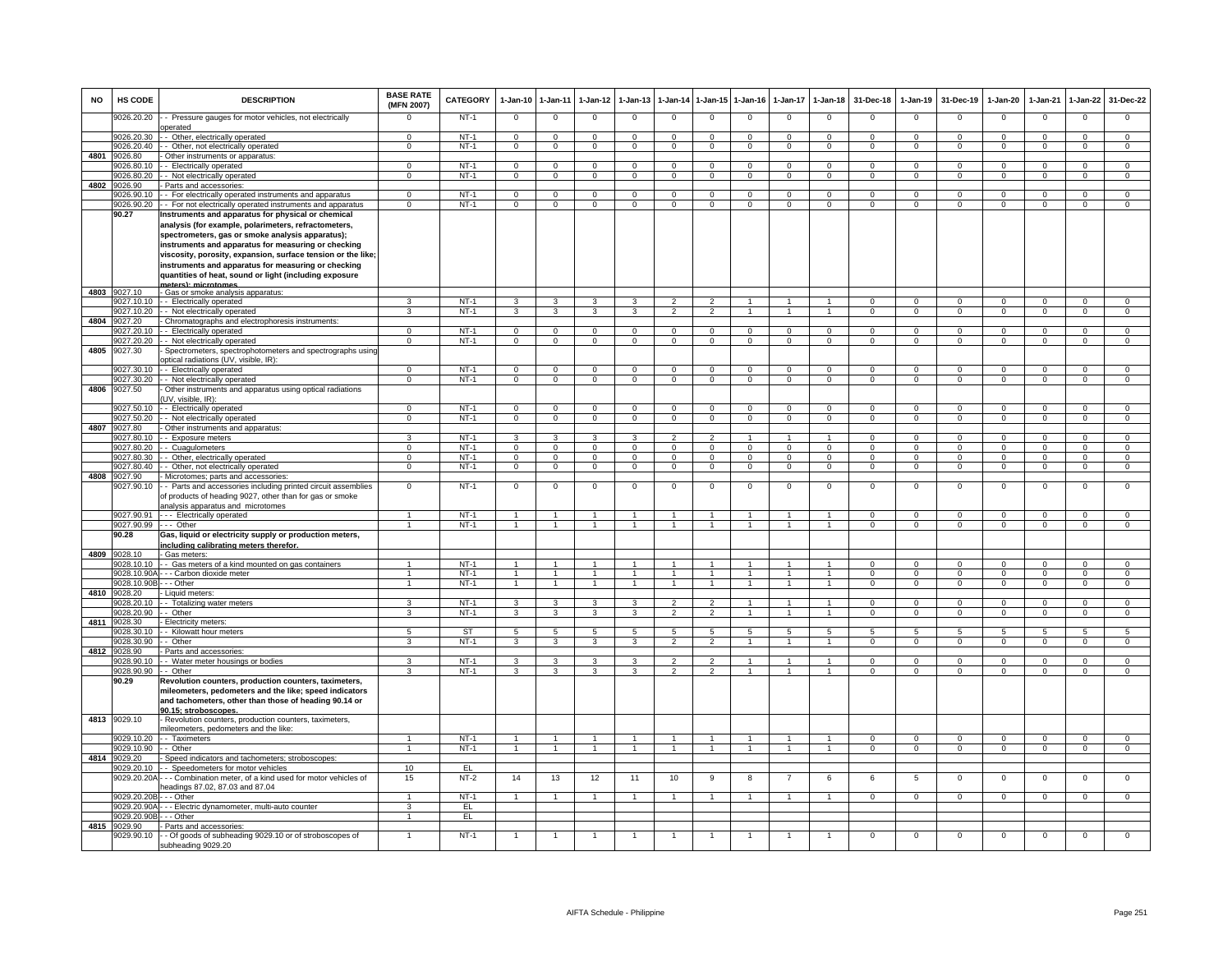| <b>NO</b> | <b>HS CODE</b>                     | <b>DESCRIPTION</b>                                                                                                                                                       | <b>BASE RATE</b><br>(MFN 2007) | CATEGORY         | 1-Jan-10                         | $1 - Jan-11$                     | $1-Jan-12$                       | $1-Jan-13$                    |                          | 1-Jan-14 1-Jan-15             | $1 - Jan-16$                     | $1 - Jan-17$               | $1-Jan-18$                       | 31-Dec-18                  | $1-Jan-19$                 | 31-Dec-19                 | $1-Jan-20$                  | 1-Jan-21                   | $1-Jan-22$                 | 31-Dec-22                        |
|-----------|------------------------------------|--------------------------------------------------------------------------------------------------------------------------------------------------------------------------|--------------------------------|------------------|----------------------------------|----------------------------------|----------------------------------|-------------------------------|--------------------------|-------------------------------|----------------------------------|----------------------------|----------------------------------|----------------------------|----------------------------|---------------------------|-----------------------------|----------------------------|----------------------------|----------------------------------|
|           | 9026.20.20                         | - Pressure gauges for motor vehicles, not electrically<br>operated                                                                                                       | $\Omega$                       | $NT-1$           | $\mathbf{0}$                     | $\mathbf 0$                      | $\mathbf 0$                      | $^{\circ}$                    | $^{\circ}$               | $\mathbf{0}$                  | $\mathbf 0$                      | $^{\circ}$                 | $\mathbf 0$                      | $^{\circ}$                 | $\mathsf 0$                | $\mathbf 0$               | $\mathbf{0}$                | $\mathbf 0$                | $\mathbf 0$                | $\mathbf{O}$                     |
|           | 9026.20.30                         | - Other, electrically operated                                                                                                                                           | $\Omega$                       | $NT-1$           | $\Omega$                         | $\Omega$                         | $\Omega$                         | $\mathbf 0$                   | $\Omega$                 | $\Omega$                      | $\Omega$                         | $\Omega$                   | $\Omega$                         | $\Omega$                   | $\Omega$                   | $\Omega$                  | $\Omega$                    | $\Omega$                   | $\Omega$                   | $\Omega$                         |
|           | 9026.20.40                         | - Other, not electrically operated                                                                                                                                       | $\Omega$                       | $NT-1$           | $\mathbf{0}$                     | $\overline{0}$                   | $\Omega$                         | $\overline{0}$                | $\Omega$                 | $\overline{0}$                | $\overline{0}$                   | $\mathbf{0}$               | $\overline{0}$                   | $\Omega$                   | $\mathbf 0$                | $\Omega$                  | $\mathbf{0}$                | $\Omega$                   | $\overline{0}$             | $\overline{0}$                   |
| 4801      | 026.80<br>9026.80.10               | Other instruments or apparatus:<br>- Electrically operated                                                                                                               | $\mathbf 0$                    | $NT-1$           | $\mathbf 0$                      | $\mathbf 0$                      | $\mathbf 0$                      | $\mathbf 0$                   | $\mathbf 0$              | $\mathbf 0$                   | $\mathbf 0$                      | $\mathbf 0$                | $\mathbf 0$                      | $\mathbf 0$                | $\mathbf 0$                | $^{\circ}$                | $\mathbf{0}$                | $\mathbf 0$                | $\mathbf 0$                | $\mathbf{O}$                     |
|           | 9026.80.20                         | - Not electrically operated                                                                                                                                              | $\overline{0}$                 | $NT-1$           | $\mathbf 0$                      | $\mathbf 0$                      | $\mathsf 0$                      | $\overline{0}$                | $\mathbf 0$              | $\overline{0}$                | $\overline{0}$                   | $\Omega$                   | $\mathbf 0$                      | $\Omega$                   | $\Omega$                   | $\Omega$                  | $\Omega$                    | $\Omega$                   | $\Omega$                   | $\overline{0}$                   |
| 4802      | 9026.90                            | Parts and accessories                                                                                                                                                    |                                |                  |                                  |                                  |                                  |                               |                          |                               |                                  |                            |                                  |                            |                            |                           |                             |                            |                            |                                  |
|           | 9026.90.10                         | - For electrically operated instruments and apparatus                                                                                                                    | $\overline{0}$                 | $NT-1$           | $\overline{0}$                   | $\overline{0}$                   | $\overline{0}$                   | $\Omega$                      | $\overline{0}$           | $\overline{0}$                | $\overline{0}$                   | $\overline{0}$             | $\overline{0}$                   | $\overline{0}$             | $\overline{0}$             | $\overline{0}$            | $\overline{0}$              | $\overline{0}$             | $\overline{0}$             | $\overline{0}$                   |
|           | 9026.90.20                         | - For not electrically operated instruments and apparatus                                                                                                                | $\Omega$                       | $NT-1$           | $\Omega$                         | $\mathbf 0$                      | $\mathbf 0$                      | $\Omega$                      | $\Omega$                 | $\mathbf 0$                   | $\Omega$                         | $\Omega$                   | $\mathbf 0$                      | $\Omega$                   | $\Omega$                   | $\Omega$                  | $\Omega$                    | $\Omega$                   | $\Omega$                   | $\Omega$                         |
|           | 90.27                              | Instruments and apparatus for physical or chemical                                                                                                                       |                                |                  |                                  |                                  |                                  |                               |                          |                               |                                  |                            |                                  |                            |                            |                           |                             |                            |                            |                                  |
|           |                                    | analysis (for example, polarimeters, refractometers,<br>spectrometers, gas or smoke analysis apparatus);                                                                 |                                |                  |                                  |                                  |                                  |                               |                          |                               |                                  |                            |                                  |                            |                            |                           |                             |                            |                            |                                  |
|           |                                    | instruments and apparatus for measuring or checking                                                                                                                      |                                |                  |                                  |                                  |                                  |                               |                          |                               |                                  |                            |                                  |                            |                            |                           |                             |                            |                            |                                  |
|           |                                    | viscosity, porosity, expansion, surface tension or the like;                                                                                                             |                                |                  |                                  |                                  |                                  |                               |                          |                               |                                  |                            |                                  |                            |                            |                           |                             |                            |                            |                                  |
|           |                                    | instruments and apparatus for measuring or checking                                                                                                                      |                                |                  |                                  |                                  |                                  |                               |                          |                               |                                  |                            |                                  |                            |                            |                           |                             |                            |                            |                                  |
|           |                                    | quantities of heat, sound or light (including exposure                                                                                                                   |                                |                  |                                  |                                  |                                  |                               |                          |                               |                                  |                            |                                  |                            |                            |                           |                             |                            |                            |                                  |
| 4803      | 9027.10                            | matare): microtomae<br>- Gas or smoke analysis apparatus:                                                                                                                |                                |                  |                                  |                                  |                                  |                               |                          |                               |                                  |                            |                                  |                            |                            |                           |                             |                            |                            |                                  |
|           |                                    | 9027.10.10 - Electrically operated                                                                                                                                       | 3                              | $NT-1$           | 3                                | 3                                | 3                                | 3                             | $\overline{2}$           | $\overline{2}$                |                                  |                            |                                  | $\Omega$                   | $\Omega$                   | $\Omega$                  | $\Omega$                    | $\Omega$                   | $\Omega$                   | $\Omega$                         |
|           | 9027.10.20                         | - - Not electrically operated                                                                                                                                            | 3                              | $NT-1$           | 3                                | 3                                | 3                                | $\mathbf{B}$                  | $\mathcal{P}$            | $\overline{2}$                |                                  | $\mathbf{1}$               | $\blacktriangleleft$             | $\Omega$                   | $\Omega$                   | $\Omega$                  | $\Omega$                    | $\Omega$                   | $\Omega$                   | $\overline{0}$                   |
| 4804      | 9027.20                            | Chromatographs and electrophoresis instruments:                                                                                                                          |                                |                  |                                  |                                  |                                  |                               |                          |                               |                                  |                            |                                  |                            |                            |                           |                             |                            |                            |                                  |
|           | 9027.20.10<br>9027.20.20           | - Electrically operated                                                                                                                                                  | $\Omega$<br>$\Omega$           | $NT-1$<br>$NT-1$ | $\Omega$<br>$\Omega$             | $\Omega$<br>$\overline{0}$       | $^{\circ}$<br>$\Omega$           | $\mathbf 0$<br>$\overline{0}$ | $\Omega$<br>$\Omega$     | $\mathbf 0$<br>$\overline{0}$ | $\Omega$<br>$\overline{0}$       | $\Omega$<br>$\Omega$       | $\Omega$<br>$\Omega$             | $\Omega$<br>$\Omega$       | $\mathbf{0}$<br>$\Omega$   | $\Omega$<br>$\Omega$      | $\Omega$<br>$\Omega$        | $\Omega$<br>$\Omega$       | $\Omega$<br>$\overline{0}$ | $\overline{0}$<br>$\overline{0}$ |
| 4805      | 9027.30                            | - Not electrically operated<br>Spectrometers, spectrophotometers and spectrographs using                                                                                 |                                |                  |                                  |                                  |                                  |                               |                          |                               |                                  |                            |                                  |                            |                            |                           |                             |                            |                            |                                  |
|           |                                    | optical radiations (UV, visible, IR):                                                                                                                                    |                                |                  |                                  |                                  |                                  |                               |                          |                               |                                  |                            |                                  |                            |                            |                           |                             |                            |                            |                                  |
|           | 9027.30.10                         | - Electrically operated                                                                                                                                                  | $\mathbf{0}$                   | NT-1             | $\mathbf{0}$                     | $\mathbf 0$                      | $\mathbf 0$                      | $\mathbf 0$                   | $\mathbf 0$              | $\mathbf 0$                   | $\mathbf 0$                      | $\mathbf 0$                | $\mathbf 0$                      | $\mathbf 0$                | $\mathbf 0$                | $\mathbf 0$               | $\mathbf{0}$                | $\mathbf 0$                | $\mathbf 0$                | $\mathbf{O}$                     |
|           |                                    | 9027.30.20 - Not electrically operated                                                                                                                                   | $\overline{0}$                 | $NT-1$           | $\overline{0}$                   | $\overline{0}$                   | $\overline{0}$                   | $\overline{0}$                | $\overline{0}$           | $\overline{0}$                | $\overline{0}$                   | $\overline{0}$             | $\overline{0}$                   | $\overline{0}$             | $\overline{0}$             | $\overline{0}$            | $\overline{0}$              | $\overline{0}$             | $\overline{0}$             | $\overline{0}$                   |
| 4806      | 9027.50                            | Other instruments and apparatus using optical radiations<br>UV, visible, IR):                                                                                            |                                |                  |                                  |                                  |                                  |                               |                          |                               |                                  |                            |                                  |                            |                            |                           |                             |                            |                            |                                  |
|           | 9027.50.10                         | - - Electrically operated                                                                                                                                                | $\mathbf{0}$                   | $NT-1$           | $\mathbf 0$                      | $\mathbf{0}$                     | $\mathbf 0$                      | $\mathbf 0$                   | $\mathbf 0$              | $\mathbf{0}$                  | $^{\circ}$                       | $\mathbf 0$                | $\mathbf 0$                      | $\mathbf 0$                | $\mathbf 0$                | $^{\circ}$                | $\mathbf{0}$                | $^{\circ}$                 | $\mathbf 0$                | $\mathbf{0}$                     |
|           | 9027.50.20                         | - - Not electrically operated                                                                                                                                            | $\overline{0}$                 | $NT-1$           | $\mathbf{0}$                     | $\mathbf{0}$                     | $\mathbf{0}$                     | $\mathbf{0}$                  | $\mathbf{0}$             | $\overline{0}$                | $\overline{0}$                   | $\mathbf{0}$               | $\mathbf 0$                      | $\overline{0}$             | $\overline{0}$             | $\mathbf{0}$              | $\mathbf{0}$                | $\overline{0}$             | $\mathbf{0}$               | $\overline{0}$                   |
| 4807      | 9027.80                            | Other instruments and apparatus:                                                                                                                                         |                                |                  |                                  |                                  |                                  |                               |                          |                               |                                  |                            |                                  |                            |                            |                           |                             |                            |                            |                                  |
|           | 9027.80.10                         | - Exposure meters                                                                                                                                                        | 3                              | $NT-1$<br>$NT-1$ | $\mathbf{3}$                     | 3                                | 3                                | 3                             | $\overline{2}$           | $\overline{2}$                | $\mathbf{1}$                     | 1                          | $\mathbf{1}$                     | $\Omega$                   | $\Omega$                   | $\Omega$                  | $\Omega$                    | $\overline{0}$             | $\overline{0}$             | $\overline{0}$<br>$\overline{0}$ |
|           | 9027.80.20<br>9027.80.30           | - Cuagulometers<br>- Other, electrically operated                                                                                                                        | $\mathbf 0$<br>$\mathbf{0}$    | $NT-1$           | $\mathbf{0}$<br>$\mathbf{0}$     | $\mathbf{0}$<br>$\mathbf{0}$     | $\mathbf{0}$<br>$\mathbf{0}$     | $\mathbf 0$<br>$\mathbf 0$    | $\Omega$<br>$\mathbf 0$  | $\mathbf 0$<br>$\mathbf 0$    | $\mathbf 0$<br>$\mathbf{0}$      | $\mathbf 0$<br>$\mathbf 0$ | $\mathbf 0$<br>$\mathbf 0$       | $\mathbf 0$<br>$\mathbf 0$ | $\mathbf 0$<br>$\mathbf 0$ | $\mathbf 0$<br>$^{\circ}$ | $\mathbf 0$<br>$\mathbf{0}$ | $\mathbf 0$<br>$\mathbf 0$ | $\mathbf 0$<br>$\mathbf 0$ | $\mathbf{0}$                     |
|           | 9027.80.40                         | - Other, not electrically operated                                                                                                                                       | $\overline{0}$                 | $NT-1$           | $\mathbf 0$                      | $\mathbf 0$                      | $\mathbf{0}$                     | $\mathbf 0$                   | $\mathbf 0$              | $\overline{0}$                | $\mathbf 0$                      | $\mathbf 0$                | $\mathbf{0}$                     | $\mathbf 0$                | $\mathbf 0$                | $\mathbf 0$               | $\mathbf 0$                 | $\mathbf 0$                | $\mathbf 0$                | $\overline{0}$                   |
| 4808      | 9027.90                            | Microtomes; parts and accessories                                                                                                                                        |                                |                  |                                  |                                  |                                  |                               |                          |                               |                                  |                            |                                  |                            |                            |                           |                             |                            |                            |                                  |
|           | 9027.90.10                         | - Parts and accessories including printed circuit assemblies<br>of products of heading 9027, other than for gas or smoke                                                 | $\overline{0}$                 | $NT-1$           | $\mathsf 0$                      | $\overline{0}$                   | $\mathbf 0$                      | $\mathbf 0$                   | $\Omega$                 | $\overline{0}$                | $\mathbf 0$                      | $\Omega$                   | $\overline{0}$                   | $\overline{0}$             | $\overline{0}$             | $\Omega$                  | $\overline{0}$              | $\overline{0}$             | $\overline{0}$             | $\overline{0}$                   |
|           |                                    | analysis apparatus and microtomes<br>9027.90.91 - - - Electrically operated                                                                                              | 1                              | $NT-1$           | $\mathbf{1}$                     | $\overline{1}$                   |                                  | $\mathbf{1}$                  | $\overline{1}$           | $\overline{1}$                | -1                               | 1                          | $\mathbf{1}$                     | $\Omega$                   | $\mathbf 0$                | $\Omega$                  | $\mathbf{0}$                | $\Omega$                   | $\Omega$                   | $\mathbf{0}$                     |
|           | 9027.90.99 --- Other               |                                                                                                                                                                          | $\overline{1}$                 | $NT-1$           | $\overline{1}$                   | $\overline{1}$                   | $\overline{1}$                   | $\mathbf{1}$                  | $\overline{1}$           | $\overline{1}$                | $\overline{1}$                   | $\overline{1}$             | $\overline{1}$                   | $\Omega$                   | $\Omega$                   | $\Omega$                  | $^{\circ}$                  | $\Omega$                   | $\Omega$                   | $\overline{0}$                   |
|           | 90.28                              | Gas, liquid or electricity supply or production meters,<br>including calibrating meters therefor.                                                                        |                                |                  |                                  |                                  |                                  |                               |                          |                               |                                  |                            |                                  |                            |                            |                           |                             |                            |                            |                                  |
| 4809      | 9028.10                            | Gas meters:                                                                                                                                                              |                                |                  |                                  |                                  |                                  |                               |                          |                               |                                  |                            |                                  |                            |                            |                           |                             |                            |                            |                                  |
|           | 9028.10.10                         | - Gas meters of a kind mounted on gas containers                                                                                                                         |                                | $NT-1$           | $\overline{1}$<br>$\overline{1}$ | $\overline{1}$<br>$\overline{1}$ |                                  | $\mathbf{1}$                  | $\overline{1}$           | $\blacktriangleleft$          | $\overline{1}$<br>$\overline{1}$ | $\mathbf{1}$               | $\overline{1}$                   | $\mathbf 0$                | $\mathsf 0$<br>$\Omega$    | $\Omega$                  | $^{\circ}$                  | $\mathbf 0$<br>$\Omega$    | $\mathbf 0$                | $\mathsf 0$                      |
|           | 9028.10.90A<br>9028 10 90B         | - - Carbon dioxide meter<br>- Other                                                                                                                                      | $\blacktriangleleft$           | $NT-1$<br>$NT-1$ | $\overline{1}$                   | $\overline{1}$                   | $\overline{1}$<br>$\overline{1}$ | $\overline{1}$                | $\overline{1}$           | $\sim$                        | $\overline{1}$                   | $\overline{1}$             | $\overline{1}$<br>$\overline{1}$ | $\Omega$<br>$\Omega$       | $\Omega$                   | $\Omega$<br>$\Omega$      | $\mathbf 0$<br>$\Omega$     | $\Omega$                   | $\mathbf 0$<br>$\Omega$    | $\overline{0}$<br>$\overline{0}$ |
| 4810      | 9028.20                            | Liquid meters:                                                                                                                                                           |                                |                  |                                  |                                  |                                  |                               |                          |                               |                                  |                            |                                  |                            |                            |                           |                             |                            |                            |                                  |
|           | 9028.20.10                         | - Totalizing water meters                                                                                                                                                | 3                              | $NT-1$           | 3                                | $\mathbf{3}$                     | 3                                | 3                             | $\overline{2}$           | $\overline{2}$                |                                  |                            |                                  | $\Omega$                   | $\Omega$                   | $\Omega$                  | $\Omega$                    | $\Omega$                   | $\Omega$                   | $\Omega$                         |
|           | 9028.20.90                         | - Other                                                                                                                                                                  | 3                              | $NT-1$           | $\mathbf{3}$                     | 3                                | 3                                | 3                             | $\overline{2}$           | $\overline{2}$                | $\overline{1}$                   | $\mathbf{1}$               | $\mathbf{1}$                     | $\mathbf{0}$               | $\mathbf 0$                | $\mathbf{0}$              | $\mathbf{0}$                | $\mathbf{0}$               | $\mathbf 0$                | $\mathbf{0}$                     |
| 4811      | 9028.30<br>9028.30.10              | Electricity meters:<br>- Kilowatt hour meters                                                                                                                            | 5                              | ST               | 5                                | 5                                | 5                                | 5                             | 5                        | 5                             | 5                                | 5                          | 5                                | -5                         | 5                          | -5                        | -5                          | $5^{\circ}$                | 5                          | 5                                |
|           | 028,30.90                          | - Other                                                                                                                                                                  | 3                              | $NT-1$           | $\overline{3}$                   | 3                                | $\overline{3}$                   | 3                             | $\overline{\phantom{a}}$ | $\overline{2}$                | $\overline{1}$                   | $\mathbf{1}$               | $\overline{1}$                   | $\overline{0}$             | $\overline{0}$             | $\overline{0}$            | $\overline{0}$              | $\overline{0}$             | $\overline{0}$             | $\overline{0}$                   |
| 4812      | 9028.90                            | Parts and accessories:                                                                                                                                                   |                                |                  |                                  |                                  |                                  |                               |                          |                               |                                  |                            |                                  |                            |                            |                           |                             |                            |                            |                                  |
|           | 9028.90.10                         | - Water meter housings or bodies                                                                                                                                         | 3                              | $NT-1$           | 3                                | 3                                | 3                                | 3                             | $\overline{2}$           | $\overline{2}$                | $\overline{1}$                   | $\overline{1}$             | $\mathbf{1}$                     | $\mathbf 0$                | $\mathbf 0$                | $^{\circ}$                | $^{\circ}$                  | $\mathbf 0$                | $\mathbf 0$                | $\mathbf{O}$                     |
|           | 9028.90.90                         | Other                                                                                                                                                                    | $\overline{3}$                 | $NT-1$           | $\overline{3}$                   | $\overline{3}$                   | $\overline{3}$                   | $\overline{3}$                | $\overline{2}$           | $\overline{2}$                | $\overline{1}$                   | $\overline{1}$             | $\overline{1}$                   | $\overline{0}$             | $\overline{0}$             | $\Omega$                  | $\overline{0}$              | $\overline{0}$             | $\overline{0}$             | $\overline{0}$                   |
|           | 90.29                              | Revolution counters, production counters, taximeters,<br>mileometers, pedometers and the like; speed indicators<br>and tachometers, other than those of heading 90.14 or |                                |                  |                                  |                                  |                                  |                               |                          |                               |                                  |                            |                                  |                            |                            |                           |                             |                            |                            |                                  |
|           | 4813 9029.10                       | 90.15; stroboscopes.<br>- Revolution counters, production counters, taximeters,                                                                                          |                                |                  |                                  |                                  |                                  |                               |                          |                               |                                  |                            |                                  |                            |                            |                           |                             |                            |                            |                                  |
|           |                                    | mileometers, pedometers and the like:                                                                                                                                    |                                |                  |                                  |                                  |                                  |                               |                          |                               |                                  |                            |                                  |                            |                            |                           |                             |                            |                            |                                  |
|           |                                    | 9029.10.20 - Taximeters                                                                                                                                                  |                                | $NT-1$           |                                  |                                  |                                  |                               | $\overline{1}$           |                               |                                  |                            | $\overline{1}$                   | $\Omega$                   | $\overline{0}$             | $\Omega$                  | $\overline{0}$              | $\overline{0}$             | $\overline{0}$             | $\overline{0}$                   |
|           | 9029.10.90                         | - Other                                                                                                                                                                  |                                | $NT-1$           |                                  |                                  |                                  |                               |                          |                               |                                  |                            |                                  | $\mathbf 0$                | $\Omega$                   | $^{\circ}$                | $^{\circ}$                  | $\mathbf 0$                | $\mathbf 0$                | $\mathbf{O}$                     |
| 4814      | 9029.20<br>9029.20.10              | Speed indicators and tachometers; stroboscopes:<br>- Speedometers for motor vehicles                                                                                     | 10                             | EL               |                                  |                                  |                                  |                               |                          |                               |                                  |                            |                                  |                            |                            |                           |                             |                            |                            |                                  |
|           | 9029.20.20A                        | - - Combination meter, of a kind used for motor vehicles of                                                                                                              | 15                             | $NT-2$           | 14                               | 13                               | 12                               | 11                            | 10                       | 9                             | 8                                | $\overline{7}$             | 6                                | $\,6\,$                    | 5                          | $\Omega$                  | $\mathbf 0$                 | $\mathsf 0$                | $\mathsf 0$                | $\mathsf 0$                      |
|           |                                    | leadings 87.02, 87.03 and 87.04                                                                                                                                          |                                |                  |                                  |                                  |                                  |                               |                          |                               |                                  |                            |                                  |                            |                            |                           |                             |                            |                            |                                  |
|           | 9029.20.20E                        | $-$ Other                                                                                                                                                                |                                | $NT-1$           |                                  |                                  |                                  |                               |                          |                               |                                  |                            |                                  | $\Omega$                   | $\Omega$                   | $\Omega$                  | $\Omega$                    | $\Omega$                   | $\Omega$                   | $\Omega$                         |
|           |                                    | 9029.20.90A - - - Electric dynamometer, multi-auto counter                                                                                                               | 3                              | EL.              |                                  |                                  |                                  |                               |                          |                               |                                  |                            |                                  |                            |                            |                           |                             |                            |                            |                                  |
| 4815      | 9029.20.90B - - - Other<br>9029.90 | - Parts and accessories:                                                                                                                                                 | $\mathbf{1}$                   | EL.              |                                  |                                  |                                  |                               |                          |                               |                                  |                            |                                  |                            |                            |                           |                             |                            |                            |                                  |
|           | 9029.90.10                         | - - Of goods of subheading 9029.10 or of stroboscopes of<br>subheading 9029.20                                                                                           |                                | $NT-1$           |                                  |                                  |                                  |                               |                          |                               |                                  |                            |                                  | $\mathbf 0$                | $\mathbf 0$                | $\mathbf 0$               | $\mathbf 0$                 | $\mathbf 0$                | $\Omega$                   |                                  |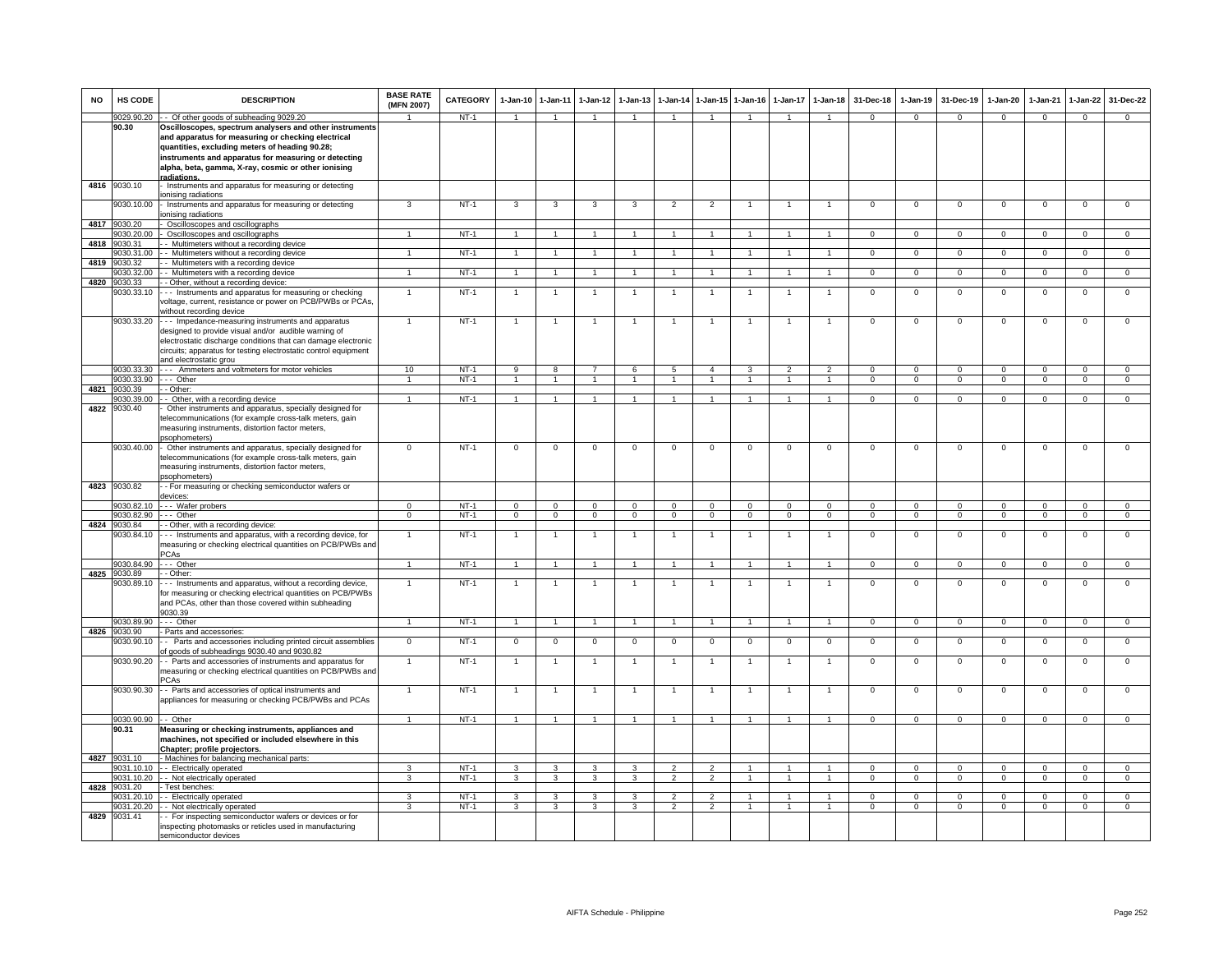| <b>NO</b> | HS CODE                    | <b>DESCRIPTION</b>                                                                                                                                                                                                                                                             | <b>BASE RATE</b><br>(MFN 2007) | <b>CATEGORY</b>  | 1-Jan-10                         | $1 - Jan-11$                   | $1-Jan-12$                     | $1-Jan-13$                     |                                  |                                | 1-Jan-14 1-Jan-15 1-Jan-16     | 1-Jan-17                       | $1-Jan-18$                       | 31-Dec-18                   | 1-Jan-19                   | 31-Dec-19                  | $1-Jan-20$                 | $1-Jan-21$                 | 1-Jan-22                   | 31-Dec-22                     |
|-----------|----------------------------|--------------------------------------------------------------------------------------------------------------------------------------------------------------------------------------------------------------------------------------------------------------------------------|--------------------------------|------------------|----------------------------------|--------------------------------|--------------------------------|--------------------------------|----------------------------------|--------------------------------|--------------------------------|--------------------------------|----------------------------------|-----------------------------|----------------------------|----------------------------|----------------------------|----------------------------|----------------------------|-------------------------------|
|           | 9029.90.20                 | - Of other goods of subheading 9029.20                                                                                                                                                                                                                                         | $\overline{1}$                 | NT-1             | $\overline{1}$                   | $\overline{1}$                 |                                | $\overline{1}$                 | $\overline{1}$                   | $\blacktriangleleft$           | $\overline{1}$                 | $\overline{1}$                 | $\overline{1}$                   | $\Omega$                    | $\mathbf{0}$               | $\mathbf 0$                | $\mathbf{0}$               | $\overline{0}$             | $\mathbf 0$                | $\Omega$                      |
|           | 90.30                      | Oscilloscopes, spectrum analysers and other instruments<br>and apparatus for measuring or checking electrical<br>quantities, excluding meters of heading 90.28;<br>instruments and apparatus for measuring or detecting<br>alpha, beta, gamma, X-ray, cosmic or other ionising |                                |                  |                                  |                                |                                |                                |                                  |                                |                                |                                |                                  |                             |                            |                            |                            |                            |                            |                               |
| 4816      | 9030.10                    | radiations.<br>Instruments and apparatus for measuring or detecting                                                                                                                                                                                                            |                                |                  |                                  |                                |                                |                                |                                  |                                |                                |                                |                                  |                             |                            |                            |                            |                            |                            |                               |
|           |                            | onising radiations                                                                                                                                                                                                                                                             |                                |                  |                                  |                                |                                |                                |                                  |                                |                                |                                |                                  |                             |                            |                            |                            |                            |                            |                               |
|           | 9030.10.00                 | - Instruments and apparatus for measuring or detecting<br>ionising radiations                                                                                                                                                                                                  | 3                              | $NT-1$           | 3                                | 3                              | 3                              | 3                              | $\overline{2}$                   | $\overline{2}$                 | $\overline{1}$                 | 1                              | $\overline{1}$                   | $^{\circ}$                  | $\mathbf 0$                | $\mathbf 0$                | $^{\circ}$                 | $\mathbf{0}$               | $\mathsf 0$                | $\overline{0}$                |
| 4817      | 9030.20                    | Oscilloscopes and oscillographs                                                                                                                                                                                                                                                |                                |                  |                                  |                                |                                |                                |                                  |                                |                                |                                |                                  |                             |                            |                            |                            |                            |                            |                               |
| 4818      | 9030.20.00<br>9030.31      | Oscilloscopes and oscillographs<br>- Multimeters without a recording device                                                                                                                                                                                                    | $\mathbf{1}$                   | $NT-1$           |                                  | $\mathbf{1}$                   |                                |                                |                                  |                                |                                |                                |                                  | $\Omega$                    | $\Omega$                   | $\Omega$                   | $\Omega$                   | $\mathbf 0$                | $\Omega$                   | $\Omega$                      |
|           | 9030.31.00                 | - Multimeters without a recording device                                                                                                                                                                                                                                       | $\mathbf{1}$                   | $NT-1$           | $\mathbf{1}$                     | 1                              | $\overline{1}$                 | $\overline{1}$                 | $\overline{1}$                   | 1                              | $\overline{1}$                 | $\mathbf{1}$                   | $\mathbf{1}$                     | $\overline{0}$              | $\mathbf{0}$               | $\overline{0}$             | $\overline{0}$             | $\overline{0}$             | $\overline{0}$             | $\mathbf{0}$                  |
| 4819      | 9030.32                    | - Multimeters with a recording device                                                                                                                                                                                                                                          |                                |                  |                                  |                                |                                |                                |                                  |                                |                                |                                |                                  |                             |                            |                            |                            |                            |                            |                               |
| 4820      | 9030.32.00<br>9030.33      | - Multimeters with a recording device<br>- Other, without a recording device:                                                                                                                                                                                                  | $\mathbf{1}$                   | $NT-1$           | $\mathbf{1}$                     | 1                              | $\mathbf{1}$                   | $\overline{1}$                 | $\overline{1}$                   | $\mathbf{1}$                   | $\overline{1}$                 | $\overline{1}$                 | $\overline{1}$                   | $\overline{0}$              | $\overline{0}$             | $\overline{0}$             | $\overline{0}$             | $\overline{0}$             | $\overline{0}$             | $\overline{0}$                |
|           | 030.33.10<br>9030.33.20    | -- Instruments and apparatus for measuring or checking<br>voltage, current, resistance or power on PCB/PWBs or PCAs<br>without recording device<br>--- Impedance-measuring instruments and apparatus                                                                           | $\mathbf{1}$<br>$\overline{1}$ | $NT-1$<br>$NT-1$ | $\overline{1}$<br>$\overline{1}$ | $\overline{1}$<br>$\mathbf{1}$ | $\mathbf{1}$<br>$\overline{1}$ | $\mathbf{1}$<br>$\overline{1}$ | $\overline{1}$<br>$\overline{1}$ | $\mathbf{1}$<br>$\mathbf{1}$   | $\mathbf{1}$<br>$\overline{1}$ | 1<br>$\mathbf{1}$              | $\mathbf{1}$<br>$\overline{1}$   | $\mathbf{0}$<br>$\mathbf 0$ | $\mathsf 0$<br>$\mathsf 0$ | $\mathsf 0$<br>$\mathbf 0$ | $\mathbf 0$<br>$\mathsf 0$ | $\mathbf 0$<br>$\mathbf 0$ | $\mathsf 0$<br>$\mathsf 0$ | $\mathsf 0$<br>$\mathbf 0$    |
|           |                            | designed to provide visual and/or audible warning of<br>electrostatic discharge conditions that can damage electronic<br>circuits; apparatus for testing electrostatic control equipment<br>and electrostatic grou                                                             |                                |                  |                                  |                                |                                |                                |                                  |                                |                                |                                |                                  |                             |                            |                            |                            |                            |                            |                               |
|           | 9030.33.30<br>9030.33.90   | --- Ammeters and voltmeters for motor vehicles<br>--- Other                                                                                                                                                                                                                    | 10<br>1                        | $NT-1$<br>$NT-1$ | $\overline{9}$<br>$\overline{1}$ | 8<br>$\overline{1}$            |                                | 6<br>$\mathbf{1}$              | $\sqrt{5}$<br>$\overline{1}$     | $\overline{4}$<br>$\mathbf{1}$ | $\mathbf{3}$<br>$\mathbf{1}$   | $\overline{2}$<br>$\mathbf{1}$ | $\overline{2}$<br>$\overline{1}$ | $\Omega$<br>$\mathbf{0}$    | $\Omega$<br>$\mathbf{0}$   | $\Omega$<br>$\mathbf 0$    | $\Omega$<br>$\mathbf{0}$   | $\Omega$<br>$\mathbf 0$    | $\Omega$<br>$\mathbf 0$    | $\Omega$<br>$\mathbf{0}$      |
| 4821      | 9030.39                    | - Other:                                                                                                                                                                                                                                                                       |                                |                  |                                  |                                |                                |                                |                                  |                                |                                |                                |                                  |                             |                            |                            |                            |                            |                            |                               |
|           | 9030.39.00                 | - Other, with a recording device                                                                                                                                                                                                                                               | $\mathbf{1}$                   | $NT-1$           | $\mathbf{1}$                     | $\overline{1}$                 |                                |                                | $\overline{1}$                   | $\mathbf{1}$                   | -1                             |                                | $\overline{1}$                   | $\mathbf{0}$                | $^{\circ}$                 | $^{\circ}$                 | $\mathbf 0$                | $^{\circ}$                 | $\mathbf{0}$               | $\mathbf{0}$                  |
| 4822      | 9030.40                    | Other instruments and apparatus, specially designed for<br>telecommunications (for example cross-talk meters, gain<br>measuring instruments, distortion factor meters,<br>sophometers)                                                                                         |                                |                  |                                  |                                |                                |                                |                                  |                                |                                |                                |                                  |                             |                            |                            |                            |                            |                            |                               |
|           | 9030.40.00                 | Other instruments and apparatus, specially designed for<br>elecommunications (for example cross-talk meters, gain<br>measuring instruments, distortion factor meters,<br>sophometers)                                                                                          | 0                              | $NT-1$           | $^{\circ}$                       | $\mathbf 0$                    | $\mathbf 0$                    | $^{\circ}$                     | $\mathbf 0$                      | $^{\circ}$                     | $\mathbf 0$                    | $^{\circ}$                     | $\mathbf 0$                      | $\mathbf 0$                 | $\mathsf 0$                | $\mathbf 0$                | $^{\circ}$                 | $\mathbf 0$                | $\mathsf 0$                | $\mathbf 0$                   |
| 4823      | 9030.82                    | - For measuring or checking semiconductor wafers or<br>devices:                                                                                                                                                                                                                |                                |                  |                                  |                                |                                |                                |                                  |                                |                                |                                |                                  |                             |                            |                            |                            |                            |                            |                               |
|           | 9030.82.10                 | --- Wafer probers                                                                                                                                                                                                                                                              | $\Omega$                       | $NT-1$           | $\Omega$                         | $\Omega$                       | $\Omega$                       | $\Omega$                       | $\Omega$                         | $\Omega$                       | $\Omega$                       | $\Omega$                       | $\Omega$                         | $\Omega$                    | $\Omega$                   | $\Omega$                   | $\Omega$                   | $\Omega$                   | $\Omega$                   | $\Omega$                      |
|           | 9030.82.90<br>4824 9030.84 | --- Other<br>- Other, with a recording device:                                                                                                                                                                                                                                 | $\overline{0}$                 | $NT-1$           | $\overline{0}$                   | $\overline{0}$                 | $\overline{0}$                 | $\overline{0}$                 | $\overline{0}$                   | $\mathbf{0}$                   | $\overline{0}$                 | $\mathbf{0}$                   | $\overline{0}$                   | $\overline{0}$              | $\overline{0}$             | $\mathbf{0}$               | $\overline{0}$             | $\overline{0}$             | $\mathbf{0}$               | $\overline{0}$                |
|           | 9030.84.10                 | Instruments and apparatus, with a recording device, for<br>measuring or checking electrical quantities on PCB/PWBs and<br>PCAs                                                                                                                                                 | $\mathbf{1}$                   | $NT-1$           | $\overline{1}$                   | $\mathbf{1}$                   | $\overline{1}$                 | $\overline{1}$                 | $\overline{1}$                   | $\mathbf{1}$                   | $\mathbf{1}$                   | $\mathbf{1}$                   | $\overline{1}$                   | $\mathsf 0$                 | $\mathsf 0$                | $\mathsf 0$                | $\mathsf 0$                | $\mathsf 0$                | $\mathsf 0$                | $\overline{0}$                |
|           | 9030.84.90                 | Other                                                                                                                                                                                                                                                                          | $\mathbf{1}$                   | $NT-1$           | $\mathbf{1}$                     | $\overline{1}$                 | $\blacktriangleleft$           | $\overline{1}$                 | $\overline{1}$                   | $\overline{1}$                 | $\overline{1}$                 | $\overline{1}$                 | $\overline{1}$                   | $\mathbf 0$                 | $\mathsf 0$                | $\mathsf 0$                | $\mathsf 0$                | $\mathbf 0$                | $\mathbf 0$                | $\mathbf{0}$                  |
| 4825      | 9030.89<br>030.89.10       | - Other:<br>-- Instruments and apparatus, without a recording device,<br>for measuring or checking electrical quantities on PCB/PWBs<br>and PCAs, other than those covered within subheading<br>9030.39                                                                        | $\mathbf{1}$                   | $NT-1$           | $\overline{1}$                   | $\overline{1}$                 | $\overline{1}$                 | 1                              | $\overline{1}$                   | $\mathbf{1}$                   | $\mathbf{1}$                   | $\mathbf{1}$                   | $\overline{1}$                   | $\mathbf 0$                 | $\mathsf 0$                | $\mathbf 0$                | $\mathsf 0$                | $\mathbf 0$                | $\mathbf 0$                | $\mathbf{0}$                  |
|           | 9030.89.90<br>9030.90      | - - - Other                                                                                                                                                                                                                                                                    | $\mathbf{1}$                   | $NT-1$           | $\overline{1}$                   | $\overline{1}$                 |                                |                                | $\overline{1}$                   | $\mathbf{1}$                   |                                | $\mathbf{1}$                   | $\mathbf{1}$                     | $\Omega$                    | $\mathbf 0$                | $\Omega$                   | $\Omega$                   | $\Omega$                   | $\Omega$                   | $\mathbf{0}$                  |
| 4826      | 9030.90.10                 | - Parts and accessories:<br>- Parts and accessories including printed circuit assemblies<br>of goods of subheadings 9030.40 and 9030.82                                                                                                                                        | $\mathbf 0$                    | $NT-1$           | $\mathbf{0}$                     | $\mathbf 0$                    | $\mathbf 0$                    | $^{\circ}$                     | $\mathbf 0$                      | $\mathbf 0$                    | $\mathbf 0$                    | $^{\circ}$                     | $\overline{0}$                   | $\mathbf 0$                 | $\,0\,$                    | $\mathbf 0$                | 0                          | $\mathbf 0$                | $\mathbf 0$                | $\mathbf{0}$                  |
|           | 9030.90.20                 | - Parts and accessories of instruments and apparatus for<br>measuring or checking electrical quantities on PCB/PWBs and<br>PCAs                                                                                                                                                |                                | $NT-1$           |                                  | $\overline{1}$                 |                                |                                |                                  | $\overline{1}$                 |                                |                                | -1                               | $\mathbf 0$                 | $\mathsf 0$                | $\mathbf 0$                | $^{\circ}$                 | $\Omega$                   | $\mathbf 0$                | $\Omega$                      |
|           | 9030.90.30                 | - Parts and accessories of optical instruments and<br>appliances for measuring or checking PCB/PWBs and PCAs                                                                                                                                                                   | $\mathbf{1}$                   | $NT-1$           | $\overline{1}$                   | $\overline{1}$                 |                                |                                | $\overline{1}$                   | $\overline{1}$                 | $\mathbf{1}$                   | $\mathbf{1}$                   | $\overline{1}$                   | $\mathbf 0$                 | $\mathbf 0$                | $\mathbf 0$                | $\mathsf 0$                | $\mathbf 0$                | $\mathbf 0$                | $\mathbf 0$                   |
|           | 9030.90.90 - - Other       |                                                                                                                                                                                                                                                                                | $\sim$                         | $NT-1$           | $\overline{1}$                   | $\overline{1}$                 | $\overline{1}$                 | $\overline{1}$                 | $\overline{1}$                   | $\overline{1}$                 | $\overline{1}$                 | $\overline{1}$                 | $\overline{1}$                   | $\Omega$                    | $\overline{0}$             | $\Omega$                   | $\Omega$                   | $\mathbf{0}$               | $\Omega$                   | $\mathbf{0}$                  |
|           | 90.31                      | Measuring or checking instruments, appliances and<br>machines, not specified or included elsewhere in this<br>Chapter; profile projectors.                                                                                                                                     |                                |                  |                                  |                                |                                |                                |                                  |                                |                                |                                |                                  |                             |                            |                            |                            |                            |                            |                               |
| 4827      | 9031.10<br>9031.10.10      | - Machines for balancing mechanical parts:<br>-- Electrically operated                                                                                                                                                                                                         | ٩                              | $NT-1$           | 3                                | 3                              |                                | 3                              | $\overline{2}$                   | $\mathcal{P}$                  |                                |                                | $\mathbf{1}$                     | 0                           | $^{\circ}$                 | $\Omega$                   | $^{\circ}$                 | $\mathbf 0$                | 0                          | $\mathbf{0}$                  |
|           | 9031.10.20                 | - - Not electrically operated                                                                                                                                                                                                                                                  | 3                              | $NT-1$           | $\mathbf{3}$                     | $\mathbf{3}$                   | $\mathbf{3}$                   | 3                              | $\overline{2}$                   | $\overline{2}$                 | $\overline{1}$                 | $\overline{1}$                 | $\overline{1}$                   | $\mathbf{0}$                | $\overline{0}$             | $\mathbf 0$                | $\overline{0}$             | $\mathbf 0$                | $\mathbf{0}$               | $\circ$                       |
|           | 4828 9031.20               | Test benches:                                                                                                                                                                                                                                                                  |                                |                  |                                  |                                |                                |                                |                                  |                                |                                |                                |                                  |                             |                            |                            |                            |                            |                            |                               |
|           | 9031.20.10                 | - Electrically operated                                                                                                                                                                                                                                                        | 3<br>3                         | $NT-1$<br>$NT-1$ | -3                               | 3                              | 3<br>$\mathbf{R}$              | -3<br>3                        | $\overline{2}$<br>2              | 2<br>$\mathcal{P}$             | -1<br>$\overline{1}$           | 1<br>1                         | $\overline{1}$<br>$\mathbf{1}$   | $\Omega$<br>$\Omega$        | $\Omega$<br>$\Omega$       | $\Omega$                   | $\Omega$                   | $\Omega$<br>$\Omega$       | $\mathbf 0$<br>$\mathsf 0$ | $\overline{0}$<br>$\mathbf 0$ |
| 4829      | 031.20.20<br>9031.41       | - Not electrically operated<br>- For inspecting semiconductor wafers or devices or for                                                                                                                                                                                         |                                |                  | 3                                | 3                              |                                |                                |                                  |                                |                                |                                |                                  |                             |                            | $\mathbf 0$                | $^{\circ}$                 |                            |                            |                               |
|           |                            | inspecting photomasks or reticles used in manufacturing<br>semiconductor devices                                                                                                                                                                                               |                                |                  |                                  |                                |                                |                                |                                  |                                |                                |                                |                                  |                             |                            |                            |                            |                            |                            |                               |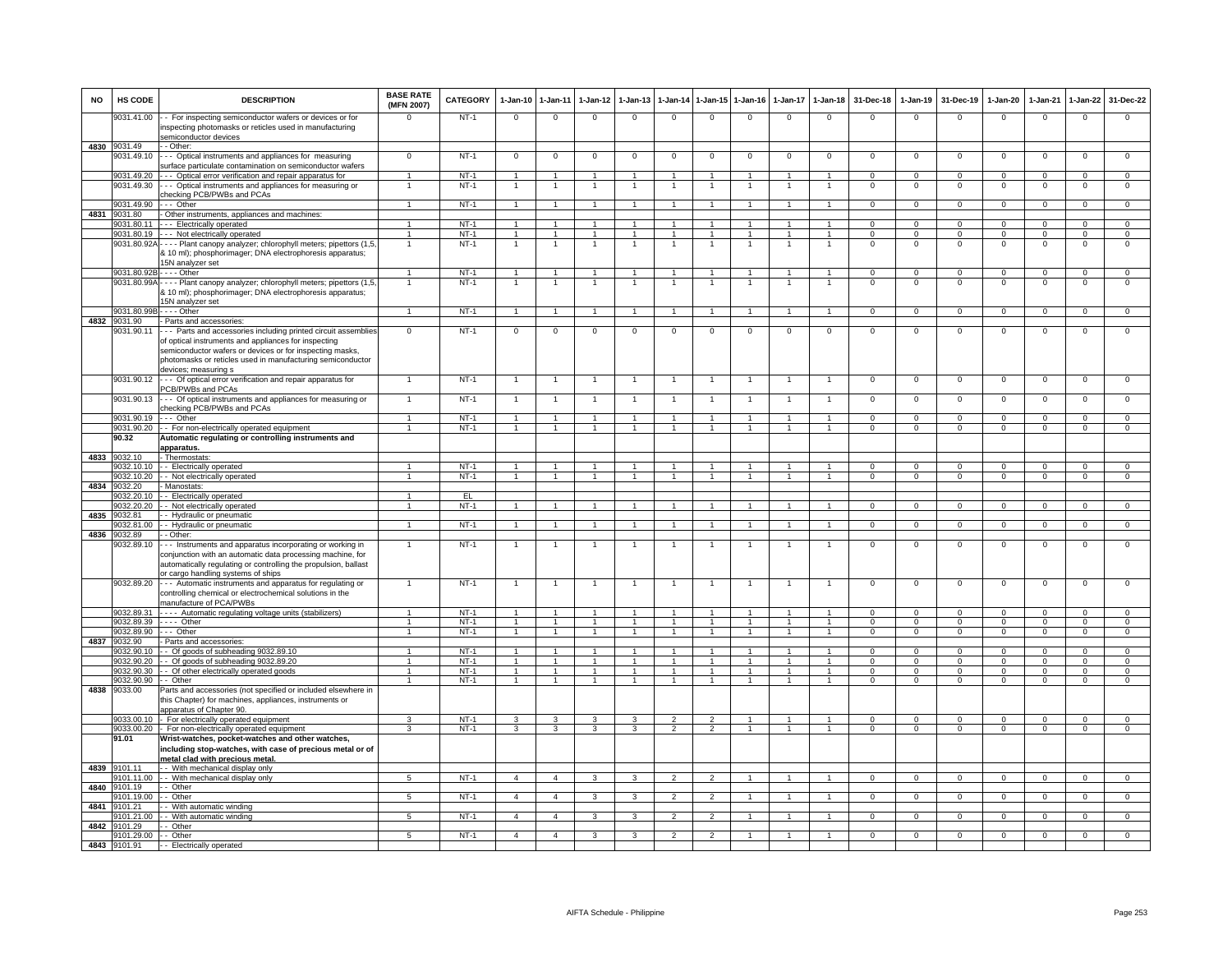| <b>NO</b> | HS CODE                         | <b>DESCRIPTION</b>                                                                                                                                                                                                                                                       | <b>BASE RATE</b><br>(MFN 2007) | CATEGORY         | 1-Jan-10       | 1-Jan-11                         | 1-Jan-12             | $1 - Jan-13$                   |                                  |                                      | 1-Jan-14 1-Jan-15 1-Jan-16     | 1-Jan-17             | $1 - Jan-18$                     | 31-Dec-18                  | 1-Jan-19                         | 31-Dec-19                  | $1 - Jan-20$                  | 1-Jan-21                         | 1-Jan-22                         | 31-Dec-22                          |
|-----------|---------------------------------|--------------------------------------------------------------------------------------------------------------------------------------------------------------------------------------------------------------------------------------------------------------------------|--------------------------------|------------------|----------------|----------------------------------|----------------------|--------------------------------|----------------------------------|--------------------------------------|--------------------------------|----------------------|----------------------------------|----------------------------|----------------------------------|----------------------------|-------------------------------|----------------------------------|----------------------------------|------------------------------------|
|           | 9031.41.00                      | - For inspecting semiconductor wafers or devices or for<br>inspecting photomasks or reticles used in manufacturing<br>semiconductor devices                                                                                                                              |                                | $NT-1$           | $\mathbf 0$    | $\mathbf 0$                      | $\Omega$             | $\mathbf 0$                    | $\mathbf 0$                      | $\mathbf 0$                          | $\mathbf 0$                    | $\mathbf 0$          | $\mathbf 0$                      | $\mathbf 0$                | $\mathbf 0$                      | $\Omega$                   | $\Omega$                      | $\mathbf 0$                      | $\mathbf 0$                      | $\Omega$                           |
|           | 4830 9031.49                    | $-$ Other:                                                                                                                                                                                                                                                               |                                |                  |                |                                  |                      |                                |                                  |                                      |                                |                      |                                  |                            |                                  |                            |                               |                                  |                                  |                                    |
|           | 9031.49.10                      | - Optical instruments and appliances for measuring<br>surface particulate contamination on semiconductor wafers                                                                                                                                                          | $\overline{0}$                 | $NT-1$           | $\mathbf{0}$   | $\overline{0}$                   | $\mathbf 0$          | $\overline{0}$                 | $\mathbf{0}$                     | $\overline{0}$                       | $\overline{0}$                 | $\Omega$             | $\overline{0}$                   | $\overline{0}$             | $\overline{0}$                   | $\overline{0}$             | $\mathbf 0$                   | $\overline{0}$                   | $\overline{0}$                   | $\overline{0}$                     |
|           | 9031.49.20<br>9031.49.30        | - - - Optical error verification and repair apparatus for<br>Optical instruments and appliances for measuring or                                                                                                                                                         | $\mathbf{1}$                   | $NT-1$<br>NT-1   | $\overline{1}$ | $\overline{1}$<br>$\overline{1}$ | $\overline{1}$       | $\overline{1}$<br>$\mathbf{1}$ | $\overline{1}$                   | $\overline{1}$<br>$\overline{1}$     | $\overline{1}$<br>$\mathbf{1}$ | $\mathbf{1}$<br>1    | $\overline{1}$<br>$\overline{1}$ | $\mathsf 0$<br>0           | $\mathbf 0$<br>$\mathsf 0$       | $\mathbf 0$<br>$\mathbf 0$ | $\mathsf 0$<br>0              | $\mathbf 0$<br>$\mathbf{0}$      | 0<br>$\mathsf 0$                 | $\mathbf 0$<br>$\mathsf{O}\xspace$ |
|           | 9031.49.90                      | checking PCB/PWBs and PCAs<br>$\cdots$ Other                                                                                                                                                                                                                             |                                | $NT-1$           | $\overline{1}$ | $\overline{1}$                   |                      | $\mathbf{1}$                   | $\overline{1}$                   | $\overline{1}$                       | $\overline{1}$                 | $\mathbf{1}$         | $\overline{1}$                   | $\overline{0}$             | $\overline{0}$                   | $\overline{0}$             | $\overline{0}$                | $\overline{0}$                   | $\overline{0}$                   | $\overline{0}$                     |
| 4831      | 9031.80                         | - Other instruments, appliances and machines:                                                                                                                                                                                                                            |                                |                  |                |                                  |                      |                                |                                  |                                      |                                |                      |                                  |                            |                                  |                            |                               |                                  |                                  |                                    |
|           |                                 | 9031.80.11 - - - Electrically operated                                                                                                                                                                                                                                   | $\mathbf{1}$                   | NT-1             | $\overline{1}$ | $\overline{1}$                   | $\blacktriangleleft$ | $\mathbf{1}$                   | $\overline{1}$                   | $\overline{1}$                       | $\overline{1}$                 | $\mathbf{1}$         | $\overline{1}$                   | $\Omega$                   | $\mathbf{0}$                     | $\Omega$                   | $\mathbf 0$                   | $\mathbf{0}$                     | $\mathbf{0}$                     | $\mathbf{0}$                       |
|           |                                 | 9031.80.19 - - - Not electrically operated                                                                                                                                                                                                                               | $\mathbf{1}$                   | $NT-1$           | $\overline{1}$ | $\overline{1}$                   | $\mathbf{1}$         | $\mathbf{1}$                   | $\overline{1}$                   | $\mathbf{1}$                         | $\overline{1}$                 | 1                    | $\overline{1}$                   | $\mathbf 0$                | $\mathbf{0}$                     | $^{\circ}$                 | $\mathbf 0$                   | $\mathbf{0}$                     | $\mathbf{0}$                     | $\mathbf 0$                        |
|           |                                 | 9031.80.92A - - - - Plant canopy analyzer; chlorophyll meters; pipettors (1,5<br>10 ml); phosphorimager; DNA electrophoresis apparatus;<br>15N analyzer set                                                                                                              | $\mathbf{1}$                   | $NT-1$           | $\mathbf{1}$   | $\overline{1}$                   | $\mathbf{1}$         |                                | $\mathbf{1}$                     | $\mathbf{1}$                         | $\overline{1}$                 | $\mathbf{1}$         | $\overline{1}$                   | $\overline{0}$             | $\overline{0}$                   | $\overline{0}$             | $\overline{0}$                | $\overline{0}$                   | $\overline{0}$                   | $\overline{0}$                     |
|           |                                 | 9031.80.92B - - - - Other                                                                                                                                                                                                                                                | $\mathbf{1}$                   | NT-1             | $\overline{1}$ | $\overline{1}$                   | 1                    | $\mathbf{1}$                   | $\overline{1}$                   | $\overline{1}$                       | $\mathbf{1}$                   | 1                    | $\overline{1}$                   | $\mathbf 0$                | $\mathbf{0}$                     | $\mathbf 0$                | $\mathbf 0$                   | $^{\circ}$                       | $\mathbf{0}$                     | $\mathbf{0}$                       |
|           |                                 | 9031.80.99A - - - - Plant canopy analyzer; chlorophyll meters; pipettors (1,5<br>& 10 ml); phosphorimager; DNA electrophoresis apparatus;<br>15N analyzer set                                                                                                            | $\overline{1}$                 | $NT-1$           | $\overline{1}$ | $\overline{1}$                   | $\overline{1}$       | $\overline{1}$                 | $\overline{1}$                   | $\overline{1}$                       | $\overline{1}$                 | $\overline{1}$       | $\overline{1}$                   | $\mathsf 0$                | $\overline{0}$                   | $\mathbf 0$                | $\mathsf 0$                   | $\overline{0}$                   | $\overline{0}$                   | $\overline{0}$                     |
|           | 9031.80.99E                     | $\cdots$ - Other                                                                                                                                                                                                                                                         | $\overline{1}$                 | NT-1             | $\overline{1}$ | $\overline{1}$                   | $\overline{1}$       | $\mathbf{1}$                   | $\overline{1}$                   | $\overline{1}$                       | $\overline{1}$                 | $\overline{1}$       | $\overline{1}$                   | $\mathbf{0}$               | $\mathbf 0$                      | $\mathbf 0$                | $\overline{0}$                | $\mathbf 0$                      | $\mathbf 0$                      | $\mathbf{0}$                       |
|           | 4832 9031.90                    | - Parts and accessories:                                                                                                                                                                                                                                                 |                                |                  |                |                                  |                      |                                |                                  |                                      |                                |                      |                                  |                            |                                  |                            |                               |                                  |                                  |                                    |
|           | 9031.90.11                      | --- Parts and accessories including printed circuit assemblies<br>of optical instruments and appliances for inspecting<br>semiconductor wafers or devices or for inspecting masks,<br>photomasks or reticles used in manufacturing semiconductor<br>devices; measuring s | $\Omega$                       | $NT-1$           | $\mathbf 0$    | $\mathbf 0$                      | $^{\circ}$           | 0                              | $^{\circ}$                       | $^{\circ}$                           | $\mathbf 0$                    | 0                    | $\mathbf 0$                      | 0                          | $\mathbf 0$                      | 0                          | 0                             | $^{\circ}$                       | 0                                | $\mathbf 0$                        |
|           |                                 | 9031.90.12 --- Of optical error verification and repair apparatus for<br>PCB/PWBs and PCAs                                                                                                                                                                               | 1                              | $NT-1$           | $\overline{1}$ | $\overline{1}$                   |                      | $\overline{1}$                 | $\overline{1}$                   | $\overline{1}$                       | $\overline{1}$                 | $\overline{1}$       | $\overline{1}$                   | $\mathsf 0$                | $\overline{0}$                   | $\mathbf 0$                | $\mathsf 0$                   | $\overline{0}$                   | $\mathsf 0$                      | $\overline{0}$                     |
|           | 9031.90.13                      | --- Of optical instruments and appliances for measuring or<br>checking PCB/PWBs and PCAs                                                                                                                                                                                 | $\mathbf{1}$                   | $NT-1$           | $\overline{1}$ | $\mathbf{1}$                     |                      | $\overline{1}$                 | $\overline{1}$                   | $\overline{1}$                       | $\overline{1}$                 | $\mathbf{1}$         | $\overline{1}$                   | 0                          | $\mathsf 0$                      | $\mathbf 0$                | $\mathsf 0$                   | $\mathbf 0$                      | $\mathsf 0$                      | $\mathbf 0$                        |
|           | 9031.90.19                      | --- Other                                                                                                                                                                                                                                                                | $\mathbf{1}$                   | $NT-1$           | $\overline{1}$ | $\overline{1}$                   |                      |                                | $\overline{1}$                   | $\mathbf{1}$                         | -1                             | -1                   | $\overline{1}$                   | $\mathbf{0}$               | $\mathbf{0}$                     | $\Omega$                   | 0                             | $^{\circ}$                       | $\mathbf{0}$                     | $\mathbf{0}$                       |
|           | 9031.90.20<br>90.32             | - For non-electrically operated equipment<br>Automatic regulating or controlling instruments and                                                                                                                                                                         | $\mathbf{1}$                   | $NT-1$           | $\overline{1}$ | $\overline{1}$                   | $\overline{1}$       | $\overline{1}$                 | $\overline{1}$                   | $\overline{1}$                       | $\overline{1}$                 | $\mathbf{1}$         | $\overline{1}$                   | $\Omega$                   | $\overline{0}$                   | $\mathbf{0}$               | $\mathbf 0$                   | $\overline{0}$                   | $\overline{0}$                   | $\overline{0}$                     |
|           |                                 | apparatus                                                                                                                                                                                                                                                                |                                |                  |                |                                  |                      |                                |                                  |                                      |                                |                      |                                  |                            |                                  |                            |                               |                                  |                                  |                                    |
| 4833      | 9032.10                         | - Thermostats:                                                                                                                                                                                                                                                           |                                |                  |                |                                  |                      |                                |                                  |                                      |                                |                      |                                  |                            |                                  |                            |                               |                                  |                                  |                                    |
|           | 9032.10.10                      | - - Electrically operated                                                                                                                                                                                                                                                | $\mathbf{1}$                   | $NT-1$           | $\overline{1}$ | $\overline{1}$                   |                      |                                | $\overline{1}$                   | $\blacktriangleleft$                 | $\overline{1}$                 |                      | $\overline{1}$                   | $\overline{0}$             | $\overline{0}$                   | $\overline{0}$             | $\overline{0}$                | $\overline{0}$                   | $\overline{0}$                   | $\overline{0}$                     |
|           | 9032.10.20                      | - - Not electrically operated                                                                                                                                                                                                                                            | $\overline{1}$                 | $NT-1$           | $\overline{1}$ | $\overline{1}$                   |                      |                                | $\overline{1}$                   | $\overline{1}$                       | $\overline{1}$                 | $\mathbf{1}$         | $\overline{1}$                   | $\overline{0}$             | $\overline{0}$                   | $\overline{0}$             | $\overline{0}$                | $\overline{0}$                   | $\overline{0}$                   | $\overline{0}$                     |
| 4834      | 9032.20<br>9032.20.10           | - Manostats:<br>- - Electrically operated                                                                                                                                                                                                                                | $\overline{1}$                 | EL.              |                |                                  |                      |                                |                                  |                                      |                                |                      |                                  |                            |                                  |                            |                               |                                  |                                  |                                    |
|           | 9032.20.20                      | - - Not electrically operated                                                                                                                                                                                                                                            | $\mathbf{1}$                   | NT-1             | $\mathbf{1}$   | $\overline{1}$                   | $\overline{1}$       | $\overline{1}$                 | $\overline{1}$                   | $\sim$                               | $\overline{1}$                 | $\overline{1}$       | $\overline{1}$                   | $\mathbf{0}$               | $\overline{0}$                   | $\mathbf 0$                | $\overline{0}$                | $\overline{0}$                   | $\mathbf{0}$                     | $\Omega$                           |
| 4835      | 9032.81                         | - Hydraulic or pneumatic                                                                                                                                                                                                                                                 |                                |                  |                |                                  |                      |                                |                                  |                                      |                                |                      |                                  |                            |                                  |                            |                               |                                  |                                  |                                    |
|           | 9032.81.00                      | -- Hydraulic or pneumatic                                                                                                                                                                                                                                                | $\mathbf{1}$                   | $NT-1$           | $\mathbf{1}$   | $\mathbf{1}$                     |                      | $\overline{1}$                 | $\mathbf{1}$                     | $\mathbf{1}$                         | $\mathbf{1}$                   | 1                    | $\overline{1}$                   | $\overline{0}$             | $\overline{0}$                   | $\overline{0}$             | $\overline{0}$                | $\overline{0}$                   | $\overline{0}$                   | $\overline{0}$                     |
| 4836      | 9032.89<br>9032.89.10           | - Other:<br>- - Instruments and apparatus incorporating or working in<br>conjunction with an automatic data processing machine, for<br>automatically regulating or controlling the propulsion, ballast<br>or cargo handling systems of ships                             | $\mathbf{1}$                   | $NT-1$           | $\overline{1}$ | $\overline{1}$                   | $\overline{1}$       | 1                              | $\overline{1}$                   | $\overline{1}$                       | $\mathbf{1}$                   | $\mathbf{1}$         | $\mathbf{1}$                     | $\mathbf 0$                | $\mathsf 0$                      | $\mathbf 0$                | $^{\circ}$                    | $\mathbf 0$                      | $\mathsf 0$                      | $\mathbf 0$                        |
|           | 9032.89.20                      | - - - Automatic instruments and apparatus for regulating or<br>controlling chemical or electrochemical solutions in the                                                                                                                                                  |                                | $NT-1$           |                | $\overline{1}$                   |                      |                                | $\overline{1}$                   | $\mathbf{1}$                         | $\overline{1}$                 | $\mathbf{1}$         | $\overline{1}$                   | $\mathbf 0$                | $\mathsf 0$                      | $\mathbf 0$                | $\mathbf 0$                   | $\overline{0}$                   | $\overline{0}$                   | $\overline{0}$                     |
|           | 9032.89.31                      | manufacture of PCA/PWBs<br>---- Automatic regulating voltage units (stabilizers)                                                                                                                                                                                         | $\mathbf{1}$                   | $NT-1$           | $\mathbf{1}$   | $\overline{1}$                   |                      |                                | $\overline{1}$                   | $\mathbf{1}$                         | $\blacktriangleleft$           | $\mathbf{1}$         | $\overline{1}$                   | $\Omega$                   | $\Omega$                         | $\Omega$                   | $\Omega$                      | $\Omega$                         | $\Omega$                         | $\Omega$                           |
|           | 9032.89.39                      | - - - - Other                                                                                                                                                                                                                                                            | $\mathbf{1}$                   | $NT-1$           | 1              | 1                                |                      |                                |                                  | $\overline{1}$                       | $\mathbf{1}$                   | 1                    | $\overline{1}$                   | $\mathsf 0$                | $\mathbf 0$                      | $\mathbf 0$                | $\mathsf 0$                   | $\mathbf 0$                      | $\mathbf 0$                      | $\mathbf{0}$                       |
|           | 9032.89.90                      | --- Other                                                                                                                                                                                                                                                                | $\mathbf{1}$                   | $NT-1$           |                | $\overline{1}$                   |                      |                                |                                  | $\mathbf{1}$                         |                                |                      | $\mathbf{1}$                     | $\mathbf 0$                | $\overline{0}$                   | $\overline{0}$             | $\mathbf 0$                   | $\overline{0}$                   | $\overline{0}$                   | $\overline{0}$                     |
| 4837      | 9032.90                         | - Parts and accessories:                                                                                                                                                                                                                                                 |                                |                  | $\overline{1}$ | $\overline{1}$                   |                      |                                |                                  |                                      |                                |                      | $\overline{1}$                   |                            |                                  |                            |                               |                                  |                                  |                                    |
|           | 9032.90.10<br>9032.90.20        | -- Of goods of subheading 9032.89.10<br>- Of goods of subheading 9032.89.20                                                                                                                                                                                              | $\mathbf{1}$<br>$\overline{1}$ | $NT-1$<br>$NT-1$ | $\overline{1}$ | $\overline{1}$                   |                      | $\overline{1}$                 | $\overline{1}$<br>$\overline{1}$ | $\blacktriangleleft$<br>$\mathbf{1}$ | $\overline{1}$                 | $\mathbf{1}$         | $\overline{1}$                   | $\Omega$<br>$\overline{0}$ | $\overline{0}$<br>$\overline{0}$ | $\Omega$<br>$\overline{0}$ | $\mathsf 0$<br>$\overline{0}$ | $\overline{0}$<br>$\overline{0}$ | $\overline{0}$<br>$\overline{0}$ | $\overline{0}$<br>$\overline{0}$   |
|           | 9032.90.30                      | - Of other electrically operated goods                                                                                                                                                                                                                                   | $\mathbf{1}$                   | $NT-1$           |                | $\overline{1}$                   |                      |                                |                                  |                                      |                                |                      |                                  | $\Omega$                   | $\mathbf 0$                      | $\Omega$                   | $\Omega$                      | $\mathbf 0$                      | $\mathbf{0}$                     | $\mathbf{0}$                       |
|           | 9032.90.90                      | - - Other                                                                                                                                                                                                                                                                | $\overline{1}$                 | $NT-1$           | $\overline{1}$ | $\overline{1}$                   | $\blacktriangleleft$ | $\mathbf{1}$                   | $\overline{1}$                   | $\overline{1}$                       | $\overline{1}$                 | $\mathbf{1}$         | $\mathbf{1}$                     | 0                          | $\mathbf{O}$                     | $\mathbf 0$                | $\mathsf 0$                   | $\mathbf 0$                      | $\mathbf 0$                      | $\mathbf{0}$                       |
|           | 4838 9033.00                    | Parts and accessories (not specified or included elsewhere in<br>this Chapter) for machines, appliances, instruments or<br>apparatus of Chapter 90.                                                                                                                      |                                |                  |                |                                  |                      |                                |                                  |                                      |                                |                      |                                  |                            |                                  |                            |                               |                                  |                                  |                                    |
|           |                                 | 9033.00.10 - For electrically operated equipment<br>9033.00.20 - For non-electrically operated equipment                                                                                                                                                                 | 3<br>3                         | $NT-1$<br>$NT-1$ | 3<br>3         | 3<br>3                           | 3<br>3               | 3<br>3                         | $\overline{2}$<br>$\overline{2}$ | $\overline{2}$<br>$\overline{2}$     | $\mathbf{1}$<br>$\mathbf{1}$   |                      | $\overline{1}$                   | $\mathbf 0$<br>0           | $\mathbf{O}$<br>$\mathbf 0$      | $\mathbf 0$<br>0           | $\mathbf 0$<br>$\mathbf 0$    | $\mathbf 0$<br>$\mathbf 0$       | $\mathbf 0$<br>0                 | $\mathbf{0}$<br>$\mathbf 0$        |
|           | 91.01                           | Wrist-watches, pocket-watches and other watches,<br>including stop-watches, with case of precious metal or of                                                                                                                                                            |                                |                  |                |                                  |                      |                                |                                  |                                      |                                |                      |                                  |                            |                                  |                            |                               |                                  |                                  |                                    |
|           |                                 | metal clad with precious metal.                                                                                                                                                                                                                                          |                                |                  |                |                                  |                      |                                |                                  |                                      |                                |                      |                                  |                            |                                  |                            |                               |                                  |                                  |                                    |
| 4839      | 9101.11                         | - - With mechanical display only                                                                                                                                                                                                                                         |                                | $NT-1$           |                |                                  |                      |                                |                                  |                                      |                                |                      |                                  |                            |                                  |                            |                               |                                  |                                  |                                    |
| 4840      | 9101.19                         | 9101.11.00 - With mechanical display only<br>- - Other                                                                                                                                                                                                                   | $5\overline{5}$                |                  | $\overline{4}$ | $\overline{4}$                   | 3                    | 3                              | $\overline{2}$                   | $\overline{2}$                       | $\overline{1}$                 | $\overline{1}$       | $\overline{1}$                   | $\mathbf{0}$               | $\overline{0}$                   | $\mathbf 0$                | $\overline{0}$                | $\mathbf 0$                      | $\mathbf{0}$                     | $\mathbf{0}$                       |
|           | 9101.19.00                      | - Other                                                                                                                                                                                                                                                                  | 5                              | $NT-1$           | $\overline{4}$ | $\overline{4}$                   | 3                    | -3                             | $\overline{2}$                   | $\overline{2}$                       |                                | -1                   | $\overline{1}$                   | $^{\circ}$                 | $\mathbf{0}$                     | $\mathbf 0$                | $\mathbf{0}$                  | $^{\circ}$                       | $\mathbf{0}$                     | $\mathbf{0}$                       |
| 4841      | 9101.21                         | - With automatic winding                                                                                                                                                                                                                                                 |                                |                  |                |                                  |                      |                                |                                  |                                      |                                |                      |                                  |                            |                                  |                            |                               |                                  |                                  |                                    |
|           | 9101.21.00                      | - With automatic winding                                                                                                                                                                                                                                                 | 5                              | $NT-1$           | $\overline{4}$ | $\overline{4}$                   | 3                    | 3                              | $\overline{2}$                   | $\mathcal{P}$                        |                                |                      |                                  | 0                          | 0                                | $\Omega$                   | 0                             | 0                                | 0                                | $\Omega$                           |
| 4842      | 9101.29<br>9101.29.00 - - Other | - - Other                                                                                                                                                                                                                                                                | $\overline{5}$                 | $NT-1$           | $\overline{4}$ | $\overline{4}$                   | $\overline{3}$       | $\overline{\mathbf{3}}$        | $\overline{2}$                   | $\overline{2}$                       |                                | $\ddot{\phantom{0}}$ | $\overline{1}$                   | $\overline{0}$             | $\overline{0}$                   | $\overline{0}$             | $\overline{0}$                | $\overline{0}$                   | $\overline{0}$                   | $\overline{0}$                     |
|           | 4843 9101.91                    | - - Electrically operated                                                                                                                                                                                                                                                |                                |                  |                |                                  |                      |                                |                                  |                                      |                                |                      |                                  |                            |                                  |                            |                               |                                  |                                  |                                    |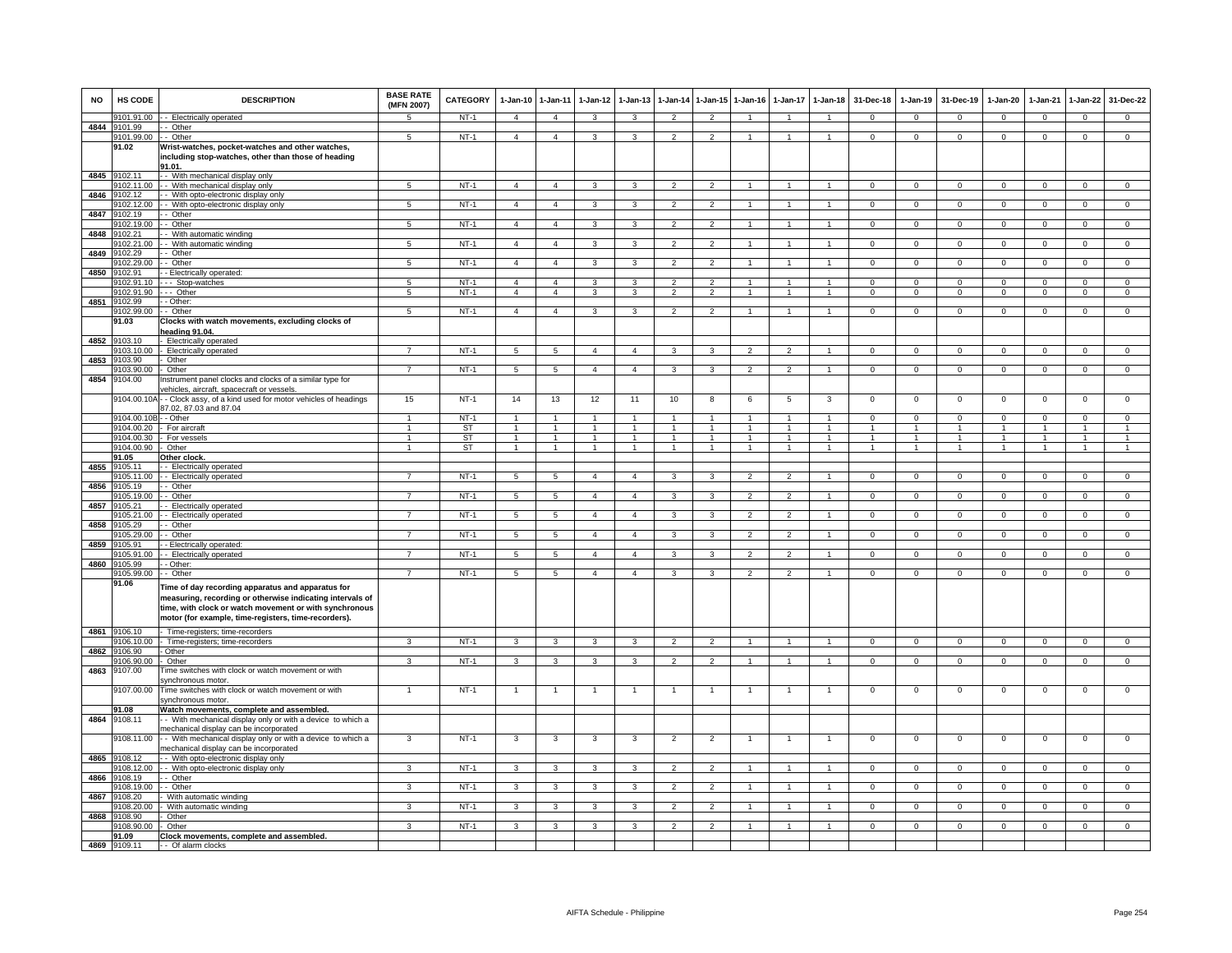| <b>NO</b> | HS CODE                    | <b>DESCRIPTION</b>                                                                                             | <b>BASE RATE</b><br>(MFN 2007) | <b>CATEGORY</b>     | $1-Jan-10$                       | $1 - Jan-11$                     | $1-Jan-12$     | $1-Jan-13$                     |                                  | 1-Jan-14 1-Jan-15   | $1-Jan-16$          | $1-Jan-17$               | $1 - Jan-18$                   | 31-Dec-18                  | $1-Jan-19$                   | 31-Dec-19                  | $1-Jan-20$                 | $1-Jan-21$                 | $1-Jan-22$                 | 31-Dec-22                    |
|-----------|----------------------------|----------------------------------------------------------------------------------------------------------------|--------------------------------|---------------------|----------------------------------|----------------------------------|----------------|--------------------------------|----------------------------------|---------------------|---------------------|--------------------------|--------------------------------|----------------------------|------------------------------|----------------------------|----------------------------|----------------------------|----------------------------|------------------------------|
|           | 9101.91.00                 | - Electrically operated                                                                                        | -5                             | $NT-1$              | $\overline{4}$                   | $\overline{4}$                   | 3              | $\mathbf{3}$                   | $\overline{2}$                   | $\overline{2}$      | $\overline{1}$      | $\overline{1}$           | $\overline{1}$                 | $\overline{0}$             | $\mathbf{0}$                 | $\mathbf 0$                | $\mathbf{0}$               | $\mathbf 0$                | $\mathbf{0}$               | $\mathbf{0}$                 |
|           | 4844 9101.99<br>9101.99.00 | - Other<br>- Other                                                                                             | 5                              | $NT-1$              | $\overline{a}$                   | $\overline{4}$                   | 3              | 3                              | $\overline{2}$                   | $\overline{2}$      | $\overline{1}$      | $\mathbf{1}$             | $\overline{1}$                 | $\Omega$                   | $\mathbf 0$                  | $^{\circ}$                 | $\mathbf{0}$               | $\mathbf{0}$               | $\mathbf 0$                | $\overline{0}$               |
|           | 91.02                      | Wrist-watches, pocket-watches and other watches,                                                               |                                |                     |                                  |                                  |                |                                |                                  |                     |                     |                          |                                |                            |                              |                            |                            |                            |                            |                              |
|           |                            | including stop-watches, other than those of heading                                                            |                                |                     |                                  |                                  |                |                                |                                  |                     |                     |                          |                                |                            |                              |                            |                            |                            |                            |                              |
|           | 4845 9102.11               | 91.01.<br>-- With mechanical display only                                                                      |                                |                     |                                  |                                  |                |                                |                                  |                     |                     |                          |                                |                            |                              |                            |                            |                            |                            |                              |
|           | 102.11.00                  | - With mechanical display only                                                                                 | $\overline{5}$                 | $NT-1$              | $\overline{4}$                   | $\overline{4}$                   | $\mathbf{R}$   | 3                              | $\overline{2}$                   | $\overline{2}$      | $\overline{1}$      |                          | $\overline{1}$                 | $\mathbf{0}$               | $\overline{0}$               | $\mathbf 0$                | $\mathbf{0}$               | $\overline{0}$             | $\overline{0}$             | $\overline{0}$               |
| 4846      | 102.12                     | - With opto-electronic display only                                                                            |                                |                     |                                  |                                  |                |                                |                                  |                     |                     |                          |                                |                            |                              |                            |                            |                            |                            |                              |
|           | 9102.12.00                 | - With opto-electronic display only<br>- Other                                                                 | $\sqrt{5}$                     | $NT-1$              | $\overline{4}$                   | $\overline{4}$                   | 3              | 3                              | $\overline{2}$                   | $\overline{2}$      |                     |                          | $\mathbf{1}$                   | $\mathbf 0$                | $\mathbf 0$                  | $\mathbf 0$                | $\mathbf 0$                | $\mathbf 0$                | $\mathbf 0$                | $\Omega$                     |
| 4847      | 9102.19<br>9102.19.00      | - Other                                                                                                        | 5                              | <b>NT-1</b>         | $\overline{4}$                   | $\overline{4}$                   | $\mathbf{3}$   | 3                              | $\overline{2}$                   | $\overline{2}$      | $\mathbf{1}$        | $\overline{1}$           | $\mathbf{1}$                   | $\overline{0}$             | $\overline{0}$               | $\overline{0}$             | $\mathbf{0}$               | $\overline{0}$             | $\overline{0}$             | $\overline{0}$               |
| 4848      | 9102.21                    | - With automatic winding                                                                                       |                                |                     |                                  |                                  |                |                                |                                  |                     |                     |                          |                                |                            |                              |                            |                            |                            |                            |                              |
|           | 102.21.00                  | - With automatic winding                                                                                       | 5                              | $NT-1$              | $\overline{4}$                   | $\overline{4}$                   | 3              | 3                              | $\overline{2}$                   | $\overline{2}$      | 1                   | 1                        | $\mathbf{1}$                   | $\mathbf{0}$               | $\mathbf 0$                  | $\mathbf{0}$               | $\mathbf{0}$               | $\mathbf{O}$               | $\mathbf 0$                | $\mathbf{O}$                 |
| 4849      | 102.29<br>102.29.00        | Other<br>Other                                                                                                 | 5                              | $NT-1$              | $\overline{4}$                   | $\overline{4}$                   | 3              | 3                              | $\overline{2}$                   | $\overline{2}$      |                     |                          | 1                              | $\mathbf{0}$               | $^{\circ}$                   | $\mathbf 0$                | $^{\circ}$                 | $^{\circ}$                 | $\mathbf 0$                | 0                            |
| 4850      | 9102.91                    | - Electrically operated:                                                                                       |                                |                     |                                  |                                  |                |                                |                                  |                     |                     |                          |                                |                            |                              |                            |                            |                            |                            |                              |
|           | 102 91 10                  | - Stop-watches                                                                                                 | 5                              | $NT-1$              | $\mathbf{A}$                     | $\overline{4}$                   | $\mathbf{a}$   | 3                              | $\mathcal{P}$                    | $\mathcal{P}$       |                     |                          | $\overline{1}$                 | $\Omega$                   | $\Omega$                     | $\Omega$                   | $\Omega$                   | $\Omega$                   | $\Omega$                   | $\Omega$                     |
| 4851      | 102.91.90<br>9102.99       | - Other<br>- Other:                                                                                            | 5                              | $NT-1$              | $\overline{a}$                   | $\overline{4}$                   | $\mathbf{R}$   | $\mathbf{3}$                   | $\overline{2}$                   | $\overline{2}$      |                     |                          | $\overline{1}$                 | $\Omega$                   | $\mathbf 0$                  | $\mathbf 0$                | $\Omega$                   | $\mathbf 0$                | $\mathbf 0$                | $\circ$                      |
|           | 9102.99.00                 | - Other                                                                                                        | 5                              | $NT-1$              | $\overline{4}$                   | $\overline{4}$                   | 3              | 3                              | $\overline{2}$                   | $\overline{2}$      | $\overline{1}$      | $\overline{1}$           | $\overline{1}$                 | $\overline{0}$             | $\mathbf{0}$                 | $\mathbf{0}$               | $\mathbf{0}$               | $\mathbf{0}$               | $\mathbf{0}$               | $\mathbf{0}$                 |
|           | 91.03                      | Clocks with watch movements, excluding clocks of                                                               |                                |                     |                                  |                                  |                |                                |                                  |                     |                     |                          |                                |                            |                              |                            |                            |                            |                            |                              |
|           | 9103.10                    | eading 91.04.                                                                                                  |                                |                     |                                  |                                  |                |                                |                                  |                     |                     |                          |                                |                            |                              |                            |                            |                            |                            |                              |
| 4852      | 103.10.00                  | Electrically operated<br><b>Electrically operated</b>                                                          | $\overline{7}$                 | $NT-1$              | 5                                | $\overline{5}$                   | $\overline{4}$ | $\overline{4}$                 | 3                                | 3                   | $\overline{2}$      | $\overline{2}$           | 1                              | $\mathsf 0$                | $\mathbf 0$                  | $^{\circ}$                 | $\mathbf 0$                | $\mathbf 0$                | $\mathbf 0$                | $\mathbf 0$                  |
| 4853      | 9103.90                    | Other                                                                                                          |                                |                     |                                  |                                  |                |                                |                                  |                     |                     |                          |                                |                            |                              |                            |                            |                            |                            |                              |
|           | 9103.90.00                 | Other                                                                                                          | $\overline{7}$                 | <b>NT-1</b>         | $5\overline{)}$                  | $\overline{5}$                   | $\overline{4}$ | $\overline{4}$                 | $\mathbf{3}$                     | 3                   | $\overline{2}$      | $\overline{2}$           | $\overline{1}$                 | $\overline{0}$             | $\overline{0}$               | $\mathbf{0}$               | $\mathbf{0}$               | $\mathbf{0}$               | $\overline{0}$             | $\overline{0}$               |
| 4854      | 104.00                     | nstrument panel clocks and clocks of a similar type for<br>rehicles, aircraft, spacecraft or vessels           |                                |                     |                                  |                                  |                |                                |                                  |                     |                     |                          |                                |                            |                              |                            |                            |                            |                            |                              |
|           | 9104.00.1                  | - Clock assy, of a kind used for motor vehicles of headings                                                    | 15                             | $NT-1$              | 14                               | 13                               | 12             | 11                             | 10                               | 8                   | 6                   | 5                        | 3                              | $\mathbf 0$                | $\mathsf 0$                  | $\mathbf 0$                | $\mathsf 0$                | $\mathbf 0$                | $\mathbf 0$                | $\overline{0}$               |
|           |                            | 37.02, 87.03 and 87.04                                                                                         |                                |                     |                                  |                                  |                |                                |                                  |                     |                     |                          |                                |                            |                              |                            |                            |                            |                            |                              |
|           | 9104.00.10E<br>9104.00.20  | - Other<br>For aircraft                                                                                        | -1<br>$\overline{1}$           | $NT-1$<br><b>ST</b> | $\overline{1}$<br>$\overline{1}$ | $\overline{1}$<br>$\overline{1}$ |                | $\mathbf{1}$<br>$\overline{1}$ | $\overline{1}$<br>$\overline{1}$ | 1<br>$\overline{1}$ | 1<br>$\overline{1}$ | -1<br>$\mathbf{1}$       | $\overline{1}$<br>$\mathbf{1}$ | $\Omega$<br>$\overline{1}$ | $\mathbf{0}$<br>$\mathbf{1}$ | $\Omega$<br>$\overline{1}$ | $^{\circ}$<br>$\mathbf{1}$ | $\Omega$<br>$\overline{1}$ | $^{\circ}$<br>$\mathbf{1}$ | $\mathbf{0}$<br>$\mathbf{1}$ |
|           | 9104.00.30                 | For vessels                                                                                                    | 1                              | <b>ST</b>           | $\mathbf{1}$                     | $\mathbf{1}$                     |                | 1                              | 1                                | $\mathbf{1}$        | 1                   | 1                        | $\mathbf{1}$                   | $\mathbf{1}$               | $\mathbf{1}$                 | $\overline{1}$             | 1                          | $\mathbf{1}$               | $\mathbf{1}$               | $\mathbf{1}$                 |
|           | 9104.00.90                 | Other                                                                                                          | $\mathbf{1}$                   | <b>ST</b>           |                                  | $\mathbf{1}$                     |                |                                |                                  | $\mathbf{1}$        |                     |                          | $\mathbf{1}$                   | $\overline{1}$             | $\mathbf{1}$                 |                            |                            |                            | $\overline{1}$             | $\mathbf{1}$                 |
| 4855      | 91.05<br>9105.11           | Other clock<br>- Electrically operated                                                                         |                                |                     |                                  |                                  |                |                                |                                  |                     |                     |                          |                                |                            |                              |                            |                            |                            |                            |                              |
|           | 105.11.00                  | - Electrically operated                                                                                        |                                | $NT-1$              | $\overline{5}$                   | $\overline{5}$                   | $\Delta$       | $\Delta$                       | 3                                | $\mathbf{R}$        |                     |                          |                                | $\Omega$                   | $\Omega$                     | $\Omega$                   | O                          | $\Omega$                   | $\Omega$                   | $\overline{0}$               |
| 4856      | 105.19                     | - Other                                                                                                        |                                |                     |                                  |                                  |                |                                |                                  |                     |                     |                          |                                |                            |                              |                            |                            |                            |                            |                              |
| 4857      | 105.19.00<br>9105.21       | - Other<br>- Electrically operated                                                                             |                                | $NT-1$              | $5\phantom{.0}$                  | 5                                | $\overline{a}$ | $\overline{4}$                 | 3                                | 3                   | $\mathfrak{p}$      | $\mathfrak{p}$           |                                | $\mathbf{0}$               | $\mathbf 0$                  | $\mathbf 0$                | $\mathbf 0$                | $^{\circ}$                 | $\Omega$                   | $\mathbf{O}$                 |
|           | 9105.21.00                 | - Electrically operated                                                                                        | $\overline{7}$                 | $NT-1$              | 5                                | $5\phantom{.0}$                  | $\overline{4}$ | $\overline{4}$                 | 3                                | 3                   | $\overline{2}$      | $\overline{2}$           | $\mathbf{1}$                   | $\overline{0}$             | $\mathbf 0$                  | $\Omega$                   | $\,0\,$                    | $\mathbf{0}$               | $\mathsf 0$                | $\overline{0}$               |
| 4858      | 105.29                     | - Other                                                                                                        |                                |                     |                                  |                                  |                |                                |                                  |                     |                     |                          |                                |                            |                              |                            |                            |                            |                            |                              |
| 4859      | 105.29.00<br>105.91        | Other<br>- Electrically operated:                                                                              |                                | $NT-1$              | 5                                | $\sqrt{5}$                       | $\mathbf{A}$   | $\overline{4}$                 | 3                                | 3                   | $\mathfrak{p}$      | $\mathcal{P}$            |                                | $\mathsf 0$                | $\mathsf 0$                  | $\mathsf 0$                | $\mathsf 0$                | $\mathsf 0$                | $\mathsf 0$                | $\overline{0}$               |
|           | 105.91.00                  | - Electrically operated                                                                                        | $\overline{7}$                 | $NT-1$              | 5                                | 5                                | $\overline{4}$ | $\overline{4}$                 | 3                                | $\overline{3}$      | $\mathcal{P}$       | $\overline{2}$           | $\overline{1}$                 | $\Omega$                   | $\overline{0}$               | $\Omega$                   | $\mathbf 0$                | $\overline{0}$             | $\overline{0}$             | $\overline{0}$               |
| 4860      | 105.99                     | Other:                                                                                                         |                                |                     |                                  |                                  |                |                                |                                  |                     |                     |                          |                                |                            |                              |                            |                            |                            |                            |                              |
|           | 9105.99.00<br>91.06        | - Other                                                                                                        | 7                              | $NT-1$              | 5                                | 5                                | $\overline{4}$ | $\overline{4}$                 | 3                                | 3                   | $\overline{2}$      | $\overline{\phantom{a}}$ | $\overline{1}$                 | $\overline{0}$             | $\overline{0}$               | $\overline{0}$             | $\overline{0}$             | $\overline{0}$             | $\overline{0}$             | $\overline{0}$               |
|           |                            | Time of day recording apparatus and apparatus for<br>measuring, recording or otherwise indicating intervals of |                                |                     |                                  |                                  |                |                                |                                  |                     |                     |                          |                                |                            |                              |                            |                            |                            |                            |                              |
|           |                            | time, with clock or watch movement or with synchronous                                                         |                                |                     |                                  |                                  |                |                                |                                  |                     |                     |                          |                                |                            |                              |                            |                            |                            |                            |                              |
|           |                            | motor (for example, time-registers, time-recorders).                                                           |                                |                     |                                  |                                  |                |                                |                                  |                     |                     |                          |                                |                            |                              |                            |                            |                            |                            |                              |
|           | 4861 9106.10               | Time-registers; time-recorders                                                                                 |                                |                     |                                  |                                  |                |                                |                                  |                     |                     |                          |                                |                            |                              |                            |                            |                            |                            |                              |
|           | 106.10.00<br>4862 9106.90  | Time-registers; time-recorders                                                                                 | 3                              | $NT-1$              | 3                                | 3                                | 3              | 3                              | $\overline{2}$                   | $\overline{2}$      | $\overline{1}$      | $\mathbf{1}$             | $\overline{1}$                 | $\overline{0}$             | $\overline{0}$               | $\mathbf 0$                | $\mathbf 0$                | $\overline{0}$             | $\overline{0}$             | $\overline{0}$               |
|           | 9106.90.00                 | Other<br>Other                                                                                                 | $\mathbf{R}$                   | $NT-1$              | $\overline{3}$                   | 3                                | $\mathbf{R}$   | $\overline{\mathbf{3}}$        | $\overline{2}$                   | $\overline{2}$      | $\overline{1}$      |                          | $\overline{1}$                 | $\overline{0}$             | $\overline{0}$               | $\overline{0}$             | $\overline{0}$             | $\overline{0}$             | $\overline{0}$             | $\overline{0}$               |
| 4863      | 9107.00                    | lime switches with clock or watch movement or with                                                             |                                |                     |                                  |                                  |                |                                |                                  |                     |                     |                          |                                |                            |                              |                            |                            |                            |                            |                              |
|           |                            | synchronous motor.                                                                                             |                                | $NT-1$              | $\overline{1}$                   | $\overline{1}$                   |                | $\overline{1}$                 | $\overline{1}$                   | 1                   |                     |                          | $\overline{1}$                 | $\mathbf 0$                | $\mathsf 0$                  | $\mathbf 0$                | $^{\circ}$                 | $^{\circ}$                 | $\mathbf 0$                | $^{\circ}$                   |
|           | 9107.00.00                 | Time switches with clock or watch movement or with<br>vnchronous motor                                         |                                |                     |                                  |                                  |                |                                |                                  |                     |                     |                          |                                |                            |                              |                            |                            |                            |                            |                              |
|           | 91.08                      | Watch movements, complete and assembled.                                                                       |                                |                     |                                  |                                  |                |                                |                                  |                     |                     |                          |                                |                            |                              |                            |                            |                            |                            |                              |
| 4864      | 9108.11                    | - With mechanical display only or with a device to which a                                                     |                                |                     |                                  |                                  |                |                                |                                  |                     |                     |                          |                                |                            |                              |                            |                            |                            |                            |                              |
|           | 9108.11.00                 | nechanical display can be incorporated<br>- With mechanical display only or with a device to which a           | 3                              | $NT-1$              | 3                                | 3                                | 3              | 3                              | $\overline{2}$                   | $\overline{2}$      | 1                   | $\mathbf{1}$             | 1                              | $\mathbf 0$                | $\mathsf 0$                  | $\mathbf 0$                | $\,0\,$                    | $\mathbf 0$                | $\mathsf 0$                | $\mathbf 0$                  |
|           |                            | echanical display can be incorporated                                                                          |                                |                     |                                  |                                  |                |                                |                                  |                     |                     |                          |                                |                            |                              |                            |                            |                            |                            |                              |
| 4865      | 9108.12                    | - With opto-electronic display only                                                                            |                                |                     |                                  |                                  |                |                                | $\overline{\phantom{a}}$         |                     |                     |                          |                                |                            |                              |                            |                            |                            |                            |                              |
| 4866      | 9108.12.00<br>9108.19      | - With opto-electronic display only<br>- Other                                                                 | $\mathbf{R}$                   | $NT-1$              | 3                                | 3                                | $\mathbf{R}$   | $\mathbf{B}$                   |                                  | $\overline{2}$      |                     |                          |                                | $\Omega$                   | $\overline{0}$               | $\overline{0}$             | $\Omega$                   | $\overline{0}$             | $\Omega$                   | $\overline{0}$               |
|           | 9108.19.00                 | - Other                                                                                                        | 3                              | $NT-1$              | $\mathbf{3}$                     | $\mathbf{3}$                     | 3              | 3                              | $\overline{2}$                   | $\overline{2}$      | 1                   | $\mathbf{1}$             | $\mathbf{1}$                   | $\mathbf{0}$               | $\mathbf{0}$                 | $\mathbf{0}$               | $\mathbf{0}$               | $\mathbf{0}$               | $\circ$                    | $\mathbf{0}$                 |
|           | 4867 9108.20               | With automatic winding                                                                                         |                                |                     |                                  |                                  |                |                                |                                  |                     |                     |                          |                                |                            |                              |                            |                            |                            |                            |                              |
| 4868      | 9108.20.00<br>9108.90      | With automatic winding<br>Other                                                                                | 3                              | $NT-1$              | 3                                | 3                                | 3              | 3                              | $\overline{2}$                   | $\overline{2}$      | $\mathbf{1}$        | $\mathbf{1}$             | $\mathbf{1}$                   | $\mathbf{0}$               | $\mathbf 0$                  | $\mathbf{0}$               | $\mathbf{0}$               | $\Omega$                   | $\mathbf 0$                | $\overline{0}$               |
|           | 108.90.00                  | Other                                                                                                          | 3                              | $NT-1$              | 3                                | 3                                | 3              | 3                              | $\mathfrak{p}$                   | $\overline{2}$      | 1                   | $\mathbf{1}$             | $\mathbf{1}$                   | $\mathbf 0$                | $\mathbf 0$                  | $\mathbf 0$                | $\mathbf{0}$               | $\mathbf{O}$               | $\mathbf 0$                | $\mathbf{O}$                 |
|           | 91.09                      | Clock movements, complete and assembled.                                                                       |                                |                     |                                  |                                  |                |                                |                                  |                     |                     |                          |                                |                            |                              |                            |                            |                            |                            |                              |
|           | 4869 9109.11               | - Of alarm clocks                                                                                              |                                |                     |                                  |                                  |                |                                |                                  |                     |                     |                          |                                |                            |                              |                            |                            |                            |                            |                              |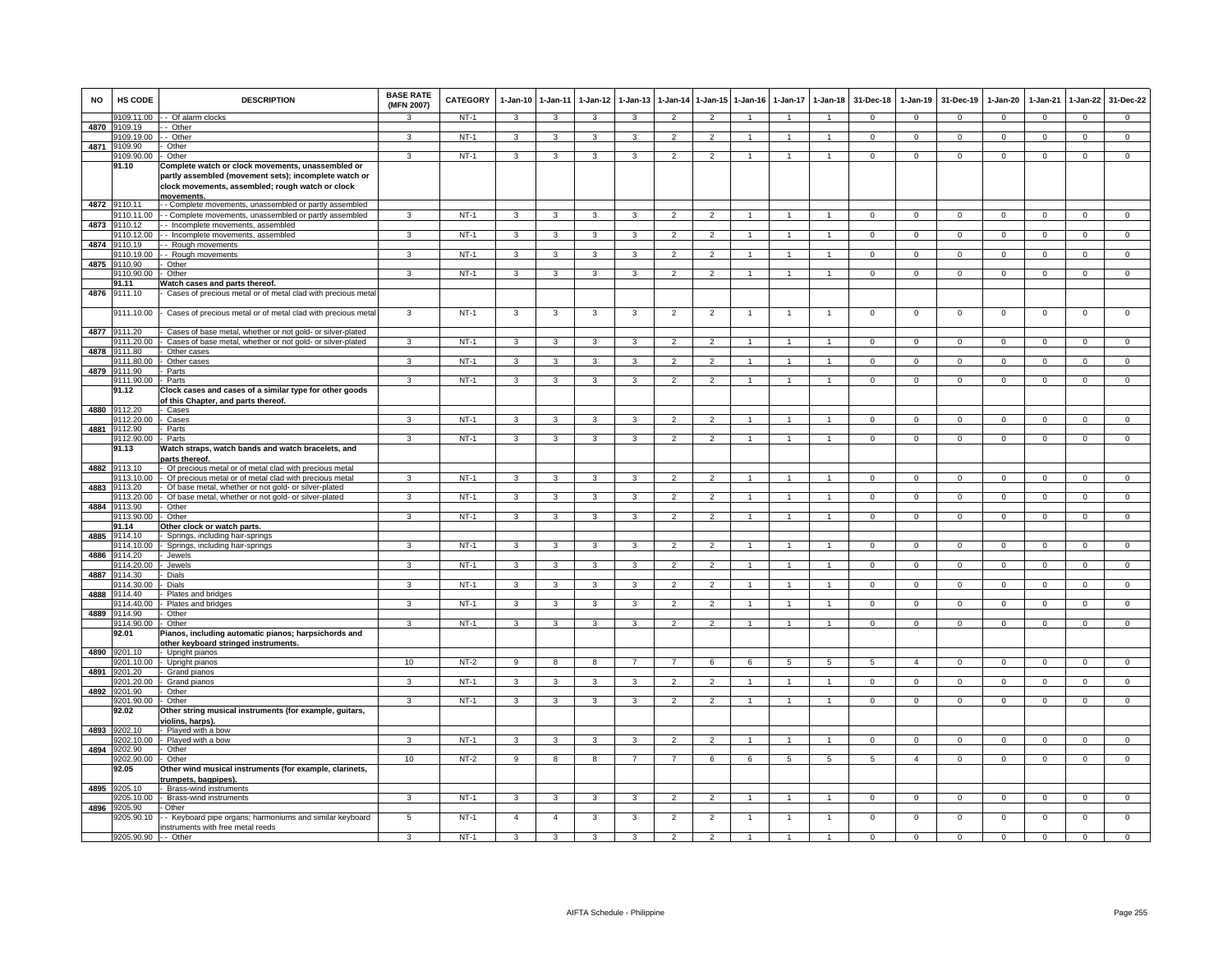| <b>NO</b> | <b>HS CODE</b>                | <b>DESCRIPTION</b>                                                                                                                                                          | <b>BASE RATE</b><br>(MFN 2007) | CATEGORY | $1-Jan-10$     | 1-Jan-11       | $1-Jan-12$    | $1-Jan-13$ | 1-Jan-14                 | $1 - Jan-15$             | $1-Jan-16$   | 1-Jan-17     | $1-Jan-18$           | 31-Dec-18      | $1-Jan-19$     | 31-Dec-19      | 1-Jan-20       | 1-Jan-21       | 1-Jan-22       | 31-Dec-22      |
|-----------|-------------------------------|-----------------------------------------------------------------------------------------------------------------------------------------------------------------------------|--------------------------------|----------|----------------|----------------|---------------|------------|--------------------------|--------------------------|--------------|--------------|----------------------|----------------|----------------|----------------|----------------|----------------|----------------|----------------|
|           | 9109.11.00                    | -- Of alarm clocks                                                                                                                                                          |                                | $NT-1$   | 3              | 3              | 3             | 3          | $\overline{2}$           | $\mathcal{P}$            |              |              |                      | $\Omega$       | $\Omega$       | $\Omega$       | $\Omega$       | $\Omega$       | $\Omega$       | $\overline{0}$ |
| 4870      | 9109.19<br>9109.19.00         | - Other<br>- Other                                                                                                                                                          | 3                              | $NT-1$   | 3              | 3              | 3             | 3          | $\overline{2}$           | $\overline{2}$           |              |              | $\mathbf{1}$         | $^{\circ}$     | $\mathbf 0$    | $\mathbf 0$    | $\circ$        | $^{\circ}$     | $\mathbf{0}$   | $\mathbf 0$    |
| 4871      | 9109.90                       | Other                                                                                                                                                                       |                                |          |                |                |               |            |                          |                          |              |              |                      |                |                |                |                |                |                |                |
|           | 109.90.00                     | Other                                                                                                                                                                       | 3                              | $NT-1$   | 3              | 3              | 3             | з          | $\overline{\phantom{a}}$ |                          |              |              | 1                    | $\Omega$       | $\Omega$       | $\mathbf 0$    | $\Omega$       | $\Omega$       | 0              | $\mathbf 0$    |
|           | 91.10                         | Complete watch or clock movements, unassembled or<br>partly assembled (movement sets); incomplete watch or<br>clock movements, assembled; rough watch or clock<br>movements |                                |          |                |                |               |            |                          |                          |              |              |                      |                |                |                |                |                |                |                |
|           | 4872 9110.11                  | - - Complete movements, unassembled or partly assembled                                                                                                                     |                                |          |                |                |               |            |                          |                          |              |              |                      |                |                |                |                |                |                |                |
|           | 9110.11.00                    | - - Complete movements, unassembled or partly assembled                                                                                                                     | 3                              | $NT-1$   | 3              | 3              | 3             | 3          | $\overline{2}$           | $\overline{2}$           |              |              | $\overline{1}$       | $\Omega$       | $\overline{0}$ | $\mathbf{0}$   | $\overline{0}$ | $\overline{0}$ | $\overline{0}$ | $\overline{0}$ |
| 4873      | 110.12                        | - Incomplete movements, assembled                                                                                                                                           |                                |          |                |                |               |            |                          |                          |              |              |                      |                |                |                |                |                |                |                |
| 4874      | 110.12.00<br>110.19           | - - Incomplete movements, assembled<br>- Rough movements                                                                                                                    | 3                              | $NT-1$   | 3              | 3              | 3             | 3          | $\overline{2}$           | $\overline{2}$           |              |              | $\blacktriangleleft$ | $\Omega$       | $\mathbf 0$    | $\mathbf 0$    | $\Omega$       | $\Omega$       | $\mathsf 0$    | $\overline{0}$ |
|           | 110.19.00                     | - Rough movements                                                                                                                                                           | 3                              | NT-1     | $\mathbf{B}$   | 3              | $\mathcal{R}$ | 3          | $\mathcal{P}$            | $\mathcal{P}$            |              |              |                      | $\Omega$       | $\Omega$       | $\Omega$       | $\Omega$       | $\Omega$       | $\mathsf 0$    | $\Omega$       |
| 4875      | 9110.90                       | - Other                                                                                                                                                                     |                                |          |                |                |               |            |                          |                          |              |              |                      |                |                |                |                |                |                |                |
|           | 9110.90.00 - Other            |                                                                                                                                                                             | 3                              | $NT-1$   | 3              | 3              | $\mathbf{3}$  | 3          | $\overline{2}$           | $\overline{2}$           |              |              | $\overline{1}$       | $\mathbf{O}$   | $\mathbf 0$    | $\mathbf 0$    | $\mathbf 0$    | $\mathbf 0$    | $\mathbf{0}$   | $\mathbf 0$    |
|           | 91.11                         | Watch cases and parts thereof.                                                                                                                                              |                                |          |                |                |               |            |                          |                          |              |              |                      |                |                |                |                |                |                |                |
| 4876      | 9111.10                       | Cases of precious metal or of metal clad with precious metal                                                                                                                |                                |          |                |                |               |            |                          |                          |              |              |                      |                |                |                |                |                |                |                |
| 4877      | 9111.10.00<br>3111.20         | Cases of precious metal or of metal clad with precious metal<br>Cases of base metal, whether or not gold- or silver-plated                                                  | 3                              | $NT-1$   | 3              | 3              | 3             | 3          | $\overline{2}$           | $\overline{2}$           | 1            | $\mathbf{1}$ | $\mathbf{1}$         | $\overline{0}$ | $\overline{0}$ | $\overline{0}$ | $\overline{0}$ | $\overline{0}$ | $\overline{0}$ | $\overline{0}$ |
|           | 111.20.00                     | Cases of base metal, whether or not gold- or silver-plated                                                                                                                  | 3                              | $NT-1$   | 3              | 3              | 3             | 3          | $\overline{\phantom{0}}$ | $\mathcal{L}$            |              |              | $\blacktriangleleft$ | $\mathsf 0$    | $\mathbf 0$    | $\mathbf 0$    | $\Omega$       | $\Omega$       | $\mathsf 0$    | $\Omega$       |
| 4878      | 111.80                        | Other cases                                                                                                                                                                 |                                |          |                |                |               |            |                          |                          |              |              |                      |                |                |                |                |                |                |                |
|           | 111.80.00                     | Other cases                                                                                                                                                                 | 3                              | $NT-1$   | 3              | 3              | 3             | 3          | $\overline{2}$           | $\overline{2}$           |              |              | $\overline{1}$       | $\Omega$       | $\Omega$       | $\mathbf 0$    | $\overline{0}$ | $\Omega$       | $\overline{0}$ | $\overline{0}$ |
| 4879      | 111.90                        | Parts                                                                                                                                                                       |                                |          |                |                |               |            |                          |                          |              |              |                      |                |                |                |                |                |                |                |
|           | 9111.90.00<br>91.12           | Parts<br>Clock cases and cases of a similar type for other goods<br>of this Chapter, and parts thereof.                                                                     | 3                              | $NT-1$   | 3              | 3              | 3             |            | $\mathfrak{p}$           | $\mathcal{P}$            |              |              |                      | $\Omega$       | $\Omega$       | $\Omega$       | $\Omega$       | $\Omega$       | $\Omega$       | $\Omega$       |
| 4880      | 9112.20                       | - Cases                                                                                                                                                                     |                                |          |                |                |               |            |                          |                          |              |              |                      |                |                |                |                |                |                |                |
|           | 112.20.00                     | Cases                                                                                                                                                                       | з                              | $NT-1$   | 3              | 3              | з             |            |                          |                          |              |              |                      | $\Omega$       | $\Omega$       | $\mathbf 0$    | $\Omega$       | $\Omega$       | $\Omega$       | $\mathbf 0$    |
| 4881      | 9112.90<br>112.90.00          | Parts                                                                                                                                                                       | 3                              | $NT-1$   |                | 3              | 3             | 3          | $\overline{\phantom{0}}$ | $\mathfrak{p}$           |              |              | $\mathbf{1}$         |                | $\overline{0}$ |                |                | $\overline{0}$ | $\overline{0}$ | $\overline{0}$ |
|           | 91.13                         | Parts<br>Watch straps, watch bands and watch bracelets, and<br>parts thereof.                                                                                               |                                |          | 3              |                |               |            |                          |                          |              |              |                      | $\mathsf 0$    |                | $\mathbf 0$    | $\mathbf 0$    |                |                |                |
| 4882      | 9113.10                       | Of precious metal or of metal clad with precious metal                                                                                                                      |                                |          |                |                |               |            |                          |                          |              |              |                      |                |                |                |                |                |                |                |
|           | 9113 10 00                    | Of precious metal or of metal clad with precious metal                                                                                                                      | 3                              | $NT-1$   | $\mathbf{3}$   | 3              | 3             | 3          | $\mathcal{P}$            | $\mathcal{P}$            |              |              | $\mathbf{1}$         | $\Omega$       | $\Omega$       | $\Omega$       | $\Omega$       | $\Omega$       | $\Omega$       | $\overline{0}$ |
| 4883      | 113.20                        | Of base metal, whether or not gold- or silver-plated                                                                                                                        |                                |          |                |                |               |            |                          |                          |              |              |                      |                |                |                |                |                |                |                |
|           | 9113.20.00                    | Of base metal, whether or not gold- or silver-plated                                                                                                                        | 3                              | $NT-1$   | 3              | 3              | 3             |            | $\mathfrak{p}$           | $\mathfrak{p}$           |              |              |                      | $\Omega$       | $\Omega$       | $\Omega$       | $\Omega$       | $\Omega$       | $\Omega$       | $\Omega$       |
| 4884      | 9113.90<br>9113.90.00 - Other | Other                                                                                                                                                                       | 3                              | NT-1     | $\mathbf{3}$   | $\mathbf{3}$   | $\mathbf{3}$  | 3          | $\overline{2}$           | $\overline{2}$           |              | $\mathbf{1}$ | $\mathbf{1}$         | $\mathbf 0$    | $\mathbf 0$    | $\mathbf 0$    | $\mathbf{0}$   | $\mathbf 0$    | $\mathbf{0}$   | $\mathbf{0}$   |
|           | 91.14                         | Other clock or watch parts.                                                                                                                                                 |                                |          |                |                |               |            |                          |                          |              |              |                      |                |                |                |                |                |                |                |
| 4885      | 9114.10                       | Springs, including hair-springs                                                                                                                                             |                                |          |                |                |               |            |                          |                          |              |              |                      |                |                |                |                |                |                |                |
|           | 3114.10.00                    | Springs, including hair-springs                                                                                                                                             | 3                              | $NT-1$   | $\mathbf{3}$   | 3              | $\mathbf{3}$  | 3          | $\overline{2}$           | $\overline{2}$           |              |              | 1                    | $\Omega$       | $\overline{0}$ | $\overline{0}$ | $\overline{0}$ | $\Omega$       | $\overline{0}$ | $\overline{0}$ |
| 4886      | 114.20                        | Jewels                                                                                                                                                                      |                                |          |                |                |               |            |                          |                          |              |              |                      |                |                |                |                |                |                |                |
| 4887      | 114.20.00                     | Jewels                                                                                                                                                                      | 3                              | $NT-1$   | 3              | $\mathbf{3}$   | 3             | 3          | $\overline{2}$           | $\overline{2}$           |              |              | $\mathbf{1}$         | $\mathsf 0$    | $\mathbf 0$    | $\mathbf 0$    | $\mathbf 0$    | $\mathbf 0$    | $\mathsf 0$    | $\mathbf 0$    |
|           | 9114.30<br>114.30.00          | Dials<br>Dials                                                                                                                                                              | $\mathcal{R}$                  | NT-1     | 3              | $\mathbf{3}$   | 3             | 3          | $\overline{2}$           | $\mathcal{L}$            |              |              | $\blacktriangleleft$ | $\Omega$       | $\Omega$       | $\mathbf 0$    | $\Omega$       | $\Omega$       | 0              | $\Omega$       |
| 4888      | 114.40                        | Plates and bridges                                                                                                                                                          |                                |          |                |                |               |            |                          |                          |              |              |                      |                |                |                |                |                |                |                |
|           | 114,40.00                     | Plates and bridges                                                                                                                                                          | 3                              | $NT-1$   | 3              | 3              | 3             | 3          | $\overline{\phantom{a}}$ | $\overline{2}$           |              |              |                      | $\overline{0}$ | $\overline{0}$ | $\overline{0}$ | $\overline{0}$ | $\Omega$       | $\overline{0}$ | $\overline{0}$ |
| 4889      | 114.90                        | Other                                                                                                                                                                       |                                |          |                |                |               |            |                          |                          |              |              |                      |                |                |                |                |                |                |                |
|           | 9114.90.00<br>92.01           | Other<br>Pianos, including automatic pianos; harpsichords and                                                                                                               | 3                              | $NT-1$   | 3              | 3              | 3             | 3          | $\overline{2}$           | $\mathcal{P}$            |              |              |                      | $\mathbf{O}$   | $\mathbf 0$    | $\mathbf 0$    | $\mathbf 0$    | $^{\circ}$     | $\mathbf 0$    | $\mathbf{0}$   |
| 4890      | 3201.10                       | other keyboard stringed instruments.<br>- Upright pianos                                                                                                                    |                                |          |                |                |               |            |                          |                          |              |              |                      |                |                |                |                |                |                |                |
|           | 201.10.00                     | Upright pianos                                                                                                                                                              | 10                             | $NT-2$   | 9              | 8              | 8             |            | 7                        | 6                        | 6            |              | 5                    | -5             | $\overline{a}$ | $^{\circ}$     | $\mathbf{0}$   | $\Omega$       | $\mathbf 0$    | $\overline{0}$ |
| 4891      | 201.20                        | Grand pianos                                                                                                                                                                |                                |          |                |                |               |            |                          |                          |              |              |                      |                |                |                |                |                |                |                |
|           | 201.20.00                     | Grand pianos                                                                                                                                                                | 3                              | $NT-1$   | 3              | 3              | 3             | 3          | $\overline{\phantom{a}}$ | $\overline{\phantom{a}}$ |              |              |                      | 0              | $\overline{0}$ | $\mathbf 0$    | $\mathbf 0$    | $\Omega$       | 0              | $\overline{0}$ |
| 4892      | 201.90<br>9201.90.00          | Other<br>Other                                                                                                                                                              | $\mathbf{3}$                   | $NT-1$   | 3              | $\mathbf{3}$   | 3             | 3          | $\overline{2}$           | $\overline{2}$           | $\mathbf{1}$ | $\mathbf{1}$ | $\mathbf{1}$         | $\mathbf{0}$   | $\mathbf 0$    | $\mathbf 0$    | $\mathbf{0}$   | $\mathbf 0$    | $\mathbf 0$    | $\overline{0}$ |
|           | 92.02                         | Other string musical instruments (for example, guitars,<br><u>violins, harps)</u>                                                                                           |                                |          |                |                |               |            |                          |                          |              |              |                      |                |                |                |                |                |                |                |
| 4893      | 3202.10                       | - Played with a bow                                                                                                                                                         |                                |          |                |                |               |            |                          |                          |              |              |                      |                |                |                |                |                |                |                |
|           | 9202.10.00                    | - Played with a bow                                                                                                                                                         | 3                              | $NT-1$   | 3              | 3              | 3             |            |                          |                          |              |              |                      | $\Omega$       | $\Omega$       | $\Omega$       | $\Omega$       | $\Omega$       | $\Omega$       | $\overline{0}$ |
| 4894      | 9202.90                       | - Other                                                                                                                                                                     |                                |          |                |                |               |            |                          |                          |              |              |                      |                |                |                |                |                |                |                |
|           | 9202.90.00<br>92.05           | - Other<br>Other wind musical instruments (for example, clarinets,                                                                                                          | 10                             | $NT-2$   | 9              | 8              | 8             | 7          | 7                        | 6                        | 6            | 5            | 5                    | 5              | $\overline{4}$ | $\mathbf{0}$   | $\mathbf{0}$   | $\mathbf 0$    | $\mathbf{0}$   | $\mathbf{0}$   |
| 4895      | 9205.10                       | <u>rumpets, bagpipes)</u> .<br>Brass-wind instruments                                                                                                                       |                                |          |                |                |               |            |                          |                          |              |              |                      |                |                |                |                |                |                |                |
|           | 205.10.00                     | Brass-wind instruments                                                                                                                                                      | 3                              | $NT-1$   | 3              | 3              | 3             | 3          | $\overline{\mathbf{c}}$  | $\mathfrak{p}$           |              |              |                      | $\mathsf 0$    | $\mathbf 0$    | $\mathbf 0$    | $\mathbf 0$    | $\mathbf 0$    | $\mathsf 0$    | $\overline{0}$ |
| 4896      | 9205.90<br>9205.90.10         | Other<br>- Keyboard pipe organs; harmoniums and similar keyboard                                                                                                            | 5                              | $NT-1$   | $\overline{4}$ | $\overline{4}$ | 3             | 3          | $\overline{2}$           | $\overline{2}$           |              |              | -1                   | 0              | $\mathbf 0$    | $\mathbf 0$    | $\mathbf 0$    | $\mathbf 0$    | 0              | $\mathsf 0$    |
|           | 9205.90.90 - - Other          | instruments with free metal reeds                                                                                                                                           | 3                              | $NT-1$   | 3              | 3              | 3             | 3          | $\overline{2}$           | $\overline{2}$           |              |              |                      | $\Omega$       | $\Omega$       | $\Omega$       | $\Omega$       | $\overline{0}$ | $\overline{0}$ | $\overline{0}$ |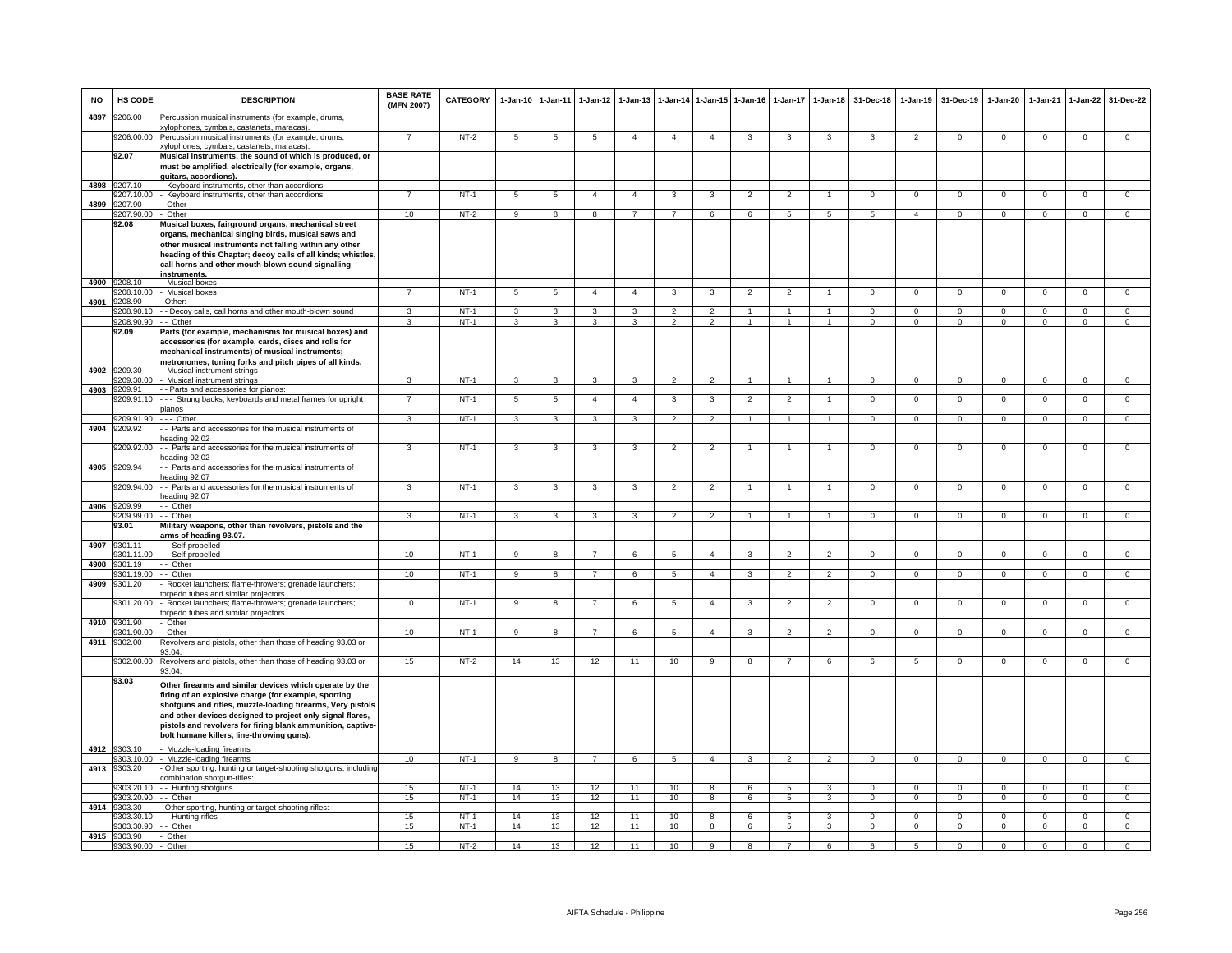| <b>NO</b> | HS CODE               | <b>DESCRIPTION</b>                                                                                                                                                                                                                                                                                                                                     | <b>BASE RATE</b><br>(MFN 2007) | CATEGORY    | $1-Jan-10$              | 1-Jan-11        | $1-Jan-12$              | $1-Jan-13$     | 1-Jan-14        | $1 - Jan-15$   | $1-Jan-16$              | $1-Jan-17$     | $1 - Jan-18$            | 31-Dec-18      | $1-Jan-19$     | 31-Dec-19      | 1-Jan-20       | 1-Jan-21       | $1-Jan-22$     | 31-Dec-22      |
|-----------|-----------------------|--------------------------------------------------------------------------------------------------------------------------------------------------------------------------------------------------------------------------------------------------------------------------------------------------------------------------------------------------------|--------------------------------|-------------|-------------------------|-----------------|-------------------------|----------------|-----------------|----------------|-------------------------|----------------|-------------------------|----------------|----------------|----------------|----------------|----------------|----------------|----------------|
| 4897      | 9206.00               | Percussion musical instruments (for example, drums,<br>xylophones, cymbals, castanets, maracas).                                                                                                                                                                                                                                                       |                                |             |                         |                 |                         |                |                 |                |                         |                |                         |                |                |                |                |                |                |                |
|           | 9206.00.00            | Percussion musical instruments (for example, drums,<br>xylophones, cymbals, castanets, maracas).                                                                                                                                                                                                                                                       | $\overline{7}$                 | $NT-2$      | 5                       | 5               | -5                      |                | $\overline{4}$  | $\overline{4}$ | 3                       | 3              | 3                       | 3              | $\overline{2}$ | $\mathbf 0$    | $\mathsf 0$    | $\mathbf 0$    | $\mathsf 0$    | $\mathbf 0$    |
|           | 92.07                 | Musical instruments, the sound of which is produced, or<br>must be amplified, electrically (for example, organs,                                                                                                                                                                                                                                       |                                |             |                         |                 |                         |                |                 |                |                         |                |                         |                |                |                |                |                |                |                |
| 4898      | 3207.10               | auitars. accordions).<br>Keyboard instruments, other than accordions                                                                                                                                                                                                                                                                                   |                                |             |                         |                 |                         |                |                 |                |                         |                |                         |                |                |                |                |                |                |                |
|           | 9207.10.00            | - Keyboard instruments, other than accordions                                                                                                                                                                                                                                                                                                          | $\overline{7}$                 | $NT-1$      | $5\overline{5}$         | 5               | $\overline{4}$          | $\overline{4}$ | $\mathbf{3}$    | 3              | $\overline{2}$          | $\mathfrak{p}$ | $\mathbf{1}$            | $\Omega$       | $\Omega$       | $\Omega$       | $\Omega$       | $\Omega$       | $\Omega$       | $\overline{0}$ |
| 4899      | 3207.90<br>9207.90.00 | Other<br>- Other                                                                                                                                                                                                                                                                                                                                       | 10                             | $NT-2$      | 9                       | 8               | 8                       | $\overline{7}$ | $\overline{7}$  | 6              | 6                       | 5              | 5                       | 5              | $\overline{4}$ | $^{\circ}$     | $^{\circ}$     | $^{\circ}$     | $\mathbf{0}$   | $\mathbf{0}$   |
|           | 92.08                 | Musical boxes, fairground organs, mechanical street<br>organs, mechanical singing birds, musical saws and<br>other musical instruments not falling within any other<br>heading of this Chapter; decoy calls of all kinds; whistles,<br>call horns and other mouth-blown sound signalling<br>instruments.                                               |                                |             |                         |                 |                         |                |                 |                |                         |                |                         |                |                |                |                |                |                |                |
| 4900      | 9208.10               | - Musical boxes                                                                                                                                                                                                                                                                                                                                        |                                |             |                         |                 |                         |                |                 |                |                         |                |                         |                |                |                |                |                |                |                |
| 4901      | 9208.10.00<br>9208.90 | Musical boxes<br>Other:                                                                                                                                                                                                                                                                                                                                | $\overline{7}$                 | $NT-1$      | 5 <sup>5</sup>          | $5\overline{5}$ | $\Delta$                | $\overline{a}$ | $\mathbf{a}$    |                | $\mathfrak{D}$          | $\mathcal{P}$  |                         | $\Omega$       | $\Omega$       | $\Omega$       | $\Omega$       | $\Omega$       | $\Omega$       | $\Omega$       |
|           |                       | 9208.90.10 - - Decoy calls, call horns and other mouth-blown sound                                                                                                                                                                                                                                                                                     | $\mathbf{R}$                   | $NT-1$      | $\mathbf{3}$            | 3               | $\mathbf{3}$            | 3              | $\overline{2}$  | $\overline{2}$ |                         |                |                         | $\Omega$       | $\Omega$       | $\overline{0}$ | $\Omega$       | $\Omega$       | $\Omega$       | $\Omega$       |
|           | 9208.90.90 - - Other  |                                                                                                                                                                                                                                                                                                                                                        | $\mathcal{R}$                  | $NT-1$      | $\mathbf{3}$            | 3               | 3                       | 3              | $\overline{2}$  | 2              | $\mathbf{1}$            | $\mathbf{1}$   | $\mathbf{1}$            | $\Omega$       | $^{\circ}$     | $^{\circ}$     | $^{\circ}$     | $^{\circ}$     | $\mathbf{0}$   | $^{\circ}$     |
|           | 92.09                 | Parts (for example, mechanisms for musical boxes) and<br>accessories (for example, cards, discs and rolls for<br>mechanical instruments) of musical instruments;<br>metronomes, tuning forks and pitch pipes of all kinds.                                                                                                                             |                                |             |                         |                 |                         |                |                 |                |                         |                |                         |                |                |                |                |                |                |                |
| 4902      | 9209.30<br>9209.30.00 | Musical instrument strings<br>- Musical instrument strings                                                                                                                                                                                                                                                                                             | $\overline{\mathbf{3}}$        | $NT-1$      | $\overline{\mathbf{3}}$ | $\overline{3}$  | $\overline{\mathbf{3}}$ | $\overline{3}$ | $\overline{2}$  | $\overline{2}$ | $\overline{1}$          | $\mathbf{1}$   | $\overline{1}$          | $\overline{0}$ | $\overline{0}$ | $\overline{0}$ | $\overline{0}$ | $\overline{0}$ | $\overline{0}$ | $\overline{0}$ |
| 4903      | 209.91                | - Parts and accessories for pianos:                                                                                                                                                                                                                                                                                                                    |                                |             |                         |                 |                         |                |                 |                |                         |                |                         |                |                |                |                |                |                |                |
|           | 9209.91.10            | --- Strung backs, keyboards and metal frames for upright                                                                                                                                                                                                                                                                                               | $\overline{7}$                 | $NT-1$      | $\overline{5}$          | 5               | $\overline{4}$          | $\overline{4}$ | 3               | $\mathbf{3}$   | $\overline{2}$          | $\overline{2}$ | $\mathbf{1}$            | $\mathbf 0$    | $\mathbf 0$    | $\mathbf{0}$   | $\mathbf{0}$   | $\mathbf{0}$   | $\mathsf 0$    | $\mathsf 0$    |
|           | 9209.91.90            | pianos<br>--- Other                                                                                                                                                                                                                                                                                                                                    | $\mathbf{3}$                   | NT-1        | $\mathbf{3}$            | $\mathbf{3}$    | $\mathbf{3}$            | $\mathbf{3}$   | $\overline{2}$  | $\overline{2}$ | $\mathbf{1}$            | $\overline{1}$ | $\overline{1}$          | $\mathbf{0}$   | $\mathbf 0$    | $\overline{0}$ | $\mathbf{0}$   | $\mathbf 0$    | $\circ$        | $\mathbf{0}$   |
| 4904      | 9209.92               | - Parts and accessories for the musical instruments of<br>eading 92.02                                                                                                                                                                                                                                                                                 |                                |             |                         |                 |                         |                |                 |                |                         |                |                         |                |                |                |                |                |                |                |
|           | 3209.92.00            | - Parts and accessories for the musical instruments of<br>eading 92.02                                                                                                                                                                                                                                                                                 | 3                              | $NT-1$      | 3                       | 3               | 3                       | 3              | $\overline{2}$  | $\overline{2}$ | $\mathbf{1}$            | $\overline{1}$ | $\mathbf{1}$            | $\overline{0}$ | $\overline{0}$ | $\overline{0}$ | $\overline{0}$ | $\overline{0}$ | $\overline{0}$ | $\overline{0}$ |
| 4905      | 9209.94               | - Parts and accessories for the musical instruments of                                                                                                                                                                                                                                                                                                 |                                |             |                         |                 |                         |                |                 |                |                         |                |                         |                |                |                |                |                |                |                |
|           | 9209.94.00            | eading 92.07<br>- - Parts and accessories for the musical instruments of<br>eading 92.07                                                                                                                                                                                                                                                               | 3                              | $NT-1$      | 3                       | 3               | 3                       | 3              | $\overline{2}$  | $\overline{2}$ |                         |                | $\overline{1}$          | $\mathsf 0$    | $\mathbf 0$    | $\mathbf 0$    | $\mathbf 0$    | $\mathbf 0$    | $\mathsf 0$    | $\mathsf 0$    |
| 4906      | 9209.99               | - Other                                                                                                                                                                                                                                                                                                                                                |                                |             |                         |                 |                         |                |                 |                |                         |                |                         |                |                |                |                |                |                |                |
|           | 9209.99.00            | - - Other                                                                                                                                                                                                                                                                                                                                              | 3                              | $NT-1$      | 3                       | 3               | $\mathbf{3}$            | 3              | $\overline{2}$  | $\overline{2}$ |                         |                | $\blacktriangleleft$    | $\Omega$       | $\mathbf 0$    | $\mathbf 0$    | $\Omega$       | $\mathbf 0$    | $\mathbf{0}$   | $\mathbf 0$    |
| 4907      | 93.01<br>9301.11      | Military weapons, other than revolvers, pistols and the<br>arms of heading 93.07.<br>- Self-propelled                                                                                                                                                                                                                                                  |                                |             |                         |                 |                         |                |                 |                |                         |                |                         |                |                |                |                |                |                |                |
|           | 301.11.00             | - Self-propelled                                                                                                                                                                                                                                                                                                                                       | 10                             | $NT-1$      | 9                       | 8               | $\overline{7}$          | 6              | 5               | $\overline{4}$ | 3                       | $\overline{2}$ | $\overline{2}$          | $\mathbf{O}$   | $\overline{0}$ | $\mathbf{0}$   | $\mathbf{0}$   | $\mathbf 0$    | $\mathbf 0$    | $\overline{0}$ |
| 4908      | 9301.19               | - Other                                                                                                                                                                                                                                                                                                                                                |                                |             |                         |                 |                         |                |                 |                |                         |                |                         |                |                |                |                |                |                |                |
| 4909      | 301.19.00<br>9301.20  | - Other<br>Rocket launchers; flame-throwers; grenade launchers;                                                                                                                                                                                                                                                                                        | 10                             | <b>NT-1</b> | 9                       | 8               | $7\overline{ }$         | 6              | $5\phantom{.0}$ | $\overline{4}$ | $\overline{3}$          | 2              | $\overline{2}$          | $\mathbf{0}$   | $\mathbf{0}$   | $\mathbf 0$    | $\mathbf 0$    | $\mathbf 0$    | $\mathsf 0$    | $\overline{0}$ |
|           | 9301.20.00            | orpedo tubes and similar projectors<br>Rocket launchers; flame-throwers; grenade launchers;                                                                                                                                                                                                                                                            | 10                             | $NT-1$      | 9                       | 8               | $\overline{7}$          | 6              | 5               | $\overline{4}$ | 3                       | $\overline{2}$ | $\overline{2}$          | $\mathbf{O}$   | $\mathsf 0$    | $\mathbf 0$    | $\mathbf 0$    | $\mathbf 0$    | $\mathsf 0$    | $\mathbf 0$    |
|           | 4910 9301.90          | torpedo tubes and similar projectors<br>Other                                                                                                                                                                                                                                                                                                          |                                |             |                         |                 |                         |                |                 |                |                         |                |                         |                |                |                |                |                |                |                |
|           | 301.90.00             | Other                                                                                                                                                                                                                                                                                                                                                  | 10                             | $NT-1$      | 9                       | $\overline{8}$  | $\overline{7}$          | 6              | $5\phantom{.0}$ | $\overline{4}$ | 3                       | $\overline{2}$ | $\overline{2}$          | $\Omega$       | $\mathbf{0}$   | $\mathbf 0$    | $\Omega$       | $\Omega$       | $\mathbf{0}$   | $\overline{0}$ |
| 4911      | 9302.00               | Revolvers and pistols, other than those of heading 93.03 or<br>33.04.                                                                                                                                                                                                                                                                                  |                                |             |                         |                 |                         |                |                 |                |                         |                |                         |                |                |                |                |                |                |                |
|           | 9302.00.00            | Revolvers and pistols, other than those of heading 93.03 or<br>93.04.                                                                                                                                                                                                                                                                                  | 15                             | $NT-2$      | 14                      | 13              | 12                      | 11             | 10              | 9              | 8                       |                | 6                       | 6              | 5              | $\overline{0}$ | $\overline{0}$ | $\Omega$       | $\overline{0}$ | $\overline{0}$ |
|           | 93.03                 | Other firearms and similar devices which operate by the<br>firing of an explosive charge (for example, sporting<br>shotguns and rifles, muzzle-loading firearms, Very pistols<br>and other devices designed to project only signal flares,<br>pistols and revolvers for firing blank ammunition, captive-<br>bolt humane killers, line-throwing guns). |                                |             |                         |                 |                         |                |                 |                |                         |                |                         |                |                |                |                |                |                |                |
| 4912      | 303.10<br>303.10.00   | Muzzle-loading firearms<br>Muzzle-loading firearms                                                                                                                                                                                                                                                                                                     | 10                             | $NT-1$      | 9                       | 8               | $\overline{7}$          | 6              | 5               | $\overline{4}$ | 3                       | $\mathfrak{p}$ | $\mathcal{P}$           | $\mathsf 0$    | $\mathsf 0$    | $\mathbf 0$    | $\mathbf 0$    | $\mathbf 0$    | $\mathsf 0$    | $\mathbf 0$    |
| 4913      | 9303.20               | Other sporting, hunting or target-shooting shotguns, including<br>combination shotgun-rifles:                                                                                                                                                                                                                                                          |                                |             |                         |                 |                         |                |                 |                |                         |                |                         |                |                |                |                |                |                |                |
|           | 9303.20.10            | - Hunting shotguns                                                                                                                                                                                                                                                                                                                                     | 15                             | $NT-1$      | 14                      | 13              | 12                      | 11             | 10              | 8              | 6                       | 5              | $\mathbf{3}$            | $\Omega$       | $\Omega$       | $\Omega$       | $\overline{0}$ | $\Omega$       | $\overline{0}$ | $\overline{0}$ |
|           | 303.20.90             | - Other                                                                                                                                                                                                                                                                                                                                                | 15                             | $NT-1$      | 14                      | 13              | 12                      | 11             | 10              | $\overline{8}$ | 6                       | $\overline{5}$ | $\overline{\mathbf{3}}$ | $\overline{0}$ | $\overline{0}$ | $\overline{0}$ | $\overline{0}$ | $\overline{0}$ | $\overline{0}$ | $\overline{0}$ |
| 4914      | 9303.30<br>9303.30.10 | Other sporting, hunting or target-shooting rifles:<br>- - Hunting rifles                                                                                                                                                                                                                                                                               | 15                             | NT-1        | 14                      | 13              | 12                      | 11             | 10              | 8              | 6                       | 5              | 3                       | $\Omega$       | $\Omega$       | $\mathbf 0$    | $\Omega$       | $\Omega$       | $\mathbf{0}$   | $\mathbf 0$    |
|           | 9303.30.90            | - Other                                                                                                                                                                                                                                                                                                                                                | 15                             | $NT-1$      | 14                      | 13              | 12                      | 11             | 10              | 8              | 6                       | 5              | 3                       | $\Omega$       | $\mathbf{0}$   | $\mathbf{0}$   | $\mathbf{0}$   | $\Omega$       | $\mathbf{0}$   | $\overline{0}$ |
| 4915      | 9303.90<br>9303.90.00 | Other<br>Other                                                                                                                                                                                                                                                                                                                                         | 15                             | $NT-2$      | 14                      | 13              | 12                      | 11             | 10              | $\overline{9}$ | $\overline{\mathbf{a}}$ |                | 6                       | 6              | 5              | $\overline{0}$ | $\overline{0}$ | $\overline{0}$ | $\overline{0}$ | $\overline{0}$ |
|           |                       |                                                                                                                                                                                                                                                                                                                                                        |                                |             |                         |                 |                         |                |                 |                |                         |                |                         |                |                |                |                |                |                |                |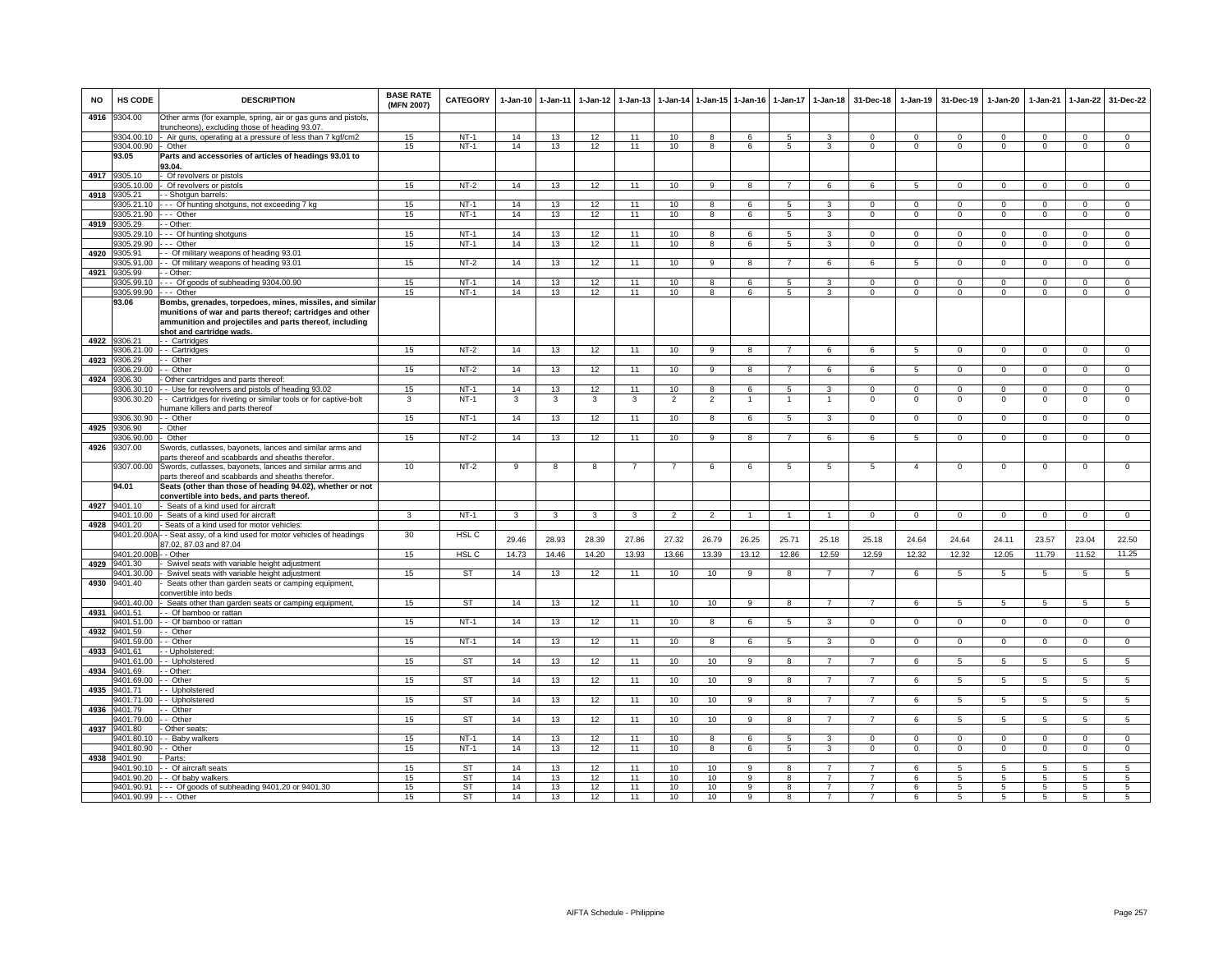| NO   | HS CODE                  | <b>DESCRIPTION</b>                                                                                                                                                                                          | <b>BASE RATE</b><br>(MFN 2007) | <b>CATEGORY</b>        | 1-Jan-10 | 1-Jan-11                | 1-Jan-12        | 1-Jan-13       |                        |                 | 1-Jan-14 1-Jan-15 1-Jan-16 | 1-Jan-17          | 1-Jan-18                | 31-Dec-18                  | 1-Jan-19        | 31-Dec-19      | 1-Jan-20        | 1-Jan-21                   | 1-Jan-22            | 31-Dec-22       |
|------|--------------------------|-------------------------------------------------------------------------------------------------------------------------------------------------------------------------------------------------------------|--------------------------------|------------------------|----------|-------------------------|-----------------|----------------|------------------------|-----------------|----------------------------|-------------------|-------------------------|----------------------------|-----------------|----------------|-----------------|----------------------------|---------------------|-----------------|
| 4916 | 9304.00                  | Other arms (for example, spring, air or gas guns and pistols,<br>runcheons), excluding those of heading 93.07                                                                                               |                                |                        |          |                         |                 |                |                        |                 |                            |                   |                         |                            |                 |                |                 |                            |                     |                 |
|      | 9304.00.10               | Air guns, operating at a pressure of less than 7 kgf/cm2                                                                                                                                                    | 15                             | $NT-1$                 | 14       | 13                      | 12              | 11             | 10                     | 8               | 6                          | 5                 | 3                       | 0                          | 0               | 0              | 0               | $\Omega$                   | 0                   | 0               |
|      | 9304.00.90<br>93.05      | Other<br>Parts and accessories of articles of headings 93.01 to                                                                                                                                             | 15                             | $NT-1$                 | 14       | 13                      | 12              | 11             | 10                     | 8               | 6                          | 5                 | 3                       | $\mathbf 0$                | $\mathbf 0$     | $\mathbf 0$    | $\mathbf 0$     | $\mathbf{0}$               | $\mathsf 0$         | $\overline{0}$  |
|      |                          | 3.04.                                                                                                                                                                                                       |                                |                        |          |                         |                 |                |                        |                 |                            |                   |                         |                            |                 |                |                 |                            |                     |                 |
| 4917 | 9305.10<br>305.10.00     | Of revolvers or pistols<br>Of revolvers or pistols                                                                                                                                                          | 15                             | $NT-2$                 | 14       | 13                      | 12              | 11             | 10 <sup>10</sup>       | 9               | 8                          | $\overline{7}$    | 6                       | 6                          | 5               | $\mathbf 0$    | $\mathbf{0}$    | $\mathbf{0}$               | $\mathbf{0}$        | $\mathbf{0}$    |
| 4918 | 3305.21                  | - Shotqun barrels:                                                                                                                                                                                          |                                |                        |          |                         |                 |                |                        |                 |                            |                   |                         |                            |                 |                |                 |                            |                     |                 |
|      | 305.21.10                | -- Of hunting shotguns, not exceeding 7 kg                                                                                                                                                                  | 15                             | $NT-1$                 | 14       | 13                      | 12              | 11             | 10                     | 8               | 6                          | 5                 | 3                       | $\Omega$                   | $\Omega$        | $\Omega$       | $\Omega$        | $\Omega$                   | $\Omega$            | $\mathbf{0}$    |
|      | 9305.21.90               | -- Other                                                                                                                                                                                                    | 15                             | $NT-1$                 | 14       | 13                      | 12              | 11             | 10                     | 8               | 6                          | 5                 | 3                       | $\mathbf{0}$               | $\mathbf{0}$    | $\mathbf 0$    | $\mathbf 0$     | $\mathbf{0}$               | $\mathbf 0$         | $\overline{0}$  |
| 4919 | 9305.29                  | - Other:                                                                                                                                                                                                    |                                |                        |          |                         |                 |                |                        |                 |                            |                   |                         |                            |                 |                |                 |                            |                     |                 |
|      | 305.29.10<br>3305.29.90  | -- Of hunting shotguns                                                                                                                                                                                      | 15                             | $NT-1$<br>$NT-1$       | 14       | 13                      | 12              | 11<br>11       | 10                     | 8               | 6<br>6                     | 5                 | 3<br>3                  | $\Omega$<br>$\overline{0}$ | $\mathbf{0}$    | $\Omega$       | $\mathbf{0}$    | $\Omega$<br>$\overline{0}$ | $\mathbf{0}$        | $\overline{0}$  |
| 4920 | 9305.91                  | -- Other<br>- Of military weapons of heading 93.01                                                                                                                                                          | 15                             |                        | 14       | 13                      | 12              |                | 10                     | $\overline{8}$  |                            | 5                 |                         |                            | $\overline{0}$  | $\mathbf 0$    | $\overline{0}$  |                            | $\overline{0}$      | $\overline{0}$  |
|      | 9305.91.00               | - Of military weapons of heading 93.01                                                                                                                                                                      | 15                             | $NT-2$                 | 14       | 13                      | 12              | 11             | 10                     | 9               | 8                          | $\overline{7}$    | 6                       | 6                          | 5               | $\mathbf{0}$   | $\overline{0}$  | $^{\circ}$                 | $\overline{0}$      | $\overline{0}$  |
| 4921 | 9305.99                  | - Other:                                                                                                                                                                                                    |                                |                        |          |                         |                 |                |                        |                 |                            |                   |                         |                            |                 |                |                 |                            |                     |                 |
|      | 9305.99.10               | -- Of goods of subheading 9304.00.90                                                                                                                                                                        | 15                             | $NT-1$                 | 14       | 13                      | 12              | 11             | 10                     | 8               | 6                          | 5                 | 3                       | $\Omega$                   | $\mathbf{0}$    | $\Omega$       | $\Omega$        | $\Omega$                   | $\mathbf 0$         | $\overline{0}$  |
|      | 9305.99.90               | -- Other                                                                                                                                                                                                    | 15                             | $NT-1$                 | 14       | 13                      | 12              | 11             | 10                     | 8               | 6                          | 5                 | 3                       | $\mathbf 0$                | $\mathbf 0$     | $\mathbf 0$    | $\mathbf 0$     | $\mathbf 0$                | $\mathbf 0$         | $\mathbf 0$     |
|      | 93.06                    | Bombs, grenades, torpedoes, mines, missiles, and similar<br>munitions of war and parts thereof; cartridges and other<br>ammunition and projectiles and parts thereof, including<br>shot and cartridge wads. |                                |                        |          |                         |                 |                |                        |                 |                            |                   |                         |                            |                 |                |                 |                            |                     |                 |
| 4922 | 9306.21                  | - - Cartridges                                                                                                                                                                                              |                                |                        |          |                         |                 |                |                        | 9               | 8                          | $\overline{7}$    |                         |                            |                 | $\mathbf{0}$   | $\mathbf{0}$    | $\mathbf{0}$               |                     | $\mathbf{0}$    |
| 4923 | 9306.21.00<br>3306.29    | - Cartridges<br>- Other                                                                                                                                                                                     | 15                             | NT-2                   | 14       | 13                      | 12              | 11             | 10                     |                 |                            |                   | 6                       | 6                          | $5\phantom{.0}$ |                |                 |                            | $\mathbf 0$         |                 |
|      | 9306.29.00               | - Other                                                                                                                                                                                                     | 15                             | $NT-2$                 | 14       | 13                      | 12              | 11             | 10                     | 9               | $\mathbf{R}$               | $\overline{7}$    | 6                       | 6                          | 5               | $\Omega$       | $\Omega$        | $\Omega$                   | $\mathbf{0}$        | $\overline{0}$  |
| 4924 | 306.30                   | Other cartridges and parts thereof                                                                                                                                                                          |                                |                        |          |                         |                 |                |                        |                 |                            |                   |                         |                            |                 |                |                 |                            |                     |                 |
|      | 9306.30.10               | - Use for revolvers and pistols of heading 93.02                                                                                                                                                            | 15                             | $NT-1$                 | 14       | 13                      | 12              | 11             | 10                     | 8               | 6                          | 5                 | 3                       | $\mathbf 0$                | $\mathbf{0}$    | $\mathbf 0$    | $\mathbf 0$     | $\mathbf{0}$               | $\mathbf{0}$        | $\mathbf{0}$    |
|      | 9306.30.20               | - Cartridges for riveting or similar tools or for captive-bolt<br>umane killers and parts thereof                                                                                                           | 3                              | $NT-1$                 | 3        | 3                       | 3               | 3              | $\overline{2}$         | $\overline{2}$  | $\overline{1}$             | $\overline{1}$    | $\overline{1}$          | $\mathbf 0$                | $\mathbf 0$     | $\mathbf 0$    | $\mathbf 0$     | $\mathbf 0$                | $\mathsf 0$         | $\overline{0}$  |
|      | 3306.30.90               | - Other                                                                                                                                                                                                     | 15                             | $NT-1$                 | 14       | 13                      | 12              | 11             | 10                     | $\mathbf{g}$    | $\overline{6}$             | $\overline{5}$    | $\overline{\mathbf{3}}$ | $\overline{0}$             | $\overline{0}$  | $\overline{0}$ | $\overline{0}$  | $\overline{0}$             | $\overline{0}$      | $\overline{0}$  |
| 4925 | 306.90<br>9306.90.00     | Other<br>Other                                                                                                                                                                                              | 15                             | $NT-2$                 | 14       | 13                      | 12              | 11             | 10                     | $\overline{9}$  | $\overline{\mathbf{8}}$    | $\overline{7}$    | 6                       | 6                          | $\overline{5}$  | $\mathbf 0$    | $\overline{0}$  | $\overline{0}$             | $\overline{0}$      | $\overline{0}$  |
| 4926 | 9307.00                  | Swords, cutlasses, bayonets, lances and similar arms and                                                                                                                                                    |                                |                        |          |                         |                 |                |                        |                 |                            |                   |                         |                            |                 |                |                 |                            |                     |                 |
|      |                          | arts thereof and scabbards and sheaths therefor.                                                                                                                                                            |                                |                        |          |                         |                 |                |                        |                 |                            |                   |                         |                            |                 |                |                 |                            |                     |                 |
|      | 9307.00.00               | Swords, cutlasses, bayonets, lances and similar arms and<br>arts thereof and scabbards and sheaths therefor.                                                                                                | 10                             | $NT-2$                 | 9        | $\overline{\mathbf{8}}$ | 8               | $\overline{7}$ | $\overline{7}$         | 6               | 6                          | $\overline{5}$    | $\overline{5}$          | 5                          | $\overline{4}$  | $\mathbf 0$    | $\overline{0}$  | $\,0\,$                    | $\mathsf 0$         | $\overline{0}$  |
|      | 94.01                    | Seats (other than those of heading 94.02), whether or not<br>convertible into beds, and parts thereof.                                                                                                      |                                |                        |          |                         |                 |                |                        |                 |                            |                   |                         |                            |                 |                |                 |                            |                     |                 |
| 4927 | 9401.10                  | Seats of a kind used for aircraft                                                                                                                                                                           |                                |                        |          |                         |                 |                |                        |                 |                            |                   |                         |                            |                 |                |                 |                            |                     |                 |
| 4928 | 00.01 / 104<br>1401.20   | Seats of a kind used for aircraft<br>Seats of a kind used for motor vehicles:                                                                                                                               | 3                              | <b>NT-1</b>            | 3        | 3                       | 3               | 3              | $\overline{2}$         | $\overline{2}$  | -1                         |                   |                         | 0                          | $\mathbf 0$     | $\mathbf 0$    | $\mathbf 0$     | $\mathbf 0$                | 0                   | $\mathbf 0$     |
|      | 9401.20.00A              | - Seat assy, of a kind used for motor vehicles of headings                                                                                                                                                  | 30                             | HSL C                  | 29.46    | 28.93                   | 28.39           | 27.86          | 27.32                  | 26.79           | 26.25                      | 25.71             | 25.18                   | 25.18                      | 24.64           | 24.64          | 24.11           | 23.57                      | 23.04               | 22.50           |
|      | 9401.20.00E              | 7.02, 87.03 and 87.04<br>- Other                                                                                                                                                                            | 15                             | HSL <sub>C</sub>       | 14.73    | 14.46                   | 14.20           | 13.93          | 13.66                  | 13.39           | 13.12                      | 12.86             | 12.59                   | 12.59                      | 12.32           | 12.32          | 12.05           | 11.79                      | 11.52               | 11.25           |
| 4929 | 1401.30                  | Swivel seats with variable height adjustment                                                                                                                                                                |                                |                        |          |                         |                 |                |                        |                 |                            |                   |                         |                            |                 |                |                 |                            |                     |                 |
| 4930 | 1401.30.00<br>9401.40    | Swivel seats with variable height adjustment<br>Seats other than garden seats or camping equipment,                                                                                                         | 15                             | <b>ST</b>              | 14       | 13                      | 12              | 11             | 10                     | 10              | 9                          | 8                 | $\overline{7}$          | $\overline{7}$             | 6               | 5              | $\overline{5}$  | $\overline{5}$             | 5                   | $\overline{5}$  |
|      | 401.40.00                | onvertible into beds                                                                                                                                                                                        |                                |                        | 14       | 13                      | 12              | 11             | 10                     | 10              | $_{9}$                     | $\overline{8}$    | $\overline{7}$          | $\overline{7}$             | 6               |                |                 |                            |                     |                 |
| 4931 | 401.51                   | Seats other than garden seats or camping equipment,<br>- Of bamboo or rattan                                                                                                                                | 15                             | <b>ST</b>              |          |                         |                 |                |                        |                 |                            |                   |                         |                            |                 | 5              | $5\phantom{.0}$ | 5                          | $\overline{5}$      | $5\overline{)}$ |
|      | 1401.51.00               | - Of bamboo or rattan                                                                                                                                                                                       | 15                             | $NT-1$                 | 14       | 13                      | 12              | 11             | 10                     | $\overline{8}$  | 6                          | $5\phantom{.0}$   | 3                       | $\mathbf{0}$               | $\overline{0}$  | $\mathbf 0$    | $\overline{0}$  | $\mathbf 0$                | $\overline{0}$      | $\overline{0}$  |
| 4932 | 9401.59                  | - Other                                                                                                                                                                                                     |                                |                        |          |                         |                 |                |                        |                 |                            |                   |                         |                            |                 |                |                 |                            |                     |                 |
|      | 9401.59.00               | - Other                                                                                                                                                                                                     | 15                             | $NT-1$                 | 14       | 13                      | 12              | 11             | 10                     | 8               | 6                          | 5                 | 3                       | $\Omega$                   | $\mathbf 0$     | $\mathbf 0$    | $\mathbf 0$     | $\Omega$                   | $\mathbf{0}$        | $\overline{0}$  |
| 4933 | 9401.61                  | - Upholstered:                                                                                                                                                                                              |                                |                        |          | 13                      |                 |                |                        |                 | 9                          | 8                 | $\overline{7}$          | $\overline{7}$             | -6              |                |                 | -5                         |                     |                 |
| 4934 | 9401.61.00<br>9401.69    | - Upholstered<br>- Other:                                                                                                                                                                                   | 15                             | ST                     | 14       |                         | 12              | 11             | 10                     | 10              |                            |                   |                         |                            |                 | 5              | 5               |                            | 5                   | 5               |
|      | 9401.69.00               | - Other                                                                                                                                                                                                     | 15                             | ST                     | 14       | 13                      | 12 <sup>2</sup> | 11             | 10                     | 10 <sup>1</sup> | 9                          | 8                 | $\overline{7}$          | $\overline{7}$             | 6               | 5              | 5               | 5                          | 5                   | 5 <sup>5</sup>  |
| 4935 | 9401.71                  | Upholstered                                                                                                                                                                                                 |                                |                        |          |                         |                 |                |                        |                 |                            |                   |                         |                            |                 |                |                 |                            |                     |                 |
|      | 9401.71.00               | - Upholstered                                                                                                                                                                                               | 15                             | ST                     | 14       | 13                      | 12              | 11             | 10                     | 10              | 9                          | 8                 | 7                       | 7                          | -6              | 5              | 5               | 5                          | 5                   | 5               |
| 4936 | 9401.79                  | - Other                                                                                                                                                                                                     |                                |                        |          |                         |                 |                |                        |                 |                            |                   |                         |                            |                 |                |                 |                            |                     |                 |
| 4937 | 401.79.00<br>9401.80     | - Other<br>Other seats                                                                                                                                                                                      | 15                             | ST                     | 14       | 13                      | 12              | 11             | 10                     | 10              |                            |                   |                         |                            |                 | 5              | 5               |                            | 5                   | 5               |
|      | 9401.80.10               | - Baby walkers                                                                                                                                                                                              | 15                             | $NT-1$                 | 14       | 13                      | 12              | 11             | 10                     | 8               | 6                          | 5                 | 3                       | $\Omega$                   | $\Omega$        | $\Omega$       | $\Omega$        | $\Omega$                   | $\Omega$            | $\overline{0}$  |
|      | 9401.80.90               | Other                                                                                                                                                                                                       | 15                             | $NT-1$                 | 14       | 13                      | 12              | 11             | 10                     | $\overline{8}$  | $\epsilon$                 | 5.                | $\mathbf{R}$            | $\Omega$                   | $\Omega$        | $\Omega$       | $\Omega$        | $\Omega$                   | $\Omega$            | $\overline{0}$  |
| 4938 | 1401.90                  | Parts:                                                                                                                                                                                                      |                                |                        |          |                         |                 |                |                        |                 |                            |                   |                         |                            |                 |                |                 |                            |                     |                 |
|      | 9401.90.1                | - Of aircraft seats                                                                                                                                                                                         | 15                             | <b>ST</b>              | 14       | 13                      | 12              | 11             | 10                     | 10              | o                          | 8                 |                         |                            | ĥ               | -5             | 5               | 5                          | 5                   | 5               |
|      | 9401.90.20<br>9401.90.91 | - Of baby walkers<br>--- Of goods of subheading 9401.20 or 9401.30                                                                                                                                          | 15<br>15                       | <b>ST</b><br><b>ST</b> | 14<br>14 | 13<br>13                | 12<br>12        | 11<br>11       | 10 <sup>10</sup><br>10 | 10<br>10        | 9                          | $\mathbf{R}$<br>8 | $\overline{7}$          | $\overline{7}$             | 6               | 5<br>5         | 5<br>5          | $5\overline{5}$<br>5       | $\overline{5}$<br>5 | 5<br>5          |
|      | 9401.90.99 --- Other     |                                                                                                                                                                                                             | 15                             | <b>ST</b>              | 14       | 13                      | 12              | 11             | 10 <sup>10</sup>       | 10              | $\overline{a}$             | $\mathbf{R}$      |                         |                            | $\epsilon$      | $\overline{5}$ | 5               | $\overline{a}$             | $\overline{5}$      | $\overline{5}$  |
|      |                          |                                                                                                                                                                                                             |                                |                        |          |                         |                 |                |                        |                 |                            |                   |                         |                            |                 |                |                 |                            |                     |                 |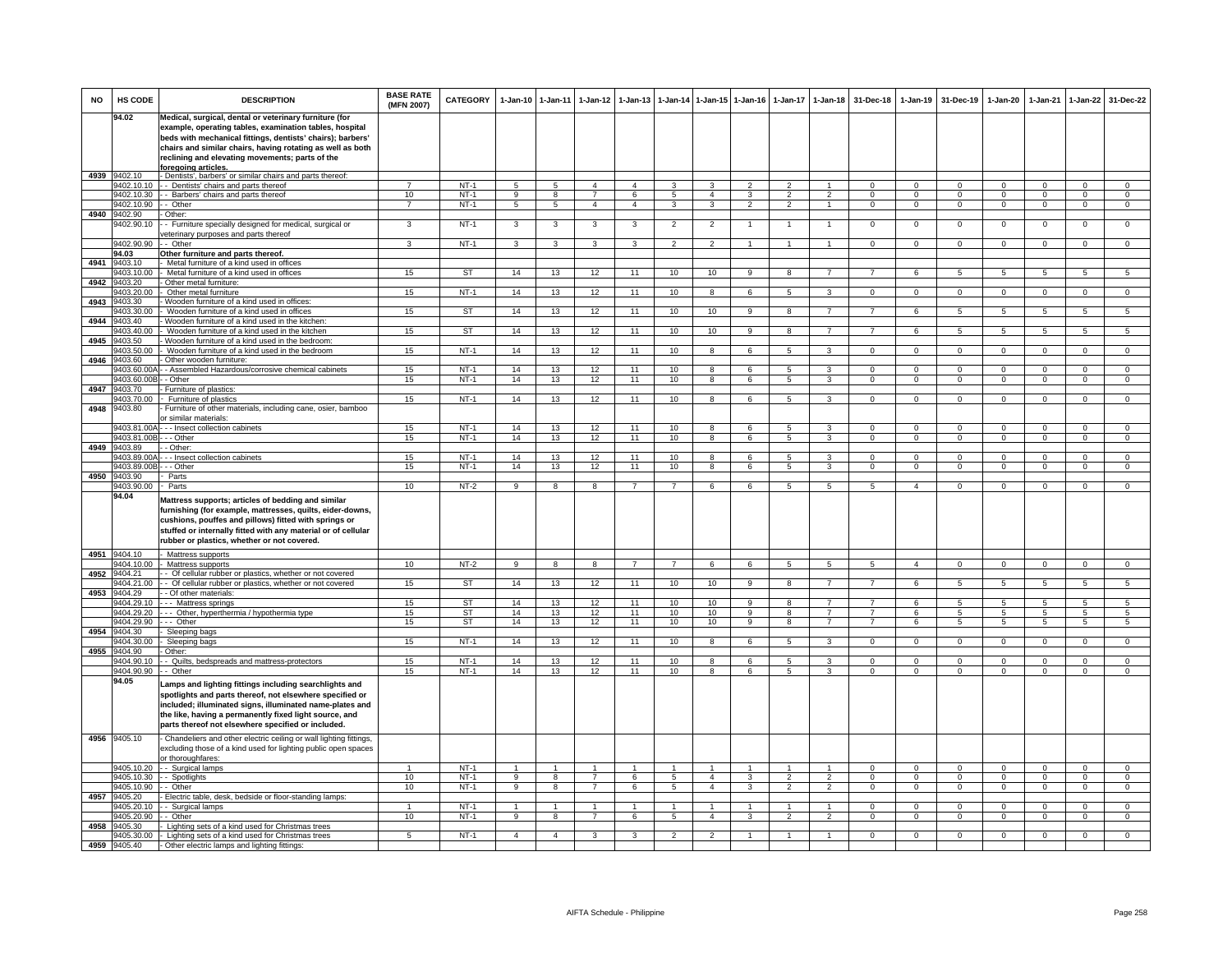| <b>NO</b> | HS CODE                    | <b>DESCRIPTION</b>                                                                                                                                                                                                                                                                                                      | <b>BASE RATE</b><br>(MFN 2007) | CATEGORY               | 1-Jan-10 1-Jan-11 |                         | 1-Jan-12                      | $1-Jan-13$          |                                 | 1-Jan-14 1-Jan-15 1-Jan-16 |                     | $1-Jan-17$                       | $1 - Jan-18$                     | 31-Dec-18                        | 1-Jan-19                     | 31-Dec-19                      | 1-Jan-20                     | 1-Jan-21                         | 1-Jan-22                       | 31-Dec-22                        |
|-----------|----------------------------|-------------------------------------------------------------------------------------------------------------------------------------------------------------------------------------------------------------------------------------------------------------------------------------------------------------------------|--------------------------------|------------------------|-------------------|-------------------------|-------------------------------|---------------------|---------------------------------|----------------------------|---------------------|----------------------------------|----------------------------------|----------------------------------|------------------------------|--------------------------------|------------------------------|----------------------------------|--------------------------------|----------------------------------|
|           | 94.02                      | Medical, surgical, dental or veterinary furniture (for<br>example, operating tables, examination tables, hospital<br>beds with mechanical fittings, dentists' chairs); barbers'<br>chairs and similar chairs, having rotating as well as both<br>reclining and elevating movements; parts of the<br>foregoing articles. |                                |                        |                   |                         |                               |                     |                                 |                            |                     |                                  |                                  |                                  |                              |                                |                              |                                  |                                |                                  |
|           | 4939 9402.10               | - Dentists', barbers' or similar chairs and parts thereof:                                                                                                                                                                                                                                                              |                                |                        |                   |                         |                               |                     |                                 |                            |                     |                                  |                                  |                                  |                              |                                |                              |                                  |                                |                                  |
|           | 9402.10.10                 | - - Dentists' chairs and parts thereof                                                                                                                                                                                                                                                                                  | $\overline{ }$                 | $NT-1$                 | $\sqrt{5}$        | 5                       | $\overline{4}$                | $\overline{a}$      | $\mathbf{3}$                    | 3                          | $\overline{2}$      | $\mathcal{D}$                    | $\blacktriangleleft$             | $\Omega$                         | $\Omega$                     | $\Omega$                       | $\Omega$                     | $\Omega$                         | $\Omega$                       | $\Omega$                         |
|           | 9402.10.90                 | 9402.10.30 - Barbers' chairs and parts thereof<br>- - Other                                                                                                                                                                                                                                                             | 10<br>$\overline{7}$           | $NT-1$<br><b>NT-1</b>  | 9<br>5            | 8<br>5                  | $7^{\circ}$<br>$\overline{4}$ | 6<br>$\overline{4}$ | $5\overline{5}$<br>$\mathbf{3}$ | $\overline{a}$<br>3        | 3<br>$\overline{2}$ | $\overline{2}$<br>$\overline{2}$ | $\overline{2}$<br>$\overline{1}$ | $\overline{0}$<br>$\Omega$       | $\mathbf{0}$<br>$\mathbf{0}$ | $\mathbf{0}$<br>$\overline{0}$ | $\mathbf{0}$<br>$\mathbf{0}$ | $\overline{0}$<br>$\overline{0}$ | $\mathbf{0}$<br>$\overline{0}$ | $\overline{0}$<br>$\overline{0}$ |
|           | 4940 9402.90               | - Other:                                                                                                                                                                                                                                                                                                                |                                |                        |                   |                         |                               |                     |                                 |                            |                     |                                  |                                  |                                  |                              |                                |                              |                                  |                                |                                  |
|           | 9402.90.10                 | - Furniture specially designed for medical, surgical or                                                                                                                                                                                                                                                                 | 3                              | $NT-1$                 | 3                 | $\overline{3}$          | $\overline{3}$                | 3                   | $\overline{2}$                  | $\overline{2}$             | 1                   | $\mathbf{1}$                     | $\mathbf{1}$                     | $\overline{0}$                   | $\overline{0}$               | $\Omega$                       | $\overline{0}$               | $\overline{0}$                   | $\overline{0}$                 | $\overline{0}$                   |
|           |                            | reterinary purposes and parts thereof                                                                                                                                                                                                                                                                                   |                                |                        |                   |                         |                               |                     |                                 |                            |                     |                                  |                                  |                                  |                              |                                |                              |                                  |                                |                                  |
|           | 9402.90.90<br>94.03        | - Other<br>Other furniture and parts thereof.                                                                                                                                                                                                                                                                           | 3                              | $NT-1$                 | $\mathbf{3}$      | 3                       | $\mathbf{3}$                  | $\mathbf{3}$        | $\overline{2}$                  | $\overline{2}$             |                     |                                  | $\mathbf{1}$                     | $\mathbf{0}$                     | $\mathbf 0$                  | $\mathbf 0$                    | $\mathbf{0}$                 | $\mathbf 0$                      | $\mathbf 0$                    | $\Omega$                         |
| 4941      | 9403 10                    | Metal furniture of a kind used in offices                                                                                                                                                                                                                                                                               |                                |                        |                   |                         |                               |                     |                                 |                            |                     |                                  |                                  |                                  |                              |                                |                              |                                  |                                |                                  |
|           | 9403.10.00                 | Metal furniture of a kind used in offices                                                                                                                                                                                                                                                                               | 15                             | ST                     | 14                | 13                      | 12                            | 11                  | 10                              | 10                         | $\mathsf{Q}$        | $\mathbf{R}$                     |                                  |                                  | $\epsilon$                   | 5                              | 5                            | 5                                | 5                              | 5.                               |
| 4942      | 9403.20                    | Other metal furniture:                                                                                                                                                                                                                                                                                                  |                                |                        |                   |                         |                               |                     |                                 |                            |                     |                                  |                                  |                                  |                              |                                |                              |                                  |                                |                                  |
| 4943      | 9403.20.00<br>9403.30      | - Other metal furniture<br>- Wooden furniture of a kind used in offices:                                                                                                                                                                                                                                                | 15                             | $NT-1$                 | 14                | 13                      | 12                            | 11                  | 10                              | $\mathbf{R}$               | 6                   | 5                                | 3                                | $\Omega$                         | $\Omega$                     | $\Omega$                       | $\Omega$                     | $\mathbf{0}$                     | $\Omega$                       | $\circ$                          |
|           | 9403.30.00                 | Wooden furniture of a kind used in offices                                                                                                                                                                                                                                                                              | 15                             | ST                     | 14                | 13                      | 12                            | 11                  | 10                              | 10                         | $\mathbf{Q}$        | $\mathbf{R}$                     | $\overline{7}$                   | $\overline{7}$                   | 6                            | -5                             | -5                           | $5^{\circ}$                      | $\overline{5}$                 | 5                                |
| 4944      | 9403.40                    | Wooden furniture of a kind used in the kitchen:                                                                                                                                                                                                                                                                         |                                |                        |                   |                         |                               |                     |                                 |                            |                     |                                  |                                  |                                  |                              |                                |                              |                                  |                                |                                  |
|           | 403.40.00                  | Wooden furniture of a kind used in the kitchen                                                                                                                                                                                                                                                                          | 15                             | <b>ST</b>              | 14                | 13                      | 12                            | 11                  | 10                              | 10                         | 9                   | 8                                | $\overline{7}$                   | $\overline{7}$                   | 6                            | $\overline{5}$                 | 5                            | 5                                | 5                              | 5                                |
| 4945      | 1403.50<br>9403.50.00      | Wooden furniture of a kind used in the bedroom:<br>Wooden furniture of a kind used in the bedroom                                                                                                                                                                                                                       | 15                             | $NT-1$                 | 14                | 13                      | 12                            | 11                  | 10                              | 8                          | 6                   | 5                                | $\overline{\mathbf{3}}$          | $\mathbf{0}$                     | $\overline{0}$               | $\mathbf 0$                    | $\overline{0}$               | $\overline{0}$                   | $\overline{0}$                 | $\overline{0}$                   |
| 4946      | 9403.60                    | Other wooden furniture:                                                                                                                                                                                                                                                                                                 |                                |                        |                   |                         |                               |                     |                                 |                            |                     |                                  |                                  |                                  |                              |                                |                              |                                  |                                |                                  |
|           | 9403.60.00                 | - Assembled Hazardous/corrosive chemical cabinets                                                                                                                                                                                                                                                                       | 15                             | $NT-1$                 | 14                | 13                      | 12                            | 11                  | 10                              | $\overline{8}$             | 6                   | $\overline{5}$                   | 3                                | $\Omega$                         | $\overline{0}$               | $\Omega$                       | $\overline{0}$               | $\overline{0}$                   | $\overline{0}$                 | $\overline{0}$                   |
| 4947      | 9403.60.00E<br>9403.70     | - Other<br>- Furniture of plastics:                                                                                                                                                                                                                                                                                     | 15                             | $NT-1$                 | 14                | 13                      | 12                            | 11                  | 10                              | 8                          | 6                   | 5                                | 3                                | $\Omega$                         | $\Omega$                     | $\Omega$                       | $\Omega$                     | $\Omega$                         | $\Omega$                       | $\overline{0}$                   |
|           | 9403.70.00                 | Furniture of plastics                                                                                                                                                                                                                                                                                                   | 15                             | $NT-1$                 | 14                | 13                      | 12                            | 11                  | 10                              | 8                          | 6                   | 5                                | $\mathbf{3}$                     | $\overline{0}$                   | $\mathbf{0}$                 | $\mathbf{0}$                   | $\mathbf{0}$                 | $\mathbf{0}$                     | $\mathbf 0$                    | $\overline{0}$                   |
| 4948      | 9403.80                    | Furniture of other materials, including cane, osier, bamboo<br>er similar materials:                                                                                                                                                                                                                                    |                                |                        |                   |                         |                               |                     |                                 |                            |                     |                                  |                                  |                                  |                              |                                |                              |                                  |                                |                                  |
|           | 403.81.00A                 | - - Insect collection cabinets                                                                                                                                                                                                                                                                                          | 15                             | $NT-1$                 | 14                | 13                      | 12                            | 11                  | 10                              | 8                          | 6                   | 5                                | 3                                | $\mathsf 0$                      | $\mathbf 0$                  | $\mathbf 0$                    | $\mathsf 0$                  | $\mathbf 0$                      | $\mathbf 0$                    | 0                                |
| 4949      | 9403.81.00E<br>9403.89     | - - Other<br>- Other:                                                                                                                                                                                                                                                                                                   | 15                             | $NT-1$                 | 14                | 13                      | 12                            | 11                  | 10                              | 8                          | 6                   | 5                                | 3                                | $\mathbf 0$                      | $\mathbf 0$                  | $\mathbf 0$                    | $\mathsf 0$                  | $\mathbf 0$                      | $\mathbf 0$                    | $\overline{0}$                   |
|           | 9403.89.00                 | - - Insect collection cabinets                                                                                                                                                                                                                                                                                          | 15                             | $NT-1$                 | 14                | 13                      | 12                            | 11                  | 10                              | 8                          | 6                   | $\overline{5}$                   | $\overline{3}$                   | $\Omega$                         | $\Omega$                     | $\Omega$                       | $\Omega$                     | $\Omega$                         | $\overline{0}$                 | $\overline{0}$                   |
|           | 9403.89.00E                | - - Other                                                                                                                                                                                                                                                                                                               | 15                             | $NT-1$                 | 14                | 13                      | 12                            | 11                  | 10                              | $\overline{8}$             | 6                   | $\overline{5}$                   | 3                                | $\overline{0}$                   | $\overline{0}$               | $\overline{0}$                 | $\overline{0}$               | $\overline{0}$                   | $\overline{0}$                 | $\overline{0}$                   |
|           | 4950 9403.90               | Parts                                                                                                                                                                                                                                                                                                                   |                                |                        |                   |                         |                               |                     |                                 |                            |                     |                                  |                                  |                                  |                              |                                |                              |                                  |                                |                                  |
|           | 9403.90.00<br>94.04        | - Parts                                                                                                                                                                                                                                                                                                                 | 10                             | NT-2                   | 9                 | 8                       | 8                             |                     | $\overline{7}$                  | 6                          | 6                   | 5                                | $5\overline{5}$                  | 5                                | $\overline{4}$               | $\mathbf 0$                    | $\mathbf{O}$                 | $\mathbf 0$                      | $\Omega$                       | $\Omega$                         |
|           |                            | Mattress supports; articles of bedding and similar<br>furnishing (for example, mattresses, quilts, eider-downs,<br>cushions, pouffes and pillows) fitted with springs or<br>stuffed or internally fitted with any material or of cellular<br>rubber or plastics, whether or not covered.                                |                                |                        |                   |                         |                               |                     |                                 |                            |                     |                                  |                                  |                                  |                              |                                |                              |                                  |                                |                                  |
|           | 4951 9404.10               | - Mattress supports                                                                                                                                                                                                                                                                                                     |                                |                        |                   |                         |                               |                     |                                 |                            |                     |                                  |                                  |                                  |                              |                                |                              |                                  |                                |                                  |
| 4952      | 9404.10.00<br>9404.21      | Mattress supports<br>- Of cellular rubber or plastics, whether or not covered                                                                                                                                                                                                                                           | 10                             | $NT-2$                 | q                 | $\overline{\mathbf{a}}$ | $\mathbf{R}$                  |                     | $\overline{7}$                  | $\overline{6}$             | $\overline{6}$      | $\overline{a}$                   | $\overline{5}$                   | 5                                | $\overline{A}$               | $\Omega$                       | $\overline{0}$               | $\Omega$                         | $\overline{0}$                 | $\overline{0}$                   |
|           | 9404.21.00                 | - Of cellular rubber or plastics, whether or not covered                                                                                                                                                                                                                                                                | 15                             | ST                     | 14                | 13                      | 12                            | 11                  | 10                              | 10                         | 9                   | 8                                | $\overline{7}$                   | $\overline{7}$                   | 6                            | $\overline{5}$                 | 5                            | $\overline{5}$                   | $5^{\circ}$                    | $5^{\circ}$                      |
|           | 4953 9404.29               | - - Of other materials:                                                                                                                                                                                                                                                                                                 |                                |                        |                   |                         |                               |                     |                                 |                            |                     |                                  |                                  |                                  |                              |                                |                              |                                  |                                |                                  |
|           | 9404.29.10                 | --- Mattress springs                                                                                                                                                                                                                                                                                                    | 15                             | ST                     | 14                | 13                      | 12                            | 11                  | 10                              | 10                         | 9                   | 8                                | $\overline{7}$                   | $\overline{7}$                   | -6                           | 5                              | 5                            | $5^{\circ}$                      | 5                              | $5\overline{5}$                  |
|           | 3404.29.20<br>404.29.90    | -- Other, hyperthermia / hypothermia type<br>-- Other                                                                                                                                                                                                                                                                   | 15<br>15                       | <b>ST</b><br><b>ST</b> | 14<br>14          | 13<br>13                | 12<br>12                      | 11<br>11            | 10<br>10                        | 10<br>10                   | 9<br>9              | 8<br>8                           | $\overline{7}$<br>$\overline{7}$ | $\overline{7}$<br>$\overline{7}$ | -6<br>6                      | -5<br>5                        | 5<br>5                       | 5<br>5                           | 5<br>5                         | $5\overline{)}$<br>5             |
| 4954      | 9404.30                    | Sleeping bags                                                                                                                                                                                                                                                                                                           |                                |                        |                   |                         |                               |                     |                                 |                            |                     |                                  |                                  |                                  |                              |                                |                              |                                  |                                |                                  |
|           | 9404.30.00                 | Sleeping bags                                                                                                                                                                                                                                                                                                           | 15                             | $NT-1$                 | 14                | 13                      | 12                            | 11                  | 10                              | 8                          | 6                   | $\overline{5}$                   | 3                                | $\mathbf{0}$                     | $\mathbf 0$                  | $\mathbf 0$                    | $\mathbf{O}$                 | $\Omega$                         | $\Omega$                       | $\overline{0}$                   |
| 4955      | 9404.90<br>9404.90.10      | - Other:<br>- Quilts, bedspreads and mattress-protectors                                                                                                                                                                                                                                                                | 15                             | $NT-1$                 | 14                | 13                      | 12                            | 11                  | 10                              | 8                          | 6                   | 5                                | 3                                | $\Omega$                         | $\Omega$                     | $\Omega$                       | $\overline{0}$               | $\Omega$                         | $\Omega$                       | $\overline{0}$                   |
|           | 9404.90.90                 | - Other                                                                                                                                                                                                                                                                                                                 | 15                             | $NT-1$                 | 14                | 13                      | 12                            | 11                  | 10                              | 8                          | 6                   | 5                                | $\mathbf{R}$                     | $\Omega$                         | $\Omega$                     | $\mathbf 0$                    | $\circ$                      | $\Omega$                         | $\mathbf 0$                    | $\Omega$                         |
|           | 94.05                      | amps and lighting fittings including searchlights and<br>spotlights and parts thereof, not elsewhere specified or<br>included; illuminated signs, illuminated name-plates and<br>the like, having a permanently fixed light source, and<br>parts thereof not elsewhere specified or included.                           |                                |                        |                   |                         |                               |                     |                                 |                            |                     |                                  |                                  |                                  |                              |                                |                              |                                  |                                |                                  |
|           | 4956 9405.10               | Chandeliers and other electric ceiling or wall lighting fittings,<br>excluding those of a kind used for lighting public open spaces<br>or thoroughfares:                                                                                                                                                                |                                |                        |                   |                         |                               |                     |                                 |                            |                     |                                  |                                  |                                  |                              |                                |                              |                                  |                                |                                  |
|           | 9405.10.20                 | - - Surgical lamps                                                                                                                                                                                                                                                                                                      |                                | $NT-1$                 |                   |                         |                               |                     |                                 |                            |                     |                                  |                                  | $\Omega$                         | $\Omega$                     | $\Omega$                       | $\Omega$                     | $\Omega$                         | $\Omega$                       | $\Omega$                         |
|           | 9405.10.30                 | - - Spotlights                                                                                                                                                                                                                                                                                                          | 10                             | $NT-1$                 | 9                 | 8                       | $\overline{7}$                | 6                   | $5\overline{5}$                 | $\overline{4}$             | $\mathbf{3}$        | $\mathfrak{p}$                   | $\overline{2}$                   | $\Omega$                         | $\Omega$                     | $\Omega$                       | $\Omega$                     | $\Omega$                         | $\circ$                        | $\mathbf{0}$                     |
|           | 9405.10.90<br>4957 9405.20 | - - Other<br>- Electric table, desk, bedside or floor-standing lamps:                                                                                                                                                                                                                                                   | 10                             | $NT-1$                 | 9                 | 8                       | $7\overline{ }$               | 6                   | 5                               | $\overline{4}$             | 3                   | $\overline{2}$                   | $\overline{2}$                   | $\overline{0}$                   | $\overline{0}$               | $\overline{0}$                 | $\mathbf{0}$                 | $\overline{0}$                   | $\overline{0}$                 | $\overline{0}$                   |
|           | 9405.20.10                 | - Surgical lamps                                                                                                                                                                                                                                                                                                        | $\mathbf{1}$                   | $NT-1$                 | $\overline{1}$    | $\overline{1}$          | $\mathbf{1}$                  | $\overline{1}$      | $\mathbf{1}$                    | $\mathbf{1}$               | $\mathbf{1}$        | $\mathbf{1}$                     | $\mathbf{1}$                     | $\Omega$                         | $\circ$                      | $\Omega$                       | $\Omega$                     | $\Omega$                         | $\mathbf{0}$                   | $\overline{0}$                   |
|           | 405.20.90                  | - Other                                                                                                                                                                                                                                                                                                                 | 10                             | $NT-1$                 | 9                 | 8                       | $\overline{7}$                | 6                   | 5                               | $\overline{4}$             | 3                   | $\overline{2}$                   | $\overline{2}$                   | $\mathbf 0$                      | $\mathbf 0$                  | $\mathbf 0$                    | $\mathbf{O}$                 | $\mathbf 0$                      | $\mathbf 0$                    | 0                                |
| 4958      | 9405.30                    | Lighting sets of a kind used for Christmas trees                                                                                                                                                                                                                                                                        |                                |                        |                   |                         |                               |                     |                                 |                            |                     |                                  |                                  |                                  |                              |                                |                              |                                  |                                |                                  |
|           | 9405.30.00                 | - Lighting sets of a kind used for Christmas trees                                                                                                                                                                                                                                                                      | 5                              | $NT-1$                 | $\mathbf{A}$      | $\mathbf{A}$            | 3                             | з                   | $\mathcal{P}$                   | $\mathcal{L}$              |                     |                                  |                                  | $\Omega$                         | $\Omega$                     | $\Omega$                       | $\Omega$                     | $\Omega$                         | $\Omega$                       | $\Omega$                         |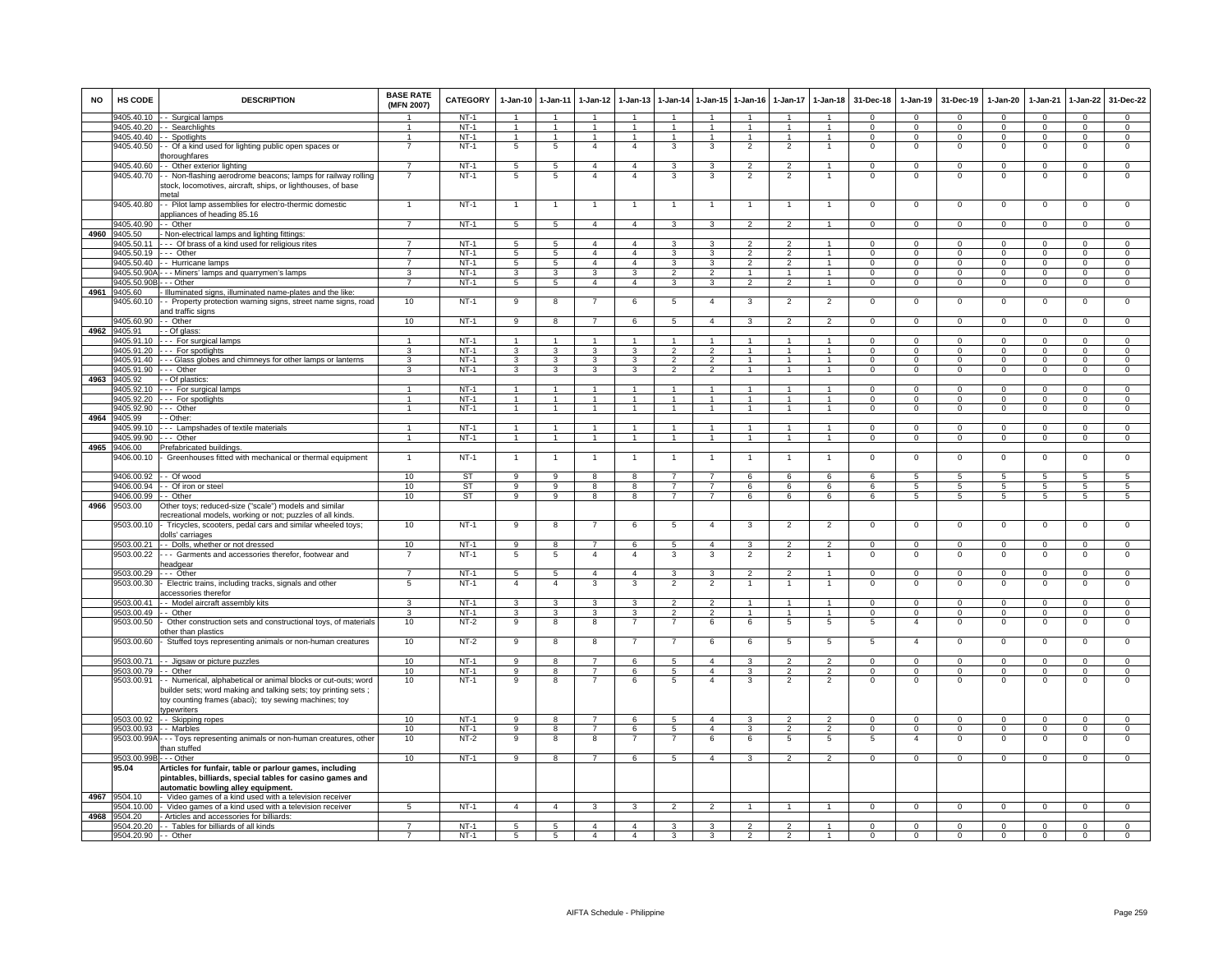| <b>NO</b> | <b>HS CODE</b>          | <b>DESCRIPTION</b>                                                                                                | <b>BASE RATE</b><br>(MFN 2007) | CATEGORY  | $1-Jan-10$      | $1-Jan-11$              | $1-Jan-12$           | $1-Jan-13$     | 1-Jan-14             | $1$ -Jan-15          | $1-Jan-16$     | 1-Jan-17                 | $1-Jan-18$           | 31-Dec-18      | $1-Jan-19$      | 31-Dec-19      | $1-Jan-20$     | 1-Jan-21       | 1-Jan-22       | 31-Dec-22       |
|-----------|-------------------------|-------------------------------------------------------------------------------------------------------------------|--------------------------------|-----------|-----------------|-------------------------|----------------------|----------------|----------------------|----------------------|----------------|--------------------------|----------------------|----------------|-----------------|----------------|----------------|----------------|----------------|-----------------|
|           | 9405.40.10              | - Surgical lamps                                                                                                  |                                | $NT-1$    |                 |                         |                      |                |                      |                      |                |                          |                      | $\Omega$       | $\Omega$        | $\Omega$       | $\Omega$       | $\Omega$       | $\Omega$       | $\Omega$        |
|           |                         | 9405.40.20 - - Searchlights                                                                                       |                                | $NT-1$    | $\overline{1}$  | $\overline{1}$          | $\blacktriangleleft$ | $\mathbf{1}$   | $\overline{1}$       | $\overline{1}$       |                |                          | $\overline{1}$       | $\Omega$       | $\Omega$        | $\Omega$       | $\Omega$       | $\Omega$       | $\mathbf 0$    | $\mathbf{O}$    |
|           |                         | 9405.40.40 - - Spotlights                                                                                         | 1                              | $NT-1$    | $\overline{1}$  | $\overline{1}$          | $\mathbf{1}$         | $\overline{1}$ | $\overline{1}$       | $\mathbf{1}$         | $\mathbf{1}$   | 1                        | $\mathbf{1}$         | $\Omega$       | $\mathbf{0}$    | $^{\circ}$     | $^{\circ}$     | $\mathbf{0}$   | $\mathbf{0}$   | $\mathbf{O}$    |
|           | 9405.40.50              | - Of a kind used for lighting public open spaces or<br>horoughfares                                               | $\overline{7}$                 | $NT-1$    | 5               | $5\phantom{.0}$         | $\overline{a}$       | $\overline{4}$ | 3                    | 3                    | $\overline{2}$ | $\overline{2}$           | $\mathbf{1}$         | $^{\circ}$     | $\mathbf 0$     | $^{\circ}$     | $^{\circ}$     | $^{\circ}$     | $\mathbf 0$    | $\overline{0}$  |
|           | 9405.40.60              | - Other exterior lighting                                                                                         | $\overline{7}$                 | $NT-1$    | $5\phantom{.0}$ | $5\phantom{.0}$         | $\overline{4}$       | 4              | 3                    | 3                    | $\overline{2}$ | $\mathfrak{p}$           | $\mathbf{1}$         | $\mathbf 0$    | $\mathbf 0$     | $\Omega$       | $\mathbf 0$    | $\mathbf 0$    | $\mathbf 0$    | $\mathbf 0$     |
|           | 9405.40.70              | - Non-flashing aerodrome beacons; lamps for railway rolling                                                       | $\overline{7}$                 | $NT-1$    | 5               | 5                       | $\overline{4}$       | $\overline{4}$ | 3                    | 3                    | $\overline{2}$ | $\overline{2}$           |                      | $\mathsf 0$    | $\mathbf 0$     | $\mathbf 0$    | $\mathbf 0$    | $\mathbf 0$    | $\mathbf 0$    | 0               |
|           |                         | stock, locomotives, aircraft, ships, or lighthouses, of base                                                      |                                |           |                 |                         |                      |                |                      |                      |                |                          |                      |                |                 |                |                |                |                |                 |
|           | 9405.40.80              | metal<br>- Pilot lamp assemblies for electro-thermic domestic                                                     |                                | $NT-1$    | $\overline{1}$  | $\overline{1}$          |                      | 1              | $\overline{1}$       | $\overline{1}$       |                |                          | $\mathbf{1}$         | 0              | 0               | $^{\circ}$     | $\mathbf 0$    | 0              | 0              | 0               |
|           |                         | appliances of heading 85.16                                                                                       |                                |           |                 |                         |                      |                |                      |                      |                |                          |                      |                |                 |                |                |                |                |                 |
|           | 9405.40.90              | - Other                                                                                                           | 7                              | $NT-1$    | 5               | 5                       | $\overline{4}$       | $\overline{4}$ | 3                    | 3                    | $\overline{2}$ | $\overline{2}$           | $\mathbf{1}$         | $\overline{0}$ | $\overline{0}$  | $\Omega$       | $\overline{0}$ | $\overline{0}$ | $\overline{0}$ | $\overline{0}$  |
| 4960      | 9405.50                 | Non-electrical lamps and lighting fittings:                                                                       |                                |           |                 |                         |                      |                |                      |                      |                |                          |                      |                |                 |                |                |                |                |                 |
|           | 9405.50.11              | --- Of brass of a kind used for religious rites                                                                   |                                | $NT-1$    | 5               | 5                       | $\overline{4}$       | $\overline{4}$ | 3                    | 3                    | $\overline{2}$ | $\mathfrak{p}$           | $\overline{1}$       | $^{\circ}$     | $\mathbf 0$     | $^{\circ}$     | $^{\circ}$     | $\mathbf 0$    | $\mathbf 0$    | $\mathbf{0}$    |
|           | 9405.50.19              | --- Other                                                                                                         | $\overline{7}$                 | $NT-1$    | 5               | 5                       | $\overline{4}$       | $\overline{4}$ | 3                    | 3                    | $\overline{2}$ | $\overline{2}$           | $\overline{1}$       | $\mathbf{0}$   | $\mathbf 0$     | $^{\circ}$     | $\mathbf{O}$   | $\mathbf 0$    | $\mathbf 0$    | $\overline{0}$  |
|           | 9405.50.40              | - Hurricane lamps                                                                                                 | $\overline{7}$                 | $NT-1$    | 5               | $5\overline{5}$         | $\overline{4}$       | $\overline{4}$ | 3                    | 3                    | $\overline{2}$ | $\mathfrak{p}$           | $\mathbf{1}$         | $\Omega$       | $\mathbf 0$     | $\mathbf 0$    | $\mathbf{O}$   | $\Omega$       | $\mathbf 0$    | $\overline{0}$  |
|           | 9405.50.904             | - - Miners' lamps and quarrymen's lamps                                                                           | 3                              | $NT-1$    | 3               | $\mathbf{3}$            | $\mathbf{3}$         | 3              | $\overline{2}$       | $\overline{2}$       | $\mathbf{1}$   | $\mathbf{1}$             | $\mathbf{1}$         | $\Omega$       | $\circ$         | $^{\circ}$     | $\mathbf{0}$   | $\mathbf 0$    | $\mathbf 0$    | $\overline{0}$  |
|           | 9405.50.90E             | - - Other                                                                                                         | $\overline{7}$                 | $NT-1$    | $5\overline{5}$ | $5\overline{)}$         | $\overline{4}$       | $\overline{4}$ | 3                    | 3                    | $\overline{2}$ | $\overline{2}$           | $\mathbf{1}$         | $\mathbf{0}$   | $\mathbf{0}$    | $\overline{0}$ | $\mathbf{0}$   | $\overline{0}$ | $\overline{0}$ | $\overline{0}$  |
| 4961      | 3405.60                 | Illuminated signs, illuminated name-plates and the like:                                                          |                                |           |                 |                         |                      |                |                      |                      |                |                          |                      |                |                 |                |                |                |                |                 |
|           | 405.60.10               | - Property protection warning signs, street name signs, road                                                      | 10                             | $NT-1$    | 9               | $\overline{\mathbf{8}}$ |                      | 6              | 5                    | $\overline{4}$       | 3              | $\overline{2}$           | $\overline{2}$       | $\mathsf 0$    | $\mathbf 0$     | $\mathbf 0$    | $\mathbf 0$    | $\mathbf 0$    | $\overline{0}$ | $\overline{0}$  |
|           |                         | and traffic signs                                                                                                 |                                |           |                 |                         |                      |                |                      |                      |                |                          |                      |                |                 |                |                |                |                |                 |
|           | 9405.60.90              | - Other                                                                                                           | 10                             | $NT-1$    | 9               | 8                       | $\overline{7}$       | 6              | 5                    | $\overline{4}$       | $\mathcal{R}$  | $\mathcal{P}$            | $\mathcal{P}$        | $\mathbf 0$    | $\Omega$        | $\Omega$       | $\Omega$       | $\Omega$       | $\Omega$       | $\circ$         |
| 4962      | 9405.91                 | - Of glass:                                                                                                       |                                |           |                 |                         |                      |                |                      |                      |                |                          |                      |                |                 |                |                |                |                |                 |
|           | 9405 91 10              | -- For surgical lamps                                                                                             | $\mathbf{1}$                   | $NT-1$    | $\overline{1}$  | $\overline{1}$          |                      |                | $\blacktriangleleft$ | $\blacktriangleleft$ |                |                          | $\mathbf{1}$         | $\Omega$       | $\Omega$        | $\Omega$       | $\Omega$       | $\Omega$       | $\Omega$       | $\overline{0}$  |
|           | 9405.91.20              | - For spotlights                                                                                                  | $\mathbf{R}$                   | $NT-1$    | 3               | 3                       | 3                    | 3              | $\overline{2}$       | $\overline{2}$       |                |                          |                      | $\Omega$       | $\Omega$        | $\Omega$       | $\Omega$       | $\Omega$       | $\Omega$       | $\overline{0}$  |
|           | 9405.91.40              | - - Glass globes and chimneys for other lamps or lanterns                                                         | 3                              | $NT-1$    | 3               | 3                       | 3                    | 3              | $\overline{2}$       | $\overline{2}$       |                |                          |                      | $\Omega$       | $\Omega$        | $\Omega$       | $\Omega$       | $\Omega$       | $\Omega$       | $\overline{0}$  |
|           | 9405.91.90              | -- Other                                                                                                          | 3                              | $NT-1$    | 3               | $\mathbf{3}$            | 3                    |                | $\mathcal{P}$        | $\mathcal{D}$        |                |                          |                      | $\Omega$       | $\Omega$        | $\Omega$       | $\Omega$       | $\Omega$       | $\Omega$       | $\overline{0}$  |
| 4963      | 9405.92                 | - Of plastics:                                                                                                    |                                |           |                 |                         |                      |                |                      |                      |                |                          |                      |                |                 |                |                |                |                |                 |
|           | 9405.92.10              | --- For surgical lamps                                                                                            | $\mathbf{1}$                   | $NT-1$    | $\mathbf{1}$    | $\overline{1}$          | 1                    |                | $\mathbf{1}$         |                      |                |                          | $\mathbf{1}$         | $\Omega$       | $\Omega$        | $\Omega$       | $\mathbf{0}$   | $\Omega$       | $\Omega$       | $\mathbf{0}$    |
|           | 9405.92.20              | --- For spotlights                                                                                                | $\blacktriangleleft$           | $NT-1$    | $\overline{1}$  | $\overline{1}$          | $\overline{1}$       | $\overline{1}$ | $\overline{1}$       | $\overline{1}$       | $\overline{1}$ |                          | $\mathbf{1}$         | $\Omega$       | $\Omega$        | $\Omega$       | $^{\circ}$     | $\Omega$       | $\Omega$       | $\mathbf{O}$    |
|           | 3405.92.90              | $-$ Other                                                                                                         | 1.                             | $NT-1$    | $\overline{1}$  | $\mathbf{1}$            | $\mathbf{1}$         | $\mathbf{1}$   | -1                   |                      |                |                          | $\mathbf{1}$         | $\Omega$       | $\Omega$        | $\Omega$       | $\mathbf{O}$   | $\overline{0}$ | $\overline{0}$ | $\overline{0}$  |
| 4964      | 405.99                  | - Other:                                                                                                          |                                |           |                 |                         |                      |                |                      |                      |                |                          |                      |                |                 |                |                |                |                |                 |
|           | 9405.99.10              | - - Lampshades of textile materials                                                                               |                                | $NT-1$    | $\overline{1}$  | $\overline{1}$          | $\mathbf{1}$         |                | $\overline{1}$       |                      |                |                          | $\mathbf{1}$         | $\Omega$       | $\Omega$        | $\Omega$       | $\mathbf 0$    | $\Omega$       | $\mathbf 0$    | $\mathsf 0$     |
|           | 9405.99.90              | -- Other                                                                                                          |                                | $NT-1$    | $\overline{1}$  | $\overline{1}$          | $\overline{1}$       | $\overline{1}$ | $\overline{1}$       | $\overline{1}$       | $\overline{1}$ |                          | $\overline{1}$       | $\mathbf 0$    | $\mathbf 0$     | $\mathbf 0$    | $\mathbf{0}$   | $\mathbf{0}$   | $\mathbf 0$    | $\overline{0}$  |
| 4965      | 9406.00                 | Prefabricated buildings.                                                                                          |                                |           |                 |                         |                      |                |                      |                      |                |                          |                      |                |                 |                |                |                |                |                 |
|           | 9406.00.10              | Greenhouses fitted with mechanical or thermal equipment                                                           |                                | $NT-1$    | $\overline{1}$  | $\overline{1}$          |                      | -1             | $\overline{1}$       | $\overline{1}$       | $\overline{1}$ | -1                       | $\overline{1}$       | $\mathbf 0$    | $\mathsf 0$     | $^{\circ}$     | $\mathbf 0$    | $\mathbf 0$    | $\mathbf 0$    | $\overline{0}$  |
|           |                         |                                                                                                                   |                                |           |                 |                         |                      |                |                      |                      |                |                          |                      |                |                 |                |                |                |                |                 |
|           | 9406.00.92              | $-$ Of wood                                                                                                       | 10                             | <b>ST</b> | q               | $_{9}$                  | $\mathbf{R}$         | 8              | $\overline{7}$       | $\overline{7}$       | 6              | $\epsilon$               | 6                    | 6              | $\overline{5}$  | 5              | 5              | $\overline{5}$ | 5              | 5               |
|           | 9406.00.94              | - Of iron or steel                                                                                                | 10                             | <b>ST</b> | $_{9}$          | $\overline{9}$          | $\overline{8}$       | 8              | $\overline{7}$       | $\overline{7}$       | 6              | 6                        | 6                    | 6              | 5               | -5             | -5             | -5             | 5              | 5               |
|           | 9406.00.99              | - Other                                                                                                           | 10                             | ST        | 9               | 9                       | 8                    | 8              | $\overline{7}$       | $\overline{7}$       | 6              | 6                        | 6                    | 6              | $5\overline{5}$ | 5              | 5              | 5              | 5              | $5\overline{5}$ |
| 4966      |                         |                                                                                                                   |                                |           |                 |                         |                      |                |                      |                      |                |                          |                      |                |                 |                |                |                |                |                 |
|           | 9503.00                 | Other toys; reduced-size ("scale") models and similar<br>ecreational models, working or not; puzzles of all kinds |                                |           |                 |                         |                      |                |                      |                      |                |                          |                      |                |                 |                |                |                |                |                 |
|           | 9503.00.10              |                                                                                                                   | 10                             | $NT-1$    | 9               | 8                       | 7                    | 6              |                      |                      | 3              |                          |                      |                |                 |                | $\mathbf 0$    |                | $\mathbf 0$    | $\mathbf 0$     |
|           |                         | Tricycles, scooters, pedal cars and similar wheeled toys;                                                         |                                |           |                 |                         |                      |                | 5                    | 4                    |                | $\overline{\mathbf{c}}$  | $\overline{a}$       | 0              | $\mathbf{0}$    | 0              |                | 0              |                |                 |
|           |                         | dolls' carriages                                                                                                  | 10                             | $NT-1$    | 9               |                         | $\overline{7}$       | 6              |                      |                      | 3              | $\overline{2}$           |                      |                |                 |                |                |                |                |                 |
|           | 9503.00.21              | - Dolls, whether or not dressed                                                                                   | $\overline{7}$                 |           |                 | 8                       |                      |                | 5                    | $\overline{4}$       |                |                          | $\overline{2}$       | $\mathsf 0$    | $\mathbf 0$     | $\mathbf 0$    | $\mathsf 0$    | $\mathbf 0$    | $\mathbf 0$    | $\mathbf{O}$    |
|           | 9503.00.22              | - Garments and accessories therefor, footwear and                                                                 |                                | $NT-1$    | 5               | 5                       | $\overline{4}$       | $\overline{4}$ | 3                    | 3                    | $\overline{2}$ | $\overline{2}$           |                      | $\mathsf 0$    | $\mathbf 0$     | $\mathbf 0$    | $\mathbf 0$    | $\mathbf 0$    | $\overline{0}$ | $\overline{0}$  |
|           |                         | headgear                                                                                                          |                                |           |                 |                         |                      |                |                      |                      |                |                          |                      |                |                 |                |                |                |                |                 |
|           | 9503.00.29              | --- Other                                                                                                         | $\overline{7}$                 | $NT-1$    | $\overline{5}$  | $\overline{5}$          | $\overline{a}$       | $\Delta$       | 3                    | 3                    | $\overline{2}$ | $\mathfrak{p}$           | $\blacktriangleleft$ | $\mathbf{0}$   | $\mathbf{0}$    | $\Omega$       | $\mathbf 0$    | $\Omega$       | $^{\circ}$     | $\overline{0}$  |
|           | 9503.00.30              | Electric trains, including tracks, signals and other<br>accessories therefor                                      | $\overline{5}$                 | $NT-1$    | $\overline{4}$  | $\overline{4}$          | $\mathbf{3}$         | 3              | $\overline{2}$       | $\overline{2}$       | $\mathbf{1}$   |                          | $\mathbf{1}$         | $\mathbf 0$    | $\mathbf 0$     | $\mathbf 0$    | $\mathbf 0$    | $\mathbf 0$    | $\mathbf 0$    | $\overline{0}$  |
|           | 9503.00.41              | - Model aircraft assembly kits                                                                                    | 3                              | $NT-1$    | 3               | 3                       | 3                    | 3              | $\overline{2}$       | $\mathcal{P}$        |                |                          | $\mathbf{1}$         | $\Omega$       | $\mathbf 0$     | $\mathbf 0$    | $\mathsf 0$    | $\mathbf 0$    | $\Omega$       | 0               |
|           | 9503.00.49              | - Other                                                                                                           | 3                              | $NT-1$    | 3               | 3                       | 3                    | 3              | $\mathfrak{p}$       | $\overline{2}$       |                |                          | $\overline{1}$       | $\Omega$       | $\Omega$        | $\Omega$       | $\Omega$       | $\Omega$       | $\Omega$       | $\mathbf{O}$    |
|           | 9503.00.50              | Other construction sets and constructional toys, of materials                                                     | 10                             | $NT-2$    | 9               | 8                       | 8                    | $\overline{7}$ | $\overline{7}$       | 6                    | 6              | 5                        | 5                    | 5              | $\overline{4}$  | $\mathbf 0$    | $\mathbf 0$    | $\mathbf 0$    | $\mathbf 0$    | $\mathbf{O}$    |
|           |                         | other than plastics                                                                                               |                                |           |                 |                         |                      |                |                      |                      |                |                          |                      |                |                 |                |                |                |                |                 |
|           | 9503.00.60              | Stuffed toys representing animals or non-human creatures                                                          | 10                             | $NT-2$    | 9               | 8                       | 8                    | 7              | -7                   | 6                    | 6              | 5                        | 5                    | 5              | $\overline{4}$  | 0              | $\mathbf 0$    | 0              | 0              | $\mathbf 0$     |
|           |                         |                                                                                                                   |                                |           |                 |                         |                      |                |                      |                      |                |                          |                      |                |                 |                |                |                |                |                 |
|           | 9503.00.71              | - Jigsaw or picture puzzles                                                                                       | 10                             | $NT-1$    | $_{9}$          | 8                       | $\overline{7}$       | 6              | $\overline{5}$       | $\overline{4}$       | 3              | $\overline{\phantom{a}}$ | $\overline{2}$       | $\overline{0}$ | $\overline{0}$  | $\overline{0}$ | $\overline{0}$ | $\overline{0}$ | $\overline{0}$ | $\overline{0}$  |
|           | 9503.00.79              | - Other                                                                                                           | 10                             | $NT-1$    | 9               | 8                       | $\overline{7}$       | 6              | 5                    | $\overline{a}$       | 3              | 2                        | $\mathfrak{p}$       | $\Omega$       | $\Omega$        | $\Omega$       | $\Omega$       | $\Omega$       | $\mathbf 0$    | $\mathbf{O}$    |
|           | 9503.00.91              | - Numerical, alphabetical or animal blocks or cut-outs; word                                                      | 10                             | $NT-1$    | 9               | 8                       |                      | 6              | 5                    | $\overline{4}$       | 3              | $\overline{2}$           | $\overline{2}$       | $^{\circ}$     | $\mathbf 0$     | $\mathbf 0$    | $\mathbf 0$    | $\mathbf 0$    | $\mathbf 0$    | $\mathbf 0$     |
|           |                         | builder sets; word making and talking sets; toy printing sets;                                                    |                                |           |                 |                         |                      |                |                      |                      |                |                          |                      |                |                 |                |                |                |                |                 |
|           |                         | toy counting frames (abaci); toy sewing machines; toy                                                             |                                |           |                 |                         |                      |                |                      |                      |                |                          |                      |                |                 |                |                |                |                |                 |
|           |                         | typewriters                                                                                                       |                                |           |                 |                         |                      |                |                      |                      |                |                          |                      |                |                 |                |                |                |                |                 |
|           |                         | 9503.00.92 - Skipping ropes                                                                                       | 10                             | $NT-1$    | $\overline{9}$  | $\overline{8}$          | $\overline{7}$       | 6              | $\overline{5}$       | $\overline{4}$       | 3              | $\mathcal{P}$            | $\overline{2}$       | $\Omega$       | $\overline{0}$  | $\Omega$       | $\overline{0}$ | $\overline{0}$ | $\overline{0}$ | $\overline{0}$  |
|           | 9503.00.93              | - - Marbles                                                                                                       | 10                             | $NT-1$    | $\overline{9}$  | $\overline{8}$          | $\overline{7}$       | 6              | $\overline{5}$       | $\overline{4}$       | 3              | $\mathfrak{p}$           | $\overline{2}$       | $\Omega$       | $\Omega$        | $\Omega$       | $\Omega$       | $\mathbf 0$    | $\mathbf 0$    | $\overline{0}$  |
|           | 9503.00.99A             | --- Toys representing animals or non-human creatures, other                                                       | 10                             | $NT-2$    | 9               | $\overline{8}$          | 8                    | $\overline{7}$ | $\overline{7}$       | 6                    | 6              | 5                        | 5                    | 5              | $\overline{a}$  | $\Omega$       | $^{\circ}$     | 0              | $\mathbf 0$    | $\overline{0}$  |
|           |                         | than stuffed                                                                                                      |                                |           |                 |                         |                      |                |                      |                      |                |                          |                      |                |                 |                |                |                |                |                 |
|           | 9503.00.99B - - - Other |                                                                                                                   | 10                             | $NT-1$    | 9               | 8                       | $\overline{7}$       | 6              | 5                    | $\overline{4}$       | 3              | 2                        | $\overline{2}$       | $^{\circ}$     | $^{\circ}$      | $^{\circ}$     | $^{\circ}$     | $^{\circ}$     | $\mathbf{0}$   | $\overline{0}$  |
|           | 95.04                   | Articles for funfair, table or parlour games, including                                                           |                                |           |                 |                         |                      |                |                      |                      |                |                          |                      |                |                 |                |                |                |                |                 |
|           |                         | pintables, billiards, special tables for casino games and                                                         |                                |           |                 |                         |                      |                |                      |                      |                |                          |                      |                |                 |                |                |                |                |                 |
|           |                         | automatic bowling alley equipment.                                                                                |                                |           |                 |                         |                      |                |                      |                      |                |                          |                      |                |                 |                |                |                |                |                 |
| 4967      | 9504.10                 | - Video games of a kind used with a television receiver                                                           |                                |           |                 |                         |                      |                |                      |                      |                |                          |                      |                |                 |                |                |                |                |                 |
|           | 1504.10.00              | Video games of a kind used with a television receiver                                                             |                                | $NT-1$    | $\overline{4}$  | $\overline{4}$          | $\mathcal{R}$        |                | $\mathcal{P}$        |                      |                |                          |                      | $\Omega$       | $\Omega$        | $\Omega$       | $\Omega$       | $\Omega$       | $\Omega$       | $\Omega$        |
| 4968      | 9504.20                 | - Articles and accessories for billiards:                                                                         |                                |           |                 |                         |                      |                |                      |                      |                |                          |                      |                |                 |                |                |                |                |                 |
|           |                         | 9504.20.20 - Tables for billiards of all kinds                                                                    | $\overline{7}$                 | $NT-1$    | 5               | $\overline{5}$          | $\Delta$             | $\mathbf{A}$   | 3                    |                      | $\mathfrak{p}$ | 2                        |                      |                |                 | $\Omega$       | $\Omega$       | $\Omega$       |                | $\Omega$        |
|           | 9504.20.90 - - Other    |                                                                                                                   | 7                              | $NT-1$    | $\overline{5}$  | $\overline{5}$          | 4                    | $\Delta$       | 3                    |                      | $\mathcal{P}$  | $\mathcal{P}$            |                      |                |                 |                | $\Omega$       |                |                | $\Omega$        |
|           |                         |                                                                                                                   |                                |           |                 |                         |                      |                |                      |                      |                |                          |                      |                |                 |                |                |                |                |                 |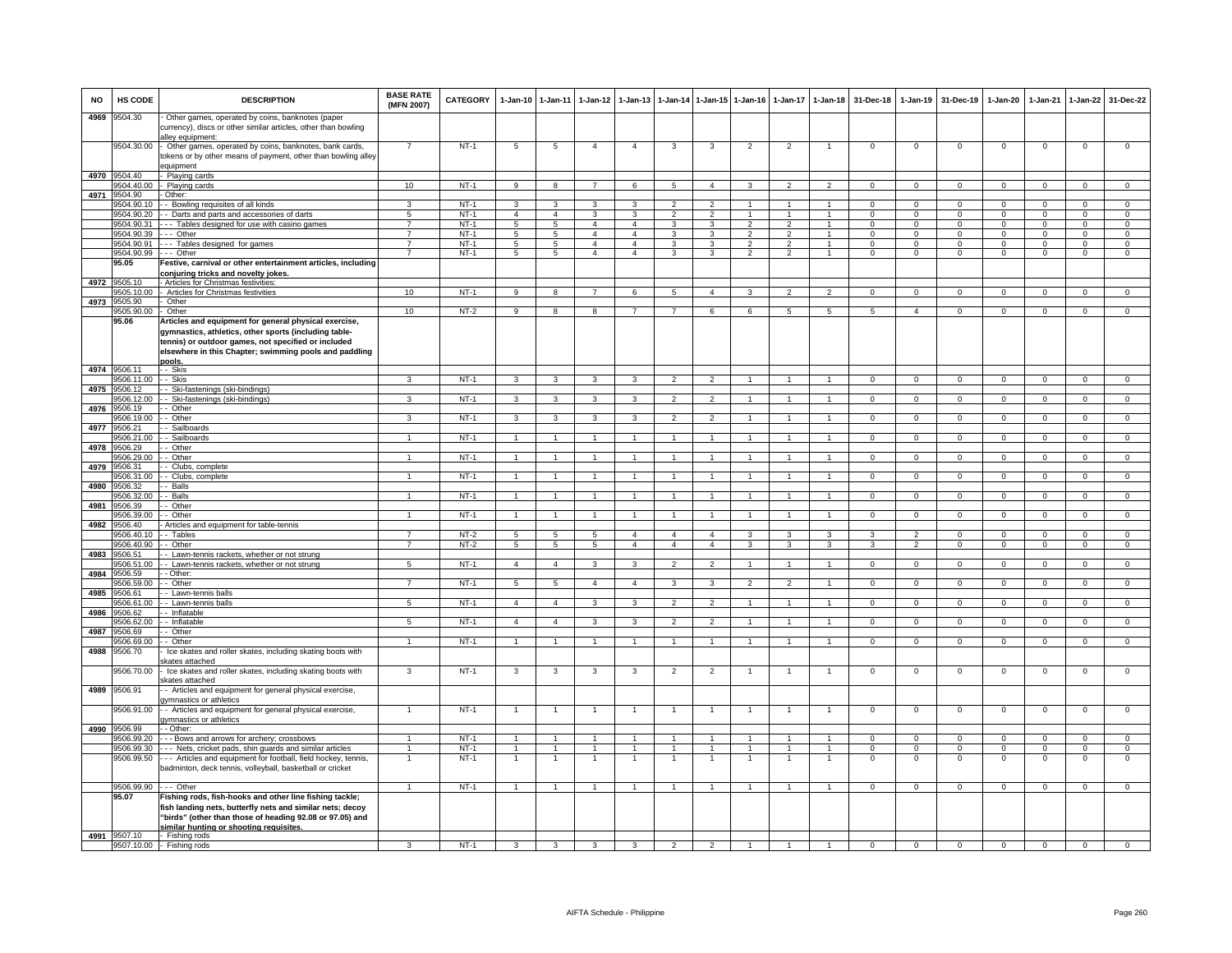| <b>NO</b> | HS CODE                    | <b>DESCRIPTION</b>                                                                                                                                                                                                                        | <b>BASE RATE</b><br>(MFN 2007)   | <b>CATEGORY</b>  | $1-Jan-10$              | $1 - Jan-11$            | $1-Jan-12$              | $1-Jan-13$     |                                 |                                 | 1-Jan-14 1-Jan-15 1-Jan-16 |                | 1-Jan-17 1-Jan-18    | 31-Dec-18                | 1-Jan-19                 | 31-Dec-19               | $1-Jan-20$                 | $1-Jan-21$              | $1-Jan-22$                  | 31-Dec-22                   |
|-----------|----------------------------|-------------------------------------------------------------------------------------------------------------------------------------------------------------------------------------------------------------------------------------------|----------------------------------|------------------|-------------------------|-------------------------|-------------------------|----------------|---------------------------------|---------------------------------|----------------------------|----------------|----------------------|--------------------------|--------------------------|-------------------------|----------------------------|-------------------------|-----------------------------|-----------------------------|
| 4969      | 9504.30                    | Other games, operated by coins, banknotes (paper<br>currency), discs or other similar articles, other than bowling<br>alley equipment:                                                                                                    |                                  |                  |                         |                         |                         |                |                                 |                                 |                            |                |                      |                          |                          |                         |                            |                         |                             |                             |
|           | 9504.30.00                 | Other games, operated by coins, banknotes, bank cards,<br>tokens or by other means of payment, other than bowling alley<br>auipment                                                                                                       | $\overline{7}$                   | $NT-1$           | $\overline{5}$          | $\overline{5}$          | $\overline{4}$          | $\overline{4}$ | 3                               | 3                               | $\overline{2}$             | $\overline{2}$ | 1                    | $\mathbf 0$              | $\mathbf{0}$             | $\mathbf 0$             | $\mathbf 0$                | $\mathbf 0$             | $\mathsf 0$                 | $\overline{0}$              |
|           | 4970 9504.40               | Playing cards                                                                                                                                                                                                                             |                                  |                  |                         |                         |                         |                |                                 |                                 |                            |                |                      |                          |                          |                         |                            |                         |                             |                             |
|           | 9504.40.00                 | Playing cards                                                                                                                                                                                                                             | 10                               | $NT-1$           | $\overline{9}$          | 8                       | $\overline{7}$          | 6              | $\overline{5}$                  | $\overline{4}$                  | 3                          | 2              | $\overline{2}$       | $\Omega$                 | $\circ$                  | $\mathbf 0$             | $\mathbf 0$                | $\mathbf{0}$            | $\mathbf 0$                 | $\overline{0}$              |
| 4971      | 9504.90                    | Other:                                                                                                                                                                                                                                    |                                  |                  |                         |                         |                         |                |                                 |                                 |                            |                |                      |                          |                          |                         |                            |                         |                             |                             |
|           | 9504.90.10<br>9504.90.20   | - Bowling requisites of all kinds<br>- Darts and parts and accessories of darts                                                                                                                                                           | 3<br>5                           | $NT-1$<br>$NT-1$ | 3<br>$\overline{4}$     | 3<br>$\overline{4}$     | $\mathbf{R}$<br>3       | 3<br>3         | $\mathcal{P}$<br>$\overline{2}$ | $\mathcal{P}$<br>$\overline{2}$ | $\overline{1}$             | $\overline{1}$ | $\mathbf{1}$         | $\Omega$<br>$\mathbf{0}$ | $\Omega$<br>$\mathbf{0}$ | $\Omega$<br>$\mathbf 0$ | $\Omega$<br>$\overline{0}$ | $\Omega$<br>$\mathbf 0$ | $\mathsf 0$<br>$\mathbf{0}$ | $\mathbf 0$<br>$\mathbf{0}$ |
|           | 9504.90.31                 | -- Tables designed for use with casino games                                                                                                                                                                                              | $\overline{7}$                   | $NT-1$           | 5                       | 5                       | $\overline{4}$          | $\overline{4}$ | 3                               | $\mathbf{3}$                    | $\overline{2}$             | $\overline{2}$ | $\mathbf{1}$         | $\Omega$                 | $\mathbf{0}$             | $\mathbf 0$             | $\mathbf{0}$               | $\mathbf 0$             | $\mathbf{0}$                | $\mathbf{0}$                |
|           | 9504.90.39                 | -- Other                                                                                                                                                                                                                                  | $\overline{7}$                   | $NT-1$           | 5                       | $5\phantom{.0}$         | $\overline{4}$          | $\overline{4}$ | 3                               | 3                               | $\overline{2}$             | $\overline{2}$ | $\overline{1}$       | $^{\circ}$               | $\mathbf{0}$             | $\mathbf 0$             | $\overline{0}$             | $^{\circ}$              | $\mathbf{0}$                | $\overline{0}$              |
|           | 9504.90.91                 | -- Tables designed for games                                                                                                                                                                                                              | $\overline{7}$<br>$\overline{7}$ | $NT-1$           | $5\phantom{.0}$         | $\overline{5}$          | $\overline{4}$          | $\overline{4}$ | 3                               | 3                               | $\overline{2}$             | $\overline{2}$ | $\mathbf{1}$         | $\Omega$                 | $\mathbf 0$              | $\mathbf 0$             | $\overline{0}$             | $\Omega$                | $\overline{0}$              | $\overline{0}$              |
|           | 9504.90.99<br>95.05        | -- Other<br>estive, carnival or other entertainment articles, including<br>conjuring tricks and novelty jokes.                                                                                                                            |                                  | $NT-1$           | 5                       | 5                       | $\overline{4}$          | $\overline{4}$ | 3                               | 3                               | $\overline{2}$             | $\overline{2}$ | $\mathbf{1}$         | $\mathbf 0$              | $\mathbf 0$              | $\mathbf 0$             | $\mathbf 0$                | $\mathbf 0$             | $\mathbf 0$                 | $\mathbf 0$                 |
| 4972      | 9505.10                    | - Articles for Christmas festivities:                                                                                                                                                                                                     | 10                               |                  | $\overline{9}$          | $\overline{8}$          |                         | $\epsilon$     | 5                               | $\mathbf{A}$                    | $\mathbf{\hat{z}}$         | $\mathcal{L}$  | $\mathcal{P}$        | $\Omega$                 | $\overline{0}$           | $\Omega$                | $\Omega$                   | $\Omega$                | $\Omega$                    | $\overline{0}$              |
| 4973      | 605.10.00<br>9505.90       | Articles for Christmas festivities<br>Other                                                                                                                                                                                               |                                  | $NT-1$           |                         |                         |                         |                |                                 |                                 |                            |                |                      |                          |                          |                         |                            |                         |                             |                             |
|           | 9505.90.00                 | Other                                                                                                                                                                                                                                     | 10                               | $NT-2$           | 9                       | 8                       | 8                       |                | $\overline{7}$                  | 6                               | 6                          | 5              | $\overline{5}$       | $5^{\circ}$              | $\overline{a}$           | $\Omega$                | $\Omega$                   | $\Omega$                | $\Omega$                    | $\Omega$                    |
|           | 95.06                      | Articles and equipment for general physical exercise,<br>gymnastics, athletics, other sports (including table-<br>tennis) or outdoor games, not specified or included<br>elsewhere in this Chapter; swimming pools and paddling<br>pools. |                                  |                  |                         |                         |                         |                |                                 |                                 |                            |                |                      |                          |                          |                         |                            |                         |                             |                             |
|           | 4974 9506.11               | - Skis                                                                                                                                                                                                                                    |                                  |                  |                         |                         |                         |                |                                 |                                 |                            |                |                      |                          |                          |                         |                            |                         |                             |                             |
| 4975      | 9506.11.00<br>9506.12      | - Skis<br>- Ski-fastenings (ski-bindings)                                                                                                                                                                                                 | 3                                | $NT-1$           | $\overline{\mathbf{3}}$ | $\overline{\mathbf{3}}$ | $\overline{\mathbf{3}}$ | $\overline{3}$ | $\overline{2}$                  | $\overline{2}$                  | $\overline{1}$             | $\overline{1}$ | $\overline{1}$       | $\overline{0}$           | $\overline{0}$           | $\overline{0}$          | $\overline{0}$             | $\overline{0}$          | $\overline{0}$              | $\overline{0}$              |
|           | 1506.12.00                 | - Ski-fastenings (ski-bindings)                                                                                                                                                                                                           | 3                                | $NT-1$           | 3                       | 3                       | 3                       | $\mathbf{3}$   | $\overline{\phantom{a}}$        | $\overline{2}$                  |                            |                | $\blacktriangleleft$ | $\Omega$                 | $\Omega$                 | $\Omega$                | $\Omega$                   | $\Omega$                | $\overline{0}$              | $\overline{0}$              |
| 4976      | 1506.19                    | - Other                                                                                                                                                                                                                                   |                                  |                  |                         |                         |                         |                |                                 |                                 |                            |                |                      |                          |                          |                         |                            |                         |                             |                             |
| 4977      | 9506.19.00<br>9506.21      | - Other<br>Sailboards                                                                                                                                                                                                                     | 3                                | $NT-1$           | $\mathbf{3}$            | 3                       | 3                       | 3              | $\overline{2}$                  | $\overline{2}$                  | $\overline{1}$             | $\overline{1}$ | $\overline{1}$       | $\mathbf{0}$             | $\mathbf{0}$             | $\mathbf{0}$            | $\overline{0}$             | $\mathbf 0$             | $\mathbf{0}$                | $\mathbf{0}$                |
|           | 9506.21.00                 | - Sailboards                                                                                                                                                                                                                              | $\mathbf{1}$                     | $NT-1$           | $\mathbf{1}$            | $\overline{1}$          | $\mathbf{1}$            | -1             | $\overline{1}$                  | $\overline{1}$                  | -1                         | $\mathbf{1}$   | 1                    | $^{\circ}$               | $\circ$                  | $\mathbf{0}$            | $\overline{0}$             | $\mathbf 0$             | $\overline{0}$              | $\overline{0}$              |
| 4978      | 1506.29                    | - Other                                                                                                                                                                                                                                   |                                  |                  |                         |                         |                         |                |                                 |                                 |                            |                |                      |                          |                          |                         |                            |                         |                             |                             |
|           | 506.29.00                  | · Other                                                                                                                                                                                                                                   |                                  | $NT-1$           | $\overline{1}$          | $\mathbf{1}$            |                         |                | $\overline{1}$                  | $\overline{1}$                  |                            |                |                      | 0                        | $\overline{0}$           | $\overline{0}$          | $\overline{0}$             | $\Omega$                | $\overline{0}$              | $\overline{0}$              |
| 4979      | 9506.31<br>1506.31.00      | Clubs, complete<br>Clubs, complete                                                                                                                                                                                                        |                                  | $NT-1$           | $\overline{1}$          | $\mathbf{1}$            |                         |                | $\overline{1}$                  |                                 |                            |                |                      | $\Omega$                 | $\Omega$                 | $\Omega$                | $\Omega$                   | $\Omega$                | $\mathbf 0$                 | $\overline{0}$              |
| 4980      | 9506.32                    | - Balls                                                                                                                                                                                                                                   |                                  |                  |                         |                         |                         |                |                                 |                                 |                            |                |                      |                          |                          |                         |                            |                         |                             |                             |
|           | 1506.32.00                 | - Balls                                                                                                                                                                                                                                   |                                  | $NT-1$           | $\overline{1}$          | $\overline{1}$          |                         |                | $\overline{1}$                  | $\blacktriangleleft$            | $\overline{1}$             |                |                      | $\overline{0}$           | $\overline{0}$           | $\overline{0}$          | $\overline{0}$             | $\overline{0}$          | $\overline{0}$              | $\overline{0}$              |
| 4981      | 1506.39<br>9506.39.00      | Other<br>- Other                                                                                                                                                                                                                          | $\mathbf{1}$                     | $NT-1$           | $\overline{1}$          | $\overline{1}$          |                         |                | $\overline{1}$                  | $\mathbf{1}$                    |                            |                |                      | $\mathbf{0}$             | $\mathbf 0$              | $\mathbf 0$             | $\mathbf 0$                | $\mathbf 0$             | $\mathbf{0}$                | $\mathbf{0}$                |
| 4982      | 9506.40                    | Articles and equipment for table-tennis                                                                                                                                                                                                   |                                  |                  |                         |                         |                         |                |                                 |                                 |                            |                |                      |                          |                          |                         |                            |                         |                             |                             |
|           | 9506.40.10                 | - Tables                                                                                                                                                                                                                                  | $\overline{7}$                   | $NT-2$           | 5                       | $\overline{5}$          | 5                       | $\overline{4}$ | $\overline{4}$                  | $\overline{4}$                  | 3                          | 3              | 3                    | 3                        | $\overline{2}$           | $\mathbf 0$             | $\mathbf{0}$               | $\Omega$                | $\mathbf 0$                 | $\mathbf 0$                 |
| 4983      | 9506.40.90<br>9506.51      | - Other<br>Lawn-tennis rackets, whether or not strung                                                                                                                                                                                     | $\overline{7}$                   | $NT-2$           | 5                       | $\overline{5}$          | $5\overline{)}$         | $\overline{4}$ | $\overline{a}$                  | $\overline{4}$                  | $\overline{3}$             | 3              | 3                    | 3                        | $\overline{2}$           | $\mathbf 0$             | $\overline{0}$             | $\overline{0}$          | $\overline{0}$              | $\overline{0}$              |
|           | 9506.51.00                 | - Lawn-tennis rackets, whether or not strung                                                                                                                                                                                              | 5                                | $NT-1$           | $\overline{4}$          | $\overline{4}$          | 3                       | 3              | $\mathcal{P}$                   | $\mathcal{P}$                   |                            |                | $\mathbf{1}$         | $\Omega$                 | $\circ$                  | $\Omega$                | $\Omega$                   | $\mathbf 0$             | $\mathsf 0$                 | $\overline{0}$              |
| 4984      | 9506.59                    | - Other:                                                                                                                                                                                                                                  |                                  |                  |                         |                         |                         |                |                                 |                                 |                            |                |                      |                          |                          |                         |                            |                         |                             |                             |
| 4985      | 9506.59.00<br>9506.61      | - Other<br>- Lawn-tennis balls                                                                                                                                                                                                            | $\overline{7}$                   | $NT-1$           | $\overline{5}$          | $\overline{5}$          | $\overline{4}$          | $\overline{4}$ | $\overline{\mathbf{3}}$         | $\overline{3}$                  | $\overline{2}$             | $\overline{2}$ | $\overline{1}$       | $\mathbf{0}$             | $\overline{0}$           | $\mathbf 0$             | $\overline{0}$             | $\overline{0}$          | $\overline{0}$              | $\overline{0}$              |
|           | 9506.61.00                 | - Lawn-tennis balls                                                                                                                                                                                                                       | $5^{\circ}$                      | $NT-1$           | $\overline{4}$          | $\overline{4}$          | 3                       | $\mathbf{3}$   | $\overline{2}$                  | $\overline{2}$                  | $\mathbf{1}$               | $\overline{1}$ | $\mathbf{1}$         | $\mathbf 0$              | $\mathbf 0$              | $\Omega$                | $\mathbf 0$                | $\Omega$                | $\mathbf 0$                 | $\overline{0}$              |
| 4986      | 3506.62                    | - Inflatable                                                                                                                                                                                                                              |                                  |                  |                         |                         |                         |                |                                 |                                 |                            |                |                      |                          |                          |                         |                            |                         |                             |                             |
|           | 9506.62.00                 | - Inflatable                                                                                                                                                                                                                              | 5                                | NT-1             | $\overline{4}$          | $\overline{4}$          | 3                       | 3              | $\overline{2}$                  | $\overline{2}$                  | -1                         | $\mathbf{1}$   | 1                    | $^{\circ}$               | $\circ$                  | $\mathbf 0$             | $\overline{0}$             | $\mathbf 0$             | $\overline{0}$              | $\mathbf{0}$                |
|           | 4987 9506.69<br>9506.69.00 | - Other<br>- Other                                                                                                                                                                                                                        | $\mathbf{1}$                     | $NT-1$           | $\overline{1}$          | $\overline{1}$          | $\mathbf{1}$            | $\mathbf{1}$   | $\overline{1}$                  | $\overline{1}$                  | $\overline{1}$             | $\mathbf{1}$   | $\overline{1}$       | $\Omega$                 | $\circ$                  | $\mathbf{0}$            | $\overline{0}$             | $\mathbf 0$             | $\overline{0}$              | $\overline{0}$              |
| 4988      | 1506.70                    | Ice skates and roller skates, including skating boots with<br>kates attached                                                                                                                                                              |                                  |                  |                         |                         |                         |                |                                 |                                 |                            |                |                      |                          |                          |                         |                            |                         |                             |                             |
| 4989      | 1506.70.00<br>9506.91      | Ice skates and roller skates, including skating boots with<br>kates attached<br>- Articles and equipment for general physical exercise,                                                                                                   | 3                                | $NT-1$           | 3                       | 3                       | 3                       | 3              | $\overline{2}$                  | $\overline{2}$                  | $\mathbf{1}$               | $\overline{1}$ | $\mathbf{1}$         | $\mathbf 0$              | $\mathbf 0$              | $\,0\,$                 | $\mathbf 0$                | $\,0\,$                 | $\mathsf 0$                 | $\mathbf 0$                 |
|           | 9506.91.00                 | gymnastics or athletics<br>- Articles and equipment for general physical exercise,                                                                                                                                                        |                                  | $NT-1$           | $\overline{1}$          | $\overline{1}$          |                         |                |                                 |                                 |                            |                |                      | $\mathbf 0$              | $\Omega$                 | $\Omega$                | $\Omega$                   | $\Omega$                | $\Omega$                    | $\Omega$                    |
|           |                            | wmnastics or athletics                                                                                                                                                                                                                    |                                  |                  |                         |                         |                         |                |                                 |                                 |                            |                |                      |                          |                          |                         |                            |                         |                             |                             |
|           | 4990 9506.99<br>9506.99.20 | - Other:<br>- - Bows and arrows for archery; crossbows                                                                                                                                                                                    | $\overline{1}$                   | $NT-1$           | $\mathbf{1}$            | $\overline{1}$          | $\mathbf{1}$            | $\mathbf{1}$   | $\overline{1}$                  | $\overline{1}$                  | $\overline{1}$             | $\overline{1}$ | $\overline{1}$       | $\Omega$                 | $\mathbf{0}$             | $\mathbf{0}$            | $^{\circ}$                 | $^{\circ}$              | $\mathbf{0}$                | $\mathbf 0$                 |
|           | 9506.99.30                 | - Nets, cricket pads, shin quards and similar articles                                                                                                                                                                                    | $\mathbf{1}$                     | $NT-1$           | $\overline{1}$          | $\overline{1}$          | $\mathbf{1}$            | $\mathbf{1}$   | -1                              | $\overline{1}$                  | $\overline{1}$             | $\mathbf{1}$   | $\overline{1}$       | $\Omega$                 | $\Omega$                 | $\Omega$                | $\Omega$                   | $\Omega$                | $\overline{0}$              | $\overline{0}$              |
|           | 9506.99.50                 | - - Articles and equipment for football, field hockey, tennis,<br>adminton, deck tennis, volleyball, basketball or cricket                                                                                                                |                                  | $NT-1$           |                         |                         |                         |                |                                 |                                 |                            |                |                      | $\mathbf 0$              | 0                        | $\mathbf 0$             | 0                          | $\Omega$                | 0                           | $\Omega$                    |
|           | 9506.99.90                 | -- Other                                                                                                                                                                                                                                  | $\overline{1}$                   | $NT-1$           | $\overline{1}$          | $\overline{1}$          | $\overline{1}$          | $\overline{1}$ | $\overline{1}$                  | $\overline{1}$                  | $\overline{1}$             | $\overline{1}$ | $\overline{1}$       | $\mathbf{0}$             | $\mathbf{0}$             | $\mathbf 0$             | $\overline{0}$             | $\mathbf{0}$            | $\circ$                     | $\overline{0}$              |
|           | 95.07                      | Fishing rods, fish-hooks and other line fishing tackle;<br>fish landing nets, butterfly nets and similar nets; decoy<br>"birds" (other than those of heading 92.08 or 97.05) and<br>similar hunting or shooting requisites.               |                                  |                  |                         |                         |                         |                |                                 |                                 |                            |                |                      |                          |                          |                         |                            |                         |                             |                             |
|           | 4991 9507.10               | - Fishing rods<br>9507.10.00 - Fishing rods                                                                                                                                                                                               | 3                                | $NT-1$           | 3                       | 3                       | 3                       | 3              | $\overline{2}$                  | $\overline{2}$                  |                            |                |                      | $\overline{0}$           | $\overline{0}$           | $\overline{0}$          | $\overline{0}$             | $\overline{0}$          | $\overline{0}$              | $\overline{0}$              |
|           |                            |                                                                                                                                                                                                                                           |                                  |                  |                         |                         |                         |                |                                 |                                 |                            |                |                      |                          |                          |                         |                            |                         |                             |                             |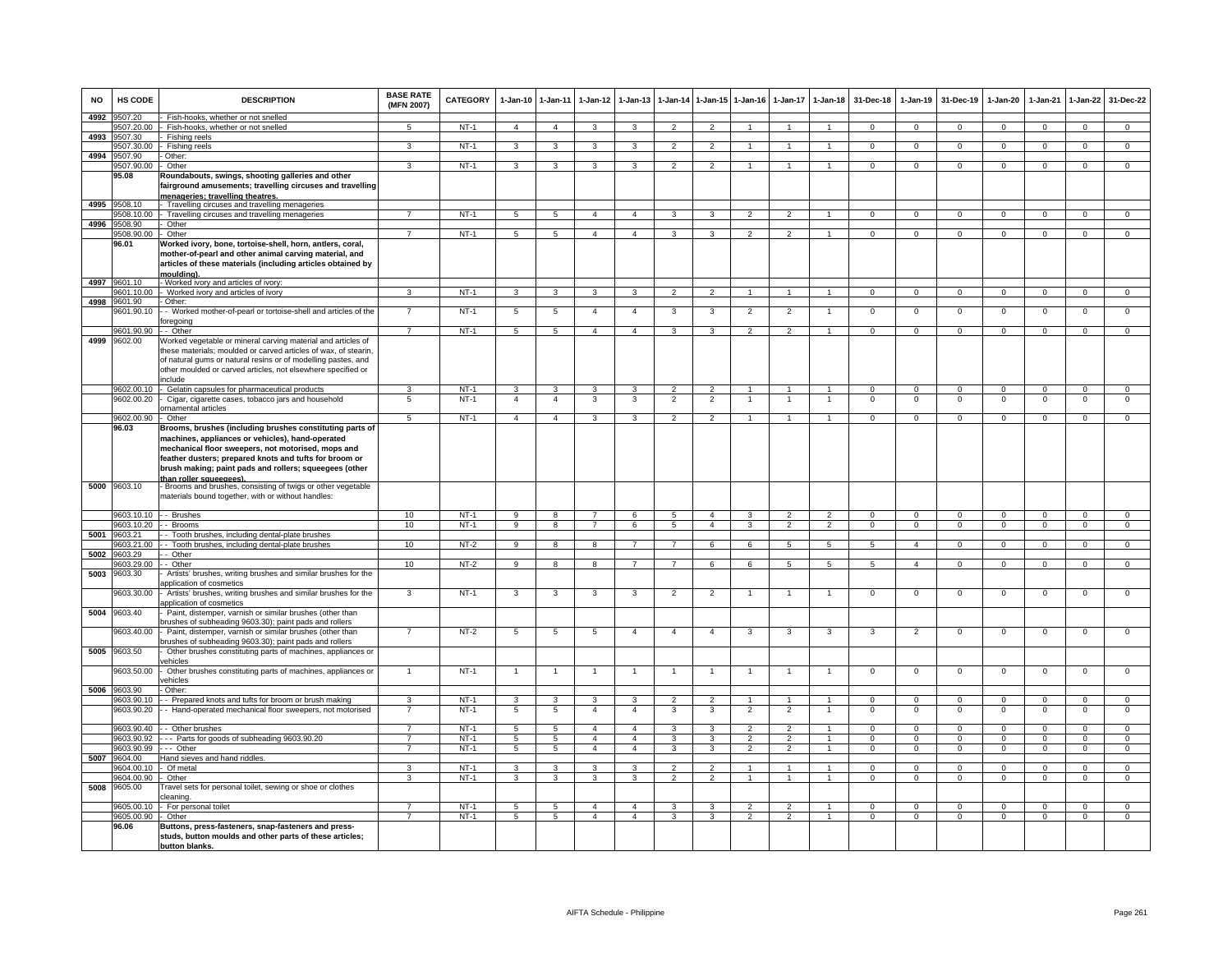| <b>NO</b> | HS CODE                  | <b>DESCRIPTION</b>                                                                                                                                                                                                                                    | <b>BASE RATE</b><br>(MFN 2007)   | CATEGORY         | 1-Jan-10 1-Jan-11                 |                                  | $1-Jan-12$              | $1-Jan-13$                       | $1-Jan-14$          | $1$ -Jan-15                  | $1 - Jan-16$                     | $1-Jan-17$                       | $1-Jan-18$                     | 31-Dec-18            | $1-Jan-19$           | 31-Dec-19            | $1-Jan-20$                 | $1-Jan-21$           | $1 - Jan-22$               | 31-Dec-22                        |
|-----------|--------------------------|-------------------------------------------------------------------------------------------------------------------------------------------------------------------------------------------------------------------------------------------------------|----------------------------------|------------------|-----------------------------------|----------------------------------|-------------------------|----------------------------------|---------------------|------------------------------|----------------------------------|----------------------------------|--------------------------------|----------------------|----------------------|----------------------|----------------------------|----------------------|----------------------------|----------------------------------|
| 4992      | 9507.20                  | Fish-hooks, whether or not snelled                                                                                                                                                                                                                    |                                  |                  |                                   |                                  |                         |                                  |                     |                              |                                  |                                  |                                |                      |                      |                      |                            |                      |                            |                                  |
|           | 9507.20.00               | - Fish-hooks, whether or not snelled                                                                                                                                                                                                                  | $5^{\circ}$                      | $NT-1$           | $\overline{4}$                    | $\overline{4}$                   | $\mathbf{3}$            | $\mathbf{3}$                     | $\overline{2}$      | $\overline{2}$               | $\overline{1}$                   | $\overline{1}$                   | $\overline{1}$                 | $\Omega$             | $\overline{0}$       | $\mathbf 0$          | $\overline{0}$             | $\overline{0}$       | $\mathbf{0}$               | $\overline{0}$                   |
| 4993      | 9507.30<br>9507.30.00    | Fishing reels<br>Fishing reels                                                                                                                                                                                                                        | 3                                | $NT-1$           | 3                                 | 3                                | 3                       | 3                                | $\overline{2}$      | $\overline{2}$               | $\mathbf{1}$                     | $\mathbf{1}$                     |                                | $\overline{0}$       | $\overline{0}$       | $\overline{0}$       | $\mathbf 0$                | $\overline{0}$       | $\overline{0}$             | $\overline{0}$                   |
| 4994      | 9507.90                  | Other:                                                                                                                                                                                                                                                |                                  |                  |                                   |                                  |                         |                                  |                     |                              |                                  |                                  |                                |                      |                      |                      |                            |                      |                            |                                  |
|           | 9507.90.00               | Other                                                                                                                                                                                                                                                 | 3                                | $NT-1$           | 3                                 | 3                                | $\mathbf{3}$            | 3                                | $\overline{2}$      | $\overline{2}$               | $\overline{1}$                   | $\overline{1}$                   | $\overline{1}$                 | $\mathbf{0}$         | $\mathbf 0$          | $\mathbf 0$          | $\mathbf 0$                | $\mathbf 0$          | $\mathbf 0$                | $\mathbf 0$                      |
|           | 95.08                    | Roundabouts, swings, shooting galleries and other<br>fairground amusements; travelling circuses and travelling                                                                                                                                        |                                  |                  |                                   |                                  |                         |                                  |                     |                              |                                  |                                  |                                |                      |                      |                      |                            |                      |                            |                                  |
|           | 4995 9508.10             | menageries; travelling theatres.<br>Travelling circuses and travelling menageries                                                                                                                                                                     |                                  |                  |                                   |                                  |                         |                                  |                     |                              |                                  |                                  |                                |                      |                      |                      |                            |                      |                            |                                  |
|           | 9508.10.00               | - Travelling circuses and travelling menageries                                                                                                                                                                                                       | $\overline{7}$                   | $NT-1$           | $5\overline{5}$                   | $5\overline{5}$                  | $\overline{4}$          | $\overline{4}$                   | $\mathbf{3}$        | $\mathbf{3}$                 | 2                                | $\overline{2}$                   | $\overline{1}$                 | $\overline{0}$       | $\overline{0}$       | $\mathbf 0$          | $\mathbf{0}$               | $\overline{0}$       | $\mathbf{0}$               | $\overline{0}$                   |
|           | 4996 9508.90             | Other                                                                                                                                                                                                                                                 |                                  |                  |                                   |                                  |                         |                                  |                     |                              |                                  |                                  |                                |                      |                      |                      |                            |                      |                            |                                  |
|           | 9508.90.00               | - Other                                                                                                                                                                                                                                               | $\overline{7}$                   | $NT-1$           | 5                                 | 5                                | $\overline{4}$          | $\overline{4}$                   | 3                   | 3                            | 2                                | 2                                | $\overline{1}$                 | $\Omega$             | $\mathbf{0}$         | $\mathbf 0$          | $\Omega$                   | $^{\circ}$           | $\mathbf{0}$               | $\overline{0}$                   |
|           | 96.01                    | Worked ivory, bone, tortoise-shell, horn, antlers, coral,<br>mother-of-pearl and other animal carving material, and<br>articles of these materials (including articles obtained by                                                                    |                                  |                  |                                   |                                  |                         |                                  |                     |                              |                                  |                                  |                                |                      |                      |                      |                            |                      |                            |                                  |
|           | 4997 9601.10             | mouldina).                                                                                                                                                                                                                                            |                                  |                  |                                   |                                  |                         |                                  |                     |                              |                                  |                                  |                                |                      |                      |                      |                            |                      |                            |                                  |
|           | 9601.10.00               | - Worked ivory and articles of ivory:<br>Worked ivory and articles of ivory                                                                                                                                                                           | $\mathbf{a}$                     | $NT-1$           | $\mathbf{z}$                      | $\mathbf{a}$                     | $\mathbf{R}$            | $\mathbf{\hat{z}}$               | $\mathcal{P}$       | 2                            |                                  |                                  |                                | $\Omega$             | $\mathbf 0$          | $\mathbf 0$          | $\Omega$                   | $\Omega$             | $\mathbf{0}$               | $\mathbf 0$                      |
| 4998      | 9601.90                  | - Other:                                                                                                                                                                                                                                              |                                  |                  |                                   |                                  |                         |                                  |                     |                              |                                  |                                  |                                |                      |                      |                      |                            |                      |                            |                                  |
|           | 9601.90.10               | - Worked mother-of-pearl or tortoise-shell and articles of the                                                                                                                                                                                        |                                  | $NT-1$           | 5                                 | $\overline{5}$                   | $\overline{a}$          | $\overline{4}$                   | 3                   | 3                            | $\overline{2}$                   | 2                                |                                | $\Omega$             | 0                    | $\Omega$             | 0                          | $\Omega$             | $\overline{0}$             | $\overline{0}$                   |
|           | 9601.90.90               | foregoing<br>- Other                                                                                                                                                                                                                                  | $\overline{7}$                   | $NT-1$           |                                   |                                  | $\overline{4}$          | $\overline{4}$                   |                     |                              | $\overline{2}$                   | $\overline{2}$                   | $\blacktriangleleft$           | $\overline{0}$       |                      | $\overline{0}$       | $\Omega$                   | $\Omega$             |                            |                                  |
| 4999      | 9602.00                  | Worked vegetable or mineral carving material and articles of                                                                                                                                                                                          |                                  |                  | 5                                 | $5\overline{)}$                  |                         |                                  | 3                   | 3                            |                                  |                                  |                                |                      | $\mathbf 0$          |                      |                            |                      | $\overline{0}$             | $\overline{0}$                   |
|           |                          | these materials; moulded or carved articles of wax, of stearin,<br>of natural gums or natural resins or of modelling pastes, and<br>other moulded or carved articles, not elsewhere specified or<br>include                                           |                                  |                  |                                   |                                  |                         |                                  |                     |                              |                                  |                                  |                                |                      |                      |                      |                            |                      |                            |                                  |
|           |                          | 9602.00.10 - Gelatin capsules for pharmaceutical products                                                                                                                                                                                             | 3                                | $NT-1$           | $\overline{\mathbf{3}}$           | $\overline{\mathbf{3}}$          | $\overline{\mathbf{3}}$ | 3                                | $\overline{2}$      | $\overline{2}$               | $\overline{1}$                   | $\mathbf{1}$                     | $\overline{1}$                 | $\Omega$             | $\Omega$             | $\Omega$             | $\Omega$                   | $\Omega$             | $\overline{0}$             | $\overline{0}$                   |
|           | 9602.00.20               | Cigar, cigarette cases, tobacco jars and household                                                                                                                                                                                                    | $\overline{5}$                   | $NT-1$           | $\overline{4}$                    | $\overline{4}$                   | 3                       | 3                                | $\overline{2}$      | $\overline{2}$               | $\overline{1}$                   | $\overline{1}$                   |                                | $\overline{0}$       | $\overline{0}$       | $\overline{0}$       | $\overline{0}$             | $\overline{0}$       | $\overline{0}$             | $\overline{0}$                   |
|           |                          | ornamental articles                                                                                                                                                                                                                                   |                                  |                  |                                   |                                  |                         |                                  |                     |                              |                                  |                                  |                                |                      |                      |                      |                            |                      |                            |                                  |
|           | 9602.00.90<br>96.03      | - Other<br>Brooms, brushes (including brushes constituting parts of                                                                                                                                                                                   | 5 <sup>5</sup>                   | $NT-1$           | $\overline{4}$                    | $\overline{4}$                   | $\mathbf{3}$            | $\mathbf{3}$                     | $\overline{2}$      | 2                            | $\overline{1}$                   | $\overline{1}$                   | $\overline{1}$                 | $\Omega$             | $\overline{0}$       | $\mathbf 0$          | $\overline{0}$             | $\overline{0}$       | $\circ$                    | $\Omega$                         |
|           |                          | machines, appliances or vehicles), hand-operated<br>mechanical floor sweepers, not motorised, mops and<br>feather dusters; prepared knots and tufts for broom or<br>brush making; paint pads and rollers; squeegees (other<br>than roller squeegees). |                                  |                  |                                   |                                  |                         |                                  |                     |                              |                                  |                                  |                                |                      |                      |                      |                            |                      |                            |                                  |
| 5000      | 9603.10                  | - Brooms and brushes, consisting of twigs or other vegetable<br>materials bound together, with or without handles:                                                                                                                                    |                                  |                  |                                   |                                  |                         |                                  |                     |                              |                                  |                                  |                                |                      |                      |                      |                            |                      |                            |                                  |
|           | 9603.10.10 - - Brushes   |                                                                                                                                                                                                                                                       | 10                               | $NT-1$           | -9                                | 8                                | $\overline{7}$          | 6                                | 5                   | $\overline{4}$               | 3                                | $\overline{2}$                   | $\overline{2}$                 | $\Omega$             | $\mathbf{0}$         | $\Omega$             | $\Omega$                   | $\mathbf 0$          | $\mathbf{0}$               | $\mathbf{0}$                     |
|           | 9603.10.20 -- Brooms     |                                                                                                                                                                                                                                                       | 10                               | $NT-1$           | 9                                 | $\overline{\mathbf{8}}$          | $\overline{7}$          | 6                                | $5\phantom{.0}$     | $\overline{4}$               | 3                                | 2                                | $\overline{2}$                 | $\Omega$             | $^{\circ}$           | $^{\circ}$           | $\mathbf{0}$               | $\mathbf{0}$         | $\mathbf{0}$               | $\overline{0}$                   |
| 5001      | 9603.21                  | - Tooth brushes, including dental-plate brushes                                                                                                                                                                                                       |                                  |                  |                                   |                                  |                         |                                  |                     |                              |                                  |                                  |                                |                      |                      |                      |                            |                      |                            |                                  |
| 5002      | 9603.21.00<br>9603.29    | - Tooth brushes, including dental-plate brushes<br>- Other                                                                                                                                                                                            | 10                               | $NT-2$           | 9                                 | $\overline{8}$                   | 8                       |                                  | $\overline{7}$      | 6                            | 6                                | 5                                | 5                              | 5                    | $\overline{4}$       | $\mathbf 0$          | 0                          | $\mathbf 0$          | $\circ$                    | $\overline{0}$                   |
|           | 603.29.00                | - Other                                                                                                                                                                                                                                               | 10                               | $NT-2$           | 9                                 | 8                                | 8                       | $\overline{7}$                   | $\overline{7}$      | 6                            | 6                                | 5                                | 5                              | $5^{\circ}$          | $\overline{4}$       | $\mathbf 0$          | $\mathbf 0$                | $\mathbf 0$          | $\mathbf 0$                | $\mathsf 0$                      |
| 5003      | 9603.30                  | Artists' brushes, writing brushes and similar brushes for the                                                                                                                                                                                         |                                  |                  |                                   |                                  |                         |                                  |                     |                              |                                  |                                  |                                |                      |                      |                      |                            |                      |                            |                                  |
|           | 9603.30.00               | application of cosmetics<br>Artists' brushes, writing brushes and similar brushes for the<br>application of cosmetics                                                                                                                                 | 3                                | $NT-1$           | 3                                 | 3                                | 3                       | 3                                | $\overline{2}$      | $\overline{2}$               | -1                               | $\overline{1}$                   | $\mathbf{1}$                   | $\mathsf 0$          | $\mathsf 0$          | $\mathbf 0$          | $\mathbf 0$                | $\mathbf 0$          | $\mathbf 0$                | $\mathsf 0$                      |
| 5004      | 9603.40                  | Paint, distemper, varnish or similar brushes (other than<br>orushes of subheading 9603.30); paint pads and rollers                                                                                                                                    |                                  |                  |                                   |                                  |                         |                                  |                     |                              |                                  |                                  |                                |                      |                      |                      |                            |                      |                            |                                  |
|           | 003.40.00                | Paint, distemper, varnish or similar brushes (other than<br>prushes of subheading 9603.30); paint pads and rollers                                                                                                                                    | $\overline{7}$                   | $NT-2$           | $5\phantom{.0}$                   | $5\overline{5}$                  | $5\overline{5}$         | $\overline{4}$                   | $\overline{4}$      | $\overline{4}$               | 3                                | 3                                | 3                              | 3                    | $\overline{2}$       | $\mathbf{0}$         | $\mathbf 0$                | $\mathbf 0$          | $\circ$                    | $\overline{0}$                   |
| 5005      | 9603.50                  | Other brushes constituting parts of machines, appliances or                                                                                                                                                                                           |                                  |                  |                                   |                                  |                         |                                  |                     |                              |                                  |                                  |                                |                      |                      |                      |                            |                      |                            |                                  |
|           | 9603.50.00               | <i>rehicles</i><br>Other brushes constituting parts of machines, appliances or                                                                                                                                                                        | 1                                | $NT-1$           | $\overline{1}$                    | $\overline{1}$                   | $\overline{1}$          | $\overline{1}$                   | $\overline{1}$      | $\overline{1}$               | $\overline{1}$                   | $\overline{1}$                   | $\overline{1}$                 | $\,0\,$              | $\,0\,$              | $\,0\,$              | $\mathsf 0$                | $\,0\,$              | $\mathbf 0$                | $\mathbf 0$                      |
| 5006      | 9603.90                  | vehicles<br>Other:                                                                                                                                                                                                                                    |                                  |                  |                                   |                                  |                         |                                  |                     |                              |                                  |                                  |                                |                      |                      |                      |                            |                      |                            |                                  |
|           | 9603.90.10               | - - Prepared knots and tufts for broom or brush making                                                                                                                                                                                                | 3                                | $NT-1$           | 3                                 | 3                                | 3                       | 3                                | $\overline{2}$      | $\overline{2}$               |                                  |                                  |                                | $\Omega$             | $^{\circ}$           | $\mathbf 0$          | 0                          | $^{\circ}$           | $^{\circ}$                 | $\mathsf 0$                      |
|           | 9603.90.20               | - Hand-operated mechanical floor sweepers, not motorised                                                                                                                                                                                              | $\overline{7}$                   | $NT-1$           | $5\phantom{.0}$                   | 5                                | $\overline{4}$          | $\overline{4}$                   | 3                   | 3                            | $\overline{2}$                   | $\overline{2}$                   | $\mathbf{1}$                   | $\mathbf{0}$         | $\mathsf 0$          | $\mathbf 0$          | $\mathbf 0$                | $^{\circ}$           | $\mathbf 0$                | $\mathsf 0$                      |
|           |                          |                                                                                                                                                                                                                                                       |                                  |                  |                                   |                                  |                         |                                  |                     |                              |                                  |                                  |                                |                      |                      |                      |                            |                      |                            |                                  |
|           | 9603.90.40<br>9603.90.92 | - - Other brushes<br>--- Parts for goods of subheading 9603.90.20                                                                                                                                                                                     | $\overline{7}$<br>$\overline{7}$ | $NT-1$<br>$NT-1$ | $5\overline{)}$<br>$\overline{5}$ | $\overline{5}$<br>$\overline{5}$ | $\overline{4}$<br>4     | $\overline{4}$<br>$\overline{4}$ | $\overline{3}$<br>3 | $\overline{\mathbf{3}}$<br>3 | $\mathfrak{p}$<br>$\overline{2}$ | $\overline{2}$<br>$\overline{2}$ | $\overline{1}$<br>$\mathbf{1}$ | $\Omega$<br>$\Omega$ | $\Omega$<br>$\Omega$ | $\Omega$<br>$\Omega$ | $\overline{0}$<br>$\Omega$ | $\Omega$<br>$\Omega$ | $\Omega$<br>$\overline{0}$ | $\overline{0}$<br>$\overline{0}$ |
|           | 9603.90.99               | --- Other                                                                                                                                                                                                                                             |                                  | $NT-1$           | 5                                 | 5                                | $\overline{4}$          | $\overline{4}$                   | 3                   | 3                            | $\overline{2}$                   | $\overline{2}$                   |                                | $\mathbf 0$          | $\mathsf 0$          | $\mathbf 0$          | 0                          | $^{\circ}$           | $\mathbf 0$                | $\mathsf 0$                      |
| 5007      | 9604.00                  | Hand sieves and hand riddles.                                                                                                                                                                                                                         |                                  |                  |                                   |                                  |                         |                                  |                     |                              |                                  |                                  |                                |                      |                      |                      |                            |                      |                            |                                  |
|           | 9604.00.10               | - Of metal                                                                                                                                                                                                                                            | $\mathbf{R}$                     | $NT-1$           | $\overline{\mathbf{3}}$           | 3                                | $\mathbf{3}$            | 3                                | $\overline{2}$      | $\overline{2}$               | $\mathbf{1}$                     | $\mathbf{1}$                     | $\overline{1}$                 | $\Omega$             | $\mathbf{0}$         | $\Omega$             | $\Omega$                   | $\Omega$             | $\mathbf 0$                | $\overline{0}$                   |
|           | 3604.00.90               | Other                                                                                                                                                                                                                                                 | $\overline{\mathbf{3}}$          | $NT-1$           | $\overline{\mathbf{3}}$           | 3                                | $\overline{3}$          | $\overline{\mathbf{3}}$          | $\overline{2}$      | $\overline{2}$               | $\overline{1}$                   | $\mathbf{1}$                     |                                | $\Omega$             | $\mathbf 0$          | $\Omega$             | $\Omega$                   | $\Omega$             | $\mathbf{0}$               | $\mathbf 0$                      |
| 5008      | 9605.00                  | Travel sets for personal toilet, sewing or shoe or clothes<br>cleaning.                                                                                                                                                                               |                                  |                  |                                   |                                  |                         |                                  |                     |                              |                                  |                                  |                                |                      |                      |                      |                            |                      |                            |                                  |
|           | 9605.00.10               | For personal toilet                                                                                                                                                                                                                                   | $\overline{7}$                   | $NT-1$           | 5                                 | $\overline{5}$                   | $\overline{4}$          | $\overline{4}$                   | 3                   | 3                            | $\overline{\phantom{0}}$         | $\overline{\phantom{0}}$         | $\overline{1}$                 | $\Omega$             | $\mathsf 0$          | $\Omega$             | $\Omega$                   | $\Omega$             | $\mathbf 0$                | $\mathbf 0$                      |
|           | 9605.00.90               | Other                                                                                                                                                                                                                                                 | $\overline{7}$                   | $NT-1$           | 5                                 | 5                                | $\overline{4}$          | $\overline{4}$                   | 3                   | 3                            | 2                                | 2                                | $\overline{1}$                 | $^{\circ}$           | $^{\circ}$           | $\mathbf{0}$         | $\mathbf{0}$               | $^{\circ}$           | $\mathbf{0}$               | $\overline{0}$                   |
|           | 96.06                    | Buttons, press-fasteners, snap-fasteners and press-<br>studs, button moulds and other parts of these articles;<br>button blanks.                                                                                                                      |                                  |                  |                                   |                                  |                         |                                  |                     |                              |                                  |                                  |                                |                      |                      |                      |                            |                      |                            |                                  |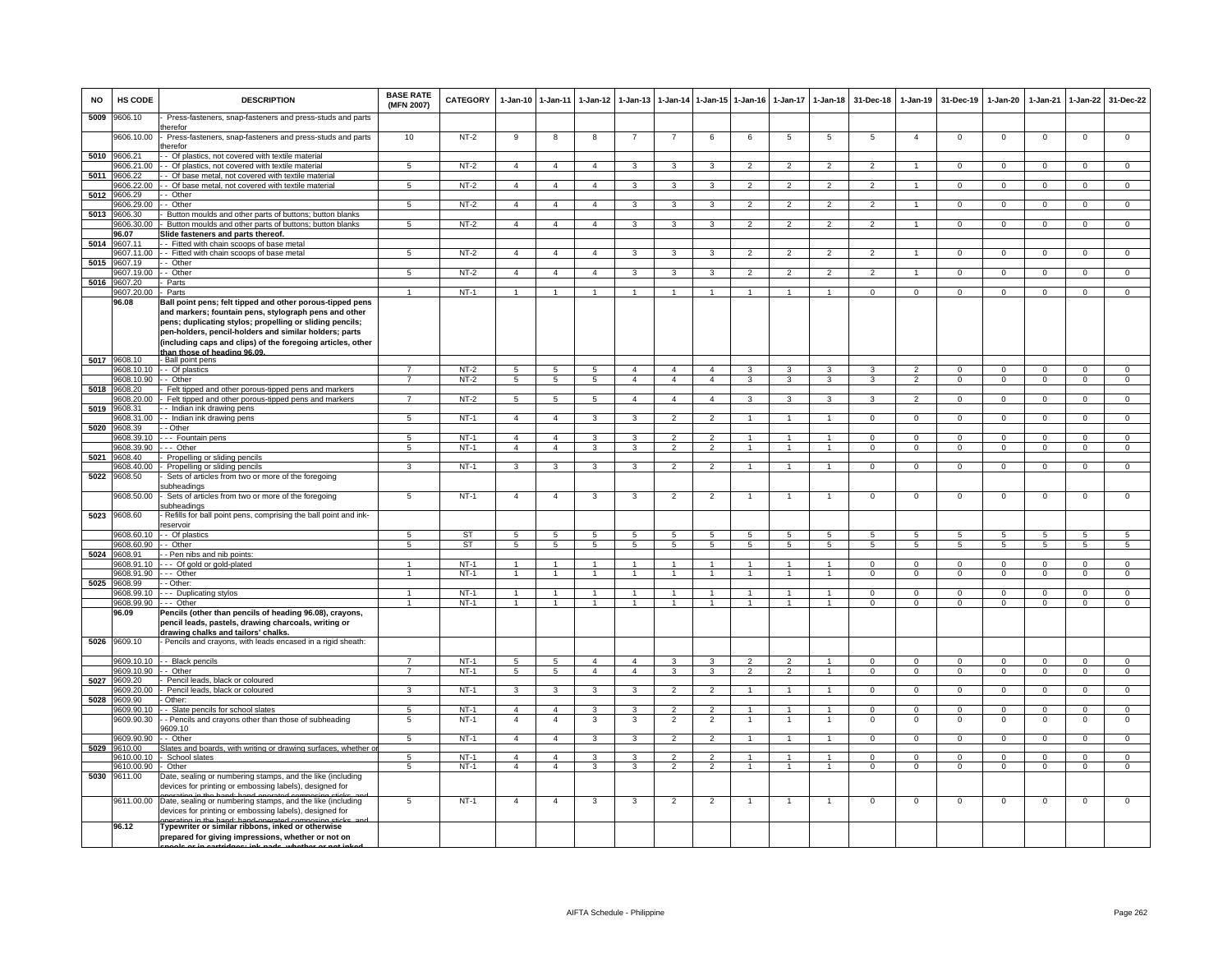| <b>NO</b> | HS CODE                         | <b>DESCRIPTION</b>                                                                                                                                                                                                                         | <b>BASE RATE</b><br>(MFN 2007)       | <b>CATEGORY</b>        | $1-Jan-10$                       | $1 - Jan-11$                           | $1 - Jan-12$                   | $1 - Jan-13$                     |                                            |                                      | 1-Jan-14 1-Jan-15 1-Jan-16       | $1 - Jan-17$                     | $1-Jan-18$                       | 31-Dec-18               | $1-Jan-19$                         | 31-Dec-19              | $1-Jan-20$                   | $1-Jan-21$                 | $1 - Jan-22$                       | 31-Dec-22                     |
|-----------|---------------------------------|--------------------------------------------------------------------------------------------------------------------------------------------------------------------------------------------------------------------------------------------|--------------------------------------|------------------------|----------------------------------|----------------------------------------|--------------------------------|----------------------------------|--------------------------------------------|--------------------------------------|----------------------------------|----------------------------------|----------------------------------|-------------------------|------------------------------------|------------------------|------------------------------|----------------------------|------------------------------------|-------------------------------|
| 5009      | 9606.10                         | Press-fasteners, snap-fasteners and press-studs and parts<br>herefor                                                                                                                                                                       |                                      |                        |                                  |                                        |                                |                                  |                                            |                                      |                                  |                                  |                                  |                         |                                    |                        |                              |                            |                                    |                               |
|           | 9606.10.00                      | Press-fasteners, snap-fasteners and press-studs and parts<br>herefor                                                                                                                                                                       | 10                                   | $NT-2$                 | 9                                | 8                                      | 8                              |                                  |                                            | 6                                    | 6                                | 5                                | $\overline{5}$                   | 5                       | $\overline{4}$                     | $^{\circ}$             | $^{\circ}$                   | $\mathbf 0$                | $\mathbf 0$                        | $\mathbf 0$                   |
| 5010      | 9606.21<br>9606.21.00           | - Of plastics, not covered with textile material<br>- Of plastics, not covered with textile material                                                                                                                                       | 5                                    | $NT-2$                 | $\overline{a}$                   | $\overline{4}$                         | $\overline{a}$                 | 3                                | 3                                          | 3                                    | $\mathcal{P}$                    | $\mathcal{P}$                    | $\mathfrak{p}$                   | $\overline{2}$          | $\overline{1}$                     | $^{\circ}$             | $\mathsf 0$                  | $\Omega$                   | $\mathsf 0$                        | $\mathbf 0$                   |
| 5011      | 9606.22                         | Of base metal, not covered with textile material                                                                                                                                                                                           |                                      |                        |                                  |                                        |                                |                                  |                                            |                                      |                                  |                                  |                                  |                         |                                    |                        |                              |                            |                                    |                               |
| 5012      | 9606.22.00<br>9606.29           | - Of base metal, not covered with textile material<br>- Other                                                                                                                                                                              | 5                                    | $NT-2$                 | $\overline{4}$                   | $\overline{4}$                         | $\mathbf{A}$                   | 3                                | $\mathbf{3}$                               | $\overline{\mathbf{3}}$              | $\mathcal{P}$                    | $\mathfrak{D}$                   | $\overline{2}$                   | $\mathfrak{D}$          | $\overline{1}$                     | $\Omega$               | $\mathbf 0$                  | $\Omega$                   | $\mathbf 0$                        | $\overline{0}$                |
|           | 9606.29.00                      | - Other                                                                                                                                                                                                                                    | 5                                    | $NT-2$                 | $\overline{4}$                   | $\overline{4}$                         | $\overline{\mathbf{4}}$        | 3                                | 3                                          | 3                                    | $\overline{2}$                   | $\mathfrak{p}$                   | $\overline{2}$                   | $\mathfrak{p}$          |                                    | $\Omega$               | $\Omega$                     | $\Omega$                   | $\mathsf 0$                        | $\Omega$                      |
| 5013      | 9606.30                         | Button moulds and other parts of buttons; button blanks                                                                                                                                                                                    |                                      |                        |                                  |                                        |                                |                                  |                                            |                                      |                                  |                                  |                                  |                         |                                    |                        |                              |                            |                                    |                               |
|           | 9606.30.00<br>96.07             | Button moulds and other parts of buttons; button blanks<br>Slide fasteners and parts thereof.                                                                                                                                              | 5                                    | $NT-2$                 | $\overline{4}$                   | $\overline{4}$                         | $\overline{4}$                 | 3                                | 3                                          | 3                                    | 2                                | $\overline{2}$                   | 2                                | 2                       | $\overline{1}$                     | $\mathbf{0}$           | $\overline{0}$               | $^{\circ}$                 | $\mathbf{0}$                       | $^{\circ}$                    |
| 5014      | 9607.11                         | - Fitted with chain scoops of base metal                                                                                                                                                                                                   |                                      |                        |                                  |                                        |                                |                                  |                                            |                                      |                                  |                                  |                                  |                         |                                    |                        |                              |                            |                                    |                               |
| 5015      | 607.11.00<br>607.19             | - Fitted with chain scoops of base metal<br>- Other                                                                                                                                                                                        | 5                                    | $NT-2$                 | $\overline{4}$                   | $\overline{4}$                         | $\overline{\mathbf{4}}$        | 3                                | 3                                          | 3                                    | $\overline{2}$                   | $\overline{2}$                   | $\overline{2}$                   | $\overline{2}$          | $\mathbf{1}$                       | $\mathbf 0$            | $\mathbf 0$                  | $\mathbf 0$                | $\mathbf 0$                        | $\overline{0}$                |
|           | 9607.19.00                      | - Other                                                                                                                                                                                                                                    | $\overline{5}$                       | $NT-2$                 | $\mathbf{A}$                     | $\overline{4}$                         | $\mathbf{4}$                   | $\mathbf{3}$                     | 3                                          | 3                                    | $\overline{2}$                   | $\overline{2}$                   | $\overline{2}$                   | $\overline{2}$          |                                    | $\Omega$               | $\Omega$                     | $\Omega$                   | $\Omega$                           | $\overline{0}$                |
| 5016      | 9607.20<br>9607.20.00           | Parts<br>Parts                                                                                                                                                                                                                             |                                      | $NT-1$                 |                                  |                                        |                                |                                  |                                            | $\mathbf{1}$                         |                                  |                                  |                                  | $\Omega$                | $\Omega$                           | $\Omega$               | $\Omega$                     | $\Omega$                   | $\mathbf 0$                        | $\Omega$                      |
|           | 96.08                           | Ball point pens; felt tipped and other porous-tipped pens                                                                                                                                                                                  |                                      |                        |                                  |                                        |                                |                                  |                                            |                                      |                                  |                                  |                                  |                         |                                    |                        |                              |                            |                                    |                               |
|           |                                 | and markers; fountain pens, stylograph pens and other<br>pens; duplicating stylos; propelling or sliding pencils;<br>pen-holders, pencil-holders and similar holders; parts<br>(including caps and clips) of the foregoing articles, other |                                      |                        |                                  |                                        |                                |                                  |                                            |                                      |                                  |                                  |                                  |                         |                                    |                        |                              |                            |                                    |                               |
|           | 5017 9608.10                    | than those of heading 96.09.<br>- Ball point pens                                                                                                                                                                                          |                                      |                        |                                  |                                        |                                |                                  |                                            |                                      |                                  |                                  |                                  |                         |                                    |                        |                              |                            |                                    |                               |
|           |                                 | 9608.10.10 -- Of plastics                                                                                                                                                                                                                  | $\overline{7}$                       | $NT-2$                 | 5                                | 5                                      | -5                             | $\overline{4}$                   | $\mathbf{A}$                               | $\mathbf{A}$                         | $\mathbf{3}$                     | 3                                | $\mathcal{R}$                    | $\mathcal{R}$           | $\mathcal{L}$                      | $\Omega$               | $\Omega$                     | $\Omega$                   | $\Omega$                           | $\Omega$                      |
| 5018      | 9608.10.90 - - Other<br>9608.20 | Felt tipped and other porous-tipped pens and markers                                                                                                                                                                                       | $\overline{7}$                       | $NT-2$                 | 5                                | 5                                      | 5                              | $\overline{4}$                   | $\overline{4}$                             | $\overline{a}$                       | 3                                | 3                                | 3                                | 3                       | $\overline{2}$                     | $\Omega$               | $\overline{0}$               | $\Omega$                   | $\Omega$                           | $\overline{0}$                |
|           | 9608.20.00                      | Felt tipped and other porous-tipped pens and markers                                                                                                                                                                                       | $\overline{7}$                       | $NT-2$                 | $5^{\circ}$                      | $\overline{5}$                         | $\overline{5}$                 | $\overline{4}$                   | $\overline{4}$                             | $\overline{4}$                       | 3                                | 3                                | 3                                | 3                       | $\mathfrak{p}$                     | $\Omega$               | $\Omega$                     | $\Omega$                   | $\Omega$                           | $\Omega$                      |
| 5019      | 9608.31                         | - Indian ink drawing pens                                                                                                                                                                                                                  |                                      |                        |                                  |                                        |                                |                                  |                                            |                                      |                                  |                                  |                                  |                         |                                    |                        |                              |                            |                                    |                               |
| 5020      | 9608.31.00<br>9608.39           | - Indian ink drawing pens<br>- Other                                                                                                                                                                                                       | 5                                    | $NT-1$                 | $\overline{4}$                   | $\overline{4}$                         | 3                              | 3                                | $\overline{2}$                             | $\overline{2}$                       | $\blacktriangleleft$             | 1                                | $\mathbf{1}$                     | $^{\circ}$              | $\mathbf 0$                        | $\mathbf 0$            | $\mathbf 0$                  | $^{\circ}$                 | $\mathbf{0}$                       | $^{\circ}$                    |
|           | 0608.39.10                      | -- Fountain pens                                                                                                                                                                                                                           | 5                                    | $NT-1$                 | $\overline{a}$                   | $\overline{4}$                         | 3                              | 3                                | $\overline{\phantom{a}}$                   | $\overline{2}$                       |                                  |                                  | $\overline{1}$                   | $\overline{0}$          | $\overline{0}$                     | $\Omega$               | $\overline{0}$               | $\overline{0}$             | $\overline{0}$                     | $\overline{0}$                |
| 5021      | 608.39.90<br>9608.40            | -- Other<br>Propelling or sliding pencils                                                                                                                                                                                                  | 5                                    | $NT-1$                 | $\overline{4}$                   | $\overline{4}$                         | 3                              | 3                                | $\mathfrak{p}$                             | $\overline{2}$                       | 1                                |                                  | $\mathbf{1}$                     | $\mathbf 0$             | $\mathbf 0$                        | $\mathbf 0$            | $\mathbf 0$                  | $\Omega$                   | $\mathsf 0$                        | $\overline{0}$                |
|           | 9608.40.00                      | Propelling or sliding pencils                                                                                                                                                                                                              | 3                                    | $NT-1$                 | 3                                | 3                                      | 3                              | 3                                | $\overline{2}$                             | $\overline{2}$                       |                                  | 1                                | $\mathbf{1}$                     | $^{\circ}$              | $\mathbf 0$                        | $^{\circ}$             | $\mathsf 0$                  | $\mathbf 0$                | $\mathsf 0$                        | $\overline{0}$                |
| 5022      | 9608.50                         | Sets of articles from two or more of the foregoing<br>ubheadings                                                                                                                                                                           |                                      |                        |                                  |                                        |                                |                                  |                                            |                                      |                                  |                                  |                                  |                         |                                    |                        |                              |                            |                                    |                               |
| 5023      | 9608.50.00<br>9608.60           | Sets of articles from two or more of the foregoing<br>ubheadings<br>Refills for ball point pens, comprising the ball point and ink-                                                                                                        | $5^{\circ}$                          | $NT-1$                 | $\overline{4}$                   | $\overline{4}$                         | 3                              | 3                                | $\overline{2}$                             | $\overline{2}$                       |                                  | 1                                | $\overline{1}$                   | $\mathbf 0$             | $\mathsf 0$                        | $\Omega$               | $\mathbf 0$                  | $\mathbf 0$                | $\mathsf 0$                        | $\overline{0}$                |
|           |                                 | eservoir                                                                                                                                                                                                                                   |                                      |                        |                                  |                                        |                                |                                  |                                            |                                      |                                  |                                  |                                  |                         |                                    |                        |                              |                            |                                    |                               |
|           | 9608.60.10<br>9608.60.90        | - Of plastics<br>- Other                                                                                                                                                                                                                   | $5^{\circ}$<br>5                     | <b>ST</b><br><b>ST</b> | 5<br>5                           | $\overline{5}$<br>$\overline{5}$       | -5<br>5                        | $\overline{5}$<br>5              | $5^{\circ}$<br>5                           | $5^{\circ}$<br>5                     | 5<br>5                           | $5\overline{5}$<br>5             | 5<br>5                           | $5^{\circ}$<br>5        | $5\overline{5}$<br>$5\overline{5}$ | -5<br>5                | $5^{\circ}$<br>5             | $\sqrt{5}$<br>5            | $5\overline{5}$<br>$5\overline{5}$ | 5<br>5                        |
| 5024      | 9608.91                         | - Pen nibs and nib points:                                                                                                                                                                                                                 |                                      |                        |                                  |                                        |                                |                                  |                                            |                                      |                                  |                                  |                                  |                         |                                    |                        |                              |                            |                                    |                               |
|           | 9608.91.10                      | - Of gold or gold-plated                                                                                                                                                                                                                   | $\blacktriangleleft$<br>$\mathbf{1}$ | $NT-1$<br>$NT-1$       | $\overline{1}$                   | $\blacktriangleleft$<br>$\overline{1}$ | $\overline{1}$                 | $\overline{1}$<br>$\overline{1}$ | $\overline{1}$<br>$\overline{1}$           | $\blacktriangleleft$<br>$\mathbf{1}$ | $\overline{1}$<br>$\overline{1}$ | $\mathbf{1}$<br>$\overline{1}$   | $\overline{1}$                   | $\Omega$<br>$\Omega$    | $\Omega$                           | $\Omega$               | $\Omega$<br>$\overline{0}$   | $\Omega$<br>$\Omega$       | $\mathsf 0$                        | $\circ$<br>$\overline{0}$     |
| 5025      | 9608.91.90<br>9608.99           | --- Other<br>- Other:                                                                                                                                                                                                                      |                                      |                        |                                  |                                        |                                |                                  |                                            |                                      |                                  |                                  | $\mathbf{1}$                     |                         | $\mathbf 0$                        | $^{\circ}$             |                              |                            | $\mathbf 0$                        |                               |
|           | 9608.99.10                      | --- Duplicating stylos                                                                                                                                                                                                                     |                                      | $NT-1$                 |                                  |                                        |                                |                                  |                                            | $\blacktriangleleft$                 |                                  |                                  |                                  | 0                       | 0                                  | $\mathbf 0$            | $^{\circ}$                   | 0                          | $\mathsf 0$                        | $\mathbf 0$                   |
|           | 9608.99.90<br>96.09             | --- Other<br>Pencils (other than pencils of heading 96.08), crayons,<br>pencil leads, pastels, drawing charcoals, writing or<br>drawing chalks and tailors' chalks.                                                                        | $\blacktriangleleft$                 | $NT-1$                 |                                  |                                        |                                | $\mathbf{1}$                     | $\mathbf{1}$                               | $\overline{1}$                       | $\overline{1}$                   | $\mathbf{1}$                     |                                  | $\mathbf 0$             | $\mathbf 0$                        | $\mathbf 0$            | $\mathbf 0$                  | $\mathbf 0$                | $\mathbf 0$                        | $\mathbf 0$                   |
|           | 5026 9609.10                    | Pencils and crayons, with leads encased in a rigid sheath:                                                                                                                                                                                 |                                      |                        |                                  |                                        |                                |                                  |                                            |                                      |                                  |                                  |                                  |                         |                                    |                        |                              |                            |                                    |                               |
|           | 9609.10.10<br>9609.10.90        | - - Black pencils<br>- Other                                                                                                                                                                                                               | $\overline{7}$<br>$\overline{7}$     | $NT-1$<br>$NT-1$       | 5<br>$\overline{5}$              | 5<br>$\overline{5}$                    | $\overline{a}$<br>$\mathbf{A}$ | $\overline{4}$<br>$\overline{4}$ | 3<br>$\mathbf{a}$                          | 3<br>$\overline{\mathbf{3}}$         | $\mathfrak{p}$<br>$\mathcal{P}$  | $\mathfrak{p}$<br>$\mathfrak{p}$ | $\overline{1}$<br>$\overline{1}$ | $^{\circ}$<br>$\Omega$  | $\Omega$<br>$\overline{0}$         | $^{\circ}$<br>$\Omega$ | $^{\circ}$<br>$\overline{0}$ | $\Omega$<br>$\overline{0}$ | 0<br>$\Omega$                      | $\mathbf 0$<br>$\overline{0}$ |
| 5027      | 9609.20                         | Pencil leads, black or coloured                                                                                                                                                                                                            |                                      |                        |                                  |                                        |                                |                                  |                                            |                                      |                                  |                                  |                                  |                         |                                    |                        |                              |                            |                                    |                               |
|           | 9609.20.00                      | Pencil leads, black or coloured                                                                                                                                                                                                            | $\mathbf{R}$                         | $NT-1$                 | 3                                | $\mathcal{R}$                          |                                |                                  |                                            | $\mathcal{P}$                        |                                  |                                  |                                  | $\Omega$                | $\Omega$                           | $\Omega$               | $\Omega$                     | $\Omega$                   | $\Omega$                           | $\Omega$                      |
| 5028      | 9609.90<br>9609.90.10           | Other:<br>- Slate pencils for school slates                                                                                                                                                                                                | 5                                    | $NT-1$                 | $\overline{4}$                   | $\overline{4}$                         | 3                              | 3                                | $\overline{2}$                             | $\overline{2}$                       | -1                               | 1                                | $\overline{1}$                   | $\Omega$                | $\mathbf{0}$                       | $^{\circ}$             | $^{\circ}$                   | $\Omega$                   | $\mathbf{0}$                       | $\mathbf{0}$                  |
|           | 9609.90.30                      | - Pencils and crayons other than those of subheading                                                                                                                                                                                       | -5                                   | $NT-1$                 | $\mathbf{A}$                     | $\overline{a}$                         | 3                              | 3                                | $\overline{2}$                             | $\overline{2}$                       |                                  | -1                               | 1                                | $\Omega$                | $\Omega$                           | $\Omega$               | $^{\circ}$                   | $\Omega$                   | $^{\circ}$                         | $\overline{0}$                |
|           | 9609.90.90                      | 609.10<br>- Other                                                                                                                                                                                                                          | $5^{\circ}$                          | $NT-1$                 | $\overline{4}$                   | $\overline{4}$                         | 3                              | 3                                | $\overline{2}$                             | $\overline{2}$                       |                                  | 1                                |                                  | $\mathbf 0$             | $\overline{0}$                     | $\Omega$               | $\overline{0}$               | $\overline{0}$             | $\mathsf 0$                        | $\overline{0}$                |
| 5029      | 00.016                          | lates and boards, with writing or drawing surfaces, whether o                                                                                                                                                                              |                                      |                        |                                  |                                        |                                |                                  |                                            |                                      |                                  |                                  |                                  |                         |                                    |                        |                              |                            |                                    |                               |
|           | 9610.00.10<br>9610.00.90        | School slates<br>Other                                                                                                                                                                                                                     | 5<br>$\overline{5}$                  | $NT-1$<br>$NT-1$       | $\overline{a}$<br>$\overline{4}$ | $\overline{4}$<br>$\overline{4}$       | 3<br>3                         | 3<br>3                           | $\mathfrak{p}$<br>$\overline{\phantom{0}}$ | $\overline{2}$<br>$\overline{2}$     |                                  | $\ddot{\phantom{0}}$             |                                  | $\mathbf 0$<br>$\Omega$ | $\Omega$<br>$\overline{0}$         | $\Omega$<br>$\Omega$   | $\Omega$<br>$\Omega$         | $\Omega$<br>$\Omega$       | $\mathsf 0$<br>$\overline{0}$      | $\mathbf 0$<br>$\overline{0}$ |
| 5030      | 9611.00                         | Date, sealing or numbering stamps, and the like (including<br>devices for printing or embossing labels), designed for                                                                                                                      |                                      |                        |                                  |                                        |                                |                                  |                                            |                                      |                                  |                                  |                                  |                         |                                    |                        |                              |                            |                                    |                               |
|           | 9611.00.00                      | Date, sealing or numbering stamps, and the like (including<br>devices for printing or embossing labels), designed for                                                                                                                      | 5                                    | $NT-1$                 | $\overline{a}$                   | $\overline{a}$                         | 3                              | $\mathbf{3}$                     | $\overline{2}$                             | $\overline{2}$                       | -1                               | 1                                | $\mathbf{1}$                     | $\mathbf 0$             | $\Omega$                           | $\Omega$               | $\mathsf 0$                  | $\mathbf 0$                | 0                                  | $\overline{0}$                |
|           | 96.12                           | Typewriter or similar ribbons, inked or otherwise<br>prepared for giving impressions, whether or not on                                                                                                                                    |                                      |                        |                                  |                                        |                                |                                  |                                            |                                      |                                  |                                  |                                  |                         |                                    |                        |                              |                            |                                    |                               |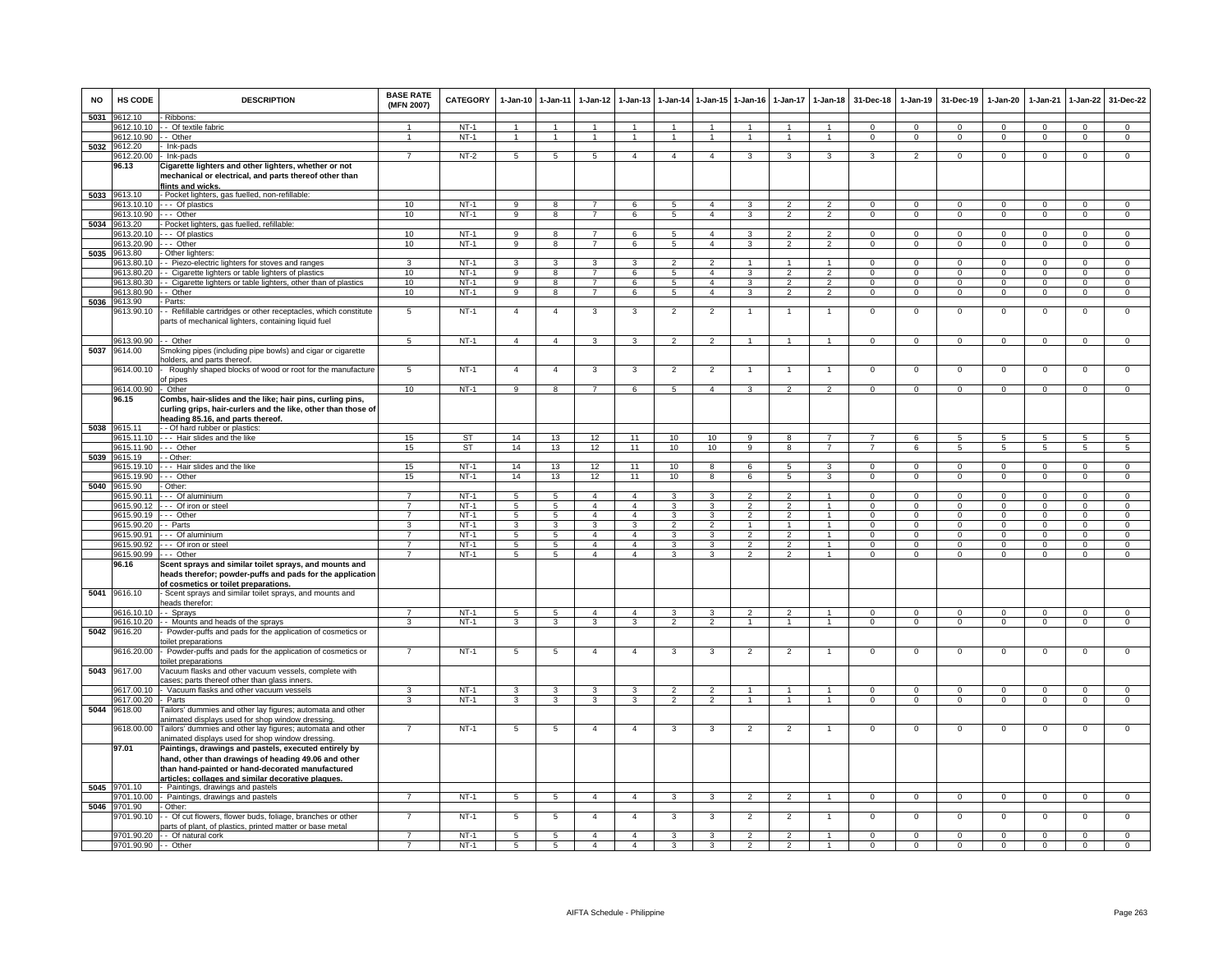| <b>NO</b> | HS CODE                  | <b>DESCRIPTION</b>                                                                                                                                                                                                     | <b>BASE RATE</b><br>(MFN 2007)   | <b>CATEGORY</b>  | $1-Jan-10$      | $1 - Jan-11$         | $1-Jan-12$                     | $1-Jan-13$                       |                          |                                  | 1-Jan-14 1-Jan-15 1-Jan-16       |                                  | 1-Jan-17 1-Jan-18              | 31-Dec-18                | $1-Jan-19$               | 31-Dec-19                | 1-Jan-20                   | $1-Jan-21$                 | $1-Jan-22$                  | 31-Dec-22                      |
|-----------|--------------------------|------------------------------------------------------------------------------------------------------------------------------------------------------------------------------------------------------------------------|----------------------------------|------------------|-----------------|----------------------|--------------------------------|----------------------------------|--------------------------|----------------------------------|----------------------------------|----------------------------------|--------------------------------|--------------------------|--------------------------|--------------------------|----------------------------|----------------------------|-----------------------------|--------------------------------|
| 5031      | 9612.10                  | Ribbons:                                                                                                                                                                                                               |                                  |                  |                 |                      |                                |                                  |                          |                                  |                                  |                                  |                                |                          |                          |                          |                            |                            |                             |                                |
|           | 9612.10.10               | - Of textile fabric                                                                                                                                                                                                    | $\mathbf{1}$                     | $NT-1$           | $\overline{1}$  | $\overline{1}$       |                                | $\overline{1}$                   | $\mathbf{1}$             | $\overline{1}$                   | $\overline{1}$                   | $\mathbf{1}$                     | $\mathbf{1}$                   | $\Omega$                 | $\Omega$                 | $\Omega$                 | $\Omega$                   | $\Omega$                   | $\mathbf 0$                 | $\Omega$                       |
|           | 9612.10.90               | - Other                                                                                                                                                                                                                | $\overline{1}$                   | $NT-1$           | $\mathbf{1}$    | $\overline{1}$       | $\mathbf{1}$                   | $\overline{1}$                   | $\overline{1}$           | $\overline{1}$                   | $\overline{1}$                   | $\overline{1}$                   | $\mathbf{1}$                   | $\mathbf{0}$             | $\mathbf 0$              | $^{\circ}$               | $\mathbf 0$                | $\mathbf 0$                | $\overline{0}$              | $\overline{0}$                 |
| 5032      | 9612.20                  | Ink-pads                                                                                                                                                                                                               |                                  |                  |                 |                      |                                |                                  |                          |                                  |                                  |                                  |                                |                          |                          |                          |                            |                            |                             |                                |
|           | 9612.20.00<br>96.13      | Ink-pads<br>Cigarette lighters and other lighters, whether or not<br>mechanical or electrical, and parts thereof other than                                                                                            | $\overline{7}$                   | $NT-2$           | 5               | 5                    | -5                             | $\overline{4}$                   | $\overline{\mathbf{4}}$  | $\overline{4}$                   | 3                                | 3                                | 3                              | 3                        | $\mathfrak{p}$           | $\mathbf 0$              | $\mathbf 0$                | $\mathbf 0$                | $\mathbf 0$                 | $\overline{0}$                 |
|           | 9613.10                  | lints and wicks.<br>- Pocket lighters, gas fuelled, non-refillable:                                                                                                                                                    |                                  |                  |                 |                      |                                |                                  |                          |                                  |                                  |                                  |                                |                          |                          |                          |                            |                            |                             |                                |
| 5033      | 9613.10.10               | - Of plastics                                                                                                                                                                                                          | 10 <sup>1</sup>                  | $NT-1$           | 9               | $\mathbf{g}$         |                                | 6                                | $\overline{5}$           | $\overline{4}$                   | 3                                |                                  | $\overline{2}$                 | $\Omega$                 | $\Omega$                 | $\Omega$                 | $\Omega$                   | $\Omega$                   | $\Omega$                    | $\Omega$                       |
|           | 9613.10.90               | -- Other                                                                                                                                                                                                               | 10                               | $NT-1$           | 9               | 8                    | $7\overline{ }$                | 6                                | $5\phantom{.0}$          | $\overline{4}$                   | $\mathbf{3}$                     | $\overline{2}$                   | $\overline{2}$                 | $\overline{0}$           | $\overline{0}$           | $\mathbf{0}$             | $\overline{0}$             | $\mathbf 0$                | $\overline{0}$              | $\overline{0}$                 |
|           | 5034 9613.20             | Pocket lighters, gas fuelled, refillable:                                                                                                                                                                              |                                  |                  |                 |                      |                                |                                  |                          |                                  |                                  |                                  |                                |                          |                          |                          |                            |                            |                             |                                |
|           | 9613.20.10               | - Of plastics                                                                                                                                                                                                          | 10                               | $NT-1$           | 9               | $\overline{8}$       | $\overline{7}$                 | 6                                | -5                       | $\mathbf{A}$                     | 3                                | 2                                | $\overline{2}$                 | $\Omega$                 | $\Omega$                 | $\Omega$                 | $\Omega$                   | $\Omega$                   | $\Omega$                    | $\overline{0}$                 |
|           | 9613.20.90               | -- Other                                                                                                                                                                                                               | 10                               | $NT-1$           | 9               | 8                    | $\overline{7}$                 | 6                                | 5                        | $\overline{4}$                   | 3                                | $\overline{2}$                   | $\overline{2}$                 | $\mathbf 0$              | $\mathbf 0$              | $\mathbf 0$              | $\mathbf 0$                | $\mathbf 0$                | $\mathbf 0$                 | $\overline{0}$                 |
| 5035      | 9613.80                  | Other lighters                                                                                                                                                                                                         |                                  |                  |                 |                      |                                |                                  |                          |                                  |                                  |                                  |                                |                          |                          |                          |                            |                            |                             |                                |
|           | 9613.80.10               | - Piezo-electric lighters for stoves and ranges                                                                                                                                                                        | 3                                | $NT-1$           | 3               | 3                    | 3                              | 3                                | $\overline{\phantom{a}}$ | $\overline{2}$                   | $\mathbf{1}$                     |                                  | $\mathbf{1}$                   | $\mathbf 0$              | $\mathbf{0}$             | $^{\circ}$               | $\circ$                    | 0                          | $\mathbf 0$                 | $\mathbf 0$                    |
|           | 9613.80.20               | - Cigarette lighters or table lighters of plastics                                                                                                                                                                     | 10                               | $NT-1$           | $_{9}$          | $\overline{8}$       | $\overline{7}$                 | 6                                | $\overline{5}$           | $\overline{4}$                   | 3                                | $\overline{\phantom{a}}$         | $\overline{2}$                 | $\Omega$                 | $\Omega$                 | $\Omega$                 | $\overline{0}$             | $\Omega$                   | $\overline{0}$              | $\overline{0}$                 |
|           | 9613.80.30               | Cigarette lighters or table lighters, other than of plastics                                                                                                                                                           | 10                               | $NT-1$           | $_{9}$          | 8                    | $\overline{7}$                 | $\overline{6}$                   | 5                        | $\overline{4}$                   | 3                                | $\overline{\phantom{a}}$         | $\overline{2}$                 | $\Omega$                 | $\Omega$                 | $\Omega$                 | $\overline{0}$             | $\Omega$                   | $\Omega$                    | $\overline{0}$                 |
|           | 9613.80.90               | - Other                                                                                                                                                                                                                | 10                               | $NT-1$           | 9               | 8                    | $\overline{7}$                 | 6                                | 5                        | $\overline{4}$                   | $\mathbf{a}$                     | $\mathfrak{D}$                   | $\overline{2}$                 | $\mathbf 0$              | $\circ$                  | $\mathbf 0$              | $\mathbf{0}$               | $\mathbf{0}$               | $\mathbf 0$                 | $\circ$                        |
| 5036      | 9613.90                  | Parts:                                                                                                                                                                                                                 |                                  |                  |                 |                      |                                |                                  |                          |                                  |                                  |                                  |                                |                          |                          |                          |                            |                            |                             |                                |
|           | 9613.90.10               | - Refillable cartridges or other receptacles, which constitute<br>parts of mechanical lighters, containing liquid fuel                                                                                                 | 5                                | $NT-1$           | $\overline{4}$  | $\overline{4}$       | 3                              | 3                                | $\overline{2}$           | $\overline{2}$                   | $\mathbf{1}$                     | $\overline{1}$                   | $\overline{1}$                 | $\mathbf 0$              | $\mathbf 0$              | $\mathbf 0$              | $^{\circ}$                 | $\mathbf 0$                | $\mathsf 0$                 | $\mathbf 0$                    |
|           | 9613.90.90               | - Other                                                                                                                                                                                                                | $\overline{5}$                   | $NT-1$           | $\overline{4}$  | $\overline{4}$       | $\overline{\mathbf{3}}$        | 3                                | $\overline{2}$           | $\overline{2}$                   |                                  | $\mathbf{1}$                     | $\blacktriangleleft$           | $\overline{0}$           | $\overline{0}$           | $\overline{0}$           | $\overline{0}$             | $\overline{0}$             | $\overline{0}$              | $\overline{0}$                 |
| 5037      | 9614.00<br>9614.00.10    | Smoking pipes (including pipe bowls) and cigar or cigarette<br>olders, and parts thereof.                                                                                                                              | 5                                | $NT-1$           | $\overline{4}$  | $\overline{4}$       |                                |                                  |                          |                                  | -1                               | $\overline{1}$                   | $\overline{1}$                 | $\overline{0}$           | $\mathbf{0}$             | $\mathbf 0$              |                            |                            |                             | $\mathbf 0$                    |
|           | 9614.00.90               | Roughly shaped blocks of wood or root for the manufacture<br>of pipes<br>Other                                                                                                                                         | 10                               | $NT-1$           | 9               | 8                    | 3<br>$\overline{7}$            | 3<br>6                           | $\overline{2}$<br>5      | $\overline{2}$<br>$\overline{4}$ | 3                                | $\overline{2}$                   | $\overline{2}$                 | $\mathbf 0$              | $\mathbf 0$              | $\mathbf 0$              | $\mathbf 0$<br>$\mathsf 0$ | $\mathbf 0$<br>$\mathbf 0$ | 0<br>$\mathsf 0$            | $\mathbf 0$                    |
|           | 96.15                    | Combs, hair-slides and the like; hair pins, curling pins,<br>curling grips, hair-curlers and the like, other than those of<br>heading 85.16, and parts thereof                                                         |                                  |                  |                 |                      |                                |                                  |                          |                                  |                                  |                                  |                                |                          |                          |                          |                            |                            |                             |                                |
|           | 5038 9615.11             | - Of hard rubber or plastics:                                                                                                                                                                                          |                                  |                  |                 |                      |                                |                                  |                          |                                  |                                  |                                  |                                |                          |                          |                          |                            |                            |                             |                                |
|           | 9615.11.10               | -- Hair slides and the like                                                                                                                                                                                            | 15                               | <b>ST</b>        | 14              | 13                   | 12                             | 11                               | 10                       | 10                               | 9                                | 8                                | $\overline{7}$                 | $\overline{7}$           | 6                        | 5                        | 5                          | 5                          | 5                           | 5                              |
|           | 9615.11.90               | $-$ Other                                                                                                                                                                                                              | 15                               | <b>ST</b>        | 14              | 13                   | 12                             | 11                               | 10                       | 10                               | $\overline{9}$                   | 8                                | $\overline{7}$                 | $\overline{7}$           | 6                        | $\overline{5}$           | 5                          | $\overline{5}$             | 5                           | $\overline{5}$                 |
|           | 5039 9615.19             | - Other:                                                                                                                                                                                                               |                                  |                  |                 |                      |                                |                                  |                          |                                  |                                  |                                  |                                |                          |                          |                          |                            |                            |                             |                                |
|           | 9615.19.10               | -- Hair slides and the like                                                                                                                                                                                            | 15                               | $NT-1$           | 14              | 13                   | 12                             | $\overline{11}$                  | 10                       | $\overline{8}$                   | 6                                | $\overline{5}$                   | $\overline{\mathbf{3}}$        | $\Omega$                 | $\overline{0}$           | $\Omega$                 | $\overline{0}$             | $\overline{0}$             | $\overline{0}$              | $\overline{0}$                 |
|           | 9615.19.90               | -- Other                                                                                                                                                                                                               | 15                               | $NT-1$           | 14              | 13                   | 12                             | 11                               | 10                       | $\overline{8}$                   | $\overline{6}$                   | 5                                | $\overline{\mathbf{3}}$        | $\Omega$                 | $\Omega$                 | $\Omega$                 | $\overline{0}$             | $\Omega$                   | $\overline{0}$              | $\overline{0}$                 |
| 5040      | 9615.90                  | Other:                                                                                                                                                                                                                 |                                  |                  |                 |                      |                                |                                  |                          |                                  |                                  |                                  |                                |                          |                          |                          |                            |                            |                             |                                |
|           | 9615.90.11               | -- Of aluminium                                                                                                                                                                                                        | $\overline{7}$                   | $NT-1$           | 5               | 5                    | $\overline{a}$                 | $\overline{4}$                   | 3                        | 3                                | $\mathfrak{p}$                   |                                  |                                | $\Omega$                 | $^{\circ}$               | 0                        | $\circ$                    | $\Omega$                   | 0                           | $^{\circ}$                     |
|           | 9615.90.12               | - Of iron or steel                                                                                                                                                                                                     | $\overline{7}$<br>$\overline{7}$ | $NT-1$<br>$NT-1$ | 5               | 5                    | $\overline{4}$<br>$\mathbf{A}$ | $\overline{4}$<br>$\overline{4}$ | 3                        | $\mathbf{3}$                     | $\overline{2}$<br>$\overline{2}$ | $\mathfrak{p}$<br>$\mathfrak{p}$ | $\sim$<br>$\mathbf{1}$         | $\Omega$<br>$\Omega$     | $\mathbf{0}$<br>$\Omega$ | $\mathbf 0$              | $\overline{0}$<br>$\Omega$ | $\Omega$<br>$\Omega$       | $\mathbf{0}$<br>$\Omega$    | $\mathbf{0}$<br>$\overline{0}$ |
|           | 9615.90.19<br>9615.90.20 | -- Other<br>- Parts                                                                                                                                                                                                    | 3                                | $NT-1$           | 5<br>3          | $5\phantom{.0}$<br>3 | 3                              | 3                                | 3<br>$\overline{2}$      | 3<br>$\overline{2}$              | $\mathbf{1}$                     | $\mathbf{1}$                     | $\mathbf{1}$                   | $\Omega$                 | $\Omega$                 | $\Omega$<br>$\Omega$     | $\Omega$                   | $\Omega$                   | $\overline{0}$              | $\overline{0}$                 |
|           | 9615.90.91               | -- Of aluminium                                                                                                                                                                                                        | $\overline{7}$                   | $NT-1$           | $\mathbf 5$     | $\sqrt{5}$           | $\overline{4}$                 | $\overline{4}$                   | 3                        | 3                                | $\overline{\phantom{a}}$         | $\mathfrak{p}$                   | $\mathbf{1}$                   | $\Omega$                 | $\mathsf 0$              | $\Omega$                 | $\Omega$                   | $\Omega$                   | $\mathsf 0$                 | $\mathsf 0$                    |
|           | 9615.90.92               | - Of iron or steel                                                                                                                                                                                                     | $\overline{7}$                   | $NT-1$           | 5               | 5                    | $\overline{4}$                 | $\overline{4}$                   | 3                        | 3                                | $\overline{2}$                   | $\mathfrak{p}$                   | $\mathbf{1}$                   | $\mathbf{0}$             | $\mathbf 0$              | $\mathbf 0$              | $\mathbf 0$                | $^{\circ}$                 | $\mathsf 0$                 | $\mathsf 0$                    |
|           | 9615.90.99               | -- Other                                                                                                                                                                                                               | $\overline{7}$                   | $NT-1$           | $\overline{5}$  | $\overline{5}$       | $\overline{4}$                 | $\overline{4}$                   | 3                        | $\overline{3}$                   | $\overline{2}$                   | $\overline{\phantom{a}}$         | $\overline{1}$                 | $\Omega$                 | $\Omega$                 | $\mathsf 0$              | $\overline{0}$             | $\Omega$                   | $\mathsf 0$                 | $\overline{0}$                 |
|           | 96.16                    | Scent sprays and similar toilet sprays, and mounts and<br>heads therefor; powder-puffs and pads for the application<br>of cosmetics or toilet preparations.                                                            |                                  |                  |                 |                      |                                |                                  |                          |                                  |                                  |                                  |                                |                          |                          |                          |                            |                            |                             |                                |
|           | 5041 9616.10             | Scent sprays and similar toilet sprays, and mounts and<br>eads therefor:                                                                                                                                               |                                  |                  |                 |                      |                                |                                  |                          |                                  |                                  |                                  |                                |                          |                          |                          |                            |                            |                             |                                |
|           | 9616.10.10<br>9616.10.20 | - Sprays<br>- Mounts and heads of the sprays                                                                                                                                                                           | $\overline{7}$<br>3              | $NT-1$<br>$NT-1$ | 5<br>3          | 5<br>3               | $\mathbf{4}$<br>3              | $\overline{4}$<br>3              | 3<br>$\overline{2}$      | 3<br>$\overline{2}$              | $\overline{2}$<br>$\overline{1}$ | $\mathfrak{p}$<br>$\mathbf{1}$   | $\overline{1}$<br>$\mathbf{1}$ | $\Omega$<br>$\mathbf{0}$ | $\Omega$<br>$\mathbf{0}$ | $\Omega$<br>$\mathbf{0}$ | $\Omega$<br>$\overline{0}$ | $\Omega$<br>$\mathbf 0$    | $\mathbf 0$<br>$\mathbf{0}$ | $\mathbf 0$<br>$\overline{0}$  |
| 5042      | 9616.20                  | Powder-puffs and pads for the application of cosmetics or<br>bilet preparations                                                                                                                                        |                                  |                  |                 |                      |                                |                                  |                          |                                  |                                  |                                  |                                |                          |                          |                          |                            |                            |                             |                                |
|           | 9616.20.00               | Powder-puffs and pads for the application of cosmetics or<br>pilet preparations                                                                                                                                        | $\overline{7}$                   | $NT-1$           | $5\phantom{.0}$ | 5                    | $\overline{4}$                 | $\overline{4}$                   | 3                        | 3                                | $\overline{2}$                   | $\overline{2}$                   | $\mathbf{1}$                   | $\mathbf{0}$             | $\mathbf{0}$             | $\mathbf 0$              | $\mathbf 0$                | $\mathbf 0$                | $\mathbf 0$                 | $\mathbf 0$                    |
| 5043      | 9617.00                  | Vacuum flasks and other vacuum vessels, complete with<br>cases; parts thereof other than glass inners.                                                                                                                 |                                  |                  |                 |                      |                                |                                  |                          |                                  |                                  |                                  |                                |                          |                          |                          |                            |                            |                             |                                |
|           | 9617.00.10               | Vacuum flasks and other vacuum vessels                                                                                                                                                                                 | 3                                | $NT-1$<br>$NT-1$ | $\mathbf{3}$    | 3                    | 3                              | 3                                | $\overline{2}$           | $\overline{2}$                   | $\overline{1}$<br>$\overline{1}$ | $\overline{1}$<br>$\overline{1}$ | $\mathbf{1}$<br>$\mathbf{1}$   | $\Omega$<br>$\Omega$     | $\mathbf 0$              | $\mathbf 0$              | $\Omega$                   | $\Omega$                   | $\mathbf 0$                 | $\Omega$<br>$\overline{0}$     |
| 5044      | 9617.00.20               | Parts                                                                                                                                                                                                                  | 3                                |                  | 3               | 3                    | 3                              | 3                                | $\overline{2}$           | $\overline{2}$                   |                                  |                                  |                                |                          | $\mathbf{0}$             | $\mathbf{0}$             | $\mathbf{0}$               | $\mathbf 0$                | $\mathbf 0$                 |                                |
|           | 9618.00                  | "ailors' dummies and other lay figures; automata and other<br>inimated displays used for shop window dressing.                                                                                                         |                                  |                  |                 |                      |                                |                                  |                          |                                  |                                  |                                  |                                |                          |                          |                          |                            |                            |                             |                                |
|           | 9618.00.00               | Tailors' dummies and other lay figures; automata and other<br>inimated displays used for shop window dressing.                                                                                                         |                                  | $NT-1$           | 5               | 5                    | $\overline{4}$                 | $\overline{4}$                   | 3                        | 3                                | $\overline{2}$                   | $\overline{2}$                   |                                | $\mathbf 0$              | $\Omega$                 | $\Omega$                 | $\mathbf 0$                | $\Omega$                   | 0                           | 0                              |
|           | 97.01                    | Paintings, drawings and pastels, executed entirely by<br>hand, other than drawings of heading 49.06 and other<br>than hand-painted or hand-decorated manufactured<br>articles: collages and similar decorative plaques |                                  |                  |                 |                      |                                |                                  |                          |                                  |                                  |                                  |                                |                          |                          |                          |                            |                            |                             |                                |
|           | 5045 9701.10             | Paintings, drawings and pastels                                                                                                                                                                                        |                                  |                  |                 |                      |                                |                                  |                          |                                  |                                  |                                  |                                |                          |                          |                          |                            |                            |                             |                                |
|           | 9701.10.00               | Paintings, drawings and pastels                                                                                                                                                                                        | $\overline{7}$                   | $NT-1$           | 5               | 5                    | $\overline{4}$                 | $\overline{4}$                   | 3                        | 3                                | 2                                | 2                                | $\overline{1}$                 | $\mathbf{0}$             | $\overline{0}$           | $\mathbf{0}$             | $\overline{0}$             | $\mathbf{0}$               | $\overline{0}$              | $\overline{0}$                 |
|           | 5046 9701.90             | Other:                                                                                                                                                                                                                 |                                  |                  |                 |                      |                                |                                  |                          |                                  |                                  |                                  |                                |                          |                          |                          |                            |                            |                             |                                |
|           | 9701.90.10               | - Of cut flowers, flower buds, foliage, branches or other<br>arts of plant, of plastics, printed matter or base metal                                                                                                  | $\overline{7}$                   | $NT-1$           | $\overline{5}$  | $\overline{5}$       | $\overline{4}$<br>$\mathbf{A}$ | $\overline{4}$                   | 3                        | 3                                | $\overline{2}$                   | $\overline{2}$<br>$\mathcal{P}$  | $\mathbf{1}$                   | $\mathbf 0$              | $\mathbf 0$              | $\,0\,$                  | $\mathbf 0$                | $\mathbf 0$<br>$\Omega$    | $\mathsf 0$                 | $\mathsf 0$<br>$\Omega$        |
|           | 9701.90.20               | - Of natural cork                                                                                                                                                                                                      | $\overline{7}$                   | $NT-1$           | 5               | -5                   |                                | $\overline{4}$<br>$\overline{4}$ | 3                        | 3<br>$\overline{\mathbf{3}}$     | $\mathfrak{p}$<br>$\overline{2}$ | $\overline{\phantom{a}}$         |                                | $\Omega$                 | $\Omega$                 | $\Omega$                 | $\Omega$                   |                            | $\Omega$                    | $\overline{0}$                 |
|           | 9701.90.90 - - Other     |                                                                                                                                                                                                                        |                                  | $NT-1$           | $\overline{5}$  | $\overline{5}$       | $\mathbf{A}$                   |                                  | 3                        |                                  |                                  |                                  |                                | $\Omega$                 | $\Omega$                 | $\Omega$                 | $\overline{0}$             | $\Omega$                   | $\Omega$                    |                                |